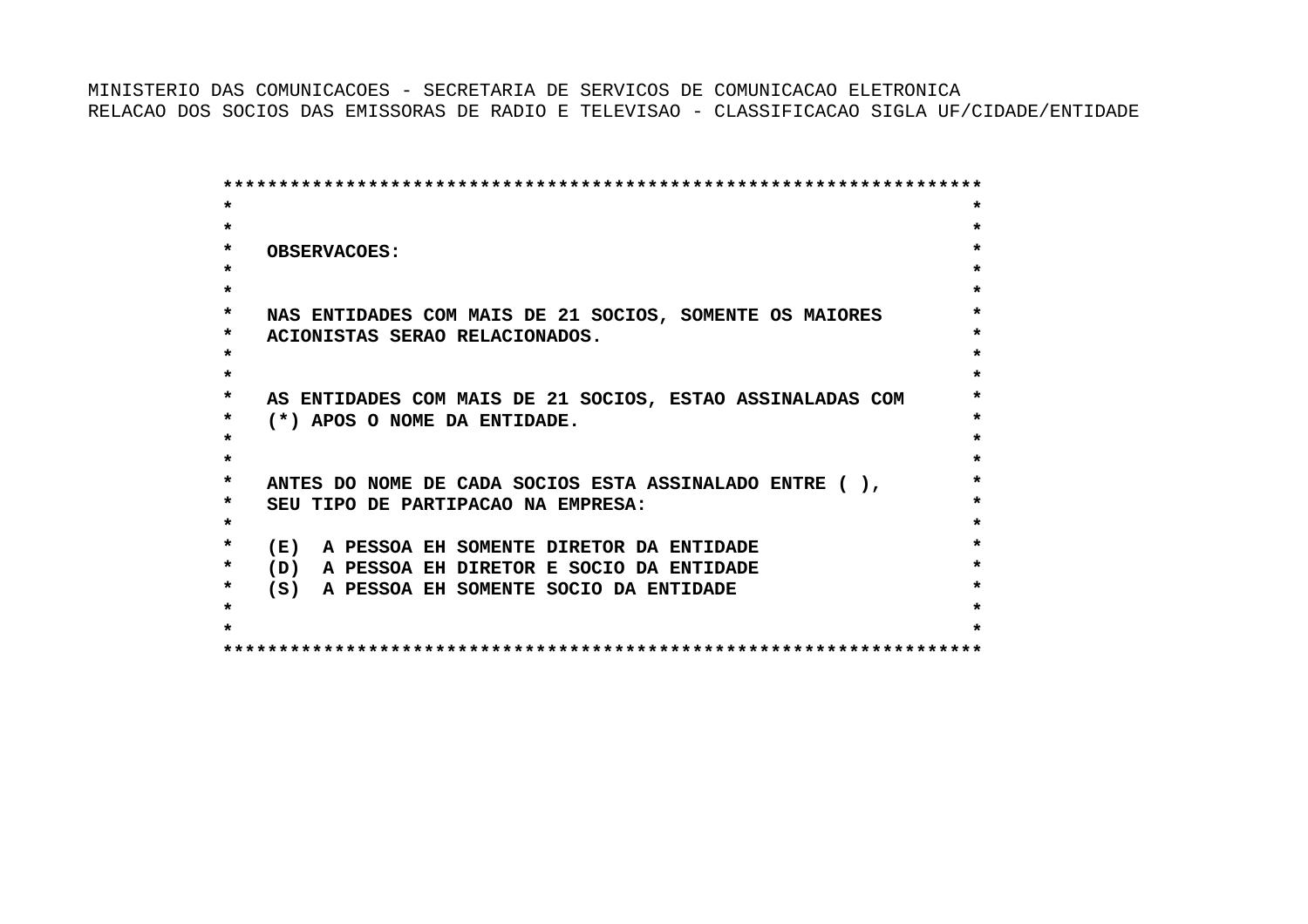MINISTERIO DAS COMUNICACOES - SECRETARIA DE SERVICOS DE COMUNICACAO ELETRONICARELACAO DOS SOCIOS DAS EMISSORAS DE RADIO E TELEVISAO - CLASSIFICACAO SIGLA UF/CIDADE/ENTIDADE

 **\*\*\*\*\*\*\*\*\*\*\*\*\*\*\*\*\*\*\*\*\*\*\*\*\*\*\*\*\*\*\*\*\*\*\*\*\*\*\*\*\*\*\*\*\*\*\*\*\*\*\*\*\*\*\*\*\*\*\*\*\*\*\*\*\*\*\*\* \* \* \* \* \* OBSERVACOES: \* \* \* \* \* \* NAS ENTIDADES COM MAIS DE 21 SOCIOS, SOMENTE OS MAIORES \* \* ACIONISTAS SERAO RELACIONADOS. \* \* \* \* \* \* AS ENTIDADES COM MAIS DE 21 SOCIOS, ESTAO ASSINALADAS COM \* \* (\*) APOS O NOME DA ENTIDADE. \* \* \* \* \* \* ANTES DO NOME DE CADA SOCIOS ESTA ASSINALADO ENTRE ( ), \* \* SEU TIPO DE PARTIPACAO NA EMPRESA: \* \* \* \* (E) A PESSOA EH SOMENTE DIRETOR DA ENTIDADE \* \* (D) A PESSOA EH DIRETOR E SOCIO DA ENTIDADE \* \* (S) A PESSOA EH SOMENTE SOCIO DA ENTIDADE \* \* \* \* \* \*\*\*\*\*\*\*\*\*\*\*\*\*\*\*\*\*\*\*\*\*\*\*\*\*\*\*\*\*\*\*\*\*\*\*\*\*\*\*\*\*\*\*\*\*\*\*\*\*\*\*\*\*\*\*\*\*\*\*\*\*\*\*\*\*\*\*\***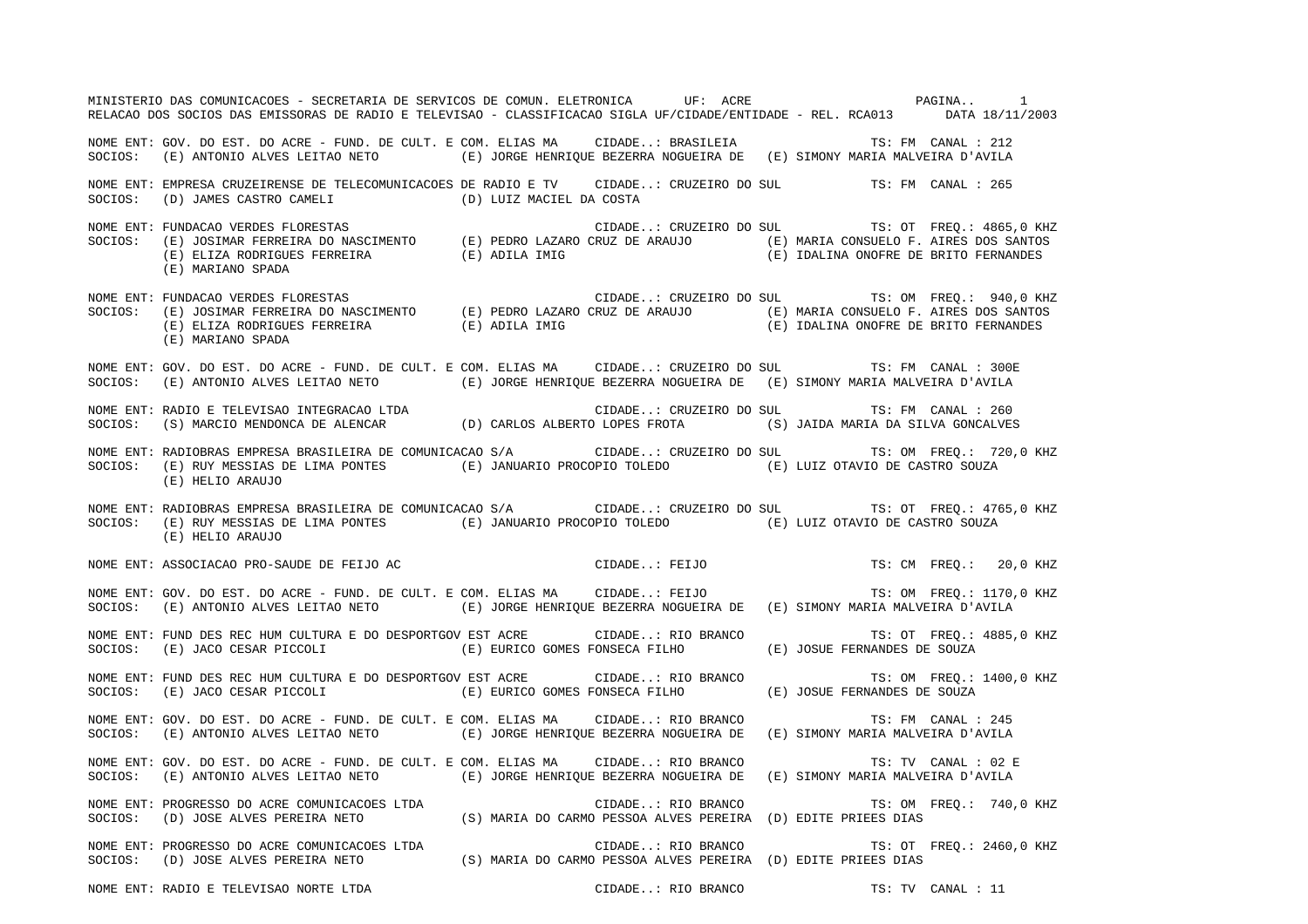MINISTERIO DAS COMUNICACOES - SECRETARIA DE SERVICOS DE COMUN. ELETRONICA UF: ACRE PAGINA.. 2020 PAGINA.. 2020 RELACAO DOS SOCIOS DAS EMISSORAS DE RADIO E TELEVISAO - CLASSIFICACAO SIGLA UF/CIDADE/ENTIDADE - REL. RCA013 DATA 18/11/2003 NOME ENT: GOV. DO EST. DO ACRE - FUND. DE CULT. E COM. ELIAS MA CIDADE..: BRASILEIA TS: FM CANAL : 212SOCIOS: (E) ANTONIO ALVES LEITAO NETO (E) JORGE HENRIQUE BEZERRA NOGUEIRA DE (E) SIMONY MARIA MALVEIRA D'AVILA NOME ENT: EMPRESA CRUZEIRENSE DE TELECOMUNICACOES DE RADIO E TV CIDADE..: CRUZEIRO DO SUL TS: FM CANAL : 265SOCIOS: (D) JAMES CASTRO CAMELI (D) LUIZ MACIEL DA COSTA NOME ENT: FUNDACAO VERDES FLORESTAS CIDADE..: CRUZEIRO DO SUL TS: OT FREQ.: 4865,0 KHZ SOCIOS: (E) JOSIMAR FERREIRA DO NASCIMENTO (E) PEDRO LAZARO CRUZ DE ARAUJO (E) MARIA CONSUELO F. AIRES DOS SANTOS (E) ELIZA RODRIGUES FERREIRA (E) ADILA IMIG (E) IDALINA ONOFRE DE BRITO FERNANDES (E) MARIANO SPADA NOME ENT: FUNDACAO VERDES FLORESTAS CIDADE..: CRUZEIRO DO SUL TS: OM FREQ.: 940,0 KHZ SOCIOS: (E) JOSIMAR FERREIRA DO NASCIMENTO (E) PEDRO LAZARO CRUZ DE ARAUJO (E) MARIA CONSUELO F. AIRES DOS SANTOS (E) ELIZA RODRIGUES FERREIRA (E) ADILA IMIG (E) IDALINA ONOFRE DE BRITO FERNANDES (E) MARIANO SPADA NOME ENT: GOV. DO EST. DO ACRE - FUND. DE CULT. E COM. ELIAS MA CIDADE..: CRUZEIRO DO SUL TS: FM CANAL : 300ESOCIOS: (E) ANTONIO ALVES LEITAO NETO (E) JORGE HENRIQUE BEZERRA NOGUEIRA DE (E) SIMONY MARIA MALVEIRA D'AVILA NOME ENT: RADIO E TELEVISAO INTEGRACAO LTDA CIDADE..: CRUZEIRO DO SUL TS: FM CANAL : 260 SOCIOS: (S) MARCIO MENDONCA DE ALENCAR (D) CARLOS ALBERTO LOPES FROTA (S) JAIDA MARIA DA SILVA GONCALVES NOME ENT: RADIOBRAS EMPRESA BRASILEIRA DE COMUNICACAO S/A CIDADE..: CRUZEIRO DO SUL TS: OM FREQ.: 720,0 KHZ SOCIOS: (E) RUY MESSIAS DE LIMA PONTES (E) JANUARIO PROCOPIO TOLEDO (E) LUIZ OTAVIO DE CASTRO SOUZA (E) HELIO ARAUJO NOME ENT: RADIOBRAS EMPRESA BRASILEIRA DE COMUNICACAO S/A CIDADE..: CRUZEIRO DO SUL TS: OT FREQ.: 4765,0 KHZ SOCIOS: (E) RUY MESSIAS DE LIMA PONTES (E) JANUARIO PROCOPIO TOLEDO (E) LUIZ OTAVIO DE CASTRO SOUZA (E) HELIO ARAUJO NOME ENT: ASSOCIACAO PRO-SAUDE DE FEIJO AC CIDADE..: FEIJO TS: CM FREQ.: 20,0 KHZ NOME ENT: GOV. DO EST. DO ACRE - FUND. DE CULT. E COM. ELIAS MA CIDADE..: FEIJO TS: OM FREQ.: 1170,0 KHZ SOCIOS: (E) ANTONIO ALVES LEITAO NETO (E) JORGE HENRIQUE BEZERRA NOGUEIRA DE (E) SIMONY MARIA MALVEIRA D'AVILA NOME ENT: FUND DES REC HUM CULTURA E DO DESPORTGOV EST ACRE CIDADE..: RIO BRANCO TS: OT FREQ.: 4885,0 KHZ SOCIOS: (E) JACO CESAR PICCOLI (E) EURICO GOMES FONSECA FILHO (E) JOSUE FERNANDES DE SOUZA NOME ENT: FUND DES REC HUM CULTURA E DO DESPORTGOV EST ACRE CIDADE..: RIO BRANCO TS: OM FREQ.: 1400,0 KHZ SOCIOS: (E) JACO CESAR PICCOLI (E) EURICO GOMES FONSECA FILHO (E) JOSUE FERNANDES DE SOUZA NOME ENT: GOV. DO EST. DO ACRE - FUND. DE CULT. E COM. ELIAS MA CIDADE..: RIO BRANCO TS: FM CANAL : 245SOCIOS: (E) ANTONIO ALVES LEITAO NETO (E) JORGE HENRIQUE BEZERRA NOGUEIRA DE (E) SIMONY MARIA MALVEIRA D'AVILA NOME ENT: GOV. DO EST. DO ACRE - FUND. DE CULT. E COM. ELIAS MA CIDADE..: RIO BRANCO TS: TV CANAL : 02 ESOCIOS: (E) ANTONIO ALVES LEITAO NETO (E) JORGE HENRIQUE BEZERRA NOGUEIRA DE (E) SIMONY MARIA MALVEIRA D'AVILA NOME ENT: PROGRESSO DO ACRE COMUNICACOES LTDA  $\Box$  CIDADE..: RIO BRANCO  $\Box$  TS: OM FREQ.: 740,0 KHZ SOCIOS: (D) JOSE ALVES PEREIRA NETO (S) MARIA DO CARMO PESSOA ALVES PEREIRA (D) EDITE PRIEES DIAS NOME ENT: PROGRESSO DO ACRE COMUNICACOES LTDA  $\Box$  CIDADE..: RIO BRANCO TS: OT FREQ.: 2460,0 KHZ SOCIOS: (D) JOSE ALVES PEREIRA NETO (S) MARIA DO CARMO PESSOA ALVES PEREIRA (D) EDITE PRIEES DIAS NOME ENT: RADIO E TELEVISAO NORTE LTDA CIDADE..: RIO BRANCO TS: TV CANAL : 11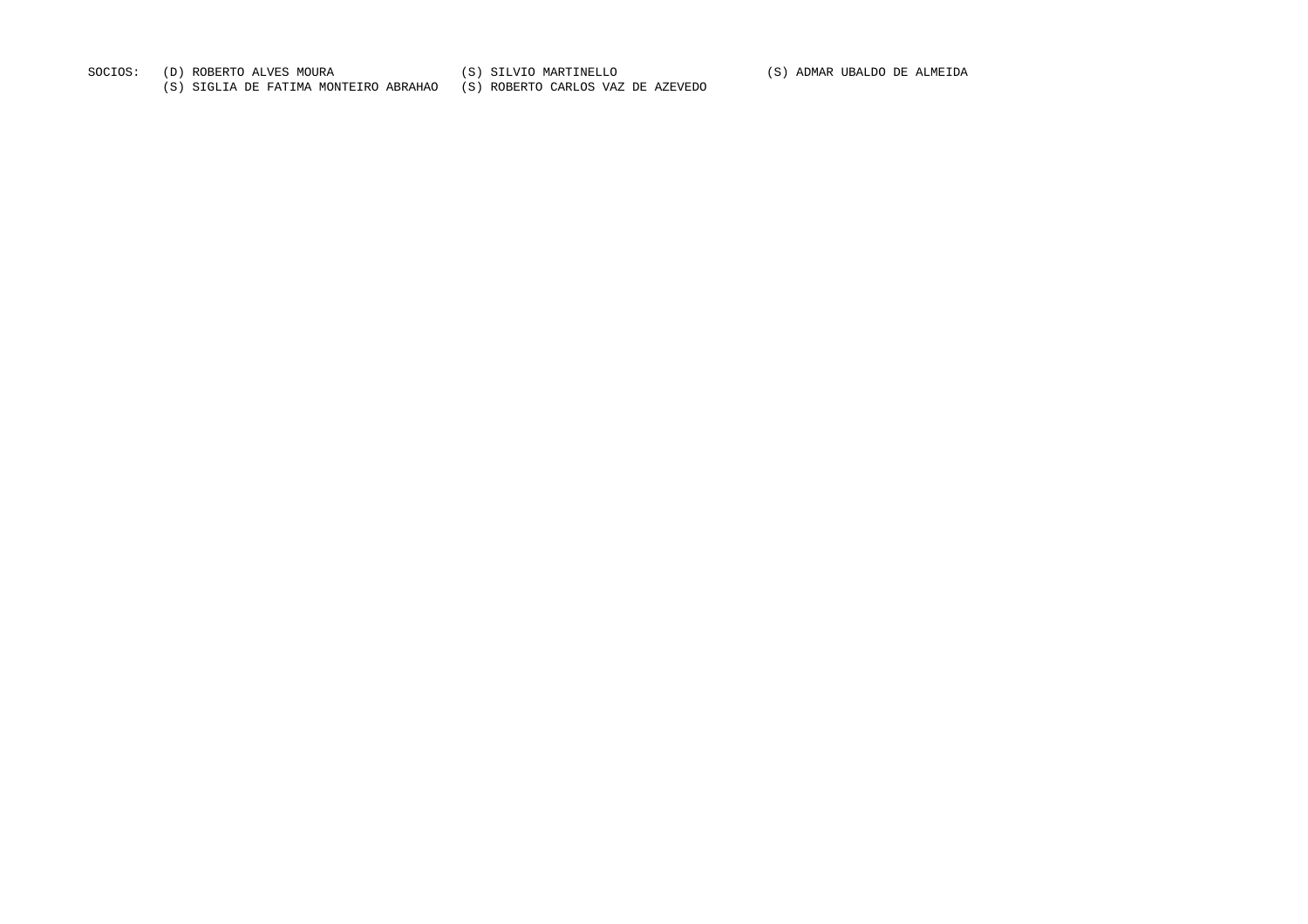SOCIOS: (D) ROBERTO ALVES MOURA (S) SILVIO MARTINELLO (S) ADMAR UBALDO DE ALMEIDA

(S) SIGLIA DE FATIMA MONTEIRO ABRAHAO (S) ROBERTO CARLOS VAZ DE AZEVEDO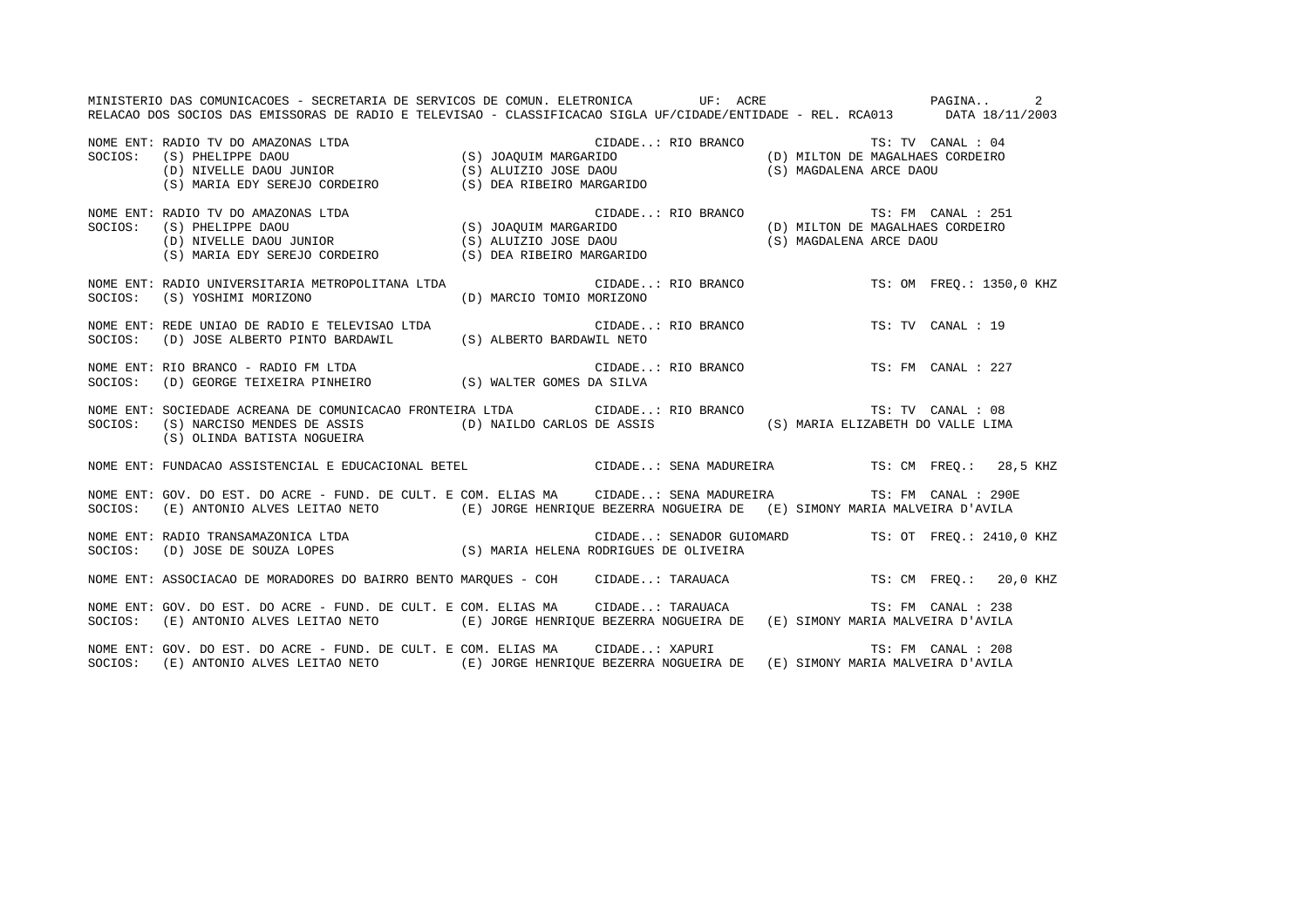MINISTERIO DAS COMUNICACOES - SECRETARIA DE SERVICOS DE COMUN. ELETRONICA UF: ACRE PAGINA.. 2RELACAO DOS SOCIOS DAS EMISSORAS DE RADIO E TELEVISAO - CLASSIFICACAO SIGLA UF/CIDADE/ENTIDADE - REL. RCA013 DATA 18/11/2003 NOME ENT: RADIO TV DO AMAZONAS LTDA CIDADE..: RIO BRANCO TS: TV CANAL : 04SOCIOS: (S) PHELIPPE DAOU (S) JOAQUIM MARGARIDO (D) MILTON DE MAGALHAES CORDEIRO (D) NIVELLE DAOU JUNIOR (S) ALUIZIO JOSE DAOU (S) MAGDALENA ARCE DAOU (S) MARIA EDY SEREJO CORDEIRO (S) DEA RIBEIRO MARGARIDO NOME ENT: RADIO TV DO AMAZONAS LTDA CONSERVERSE CIDADE... RIO BRANCO CONSERVERSE TS: FM CANAL : 251 SOCIOS: (S) PHELIPPE DAOU (S) JOAQUIM MARGARIDO (D) MILTON DE MAGALHAES CORDEIRO (D) NIVELLE DAOU JUNIOR (S) ALUIZIO JOSE DAOU (S) MAGDALENA ARCE DAOU ----<br>(D) NIVELLE DAOU JUNIOR (S) ALUIZIO JOSE DAOU<br>(S) MARIA EDY SEREJO CORDEIRO (S) DEA RIBEIRO MARGARIDO) NOME ENT: RADIO UNIVERSITARIA METROPOLITANA LTDA CIDADE..: RIO BRANCO TS: OM FREQ.: 1350,0 KHZ SOCIOS: (S) YOSHIMI MORIZONO (D) MARCIO TOMIO MORIZONO NOME ENT: REDE UNIAO DE RADIO E TELEVISAO LTDA CIDADE..: RIO BRANCO TS: TV CANAL : 19SOCIOS: (D) JOSE ALBERTO PINTO BARDAWIL (S) ALBERTO BARDAWIL NETO NOME ENT: RIO BRANCO - RADIO FM LTDA CIDADE..: RIO BRANCO TS: FM CANAL : 227SOCIOS: (D) GEORGE TEIXEIRA PINHEIRO (S) WALTER GOMES DA SILVA NOME ENT: SOCIEDADE ACREANA DE COMUNICACAO FRONTEIRA LTDA CIDADE..: RIO BRANCO TS: TV CANAL : 08 SOCIOS: (S) NARCISO MENDES DE ASSIS (D) NAILDO CARLOS DE ASSIS (S) MARIA ELIZABETH DO VALLE LIMA (S) OLINDA BATISTA NOGUEIRA NOME ENT: FUNDACAO ASSISTENCIAL E EDUCACIONAL BETEL CIDADE..: SENA MADUREIRA TS: CM FREQ.: 28,5 KHZ NOME ENT: GOV. DO EST. DO ACRE - FUND. DE CULT. E COM. ELIAS MA CIDADE..: SENA MADUREIRA TS: FM CANAL : 290ESOCIOS: (E) ANTONIO ALVES LEITAO NETO (E) JORGE HENRIQUE BEZERRA NOGUEIRA DE (E) SIMONY MARIA MALVEIRA D'AVILA NOME ENT: RADIO TRANSAMAZONICA LTDA CIDADE..: SENADOR GUIOMARD TS: OT FREQ.: 2410,0 KHZ SOCIOS: (D) JOSE DE SOUZA LOPES (S) MARIA HELENA RODRIGUES DE OLIVEIRA NOME ENT: ASSOCIACAO DE MORADORES DO BAIRRO BENTO MAROUES - COH CIDADE..: TARAUACA TS: CM FREQ.: 20,0 KHZ NOME ENT: GOV. DO EST. DO ACRE - FUND. DE CULT. E COM. ELIAS MA CIDADE..: TARAUACA TS: FM CANAL : 238 SOCIOS: (E) ANTONIO ALVES LEITAO NETO (E) JORGE HENRIQUE BEZERRA NOGUEIRA DE (E) SIMONY MARIA MALVEIRA D'AVILA NOME ENT: GOV. DO EST. DO ACRE - FUND. DE CULT. E COM. ELIAS MA CIDADE..: XAPURI TS: FM CANAL : 208SOCIOS: (E) ANTONIO ALVES LEITAO NETO (E) JORGE HENRIQUE BEZERRA NOGUEIRA DE (E) SIMONY MARIA MALVEIRA D'AVILA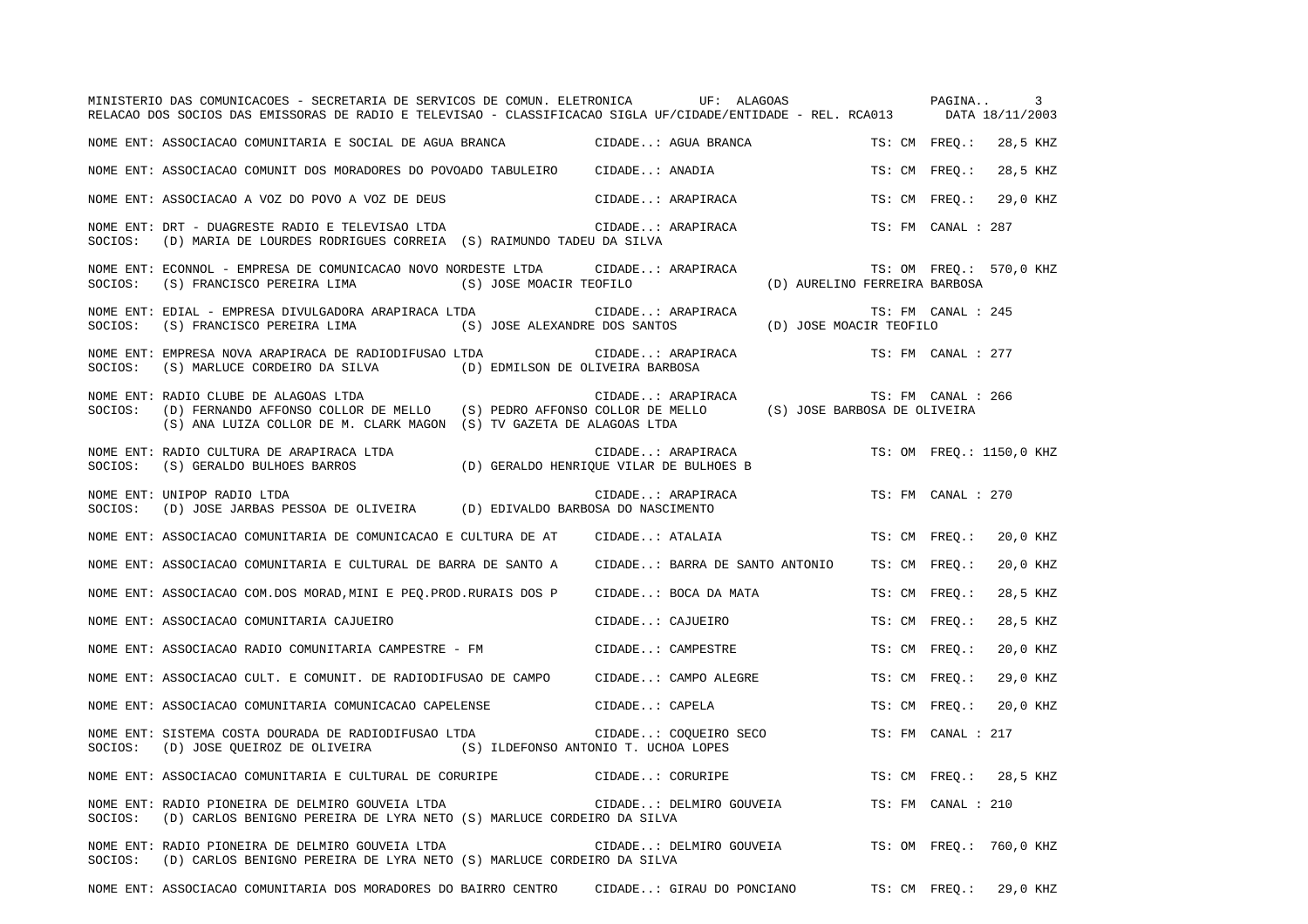|         | MINISTERIO DAS COMUNICACOES - SECRETARIA DE SERVICOS DE COMUN. ELETRONICA UF: ALAGOAS<br>RELACAO DOS SOCIOS DAS EMISSORAS DE RADIO E TELEVISAO - CLASSIFICACAO SIGLA UF/CIDADE/ENTIDADE - REL. RCA013 DATA 18/11/2003 |                                                              |                               | PAGINA                 | 3                        |
|---------|-----------------------------------------------------------------------------------------------------------------------------------------------------------------------------------------------------------------------|--------------------------------------------------------------|-------------------------------|------------------------|--------------------------|
|         | NOME ENT: ASSOCIACAO COMUNITARIA E SOCIAL DE AGUA BRANCA                                                                                                                                                              | CIDADE: AGUA BRANCA                                          |                               | TS: CM FREO.: 28,5 KHZ |                          |
|         | NOME ENT: ASSOCIACAO COMUNIT DOS MORADORES DO POVOADO TABULEIRO                                                                                                                                                       | CIDADE: ANADIA                                               |                               |                        | TS: CM FREO.: 28,5 KHZ   |
|         | NOME ENT: ASSOCIACAO A VOZ DO POVO A VOZ DE DEUS                                                                                                                                                                      | CIDADE: ARAPIRACA                                            |                               |                        | TS: CM FREO.: 29,0 KHZ   |
| SOCIOS: | NOME ENT: DRT - DUAGRESTE RADIO E TELEVISAO LTDA<br>(D) MARIA DE LOURDES RODRIGUES CORREIA (S) RAIMUNDO TADEU DA SILVA                                                                                                | CIDADE: ARAPIRACA                                            |                               | TS: FM CANAL : 287     |                          |
|         | NOME ENT: ECONNOL - EMPRESA DE COMUNICACAO NOVO NORDESTE LTDA         CIDADE: ARAPIRACA<br>(S) JOSE MOACIR TEOFILO<br>SOCIOS: (S) FRANCISCO PEREIRA LIMA                                                              |                                                              | (D) AURELINO FERREIRA BARBOSA |                        | TS: OM FREQ.: 570,0 KHZ  |
| SOCIOS: | NOME ENT: EDIAL - EMPRESA DIVULGADORA ARAPIRACA LTDA<br>(S) JOSE ALEXANDRE DOS SANTOS (D) JOSE MOACIR TEOFILO<br>(S) FRANCISCO PEREIRA LIMA                                                                           | CIDADE: ARAPIRACA                                            |                               | TS: FM CANAL : 245     |                          |
| SOCIOS: | NOME ENT: EMPRESA NOVA ARAPIRACA DE RADIODIFUSAO LTDA<br>(S) MARLUCE CORDEIRO DA SILVA (D) EDMILSON DE OLIVEIRA BARBOSA                                                                                               | CIDADE: ARAPIRACA                                            |                               | TS: FM CANAL : 277     |                          |
| SOCIOS: | NOME ENT: RADIO CLUBE DE ALAGOAS LTDA<br>(D) FERNANDO AFFONSO COLLOR DE MELLO (S) PEDRO AFFONSO COLLOR DE MELLO (S) JOSE BARBOSA DE OLIVEIRA<br>(S) ANA LUIZA COLLOR DE M. CLARK MAGON (S) TV GAZETA DE ALAGOAS LTDA  | CIDADE: ARAPIRACA                                            |                               | TS: FM CANAL : 266     |                          |
| SOCIOS: | NOME ENT: RADIO CULTURA DE ARAPIRACA LTDA<br>(S) GERALDO BULHOES BARROS                                                                                                                                               | CIDADE: ARAPIRACA<br>(D) GERALDO HENRIOUE VILAR DE BULHOES B |                               |                        | TS: OM FREO.: 1150,0 KHZ |
| SOCIOS: | NOME ENT: UNIPOP RADIO LTDA<br>(D) JOSE JARBAS PESSOA DE OLIVEIRA (D) EDIVALDO BARBOSA DO NASCIMENTO                                                                                                                  | CIDADE: ARAPIRACA                                            |                               | TS: FM CANAL : 270     |                          |
|         | NOME ENT: ASSOCIACAO COMUNITARIA DE COMUNICACAO E CULTURA DE AT                                                                                                                                                       | CIDADE: ATALAIA                                              |                               |                        | TS: CM FREQ.: 20,0 KHZ   |
|         | NOME ENT: ASSOCIACAO COMUNITARIA E CULTURAL DE BARRA DE SANTO A                                                                                                                                                       | CIDADE: BARRA DE SANTO ANTONIO                               |                               | TS: CM FREO.:          | 20,0 KHZ                 |
|         | NOME ENT: ASSOCIACAO COM.DOS MORAD, MINI E PEQ. PROD. RURAIS DOS P                                                                                                                                                    | CIDADE: BOCA DA MATA                                         |                               | TS: CM FREQ.:          | 28,5 KHZ                 |
|         | NOME ENT: ASSOCIACAO COMUNITARIA CAJUEIRO                                                                                                                                                                             | CIDADE: CAJUEIRO                                             |                               | TS: CM FREO.:          | 28,5 KHZ                 |
|         | NOME ENT: ASSOCIACAO RADIO COMUNITARIA CAMPESTRE - FM                                                                                                                                                                 | CIDADE: CAMPESTRE                                            |                               | TS: CM FREO.:          | 20,0 KHZ                 |
|         | NOME ENT: ASSOCIACAO CULT. E COMUNIT. DE RADIODIFUSAO DE CAMPO                                                                                                                                                        | CIDADE: CAMPO ALEGRE                                         |                               | TS: CM FREO.:          | 29.0 KHZ                 |
|         | NOME ENT: ASSOCIACAO COMUNITARIA COMUNICACAO CAPELENSE                                                                                                                                                                | CIDADE: CAPELA                                               |                               |                        | TS: CM FREQ.: 20,0 KHZ   |
| SOCIOS: | NOME ENT: SISTEMA COSTA DOURADA DE RADIODIFUSAO LTDA<br>(D) JOSE QUEIROZ DE OLIVEIRA (S) ILDEFONSO ANTONIO T. UCHOA LOPES                                                                                             | CIDADE: COQUEIRO SECO                                        |                               | TS: FM CANAL : 217     |                          |
|         | NOME ENT: ASSOCIACAO COMUNITARIA E CULTURAL DE CORURIPE                                                                                                                                                               | CIDADE: CORURIPE                                             |                               |                        | TS: CM FREO.: 28,5 KHZ   |
| SOCIOS: | NOME ENT: RADIO PIONEIRA DE DELMIRO GOUVEIA LTDA<br>(D) CARLOS BENIGNO PEREIRA DE LYRA NETO (S) MARLUCE CORDEIRO DA SILVA                                                                                             | CIDADE: DELMIRO GOUVEIA                                      |                               | TS: FM CANAL : 210     |                          |
| SOCIOS: | NOME ENT: RADIO PIONEIRA DE DELMIRO GOUVEIA LTDA<br>(D) CARLOS BENIGNO PEREIRA DE LYRA NETO (S) MARLUCE CORDEIRO DA SILVA                                                                                             | CIDADE: DELMIRO GOUVEIA                                      |                               |                        | TS: OM FREQ.: 760,0 KHZ  |
|         | NOME ENT: ASSOCIACAO COMUNITARIA DOS MORADORES DO BAIRRO CENTRO                                                                                                                                                       | CIDADE: GIRAU DO PONCIANO TS: CM FREO.: 29.0 KHZ             |                               |                        |                          |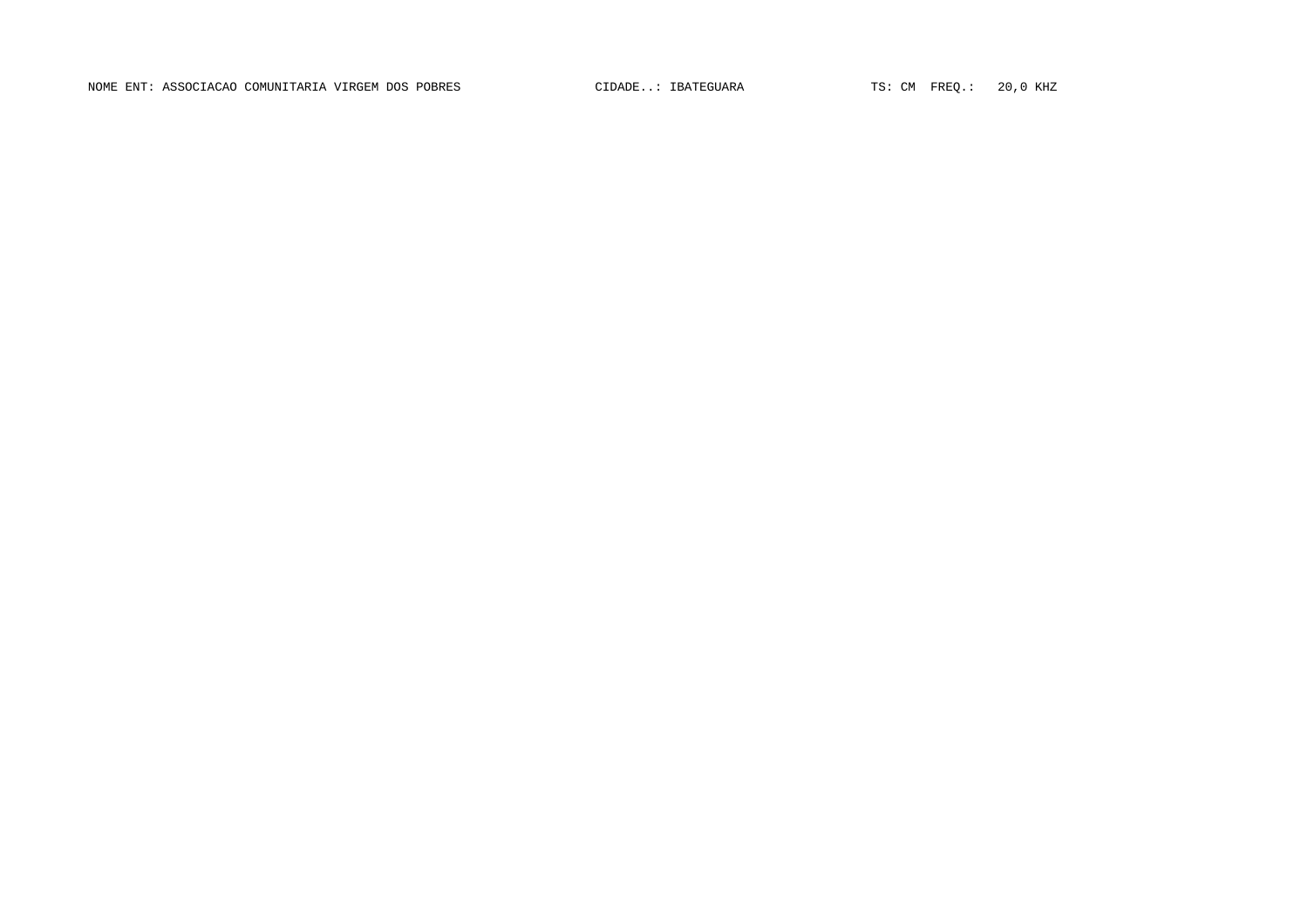NOME ENT: ASSOCIACAO COMUNITARIA VIRGEM DOS POBRES CIDADE..: IBATEGUARA TS: CM FREQ.: 20,0 KHZ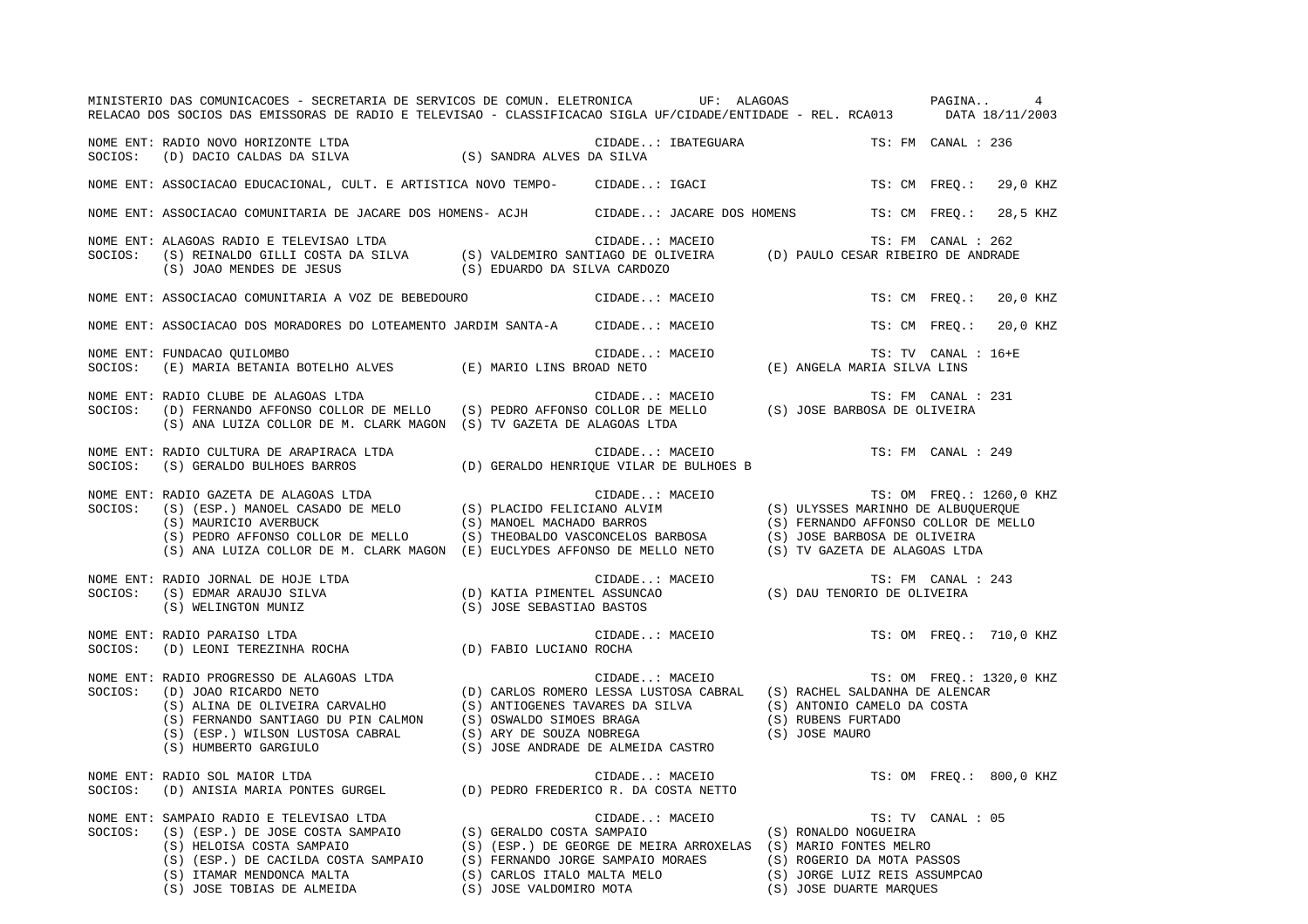|         | MINISTERIO DAS COMUNICACOES - SECRETARIA DE SERVICOS DE COMUN. ELETRONICA UF: ALAGOAS<br>RELACAO DOS SOCIOS DAS EMISSORAS DE RADIO E TELEVISAO - CLASSIFICACAO SIGLA UF/CIDADE/ENTIDADE - REL. RCA013 DATA 18/11/2003                                                                                                                                                                                                                       |                          |                                                           | PAGINA                                                                                                                                             | $\overline{4}$            |
|---------|---------------------------------------------------------------------------------------------------------------------------------------------------------------------------------------------------------------------------------------------------------------------------------------------------------------------------------------------------------------------------------------------------------------------------------------------|--------------------------|-----------------------------------------------------------|----------------------------------------------------------------------------------------------------------------------------------------------------|---------------------------|
|         | NOME ENT: RADIO NOVO HORIZONTE LTDA<br>NOME ENT: RADIO NOVO HORIZONTE LTDA<br>SOCIOS: (D) DACIO CALDAS DA SILVA (S) SANDRA ALVES DA SILVA                                                                                                                                                                                                                                                                                                   |                          | CIDADE: IBATEGUARA                                        |                                                                                                                                                    | TS: FM CANAL : 236        |
|         | NOME ENT: ASSOCIACAO EDUCACIONAL, CULT. E ARTISTICA NOVO TEMPO- CIDADE: IGACI                                                                                                                                                                                                                                                                                                                                                               |                          |                                                           |                                                                                                                                                    | TS: CM FREO.:<br>29,0 KHZ |
|         | NOME ENT: ASSOCIACAO COMUNITARIA DE JACARE DOS HOMENS- ACJH CIDADE: JACARE DOS HOMENS                                                                                                                                                                                                                                                                                                                                                       |                          |                                                           | TS: CM FREO.:                                                                                                                                      | 28,5 KHZ                  |
| SOCIOS: | NOME ENT: ALAGOAS RADIO E TELEVISAO LTDA<br>S) REINALDO GILLI COSTA DA SILVA (S) VALDEMIRO SANTIAGO DE OLIVEIRA (D) PAULO CESAR RIBEIRO DE ANDRADE (S) JOAO MENDES DE JESUS (S) EDUARDO DA SILVA CARDOZO                                                                                                                                                                                                                                    |                          | CIDADE: MACEIO                                            |                                                                                                                                                    | TS: FM CANAL : 262        |
|         | NOME ENT: ASSOCIACAO COMUNITARIA A VOZ DE BEBEDOURO                                                                                                                                                                                                                                                                                                                                                                                         |                          | CIDADE: MACEIO                                            |                                                                                                                                                    | TS: CM FREO.:<br>20,0 KHZ |
|         | NOME ENT: ASSOCIACAO DOS MORADORES DO LOTEAMENTO JARDIM SANTA-A CIDADE: MACEIO                                                                                                                                                                                                                                                                                                                                                              |                          |                                                           |                                                                                                                                                    | 20,0 KHZ<br>TS: CM FREQ.: |
| SOCIOS: | NOME ENT: FUNDACAO QUILOMBO<br>(E) MARIA BETANIA BOTELHO ALVES (E) MARIO LINS BROAD NETO                                                                                                                                                                                                                                                                                                                                                    |                          | CIDADE: MACEIO                                            | IS: TV CANAL TS: TV CANAL<br>E) ANGELA MARIA SILVA LINS)                                                                                           | TS: TV CANAL : 16+E       |
| SOCIOS: | NOME ENT: RADIO CLUBE DE ALAGOAS LTDA<br>: RADIO CLUBE DE ALAGOAS LTDA<br>(D) FERNANDO AFFONSO COLLOR DE MELLO (S) PEDRO AFFONSO COLLOR DE MELLO (S) JOSE BARBOSA DE OLIVEIRA<br>(S) ANA LUIZA COLLOR DE M. CLARK MAGON (S) TV GAZETA DE ALAGOAS LTDA                                                                                                                                                                                       |                          |                                                           |                                                                                                                                                    | TS: FM CANAL : 231        |
| SOCIOS: | NOME ENT: RADIO CULTURA DE ARAPIRACA LTDA<br>(S) GERALDO BULHOES BARROS                                                                                                                                                                                                                                                                                                                                                                     |                          | CIDADE: MACEIO<br>(D) GERALDO HENRIQUE VILAR DE BULHOES B |                                                                                                                                                    | TS: FM CANAL : 249        |
|         | NOME ENT: RADIO GAZETA DE ALAGOAS LTDA<br>SOCIOS: (S) (ESP.) MANOEL CASADO DE MELO (S) PLACIDO FELICIANO ALVIM (S) ULYSSES MARINHO DE ALBUQUERQUE<br>(S) MAURICIO AVERBUCK (S) MELO (S) MANOEL MACHADO BARROS (S) FERNANDO AFFONSO                                                                                                                                                                                                          |                          |                                                           | (S) FERNANDO AFFONSO COLLOR DE MELLO                                                                                                               | TS: OM FREQ.: 1260,0 KHZ  |
| SOCIOS: | NOME ENT: RADIO JORNAL DE HOJE LTDA<br>RADIO JORNAL DE HOJE LTDA<br>(S) EDMAR ARAUJO SILVA                           (D) KATIA PIMENTEL ASSUNCAO               (S) DAU TENORIO DE OLIVEIRA<br>(S) WELINGTON MUNIZ                        (S) JOSE SEBASTIAO BASTOS                                                                                                                                                                          |                          | CIDADE: MACEIO                                            |                                                                                                                                                    | TS: FM CANAL : 243        |
| SOCIOS: | NOME ENT: RADIO PARAISO LTDA<br>AADIO PARAISO LIDA<br>(D) LEONI TEREZINHA ROCHA (D) FABIO LUCIANO ROCHA                                                                                                                                                                                                                                                                                                                                     |                          |                                                           | CIDADE: MACEIO TS: OM FREQ.: 710,0 KHZ                                                                                                             |                           |
|         | NOME ENT: RADIO PROGRESSO DE ALAGOAS LTDA<br>SOCIOS: (D) JOAO RICARDO NETO<br>(D) JOAO RICARDO NETO<br>(D) CARLOS ROMERO LESSA LUSTOSA CABRAL (S) RACHEL SALDANHA DE ALENCAR<br>(S) ALINA DE OLIVEIRA CARVALHO (S) ANTIOGENES TAVARES DA SILVA (S) ANTONIO CAMELO DA COSTA<br>(S) FERNANDO SANTIAGO DU PIN CALMON (S) OSWALDO SIMOES BRAGA<br>(S) (ESP.) WILSON LUSTOSA CABRAL<br>(S) HUMBERTO GARGIULO                                     | (S) ARY DE SOUZA NOBREGA | CIDADE: MACEIO<br>(S) JOSE ANDRADE DE ALMEIDA CASTRO      | (S) RUBENS FURTADO<br>(S) JOSE MAURO                                                                                                               | TS: OM FREQ.: 1320,0 KHZ  |
| SOCIOS: | RADIO SOL MAIOR LTDA<br>(D) ANISIA MARIA PONTES GURGEL (D) PEDRO FREDERICO R. DA COSTA NETTO<br>NOME ENT: RADIO SOL MAIOR LTDA                                                                                                                                                                                                                                                                                                              |                          |                                                           |                                                                                                                                                    | TS: OM FREQ.: 800,0 KHZ   |
| SOCIOS: | NOME ENT: SAMPAIO RADIO E TELEVISAO LTDA<br>CIDADE<br>(S) (ESP.) DE JOSE COSTA SAMPAIO (S) GERALDO COSTA SAMPAIO<br>(S) HELOISA COSTA SAMPAIO (S) (ESP.) DE GEORGE DE ME<br>S) (ESP.) DE CACILDA COSTA SAMPAIO (S) FERNANDO JORGE SAMPAIO MORAES (S) ROGERIO DA MOTA PASSOS (S) ITAMAR MENDONCA MALTA (S) CARLOS ITALO MALTA MELO (S) JORGE LUIZ REIS ASSUMPC<br>(S) JOSE TOBIAS DE ALMEIDA (S) JOSE VALDOMIR<br>(S) JOSE TOBIAS DE ALMEIDA | (S) JOSE VALDOMIRO MOTA  | CIDADE: MACEIO                                            | (S) RONALDO NOGUEIRA<br>(S) (ESP.) DE GEORGE DE MEIRA ARROXELAS (S) MARIO FONTES MELRO<br>(S) JORGE LUIZ REIS ASSUMPCAO<br>(S) JOSE DUARTE MARQUES | TS: TV CANAL : 05         |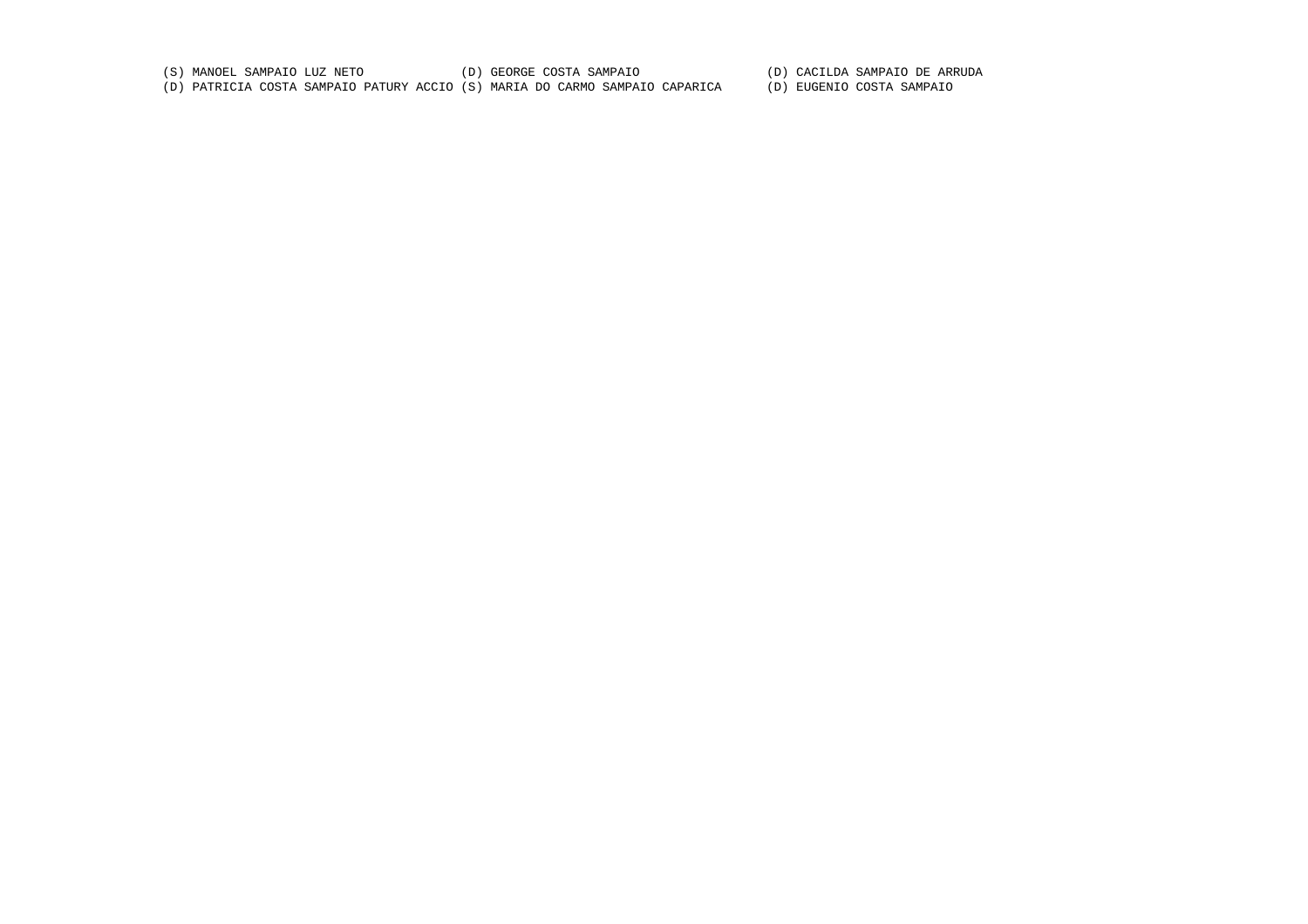(S) MANOEL SAMPAIO LUZ NETO (D) GEORGE COSTA SAMPAIO (D) CACILDA SAMPAIO DE ARRUDA (D) PATRICIA COSTA SAMPAIO PATURY ACCIO (S) MARIA DO CARMO SAMPAIO CAPARICA (D) EUGENIO COSTA SAMPAIO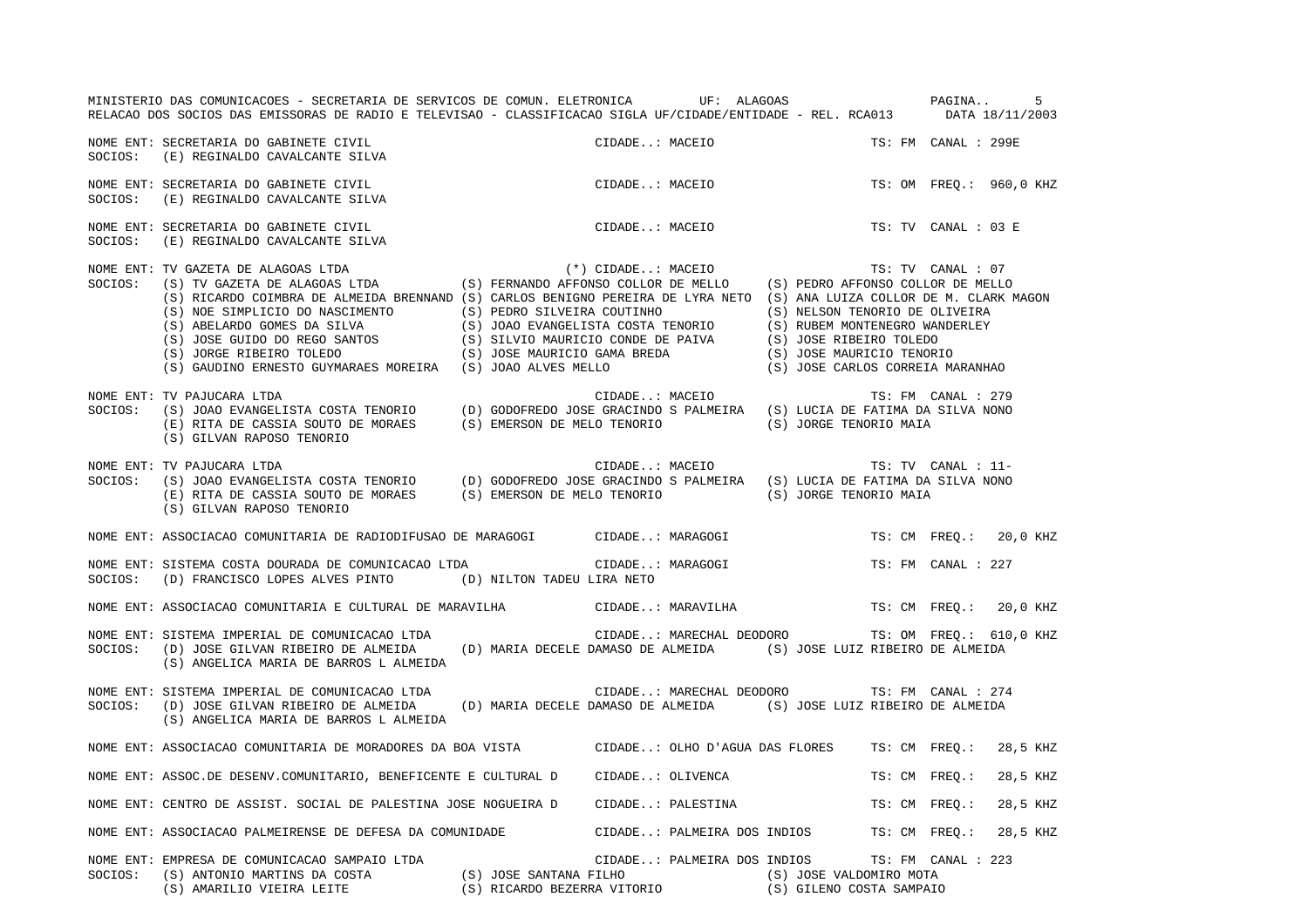MINISTERIO DAS COMUNICACOES - SECRETARIA DE SERVICOS DE COMUN. ELETRONICA UF: ALAGOAS PAGINA.. 5RELACAO DOS SOCIOS DAS EMISSORAS DE RADIO E TELEVISAO - CLASSIFICACAO SIGLA UF/CIDADE/ENTIDADE - REL. RCA013 DATA 18/11/2003 NOME ENT: SECRETARIA DO GABINETE CIVIL CIDADE..: MACEIO TS: FM CANAL : 299ESOCIOS: (E) REGINALDO CAVALCANTE SILVA NOME ENT: SECRETARIA DO GABINETE CIVIL TESTO AND SUDADE..: MACEIO TS: OM FREQ.: 960,0 KHZ SOCIOS: (E) REGINALDO CAVALCANTE SILVA NOME ENT: SECRETARIA DO GABINETE CIVIL CIDADE..: MACEIO TS: TV CANAL : 03 ESOCIOS: (E) REGINALDO CAVALCANTE SILVA NOME ENT: TV GAZETA DE ALAGOAS LTDA (\*) CIDADE..: MACEIO TS: TV CANAL : 07 SOCIOS: (S) TV GAZETA DE ALAGOAS LTDA (S) FERNANDO AFFONSO COLLOR DE MELLO (S) PEDRO AFFONSO COLLOR DE MELLO (S) RICARDO COIMBRA DE ALMEIDA BRENNAND (S) CARLOS BENIGNO PEREIRA DE LYRA NETO (S) ANA LUIZA COLLOR DE M. CLARK MAGON (S) NOE SIMPLICIO DO NASCIMENTO (S) PEDRO SILVEIRA COUTINHO (S) NELSON TENORIO DE OLIVEIRA<br>(S) ABELARDO GOMES DA SILVA (S) JOAO EVANGELISTA COSTA TENORIO (S) RUBEM MONTENEGRO WANDERLEY (S) ABELARDO GOMES DA SILVA (S) JOAO EVANGELISTA COSTA TENORIO (S) RUBEM MONTENEGRO WANDERLEY (S) JOSE GUIDO DO REGO SANTOS (S) SILVIO MAURICIO CONDE DE PAIVA (S) JOSE RIBEIRO TOLEDO (S) JORGE RIBEIRO TOLEDO (S) JOSE MAURICIO GAMA BREDA (S) JOSE MAURICIO TENORIO (S) GAUDINO ERNESTO GUYMARAES MOREIRA (S) JOAO ALVES MELLO (S) JOSE CARLOS CORREIA MARANHAO NOME ENT: TV PAJUCARA LTDA CIDADE..: MACEIO TS: FM CANAL : 279 SOCIOS: (S) JOAO EVANGELISTA COSTA TENORIO (D) GODOFREDO JOSE GRACINDO S PALMEIRA (S) LUCIA DE FATIMA DA SILVA NONO (E) RITA DE CASSIA SOUTO DE MORAES (S) EMERSON DE MELO TENORIO (S) JORGE TENORIO MAIA (S) GILVAN RAPOSO TENORIO NOME ENT: TV PAJUCARA LTDA CIDADE... MACEIO TS: TV CANAL : 11-SOCIOS: (S) JOAO EVANGELISTA COSTA TENORIO (D) GODOFREDO JOSE GRACINDO S PALMEIRA (S) LUCIA DE FATIMA DA SILVA NONO (E) RITA DE CASSIA SOUTO DE MORAES (S) EMERSON DE MELO TENORIO (S) JORGE TENORIO MAIA (S) GILVAN RAPOSO TENORIO NOME ENT: ASSOCIACAO COMUNITARIA DE RADIODIFUSAO DE MARAGOGI CIDADE..: MARAGOGI TS: CM FREQ.: 20,0 KHZ NOME ENT: SISTEMA COSTA DOURADA DE COMUNICACAO LTDA  $\qquad \qquad \qquad$  CIDADE..: MARAGOGI TS: FM CANAL : 227 SOCIOS: (D) FRANCISCO LOPES ALVES PINTO (D) NILTON TADEU LIRA NETO NOME ENT: ASSOCIACAO COMUNITARIA E CULTURAL DE MARAVILHA CIDADE..: MARAVILHA TS: CM FREQ.: 20,0 KHZ NOME ENT: SISTEMA IMPERIAL DE COMUNICACAO LTDA  $\blacksquare$  CIDADE..: MARECHAL DEODORO TS: OM FREQ.: 610,0 KHZ SOCIOS: (D) JOSE GILVAN RIBEIRO DE ALMEIDA (D) MARIA DECELE DAMASO DE ALMEIDA (S) JOSE LUIZ RIBEIRO DE ALMEIDA (S) ANGELICA MARIA DE BARROS L ALMEIDA NOME ENT: SISTEMA IMPERIAL DE COMUNICACAO LTDA CIDADE..: MARECHAL DEODORO TS: FM CANAL : 274SOCIOS: (D) JOSE GILVAN RIBEIRO DE ALMEIDA (D) MARIA DECELE DAMASO DE ALMEIDA (S) JOSE LUIZ RIBEIRO DE ALMEIDA (S) ANGELICA MARIA DE BARROS L ALMEIDA NOME ENT: ASSOCIACAO COMUNITARIA DE MORADORES DA BOA VISTA CIDADE..: OLHO D'AGUA DAS FLORES TS: CM FREQ.: 28,5 KHZ NOME ENT: ASSOC.DE DESENV.COMUNITARIO, BENEFICENTE E CULTURAL D CIDADE..: OLIVENCA TS: CM FREQ.: 28,5 KHZ NOME ENT: CENTRO DE ASSIST. SOCIAL DE PALESTINA JOSE NOGUEIRA D CIDADE..: PALESTINA TS: CM FREQ.: 28,5 KHZ NOME ENT: ASSOCIACAO PALMEIRENSE DE DEFESA DA COMUNIDADE CIDADE..: PALMEIRA DOS INDIOS TS: CM FREQ.: 28,5 KHZ NOME ENT: EMPRESA DE COMUNICACAO SAMPAIO LTDA CIDADE..: PALMEIRA DOS INDIOS TS: FM CANAL : 223 SOCIOS: (S) ANTONIO MARTINS DA COSTA (S) JOSE SANTANA FILHO (S) JOSE VALDOMIRO MOTA (S) AMARILIO VIEIRA LEITE (S) RICARDO BEZERRA VITORIO (S) GILENO COSTA SAMPAIO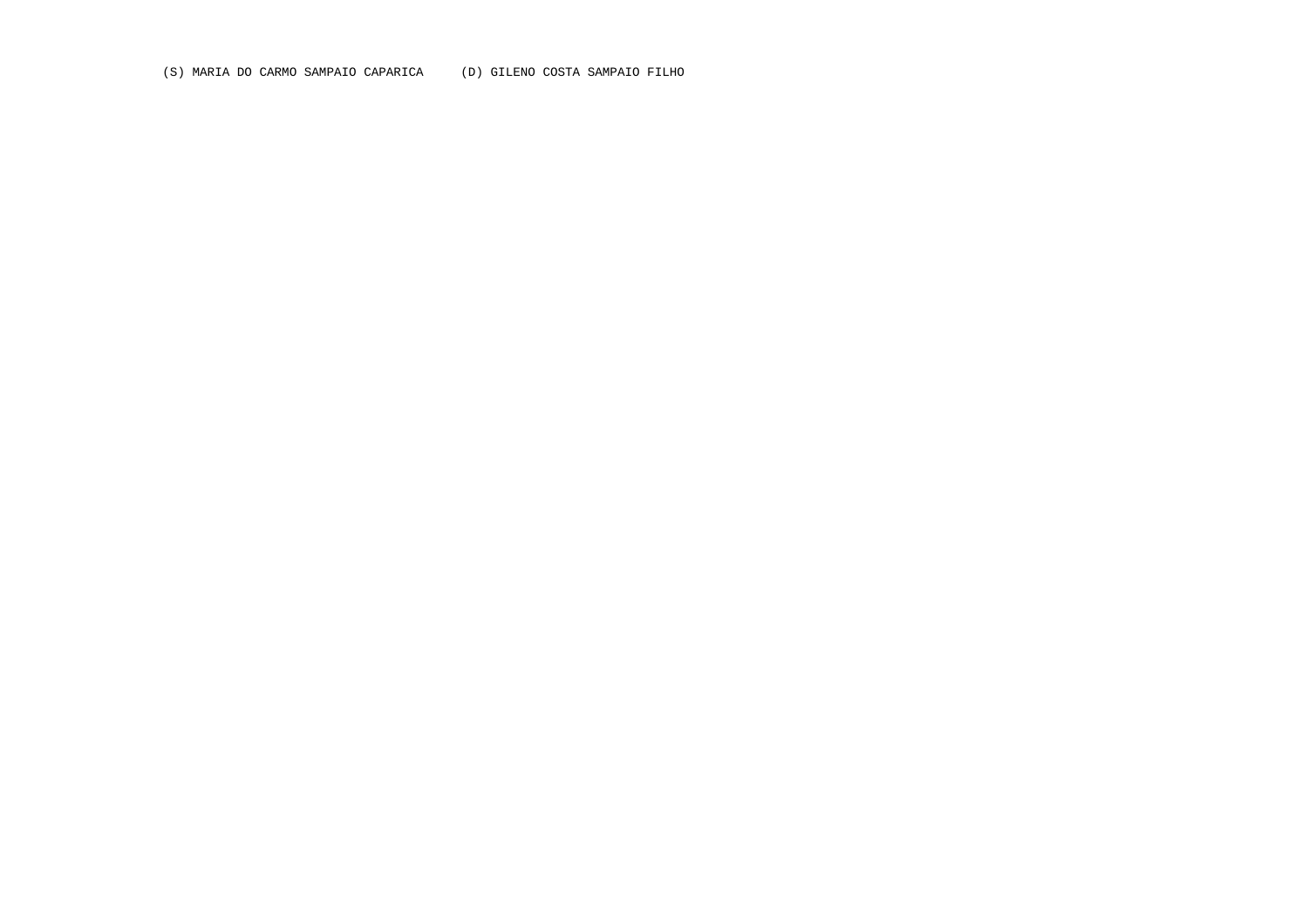(S) MARIA DO CARMO SAMPAIO CAPARICA (D) GILENO COSTA SAMPAIO FILHO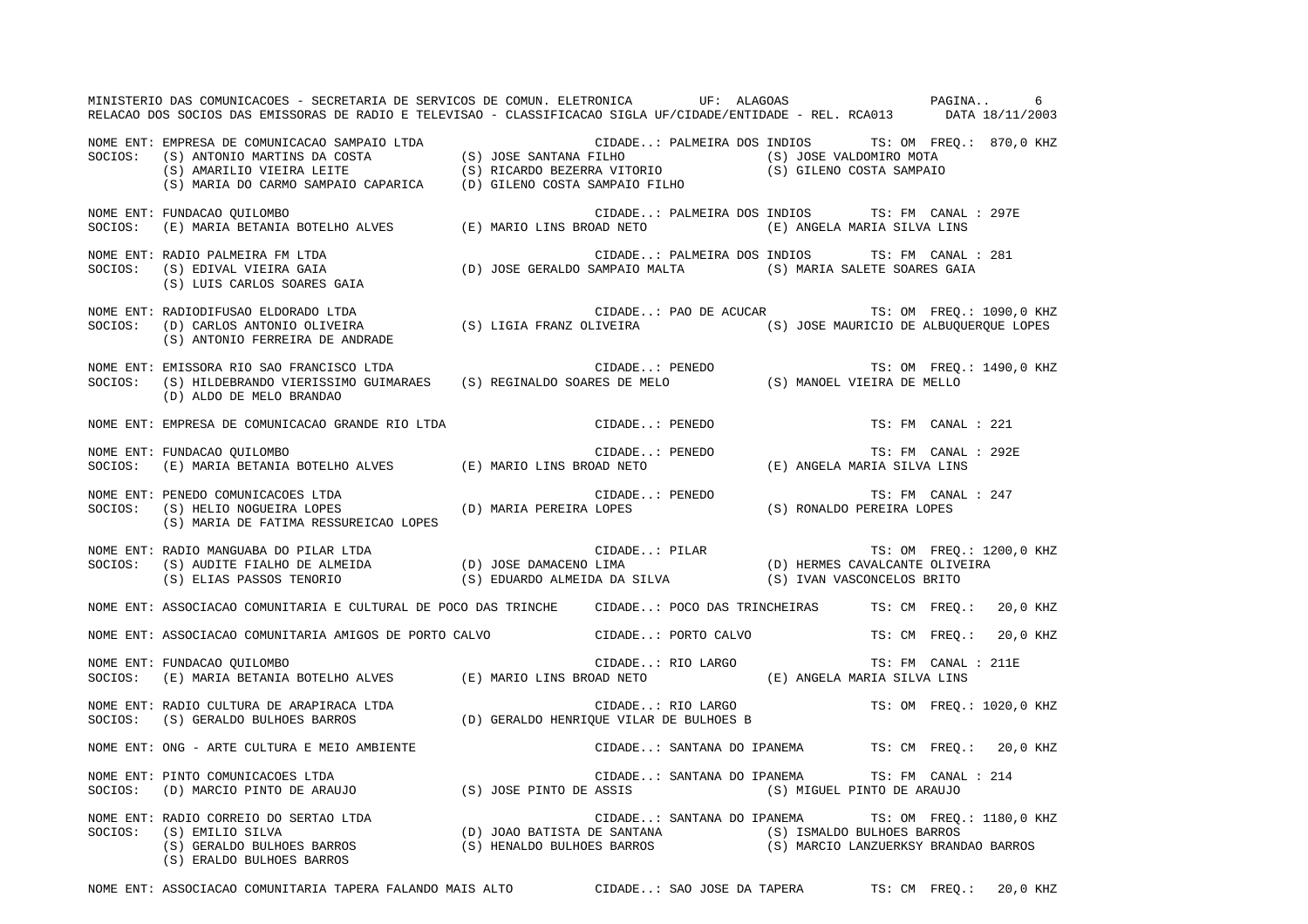MINISTERIO DAS COMUNICACOES - SECRETARIA DE SERVICOS DE COMUN. ELETRONICA UF: ALAGOAS PAGINA.. 6RELACAO DOS SOCIOS DAS EMISSORAS DE RADIO E TELEVISAO - CLASSIFICACAO SIGLA UF/CIDADE/ENTIDADE - REL. RCA013 DATA 18/11/2003 NOME ENT: EMPRESA DE COMUNICACAO SAMPAIO LTDA CIDADE..: PALMEIRA DOS INDIOS TS: OM FREQ.: 870,0 KHZ SOCIOS: (S) ANTONIO MARTINS DA COSTA (S) JOSE SANTANA FILHO (S) JOSE VALDOMIRO MOTA (S) AMARILIO VIEIRA LEITE (S) RICARDO BEZERRA VITORIO (S) GILENO COSTA SAMPAIO (S) MARIA DO CARMO SAMPAIO CAPARICA (D) GILENO COSTA SAMPAIO FILHO NOME ENT: FUNDACAO QUILOMBO CIDADE..: PALMEIRA DOS INDIOS TS: FM CANAL : 297E SOCIOS: (E) MARIA BETANIA BOTELHO ALVES (E) MARIO LINS BROAD NETO (E) ANGELA MARIA SILVA LINS NOME ENT: RADIO PALMEIRA FM LTDA CIDADE..: PALMEIRA DOS INDIOS TS: FM CANAL : 281SOCIOS: (S) EDIVAL VIEIRA GAIA (D) JOSE GERALDO SAMPAIO MALTA (S) MARIA SALETE SOARES GAIA (S) LUIS CARLOS SOARES GAIA NOME ENT: RADIODIFUSAO ELDORADO LTDA CIDADE..: PAO DE ACUCAR TS: OM FREQ.: 1090,0 KHZ SOCIOS: (D) CARLOS ANTONIO OLIVEIRA (S) LIGIA FRANZ OLIVEIRA (S) JOSE MAURICIO DE ALBUQUERQUE LOPES (S) ANTONIO FERREIRA DE ANDRADE NOME ENT: EMISSORA RIO SAO FRANCISCO LTDA CONSTRUITE CIDADE..: PENEDO TS: OM FREQ.: 1490,0 KHZ SOCIOS: (S) HILDEBRANDO VIERISSIMO GUIMARAES (S) REGINALDO SOARES DE MELO (S) MANOEL VIEIRA DE MELLO (D) ALDO DE MELO BRANDAO NOME ENT: EMPRESA DE COMUNICACAO GRANDE RIO LTDA CIDADE..: PENEDO TENEDO TS: FM CANAL : 221 NOME ENT: FUNDACAO QUILOMBO CIDADE..: PENEDO TS: FM CANAL : 292E SOCIOS: (E) MARIA BETANIA BOTELHO ALVES (E) MARIO LINS BROAD NETO (E) ANGELA MARIA SILVA LINS NOME ENT: PENEDO COMUNICACOES LTDA CIDADE..: PENEDO TS: FM CANAL : 247TS: FM CANAL : 247 SOCIOS: (S) HELIO NOGUEIRA LOPES (D) MARIA PEREIRA LOPES (S) RONALDO PEREIRA LOPES (S) MARIA DE FATIMA RESSUREICAO LOPES NOME ENT: RADIO MANGUABA DO PILAR LTDA **LETA COME CONCRECTE CIDADE.**.: PILAR TS: OM FREQ.: 1200,0 KHZ SOCIOS: (S) AUDITE FIALHO DE ALMEIDA (D) JOSE DAMACENO LIMA (D) HERMES CAVALCANTE OLIVEIRA (S) ELIAS PASSOS TENORIO (S) EDUARDO ALMEIDA DA SILVA (S) IVAN VASCONCELOS BRITO NOME ENT: ASSOCIACAO COMUNITARIA E CULTURAL DE POCO DAS TRINCHE CIDADE..: POCO DAS TRINCHEIRAS TS: CM FREQ.: 20,0 KHZ NOME ENT: ASSOCIACAO COMUNITARIA AMIGOS DE PORTO CALVO CIDADE..: PORTO CALVO TS: CM FREQ.: 20,0 KHZ NOME ENT: FUNDACAO QUILOMBO CIDADE..: RIO LARGO TS: FM CANAL : 211E SOCIOS: (E) MARIA BETANIA BOTELHO ALVES (E) MARIO LINS BROAD NETO (E) ANGELA MARIA SILVA LINS NOME ENT: RADIO CULTURA DE ARAPIRACA LTDA CIDADE..: RIO LARGO TS: OM FREQ.: 1020,0 KHZ SOCIOS: (S) GERALDO BULHOES BARROS (D) GERALDO HENRIQUE VILAR DE BULHOES B NOME ENT: ONG - ARTE CULTURA E MEIO AMBIENTE CIDADE..: SANTANA DO IPANEMA TS: CM FREQ.: 20,0 KHZ NOME ENT: PINTO COMUNICACOES LTDA CIDADE..: SANTANA DO IPANEMA TS: FM CANAL : 214SOCIOS: (D) MARCIO PINTO DE ARAUJO (S) JOSE PINTO DE ASSIS (S) MIGUEL PINTO DE ARAUJO NOME ENT: RADIO CORREIO DO SERTAO LTDA CIDADE..: SANTANA DO IPANEMA TS: OM FREQ.: 1180,0 KHZ SOCIOS: (S) EMILIO SILVA (D) JOAO BATISTA DE SANTANA (S) ISMALDO BULHOES BARROS (S) GERALDO BULHOES BARROS (S) HENALDO BULHOES BARROS (S) MARCIO LANZUERKSY BRANDAO BARROS (S) ERALDO BULHOES BARROS

NOME ENT: ASSOCIACAO COMUNITARIA TAPERA FALANDO MAIS ALTO CIDADE..: SAO JOSE DA TAPERA TS: CM FREQ.: 20,0 KHZ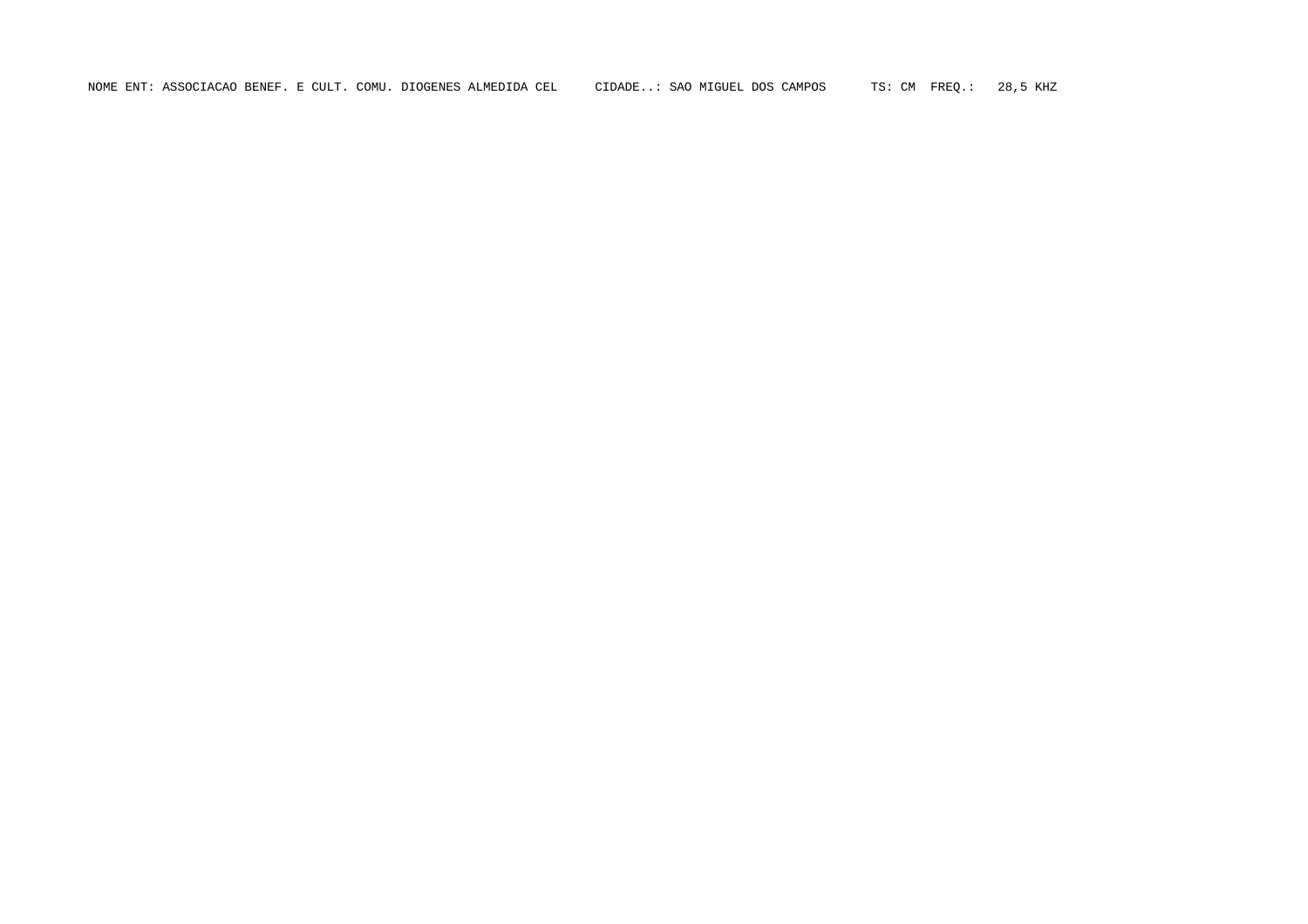NOME ENT: ASSOCIACAO BENEF. E CULT. COMU. DIOGENES ALMEDIDA CEL CIDADE..: SAO MIGUEL DOS CAMPOS TS: CM FREQ.: 28,5 KHZ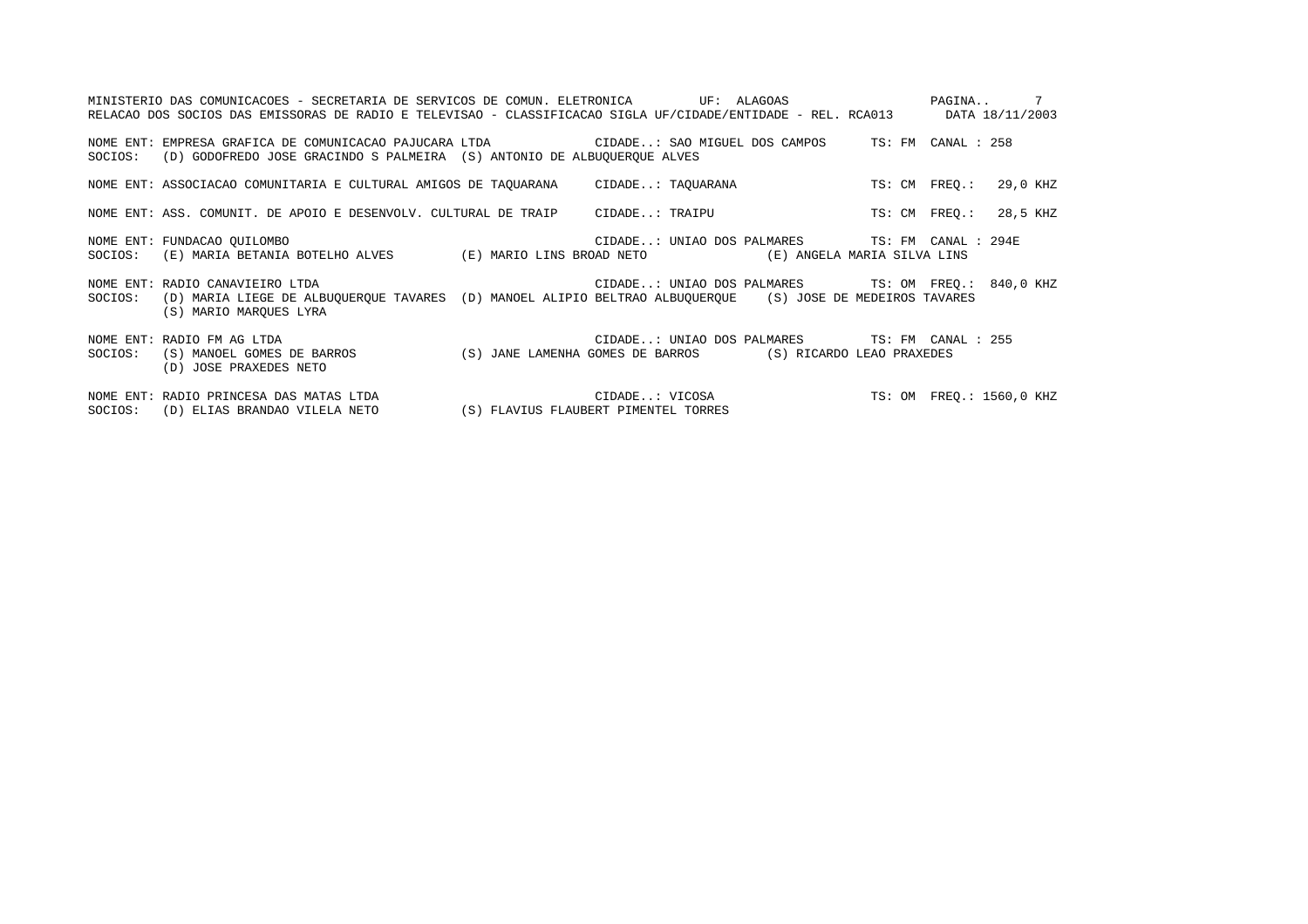|         | MINISTERIO DAS COMUNICACOES - SECRETARIA DE SERVICOS DE COMUN. ELETRONICA UF: ALAGOAS<br>RELACAO DOS SOCIOS DAS EMISSORAS DE RADIO E TELEVISAO - CLASSIFICACAO SIGLA UF/CIDADE/ENTIDADE - REL. RCA013 DATA 18/11/2003 |                                                        |  |               | PAGINA 7                 |
|---------|-----------------------------------------------------------------------------------------------------------------------------------------------------------------------------------------------------------------------|--------------------------------------------------------|--|---------------|--------------------------|
| SOCIOS: | NOME ENT: EMPRESA GRAFICA DE COMUNICACAO PAJUCARA LTDA CIDADE: SAO MIGUEL DOS CAMPOS TS: FM CANAL : 258<br>(D) GODOFREDO JOSE GRACINDO S PALMEIRA (S) ANTONIO DE ALBUQUERQUE ALVES                                    |                                                        |  |               |                          |
|         | NOME ENT: ASSOCIACAO COMUNITARIA E CULTURAL AMIGOS DE TAQUARANA CIDADE: TAQUARANA                                                                                                                                     |                                                        |  | TS: CM FREO.: | 29,0 KHZ                 |
|         | NOME ENT: ASS. COMUNIT. DE APOIO E DESENVOLV. CULTURAL DE TRAIP CIDADE: TRAIPU                                                                                                                                        |                                                        |  | TS: CM FREO.: | 28,5 KHZ                 |
|         | NOME ENT: FUNDACAO OUILOMBO<br>SOCIOS: (E) MARIA BETANIA BOTELHO ALVES (E) MARIO LINS BROAD NETO (E) ANGELA MARIA SILVA LINS                                                                                          | CIDADE: UNIAO DOS PALMARES TS: FM CANAL : 294E         |  |               |                          |
| SOCIOS: | NOME ENT: RADIO CANAVIEIRO LTDA<br>(D) MARIA LIEGE DE ALBUOUEROUE TAVARES (D) MANOEL ALIPIO BELTRAO ALBUOUEROUE (S) JOSE DE MEDEIROS TAVARES<br>(S) MARIO MAROUES LYRA                                                | CIDADE: UNIAO DOS PALMARES TS: OM FREO.: 840,0 KHZ     |  |               |                          |
| SOCIOS: | NOME ENT: RADIO FM AG LTDA<br>(S) MANOEL GOMES DE BARROS (S) JANE LAMENHA GOMES DE BARROS (S) RICARDO LEAO PRAXEDES<br>(D) JOSE PRAXEDES NETO                                                                         | CIDADE: UNIAO DOS PALMARES TS: FM CANAL : 255          |  |               |                          |
|         | NOME ENT: RADIO PRINCESA DAS MATAS LTDA<br>SOCIOS: (D) ELIAS BRANDAO VILELA NETO                                                                                                                                      | CIDADE: VICOSA<br>(S) FLAVIUS FLAUBERT PIMENTEL TORRES |  |               | TS: OM FREO.: 1560,0 KHZ |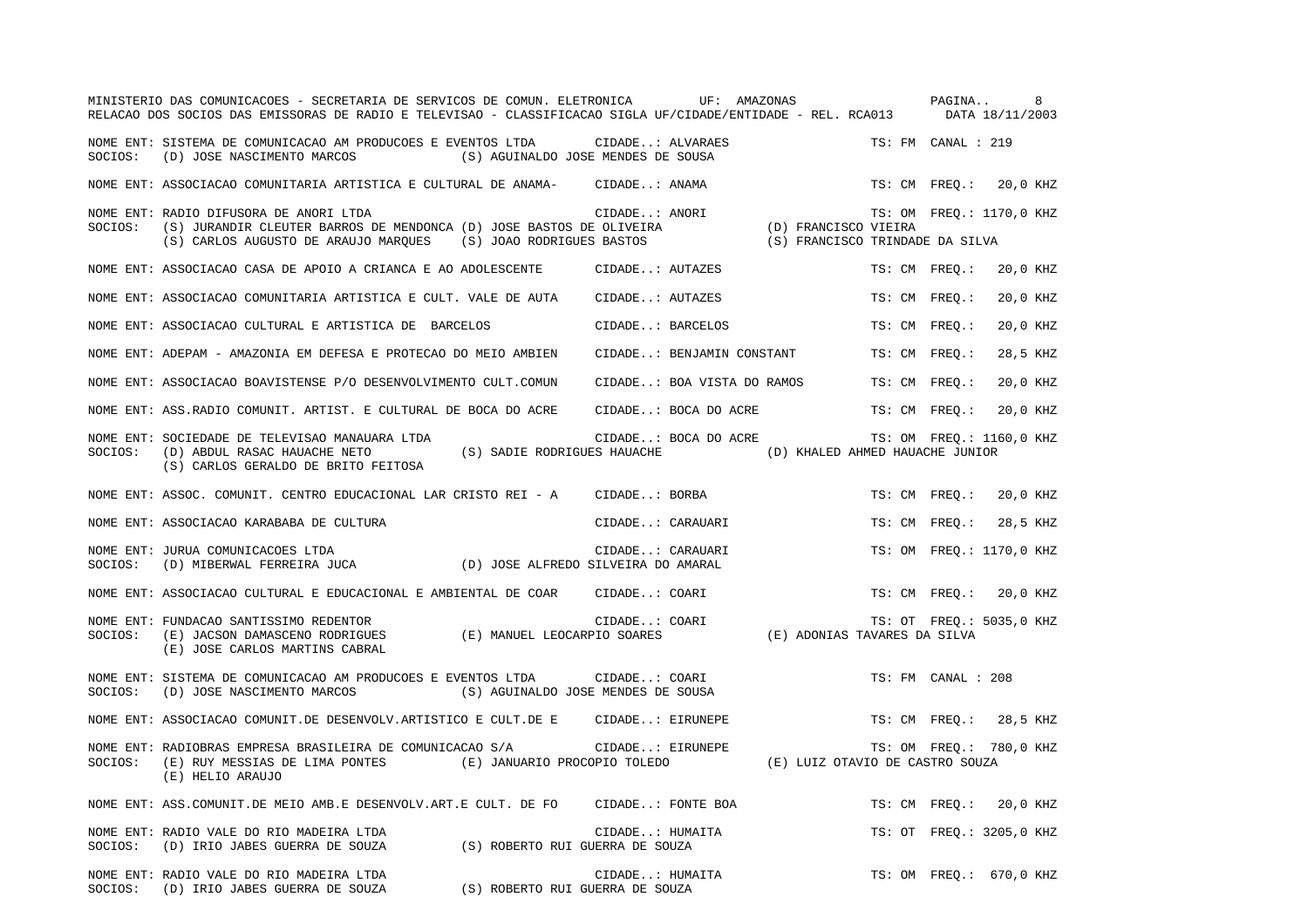|         | MINISTERIO DAS COMUNICACOES - SECRETARIA DE SERVICOS DE COMUN. ELETRONICA UF: AMAZONAS<br>RELACAO DOS SOCIOS DAS EMISSORAS DE RADIO E TELEVISAO - CLASSIFICACAO SIGLA UF/CIDADE/ENTIDADE - REL. RCA013 DATA 18/11/2003                                               |                            |                                 | PAGINA<br>8               |
|---------|----------------------------------------------------------------------------------------------------------------------------------------------------------------------------------------------------------------------------------------------------------------------|----------------------------|---------------------------------|---------------------------|
|         | NOME ENT: SISTEMA DE COMUNICACAO AM PRODUCOES E EVENTOS LTDA CIDADE: ALVARAES<br>(S) AGUINALDO JOSE MENDES DE SOUSA<br>SOCIOS: (D) JOSE NASCIMENTO MARCOS                                                                                                            |                            |                                 | TS: FM CANAL : 219        |
|         | NOME ENT: ASSOCIACAO COMUNITARIA ARTISTICA E CULTURAL DE ANAMA- CIDADE: ANAMA                                                                                                                                                                                        |                            |                                 | TS: CM FREQ.: 20,0 KHZ    |
| SOCIOS: | RADIO DIFUSORA DE ANORI LTDA<br>(S) JURANDIR CLEUTER BARROS DE MENDONCA (D) JOSE BASTOS DE OLIVEIRA (D) FRANCISCO VIEIRA<br>(S) CARLOS AUGUSTO DE ARAUJO MARQUES (S) JOAO RODRIGUES BASTOS (S) FRANCISCO TRINDADE DA SILVA<br>NOME ENT: RADIO DIFUSORA DE ANORI LTDA |                            |                                 | TS: OM FREQ.: 1170,0 KHZ  |
|         | NOME ENT: ASSOCIACAO CASA DE APOIO A CRIANCA E AO ADOLESCENTE CIDADE: AUTAZES                                                                                                                                                                                        |                            |                                 | TS: CM FREO.:<br>20,0 KHZ |
|         | NOME ENT: ASSOCIACAO COMUNITARIA ARTISTICA E CULT. VALE DE AUTA                                                                                                                                                                                                      | CIDADE: AUTAZES            |                                 | TS: CM FREO.:<br>20,0 KHZ |
|         | NOME ENT: ASSOCIACAO CULTURAL E ARTISTICA DE BARCELOS                                                                                                                                                                                                                | CIDADE: BARCELOS           |                                 | TS: CM FREO.:<br>20,0 KHZ |
|         | NOME ENT: ADEPAM - AMAZONIA EM DEFESA E PROTECAO DO MEIO AMBIEN                                                                                                                                                                                                      | CIDADE: BENJAMIN CONSTANT  |                                 | 28,5 KHZ<br>TS: CM FREO.: |
|         | NOME ENT: ASSOCIACAO BOAVISTENSE P/O DESENVOLVIMENTO CULT.COMUN                                                                                                                                                                                                      | CIDADE: BOA VISTA DO RAMOS |                                 | 20,0 KHZ<br>TS: CM FREO.: |
|         | NOME ENT: ASS. RADIO COMUNIT. ARTIST. E CULTURAL DE BOCA DO ACRE                                                                                                                                                                                                     | CIDADE: BOCA DO ACRE       |                                 | 20,0 KHZ<br>TS: CM FREO.: |
| SOCIOS: | NOME ENT: SOCIEDADE DE TELEVISAO MANAUARA LTDA<br>(S) SADIE RODRIGUES HAUACHE (D) KHALED AHMED HAUACHE JUNIOR<br>(D) ABDUL RASAC HAUACHE NETO<br>(S) CARLOS GERALDO DE BRITO FEITOSA                                                                                 | CIDADE: BOCA DO ACRE       |                                 | TS: OM FREQ.: 1160,0 KHZ  |
|         | NOME ENT: ASSOC. COMUNIT. CENTRO EDUCACIONAL LAR CRISTO REI - A CIDADE: BORBA                                                                                                                                                                                        |                            |                                 | 20,0 KHZ<br>TS: CM FREO.: |
|         | NOME ENT: ASSOCIACAO KARABABA DE CULTURA                                                                                                                                                                                                                             | CIDADE: CARAUARI           |                                 | TS: CM FREO.:<br>28,5 KHZ |
|         | NOME ENT: JURUA COMUNICACOES LTDA<br>$\verb SOCIOS:   D) MIBERWAL FERREIRA JUCA     D) JOSE ALFREDO SILVEIRA DO AMARAL\n$                                                                                                                                            | CIDADE: CARAUARI           |                                 | TS: OM FREO.: 1170,0 KHZ  |
|         | NOME ENT: ASSOCIACAO CULTURAL E EDUCACIONAL E AMBIENTAL DE COAR                                                                                                                                                                                                      | CIDADE: COARI              |                                 | TS: CM FREQ.: 20,0 KHZ    |
| SOCIOS: | NOME ENT: FUNDACAO SANTISSIMO REDENTOR<br>(E) JOSE CARLOS MARTINS CABRAL                                                                                                                                                                                             | CIDADE: COARI              |                                 | TS: OT FREQ.: 5035,0 KHZ  |
|         | NOME ENT: SISTEMA DE COMUNICACAO AM PRODUCOES E EVENTOS LTDA CIDADE: COARI<br>SOCIOS: (D) JOSE NASCIMENTO MARCOS (S) AGUINALDO JOSE MENDES DE SOUSA                                                                                                                  |                            |                                 | TS: FM CANAL : 208        |
|         | NOME ENT: ASSOCIACAO COMUNIT.DE DESENVOLV.ARTISTICO E CULT.DE E CIDADE: EIRUNEPE                                                                                                                                                                                     |                            |                                 | TS: CM FREQ.: 28,5 KHZ    |
| SOCIOS: | NOME ENT: RADIOBRAS EMPRESA BRASILEIRA DE COMUNICACAO S/A<br>(E) RUY MESSIAS DE LIMA PONTES (E) JANUARIO PROCOPIO TOLEDO<br>(E) HELIO ARAUJO                                                                                                                         | CIDADE: EIRUNEPE           | (E) LUIZ OTAVIO DE CASTRO SOUZA | TS: OM FREQ.: 780,0 KHZ   |
|         | NOME ENT: ASS.COMUNIT.DE MEIO AMB.E DESENVOLV.ART.E CULT. DE FO CIDADE: FONTE BOA                                                                                                                                                                                    |                            |                                 | TS: CM FREO.: 20,0 KHZ    |
| SOCIOS: | NOME ENT: RADIO VALE DO RIO MADEIRA LTDA<br>$\mbox{(D)} \ \ \mbox{IRIO JABES GUERRA DE SOUZA} \qquad \qquad \mbox{(S)} \ \ \mbox{ROBERTO RUI GUERRA DE SOUZA}$                                                                                                       | CIDADE: HUMAITA            |                                 | TS: OT FREQ.: 3205,0 KHZ  |
|         | NOME ENT: RADIO VALE DO RIO MADEIRA LTDA<br>(S) ROBERTO RUI GUERRA DE SOUZA<br>SOCIOS: (D) IRIO JABES GUERRA DE SOUZA                                                                                                                                                | CIDADE: HUMAITA            |                                 | TS: OM FREQ.: 670,0 KHZ   |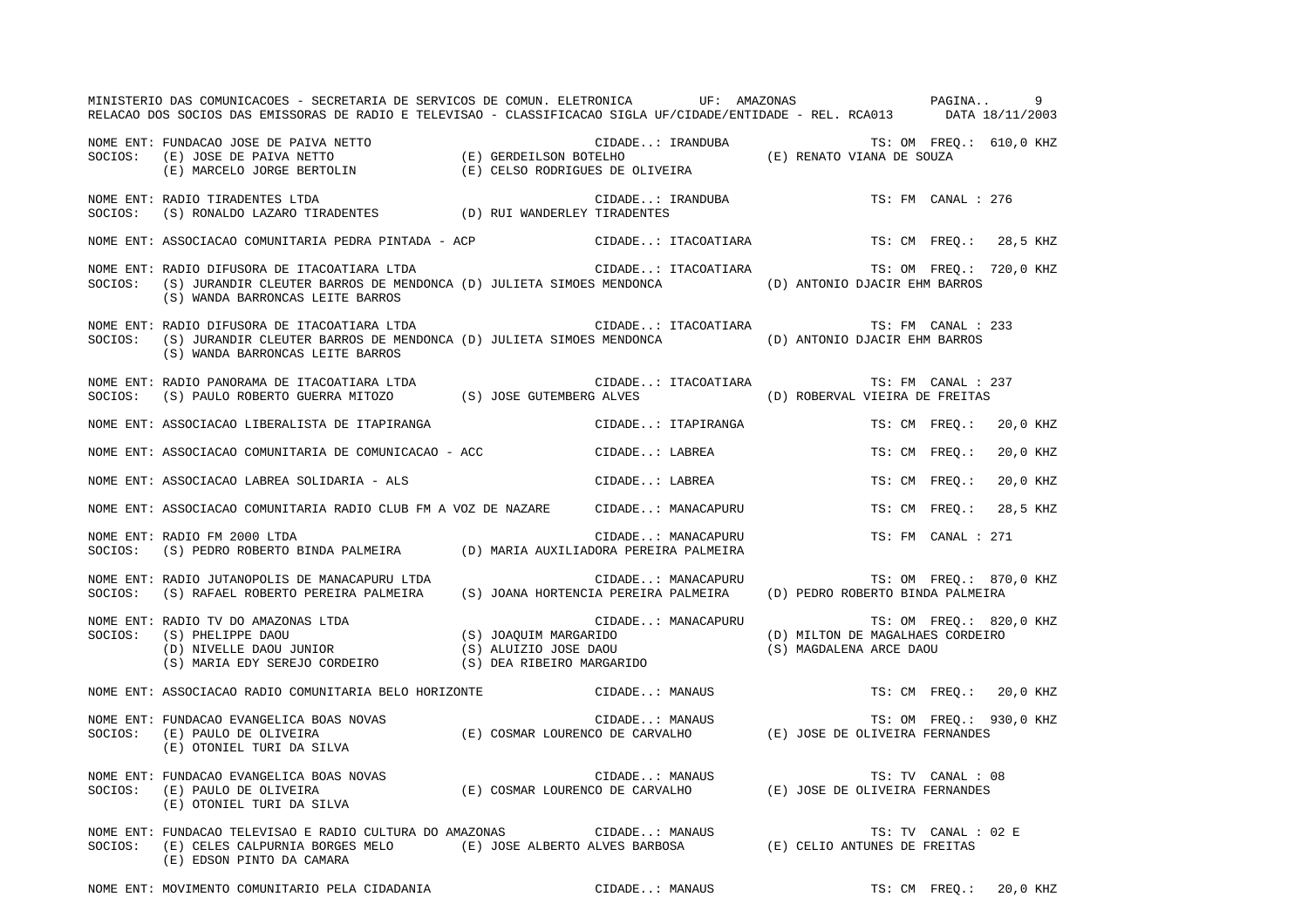|         | MINISTERIO DAS COMUNICACOES - SECRETARIA DE SERVICOS DE COMUN. ELETRONICA UF: AMAZONAS PAGINA 9<br>RELACAO DOS SOCIOS DAS EMISSORAS DE RADIO E TELEVISAO - CLASSIFICACAO SIGLA UF/CIDADE/ENTIDADE - REL. RCA013 DATA 18/11/2003                |                                             |                                            |                                  |                     |                         |
|---------|------------------------------------------------------------------------------------------------------------------------------------------------------------------------------------------------------------------------------------------------|---------------------------------------------|--------------------------------------------|----------------------------------|---------------------|-------------------------|
|         | NOME ENT: FUNDACAO JOSE DE PAIVA NETTO<br>SOCIOS: (E) JOSE DE PAIVA NETTO (E) GERDEILSON BOTELHO (E) COLOGICOS: (E) DOSE DE PAIVA NETTO (E) GERDEILSON BOTELHO<br>(E) MARCELO JORGE BERTOLIN (E) CELSO RODRIGUES DE OLIVEIRA                   |                                             |                                            |                                  |                     |                         |
| SOCIOS: | NOME ENT: RADIO TIRADENTES LTDA                                                                                                                                                                                                                |                                             | CIDADE: IRANDUBA<br>Y TIRADENTES           |                                  | TS: FM CANAL : 276  |                         |
|         | NOME ENT: ASSOCIACAO COMUNITARIA PEDRA PINTADA - ACP CIDADE: ITACOATIARA TS: CM FREQ.: 28,5 KHZ                                                                                                                                                |                                             |                                            |                                  |                     |                         |
| SOCIOS: | NOME ENT: RADIO DIFUSORA DE ITACOATIARA LTDA<br>(S) JURANDIR CLEUTER BARROS DE MENDONCA (D) JULIETA SIMOES MENDONCA (D) ANTONIO DJACIR EHM BARROS<br>(S) WANDA BARRONCAS LEITE BARROS                                                          | CIDADE: ITACOATIARA TS: OM FREQ.: 720,0 KHZ |                                            |                                  |                     |                         |
| SOCIOS: | NOME ENT: RADIO DIFUSORA DE ITACOATIARA LTDA (ETDA CIDADE: ITACOATIARA TES: FM CANAL : 233<br>(S) JURANDIR CLEUTER BARROS DE MENDONCA (D) JULIETA SIMOES MENDONCA (D) ANTONIO DJACIR EHM BARROS<br>(S) WANDA BARRONCAS LEITE BARROS            |                                             |                                            |                                  |                     |                         |
|         | NOME ENT: RADIO PANORAMA DE ITACOATIARA LTDA<br>SOCIOS: (S) PAULO ROBERTO GUERRA MITOZO (S) JOSE GUTEMBERG ALVES (D) ROBERVAL VIEIRA DE FREITAS                                                                                                |                                             |                                            |                                  | TS: FM CANAL : 237  |                         |
|         | NOME ENT: ASSOCIACAO LIBERALISTA DE ITAPIRANGA                                                                                                                                                                                                 |                                             | CIDADE: ITAPIRANGA                         |                                  | TS: CM FREO.:       | 20,0 KHZ                |
|         | NOME ENT: ASSOCIACAO COMUNITARIA DE COMUNICACAO - ACC CIDADE: LABREA                                                                                                                                                                           |                                             |                                            |                                  | TS: CM FREQ.:       | 20,0 KHZ                |
|         | NOME ENT: ASSOCIACAO LABREA SOLIDARIA - ALS                                                                                                                                                                                                    |                                             | CIDADE: LABREA                             |                                  | TS: CM FREO.:       | 20,0 KHZ                |
|         | NOME ENT: ASSOCIACAO COMUNITARIA RADIO CLUB FM A VOZ DE NAZARE CIDADE: MANACAPURU                                                                                                                                                              |                                             |                                            |                                  | TS: CM FREO.:       | 28,5 KHZ                |
|         | NOME ENT: RADIO FM 2000 LTDA<br>SOCIOS: (S) PEDRO ROBERTO BINDA PALMEIRA (D) MARIA AUXILIADORA PEREIRA PALMEIRA                                                                                                                                |                                             | CIDADE: MANACAPURU                         |                                  | TS: FM CANAL : 271  |                         |
|         | NOME ENT: RADIO JUTANOPOLIS DE MANACAPURU LTDA<br>SOCIOS: (S) RAFAEL ROBERTO PEREIRA PALMEIRA (S) JOANA HORTENCIA PEREIRA PALMEIRA (D) PEDRO ROBERTO BINDA PALMEIRA                                                                            | CIDADE: MANACAPURU TS: OM FREQ.: 870,0 KHZ  |                                            |                                  |                     |                         |
|         | NOME ENT: RADIO TV DO AMAZONAS LTDA<br>SOCIOS: (S) PHELIPPE DAOU<br>(D) MILTON DE MAGALHAES<br>(D) MILTON DE MAGALHAES<br>(D) MILTON DE MAGALHAES<br>(S) NARIA EDY SEREJO CORDEIRO<br>(S) DEA RIBEIRO MARGARIDO<br>(S) MAGDALENA ARCE DAOU<br> |                                             | CIDADE: MANACAPURU TS: OM FREQ.: 820,0 KHZ | (D) MILTON DE MAGALHAES CORDEIRO |                     |                         |
|         | NOME ENT: ASSOCIACAO RADIO COMUNITARIA BELO HORIZONTE (CIDADE: MANAUS                                                                                                                                                                          |                                             |                                            |                                  |                     | TS: CM FREQ.: 20,0 KHZ  |
|         | NOME ENT: FUNDACAO EVANGELICA BOAS NOVAS (E) COSMAR LOURENCO DE CARVALHO (E) JOSE DE OLIVEIRA FERNANDES<br>SOCIOS: (E) PAULO DE OLIVEIRA (E) COSMAR LOURENCO DE CARVALHO (E) JOSE DE OLIVEIRA FERNANDES<br>(E) OTONIEL TURI DA SILVA           |                                             |                                            |                                  |                     | TS: OM FREQ.: 930,0 KHZ |
|         | NOME ENT: FUNDACAO EVANGELICA BOAS NOVAS (E) COSMAR LOURENCO DE CARVALHO (E) JOSE DE OLIVEIRA FERNANDES<br>SOCIOS: (E) PAULO DE OLIVEIRA (E) COSMAR LOURENCO DE CARVALHO (E) JOSE DE OLIVEIRA FERNANDES<br>(E) OTONIEL TURI DA SILVA           |                                             |                                            |                                  | TS: TV CANAL : 08   |                         |
|         | NOME ENT: FUNDACAO TELEVISAO E RADIO CULTURA DO AMAZONAS (EIDADE: MANAUS TS: TV CANAL :<br>SOCIOS: (E) CELES CALPURNIA BORGES MELO (E) JOSE ALBERTO ALVES BARBOSA (E) CELIO ANTUNES DE FREITAS<br>(E) EDSON PINTO DA CAMARA                    |                                             |                                            |                                  | TS: TV CANAL : 02 E |                         |

NOME ENT: MOVIMENTO COMUNITARIO PELA CIDADANIA CIDADE..: MANAUS TS: CM FREQ.: 20,0 KHZ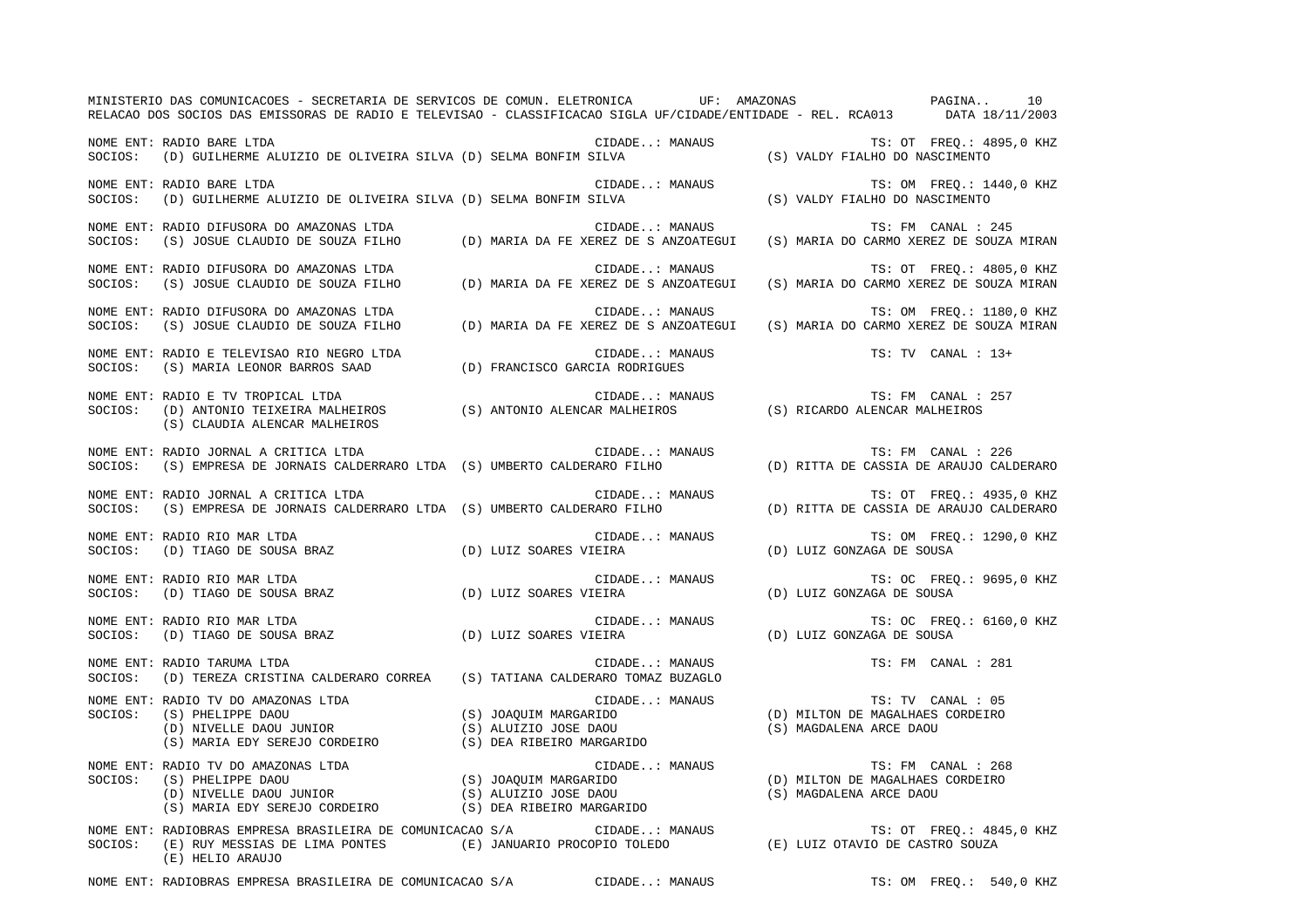|         | MINISTERIO DAS COMUNICACOES - SECRETARIA DE SERVICOS DE COMUN. ELETRONICA UDE: AMAZONAS (PAGINA) 10<br>RELACAO DOS SOCIOS DAS EMISSORAS DE RADIO E TELEVISAO - CLASSIFICACAO SIGLA UF/CIDADE/ENTIDADE - REL. RCA013 (PATA 18/1                                   |                |                                                                                                                |
|---------|------------------------------------------------------------------------------------------------------------------------------------------------------------------------------------------------------------------------------------------------------------------|----------------|----------------------------------------------------------------------------------------------------------------|
|         | NOME ENT: RADIO BARE LTDA<br>SOCIOS: (D) GUILHERME ALUIZIO DE OLIVEIRA SILVA (D) SELMA BONFIM SILVA                                                                                                                                                              |                | TS: OT FREQ.: 4895,0 KHZ<br>CIDADE: MANAUS TS: OT FREQ.: 48<br>SILVA (S) VALDY FIALHO DO NASCIMENTO            |
|         | NOME ENT: RADIO BARE LTDA<br>SOCIOS: (D) GUILHERME ALUIZIO DE OLIVEIRA SILVA (D) SELMA BONFIM SILVA                                                                                                                                                              |                | CIDADE: MANAUS TS: OM FREQ.: 144<br>MA BONFIM SILVA (S) VALDY FIALHO DO NASCIMENTO<br>TS: OM FREQ.: 1440,0 KHZ |
|         | NOME ENT: RADIO DIFUSORA DO AMAZONAS LTDA<br>SOCIOS: (S) JOSUE CLAUDIO DE SOUZA FILHO (D) MARIA DA FE XEREZ DE S ANZOATEGUI (S) MARIA DO CARMO XEREZ DE SOUZA MIRAN                                                                                              |                |                                                                                                                |
|         | NOME ENT: RADIO DIFUSORA DO AMAZONAS LTDA<br>NOME ENT: RADIO DIFUSORA DO AMAZONAS LTDA<br>SOCIOS:    (S) JOSUE CLAUDIO DE SOUZA FILHO             (D) MARIA DA FE XEREZ DE S ANZOATEGUI                                                                          | CIDADE: MANAUS | TS: OT FREO.: 4805,0 KHZ<br>(S) MARIA DO CARMO XEREZ DE SOUZA MIRAN                                            |
|         | NOME ENT: RADIO DIFUSORA DO AMAZONAS LTDA                                                                                                                                                                                                                        | CIDADE: MANAUS | TS: OM FREQ.: 1180,0 KHZ                                                                                       |
|         | NOME ENT: RADIO E TELEVISAO RIO NEGRO LTDA (D) FRANCISCO GARCIA RODRIGUES SOCIOS: (S) MARIA LEONOR BARROS SAAD (D) FRANCISCO GARCIA RODRIGUES                                                                                                                    | CIDADE: MANAUS | TS: TV CANAL : 13+                                                                                             |
| SOCIOS: | NOME ENT: RADIO E TV TROPICAL LTDA<br>(S) CLAUDIA ALENCAR MALHEIROS                                                                                                                                                                                              |                | TS: FM CANAL : 257                                                                                             |
| SOCIOS: | NOME ENT: RADIO JORNAL A CRITICA LTDA<br>(S) EMPRESA DE JORNAIS CALDERRARO LTDA (S) UMBERTO CALDERARO FILHO                                                                                                                                                      | CIDADE: MANAUS | TS: FM CANAL : 226<br>(D) RITTA DE CASSIA DE ARAUJO CALDERARO                                                  |
| SOCIOS: | NOME ENT: RADIO JORNAL A CRITICA LTDA<br>(S) EMPRESA DE JORNAIS CALDERRARO LTDA (S) UMBERTO CALDERARO FILHO                                                                                                                                                      | CIDADE: MANAUS | TS: OT FREQ.: 4935,0 KHZ<br>(D) RITTA DE CASSIA DE ARAUJO CALDERARO                                            |
| SOCIOS: | NOME ENT: RADIO RIO MAR LTDA<br>RADIO RIO MAR LIDA<br>(D) TIAGO DE SOUSA BRAZ (D) LUIZ SOARES VIEIRA                                                                                                                                                             | CIDADE: MANAUS | TS: OM FREO.: 1290,0 KHZ<br>(D) LUIZ GONZAGA DE SOUSA                                                          |
| SOCIOS: | NOME ENT: RADIO RIO MAR LTDA<br>(D) TIAGO DE SOUSA BRAZ (D) LUIZ SOARES VIEIRA                                                                                                                                                                                   | CIDADE: MANAUS | TS: OC FREQ.: 9695,0 KHZ<br>(D) LUIZ GONZAGA DE SOUSA                                                          |
| SOCIOS: | NOME ENT: RADIO RIO MAR LTDA<br>RADIO RIO MAR LTDA<br>(D) TIAGO DE SOUSA BRAZ                          (D) LUIZ SOARES VIEIRA                                                                                                                                    | CIDADE: MANAUS | TS: OC FREO.: 6160,0 KHZ<br>(D) LUIZ GONZAGA DE SOUSA                                                          |
| SOCIOS: | NOME ENT: RADIO TARUMA LTDA<br>(D) TEREZA CRISTINA CALDERARO CORREA (S) TATIANA CALDERARO TOMAZ BUZAGLO                                                                                                                                                          | CIDADE: MANAUS | TS: FM CANAL : 281                                                                                             |
| SOCIOS: | NOME ENT: RADIO TV DO AMAZONAS LTDA<br>RADIO TV DO AMAZONAS LTDA<br>(S) JOAQUIM MARGARIDO<br>(D) NIVELLE DAOU JUNIOR (S) ALUIZIO JOSE DAOU<br>(S) ALUIZIO JOSE DAOU<br>(S) DEA RIBEIRO MARGARIDO<br>(S) DEA RIBEIRO MARGARIDO                                    |                | TS: TV CANAL : 05<br>(D) MILTON DE MAGALHAES CORDEIRO<br>(S) MAGDALENA ARCE DAOU                               |
|         | NOME ENT: RADIO TV DO AMAZONAS LTDA<br>SOCIOS: (S) PHELIPPE DAOU (S) JOAQUIM MARGARIDO (D) MILTON DE MAGALHAES CORDEIRO<br>(D) MILTON DE MAGALHAES CORDEIRO (S) AUNIOR (S) ALUIZIO JOSE DAOU (S) MAGDALENA ARCE DAOU (S) MARIA EDY                               |                | TS: FM CANAL : 268                                                                                             |
| SOCIOS: | NOME ENT: RADIOBRAS EMPRESA BRASILEIRA DE COMUNICACAO S/A<br>RADIOBRAS EMPRESA BRASILEIRA DE COMUNICACAO S/A CIDADE: MANAUS TE: OT FREQ.: 484<br>(E) RUY MESSIAS DE LIMA PONTES (E) JANUARIO PROCOPIO TOLEDO (E) LUIZ OTAVIO DE CASTRO SOUZA<br>(E) HELIO ARAUJO |                | TS: OT FREQ.: 4845,0 KHZ                                                                                       |
|         | NOME ENT: RADIOBRAS EMPRESA BRASILEIRA DE COMUNICACAO S/A                                                                                                                                                                                                        | CIDADE: MANAUS | TS: OM FREO.: 540,0 KHZ                                                                                        |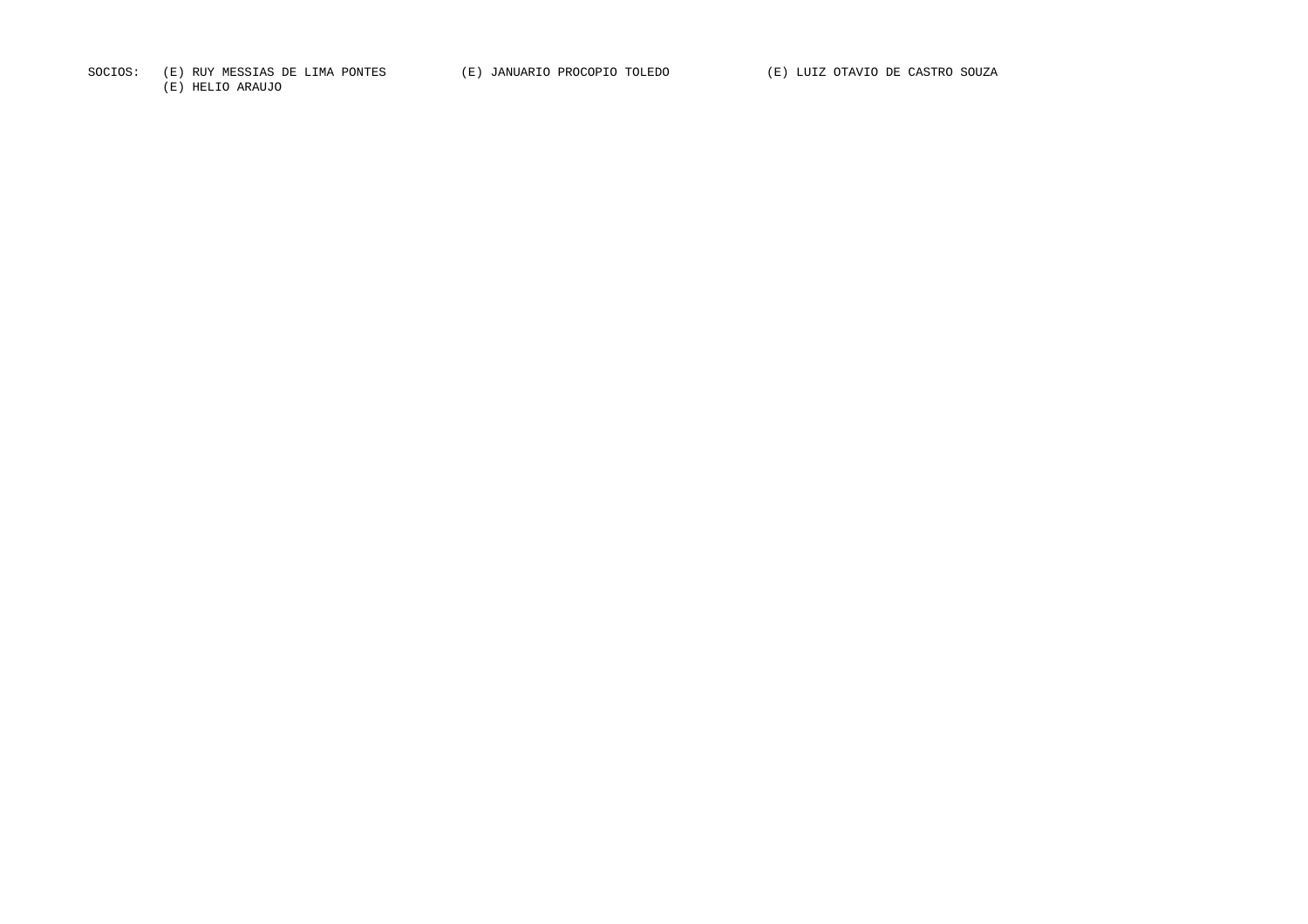SOCIOS: (E) RUY MESSIAS DE LIMA PONTES (E) JANUARIO PROCOPIO TOLEDO (E) LUIZ OTAVIO DE CASTRO SOUZA

(E) HELIO ARAUJO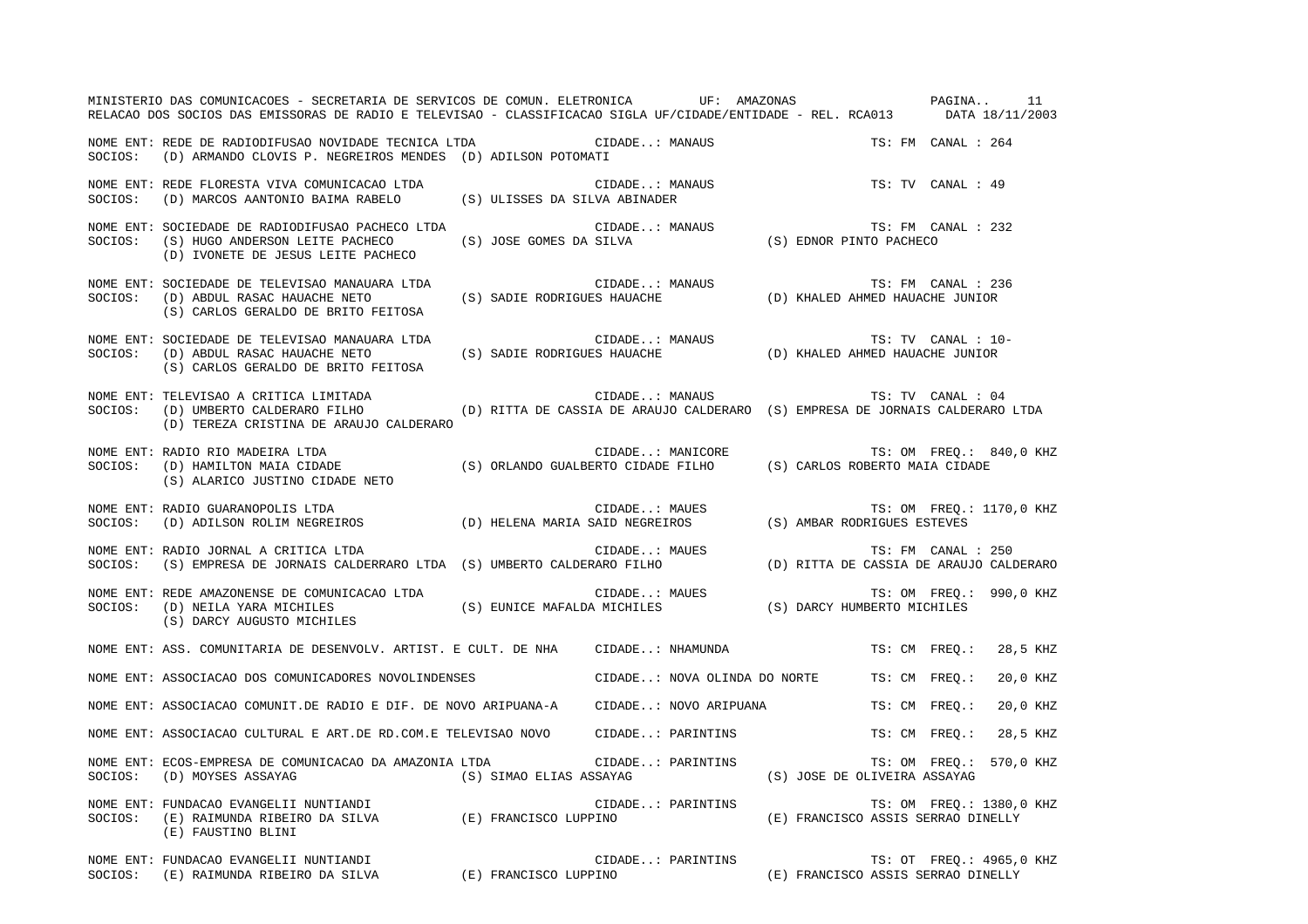|         | MINISTERIO DAS COMUNICACOES - SECRETARIA DE SERVICOS DE COMUN. ELETRONICA UF: AMAZONAS PAGINA 11<br>RELACAO DOS SOCIOS DAS EMISSORAS DE RADIO E TELEVISAO - CLASSIFICACAO SIGLA UF/CIDADE/ENTIDADE - REL. RCA013 DATA 18/11/2003 |                         |                                                                     |                                    |               |                    |                          |
|---------|----------------------------------------------------------------------------------------------------------------------------------------------------------------------------------------------------------------------------------|-------------------------|---------------------------------------------------------------------|------------------------------------|---------------|--------------------|--------------------------|
|         | NOME ENT: REDE DE RADIODIFUSAO NOVIDADE TECNICA LTDA CIDADE: MANAUS<br>SOCIOS: (D) ARMANDO CLOVIS P. NEGREIROS MENDES (D) ADILSON POTOMATI                                                                                       |                         |                                                                     |                                    |               | TS: FM CANAL : 264 |                          |
|         |                                                                                                                                                                                                                                  |                         | CIDADE: MANAUS                                                      |                                    |               | TS: TV CANAL : 49  |                          |
|         | NOME ENT: SOCIEDADE DE RADIODIFUSAO PACHECO LTDA<br>SOCIOS: (S) HUGO ANDERSON LEITE PACHECO (S) JOSE GOMES DA SILVA (S) EDNOR PINTO PACHECO (D) IVOUETE PACHECO (S)<br>(D) IVONETE DE JESUS LEITE PACHECO                        |                         |                                                                     |                                    |               |                    |                          |
| SOCIOS: | NOME ENT: SOCIEDADE DE TELEVISAO MANAUARA LTDA<br>(D) ABDUL RASAC HAUACHE NETO<br>(S) CARLOS GERALDO DE BRITO FEITOSA                                                                                                            |                         | RA LTDA (S) SADIE RODRIGUES HAUACHE (D) KHALED AHMED HAUACHE JUNIOR |                                    |               | TS: FM CANAL : 236 |                          |
| SOCIOS: | NOME ENT: SOCIEDADE DE TELEVISAO MANAUARA LTDA<br>(S) CARLOS GERALDO DE BRITO FEITOSA                                                                                                                                            |                         |                                                                     |                                    |               | TS: TV CANAL : 10- |                          |
| SOCIOS: | NOME ENT: TELEVISAO A CRITICA LIMITADA<br>(D) UMBERTO CALDERARO FILHO (D) RITTA DE CASSIA DE ARAUJO CALDERARO (S) EMPRESA DE JORNAIS CALDERARO LTDA<br>(D) TEREZA CRISTINA DE ARAUJO CALDERARO                                   |                         | CIDADE: MANAUS TS: TV CANAL : 04                                    |                                    |               |                    |                          |
| SOCIOS: | NOME ENT: RADIO RIO MADEIRA LTDA<br>(S) ALARICO JUSTINO CIDADE NETO                                                                                                                                                              |                         |                                                                     |                                    |               |                    |                          |
| SOCIOS: | NOME ENT: RADIO GUARANOPOLIS LTDA<br>RADIO GUARANOPOLIS LTDA<br>(D) ADILSON ROLIM NEGREIROS (D) HELENA MARIA SAID NEGREIROS (S) AMBAR RODRIGUES ESTEVES                                                                          |                         | CIDADE: MAUES                                                       |                                    |               |                    | TS: OM FREQ.: 1170,0 KHZ |
| SOCIOS: | NOME ENT: RADIO JORNAL A CRITICA LTDA<br>RADIO JORNAL A CRITICA LTDA<br>(S) EMPRESA DE JORNAIS CALDERRARO LTDA (S) UMBERTO CALDERARO FILHO (D) RITTA DE CASSIA DE ARAUJO CALDERARO)                                              |                         | CIDADE: MAUES                                                       |                                    |               | TS: FM CANAL : 250 |                          |
|         | TS: OM FREQ.<br>SOCIOS: (D) NEILA YARA MICHILES (S) EUNICE MAFALDA MICHILES (S) DARCY HUMBERTO MICHILES<br>(S) DARCY AUGUSTO MICHILES                                                                                            |                         |                                                                     |                                    |               |                    | TS: OM FREQ.: 990,0 KHZ  |
|         | NOME ENT: ASS. COMUNITARIA DE DESENVOLV. ARTIST. E CULT. DE NHA      CIDADE: NHAMUNDA                                                                                                                                            |                         |                                                                     |                                    |               | TS: CM FREO.:      | 28,5 KHZ                 |
|         | NOME ENT: ASSOCIACAO DOS COMUNICADORES NOVOLINDENSES                                                                                                                                                                             |                         | CIDADE: NOVA OLINDA DO NORTE TS: CM FREO.:                          |                                    |               |                    | 20,0 KHZ                 |
|         | NOME ENT: ASSOCIACAO COMUNIT.DE RADIO E DIF. DE NOVO ARIPUANA-A CIDADE: NOVO ARIPUANA                                                                                                                                            |                         |                                                                     |                                    | TS: CM FREQ.: |                    | 20,0 KHZ                 |
|         | NOME ENT: ASSOCIACAO CULTURAL E ART.DE RD.COM.E TELEVISAO NOVO CIDADE: PARINTINS                                                                                                                                                 |                         |                                                                     |                                    |               | TS: CM FREO.:      | 28,5 KHZ                 |
| SOCIOS: | NOME ENT: ECOS-EMPRESA DE COMUNICACAO DA AMAZONIA LTDA<br>(D) MOYSES ASSAYAG                                                                                                                                                     | (S) SIMAO ELIAS ASSAYAG | CIDADE: PARINTINS                                                   | (S) JOSE DE OLIVEIRA ASSAYAG       |               | TS: OM FREQ.:      | 570,0 KHZ                |
|         | NOME ENT: FUNDACAO EVANGELII NUNTIANDI<br>SOCIOS: $(E)$ RAIMUNDA RIBEIRO DA SILVA $(E)$ FRANCISCO LUPPINO<br>(E) FAUSTINO BLINI                                                                                                  |                         | CIDADE: PARINTINS                                                   | (E) FRANCISCO ASSIS SERRAO DINELLY |               |                    | TS: OM FREQ.: 1380,0 KHZ |
|         | NOME ENT: FUNDACAO EVANGELII NUNTIANDI<br>SOCIOS: (E) RAIMUNDA RIBEIRO DA SILVA                                                                                                                                                  | (E) FRANCISCO LUPPINO   | CIDADE: PARINTINS                                                   | (E) FRANCISCO ASSIS SERRAO DINELLY |               |                    | TS: OT FREQ.: 4965,0 KHZ |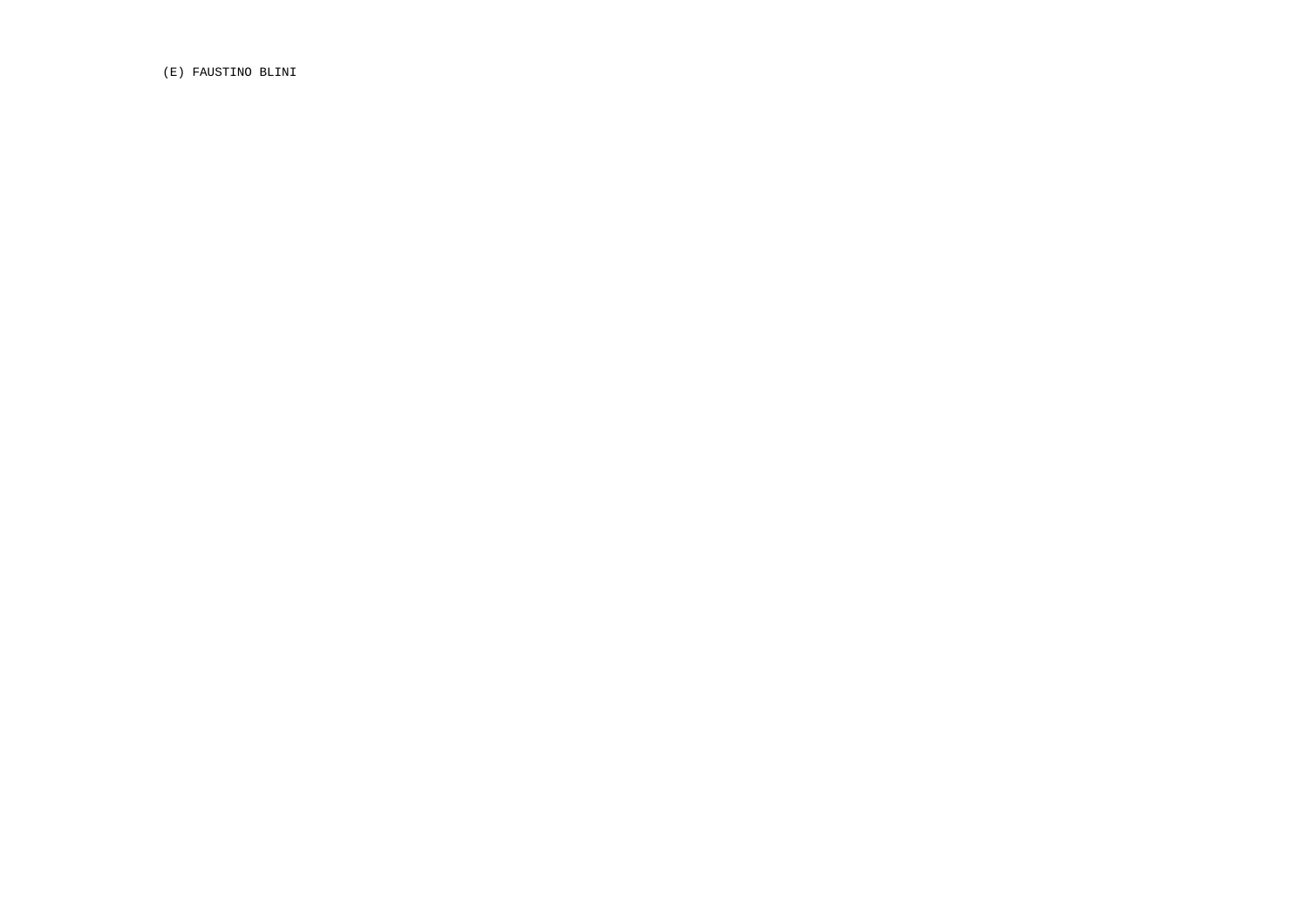(E) FAUSTINO BLINI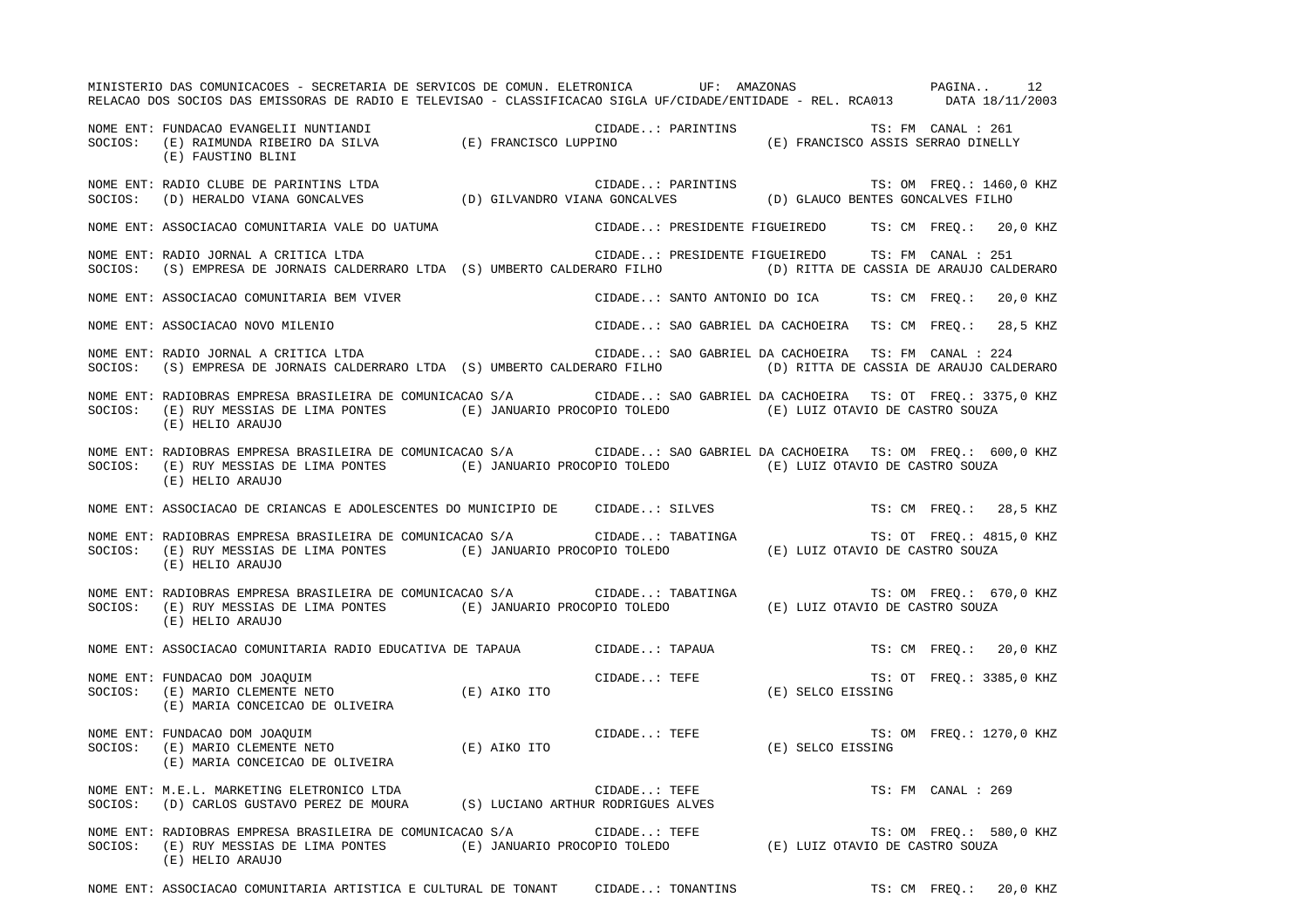MINISTERIO DAS COMUNICACOES - SECRETARIA DE SERVICOS DE COMUN. ELETRONICA UF: AMAZONAS PAGINA.. 12PAGINA.. 12 RELACAO DOS SOCIOS DAS EMISSORAS DE RADIO E TELEVISAO - CLASSIFICACAO SIGLA UF/CIDADE/ENTIDADE - REL. RCA013 DATA 18/11/2003 NOME ENT: FUNDACAO EVANGELII NUNTIANDI CIDADE..: PARINTINS TS: FM CANAL : 261SOCIOS: (E) RAIMUNDA RIBEIRO DA SILVA (E) FRANCISCO LUPPINO (E) FRANCISCO ASSIS SERRAO DINELLY (E) FAUSTINO BLINI NOME ENT: RADIO CLUBE DE PARINTINS LTDA CIDADE..: PARINTINS TS: OM FREQ.: 1460,0 KHZ SOCIOS: (D) HERALDO VIANA GONCALVES (D) GILVANDRO VIANA GONCALVES (D) GLAUCO BENTES GONCALVES FILHO NOME ENT: ASSOCIACAO COMUNITARIA VALE DO UATUMA CIDADE..: PRESIDENTE FIGUEIREDO TS: CM FREQ.: 20,0 KHZ NOME ENT: RADIO JORNAL A CRITICA LTDA CIDADE..: PRESIDENTE FIGUEIREDO TS: FM CANAL : 251SOCIOS: (S) EMPRESA DE JORNAIS CALDERRARO LTDA (S) UMBERTO CALDERARO FILHO (D) RITTA DE CASSIA DE ARAUJO CALDERARO NOME ENT: ASSOCIACAO COMUNITARIA BEM VIVER THE SANTO ANTONIO DO ICA TO TO TER TS: CM FREQ.: 20,0 KHZ NOME ENT: ASSOCIACAO NOVO MILENIO CIDADE..: SAO GABRIEL DA CACHOEIRA TS: CM FREQ.: 28,5 KHZ NOME ENT: RADIO JORNAL A CRITICA LTDA CIDADE..: SAO GABRIEL DA CACHOEIRA TS: FM CANAL : 224 SOCIOS: (S) EMPRESA DE JORNAIS CALDERRARO LTDA (S) UMBERTO CALDERARO FILHO (D) RITTA DE CASSIA DE ARAUJO CALDERARO NOME ENT: RADIOBRAS EMPRESA BRASILEIRA DE COMUNICACAO S/A CIDADE..: SAO GABRIEL DA CACHOEIRA TS: OT FREQ.: 3375,0 KHZ SOCIOS: (E) RUY MESSIAS DE LIMA PONTES (E) JANUARIO PROCOPIO TOLEDO (E) LUIZ OTAVIO DE CASTRO SOUZA (E) HELIO ARAUJO NOME ENT: RADIOBRAS EMPRESA BRASILEIRA DE COMUNICACAO S/A CIDADE..: SAO GABRIEL DA CACHOEIRA TS: OM FREQ.: 600,0 KHZ SOCIOS: (E) RUY MESSIAS DE LIMA PONTES (E) JANUARIO PROCOPIO TOLEDO (E) LUIZ OTAVIO DE CASTRO SOUZA (E) HELIO ARAUJO NOME ENT: ASSOCIACAO DE CRIANCAS E ADOLESCENTES DO MUNICIPIO DE CIDADE..: SILVES TS: CM FREQ.: 28,5 KHZ NOME ENT: RADIOBRAS EMPRESA BRASILEIRA DE COMUNICACAO S/A CIDADE..: TABATINGA TS: OT FREQ.: 4815,0 KHZ SOCIOS: (E) RUY MESSIAS DE LIMA PONTES (E) JANUARIO PROCOPIO TOLEDO (E) LUIZ OTAVIO DE CASTRO SOUZA (E) HELIO ARAUJO NOME ENT: RADIOBRAS EMPRESA BRASILEIRA DE COMUNICACAO S/A CIDADE..: TABATINGA TS: OM FREQ.: 670,0 KHZ SOCIOS: (E) RUY MESSIAS DE LIMA PONTES (E) JANUARIO PROCOPIO TOLEDO (E) LUIZ OTAVIO DE CASTRO SOUZA (E) HELIO ARAUJO NOME ENT: ASSOCIACAO COMUNITARIA RADIO EDUCATIVA DE TAPAUA  $\qquad$  CIDADE..: TAPAUA  $\qquad$  TS: CM FREQ.: 20,0 KHZ NOME ENT: FUNDACAO DOM JOAQUIM CIDADE..: TEFE THE TS: OT FREQ.: 3385,0 KHZ SOCIOS: (E) MARIO CLEMENTE NETO (E) AIKO ITO (E) SELCO EISSING (E) MARIA CONCEICAO DE OLIVEIRA NOME ENT: FUNDACAO DOM JOAQUIM CIDADE..: TEFE TS: OM FREQ.: 1270,0 KHZ SOCIOS: (E) MARIO CLEMENTE NETO (E) AIKO ITO (E) SELCO EISSING (E) MARIA CONCEICAO DE OLIVEIRA NOME ENT: M.E.L. MARKETING ELETRONICO LTDA CIDADE..: TEFE TS: FM CANAL : 269 SOCIOS: (D) CARLOS GUSTAVO PEREZ DE MOURA (S) LUCIANO ARTHUR RODRIGUES ALVES NOME ENT: RADIOBRAS EMPRESA BRASILEIRA DE COMUNICACAO S/A CIDADE..: TEFE TES TS: OM FREQ.: 580,0 KHZ SOCIOS: (E) RUY MESSIAS DE LIMA PONTES (E) JANUARIO PROCOPIO TOLEDO (E) LUIZ OTAVIO DE CASTRO SOUZA (E) HELIO ARAUJO

NOME ENT: ASSOCIACAO COMUNITARIA ARTISTICA E CULTURAL DE TONANT CIDADE..: TONANTINS TS: CM FREQ.: 20,0 KHZ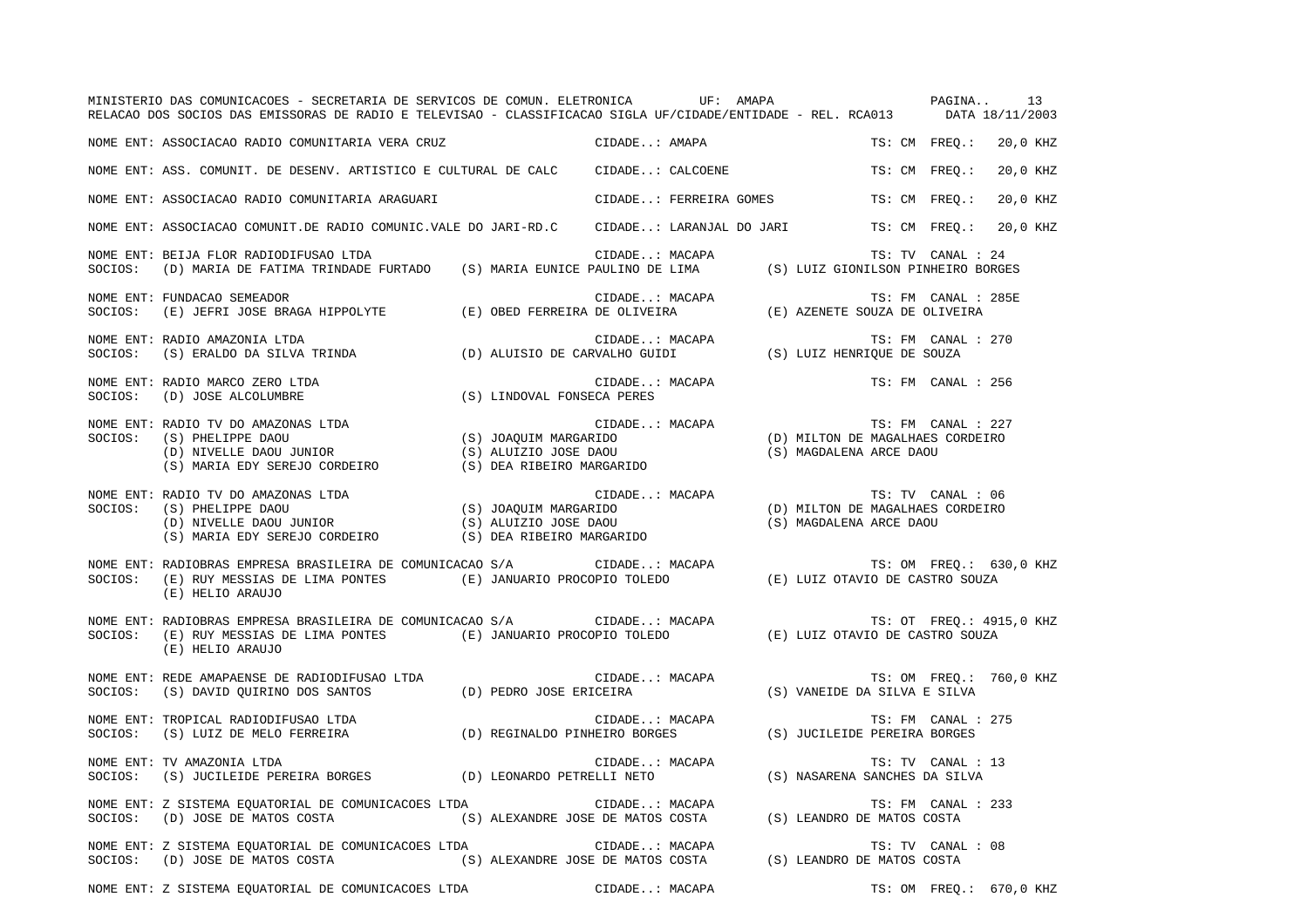| MINISTERIO DAS COMUNICACOES - SECRETARIA DE SERVICOS DE COMUN. ELETRONICA UF: AMAPA (PAGINA 13<br>RELACAO DOS SOCIOS DAS EMISSORAS DE RADIO E TELEVISAO - CLASSIFICACAO SIGLA UF/CIDADE/ENTIDADE - REL. RCA013 DATA 18/11/2003             |                                               |                    |                          |          |  |
|--------------------------------------------------------------------------------------------------------------------------------------------------------------------------------------------------------------------------------------------|-----------------------------------------------|--------------------|--------------------------|----------|--|
| NOME ENT: ASSOCIACAO RADIO COMUNITARIA VERA CRUZ                                                                                                                                                                                           | CIDADE: AMAPA                                 |                    | TS: CM FREO.: 20,0 KHZ   |          |  |
| NOME ENT: ASS. COMUNIT. DE DESENV. ARTISTICO E CULTURAL DE CALC CIDADE: CALCOENE                                                                                                                                                           |                                               |                    | TS: CM FREO.:            | 20,0 KHZ |  |
| NOME ENT: ASSOCIACAO RADIO COMUNITARIA ARAGUARI                                                                                                                                                                                            | CIDADE: FERREIRA GOMES TS: CM FREQ.: 20,0 KHZ |                    |                          |          |  |
| NOME ENT: ASSOCIACAO COMUNIT.DE RADIO COMUNIC.VALE DO JARI-RD.C CIDADE: LARANJAL DO JARI TS: CM FREQ.: 20,0 KHZ                                                                                                                            |                                               |                    |                          |          |  |
| NOME ENT: BEIJA FLOR RADIODIFUSAO LTDA<br>SOCIOS: (D) MARIA DE FATIMA TRINDADE FURTADO (S) MARIA EUNICE PAULINO DE LIMA (S) LUIZ GIONILSON PINHEIRO BORGES                                                                                 | CIDADE: MACAPA                                |                    | TS: TV CANAL : 24        |          |  |
| NOME ENT: FUNDACAO SEMEADOR<br>SOCIOS: (E) JEFRI JOSE BRAGA HIPPOLYTE (E) OBED FERREIRA DE OLIVEIRA (E) AZENETE SOUZA DE OLIVEIRA                                                                                                          | CIDADE: MACAPA                                |                    | TS: FM CANAL : 285E      |          |  |
|                                                                                                                                                                                                                                            |                                               |                    | TS: FM CANAL : 270       |          |  |
| NOME ENT: RADIO MARCO ZERO LTDA<br>SOCIOS: (D) JOSE ALCOLUMBRE (S) LINDOVAL FONSECA PERES                                                                                                                                                  | CIDADE: MACAPA                                |                    | TS: FM CANAL : 256       |          |  |
| CIDADE: MACAPA TS: FM CANAL : 227<br>SOCIOS: (S) PHELIPPE DAOU<br>(D) MILTON DE MAGALHAES CORDEIRO<br>(D) NIVELLE DAOU JUNIOR (S) ALUIZIO JOSE DAOU<br>(S) MAGDALENA ARCE DAOU<br>(S) MARIA EDY SEREJO CORDEIRO (S) DEA RIBEIRO MARGAR     |                                               |                    |                          |          |  |
| NOME ENT: RADIO TV DO AMAZONAS LTDA<br>SOCIOS: (S) PHELIPPE DAOU<br>(D) MILTON DE MAGALHAES CORDEIRO<br>(D) MILTON DE MAGALHAES CORDEIRO<br>(D) MILTON DE MAGALHAES CORDEIRO<br>(S) MARIA EDY SEREJO CORDEIRO<br>(S) MARIA EDY SEREJO CORD |                                               |                    |                          |          |  |
| NOME ENT: RADIOBRAS EMPRESA BRASILEIRA DE COMUNICACAO S/A CIDADE: MACAPA TS: OM FREQ.: 630,0 KHZ<br>SOCIOS: (E) RUY MESSIAS DE LIMA PONTES (E) JANUARIO PROCOPIO TOLEDO (E) LUIZ OTAVIO DE CASTRO SOUZA<br>(E) HELIO ARAUJO                |                                               |                    |                          |          |  |
| (E) HELIO ARAUJO                                                                                                                                                                                                                           |                                               |                    | TS: OT FREQ.: 4915,0 KHZ |          |  |
| NOME ENT: REDE AMAPAENSE DE RADIODIFUSAO LTDA<br>SOCIOS: (S) DAVID QUIRINO DOS SANTOS (D) PEDRO JOSE ERICEIRA (S) VANEIDE DA SILVA E SILVA                                                                                                 |                                               |                    |                          |          |  |
| NOME ENT: TROPICAL RADIODIFUSAO LTDA<br>SOCIOS: (S) LUIZ DE MELO FERREIRA (D) REGINALDO PINHEIRO BORGES (S) JUCILEIDE PEREIRA BORGES                                                                                                       |                                               | TS: FM CANAL : 275 |                          |          |  |
| NOME ENT: TV AMAZONIA LTDA<br>SOCIOS: (S) JUCILEIDE PEREIRA BORGES (D) LEONARDO PETRELLI NETO (S) NASARENA SANCHES DA SILVA                                                                                                                | CIDADE: MACAPA                                |                    | TS: TV CANAL : 13        |          |  |
| SOCIOS: (D) JOSE DE MATOS COSTA (S) ALEXANDRE JOSE DE MATOS COSTA (S) LEANDRO DE MATOS COSTA                                                                                                                                               |                                               |                    | TS: FM CANAL : 233       |          |  |
|                                                                                                                                                                                                                                            |                                               |                    | TS: TV CANAL : 08        |          |  |
| NOME ENT: Z SISTEMA EQUATORIAL DE COMUNICACOES LTDA CIDADE: MACAPA                                                                                                                                                                         |                                               |                    | TS: OM FREQ.: 670,0 KHZ  |          |  |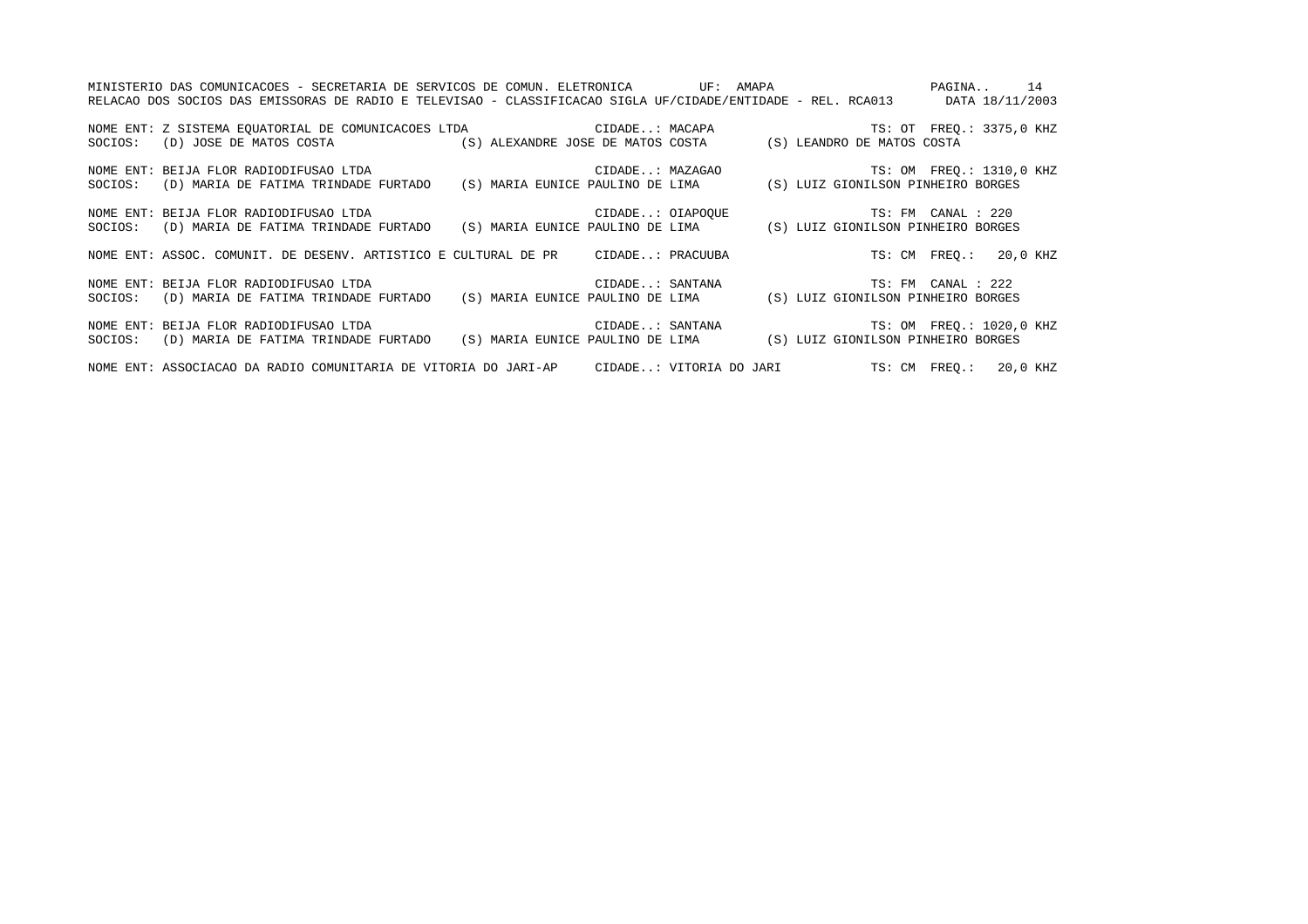| MINISTERIO DAS COMUNICACOES - SECRETARIA DE SERVICOS DE COMUN. ELETRONICA         UF: AMAPA               PAGINA     14 |                                                                                                                              |
|-------------------------------------------------------------------------------------------------------------------------|------------------------------------------------------------------------------------------------------------------------------|
|                                                                                                                         | RELACAO DOS SOCIOS DAS EMISSORAS DE RADIO E TELEVISAO - CLASSIFICACAO SIGLA UF/CIDADE/ENTIDADE - REL. RCA013 DATA 18/11/2003 |
|                                                                                                                         |                                                                                                                              |
|                                                                                                                         |                                                                                                                              |
| (D) JOSE DE MATOS COSTA (S) ALEXANDRE JOSE DE MATOS COSTA (S) LEANDRO DE MATOS COSTA<br>SOCIOS:                         |                                                                                                                              |
|                                                                                                                         |                                                                                                                              |
| NOME ENT: BEIJA FLOR RADIODIFUSAO LTDA                                                                                  |                                                                                                                              |
| SOCIOS:                                                                                                                 | (D) MARIA DE FATIMA TRINDADE FURTADO (S) MARIA EUNICE PAULINO DE LIMA (S) LUIZ GIONILSON PINHEIRO BORGES                     |
|                                                                                                                         |                                                                                                                              |
| NOME ENT: BEIJA FLOR RADIODIFUSAO LTDA (CIDADE: OIAPOQUE TS: FM CANAL : 220                                             |                                                                                                                              |
| SOCIOS: (D) MARIA DE FATIMA TRINDADE FURTADO (S) MARIA EUNICE PAULINO DE LIMA (S) LUIZ GIONILSON PINHEIRO BORGES        |                                                                                                                              |
|                                                                                                                         |                                                                                                                              |
| NOME ENT: ASSOC. COMUNIT. DE DESENV. ARTISTICO E CULTURAL DE PR CIDADE: PRACUUBA                                        | TS: CM FREO.: 20,0 KHZ                                                                                                       |
|                                                                                                                         |                                                                                                                              |
|                                                                                                                         |                                                                                                                              |
| SOCIOS: (D) MARIA DE FATIMA TRINDADE FURTADO (S) MARIA EUNICE PAULINO DE LIMA (S) LUIZ GIONILSON PINHEIRO BORGES        |                                                                                                                              |
|                                                                                                                         |                                                                                                                              |
|                                                                                                                         | NOME ENT: BEIJA FLOR RADIODIFUSAO LTDA (2008) (2008) 2008. CIDADE: SANTANA (2008) 25: OM FREQ.: 1020,0 KHZ                   |
| SOCIOS:                                                                                                                 | (D) MARIA DE FATIMA TRINDADE FURTADO (S) MARIA EUNICE PAULINO DE LIMA (S) LUIZ GIONILSON PINHEIRO BORGES                     |
|                                                                                                                         |                                                                                                                              |
|                                                                                                                         | NOME ENT: ASSOCIACAO DA RADIO COMUNITARIA DE VITORIA DO JARI-AP CIDADE: VITORIA DO JARI TE: CM FREQ.: 20,0 KHZ               |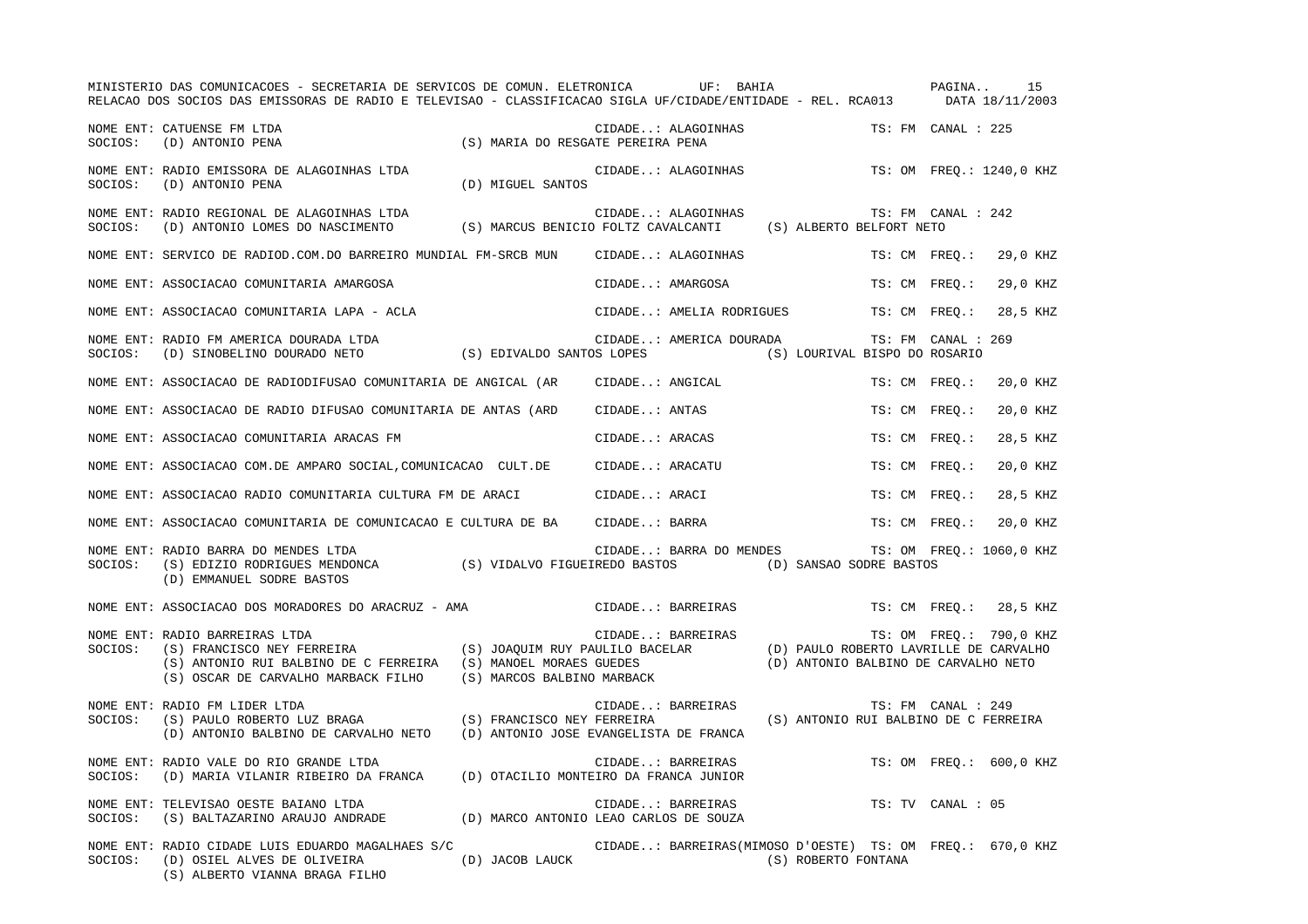|         | MINISTERIO DAS COMUNICACOES - SECRETARIA DE SERVICOS DE COMUN. ELETRONICA UF: BAHIA<br>RELACAO DOS SOCIOS DAS EMISSORAS DE RADIO E TELEVISAO - CLASSIFICACAO SIGLA UF/CIDADE/ENTIDADE - REL. RCA013 |                                                                      |                  |                                                           |                                       | PAGINA             | 15<br>DATA 18/11/2003                                             |
|---------|-----------------------------------------------------------------------------------------------------------------------------------------------------------------------------------------------------|----------------------------------------------------------------------|------------------|-----------------------------------------------------------|---------------------------------------|--------------------|-------------------------------------------------------------------|
| SOCIOS: | NOME ENT: CATUENSE FM LTDA<br>(D) ANTONIO PENA                                                                                                                                                      | (S) MARIA DO RESGATE PEREIRA PENA                                    |                  | CIDADE: ALAGOINHAS                                        |                                       | TS: FM CANAL : 225 |                                                                   |
| SOCIOS: | NOME ENT: RADIO EMISSORA DE ALAGOINHAS LTDA<br>(D) ANTONIO PENA                                                                                                                                     | (D) MIGUEL SANTOS                                                    |                  | CIDADE: ALAGOINHAS                                        |                                       |                    | TS: OM FREO.: 1240,0 KHZ                                          |
| SOCIOS: | NOME ENT: RADIO REGIONAL DE ALAGOINHAS LTDA<br>(D) ANTONIO LOMES DO NASCIMENTO                                                                                                                      | (S) MARCUS BENICIO FOLTZ CAVALCANTI (S) ALBERTO BELFORT NETO         |                  | CIDADE: ALAGOINHAS                                        |                                       | TS: FM CANAL : 242 |                                                                   |
|         | NOME ENT: SERVICO DE RADIOD.COM.DO BARREIRO MUNDIAL FM-SRCB MUN                                                                                                                                     |                                                                      |                  | CIDADE: ALAGOINHAS                                        |                                       | TS: CM FREQ.:      | 29,0 KHZ                                                          |
|         | NOME ENT: ASSOCIACAO COMUNITARIA AMARGOSA                                                                                                                                                           |                                                                      | CIDADE: AMARGOSA |                                                           |                                       | TS: CM FREO.:      | 29,0 KHZ                                                          |
|         | NOME ENT: ASSOCIACAO COMUNITARIA LAPA - ACLA                                                                                                                                                        |                                                                      |                  | CIDADE: AMELIA RODRIGUES                                  |                                       | TS: CM FREO.:      | 28,5 KHZ                                                          |
| SOCIOS: | NOME ENT: RADIO FM AMERICA DOURADA LTDA<br>(D) SINOBELINO DOURADO NETO                                                                                                                              | (S) EDIVALDO SANTOS LOPES                                            |                  | CIDADE: AMERICA DOURADA                                   | (S) LOURIVAL BISPO DO ROSARIO         | TS: FM CANAL : 269 |                                                                   |
|         | NOME ENT: ASSOCIACAO DE RADIODIFUSAO COMUNITARIA DE ANGICAL (AR                                                                                                                                     |                                                                      |                  | CIDADE: ANGICAL                                           |                                       | TS: CM FREO.:      | 20,0 KHZ                                                          |
|         | NOME ENT: ASSOCIACAO DE RADIO DIFUSAO COMUNITARIA DE ANTAS (ARD                                                                                                                                     |                                                                      | CIDADE: ANTAS    |                                                           |                                       | TS: CM FREO.:      | 20,0 KHZ                                                          |
|         | NOME ENT: ASSOCIACAO COMUNITARIA ARACAS FM                                                                                                                                                          |                                                                      | CIDADE: ARACAS   |                                                           |                                       | TS: CM FREO.:      | 28,5 KHZ                                                          |
|         | NOME ENT: ASSOCIACAO COM.DE AMPARO SOCIAL, COMUNICACAO CULT.DE                                                                                                                                      |                                                                      | CIDADE: ARACATU  |                                                           |                                       | TS: CM FREQ.:      | 20,0 KHZ                                                          |
|         | NOME ENT: ASSOCIACAO RADIO COMUNITARIA CULTURA FM DE ARACI                                                                                                                                          |                                                                      | CIDADE: ARACI    |                                                           |                                       | TS: CM FREO.:      | 28,5 KHZ                                                          |
|         | NOME ENT: ASSOCIACAO COMUNITARIA DE COMUNICACAO E CULTURA DE BA                                                                                                                                     |                                                                      | CIDADE: BARRA    |                                                           |                                       | TS: CM FREO.:      | 20,0 KHZ                                                          |
| SOCIOS: | NOME ENT: RADIO BARRA DO MENDES LTDA<br>(S) EDIZIO RODRIGUES MENDONCA (S) VIDALVO FIGUEIREDO BASTOS<br>(D) EMMANUEL SODRE BASTOS                                                                    |                                                                      |                  | CIDADE: BARRA DO MENDES                                   | (D) SANSAO SODRE BASTOS               |                    | TS: OM FREO.: 1060,0 KHZ                                          |
|         | NOME ENT: ASSOCIACAO DOS MORADORES DO ARACRUZ - AMA                                                                                                                                                 |                                                                      |                  | CIDADE: BARREIRAS                                         |                                       |                    | TS: CM FREO.: 28,5 KHZ                                            |
| SOCIOS: | NOME ENT: RADIO BARREIRAS LTDA<br>(S) FRANCISCO NEY FERREIRA<br>(S) ANTONIO RUI BALBINO DE C FERREIRA (S) MANOEL MORAES GUEDES<br>(S) OSCAR DE CARVALHO MARBACK FILHO                               | (S) JOAQUIM RUY PAULILO BACELAR<br>(S) MARCOS BALBINO MARBACK        |                  | CIDADE: BARREIRAS                                         | (D) ANTONIO BALBINO DE CARVALHO NETO  |                    | TS: OM FREQ.: 790,0 KHZ<br>(D) PAULO ROBERTO LAVRILLE DE CARVALHO |
| SOCIOS: | NOME ENT: RADIO FM LIDER LTDA<br>(S) PAULO ROBERTO LUZ BRAGA<br>(D) ANTONIO BALBINO DE CARVALHO NETO                                                                                                | (S) FRANCISCO NEY FERREIRA<br>(D) ANTONIO JOSE EVANGELISTA DE FRANCA |                  | CIDADE: BARREIRAS                                         | (S) ANTONIO RUI BALBINO DE C FERREIRA | TS: FM CANAL : 249 |                                                                   |
| SOCIOS: | NOME ENT: RADIO VALE DO RIO GRANDE LTDA<br>(D) MARIA VILANIR RIBEIRO DA FRANCA                                                                                                                      | (D) OTACILIO MONTEIRO DA FRANCA JUNIOR                               |                  | CIDADE: BARREIRAS                                         |                                       |                    | TS: OM FREO.: 600,0 KHZ                                           |
| SOCIOS: | NOME ENT: TELEVISAO OESTE BAIANO LTDA<br>(S) BALTAZARINO ARAUJO ANDRADE                                                                                                                             | (D) MARCO ANTONIO LEAO CARLOS DE SOUZA                               |                  | CIDADE: BARREIRAS                                         |                                       | TS: TV CANAL : 05  |                                                                   |
| SOCIOS: | NOME ENT: RADIO CIDADE LUIS EDUARDO MAGALHAES S/C<br>(D) OSIEL ALVES DE OLIVEIRA<br>(S) ALBERTO VIANNA BRAGA FILHO                                                                                  | (D) JACOB LAUCK                                                      |                  | CIDADE: BARREIRAS(MIMOSO D'OESTE) TS: OM FREO.: 670,0 KHZ | (S) ROBERTO FONTANA                   |                    |                                                                   |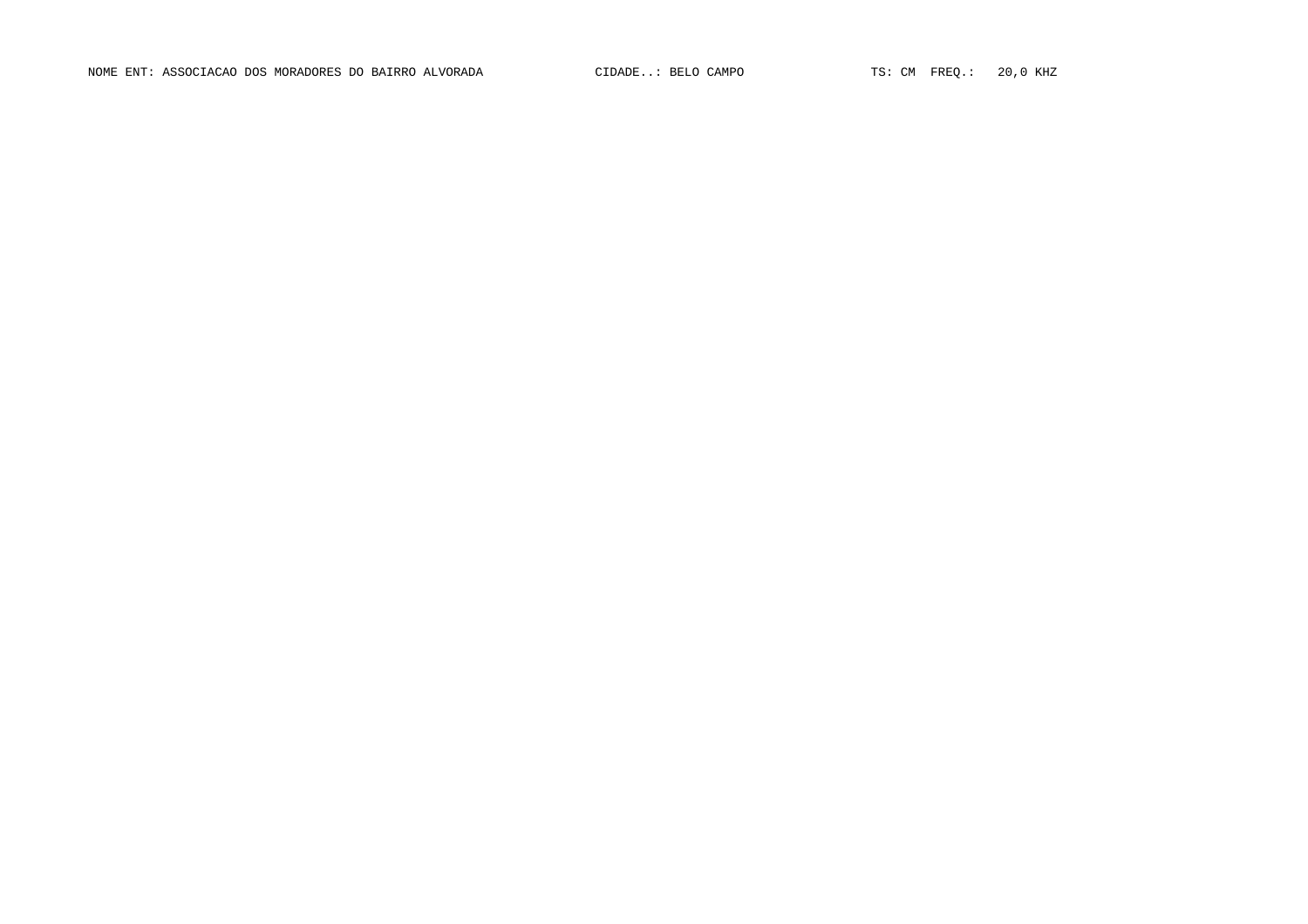NOME ENT: ASSOCIACAO DOS MORADORES DO BAIRRO ALVORADA CIDADE..: BELO CAMPO TS: CM FREQ.: 20,0 KHZ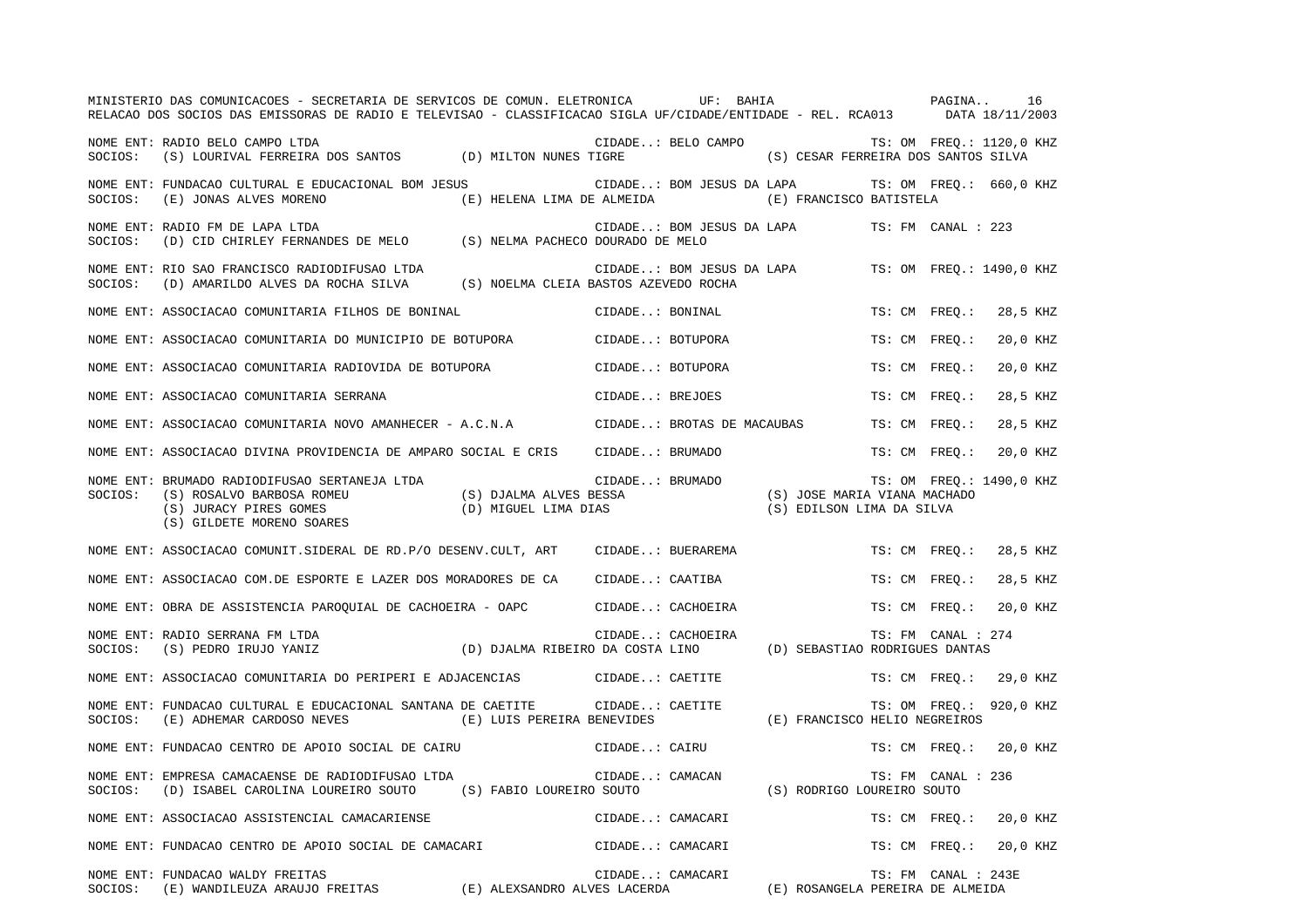|         | MINISTERIO DAS COMUNICACOES - SECRETARIA DE SERVICOS DE COMUN. ELETRONICA UF: BAHIA                                                                |                                                                 |                  |                            |                                                                              |               | PAGINA                   |          | 16 |
|---------|----------------------------------------------------------------------------------------------------------------------------------------------------|-----------------------------------------------------------------|------------------|----------------------------|------------------------------------------------------------------------------|---------------|--------------------------|----------|----|
|         | RELACAO DOS SOCIOS DAS EMISSORAS DE RADIO E TELEVISAO - CLASSIFICACAO SIGLA UF/CIDADE/ENTIDADE - REL. RCA013 DATA 18/11/2003                       |                                                                 |                  |                            |                                                                              |               |                          |          |    |
| SOCIOS: | NOME ENT: RADIO BELO CAMPO LTDA<br>(S) LOURIVAL FERREIRA DOS SANTOS (D) MILTON NUNES TIGRE                                                         |                                                                 |                  | CIDADE: BELO CAMPO         | (S) CESAR FERREIRA DOS SANTOS SILVA                                          |               | TS: OM FREQ.: 1120,0 KHZ |          |    |
| SOCIOS: | NOME ENT: FUNDACAO CULTURAL E EDUCACIONAL BOM JESUS<br>(E) JONAS ALVES MORENO                                                                      | (E) HELENA LIMA DE ALMEIDA                                      |                  |                            | CIDADE: BOM JESUS DA LAPA TS: OM FREQ.: 660,0 KHZ<br>(E) FRANCISCO BATISTELA |               |                          |          |    |
| SOCIOS: | NOME ENT: RADIO FM DE LAPA LTDA<br>(D) CID CHIRLEY FERNANDES DE MELO (S) NELMA PACHECO DOURADO DE MELO                                             |                                                                 |                  |                            | CIDADE: BOM JESUS DA LAPA                                                    |               | TS: FM CANAL : 223       |          |    |
| SOCIOS: | NOME ENT: RIO SAO FRANCISCO RADIODIFUSAO LTDA<br>(D) AMARILDO ALVES DA ROCHA SILVA (S) NOELMA CLEIA BASTOS AZEVEDO ROCHA                           |                                                                 |                  |                            | CIDADE: BOM JESUS DA LAPA                                                    |               | TS: OM FREO.: 1490,0 KHZ |          |    |
|         | NOME ENT: ASSOCIACAO COMUNITARIA FILHOS DE BONINAL                                                                                                 |                                                                 | CIDADE: BONINAL  |                            |                                                                              | TS: CM FREO.: |                          | 28,5 KHZ |    |
|         | NOME ENT: ASSOCIACAO COMUNITARIA DO MUNICIPIO DE BOTUPORA                                                                                          |                                                                 | CIDADE: BOTUPORA |                            |                                                                              | TS: CM FREO.: |                          | 20,0 KHZ |    |
|         | NOME ENT: ASSOCIACAO COMUNITARIA RADIOVIDA DE BOTUPORA                                                                                             |                                                                 | CIDADE: BOTUPORA |                            |                                                                              | TS: CM FREO.: |                          | 20,0 KHZ |    |
|         | NOME ENT: ASSOCIACAO COMUNITARIA SERRANA                                                                                                           |                                                                 | CIDADE: BREJOES  |                            |                                                                              | TS: CM FREO.: |                          | 28,5 KHZ |    |
|         | NOME ENT: ASSOCIACAO COMUNITARIA NOVO AMANHECER - A.C.N.A                                                                                          |                                                                 |                  | CIDADE: BROTAS DE MACAUBAS |                                                                              | TS: CM FREO.: |                          | 28,5 KHZ |    |
|         | NOME ENT: ASSOCIACAO DIVINA PROVIDENCIA DE AMPARO SOCIAL E CRIS                                                                                    |                                                                 | CIDADE: BRUMADO  |                            |                                                                              | TS: CM FREO.: |                          | 20,0 KHZ |    |
| SOCIOS: | NOME ENT: BRUMADO RADIODIFUSAO SERTANEJA LTDA<br>(S) ROSALVO BARBOSA ROMEU<br>(S) JURACY PIRES GOMES<br>(S) GILDETE MORENO SOARES                  | (S) DJALMA ALVES BESSA<br>(D) MIGUEL LIMA DIAS                  | CIDADE: BRUMADO  |                            | (S) JOSE MARIA VIANA MACHADO<br>(S) EDILSON LIMA DA SILVA                    |               | TS: OM FREQ.: 1490,0 KHZ |          |    |
|         | NOME ENT: ASSOCIACAO COMUNIT.SIDERAL DE RD.P/O DESENV.CULT, ART                                                                                    |                                                                 |                  | CIDADE: BUERAREMA          |                                                                              | TS: CM FREO.: |                          | 28,5 KHZ |    |
|         | NOME ENT: ASSOCIACAO COM. DE ESPORTE E LAZER DOS MORADORES DE CA                                                                                   |                                                                 | CIDADE: CAATIBA  |                            |                                                                              | TS: CM FREO.: |                          | 28,5 KHZ |    |
|         | NOME ENT: OBRA DE ASSISTENCIA PAROQUIAL DE CACHOEIRA - OAPC                                                                                        |                                                                 |                  | CIDADE: CACHOEIRA          |                                                                              | TS: CM FREO.: |                          | 20,0 KHZ |    |
| SOCIOS: | NOME ENT: RADIO SERRANA FM LTDA<br>(S) PEDRO IRUJO YANIZ                                                                                           | (D) DJALMA RIBEIRO DA COSTA LINO (D) SEBASTIAO RODRIGUES DANTAS |                  | CIDADE: CACHOEIRA          |                                                                              |               | TS: FM CANAL : 274       |          |    |
|         | NOME ENT: ASSOCIACAO COMUNITARIA DO PERIPERI E ADJACENCIAS CIDADE: CAETITE                                                                         |                                                                 |                  |                            |                                                                              |               | TS: CM FREO.: 29,0 KHZ   |          |    |
| SOCIOS: | NOME ENT: FUNDACAO CULTURAL E EDUCACIONAL SANTANA DE CAETITE<br>(E) ADHEMAR CARDOSO NEVES (E) LUIS PEREIRA BENEVIDES (E) FRANCISCO HELIO NEGREIROS |                                                                 | CIDADE: CAETITE  |                            |                                                                              |               | TS: OM FREO.: 920,0 KHZ  |          |    |
|         | NOME ENT: FUNDACAO CENTRO DE APOIO SOCIAL DE CAIRU                                                                                                 |                                                                 | CIDADE: CAIRU    |                            |                                                                              |               | TS: CM FREQ.: 20,0 KHZ   |          |    |
| SOCIOS: | NOME ENT: EMPRESA CAMACAENSE DE RADIODIFUSAO LTDA<br>(D) ISABEL CAROLINA LOUREIRO SOUTO                                                            | (S) FABIO LOUREIRO SOUTO                                        | CIDADE: CAMACAN  |                            | (S) RODRIGO LOUREIRO SOUTO                                                   |               | TS: FM CANAL : 236       |          |    |
|         | NOME ENT: ASSOCIACAO ASSISTENCIAL CAMACARIENSE                                                                                                     |                                                                 | CIDADE: CAMACARI |                            |                                                                              | TS: CM FREO.: |                          | 20,0 KHZ |    |
|         | NOME ENT: FUNDACAO CENTRO DE APOIO SOCIAL DE CAMACARI                                                                                              |                                                                 | CIDADE: CAMACARI |                            |                                                                              | TS: CM FREO.: |                          | 20,0 KHZ |    |
|         | NOME ENT: FUNDACAO WALDY FREITAS<br>SOCIOS: (E) WANDILEUZA ARAUJO FREITAS (E) ALEXSANDRO ALVES LACERDA                                             |                                                                 | CIDADE: CAMACARI |                            | (E) ROSANGELA PEREIRA DE ALMEIDA                                             |               | TS: FM CANAL : 243E      |          |    |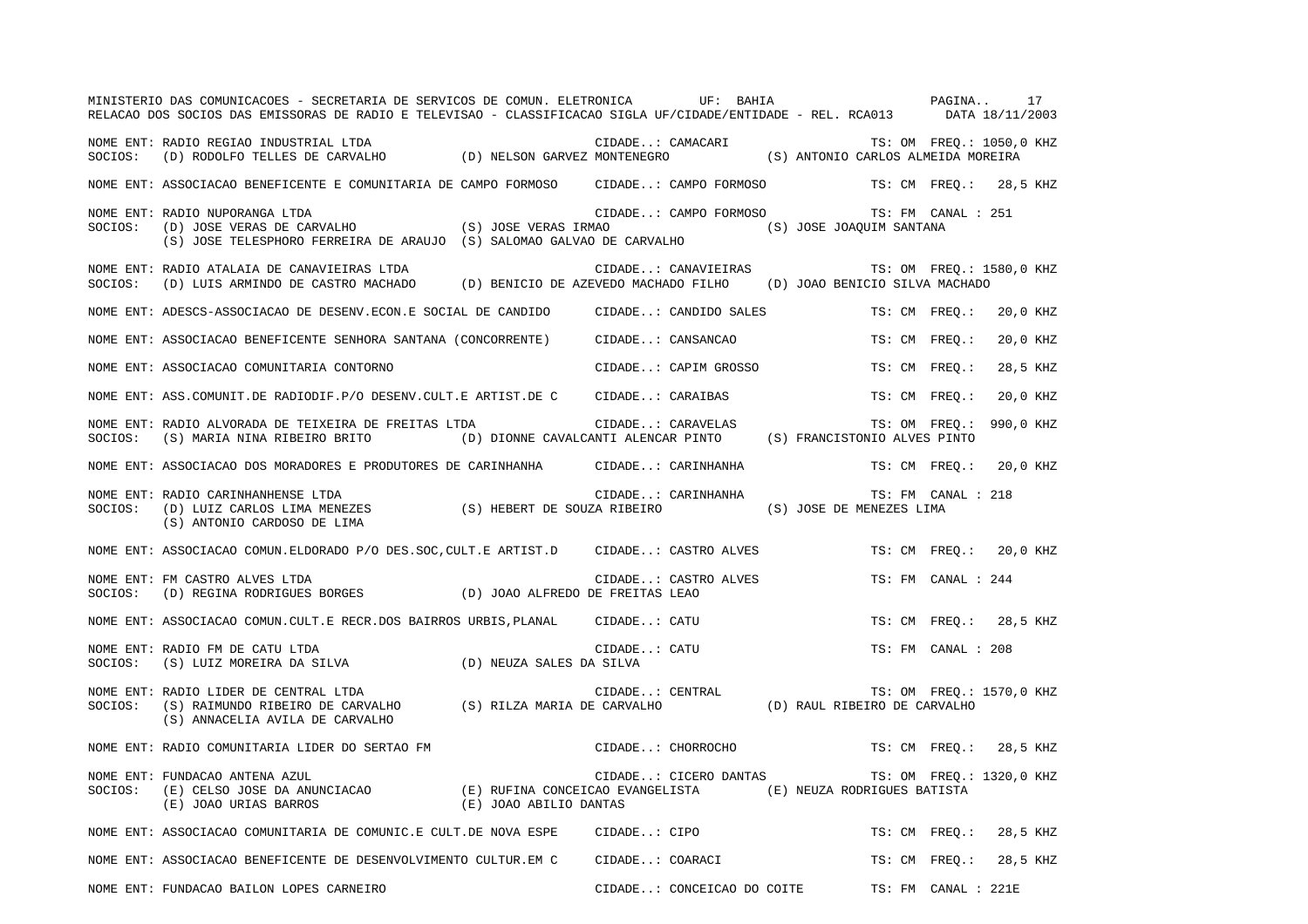|         | MINISTERIO DAS COMUNICACOES - SECRETARIA DE SERVICOS DE COMUN. ELETRONICA UF: BAHIA<br>RELACAO DOS SOCIOS DAS EMISSORAS DE RADIO E TELEVISAO - CLASSIFICACAO SIGLA UF/CIDADE/ENTIDADE - REL. RCA013 DATA 18/11/2003                                                                              |                                                               |                       |                                                |                    | PAGINA 17                |  |
|---------|--------------------------------------------------------------------------------------------------------------------------------------------------------------------------------------------------------------------------------------------------------------------------------------------------|---------------------------------------------------------------|-----------------------|------------------------------------------------|--------------------|--------------------------|--|
| SOCIOS: | NOME ENT: RADIO REGIAO INDUSTRIAL LTDA                                                                                                                                                                                                                                                           |                                                               |                       |                                                |                    | TS: OM FREQ.: 1050,0 KHZ |  |
|         | NOME ENT: ASSOCIACAO BENEFICENTE E COMUNITARIA DE CAMPO FORMOSO CIDADE: CAMPO FORMOSO                                                                                                                                                                                                            |                                                               |                       |                                                |                    | TS: CM FREO.: 28,5 KHZ   |  |
|         | NOME ENT: RADIO NUPORANGA LTDA<br>SOCIOS: (D) JOSE VERAS DE CARVALHO (S) JOSE VERAS IRMAO (S) JOSE VERAS IRMO (S) JOSE JOAQUIM SANTANA                                                                                                                                                           |                                                               | CIDADE: CAMPO FORMOSO | TS: FM CANAL : 251                             |                    |                          |  |
|         | NOME ENT: RADIO ATALAIA DE CANAVIEIRAS LTDA<br>SOCIOS: (D) LUIS ARMINDO DE CASTRO MACHADO (D) BENICIO DE AZEVEDO MACHADO FILHO (D) JOAO BENICIO SILVA MACHADO                                                                                                                                    |                                                               |                       | CIDADE: CANAVIEIRAS TS: OM FREQ.: 1580,0 KHZ   |                    |                          |  |
|         | NOME ENT: ADESCS-ASSOCIACAO DE DESENV.ECON.E SOCIAL DE CANDIDO CIDADE: CANDIDO SALES                                                                                                                                                                                                             |                                                               |                       | TS: CM FREO.:                                  |                    | 20,0 KHZ                 |  |
|         | NOME ENT: ASSOCIACAO BENEFICENTE SENHORA SANTANA (CONCORRENTE) CIDADE: CANSANCAO                                                                                                                                                                                                                 |                                                               |                       |                                                | TS: CM FREQ.:      | 20,0 KHZ                 |  |
|         | NOME ENT: ASSOCIACAO COMUNITARIA CONTORNO                                                                                                                                                                                                                                                        |                                                               | CIDADE: CAPIM GROSSO  |                                                | TS: CM FREO.:      | 28,5 KHZ                 |  |
|         | NOME ENT: ASS.COMUNIT.DE RADIODIF.P/O DESENV.CULT.E ARTIST.DE C CIDADE: CARAIBAS                                                                                                                                                                                                                 |                                                               |                       | TS: CM FREO.:                                  |                    | 20,0 KHZ                 |  |
| SOCIOS: | NOME ENT: RADIO ALVORADA DE TEIXEIRA DE FREITAS LTDA<br>(S) MARIA NINA RIBEIRO BRITO (D) DIONNE CAVALCANTI ALENCAR PINTO (S) FRANCISTONIO ALVES PINTO                                                                                                                                            |                                                               | CIDADE: CARAVELAS     |                                                |                    | TS: OM FREQ.: 990,0 KHZ  |  |
|         | NOME ENT: ASSOCIACAO DOS MORADORES E PRODUTORES DE CARINHANHA CIDADE: CARINHANHA                                                                                                                                                                                                                 |                                                               |                       |                                                |                    | TS: CM FREO.: 20,0 KHZ   |  |
|         | NOME ENT: RADIO CARINHANHENSE LTDA<br>SOCIOS: (D) LUIZ CARLOS LIMA MENEZES (S) HEBERT DE SOUZA RIBEIRO (S) JOSE DE MENEZES LIMA<br>(S) ANTONIO CARDOSO DE LIMA                                                                                                                                   |                                                               | CIDADE: CARINHANHA    | TS: FM CANAL : 218                             |                    |                          |  |
|         | NOME ENT: ASSOCIACAO COMUN.ELDORADO P/O DES.SOC, CULT.E ARTIST.D CIDADE: CASTRO ALVES                                                                                                                                                                                                            |                                                               |                       |                                                |                    | TS: CM FREQ.: 20,0 KHZ   |  |
| SOCIOS: | NOME ENT: FM CASTRO ALVES LTDA<br>(D) REGINA RODRIGUES BORGES (D) JOAO ALFREDO DE FREITAS LEAO                                                                                                                                                                                                   |                                                               | CIDADE: CASTRO ALVES  |                                                | TS: FM CANAL : 244 |                          |  |
|         | NOME ENT: ASSOCIACAO COMUN.CULT.E RECR.DOS BAIRROS URBIS, PLANAL CIDADE: CATU                                                                                                                                                                                                                    |                                                               |                       |                                                |                    | TS: CM FREQ.: 28,5 KHZ   |  |
|         | NOME ENT: RADIO FM DE CATU LTDA<br>SOCIOS: (S) LUIZ MOREIRA DA SILVA (D) NEUZA SALES DA SILVA                                                                                                                                                                                                    |                                                               | CIDADE: CATU          |                                                | TS: FM CANAL : 208 |                          |  |
| SOCIOS: | RADIO LIDER DE CENTRAL LTDA<br>(S) RAIMUNDO RIBEIRO DE CARVALHO (S) RILZA MARIA DE CARVALHO (D) RAUL RIBEIRO DE CARVALHO<br>(C) ANNIGHIJA NIIIA DE CARVALHO (S) RILZA MARIA DE CARVALHO (D) RAUL RIBEIRO DE CARVALHO<br>NOME ENT: RADIO LIDER DE CENTRAL LTDA<br>(S) ANNACELIA AVILA DE CARVALHO |                                                               |                       |                                                |                    |                          |  |
|         | NOME ENT: RADIO COMUNITARIA LIDER DO SERTAO FM                                                                                                                                                                                                                                                   |                                                               | CIDADE: CHORROCHO     |                                                |                    | TS: CM FREO.: 28,5 KHZ   |  |
| SOCIOS: | NOME ENT: FUNDACAO ANTENA AZUL                                                                                                                                                                                                                                                                   |                                                               |                       | CIDADE: CICERO DANTAS TS: OM FREQ.: 1320,0 KHZ |                    |                          |  |
|         | NOME ENT: ASSOCIACAO COMUNITARIA DE COMUNIC.E CULT.DE NOVA ESPE CIDADE: CIPO                                                                                                                                                                                                                     |                                                               |                       |                                                | TS: CM FREO.:      | 28,5 KHZ                 |  |
|         | NOME ENT: ASSOCIACAO BENEFICENTE DE DESENVOLVIMENTO CULTUR.EM C CIDADE: COARACI                                                                                                                                                                                                                  |                                                               |                       |                                                |                    | TS: CM FREO.: 28,5 KHZ   |  |
|         | NOME ENT: FUNDACAO BAILON LOPES CARNEIRO                                                                                                                                                                                                                                                         | CIDADE: CONCEICAO DO COITE              TS: FM   CANAL : 221E |                       |                                                |                    |                          |  |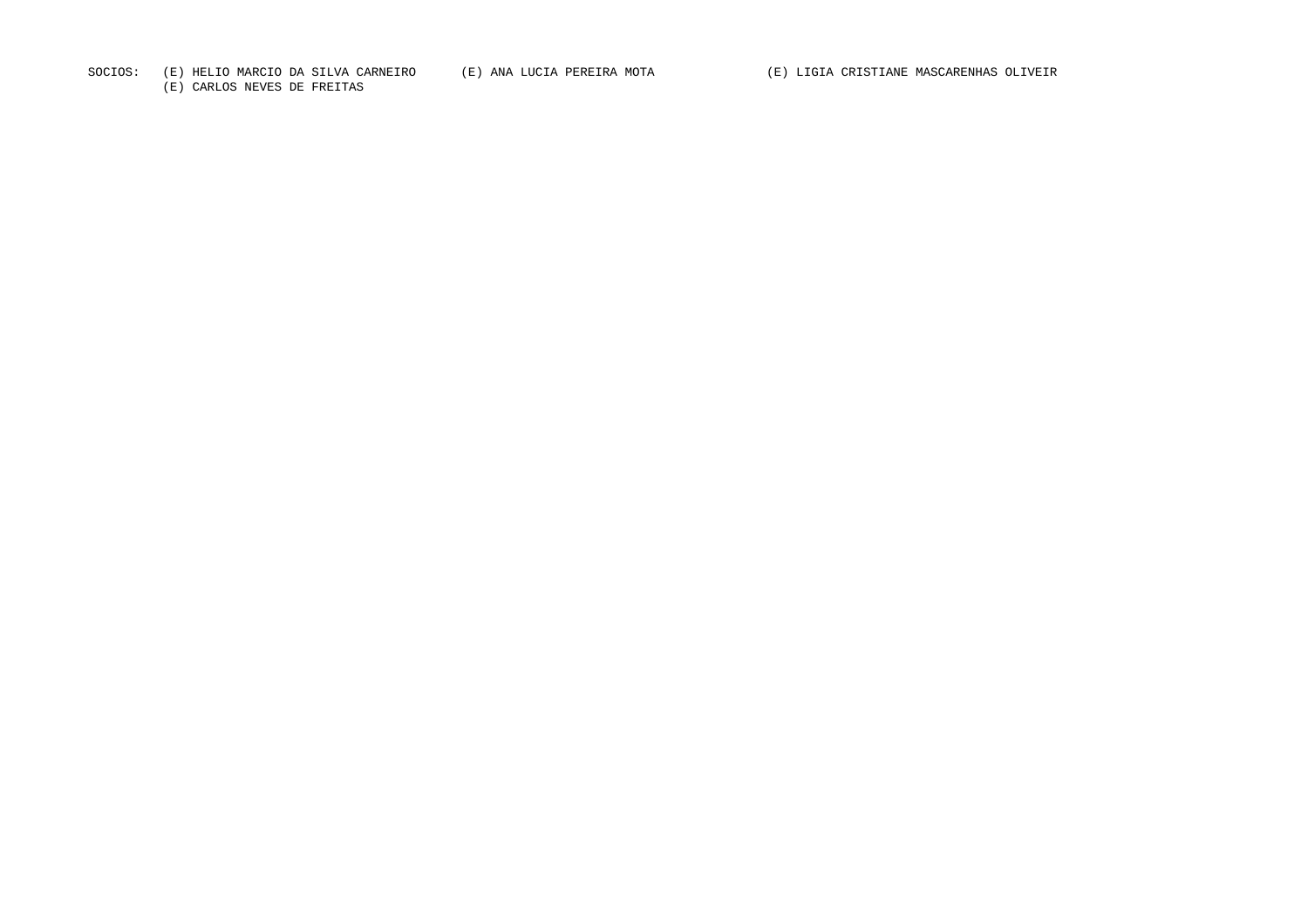SOCIOS: (E) HELIO MARCIO DA SILVA CARNEIRO (E) ANA LUCIA PEREIRA MOTA (E) LIGIA CRISTIANE MASCARENHAS OLIVEIR

(E) CARLOS NEVES DE FREITAS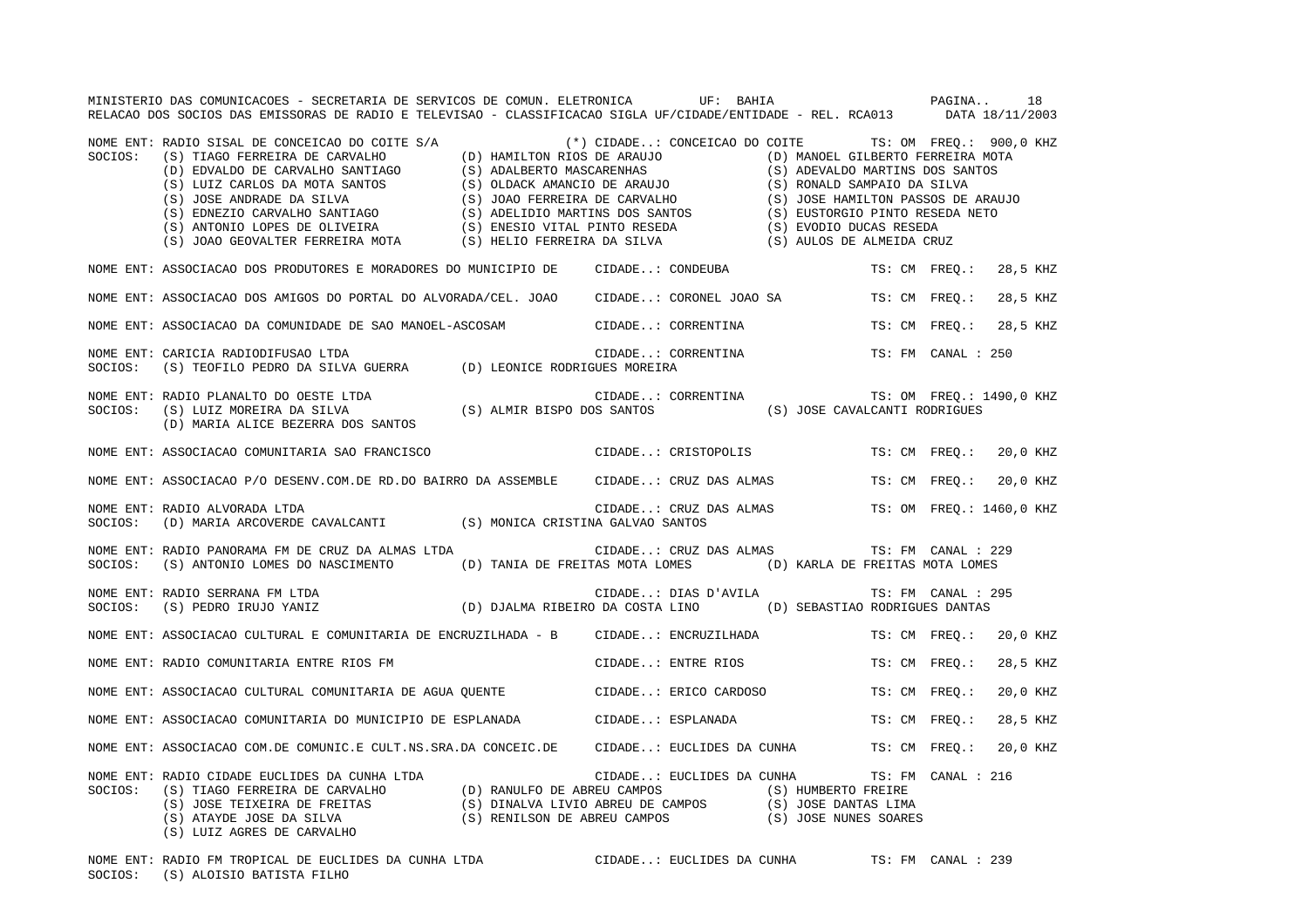|         | MINISTERIO DAS COMUNICACOES - SECRETARIA DE SERVICOS DE COMUN. ELETRONICA UF: BAHIA COMUNISTERIO DAS COMUNICACOES - SECRETARIA DE SERVICOS DE COMUN. ELETRONICA<br>RELACAO DOS SOCIOS DAS EMISSORAS DE RADIO E TELEVISAO - CLASSIFICACAO SIGLA UF/CIDADE/ENTIDADE - REL. RCA013 DATA 18/11/2003                                                    |                    |  |                                                 |                    |                        |
|---------|----------------------------------------------------------------------------------------------------------------------------------------------------------------------------------------------------------------------------------------------------------------------------------------------------------------------------------------------------|--------------------|--|-------------------------------------------------|--------------------|------------------------|
| SOCIOS: | NOME ENT: RADIO SISAL DE CONCEICAO DO COITE S/A (*) CIDADE: CONCEICAO DO COITE TS: OM FREQ.: 900,0 KHZ<br>XADIO SISAL DE CONCEICAO DO COITE S/A<br>(S) TIAGO FERREIRA DE CARVALHO SANTIAGO (S) ADALBERTO MASCARENHAS<br>(D) HAMILTON ROCARENHAS<br>(D) HAMILTON MOCARENHAS<br>(D) EDVALDO NE CARVALHO SANTIAGO (S) ADALBERTO MASCARENHAS<br>(S) LU |                    |  |                                                 |                    |                        |
|         | NOME ENT: ASSOCIACAO DOS PRODUTORES E MORADORES DO MUNICIPIO DE CIDADE: CONDEUBA                                                                                                                                                                                                                                                                   |                    |  |                                                 |                    | TS: CM FREQ.: 28,5 KHZ |
|         | NOME ENT: ASSOCIACAO DOS AMIGOS DO PORTAL DO ALVORADA/CEL. JOAO CIDADE: CORONEL JOAO SA TS: CM FREQ.: 28,5 KHZ                                                                                                                                                                                                                                     |                    |  |                                                 |                    |                        |
|         | NOME ENT: ASSOCIACAO DA COMUNIDADE DE SAO MANOEL-ASCOSAM CIDADE: CORRENTINA                                                                                                                                                                                                                                                                        |                    |  |                                                 |                    | TS: CM FREO.: 28,5 KHZ |
|         | NOME ENT: CARICIA RADIODIFUSAO LTDA<br>SOCIOS: (S) TEOFILO PEDRO DA SILVA GUERRA (D) LEONICE RODRIGUES MOREIRA                                                                                                                                                                                                                                     |                    |  | CIDADE: CORRENTINA                              | TS: FM CANAL : 250 |                        |
|         | NOME ENT: RADIO PLANALTO DO OESTE LTDA<br>SOCIOS: (S) LUIZ MOREIRA DA SILVA (S) ALMIR BISPO DOS SANTOS (S) JOSE CAVALCANTI RODRIGUES<br>(D) MARIA ALICE BEZERRA DOS SANTOS                                                                                                                                                                         |                    |  |                                                 |                    |                        |
|         | NOME ENT: ASSOCIACAO COMUNITARIA SAO FRANCISCO COMONO CIDADE: CRISTOPOLIS TS: CM FREQ.: 20,0 KHZ                                                                                                                                                                                                                                                   |                    |  |                                                 |                    |                        |
|         | NOME ENT: ASSOCIACAO P/O DESENV.COM.DE RD.DO BAIRRO DA ASSEMBLE CIDADE: CRUZ DAS ALMAS TS: CM FREQ.: 20,0 KHZ                                                                                                                                                                                                                                      |                    |  |                                                 |                    |                        |
| SOCIOS: | NOME ENT: RADIO ALVORADA LTDA<br>(D) MARIA ARCOVERDE CAVALCANTI (S) MONICA CRISTINA GALVAO SANTOS                                                                                                                                                                                                                                                  |                    |  | CIDADE: CRUZ DAS ALMAS TS: OM FREQ.: 1460,0 KHZ |                    |                        |
| SOCIOS: | NOME ENT: RADIO PANORAMA FM DE CRUZ DA ALMAS LTDA<br>(S) ANTONIO LOMES DO NASCIMENTO (D) TANIA DE FREITAS MOTA LOMES (D) KARLA DE FREITAS MOTA LOMES                                                                                                                                                                                               |                    |  | CIDADE: CRUZ DAS ALMAS                          | TS: FM CANAL : 229 |                        |
|         | NOME ENT: RADIO SERRANA FM LTDA<br>SOCIOS: (S) PEDRO IRUJO YANIZ (D) DJALMA RIBEIRO DA COSTA LINO (D) SEBASTIAO RODRIGUES DANTAS                                                                                                                                                                                                                   |                    |  |                                                 | TS: FM CANAL : 295 |                        |
|         | NOME ENT: ASSOCIACAO CULTURAL E COMUNITARIA DE ENCRUZILHADA - B CIDADE: ENCRUZILHADA                                                                                                                                                                                                                                                               |                    |  |                                                 |                    | TS: CM FREQ.: 20,0 KHZ |
|         | NOME ENT: RADIO COMUNITARIA ENTRE RIOS FM                                                                                                                                                                                                                                                                                                          | CIDADE: ENTRE RIOS |  |                                                 | TS: CM FREQ.:      | 28,5 KHZ               |
|         | NOME ENT: ASSOCIACAO CULTURAL COMUNITARIA DE AGUA QUENTE (CIDADE: ERICO CARDOSO                                                                                                                                                                                                                                                                    |                    |  |                                                 | TS: CM FREO.:      | 20,0 KHZ               |
|         | NOME ENT: ASSOCIACAO COMUNITARIA DO MUNICIPIO DE ESPLANADA (CIDADE: ESPLANADA (TS: CM FREQ.:                                                                                                                                                                                                                                                       |                    |  |                                                 |                    | 28,5 KHZ               |
|         | NOME ENT: ASSOCIACAO COM.DE COMUNIC.E CULT.NS.SRA.DA CONCEIC.DE CIDADE: EUCLIDES DA CUNHA TS: CM FREQ.: 20,0 KHZ                                                                                                                                                                                                                                   |                    |  |                                                 |                    |                        |
|         |                                                                                                                                                                                                                                                                                                                                                    |                    |  | CIDADE: EUCLIDES DA CUNHA TS: FM CANAL : 216    |                    |                        |
|         | NOME ENT: RADIO FM TROPICAL DE EUCLIDES DA CUNHA LTDA CIDADE: EUCLIDES DA CUNHA TS: FM CANAL : 239<br>SOCIOS: (S) ALOISIO BATISTA FILHO                                                                                                                                                                                                            |                    |  |                                                 |                    |                        |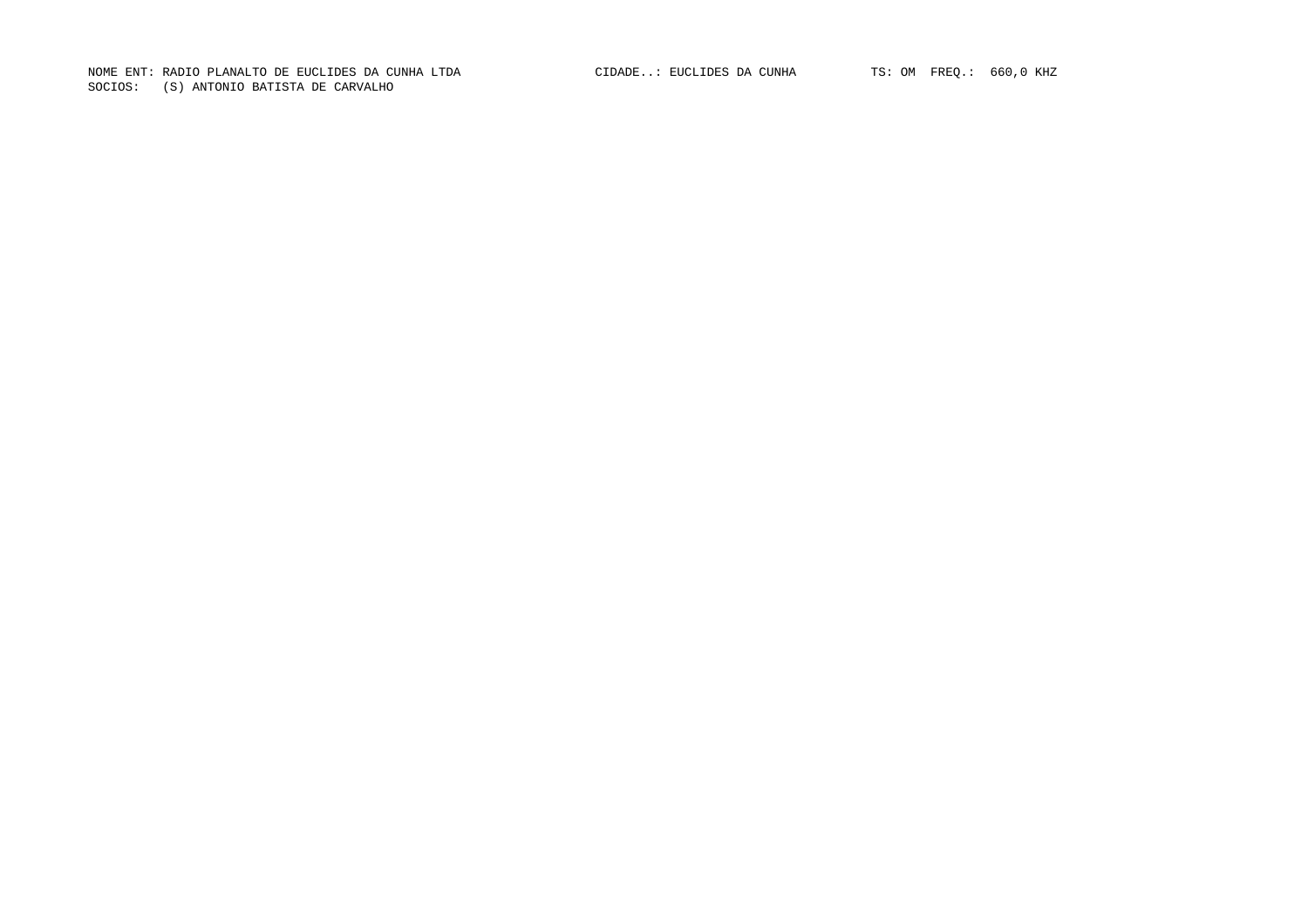NOME ENT: RADIO PLANALTO DE EUCLIDES DA CUNHA LTDA CIDADE..: EUCLIDES DA CUNHA TS: OM FREQ.: 660,0 KHZ SOCIOS: (S) ANTONIO BATISTA DE CARVALHO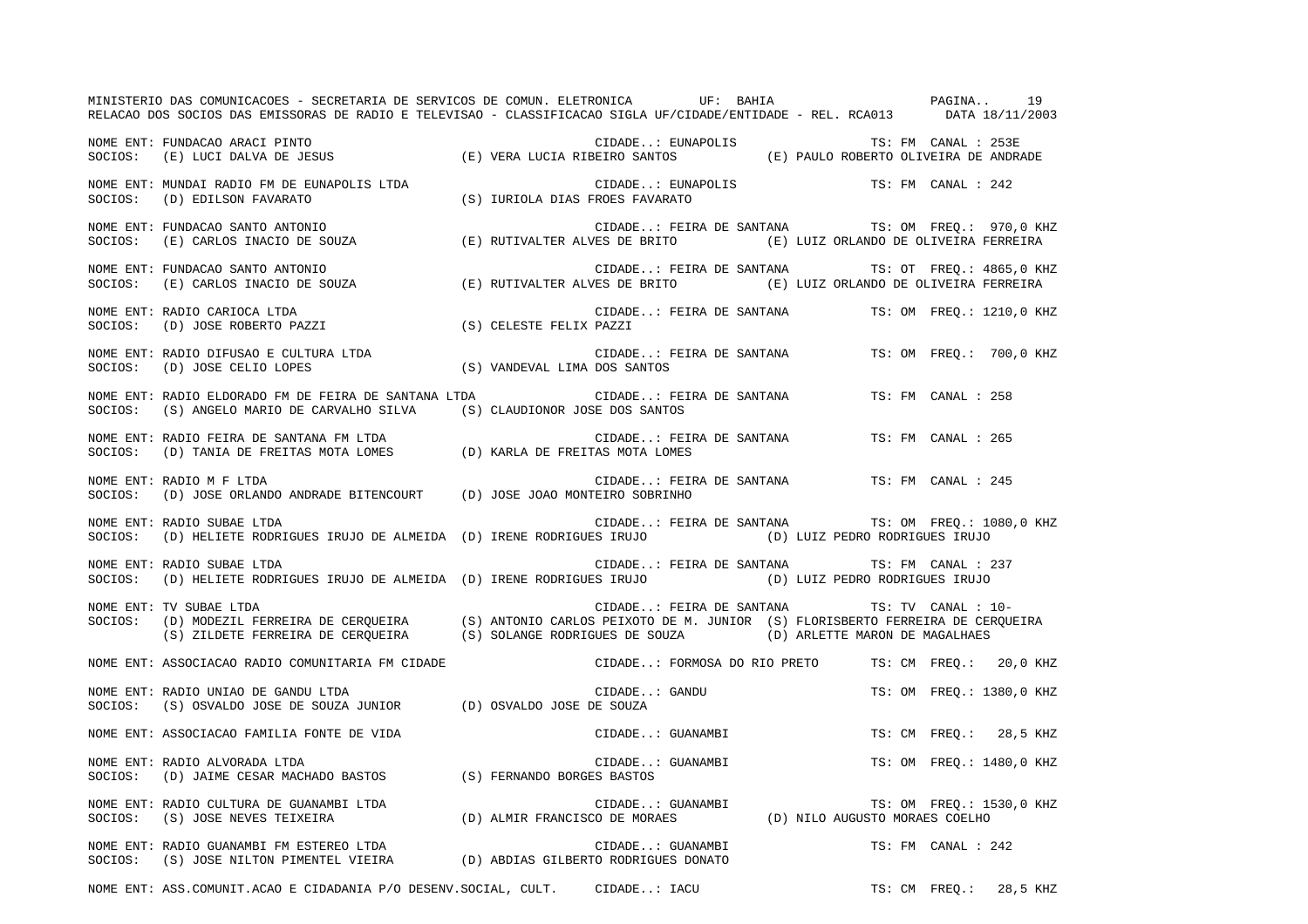MINISTERIO DAS COMUNICACOES - SECRETARIA DE SERVICOS DE COMUN. ELETRONICA UF: BAHIA PAGINA.. 19RELACAO DOS SOCIOS DAS EMISSORAS DE RADIO E TELEVISAO - CLASSIFICACAO SIGLA UF/CIDADE/ENTIDADE - REL. RCA013 DATA 18/11/2003 NOME ENT: FUNDACAO ARACI PINTO CIDADE..: EUNAPOLIS TS: FM CANAL : 253ESOCIOS: (E) LUCI DALVA DE JESUS (E) VERA LUCIA RIBEIRO SANTOS (E) PAULO ROBERTO OLIVEIRA DE ANDRADE NOME ENT: MUNDAI RADIO FM DE EUNAPOLIS LTDA CIDADE..: EUNAPOLIS TS: FM CANAL : 242 SOCIOS: (D) EDILSON FAVARATO (S) IURIOLA DIAS FROES FAVARATO NOME ENT: FUNDACAO SANTO ANTONIO CIDADE..: FEIRA DE SANTANA TS: OM FREQ.: 970,0 KHZ SOCIOS: (E) CARLOS INACIO DE SOUZA (E) RUTIVALTER ALVES DE BRITO (E) LUIZ ORLANDO DE OLIVEIRA FERREIRA NOME ENT: FUNDACAO SANTO ANTONIO CIDADE..: FEIRA DE SANTANA TS: OT FREQ.: 4865,0 KHZ SOCIOS: (E) CARLOS INACIO DE SOUZA (E) RUTIVALTER ALVES DE BRITO (E) LUIZ ORLANDO DE OLIVEIRA FERREIR ANOME ENT: RADIO CARIOCA LTDA CIDADE..: FEIRA DE SANTANA TS: OM FREQ.: 1210,0 KHZ SOCIOS: (D) JOSE ROBERTO PAZZI (S) CELESTE FELIX PAZZI NOME ENT: RADIO DIFUSAO E CULTURA LTDA CIDADE..: FEIRA DE SANTANA TS: OM FREQ.: 700,0 KHZ SOCIOS: (D) JOSE CELIO LOPES (S) VANDEVAL LIMA DOS SANTOS NOME ENT: RADIO ELDORADO FM DE FEIRA DE SANTANA LTDA CIDADE..: FEIRA DE SANTANA TS: FM CANAL : 258SOCIOS: (S) ANGELO MARIO DE CARVALHO SILVA (S) CLAUDIONOR JOSE DOS SANTOS NOME ENT: RADIO FEIRA DE SANTANA FM LTDA CIDADE..: FEIRA DE SANTANA TS: FM CANAL : 265SOCIOS: (D) TANIA DE FREITAS MOTA LOMES (D) KARLA DE FREITAS MOTA LOMES NOME ENT: RADIO M F LTDA CIDADE..: FEIRA DE SANTANA TS: FM CANAL : 245 SOCIOS: (D) JOSE ORLANDO ANDRADE BITENCOURT (D) JOSE JOAO MONTEIRO SOBRINHO NOME ENT: RADIO SUBAE LTDA CIDADE..: FEIRA DE SANTANA TS: OM FREQ.: 1080,0 KHZ SOCIOS: (D) HELIETE RODRIGUES IRUJO DE ALMEIDA (D) IRENE RODRIGUES IRUJO (D) LUIZ PEDRO RODRIGUES IRUJO NOME ENT: RADIO SUBAE LTDA  $\qquad \qquad$  CIDADE..: FEIRA DE SANTANA TS: FM CANAL : 237 SOCIOS: (D) HELIETE RODRIGUES IRUJO DE ALMEIDA (D) IRENE RODRIGUES IRUJO (D) LUIZ PEDRO RODRIGUES IRUJO NOME ENT: TV SUBAE LTDA CIDADE..: FEIRA DE SANTANA TS: TV CANAL : 10-SOCIOS: (D) MODEZIL FERREIRA DE CERQUEIRA (S) ANTONIO CARLOS PEIXOTO DE M. JUNIOR (S) FLORISBERTO FERREIRA DE CERQUEIR A (S) ZILDETE FERREIRA DE CERQUEIRA (S) SOLANGE RODRIGUES DE SOUZA (D) ARLETTE MARON DE MAGALHAES NOME ENT: ASSOCIACAO RADIO COMUNITARIA FM CIDADE CIDADE..: FORMOSA DO RIO PRETO TS: CM FREQ.: 20,0 KHZ NOME ENT: RADIO UNIAO DE GANDU LTDA  $\Box$  CIDADE..: GANDU TS: OM FREQ.: 1380,0 KHZ SOCIOS: (S) OSVALDO JOSE DE SOUZA JUNIOR (D) OSVALDO JOSE DE SOUZA NOME ENT: ASSOCIACAO FAMILIA FONTE DE VIDA  $\blacksquare$  CIDADE..: GUANAMBI TS: CM FREQ.: 28,5 KHZ NOME ENT: RADIO ALVORADA LTDA CIDADE..: GUANAMBI TS: OM FREQ.: 1480,0 KHZ SOCIOS: (D) JAIME CESAR MACHADO BASTOS (S) FERNANDO BORGES BASTOS NOME ENT: RADIO CULTURA DE GUANAMBI LTDA  $\blacksquare$  CIDADE..: GUANAMBI TS: OM FREQ.: 1530,0 KHZ SOCIOS: (S) JOSE NEVES TEIXEIRA (D) ALMIR FRANCISCO DE MORAES (D) NILO AUGUSTO MORAES COELHO NOME ENT: RADIO GUANAMBI FM ESTEREO LTDA CONSTRUITION CIDADE..: GUANAMBI TS: FM CANAL : 242 SOCIOS: (S) JOSE NILTON PIMENTEL VIEIRA (D) ABDIAS GILBERTO RODRIGUES DONATO

NOME ENT: ASS.COMUNIT.ACAO E CIDADANIA P/O DESENV.SOCIAL, CULT. CIDADE..: IACU TS: CM FREQ.: 28,5 KHZ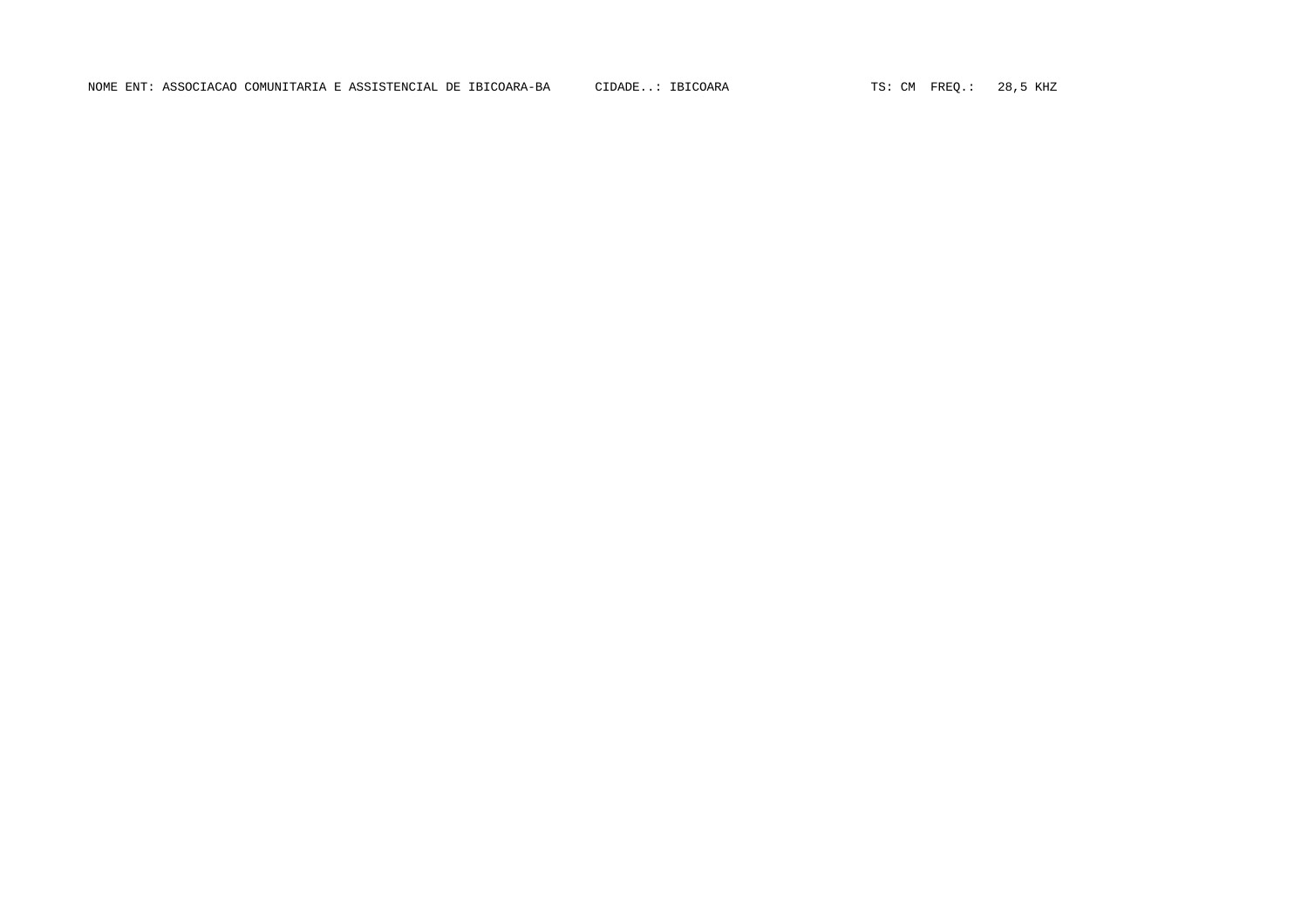NOME ENT: ASSOCIACAO COMUNITARIA E ASSISTENCIAL DE IBICOARA-BA CIDADE..: IBICOARA TS: CM FREQ.: 28,5 KHZ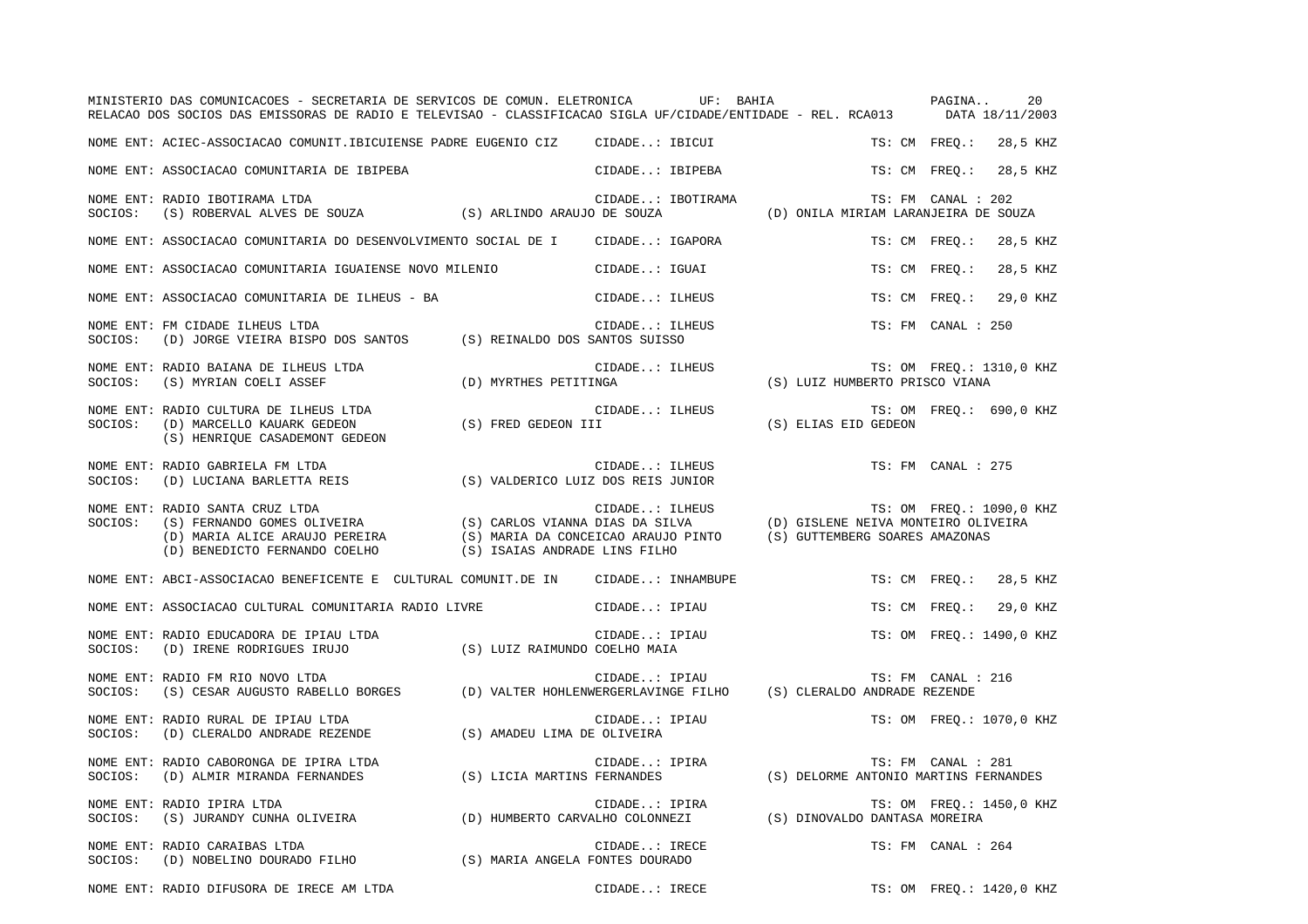|                                                                                                                                                        | MINISTERIO DAS COMUNICACOES - SECRETARIA DE SERVICOS DE COMUN. ELETRONICA UF: BAHIA COMUNICA PAGINA<br>20<br>RELACAO DOS SOCIOS DAS EMISSORAS DE RADIO E TELEVISAO - CLASSIFICACAO SIGLA UF/CIDADE/ENTIDADE - REL. RCA013 DATA 18/11/2003 |
|--------------------------------------------------------------------------------------------------------------------------------------------------------|-------------------------------------------------------------------------------------------------------------------------------------------------------------------------------------------------------------------------------------------|
| NOME ENT: ACIEC-ASSOCIACAO COMUNIT.IBICUIENSE PADRE EUGENIO CIZ CIDADE: IBICUI                                                                         | TS: CM FREO.: 28,5 KHZ                                                                                                                                                                                                                    |
| NOME ENT: ASSOCIACAO COMUNITARIA DE IBIPEBA                                                                                                            | TS: CM FREO.: 28,5 KHZ<br>CIDADE: IBIPEBA                                                                                                                                                                                                 |
| NOME ENT: RADIO IBOTIRAMA LTDA<br>SOCIOS:                                                                                                              | E RADIO IBOTIRAMA LTDA (S) ARLINDO ARAUJO DE SOUZA (D) ONILA MIRIAM LARANJEIRA DE SOUZA (S) ARLINDO ARAUJO DE SOUZA (D) ONILA MIRIAM LARANJEIRA DE SOUZA                                                                                  |
| NOME ENT: ASSOCIACAO COMUNITARIA DO DESENVOLVIMENTO SOCIAL DE I CIDADE: IGAPORA                                                                        | TS: CM FREQ.: 28,5 KHZ                                                                                                                                                                                                                    |
| NOME ENT: ASSOCIACAO COMUNITARIA IGUAIENSE NOVO MILENIO                 CIDADE: IGUAI                                                                  | TS: CM FREQ.: 28,5 KHZ                                                                                                                                                                                                                    |
| NOME ENT: ASSOCIACAO COMUNITARIA DE ILHEUS - BA                                                                                                        | CIDADE: ILHEUS<br>TS: CM FREQ.: 29,0 KHZ                                                                                                                                                                                                  |
| NOME ENT: FM CIDADE ILHEUS LTDA<br>SOCIOS: (D) JORGE VIEIRA BISPO DOS SANTOS (S) REINALDO DOS SANTOS SUISSO                                            | CIDADE: ILHEUS<br>TS: FM CANAL : 250                                                                                                                                                                                                      |
| NOME ENT: RADIO BAIANA DE ILHEUS LTDA<br>SOCIOS: (S) MYRIAN COELI ASSEF                                                                                | CIDADE: ILHEUS<br>TS: OM FREQ.: 1310,0 KHZ<br>(S) LUIZ HUMBERTO PRISCO VIANA<br>(D) MYRTHES PETITINGA                                                                                                                                     |
| NOME ENT: RADIO CULTURA DE ILHEUS LTDA (S) FRED GEDEON CII<br>SOCIOS: (D) MARCELLO KAUARK GEDEON (S) FRED GEDEON III<br>(S) HENRIQUE CASADEMONT GEDEON | TS: OM FREQ.: 690,0 KHZ<br>CIDADE: ILHEUS<br>(S) ELIAS EID GEDEON                                                                                                                                                                         |
|                                                                                                                                                        | CIDADE: ILHEUS<br>TS: FM CANAL : 275                                                                                                                                                                                                      |
|                                                                                                                                                        | NOME ENT: RADIO SANTA CRUZ LTDA<br>SOCIOS: (S) FERNANDO GOMES OLIVEIRA (S) CARLOS VIANNA DIAS DA SILVA (D) GISLENE NEIVA MONTEIRO OLIVEIRA<br>(D) MARIA ALICE ARAUJO PEREIRA (S) MARIA DA CONCEICAO ARAUJO PINTO (S) GUTTEMBERG SOAR      |
| NOME ENT: ABCI-ASSOCIACAO BENEFICENTE E CULTURAL COMUNIT.DE IN CIDADE: INHAMBUPE                                                                       | TS: CM FREQ.: 28,5 KHZ                                                                                                                                                                                                                    |
| NOME ENT: ASSOCIACAO CULTURAL COMUNITARIA RADIO LIVRE CIDADE: IPIAU                                                                                    | TS: CM FREQ.: 29,0 KHZ                                                                                                                                                                                                                    |
| NOME ENT: RADIO EDUCADORA DE IPIAU LTDA<br>(D) IRENE RODRIGUES IRUJO (S) LUIZ RAIMUNDO COELHO MAIA<br>SOCIOS:                                          | CIDADE: IPIAU<br>TS: OM FREO.: 1490,0 KHZ                                                                                                                                                                                                 |
| NOME ENT: RADIO FM RIO NOVO LTDA<br>SOCIOS:                                                                                                            | : RADIO FM RIO NOVO LTDA<br>(S) CESAR AUGUSTO RABELLO BORGES (D) VALTER HOHLENWERGERLAVINGE FILHO (S) CLERALDO ANDRADE REZENDE<br>TS: FM CANAL : 216                                                                                      |
| NOME ENT: RADIO RURAL DE IPIAU LTDA<br>(D) CLERALDO ANDRADE REZENDE (S) AMADEU LIMA DE OLIVEIRA<br>SOCIOS:                                             | TS: OM FREQ.: 1070,0 KHZ<br>CIDADE: IPIAU                                                                                                                                                                                                 |
| NOME ENT: RADIO CABORONGA DE IPIRA LTDA<br>(D) ALMIR MIRANDA FERNANDES (S) LICIA MARTINS FERNANDES<br>SOCIOS:                                          | CIDADE: IPIRA<br>TS: FM CANAL : 281<br>(S) DELORME ANTONIO MARTINS FERNANDES                                                                                                                                                              |
| NOME ENT: RADIO IPIRA LTDA<br>SOCIOS:                                                                                                                  | TS: OM FREQ.: 1450,0 KHZ<br>CIDADE: IPIRA                                                                                                                                                                                                 |
| NOME ENT: RADIO CARAIBAS LTDA<br>NOTE ENT. KADIO CARAIDAD DIDA<br>SOCIOS: (D) NOBELINO DOURADO FILHO (S) MARIA ANGELA FONTES DOURADO                   | CIDADE: IRECE<br>TS: FM CANAL : 264                                                                                                                                                                                                       |
| NOME ENT: RADIO DIFUSORA DE IRECE AM LTDA                                                                                                              | CIDADE: IRECE<br>TS: OM FREQ.: 1420,0 KHZ                                                                                                                                                                                                 |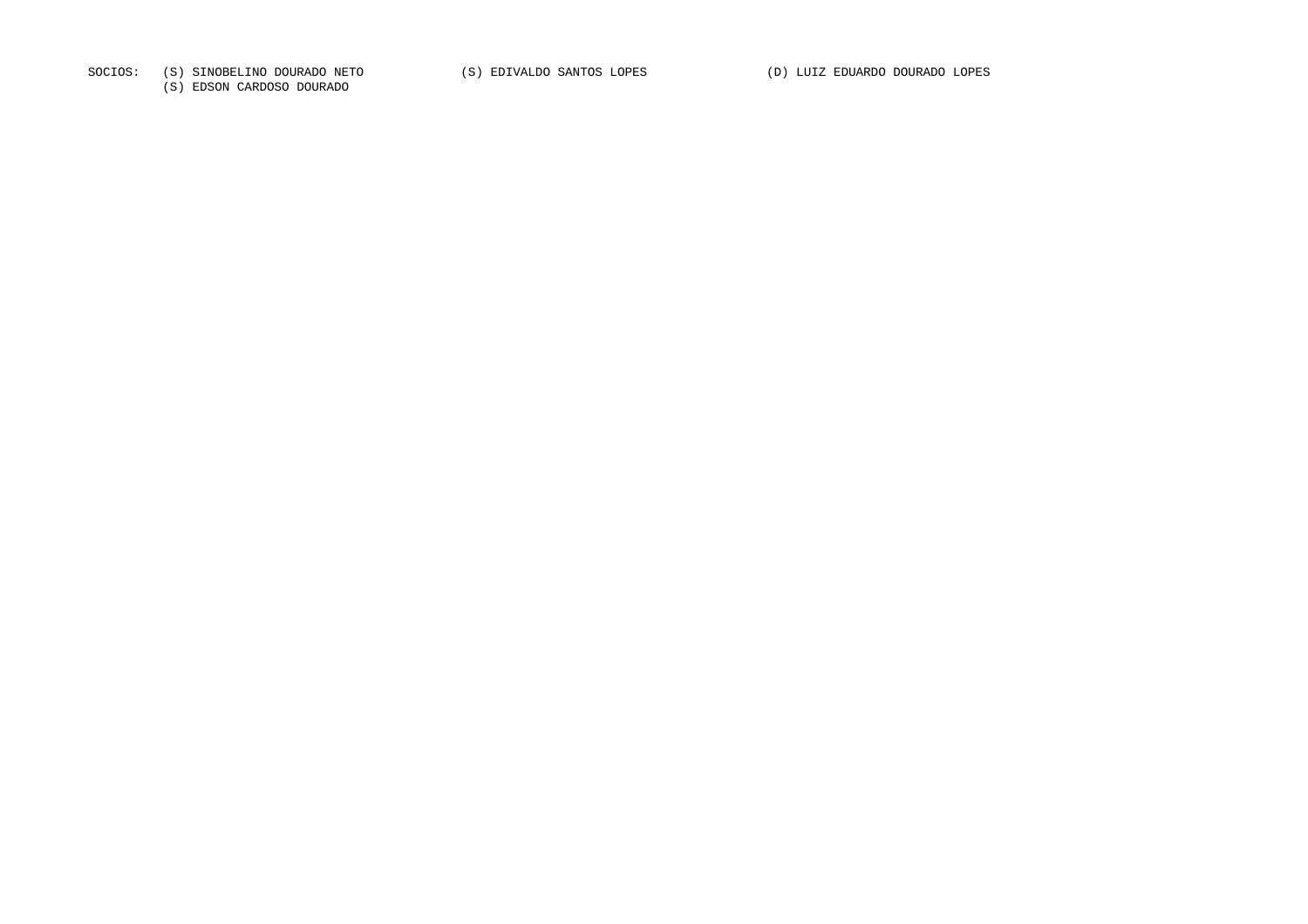SOCIOS: (S) SINOBELINO DOURADO NETO (S) EDIVALDO SANTOS LOPES (D) LUIZ EDUARDO DOURADO LOPES

(S) EDSON CARDOSO DOURADO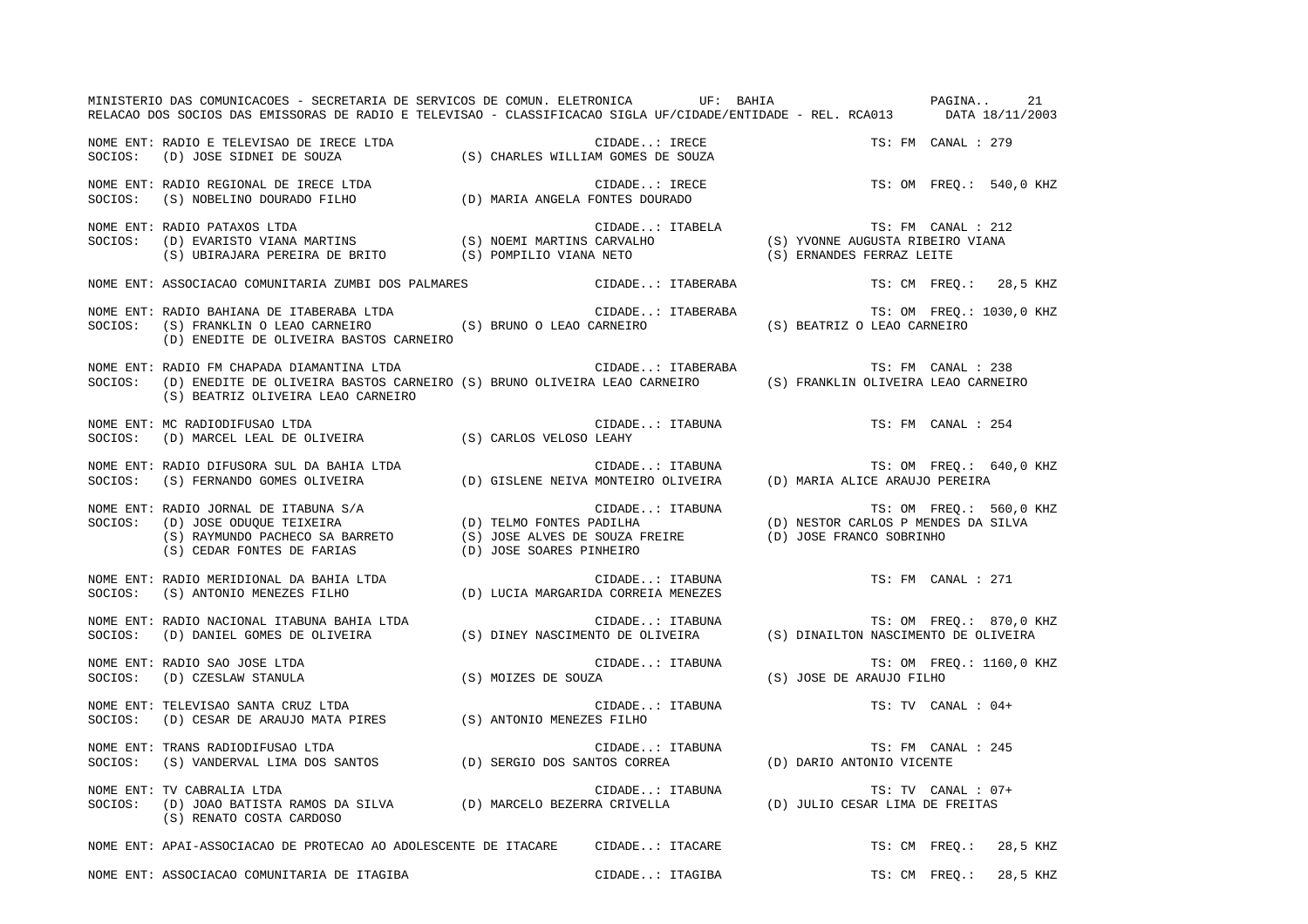|         | MINISTERIO DAS COMUNICACOES - SECRETARIA DE SERVICOS DE COMUN. ELETRONICA UF: BAHIA CHE PAGINA<br>RELACAO DOS SOCIOS DAS EMISSORAS DE RADIO E TELEVISAO - CLASSIFICACAO SIGLA UF/CIDADE/ENTIDADE - REL. RCA013 DATA 18/11/2003        |                 |                                    |  |                                                                                  |               | 21                      |
|---------|---------------------------------------------------------------------------------------------------------------------------------------------------------------------------------------------------------------------------------------|-----------------|------------------------------------|--|----------------------------------------------------------------------------------|---------------|-------------------------|
|         | NOME ENT: RADIO E TELEVISAO DE IRECE LTDA (S) CHARLES WILLIAM GOMES DE SOUZA SOCIOS: (D) JOSE SIDNEI DE SOUZA (S) CHARLES WILLIAM GOMES DE SOUZA                                                                                      |                 | CIDADE: IRECE<br>AM GOMES DE SOUZA |  | TS: FM CANAL : 279                                                               |               |                         |
|         | NOME ENT: RADIO REGIONAL DE IRECE LTDA (D) MARIA ANGELA FONTES DOURADO SOCIOS: (S) NOBELINO DOURADO FILHO (D) MARIA ANGELA FONTES DOURADO                                                                                             |                 | CIDADE: IRECE                      |  |                                                                                  |               | TS: OM FREO.: 540,0 KHZ |
|         | NOME ENT: RADIO PATAXOS LTDA<br>SOCIOS: (D) EVARISTO VIANA MARTINS (S) NOEMI MARTINS CARVALHO (S) YVONNE AUGUSTA RIBEIRO VIANA<br>(S) UBIRAJARA PEREIRA DE BRITO (S) POMPILIO VIANA NETO (S) ERNANDES FERRAZ LEITE                    |                 |                                    |  |                                                                                  |               |                         |
|         | NOME ENT: ASSOCIACAO COMUNITARIA ZUMBI DOS PALMARES                                                                                                                                                                                   |                 | CIDADE: ITABERABA                  |  |                                                                                  |               | TS: CM FREQ.: 28,5 KHZ  |
|         | NOME ENT: RADIO BAHIANA DE ITABERABA LTDA<br>SOCIOS: (S) FRANKLIN O LEAO CARNEIRO (S) BRUNO O LEAO CARNEIRO (S) BEATRIZ O LEAO CARNEIRO<br>(D) ENEDITE DE OLIVEIRA BASTOS CARNEIRO                                                    |                 | CIDADE: ITABERABA                  |  | TS: OM FREQ.: 1030,0 KHZ                                                         |               |                         |
| SOCIOS: | NOME ENT: RADIO FM CHAPADA DIAMANTINA LTDA<br>(S) BEATRIZ OLIVEIRA LEAO CARNEIRO                                                                                                                                                      |                 |                                    |  |                                                                                  |               |                         |
| SOCIOS: | NOME ENT: MC RADIODIFUSAO LTDA<br>(D) MARCEL LEAL DE OLIVEIRA (S) CARLOS VELOSO LEAHY                                                                                                                                                 |                 | CIDADE: ITABUNA                    |  | TS: FM CANAL : 254                                                               |               |                         |
|         | NOME ENT: RADIO DIFUSORA SUL DA BAHIA LTDA (D) GISLENE NEIVA MONTEIRO OLIVEIRA (D) MARIA ALICE ARAUJO PEREIRA<br>SOCIOS: (S) FERNANDO GOMES OLIVEIRA (D) GISLENE NEIVA MONTEIRO OLIVEIRA (D) MARIA ALICE ARAUJO PEREIRA               |                 |                                    |  |                                                                                  |               | TS: OM FREO.: 640,0 KHZ |
|         | NOME ENT: RADIO JORNAL DE ITABUNA S/A<br>SOCIOS: (D) JOSE ODUQUE TEIXEIRA (D) TELMO FONTES PADILHA (D) NESTOR CARLOS P MENDES DA SILVA<br>(S) RAYMUNDO PACHECO SA BARRETO (S) JOSE ALVES DE SOUZA FREIRE (D) JOSE FRANCO SOBRINHO<br> |                 |                                    |  |                                                                                  |               | TS: OM FREQ.: 560,0 KHZ |
|         | NOME ENT: RADIO MERIDIONAL DA BAHIA LTDA (D) LUCIA MARGARIDA CORREIA MENEZES<br>SOCIOS: (S) ANTONIO MENEZES FILHO (D) LUCIA MARGARIDA CORREIA MENEZES                                                                                 |                 | CIDADE: ITABUNA                    |  | TS: FM CANAL : 271                                                               |               |                         |
|         | NOME ENT: RADIO NACIONAL ITABUNA BAHIA LTDA<br>SOCIOS: (D) DANIEL GOMES DE OLIVEIRA (S) DINEY NASCIMENTO DE OLIVEIRA (S) DINAILTON NASCIMENTO DE OLIVEIRA                                                                             |                 |                                    |  |                                                                                  |               |                         |
|         | SOCIOS: (D) CZESLAW STANULA (S) MOIZES DE SOUZA<br>NOME ENT: TELEVISAO SANTA OPHE TELEVISAO SANTA OPHE TELEVISAO SANTA OPHE TELEVISAO SANTA OPHE TELEVISAO SANTA OPHE TELEVISAO SANTA COME TELEVISAO SANTA OPHE TELEVISAO SANTA C     |                 |                                    |  | CIDADE: ITABUNA TS: OM FREQ.: 1160,0 KHZ<br>ES DE SOUZA (S) JOSE DE ARAUJO FILHO |               |                         |
|         | NOME ENT: TELEVISAO SANTA CRUZ LTDA<br>SOCIOS: (D) CESAR DE ARAUJO MATA PIRES (S) ANTONIO MENEZES FILHO                                                                                                                               | CIDADE: ITABUNA |                                    |  | TS: TV CANAL : 04+                                                               |               |                         |
|         | NOME ENT: TRANS RADIODIFUSAO LTDA<br>SOCIOS: (S) VANDERVAL LIMA DOS SANTOS (D) SERGIO DOS SANTOS CORREA (D) DARIO ANTONIO VICENTE                                                                                                     |                 |                                    |  |                                                                                  |               |                         |
|         | NOME ENT: TV CABRALIA LTDA (D) MARCELO BEZERRA CRIVELLA (D) JULIO CESAR LIMA DE FREITAS<br>SOCIOS: (D) JOAO BATISTA RAMOS DA SILVA (D) MARCELO BEZERRA CRIVELLA (D) JULIO CESAR LIMA DE FREITAS<br>(S) RENATO COSTA CARDOSO           |                 |                                    |  |                                                                                  |               |                         |
|         | NOME ENT: APAI-ASSOCIACAO DE PROTECAO AO ADOLESCENTE DE ITACARE CIDADE: ITACARE                                                                                                                                                       |                 |                                    |  |                                                                                  |               | TS: CM FREQ.: 28,5 KHZ  |
|         | NOME ENT: ASSOCIACAO COMUNITARIA DE ITAGIBA                                                                                                                                                                                           |                 | CIDADE: ITAGIBA                    |  |                                                                                  | TS: CM FREO.: | 28,5 KHZ                |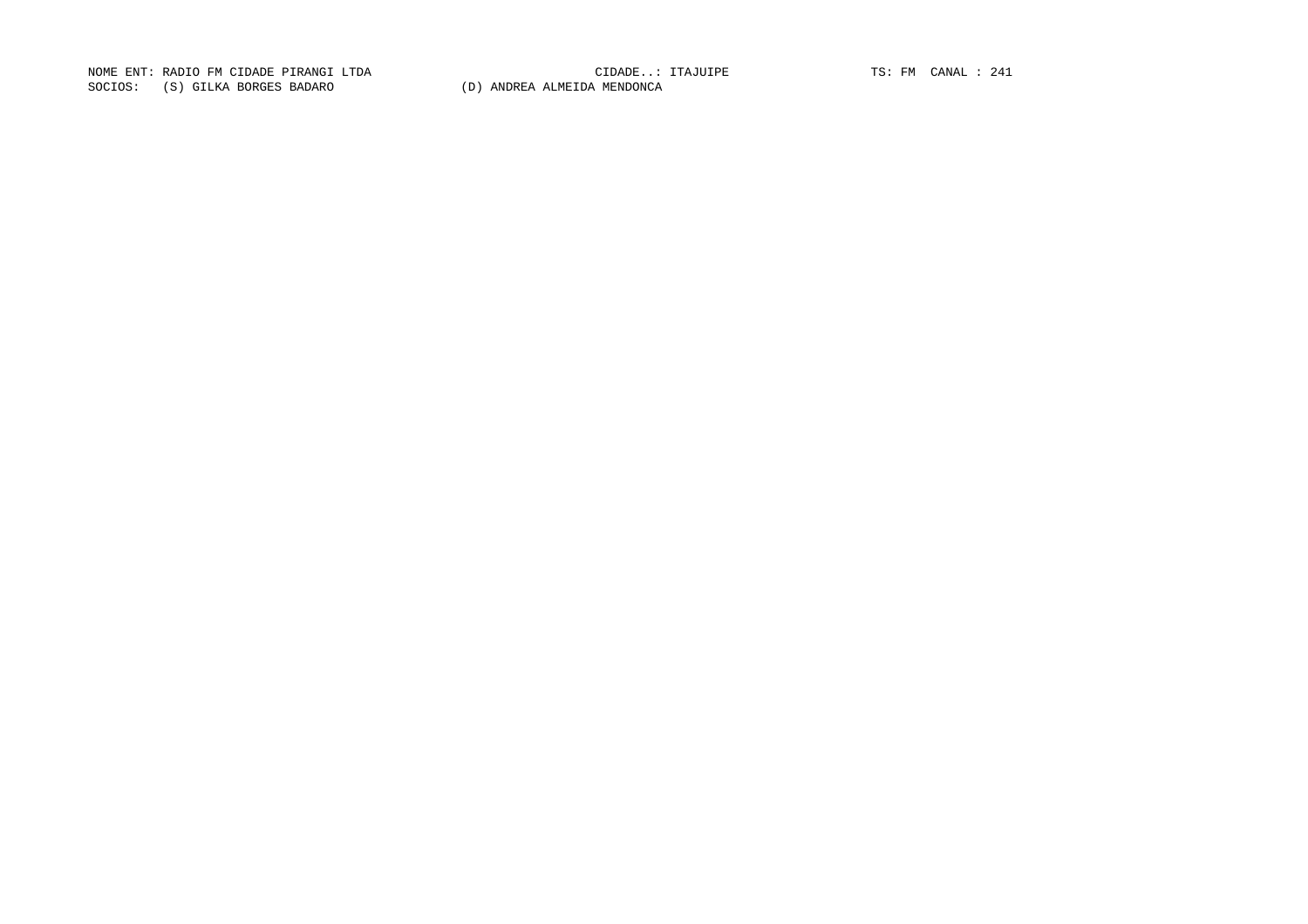NOME ENT: RADIO FM CIDADE PIRANGI LTDA CIDADE..: ITAJUIPE TS: FM CANAL : 241SOCIOS: (S) GILKA BORGES BADARO (D) ANDREA ALMEIDA MENDONCA

CIDADE..: ITAJUIPE TS: FM CANAL : 241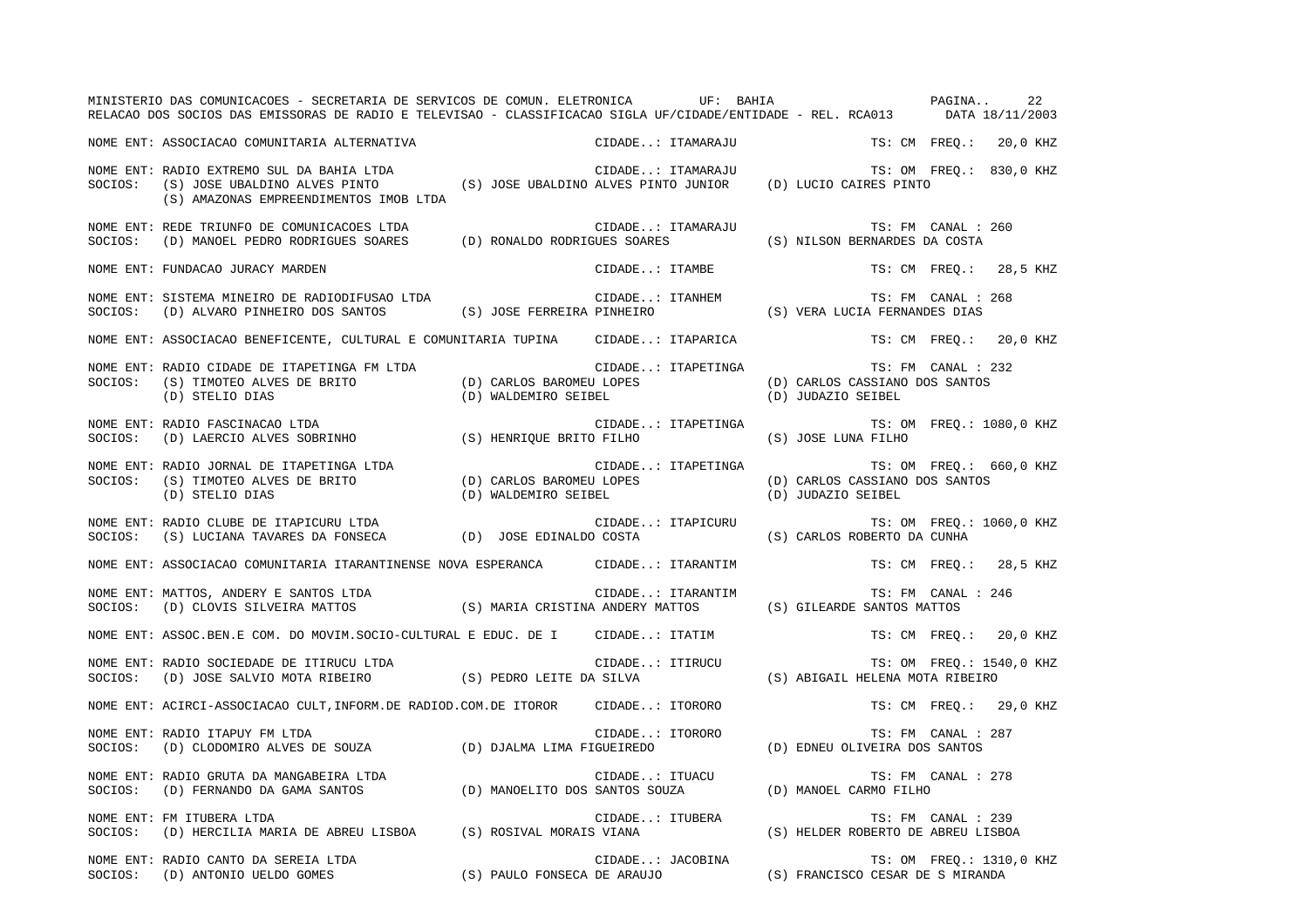|         | MINISTERIO DAS COMUNICACOES - SECRETARIA DE SERVICOS DE COMUN. ELETRONICA              UF:  BAHIA<br>RELACAO DOS SOCIOS DAS EMISSORAS DE RADIO E TELEVISAO - CLASSIFICACAO SIGLA UF/CIDADE/ENTIDADE - REL. RCA013 DATA 18/11/2003 |                                                  |                    |                                                      | PAGINA<br>22              |
|---------|-----------------------------------------------------------------------------------------------------------------------------------------------------------------------------------------------------------------------------------|--------------------------------------------------|--------------------|------------------------------------------------------|---------------------------|
|         | NOME ENT: ASSOCIACAO COMUNITARIA ALTERNATIVA                                                                                                                                                                                      |                                                  | CIDADE: ITAMARAJU  |                                                      | TS: CM FREO.:<br>20,0 KHZ |
| SOCIOS: | NOME ENT: RADIO EXTREMO SUL DA BAHIA LTDA<br>(S) JOSE UBALDINO ALVES PINTO (S) JOSE UBALDINO ALVES PINTO JUNIOR (D) LUCIO CAIRES PINTO<br>(S) AMAZONAS EMPREENDIMENTOS IMOB LTDA                                                  |                                                  | CIDADE: ITAMARAJU  |                                                      | TS: OM FREO.: 830,0 KHZ   |
| SOCIOS: | NOME ENT: REDE TRIUNFO DE COMUNICACOES LTDA<br>ELDADE IRIUNFU DE CUMUNICACUES LIDA<br>(D) MANOEL PEDRO RODRIGUES SOARES (D) RONALDO RODRIGUES SOARES                                                                              |                                                  | CIDADE: ITAMARAJU  | (S) NILSON BERNARDES DA COSTA                        | TS: FM CANAL : 260        |
|         | NOME ENT: FUNDACAO JURACY MARDEN                                                                                                                                                                                                  |                                                  | CIDADE: ITAMBE     |                                                      | TS: CM FREO.: 28,5 KHZ    |
| SOCIOS: | NOME ENT: SISTEMA MINEIRO DE RADIODIFUSAO LTDA<br>(D) ALVARO PINHEIRO DOS SANTOS                                                                                                                                                  | (S) JOSE FERREIRA PINHEIRO                       | CIDADE: ITANHEM    | (S) VERA LUCIA FERNANDES DIAS                        | TS: FM CANAL : 268        |
|         | NOME ENT: ASSOCIACAO BENEFICENTE, CULTURAL E COMUNITARIA TUPINA      CIDADE: ITAPARICA                                                                                                                                            |                                                  |                    |                                                      | TS: CM FREQ.: 20,0 KHZ    |
| SOCIOS: | NOME ENT: RADIO CIDADE DE ITAPETINGA FM LTDA<br>(S) TIMOTEO ALVES DE BRITO<br>(D) STELIO DIAS                                                                                                                                     | (D) CARLOS BAROMEU LOPES<br>(D) WALDEMIRO SEIBEL | CIDADE: ITAPETINGA | (D) CARLOS CASSIANO DOS SANTOS<br>(D) JUDAZIO SEIBEL | TS: FM CANAL : 232        |
| SOCIOS: | NOME ENT: RADIO FASCINACAO LTDA<br>(D) LAERCIO ALVES SOBRINHO (S) HENRIQUE BRITO FILHO                                                                                                                                            |                                                  | CIDADE: ITAPETINGA | (S) JOSE LUNA FILHO                                  | TS: OM FREQ.: 1080,0 KHZ  |
| SOCIOS: | NOME ENT: RADIO JORNAL DE ITAPETINGA LTDA<br>$(S)$ TIMOTEO ALVES DE BRITO $(D)$ CARLOS BAROMEU LOPES<br>(D) STELIO DIAS                                                                                                           | (D) WALDEMIRO SEIBEL                             | CIDADE: ITAPETINGA | (D) CARLOS CASSIANO DOS SANTOS<br>(D) JUDAZIO SEIBEL | TS: OM FREQ.: 660,0 KHZ   |
|         | NOME ENT: RADIO CLUBE DE ITAPICURU LTDA<br>SOCIOS: (S) LUCIANA TAVARES DA FONSECA (D) JOSE EDINALDO COSTA                                                                                                                         |                                                  | CIDADE: ITAPICURU  | (S) CARLOS ROBERTO DA CUNHA                          | TS: OM FREO.: 1060,0 KHZ  |
|         | NOME ENT: ASSOCIACAO COMUNITARIA ITARANTINENSE NOVA ESPERANCA        CIDADE: ITARANTIM                                                                                                                                            |                                                  |                    |                                                      | TS: CM FREO.: 28,5 KHZ    |
| SOCIOS: | NOME ENT: MATTOS, ANDERY E SANTOS LTDA<br>(D) CLOVIS SILVEIRA MATTOS (S) MARIA CRISTINA ANDERY MATTOS (S) GILEARDE SANTOS MATTOS                                                                                                  |                                                  | CIDADE: ITARANTIM  |                                                      | TS: FM CANAL : 246        |
|         | NOME ENT: ASSOC.BEN.E COM. DO MOVIM.SOCIO-CULTURAL E EDUC. DE I                                                                                                                                                                   |                                                  | CIDADE: ITATIM     |                                                      | TS: CM FREO.: 20,0 KHZ    |
| SOCIOS: | NOME ENT: RADIO SOCIEDADE DE ITIRUCU LTDA<br>(D) JOSE SALVIO MOTA RIBEIRO                                                                                                                                                         | (S) PEDRO LEITE DA SILVA                         | CIDADE: ITIRUCU    | (S) ABIGAIL HELENA MOTA RIBEIRO                      | TS: OM FREQ.: 1540,0 KHZ  |
|         | NOME ENT: ACIRCI-ASSOCIACAO CULT, INFORM.DE RADIOD.COM.DE ITOROR                                                                                                                                                                  |                                                  | CIDADE: ITORORO    |                                                      | TS: CM FREO.: 29,0 KHZ    |
| SOCIOS: | NOME ENT: RADIO ITAPUY FM LTDA<br>(D) CLODOMIRO ALVES DE SOUZA (D) DJALMA LIMA FIGUEIREDO                                                                                                                                         |                                                  | CIDADE: ITORORO    | (D) EDNEU OLIVEIRA DOS SANTOS                        | TS: FM CANAL : 287        |
|         | NOME ENT: RADIO GRUTA DA MANGABEIRA LTDA<br>SOCIOS:    (D) FERNANDO DA GAMA SANTOS                        (D) MANOELITO DOS SANTOS SOUZA                                                                                          |                                                  |                    | (D) MANOEL CARMO FILHO                               | TS: FM CANAL : 278        |
|         | NOME ENT: FM ITUBERA LTDA<br>SOCIOS: (D) HERCILIA MARIA DE ABREU LISBOA (S) ROSIVAL MORAIS VIANA                                                                                                                                  |                                                  | CIDADE: ITUBERA    | (S) HELDER ROBERTO DE ABREU LISBOA                   | TS: FM CANAL : 239        |
|         | NOME ENT: RADIO CANTO DA SEREIA LTDA<br>NOME ENT: RADIO CANTO DA SEREIA LTDA<br>SOCIOS:   (D) ANTONIO UELDO GOMES                        (S) PAULO FONSECA DE ARAUJO               (S) FRANCISCO CESAR DE S MIRANDA               |                                                  | CIDADE: JACOBINA   |                                                      | TS: OM FREQ.: 1310,0 KHZ  |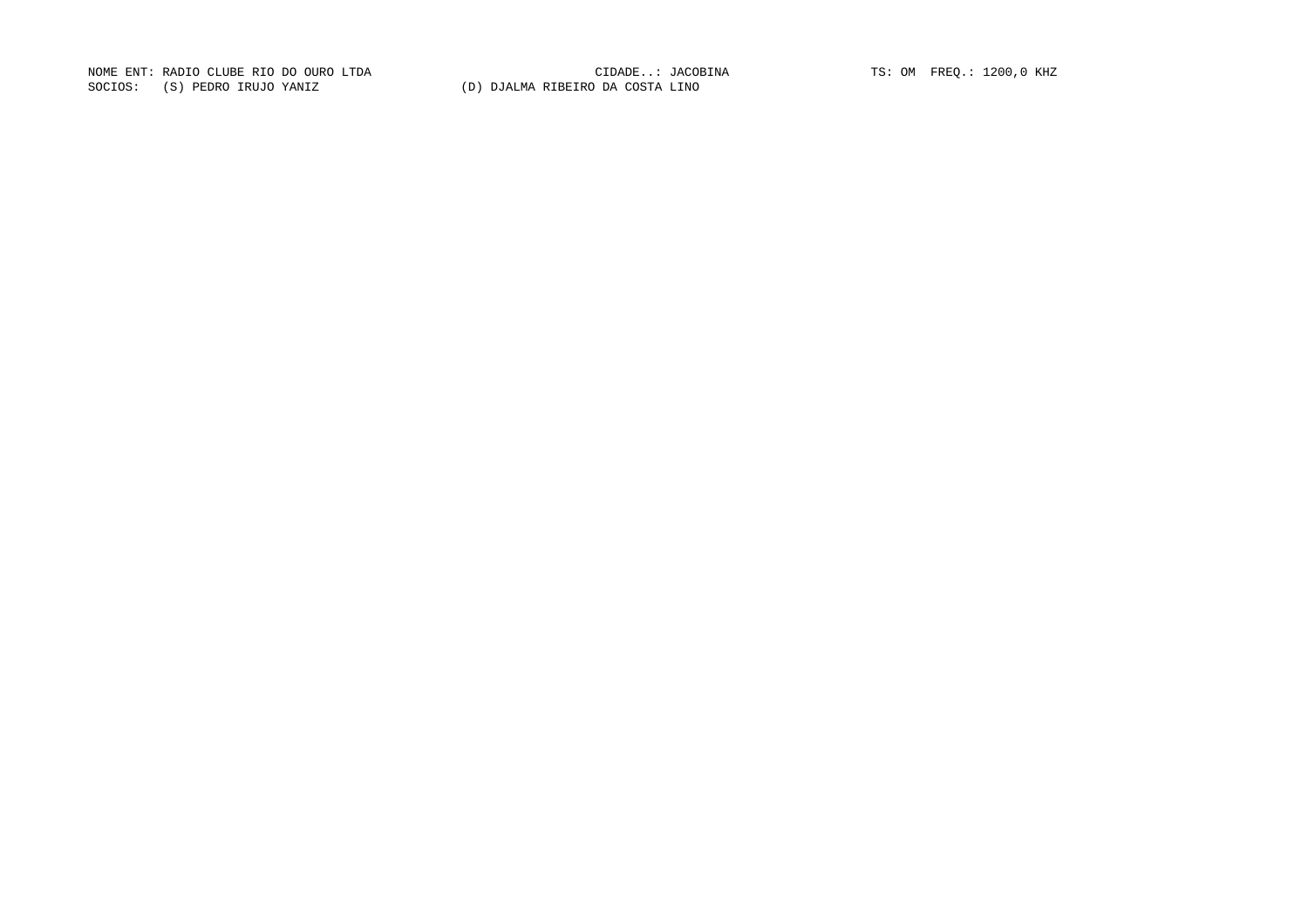NOME ENT: RADIO CLUBE RIO DO OURO LTDA CIDADE..: JACOBINA TS: OM FREQ.: 1200,0 KHZ SOCIOS: (S) PEDRO IRUJO YANIZ (D) DJALMA RIBEIRO DA COSTA LINO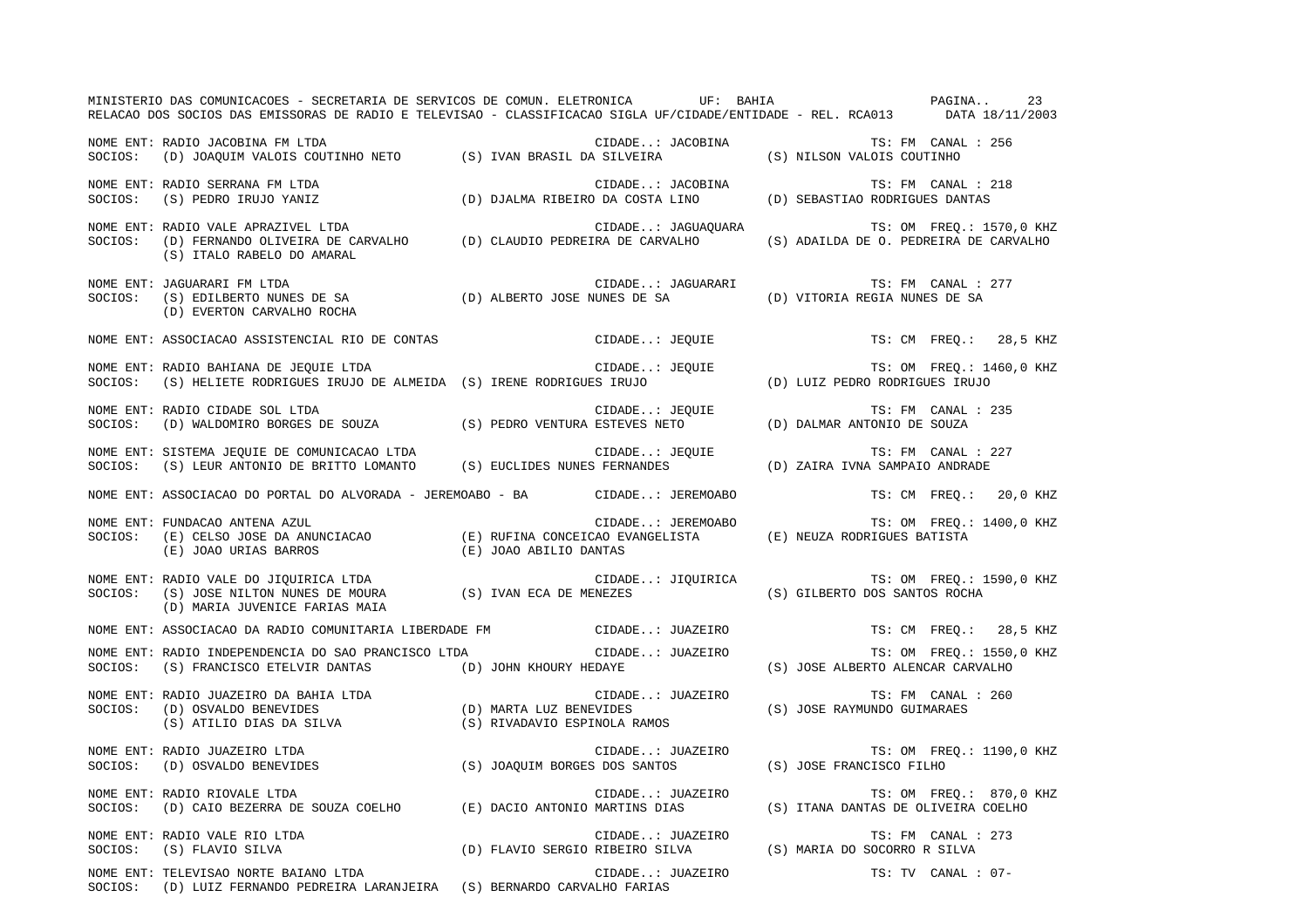|         | MINISTERIO DAS COMUNICACOES - SECRETARIA DE SERVICOS DE COMUN. ELETRONICA UF: BAHIA COMUNICACOES - PAGINA<br>RELACAO DOS SOCIOS DAS EMISSORAS DE RADIO E TELEVISAO - CLASSIFICACAO SIGLA UF/CIDADE/ENTIDADE - REL. RCA013 DATA 18/11/2003   |  |                                                                                                     |                                                  |                          | 23 |
|---------|---------------------------------------------------------------------------------------------------------------------------------------------------------------------------------------------------------------------------------------------|--|-----------------------------------------------------------------------------------------------------|--------------------------------------------------|--------------------------|----|
|         |                                                                                                                                                                                                                                             |  |                                                                                                     |                                                  | TS: FM CANAL : 256       |    |
|         | NOME ENT: RADIO SERRANA FM LTDA<br>SOCIOS: (S) PEDRO IRUJO YANIZ                                                                                                                                                                            |  | CIDADE: JACOBINA TS: FM CANAL : 2<br>D) DJALMA RIBEIRO DA COSTA LINO (D) SEBASTIAO RODRIGUES DANTAS |                                                  | TS: FM CANAL : 218       |    |
|         | NOME ENT: RADIO VALE APRAZIVEL LTDA<br>NOME ENI. KADIO VALE APRAZIVEL LIDA<br>SOCIOS: (D) FERNANDO OLIVEIRA DE CARVALHO (D) CLAUDIO PEDREIRA DE CARVALHO (S) ADAILDA DE O. PEDREIRA DE CARVALHO<br>(S) ITALO RABELO DO AMARAL               |  | CIDADE: JAGUAQUARA                                                                                  | TS: OM FREQ.: 1570,0 KHZ                         |                          |    |
| SOCIOS: | NOME ENT: JAGUARARI FM LTDA<br>(S) EDILBERTO NUNES DE SA $(D)$ ALBERTO JOSE NUNES DE SA $(D)$ VITORIA REGIA NUNES DE SA $(D)$ EVERTON CARVALHO ROCHA<br>(D) EVERTON CARVALHO ROCHA                                                          |  | CIDADE: JAGUARARI                                                                                   |                                                  | TS: FM CANAL : 277       |    |
|         | NOME ENT: ASSOCIACAO ASSISTENCIAL RIO DE CONTAS                                                                                                                                                                                             |  | CIDADE: JEQUIE                                                                                      |                                                  | TS: CM FREQ.: 28,5 KHZ   |    |
| SOCIOS: | NOME ENT: RADIO BAHIANA DE JEOUIE LTDA<br>(S) HELIETE RODRIGUES IRUJO DE ALMEIDA (S) IRENE RODRIGUES IRUJO                                                                                                                                  |  | CIDADE: JEQUIE TS: OM FREQ.: 14<br>ES IRUJO (D) LUIZ PEDRO RODRIGUES IRUJO                          |                                                  | TS: OM FREQ.: 1460,0 KHZ |    |
| SOCIOS: | NOME ENT: RADIO CIDADE SOL LTDA<br>CIDADE: JEQUIE TS: FM CANAL CIDENCIAL CIDADE CIDADE (D) DALMAR ANTONIO DE SOUZA (D) NALDOMIRO BORGES DE SOUZ<br>(D) WALDOMIRO BORGES DE SOUZA (S) PEDRO VENTURA ESTEVES NETO (D) DALMAR ANTONIO DE SOUZA |  | CIDADE: JEQUIE                                                                                      |                                                  | TS: FM CANAL : 235       |    |
|         |                                                                                                                                                                                                                                             |  |                                                                                                     |                                                  | TS: FM CANAL : 227       |    |
|         | NOME ENT: ASSOCIACAO DO PORTAL DO ALVORADA - JEREMOABO - BA CIDADE: JEREMOABO                                                                                                                                                               |  |                                                                                                     |                                                  | TS: CM FREQ.: 20,0 KHZ   |    |
| SOCIOS: | NOME ENT: FUNDACAO ANTENA AZUL                                                                                                                                                                                                              |  |                                                                                                     |                                                  | TS: OM FREQ.: 1400,0 KHZ |    |
| SOCIOS: | NOME ENT: RADIO VALE DO JIQUIRICA LTDA<br>(S) JOSE NILTON NUNES DE MOURA (S) IVAN ECA DE MENEZES<br>(D) MARIA JUVENICE FARIAS MAIA                                                                                                          |  | CIDADE: JIQUIRICA                                                                                   | (S) GILBERTO DOS SANTOS ROCHA                    | TS: OM FREQ.: 1590,0 KHZ |    |
|         | NOME ENT: ASSOCIACAO DA RADIO COMUNITARIA LIBERDADE FM                                                                                                                                                                                      |  | CIDADE: JUAZEIRO                                                                                    |                                                  | TS: CM FREO.: 28,5 KHZ   |    |
| SOCIOS: | NOME ENT: RADIO INDEPENDENCIA DO SAO PRANCISCO LTDA<br>$(\,S\,)$ FRANCISCO ETELVIR DANTAS $(\,D)\,$ JOHN KHOURY HEDAYE                                                                                                                      |  | CIDADE: JUAZEIRO                                                                                    | (S) JOSE ALBERTO ALENCAR CARVALHO                | TS: OM FREQ.: 1550,0 KHZ |    |
|         | NOME ENT: RADIO JUAZEIRO DA BAHIA LTDA (D) MARTA LUZ BENEVIDES<br>SOCIOS: (D) OSVALDO BENEVIDES (S) ATILIO DIAS DA SILVA (S) RIVADAVIO ESPINOLA RAMOS                                                                                       |  | CIDADE: JUAZEIRO                                                                                    | (S) JOSE RAYMUNDO GUIMARAES                      | TS: FM CANAL : 260       |    |
| SOCIOS: | NOME ENT: RADIO JUAZEIRO LTDA<br>RADIO JUAZEIRO LTDA<br>(D) OSVALDO BENEVIDES (S) JOAQUIM BORGES DOS SANTOS                                                                                                                                 |  | CIDADE: JUAZEIRO                                                                                    | AZEIRO TS: OM FRI<br>S) JOSE FRANCISCO FILHO (S) | TS: OM FREQ.: 1190,0 KHZ |    |
| SOCIOS: | NOME ENT: RADIO RIOVALE LTDA<br>(D) CAIO BEZERRA DE SOUZA COELHO (E) DACIO ANTONIO MARTINS DIAS                                                                                                                                             |  | CIDADE: JUAZEIRO                                                                                    | (S) ITANA DANTAS DE OLIVEIRA COELHO              | TS: OM FREO.: 870,0 KHZ  |    |
| SOCIOS: | NOME ENT: RADIO VALE RIO LTDA<br>(S) FLAVIO SILVA                                                                                                                                                                                           |  | CIDADE: JUAZEIRO<br>(D) FLAVIO SERGIO RIBEIRO SILVA (S) MARIA DO SOCORRO R SILVA                    |                                                  | TS: FM CANAL : 273       |    |
|         | NOME ENT: TELEVISAO NORTE BAIANO LTDA<br>SOCIOS: (D) LUIZ FERNANDO PEDREIRA LARANJEIRA (S) BERNARDO CARVALHO FARIAS                                                                                                                         |  | CIDADE: JUAZEIRO                                                                                    |                                                  | TS: TV CANAL : 07-       |    |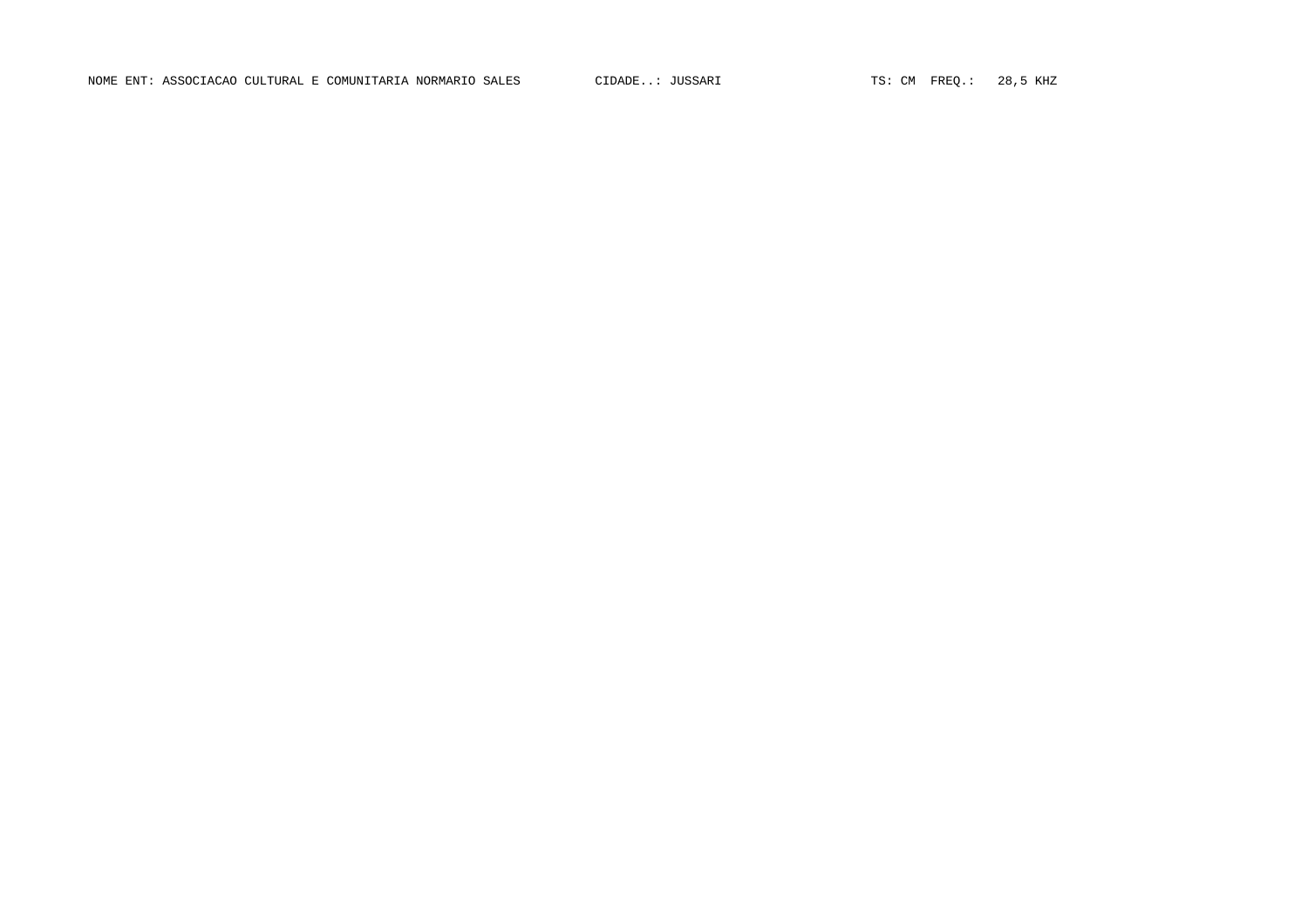NOME ENT: ASSOCIACAO CULTURAL E COMUNITARIA NORMARIO SALES CIDADE..: JUSSARI TS: CM FREQ.: 28,5 KHZ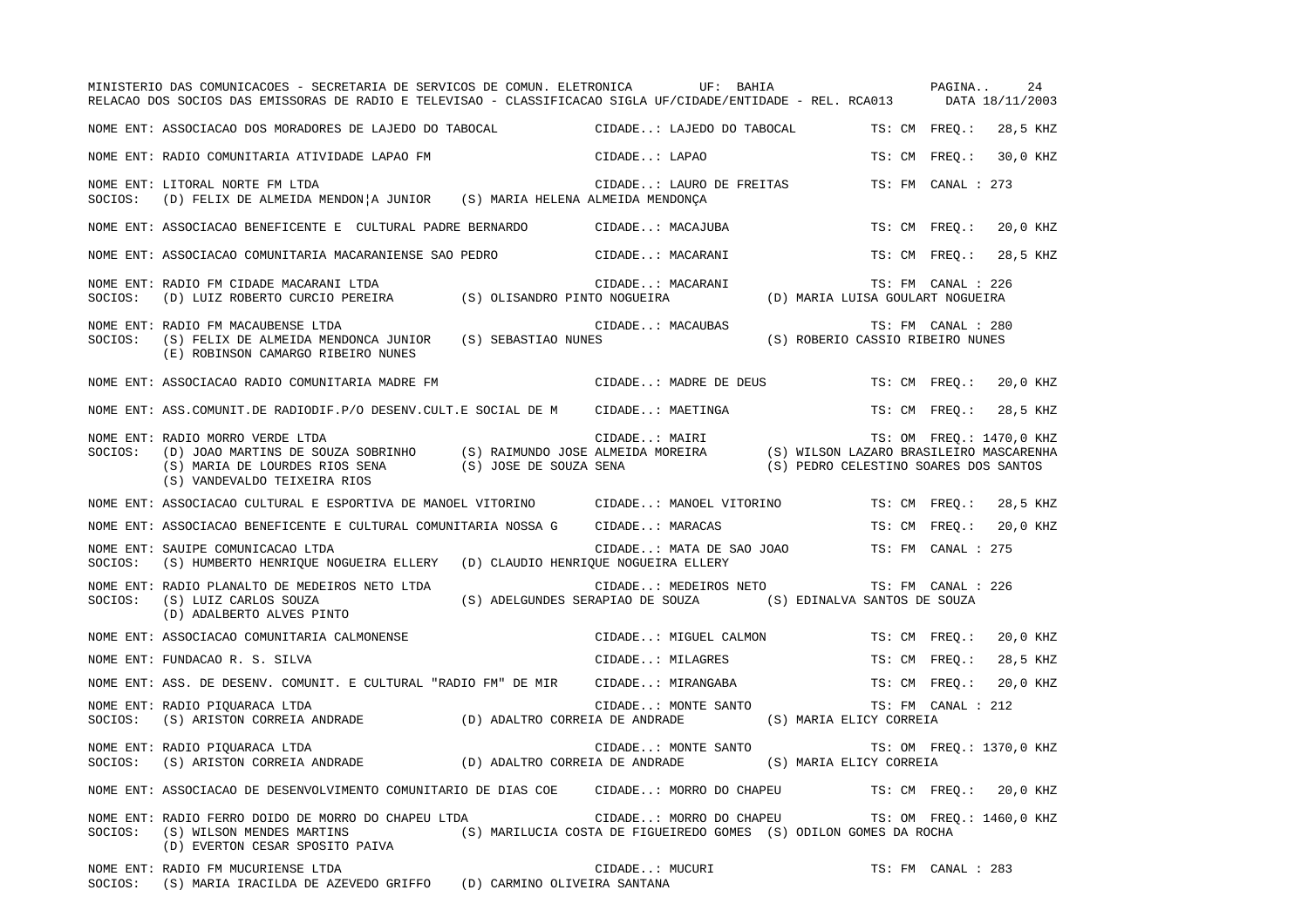|         | MINISTERIO DAS COMUNICACOES - SECRETARIA DE SERVICOS DE COMUN. ELETRONICA UF: BAHIA<br>RELACAO DOS SOCIOS DAS EMISSORAS DE RADIO E TELEVISAO - CLASSIFICACAO SIGLA UF/CIDADE/ENTIDADE - REL. RCA013 DATA 18/11/2003                                              |                                                                                        | PAGINA<br>24                                           |
|---------|------------------------------------------------------------------------------------------------------------------------------------------------------------------------------------------------------------------------------------------------------------------|----------------------------------------------------------------------------------------|--------------------------------------------------------|
|         | NOME ENT: ASSOCIACAO DOS MORADORES DE LAJEDO DO TABOCAL                                                                                                                                                                                                          | CIDADE: LAJEDO DO TABOCAL                                                              | TS: CM FREQ.:<br>28,5 KHZ                              |
|         | NOME ENT: RADIO COMUNITARIA ATIVIDADE LAPAO FM                                                                                                                                                                                                                   | CIDADE: LAPAO                                                                          | TS: CM FREQ.:<br>30,0 KHZ                              |
| SOCIOS: | NOME ENT: LITORAL NORTE FM LTDA<br>(D) FELIX DE ALMEIDA MENDON A JUNIOR (S) MARIA HELENA ALMEIDA MENDONÇA                                                                                                                                                        | CIDADE: LAURO DE FREITAS                                                               | TS: FM CANAL : 273                                     |
|         | NOME ENT: ASSOCIACAO BENEFICENTE E CULTURAL PADRE BERNARDO           CIDADE: MACAJUBA                                                                                                                                                                            |                                                                                        | 20,0 KHZ<br>TS: CM FREO.:                              |
|         | NOME ENT: ASSOCIACAO COMUNITARIA MACARANIENSE SAO PEDRO                 CIDADE: MACARANI                                                                                                                                                                         |                                                                                        | 28,5 KHZ<br>TS: CM FREQ.:                              |
| SOCIOS: | NOME ENT: RADIO FM CIDADE MACARANI LTDA                                                                                                                                                                                                                          | CIDADE: MACARANI                                                                       | TS: FM CANAL : 226<br>(D) MARIA LUISA GOULART NOGUEIRA |
| SOCIOS: | NOME ENT: RADIO FM MACAUBENSE LTDA<br>(S) FELIX DE ALMEIDA MENDONCA JUNIOR (S) SEBASTIAO NUNES<br>(E) ROBINSON CAMARGO RIBEIRO NUNES                                                                                                                             | CIDADE: MACAUBAS                                                                       | TS: FM CANAL : 280<br>(S) ROBERIO CASSIO RIBEIRO NUNES |
|         | NOME ENT: ASSOCIACAO RADIO COMUNITARIA MADRE FM                                                                                                                                                                                                                  | CIDADE: MADRE DE DEUS                                                                  | TS: CM FREQ.:<br>20,0 KHZ                              |
|         | NOME ENT: ASS.COMUNIT.DE RADIODIF.P/O DESENV.CULT.E SOCIAL DE M CIDADE: MAETINGA                                                                                                                                                                                 |                                                                                        | 28,5 KHZ<br>TS: CM FREQ.:                              |
| SOCIOS: | CIDADE: MAIRI (D) JOAO MARTINS DE SOUZA SOBRINHO (S) RAIMUNDO JOSE ALMEIDA MOREIRA (S) WILSON LAZARO BRASILEIRO MASCARENHA (S) WARIA DE LOURDES RIOS SENA (S) JOSE DE SOUZA SENA (S) CORPERENTA (S) DE LOURDES RIOS SENA (S)<br>NOME ENT: RADIO MORRO VERDE LTDA |                                                                                        |                                                        |
|         | NOME ENT: ASSOCIACAO CULTURAL E ESPORTIVA DE MANOEL VITORINO                                                                                                                                                                                                     | CIDADE: MANOEL VITORINO                                                                | TS: CM FREO.:<br>28,5 KHZ                              |
|         | NOME ENT: ASSOCIACAO BENEFICENTE E CULTURAL COMUNITARIA NOSSA G                                                                                                                                                                                                  | CIDADE: MARACAS                                                                        | TS: CM FREQ.:<br>20,0 KHZ                              |
| SOCIOS: | NOME ENT: SAUIPE COMUNICACAO LTDA<br>(S) HUMBERTO HENRIQUE NOGUEIRA ELLERY (D) CLAUDIO HENRIQUE NOGUEIRA ELLERY                                                                                                                                                  | CIDADE: MATA DE SAO JOAO                                                               | TS: FM CANAL : 275                                     |
| SOCIOS: | NOME ENT: RADIO PLANALTO DE MEDEIROS NETO LTDA<br>(S) LUIZ CARLOS SOUZA<br>(D) ADALBERTO ALVES PINTO                                                                                                                                                             | CIDADE: MEDEIROS NETO<br>(S) ADELGUNDES SERAPIAO DE SOUZA (S) EDINALVA SANTOS DE SOUZA | TS: FM CANAL : 226                                     |
|         | NOME ENT: ASSOCIACAO COMUNITARIA CALMONENSE                                                                                                                                                                                                                      | CIDADE: MIGUEL CALMON                                                                  | TS: CM FREO.:<br>20,0 KHZ                              |
|         | NOME ENT: FUNDACAO R. S. SILVA                                                                                                                                                                                                                                   | CIDADE: MILAGRES                                                                       | 28,5 KHZ<br>TS: CM FREO.:                              |
|         | NOME ENT: ASS. DE DESENV. COMUNIT. E CULTURAL "RADIO FM" DE MIR CIDADE: MIRANGABA                                                                                                                                                                                |                                                                                        | TS: CM FREO.:<br>20,0 KHZ                              |
| SOCIOS: | NOME ENT: RADIO PIQUARACA LTDA<br>(S) ARISTON CORREIA ANDRADE (D) ADALTRO CORREIA DE ANDRADE (S) MARIA ELICY CORREIA                                                                                                                                             | CIDADE: MONTE SANTO                                                                    | TS: FM CANAL : 212                                     |
| SOCIOS: | NOME ENT: RADIO PIQUARACA LTDA<br>(S) ARISTON CORREIA ANDRADE (D) ADALTRO CORREIA DE ANDRADE (S) MARIA ELICY CORREIA                                                                                                                                             | CIDADE: MONTE SANTO                                                                    | TS: OM FREQ.: 1370,0 KHZ                               |
|         | NOME ENT: ASSOCIACAO DE DESENVOLVIMENTO COMUNITARIO DE DIAS COE CIDADE: MORRO DO CHAPEU TS: CM FREQ.: 20,0 KHZ                                                                                                                                                   |                                                                                        |                                                        |
| SOCIOS: | NOME ENT: RADIO FERRO DOIDO DE MORRO DO CHAPEU LTDA<br>(S) WILSON MENDES MARTINS (S) MARILUCIA COSTA DE FIGUEIREDO GOMES (S) ODILON GOMES DA ROCHA<br>(D) EVERTON CESAR SPOSITO PAIVA                                                                            |                                                                                        | CIDADE: MORRO DO CHAPEU TS: OM FREQ.: 1460,0 KHZ       |
|         | NOME ENT: RADIO FM MUCURIENSE LTDA<br>SOCIOS: (S) MARIA IRACILDA DE AZEVEDO GRIFFO (D) CARMINO OLIVEIRA SANTANA                                                                                                                                                  | CIDADE: MUCURI                                                                         | TS: FM CANAL : 283                                     |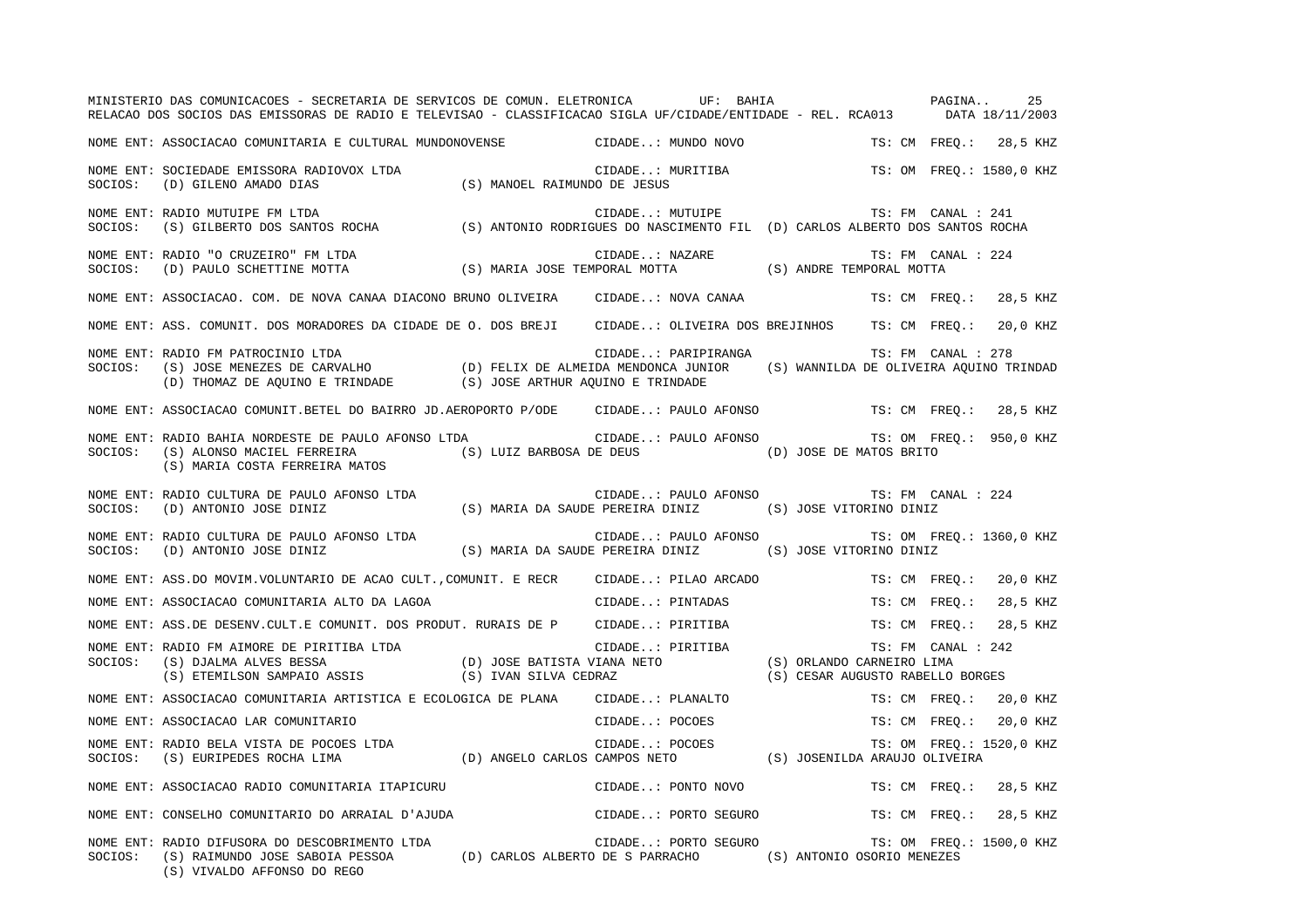|         | MINISTERIO DAS COMUNICACOES - SECRETARIA DE SERVICOS DE COMUN. ELETRONICA UF: BAHIA<br>RELACAO DOS SOCIOS DAS EMISSORAS DE RADIO E TELEVISAO - CLASSIFICACAO SIGLA UF/CIDADE/ENTIDADE - REL. RCA013 DATA 18/11/2003                  |                              |                                               | PAGINA<br>25              |
|---------|--------------------------------------------------------------------------------------------------------------------------------------------------------------------------------------------------------------------------------------|------------------------------|-----------------------------------------------|---------------------------|
|         | NOME ENT: ASSOCIACAO COMUNITARIA E CULTURAL MUNDONOVENSE CIDADE: MUNDO NOVO                                                                                                                                                          |                              |                                               | TS: CM FREQ.: 28,5 KHZ    |
| SOCIOS: | NOME ENT: SOCIEDADE EMISSORA RADIOVOX LTDA<br>(D) GILENO AMADO DIAS                                                                                                                                                                  | (S) MANOEL RAIMUNDO DE JESUS | CIDADE: MURITIBA                              | TS: OM FREQ.: 1580,0 KHZ  |
| SOCIOS: | RADIO MUTUIPE FM LTDA CIDADE: MUTUIPE TS: FM CANAL : 241<br>(S) GILBERTO DOS SANTOS ROCHA (S) ANTONIO RODRIGUES DO NASCIMENTO FIL (D) CARLOS ALBERTO DOS SANTOS ROCHA<br>NOME ENT: RADIO MUTUIPE FM LTDA                             |                              |                                               |                           |
|         |                                                                                                                                                                                                                                      |                              |                                               | TS: FM CANAL : 224        |
|         | NOME ENT: ASSOCIACAO. COM. DE NOVA CANAA DIACONO BRUNO OLIVEIRA CIDADE: NOVA CANAA                                                                                                                                                   |                              |                                               | TS: CM FREQ.:<br>28,5 KHZ |
|         | NOME ENT: ASS. COMUNIT. DOS MORADORES DA CIDADE DE O. DOS BREJI CIDADE: OLIVEIRA DOS BREJINHOS TS: CM FREQ.:                                                                                                                         |                              |                                               | 20,0 KHZ                  |
| SOCIOS: | NOME ENT: RADIO FM PATROCINIO LTDA<br>(S) JOSE MENEZES DE CARVALHO<br>(D) FELIX DE ALMEIDA MENDONCA JUNIOR (S) WANNILDA DE OLIVEIRA AQUINO TRINDAD<br>(D) THOMAZ DE AQUINO E TRINDADE (S) JOSE ARTHUR AQUINO E TRINDADE              |                              | CIDADE: PARIPIRANGA                           | TS: FM CANAL : 278        |
|         | NOME ENT: ASSOCIACAO COMUNIT.BETEL DO BAIRRO JD.AEROPORTO P/ODE CIDADE: PAULO AFONSO TS: CM FREQ.: 28,5 KHZ                                                                                                                          |                              |                                               |                           |
| SOCIOS: | NOME ENT: RADIO BAHIA NORDESTE DE PAULO AFONSO LTDA<br>(S) ALONSO MACIEL FERREIRA (S) LUIZ BARBOSA DE DEUS (D) JOSE DE MATOS BRITO (S) MARIA COSTA FERREIRA MATOS                                                                    |                              | CIDADE: PAULO AFONSO TS: OM FREQ.: 950,0 KHZ  |                           |
|         | NOME ENT: RADIO CULTURA DE PAULO AFONSO LTDA<br>SOCIOS: (D) ANTONIO JOSE DINIZ (S) MARIA DA SAUDE PEREIRA DINIZ (S) JOSE VITORINO DINIZ                                                                                              |                              | CIDADE: PAULO AFONSO TS: FM CANAL : 224       |                           |
|         | NOME ENT: RADIO CULTURA DE PAULO AFONSO LTDA<br>SOCIOS: (D) ANTONIO JOSE DINIZ (S) MARIA DA SAUDE PEREIRA DINIZ (S) JOSE VITORINO DINIZ                                                                                              |                              | CIDADE: PAULO AFONSO TS: OM FREQ.: 1360,0 KHZ |                           |
|         | NOME ENT: ASS.DO MOVIM.VOLUNTARIO DE ACAO CULT., COMUNIT. E RECR CIDADE: PILAO ARCADO                                                                                                                                                |                              |                                               | TS: CM FREO.:<br>20,0 KHZ |
|         | NOME ENT: ASSOCIACAO COMUNITARIA ALTO DA LAGOA                                                                                                                                                                                       |                              | CIDADE: PINTADAS                              | 28,5 KHZ<br>TS: CM FREQ.: |
|         |                                                                                                                                                                                                                                      |                              |                                               | 28,5 KHZ                  |
|         | NOME ENT: ASS.DE DESENV.CULT.E COMUNIT. DOS PRODUT. RURAIS DE P CIDADE: PIRITIBA TS: CM FREQ.: 28,<br>NOME ENT: RADIO FM AIMORE DE PIRITIBA LTDA<br>SOCIOS: (S) DJALMA ALVES BESSA (D) JOSE BATISTA VIANA NETO (S) ORLANDO CARNEIR   |                              |                                               | TS: FM CANAL : 242        |
|         | NOME ENT: ASSOCIACAO COMUNITARIA ARTISTICA E ECOLOGICA DE PLANA CIDADE: PLANALTO                                                                                                                                                     |                              |                                               | TS: CM FREQ.: 20,0 KHZ    |
|         |                                                                                                                                                                                                                                      |                              |                                               | 20,0 KHZ                  |
|         | NOME ENT: ASSOCIACAO LAR COMUNITARIO<br>NOME ENT: RADIO BELA VISTA DE POCOES LTDA<br>SOCIOS: (S) EURIPEDES ROCHA LIMA (D) ANGELO CARLOS CAMPOS NETO (S) JOSENILDA ARAUJO OLIVEIRA<br>SOCIOS: (S) EURIPEDES ROCHA LIMA (D) ANGELO CAR |                              |                                               | TS: OM FREQ.: 1520,0 KHZ  |
|         | NOME ENT: ASSOCIACAO RADIO COMUNITARIA ITAPICURU                                                                                                                                                                                     |                              | CIDADE: PONTO NOVO                            | TS: CM FREO.: 28,5 KHZ    |
|         | NOME ENT: CONSELHO COMUNITARIO DO ARRAIAL D'AJUDA                                                                                                                                                                                    |                              | CIDADE: PORTO SEGURO                          | 28,5 KHZ<br>TS: CM FREO.: |
| SOCIOS: | NOME ENT: RADIO DIFUSORA DO DESCOBRIMENTO LTDA<br>(S) RAIMUNDO JOSE SABOIA PESSOA (D) CARLOS ALBERTO DE S PARRACHO (S) ANTONIO OSORIO MENEZES<br>(S) VIVALDO AFFONSO DO REGO                                                         |                              | CIDADE: PORTO SEGURO                          | TS: OM FREQ.: 1500,0 KHZ  |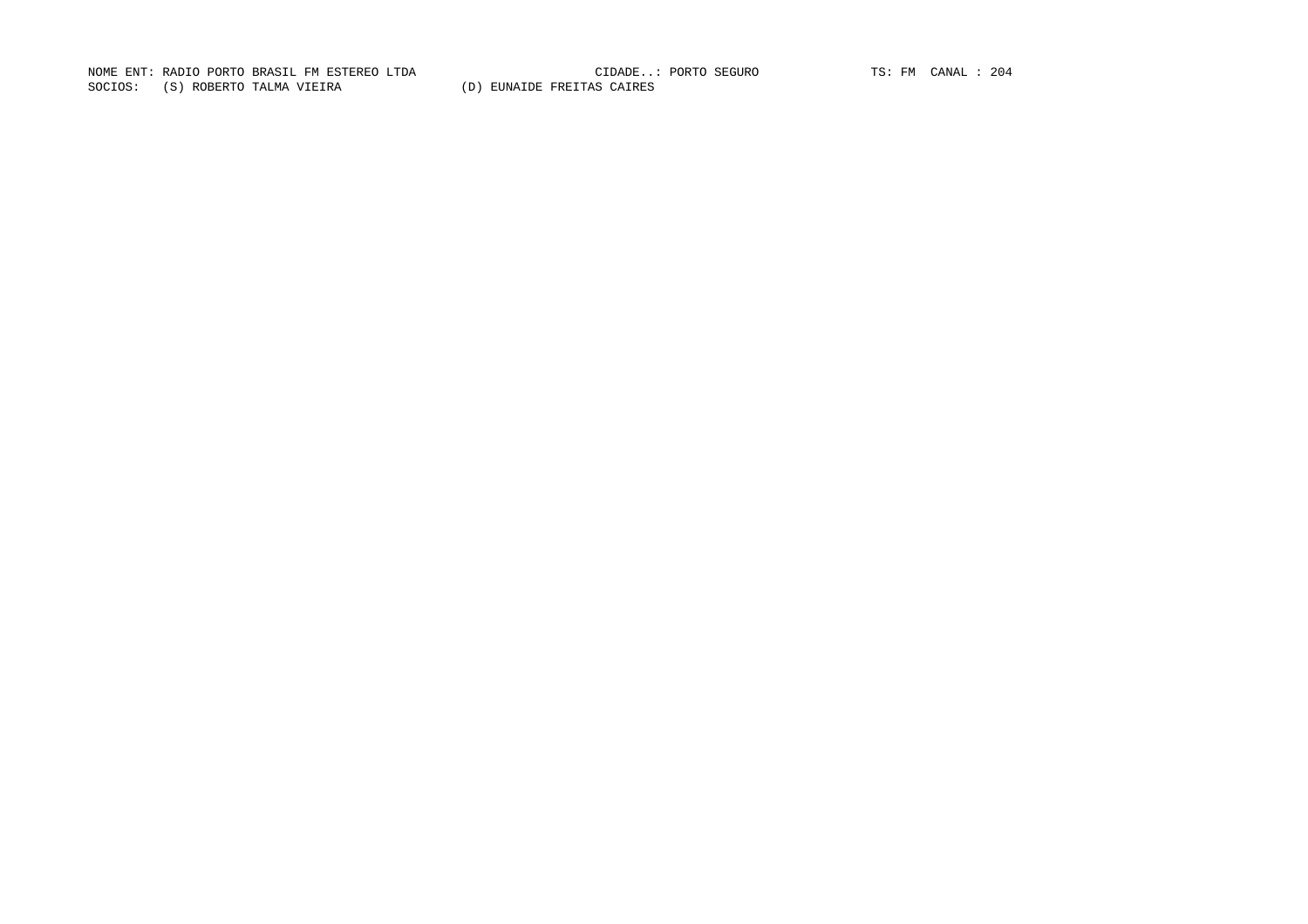NOME ENT: RADIO PORTO BRASIL FM ESTEREO LTDA CIDADE..: PORTO SEGURO TS: FM CANAL : 204SOCIOS: (S) ROBERTO TALMA VIEIRA (D) EUNAIDE FREITAS CAIRES

CIDADE..: PORTO SEGURO TS: FM CANAL : 204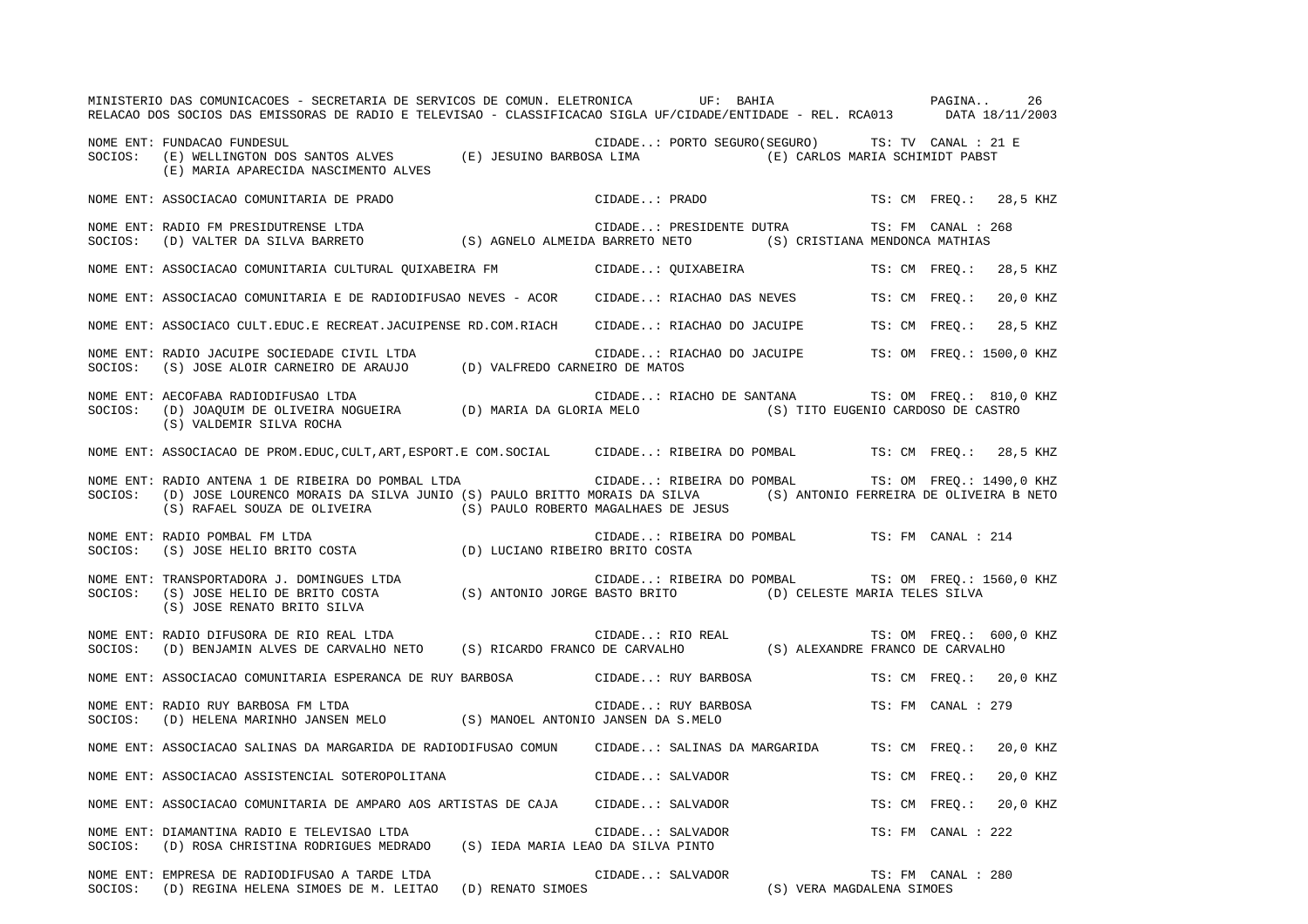|         | MINISTERIO DAS COMUNICACOES - SECRETARIA DE SERVICOS DE COMUN. ELETRONICA UF: BAHIA<br>RELACAO DOS SOCIOS DAS EMISSORAS DE RADIO E TELEVISAO - CLASSIFICACAO SIGLA UF/CIDADE/ENTIDADE - REL. RCA013 DATA 18/11/2003                                     |                  | PAGINA                                                                        |                    |                    | 26                      |
|---------|---------------------------------------------------------------------------------------------------------------------------------------------------------------------------------------------------------------------------------------------------------|------------------|-------------------------------------------------------------------------------|--------------------|--------------------|-------------------------|
|         | NOME ENT: FUNDACAO FUNDESUL<br>NOWE ENI. FUNDACAO FUNDESUL<br>SOCIOS: (E) WELLINGTON DOS SANTOS ALVES (E) JESUINO BARBOSA LIMA (E) CARLOS MARIA SCHIMIDT PABST<br>(E) MARIA APARECIDA NASCIMENTO ALVES                                                  |                  | CIDADE: PORTO SEGURO (SEGURO) TS: TV CANAL : 21 E                             |                    |                    |                         |
|         | NOME ENT: ASSOCIACAO COMUNITARIA DE PRADO                                                                                                                                                                                                               |                  | CIDADE: PRADO                                                                 |                    |                    | TS: CM FREQ.: 28,5 KHZ  |
|         |                                                                                                                                                                                                                                                         |                  | CIDADE: PRESIDENTE DUTRA TS: FM CANAL : 268                                   |                    |                    |                         |
|         | NOME ENT: ASSOCIACAO COMUNITARIA CULTURAL QUIXABEIRA FM CIDADE: QUIXABEIRA TS: CM FREQ.: 28,5 KHZ                                                                                                                                                       |                  |                                                                               |                    |                    |                         |
|         | NOME ENT: ASSOCIACAO COMUNITARIA E DE RADIODIFUSAO NEVES - ACOR                                                                                                                                                                                         |                  | CIDADE: RIACHAO DAS NEVES TS: CM FREQ.:                                       |                    |                    | 20,0 KHZ                |
|         | NOME ENT: ASSOCIACO CULT.EDUC.E RECREAT.JACUIPENSE RD.COM.RIACH CIDADE: RIACHAO DO JACUIPE TS: CM FREQ.:                                                                                                                                                |                  |                                                                               |                    |                    | 28,5 KHZ                |
|         | NOME ENT: RADIO JACUIPE SOCIEDADE CIVIL LTDA (D) VALFREDO CARNEIRO DE MATOS SOCIOS: (S) JOSE ALOIR CARNEIRO DE ARAUJO (D) VALFREDO CARNEIRO DE MATOS                                                                                                    |                  | CIDADE: RIACHAO DO JACUIPE TS: OM FREQ.: 1500,0 KHZ                           |                    |                    |                         |
| SOCIOS: | NOME ENT: AECOFABA RADIODIFUSAO LTDA<br>(S) VALDEMIR SILVA ROCHA                                                                                                                                                                                        |                  | CIDADE: RIACHO DE SANTANA TS: OM FREQ.: 810,0 KHZ                             |                    |                    |                         |
|         | NOME ENT: ASSOCIACAO DE PROM.EDUC, CULT, ART, ESPORT.E COM.SOCIAL CIDADE: RIBEIRA DO POMBAL TS: CM FREQ.: 28,5 KHZ                                                                                                                                      |                  |                                                                               |                    |                    |                         |
| SOCIOS: | NOME ENT: RADIO ANTENA 1 DE RIBEIRA DO POMBAL LTDA<br>(D) JOSE LOURENCO MORAIS DA SILVA JUNIO (S) PAULO BRITTO MORAIS DA SILVA (S) ANTONIO FERREIRA DE OLIVEIRA B NETO<br>$(\,S\,)$ RAFAEL SOUZA DE OLIVEIRA $(\,S\,)$ PAULO ROBERTO MAGALHAES DE JESUS |                  | CIDADE: RIBEIRA DO POMBAL TS: OM FREQ.: 1490,0 KHZ                            |                    |                    |                         |
| SOCIOS: | NOME ENT: RADIO POMBAL FM LTDA<br>EXADIO POMBAL FW LIDA<br>(S) JOSE HELIO BRITO COSTA (D) LUCIANO RIBEIRO BRITO COSTA                                                                                                                                   |                  | $\verb"CIDADE": \verb" RIBEIRA DO POMBAL \verb" "TS": FM \verb" CANAL : 214"$ |                    |                    |                         |
|         | (S) JOSE RENATO BRITO SILVA                                                                                                                                                                                                                             |                  | CIDADE: RIBEIRA DO POMBAL TS: OM FREQ.: 1560,0 KHZ                            |                    |                    |                         |
|         | NOME ENT: RADIO DIFUSORA DE RIO REAL LTDA<br>NOME ENT: RADIO DIFUSORA DE RIO REAL LTDA<br>SOCIOS: (D) BENJAMIN ALVES DE CARVALHO NETO (S) RICARDO FRANCO DE CARVALHO (S) ALEXANDRE FRANCO DE CARVALHO                                                   |                  |                                                                               |                    |                    | TS: OM FREQ.: 600,0 KHZ |
|         | NOME ENT: ASSOCIACAO COMUNITARIA ESPERANCA DE RUY BARBOSA CIDADE: RUY BARBOSA TS: CM FREO.: 20,0 KHZ                                                                                                                                                    |                  |                                                                               |                    |                    |                         |
| SOCIOS: | NOME ENT: RADIO RUY BARBOSA FM LTDA<br>(D) HELENA MARINHO JANSEN MELO (S) MANOEL ANTONIO JANSEN DA S.MELO                                                                                                                                               |                  | CIDADE: RUY BARBOSA                                                           | TS: FM CANAL : 279 |                    |                         |
|         | NOME ENT: ASSOCIACAO SALINAS DA MARGARIDA DE RADIODIFUSAO COMUNO CIDADE: SALINAS DA MARGARIDA                                                                                                                                                           |                  |                                                                               | TS: CM FREQ.:      |                    | 20,0 KHZ                |
|         | NOME ENT: ASSOCIACAO ASSISTENCIAL SOTEROPOLITANA                                                                                                                                                                                                        |                  | CIDADE: SALVADOR                                                              | TS: CM FREQ.:      |                    | 20,0 KHZ                |
|         | NOME ENT: ASSOCIACAO COMUNITARIA DE AMPARO AOS ARTISTAS DE CAJA CIDADE: SALVADOR                                                                                                                                                                        |                  |                                                                               | TS: CM FREQ.:      |                    | 20,0 KHZ                |
| SOCIOS: | NOME ENT: DIAMANTINA RADIO E TELEVISAO LTDA<br>(D) ROSA CHRISTINA RODRIGUES MEDRADO (S) IEDA MARIA LEAO DA SILVA PINTO                                                                                                                                  | CIDADE: SALVADOR |                                                                               |                    | TS: FM CANAL : 222 |                         |
|         | NOME ENT: EMPRESA DE RADIODIFUSAO A TARDE LTDA<br>SOCIOS: (D) REGINA HELENA SIMOES DE M. LEITAO (D) RENATO SIMOES                                                                                                                                       | CIDADE: SALVADOR | (S) VERA MAGDALENA SIMOES                                                     |                    | TS: FM CANAL : 280 |                         |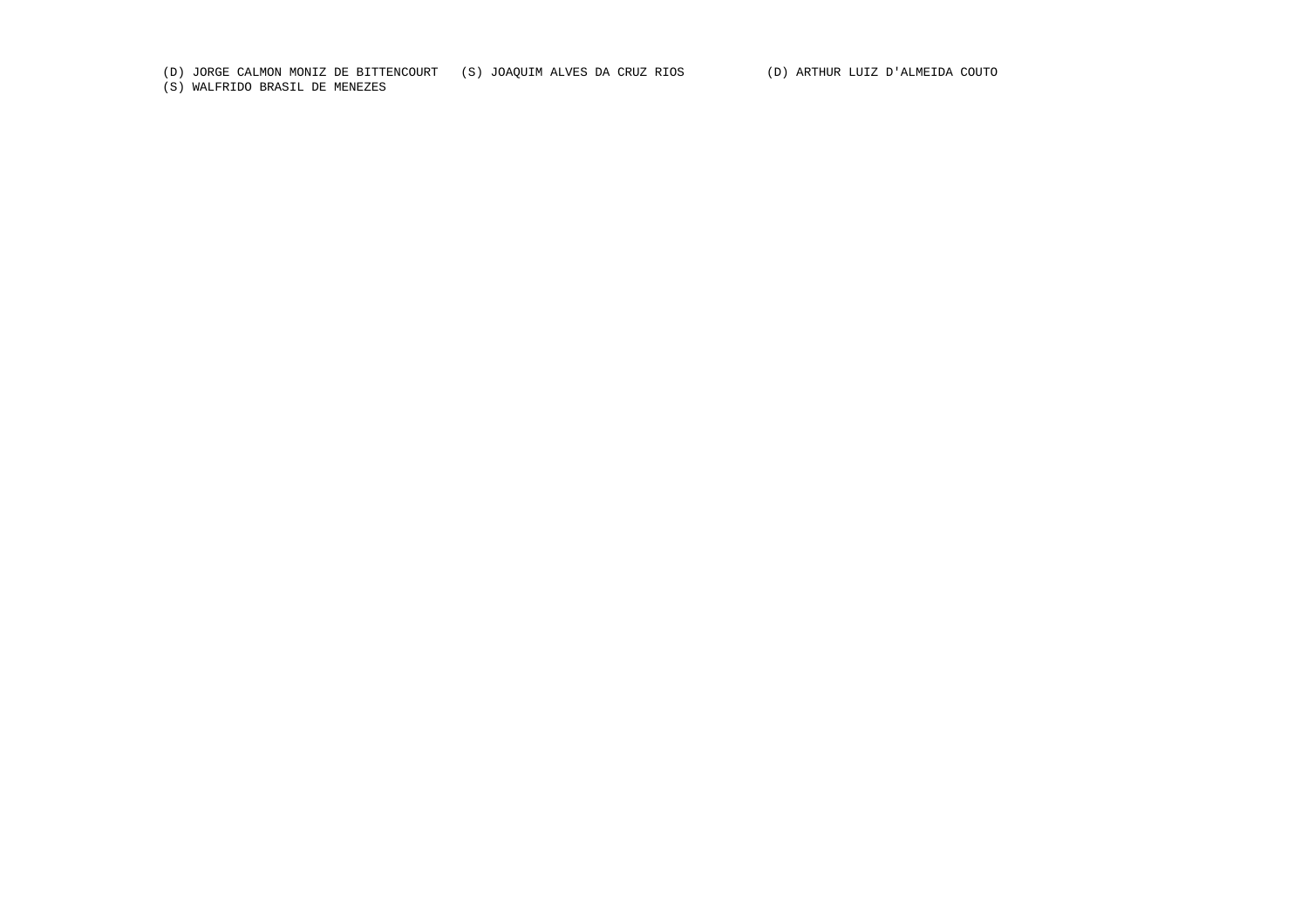(D) JORGE CALMON MONIZ DE BITTENCOURT (S) JOAQUIM ALVES DA CRUZ RIOS (D) ARTHUR LUIZ D'ALMEIDA COUTO

(S) WALFRIDO BRASIL DE MENEZES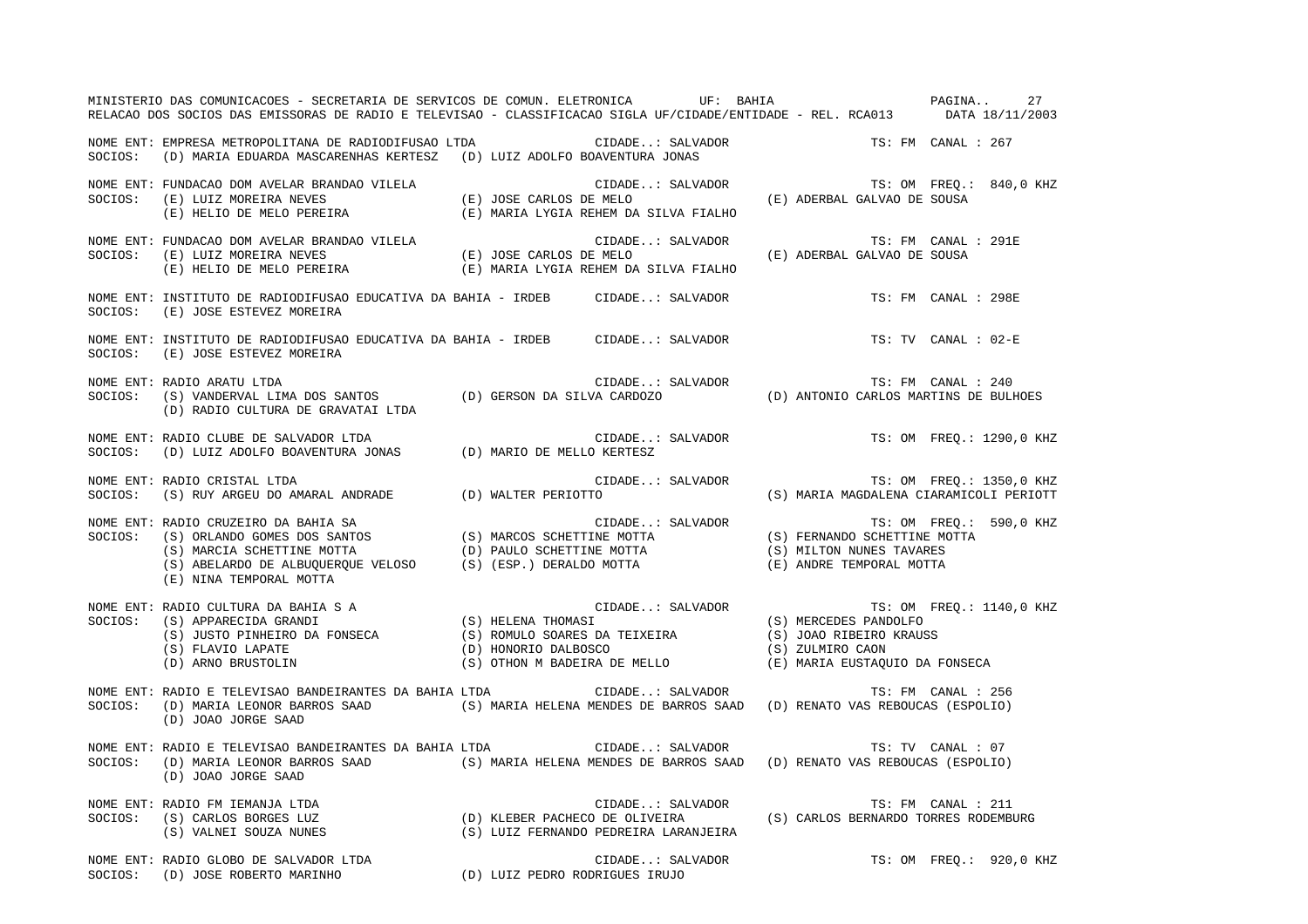|         | MINISTERIO DAS COMUNICACOES - SECRETARIA DE SERVICOS DE COMUN. ELETRONICA UF: BAHIA VENTE EN PAGINA 27<br>RELACAO DOS SOCIOS DAS EMISSORAS DE RADIO E TELEVISAO - CLASSIFICACAO SIGLA UF/CIDADE/ENTIDADE - REL. RCA013 DATA 18/11/2003                                                                  |                                                                                             |                     |                     |                         |
|---------|---------------------------------------------------------------------------------------------------------------------------------------------------------------------------------------------------------------------------------------------------------------------------------------------------------|---------------------------------------------------------------------------------------------|---------------------|---------------------|-------------------------|
| SOCIOS: | NOME ENT: EMPRESA METROPOLITANA DE RADIODIFUSAO LTDA (CIDADE: SALVADOR TS: FM CANAL : 267<br>(D) MARIA EDUARDA MASCARENHAS KERTESZ (D) LUIZ ADOLFO BOAVENTURA JONAS                                                                                                                                     |                                                                                             |                     |                     |                         |
|         | NOME ENT: FUNDACAO DOM AVELAR BRANDAO VILELA (E) JOSE CARLOS DE MELO (E) LUIZ MOREIRA NEVES (E) JOSE CARLOS DE MELO (E) HELIO DE MELO PEREIRA (E) MARIA LYGIA REHEM DA SILVA FIALHO                                                                                                                     | CIDADE: SALVADOR $$\tt TS:~OM~FREG.:~840,0~KHZ$$ DE MELO $$\tt (E)$ ADERBAL GALVAO DE SOUSA |                     |                     |                         |
|         | NOME ENT: FUNDACAO DOM AVELAR BRANDAO VILELA (E) JOSE CARLOS DE MELO<br>SOCIOS: (E) LUIZ MOREIRA NEVES (E) JOSE CARLOS DE MELO<br>(E) HELIO DE MELO PEREIRA (E) MARIA LYGIA REHEM DA SILVA FIALHO                                                                                                       | LS - FF - CALVADOR (E) ADERBAL GALVAO DE SOUSA (E)                                          | TS: FM CANAL : 291E |                     |                         |
|         | NOME ENT: INSTITUTO DE RADIODIFUSAO EDUCATIVA DA BAHIA - IRDEB CIDADE: SALVADOR<br>SOCIOS: (E) JOSE ESTEVEZ MOREIRA                                                                                                                                                                                     |                                                                                             | TS: FM CANAL : 298E |                     |                         |
| SOCIOS: | NOME ENT: INSTITUTO DE RADIODIFUSAO EDUCATIVA DA BAHIA - IRDEB CIDADE: SALVADOR<br>(E) JOSE ESTEVEZ MOREIRA                                                                                                                                                                                             |                                                                                             |                     | TS: TV CANAL : 02-E |                         |
| SOCIOS: | NOME ENT: RADIO ARATU LTDA<br>(D) RADIO CULTURA DE GRAVATAI LTDA                                                                                                                                                                                                                                        |                                                                                             |                     |                     |                         |
|         | NOME ENT: RADIO CLUBE DE SALVADOR LTDA<br>SOCIOS:   (D) LUIZ ADOLFO BOAVENTURA JONAS             (D) MARIO DE MELLO KERTESZ                                                                                                                                                                             |                                                                                             |                     |                     |                         |
|         | NOME ENT: RADIO CRISTAL LTDA<br>NOTE ENT RADIO CRISTAL LTDA<br>SOCIOS: (S) RUY ARGEU DO AMARAL ANDRADE (D) WALTER PERIOTTO                                                                                                                                                                              | CIDADE: SALVADOR TS: OM FREQ.: 1350,0 KHZ<br>TO (S) MARIA MAGDALENA CIARAMICOLI PERIOTT     |                     |                     |                         |
| SOCIOS: | RADIO CRUZEIRO DA BAHIA SA<br>(S) ORLANDO GOMES DOS SANTOS (S) MARCOS SCHETTINE MOTTA<br>(S) MARCIA SCHETTINE MOTTA (D) PAULO SCHETTINE MOTTA (S) MILTON NUNES TAVARES<br>(S) ABELARDO DE ALBUQUERQUE VELOSO (S) (ESP.) DERALDO MOTT<br>NOME ENT: RADIO CRUZEIRO DA BAHIA SA<br>(E) NINA TEMPORAL MOTTA |                                                                                             |                     |                     |                         |
|         | NOME ENT: RADIO CULTURA DA BAHIA SA<br>SOCIOS: (S) APPARECIDA GRANDI (S) HELENA THOMASI (S) MERCEDES PANDOLFO<br>(S) JUSTO PINHEIRO DA FONSECA (S) ROMULO SOARES DA TEIXEIRA (S) JOAO RIBEIRO KRAUSS<br>(D) HONORIO DALBOSCO (D) ARN                                                                    |                                                                                             |                     |                     |                         |
|         | NOME ENT: RADIO E TELEVISAO BANDEIRANTES DA BAHIA LTDA (IDADE: SALVADOR<br>SOCIOS: (D) MARIA LEONOR BARROS SAAD (S) MARIA HELENA MENDES DE BARROS SAAD (D) RENATO VAS REBOUCAS (ESPOLIO)<br>(D) JOAO JORGE SAAD                                                                                         |                                                                                             | TS: FM CANAL : 256  |                     |                         |
| SOCIOS: | NOME ENT: RADIO E TELEVISAO BANDEIRANTES DA BAHIA LTDA                CIDADE: SALVADOR                     TS: TV CANAL : 07<br>(D) MARIA LEONOR BARROS SAAD (S) MARIA HELENA MENDES DE BARROS SAAD (D) RENATO VAS REBOUCAS (ESPOLIO)<br>(D) JOAO JORGE SAAD                                            |                                                                                             |                     |                     |                         |
|         | NOME ENT: RADIO FM IEMANJA LTDA<br>SOCIOS: (S) CARLOS BORGES LUZ (D) KLEBER PACHECO DE OLIVEIRA (S) CARLOS BERNARDO TORRES RODEMBURG<br>(S) VALNEI SOUZA NUNES (S) LUIZ FERNANDO PEDREIRA LARANJEIRA (S) CARLOS BERNARDO TORRES RODE                                                                    |                                                                                             |                     |                     |                         |
|         | NOME ENT: RADIO GLOBO DE SALVADOR LTDA<br>SOCIOS: (D) JOSE ROBERTO MARINHO             (D) LUIZ PEDRO RODRIGUES IRUJO                                                                                                                                                                                   | CIDADE: SALVADOR                                                                            |                     |                     | TS: OM FREQ.: 920,0 KHZ |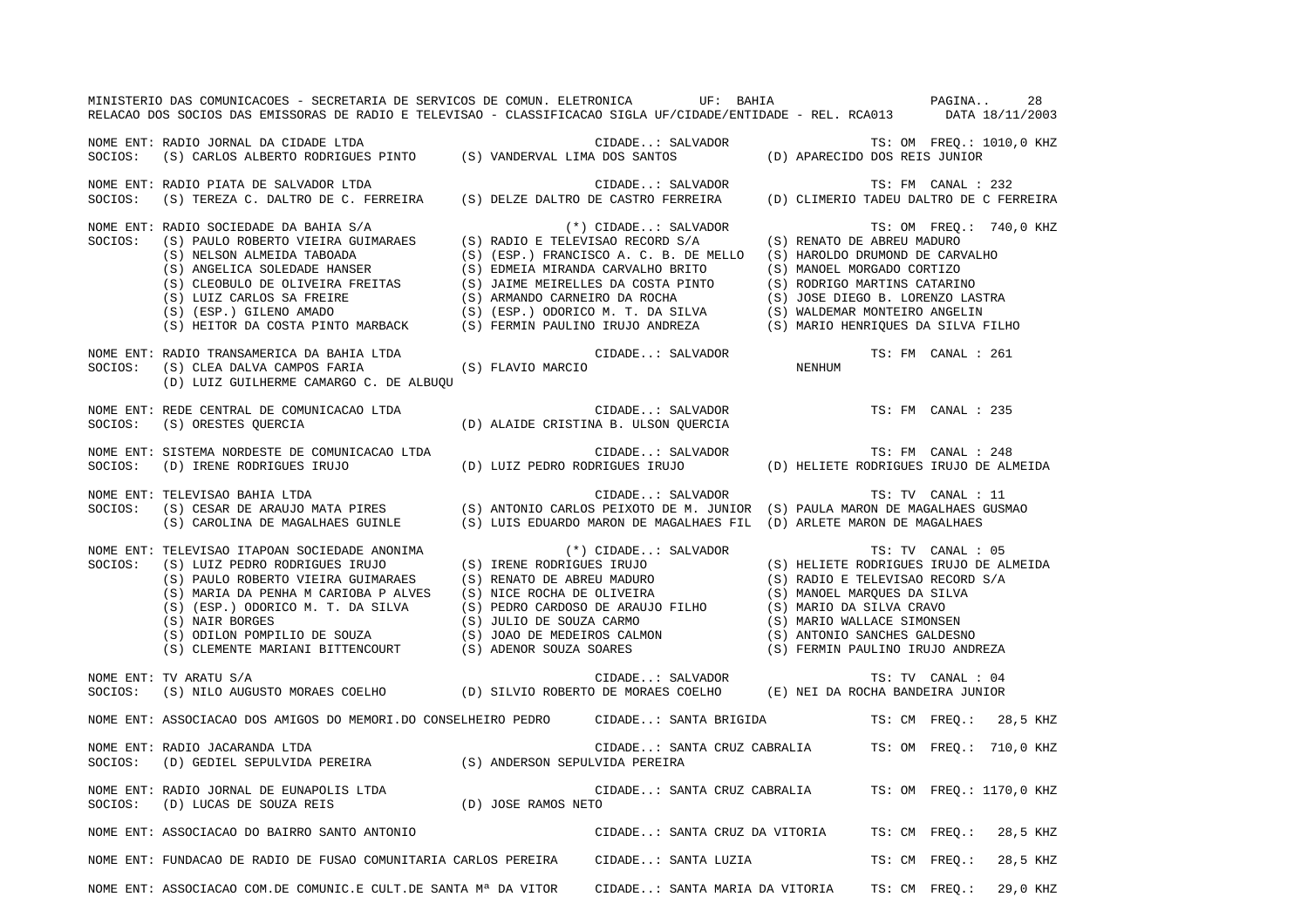|         | MINISTERIO DAS COMUNICACOES - SECRETARIA DE SERVICOS DE COMUN. ELETRONICA UF: BAHIA COMUNICA PAGINA<br>RELACAO DOS SOCIOS DAS EMISSORAS DE RADIO E TELEVISAO - CLASSIFICACAO SIGLA UF/CIDADE/ENTIDADE - REL. RCA013 DATA 18/11/2003                                                                                                                                                                                                     |                                                                                           |               |                         | 28       |
|---------|-----------------------------------------------------------------------------------------------------------------------------------------------------------------------------------------------------------------------------------------------------------------------------------------------------------------------------------------------------------------------------------------------------------------------------------------|-------------------------------------------------------------------------------------------|---------------|-------------------------|----------|
|         | NOME ENT: RADIO JORNAL DA CIDADE LTDA<br>SOCIOS: (S) CARLOS ALBERTO RODRIGUES PINTO (S) VANDERVAL LIMA DOS SANTOS (D) APARECIDO DOS REIS JUNIOR                                                                                                                                                                                                                                                                                         |                                                                                           |               |                         |          |
|         | NOME ENT: RADIO PIATA DE SALVADOR LTDA<br>SOCIOS: (S) TEREZA C. DALTRO DE C. FERREIRA (S) DELZE DALTRO DE CASTRO FERREIRA (D) CLIMERIO TADEU DALTRO DE C FERREIRA                                                                                                                                                                                                                                                                       |                                                                                           |               |                         |          |
|         | $\begin{tabular}{lllllllllllllllllllll} & & & & & & & \\ \mbox{SOCIOS:} & (S) \text{ RALIOD} \text{ COTE} \text{PABREU} & & (S) \text{ RALIOD} \text{ CDEAD} \text{ DDE} & & (S) \text{ REMATO} \text{ DE ABREU MADURO} & & & \\ \mbox{SOCIOS:} & (S) \text{ RALIOD} \text{ RALIOD} \text{ RALIOD} & & (S) \text{ RELSON} \text{ ALMEDA} \text{ TABOADA} & & (S) \text{ REMATO} \text{ DE} \text{ ABEU} \text{ MADURO} & & \\ \mbox{(S$ |                                                                                           |               | TS: OM FREQ.: 740,0 KHZ |          |
|         | NOME ENT: RADIO TRANSAMERICA DA BAHIA LTDA<br>SOCIOS: (S) CLEA DALVA CAMPOS FARIA (S) FLAVIO MARCIO<br>(D) LUIZ GUILHERME CAMARGO C. DE ALBUOU                                                                                                                                                                                                                                                                                          |                                                                                           |               | TS: FM CANAL : 261      |          |
| SOCIOS: | NOME ENT: REDE CENTRAL DE COMUNICACAO LTDA<br>(S) ORESTES QUERCIA                                                                                                                                                                                                                                                                                                                                                                       | CIDADE: SALVADOR<br>(D) ALAIDE CRISTINA B. ULSON QUERCIA                                  |               | TS: FM CANAL : 235      |          |
| SOCIOS: | NOME ENT: SISTEMA NORDESTE DE COMUNICACAO LTDA<br>SISTEMA NORDESTE DE COMUNICACAO LTDA<br>(D) IRENE RODRIGUES IRUJO (D) LUIZ PEDRO RODRIGUES IRUJO (D) HELIETE RODRIGUES IRUJO DE ALMEIDA<br>(D) IRENE RODRIGUES IRUJO DE ALMEIDA                                                                                                                                                                                                       |                                                                                           |               |                         |          |
| SOCIOS: | NOME ENT: TELEVISAO BAHIA LTDA<br>(S) CESAR DE ARAUJO MATA PIRES (S) ANTONIO CARLOS PEIXOTO DE M. JUNIOR (S) PAULA MARON DE MAGALHAES GUSMAO<br>(S) CAROLINA DE MAGALHAES GUINLE                                                                                                                                                                                                                                                        | CIDADE: SALVADOR<br>(S) LUIS EDUARDO MARON DE MAGALHAES FIL (D) ARLETE MARON DE MAGALHAES |               | TS: TV CANAL : 11       |          |
| SOCIOS: | NOME ENT: TELEVISAO ITAPOAN SOCIEDADE ANONIMA                                                                                                                                                                                                                                                                                                                                                                                           |                                                                                           |               |                         |          |
| SOCIOS: | NOME ENT: TV ARATU S/A                                                                                                                                                                                                                                                                                                                                                                                                                  |                                                                                           |               |                         |          |
|         | NOME ENT: ASSOCIACAO DOS AMIGOS DO MEMORI.DO CONSELHEIRO PEDRO CIDADE: SANTA BRIGIDA TS: CM FREQ.: 28,5 KHZ                                                                                                                                                                                                                                                                                                                             |                                                                                           |               |                         |          |
|         | NOME ENT: RADIO JACARANDA LTDA<br>SOCIOS: (D) GEDIEL SEPULVIDA PEREIRA (S) ANDERSON SEPULVIDA PEREIRA                                                                                                                                                                                                                                                                                                                                   | CIDADE: SANTA CRUZ CABRALIA TS: OM FREQ.: 710,0 KHZ                                       |               |                         |          |
|         | NOME ENT: RADIO JORNAL DE EUNAPOLIS LTDA (D) JOSE RAMOS NETO SOCIOS: (D) LUCAS DE SOUZA REIS (D) JOSE RAMOS NETO                                                                                                                                                                                                                                                                                                                        | CIDADE: SANTA CRUZ CABRALIA TS: OM FREO.: 1170,0 KHZ                                      |               |                         |          |
|         | NOME ENT: ASSOCIACAO DO BAIRRO SANTO ANTONIO                                                                                                                                                                                                                                                                                                                                                                                            | CIDADE: SANTA CRUZ DA VITORIA                                                             |               | TS: CM FREO.:           | 28,5 KHZ |
|         | NOME ENT: FUNDACAO DE RADIO DE FUSAO COMUNITARIA CARLOS PEREIRA CIDADE: SANTA LUZIA                                                                                                                                                                                                                                                                                                                                                     |                                                                                           | TS: CM FREQ.: |                         | 28,5 KHZ |
|         | NOME ENT: ASSOCIACAO COM.DE COMUNIC.E CULT.DE SANTA Mª DA VITOR CIDADE: SANTA MARIA DA VITORIA TS: CM FREQ.:                                                                                                                                                                                                                                                                                                                            |                                                                                           |               |                         | 29,0 KHZ |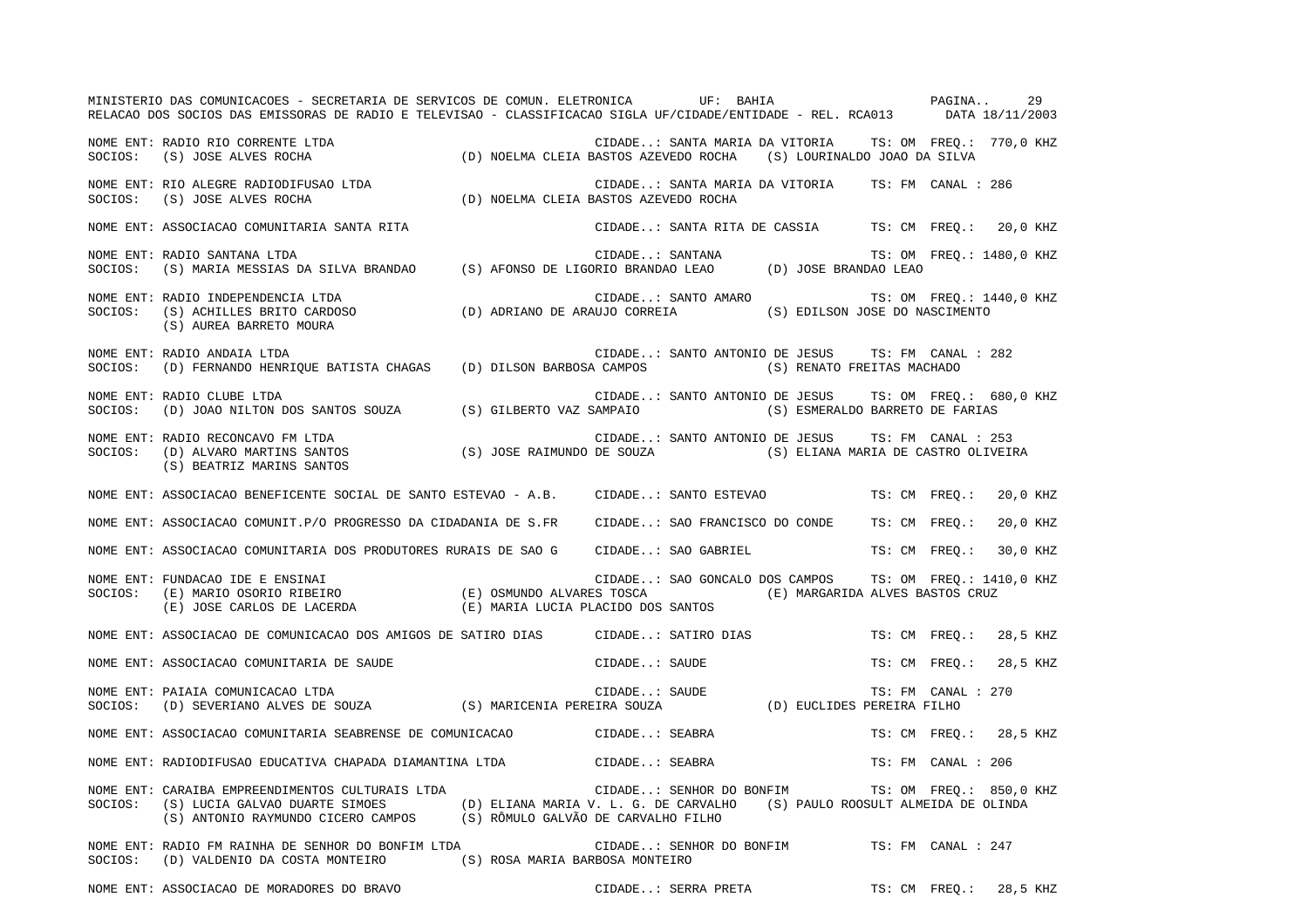MINISTERIO DAS COMUNICACOES - SECRETARIA DE SERVICOS DE COMUN. ELETRONICA UF: BAHIA PAGINA.. 29RELACAO DOS SOCIOS DAS EMISSORAS DE RADIO E TELEVISAO - CLASSIFICACAO SIGLA UF/CIDADE/ENTIDADE - REL. RCA013 DATA 18/11/2003 NOME ENT: RADIO RIO CORRENTE LTDA CIDADE..: SANTA MARIA DA VITORIA TS: OM FREQ.: 770,0 KHZ SOCIOS: (S) JOSE ALVES ROCHA (D) NOELMA CLEIA BASTOS AZEVEDO ROCHA (S) LOURINALDO JOAO DA SILVA NOME ENT: RIO ALEGRE RADIODIFUSAO LTDA CIDADE CIDADE..: SANTA MARIA DA VITORIA TS: FM CANAL : 286 SOCIOS: (S) JOSE ALVES ROCHA (D) NOELMA CLEIA BASTOS AZEVEDO ROCHA NOME ENT: ASSOCIACAO COMUNITARIA SANTA RITA CIDADE..: SANTA RITA DE CASSIA TS: CM FREQ.: 20,0 KHZ NOME ENT: RADIO SANTANA LTDA  $\blacksquare$  TS: OM FREQ.: 1480,0 KHZ SOCIOS: (S) MARIA MESSIAS DA SILVA BRANDAO (S) AFONSO DE LIGORIO BRANDAO LEAO (D) JOSE BRANDAO LEAO NOME ENT: RADIO INDEPENDENCIA LTDA CIDADE..: SANTO AMARO TS: OM FREQ.: 1440,0 KHZ SOCIOS: (S) ACHILLES BRITO CARDOSO (D) ADRIANO DE ARAUJO CORREIA (S) EDILSON JOSE DO NASCIMENTO (S) AUREA BARRETO MOURA NOME ENT: RADIO ANDAIA LTDA CIDADE..: SANTO ANTONIO DE JESUS TS: FM CANAL : 282SOCIOS: (D) FERNANDO HENRIQUE BATISTA CHAGAS (D) DILSON BARBOSA CAMPOS (S) RENATO FREITAS MACHADO NOME ENT: RADIO CLUBE LTDA CIDADE..: SANTO ANTONIO DE JESUS TS: OM FREQ.: 680,0 KHZ SOCIOS: (D) JOAO NILTON DOS SANTOS SOUZA (S) GILBERTO VAZ SAMPAIO (S) ESMERALDO BARRETO DE FARIAS NOME ENT: RADIO RECONCAVO FM LTDA CIDADE..: SANTO ANTONIO DE JESUS TS: FM CANAL : 253SOCIOS: (D) ALVARO MARTINS SANTOS (S) JOSE RAIMUNDO DE SOUZA (S) ELIANA MARIA DE CASTRO OLIVEIRA (S) BEATRIZ MARINS SANTOS NOME ENT: ASSOCIACAO BENEFICENTE SOCIAL DE SANTO ESTEVAO - A.B. CIDADE..: SANTO ESTEVAO TS: CM FREQ.: 20,0 KHZ NOME ENT: ASSOCIACAO COMUNIT.P/O PROGRESSO DA CIDADANIA DE S.FR CIDADE..: SAO FRANCISCO DO CONDE TS: CM FREQ.: 20,0 KHZ NOME ENT: ASSOCIACAO COMUNITARIA DOS PRODUTORES RURAIS DE SAO G CIDADE..: SAO GABRIEL TS: CM FREQ.: 30,0 KHZ NOME ENT: FUNDACAO IDE E ENSINAI CIDADE..: SAO GONCALO DOS CAMPOS TS: OM FREQ.: 1410,0 KHZ SOCIOS: (E) MARIO OSORIO RIBEIRO (E) OSMUNDO ALVARES TOSCA (E) MARGARIDA ALVES BASTOS CRUZ (E) JOSE CARLOS DE LACERDA (E) MARIA LUCIA PLACIDO DOS SANTOS NOME ENT: ASSOCIACAO DE COMUNICACAO DOS AMIGOS DE SATIRO DIAS CIDADE..: SATIRO DIAS TS: CM FREQ.: 28,5 KHZ NOME ENT: ASSOCIACAO COMUNITARIA DE SAUDE COMUNITARIA DE SAUDE CIDADE..: SAUDE TS: CM FREQ.: 28,5 KHZ NOME ENT: PAIAIA COMUNICACAO LTDA CIDADE...: SAUDE TS: FM CANAL : 270 SOCIOS: (D) SEVERIANO ALVES DE SOUZA (S) MARICENIA PEREIRA SOUZA (D) EUCLIDES PEREIRA FILHO NOME ENT: ASSOCIACAO COMUNITARIA SEABRENSE DE COMUNICACAO CIDADE..: SEABRA TS: CM FREQ.: 28,5 KHZ NOME ENT: RADIODIFUSAO EDUCATIVA CHAPADA DIAMANTINA LTDA CIDADE..: SEABRA TS: FM CANAL : 206NOME ENT: CARAIBA EMPREENDIMENTOS CULTURAIS LTDA CIDADE..: SENHOR DO BONFIM TS: OM FREQ.: 850,0 KHZ SOCIOS: (S) LUCIA GALVAO DUARTE SIMOES (D) ELIANA MARIA V. L. G. DE CARVALHO (S) PAULO ROOSULT ALMEIDA DE OLINDA (S) ANTONIO RAYMUNDO CICERO CAMPOS (S) RÔMULO GALVÃO DE CARVALHO FILHO NOME ENT: RADIO FM RAINHA DE SENHOR DO BONFIM LTDA CIDADE..: SENHOR DO BONFIM TS: FM CANAL : 247SOCIOS: (D) VALDENIO DA COSTA MONTEIRO (S) ROSA MARIA BARBOSA MONTEIRO

NOME ENT: ASSOCIACAO DE MORADORES DO BRAVO CONSTRUIDADE..: SERRA PRETA TS: CM FREQ.: 28,5 KHZ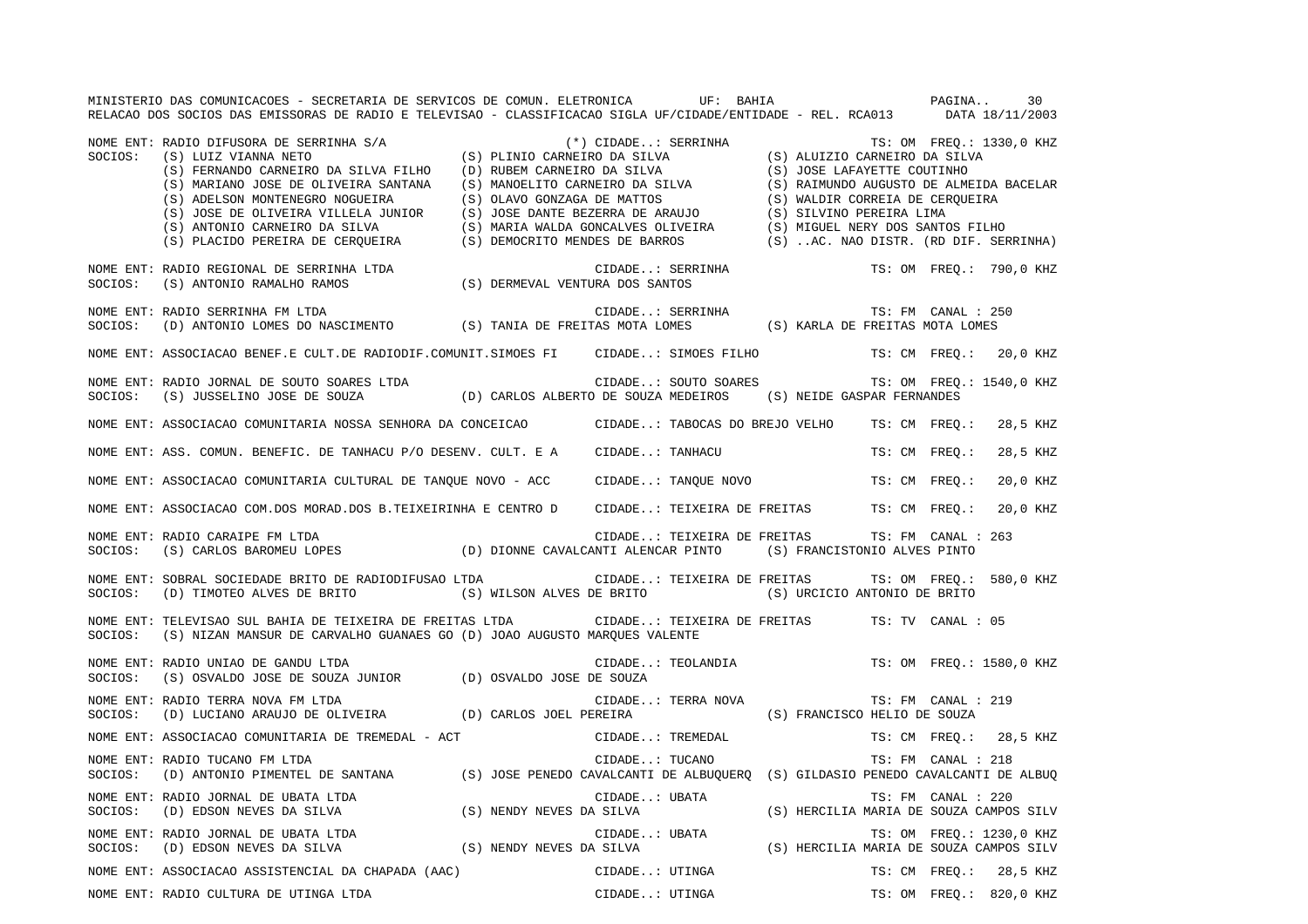MINISTERIO DAS COMUNICACOES - SECRETARIA DE SERVICOS DE COMUN. ELETRONICA UF: BAHIA PAGINA.. 30RELACAO DOS SOCIOS DAS EMISSORAS DE RADIO E TELEVISAO - CLASSIFICACAO SIGLA UF/CIDADE/ENTIDADE - REL. RCA013 DATA 18/11/2003 NOME ENT: RADIO DIFUSORA DE SERRINHA S/A (\*) CIDADE..: SERRINHA TS: OM FREQ.: 1330,0 KHZ<br>SOCIOS: (S) LUIZ VIANNA NETO (S) PLINIO CARNEIRO DA SILVA (S) ALUIZIO CARNEIRO DA SILVA (S) PLINIO CARNEIRO DA SILVA (S) ALUIZIO CARNEIRO DA SILVA (S) FERNANDO CARNEIRO DA SILVA FILHO (D) RUBEM CARNEIRO DA SILVA (S) JOSE LAFAYETTE COUTINHO (S) MARIANO JOSE DE OLIVEIRA SANTANA (S) MANOELITO CARNEIRO DA SILVA (S) RAIMUNDO AUGUSTO DE ALMEIDA BACELAR (S) ADELSON MONTENEGRO NOGUEIRA (S) OLAVO GONZAGA DE MATTOS (S) WALDIR CORREIA DE CERQUEIRA (S) JOSE DE OLIVEIRA VILLELA JUNIOR (S) JOSE DANTE BEZERRA DE ARAUJO (S) SILVINO PEREIRA LIMA (S) ANTONIO CARNEIRO DA SILVA (S) MARIA WALDA GONCALVES OLIVEIRA (S) MIGUEL NERY DOS SANTOS FILHO (S) PLACIDO PEREIRA DE CERQUEIRA (S) DEMOCRITO MENDES DE BARROS (S) ..AC. NAO DISTR. (RD DIF. SERRINHA) NOME ENT: RADIO REGIONAL DE SERRINHA LTDA CIDADE..: SERRINHA TS: OM FREQ.: 790,0 KHZ SOCIOS: (S) ANTONIO RAMALHO RAMOS (S) DERMEVAL VENTURA DOS SANTOS NOME ENT: RADIO SERRINHA FM LTDA CIDADE..: SERRINHA TS: FM CANAL : 250SOCIOS: (D) ANTONIO LOMES DO NASCIMENTO (S) TANIA DE FREITAS MOTA LOMES (S) KARLA DE FREITAS MOTA LOMES NOME ENT: ASSOCIACAO BENEF.E CULT.DE RADIODIF.COMUNIT.SIMOES FI CIDADE..: SIMOES FILHO TS: CM FREQ.: 20,0 KHZ NOME ENT: RADIO JORNAL DE SOUTO SOARES LTDA CIDADE..: SOUTO SOARES TS: OM FREQ.: 1540,0 KHZ SOCIOS: (S) JUSSELINO JOSE DE SOUZA (D) CARLOS ALBERTO DE SOUZA MEDEIROS (S) NEIDE GASPAR FERNANDES NOME ENT: ASSOCIACAO COMUNITARIA NOSSA SENHORA DA CONCEICAO CIDADE..: TABOCAS DO BREJO VELHO TS: CM FREQ.: 28,5 KHZ NOME ENT: ASS. COMUN. BENEFIC. DE TANHACU P/O DESENV. CULT. E A CIDADE..: TANHACU TS: CM FREQ.: 28,5 KHZ NOME ENT: ASSOCIACAO COMUNITARIA CULTURAL DE TANQUE NOVO - ACC CIDADE..: TANQUE NOVO TS: CM FREQ.: 20,0 KHZ NOME ENT: ASSOCIACAO COM.DOS MORAD.DOS B.TEIXEIRINHA E CENTRO D CIDADE..: TEIXEIRA DE FREITAS TS: CM FREQ.: 20,0 KHZ NOME ENT: RADIO CARAIPE FM LTDA CIDADE..: TEIXEIRA DE FREITAS TS: FM CANAL : 263 SOCIOS: (S) CARLOS BAROMEU LOPES (D) DIONNE CAVALCANTI ALENCAR PINTO (S) FRANCISTONIO ALVES PINTO NOME ENT: SOBRAL SOCIEDADE BRITO DE RADIODIFUSAO LTDA CIDADE..: TEIXEIRA DE FREITAS TS: OM FREQ.: 580,0 KHZ SOCIOS: (D) TIMOTEO ALVES DE BRITO (S) WILSON ALVES DE BRITO (S) URCICIO ANTONIO DE BRITO NOME ENT: TELEVISAO SUL BAHIA DE TEIXEIRA DE FREITAS LTDA CIDADE..: TEIXEIRA DE FREITAS TS: TV CANAL : 05SOCIOS: (S) NIZAN MANSUR DE CARVALHO GUANAES GO (D) JOAO AUGUSTO MARQUES VALENTE NOME ENT: RADIO UNIAO DE GANDU LTDA CIDADE..: TEOLANDIA TS: OM FREQ.: 1580,0 KHZ SOCIOS: (S) OSVALDO JOSE DE SOUZA JUNIOR (D) OSVALDO JOSE DE SOUZA NOME ENT: RADIO TERRA NOVA FM LTDA CIDADE..: TERRA NOVA TS: FM CANAL : 219SOCIOS: (D) LUCIANO ARAUJO DE OLIVEIRA (D) CARLOS JOEL PEREIRA (S) FRANCISCO HELIO DE SOUZA NOME ENT: ASSOCIACAO COMUNITARIA DE TREMEDAL - ACT CIDADE..: TREMEDAL TS: CM FREQ.: 28,5 KHZ NOME ENT: RADIO TUCANO FM LTDA CIDADE..: TUCANO TS: FM CANAL : 218 SOCIOS: (D) ANTONIO PIMENTEL DE SANTANA (S) JOSE PENEDO CAVALCANTI DE ALBUQUERQ (S) GILDASIO PENEDO CAVALCANTI DE ALBUQ NOME ENT: RADIO JORNAL DE UBATA LTDA CIDADE..: UBATA TS: FM CANAL : 220 SOCIOS: (D) EDSON NEVES DA SILVA (S) NENDY NEVES DA SILVA (S) HERCILIA MARIA DE SOUZA CAMPOS SILV NOME ENT: RADIO JORNAL DE UBATA LTDA  $\Box$  CIDADE..: UBATA TS: OM FREQ.: 1230,0 KHZ SOCIOS: (D) EDSON NEVES DA SILVA (S) NENDY NEVES DA SILVA (S) HERCILIA MARIA DE SOUZA CAMPOS SILV NOME ENT: ASSOCIACAO ASSISTENCIAL DA CHAPADA (AAC) CIDADE..: UTINGA TS: CM FREQ.: 28,5 KHZ NOME ENT: RADIO CULTURA DE UTINGA LTDA  $\blacksquare$  CIDADE..: UTINGA TS: OM FREQ.: 820,0 KHZ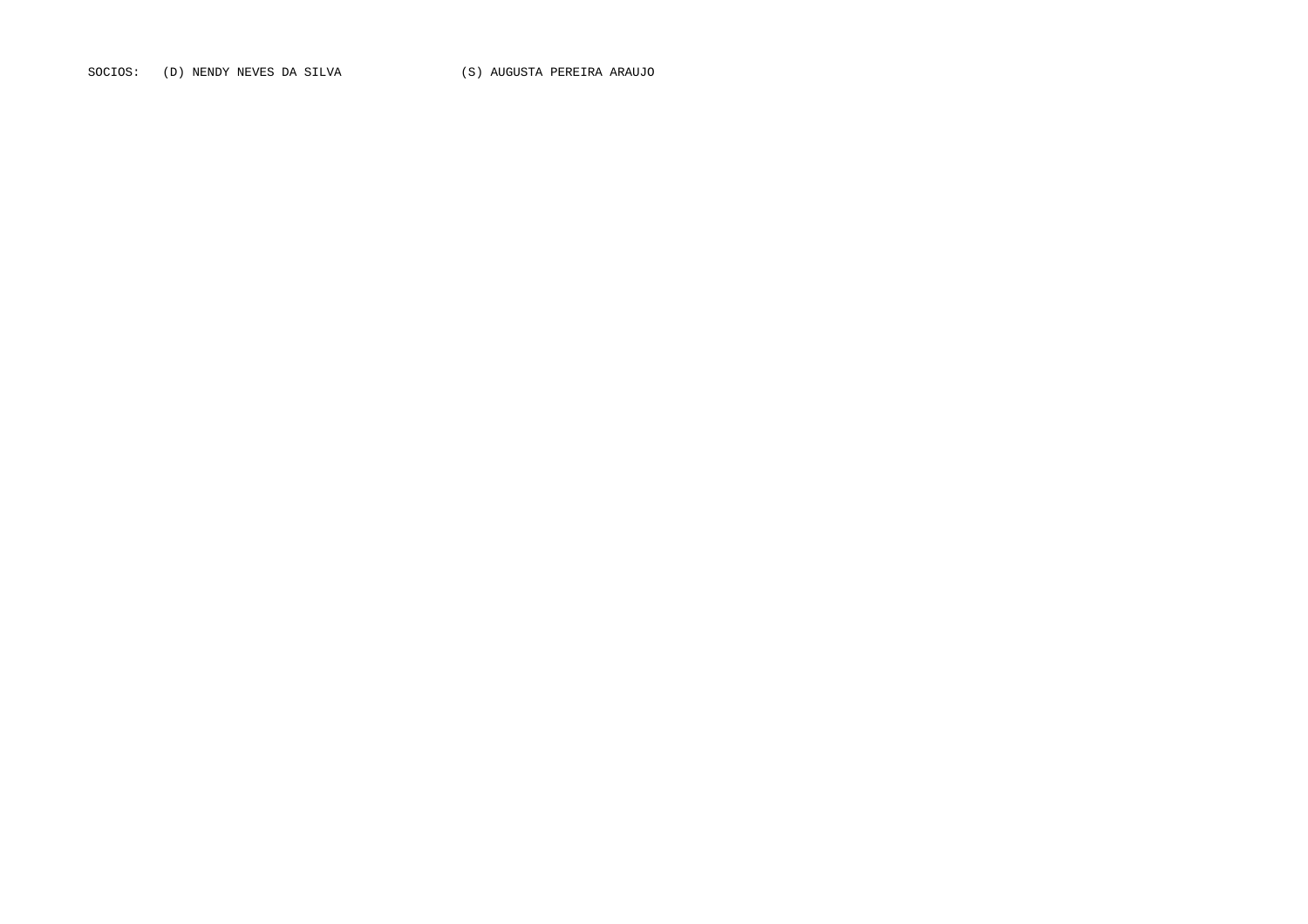SOCIOS: (D) NENDY NEVES DA SILVA (S) AUGUSTA PEREIRA ARAUJO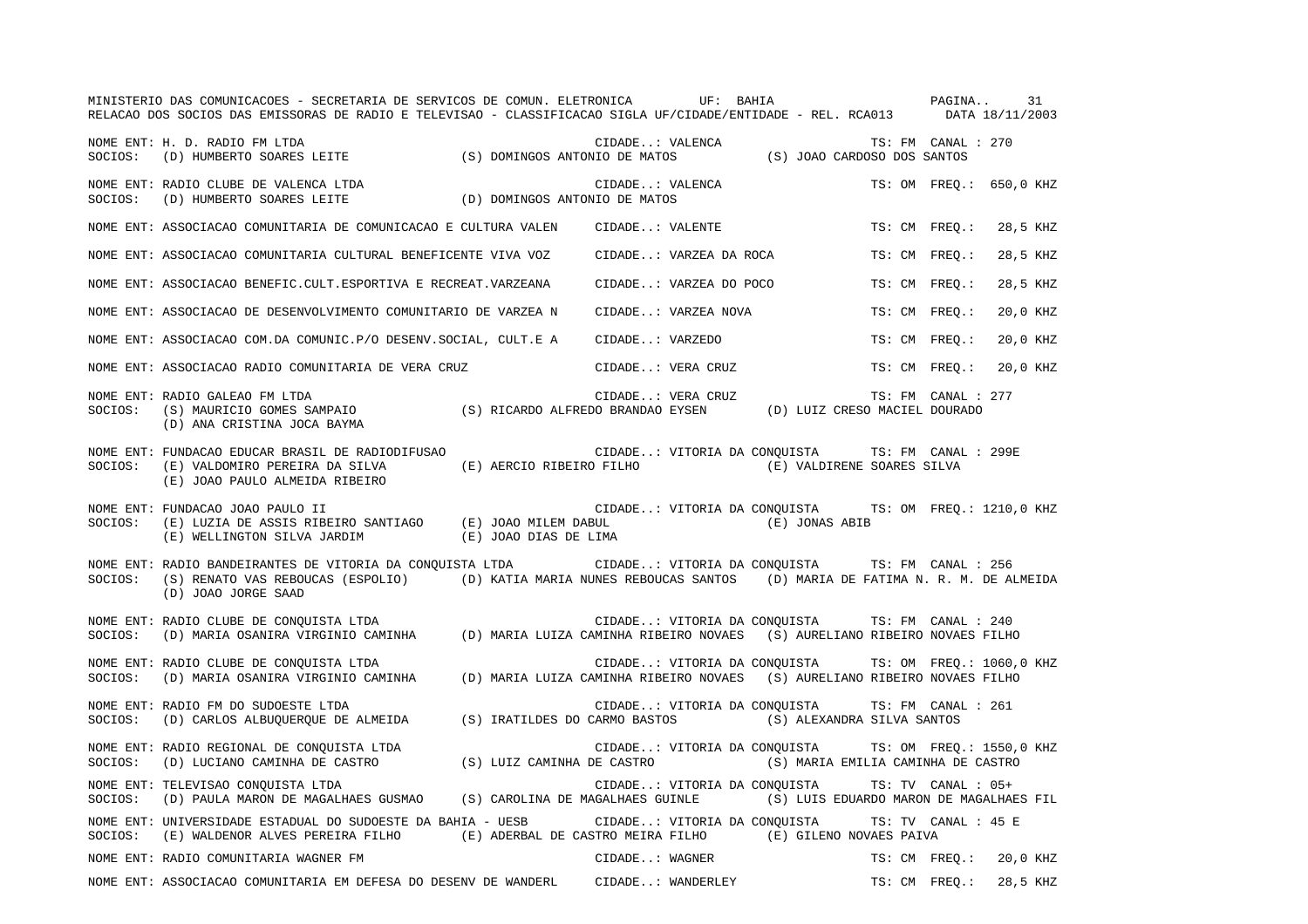|         | MINISTERIO DAS COMUNICACOES - SECRETARIA DE SERVICOS DE COMUN. ELETRONICA UF: BAHIA<br>RELACAO DOS SOCIOS DAS EMISSORAS DE RADIO E TELEVISAO - CLASSIFICACAO SIGLA UF/CIDADE/ENTIDADE - REL. RCA013 DATA 18/11/2003                                 |                                                       | PAGINA                             |               |                     | 31                       |
|---------|-----------------------------------------------------------------------------------------------------------------------------------------------------------------------------------------------------------------------------------------------------|-------------------------------------------------------|------------------------------------|---------------|---------------------|--------------------------|
| SOCIOS: | NOME ENT: H. D. RADIO FM LTDA                                                                                                                                                                                                                       | CIDADE: VALENCA (S) JOAO CARDOSO DOS SANTOS           |                                    |               | TS: FM CANAL : 270  |                          |
| SOCIOS: | NOME ENT: RADIO CLUBE DE VALENCA LTDA<br>$\text{(D) HUMBERTO SOARES LEITE} \qquad \qquad \text{(D) DOMINGOS ANTONIO DE MATOS}$                                                                                                                      | CIDADE: VALENCA                                       |                                    |               |                     | TS: OM FREO.: 650,0 KHZ  |
|         | NOME ENT: ASSOCIACAO COMUNITARIA DE COMUNICACAO E CULTURA VALEN                                                                                                                                                                                     | CIDADE: VALENTE                                       |                                    | TS: CM FREO.: |                     | 28,5 KHZ                 |
|         | NOME ENT: ASSOCIACAO COMUNITARIA CULTURAL BENEFICENTE VIVA VOZ                                                                                                                                                                                      | CIDADE: VARZEA DA ROCA                                |                                    | TS: CM FREO.: |                     | 28,5 KHZ                 |
|         | NOME ENT: ASSOCIACAO BENEFIC.CULT.ESPORTIVA E RECREAT.VARZEANA                                                                                                                                                                                      | CIDADE: VARZEA DO POCO                                |                                    | TS: CM FREO.: |                     | 28,5 KHZ                 |
|         | NOME ENT: ASSOCIACAO DE DESENVOLVIMENTO COMUNITARIO DE VARZEA N                                                                                                                                                                                     | CIDADE: VARZEA NOVA                                   |                                    | TS: CM FREO.: |                     | 20,0 KHZ                 |
|         | NOME ENT: ASSOCIACAO COM.DA COMUNIC.P/O DESENV.SOCIAL, CULT.E A                                                                                                                                                                                     | CIDADE: VARZEDO                                       |                                    | TS: CM FREO.: |                     | 20,0 KHZ                 |
|         | NOME ENT: ASSOCIACAO RADIO COMUNITARIA DE VERA CRUZ                                                                                                                                                                                                 | CIDADE: VERA CRUZ                                     |                                    | TS: CM FREQ.: |                     | 20,0 KHZ                 |
| SOCIOS: | NOME ENT: RADIO GALEAO FM LTDA<br>RADIO GALEAO FM LTDA (S) RICARDO ALFREDO BRANDAO EYSEN (D) LUIZ CRESO MACIEL DOURADO (S) MAURICIO GOMES SAMPAIO (S) RICARDO ALFREDO BRANDAO EYSEN (D) LUIZ CRESO MACIEL DOURADO<br>(D) ANA CRISTINA JOCA BAYMA    | CIDADE: VERA CRUZ                                     |                                    |               | TS: FM CANAL : 277  |                          |
| SOCIOS: | NOME ENT: FUNDACAO EDUCAR BRASIL DE RADIODIFUSAO<br>(E) VALDOMIRO PEREIRA DA SILVA (E) AERCIO RIBEIRO FILHO<br>(E) JOAO PAULO ALMEIDA RIBEIRO                                                                                                       | CIDADE: VITORIA DA CONQUISTA TS: FM CANAL : 299E      | (E) VALDIRENE SOARES SILVA         |               |                     |                          |
| SOCIOS: | NOME ENT: FUNDACAO JOAO PAULO II<br>$(E)$ LUZIA DE ASSIS RIBEIRO SANTIAGO $(E)$ JOAO MILEM DABUL<br>(E) WELLINGTON SILVA JARDIM (E) JOAO DIAS DE LIMA                                                                                               | CIDADE: VITORIA DA CONOUISTA TS: OM FREO.: 1210,0 KHZ | (E) JONAS ABIB                     |               |                     |                          |
| SOCIOS: | NOME ENT: RADIO BANDEIRANTES DE VITORIA DA CONQUISTA LTDA CIDADE: VITORIA DA CONQUISTA TS: FM CANAL : 256<br>(S) RENATO VAS REBOUCAS (ESPOLIO) (D) KATIA MARIA NUNES REBOUCAS SANTOS (D) MARIA DE FATIMA N. R. M. DE ALMEIDA<br>(D) JOAO JORGE SAAD |                                                       |                                    |               |                     |                          |
|         | NOME ENT: RADIO CLUBE DE CONQUISTA LTDA<br>SOCIOS: (D) MARIA OSANIRA VIRGINIO CAMINHA (D) MARIA LUIZA CAMINHA RIBEIRO NOVAES                                                                                                                        | CIDADE: VITORIA DA CONQUISTA                          | (S) AURELIANO RIBEIRO NOVAES FILHO |               | TS: FM CANAL : 240  |                          |
| SOCIOS: | NOME ENT: RADIO CLUBE DE CONQUISTA LTDA<br>(D) MARIA OSANIRA VIRGINIO CAMINHA (D) MARIA LUIZA CAMINHA RIBEIRO NOVAES                                                                                                                                | CIDADE: VITORIA DA CONQUISTA                          | (S) AURELIANO RIBEIRO NOVAES FILHO |               |                     | TS: OM FREQ.: 1060,0 KHZ |
| SOCIOS: | NOME ENT: RADIO FM DO SUDOESTE LTDA<br>(D) CARLOS ALBUQUERQUE DE ALMEIDA (S) IRATILDES DO CARMO BASTOS                                                                                                                                              | CIDADE: VITORIA DA CONQUISTA                          | (S) ALEXANDRA SILVA SANTOS         |               | TS: FM CANAL : 261  |                          |
| SOCIOS: | NOME ENT: RADIO REGIONAL DE CONQUISTA LTDA<br>(D) LUCIANO CAMINHA DE CASTRO (S) LUIZ CAMINHA DE CASTRO                                                                                                                                              | CIDADE: VITORIA DA CONQUISTA                          | (S) MARIA EMILIA CAMINHA DE CASTRO |               |                     | TS: OM FREQ.: 1550,0 KHZ |
| SOCIOS: | NOME ENT: TELEVISAO CONQUISTA LTDA<br>(D) PAULA MARON DE MAGALHAES GUSMAO (S) CAROLINA DE MAGALHAES GUINLE (S) LUIS EDUARDO MARON DE MAGALHAES FIL                                                                                                  | CIDADE: VITORIA DA CONQUISTA                          |                                    |               | TS: TV CANAL : 05+  |                          |
| SOCIOS: | NOME ENT: UNIVERSIDADE ESTADUAL DO SUDOESTE DA BAHIA - UESB CIDADE: VITORIA DA CONOUISTA<br>(E) WALDENOR ALVES PEREIRA FILHO (E) ADERBAL DE CASTRO MEIRA FILHO (E) GILENO NOVAES PAIVA                                                              |                                                       |                                    |               | TS: TV CANAL : 45 E |                          |
|         | NOME ENT: RADIO COMUNITARIA WAGNER FM                                                                                                                                                                                                               | CIDADE: WAGNER                                        |                                    | TS: CM FREO.: |                     | 20,0 KHZ                 |
|         | NOME ENT: ASSOCIACAO COMUNITARIA EM DEFESA DO DESENV DE WANDERL                                                                                                                                                                                     | CIDADE: WANDERLEY                                     |                                    | TS: CM FREO.: |                     | 28,5 KHZ                 |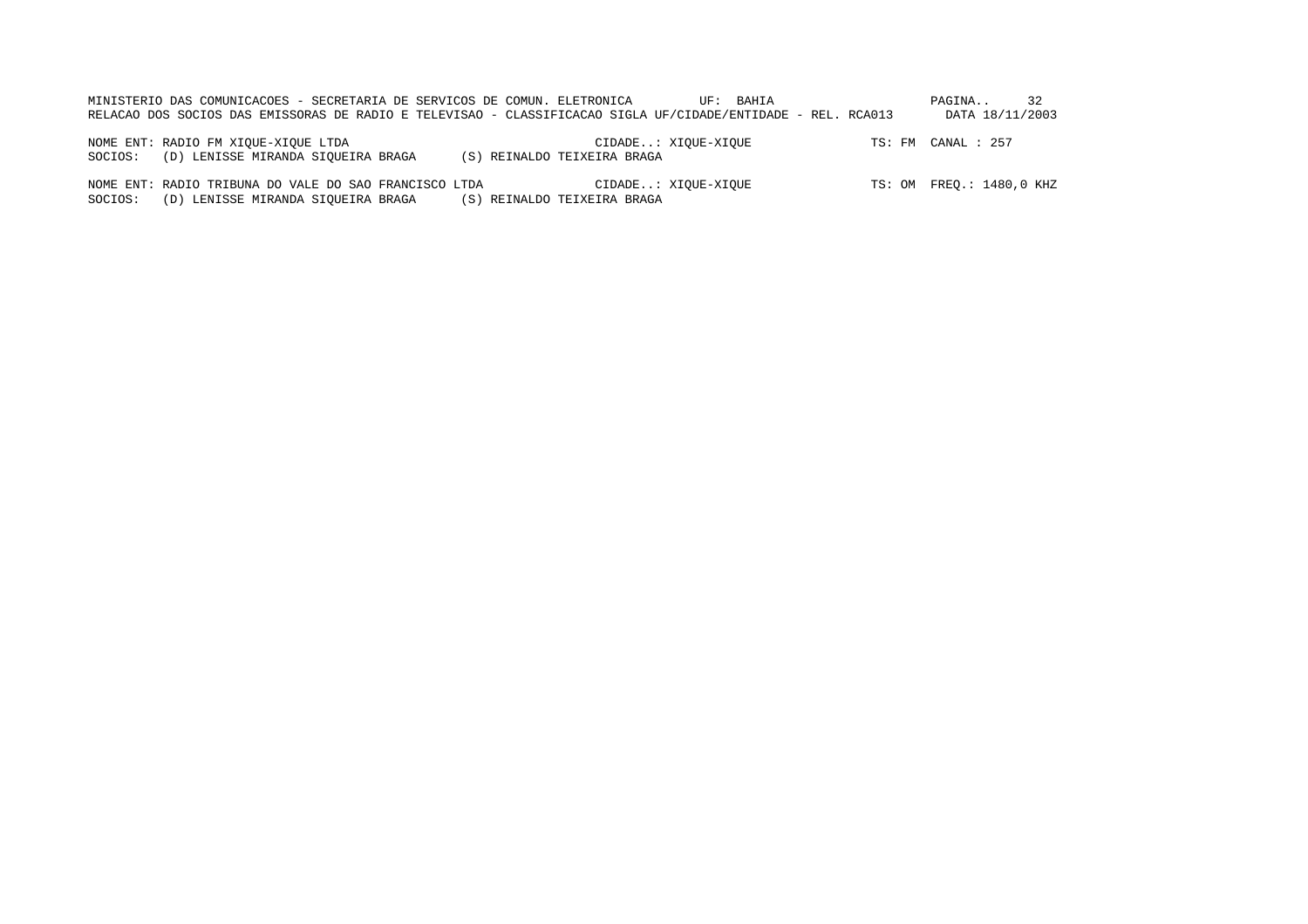| MINISTERIO DAS COMUNICACOES - SECRETARIA DE SERVICOS DE COMUN. ELETRONICA<br>RELACAO DOS SOCIOS DAS EMISSORAS DE RADIO E TELEVISAO - CLASSIFICACAO SIGLA UF/CIDADE/ENTIDADE - REL. RCA013 |                             | UF: BAHIA           | PAGINA<br>DATA 18/11/2003 |
|-------------------------------------------------------------------------------------------------------------------------------------------------------------------------------------------|-----------------------------|---------------------|---------------------------|
| NOME ENT: RADIO FM XIOUE-XIOUE LTDA<br>(D) LENISSE MIRANDA SIOUEIRA BRAGA<br>SOCIOS:                                                                                                      | (S) REINALDO TEIXEIRA BRAGA | CIDADE: XIOUE-XIOUE | TS: FM CANAL : 257        |

NOME ENT: RADIO TRIBUNA DO VALE DO SAO FRANCISCO LTDA CIDADE..: XIQUE-XIQUE TS: OM FREQ.: 1480,0 KHZ SOCIOS: (D) LENISSE MIRANDA SIQUEIRA BRAGA (S) REINALDO TEIXEIRA BRAGA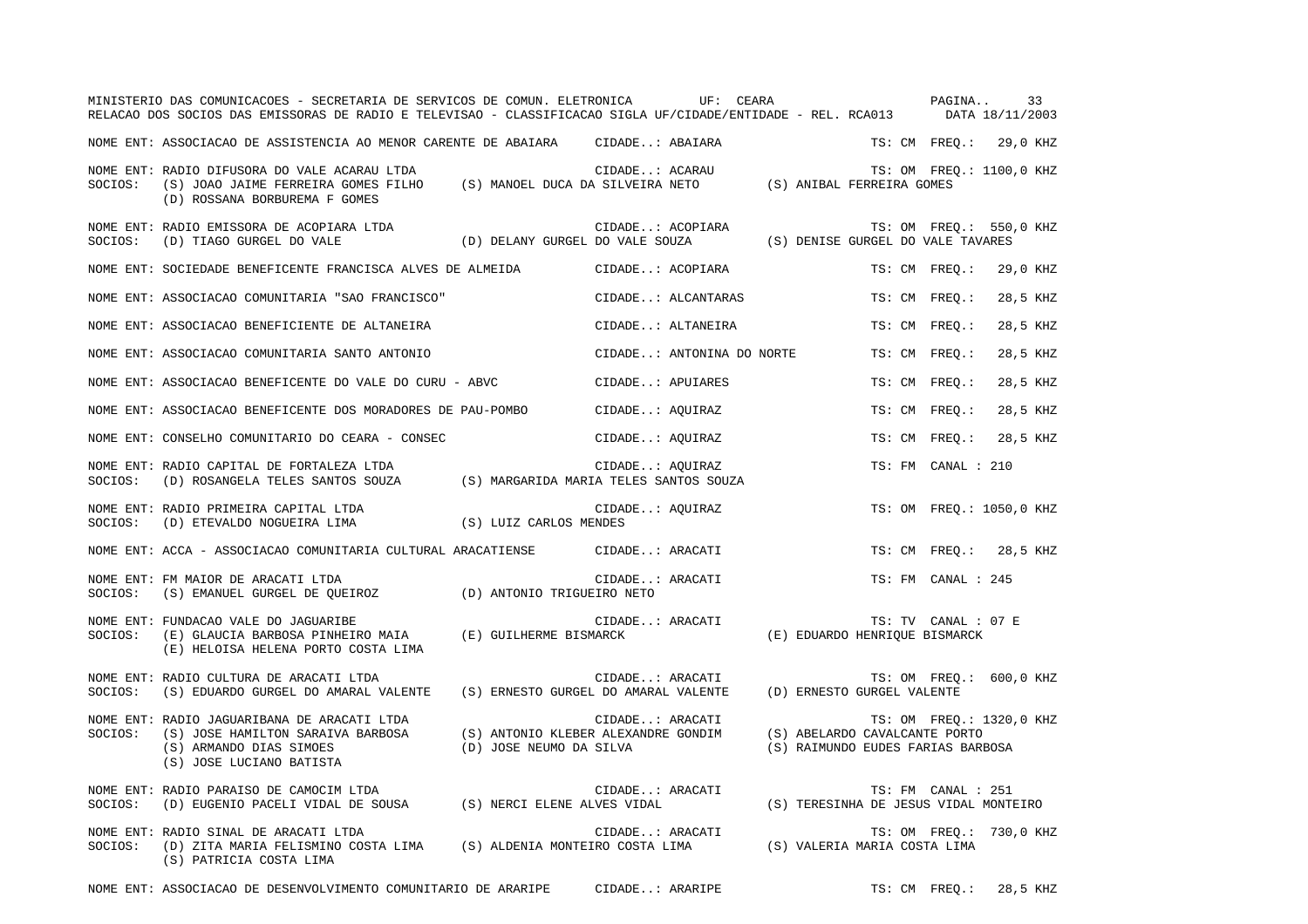|         | MINISTERIO DAS COMUNICACOES - SECRETARIA DE SERVICOS DE COMUN. ELETRONICA UF: CEARA<br>RELACAO DOS SOCIOS DAS EMISSORAS DE RADIO E TELEVISAO - CLASSIFICACAO SIGLA UF/CIDADE/ENTIDADE - REL. RCA013 DATA 18/11/2003   |                                                                |                           |                                                                    | PAGINA              | 33                       |
|---------|-----------------------------------------------------------------------------------------------------------------------------------------------------------------------------------------------------------------------|----------------------------------------------------------------|---------------------------|--------------------------------------------------------------------|---------------------|--------------------------|
|         | NOME ENT: ASSOCIACAO DE ASSISTENCIA AO MENOR CARENTE DE ABAIARA CIDADE: ABAIARA                                                                                                                                       |                                                                |                           |                                                                    |                     | TS: CM FREQ.: 29,0 KHZ   |
| SOCIOS: | NOME ENT: RADIO DIFUSORA DO VALE ACARAU LTDA<br>RADIO DIFUSORA DO VALE ACARAU LTDA<br>(S) JOAO JAIME FERREIRA GOMES FILHO (S) MANOEL DUCA DA SILVEIRA NETO (S) ANIBAL FERREIRA GOMES<br>(D) ROSSANA BORBUREMA F GOMES |                                                                | CIDADE: ACARAU            |                                                                    |                     | TS: OM FREO.: 1100,0 KHZ |
| SOCIOS: | NOME ENT: RADIO EMISSORA DE ACOPIARA LTDA<br>(D) TIAGO GURGEL DO VALE                                                                                                                                                 | (D) DELANY GURGEL DO VALE SOUZA                                | CIDADE: ACOPIARA          | (S) DENISE GURGEL DO VALE TAVARES                                  |                     | TS: OM FREQ.: 550,0 KHZ  |
|         | NOME ENT: SOCIEDADE BENEFICENTE FRANCISCA ALVES DE ALMEIDA                                                                                                                                                            |                                                                | CIDADE: ACOPIARA          |                                                                    | TS: CM FREO.:       | 29,0 KHZ                 |
|         | NOME ENT: ASSOCIACAO COMUNITARIA "SAO FRANCISCO"                                                                                                                                                                      |                                                                | CIDADE: ALCANTARAS        | TS: CM FREO.:                                                      |                     | 28,5 KHZ                 |
|         | NOME ENT: ASSOCIACAO BENEFICIENTE DE ALTANEIRA                                                                                                                                                                        |                                                                | CIDADE: ALTANEIRA         | TS: CM FREO.:                                                      |                     | 28,5 KHZ                 |
|         | NOME ENT: ASSOCIACAO COMUNITARIA SANTO ANTONIO                                                                                                                                                                        |                                                                | CIDADE: ANTONINA DO NORTE | TS: CM FREO.:                                                      |                     | 28,5 KHZ                 |
|         | NOME ENT: ASSOCIACAO BENEFICENTE DO VALE DO CURU - ABVC                                                                                                                                                               |                                                                | CIDADE: APUIARES          | TS: CM FREO.:                                                      |                     | 28,5 KHZ                 |
|         | NOME ENT: ASSOCIACAO BENEFICENTE DOS MORADORES DE PAU-POMBO                                                                                                                                                           |                                                                | CIDADE: AQUIRAZ           | TS: CM FREO.:                                                      |                     | 28,5 KHZ                 |
|         | NOME ENT: CONSELHO COMUNITARIO DO CEARA - CONSEC                                                                                                                                                                      |                                                                | CIDADE: AQUIRAZ           | TS: CM FREQ.:                                                      |                     | 28,5 KHZ                 |
| SOCIOS: | NOME ENT: RADIO CAPITAL DE FORTALEZA LTDA<br>(D) ROSANGELA TELES SANTOS SOUZA (S) MARGARIDA MARIA TELES SANTOS SOUZA                                                                                                  |                                                                | CIDADE: AOUIRAZ           |                                                                    | TS: FM CANAL : 210  |                          |
|         | NOME ENT: RADIO PRIMEIRA CAPITAL LTDA<br>SOCIOS:    (D) ETEVALDO NOGUEIRA LIMA                         (S) LUIZ CARLOS MENDES                                                                                         |                                                                | CIDADE: AQUIRAZ           |                                                                    |                     | TS: OM FREQ.: 1050,0 KHZ |
|         | NOME ENT: ACCA - ASSOCIACAO COMUNITARIA CULTURAL ARACATIENSE             CIDADE: ARACATI                                                                                                                              |                                                                |                           |                                                                    |                     | TS: CM FREQ.: 28,5 KHZ   |
| SOCIOS: | NOME ENT: FM MAIOR DE ARACATI LTDA<br>$(S)$ EMANUEL GURGEL DE QUEIROZ $(D)$ ANTONIO TRIGUEIRO NETO                                                                                                                    |                                                                | CIDADE: ARACATI           |                                                                    | TS: FM CANAL : 245  |                          |
| SOCIOS: | NOME ENT: FUNDACAO VALE DO JAGUARIBE<br>(E) GLAUCIA BARBOSA PINHEIRO MAIA (E) GUILHERME BISMARCK<br>(E) HELOISA HELENA PORTO COSTA LIMA                                                                               |                                                                | CIDADE: ARACATI           | (E) EDUARDO HENRIOUE BISMARCK                                      | TS: TV CANAL : 07 E |                          |
| SOCIOS: | NOME ENT: RADIO CULTURA DE ARACATI LTDA<br>(S) EDUARDO GURGEL DO AMARAL VALENTE                                                                                                                                       | (S) ERNESTO GURGEL DO AMARAL VALENTE                           | CIDADE: ARACATI           | (D) ERNESTO GURGEL VALENTE                                         |                     | TS: OM FREQ.: 600,0 KHZ  |
| SOCIOS: | NOME ENT: RADIO JAGUARIBANA DE ARACATI LTDA<br>(S) JOSE HAMILTON SARAIVA BARBOSA<br>(S) ARMANDO DIAS SIMOES<br>(S) JOSE LUCIANO BATISTA                                                                               | (S) ANTONIO KLEBER ALEXANDRE GONDIM<br>(D) JOSE NEUMO DA SILVA | CIDADE: ARACATI           | (S) ABELARDO CAVALCANTE PORTO<br>(S) RAIMUNDO EUDES FARIAS BARBOSA |                     | TS: OM FREQ.: 1320,0 KHZ |
| SOCIOS: | NOME ENT: RADIO PARAISO DE CAMOCIM LTDA<br>(D) EUGENIO PACELI VIDAL DE SOUSA (S) NERCI ELENE ALVES VIDAL                                                                                                              |                                                                | CIDADE: ARACATI           | (S) TERESINHA DE JESUS VIDAL MONTEIRO                              | TS: FM CANAL : 251  |                          |
| SOCIOS: | NOME ENT: RADIO SINAL DE ARACATI LTDA<br>(D) ZITA MARIA FELISMINO COSTA LIMA<br>(S) PATRICIA COSTA LIMA                                                                                                               | (S) ALDENIA MONTEIRO COSTA LIMA                                | CIDADE: ARACATI           | (S) VALERIA MARIA COSTA LIMA                                       |                     | TS: OM FREQ.: 730,0 KHZ  |

NOME ENT: ASSOCIACAO DE DESENVOLVIMENTO COMUNITARIO DE ARARIPE CIDADE..: ARARIPE TS: CM FREQ.: 28,5 KHZ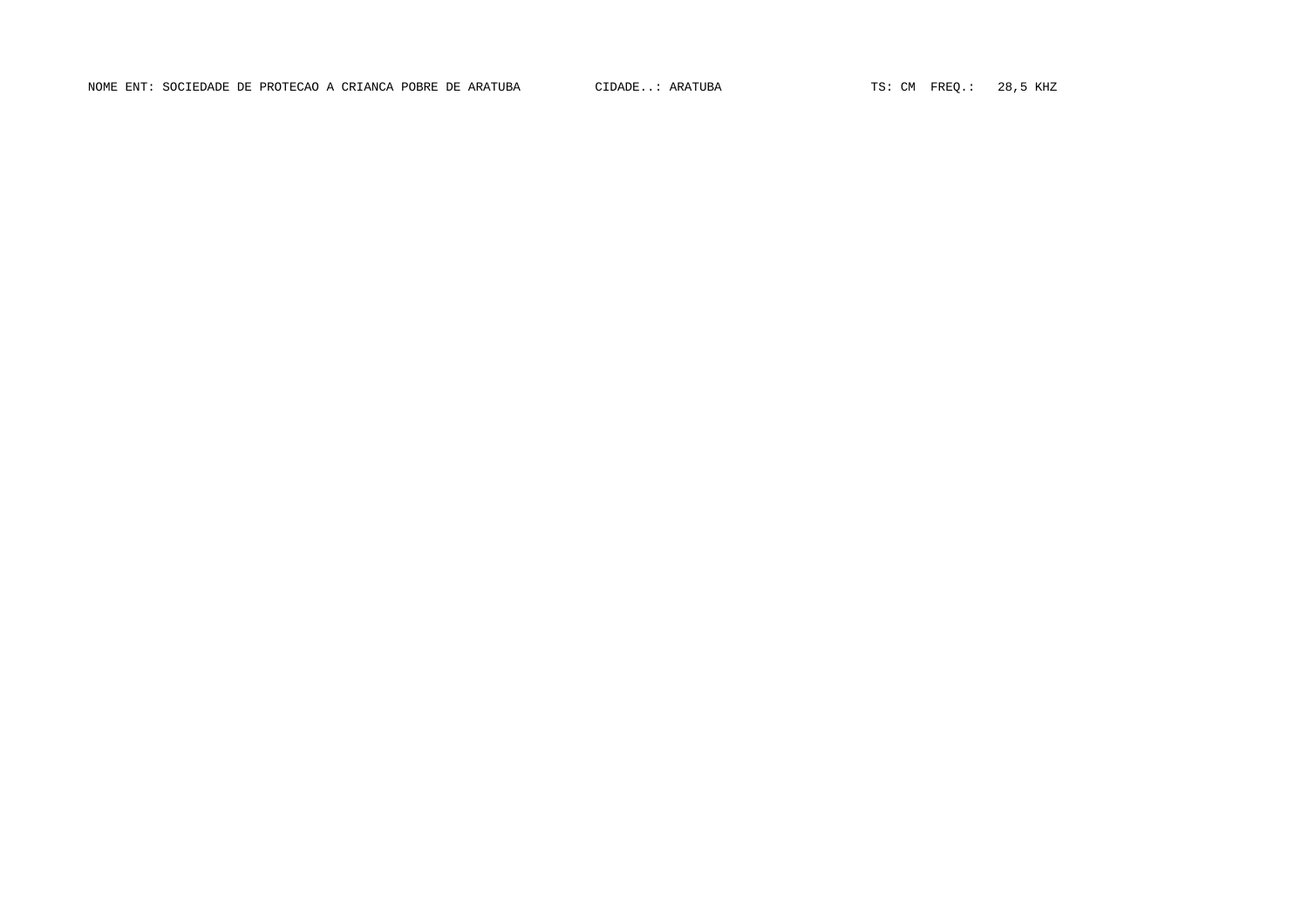NOME ENT: SOCIEDADE DE PROTECAO A CRIANCA POBRE DE ARATUBA CIDADE..: ARATUBA TS: CM FREQ.: 28,5 KHZ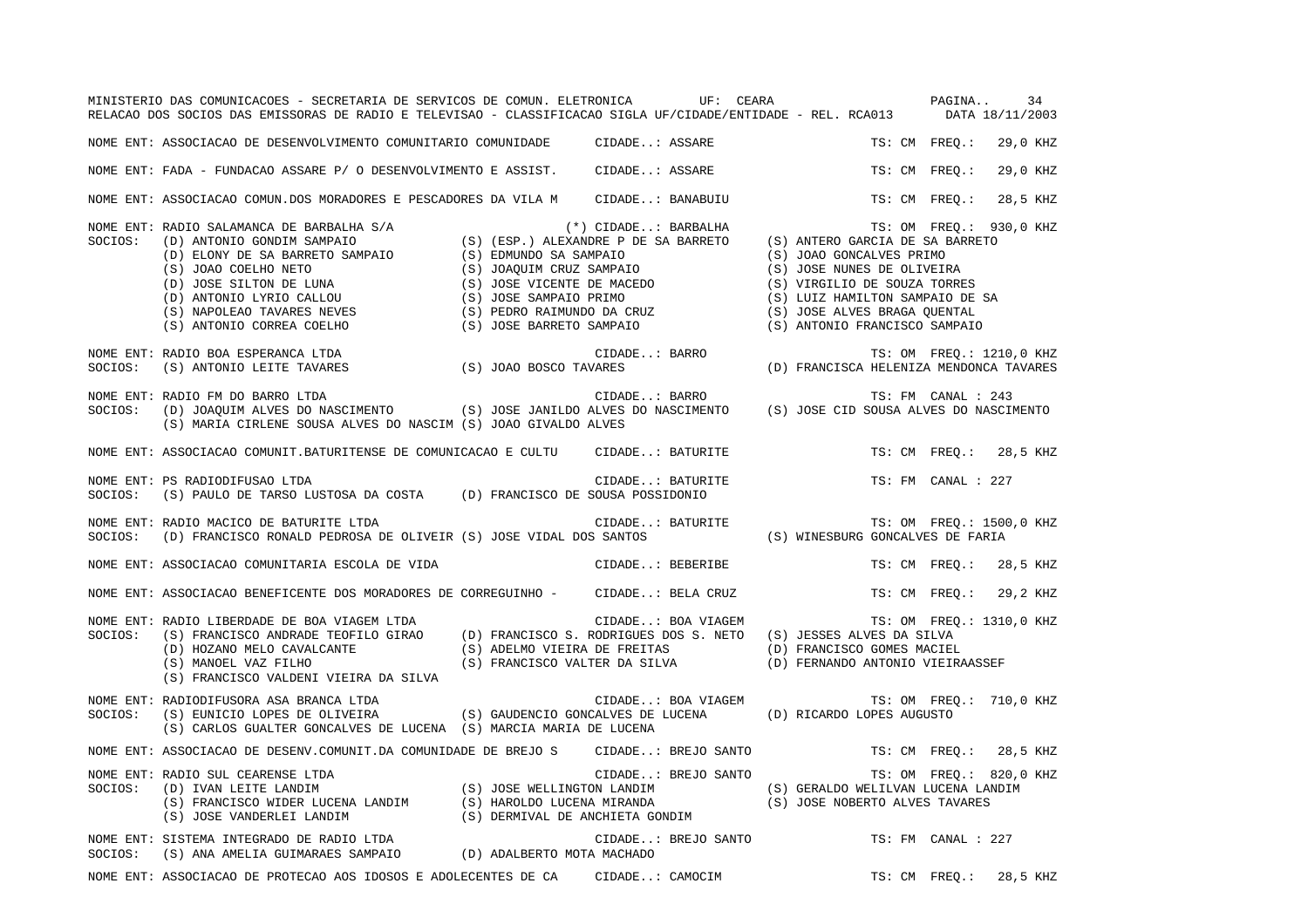|         | MINISTERIO DAS COMUNICACOES - SECRETARIA DE SERVICOS DE COMUN. ELETRONICA UF: CEARA<br>RELACAO DOS SOCIOS DAS EMISSORAS DE RADIO E TELEVISAO - CLASSIFICACAO SIGLA UF/CIDADE/ENTIDADE - REL. RCA013 DATA 18/11/2003                                                                                                                                                                                                                                           |                     | PAGINA<br>34                                                 |
|---------|---------------------------------------------------------------------------------------------------------------------------------------------------------------------------------------------------------------------------------------------------------------------------------------------------------------------------------------------------------------------------------------------------------------------------------------------------------------|---------------------|--------------------------------------------------------------|
|         | NOME ENT: ASSOCIACAO DE DESENVOLVIMENTO COMUNITARIO COMUNIDADE CIDADE: ASSARE                                                                                                                                                                                                                                                                                                                                                                                 |                     | TS: CM FREO.:<br>29,0 KHZ                                    |
|         | NOME ENT: FADA - FUNDACAO ASSARE P/ O DESENVOLVIMENTO E ASSIST. CIDADE: ASSARE                                                                                                                                                                                                                                                                                                                                                                                |                     | TS: CM FREO.:<br>29,0 KHZ                                    |
|         | NOME ENT: ASSOCIACAO COMUN.DOS MORADORES E PESCADORES DA VILA M CIDADE: BANABUIU                                                                                                                                                                                                                                                                                                                                                                              |                     | TS: CM FREO.:<br>28,5 KHZ                                    |
|         | $\begin{tabular}{lllllllllllllllllllll} & & & & & & & & \\ \mbox{SOCIOS:} & (D) ANDONTO GONDIM SAMRATO & & & & & & & & \\ \mbox{(D) ELONY DE SA BARRETO SAMPAIO} & & (S) (ESP.) ALEXANDRE P DE SA BARRETO & & & & \\ \mbox{(D) ELONY DE SA BARRETO SAMPAIO} & & (S) JOAO GOELHO NETO & & & \\ \mbox{(S) JOAO COELHO NETO} & & (S) JOAQUIM CRUZ SAMPAIO & & & \\ \mbox{(D) SOSE SLITON DE LUNA} & & (S) JOSE VICENTE DE MACEDO & & & \\ \mbox{(D) ANTONIO LYR$ |                     | TS: OM FREQ.: 930,0 KHZ                                      |
| SOCIOS: | NOME ENT: RADIO BOA ESPERANCA LTDA                                                                                                                                                                                                                                                                                                                                                                                                                            |                     |                                                              |
| SOCIOS: | RADIO FM DO BARRO LTDA<br>(D) JOAQUIM ALVES DO NASCIMENTO (S) JOSE JANILDO ALVES DO NASCIMENTO (S) JOSE CID SOUSA ALVES DO NASCIMENTO<br>NOME ENT: RADIO FM DO BARRO LTDA<br>(S) MARIA CIRLENE SOUSA ALVES DO NASCIM (S) JOAO GIVALDO ALVES                                                                                                                                                                                                                   |                     |                                                              |
|         | NOME ENT: ASSOCIACAO COMUNIT.BATURITENSE DE COMUNICACAO E CULTU CIDADE: BATURITE                                                                                                                                                                                                                                                                                                                                                                              |                     | TS: CM FREQ.: 28,5 KHZ                                       |
| SOCIOS: | NOME ENT: PS RADIODIFUSAO LTDA<br>(S) PAULO DE TARSO LUSTOSA DA COSTA (D) FRANCISCO DE SOUSA POSSIDONIO                                                                                                                                                                                                                                                                                                                                                       | CIDADE: BATURITE    | TS: FM CANAL : 227                                           |
|         | NOME ENT: RADIO MACICO DE BATURITE LTDA<br>SOCIOS: (D) FRANCISCO RONALD PEDROSA DE OLIVEIR (S) JOSE VIDAL DOS SANTOS (S) WINESBURG GONCALVES DE FARIA                                                                                                                                                                                                                                                                                                         |                     | TS: OM FREQ.: 1500,0 KHZ                                     |
|         | NOME ENT: ASSOCIACAO COMUNITARIA ESCOLA DE VIDA                                                                                                                                                                                                                                                                                                                                                                                                               | CIDADE: BEBERIBE    | TS: CM FREO.: 28,5 KHZ                                       |
|         | NOME ENT: ASSOCIACAO BENEFICENTE DOS MORADORES DE CORREGUINHO - CIDADE: BELA CRUZ                                                                                                                                                                                                                                                                                                                                                                             |                     | TS: CM FREQ.: 29,2 KHZ                                       |
| SOCIOS: | NOME ENT: RADIO LIBERDADE DE BOA VIAGEM LTDA<br>(S) FRANCISCO ANDRADE TEOFILO GIRAO (D) FRANCISCO S. RODRIGUES DOS S. NETO (S) JESSES ALVES DA SILVA<br>(D) HOZANO MELO CAVALCANTE (S) ADELMO VIEIRA DE FREITAS (D) FRANCISCO GOMES MACIEL (S) MANOEL VAZ FILHO (S) FRANCISCO VALTER DA SILVA (D) FERNANDO ANTONIO VIEIRA<br>(S) FRANCISCO VALDENI VIEIRA DA SILVA                                                                                            | CIDADE: BOA VIAGEM  | TS: OM FREQ.: 1310,0 KHZ<br>(D) FERNANDO ANTONIO VIEIRAASSEF |
| SOCIOS: | NOME ENT: RADIODIFUSORA ASA BRANCA LTDA<br>(S) EUNICIO LOPES DE OLIVEIRA (S) GAUDENCIO GONCALVES DE LUCENA (D) RICARDO LOPES AUGUSTO<br>(S) CARLOS GUALTER GONCALVES DE LUCENA (S) MARCIA MARIA DE LUCENA                                                                                                                                                                                                                                                     | CIDADE: BOA VIAGEM  | TS: OM FREQ.: 710,0 KHZ                                      |
|         | NOME ENT: ASSOCIACAO DE DESENV.COMUNIT.DA COMUNIDADE DE BREJO S CIDADE: BREJO SANTO                                                                                                                                                                                                                                                                                                                                                                           |                     | TS: CM FREO.: 28,5 KHZ                                       |
| SOCIOS: | NOME ENT: RADIO SUL CEARENSE LTDA<br>RADIO SUL CEARENSE LTDA<br>(D) IVAN LEITE LANDIM (S) JOSE WELLINGTON LANDIM (S) GERALDO WELILVAN LUCENA LANDIM (S) FRANCISCO WIDER LUCENA LANDIM (S) HAROLDO LUCENA MIRANDA (S) JOSE NOBERTO ALVES TAVARES<br>(S) JOSE VANDERLEI L                                                                                                                                                                                       | CIDADE: BREJO SANTO | TS: OM FREQ.: 820,0 KHZ                                      |
|         | NOME ENT: SISTEMA INTEGRADO DE RADIO LTDA<br>SOCIOS: (S) ANA AMELIA GUIMARAES SAMPAIO (D) ADALBERTO MOTA MACHADO                                                                                                                                                                                                                                                                                                                                              | CIDADE: BREJO SANTO | TS: FM CANAL : 227                                           |
|         | NOME ENT: ASSOCIACAO DE PROTECAO AOS IDOSOS E ADOLECENTES DE CA CIDADE: CAMOCIM                                                                                                                                                                                                                                                                                                                                                                               |                     | TS: CM FREQ.: 28,5 KHZ                                       |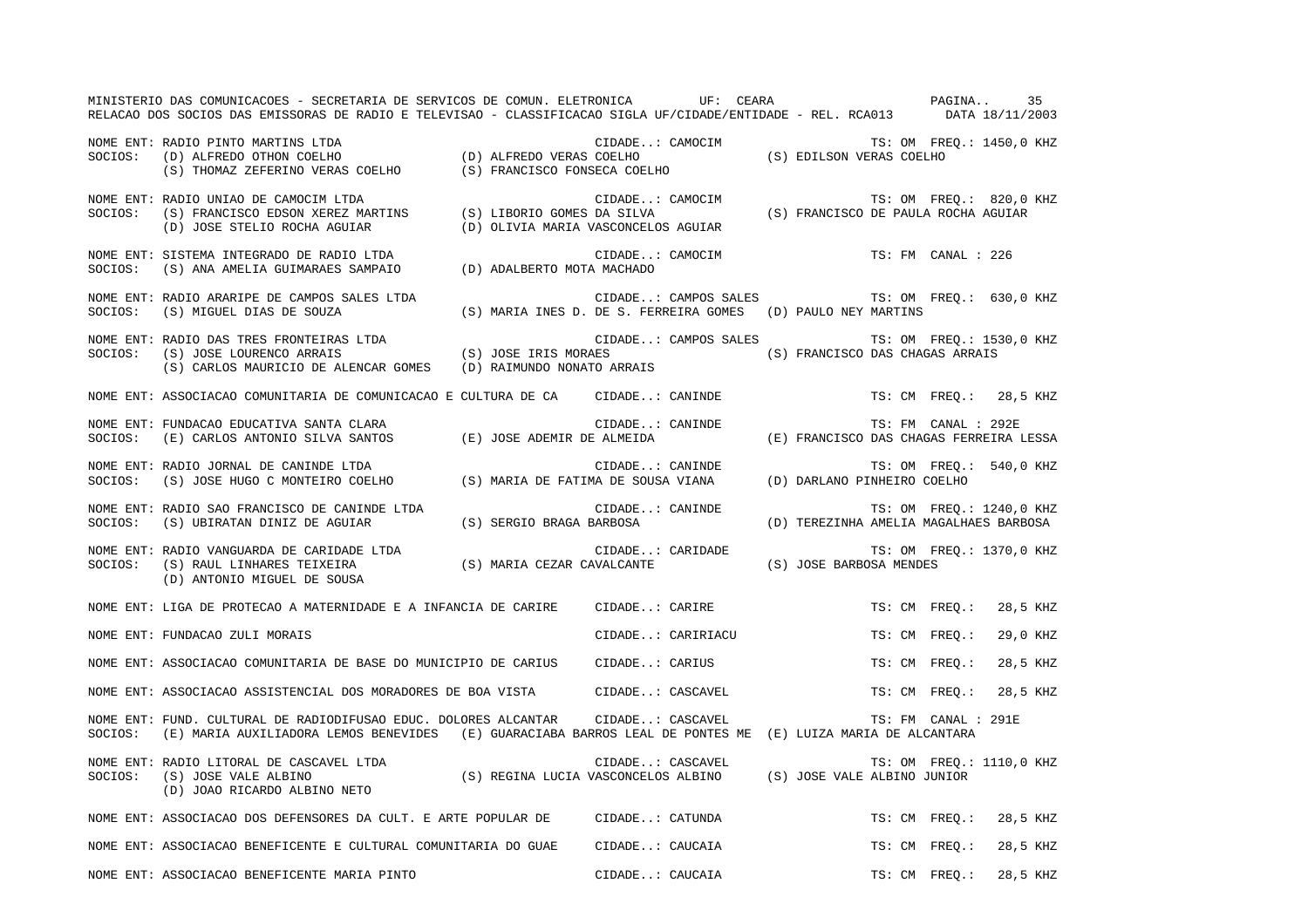MINISTERIO DAS COMUNICACOES - SECRETARIA DE SERVICOS DE COMUN. ELETRONICA UF: CEARA PAGINA.. 35RELACAO DOS SOCIOS DAS EMISSORAS DE RADIO E TELEVISAO - CLASSIFICACAO SIGLA UF/CIDADE/ENTIDADE - REL. RCA013 DATA 18/11/2003 NOME ENT: RADIO PINTO MARTINS LTDA **Entrance CIDADE.**.. CAMOCIM TS: OM FREQ.: 1450,0 KHZ SOCIOS: (D) ALFREDO OTHON COELHO (D) ALFREDO VERAS COELHO (S) EDILSON VERAS COELHO (S) THOMAZ ZEFERINO VERAS COELHO (S) FRANCISCO FONSECA COELHO NOME ENT: RADIO UNIAO DE CAMOCIM LTDA  $\blacksquare$  CIDADE..: CAMOCIM TS: OM FREQ.: 820,0 KHZ SOCIOS: (S) FRANCISCO EDSON XEREZ MARTINS (S) LIBORIO GOMES DA SILVA (S) FRANCISCO DE PAULA ROCHA AGUIAR (D) JOSE STELIO ROCHA AGUIAR (D) OLIVIA MARIA VASCONCELOS AGUIAR NOME ENT: SISTEMA INTEGRADO DE RADIO LTDA CIDADE..: CAMOCIM TS: FM CANAL : 226SOCIOS: (S) ANA AMELIA GUIMARAES SAMPAIO (D) ADALBERTO MOTA MACHADO NOME ENT: RADIO ARARIPE DE CAMPOS SALES LTDA CIDADE..: CAMPOS SALES TS: OM FREQ.: 630,0 KHZ SOCIOS: (S) MIGUEL DIAS DE SOUZA (S) MARIA INES D. DE S. FERREIRA GOMES (D) PAULO NEY MARTINS NOME ENT: RADIO DAS TRES FRONTEIRAS LTDA CIDADE..: CAMPOS SALES TS: OM FREQ.: 1530,0 KHZ (S) JOSE IRIS MORAES (S) FRANCISCO DAS CHAGAS ARRAIS (S) CARLOS MAURICIO DE ALENCAR GOMES (D) RAIMUNDO NONATO ARRAIS NOME ENT: ASSOCIACAO COMUNITARIA DE COMUNICACAO E CULTURA DE CA CIDADE..: CANINDE TS: CM FREQ.: 28,5 KHZ NOME ENT: FUNDACAO EDUCATIVA SANTA CLARA CORPORADO EN CIDADE... CANINDE TRI TES: FM CANAL : 292E SOCIOS: (E) CARLOS ANTONIO SILVA SANTOS (E) JOSE ADEMIR DE ALMEIDA (E) FRANCISCO DAS CHAGAS FERREIRA LESSA NOME ENT: RADIO JORNAL DE CANINDE LTDA CONSTANTINO CIDADE..: CANINDE TS: OM FREQ.: 540,0 KHZ SOCIOS: (S) JOSE HUGO C MONTEIRO COELHO (S) MARIA DE FATIMA DE SOUSA VIANA (D) DARLANO PINHEIRO COELHO NOME ENT: RADIO SAO FRANCISCO DE CANINDE LTDA CIDADE..: CANINDE TS: OM FREQ.: 1240,0 KHZ SOCIOS: (S) UBIRATAN DINIZ DE AGUIAR (S) SERGIO BRAGA BARBOSA (D) TEREZINHA AMELIA MAGALHAES BARBOSA NOME ENT: RADIO VANGUARDA DE CARIDADE LTDA **TECAL ENTRA CIDADE.**.: CARIDADE TS: OM FREQ.: 1370,0 KHZ SOCIOS: (S) RAUL LINHARES TEIXEIRA (S) MARIA CEZAR CAVALCANTE (S) JOSE BARBOSA MENDES (D) ANTONIO MIGUEL DE SOUSA NOME ENT: LIGA DE PROTECAO A MATERNIDADE E A INFANCIA DE CARIRE CIDADE..: CARIRE TS: CM FREQ.: 28,5 KHZ NOME ENT: FUNDACAO ZULI MORAIS CIDADE..: CARIRIACU TS: CM FREQ.: 29,0 KHZ NOME ENT: ASSOCIACAO COMUNITARIA DE BASE DO MUNICIPIO DE CARIUS CIDADE..: CARIUS TS: CM FREQ.: 28,5 KHZ NOME ENT: ASSOCIACAO ASSISTENCIAL DOS MORADORES DE BOA VISTA CIDADE..: CASCAVEL TS: CM FREQ.: 28,5 KHZ NOME ENT: FUND. CULTURAL DE RADIODIFUSAO EDUC. DOLORES ALCANTAR CIDADE..: CASCAVEL TS: FM CANAL : 291E SOCIOS: (E) MARIA AUXILIADORA LEMOS BENEVIDES (E) GUARACIABA BARROS LEAL DE PONTES ME (E) LUIZA MARIA DE ALCANTARA NOME ENT: RADIO LITORAL DE CASCAVEL LTDA CONSTRUITS CASCAVEL CASCAVEL TS: OM FREQ.: 1110,0 KHZ SOCIOS: (S) JOSE VALE ALBINO (S) REGINA LUCIA VASCONCELOS ALBINO (S) JOSE VALE ALBINO JUNIOR (D) JOAO RICARDO ALBINO NETO NOME ENT: ASSOCIACAO DOS DEFENSORES DA CULT. E ARTE POPULAR DE CIDADE..: CATUNDA TS: CM FREQ.: 28,5 KHZ NOME ENT: ASSOCIACAO BENEFICENTE E CULTURAL COMUNITARIA DO GUAE CIDADE..: CAUCAIA TS: CM FREQ.: 28,5 KHZ NOME ENT: ASSOCIACAO BENEFICENTE MARIA PINTO CONSUMINATION CIDADE..: CAUCAIA TS: CM FREQ.: 28,5 KHZ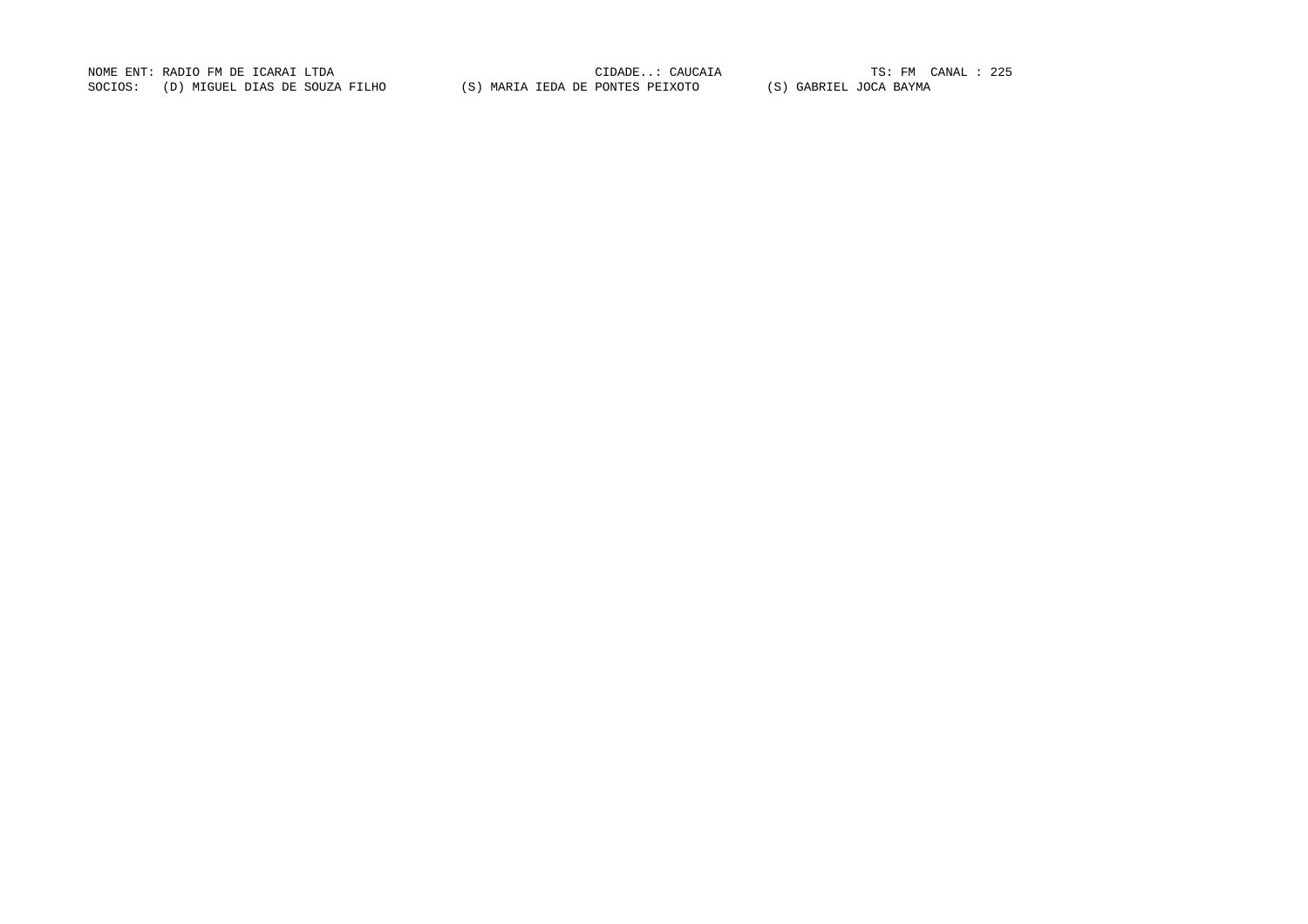NOME ENT: RADIO FM DE ICARAI LTDA CIDADE..: CAUCAIA TS: FM CANAL : 225TS: FM CANAL : 225 SOCIOS: (D) MIGUEL DIAS DE SOUZA FILHO (S) MARIA IEDA DE PONTES PEIXOTO (S) GABRIEL JOCA BAYMA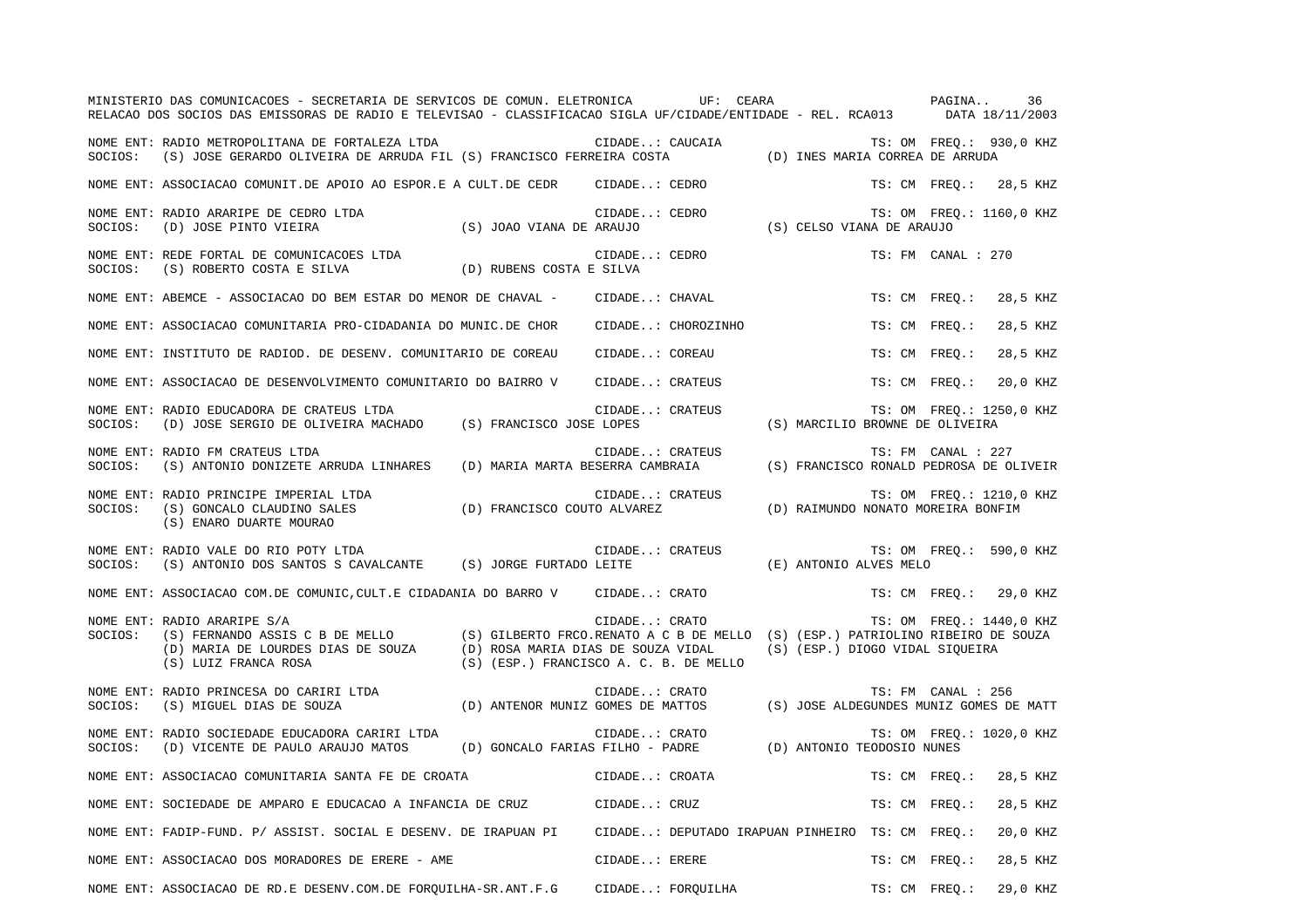|         | MINISTERIO DAS COMUNICACOES - SECRETARIA DE SERVICOS DE COMUN. ELETRONICA UF: CEARA<br>RELACAO DOS SOCIOS DAS EMISSORAS DE RADIO E TELEVISAO - CLASSIFICACAO SIGLA UF/CIDADE/ENTIDADE - REL. RCA013 DATA 18/11/2003                                                            |                                                                                           |                  |                    | PAGINA                                  |               |                    | 36                       |  |
|---------|--------------------------------------------------------------------------------------------------------------------------------------------------------------------------------------------------------------------------------------------------------------------------------|-------------------------------------------------------------------------------------------|------------------|--------------------|-----------------------------------------|---------------|--------------------|--------------------------|--|
|         | NOME ENT: RADIO METROPOLITANA DE FORTALEZA LTDA<br>SOCIOS: (S) JOSE GERARDO OLIVEIRA DE ARRUDA FIL (S) FRANCISCO FERREIRA COSTA (D) INES MARIA CORREA DE ARRUDA                                                                                                                |                                                                                           |                  |                    |                                         |               |                    | TS: OM FREQ.: 930,0 KHZ  |  |
|         | NOME ENT: ASSOCIACAO COMUNIT.DE APOIO AO ESPOR.E A CULT.DE CEDR CIDADE: CEDRO                                                                                                                                                                                                  |                                                                                           |                  |                    |                                         |               |                    | TS: CM FREO.: 28,5 KHZ   |  |
| SOCIOS: | NOME ENT: RADIO ARARIPE DE CEDRO LTDA<br>(D) JOSE PINTO VIEIRA (S) JOAO VIANA DE ARAUJO (S) CELSO VIANA DE ARAUJO                                                                                                                                                              |                                                                                           | CIDADE: CEDRO    |                    |                                         |               |                    | TS: OM FREQ.: 1160,0 KHZ |  |
|         | NOME ENT: REDE FORTAL DE COMUNICACOES LTDA<br>SOCIOS: (S) ROBERTO COSTA E SILVA (D) RUBENS COSTA E SILVA                                                                                                                                                                       |                                                                                           | CIDADE: CEDRO    |                    |                                         |               | TS: FM CANAL : 270 |                          |  |
|         | NOME ENT: ABEMCE - ASSOCIACAO DO BEM ESTAR DO MENOR DE CHAVAL - CIDADE: CHAVAL                                                                                                                                                                                                 |                                                                                           |                  |                    |                                         |               | TS: CM FREO.:      | 28,5 KHZ                 |  |
|         | NOME ENT: ASSOCIACAO COMUNITARIA PRO-CIDADANIA DO MUNIC.DE CHOR                                                                                                                                                                                                                |                                                                                           |                  | CIDADE: CHOROZINHO |                                         | TS: CM FREO.: |                    | 28,5 KHZ                 |  |
|         | NOME ENT: INSTITUTO DE RADIOD. DE DESENV. COMUNITARIO DE COREAU                                                                                                                                                                                                                |                                                                                           | CIDADE: COREAU   |                    |                                         |               | TS: CM FREO.:      | 28,5 KHZ                 |  |
|         | NOME ENT: ASSOCIACAO DE DESENVOLVIMENTO COMUNITARIO DO BAIRRO V                                                                                                                                                                                                                |                                                                                           | CIDADE: CRATEUS  |                    |                                         |               | TS: CM FREO.:      | 20,0 KHZ                 |  |
| SOCIOS: | NOME ENT: RADIO EDUCADORA DE CRATEUS LTDA<br>(D) JOSE SERGIO DE OLIVEIRA MACHADO (S) FRANCISCO JOSE LOPES                                                                                                                                                                      |                                                                                           | CIDADE: CRATEUS  |                    | (S) MARCILIO BROWNE DE OLIVEIRA         |               |                    | TS: OM FREQ.: 1250,0 KHZ |  |
| SOCIOS: | NOME ENT: RADIO FM CRATEUS LTDA<br>(S) ANTONIO DONIZETE ARRUDA LINHARES                                                                                                                                                                                                        | (D) MARIA MARTA BESERRA CAMBRAIA                                                          | CIDADE: CRATEUS  |                    | (S) FRANCISCO RONALD PEDROSA DE OLIVEIR |               | TS: FM CANAL : 227 |                          |  |
| SOCIOS: | NOME ENT: RADIO PRINCIPE IMPERIAL LTDA<br>(S) GONCALO CLAUDINO SALES<br>(S) ENARO DUARTE MOURAO                                                                                                                                                                                | (D) FRANCISCO COUTO ALVAREZ                                                               | CIDADE: CRATEUS  |                    | (D) RAIMUNDO NONATO MOREIRA BONFIM      |               |                    | TS: OM FREO.: 1210,0 KHZ |  |
|         | NOME ENT: RADIO VALE DO RIO POTY LTDA<br>SOCIOS: (S) ANTONIO DOS SANTOS S CAVALCANTE (S) JORGE FURTADO LEITE (E) ANTONIO ALVES MELO                                                                                                                                            |                                                                                           |                  |                    |                                         |               |                    | TS: OM FREQ.: 590,0 KHZ  |  |
|         | NOME ENT: ASSOCIACAO COM.DE COMUNIC, CULT.E CIDADANIA DO BARRO V CIDADE: CRATO                                                                                                                                                                                                 |                                                                                           |                  |                    |                                         |               |                    | TS: CM FREQ.: 29,0 KHZ   |  |
| SOCIOS: | NOME ENT: RADIO ARARIPE S/A<br>(S) FERNANDO ASSIS C B DE MELLO (S) GILBERTO FRCO.RENATO A C B DE MELLO (S) (ESP.) PATRIOLINO RIBEIRO DE SOUZA<br>(D) MARIA DE LOURDES DIAS DE SOUZA (D) ROSA MARIA DIAS DE SOUZA VIDAL (S) (ESP.) DIOGO VIDAL SIQUEIRA<br>(S) LUIZ FRANCA ROSA | (S) (ESP.) FRANCISCO A. C. B. DE MELLO                                                    | CIDADE: CRATO    |                    |                                         |               |                    | TS: OM FREO.: 1440,0 KHZ |  |
|         | NOME ENT: RADIO PRINCESA DO CARIRI LTDA<br>SOCIOS: (S) MIGUEL DIAS DE SOUZA                                                                                                                                                                                                    | CIDADE CRAID<br>(D) ANTENOR MUNIZ GOMES DE MATTOS (S) JOSE ALDEGUNDES MUNIZ GOMES DE MATT | CIDADE: CRATO    |                    |                                         |               | TS: FM CANAL : 256 |                          |  |
| SOCIOS: | NOME ENT: RADIO SOCIEDADE EDUCADORA CARIRI LTDA<br>(D) VICENTE DE PAULO ARAUJO MATOS (D) GONCALO FARIAS FILHO - PADRE (D) ANTONIO TEODOSIO NUNES                                                                                                                               |                                                                                           | CIDADE: CRATO    |                    |                                         |               |                    | TS: OM FREO.: 1020,0 KHZ |  |
|         | NOME ENT: ASSOCIACAO COMUNITARIA SANTA FE DE CROATA                                                                                                                                                                                                                            | CIDADE: CROATA                                                                            |                  |                    |                                         |               | TS: CM FREO.:      | 28,5 KHZ                 |  |
|         | NOME ENT: SOCIEDADE DE AMPARO E EDUCACAO A INFANCIA DE CRUZ (CIDADE: CRUZ                                                                                                                                                                                                      |                                                                                           |                  |                    |                                         | TS: CM FREO.: |                    | 28,5 KHZ                 |  |
|         | NOME ENT: FADIP-FUND. P/ ASSIST. SOCIAL E DESENV. DE IRAPUAN PI CIDADE: DEPUTADO IRAPUAN PINHEIRO TS: CM FREQ.:                                                                                                                                                                |                                                                                           |                  |                    |                                         |               |                    | 20,0 KHZ                 |  |
|         | NOME ENT: ASSOCIACAO DOS MORADORES DE ERERE - AME                                                                                                                                                                                                                              |                                                                                           | $CIDADE$ : ERERE |                    |                                         | TS: CM FREQ.: |                    | 28,5 KHZ                 |  |
|         | NOME ENT: ASSOCIACAO DE RD.E DESENV.COM.DE FORQUILHA-SR.ANT.F.G CIDADE: FORQUILHA                                                                                                                                                                                              |                                                                                           |                  |                    |                                         |               | TS: CM FREQ.:      | 29,0 KHZ                 |  |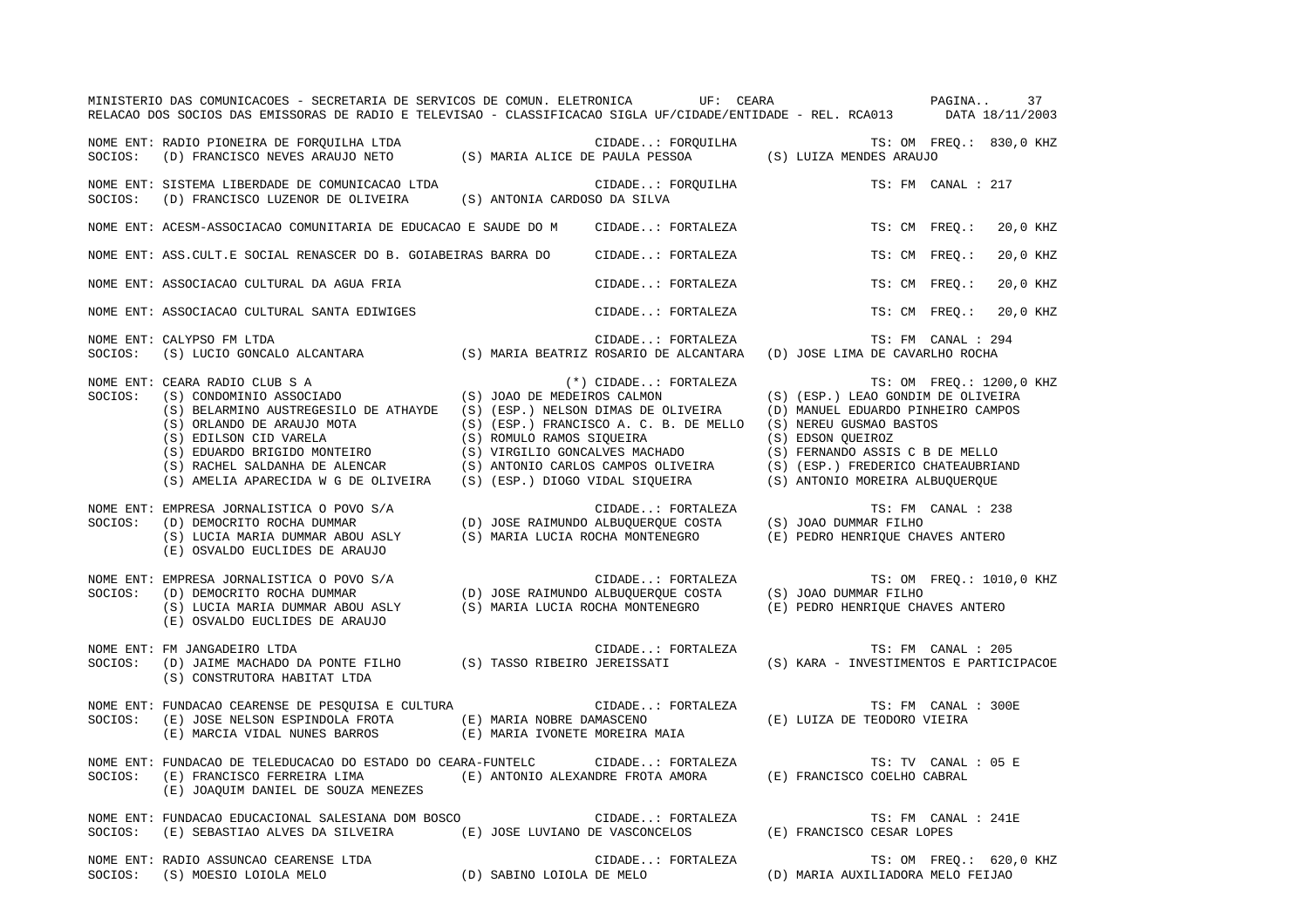|         | MINISTERIO DAS COMUNICACOES - SECRETARIA DE SERVICOS DE COMUN. ELETRONICA UF: CEARA<br>RELACAO DOS SOCIOS DAS EMISSORAS DE RADIO E TELEVISAO - CLASSIFICACAO SIGLA UF/CIDADE/ENTIDADE - REL. RCA013 DATA 18/11/2003                                                                                                                                                                                                                                                                                         |                                   |                                                                                              | PAGINA                                                                                                                                                                                                                               | 37                       |
|---------|-------------------------------------------------------------------------------------------------------------------------------------------------------------------------------------------------------------------------------------------------------------------------------------------------------------------------------------------------------------------------------------------------------------------------------------------------------------------------------------------------------------|-----------------------------------|----------------------------------------------------------------------------------------------|--------------------------------------------------------------------------------------------------------------------------------------------------------------------------------------------------------------------------------------|--------------------------|
|         | NOME ENT: RADIO PIONEIRA DE FORQUILHA LTDA<br>SOCIOS: (D) FRANCISCO NEVES ARAUJO NETO (S) MARIA ALICE DE PAULA PESSOA (S) LUIZA MENDES ARAUJO                                                                                                                                                                                                                                                                                                                                                               |                                   |                                                                                              |                                                                                                                                                                                                                                      |                          |
| SOCIOS: | NOME ENT: SISTEMA LIBERDADE DE COMUNICACAO LTDA<br>(D) FRANCISCO LUZENOR DE OLIVEIRA (S) ANTONIA CARDOSO DA SILVA                                                                                                                                                                                                                                                                                                                                                                                           |                                   | CIDADE: FORQUILHA                                                                            |                                                                                                                                                                                                                                      | TS: FM CANAL : 217       |
|         | NOME ENT: ACESM-ASSOCIACAO COMUNITARIA DE EDUCACAO E SAUDE DO M CIDADE: FORTALEZA                                                                                                                                                                                                                                                                                                                                                                                                                           |                                   |                                                                                              | TS: CM FREQ.:                                                                                                                                                                                                                        | 20,0 KHZ                 |
|         | NOME ENT: ASS.CULT.E SOCIAL RENASCER DO B. GOIABEIRAS BARRA DO                                                                                                                                                                                                                                                                                                                                                                                                                                              |                                   | CIDADE: FORTALEZA                                                                            | TS: CM FREQ.:                                                                                                                                                                                                                        | 20,0 KHZ                 |
|         | NOME ENT: ASSOCIACAO CULTURAL DA AGUA FRIA                                                                                                                                                                                                                                                                                                                                                                                                                                                                  |                                   | CIDADE: FORTALEZA                                                                            | TS: CM FREO.:                                                                                                                                                                                                                        | 20,0 KHZ                 |
|         | NOME ENT: ASSOCIACAO CULTURAL SANTA EDIWIGES                                                                                                                                                                                                                                                                                                                                                                                                                                                                |                                   | CIDADE: FORTALEZA                                                                            | TS: CM FREO.:                                                                                                                                                                                                                        | 20,0 KHZ                 |
| SOCIOS: | NOME ENT: CALYPSO FM LTDA<br>(S) LUCIO GONCALO ALCANTARA (S) MARIA BEATRIZ ROSARIO DE ALCANTARA (D) JOSE LIMA DE CAVARLHO ROCHA                                                                                                                                                                                                                                                                                                                                                                             |                                   | CIDADE: FORTALEZA                                                                            |                                                                                                                                                                                                                                      | TS: FM CANAL : 294       |
| SOCIOS: | NOME ENT: CEARA RADIO CLUB S A<br>CEARA RADIO CLUB S A<br>(S) CONDOMINIO ASSOCIADO<br>(S) JOAO DE MEDEIROS CALMON<br>(S) BELARMINO AUSTREGESILO DE ATHAYDE (S) (ESP.) NELSON DIMAS DE OLIVEIRA<br>S) ORLANDO DE ARAUJO MOTA (S) (ESP.) FRANCISCO A. C. B. DE MELLO (S) EDILSON CID VARELA (S) ROMULO RAMOS SIQUEIRA<br>(S) EDUARDO BRIGIDO MONTEIRO (S) VIRGILIO GONCALVES MACHADO (S) RACHEL SALDANHA DE ALENCAR (S) ANTONIO CARLO<br>(S) AMELIA APARECIDA W G DE OLIVEIRA (S) (ESP.) DIOGO VIDAL SIQUEIRA |                                   | $(*)$ CIDADE: FORTALEZA<br>(S) (ESP.) FRANCISCO A. C. B. DE MELLO                            | (S) (ESP.) LEAO GONDIM DE OLIVEIRA<br>(D) MANUEL EDUARDO PINHEIRO CAMPOS<br>(S) NEREU GUSMAO BASTOS<br>(S) EDSON QUEIROZ<br>(S) FERNANDO ASSIS C B DE MELLO<br>(S) (ESP.) FREDERICO CHATEAUBRIAND<br>(S) ANTONIO MOREIRA ALBUQUERQUE | TS: OM FREQ.: 1200,0 KHZ |
| SOCIOS: | NOME ENT: EMPRESA JORNALISTICA O POVO S/A<br>(D) DEMOCRITO ROCHA DUMMAR<br>(S) LUCIA MARIA DUMMAR ABOU ASLY<br>(E) OSVALDO EUCLIDES DE ARAUJO                                                                                                                                                                                                                                                                                                                                                               |                                   | CIDADE: FORTALEZA<br>(D) JOSE RAIMUNDO ALBUQUERQUE COSTA<br>(S) MARIA LUCIA ROCHA MONTENEGRO | (S) JOAO DUMMAR FILHO<br>(E) PEDRO HENRIQUE CHAVES ANTERO                                                                                                                                                                            | TS: FM CANAL : 238       |
| SOCIOS: | EMPRESA JORNALISTICA O POVO S/A CIDADE: FORTALEZA TS: OM<br>(D) DEMOCRITO ROCHA DUMMAR (D) JOSE RAIMUNDO ALBUQUERQUE COSTA (S) JOAO DUMMAR FILHO<br>(S) LUCIA MARIA DUMMAR ABOU ASLY (S) MARIA LUCIA ROCHA MONTENEGRO (E) PEDRO HE<br>NOME ENT: EMPRESA JORNALISTICA O POVO S/A<br>(E) OSVALDO EUCLIDES DE ARAUJO                                                                                                                                                                                           |                                   |                                                                                              | (E) PEDRO HENRIQUE CHAVES ANTERO                                                                                                                                                                                                     | TS: OM FREQ.: 1010,0 KHZ |
| SOCIOS: | NOME ENT: FM JANGADEIRO LTDA<br>(D) JAIME MACHADO DA PONTE FILHO (S) TASSO RIBEIRO JEREISSATI<br>(S) CONSTRUTORA HABITAT LTDA                                                                                                                                                                                                                                                                                                                                                                               |                                   | CIDADE: FORTALEZA                                                                            | (S) KARA - INVESTIMENTOS E PARTICIPACOE                                                                                                                                                                                              | TS: FM CANAL : 205       |
| SOCIOS: | NOME ENT: FUNDACAO CEARENSE DE PESQUISA E CULTURA<br>(E) JOSE NELSON ESPINDOLA FROTA (E) MARIA NOBRE DAMASCENO (E) MARCIA VIDAL NUNES BARROS (E) MARIA IVONETE MOREIRA                                                                                                                                                                                                                                                                                                                                      | (E) MARIA IVONETE MOREIRA MAIA    | CIDADE: FORTALEZA                                                                            | (E) LUIZA DE TEODORO VIEIRA                                                                                                                                                                                                          | TS: FM CANAL : 300E      |
| SOCIOS: | NOME ENT: FUNDACAO DE TELEDUCACAO DO ESTADO DO CEARA-FUNTELC<br>(E) FRANCISCO FERREIRA LIMA<br>(E) JOAQUIM DANIEL DE SOUZA MENEZES                                                                                                                                                                                                                                                                                                                                                                          | (E) ANTONIO ALEXANDRE FROTA AMORA | CIDADE: FORTALEZA                                                                            | (E) FRANCISCO COELHO CABRAL                                                                                                                                                                                                          | TS: TV CANAL : 05 E      |
| SOCIOS: | NOME ENT: FUNDACAO EDUCACIONAL SALESIANA DOM BOSCO<br>(E) SEBASTIAO ALVES DA SILVEIRA (E) JOSE LUVIANO DE VASCONCELOS                                                                                                                                                                                                                                                                                                                                                                                       |                                   | CIDADE: FORTALEZA                                                                            | (E) FRANCISCO CESAR LOPES                                                                                                                                                                                                            | TS: FM CANAL : 241E      |
|         | NOME ENT: RADIO ASSUNCAO CEARENSE LTDA                                                                                                                                                                                                                                                                                                                                                                                                                                                                      |                                   | CIDADE: FORTALEZA                                                                            | (D) MARIA AUXILIADORA MELO FEIJAO                                                                                                                                                                                                    | TS: OM FREQ.: 620,0 KHZ  |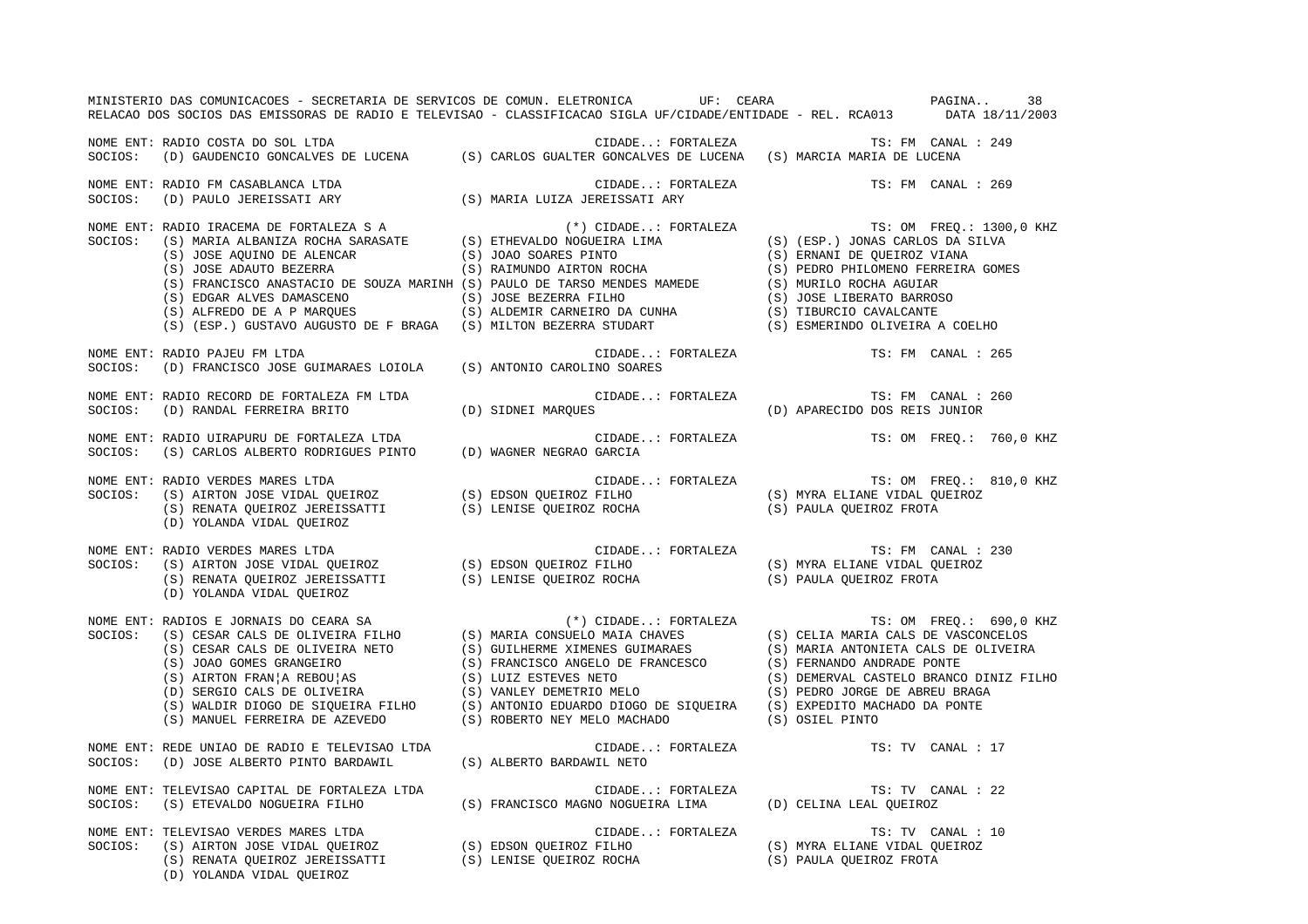|         | MINISTERIO DAS COMUNICACOES - SECRETARIA DE SERVICOS DE COMUN. ELETRONICA UF: CEARA NA ANTERIO DAS COMUNICACOES - 38<br>RELACAO DOS SOCIOS DAS EMISSORAS DE RADIO E TELEVISAO - CLASSIFICACAO SIGLA UF/CIDADE/ENTIDADE - REL. RCA013 DATA 18/11/2003                                                   |                                         |                                                            |
|---------|--------------------------------------------------------------------------------------------------------------------------------------------------------------------------------------------------------------------------------------------------------------------------------------------------------|-----------------------------------------|------------------------------------------------------------|
|         | NOME ENT: RADIO COSTA DO SOL LTDA<br>SOCIOS: (D) GAUDENCIO GONCALVES DE LUCENA (S) CARLOS GUALTER GONCALVES DE LUCENA (S) MARCIA MARIA DE LUCENA                                                                                                                                                       |                                         | $\verb CIDADE: FORTABLEZA  \qquad TS: FM \quad CANAL: 249$ |
|         | NOME ENT: RADIO FM CASABLANCA LTDA<br>SOCIOS: (D) PAULO JEREISSATI ARY                                                                                                                                                                                                                                 | (S) MARIA LUIZA JEREISSATI ARY          | CIDADE: FORTALEZA TS: FM CANAL : 269                       |
|         |                                                                                                                                                                                                                                                                                                        |                                         |                                                            |
| SOCIOS: | NOME ENT: RADIO PAJEU FM LTDA<br>RADIO PAJEU FM LTDA<br>(D) FRANCISCO JOSE GUIMARAES LOIOLA (S) ANTONIO CAROLINO SOARES                                                                                                                                                                                |                                         | CIDADE: FORTALEZA TS: FM CANAL : 265                       |
| SOCIOS: | NOME ENT: RADIO RECORD DE FORTALEZA FM LTDA<br>(D) RANDAL FERREIRA BRITO                                                                                                                                                                                                                               | CIDADE: FORTALEZA<br>(D) SIDNEI MARQUES | TS: FM CANAL : 260<br>(D) APARECIDO DOS REIS JUNIOR        |
|         | NOME ENT: RADIO UIRAPURU DE FORTALEZA LTDA<br>SOCIOS:   (S) CARLOS ALBERTO RODRIGUES PINTO       (D) WAGNER NEGRAO GARCIA                                                                                                                                                                              |                                         | CIDADE: FORTALEZA TS: OM FREQ.: 760,0 KHZ                  |
| SOCIOS: | RADIO VERDES MARES LTDA<br>(S) AIRTON JOSE VIDAL QUEIROZ (S) EDSON QUEIROZ FILHO (S) MYRA ELIANE VIDAL QUEIROZ<br>(S) RENATA QUEIROZ (S) LENISE QUEIROZ ROCHA (S) PAULA QUEIROZ FROTA (S) NORNA CUEIROZ (S) RENATA QUEIROZ (S)<br>(S<br>NOME ENT: RADIO VERDES MARES LTDA<br>(D) YOLANDA VIDAL QUEIROZ |                                         |                                                            |
| SOCIOS: | TS: FM CANAL:<br>(S) AIRTON JOSE VIDAL QUEIROZ (S) EDSON QUEIROZ FILHO (S) AIRTON JOSE VIDAL QUEIROZ (S) EDSON QUEIROZ FILHO (S)<br>(S) RENATA QUEIROZ JEREISSATTI (S) LENISE QUEIROZ ROCHA (S) PAULA QUEIROZ FROTA (S) RENATA QUEIR<br>NOME ENT: RADIO VERDES MARES LTDA<br>(D) YOLANDA VIDAL QUEIROZ |                                         | TS: FM CANAL : 230                                         |
|         | NOME ENT: RADIOS E JORNAIS DO CEARA SA (*) CIDADE: FORTALEZA TES: OM FREQ.: 690,0 KHZ<br>SOCIOS: (S) CESAR CALS DE OLIVEIRA FILHO (S) MARIA CONSUELO MAIA CHAVES (S) CELIA MARIA CALS DE VASCONCELOS<br>(S) JOAO GOMES GRANGEIRO                                                                       |                                         |                                                            |
| SOCIOS: | (D) JOSE ALBERTO PINTO BARDAWIL (S) ALBERTO BARDAWIL NETO                                                                                                                                                                                                                                              |                                         | TS: TV CANAL : 17                                          |
|         | NOME ENT: TELEVISAO CAPITAL DE FORTALEZA LTDA<br>SOCIOS:   (S) ETEVALDO NOGUEIRA FILHO                 (S) FRANCISCO MAGNO NOGUEIRA LIMA             (D) CELINA LEAL QUEIROZ                                                                                                                           |                                         |                                                            |
|         | NOME ENT: TELEVISAO VERDES MARES LTDA<br>SOCIOS:   (S) AIRTON JOSE VIDAL QUEIROZ                  (S) EDSON QUEIROZ FILHO                    (S) MYRA ELIANE VIDAL QUEIROZ<br>(S) RENATA QUEIROZ JEREISSATTI            (S) LENISE Q<br>(D) YOLANDA VIDAL QUEIROZ                                      |                                         | CIDADE: FORTALEZA TS: TV CANAL : 10                        |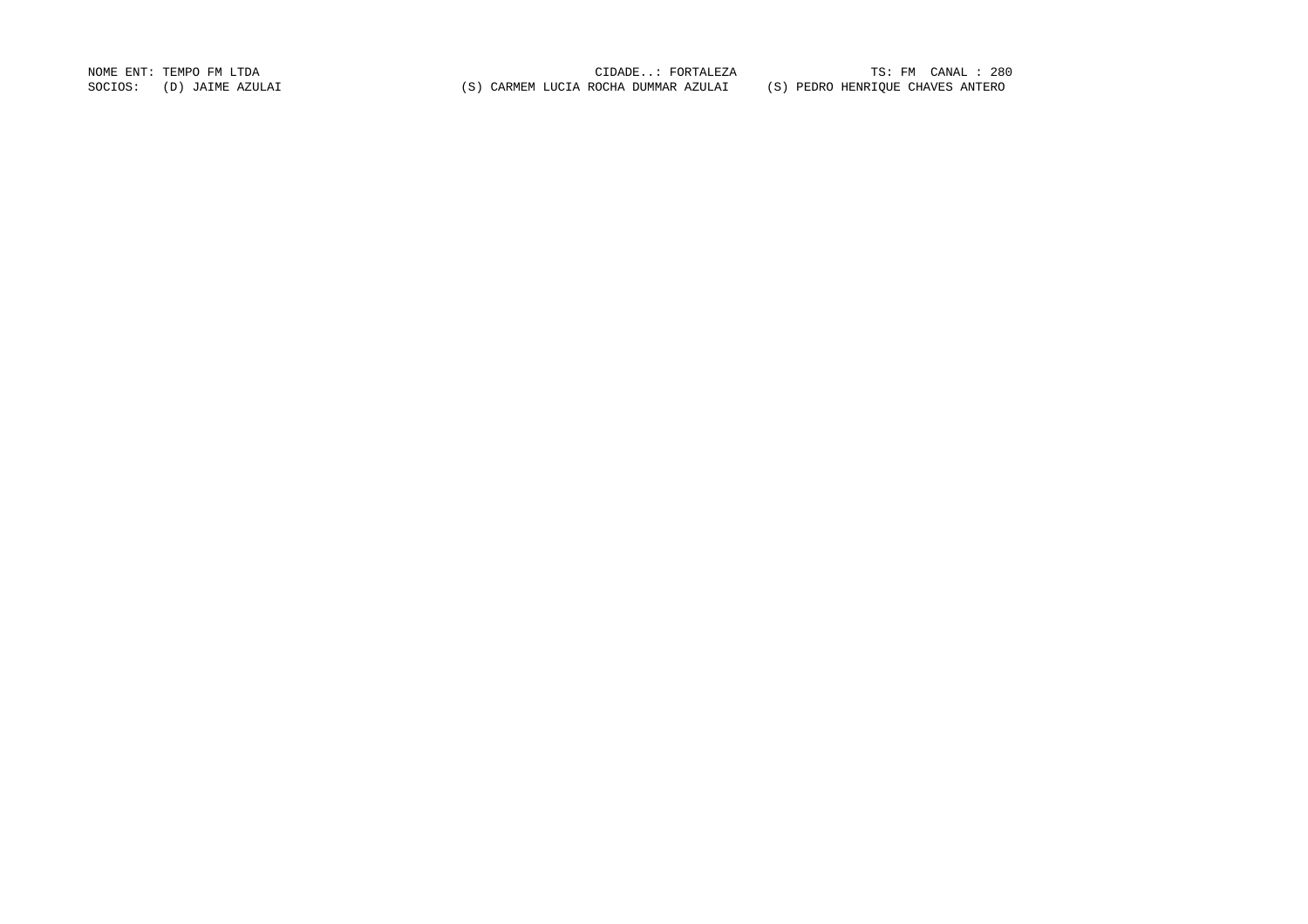NOME ENT: TEMPO FM LTDA CIDADE..: FORTALEZA TS: FM CANAL : 280 SOCIOS: (D) JAIME AZULAI (S) CARMEM LUCIA ROCHA DUMMAR AZULAI (S) PEDRO HENRIQUE CHAVES ANTERO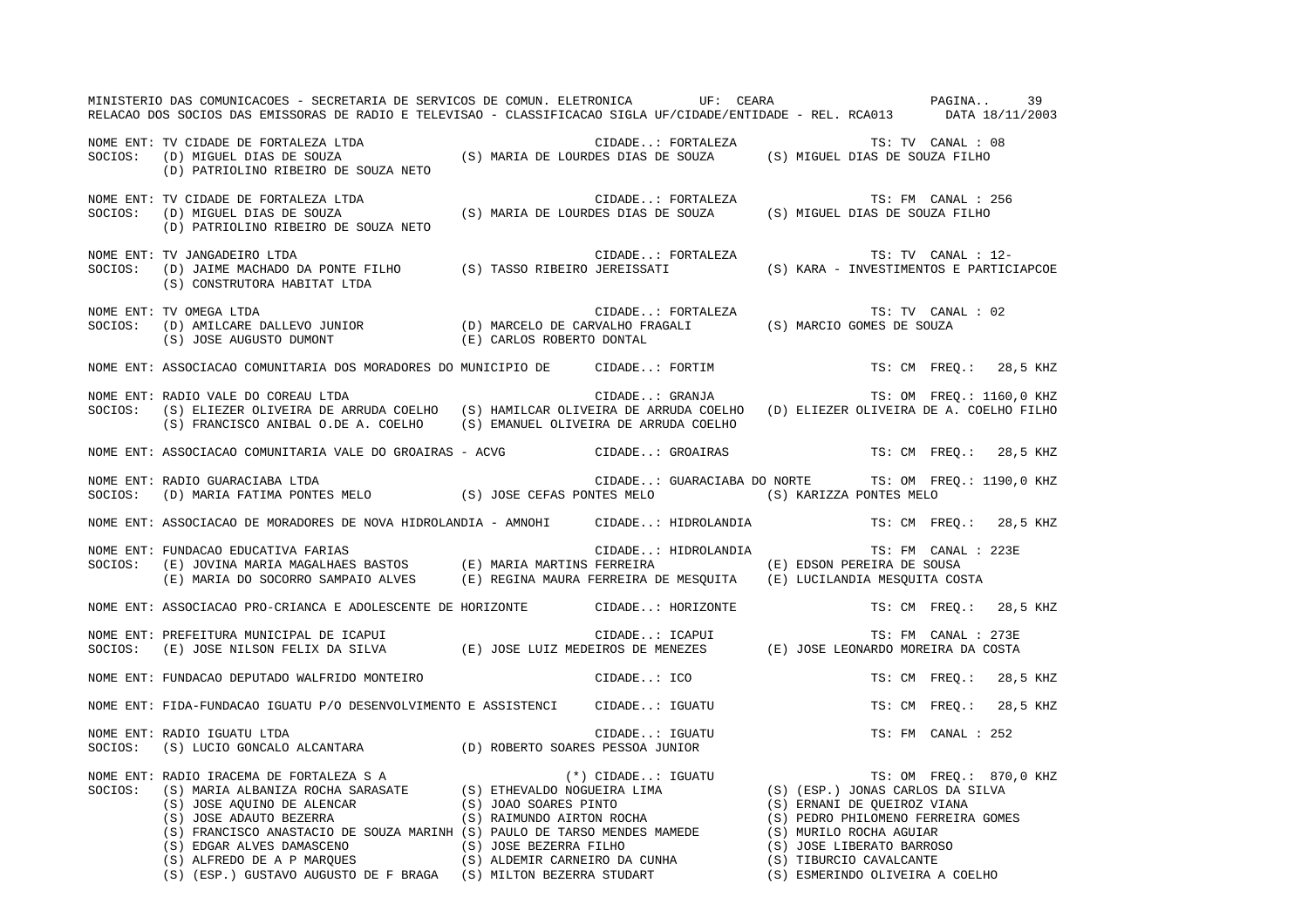| MINISTERIO DAS COMUNICACOES - SECRETARIA DE SERVICOS DE COMUN. ELETRONICA UF: CEARA COMUNISTERIO DAS COMUNICACOES - SECRETARIA DE SERVICOS DE COMUNICACOUS<br>RELACAO DOS SOCIOS DAS EMISSORAS DE RADIO E TELEVISAO - CLASSIFICACAO SIGLA UF/CIDADE/ENTIDADE - REL. RCA013 DATA 18/11/2003 |  |                                                      |                        |                        | 39 |  |
|--------------------------------------------------------------------------------------------------------------------------------------------------------------------------------------------------------------------------------------------------------------------------------------------|--|------------------------------------------------------|------------------------|------------------------|----|--|
| NOME ENT: TV CIDADE DE FORTALEZA LTDA<br>SOCIOS: (D) MIGUEL DIAS DE SOUZA (S) MARIA DE LOURDES DIAS DE SOUZA (S) MIGUEL DIAS DE SOUZA FILHO<br>(D) PATRIOLINO RIBEIRO DE SOUZA NETO                                                                                                        |  |                                                      |                        |                        |    |  |
| NOME ENT: TV CIDADE DE FORTALEZA LTDA<br>SOCIOS: (D) MIGUEL DIAS DE SOUZA (S) MARIA DE LOURDES DIAS DE SOUZA (S) MIGUEL DIAS DE SOUZA FILHO<br>(D) PATRIOLINO RIBEIRO DE SOUZA NETO                                                                                                        |  |                                                      | TS: FM CANAL : 256     |                        |    |  |
| NOME ENT: TV JANGADEIRO LTDA<br>SOCIOS: (D) JAIME MACHADO DA PONTE FILHO (S) TASSO RIBEIRO JEREISSATI (S) KARA - INVESTIMENTOS E PARTICIAPCOE<br>(S) CONSTRUTORA HABITAT LTDA                                                                                                              |  | CIDADE: FORTALEZA                                    | TS: TV CANAL : 12-     |                        |    |  |
| NOME ENT: TV OMEGA LTDA CIDADE: FORTALEZA TS: TV CANAL COCIOS: (D) AMILCARE DALLEVO JUNIOR (D) MARCELO DE CARVALHO FRAGALI (S) MARCIO GOMES DE SOUZA (S) JOSE AUGUSTO DUMONT (E) CARLOS ROBERTO DONTAL                                                                                     |  |                                                      | TS: TV CANAL : 02      |                        |    |  |
| NOME ENT: ASSOCIACAO COMUNITARIA DOS MORADORES DO MUNICIPIO DE CIDADE: FORTIM                                                                                                                                                                                                              |  |                                                      | TS: CM FREQ.: 28,5 KHZ |                        |    |  |
| NOME ENT: RADIO VALE DO COREAU LTDA<br>SOCIOS: (S) ELIEZER OLIVEIRA DE ARRUDA COELHO (S) HAMILCAR OLIVEIRA DE ARRUDA COELHO (D) ELIEZER OLIVEIRA DE A. COELHO FILHO<br>(S) FRANCISCO ANIBAL O.DE A. COELHO (S) EMANUEL OLIVEIRA DE ARRUDA COELHO                                           |  | CIDADE: GRANJA (TS: OM FREQ.: 1160,0 KHZ             |                        |                        |    |  |
| NOME ENT: ASSOCIACAO COMUNITARIA VALE DO GROAIRAS - ACVG CIDADE: GROAIRAS                                                                                                                                                                                                                  |  |                                                      | TS: CM FREQ.: 28,5 KHZ |                        |    |  |
| NOME ENT: RADIO GUARACIABA LTDA<br>SOCIOS: (D) MARIA FATIMA PONTES MELO (S) JOSE CEFAS PONTES MELO (S) KARIZZA PONTES MELO                                                                                                                                                                 |  | CIDADE: GUARACIABA DO NORTE TS: OM FREQ.: 1190,0 KHZ |                        |                        |    |  |
| NOME ENT: ASSOCIACAO DE MORADORES DE NOVA HIDROLANDIA - AMNOHI CIDADE: HIDROLANDIA TS: CM FREQ.: 28,5 KHZ                                                                                                                                                                                  |  |                                                      |                        |                        |    |  |
| NOME ENT: FUNDACAO EDUCATIVA FARIAS (E) MARIA MARIA MARTINS FERREIRA (E) EDSON PEREIRA DE SOUSA<br>SOCIOS: (E) JOVINA MARIA MAGALHAES BASTOS (E) MARIA MARTINS FERREIRA (E) EDSON PEREIRA DE SOUSA<br>(E) MARIA DO SOCORRO SAMPAIO A                                                       |  | CIDADE: HIDROLANDIA TS: FM CANAL : 223E              |                        |                        |    |  |
| NOME ENT: ASSOCIACAO PRO-CRIANCA E ADOLESCENTE DE HORIZONTE CIDADE: HORIZONTE                                                                                                                                                                                                              |  |                                                      | TS: CM FREQ.: 28,5 KHZ |                        |    |  |
| NOME ENT: PREFEITURA MUNICIPAL DE ICAPUI<br>SOCIOS: (E) JOSE NILSON FELIX DA SILVA (E) JOSE LUIZ MEDEIROS DE MENEZES (E) JOSE LEONARDO MOREIRA DA COSTA                                                                                                                                    |  |                                                      |                        |                        |    |  |
| NOME ENT: FUNDACAO DEPUTADO WALFRIDO MONTEIRO                                                                                                                                                                                                                                              |  | CIDADE: ICO                                          |                        | TS: CM FREO.: 28,5 KHZ |    |  |
| NOME ENT: FIDA-FUNDACAO IGUATU P/O DESENVOLVIMENTO E ASSISTENCI CIDADE: IGUATU                                                                                                                                                                                                             |  |                                                      | TS: CM FREQ.: 28,5 KHZ |                        |    |  |
| NOME ENT: RADIO IGUATU LTDA<br>SOCIOS: (S) LUCIO GONCALO ALCANTARA (D) ROBERTO SOARES PESSOA JUNIOR                                                                                                                                                                                        |  | CIDADE: IGUATU                                       | TS: FM CANAL : 252     |                        |    |  |
| NOME ENT: RADIO IRACEMA DE FORTALEZA SA (*) CIDADE: IGUATU SOCIOS: (S) MARIA ALBANIZA ROCHA SARASATE (S) ETHEVALDO NOGUEIRA LIMA (S) (ESP.) JONAS CARLOS DA SILVA (S) JOSE AQUINO DE ALENCAR (S) JOAO SOARES PINTO (S) ALENC                                                               |  |                                                      |                        |                        |    |  |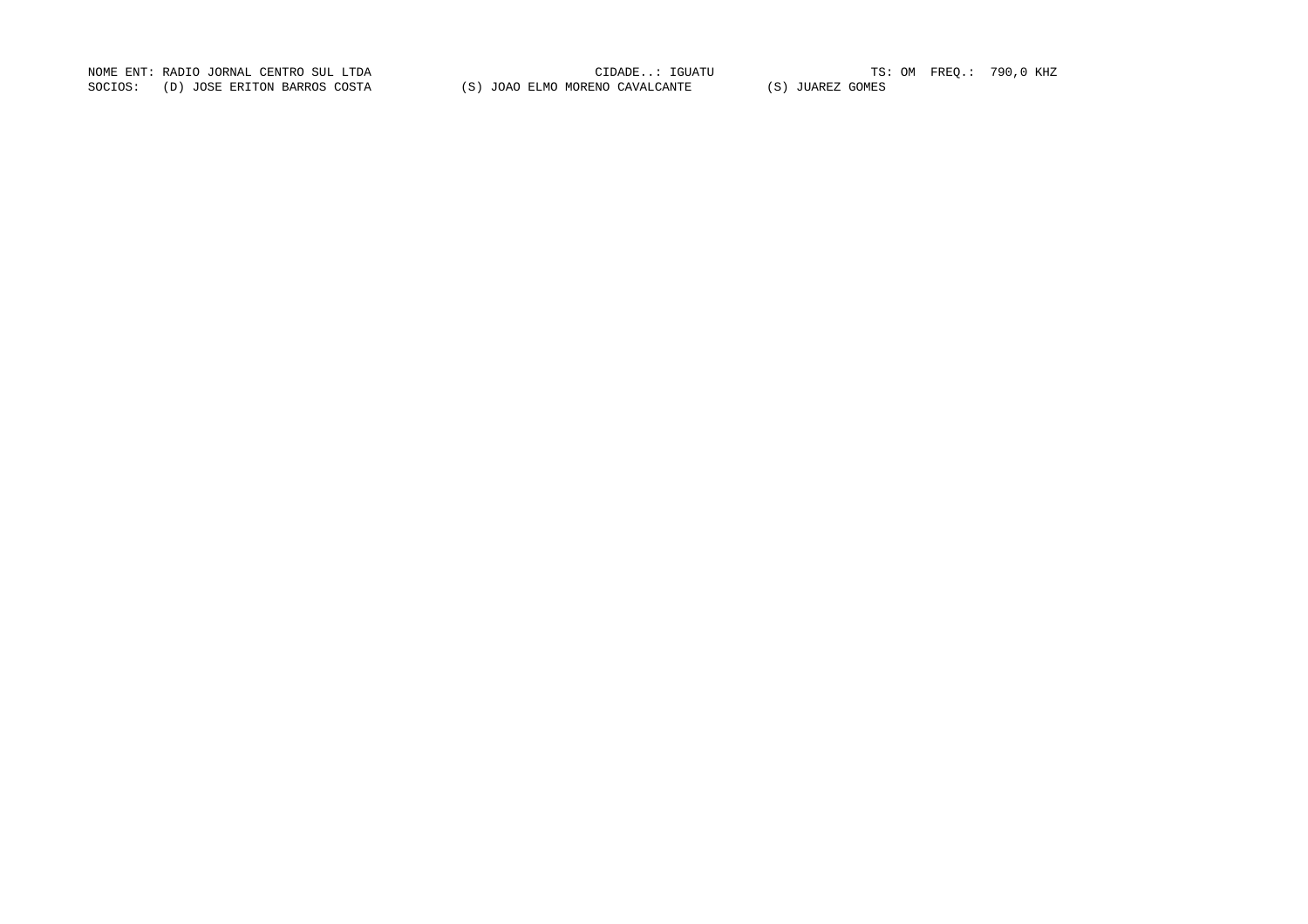NOME ENT: RADIO JORNAL CENTRO SUL LTDA CIDADE..: IGUATU TS: OM FREQ.: 790,0 KHZ SOCIOS: (D) JOSE ERITON BARROS COSTA (S) JOAO ELMO MORENO CAVALCANTE (S) JUAREZ GOMES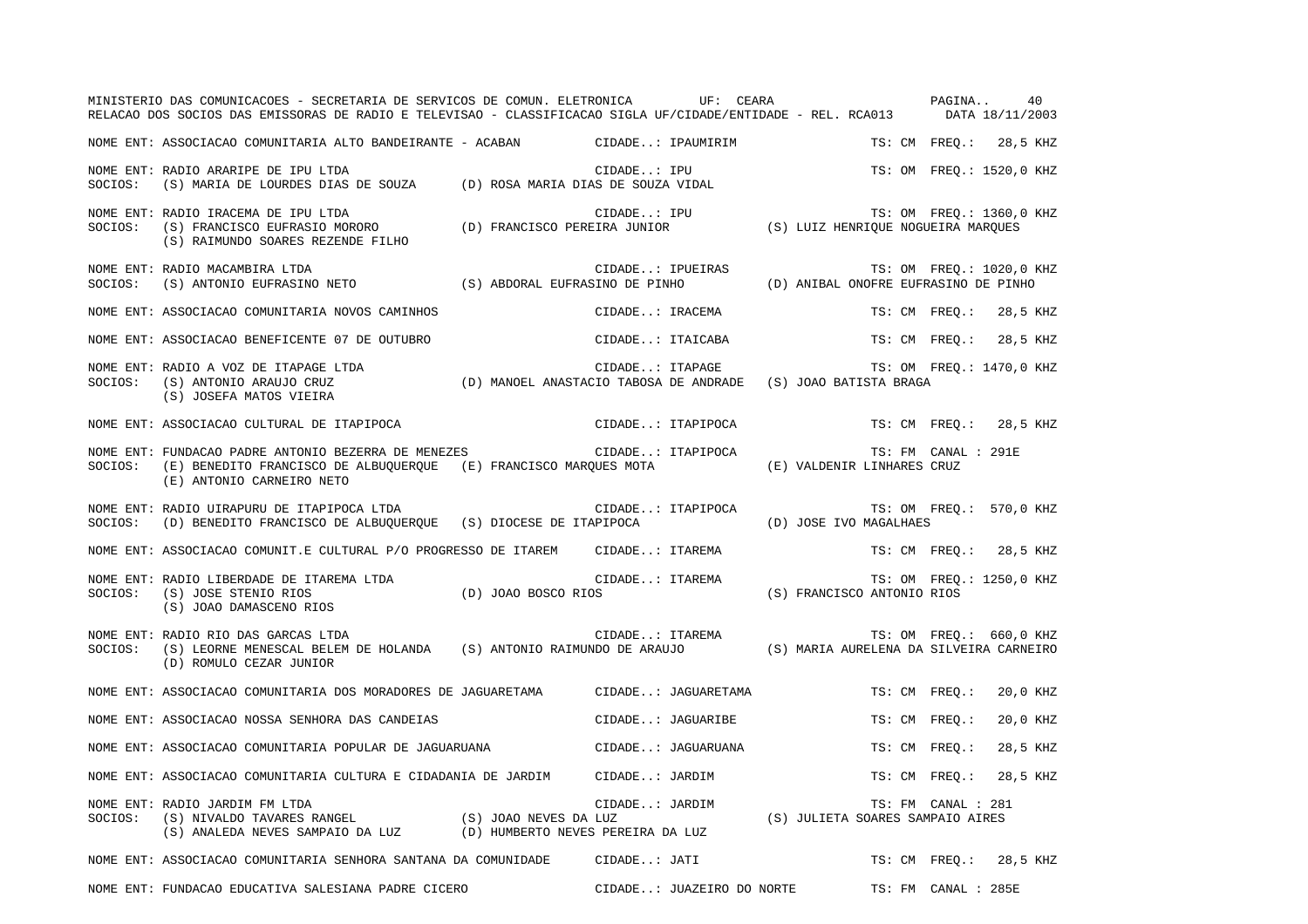|         | MINISTERIO DAS COMUNICACOES - SECRETARIA DE SERVICOS DE COMUN. ELETRONICA UF: CEARA<br>RELACAO DOS SOCIOS DAS EMISSORAS DE RADIO E TELEVISAO - CLASSIFICACAO SIGLA UF/CIDADE/ENTIDADE - REL. RCA013 DATA 18/11/2003 |                 |                           | PAGINA                           |                     | 40                       |
|---------|---------------------------------------------------------------------------------------------------------------------------------------------------------------------------------------------------------------------|-----------------|---------------------------|----------------------------------|---------------------|--------------------------|
|         | NOME ENT: ASSOCIACAO COMUNITARIA ALTO BANDEIRANTE - ACABAN               CIDADE: IPAUMIRIM                                                                                                                          |                 |                           |                                  |                     | TS: CM FREQ.: 28,5 KHZ   |
| SOCIOS: | NOME ENT: RADIO ARARIPE DE IPU LTDA<br>(S) MARIA DE LOURDES DIAS DE SOUZA (D) ROSA MARIA DIAS DE SOUZA VIDAL                                                                                                        |                 | CIDADE: IPU               |                                  |                     | TS: OM FREQ.: 1520,0 KHZ |
| SOCIOS: | ),RADIO IRACEMA DE IPU LTDA<br>(S) FRANCISCO EUFRASIO MORORO (D) FRANCISCO PEREIRA JUNIOR (S) LUIZ HENRIQUE NOGUEIRA MARQUES<br>NOME ENT: RADIO IRACEMA DE IPU LTDA<br>(S) RAIMUNDO SOARES REZENDE FILHO            |                 |                           |                                  |                     | TS: OM FREQ.: 1360,0 KHZ |
|         | NOME ENT: RADIO MACAMBIRA LTDA<br>NUME ENII KADIO MACAMBIKA LTDA<br>SOCIOS: (S) ANTONIO EUFRASINO NETO (S) ABDORAL EUFRASINO DE PINHO (D) ANIBAL ONOFRE EUFRASINO DE PINHO                                          |                 | CIDADE: IPUEIRAS          |                                  |                     | TS: OM FREO.: 1020,0 KHZ |
|         | NOME ENT: ASSOCIACAO COMUNITARIA NOVOS CAMINHOS                                                                                                                                                                     |                 | CIDADE: IRACEMA           |                                  | TS: CM FREQ.:       | 28,5 KHZ                 |
|         | NOME ENT: ASSOCIACAO BENEFICENTE 07 DE OUTUBRO                                                                                                                                                                      |                 | CIDADE: ITAICABA          |                                  | TS: CM FREQ.:       | 28,5 KHZ                 |
| SOCIOS: | NOME ENT: RADIO A VOZ DE ITAPAGE LTDA<br>(S) ANTONIO ARAUJO CRUZ (D) MANOEL ANASTACIO TABOSA DE ANDRADE (S) JOAO BATISTA BRAGA<br>(S) JOSEFA MATOS VIEIRA                                                           |                 | CIDADE: ITAPAGE           |                                  |                     | TS: OM FREQ.: 1470,0 KHZ |
|         | NOME ENT: ASSOCIACAO CULTURAL DE ITAPIPOCA                                                                                                                                                                          |                 | CIDADE: ITAPIPOCA         |                                  |                     | TS: CM FREO.: 28,5 KHZ   |
| SOCIOS: | NOME ENT: FUNDACAO PADRE ANTONIO BEZERRA DE MENEZES<br>(E) BENEDITO FRANCISCO DE ALBUQUERQUE (E) FRANCISCO MARQUES MOTA<br>(E) ANTONIO CARNEIRO NETO                                                                |                 | CIDADE: ITAPIPOCA         | (E) VALDENIR LINHARES CRUZ       | TS: FM CANAL : 291E |                          |
| SOCIOS: | NOME ENT: RADIO UIRAPURU DE ITAPIPOCA LTDA<br>(D) BENEDITO FRANCISCO DE ALBUQUERQUE (S) DIOCESE DE ITAPIPOCA                                                                                                        |                 | CIDADE: ITAPIPOCA         | (D) JOSE IVO MAGALHAES           |                     | TS: OM FREQ.: 570,0 KHZ  |
|         | NOME ENT: ASSOCIACAO COMUNIT.E CULTURAL P/O PROGRESSO DE ITAREM                                                                                                                                                     |                 | CIDADE: ITAREMA           |                                  |                     | TS: CM FREO.: 28,5 KHZ   |
| SOCIOS: | NOME ENT: RADIO LIBERDADE DE ITAREMA LTDA<br>C.<br>TAREMA LTDA (D) JOAO BOSCO RIOS<br>(S) JOSE STENIO RIOS<br>(S) JOAO DAMASCENO RIOS                                                                               | CIDADE: ITAREMA |                           | (S) FRANCISCO ANTONIO RIOS       |                     | TS: OM FREO.: 1250,0 KHZ |
| SOCIOS: | NOME ENT: RADIO RIO DAS GARCAS LTDA<br>(S) LEORNE MENESCAL BELEM DE HOLANDA (S) ANTONIO RAIMUNDO DE ARAUJO (S) MARIA AURELENA DA SILVEIRA CARNEIRO<br>(D) ROMULO CEZAR JUNIOR                                       |                 | CIDADE: ITAREMA           |                                  |                     | TS: OM FREQ.: 660,0 KHZ  |
|         | NOME ENT: ASSOCIACAO COMUNITARIA DOS MORADORES DE JAGUARETAMA CIDADE: JAGUARETAMA                                                                                                                                   |                 |                           |                                  | TS: CM FREO.:       | 20,0 KHZ                 |
|         | NOME ENT: ASSOCIACAO NOSSA SENHORA DAS CANDEIAS                                                                                                                                                                     |                 | CIDADE: JAGUARIBE         |                                  | TS: CM FREO.:       | 20,0 KHZ                 |
|         | NOME ENT: ASSOCIACAO COMUNITARIA POPULAR DE JAGUARUANA                                                                                                                                                              |                 | CIDADE: JAGUARUANA        |                                  | TS: CM FREO.:       | 28,5 KHZ                 |
|         | NOME ENT: ASSOCIACAO COMUNITARIA CULTURA E CIDADANIA DE JARDIM CIDADE: JARDIM                                                                                                                                       |                 |                           |                                  | TS: CM FREQ.:       | 28,5 KHZ                 |
|         | NOME ENT: RADIO JARDIM FM LTDA<br>NOWE ENI. KADIO GARDIN FRI DIDA<br>SOCIOS: (S) NIVALDO TAVARES RANGEL (S) JOAO NEVES DA LUZ<br>(S) ANALEDA NEVES SAMPAIO DA LUZ (D) HUMBERTO NEVES PEREIRA DA LUZ                 |                 | CIDADE: JARDIM            | (S) JULIETA SOARES SAMPAIO AIRES | TS: FM CANAL : 281  |                          |
|         | NOME ENT: ASSOCIACAO COMUNITARIA SENHORA SANTANA DA COMUNIDADE CIDADE: JATI                                                                                                                                         |                 |                           |                                  |                     | TS: CM FREO.: 28,5 KHZ   |
|         | NOME ENT: FUNDACAO EDUCATIVA SALESIANA PADRE CICERO                                                                                                                                                                 |                 | CIDADE: JUAZEIRO DO NORTE |                                  | TS: FM CANAL : 285E |                          |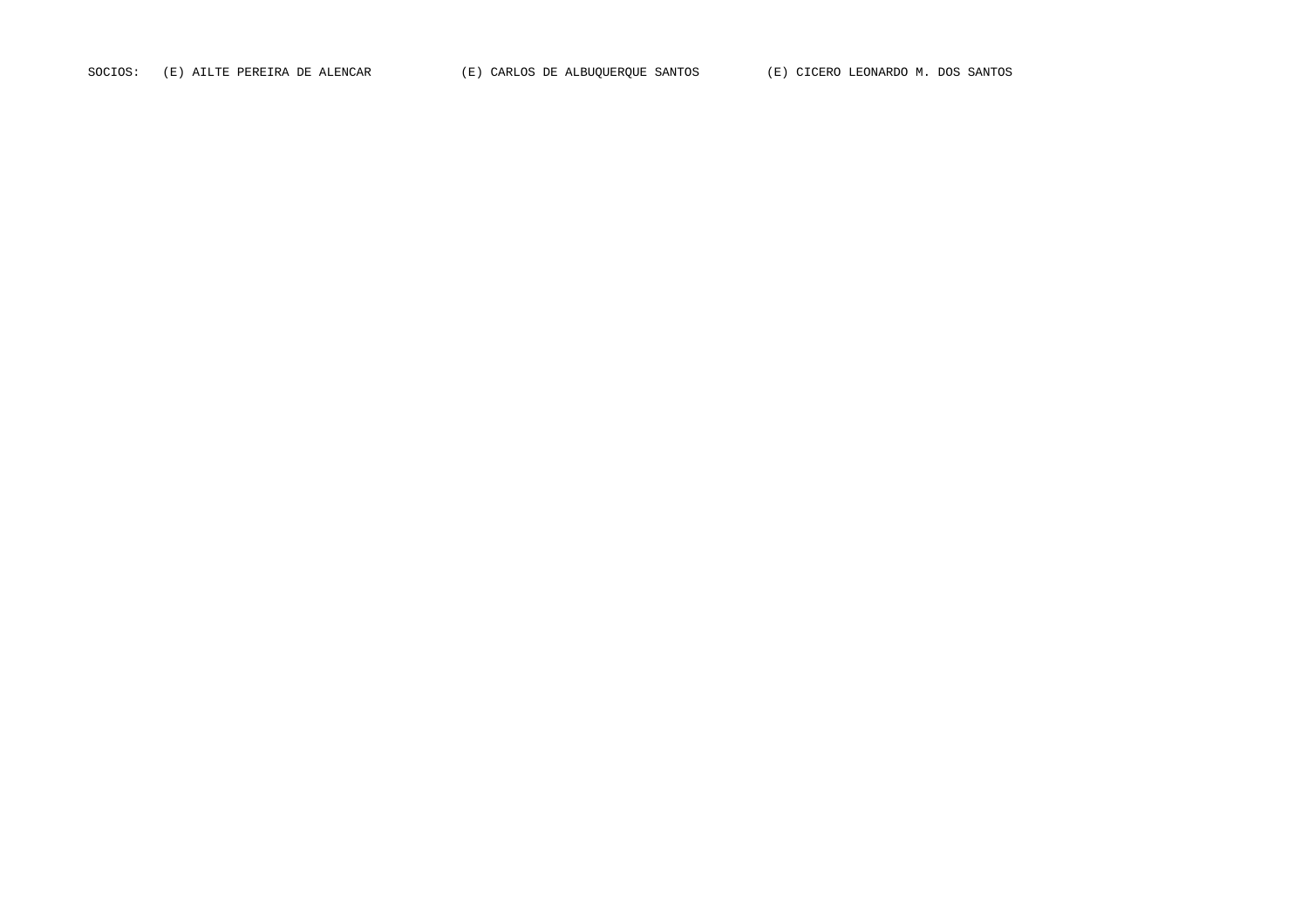SOCIOS: (E) AILTE PEREIRA DE ALENCAR (E) CARLOS DE ALBUQUERQUE SANTOS (E) CICERO LEONARDO M. DOS SANTOS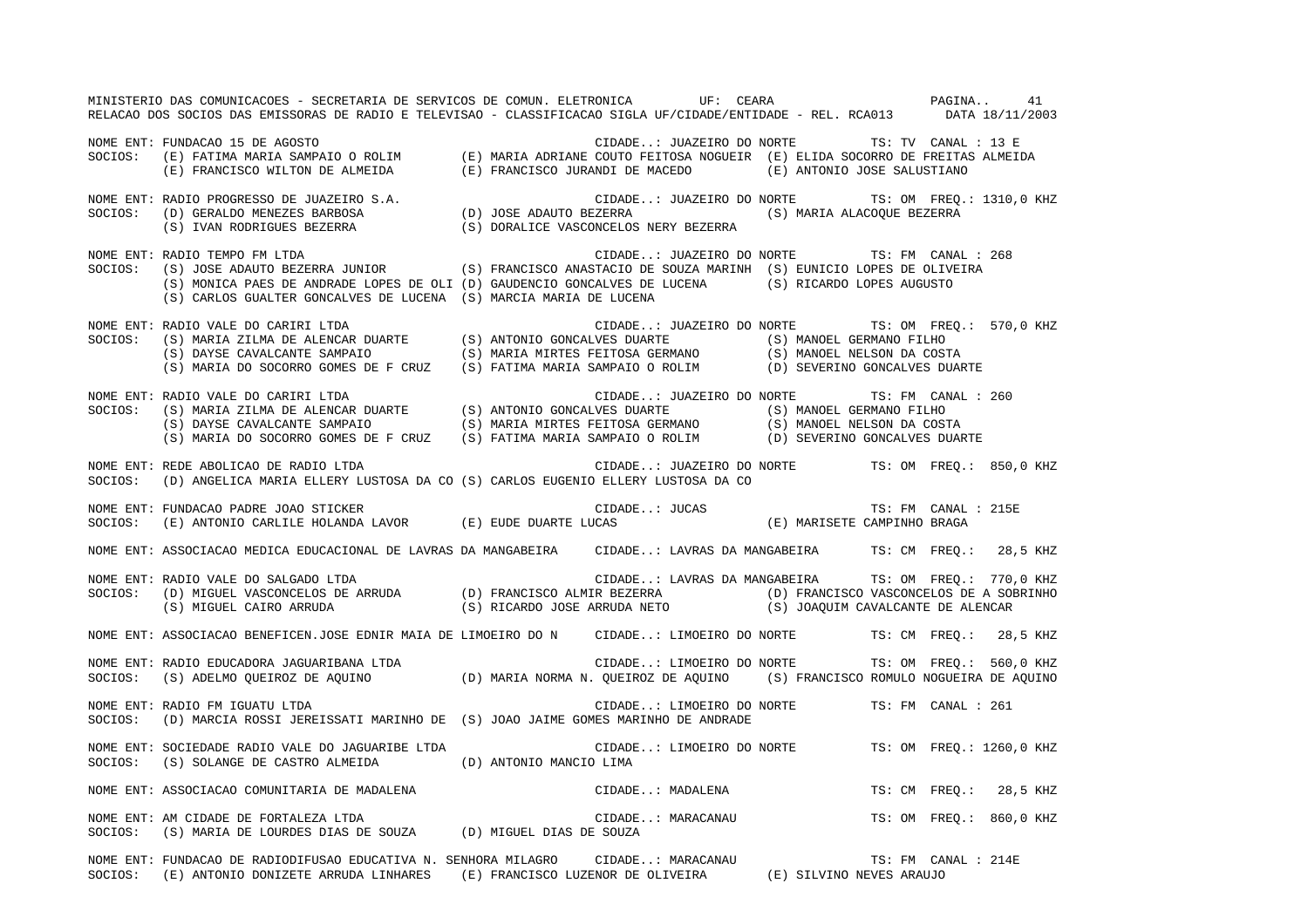MINISTERIO DAS COMUNICACOES - SECRETARIA DE SERVICOS DE COMUN. ELETRONICA UF: CEARA PAGINA.. 41 RELACAO DOS SOCIOS DAS EMISSORAS DE RADIO E TELEVISAO - CLASSIFICACAO SIGLA UF/CIDADE/ENTIDADE - REL. RCA013 DATA 18/11/2003 NOME ENT: FUNDACAO 15 DE AGOSTO CIDADE..: JUAZEIRO DO NORTE TS: TV CANAL : 13 ESOCIOS: (E) FATIMA MARIA SAMPAIO O ROLIM (E) MARIA ADRIANE COUTO FEITOSA NOGUEIR (E) ELIDA SOCORRO DE FREITAS ALMEIDA (E) FRANCISCO WILTON DE ALMEIDA (E) FRANCISCO JURANDI DE MACEDO (E) ANTONIO JOSE SALUSTIANO NOME ENT: RADIO PROGRESSO DE JUAZEIRO S.A. CIDADE..: JUAZEIRO DO NORTE TS: OM FREQ.: 1310,0 KHZ SOCIOS: (D) GERALDO MENEZES BARBOSA (D) JOSE ADAUTO BEZERRA (S) MARIA ALACOQUE BEZERRA (S) IVAN RODRIGUES BEZERRA (S) DORALICE VASCONCELOS NERY BEZERRA NOME ENT: RADIO TEMPO FM LTDA CIDADE..: JUAZEIRO DO NORTE TS: FM CANAL : 268SOCIOS: (S) JOSE ADAUTO BEZERRA JUNIOR (S) FRANCISCO ANASTACIO DE SOUZA MARINH (S) EUNICIO LOPES DE OLIVEIRA (S) MONICA PAES DE ANDRADE LOPES DE OLI (D) GAUDENCIO GONCALVES DE LUCENA (S) RICARDO LOPES AUGUSTO (S) CARLOS GUALTER GONCALVES DE LUCENA (S) MARCIA MARIA DE LUCENA NOME ENT: RADIO VALE DO CARIRI LTDA CIDADE..: JUAZEIRO DO NORTE TS: OM FREQ.: 570,0 KHZ SOCIOS: (S) MARIA ZILMA DE ALENCAR DUARTE (S) ANTONIO GONCALVES DUARTE (S) MANOEL GERMANO FILHO (S) DAYSE CAVALCANTE SAMPAIO (S) MARIA MIRTES FEITOSA GERMANO (S) MANOEL NELSON DA COSTA (S) MARIA DO SOCORRO GOMES DE F CRUZ (S) FATIMA MARIA SAMPAIO O ROLIM (D) SEVERINO GONCALVES DUARTE NOME ENT: RADIO VALE DO CARIRI LTDA CIDADE..: JUAZEIRO DO NORTE TS: FM CANAL : 260 SOCIOS: (S) MARIA ZILMA DE ALENCAR DUARTE (S) ANTONIO GONCALVES DUARTE (S) MANOEL GERMANO FILHO (S) DAYSE CAVALCANTE SAMPAIO (S) MARIA MIRTES FEITOSA GERMANO (S) MANOEL NELSON DA COSTA (S) MARIA DO SOCORRO GOMES DE F CRUZ (S) FATIMA MARIA SAMPAIO O ROLIM (D) SEVERINO GONCALVES DUARTE NOME ENT: REDE ABOLICAO DE RADIO LTDA CIDADE..: JUAZEIRO DO NORTE TS: OM FREQ.: 850,0 KHZ SOCIOS: (D) ANGELICA MARIA ELLERY LUSTOSA DA CO (S) CARLOS EUGENIO ELLERY LUSTOSA DA CO NOME ENT: FUNDACAO PADRE JOAO STICKER CIDADE..: JUCAS TS: FM CANAL : 215E SOCIOS: (E) ANTONIO CARLILE HOLANDA LAVOR (E) EUDE DUARTE LUCAS (E) MARISETE CAMPINHO BRAGA NOME ENT: ASSOCIACAO MEDICA EDUCACIONAL DE LAVRAS DA MANGABEIRA CIDADE..: LAVRAS DA MANGABEIRA TS: CM FREQ.: 28,5 KHZ NOME ENT: RADIO VALE DO SALGADO LTDA CIDADE..: LAVRAS DA MANGABEIRA TS: OM FREQ.: 770,0 KHZ SOCIOS: (D) MIGUEL VASCONCELOS DE ARRUDA (D) FRANCISCO ALMIR BEZERRA (D) FRANCISCO VASCONCELOS DE A SOBRINHO (S) MIGUEL CAIRO ARRUDA (S) RICARDO JOSE ARRUDA NETO (S) JOAQUIM CAVALCANTE DE ALENCAR NOME ENT: ASSOCIACAO BENEFICEN.JOSE EDNIR MAIA DE LIMOEIRO DO N CIDADE..: LIMOEIRO DO NORTE TS: CM FREQ.: 28,5 KHZ NOME ENT: RADIO EDUCADORA JAGUARIBANA LTDA CIDADE..: LIMOEIRO DO NORTE TS: OM FREQ.: 560,0 KHZ SOCIOS: (S) ADELMO QUEIROZ DE AQUINO (D) MARIA NORMA N. QUEIROZ DE AQUINO (S) FRANCISCO ROMULO NOGUEIRA DE AQUINO NOME ENT: RADIO FM IGUATU LTDA CIDADE..: LIMOEIRO DO NORTE TS: FM CANAL : 261SOCIOS: (D) MARCIA ROSSI JEREISSATI MARINHO DE (S) JOAO JAIME GOMES MARINHO DE ANDRADE NOME ENT: SOCIEDADE RADIO VALE DO JAGUARIBE LTDA CIDADE..: LIMOEIRO DO NORTE TS: OM FREQ.: 1260,0 KHZ SOCIOS: (S) SOLANGE DE CASTRO ALMEIDA (D) ANTONIO MANCIO LIMA NOME ENT: ASSOCIACAO COMUNITARIA DE MADALENA CIDADE..: MADALENA TS: CM FREQ.: 28,5 KHZ NOME ENT: AM CIDADE DE FORTALEZA LTDA  $\blacksquare$  CIDADE..: MARACANAU TS: OM FREQ.: 860,0 KHZ SOCIOS: (S) MARIA DE LOURDES DIAS DE SOUZA (D) MIGUEL DIAS DE SOUZA NOME ENT: FUNDACAO DE RADIODIFUSAO EDUCATIVA N. SENHORA MILAGRO CIDADE..: MARACANAU TS: FM CANAL : 214E SOCIOS: (E) ANTONIO DONIZETE ARRUDA LINHARES (E) FRANCISCO LUZENOR DE OLIVEIRA (E) SILVINO NEVES ARAUJO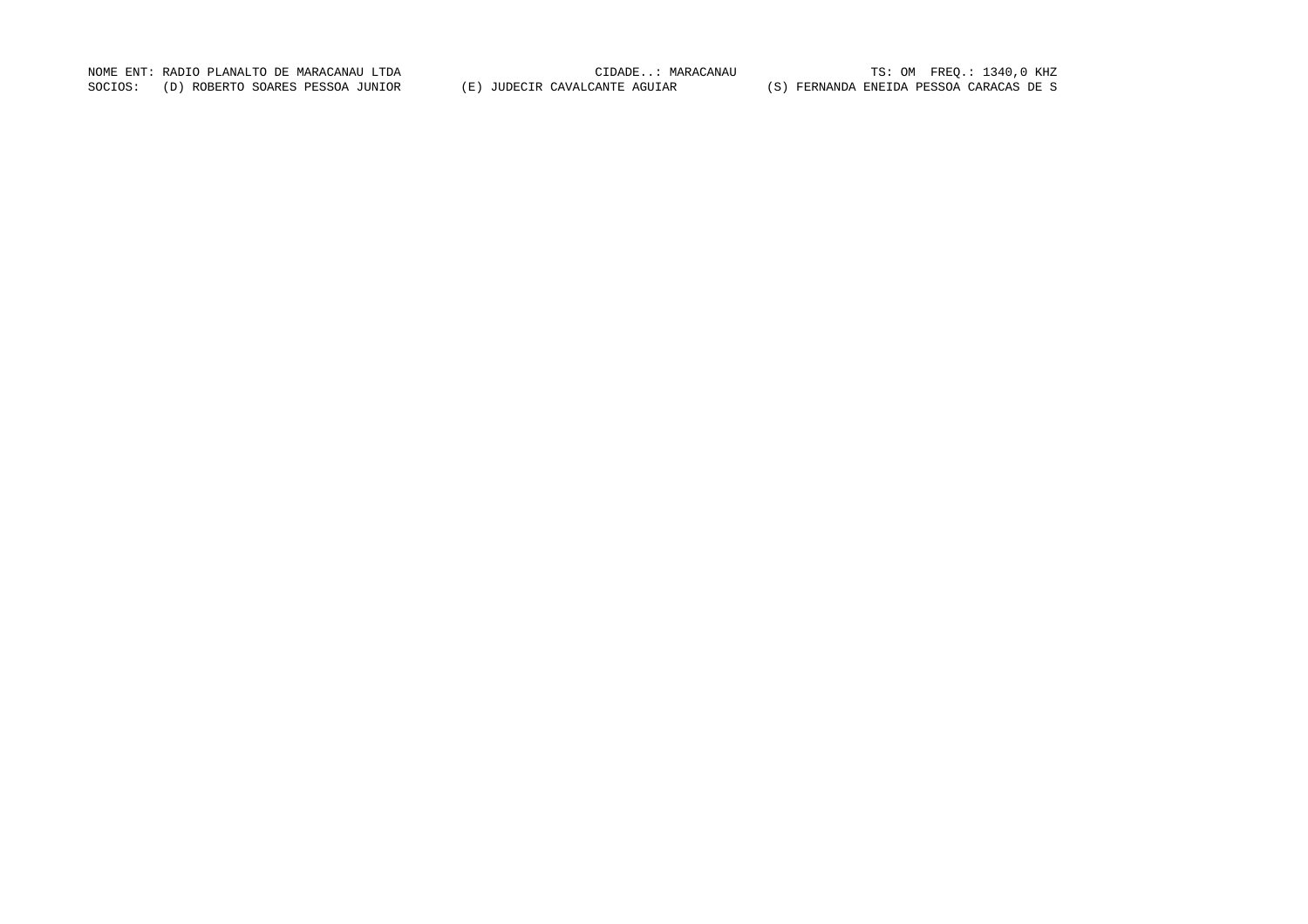NOME ENT: RADIO PLANALTO DE MARACANAU LTDA CIDADE..: MARACANAU TS: OM FREQ.: 1340,0 KHZ SOCIOS: (D) ROBERTO SOARES PESSOA JUNIOR (E) JUDECIR CAVALCANTE AGUIAR (S) FERNANDA ENEIDA PESSOA CARACAS DE S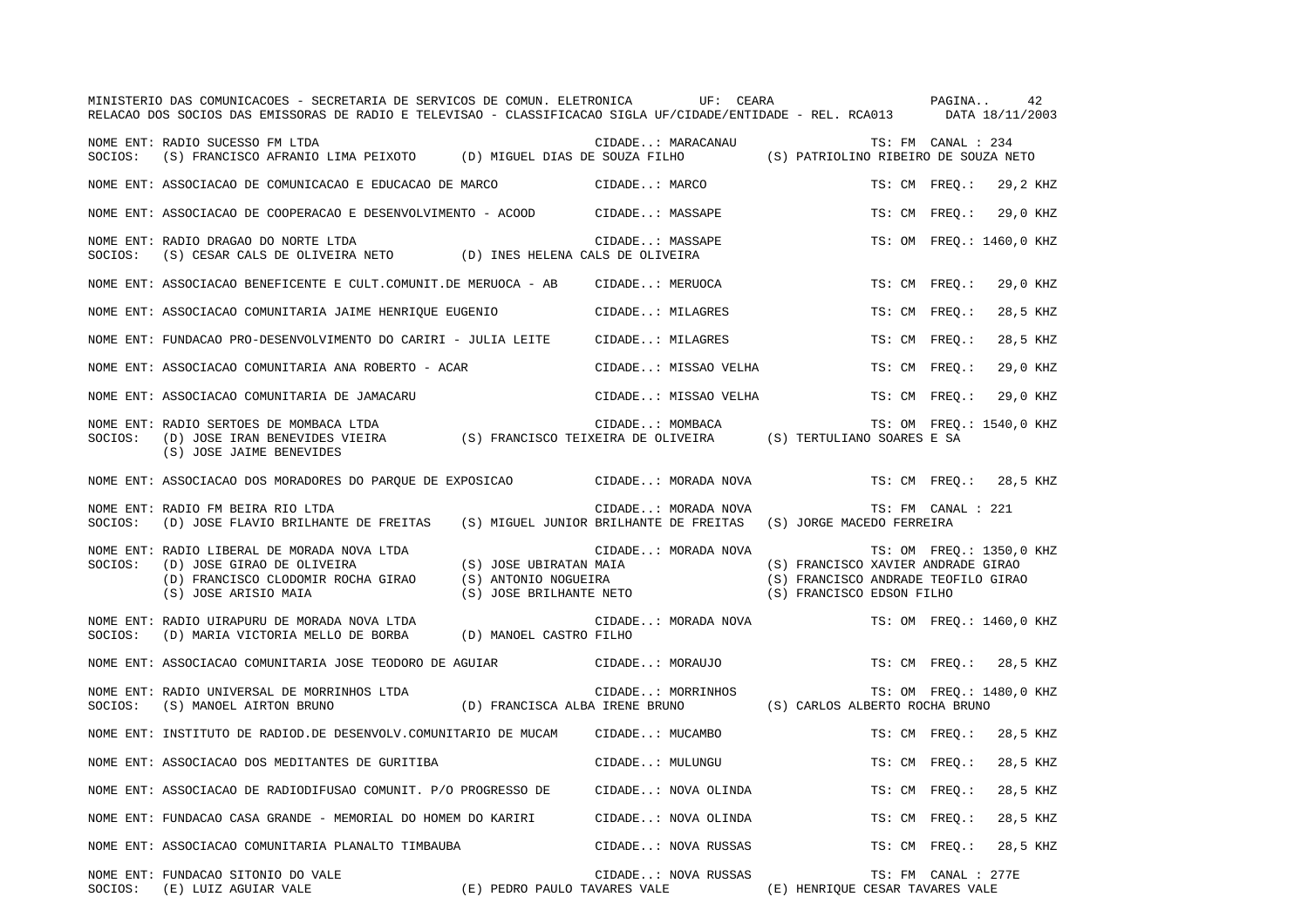|         | MINISTERIO DAS COMUNICACOES - SECRETARIA DE SERVICOS DE COMUN. ELETRONICA<br>RELACAO DOS SOCIOS DAS EMISSORAS DE RADIO E TELEVISAO - CLASSIFICACAO SIGLA UF/CIDADE/ENTIDADE - REL. RCA013 DATA 18/11/2003 |                                                                           |                      | UF: CEARA |                                                                                                        |               | PAGINA              | 42                       |  |
|---------|-----------------------------------------------------------------------------------------------------------------------------------------------------------------------------------------------------------|---------------------------------------------------------------------------|----------------------|-----------|--------------------------------------------------------------------------------------------------------|---------------|---------------------|--------------------------|--|
|         | NOME ENT: RADIO SUCESSO FM LTDA<br>SOCIOS: (S) FRANCISCO AFRANIO LIMA PEIXOTO (D) MIGUEL DIAS DE SOUZA FILHO                                                                                              |                                                                           | CIDADE: MARACANAU    |           | (S) PATRIOLINO RIBEIRO DE SOUZA NETO                                                                   |               | TS: FM CANAL : 234  |                          |  |
|         | NOME ENT: ASSOCIACAO DE COMUNICACAO E EDUCACAO DE MARCO                                                                                                                                                   |                                                                           | CIDADE: MARCO        |           |                                                                                                        | TS: CM FREO.: |                     | 29,2 KHZ                 |  |
|         | NOME ENT: ASSOCIACAO DE COOPERACAO E DESENVOLVIMENTO - ACOOD                                                                                                                                              |                                                                           | CIDADE: MASSAPE      |           |                                                                                                        | TS: CM FREO.: |                     | 29,0 KHZ                 |  |
| SOCIOS: | NOME ENT: RADIO DRAGAO DO NORTE LTDA<br>(S) CESAR CALS DE OLIVEIRA NETO (D) INES HELENA CALS DE OLIVEIRA                                                                                                  |                                                                           | CIDADE: MASSAPE      |           |                                                                                                        |               |                     | TS: OM FREQ.: 1460,0 KHZ |  |
|         | NOME ENT: ASSOCIACAO BENEFICENTE E CULT.COMUNIT.DE MERUOCA - AB                                                                                                                                           |                                                                           | CIDADE: MERUOCA      |           |                                                                                                        | TS: CM FREO.: |                     | 29,0 KHZ                 |  |
|         | NOME ENT: ASSOCIACAO COMUNITARIA JAIME HENRIQUE EUGENIO                                                                                                                                                   |                                                                           | CIDADE: MILAGRES     |           |                                                                                                        | TS: CM FREO.: |                     | 28,5 KHZ                 |  |
|         | NOME ENT: FUNDACAO PRO-DESENVOLVIMENTO DO CARIRI - JULIA LEITE                                                                                                                                            |                                                                           | CIDADE: MILAGRES     |           |                                                                                                        | TS: CM FREO.: |                     | 28,5 KHZ                 |  |
|         | NOME ENT: ASSOCIACAO COMUNITARIA ANA ROBERTO - ACAR                                                                                                                                                       |                                                                           | CIDADE: MISSAO VELHA |           |                                                                                                        | TS: CM FREO.: |                     | 29,0 KHZ                 |  |
|         | NOME ENT: ASSOCIACAO COMUNITARIA DE JAMACARU                                                                                                                                                              |                                                                           | CIDADE: MISSAO VELHA |           |                                                                                                        | TS: CM FREO.: |                     | 29,0 KHZ                 |  |
| SOCIOS: | NOME ENT: RADIO SERTOES DE MOMBACA LTDA<br>(D) JOSE IRAN BENEVIDES VIEIRA (S) FRANCISCO TEIXEIRA DE OLIVEIRA (S) TERTULIANO SOARES E SA<br>(S) JOSE JAIME BENEVIDES                                       |                                                                           | CIDADE: MOMBACA      |           |                                                                                                        |               |                     | TS: OM FREQ.: 1540,0 KHZ |  |
|         | NOME ENT: ASSOCIACAO DOS MORADORES DO PARQUE DE EXPOSICAO CIDADE: MORADA NOVA                                                                                                                             |                                                                           |                      |           |                                                                                                        | TS: CM FREQ.: |                     | 28,5 KHZ                 |  |
| SOCIOS: | NOME ENT: RADIO FM BEIRA RIO LTDA<br>(D) JOSE FLAVIO BRILHANTE DE FREITAS (S) MIGUEL JUNIOR BRILHANTE DE FREITAS (S) JORGE MACEDO FERREIRA                                                                |                                                                           | CIDADE: MORADA NOVA  |           |                                                                                                        |               | TS: FM CANAL : 221  |                          |  |
| SOCIOS: | NOME ENT: RADIO LIBERAL DE MORADA NOVA LTDA<br>(D) JOSE GIRAO DE OLIVEIRA<br>(D) FRANCISCO CLODOMIR ROCHA GIRAO<br>(S) JOSE ARISIO MAIA                                                                   | (S) JOSE UBIRATAN MAIA<br>(S) ANTONIO NOGUEIRA<br>(S) JOSE BRILHANTE NETO | CIDADE: MORADA NOVA  |           | (S) FRANCISCO XAVIER ANDRADE GIRAO<br>(S) FRANCISCO ANDRADE TEOFILO GIRAO<br>(S) FRANCISCO EDSON FILHO |               |                     | TS: OM FREQ.: 1350,0 KHZ |  |
| SOCIOS: | NOME ENT: RADIO UIRAPURU DE MORADA NOVA LTDA<br>(D) MARIA VICTORIA MELLO DE BORBA                                                                                                                         | (D) MANOEL CASTRO FILHO                                                   | CIDADE: MORADA NOVA  |           |                                                                                                        |               |                     | TS: OM FREQ.: 1460,0 KHZ |  |
|         | NOME ENT: ASSOCIACAO COMUNITARIA JOSE TEODORO DE AGUIAR                                                                                                                                                   |                                                                           | CIDADE: MORAUJO      |           |                                                                                                        | TS: CM FREO.: |                     | 28,5 KHZ                 |  |
| SOCIOS: | NOME ENT: RADIO UNIVERSAL DE MORRINHOS LTDA<br>(S) MANOEL AIRTON BRUNO                                                                                                                                    | (D) FRANCISCA ALBA IRENE BRUNO (S) CARLOS ALBERTO ROCHA BRUNO             | CIDADE: MORRINHOS    |           |                                                                                                        |               |                     | TS: OM FREQ.: 1480,0 KHZ |  |
|         | NOME ENT: INSTITUTO DE RADIOD.DE DESENVOLV.COMUNITARIO DE MUCAM                                                                                                                                           |                                                                           | CIDADE: MUCAMBO      |           |                                                                                                        | TS: CM FREQ.: |                     | 28,5 KHZ                 |  |
|         | NOME ENT: ASSOCIACAO DOS MEDITANTES DE GURITIBA                                                                                                                                                           |                                                                           | CIDADE: MULUNGU      |           |                                                                                                        | TS: CM FREQ.: |                     | 28,5 KHZ                 |  |
|         | NOME ENT: ASSOCIACAO DE RADIODIFUSAO COMUNIT. P/O PROGRESSO DE                                                                                                                                            |                                                                           | CIDADE: NOVA OLINDA  |           |                                                                                                        | TS: CM FREO.: |                     | 28,5 KHZ                 |  |
|         | NOME ENT: FUNDACAO CASA GRANDE - MEMORIAL DO HOMEM DO KARIRI                                                                                                                                              |                                                                           | CIDADE: NOVA OLINDA  |           |                                                                                                        | TS: CM FREO.: |                     | 28,5 KHZ                 |  |
|         | NOME ENT: ASSOCIACAO COMUNITARIA PLANALTO TIMBAUBA                                                                                                                                                        |                                                                           | CIDADE: NOVA RUSSAS  |           |                                                                                                        | TS: CM FREQ.: |                     | 28,5 KHZ                 |  |
| SOCIOS: | NOME ENT: FUNDACAO SITONIO DO VALE<br>(E) PEDRO PAULO TAVARES VALE<br>(E) LUIZ AGUIAR VALE                                                                                                                |                                                                           | CIDADE: NOVA RUSSAS  |           | (E) HENRIQUE CESAR TAVARES VALE                                                                        |               | TS: FM CANAL : 277E |                          |  |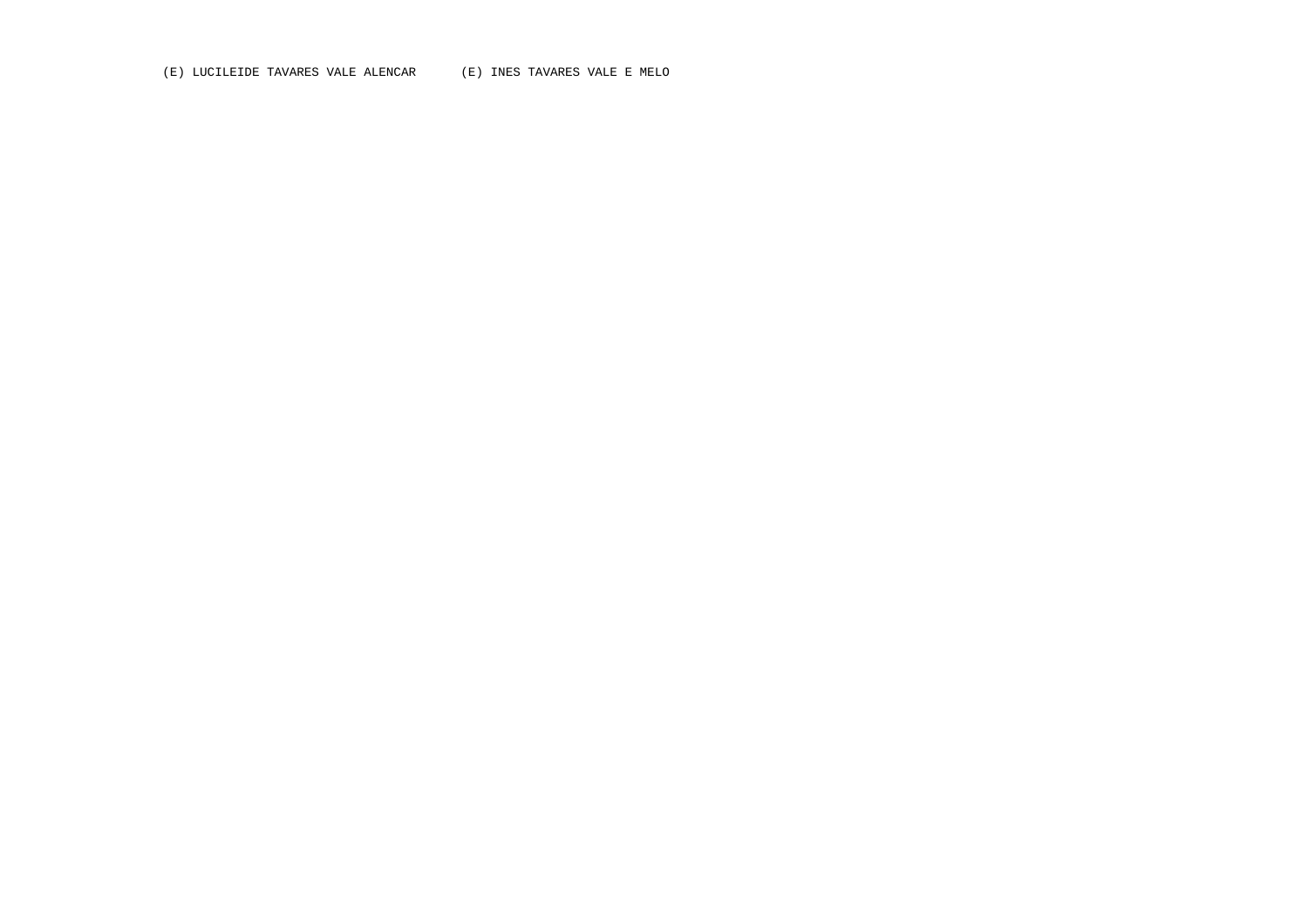(E) LUCILEIDE TAVARES VALE ALENCAR (E) INES TAVARES VALE E MELO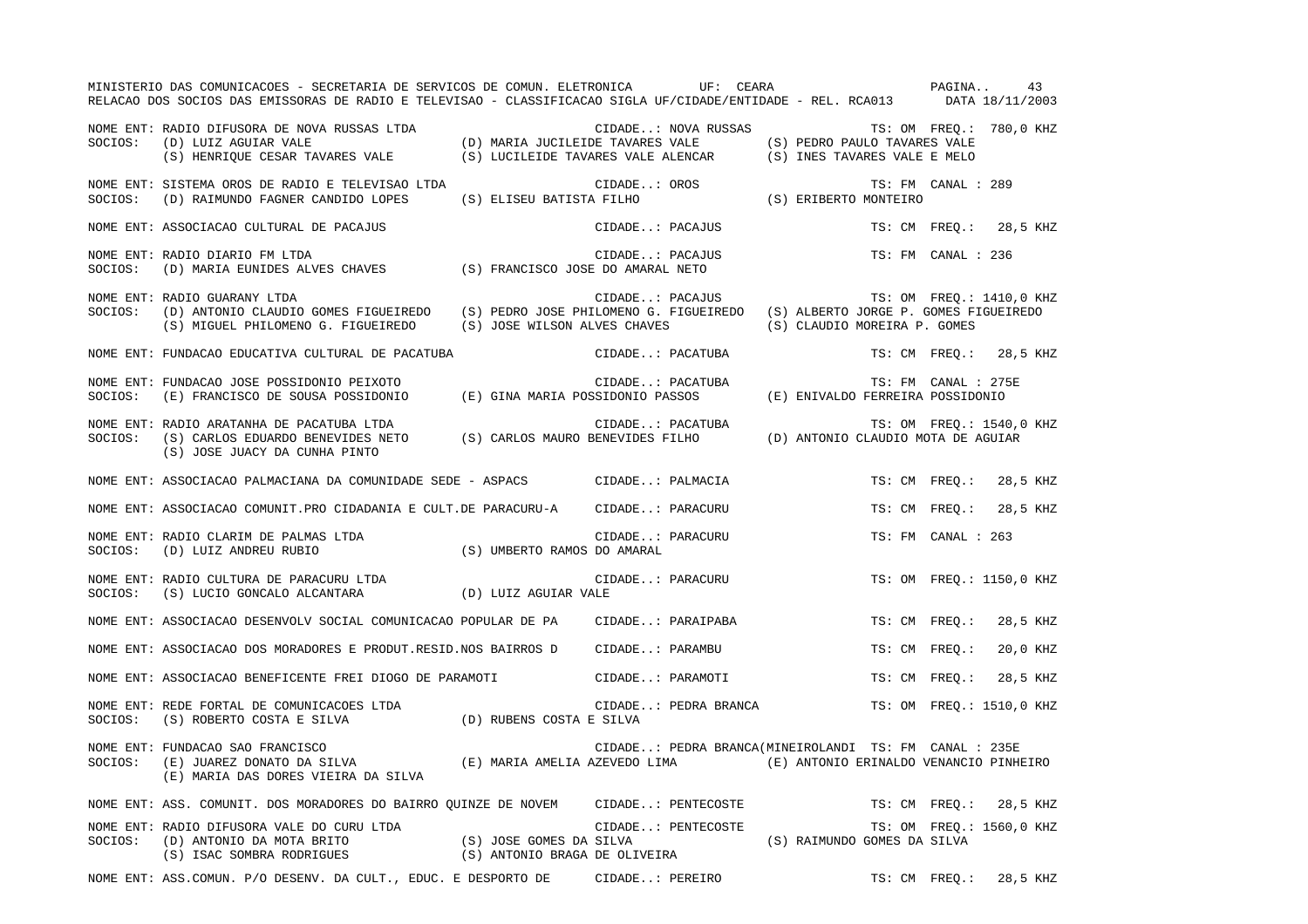|         | MINISTERIO DAS COMUNICACOES - SECRETARIA DE SERVICOS DE COMUN. ELETRONICA UF: CEARA<br>RELACAO DOS SOCIOS DAS EMISSORAS DE RADIO E TELEVISAO - CLASSIFICACAO SIGLA UF/CIDADE/ENTIDADE - REL. RCA013 DATA 18/11/2003  |                             |                  |                      | PAGINA                                                                              |  | 43       |
|---------|----------------------------------------------------------------------------------------------------------------------------------------------------------------------------------------------------------------------|-----------------------------|------------------|----------------------|-------------------------------------------------------------------------------------|--|----------|
|         | TS: OM FREQ.:<br>SOCIOS: (D) LUIZ AGUIAR VALE (D) MARIA JUCILEIDE TAVARES VALE (S) PEDRO PAULO TAVARES VALE<br>(S) HENRIQUE CESAR TAVARES VALE (S) LUCILEIDE TAVARES VALE ALENCAR (S) INES TAVARES VALE E MELO       |                             |                  |                      | CIDADE: NOVA RUSSAS TS: OM FREQ.: 780,0 KHZ                                         |  |          |
| SOCIOS: | NOME ENT: SISTEMA OROS DE RADIO E TELEVISAO LTDA<br>(D) RAIMUNDO FAGNER CANDIDO LOPES                                                                                                                                |                             | CIDADE: OROS     |                      | TS: FM CANAL : 289<br>CIDADE OROS<br>(S) ELISEU BATISTA FILHO (S) ERIBERTO MONTEIRO |  |          |
|         | NOME ENT: ASSOCIACAO CULTURAL DE PACAJUS                                                                                                                                                                             |                             |                  | CIDADE: PACAJUS      | TS: CM FREO.: 28,5 KHZ                                                              |  |          |
| SOCIOS: | NOME ENT: RADIO DIARIO FM LTDA<br>(D) MARIA EUNIDES ALVES CHAVES (S) FRANCISCO JOSE DO AMARAL NETO                                                                                                                   |                             |                  | CIDADE: PACAJUS      | TS: FM CANAL : 236                                                                  |  |          |
| SOCIOS: | NOME ENT: RADIO GUARANY LTDA<br>(D) ANTONIO CLAUDIO GOMES FIGUEIREDO (S) PEDRO JOSE PHILOMENO G. FIGUEIREDO (S) ALBERTO JORGE P. GOMES FIGUEIREDO<br>(S) MIGUEL PHILOMENO G. FIGUEIREDO (S) JOSE WILSON ALVES CHAVES |                             |                  | CIDADE: PACAJUS      | TS: OM FREQ.: 1410,0 KHZ<br>(S) CLAUDIO MOREIRA P. GOMES                            |  |          |
|         | NOME ENT: FUNDACAO EDUCATIVA CULTURAL DE PACATUBA                                                                                                                                                                    |                             |                  | CIDADE: PACATUBA     | TS: CM FREO.: 28,5 KHZ                                                              |  |          |
| SOCIOS: | NOME ENT: FUNDACAO JOSE POSSIDONIO PEIXOTO<br>(E) FRANCISCO DE SOUSA POSSIDONIO (E) GINA MARIA POSSIDONIO PASSOS (E) ENIVALDO FERREIRA POSSIDONIO                                                                    |                             | CIDADE: PACATUBA |                      | TS: FM CANAL : 275E                                                                 |  |          |
| SOCIOS: | NOME ENT: RADIO ARATANHA DE PACATUBA LTDA<br>(S) JOSE JUACY DA CUNHA PINTO                                                                                                                                           |                             |                  |                      | TS: OM FREQ.: 1540,0 KHZ                                                            |  |          |
|         | NOME ENT: ASSOCIACAO PALMACIANA DA COMUNIDADE SEDE - ASPACS CIDADE: PALMACIA                                                                                                                                         |                             |                  |                      | TS: CM FREQ.:                                                                       |  | 28,5 KHZ |
|         | NOME ENT: ASSOCIACAO COMUNIT.PRO CIDADANIA E CULT.DE PARACURU-A CIDADE: PARACURU                                                                                                                                     |                             |                  |                      | TS: CM FREO.:                                                                       |  | 28,5 KHZ |
|         | NOME ENT: RADIO CLARIM DE PALMAS LTDA<br>SOCIOS: (D) LUIZ ANDREU RUBIO                                                                                                                                               | (S) UMBERTO RAMOS DO AMARAL |                  | CIDADE: PARACURU     | TS: FM CANAL : 263                                                                  |  |          |
|         | NOME ENT: RADIO CULTURA DE PARACURU LTDA<br>SOCIOS: (S) LUCIO GONCALO ALCANTARA (D) LUIZ AGUIAR VALE                                                                                                                 |                             |                  | CIDADE: PARACURU     | TS: OM FREQ.: 1150,0 KHZ                                                            |  |          |
|         | NOME ENT: ASSOCIACAO DESENVOLV SOCIAL COMUNICACAO POPULAR DE PA                                                                                                                                                      |                             |                  | CIDADE: PARAIPABA    | TS: CM FREO.:                                                                       |  | 28,5 KHZ |
|         | NOME ENT: ASSOCIACAO DOS MORADORES E PRODUT.RESID.NOS BAIRROS D                                                                                                                                                      |                             | CIDADE: PARAMBU  |                      | TS: CM FREQ.:                                                                       |  | 20,0 KHZ |
|         | NOME ENT: ASSOCIACAO BENEFICENTE FREI DIOGO DE PARAMOTI                                                                                                                                                              |                             |                  | CIDADE: PARAMOTI     | TS: CM FREO.:                                                                       |  | 28,5 KHZ |
|         | NOME ENT: REDE FORTAL DE COMUNICACOES LTDA (D) RUBENS COSTA E SILVA (D) CIDADE.                                                                                                                                      |                             |                  | CIDADE: PEDRA BRANCA | TS: OM FREO.: 1510,0 KHZ                                                            |  |          |
| SOCIOS: | NOME ENT: FUNDACAO SAO FRANCISCO<br>(E) JUAREZ DONATO DA SILVA (E) MARIA AMELIA AZEVEDO LIMA (E) ANTONIO ERINALDO VENANCIO PINHEIRO<br>(E) MARIA DAS DORES VIEIRA DA SILVA                                           |                             |                  |                      | CIDADE: PEDRA BRANCA(MINEIROLANDI TS: FM CANAL : 235E                               |  |          |
|         | NOME ENT: ASS. COMUNIT. DOS MORADORES DO BAIRRO QUINZE DE NOVEM CIDADE: PENTECOSTE                                                                                                                                   |                             |                  |                      | TS: CM FREQ.:                                                                       |  | 28,5 KHZ |
| SOCIOS: | NOME ENT: RADIO DIFUSORA VALE DO CURU LTDA<br>(D) ANTONIO DA MOTA BRITO (S) JOSE GOMES DA SILVA<br>(S) ISAC SOMBRA RODRIGUES (S) ANTONIO BRAGA DE OLIVEIRA                                                           |                             |                  | CIDADE: PENTECOSTE   | TS: OM FREQ.: 1560,0 KHZ<br>(S) RAIMUNDO GOMES DA SILVA                             |  |          |
|         | NOME ENT: ASS.COMUN. P/O DESENV. DA CULT., EDUC. E DESPORTO DE                                                                                                                                                       |                             | CIDADE: PEREIRO  |                      | TS: CM FREO.:                                                                       |  | 28,5 KHZ |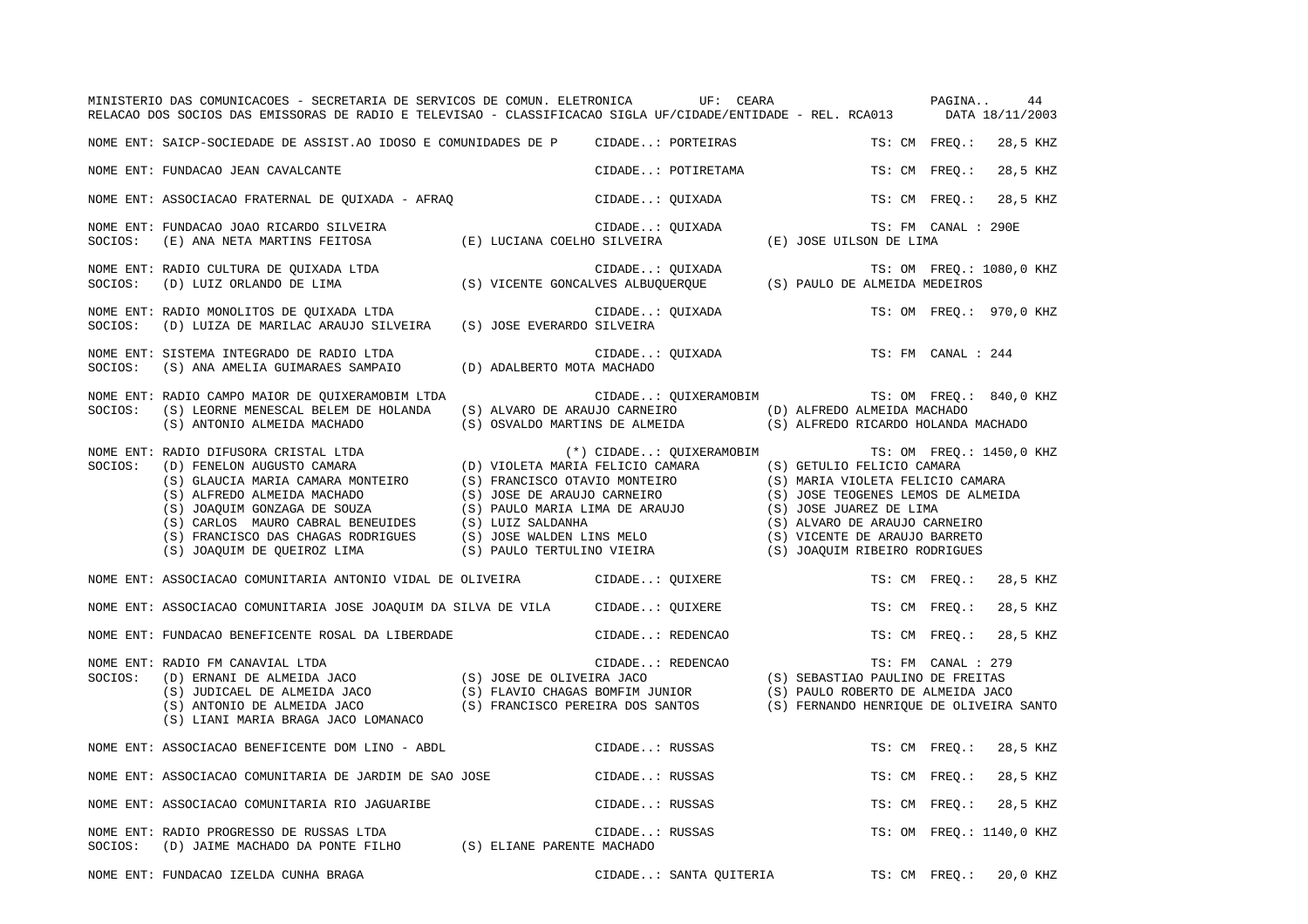|         | MINISTERIO DAS COMUNICACOES - SECRETARIA DE SERVICOS DE COMUN. ELETRONICA UF: CEARA<br>RELACAO DOS SOCIOS DAS EMISSORAS DE RADIO E TELEVISAO - CLASSIFICACAO SIGLA UF/CIDADE/ENTIDADE - REL. RCA013 DATA 18/11/2003                                                                                           |                                                   |                     | PAGINA             | 44                       |
|---------|---------------------------------------------------------------------------------------------------------------------------------------------------------------------------------------------------------------------------------------------------------------------------------------------------------------|---------------------------------------------------|---------------------|--------------------|--------------------------|
|         | NOME ENT: SAICP-SOCIEDADE DE ASSIST.AO IDOSO E COMUNIDADES DE P CIDADE: PORTEIRAS                                                                                                                                                                                                                             |                                                   |                     | TS: CM FREQ.:      | 28,5 KHZ                 |
|         | NOME ENT: FUNDACAO JEAN CAVALCANTE                                                                                                                                                                                                                                                                            | CIDADE: POTIRETAMA                                |                     | TS: CM FREO.:      | 28,5 KHZ                 |
|         | NOME ENT: ASSOCIACAO FRATERNAL DE QUIXADA - AFRAQ                                                                                                                                                                                                                                                             | CIDADE: QUIXADA                                   | TS: CM FREO.:       |                    | 28,5 KHZ                 |
| SOCIOS: | NOME ENT: FUNDACAO JOAO RICARDO SILVEIRA                                                                                                                                                                                                                                                                      |                                                   | TS: FM CANAL : 290E |                    |                          |
|         | NOME ENT: RADIO CULTURA DE QUIXADA LTDA<br>SOCIOS: (D) LUIZ ORLANDO DE LIMA (S) VICENTE GONCALVES ALBUQUERQUE (S) PAULO DE ALMEIDA MEDEIROS                                                                                                                                                                   |                                                   |                     |                    | TS: OM FREQ.: 1080,0 KHZ |
|         | NOME ENT: RADIO MONOLITOS DE QUIXADA LTDA<br>SOCIOS: (D) LUIZA DE MARILAC ARAUJO SILVEIRA (S) JOSE EVERARDO SILVEIRA                                                                                                                                                                                          | CIDADE: QUIXADA                                   |                     |                    | TS: OM FREO.: 970,0 KHZ  |
| SOCIOS: | NOME ENT: SISTEMA INTEGRADO DE RADIO LTDA<br>(S) ANA AMELIA GUIMARAES SAMPAIO (D) ADALBERTO MOTA MACHADO                                                                                                                                                                                                      | CIDADE: QUIXADA                                   |                     | TS: FM CANAL : 244 |                          |
| SOCIOS: | NOME ENT: RADIO CAMPO MAIOR DE QUIXERAMOBIM LTDA<br>$(\texttt{S}) \text{ LEORNE MENESCALB BELEM DE HOLANDA} \qquad (\texttt{S}) \text{ ALVARO DE ARAUJO CARNEIRO} \qquad (\texttt{D}) \text{ ALFREDO ALMELDA MACHADO} \qquad (\texttt{S}) \text{ ANTONIO ALMELDA MACHADO}$                                    | CIDADE: QUIXERAMOBIM TS: OM FREQ.: 840,0 KHZ      |                     |                    |                          |
|         |                                                                                                                                                                                                                                                                                                               | (*) CIDADE: QUIXERAMOBIM TS: OM FREQ.: 1450,0 KHZ |                     |                    |                          |
|         | NOME ENT: ASSOCIACAO COMUNITARIA ANTONIO VIDAL DE OLIVEIRA CIDADE: QUIXERE                                                                                                                                                                                                                                    |                                                   |                     | TS: CM FREO.:      | 28,5 KHZ                 |
|         | NOME ENT: ASSOCIACAO COMUNITARIA JOSE JOAQUIM DA SILVA DE VILA CIDADE: QUIXERE                                                                                                                                                                                                                                |                                                   |                     | TS: CM FREO.:      | 28,5 KHZ                 |
|         | NOME ENT: FUNDACAO BENEFICENTE ROSAL DA LIBERDADE                                                                                                                                                                                                                                                             | CIDADE: REDENCAO                                  |                     | TS: CM FREO.:      | 28,5 KHZ                 |
| SOCIOS: | RADIO FM CANAVIAL LTDA<br>(D) ERNANI DE ALMEIDA JACO (S) JOSE DE OLIVEIRA JACO (S) SEBASTIAO PAULINO DE FREITAS<br>(S) JUDICAEL DE ALMEIDA JACO (S) FLAVIO CHAGAS BOMFIM JUNIOR (S) PAULO ROBERTO DE ALMEIDA JACO (S) ANTONIO DE A<br>NOME ENT: RADIO FM CANAVIAL LTDA<br>(S) LIANI MARIA BRAGA JACO LOMANACO |                                                   |                     |                    |                          |
|         | NOME ENT: ASSOCIACAO BENEFICENTE DOM LINO - ABDL                                                                                                                                                                                                                                                              | CIDADE: RUSSAS                                    |                     | TS: CM FREO.:      | 28,5 KHZ                 |
|         | NOME ENT: ASSOCIACAO COMUNITARIA DE JARDIM DE SAO JOSE                                                                                                                                                                                                                                                        | CIDADE: RUSSAS                                    |                     | TS: CM FREQ.:      | 28,5 KHZ                 |
|         | NOME ENT: ASSOCIACAO COMUNITARIA RIO JAGUARIBE                                                                                                                                                                                                                                                                | CIDADE: RUSSAS                                    |                     | TS: CM FREQ.:      | 28,5 KHZ                 |
|         | NOME ENT: RADIO PROGRESSO DE RUSSAS LTDA<br>SOCIOS: (D) JAIME MACHADO DA PONTE FILHO (S) ELIANE PARENTE MACHADO                                                                                                                                                                                               | CIDADE: RUSSAS                                    |                     |                    | TS: OM FREQ.: 1140,0 KHZ |
|         | NOME ENT: FUNDACAO IZELDA CUNHA BRAGA                                                                                                                                                                                                                                                                         | CIDADE: SANTA QUITERIA                            |                     | TS: CM FREO.:      | 20,0 KHZ                 |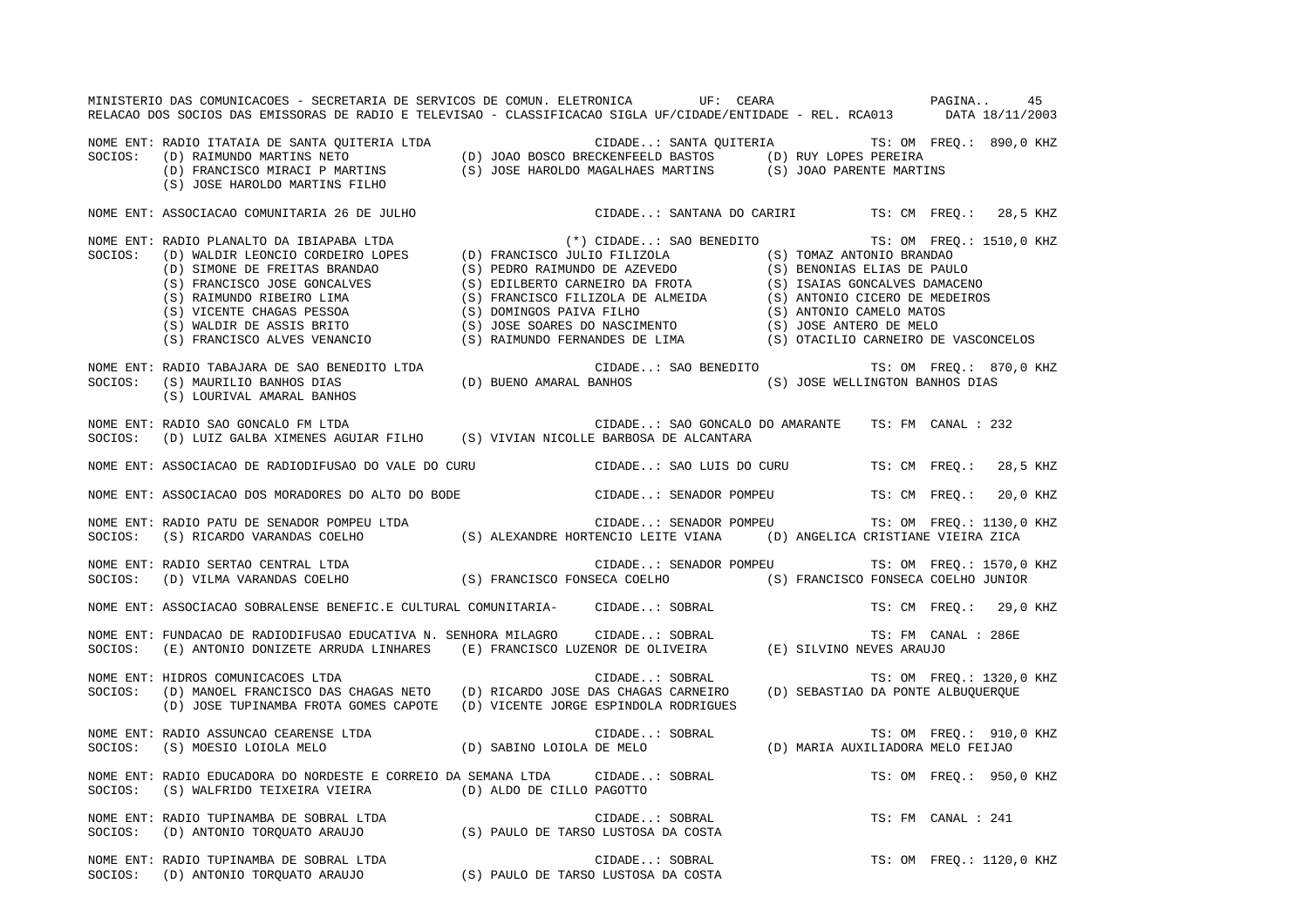| MINISTERIO DAS COMUNICACOES - SECRETARIA DE SERVICOS DE COMUN. ELETRONICA UF: CEARA COMUNICACIONA<br>RELACAO DOS SOCIOS DAS EMISSORAS DE RADIO E TELEVISAO - CLASSIFICACAO SIGLA UF/CIDADE/ENTIDADE - REL. RCA013 DATA 18/11/2003                                               |                                                     | 45                       |
|---------------------------------------------------------------------------------------------------------------------------------------------------------------------------------------------------------------------------------------------------------------------------------|-----------------------------------------------------|--------------------------|
| NOME ENT: RADIO ITATAIA DE SANTA QUITERIA LTDA<br>SOCIOS: (D) RAIMUNDO MARTINS NETO (D) JOAO BOSCO BRECKENFEELD BASTOS (D) RUY LOPES PEREIRA<br>(D) FRANCISCO MIRACI P MARTINS (S) JOSE HAROLDO MAGALHAES MARTINS (S) JOAO PARENTE M                                            |                                                     |                          |
| NOME ENT: ASSOCIACAO COMUNITARIA 26 DE JULHO                                                                                                                                                                                                                                    | CIDADE: SANTANA DO CARIRI TS: CM FREQ.: 28,5 KHZ    |                          |
|                                                                                                                                                                                                                                                                                 | $(*)$ CIDADE: SAO BENEDITO TS: OM FREQ.: 1510,0 KHZ |                          |
| NOME ENT: RADIO TABAJARA DE SAO BENEDITO LTDA (D) BUENO AMARAL BANHOS (S) JOSE WELLINGTON BANHOS DIAS<br>SOCIOS: (S) MAURILIO BANHOS DIAS (D) BUENO AMARAL BANHOS (S) JOSE WELLINGTON BANHOS DIAS (S) LOURIVAL AMARAL BANHOS                                                    |                                                     |                          |
| NOME ENT: RADIO SAO GONCALO FM LTDA<br>SOCIOS: (D) LUIZ GALBA XIMENES AGUIAR FILHO (S) VIVIAN NICOLLE BARBOSA DE ALCANTARA                                                                                                                                                      | CIDADE: SAO GONCALO DO AMARANTE TS: FM CANAL : 232  |                          |
| NOME ENT: ASSOCIACAO DE RADIODIFUSAO DO VALE DO CURU CIDADE: SAO LUIS DO CURU TS: CM FREQ.: 28,5 KHZ                                                                                                                                                                            |                                                     |                          |
| NOME ENT: ASSOCIACAO DOS MORADORES DO ALTO DO BODE                                                                                                                                                                                                                              | CIDADE: SENADOR POMPEU TS: CM FREQ.: 20,0 KHZ       |                          |
| NOME ENT: RADIO PATU DE SENADOR POMPEU LTDA<br>SOCIOS: (S) RICARDO VARANDAS COELHO (S) ALEXANDRE HORTENCIO LEITE VIANA (D) ANGELICA CRISTIANE VIEIRA ZICA                                                                                                                       |                                                     |                          |
| NOME ENT: RADIO SERTAO CENTRAL LTDA<br>SOCIOS: (D) VILMA VARANDAS COELHO (S) FRANCISCO FONSECA COELHO (S) FRANCISO (S) FRANCISCO FONSECA COELHO JUNIOR                                                                                                                          | CIDADE: SENADOR POMPEU TS: OM FREQ.: 1570,0 KHZ     |                          |
| NOME ENT: ASSOCIACAO SOBRALENSE BENEFIC.E CULTURAL COMUNITARIA- CIDADE: SOBRAL                                                                                                                                                                                                  |                                                     | TS: CM FREO.: 29,0 KHZ   |
| .<br>NOME ENT: FUNDACAO DE RADIODIFUSAO EDUCATIVA N. SENHORA MILAGRO     CIDADE: SOBRAL                         TS: FM<br>SOCIOS:   (E) ANTONIO DONIZETE ARRUDA LINHARES    (E) FRANCISCO LUZENOR DE OLIVEIRA         (E) SILVINO                                               |                                                     | TS: FM CANAL : 286E      |
| NOME ENT: HIDROS COMUNICACOES LTDA<br>SOCIOS: (D) MANOEL FRANCISCO DAS CHAGAS NETO (D) RICARDO JOSE DAS CHAGAS CARNEIRO (D) SEBASTIAO DA PONTE ALBUQUERQUE<br>NOME ENT: HIDROS COMUNICACOES LTDA<br>(D) JOSE TUPINAMBA FROTA GOMES CAPOTE (D) VICENTE JORGE ESPINDOLA RODRIGUES |                                                     | TS: OM FREQ.: 1320,0 KHZ |
| NOME ENT: RADIO ASSUNCAO CEARENSE LTDA<br>SOCIOS:   (S) MOESIO LOIOLA MELO                           (D) SABINO LOIOLA DE MELO                (D) MARIA AUXILIADORA MELO FEIJAO                                                                                                 |                                                     |                          |
| NOME ENT: RADIO EDUCADORA DO NORDESTE E CORREIO DA SEMANA LTDA CIDADE: SOBRAL<br>SOCIOS: (S) WALFRIDO TEIXEIRA VIEIRA (D) ALDO DE CILLO PAGOTTO                                                                                                                                 |                                                     | TS: OM FREO.: 950,0 KHZ  |
| NOME ENT: RADIO TUPINAMBA DE SOBRAL LTDA (S) PAULO DE TARSO LUSTOSA DA COSTA SOCIOS: (D) ANTONIO TORQUATO ARAUJO                                                                                                                                                                | CIDADE: SOBRAL                                      | TS: FM CANAL : 241       |
|                                                                                                                                                                                                                                                                                 | CIDADE: SOBRAL                                      | TS: OM FREQ.: 1120,0 KHZ |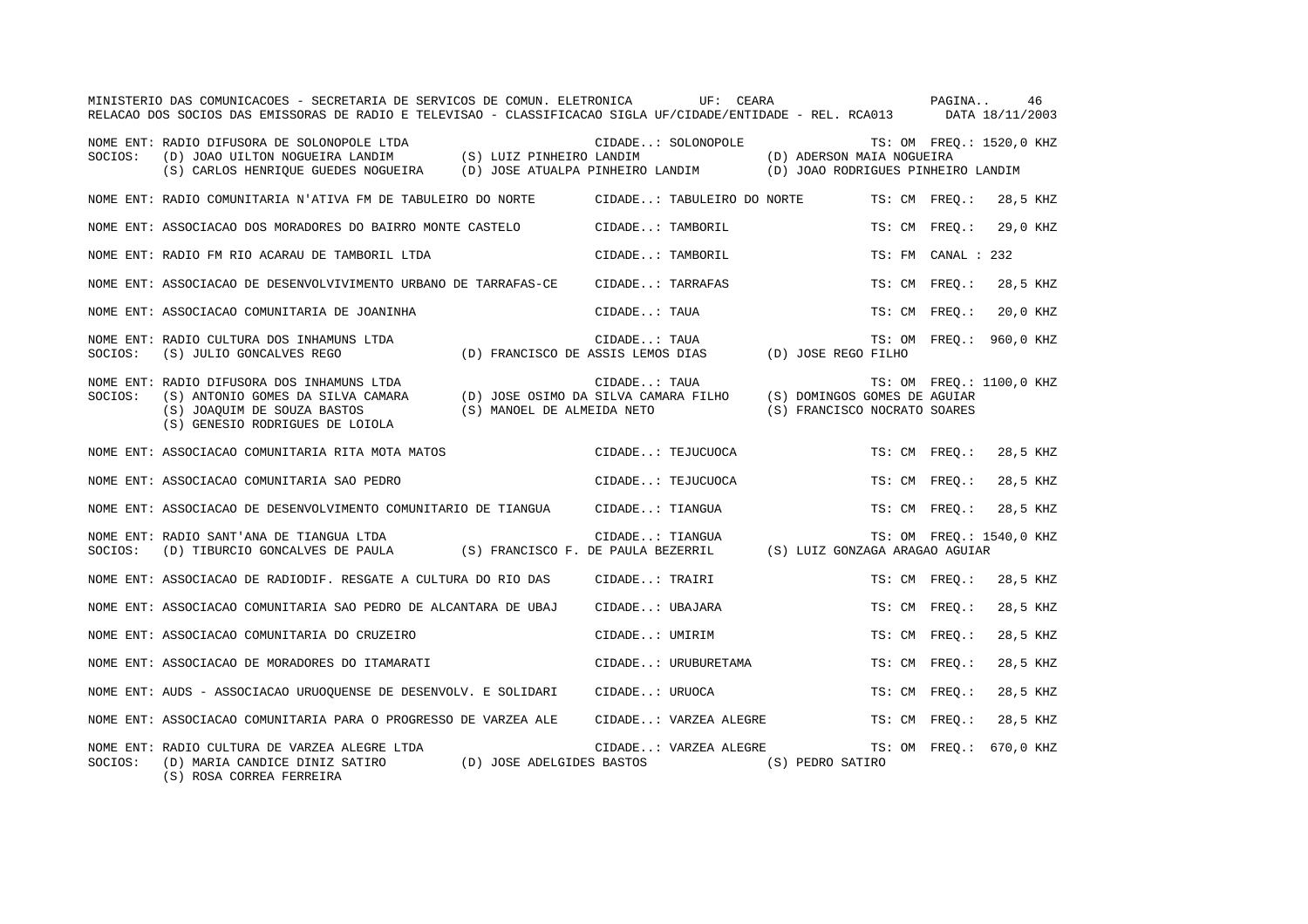|         | MINISTERIO DAS COMUNICACOES - SECRETARIA DE SERVICOS DE COMUN. ELETRONICA<br>RELACAO DOS SOCIOS DAS EMISSORAS DE RADIO E TELEVISAO - CLASSIFICACAO SIGLA UF/CIDADE/ENTIDADE - REL. RCA013 DATA 18/11/2003 | UF: CEARA                                                             |                                                                 | PAGINA | 46                       |
|---------|-----------------------------------------------------------------------------------------------------------------------------------------------------------------------------------------------------------|-----------------------------------------------------------------------|-----------------------------------------------------------------|--------|--------------------------|
| SOCIOS: | NOME ENT: RADIO DIFUSORA DE SOLONOPOLE LTDA<br>(D) JOAO UILTON NOGUEIRA LANDIM (S) LUIZ PINHEIRO LANDIM<br>(S) CARLOS HENRIOUE GUEDES NOGUEIRA (D) JOSE ATUALPA PINHEIRO LANDIM                           | CIDADE: SOLONOPOLE                                                    | (D) ADERSON MAIA NOGUEIRA<br>(D) JOAO RODRIGUES PINHEIRO LANDIM |        | TS: OM FREO.: 1520,0 KHZ |
|         | NOME ENT: RADIO COMUNITARIA N'ATIVA FM DE TABULEIRO DO NORTE                                                                                                                                              | CIDADE: TABULEIRO DO NORTE                                            | TS: CM FREQ.:                                                   |        | 28,5 KHZ                 |
|         | NOME ENT: ASSOCIACAO DOS MORADORES DO BAIRRO MONTE CASTELO                                                                                                                                                | CIDADE: TAMBORIL                                                      | TS: CM FREO.:                                                   |        | 29,0 KHZ                 |
|         | NOME ENT: RADIO FM RIO ACARAU DE TAMBORIL LTDA                                                                                                                                                            | CIDADE: TAMBORIL                                                      | TS: FM CANAL : 232                                              |        |                          |
|         | NOME ENT: ASSOCIACAO DE DESENVOLVIVIMENTO URBANO DE TARRAFAS-CE                                                                                                                                           | CIDADE: TARRAFAS                                                      | TS: CM FREO.:                                                   |        | 28,5 KHZ                 |
|         | NOME ENT: ASSOCIACAO COMUNITARIA DE JOANINHA                                                                                                                                                              | CIDADE: TAUA                                                          | TS: CM FREO.:                                                   |        | 20,0 KHZ                 |
| SOCIOS: | NOME ENT: RADIO CULTURA DOS INHAMUNS LTDA<br>(S) JULIO GONCALVES REGO                                                                                                                                     | CIDADE: TAUA<br>(D) FRANCISCO DE ASSIS LEMOS DIAS (D) JOSE REGO FILHO |                                                                 |        | TS: OM FREQ.: 960,0 KHZ  |
| SOCIOS: | NOME ENT: RADIO DIFUSORA DOS INHAMUNS LTDA<br>(S) ANTONIO GOMES DA SILVA CAMARA<br>(S) JOAQUIM DE SOUZA BASTOS<br>(S) MANOEL DE ALMEIDA NETO<br>(S) GENESIO RODRIGUES DE LOIOLA                           | CIDADE: TAUA<br>(D) JOSE OSIMO DA SILVA CAMARA FILHO                  | (S) DOMINGOS GOMES DE AGUIAR<br>(S) FRANCISCO NOCRATO SOARES    |        | TS: OM FREO.: 1100,0 KHZ |
|         | NOME ENT: ASSOCIACAO COMUNITARIA RITA MOTA MATOS                                                                                                                                                          | CIDADE: TEJUCUOCA                                                     | TS: CM FREO.:                                                   |        | 28,5 KHZ                 |
|         | NOME ENT: ASSOCIACAO COMUNITARIA SAO PEDRO                                                                                                                                                                | CIDADE: TEJUCUOCA                                                     | TS: CM FREO.:                                                   |        | 28,5 KHZ                 |
|         | NOME ENT: ASSOCIACAO DE DESENVOLVIMENTO COMUNITARIO DE TIANGUA                                                                                                                                            | CIDADE: TIANGUA                                                       | TS: CM FREQ.:                                                   |        | 28,5 KHZ                 |
| SOCIOS: | NOME ENT: RADIO SANT'ANA DE TIANGUA LTDA<br>(D) TIBURCIO GONCALVES DE PAULA (S) FRANCISCO F. DE PAULA BEZERRIL                                                                                            | CIDADE: TIANGUA                                                       | (S) LUIZ GONZAGA ARAGAO AGUIAR                                  |        | TS: OM FREO.: 1540,0 KHZ |
|         | NOME ENT: ASSOCIACAO DE RADIODIF. RESGATE A CULTURA DO RIO DAS                                                                                                                                            | CIDADE: TRAIRI                                                        | TS: CM FREQ.:                                                   |        | 28,5 KHZ                 |
|         | NOME ENT: ASSOCIACAO COMUNITARIA SAO PEDRO DE ALCANTARA DE UBAJ                                                                                                                                           | CIDADE: UBAJARA                                                       | TS: CM FREQ.:                                                   |        | 28,5 KHZ                 |
|         | NOME ENT: ASSOCIACAO COMUNITARIA DO CRUZEIRO                                                                                                                                                              | CIDADE: UMIRIM                                                        | TS: CM FREO.:                                                   |        | 28,5 KHZ                 |
|         | NOME ENT: ASSOCIACAO DE MORADORES DO ITAMARATI                                                                                                                                                            | CIDADE: URUBURETAMA                                                   | TS: CM FREO.:                                                   |        | 28,5 KHZ                 |
|         | NOME ENT: AUDS - ASSOCIACAO URUOQUENSE DE DESENVOLV. E SOLIDARI                                                                                                                                           | CIDADE: URUOCA                                                        | TS: CM FREO.:                                                   |        | 28,5 KHZ                 |
|         | NOME ENT: ASSOCIACAO COMUNITARIA PARA O PROGRESSO DE VARZEA ALE                                                                                                                                           | CIDADE: VARZEA ALEGRE                                                 | TS: CM FREQ.:                                                   |        | 28,5 KHZ                 |
| SOCIOS: | NOME ENT: RADIO CULTURA DE VARZEA ALEGRE LTDA<br>(D) JOSE ADELGIDES BASTOS<br>(D) MARIA CANDICE DINIZ SATIRO<br>$(0)$ post dopper perpetral                                                               | CIDADE: VARZEA ALEGRE<br>(S) PEDRO SATIRO                             |                                                                 |        | TS: OM FREO.: 670,0 KHZ  |

(S) ROSA CORREA FERREIRA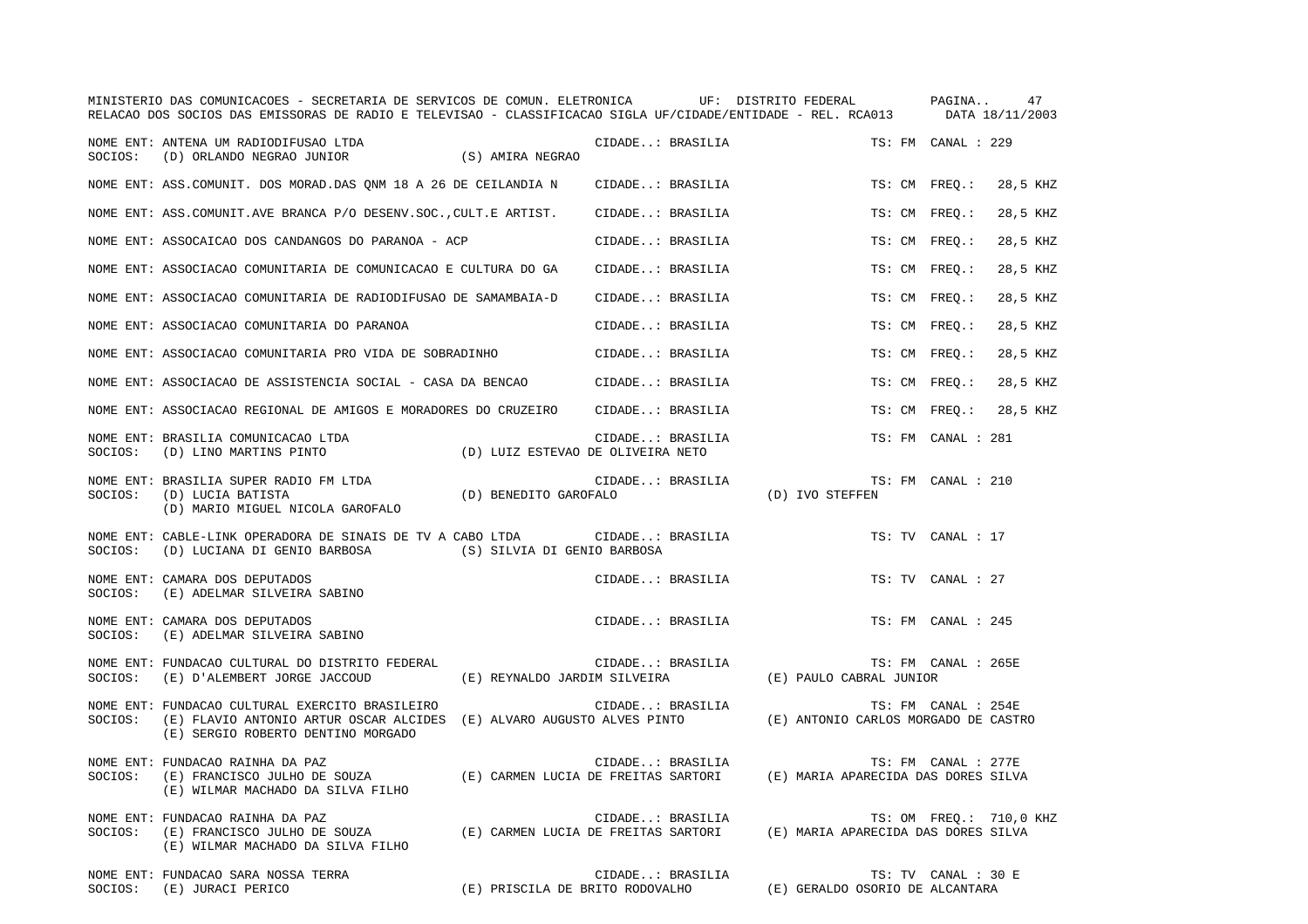|         | MINISTERIO DAS COMUNICACOES - SECRETARIA DE SERVICOS DE COMUN. ELETRONICA UF: DISTRITO FEDERAL PAGINA<br>RELACAO DOS SOCIOS DAS EMISSORAS DE RADIO E TELEVISAO - CLASSIFICACAO SIGLA UF/CIDADE/ENTIDADE - REL. RCA013 DATA 18/11/2003 |                                   |                                                     |                                      | 47                        |
|---------|---------------------------------------------------------------------------------------------------------------------------------------------------------------------------------------------------------------------------------------|-----------------------------------|-----------------------------------------------------|--------------------------------------|---------------------------|
|         | NOME ENT: ANTENA UM RADIODIFUSAO LTDA<br>SOCIOS: (D) ORLANDO NEGRAO JUNIOR                                                                                                                                                            | (S) AMIRA NEGRAO                  | CIDADE: BRASILIA                                    |                                      | TS: FM CANAL : 229        |
|         | NOME ENT: ASS. COMUNIT. DOS MORAD. DAS QNM 18 A 26 DE CEILANDIA N                                                                                                                                                                     |                                   | CIDADE: BRASILIA                                    |                                      | TS: CM FREQ.:<br>28,5 KHZ |
|         | NOME ENT: ASS.COMUNIT.AVE BRANCA P/O DESENV.SOC., CULT.E ARTIST.                                                                                                                                                                      |                                   | CIDADE: BRASILIA                                    |                                      | TS: CM FREO.:<br>28,5 KHZ |
|         | NOME ENT: ASSOCAICAO DOS CANDANGOS DO PARANOA - ACP                                                                                                                                                                                   |                                   | CIDADE: BRASILIA                                    |                                      | TS: CM FREO.:<br>28,5 KHZ |
|         | NOME ENT: ASSOCIACAO COMUNITARIA DE COMUNICACAO E CULTURA DO GA                                                                                                                                                                       |                                   | CIDADE: BRASILIA                                    |                                      | TS: CM FREO.:<br>28,5 KHZ |
|         | NOME ENT: ASSOCIACAO COMUNITARIA DE RADIODIFUSAO DE SAMAMBAIA-D                                                                                                                                                                       |                                   | CIDADE: BRASILIA                                    |                                      | 28,5 KHZ<br>TS: CM FREQ.: |
|         | NOME ENT: ASSOCIACAO COMUNITARIA DO PARANOA                                                                                                                                                                                           |                                   | CIDADE: BRASILIA                                    |                                      | TS: CM FREO.:<br>28,5 KHZ |
|         | NOME ENT: ASSOCIACAO COMUNITARIA PRO VIDA DE SOBRADINHO                                                                                                                                                                               |                                   | CIDADE: BRASILIA                                    |                                      | TS: CM FREO.:<br>28,5 KHZ |
|         | NOME ENT: ASSOCIACAO DE ASSISTENCIA SOCIAL - CASA DA BENCAO                                                                                                                                                                           |                                   | CIDADE: BRASILIA                                    |                                      | TS: CM FREO.:<br>28,5 KHZ |
|         | NOME ENT: ASSOCIACAO REGIONAL DE AMIGOS E MORADORES DO CRUZEIRO                                                                                                                                                                       |                                   | CIDADE: BRASILIA                                    |                                      | TS: CM FREO.:<br>28,5 KHZ |
| SOCIOS: | NOME ENT: BRASILIA COMUNICACAO LTDA<br>(D) LINO MARTINS PINTO                                                                                                                                                                         | (D) LUIZ ESTEVAO DE OLIVEIRA NETO | CIDADE: BRASILIA                                    |                                      | TS: FM CANAL : 281        |
|         | NOME ENT: BRASILIA SUPER RADIO FM LTDA (D) BENEDITO GAROFALO<br>(D) MARIO MIGUEL NICOLA GAROFALO                                                                                                                                      |                                   | CIDADE: BRASILIA                                    | (D) IVO STEFFEN                      | TS: FM CANAL : 210        |
| SOCIOS: | NOME ENT: CABLE-LINK OPERADORA DE SINAIS DE TV A CABO LTDA<br>(D) LUCIANA DI GENIO BARBOSA (S) SILVIA DI GENIO BARBOSA                                                                                                                |                                   | CIDADE: BRASILIA                                    |                                      | TS: TV CANAL : 17         |
| SOCIOS: | NOME ENT: CAMARA DOS DEPUTADOS<br>(E) ADELMAR SILVEIRA SABINO                                                                                                                                                                         |                                   | CIDADE: BRASILIA                                    |                                      | TS: TV CANAL : 27         |
| SOCIOS: | NOME ENT: CAMARA DOS DEPUTADOS<br>(E) ADELMAR SILVEIRA SABINO                                                                                                                                                                         |                                   | CIDADE: BRASILIA                                    |                                      | TS: FM CANAL : 245        |
| SOCIOS: | NOME ENT: FUNDACAO CULTURAL DO DISTRITO FEDERAL<br>(E) D'ALEMBERT JORGE JACCOUD                                                                                                                                                       | (E) REYNALDO JARDIM SILVEIRA      | CIDADE: BRASILIA                                    | (E) PAULO CABRAL JUNIOR              | TS: FM CANAL : 265E       |
| SOCIOS: | NOME ENT: FUNDACAO CULTURAL EXERCITO BRASILEIRO<br>(E) FLAVIO ANTONIO ARTUR OSCAR ALCIDES (E) ALVARO AUGUSTO ALVES PINTO<br>(E) SERGIO ROBERTO DENTINO MORGADO                                                                        |                                   | CIDADE: BRASILIA                                    | (E) ANTONIO CARLOS MORGADO DE CASTRO | TS: FM CANAL : 254E       |
| SOCIOS: | NOME ENT: FUNDACAO RAINHA DA PAZ<br>(E) FRANCISCO JULHO DE SOUZA (E) CARMEN LUCIA DE FREITAS SARTORI (E) MARIA APARECIDA DAS DORES SILVA<br>(E) WILMAR MACHADO DA SILVA FILHO                                                         |                                   | CIDADE: BRASILIA                                    |                                      | TS: FM CANAL : 277E       |
| SOCIOS: | NOME ENT: FUNDACAO RAINHA DA PAZ<br>(E) FRANCISCO JULHO DE SOUZA (E) CARMEN LUCIA DE FREITAS SARTORI (E) MARIA APARECIDA DAS DORES SILVA<br>(E) WILMAR MACHADO DA SILVA FILHO                                                         |                                   | CIDADE: BRASILIA                                    |                                      | TS: OM FREQ.: 710,0 KHZ   |
| SOCIOS: | NOME ENT: FUNDACAO SARA NOSSA TERRA<br>(E) JURACI PERICO                                                                                                                                                                              |                                   | CIDADE: BRASILIA<br>(E) PRISCILA DE BRITO RODOVALHO | (E) GERALDO OSORIO DE ALCANTARA      | TS: TV CANAL : 30 E       |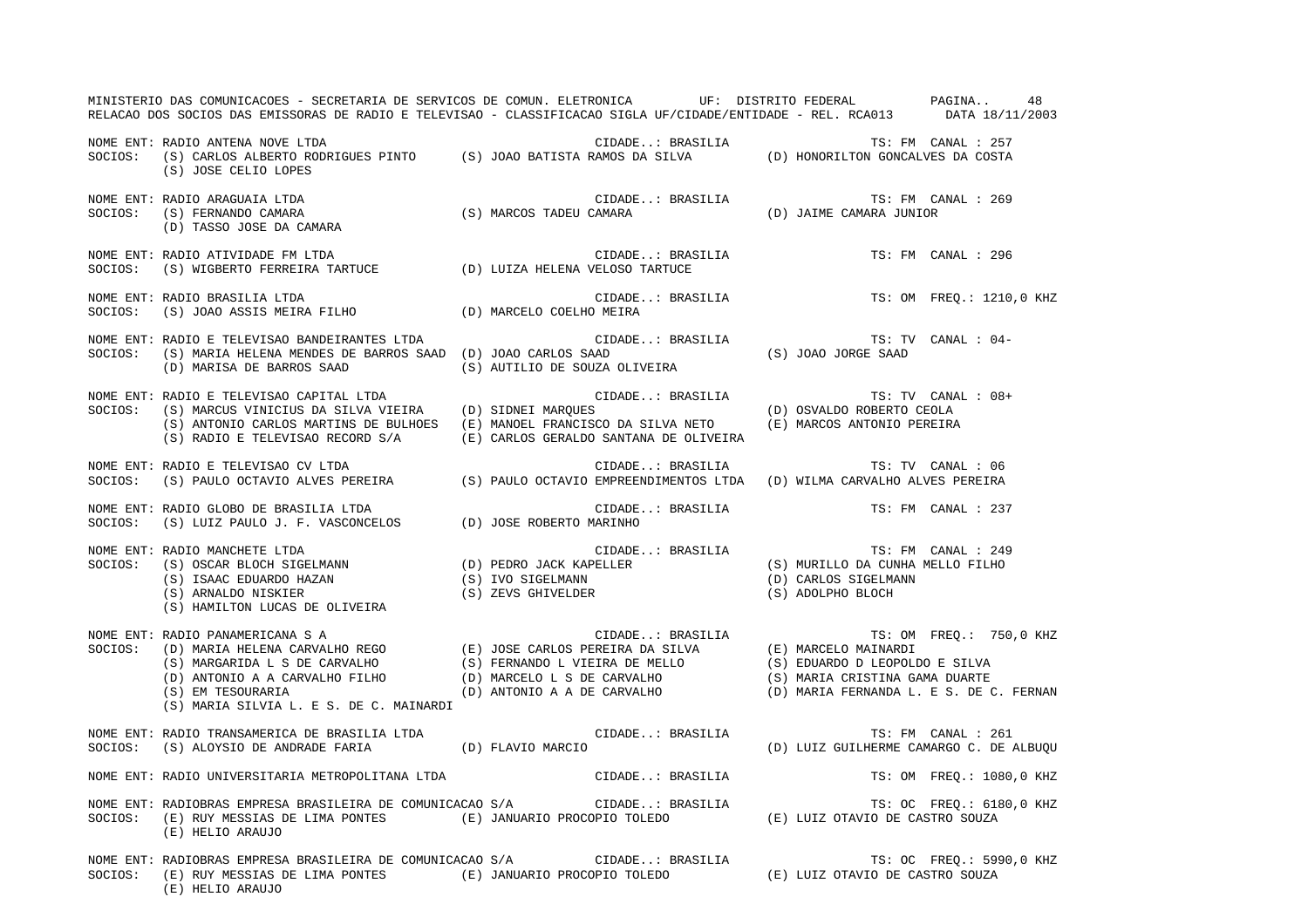|         | MINISTERIO DAS COMUNICACOES - SECRETARIA DE SERVICOS DE COMUN. ELETRONICA UF: DISTRITO FEDERAL PAGINA 48<br>RELACAO DOS SOCIOS DAS EMISSORAS DE RADIO E TELEVISAO - CLASSIFICACAO SIGLA UF/CIDADE/ENTIDADE - REL. RCA013 DATA 18/11/2003                                                                            |  |                                                                                                                                                                                      |                    |                                                                    |
|---------|---------------------------------------------------------------------------------------------------------------------------------------------------------------------------------------------------------------------------------------------------------------------------------------------------------------------|--|--------------------------------------------------------------------------------------------------------------------------------------------------------------------------------------|--------------------|--------------------------------------------------------------------|
|         | (S) JOSE CELIO LOPES                                                                                                                                                                                                                                                                                                |  |                                                                                                                                                                                      |                    |                                                                    |
|         | NOME ENT: RADIO ARAGUAIA LTDA<br>SOCIOS: (S) FERNANDO CAMARA                                                                                                                                                                                                                                                        |  |                                                                                                                                                                                      | TS: FM CANAL : 269 |                                                                    |
|         | NOME ENT: RADIO ATIVIDADE FM LTDA<br>SOCIOS:    (S) WIGBERTO FERREIRA TARTUCE                   (D) LUIZA HELENA VELOSO TARTUCE                                                                                                                                                                                     |  | CIDADE: BRASILIA                                                                                                                                                                     |                    | TS: FM CANAL : 296                                                 |
|         | NOME ENT: RADIO BRASILIA LTDA<br>NOME ENT: RADIO BRASILIA LTDA<br>SOCIOS:    (S) JOAO ASSIS MEIRA FILHO                      (D) MARCELO COELHO MEIRA                                                                                                                                                               |  | CIDADE: BRASILIA                                                                                                                                                                     |                    | TS: OM FREQ.: 1210,0 KHZ                                           |
|         | (D) MARISA DE BARROS SAAD (S) AUTILIO DE SOUZA OLIVEIRA                                                                                                                                                                                                                                                             |  |                                                                                                                                                                                      |                    | TS: TV CANAL : 04-                                                 |
|         | NOME ENT: RADIO E TELEVISAO CAPITAL LTDA<br>SOCIOS: (S) MARCUS VINICIUS DA SILVA VIEIRA (D) SIDNEI MARQUES<br>(S) ANTONIO CARLOS MARTINS DE BULHOES (E) MANOEL FRANCISCO DA SILVA NETO (E) MARCOS ANTONIO PEREIRA<br>$(\,S\,)$ RADIO E TELEVISAO RECORD $S/A$ $(\,E\,)$ CARLOS GERALDO SANTANA DE OLIVEIRA          |  | CIDADE: BRASILIA $( D ) \begin{array}{lll} \text{CSVALD} & \text{TS: TV} & \text{CANAL : } 08 + \\ & & \\ \text{S} & & \text{(D) } \text{OSVALD} & \text{ROBERTO CEOLA} \end{array}$ |                    |                                                                    |
|         | NOME ENT: RADIO E TELEVISAO CV LTDA<br>SOCIOS:   (S) PAULO OCTAVIO ALVES PEREIRA                  (S) PAULO OCTAVIO EMPREENDIMENTOS LTDA    (D) WILMA CARVALHO ALVES PEREIRA                                                                                                                                        |  |                                                                                                                                                                                      |                    |                                                                    |
|         | NOME ENT: RADIO GLOBO DE BRASILIA LTDA<br>SOCIOS: (S) LUIZ PAULO J. F. VASCONCELOS (D) JOSE ROBERTO MARINHO                                                                                                                                                                                                         |  | CIDADE: BRASILIA                                                                                                                                                                     |                    | TS: FM CANAL : 237                                                 |
| SOCIOS: | TS: FM CANAL: 249<br>(S) OSCAR BLOCH SIGELMANN<br>(S) ISAAC EDUARDO HAZAN<br>(S) ISAAC EDUARDO HAZAN<br>(S) ISAAC EDUARDO HAZAN<br>(S) IVO SIGELMANN<br>(S) IVO SIGELMANN<br>(S) IVO SIGELMANN<br>(D) CARLOS SIGELMANN<br>(D) CARLOS SIGELMANN<br><br>NOME ENT: RADIO MANCHETE LTDA                                 |  |                                                                                                                                                                                      |                    |                                                                    |
| SOCIOS: | RADIO PANAMERICANA SA<br>(D) MARIA HELENA CARVALHO REGO (E) JOSE CARLOS PEREIRA DA SILVA (E) MARCELO MAINARDI<br>(S) MARGARIDA L S DE CARVALHO (S) FERNANDO L VIEIRA DE MELLO (S) EDUARDO D LEOPOLDO E SILVA<br>(D) ANTONIO A A CARV<br>NOME ENT: RADIO PANAMERICANA S A<br>(S) MARIA SILVIA L. E S. DE C. MAINARDI |  |                                                                                                                                                                                      |                    | TS: OM FREQ.: 750,0 KHZ<br>(D) MARIA FERNANDA L. E S. DE C. FERNAN |
|         | NOME ENT: RADIO TRANSAMERICA DE BRASILIA LTDA<br>SOCIOS:   (S) ALOYSIO DE ANDRADE FARIA                 (D) FLAVIO MARCIO                            (D) LUIZ GUILHERME CAMARGO C. DE ALBUQU                                                                                                                        |  |                                                                                                                                                                                      |                    |                                                                    |
|         | NOME ENT: RADIO UNIVERSITARIA METROPOLITANA LTDA                                                                                                                                                                                                                                                                    |  | CIDADE: BRASILIA                                                                                                                                                                     |                    | TS: OM FREQ.: 1080,0 KHZ                                           |
|         | (E) HELIO ARAUJO                                                                                                                                                                                                                                                                                                    |  |                                                                                                                                                                                      |                    | TS: OC FREQ.: 6180,0 KHZ                                           |
|         | NOME ENT: RADIOBRAS EMPRESA BRASILEIRA DE COMUNICACAO S/A         CIDADE: BRASILIA                  TS: OC FREQ.: 5990,0 KHZ<br>SOCIOS:   (E) RUY MESSIAS DE LIMA PONTES             (E) JANUARIO PROCOPIO TOLEDO<br>(E) HELIO ARAUJO                                                                               |  |                                                                                                                                                                                      |                    |                                                                    |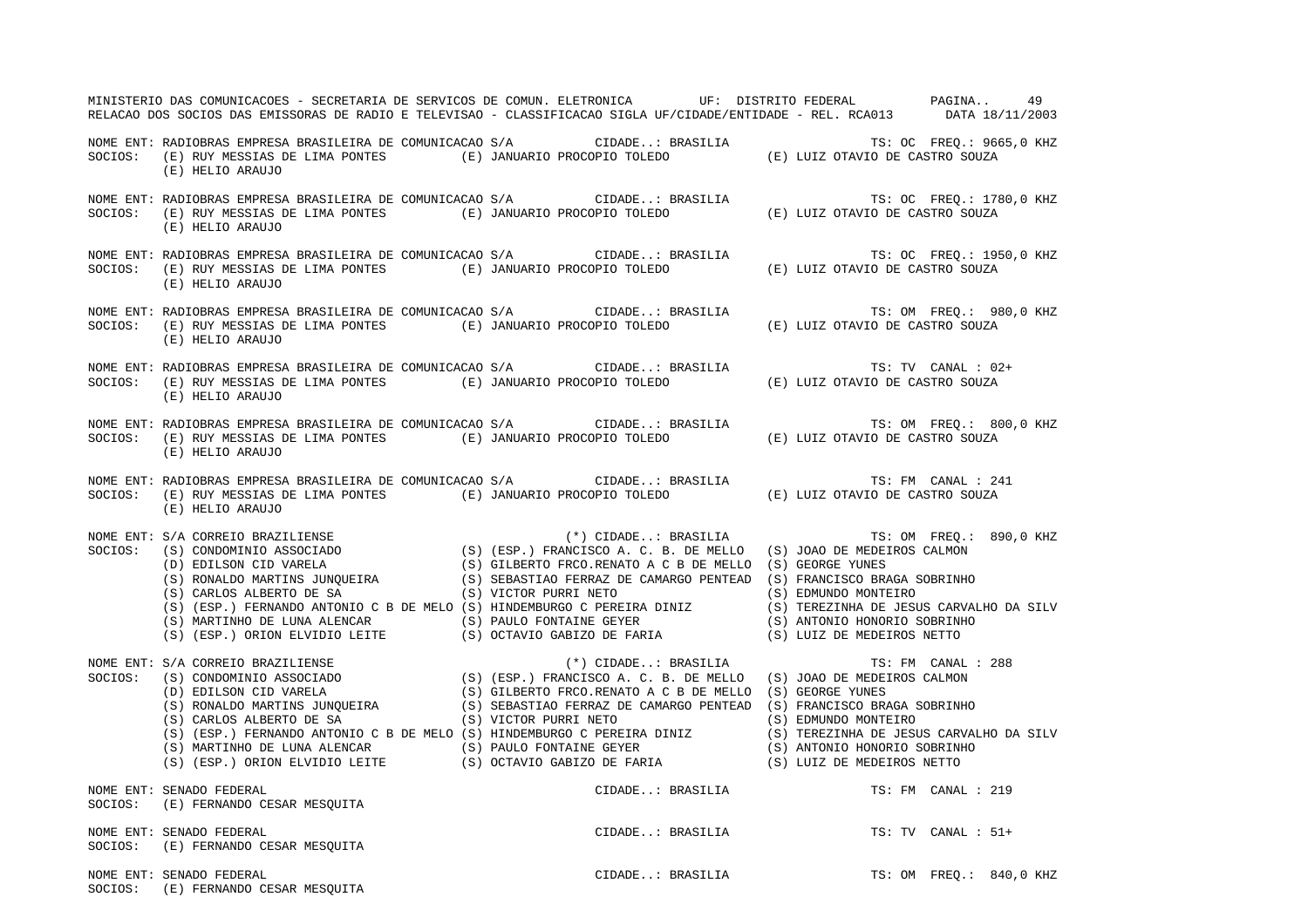| MINISTERIO DAS COMUNICACOES - SECRETARIA DE SERVICOS DE COMUN. ELETRONICA UF: DISTRITO FEDERAL PAGINA<br>RELACAO DOS SOCIOS DAS EMISSORAS DE RADIO E TELEVISAO - CLASSIFICACAO SIGLA UF/CIDADE/ENTIDADE - REL. RCA013 DATA 18/11/2003 |                  | 49                      |
|---------------------------------------------------------------------------------------------------------------------------------------------------------------------------------------------------------------------------------------|------------------|-------------------------|
| NOME ENT: RADIOBRAS EMPRESA BRASILEIRA DE COMUNICACAO S/A CIDADE: BRASILIA TS: OC FREQ.: 9665,0 KHZ<br>SOCIOS: (E) RUY MESSIAS DE LIMA PONTES (E) JANUARIO PROCOPIO TOLEDO (E) LUIZ OTAVIO DE CASTRO SOUZA<br>(E) HELIO ARAUJO        |                  |                         |
| NOME ENT: RADIOBRAS EMPRESA BRASILEIRA DE COMUNICACAO S/A CIDADE: BRASILIA TS: OC FREQ.: 1780,0 KHZ<br>SOCIOS: (E) RUY MESSIAS DE LIMA PONTES (E) JANUARIO PROCOPIO TOLEDO (E) LUIZ OTAVIO DE CASTRO SOUZA<br>(E) HELIO ARAUJO        |                  |                         |
| NOME ENT: RADIOBRAS EMPRESA BRASILEIRA DE COMUNICACAO S/A CIDADE: BRASILIA TS: OC FREQ.: 1950,0 KHZ<br>SOCIOS: (E) RUY MESSIAS DE LIMA PONTES (E) JANUARIO PROCOPIO TOLEDO (E) LUIZ OTAVIO DE CASTRO SOUZA<br>(E) HELIO ARAUJO        |                  |                         |
| NOME ENT: RADIOBRAS EMPRESA BRASILEIRA DE COMUNICACAO S/A CIDADE: BRASILIA TS: OM FREQ.: 980,0 KHZ<br>SOCIOS: (E) RUY MESSIAS DE LIMA PONTES (E) JANUARIO PROCOPIO TOLEDO (E) LUIZ OTAVIO DE CASTRO SOUZA<br>(E) HELIO ARAUJO         |                  |                         |
| (E) HELIO ARAUJO                                                                                                                                                                                                                      |                  | TS: TV CANAL : 02+      |
| NOME ENT: RADIOBRAS EMPRESA BRASILEIRA DE COMUNICACAO S/A CIDADE: BRASILIA TS: OM FREQ.: 800,0 KHZ<br>SOCIOS: (E) RUY MESSIAS DE LIMA PONTES (E) JANUARIO PROCOPIO TOLEDO (E) LUIZ OTAVIO DE CASTRO SOUZA<br>(E) HELIO ARAUJO         |                  |                         |
| NOME ENT: RADIOBRAS EMPRESA BRASILEIRA DE COMUNICACAO S/A CIDADE: BRASILIA TS: FM CANAL : 241<br>SOCIOS: (E) RUY MESSIAS DE LIMA PONTES (E) JANUARIO PROCOPIO TOLEDO (E) LUIZ OTAVIO DE CASTRO SOUZA<br>(E) HELIO ARAUJO              |                  |                         |
| NOME ENT: S/A CORREIO AROUSE (*) (1990)<br>SOCIOS: (S) CONDOMINIO ASSOCIADO (S) (ESP.) FRANCISCO A.C. B. DE MELLO (S) JOAO DE MEDEIROS CALMON<br>(D) EDILSON CID VARELA (S) GEORGERTO FRCO.RENATO A C B DE MELLO (S) GEORGE YUNES<br> |                  |                         |
| NOME ENT: S/A CORREIO BRAZILIENSE<br>SOCIOS: (S) OCIAVIO GABIZO DE FARIA (S) DUIZ DE MEDERAS NEITO<br>SOCIOS: (S) EDILSON CID RAZILIENSE<br>(D) EDILSON CID VARELA (S) GESP.) FRANCISCO A. C.B. DE MELLO (S) JOAO DE MEDERANOS CALMO  |                  |                         |
| NOME ENT: SENADO FEDERAL<br>SOCIOS: (E) FERNANDO CESAR MESQUITA                                                                                                                                                                       | CIDADE: BRASILIA | TS: FM CANAL : 219      |
| NOME ENT: SENADO FEDERAL<br>SOCIOS: (E) FERNANDO CESAR MESQUITA                                                                                                                                                                       | CIDADE: BRASILIA | TS: TV CANAL : 51+      |
| NOME ENT: SENADO FEDERAL<br>SOCIOS: (E) FERNANDO CESAR MESQUITA                                                                                                                                                                       | CIDADE: BRASILIA | TS: OM FREO.: 840,0 KHZ |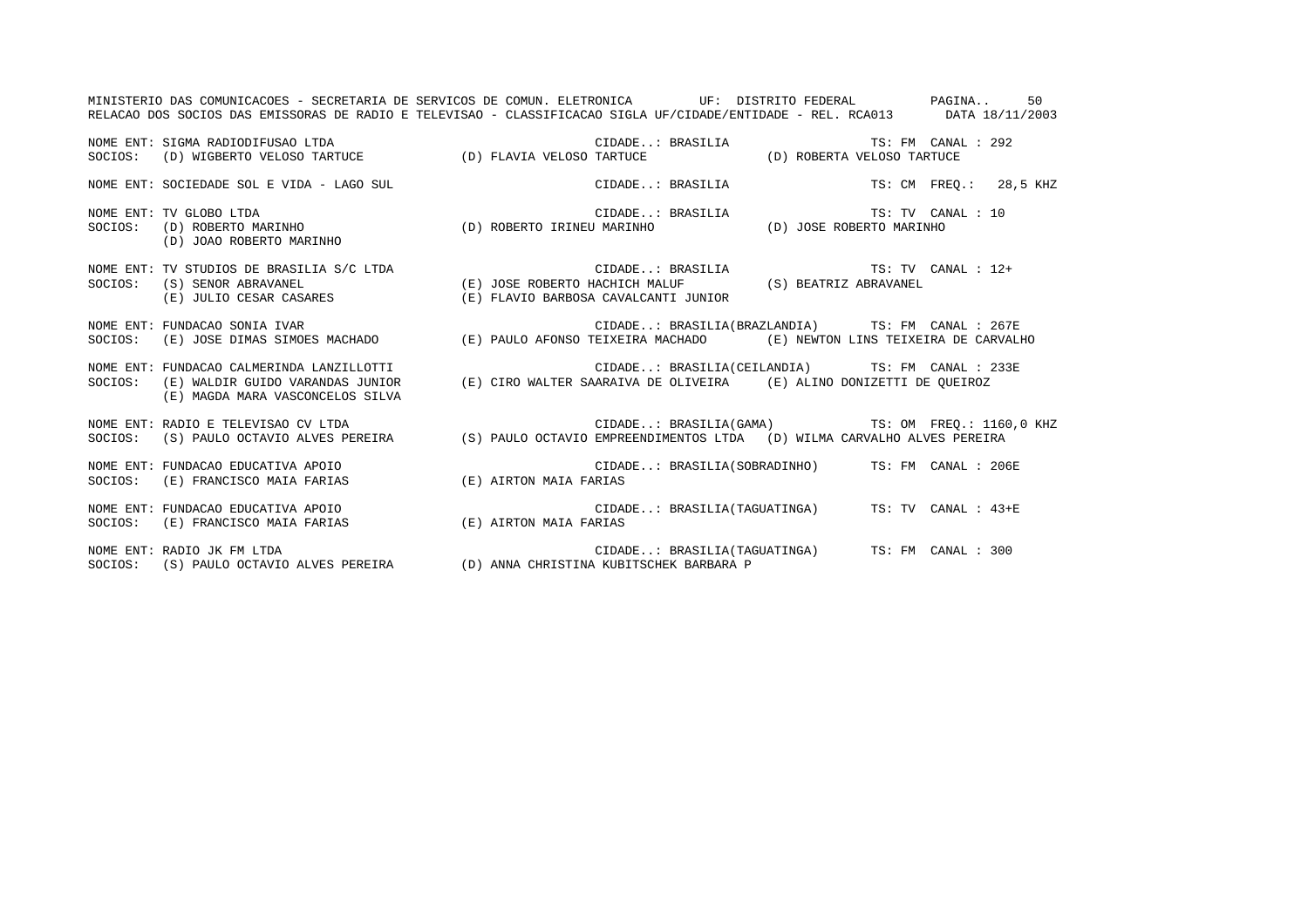RELACAO DOS SOCIOS DAS EMISSORAS DE RADIO E TELEVISAO - CLASSIFICACAO SIGLA UF/CIDADE/ENTIDADE - REL. RCA013 DATA 18/11/2003 NOME ENT: SIGMA RADIODIFUSAO LTDA CIDADE..: BRASILIA TS: FM CANAL : 292SOCIOS: (D) WIGBERTO VELOSO TARTUCE (D) FLAVIA VELOSO TARTUCE (D) ROBERTA VELOSO TARTUCE NOME ENT: SOCIEDADE SOL E VIDA - LAGO SUL CIDADE..: BRASILIA TS: CM FREQ.: 28,5 KHZ NOME ENT: TV GLOBO LTDA CIDADE..: BRASILIA TS: TV CANAL : 10SOCIOS: (D) ROBERTO MARINHO (D) ROBERTO IRINEU MARINHO (D) JOSE ROBERTO MARINHO (D) JOAO ROBERTO MARINHO NOME ENT: TV STUDIOS DE BRASILIA S/C LTDA CIDADE..: BRASILIA TS: TV CANAL : 12+ SOCIOS: (S) SENOR ABRAVANEL (E) JOSE ROBERTO HACHICH MALUF (S) BEATRIZ ABRAVANEL (E) JULIO CESAR CASARES (E) FLAVIO BARBOSA CAVALCANTI JUNIOR NOME ENT: FUNDACAO SONIA IVAR CIDADE..: BRASILIA(BRAZLANDIA) TS: FM CANAL : 267E SOCIOS: (E) JOSE DIMAS SIMOES MACHADO (E) PAULO AFONSO TEIXEIRA MACHADO (E) NEWTON LINS TEIXEIRA DE CARVALHO NOME ENT: FUNDACAO CALMERINDA LANZILLOTTI CIDADE..: BRASILIA(CEILANDIA) TS: FM CANAL : 233E SOCIOS: (E) WALDIR GUIDO VARANDAS JUNIOR (E) CIRO WALTER SAARAIVA DE OLIVEIRA (E) ALINO DONIZETTI DE QUEIROZ (E) MAGDA MARA VASCONCELOS SILVA NOME ENT: RADIO E TELEVISAO CV LTDA CIDADE..: BRASILIA(GAMA) TS: OM FREQ.: 1160,0 KHZ SOCIOS: (S) PAULO OCTAVIO ALVES PEREIRA (S) PAULO OCTAVIO EMPREENDIMENTOS LTDA (D) WILMA CARVALHO ALVES PEREIRA NOME ENT: FUNDACAO EDUCATIVA APOIO CIDADE..: BRASILIA(SOBRADINHO) TS: FM CANAL : 206E SOCIOS: (E) FRANCISCO MAIA FARIAS (E) AIRTON MAIA FARIAS NOME ENT: FUNDACAO EDUCATIVA APOIO CIDADE..: BRASILIA(TAGUATINGA) TS: TV CANAL : 43+E SOCIOS: (E) FRANCISCO MAIA FARIAS (E) AIRTON MAIA FARIAS NOME ENT: RADIO JK FM LTDA CIDADE..: BRASILIA(TAGUATINGA) TS: FM CANAL : 300 SOCIOS: (S) PAULO OCTAVIO ALVES PEREIRA (D) ANNA CHRISTINA KUBITSCHEK BARBARA P

MINISTERIO DAS COMUNICACOES - SECRETARIA DE SERVICOS DE COMUN. ELETRONICA UF: DISTRITO FEDERAL PAGINA.. 50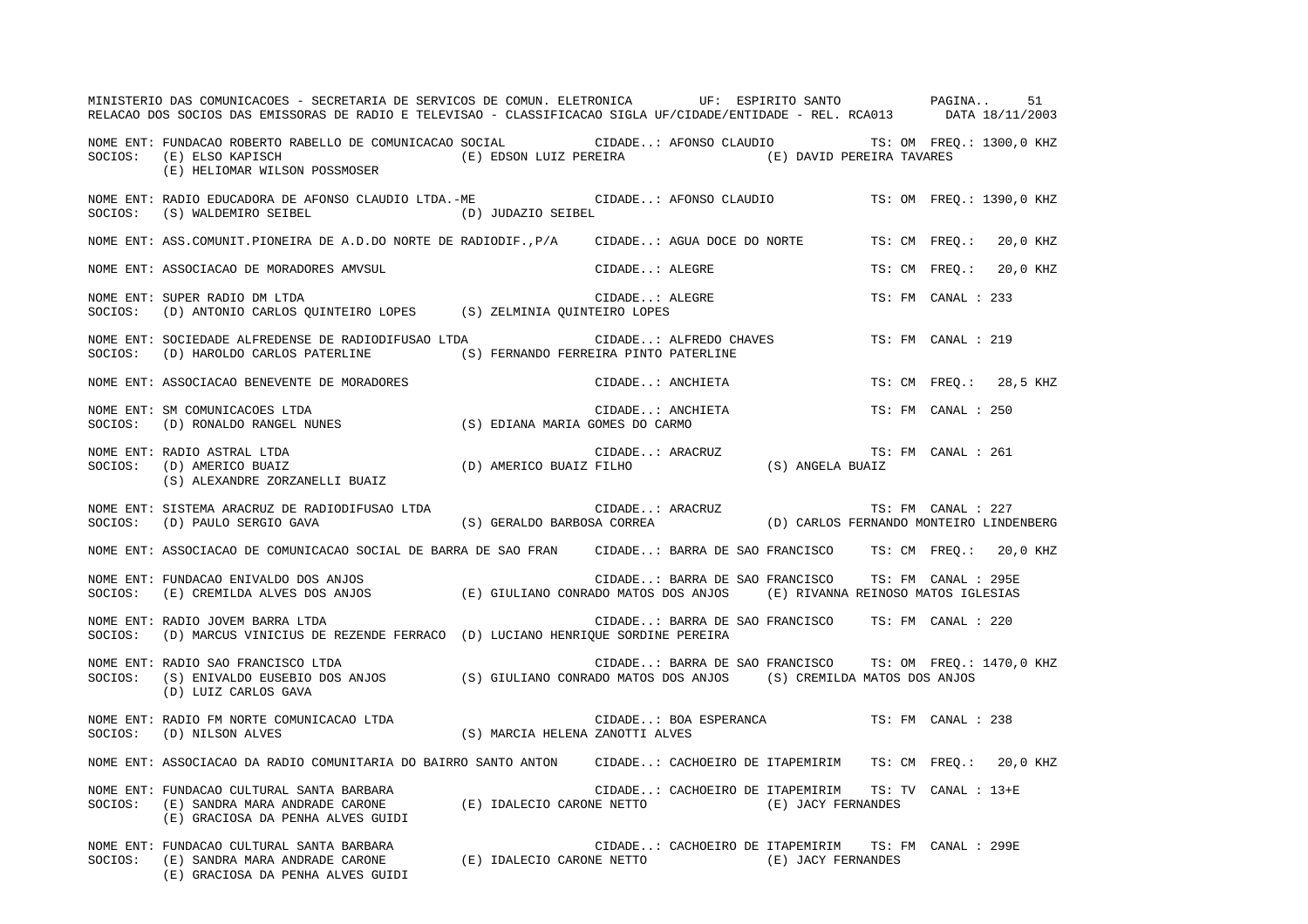|         | MINISTERIO DAS COMUNICACOES - SECRETARIA DE SERVICOS DE COMUN. ELETRONICA UF: ESPIRITO SANTO PAGINA<br>RELACAO DOS SOCIOS DAS EMISSORAS DE RADIO E TELEVISAO - CLASSIFICACAO SIGLA UF/CIDADE/ENTIDADE - REL. RCA013 DATA 18/11/2003 |                                                                                          |                |                                                                                                                   |                    |                    | 51                       |
|---------|-------------------------------------------------------------------------------------------------------------------------------------------------------------------------------------------------------------------------------------|------------------------------------------------------------------------------------------|----------------|-------------------------------------------------------------------------------------------------------------------|--------------------|--------------------|--------------------------|
| SOCIOS: | NOME ENT: FUNDACAO ROBERTO RABELLO DE COMUNICACAO SOCIAL CIDADE: AFONSO CLAUDIO TS: OM FREQ.: 1300,0 KHZ<br>(E) EDSON LUIZ PEREIRA (E) DAVID PEREIRA TAVARES<br>(E) ELSO KAPISCH<br>(E) HELIOMAR WILSON POSSMOSER                   |                                                                                          |                |                                                                                                                   |                    |                    |                          |
| SOCIOS: | NOME ENT: RADIO EDUCADORA DE AFONSO CLAUDIO LTDA.-ME<br>(S) WALDEMIRO SEIBEL<br>(D) JUDAZIO SEIBEL                                                                                                                                  |                                                                                          |                | CIDADE: AFONSO CLAUDIO                                                                                            |                    |                    | TS: OM FREO.: 1390,0 KHZ |
|         | NOME ENT: ASS.COMUNIT.PIONEIRA DE A.D.DO NORTE DE RADIODIF.,P/A    CIDADE: AGUA DOCE DO NORTE                                                                                                                                       |                                                                                          |                |                                                                                                                   |                    |                    | TS: CM FREQ.: 20,0 KHZ   |
|         | NOME ENT: ASSOCIACAO DE MORADORES AMVSUL                                                                                                                                                                                            |                                                                                          | CIDADE: ALEGRE |                                                                                                                   | TS: CM FREO.:      |                    | 20,0 KHZ                 |
|         | NOME ENT: SUPER RADIO DM LTDA<br>SOCIOS: (D) ANTONIO CARLOS QUINTEIRO LOPES (S) ZELMINIA QUINTEIRO LOPES                                                                                                                            |                                                                                          | CIDADE: ALEGRE |                                                                                                                   |                    | TS: FM CANAL : 233 |                          |
| SOCIOS: | NOME ENT: SOCIEDADE ALFREDENSE DE RADIODIFUSAO LTDA<br>(D) HAROLDO CARLOS PATERLINE (S) FERNANDO FERREIRA PINTO PATERLINE                                                                                                           |                                                                                          |                | CIDADE: ALFREDO CHAVES                                                                                            |                    | TS: FM CANAL : 219 |                          |
|         | NOME ENT: ASSOCIACAO BENEVENTE DE MORADORES                                                                                                                                                                                         |                                                                                          |                | CIDADE: ANCHIETA                                                                                                  |                    |                    | TS: CM FREO.: 28,5 KHZ   |
| SOCIOS: | NOME ENT: SM COMUNICACOES LTDA<br>(B) RONALDO RANGEL NUNES (S) EDIANA MARIA GOMES DO CARMO                                                                                                                                          |                                                                                          |                | CIDADE: ANCHIETA                                                                                                  |                    | TS: FM CANAL : 250 |                          |
| SOCIOS: | CIDADE<br>D) AMERICO BUAIZ FILHO<br>NOME ENT: RADIO ASTRAL LTDA<br>(D) AMERICO BUAIZ<br>(S) ALEXANDRE ZORZANELLI BUAIZ                                                                                                              |                                                                                          |                | ${\small \begin{tabular}{cc} \bf RRACTUZ \\ \bf S) & \bf ANGELA & \bf BUAIZ \\ \end{tabular}}$<br>CIDADE: ARACRUZ | TS: FM CANAL : 261 |                    |                          |
| SOCIOS: | NOME ENT: SISTEMA ARACRUZ DE RADIODIFUSAO LTDA<br>(D) PAULO SERGIO GAVA                                                                                                                                                             | USAO LTDA (S) GERALDO BARBOSA CORREA (D) CARLOS FERNANDO MONTEIRO LINDENBERG             |                |                                                                                                                   |                    |                    |                          |
|         | NOME ENT: ASSOCIACAO DE COMUNICACAO SOCIAL DE BARRA DE SAO FRAN CIDADE: BARRA DE SAO FRANCISCO TS: CM FREQ.: 20,0 KHZ                                                                                                               |                                                                                          |                |                                                                                                                   |                    |                    |                          |
|         | NOME ENT: FUNDACAO ENIVALDO DOS ANJOS (E) GIULIANO CONRADO MATOS DOS ANJOS (E) RIVANNA REINOSO MATOS IGLESIAS<br>SOCIOS: (E) CREMILDA ALVES DOS ANJOS (E) GIULIANO CONRADO MATOS DOS ANJOS (E) RIVANNA REINOSO MATOS IGLESIAS       |                                                                                          |                |                                                                                                                   |                    |                    |                          |
|         | NOME ENT: RADIO JOVEM BARRA LTDA<br>SOCIOS: (D) MARCUS VINICIUS DE REZENDE FERRACO (D) LUCIANO HENRIQUE SORDINE PEREIRA                                                                                                             |                                                                                          |                | CIDADE: BARRA DE SAO FRANCISCO TS: FM CANAL : 220                                                                 |                    |                    |                          |
| SOCIOS: | NOME ENT: RADIO SAO FRANCISCO LTDA<br>(S) ENIVALDO EUSEBIO DOS ANJOS (S) GIULIANO CONRADO MATOS DOS ANJOS (S) CREMILDA MATOS DOS ANJOS<br>(D) LUIZ CARLOS GAVA                                                                      |                                                                                          |                | CIDADE: BARRA DE SAO FRANCISCO TS: OM FREQ.: 1470,0 KHZ                                                           |                    |                    |                          |
| SOCIOS: | NOME ENT: RADIO FM NORTE COMUNICACAO LTDA<br>(D) NILSON ALVES                                                                                                                                                                       | (S) MARCIA HELENA ZANOTTI ALVES                                                          |                | CIDADE: BOA ESPERANCA                                                                                             |                    | TS: FM CANAL : 238 |                          |
|         | NOME ENT: ASSOCIACAO DA RADIO COMUNITARIA DO BAIRRO SANTO ANTONO CIDADE: CACHOEIRO DE ITAPEMIRIMO TS: CMOFREO.: 20,0 KHZ                                                                                                            |                                                                                          |                |                                                                                                                   |                    |                    |                          |
|         | (E) GRACIOSA DA PENHA ALVES GUIDI                                                                                                                                                                                                   |                                                                                          |                | CIDADE: CACHOEIRO DE ITAPEMIRIM TS: TV CANAL : 13+E                                                               |                    |                    |                          |
|         | NOME ENT: FUNDACAO CULTURAL SANTA BARBARA<br>SOCIOS: (E) SANDRA MARA ANDRADE CARONE<br>(E) GRACIOSA DA PENHA ALVES GUIDI                                                                                                            | $(\,\mathbb{E}\,)$ IDALECIO CARONE NETTO $\qquad \qquad (\,\mathbb{E}\,)$ JACY FERNANDES |                | CIDADE: CACHOEIRO DE ITAPEMIRIM TS: FM CANAL : 299E                                                               |                    |                    |                          |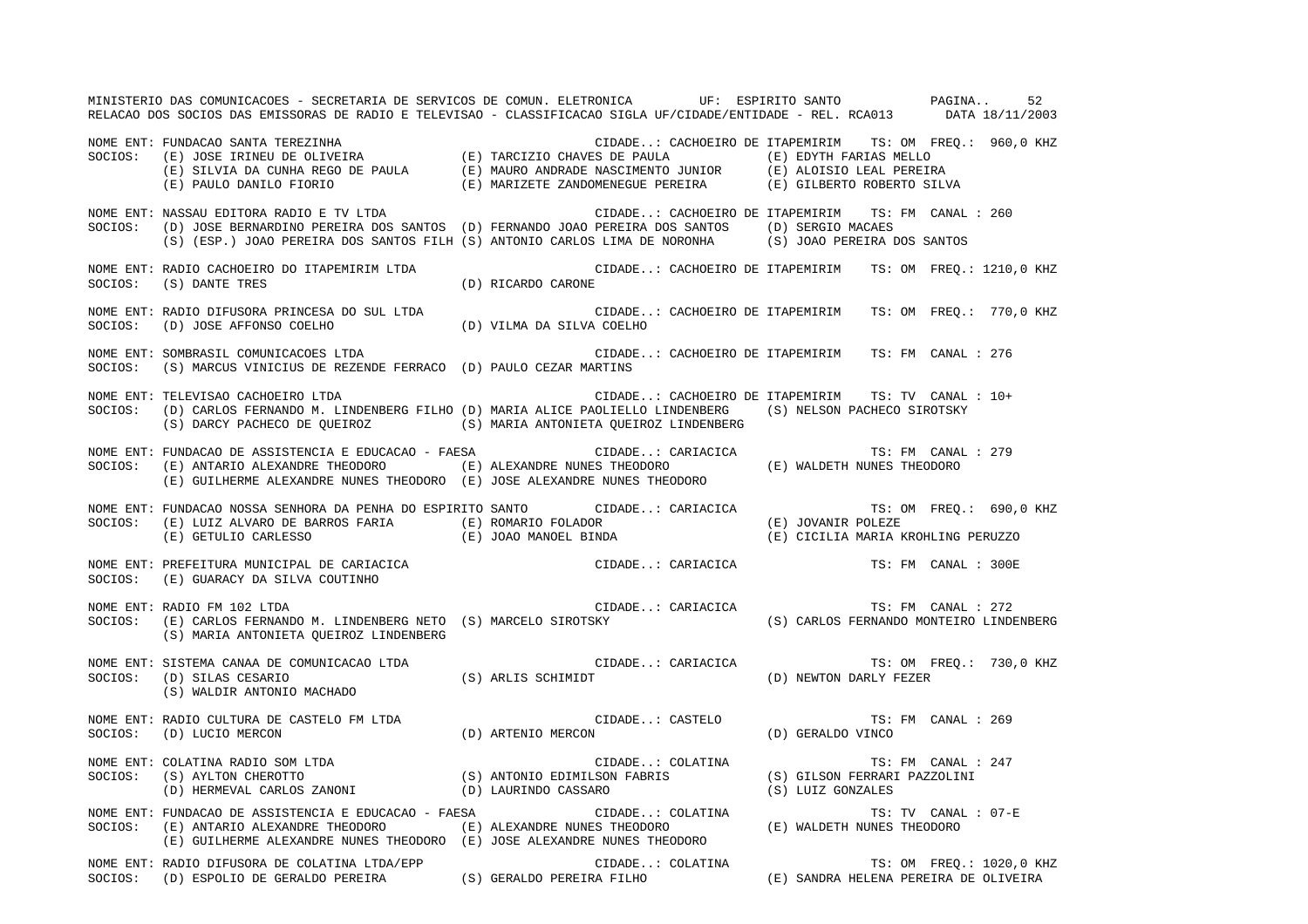MINISTERIO DAS COMUNICACOES - SECRETARIA DE SERVICOS DE COMUN. ELETRONICA UF: ESPIRITO SANTO PAGINA.. 52RELACAO DOS SOCIOS DAS EMISSORAS DE RADIO E TELEVISAO - CLASSIFICACAO SIGLA UF/CIDADE/ENTIDADE - REL. RCA013 DATA 18/11/2003 NOME ENT: FUNDACAO SANTA TEREZINHA<br>SOCIOS: (E) JOSE IRINEU DE OLIVEIRA (E) TARCIZIO CHAVES DE PAULA (E) EDYTH FARIAS MELLO (E) TARCIZIO CHAVES DE PAULA (E) EDYTH FARIAS MELLO (E) SILVIA DA CUNHA REGO DE PAULA (E) MAURO ANDRADE NASCIMENTO JUNIOR (E) ALOISIO LEAL PEREIRA (E) PAULO DANILO FIORIO (E) MARIZETE ZANDOMENEGUE PEREIRA (E) GILBERTO ROBERTO SILVA NOME ENT: NASSAU EDITORA RADIO E TV LTDA CONSTRUITORE CIDADE..: CACHOEIRO DE ITAPEMIRIM TS: FM CANAL : 260 SOCIOS: (D) JOSE BERNARDINO PEREIRA DOS SANTOS (D) FERNANDO JOAO PEREIRA DOS SANTOS (D) SERGIO MACAES (S) (ESP.) JOAO PEREIRA DOS SANTOS FILH (S) ANTONIO CARLOS LIMA DE NORONHA (S) JOAO PEREIRA DOS SANTOS NOME ENT: RADIO CACHOEIRO DO ITAPEMIRIM LTDA CIDADE..: CACHOEIRO DE ITAPEMIRIM TS: OM FREQ.: 1210,0 KHZ SOCIOS: (S) DANTE TRES (D) RICARDO CARONE NOME ENT: RADIO DIFUSORA PRINCESA DO SUL LTDA CIDADE..: CACHOEIRO DE ITAPEMIRIM TS: OM FREQ.: 770,0 KHZ SOCIOS: (D) JOSE AFFONSO COELHO (D) VILMA DA SILVA COELHO NOME ENT: SOMBRASIL COMUNICACOES LTDA CIDADE CIDADE..: CACHOEIRO DE ITAPEMIRIM TS: FM CANAL : 276 SOCIOS: (S) MARCUS VINICIUS DE REZENDE FERRACO (D) PAULO CEZAR MARTINS NOME ENT: TELEVISAO CACHOEIRO LTDA CIDADE..: CACHOEIRO DE ITAPEMIRIM TS: TV CANAL : 10+SOCIOS: (D) CARLOS FERNANDO M. LINDENBERG FILHO (D) MARIA ALICE PAOLIELLO LINDENBERG (S) NELSON PACHECO SIROTSKY (S) DARCY PACHECO DE QUEIROZ (S) MARIA ANTONIETA QUEIROZ LINDENBERG NOME ENT: FUNDACAO DE ASSISTENCIA E EDUCACAO - FAESA CIDADE..: CARIACICA TS: FM CANAL : 279SOCIOS: (E) ANTARIO ALEXANDRE THEODORO (E) ALEXANDRE NUNES THEODORO (E) WALDETH NUNES THEODORO (E) GUILHERME ALEXANDRE NUNES THEODORO (E) JOSE ALEXANDRE NUNES THEODORO NOME ENT: FUNDACAO NOSSA SENHORA DA PENHA DO ESPIRITO SANTO CIDADE..: CARIACICA TS: OM FREQ.: 690,0 KHZ SOCIOS: (E) LUIZ ALVARO DE BARROS FARIA (E) ROMARIO FOLADOR (E) JOVANIR POLEZE (E) GETULIO CARLESSO (E) JOAO MANOEL BINDA (E) CICILIA MARIA KROHLING PERUZZO NOME ENT: PREFEITURA MUNICIPAL DE CARIACICA CIDADE..: CARIACICA TS: FM CANAL : 300E SOCIOS: (E) GUARACY DA SILVA COUTINHO NOME ENT: RADIO FM 102 LTDA CIDADE..: CARIACICA TS: FM CANAL : 272SOCIOS: (E) CARLOS FERNANDO M. LINDENBERG NETO (S) MARCELO SIROTSKY (S) CARLOS FERNANDO MONTEIRO LINDENBERG (S) MARIA ANTONIETA QUEIROZ LINDENBERG NOME ENT: SISTEMA CANAA DE COMUNICACAO LTDA CONSTANTINO CIDADE..: CARIACICA TS: OM FREQ.: 730,0 KHZ SOCIOS: (D) SILAS CESARIO (S) ARLIS SCHIMIDT (D) NEWTON DARLY FEZER (S) WALDIR ANTONIO MACHADO NOME ENT: RADIO CULTURA DE CASTELO FM LTDA CIDADE..: CASTELO TS: FM CANAL : 269SOCIOS: (D) LUCIO MERCON (D) ARTENIO MERCON (D) GERALDO VINCO NOME ENT: COLATINA RADIO SOM LTDA CHANAL COLATINA CIDADE..: COLATINA TS: FM CANAL : 247 SOCIOS: (S) AYLTON CHEROTTO (S) ANTONIO EDIMILSON FABRIS (S) GILSON FERRARI PAZZOLINI (D) HERMEVAL CARLOS ZANONI (D) LAURINDO CASSARO (S) LUIZ GONZALES NOME ENT: FUNDACAO DE ASSISTENCIA E EDUCACAO - FAESA  $\qquad \qquad \qquad$  CIDADE..: COLATINA TS: TV CANAL : 07-E SOCIOS: (E) ANTARIO ALEXANDRE THEODORO (E) ALEXANDRE NUNES THEODORO (E) WALDETH NUNES THEODORO (E) GUILHERME ALEXANDRE NUNES THEODORO (E) JOSE ALEXANDRE NUNES THEODORO NOME ENT: RADIO DIFUSORA DE COLATINA LTDA/EPP CIDADE..: COLATINA TS: OM FREQ.: 1020,0 KHZ SOCIOS: (D) ESPOLIO DE GERALDO PEREIRA (S) GERALDO PEREIRA FILHO (E) SANDRA HELENA PEREIRA DE OLIVEIRA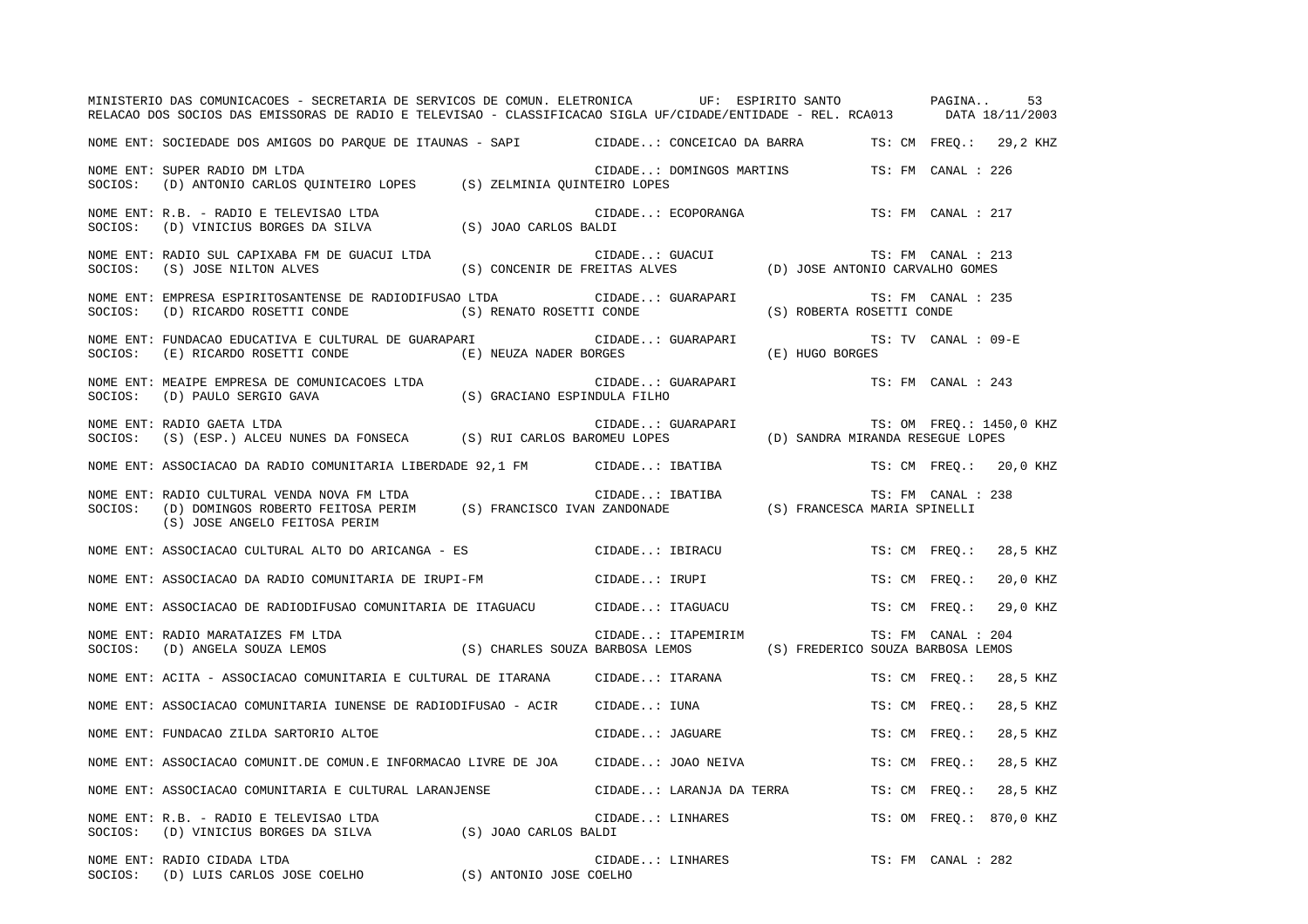|         | MINISTERIO DAS COMUNICACOES - SECRETARIA DE SERVICOS DE COMUN. ELETRONICA UF: ESPIRITO SANTO PAGINA<br>RELACAO DOS SOCIOS DAS EMISSORAS DE RADIO E TELEVISAO - CLASSIFICACAO SIGLA UF/CIDADE/ENTIDADE - REL. RCA013 DATA 18/11/2003 |                                 |                    |                          |                                   |                     | 53                       |
|---------|-------------------------------------------------------------------------------------------------------------------------------------------------------------------------------------------------------------------------------------|---------------------------------|--------------------|--------------------------|-----------------------------------|---------------------|--------------------------|
|         | NOME ENT: SOCIEDADE DOS AMIGOS DO PAROUE DE ITAUNAS - SAPI CIDADE: CONCEICAO DA BARRA TS: CM FREO.: 29,2 KHZ                                                                                                                        |                                 |                    |                          |                                   |                     |                          |
| SOCIOS: | NOME ENT: SUPER RADIO DM LTDA<br>(D) ANTONIO CARLOS QUINTEIRO LOPES (S) ZELMINIA QUINTEIRO LOPES                                                                                                                                    |                                 |                    | CIDADE: DOMINGOS MARTINS |                                   | TS: FM CANAL : 226  |                          |
| SOCIOS: | NOME ENT: R.B. - RADIO E TELEVISAO LTDA<br>(D) VINICIUS BORGES DA SILVA (S) JOAO CARLOS BALDI                                                                                                                                       |                                 |                    | CIDADE: ECOPORANGA       |                                   | TS: FM CANAL : 217  |                          |
| SOCIOS: | NOME ENT: RADIO SUL CAPIXABA FM DE GUACUI LTDA<br>(S) JOSE NILTON ALVES                                                                                                                                                             | (S) CONCENIR DE FREITAS ALVES   | CIDADE: GUACUI     |                          | (D) JOSE ANTONIO CARVALHO GOMES   | TS: FM CANAL : 213  |                          |
| SOCIOS: | NOME ENT: EMPRESA ESPIRITOSANTENSE DE RADIODIFUSAO LTDA<br>(D) RICARDO ROSETTI CONDE                                                                                                                                                | (S) RENATO ROSETTI CONDE        | CIDADE: GUARAPARI  |                          | (S) ROBERTA ROSETTI CONDE         | TS: FM CANAL : 235  |                          |
| SOCIOS: | NOME ENT: FUNDACAO EDUCATIVA E CULTURAL DE GUARAPARI<br>(E) RICARDO ROSETTI CONDE                                                                                                                                                   | (E) NEUZA NADER BORGES          | CIDADE: GUARAPARI  |                          | (E) HUGO BORGES                   | TS: TV CANAL : 09-E |                          |
| SOCIOS: | NOME ENT: MEAIPE EMPRESA DE COMUNICACOES LTDA<br>(D) PAULO SERGIO GAVA                                                                                                                                                              | (S) GRACIANO ESPINDULA FILHO    | CIDADE: GUARAPARI  |                          |                                   | TS: FM CANAL : 243  |                          |
| SOCIOS: | NOME ENT: RADIO GAETA LTDA<br>$(S)$ (ESP.) ALCEU NUNES DA FONSECA (S) RUI CARLOS BAROMEU LOPES                                                                                                                                      |                                 | CIDADE: GUARAPARI  |                          | (D) SANDRA MIRANDA RESEGUE LOPES  |                     | TS: OM FREQ.: 1450,0 KHZ |
|         | NOME ENT: ASSOCIACAO DA RADIO COMUNITARIA LIBERDADE 92,1 FM CIDADE: IBATIBA                                                                                                                                                         |                                 |                    |                          |                                   |                     | TS: CM FREO.: 20,0 KHZ   |
| SOCIOS: | NOME ENT: RADIO CULTURAL VENDA NOVA FM LTDA<br>(D) DOMINGOS ROBERTO FEITOSA PERIM (S) FRANCISCO IVAN ZANDONADE<br>(S) JOSE ANGELO FEITOSA PERIM                                                                                     |                                 | CIDADE: IBATIBA    |                          | (S) FRANCESCA MARIA SPINELLI      | TS: FM CANAL : 238  |                          |
|         | NOME ENT: ASSOCIACAO CULTURAL ALTO DO ARICANGA - ES                                                                                                                                                                                 |                                 | CIDADE: IBIRACU    |                          |                                   |                     | TS: CM FREQ.: 28,5 KHZ   |
|         | NOME ENT: ASSOCIACAO DA RADIO COMUNITARIA DE IRUPI-FM                                                                                                                                                                               |                                 | CIDADE: IRUPI      |                          |                                   | TS: CM FREQ.:       | 20,0 KHZ                 |
|         | NOME ENT: ASSOCIACAO DE RADIODIFUSAO COMUNITARIA DE ITAGUACU           CIDADE: ITAGUACU                                                                                                                                             |                                 |                    |                          |                                   | TS: CM FREO.:       | 29,0 KHZ                 |
| SOCIOS: | NOME ENT: RADIO MARATAIZES FM LTDA<br>(D) ANGELA SOUZA LEMOS                                                                                                                                                                        | (S) CHARLES SOUZA BARBOSA LEMOS | CIDADE: ITAPEMIRIM |                          | (S) FREDERICO SOUZA BARBOSA LEMOS | TS: FM CANAL : 204  |                          |
|         | NOME ENT: ACITA - ASSOCIACAO COMUNITARIA E CULTURAL DE ITARANA                                                                                                                                                                      |                                 | CIDADE: ITARANA    |                          |                                   | TS: CM FREO.:       | 28,5 KHZ                 |
|         | NOME ENT: ASSOCIACAO COMUNITARIA IUNENSE DE RADIODIFUSAO - ACIR                                                                                                                                                                     |                                 | CIDADE: IUNA       |                          |                                   | TS: CM FREQ.:       | 28,5 KHZ                 |
|         | NOME ENT: FUNDACAO ZILDA SARTORIO ALTOE                                                                                                                                                                                             |                                 | CIDADE: JAGUARE    |                          |                                   | TS: CM FREO.:       | 28,5 KHZ                 |
|         | NOME ENT: ASSOCIACAO COMUNIT.DE COMUN.E INFORMACAO LIVRE DE JOA                                                                                                                                                                     |                                 | CIDADE: JOAO NEIVA |                          |                                   | TS: CM FREO.:       | 28,5 KHZ                 |
|         | NOME ENT: ASSOCIACAO COMUNITARIA E CULTURAL LARANJENSE                                                                                                                                                                              |                                 |                    | CIDADE: LARANJA DA TERRA |                                   | TS: CM FREO.:       | 28,5 KHZ                 |
|         | NOME ENT: R.B. - RADIO E TELEVISAO LTDA<br>SOCIOS: (D) VINICIUS BORGES DA SILVA                                                                                                                                                     | (S) JOAO CARLOS BALDI           |                    | CIDADE: LINHARES         |                                   | TS: OM FREO.:       | 870,0 KHZ                |
|         | NOME ENT: RADIO CIDADA LTDA<br>SOCIOS: (D) LUIS CARLOS JOSE COELHO (S) ANTONIO JOSE COELHO                                                                                                                                          |                                 | CIDADE: LINHARES   |                          |                                   | TS: FM CANAL : 282  |                          |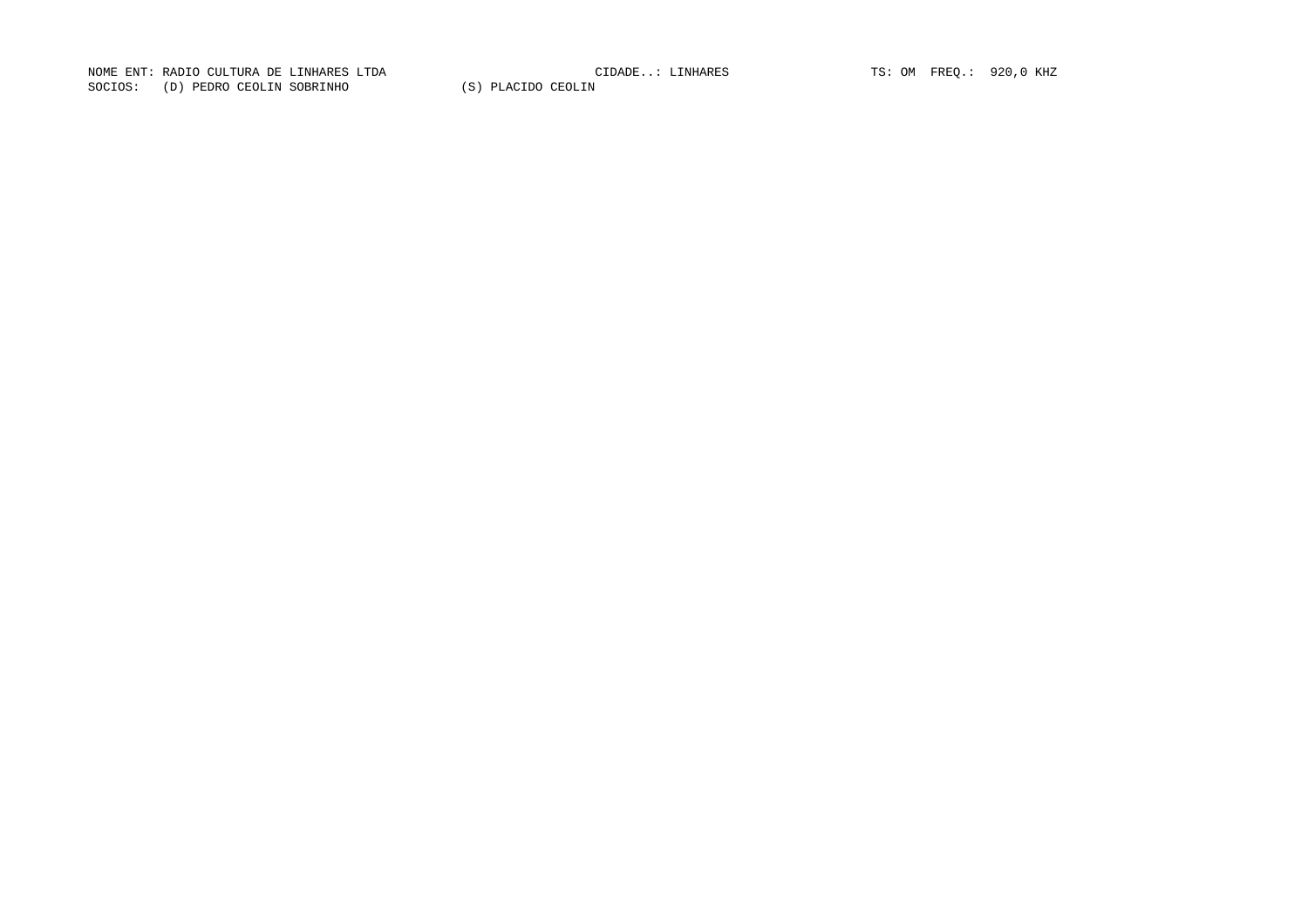NOME ENT: RADIO CULTURA DE LINHARES LTDA CIDADE..: LINHARES TS: OM FREQ.: 920,0 KHZ SOCIOS: (D) PEDRO CEOLIN SOBRINHO (S) PLACIDO CEOLIN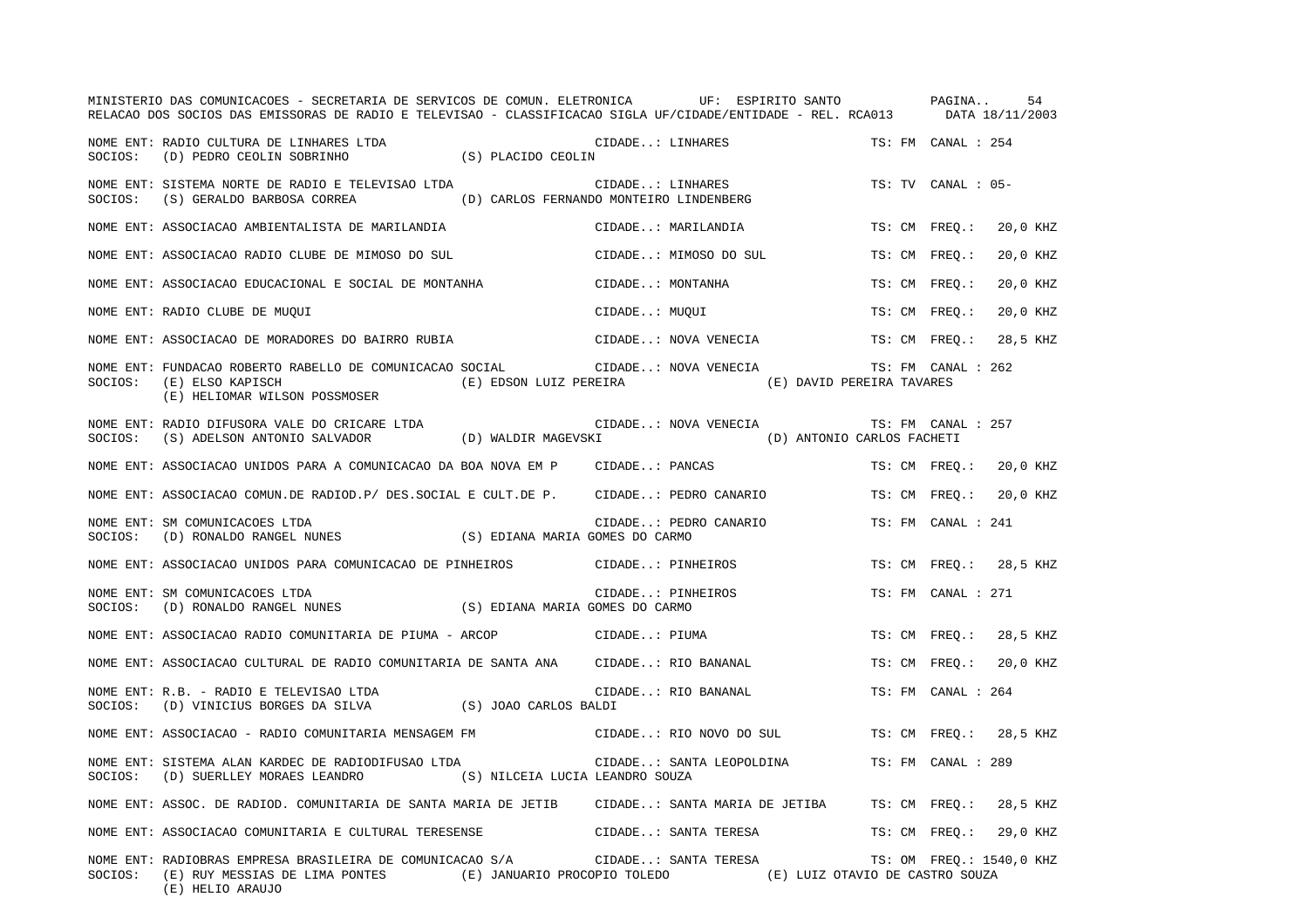|         | MINISTERIO DAS COMUNICACOES - SECRETARIA DE SERVICOS DE COMUN. ELETRONICA UF: ESPIRITO SANTO PAGINA<br>RELACAO DOS SOCIOS DAS EMISSORAS DE RADIO E TELEVISAO - CLASSIFICACAO SIGLA UF/CIDADE/ENTIDADE - REL. RCA013 DATA 18/11/2003 |                    |                                                |                                                              |                          | 54       |
|---------|-------------------------------------------------------------------------------------------------------------------------------------------------------------------------------------------------------------------------------------|--------------------|------------------------------------------------|--------------------------------------------------------------|--------------------------|----------|
| SOCIOS: | NOME ENT: RADIO CULTURA DE LINHARES LTDA<br>(D) PEDRO CEOLIN SOBRINHO                                                                                                                                                               | (S) PLACIDO CEOLIN | CIDADE: LINHARES                               |                                                              | TS: FM CANAL : 254       |          |
| SOCIOS: | NOME ENT: SISTEMA NORTE DE RADIO E TELEVISAO LTDA<br>(S) GERALDO BARBOSA CORREA (D) CARLOS FERNANDO MONTEIRO LINDENBERG                                                                                                             |                    | CIDADE: LINHARES                               |                                                              | TS: TV CANAL : 05-       |          |
|         | NOME ENT: ASSOCIACAO AMBIENTALISTA DE MARILANDIA                                                                                                                                                                                    |                    | CIDADE: MARILANDIA                             |                                                              | TS: CM FREO.:            | 20,0 KHZ |
|         | NOME ENT: ASSOCIACAO RADIO CLUBE DE MIMOSO DO SUL                                                                                                                                                                                   |                    | CIDADE: MIMOSO DO SUL                          |                                                              | TS: CM FREO.:            | 20,0 KHZ |
|         | NOME ENT: ASSOCIACAO EDUCACIONAL E SOCIAL DE MONTANHA                                                                                                                                                                               |                    | CIDADE: MONTANHA                               |                                                              | TS: CM FREO.:            | 20,0 KHZ |
|         | NOME ENT: RADIO CLUBE DE MUQUI                                                                                                                                                                                                      |                    | CIDADE: MUQUI                                  |                                                              | TS: CM FREO.:            | 20,0 KHZ |
|         | NOME ENT: ASSOCIACAO DE MORADORES DO BAIRRO RUBIA                                                                                                                                                                                   |                    | CIDADE: NOVA VENECIA                           |                                                              | TS: CM FREO.:            | 28,5 KHZ |
| SOCIOS: | NOME ENT: FUNDACAO ROBERTO RABELLO DE COMUNICACAO SOCIAL<br>(E) ELSO KAPISCH<br>(E) HELIOMAR WILSON POSSMOSER                                                                                                                       |                    | CIDADE: NOVA VENECIA<br>(E) EDSON LUIZ PEREIRA | (E) DAVID PEREIRA TAVARES                                    | TS: FM CANAL : 262       |          |
| SOCIOS: | NOME ENT: RADIO DIFUSORA VALE DO CRICARE LTDA<br>(S) ADELSON ANTONIO SALVADOR (D) WALDIR MAGEVSKI                                                                                                                                   |                    | CIDADE: NOVA VENECIA                           | (D) ANTONIO CARLOS FACHETI                                   | TS: FM CANAL : 257       |          |
|         | NOME ENT: ASSOCIACAO UNIDOS PARA A COMUNICACAO DA BOA NOVA EM P                                                                                                                                                                     |                    | CIDADE: PANCAS                                 |                                                              | TS: CM FREO.: 20,0 KHZ   |          |
|         | NOME ENT: ASSOCIACAO COMUN.DE RADIOD.P/ DES.SOCIAL E CULT.DE P.      CIDADE: PEDRO CANARIO                                                                                                                                          |                    |                                                |                                                              | TS: CM FREO.:            | 20,0 KHZ |
| SOCIOS: | NOME ENT: SM COMUNICACOES LTDA<br>(D) RONALDO RANGEL NUNES (S) EDIANA MARIA GOMES DO CARMO                                                                                                                                          |                    | CIDADE: PEDRO CANARIO                          |                                                              | TS: FM CANAL : 241       |          |
|         | NOME ENT: ASSOCIACAO UNIDOS PARA COMUNICACAO DE PINHEIROS                                                                                                                                                                           |                    | CIDADE: PINHEIROS                              |                                                              | TS: CM FREO.: 28,5 KHZ   |          |
| SOCIOS: | NOME ENT: SM COMUNICACOES LTDA<br>(D) RONALDO RANGEL NUNES (S) EDIANA MARIA GOMES DO CARMO                                                                                                                                          |                    | CIDADE: PINHEIROS                              |                                                              | TS: FM CANAL : 271       |          |
|         | NOME ENT: ASSOCIACAO RADIO COMUNITARIA DE PIUMA - ARCOP (CIDADE: PIUMA                                                                                                                                                              |                    |                                                |                                                              | TS: CM FREQ.:            | 28,5 KHZ |
|         | NOME ENT: ASSOCIACAO CULTURAL DE RADIO COMUNITARIA DE SANTA ANA                                                                                                                                                                     |                    | CIDADE: RIO BANANAL                            |                                                              | TS: CM FREO.:            | 20,0 KHZ |
| SOCIOS: | NOME ENT: R.B. - RADIO E TELEVISAO LTDA<br>(D) VINICIUS BORGES DA SILVA (S) JOAO CARLOS BALDI                                                                                                                                       |                    | CIDADE: RIO BANANAL                            |                                                              | TS: FM CANAL : 264       |          |
|         | NOME ENT: ASSOCIACAO - RADIO COMUNITARIA MENSAGEM FM                                                                                                                                                                                |                    | CIDADE: RIO NOVO DO SUL                        |                                                              | TS: CM FREO.: 28,5 KHZ   |          |
| SOCIOS: | NOME ENT: SISTEMA ALAN KARDEC DE RADIODIFUSAO LTDA<br>(D) SUERLLEY MORAES LEANDRO (S) NILCEIA LUCIA LEANDRO SOUZA                                                                                                                   |                    | CIDADE: SANTA LEOPOLDINA                       |                                                              | TS: FM CANAL : 289       |          |
|         | NOME ENT: ASSOC. DE RADIOD. COMUNITARIA DE SANTA MARIA DE JETIB (CIDADE: SANTA MARIA DE JETIBA (TS: CM) FREQ.: 28,5 KHZ                                                                                                             |                    |                                                |                                                              |                          |          |
|         | NOME ENT: ASSOCIACAO COMUNITARIA E CULTURAL TERESENSE                                                                                                                                                                               |                    | CIDADE: SANTA TERESA                           |                                                              | TS: CM FREQ.: 29,0 KHZ   |          |
| SOCIOS: | NOME ENT: RADIOBRAS EMPRESA BRASILEIRA DE COMUNICACAO S/A CIDADE: SANTA TERESA<br>(E) RUY MESSIAS DE LIMA PONTES<br>(E) HELIO ARAUJO                                                                                                |                    |                                                | (E) JANUARIO PROCOPIO TOLEDO (E) LUIZ OTAVIO DE CASTRO SOUZA | TS: OM FREQ.: 1540,0 KHZ |          |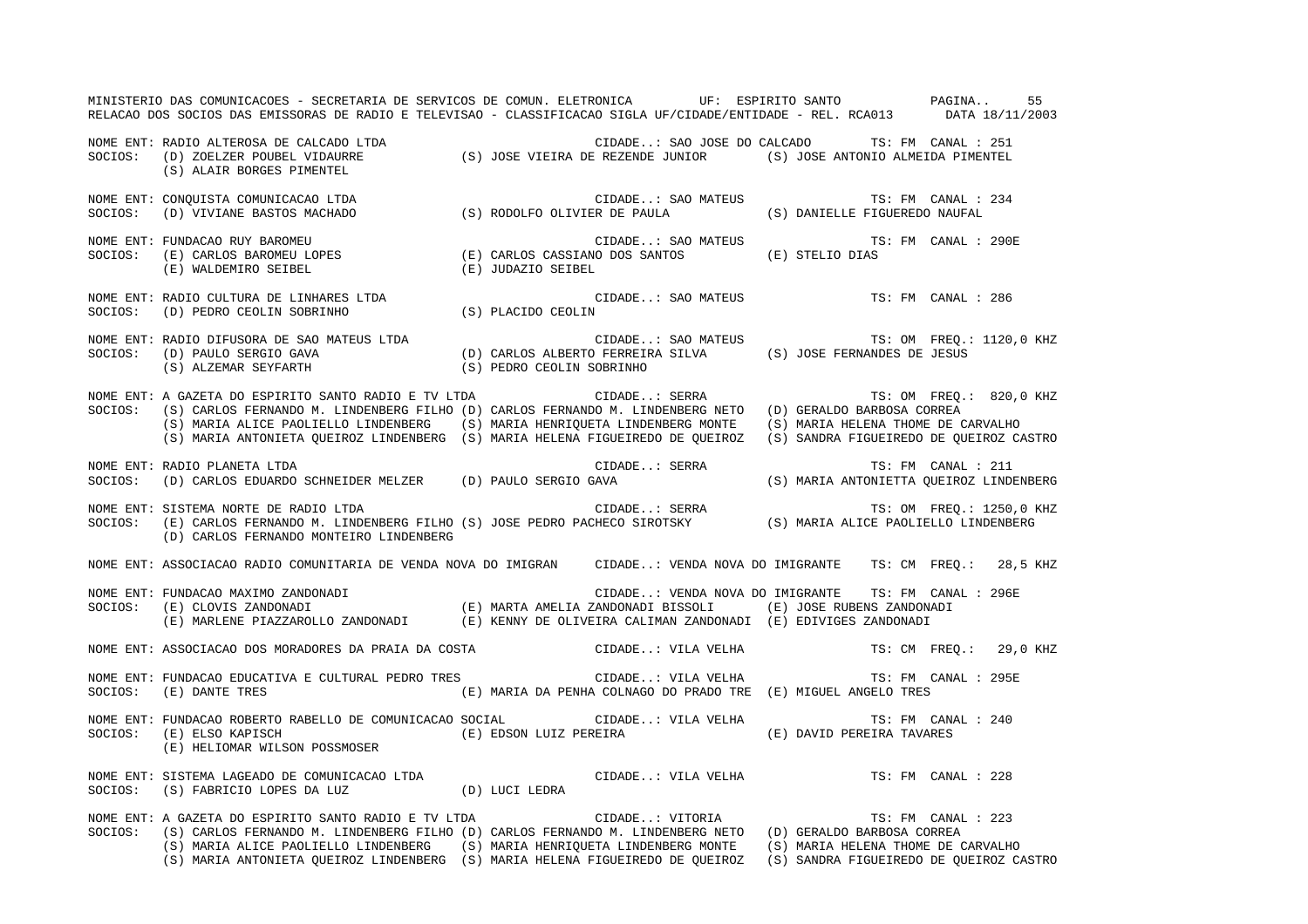MINISTERIO DAS COMUNICACOES - SECRETARIA DE SERVICOS DE COMUN. ELETRONICA UF: ESPIRITO SANTO PAGINA.. 55 RELACAO DOS SOCIOS DAS EMISSORAS DE RADIO E TELEVISAO - CLASSIFICACAO SIGLA UF/CIDADE/ENTIDADE - REL. RCA013 DATA 18/11/2003 NOME ENT: RADIO ALTEROSA DE CALCADO LTDA CIDADE..: SAO JOSE DO CALCADO TS: FM CANAL : 251SOCIOS: (D) ZOELZER POUBEL VIDAURRE (S) JOSE VIEIRA DE REZENDE JUNIOR (S) JOSE ANTONIO ALMEIDA PIMENTEL (S) ALAIR BORGES PIMENTEL NOME ENT: CONQUISTA COMUNICACAO LTDA CIDADE..: SAO MATEUS TS: FM CANAL : 234 SOCIOS: (D) VIVIANE BASTOS MACHADO (S) RODOLFO OLIVIER DE PAULA (S) DANIELLE FIGUEREDO NAUFAL NOME ENT: FUNDACAO RUY BAROMEU CHOROLETIC CIDADE..: SAO MATEUS TS: FM CANAL : 290E SOCIOS: (E) CARLOS BAROMEU LOPES (E) CARLOS CASSIANO DOS SANTOS (E) STELIO DIAS (E) WALDEMIRO SEIBEL (E) JUDAZIO SEIBEL NOME ENT: RADIO CULTURA DE LINHARES LTDA CIDADE..: SAO MATEUS TS: FM CANAL : 286SOCIOS: (D) PEDRO CEOLIN SOBRINHO NOME ENT: RADIO DIFUSORA DE SAO MATEUS LTDA CIDADE..: SAO MATEUS TS: OM FREQ.: 1120,0 KHZ (D) CARLOS ALBERTO FERREIRA SILVA (S) JOSE FERNANDES DE JESUS (S) ALZEMAR SEYFARTH (S) PEDRO CEOLIN SOBRINHO NOME ENT: A GAZETA DO ESPIRITO SANTO RADIO E TV LTDA CIDADE..: SERRA TS: OM FREQ.: 820,0 KHZ SOCIOS: (S) CARLOS FERNANDO M. LINDENBERG FILHO (D) CARLOS FERNANDO M. LINDENBERG NETO (D) GERALDO BARBOSA CORREA (S) MARIA ALICE PAOLIELLO LINDENBERG (S) MARIA HENRIQUETA LINDENBERG MONTE (S) MARIA HELENA THOME DE CARVALHO (S) MARIA ANTONIETA QUEIROZ LINDENBERG (S) MARIA HELENA FIGUEIREDO DE QUEIROZ (S) SANDRA FIGUEIREDO DE QUEIROZ CASTRO NOME ENT: RADIO PLANETA LTDA CIDADE..: SERRA TS: FM CANAL : 211SOCIOS: (D) CARLOS EDUARDO SCHNEIDER MELZER (D) PAULO SERGIO GAVA (S) MARIA ANTONIETTA QUEIROZ LINDENBERG NOME ENT: SISTEMA NORTE DE RADIO LTDA  $\blacksquare$  CIDADE..: SERRA TS: OM FREQ.: 1250,0 KHZ SOCIOS: (E) CARLOS FERNANDO M. LINDENBERG FILHO (S) JOSE PEDRO PACHECO SIROTSKY (S) MARIA ALICE PAOLIELLO LINDENBERG (D) CARLOS FERNANDO MONTEIRO LINDENBERG NOME ENT: ASSOCIACAO RADIO COMUNITARIA DE VENDA NOVA DO IMIGRAN CIDADE..: VENDA NOVA DO IMIGRANTE TS: CM FREQ.: 28,5 KHZ NOME ENT: FUNDACAO MAXIMO ZANDONADI CIDADE..: VENDA NOVA DO IMIGRANTE TS: FM CANAL : 296ESOCIOS: (E) CLOVIS ZANDONADI (E) MARTA AMELIA ZANDONADI BISSOLI (E) JOSE RUBENS ZANDONADI (E) MARLENE PIAZZAROLLO ZANDONADI (E) KENNY DE OLIVEIRA CALIMAN ZANDONADI (E) EDIVIGES ZANDONADI NOME ENT: ASSOCIACAO DOS MORADORES DA PRAIA DA COSTA CIDADE..: VILA VELHA TS: CM FREQ.: 29,0 KHZ NOME ENT: FUNDACAO EDUCATIVA E CULTURAL PEDRO TRES CIDADE..: VILA VELHA TS: FM CANAL : 295E SOCIOS: (E) DANTE TRES (E) MARIA DA PENHA COLNAGO DO PRADO TRE (E) MIGUEL ANGELO TRES NOME ENT: FUNDACAO ROBERTO RABELLO DE COMUNICACAO SOCIAL CIDADE..: VILA VELHA TS: FM CANAL : 240SOCIOS: (E) ELSO KAPISCH (E) EDSON LUIZ PEREIRA (E) DAVID PEREIRA TAVARES (E) HELIOMAR WILSON POSSMOSER NOME ENT: SISTEMA LAGEADO DE COMUNICACAO LTDA CIDADE..: VILA VELHA TS: FM CANAL : 228SOCIOS: (S) FABRICIO LOPES DA LUZ (D) LUCI LEDRA NOME ENT: A GAZETA DO ESPIRITO SANTO RADIO E TV LTDA CIDADE..: VITORIA TS: FM CANAL : 223SOCIOS: (S) CARLOS FERNANDO M. LINDENBERG FILHO (D) CARLOS FERNANDO M. LINDENBERG NETO (D) GERALDO BARBOSA CORREA (S) MARIA ALICE PAOLIELLO LINDENBERG (S) MARIA HENRIQUETA LINDENBERG MONTE (S) MARIA HELENA THOME DE CARVALHO (S) MARIA ANTONIETA QUEIROZ LINDENBERG (S) MARIA HELENA FIGUEIREDO DE QUEIROZ (S) SANDRA FIGUEIREDO DE QUEIROZ CASTRO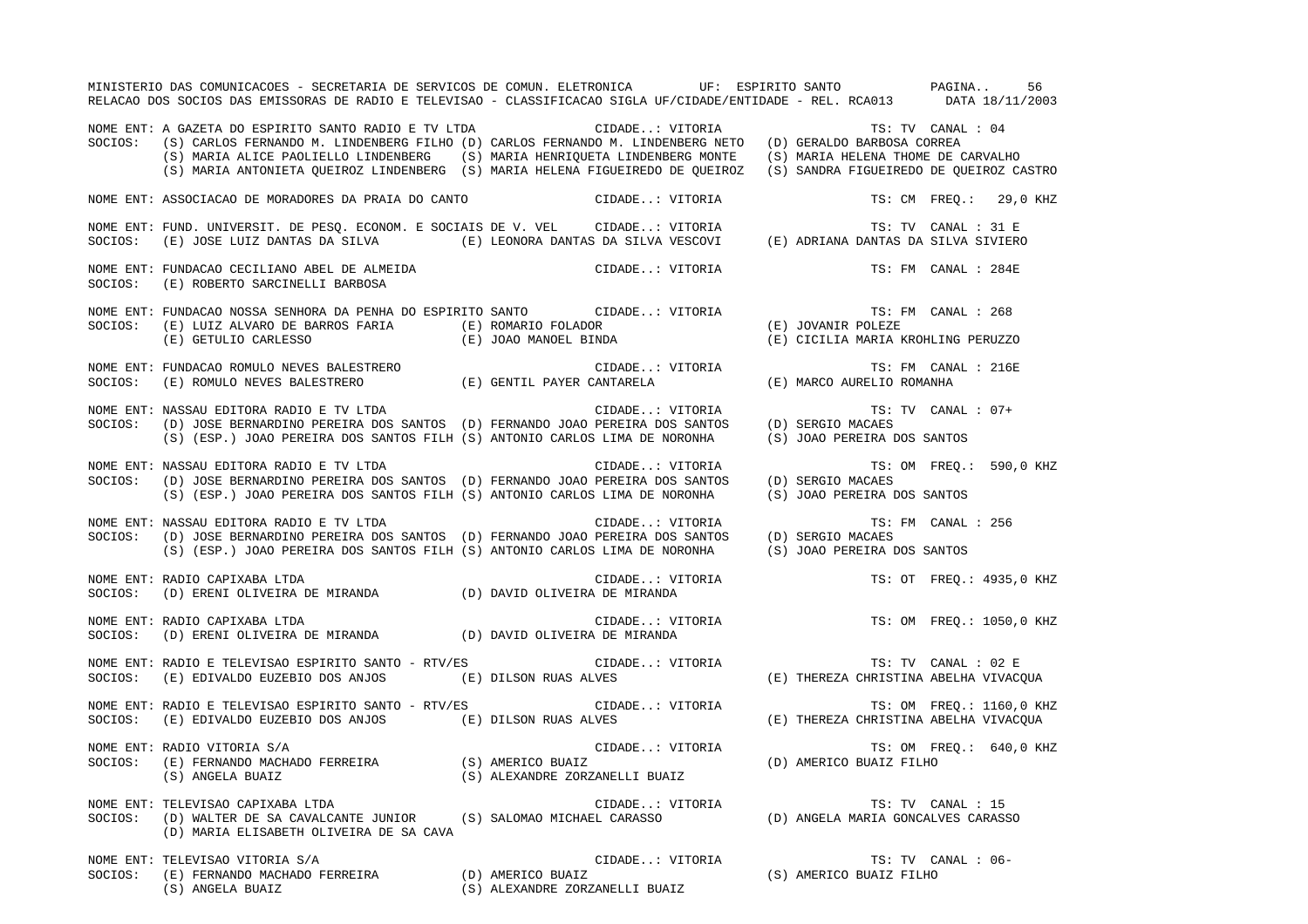MINISTERIO DAS COMUNICACOES - SECRETARIA DE SERVICOS DE COMUN. ELETRONICA UF: ESPIRITO SANTO PAGINA.. 56RELACAO DOS SOCIOS DAS EMISSORAS DE RADIO E TELEVISAO - CLASSIFICACAO SIGLA UF/CIDADE/ENTIDADE - REL. RCA013 DATA 18/11/2003 NOME ENT: A GAZETA DO ESPIRITO SANTO RADIO E TV LTDA CIDADE..: VITORIA TS: TV CANAL : 04 SOCIOS: (S) CARLOS FERNANDO M. LINDENBERG FILHO (D) CARLOS FERNANDO M. LINDENBERG NETO (D) GERALDO BARBOSA CORREA (S) MARIA ALICE PAOLIELLO LINDENBERG (S) MARIA HENRIQUETA LINDENBERG MONTE (S) MARIA HELENA THOME DE CARVALHO (S) MARIA ANTONIETA QUEIROZ LINDENBERG (S) MARIA HELENA FIGUEIREDO DE QUEIROZ (S) SANDRA FIGUEIREDO DE QUEIROZ CASTRO NOME ENT: ASSOCIACAO DE MORADORES DA PRAIA DO CANTO  $\qquad$  CIDADE..: VITORIA  $\qquad$  TS: CM FREQ.: 29,0 KHZ NOME ENT: FUND. UNIVERSIT. DE PESQ. ECONOM. E SOCIAIS DE V. VEL CIDADE..: VITORIA TS: TV CANAL : 31 E SOCIOS: (E) JOSE LUIZ DANTAS DA SILVA (E) LEONORA DANTAS DA SILVA VESCOVI (E) ADRIANA DANTAS DA SILVA SIVIERO NOME ENT: FUNDACAO CECILIANO ABEL DE ALMEIDA CIDADE..: VITORIA TS: FM CANAL : 284ESOCIOS: (E) ROBERTO SARCINELLI BARBOSA NOME ENT: FUNDACAO NOSSA SENHORA DA PENHA DO ESPIRITO SANTO CIDADE..: VITORIA TS: FM CANAL : 268SOCIOS: (E) LUIZ ALVARO DE BARROS FARIA (E) ROMARIO FOLADOR (E) JOVANIR POLEZE (E) GETULIO CARLESSO (E) JOAO MANOEL BINDA (E) CICILIA MARIA KROHLING PERUZZO NOME ENT: FUNDACAO ROMULO NEVES BALESTRERO CONSTRUIT CONSTRUCTED CIDADE..: VITORIA TS: FM CANAL : 216E SOCIOS: (E) ROMULO NEVES BALESTRERO (E) GENTIL PAYER CANTARELA (E) MARCO AURELIO ROMANHA NOME ENT: NASSAU EDITORA RADIO E TV LTDA CONSTRUITION CIDADE..: VITORIA TS: TV CANAL : 07+ SOCIOS: (D) JOSE BERNARDINO PEREIRA DOS SANTOS (D) FERNANDO JOAO PEREIRA DOS SANTOS (D) SERGIO MACAES (S) (ESP.) JOAO PEREIRA DOS SANTOS FILH (S) ANTONIO CARLOS LIMA DE NORONHA (S) JOAO PEREIRA DOS SANTOS NOME ENT: NASSAU EDITORA RADIO E TV LTDA **STADIO E ENTERNA CIDADE..: VITORIA** TS: OM FREQ.: 590,0 KHZ SOCIOS: (D) JOSE BERNARDINO PEREIRA DOS SANTOS (D) FERNANDO JOAO PEREIRA DOS SANTOS (D) SERGIO MACAES (S) (ESP.) JOAO PEREIRA DOS SANTOS FILH (S) ANTONIO CARLOS LIMA DE NORONHA (S) JOAO PEREIRA DOS SANTOS NOME ENT: NASSAU EDITORA RADIO E TV LTDA CIDADE..: VITORIA TS: FM CANAL : 256SOCIOS: (D) JOSE BERNARDINO PEREIRA DOS SANTOS (D) FERNANDO JOAO PEREIRA DOS SANTOS (D) SERGIO MACAES (S) (ESP.) JOAO PEREIRA DOS SANTOS FILH (S) ANTONIO CARLOS LIMA DE NORONHA (S) JOAO PEREIRA DOS SANTOS NOME ENT: RADIO CAPIXABA LTDA CIDADE..: VITORIA TS: OT FREQ.: 4935,0 KHZ SOCIOS: (D) ERENI OLIVEIRA DE MIRANDA (D) DAVID OLIVEIRA DE MIRANDA NOME ENT: RADIO CAPIXABA LTDA CIDADE..: VITORIA TS: OM FREQ.: 1050,0 KHZ SOCIOS: (D) ERENI OLIVEIRA DE MIRANDA (D) DAVID OLIVEIRA DE MIRANDA NOME ENT: RADIO E TELEVISAO ESPIRITO SANTO - RTV/ES CIDADE..: VITORIA TS: TV CANAL : 02 E SOCIOS: (E) EDIVALDO EUZEBIO DOS ANJOS (E) DILSON RUAS ALVES (E) THEREZA CHRISTINA ABELHA VIVACQUA NOME ENT: RADIO E TELEVISAO ESPIRITO SANTO - RTV/ES CIDADE..: VITORIA TS: OM FREQ.: 1160,0 KHZ SOCIOS: (E) EDIVALDO EUZEBIO DOS ANJOS (E) DILSON RUAS ALVES (E) THEREZA CHRISTINA ABELHA VIVACQUA NOME ENT: RADIO VITORIA S/A  $\overline{S}$  satisfy the compared of the cidade..: vitoria  $\overline{S}$ : Om FREQ.: 640,0 KHZ SOCIOS: (E) FERNANDO MACHADO FERREIRA (S) AMERICO BUAIZ (D) AMERICO BUAIZ FILHO (S) ANGELA BUAIZ (S) ALEXANDRE ZORZANELLI BUAIZ NOME ENT: TELEVISAO CAPIXABA LTDA CIDADE..: VITORIA TS: TV CANAL : 15 SOCIOS: (D) WALTER DE SA CAVALCANTE JUNIOR (S) SALOMAO MICHAEL CARASSO (D) ANGELA MARIA GONCALVES CARASSO (D) MARIA ELISABETH OLIVEIRA DE SA CAVA NOME ENT: TELEVISAO VITORIA S/A CIDADE..: VITORIA TS: TV CANAL : 06- SOCIOS: (E) FERNANDO MACHADO FERREIRA (D) AMERICO BUAIZ (S) AMERICO BUAIZ FILHO (S) ANGELA BUAIZ (S) ALEXANDRE ZORZANELLI BUAIZ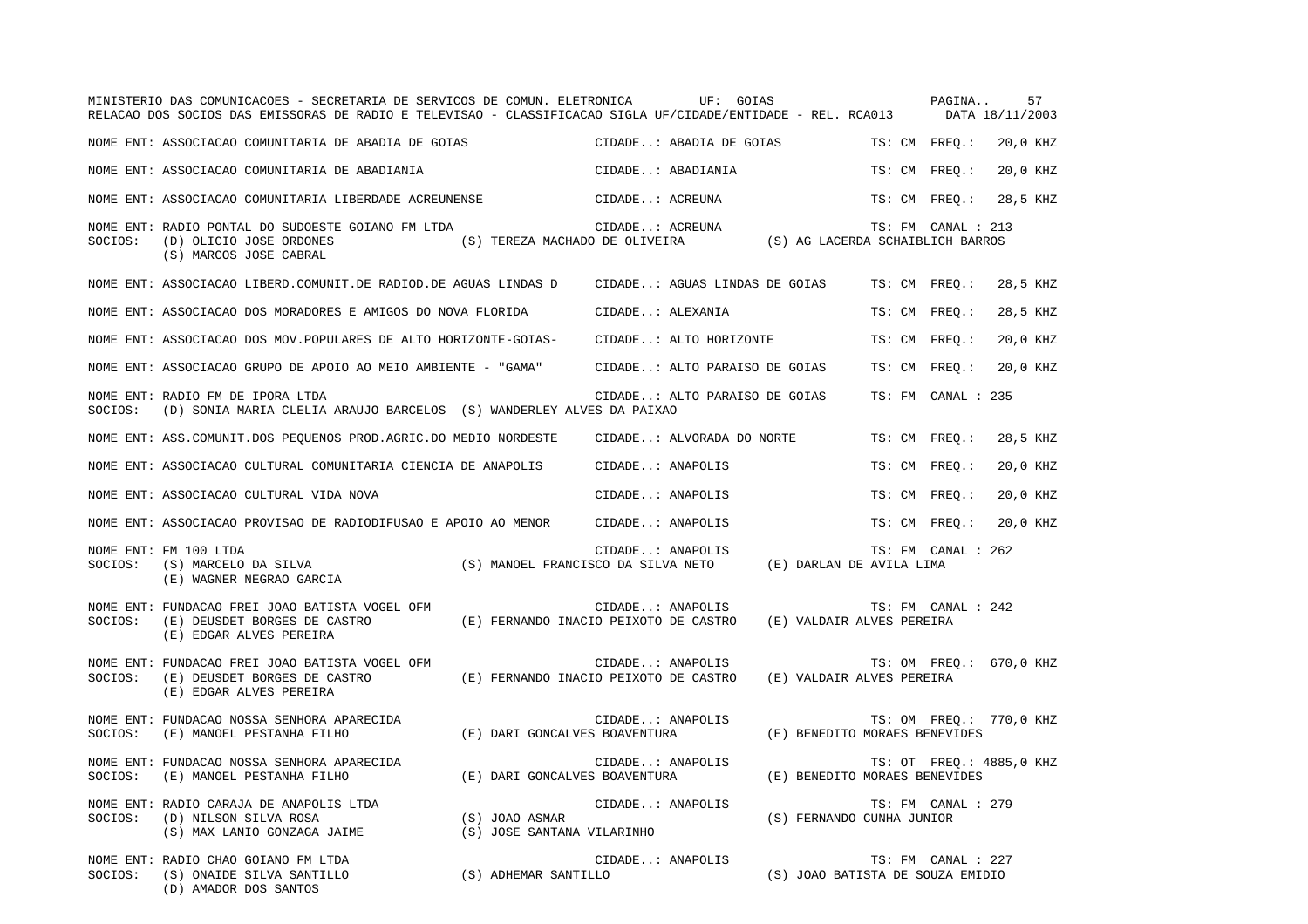|         | MINISTERIO DAS COMUNICACOES - SECRETARIA DE SERVICOS DE COMUN. ELETRONICA UF: GOIAS<br>RELACAO DOS SOCIOS DAS EMISSORAS DE RADIO E TELEVISAO - CLASSIFICACAO SIGLA UF/CIDADE/ENTIDADE - REL. RCA013 DATA 18/11/2003 |                                              |                                                           |                                  |               | PAGINA             | 57                       |
|---------|---------------------------------------------------------------------------------------------------------------------------------------------------------------------------------------------------------------------|----------------------------------------------|-----------------------------------------------------------|----------------------------------|---------------|--------------------|--------------------------|
|         | NOME ENT: ASSOCIACAO COMUNITARIA DE ABADIA DE GOIAS                                                                                                                                                                 |                                              | CIDADE: ABADIA DE GOIAS                                   |                                  |               | TS: CM FREO.:      | 20,0 KHZ                 |
|         | NOME ENT: ASSOCIACAO COMUNITARIA DE ABADIANIA                                                                                                                                                                       |                                              | CIDADE: ABADIANIA                                         |                                  | TS: CM FREO.: |                    | 20,0 KHZ                 |
|         | NOME ENT: ASSOCIACAO COMUNITARIA LIBERDADE ACREUNENSE                                                                                                                                                               |                                              | CIDADE: ACREUNA                                           |                                  | TS: CM FREO.: |                    | 28,5 KHZ                 |
| SOCIOS: | NOME ENT: RADIO PONTAL DO SUDOESTE GOIANO FM LTDA<br>(D) OLICIO JOSE ORDONES<br>(S) MARCOS JOSE CABRAL                                                                                                              |                                              | CIDADE: ACREUNA<br>(S) TEREZA MACHADO DE OLIVEIRA         | (S) AG LACERDA SCHAIBLICH BARROS |               | TS: FM CANAL : 213 |                          |
|         | NOME ENT: ASSOCIACAO LIBERD.COMUNIT.DE RADIOD.DE AGUAS LINDAS D                                                                                                                                                     |                                              | CIDADE: AGUAS LINDAS DE GOIAS                             |                                  |               | TS: CM FREQ.:      | 28,5 KHZ                 |
|         | NOME ENT: ASSOCIACAO DOS MORADORES E AMIGOS DO NOVA FLORIDA                                                                                                                                                         |                                              | CIDADE: ALEXANIA                                          |                                  |               | TS: CM FREO.:      | 28,5 KHZ                 |
|         | NOME ENT: ASSOCIACAO DOS MOV. POPULARES DE ALTO HORIZONTE-GOIAS-                                                                                                                                                    |                                              | CIDADE: ALTO HORIZONTE                                    |                                  | TS: CM FREO.: |                    | 20,0 KHZ                 |
|         | NOME ENT: ASSOCIACAO GRUPO DE APOIO AO MEIO AMBIENTE - "GAMA"                                                                                                                                                       |                                              | CIDADE: ALTO PARAISO DE GOIAS                             |                                  | TS: CM FREO.: |                    | 20,0 KHZ                 |
| SOCIOS: | NOME ENT: RADIO FM DE IPORA LTDA<br>(D) SONIA MARIA CLELIA ARAUJO BARCELOS (S) WANDERLEY ALVES DA PAIXAO                                                                                                            |                                              | CIDADE: ALTO PARAISO DE GOIAS                             |                                  |               | TS: FM CANAL : 235 |                          |
|         | NOME ENT: ASS.COMUNIT.DOS PEQUENOS PROD.AGRIC.DO MEDIO NORDESTE                                                                                                                                                     |                                              | CIDADE: ALVORADA DO NORTE                                 |                                  | TS: CM FREO.: |                    | 28,5 KHZ                 |
|         | NOME ENT: ASSOCIACAO CULTURAL COMUNITARIA CIENCIA DE ANAPOLIS                                                                                                                                                       |                                              | CIDADE: ANAPOLIS                                          |                                  |               | TS: CM FREO.:      | 20,0 KHZ                 |
|         | NOME ENT: ASSOCIACAO CULTURAL VIDA NOVA                                                                                                                                                                             |                                              | CIDADE: ANAPOLIS                                          |                                  | TS: CM FREO.: |                    | 20,0 KHZ                 |
|         | NOME ENT: ASSOCIACAO PROVISAO DE RADIODIFUSAO E APOIO AO MENOR CIDADE: ANAPOLIS                                                                                                                                     |                                              |                                                           |                                  | TS: CM FREQ.: |                    | 20,0 KHZ                 |
| SOCIOS: | NOME ENT: FM 100 LTDA<br>(S) MARCELO DA SILVA<br>(E) WAGNER NEGRAO GARCIA                                                                                                                                           |                                              | CIDADE: ANAPOLIS<br>(S) MANOEL FRANCISCO DA SILVA NETO    | (E) DARLAN DE AVILA LIMA         |               | TS: FM CANAL : 262 |                          |
| SOCIOS: | NOME ENT: FUNDACAO FREI JOAO BATISTA VOGEL OFM<br>(E) DEUSDET BORGES DE CASTRO<br>(E) EDGAR ALVES PEREIRA                                                                                                           |                                              | CIDADE: ANAPOLIS<br>(E) FERNANDO INACIO PEIXOTO DE CASTRO | (E) VALDAIR ALVES PEREIRA        |               | TS: FM CANAL : 242 |                          |
| SOCIOS: | NOME ENT: FUNDACAO FREI JOAO BATISTA VOGEL OFM<br>(E) DEUSDET BORGES DE CASTRO<br>(E) EDGAR ALVES PEREIRA                                                                                                           |                                              | CIDADE: ANAPOLIS<br>(E) FERNANDO INACIO PEIXOTO DE CASTRO | (E) VALDAIR ALVES PEREIRA        |               |                    | TS: OM FREQ.: 670,0 KHZ  |
| SOCIOS: | NOME ENT: FUNDACAO NOSSA SENHORA APARECIDA<br>(E) MANOEL PESTANHA FILHO                                                                                                                                             | (E) DARI GONCALVES BOAVENTURA                | CIDADE: ANAPOLIS                                          | (E) BENEDITO MORAES BENEVIDES    |               |                    | TS: OM FREQ.: 770,0 KHZ  |
| SOCIOS: | NOME ENT: FUNDACAO NOSSA SENHORA APARECIDA<br>(E) MANOEL PESTANHA FILHO                                                                                                                                             | (E) DARI GONCALVES BOAVENTURA                | CIDADE: ANAPOLIS                                          | (E) BENEDITO MORAES BENEVIDES    |               |                    | TS: OT FREO.: 4885,0 KHZ |
| SOCIOS: | NOME ENT: RADIO CARAJA DE ANAPOLIS LTDA<br>(D) NILSON SILVA ROSA<br>(S) MAX LANIO GONZAGA JAIME                                                                                                                     | (S) JOAO ASMAR<br>(S) JOSE SANTANA VILARINHO | CIDADE: ANAPOLIS                                          | (S) FERNANDO CUNHA JUNIOR        |               | TS: FM CANAL : 279 |                          |
| SOCIOS: | NOME ENT: RADIO CHAO GOIANO FM LTDA<br>(S) ONAIDE SILVA SANTILLO<br>(D) AMADOR DOS SANTOS                                                                                                                           | (S) ADHEMAR SANTILLO                         | CIDADE: ANAPOLIS                                          | (S) JOAO BATISTA DE SOUZA EMIDIO |               | TS: FM CANAL : 227 |                          |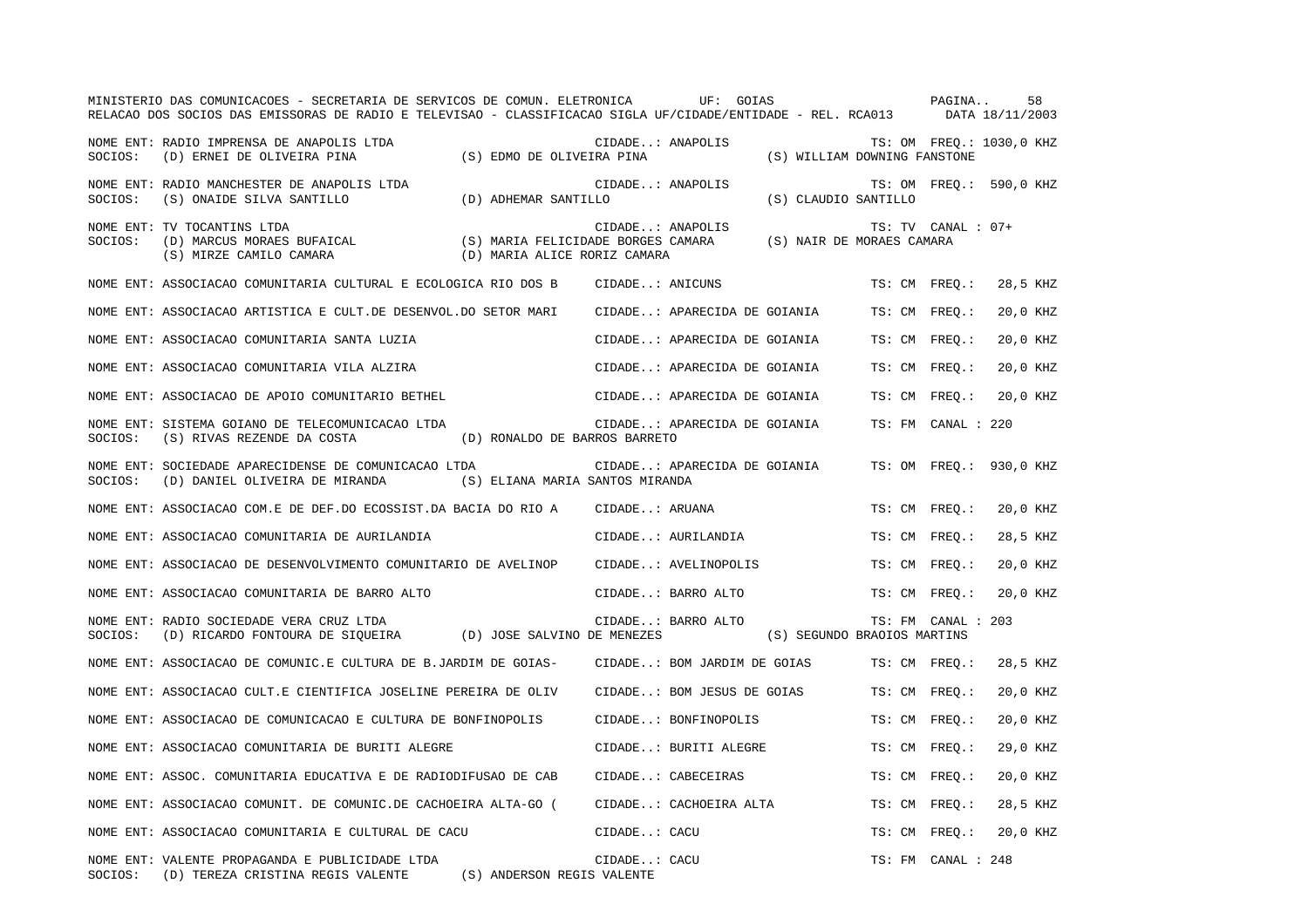|         | MINISTERIO DAS COMUNICACOES - SECRETARIA DE SERVICOS DE COMUN. ELETRONICA<br>RELACAO DOS SOCIOS DAS EMISSORAS DE RADIO E TELEVISAO - CLASSIFICACAO SIGLA UF/CIDADE/ENTIDADE - REL. RCA013 DATA 18/11/2003 |                                                                    |                  | UF: GOIAS                    |                              | PAGINA             | 58                       |
|---------|-----------------------------------------------------------------------------------------------------------------------------------------------------------------------------------------------------------|--------------------------------------------------------------------|------------------|------------------------------|------------------------------|--------------------|--------------------------|
| SOCIOS: | NOME ENT: RADIO IMPRENSA DE ANAPOLIS LTDA<br>(D) ERNEI DE OLIVEIRA PINA                                                                                                                                   | (S) EDMO DE OLIVEIRA PINA                                          | CIDADE: ANAPOLIS |                              | (S) WILLIAM DOWNING FANSTONE |                    | TS: OM FREQ.: 1030,0 KHZ |
| SOCIOS: | NOME ENT: RADIO MANCHESTER DE ANAPOLIS LTDA<br>(S) ONAIDE SILVA SANTILLO                                                                                                                                  | (D) ADHEMAR SANTILLO                                               | CIDADE: ANAPOLIS |                              | (S) CLAUDIO SANTILLO         |                    | TS: OM FREO.: 590,0 KHZ  |
| SOCIOS: | NOME ENT: TV TOCANTINS LTDA<br>(D) MARCUS MORAES BUFAICAL<br>(S) MIRZE CAMILO CAMARA                                                                                                                      | (S) MARIA FELICIDADE BORGES CAMARA<br>(D) MARIA ALICE RORIZ CAMARA | CIDADE: ANAPOLIS |                              | (S) NAIR DE MORAES CAMARA    | TS: TV CANAL : 07+ |                          |
|         | NOME ENT: ASSOCIACAO COMUNITARIA CULTURAL E ECOLOGICA RIO DOS B                                                                                                                                           |                                                                    | CIDADE: ANICUNS  |                              |                              | TS: CM FREO.:      | 28,5 KHZ                 |
|         | NOME ENT: ASSOCIACAO ARTISTICA E CULT.DE DESENVOL.DO SETOR MARI                                                                                                                                           |                                                                    |                  | CIDADE: APARECIDA DE GOIANIA |                              | TS: CM FREQ.:      | 20,0 KHZ                 |
|         | NOME ENT: ASSOCIACAO COMUNITARIA SANTA LUZIA                                                                                                                                                              |                                                                    |                  | CIDADE: APARECIDA DE GOIANIA |                              | TS: CM FREO.:      | 20,0 KHZ                 |
|         | NOME ENT: ASSOCIACAO COMUNITARIA VILA ALZIRA                                                                                                                                                              |                                                                    |                  | CIDADE: APARECIDA DE GOIANIA |                              | TS: CM FREO.:      | 20,0 KHZ                 |
|         | NOME ENT: ASSOCIACAO DE APOIO COMUNITARIO BETHEL                                                                                                                                                          |                                                                    |                  | CIDADE: APARECIDA DE GOIANIA |                              | TS: CM FREQ.:      | 20,0 KHZ                 |
| SOCIOS: | NOME ENT: SISTEMA GOIANO DE TELECOMUNICACAO LTDA<br>(S) RIVAS REZENDE DA COSTA                                                                                                                            | (D) RONALDO DE BARROS BARRETO                                      |                  | CIDADE: APARECIDA DE GOIANIA |                              | TS: FM CANAL : 220 |                          |
| SOCIOS: | NOME ENT: SOCIEDADE APARECIDENSE DE COMUNICACAO LTDA<br>(D) DANIEL OLIVEIRA DE MIRANDA                                                                                                                    | (S) ELIANA MARIA SANTOS MIRANDA                                    |                  | CIDADE: APARECIDA DE GOIANIA |                              |                    | TS: OM FREQ.: 930,0 KHZ  |
|         | NOME ENT: ASSOCIACAO COM.E DE DEF.DO ECOSSIST.DA BACIA DO RIO A                                                                                                                                           |                                                                    | CIDADE: ARUANA   |                              |                              | TS: CM FREO.:      | 20,0 KHZ                 |
|         | NOME ENT: ASSOCIACAO COMUNITARIA DE AURILANDIA                                                                                                                                                            |                                                                    |                  | CIDADE: AURILANDIA           |                              | TS: CM FREQ.:      | 28,5 KHZ                 |
|         | NOME ENT: ASSOCIACAO DE DESENVOLVIMENTO COMUNITARIO DE AVELINOP                                                                                                                                           |                                                                    |                  | CIDADE: AVELINOPOLIS         |                              | TS: CM FREO.:      | 20,0 KHZ                 |
|         | NOME ENT: ASSOCIACAO COMUNITARIA DE BARRO ALTO                                                                                                                                                            |                                                                    |                  | CIDADE: BARRO ALTO           |                              | TS: CM FREQ.:      | 20,0 KHZ                 |
| SOCIOS: | NOME ENT: RADIO SOCIEDADE VERA CRUZ LTDA<br>(D) RICARDO FONTOURA DE SIQUEIRA (D) JOSE SALVINO DE MENEZES                                                                                                  |                                                                    |                  | CIDADE: BARRO ALTO           | (S) SEGUNDO BRAOIOS MARTINS  | TS: FM CANAL : 203 |                          |
|         | NOME ENT: ASSOCIACAO DE COMUNIC.E CULTURA DE B.JARDIM DE GOIAS-                                                                                                                                           |                                                                    |                  | CIDADE: BOM JARDIM DE GOIAS  |                              | TS: CM FREO.:      | 28,5 KHZ                 |
|         | NOME ENT: ASSOCIACAO CULT.E CIENTIFICA JOSELINE PEREIRA DE OLIV                                                                                                                                           |                                                                    |                  | CIDADE: BOM JESUS DE GOIAS   |                              | TS: CM FREO.:      | 20,0 KHZ                 |
|         | NOME ENT: ASSOCIACAO DE COMUNICACAO E CULTURA DE BONFINOPOLIS                                                                                                                                             |                                                                    |                  | CIDADE: BONFINOPOLIS         |                              | TS: CM FREQ.:      | 20,0 KHZ                 |
|         | NOME ENT: ASSOCIACAO COMUNITARIA DE BURITI ALEGRE                                                                                                                                                         |                                                                    |                  | CIDADE: BURITI ALEGRE        |                              | TS: CM FREQ.:      | 29,0 KHZ                 |
|         | NOME ENT: ASSOC. COMUNITARIA EDUCATIVA E DE RADIODIFUSAO DE CAB                                                                                                                                           |                                                                    |                  | CIDADE: CABECEIRAS           |                              | TS: CM FREO.:      | 20,0 KHZ                 |
|         | NOME ENT: ASSOCIACAO COMUNIT. DE COMUNIC.DE CACHOEIRA ALTA-GO (                                                                                                                                           |                                                                    |                  | CIDADE: CACHOEIRA ALTA       |                              | TS: CM FREO.:      | 28,5 KHZ                 |
|         | NOME ENT: ASSOCIACAO COMUNITARIA E CULTURAL DE CACU                                                                                                                                                       |                                                                    | CIDADE: CACU     |                              |                              | TS: CM FREO.:      | 20,0 KHZ                 |
|         | NOME ENT: VALENTE PROPAGANDA E PUBLICIDADE LTDA<br>SOCIOS: (D) TEREZA CRISTINA REGIS VALENTE                                                                                                              | (S) ANDERSON REGIS VALENTE                                         | CIDADE: CACU     |                              |                              | TS: FM CANAL : 248 |                          |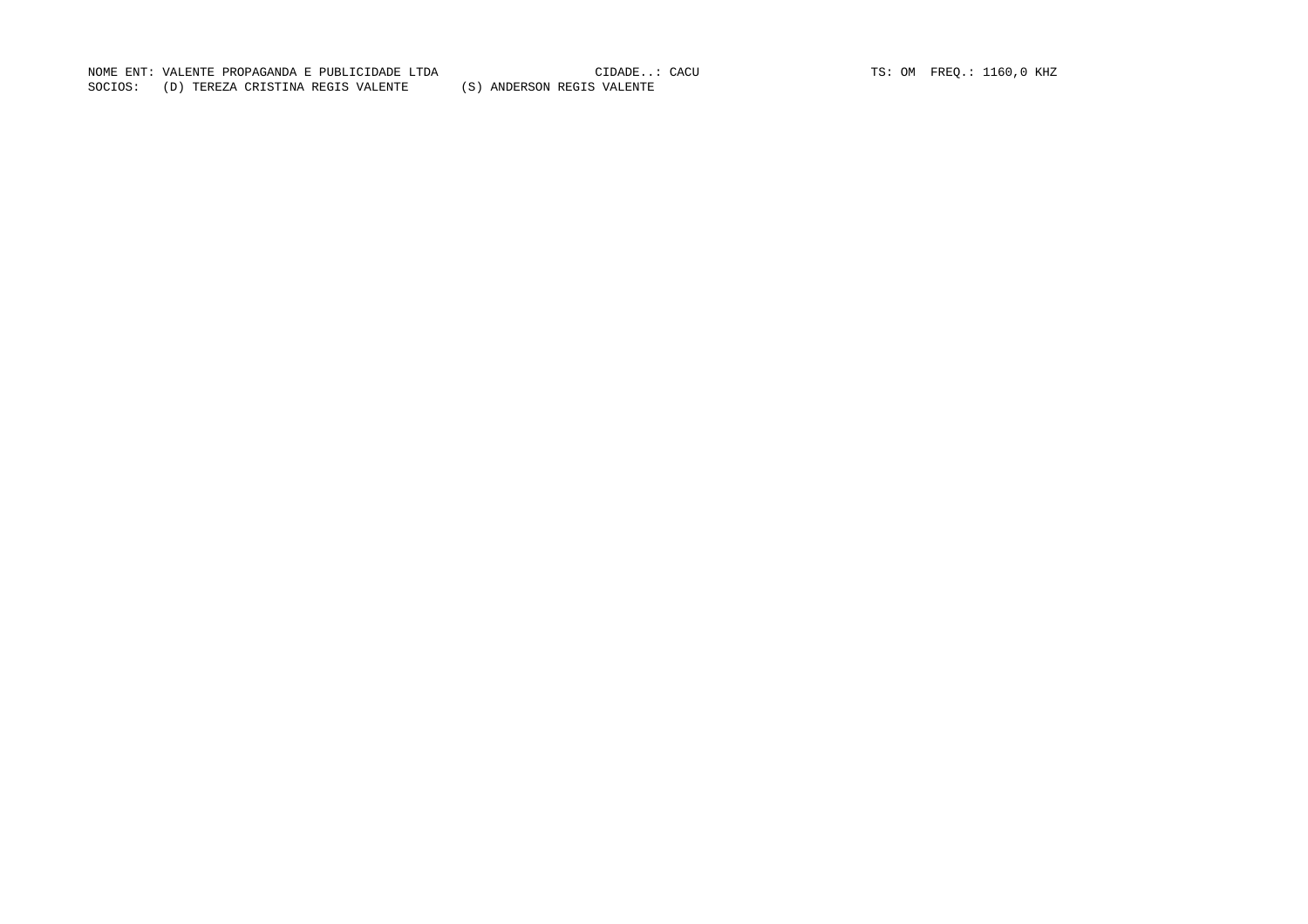NOME ENT: VALENTE PROPAGANDA E PUBLICIDADE LTDA CIDADE..: CACU TS: OM FREQ.: 1160,0 KHZ SOCIOS: (D) TEREZA CRISTINA REGIS VALENTE (S) ANDERSON REGIS VALENTE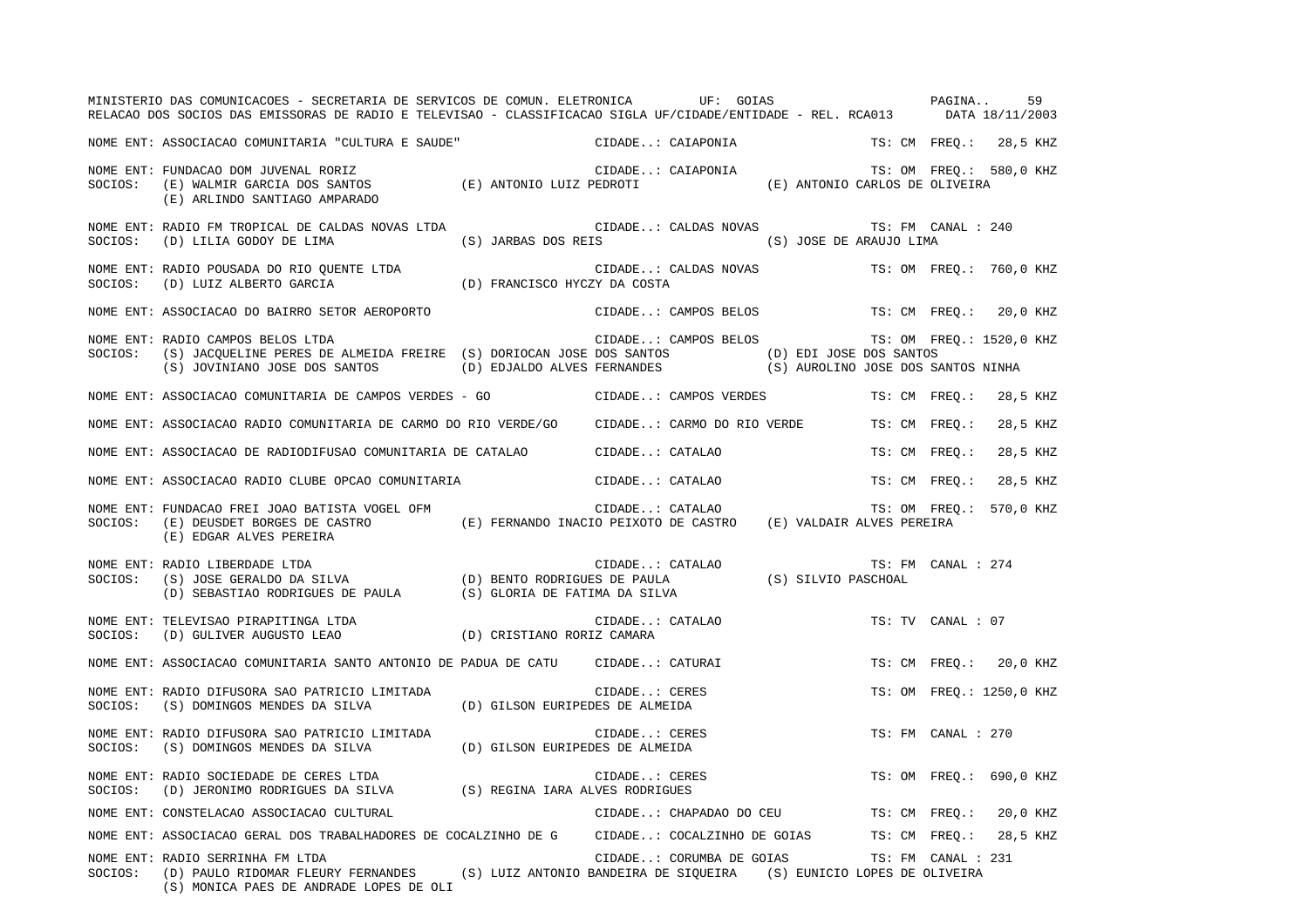|         | MINISTERIO DAS COMUNICACOES - SECRETARIA DE SERVICOS DE COMUN. ELETRONICA UF: GOIAS CONSTRAINA<br>RELACAO DOS SOCIOS DAS EMISSORAS DE RADIO E TELEVISAO - CLASSIFICACAO SIGLA UF/CIDADE/ENTIDADE - REL. RCA013 DATA 18/11/2003                    |                                             |               |                          |                                               |                    | 59                       |
|---------|---------------------------------------------------------------------------------------------------------------------------------------------------------------------------------------------------------------------------------------------------|---------------------------------------------|---------------|--------------------------|-----------------------------------------------|--------------------|--------------------------|
|         | NOME ENT: ASSOCIACAO COMUNITARIA "CULTURA E SAUDE" CIDADE: CAIAPONIA                                                                                                                                                                              |                                             |               |                          |                                               |                    | TS: CM FREQ.: 28,5 KHZ   |
| SOCIOS: | FUNDACAO DOM JUVENAL RORIZ<br>(E) WALMIR GARCIA DOS SANTOS (E) ANTONIO LUIZ PEDROTI (E) ANTONIO (E) ANTONIO CARLOS DE OLIVEIRA<br>(F) ANTANDO CANTIACO ANTONIO<br>NOME ENT: FUNDACAO DOM JUVENAL RORIZ<br>(E) ARLINDO SANTIAGO AMPARADO           |                                             |               |                          |                                               |                    | TS: OM FREQ.: 580,0 KHZ  |
|         | NOME ENT: RADIO FM TROPICAL DE CALDAS NOVAS LTDA<br>SOCIOS: (D) LILIA GODOY DE LIMA (S) JARBAS DOS REIS (S) JOSE DE ARAUJO LIMA                                                                                                                   | CIDADE: CALDAS NOVAS TS: FM CANAL : 240     |               |                          |                                               |                    |                          |
|         | NOME ENT: RADIO POUSADA DO RIO QUENTE LTDA (D) FRANCISCO HYCZY DA COSTA SOCIOS: (D) LUIZ ALBERTO GARCIA (D) FRANCISCO HYCZY DA COSTA                                                                                                              |                                             |               |                          | CIDADE: CALDAS NOVAS TS: OM FREQ.: 760,0 KHZ  |                    |                          |
|         | NOME ENT: ASSOCIACAO DO BAIRRO SETOR AEROPORTO                                                                                                                                                                                                    | CIDADE: CAMPOS BELOS TS: CM FREQ.: 20,0 KHZ |               |                          |                                               |                    |                          |
|         | NOME ENT: RADIO CAMPOS BELOS LTDA<br>SOCIOS: (S) JACQUELINE PERES DE ALMEIDA FREIRE (S) DORIOCAN JOSE DOS SANTOS (D) EDI JOSE DOS SANTOS<br>(S) JOVINIANO JOSE DOS SANTOS (D) EDJALDO ALVES FERNANDES (S) AUROLINO JOSE DOS SANTOS NINHA          |                                             |               |                          | CIDADE: CAMPOS BELOS TS: OM FREQ.: 1520,0 KHZ |                    |                          |
|         | NOME ENT: ASSOCIACAO COMUNITARIA DE CAMPOS VERDES - GO CIDADE: CAMPOS VERDES                                                                                                                                                                      |                                             |               |                          |                                               |                    | TS: CM FREQ.: 28,5 KHZ   |
|         | NOME ENT: ASSOCIACAO RADIO COMUNITARIA DE CARMO DO RIO VERDE/GO CIDADE: CARMO DO RIO VERDE                                                                                                                                                        |                                             |               |                          |                                               | TS: CM FREO.:      | 28,5 KHZ                 |
|         | NOME ENT: ASSOCIACAO DE RADIODIFUSAO COMUNITARIA DE CATALAO CIDADE: CATALAO                                                                                                                                                                       |                                             |               |                          |                                               | TS: CM FREO.:      | 28,5 KHZ                 |
|         | NOME ENT: ASSOCIACAO RADIO CLUBE OPCAO COMUNITARIA                                                                                                                                                                                                |                                             |               | CIDADE: CATALAO          |                                               |                    | TS: CM FREO.: 28,5 KHZ   |
|         | NOME ENT: FUNDACAO FREI JOAO BATISTA VOGEL OFM (E) FERNANDO INACIO PEIXOTO DE CASTRO (E) VALDAIR ALVES PEREIRA<br>SOCIOS: (E) DEUSDET BORGES DE CASTRO (E) FERNANDO INACIO PEIXOTO DE CASTRO (E) VALDAIR ALVES PEREIRA<br>(E) EDGAR ALVES PEREIRA |                                             |               |                          |                                               |                    | TS: OM FREQ.: 570,0 KHZ  |
| SOCIOS: | NOME ENT: RADIO LIBERDADE LTDA                                                                                                                                                                                                                    |                                             |               |                          |                                               | TS: FM CANAL : 274 |                          |
|         | NOME ENT: TELEVISAO PIRAPITINGA LTDA<br>SOCIOS: (D) GULIVER AUGUSTO LEAO (D) CRISTIANO RORIZ CAMARA                                                                                                                                               |                                             |               | CIDADE: CATALAO          |                                               | TS: TV CANAL : 07  |                          |
|         | NOME ENT: ASSOCIACAO COMUNITARIA SANTO ANTONIO DE PADUA DE CATU CIDADE: CATURAI                                                                                                                                                                   |                                             |               |                          |                                               |                    | TS: CM FREQ.: 20,0 KHZ   |
|         | NOME ENT: RADIO DIFUSORA SAO PATRICIO LIMITADA<br>$\texttt{SOCIOS:} \qquad \texttt{(S)} \texttt{ DOMINGS MEMDES DA SILVA} \qquad \qquad \texttt{(D)} \texttt{ GILSON EURIPEDES DE ALMELDA}$                                                       |                                             | CIDADE: CERES |                          |                                               |                    | TS: OM FREQ.: 1250,0 KHZ |
|         | NOME ENT: RADIO DIFUSORA SAO PATRICIO LIMITADA (D) GILSON EURIPEDES DE ALMEIDA SOCIOS: (S) DOMINGOS MENDES DA SILVA (D) GILSON EURIPEDES DE ALMEIDA                                                                                               |                                             | CIDADE: CERES |                          |                                               | TS: FM CANAL : 270 |                          |
| SOCIOS: | NOME ENT: RADIO SOCIEDADE DE CERES LTDA<br>(D) JERONIMO RODRIGUES DA SILVA (S) REGINA IARA ALVES RODRIGUES                                                                                                                                        |                                             |               | CIDADE: CERES            |                                               |                    | TS: OM FREO.: 690,0 KHZ  |
|         | NOME ENT: CONSTELACAO ASSOCIACAO CULTURAL                                                                                                                                                                                                         |                                             |               | CIDADE: CHAPADAO DO CEU  |                                               |                    | TS: CM FREQ.: 20,0 KHZ   |
|         | NOME ENT: ASSOCIACAO GERAL DOS TRABALHADORES DE COCALZINHO DE G CIDADE: COCALZINHO DE GOIAS TS: CM FREQ.: 28,5 KHZ                                                                                                                                |                                             |               |                          |                                               |                    |                          |
|         | NOME ENT: RADIO SERRINHA FM LTDA<br>SOCIOS: (D) PAULO RIDOMAR FLEURY FERNANDES (S) LUIZ ANTONIO BANDEIRA DE SIQUEIRA (S) EUNICIO LOPES DE OLIVEIRA<br>(S) MONICA PAES DE ANDRADE LOPES DE OLI                                                     |                                             |               | CIDADE: CORUMBA DE GOIAS |                                               | TS: FM CANAL : 231 |                          |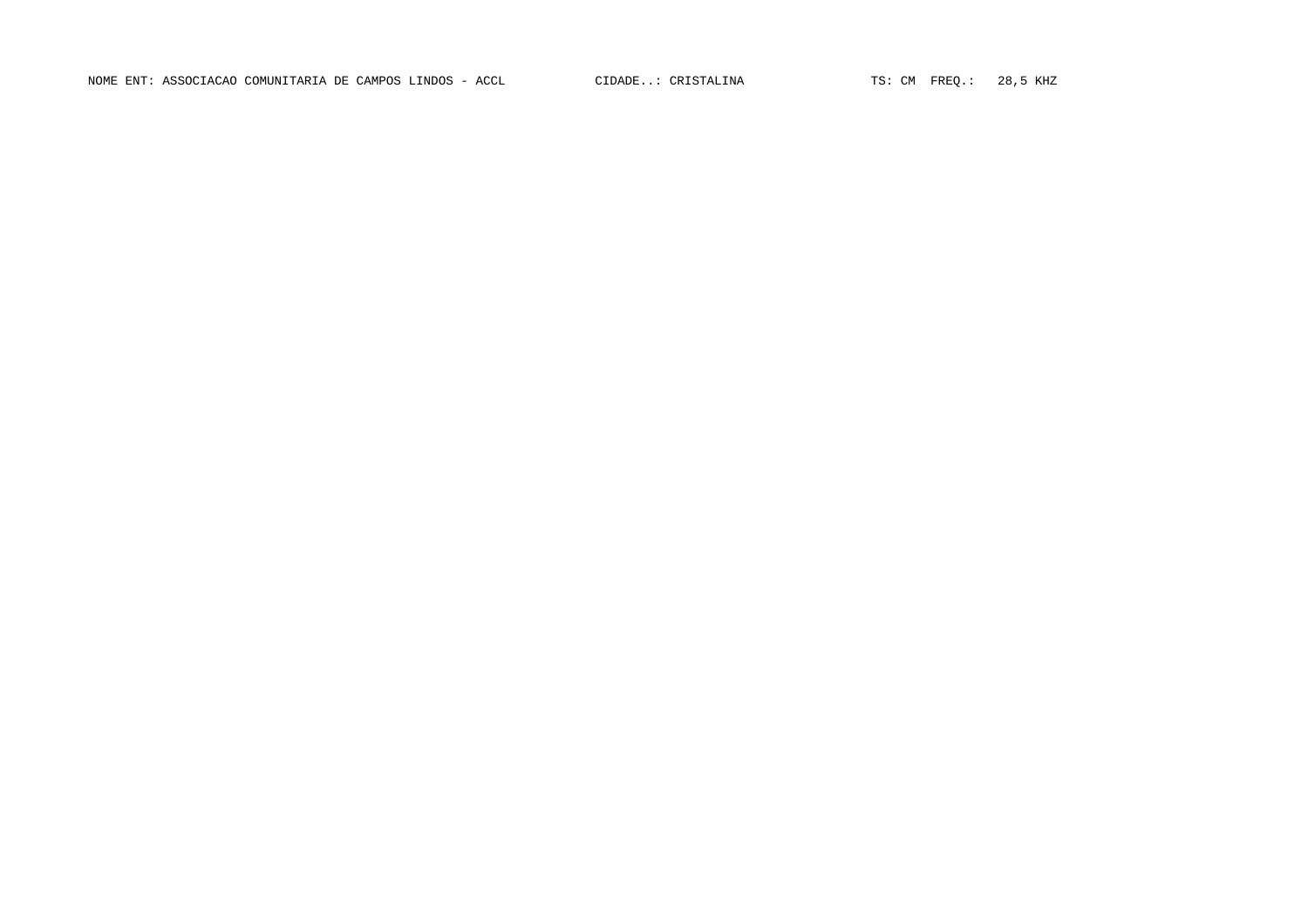NOME ENT: ASSOCIACAO COMUNITARIA DE CAMPOS LINDOS - ACCL CIDADE..: CRISTALINA TS: CM FREQ.: 28,5 KHZ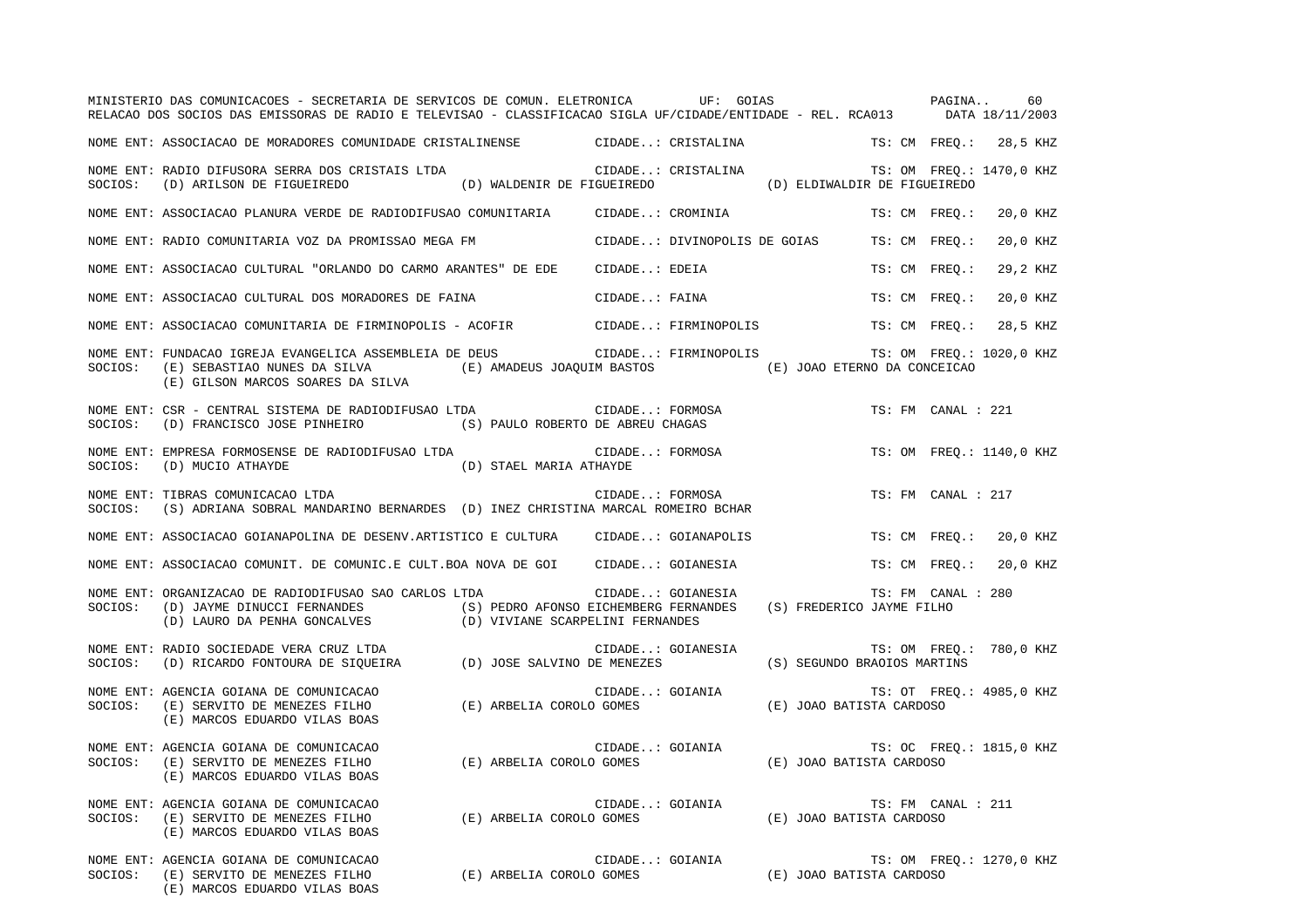|         | MINISTERIO DAS COMUNICACOES - SECRETARIA DE SERVICOS DE COMUN. ELETRONICA UF: GOIAS CONSTRAINA<br>RELACAO DOS SOCIOS DAS EMISSORAS DE RADIO E TELEVISAO - CLASSIFICACAO SIGLA UF/CIDADE/ENTIDADE - REL. RCA013 DATA 18/11/2003                  |                                                                                 |                 |                    |                                                                |                    | 60                       |
|---------|-------------------------------------------------------------------------------------------------------------------------------------------------------------------------------------------------------------------------------------------------|---------------------------------------------------------------------------------|-----------------|--------------------|----------------------------------------------------------------|--------------------|--------------------------|
|         | NOME ENT: ASSOCIACAO DE MORADORES COMUNIDADE CRISTALINENSE               CIDADE: CRISTALINA                                                                                                                                                     |                                                                                 |                 |                    |                                                                |                    | TS: CM FREQ.: 28,5 KHZ   |
|         | NOME ENT: RADIO DIFUSORA SERRA DOS CRISTAIS LTDA<br>SOCIOS: (D) ARILSON DE FIGUEIREDO (D) WALDENIR DE FIGUEIREDO (D) ELDIWALDIR DE FIGUEIREDO                                                                                                   |                                                                                 |                 | CIDADE: CRISTALINA |                                                                |                    | TS: OM FREQ.: 1470,0 KHZ |
|         | NOME ENT: ASSOCIACAO PLANURA VERDE DE RADIODIFUSAO COMUNITARIA                                                                                                                                                                                  |                                                                                 |                 | CIDADE: CROMINIA   |                                                                | TS: CM FREO.:      | 20,0 KHZ                 |
|         | NOME ENT: RADIO COMUNITARIA VOZ DA PROMISSAO MEGA FM                                                                                                                                                                                            |                                                                                 |                 |                    | CIDADE: DIVINOPOLIS DE GOIAS                                   | TS: CM FREO.:      | 20,0 KHZ                 |
|         | NOME ENT: ASSOCIACAO CULTURAL "ORLANDO DO CARMO ARANTES" DE EDE                                                                                                                                                                                 |                                                                                 | CIDADE: EDEIA   |                    |                                                                | TS: CM FREO.:      | 29,2 KHZ                 |
|         | NOME ENT: ASSOCIACAO CULTURAL DOS MORADORES DE FAINA                                                                                                                                                                                            |                                                                                 | CIDADE: FAINA   |                    |                                                                | TS: CM FREO.:      | 20,0 KHZ                 |
|         | NOME ENT: ASSOCIACAO COMUNITARIA DE FIRMINOPOLIS - ACOFIR                 CIDADE: FIRMINOPOLIS                                                                                                                                                  |                                                                                 |                 |                    |                                                                | TS: CM FREO.:      | 28,5 KHZ                 |
| SOCIOS: | NOME ENT: FUNDACAO IGREJA EVANGELICA ASSEMBLEIA DE DEUS (CIDADE: FIRMINOPOLIS TS: OM FREQ.: 1020,0 KHZ<br>(E) SEBASTIAO NUNES DA SILVA (E) AMADEUS JOAQUIM BASTOS (E) JOAO ETERNO DA CONCEICAO<br>(E) GILSON MARCOS SOARES DA SILVA             |                                                                                 |                 |                    |                                                                |                    |                          |
| SOCIOS: | NOME ENT: CSR - CENTRAL SISTEMA DE RADIODIFUSAO LTDA<br>(D) FRANCISCO JOSE PINHEIRO (S) PAULO ROBERTO DE ABREU CHAGAS                                                                                                                           |                                                                                 |                 | CIDADE: FORMOSA    |                                                                | TS: FM CANAL : 221 |                          |
| SOCIOS: | NOME ENT: EMPRESA FORMOSENSE DE RADIODIFUSAO LTDA<br>(D) MUCIO ATHAYDE                                                                                                                                                                          | (D) STAEL MARIA ATHAYDE                                                         |                 | CIDADE: FORMOSA    |                                                                |                    | TS: OM FREO.: 1140,0 KHZ |
| SOCIOS: | NOME ENT: TIBRAS COMUNICACAO LTDA<br>(S) ADRIANA SOBRAL MANDARINO BERNARDES (D) INEZ CHRISTINA MARCAL ROMEIRO BCHAR                                                                                                                             |                                                                                 | CIDADE: FORMOSA |                    |                                                                | TS: FM CANAL : 217 |                          |
|         | NOME ENT: ASSOCIACAO GOIANAPOLINA DE DESENV.ARTISTICO E CULTURA CIDADE: GOIANAPOLIS                                                                                                                                                             |                                                                                 |                 |                    |                                                                |                    | TS: CM FREO.: 20,0 KHZ   |
|         | NOME ENT: ASSOCIACAO COMUNIT. DE COMUNIC.E CULT.BOA NOVA DE GOI      CIDADE: GOIANESIA                                                                                                                                                          |                                                                                 |                 |                    |                                                                | TS: CM FREQ.:      | 20,0 KHZ                 |
| SOCIOS: | NOME ENT: ORGANIZACAO DE RADIODIFUSAO SAO CARLOS LTDA<br>(D) JAYME DINUCCI FERNANDES (S) PEDRO AFONSO EICHEMBERG FERNANDES (S) FREDERICO JAYME FILHO<br>(D) LAURO DA PENHA GONCALVES (D) VIVIANE SCARPELINI FERNANDES (S) FREDERICO JAYME FILHO |                                                                                 |                 | CIDADE: GOIANESIA  |                                                                | TS: FM CANAL : 280 |                          |
| SOCIOS: | NOME ENT: RADIO SOCIEDADE VERA CRUZ LTDA<br>(D) RICARDO FONTOURA DE SIQUEIRA (D) JOSE SALVINO DE MENEZES                                                                                                                                        |                                                                                 |                 | CIDADE: GOIANESIA  | (S) SEGUNDO BRAOIOS MARTINS                                    |                    | TS: OM FREQ.: 780,0 KHZ  |
| SOCIOS: | NOME ENT: AGENCIA GOIANA DE COMUNICACAO<br>AGENCIA GOIANA DE COMONICACAO<br>(E) SERVITO DE MENEZES FILHO (E) ARBELIA COROLO GOMES<br>(E) MARCOS EDUARDO VILAS BOAS                                                                              |                                                                                 |                 |                    | CIDADE: GOIANIA (E) JOAO BATISTA CARDOSO                       |                    | TS: OT FREQ.: 4985,0 KHZ |
| SOCIOS: | NOME ENT: AGENCIA GOIANA DE COMUNICACAO<br>(E) SERVITO DE MENEZES FILHO (E) ARBELIA COROLO GOMES (E) JOAO BATISTA CARDOSO<br>(E) MARCOS EDUARDO VILAS BOAS                                                                                      |                                                                                 |                 | CIDADE: GOIANIA    |                                                                |                    | TS: OC FREQ.: 1815,0 KHZ |
| SOCIOS: | NOME ENT: AGENCIA GOIANA DE COMUNICACAO<br>(E) SERVITO DE MENEZES FILHO<br>(E) MARCOS EDUARDO VILAS BOAS                                                                                                                                        | (E) ARBELIA COROLO GOMES                                                        |                 |                    | CIDADE: GOIANIA TS: FM CAN<br>O GOMES (E) JOAO BATISTA CARDOSO | TS: FM CANAL : 211 |                          |
|         | NOME ENT: AGENCIA GOIANA DE COMUNICACAO<br>SOCIOS: (E) SERVITO DE MENEZES FILHO<br>(E) MARCOS EDUARDO VILAS BOAS                                                                                                                                | CIDADE: GOIANIA TS: OM FRI<br>(E) ARBELIA COROLO GOMES (E) JOAO BATISTA CARDOSO |                 |                    |                                                                |                    | TS: OM FREQ.: 1270,0 KHZ |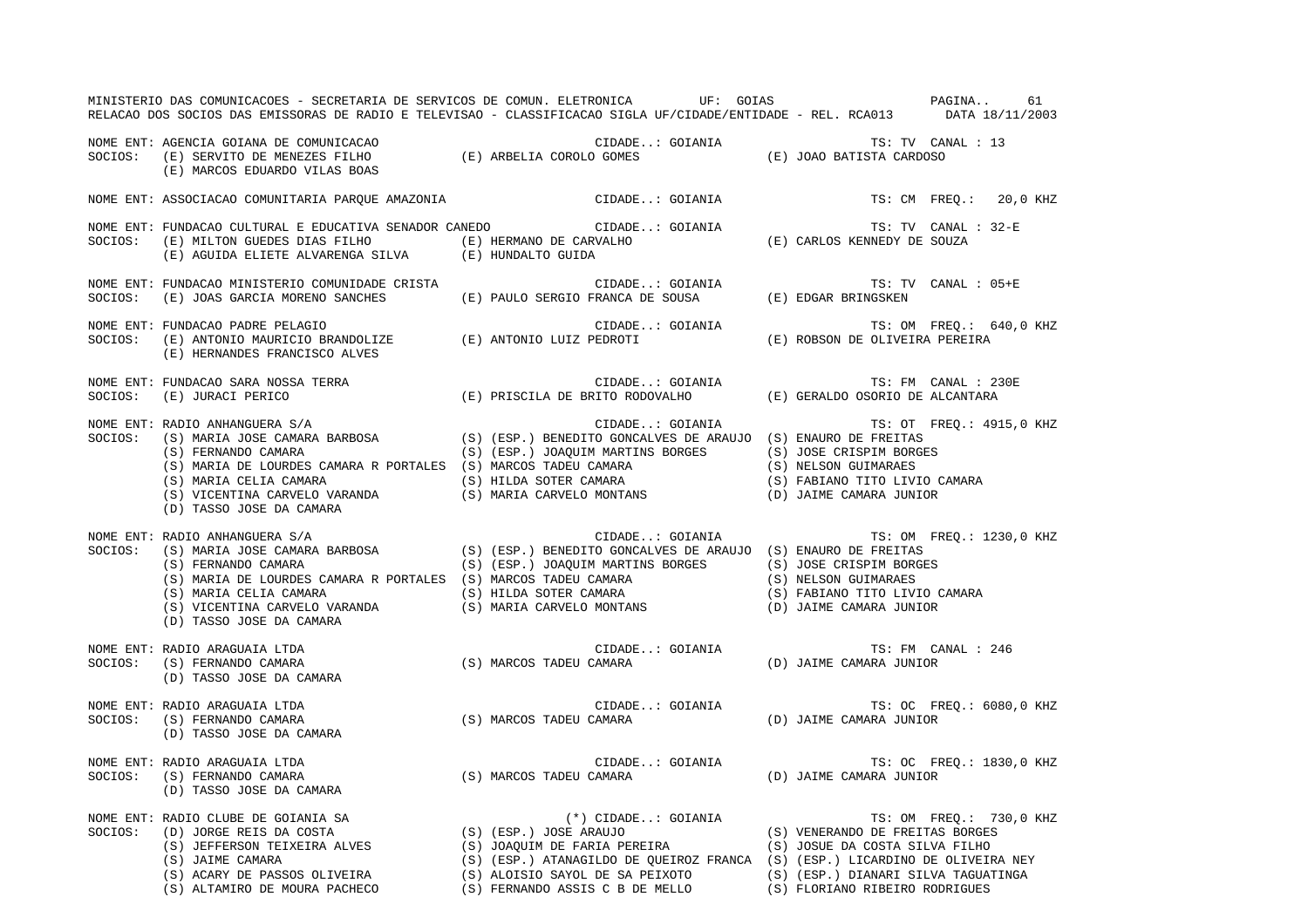|         |                                                                                          | MINISTERIO DAS COMUNICACOES - SECRETARIA DE SERVICOS DE COMUN. ELETRONICA UF: GOIAS CONSTRAINA<br>RELACAO DOS SOCIOS DAS EMISSORAS DE RADIO E TELEVISAO - CLASSIFICACAO SIGLA UF/CIDADE/ENTIDADE - REL. RCA013 DATA 18/11/2003         |                                                                                                                                                                                                                                                                                                                                                                                                                                                                                                                 | 61                      |
|---------|------------------------------------------------------------------------------------------|----------------------------------------------------------------------------------------------------------------------------------------------------------------------------------------------------------------------------------------|-----------------------------------------------------------------------------------------------------------------------------------------------------------------------------------------------------------------------------------------------------------------------------------------------------------------------------------------------------------------------------------------------------------------------------------------------------------------------------------------------------------------|-------------------------|
|         | (E) MARCOS EDUARDO VILAS BOAS                                                            | NOME ENT: AGENCIA GOIANA DE COMUNICACAO<br>SOCIOS: (E) SERVITO DE MENEZES FILHO (E) ARBELIA COROLO GOMES (E) JOAO BATISTA CARDOSO                                                                                                      |                                                                                                                                                                                                                                                                                                                                                                                                                                                                                                                 |                         |
|         | NOME ENT: ASSOCIACAO COMUNITARIA PARQUE AMAZONIA                                         | CIDADE: GOIANIA                                                                                                                                                                                                                        | TS: CM FREO.: 20,0 KHZ                                                                                                                                                                                                                                                                                                                                                                                                                                                                                          |                         |
|         |                                                                                          | NOME ENT: FUNDACAO CULTURAL E EDUCATIVA SENADOR CANEDO CIDADE: GOIANIA TS: TV CANAL SOCIOS: (E) MILTON GUEDES DIAS FILHO (E) HERMANO DE CARVALHO (E) CARLOS KENNEDY DE SOUZA (E) AGUIDA ELIETE ALVARENGA SILVA (E) HUNDALTO            | TS: TV CANAL : 32-E                                                                                                                                                                                                                                                                                                                                                                                                                                                                                             |                         |
|         |                                                                                          | NOME ENT: FUNDACAO MINISTERIO COMUNIDADE CRISTA (E) PAULO SERGIO FRANCA DE SOUSA (E) EDGAR BRINGSKEN SOCIOS: (E) JOAS GARCIA MORENO SANCHES (E) PAULO SERGIO FRANCA DE SOUSA (E) EDGAR BRINGSKEN                                       | TS: TV CANAL : 05+E                                                                                                                                                                                                                                                                                                                                                                                                                                                                                             |                         |
|         | (E) HERNANDES FRANCISCO ALVES                                                            |                                                                                                                                                                                                                                        |                                                                                                                                                                                                                                                                                                                                                                                                                                                                                                                 | TS: OM FREQ.: 640,0 KHZ |
|         |                                                                                          | NOME ENT: FUNDACAO SARA NOSSA TERRA (E) PRISCILA DE BRITO RODOVALHO (E) GERALDO OSORIO DE ALCANTARA (E) OCIOS:<br>SOCIOS: (E) JURACI PERICO (E) ORISCILA DE BRITO RODOVALHO (E) GERALDO OSORIO DE ALCANTARA                            | TS: FM CANAL : 230E                                                                                                                                                                                                                                                                                                                                                                                                                                                                                             |                         |
| SOCIOS: | NOME ENT: RADIO ANHANGUERA S/A<br>(D) TASSO JOSE DA CAMARA                               | RADIO ANHANGUERA S/A<br>(S) MARIA JOSE CAMARA BARBOSA (S) (ESP.) BENEDITO GONCALVES DE ARAUJO (S) ENAURO DE FREITAS<br>(S) FERNANDO CAMARA (S) (ESP.) JOAQUIM MARTINS BORGES (S) JOSE CRISPIM BORGES<br>(S) MARIA DE LOURDES CAMARA    | CIDADE: GOIANIA TS: OT FREQ.: 4915,0 KHZ                                                                                                                                                                                                                                                                                                                                                                                                                                                                        |                         |
| SOCIOS: | NOME ENT: RADIO ANHANGUERA S/A<br>(D) TASSO JOSE DA CAMARA                               | RADIO ANHANGUERA S/A<br>(S) MARIA JOSE CAMARA BARBOSA (S) (ESP.) BENEDITO GONCALVES DE ARAUJO (S) ENAURO DE FREITAS<br>(S) FERNANDO CAMARA (S) (ESP.) JOAQUIM MARTINS BORGES<br>(S) MOSE CRISPIM BORGES<br>(S) MARIA DE LOURDES CAMARA | CIDADE: GOIANIA TS: OM FREQ.: 1230,0 KHZ                                                                                                                                                                                                                                                                                                                                                                                                                                                                        |                         |
| SOCIOS: | NOME ENT: RADIO ARAGUAIA LTDA<br>(S) FERNANDO CAMARA<br>(D) TASSO JOSE DA CAMARA         | CIDADE GUIANIA<br>(S) MARCOS TADEU CAMARA                                                                                                                                                                                              | TS: FM CANAL : 246<br>$\begin{tabular}{lllllllll} CIDADE. : GOIANIA & & TS: FM & C\\ \multicolumn{2}{l}{CAMARA & & & & \\ \multicolumn{2}{l}{CAMARA & & & \\ \multicolumn{2}{l}{CAMARA & & & \\ \multicolumn{2}{l}{CAMARA & & & \\ \multicolumn{2}{l}{CAMARA & & & \\ \multicolumn{2}{l}{CUMARA} & & & \\ \multicolumn{2}{l}{CUMARA} & & & \\ \multicolumn{2}{l}{CUMARA} & & & \\ \multicolumn{2}{l}{CUMARA} & & & \\ \multicolumn{2}{l}{CUMARA} & & & \\ \multicolumn{2}{l}{CUMARA} & & & \\ \multicolumn{2}{$ |                         |
|         | NOME ENT: RADIO ARAGUAIA LTDA<br>SOCIOS: (S) FERNANDO CAMARA<br>(D) TASSO JOSE DA CAMARA | CIDADE: GOIANIA TS: OC FREQ.: 6080,0 KHZ<br>(S) MARCOS TADEU CAMARA (D) JAIME CAMARA JUNIOR                                                                                                                                            |                                                                                                                                                                                                                                                                                                                                                                                                                                                                                                                 |                         |
| SOCIOS: | NOME ENT: RADIO ARAGUAIA LTDA<br>(S) FERNANDO CAMARA<br>(D) TASSO JOSE DA CAMARA         | CIDADE: GOIANIA TS: OC FREQ.: 1830,0 KHZ<br>(S) MARCOS TADEU CAMARA (D) JAIME CAMARA JUNIOR                                                                                                                                            |                                                                                                                                                                                                                                                                                                                                                                                                                                                                                                                 |                         |
|         |                                                                                          | NOME ENT: RADIO CLUBE DE GOIANIA SA<br>SOCIOS: (D) JORGE REIS DA COSTA (S) (ESP.) JOSE ARAUJO (S) VENERANDO DE FREITAS BORGES<br>(S) JEFFERSON TEIXEIRA ALVES (S) JOAQUIM DE FARIA PEREIRA (S) JOSUE DA COSTA SILVA FILHO<br>(S) JAI   |                                                                                                                                                                                                                                                                                                                                                                                                                                                                                                                 | TS: OM FREQ.: 730,0 KHZ |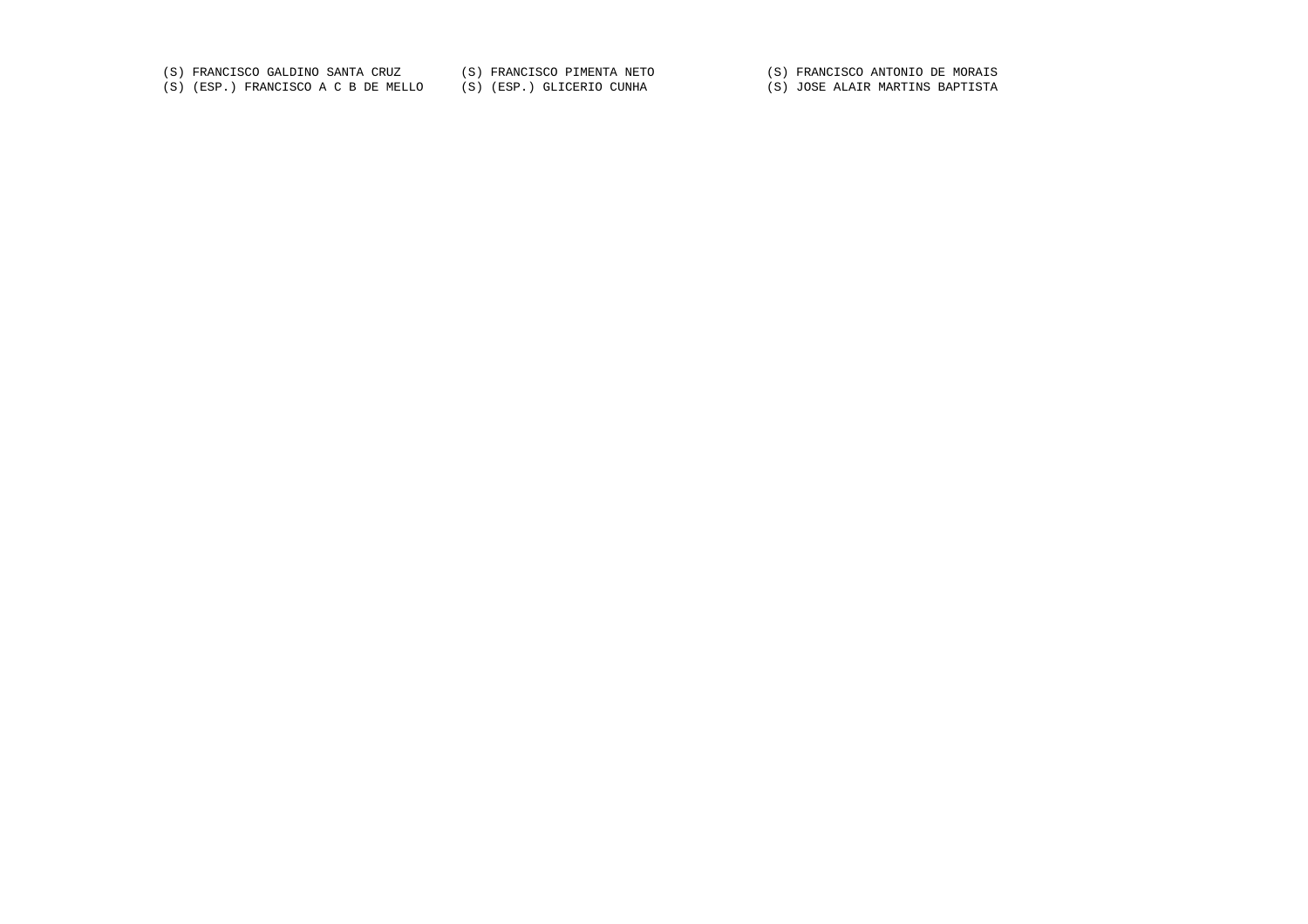(S) FRANCISCO GALDINO SANTA CRUZ (S) FRANCISCO PIMENTA NETO (S) FRANCISCO ANTONIO DE MORAIS

(S) (ESP.) FRANCISCO A C B DE MELLO (S) (ESP.) GLICERIO CUNHA (S) JOSE ALAIR MARTINS BAPTISTA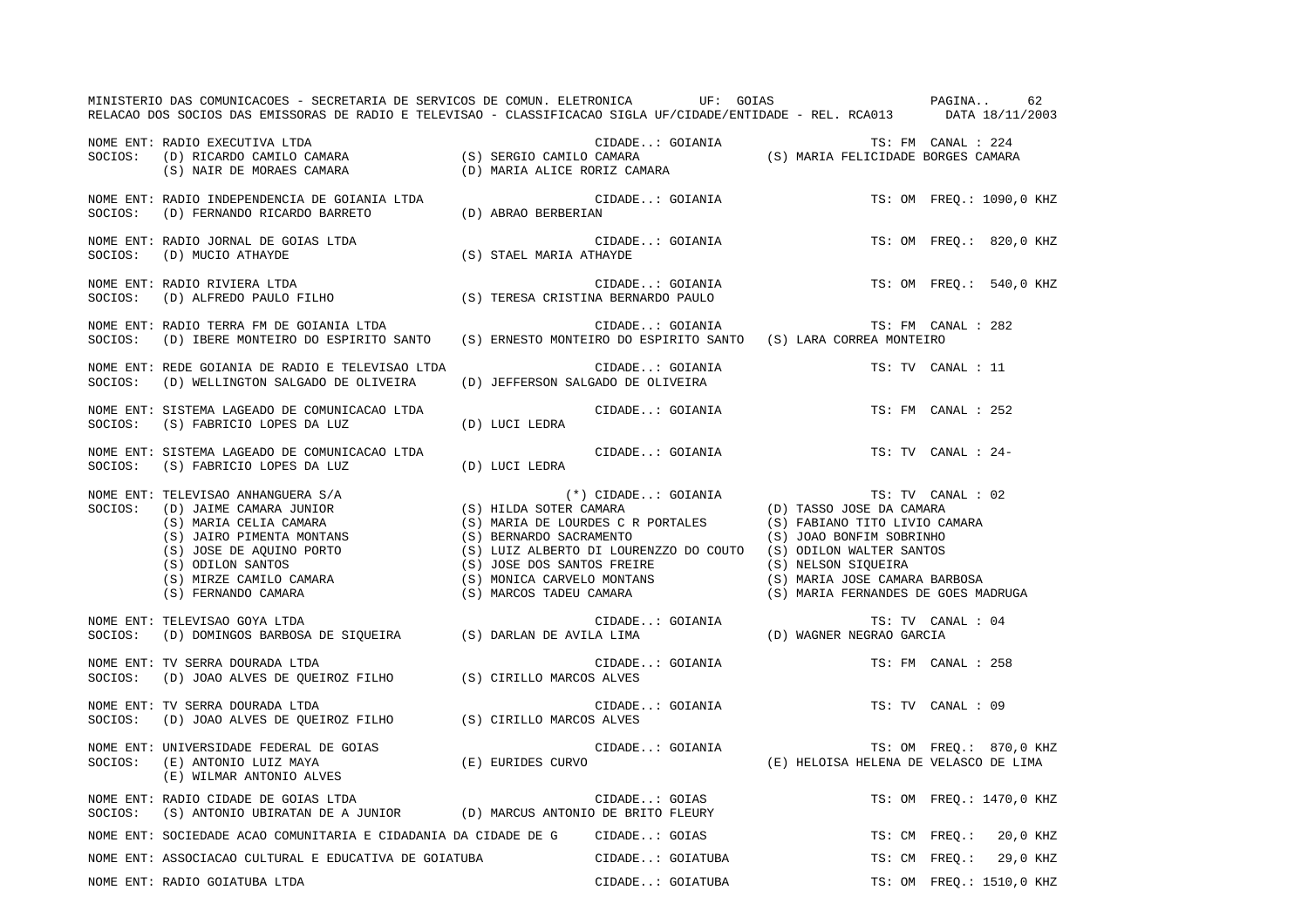| MINISTERIO DAS COMUNICACOES - SECRETARIA DE SERVICOS DE COMUN. ELETRONICA UF: GOIAS CONSTRAINA<br>RELACAO DOS SOCIOS DAS EMISSORAS DE RADIO E TELEVISAO - CLASSIFICACAO SIGLA UF/CIDADE/ENTIDADE - REL. RCA013 DATA 18/11/2003               |                                    |                          | 62                       |
|----------------------------------------------------------------------------------------------------------------------------------------------------------------------------------------------------------------------------------------------|------------------------------------|--------------------------|--------------------------|
| NOME ENT: RADIO EXECUTIVA LTDA<br>SOCIOS: (D) RICARDO CAMILO CAMARA (S) SERGIO CAMILO CAMARA (S) MARIA FELICIDADE BORGES CAMARA<br>(S) NAIR DE MORAES CAMARA (D) MARIA ALICE RORIZ CAMARA (S) MARIA FELICIDADE BORGES CAMARA                 |                                    |                          |                          |
|                                                                                                                                                                                                                                              |                                    |                          | TS: OM FREQ.: 1090,0 KHZ |
|                                                                                                                                                                                                                                              | CIDADE: GOIANIA                    |                          | TS: OM FREQ.: 820,0 KHZ  |
|                                                                                                                                                                                                                                              |                                    |                          | TS: OM FREO.: 540,0 KHZ  |
| NOME ENT: RADIO TERRA FM DE GOIANIA LTDA<br>SOCIOS:   (D) IBERE MONTEIRO DO ESPIRITO SANTO    (S) ERNESTO MONTEIRO DO ESPIRITO SANTO   (S) LARA CORREA MONTEIRO                                                                              | CIDADE: GOIANIA TS: FM CANAL : 282 |                          |                          |
|                                                                                                                                                                                                                                              |                                    |                          | TS: TV CANAL : 11        |
| NOME ENT: SISTEMA LAGEADO DE COMUNICACAO LTDA<br>SOCIOS: (S) FABRICIO LOPES DA LUZ (D) LUCI LEDRA                                                                                                                                            | CIDADE: GOIANIA                    |                          | TS: FM CANAL : 252       |
| NOME ENT: SISTEMA LAGEADO DE COMUNICACAO LTDA<br>SOCIOS: (S) FABRICIO LOPES DA LUZ (D) LUCI LEDRA                                                                                                                                            | CIDADE: GOIANIA                    |                          | TS: TV CANAL : 24-       |
| NOME ENT: TELEVISAO ANHANGUERA S/A<br>SOCIOS: (D) JAIME CAMARA JUNIOR<br>(S) MARIA (S) HILDA SOTER CAMARA<br>(S) MARIA DE LOURDES CR PORTALES<br>(S) FABIANO TITO LIVIO CAMARA<br>(S) JOAO BONFIM SOBRINHO<br>(S) JOAO BONFIM SOBRINHO<br>(S |                                    |                          |                          |
| NOME ENT: TELEVISAO GOYA LTDA<br>NUME ENT: TELEVISAO GOYA LTDA<br>SOCIOS: (D) DOMINGOS BARBOSA DE SIQUEIRA (S) DARLAN DE AVILA LIMA (D) WAGNER NEGRAO GARCIA                                                                                 |                                    |                          | TS: TV CANAL : 04        |
| NOME ENT: TV SERRA DOURADA LTDA<br>SOCIOS: (D) JOAO ALVES DE QUEIROZ FILHO (S) CIRILLO MARCOS ALVES                                                                                                                                          | CIDADE: GOIANIA                    |                          | TS: FM CANAL : 258       |
| NOME ENT: TV SERRA DOURADA LTDA<br>SOCIOS: (D) JOAO ALVES DE QUEIROZ FILHO (S) CIRILLO MARCOS ALVES                                                                                                                                          | CIDADE: GOIANIA                    |                          | TS: TV CANAL : 09        |
| NOME ENT: UNIVERSIDADE FEDERAL DE GOIAS<br>SOCIOS:   (E) ANTONIO LUIZ MAYA                           (E) EURIDES CURVO                      (E) HELOISA HELENA DE VELASCO DE LIMA<br>(E) WILMAR ANTONIO ALVES                                |                                    |                          |                          |
| NOME ENT: RADIO CIDADE DE GOIAS LTDA<br>SOCIOS:   (S) ANTONIO UBIRATAN DE A JUNIOR          (D) MARCUS ANTONIO DE BRITO FLEURY                                                                                                               | CIDADE: GOIAS                      |                          | TS: OM FREQ.: 1470,0 KHZ |
| NOME ENT: SOCIEDADE ACAO COMUNITARIA E CIDADANIA DA CIDADE DE G      CIDADE: GOIAS                                                                                                                                                           |                                    |                          | TS: CM FREQ.: 20,0 KHZ   |
| NOME ENT: ASSOCIACAO CULTURAL E EDUCATIVA DE GOIATUBA <b>EL ENTERECA EL ENTERA EL ENTERECEU EL EN</b> TS: CM FREQ.: 29,0 KHZ                                                                                                                 |                                    |                          |                          |
| NOME ENT: RADIO GOIATUBA LTDA                                                                                                                                                                                                                | CIDADE: GOIATUBA                   | TS: OM FREO.: 1510,0 KHZ |                          |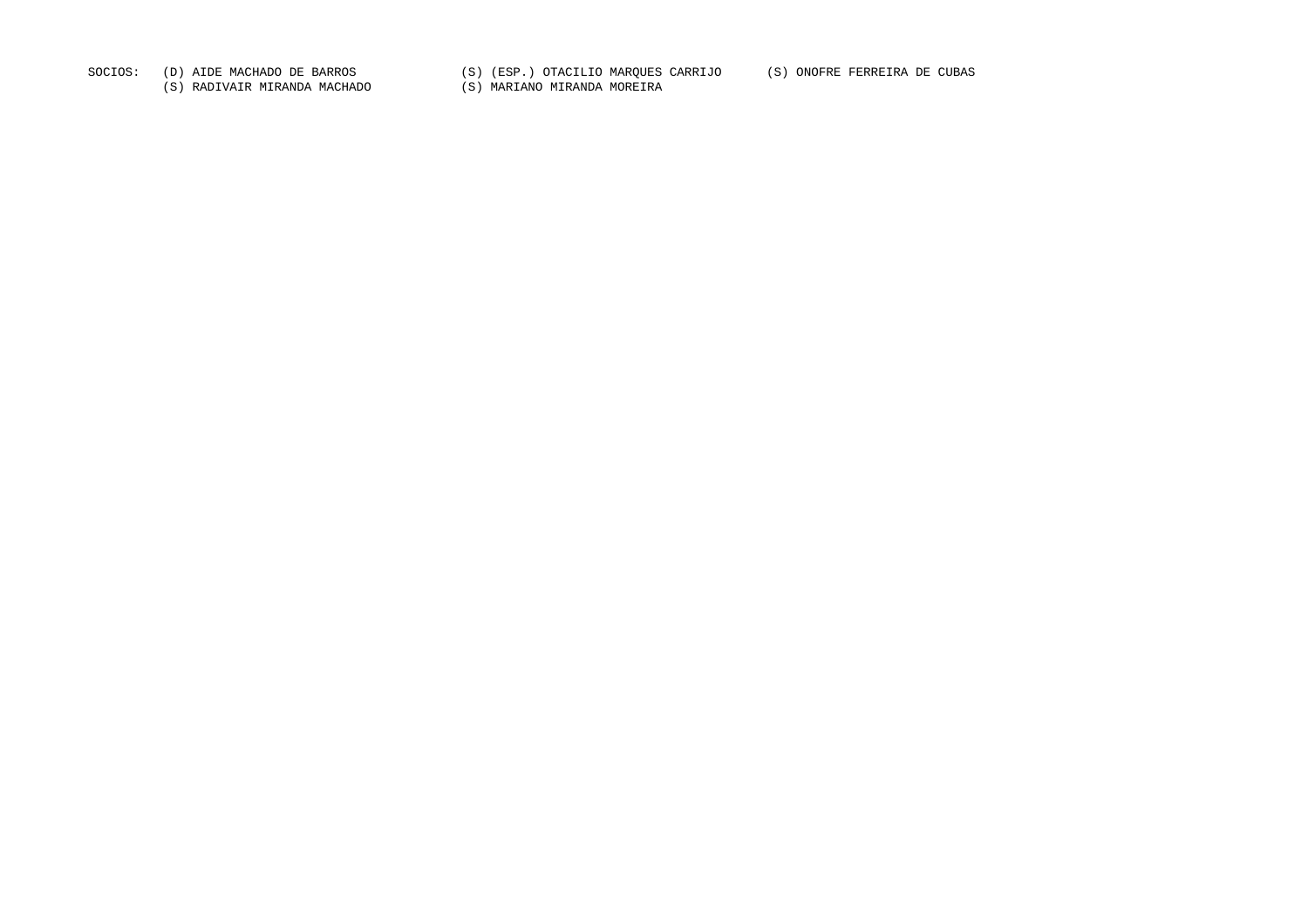SOCIOS: (D) AIDE MACHADO DE BARROS (S) (ESP.) OTACILIO MARQUES CARRIJO (S) ONOFRE FERREIRA DE CUBAS<br>(S) RADIVAIR MIRANDA MACHADO (S) MARIANO MIRANDA MOREIRA (S) RADIVAIR MIRANDA MACHADO (S) RADIVAIR MIRANDA MACHADO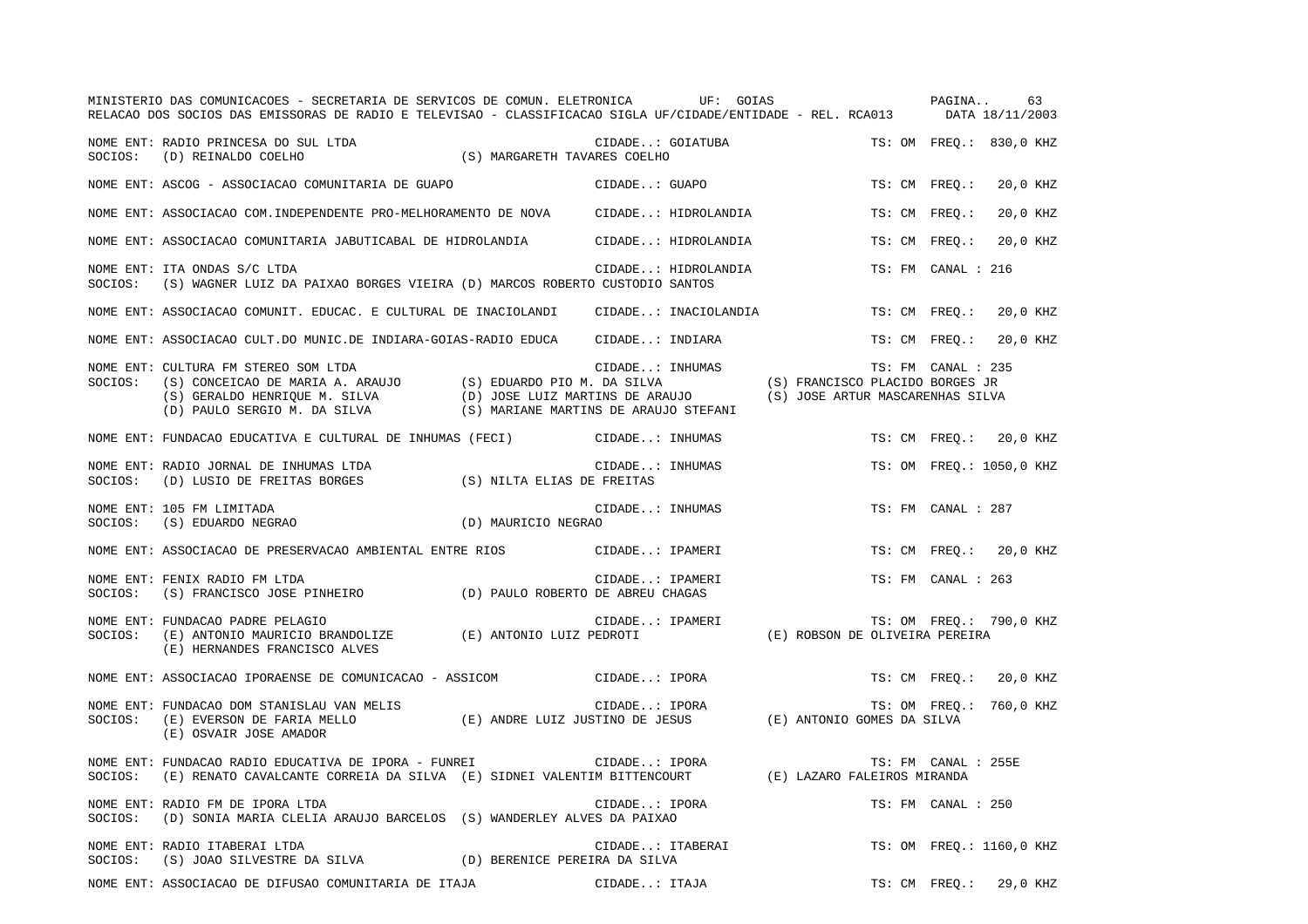|         | MINISTERIO DAS COMUNICACOES - SECRETARIA DE SERVICOS DE COMUN. ELETRONICA                UF:  GOIAS<br>RELACAO DOS SOCIOS DAS EMISSORAS DE RADIO E TELEVISAO - CLASSIFICACAO SIGLA UF/CIDADE/ENTIDADE - REL. RCA013 DATA 18/11/2003                                         |                 |                     |                                | PAGINA              | 63                       |  |
|---------|-----------------------------------------------------------------------------------------------------------------------------------------------------------------------------------------------------------------------------------------------------------------------------|-----------------|---------------------|--------------------------------|---------------------|--------------------------|--|
|         | NOME ENT: RADIO PRINCESA DO SUL LTDA (S) MARGARETH TAVARES COELHO ות REINALDO COELHO                                                                                                                                                                                        |                 | CIDADE: GOIATUBA    |                                |                     | TS: OM FREQ.: 830,0 KHZ  |  |
|         | NOME ENT: ASCOG - ASSOCIACAO COMUNITARIA DE GUAPO                                                                                                                                                                                                                           |                 | CIDADE: GUAPO       |                                |                     | TS: CM FREQ.: 20,0 KHZ   |  |
|         | NOME ENT: ASSOCIACAO COM.INDEPENDENTE PRO-MELHORAMENTO DE NOVA CIDADE: HIDROLANDIA                                                                                                                                                                                          |                 |                     |                                | TS: CM FREO.:       | 20,0 KHZ                 |  |
|         | NOME ENT: ASSOCIACAO COMUNITARIA JABUTICABAL DE HIDROLANDIA CIDADE: HIDROLANDIA                                                                                                                                                                                             |                 |                     |                                |                     | TS: CM FREO.: 20,0 KHZ   |  |
|         | NOME ENT: ITA ONDAS S/C LTDA<br>SOCIOS: (S) WAGNER LUIZ DA PAIXAO BORGES VIEIRA (D) MARCOS ROBERTO CUSTODIO SANTOS                                                                                                                                                          |                 | CIDADE: HIDROLANDIA |                                | TS: FM CANAL : 216  |                          |  |
|         | NOME ENT: ASSOCIACAO COMUNIT. EDUCAC. E CULTURAL DE INACIOLANDI      CIDADE: INACIOLANDIA                                                                                                                                                                                   |                 |                     |                                |                     | TS: CM FREQ.: 20,0 KHZ   |  |
|         | NOME ENT: ASSOCIACAO CULT.DO MUNIC.DE INDIARA-GOIAS-RADIO EDUCA CIDADE: INDIARA                                                                                                                                                                                             |                 |                     |                                |                     | TS: CM FREO.: 20,0 KHZ   |  |
| SOCIOS: | CULTURA FM STEREO SOM LTDA<br>(S) CONCEICAO DE MARIA A. ARAUJO (S) EDUARDO PIO M. DA SILVA (S) FRANCISCO PLACIDO BORGES JR<br>(S) GERALDO HENRIQUE M. SILVA (D) JOSE LUIZ MARTINS DE ARAUJO (S) JOSE ARTUR MASCARENHAS SILVA<br>(D)<br>NOME ENT: CULTURA FM STEREO SOM LTDA |                 |                     |                                | TS: FM CANAL : 235  |                          |  |
|         | NOME ENT: FUNDACAO EDUCATIVA E CULTURAL DE INHUMAS (FECI) CIDADE: INHUMAS                                                                                                                                                                                                   |                 |                     |                                |                     | TS: CM FREO.: 20,0 KHZ   |  |
| SOCIOS: | NOME ENT: RADIO JORNAL DE INHUMAS LTDA<br>(D) LUSIO DE FREITAS BORGES (S) NILTA ELIAS DE FREITAS                                                                                                                                                                            | CIDADE: INHUMAS |                     |                                |                     | TS: OM FREQ.: 1050,0 KHZ |  |
|         | NOME ENT: 105 FM LIMITADA<br>$\verb SOCIOS: (S) EDUARDO NEGRAO  (D) MAURICIO NEGRAO  (E) {C.10}$                                                                                                                                                                            | CIDADE: INHUMAS |                     |                                | TS: FM CANAL : 287  |                          |  |
|         | NOME ENT: ASSOCIACAO DE PRESERVACAO AMBIENTAL ENTRE RIOS (CIDADE: IPAMERI                                                                                                                                                                                                   |                 |                     |                                |                     | TS: CM FREO.: 20,0 KHZ   |  |
| SOCIOS: | NOME ENT: FENIX RADIO FM LTDA<br>(S) FRANCISCO JOSE PINHEIRO (D) PAULO ROBERTO DE ABREU CHAGAS                                                                                                                                                                              |                 | CIDADE: IPAMERI     |                                | TS: FM CANAL : 263  |                          |  |
| SOCIOS: | NOME ENT: FUNDACAO PADRE PELAGIO<br>(E) ANTONIO MAURICIO BRANDOLIZE (E) ANTONIO LUIZ PEDROTI<br>(E) HERNANDES FRANCISCO ALVES                                                                                                                                               | CIDADE: IPAMERI |                     | (E) ROBSON DE OLIVEIRA PEREIRA |                     | TS: OM FREQ.: 790,0 KHZ  |  |
|         | NOME ENT: ASSOCIACAO IPORAENSE DE COMUNICACAO - ASSICOM CIDADE: IPORA                                                                                                                                                                                                       |                 |                     |                                |                     | TS: CM FREO.: 20,0 KHZ   |  |
|         | NOME ENT: FUNDACAO DOM STANISLAU VAN MELIS (E) ANDRE LUIZ JUSTINO DE JESUS (E) ANTONIO GOMES DA SILVA (E) SOCIOS: (E) EVERSON DE FARIA MELLO<br>(E) OSVAIR JOSE AMADOR                                                                                                      |                 |                     |                                |                     | TS: OM FREQ.: 760,0 KHZ  |  |
| SOCIOS: | NOME ENT: FUNDACAO RADIO EDUCATIVA DE IPORA - FUNREI<br>(E) RENATO CAVALCANTE CORREIA DA SILVA (E) SIDNEI VALENTIM BITTENCOURT (E) LAZARO FALEIROS MIRANDA                                                                                                                  | CIDADE: IPORA   |                     |                                | TS: FM CANAL : 255E |                          |  |
|         | NOME ENT: RADIO FM DE IPORA LTDA<br>SOCIOS: (D) SONIA MARIA CLELIA ARAUJO BARCELOS (S) WANDERLEY ALVES DA PAIXAO                                                                                                                                                            | CIDADE: IPORA   |                     |                                | TS: FM CANAL : 250  |                          |  |
|         | NOME ENT: RADIO ITABERAI LTDA<br>SOCIOS: (S) JOAO SILVESTRE DA SILVA (D) BERENICE PEREIRA DA SILVA                                                                                                                                                                          |                 | CIDADE: ITABERAI    |                                |                     | TS: OM FREQ.: 1160,0 KHZ |  |
|         | NOME ENT: ASSOCIACAO DE DIFUSAO COMUNITARIA DE ITAJA                                                                                                                                                                                                                        | CIDADE: ITAJA   |                     |                                |                     | TS: CM FREO.: 29,0 KHZ   |  |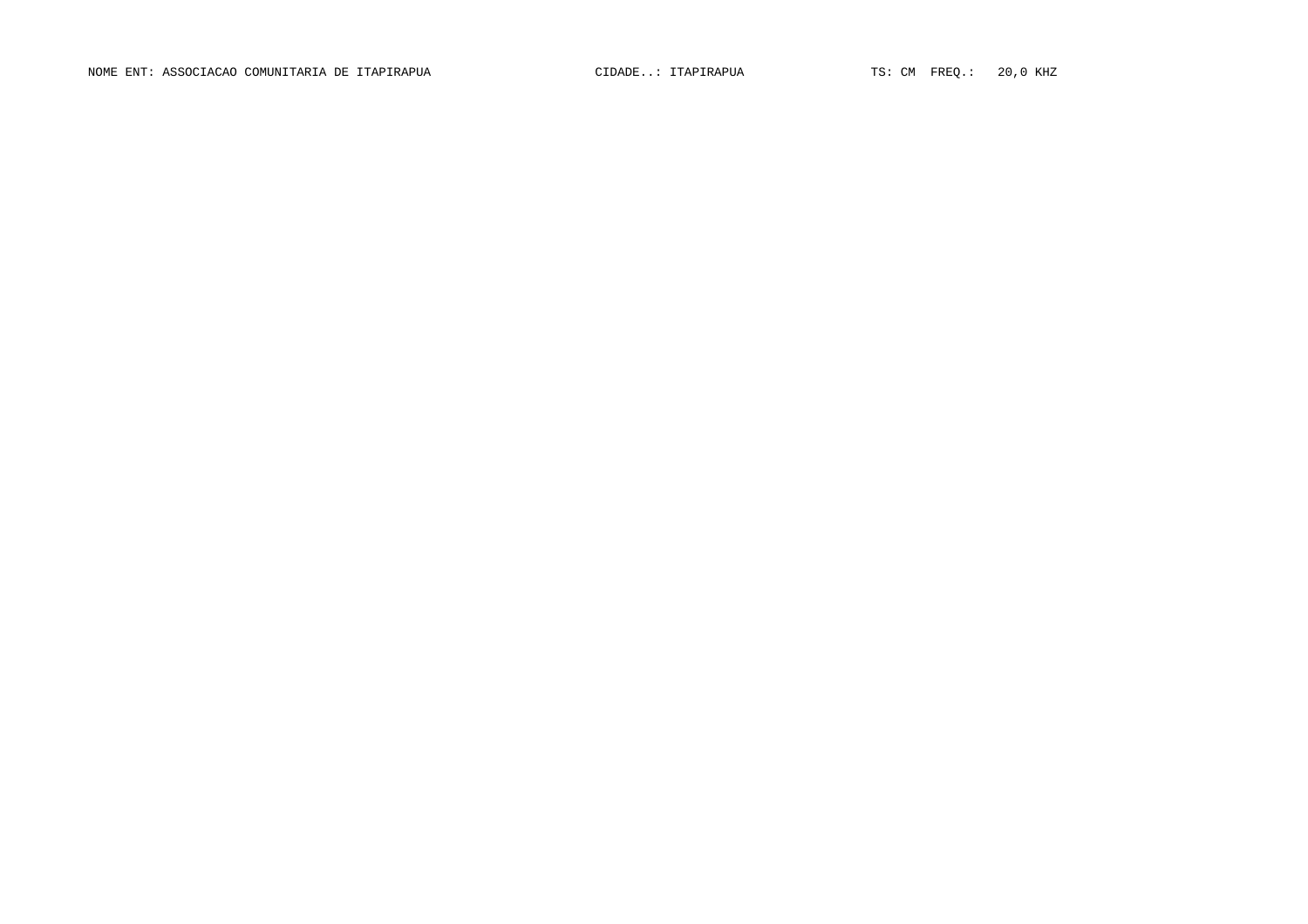NOME ENT: ASSOCIACAO COMUNITARIA DE ITAPIRAPUA CIDADE..: ITAPIRAPUA TS: CM FREQ.: 20,0 KHZ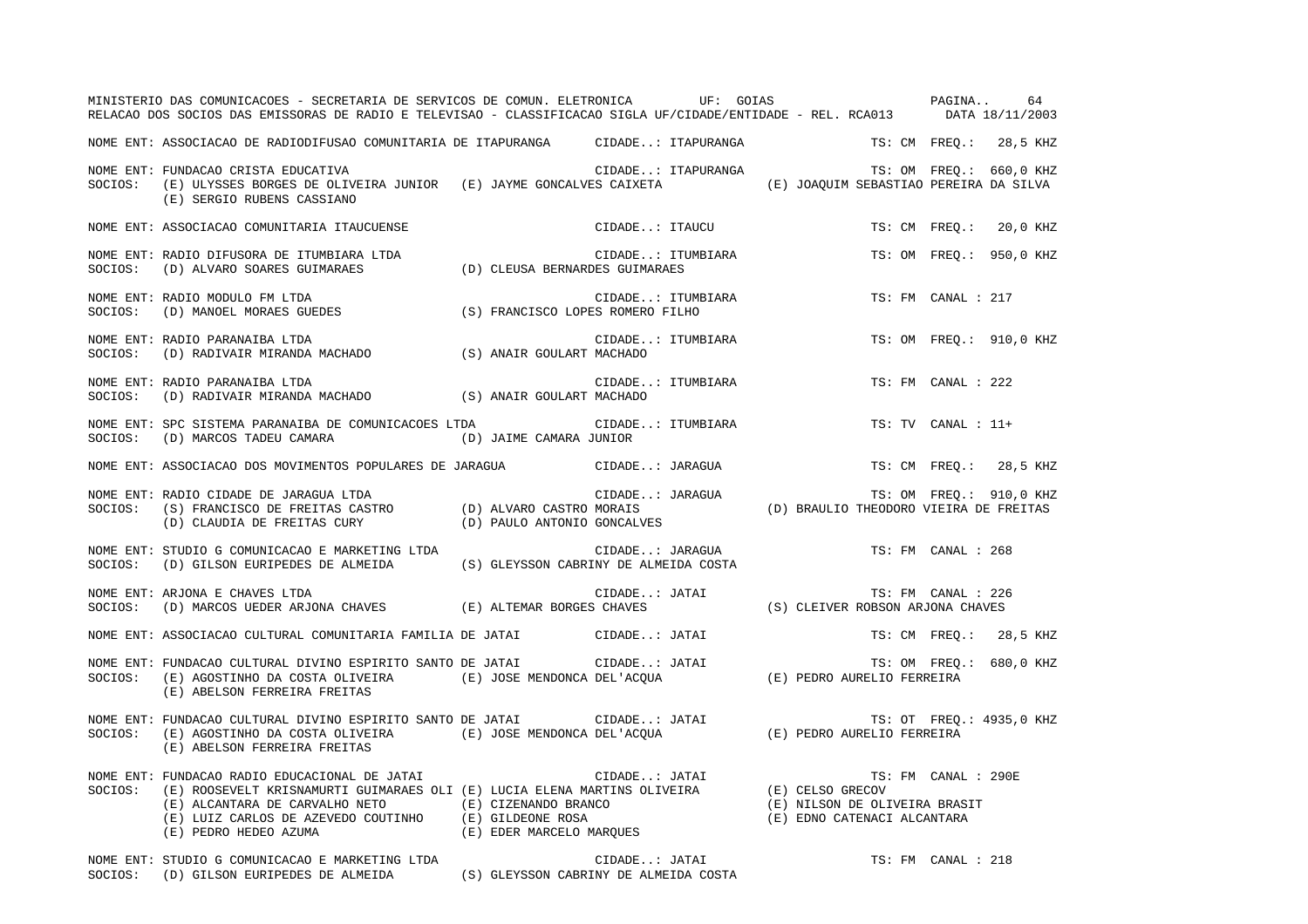|         | MINISTERIO DAS COMUNICACOES - SECRETARIA DE SERVICOS DE COMUN. ELETRONICA UF: GOIAS CONSTRAINA 64<br>RELACAO DOS SOCIOS DAS EMISSORAS DE RADIO E TELEVISAO - CLASSIFICACAO SIGLA UF/CIDADE/ENTIDADE - REL. RCA013 DATA 18/11/2003                                                    |                             |                   |                                                                    |                          |
|---------|--------------------------------------------------------------------------------------------------------------------------------------------------------------------------------------------------------------------------------------------------------------------------------------|-----------------------------|-------------------|--------------------------------------------------------------------|--------------------------|
|         | NOME ENT: ASSOCIACAO DE RADIODIFUSAO COMUNITARIA DE ITAPURANGA CIDADE: ITAPURANGA TS: CM FREQ.: 28,5 KHZ                                                                                                                                                                             |                             |                   |                                                                    |                          |
|         | NOME ENT: FUNDACAO CRISTA EDUCATIVA<br>SOCIOS: (E) ULYSSES BORGES DE OLIVEIRA JUNIOR (E) JAYME GONCALVES CAIXETA (E) JOAQUIM SEBASTIAO PEREIRA DA SILVA<br>(E) SERGIO RUBENS CASSIANO                                                                                                |                             |                   |                                                                    |                          |
|         | NOME ENT: ASSOCIACAO COMUNITARIA ITAUCUENSE                                                                                                                                                                                                                                          |                             | CIDADE: ITAUCU    |                                                                    | TS: CM FREQ.: 20,0 KHZ   |
| SOCIOS: | NOME ENT: RADIO DIFUSORA DE ITUMBIARA LTDA<br>RADIO DIFUSORA DE ITUMBIARA LTDA<br>(D) ALVARO SOARES GUIMARAES (D) CLEUSA BERNARDES GUIMARAES                                                                                                                                         |                             | CIDADE: ITUMBIARA |                                                                    | TS: OM FREO.: 950,0 KHZ  |
|         | NOME ENT: RADIO MODULO FM LTDA<br>NOME ENT: RADIO MODULO FM LTDA<br>SOCIOS: (D) MANOEL MORAES GUEDES (S) FRANCISCO LOPES ROMERO FILHO                                                                                                                                                |                             | CIDADE: ITUMBIARA |                                                                    | TS: FM CANAL : 217       |
| SOCIOS: | NOME ENT: RADIO PARANAIBA LTDA<br>(D) RADIVAIR MIRANDA MACHADO (S) ANAIR GOULART MACHADO                                                                                                                                                                                             |                             | CIDADE: ITUMBIARA |                                                                    | TS: OM FREQ.: 910,0 KHZ  |
| SOCIOS: | NOME ENT: RADIO PARANAIBA LTDA<br>(D) RADIVAIR MIRANDA MACHADO (S) ANAIR GOULART MACHADO                                                                                                                                                                                             |                             | CIDADE: ITUMBIARA |                                                                    | TS: FM CANAL : 222       |
|         | NOME ENT: SPC SISTEMA PARANAIBA DE COMUNICACOES LTDA<br>SOCIOS: (D) MARCOS TADEU CAMARA (D) JAIME CAMARA JUNIOR                                                                                                                                                                      |                             | CIDADE: ITUMBIARA |                                                                    | TS: TV CANAL : 11+       |
|         | NOME ENT: ASSOCIACAO DOS MOVIMENTOS POPULARES DE JARAGUA (CIDADE: JARAGUA                                                                                                                                                                                                            |                             |                   |                                                                    | TS: CM FREQ.: 28,5 KHZ   |
| SOCIOS: | NOME ENT: RADIO CIDADE DE JARAGUA LTDA<br>CIDADE.<br>(S) FRANCISCO DE FREITAS CASTRO (D) ALVARO CASTRO MORAIS<br>(D) CLAIDIA DE FREITAS CHENY<br>(D) CLAUDIA DE FREITAS CURY                                                                                                         | (D) PAULO ANTONIO GONCALVES |                   | CIDADE: JARAGUA<br>) MORAIS (D) BRAULIO THEODORO VIEIRA DE FREITAS |                          |
|         | NOME ENT: STUDIO G COMUNICACAO E MARKETING LTDA<br>SOCIOS: (D) GILSON EURIPEDES DE ALMEIDA (S) GLEYSSON CABRINY DE ALMEIDA COSTA                                                                                                                                                     |                             |                   | CIDADE: JARAGUA TS: FM CANAL : 268                                 |                          |
| SOCIOS: | NOME ENT: ARJONA E CHAVES LTDA<br>326 ARJONA E CHAVES LTDA CHAVES (E) ALTEMAR BORGES CHAVES (E) ALTEMAR BORGES CHAVES (S) CLEIVER ROBSON ARJONA CHAVES                                                                                                                               |                             |                   |                                                                    | TS: FM CANAL : 226       |
|         | NOME ENT: ASSOCIACAO CULTURAL COMUNITARIA FAMILIA DE JATAI (CIDADE: JATAI                                                                                                                                                                                                            |                             |                   |                                                                    | TS: CM FREQ.: 28,5 KHZ   |
|         | NOME ENT: FUNDACAO CULTURAL DIVINO ESPIRITO SANTO DE JATAI (IDADE: JATAI TS: OM FREQ.:<br>SOCIOS: (E) AGOSTINHO DA COSTA OLIVEIRA (E) JOSE MENDONCA DEL'ACQUA (E) PEDRO AURELIO FERREIRA<br>(E) ABELSON FERREIRA FREITAS                                                             |                             |                   |                                                                    | TS: OM FREQ.: 680,0 KHZ  |
|         | NOME ENT: FUNDACAO CULTURAL DIVINO ESPIRITO SANTO DE JATAI (EIDADE: JATAI (E) PEDRO AURELIO FERREIRA<br>SOCIOS: (E) AGOSTINHO DA COSTA OLIVEIRA (E) JOSE MENDONCA DEL'ACQUA (E) PEDRO AURELIO FERREIRA<br>(E) ABELSON FERREIRA FREITAS                                               |                             |                   |                                                                    | TS: OT FREQ.: 4935,0 KHZ |
|         | NOME ENT: FUNDACAO RADIO EDUCACIONAL DE JATAI (E) LUCIA ELENA MARTINS OLIVEIRA (E) CELSO GRECOV<br>(E) ROOSEVELT KRISNAMURTI GUIMARAES OLI (E) LUCIA ELENA MARTINS OLIVEIRA (E) CELSO GRECOV<br>(E) ALCANTARA DE CARVALHO NETO (E)<br>(E) PEDRO HEDEO AZUMA (E) EDER MARCELO MARQUES |                             |                   |                                                                    | TS: FM CANAL : 290E      |
|         | NOME ENT: STUDIO G COMUNICACAO E MARKETING LTDA<br>SOCIOS: (D) GILSON EURIPEDES DE ALMEIDA (S) GLEYSSON CABRINY DE ALMEIDA COSTA                                                                                                                                                     |                             | CIDADE: JATAI     |                                                                    | TS: FM CANAL : 218       |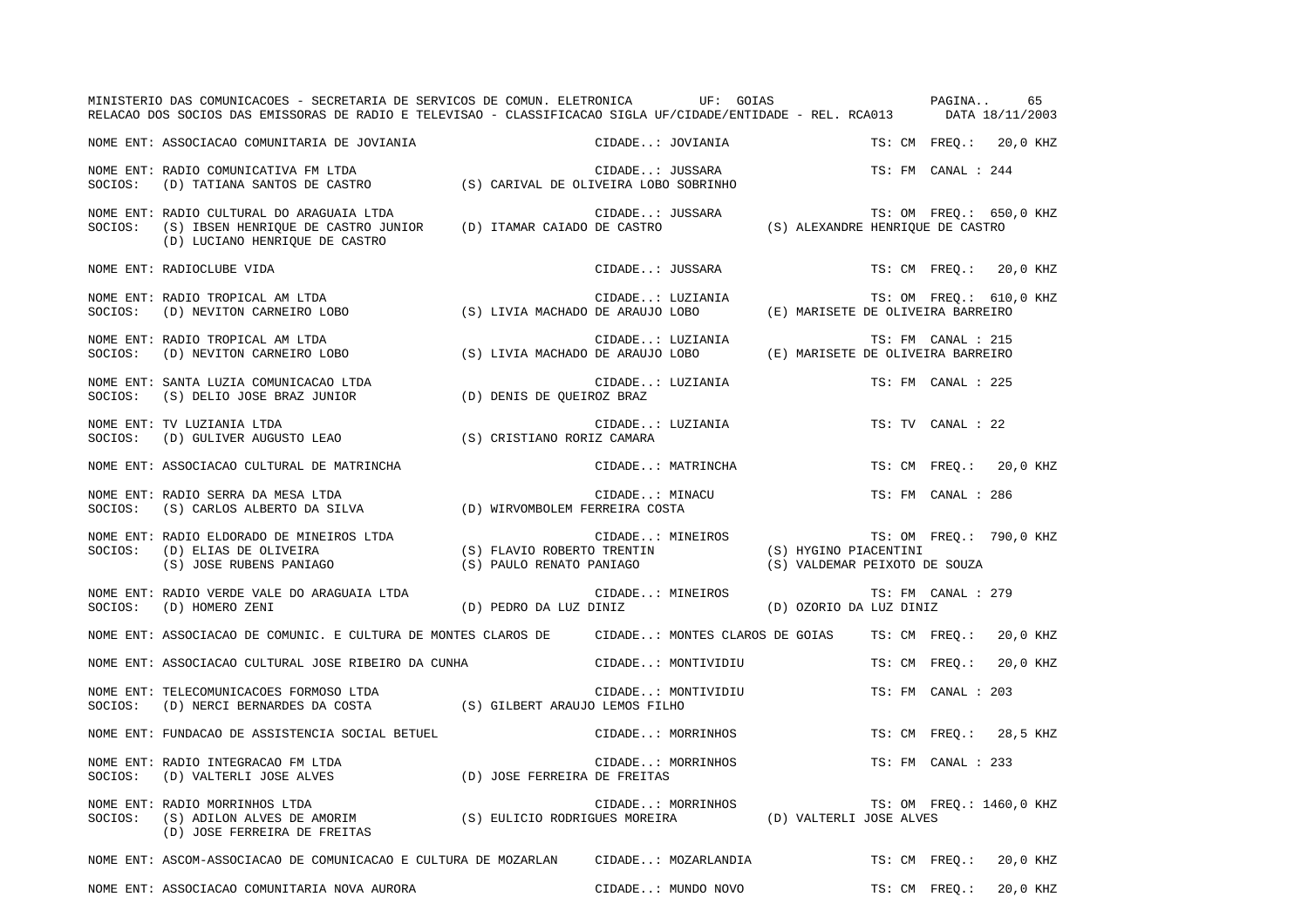|         | MINISTERIO DAS COMUNICACOES - SECRETARIA DE SERVICOS DE COMUN. ELETRONICA UF: GOIAS<br>RELACAO DOS SOCIOS DAS EMISSORAS DE RADIO E TELEVISAO - CLASSIFICACAO SIGLA UF/CIDADE/ENTIDADE - REL. RCA013 DATA 18/11/2003 |                                                        |                  |                                              |                                                        |  | PAGINA                   |          | 65 |
|---------|---------------------------------------------------------------------------------------------------------------------------------------------------------------------------------------------------------------------|--------------------------------------------------------|------------------|----------------------------------------------|--------------------------------------------------------|--|--------------------------|----------|----|
|         | NOME ENT: ASSOCIACAO COMUNITARIA DE JOVIANIA                                                                                                                                                                        |                                                        | CIDADE: JOVIANIA |                                              |                                                        |  | TS: CM FREQ.:            | 20,0 KHZ |    |
| SOCIOS: | NOME ENT: RADIO COMUNICATIVA FM LTDA<br>(D) TATIANA SANTOS DE CASTRO (S) CARIVAL DE OLIVEIRA LOBO SOBRINHO                                                                                                          |                                                        | CIDADE: JUSSARA  |                                              |                                                        |  | TS: FM CANAL : 244       |          |    |
| SOCIOS: | NOME ENT: RADIO CULTURAL DO ARAGUAIA LTDA<br>(S) IBSEN HENRIQUE DE CASTRO JUNIOR (D) ITAMAR CAIADO DE CASTRO<br>(D) LUCIANO HENRIQUE DE CASTRO                                                                      |                                                        | CIDADE: JUSSARA  |                                              | (S) ALEXANDRE HENRIQUE DE CASTRO                       |  | TS: OM FREQ.: 650,0 KHZ  |          |    |
|         | NOME ENT: RADIOCLUBE VIDA                                                                                                                                                                                           |                                                        | CIDADE: JUSSARA  |                                              |                                                        |  | TS: CM FREO.:            | 20,0 KHZ |    |
| SOCIOS: | NOME ENT: RADIO TROPICAL AM LTDA<br>(D) NEVITON CARNEIRO LOBO                                                                                                                                                       | (S) LIVIA MACHADO DE ARAUJO LOBO                       | CIDADE: LUZIANIA |                                              | (E) MARISETE DE OLIVEIRA BARREIRO                      |  | TS: OM FREQ.: 610,0 KHZ  |          |    |
| SOCIOS: | NOME ENT: RADIO TROPICAL AM LTDA<br>(D) NEVITON CARNEIRO LOBO                                                                                                                                                       | (S) LIVIA MACHADO DE ARAUJO LOBO                       | CIDADE: LUZIANIA |                                              | (E) MARISETE DE OLIVEIRA BARREIRO                      |  | TS: FM CANAL : 215       |          |    |
| SOCIOS: | NOME ENT: SANTA LUZIA COMUNICACAO LTDA<br>(S) DELIO JOSE BRAZ JUNIOR                                                                                                                                                | (D) DENIS DE QUEIROZ BRAZ                              | CIDADE: LUZIANIA |                                              |                                                        |  | TS: FM CANAL : 225       |          |    |
| SOCIOS: | NOME ENT: TV LUZIANIA LTDA<br>(D) GULIVER AUGUSTO LEAO                                                                                                                                                              | (S) CRISTIANO RORIZ CAMARA                             | CIDADE: LUZIANIA |                                              |                                                        |  | TS: TV CANAL : 22        |          |    |
|         | NOME ENT: ASSOCIACAO CULTURAL DE MATRINCHA                                                                                                                                                                          |                                                        |                  | CIDADE: MATRINCHA                            |                                                        |  | TS: CM FREO.:            | 20,0 KHZ |    |
| SOCIOS: | NOME ENT: RADIO SERRA DA MESA LTDA<br>(S) CARLOS ALBERTO DA SILVA                                                                                                                                                   | (D) WIRVOMBOLEM FERREIRA COSTA                         | CIDADE: MINACU   |                                              |                                                        |  | TS: FM CANAL : 286       |          |    |
| SOCIOS: | NOME ENT: RADIO ELDORADO DE MINEIROS LTDA<br>(D) ELIAS DE OLIVEIRA<br>(S) JOSE RUBENS PANIAGO                                                                                                                       | (S) FLAVIO ROBERTO TRENTIN<br>(S) PAULO RENATO PANIAGO | CIDADE: MINEIROS |                                              | (S) HYGINO PIACENTINI<br>(S) VALDEMAR PEIXOTO DE SOUZA |  | TS: OM FREQ.: 790,0 KHZ  |          |    |
| SOCIOS: | NOME ENT: RADIO VERDE VALE DO ARAGUAIA LTDA<br>(D) HOMERO ZENI                                                                                                                                                      | (D) PEDRO DA LUZ DINIZ                                 | CIDADE: MINEIROS |                                              | (D) OZORIO DA LUZ DINIZ                                |  | TS: FM CANAL : 279       |          |    |
|         | NOME ENT: ASSOCIACAO DE COMUNIC. E CULTURA DE MONTES CLAROS DE                                                                                                                                                      |                                                        |                  | CIDADE: MONTES CLAROS DE GOIAS               |                                                        |  | TS: CM FREQ.:            | 20,0 KHZ |    |
|         | NOME ENT: ASSOCIACAO CULTURAL JOSE RIBEIRO DA CUNHA                                                                                                                                                                 |                                                        |                  | CIDADE: MONTIVIDIU                           |                                                        |  | TS: CM FREO.:            | 20,0 KHZ |    |
| SOCIOS: | NOME ENT: TELECOMUNICACOES FORMOSO LTDA<br>(D) NERCI BERNARDES DA COSTA                                                                                                                                             | (S) GILBERT ARAUJO LEMOS FILHO                         |                  | CIDADE: MONTIVIDIU                           |                                                        |  | TS: FM CANAL : 203       |          |    |
|         | NOME ENT: FUNDACAO DE ASSISTENCIA SOCIAL BETUEL                                                                                                                                                                     |                                                        |                  | CIDADE: MORRINHOS                            |                                                        |  | TS: CM FREQ.:            | 28,5 KHZ |    |
| SOCIOS: | NOME ENT: RADIO INTEGRACAO FM LTDA<br>(D) VALTERLI JOSE ALVES                                                                                                                                                       | (D) JOSE FERREIRA DE FREITAS                           |                  | CIDADE: MORRINHOS                            |                                                        |  | TS: FM CANAL : 233       |          |    |
| SOCIOS: | NOME ENT: RADIO MORRINHOS LTDA<br>(S) ADILON ALVES DE AMORIM (S) EULICIO RODRIGUES MOREIRA<br>(D) JOSE FERREIRA DE FREITAS                                                                                          |                                                        |                  | CIDADE: MORRINHOS<br>(D) VALTERLI JOSE ALVES |                                                        |  | TS: OM FREQ.: 1460,0 KHZ |          |    |
|         | NOME ENT: ASCOM-ASSOCIACAO DE COMUNICACAO E CULTURA DE MOZARLAN                                                                                                                                                     |                                                        |                  | CIDADE: MOZARLANDIA                          |                                                        |  | TS: CM FREQ.:            | 20,0 KHZ |    |
|         | NOME ENT: ASSOCIACAO COMUNITARIA NOVA AURORA                                                                                                                                                                        |                                                        |                  | CIDADE: MUNDO NOVO                           |                                                        |  | TS: CM FREO.:            | 20,0 KHZ |    |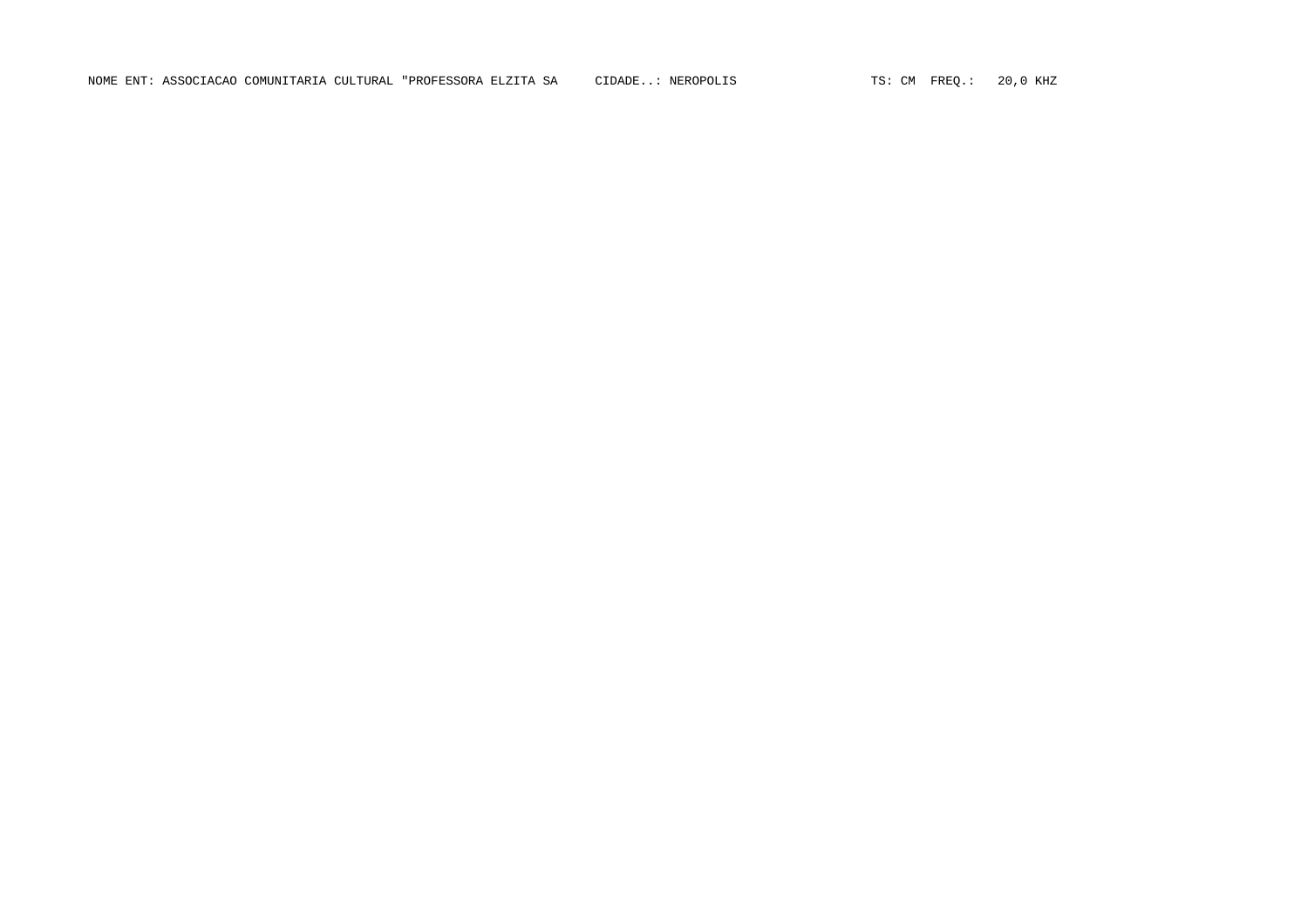NOME ENT: ASSOCIACAO COMUNITARIA CULTURAL "PROFESSORA ELZITA SA CIDADE..: NEROPOLIS TS: CM FREQ.: 20,0 KHZ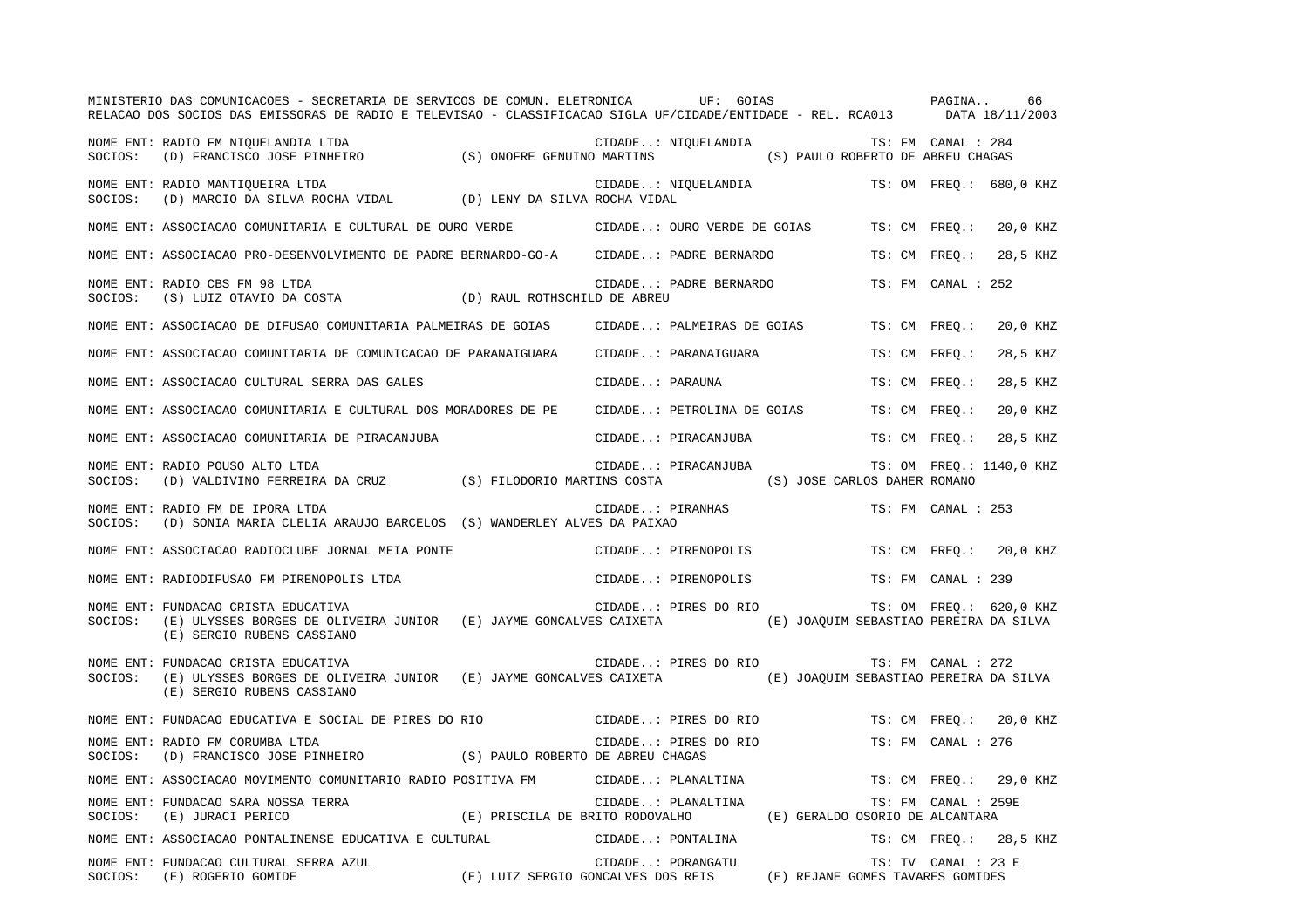|         | MINISTERIO DAS COMUNICACOES - SECRETARIA DE SERVICOS DE COMUN. ELETRONICA UF: GOIAS<br>RELACAO DOS SOCIOS DAS EMISSORAS DE RADIO E TELEVISAO - CLASSIFICACAO SIGLA UF/CIDADE/ENTIDADE - REL. RCA013 DATA 18/11/2003 |                  |                            |                                        |               | PAGINA              | 66                       |
|---------|---------------------------------------------------------------------------------------------------------------------------------------------------------------------------------------------------------------------|------------------|----------------------------|----------------------------------------|---------------|---------------------|--------------------------|
| SOCIOS: | NOME ENT: RADIO FM NIQUELANDIA LTDA<br>KADIO FM NIQUELANDIA ITS: FM CANAL : 284<br>(D) FRANCISCO JOSE PINHEIRO (S) ONOFRE GENUINO MARTINS (S) PAULO ROBERTO DE ABREU CHAGAS                                         |                  | CIDADE: NIQUELANDIA        |                                        |               | TS: FM CANAL : 284  |                          |
| SOCIOS: | NOME ENT: RADIO MANTIQUEIRA LTDA<br>(D) MARCIO DA SILVA ROCHA VIDAL (D) LENY DA SILVA ROCHA VIDAL                                                                                                                   |                  | CIDADE: NIQUELANDIA        |                                        |               |                     | TS: OM FREO.: 680,0 KHZ  |
|         | NOME ENT: ASSOCIACAO COMUNITARIA E CULTURAL DE OURO VERDE               CIDADE: OURO VERDE DE GOIAS                                                                                                                 |                  |                            |                                        | TS: CM FREQ.: |                     | 20,0 KHZ                 |
|         | NOME ENT: ASSOCIACAO PRO-DESENVOLVIMENTO DE PADRE BERNARDO-GO-A CIDADE: PADRE BERNARDO                                                                                                                              |                  |                            |                                        | TS: CM FREO.: |                     | 28,5 KHZ                 |
| SOCIOS: | NOME ENT: RADIO CBS FM 98 LTDA<br>$(S)$ LUIZ OTAVIO DA COSTA $\hfill (D)$ RAUL ROTHSCHILD DE ABREU                                                                                                                  |                  | CIDADE: PADRE BERNARDO     |                                        |               | TS: FM CANAL : 252  |                          |
|         | NOME ENT: ASSOCIACAO DE DIFUSAO COMUNITARIA PALMEIRAS DE GOIAS                                                                                                                                                      |                  | CIDADE: PALMEIRAS DE GOIAS |                                        | TS: CM FREO.: |                     | 20,0 KHZ                 |
|         | NOME ENT: ASSOCIACAO COMUNITARIA DE COMUNICACAO DE PARANAIGUARA                                                                                                                                                     |                  | CIDADE: PARANAIGUARA       |                                        | TS: CM FREO.: |                     | 28,5 KHZ                 |
|         | NOME ENT: ASSOCIACAO CULTURAL SERRA DAS GALES                                                                                                                                                                       | CIDADE: PARAUNA  |                            |                                        | TS: CM        | $FREO.$ :           | 28,5 KHZ                 |
|         | NOME ENT: ASSOCIACAO COMUNITARIA E CULTURAL DOS MORADORES DE PE                                                                                                                                                     |                  | CIDADE: PETROLINA DE GOIAS |                                        | TS: CM FREQ.: |                     | 20,0 KHZ                 |
|         | NOME ENT: ASSOCIACAO COMUNITARIA DE PIRACANJUBA                                                                                                                                                                     |                  | CIDADE: PIRACANJUBA        |                                        | TS: CM FREO.: |                     | 28,5 KHZ                 |
| SOCIOS: | NOME ENT: RADIO POUSO ALTO LTDA<br>(D) VALDIVINO FERREIRA DA CRUZ (S) FILODORIO MARTINS COSTA                                                                                                                       |                  | CIDADE: PIRACANJUBA        | (S) JOSE CARLOS DAHER ROMANO           |               |                     | TS: OM FREQ.: 1140,0 KHZ |
| SOCIOS: | NOME ENT: RADIO FM DE IPORA LTDA<br>(D) SONIA MARIA CLELIA ARAUJO BARCELOS (S) WANDERLEY ALVES DA PAIXAO                                                                                                            | CIDADE: PIRANHAS |                            |                                        |               | TS: FM CANAL : 253  |                          |
|         | NOME ENT: ASSOCIACAO RADIOCLUBE JORNAL MEIA PONTE                                                                                                                                                                   |                  | CIDADE: PIRENOPOLIS        |                                        | TS: CM FREO.: |                     | 20,0 KHZ                 |
|         | NOME ENT: RADIODIFUSAO FM PIRENOPOLIS LTDA                                                                                                                                                                          |                  | CIDADE: PIRENOPOLIS        |                                        |               | TS: FM CANAL : 239  |                          |
| SOCIOS: | NOME ENT: FUNDACAO CRISTA EDUCATIVA<br>(E) ULYSSES BORGES DE OLIVEIRA JUNIOR (E) JAYME GONCALVES CAIXETA (E) JOAQUIM SEBASTIAO PEREIRA DA SILVA<br>(E) SERGIO RUBENS CASSIANO                                       |                  | CIDADE: PIRES DO RIO       |                                        |               |                     | TS: OM FREQ.: 620,0 KHZ  |
| SOCIOS: | NOME ENT: FUNDACAO CRISTA EDUCATIVA<br>(E) ULYSSES BORGES DE OLIVEIRA JUNIOR (E) JAYME GONCALVES CAIXETA<br>(E) SERGIO RUBENS CASSIANO                                                                              |                  | CIDADE: PIRES DO RIO       | (E) JOAQUIM SEBASTIAO PEREIRA DA SILVA |               | TS: FM CANAL : 272  |                          |
|         | NOME ENT: FUNDACAO EDUCATIVA E SOCIAL DE PIRES DO RIO                                                                                                                                                               |                  | CIDADE: PIRES DO RIO       |                                        | TS: CM FREO.: |                     | 20,0 KHZ                 |
| SOCIOS: | NOME ENT: RADIO FM CORUMBA LTDA<br>(D) FRANCISCO JOSE PINHEIRO (S) PAULO ROBERTO DE ABREU CHAGAS                                                                                                                    |                  | CIDADE: PIRES DO RIO       |                                        |               | TS: FM CANAL : 276  |                          |
|         | NOME ENT: ASSOCIACAO MOVIMENTO COMUNITARIO RADIO POSITIVA FM                                                                                                                                                        |                  | CIDADE: PLANALTINA         |                                        |               | TS: CM FREO.:       | 29,0 KHZ                 |
| SOCIOS: | NOME ENT: FUNDACAO SARA NOSSA TERRA<br>TERRA (E) PRISCILA DE BRITO RODOVALHO<br>(E) JURACI PERICO                                                                                                                   |                  | CIDADE: PLANALTINA         | (E) GERALDO OSORIO DE ALCANTARA        |               | TS: FM CANAL : 259E |                          |
|         | NOME ENT: ASSOCIACAO PONTALINENSE EDUCATIVA E CULTURAL                                                                                                                                                              |                  | CIDADE: PONTALINA          |                                        |               |                     | TS: CM FREQ.: 28,5 KHZ   |
|         | NOME ENT: FUNDACAO CULTURAL SERRA AZUL<br>TS: TV CANAL : 23<br>E) LUIZ SERGIO GONCALVES DOS REIS (E) REJANE GOMES TAVARES GOMIDES)<br>SOCIOS: (E) ROGERIO GOMIDE                                                    |                  | CIDADE: PORANGATU          |                                        |               | TS: TV CANAL : 23 E |                          |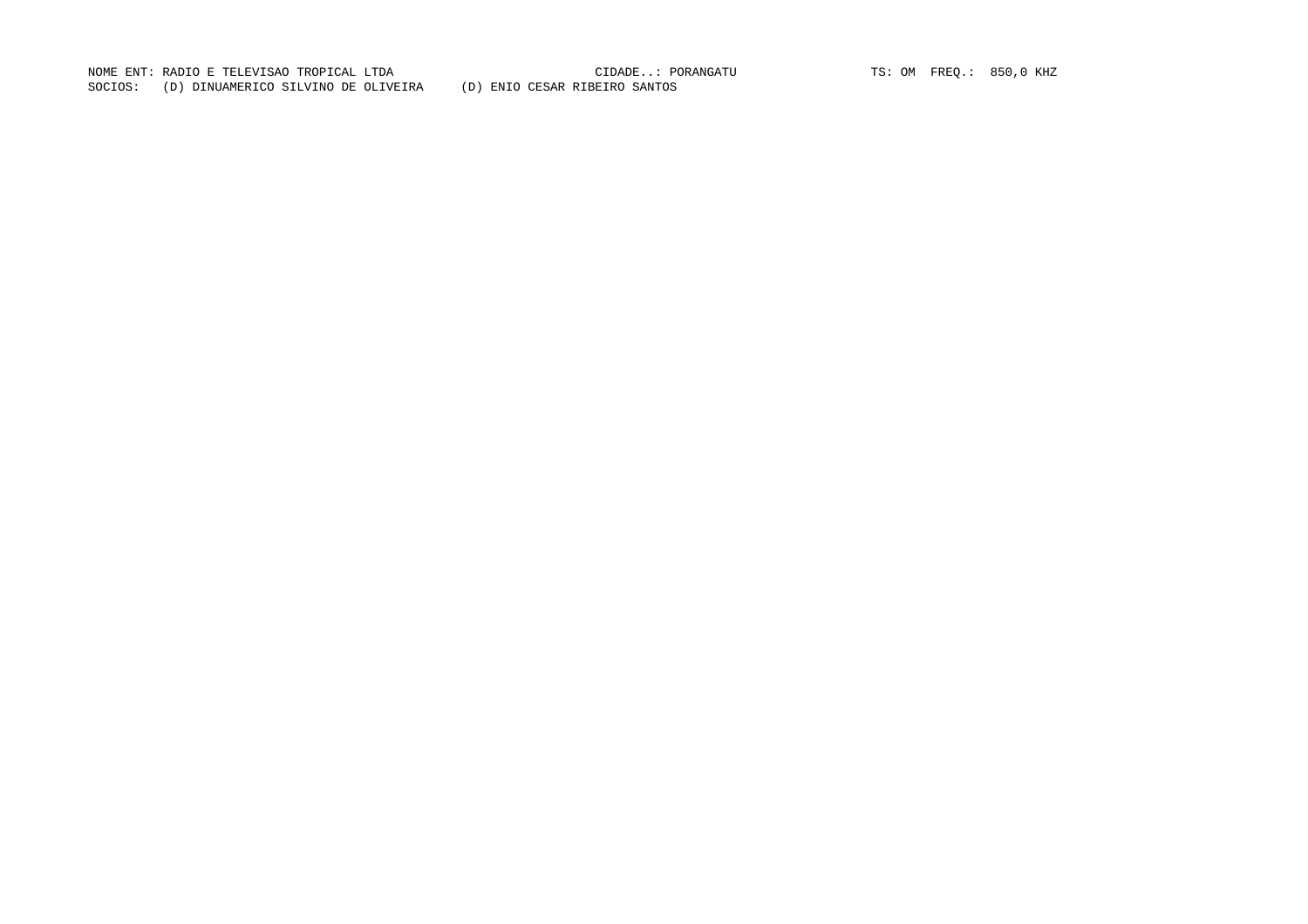NOME ENT: RADIO E TELEVISAO TROPICAL LTDA<br>CIDADE..: PORANGATU TS: OM FREQ.: 850,0 KHZ SOCIOS: (D) DINUAMERICO SILVINO DE OLIVEIRA (D) ENIO CESAR RIBEIRO SANTOS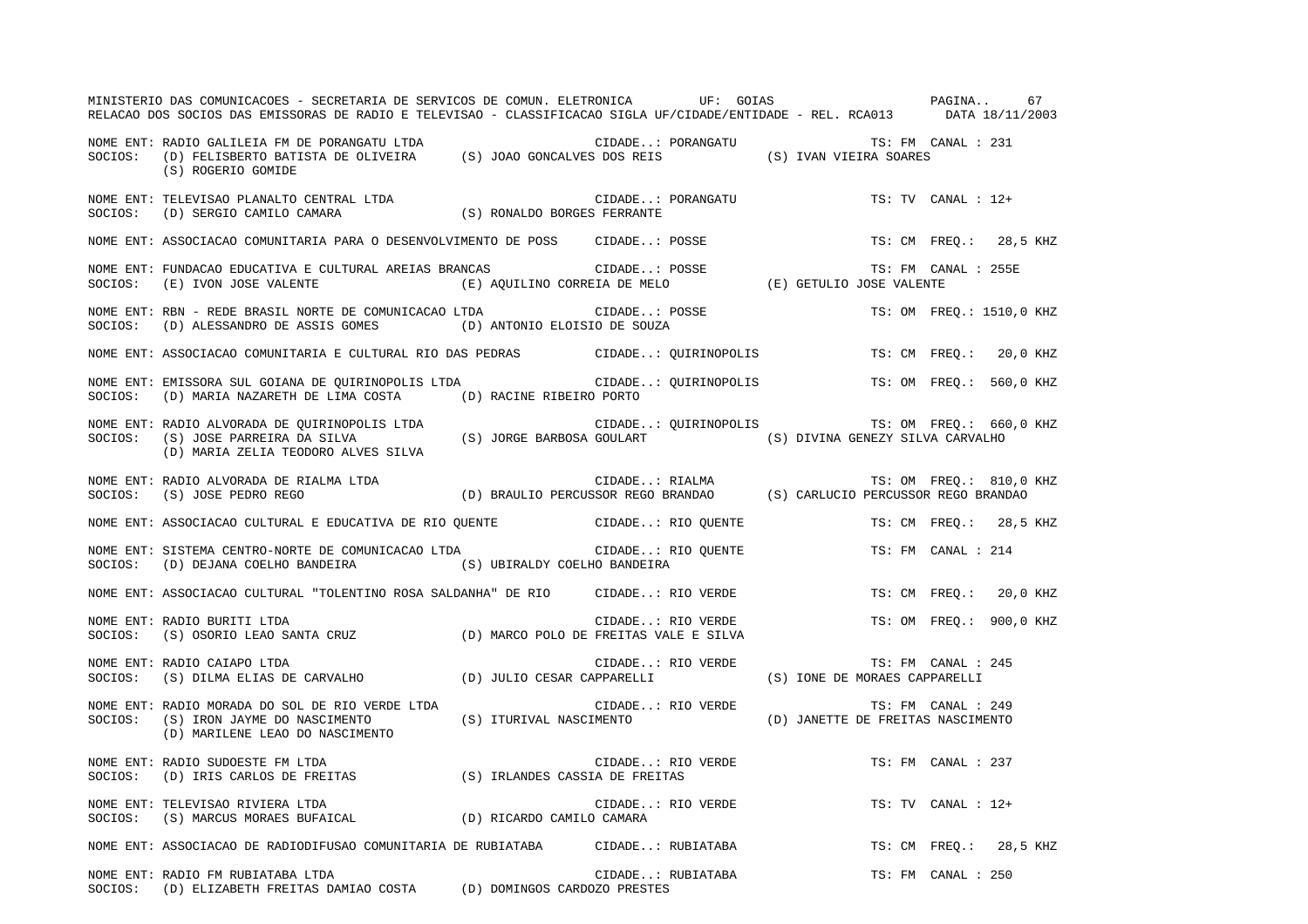|         | MINISTERIO DAS COMUNICACOES - SECRETARIA DE SERVICOS DE COMUN. ELETRONICA UF: GOIAS COMUNISTERIO DAS COMUNICACOES - SECRETARIA DE SERVICOS DE COMUN. ELETRONICA<br>RELACAO DOS SOCIOS DAS EMISSORAS DE RADIO E TELEVISAO - CLASSIFICACAO SIGLA UF/CIDADE/ENTIDADE - REL. RCA013 DATA 18/11/2003 |  |                                           |                                              |                          |  |
|---------|-------------------------------------------------------------------------------------------------------------------------------------------------------------------------------------------------------------------------------------------------------------------------------------------------|--|-------------------------------------------|----------------------------------------------|--------------------------|--|
|         | (S) ROGERIO GOMIDE                                                                                                                                                                                                                                                                              |  |                                           | CIDADE: PORANGATU TS: FM CANAL : 231         |                          |  |
|         |                                                                                                                                                                                                                                                                                                 |  | CIDADE: PORANGATU                         |                                              | $TS: TV$ CANAL : $12+$   |  |
|         | NOME ENT: ASSOCIACAO COMUNITARIA PARA O DESENVOLVIMENTO DE POSS CIDADE: POSSE                                                                                                                                                                                                                   |  |                                           |                                              | TS: CM FREQ.: 28,5 KHZ   |  |
|         | NOME ENT: FUNDACAO EDUCATIVA E CULTURAL AREIAS BRANCAS (E) AQUILINO CORREIA DE MELO (E) GETULIO JOSE VALENTE<br>SOCIOS: (E) IVON JOSE VALENTE (E) AQUILINO CORREIA DE MELO (E) GETULIO JOSE VALENTE                                                                                             |  |                                           |                                              | TS: FM CANAL : 255E      |  |
|         | NOME ENT: RBN - REDE BRASIL NORTE DE COMUNICACAO LTDA (IDA CIDADE: POSSE<br>SOCIOS: (D) ALESSANDRO DE ASSIS GOMES (D) ANTONIO ELOISIO DE SOUZA                                                                                                                                                  |  |                                           |                                              | TS: OM FREQ.: 1510,0 KHZ |  |
|         | NOME ENT: ASSOCIACAO COMUNITARIA E CULTURAL RIO DAS PEDRAS CIDADE: QUIRINOPOLIS TS: CM FREQ.: 20,0 KHZ                                                                                                                                                                                          |  |                                           |                                              |                          |  |
| SOCIOS: | NOME ENT: EMISSORA SUL GOIANA DE QUIRINOPOLIS LTDA CIDADE: QUIRINOPOLIS TS: OM FREQ.: 560,0 KHZ<br>(D) MARIA NAZARETH DE LIMA COSTA (D) RACINE RIBEIRO PORTO                                                                                                                                    |  |                                           |                                              |                          |  |
|         |                                                                                                                                                                                                                                                                                                 |  |                                           | CIDADE: QUIRINOPOLIS TS: OM FREQ.: 660,0 KHZ |                          |  |
|         | NOME ENT: RADIO ALVORADA DE RIALMA LTDA<br>SOCIOS: (S) JOSE PEDRO REGO (D) BRAULIO PERCUSSOR REGO BRANDAO (S) CARLUCIO PERCUSSOR REGO BRANDAO                                                                                                                                                   |  |                                           |                                              | TS: OM FREQ.: 810,0 KHZ  |  |
|         | NOME ENT: ASSOCIACAO CULTURAL E EDUCATIVA DE RIO QUENTE (CIDADE: RIO QUENTE TS: CM FREQ.: 28,5 KHZ                                                                                                                                                                                              |  |                                           |                                              |                          |  |
|         | NOME ENT: SISTEMA CENTRO-NORTE DE COMUNICACAO LTDA CIDADE: RIO QUENTE<br>SOCIOS: (D) DEJANA COELHO BANDEIRA (S) UBIRALDY COELHO BANDEIRA                                                                                                                                                        |  |                                           |                                              | TS: FM CANAL : 214       |  |
|         | NOME ENT: ASSOCIACAO CULTURAL "TOLENTINO ROSA SALDANHA" DE RIO CIDADE: RIO VERDE                                                                                                                                                                                                                |  |                                           |                                              | TS: CM FREQ.: 20,0 KHZ   |  |
| SOCIOS: | NOME ENT: RADIO BURITI LTDA<br>(S) OSORIO LEAO SANTA CRUZ (D) MARCO POLO DE FREITAS VALE E SILVA                                                                                                                                                                                                |  | CIDADE: RIO VERDE<br>FREITAS VALE E SILVA |                                              | TS: OM FREO.: 900,0 KHZ  |  |
| SOCIOS: | NOME ENT: RADIO CAIAPO LTDA                                                                                                                                                                                                                                                                     |  | CIDADE: RIO VERDE                         |                                              | TS: FM CANAL : 245       |  |
| SOCIOS: | NOME ENT: RADIO MORADA DO SOL DE RIO VERDE LTDA<br>(S) IRON JAYME DO NASCIMENTO (S) ITURIVAL NASCIMENTO (D) JANETTE DE FREITAS NASCIMENTO<br>(D) MARILENE LEAO DO NASCIMENTO                                                                                                                    |  | CIDADE: RIO VERDE                         |                                              | TS: FM CANAL : 249       |  |
|         | NOME ENT: RADIO SUDOESTE FM LTDA<br>SOCIOS: (D) IRIS CARLOS DE FREITAS (S) IRLANDES CASSIA DE FREITAS                                                                                                                                                                                           |  | CIDADE: RIO VERDE                         |                                              | TS: FM CANAL : 237       |  |
|         | NOME ENT: TELEVISAO RIVIERA LTDA<br>SOCIOS: (S) MARCUS MORAES BUFAICAL (D) RICARDO CAMILO CAMARA                                                                                                                                                                                                |  | CIDADE: RIO VERDE                         |                                              | TS: TV CANAL : 12+       |  |
|         | NOME ENT: ASSOCIACAO DE RADIODIFUSAO COMUNITARIA DE RUBIATABA CIDADE: RUBIATABA                                                                                                                                                                                                                 |  |                                           |                                              | TS: CM FREQ.: 28,5 KHZ   |  |
|         | NOME ENT: RADIO FM RUBIATABA LTDA<br>SOCIOS: (D) ELIZABETH FREITAS DAMIAO COSTA (D) DOMINGOS CARDOZO PRESTES                                                                                                                                                                                    |  | CIDADE: RUBIATABA<br>DOZO PRESTES         |                                              | TS: FM CANAL : 250       |  |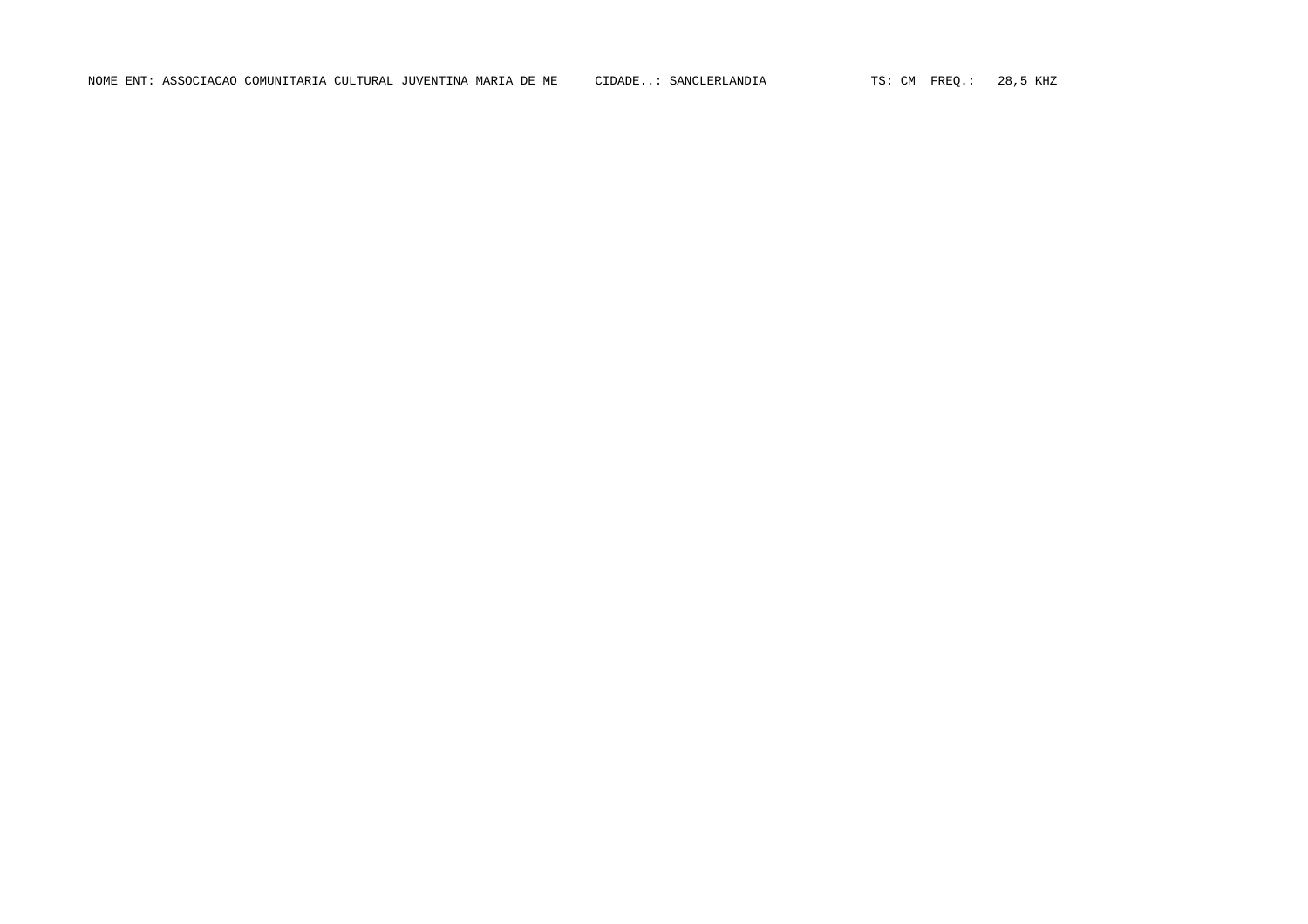NOME ENT: ASSOCIACAO COMUNITARIA CULTURAL JUVENTINA MARIA DE ME CIDADE..: SANCLERLANDIA TS: CM FREQ.: 28,5 KHZ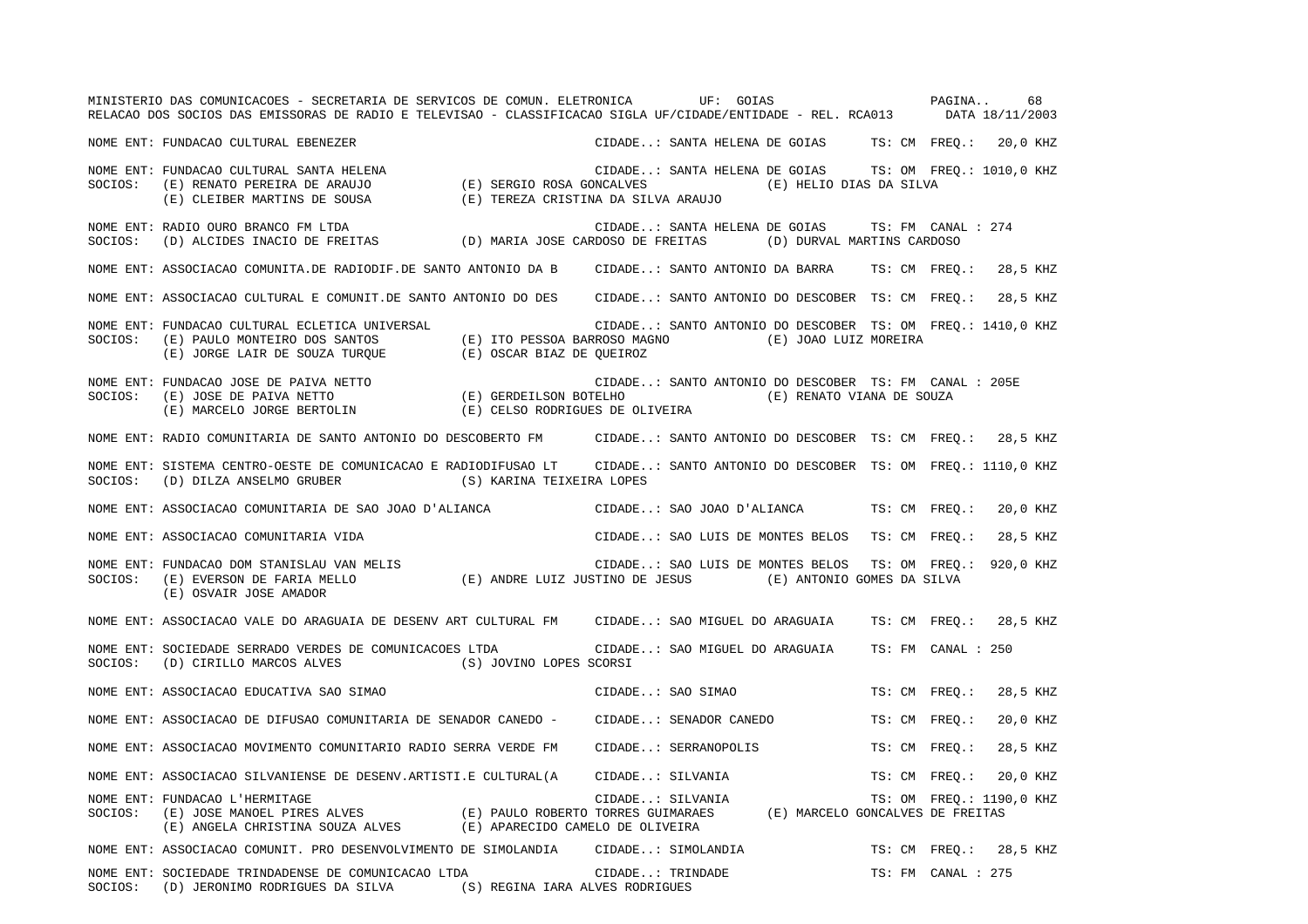MINISTERIO DAS COMUNICACOES - SECRETARIA DE SERVICOS DE COMUN. ELETRONICA UF: GOIAS PAGINA.. 68RELACAO DOS SOCIOS DAS EMISSORAS DE RADIO E TELEVISAO - CLASSIFICACAO SIGLA UF/CIDADE/ENTIDADE - REL. RCA013 DATA 18/11/2003 NOME ENT: FUNDACAO CULTURAL EBENEZER CIDADE..: SANTA HELENA DE GOIAS TS: CM FREQ.: 20,0 KHZ NOME ENT: FUNDACAO CULTURAL SANTA HELENA CIDADE..: SANTA HELENA DE GOIAS TS: OM FREQ.: 1010,0 KHZ SOCIOS: (E) RENATO PEREIRA DE ARAUJO (E) SERGIO ROSA GONCALVES (E) HELIO DIAS DA SILVA (E) CLEIBER MARTINS DE SOUSA (E) TEREZA CRISTINA DA SILVA ARAUJO NOME ENT: RADIO OURO BRANCO FM LTDA CIDADE..: SANTA HELENA DE GOIAS TS: FM CANAL : 274SOCIOS: (D) ALCIDES INACIO DE FREITAS (D) MARIA JOSE CARDOSO DE FREITAS (D) DURVAL MARTINS CARDOSO NOME ENT: ASSOCIACAO COMUNITA.DE RADIODIF.DE SANTO ANTONIO DA B CIDADE..: SANTO ANTONIO DA BARRA TS: CM FREQ.: 28,5 KHZ NOME ENT: ASSOCIACAO CULTURAL E COMUNIT.DE SANTO ANTONIO DO DES CIDADE..: SANTO ANTONIO DO DESCOBER TS: CM FREQ.: 28,5 KHZ NOME ENT: FUNDACAO CULTURAL ECLETICA UNIVERSAL CIDADE..: SANTO ANTONIO DO DESCOBER TS: OM FREQ.: 1410,0 KHZ SOCIOS: (E) PAULO MONTEIRO DOS SANTOS (E) ITO PESSOA BARROSO MAGNO (E) JOAO LUIZ MOREIRA (E) JORGE LAIR DE SOUZA TURQUE (E) OSCAR BIAZ DE QUEIROZ NOME ENT: FUNDACAO JOSE DE PAIVA NETTO CIDADE..: SANTO ANTONIO DO DESCOBER TS: FM CANAL : 205E SOCIOS: (E) JOSE DE PAIVA NETTO (E) GERDEILSON BOTELHO (E) RENATO VIANA DE SOUZA (E) MARCELO JORGE BERTOLIN (E) CELSO RODRIGUES DE OLIVEIRA NOME ENT: RADIO COMUNITARIA DE SANTO ANTONIO DO DESCOBERTO FM CIDADE..: SANTO ANTONIO DO DESCOBER TS: CM FREQ.: 28,5 KHZ NOME ENT: SISTEMA CENTRO-OESTE DE COMUNICACAO E RADIODIFUSAO LT CIDADE..: SANTO ANTONIO DO DESCOBER TS: OM FREQ.: 1110,0 KHZ SOCIOS: (D) DILZA ANSELMO GRUBER (S) KARINA TEIXEIRA LOPES NOME ENT: ASSOCIACAO COMUNITARIA DE SAO JOAO D'ALIANCA CIDADE..: SAO JOAO D'ALIANCA TS: CM FREQ.: 20,0 KHZ NOME ENT: ASSOCIACAO COMUNITARIA VIDA CIDADE..: SAO LUIS DE MONTES BELOS TS: CM FREQ.: 28,5 KHZ NOME ENT: FUNDACAO DOM STANISLAU VAN MELIS CIDADE..: SAO LUIS DE MONTES BELOS TS: OM FREQ.: 920,0 KHZ SOCIOS: (E) EVERSON DE FARIA MELLO (E) ANDRE LUIZ JUSTINO DE JESUS (E) ANTONIO GOMES DA SILVA (E) OSVAIR JOSE AMADOR NOME ENT: ASSOCIACAO VALE DO ARAGUAIA DE DESENV ART CULTURAL FM CIDADE..: SAO MIGUEL DO ARAGUAIA TS: CM FREQ.: 28,5 KHZ NOME ENT: SOCIEDADE SERRADO VERDES DE COMUNICACOES LTDA CIDADE..: SAO MIGUEL DO ARAGUAIA TS: FM CANAL : 250 SOCIOS: (D) CIRILLO MARCOS ALVES (S) JOVINO LOPES SCORSI NOME ENT: ASSOCIACAO EDUCATIVA SAO SIMAO SANTA ENTREQUELLO CIDADE..: SAO SIMAO TS: CM FREQ.: 28,5 KHZ NOME ENT: ASSOCIACAO DE DIFUSAO COMUNITARIA DE SENADOR CANEDO - CIDADE..: SENADOR CANEDO TS: CM FREQ.: 20,0 KHZ NOME ENT: ASSOCIACAO MOVIMENTO COMUNITARIO RADIO SERRA VERDE FM CIDADE..: SERRANOPOLIS TS: CM FREQ.: 28,5 KHZ NOME ENT: ASSOCIACAO SILVANIENSE DE DESENV.ARTISTI.E CULTURAL(A CIDADE..: SILVANIA TS: CM FREQ.: 20,0 KHZ NOME ENT: FUNDACAO L'HERMITAGE CIDADE..: SILVANIA TS: OM FREQ.: 1190,0 KHZ SOCIOS: (E) JOSE MANOEL PIRES ALVES (E) PAULO ROBERTO TORRES GUIMARAES (E) MARCELO GONCALVES DE FREITAS (E) ANGELA CHRISTINA SOUZA ALVES (E) APARECIDO CAMELO DE OLIVEIRA NOME ENT: ASSOCIACAO COMUNIT. PRO DESENVOLVIMENTO DE SIMOLANDIA CIDADE..: SIMOLANDIA TS: CM FREQ.: 28,5 KHZ NOME ENT: SOCIEDADE TRINDADENSE DE COMUNICACAO LTDA CIDADE..: TRINDADE TS: FM CANAL : 275SOCIOS: (D) JERONIMO RODRIGUES DA SILVA (S) REGINA IARA ALVES RODRIGUES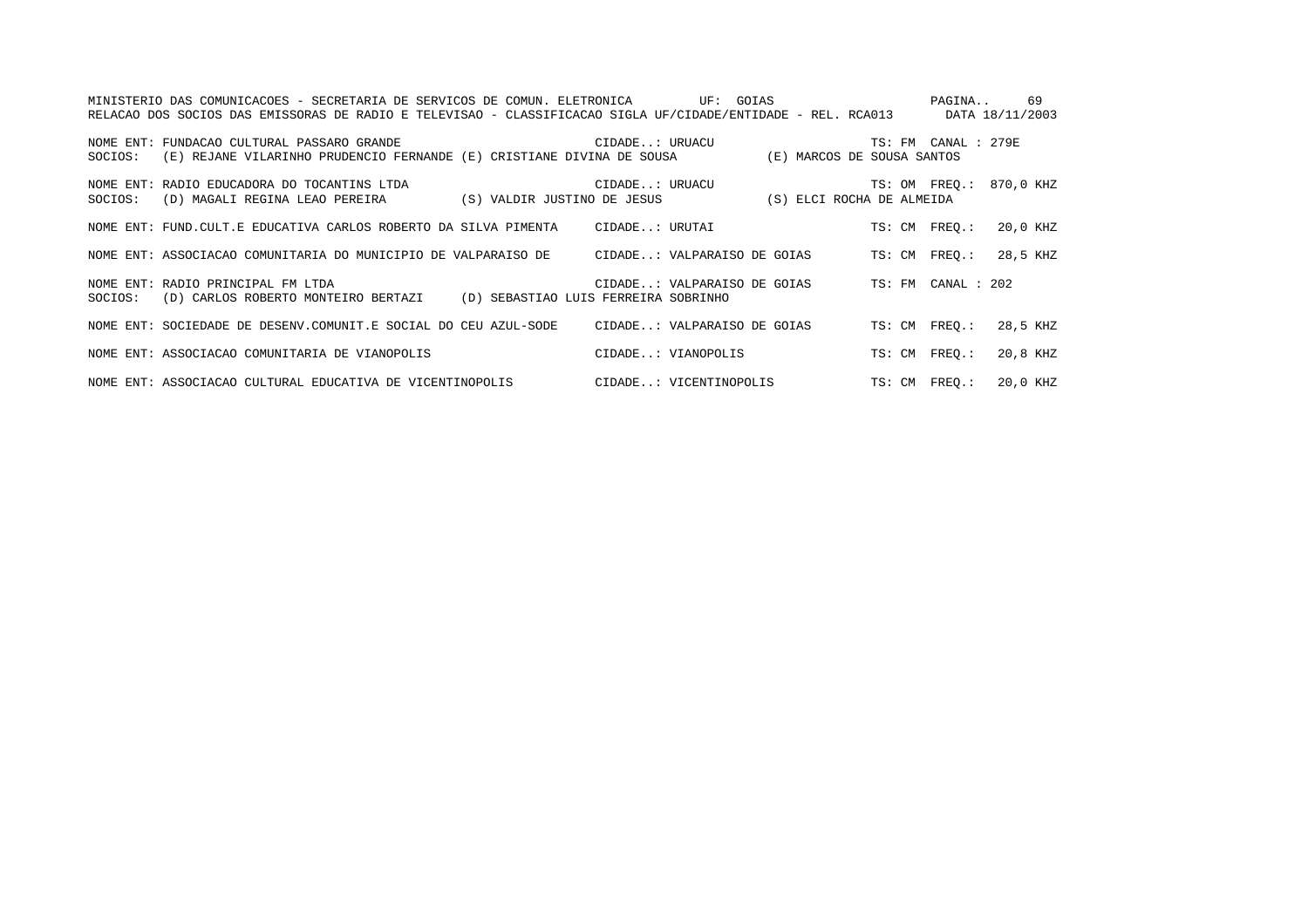|         | MINISTERIO DAS COMUNICACOES - SECRETARIA DE SERVICOS DE COMUN. ELETRONICA              UF:  GOIAS<br>RELACAO DOS SOCIOS DAS EMISSORAS DE RADIO E TELEVISAO - CLASSIFICACAO SIGLA UF/CIDADE/ENTIDADE - REL. RCA013 DATA 18/11/2003 |                    |  |                     | PAGINA 69               |
|---------|-----------------------------------------------------------------------------------------------------------------------------------------------------------------------------------------------------------------------------------|--------------------|--|---------------------|-------------------------|
|         | NOME ENT: FUNDACAO CULTURAL PASSARO GRANDE <b>A COMPRETE CONSTRUERTE CONTRACTE ENT</b> : URUACU<br>SOCIOS: (E) REJANE VILARINHO PRUDENCIO FERNANDE (E) CRISTIANE DIVINA DE SOUSA (E) MARCOS DE SOUSA SANTOS                       |                    |  | TS: FM CANAL : 279E |                         |
| SOCIOS: | NOME ENT: RADIO EDUCADORA DO TOCANTINS LTDA<br>(D) MAGALI REGINA LEAO PEREIRA (S) VALDIR JUSTINO DE JESUS (S) ELCI ROCHA DE ALMEIDA                                                                                               | CIDADE: URUACU     |  |                     | TS: OM FREO.: 870,0 KHZ |
|         | NOME ENT: FUND.CULT.E EDUCATIVA CARLOS ROBERTO DA SILVA PIMENTA CIDADE: URUTAI                                                                                                                                                    |                    |  | TS: CM FREO.:       | 20,0 KHZ                |
|         | NOME ENT: ASSOCIACAO COMUNITARIA DO MUNICIPIO DE VALPARAISO DE CIDADE: VALPARAISO DE GOIAS TS: CM FREO.:                                                                                                                          |                    |  |                     | 28,5 KHZ                |
| SOCIOS: | CIDADE: VALPARAISO DE GOIAS TS: FM CANAL : 202<br>NOME ENT: RADIO PRINCIPAL FM LTDA<br>(D) CARLOS ROBERTO MONTEIRO BERTAZI (D) SEBASTIAO LUIS FERREIRA SOBRINHO                                                                   |                    |  |                     |                         |
|         | NOME ENT: SOCIEDADE DE DESENV.COMUNIT.E SOCIAL DO CEU AZUL-SODE CIDADE: VALPARAISO DE GOIAS TS: CM FREO.:                                                                                                                         |                    |  |                     | 28,5 KHZ                |
|         | NOME ENT: ASSOCIACAO COMUNITARIA DE VIANOPOLIS                                                                                                                                                                                    | CIDADE: VIANOPOLIS |  | TS: CM FREO.:       | 20,8 KHZ                |
|         | NOME ENT: ASSOCIACAO CULTURAL EDUCATIVA DE VICENTINOPOLIS CIDADE: VICENTINOPOLIS TS: CM FREQ.:                                                                                                                                    |                    |  |                     | 20,0 KHZ                |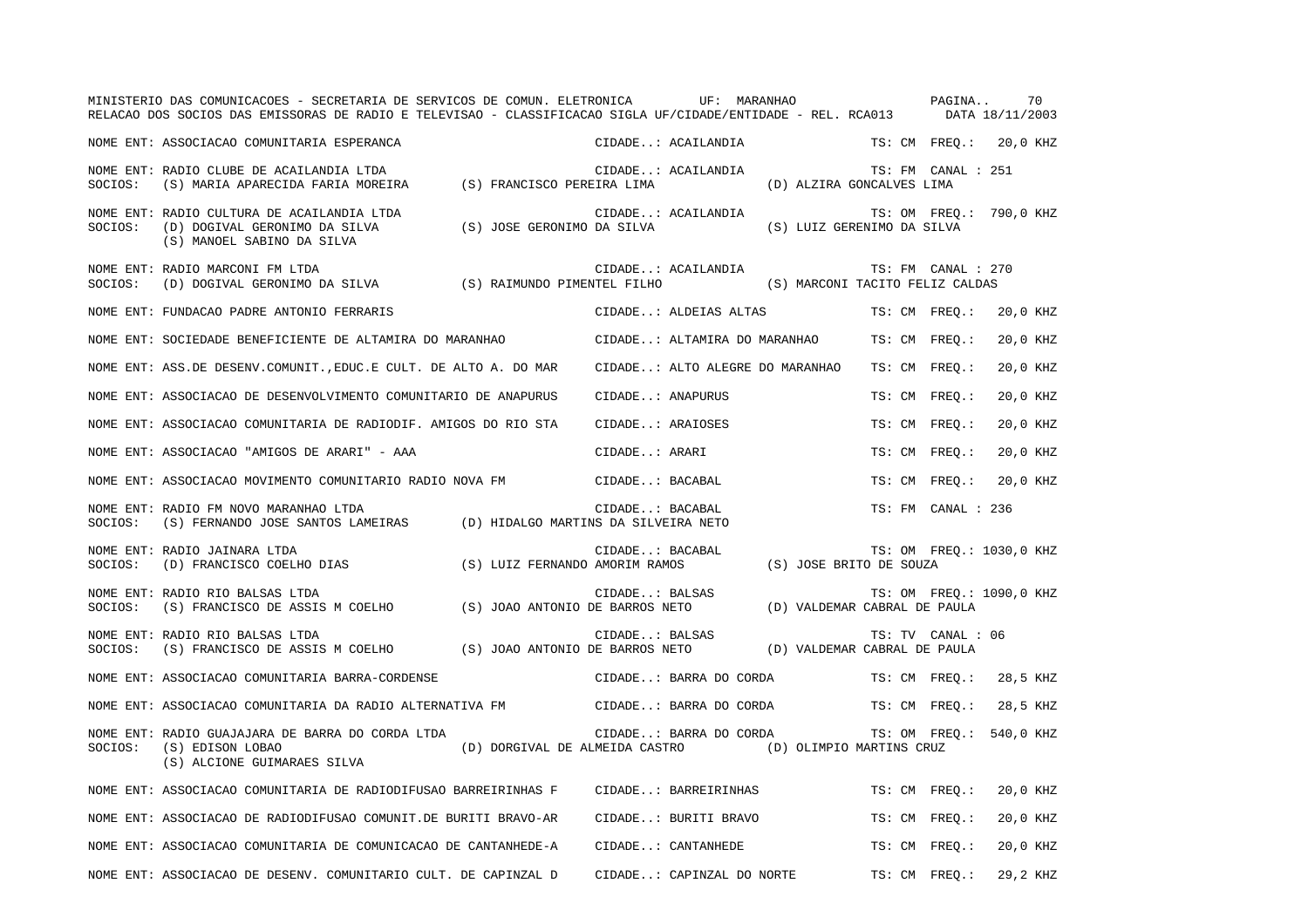|         | MINISTERIO DAS COMUNICACOES - SECRETARIA DE SERVICOS DE COMUN. ELETRONICA<br>RELACAO DOS SOCIOS DAS EMISSORAS DE RADIO E TELEVISAO - CLASSIFICACAO SIGLA UF/CIDADE/ENTIDADE - REL. RCA013 DATA 18/11/2003 |                            | UF: MARANHAO                                                                      |                                 | PAGINA             | 70                       |
|---------|-----------------------------------------------------------------------------------------------------------------------------------------------------------------------------------------------------------|----------------------------|-----------------------------------------------------------------------------------|---------------------------------|--------------------|--------------------------|
|         | NOME ENT: ASSOCIACAO COMUNITARIA ESPERANCA                                                                                                                                                                |                            | CIDADE: ACAILANDIA                                                                |                                 |                    | TS: CM FREO.: 20,0 KHZ   |
| SOCIOS: | NOME ENT: RADIO CLUBE DE ACAILANDIA LTDA<br>(S) MARIA APARECIDA FARIA MOREIRA (S) FRANCISCO PEREIRA LIMA                                                                                                  |                            | CIDADE: ACAILANDIA                                                                | (D) ALZIRA GONCALVES LIMA       | TS: FM CANAL : 251 |                          |
| SOCIOS: | NOME ENT: RADIO CULTURA DE ACAILANDIA LTDA<br>(D) DOGIVAL GERONIMO DA SILVA<br>(S) MANOEL SABINO DA SILVA                                                                                                 | (S) JOSE GERONIMO DA SILVA | CIDADE: ACAILANDIA                                                                | (S) LUIZ GERENIMO DA SILVA      |                    | TS: OM FREO.: 790,0 KHZ  |
| SOCIOS: | NOME ENT: RADIO MARCONI FM LTDA<br>(D) DOGIVAL GERONIMO DA SILVA (S) RAIMUNDO PIMENTEL FILHO                                                                                                              |                            | CIDADE: ACAILANDIA                                                                | (S) MARCONI TACITO FELIZ CALDAS | TS: FM CANAL : 270 |                          |
|         | NOME ENT: FUNDACAO PADRE ANTONIO FERRARIS                                                                                                                                                                 |                            | CIDADE: ALDEIAS ALTAS TS: CM FREO.:                                               |                                 |                    | 20,0 KHZ                 |
|         | NOME ENT: SOCIEDADE BENEFICIENTE DE ALTAMIRA DO MARANHAO                                                                                                                                                  |                            | CIDADE: ALTAMIRA DO MARANHAO                                                      |                                 | TS: CM FREO.:      | 20,0 KHZ                 |
|         | NOME ENT: ASS.DE DESENV.COMUNIT., EDUC.E CULT. DE ALTO A. DO MAR                                                                                                                                          |                            | CIDADE: ALTO ALEGRE DO MARANHAO                                                   |                                 | TS: CM FREO.:      | 20,0 KHZ                 |
|         | NOME ENT: ASSOCIACAO DE DESENVOLVIMENTO COMUNITARIO DE ANAPURUS                                                                                                                                           |                            | CIDADE: ANAPURUS                                                                  |                                 | TS: CM FREO.:      | 20,0 KHZ                 |
|         | NOME ENT: ASSOCIACAO COMUNITARIA DE RADIODIF. AMIGOS DO RIO STA                                                                                                                                           |                            | CIDADE: ARAIOSES                                                                  |                                 | TS: CM FREO.:      | 20,0 KHZ                 |
|         | NOME ENT: ASSOCIACAO "AMIGOS DE ARARI" - AAA                                                                                                                                                              |                            | CIDADE: ARARI                                                                     |                                 | TS: CM FREO.:      | 20,0 KHZ                 |
|         | NOME ENT: ASSOCIACAO MOVIMENTO COMUNITARIO RADIO NOVA FM                                                                                                                                                  |                            | CIDADE: BACABAL                                                                   |                                 | TS: CM FREO.:      | 20,0 KHZ                 |
| SOCIOS: | NOME ENT: RADIO FM NOVO MARANHAO LTDA<br>(S) FERNANDO JOSE SANTOS LAMEIRAS (D) HIDALGO MARTINS DA SILVEIRA NETO                                                                                           |                            | CIDADE: BACABAL                                                                   |                                 | TS: FM CANAL : 236 |                          |
| SOCIOS: | NOME ENT: RADIO JAINARA LTDA<br>(D) FRANCISCO COELHO DIAS                                                                                                                                                 |                            | CIDADE: BACABAL<br>(S) LUIZ FERNANDO AMORIM RAMOS (S) JOSE BRITO DE SOUZA         |                                 |                    | TS: OM FREO.: 1030,0 KHZ |
| SOCIOS: | NOME ENT: RADIO RIO BALSAS LTDA<br>(S) FRANCISCO DE ASSIS M COELHO (S) JOAO ANTONIO DE BARROS NETO (D) VALDEMAR CABRAL DE PAULA                                                                           |                            | CIDADE: BALSAS                                                                    |                                 |                    | TS: OM FREQ.: 1090,0 KHZ |
| SOCIOS: | NOME ENT: RADIO RIO BALSAS LTDA<br>(S) FRANCISCO DE ASSIS M COELHO (S) JOAO ANTONIO DE BARROS NETO (D) VALDEMAR CABRAL DE PAULA                                                                           |                            | CIDADE: BALSAS                                                                    |                                 | TS: TV CANAL : 06  |                          |
|         | NOME ENT: ASSOCIACAO COMUNITARIA BARRA-CORDENSE                                                                                                                                                           |                            | CIDADE: BARRA DO CORDA                                                            |                                 |                    | TS: CM FREO.: 28,5 KHZ   |
|         | NOME ENT: ASSOCIACAO COMUNITARIA DA RADIO ALTERNATIVA FM                                                                                                                                                  |                            | CIDADE: BARRA DO CORDA TS: CM FREO.:                                              |                                 |                    | 28,5 KHZ                 |
| SOCIOS: | NOME ENT: RADIO GUAJAJARA DE BARRA DO CORDA LTDA<br>(S) EDISON LOBAO<br>(S) ALCIONE GUIMARAES SILVA                                                                                                       |                            | CIDADE: BARRA DO CORDA<br>(D) DORGIVAL DE ALMEIDA CASTRO (D) OLIMPIO MARTINS CRUZ |                                 |                    | TS: OM FREO.: 540,0 KHZ  |
|         | NOME ENT: ASSOCIACAO COMUNITARIA DE RADIODIFUSAO BARREIRINHAS F                                                                                                                                           |                            | CIDADE: BARREIRINHAS                                                              |                                 | TS: CM FREO.:      | 20,0 KHZ                 |
|         | NOME ENT: ASSOCIACAO DE RADIODIFUSAO COMUNIT.DE BURITI BRAVO-AR                                                                                                                                           |                            | CIDADE: BURITI BRAVO                                                              |                                 | TS: CM FREO.:      | 20,0 KHZ                 |
|         | NOME ENT: ASSOCIACAO COMUNITARIA DE COMUNICACAO DE CANTANHEDE-A                                                                                                                                           |                            | CIDADE: CANTANHEDE                                                                |                                 | TS: CM FREO.:      | 20,0 KHZ                 |
|         | NOME ENT: ASSOCIACAO DE DESENV. COMUNITARIO CULT. DE CAPINZAL D                                                                                                                                           |                            | CIDADE: CAPINZAL DO NORTE                                                         |                                 | TS: CM FREO.:      | 29.2 KHZ                 |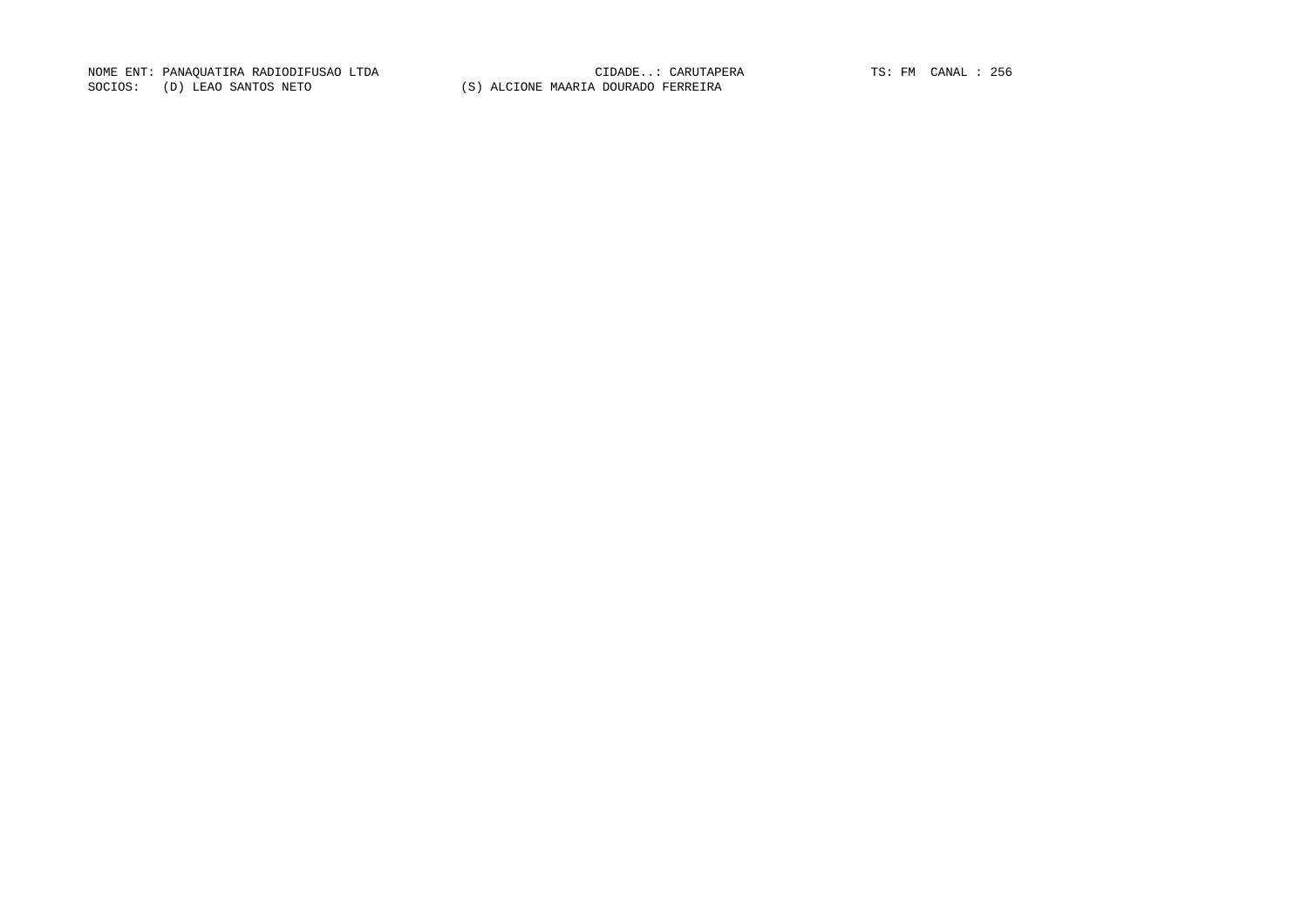NOME ENT: PANAQUATIRA RADIODIFUSAO LTDA CIDADE..: CARUTAPERA TS: FM CANAL : 256 SOCIOS: (D) LEAO SANTOS NETO (S) ALCIONE MAARIA DOURADO FERREIRA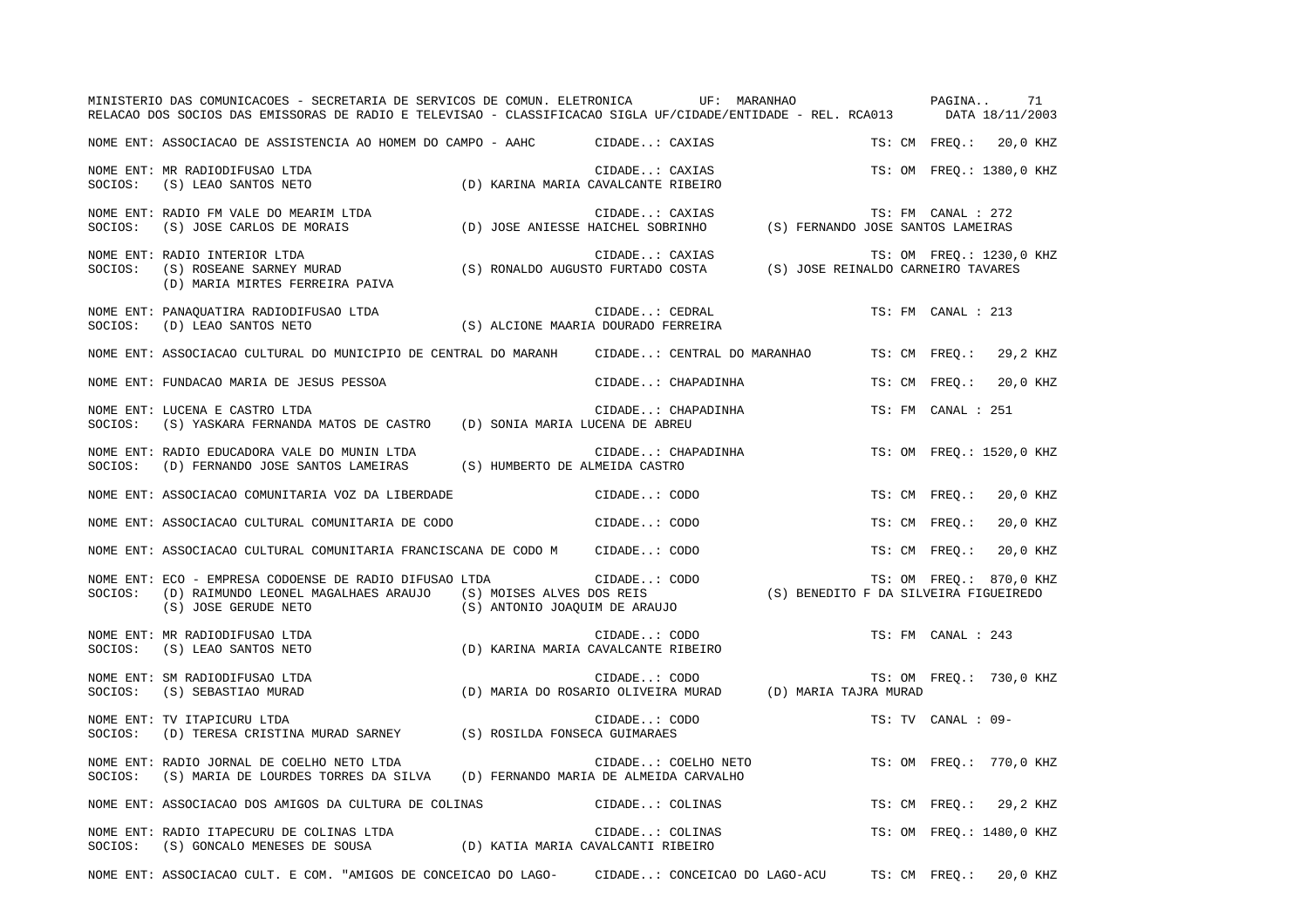|         | MINISTERIO DAS COMUNICACOES - SECRETARIA DE SERVICOS DE COMUN. ELETRONICA UF: MARANHAO<br>RELACAO DOS SOCIOS DAS EMISSORAS DE RADIO E TELEVISAO - CLASSIFICACAO SIGLA UF/CIDADE/ENTIDADE - REL. RCA013 DATA 18/11/2003                                     |                               |                                                                                          | PAGINA |                    | 71                       |
|---------|------------------------------------------------------------------------------------------------------------------------------------------------------------------------------------------------------------------------------------------------------------|-------------------------------|------------------------------------------------------------------------------------------|--------|--------------------|--------------------------|
|         | NOME ENT: ASSOCIACAO DE ASSISTENCIA AO HOMEM DO CAMPO - AAHC CIDADE: CAXIAS                                                                                                                                                                                |                               |                                                                                          |        |                    | TS: CM FREQ.: 20,0 KHZ   |
| SOCIOS: | NOME ENT: MR RADIODIFUSAO LTDA<br>(S) LEAO SANTOS NETO                                                                                                                                                                                                     |                               | CIDADE: CAXIAS<br>(D) KARINA MARIA CAVALCANTE RIBEIRO                                    |        |                    | TS: OM FREO.: 1380,0 KHZ |
|         |                                                                                                                                                                                                                                                            |                               |                                                                                          |        |                    |                          |
| SOCIOS: | NOME ENT: RADIO INTERIOR LTDA<br>RADIO INTERIOR LIDA (S) RONALDO AUGUSTO FURTADO COSTA (S) JOSE REINALDO CARNEIRO TAVARES (S) ROSEANE SARNEY MURAD (S) RONALDO AUGUSTO FURTADO COSTA (S) JOSE REINALDO CARNEIRO TAVARES<br>(D) MARIA MIRTES FERREIRA PAIVA |                               | CIDADE: CAXIAS                                                                           |        |                    | TS: OM FREQ.: 1230,0 KHZ |
| SOCIOS: | CIDADE: CEDRAL<br>(S) ALCIONE MAARIA DOURADO FERREIRA)<br>NOME ENT: PANAQUATIRA RADIODIFUSAO LTDA<br>(D) LEAO SANTOS NETO                                                                                                                                  |                               | CIDADE: CEDRAL                                                                           |        | TS: FM CANAL : 213 |                          |
|         | NOME ENT: ASSOCIACAO CULTURAL DO MUNICIPIO DE CENTRAL DO MARANH CIDADE: CENTRAL DO MARANHAO                                                                                                                                                                |                               |                                                                                          |        | TS: CM FREO.:      | 29,2 KHZ                 |
|         | NOME ENT: FUNDACAO MARIA DE JESUS PESSOA                                                                                                                                                                                                                   |                               | CIDADE: CHAPADINHA                                                                       |        | TS: CM FREQ.:      | 20,0 KHZ                 |
| SOCIOS: | NOME ENT: LUCENA E CASTRO LTDA<br>(S) YASKARA FERNANDA MATOS DE CASTRO (D) SONIA MARIA LUCENA DE ABREU                                                                                                                                                     |                               | CIDADE: CHAPADINHA                                                                       |        | TS: FM CANAL : 251 |                          |
|         | NOME ENT: RADIO EDUCADORA VALE DO MUNIN LTDA<br>SOCIOS: (D) FERNANDO JOSE SANTOS LAMEIRAS (S) HUMBERTO DE ALMEIDA CASTRO                                                                                                                                   |                               | CIDADE: CHAPADINHA                                                                       |        |                    | TS: OM FREQ.: 1520,0 KHZ |
|         | NOME ENT: ASSOCIACAO COMUNITARIA VOZ DA LIBERDADE                                                                                                                                                                                                          |                               | CIDADE: CODO                                                                             |        | TS: CM FREO.:      | 20,0 KHZ                 |
|         | NOME ENT: ASSOCIACAO CULTURAL COMUNITARIA DE CODO                                                                                                                                                                                                          |                               | CIDADE: CODO                                                                             |        | TS: CM FREQ.:      | 20,0 KHZ                 |
|         | NOME ENT: ASSOCIACAO CULTURAL COMUNITARIA FRANCISCANA DE CODO M CIDADE: CODO                                                                                                                                                                               |                               |                                                                                          |        | TS: CM FREO.:      | 20,0 KHZ                 |
| SOCIOS: | NOME ENT: ECO - EMPRESA CODOENSE DE RADIO DIFUSAO LTDA<br>(D) RAIMUNDO LEONEL MAGALHAES ARAUJO<br>(S) JOSE GERUDE NETO                                                                                                                                     | (S) ANTONIO JOAQUIM DE ARAUJO | AO LTDA<br>(S) MOISES ALVES DOS REIS<br>(S) BENEDITO F DA SILVEIRA FIGUEIREDO            |        |                    | TS: OM FREQ.: 870,0 KHZ  |
| SOCIOS: | NOME ENT: MR RADIODIFUSAO LTDA<br>(S) LEAO SANTOS NETO                                                                                                                                                                                                     |                               | CIDADE: CODO<br>(D) KARINA MARIA CAVALCANTE RIBEIRO                                      |        | TS: FM CANAL : 243 |                          |
| SOCIOS: | NOME ENT: SM RADIODIFUSAO LTDA<br>(S) SEBASTIAO MURAD                                                                                                                                                                                                      |                               | CIDADE: CODO<br>CIDADE: CODO<br>D) MARIA DO ROSARIO OLIVEIRA MURAD (D) MARIA TAJRA MURAD |        |                    | TS: OM FREQ.: 730,0 KHZ  |
| SOCIOS: | NOME ENT: TV ITAPICURU LTDA<br>(D) TERESA CRISTINA MURAD SARNEY (S) ROSILDA FONSECA GUIMARAES                                                                                                                                                              |                               | CIDADE: CODO                                                                             |        | TS: TV CANAL : 09- |                          |
| SOCIOS: | NOME ENT: RADIO JORNAL DE COELHO NETO LTDA<br>(S) MARIA DE LOURDES TORRES DA SILVA (D) FERNANDO MARIA DE ALMEIDA CARVALHO                                                                                                                                  |                               | CIDADE: COELHO NETO                                                                      |        |                    | TS: OM FREQ.: 770,0 KHZ  |
|         | NOME ENT: ASSOCIACAO DOS AMIGOS DA CULTURA DE COLINAS                                                                                                                                                                                                      |                               | CIDADE: COLINAS                                                                          |        | TS: CM FREQ.:      | 29,2 KHZ                 |
|         | NOME ENT: RADIO ITAPECURU DE COLINAS LTDA (D) KATIA MARIA CAVALCANTI RIBEIRO SOCIOS: (S) GONCALO MENESES DE SOUSA (D) KATIA MARIA CAVALCANTI RIBEIRO                                                                                                       |                               | CIDADE: COLINAS<br>AVALCANTI PIPEIPO                                                     |        |                    | TS: OM FREQ.: 1480,0 KHZ |
|         | NOME ENT: ASSOCIACAO CULT. E COM. "AMIGOS DE CONCEICAO DO LAGO-                                                                                                                                                                                            |                               | CIDADE: CONCEICAO DO LAGO-ACU                                                            |        | TS: CM FREQ.:      | 20,0 KHZ                 |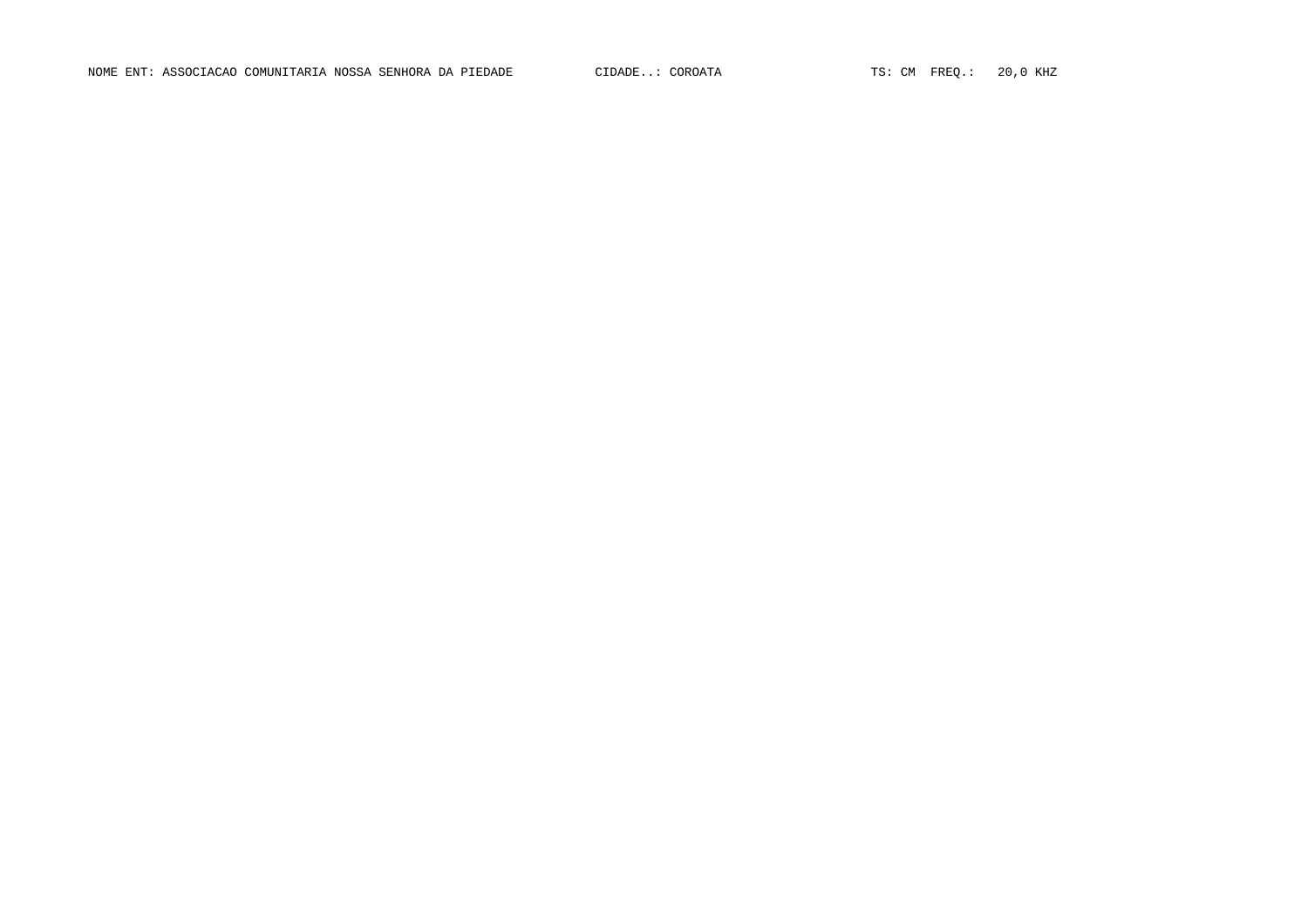NOME ENT: ASSOCIACAO COMUNITARIA NOSSA SENHORA DA PIEDADE CIDADE..: COROATA TS: CM FREQ.: 20,0 KHZ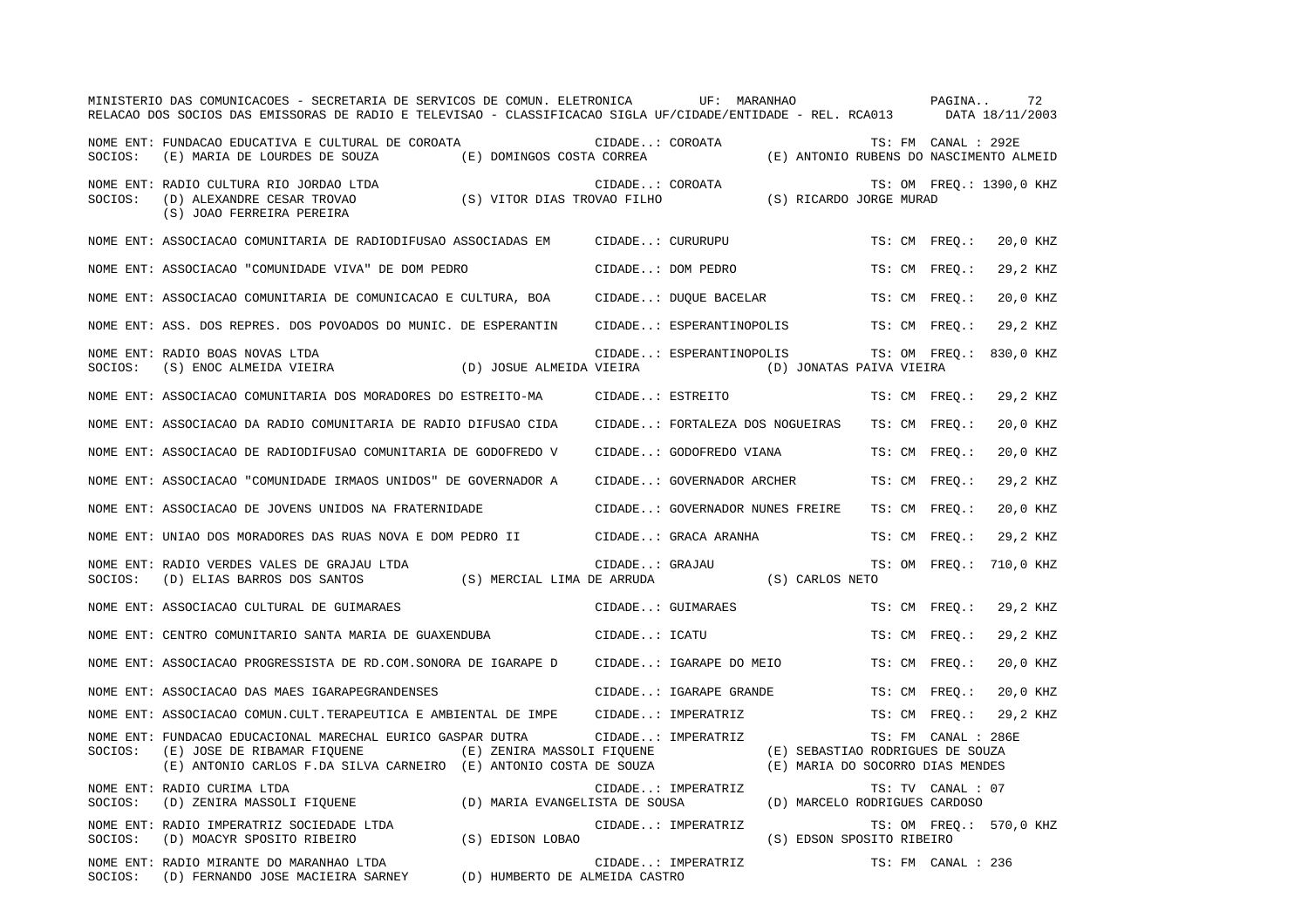|         | MINISTERIO DAS COMUNICACOES - SECRETARIA DE SERVICOS DE COMUN. ELETRONICA<br>RELACAO DOS SOCIOS DAS EMISSORAS DE RADIO E TELEVISAO - CLASSIFICACAO SIGLA UF/CIDADE/ENTIDADE - REL. RCA013 |                                |                  | UF: MARANHAO              |                                                                      |                     | PAGINA | 72<br>DATA 18/11/2003    |
|---------|-------------------------------------------------------------------------------------------------------------------------------------------------------------------------------------------|--------------------------------|------------------|---------------------------|----------------------------------------------------------------------|---------------------|--------|--------------------------|
| SOCIOS: | NOME ENT: FUNDACAO EDUCATIVA E CULTURAL DE COROATA<br>(E) MARIA DE LOURDES DE SOUZA                                                                                                       | (E) DOMINGOS COSTA CORREA      | CIDADE: COROATA  |                           | (E) ANTONIO RUBENS DO NASCIMENTO ALMEID                              | TS: FM CANAL : 292E |        |                          |
| SOCIOS: | NOME ENT: RADIO CULTURA RIO JORDAO LTDA<br>(D) ALEXANDRE CESAR TROVAO<br>(S) JOAO FERREIRA PEREIRA                                                                                        | (S) VITOR DIAS TROVAO FILHO    | CIDADE: COROATA  |                           | (S) RICARDO JORGE MURAD                                              |                     |        | TS: OM FREQ.: 1390,0 KHZ |
|         | NOME ENT: ASSOCIACAO COMUNITARIA DE RADIODIFUSAO ASSOCIADAS EM                                                                                                                            |                                | CIDADE: CURURUPU |                           |                                                                      | TS: CM FREO.:       |        | 20,0 KHZ                 |
|         | NOME ENT: ASSOCIACAO "COMUNIDADE VIVA" DE DOM PEDRO                                                                                                                                       |                                |                  | CIDADE: DOM PEDRO         |                                                                      | TS: CM FREO.:       |        | 29,2 KHZ                 |
|         | NOME ENT: ASSOCIACAO COMUNITARIA DE COMUNICACAO E CULTURA, BOA                                                                                                                            |                                |                  | CIDADE: DUQUE BACELAR     |                                                                      | TS: CM FREQ.:       |        | 20,0 KHZ                 |
|         | NOME ENT: ASS. DOS REPRES. DOS POVOADOS DO MUNIC. DE ESPERANTIN                                                                                                                           |                                |                  | CIDADE: ESPERANTINOPOLIS  |                                                                      | TS: CM FREO.:       |        | 29,2 KHZ                 |
| SOCIOS: | NOME ENT: RADIO BOAS NOVAS LTDA<br>(S) ENOC ALMEIDA VIEIRA                                                                                                                                | (D) JOSUE ALMEIDA VIEIRA       |                  |                           | CIDADE: ESPERANTINOPOLIS<br>(D) JONATAS PAIVA VIEIRA                 | TS: OM FREO.:       |        | 830,0 KHZ                |
|         | NOME ENT: ASSOCIACAO COMUNITARIA DOS MORADORES DO ESTREITO-MA                                                                                                                             |                                | CIDADE: ESTREITO |                           |                                                                      | TS: CM FREQ.:       |        | 29,2 KHZ                 |
|         | NOME ENT: ASSOCIACAO DA RADIO COMUNITARIA DE RADIO DIFUSAO CIDA                                                                                                                           |                                |                  |                           | CIDADE: FORTALEZA DOS NOGUEIRAS                                      | TS: CM FREO.:       |        | 20,0 KHZ                 |
|         | NOME ENT: ASSOCIACAO DE RADIODIFUSAO COMUNITARIA DE GODOFREDO V                                                                                                                           |                                |                  | CIDADE: GODOFREDO VIANA   |                                                                      | TS: CM FREQ.:       |        | 20,0 KHZ                 |
|         | NOME ENT: ASSOCIACAO "COMUNIDADE IRMAOS UNIDOS" DE GOVERNADOR A                                                                                                                           |                                |                  | CIDADE: GOVERNADOR ARCHER |                                                                      | TS: CM FREO.:       |        | 29,2 KHZ                 |
|         | NOME ENT: ASSOCIACAO DE JOVENS UNIDOS NA FRATERNIDADE                                                                                                                                     |                                |                  |                           | CIDADE: GOVERNADOR NUNES FREIRE                                      | TS: CM FREO.:       |        | 20,0 KHZ                 |
|         | NOME ENT: UNIAO DOS MORADORES DAS RUAS NOVA E DOM PEDRO II                                                                                                                                |                                |                  | CIDADE: GRACA ARANHA      |                                                                      | TS: CM FREQ.:       |        | 29,2 KHZ                 |
| SOCIOS: | NOME ENT: RADIO VERDES VALES DE GRAJAU LTDA<br>(D) ELIAS BARROS DOS SANTOS                                                                                                                | (S) MERCIAL LIMA DE ARRUDA     | CIDADE: GRAJAU   |                           | (S) CARLOS NETO                                                      | TS: OM FREQ.:       |        | 710,0 KHZ                |
|         | NOME ENT: ASSOCIACAO CULTURAL DE GUIMARAES                                                                                                                                                |                                |                  | CIDADE: GUIMARAES         |                                                                      | TS: CM FREO.:       |        | 29,2 KHZ                 |
|         | NOME ENT: CENTRO COMUNITARIO SANTA MARIA DE GUAXENDUBA                                                                                                                                    |                                | CIDADE: ICATU    |                           |                                                                      | TS: CM FREO.:       |        | 29,2 KHZ                 |
|         | NOME ENT: ASSOCIACAO PROGRESSISTA DE RD.COM.SONORA DE IGARAPE D                                                                                                                           |                                |                  | CIDADE: IGARAPE DO MEIO   |                                                                      | TS: CM FREQ.:       |        | 20,0 KHZ                 |
|         | NOME ENT: ASSOCIACAO DAS MAES IGARAPEGRANDENSES                                                                                                                                           |                                |                  | CIDADE: IGARAPE GRANDE    |                                                                      | TS: CM FREO.:       |        | 20,0 KHZ                 |
|         | NOME ENT: ASSOCIACAO COMUN.CULT.TERAPEUTICA E AMBIENTAL DE IMPE                                                                                                                           |                                |                  | CIDADE: IMPERATRIZ        |                                                                      | TS: CM FREQ.:       |        | 29,2 KHZ                 |
| SOCIOS: | NOME ENT: FUNDACAO EDUCACIONAL MARECHAL EURICO GASPAR DUTRA<br>(E) JOSE DE RIBAMAR FIOUENE<br>(E) ANTONIO CARLOS F.DA SILVA CARNEIRO (E) ANTONIO COSTA DE SOUZA                           | (E) ZENIRA MASSOLI FIQUENE     |                  | CIDADE: IMPERATRIZ        | (E) SEBASTIAO RODRIGUES DE SOUZA<br>(E) MARIA DO SOCORRO DIAS MENDES | TS: FM CANAL : 286E |        |                          |
| SOCIOS: | NOME ENT: RADIO CURIMA LTDA<br>(D) ZENIRA MASSOLI FIQUENE                                                                                                                                 | (D) MARIA EVANGELISTA DE SOUSA |                  | CIDADE: IMPERATRIZ        | (D) MARCELO RODRIGUES CARDOSO                                        | TS: TV CANAL : 07   |        |                          |
| SOCIOS: | NOME ENT: RADIO IMPERATRIZ SOCIEDADE LTDA<br>(D) MOACYR SPOSITO RIBEIRO                                                                                                                   | (S) EDISON LOBAO               |                  | CIDADE: IMPERATRIZ        | (S) EDSON SPOSITO RIBEIRO                                            |                     |        | TS: OM FREQ.: 570,0 KHZ  |
| SOCIOS: | NOME ENT: RADIO MIRANTE DO MARANHAO LTDA<br>(D) FERNANDO JOSE MACIEIRA SARNEY                                                                                                             | (D) HUMBERTO DE ALMEIDA CASTRO |                  | CIDADE: IMPERATRIZ        |                                                                      | TS: FM CANAL : 236  |        |                          |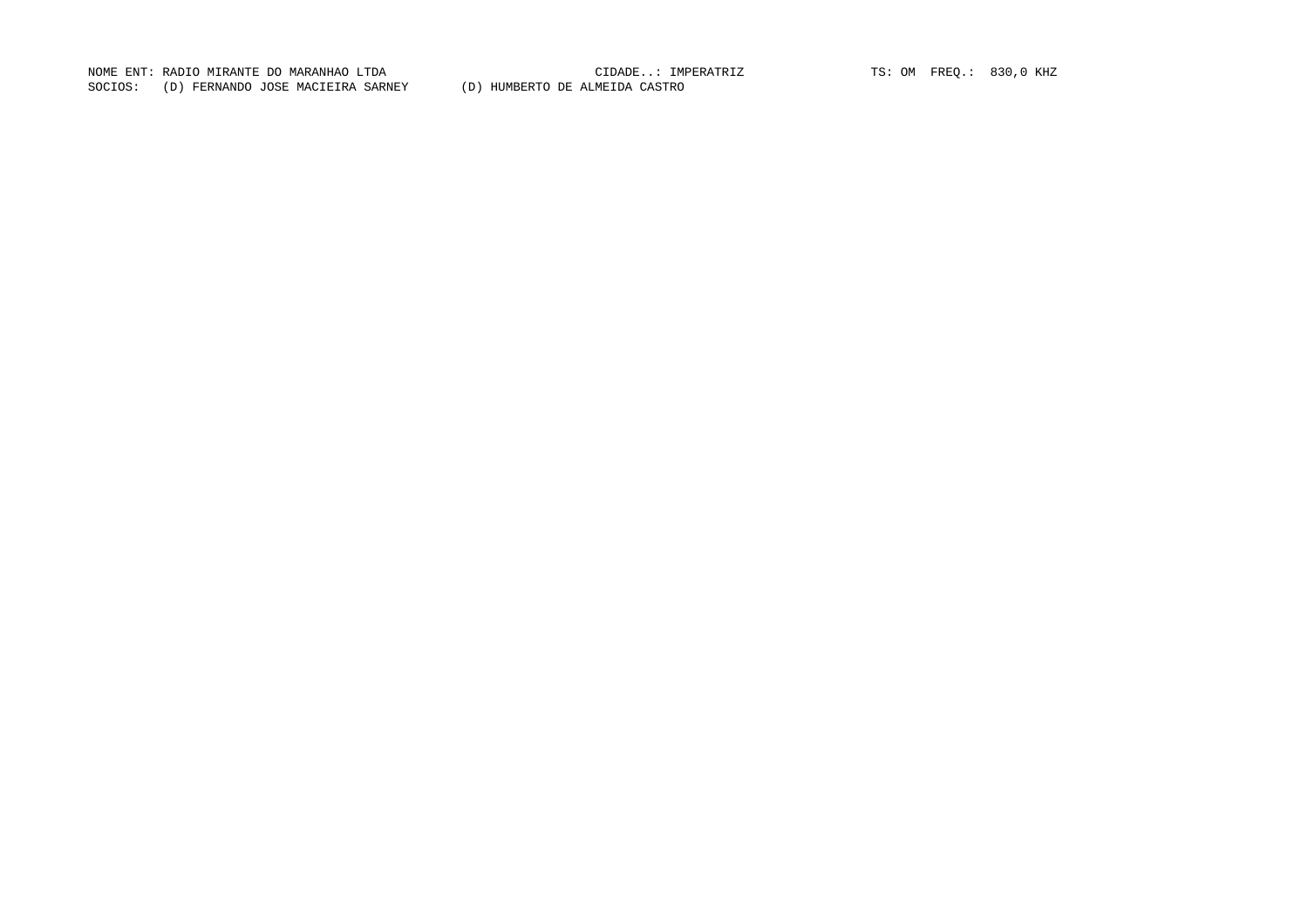NOME ENT: RADIO MIRANTE DO MARANHAO LTDA CIDADE..: IMPERATRIZ TS: OM FREQ.: 830,0 KHZ SOCIOS: (D) FERNANDO JOSE MACIEIRA SARNEY (D) HUMBERTO DE ALMEIDA CASTRO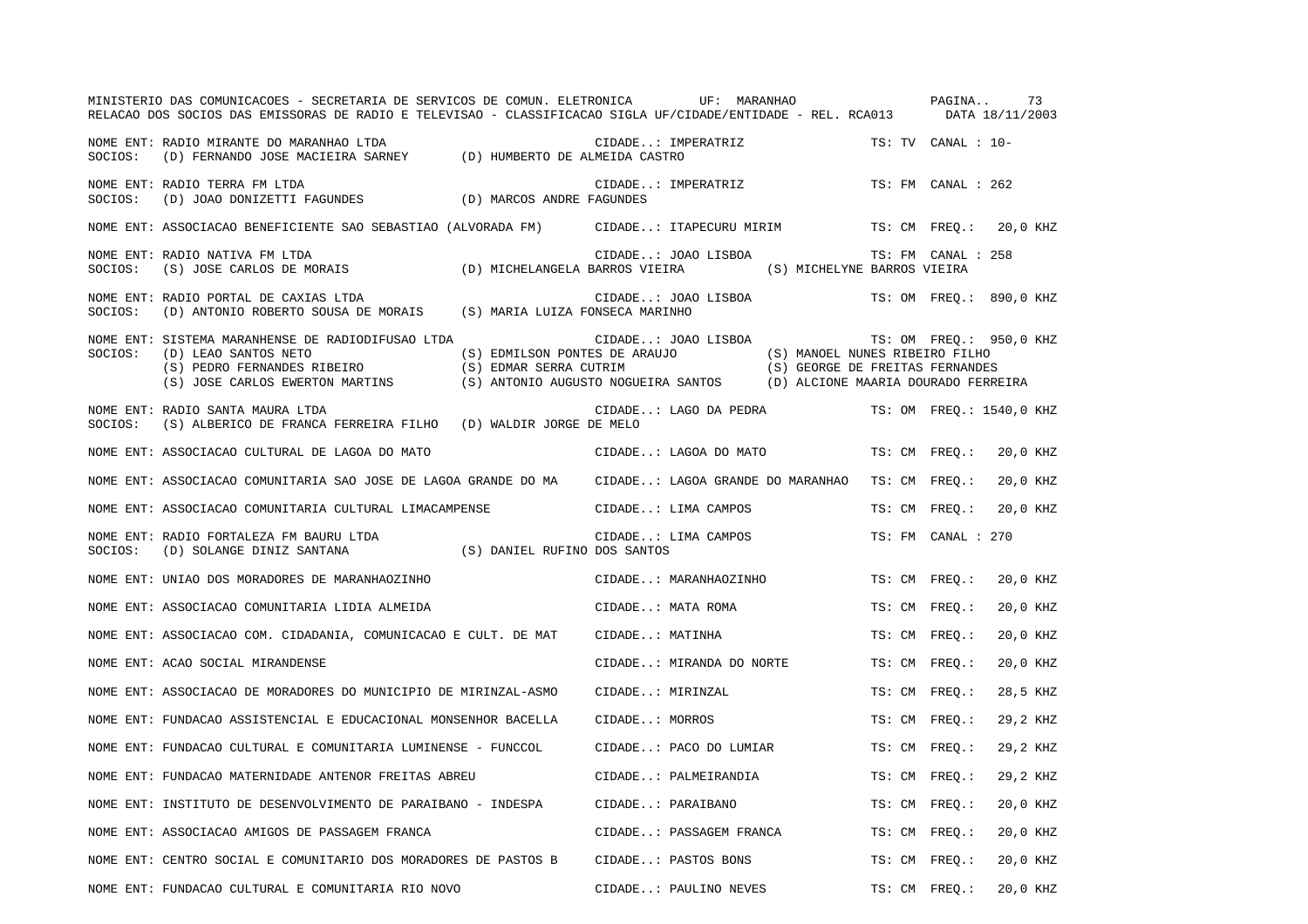|         | MINISTERIO DAS COMUNICACOES - SECRETARIA DE SERVICOS DE COMUN. ELETRONICA<br>RELACAO DOS SOCIOS DAS EMISSORAS DE RADIO E TELEVISAO - CLASSIFICACAO SIGLA UF/CIDADE/ENTIDADE - REL. RCA013 | UF: MARANHAO                                                                                                                                                                                      |               | 73<br>PAGINA<br>DATA 18/11/2003 |
|---------|-------------------------------------------------------------------------------------------------------------------------------------------------------------------------------------------|---------------------------------------------------------------------------------------------------------------------------------------------------------------------------------------------------|---------------|---------------------------------|
| SOCIOS: | NOME ENT: RADIO MIRANTE DO MARANHAO LTDA<br>(D) FERNANDO JOSE MACIEIRA SARNEY (D) HUMBERTO DE ALMEIDA CASTRO                                                                              | CIDADE: IMPERATRIZ                                                                                                                                                                                |               | TS: TV CANAL : 10-              |
| SOCIOS: | NOME ENT: RADIO TERRA FM LTDA<br>(D) JOAO DONIZETTI FAGUNDES (D) MARCOS ANDRE FAGUNDES                                                                                                    | CIDADE: IMPERATRIZ                                                                                                                                                                                |               | TS: FM CANAL : 262              |
|         | NOME ENT: ASSOCIACAO BENEFICIENTE SAO SEBASTIAO (ALVORADA FM)     CIDADE: ITAPECURU MIRIM                                                                                                 |                                                                                                                                                                                                   |               | TS: CM FREQ.: 20,0 KHZ          |
| SOCIOS: | NOME ENT: RADIO NATIVA FM LTDA<br>(S) JOSE CARLOS DE MORAIS (D) MICHELANGELA BARROS VIEIRA (S) MICHELYNE BARROS VIEIRA                                                                    | CIDADE: JOAO LISBOA                                                                                                                                                                               |               | TS: FM CANAL : 258              |
| SOCIOS: | NOME ENT: RADIO PORTAL DE CAXIAS LTDA<br>(D) ANTONIO ROBERTO SOUSA DE MORAIS (S) MARIA LUIZA FONSECA MARINHO                                                                              | CIDADE: JOAO LISBOA                                                                                                                                                                               |               | TS: OM FREO.: 890,0 KHZ         |
| SOCIOS: | NOME ENT: SISTEMA MARANHENSE DE RADIODIFUSAO LTDA<br>(D) LEAO SANTOS NETO<br>(S) PEDRO FERNANDES RIBEIRO<br>(S) EDMAR SERRA CUTRIM<br>(S) JOSE CARLOS EWERTON MARTINS                     | CIDADE: JOAO LISBOA<br>(S) EDMILSON PONTES DE ARAUJO (S) MANOEL NUNES RIBEIRO FILHO<br>(S) GEORGE DE FREITAS FERNANDES<br>(S) ANTONIO AUGUSTO NOGUEIRA SANTOS (D) ALCIONE MAARIA DOURADO FERREIRA |               | TS: OM FREQ.: 950,0 KHZ         |
| SOCIOS: | NOME ENT: RADIO SANTA MAURA LTDA<br>(S) ALBERICO DE FRANCA FERREIRA FILHO (D) WALDIR JORGE DE MELO                                                                                        | CIDADE: LAGO DA PEDRA                                                                                                                                                                             |               | TS: OM FREQ.: 1540,0 KHZ        |
|         | NOME ENT: ASSOCIACAO CULTURAL DE LAGOA DO MATO                                                                                                                                            | CIDADE: LAGOA DO MATO                                                                                                                                                                             | TS: CM FREQ.: | 20,0 KHZ                        |
|         | NOME ENT: ASSOCIACAO COMUNITARIA SAO JOSE DE LAGOA GRANDE DO MA                                                                                                                           | CIDADE: LAGOA GRANDE DO MARANHAO                                                                                                                                                                  | TS: CM FREQ.: | 20,0 KHZ                        |
|         | NOME ENT: ASSOCIACAO COMUNITARIA CULTURAL LIMACAMPENSE                                                                                                                                    | CIDADE: LIMA CAMPOS                                                                                                                                                                               | TS: CM FREO.: | 20,0 KHZ                        |
| SOCIOS: | NOME ENT: RADIO FORTALEZA FM BAURU LTDA<br>(S) DANIEL RUFINO DOS SANTOS<br>(D) SOLANGE DINIZ SANTANA                                                                                      | CIDADE: LIMA CAMPOS                                                                                                                                                                               |               | TS: FM CANAL : 270              |
|         | NOME ENT: UNIAO DOS MORADORES DE MARANHAOZINHO                                                                                                                                            | CIDADE: MARANHAOZINHO                                                                                                                                                                             | TS: CM FREO.: | 20,0 KHZ                        |
|         | NOME ENT: ASSOCIACAO COMUNITARIA LIDIA ALMEIDA                                                                                                                                            | CIDADE: MATA ROMA                                                                                                                                                                                 | TS: CM FREQ.: | 20,0 KHZ                        |
|         | NOME ENT: ASSOCIACAO COM. CIDADANIA, COMUNICACAO E CULT. DE MAT                                                                                                                           | CIDADE: MATINHA                                                                                                                                                                                   | TS: CM FREQ.: | 20,0 KHZ                        |
|         | NOME ENT: ACAO SOCIAL MIRANDENSE                                                                                                                                                          | CIDADE: MIRANDA DO NORTE                                                                                                                                                                          | TS: CM FREO.: | 20,0 KHZ                        |
|         | NOME ENT: ASSOCIACAO DE MORADORES DO MUNICIPIO DE MIRINZAL-ASMO                                                                                                                           | CIDADE: MIRINZAL                                                                                                                                                                                  | TS: CM FREO.: | 28,5 KHZ                        |
|         | NOME ENT: FUNDACAO ASSISTENCIAL E EDUCACIONAL MONSENHOR BACELLA                                                                                                                           | CIDADE: MORROS                                                                                                                                                                                    | TS: CM FREO.: | 29,2 KHZ                        |
|         | NOME ENT: FUNDACAO CULTURAL E COMUNITARIA LUMINENSE - FUNCCOL                                                                                                                             | CIDADE: PACO DO LUMIAR                                                                                                                                                                            | TS: CM FREO.: | 29,2 KHZ                        |
|         | NOME ENT: FUNDACAO MATERNIDADE ANTENOR FREITAS ABREU                                                                                                                                      | CIDADE: PALMEIRANDIA                                                                                                                                                                              | TS: CM FREO.: | 29,2 KHZ                        |
|         | NOME ENT: INSTITUTO DE DESENVOLVIMENTO DE PARAIBANO - INDESPA                                                                                                                             | CIDADE: PARAIBANO                                                                                                                                                                                 | TS: CM FREQ.: | 20,0 KHZ                        |
|         | NOME ENT: ASSOCIACAO AMIGOS DE PASSAGEM FRANCA                                                                                                                                            | CIDADE: PASSAGEM FRANCA                                                                                                                                                                           | TS: CM FREQ.: | 20,0 KHZ                        |
|         | NOME ENT: CENTRO SOCIAL E COMUNITARIO DOS MORADORES DE PASTOS B                                                                                                                           | CIDADE: PASTOS BONS                                                                                                                                                                               | TS: CM FREO.: | 20,0 KHZ                        |
|         | NOME ENT: FUNDACAO CULTURAL E COMUNITARIA RIO NOVO                                                                                                                                        | CIDADE: PAULINO NEVES                                                                                                                                                                             | TS: CM FREO.: | 20,0 KHZ                        |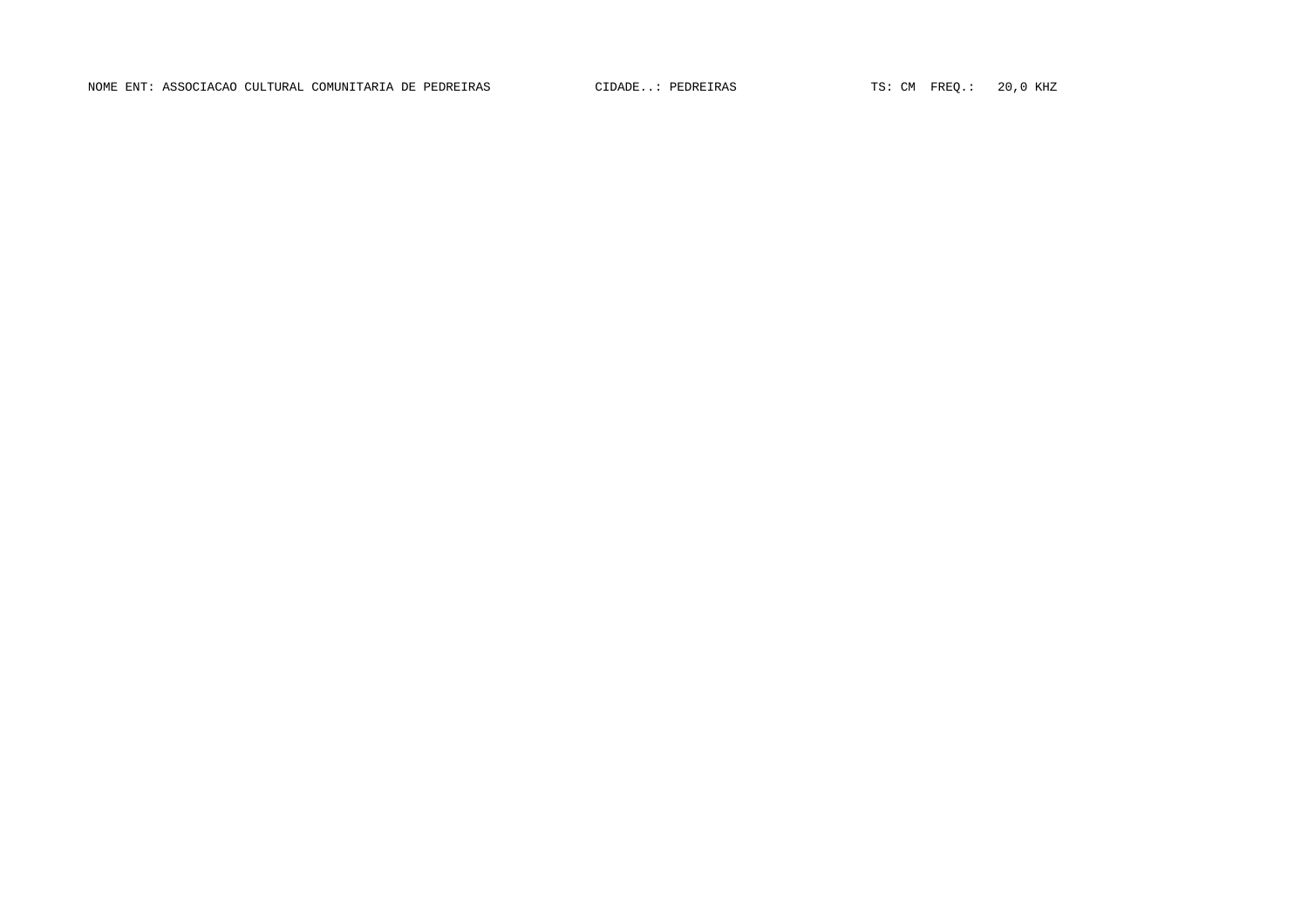NOME ENT: ASSOCIACAO CULTURAL COMUNITARIA DE PEDREIRAS (CIDADE..: PEDREIRAS TS: CM FREQ.: 20,0 KHZ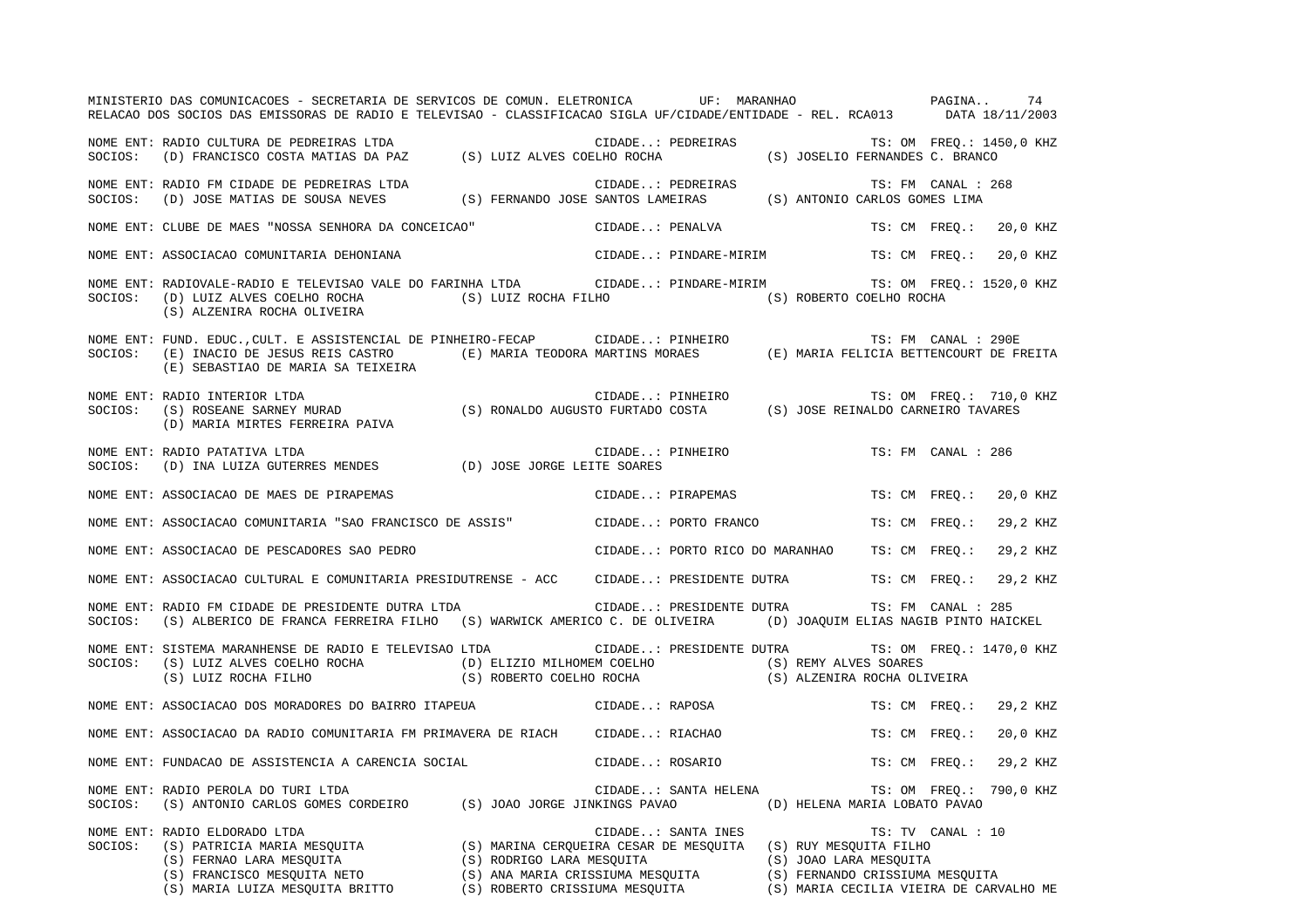|         | MINISTERIO DAS COMUNICACOES - SECRETARIA DE SERVICOS DE COMUN. ELETRONICA UF: MARANHAO<br>RELACAO DOS SOCIOS DAS EMISSORAS DE RADIO E TELEVISAO - CLASSIFICACAO SIGLA UF/CIDADE/ENTIDADE - REL. RCA013 DATA 18/11/2003                                              |                      |                                |  | PAGINA                                            |                          |          | 74 |
|---------|---------------------------------------------------------------------------------------------------------------------------------------------------------------------------------------------------------------------------------------------------------------------|----------------------|--------------------------------|--|---------------------------------------------------|--------------------------|----------|----|
|         | NOME ENT: RADIO CULTURA DE PEDREIRAS LTDA<br>SOCIOS: (D) FRANCISCO COSTA MATIAS DA PAZ (S) LUIZ ALVES COELHO ROCHA (S) JOSELIO FERNANDES C. BRANCO                                                                                                                  |                      |                                |  |                                                   | TS: OM FREO.: 1450,0 KHZ |          |    |
|         | NOME ENT: RADIO FM CIDADE DE PEDREIRAS LTDA<br>SOCIOS: (D) JOSE MATIAS DE SOUSA NEVES (S) FERNANDO JOSE SANTOS LAMEIRAS (S) ANTONIO CARLOS GOMES LIMA                                                                                                               |                      |                                |  |                                                   | TS: FM CANAL : 268       |          |    |
|         | NOME ENT: CLUBE DE MAES "NOSSA SENHORA DA CONCEICAO"                                                                                                                                                                                                                |                      | CIDADE: PENALVA                |  |                                                   | TS: CM FREO.:            | 20,0 KHZ |    |
|         | NOME ENT: ASSOCIACAO COMUNITARIA DEHONIANA                                                                                                                                                                                                                          |                      | CIDADE: PINDARE-MIRIM          |  |                                                   | TS: CM FREQ.:            | 20,0 KHZ |    |
| SOCIOS: | NOME ENT: RADIOVALE-RADIO E TELEVISAO VALE DO FARINHA LTDA CIDADE: PINDARE-MIRIM<br>(D) LUIZ ALVES COELHO ROCHA<br>(S) ALZENIRA ROCHA OLIVEIRA                                                                                                                      | (S) LUIZ ROCHA FILHO |                                |  | (S) ROBERTO COELHO ROCHA                          | TS: OM FREQ.: 1520,0 KHZ |          |    |
|         | NOME ENT: FUND. EDUC.,CULT. E ASSISTENCIAL DE PINHEIRO-FECAP (EIDADE: PINHEIRO TS: FM CANAL : 290E<br>SOCIOS: (E) INACIO DE JESUS REIS CASTRO (E) MARIA TEODORA MARTINS MORAES (E) MARIA FELICIA BETTENCOURT DE FREITA<br>(E) SEBASTIAO DE MARIA SA TEIXEIRA        |                      |                                |  |                                                   |                          |          |    |
| SOCIOS: | RADIO INTERIOR LTDA (S) RONALDO AUGUSTO FURTADO COSTA (S) ROSEANE SARNEY MURAD (S) RONALDO AUGUSTO FURTADO COSTA (S) JOSE REINALDO CARNEIRO TAVARES<br>NOME ENT: RADIO INTERIOR LTDA<br>(D) MARIA MIRTES FERREIRA PAIVA                                             |                      |                                |  |                                                   | TS: OM FREQ.: 710,0 KHZ  |          |    |
| SOCIOS: | NOME ENT: RADIO PATATIVA LTDA<br>(D) INA LUIZA GUTERRES MENDES (D) JOSE JORGE LEITE SOARES                                                                                                                                                                          |                      | CIDADE: PINHEIRO               |  |                                                   | TS: FM CANAL : 286       |          |    |
|         | NOME ENT: ASSOCIACAO DE MAES DE PIRAPEMAS                                                                                                                                                                                                                           |                      | CIDADE: PIRAPEMAS              |  |                                                   | TS: CM FREO.:            | 20,0 KHZ |    |
|         | NOME ENT: ASSOCIACAO COMUNITARIA "SAO FRANCISCO DE ASSIS"                                                                                                                                                                                                           |                      | CIDADE: PORTO FRANCO           |  |                                                   | TS: CM FREO.:            | 29,2 KHZ |    |
|         | NOME ENT: ASSOCIACAO DE PESCADORES SAO PEDRO                                                                                                                                                                                                                        |                      | CIDADE: PORTO RICO DO MARANHAO |  |                                                   | TS: CM FREO.:            | 29,2 KHZ |    |
|         | NOME ENT: ASSOCIACAO CULTURAL E COMUNITARIA PRESIDUTRENSE - ACC                                                                                                                                                                                                     |                      | CIDADE: PRESIDENTE DUTRA       |  |                                                   | TS: CM FREO.:            | 29,2 KHZ |    |
| SOCIOS: | NOME ENT: RADIO FM CIDADE DE PRESIDENTE DUTRA LTDA<br>(S) ALBERICO DE FRANCA FERREIRA FILHO (S) WARWICK AMERICO C. DE OLIVEIRA (D) JOAQUIM ELIAS NAGIB PINTO HAICKEL                                                                                                |                      | CIDADE: PRESIDENTE DUTRA       |  |                                                   | TS: FM CANAL : 285       |          |    |
| SOCIOS: | NOME ENT: SISTEMA MARANHENSE DE RADIO E TELEVISAO LTDA<br>(S) LUIZ ALVES COELHO ROCHA (D) ELIZIO MILHOMEM COELHO (S) REMY ALVES SOARES<br>(S) LUIZ ROCHA FILHO (S) ROBERTO COELHO ROCHA (S) ALZENIRA ROCHA OLIVEIRA                                                 |                      |                                |  | CIDADE: PRESIDENTE DUTRA TS: OM FREQ.: 1470,0 KHZ |                          |          |    |
|         | NOME ENT: ASSOCIACAO DOS MORADORES DO BAIRRO ITAPEUA                                                                                                                                                                                                                |                      | CIDADE: RAPOSA                 |  |                                                   | TS: CM FREO.:            | 29,2 KHZ |    |
|         | NOME ENT: ASSOCIACAO DA RADIO COMUNITARIA FM PRIMAVERA DE RIACH CIDADE: RIACHAO                                                                                                                                                                                     |                      |                                |  |                                                   | TS: CM FREO.:            | 20,0 KHZ |    |
|         | NOME ENT: FUNDACAO DE ASSISTENCIA A CARENCIA SOCIAL                                                                                                                                                                                                                 |                      | CIDADE: ROSARIO                |  |                                                   | TS: CM FREQ.:            | 29,2 KHZ |    |
| SOCIOS: | NOME ENT: RADIO PEROLA DO TURI LTDA<br>(S) ANTONIO CARLOS GOMES CORDEIRO (S) JOAO JORGE JINKINGS PAVAO (D) HELENA MARIA LOBATO PAVAO                                                                                                                                |                      | CIDADE: SANTA HELENA           |  |                                                   | TS: OM FREQ.: 790,0 KHZ  |          |    |
| SOCIOS: | NOME ENT: RADIO ELDORADO LTDA<br>CONTRICIA MARIA MESQUITA (S) MARINA CERQUEIRA CESAR DE MESQUITA (S) RUY MESQUITA FILHO<br>(S) FERNAO LARA MESQUITA (S) RODRIGO LARA MESQUITA (S) JOAO LARA MESQUITA<br>(S) FRANCISCO MESQUITA NETO (S) ANA MARIA CRISSIUMA MESQUIT |                      | CIDADE: SANTA INES             |  |                                                   | TS: TV CANAL : 10        |          |    |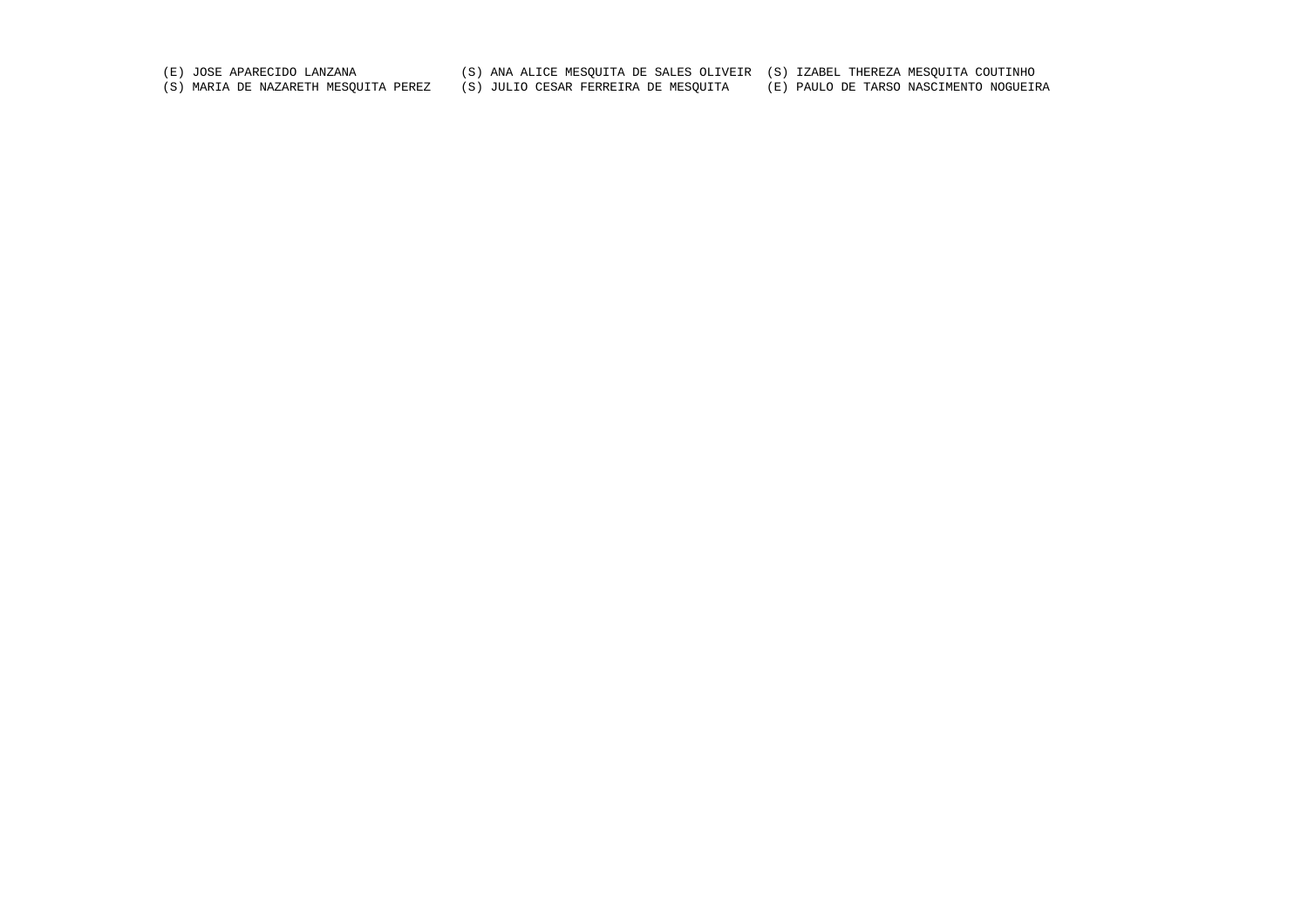(E) JOSE APARECIDO LANZANA (S) ANA ALICE MESQUITA DE SALES OLIVEIR (S) IZABEL THEREZA MESQUITA COUTINHO

(S) MARIA DE NAZARETH MESQUITA PEREZ (S) JULIO CESAR FERREIRA DE MESQUITA (E) PAULO DE TARSO NASCIMENTO NOGUEIRA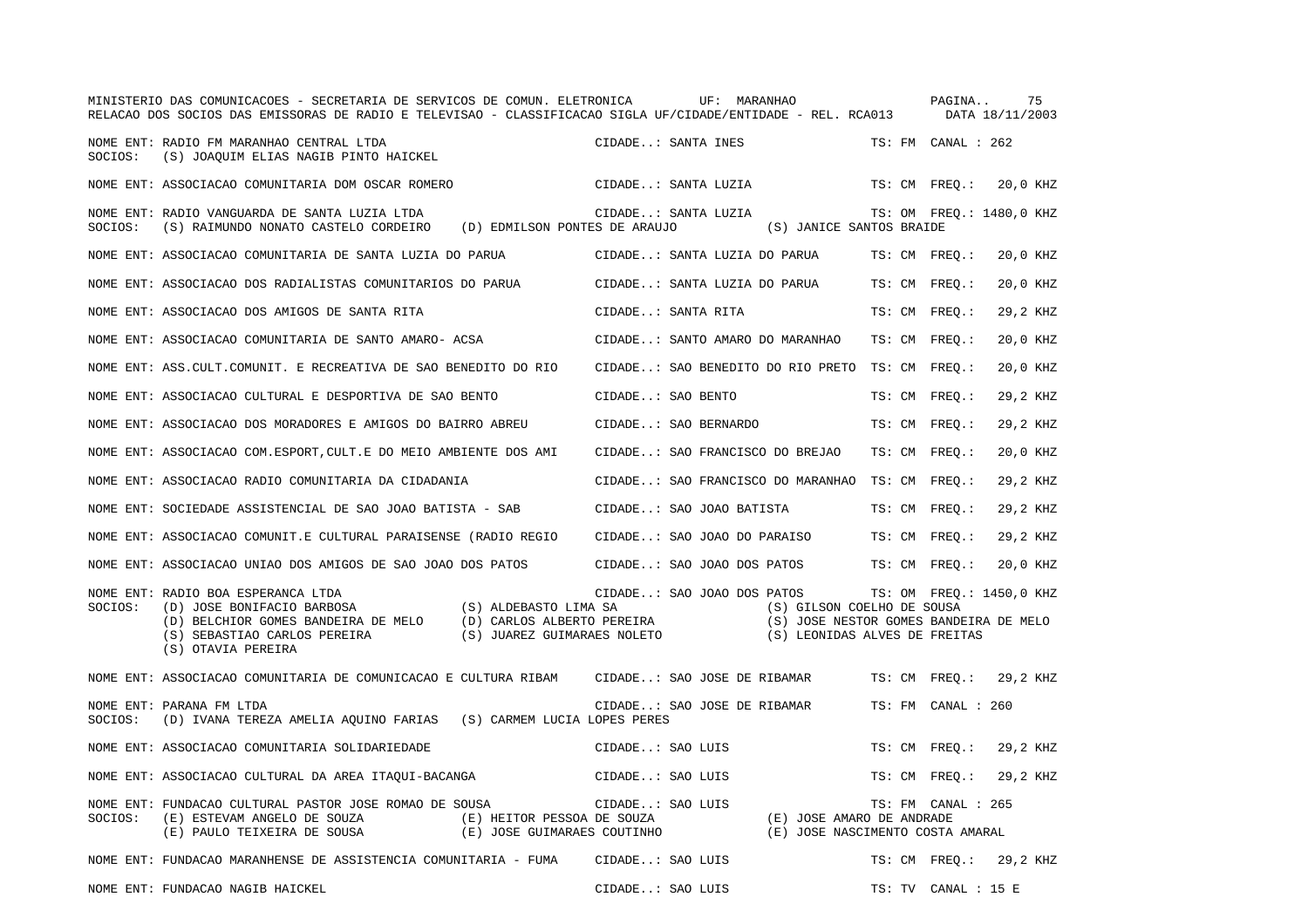|         | MINISTERIO DAS COMUNICACOES - SECRETARIA DE SERVICOS DE COMUN. ELETRONICA<br>RELACAO DOS SOCIOS DAS EMISSORAS DE RADIO E TELEVISAO - CLASSIFICACAO SIGLA UF/CIDADE/ENTIDADE - REL. RCA013 DATA 18/11/2003                                                                                         |                                 | UF: MARANHAO                                                                                                                                                 | PAGINA              | 75                       |
|---------|---------------------------------------------------------------------------------------------------------------------------------------------------------------------------------------------------------------------------------------------------------------------------------------------------|---------------------------------|--------------------------------------------------------------------------------------------------------------------------------------------------------------|---------------------|--------------------------|
|         | NOME ENT: RADIO FM MARANHAO CENTRAL LTDA<br>SOCIOS: (S) JOAQUIM ELIAS NAGIB PINTO HAICKEL                                                                                                                                                                                                         | CIDADE: SANTA INES              |                                                                                                                                                              | TS: FM CANAL : 262  |                          |
|         | NOME ENT: ASSOCIACAO COMUNITARIA DOM OSCAR ROMERO                                                                                                                                                                                                                                                 | CIDADE: SANTA LUZIA             |                                                                                                                                                              | TS: CM FREQ.:       | 20,0 KHZ                 |
| SOCIOS: | NOME ENT: RADIO VANGUARDA DE SANTA LUZIA LTDA<br>(S) RAIMUNDO NONATO CASTELO CORDEIRO (D) EDMILSON PONTES DE ARAUJO                                                                                                                                                                               | CIDADE: SANTA LUZIA             | (S) JANICE SANTOS BRAIDE                                                                                                                                     |                     | TS: OM FREQ.: 1480,0 KHZ |
|         | NOME ENT: ASSOCIACAO COMUNITARIA DE SANTA LUZIA DO PARUA                                                                                                                                                                                                                                          | CIDADE: SANTA LUZIA DO PARUA    |                                                                                                                                                              | TS: CM FREO.:       | 20,0 KHZ                 |
|         | NOME ENT: ASSOCIACAO DOS RADIALISTAS COMUNITARIOS DO PARUA                                                                                                                                                                                                                                        | CIDADE: SANTA LUZIA DO PARUA    |                                                                                                                                                              | TS: CM FREO.:       | 20,0 KHZ                 |
|         | NOME ENT: ASSOCIACAO DOS AMIGOS DE SANTA RITA                                                                                                                                                                                                                                                     | CIDADE: SANTA RITA              |                                                                                                                                                              | TS: CM FREO.:       | 29,2 KHZ                 |
|         | NOME ENT: ASSOCIACAO COMUNITARIA DE SANTO AMARO- ACSA                                                                                                                                                                                                                                             | CIDADE: SANTO AMARO DO MARANHAO |                                                                                                                                                              | TS: CM FREO.:       | 20,0 KHZ                 |
|         | NOME ENT: ASS.CULT.COMUNIT. E RECREATIVA DE SAO BENEDITO DO RIO                                                                                                                                                                                                                                   |                                 | CIDADE: SAO BENEDITO DO RIO PRETO TS: CM FREO.:                                                                                                              |                     | 20,0 KHZ                 |
|         | NOME ENT: ASSOCIACAO CULTURAL E DESPORTIVA DE SAO BENTO                                                                                                                                                                                                                                           | CIDADE: SAO BENTO               |                                                                                                                                                              | TS: CM FREO.:       | 29,2 KHZ                 |
|         | NOME ENT: ASSOCIACAO DOS MORADORES E AMIGOS DO BAIRRO ABREU                                                                                                                                                                                                                                       | CIDADE: SAO BERNARDO            |                                                                                                                                                              | TS: CM FREO.:       | 29,2 KHZ                 |
|         | NOME ENT: ASSOCIACAO COM. ESPORT, CULT. E DO MEIO AMBIENTE DOS AMI                                                                                                                                                                                                                                | CIDADE: SAO FRANCISCO DO BREJAO |                                                                                                                                                              | TS: CM FREQ.:       | 20,0 KHZ                 |
|         | NOME ENT: ASSOCIACAO RADIO COMUNITARIA DA CIDADANIA                                                                                                                                                                                                                                               |                                 | CIDADE: SAO FRANCISCO DO MARANHAO                                                                                                                            | TS: CM FREO.:       | 29,2 KHZ                 |
|         | NOME ENT: SOCIEDADE ASSISTENCIAL DE SAO JOAO BATISTA - SAB                                                                                                                                                                                                                                        | CIDADE: SAO JOAO BATISTA        |                                                                                                                                                              | TS: CM FREQ.:       | 29,2 KHZ                 |
|         | NOME ENT: ASSOCIACAO COMUNIT.E CULTURAL PARAISENSE (RADIO REGIO                                                                                                                                                                                                                                   | CIDADE: SAO JOAO DO PARAISO     |                                                                                                                                                              | TS: CM FREO.:       | 29,2 KHZ                 |
|         | NOME ENT: ASSOCIACAO UNIAO DOS AMIGOS DE SAO JOAO DOS PATOS                                                                                                                                                                                                                                       | CIDADE: SAO JOAO DOS PATOS      |                                                                                                                                                              | TS: CM FREO.:       | 20,0 KHZ                 |
| SOCIOS: | NOME ENT: RADIO BOA ESPERANCA LTDA<br>(S) ALDEBASTO LIMA SA<br>(D) JOSE BONIFACIO BARBOSA<br>(D) JOSE BONIFACIO BARBOSA (S) ALDEBASTO LIMA SA<br>(D) BELCHIOR GOMES BANDEIRA DE MELO (D) CARLOS ALBERTO PEREIRA<br>(S) SEBASTIAO CARLOS PEREIRA (S) JUAREZ GUIMARAES NOLETO<br>(S) OTAVIA PEREIRA |                                 | CIDADE: SAO JOAO DOS PATOS TS: OM FREO.: 1450,0 KHZ<br>(S) GILSON COELHO DE SOUSA<br>(S) JOSE NESTOR GOMES BANDEIRA DE MELO<br>(S) LEONIDAS ALVES DE FREITAS |                     |                          |
|         | NOME ENT: ASSOCIACAO COMUNITARIA DE COMUNICACAO E CULTURA RIBAM CIDADE: SAO JOSE DE RIBAMAR                                                                                                                                                                                                       |                                 |                                                                                                                                                              | TS: CM FREQ.:       | 29,2 KHZ                 |
| SOCIOS: | NOME ENT: PARANA FM LTDA<br>(D) IVANA TEREZA AMELIA AQUINO FARIAS (S) CARMEM LUCIA LOPES PERES                                                                                                                                                                                                    | CIDADE: SAO JOSE DE RIBAMAR     |                                                                                                                                                              | TS: FM CANAL : 260  |                          |
|         | NOME ENT: ASSOCIACAO COMUNITARIA SOLIDARIEDADE                                                                                                                                                                                                                                                    | CIDADE: SAO LUIS                |                                                                                                                                                              | TS: CM FREQ.:       | 29,2 KHZ                 |
|         | NOME ENT: ASSOCIACAO CULTURAL DA AREA ITAQUI-BACANGA                                                                                                                                                                                                                                              | CIDADE: SAO LUIS                |                                                                                                                                                              | TS: CM FREO.:       | 29,2 KHZ                 |
| SOCIOS: | NOME ENT: FUNDACAO CULTURAL PASTOR JOSE ROMAO DE SOUSA<br>(E) ESTEVAM ANGELO DE SOUZA<br>(E) HEITOR PESSOA DE SOUZA<br>(E) JOSE GUIMARAES COUTINHO<br>(E) PAULO TEIXEIRA DE SOUSA                                                                                                                 | CIDADE: SAO LUIS                | (E) JOSE AMARO DE ANDRADE<br>(E) JOSE NASCIMENTO COSTA AMARAL                                                                                                | TS: FM CANAL : 265  |                          |
|         | NOME ENT: FUNDACAO MARANHENSE DE ASSISTENCIA COMUNITARIA - FUMA CIDADE: SAO LUIS                                                                                                                                                                                                                  |                                 |                                                                                                                                                              |                     | TS: CM FREO.: 29,2 KHZ   |
|         | NOME ENT: FUNDACAO NAGIB HAICKEL                                                                                                                                                                                                                                                                  | CIDADE: SAO LUIS                |                                                                                                                                                              | TS: TV CANAL : 15 E |                          |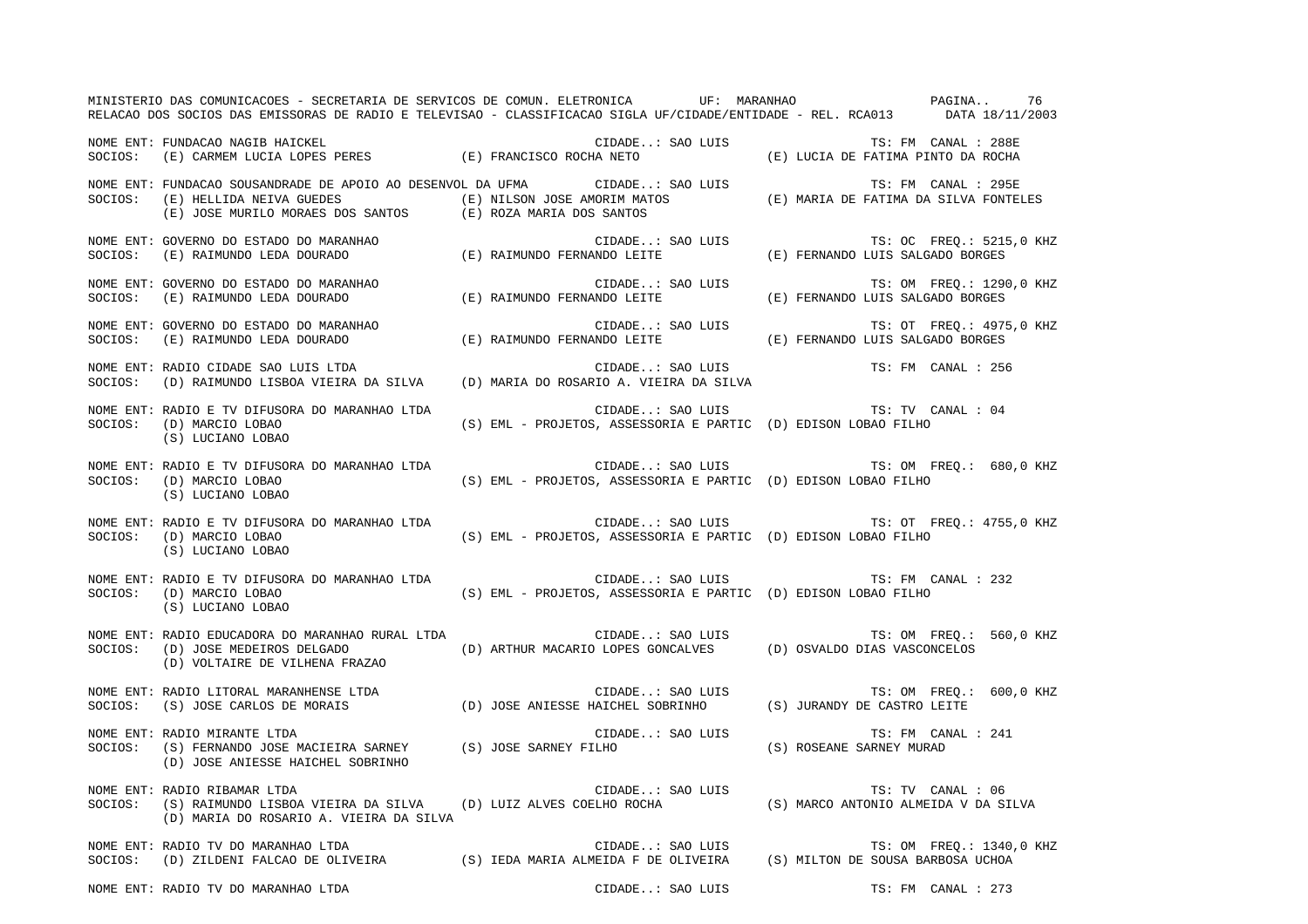| MINISTERIO DAS COMUNICACOES - SECRETARIA DE SERVICOS DE COMUN. ELETRONICA UF: MARANHAO XECO PAGINA 76<br>RELACAO DOS SOCIOS DAS EMISSORAS DE RADIO E TELEVISAO - CLASSIFICACAO SIGLA UF/CIDADE/ENTIDADE - REL. RCA013 DATA 18/11/2003 |                                                                                                             |                                     |
|---------------------------------------------------------------------------------------------------------------------------------------------------------------------------------------------------------------------------------------|-------------------------------------------------------------------------------------------------------------|-------------------------------------|
| NOME ENT: FUNDACAO NAGIB HAICKEL (E) TRANCISCO ROCHA NETO (E) LUIS TS: FM CANAL : 288E<br>SOCIOS: (E) CARMEM LUCIA LOPES PERES (E) FRANCISCO ROCHA NETO (E) LUCIA DE FATIMA PINTO DA ROCHA                                            |                                                                                                             |                                     |
| NOME ENT: FUNDACAO SOUSANDRADE DE APOIO AO DESENVOL DA UFMA CIDADE: SAO LUIS TS: FM CANAL : 295E<br>SOCIOS: (E) HELLIDA NEIVA GUEDES (E) NILSON JOSE AMORIM MATOS (E) MARIA DE FATIMA DA SILVA FONTELES<br>(E) JOSE MURILO MORAES     |                                                                                                             |                                     |
| NOME ENT: GOVERNO DO ESTADO DO MARANHAO                                 CIDADE: SAO LUIS                   TS: OC FREQ.: 5215<br>SOCIOS:   (E) RAIMUNDO LEDA DOURADO                   (E) RAIMUNDO FERNANDO LEITE         (E)        |                                                                                                             | TS: OC FREQ.: 5215,0 KHZ            |
| NOME ENT: GOVERNO DO ESTADO DO MARANHAO<br>SOCIOS: (E) RAIMUNDO LEDA DOURADO (E) RAIMUNDO FERNANDO LEITE (E) FERNANDO LUIS SALGADO BORGES                                                                                             |                                                                                                             | TS: OM FREQ.: 1290,0 KHZ            |
|                                                                                                                                                                                                                                       |                                                                                                             | TS: OT FREQ.: 4975,0 KHZ            |
| NOME ENT: RADIO CIDADE SAO LUIS LTDA<br>SOCIOS: (D) RAIMUNDO LISBOA VIEIRA DA SILVA (D) MARIA DO ROSARIO A. VIEIRA DA SILVA                                                                                                           |                                                                                                             | TS: FM CANAL : 256                  |
| NOME ENT: RADIO E TV DIFUSORA DO MARANHAO LTDA<br>SOCIOS: (D) MARCIO LOBAO<br>(S) LUCIANO LOBAO                                                                                                                                       | CIDADE: SAO LUIS<br>(S) EML - PROJETOS, ASSESSORIA E PARTIC (D) EDISON LOBAO FILHO                          | TS: TV CANAL : 04                   |
| NOME ENT: RADIO E TV DIFUSORA DO MARANHAO LTDA (CIDADE: SAO LUIS TS: OM FREQ.: 680,0 KHZ<br>SOCIOS: (D) MARCIO LOBAO (S) EML - PROJETOS, ASSESSORIA E PARTIC (D) EDISON LOBAO FILHO<br>(S) LUCIANO LOBAO                              |                                                                                                             |                                     |
| NOME ENT: RADIO E TV DIFUSORA DO MARANHAO LTDA<br>SOCIOS: (D) MARCIO LOBAO<br>(S) LUCIANO LOBAO                                                                                                                                       | CIDADE: SAO LUIS TS: OT FREQ.: 4755,0 KHZ<br>(S) EML - PROJETOS, ASSESSORIA E PARTIC (D) EDISON LOBAO FILHO |                                     |
| NOME ENT: RADIO E TV DIFUSORA DO MARANHAO LTDA<br>SOCIOS: (D) MARCIO LOBAO<br>(S) LUCIANO LOBAO                                                                                                                                       | (S) EML - PROJETOS, ASSESSORIA E PARTIC (D) EDISON LOBAO FILHO                                              | CIDADE: SAO LUIS TS: FM CANAL : 232 |
| NOME ENT: RADIO EDUCADORA DO MARANHAO RURAL LTDA<br>SOCIOS: (D) JOSE MEDEIROS DELGADO (D) ARTHUR MACARIO LOPES GONCALVES (D) OSVALDO DIAS VASCONCELOS<br>(D) VOLTAIRE DE VILHENA FRAZAO                                               |                                                                                                             |                                     |
| TS: OM FREQ.<br>SOCIOS: (S) JOSE CARLOS DE MORAIS (D) JOSE ANIESSE HAICHEL SOBRINHO (S) JURANDY DE CASTRO LEITE                                                                                                                       |                                                                                                             | TS: OM FREQ.: 600,0 KHZ             |
| (D) JOSE ANIESSE HAICHEL SOBRINHO                                                                                                                                                                                                     |                                                                                                             | TS: FM CANAL : 241                  |
| NOME ENT: RADIO RIBAMAR LTDA<br>SOCIOS: (S) RAIMUNDO LISBOA VIEIRA DA SILVA (D) LUIZ ALVES COELHO ROCHA (S) MARCO ANTONIO ALMEIDA V DA SILVA<br>(D) MARIA DO ROSARIO A. VIEIRA DA SILVA                                               |                                                                                                             |                                     |
| NOME ENT: RADIO TV DO MARANHAO LTDA<br>SOCIOS:   (D) ZILDENI FALCAO DE OLIVEIRA               (S) IEDA MARIA ALMEIDA F DE OLIVEIRA      (S) MILTON DE SOUSA BARBOSA UCHOA                                                             |                                                                                                             |                                     |
| NOME ENT: RADIO TV DO MARANHAO LTDA                                                                                                                                                                                                   | CIDADE: SAO LUIS                                                                                            | TS: FM CANAL : 273                  |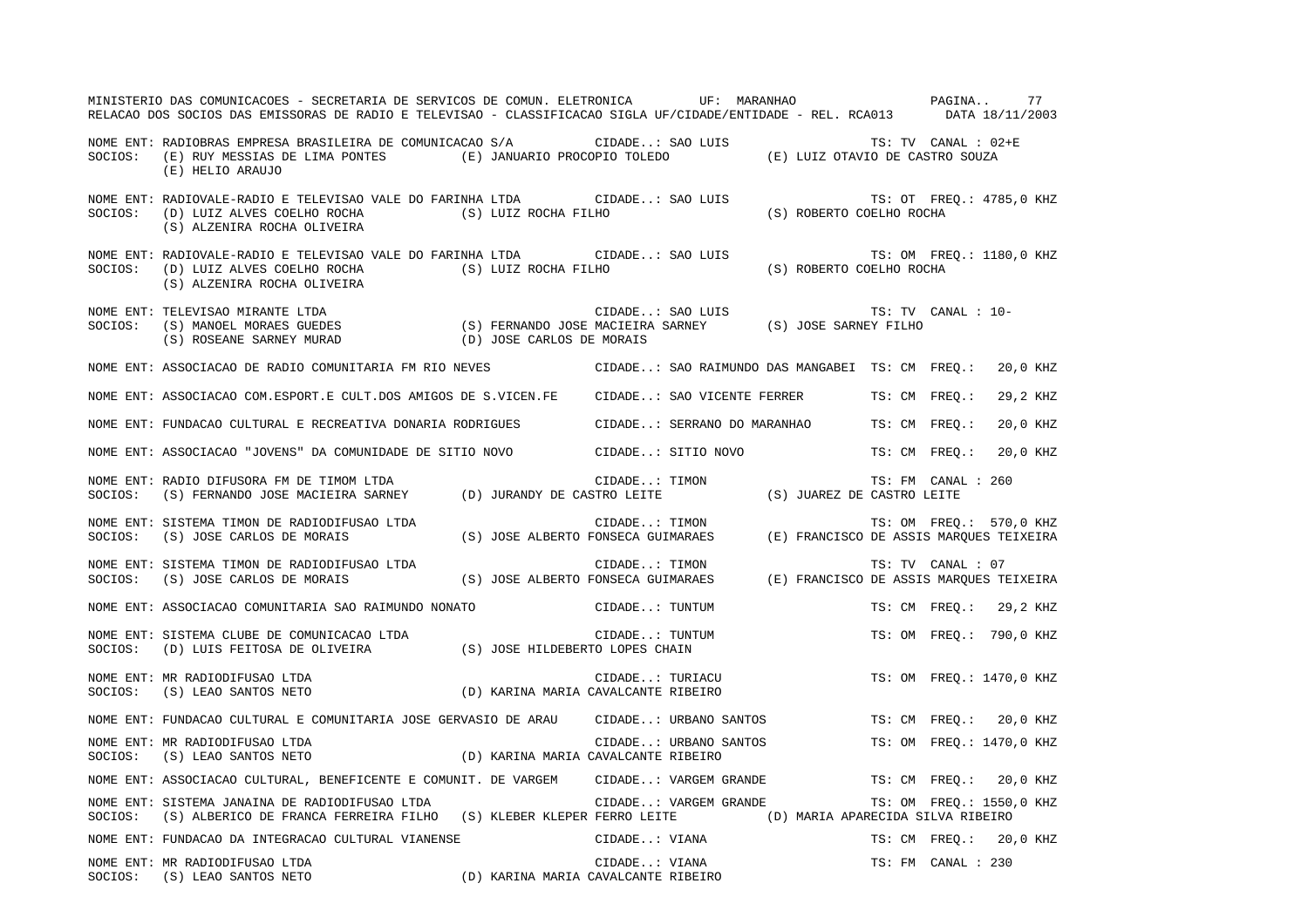|         | MINISTERIO DAS COMUNICACOES - SECRETARIA DE SERVICOS DE COMUN. ELETRONICA UF: MARANHAO<br>RELACAO DOS SOCIOS DAS EMISSORAS DE RADIO E TELEVISAO - CLASSIFICACAO SIGLA UF/CIDADE/ENTIDADE - REL. RCA013 DATA 18/11/2003                              |                                     |                  |                       |                          |               | PAGINA              | 77                       |
|---------|-----------------------------------------------------------------------------------------------------------------------------------------------------------------------------------------------------------------------------------------------------|-------------------------------------|------------------|-----------------------|--------------------------|---------------|---------------------|--------------------------|
| SOCIOS: | NOME ENT: RADIOBRAS EMPRESA BRASILEIRA DE COMUNICACAO S/A<br>(E) RUY MESSIAS DE LIMA PONTES (E) JANUARIO PROCOPIO TOLEDO (E) LUIZ OTAVIO DE CASTRO SOUZA<br>(E) HELIO ARAUJO                                                                        |                                     | CIDADE: SAO LUIS |                       |                          |               | TS: TV CANAL : 02+E |                          |
| SOCIOS: | NOME ENT: RADIOVALE-RADIO E TELEVISAO VALE DO FARINHA LTDA CIDADE: SAO LUIS<br>(D) LUIZ ALVES COELHO ROCHA (S) LUIZ ROCHA FILHO<br>(S) ALZENIRA ROCHA OLIVEIRA                                                                                      |                                     |                  |                       | (S) ROBERTO COELHO ROCHA |               |                     | TS: OT FREQ.: 4785,0 KHZ |
| SOCIOS: | NOME ENT: RADIOVALE-RADIO E TELEVISAO VALE DO FARINHA LTDA CIDADE: SAO LUIS<br>(D) LUIZ ALVES COELHO ROCHA (S) LUIZ ROCHA FILHO<br>(S) ALZENIRA ROCHA OLIVEIRA                                                                                      |                                     |                  |                       | (S) ROBERTO COELHO ROCHA |               |                     | TS: OM FREQ.: 1180,0 KHZ |
| SOCIOS: | NOME ENT: TELEVISAO MIRANTE LTDA<br>TS: TV (S) EXERIANDO JOSE MACIEIRA SARNEY (S) JOSE SARNEY FILHO (S) ROSEANE SARNEY FILHO (S) ROSEANE SARNEY (S) ROSEANE SARNEY (S) ROSEANE SARNEY (S) SARNEY FILHO (S) ASSEANE SARNEY (D) JOSE CARLOS DE MORAIS |                                     |                  | CIDADE: SAO LUIS      |                          |               | TS: TV CANAL : 10-  |                          |
|         | NOME ENT: ASSOCIACAO DE RADIO COMUNITARIA FM RIO NEVES (CIDADE: SAO RAIMUNDO DAS MANGABEI TS: CM FREQ.:                                                                                                                                             |                                     |                  |                       |                          |               |                     | 20,0 KHZ                 |
|         | NOME ENT: ASSOCIACAO COM.ESPORT.E CULT.DOS AMIGOS DE S.VICEN.FE CIDADE: SAO VICENTE FERRER                                                                                                                                                          |                                     |                  |                       |                          | TS: CM FREO.: |                     | 29,2 KHZ                 |
|         | NOME ENT: FUNDACAO CULTURAL E RECREATIVA DONARIA RODRIGUES (CIDADE: SERRANO DO MARANHAO                                                                                                                                                             |                                     |                  |                       |                          | TS: CM FREQ.: |                     | 20,0 KHZ                 |
|         | NOME ENT: ASSOCIACAO "JOVENS" DA COMUNIDADE DE SITIO NOVO           CIDADE: SITIO NOVO                                                                                                                                                              |                                     |                  |                       |                          | TS: CM FREO.: |                     | 20,0 KHZ                 |
| SOCIOS: | NOME ENT: RADIO DIFUSORA FM DE TIMOM LTDA<br>(S) FERNANDO JOSE MACIEIRA SARNEY (D) JURANDY DE CASTRO LEITE (S) JUAREZ DE CASTRO LEITE                                                                                                               |                                     | CIDADE: TIMON    |                       |                          |               | TS: FM CANAL : 260  |                          |
|         | NOME ENT: SISTEMA TIMON DE RADIODIFUSAO LTDA<br>SOCIOS: (S) JOSE CARLOS DE MORAIS (S) JOSE ALBERTO FONSECA GUIMARAES (E) FRANCISCO DE ASSIS MARQUES TEIXEIRA                                                                                        |                                     | CIDADE: TIMON    |                       |                          |               |                     | TS: OM FREO.: 570,0 KHZ  |
|         | NOME ENT: SISTEMA TIMON DE RADIODIFUSAO LTDA<br>SOCIOS: (S) JOSE CARLOS DE MORAIS (S) JOSE ALBERTO FONSECA GUIMARAES (E) FRANCISCO DE ASSIS MARQUES TEIXEIRA                                                                                        |                                     | CIDADE: TIMON    |                       |                          |               | TS: TV CANAL : 07   |                          |
|         | NOME ENT: ASSOCIACAO COMUNITARIA SAO RAIMUNDO NONATO                                                                                                                                                                                                |                                     |                  | CIDADE: TUNTUM        |                          |               |                     | TS: CM FREO.: 29,2 KHZ   |
|         |                                                                                                                                                                                                                                                     |                                     | CIDADE: TUNTUM   |                       |                          |               |                     | TS: OM FREO.: 790,0 KHZ  |
| SOCIOS: | NOME ENT: MR RADIODIFUSAO LTDA<br>(S) LEAO SANTOS NETO                                                                                                                                                                                              | (D) KARINA MARIA CAVALCANTE RIBEIRO | CIDADE: TURIACU  |                       |                          |               |                     | TS: OM FREO.: 1470,0 KHZ |
|         | NOME ENT: FUNDACAO CULTURAL E COMUNITARIA JOSE GERVASIO DE ARAU CIDADE: URBANO SANTOS                                                                                                                                                               |                                     |                  |                       |                          |               | TS: CM FREO.:       | 20,0 KHZ                 |
| SOCIOS: | NOME ENT: MR RADIODIFUSAO LTDA<br>(S) LEAO SANTOS NETO                                                                                                                                                                                              | (D) KARINA MARIA CAVALCANTE RIBEIRO |                  |                       | CIDADE: URBANO SANTOS    |               |                     | TS: OM FREO.: 1470,0 KHZ |
|         | NOME ENT: ASSOCIACAO CULTURAL, BENEFICENTE E COMUNIT. DE VARGEM CIDADE: VARGEM GRANDE                                                                                                                                                               |                                     |                  |                       |                          |               |                     | TS: CM FREQ.: 20,0 KHZ   |
| SOCIOS: | NOME ENT: SISTEMA JANAINA DE RADIODIFUSAO LTDA<br>(S) ALBERICO DE FRANCA FERREIRA FILHO (S) KLEBER KLEPER FERRO LEITE (D) MARIA APARECIDA SILVA RIBEIRO                                                                                             |                                     |                  | CIDADE: VARGEM GRANDE |                          |               |                     | TS: OM FREQ.: 1550,0 KHZ |
|         | NOME ENT: FUNDACAO DA INTEGRACAO CULTURAL VIANENSE                                                                                                                                                                                                  |                                     | CIDADE: VIANA    |                       |                          |               |                     | TS: CM FREQ.: 20,0 KHZ   |
|         | NOME ENT: MR RADIODIFUSAO LTDA<br>(D) KARINA MARIA CAVALCANTE RIBEIRO<br>SOCIOS: (S) LEAO SANTOS NETO                                                                                                                                               |                                     | CIDADE: VIANA    |                       |                          |               | TS: FM CANAL : 230  |                          |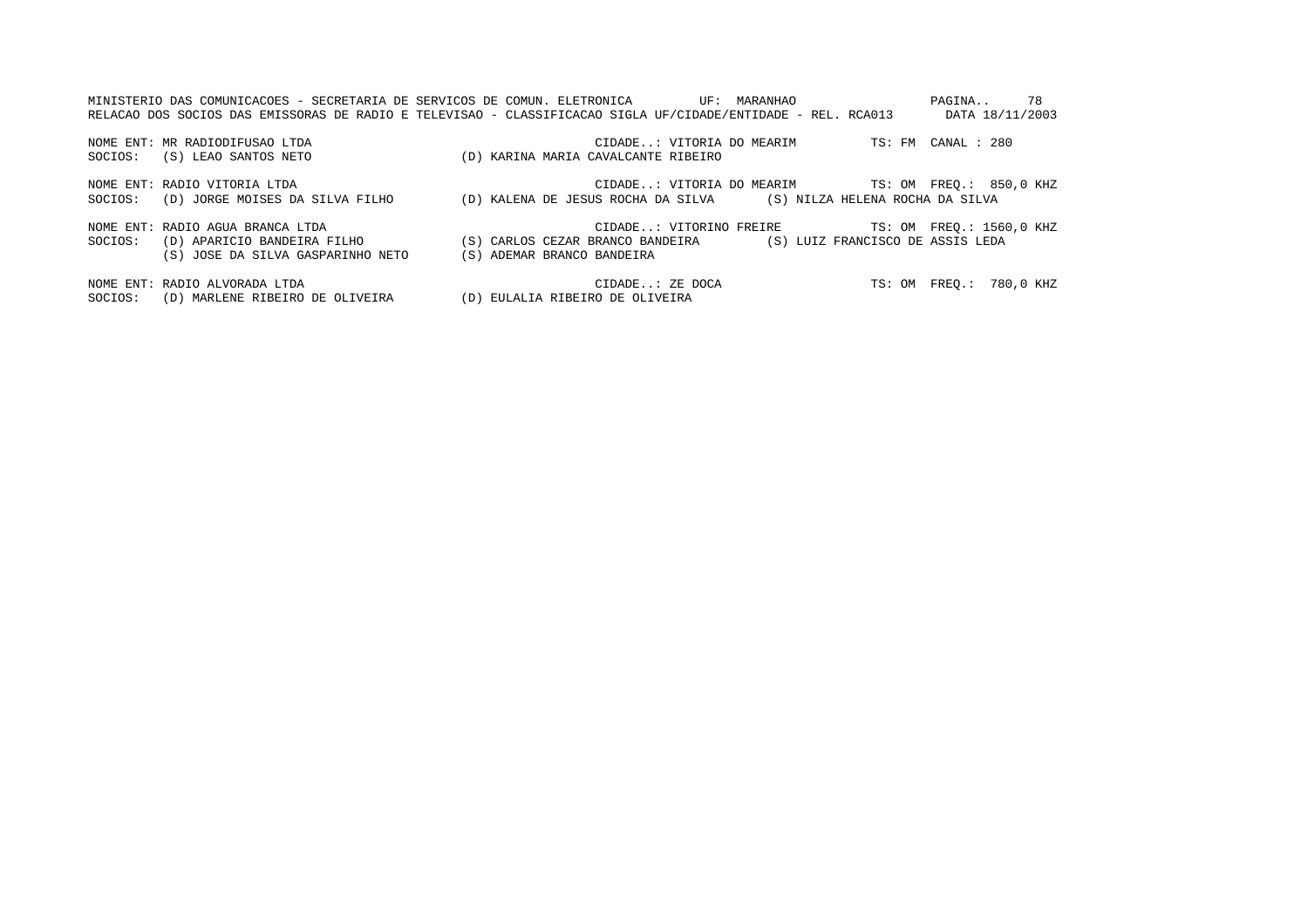|         | MINISTERIO DAS COMUNICACOES - SECRETARIA DE SERVICOS DE COMUN. ELETRONICA<br>RELACAO DOS SOCIOS DAS EMISSORAS DE RADIO E TELEVISAO - CLASSIFICACAO SIGLA UF/CIDADE/ENTIDADE - REL. RCA013 |                                                                                                 | UF: MARANHAO              |                           | 78<br>PAGINA<br>DATA 18/11/2003 |
|---------|-------------------------------------------------------------------------------------------------------------------------------------------------------------------------------------------|-------------------------------------------------------------------------------------------------|---------------------------|---------------------------|---------------------------------|
|         | NOME ENT: MR RADIODIFUSAO LTDA                                                                                                                                                            |                                                                                                 | CIDADE: VITORIA DO MEARIM |                           | TS: FM CANAL : 280              |
| SOCIOS: | (S) LEAO SANTOS NETO                                                                                                                                                                      | (D) KARINA MARIA CAVALCANTE RIBEIRO                                                             |                           |                           |                                 |
|         | NOME ENT: RADIO VITORIA LTDA                                                                                                                                                              |                                                                                                 |                           | CIDADE: VITORIA DO MEARIM | TS: OM FREO.: 850,0 KHZ         |
| SOCIOS: | (D) JORGE MOISES DA SILVA FILHO                                                                                                                                                           | (D) KALENA DE JESUS ROCHA DA SILVA (S) NILZA HELENA ROCHA DA SILVA                              |                           |                           |                                 |
| SOCIOS: | NOME ENT: RADIO AGUA BRANCA LTDA<br>(D) APARICIO BANDEIRA FILHO<br>(S) JOSE DA SILVA GASPARINHO NETO                                                                                      | (S) CARLOS CEZAR BRANCO BANDEIRA (S) LUIZ FRANCISCO DE ASSIS LEDA<br>(S) ADEMAR BRANCO BANDEIRA | CIDADE: VITORINO FREIRE   |                           | TS: OM FREO.: 1560,0 KHZ        |

NOME ENT: RADIO ALVORADA LTDA CIDADE..: ZE DOCA TS: OM FREQ.: 780,0 KHZ SOCIOS: (D) MARLENE RIBEIRO DE OLIVEIRA (D) EULALIA RIBEIRO DE OLIVEIRA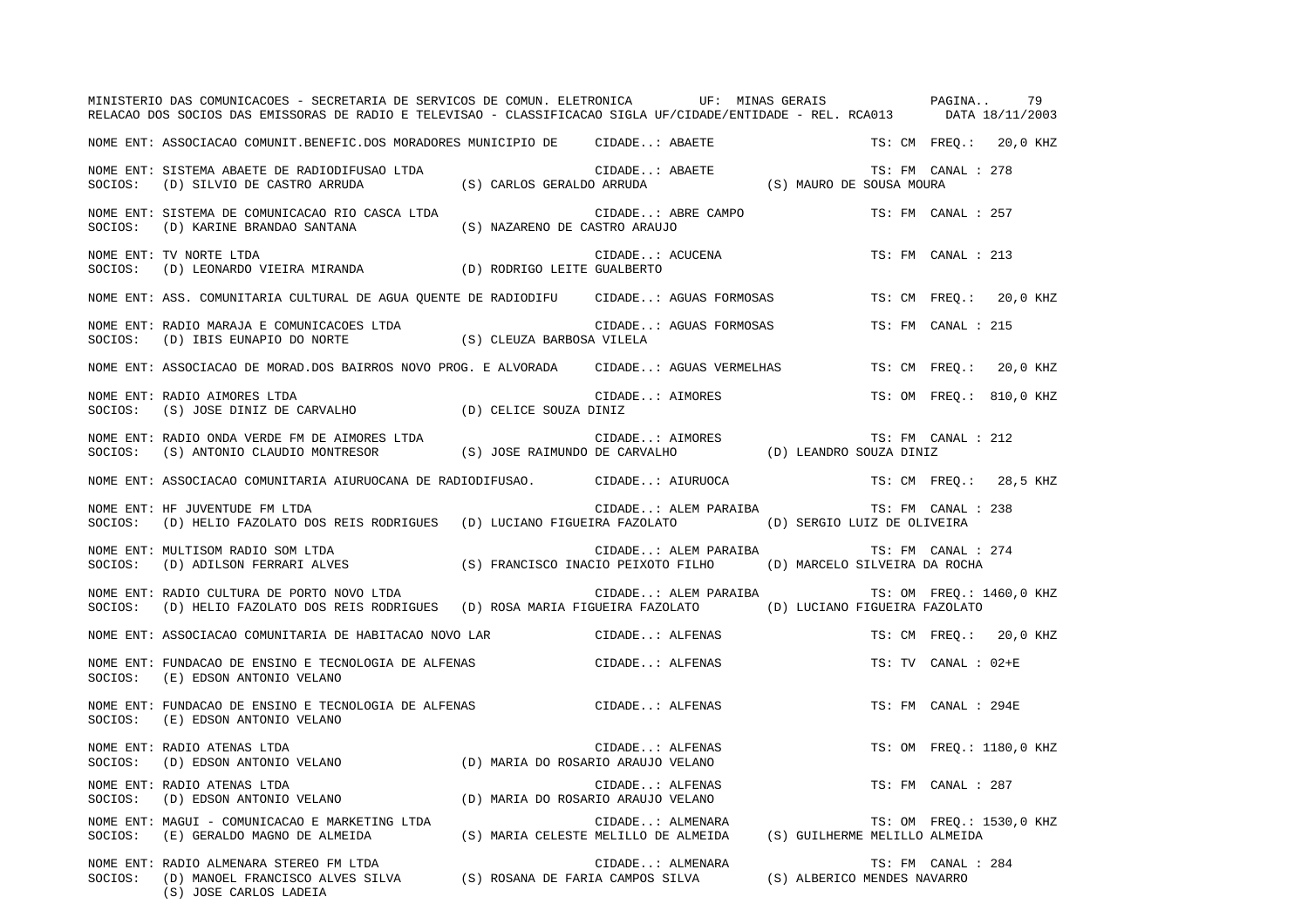|         | MINISTERIO DAS COMUNICACOES - SECRETARIA DE SERVICOS DE COMUN. ELETRONICA UF: MINAS GERAIS PAGINA<br>RELACAO DOS SOCIOS DAS EMISSORAS DE RADIO E TELEVISAO - CLASSIFICACAO SIGLA UF/CIDADE/ENTIDADE - REL. RCA013 DATA 18/11/2003 |                               |                                                                                        |                          |               |                     | 79                       |
|---------|-----------------------------------------------------------------------------------------------------------------------------------------------------------------------------------------------------------------------------------|-------------------------------|----------------------------------------------------------------------------------------|--------------------------|---------------|---------------------|--------------------------|
|         | NOME ENT: ASSOCIACAO COMUNIT.BENEFIC.DOS MORADORES MUNICIPIO DE      CIDADE: ABAETE                                                                                                                                               |                               |                                                                                        |                          |               |                     | TS: CM FREO.: 20,0 KHZ   |
| SOCIOS: | NOME ENT: SISTEMA ABAETE DE RADIODIFUSAO LTDA<br>(D) SILVIO DE CASTRO ARRUDA                                                                                                                                                      | (S) CARLOS GERALDO ARRUDA     | CIDADE: ABAETE                                                                         | (S) MAURO DE SOUSA MOURA |               | TS: FM CANAL : 278  |                          |
| SOCIOS: | NOME ENT: SISTEMA DE COMUNICACAO RIO CASCA LTDA<br>(D) KARINE BRANDAO SANTANA                                                                                                                                                     | (S) NAZARENO DE CASTRO ARAUJO | CIDADE: ABRE CAMPO                                                                     |                          |               | TS: FM CANAL : 257  |                          |
| SOCIOS: | NOME ENT: TV NORTE LTDA<br>(D) LEONARDO VIEIRA MIRANDA (D) RODRIGO LEITE GUALBERTO                                                                                                                                                |                               | CIDADE: ACUCENA                                                                        |                          |               | TS: FM CANAL : 213  |                          |
|         | NOME ENT: ASS. COMUNITARIA CULTURAL DE AGUA QUENTE DE RADIODIFU      CIDADE: AGUAS FORMOSAS                                                                                                                                       |                               |                                                                                        |                          |               |                     | TS: CM FREQ.: 20,0 KHZ   |
| SOCIOS: | NOME ENT: RADIO MARAJA E COMUNICACOES LTDA<br>(D) IBIS EUNAPIO DO NORTE                                                                                                                                                           | (S) CLEUZA BARBOSA VILELA     | CIDADE: AGUAS FORMOSAS                                                                 |                          |               | TS: FM CANAL : 215  |                          |
|         | NOME ENT: ASSOCIACAO DE MORAD.DOS BAIRROS NOVO PROG. E ALVORADA      CIDADE: AGUAS VERMELHAS                                                                                                                                      |                               |                                                                                        |                          | TS: CM FREO.: |                     | 20,0 KHZ                 |
| SOCIOS: | NOME ENT: RADIO AIMORES LTDA<br>(S) JOSE DINIZ DE CARVALHO (D) CELICE SOUZA DINIZ                                                                                                                                                 |                               | CIDADE: AIMORES                                                                        |                          |               |                     | TS: OM FREQ.: 810,0 KHZ  |
| SOCIOS: | NOME ENT: RADIO ONDA VERDE FM DE AIMORES LTDA<br>(S) ANTONIO CLAUDIO MONTRESOR                                                                                                                                                    |                               | CIDADE: AIMORES<br>(S) JOSE RAIMUNDO DE CARVALHO (D) LEANDRO SOUZA DINIZ               |                          |               | TS: FM CANAL : 212  |                          |
|         | NOME ENT: ASSOCIACAO COMUNITARIA AIURUOCANA DE RADIODIFUSAO.           CIDADE: AIURUOCA                                                                                                                                           |                               |                                                                                        |                          |               |                     | TS: CM FREQ.: 28,5 KHZ   |
|         | NOME ENT: HF JUVENTUDE FM LTDA<br>SOCIOS: (D) HELIO FAZOLATO DOS REIS RODRIGUES (D) LUCIANO FIGUEIRA FAZOLATO (D) SERGIO LUIZ DE OLIVEIRA                                                                                         |                               | CIDADE: ALEM PARAIBA                                                                   |                          |               | TS: FM CANAL : 238  |                          |
|         | NOME ENT: MULTISOM RADIO SOM LTDA<br>SOCIOS: (D) ADILSON FERRARI ALVES (S) FRANCISCO INACIO PEIXOTO FILHO (D) MARCELO SILVEIRA DA ROCHA                                                                                           |                               | CIDADE: ALEM PARAIBA                                                                   |                          |               | TS: FM CANAL : 274  |                          |
|         | NOME ENT: RADIO CULTURA DE PORTO NOVO LTDA<br>SOCIOS: (D) HELIO FAZOLATO DOS REIS RODRIGUES (D) ROSA MARIA FIGUEIRA FAZOLATO (D) LUCIANO FIGUEIRA FAZOLATO                                                                        |                               | CIDADE: ALEM PARAIBA TS: OM FREO.: 1460,0 KHZ                                          |                          |               |                     |                          |
|         | NOME ENT: ASSOCIACAO COMUNITARIA DE HABITACAO NOVO LAR                      CIDADE: ALFENAS                                                                                                                                       |                               |                                                                                        |                          |               |                     | TS: CM FREO.: 20,0 KHZ   |
| SOCIOS: | NOME ENT: FUNDACAO DE ENSINO E TECNOLOGIA DE ALFENAS<br>(E) EDSON ANTONIO VELANO                                                                                                                                                  |                               | CIDADE: ALFENAS                                                                        |                          |               | TS: TV CANAL : 02+E |                          |
| SOCIOS: | NOME ENT: FUNDACAO DE ENSINO E TECNOLOGIA DE ALFENAS<br>(E) EDSON ANTONIO VELANO                                                                                                                                                  |                               | CIDADE: ALFENAS                                                                        |                          |               | TS: FM CANAL : 294E |                          |
| SOCIOS: | NOME ENT: RADIO ATENAS LTDA<br>(D) EDSON ANTONIO VELANO                                                                                                                                                                           |                               | CIDADE: ALFENAS<br>(D) MARIA DO ROSARIO ARAUJO VELANO                                  |                          |               |                     | TS: OM FREO.: 1180,0 KHZ |
| SOCIOS: | NOME ENT: RADIO ATENAS LTDA<br>(D) EDSON ANTONIO VELANO                                                                                                                                                                           |                               | CIDADE: ALFENAS<br>(D) MARIA DO ROSARIO ARAUJO VELANO                                  |                          |               | TS: FM CANAL : 287  |                          |
| SOCIOS: | NOME ENT: MAGUI - COMUNICACAO E MARKETING LTDA<br>(E) GERALDO MAGNO DE ALMEIDA                                                                                                                                                    |                               | CIDADE: ALMENARA<br>(S) MARIA CELESTE MELILLO DE ALMEIDA (S) GUILHERME MELILLO ALMEIDA |                          |               |                     | TS: OM FREQ.: 1530,0 KHZ |
| SOCIOS: | NOME ENT: RADIO ALMENARA STEREO FM LTDA<br>KADIO ALMENAKA SIEKEO FM LIDA<br>(D) MANOEL FRANCISCO ALVES SILVA (S) ROSANA DE FARIA CAMPOS SILVA (S) ALBERICO MENDES NAVARRO<br>(S) JOSE CARLOS LADEIA                               |                               | CIDADE: ALMENARA                                                                       |                          |               | TS: FM CANAL : 284  |                          |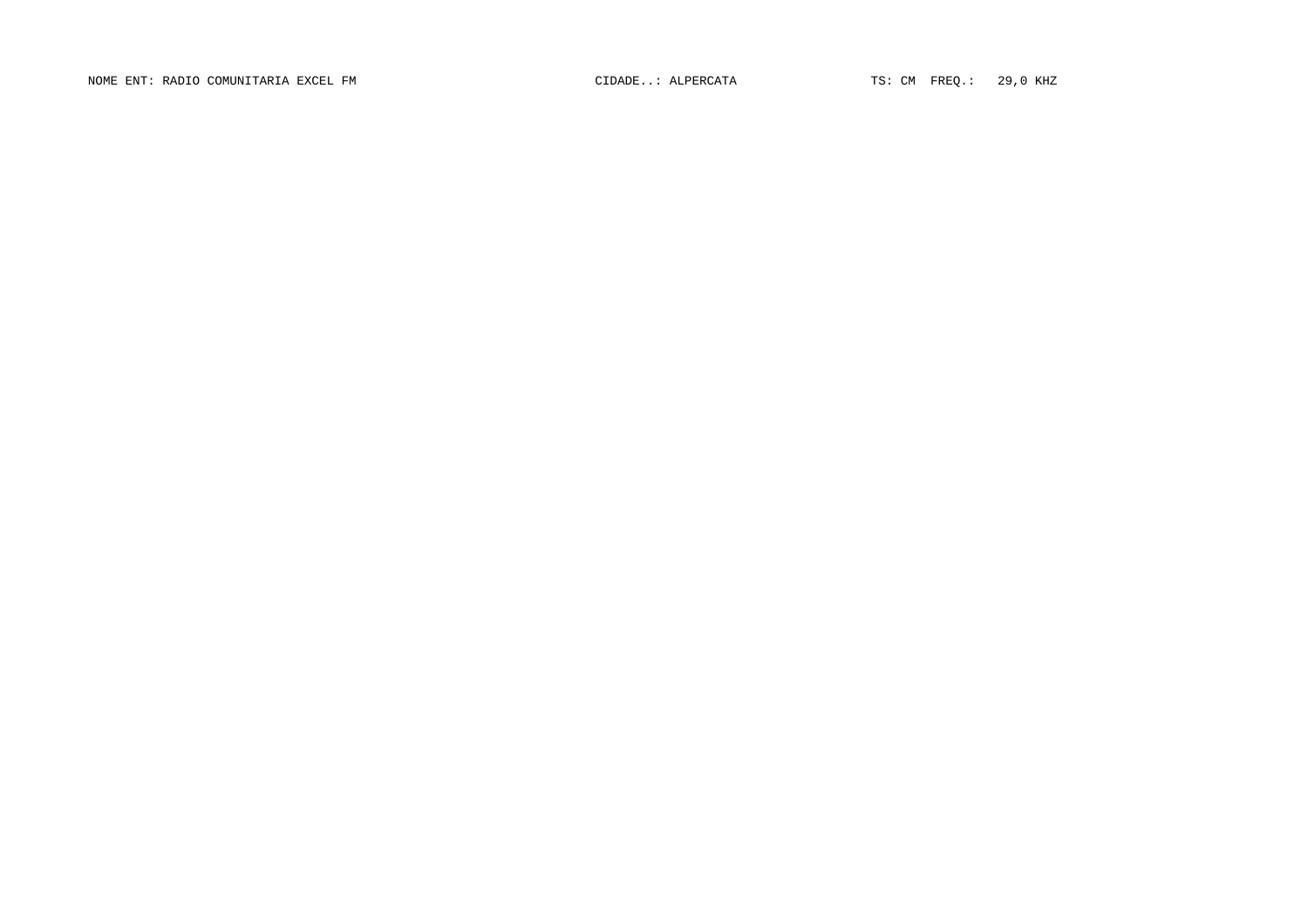NOME ENT: RADIO COMUNITARIA EXCEL FM  $\Box$  CIDADE..: ALPERCATA TS: CM FREQ.: 29,0 KHZ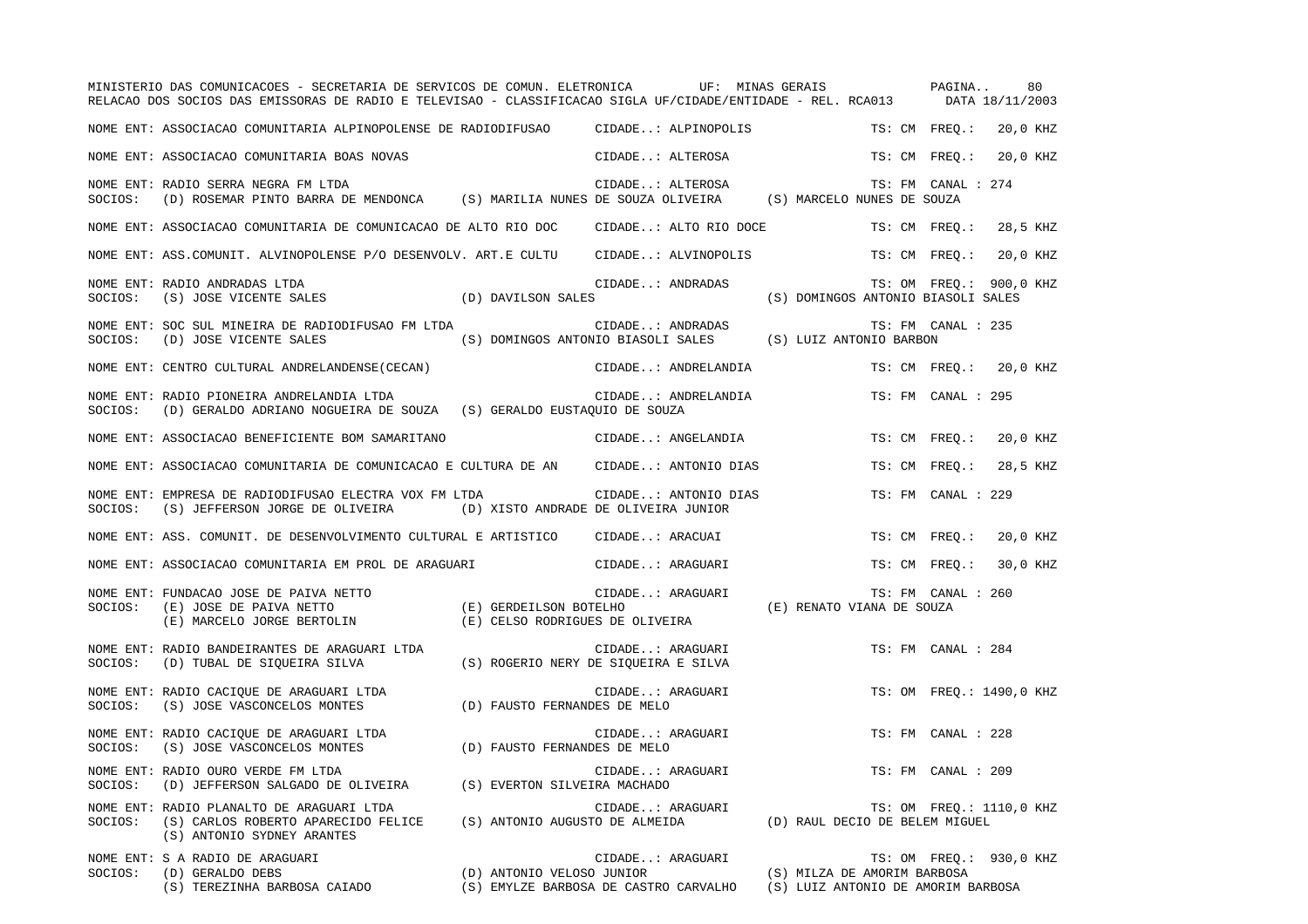|         | MINISTERIO DAS COMUNICACOES - SECRETARIA DE SERVICOS DE COMUN. ELETRONICA           UF: MINAS GERAIS<br>RELACAO DOS SOCIOS DAS EMISSORAS DE RADIO E TELEVISAO - CLASSIFICACAO SIGLA UF/CIDADE/ENTIDADE - REL. RCA013 DATA 18/11/2003 |                                |                                                                                |                                                                   | PAGINA<br>80              |
|---------|--------------------------------------------------------------------------------------------------------------------------------------------------------------------------------------------------------------------------------------|--------------------------------|--------------------------------------------------------------------------------|-------------------------------------------------------------------|---------------------------|
|         | NOME ENT: ASSOCIACAO COMUNITARIA ALPINOPOLENSE DE RADIODIFUSAO       CIDADE: ALPINOPOLIS                                                                                                                                             |                                |                                                                                |                                                                   | TS: CM FREQ.:<br>20,0 KHZ |
|         | NOME ENT: ASSOCIACAO COMUNITARIA BOAS NOVAS                                                                                                                                                                                          |                                | CIDADE: ALTEROSA                                                               |                                                                   | TS: CM FREQ.:<br>20,0 KHZ |
| SOCIOS: | NOME ENT: RADIO SERRA NEGRA FM LTDA<br>(D) ROSEMAR PINTO BARRA DE MENDONCA (S) MARILIA NUNES DE SOUZA OLIVEIRA (S) MARCELO NUNES DE SOUZA                                                                                            |                                | CIDADE: ALTEROSA                                                               |                                                                   | TS: FM CANAL : 274        |
|         | NOME ENT: ASSOCIACAO COMUNITARIA DE COMUNICACAO DE ALTO RIO DOC    CIDADE: ALTO RIO DOCE                                                                                                                                             |                                |                                                                                |                                                                   | TS: CM FREQ.:<br>28,5 KHZ |
|         | NOME ENT: ASS.COMUNIT. ALVINOPOLENSE P/O DESENVOLV. ART.E CULTU                                                                                                                                                                      |                                | CIDADE: ALVINOPOLIS                                                            |                                                                   | TS: CM FREQ.:<br>20,0 KHZ |
| SOCIOS: | NOME ENT: RADIO ANDRADAS LTDA<br>(S) JOSE VICENTE SALES (D) DAVILSON SALES                                                                                                                                                           |                                | CIDADE: ANDRADAS                                                               | (S) DOMINGOS ANTONIO BIASOLI SALES                                | TS: OM FREQ.: 900,0 KHZ   |
| SOCIOS: | NOME ENT: SOC SUL MINEIRA DE RADIODIFUSAO FM LTDA<br>(D) JOSE VICENTE SALES                                                                                                                                                          |                                | CIDADE: ANDRADAS<br>(S) DOMINGOS ANTONIO BIASOLI SALES (S) LUIZ ANTONIO BARBON |                                                                   | TS: FM CANAL : 235        |
|         | NOME ENT: CENTRO CULTURAL ANDRELANDENSE (CECAN)                                                                                                                                                                                      |                                | CIDADE: ANDRELANDIA                                                            |                                                                   | TS: CM FREQ.: 20,0 KHZ    |
| SOCIOS: | NOME ENT: RADIO PIONEIRA ANDRELANDIA LTDA<br>(D) GERALDO ADRIANO NOGUEIRA DE SOUZA (S) GERALDO EUSTAQUIO DE SOUZA                                                                                                                    |                                | CIDADE: ANDRELANDIA                                                            |                                                                   | TS: FM CANAL : 295        |
|         | NOME ENT: ASSOCIACAO BENEFICIENTE BOM SAMARITANO                                                                                                                                                                                     |                                | CIDADE: ANGELANDIA                                                             |                                                                   | TS: CM FREO.:<br>20,0 KHZ |
|         | NOME ENT: ASSOCIACAO COMUNITARIA DE COMUNICACAO E CULTURA DE AN      CIDADE: ANTONIO DIAS                                                                                                                                            |                                |                                                                                |                                                                   | 28,5 KHZ<br>TS: CM FREO.: |
| SOCIOS: | NOME ENT: EMPRESA DE RADIODIFUSAO ELECTRA VOX FM LTDA<br>(S) JEFFERSON JORGE DE OLIVEIRA (D) XISTO ANDRADE DE OLIVEIRA JUNIOR                                                                                                        |                                | CIDADE: ANTONIO DIAS                                                           |                                                                   | TS: FM CANAL : 229        |
|         | NOME ENT: ASS. COMUNIT. DE DESENVOLVIMENTO CULTURAL E ARTISTICO                                                                                                                                                                      |                                | CIDADE: ARACUAI                                                                |                                                                   | TS: CM FREO.:<br>20,0 KHZ |
|         | NOME ENT: ASSOCIACAO COMUNITARIA EM PROL DE ARAGUARI                                                                                                                                                                                 |                                | CIDADE: ARAGUARI                                                               |                                                                   | TS: CM FREQ.:<br>30,0 KHZ |
| SOCIOS: | NOME ENT: FUNDACAO JOSE DE PAIVA NETTO<br>(E) JOSE DE PAIVA NETTO<br>(E) MARCELO JORGE BERTOLIN (E) CELSO RODRIGUES DE OLIVEIRA                                                                                                      | E) GERDEILSON BOTELHO)         | CIDADE: ARAGUARI                                                               | (E) RENATO VIANA DE SOUZA                                         | TS: FM CANAL : 260        |
| SOCIOS: | NOME ENT: RADIO BANDEIRANTES DE ARAGUARI LTDA<br>(D) TUBAL DE SIQUEIRA SILVA                                                                                                                                                         |                                | CIDADE: ARAGUARI<br>(S) ROGERIO NERY DE SIQUEIRA E SILVA                       |                                                                   | TS: FM CANAL : 284        |
|         | NOME ENT: RADIO CACIQUE DE ARAGUARI LTDA (D) FAUSTO FERNANDES DE MELO SOCIOS: (S) JOSE VASCONCELOS MONTES (D) FAUSTO FERNANDES DE MELO                                                                                               |                                | CIDADE: ARAGUARI                                                               |                                                                   | TS: OM FREO.: 1490,0 KHZ  |
| SOCIOS: | NOME ENT: RADIO CACIQUE DE ARAGUARI LTDA<br>(S) JOSE VASCONCELOS MONTES (D) FAUSTO FERNANDES DE MELO                                                                                                                                 |                                | CIDADE: ARAGUARI                                                               |                                                                   | TS: FM CANAL : 228        |
| SOCIOS: | NOME ENT: RADIO OURO VERDE FM LTDA<br>(D) JEFFERSON SALGADO DE OLIVEIRA                                                                                                                                                              | (S) EVERTON SILVEIRA MACHADO   | CIDADE: ARAGUARI                                                               |                                                                   | TS: FM CANAL : 209        |
| SOCIOS: | NOME ENT: RADIO PLANALTO DE ARAGUARI LTDA<br>(S) CARLOS ROBERTO APARECIDO FELICE<br>(S) ANTONIO SYDNEY ARANTES                                                                                                                       | (S) ANTONIO AUGUSTO DE ALMEIDA | CIDADE: ARAGUARI                                                               | (D) RAUL DECIO DE BELEM MIGUEL                                    | TS: OM FREQ.: 1110,0 KHZ  |
| SOCIOS: | NOME ENT: S A RADIO DE ARAGUARI<br>(D) GERALDO DEBS<br>(S) TEREZINHA BARBOSA CAIADO                                                                                                                                                  | (D) ANTONIO VELOSO JUNIOR      | CIDADE: ARAGUARI<br>(S) EMYLZE BARBOSA DE CASTRO CARVALHO                      | (S) MILZA DE AMORIM BARBOSA<br>(S) LUIZ ANTONIO DE AMORIM BARBOSA | TS: OM FREQ.: 930,0 KHZ   |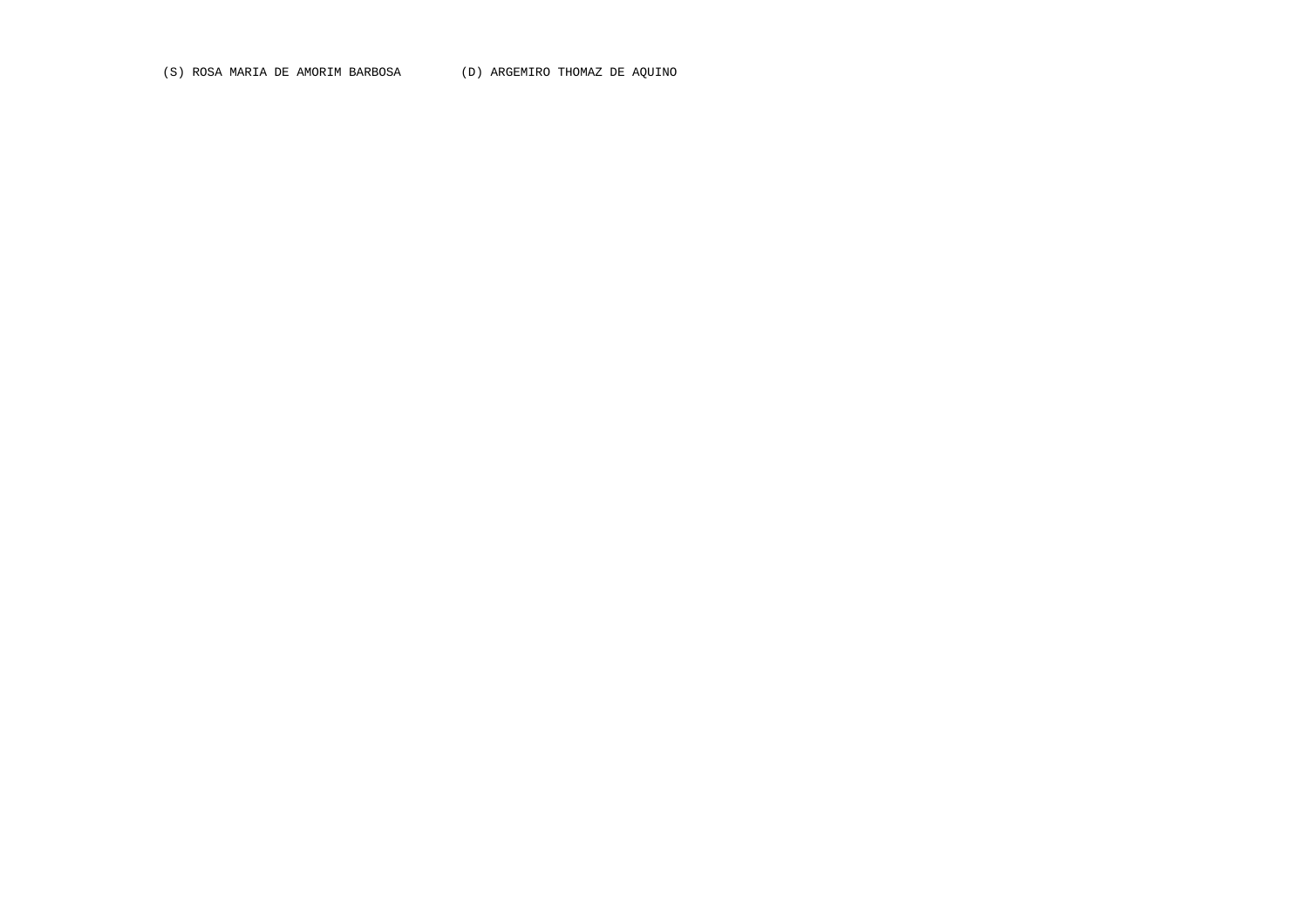(S) ROSA MARIA DE AMORIM BARBOSA (D) ARGEMIRO THOMAZ DE AQUINO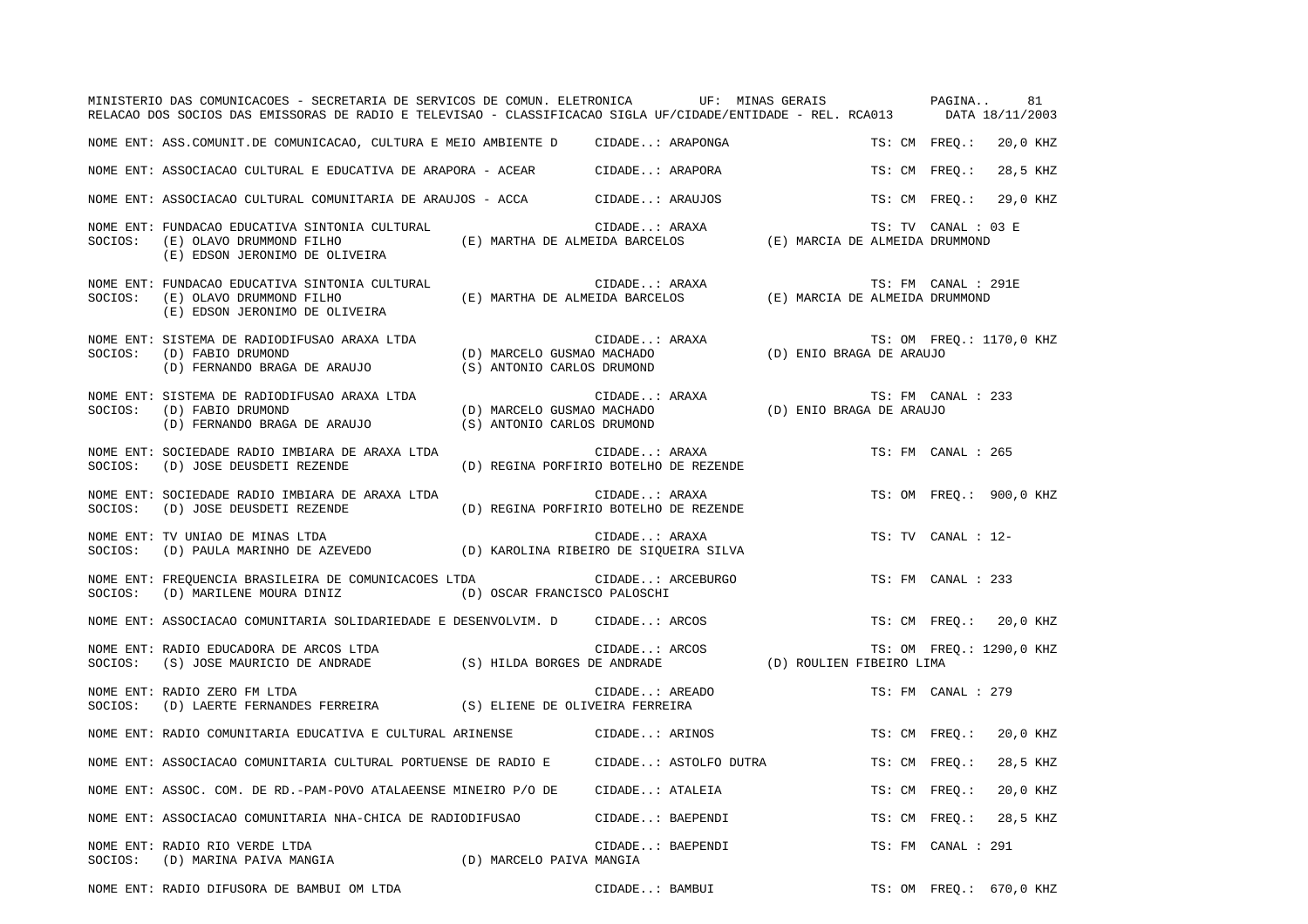|         | MINISTERIO DAS COMUNICACOES - SECRETARIA DE SERVICOS DE COMUN. ELETRONICA UF: MINAS GERAIS PAGINA<br>RELACAO DOS SOCIOS DAS EMISSORAS DE RADIO E TELEVISAO - CLASSIFICACAO SIGLA UF/CIDADE/ENTIDADE - REL. RCA013 DATA 18/11/2003 |                                                                                                                            |                |                   |                          |                     | 81                       |
|---------|-----------------------------------------------------------------------------------------------------------------------------------------------------------------------------------------------------------------------------------|----------------------------------------------------------------------------------------------------------------------------|----------------|-------------------|--------------------------|---------------------|--------------------------|
|         | NOME ENT: ASS.COMUNIT.DE COMUNICACAO, CULTURA E MEIO AMBIENTE D CIDADE: ARAPONGA                                                                                                                                                  |                                                                                                                            |                |                   |                          | TS: CM FREO.:       | 20,0 KHZ                 |
|         | NOME ENT: ASSOCIACAO CULTURAL E EDUCATIVA DE ARAPORA - ACEAR CIDADE: ARAPORA                                                                                                                                                      |                                                                                                                            |                |                   |                          | TS: CM FREO.:       | 28,5 KHZ                 |
|         | NOME ENT: ASSOCIACAO CULTURAL COMUNITARIA DE ARAUJOS - ACCA CIDADE: ARAUJOS                                                                                                                                                       |                                                                                                                            |                |                   |                          | TS: CM FREQ.:       | 29,0 KHZ                 |
| SOCIOS: | NOME ENT: FUNDACAO EDUCATIVA SINTONIA CULTURAL<br>(E) OLAVO DRUMMOND FILHO<br>(E) EDSON JERONIMO DE OLIVEIRA                                                                                                                      |                                                                                                                            | CIDADE: ARAXA  |                   |                          | TS: TV CANAL : 03 E |                          |
| SOCIOS: | NOME ENT: FUNDACAO EDUCATIVA SINTONIA CULTURAL<br>(E) OLAVO DRUMMOND FILHO<br>(E) EDSON JERONIMO DE OLIVEIRA                                                                                                                      | CIDADE: ARAXA (E) MARTHA DE ALMEIDA BARCELOS (E) MARCIA DE ALMEIDA DRUMMOND                                                | CIDADE: ARAXA  |                   |                          | TS: FM CANAL : 291E |                          |
| SOCIOS: | NOME ENT: SISTEMA DE RADIODIFUSAO ARAXA LTDA<br>(D) FABIO DRUMOND<br>(D) FERNANDO BRAGA DE ARAUJO                                                                                                                                 | (D) MARCELO GUSMAO MACHADO<br>(S) ANTONIO CARLOS DRUMOND                                                                   | CIDADE: ARAXA  |                   | (D) ENIO BRAGA DE ARAUJO |                     | TS: OM FREQ.: 1170,0 KHZ |
| SOCIOS: | NOME ENT: SISTEMA DE RADIODIFUSAO ARAXA LTDA<br>(D) FABIO DRUMOND<br>(D) FERNANDO BRAGA DE ARAUJO                                                                                                                                 | CIDADE: ARAXA (D) MARCELO GUSMAO MACHADO (D) ARACELO GUSMAO MACHADO (D) ENIO BRAGA DE ARAUJO<br>(S) ANTONIO CARLOS DRUMOND | CIDADE: ARAXA  |                   |                          | TS: FM CANAL : 233  |                          |
| SOCIOS: | NOME ENT: SOCIEDADE RADIO IMBIARA DE ARAXA LTDA<br>(D) JOSE DEUSDETI REZENDE                                                                                                                                                      | (D) REGINA PORFIRIO BOTELHO DE REZENDE                                                                                     |                | CIDADE: ARAXA     |                          | TS: FM CANAL : 265  |                          |
| SOCIOS: | NOME ENT: SOCIEDADE RADIO IMBIARA DE ARAXA LTDA<br>(D) JOSE DEUSDETI REZENDE                                                                                                                                                      | (D) REGINA PORFIRIO BOTELHO DE REZENDE                                                                                     |                | CIDADE: ARAXA     |                          |                     | TS: OM FREO.: 900,0 KHZ  |
| SOCIOS: | NOME ENT: TV UNIAO DE MINAS LTDA<br>r UIDADE: ARAXA المراد به المستحدث (D) RAROLINA RIBEIRO DE SIQUEIRA SILVA (D) PAULA MARINHO DE AZEVEDO                                                                                        |                                                                                                                            | CIDADE: ARAXA  |                   |                          | TS: TV CANAL : 12-  |                          |
|         | NOME ENT: FREQUENCIA BRASILEIRA DE COMUNICACOES LTDA<br>SOCIOS: (D) MARILENE MOURA DINIZ (D) OSCAR FRANCISCO PALOSCHI                                                                                                             |                                                                                                                            |                | CIDADE: ARCEBURGO |                          | TS: FM CANAL : 233  |                          |
|         | NOME ENT: ASSOCIACAO COMUNITARIA SOLIDARIEDADE E DESENVOLVIM. D CIDADE: ARCOS                                                                                                                                                     |                                                                                                                            |                |                   |                          |                     | TS: CM FREQ.: 20,0 KHZ   |
| SOCIOS: | NOME ENT: RADIO EDUCADORA DE ARCOS LTDA<br>(S) JOSE MAURICIO DE ANDRADE (S) HILDA BORGES DE ANDRADE (D) ROULIEN FIBEIRO LIMA                                                                                                      |                                                                                                                            | CIDADE: ARCOS  |                   |                          |                     | TS: OM FREQ.: 1290,0 KHZ |
| SOCIOS: | NOME ENT: RADIO ZERO FM LTDA<br>(D) LAERTE FERNANDES FERREIRA (S) ELIENE DE OLIVEIRA FERREIRA                                                                                                                                     |                                                                                                                            | CIDADE: AREADO |                   |                          | TS: FM CANAL : 279  |                          |
|         | NOME ENT: RADIO COMUNITARIA EDUCATIVA E CULTURAL ARINENSE                                                                                                                                                                         |                                                                                                                            | CIDADE: ARINOS |                   |                          | TS: CM FREQ.:       | 20,0 KHZ                 |
|         | NOME ENT: ASSOCIACAO COMUNITARIA CULTURAL PORTUENSE DE RADIO E CIDADE: ASTOLFO DUTRA                                                                                                                                              |                                                                                                                            |                |                   |                          | TS: CM FREO.:       | 28,5 KHZ                 |
|         | NOME ENT: ASSOC. COM. DE RD.-PAM-POVO ATALAEENSE MINEIRO P/O DE CIDADE: ATALEIA                                                                                                                                                   |                                                                                                                            |                |                   |                          | TS: CM FREO.:       | 20,0 KHZ                 |
|         | NOME ENT: ASSOCIACAO COMUNITARIA NHA-CHICA DE RADIODIFUSAO                                                                                                                                                                        |                                                                                                                            |                | CIDADE: BAEPENDI  |                          | TS: CM FREQ.:       | 28,5 KHZ                 |
| SOCIOS: | NOME ENT: RADIO RIO VERDE LTDA<br>(D) MARINA PAIVA MANGIA (D) MARCELO PAIVA MANGIA                                                                                                                                                |                                                                                                                            |                | CIDADE: BAEPENDI  |                          | TS: FM CANAL : 291  |                          |

NOME ENT: RADIO DIFUSORA DE BAMBUI OM LTDA CIDADE..: BAMBUI TS: OM FREQ.: 670,0 KHZ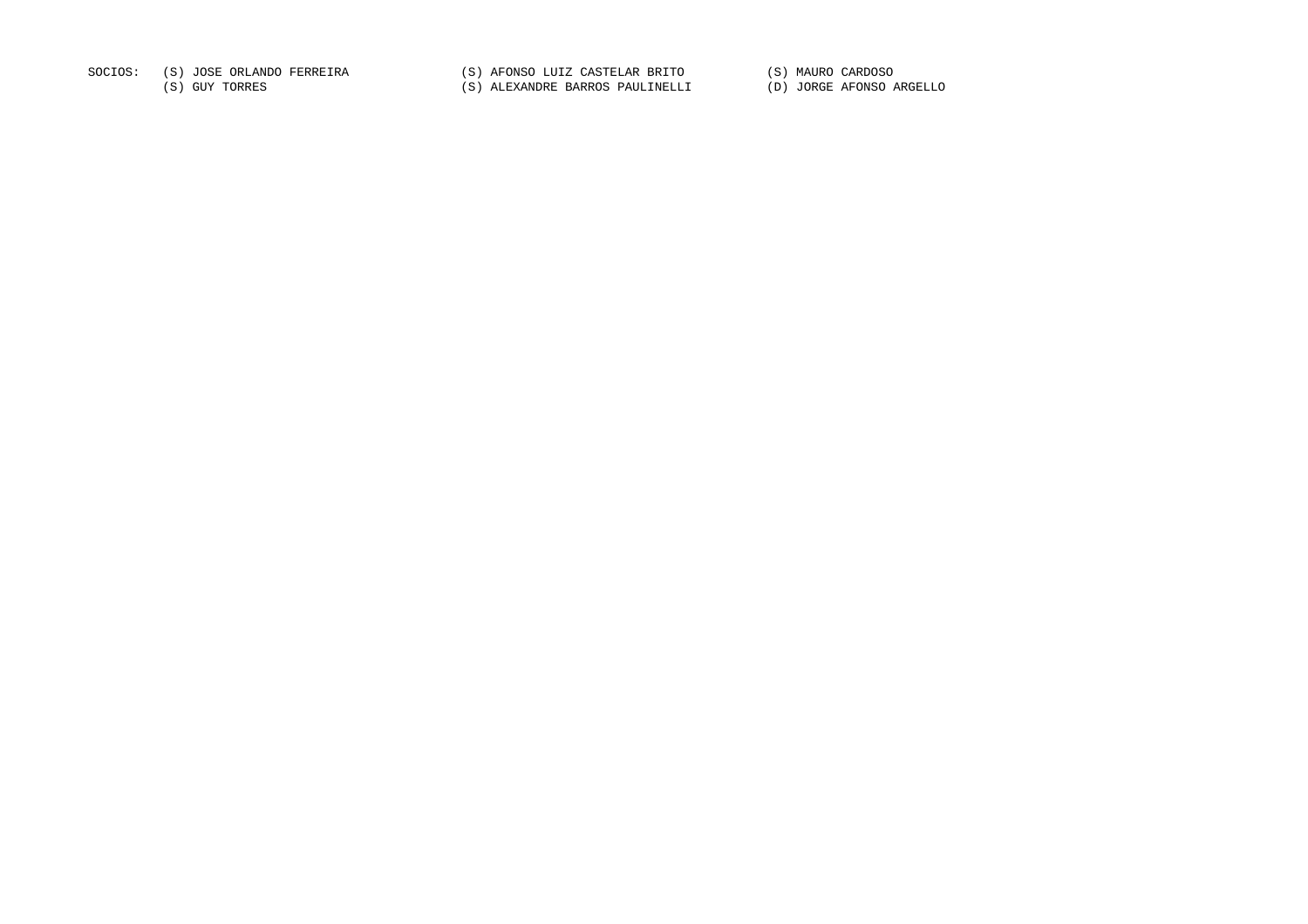SOCIOS: (S) JOSE ORLANDO FERREIRA (S) AFONSO LUIZ CASTELAR BRITO (S) MAURO CARDOSO

(S) GUY TORRES (S) ALEXANDRE BARROS PAULINELLI (D) JORGE AFONSO ARGELLO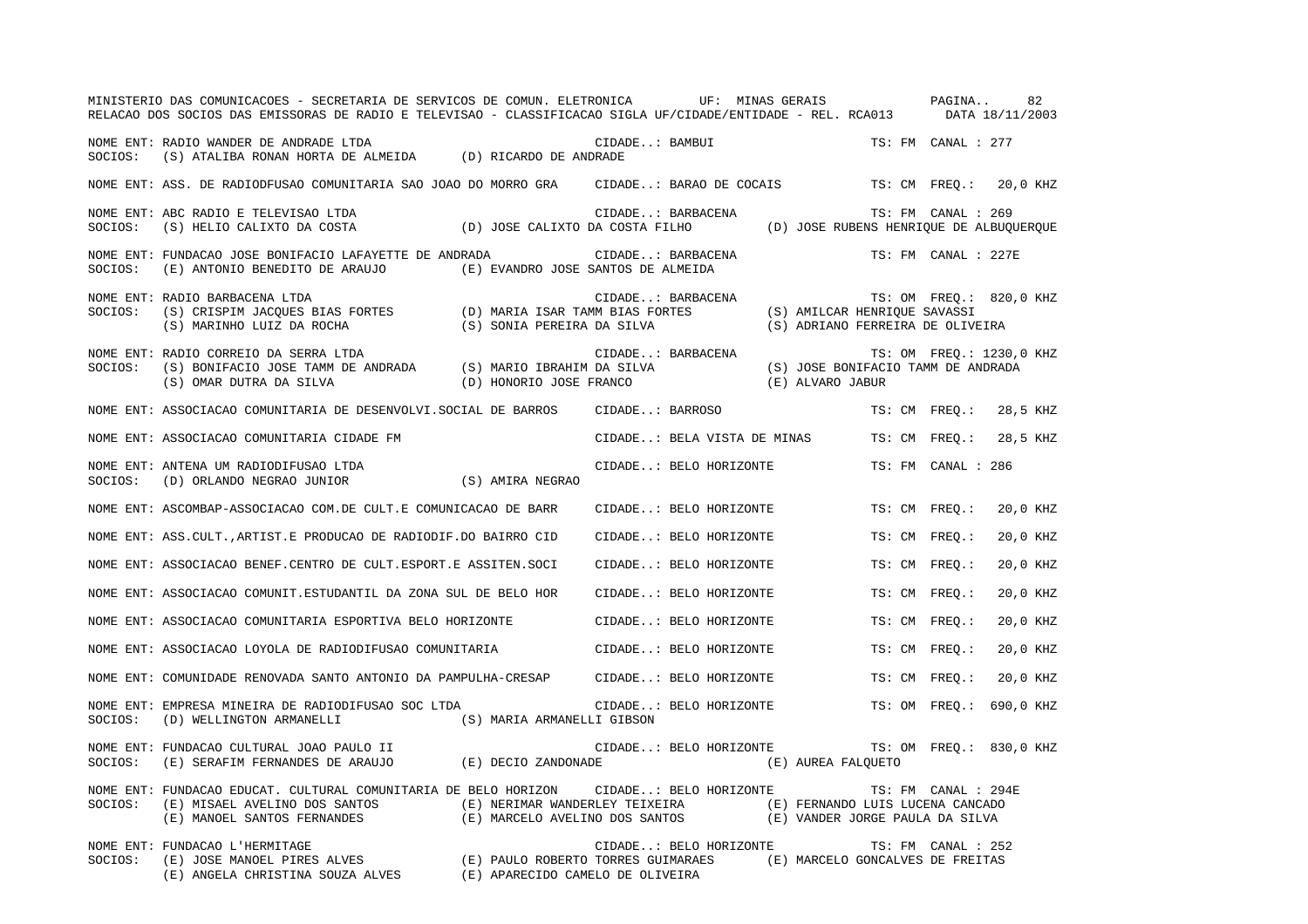|         | MINISTERIO DAS COMUNICACOES - SECRETARIA DE SERVICOS DE COMUN. ELETRONICA         UF: MINAS GERAIS           PAGINA     82<br>RELACAO DOS SOCIOS DAS EMISSORAS DE RADIO E TELEVISAO - CLASSIFICACAO SIGLA UF/CIDADE/ENTIDADE - REL. RCA013 DATA 18/11/2003                                 |  |                             |                                  |                     |                          |
|---------|--------------------------------------------------------------------------------------------------------------------------------------------------------------------------------------------------------------------------------------------------------------------------------------------|--|-----------------------------|----------------------------------|---------------------|--------------------------|
|         | NOME ENT: RADIO WANDER DE ANDRADE LTDA<br>SOCIOS: (S) ATALIBA RONAN HORTA DE ALMEIDA (D) RICARDO DE ANDRADE                                                                                                                                                                                |  | CIDADE: BAMBUI              |                                  | TS: FM CANAL : 277  |                          |
|         | NOME ENT: ASS. DE RADIODFUSAO COMUNITARIA SAO JOAO DO MORRO GRA CIDADE: BARAO DE COCAIS TS: CM FREQ.: 20,0 KHZ                                                                                                                                                                             |  |                             |                                  |                     |                          |
| SOCIOS: | NOME ENT: ABC RADIO E TELEVISAO LTDA<br>(S) HELIO CALIXTO DA COSTA (D) JOSE CALIXTO DA COSTA FILHO (D) JOSE RUBENS HENRIQUE DE ALBUQUERQUE                                                                                                                                                 |  | CIDADE: BARBACENA           |                                  | TS: FM CANAL : 269  |                          |
| SOCIOS: | NOME ENT: FUNDACAO JOSE BONIFACIO LAFAYETTE DE ANDRADA<br>(E) ANTONIO BENEDITO DE ARAUJO (E) EVANDRO JOSE SANTOS DE ALMEIDA                                                                                                                                                                |  | CIDADE: BARBACENA           |                                  | TS: FM CANAL : 227E |                          |
| SOCIOS: | NOME ENT: RADIO BARBACENA LTDA<br>"S: OM FREQ.:<br>S) CRISPIM JACQUES BIAS FORTES (D) MARIA ISAR TAMM BIAS FORTES (S) AMILCAR HENRIQUE SAVASSI)<br>S) MARINHO LUIZ DA ROCHA (S) SONIA PEREIRA DA SILVA (S) ADRIANO FERRETRA DE OLIVE)                                                      |  | CIDADE: BARBACENA           | (S) ADRIANO FERREIRA DE OLIVEIRA |                     | TS: OM FREQ.: 820,0 KHZ  |
|         | NOME ENT: RADIO CORREIO DA SERRA LTDA<br>SOCIOS: (S) BONIFACIO JOSE TAMM DE ANDRADA (S) MARIO IBRAHIM DA SILVA (S) JOSE BONIFACIO TAMM DE ANDRADA<br>(S) OMAR DUTRA DA SILVA (D) HONORIO JOSE FRANCO (E) ALVARO JABUR                                                                      |  |                             |                                  |                     | TS: OM FREQ.: 1230,0 KHZ |
|         | NOME ENT: ASSOCIACAO COMUNITARIA DE DESENVOLVI.SOCIAL DE BARROS CIDADE: BARROSO                                                                                                                                                                                                            |  |                             |                                  |                     | TS: CM FREQ.: 28,5 KHZ   |
|         | NOME ENT: ASSOCIACAO COMUNITARIA CIDADE FM                                                                                                                                                                                                                                                 |  | CIDADE: BELA VISTA DE MINAS |                                  | TS: CM FREQ.:       | 28,5 KHZ                 |
| SOCIOS: | NOME ENT: ANTENA UM RADIODIFUSAO LTDA<br>$\mbox{(D) ORLANDO NEGRAO JUNIOR} \mbox{(S) AMIRA NEGRAO}$                                                                                                                                                                                        |  | CIDADE: BELO HORIZONTE      |                                  | TS: FM CANAL : 286  |                          |
|         | NOME ENT: ASCOMBAP-ASSOCIACAO COM.DE CULT.E COMUNICACAO DE BARR                                                                                                                                                                                                                            |  | CIDADE: BELO HORIZONTE      |                                  | TS: CM FREO.:       | 20,0 KHZ                 |
|         | NOME ENT: ASS. CULT., ARTIST. E PRODUCAO DE RADIODIF. DO BAIRRO CID                                                                                                                                                                                                                        |  | CIDADE: BELO HORIZONTE      |                                  | TS: CM FREO.:       | 20,0 KHZ                 |
|         | NOME ENT: ASSOCIACAO BENEF.CENTRO DE CULT.ESPORT.E ASSITEN.SOCI                                                                                                                                                                                                                            |  | CIDADE: BELO HORIZONTE      |                                  | TS: CM FREO.:       | 20,0 KHZ                 |
|         | NOME ENT: ASSOCIACAO COMUNIT. ESTUDANTIL DA ZONA SUL DE BELO HOR                                                                                                                                                                                                                           |  | CIDADE: BELO HORIZONTE      |                                  | TS: CM FREO.:       | 20,0 KHZ                 |
|         | NOME ENT: ASSOCIACAO COMUNITARIA ESPORTIVA BELO HORIZONTE                                                                                                                                                                                                                                  |  | CIDADE: BELO HORIZONTE      |                                  | TS: CM FREQ.:       | 20,0 KHZ                 |
|         | NOME ENT: ASSOCIACAO LOYOLA DE RADIODIFUSAO COMUNITARIA                 CIDADE: BELO HORIZONTE                                                                                                                                                                                             |  |                             |                                  | TS: CM FREO.:       | 20,0 KHZ                 |
|         | NOME ENT: COMUNIDADE RENOVADA SANTO ANTONIO DA PAMPULHA-CRESAP                                                                                                                                                                                                                             |  | CIDADE: BELO HORIZONTE      |                                  | TS: CM FREO.:       | 20,0 KHZ                 |
| SOCIOS: | NOME ENT: EMPRESA MINEIRA DE RADIODIFUSAO SOC LTDA<br>(D) WELLINGTON ARMANELLI (S) MARIA ARMANELLI GIBSON                                                                                                                                                                                  |  | CIDADE: BELO HORIZONTE      |                                  | TS: OM FREQ.:       | 690,0 KHZ                |
| SOCIOS: | NOME ENT: FUNDACAO CULTURAL JOAO PAULO II<br>(E) SERAFIM FERNANDES DE ARAUJO (E) DECIO ZANDONADE                                                                                                                                                                                           |  | CIDADE: BELO HORIZONTE      | (E) AUREA FALOUETO               |                     | TS: OM FREO.: 830,0 KHZ  |
| SOCIOS: | NOME ENT: FUNDACAO EDUCAT. CULTURAL COMUNITARIA DE BELO HORIZON      CIDADE: BELO HORIZONTE<br>(E) MISAEL AVELINO DOS SANTOS (E) NERIMAR WANDERLEY TEIXEIRA (E) FERNANDO LUIS LUCENA CANCADO<br>(E) MANOEL SANTOS FERNANDES (E) MARCELO AVELINO DOS SANTOS (E) VANDER JORGE PAULA DA SILVA |  |                             |                                  | TS: FM CANAL : 294E |                          |
| SOCIOS: | NOME ENT: FUNDACAO L'HERMITAGE<br>(E) JOSE MANOEL PIRES ALVES<br>(E) PAULO ROBERTO TORRES GUIMARAES (E) MARCELO GONCALVES DE FREITAS<br>(E) ANGELA CHRISTINA SOUZA ALVES (E) APARECIDO CAMELO DE OLIVEIRA                                                                                  |  | CIDADE: BELO HORIZONTE      |                                  | TS: FM CANAL : 252  |                          |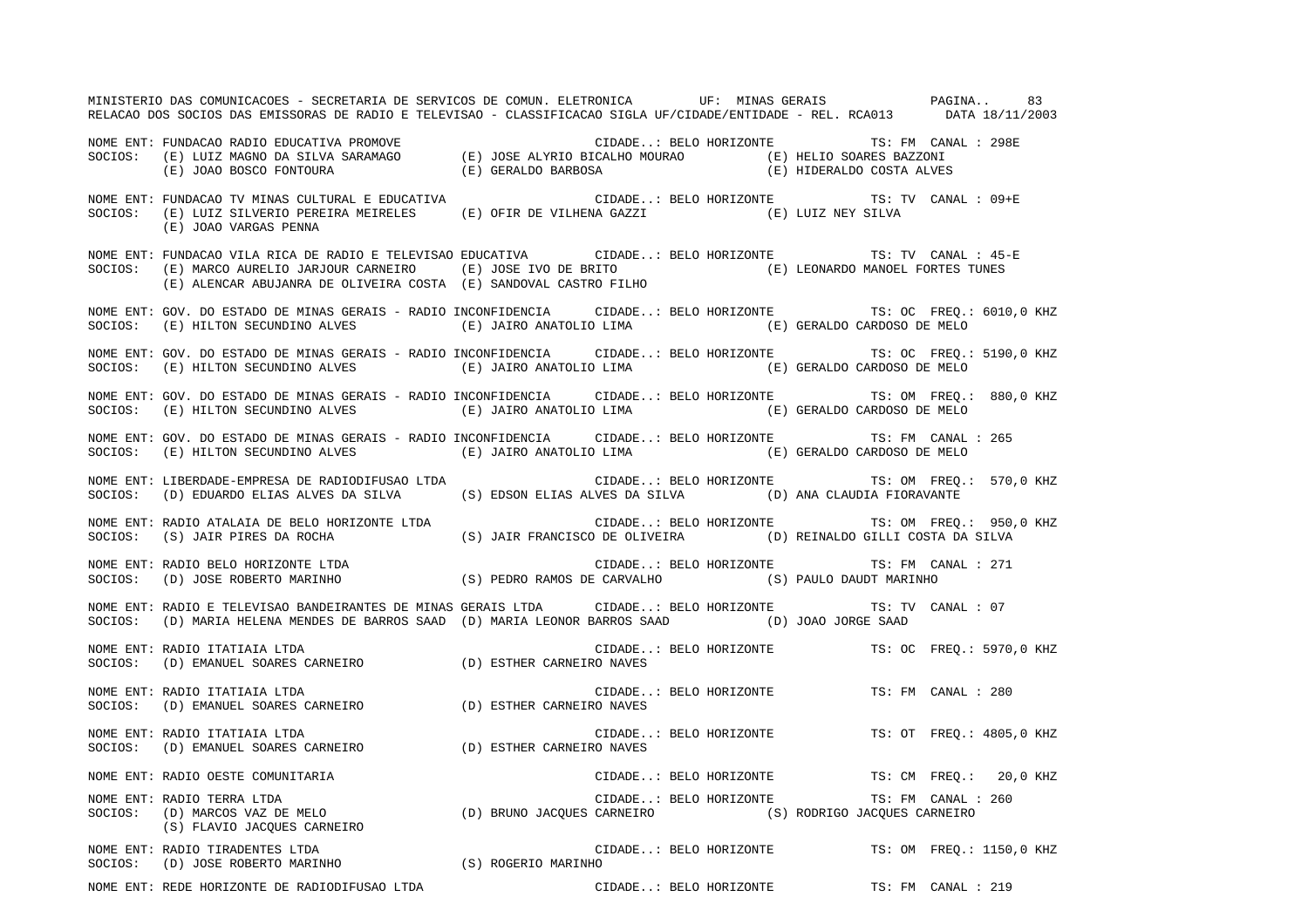MINISTERIO DAS COMUNICACOES - SECRETARIA DE SERVICOS DE COMUN. ELETRONICA UF: MINAS GERAIS PAGINA.. 83RELACAO DOS SOCIOS DAS EMISSORAS DE RADIO E TELEVISAO - CLASSIFICACAO SIGLA UF/CIDADE/ENTIDADE - REL. RCA013 DATA 18/11/2003 NOME ENT: FUNDACAO RADIO EDUCATIVA PROMOVE CIDADE..: BELO HORIZONTE TS: FM CANAL : 298ESOCIOS: (E) LUIZ MAGNO DA SILVA SARAMAGO (E) JOSE ALYRIO BICALHO MOURAO (E) HELIO SOARES BAZZONI (E) JOAO BOSCO FONTOURA (E) GERALDO BARBOSA (E) HIDERALDO COSTA ALVES NOME ENT: FUNDACAO TV MINAS CULTURAL E EDUCATIVA CIDADE..: BELO HORIZONTE TS: TV CANAL : 09+E SOCIOS: (E) LUIZ SILVERIO PEREIRA MEIRELES (E) OFIR DE VILHENA GAZZI (E) LUIZ NEY SILVA (E) JOAO VARGAS PENNA NOME ENT: FUNDACAO VILA RICA DE RADIO E TELEVISAO EDUCATIVA CIDADE..: BELO HORIZONTE TS: TV CANAL : 45-ESOCIOS: (E) MARCO AURELIO JARJOUR CARNEIRO (E) JOSE IVO DE BRITO (E) LEONARDO MANOEL FORTES TUNES (E) ALENCAR ABUJANRA DE OLIVEIRA COSTA (E) SANDOVAL CASTRO FILHO NOME ENT: GOV. DO ESTADO DE MINAS GERAIS - RADIO INCONFIDENCIA CIDADE..: BELO HORIZONTE TS: OC FREQ.: 6010,0 KHZ SOCIOS: (E) HILTON SECUNDINO ALVES (E) JAIRO ANATOLIO LIMA (E) GERALDO CARDOSO DE MELO NOME ENT: GOV. DO ESTADO DE MINAS GERAIS - RADIO INCONFIDENCIA CIDADE..: BELO HORIZONTE TS: OC FREQ.: 5190,0 KHZ SOCIOS: (E) HILTON SECUNDINO ALVES (E) JAIRO ANATOLIO LIMA (E) GERALDO CARDOSO DE MELO NOME ENT: GOV. DO ESTADO DE MINAS GERAIS - RADIO INCONFIDENCIA CIDADE..: BELO HORIZONTE TS: OM FREQ.: 880,0 KHZ SOCIOS: (E) HILTON SECUNDINO ALVES (E) JAIRO ANATOLIO LIMA (E) GERALDO CARDOSO DE MELO NOME ENT: GOV. DO ESTADO DE MINAS GERAIS - RADIO INCONFIDENCIA CIDADE..: BELO HORIZONTE TS: FM CANAL : 265SOCIOS: (E) HILTON SECUNDINO ALVES (E) JAIRO ANATOLIO LIMA (E) GERALDO CARDOSO DE MELO NOME ENT: LIBERDADE-EMPRESA DE RADIODIFUSAO LTDA CIDADE..: BELO HORIZONTE TS: OM FREQ.: 570,0 KHZ SOCIOS: (D) EDUARDO ELIAS ALVES DA SILVA (S) EDSON ELIAS ALVES DA SILVA (D) ANA CLAUDIA FIORAVANTE NOME ENT: RADIO ATALAIA DE BELO HORIZONTE LTDA CIDADE..: BELO HORIZONTE TS: OM FREQ.: 950,0 KHZ SOCIOS: (S) JAIR PIRES DA ROCHA (S) JAIR FRANCISCO DE OLIVEIRA (D) REINALDO GILLI COSTA DA SILVA NOME ENT: RADIO BELO HORIZONTE LTDA CIDADE..: BELO HORIZONTE TS: FM CANAL : 271 SOCIOS: (D) JOSE ROBERTO MARINHO (S) PEDRO RAMOS DE CARVALHO (S) PAULO DAUDT MARINHO NOME ENT: RADIO E TELEVISAO BANDEIRANTES DE MINAS GERAIS LTDA CIDADE..: BELO HORIZONTE TS: TV CANAL : 07SOCIOS: (D) MARIA HELENA MENDES DE BARROS SAAD (D) MARIA LEONOR BARROS SAAD (D) JOAO JORGE SAAD NOME ENT: RADIO ITATIAIA LTDA CIDADE..: BELO HORIZONTE TS: OC FREQ.: 5970,0 KHZ SOCIOS: (D) EMANUEL SOARES CARNEIRO (D) ESTHER CARNEIRO NAVES NOME ENT: RADIO ITATIAIA LTDA CIDADE..: BELO HORIZONTE TS: FM CANAL : 280SOCIOS: (D) EMANUEL SOARES CARNEIRO (D) ESTHER CARNEIRO NAVES NOME ENT: RADIO ITATIAIA LTDA CIDADE..: BELO HORIZONTE TS: OT FREQ.: 4805,0 KHZ SOCIOS: (D) EMANUEL SOARES CARNEIRO (D) ESTHER CARNEIRO NAVES NOME ENT: RADIO OESTE COMUNITARIA CIDADE..: BELO HORIZONTE TS: CM FREQ.: 20,0 KHZ NOME ENT: RADIO TERRA LTDA CIDADE..: BELO HORIZONTE TS: FM CANAL : 260 SOCIOS: (D) MARCOS VAZ DE MELO (D) BRUNO JACQUES CARNEIRO (S) RODRIGO JACQUES CARNEIRO (S) FLAVIO JACQUES CARNEIRO NOME ENT: RADIO TIRADENTES LTDA CIDADE..: BELO HORIZONTE TS: OM FREQ.: 1150,0 KHZ SOCIOS: (D) JOSE ROBERTO MARINHO (S) ROGERIO MARINHO NOME ENT: REDE HORIZONTE DE RADIODIFUSAO LTDA CIDADE..: BELO HORIZONTE TS: FM CANAL : 219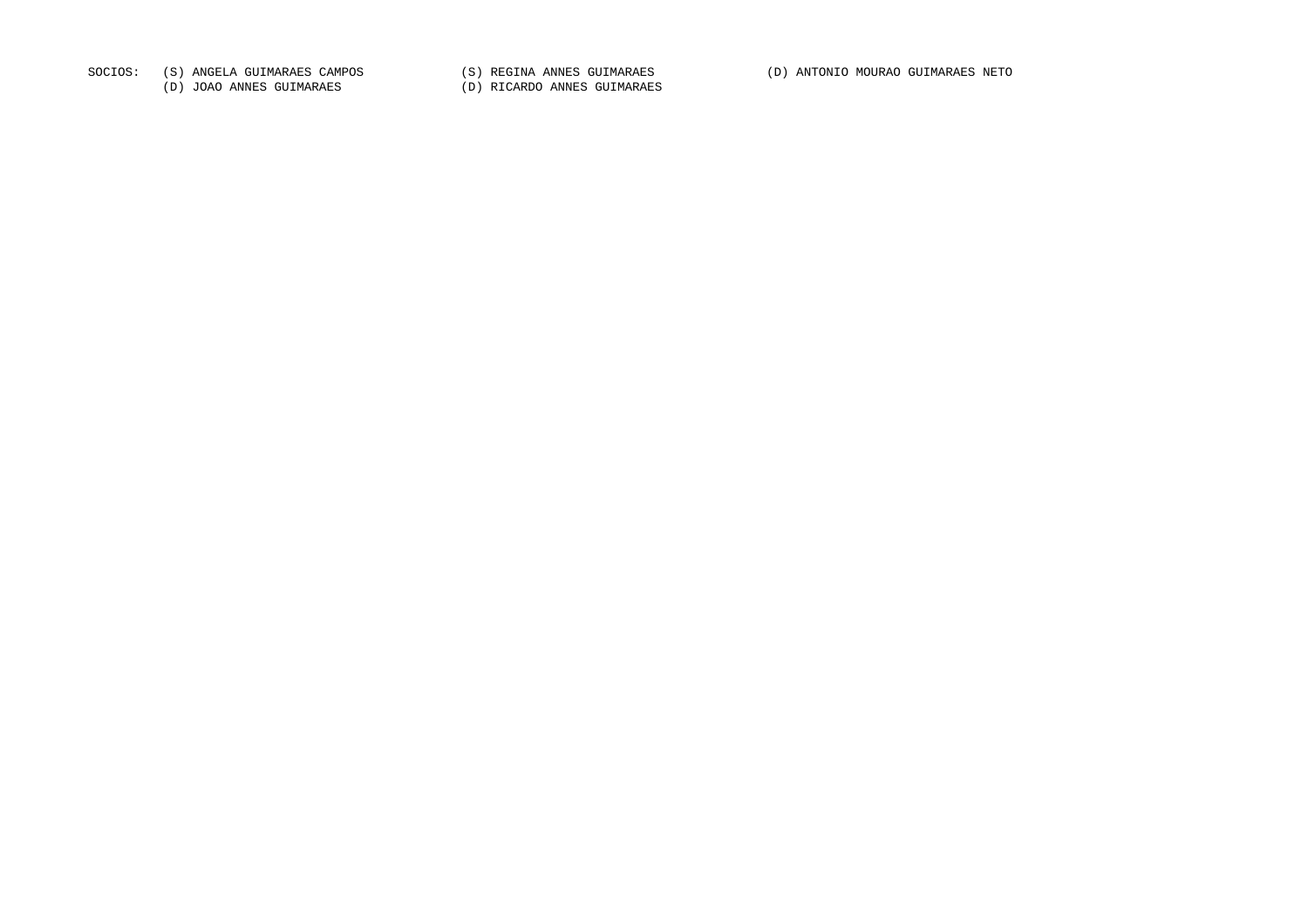SOCIOS: (S) ANGELA GUIMARAES CAMPOS (S) REGINA ANNES GUIMARAES (D) ANTONIO MOURAO GUIMARAES NETO

(D) JOAO ANNES GUIMARAES (D) RICARDO ANNES GUIMARAES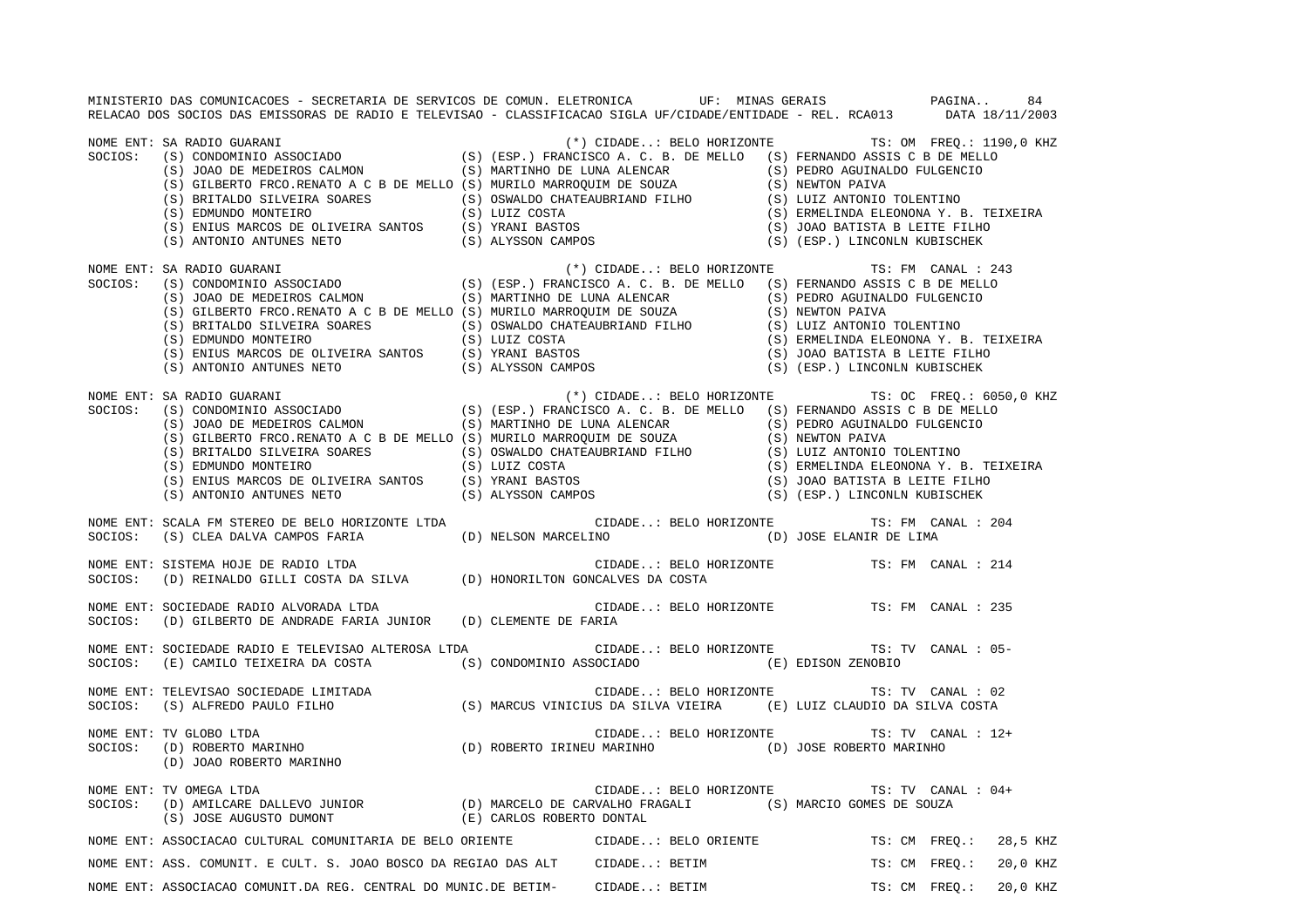MINISTERIO DAS COMUNICACOES - SECRETARIA DE SERVICOS DE COMUN. ELETRONICA UF: MINAS GERAIS PAGINA.. 84RELACAO DOS SOCIOS DAS EMISSORAS DE RADIO E TELEVISAO - CLASSIFICACAO SIGLA UF/CIDADE/ENTIDADE - REL. RCA013 DATA 18/11/2003 NOME ENT: SA RADIO GUARANI (\*) CIDADE..: BELO HORIZONTE TS: OM FREQ.: 1190,0 KHZ<br>SOCIOS: (S) CONDOMINIO ASSOCIADO (S) (ESP.) FRANCISCO A. C. B. DE MELLO (S) FERNANDO ASSIS C B DE MELLO (S) (ESP.) FRANCISCO A. C. B. DE MELLO (S) FERNANDO ASSIS C B DE MELLO (S) JOAO DE MEDEIROS CALMON (S) MARTINHO DE LUNA ALENCAR (S) PEDRO AGUINALDO FULGENCIO (S) GILBERTO FRCO.RENATO A C B DE MELLO (S) MURILO MARROQUIM DE SOUZA (S) NEWTON PAIVA (S) BRITALDO SILVEIRA SOARES (S) OSWALDO CHATEAUBRIAND FILHO (S) LUIZ ANTONIO TOLENTINO (S) EDMUNDO MONTEIRO (S) LUIZ COSTA (S) ERMELINDA ELEONONA Y. B. TEIXEIR A (S) ENIUS MARCOS DE OLIVEIRA SANTOS (S) YRANI BASTOS (S) JOAO BATISTA B LEITE FILHO (S) ANTONIO ANTUNES NETO (S) ALYSSON CAMPOS (S) (ESP.) LINCONLN KUBISCHEK NOME ENT: SA RADIO GUARANI (\*) CIDADE..: BELO HORIZONTE TS: FM CANAL : 243 SOCIOS: (S) CONDOMINIO ASSOCIADO (S) (ESP.) FRANCISCO A. C. B. DE MELLO (S) FERNANDO ASSIS C B DE MELLO (S) JOAO DE MEDEIROS CALMON (S) MARTINHO DE LUNA ALENCAR (S) PEDRO AGUINALDO FULGENCIO (S) GILBERTO FRCO.RENATO A C B DE MELLO (S) MURILO MARROQUIM DE SOUZA (S) NEWTON PAIVA (S) BRITALDO SILVEIRA SOARES (S) OSWALDO CHATEAUBRIAND FILHO (S) LUIZ ANTONIO TOLENTINO (S) EDMUNDO MONTEIRO (S) LUIZ COSTA (S) ERMELINDA ELEONONA Y. B. TEIXEIR A (S) ENIUS MARCOS DE OLIVEIRA SANTOS (S) YRANI BASTOS (S) JOAO BATISTA B LEITE FILHO (S) ANTONIO ANTUNES NETO (S) ALYSSON CAMPOS (S) (ESP.) LINCONLN KUBISCHEK NOME ENT: SA RADIO GUARANI (\*) CIDADE..: BELO HORIZONTE TS: OC FREQ.: 6050,0 KHZ SOCIOS: (S) CONDOMINIO ASSOCIADO (S) (ESP.) FRANCISCO A. C. B. DE MELLO (S) FERNANDO ASSIS C B DE MELLO (S) JOAO DE MEDEIROS CALMON (S) MARTINHO DE LUNA ALENCAR (S) PEDRO AGUINALDO FULGENCIO (S) GILBERTO FRCO.RENATO A C B DE MELLO (S) MURILO MARROQUIM DE SOUZA (S) NEWTON PAIVA (S) BRITALDO SILVEIRA SOARES (S) OSWALDO CHATEAUBRIAND FILHO (S) LUIZ ANTONIO TOLENTINO (S) EDMUNDO MONTEIRO (S) LUIZ COSTA (S) ERMELINDA ELEONONA Y. B. TEIXEIRA<br>(S) ENIUS MARCOS DE OLIVEIRA SANTOS (S) YRANI BASTOS (S) JOAO BATIST (S) ANTONIO ANTUNES NETO (S) ALYSSON CAMPOS (S) (ESP.) LINCONLN KUBISCHEK NOME ENT: SCALA FM STEREO DE BELO HORIZONTE LTDA CIDADE..: BELO HORIZONTE TS: FM CANAL : 204SOCIOS: (S) CLEA DALVA CAMPOS FARIA (D) NELSON MARCELINO (D) JOSE ELANIR DE LIMA NOME ENT: SISTEMA HOJE DE RADIO LTDA CIDADE..: BELO HORIZONTE TS: FM CANAL : 214 SOCIOS: (D) REINALDO GILLI COSTA DA SILVA (D) HONORILTON GONCALVES DA COSTA NOME ENT: SOCIEDADE RADIO ALVORADA LTDA CONSTRUITE CIDADE..: BELO HORIZONTE TS: FM CANAL : 235 SOCIOS: (D) GILBERTO DE ANDRADE FARIA JUNIOR (D) CLEMENTE DE FARIA NOME ENT: SOCIEDADE RADIO E TELEVISAO ALTEROSA LTDA CIDADE..: BELO HORIZONTE TS: TV CANAL : 05-SOCIOS: (E) CAMILO TEIXEIRA DA COSTA (S) CONDOMINIO ASSOCIADO (E) EDISON ZENOBIO NOME ENT: TELEVISAO SOCIEDADE LIMITADA **ENTERENTE SOCIEDADE EN EL CONOCIEDADE.**.: BELO HORIZONTE TS: TV CANAL : 02 SOCIOS: (S) ALFREDO PAULO FILHO (S) MARCUS VINICIUS DA SILVA VIEIRA (E) LUIZ CLAUDIO DA SILVA COSTA NOME ENT: TV GLOBO LTDA CIDADE..: BELO HORIZONTE TS: TV CANAL : 12+(D) ROBERTO IRINEU MARINHO (D) JOSE ROBERTO MARINHO (D) JOAO ROBERTO MARINHO NOME ENT: TV OMEGA LTDA CIDADE... BELO HORIZONTE TS: TV CANAL : 04+ SOCIOS: (D) AMILCARE DALLEVO JUNIOR (D) MARCELO DE CARVALHO FRAGALI (S) MARCIO GOMES DE SOUZA (S) JOSE AUGUSTO DUMONT (E) CARLOS ROBERTO DONTAL NOME ENT: ASSOCIACAO CULTURAL COMUNITARIA DE BELO ORIENTE CIDADE..: BELO ORIENTE TS: CM FREQ.: 28,5 KHZ NOME ENT: ASS. COMUNIT. E CULT. S. JOAO BOSCO DA REGIAO DAS ALT CIDADE..: BETIM TS: CM FREQ.: 20,0 KHZ NOME ENT: ASSOCIACAO COMUNIT.DA REG. CENTRAL DO MUNIC.DE BETIM- CIDADE..: BETIM TS: CM FREQ.: 20,0 KHZ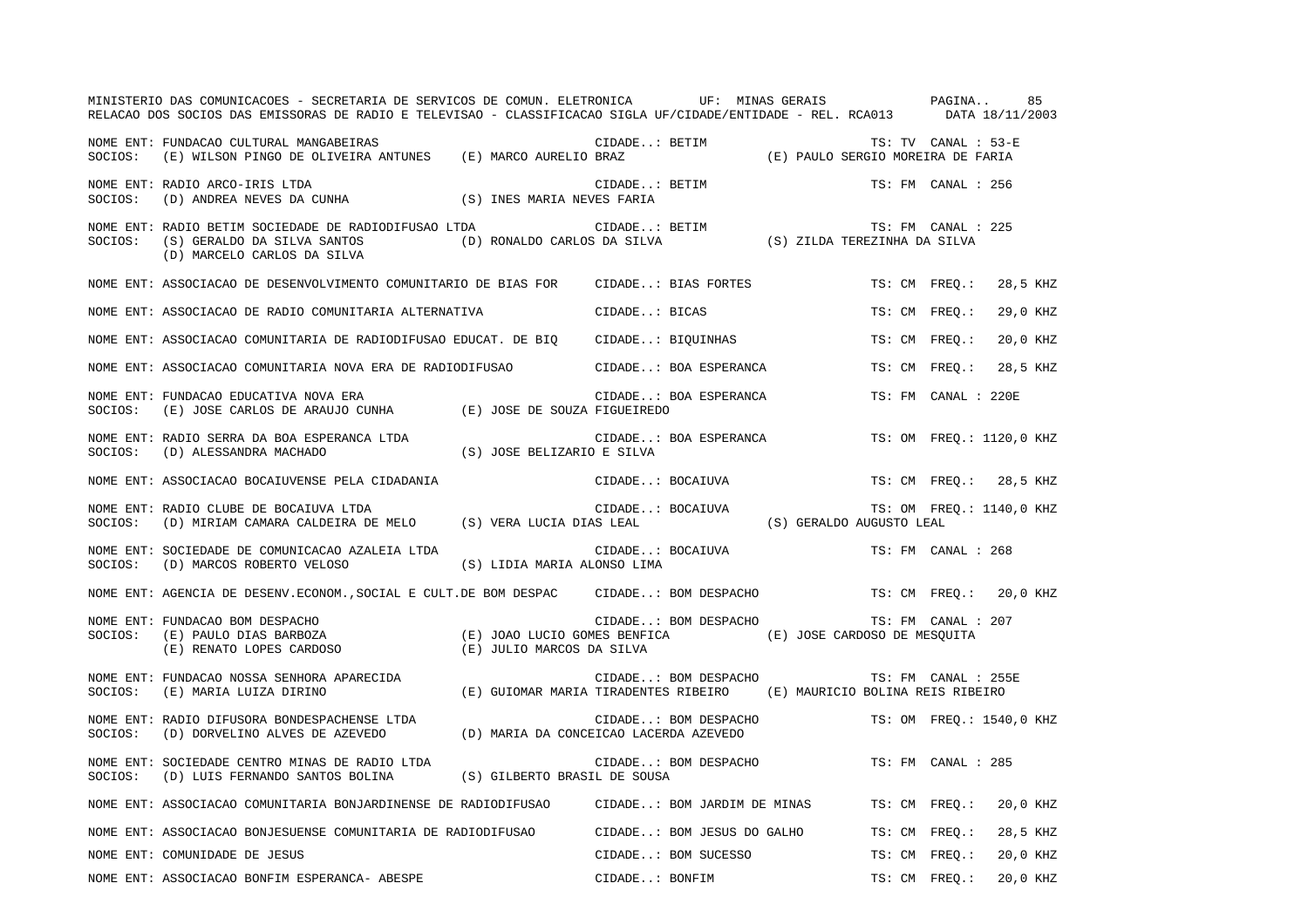|         | MINISTERIO DAS COMUNICACOES - SECRETARIA DE SERVICOS DE COMUN. ELETRONICA UF: MINAS GERAIS PAGINA<br>RELACAO DOS SOCIOS DAS EMISSORAS DE RADIO E TELEVISAO - CLASSIFICACAO SIGLA UF/CIDADE/ENTIDADE - REL. RCA013 DATA 18/11/2003 |                                                                                            |                |                                              |                                                          | 85                       |  |
|---------|-----------------------------------------------------------------------------------------------------------------------------------------------------------------------------------------------------------------------------------|--------------------------------------------------------------------------------------------|----------------|----------------------------------------------|----------------------------------------------------------|--------------------------|--|
| SOCIOS: | NOME ENT: FUNDACAO CULTURAL MANGABEIRAS<br>(E) WILSON PINGO DE OLIVEIRA ANTUNES (E) MARCO AURELIO BRAZ                                                                                                                            |                                                                                            | CIDADE: BETIM  |                                              | TS: TV CANAL : 53-E<br>(E) PAULO SERGIO MOREIRA DE FARIA |                          |  |
| SOCIOS: | NOME ENT: RADIO ARCO-IRIS LTDA<br>$\mbox{(D) ANDREA NEVES DA CUNHA} \mbox{(S) INES MARIA NEVES FARIA}$                                                                                                                            |                                                                                            |                | CIDADE: BETIM                                | TS: FM CANAL : 256                                       |                          |  |
| SOCIOS: | NOME ENT: RADIO BETIM SOCIEDADE DE RADIODIFUSAO LTDA<br>(S) GERALDO DA SILVA SANTOS<br>(D) MARCELO CARLOS DA SILVA                                                                                                                | LTDA CIDADE: BETIM TS: FM CANAL : (D) RONALDO CARLOS DA SILVA (S) ZILDA TEREZINHA DA SILVA |                |                                              | TS: FM CANAL : 225                                       |                          |  |
|         | NOME ENT: ASSOCIACAO DE DESENVOLVIMENTO COMUNITARIO DE BIAS FOR CIDADE: BIAS FORTES                                                                                                                                               |                                                                                            |                |                                              | TS: CM FREO.:                                            | 28,5 KHZ                 |  |
|         | NOME ENT: ASSOCIACAO DE RADIO COMUNITARIA ALTERNATIVA                                                                                                                                                                             |                                                                                            | CIDADE: BICAS  |                                              | TS: CM FREO.:                                            | 29,0 KHZ                 |  |
|         | NOME ENT: ASSOCIACAO COMUNITARIA DE RADIODIFUSAO EDUCAT. DE BIQ CIDADE: BIQUINHAS                                                                                                                                                 |                                                                                            |                |                                              | TS: CM FREO.:                                            | 20,0 KHZ                 |  |
|         | NOME ENT: ASSOCIACAO COMUNITARIA NOVA ERA DE RADIODIFUSAO                                                                                                                                                                         |                                                                                            |                | CIDADE: BOA ESPERANCA                        | TS: CM FREO.:                                            | 28,5 KHZ                 |  |
| SOCIOS: | NOME ENT: FUNDACAO EDUCATIVA NOVA ERA<br>(E) JOSE CARLOS DE ARAUJO CUNHA (E) JOSE DE SOUZA FIGUEIREDO                                                                                                                             |                                                                                            |                | CIDADE: BOA ESPERANCA                        | TS: FM CANAL : 220E                                      |                          |  |
|         | NOME ENT: RADIO SERRA DA BOA ESPERANCA LTDA<br>SOCIOS: (D) ALESSANDRA MACHADO                                                                                                                                                     | (S) JOSE BELIZARIO E SILVA                                                                 |                | CIDADE: BOA ESPERANCA                        |                                                          | TS: OM FREQ.: 1120,0 KHZ |  |
|         | NOME ENT: ASSOCIACAO BOCAIUVENSE PELA CIDADANIA                                                                                                                                                                                   |                                                                                            |                | CIDADE: BOCAIUVA                             |                                                          | TS: CM FREQ.: 28,5 KHZ   |  |
| SOCIOS: | NOME ENT: RADIO CLUBE DE BOCAIUVA LTDA<br>(D) MIRIAM CAMARA CALDEIRA DE MELO (S) VERA LUCIA DIAS LEAL                                                                                                                             |                                                                                            |                | CIDADE: BOCAIUVA<br>(S) GERALDO AUGUSTO LEAL |                                                          | TS: OM FREQ.: 1140,0 KHZ |  |
| SOCIOS: | NOME ENT: SOCIEDADE DE COMUNICACAO AZALEIA LTDA<br>(D) MARCOS ROBERTO VELOSO                                                                                                                                                      | (S) LIDIA MARIA ALONSO LIMA                                                                |                | CIDADE: BOCAIUVA                             | TS: FM CANAL : 268                                       |                          |  |
|         | NOME ENT: AGENCIA DE DESENV.ECONOM., SOCIAL E CULT.DE BOM DESPAC CIDADE: BOM DESPACHO                                                                                                                                             |                                                                                            |                |                                              |                                                          | TS: CM FREO.: 20,0 KHZ   |  |
| SOCIOS: | NOME ENT: FUNDACAO BOM DESPACHO<br>TS: FM CANAL (E) PAULO DIAS BARBOZA (E) JOAO LUCIO GOMES BENFICA (E) JOSE CARDOSO DE MESQUITA (E) RENATO LOPES CARDOSO (E) JULIO MARCOS DE CARDOSO DE MESQUITA                                 |                                                                                            |                |                                              | TS: FM CANAL : 207                                       |                          |  |
| SOCIOS: | NOME ENT: FUNDACAO NOSSA SENHORA APARECIDA<br>(E) MARIA LUIZA DIRINO                                                                                                                                                              | (E) GUIOMAR MARIA TIRADENTES RIBEIRO (E) MAURICIO BOLINA REIS RIBEIRO                      |                | CIDADE: BOM DESPACHO                         | TS: FM CANAL : 255E                                      |                          |  |
| SOCIOS: | NOME ENT: RADIO DIFUSORA BONDESPACHENSE LTDA<br>(D) DORVELINO ALVES DE AZEVEDO (D) MARIA DA CONCEICAO LACERDA AZEVEDO                                                                                                             |                                                                                            |                | CIDADE: BOM DESPACHO                         |                                                          | TS: OM FREO.: 1540,0 KHZ |  |
| SOCIOS: | NOME ENT: SOCIEDADE CENTRO MINAS DE RADIO LTDA<br>(D) LUIS FERNANDO SANTOS BOLINA                                                                                                                                                 | (S) GILBERTO BRASIL DE SOUSA                                                               |                | CIDADE: BOM DESPACHO                         | TS: FM CANAL : 285                                       |                          |  |
|         | NOME ENT: ASSOCIACAO COMUNITARIA BONJARDINENSE DE RADIODIFUSAO      CIDADE: BOM JARDIM DE MINAS                                                                                                                                   |                                                                                            |                |                                              | TS: CM FREO.:                                            | 20,0 KHZ                 |  |
|         | NOME ENT: ASSOCIACAO BONJESUENSE COMUNITARIA DE RADIODIFUSAO          CIDADE: BOM JESUS DO GALHO                                                                                                                                  |                                                                                            |                |                                              | TS: CM FREO.:                                            | 28,5 KHZ                 |  |
|         | NOME ENT: COMUNIDADE DE JESUS                                                                                                                                                                                                     |                                                                                            |                | CIDADE: BOM SUCESSO                          | TS: CM FREO.:                                            | 20,0 KHZ                 |  |
|         | NOME ENT: ASSOCIACAO BONFIM ESPERANCA- ABESPE                                                                                                                                                                                     |                                                                                            | CIDADE: BONFIM |                                              | TS: CM FREO.:                                            | 20,0 KHZ                 |  |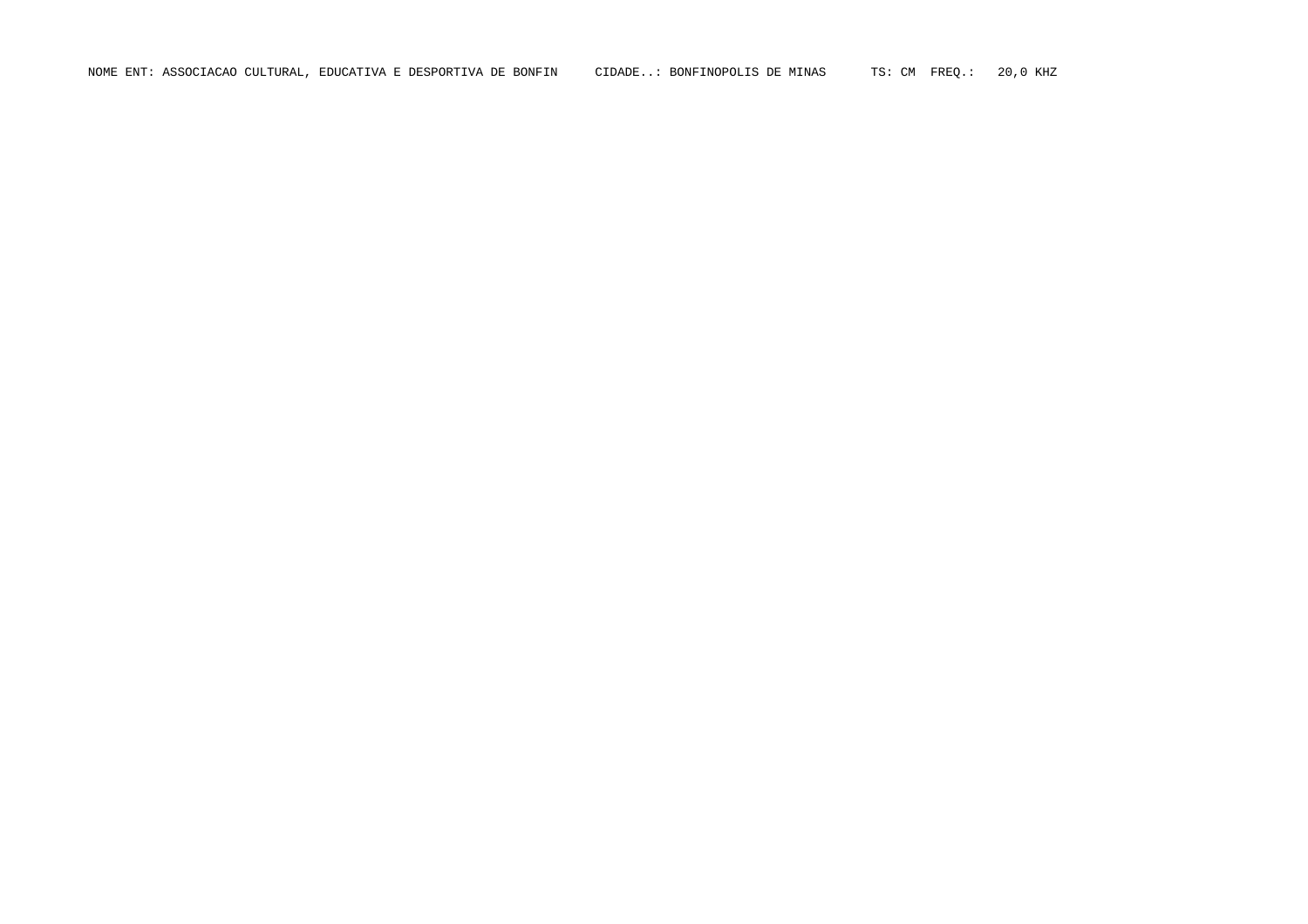NOME ENT: ASSOCIACAO CULTURAL, EDUCATIVA E DESPORTIVA DE BONFIN CIDADE..: BONFINOPOLIS DE MINAS TS: CM FREQ.: 20,0 KHZ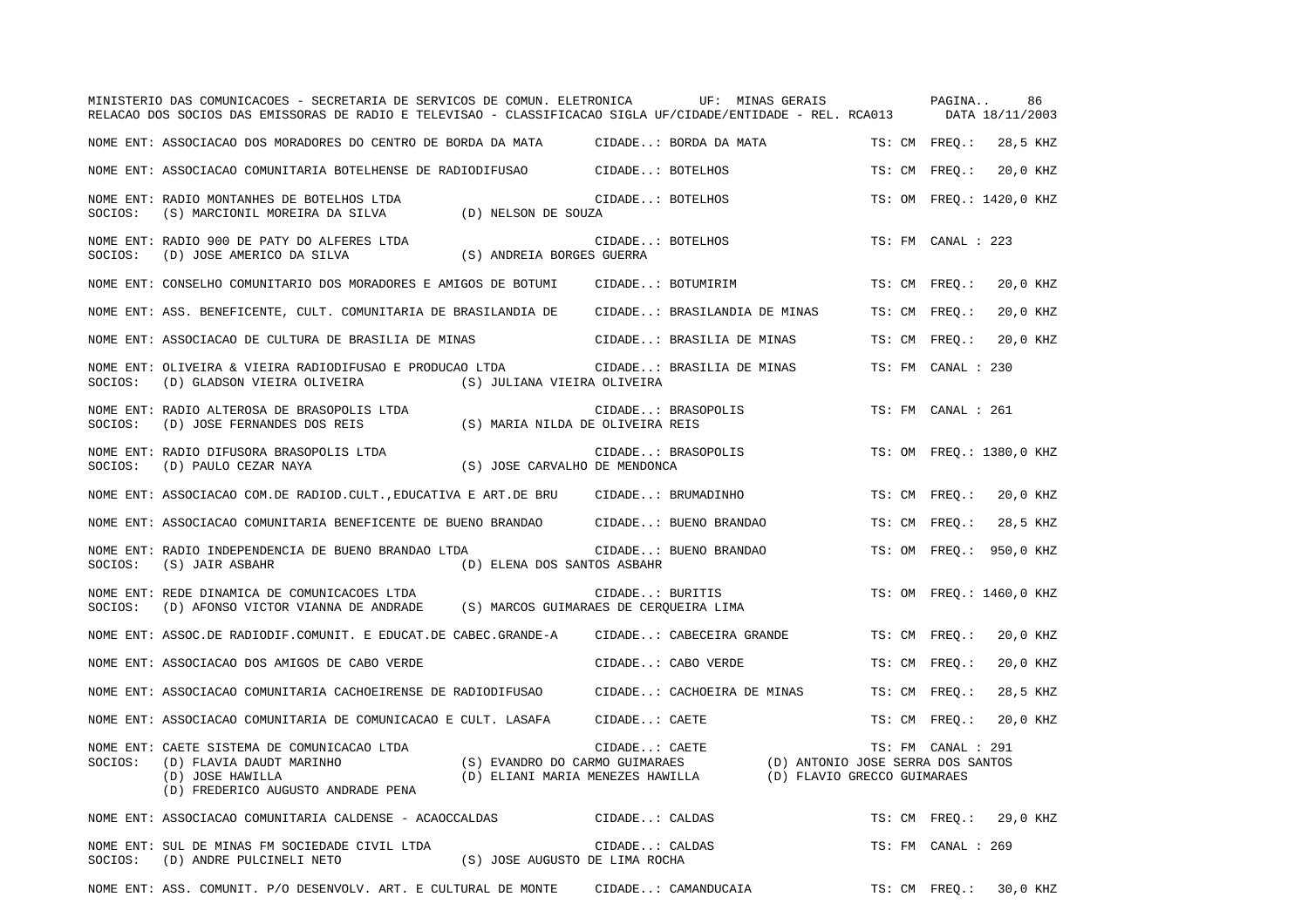|         | MINISTERIO DAS COMUNICACOES - SECRETARIA DE SERVICOS DE COMUN. ELETRONICA<br>RELACAO DOS SOCIOS DAS EMISSORAS DE RADIO E TELEVISAO - CLASSIFICACAO SIGLA UF/CIDADE/ENTIDADE - REL. RCA013 |                                                                                                      |                  | UF: MINAS GERAIS           |                             | PAGINA             | 86<br>DATA 18/11/2003    |
|---------|-------------------------------------------------------------------------------------------------------------------------------------------------------------------------------------------|------------------------------------------------------------------------------------------------------|------------------|----------------------------|-----------------------------|--------------------|--------------------------|
|         | NOME ENT: ASSOCIACAO DOS MORADORES DO CENTRO DE BORDA DA MATA                                                                                                                             |                                                                                                      |                  | CIDADE: BORDA DA MATA      |                             | TS: CM FREO.:      | 28,5 KHZ                 |
|         | NOME ENT: ASSOCIACAO COMUNITARIA BOTELHENSE DE RADIODIFUSAO CIDADE: BOTELHOS                                                                                                              |                                                                                                      |                  |                            |                             | TS: CM FREO.:      | 20,0 KHZ                 |
| SOCIOS: | NOME ENT: RADIO MONTANHES DE BOTELHOS LTDA<br>(S) MARCIONIL MOREIRA DA SILVA (D) NELSON DE SOUZA                                                                                          |                                                                                                      | CIDADE: BOTELHOS |                            |                             |                    | TS: OM FREO.: 1420,0 KHZ |
| SOCIOS: | NOME ENT: RADIO 900 DE PATY DO ALFERES LTDA<br>(D) JOSE AMERICO DA SILVA                                                                                                                  | (S) ANDREIA BORGES GUERRA                                                                            | CIDADE: BOTELHOS |                            |                             | TS: FM CANAL : 223 |                          |
|         | NOME ENT: CONSELHO COMUNITARIO DOS MORADORES E AMIGOS DE BOTUMI                                                                                                                           |                                                                                                      |                  | CIDADE: BOTUMIRIM          |                             | TS: CM FREO.:      | 20,0 KHZ                 |
|         | NOME ENT: ASS. BENEFICENTE, CULT. COMUNITARIA DE BRASILANDIA DE CIDADE: BRASILANDIA DE MINAS                                                                                              |                                                                                                      |                  |                            |                             | TS: CM FREQ.:      | 20,0 KHZ                 |
|         | NOME ENT: ASSOCIACAO DE CULTURA DE BRASILIA DE MINAS                                                                                                                                      |                                                                                                      |                  | CIDADE: BRASILIA DE MINAS  |                             | TS: CM FREQ.:      | 20,0 KHZ                 |
| SOCIOS: | NOME ENT: OLIVEIRA & VIEIRA RADIODIFUSAO E PRODUCAO LTDA<br>(D) GLADSON VIEIRA OLIVEIRA                                                                                                   | (S) JULIANA VIEIRA OLIVEIRA                                                                          |                  | CIDADE: BRASILIA DE MINAS  |                             | TS: FM CANAL : 230 |                          |
| SOCIOS: | NOME ENT: RADIO ALTEROSA DE BRASOPOLIS LTDA<br>(D) JOSE FERNANDES DOS REIS                                                                                                                | (S) MARIA NILDA DE OLIVEIRA REIS                                                                     |                  | CIDADE: BRASOPOLIS         |                             | TS: FM CANAL : 261 |                          |
| SOCIOS: | NOME ENT: RADIO DIFUSORA BRASOPOLIS LTDA<br>(D) PAULO CEZAR NAYA                                                                                                                          | (S) JOSE CARVALHO DE MENDONCA                                                                        |                  | CIDADE: BRASOPOLIS         |                             |                    | TS: OM FREQ.: 1380,0 KHZ |
|         | NOME ENT: ASSOCIACAO COM.DE RADIOD.CULT., EDUCATIVA E ART.DE BRU CIDADE: BRUMADINHO                                                                                                       |                                                                                                      |                  |                            |                             | TS: CM FREO.:      | 20,0 KHZ                 |
|         | NOME ENT: ASSOCIACAO COMUNITARIA BENEFICENTE DE BUENO BRANDAO CIDADE: BUENO BRANDAO                                                                                                       |                                                                                                      |                  |                            |                             | TS: CM FREO.:      | 28,5 KHZ                 |
| SOCIOS: | NOME ENT: RADIO INDEPENDENCIA DE BUENO BRANDAO LTDA<br>(S) JAIR ASBAHR                                                                                                                    | (D) ELENA DOS SANTOS ASBAHR                                                                          |                  | CIDADE: BUENO BRANDAO      |                             |                    | TS: OM FREO.: 950,0 KHZ  |
| SOCIOS: | NOME ENT: REDE DINAMICA DE COMUNICACOES LTDA<br>(D) AFONSO VICTOR VIANNA DE ANDRADE (S) MARCOS GUIMARAES DE CERQUEIRA LIMA                                                                |                                                                                                      | CIDADE: BURITIS  |                            |                             |                    | TS: OM FREO.: 1460,0 KHZ |
|         | NOME ENT: ASSOC.DE RADIODIF.COMUNIT. E EDUCAT.DE CABEC.GRANDE-A                                                                                                                           |                                                                                                      |                  | CIDADE: CABECEIRA GRANDE   |                             | TS: CM FREQ.:      | 20,0 KHZ                 |
|         | NOME ENT: ASSOCIACAO DOS AMIGOS DE CABO VERDE                                                                                                                                             |                                                                                                      |                  | CIDADE: CABO VERDE         |                             | TS: CM FREO.:      | 20,0 KHZ                 |
|         | NOME ENT: ASSOCIACAO COMUNITARIA CACHOEIRENSE DE RADIODIFUSAO                                                                                                                             |                                                                                                      |                  | CIDADE: CACHOEIRA DE MINAS |                             | TS: CM FREO.:      | 28,5 KHZ                 |
|         | NOME ENT: ASSOCIACAO COMUNITARIA DE COMUNICACAO E CULT. LASAFA CIDADE: CAETE                                                                                                              |                                                                                                      |                  |                            |                             | TS: CM FREO.:      | 20,0 KHZ                 |
| SOCIOS: | NOME ENT: CAETE SISTEMA DE COMUNICACAO LTDA<br>(D) FLAVIA DAUDT MARINHO<br>(D) JOSE HAWILLA<br>(D) FREDERICO AUGUSTO ANDRADE PENA                                                         | (S) EVANDRO DO CARMO GUIMARAES (D) ANTONIO JOSE SERRA DOS SANTOS<br>(D) ELIANI MARIA MENEZES HAWILLA | CIDADE: CAETE    |                            | (D) FLAVIO GRECCO GUIMARAES | TS: FM CANAL : 291 |                          |
|         | NOME ENT: ASSOCIACAO COMUNITARIA CALDENSE - ACAOCCALDAS                                                                                                                                   |                                                                                                      | CIDADE: CALDAS   |                            |                             | TS: CM FREO.:      | 29,0 KHZ                 |
| SOCIOS: | NOME ENT: SUL DE MINAS FM SOCIEDADE CIVIL LTDA<br>(D) ANDRE PULCINELI NETO                                                                                                                | (S) JOSE AUGUSTO DE LIMA ROCHA                                                                       | CIDADE: CALDAS   |                            |                             | TS: FM CANAL : 269 |                          |
|         | NOME ENT: ASS. COMUNIT. P/O DESENVOLV. ART. E CULTURAL DE MONTE                                                                                                                           |                                                                                                      |                  | CIDADE: CAMANDUCAIA        |                             | TS: CM FREO.:      | 30,0 KHZ                 |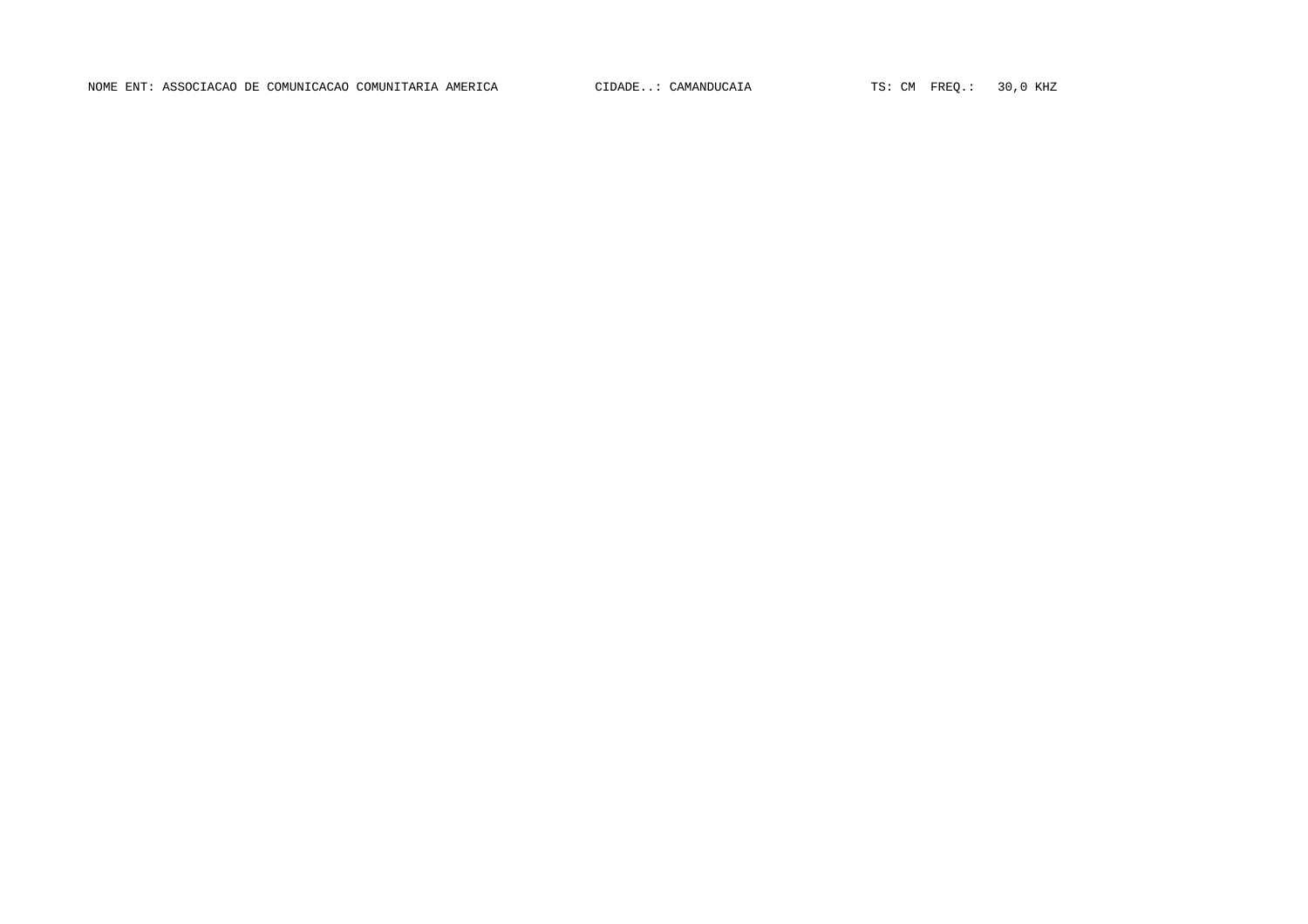NOME ENT: ASSOCIACAO DE COMUNICACAO COMUNITARIA AMERICA CIDADE..: CAMANDUCAIA TS: CM FREQ.: 30,0 KHZ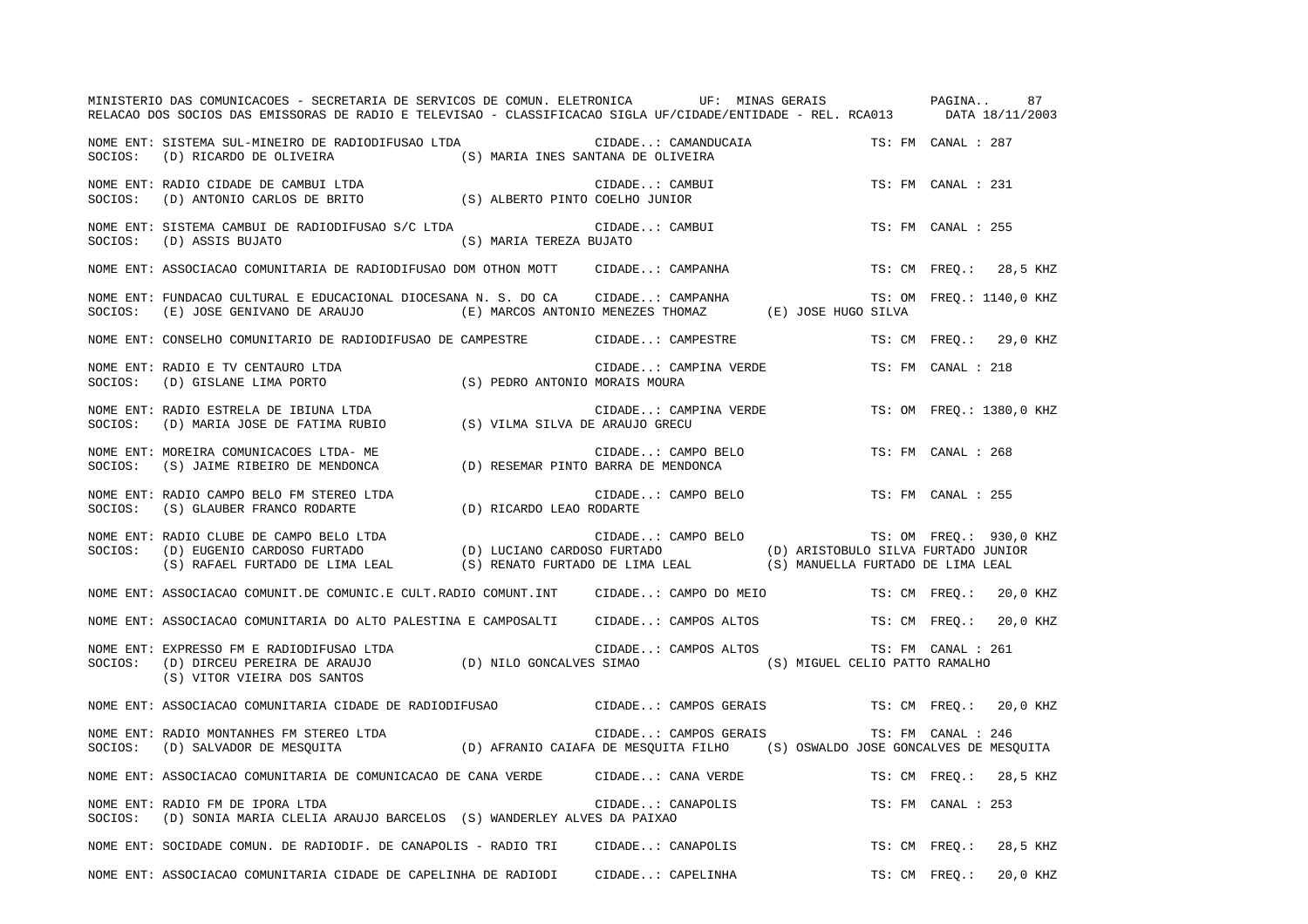|         | MINISTERIO DAS COMUNICACOES - SECRETARIA DE SERVICOS DE COMUN. ELETRONICA UF: MINAS GERAIS PAGINA<br>RELACAO DOS SOCIOS DAS EMISSORAS DE RADIO E TELEVISAO - CLASSIFICACAO SIGLA UF/CIDADE/ENTIDADE - REL. RCA013 DATA 18/11/2003                                                |                         |                                                |                    |                    | 87                       |  |
|---------|----------------------------------------------------------------------------------------------------------------------------------------------------------------------------------------------------------------------------------------------------------------------------------|-------------------------|------------------------------------------------|--------------------|--------------------|--------------------------|--|
|         | NOME ENT: SISTEMA SUL-MINEIRO DE RADIODIFUSAO LTDA CIDADE: CAMANDUCAIA TS: FM CANAL : 287<br>SOCIOS: (D) RICARDO DE OLIVEIRA (S) MARIA INES SANTANA DE OLIVEIRA                                                                                                                  |                         |                                                |                    |                    |                          |  |
|         | NOME ENT: RADIO CIDADE DE CAMBUI LTDA<br>SOCIOS: (D) ANTONIO CARLOS DE BRITO (S) ALBERTO PINTO COELHO JUNIOR                                                                                                                                                                     |                         | CIDADE: CAMBUI                                 |                    | TS: FM CANAL : 231 |                          |  |
|         | NOME ENT: SISTEMA CAMBUI DE RADIODIFUSAO S/C LTDA<br>SOCIOS: (D) ASSIS BUJATO                                                                                                                                                                                                    | (S) MARIA TEREZA BUJATO | CIDADE: CAMBUI                                 |                    | TS: FM CANAL : 255 |                          |  |
|         | NOME ENT: ASSOCIACAO COMUNITARIA DE RADIODIFUSAO DOM OTHON MOTT CIDADE: CAMPANHA                                                                                                                                                                                                 |                         |                                                |                    |                    | TS: CM FREQ.: 28,5 KHZ   |  |
| SOCIOS: | NOME ENT: FUNDACAO CULTURAL E EDUCACIONAL DIOCESANA N. S. DO CA CIDADE: CAMPANHA<br>(E) JOSE GENIVANO DE ARAUJO (E) MARCOS ANTONIO MENEZES THOMAZ (E) JOSE HUGO SILVA                                                                                                            |                         |                                                |                    |                    | TS: OM FREQ.: 1140,0 KHZ |  |
|         | NOME ENT: CONSELHO COMUNITARIO DE RADIODIFUSAO DE CAMPESTRE                                                                                                                                                                                                                      |                         | CIDADE: CAMPESTRE                              |                    |                    | TS: CM FREQ.: 29,0 KHZ   |  |
| SOCIOS: | NOME ENT: RADIO E TV CENTAURO LTDA<br>(D) GISLANE LIMA PORTO (S) PEDRO ANTONIO MORAIS MOURA                                                                                                                                                                                      |                         | CIDADE: CAMPINA VERDE TS: FM CANAL : 218       |                    |                    |                          |  |
| SOCIOS: | NOME ENT: RADIO ESTRELA DE IBIUNA LTDA<br>KADIO ESIKELA DE IBIONA LIDA<br>(D) MARIA JOSE DE FATIMA RUBIO (S) VILMA SILVA DE ARAUJO GRECU                                                                                                                                         |                         | CIDADE: CAMPINA VERDE TS: OM FREQ.: 1380,0 KHZ |                    |                    |                          |  |
| SOCIOS: | NOME ENT: MOREIRA COMUNICACOES LTDA- ME<br>MOREIRA COMUNICACOES LTDA-ME<br>(S) JAIME RIBEIRO DE MENDONCA (D) RESEMAR PINTO BARRA DE MENDONCA                                                                                                                                     |                         | CIDADE: CAMPO BELO                             |                    | TS: FM CANAL : 268 |                          |  |
|         |                                                                                                                                                                                                                                                                                  |                         | CIDADE: CAMPO BELO TS: FM CANAL : 255          |                    |                    |                          |  |
|         | NOME ENT: RADIO CLUBE DE CAMPO BELO LTDA<br>SOCIOS: (D) EUGENIO CARDOSO FURTADO (D) LUCIANO CARDOSO FURTADO (D) ARISTOBULO SILVA FURTADO JUNIOR<br>(S) RAFAEL FURTADO DE LIMA LEAL (S) RENATO FURTADO DE LIMA LEAL (S) MANUELLA FURT                                             |                         |                                                |                    |                    | TS: OM FREO.: 930,0 KHZ  |  |
|         | NOME ENT: ASSOCIACAO COMUNIT.DE COMUNIC.E CULT.RADIO COMUNT.INT CIDADE: CAMPO DO MEIO TS: CM FREQ.: 20,0 KHZ                                                                                                                                                                     |                         |                                                |                    |                    |                          |  |
|         | NOME ENT: ASSOCIACAO COMUNITARIA DO ALTO PALESTINA E CAMPOSALTI CIDADE: CAMPOS ALTOS TS: CM FREQ.: 20,0 KHZ                                                                                                                                                                      |                         |                                                |                    |                    |                          |  |
|         | NOME ENT: EXPRESSO FM E RADIODIFUSAO LTDA<br>م المصدمي المسلمين المسلم المسلمين المسلمين المسلمين المسلمين المسلمين المسلمين المسلمين المسلمين ال<br>SOCIOS: (D) DIRCEU PEREIRA DE ARAUJO (D) NILO GONCALVES SIMAO (S) MIGUEL CELIO PATTO RAMALHO<br>(S) VITOR VIEIRA DOS SANTOS |                         | CIDADE: CAMPOS ALTOS                           | TS: FM CANAL : 261 |                    |                          |  |
|         | NOME ENT: ASSOCIACAO COMUNITARIA CIDADE DE RADIODIFUSAO CIDADE: CAMPOS GERAIS TS: CM FREQ.: 20,0 KHZ                                                                                                                                                                             |                         |                                                |                    |                    |                          |  |
|         | NUME ENT: KADIO MONTANHES FM STEREO LTDA<br>SOCIOS: (D) SALVADOR DE MESQUITA (D) AFRANIO CAIAFA DE MESQUITA FILHO (S) OSWALDO JOSE GONCALVES DE MESQUITA                                                                                                                         |                         | CIDADE: CAMPOS GERAIS                          |                    |                    |                          |  |
|         | NOME ENT: ASSOCIACAO COMUNITARIA DE COMUNICACAO DE CANA VERDE CIDADE: CANA VERDE TS: CM FREQ.: 28,5 KHZ                                                                                                                                                                          |                         |                                                |                    |                    |                          |  |
|         | NOME ENT: RADIO FM DE IPORA LTDA<br>SOCIOS: (D) SONIA MARIA CLELIA ARAUJO BARCELOS (S) WANDERLEY ALVES DA PAIXAO                                                                                                                                                                 |                         | CIDADE: CANAPOLIS                              |                    | TS: FM CANAL : 253 |                          |  |
|         | NOME ENT: SOCIDADE COMUN. DE RADIODIF. DE CANAPOLIS - RADIO TRI                                                                                                                                                                                                                  |                         | CIDADE: CANAPOLIS                              |                    |                    | TS: CM FREQ.: 28,5 KHZ   |  |
|         | NOME ENT: ASSOCIACAO COMUNITARIA CIDADE DE CAPELINHA DE RADIODI CIDADE: CAPELINHA                                                                                                                                                                                                |                         |                                                |                    |                    | TS: CM FREO.: 20,0 KHZ   |  |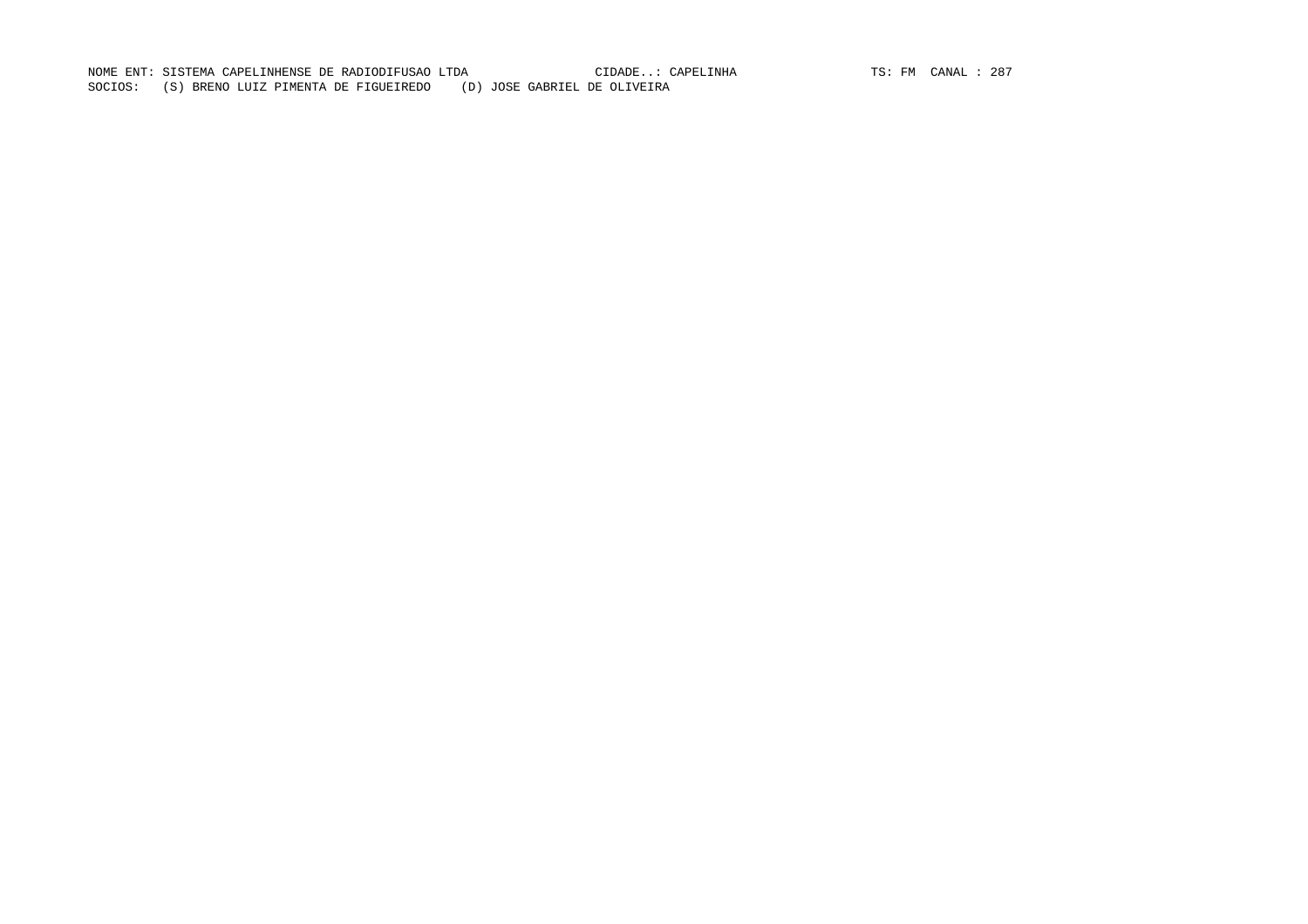NOME ENT: SISTEMA CAPELINHENSE DE RADIODIFUSAO LTDA CIDADE..: CAPELINHA (TS: FM CANAL : 287)<br>EL DE OLIVEIRA SOCIOS: (S) BRENO LUIZ PIMENTA DE FIGUEIREDO (D) JOSE GABRIEL DE OLIVEIRA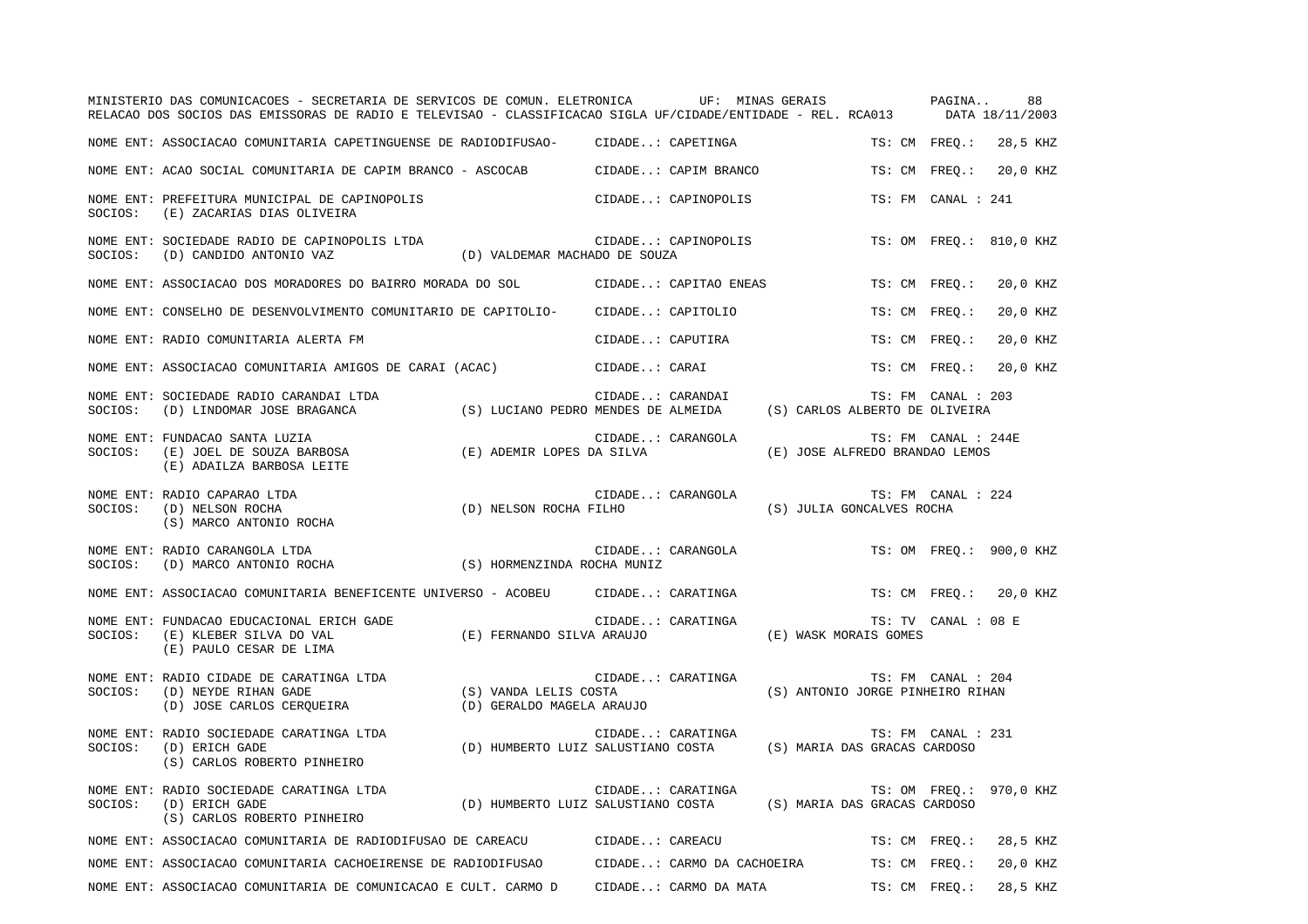|         | MINISTERIO DAS COMUNICACOES - SECRETARIA DE SERVICOS DE COMUN. ELETRONICA UF: MINAS GERAIS PAGINA<br>RELACAO DOS SOCIOS DAS EMISSORAS DE RADIO E TELEVISAO - CLASSIFICACAO SIGLA UF/CIDADE/ENTIDADE - REL. RCA013 DATA 18/11/2003 |                                                                                                         |                   |                       |                                          |                     | 88                      |  |
|---------|-----------------------------------------------------------------------------------------------------------------------------------------------------------------------------------------------------------------------------------|---------------------------------------------------------------------------------------------------------|-------------------|-----------------------|------------------------------------------|---------------------|-------------------------|--|
|         | NOME ENT: ASSOCIACAO COMUNITARIA CAPETINGUENSE DE RADIODIFUSAO- CIDADE: CAPETINGA                                                                                                                                                 |                                                                                                         |                   |                       |                                          |                     | TS: CM FREQ.: 28,5 KHZ  |  |
|         | NOME ENT: ACAO SOCIAL COMUNITARIA DE CAPIM BRANCO - ASCOCAB CIDADE: CAPIM BRANCO                                                                                                                                                  |                                                                                                         |                   |                       |                                          |                     | TS: CM FREO.: 20,0 KHZ  |  |
| SOCIOS: | NOME ENT: PREFEITURA MUNICIPAL DE CAPINOPOLIS<br>(E) ZACARIAS DIAS OLIVEIRA                                                                                                                                                       |                                                                                                         |                   | CIDADE: CAPINOPOLIS   |                                          | TS: FM CANAL : 241  |                         |  |
|         | NOME ENT: SOCIEDADE RADIO DE CAPINOPOLIS LTDA (D) VALDEMAR MACHADO DE SOUZA (D) CANDIDO ANTONIO VAZ (D) VALDEMAR MACHADO DE SOUZA                                                                                                 |                                                                                                         |                   | CIDADE: CAPINOPOLIS   |                                          |                     | TS: OM FREO.: 810,0 KHZ |  |
|         | NOME ENT: ASSOCIACAO DOS MORADORES DO BAIRRO MORADA DO SOL               CIDADE: CAPITAO ENEAS                                                                                                                                    |                                                                                                         |                   |                       |                                          | TS: CM FREQ.:       | 20,0 KHZ                |  |
|         | NOME ENT: CONSELHO DE DESENVOLVIMENTO COMUNITARIO DE CAPITOLIO- CIDADE: CAPITOLIO                                                                                                                                                 |                                                                                                         |                   |                       |                                          | TS: CM FREQ.:       | 20,0 KHZ                |  |
|         | NOME ENT: RADIO COMUNITARIA ALERTA FM                                                                                                                                                                                             |                                                                                                         |                   | CIDADE: CAPUTIRA      |                                          | TS: CM FREO.:       | 20,0 KHZ                |  |
|         | NOME ENT: ASSOCIACAO COMUNITARIA AMIGOS DE CARAI (ACAC) (CIDADE: CARAI                                                                                                                                                            |                                                                                                         |                   |                       |                                          | TS: CM FREO.:       | 20,0 KHZ                |  |
|         | NOME ENT: SOCIEDADE RADIO CARANDAI LTDA<br>SOCIOS: (D) LINDOMAR JOSE BRAGANCA                                                                                                                                                     | CIDADE: CARANDAI TS: FM CANAL : 2<br>(S) LUCIANO PEDRO MENDES DE ALMEIDA (S) CARLOS ALBERTO DE OLIVEIRA |                   |                       |                                          | TS: FM CANAL : 203  |                         |  |
|         | NOME ENT: FUNDACAO SANTA LUZIA<br>NOTE ENTIRATION SANTA DUZIA<br>SOCIOS: (E) ADEMIR LOPES DA SILVA<br>(E) ADEMIR LOPES DA SILVA<br>(E) ADAILZA BARBOSA LEITE                                                                      |                                                                                                         |                   | CIDADE: CARANGOLA     | (E) JOSE ALFREDO BRANDAO LEMOS           | TS: FM CANAL : 244E |                         |  |
| SOCIOS: | NOME ENT: RADIO CAPARAO LTDA<br>(D) NELSON ROCHA<br>(S) MARCO ANTONIO ROCHA                                                                                                                                                       | (D) NELSON ROCHA FILHO                                                                                  |                   | CIDADE: CARANGOLA     | (S) JULIA GONCALVES ROCHA                | TS: FM CANAL : 224  |                         |  |
| SOCIOS: | NOME ENT: RADIO CARANGOLA LTDA<br>(D) MARCO ANTONIO ROCHA (S) HORMENZINDA ROCHA MUNIZ                                                                                                                                             |                                                                                                         |                   | CIDADE: CARANGOLA     |                                          |                     | TS: OM FREQ.: 900,0 KHZ |  |
|         | NOME ENT: ASSOCIACAO COMUNITARIA BENEFICENTE UNIVERSO - ACOBEU CIDADE: CARATINGA                                                                                                                                                  |                                                                                                         |                   |                       |                                          |                     | TS: CM FREO.: 20,0 KHZ  |  |
| SOCIOS: | NOME ENT: FUNDACAO EDUCACIONAL ERICH GADE<br>FUNDACAO EDUCACIONAL ERICH GADE (E) KLEBER SILVA DO VAL (E) (E) KLEBER SILVA DO VAL (E) (E) FERNANDO SILVA ARAUJO<br>(E) PAULO CESAR DE LIMA                                         |                                                                                                         |                   | CIDADE: CARATINGA     | (E) WASK MORAIS GOMES                    | TS: TV CANAL : 08 E |                         |  |
|         | NOME ENT: RADIO CIDADE DE CARATINGA LTDA<br>SOCIOS: (D) NEYDE RIHAN GADE (S) VANDA LELIS COSTA<br>(D) JOSE CARLOS CERQUEIRA (D) GERALDO MAGELA ARAUJO                                                                             |                                                                                                         |                   | CIDADE: CARATINGA     | (S) ANTONIO JORGE PINHEIRO RIHAN         | TS: FM CANAL : 204  |                         |  |
|         | NOME ENT: RADIO SOCIEDADE CARATINGA LTDA<br>CIDADE: CARATINGA (S) MARIA DAS GRACAS CARDOSO                                                                                                                                        |                                                                                                         |                   |                       |                                          | TS: FM CANAL : 231  |                         |  |
| SOCIOS: | NOME ENT: RADIO SOCIEDADE CARATINGA LTDA<br>(D) ERICH GADE<br>(S) CARLOS ROBERTO PINHEIRO                                                                                                                                         | (D) HUMBERTO LUIZ SALUSTIANO COSTA (S) MARIA DAS GRACAS CARDOSO                                         | CIDADE: CARATINGA |                       |                                          |                     | TS: OM FREQ.: 970,0 KHZ |  |
|         | NOME ENT: ASSOCIACAO COMUNITARIA DE RADIODIFUSAO DE CAREACU CIDADE: CAREACU                                                                                                                                                       |                                                                                                         |                   |                       |                                          |                     | TS: CM FREQ.: 28,5 KHZ  |  |
|         | NOME ENT: ASSOCIACAO COMUNITARIA CACHOEIRENSE DE RADIODIFUSAO                                                                                                                                                                     |                                                                                                         |                   |                       | CIDADE: CARMO DA CACHOEIRA TS: CM FREQ.: |                     | 20,0 KHZ                |  |
|         | NOME ENT: ASSOCIACAO COMUNITARIA DE COMUNICACAO E CULT. CARMO D                                                                                                                                                                   |                                                                                                         |                   | CIDADE: CARMO DA MATA |                                          | TS: CM FREO.:       | 28,5 KHZ                |  |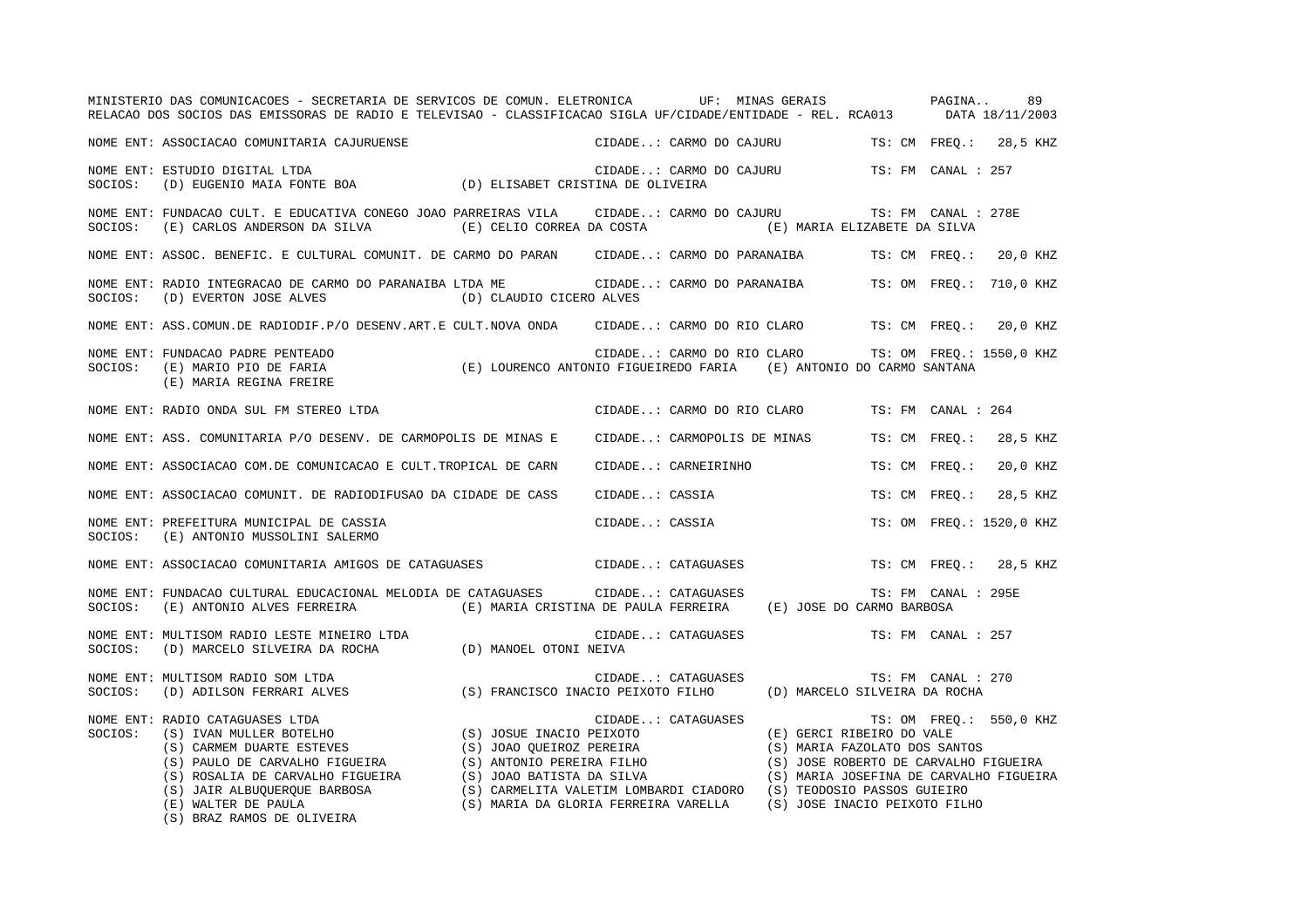|         | MINISTERIO DAS COMUNICACOES - SECRETARIA DE SERVICOS DE COMUN. ELETRONICA UF: MINAS GERAIS PAGINA 89<br>RELACAO DOS SOCIOS DAS EMISSORAS DE RADIO E TELEVISAO - CLASSIFICACAO SIGLA UF/CIDADE/ENTIDADE - REL. RCA013 DATA 18/11/2003                                                                           |                          |                     |                                                                                  |                     |                          |
|---------|----------------------------------------------------------------------------------------------------------------------------------------------------------------------------------------------------------------------------------------------------------------------------------------------------------------|--------------------------|---------------------|----------------------------------------------------------------------------------|---------------------|--------------------------|
|         | NOME ENT: ASSOCIACAO COMUNITARIA CAJURUENSE                                                                                                                                                                                                                                                                    |                          |                     | CIDADE: CARMO DO CAJURU TS: CM FREQ.: 28,5 KHZ                                   |                     |                          |
| SOCIOS: | NOME ENT: ESTUDIO DIGITAL LTDA<br>ESTUDIO DIGITAL LTDA<br>(D) EUSENIO MAIA FONTE BOA (D) ELISABET CRISTINA DE OLIVEIRA                                                                                                                                                                                         |                          |                     | CIDADE: CARMO DO CAJURU TS: FM CANAL : 257                                       |                     |                          |
| SOCIOS: | NOME ENT: FUNDACAO CULT. E EDUCATIVA CONEGO JOAO PARREIRAS VILA CIDADE: CARMO DO CAJURU TS: FM CANAL : 278E<br>(E) CARLOS ANDERSON DA SILVA (E) CELIO CORREA DA COSTA (E) MARIA ELIZABETE DA SILVA                                                                                                             |                          |                     |                                                                                  |                     |                          |
|         | NOME ENT: ASSOC. BENEFIC. E CULTURAL COMUNIT. DE CARMO DO PARAN CIDADE: CARMO DO PARANAIBA TS: CM FREQ.: 20,0 KHZ                                                                                                                                                                                              |                          |                     |                                                                                  |                     |                          |
| SOCIOS: | NOME ENT: RADIO INTEGRACAO DE CARMO DO PARANAIBA LTDA ME CIDADE: CARMO DO PARANAIBA TS: OM FREQ.: 710,0 KHZ<br>(D) EVERTON JOSE ALVES                                                                                                                                                                          | (D) CLAUDIO CICERO ALVES |                     |                                                                                  |                     |                          |
|         | NOME ENT: ASS.COMUN.DE RADIODIF.P/O DESENV.ART.E CULT.NOVA ONDA CIDADE: CARMO DO RIO CLARO TS: CM FREQ.: 20,0 KHZ                                                                                                                                                                                              |                          |                     |                                                                                  |                     |                          |
|         | NUME ENT: FUNDACAO PADRE PENTEADO<br>SOCIOS:  (E) MARIO PIO DE FARIA                        (E) LOURENCO ANTONIO FIGUEIREDO FARIA    (E) ANTONIO DO CARMO SANTANA<br>(E) MARIA REGINA FREIRE                                                                                                                   |                          |                     | CIDADE: CARMO DO RIO CLARO TS: OM FREQ.: 1550,0 KHZ                              |                     |                          |
|         | NOME ENT: RADIO ONDA SUL FM STEREO LTDA                                                                                                                                                                                                                                                                        |                          |                     | CIDADE: CARMO DO RIO CLARO TS: FM CANAL : 264                                    |                     |                          |
|         | NOME ENT: ASS. COMUNITARIA P/O DESENV. DE CARMOPOLIS DE MINAS E CIDADE: CARMOPOLIS DE MINAS                                                                                                                                                                                                                    |                          |                     |                                                                                  |                     | TS: CM FREQ.: 28,5 KHZ   |
|         | NOME ENT: ASSOCIACAO COM.DE COMUNICACAO E CULT.TROPICAL DE CARN                                                                                                                                                                                                                                                |                          | CIDADE: CARNEIRINHO |                                                                                  | TS: CM FREO.:       | 20,0 KHZ                 |
|         | NOME ENT: ASSOCIACAO COMUNIT. DE RADIODIFUSAO DA CIDADE DE CASS                                                                                                                                                                                                                                                |                          | CIDADE: CASSIA      |                                                                                  |                     | TS: CM FREO.: 28,5 KHZ   |
| SOCIOS: | NOME ENT: PREFEITURA MUNICIPAL DE CASSIA<br>(E) ANTONIO MUSSOLINI SALERMO                                                                                                                                                                                                                                      |                          | CIDADE: CASSIA      |                                                                                  |                     | TS: OM FREO.: 1520,0 KHZ |
|         | NOME ENT: ASSOCIACAO COMUNITARIA AMIGOS DE CATAGUASES (CIDADE: CATAGUASES TS: CM FREQ.: 28,5 KHZ                                                                                                                                                                                                               |                          |                     |                                                                                  |                     |                          |
| SOCIOS: | NOME ENT: FUNDACAO CULTURAL EDUCACIONAL MELODIA DE CATAGUASES (CIDADE: CATAGUASES<br>(E) ANTONIO ALVES FERREIRA (E) MARIA CRISTINA DE PAULA FERREIRA (E) JOSE DO CARMO BARBOSA                                                                                                                                 |                          |                     |                                                                                  | TS: FM CANAL : 295E |                          |
|         | NOME ENT: MULTISOM RADIO LESTE MINEIRO LTDA (D) MANOEL OTONI NEIVA<br>SOCIOS: (D) MARCELO SILVEIRA DA ROCHA (D) MANOEL OTONI NEIVA                                                                                                                                                                             |                          | CIDADE: CATAGUASES  |                                                                                  | TS: FM CANAL : 257  |                          |
| SOCIOS: | NOME ENT: MULTISOM RADIO SOM LTDA                                                                                                                                                                                                                                                                              |                          |                     |                                                                                  | TS: FM CANAL : 270  |                          |
| SOCIOS: | RADIO CATAGUASES LTDA<br>(S) IVAN MULLER BOTELHO<br>(S) CARMEM DUARTE ESTEVES<br>(S) CARMEM DUARTE ESTEVES<br>(S) JOAO QUEIROZ PEREIRA<br>(S) ANTONIO PEREIRA<br>(S) MARIA FAZOLATO DOS SANTOS<br>(S) NALTER DE CARVALHO FIGUEIRA<br>(S) JOAO<br>NOME ENT: RADIO CATAGUASES LTDA<br>(S) BRAZ RAMOS DE OLIVEIRA |                          |                     | (S) JOSE ROBERTO DE CARVALHO FIGUEIRA<br>(S) MARIA JOSEFINA DE CARVALHO FIGUEIRA |                     | TS: OM FREO.: 550,0 KHZ  |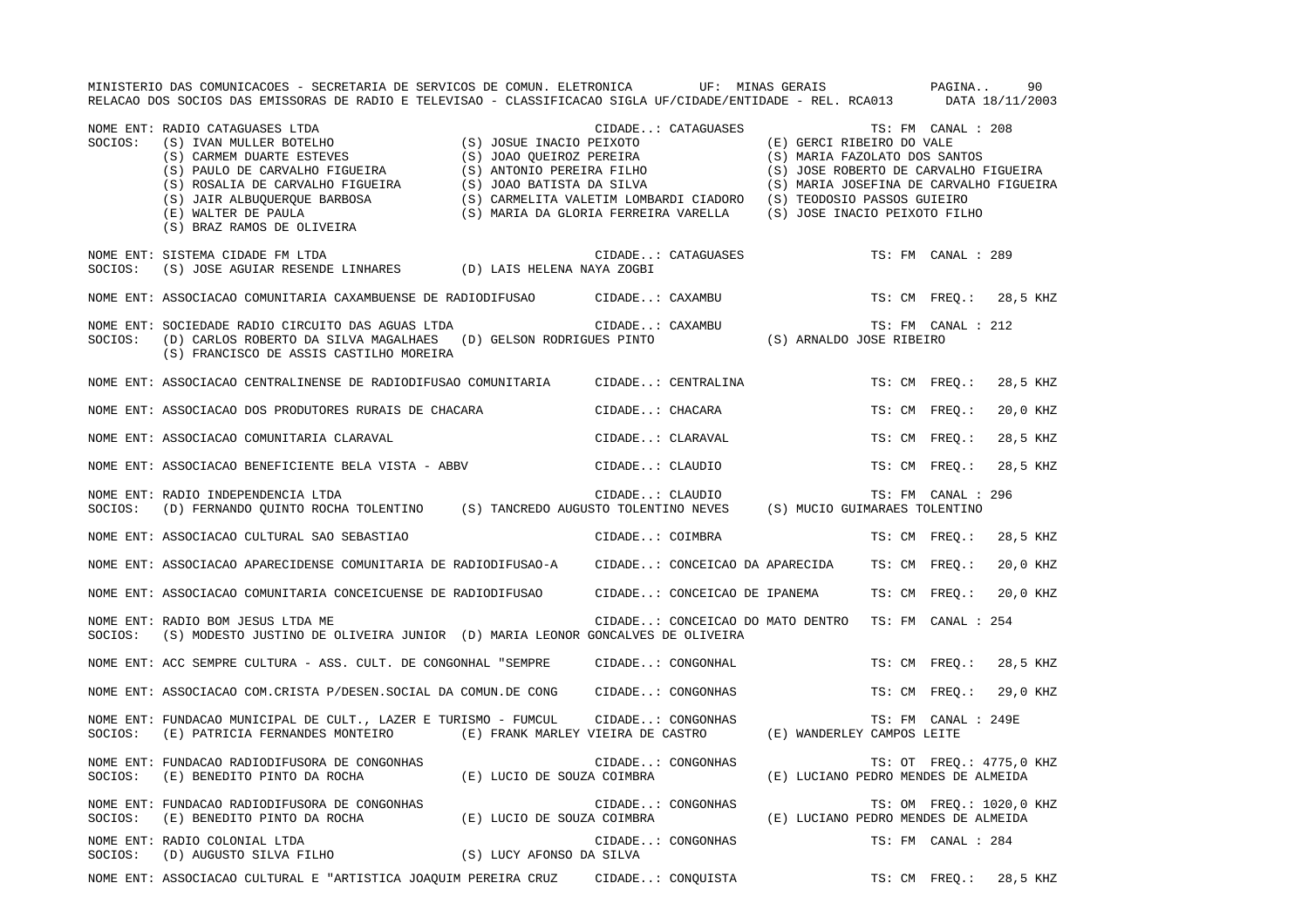|         | MINISTERIO DAS COMUNICACOES - SECRETARIA DE SERVICOS DE COMUN. ELETRONICA           UF:  MINAS GERAIS<br>RELACAO DOS SOCIOS DAS EMISSORAS DE RADIO E TELEVISAO - CLASSIFICACAO SIGLA UF/CIDADE/ENTIDADE - REL. RCA013 DATA 18/11/2003                                                                                     |  |                                                     |                                     | PAGINA              | 90                       |
|---------|---------------------------------------------------------------------------------------------------------------------------------------------------------------------------------------------------------------------------------------------------------------------------------------------------------------------------|--|-----------------------------------------------------|-------------------------------------|---------------------|--------------------------|
| SOCIOS: | NOME ENT: RADIO CATAGUASES LTDA<br>RADIO CATAGUASES LTDA (S) IVAN MULLER BOTELHO (S) JOSUE INACIO PEIXOTO (E) GERCI RIBEIRO DO VALE<br>(S) CARMEM DUARTE ESTEVES (S) JOAO QUEIROZ PEREIRA (S) MARIA FAZOLATO DOS SANTOS<br>(S) PAULO DE CARVALHO FIGUEIRA (S) ANTONIO<br>(S) BRAZ RAMOS DE OLIVEIRA                       |  | CIDADE: CATAGUASES                                  |                                     | TS: FM CANAL : 208  |                          |
| SOCIOS: | NOME ENT: SISTEMA CIDADE FM LTDA<br>(S) JOSE AGUIAR RESENDE LINHARES (D) LAIS HELENA NAYA ZOGBI                                                                                                                                                                                                                           |  | CIDADE: CATAGUASES                                  |                                     | TS: FM CANAL : 289  |                          |
|         | NOME ENT: ASSOCIACAO COMUNITARIA CAXAMBUENSE DE RADIODIFUSAO CIDADE: CAXAMBU                                                                                                                                                                                                                                              |  |                                                     |                                     |                     | TS: CM FREQ.: 28,5 KHZ   |
| SOCIOS: | SOCIEDADE RADIO CIRCUITO DAS AGUAS LTDA (D) GELSON RODRIGUES PINTO<br>(D) CARLOS ROBERTO DA SILVA MAGALHAES (D) GELSON RODRIGUES PINTO (S) ARNALDO JOSE RIBEIRO<br>(S) FRANCISCO DE ASSIS CASTILUO MODEIDA<br>NOME ENT: SOCIEDADE RADIO CIRCUITO DAS AGUAS LTDA CIDADE CAXAMBU<br>(S) FRANCISCO DE ASSIS CASTILHO MOREIRA |  |                                                     |                                     | TS: FM CANAL : 212  |                          |
|         | NOME ENT: ASSOCIACAO CENTRALINENSE DE RADIODIFUSAO COMUNITARIA CIDADE: CENTRALINA                                                                                                                                                                                                                                         |  |                                                     |                                     |                     | TS: CM FREQ.: 28,5 KHZ   |
|         | NOME ENT: ASSOCIACAO DOS PRODUTORES RURAIS DE CHACARA (CIDADE: CHACARA                                                                                                                                                                                                                                                    |  |                                                     |                                     | TS: CM FREO.:       | 20,0 KHZ                 |
|         | NOME ENT: ASSOCIACAO COMUNITARIA CLARAVAL                                                                                                                                                                                                                                                                                 |  | CIDADE: CLARAVAL                                    |                                     | TS: CM FREQ.:       | 28,5 KHZ                 |
|         | NOME ENT: ASSOCIACAO BENEFICIENTE BELA VISTA - ABBV                                                                                                                                                                                                                                                                       |  | CIDADE: CLAUDIO                                     |                                     | TS: CM FREO.:       | 28,5 KHZ                 |
|         | NOME ENT: RADIO INDEPENDENCIA LTDA<br>SOCIOS: (D) FERNANDO QUINTO ROCHA TOLENTINO (S) TANCREDO AUGUSTO TOLENTINO NEVES (S) MUCIO GUIMARAES TOLENTINO                                                                                                                                                                      |  |                                                     |                                     | TS: FM CANAL : 296  |                          |
|         | NOME ENT: ASSOCIACAO CULTURAL SAO SEBASTIAO                                                                                                                                                                                                                                                                               |  | CIDADE: COIMBRA                                     |                                     |                     | TS: CM FREO.: 28,5 KHZ   |
|         | NOME ENT: ASSOCIACAO APARECIDENSE COMUNITARIA DE RADIODIFUSAO-A CIDADE: CONCEICAO DA APARECIDA TS: CM FREQ.:                                                                                                                                                                                                              |  |                                                     |                                     |                     | 20,0 KHZ                 |
|         | NOME ENT: ASSOCIACAO COMUNITARIA CONCEICUENSE DE RADIODIFUSAO CIDADE: CONCEICAO DE IPANEMA TS: CM FREQ.:                                                                                                                                                                                                                  |  |                                                     |                                     |                     | 20,0 KHZ                 |
| SOCIOS: | NOME ENT: RADIO BOM JESUS LTDA ME<br>(S) MODESTO JUSTINO DE OLIVEIRA JUNIOR (D) MARIA LEONOR GONCALVES DE OLIVEIRA                                                                                                                                                                                                        |  | CIDADE: CONCEICAO DO MATO DENTRO TS: FM CANAL : 254 |                                     |                     |                          |
|         | NOME ENT: ACC SEMPRE CULTURA - ASS. CULT. DE CONGONHAL "SEMPRE CIDADE: CONGONHAL                                                                                                                                                                                                                                          |  |                                                     |                                     |                     | TS: CM FREQ.: 28,5 KHZ   |
|         | NOME ENT: ASSOCIACAO COM.CRISTA P/DESEN.SOCIAL DA COMUN.DE CONG CIDADE: CONGONHAS                                                                                                                                                                                                                                         |  |                                                     |                                     |                     | TS: CM FREQ.: 29,0 KHZ   |
| SOCIOS: | NOME ENT: FUNDACAO MUNICIPAL DE CULT., LAZER E TURISMO - FUMCUL<br>(E) PATRICIA FERNANDES MONTEIRO (E) FRANK MARLEY VIEIRA DE CASTRO (E) WANDERLEY CAMPOS LEITE                                                                                                                                                           |  | CIDADE: CONGONHAS                                   |                                     | TS: FM CANAL : 249E |                          |
| SOCIOS: | NOME ENT: FUNDACAO RADIODIFUSORA DE CONGONHAS<br>(E) BENEDITO PINTO DA ROCHA (E) LUCIO DE SOUZA COIMBRA                                                                                                                                                                                                                   |  | CIDADE: CONGONHAS                                   | (E) LUCIANO PEDRO MENDES DE ALMEIDA |                     | TS: OT FREQ.: 4775,0 KHZ |
| SOCIOS: | NOME ENT: FUNDACAO RADIODIFUSORA DE CONGONHAS<br>(E) BENEDITO PINTO DA ROCHA (E) LUCIO DE SOUZA COIMBRA                                                                                                                                                                                                                   |  | CIDADE: CONGONHAS                                   | (E) LUCIANO PEDRO MENDES DE ALMEIDA |                     | TS: OM FREQ.: 1020,0 KHZ |
| SOCIOS: | NOME ENT: RADIO COLONIAL LTDA                                                                                                                                                                                                                                                                                             |  | CIDADE: CONGONHAS                                   |                                     | TS: FM CANAL : 284  |                          |
|         | NOME ENT: ASSOCIACAO CULTURAL E "ARTISTICA JOAQUIM PEREIRA CRUZ CIDADE: CONQUISTA                                                                                                                                                                                                                                         |  |                                                     |                                     |                     | TS: CM FREQ.: 28,5 KHZ   |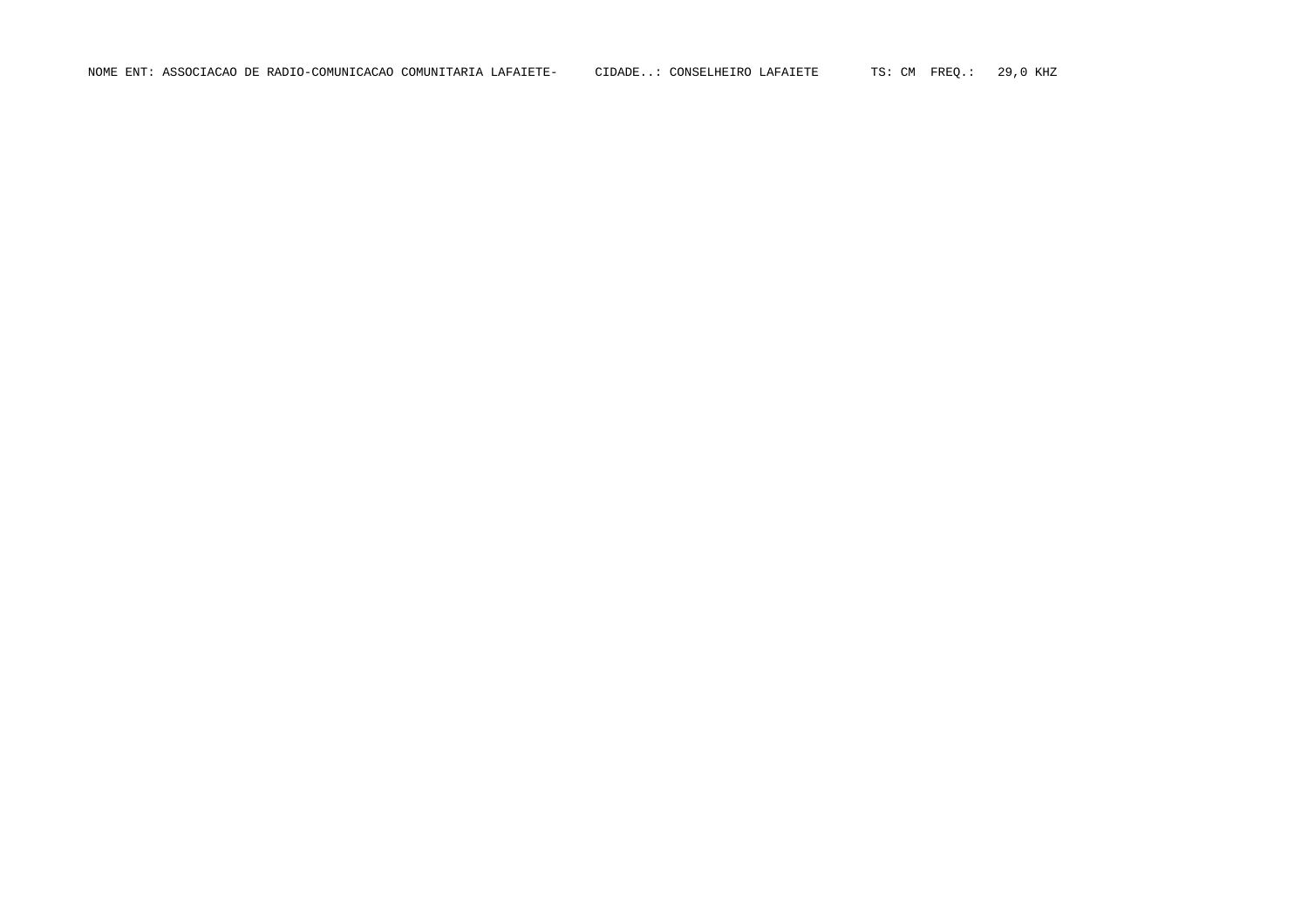NOME ENT: ASSOCIACAO DE RADIO-COMUNICACAO COMUNITARIA LAFAIETE- CIDADE..: CONSELHEIRO LAFAIETE TS: CM FREQ.: 29,0 KHZ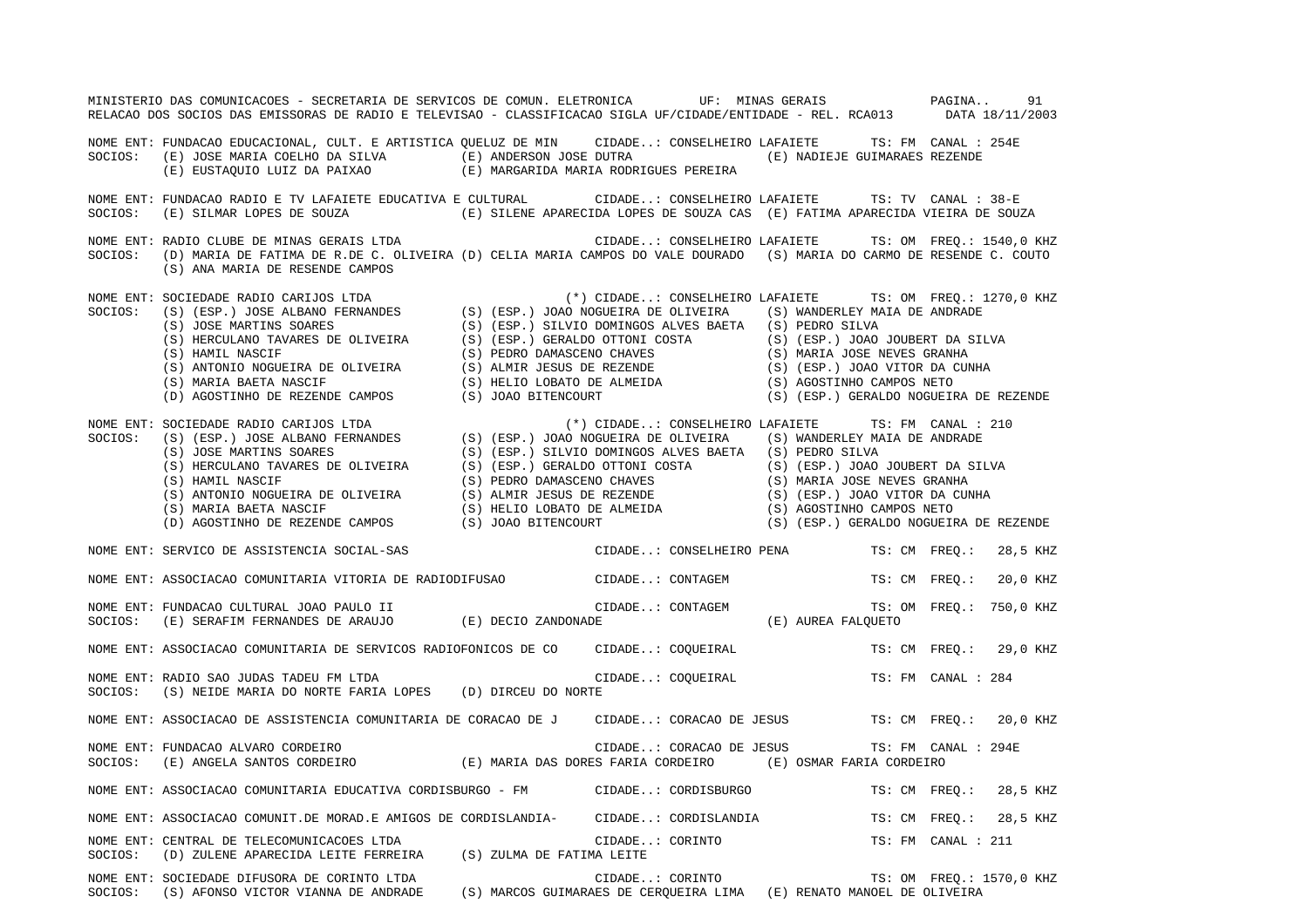|         | MINISTERIO DAS COMUNICACOES - SECRETARIA DE SERVICOS DE COMUN. ELETRONICA UF: MINAS GERAIS PAGINA 91<br>RELACAO DOS SOCIOS DAS EMISSORAS DE RADIO E TELEVISAO - CLASSIFICACAO SIGLA UF/CIDADE/ENTIDADE - REL. RCA013 DATA 18/11/2003                                                   |                                                           |                          |          |
|---------|----------------------------------------------------------------------------------------------------------------------------------------------------------------------------------------------------------------------------------------------------------------------------------------|-----------------------------------------------------------|--------------------------|----------|
|         | NOME ENT: FUNDACAO EDUCACIONAL, CULT. E ARTISTICA QUELUZ DE MIN CIDADE: CONSELHEIRO LAFAIETE TS: FM CANAL : 254E<br>SOCIOS: (E) JOSE MARIA COELHO DA SILVA (E) ANDERSON JOSE DUTRA (E) NADIEJE GUIMARAES REZENDE<br>(E) EUSTAQUIO LUIZ DA PAIXAO (E) MARGARIDA MARIA RODRIGUES PEREIRA |                                                           |                          |          |
| SOCIOS: | NOME ENT: FUNDACAO RADIO E TV LAFAIETE EDUCATIVA E CULTURAL CIDADE: CONSELHEIRO LAFAIETE TS: TV CANAL : 38-E<br>(E) SILMAR LOPES DE SOUZA (E) SILENE APARECIDA LOPES DE SOUZA CAS (E) FATIMA APARECIDA VIEIRA DE SOUZA                                                                 |                                                           |                          |          |
|         | NOME ENT: RADIO CLUBE DE MINAS GERAIS LTDA <b>ENTRE EN SUBACTE CONSTANTE ENTEREMENTE</b> TS: OM FREQ.: 1540,0 KHZ<br>SOCIOS: (D) MARIA DE FATIMA DE R.DE C. OLIVEIRA (D) CELIA MARIA CAMPOS DO VALE DOURADO (S) MARIA DO CARMO DE RESENDE C. COUTO<br>(S) ANA MARIA DE RESENDE CAMPOS  |                                                           |                          |          |
|         |                                                                                                                                                                                                                                                                                        | (*) CIDADE: CONSELHEIRO LAFAIETE TS: OM FREQ.: 1270,0 KHZ |                          |          |
|         | NOWE ENT: SOCIEDADE RADIO CARIJOS LTDA<br>SOCIOS: (S) (ESP.) SOCIOS: (S) (ESP.) JOAO NOGUEIRA DE OLIVEIRA (S) (ESP.) SOCIOS: (S) (ESP.) SOCIOS: (S) (ESP.) SOCIOS: (S) (ESP.) SOCIOS: (S) (ESP.) SOCIOS: (S) (ESP.) SOCIOS: (S)                                                        |                                                           |                          |          |
|         | NOME ENT: SERVICO DE ASSISTENCIA SOCIAL-SAS                                                                                                                                                                                                                                            | CIDADE: CONSELHEIRO PENA TS: CM FREQ.: 28,5 KHZ           |                          |          |
|         | NOME ENT: ASSOCIACAO COMUNITARIA VITORIA DE RADIODIFUSAO CIDADE: CONTAGEM TS: CM FREQ.:                                                                                                                                                                                                |                                                           |                          | 20,0 KHZ |
|         |                                                                                                                                                                                                                                                                                        |                                                           |                          |          |
|         | NOME ENT: ASSOCIACAO COMUNITARIA DE SERVICOS RADIOFONICOS DE CO CIDADE: COQUEIRAL TS: CM FREQ.: 29,0 KHZ                                                                                                                                                                               |                                                           |                          |          |
|         | NOME ENT: RADIO SAO JUDAS TADEU FM LTDA<br>SOCIOS: (S) NEIDE MARIA DO NORTE FARIA LOPES (D) DIRCEU DO NORTE                                                                                                                                                                            |                                                           |                          |          |
|         | NOME ENT: ASSOCIACAO DE ASSISTENCIA COMUNITARIA DE CORACAO DE J CIDADE: CORACAO DE JESUS TS: CM FREQ.: 20,0 KHZ                                                                                                                                                                        |                                                           |                          |          |
|         | NOME ENT: FUNDACAO ALVARO CORDEIRO<br>SOCIOS: (E) ANGELA SANTOS CORDEIRO (E) MARIA DAS DORES FARIA CORDEIRO (E) OSMAR FARIA CORDEIRO                                                                                                                                                   | CIDADE: CORACAO DE JESUS                                  | TS: FM CANAL : 294E      |          |
|         | NOME ENT: ASSOCIACAO COMUNITARIA EDUCATIVA CORDISBURGO - FM CIDADE: CORDISBURGO TS: CM FREQ.: 28,5 KHZ                                                                                                                                                                                 |                                                           |                          |          |
|         | NOME ENT: ASSOCIACAO COMUNIT.DE MORAD.E AMIGOS DE CORDISLANDIA- CIDADE: CORDISLANDIA TS: CM FREQ.: 28,5 KHZ                                                                                                                                                                            |                                                           |                          |          |
|         | NOME ENT: CENTRAL DE TELECOMUNICACOES LTDA<br>NOME ENT: CENTRAL DE TELECOMUNICACOES LTDA<br>SOCIOS: (D) ZULENE APARECIDA LEITE FERREIRA (S) ZULMA DE FATIMA LEITE                                                                                                                      | CIDADE: CORINTO $TS: FM$ CANAL : 211                      |                          |          |
|         | NOME ENT: SOCIEDADE DIFUSORA DE CORINTO LTDA<br>SOCIOS: (S) AFONSO VICTOR VIANNA DE ANDRADE (S) MARCOS GUIMARAES DE CERQUEIRA LIMA (E) RENATO MANOEL DE OLIVEIRA                                                                                                                       | CIDADE: CORINTO                                           | TS: OM FREQ.: 1570,0 KHZ |          |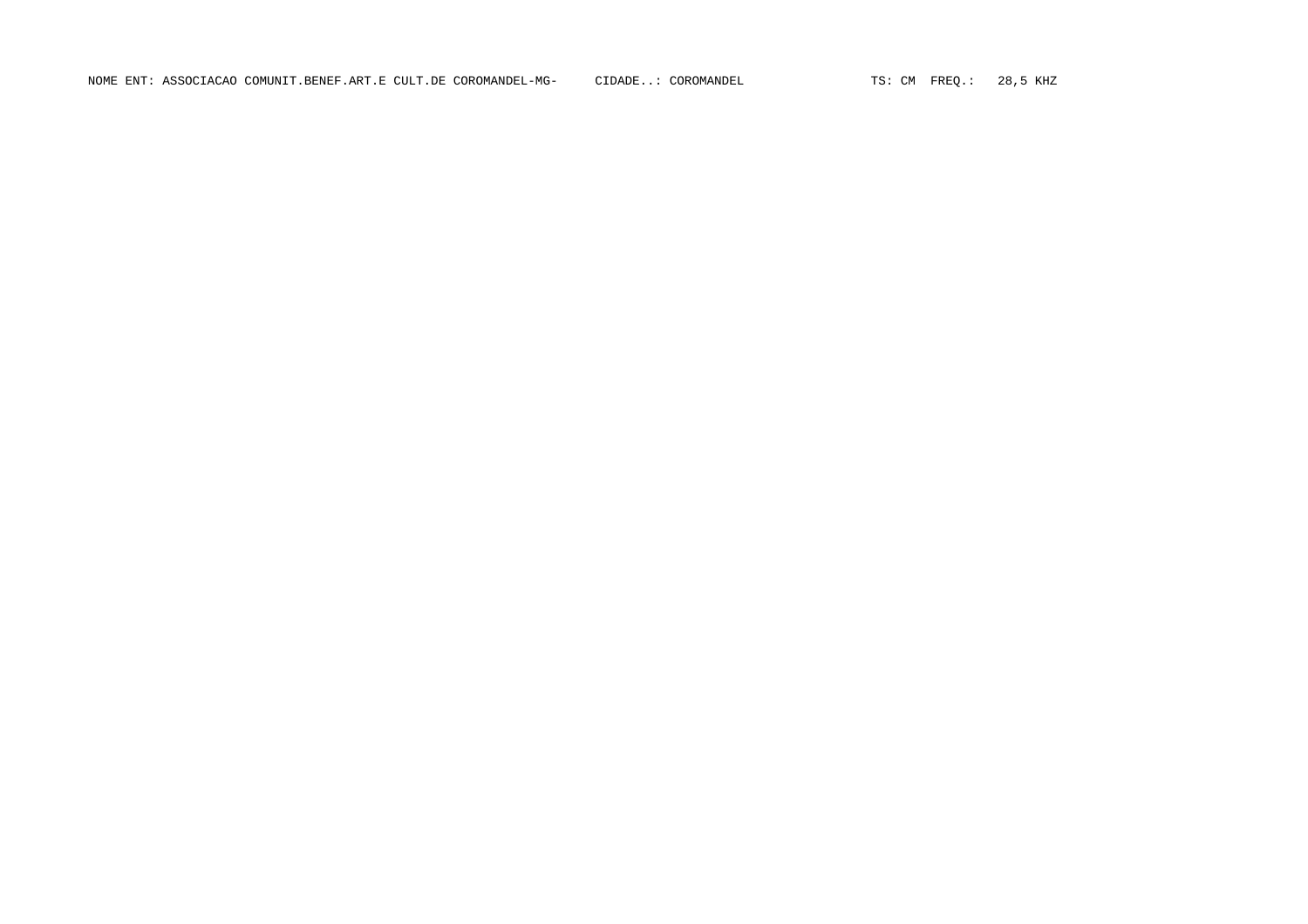NOME ENT: ASSOCIACAO COMUNIT.BENEF.ART.E CULT.DE COROMANDEL-MG- CIDADE..: COROMANDEL TS: CM FREQ.: 28,5 KHZ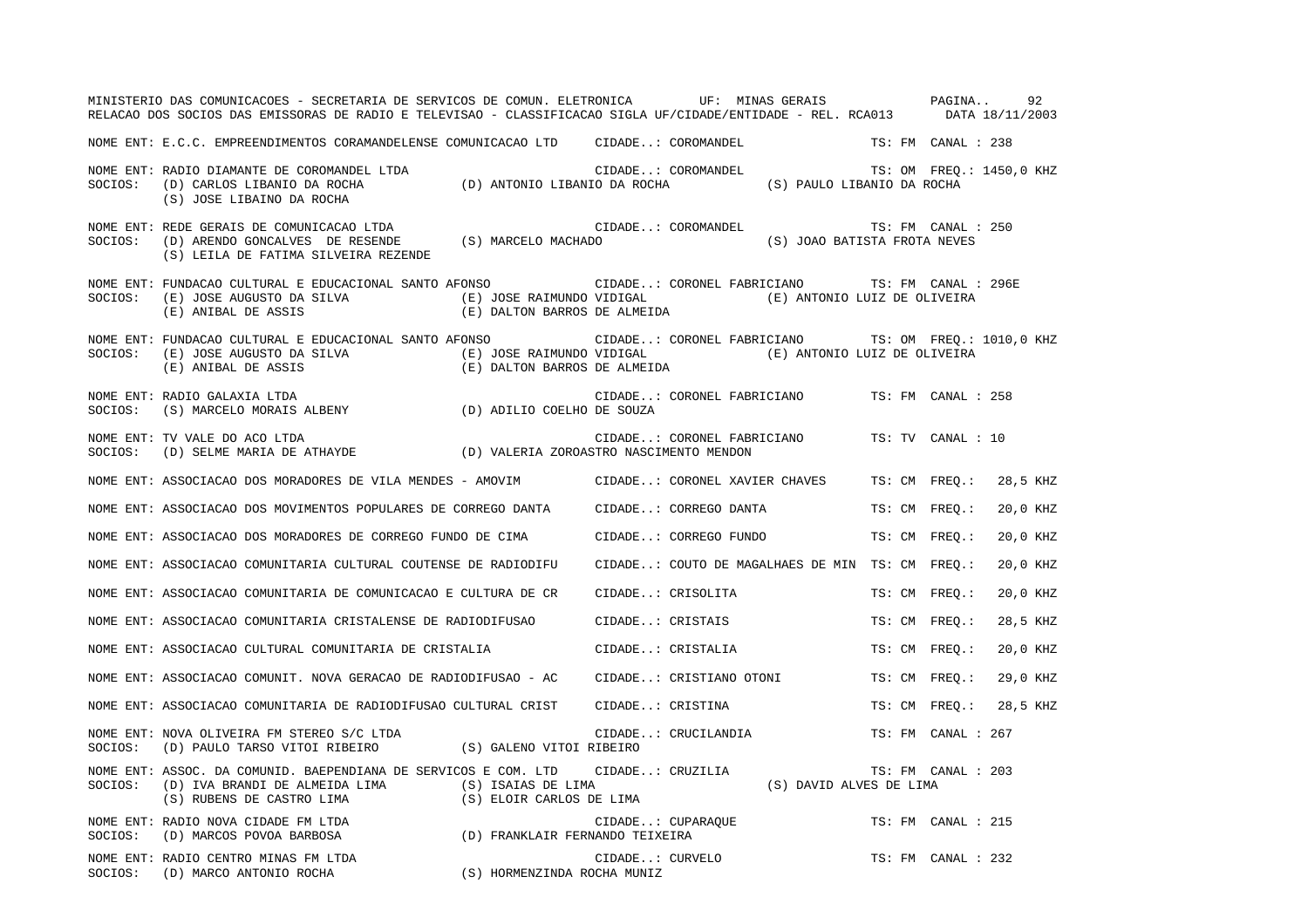|         | MINISTERIO DAS COMUNICACOES - SECRETARIA DE SERVICOS DE COMUN. ELETRONICA UF: MINAS GERAIS PAGINA<br>RELACAO DOS SOCIOS DAS EMISSORAS DE RADIO E TELEVISAO - CLASSIFICACAO SIGLA UF/CIDADE/ENTIDADE - REL. RCA013 DATA 18/11/2003               |                 |                                                    |                    | 92       |
|---------|-------------------------------------------------------------------------------------------------------------------------------------------------------------------------------------------------------------------------------------------------|-----------------|----------------------------------------------------|--------------------|----------|
|         | NOME ENT: E.C.C. EMPREENDIMENTOS CORAMANDELENSE COMUNICACAO LTD CIDADE: COROMANDEL TS: FM CANAL : 238                                                                                                                                           |                 |                                                    |                    |          |
|         | NOME ENT: RADIO DIAMANTE DE COROMANDEL LTDA (D) ANTONIO LIBANIO DA ROCHA (S) PAULO LIBANIO DA ROCHA (D) CARLOS LIBANIO DA ROCHA (D) ANTONIO LIBANIO DA ROCHA (S) PAULO LIBANIO DA ROCHA<br>(S) JOSE LIBAINO DA ROCHA                            |                 | TS: OM FREQ.: 1450,0 KHZ                           |                    |          |
|         | (S) LEILA DE FATIMA SILVEIRA REZENDE                                                                                                                                                                                                            |                 | TS: FM CANAL : 250<br>(S) JOAO BATISTA FROTA NEVES |                    |          |
|         | NOME ENT: FUNDACAO CULTURAL E EDUCACIONAL SANTO AFONSO CIDADE: CORONEL FABRICIANO TS: FM CANAL : 296E                                                                                                                                           |                 |                                                    |                    |          |
| SOCIOS: | NOME ENT: FUNDACAO CULTURAL E EDUCACIONAL SANTO AFONSO CIDADE: CORONEL FABRICIANO TS: OM FREQ.: 1010,0 KHZ<br>(E) JOSE AUGUSTO DA SILVA (E) JOSE RAIMUNDO VIDIGAL (E) ANTONIO LUIZ DE OLIVEÏRA (E) ANIBAL DE ASSIS (E) DALTON BARROS DE ALMEIDA |                 |                                                    |                    |          |
|         | NOME ENT: RADIO GALAXIA LTDA<br>CIDADE:<br>SOCIOS: (S) MARCELO MORAIS ALBENY (D) ADILIO COELHO DE SOUZA                                                                                                                                         |                 | CIDADE: CORONEL FABRICIANO TS: FM CANAL : 258      |                    |          |
|         | NOME ENT: TV VALE DO ACO LTDA<br>SOCIOS: (D) SELME MARIA DE ATHAYDE (D) VALERIA ZOROASTRO NASCIMENTO MENDON                                                                                                                                     |                 | CIDADE: CORONEL FABRICIANO TS: TV CANAL : 10       |                    |          |
|         | NOME ENT: ASSOCIACAO DOS MORADORES DE VILA MENDES - AMOVIM CIDADE: CORONEL XAVIER CHAVES TS: CM FREO.: 28,5 KHZ                                                                                                                                 |                 |                                                    |                    |          |
|         | NOME ENT: ASSOCIACAO DOS MOVIMENTOS POPULARES DE CORREGO DANTA CIDADE: CORREGO DANTA TS: CM FREQ.:                                                                                                                                              |                 |                                                    |                    | 20,0 KHZ |
|         | NOME ENT: ASSOCIACAO DOS MORADORES DE CORREGO FUNDO DE CIMA CIDADE: CORREGO FUNDO                                                                                                                                                               |                 |                                                    | TS: CM FREO.:      | 20,0 KHZ |
|         | NOME ENT: ASSOCIACAO COMUNITARIA CULTURAL COUTENSE DE RADIODIFU                                                                                                                                                                                 |                 | CIDADE: COUTO DE MAGALHAES DE MIN TS: CM FREO.:    |                    | 20,0 KHZ |
|         | NOME ENT: ASSOCIACAO COMUNITARIA DE COMUNICACAO E CULTURA DE CR                                                                                                                                                                                 |                 | CIDADE: CRISOLITA                                  | TS: CM FREO.:      | 20,0 KHZ |
|         | NOME ENT: ASSOCIACAO COMUNITARIA CRISTALENSE DE RADIODIFUSAO                                                                                                                                                                                    |                 | CIDADE: CRISTAIS                                   | TS: CM FREO.:      | 28,5 KHZ |
|         | NOME ENT: ASSOCIACAO CULTURAL COMUNITARIA DE CRISTALIA                     CIDADE: CRISTALIA                                                                                                                                                    |                 |                                                    | TS: CM FREO.:      | 20,0 KHZ |
|         | NOME ENT: ASSOCIACAO COMUNIT. NOVA GERACAO DE RADIODIFUSAO - AC CIDADE: CRISTIANO OTONI TS: CM FREQ.:                                                                                                                                           |                 |                                                    |                    | 29,0 KHZ |
|         | NOME ENT: ASSOCIACAO COMUNITARIA DE RADIODIFUSAO CULTURAL CRIST CIDADE: CRISTINA                                                                                                                                                                |                 |                                                    | TS: CM FREO.:      | 28,5 KHZ |
|         | NOME ENT: NOVA OLIVEIRA FM STEREO S/C LTDA<br>SOCIOS: (D) PAULO TARSO VITOI RIBEIRO (S) GALENO VITOI RIBEIRO                                                                                                                                    |                 | CIDADE: CRUCILANDIA TS: FM CANAL : 267             |                    |          |
|         | NOME ENT: ASSOC. DA COMUNID. BAEPENDIANA DE SERVICOS E COM. LTD CIDADE: CRUZILIA<br>SOCIOS: (D) IVA BRANDI DE ALMEIDA LIMA (S) ISAIAS DE LIMA (S) OAVID ALVES DE LIMA<br>(S) RUBENS DE CASTRO LIMA (S) ELOIR CARLOS DE LIMA                     |                 |                                                    | TS: FM CANAL : 203 |          |
|         | NOME ENT: RADIO NOVA CIDADE FM LTDA<br>SOCIOS:    (D) MARCOS POVOA BARBOSA                         (D) FRANKLAIR FERNANDO TEIXEIRA                                                                                                              |                 | CIDADE: CUPARAQUE TS: FM CANAL : 215               |                    |          |
|         | NOME ENT: RADIO CENTRO MINAS FM LTDA<br>SOCIOS: (D) MARCO ANTONIO ROCHA (S) HORMENZINDA ROCHA MUNIZ                                                                                                                                             | CIDADE: CURVELO |                                                    | TS: FM CANAL : 232 |          |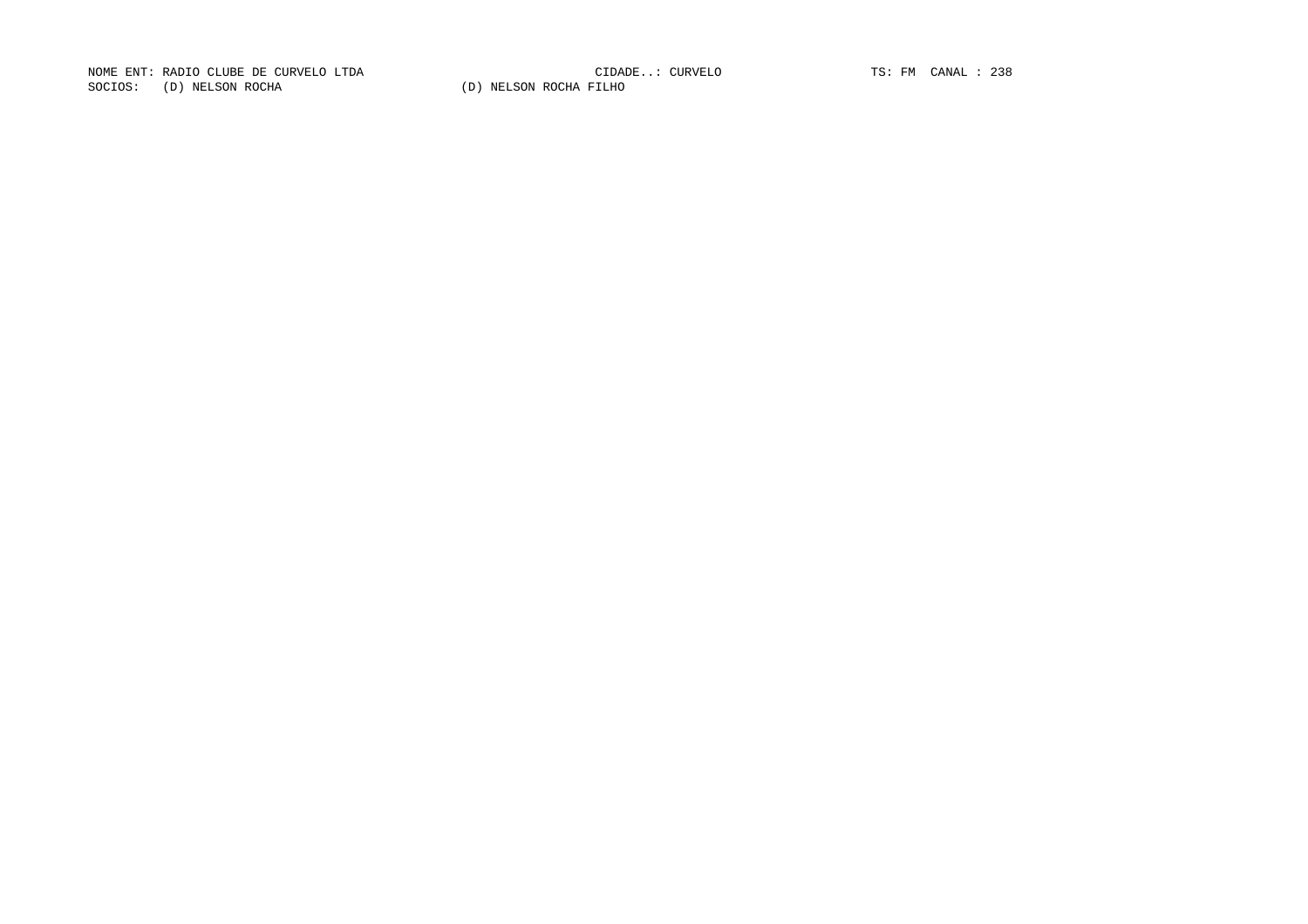NOME ENT: RADIO CLUBE DE CURVELO LTDA CIDADE..: CURVELO TS: FM CANAL : 238SOCIOS: (D) NELSON ROCHA (D) NELSON ROCHA FILHO

CIDADE..: CURVELO TS: FM CANAL : 238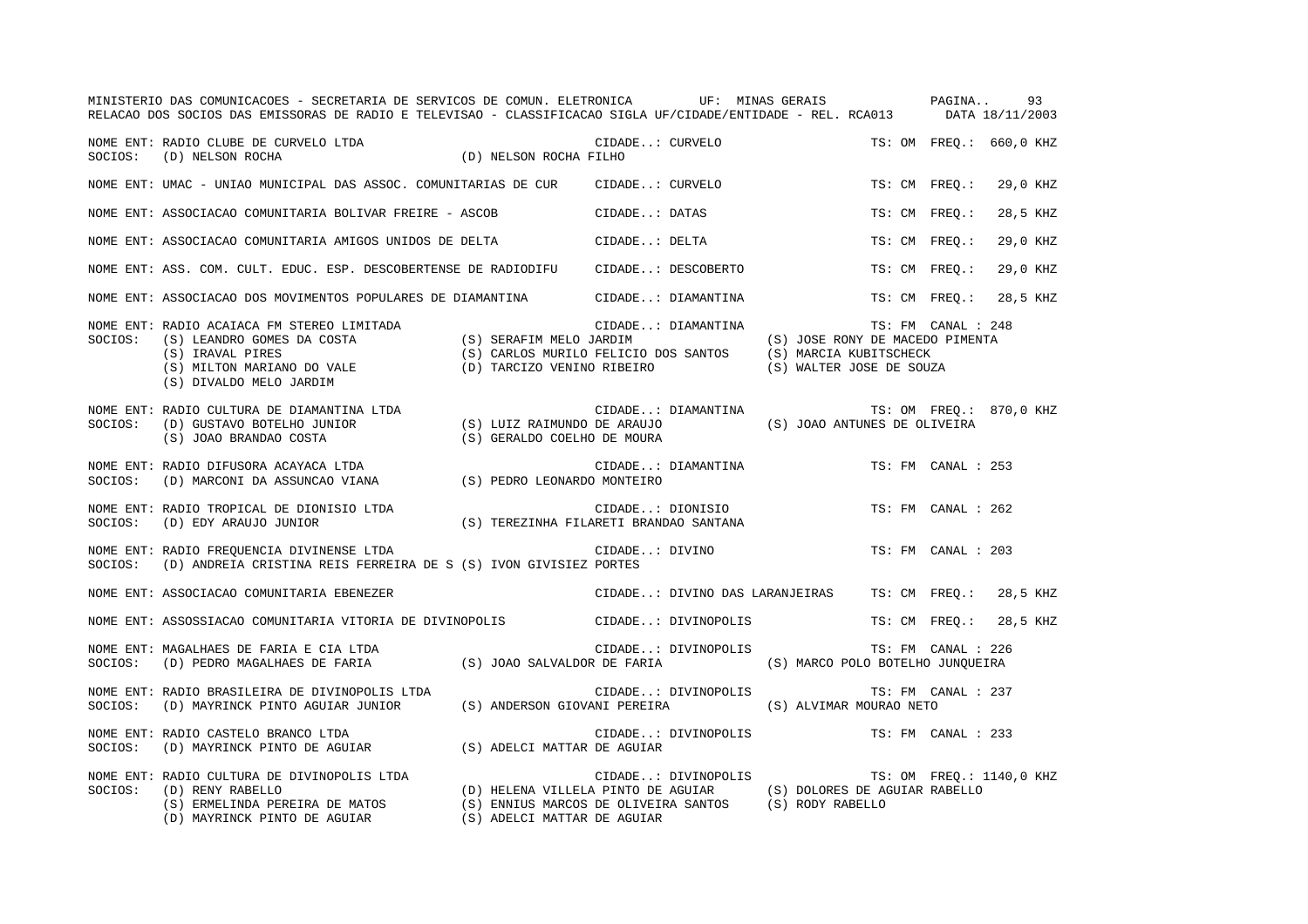|         | MINISTERIO DAS COMUNICACOES - SECRETARIA DE SERVICOS DE COMUN. ELETRONICA UF: MINAS GERAIS PAGINA<br>RELACAO DOS SOCIOS DAS EMISSORAS DE RADIO E TELEVISAO - CLASSIFICACAO SIGLA UF/CIDADE/ENTIDADE - REL. RCA013 DATA 18/11/2003                                |                             |               |                     |                                              |               |                    | 93                      |
|---------|------------------------------------------------------------------------------------------------------------------------------------------------------------------------------------------------------------------------------------------------------------------|-----------------------------|---------------|---------------------|----------------------------------------------|---------------|--------------------|-------------------------|
| SOCIOS: | CIDA CIDA CIDA (D) NELSON ROCHA FILHO<br>NOME ENT: RADIO CLUBE DE CURVELO LTDA<br>(D) NELSON ROCHA                                                                                                                                                               |                             |               | CIDADE: CURVELO     |                                              |               |                    | TS: OM FREQ.: 660,0 KHZ |
|         | NOME ENT: UMAC - UNIAO MUNICIPAL DAS ASSOC. COMUNITARIAS DE CUR CIDADE: CURVELO                                                                                                                                                                                  |                             |               |                     |                                              | TS: CM FREQ.: |                    | 29,0 KHZ                |
|         | NOME ENT: ASSOCIACAO COMUNITARIA BOLIVAR FREIRE - ASCOB                                                                                                                                                                                                          |                             |               | CIDADE: DATAS       |                                              | TS: CM FREO.: |                    | 28,5 KHZ                |
|         | NOME ENT: ASSOCIACAO COMUNITARIA AMIGOS UNIDOS DE DELTA                                                                                                                                                                                                          |                             | CIDADE: DELTA |                     |                                              | TS: CM FREO.: |                    | 29,0 KHZ                |
|         | NOME ENT: ASS. COM. CULT. EDUC. ESP. DESCOBERTENSE DE RADIODIFU CIDADE: DESCOBERTO                                                                                                                                                                               |                             |               |                     |                                              | TS: CM FREO.: |                    | 29,0 KHZ                |
|         | NOME ENT: ASSOCIACAO DOS MOVIMENTOS POPULARES DE DIAMANTINA CIDADE: DIAMANTINA                                                                                                                                                                                   |                             |               |                     |                                              | TS: CM FREO.: |                    | 28,5 KHZ                |
|         | NOME ENT: RADIO ACAIACA FM STEREO LIMITADA (S) SERAFIM MELO JARDIM (S) JOSE RONY DE MACEDO PI<br>SOCIOS: (S) LEANDRO GOMES DA COSTA (S) SERAFIM MELO JARDIM (S) JOSE RONY DE MACEDO PI<br>(S) IRAVAL PIRES (S) MILTON MARIANO DO VAL                             |                             |               |                     | (S) JOSE RONY DE MACEDO PIMENTA              |               | TS: FM CANAL : 248 |                         |
|         | NOME ENT: RADIO CULTURA DE DIAMANTINA LTDA (S) LUIZ RAIMUNDO DE ARAUJO (S) JOAO ANTUNES DE OLIVEIRA<br>SOCIOS: (D) GUSTAVO BOTELHO JUNIOR (S) LUIZ RAIMUNDO DE ARAUJO (S) JOAO ANTUNES DE OLIVEIRA<br>(S) JOAO BRANDAO COSTA (S) GER                             |                             |               |                     | CIDADE: DIAMANTINA TS: OM FREQ.: 870,0 KHZ   |               |                    |                         |
|         | NOME ENT: RADIO DIFUSORA ACAYACA LTDA<br>SOCIOS: (D) MARCONI DA ASSUNCAO VIANA (S) PEDRO LEONARDO MONTEIRO                                                                                                                                                       |                             |               |                     | CIDADE: DIAMANTINA                           |               | TS: FM CANAL : 253 |                         |
|         | NOME ENT: RADIO TROPICAL DE DIONISIO LTDA<br>CIDADE: DIONISIO (S) TEREZINHA FILARETI BRANDAO SANTANA SOCIOS: (D) EDY ARAUJO JUNIOR                                                                                                                               | CIDADE: DIONISIO            |               |                     |                                              |               | TS: FM CANAL : 262 |                         |
| SOCIOS: | NOME ENT: RADIO FREQUENCIA DIVINENSE LTDA<br>(D) ANDREIA CRISTINA REIS FERREIRA DE S (S) IVON GIVISIEZ PORTES                                                                                                                                                    | CIDADE: DIVINO              |               |                     |                                              |               | TS: FM CANAL : 203 |                         |
|         | NOME ENT: ASSOCIACAO COMUNITARIA EBENEZER                                                                                                                                                                                                                        |                             |               |                     | CIDADE: DIVINO DAS LARANJEIRAS               |               |                    | TS: CM FREO.: 28,5 KHZ  |
|         | NOME ENT: ASSOSSIACAO COMUNITARIA VITORIA DE DIVINOPOLIS CIDADE: DIVINOPOLIS                                                                                                                                                                                     |                             |               |                     |                                              |               |                    | TS: CM FREQ.: 28,5 KHZ  |
| SOCIOS: | NOME ENT: MAGALHAES DE FARIA E CIA LTDA<br>(D) PEDRO MAGALHAES DE FARIA (S) JOAO SALVALDOR DE FARIA (S) MARCO POLO BOTELHO JUNQUEIRA                                                                                                                             |                             |               | CIDADE: DIVINOPOLIS |                                              |               | TS: FM CANAL : 226 |                         |
| SOCIOS: | NOME ENT: RADIO BRASILEIRA DE DIVINOPOLIS LTDA<br>(D) MAYRINCK PINTO AGUIAR JUNIOR (S) ANDERSON GIOVANI PEREIRA (S) ALVIMAR MOURAO NETO                                                                                                                          |                             |               | CIDADE: DIVINOPOLIS |                                              |               | TS: FM CANAL : 237 |                         |
| SOCIOS: | NOME ENT: RADIO CASTELO BRANCO LTDA<br>RADIO CASTELO BRANCO LTDA<br>(D) MAYRINCK PINTO DE AGUIAR (S) ADELCI MATTAR DE AGUIAR                                                                                                                                     |                             |               |                     | CIDADE: DIVINOPOLIS                          |               | TS: FM CANAL : 233 |                         |
|         | NOME ENT: RADIO CULTURA DE DIVINOPOLIS LTDA<br>SOCIOS: (D) RENY RABELLO (D) HELENA VILLELA PINTO DE AGUIAR (S) DOLORES DE AGUIAR RABELLO<br>(S) ERMELINDA PEREIRA DE MATOS (S) ENNIUS MARCOS DE OLIVEIRA SANTOS (S) RODY RABELLO<br>(D) MAYRINCK PINTO DE AGUIAR | (S) ADELCI MATTAR DE AGUIAR |               |                     | CIDADE: DIVINOPOLIS TS: OM FREQ.: 1140,0 KHZ |               |                    |                         |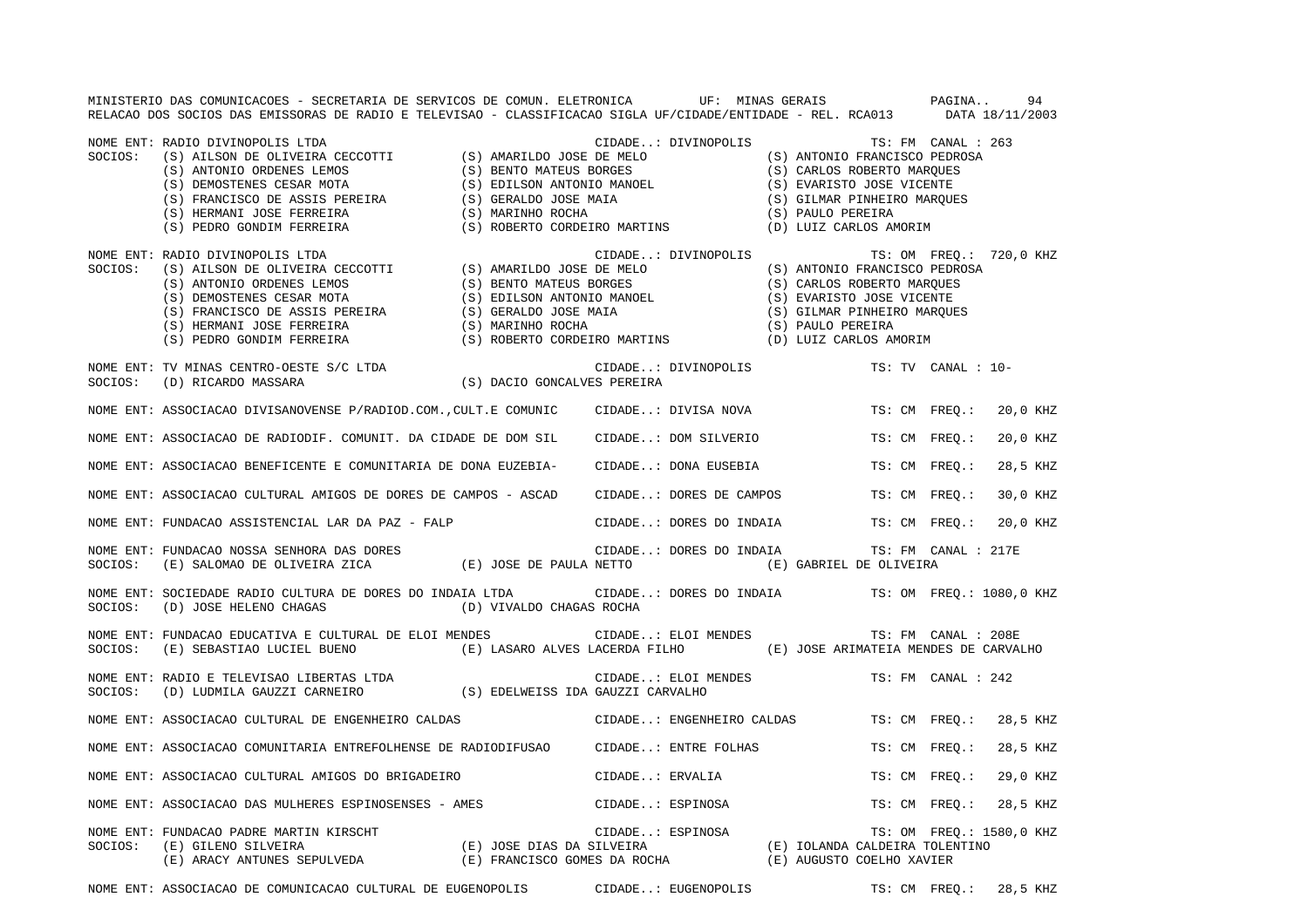MINISTERIO DAS COMUNICACOES - SECRETARIA DE SERVICOS DE COMUN. ELETRONICA UF: MINAS GERAIS PAGINA.. 94RELACAO DOS SOCIOS DAS EMISSORAS DE RADIO E TELEVISAO - CLASSIFICACAO SIGLA UF/CIDADE/ENTIDADE - REL. RCA013 DATA 18/11/2003 NOME ENT: RADIO DIVINOPOLIS LTDA CIDADE..: DIVINOPOLIS TS: FM CANAL : 263SOCIOS: (S) AILSON DE OLIVEIRA CECCOTTI (S) AMARILDO JOSE DE MELO (S) ANTONIO FRANCISCO PEDROSA<br>
(S) ANTONIO ORDENES LEMOS (S) BENTO MATEUS BORGES (S) CARLOS ROBERTO MARQUES<br>
(S) DEMOSTENES CESAR MOTA (S) EDILSON ANTONIO M (S) ANTONIO ORDENES LEMOS (S) BENTO MATEUS BORGES (S) DEMOSTENES CESAR MOTA (S) EDILSON ANTONIO MANOEL (S) EVARISTO JOSE VICENTE (S) FRANCISCO DE ASSIS PEREIRA (S) GERALDO JOSE MAIA (S) GILMAR PINHEIRO MARQUES (S) HERMANI JOSE FERREIRA (S) MARINHO ROCHA (S) ORITINS (S) PAULO PEREIRA (S) PEDRO GONDIM FERREIRA (S) ROBERTO CORDEIRO MARTINS (D) LUIZ CARLOS A (S) PEDRO GONDIM FERREIRA (S) ROBERTO CORDEIRO MARTINS (D) LUIZ CARLOS AMORIM NOME ENT: RADIO DIVINOPOLIS LTDA **ENTERIORE ENTERNATION** CIDADE..: DIVINOPOLIS TS: OM FREQ.: 720,0 KHZ SOCIOS: (S) AILSON DE OLIVEIRA CECCOTTI (S) AMARILDO JOSE DE MELO (S) ANTONIO FRANCISCO PEDROSA (S) ANTONIO ORDENES LEMOS (S) BENTO MATEUS BORGES (S) CARLOS ROBERTO MARQUES (S) DEMOSTENES CESAR MOTA (S) EDILSON ANTONIO MANOEL (S) EVARISTO JOSE VICENTE (S) FRANCISCO DE ASSIS PEREIRA (S) GERALDO JOSE MAIA (S) GILMAR PINHEIRO MARQUES (S) DEMOSTENES CESAR MOTA (S) EDILSON ANTONIO MANOEL (S) EVARISTO JOSE (S) ANTONIO MANOEL (S) EVARISTO JOSE (S) PAULO PEREIRA (S) HERMANI JOSE FERREIRA (S) MARINHO ROCHA (S) HERMANI JOSE FERREIRA (S) MARINHO ROCHA (S) PAUL (S) PEDRO GONDIM FERREIRA (S) ROBERTO CORDEIRO MARTINS (D) LUIZ CARLOS AMORIM NOME ENT: TV MINAS CENTRO-OESTE S/C LTDA CONSTRUIT CONSTRUITS CIDADE..: DIVINOPOLIS TS: TV CANAL : 10-SOCIOS: (D) RICARDO MASSARA (S) DACIO GONCALVES PEREIRA NOME ENT: ASSOCIACAO DIVISANOVENSE P/RADIOD.COM., CULT.E COMUNIC CIDADE..: DIVISA NOVA TS: CM FREQ.: 20,0 KHZ NOME ENT: ASSOCIACAO DE RADIODIF. COMUNIT. DA CIDADE DE DOM SIL CIDADE..: DOM SILVERIO TS: CM FREQ.: 20,0 KHZ NOME ENT: ASSOCIACAO BENEFICENTE E COMUNITARIA DE DONA EUZEBIA- CIDADE..: DONA EUSEBIA TS: CM FREQ.: 28,5 KHZ NOME ENT: ASSOCIACAO CULTURAL AMIGOS DE DORES DE CAMPOS - ASCAD CIDADE..: DORES DE CAMPOS TS: CM FREQ.: 30,0 KHZ NOME ENT: FUNDACAO ASSISTENCIAL LAR DA PAZ - FALP CIDADE..: DORES DO INDAIA TS: CM FREQ.: 20,0 KHZ NOME ENT: FUNDACAO NOSSA SENHORA DAS DORES CIDADE..: DORES DO INDAIA TS: FM CANAL : 217E SOCIOS: (E) SALOMAO DE OLIVEIRA ZICA (E) JOSE DE PAULA NETTO (E) GABRIEL DE OLIVEIRA NOME ENT: SOCIEDADE RADIO CULTURA DE DORES DO INDAIA LTDA CIDADE..: DORES DO INDAIA TS: OM FREQ.: 1080,0 KHZ SOCIOS: (D) JOSE HELENO CHAGAS (D) VIVALDO CHAGAS ROCHA NOME ENT: FUNDACAO EDUCATIVA E CULTURAL DE ELOI MENDES CIDADE..: ELOI MENDES TS: FM CANAL : 208E SOCIOS: (E) SEBASTIAO LUCIEL BUENO (E) LASARO ALVES LACERDA FILHO (E) JOSE ARIMATEIA MENDES DE CARVALHO NOME ENT: RADIO E TELEVISAO LIBERTAS LTDA CIDADE..: ELOI MENDES TS: FM CANAL : 242SOCIOS: (D) LUDMILA GAUZZI CARNEIRO (S) EDELWEISS IDA GAUZZI CARVALHO NOME ENT: ASSOCIACAO CULTURAL DE ENGENHEIRO CALDAS CIDADE..: ENGENHEIRO CALDAS TS: CM FREQ.: 28,5 KHZ NOME ENT: ASSOCIACAO COMUNITARIA ENTREFOLHENSE DE RADIODIFUSAO CIDADE..: ENTRE FOLHAS TS: CM FREQ.: 28,5 KHZ NOME ENT: ASSOCIACAO CULTURAL AMIGOS DO BRIGADEIRO CONSTRUIDADE..: ERVALIA TS: CM FREQ.: 29,0 KHZ NOME ENT: ASSOCIACAO DAS MULHERES ESPINOSENSES - AMES CIDADE..: ESPINOSA TS: CM FREQ.: 28,5 KHZ NOME ENT: FUNDACAO PADRE MARTIN KIRSCHT CHOROLOGICAL CIDADE..: ESPINOSA TS: OM FREQ.: 1580,0 KHZ SOCIOS: (E) GILENO SILVEIRA (E) JOSE DIAS DA SILVEIRA (E) IOLANDA CALDEIRA TOLENTINO (E) ARACY ANTUNES SEPULVEDA (E) FRANCISCO GOMES DA ROCHA (E) AUGUSTO COELHO XAVIER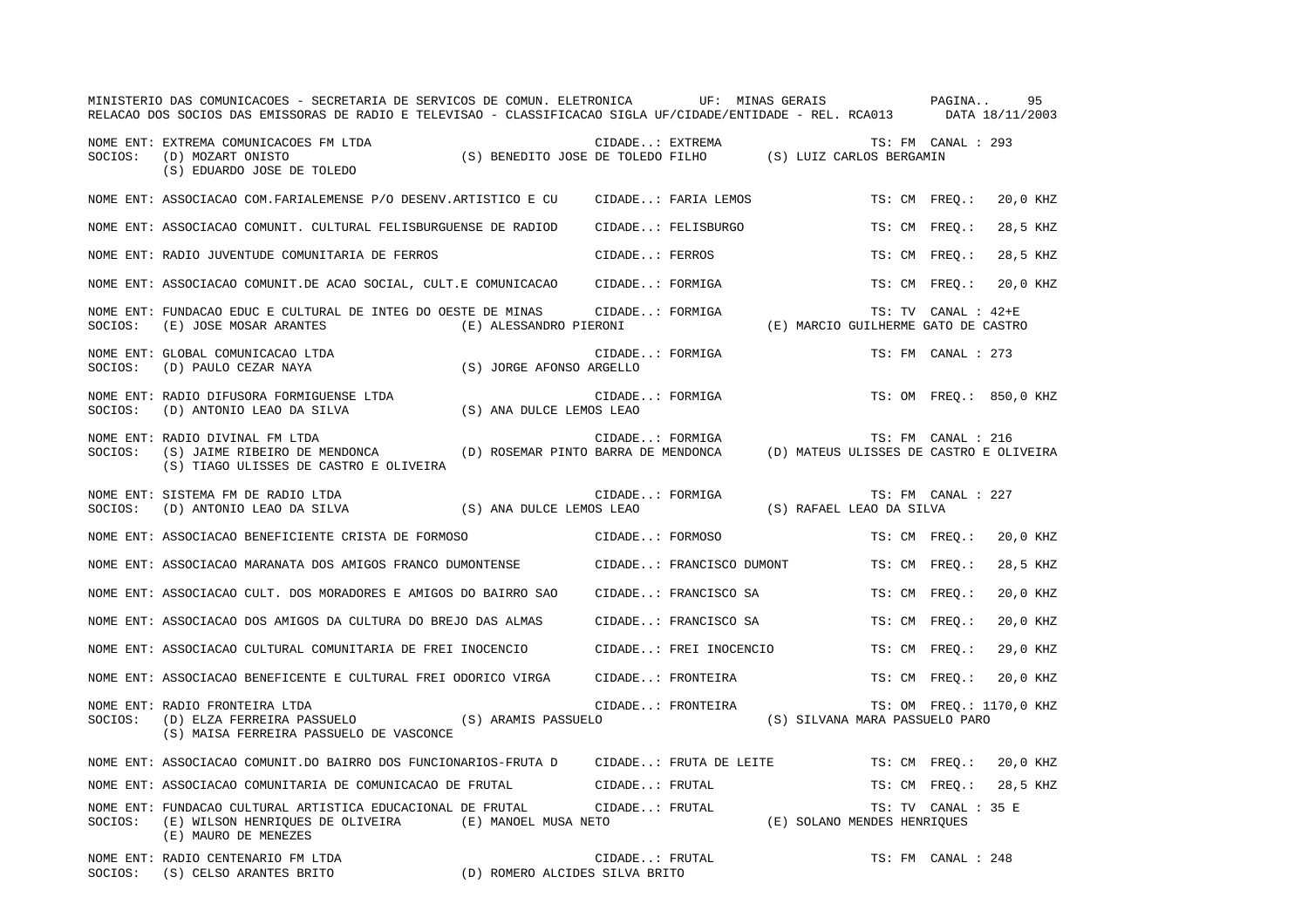|         | MINISTERIO DAS COMUNICACOES - SECRETARIA DE SERVICOS DE COMUN. ELETRONICA<br>RELACAO DOS SOCIOS DAS EMISSORAS DE RADIO E TELEVISAO - CLASSIFICACAO SIGLA UF/CIDADE/ENTIDADE - REL. RCA013 DATA 18/11/2003 |                                     |                 | UF: MINAS GERAIS         |                                         | PAGINA              | 95                       |
|---------|-----------------------------------------------------------------------------------------------------------------------------------------------------------------------------------------------------------|-------------------------------------|-----------------|--------------------------|-----------------------------------------|---------------------|--------------------------|
| SOCIOS: | NOME ENT: EXTREMA COMUNICACOES FM LTDA<br>(D) MOZART ONISTO<br>(S) EDUARDO JOSE DE TOLEDO                                                                                                                 |                                     |                 | CIDADE: EXTREMA          |                                         | TS: FM CANAL : 293  |                          |
|         | NOME ENT: ASSOCIACAO COM. FARIALEMENSE P/O DESENV. ARTISTICO E CU                                                                                                                                         |                                     |                 | CIDADE: FARIA LEMOS      |                                         | TS: CM FREO.:       | 20,0 KHZ                 |
|         | NOME ENT: ASSOCIACAO COMUNIT. CULTURAL FELISBURGUENSE DE RADIOD                                                                                                                                           |                                     |                 | CIDADE: FELISBURGO       |                                         | TS: CM FREO.:       | 28,5 KHZ                 |
|         | NOME ENT: RADIO JUVENTUDE COMUNITARIA DE FERROS                                                                                                                                                           |                                     | CIDADE: FERROS  |                          |                                         | TS: CM FREO.:       | 28,5 KHZ                 |
|         | NOME ENT: ASSOCIACAO COMUNIT.DE ACAO SOCIAL, CULT.E COMUNICACAO                                                                                                                                           |                                     | CIDADE: FORMIGA |                          |                                         | TS: CM FREO.:       | 20,0 KHZ                 |
| SOCIOS: | NOME ENT: FUNDACAO EDUC E CULTURAL DE INTEG DO OESTE DE MINAS<br>(E) JOSE MOSAR ARANTES                                                                                                                   | (E) ALESSANDRO PIERONI              | CIDADE: FORMIGA |                          | (E) MARCIO GUILHERME GATO DE CASTRO     | TS: TV CANAL : 42+E |                          |
| SOCIOS: | NOME ENT: GLOBAL COMUNICACAO LTDA<br>(D) PAULO CEZAR NAYA                                                                                                                                                 | (S) JORGE AFONSO ARGELLO            | CIDADE: FORMIGA |                          |                                         | TS: FM CANAL : 273  |                          |
| SOCIOS: | NOME ENT: RADIO DIFUSORA FORMIGUENSE LTDA<br>(D) ANTONIO LEAO DA SILVA                                                                                                                                    | (S) ANA DULCE LEMOS LEAO            | CIDADE: FORMIGA |                          |                                         |                     | TS: OM FREO.: 850,0 KHZ  |
| SOCIOS: | NOME ENT: RADIO DIVINAL FM LTDA<br>(S) JAIME RIBEIRO DE MENDONCA<br>(S) TIAGO ULISSES DE CASTRO E OLIVEIRA                                                                                                | (D) ROSEMAR PINTO BARRA DE MENDONCA | CIDADE: FORMIGA |                          | (D) MATEUS ULISSES DE CASTRO E OLIVEIRA | TS: FM CANAL : 216  |                          |
| SOCIOS: | NOME ENT: SISTEMA FM DE RADIO LTDA<br>(D) ANTONIO LEAO DA SILVA                                                                                                                                           | (S) ANA DULCE LEMOS LEAO            | CIDADE: FORMIGA |                          | (S) RAFAEL LEAO DA SILVA                | TS: FM CANAL : 227  |                          |
|         | NOME ENT: ASSOCIACAO BENEFICIENTE CRISTA DE FORMOSO                                                                                                                                                       |                                     | CIDADE: FORMOSO |                          |                                         | TS: CM FREO.:       | 20,0 KHZ                 |
|         | NOME ENT: ASSOCIACAO MARANATA DOS AMIGOS FRANCO DUMONTENSE                                                                                                                                                |                                     |                 | CIDADE: FRANCISCO DUMONT |                                         | TS: CM FREO.:       | 28,5 KHZ                 |
|         | NOME ENT: ASSOCIACAO CULT. DOS MORADORES E AMIGOS DO BAIRRO SAO                                                                                                                                           |                                     |                 | CIDADE: FRANCISCO SA     |                                         | TS: CM FREO.:       | 20,0 KHZ                 |
|         | NOME ENT: ASSOCIACAO DOS AMIGOS DA CULTURA DO BREJO DAS ALMAS                                                                                                                                             |                                     |                 | CIDADE: FRANCISCO SA     |                                         | TS: CM FREO.:       | 20,0 KHZ                 |
|         | NOME ENT: ASSOCIACAO CULTURAL COMUNITARIA DE FREI INOCENCIO                                                                                                                                               |                                     |                 | CIDADE: FREI INOCENCIO   |                                         | TS: CM FREQ.:       | 29,0 KHZ                 |
|         | NOME ENT: ASSOCIACAO BENEFICENTE E CULTURAL FREI ODORICO VIRGA                                                                                                                                            |                                     |                 | CIDADE: FRONTEIRA        |                                         | TS: CM FREO.:       | 20,0 KHZ                 |
| SOCIOS: | NOME ENT: RADIO FRONTEIRA LTDA<br>(D) ELZA FERREIRA PASSUELO<br>(S) MAISA FERREIRA PASSUELO DE VASCONCE                                                                                                   | (S) ARAMIS PASSUELO                 |                 | CIDADE: FRONTEIRA        | (S) SILVANA MARA PASSUELO PARO          |                     | TS: OM FREQ.: 1170,0 KHZ |
|         | NOME ENT: ASSOCIACAO COMUNIT.DO BAIRRO DOS FUNCIONARIOS-FRUTA D                                                                                                                                           |                                     |                 | CIDADE: FRUTA DE LEITE   |                                         | TS: CM FREO.:       | 20,0 KHZ                 |
|         | NOME ENT: ASSOCIACAO COMUNITARIA DE COMUNICACAO DE FRUTAL                                                                                                                                                 |                                     | CIDADE: FRUTAL  |                          |                                         | TS: CM FREO.:       | 28,5 KHZ                 |
| SOCIOS: | NOME ENT: FUNDACAO CULTURAL ARTISTICA EDUCACIONAL DE FRUTAL<br>(E) WILSON HENRIQUES DE OLIVEIRA (E) MANOEL MUSA NETO<br>(E) MAURO DE MENEZES                                                              |                                     | CIDADE: FRUTAL  |                          | (E) SOLANO MENDES HENRIQUES             | TS: TV CANAL : 35 E |                          |
| SOCIOS: | NOME ENT: RADIO CENTENARIO FM LTDA<br>(S) CELSO ARANTES BRITO                                                                                                                                             | (D) ROMERO ALCIDES SILVA BRITO      | CIDADE: FRUTAL  |                          |                                         | TS: FM CANAL : 248  |                          |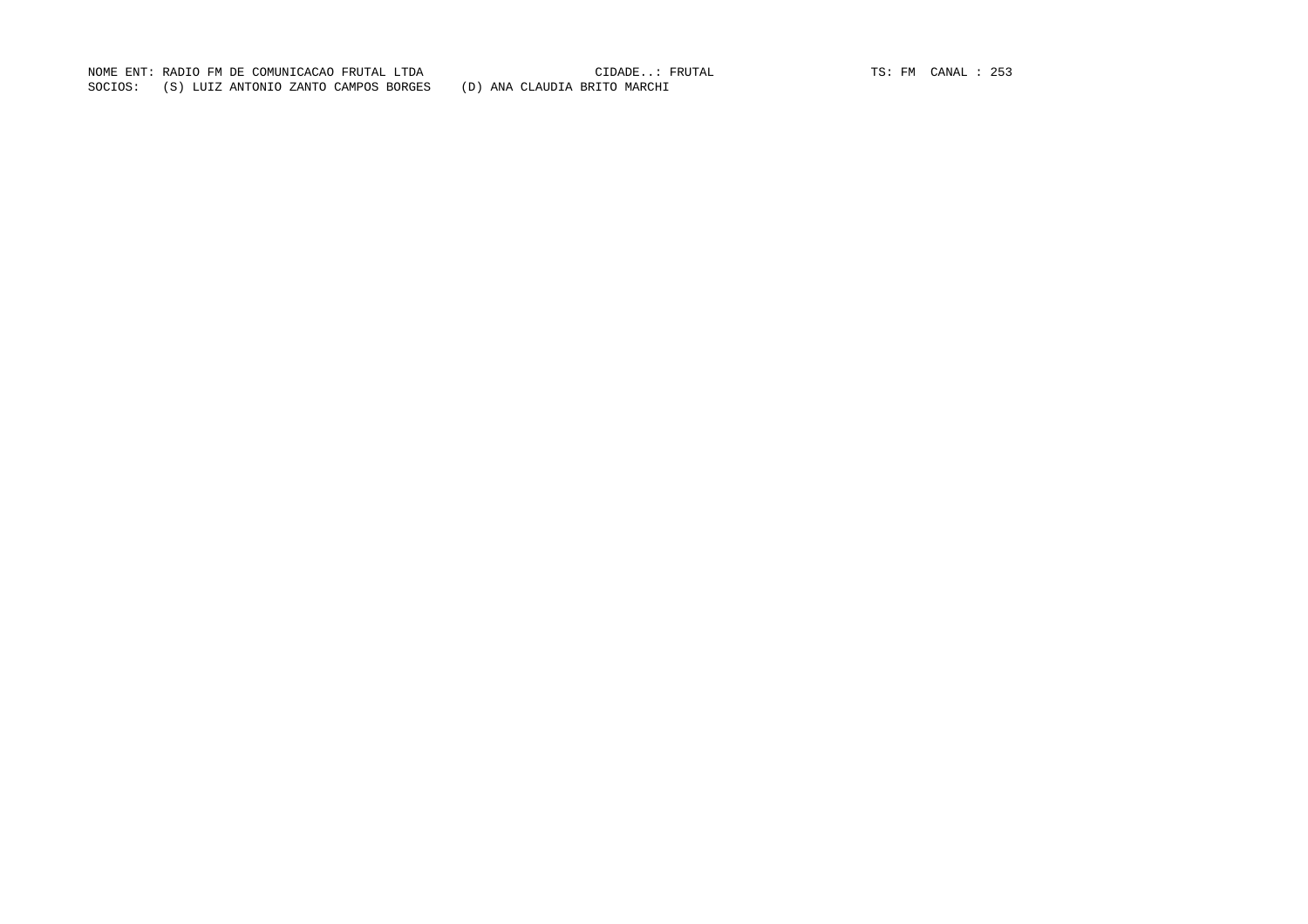NOME ENT: RADIO FM DE COMUNICACAO FRUTAL LTDA CIDADE..: FRUTAL TS: FM CANAL : 253 SOCIOS: (S) LUIZ ANTONIO ZANTO CAMPOS BORGES (D) ANA CLAUDIA BRITO MARCHI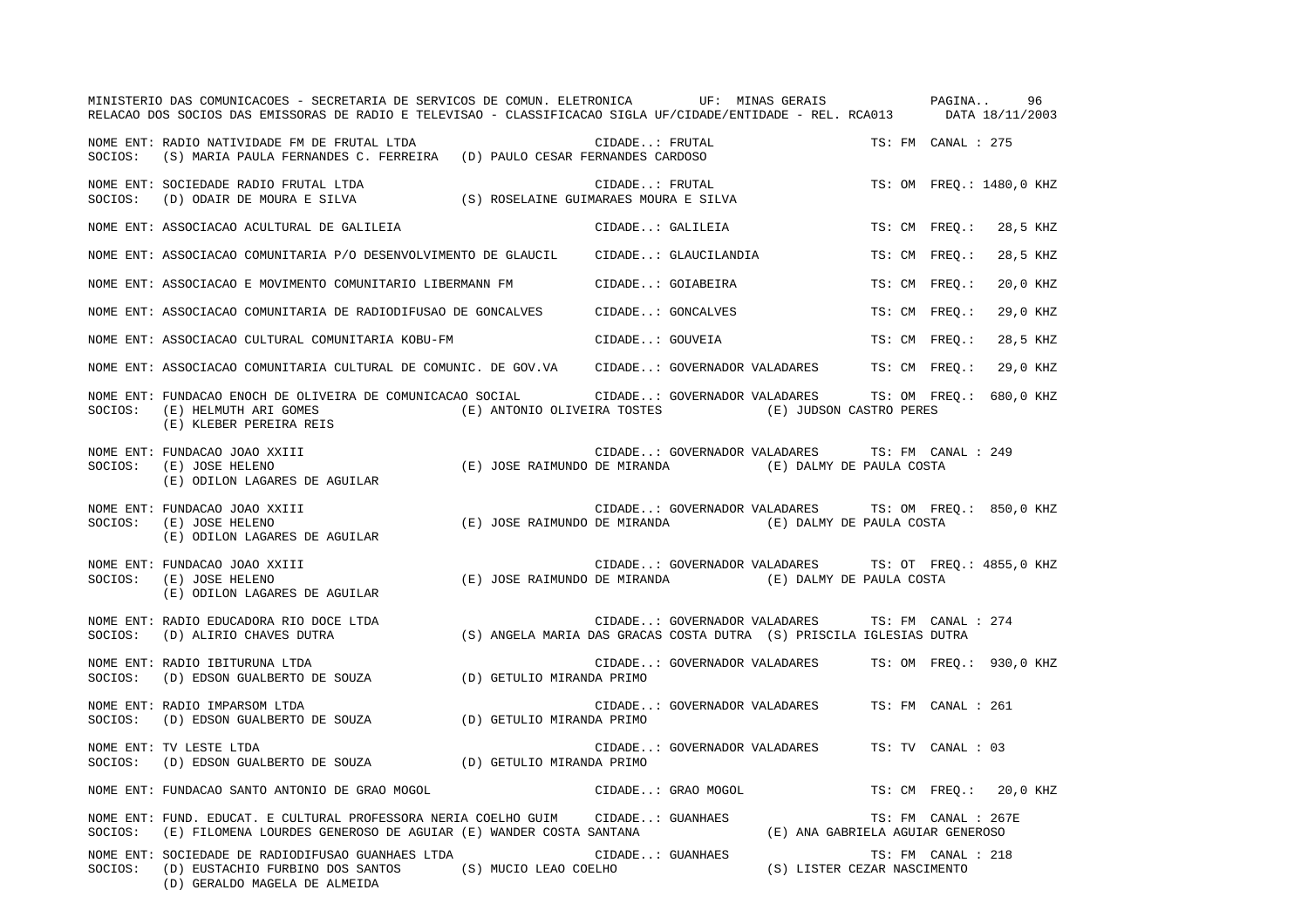|         | MINISTERIO DAS COMUNICACOES - SECRETARIA DE SERVICOS DE COMUN. ELETRONICA UF: MINAS GERAIS PAGINA<br>RELACAO DOS SOCIOS DAS EMISSORAS DE RADIO E TELEVISAO - CLASSIFICACAO SIGLA UF/CIDADE/ENTIDADE - REL. RCA013 DATA 18/11/2003 |                                                                     |                   |                  |                                                                                   |                     | 96                       |
|---------|-----------------------------------------------------------------------------------------------------------------------------------------------------------------------------------------------------------------------------------|---------------------------------------------------------------------|-------------------|------------------|-----------------------------------------------------------------------------------|---------------------|--------------------------|
| SOCIOS: | NOME ENT: RADIO NATIVIDADE FM DE FRUTAL LTDA<br>(S) MARIA PAULA FERNANDES C. FERREIRA (D) PAULO CESAR FERNANDES CARDOSO                                                                                                           |                                                                     | CIDADE: FRUTAL    |                  |                                                                                   | TS: FM CANAL : 275  |                          |
|         | NOME ENT: SOCIEDADE RADIO FRUTAL LTDA<br>SOCIOS: (D) ODAIR DE MOURA E SILVA                                                                                                                                                       | (S) ROSELAINE GUIMARAES MOURA E SILVA                               |                   | CIDADE: FRUTAL   |                                                                                   |                     | TS: OM FREO.: 1480,0 KHZ |
|         | NOME ENT: ASSOCIACAO ACULTURAL DE GALILEIA                                                                                                                                                                                        |                                                                     |                   | CIDADE: GALILEIA |                                                                                   | TS: CM FREQ.:       | 28,5 KHZ                 |
|         | NOME ENT: ASSOCIACAO COMUNITARIA P/O DESENVOLVIMENTO DE GLAUCIL      CIDADE: GLAUCILANDIA                                                                                                                                         |                                                                     |                   |                  |                                                                                   | TS: CM FREO.:       | 28,5 KHZ                 |
|         | NOME ENT: ASSOCIACAO E MOVIMENTO COMUNITARIO LIBERMANN FM                                                                                                                                                                         |                                                                     | CIDADE: GOIABEIRA |                  |                                                                                   | TS: CM FREQ.:       | 20,0 KHZ                 |
|         | NOME ENT: ASSOCIACAO COMUNITARIA DE RADIODIFUSAO DE GONCALVES         CIDADE: GONCALVES                                                                                                                                           |                                                                     |                   |                  |                                                                                   | TS: CM FREO.:       | 29,0 KHZ                 |
|         | NOME ENT: ASSOCIACAO CULTURAL COMUNITARIA KOBU-FM                                                                                                                                                                                 |                                                                     |                   | CIDADE: GOUVEIA  |                                                                                   | TS: CM FREO.:       | 28,5 KHZ                 |
|         | NOME ENT: ASSOCIACAO COMUNITARIA CULTURAL DE COMUNIC. DE GOV.VA CIDADE: GOVERNADOR VALADARES TS: CM FREQ.:                                                                                                                        |                                                                     |                   |                  |                                                                                   |                     | 29,0 KHZ                 |
| SOCIOS: | NOME ENT: FUNDACAO ENOCH DE OLIVEIRA DE COMUNICACAO SOCIAL CIDADE: GOVERNADOR VALADARES TS: OM FREQ.: 680,0 KHZ<br>(E) HELMUTH ARI GOMES<br>(E) KLEBER PEREIRA REIS                                                               | (E) ANTONIO OLIVEIRA TOSTES (E) JUDSON CASTRO PERES                 |                   |                  |                                                                                   |                     |                          |
| SOCIOS: | NOME ENT: FUNDACAO JOAO XXIII<br>(E) JOSE RAIMUNDO DE MIRANDA<br>(E) JOSE HELENO<br>(E) ODILON LAGARES DE AGUILAR                                                                                                                 |                                                                     |                   |                  | CIDADE: GOVERNADOR VALADARES TS: FM CANAL : 249<br>(E) DALMY DE PAULA COSTA       |                     |                          |
| SOCIOS: | NOME ENT: FUNDACAO JOAO XXIII<br>(E) JOSE HELENO<br>(E) ODILON LAGARES DE AGUILAR                                                                                                                                                 | (E) JOSE RAIMUNDO DE MIRANDA (E) DALMY DE PAULA COSTA               |                   |                  | CIDADE: GOVERNADOR VALADARES TS: OM FREO.: 850,0 KHZ                              |                     |                          |
| SOCIOS: | NOME ENT: FUNDACAO JOAO XXIII<br>(E) JOSE HELENO<br>(E) ODILON LAGARES DE AGUILAR                                                                                                                                                 | (E) JOSE RAIMUNDO DE MIRANDA                                        |                   |                  | CIDADE: GOVERNADOR VALADARES TS: OT FREQ.: 4855,0 KHZ<br>(E) DALMY DE PAULA COSTA |                     |                          |
| SOCIOS: | NOME ENT: RADIO EDUCADORA RIO DOCE LTDA<br>(D) ALIRIO CHAVES DUTRA                                                                                                                                                                | (S) ANGELA MARIA DAS GRACAS COSTA DUTRA (S) PRISCILA IGLESIAS DUTRA |                   |                  | CIDADE: GOVERNADOR VALADARES TS: FM CANAL : 274                                   |                     |                          |
| SOCIOS: | NOME ENT: RADIO IBITURUNA LTDA<br>(D) EDSON GUALBERTO DE SOUZA (D) GETULIO MIRANDA PRIMO                                                                                                                                          |                                                                     |                   |                  | CIDADE: GOVERNADOR VALADARES TS: OM FREQ.: 930,0 KHZ                              |                     |                          |
| SOCIOS: | NOME ENT: RADIO IMPARSOM LTDA<br>(D) EDSON GUALBERTO DE SOUZA (D) GETULIO MIRANDA PRIMO                                                                                                                                           |                                                                     |                   |                  | CIDADE: GOVERNADOR VALADARES                                                      | TS: FM CANAL : 261  |                          |
| SOCIOS: | NOME ENT: TV LESTE LTDA<br>(D) EDSON GUALBERTO DE SOUZA (D) GETULIO MIRANDA PRIMO                                                                                                                                                 |                                                                     |                   |                  | CIDADE: GOVERNADOR VALADARES                                                      | TS: TV CANAL : 03   |                          |
|         | NOME ENT: FUNDACAO SANTO ANTONIO DE GRAO MOGOL                                                                                                                                                                                    | CIDADE: GRAO MOGOL                                                  |                   |                  |                                                                                   |                     | TS: CM FREO.: 20,0 KHZ   |
| SOCIOS: | NOME ENT: FUND. EDUCAT. E CULTURAL PROFESSORA NERIA COELHO GUIM CIDADE: GUANHAES<br>(E) FILOMENA LOURDES GENEROSO DE AGUIAR (E) WANDER COSTA SANTANA                                                                              |                                                                     |                   |                  | (E) ANA GABRIELA AGUIAR GENEROSO                                                  | TS: FM CANAL : 267E |                          |
| SOCIOS: | NOME ENT: SOCIEDADE DE RADIODIFUSAO GUANHAES LTDA<br>(D) EUSTACHIO FURBINO DOS SANTOS (S) MUCIO LEAO COELHO<br>(D) GERALDO MAGELA DE ALMEIDA                                                                                      |                                                                     | CIDADE: GUANHAES  |                  | (S) LISTER CEZAR NASCIMENTO                                                       | TS: FM CANAL : 218  |                          |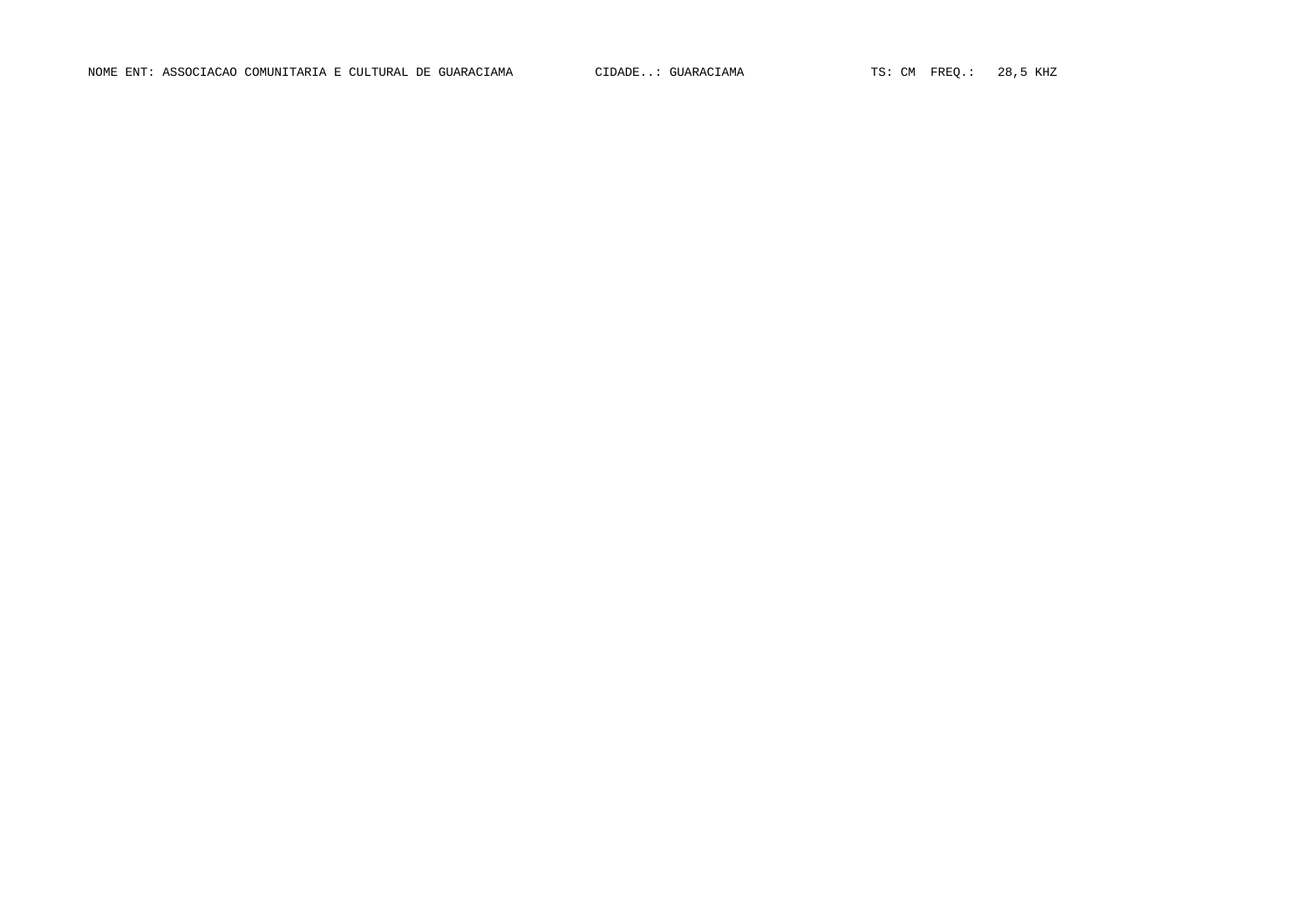NOME ENT: ASSOCIACAO COMUNITARIA E CULTURAL DE GUARACIAMA CIDADE..: GUARACIAMA TS: CM FREQ.: 28,5 KHZ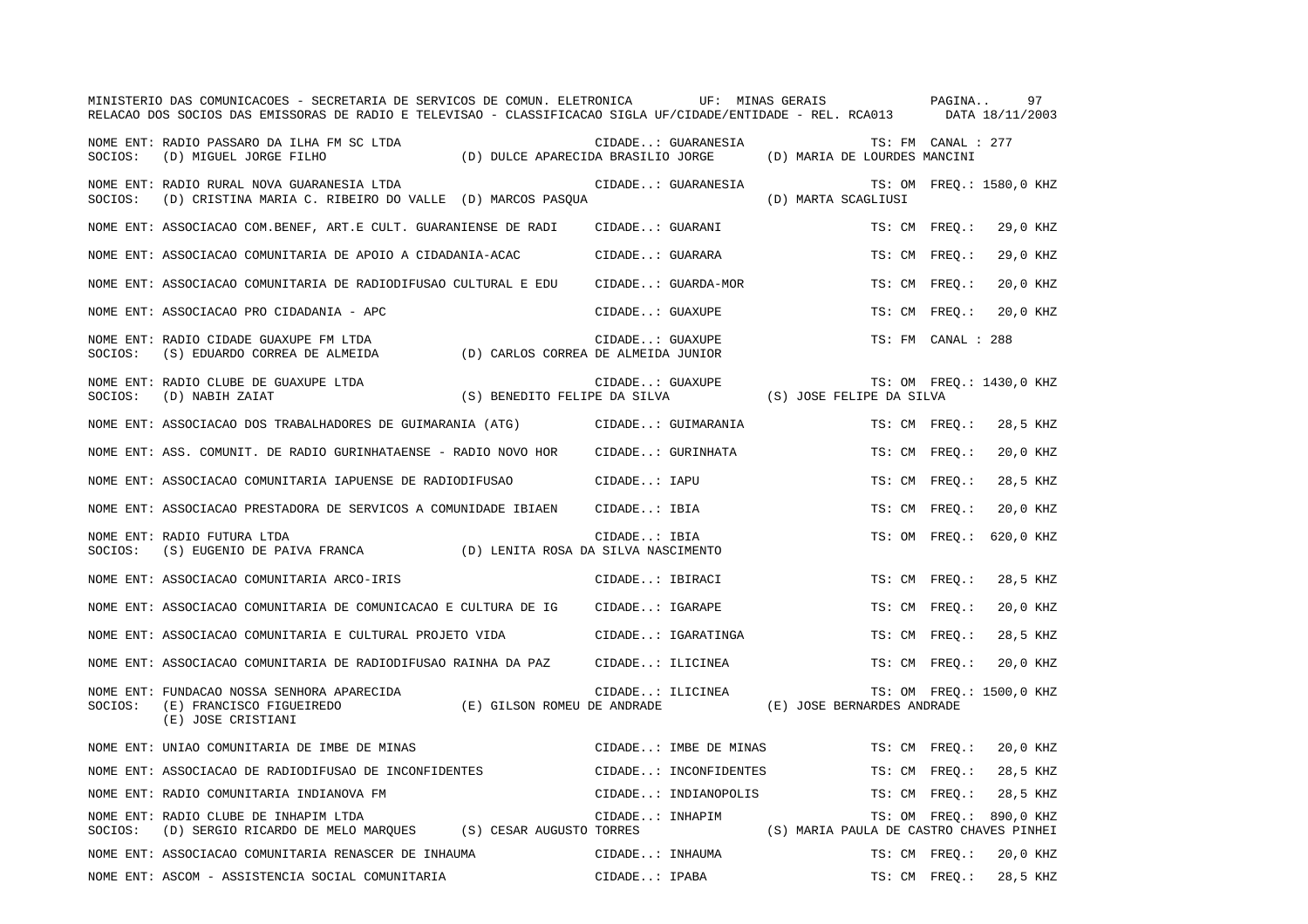|         | MINISTERIO DAS COMUNICACOES - SECRETARIA DE SERVICOS DE COMUN. ELETRONICA<br>RELACAO DOS SOCIOS DAS EMISSORAS DE RADIO E TELEVISAO - CLASSIFICACAO SIGLA UF/CIDADE/ENTIDADE - REL. RCA013 |                                     |                  | UF: MINAS GERAIS      |                                         | PAGINA             | 97<br>DATA 18/11/2003    |
|---------|-------------------------------------------------------------------------------------------------------------------------------------------------------------------------------------------|-------------------------------------|------------------|-----------------------|-----------------------------------------|--------------------|--------------------------|
| SOCIOS: | NOME ENT: RADIO PASSARO DA ILHA FM SC LTDA<br>(D) MIGUEL JORGE FILHO                                                                                                                      | (D) DULCE APARECIDA BRASILIO JORGE  |                  | CIDADE: GUARANESIA    | (D) MARIA DE LOURDES MANCINI            | TS: FM CANAL : 277 |                          |
| SOCIOS: | NOME ENT: RADIO RURAL NOVA GUARANESIA LTDA<br>(D) CRISTINA MARIA C. RIBEIRO DO VALLE (D) MARCOS PASQUA                                                                                    |                                     |                  | CIDADE: GUARANESIA    | (D) MARTA SCAGLIUSI                     |                    | TS: OM FREO.: 1580,0 KHZ |
|         | NOME ENT: ASSOCIACAO COM.BENEF, ART.E CULT. GUARANIENSE DE RADI                                                                                                                           |                                     | CIDADE: GUARANI  |                       | TS: CM FREO.:                           |                    | 29,0 KHZ                 |
|         | NOME ENT: ASSOCIACAO COMUNITARIA DE APOIO A CIDADANIA-ACAC                                                                                                                                |                                     | CIDADE: GUARARA  |                       | TS: CM FREO.:                           |                    | 29,0 KHZ                 |
|         | NOME ENT: ASSOCIACAO COMUNITARIA DE RADIODIFUSAO CULTURAL E EDU                                                                                                                           |                                     |                  | CIDADE: GUARDA-MOR    | TS: CM FREO.:                           |                    | 20,0 KHZ                 |
|         | NOME ENT: ASSOCIACAO PRO CIDADANIA - APC                                                                                                                                                  |                                     | CIDADE: GUAXUPE  |                       | TS: CM                                  | $FREO.$ :          | 20,0 KHZ                 |
| SOCIOS: | NOME ENT: RADIO CIDADE GUAXUPE FM LTDA<br>(S) EDUARDO CORREA DE ALMEIDA                                                                                                                   | (D) CARLOS CORREA DE ALMEIDA JUNIOR | CIDADE: GUAXUPE  |                       |                                         | TS: FM CANAL : 288 |                          |
| SOCIOS: | NOME ENT: RADIO CLUBE DE GUAXUPE LTDA<br>(D) NABIH ZAIAT                                                                                                                                  | (S) BENEDITO FELIPE DA SILVA        | CIDADE: GUAXUPE  |                       | (S) JOSE FELIPE DA SILVA                |                    | TS: OM FREQ.: 1430,0 KHZ |
|         | NOME ENT: ASSOCIACAO DOS TRABALHADORES DE GUIMARANIA (ATG)                                                                                                                                |                                     |                  | CIDADE: GUIMARANIA    | TS: CM FREO.:                           |                    | 28,5 KHZ                 |
|         | NOME ENT: ASS. COMUNIT. DE RADIO GURINHATAENSE - RADIO NOVO HOR                                                                                                                           |                                     |                  | CIDADE: GURINHATA     | TS: CM FREO.:                           |                    | 20,0 KHZ                 |
|         | NOME ENT: ASSOCIACAO COMUNITARIA IAPUENSE DE RADIODIFUSAO                                                                                                                                 |                                     | CIDADE: IAPU     |                       | TS: CM FREO.:                           |                    | 28,5 KHZ                 |
|         | NOME ENT: ASSOCIACAO PRESTADORA DE SERVICOS A COMUNIDADE IBIAEN                                                                                                                           |                                     | CIDADE: IBIA     |                       | TS: CM FREO.:                           |                    | 20,0 KHZ                 |
| SOCIOS: | NOME ENT: RADIO FUTURA LTDA<br>(S) EUGENIO DE PAIVA FRANCA                                                                                                                                | (D) LENITA ROSA DA SILVA NASCIMENTO | CIDADE: IBIA     |                       | TS: OM                                  | FREO.:             | 620,0 KHZ                |
|         | NOME ENT: ASSOCIACAO COMUNITARIA ARCO-IRIS                                                                                                                                                |                                     | CIDADE: IBIRACI  |                       | TS: CM FREO.:                           |                    | 28,5 KHZ                 |
|         | NOME ENT: ASSOCIACAO COMUNITARIA DE COMUNICACAO E CULTURA DE IG                                                                                                                           |                                     | CIDADE: IGARAPE  |                       | TS: CM FREO.:                           |                    | 20,0 KHZ                 |
|         | NOME ENT: ASSOCIACAO COMUNITARIA E CULTURAL PROJETO VIDA                                                                                                                                  |                                     |                  | CIDADE: IGARATINGA    | TS: CM FREO.:                           |                    | 28,5 KHZ                 |
|         | NOME ENT: ASSOCIACAO COMUNITARIA DE RADIODIFUSAO RAINHA DA PAZ                                                                                                                            |                                     | CIDADE: ILICINEA |                       | TS: CM FREO.:                           |                    | 20,0 KHZ                 |
| SOCIOS: | NOME ENT: FUNDACAO NOSSA SENHORA APARECIDA<br>(E) FRANCISCO FIGUEIREDO<br>(E) JOSE CRISTIANI                                                                                              | (E) GILSON ROMEU DE ANDRADE         | CIDADE: ILICINEA |                       | (E) JOSE BERNARDES ANDRADE              |                    | TS: OM FREQ.: 1500,0 KHZ |
|         | NOME ENT: UNIAO COMUNITARIA DE IMBE DE MINAS                                                                                                                                              |                                     |                  | CIDADE: IMBE DE MINAS | TS: CM FREO.:                           |                    | 20,0 KHZ                 |
|         | NOME ENT: ASSOCIACAO DE RADIODIFUSAO DE INCONFIDENTES                                                                                                                                     |                                     |                  | CIDADE: INCONFIDENTES | TS: CM FREO.:                           |                    | 28,5 KHZ                 |
|         | NOME ENT: RADIO COMUNITARIA INDIANOVA FM                                                                                                                                                  |                                     |                  | CIDADE: INDIANOPOLIS  | TS: CM FREQ.:                           |                    | 28,5 KHZ                 |
| SOCIOS: | NOME ENT: RADIO CLUBE DE INHAPIM LTDA<br>(D) SERGIO RICARDO DE MELO MARQUES                                                                                                               | (S) CESAR AUGUSTO TORRES            | CIDADE: INHAPIM  |                       | (S) MARIA PAULA DE CASTRO CHAVES PINHEI | TS: OM FREO.:      | 890,0 KHZ                |
|         | NOME ENT: ASSOCIACAO COMUNITARIA RENASCER DE INHAUMA                                                                                                                                      |                                     | CIDADE: INHAUMA  |                       | TS: CM FREO.:                           |                    | 20,0 KHZ                 |
|         | NOME ENT: ASCOM - ASSISTENCIA SOCIAL COMUNITARIA                                                                                                                                          |                                     | CIDADE: IPABA    |                       | TS: CM FREQ.:                           |                    | 28,5 KHZ                 |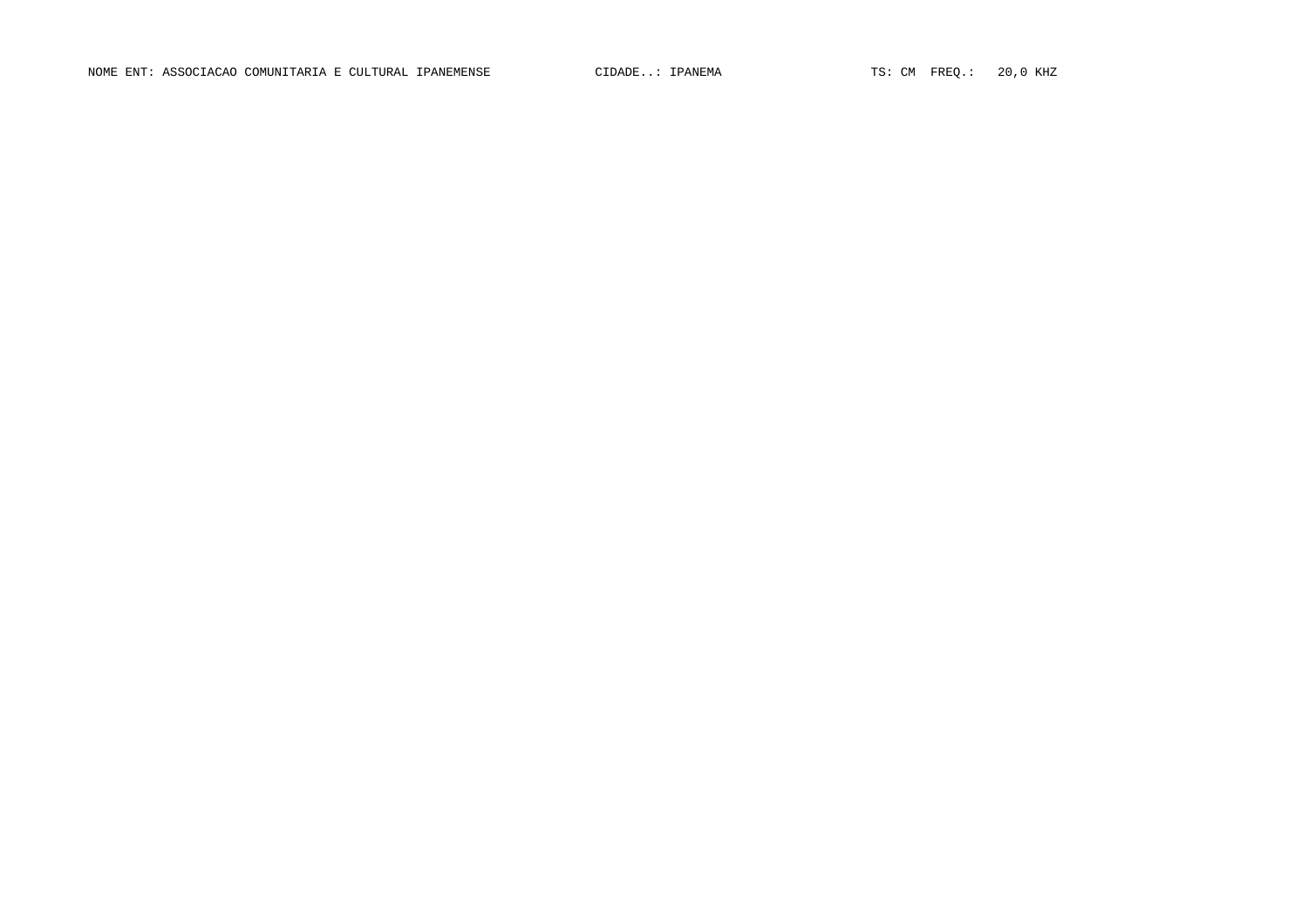NOME ENT: ASSOCIACAO COMUNITARIA E CULTURAL IPANEMENSE CIDADE..: IPANEMA TS: CM FREQ.: 20,0 KHZ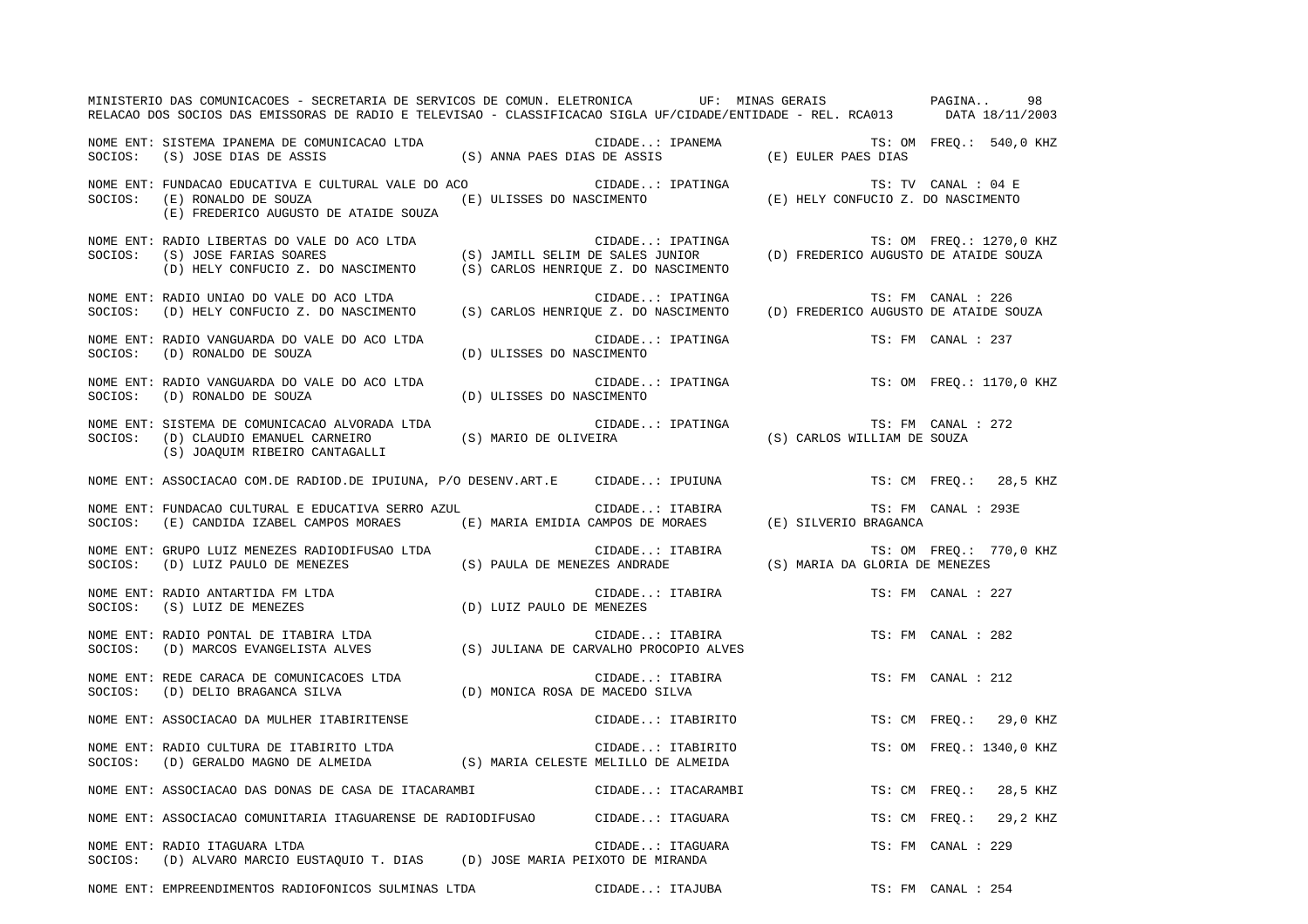|         | MINISTERIO DAS COMUNICACOES - SECRETARIA DE SERVICOS DE COMUN. ELETRONICA UF: MINAS GERAIS PAGINA<br>RELACAO DOS SOCIOS DAS EMISSORAS DE RADIO E TELEVISAO - CLASSIFICACAO SIGLA UF/CIDADE/ENTIDADE - REL. RCA013 DATA 18/11/2003 |                                 |                                                                                                                                                                                                                                                                                                                                                                                                                                                 |                             | 98                       |
|---------|-----------------------------------------------------------------------------------------------------------------------------------------------------------------------------------------------------------------------------------|---------------------------------|-------------------------------------------------------------------------------------------------------------------------------------------------------------------------------------------------------------------------------------------------------------------------------------------------------------------------------------------------------------------------------------------------------------------------------------------------|-----------------------------|--------------------------|
|         | NOME ENT: SISTEMA IPANEMA DE COMUNICACAO LTDA<br>SOCIOS: (S) JOSE DIAS DE ASSIS                                                                                                                                                   |                                 | VICACAO LTDA (S) ANNA PAES DIAS DE ASSIS (E) EULER PAES DIAS TS: OM FREQ.: 540,0 KHZ                                                                                                                                                                                                                                                                                                                                                            |                             |                          |
|         | NOME ENT: FUNDACAO EDUCATIVA E CULTURAL VALE DO ACO<br>SOCIOS: (E) RONALDO DE SOUZA<br>(E) FREDERICO AUGUSTO DE ATAIDE SOUZA                                                                                                      |                                 | CIDADE: IPATINGA $\begin{array}{ccc} & & & & \text{if } 0 & \text{if } 0 & \text{if } 0 & \text{if } 0 & \text{if } 0 & \text{if } 0 & \text{if } 0 & \text{if } 0 & \text{if } 0 & \text{if } 0 & \text{if } 0 & \text{if } 0 & \text{if } 0 & \text{if } 0 & \text{if } 0 & \text{if } 0 & \text{if } 0 & \text{if } 0 & \text{if } 0 & \text{if } 0 & \text{if } 0 & \text{if } 0 & \text{if } 0 & \text{if } $<br>(E) ULISSES DO NASCIMENTO |                             |                          |
| SOCIOS: | NOME ENT: RADIO LIBERTAS DO VALE DO ACO LTDA<br>(S) JOSE FARIAS SOARES<br>(D) HELY CONFUCIO Z. DO NASCIMENTO (S) CARLOS HENRIOUE Z. DO NASCIMENTO                                                                                 |                                 | CIDADE: IPATINGA                                                                                                                                                                                                                                                                                                                                                                                                                                |                             | TS: OM FREQ.: 1270,0 KHZ |
| SOCIOS: | NOME ENT: RADIO UNIAO DO VALE DO ACO LTDA<br>(D) HELY CONFUCIO Z. DO NASCIMENTO (S) CARLOS HENRIQUE Z. DO NASCIMENTO (D) FREDERICO AUGUSTO DE ATAIDE SOUZA                                                                        |                                 | CIDADE: IPATINGA                                                                                                                                                                                                                                                                                                                                                                                                                                |                             | TS: FM CANAL : 226       |
| SOCIOS: | NOME ENT: RADIO VANGUARDA DO VALE DO ACO LTDA<br>(D) RONALDO DE SOUZA                                                                                                                                                             | (D) ULISSES DO NASCIMENTO       | CIDADE: IPATINGA                                                                                                                                                                                                                                                                                                                                                                                                                                |                             | TS: FM CANAL : 237       |
| SOCIOS: | NOME ENT: RADIO VANGUARDA DO VALE DO ACO LTDA<br>(D) RONALDO DE SOUZA                                                                                                                                                             | (D) ULISSES DO NASCIMENTO       | CIDADE: IPATINGA                                                                                                                                                                                                                                                                                                                                                                                                                                |                             | TS: OM FREO.: 1170,0 KHZ |
| SOCIOS: | NOME ENT: SISTEMA DE COMUNICACAO ALVORADA LTDA<br>(D) CLAUDIO EMANUEL CARNEIRO<br>(S) JOAQUIM RIBEIRO CANTAGALLI                                                                                                                  |                                 | CIDADE: IPATINGA<br>(S) MARIO DE OLIVEIRA                                                                                                                                                                                                                                                                                                                                                                                                       | (S) CARLOS WILLIAM DE SOUZA | TS: FM CANAL : 272       |
|         | NOME ENT: ASSOCIACAO COM.DE RADIOD.DE IPUIUNA, P/O DESENV.ART.E CIDADE: IPUIUNA                                                                                                                                                   |                                 |                                                                                                                                                                                                                                                                                                                                                                                                                                                 |                             | TS: CM FREQ.: 28,5 KHZ   |
| SOCIOS: | NOME ENT: FUNDACAO CULTURAL E EDUCATIVA SERRO AZUL<br>(E) CANDIDA IZABEL CAMPOS MORAES (E) MARIA EMIDIA CAMPOS DE MORAES (E) SILVERIO BRAGANCA                                                                                    |                                 | CIDADE: ITABIRA                                                                                                                                                                                                                                                                                                                                                                                                                                 |                             | TS: FM CANAL : 293E      |
|         | NOME ENT: GRUPO LUIZ MENEZES RADIODIFUSAO LTDA<br>SOCIOS: (D) LUIZ PAULO DE MENEZES                                                                                                                                               |                                 | CIDADE: ITABIRA<br>(S) PAULA DE MENEZES ANDRADE (S) MARIA DA GLORIA DE MENEZES                                                                                                                                                                                                                                                                                                                                                                  |                             | TS: OM FREQ.: 770,0 KHZ  |
|         | NOME ENT: RADIO ANTARTIDA FM LTDA<br>NOME ENT: RADIO ANTARTIDA FM LTDA<br>SOCIOS: (S) LUIZ DE MENEZES                                                                                                                             | (D) LUIZ PAULO DE MENEZES       | CIDADE: ITABIRA                                                                                                                                                                                                                                                                                                                                                                                                                                 |                             | TS: FM CANAL : 227       |
|         | NOME ENT: RADIO PONTAL DE ITABIRA LTDA<br>SOCIOS: (D) MARCOS EVANGELISTA ALVES (S) JULIANA DE CARVALHO PROCOPIO ALVES                                                                                                             |                                 | CIDADE: ITABIRA                                                                                                                                                                                                                                                                                                                                                                                                                                 |                             | TS: FM CANAL : 282       |
|         | NOME ENT: REDE CARACA DE COMUNICACOES LTDA<br>SOCIOS: (D) DELIO BRAGANCA SILVA                                                                                                                                                    | (D) MONICA ROSA DE MACEDO SILVA | CIDADE: ITABIRA                                                                                                                                                                                                                                                                                                                                                                                                                                 |                             | TS: FM CANAL : 212       |
|         | NOME ENT: ASSOCIACAO DA MULHER ITABIRITENSE                                                                                                                                                                                       |                                 | CIDADE: ITABIRITO                                                                                                                                                                                                                                                                                                                                                                                                                               |                             | TS: CM FREQ.: 29,0 KHZ   |
| SOCIOS: | NOME ENT: RADIO CULTURA DE ITABIRITO LTDA<br>(D) GERALDO MAGNO DE ALMEIDA (S) MARIA CELESTE MELILLO DE ALMEIDA                                                                                                                    |                                 | CIDADE: ITABIRITO                                                                                                                                                                                                                                                                                                                                                                                                                               |                             | TS: OM FREQ.: 1340,0 KHZ |
|         | NOME ENT: ASSOCIACAO DAS DONAS DE CASA DE ITACARAMBI                                                                                                                                                                              |                                 | CIDADE: ITACARAMBI                                                                                                                                                                                                                                                                                                                                                                                                                              |                             | TS: CM FREO.: 28,5 KHZ   |
|         | NOME ENT: ASSOCIACAO COMUNITARIA ITAGUARENSE DE RADIODIFUSAO CIDADE: ITAGUARA                                                                                                                                                     |                                 |                                                                                                                                                                                                                                                                                                                                                                                                                                                 |                             | TS: CM FREQ.: 29,2 KHZ   |
|         | NOME ENT: RADIO ITAGUARA LTDA<br>SOCIOS: (D) ALVARO MARCIO EUSTAQUIO T. DIAS (D) JOSE MARIA PEIXOTO DE MIRANDA                                                                                                                    |                                 | CIDADE: ITAGUARA                                                                                                                                                                                                                                                                                                                                                                                                                                |                             | TS: FM CANAL : 229       |
|         | NOME ENT: EMPREENDIMENTOS RADIOFONICOS SULMINAS LTDA                                                                                                                                                                              |                                 | CIDADE: ITAJUBA                                                                                                                                                                                                                                                                                                                                                                                                                                 |                             | TS: FM CANAL : 254       |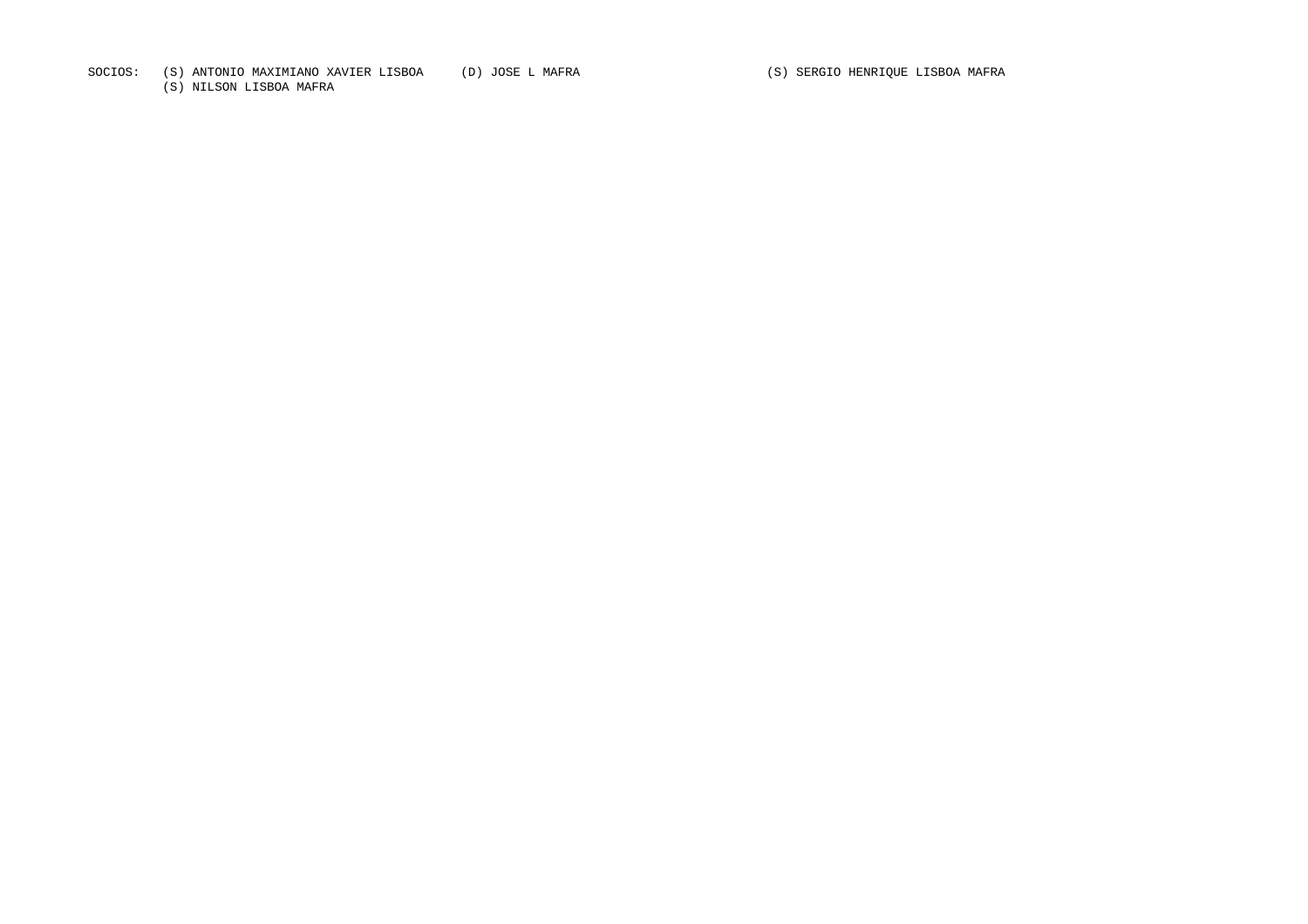SOCIOS: (S) ANTONIO MAXIMIANO XAVIER LISBOA (D) JOSE L MAFRA (S) SERGIO HENRIQUE LISBOA MAFRA

(S) NILSON LISBOA MAFRA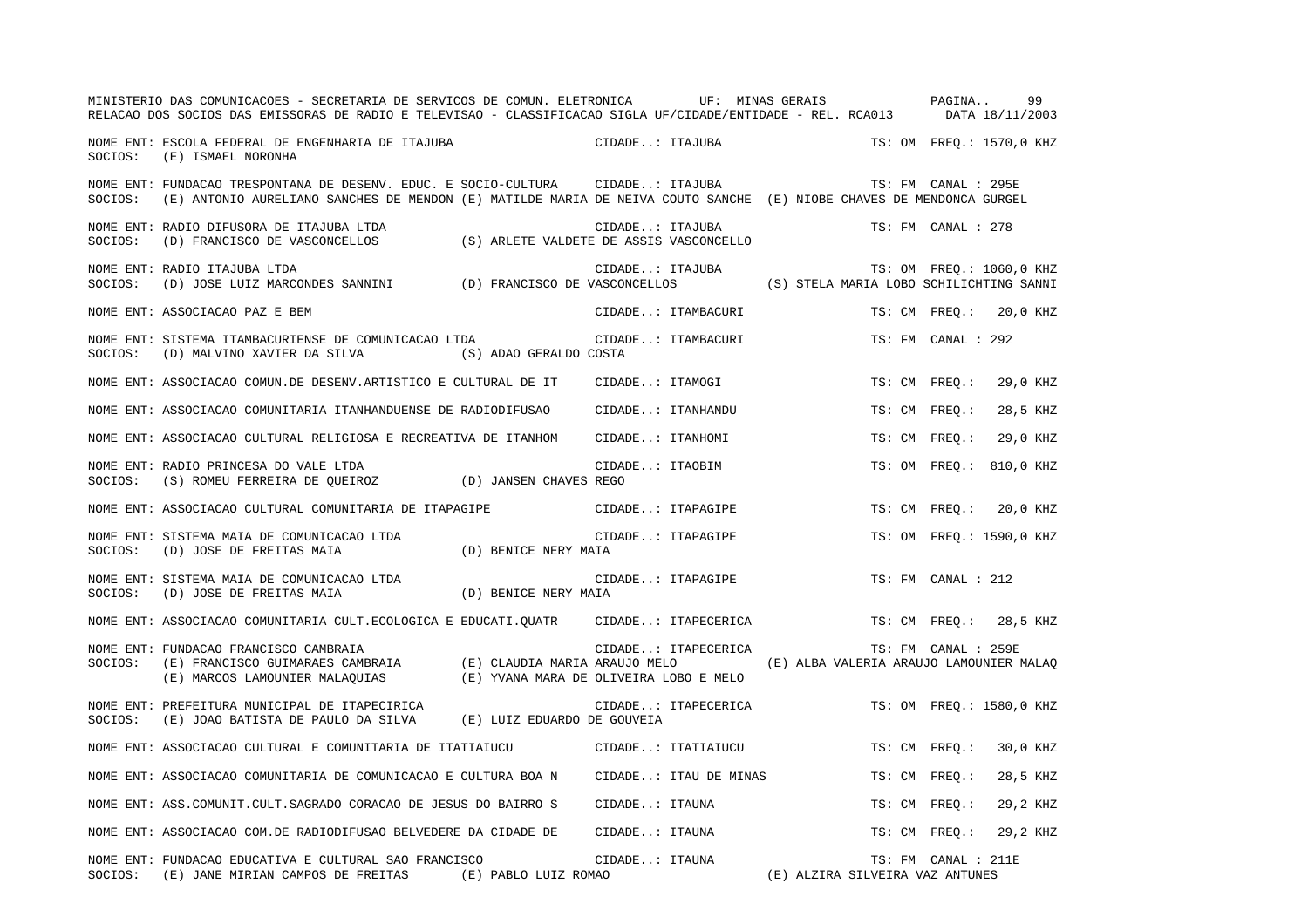|         | MINISTERIO DAS COMUNICACOES - SECRETARIA DE SERVICOS DE COMUN. ELETRONICA              UF:  MINAS GERAIS<br>RELACAO DOS SOCIOS DAS EMISSORAS DE RADIO E TELEVISAO - CLASSIFICACAO SIGLA UF/CIDADE/ENTIDADE - REL. RCA013 |                                         |                  |                       |                                         | PAGINA<br>99<br>DATA 18/11/2003 |
|---------|--------------------------------------------------------------------------------------------------------------------------------------------------------------------------------------------------------------------------|-----------------------------------------|------------------|-----------------------|-----------------------------------------|---------------------------------|
| SOCIOS: | NOME ENT: ESCOLA FEDERAL DE ENGENHARIA DE ITAJUBA<br>(E) ISMAEL NORONHA                                                                                                                                                  |                                         | CIDADE: ITAJUBA  |                       |                                         | TS: OM FREO.: 1570,0 KHZ        |
| SOCIOS: | NOME ENT: FUNDACAO TRESPONTANA DE DESENV. EDUC. E SOCIO-CULTURA CIDADE: ITAJUBA<br>(E) ANTONIO AURELIANO SANCHES DE MENDON (E) MATILDE MARIA DE NEIVA COUTO SANCHE (E) NIOBE CHAVES DE MENDONCA GURGEL                   |                                         |                  |                       |                                         | TS: FM CANAL : 295E             |
| SOCIOS: | NOME ENT: RADIO DIFUSORA DE ITAJUBA LTDA<br>(D) FRANCISCO DE VASCONCELLOS                                                                                                                                                | (S) ARLETE VALDETE DE ASSIS VASCONCELLO | CIDADE: ITAJUBA  |                       |                                         | TS: FM CANAL : 278              |
| SOCIOS: | NOME ENT: RADIO ITAJUBA LTDA<br>(D) JOSE LUIZ MARCONDES SANNINI (D) FRANCISCO DE VASCONCELLOS                                                                                                                            |                                         |                  | CIDADE: ITAJUBA       | (S) STELA MARIA LOBO SCHILICHTING SANNI | TS: OM FREO.: 1060,0 KHZ        |
|         | NOME ENT: ASSOCIACAO PAZ E BEM                                                                                                                                                                                           |                                         |                  | CIDADE: ITAMBACURI    |                                         | TS: CM FREO.:<br>20,0 KHZ       |
| SOCIOS: | NOME ENT: SISTEMA ITAMBACURIENSE DE COMUNICACAO LTDA<br>(D) MALVINO XAVIER DA SILVA                                                                                                                                      | (S) ADAO GERALDO COSTA                  |                  | CIDADE: ITAMBACURI    |                                         | TS: FM CANAL : 292              |
|         | NOME ENT: ASSOCIACAO COMUN.DE DESENV.ARTISTICO E CULTURAL DE IT                                                                                                                                                          |                                         | CIDADE: ITAMOGI  |                       |                                         | TS: CM FREQ.:<br>29,0 KHZ       |
|         | NOME ENT: ASSOCIACAO COMUNITARIA ITANHANDUENSE DE RADIODIFUSAO                                                                                                                                                           |                                         |                  | CIDADE: ITANHANDU     |                                         | 28,5 KHZ<br>TS: CM FREO.:       |
|         | NOME ENT: ASSOCIACAO CULTURAL RELIGIOSA E RECREATIVA DE ITANHOM                                                                                                                                                          |                                         | CIDADE: ITANHOMI |                       |                                         | TS: CM FREO.:<br>29,0 KHZ       |
| SOCIOS: | NOME ENT: RADIO PRINCESA DO VALE LTDA<br>(S) ROMEU FERREIRA DE QUEIROZ (D) JANSEN CHAVES REGO                                                                                                                            |                                         | CIDADE: ITAOBIM  |                       |                                         | TS: OM FREO.:<br>810,0 KHZ      |
|         | NOME ENT: ASSOCIACAO CULTURAL COMUNITARIA DE ITAPAGIPE                                                                                                                                                                   |                                         |                  | CIDADE: ITAPAGIPE     |                                         | 20,0 KHZ<br>TS: CM FREO.:       |
| SOCIOS: | NOME ENT: SISTEMA MAIA DE COMUNICACAO LTDA<br>(D) JOSE DE FREITAS MAIA                                                                                                                                                   | (D) BENICE NERY MAIA                    |                  | CIDADE: ITAPAGIPE     |                                         | TS: OM FREQ.: 1590,0 KHZ        |
| SOCIOS: | NOME ENT: SISTEMA MAIA DE COMUNICACAO LTDA<br>(D) JOSE DE FREITAS MAIA                                                                                                                                                   | (D) BENICE NERY MAIA                    |                  | CIDADE: ITAPAGIPE     |                                         | TS: FM CANAL : 212              |
|         | NOME ENT: ASSOCIACAO COMUNITARIA CULT.ECOLOGICA E EDUCATI.OUATR                                                                                                                                                          |                                         |                  | CIDADE: ITAPECERICA   |                                         | TS: CM FREO.:<br>28,5 KHZ       |
| SOCIOS: | NOME ENT: FUNDACAO FRANCISCO CAMBRAIA<br>$(E)$ FRANCISCO GUIMARAES CAMBRAIA $(E)$ CLAUDIA MARIA ARAUJO MELO<br>(E) MARCOS LAMOUNIER MALAQUIAS (E) YVANA MARA DE OLIVEIRA LOBO E MELO                                     |                                         |                  | CIDADE: ITAPECERICA   | (E) ALBA VALERIA ARAUJO LAMOUNIER MALAQ | TS: FM CANAL : 259E             |
| SOCIOS: | NOME ENT: PREFEITURA MUNICIPAL DE ITAPECIRICA<br>(E) JOAO BATISTA DE PAULO DA SILVA (E) LUIZ EDUARDO DE GOUVEIA                                                                                                          |                                         |                  | CIDADE: ITAPECERICA   |                                         | TS: OM FREQ.: 1580,0 KHZ        |
|         | NOME ENT: ASSOCIACAO CULTURAL E COMUNITARIA DE ITATIAIUCU                                                                                                                                                                |                                         |                  | CIDADE: ITATIAIUCU    |                                         | 30,0 KHZ<br>TS: CM FREO.:       |
|         | NOME ENT: ASSOCIACAO COMUNITARIA DE COMUNICACAO E CULTURA BOA N                                                                                                                                                          |                                         |                  | CIDADE: ITAU DE MINAS |                                         | 28,5 KHZ<br>TS: CM FREO.:       |
|         | NOME ENT: ASS.COMUNIT.CULT.SAGRADO CORACAO DE JESUS DO BAIRRO S                                                                                                                                                          |                                         | CIDADE: ITAUNA   |                       |                                         | TS: CM FREQ.:<br>29,2 KHZ       |
|         | NOME ENT: ASSOCIACAO COM.DE RADIODIFUSAO BELVEDERE DA CIDADE DE                                                                                                                                                          |                                         | CIDADE: ITAUNA   |                       |                                         | 29,2 KHZ<br>TS: CM FREO.:       |
|         | NOME ENT: FUNDACAO EDUCATIVA E CULTURAL SAO FRANCISCO<br>SOCIOS: (E) JANE MIRIAN CAMPOS DE FREITAS (E) PABLO LUIZ ROMAO                                                                                                  |                                         | CIDADE: ITAUNA   |                       | (E) ALZIRA SILVEIRA VAZ ANTUNES         | TS: FM CANAL : 211E             |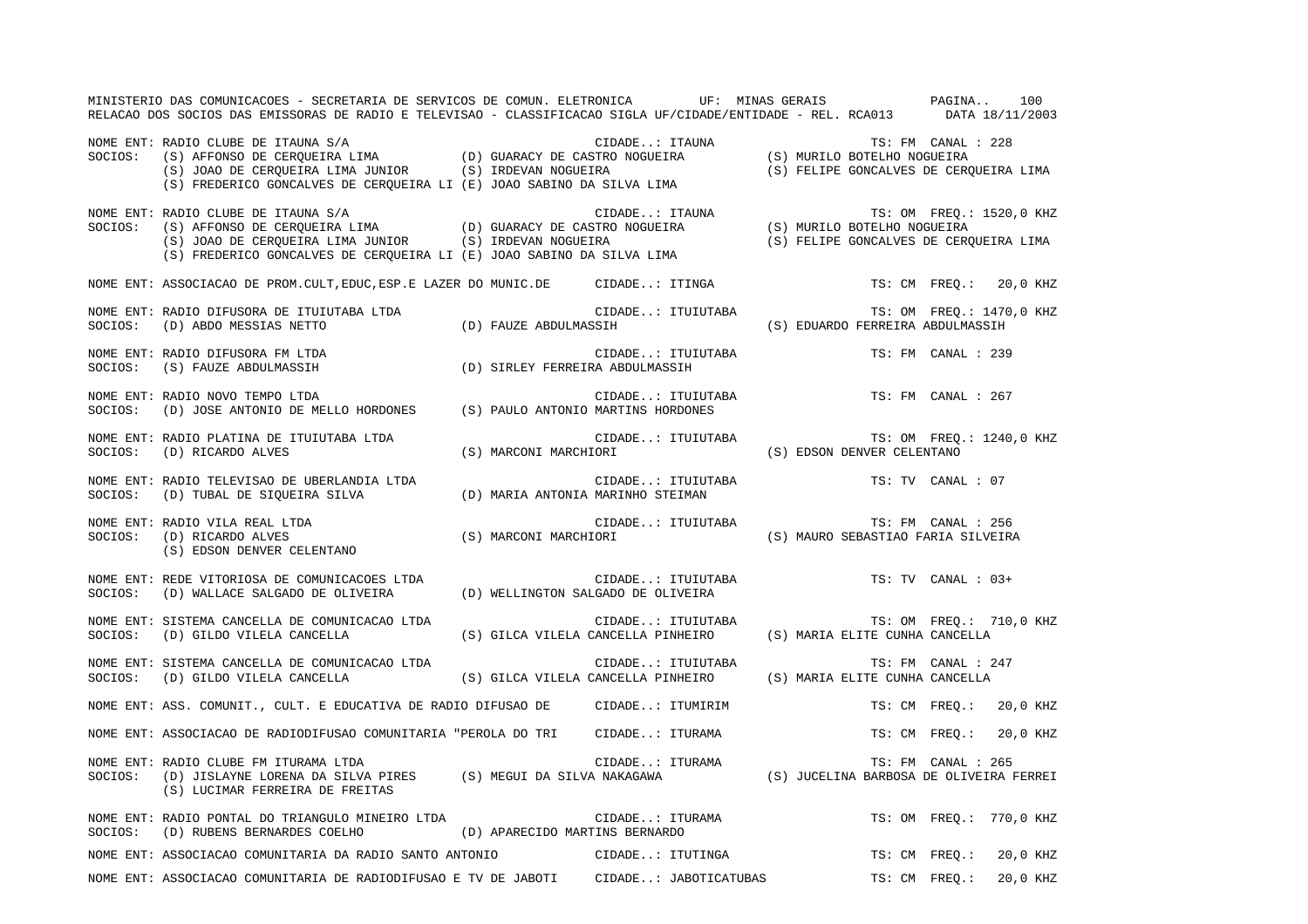|         | MINISTERIO DAS COMUNICACOES - SECRETARIA DE SERVICOS DE COMUN. ELETRONICA UF: MINAS GERAIS PAGINA<br>RELACAO DOS SOCIOS DAS EMISSORAS DE RADIO E TELEVISAO - CLASSIFICACAO SIGLA UF/CIDADE/ENTIDADE - REL. RCA013 DATA 18/11/2003                                   |                                                                               |                                    | 100                       |
|---------|---------------------------------------------------------------------------------------------------------------------------------------------------------------------------------------------------------------------------------------------------------------------|-------------------------------------------------------------------------------|------------------------------------|---------------------------|
|         | NOME ENT: RADIO CLUBE DE ITAUNA S/A<br>SOCIOS: (S) AFFONSO DE CERQUEIRA LIMA (D) GUARACY DE CASTRO NOGUEIRA (S) MURILO BOTELHO NOGUEIRA<br>(S) JOAO DE CERQUEIRA LIMA JUNIOR (S) IRDEVAN NOGUEIRA (S) SOCIOS: (S) FELIPE GONCALVES D                                |                                                                               |                                    |                           |
| SOCIOS: | CIDADE: ITAUNA (S) AFFONSO DE CERQUEIRA LIMA (D) GUARACY DE CASTRO NOGUEIRA (S) MURILO BOTELHO NOGUEIRA (S) JOAO DE CERQUEIRA LIMA (D) GUARACY DE CASTRO NOGUEIRA (S) MURILO BOTELHO NOGUEIRA (S) JOAO DE CERQUEIRA LIMA JUN<br>NOME ENT: RADIO CLUBE DE ITAUNA S/A |                                                                               |                                    |                           |
|         | NOME ENT: ASSOCIACAO DE PROM.CULT, EDUC, ESP. E LAZER DO MUNIC. DE CIDADE: ITINGA                                                                                                                                                                                   |                                                                               |                                    | TS: CM FREO.: 20,0 KHZ    |
|         |                                                                                                                                                                                                                                                                     |                                                                               |                                    | TS: OM FREQ.: 1470,0 KHZ  |
|         | NOME ENT: RADIO DIFUSORA FM LTDA<br>NOTE EN I RADIO DIFUSORA FM LTDA (D) SIRLEY FERREIRA ABDULMASSIH SOCIOS: (S) FAUZE ABDULMASSIH (D) SIRLEY FERREIRA ABDULMASSIH                                                                                                  | CIDADE: ITUIUTABA                                                             |                                    | TS: FM CANAL : 239        |
|         | NOME ENT: RADIO NOVO TEMPO LTDA<br>SOCIOS: (D) JOSE ANTONIO DE MELLO HORDONES (S) PAULO ANTONIO MARTINS HORDONES                                                                                                                                                    | CIDADE: ITUIUTABA TS: FM CANAL : 267                                          |                                    |                           |
|         | NOME ENT: RADIO PLATINA DE ITUIUTABA LTDA<br>SOCIOS: (D) RICARDO ALVES                                                                                                                                                                                              | CIDADE: ITUIUTABA<br>IOPI<br>(S) MARCONI MARCHIORI (S) EDSON DENVER CELENTANO |                                    | TS: OM FREQ.: 1240,0 KHZ  |
|         | NOME ENT: RADIO TELEVISAO DE UBERLANDIA LTDA<br>SOCIOS: (D) TUBAL DE SIQUEIRA SILVA (D) MARIA ANTONIA MARINHO STEIMAN                                                                                                                                               | CIDADE: ITUIUTABA TS: TV CANAL : 07                                           |                                    |                           |
|         |                                                                                                                                                                                                                                                                     | CIDADE: ITUIUTABA TS: FM CANAL : 256                                          | (S) MAURO SEBASTIAO FARIA SILVEIRA |                           |
| SOCIOS: | NOME ENT: REDE VITORIOSA DE COMUNICACOES LTDA<br>(D) WALLACE SALGADO DE OLIVEIRA (D) WELLINGTON SALGADO DE OLIVEIRA                                                                                                                                                 | CIDADE: ITUIUTABA                                                             |                                    | TS: TV CANAL : 03+        |
|         | NOME ENT: SISTEMA CANCELLA DE COMUNICACAO LTDA<br>SOCIOS: (D) GILDO VILELA CANCELLA (S) GILCA VILELA CANCELLA PINHEIRO (S) MARIA ELITE CUNHA CANCELLA                                                                                                               | CIDADE: ITUIUTABA                                                             |                                    | TS: OM FREQ.: 710,0 KHZ   |
|         | NOME ENT: SISTEMA CANCELLA DE COMUNICACAO LTDA<br>SOCIOS: (D) GILDO VILELA CANCELLA (S) GILCA VILELA CANCELLA PINHEIRO (S) MARIA ELITE CUNHA CANCELLA                                                                                                               | CIDADE: ITUIUTABA                                                             |                                    | TS: FM CANAL : 247        |
|         | NOME ENT: ASS. COMUNIT., CULT. E EDUCATIVA DE RADIO DIFUSAO DE CIDADE: ITUMIRIM                                                                                                                                                                                     |                                                                               |                                    | TS: CM FREO.: 20,0 KHZ    |
|         | NOME ENT: ASSOCIACAO DE RADIODIFUSAO COMUNITARIA "PEROLA DO TRI CIDADE: ITURAMA                                                                                                                                                                                     |                                                                               |                                    | TS: CM FREO.: 20,0 KHZ    |
|         | NOME ENT: RADIO CLUBE FM ITURAMA LTDA<br>SOCIOS: (D) JISLAYNE LORENA DA SILVA PIRES (S) MEGUI DA SILVA NAKAGAWA (S) JUCELINA BARBOSA DE OLIVEIRA FERREI<br>(S) LUCIMAR FERREIRA DE FREITAS                                                                          |                                                                               |                                    |                           |
|         | NOME ENT: RADIO PONTAL DO TRIANGULO MINEIRO LTDA CIDADE: ITURAMA<br>$\verb SOCIOS: (D) RUBENS BERNARDES COELHO  \hspace{1.5cm} (D) APARECIDO MARTINS BERNARDO  \hspace{1.5cm}$                                                                                      |                                                                               |                                    | TS: OM FREQ.: 770,0 KHZ   |
|         | NOME ENT: ASSOCIACAO COMUNITARIA DA RADIO SANTO ANTONIO                      CIDADE: ITUTINGA                                                                                                                                                                       |                                                                               |                                    | TS: CM FREQ.: 20,0 KHZ    |
|         | NOME ENT: ASSOCIACAO COMUNITARIA DE RADIODIFUSAO E TV DE JABOTI (CIDADE: JABOTICATUBAS                                                                                                                                                                              |                                                                               |                                    | TS: CM FREO.:<br>20,0 KHZ |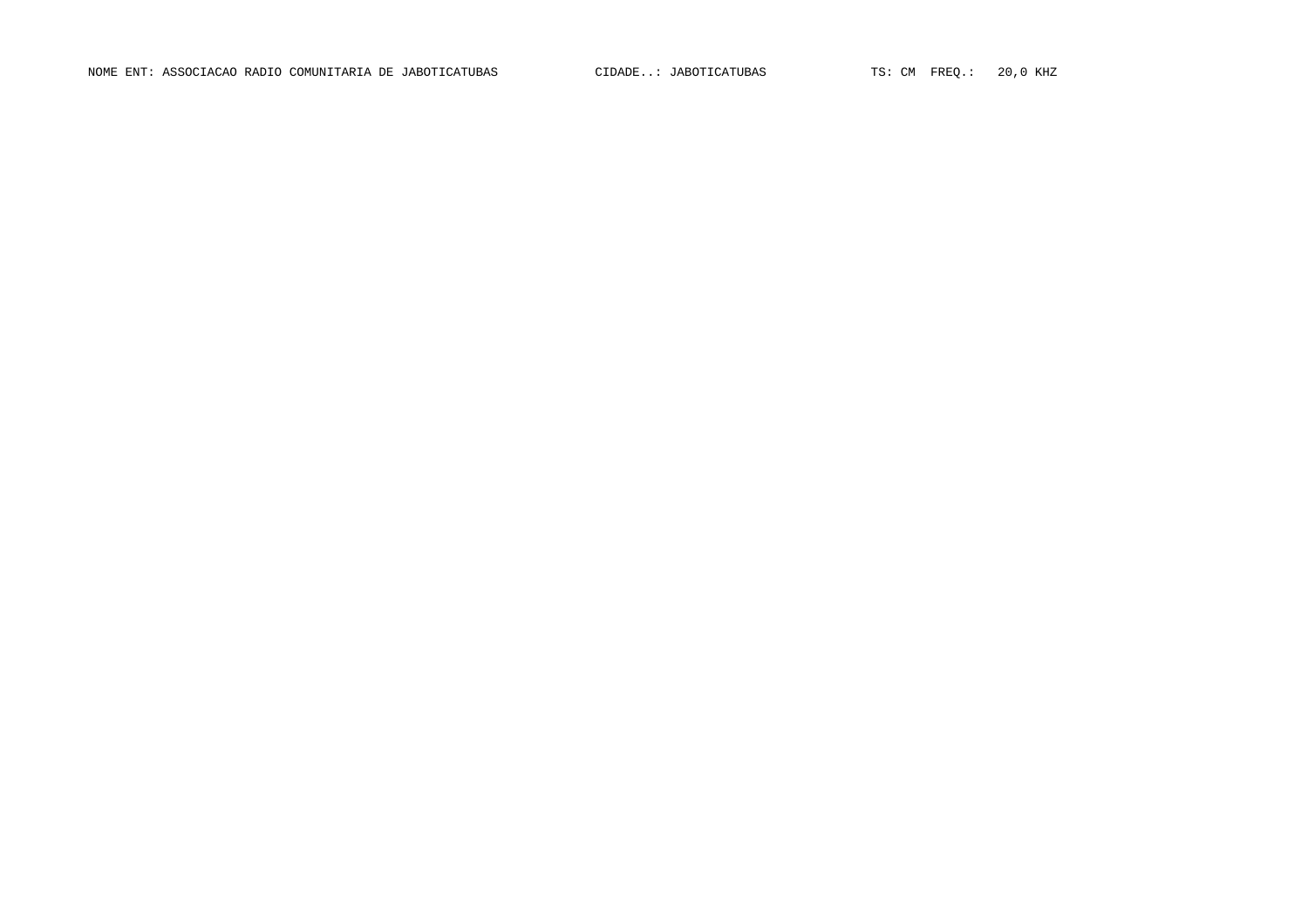NOME ENT: ASSOCIACAO RADIO COMUNITARIA DE JABOTICATUBAS CIDADE..: JABOTICATUBAS TS: CM FREQ.: 20,0 KHZ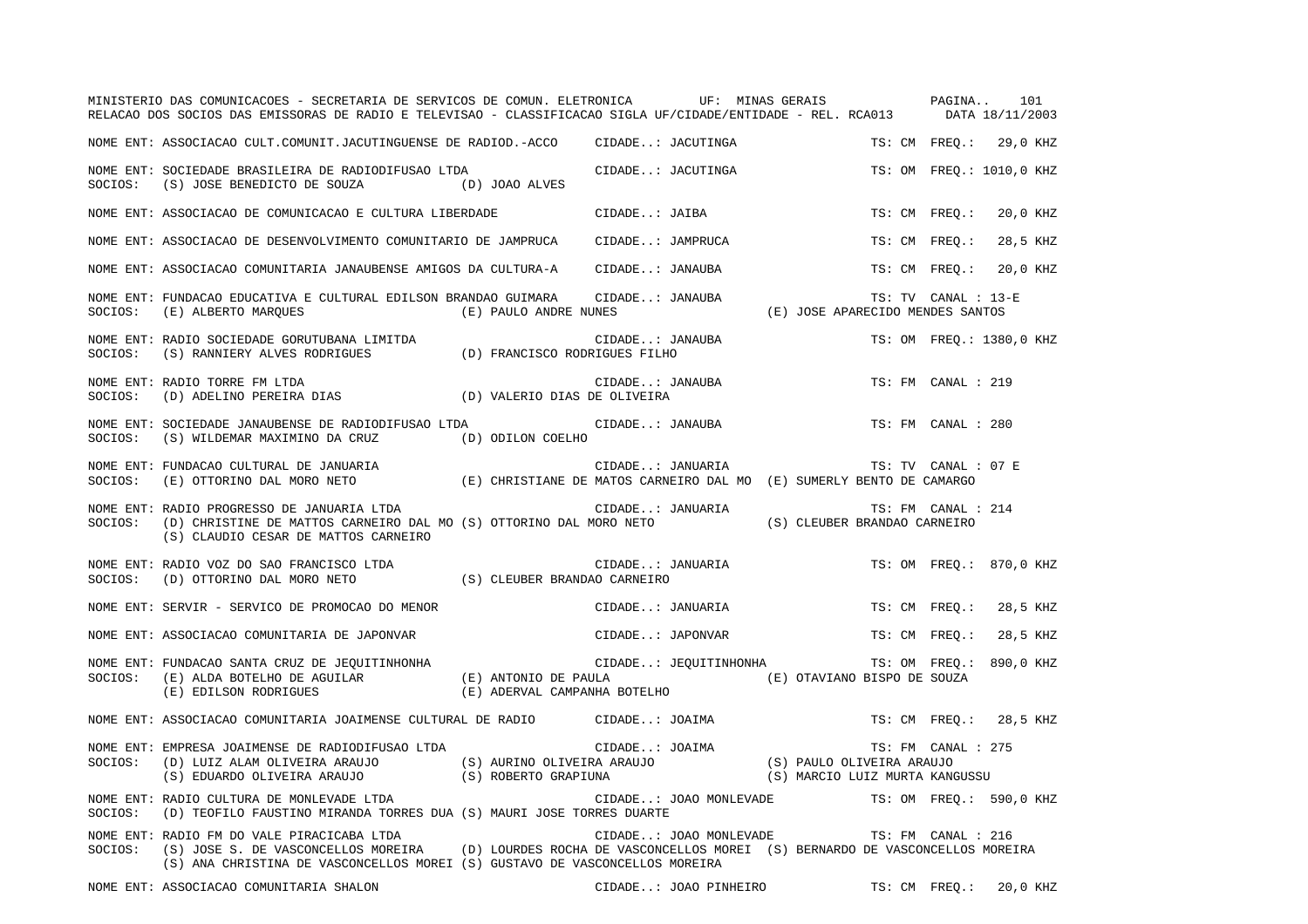|         | MINISTERIO DAS COMUNICACOES - SECRETARIA DE SERVICOS DE COMUN. ELETRONICA UF: MINAS GERAIS PAGINA 101<br>RELACAO DOS SOCIOS DAS EMISSORAS DE RADIO E TELEVISAO - CLASSIFICACAO SIGLA UF/CIDADE/ENTIDADE - REL. RCA013 DATA 18/11/2003                               |                                               |                        |                                                |                     |                          |
|---------|---------------------------------------------------------------------------------------------------------------------------------------------------------------------------------------------------------------------------------------------------------------------|-----------------------------------------------|------------------------|------------------------------------------------|---------------------|--------------------------|
|         | NOME ENT: ASSOCIACAO CULT.COMUNIT.JACUTINGUENSE DE RADIOD.-ACCO                                                                                                                                                                                                     |                                               | CIDADE: JACUTINGA      |                                                |                     | TS: CM FREQ.: 29,0 KHZ   |
|         | NOME ENT: SOCIEDADE BRASILEIRA DE RADIODIFUSAO LTDA<br>SOCIOS: (S) JOSE BENEDICTO DE SOUZA (D) JOAO ALVES                                                                                                                                                           |                                               | CIDADE: JACUTINGA      |                                                |                     | TS: OM FREQ.: 1010,0 KHZ |
|         | NOME ENT: ASSOCIACAO DE COMUNICACAO E CULTURA LIBERDADE CIDADE: JAIBA                                                                                                                                                                                               |                                               |                        |                                                |                     | TS: CM FREQ.: 20,0 KHZ   |
|         | NOME ENT: ASSOCIACAO DE DESENVOLVIMENTO COMUNITARIO DE JAMPRUCA CIDADE: JAMPRUCA                                                                                                                                                                                    |                                               |                        |                                                | TS: CM FREO.:       | 28,5 KHZ                 |
|         | NOME ENT: ASSOCIACAO COMUNITARIA JANAUBENSE AMIGOS DA CULTURA-A      CIDADE: JANAUBA                                                                                                                                                                                |                                               |                        |                                                |                     | TS: CM FREQ.: 20,0 KHZ   |
| SOCIOS: | NOME ENT: FUNDACAO EDUCATIVA E CULTURAL EDILSON BRANDAO GUIMARA CIDADE: JANAUBA<br>(E) ALBERTO MAROUES                                                                                                                                                              | (E) PAULO ANDRE NUNES                         |                        | (E) JOSE APARECIDO MENDES SANTOS               | TS: TV CANAL : 13-E |                          |
|         | NOME ENT: RADIO SOCIEDADE GORUTUBANA LIMITDA (D) FRANCISCO RODRIGUES FILHO SOCIOS: (S) RANNIERY ALVES RODRIGUES (D) FRANCISCO RODRIGUES FILHO                                                                                                                       |                                               | CIDADE: JANAUBA        |                                                |                     | TS: OM FREQ.: 1380,0 KHZ |
| SOCIOS: | NOME ENT: RADIO TORRE FM LTDA<br>(D) ADELINO PEREIRA DIAS (D) VALERIO DIAS DE OLIVEIRA                                                                                                                                                                              |                                               | CIDADE: JANAUBA        |                                                | TS: FM CANAL : 219  |                          |
| SOCIOS: | NOME ENT: SOCIEDADE JANAUBENSE DE RADIODIFUSAO LTDA<br>(S) WILDEMAR MAXIMINO DA CRUZ (D) ODILON COELHO                                                                                                                                                              |                                               | CIDADE: JANAUBA        |                                                | TS: FM CANAL : 280  |                          |
|         | NOME ENT: FUNDACAO CULTURAL DE JANUARIA<br>SOCIOS: (E) CHRISTIANE DE MATOS CARNEIRO DAL MO (E) SUMERLY BENTO DE CAMARGO                                                                                                                                             |                                               |                        |                                                | TS: TV CANAL : 07 E |                          |
| SOCIOS: | NOME ENT: RADIO PROGRESSO DE JANUARIA LTDA<br>(S) CLAUDIO CESAR DE MATTOS CARNEIRO                                                                                                                                                                                  |                                               |                        |                                                | TS: FM CANAL : 214  |                          |
| SOCIOS: | NOME ENT: RADIO VOZ DO SAO FRANCISCO LTDA<br>(D) OTTORINO DAL MORO NETO (S) CLEUBER BRANDAO CARNEIRO                                                                                                                                                                |                                               | CIDADE: JANUARIA       |                                                |                     | TS: OM FREO.: 870,0 KHZ  |
|         | NOME ENT: SERVIR - SERVICO DE PROMOCAO DO MENOR                                                                                                                                                                                                                     |                                               | CIDADE: JANUARIA       |                                                |                     | TS: CM FREO.: 28,5 KHZ   |
|         | NOME ENT: ASSOCIACAO COMUNITARIA DE JAPONVAR                                                                                                                                                                                                                        |                                               | CIDADE: JAPONVAR       |                                                | TS: CM FREQ.:       | 28,5 KHZ                 |
|         | NOME ENT: FUNDACAO SANTA CRUZ DE JEQUITINHONHA<br>SOCIOS: (E) ALDA BOTELHO DE AGUILAR (E) ANTONIO DE PAULA (E) OTAVIANO BISPO DE SOUZA (E) EDILSON RODRIGUES (E) ADERVAL CAMPANHA BOTELHO                                                                           | CIDADE: JEQUITINHONHA TS: OM FREQ.: 890,0 KHZ |                        |                                                |                     |                          |
|         | NOME ENT: ASSOCIACAO COMUNITARIA JOAIMENSE CULTURAL DE RADIO CIDADE: JOAIMA                                                                                                                                                                                         |                                               |                        |                                                |                     | TS: CM FREQ.: 28,5 KHZ   |
| SOCIOS: | EMPRESA JOAIMENSE DE RADIODIFUSAO LTDA<br>(D) LUIZ ALAM OLIVEIRA ARAUJO (S) AURINO OLIVEIRA ARAUJO (S) PAULO OLIVEIRA ARAUJO<br>(S) EDUARDO OLIVEIRA ARAUJO (S) ROBERTO GRAPIUNA (S) MARCIO LUIZ MURTA KANGUSSU<br>NOME ENT: EMPRESA JOAIMENSE DE RADIODIFUSAO LTDA |                                               |                        |                                                | TS: FM CANAL : 275  |                          |
| SOCIOS: | NOME ENT: RADIO CULTURA DE MONLEVADE LTDA<br>(D) TEOFILO FAUSTINO MIRANDA TORRES DUA (S) MAURI JOSE TORRES DUARTE                                                                                                                                                   |                                               |                        | CIDADE: JOAO MONLEVADE TS: OM FREQ.: 590,0 KHZ |                     |                          |
| SOCIOS: | NOME ENT: RADIO FM DO VALE PIRACICABA LTDA<br>(S) JOSE S. DE VASCONCELLOS MOREIRA (D) LOURDES ROCHA DE VASCONCELLOS MOREI (S) BERNARDO DE VASCONCELLOS MOREIRA<br>(S) ANA CHRISTINA DE VASCONCELLOS MOREI (S) GUSTAVO DE VASCONCELLOS MOREIRA                       |                                               | CIDADE: JOAO MONLEVADE |                                                | TS: FM CANAL : 216  |                          |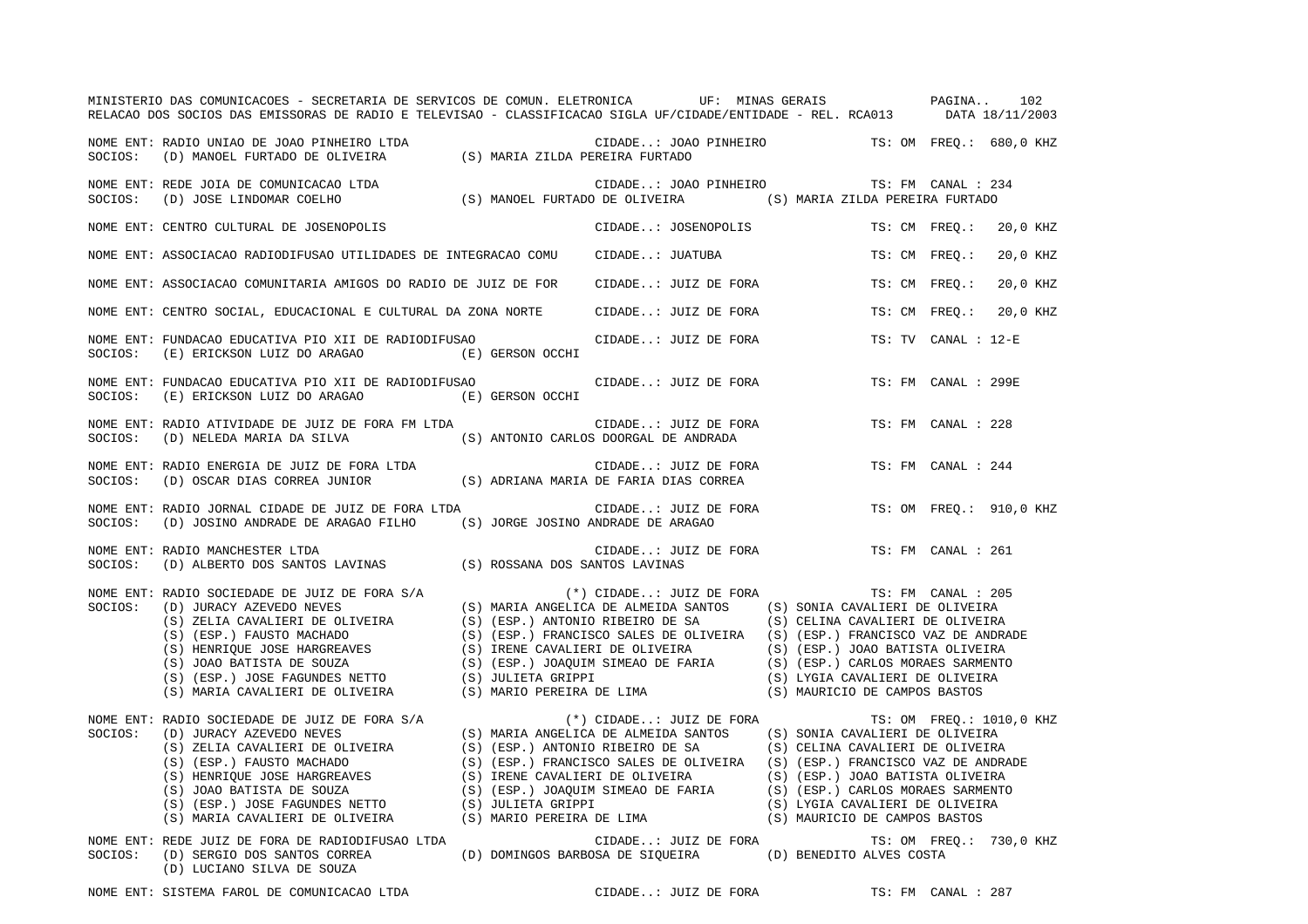|         | MINISTERIO DAS COMUNICACOES - SECRETARIA DE SERVICOS DE COMUN. ELETRONICA UF: MINAS GERAIS PAGINA<br>RELACAO DOS SOCIOS DAS EMISSORAS DE RADIO E TELEVISAO - CLASSIFICACAO SIGLA UF/CIDADE/ENTIDADE - REL. RCA013 DATA 18/11/2003                                           |                                                        |                                                                                                                                                                                                                                                        |                                                                                                                                                                                                                                                         |                     | 102                      |
|---------|-----------------------------------------------------------------------------------------------------------------------------------------------------------------------------------------------------------------------------------------------------------------------------|--------------------------------------------------------|--------------------------------------------------------------------------------------------------------------------------------------------------------------------------------------------------------------------------------------------------------|---------------------------------------------------------------------------------------------------------------------------------------------------------------------------------------------------------------------------------------------------------|---------------------|--------------------------|
| SOCIOS: | NOME ENT: RADIO UNIAO DE JOAO PINHEIRO LTDA<br>(D) MANOEL FURTADO DE OLIVEIRA                                                                                                                                                                                               | DA (S) MARIA ZILDA PEREIRA FURTADO                     | CIDADE: JOAO PINHEIRO TS: OM FREQ.: 680,0 KHZ                                                                                                                                                                                                          |                                                                                                                                                                                                                                                         |                     |                          |
| SOCIOS: | NOME ENT: REDE JOIA DE COMUNICACAO LTDA<br>REDE JOIA DE COMUNICACAO LTDA<br>(D) JOSE LINDOMAR COELHO (S) MANOEL FURTADO DE OLIVEIRA (S) MARIA ZILDA PEREIRA FURTADO (D)                                                                                                     |                                                        | CIDADE: JOAO PINHEIRO TS: FM CANAL : 234                                                                                                                                                                                                               |                                                                                                                                                                                                                                                         |                     |                          |
|         | NOME ENT: CENTRO CULTURAL DE JOSENOPOLIS                                                                                                                                                                                                                                    |                                                        | CIDADE: JOSENOPOLIS                                                                                                                                                                                                                                    | TS: CM FREO.:                                                                                                                                                                                                                                           |                     | 20,0 KHZ                 |
|         | NOME ENT: ASSOCIACAO RADIODIFUSAO UTILIDADES DE INTEGRACAO COMU                                                                                                                                                                                                             |                                                        | CIDADE: JUATUBA                                                                                                                                                                                                                                        | TS: CM FREQ.:                                                                                                                                                                                                                                           |                     | 20,0 KHZ                 |
|         | NOME ENT: ASSOCIACAO COMUNITARIA AMIGOS DO RADIO DE JUIZ DE FOR                                                                                                                                                                                                             |                                                        | CIDADE: JUIZ DE FORA                                                                                                                                                                                                                                   | TS: CM FREO.:                                                                                                                                                                                                                                           |                     | 20,0 KHZ                 |
|         | NOME ENT: CENTRO SOCIAL, EDUCACIONAL E CULTURAL DA ZONA NORTE                                                                                                                                                                                                               |                                                        | CIDADE: JUIZ DE FORA                                                                                                                                                                                                                                   | TS: CM FREQ.:                                                                                                                                                                                                                                           |                     | 20,0 KHZ                 |
| SOCIOS: | NOME ENT: FUNDACAO EDUCATIVA PIO XII DE RADIODIFUSAO<br>(E) ERICKSON LUIZ DO ARAGAO                                                                                                                                                                                         | (E) GERSON OCCHI                                       | CIDADE: JUIZ DE FORA                                                                                                                                                                                                                                   |                                                                                                                                                                                                                                                         | TS: TV CANAL : 12-E |                          |
| SOCIOS: | NOME ENT: FUNDACAO EDUCATIVA PIO XII DE RADIODIFUSAO<br>(E) ERICKSON LUIZ DO ARAGAO                                                                                                                                                                                         | (E) GERSON OCCHI                                       | CIDADE: JUIZ DE FORA                                                                                                                                                                                                                                   |                                                                                                                                                                                                                                                         | TS: FM CANAL : 299E |                          |
| SOCIOS: | NOME ENT: RADIO ATIVIDADE DE JUIZ DE FORA FM LTDA<br>(D) NELEDA MARIA DA SILVA                                                                                                                                                                                              |                                                        | CIDADE: JUIZ DE FORA<br>(S) ANTONIO CARLOS DOORGAL DE ANDRADA                                                                                                                                                                                          |                                                                                                                                                                                                                                                         | TS: FM CANAL : 228  |                          |
| SOCIOS: | NOME ENT: RADIO ENERGIA DE JUIZ DE FORA LTDA<br>(D) OSCAR DIAS CORREA JUNIOR                                                                                                                                                                                                |                                                        | CIDADE: JUIZ DE FORA<br>(S) ADRIANA MARIA DE FARIA DIAS CORREA                                                                                                                                                                                         |                                                                                                                                                                                                                                                         | TS: FM CANAL : 244  |                          |
| SOCIOS: | NOME ENT: RADIO JORNAL CIDADE DE JUIZ DE FORA LTDA<br>(D) JOSINO ANDRADE DE ARAGAO FILHO                                                                                                                                                                                    | (S) JORGE JOSINO ANDRADE DE ARAGAO                     | CIDADE: JUIZ DE FORA                                                                                                                                                                                                                                   |                                                                                                                                                                                                                                                         |                     | TS: OM FREQ.: 910,0 KHZ  |
| SOCIOS: | NOME ENT: RADIO MANCHESTER LTDA<br>(D) ALBERTO DOS SANTOS LAVINAS (S) ROSSANA DOS SANTOS LAVINAS                                                                                                                                                                            |                                                        | CIDADE: JUIZ DE FORA                                                                                                                                                                                                                                   |                                                                                                                                                                                                                                                         | TS: FM CANAL : 261  |                          |
| SOCIOS: | NOME ENT: RADIO SOCIEDADE DE JUIZ DE FORA S/A<br>(D) JURACY AZEVEDO NEVES<br>(S) ZELIA CAVALIERI DE OLIVEIRA<br>(S) (ESP.) FAUSTO MACHADO<br>(S) HENRIQUE JOSE HARGREAVES<br>(S) JOAO BATISTA DE SOUZA<br>(S) (ESP.) JOSE FAGUNDES NETTO<br>(S) MARIA CAVALIERI DE OLIVEIRA | (S) (ESP.) ANTONIO RIBEIRO DE SA<br>(S) JULIETA GRIPPI | $(*)$ CIDADE: JUIZ DE FORA<br>(S) MARIA ANGELICA DE ALMEIDA SANTOS<br>(S) (ESP.) FRANCISCO SALES DE OLIVEIRA (S) (ESP.) FRANCISCO VAZ DE ANDRADE<br>(S) IRENE CAVALIERI DE OLIVEIRA<br>(S) (ESP.) JOAQUIM SIMEAO DE FARIA<br>(S) MARIO PEREIRA DE LIMA | (S) SONIA CAVALIERI DE OLIVEIRA<br>(S) CELINA CAVALIERI DE OLIVEIRA<br>(S) (ESP.) JOAO BATISTA OLIVEIRA<br>(S) (ESP.) CARLOS MORAES SARMENTO<br>(S) LYGIA CAVALIERI DE OLIVEIRA<br>(S) MAURICIO DE CAMPOS BASTOS                                        | TS: FM CANAL : 205  |                          |
| SOCIOS: | NOME ENT: RADIO SOCIEDADE DE JUIZ DE FORA S/A<br>(D) JURACY AZEVEDO NEVES<br>(S) ZELIA CAVALIERI DE OLIVEIRA<br>(S) (ESP.) FAUSTO MACHADO<br>(S) HENRIQUE JOSE HARGREAVES<br>(S) JOAO BATISTA DE SOUZA<br>(S) (ESP.) JOSE FAGUNDES NETTO<br>(S) MARIA CAVALIERI DE OLIVEIRA | (S) (ESP.) ANTONIO RIBEIRO DE SA                       | $(*)$ CIDADE: JUIZ DE FORA<br>(S) MARIA ANGELICA DE ALMEIDA SANTOS<br>(S) (ESP.) FRANCISCO SALES DE OLIVEIRA<br>(S) IRENE CAVALIERI DE OLIVEIRA<br>(S) (ESP.) JOAQUIM SIMEAO DE FARIA<br>(S) JULIETA GRIPPI<br>(S) MARIO PEREIRA DE LIMA               | (S) SONIA CAVALIERI DE OLIVEIRA<br>(S) CELINA CAVALIERI DE OLIVEIRA<br>(S) (ESP.) FRANCISCO VAZ DE ANDRADE<br>(S) (ESP.) JOAO BATISTA OLIVEIRA<br>(S) (ESP.) CARLOS MORAES SARMENTO<br>(S) LYGIA CAVALIERI DE OLIVEIRA<br>(S) MAURICIO DE CAMPOS BASTOS |                     | TS: OM FREQ.: 1010,0 KHZ |
| SOCIOS: | NOME ENT: REDE JUIZ DE FORA DE RADIODIFUSAO LTDA<br>(D) SERGIO DOS SANTOS CORREA<br>(D) LUCIANO SILVA DE SOUZA                                                                                                                                                              |                                                        | CIDADE: JUIZ DE FORA<br>(D) DOMINGOS BARBOSA DE SIOUEIRA (D) BENEDITO ALVES COSTA                                                                                                                                                                      |                                                                                                                                                                                                                                                         |                     | TS: OM FREQ.: 730,0 KHZ  |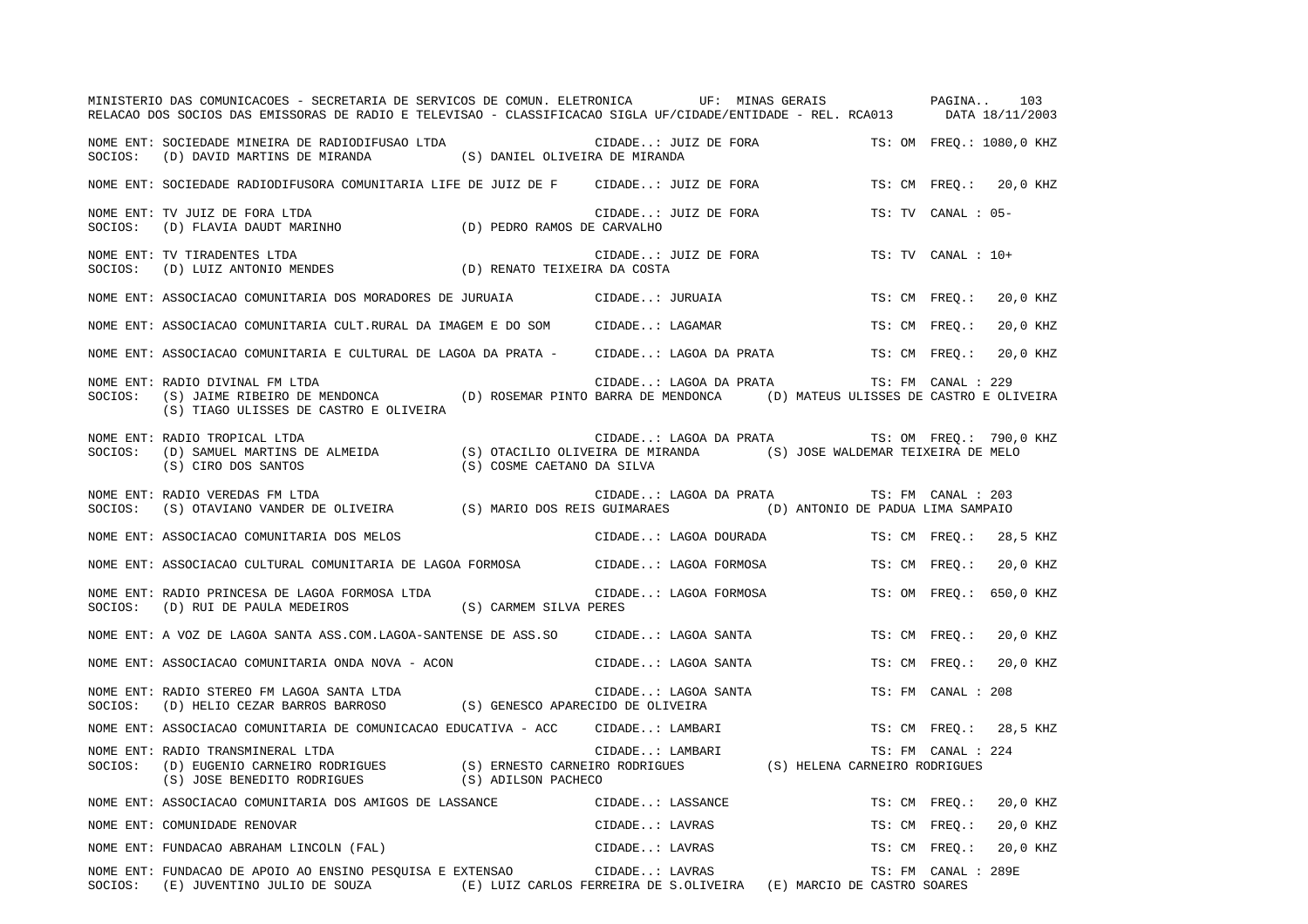|         | MINISTERIO DAS COMUNICACOES - SECRETARIA DE SERVICOS DE COMUN. ELETRONICA UF: MINAS GERAIS PAGINA<br>RELACAO DOS SOCIOS DAS EMISSORAS DE RADIO E TELEVISAO - CLASSIFICACAO SIGLA UF/CIDADE/ENTIDADE - REL. RCA013 DATA 18/11/2003         |                                                                                                                                                          |                      |                        |                                                |                     | 103                      |
|---------|-------------------------------------------------------------------------------------------------------------------------------------------------------------------------------------------------------------------------------------------|----------------------------------------------------------------------------------------------------------------------------------------------------------|----------------------|------------------------|------------------------------------------------|---------------------|--------------------------|
| SOCIOS: | NOME ENT: SOCIEDADE MINEIRA DE RADIODIFUSAO LTDA<br>(D) DAVID MARTINS DE MIRANDA (S) DANIEL OLIVEIRA DE MIRANDA                                                                                                                           |                                                                                                                                                          |                      | CIDADE: JUIZ DE FORA   |                                                |                     | TS: OM FREO.: 1080,0 KHZ |
|         | NOME ENT: SOCIEDADE RADIODIFUSORA COMUNITARIA LIFE DE JUIZ DE F CIDADE: JUIZ DE FORA                                                                                                                                                      |                                                                                                                                                          |                      |                        |                                                |                     | TS: CM FREO.: 20,0 KHZ   |
| SOCIOS: | NOME ENT: TV JUIZ DE FORA LTDA<br>(D) FLAVIA DAUDT MARINHO (D) PEDRO RAMOS DE CARVALHO                                                                                                                                                    |                                                                                                                                                          | CIDADE: JUIZ DE FORA |                        |                                                | TS: TV CANAL : 05-  |                          |
| SOCIOS: | NOME ENT: TV TIRADENTES LTDA<br>(D) LUIZ ANTONIO MENDES (D) RENATO TEIXEIRA DA COSTA                                                                                                                                                      |                                                                                                                                                          |                      | CIDADE: JUIZ DE FORA   |                                                | TS: TV CANAL : 10+  |                          |
|         | NOME ENT: ASSOCIACAO COMUNITARIA DOS MORADORES DE JURUAIA CIDADE: JURUAIA                                                                                                                                                                 |                                                                                                                                                          |                      |                        |                                                |                     | TS: CM FREO.: 20,0 KHZ   |
|         | NOME ENT: ASSOCIACAO COMUNITARIA CULT.RURAL DA IMAGEM E DO SOM CIDADE: LAGAMAR                                                                                                                                                            |                                                                                                                                                          |                      |                        |                                                | TS: CM FREQ.:       | 20,0 KHZ                 |
|         | NOME ENT: ASSOCIACAO COMUNITARIA E CULTURAL DE LAGOA DA PRATA - CIDADE: LAGOA DA PRATA                                                                                                                                                    |                                                                                                                                                          |                      |                        |                                                | TS: CM FREQ.:       | 20,0 KHZ                 |
| SOCIOS: | NOME ENT: RADIO DIVINAL FM LTDA<br>(S) JAIME RIBEIRO DE MENDONCA (D) ROSEMAR PINTO BARRA DE MENDONCA (D) MATEUS ULISSES DE CASTRO E OLIVEIRA<br>(S) TIAGO ULISSES DE CASTRO E OLIVEIRA                                                    |                                                                                                                                                          |                      | CIDADE: LAGOA DA PRATA |                                                | TS: FM CANAL : 229  |                          |
| SOCIOS: | NOME ENT: RADIO TROPICAL LTDA<br>(D) SAMUEL MARTINS DE ALMEIDA (S) OTACILIO OLIVEIRA DE MIRANDA (S) JOSE WALDEMAR TEIXEIRA DE MELO<br>(S) CIRO DOS SANTOS                                                                                 | (S) COSME CAETANO DA SILVA                                                                                                                               |                      |                        | CIDADE: LAGOA DA PRATA TS: OM FREQ.: 790,0 KHZ |                     |                          |
| SOCIOS: | NOME ENT: RADIO VEREDAS FM LTDA<br>(S) OTAVIANO VANDER DE OLIVEIRA (S) MARIO DOS REIS GUIMARAES                                                                                                                                           |                                                                                                                                                          |                      | CIDADE: LAGOA DA PRATA | (D) ANTONIO DE PADUA LIMA SAMPAIO              | TS: FM CANAL : 203  |                          |
|         | NOME ENT: ASSOCIACAO COMUNITARIA DOS MELOS                                                                                                                                                                                                |                                                                                                                                                          |                      | CIDADE: LAGOA DOURADA  |                                                | TS: CM FREQ.:       | 28,5 KHZ                 |
|         | NOME ENT: ASSOCIACAO CULTURAL COMUNITARIA DE LAGOA FORMOSA CIDADE: LAGOA FORMOSA                                                                                                                                                          |                                                                                                                                                          |                      |                        |                                                | TS: CM FREO.:       | 20,0 KHZ                 |
|         | NOME ENT: RADIO PRINCESA DE LAGOA FORMOSA LTDA<br>$\texttt{SOCIOS:} \hspace{0.5cm} \texttt{(D)} \hspace{0.1cm} \texttt{RUI DE PAULA MEDEIROS} \hspace{1.5cm} \texttt{(S)} \hspace{0.1cm} \texttt{CARM SILVA PERES}$                       |                                                                                                                                                          |                      | CIDADE: LAGOA FORMOSA  |                                                |                     | TS: OM FREO.: 650,0 KHZ  |
|         | NOME ENT: A VOZ DE LAGOA SANTA ASS.COM.LAGOA-SANTENSE DE ASS.SO                                                                                                                                                                           |                                                                                                                                                          | CIDADE: LAGOA SANTA  |                        |                                                | TS: CM FREO.:       | 20,0 KHZ                 |
|         | NOME ENT: ASSOCIACAO COMUNITARIA ONDA NOVA - ACON                                                                                                                                                                                         |                                                                                                                                                          |                      | CIDADE: LAGOA SANTA    |                                                | TS: CM FREQ.:       | 20,0 KHZ                 |
| SOCIOS: | NOME ENT: RADIO STEREO FM LAGOA SANTA LTDA<br>(D) HELIO CEZAR BARROS BARROSO (S) GENESCO APARECIDO DE OLIVEIRA                                                                                                                            |                                                                                                                                                          |                      | CIDADE: LAGOA SANTA    |                                                | TS: FM CANAL : 208  |                          |
|         | NOME ENT: ASSOCIACAO COMUNITARIA DE COMUNICACAO EDUCATIVA - ACC                                                                                                                                                                           |                                                                                                                                                          | CIDADE: LAMBARI      |                        |                                                | TS: CM FREO.:       | 28,5 KHZ                 |
| SOCIOS: | TERRITE (D) EUGENIO CARNEIRO RODRIGUES (S) ERNESTO CARNEIRO RODRIGUES (S) JOSE BENEDITO RODRIGUES (S) ADILSON PACHECO<br>(S) ADILSON PACHECO (S) ADILSON PACHECO (S) ADICORIGUES (S) ADILSON PACHECO<br>NOME ENT: RADIO TRANSMINERAL LTDA |                                                                                                                                                          |                      |                        |                                                | TS: FM CANAL : 224  |                          |
|         | NOME ENT: ASSOCIACAO COMUNITARIA DOS AMIGOS DE LASSANCE                                                                                                                                                                                   |                                                                                                                                                          | CIDADE: LASSANCE     |                        |                                                |                     | TS: CM FREQ.: 20,0 KHZ   |
|         | NOME ENT: COMUNIDADE RENOVAR                                                                                                                                                                                                              |                                                                                                                                                          | CIDADE: LAVRAS       |                        |                                                | TS: CM FREO.:       | 20,0 KHZ                 |
|         | NOME ENT: FUNDACAO ABRAHAM LINCOLN (FAL)                                                                                                                                                                                                  |                                                                                                                                                          |                      |                        |                                                | TS: CM FREO.:       | 20,0 KHZ                 |
|         | NOME ENT: FUNDACAO DE APOIO AO ENSINO PESQUISA E EXTENSAO CIDADE: LAVRAS<br>SOCIOS: (E) JUVENTINO JULIO DE SOUZA                                                                                                                          | .)<br>CIDADE: LAVRAS TS: CM FREQ.<br>ESQUISA E EXTENSAO CIDADE: LAVRAS TS: FM CANAL<br>E) LUIZ CARLOS FERREIRA DE S.OLIVEIRA (E) MARCIO DE CASTRO SOARES |                      |                        |                                                | TS: FM CANAL : 289E |                          |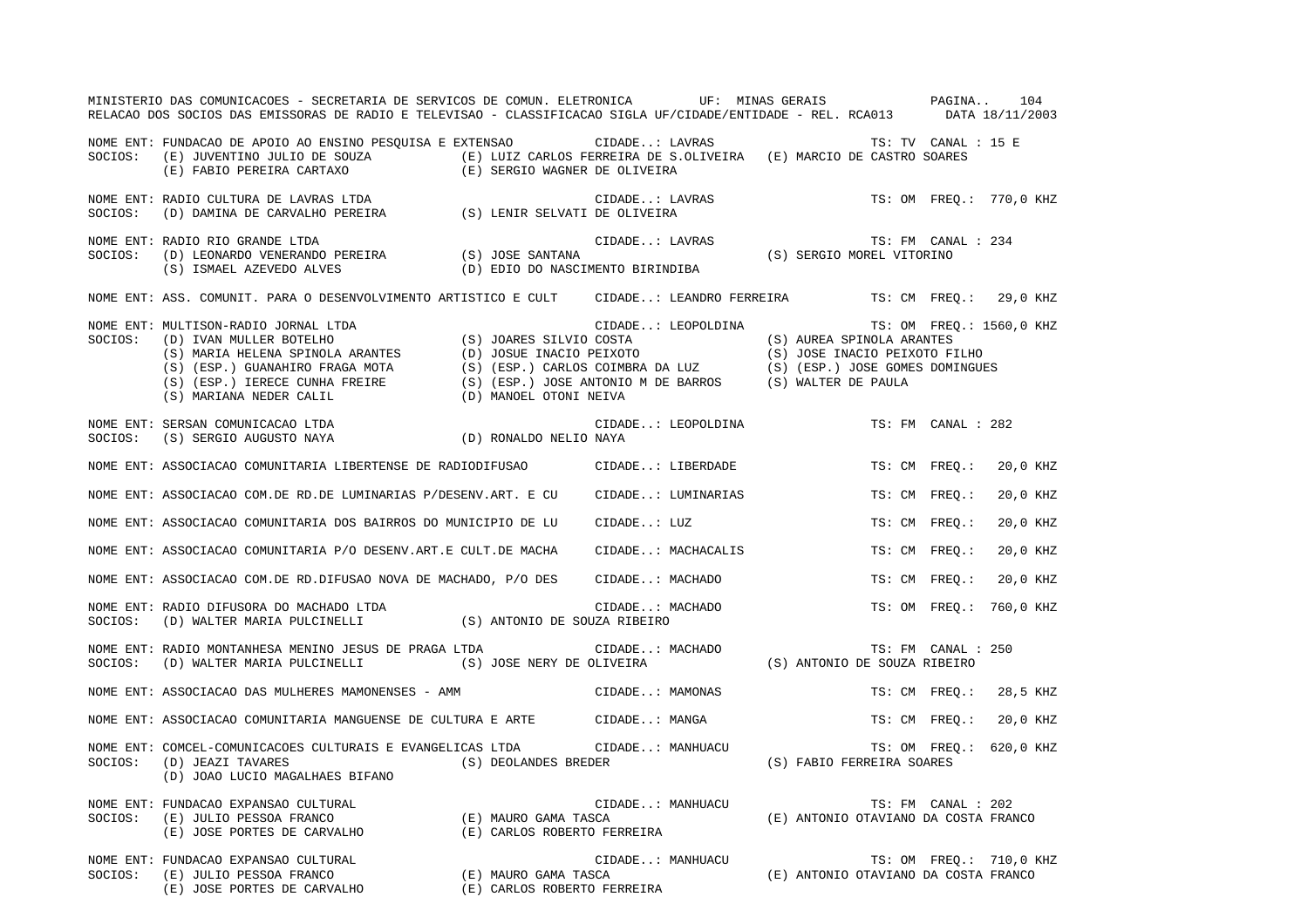|         | MINISTERIO DAS COMUNICACOES - SECRETARIA DE SERVICOS DE COMUN. ELETRONICA UF: MINAS GERAIS PAGINA 104<br>RELACAO DOS SOCIOS DAS EMISSORAS DE RADIO E TELEVISAO - CLASSIFICACAO SIGLA UF/CIDADE/ENTIDADE - REL. RCA013 DATA 18/11/2003 |                    |                                                                                                                                                                                                                                                                                                                                                                                                                                                                                                         |                           |
|---------|---------------------------------------------------------------------------------------------------------------------------------------------------------------------------------------------------------------------------------------|--------------------|---------------------------------------------------------------------------------------------------------------------------------------------------------------------------------------------------------------------------------------------------------------------------------------------------------------------------------------------------------------------------------------------------------------------------------------------------------------------------------------------------------|---------------------------|
|         | NOME ENT: FUNDACAO DE APOIO AO ENSINO PESQUISA E EXTENSAO (CIDADE: LAVRAS TS: TV CANAL : 15 E<br>SOCIOS: (E) JUVENTINO JULIO DE SOUZA (E) LUIZ CARLOS FERREIRA DE S.OLIVEIRA (E) MARCIO DE CASTRO SOARES<br>(E) FABIO PEREIRA CART    |                    |                                                                                                                                                                                                                                                                                                                                                                                                                                                                                                         |                           |
|         |                                                                                                                                                                                                                                       |                    |                                                                                                                                                                                                                                                                                                                                                                                                                                                                                                         | TS: OM FREQ.: 770,0 KHZ   |
|         | NOME ENT: RADIO RIO GRANDE LTDA<br>NOTE ENTITATION AND DENERANDO PEREIRA (S) JOSE SANTANA CIDADE LAVRAS<br>SOCIOS: (D) LEONARDO VENERANDO PEREIRA (S) JOSE SANTANA (S) IRINDIBA                                                       |                    | $\begin{minipage}{0.9\linewidth} \texttt{CIDADE.}: LAVRAS \end{minipage} \begin{minipage}{0.9\linewidth} \begin{minipage}{0.9\linewidth} \texttt{CIDADE.}: EMI \texttt{VU} \texttt{CAVFL} \end{minipage} \begin{minipage}{0.9\linewidth} \begin{minipage}{0.9\linewidth} \texttt{CIDADE.}: EMI \texttt{CAVRAS} \end{minipage} \end{minipage} \begin{minipage}{0.9\linewidth} \begin{minipage}{0.9\linewidth} \begin{minipage}{0.9\linewidth} \texttt{CIDADE.}: EMI \texttt{CAVRAS} \end{minipage} \end$ | TS: FM CANAL : 234        |
|         | NOME ENT: ASS. COMUNIT. PARA O DESENVOLVIMENTO ARTISTICO E CULT CIDADE: LEANDRO FERREIRA TS: CM FREQ.: 29,0 KHZ                                                                                                                       |                    |                                                                                                                                                                                                                                                                                                                                                                                                                                                                                                         |                           |
|         | NOME ENT: MULTISON-RADIO JORNAL LTDA<br>SOCIOS: (D) IVAN MULLER BOTELHO (S) JOARES SILVIO COSTA (S) AUREA SPINOLA ARANTES<br>(S) MARIA HELENA SPINOLA ARANTES (D) JOSUE INACIO PEIXOTO (S) JOSE INACIO PEIXOTO FILHO (S) OSE INACI    |                    |                                                                                                                                                                                                                                                                                                                                                                                                                                                                                                         | TS: OM FREO.: 1560,0 KHZ  |
|         | NOME ENT: SERSAN COMUNICACAO LTDA (D) RONALDO NELIO NAYA SOCIOS: (S) SERGIO AUGUSTO NAYA (D) RONALDO NELIO NAYA                                                                                                                       | CIDADE: LEOPOLDINA |                                                                                                                                                                                                                                                                                                                                                                                                                                                                                                         | TS: FM CANAL : 282        |
|         | NOME ENT: ASSOCIACAO COMUNITARIA LIBERTENSE DE RADIODIFUSAO CIDADE: LIBERDADE                                                                                                                                                         |                    |                                                                                                                                                                                                                                                                                                                                                                                                                                                                                                         | TS: CM FREO.:<br>20,0 KHZ |
|         | NOME ENT: ASSOCIACAO COM.DE RD.DE LUMINARIAS P/DESENV.ART. E CU CIDADE: LUMINARIAS                                                                                                                                                    |                    |                                                                                                                                                                                                                                                                                                                                                                                                                                                                                                         | TS: CM FREO.:<br>20,0 KHZ |
|         | NOME ENT: ASSOCIACAO COMUNITARIA DOS BAIRROS DO MUNICIPIO DE LU CIDADE: LUZ                                                                                                                                                           |                    |                                                                                                                                                                                                                                                                                                                                                                                                                                                                                                         | TS: CM FREO.:<br>20,0 KHZ |
|         | NOME ENT: ASSOCIACAO COMUNITARIA P/O DESENV.ART.E CULT.DE MACHA                                                                                                                                                                       | CIDADE: MACHACALIS |                                                                                                                                                                                                                                                                                                                                                                                                                                                                                                         | TS: CM FREQ.:<br>20,0 KHZ |
|         | NOME ENT: ASSOCIACAO COM.DE RD.DIFUSAO NOVA DE MACHADO, P/O DES CIDADE: MACHADO                                                                                                                                                       |                    |                                                                                                                                                                                                                                                                                                                                                                                                                                                                                                         | 20,0 KHZ<br>TS: CM FREO.: |
|         | NOME ENT: RADIO DIFUSORA DO MACHADO LTDA (S) ANTONIO DE SOUZA RIBEIRO SOCIOS: (D) WALTER MARIA PULCINELLI (S) ANTONIO DE SOUZA RIBEIRO                                                                                                | CIDADE: MACHADO    |                                                                                                                                                                                                                                                                                                                                                                                                                                                                                                         | TS: OM FREQ.: 760,0 KHZ   |
| SOCIOS: | NOME ENT: RADIO MONTANHESA MENINO JESUS DE PRAGA LTDA                                                                                                                                                                                 |                    |                                                                                                                                                                                                                                                                                                                                                                                                                                                                                                         | TS: FM CANAL : 250        |
|         | NOME ENT: ASSOCIACAO DAS MULHERES MAMONENSES - AMM CIDADE: MAMONAS                                                                                                                                                                    |                    |                                                                                                                                                                                                                                                                                                                                                                                                                                                                                                         | TS: CM FREO.: 28,5 KHZ    |
|         | NOME ENT: ASSOCIACAO COMUNITARIA MANGUENSE DE CULTURA E ARTE CIDADE: MANGA                                                                                                                                                            |                    |                                                                                                                                                                                                                                                                                                                                                                                                                                                                                                         | TS: CM FREO.: 20,0 KHZ    |
|         | NOME ENT: COMCEL-COMUNICACOES CULTURAIS E EVANGELICAS LTDA CIDADE: MANHUACU TS: OM FREQ.:<br>SOCIOS: (D) JEAZI TAVARES (S) DEOLANDES BREDER (S) DEOLANDES (S) FABIO FERREIRA SOARES<br>(D) JOAO LUCIO MAGALHAES BIFANO                |                    |                                                                                                                                                                                                                                                                                                                                                                                                                                                                                                         | TS: OM FREQ.: 620,0 KHZ   |
| SOCIOS: | NOME ENT: FUNDACAO EXPANSAO CULTURAL<br>FUNDACAO EXPANSAO CULTURAL (E) MAURO GAMA TASCA (E) JULIO PESSOA FRANCO (E) MAURO GAMA TASCA (E) JOSE PORTES DE CARVALHO (E) CARLOS ROBERTO FERREIRA                                          |                    | CIDADE: MANHUACU TS: FM CANAL : $202$<br>TASCA (E) ANTONIO OTAVIANO DA COSTA FRANCO                                                                                                                                                                                                                                                                                                                                                                                                                     |                           |
|         | NOME ENT: FUNDACAO EXPANSAO CULTURAL (E) MAURO GAMA TASCA (E) MANHUACU TS: OM FREQ.: 710,0 K<br>SOCIOS: (E) JULIO PESSOA FRANCO (E) MAURO GAMA TASCA (E) ANTONIO OTAVIANO DA COSTA FRANCO<br>(E) JOSE PORTES DE CARVALHO (E) CARLOS   |                    |                                                                                                                                                                                                                                                                                                                                                                                                                                                                                                         | TS: OM FREQ.: 710,0 KHZ   |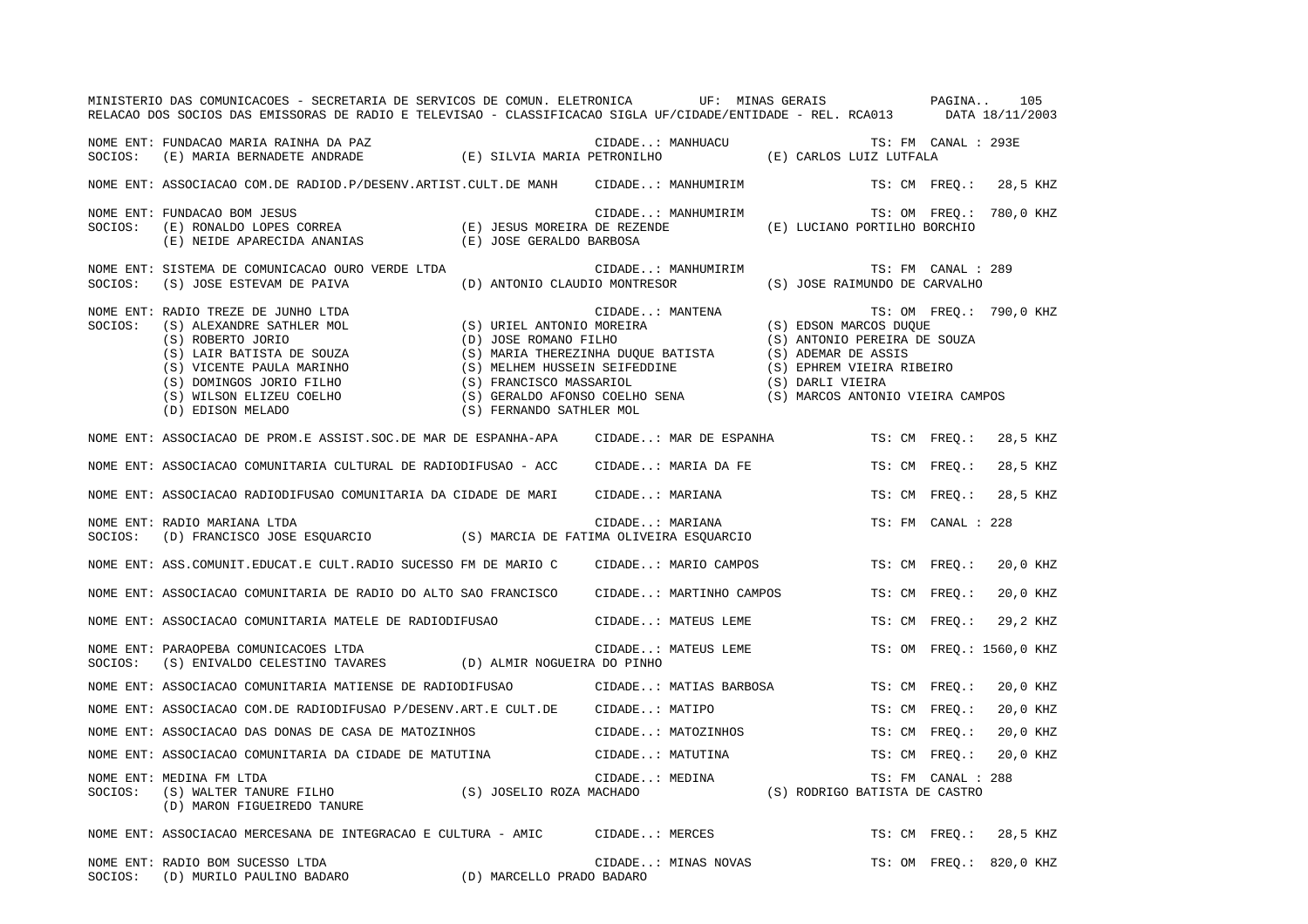|         | MINISTERIO DAS COMUNICACOES - SECRETARIA DE SERVICOS DE COMUN. ELETRONICA UF: MINAS GERAIS PAGINA<br>RELACAO DOS SOCIOS DAS EMISSORAS DE RADIO E TELEVISAO - CLASSIFICACAO SIGLA UF/CIDADE/ENTIDADE - REL. RCA013 DATA 18/11/2003                                              |                                                                                                                                                                                                                    |                  |                         |                                                                                                                                                                    |                     | 105                      |
|---------|--------------------------------------------------------------------------------------------------------------------------------------------------------------------------------------------------------------------------------------------------------------------------------|--------------------------------------------------------------------------------------------------------------------------------------------------------------------------------------------------------------------|------------------|-------------------------|--------------------------------------------------------------------------------------------------------------------------------------------------------------------|---------------------|--------------------------|
|         | NOME ENT: FUNDACAO MARIA RAINHA DA PAZ<br>SOCIOS: (E) MARIA BERNADETE ANDRADE (E) SILVIA MARIA PETRONILHO                                                                                                                                                                      |                                                                                                                                                                                                                    | CIDADE: MANHUACU |                         | LANHUACU (E) CARLOS LUIZ LUTFALA                                                                                                                                   | TS: FM CANAL : 293E |                          |
|         | NOME ENT: ASSOCIACAO COM.DE RADIOD.P/DESENV.ARTIST.CULT.DE MANH CIDADE: MANHUMIRIM                                                                                                                                                                                             |                                                                                                                                                                                                                    |                  |                         |                                                                                                                                                                    |                     | TS: CM FREO.: 28,5 KHZ   |
| SOCIOS: | NOME ENT: FUNDACAO BOM JESUS<br>(E) RONALDO LOPES CORREA $(E)$ JESUS MOREIRA DE REZENDE (E) NEIDE APARECIDA ANANIAS $(E)$ JOSE GERALDO BARBOSA                                                                                                                                 |                                                                                                                                                                                                                    |                  | CIDADE: MANHUMIRIM      | (E) LUCIANO PORTILHO BORCHIO                                                                                                                                       |                     | TS: OM FREQ.: 780,0 KHZ  |
| SOCIOS: | NOME ENT: SISTEMA DE COMUNICACAO OURO VERDE LTDA<br>(S) JOSE ESTEVAM DE PAIVA                                                                                                                                                                                                  | (D) ANTONIO CLAUDIO MONTRESOR                                                                                                                                                                                      |                  | CIDADE: MANHUMIRIM      | (S) JOSE RAIMUNDO DE CARVALHO                                                                                                                                      | TS: FM CANAL : 289  |                          |
| SOCIOS: | NOME ENT: RADIO TREZE DE JUNHO LTDA<br>RADIO TREZE DE JUNHO LTDA<br>(S) ALEXANDRE SATHLER MOL<br>(S) ROBERTO JORIO<br>(S) LAIR BATISTA DE SOUZA<br>(S) VICENTE PAULA MARINHO<br>(S) DOMINGOS JORIO FILHO<br>(S) WILSON ELIZEU COELHO<br>(D) EDISON MELADO<br>(D) EDISON MELADO | (S) URIEL ANTONIO MOREIRA<br>(D) JOSE ROMANO FILHO<br>(S) MARIA THEREZINHA DUQUE BATISTA<br>(S) MELHEM HUSSEIN SEIFEDDINE<br>(S) FRANCISCO MASSARIOL<br>(S) GERALDO AFONSO COELHO SENA<br>(S) FERNANDO SATHLER MOL | CIDADE: MANTENA  |                         | (S) EDSON MARCOS DUQUE<br>(S) ANTONIO PEREIRA DE SOUZA<br>(S) ADEMAR DE ASSIS<br>(S) EPHREM VIEIRA RIBEIRO<br>(S) DARLI VIEIRA<br>(S) MARCOS ANTONIO VIEIRA CAMPOS |                     | TS: OM FREO.: 790,0 KHZ  |
|         | NOME ENT: ASSOCIACAO DE PROM.E ASSIST.SOC.DE MAR DE ESPANHA-APA                                                                                                                                                                                                                |                                                                                                                                                                                                                    |                  | CIDADE: MAR DE ESPANHA  |                                                                                                                                                                    | TS: CM FREO.:       | 28,5 KHZ                 |
|         | NOME ENT: ASSOCIACAO COMUNITARIA CULTURAL DE RADIODIFUSAO - ACC                                                                                                                                                                                                                |                                                                                                                                                                                                                    |                  | CIDADE: MARIA DA FE     |                                                                                                                                                                    | TS: CM FREO.:       | 28,5 KHZ                 |
|         | NOME ENT: ASSOCIACAO RADIODIFUSAO COMUNITARIA DA CIDADE DE MARI                                                                                                                                                                                                                |                                                                                                                                                                                                                    | CIDADE: MARIANA  |                         |                                                                                                                                                                    | TS: CM FREO.:       | 28,5 KHZ                 |
|         | NOME ENT: RADIO MARIANA LTDA<br>SOCIOS: (D) FRANCISCO JOSE ESQUARCIO (S) MARCIA DE FATIMA OLIVEIRA ESQUARCIO                                                                                                                                                                   |                                                                                                                                                                                                                    | CIDADE: MARIANA  |                         |                                                                                                                                                                    | TS: FM CANAL : 228  |                          |
|         | NOME ENT: ASS. COMUNIT. EDUCAT. E CULT. RADIO SUCESSO FM DE MARIO C                                                                                                                                                                                                            |                                                                                                                                                                                                                    |                  | CIDADE: MARIO CAMPOS    |                                                                                                                                                                    | TS: CM FREO.:       | 20,0 KHZ                 |
|         | NOME ENT: ASSOCIACAO COMUNITARIA DE RADIO DO ALTO SAO FRANCISCO                                                                                                                                                                                                                |                                                                                                                                                                                                                    |                  | CIDADE: MARTINHO CAMPOS |                                                                                                                                                                    | TS: CM FREO.:       | 20,0 KHZ                 |
|         | NOME ENT: ASSOCIACAO COMUNITARIA MATELE DE RADIODIFUSAO                                                                                                                                                                                                                        |                                                                                                                                                                                                                    |                  | CIDADE: MATEUS LEME     |                                                                                                                                                                    | TS: CM FREO.:       | 29,2 KHZ                 |
| SOCIOS: | NOME ENT: PARAOPEBA COMUNICACOES LTDA<br>(S) ENIVALDO CELESTINO TAVARES (D) ALMIR NOGUEIRA DO PINHO                                                                                                                                                                            |                                                                                                                                                                                                                    |                  | CIDADE: MATEUS LEME     |                                                                                                                                                                    |                     | TS: OM FREQ.: 1560,0 KHZ |
|         | NOME ENT: ASSOCIACAO COMUNITARIA MATIENSE DE RADIODIFUSAO                                                                                                                                                                                                                      |                                                                                                                                                                                                                    |                  | CIDADE: MATIAS BARBOSA  |                                                                                                                                                                    | TS: CM FREO.:       | 20,0 KHZ                 |
|         | NOME ENT: ASSOCIACAO COM.DE RADIODIFUSAO P/DESENV.ART.E CULT.DE                                                                                                                                                                                                                |                                                                                                                                                                                                                    | CIDADE: MATIPO   |                         |                                                                                                                                                                    | TS: CM FREO.:       | 20,0 KHZ                 |
|         | NOME ENT: ASSOCIACAO DAS DONAS DE CASA DE MATOZINHOS                                                                                                                                                                                                                           |                                                                                                                                                                                                                    |                  | CIDADE: MATOZINHOS      |                                                                                                                                                                    | TS: CM FREO.:       | 20,0 KHZ                 |
|         | NOME ENT: ASSOCIACAO COMUNITARIA DA CIDADE DE MATUTINA                                                                                                                                                                                                                         |                                                                                                                                                                                                                    | CIDADE: MATUTINA |                         |                                                                                                                                                                    | TS: CM FREO.:       | 20,0 KHZ                 |
| SOCIOS: | NOME ENT: MEDINA FM LTDA<br>(S) WALTER TANURE FILHO (S) JOSELIO ROZA MACHADO<br>(D) MARON FIGUEIREDO TANURE                                                                                                                                                                    |                                                                                                                                                                                                                    | CIDADE: MEDINA   |                         | (S) RODRIGO BATISTA DE CASTRO                                                                                                                                      | TS: FM CANAL : 288  |                          |
|         | NOME ENT: ASSOCIACAO MERCESANA DE INTEGRACAO E CULTURA - AMIC CIDADE: MERCES                                                                                                                                                                                                   |                                                                                                                                                                                                                    |                  |                         |                                                                                                                                                                    | TS: CM FREO.:       | 28,5 KHZ                 |
|         | NOME ENT: RADIO BOM SUCESSO LTDA<br>SOCIOS: (D) MURILO PAULINO BADARO (D) MARCELLO PRADO BADARO                                                                                                                                                                                |                                                                                                                                                                                                                    |                  | CIDADE: MINAS NOVAS     |                                                                                                                                                                    |                     | TS: OM FREQ.: 820,0 KHZ  |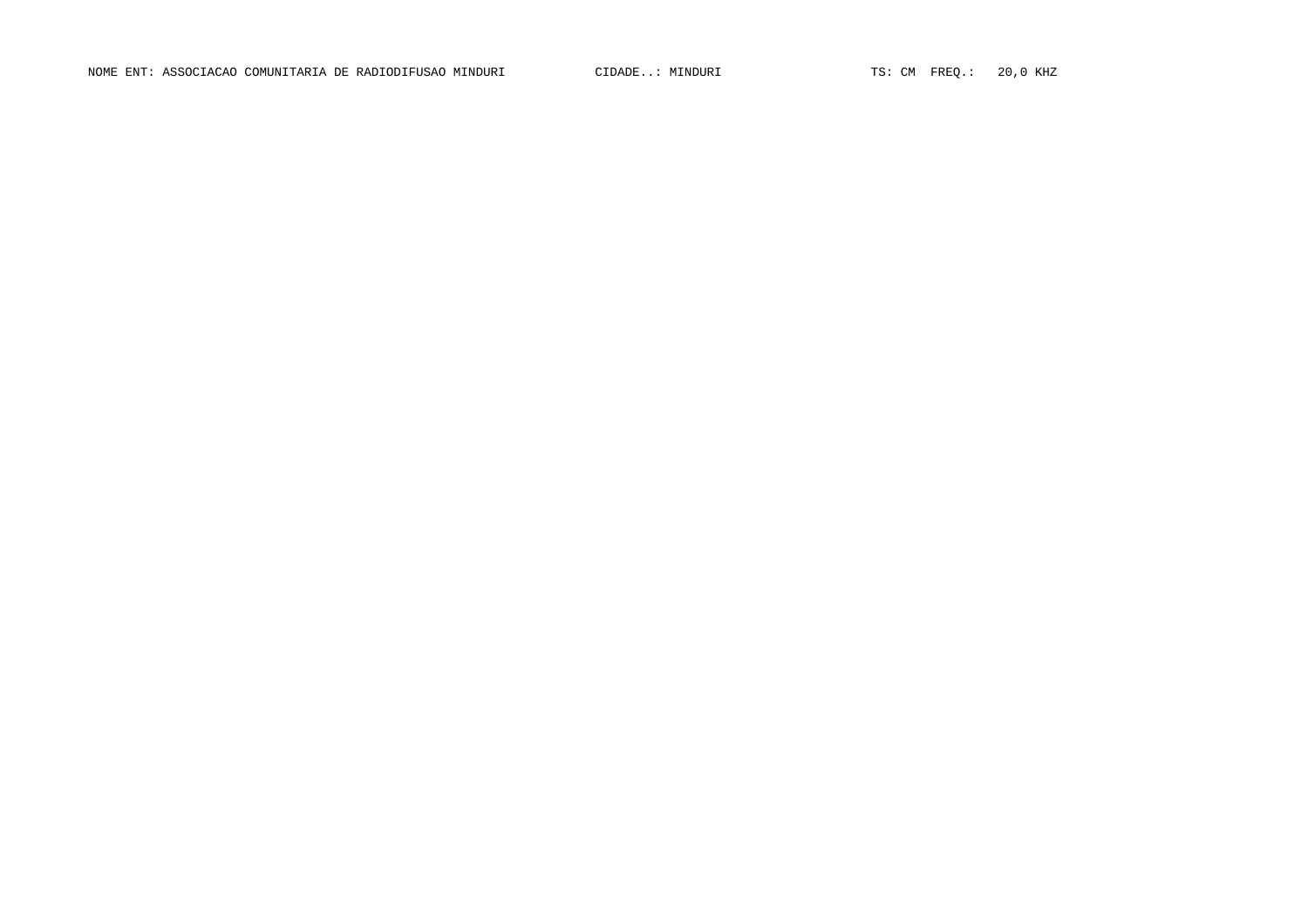NOME ENT: ASSOCIACAO COMUNITARIA DE RADIODIFUSAO MINDURI CIDADE..: MINDURI TS: CM FREQ.: 20,0 KHZ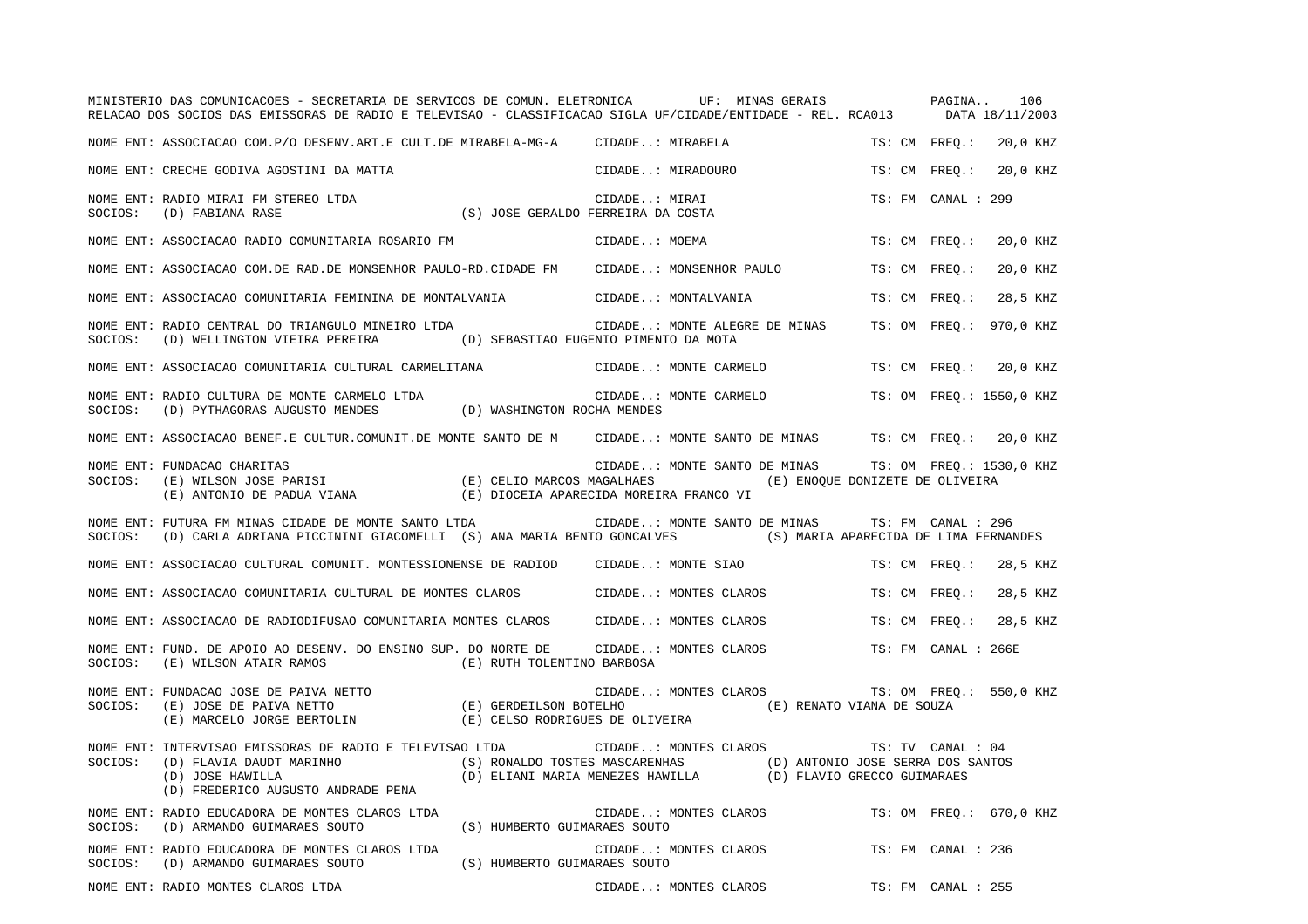|         | MINISTERIO DAS COMUNICACOES - SECRETARIA DE SERVICOS DE COMUN. ELETRONICA UF: MINAS GERAIS PAGINA<br>RELACAO DOS SOCIOS DAS EMISSORAS DE RADIO E TELEVISAO - CLASSIFICACAO SIGLA UF/CIDADE/ENTIDADE - REL. RCA013 DATA 18/11/2003 |                                                              |               |                               |                                                       |                      | 106                      |
|---------|-----------------------------------------------------------------------------------------------------------------------------------------------------------------------------------------------------------------------------------|--------------------------------------------------------------|---------------|-------------------------------|-------------------------------------------------------|----------------------|--------------------------|
|         | NOME ENT: ASSOCIACAO COM.P/O DESENV.ART.E CULT.DE MIRABELA-MG-A CIDADE: MIRABELA                                                                                                                                                  |                                                              |               |                               |                                                       | TS: CM FREO.:        | 20,0 KHZ                 |
|         | NOME ENT: CRECHE GODIVA AGOSTINI DA MATTA                                                                                                                                                                                         |                                                              |               | CIDADE: MIRADOURO             |                                                       | TS: CM FREO.:        | 20,0 KHZ                 |
| SOCIOS: | NOME ENT: RADIO MIRAI FM STEREO LTDA<br>(D) FABIANA RASE                                                                                                                                                                          | CIDADE: MIRAI<br>(S) JOSE GERALDO FERREIRA DA COSTA)         | CIDADE: MIRAI |                               |                                                       | TS: FM CANAL : 299   |                          |
|         | NOME ENT: ASSOCIACAO RADIO COMUNITARIA ROSARIO FM                                                                                                                                                                                 |                                                              | CIDADE: MOEMA |                               |                                                       | TS: CM FREO.:        | 20,0 KHZ                 |
|         | NOME ENT: ASSOCIACAO COM.DE RAD.DE MONSENHOR PAULO-RD.CIDADE FM     CIDADE: MONSENHOR PAULO                                                                                                                                       |                                                              |               |                               |                                                       | TS: CM FREO.:        | 20,0 KHZ                 |
|         | NOME ENT: ASSOCIACAO COMUNITARIA FEMININA DE MONTALVANIA                                                                                                                                                                          |                                                              |               | CIDADE: MONTALVANIA           |                                                       | TS: CM FREO.:        | 28,5 KHZ                 |
| SOCIOS: | NOME ENT: RADIO CENTRAL DO TRIANGULO MINEIRO LTDA<br>(D) WELLINGTON VIEIRA PEREIRA (D) SEBASTIAO EUGENIO PIMENTO DA MOTA                                                                                                          |                                                              |               | CIDADE: MONTE ALEGRE DE MINAS |                                                       |                      | TS: OM FREO.: 970,0 KHZ  |
|         | NOME ENT: ASSOCIACAO COMUNITARIA CULTURAL CARMELITANA                                                                                                                                                                             |                                                              |               | CIDADE: MONTE CARMELO         |                                                       |                      | TS: CM FREO.: 20,0 KHZ   |
| SOCIOS: | NOME ENT: RADIO CULTURA DE MONTE CARMELO LTDA<br>(D) PYTHAGORAS AUGUSTO MENDES (D) WASHINGTON ROCHA MENDES                                                                                                                        |                                                              |               | CIDADE: MONTE CARMELO         |                                                       |                      | TS: OM FREQ.: 1550,0 KHZ |
|         | NOME ENT: ASSOCIACAO BENEF.E CULTUR.COMUNIT.DE MONTE SANTO DE M CIDADE: MONTE SANTO DE MINAS TS: CM FREQ.: 20,0 KHZ                                                                                                               |                                                              |               |                               |                                                       |                      |                          |
| SOCIOS: | NOME ENT: FUNDACAO CHARITAS<br>(E) WILSON JOSE PARISI (E) CELIO MARCOS MAGALHAES (E) ENOQUE DONIZETE DE OLIVEIRA<br>(E) ANTONIO DE PADUA VIANA (E) DIOCEIA APARECIDA MOREIRA FRANCO VI                                            |                                                              |               |                               | CIDADE: MONTE SANTO DE MINAS TS: OM FREQ.: 1530,0 KHZ |                      |                          |
| SOCIOS: | NOME ENT: FUTURA FM MINAS CIDADE DE MONTE SANTO LTDA CIDADE: MONTE SANTO DE MINAS TS: FM CANAL : 296<br>(D) CARLA ADRIANA PICCININI GIACOMELLI (S) ANA MARIA BENTO GONCALVES (S) MARIA APARECIDA DE LIMA FERNANDES                |                                                              |               |                               |                                                       |                      |                          |
|         | NOME ENT: ASSOCIACAO CULTURAL COMUNIT. MONTESSIONENSE DE RADIOD    CIDADE: MONTE SIAO                                                                                                                                             |                                                              |               |                               |                                                       | TS: CM FREO.:        | 28,5 KHZ                 |
|         | NOME ENT: ASSOCIACAO COMUNITARIA CULTURAL DE MONTES CLAROS             CIDADE: MONTES CLAROS                                                                                                                                      |                                                              |               |                               |                                                       | TS: CM FREO.:        | 28,5 KHZ                 |
|         | NOME ENT: ASSOCIACAO DE RADIODIFUSAO COMUNITARIA MONTES CLAROS CIDADE: MONTES CLAROS                                                                                                                                              |                                                              |               |                               |                                                       | TS: CM FREQ.:        | 28,5 KHZ                 |
| SOCIOS: | NOME ENT: FUND. DE APOIO AO DESENV. DO ENSINO SUP. DO NORTE DE        CIDADE: MONTES CLAROS<br>(E) WILSON ATAIR RAMOS                                                                                                             | (E) RUTH TOLENTINO BARBOSA                                   |               |                               |                                                       | TS: FM CANAL : 266E  |                          |
| SOCIOS: | NOME ENT: FUNDACAO JOSE DE PAIVA NETTO<br>FUNDACAO JOSE DE PAIVA NEITO (E) GERDEILSON BOTELHO (E) ORINDE CHANGE (E) RENATO VIANA DE SOUZA (E) NARCELO JORGE BERTOLIN (E) CELSO RODRIGUES DE OLIVEIRA                              |                                                              |               |                               | CIDADE: MONTES CLAROS TS: OM FREQ.: 550,0 KHZ         |                      |                          |
| SOCIOS: | NOME ENT: INTERVISAO EMISSORAS DE RADIO E TELEVISAO LTDA<br>(D) FLAVIA DAUDT MARINHO (S) RONALDO TOSTES MASCARENHAS (D) ANTONIO JOSE SERRA DOS SANTOS<br>(D) JOSE HAWILLA<br>(D) FREDERICO AUGUSTO ANDRADE PENA                   | (D) ELIANI MARIA MENEZES HAWILLA (D) FLAVIO GRECCO GUIMARAES |               | CIDADE: MONTES CLAROS         |                                                       | TS: TV CANAL : 04    |                          |
| SOCIOS: | NOME ENT: RADIO EDUCADORA DE MONTES CLAROS LTDA<br>(D) ARMANDO GUIMARAES SOUTO                                                                                                                                                    | (S) HUMBERTO GUIMARAES SOUTO                                 |               | CIDADE: MONTES CLAROS         |                                                       |                      | TS: OM FREQ.: 670,0 KHZ  |
| SOCIOS: | NOME ENT: RADIO EDUCADORA DE MONTES CLAROS LTDA<br>(D) ARMANDO GUIMARAES SOUTO                                                                                                                                                    | (S) HUMBERTO GUIMARAES SOUTO                                 |               | CIDADE: MONTES CLAROS         |                                                       | TS: FM CANAL : 236   |                          |
|         | NOME ENT: RADIO MONTES CLAROS LTDA                                                                                                                                                                                                |                                                              |               | CIDADE: MONTES CLAROS         |                                                       | $TS: FM$ CANAL : 255 |                          |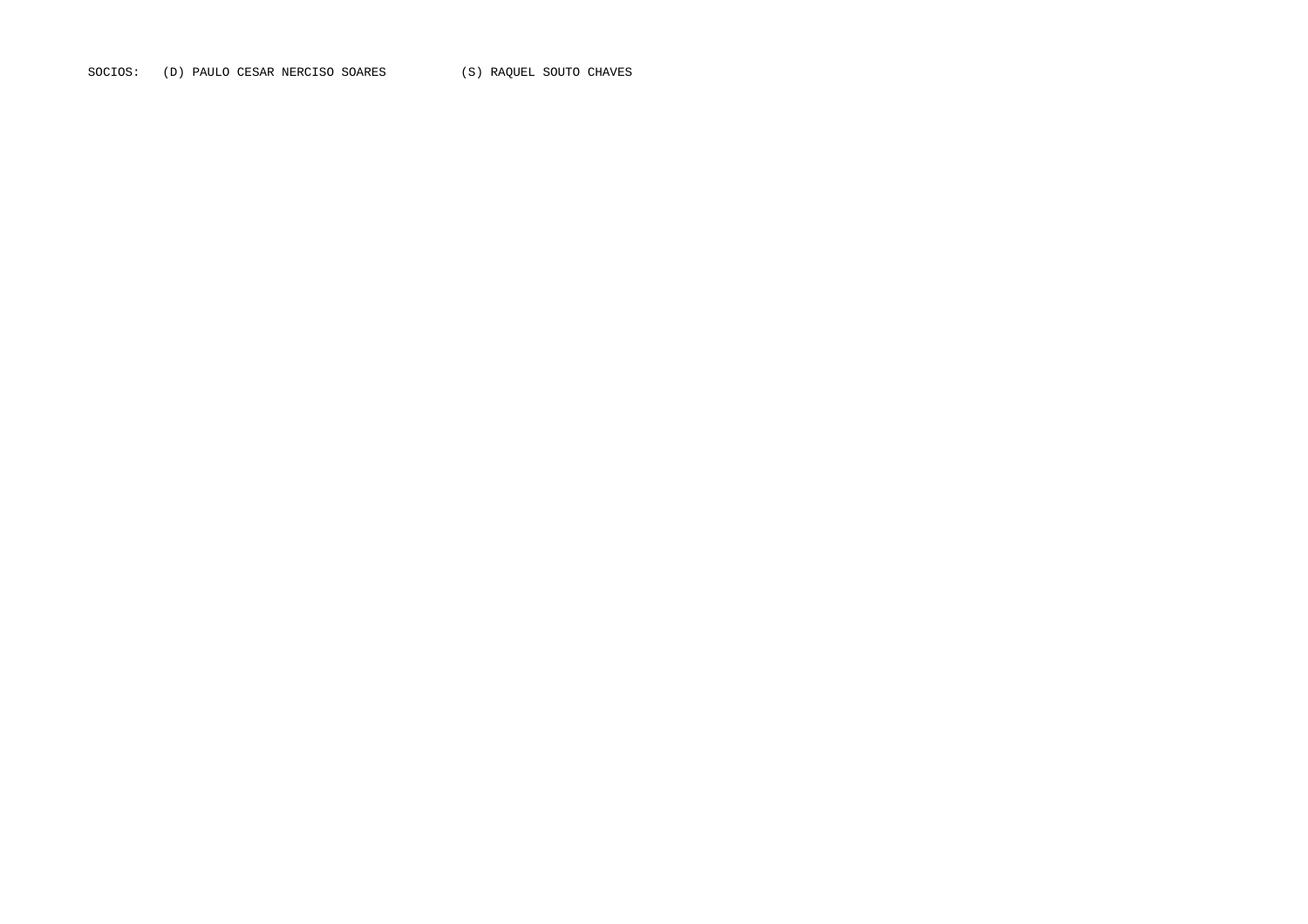SOCIOS: (D) PAULO CESAR NERCISO SOARES (S) RAQUEL SOUTO CHAVES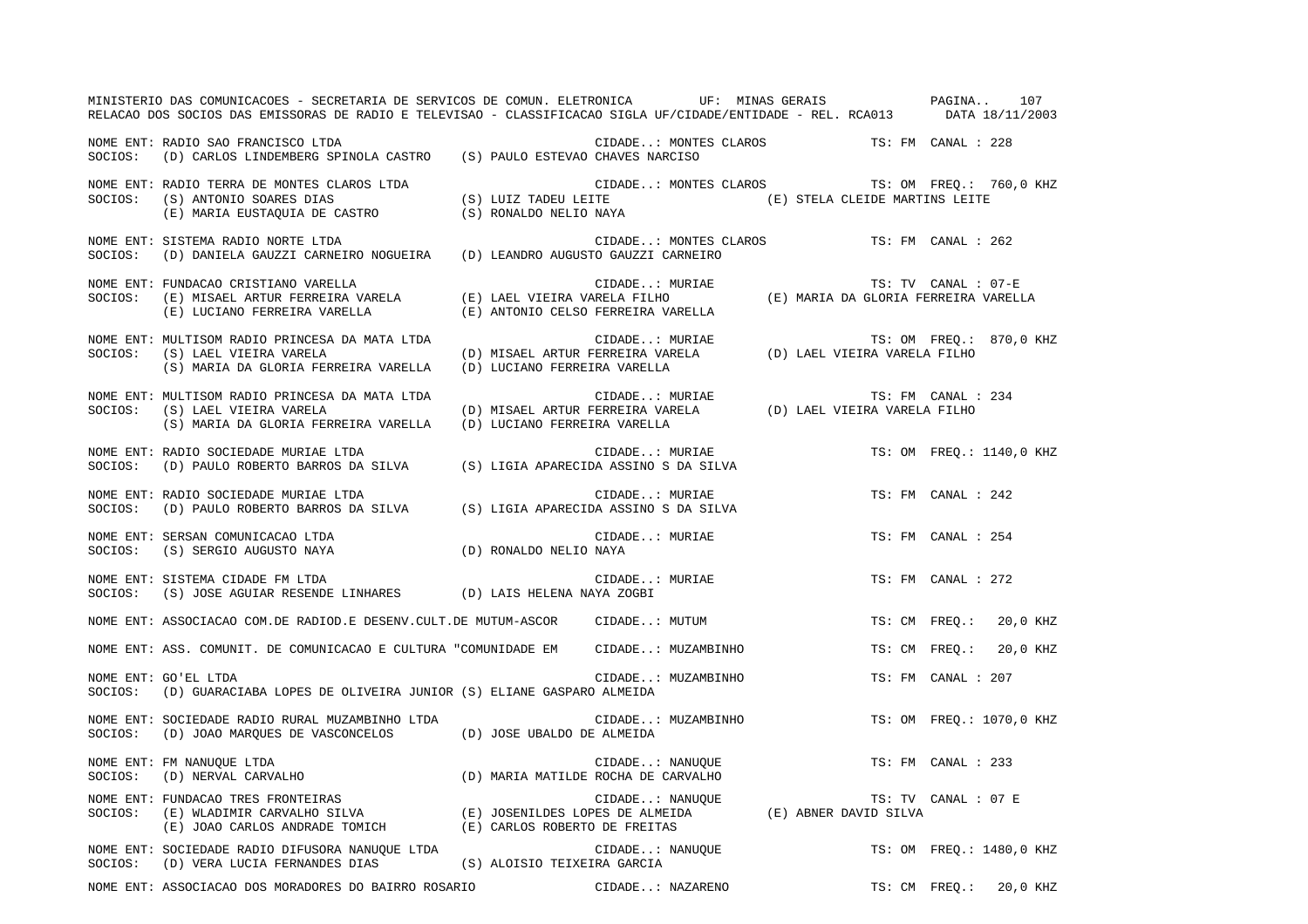|         | MINISTERIO DAS COMUNICACOES - SECRETARIA DE SERVICOS DE COMUN. ELETRONICA UF: MINAS GERAIS PAGINA 107<br>RELACAO DOS SOCIOS DAS EMISSORAS DE RADIO E TELEVISAO - CLASSIFICACAO SIGLA UF/CIDADE/ENTIDADE - REL. RCA013 DATA 18/11/2003 |                              |                                                                                                                                                                                                                                                                                                                                                                                            |                     |                          |  |
|---------|---------------------------------------------------------------------------------------------------------------------------------------------------------------------------------------------------------------------------------------|------------------------------|--------------------------------------------------------------------------------------------------------------------------------------------------------------------------------------------------------------------------------------------------------------------------------------------------------------------------------------------------------------------------------------------|---------------------|--------------------------|--|
|         | NOME ENT: RADIO SAO FRANCISCO LTDA<br>SOCIOS: (D) CARLOS LINDEMBERG SPINOLA CASTRO (S) PAULO ESTEVAO CHAVES NARCISO                                                                                                                   |                              | $\verb"CIDADE": "MONTES CLAROS" TS: FM CANAL :: 228"$                                                                                                                                                                                                                                                                                                                                      |                     |                          |  |
|         | NOME ENT: RADIO TERRA DE MONTES CLAROS LTDA<br>(S) LUIZ TADEU LEITE<br>(S) NAVA (S) NAVA (S) NAVA (S) NAVA<br>(E) MARIA EUSTAQUIA DE CASTRO (S) LUIZ TADEU LEITE (E) STELA CLEIDE MARTINS LEITE (E) MARIA EUSTAQUIA DE CASTRO         |                              | CIDADE: MONTES CLAROS TS: OM FREQ.: 760,0 KHZ                                                                                                                                                                                                                                                                                                                                              |                     |                          |  |
| SOCIOS: | NOME ENT: SISTEMA RADIO NORTE LTDA<br>(D) DANIELA GAUZZI CARNEIRO NOGUEIRA (D) LEANDRO AUGUSTO GAUZZI CARNEIRO                                                                                                                        |                              | CIDADE: MONTES CLAROS TS: FM CANAL : 262                                                                                                                                                                                                                                                                                                                                                   |                     |                          |  |
| SOCIOS: | NOME ENT: FUNDACAO CRISTIANO VARELLA<br>(E) LUCIANO FERREIRA VARELLA                                                                                                                                                                  |                              | CIDADE: MURIAE<br>(E) ANTONIO CELSO FERREIRA VARELLA                                                                                                                                                                                                                                                                                                                                       | TS: TV CANAL : 07-E |                          |  |
| SOCIOS: | NOME ENT: MULTISOM RADIO PRINCESA DA MATA LTDA<br>(S) LAEL VIEIRA VARELA<br>(S) MARIA DA GLORIA FERREIRA VARELLA                                                                                                                      | (D) LUCIANO FERREIRA VARELLA | $\verb CIDADE : MURIAE   \hspace{1.5cm} TS: OM \hspace{1.5cm} FREQ. : \braket{D} \hspace{1.5cm} MISAEL \hspace{1.5cm} ARTUR \hspace{1.5cm} FERREIRA \hspace{1.5cm} VARELA   \hspace{1.5cm} \hspace{1.5cm} \hspace{1.5cm} \hspace{1.5cm} \hspace{1.5cm} \hspace{1.5cm} \hspace{1.5cm} \hspace{1.5cm} \hspace{1.5cm} \hspace{1.5cm} \hspace{1.5cm} \hspace{1.5cm} \hspace{1.5cm} \hspace{1.$ |                     | TS: OM FREQ.: 870,0 KHZ  |  |
| SOCIOS: | NOME ENT: MULTISOM RADIO PRINCESA DA MATA LTDA<br>(S) LAEL VIEIRA VARELA<br>(S) MARIA DA GLORIA FERREIRA VARELLA                                                                                                                      | (D) LUCIANO FERREIRA VARELLA |                                                                                                                                                                                                                                                                                                                                                                                            | TS: FM CANAL : 234  |                          |  |
| SOCIOS: | RADIO SOCIEDADE MURIAE LTDA<br>(D) PAULO ROBERTO BARROS DA SILVA (S) LIGIA APARECIDA ASSINO S DA SILVA<br>NOME ENT: RADIO SOCIEDADE MURIAE LTDA                                                                                       |                              |                                                                                                                                                                                                                                                                                                                                                                                            |                     | TS: OM FREQ.: 1140,0 KHZ |  |
| SOCIOS: | NOME ENT: RADIO SOCIEDADE MURIAE LTDA<br>(D) PAULO ROBERTO BARROS DA SILVA (S) LIGIA APARECIDA ASSINO S DA SILVA                                                                                                                      |                              | CIDADE: MURIAE                                                                                                                                                                                                                                                                                                                                                                             | TS: FM CANAL : 242  |                          |  |
| SOCIOS: | NOME ENT: SERSAN COMUNICACAO LTDA<br>(D) RONALDO NELIO NAYA<br>(S) SERGIO AUGUSTO NAYA                                                                                                                                                |                              | CIDADE: MURIAE                                                                                                                                                                                                                                                                                                                                                                             | TS: FM CANAL : 254  |                          |  |
| SOCIOS: | NOME ENT: SISTEMA CIDADE FM LTDA<br>(S) JOSE AGUIAR RESENDE LINHARES (D) LAIS HELENA NAYA ZOGBI                                                                                                                                       |                              | CIDADE: MURIAE                                                                                                                                                                                                                                                                                                                                                                             | TS: FM CANAL : 272  |                          |  |
|         | NOME ENT: ASSOCIACAO COM.DE RADIOD.E DESENV.CULT.DE MUTUM-ASCOR CIDADE: MUTUM                                                                                                                                                         |                              |                                                                                                                                                                                                                                                                                                                                                                                            |                     | TS: CM FREQ.: 20,0 KHZ   |  |
|         | NOME ENT: ASS. COMUNIT. DE COMUNICACAO E CULTURA "COMUNIDADE EM CIDADE: MUZAMBINHO                                                                                                                                                    |                              |                                                                                                                                                                                                                                                                                                                                                                                            | TS: CM FREQ.:       | 20,0 KHZ                 |  |
| SOCIOS: | NOME ENT: GO'EL LTDA<br>(D) GUARACIABA LOPES DE OLIVEIRA JUNIOR (S) ELIANE GASPARO ALMEIDA                                                                                                                                            |                              | CIDADE: MUZAMBINHO                                                                                                                                                                                                                                                                                                                                                                         | TS: FM CANAL : 207  |                          |  |
| SOCIOS: | NOME ENT: SOCIEDADE RADIO RURAL MUZAMBINHO LTDA<br>(D) JOAO MARQUES DE VASCONCELOS (D) JOSE UBALDO DE ALMEIDA                                                                                                                         |                              | CIDADE: MUZAMBINHO                                                                                                                                                                                                                                                                                                                                                                         |                     | TS: OM FREQ.: 1070,0 KHZ |  |
| SOCIOS: | FM NANUQUE LTDA<br>(D) NERVAL CARVALHO<br>NOME ENT: FM NANUQUE LTDA                                                                                                                                                                   |                              | CIDADE: NANUQUE<br>(D) MARIA MATILDE ROCHA DE CARVALHO                                                                                                                                                                                                                                                                                                                                     | TS: FM CANAL : 233  |                          |  |
| SOCIOS: | rUNDACAO TRES FRONTEIRAS (E) JOSENILDES LOPES DE ALMEIDA (E) ABNER DAVID SILVA (E) JOSENILDES LOPES DE ALMEIDA<br>(E) JOAO CARLOS ANDRADE TOMICH (E) CARLOS ROBERTO DE FREITAS<br>NOME ENT: FUNDACAO TRES FRONTEIRAS                  |                              |                                                                                                                                                                                                                                                                                                                                                                                            | TS: TV CANAL : 07 E |                          |  |
| SOCIOS: | NOME ENT: SOCIEDADE RADIO DIFUSORA NANUOUE LTDA<br>(D) VERA LUCIA FERNANDES DIAS                                                                                                                                                      | (S) ALOISIO TEIXEIRA GARCIA  | CIDADE: NANUQUE                                                                                                                                                                                                                                                                                                                                                                            |                     | TS: OM FREO.: 1480,0 KHZ |  |
|         | NOME ENT: ASSOCIACAO DOS MORADORES DO BAIRRO ROSARIO                                                                                                                                                                                  |                              | CIDADE: NAZARENO                                                                                                                                                                                                                                                                                                                                                                           | TS: CM FREQ.:       | 20,0 KHZ                 |  |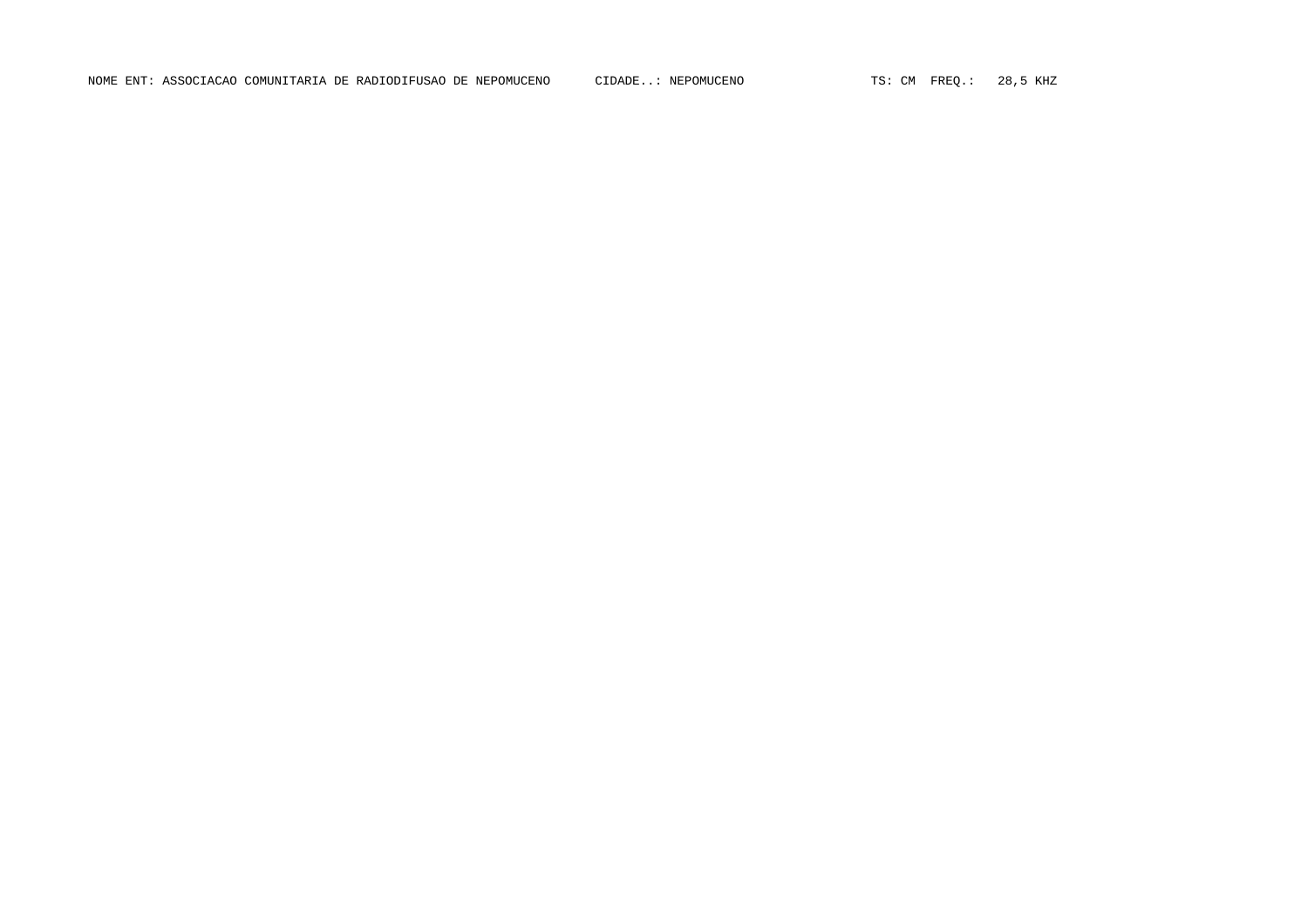NOME ENT: ASSOCIACAO COMUNITARIA DE RADIODIFUSAO DE NEPOMUCENO CIDADE..: NEPOMUCENO TS: CM FREQ.: 28,5 KHZ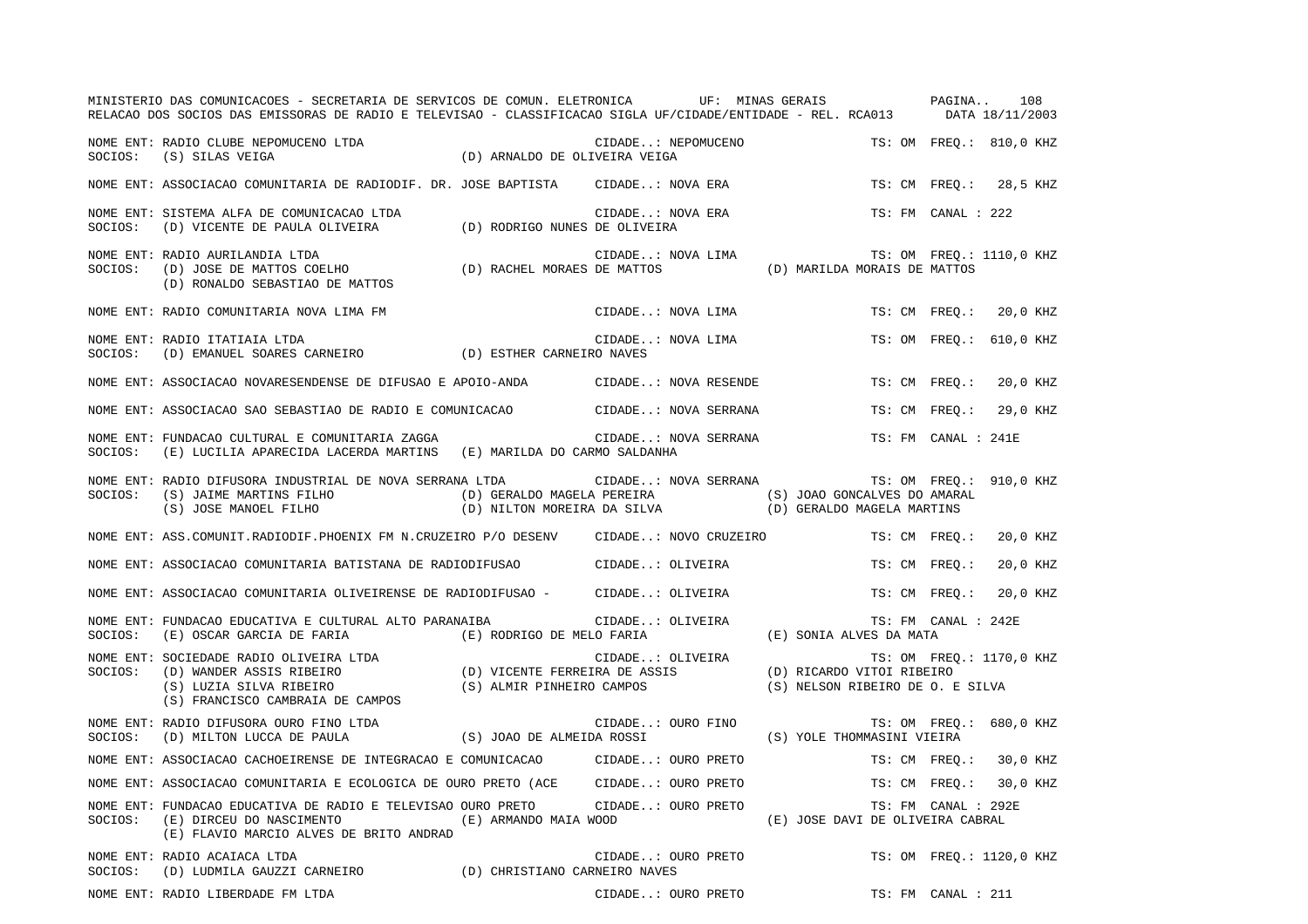|         | MINISTERIO DAS COMUNICACOES - SECRETARIA DE SERVICOS DE COMUN. ELETRONICA UF: MINAS GERAIS PAGINA<br>RELACAO DOS SOCIOS DAS EMISSORAS DE RADIO E TELEVISAO - CLASSIFICACAO SIGLA UF/CIDADE/ENTIDADE - REL. RCA013 DATA 18/11/2003                          |                       |                  |                      |                                  |                          | 108      |  |
|---------|------------------------------------------------------------------------------------------------------------------------------------------------------------------------------------------------------------------------------------------------------------|-----------------------|------------------|----------------------|----------------------------------|--------------------------|----------|--|
|         | NOME ENT: RADIO CLUBE NEPOMUCENO LTDA (D) ARNALDO DE OLIVEIRA VEIGA SOCIOS: (S) SILAS VEIGA (D) ARNALDO DE OLIVEIRA VEIGA                                                                                                                                  |                       |                  | CIDADE: NEPOMUCENO   |                                  | TS: OM FREO.: 810,0 KHZ  |          |  |
|         | NOME ENT: ASSOCIACAO COMUNITARIA DE RADIODIF. DR. JOSE BAPTISTA     CIDADE: NOVA ERA                                                                                                                                                                       |                       |                  |                      |                                  | TS: CM FREQ.: 28,5 KHZ   |          |  |
| SOCIOS: | NOME ENT: SISTEMA ALFA DE COMUNICACAO LTDA<br>(D) VICENTE DE PAULA OLIVEIRA (D) RODRIGO NUNES DE OLIVEIRA                                                                                                                                                  |                       |                  | CIDADE: NOVA ERA     |                                  | TS: FM CANAL : 222       |          |  |
| SOCIOS: | NOME ENT: RADIO AURILANDIA LTDA                                                                                                                                                                                                                            |                       |                  |                      |                                  | TS: OM FREQ.: 1110,0 KHZ |          |  |
|         | NOME ENT: RADIO COMUNITARIA NOVA LIMA FM                                                                                                                                                                                                                   |                       |                  | CIDADE: NOVA LIMA    |                                  | TS: CM FREQ.: 20,0 KHZ   |          |  |
| SOCIOS: | RADIO COMUNITARIA NOVA LIMA FM<br>RADIO ITATIAIA LTDA<br>CIDADE.<br>(D) ESTHER CARNEIRO MAVES<br>NOME ENT: RADIO ITATIAIA LTDA                                                                                                                             |                       |                  | CIDADE: NOVA LIMA    |                                  | TS: OM FREO.: 610,0 KHZ  |          |  |
|         | NOME ENT: ASSOCIACAO NOVARESENDENSE DE DIFUSAO E APOIO-ANDA (CIDADE: NOVA RESENDE                                                                                                                                                                          |                       |                  |                      |                                  | TS: CM FREO.:            | 20,0 KHZ |  |
|         | NOME ENT: ASSOCIACAO SAO SEBASTIAO DE RADIO E COMUNICACAO CIDADE: NOVA SERRANA                                                                                                                                                                             |                       |                  |                      |                                  | TS: CM FREQ.:            | 29,0 KHZ |  |
| SOCIOS: | NOME ENT: FUNDACAO CULTURAL E COMUNITARIA ZAGGA<br>(E) LUCILIA APARECIDA LACERDA MARTINS (E) MARILDA DO CARMO SALDANHA                                                                                                                                     |                       |                  | CIDADE: NOVA SERRANA |                                  | TS: FM CANAL : 241E      |          |  |
| SOCIOS: | NOME ENT: RADIO DIFUSORA INDUSTRIAL DE NOVA SERRANA LTDA CIDADE: NOVA SERRANA<br>(S) JAIME MARTINS FILHO (D) GERALDO MAGELA PEREIRA (S) JOAO GONCALVES DO AMARAL<br>(S) JOSE MANOEL FILHO (D) NILTON MOREIRA DA SILVA (D) GERALDO MAGELA MARTINS           |                       |                  |                      |                                  | TS: OM FREQ.: 910,0 KHZ  |          |  |
|         | NOME ENT: ASS.COMUNIT.RADIODIF.PHOENIX FM N.CRUZEIRO P/O DESENV CIDADE: NOVO CRUZEIRO                                                                                                                                                                      |                       |                  |                      |                                  | TS: CM FREO.: 20,0 KHZ   |          |  |
|         | NOME ENT: ASSOCIACAO COMUNITARIA BATISTANA DE RADIODIFUSAO CIDADE: OLIVEIRA                                                                                                                                                                                |                       |                  |                      |                                  | TS: CM FREQ.:            | 20,0 KHZ |  |
|         | NOME ENT: ASSOCIACAO COMUNITARIA OLIVEIRENSE DE RADIODIFUSAO - CIDADE: OLIVEIRA                                                                                                                                                                            |                       |                  |                      |                                  | TS: CM FREQ.: 20,0 KHZ   |          |  |
| SOCIOS: | NOME ENT: FUNDACAO EDUCATIVA E CULTURAL ALTO PARANAIBA<br>(E) OSCAR GARCIA DE FARIA (E) RODRIGO DE MELO FARIA                                                                                                                                              |                       | CIDADE: OLIVEIRA |                      | (E) SONIA ALVES DA MATA          | TS: FM CANAL : 242E      |          |  |
|         | NOME ENT: SOCIEDADE RADIO OLIVEIRA LTDA<br>SOCIOS: (D) WANDER ASSIS RIBEIRO (D) VICENTE FERREIRA DE ASSIS (D) RICARDO VITOI RIBEIRO<br>(S) LUZIA SILVA RIBEIRO (S) ALMIR PINHEIRO CAMPOS (S) NELSON RIBEIRO DE O. E SI<br>(S) FRANCISCO CAMBRAIA DE CAMPOS |                       |                  |                      | (S) NELSON RIBEIRO DE O. E SILVA | TS: OM FREQ.: 1170,0 KHZ |          |  |
|         | NOME ENT: RADIO DIFUSORA OURO FINO LTDA<br>NOTE ENT. KADIO DIFUSOKA OUKO FINO LIDA<br>SOCIOS: (D) MILTON LUCCA DE PAULA (S) JOAO DE ALMEIDA ROSSI                                                                                                          |                       |                  | CIDADE: OURO FINO    | (S) YOLE THOMMASINI VIEIRA       | TS: OM FREQ.: 680,0 KHZ  |          |  |
|         | NOME ENT: ASSOCIACAO CACHOEIRENSE DE INTEGRACAO E COMUNICACAO                                                                                                                                                                                              |                       |                  | CIDADE: OURO PRETO   |                                  | TS: CM FREO.: 30,0 KHZ   |          |  |
|         | NOME ENT: ASSOCIACAO COMUNITARIA E ECOLOGICA DE OURO PRETO (ACE CIDADE: OURO PRETO                                                                                                                                                                         |                       |                  |                      |                                  | TS: CM FREO.: 30,0 KHZ   |          |  |
| SOCIOS: | NOME ENT: FUNDACAO EDUCATIVA DE RADIO E TELEVISAO OURO PRETO CIDADE: OURO PRETO<br>(E) DIRCEU DO NASCIMENTO<br>(E) FLAVIO MARCIO ALVES DE BRITO ANDRAD                                                                                                     | (E) ARMANDO MAIA WOOD |                  |                      | (E) JOSE DAVI DE OLIVEIRA CABRAL | TS: FM CANAL : 292E      |          |  |
| SOCIOS: | NOME ENT: RADIO ACAIACA LTDA<br>(D) LUDMILA GAUZZI CARNEIRO (D) CHRISTIANO CARNEIRO NAVES                                                                                                                                                                  |                       |                  | CIDADE: OURO PRETO   |                                  | TS: OM FREQ.: 1120,0 KHZ |          |  |
|         | NOME ENT: RADIO LIBERDADE FM LTDA                                                                                                                                                                                                                          |                       |                  | CIDADE: OURO PRETO   |                                  | TS: FM CANAL : 211       |          |  |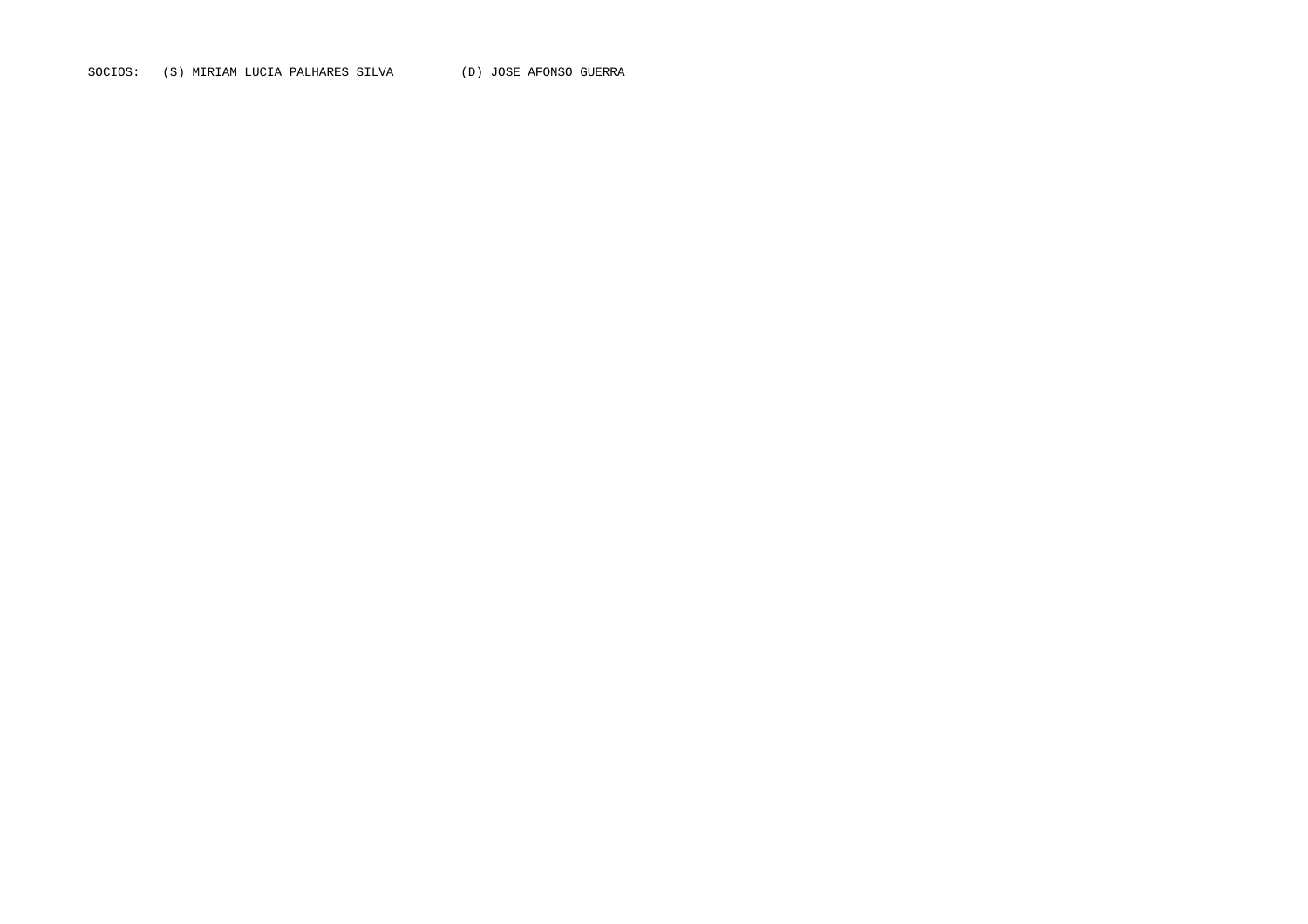SOCIOS: (S) MIRIAM LUCIA PALHARES SILVA (D) JOSE AFONSO GUERRA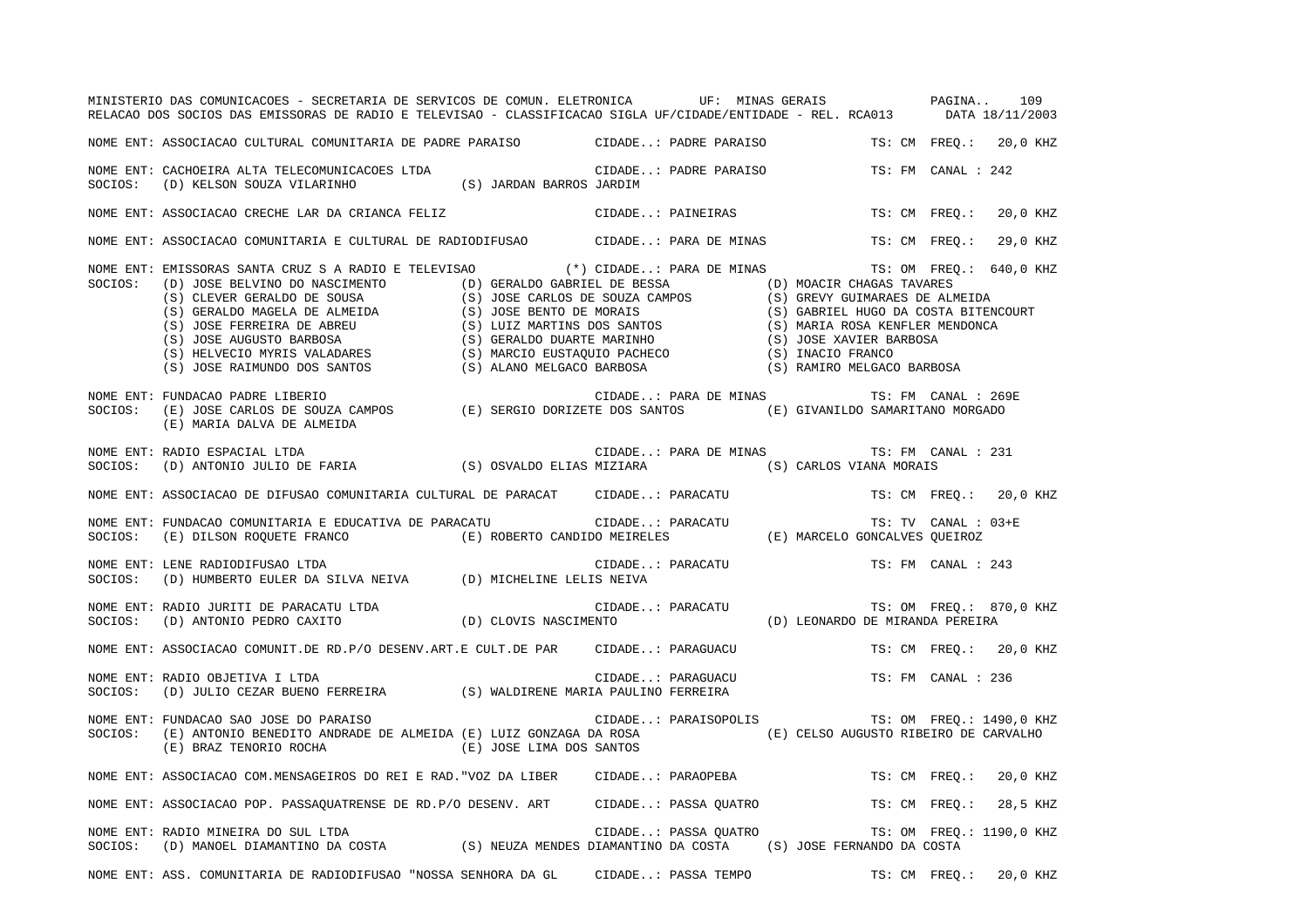|         | MINISTERIO DAS COMUNICACOES - SECRETARIA DE SERVICOS DE COMUN. ELETRONICA UF: MINAS GERAIS PAGINA 109<br>RELACAO DOS SOCIOS DAS EMISSORAS DE RADIO E TELEVISAO - CLASSIFICACAO SIGLA UF/CIDADE/ENTIDADE - REL. RCA013 DATA 18/11/2003                                                                                                    |  |                      |                                                                      |                     |                          |  |
|---------|------------------------------------------------------------------------------------------------------------------------------------------------------------------------------------------------------------------------------------------------------------------------------------------------------------------------------------------|--|----------------------|----------------------------------------------------------------------|---------------------|--------------------------|--|
|         | NOME ENT: ASSOCIACAO CULTURAL COMUNITARIA DE PADRE PARAISO (CIDADE: PADRE PARAISO TS: CM FREQ.: 20,0 KHZ                                                                                                                                                                                                                                 |  |                      |                                                                      |                     |                          |  |
|         |                                                                                                                                                                                                                                                                                                                                          |  |                      |                                                                      | TS: FM CANAL : 242  |                          |  |
|         | NOME ENT: ASSOCIACAO CRECHE LAR DA CRIANCA FELIZ (CIDADE: PAINEIRAS                                                                                                                                                                                                                                                                      |  |                      |                                                                      |                     | TS: CM FREQ.: 20,0 KHZ   |  |
|         | NOME ENT: ASSOCIACAO COMUNITARIA E CULTURAL DE RADIODIFUSAO CIDADE: PARA DE MINAS TS: CM FREQ.: 29,0 KHZ                                                                                                                                                                                                                                 |  |                      |                                                                      |                     |                          |  |
| SOCIOS: | NOME ENT: EMISSORAS SANTA CRUZ S A RADIO E TELEVISAO (*) CIDADE: PARA DE MINAS TS: OM FREQ.: 640,0 KHZ<br>ENISSIONAL CRISINAL CRISINAL CRIP (C) JOSE ENTINO DO NASCIMENTO (D) BESIS (S) CLEVER GERALDO DE SOUSA (S) JOSE CARLOS DE SOUZA (S) GREALDO NAGELA DE ALMEIDA (S) JOSE CARLOS DE SOUZA (S) JOSE CARLOS DE SOUZA (S) GREAT (S) G |  |                      |                                                                      |                     |                          |  |
| SOCIOS: | FUNDACAO PADRE LIBERIO<br>(E) SERGIO DORIZETE DOS SANTOS (E) GIVANILDO SAMARITANO MORGADO (E) JOSE CARLOS DE SOUZA CAMPOS (E) SERGIO DORIZETE DOS SANTOS (E) GIVANILDO SAMARITANO MORGADO<br>NOME ENT: FUNDACAO PADRE LIBERIO<br>(E) MARIA DALVA DE ALMEIDA                                                                              |  |                      | CIDADE: PARA DE MINAS TS: FM CANAL : 269E                            |                     |                          |  |
| SOCIOS: | NOME ENT: RADIO ESPACIAL LTDA                                                                                                                                                                                                                                                                                                            |  |                      | CIDADE: PARA DE MINAS TS: FM CANAL : 231                             |                     |                          |  |
|         | NOME ENT: ASSOCIACAO DE DIFUSAO COMUNITARIA CULTURAL DE PARACAT CIDADE: PARACATU TS: CM FREQ.: 20,0 KHZ                                                                                                                                                                                                                                  |  |                      |                                                                      |                     |                          |  |
|         | NOME ENT: FUNDACAO COMUNITARIA E EDUCATIVA DE PARACATU (E) CIDADE: PARACATU (E) MARCELO GONCALVES QUEIROZ<br>SOCIOS: (E) DILSON ROQUETE FRANCO (E) ROBERTO CANDIDO MEIRELES (E) MARCELO GONCALVES QUEIROZ                                                                                                                                |  |                      |                                                                      | TS: TV CANAL : 03+E |                          |  |
|         | NOME ENT: LENE RADIODIFUSAO LTDA<br>SOCIOS: (D) HUMBERTO EULER DA SILVA NEIVA (D) MICHELINE LELIS NEIVA                                                                                                                                                                                                                                  |  | CIDADE: PARACATU     |                                                                      | TS: FM CANAL : 243  |                          |  |
|         |                                                                                                                                                                                                                                                                                                                                          |  |                      |                                                                      |                     |                          |  |
|         | NOME ENT: ASSOCIACAO COMUNIT.DE RD.P/O DESENV.ART.E CULT.DE PAR CIDADE: PARAGUACU                                                                                                                                                                                                                                                        |  |                      |                                                                      |                     | TS: CM FREQ.: 20,0 KHZ   |  |
| SOCIOS: | NOME ENT: RADIO OBJETIVA I LTDA<br>(D) JULIO CEZAR BUENO FERREIRA (S) WALDIRENE MARIA PAULINO FERREIRA                                                                                                                                                                                                                                   |  |                      | $\verb CIDADE. : PARAGUACU  \qquad \qquad \verb TS: FM CANAL : 236 $ |                     |                          |  |
|         | NOME ENT: FUNDACAO SAO JOSE DO PARAISO<br>SOCIOS: (E) ANTONIO BENEDITO ANDRADE DE ALMEIDA (E) LUIZ GONZAGA DA ROSA (E) CELSO AUGUSTO RIBEIRO DE CARVALHO<br>(E) BRAZ TENORIO ROCHA (E) JOSE LIMA DOS SANTOS                                                                                                                              |  | CIDADE: PARAISOPOLIS |                                                                      |                     | TS: OM FREQ.: 1490,0 KHZ |  |
|         | NOME ENT: ASSOCIACAO COM.MENSAGEIROS DO REI E RAD. "VOZ DA LIBER CIDADE: PARAOPEBA                                                                                                                                                                                                                                                       |  |                      |                                                                      |                     | TS: CM FREQ.: 20,0 KHZ   |  |
|         | NOME ENT: ASSOCIACAO POP. PASSAQUATRENSE DE RD.P/O DESENV. ART CIDADE: PASSA QUATRO TS: CM FREQ.:                                                                                                                                                                                                                                        |  |                      |                                                                      |                     | 28,5 KHZ                 |  |
|         | NOME ENT: RADIO MINEIRA DO SUL LTDA<br>SOCIOS:    (D) MANOEL DIAMANTINO DA COSTA                  (S) NEUZA MENDES DIAMANTINO DA COSTA       (S) JOSE FERNANDO DA COSTA                                                                                                                                                                  |  |                      | CIDADE: PASSA QUATRO TS: OM FREQ.: 1190,0 KHZ                        |                     |                          |  |
|         | NOME ENT: ASS. COMUNITARIA DE RADIODIFUSAO "NOSSA SENHORA DA GL                                                                                                                                                                                                                                                                          |  |                      | CIDADE: PASSA TEMPO TS: CM FREQ.: 20,0 KHZ                           |                     |                          |  |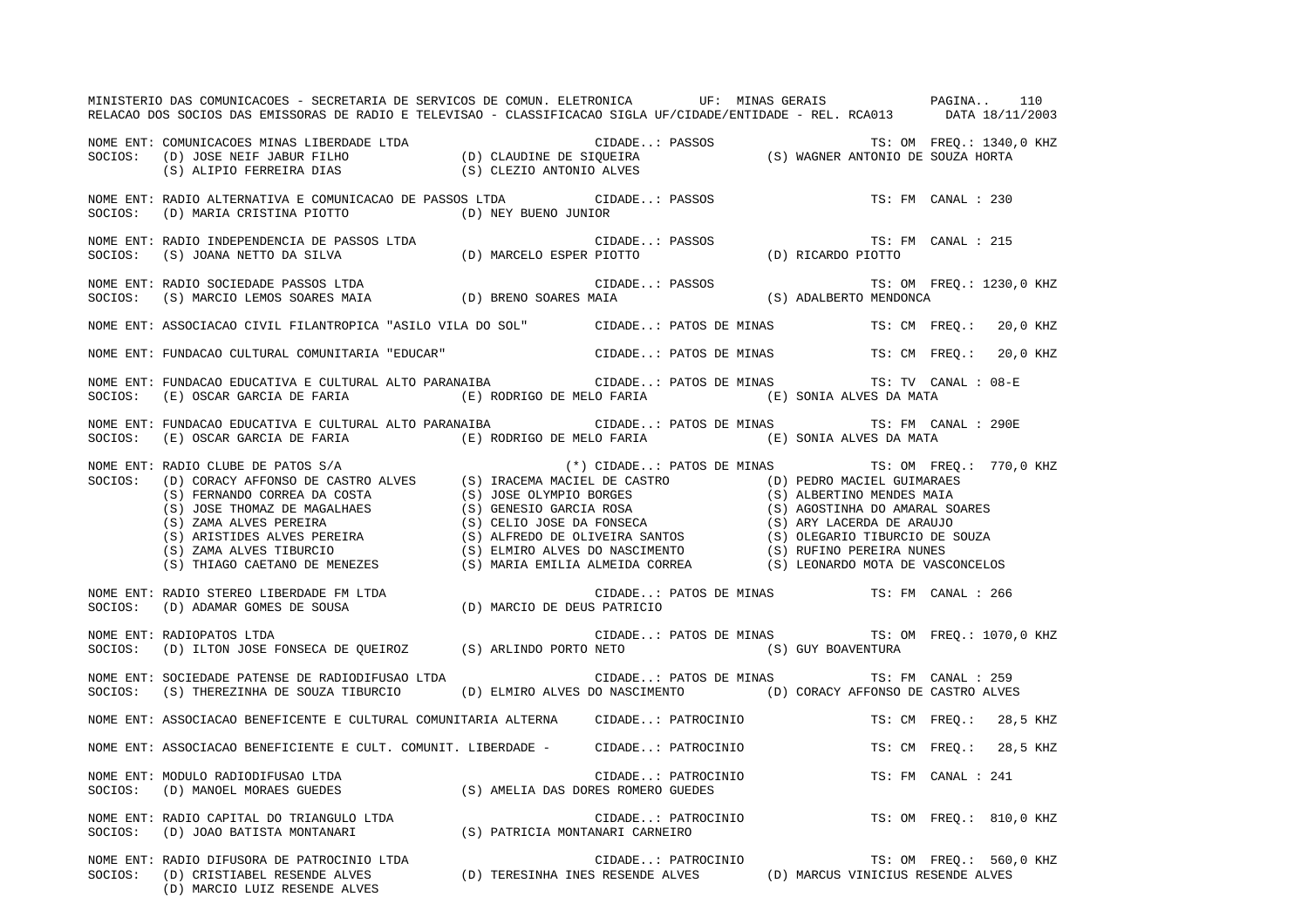|         | MINISTERIO DAS COMUNICACOES - SECRETARIA DE SERVICOS DE COMUN. ELETRONICA UF: MINAS GERAIS PAGINA 110<br>RELACAO DOS SOCIOS DAS EMISSORAS DE RADIO E TELEVISAO - CLASSIFICACAO SIGLA UF/CIDADE/ENTIDADE - REL. RCA013 DATA 18/1                                                                                                                                                                                                                                                                                                                    |                                        |                    |  |                                           |                                                      |
|---------|----------------------------------------------------------------------------------------------------------------------------------------------------------------------------------------------------------------------------------------------------------------------------------------------------------------------------------------------------------------------------------------------------------------------------------------------------------------------------------------------------------------------------------------------------|----------------------------------------|--------------------|--|-------------------------------------------|------------------------------------------------------|
|         | NOME ENT: COMUNICACOES MINAS LIBERDADE LTDA<br>SOCIOS: (D) JOSE NEIF JABUR FILHO (D) CLAUDINE DE SIQUEIRA (S) WAGNER ANTONIO DE SOUZA HORTA<br>(S) ALIPIO FERREIRA DIAS (S) CLEZIO ANTONIO ALVES                                                                                                                                                                                                                                                                                                                                                   |                                        |                    |  |                                           |                                                      |
| SOCIOS: | NOME ENT: RADIO ALTERNATIVA E COMUNICACAO DE PASSOS LTDA CIDADE: PASSOS<br>(D) MARIA CRISTINA PIOTTO (D) NEY BUENO JUNIOR                                                                                                                                                                                                                                                                                                                                                                                                                          |                                        |                    |  |                                           | TS: FM CANAL : 230                                   |
|         | NOME ENT: RADIO INDEPENDENCIA DE PASSOS LTDA<br>SOCIOS: (S) JOANA NETTO DA SILVA (D) MARCELO ESPER PIOTTO (D) RICARDO PIOTTO                                                                                                                                                                                                                                                                                                                                                                                                                       |                                        |                    |  |                                           | TS: FM CANAL : 215                                   |
|         |                                                                                                                                                                                                                                                                                                                                                                                                                                                                                                                                                    |                                        |                    |  |                                           | TS: OM FREQ.: 1230,0 KHZ                             |
|         | NOME ENT: ASSOCIACAO CIVIL FILANTROPICA "ASILO VILA DO SOL" CIDADE: PATOS DE MINAS TS: CM FREQ.: 20,0 KHZ                                                                                                                                                                                                                                                                                                                                                                                                                                          |                                        |                    |  |                                           |                                                      |
|         | NOME ENT: FUNDACAO CULTURAL COMUNITARIA "EDUCAR" CIDADE: PATOS DE MINAS TS: CM FREQ.: 20,0 KHZ                                                                                                                                                                                                                                                                                                                                                                                                                                                     |                                        |                    |  |                                           |                                                      |
|         | NOME ENT: FUNDACAO EDUCATIVA E CULTURAL ALTO PARANAIBA (IDADE: PATOS DE MINAS TS: TV CANAL : 08-E<br>SOCIOS: (E) OSCAR GARCIA DE FARIA (E) RODRIGO DE MELO FARIA (E) SONIA ALVES DA MATA                                                                                                                                                                                                                                                                                                                                                           |                                        |                    |  |                                           |                                                      |
|         | NOME ENT: FUNDACAO EDUCATIVA E CULTURAL ALTO PARANAIBA (CIDADE: PATOS DE MINAS TS: FM CANAL : 290E<br>SOCIOS: (E) OSCAR GARCIA DE FARIA (E) RODRIGO DE MELO FARIA (E) SONIA ALVES DA MATA                                                                                                                                                                                                                                                                                                                                                          |                                        |                    |  |                                           |                                                      |
|         | NOME ENT: RADIO CRAPE DE PATOS S/A<br>SOCIOS: (D) CRAPE DE PATOS DE CASTRO ALVES<br>(S) TRACEMA MACIEL DE CASTRO (D) PEDRO MACIEL GUIMARAES<br>(S) JOSE THOMAZ DE MAGALHAES<br>(S) JOSE THOMAZ DE MAGALHAES<br>(S) GENESIO GARCIA ROSA<br>                                                                                                                                                                                                                                                                                                         |                                        |                    |  |                                           | $(*)$ CIDADE: PATOS DE MINAS TS: OM FREQ.: 770,0 KHZ |
|         | NOME ENT: RADIO STEREO LIBERDADE FM LTDA<br>SOCIOS: (D) ADAMAR GOMES DE SOUSA                                                                                                                                                                                                                                                                                                                                                                                                                                                                      | CIDADE:<br>D) MARCIO DE DEUS PATRICIO) |                    |  | CIDADE: PATOS DE MINAS TS: FM CANAL : 266 |                                                      |
|         | NOME ENT: RADIOPATOS LTDA<br>NOME ENT: KADIOPATOS DIDA<br>SOCIOS: (D) ILTON JOSE FONSECA DE QUEIROZ (S) ARLINDO PORTO NETO (S) GUY BOAVENTURA                                                                                                                                                                                                                                                                                                                                                                                                      |                                        |                    |  |                                           | CIDADE: PATOS DE MINAS TS: OM FREQ.: 1070,0 KHZ      |
|         | NOME ENT: SOCIEDADE PATENSE DE RADIODIFUSAO LTDA<br>SOCIOS: (S) THEREZINHA DE SOUZA TIBURCIO (D) ELMIRO ALVES DO NASCIMENTO (D) CORACY AFFONSO DE CASTRO ALVES                                                                                                                                                                                                                                                                                                                                                                                     |                                        |                    |  | CIDADE: PATOS DE MINAS TS: FM CANAL : 259 |                                                      |
|         | NOME ENT: ASSOCIACAO BENEFICENTE E CULTURAL COMUNITARIA ALTERNA CIDADE: PATROCINIO                                                                                                                                                                                                                                                                                                                                                                                                                                                                 |                                        |                    |  |                                           | TS: CM FREQ.: 28,5 KHZ                               |
|         | NOME ENT: ASSOCIACAO BENEFICIENTE E CULT. COMUNIT. LIBERDADE - CIDADE: PATROCINIO                                                                                                                                                                                                                                                                                                                                                                                                                                                                  |                                        |                    |  |                                           | TS: CM FREQ.: 28,5 KHZ                               |
| SOCIOS: | NOME ENT: MODULO RADIODIFUSAO LTDA<br>$\begin{minipage}{.45\textwidth} \begin{tabular}{l} \textbf{MODULO RADIODIFUSAO LTDA} \end{tabular} \end{minipage} \begin{minipage}{.45\textwidth} \begin{tabular}{l} \textbf{S)} \end{tabular} \end{minipage} \begin{minipage}{.45\textwidth} \begin{tabular}{l} \textbf{CIDADE. : PATROCI} \end{tabular} \end{minipage} \end{minipage} \begin{minipage}{.45\textwidth} \begin{tabular}{l} \textbf{C} \end{tabular} \end{minipage} \end{minipage} \begin{minipage}{.45\textwidth} \begin{tabular}{l} \text$ |                                        | CIDADE: PATROCINIO |  |                                           | TS: FM CANAL : 241                                   |
|         | NOME ENT: RADIO CAPITAL DO TRIANGULO LTDA (S) PATRICIA MONTANARI CARNEIRO SOCIOS: (D) JOAO BATISTA MONTANARI (S) PATRICIA MONTANARI CARNEIRO                                                                                                                                                                                                                                                                                                                                                                                                       |                                        |                    |  |                                           | CIDADE: PATROCINIO TS: OM FREQ.: 810,0 KHZ           |
|         | NOME ENT: RADIO DIFUSORA DE PATROCINIO LTDA<br>SOCIOS: (D) CRISTIABEL RESENDE ALVES (D) TERESINHA INES RESENDE ALVES (D) MARCUS VINICIUS RESENDE ALVES<br>(D) MARCIO LUIZ RESENDE ALVES                                                                                                                                                                                                                                                                                                                                                            |                                        |                    |  |                                           |                                                      |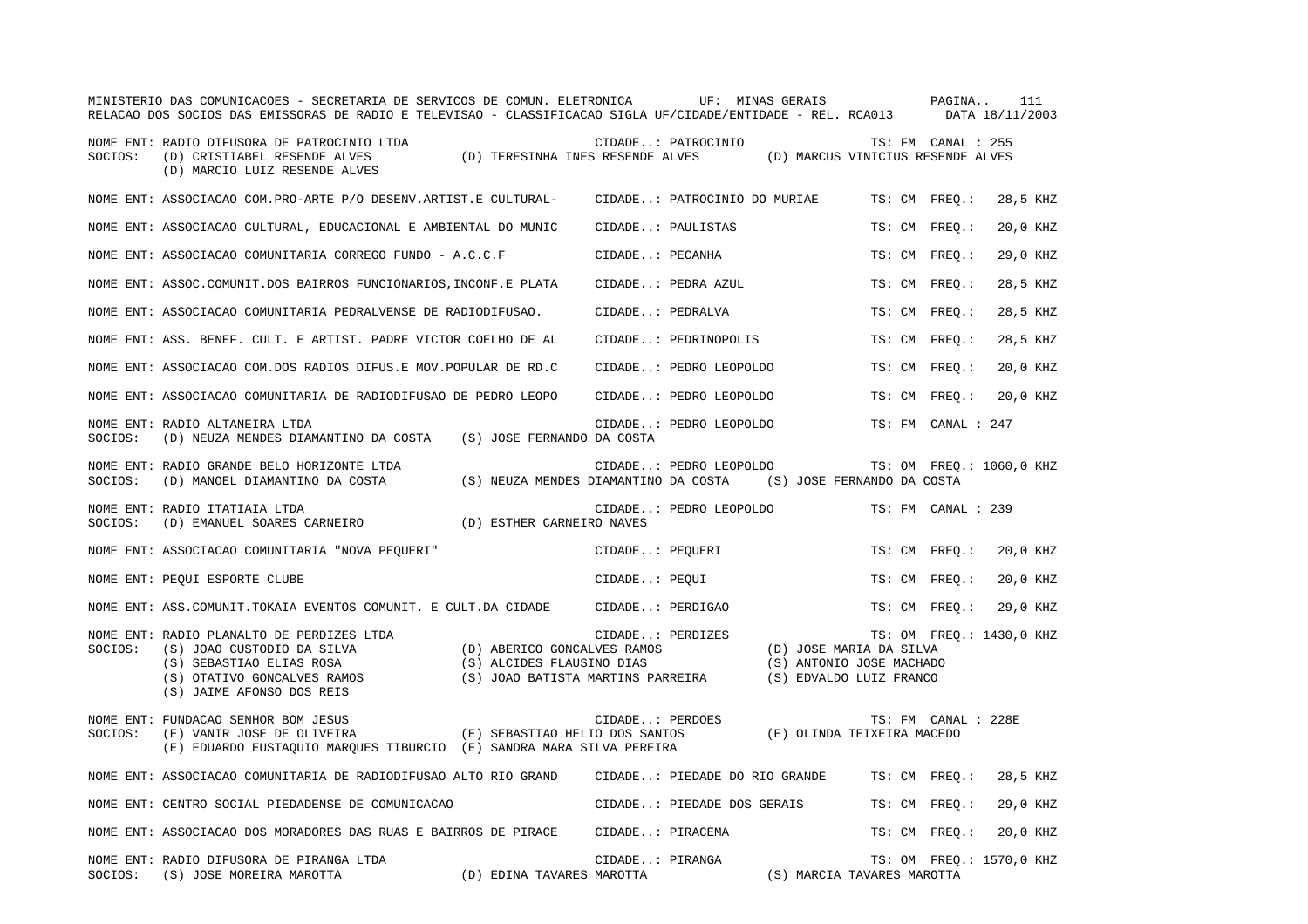|         | MINISTERIO DAS COMUNICACOES - SECRETARIA DE SERVICOS DE COMUN. ELETRONICA UF: MINAS GERAIS<br>RELACAO DOS SOCIOS DAS EMISSORAS DE RADIO E TELEVISAO - CLASSIFICACAO SIGLA UF/CIDADE/ENTIDADE - REL. RCA013 DATA 18/11/2003 |                                                                                    |                                                                                | PAGINA<br>111             |  |
|---------|----------------------------------------------------------------------------------------------------------------------------------------------------------------------------------------------------------------------------|------------------------------------------------------------------------------------|--------------------------------------------------------------------------------|---------------------------|--|
| SOCIOS: | NOME ENT: RADIO DIFUSORA DE PATROCINIO LTDA<br>(D) TERESINHA INES RESENDE ALVES<br>(D) CRISTIABEL RESENDE ALVES<br>(D) MARCIO LUIZ RESENDE ALVES                                                                           | CIDADE: PATROCINIO                                                                 | (D) MARCUS VINICIUS RESENDE ALVES                                              | TS: FM CANAL : 255        |  |
|         | NOME ENT: ASSOCIACAO COM. PRO-ARTE P/O DESENV. ARTIST. E CULTURAL-                                                                                                                                                         | CIDADE: PATROCINIO DO MURIAE                                                       |                                                                                | TS: CM FREO.:<br>28,5 KHZ |  |
|         | NOME ENT: ASSOCIACAO CULTURAL, EDUCACIONAL E AMBIENTAL DO MUNIC                                                                                                                                                            | CIDADE: PAULISTAS                                                                  |                                                                                | 20,0 KHZ<br>TS: CM FREQ.: |  |
|         | NOME ENT: ASSOCIACAO COMUNITARIA CORREGO FUNDO - A.C.C.F                                                                                                                                                                   | CIDADE: PECANHA                                                                    |                                                                                | TS: CM FREO.:<br>29,0 KHZ |  |
|         | NOME ENT: ASSOC.COMUNIT.DOS BAIRROS FUNCIONARIOS, INCONF.E PLATA                                                                                                                                                           | CIDADE: PEDRA AZUL                                                                 |                                                                                | 28,5 KHZ<br>TS: CM FREO.: |  |
|         | NOME ENT: ASSOCIACAO COMUNITARIA PEDRALVENSE DE RADIODIFUSAO.                                                                                                                                                              | CIDADE: PEDRALVA                                                                   |                                                                                | 28,5 KHZ<br>TS: CM FREO.: |  |
|         | NOME ENT: ASS. BENEF. CULT. E ARTIST. PADRE VICTOR COELHO DE AL                                                                                                                                                            | CIDADE: PEDRINOPOLIS                                                               |                                                                                | 28,5 KHZ<br>TS: CM FREO.: |  |
|         | NOME ENT: ASSOCIACAO COM.DOS RADIOS DIFUS.E MOV.POPULAR DE RD.C                                                                                                                                                            | CIDADE: PEDRO LEOPOLDO                                                             |                                                                                | 20,0 KHZ<br>TS: CM FREO.: |  |
|         | NOME ENT: ASSOCIACAO COMUNITARIA DE RADIODIFUSAO DE PEDRO LEOPO                                                                                                                                                            | CIDADE: PEDRO LEOPOLDO                                                             |                                                                                | 20,0 KHZ<br>TS: CM FREO.: |  |
| SOCIOS: | NOME ENT: RADIO ALTANEIRA LTDA<br>(D) NEUZA MENDES DIAMANTINO DA COSTA (S) JOSE FERNANDO DA COSTA                                                                                                                          | CIDADE: PEDRO LEOPOLDO                                                             |                                                                                | TS: FM CANAL : 247        |  |
| SOCIOS: | NOME ENT: RADIO GRANDE BELO HORIZONTE LTDA<br>(D) MANOEL DIAMANTINO DA COSTA                                                                                                                                               | CIDADE: PEDRO LEOPOLDO<br>(S) NEUZA MENDES DIAMANTINO DA COSTA                     | (S) JOSE FERNANDO DA COSTA                                                     | TS: OM FREO.: 1060,0 KHZ  |  |
| SOCIOS: | NOME ENT: RADIO ITATIAIA LTDA<br>(D) ESTHER CARNEIRO NAVES<br>(D) EMANUEL SOARES CARNEIRO                                                                                                                                  | CIDADE: PEDRO LEOPOLDO                                                             |                                                                                | TS: FM CANAL : 239        |  |
|         | NOME ENT: ASSOCIACAO COMUNITARIA "NOVA PEQUERI"                                                                                                                                                                            | CIDADE: PEOUERI                                                                    |                                                                                | TS: CM FREO.:<br>20,0 KHZ |  |
|         | NOME ENT: PEQUI ESPORTE CLUBE                                                                                                                                                                                              | CIDADE: PEQUI                                                                      |                                                                                | TS: CM FREO.:<br>20,0 KHZ |  |
|         | NOME ENT: ASS.COMUNIT.TOKAIA EVENTOS COMUNIT. E CULT.DA CIDADE                                                                                                                                                             | CIDADE: PERDIGAO                                                                   |                                                                                | 29,0 KHZ<br>TS: CM FREO.: |  |
| SOCIOS: | NOME ENT: RADIO PLANALTO DE PERDIZES LTDA<br>(S) JOAO CUSTODIO DA SILVA<br>(D) ABERICO GONCALVES RAMOS<br>(S) SEBASTIAO ELIAS ROSA<br>(S) OTATIVO GONCALVES RAMOS<br>(S) JAIME AFONSO DOS REIS                             | CIDADE: PERDIZES<br>(S) ALCIDES FLAUSINO DIAS<br>(S) JOAO BATISTA MARTINS PARREIRA | (D) JOSE MARIA DA SILVA<br>(S) ANTONIO JOSE MACHADO<br>(S) EDVALDO LUIZ FRANCO | TS: OM FREQ.: 1430,0 KHZ  |  |
| SOCIOS: | NOME ENT: FUNDACAO SENHOR BOM JESUS<br>(E) SEBASTIAO HELIO DOS SANTOS<br>(E) VANIR JOSE DE OLIVEIRA<br>(E) EDUARDO EUSTAQUIO MARQUES TIBURCIO (E) SANDRA MARA SILVA PEREIRA                                                | CIDADE: PERDOES                                                                    | (E) OLINDA TEIXEIRA MACEDO                                                     | TS: FM CANAL : 228E       |  |
|         | NOME ENT: ASSOCIACAO COMUNITARIA DE RADIODIFUSAO ALTO RIO GRAND                                                                                                                                                            | CIDADE: PIEDADE DO RIO GRANDE                                                      |                                                                                | TS: CM FREO.:<br>28,5 KHZ |  |
|         | NOME ENT: CENTRO SOCIAL PIEDADENSE DE COMUNICACAO                                                                                                                                                                          | CIDADE: PIEDADE DOS GERAIS                                                         |                                                                                | 29,0 KHZ<br>TS: CM FREQ.: |  |
|         | NOME ENT: ASSOCIACAO DOS MORADORES DAS RUAS E BAIRROS DE PIRACE                                                                                                                                                            | CIDADE: PIRACEMA                                                                   |                                                                                | TS: CM FREQ.:<br>20,0 KHZ |  |
| SOCIOS: | NOME ENT: RADIO DIFUSORA DE PIRANGA LTDA<br>(S) JOSE MOREIRA MAROTTA<br>(D) EDINA TAVARES MAROTTA                                                                                                                          | CIDADE: PIRANGA                                                                    | (S) MARCIA TAVARES MAROTTA                                                     | TS: OM FREQ.: 1570,0 KHZ  |  |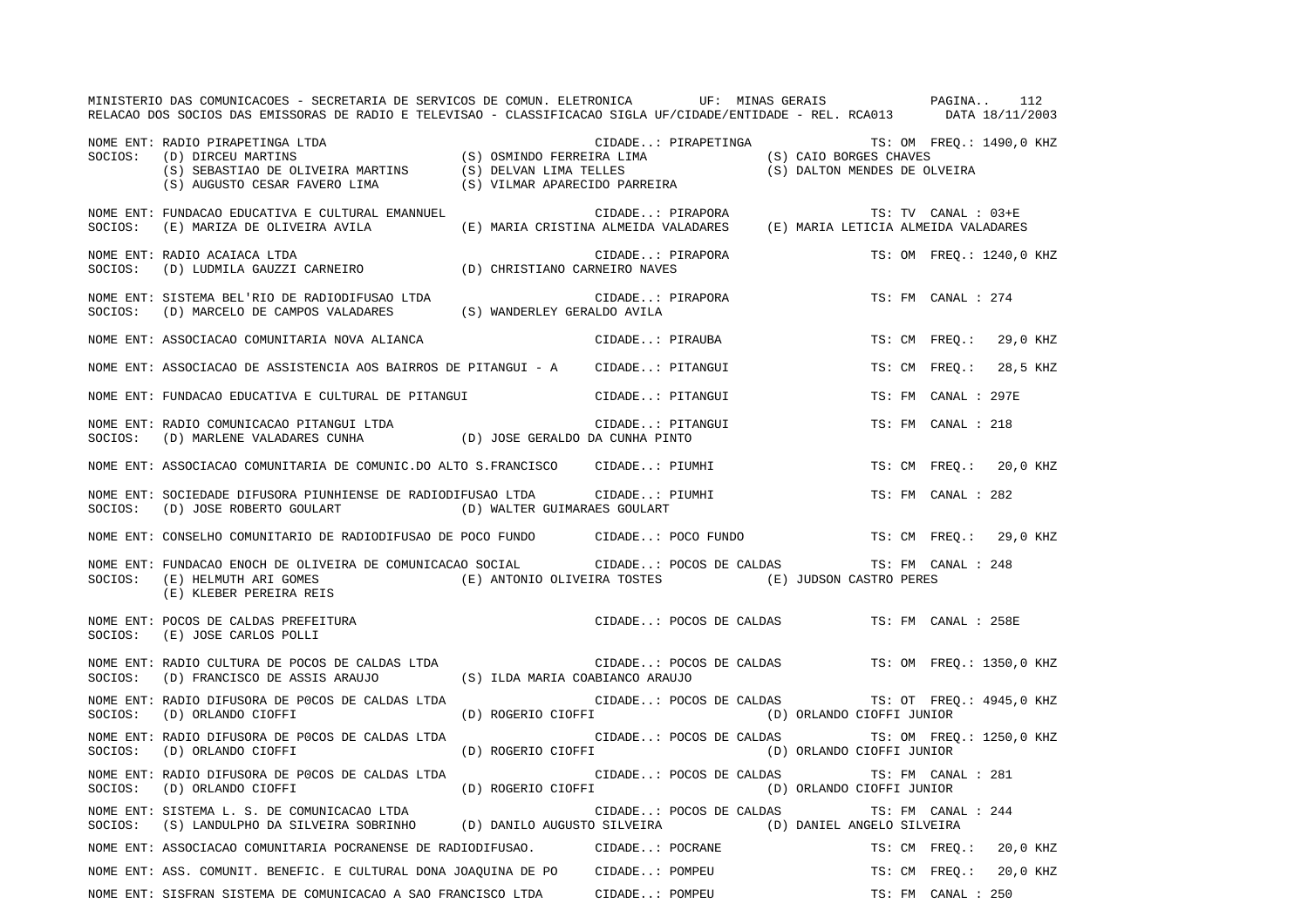|         | MINISTERIO DAS COMUNICACOES - SECRETARIA DE SERVICOS DE COMUN. ELETRONICA UF: MINAS GERAIS PAGINA<br>RELACAO DOS SOCIOS DAS EMISSORAS DE RADIO E TELEVISAO - CLASSIFICACAO SIGLA UF/CIDADE/ENTIDADE - REL. RCA013 DATA 18/11/2003 |                                                                      |                         |                                              |                     | 112                      |
|---------|-----------------------------------------------------------------------------------------------------------------------------------------------------------------------------------------------------------------------------------|----------------------------------------------------------------------|-------------------------|----------------------------------------------|---------------------|--------------------------|
|         | NOME ENT: RADIO PIRAPETINGA LTDA (S) OSMINDO FERREIRA LIMA (S) CAIO BORGES CHAVES (D) DIRCEU MARTINS (S) SENSTIAO DE OLIVEIRA MARTINS (S) DELVAN LIMA TELLES (S) DALTON MENDES DE OLIVEIRA FAVERO LIMA (S) SENSTIAO DE OLIVEIR    |                                                                      |                         | CIDADE: PIRAPETINGA TS: OM FREQ.: 1490,0 KHZ |                     |                          |
| SOCIOS: | NOME ENT: FUNDACAO EDUCATIVA E CULTURAL EMANNUEL<br>(E) MARIZA DE OLIVEIRA AVILA (E) MARIA CRISTINA ALMEIDA VALADARES (E) MARIA LETICIA ALMEIDA VALADARES                                                                         |                                                                      | CIDADE: PIRAPORA        |                                              | TS: TV CANAL : 03+E |                          |
| SOCIOS: | NOME ENT: RADIO ACAIACA LTDA<br>(D) LUDMILA GAUZZI CARNEIRO (D) CHRISTIANO CARNEIRO NAVES                                                                                                                                         |                                                                      | CIDADE: PIRAPORA        |                                              |                     | TS: OM FREQ.: 1240,0 KHZ |
| SOCIOS: | NOME ENT: SISTEMA BEL'RIO DE RADIODIFUSAO LTDA<br>(D) MARCELO DE CAMPOS VALADARES (S) WANDERLEY GERALDO AVILA                                                                                                                     |                                                                      | CIDADE: PIRAPORA        |                                              | TS: FM CANAL : 274  |                          |
|         | NOME ENT: ASSOCIACAO COMUNITARIA NOVA ALIANCA                                                                                                                                                                                     |                                                                      | CIDADE: PIRAUBA         |                                              | TS: CM FREO.:       | 29,0 KHZ                 |
|         | NOME ENT: ASSOCIACAO DE ASSISTENCIA AOS BAIRROS DE PITANGUI - A CIDADE: PITANGUI                                                                                                                                                  |                                                                      |                         |                                              | TS: CM FREO.:       | 28,5 KHZ                 |
|         | NOME ENT: FUNDACAO EDUCATIVA E CULTURAL DE PITANGUI                                                                                                                                                                               |                                                                      | CIDADE: PITANGUI        |                                              | TS: FM CANAL : 297E |                          |
|         | NOME ENT: RADIO COMUNICACAO PITANGUI LTDA (D) JOSE GERALDO DA CUNHA PINTO SOCIOS: (D) MARLENE VALADARES CUNHA (D) JOSE GERALDO DA CUNHA PINTO                                                                                     |                                                                      | CIDADE: PITANGUI        |                                              | TS: FM CANAL : 218  |                          |
|         | NOME ENT: ASSOCIACAO COMUNITARIA DE COMUNIC.DO ALTO S.FRANCISCO CIDADE: PIUMHI                                                                                                                                                    |                                                                      |                         |                                              | TS: CM FREO.:       | 20,0 KHZ                 |
| SOCIOS: | NOME ENT: SOCIEDADE DIFUSORA PIUNHIENSE DE RADIODIFUSAO LTDA CIDADE: PIUMHI<br>(D) JOSE ROBERTO GOULART (D) WALTER GUIMARAES GOULART                                                                                              |                                                                      |                         |                                              | TS: FM CANAL : 282  |                          |
|         | NOME ENT: CONSELHO COMUNITARIO DE RADIODIFUSAO DE POCO FUNDO CIDADE: POCO FUNDO                                                                                                                                                   |                                                                      |                         |                                              |                     | TS: CM FREQ.: 29,0 KHZ   |
| SOCIOS: | NOME ENT: FUNDACAO ENOCH DE OLIVEIRA DE COMUNICACAO SOCIAL CIDADE: POCOS DE CALDAS<br>(E) HELMUTH ARI GOMES<br>(E) KLEBER PEREIRA REIS                                                                                            | TS: FM C<br>(E) ANTONIO OLIVEIRA TOSTES (E) JUDSON CASTRO PERES<br>} |                         |                                              | TS: FM CANAL : 248  |                          |
|         | NOME ENT: POCOS DE CALDAS PREFEITURA<br>SOCIOS: (E) JOSE CARLOS POLLI                                                                                                                                                             |                                                                      | CIDADE: POCOS DE CALDAS |                                              | TS: FM CANAL : 258E |                          |
|         | NOME ENT: RADIO CULTURA DE POCOS DE CALDAS LTDA<br>SOCIOS: (D) FRANCISCO DE ASSIS ARAUJO (S) ILDA MARIA COABIANCO ARAUJO                                                                                                          | CIDADE: POCOS DE CALDAS                                              |                         |                                              |                     | TS: OM FREQ.: 1350,0 KHZ |
| SOCIOS: | NOME ENT: RADIO DIFUSORA DE POCOS DE CALDAS LTDA<br>(D) ORLANDO CIOFFI                                                                                                                                                            | (D) ROGERIO CIOFFI                                                   | CIDADE: POCOS DE CALDAS | (D) ORLANDO CIOFFI JUNIOR                    |                     | TS: OT FREQ.: 4945,0 KHZ |
| SOCIOS: | NOME ENT: RADIO DIFUSORA DE POCOS DE CALDAS LTDA<br>(D) ORLANDO CIOFFI                                                                                                                                                            | (D) ROGERIO CIOFFI                                                   | CIDADE: POCOS DE CALDAS | (D) ORLANDO CIOFFI JUNIOR                    |                     | TS: OM FREQ.: 1250,0 KHZ |
| SOCIOS: | NOME ENT: RADIO DIFUSORA DE POCOS DE CALDAS LTDA<br>(D) ORLANDO CIOFFI                                                                                                                                                            | (D) ROGERIO CIOFFI                                                   | CIDADE: POCOS DE CALDAS | (D) ORLANDO CIOFFI JUNIOR                    | TS: FM CANAL : 281  |                          |
| SOCIOS: | NOME ENT: SISTEMA L. S. DE COMUNICACAO LTDA<br>(S) LANDULPHO DA SILVEIRA SOBRINHO (D) DANILO AUGUSTO SILVEIRA (D) DANIEL ANGELO SILVEIRA                                                                                          |                                                                      | CIDADE: POCOS DE CALDAS |                                              | TS: FM CANAL : 244  |                          |
|         | NOME ENT: ASSOCIACAO COMUNITARIA POCRANENSE DE RADIODIFUSAO. CIDADE: POCRANE                                                                                                                                                      |                                                                      |                         |                                              | TS: CM FREO.:       | 20,0 KHZ                 |
|         | NOME ENT: ASS. COMUNIT. BENEFIC. E CULTURAL DONA JOAQUINA DE PO CIDADE: POMPEU                                                                                                                                                    |                                                                      |                         |                                              | TS: CM FREQ.:       | 20,0 KHZ                 |
|         | NOME ENT: SISFRAN SISTEMA DE COMUNICACAO A SAO FRANCISCO LTDA CIDADE: POMPEU                                                                                                                                                      |                                                                      |                         |                                              | TS: FM CANAL : 250  |                          |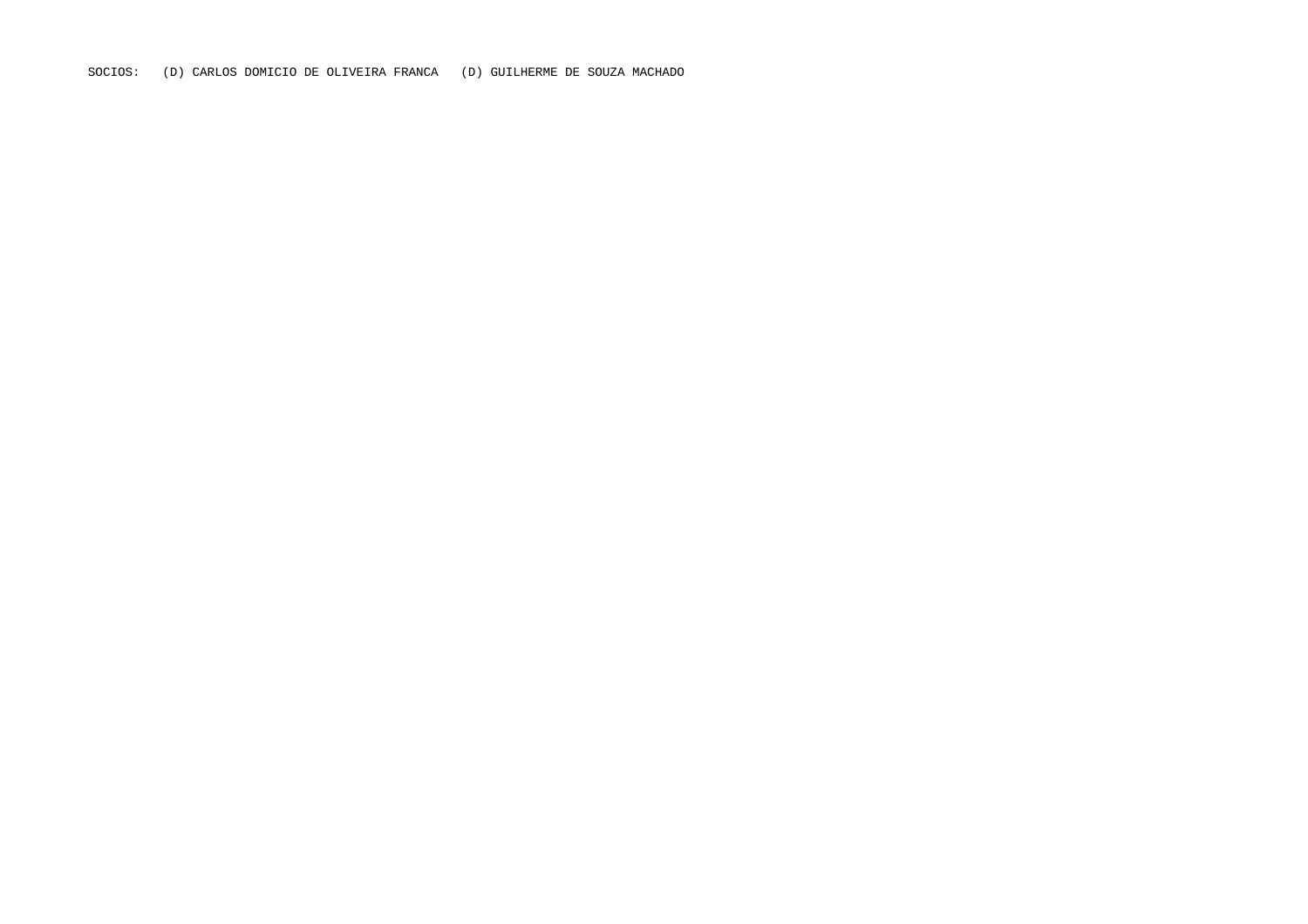SOCIOS: (D) CARLOS DOMICIO DE OLIVEIRA FRANCA (D) GUILHERME DE SOUZA MACHADO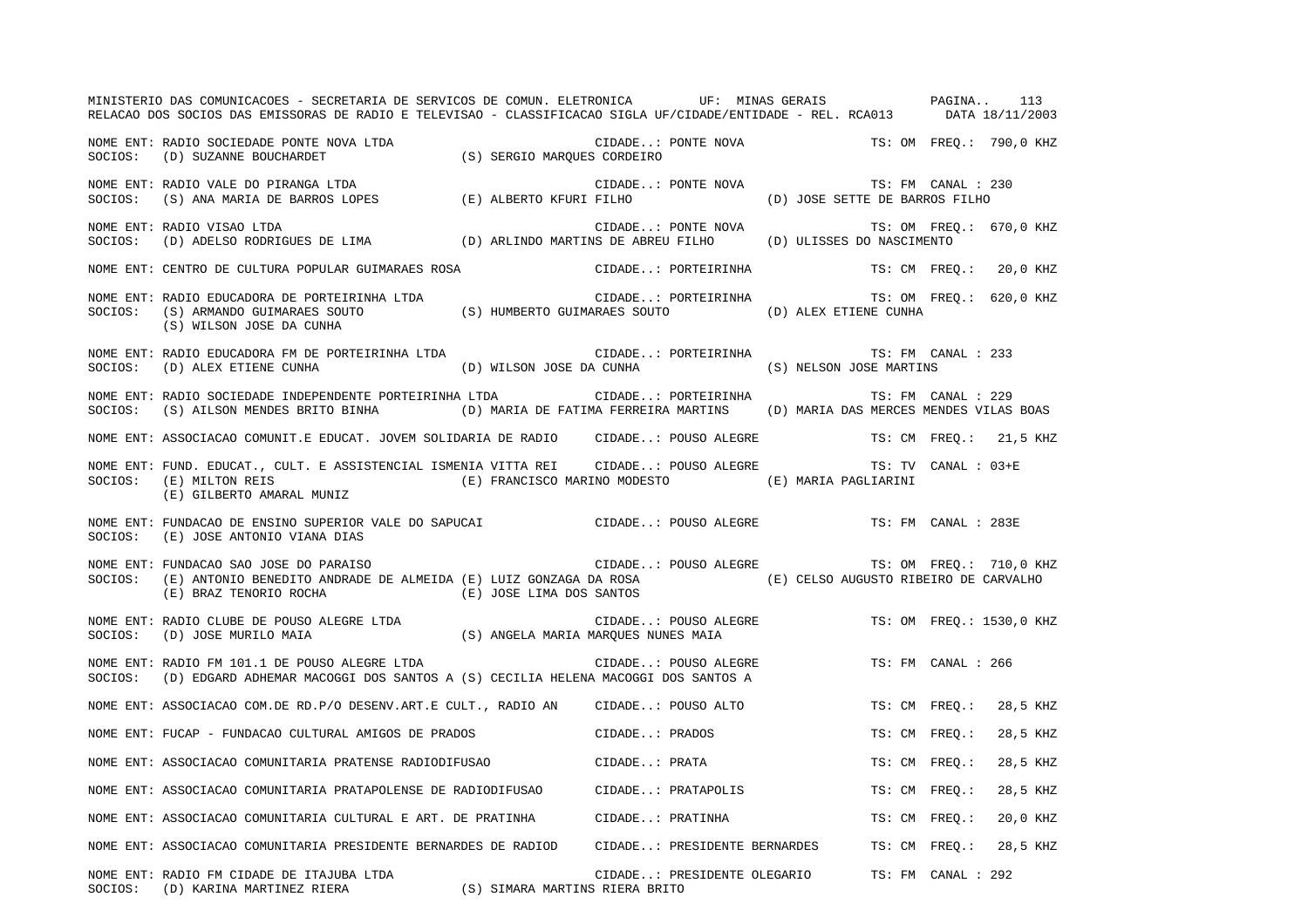MINISTERIO DAS COMUNICACOES - SECRETARIA DE SERVICOS DE COMUN. ELETRONICA UF: MINAS GERAIS PAGINA.. 113RELACAO DOS SOCIOS DAS EMISSORAS DE RADIO E TELEVISAO - CLASSIFICACAO SIGLA UF/CIDADE/ENTIDADE - REL. RCA013 DATA 18/11/2003 NOME ENT: RADIO SOCIEDADE PONTE NOVA LTDA CIDADE..: PONTE NOVA TS: OM FREQ.: 790,0 KHZ SOCIOS: (D) SUZANNE BOUCHARDET (S) SERGIO MARQUES CORDEIRO NOME ENT: RADIO VALE DO PIRANGA LTDA CIDADE..: PONTE NOVA TS: FM CANAL : 230 SOCIOS: (S) ANA MARIA DE BARROS LOPES (E) ALBERTO KFURI FILHO (D) JOSE SETTE DE BARROS FILHO NOME ENT: RADIO VISAO LTDA  $\blacksquare$  (IDADE..: PONTE NOVA TS: OM FREQ.: 670,0 KHZ SOCIOS: (D) ADELSO RODRIGUES DE LIMA (D) ARLINDO MARTINS DE ABREU FILHO (D) ULISSES DO NASCIMENTO NOME ENT: CENTRO DE CULTURA POPULAR GUIMARAES ROSA CIDADE..: PORTEIRINHA TS: CM FREQ.: 20,0 KHZ NOME ENT: RADIO EDUCADORA DE PORTEIRINHA LTDA CIDADE..: PORTEIRINHA TS: OM FREQ.: 620,0 KHZ SOCIOS: (S) ARMANDO GUIMARAES SOUTO (S) HUMBERTO GUIMARAES SOUTO (D) ALEX ETIENE CUNHA (S) WILSON JOSE DA CUNHA NOME ENT: RADIO EDUCADORA FM DE PORTEIRINHA LTDA CIDADE..: PORTEIRINHA TS: FM CANAL : 233 SOCIOS: (D) ALEX ETIENE CUNHA (D) WILSON JOSE DA CUNHA (S) NELSON JOSE MARTINS NOME ENT: RADIO SOCIEDADE INDEPENDENTE PORTEIRINHA LTDA CIDADE..: PORTEIRINHA TS: FM CANAL : 229 SOCIOS: (S) AILSON MENDES BRITO BINHA (D) MARIA DE FATIMA FERREIRA MARTINS (D) MARIA DAS MERCES MENDES VILAS BOAS NOME ENT: ASSOCIACAO COMUNIT.E EDUCAT. JOVEM SOLIDARIA DE RADIO CIDADE..: POUSO ALEGRE TS: CM FREQ.: 21,5 KHZ NOME ENT: FUND. EDUCAT., CULT. E ASSISTENCIAL ISMENIA VITTA REI CIDADE..: POUSO ALEGRE TS: TV CANAL : 03+E SOCIOS: (E) MILTON REIS (E) FRANCISCO MARINO MODESTO (E) MARIA PAGLIARINI (E) GILBERTO AMARAL MUNIZ NOME ENT: FUNDACAO DE ENSINO SUPERIOR VALE DO SAPUCAI CIDADE..: POUSO ALEGRE TS: FM CANAL : 283ESOCIOS: (E) JOSE ANTONIO VIANA DIAS NOME ENT: FUNDACAO SAO JOSE DO PARAISO CIDADE..: POUSO ALEGRE TS: OM FREQ.: 710,0 KHZ SOCIOS: (E) ANTONIO BENEDITO ANDRADE DE ALMEIDA (E) LUIZ GONZAGA DA ROSA (E) CELSO AUGUSTO RIBEIRO DE CARVALHO (E) BRAZ TENORIO ROCHA (E) JOSE LIMA DOS SANTOS NOME ENT: RADIO CLUBE DE POUSO ALEGRE LTDA CIDADE..: POUSO ALEGRE TS: OM FREQ.: 1530,0 KHZ SOCIOS: (D) JOSE MURILO MAIA (S) ANGELA MARIA MARQUES NUNES MAIA NOME ENT: RADIO FM 101.1 DE POUSO ALEGRE LTDA CIDADE..: POUSO ALEGRE TS: FM CANAL : 266SOCIOS: (D) EDGARD ADHEMAR MACOGGI DOS SANTOS A (S) CECILIA HELENA MACOGGI DOS SANTOS A NOME ENT: ASSOCIACAO COM.DE RD.P/O DESENV.ART.E CULT., RADIO AN CIDADE..: POUSO ALTO TS: CM FREQ.: 28,5 KHZ NOME ENT: FUCAP - FUNDACAO CULTURAL AMIGOS DE PRADOS (CIDADE..: PRADOS TS: CM FREQ.: 28,5 KHZ NOME ENT: ASSOCIACAO COMUNITARIA PRATENSE RADIODIFUSAO CIDADE..: PRATA TS: CM FREQ.: 28,5 KHZ NOME ENT: ASSOCIACAO COMUNITARIA PRATAPOLENSE DE RADIODIFUSAO CIDADE..: PRATAPOLIS TS: CM FREQ.: 28,5 KHZ NOME ENT: ASSOCIACAO COMUNITARIA CULTURAL E ART. DE PRATINHA CIDADE..: PRATINHA TS: CM FREQ.: 20,0 KHZ NOME ENT: ASSOCIACAO COMUNITARIA PRESIDENTE BERNARDES DE RADIOD CIDADE..: PRESIDENTE BERNARDES TS: CM FREQ.: 28,5 KHZ NOME ENT: RADIO FM CIDADE DE ITAJUBA LTDA CIDADE..: PRESIDENTE OLEGARIO TS: FM CANAL : 292SOCIOS: (D) KARINA MARTINEZ RIERA (S) SIMARA MARTINS RIERA BRITO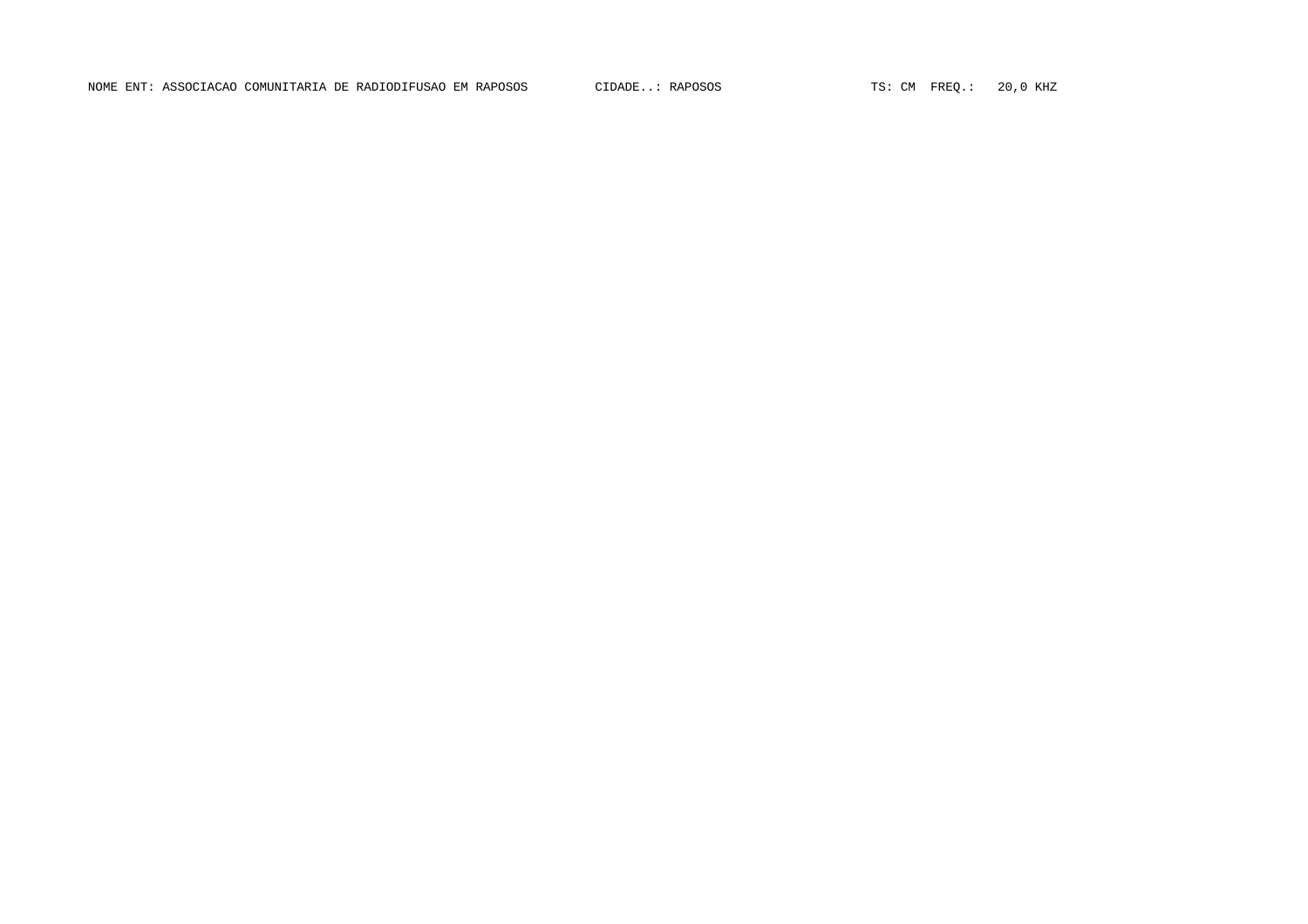NOME ENT: ASSOCIACAO COMUNITARIA DE RADIODIFUSAO EM RAPOSOS CIDADE..: RAPOSOS TS: CM FREQ.: 20,0 KHZ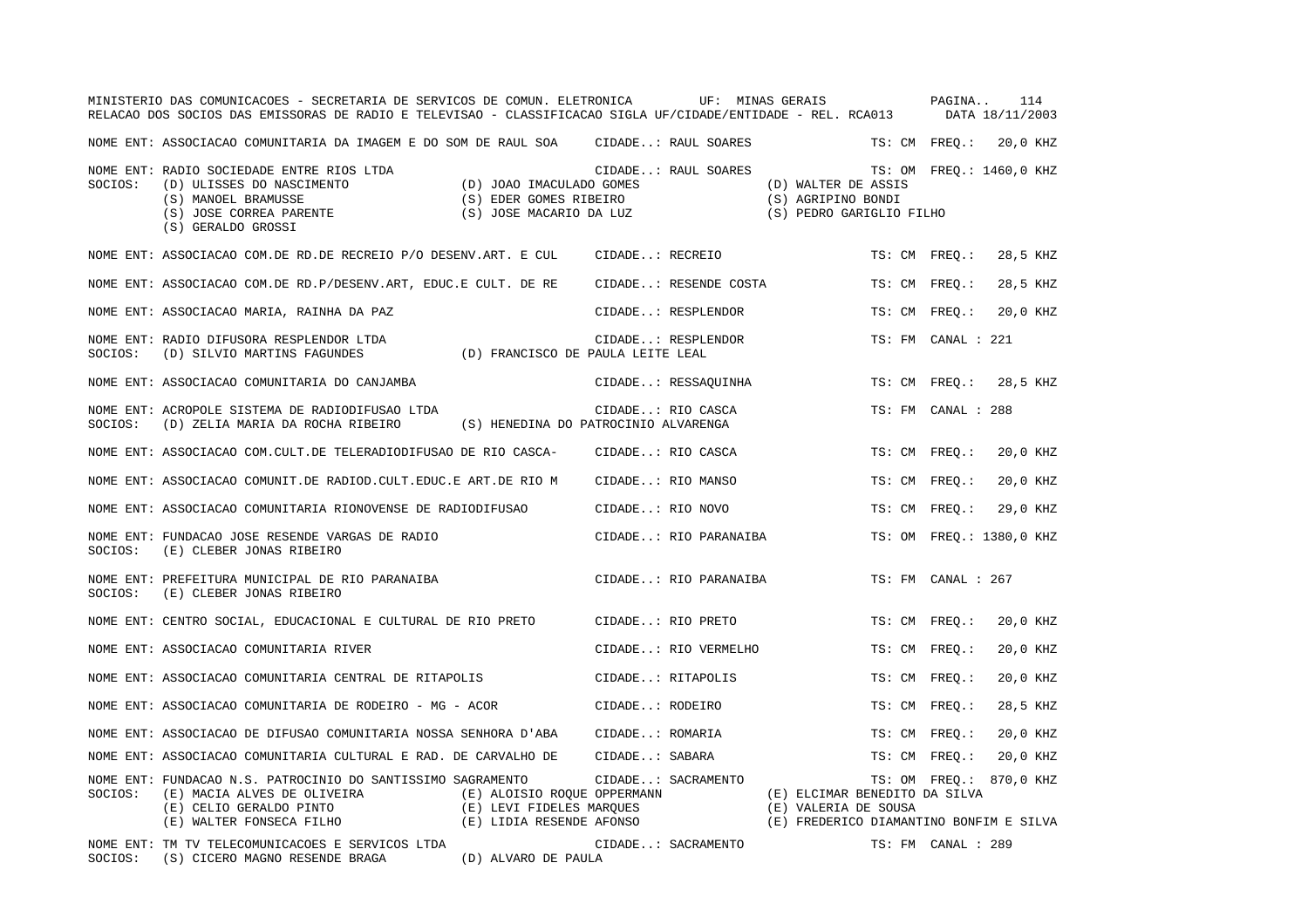|         | MINISTERIO DAS COMUNICACOES - SECRETARIA DE SERVICOS DE COMUN. ELETRONICA<br>RELACAO DOS SOCIOS DAS EMISSORAS DE RADIO E TELEVISAO - CLASSIFICACAO SIGLA UF/CIDADE/ENTIDADE - REL. RCA013 |                                                                                     |                  | UF: MINAS GERAIS      |                                                                                                  |               | PAGINA             | 114<br>DATA 18/11/2003   |
|---------|-------------------------------------------------------------------------------------------------------------------------------------------------------------------------------------------|-------------------------------------------------------------------------------------|------------------|-----------------------|--------------------------------------------------------------------------------------------------|---------------|--------------------|--------------------------|
|         | NOME ENT: ASSOCIACAO COMUNITARIA DA IMAGEM E DO SOM DE RAUL SOA                                                                                                                           |                                                                                     |                  | CIDADE: RAUL SOARES   |                                                                                                  |               | TS: CM FREQ.:      | 20,0 KHZ                 |
| SOCIOS: | NOME ENT: RADIO SOCIEDADE ENTRE RIOS LTDA<br>(D) ULISSES DO NASCIMENTO<br>(S) MANOEL BRAMUSSE<br>(S) JOSE CORREA PARENTE<br>(S) GERALDO GROSSI                                            | (D) JOAO IMACULADO GOMES<br>(S) EDER GOMES RIBEIRO<br>(S) JOSE MACARIO DA LUZ       |                  | CIDADE: RAUL SOARES   | (D) WALTER DE ASSIS<br>(S) AGRIPINO BONDI<br>(S) PEDRO GARIGLIO FILHO                            |               |                    | TS: OM FREO.: 1460,0 KHZ |
|         | NOME ENT: ASSOCIACAO COM.DE RD.DE RECREIO P/O DESENV.ART. E CUL                                                                                                                           |                                                                                     | CIDADE: RECREIO  |                       |                                                                                                  | TS: CM FREO.: |                    | 28,5 KHZ                 |
|         | NOME ENT: ASSOCIACAO COM.DE RD.P/DESENV.ART, EDUC.E CULT. DE RE                                                                                                                           |                                                                                     |                  | CIDADE: RESENDE COSTA |                                                                                                  | TS: CM FREQ.: |                    | 28,5 KHZ                 |
|         | NOME ENT: ASSOCIACAO MARIA, RAINHA DA PAZ                                                                                                                                                 |                                                                                     |                  | CIDADE: RESPLENDOR    |                                                                                                  | TS: CM FREQ.: |                    | 20,0 KHZ                 |
| SOCIOS: | NOME ENT: RADIO DIFUSORA RESPLENDOR LTDA<br>(D) SILVIO MARTINS FAGUNDES                                                                                                                   | (D) FRANCISCO DE PAULA LEITE LEAL                                                   |                  | CIDADE: RESPLENDOR    |                                                                                                  |               | TS: FM CANAL : 221 |                          |
|         | NOME ENT: ASSOCIACAO COMUNITARIA DO CANJAMBA                                                                                                                                              |                                                                                     |                  | CIDADE: RESSAQUINHA   |                                                                                                  | TS: CM FREQ.: |                    | 28,5 KHZ                 |
| SOCIOS: | NOME ENT: ACROPOLE SISTEMA DE RADIODIFUSAO LTDA<br>(D) ZELIA MARIA DA ROCHA RIBEIRO                                                                                                       | (S) HENEDINA DO PATROCINIO ALVARENGA                                                |                  | CIDADE: RIO CASCA     |                                                                                                  |               | TS: FM CANAL : 288 |                          |
|         | NOME ENT: ASSOCIACAO COM.CULT.DE TELERADIODIFUSAO DE RIO CASCA-                                                                                                                           |                                                                                     |                  | CIDADE: RIO CASCA     |                                                                                                  | TS: CM FREO.: |                    | 20,0 KHZ                 |
|         | NOME ENT: ASSOCIACAO COMUNIT.DE RADIOD.CULT.EDUC.E ART.DE RIO M                                                                                                                           |                                                                                     |                  | CIDADE: RIO MANSO     |                                                                                                  | TS: CM FREO.: |                    | 20,0 KHZ                 |
|         | NOME ENT: ASSOCIACAO COMUNITARIA RIONOVENSE DE RADIODIFUSAO                                                                                                                               |                                                                                     | CIDADE: RIO NOVO |                       |                                                                                                  | TS: CM        | $\tt FREO.$ :      | 29,0 KHZ                 |
| SOCIOS: | NOME ENT: FUNDACAO JOSE RESENDE VARGAS DE RADIO<br>(E) CLEBER JONAS RIBEIRO                                                                                                               |                                                                                     |                  | CIDADE: RIO PARANAIBA |                                                                                                  |               |                    | TS: OM FREQ.: 1380,0 KHZ |
| SOCIOS: | NOME ENT: PREFEITURA MUNICIPAL DE RIO PARANAIBA<br>(E) CLEBER JONAS RIBEIRO                                                                                                               |                                                                                     |                  | CIDADE: RIO PARANAIBA |                                                                                                  |               | TS: FM CANAL : 267 |                          |
|         | NOME ENT: CENTRO SOCIAL, EDUCACIONAL E CULTURAL DE RIO PRETO                                                                                                                              |                                                                                     |                  | CIDADE: RIO PRETO     |                                                                                                  | TS: CM FREO.: |                    | 20,0 KHZ                 |
|         | NOME ENT: ASSOCIACAO COMUNITARIA RIVER                                                                                                                                                    |                                                                                     |                  | CIDADE: RIO VERMELHO  |                                                                                                  | TS: CM FREQ.: |                    | 20,0 KHZ                 |
|         | NOME ENT: ASSOCIACAO COMUNITARIA CENTRAL DE RITAPOLIS                                                                                                                                     |                                                                                     |                  | CIDADE: RITAPOLIS     |                                                                                                  | TS: CM FREO.: |                    | 20,0 KHZ                 |
|         | NOME ENT: ASSOCIACAO COMUNITARIA DE RODEIRO - MG - ACOR                                                                                                                                   |                                                                                     | CIDADE: RODEIRO  |                       |                                                                                                  | TS: CM FREO.: |                    | 28,5 KHZ                 |
|         | NOME ENT: ASSOCIACAO DE DIFUSAO COMUNITARIA NOSSA SENHORA D'ABA                                                                                                                           |                                                                                     | CIDADE: ROMARIA  |                       |                                                                                                  | TS: CM FREO.: |                    | 20,0 KHZ                 |
|         | NOME ENT: ASSOCIACAO COMUNITARIA CULTURAL E RAD. DE CARVALHO DE                                                                                                                           |                                                                                     | CIDADE: SABARA   |                       |                                                                                                  | TS: CM FREQ.: |                    | 20,0 KHZ                 |
| SOCIOS: | NOME ENT: FUNDACAO N.S. PATROCINIO DO SANTISSIMO SAGRAMENTO<br>(E) MACIA ALVES DE OLIVEIRA<br>(E) CELIO GERALDO PINTO<br>(E) WALTER FONSECA FILHO                                         | (E) ALOISIO ROQUE OPPERMANN<br>(E) LEVI FIDELES MARQUES<br>(E) LIDIA RESENDE AFONSO |                  | CIDADE: SACRAMENTO    | (E) ELCIMAR BENEDITO DA SILVA<br>(E) VALERIA DE SOUSA<br>(E) FREDERICO DIAMANTINO BONFIM E SILVA |               |                    | TS: OM FREO.: 870,0 KHZ  |
| SOCIOS: | NOME ENT: TM TV TELECOMUNICACOES E SERVICOS LTDA<br>(S) CICERO MAGNO RESENDE BRAGA                                                                                                        | (D) ALVARO DE PAULA                                                                 |                  | CIDADE: SACRAMENTO    |                                                                                                  |               | TS: FM CANAL : 289 |                          |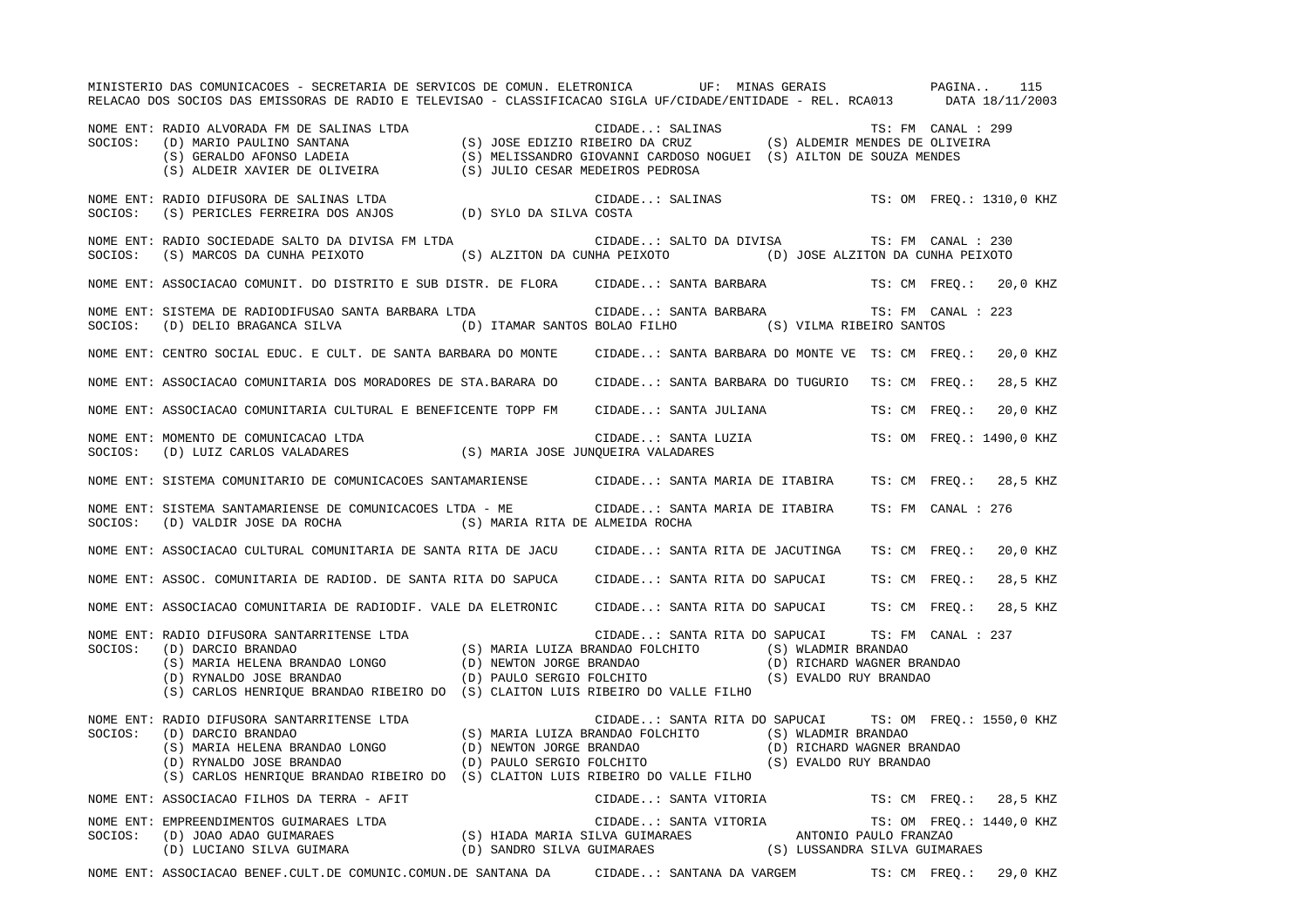MINISTERIO DAS COMUNICACOES - SECRETARIA DE SERVICOS DE COMUN. ELETRONICA UF: MINAS GERAIS PAGINA.. 115 RELACAO DOS SOCIOS DAS EMISSORAS DE RADIO E TELEVISAO - CLASSIFICACAO SIGLA UF/CIDADE/ENTIDADE - REL. RCA013 DATA 18/11/2003 NOME ENT: RADIO ALVORADA FM DE SALINAS LTDA CIDADE..: SALINAS TS: FM CANAL : 299SOCIOS: (D) MARIO PAULINO SANTANA (S) JOSE EDIZIO RIBEIRO DA CRUZ (S) ALDEMIR MENDES DE OLIVEIRA (S) GERALDO AFONSO LADEIA (S) MELISSANDRO GIOVANNI CARDOSO NOGUEI (S) AILTON DE SOUZA MENDES (S) ALDEIR XAVIER DE OLIVEIRA (S) JULIO CESAR MEDEIROS PEDROSA NOME ENT: RADIO DIFUSORA DE SALINAS LTDA CIDADE..: SALINAS TS: OM FREQ.: 1310,0 KHZ SOCIOS: (S) PERICLES FERREIRA DOS ANJOS (D) SYLO DA SILVA COSTA NOME ENT: RADIO SOCIEDADE SALTO DA DIVISA FM LTDA CIDADE..: SALTO DA DIVISA TS: FM CANAL : 230SOCIOS: (S) MARCOS DA CUNHA PEIXOTO (S) ALZITON DA CUNHA PEIXOTO (D) JOSE ALZITON DA CUNHA PEIXOTO NOME ENT: ASSOCIACAO COMUNIT. DO DISTRITO E SUB DISTR. DE FLORA CIDADE..: SANTA BARBARA TS: CM FREQ.: 20,0 KHZ NOME ENT: SISTEMA DE RADIODIFUSAO SANTA BARBARA LTDA (CIDADE..: SANTA BARBARA TS: FM CANAL : 223 SOCIOS: (D) DELIO BRAGANCA SILVA (D) ITAMAR SANTOS BOLAO FILHO (S) VILMA RIBEIRO SANTOS NOME ENT: CENTRO SOCIAL EDUC. E CULT. DE SANTA BARBARA DO MONTE CIDADE..: SANTA BARBARA DO MONTE VE TS: CM FREQ.: 20,0 KHZ NOME ENT: ASSOCIACAO COMUNITARIA DOS MORADORES DE STA.BARARA DO CIDADE..: SANTA BARBARA DO TUGURIO TS: CM FREQ.: 28,5 KHZ NOME ENT: ASSOCIACAO COMUNITARIA CULTURAL E BENEFICENTE TOPP FM CIDADE..: SANTA JULIANA TS: CM FREQ.: 20,0 KHZ NOME ENT: MOMENTO DE COMUNICACAO LTDA CIDADE..: SANTA LUZIA TS: OM FREQ.: 1490,0 KHZ SOCIOS: (D) LUIZ CARLOS VALADARES (S) MARIA JOSE JUNQUEIRA VALADARES NOME ENT: SISTEMA COMUNITARIO DE COMUNICACOES SANTAMARIENSE CIDADE..: SANTA MARIA DE ITABIRA TS: CM FREQ.: 28,5 KHZ NOME ENT: SISTEMA SANTAMARIENSE DE COMUNICACOES LTDA - ME CIDADE..: SANTA MARIA DE ITABIRA TS: FM CANAL : 276SOCIOS: (D) VALDIR JOSE DA ROCHA (S) MARIA RITA DE ALMEIDA ROCHA NOME ENT: ASSOCIACAO CULTURAL COMUNITARIA DE SANTA RITA DE JACU CIDADE..: SANTA RITA DE JACUTINGA TS: CM FREQ.: 20,0 KHZ NOME ENT: ASSOC. COMUNITARIA DE RADIOD. DE SANTA RITA DO SAPUCA CIDADE..: SANTA RITA DO SAPUCAI TS: CM FREQ.: 28,5 KHZ NOME ENT: ASSOCIACAO COMUNITARIA DE RADIODIF. VALE DA ELETRONIC CIDADE..: SANTA RITA DO SAPUCAI TS: CM FREQ.: 28,5 KHZ NOME ENT: RADIO DIFUSORA SANTARRITENSE LTDA CIDADE..: SANTA RITA DO SAPUCAI TS: FM CANAL : 237 SOCIOS: (D) DARCIO BRANDAO (S) MARIA LUIZA BRANDAO FOLCHITO (S) WLADMIR BRANDAO (S) MARIA HELENA BRANDAO LONGO (D) NEWTON JORGE BRANDAO (D) RICHARD WAGNER BRANDAO (D) RYNALDO JOSE BRANDAO (D) PAULO SERGIO FOLCHITO (S) EVALDO RUY BRANDAO (S) CARLOS HENRIQUE BRANDAO RIBEIRO DO (S) CLAITON LUIS RIBEIRO DO VALLE FILHO NOME ENT: RADIO DIFUSORA SANTARRITENSE LTDA CIDADE..: SANTA RITA DO SAPUCAI TS: OM FREQ.: 1550,0 KHZ SOCIOS: (D) DARCIO BRANDAO (S) MARIA LUIZA BRANDAO FOLCHITO (S) WLADMIR BRANDAO (S) MARIA HELENA BRANDAO LONGO (D) NEWTON JORGE BRANDAO (D) RICHARD WAGNER BRANDAO (D) RYNALDO JOSE BRANDAO (D) PAULO SERGIO FOLCHITO (S) EVALDO RUY BRANDAO (S) CARLOS HENRIQUE BRANDAO RIBEIRO DO (S) CLAITON LUIS RIBEIRO DO VALLE FILHO NOME ENT: ASSOCIACAO FILHOS DA TERRA - AFIT CIDADE..: SANTA VITORIA TS: CM FREQ.: 28,5 KHZ NOME ENT: EMPREENDIMENTOS GUIMARAES LTDA CIDADE..: SANTA VITORIA TS: OM FREQ.: 1440,0 KHZ SOCIOS: (D) JOAO ADAO GUIMARAES (S) HIADA MARIA SILVA GUIMARAES ANTONIO PAULO FRANZAO (D) LUCIANO SILVA GUIMARA (D) SANDRO SILVA GUIMARAES (S) LUSSANDRA SILVA GUIMARAES NOME ENT: ASSOCIACAO BENEF.CULT.DE COMUNIC.COMUN.DE SANTANA DA CIDADE..: SANTANA DA VARGEM TS: CM FREQ.: 29,0 KHZ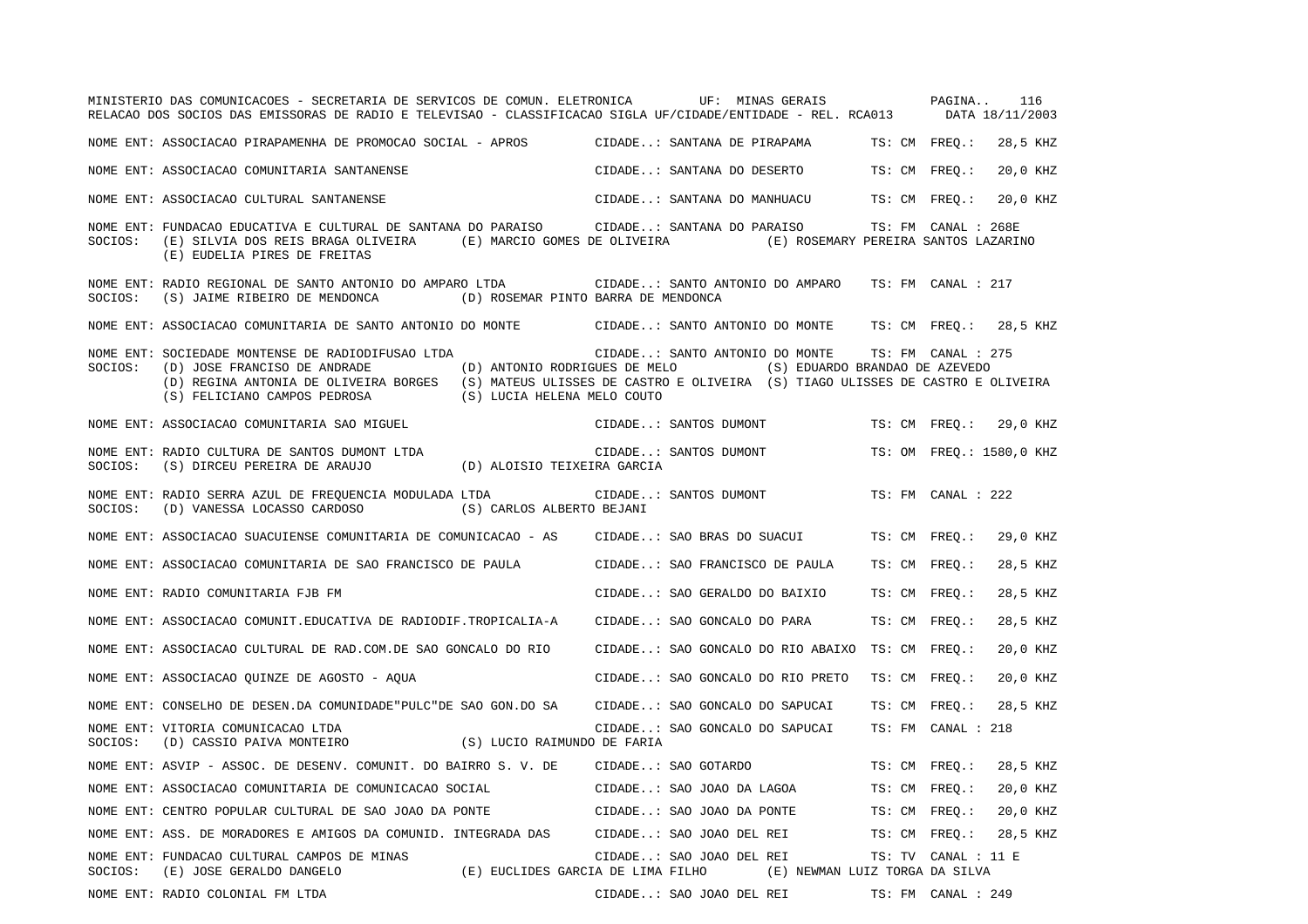|         | MINISTERIO DAS COMUNICACOES - SECRETARIA DE SERVICOS DE COMUN. ELETRONICA UF: MINAS GERAIS PAGINA<br>RELACAO DOS SOCIOS DAS EMISSORAS DE RADIO E TELEVISAO - CLASSIFICACAO SIGLA UF/CIDADE/ENTIDADE - REL. RCA013 DATA 18/11/2003                                     |                                                                  |                                  |                                                                                     |                     | 116                      |
|---------|-----------------------------------------------------------------------------------------------------------------------------------------------------------------------------------------------------------------------------------------------------------------------|------------------------------------------------------------------|----------------------------------|-------------------------------------------------------------------------------------|---------------------|--------------------------|
|         | NOME ENT: ASSOCIACAO PIRAPAMENHA DE PROMOCAO SOCIAL - APROS (CIDADE: SANTANA DE PIRAPAMA (TS: CM FREQ.:                                                                                                                                                               |                                                                  |                                  |                                                                                     |                     | 28,5 KHZ                 |
|         | NOME ENT: ASSOCIACAO COMUNITARIA SANTANENSE                                                                                                                                                                                                                           |                                                                  | CIDADE: SANTANA DO DESERTO       |                                                                                     | TS: CM FREO.:       | 20,0 KHZ                 |
|         | NOME ENT: ASSOCIACAO CULTURAL SANTANENSE                                                                                                                                                                                                                              |                                                                  |                                  | CIDADE: SANTANA DO MANHUACU TS: CM FREQ.:                                           |                     | 20,0 KHZ                 |
| SOCIOS: | NOME ENT: FUNDACAO EDUCATIVA E CULTURAL DE SANTANA DO PARAISO CIDADE: SANTANA DO PARAISO<br>(E) SILVIA DOS REIS BRAGA OLIVEIRA (E) MARCIO GOMES DE OLIVEIRA (E) ROSEMARY PEREIRA SANTOS LAZARINO<br>(E) EUDELIA PIRES DE FREITAS                                      |                                                                  |                                  |                                                                                     | TS: FM CANAL : 268E |                          |
| SOCIOS: | NOME ENT: RADIO REGIONAL DE SANTO ANTONIO DO AMPARO LTDA<br>(S) JAIME RIBEIRO DE MENDONCA                                                                                                                                                                             | (D) ROSEMAR PINTO BARRA DE MENDONCA                              | CIDADE: SANTO ANTONIO DO AMPARO  |                                                                                     | TS: FM CANAL : 217  |                          |
|         | NOME ENT: ASSOCIACAO COMUNITARIA DE SANTO ANTONIO DO MONTE CIDADE: SANTO ANTONIO DO MONTE TS: CM FREQ.: 28,5 KHZ                                                                                                                                                      |                                                                  |                                  |                                                                                     |                     |                          |
| SOCIOS: | NOME ENT: SOCIEDADE MONTENSE DE RADIODIFUSAO LTDA<br>(D) JOSE FRANCISO DE ANDRADE<br>(D) REGINA ANTONIA DE OLIVEIRA BORGES (S) MATEUS ULISSES DE CASTRO E OLIVEIRA (S) TIAGO ULISSES DE CASTRO E OLIVEIRA<br>(S) FELICIANO CAMPOS PEDROSA (S) LUCIA HELENA MELO COUTO | (D) ANTONIO RODRIGUES DE MELO                                    |                                  | CIDADE: SANTO ANTONIO DO MONTE TS: FM CANAL : 275<br>(S) EDUARDO BRANDAO DE AZEVEDO |                     |                          |
|         | NOME ENT: ASSOCIACAO COMUNITARIA SAO MIGUEL                                                                                                                                                                                                                           |                                                                  | CIDADE: SANTOS DUMONT            |                                                                                     |                     | TS: CM FREO.: 29,0 KHZ   |
| SOCIOS: | NOME ENT: RADIO CULTURA DE SANTOS DUMONT LTDA<br>(S) DIRCEU PEREIRA DE ARAUJO                                                                                                                                                                                         | (D) ALOISIO TEIXEIRA GARCIA                                      | CIDADE: SANTOS DUMONT            |                                                                                     |                     | TS: OM FREQ.: 1580,0 KHZ |
| SOCIOS: | NOME ENT: RADIO SERRA AZUL DE FREQUENCIA MODULADA LTDA<br>(D) VANESSA LOCASSO CARDOSO                                                                                                                                                                                 | (S) CARLOS ALBERTO BEJANI                                        | CIDADE: SANTOS DUMONT            |                                                                                     | TS: FM CANAL : 222  |                          |
|         | NOME ENT: ASSOCIACAO SUACUIENSE COMUNITARIA DE COMUNICACAO - AS                                                                                                                                                                                                       |                                                                  | CIDADE: SAO BRAS DO SUACUI       |                                                                                     | TS: CM FREO.:       | 29,0 KHZ                 |
|         | NOME ENT: ASSOCIACAO COMUNITARIA DE SAO FRANCISCO DE PAULA                                                                                                                                                                                                            |                                                                  | CIDADE: SAO FRANCISCO DE PAULA   |                                                                                     | TS: CM FREQ.:       | 28,5 KHZ                 |
|         | NOME ENT: RADIO COMUNITARIA FJB FM                                                                                                                                                                                                                                    |                                                                  | CIDADE: SAO GERALDO DO BAIXIO    |                                                                                     | TS: CM FREO.:       | 28,5 KHZ                 |
|         | NOME ENT: ASSOCIACAO COMUNIT.EDUCATIVA DE RADIODIF.TROPICALIA-A                                                                                                                                                                                                       |                                                                  | CIDADE: SAO GONCALO DO PARA      |                                                                                     | TS: CM FREO.:       | 28,5 KHZ                 |
|         | NOME ENT: ASSOCIACAO CULTURAL DE RAD.COM.DE SAO GONCALO DO RIO                                                                                                                                                                                                        |                                                                  |                                  | CIDADE: SAO GONCALO DO RIO ABAIXO TS: CM FREQ.:                                     |                     | 20,0 KHZ                 |
|         | NOME ENT: ASSOCIACAO QUINZE DE AGOSTO - AQUA                                                                                                                                                                                                                          |                                                                  | CIDADE: SAO GONCALO DO RIO PRETO |                                                                                     | TS: CM FREQ.:       | 20,0 KHZ                 |
|         | NOME ENT: CONSELHO DE DESEN.DA COMUNIDADE "PULC "DE SAO GON.DO SA                                                                                                                                                                                                     |                                                                  | CIDADE: SAO GONCALO DO SAPUCAI   |                                                                                     | TS: CM FREQ.:       | 28,5 KHZ                 |
| SOCIOS: | NOME ENT: VITORIA COMUNICACAO LTDA<br>(D) CASSIO PAIVA MONTEIRO (S) LUCIO RAIMUNDO DE FARIA                                                                                                                                                                           |                                                                  | CIDADE: SAO GONCALO DO SAPUCAI   |                                                                                     | TS: FM CANAL : 218  |                          |
|         | NOME ENT: ASVIP - ASSOC. DE DESENV. COMUNIT. DO BAIRRO S. V. DE                                                                                                                                                                                                       |                                                                  | CIDADE: SAO GOTARDO              |                                                                                     | TS: CM FREO.:       | 28,5 KHZ                 |
|         | NOME ENT: ASSOCIACAO COMUNITARIA DE COMUNICACAO SOCIAL                                                                                                                                                                                                                |                                                                  | CIDADE: SAO JOAO DA LAGOA        |                                                                                     | TS: CM FREQ.:       | 20,0 KHZ                 |
|         | NOME ENT: CENTRO POPULAR CULTURAL DE SAO JOAO DA PONTE                                                                                                                                                                                                                |                                                                  | CIDADE: SAO JOAO DA PONTE        |                                                                                     | TS: CM FREO.:       | 20,0 KHZ                 |
|         | NOME ENT: ASS. DE MORADORES E AMIGOS DA COMUNID. INTEGRADA DAS                                                                                                                                                                                                        |                                                                  | CIDADE: SAO JOAO DEL REI         |                                                                                     | TS: CM FREQ.:       | 28,5 KHZ                 |
| SOCIOS: | NOME ENT: FUNDACAO CULTURAL CAMPOS DE MINAS<br>(E) JOSE GERALDO DANGELO                                                                                                                                                                                               | (E) EUCLIDES GARCIA DE LIMA FILHO (E) NEWMAN LUIZ TORGA DA SILVA | CIDADE: SAO JOAO DEL REI         |                                                                                     | TS: TV CANAL : 11 E |                          |
|         | NOME ENT: RADIO COLONIAL FM LTDA                                                                                                                                                                                                                                      |                                                                  | CIDADE: SAO JOAO DEL REI         |                                                                                     | TS: FM CANAL : 249  |                          |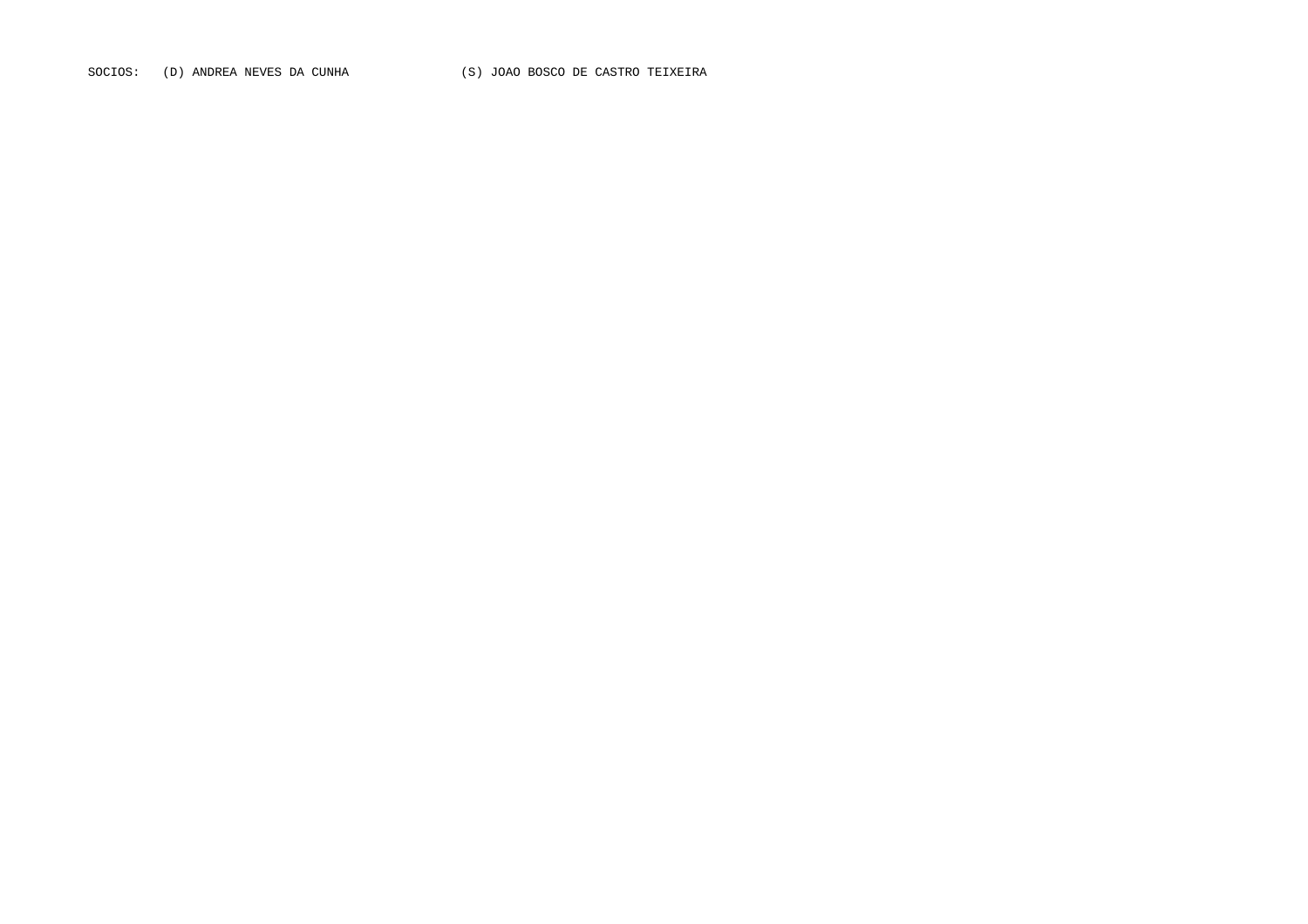SOCIOS: (D) ANDREA NEVES DA CUNHA (S) JOAO BOSCO DE CASTRO TEIXEIRA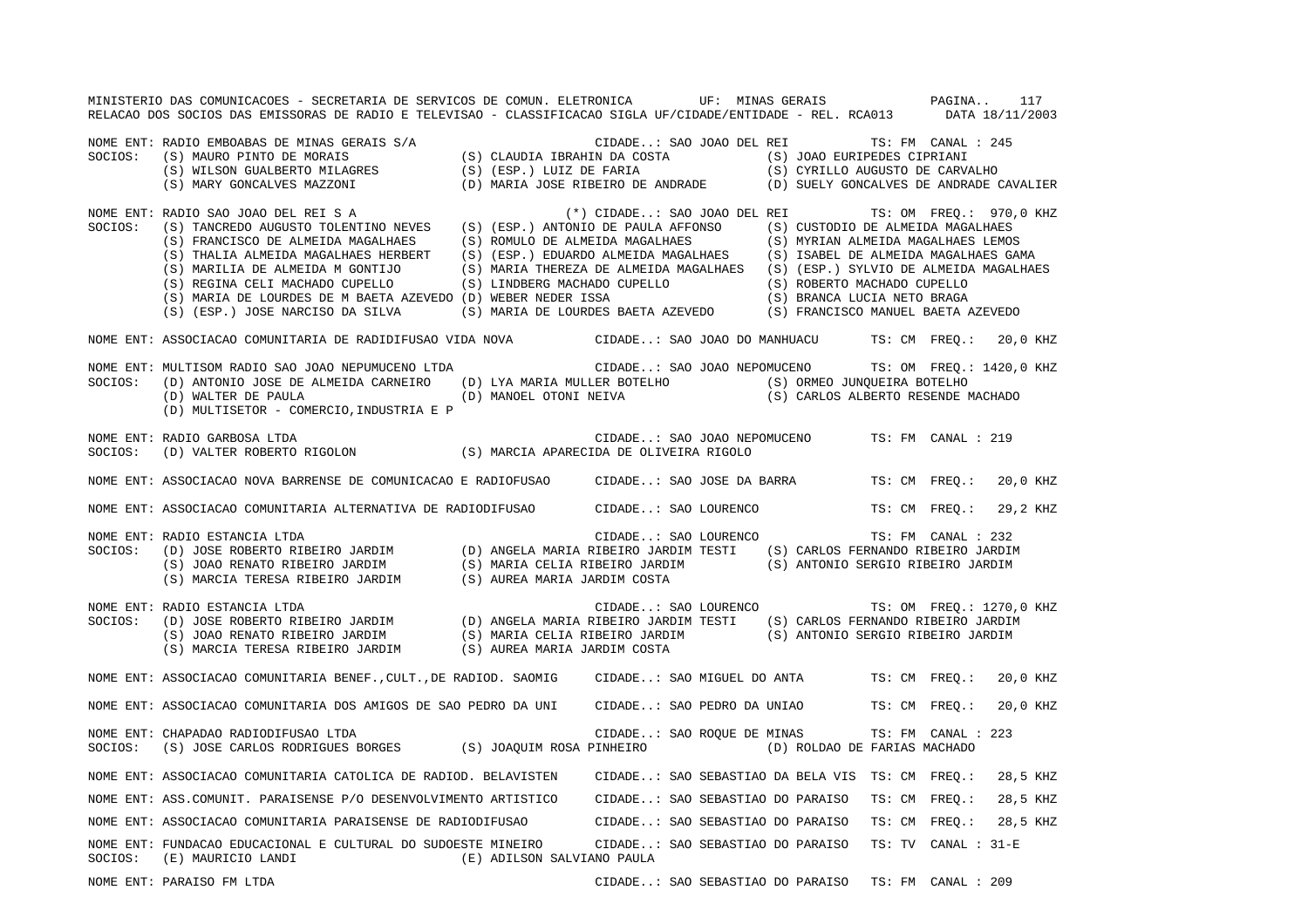MINISTERIO DAS COMUNICACOES - SECRETARIA DE SERVICOS DE COMUN. ELETRONICA UF: MINAS GERAIS PAGINA.. 117RELACAO DOS SOCIOS DAS EMISSORAS DE RADIO E TELEVISAO - CLASSIFICACAO SIGLA UF/CIDADE/ENTIDADE - REL. RCA013 DATA 18/11/2003 NOME ENT: RADIO EMBOABAS DE MINAS GERAIS S/A CIDADE..: SAO JOAO DEL REI TS: FM CANAL : 245 SOCIOS: (S) MAURO PINTO DE MORAIS (S) CLAUDIA IBRAHIN DA COSTA (S) JOAO EURIPEDES CIPRIANI (S) WILSON GUALBERTO MILAGRES (S) (ESP.) LUIZ DE FARIA (S) CYRILLO AUGUSTO DE CARVALHO (S) MARY GONCALVES MAZZONI (D) MARIA JOSE RIBEIRO DE ANDRADE (D) SUELY GONCALVES DE ANDRADE CAVALIER NOME ENT: RADIO SAO JOAO DEL REI S A (\*) CIDADE..: SAO JOAO DEL REI TS: OM FREQ.: 970,0 KHZ SOCIOS: (S) TANCREDO AUGUSTO TOLENTINO NEVES (S) (ESP.) ANTONIO DE PAULA AFFONSO (S) CUSTODIO DE ALMEIDA MAGALHAES (S) FRANCISCO DE ALMEIDA MAGALHAES (S) ROMULO DE ALMEIDA MAGALHAES (S) MYRIAN ALMEIDA MAGALHAES LEMOS (S) THALIA ALMEIDA MAGALHAES HERBERT (S) (ESP.) EDUARDO ALMEIDA MAGALHAES (S) ISABEL DE ALMEIDA MAGALHAES GAMA (S) MARILIA DE ALMEIDA M GONTIJO (S) MARIA THEREZA DE ALMEIDA MAGALHAES (S) (ESP.) SYLVIO DE ALMEIDA MAGALHAES (S) REGINA CELI MACHADO CUPELLO (S) LINDBERG MACHADO CUPELLO (S) ROBERTO MACHADO CUPELLO (S) MARIA DE LOURDES DE M BAETA AZEVEDO (D) WEBER NEDER ISSA (S) BRANCA LUCIA NETO BRAGA (S) (ESP.) JOSE NARCISO DA SILVA (S) MARIA DE LOURDES BAETA AZEVEDO (S) FRANCISCO MANUEL BAETA AZEVEDO NOME ENT: ASSOCIACAO COMUNITARIA DE RADIDIFUSAO VIDA NOVA CIDADE..: SAO JOAO DO MANHUACU TS: CM FREQ.: 20,0 KHZ NOME ENT: MULTISOM RADIO SAO JOAO NEPUMUCENO LTDA CIDADE..: SAO JOAO NEPOMUCENO TS: OM FREQ.: 1420,0 KHZ SOCIOS: (D) ANTONIO JOSE DE ALMEIDA CARNEIRO (D) LYA MARIA MULLER BOTELHO (S) ORMEO JUNQUEIRA BOTELHO (D) WALTER DE PAULA (D) MANOEL OTONI NEIVA (S) CARLOS ALBERTO RESENDE MACHADO (D) MULTISETOR - COMERCIO,INDUSTRIA E P NOME ENT: RADIO GARBOSA LTDA CIDADE..: SAO JOAO NEPOMUCENO TS: FM CANAL : 219SOCIOS: (D) VALTER ROBERTO RIGOLON (S) MARCIA APARECIDA DE OLIVEIRA RIGOLO NOME ENT: ASSOCIACAO NOVA BARRENSE DE COMUNICACAO E RADIOFUSAO CIDADE..: SAO JOSE DA BARRA TS: CM FREQ.: 20,0 KHZ NOME ENT: ASSOCIACAO COMUNITARIA ALTERNATIVA DE RADIODIFUSAO CIDADE..: SAO LOURENCO TS: CM FREQ.: 29,2 KHZ NOME ENT: RADIO ESTANCIA LTDA CONSERVERSE EN CIDADE... SAO LOURENCO TES FM CANAL : 232 SOCIOS: (D) JOSE ROBERTO RIBEIRO JARDIM (D) ANGELA MARIA RIBEIRO JARDIM TESTI (S) CARLOS FERNANDO RIBEIRO JARDIM (S) JOAO RENATO RIBEIRO JARDIM (S) MARIA CELIA RIBEIRO JARDIM (S) ANTONIO SERGIO RIBEIRO JARDIM (S) MARCIA TERESA RIBEIRO JARDIM (S) AUREA MARIA JARDIM COSTA NOME ENT: RADIO ESTANCIA LTDA CIDADE..: SAO LOURENCO TS: OM FREQ.: 1270,0 KHZ SOCIOS: (D) JOSE ROBERTO RIBEIRO JARDIM (D) ANGELA MARIA RIBEIRO JARDIM TESTI (S) CARLOS FERNANDO RIBEIRO JARDIM (S) JOAO RENATO RIBEIRO JARDIM (S) MARIA CELIA RIBEIRO JARDIM (S) ANTONIO SERGIO RIBEIRO JARDIM (S) MARCIA TERESA RIBEIRO JARDIM (S) AUREA MARIA JARDIM COSTA NOME ENT: ASSOCIACAO COMUNITARIA BENEF., CULT., DE RADIOD. SAOMIG CIDADE..: SAO MIGUEL DO ANTA TS: CM FREQ.: 20,0 KHZ NOME ENT: ASSOCIACAO COMUNITARIA DOS AMIGOS DE SAO PEDRO DA UNI CIDADE..: SAO PEDRO DA UNIAO TS: CM FREQ.: 20,0 KHZ NOME ENT: CHAPADAO RADIODIFUSAO LTDA CIDADE..: SAO ROQUE DE MINAS TS: FM CANAL : 223 SOCIOS: (S) JOSE CARLOS RODRIGUES BORGES (S) JOAQUIM ROSA PINHEIRO (D) ROLDAO DE FARIAS MACHADO NOME ENT: ASSOCIACAO COMUNITARIA CATOLICA DE RADIOD. BELAVISTEN CIDADE..: SAO SEBASTIAO DA BELA VIS TS: CM FREQ.: 28,5 KHZ NOME ENT: ASS.COMUNIT. PARAISENSE P/O DESENVOLVIMENTO ARTISTICO CIDADE..: SAO SEBASTIAO DO PARAISO TS: CM FREQ.: 28,5 KHZ NOME ENT: ASSOCIACAO COMUNITARIA PARAISENSE DE RADIODIFUSAO CIDADE..: SAO SEBASTIAO DO PARAISO TS: CM FREQ.: 28,5 KHZ NOME ENT: FUNDACAO EDUCACIONAL E CULTURAL DO SUDOESTE MINEIRO CIDADE..: SAO SEBASTIAO DO PARAISO TS: TV CANAL : 31-ESOCIOS: (E) MAURICIO LANDI (E) ADILSON SALVIANO PAULA NOME ENT: PARAISO FM LTDA CIDADE..: SAO SEBASTIAO DO PARAISO TS: FM CANAL : 209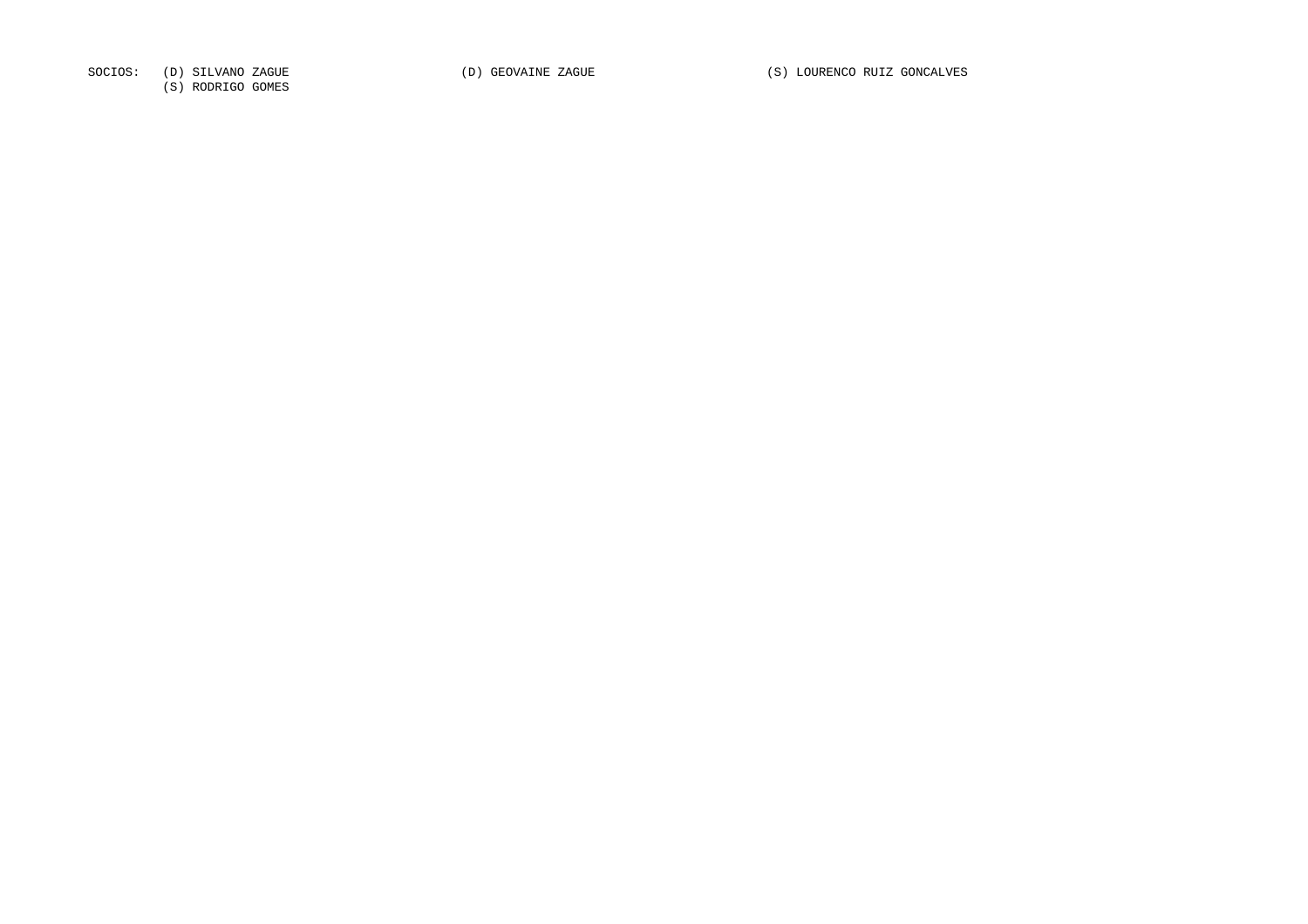SOCIOS: (D) SILVANO ZAGUE (D) GEOVAINE ZAGUE (S) LOURENCO RUIZ GONCALVES

(S) RODRIGO GOMES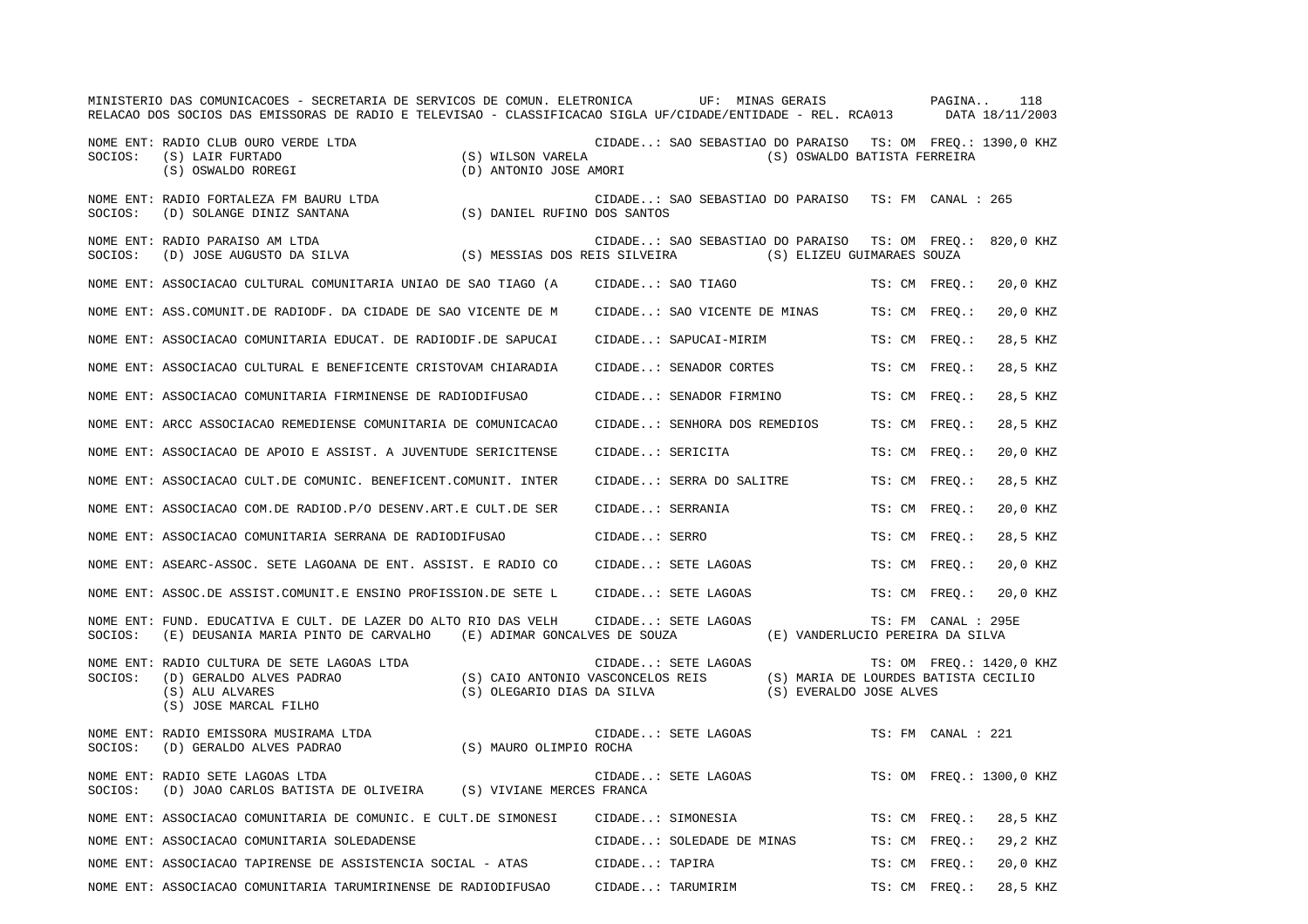|         | MINISTERIO DAS COMUNICACOES - SECRETARIA DE SERVICOS DE COMUN. ELETRONICA UF: MINAS GERAIS PAGINA<br>RELACAO DOS SOCIOS DAS EMISSORAS DE RADIO E TELEVISAO - CLASSIFICACAO SIGLA UF/CIDADE/ENTIDADE - REL. RCA013 DATA 18/11/2003 |                                                                                                      |                  |                              |                                                                                           |                    |                     | 118                      |
|---------|-----------------------------------------------------------------------------------------------------------------------------------------------------------------------------------------------------------------------------------|------------------------------------------------------------------------------------------------------|------------------|------------------------------|-------------------------------------------------------------------------------------------|--------------------|---------------------|--------------------------|
| SOCIOS: | NOME ENT: RADIO CLUB OURO VERDE LTDA<br>(S) LAIR FURTADO<br>(S) OSWALDO ROREGI                                                                                                                                                    | (S) WILSON VARELA<br>(D) ANTONIO JOSE AMORI                                                          |                  |                              | CIDADE: SAO SEBASTIAO DO PARAISO TS: OM FREQ.: 1390,0 KHZ<br>(S) OSWALDO BATISTA FERREIRA |                    |                     |                          |
| SOCIOS: | NOME ENT: RADIO FORTALEZA FM BAURU LTDA<br>(D) SOLANGE DINIZ SANTANA                                                                                                                                                              | (S) DANIEL RUFINO DOS SANTOS                                                                         |                  |                              | CIDADE: SAO SEBASTIAO DO PARAISO                                                          | TS: FM CANAL : 265 |                     |                          |
| SOCIOS: | NOME ENT: RADIO PARAISO AM LTDA<br>(D) JOSE AUGUSTO DA SILVA                                                                                                                                                                      | (S) MESSIAS DOS REIS SILVEIRA                                                                        |                  |                              | CIDADE: SAO SEBASTIAO DO PARAISO<br>(S) ELIZEU GUIMARAES SOUZA                            |                    |                     | TS: OM FREQ.: 820,0 KHZ  |
|         | NOME ENT: ASSOCIACAO CULTURAL COMUNITARIA UNIAO DE SAO TIAGO (A                                                                                                                                                                   |                                                                                                      |                  | CIDADE: SAO TIAGO            |                                                                                           | TS: CM FREO.:      |                     | 20,0 KHZ                 |
|         | NOME ENT: ASS. COMUNIT. DE RADIODF. DA CIDADE DE SAO VICENTE DE M                                                                                                                                                                 |                                                                                                      |                  |                              | CIDADE: SAO VICENTE DE MINAS                                                              | TS: CM FREO.:      |                     | 20,0 KHZ                 |
|         | NOME ENT: ASSOCIACAO COMUNITARIA EDUCAT. DE RADIODIF.DE SAPUCAI                                                                                                                                                                   |                                                                                                      |                  | CIDADE: SAPUCAI-MIRIM        |                                                                                           | TS: CM FREQ.:      |                     | 28,5 KHZ                 |
|         | NOME ENT: ASSOCIACAO CULTURAL E BENEFICENTE CRISTOVAM CHIARADIA                                                                                                                                                                   |                                                                                                      |                  | CIDADE: SENADOR CORTES       |                                                                                           | TS: CM FREO.:      |                     | 28,5 KHZ                 |
|         | NOME ENT: ASSOCIACAO COMUNITARIA FIRMINENSE DE RADIODIFUSAO                                                                                                                                                                       |                                                                                                      |                  | CIDADE: SENADOR FIRMINO      |                                                                                           | TS: CM FREO.:      |                     | 28,5 KHZ                 |
|         | NOME ENT: ARCC ASSOCIACAO REMEDIENSE COMUNITARIA DE COMUNICACAO                                                                                                                                                                   |                                                                                                      |                  | CIDADE: SENHORA DOS REMEDIOS |                                                                                           | TS: CM FREO.:      |                     | 28,5 KHZ                 |
|         | NOME ENT: ASSOCIACAO DE APOIO E ASSIST. A JUVENTUDE SERICITENSE                                                                                                                                                                   |                                                                                                      | CIDADE: SERICITA |                              |                                                                                           | TS: CM FREO.:      |                     | 20,0 KHZ                 |
|         | NOME ENT: ASSOCIACAO CULT.DE COMUNIC. BENEFICENT.COMUNIT. INTER                                                                                                                                                                   |                                                                                                      |                  | CIDADE: SERRA DO SALITRE     |                                                                                           | TS: CM FREO.:      |                     | 28,5 KHZ                 |
|         | NOME ENT: ASSOCIACAO COM.DE RADIOD.P/O DESENV.ART.E CULT.DE SER                                                                                                                                                                   |                                                                                                      | CIDADE: SERRANIA |                              |                                                                                           | TS: CM FREO.:      |                     | 20,0 KHZ                 |
|         | NOME ENT: ASSOCIACAO COMUNITARIA SERRANA DE RADIODIFUSAO                                                                                                                                                                          |                                                                                                      | CIDADE: SERRO    |                              |                                                                                           | TS: CM FREO.:      |                     | 28,5 KHZ                 |
|         | NOME ENT: ASEARC-ASSOC. SETE LAGOANA DE ENT. ASSIST. E RADIO CO                                                                                                                                                                   |                                                                                                      |                  | CIDADE: SETE LAGOAS          |                                                                                           | TS: CM FREO.:      |                     | 20,0 KHZ                 |
|         | NOME ENT: ASSOC.DE ASSIST.COMUNIT.E ENSINO PROFISSION.DE SETE L                                                                                                                                                                   |                                                                                                      |                  | CIDADE: SETE LAGOAS          |                                                                                           | TS: CM FREQ.:      |                     | 20,0 KHZ                 |
| SOCIOS: | NOME ENT: FUND. EDUCATIVA E CULT. DE LAZER DO ALTO RIO DAS VELH<br>(E) DEUSANIA MARIA PINTO DE CARVALHO (E) ADIMAR GONCALVES DE SOUZA                                                                                             |                                                                                                      |                  | CIDADE: SETE LAGOAS          | (E) VANDERLUCIO PEREIRA DA SILVA                                                          |                    | TS: FM CANAL : 295E |                          |
| SOCIOS: | NOME ENT: RADIO CULTURA DE SETE LAGOAS LTDA<br>(D) GERALDO ALVES PADRAO<br>(S) ALU ALVARES<br>(S) JOSE MARCAL FILHO                                                                                                               | (S) CAIO ANTONIO VASCONCELOS REIS (S) MARIA DE LOURDES BATISTA CECILIO<br>(S) OLEGARIO DIAS DA SILVA |                  | CIDADE: SETE LAGOAS          | (S) EVERALDO JOSE ALVES                                                                   |                    |                     | TS: OM FREO.: 1420,0 KHZ |
| SOCIOS: | NOME ENT: RADIO EMISSORA MUSIRAMA LTDA<br>(D) GERALDO ALVES PADRAO                                                                                                                                                                | (S) MAURO OLIMPIO ROCHA                                                                              |                  | CIDADE: SETE LAGOAS          |                                                                                           | TS: FM CANAL : 221 |                     |                          |
| SOCIOS: | NOME ENT: RADIO SETE LAGOAS LTDA<br>(D) JOAO CARLOS BATISTA DE OLIVEIRA (S) VIVIANE MERCES FRANCA                                                                                                                                 |                                                                                                      |                  | CIDADE: SETE LAGOAS          |                                                                                           |                    |                     | TS: OM FREO.: 1300,0 KHZ |
|         | NOME ENT: ASSOCIACAO COMUNITARIA DE COMUNIC. E CULT.DE SIMONESI                                                                                                                                                                   |                                                                                                      |                  | CIDADE: SIMONESIA            |                                                                                           | TS: CM FREQ.:      |                     | 28,5 KHZ                 |
|         | NOME ENT: ASSOCIACAO COMUNITARIA SOLEDADENSE                                                                                                                                                                                      |                                                                                                      |                  | CIDADE: SOLEDADE DE MINAS    |                                                                                           | TS: CM FREQ.:      |                     | 29,2 KHZ                 |
|         | NOME ENT: ASSOCIACAO TAPIRENSE DE ASSISTENCIA SOCIAL - ATAS                                                                                                                                                                       |                                                                                                      | CIDADE: TAPIRA   |                              |                                                                                           | TS: CM FREQ.:      |                     | 20,0 KHZ                 |
|         | NOME ENT: ASSOCIACAO COMUNITARIA TARUMIRINENSE DE RADIODIFUSAO                                                                                                                                                                    |                                                                                                      |                  | CIDADE: TARUMIRIM            |                                                                                           | TS: CM FREO.:      |                     | 28,5 KHZ                 |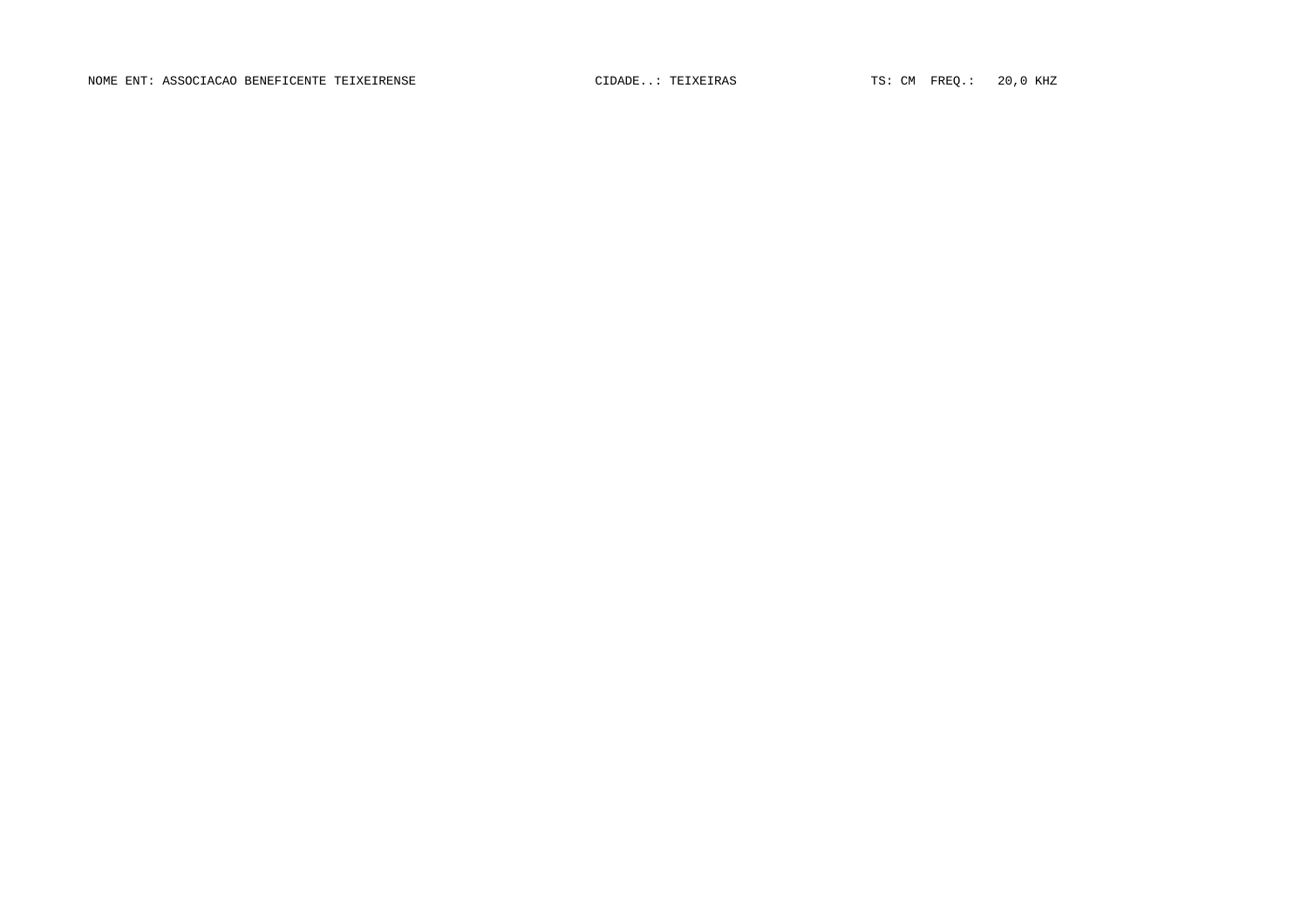NOME ENT: ASSOCIACAO BENEFICENTE TEIXEIRENSE **CIDADE..: TEIXEIRAS** TS: CM FREQ.: 20,0 KHZ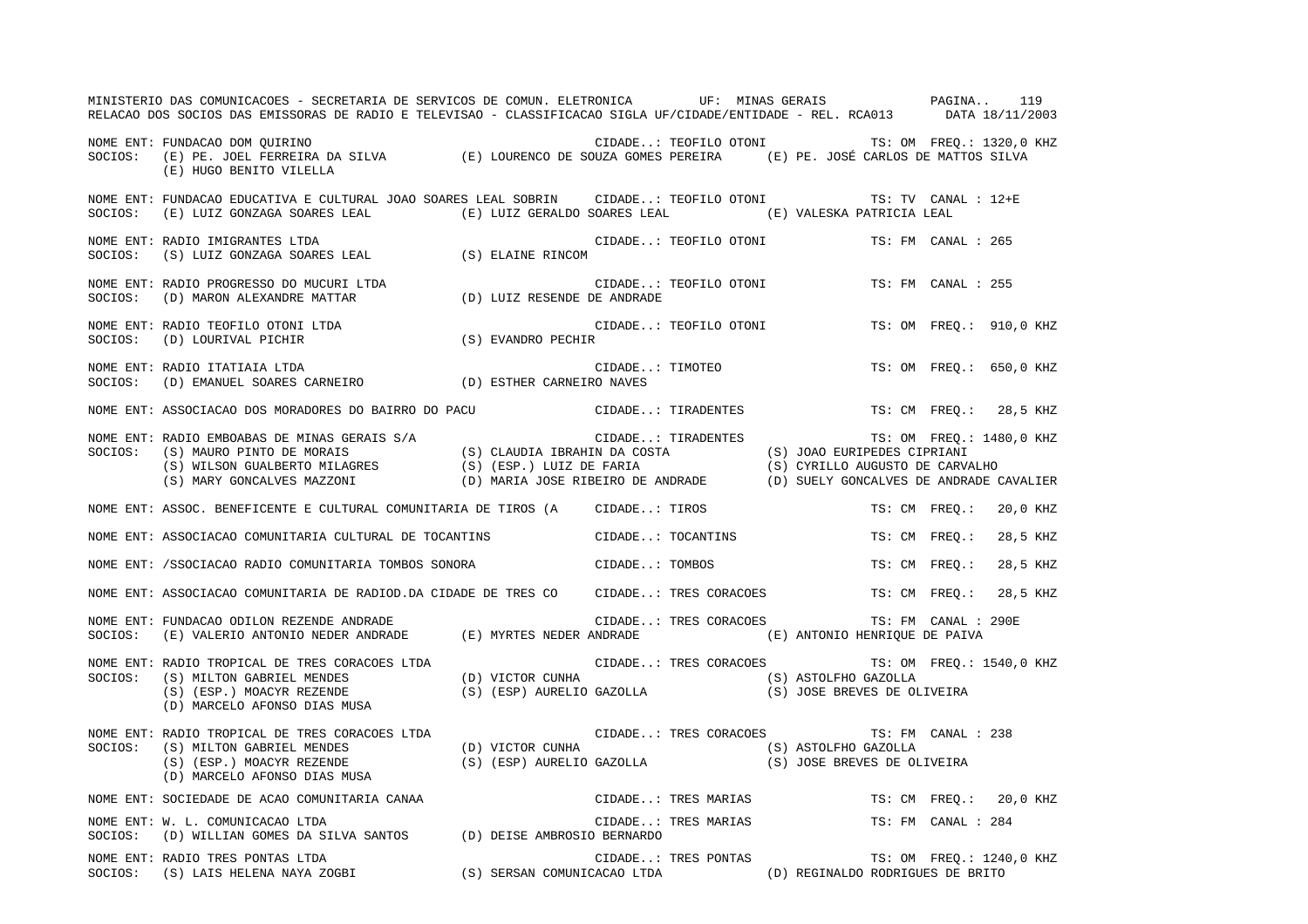|         | MINISTERIO DAS COMUNICACOES - SECRETARIA DE SERVICOS DE COMUN. ELETRONICA UF: MINAS GERAIS PAGINA<br>RELACAO DOS SOCIOS DAS EMISSORAS DE RADIO E TELEVISAO - CLASSIFICACAO SIGLA UF/CIDADE/ENTIDADE - REL. RCA013 DATA 18/11/2003                   |                |                       |                                                |               | 119                     |
|---------|-----------------------------------------------------------------------------------------------------------------------------------------------------------------------------------------------------------------------------------------------------|----------------|-----------------------|------------------------------------------------|---------------|-------------------------|
|         | NOME ENT: FUNDACAO DOM QUIRINO<br>NUME ENT: FUNDACAO DOM QUIRINO<br>SOCIOS: (E) PE. JOEL FERREIRA DA SILVA (E) LOURENCO DE SOUZA GOMES PEREIRA (E) PE. JOSÉ CARLOS DE MATTOS SILVA<br>(E) HUGO BENITO VILELLA                                       |                |                       | CIDADE: TEOFILO OTONI TS: OM FREQ.: 1320,0 KHZ |               |                         |
| SOCIOS: | NOME ENT: FUNDACAO EDUCATIVA E CULTURAL JOAO SOARES LEAL SOBRIN CIDADE: TEOFILO OTONI TS: TV CANAL : 12+E<br>(E) LUIZ GONZAGA SOARES LEAL (E) LUIZ GERALDO SOARES LEAL (E) VALESKA PATRICIA LEAL                                                    |                |                       |                                                |               |                         |
| SOCIOS: | NOME ENT: RADIO IMIGRANTES LTDA<br>$\begin{minipage}{.4\linewidth} \texttt{RADIO IMIGRANTES LIDA} & \texttt{(S)} \texttt{ ELAINE RINCOM} \\ \texttt{(S)} \texttt{ LULIZ GONZAGA SOARES LEAL} & \texttt{(S)} \texttt{ ELAINE RINCOM} \end{minipage}$ |                | CIDADE: TEOFILO OTONI | TS: FM CANAL : 265                             |               |                         |
|         | NOME ENT: RADIO PROGRESSO DO MUCURI LTDA $\qquad$ CIDADE:<br>SOCIOS: (D) MARON ALEXANDRE MATTAR $\qquad$ (D) LUIZ RESENDE DE ANDRADE                                                                                                                |                | CIDADE: TEOFILO OTONI | TS: FM CANAL : 255                             |               |                         |
|         | NOME ENT: RADIO TEOFILO OTONI LTDA $\begin{array}{lll} & C \\ \texttt{SOCIOS:} & \texttt{(D)} & \texttt{LOURIVAL} & \texttt{PICHIR} \end{array} \tag{S} \begin{array}{lll} & C \\ \texttt{EVANDRO} & \texttt{PECHIR} \end{array}$                   |                | CIDADE: TEOFILO OTONI |                                                |               | TS: OM FREO.: 910,0 KHZ |
|         | NOME ENT: RADIO ITATIAIA LTDA<br>SOCIOS:    (D) EMANUEL SOARES CARNEIRO                     (D) ESTHER CARNEIRO NAVES                                                                                                                               |                | CIDADE: TIMOTEO       |                                                |               | TS: OM FREO.: 650,0 KHZ |
|         | NOME ENT: ASSOCIACAO DOS MORADORES DO BAIRRO DO PACU <a>&gt; CIDADE: TIRADENTES <br/> <a> TS: CM FREQ.: 28,5 KHZ</a></a>                                                                                                                            |                |                       |                                                |               |                         |
|         | NOME ENT: RADIO EMBOABAS DE MINAS GERAIS S/A (S) CLAUDIA IBRAHIN DA COSTA (S) JOAO EURIPEDES CIPRIANI<br>SOCIOS: (S) MAURO PINTO DE MORAIS (S) (S) CLAUDIA IBRAHIN DA COSTA (S) JOAO EURIPEDES CIPRIANI<br>(S) WILSON GUALBERTO MILA                |                |                       | TS: OM FREQ.: 1480,0 KHZ                       |               |                         |
|         | NOME ENT: ASSOC. BENEFICENTE E CULTURAL COMUNITARIA DE TIROS (A CIDADE: TIROS                                                                                                                                                                       |                |                       |                                                | TS: CM FREO.: | 20,0 KHZ                |
|         | NOME ENT: ASSOCIACAO COMUNITARIA CULTURAL DE TOCANTINS CIDADE: TOCANTINS                                                                                                                                                                            |                |                       | TS: CM FREO.:                                  |               | 28,5 KHZ                |
|         | NOME ENT: /SSOCIACAO RADIO COMUNITARIA TOMBOS SONORA                                                                                                                                                                                                | CIDADE: TOMBOS |                       | TS: CM FREQ.:                                  |               | 28,5 KHZ                |
|         | NOME ENT: ASSOCIACAO COMUNITARIA DE RADIOD.DA CIDADE DE TRES CO CIDADE: TRES CORACOES TS: CM FREQ.:                                                                                                                                                 |                |                       |                                                |               | 28,5 KHZ                |
|         | NOME ENT: FUNDACAO ODILON REZENDE ANDRADE (E) MYRTES NEDER ANDRADE CIDADE: TRES CORACOES TS: FM CANAL : 29<br>SOCIOS: (E) VALERIO ANTONIO NEDER ANDRADE (E) MYRTES NEDER ANDRADE (E) ANTONIO HENRIQUE DE PAIVA                                      |                |                       | CIDADE: TRES CORACOES TS: FM CANAL : 290E      |               |                         |
| SOCIOS: | NOME ENT: RADIO TROPICAL DE TRES CORACOES LTDA<br>(S) MILTON GABRIEL MENDES (D) VICTOR CUNHA (S) ASTOLFHO GAZOLLA<br>(S) (ESP.) MOACYR REZENDE (S) (ESP) AURELIO GAZOLLA (S) (S) JOSE BREVES DE OLIVEIRA<br>(D) MARCELO AFONSO DIAS MUSA            |                |                       | CIDADE: TRES CORACOES TS: OM FREQ.: 1540,0 KHZ |               |                         |
|         | NOME ENT: RADIO TROPICAL DE TRES CORACOES LTDA<br>SOCIOS: (S) MILTON GABRIEL MENDES (D) VICTOR CUNHA<br>(S) (ESP.) MOACYR REZENDE (S) (ESP.) AURELIO GAZOLLA<br>(D) URELIO GAZOLLA (S) (SP.) AURELIO GAZOLLA (S) JOSE BREVES DE OLIV                |                |                       |                                                |               |                         |
|         | NOME ENT: SOCIEDADE DE ACAO COMUNITARIA CANAA<br>NOME ENT: M I COMUNICAÇÃO ITER                                                                                                                                                                     |                |                       | CIDADE: TRES MARIAS TS: CM FREQ.: 20,0 KHZ     |               |                         |
| SOCIOS: | NOME ENT: W. L. COMUNICACAO LTDA<br>(D) WILLIAN GOMES DA SILVA SANTOS (D) DEISE AMBROSIO BERNARDO                                                                                                                                                   |                |                       | CIDADE: TRES MARIAS TS: FM CANAL : 284         |               |                         |
|         | NOME ENT: RADIO TRES PONTAS LTDA<br>NOME ENT: RADIO TRES PONTAS LTDA<br>SOCIOS:   (S) LAIS HELENA NAYA ZOGBI                  (S) SERSAN COMUNICACAO LTDA             (D) REGINALDO RODRIGUES DE BRITO                                              |                |                       | CIDADE: TRES PONTAS TS: OM FREQ.: 1240,0 KHZ   |               |                         |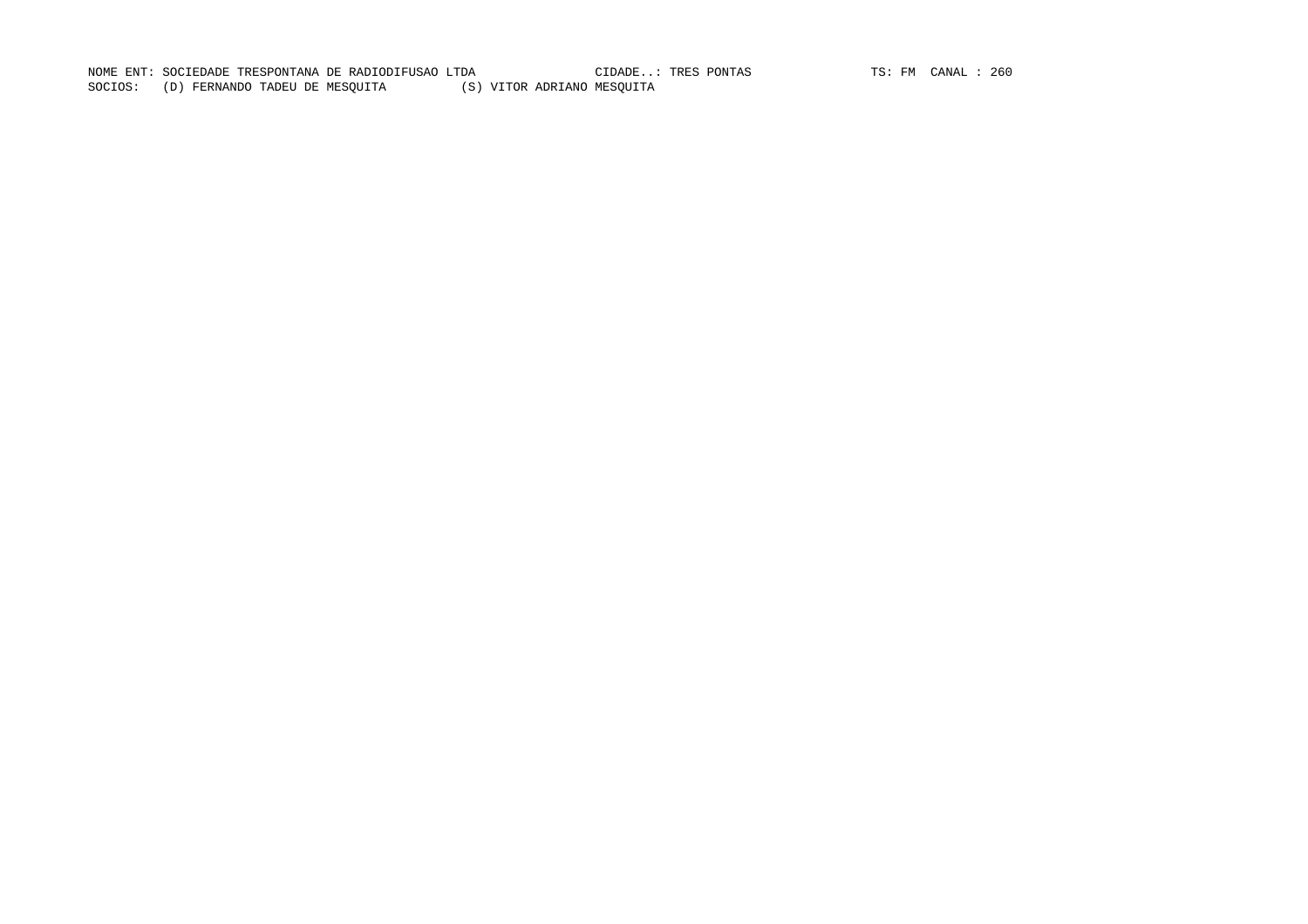NOME ENT: SOCIEDADE TRESPONTANA DE RADIODIFUSAO LTDA CIDADE..: TRES PONTAS TS: FM CANAL : 260 SOCIOS: (D) FERNANDO TADEU DE MESQUITA (S) VITOR ADRIANO MESQUITA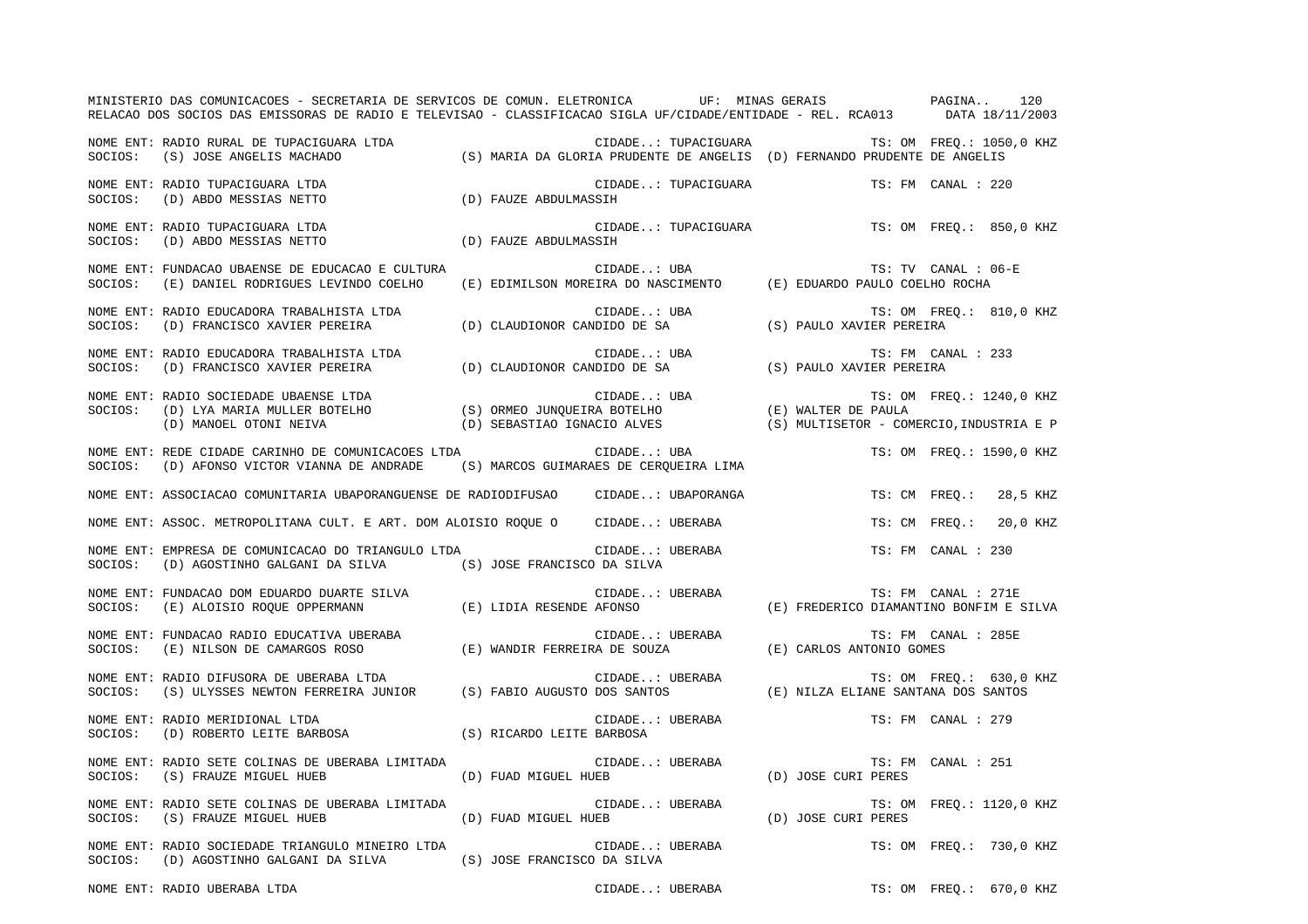|         | MINISTERIO DAS COMUNICACOES - SECRETARIA DE SERVICOS DE COMUN. ELETRONICA UF: MINAS GERAIS PAGINA<br>RELACAO DOS SOCIOS DAS EMISSORAS DE RADIO E TELEVISAO - CLASSIFICACAO SIGLA UF/CIDADE/ENTIDADE - REL. RCA013 DATA 18/11/2003 |                             |                                                                                                 |                                          |                     | 120                      |
|---------|-----------------------------------------------------------------------------------------------------------------------------------------------------------------------------------------------------------------------------------|-----------------------------|-------------------------------------------------------------------------------------------------|------------------------------------------|---------------------|--------------------------|
|         | NOME ENT: RADIO RURAL DE TUPACIGUARA LTDA<br>SOCIOS: (S) JOSE ANGELIS MACHADO                                                                                                                                                     |                             | CIDADE: TUPACIGUARA<br>(S) MARIA DA GLORIA PRUDENTE DE ANGELIS (D) FERNANDO PRUDENTE DE ANGELIS |                                          |                     | TS: OM FREO.: 1050,0 KHZ |
|         | NOME ENT: RADIO TUPACIGUARA LTDA<br>SOCIOS: (D) ABDO MESSIAS NETTO                                                                                                                                                                | (D) FAUZE ABDULMASSIH       | CIDADE: TUPACIGUARA                                                                             |                                          | TS: FM CANAL : 220  |                          |
|         | NOME ENT: RADIO TUPACIGUARA LTDA<br>SOCIOS: (D) ABDO MESSIAS NETTO                                                                                                                                                                | (D) FAUZE ABDULMASSIH       | CIDADE: TUPACIGUARA                                                                             |                                          |                     | TS: OM FREQ.: 850,0 KHZ  |
|         | NOME ENT: FUNDACAO UBAENSE DE EDUCACAO E CULTURA<br>SOCIOS: (E) DANIEL RODRIGUES LEVINDO COELHO                                                                                                                                   |                             | CIDADE: UBA<br>CIDADE: UBA (E) EDIMILSON MOREIRA DO NASCIMENTO (E) EDUARDO PAULO COELHO ROCHA   |                                          | TS: TV CANAL : 06-E |                          |
| SOCIOS: | NOME ENT: RADIO EDUCADORA TRABALHISTA LTDA<br>(D) FRANCISCO XAVIER PEREIRA                                                                                                                                                        |                             | CIDADE: UBA<br>(D) CLAUDIONOR CANDIDO DE SA                                                     | (S) PAULO XAVIER PEREIRA                 |                     | TS: OM FREO.: 810,0 KHZ  |
|         |                                                                                                                                                                                                                                   |                             |                                                                                                 |                                          | TS: FM CANAL : 233  |                          |
| SOCIOS: | NOME ENT: RADIO SOCIEDADE UBAENSE LTDA<br>(D) LYA MARIA MULLER BOTELHO<br>(D) MANOEL OTONI NEIVA                                                                                                                                  | (D) SEBASTIAO IGNACIO ALVES |                                                                                                 | (S) MULTISETOR - COMERCIO, INDUSTRIA E P |                     | TS: OM FREQ.: 1240,0 KHZ |
| SOCIOS: | NOME ENT: REDE CIDADE CARINHO DE COMUNICACOES LTDA<br>(D) AFONSO VICTOR VIANNA DE ANDRADE                                                                                                                                         |                             | CIDADE: UBA<br>(S) MARCOS GUIMARAES DE CERQUEIRA LIMA                                           |                                          |                     | TS: OM FREQ.: 1590,0 KHZ |
|         | NOME ENT: ASSOCIACAO COMUNITARIA UBAPORANGUENSE DE RADIODIFUSAO CIDADE: UBAPORANGA                                                                                                                                                |                             |                                                                                                 | TS: CM FREO.:                            |                     | 28,5 KHZ                 |
|         | NOME ENT: ASSOC. METROPOLITANA CULT. E ART. DOM ALOISIO ROQUE O CIDADE: UBERABA                                                                                                                                                   |                             |                                                                                                 | TS: CM FREO.:                            |                     | 20,0 KHZ                 |
| SOCIOS: | NOME ENT: EMPRESA DE COMUNICACAO DO TRIANGULO LTDA<br>(D) AGOSTINHO GALGANI DA SILVA (S) JOSE FRANCISCO DA SILVA                                                                                                                  |                             | CIDADE: UBERABA                                                                                 |                                          | TS: FM CANAL : 230  |                          |
| SOCIOS: | NOME ENT: FUNDACAO DOM EDUARDO DUARTE SILVA<br>(E) ALOISIO ROQUE OPPERMANN                                                                                                                                                        | (E) LIDIA RESENDE AFONSO    | CIDADE: UBERABA                                                                                 | (E) FREDERICO DIAMANTINO BONFIM E SILVA  | TS: FM CANAL : 271E |                          |
| SOCIOS: | NOME ENT: FUNDACAO RADIO EDUCATIVA UBERABA<br>(E) NILSON DE CAMARGOS ROSO                                                                                                                                                         |                             | CIDADE: UBERABA<br>(E) WANDIR FERREIRA DE SOUZA                                                 | (E) CARLOS ANTONIO GOMES                 | TS: FM CANAL : 285E |                          |
| SOCIOS: | NOME ENT: RADIO DIFUSORA DE UBERABA LTDA<br>(S) ULYSSES NEWTON FERREIRA JUNIOR (S) FABIO AUGUSTO DOS SANTOS                                                                                                                       |                             | CIDADE: UBERABA                                                                                 | (E) NILZA ELIANE SANTANA DOS SANTOS      |                     | TS: OM FREO.: 630,0 KHZ  |
| SOCIOS: | NOME ENT: RADIO MERIDIONAL LTDA<br>(D) ROBERTO LEITE BARBOSA                                                                                                                                                                      | (S) RICARDO LEITE BARBOSA   | CIDADE: UBERABA                                                                                 |                                          | TS: FM CANAL : 279  |                          |
|         | NOME ENT: RADIO SETE COLINAS DE UBERABA LIMITADA<br>SOCIOS: (S) FRAUZE MIGUEL HUEB                                                                                                                                                | (D) FUAD MIGUEL HUEB        | CIDADE: UBERABA                                                                                 | (D) JOSE CURI PERES                      | TS: FM CANAL : 251  |                          |
|         | NOME ENT: RADIO SETE COLINAS DE UBERABA LIMITADA<br>SOCIOS: (S) FRAUZE MIGUEL HUEB                                                                                                                                                | (D) FUAD MIGUEL HUEB        | CIDADE: UBERABA                                                                                 | (D) JOSE CURI PERES                      |                     | TS: OM FREQ.: 1120,0 KHZ |
|         | NOME ENT: RADIO SOCIEDADE TRIANGULO MINEIRO LTDA<br>SOCIOS: (D) AGOSTINHO GALGANI DA SILVA (S) JOSE FRANCISCO DA SILVA                                                                                                            |                             | CIDADE: UBERABA                                                                                 |                                          |                     | TS: OM FREO.: 730,0 KHZ  |
|         | NOME ENT: RADIO UBERABA LTDA                                                                                                                                                                                                      |                             | CIDADE: UBERABA                                                                                 |                                          |                     | TS: OM FREQ.: 670,0 KHZ  |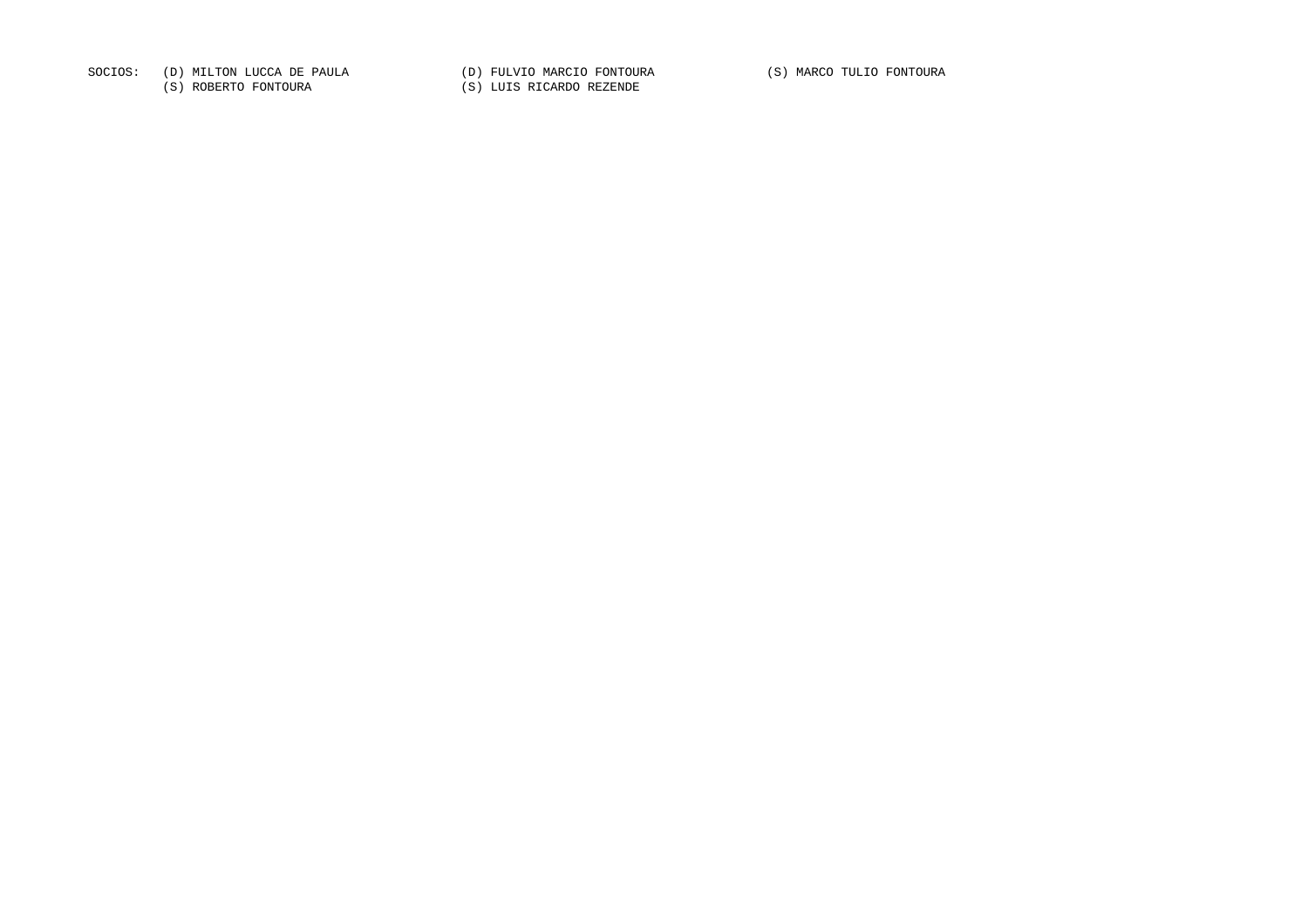SOCIOS: (D) MILTON LUCCA DE PAULA (D) FULVIO MARCIO FONTOURA (S) MARCO TULIO FONTOURA

(S) ROBERTO FONTOURA (S) LUIS RICARDO REZENDE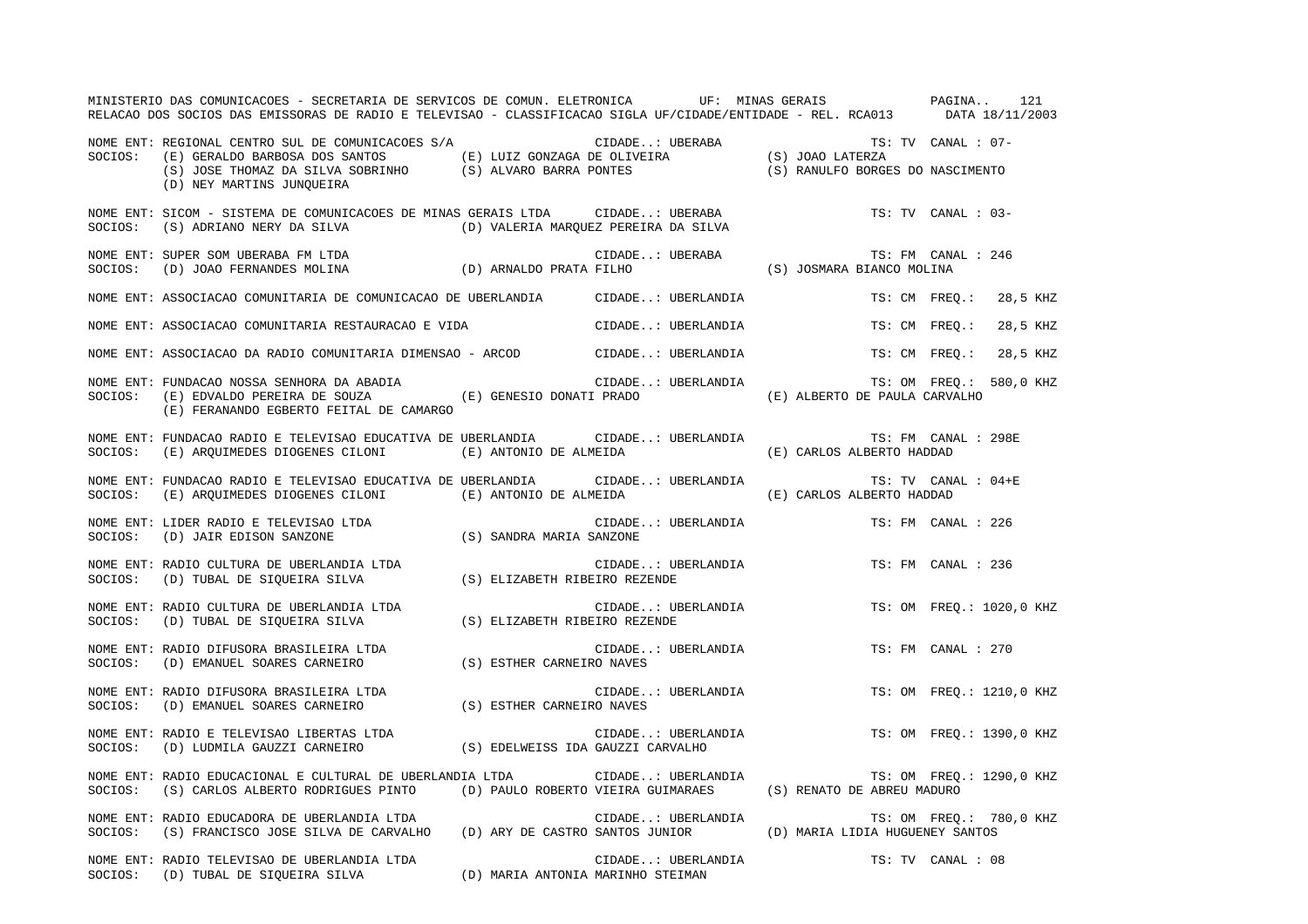|         | MINISTERIO DAS COMUNICACOES - SECRETARIA DE SERVICOS DE COMUN. ELETRONICA UF: MINAS GERAIS PAGINA<br>RELACAO DOS SOCIOS DAS EMISSORAS DE RADIO E TELEVISAO - CLASSIFICACAO SIGLA UF/CIDADE/ENTIDADE - REL. RCA013 DATA 18/11/2003                                                                                |                    |                                                  | 121                       |
|---------|------------------------------------------------------------------------------------------------------------------------------------------------------------------------------------------------------------------------------------------------------------------------------------------------------------------|--------------------|--------------------------------------------------|---------------------------|
| SOCIOS: | REGIONAL CENTRO SUL DE COMUNICACOES S/A (E) LUIZ GONZAGA DE OLIVEIRA (E) JOAO LATERZA (E) GERALDO BARBOSA DOS SANTOS (E) LUIZ GONZAGA DE OLIVEIRA (S) JOAO LATERZA (S) JOAE THOMAZ DA SILVA SOBRINHO (S) ALVARO BARRA PONTES (<br>NOME ENT: REGIONAL CENTRO SUL DE COMUNICACOES S/A<br>(D) NEY MARTINS JUNQUEIRA |                    |                                                  | TS: TV CANAL : 07-        |
| SOCIOS: | NOME ENT: SICOM - SISTEMA DE COMUNICACOES DE MINAS GERAIS LTDA      CIDADE UBERABA<br>(S) ADRIANO NERY DA SILVA (D) VALERIA MARQUEZ PEREIRA DA SILVA                                                                                                                                                             |                    |                                                  | TS: TV CANAL : 03-        |
| SOCIOS: | NOME ENT: SUPER SOM UBERABA FM LTDA<br>(D) JOAO FERNANDES MOLINA (D) ARNALDO PRATA FILHO                                                                                                                                                                                                                         | CIDADE: UBERABA    | TS: FM CANA:<br>(S) JOSMARA BIANCO MOLINA        | TS: FM CANAL : 246        |
|         | NOME ENT: ASSOCIACAO COMUNITARIA DE COMUNICACAO DE UBERLANDIA CIDADE: UBERLANDIA                                                                                                                                                                                                                                 |                    |                                                  | TS: CM FREO.: 28,5 KHZ    |
|         | NOME ENT: ASSOCIACAO COMUNITARIA RESTAURACAO E VIDA                                                                                                                                                                                                                                                              | CIDADE: UBERLANDIA | TS: CM FREO.:                                    | 28,5 KHZ                  |
|         | NOME ENT: ASSOCIACAO DA RADIO COMUNITARIA DIMENSAO - ARCOD CIDADE: UBERLANDIA                                                                                                                                                                                                                                    |                    |                                                  | TS: CM FREO.:<br>28,5 KHZ |
| SOCIOS: | NOME ENT: FUNDACAO NOSSA SENHORA DA ABADIA<br>(E) EDVALDO PEREIRA DE SOUZA (E) GENESIO DONATI PRADO<br>(E) FERANANDO EGBERTO FEITAL DE CAMARGO                                                                                                                                                                   | CIDADE: UBERLANDIA | (E) ALBERTO DE PAULA CARVALHO                    | TS: OM FREO.: 580,0 KHZ   |
| SOCIOS: | NOME ENT: FUNDACAO RADIO E TELEVISAO EDUCATIVA DE UBERLANDIA (CIDADE: UBERLANDIA<br>(E) ARQUIMEDES DIOGENES CILONI (E) ANTONIO DE ALMEIDA                                                                                                                                                                        |                    | TS: FM CANAL : 298E<br>(E) CARLOS ALBERTO HADDAD |                           |
| SOCIOS: | NOME ENT: FUNDACAO RADIO E TELEVISAO EDUCATIVA DE UBERLANDIA (CIDADE: UBERLANDIA<br>(E) ARQUIMEDES DIOGENES CILONI (E) ANTONIO DE ALMEIDA                                                                                                                                                                        |                    | TS: TV CANAL : 04+E<br>(E) CARLOS ALBERTO HADDAD |                           |
|         |                                                                                                                                                                                                                                                                                                                  | CIDADE: UBERLANDIA |                                                  | TS: FM CANAL : 226        |
|         | NOME ENT: RADIO CULTURA DE UBERLANDIA LTDA<br>SOCIOS: (D) TUBAL DE SIQUEIRA SILVA (S) ELIZABETH RIBEIRO REZENDE                                                                                                                                                                                                  | CIDADE: UBERLANDIA |                                                  | TS: FM CANAL : 236        |
|         | NOME ENT: RADIO CULTURA DE UBERLANDIA LTDA<br>SOCIOS: (D) TUBAL DE SIQUEIRA SILVA (S) ELIZABETH RIBEIRO REZENDE                                                                                                                                                                                                  | CIDADE: UBERLANDIA |                                                  | TS: OM FREQ.: 1020,0 KHZ  |
|         | NOME ENT: RADIO DIFUSORA BRASILEIRA LTDA<br>SOCIOS:    (D) EMANUEL SOARES CARNEIRO                     (S) ESTHER CARNEIRO NAVES                                                                                                                                                                                 | CIDADE: UBERLANDIA |                                                  | TS: FM CANAL : 270        |
|         | NOME ENT: RADIO DIFUSORA BRASILEIRA LTDA<br>SOCIOS: (D) EMANUEL SOARES CARNEIRO (S) ESTHER CARNEIRO NAVES                                                                                                                                                                                                        | CIDADE: UBERLANDIA |                                                  | TS: OM FREQ.: 1210,0 KHZ  |
|         |                                                                                                                                                                                                                                                                                                                  | CIDADE: UBERLANDIA |                                                  | TS: OM FREQ.: 1390,0 KHZ  |
|         | NOME ENT: RADIO EDUCACIONAL E CULTURAL DE UBERLANDIA LTDA                  CIDADE: UBERLANDIA<br>SOCIOS: (S) CARLOS ALBERTO RODRIGUES PINTO (D) PAULO ROBERTO VIEIRA GUIMARAES (S) RENATO DE ABREU MADURO                                                                                                        |                    |                                                  | TS: OM FREQ.: 1290,0 KHZ  |
|         | NOME ENT: RADIO EDUCADORA DE UBERLANDIA LTDA<br>SOCIOS: (S) FRANCISCO JOSE SILVA DE CARVALHO (D) ARY DE CASTRO SANTOS JUNIOR (D) MARIA LIDIA HUGUENEY SANTOS                                                                                                                                                     | CIDADE: UBERLANDIA |                                                  | TS: OM FREQ.: 780,0 KHZ   |
|         | NOME ENT: RADIO TELEVISAO DE UBERLANDIA LTDA<br>CIDADE: UBERLA CIDADE SIQUEIRA SILVA (D) MARIA ANTONIA MARINHO STEIMAN                                                                                                                                                                                           | CIDADE: UBERLANDIA |                                                  | TS: TV CANAL : 08         |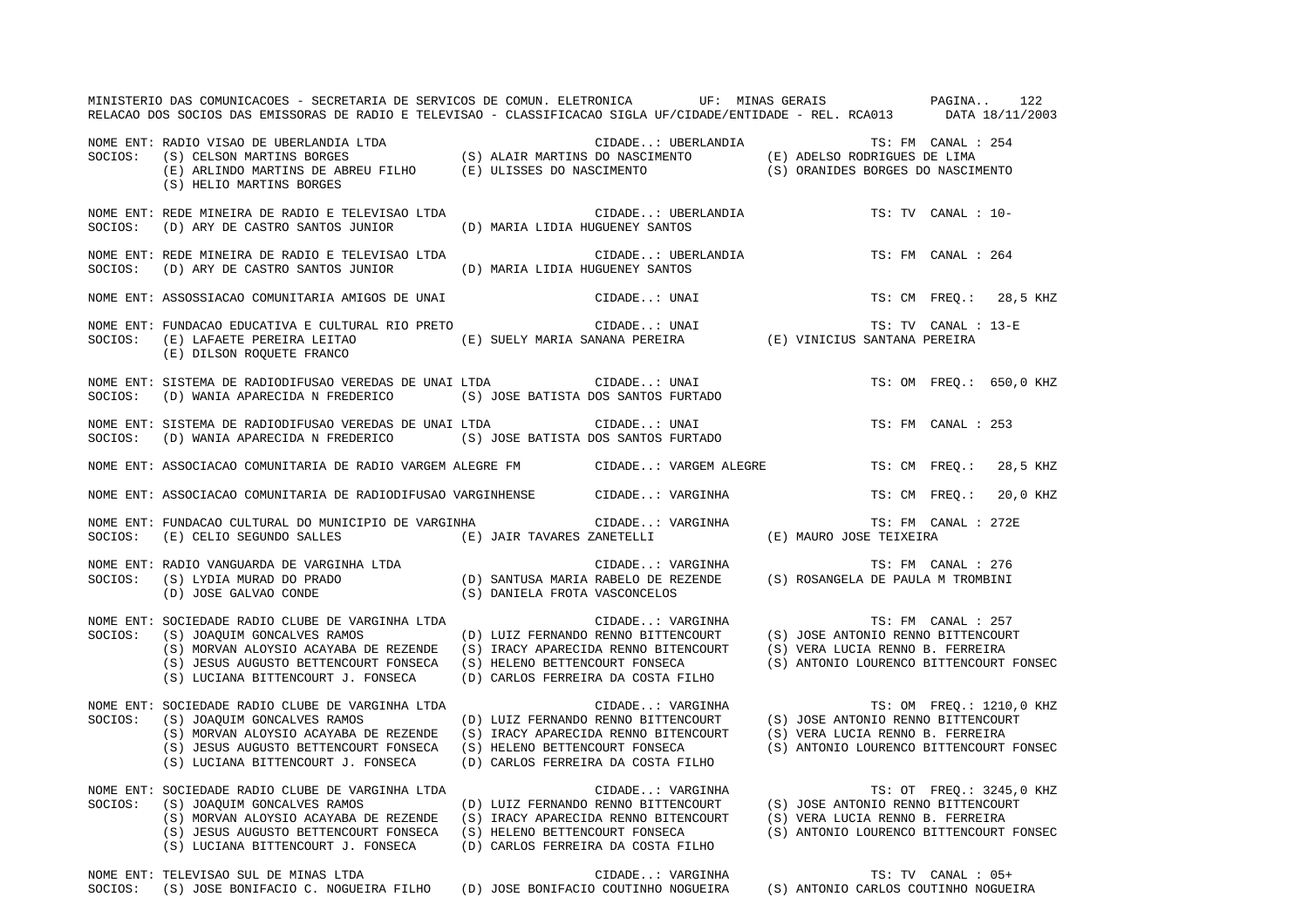|         | MINISTERIO DAS COMUNICACOES - SECRETARIA DE SERVICOS DE COMUN. ELETRONICA UF: MINAS GERAIS PAGINA 122<br>RELACAO DOS SOCIOS DAS EMISSORAS DE RADIO E TELEVISAO - CLASSIFICACAO SIGLA UF/CIDADE/ENTIDADE - REL. RCA013 DATA 18/11/2003                                                                                                                                                                                                                          |                                                        |                                  |                     |                                                                     |
|---------|----------------------------------------------------------------------------------------------------------------------------------------------------------------------------------------------------------------------------------------------------------------------------------------------------------------------------------------------------------------------------------------------------------------------------------------------------------------|--------------------------------------------------------|----------------------------------|---------------------|---------------------------------------------------------------------|
|         | NOME ENT: RADIO VISAO DE UBERLANDIA LTDA<br>SOCIOS: (S) CELSON MARTINS BORGES (S) ALAIR MARTINS DO NASCIMENTO (E) ADELSO RODRIGUES DE LIMA<br>(E) ARLINDO MARTINS DE ABREU FILHO (E) ULISSES DO NASCIMENTO (S) ORANIDES BORGES DO NA<br>(S) HELIO MARTINS BORGES                                                                                                                                                                                               | CIDADE: UBERLANDIA<br>TS: FM CANAL : 254               |                                  |                     |                                                                     |
|         | NOME ENT: REDE MINEIRA DE RADIO E TELEVISAO LTDA CIDADE: UBERLANDIA TS: TV CANAL : 10-<br>SOCIOS: (D) ARY DE CASTRO SANTOS JUNIOR (D) MARIA LIDIA HUGUENEY SANTOS                                                                                                                                                                                                                                                                                              |                                                        |                                  |                     |                                                                     |
|         | NOME ENT: REDE MINEIRA DE RADIO E TELEVISAO LTDA<br>SOCIOS: (D) ARY DE CASTRO SANTOS JUNIOR (D) MARIA LIDIA HUGUENEY SANTOS                                                                                                                                                                                                                                                                                                                                    | CIDADE: UBERLANDIA                                     |                                  | TS: FM CANAL : 264  |                                                                     |
|         | NOME ENT: ASSOSSIACAO COMUNITARIA AMIGOS DE UNAI                                                                                                                                                                                                                                                                                                                                                                                                               | CIDADE: UNAI                                           |                                  |                     | TS: CM FREQ.: 28,5 KHZ                                              |
|         | CIDADE: UNAI TS: TV CANAL :<br>SOCIOS: (E) LAFAETE PEREIRA LEITAO (E) SUELY MARIA SANANA PEREIRA (E) VINICIUS SANTANA PEREIRA<br>(E) DILSON ROQUETE FRANCO                                                                                                                                                                                                                                                                                                     |                                                        |                                  | TS: TV CANAL : 13-E |                                                                     |
|         | NOME ENT: SISTEMA DE RADIODIFUSAO VEREDAS DE UNAI LTDA CIDADE: UNAI COCIOS: (D) WANIA APARECIDA N FREDERICO (S) JOSE BATISTA DOS SANTOS FURTADO                                                                                                                                                                                                                                                                                                                |                                                        |                                  |                     | TS: OM FREO.: 650,0 KHZ                                             |
|         | NOME ENT: SISTEMA DE RADIODIFUSAO VEREDAS DE UNAI LTDA CIDADE: UNAI<br>SOCIOS: (D) WANIA APARECIDA N FREDERICO (S) JOSE BATISTA DOS SANTOS FURTADO                                                                                                                                                                                                                                                                                                             |                                                        |                                  | TS: FM CANAL : 253  |                                                                     |
|         | NOME ENT: ASSOCIACAO COMUNITARIA DE RADIO VARGEM ALEGRE FM CIDADE: VARGEM ALEGRE TS: CM FREQ.: 28,5 KHZ                                                                                                                                                                                                                                                                                                                                                        |                                                        |                                  |                     |                                                                     |
|         | NOME ENT: ASSOCIACAO COMUNITARIA DE RADIODIFUSAO VARGINHENSE CIDADE: VARGINHA                                                                                                                                                                                                                                                                                                                                                                                  |                                                        |                                  |                     | TS: CM FREQ.: 20,0 KHZ                                              |
| SOCIOS: | NOME ENT: FUNDACAO CULTURAL DO MUNICIPIO DE VARGINHA                                                                                                                                                                                                                                                                                                                                                                                                           |                                                        |                                  | TS: FM CANAL : 272E |                                                                     |
|         | NOME ENT: RADIO VANGUARDA DE VARGINHA LTDA<br>SOCIOS: (S) LYDIA MURAD DO PRADO (D) SANTUSA MARIA RABELO DE REZENDE (S) ROSANGELA DE PAULA M TROMBINI<br>(D) JOSE GALVAO CONDE (S) DANIELA FROTA VASCONCELOS                                                                                                                                                                                                                                                    |                                                        |                                  |                     |                                                                     |
| SOCIOS: | NOME ENT: SOCIEDADE RADIO CLUBE DE VARGINHA LTDA<br>(S) JOAQUIM GONCALVES RAMOS (D) LUIZ FERNANDO RENNO BITTENCOURT (S) JOSE ANTONIO RENNO BITTENCOURT<br>(S) MORVAN ALOYSIO ACAYABA DE REZENDE (S) IRACY APARECIDA RENNO BITENCOURT (S) VERA LUCIA RENNO B. FERREIRA<br>(S) JESUS AUGUSTO BETTENCOURT FONSECA (S) HELENO BETTENCOURT FONSECA (S) ANTONIO LOURENCO BITTENCOURT FONSEC<br>(S) LUCIANA BITTENCOURT J. FONSECA                                    | CIDADE: VARGINHA<br>(D) CARLOS FERREIRA DA COSTA FILHO |                                  | TS: FM CANAL : 257  |                                                                     |
| SOCIOS: | NOME ENT: SOCIEDADE RADIO CLUBE DE VARGINHA LTDA<br>(S) JOAQUIM GONCALVES RAMOS (D) LUIZ FERNANDO RENNO BITTENCOURT (S) JOSE ANTONIO RENNO BITTENCOURT<br>(S) MORVAN ALOYSIO ACAYABA DE REZENDE (S) IRACY APARECIDA RENNO BITENCOURT<br>(S) JESUS AUGUSTO BETTENCOURT FONSECA (S) HELENO BETTENCOURT FONSECA<br>(S) LUCIANA BITTENCOURT J. FONSECA                                                                                                             | CIDADE: VARGINHA<br>(D) CARLOS FERREIRA DA COSTA FILHO | (S) VERA LUCIA RENNO B. FERREIRA |                     | TS: OM FREQ.: 1210,0 KHZ<br>(S) ANTONIO LOURENCO BITTENCOURT FONSEC |
| SOCIOS: | NOME ENT: SOCIEDADE RADIO CLUBE DE VARGINHA LTDA<br>(S) JOAQUIM GONCALVES RAMOS (D) LUIZ FERNANDO RENNO BITTENCOURT (S) JOSE ANTONIO RENNO BITTENCOURT<br>(S) MORVAN ALOYSIO ACAYABA DE REZENDE (S) IRACY APARECIDA RENNO BITENCOURT (S) VERA LUCIA RENNO B. FERREIRA<br>(S) JESUS AUGUSTO BETTENCOURT FONSECA (S) HELENO BETTENCOURT FONSECA (S) ANTONIO LOURENCO BITTENCOURT FONSEC<br>(S) LUCIANA BITTENCOURT J. FONSECA (D) CARLOS FERREIRA DA COSTA FILHO | CIDADE: VARGINHA                                       |                                  |                     | TS: OT FREQ.: 3245,0 KHZ                                            |
| SOCIOS: | NOME ENT: TELEVISAO SUL DE MINAS LTDA<br>(S) JOSE BONIFACIO C. NOGUEIRA FILHO (D) JOSE BONIFACIO COUTINHO NOGUEIRA (S) ANTONIO CARLOS COUTINHO NOGUEIRA                                                                                                                                                                                                                                                                                                        | CIDADE: VARGINHA                                       |                                  | TS: TV CANAL : 05+  |                                                                     |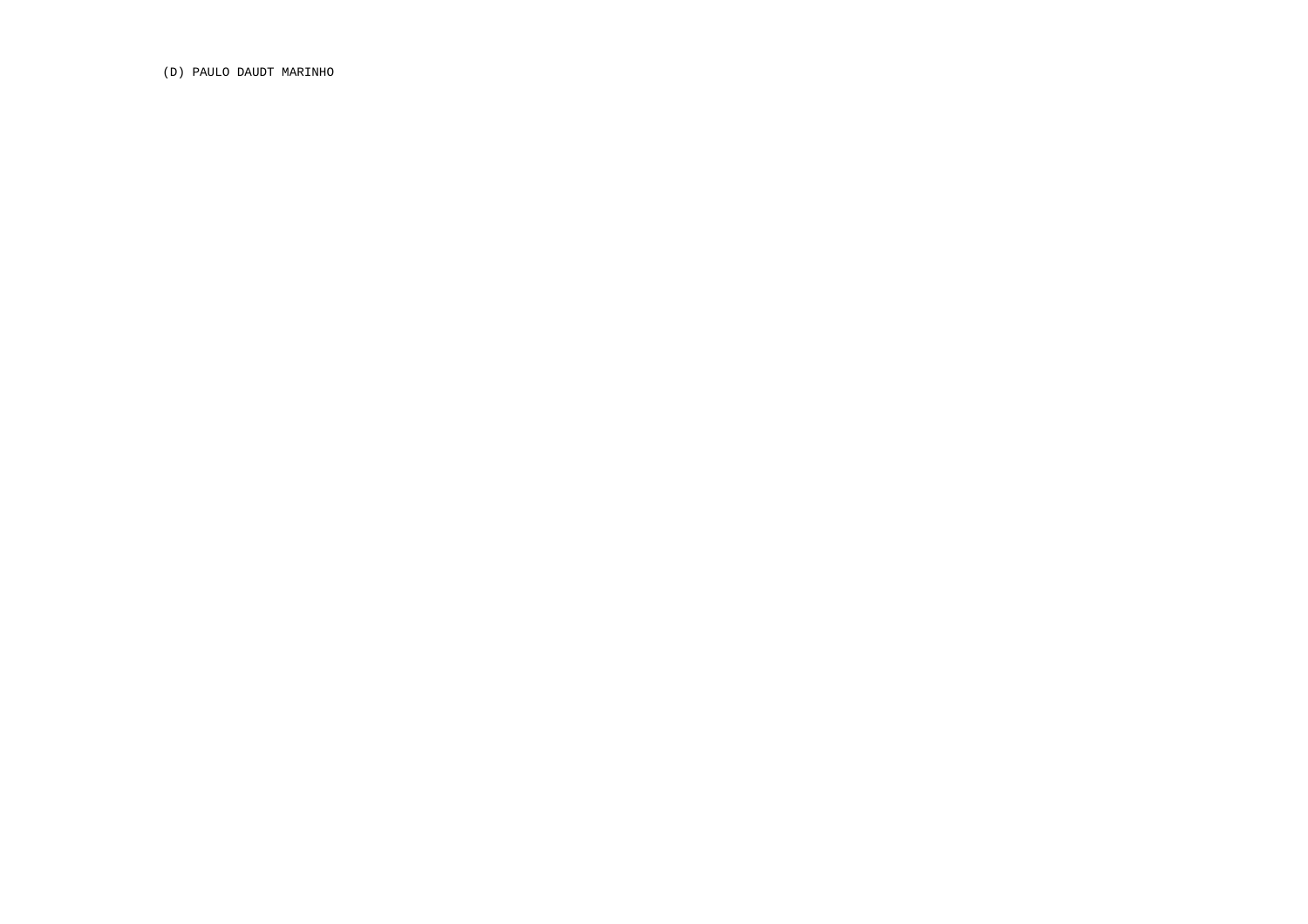(D) PAULO DAUDT MARINHO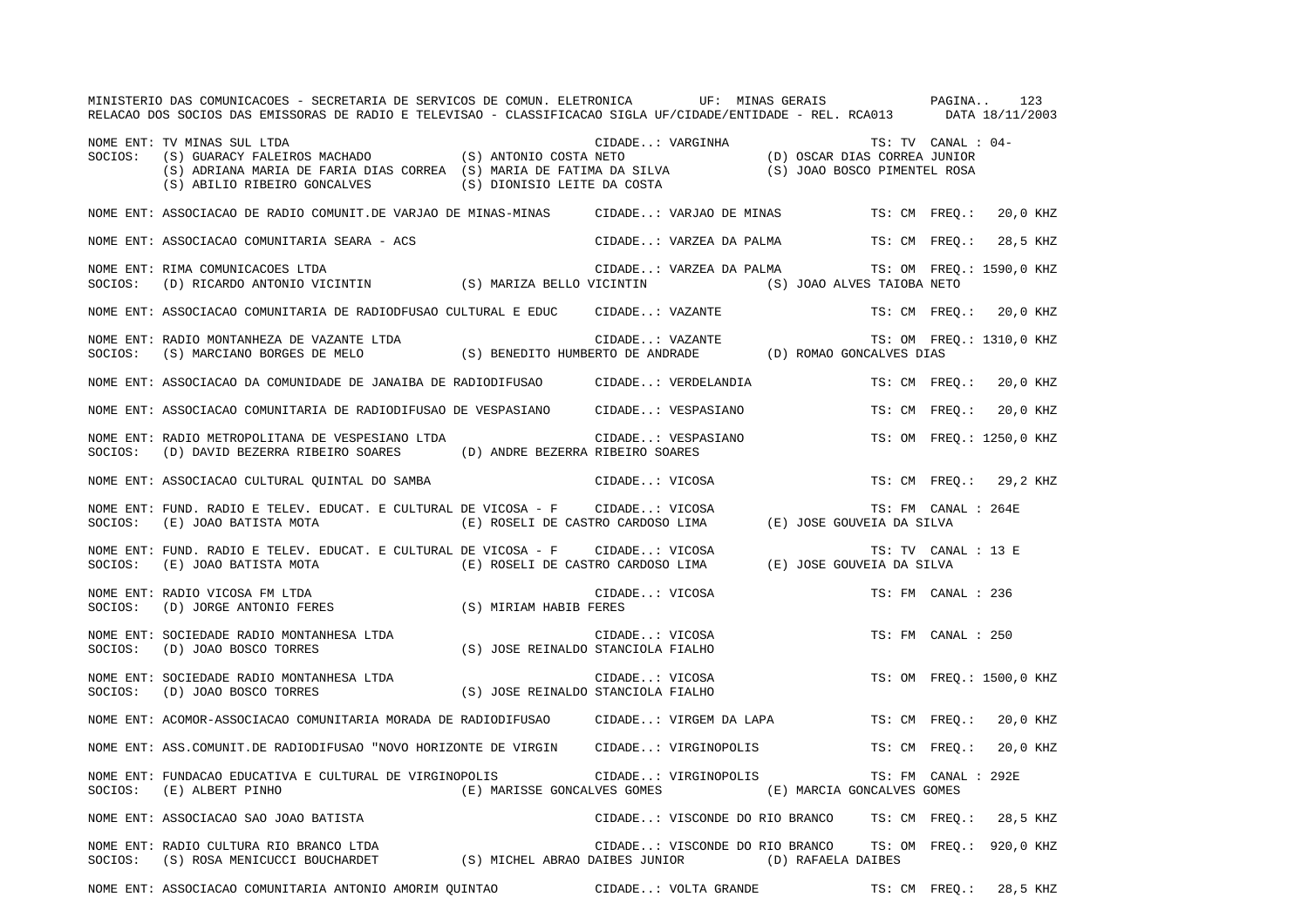|         | MINISTERIO DAS COMUNICACOES - SECRETARIA DE SERVICOS DE COMUN. ELETRONICA — UF: MINAS GERAIS — PAGINA 123<br>RELACAO DOS SOCIOS DAS EMISSORAS DE RADIO E TELEVISAO - CLASSIFICACAO SIGLA UF/CIDADE/ENTIDADE - REL. RCA013 — DAT                                                                                                 |                                                                                                                                                                                                                                                                                                                                                                                                                                                                   |                 |                                      |                                                        |                           |  |
|---------|---------------------------------------------------------------------------------------------------------------------------------------------------------------------------------------------------------------------------------------------------------------------------------------------------------------------------------|-------------------------------------------------------------------------------------------------------------------------------------------------------------------------------------------------------------------------------------------------------------------------------------------------------------------------------------------------------------------------------------------------------------------------------------------------------------------|-----------------|--------------------------------------|--------------------------------------------------------|---------------------------|--|
| SOCIOS: | TV MINAS SUL LTDA<br>(S) GUARACY FALEIROS MACHADO (S) ANTONIO COSTA NETO (D) OSCAR DIAS CORREA JUNIOR<br>(S) ADRIANA MARIA DE FARIA DIAS CORREA (S) MARIA DE FATIMA DA SILVA (S) JOAO BOSCO PIMENTEL ROSA<br>(C) ADILLANA MARIA OE F<br>NOME ENT: TV MINAS SUL LTDA<br>(S) ABILIO RIBEIRO GONCALVES (S) DIONISIO LEITE DA COSTA |                                                                                                                                                                                                                                                                                                                                                                                                                                                                   |                 |                                      |                                                        | TS: TV CANAL : 04-        |  |
|         | NOME ENT: ASSOCIACAO DE RADIO COMUNIT.DE VARJAO DE MINAS-MINAS CIDADE: VARJAO DE MINAS                                                                                                                                                                                                                                          |                                                                                                                                                                                                                                                                                                                                                                                                                                                                   |                 |                                      |                                                        | TS: CM FREQ.: 20,0 KHZ    |  |
|         | NOME ENT: ASSOCIACAO COMUNITARIA SEARA - ACS                                                                                                                                                                                                                                                                                    |                                                                                                                                                                                                                                                                                                                                                                                                                                                                   |                 | CIDADE: VARZEA DA PALMA              |                                                        | TS: CM FREQ.:<br>28,5 KHZ |  |
| SOCIOS: | NOME ENT: RIMA COMUNICACOES LTDA<br>(D) RICARDO ANTONIO VICINTIN (S) MARIZA BELLO VICINTIN (S) JOAO ALVES TAIOBA NETO                                                                                                                                                                                                           |                                                                                                                                                                                                                                                                                                                                                                                                                                                                   |                 |                                      | CIDADE: VARZEA DA PALMA TS: OM FREQ.: 1590,0 KHZ       |                           |  |
|         | NOME ENT: ASSOCIACAO COMUNITARIA DE RADIODFUSAO CULTURAL E EDUC CIDADE: VAZANTE                                                                                                                                                                                                                                                 |                                                                                                                                                                                                                                                                                                                                                                                                                                                                   |                 |                                      |                                                        | TS: CM FREO.: 20,0 KHZ    |  |
|         | NOME ENT: RADIO MONTANHEZA DE VAZANTE LTDA<br>SOCIOS: (S) MARCIANO BORGES DE MELO (S) BENEDITO HUMBERTO DE ANDRADE (D) ROMAO GONCALVES DIAS                                                                                                                                                                                     |                                                                                                                                                                                                                                                                                                                                                                                                                                                                   | CIDADE: VAZANTE |                                      |                                                        | TS: OM FREQ.: 1310,0 KHZ  |  |
|         | NOME ENT: ASSOCIACAO DA COMUNIDADE DE JANAIBA DE RADIODIFUSAO                                                                                                                                                                                                                                                                   |                                                                                                                                                                                                                                                                                                                                                                                                                                                                   |                 | CIDADE: VERDELANDIA                  |                                                        | TS: CM FREQ.: 20,0 KHZ    |  |
|         | NOME ENT: ASSOCIACAO COMUNITARIA DE RADIODIFUSAO DE VESPASIANO CIDADE: VESPASIANO                                                                                                                                                                                                                                               |                                                                                                                                                                                                                                                                                                                                                                                                                                                                   |                 |                                      |                                                        | TS: CM FREO.:<br>20,0 KHZ |  |
| SOCIOS: | NOME ENT: RADIO METROPOLITANA DE VESPESIANO LTDA<br>$\text{(D) DAVID BEZERRA RIBEIRO SOARES}\textcolor{white}{(D) ANDRE BEZERRA RIBEIRO SOARES}\textcolor{white}{(D) ANDRE BEZERRA RIBEIRO SOARES}$                                                                                                                             |                                                                                                                                                                                                                                                                                                                                                                                                                                                                   |                 | CIDADE: VESPASIANO<br>PIRTIPO SOARES |                                                        | TS: OM FREQ.: 1250,0 KHZ  |  |
|         | NOME ENT: ASSOCIACAO CULTURAL QUINTAL DO SAMBA (CIDADE: VICOSA                                                                                                                                                                                                                                                                  |                                                                                                                                                                                                                                                                                                                                                                                                                                                                   |                 |                                      |                                                        | TS: CM FREO.: 29,2 KHZ    |  |
|         |                                                                                                                                                                                                                                                                                                                                 |                                                                                                                                                                                                                                                                                                                                                                                                                                                                   |                 |                                      |                                                        | TS: FM CANAL : 264E       |  |
|         | NOME ENT: FUND. RADIO E TELEV. EDUCAT. E CULTURAL DE VICOSA - F CIDADE: VICOSA<br>SOCIOS: (E) JOAO BATISTA MOTA (E) ROSELI DE CASTRO CARDOSO LIMA (E) JOSE GOUVEIA DA SILVA                                                                                                                                                     |                                                                                                                                                                                                                                                                                                                                                                                                                                                                   |                 |                                      |                                                        | TS: TV CANAL : 13 E       |  |
|         | NOME ENT: RADIO VICOSA FM LTDA<br>SOCIOS: (D) JORGE ANTONIO FERES (S) MIRIAM HABIB FERES                                                                                                                                                                                                                                        |                                                                                                                                                                                                                                                                                                                                                                                                                                                                   | CIDADE: VICOSA  |                                      |                                                        | TS: FM CANAL : 236        |  |
|         | NOME ENT: SOCIEDADE RADIO MONTANHESA LTDA<br>SOCIOS: (D) JOAO BOSCO TORRES                                                                                                                                                                                                                                                      | (S) JOSE REINALDO STANCIOLA FIALHO                                                                                                                                                                                                                                                                                                                                                                                                                                | CIDADE: VICOSA  |                                      |                                                        | TS: FM CANAL : 250        |  |
|         | NOME ENT: SOCIEDADE RADIO MONTANHESA LTDA (S) JOSE REINALDO STANCIOLA FIALHO SOCIOS: (D) JOAO BOSCO TORRES (S) (S) JOSE REINALDO STANCIOLA FIALHO                                                                                                                                                                               |                                                                                                                                                                                                                                                                                                                                                                                                                                                                   | CIDADE: VICOSA  |                                      |                                                        | TS: OM FREQ.: 1500,0 KHZ  |  |
|         | NOME ENT: ACOMOR-ASSOCIACAO COMUNITARIA MORADA DE RADIODIFUSAO CIDADE: VIRGEM DA LAPA                                                                                                                                                                                                                                           |                                                                                                                                                                                                                                                                                                                                                                                                                                                                   |                 |                                      |                                                        | TS: CM FREQ.:<br>20,0 KHZ |  |
|         | NOME ENT: ASS.COMUNIT.DE RADIODIFUSAO "NOVO HORIZONTE DE VIRGIN CIDADE: VIRGINOPOLIS                                                                                                                                                                                                                                            |                                                                                                                                                                                                                                                                                                                                                                                                                                                                   |                 |                                      |                                                        | TS: CM FREQ.:<br>20,0 KHZ |  |
| SOCIOS: | NOME ENT: FUNDACAO EDUCATIVA E CULTURAL DE VIRGINOPOLIS<br>(E) ALBERT PINHO                                                                                                                                                                                                                                                     |                                                                                                                                                                                                                                                                                                                                                                                                                                                                   |                 | CIDADE: VIRGINOPOLIS                 | (E) MARISSE GONCALVES GOMES (E) MARCIA GONCALVES GOMES | TS: FM CANAL : 292E       |  |
|         | NOME ENT: ASSOCIACAO SAO JOAO BATISTA                                                                                                                                                                                                                                                                                           |                                                                                                                                                                                                                                                                                                                                                                                                                                                                   |                 |                                      | CIDADE: VISCONDE DO RIO BRANCO TS: CM FREO.: 28,5 KHZ  |                           |  |
|         | NOME ENT: RADIO CULTURA RIO BRANCO LTDA<br>SOCIOS: (S) ROSA MENICUCCI BOUCHARDET (S) MICHEL ABRAO DAIBES JUNIOR (D) RAFAELA DAIBES                                                                                                                                                                                              | $\begin{tabular}{ccccc} \multicolumn{2}{c }{\textbf{1}} & \multicolumn{2}{c }{\textbf{2}} & \multicolumn{2}{c }{\textbf{3}} & \multicolumn{2}{c }{\textbf{4}} & \multicolumn{2}{c }{\textbf{5}} & \multicolumn{2}{c }{\textbf{6}} & \multicolumn{2}{c }{\textbf{7}} & \multicolumn{2}{c }{\textbf{8}} & \multicolumn{2}{c }{\textbf{9}} & \multicolumn{2}{c }{\textbf{1}} & \multicolumn{2}{c }{\textbf{1}} & \multicolumn{2}{c }{\textbf{1}} & \multicolumn{2}{$ |                 |                                      | CIDADE: VISCONDE DO RIO BRANCO TS: OM FREQ.: 920,0 KHZ |                           |  |
|         | NOME ENT: ASSOCIACAO COMUNITARIA ANTONIO AMORIM QUINTAO                                                                                                                                                                                                                                                                         |                                                                                                                                                                                                                                                                                                                                                                                                                                                                   |                 | CIDADE: VOLTA GRANDE                 |                                                        | TS: CM FREQ.:<br>28,5 KHZ |  |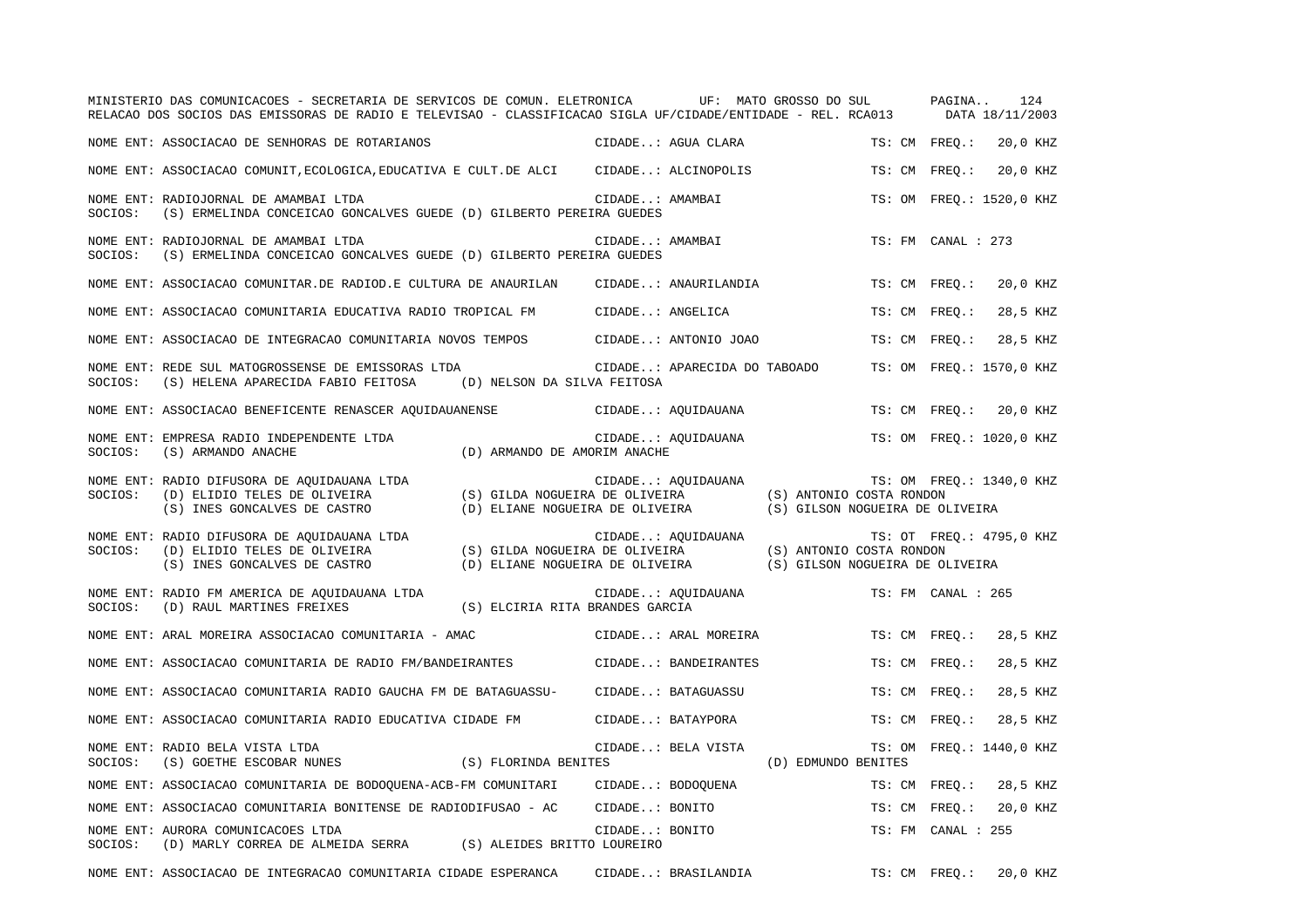|         | MINISTERIO DAS COMUNICACOES - SECRETARIA DE SERVICOS DE COMUN. ELETRONICA UF: MATO GROSSO DO SUL<br>RELACAO DOS SOCIOS DAS EMISSORAS DE RADIO E TELEVISAO - CLASSIFICACAO SIGLA UF/CIDADE/ENTIDADE - REL. RCA013 |                                                                                                   |                              |                                 | PAGINA             | 124<br>DATA 18/11/2003   |
|---------|------------------------------------------------------------------------------------------------------------------------------------------------------------------------------------------------------------------|---------------------------------------------------------------------------------------------------|------------------------------|---------------------------------|--------------------|--------------------------|
|         | NOME ENT: ASSOCIACAO DE SENHORAS DE ROTARIANOS                                                                                                                                                                   |                                                                                                   | CIDADE: AGUA CLARA           |                                 | TS: CM FREQ.:      | 20,0 KHZ                 |
|         | NOME ENT: ASSOCIACAO COMUNIT, ECOLOGICA, EDUCATIVA E CULT. DE ALCI CIDADE: ALCINOPOLIS                                                                                                                           |                                                                                                   |                              |                                 | TS: CM FREO.:      | 20,0 KHZ                 |
| SOCIOS: | NOME ENT: RADIOJORNAL DE AMAMBAI LTDA<br>(S) ERMELINDA CONCEICAO GONCALVES GUEDE (D) GILBERTO PEREIRA GUEDES                                                                                                     | CIDADE: AMAMBAI                                                                                   |                              |                                 |                    | TS: OM FREO.: 1520,0 KHZ |
| SOCIOS: | NOME ENT: RADIOJORNAL DE AMAMBAI LTDA<br>(S) ERMELINDA CONCEICAO GONCALVES GUEDE (D) GILBERTO PEREIRA GUEDES                                                                                                     | CIDADE: AMAMBAI                                                                                   |                              |                                 | TS: FM CANAL : 273 |                          |
|         | NOME ENT: ASSOCIACAO COMUNITAR.DE RADIOD.E CULTURA DE ANAURILAN                                                                                                                                                  |                                                                                                   | CIDADE: ANAURILANDIA         |                                 | TS: CM FREQ.:      | 20,0 KHZ                 |
|         | NOME ENT: ASSOCIACAO COMUNITARIA EDUCATIVA RADIO TROPICAL FM CIDADE: ANGELICA                                                                                                                                    |                                                                                                   |                              |                                 | TS: CM FREO.:      | 28,5 KHZ                 |
|         | NOME ENT: ASSOCIACAO DE INTEGRACAO COMUNITARIA NOVOS TEMPOS CIDADE: ANTONIO JOAO                                                                                                                                 |                                                                                                   |                              |                                 | TS: CM FREO.:      | 28,5 KHZ                 |
| SOCIOS: | NOME ENT: REDE SUL MATOGROSSENSE DE EMISSORAS LTDA<br>(S) HELENA APARECIDA FABIO FEITOSA                                                                                                                         | (D) NELSON DA SILVA FEITOSA                                                                       | CIDADE: APARECIDA DO TABOADO |                                 |                    | TS: OM FREQ.: 1570,0 KHZ |
|         | NOME ENT: ASSOCIACAO BENEFICENTE RENASCER AQUIDAUANENSE                                                                                                                                                          |                                                                                                   | CIDADE: AQUIDAUANA           |                                 | TS: CM FREQ.:      | 20,0 KHZ                 |
| SOCIOS: | NOME ENT: EMPRESA RADIO INDEPENDENTE LTDA<br>(S) ARMANDO ANACHE                                                                                                                                                  | (D) ARMANDO DE AMORIM ANACHE                                                                      | CIDADE: AQUIDAUANA           |                                 |                    | TS: OM FREQ.: 1020,0 KHZ |
| SOCIOS: | NOME ENT: RADIO DIFUSORA DE AQUIDAUANA LTDA<br>(D) ELIDIO TELES DE OLIVEIRA<br>(S) INES GONCALVES DE CASTRO (D) ELIANE NOGUEIRA DE OLIVEIRA                                                                      | (S) GILDA NOGUEIRA DE OLIVEIRA (S) ANTONIO COSTA RONDON                                           | CIDADE: AQUIDAUANA           | (S) GILSON NOGUEIRA DE OLIVEIRA |                    | TS: OM FREQ.: 1340,0 KHZ |
| SOCIOS: | NOME ENT: RADIO DIFUSORA DE AQUIDAUANA LTDA<br>(D) ELIDIO TELES DE OLIVEIRA<br>(S) INES GONCALVES DE CASTRO                                                                                                      | (S) GILDA NOGUEIRA DE OLIVEIRA<br>(D) ELIANE NOGUEIRA DE OLIVEIRA (S) GILSON NOGUEIRA DE OLIVEIRA | CIDADE: AQUIDAUANA           | (S) ANTONIO COSTA RONDON        |                    | TS: OT FREQ.: 4795,0 KHZ |
| SOCIOS: | NOME ENT: RADIO FM AMERICA DE AQUIDAUANA LTDA<br>(D) RAUL MARTINES FREIXES                                                                                                                                       | (S) ELCIRIA RITA BRANDES GARCIA                                                                   | CIDADE: AQUIDAUANA           |                                 | TS: FM CANAL : 265 |                          |
|         | NOME ENT: ARAL MOREIRA ASSOCIACAO COMUNITARIA - AMAC                                                                                                                                                             |                                                                                                   | CIDADE: ARAL MOREIRA         |                                 | TS: CM FREQ.:      | 28,5 KHZ                 |
|         | NOME ENT: ASSOCIACAO COMUNITARIA DE RADIO FM/BANDEIRANTES                                                                                                                                                        |                                                                                                   | CIDADE: BANDEIRANTES         |                                 | TS: CM FREO.:      | 28,5 KHZ                 |
|         | NOME ENT: ASSOCIACAO COMUNITARIA RADIO GAUCHA FM DE BATAGUASSU-                                                                                                                                                  |                                                                                                   | CIDADE: BATAGUASSU           |                                 | TS: CM FREO.:      | 28,5 KHZ                 |
|         | NOME ENT: ASSOCIACAO COMUNITARIA RADIO EDUCATIVA CIDADE FM                                                                                                                                                       | CIDADE: BATAYPORA                                                                                 |                              |                                 | TS: CM FREQ.:      | 28,5 KHZ                 |
| SOCIOS: | NOME ENT: RADIO BELA VISTA LTDA<br>(S) FLORINDA BENITES<br>(S) GOETHE ESCOBAR NUNES                                                                                                                              |                                                                                                   | CIDADE: BELA VISTA           | (D) EDMUNDO BENITES             |                    | TS: OM FREQ.: 1440,0 KHZ |
|         | NOME ENT: ASSOCIACAO COMUNITARIA DE BODOQUENA-ACB-FM COMUNITARI                                                                                                                                                  | CIDADE: BODOQUENA                                                                                 |                              |                                 | TS: CM FREQ.:      | 28,5 KHZ                 |
|         | NOME ENT: ASSOCIACAO COMUNITARIA BONITENSE DE RADIODIFUSAO - AC                                                                                                                                                  | CIDADE: BONITO                                                                                    |                              |                                 | TS: CM FREQ.:      | 20,0 KHZ                 |
| SOCIOS: | NOME ENT: AURORA COMUNICACOES LTDA<br>(D) MARLY CORREA DE ALMEIDA SERRA (S) ALEIDES BRITTO LOUREIRO                                                                                                              | CIDADE: BONITO                                                                                    |                              |                                 | TS: FM CANAL : 255 |                          |
|         | NOME ENT: ASSOCIACAO DE INTEGRACAO COMUNITARIA CIDADE ESPERANCA                                                                                                                                                  |                                                                                                   | CIDADE: BRASILANDIA          |                                 | TS: CM FREO.:      | 20,0 KHZ                 |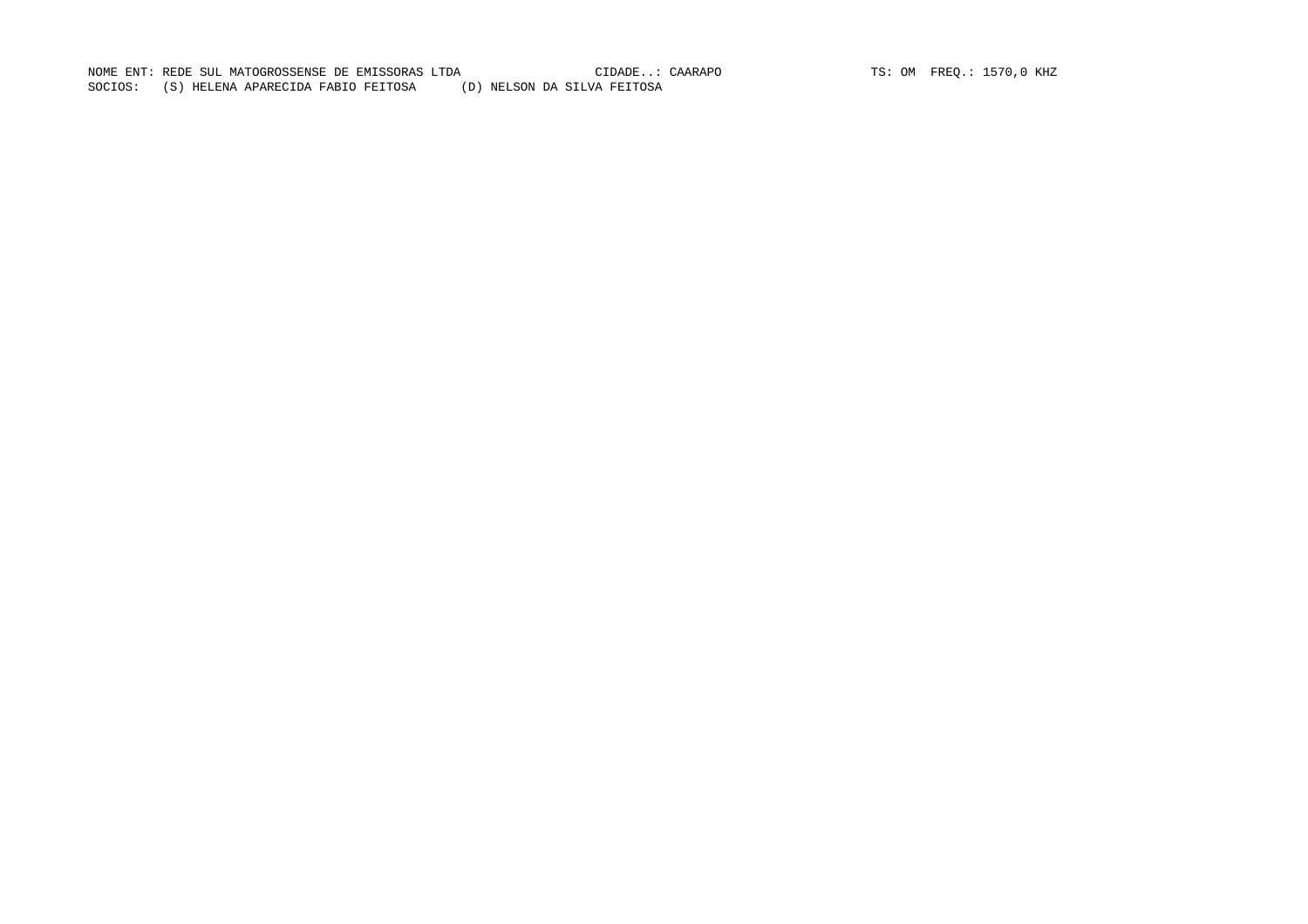NOME ENT: REDE SUL MATOGROSSENSE DE EMISSORAS LTDA (CIDADE..: CAARAPO TS: OM FREQ.: 1570,0 KHZ SOCIOS: (S) HELENA APARECIDA FABIO FEITOSA (D) NELSON DA SILVA FEITOSA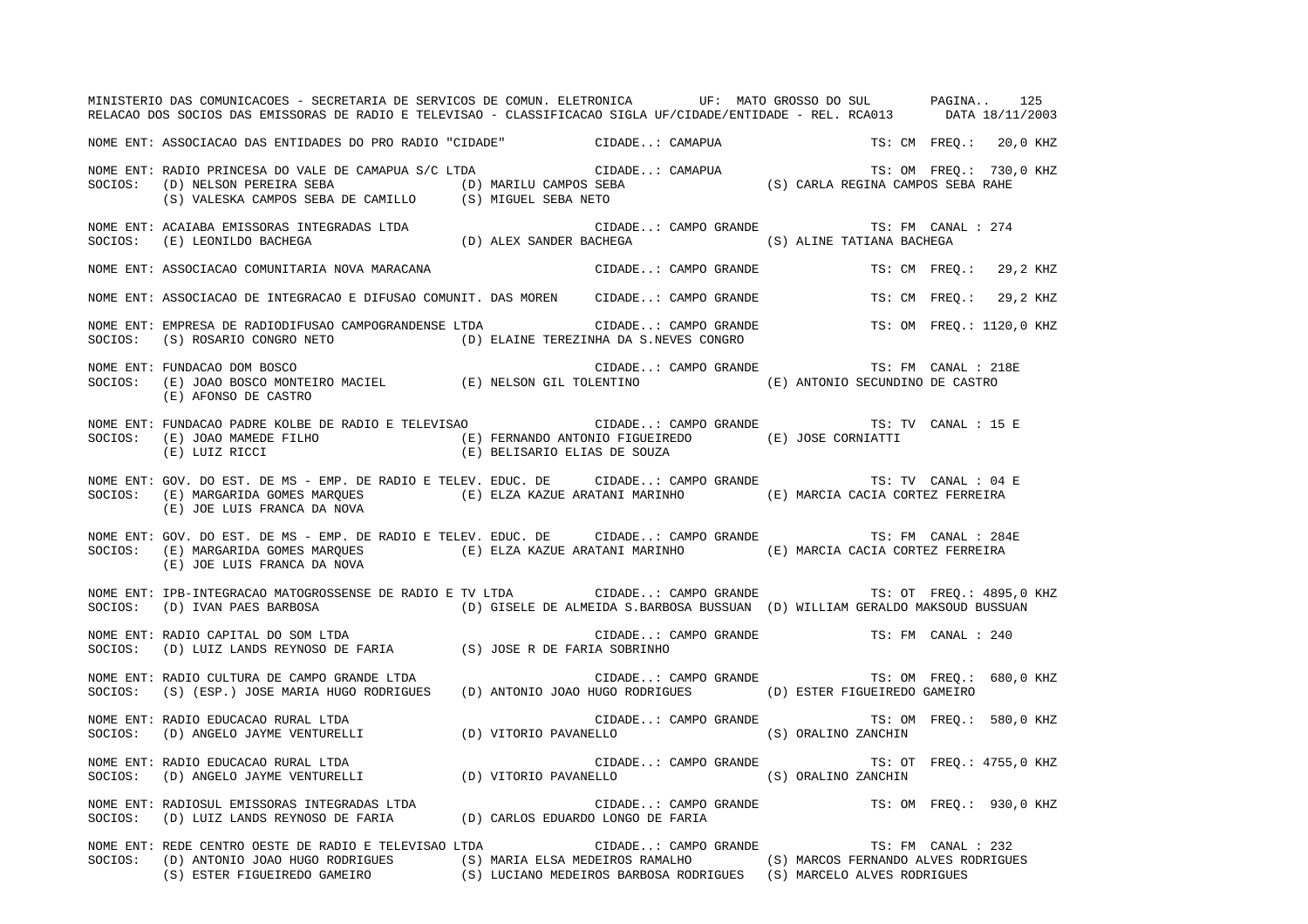MINISTERIO DAS COMUNICACOES - SECRETARIA DE SERVICOS DE COMUN. ELETRONICA UF: MATO GROSSO DO SUL PAGINA.. 125 RELACAO DOS SOCIOS DAS EMISSORAS DE RADIO E TELEVISAO - CLASSIFICACAO SIGLA UF/CIDADE/ENTIDADE - REL. RCA013 DATA 18/11/2003 NOME ENT: ASSOCIACAO DAS ENTIDADES DO PRO RADIO "CIDADE" CIDADE..: CAMAPUA TS: CM FREQ.: 20.0 KHZ NOME ENT: RADIO PRINCESA DO VALE DE CAMAPUA S/C LTDA TO CIDADE..: CAMAPUA TS: OM FREQ.: 730,0 KHZ SOCIOS: (D) NELSON PEREIRA SEBA (D) MARILU CAMPOS SEBA (S) CARLA REGINA CAMPOS SEBA RAHE (S) VALESKA CAMPOS SEBA DE CAMILLO (S) MIGUEL SEBA NETO NOME ENT: ACAIABA EMISSORAS INTEGRADAS LTDA CIDADE..: CAMPO GRANDE TS: FM CANAL : 274SOCIOS: (E) LEONILDO BACHEGA (D) ALEX SANDER BACHEGA (S) ALINE TATIANA BACHEGA NOME ENT: ASSOCIACAO COMUNITARIA NOVA MARACANA CHE COMUNITARIA CIDADE..: CAMPO GRANDE TS: CM FREQ.: 29,2 KHZ NOME ENT: ASSOCIACAO DE INTEGRACAO E DIFUSAO COMUNIT. DAS MOREN CIDADE..: CAMPO GRANDE TS: CM FREQ.: 29,2 KHZ NOME ENT: EMPRESA DE RADIODIFUSAO CAMPOGRANDENSE LTDA CIDADE..: CAMPO GRANDE TS: OM FREQ.: 1120,0 KHZ SOCIOS: (S) ROSARIO CONGRO NETO (D) ELAINE TEREZINHA DA S.NEVES CONGRO NOME ENT: FUNDACAO DOM BOSCO CIDADE..: CAMPO GRANDE TS: FM CANAL : 218ESOCIOS: (E) JOAO BOSCO MONTEIRO MACIEL (E) NELSON GIL TOLENTINO (E) ANTONIO SECUNDINO DE CASTRO (E) AFONSO DE CASTRO NOME ENT: FUNDACAO PADRE KOLBE DE RADIO E TELEVISAO CIDADE..: CAMPO GRANDE TS: TV CANAL : 15 ESOCIOS: (E) JOAO MAMEDE FILHO (E) FERNANDO ANTONIO FIGUEIREDO (E) JOSE CORNIATTI (E) LUIZ RICCI (E) BELISARIO ELIAS DE SOUZA NOME ENT: GOV. DO EST. DE MS - EMP. DE RADIO E TELEV. EDUC. DE CIDADE..: CAMPO GRANDE TS: TV CANAL : 04 E SOCIOS: (E) MARGARIDA GOMES MARQUES (E) ELZA KAZUE ARATANI MARINHO (E) MARCIA CACIA CORTEZ FERREIRA (E) JOE LUIS FRANCA DA NOVA NOME ENT: GOV. DO EST. DE MS - EMP. DE RADIO E TELEV. EDUC. DE CIDADE..: CAMPO GRANDE TS: FM CANAL : 284E SOCIOS: (E) MARGARIDA GOMES MARQUES (E) ELZA KAZUE ARATANI MARINHO (E) MARCIA CACIA CORTEZ FERREIRA (E) JOE LUIS FRANCA DA NOVA NOME ENT: IPB-INTEGRACAO MATOGROSSENSE DE RADIO E TV LTDA CIDADE..: CAMPO GRANDE TS: OT FREQ.: 4895,0 KHZ SOCIOS: (D) IVAN PAES BARBOSA (D) GISELE DE ALMEIDA S.BARBOSA BUSSUAN (D) WILLIAM GERALDO MAKSOUD BUSSUAN NOME ENT: RADIO CAPITAL DO SOM LTDA CIDADE..: CAMPO GRANDE TS: FM CANAL : 240 SOCIOS: (D) LUIZ LANDS REYNOSO DE FARIA (S) JOSE R DE FARIA SOBRINHO NOME ENT: RADIO CULTURA DE CAMPO GRANDE LTDA CIDADE..: CAMPO GRANDE TS: OM FREQ.: 680,0 KHZ SOCIOS: (S) (ESP.) JOSE MARIA HUGO RODRIGUES (D) ANTONIO JOAO HUGO RODRIGUES (D) ESTER FIGUEIREDO GAMEIRO NOME ENT: RADIO EDUCACAO RURAL LTDA  $\Box$  CIDADE..: CAMPO GRANDE TS: OM FREQ.: 580,0 KHZ SOCIOS: (D) ANGELO JAYME VENTURELLI (D) VITORIO PAVANELLO (S) ORALINO ZANCHIN NOME ENT: RADIO EDUCACAO RURAL LTDA  $\qquad \qquad$  CIDADE..: CAMPO GRANDE  $\qquad \qquad$  TS: OT FREQ.: 4755,0 KHZ SOCIOS: (D) ANGELO JAYME VENTURELLI (D) VITORIO PAVANELLO (S) ORALINO ZANCHIN NOME ENT: RADIOSUL EMISSORAS INTEGRADAS LTDA CIDADE..: CAMPO GRANDE TS: OM FREQ.: 930,0 KHZ SOCIOS: (D) LUIZ LANDS REYNOSO DE FARIA (D) CARLOS EDUARDO LONGO DE FARIA NOME ENT: REDE CENTRO OESTE DE RADIO E TELEVISAO LTDA CIDADE... CAMPO GRANDE TS: FM CANAL : 232 SOCIOS: (D) ANTONIO JOAO HUGO RODRIGUES (S) MARIA ELSA MEDEIROS RAMALHO (S) MARCOS FERNANDO ALVES RODRIGUES (S) ESTER FIGUEIREDO GAMEIRO (S) LUCIANO MEDEIROS BARBOSA RODRIGUES (S) MARCELO ALVES RODRIGUES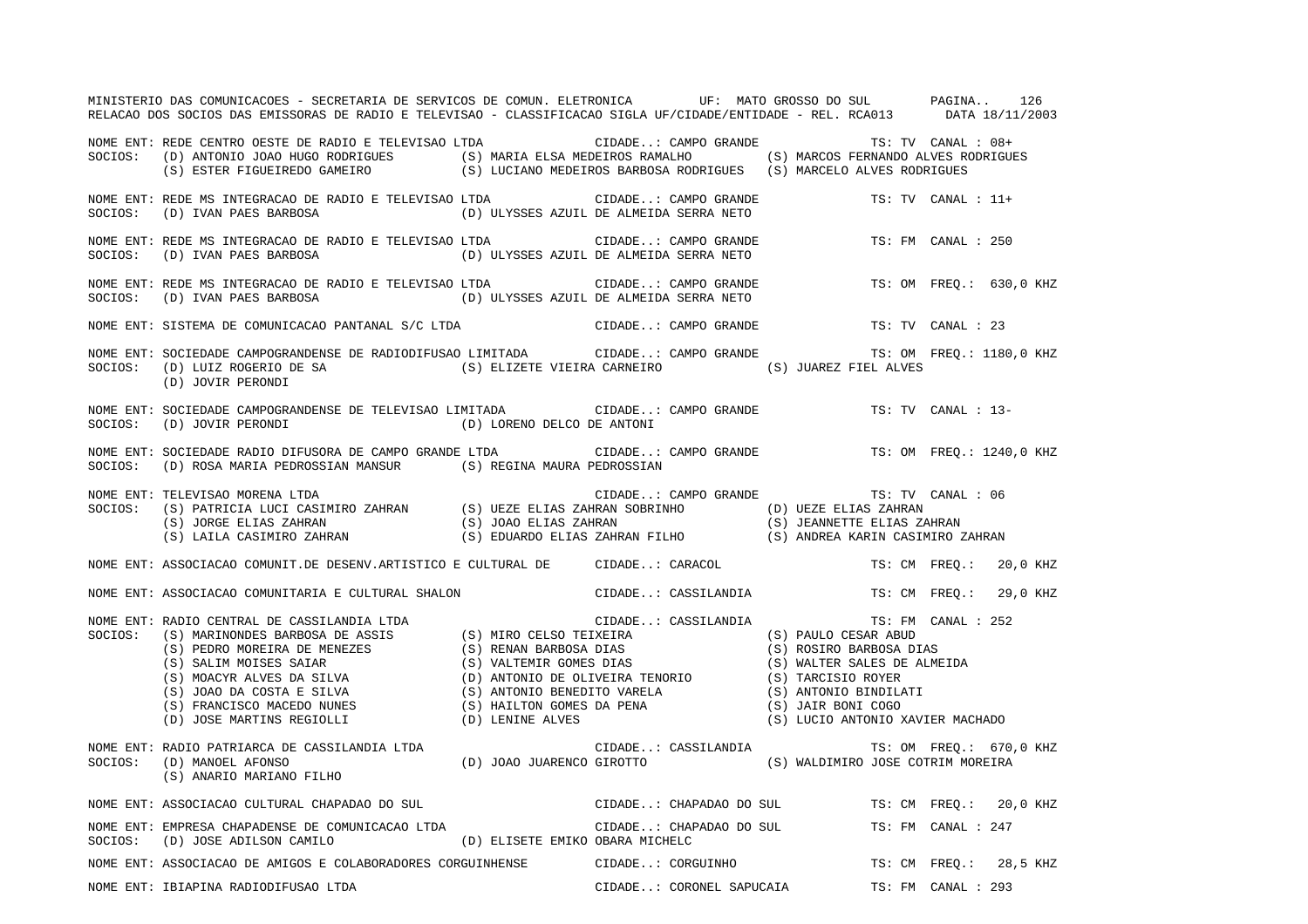|         | MINISTERIO DAS COMUNICACOES - SECRETARIA DE SERVICOS DE COMUN. ELETRONICA UF: MATO GROSSO DO SUL PAGINA 126<br>RELACAO DOS SOCIOS DAS EMISSORAS DE RADIO E TELEVISAO - CLASSIFICACAO SIGLA UF/CIDADE/ENTIDADE - REL. RCA013 DATA 18/11/2003                                                                     |                                                |                      |                                               |                         |
|---------|-----------------------------------------------------------------------------------------------------------------------------------------------------------------------------------------------------------------------------------------------------------------------------------------------------------------|------------------------------------------------|----------------------|-----------------------------------------------|-------------------------|
|         | NOME ENT: REDE CENTRO OESTE DE RADIO E TELEVISAO LTDA CIDADE: CAMPO GRANDE TS: TV CANAL : 08+<br>SOCIOS: (D) ANTONIO JOAO HUGO RODRIGUES (S) MARIA ELSA MEDEIROS RAMALHO (S) MARCOS FERNANDO ALVES RODRIGUES<br>(S) ESTER FIGUEIREDO GAMEIRO (S) LUCIANO MEDEIROS BARBOSA RODRIGUES (S) MARCELO ALVES RODRIGUES |                                                |                      |                                               |                         |
|         |                                                                                                                                                                                                                                                                                                                 |                                                |                      | TS: TV CANAL : 11+                            |                         |
| SOCIOS: | NOME ENT: REDE MS INTEGRACAO DE RADIO E TELEVISAO LTDA                                                                                                                                                                                                                                                          |                                                |                      | TS: FM CANAL : 250                            |                         |
|         |                                                                                                                                                                                                                                                                                                                 |                                                |                      |                                               | TS: OM FREQ.: 630,0 KHZ |
|         | NOME ENT: SISTEMA DE COMUNICACAO PANTANAL S/C LTDA                                                                                                                                                                                                                                                              |                                                |                      | CIDADE: CAMPO GRANDE TS: TV CANAL : 23        |                         |
|         | NOME ENT: SOCIEDADE CAMPOGRANDENSE DE RADIODIFUSAO LIMITADA CIDADE: CAMPO GRANDE TS: OM FREQ.: 1180,0 KHZ<br>$\verb SOCIOS: (D) LULZ ROGERIO DE SA   (S) ELIZETE VIEIRA CARNEIRO   (S) JUAREZ FIEL ALVES   (D) JOVIR PERONDI   (E) ALVES.$                                                                      |                                                |                      |                                               |                         |
|         | NOME ENT: SOCIEDADE CAMPOGRANDENSE DE TELEVISAO LIMITADA CIDADE: CAMPO GRANDE TS: TV CANAL : 13-<br>SOCIOS: (D) JOVIR PERONDI<br>(D) LORENO DELCO DE ANTONI                                                                                                                                                     |                                                |                      |                                               |                         |
|         | NOME ENT: SOCIEDADE RADIO DIFUSORA DE CAMPO GRANDE LTDA<br>SOCIOS: (D) ROSA MARIA PEDROSSIAN MANSUR (S) REGINA MAURA PEDROSSIAN                                                                                                                                                                                 |                                                |                      | CIDADE: CAMPO GRANDE TS: OM FREQ.: 1240,0 KHZ |                         |
|         | NOME ENT: TELEVISAO MORENA LTDA<br>NOTE ENI LELEVISAO MOKENA LIDA<br>SOCIOS: (S) PATRICIA LUCI CASIMIRO ZAHRAN (S) UEZE ELIAS ZAHRAN SOBRINHO (D) UEZE ELIAS ZAHRAN<br>(S) JORGE ELIAS ZAHRAN (S) JOAO ELIAS ZAHRAN (S) JEANNETTE ELIAS ZAHRAN<br>(S) LAILA CASIMIRO ZAHRA                                      |                                                | CIDADE: CAMPO GRANDE | TS: TV CANAL : 06                             |                         |
|         | NOME ENT: ASSOCIACAO COMUNIT.DE DESENV.ARTISTICO E CULTURAL DE CIDADE: CARACOL TS: CM FREQ.: 20,0 KHZ                                                                                                                                                                                                           |                                                |                      |                                               |                         |
|         | NOME ENT: ASSOCIACAO COMUNITARIA E CULTURAL SHALON CIDADE: CASSILANDIA TS: CM FREQ.: 29,0 KHZ                                                                                                                                                                                                                   |                                                |                      |                                               |                         |
|         |                                                                                                                                                                                                                                                                                                                 |                                                |                      | CIDADE: CASSILANDIA TS: FM CANAL : 252        |                         |
|         | (S) ANARIO MARIANO FILHO                                                                                                                                                                                                                                                                                        |                                                |                      | CIDADE: CASSILANDIA TS: OM FREQ.: 670,0 KHZ   |                         |
|         | NOME ENT: ASSOCIACAO CULTURAL CHAPADAO DO SUL                                                                                                                                                                                                                                                                   | CIDADE: CHAPADAO DO SUL TS: CM FREQ.: 20,0 KHZ |                      |                                               |                         |
|         | NOME ENT: EMPRESA CHAPADENSE DE COMUNICACAO LTDA<br>$\texttt{SOCIOS:} \hspace{5mm} \texttt{(D)} \hspace{2mm} \texttt{JOSE ADILSON} \hspace{2mm} \texttt{CAMILO} \hspace{2mm} \texttt{(D)} \hspace{2mm} \texttt{ELISETE} \hspace{2mm} \texttt{EMIKO} \hspace{2mm} \texttt{OBARA} \hspace{2mm} \texttt{MICHELC}$  | CIDADE: CHAPADAO DO SUL                        |                      | TS: FM CANAL : 247                            |                         |
|         | NOME ENT: ASSOCIACAO DE AMIGOS E COLABORADORES CORGUINHENSE CIDADE: CORGUINHO TS: CM FREQ.: 28,5 KHZ                                                                                                                                                                                                            |                                                |                      |                                               |                         |
|         | NOME ENT: IBIAPINA RADIODIFUSAO LTDA                                                                                                                                                                                                                                                                            |                                                |                      | CIDADE: CORONEL SAPUCAIA TS: FM CANAL : 293   |                         |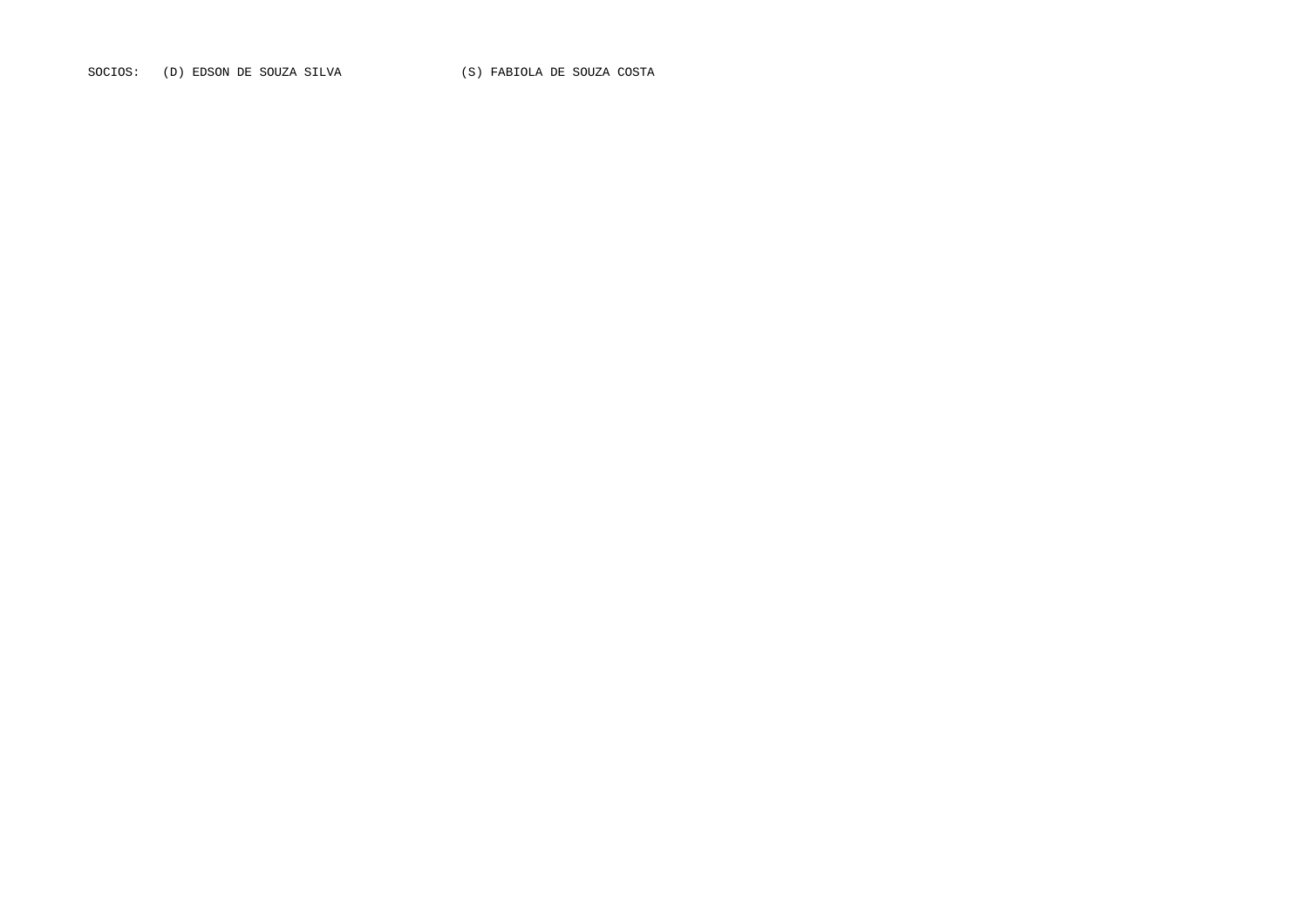SOCIOS: (D) EDSON DE SOUZA SILVA (S) FABIOLA DE SOUZA COSTA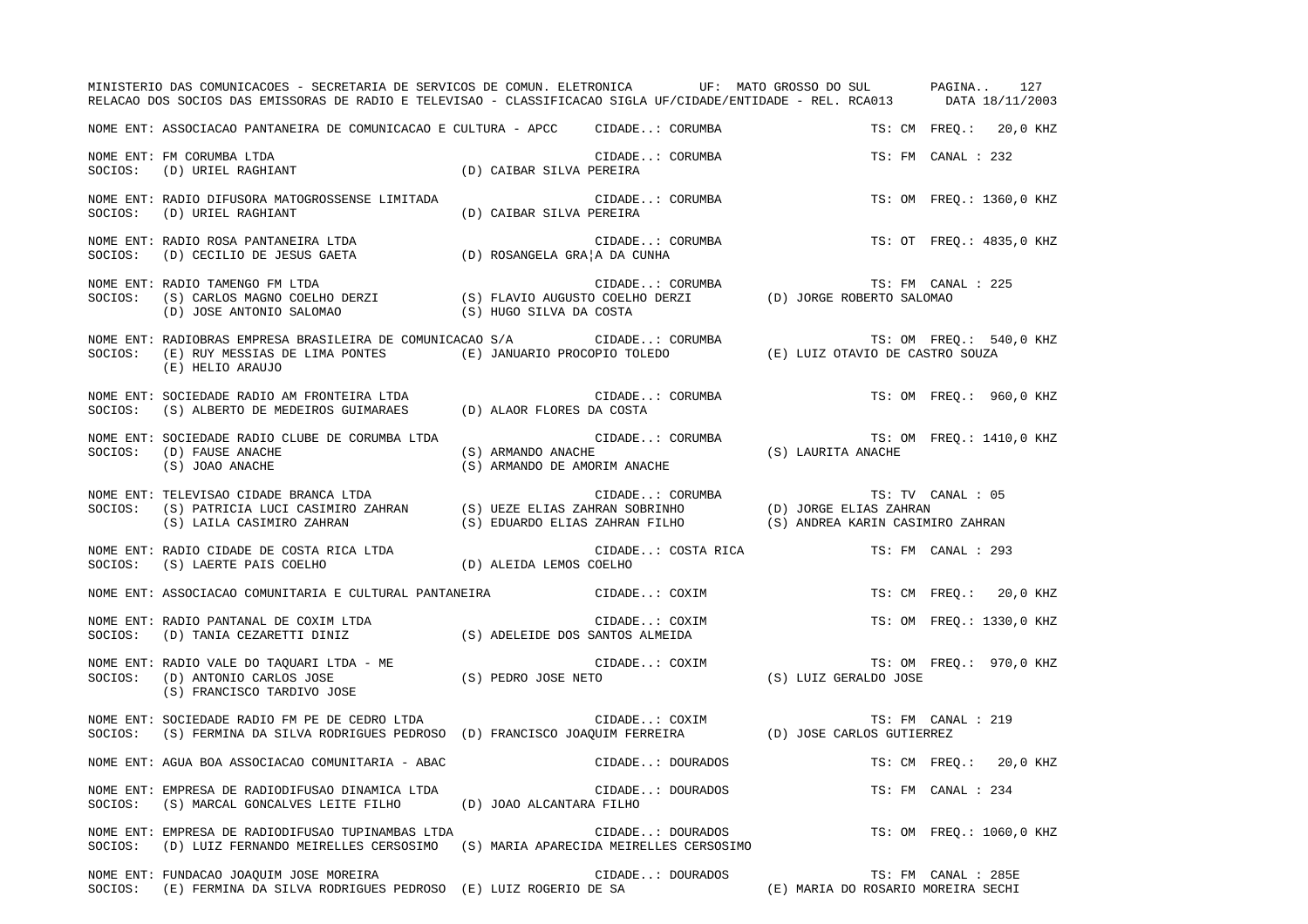|         | MINISTERIO DAS COMUNICACOES - SECRETARIA DE SERVICOS DE COMUN. ELETRONICA UF: MATO GROSSO DO SUL PAGINA 127<br>RELACAO DOS SOCIOS DAS EMISSORAS DE RADIO E TELEVISAO - CLASSIFICACAO SIGLA UF/CIDADE/ENTIDADE - REL. RCA013 DATA 18/11/2003 |                          |                                                                                                                |                                    |                          |
|---------|---------------------------------------------------------------------------------------------------------------------------------------------------------------------------------------------------------------------------------------------|--------------------------|----------------------------------------------------------------------------------------------------------------|------------------------------------|--------------------------|
|         | NOME ENT: ASSOCIACAO PANTANEIRA DE COMUNICACAO E CULTURA - APCC CIDADE: CORUMBA                                                                                                                                                             |                          |                                                                                                                |                                    | TS: CM FREQ.: 20,0 KHZ   |
|         | CIDADE.<br>SOCIOS: (D) URIEL RAGHIANT (D) CAIBAR SILVA PEREIRA                                                                                                                                                                              |                          | CIDADE: CORUMBA                                                                                                |                                    | TS: FM CANAL : 232       |
|         | NOME ENT: RADIO DIFUSORA MATOGROSSENSE LIMITADA<br>SOCIOS: (D) URIEL RAGHIANT<br>(D) CAIBAR SILVA PEREIRA                                                                                                                                   |                          | CIDADE: CORUMBA                                                                                                |                                    | TS: OM FREQ.: 1360,0 KHZ |
|         | NOME ENT: RADIO ROSA PANTANEIRA LTDA (D) ROSANGELA GRA A DA CUNHA SOCIOS: (D) CECILIO DE JESUS GAETA (D) ROSANGELA GRA A DA CUNHA                                                                                                           |                          | CIDADE: CORUMBA                                                                                                |                                    | TS: OT FREQ.: 4835,0 KHZ |
| SOCIOS: | NOME ENT: RADIO TAMENGO FM LTDA<br>(D) JOSE ANTONIO SALOMAO (S) HUGO SILVA DA COSTA                                                                                                                                                         |                          |                                                                                                                |                                    | TS: FM CANAL : 225       |
|         | NOME ENT: RADIOBRAS EMPRESA BRASILEIRA DE COMUNICACAO S/A CIDADE: CORUMBA TS: OM FREQ.: 540,0 KHZ<br>SOCIOS: (E) RUY MESSIAS DE LIMA PONTES (E) JANUARIO PROCOPIO TOLEDO (E) LUIZ OTAVIO DE CASTRO SOUZA<br>(E) HELIO ARAUJO                |                          |                                                                                                                |                                    |                          |
|         | NOME ENT: SOCIEDADE RADIO AM FRONTEIRA LTDA<br>SOCIOS: (S) ALBERTO DE MEDEIROS GUIMARAES (D) ALAOR FLORES DA COSTA                                                                                                                          |                          |                                                                                                                |                                    |                          |
|         | NOME ENT: SOCIEDADE RADIO CLUBE DE CORUMBA LTDA<br>SOCIOS: (D) FAUSE ANACHE<br>(S) JOAO ANACHE                                                                                                                                              |                          | CIDADE: CORUMBA TS: OM FREQ.: 1410,0 KHZ<br>(S) ARMANDO ANACHE (S) ARMANDO DE AMORIM ANACHE (S) LAURITA ANACHE |                                    |                          |
|         | NOME ENT: TELEVISAO CIDADE BRANCA LTDA<br>SOCIOS: (S) PATRICIA LUCI CASIMIRO ZAHRAN (S) UEZE ELIAS ZAHRAN SOBRINHO (D) JORGE ELIAS ZAHRAN<br>(S) LAILA CASIMIRO ZAHRAN (S) EDUARDO ELIAS ZAHRAN FILHO (S) ANDREA KARIN CASIMIRO ZAHR        |                          |                                                                                                                |                                    |                          |
|         |                                                                                                                                                                                                                                             |                          |                                                                                                                |                                    |                          |
|         | NOME ENT: ASSOCIACAO COMUNITARIA E CULTURAL PANTANEIRA CIDADE: COXIM                                                                                                                                                                        |                          |                                                                                                                |                                    | TS: CM FREQ.: 20,0 KHZ   |
|         | NOME ENT: RADIO PANTANAL DE COXIM LTDA<br>SOCIOS:    (D) TANIA CEZARETTI DINIZ                        (S) ADELEIDE DOS SANTOS ALMEIDA                                                                                                       |                          | CIDADE: COXIM                                                                                                  |                                    | TS: OM FREQ.: 1330,0 KHZ |
|         | NOME ENT: RADIO VALE DO TAQUARI LTDA - ME<br>SOCIOS: (D) ANTONIO CARLOS JOSE (S) PEDRO JOSE NETO (S) COXIM (S) LUIZ GERALDO JOSE (S) FRANCISCO TARDIVO JOSE<br>(S) FRANCISCO TARDIVO JOSE                                                   |                          |                                                                                                                |                                    | TS: OM FREQ.: 970,0 KHZ  |
|         | NOME ENT: SOCIEDADE RADIO FM PE DE CEDRO LTDA<br>SOCIOS: (S) FERMINA DA SILVA RODRIGUES PEDROSO (D) FRANCISCO JOAQUIM FERREIRA (D) JOSE CARLOS GUTIERREZ                                                                                    |                          |                                                                                                                |                                    | TS: FM CANAL : 219       |
|         | NOME ENT: AGUA BOA ASSOCIACAO COMUNITARIA - ABAC                                                                                                                                                                                            |                          | CIDADE: DOURADOS TS: CM FREQ.: 20,0 KHZ                                                                        |                                    |                          |
| SOCIOS: | NOME ENT: EMPRESA DE RADIODIFUSAO DINAMICA LTDA<br>(S) MARCAL GONCALVES LEITE FILHO                                                                                                                                                         | (D) JOAO ALCANTARA FILHO | CIDADE: DOURADOS                                                                                               |                                    | TS: FM CANAL : 234       |
| SOCIOS: | NOME ENT: EMPRESA DE RADIODIFUSAO TUPINAMBAS LTDA<br>(D) LUIZ FERNANDO MEIRELLES CERSOSIMO                                                                                                                                                  |                          | CIDADE: DOURADOS<br>(S) MARIA APARECIDA MEIRELLES CERSOSIMO                                                    |                                    | TS: OM FREQ.: 1060,0 KHZ |
| SOCIOS: | NOME ENT: FUNDACAO JOAQUIM JOSE MOREIRA<br>(E) FERMINA DA SILVA RODRIGUES PEDROSO (E) LUIZ ROGERIO DE SA                                                                                                                                    |                          | CIDADE: DOURADOS                                                                                               | (E) MARIA DO ROSARIO MOREIRA SECHI | TS: FM CANAL : 285E      |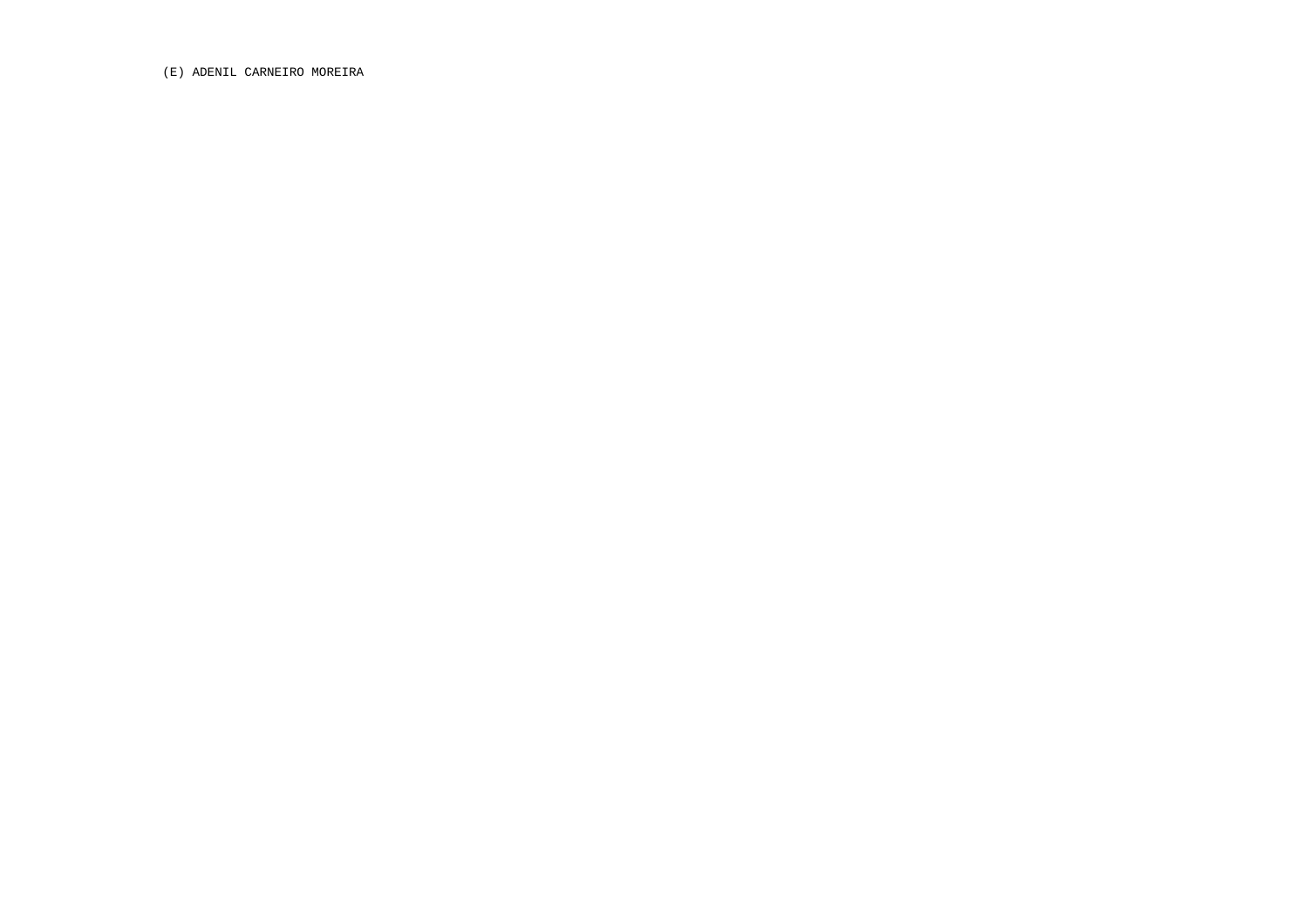(E) ADENIL CARNEIRO MOREIRA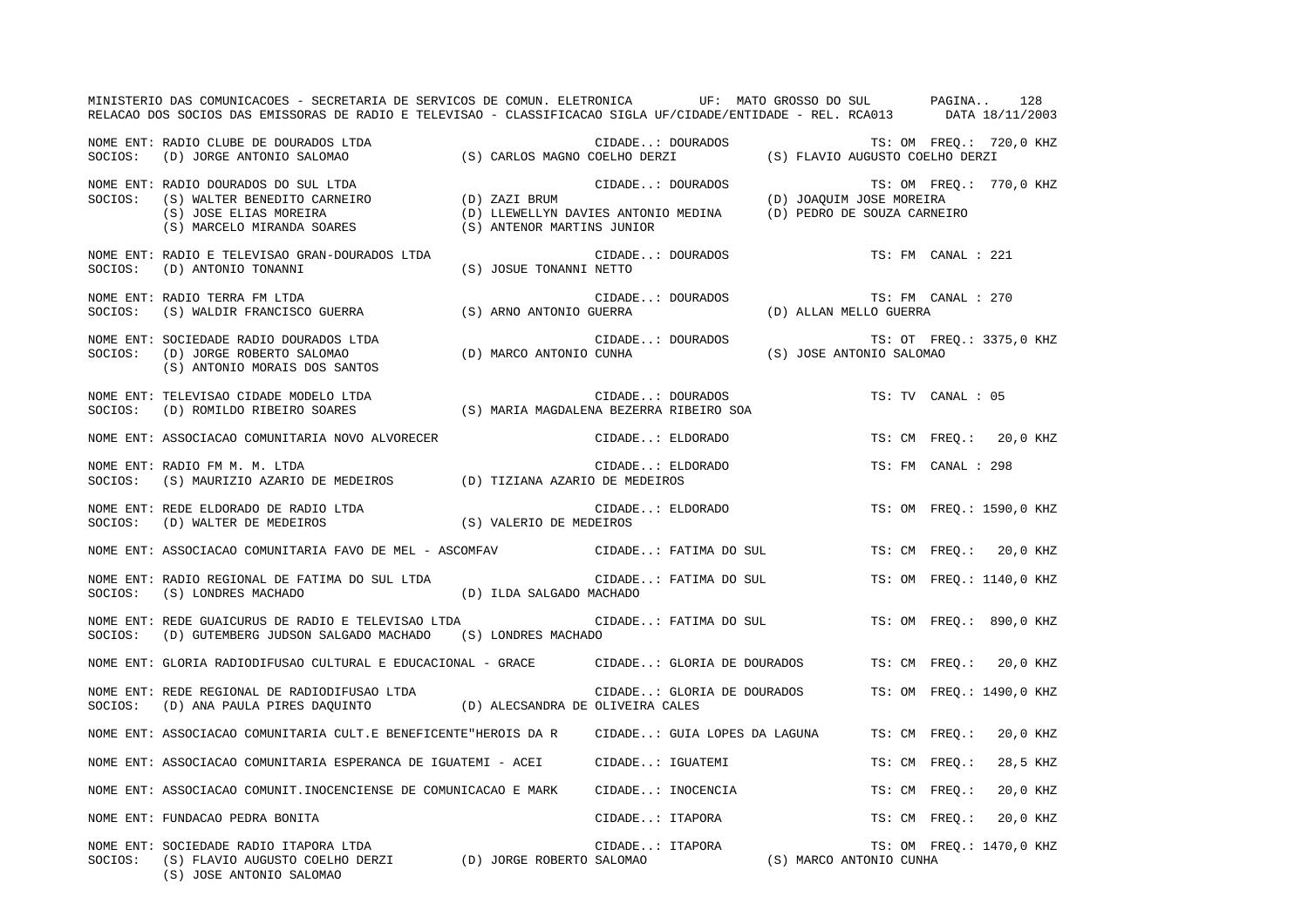|         | MINISTERIO DAS COMUNICACOES - SECRETARIA DE SERVICOS DE COMUN. ELETRONICA UF: MATO GROSSO DO SUL PAGINA<br>RELACAO DOS SOCIOS DAS EMISSORAS DE RADIO E TELEVISAO - CLASSIFICACAO SIGLA UF/CIDADE/ENTIDADE - REL. RCA013 DATA 18/11/2003 |                                                                   |                  |                              |                             |                                              | 128                      |
|---------|-----------------------------------------------------------------------------------------------------------------------------------------------------------------------------------------------------------------------------------------|-------------------------------------------------------------------|------------------|------------------------------|-----------------------------|----------------------------------------------|--------------------------|
| SOCIOS: | NOME ENT: RADIO CLUBE DE DOURADOS LTDA<br>(D) JORGE ANTONIO SALOMAO                                                                                                                                                                     |                                                                   |                  | CIDADE: DOURADOS             |                             |                                              | TS: OM FREQ.: 720,0 KHZ  |
| SOCIOS: | NOME ENT: RADIO DOURADOS DO SUL LTDA<br>9 (S) WALTER BENEDITO CARNEIRO (D) ZAZI BRUM (S) JOSE ELIAS MOREIRA (D) LLEWELLYN (S) MARCELO MIRANDA SOARES (S) ANTENOR MA                                                                     | (D) LLEWELLYN DAVIES ANTONIO MEDINA<br>(S) ANTENOR MARTINS JUNIOR | CIDADE: DOURADOS |                              | (D) PEDRO DE SOUZA CARNEIRO | (D) JOAQUIM JOSE MOREIRA                     | TS: OM FREQ.: 770,0 KHZ  |
| SOCIOS: | NOME ENT: RADIO E TELEVISAO GRAN-DOURADOS LTDA<br>(D) ANTONIO TONANNI                                                                                                                                                                   | (S) JOSUE TONANNI NETTO                                           |                  | CIDADE: DOURADOS             |                             | TS: FM CANAL : 221                           |                          |
| SOCIOS: | NOME ENT: RADIO TERRA FM LTDA<br>(S) WALDIR FRANCISCO GUERRA                                                                                                                                                                            | (S) ARNO ANTONIO GUERRA                                           | CIDADE: DOURADOS |                              |                             | TS: FM CANAL : 270<br>(D) ALLAN MELLO GUERRA |                          |
| SOCIOS: | NOME ENT: SOCIEDADE RADIO DOURADOS LTDA<br>(D) JORGE ROBERTO SALOMAO<br>(S) ANTONIO MORAIS DOS SANTOS                                                                                                                                   | (D) MARCO ANTONIO CUNHA                                           | CIDADE: DOURADOS |                              |                             | (S) JOSE ANTONIO SALOMAO                     | TS: OT FREQ.: 3375,0 KHZ |
| SOCIOS: | NOME ENT: TELEVISAO CIDADE MODELO LTDA<br>(D) ROMILDO RIBEIRO SOARES                                                                                                                                                                    | (S) MARIA MAGDALENA BEZERRA RIBEIRO SOA                           |                  | CIDADE: DOURADOS             |                             | TS: TV CANAL : 05                            |                          |
|         | NOME ENT: ASSOCIACAO COMUNITARIA NOVO ALVORECER                                                                                                                                                                                         |                                                                   | CIDADE: ELDORADO |                              |                             |                                              | TS: CM FREO.: 20,0 KHZ   |
| SOCIOS: | NOME ENT: RADIO FM M. M. LTDA<br>(S) MAURIZIO AZARIO DE MEDEIROS (D) TIZIANA AZARIO DE MEDEIROS                                                                                                                                         |                                                                   | CIDADE: ELDORADO |                              |                             | TS: FM CANAL : 298                           |                          |
| SOCIOS: | NOME ENT: REDE ELDORADO DE RADIO LTDA<br>(D) WALTER DE MEDEIROS                                                                                                                                                                         | (S) VALERIO DE MEDEIROS                                           | CIDADE: ELDORADO |                              |                             |                                              | TS: OM FREQ.: 1590,0 KHZ |
|         | NOME ENT: ASSOCIACAO COMUNITARIA FAVO DE MEL - ASCOMFAV                                                                                                                                                                                 |                                                                   |                  | CIDADE: FATIMA DO SUL        |                             |                                              | TS: CM FREQ.: 20,0 KHZ   |
| SOCIOS: | NOME ENT: RADIO REGIONAL DE FATIMA DO SUL LTDA<br>(S) LONDRES MACHADO                                                                                                                                                                   | (D) ILDA SALGADO MACHADO                                          |                  | CIDADE: FATIMA DO SUL        |                             |                                              | TS: OM FREO.: 1140,0 KHZ |
| SOCIOS: | NOME ENT: REDE GUAICURUS DE RADIO E TELEVISAO LTDA<br>(D) GUTEMBERG JUDSON SALGADO MACHADO (S) LONDRES MACHADO                                                                                                                          |                                                                   |                  |                              | CIDADE: FATIMA DO SUL       |                                              | TS: OM FREO.: 890,0 KHZ  |
|         | NOME ENT: GLORIA RADIODIFUSAO CULTURAL E EDUCACIONAL - GRACE                                                                                                                                                                            |                                                                   |                  |                              | CIDADE: GLORIA DE DOURADOS  | TS: CM FREO.:                                | 20,0 KHZ                 |
| SOCIOS: | NOME ENT: REDE REGIONAL DE RADIODIFUSAO LTDA<br>(D) ANA PAULA PIRES DAQUINTO (D) ALECSANDRA DE OLIVEIRA CALES                                                                                                                           |                                                                   |                  |                              | CIDADE: GLORIA DE DOURADOS  |                                              | TS: OM FREQ.: 1490,0 KHZ |
|         | NOME ENT: ASSOCIACAO COMUNITARIA CULT.E BENEFICENTE "HEROIS DA R                                                                                                                                                                        |                                                                   |                  | CIDADE: GUIA LOPES DA LAGUNA |                             | TS: CM FREO.:                                | 20,0 KHZ                 |
|         | NOME ENT: ASSOCIACAO COMUNITARIA ESPERANCA DE IGUATEMI - ACEI                                                                                                                                                                           |                                                                   | CIDADE: IGUATEMI |                              |                             | TS: CM FREO.:                                | 28,5 KHZ                 |
|         | NOME ENT: ASSOCIACAO COMUNIT.INOCENCIENSE DE COMUNICACAO E MARK                                                                                                                                                                         |                                                                   |                  | CIDADE: INOCENCIA            |                             | TS: CM FREO.:                                | 20,0 KHZ                 |
|         | NOME ENT: FUNDACAO PEDRA BONITA                                                                                                                                                                                                         |                                                                   |                  | CIDADE: ITAPORA              |                             | TS: CM FREO.:                                | 20,0 KHZ                 |
| SOCIOS: | NOME ENT: SOCIEDADE RADIO ITAPORA LTDA<br>(S) FLAVIO AUGUSTO COELHO DERZI (D) JORGE ROBERTO SALOMAO<br>(S) JOSE ANTONIO SALOMAO                                                                                                         |                                                                   |                  | CIDADE: ITAPORA              | (S) MARCO ANTONIO CUNHA     |                                              | TS: OM FREQ.: 1470,0 KHZ |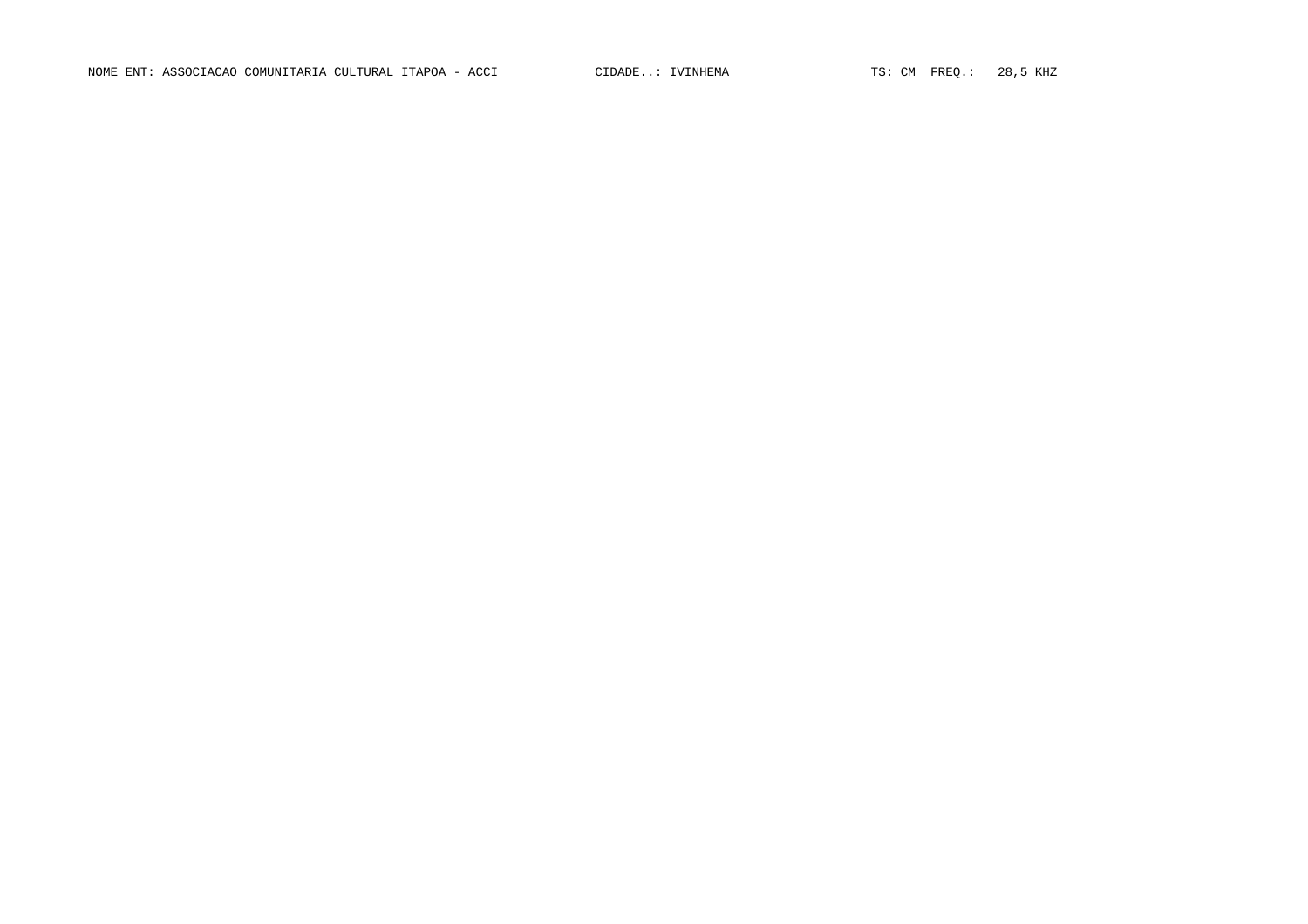NOME ENT: ASSOCIACAO COMUNITARIA CULTURAL ITAPOA - ACCI CIDADE..: IVINHEMA TS: CM FREQ.: 28,5 KHZ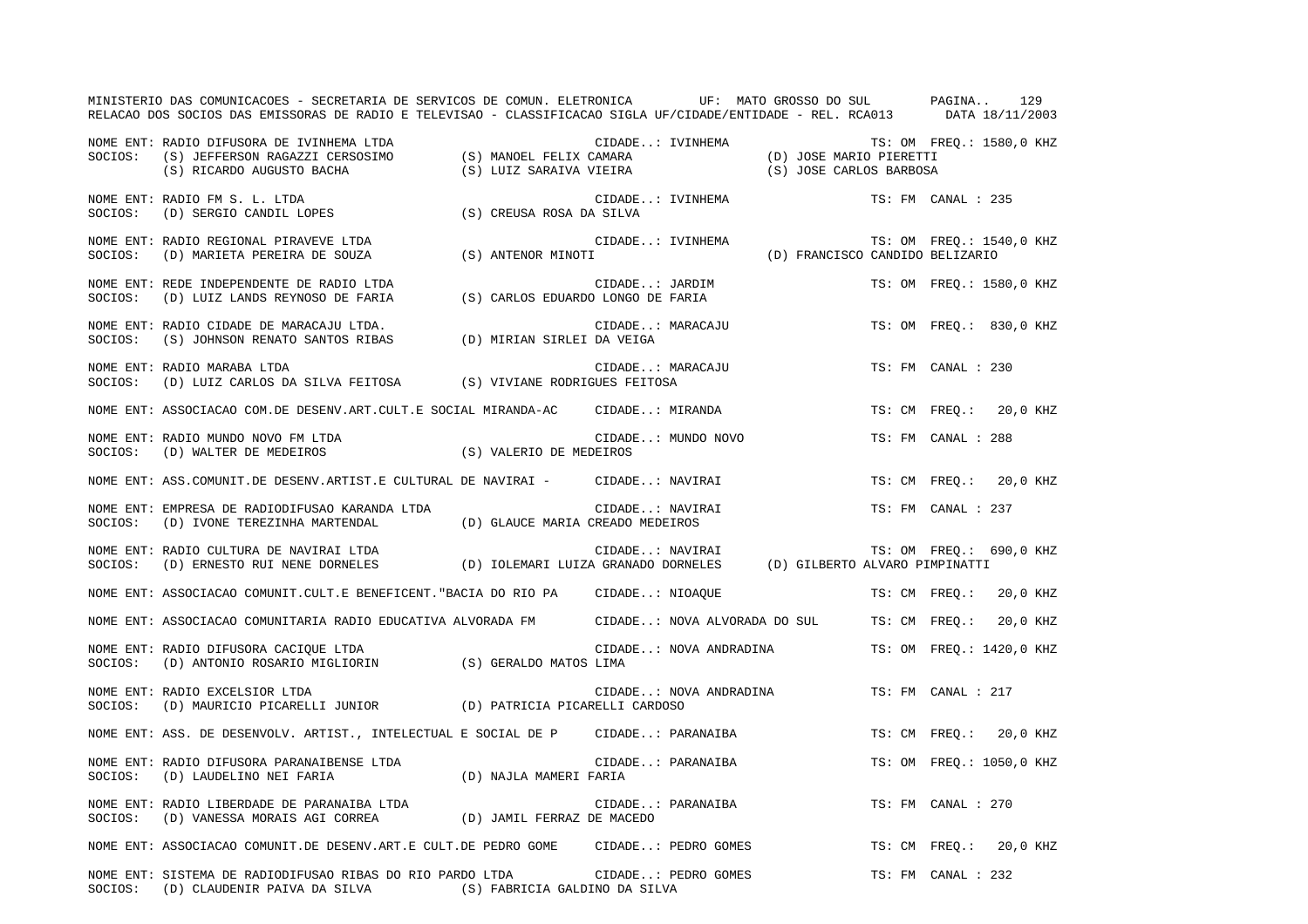|         | MINISTERIO DAS COMUNICACOES - SECRETARIA DE SERVICOS DE COMUN. ELETRONICA UF: MATO GROSSO DO SUL PAGINA<br>RELACAO DOS SOCIOS DAS EMISSORAS DE RADIO E TELEVISAO - CLASSIFICACAO SIGLA UF/CIDADE/ENTIDADE - REL. RCA013 DATA 18/11/2003                                                                                                   |                 |                    |                                 | 129                                             |
|---------|-------------------------------------------------------------------------------------------------------------------------------------------------------------------------------------------------------------------------------------------------------------------------------------------------------------------------------------------|-----------------|--------------------|---------------------------------|-------------------------------------------------|
|         | NOME ENT: RADIO DIFUSORA DE IVINHEMA LTDA<br>SOCIOS: (S) JEFFERSON RAGAZZI CERSOSIMO (S) MANOEL FELIX CAMARA (D) JOSE MARIO PIERETTI<br>(S) RICARDO AUGUSTO BACHA (S) LUIZ SARAIVA VIEIRA (S) JOSE CARLOS BARBOSA                                                                                                                         |                 |                    |                                 |                                                 |
| SOCIOS: | NOME ENT: RADIO FM S. L. LTDA<br>(D) SERGIO CANDIL LOPES (S) CREUSA ROSA DA SILVA                                                                                                                                                                                                                                                         |                 | CIDADE: IVINHEMA   |                                 | TS: FM CANAL : 235                              |
|         | NOME ENT: RADIO REGIONAL PIRAVEVE LTDA (S) ANTENOR MINOTI SOCIOS: (D) MARIETA PEREIRA DE SOUZA (S) ANTENOR MINOTI                                                                                                                                                                                                                         |                 | CIDADE: IVINHEMA   | (D) FRANCISCO CANDIDO BELIZARIO | TS: OM FREQ.: 1540,0 KHZ                        |
|         | NOME ENT: REDE INDEPENDENTE DE RADIO LTDA (S) CARLOS EDUARDO LONGO DE FARIA SOCIOS: (D) LUIZ LANDS REYNOSO DE FARIA (S) CARLOS EDUARDO LONGO DE FARIA                                                                                                                                                                                     |                 | CIDADE: JARDIM     |                                 | TS: OM FREQ.: 1580,0 KHZ                        |
| SOCIOS: | NOME ENT: RADIO CIDADE DE MARACAJU LTDA.<br>EADIO CIDADE DE MARACAJU LTDA. (S) JOHNSON RENATO SANTOS RIBAS (D) MIRIAN SIRLEI DA VEIGA                                                                                                                                                                                                     |                 | CIDADE: MARACAJU   |                                 | TS: OM FREQ.: 830,0 KHZ                         |
| SOCIOS: | NOME ENT: RADIO MARABA LTDA<br>(D) LUIZ CARLOS DA SILVA FEITOSA (S) VIVIANE RODRIGUES FEITOSA                                                                                                                                                                                                                                             |                 | CIDADE: MARACAJU   |                                 | TS: FM CANAL : 230                              |
|         | NOME ENT: ASSOCIACAO COM.DE DESENV.ART.CULT.E SOCIAL MIRANDA-AC CIDADE: MIRANDA                                                                                                                                                                                                                                                           |                 |                    |                                 | TS: CM FREO.: 20,0 KHZ                          |
|         |                                                                                                                                                                                                                                                                                                                                           |                 | CIDADE: MUNDO NOVO |                                 | TS: FM CANAL : 288                              |
|         | NOME ENT: ASS.COMUNIT.DE DESENV.ARTIST.E CULTURAL DE NAVIRAI - CIDADE: NAVIRAI                                                                                                                                                                                                                                                            |                 |                    |                                 | TS: CM FREO.: 20,0 KHZ                          |
|         | NOME ENT: EMPRESA DE RADIODIFUSAO KARANDA LTDA<br>$\texttt{SOCIOS:} \hspace{5mm} \texttt{(D)} \hspace{5mm} \texttt{IVONE} \hspace{5mm} \texttt{TEREZINHA} \hspace{5mm} \texttt{MARTENDAL} \hspace{5mm} \texttt{(D)} \hspace{5mm} \texttt{GLAUCE} \hspace{5mm} \texttt{MARIA} \hspace{5mm} \texttt{CREADO} \hspace{5mm} \texttt{MEDEIROS}$ | CIDADE: NAVIRAI |                    |                                 | TS: FM CANAL : 237                              |
|         | NOME ENT: RADIO CULTURA DE NAVIRAI LTDA<br>SOCIOS: (D) ERNESTO RUI NENE DORNELES (D) IOLEMARI LUIZA GRANADO DORNELES (D) GILBERTO ALVARO PIMPINATTI                                                                                                                                                                                       |                 |                    |                                 | TS: OM FREO.: 690,0 KHZ                         |
|         | NOME ENT: ASSOCIACAO COMUNIT.CULT.E BENEFICENT. "BACIA DO RIO PA CIDADE: NIOAQUE                                                                                                                                                                                                                                                          |                 |                    |                                 | TS: CM FREO.: 20,0 KHZ                          |
|         | NOME ENT: ASSOCIACAO COMUNITARIA RADIO EDUCATIVA ALVORADA FM CIDADE: NOVA ALVORADA DO SUL                                                                                                                                                                                                                                                 |                 |                    |                                 | TS: CM FREQ.: 20,0 KHZ                          |
| SOCIOS: | NOME ENT: RADIO DIFUSORA CACIQUE LTDA<br>(D) ANTONIO ROSARIO MIGLIORIN (S) GERALDO MATOS LIMA                                                                                                                                                                                                                                             |                 |                    |                                 | CIDADE: NOVA ANDRADINA TS: OM FREQ.: 1420,0 KHZ |
| SOCIOS: | NOME ENT: RADIO EXCELSIOR LTDA<br>(D) MAURICIO PICARELLI JUNIOR (D) PATRICIA PICARELLI CARDOSO                                                                                                                                                                                                                                            |                 |                    | CIDADE: NOVA ANDRADINA          | TS: FM CANAL : 217                              |
|         | NOME ENT: ASS. DE DESENVOLV. ARTIST., INTELECTUAL E SOCIAL DE P CIDADE: PARANAIBA                                                                                                                                                                                                                                                         |                 |                    |                                 | TS: CM FREQ.: 20,0 KHZ                          |
|         | NOME ENT: RADIO DIFUSORA PARANAIBENSE LTDA (D) NAJLA MAMERI FARIA (D) LAUDELINO NEI FARIA (D) NAJLA MAMERI FARIA                                                                                                                                                                                                                          |                 | CIDADE: PARANAIBA  |                                 | TS: OM FREQ.: 1050,0 KHZ                        |
|         | NOME ENT: RADIO LIBERDADE DE PARANAIBA LTDA<br>SOCIOS: (D) VANESSA MORAIS AGI CORREA (D) JAMIL FERRAZ DE MACEDO                                                                                                                                                                                                                           |                 | CIDADE: PARANAIBA  |                                 | TS: FM CANAL : 270                              |
|         | NOME ENT: ASSOCIACAO COMUNIT.DE DESENV.ART.E CULT.DE PEDRO GOME CIDADE: PEDRO GOMES                                                                                                                                                                                                                                                       |                 |                    |                                 | TS: CM FREO.: 20,0 KHZ                          |
|         | NOME ENT: SISTEMA DE RADIODIFUSAO RIBAS DO RIO PARDO LTDA (CIDADE: PEDRO GOMES<br>SOCIOS: (D) CLAUDENIR PAIVA DA SILVA (S) FABRICIA GALDINO DA SILVA                                                                                                                                                                                      |                 |                    |                                 | TS: FM CANAL : 232                              |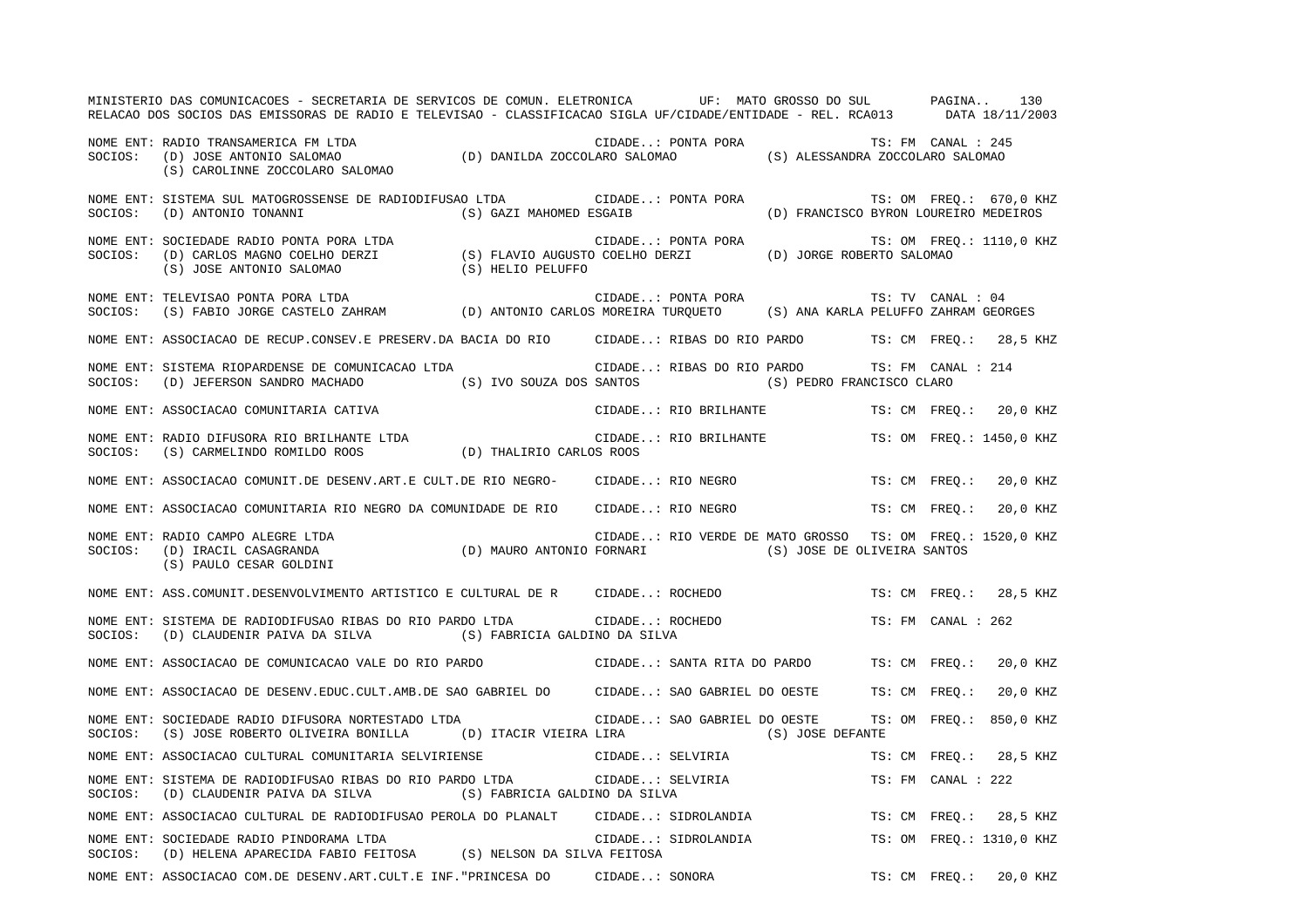|         | MINISTERIO DAS COMUNICACOES - SECRETARIA DE SERVICOS DE COMUN. ELETRONICA UF: MATO GROSSO DO SUL PAGINA<br>RELACAO DOS SOCIOS DAS EMISSORAS DE RADIO E TELEVISAO - CLASSIFICACAO SIGLA UF/CIDADE/ENTIDADE - REL. RCA013 DATA 18/11/2003 |                         |                                                           |                                       |                    | 130                      |
|---------|-----------------------------------------------------------------------------------------------------------------------------------------------------------------------------------------------------------------------------------------|-------------------------|-----------------------------------------------------------|---------------------------------------|--------------------|--------------------------|
|         | NOME ENT: RADIO TRANSAMERICA FM LTDA (D) DANILDA ZOCCOLARO SALOMAO (S) ALESSANDRA ZOCCOLARO SALOMAO (S) CAROLINNE ZOCCOLARO SALOMAO (S) CAROLINNE ZOCCOLARO SALOMAO (S) CAROLINNE ZOCCOLARO SALOMAO                                     |                         |                                                           |                                       |                    |                          |
| SOCIOS: | NOME ENT: SISTEMA SUL MATOGROSSENSE DE RADIODIFUSAO LTDA                CIDADE: PONTA PORA<br>(D) ANTONIO TONANNI                                                                                                                       | (S) GAZI MAHOMED ESGAIB |                                                           | (D) FRANCISCO BYRON LOUREIRO MEDEIROS |                    | TS: OM FREQ.: 670,0 KHZ  |
|         | NOME ENT: SOCIEDADE RADIO PONTA PORA LTDA<br>SOCIOS: (D) CARLOS MAGNO COELHO DERZI (S) FLAVIO AUGUSTO COELHO DERZI (D) JORGE ROBERTO SALOMAO<br>(S) JOSE ANTONIO SALOMAO (S) HELIO PELUFFO                                              |                         |                                                           |                                       |                    | TS: OM FREQ.: 1110,0 KHZ |
| SOCIOS: | NOME ENT: TELEVISAO PONTA PORA LTDA<br>(S) FABIO JORGE CASTELO ZAHRAM (D) ANTONIO CARLOS MOREIRA TURQUETO (S) ANA KARLA PELUFFO ZAHRAM GEORGES                                                                                          |                         | CIDADE: PONTA PORA                                        |                                       | TS: TV CANAL : 04  |                          |
|         | NOME ENT: ASSOCIACAO DE RECUP.CONSEV.E PRESERV.DA BACIA DO RIO CIDADE: RIBAS DO RIO PARDO TS: CM FREQ.: 28,5 KHZ                                                                                                                        |                         |                                                           |                                       |                    |                          |
| SOCIOS: | NOME ENT: SISTEMA RIOPARDENSE DE COMUNICACAO LTDA<br>(D) JEFERSON SANDRO MACHADO (S) IVO SOUZA DOS SANTOS (S) PEDRO FRANCISCO CLARO                                                                                                     |                         | CIDADE: RIBAS DO RIO PARDO TS: FM CANAL : 214             |                                       |                    |                          |
|         | NOME ENT: ASSOCIACAO COMUNITARIA CATIVA                                                                                                                                                                                                 |                         | CIDADE: RIO BRILHANTE                                     |                                       |                    | TS: CM FREQ.: 20,0 KHZ   |
|         | NOME ENT: RADIO DIFUSORA RIO BRILHANTE LTDA (D) THALIRIO CARLOS ROOS SOCIOS: (S) CARMELINDO ROMILDO ROOS (D) THALIRIO CARLOS ROOS                                                                                                       | <b>THALIRIO</b>         | CIDADE: RIO BRILHANTE                                     |                                       |                    | TS: OM FREO.: 1450,0 KHZ |
|         | NOME ENT: ASSOCIACAO COMUNIT.DE DESENV.ART.E CULT.DE RIO NEGRO- CIDADE: RIO NEGRO                                                                                                                                                       |                         |                                                           |                                       |                    | TS: CM FREQ.: 20,0 KHZ   |
|         | NOME ENT: ASSOCIACAO COMUNITARIA RIO NEGRO DA COMUNIDADE DE RIO CIDADE: RIO NEGRO                                                                                                                                                       |                         |                                                           |                                       |                    | TS: CM FREO.: 20,0 KHZ   |
|         | NOME ENT: RADIO CAMPO ALEGRE LTDA (D) MAURO ANTONIO FORNARI (S) JOSE DE OLIVEIRA SANTOS (S) PAULO CESAR GOLDINI<br>(S) PAULO CESAR GOLDINI (S) CESAR GOLDINI                                                                            |                         | CIDADE: RIO VERDE DE MATO GROSSO TS: OM FREQ.: 1520,0 KHZ |                                       |                    |                          |
|         | NOME ENT: ASS.COMUNIT.DESENVOLVIMENTO ARTISTICO E CULTURAL DE R CIDADE: ROCHEDO                                                                                                                                                         |                         |                                                           |                                       |                    | TS: CM FREO.: 28,5 KHZ   |
| SOCIOS: | NOME ENT: SISTEMA DE RADIODIFUSAO RIBAS DO RIO PARDO LTDA CIDADE: ROCHEDO<br>(D) CLAUDENIR PAIVA DA SILVA (S) FABRICIA GALDINO DA SILVA                                                                                                 |                         |                                                           |                                       | TS: FM CANAL : 262 |                          |
|         | NOME ENT: ASSOCIACAO DE COMUNICACAO VALE DO RIO PARDO (CIDADE: SANTA RITA DO PARDO TS: CM FREQ.: 20,0 KHZ                                                                                                                               |                         |                                                           |                                       |                    |                          |
|         | NOME ENT: ASSOCIACAO DE DESENV.EDUC.CULT.AMB.DE SAO GABRIEL DO CIDADE: SAO GABRIEL DO OESTE TS: CM FREQ.: 20,0 KHZ                                                                                                                      |                         |                                                           |                                       |                    |                          |
| SOCIOS: | NOME ENT: SOCIEDADE RADIO DIFUSORA NORTESTADO LTDA<br>(S) JOSE ROBERTO OLIVEIRA BONILLA (D) ITACIR VIEIRA LIRA                                                                                                                          |                         | CIDADE: SAO GABRIEL DO OESTE                              | (S) JOSE DEFANTE                      |                    | TS: OM FREQ.: 850,0 KHZ  |
|         | NOME ENT: ASSOCIACAO CULTURAL COMUNITARIA SELVIRIENSE                                                                                                                                                                                   |                         | CIDADE: SELVIRIA                                          |                                       |                    | TS: CM FREQ.: 28,5 KHZ   |
|         | NOME ENT: SISTEMA DE RADIODIFUSAO RIBAS DO RIO PARDO LTDA CIDADE: SELVIRIA<br>SOCIOS: (D) CLAUDENIR PAIVA DA SILVA (S) FABRICIA GALDINO DA SILVA                                                                                        |                         |                                                           |                                       | TS: FM CANAL : 222 |                          |
|         | NOME ENT: ASSOCIACAO CULTURAL DE RADIODIFUSAO PEROLA DO PLANALT                                                                                                                                                                         |                         | CIDADE: SIDROLANDIA                                       |                                       |                    | TS: CM FREO.: 28,5 KHZ   |
|         | NOME ENT: SOCIEDADE RADIO PINDORAMA LTDA<br>SOCIOS: (D) HELENA APARECIDA FABIO FEITOSA (S) NELSON DA SILVA FEITOSA                                                                                                                      |                         | CIDADE: SIDROLANDIA                                       |                                       |                    | TS: OM FREQ.: 1310,0 KHZ |
|         | NOME ENT: ASSOCIACAO COM.DE DESENV.ART.CULT.E INF."PRINCESA DO CIDADE: SONORA                                                                                                                                                           |                         |                                                           |                                       |                    | TS: CM FREO.: 20,0 KHZ   |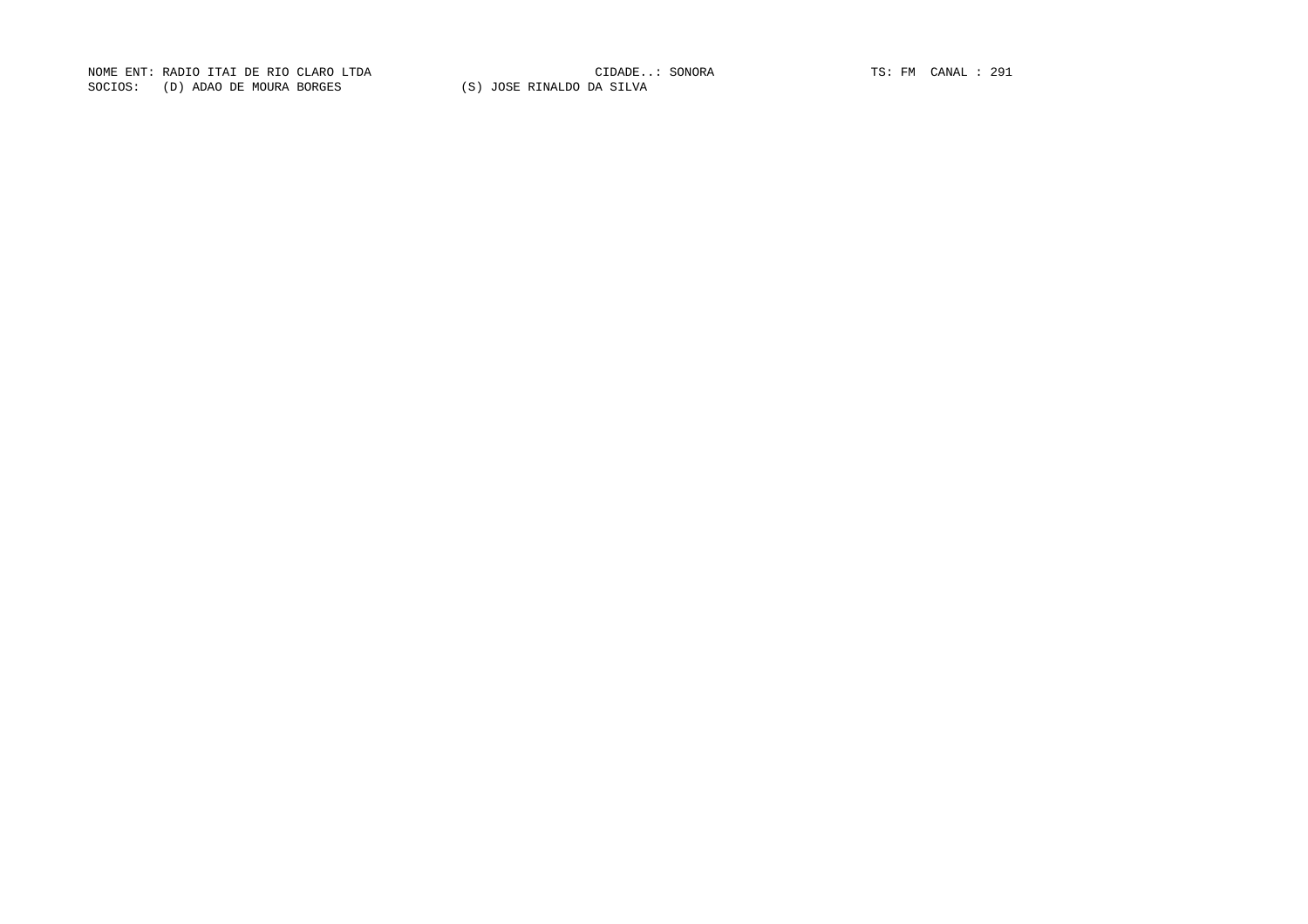NOME ENT: RADIO ITAI DE RIO CLARO LTDA CIDADE..: SONORA TS: FM CANAL : 291SOCIOS: (D) ADAO DE MOURA BORGES (S) JOSE RINALDO DA SILVA

CIDADE..: SONORA TS: FM CANAL : 291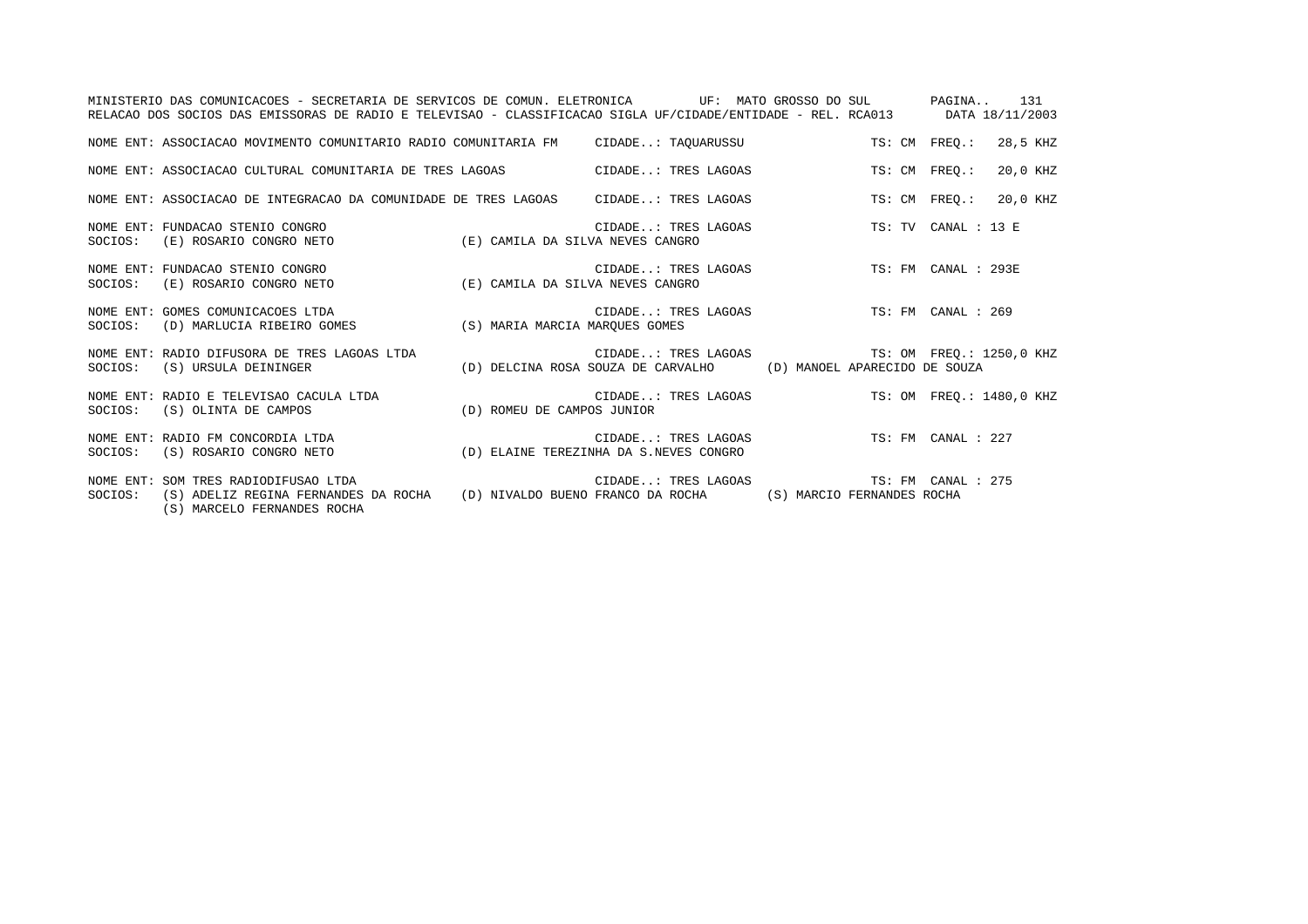|         | MINISTERIO DAS COMUNICACOES - SECRETARIA DE SERVICOS DE COMUN. ELETRONICA UP: MATO GROSSO DO SUL PAGINA 131<br>RELACAO DOS SOCIOS DAS EMISSORAS DE RADIO E TELEVISAO - CLASSIFICACAO SIGLA UF/CIDADE/ENTIDADE - REL. RCA013 DATA 18/11/2003 |                                                                                                                  |                           |
|---------|---------------------------------------------------------------------------------------------------------------------------------------------------------------------------------------------------------------------------------------------|------------------------------------------------------------------------------------------------------------------|---------------------------|
|         | NOME ENT: ASSOCIACAO MOVIMENTO COMUNITARIO RADIO COMUNITARIA FM CIDADE: TAQUARUSSU                                                                                                                                                          |                                                                                                                  | TS: CM FREO.:<br>28,5 KHZ |
|         | NOME ENT: ASSOCIACAO CULTURAL COMUNITARIA DE TRES LAGOAS CIDADE: TRES LAGOAS                                                                                                                                                                |                                                                                                                  | 20,0 KHZ<br>TS: CM FREO.: |
|         | NOME ENT: ASSOCIACAO DE INTEGRACAO DA COMUNIDADE DE TRES LAGOAS      CIDADE: TRES LAGOAS                                                                                                                                                    |                                                                                                                  | TS: CM FREO.:<br>20,0 KHZ |
|         | NOME ENT: FUNDACAO STENIO CONGRO<br>SOCIOS: (E) ROSARIO CONGRO NETO (E) CAMILA DA SILVA NEVES CANGRO                                                                                                                                        | CIDADE: TRES LAGOAS TS: TV CANAL : 13 E                                                                          |                           |
|         |                                                                                                                                                                                                                                             | CIDADE: TRES LAGOAS TS: FM CANAL : 293E                                                                          |                           |
| SOCIOS: | GOMES COMUNICACOES LTDA (D) MARLUCIA RIBEIRO GOMES (D) MARLUCIA RIBEIRO GOMES (S) MARIA MARCIA MARQUES GOMES<br>NOME ENT: GOMES COMUNICACOES LTDA                                                                                           | CIDADE: TRES LAGOAS TS: FM CANAL : 269                                                                           |                           |
| SOCIOS: | NOME ENT: RADIO DIFUSORA DE TRES LAGOAS LTDA<br>(S) URSULA DEININGER                                                                                                                                                                        | CIDADE: TRES LAGOAS TS: OM FREQ.: 1250,0 KHZ<br>(D) DELCINA ROSA SOUZA DE CARVALHO (D) MANOEL APARECIDO DE SOUZA |                           |
|         | NOME ENT: RADIO E TELEVISAO CACULA LTDA (D) ROMEU DE CAMPOS JUNIOR SOCIOS: (S) OLINTA DE CAMPOS                                                                                                                                             | CIDADE: TRES LAGOAS TS: OM FREQ.: 1480,0 KHZ                                                                     |                           |
|         | NOME ENT: RADIO FM CONCORDIA LTDA<br>SOCIOS: (S) ROSARIO CONGRO NETO (D) ELAINE TEREZINHA DA S.NEVES CONGRO                                                                                                                                 | CIDADE: TRES LAGOAS TS: FM CANAL : 227                                                                           |                           |
| SOCIOS: | NOME ENT: SOM TRES RADIODIFUSAO LTDA<br>(S) ADELIZ REGINA FERNANDES DA ROCHA (D) NIVALDO BUENO FRANCO DA ROCHA (S) MARCIO FERNANDES ROCHA<br>(S) MARCELO FERNANDES ROCHA                                                                    | CIDADE: TRES LAGOAS TS: FM CANAL : 275                                                                           |                           |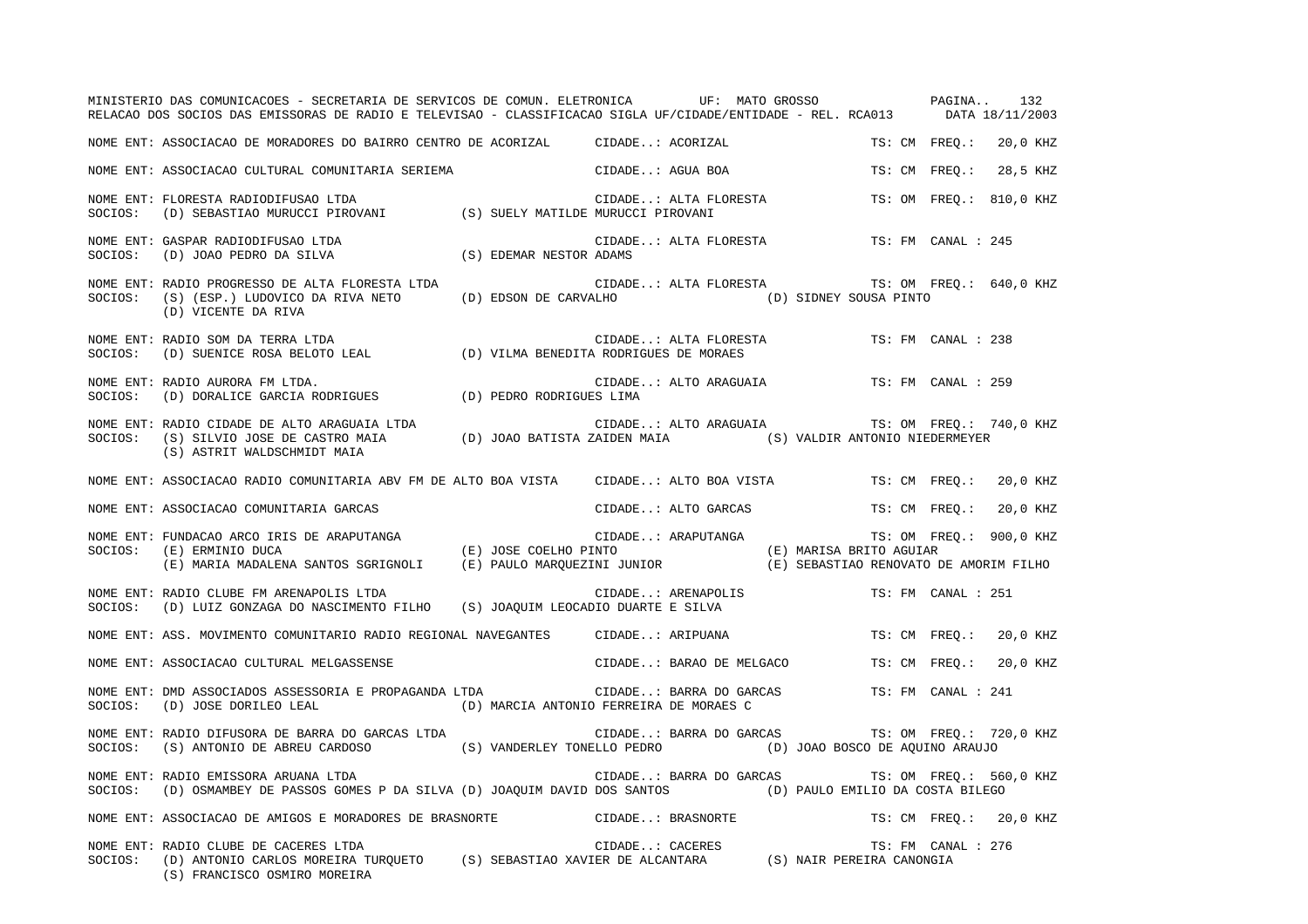|         | MINISTERIO DAS COMUNICACOES - SECRETARIA DE SERVICOS DE COMUN. ELETRONICA UF: MATO GROSSO PASINA<br>RELACAO DOS SOCIOS DAS EMISSORAS DE RADIO E TELEVISAO - CLASSIFICACAO SIGLA UF/CIDADE/ENTIDADE - REL. RCA013 DATA 18/11/2003  |                          | 132                                                |
|---------|-----------------------------------------------------------------------------------------------------------------------------------------------------------------------------------------------------------------------------------|--------------------------|----------------------------------------------------|
|         | NOME ENT: ASSOCIACAO DE MORADORES DO BAIRRO CENTRO DE ACORIZAL (CIDADE: ACORIZAL                                                                                                                                                  |                          | TS: CM FREO.:<br>20,0 KHZ                          |
|         | NOME ENT: ASSOCIACAO CULTURAL COMUNITARIA SERIEMA                                                                                                                                                                                 | CIDADE: AGUA BOA         | 28,5 KHZ<br>TS: CM FREO.:                          |
| SOCIOS: | NOME ENT: FLORESTA RADIODIFUSAO LTDA<br>(D) SEBASTIAO MURUCCI PIROVANI (S) SUELY MATILDE MURUCCI PIROVANI                                                                                                                         | CIDADE: ALTA FLORESTA    | TS: OM FREQ.: 810,0 KHZ                            |
| SOCIOS: | NOME ENT: GASPAR RADIODIFUSAO LTDA<br>URA CIDADI CIDADI CIDADI (D) JOAO PEDRO DA SILVA (S) EDEMAR NESTOR ADAMS                                                                                                                    | CIDADE: ALTA FLORESTA    | TS: FM CANAL : 245                                 |
| SOCIOS: | NOME ENT: RADIO PROGRESSO DE ALTA FLORESTA LTDA<br>(S) (ESP.) LUDOVICO DA RIVA NETO (D) EDSON DE CARVALHO (D) SIDNEY SOUSA PINTO<br>(D) VICENTE DA RIVA                                                                           |                          | CIDADE: ALTA FLORESTA TS: OM FREQ.: 640,0 KHZ      |
| SOCIOS: | NOME ENT: RADIO SOM DA TERRA LTDA<br>RADIO SOM DA TERRA LTDA<br>(D) SUENICE ROSA BELOTO LEAL (D) VILMA BENEDITA RODRIGUES DE MORAES                                                                                               | CIDADE: ALTA FLORESTA    | TS: FM CANAL : 238                                 |
| SOCIOS: | NOME ENT: RADIO AURORA FM LTDA.<br>(D) DORALICE GARCIA RODRIGUES (D) PEDRO RODRIGUES LIMA                                                                                                                                         | CIDADE: ALTO ARAGUAIA    | TS: FM CANAL : 259                                 |
|         | NOME ENT: RADIO CIDADE DE ALTO ARAGUAIA LTDA<br>SOCIOS: (S) SILVIO JOSE DE CASTRO MAIA (D) JOAO BATISTA ZAIDEN MAIA (S) VALDIR ANTONIO NIEDERMEYER<br>(S) ASTRIT WALDSCHMIDT MAIA                                                 | CIDADE: ALTO ARAGUAIA    | TS: OM FREQ.: 740,0 KHZ                            |
|         | NOME ENT: ASSOCIACAO RADIO COMUNITARIA ABV FM DE ALTO BOA VISTA CIDADE: ALTO BOA VISTA TS: CM FREO.:                                                                                                                              |                          | 20,0 KHZ                                           |
|         | NOME ENT: ASSOCIACAO COMUNITARIA GARCAS                                                                                                                                                                                           | CIDADE: ALTO GARCAS      | TS: CM FREQ.:<br>20,0 KHZ                          |
|         | NOME ENT: FUNDACAO ARCO IRIS DE ARAPUTANGA (E) JOSE COELHO PINTO SOCIOS: (E) ERMINIO DUCA<br>(E) MARIA MADALENA SANTOS SGRIGNOLI (E) PAULO MARQUEZINI JUNIOR (E) SEBASTIAO RENOVATO DE AMORIM FILHO                               | CIDADE: ARAPUTANGA       | TS: OM FREO.: 900,0 KHZ<br>(E) MARISA BRITO AGUIAR |
| SOCIOS: | NOME ENT: RADIO CLUBE FM ARENAPOLIS LTDA<br>(D) LUIZ GONZAGA DO NASCIMENTO FILHO (S) JOAOUIM LEOCADIO DUARTE E SILVA                                                                                                              | CIDADE: ARENAPOLIS       | TS: FM CANAL : 251                                 |
|         | NOME ENT: ASS. MOVIMENTO COMUNITARIO RADIO REGIONAL NAVEGANTES CIDADE: ARIPUANA                                                                                                                                                   |                          | TS: CM FREQ.:<br>20,0 KHZ                          |
|         | NOME ENT: ASSOCIACAO CULTURAL MELGASSENSE                                                                                                                                                                                         | CIDADE: BARAO DE MELGACO | TS: CM FREO.:<br>20,0 KHZ                          |
| SOCIOS: | NOME ENT: DMD ASSOCIADOS ASSESSORIA E PROPAGANDA LTDA<br>(D) JOSE DORILEO LEAL (D) MARCIA ANTONIO FERREIRA DE MORAES C                                                                                                            | CIDADE: BARRA DO GARCAS  | TS: FM CANAL : 241                                 |
| SOCIOS: | NOME ENT: RADIO DIFUSORA DE BARRA DO GARCAS LTDA<br>(S) ANTONIO DE ABREU CARDOSO (S) VANDERLEY TONELLO PEDRO (D) JOAO BOSCO DE AQUINO ARAUJO                                                                                      | CIDADE: BARRA DO GARCAS  | TS: OM FREQ.: 720,0 KHZ                            |
| SOCIOS: | NOME ENT: RADIO EMISSORA ARUANA LTDA<br>(D) OSMAMBEY DE PASSOS GOMES P DA SILVA (D) JOAQUIM DAVID DOS SANTOS (D) PAULO EMILIO DA COSTA BILEGO                                                                                     | CIDADE: BARRA DO GARCAS  | TS: OM FREQ.: 560,0 KHZ                            |
|         | NOME ENT: ASSOCIACAO DE AMIGOS E MORADORES DE BRASNORTE                                                                                                                                                                           | CIDADE: BRASNORTE        | TS: CM FREQ.: 20,0 KHZ                             |
| SOCIOS: | NOME ENT: RADIO CLUBE DE CACERES LTDA<br>CIDADE: CACERES TS: FM CANA (D) ANTONIO CARLOS MOREIRA TURQUETO (S) SEBASTIAO XAVIER DE ALCANTARA (S) NAIR PEREIRA CANONGIA (S) FRANCISCO OSMIDO MODEIDA<br>(S) FRANCISCO OSMIRO MOREIRA |                          | TS: FM CANAL : 276                                 |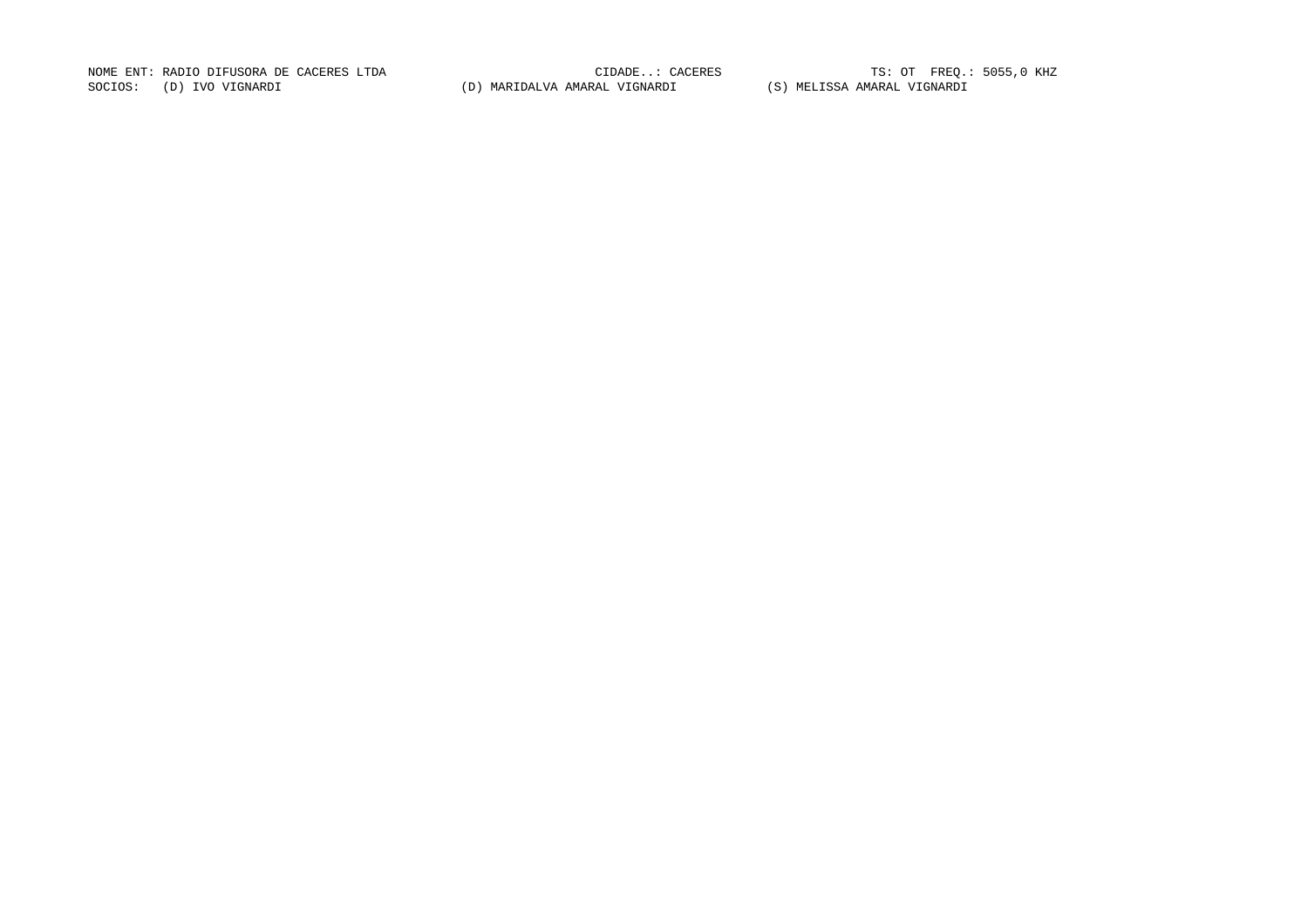NOME ENT: RADIO DIFUSORA DE CACERES LTDA CONSTRUITE DE CIDADE..: CACERES TRES TS: OT FREQ.: 5055,0 KHZ SOCIOS: (D) IVO VIGNARDI (D) MARIDALVA AMARAL VIGNARDI (S) MELISSA AMARAL VIGNARDI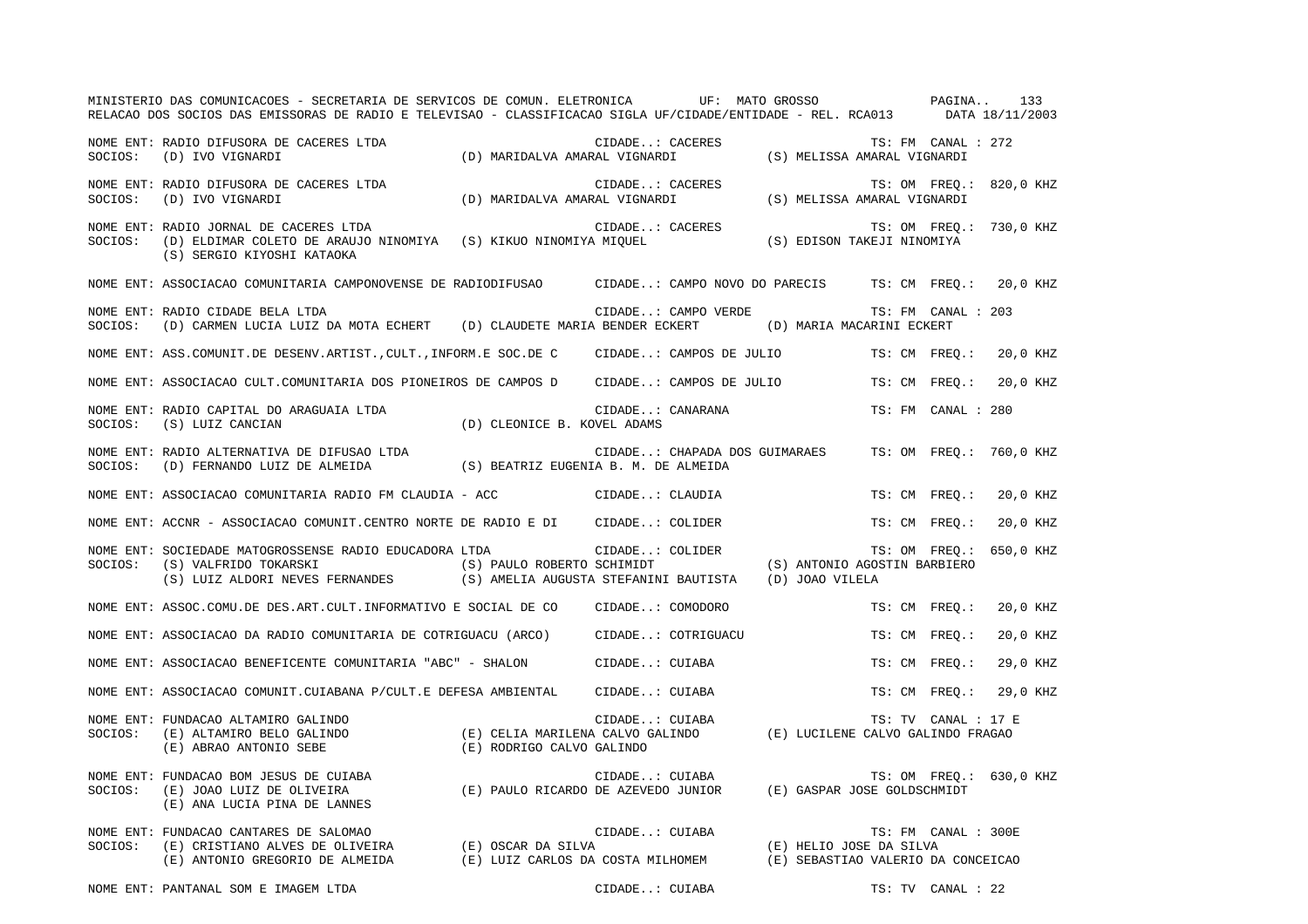|         | MINISTERIO DAS COMUNICACOES - SECRETARIA DE SERVICOS DE COMUN. ELETRONICA UF: MATO GROSSO PAGINA<br>RELACAO DOS SOCIOS DAS EMISSORAS DE RADIO E TELEVISAO - CLASSIFICACAO SIGLA UF/CIDADE/ENTIDADE - REL. RCA013 DATA 18/11/2003  |                             |                                                                                                                                   |                         |                     | 133                     |
|---------|-----------------------------------------------------------------------------------------------------------------------------------------------------------------------------------------------------------------------------------|-----------------------------|-----------------------------------------------------------------------------------------------------------------------------------|-------------------------|---------------------|-------------------------|
|         | NOME ENT: RADIO DIFUSORA DE CACERES LTDA<br>SOCIOS: (D) IVO VIGNARDI                                                                                                                                                              |                             | CIDADE: CACERES TS: FM CANAL<br>(D) MARIDALVA AMARAL VIGNARDI (S) MELISSA AMARAL VIGNARDI                                         |                         | TS: FM CANAL : 272  |                         |
|         | NOME ENT: RADIO DIFUSORA DE CACERES LTDA<br>SOCIOS: (D) IVO VIGNARDI                                                                                                                                                              |                             | : CIDADE: CACERES TS: OM FREQ.<br>(D) MARIDALVA AMARAL VIGNARDI (S) MELISSA AMARAL VIGNARDI                                       |                         |                     | TS: OM FREQ.: 820,0 KHZ |
|         | NOME ENT: RADIO JORNAL DE CACERES LTDA<br>SOCIOS: (D) ELDIMAR COLETO DE ARAUJO NINOMIYA (S) KIKUO NINOMIYA MIQUEL<br>(S) SERGIO KIYOSHI KATAOKA                                                                                   |                             | CIDADE: CACERES TS: OM FREQ.<br>A MIQUEL (S) EDISON TAKEJI NINOMIYA                                                               | TS: OM FREQ.: 730,0 KHZ |                     |                         |
|         | NOME ENT: ASSOCIACAO COMUNITARIA CAMPONOVENSE DE RADIODIFUSAO CIDADE: CAMPO NOVO DO PARECIS TS: CM FREQ.: 20,0 KHZ                                                                                                                |                             |                                                                                                                                   |                         |                     |                         |
|         | NOME ENT: RADIO CIDADE BELA LTDA<br>SOCIOS: (D) CARMEN LUCIA LUIZ DA MOTA ECHERT (D) CLAUDETE MARIA BENDER ECKERT (D) MARIA MACARINI ECKERT                                                                                       |                             | CIDADE: CAMPO VERDE                                                                                                               |                         | TS: FM CANAL : 203  |                         |
|         | NOME ENT: ASS.COMUNIT.DE DESENV.ARTIST., CULT., INFORM.E SOC.DE C CIDADE: CAMPOS DE JULIO TS: CM FREQ.: 20,0 KHZ                                                                                                                  |                             |                                                                                                                                   |                         |                     |                         |
|         | NOME ENT: ASSOCIACAO CULT.COMUNITARIA DOS PIONEIROS DE CAMPOS D CIDADE: CAMPOS DE JULIO                                                                                                                                           |                             |                                                                                                                                   |                         |                     | TS: CM FREO.: 20,0 KHZ  |
| SOCIOS: | NOME ENT: RADIO CAPITAL DO ARAGUAIA LTDA<br>(S) LUIZ CANCIAN                                                                                                                                                                      | (D) CLEONICE B. KOVEL ADAMS | CIDADE: CANARANA                                                                                                                  |                         | TS: FM CANAL : 280  |                         |
|         |                                                                                                                                                                                                                                   |                             | CIDADE: CHAPADA DOS GUIMARAES TS: OM FREQ.: 760,0 KHZ                                                                             |                         |                     |                         |
|         | NOME ENT: ASSOCIACAO COMUNITARIA RADIO FM CLAUDIA - ACC CIDADE: CLAUDIA                                                                                                                                                           |                             |                                                                                                                                   |                         | TS: CM FREQ.:       | 20,0 KHZ                |
|         | NOME ENT: ACCNR - ASSOCIACAO COMUNIT.CENTRO NORTE DE RADIO E DI CIDADE: COLIDER                                                                                                                                                   |                             |                                                                                                                                   |                         | TS: CM FREO.:       | 20,0 KHZ                |
|         | NOME ENT: SOCIEDADE MATOGROSSENSE RADIO EDUCADORA LTDA CIDADE: COLIDER TS: OM FREQ.:<br>SOCIOS: (S) VALFRIDO TOKARSKI (S) ERNANDES (S) PAULO ROBERTO SCHIMIDT (S) ANTONIO AGOSTIN BARBIERO<br>(S) LUIZ ALDORI NEVES FERNANDES (S) |                             |                                                                                                                                   |                         |                     | TS: OM FREQ.: 650,0 KHZ |
|         | NOME ENT: ASSOC.COMU.DE DES.ART.CULT.INFORMATIVO E SOCIAL DE CO CIDADE: COMODORO                                                                                                                                                  |                             |                                                                                                                                   |                         | TS: CM FREO.:       | 20,0 KHZ                |
|         | NOME ENT: ASSOCIACAO DA RADIO COMUNITARIA DE COTRIGUACU (ARCO) CIDADE: COTRIGUACU                                                                                                                                                 |                             |                                                                                                                                   |                         | TS: CM FREQ.:       | 20,0 KHZ                |
|         | NOME ENT: ASSOCIACAO BENEFICENTE COMUNITARIA "ABC" - SHALON CIDADE: CUIABA                                                                                                                                                        |                             |                                                                                                                                   |                         | TS: CM FREQ.:       | 29,0 KHZ                |
|         | NOME ENT: ASSOCIACAO COMUNIT.CUIABANA P/CULT.E DEFESA AMBIENTAL CIDADE: CUIABA                                                                                                                                                    |                             |                                                                                                                                   |                         | TS: CM FREO.:       | 29,0 KHZ                |
| SOCIOS: | NOME ENT: FUNDACAO ALTAMIRO GALINDO<br>E) ALTAMIRO BELO GALINDO (E) CELIA MARILENA CALVO GALINDO (E) LUCILENE CALVO GALINDO FRAGAO (E) ABRAO ANTONIO SEBE                                                                         |                             | CIDADE: CUIABA                                                                                                                    |                         | TS: TV CANAL : 17 E |                         |
| SOCIOS: | NOME ENT: FUNDACAO BOM JESUS DE CUIABA<br>FUNDACAO BOM JESUS DE CUIABA<br>(E) PAULO RICARDO DE AZEVEDO JUNIOR (E) GASPAR JOSE GOLDSCHMIDT (E) JOAO LUIZ DE OLIVEIRA<br>(E) ANA LUCIA PINA DE LANNES                               |                             |                                                                                                                                   |                         |                     | TS: OM FREQ.: 630,0 KHZ |
| SOCIOS: | NOME ENT: FUNDACAO CANTARES DE SALOMAO<br>(E) CRISTIANO ALVES DE OLIVEIRA (E) OSCAR DA SILVA<br>(C) CRISTIANO ALVES DE OLIVEIRA (E) OSCAR DA SILVA<br>(E) ANTONIO GREGORIO DE ALMEIDA                                             |                             | CIDADE: CUIABA<br>(E) OSCAR DA SILVA (E) HELIO JOSE DA SILVA (E) LUIZ CARLOS DA COSTA MILHOMEM (E) SEBASTIAO VALERIO DA CONCEICAO |                         | TS: FM CANAL : 300E |                         |
|         | NOME ENT: PANTANAL SOM E IMAGEM LTDA                                                                                                                                                                                              |                             | CIDADE: CUIABA                                                                                                                    |                         | TS: TV CANAL : 22   |                         |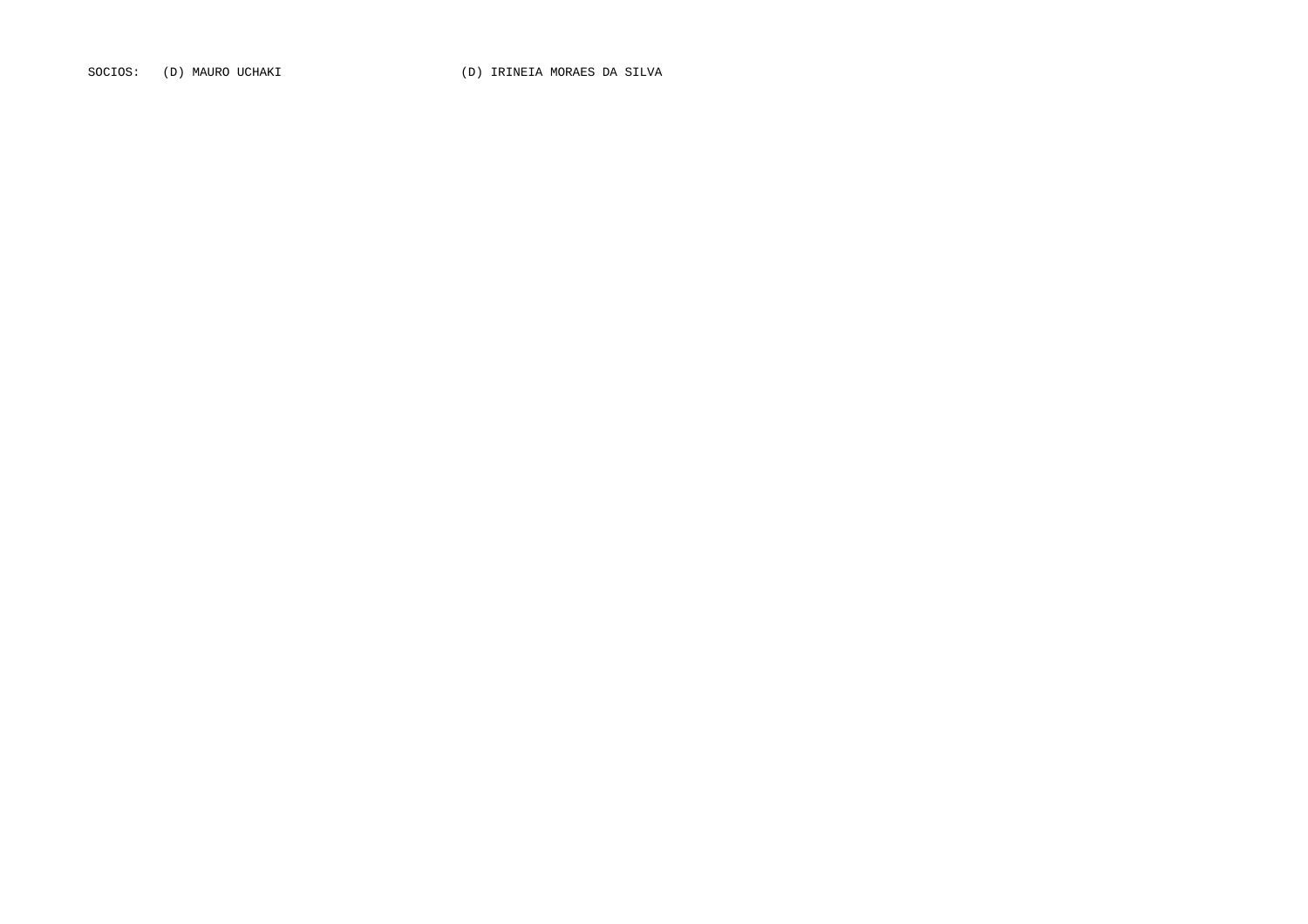SOCIOS: (D) MAURO UCHAKI (D) IRINEIA MORAES DA SILVA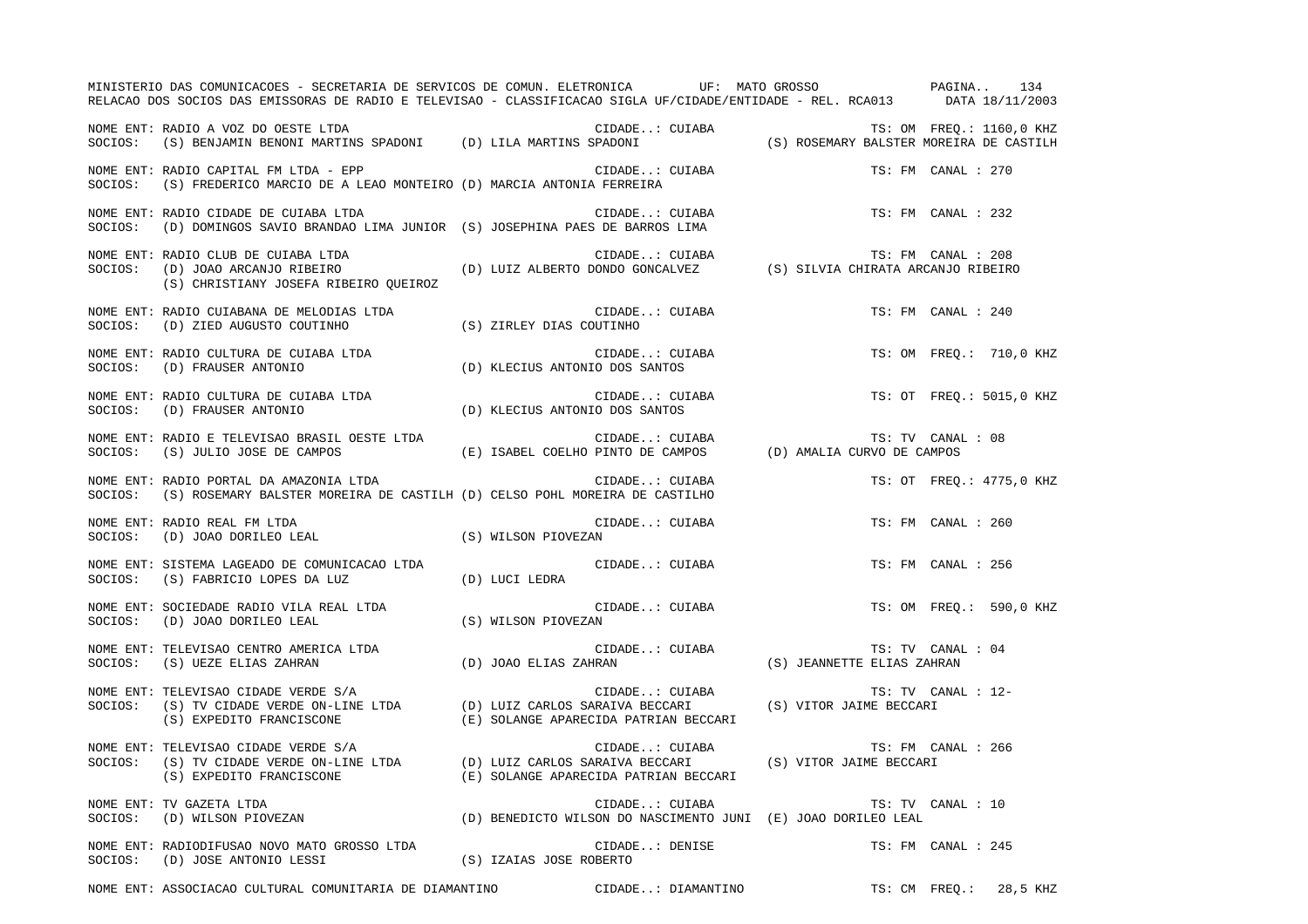|         | MINISTERIO DAS COMUNICACOES - SECRETARIA DE SERVICOS DE COMUN. ELETRONICA UF: MATO GROSSO PAGINA<br>RELACAO DOS SOCIOS DAS EMISSORAS DE RADIO E TELEVISAO - CLASSIFICACAO SIGLA UF/CIDADE/ENTIDADE - REL. RCA013 DATA 18/11/2003 |                                                                                 |                                                                 |                    | 134                      |
|---------|----------------------------------------------------------------------------------------------------------------------------------------------------------------------------------------------------------------------------------|---------------------------------------------------------------------------------|-----------------------------------------------------------------|--------------------|--------------------------|
|         | NOME ENT: RADIO A VOZ DO OESTE LTDA<br>SOCIOS: (S) BENJAMIN BENONI MARTINS SPADONI (D) LILA MARTINS SPADONI (S) ROSEMARY BALSTER MOREIRA DE CASTILH                                                                              |                                                                                 |                                                                 |                    |                          |
|         | NOME ENT: RADIO CAPITAL FM LTDA - EPP<br>SOCIOS: (S) FREDERICO MARCIO DE A LEAO MONTEIRO (D) MARCIA ANTONIA FERREIRA                                                                                                             | CIDADE: CUIABA                                                                  | TS: FM CANAL : 270                                              |                    |                          |
| SOCIOS: | NOME ENT: RADIO CIDADE DE CUIABA LTDA<br>(D) DOMINGOS SAVIO BRANDAO LIMA JUNIOR (S) JOSEPHINA PAES DE BARROS LIMA                                                                                                                | CIDADE: CUIABA<br>S DE BARROS LIMA                                              |                                                                 | TS: FM CANAL : 232 |                          |
|         | NOME ENT: RADIO CLUB DE CUIABA LTDA<br>NOME ENT: RADIO CLUB DE CUIABA LTDA<br>SOCIOS: (D) JOAO ARCANJO RIBEIRO (D) LUIZ ALBERTO DONDO GONCALVEZ (S) SILVIA CHIRATA ARCANJO RIBEIRO<br>(S) CHRISTIANY JOSEFA RIBEIRO OUEIROZ      | CIDADE: CUIABA                                                                  | TS: FM CANAL : 208                                              |                    |                          |
| SOCIOS: | NOME ENT: RADIO CUIABANA DE MELODIAS LTDA<br>(D) ZIED AUGUSTO COUTINHO (S) ZIRLEY DIAS COUTINHO                                                                                                                                  | CIDADE: CUIABA                                                                  |                                                                 | TS: FM CANAL : 240 |                          |
|         |                                                                                                                                                                                                                                  | CIDADE: CUIABA<br>IO DOS SANTOS                                                 |                                                                 |                    | TS: OM FREO.: 710,0 KHZ  |
|         |                                                                                                                                                                                                                                  | CIDADE: CUIABA<br>IO DOS SANTOS                                                 |                                                                 |                    | TS: OT FREO.: 5015,0 KHZ |
| SOCIOS: | NOME ENT: RADIO E TELEVISAO BRASIL OESTE LTDA                                                                                                                                                                                    |                                                                                 |                                                                 | TS: TV CANAL : 08  |                          |
| SOCIOS: | NOME ENT: RADIO PORTAL DA AMAZONIA LTDA<br>(S) ROSEMARY BALSTER MOREIRA DE CASTILH (D) CELSO POHL MOREIRA DE CASTILHO                                                                                                            | CIDADE: CUIABA                                                                  |                                                                 |                    | TS: OT FREQ.: 4775,0 KHZ |
|         | NOME ENT: RADIO REAL FM LTDA<br>$\texttt{SOCIOS:} \hspace{0.5cm} \texttt{(D)} \hspace{0.2cm} \texttt{JOAO DORILEO LEAL} \hspace{1.5cm} \texttt{(S)} \hspace{0.2cm} \texttt{WILSON PIOVEZAN}$                                     | CIDADE: CUIABA                                                                  |                                                                 | TS: FM CANAL : 260 |                          |
|         | NOME ENT: SISTEMA LAGEADO DE COMUNICACAO LTDA<br>SOCIOS: (S) FABRICIO LOPES DA LUZ                                                                                                                                               | CIDADE: CUIABA<br>(D) LUCI LEDRA                                                |                                                                 | TS: FM CANAL : 256 |                          |
|         | NOME ENT: SOCIEDADE RADIO VILA REAL LTDA<br>SOCIOS: (D) JOAO DORILEO LEAL                                                                                                                                                        | CIDADE: CUIABA<br>(S) WILSON PIOVEZAN                                           |                                                                 |                    | TS: OM FREO.: 590,0 KHZ  |
|         |                                                                                                                                                                                                                                  | CIDADE: CUIABA                                                                  | TS: TV CANAI<br>S) JEANNETTE ELIAS ZAHRAN)<br>TS: TV CANAL : 04 |                    |                          |
|         | (S) EXPEDITO FRANCISCONE                                                                                                                                                                                                         | (E) SOLANGE APARECIDA PATRIAN BECCARI                                           | TS: TV CANAL : 12-                                              |                    |                          |
| SOCIOS: | NOME ENT: TELEVISAO CIDADE VERDE S/A<br>(S) TV CIDADE VERDE ON-LINE LTDA (D) LUIZ CARLOS SARAIVA BECCARI<br>(S) EXPEDITO FRANCISCONE                                                                                             | CIDADE: CUIABA<br>(E) SOLANGE APARECIDA PATRIAN BECCARI                         | TS: FM CI<br>(S) VITOR JAIME BECCARI                            | TS: FM CANAL : 266 |                          |
|         | NOME ENT: TV GAZETA LTDA<br>SOCIOS: (D) WILSON PIOVEZAN                                                                                                                                                                          | CIDADE: CUIABA<br>(D) BENEDICTO WILSON DO NASCIMENTO JUNI (E) JOAO DORILEO LEAL | TS: TV CANAL : 10                                               |                    |                          |
|         | NOME ENT: RADIODIFUSAO NOVO MATO GROSSO LTDA<br>SOCIOS: (D) JOSE ANTONIO LESSI (S) IZAIAS JOSE ROBERTO                                                                                                                           | CIDADE: DENISE                                                                  |                                                                 | TS: FM CANAL : 245 |                          |
|         | NOME ENT: ASSOCIACAO CULTURAL COMUNITARIA DE DIAMANTINO                                                                                                                                                                          | CIDADE: DIAMANTINO                                                              |                                                                 |                    | TS: CM FREQ.: 28,5 KHZ   |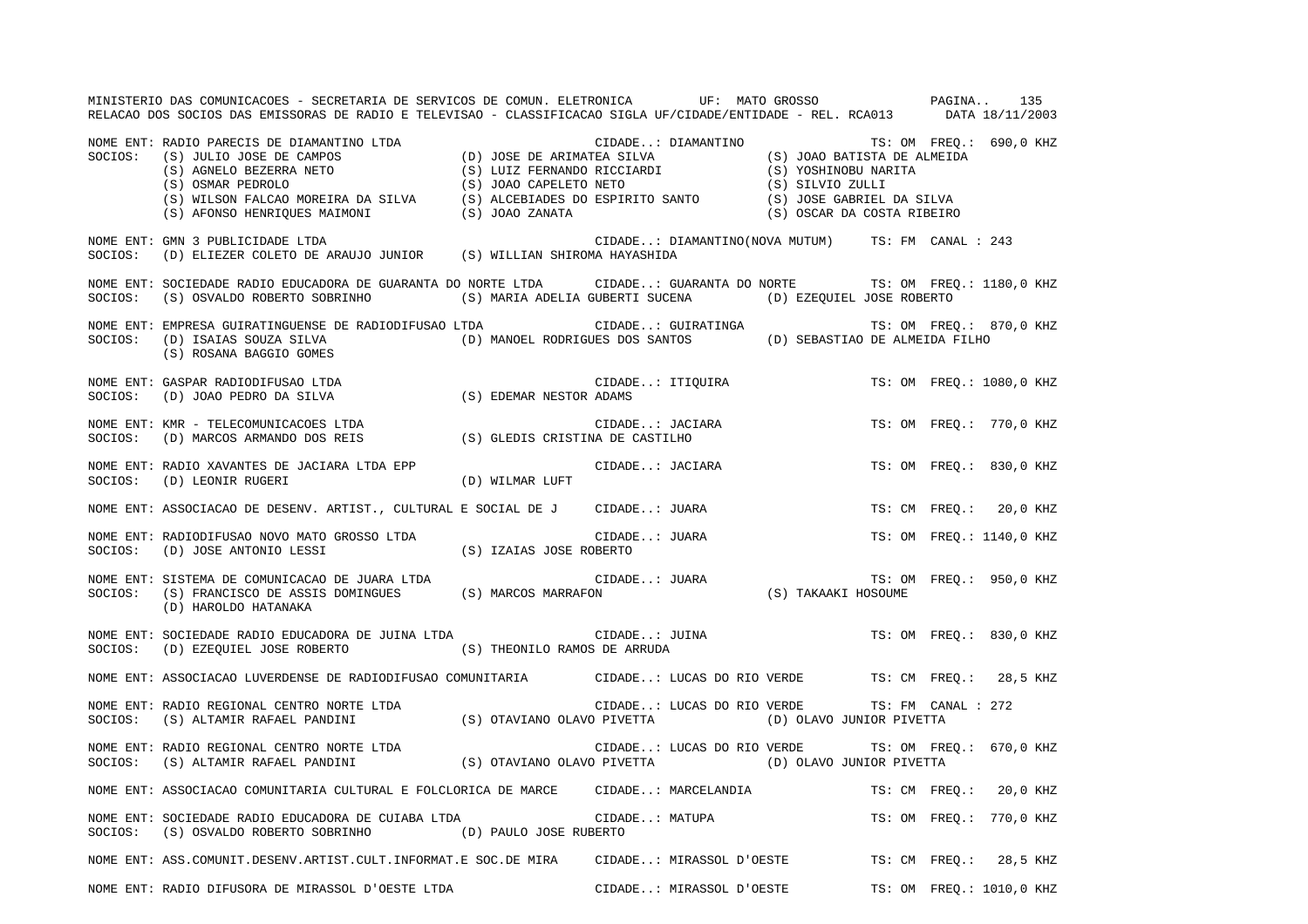|         | MINISTERIO DAS COMUNICACOES - SECRETARIA DE SERVICOS DE COMUN. ELETRONICA UF: MATO GROSSO PASINA<br>RELACAO DOS SOCIOS DAS EMISSORAS DE RADIO E TELEVISAO - CLASSIFICACAO SIGLA UF/CIDADE/ENTIDADE - REL. RCA013 DATA 18/11/2003                                                                        |  |                                                                                  |               | 135                      |
|---------|---------------------------------------------------------------------------------------------------------------------------------------------------------------------------------------------------------------------------------------------------------------------------------------------------------|--|----------------------------------------------------------------------------------|---------------|--------------------------|
|         | NOME ENT: RADIO PARECIS DE DIAMANTINO LTDA<br>SOCIOS: (S) JULIO JOSE DE CAMPOS (D) JOSE DE ARIMATEA SILVA (S) JOAO BATISTA DE ALMEIDA<br>(S) AGNELO BEZERRA NETO (S) LUIZ FERNANDO RICCIARDI (S) YOSHINOBU NARITA<br>(S) OSMAR PEDRO                                                                    |  |                                                                                  |               |                          |
| SOCIOS: | NOME ENT: GMN 3 PUBLICIDADE LTDA<br>GMN 3 PUBLICIDADE LTDA<br>(D) ELIEZER COLETO DE ARAUJO JUNIOR (S) WILLIAN SHIROMA HAYASHIDA                                                                                                                                                                         |  | CIDADE: DIAMANTINO(NOVA MUTUM) TS: FM CANAL : 243                                |               |                          |
| SOCIOS: | NOME ENT: SOCIEDADE RADIO EDUCADORA DE GUARANTA DO NORTE LTDA CIDADE: GUARANTA DO NORTE TS: OM FREQ.: 1180,0 KHZ<br>$(\texttt{S}) \ \texttt{OSVALDO} \ \texttt{ROBERTO} \ \texttt{SORINHO} \tag{S)} \ \texttt{MARIA ADELIA GUBERTI} \ \texttt{SUCENA} \tag{\texttt{D}} \ \texttt{EZQUIEL JOSE ROBERTO}$ |  |                                                                                  |               |                          |
| SOCIOS: | NOME ENT: EMPRESA GUIRATINGUENSE DE RADIODIFUSAO LTDA<br>(D) ISAIAS SOUZA SILVA<br>(S) ROSANA BAGGIO GOMES                                                                                                                                                                                              |  |                                                                                  |               | TS: OM FREQ.: 870,0 KHZ  |
|         | NOME ENT: GASPAR RADIODIFUSAO LTDA<br>SOCIOS:    (D) JOAO PEDRO DA SILVA                             (S) EDEMAR NESTOR ADAMS                                                                                                                                                                            |  | CIDADE: ITIQUIRA                                                                 |               | TS: OM FREQ.: 1080,0 KHZ |
|         | NOME ENT: KMR - TELECOMUNICACOES LTDA<br>SOCIOS: (D) MARCOS ARMANDO DOS REIS (S) GLEDIS CRISTINA DE CASTILHO                                                                                                                                                                                            |  | CIDADE: JACIARA<br>NA DE CASTILHO                                                |               | TS: OM FREQ.: 770,0 KHZ  |
|         | NOME ENT: RADIO XAVANTES DE JACIARA LTDA EPP<br>SOCIOS: (D) LEONIR RUGERI (D) WILMAR LUFT                                                                                                                                                                                                               |  | CIDADE: JACIARA                                                                  |               | TS: OM FREO.: 830,0 KHZ  |
|         | NOME ENT: ASSOCIACAO DE DESENV. ARTIST., CULTURAL E SOCIAL DE J CIDADE: JUARA                                                                                                                                                                                                                           |  |                                                                                  |               | TS: CM FREO.: 20,0 KHZ   |
|         | NOME ENT: RADIODIFUSAO NOVO MATO GROSSO LTDA (S) IZAIAS JOSE ROBERTO SOCIOS: (D) JOSE ANTONIO LESSI (S) IZAIAS JOSE ROBERTO                                                                                                                                                                             |  | CIDADE: JUARA TS: ON<br>OBERTO<br>CIDADE: JUARA TS: OM<br>ON (S) TAKAAKI HOSOUME |               | TS: OM FREO.: 1140,0 KHZ |
|         | NOME ENT: SISTEMA DE COMUNICACAO DE JUARA LTDA<br>SOCIOS: (S) FRANCISCO DE ASSIS DOMINGUES (S) MARCOS MARRAFON<br>(D) HAROLDO HATANAKA                                                                                                                                                                  |  |                                                                                  |               | TS: OM FREQ.: 950,0 KHZ  |
|         | NOME ENT: SOCIEDADE RADIO EDUCADORA DE JUINA LTDA CIDADE: JUINA<br>$\texttt{SOCIOS:} \hspace{0.5cm} \texttt{(D)} \hspace{0.1cm} \texttt{EZQUEL JOSE ROBERTO} \hspace{1.5cm} \texttt{(S)} \hspace{0.1cm} \texttt{THEONILO RAMOS DE ARRUDA}$                                                              |  |                                                                                  |               | TS: OM FREO.: 830,0 KHZ  |
|         | NOME ENT: ASSOCIACAO LUVERDENSE DE RADIODIFUSAO COMUNITARIA CIDADE: LUCAS DO RIO VERDE TS: CM FREQ.: 28,5 KHZ                                                                                                                                                                                           |  |                                                                                  |               |                          |
|         | NOME ENT: RADIO REGIONAL CENTRO NORTE LTDA<br>SOCIOS: (S) ALTAMIR RAFAEL PANDINI (S) OTAVIANO OLAVO PIVETTA (D) OLAVO JUNIOR PIVETTA                                                                                                                                                                    |  | CIDADE: LUCAS DO RIO VERDE TS: FM CANAL : 272                                    |               |                          |
|         | NOME ENT: RADIO REGIONAL CENTRO NORTE LTDA<br>SOCIOS: (S) ALTAMIR RAFAEL PANDINI (S) OTAVIANO OLAVO PIVETTA (D) OLAVO JUNIOR PIVETTA                                                                                                                                                                    |  |                                                                                  |               | TS: OM FREQ.: 670,0 KHZ  |
|         | NOME ENT: ASSOCIACAO COMUNITARIA CULTURAL E FOLCLORICA DE MARCE CIDADE: MARCELANDIA                                                                                                                                                                                                                     |  |                                                                                  | TS: CM FREO.: | 20,0 KHZ                 |
| SOCIOS: | NOME ENT: SOCIEDADE RADIO EDUCADORA DE CUIABA LTDA CIDADE: MATUPA<br>$(\,S\,)$ OSVALDO ROBERTO SOBRINHO $(\,D)\,$ PAULO JOSE RUBERTO                                                                                                                                                                    |  |                                                                                  |               | TS: OM FREO.: 770,0 KHZ  |
|         | NOME ENT: ASS.COMUNIT.DESENV.ARTIST.CULT.INFORMAT.E SOC.DE MIRA CIDADE: MIRASSOL D'OESTE TS: CM FREQ.: 28,5 KHZ                                                                                                                                                                                         |  |                                                                                  |               |                          |
|         | NOME ENT: RADIO DIFUSORA DE MIRASSOL D'OESTE LTDA                                                                                                                                                                                                                                                       |  | CIDADE: MIRASSOL D'OESTE                                                         |               | TS: OM FREQ.: 1010,0 KHZ |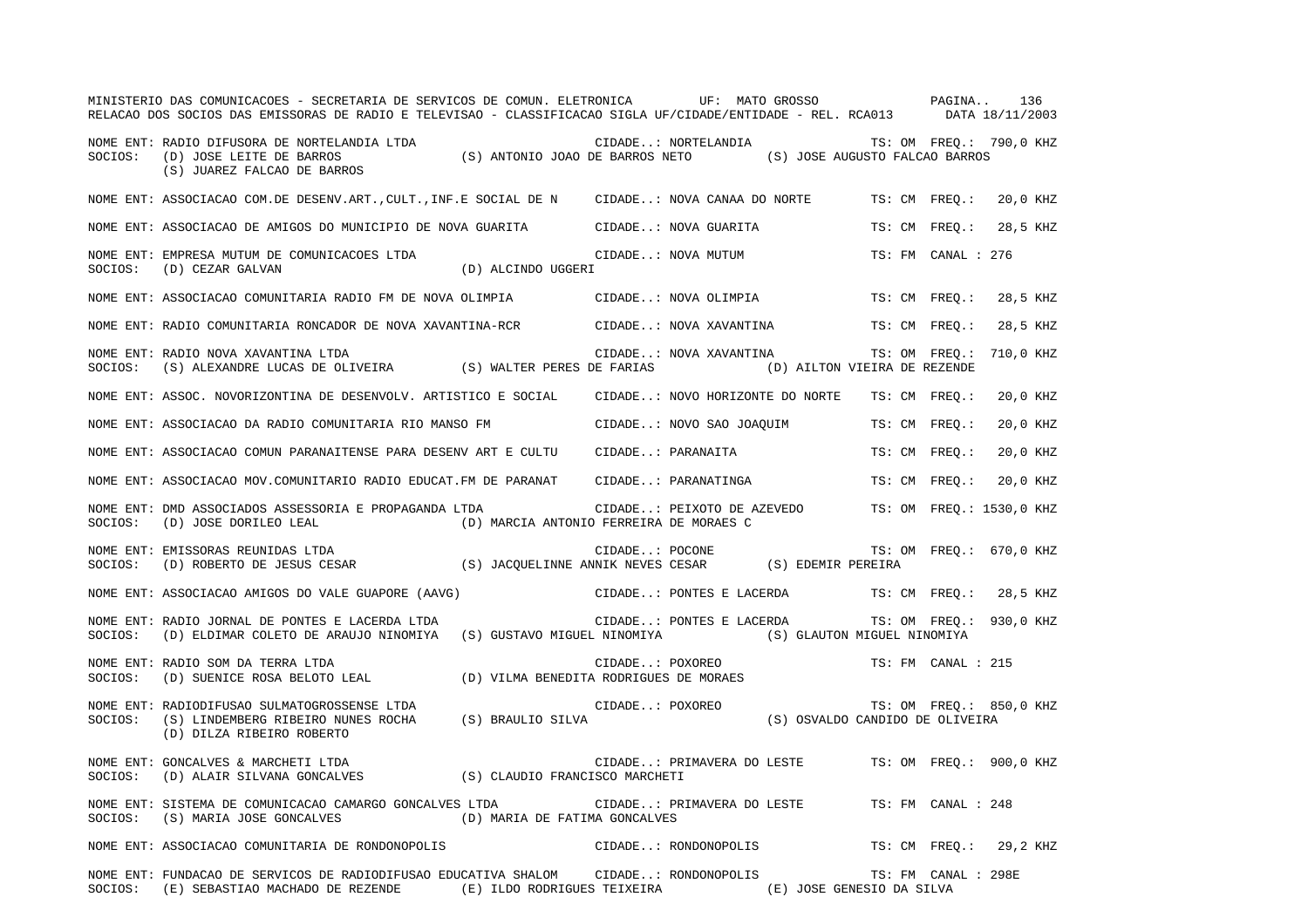|         | MINISTERIO DAS COMUNICACOES - SECRETARIA DE SERVICOS DE COMUN. ELETRONICA UF: MATO GROSSO PAGINA<br>RELACAO DOS SOCIOS DAS EMISSORAS DE RADIO E TELEVISAO - CLASSIFICACAO SIGLA UF/CIDADE/ENTIDADE - REL. RCA013 DATA 18/11/2003      |  |                                                    |  |                     | 136                     |
|---------|---------------------------------------------------------------------------------------------------------------------------------------------------------------------------------------------------------------------------------------|--|----------------------------------------------------|--|---------------------|-------------------------|
| SOCIOS: | NOME ENT: RADIO DIFUSORA DE NORTELANDIA LTDA<br>CIDADE: NORTELANDIA (S) CIDADE: NORTELANDIA TS: OM FREQ.: 7<br>(D) JOSE LEITE DE BARROS (S) ANTONIO JOAO DE BARROS NETO (S) JOSE AUGUSTO FALCAO BARROS<br>(S) JUAREZ FALCAO DE BARROS |  | CIDADE: NORTELANDIA TS: OM FREQ.: 790,0 KHZ        |  |                     |                         |
|         | NOME ENT: ASSOCIACAO COM.DE DESENV.ART., CULT., INF.E SOCIAL DE N CIDADE: NOVA CANAA DO NORTE                                                                                                                                         |  |                                                    |  | TS: CM FREO.:       | 20,0 KHZ                |
|         | NOME ENT: ASSOCIACAO DE AMIGOS DO MUNICIPIO DE NOVA GUARITA CIDADE: NOVA GUARITA                                                                                                                                                      |  |                                                    |  | TS: CM FREQ.:       | 28,5 KHZ                |
|         | NOME ENT: EMPRESA MUTUM DE COMUNICACOES LTDA (D) ALCINDO UGGERI $\overline{O}(\overline{O})$ COMUNICACOES (D) ALCINDO UGGERI                                                                                                          |  | CIDADE: NOVA MUTUM                                 |  | TS: FM CANAL : 276  |                         |
|         | NOME ENT: ASSOCIACAO COMUNITARIA RADIO FM DE NOVA OLIMPIA CIDADE: NOVA OLIMPIA                                                                                                                                                        |  |                                                    |  | TS: CM FREQ.:       | 28,5 KHZ                |
|         | NOME ENT: RADIO COMUNITARIA RONCADOR DE NOVA XAVANTINA-RCR CIDADE: NOVA XAVANTINA                                                                                                                                                     |  |                                                    |  | TS: CM FREO.:       | 28,5 KHZ                |
| SOCIOS: | NOME ENT: RADIO NOVA XAVANTINA LTDA<br>(S) ALEXANDRE LUCAS DE OLIVEIRA (S) WALTER PERES DE FARIAS (D) AILTON VIEIRA DE REZENDE                                                                                                        |  | CIDADE: NOVA XAVANTINA                             |  |                     | TS: OM FREO.: 710,0 KHZ |
|         | NOME ENT: ASSOC. NOVORIZONTINA DE DESENVOLV. ARTISTICO E SOCIAL CIDADE: NOVO HORIZONTE DO NORTE TS: CM FREO.:                                                                                                                         |  |                                                    |  |                     | 20,0 KHZ                |
|         | NOME ENT: ASSOCIACAO DA RADIO COMUNITARIA RIO MANSO FM CIDADE: NOVO SAO JOAOUIM                                                                                                                                                       |  |                                                    |  | TS: CM FREO.:       | 20,0 KHZ                |
|         | NOME ENT: ASSOCIACAO COMUN PARANAITENSE PARA DESENV ART E CULTU                                                                                                                                                                       |  | CIDADE: PARANAITA                                  |  | TS: CM FREO.:       | 20,0 KHZ                |
|         | NOME ENT: ASSOCIACAO MOV. COMUNITARIO RADIO EDUCAT. FM DE PARANAT                                                                                                                                                                     |  | CIDADE: PARANATINGA                                |  | TS: CM FREO.:       | 20,0 KHZ                |
|         | NOME ENT: DMD ASSOCIADOS ASSESSORIA E PROPAGANDA LTDA CIDADE: PEIXOTO DE AZEVEDO TS: OM FREQ.: 1530,0 KHZ<br>SOCIOS: (D) JOSE DORILEO LEAL (D) MARCIA ANTONIO FERREIRA DE MORAES C                                                    |  |                                                    |  |                     |                         |
|         | NOME ENT: EMISSORAS REUNIDAS LTDA<br>SOCIOS: (D) ROBERTO DE JESUS CESAR (S) JACQUELINNE ANNIK NEVES CESAR (S) EDEMIR PEREIRA                                                                                                          |  |                                                    |  |                     |                         |
|         | NOME ENT: ASSOCIACAO AMIGOS DO VALE GUAPORE (AAVG) CIDADE: PONTES E LACERDA TS: CM FREQ.: 28,5 KHZ                                                                                                                                    |  |                                                    |  |                     |                         |
| SOCIOS: | NOME ENT: RADIO JORNAL DE PONTES E LACERDA LTDA<br>(D) ELDIMAR COLETO DE ARAUJO NINOMIYA (S) GUSTAVO MIGUEL NINOMIYA (S) GLAUTON MIGUEL NINOMIYA                                                                                      |  | CIDADE: PONTES E LACERDA                           |  |                     | TS: OM FREQ.: 930,0 KHZ |
| SOCIOS: | RADIO SOM DA TERRA LTDA<br>(D) SUENICE ROSA BELOTO LEAL (D) VILMA BENEDITA RODRIGUES DE MORAES<br>NOME ENT: RADIO SOM DA TERRA LTDA                                                                                                   |  |                                                    |  | TS: FM CANAL : 215  |                         |
| SOCIOS: | RADIODIFUSAO SULMATOGROSSENSE LTDA<br>(S) LINDEMBERG RIBEIRO NUNES ROCHA (S) BRAULIO SILVA (S) COXOREO (S) OSVALDO CANDIDO DE OLIVEIRA<br>NOME ENT: RADIODIFUSAO SULMATOGROSSENSE LTDA<br>(D) DILZA RIBEIRO ROBERTO                   |  |                                                    |  |                     | TS: OM FREQ.: 850,0 KHZ |
| SOCIOS: | NOME ENT: GONCALVES & MARCHETI LTDA                                                                                                                                                                                                   |  | CIDADE: PRIMAVERA DO LESTE TS: OM FREQ.: 900,0 KHZ |  |                     |                         |
| SOCIOS: | NOME ENT: SISTEMA DE COMUNICACAO CAMARGO GONCALVES LTDA<br>(S) MARIA JOSE GONCALVES (D) MARIA DE FATIMA GONCALVES                                                                                                                     |  | CIDADE: PRIMAVERA DO LESTE TS: FM CANAL : 248      |  |                     |                         |
|         | NOME ENT: ASSOCIACAO COMUNITARIA DE RONDONOPOLIS (CIDADE: RONDONOPOLIS                                                                                                                                                                |  |                                                    |  |                     | TS: CM FREO.: 29,2 KHZ  |
|         | NOME ENT: FUNDACAO DE SERVICOS DE RADIODIFUSAO EDUCATIVA SHALOM CIDADE: RONDONOPOLIS<br>SOCIOS: (E) SEBASTIAO MACHADO DE REZENDE (E) ILDO RODRIGUES TEIXEIRA (E) JOSE GENESIO DA SILVA                                                |  |                                                    |  | TS: FM CANAL : 298E |                         |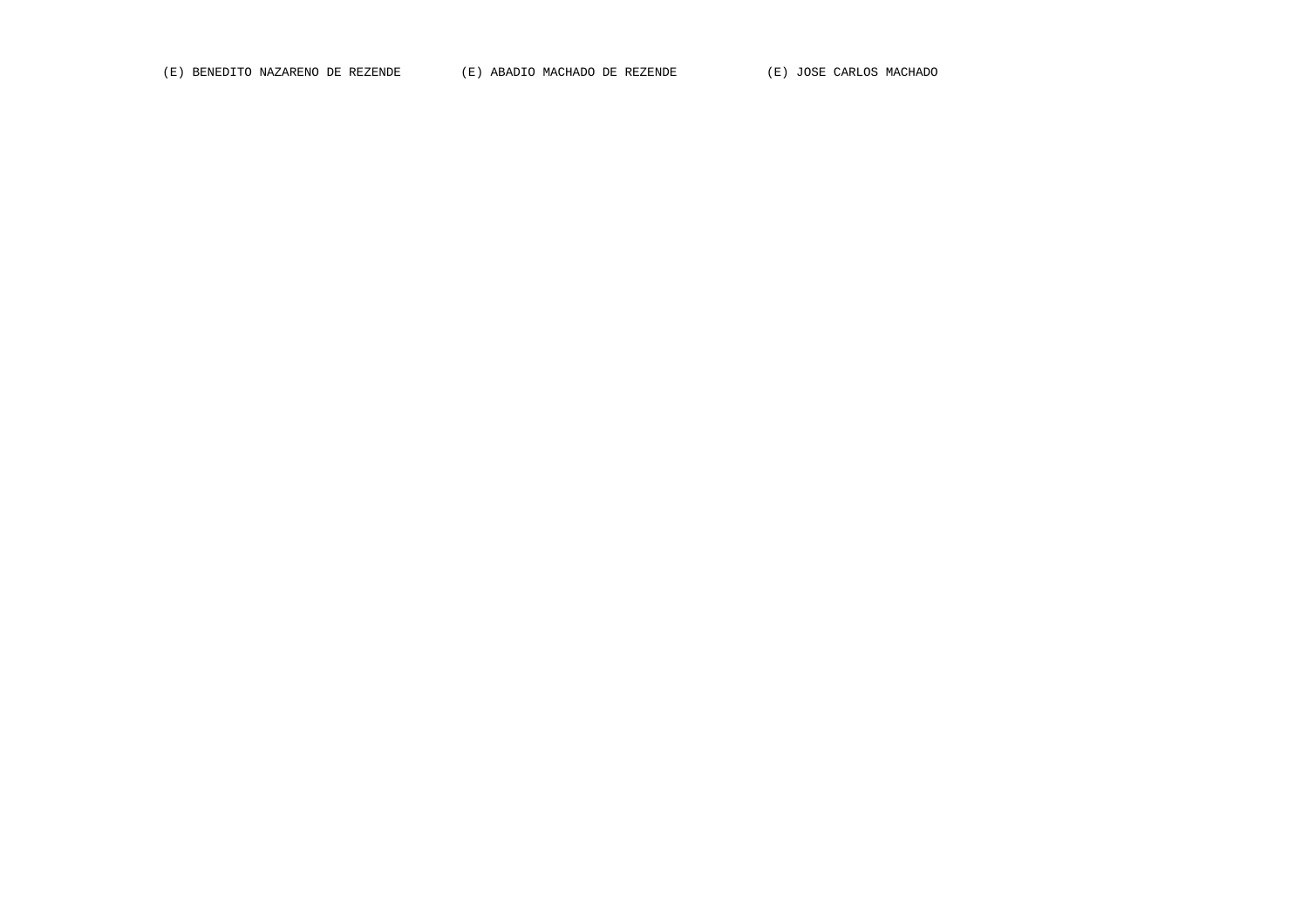(E) BENEDITO NAZARENO DE REZENDE (E) ABADIO MACHADO DE REZENDE (E) JOSE CARLOS MACHADO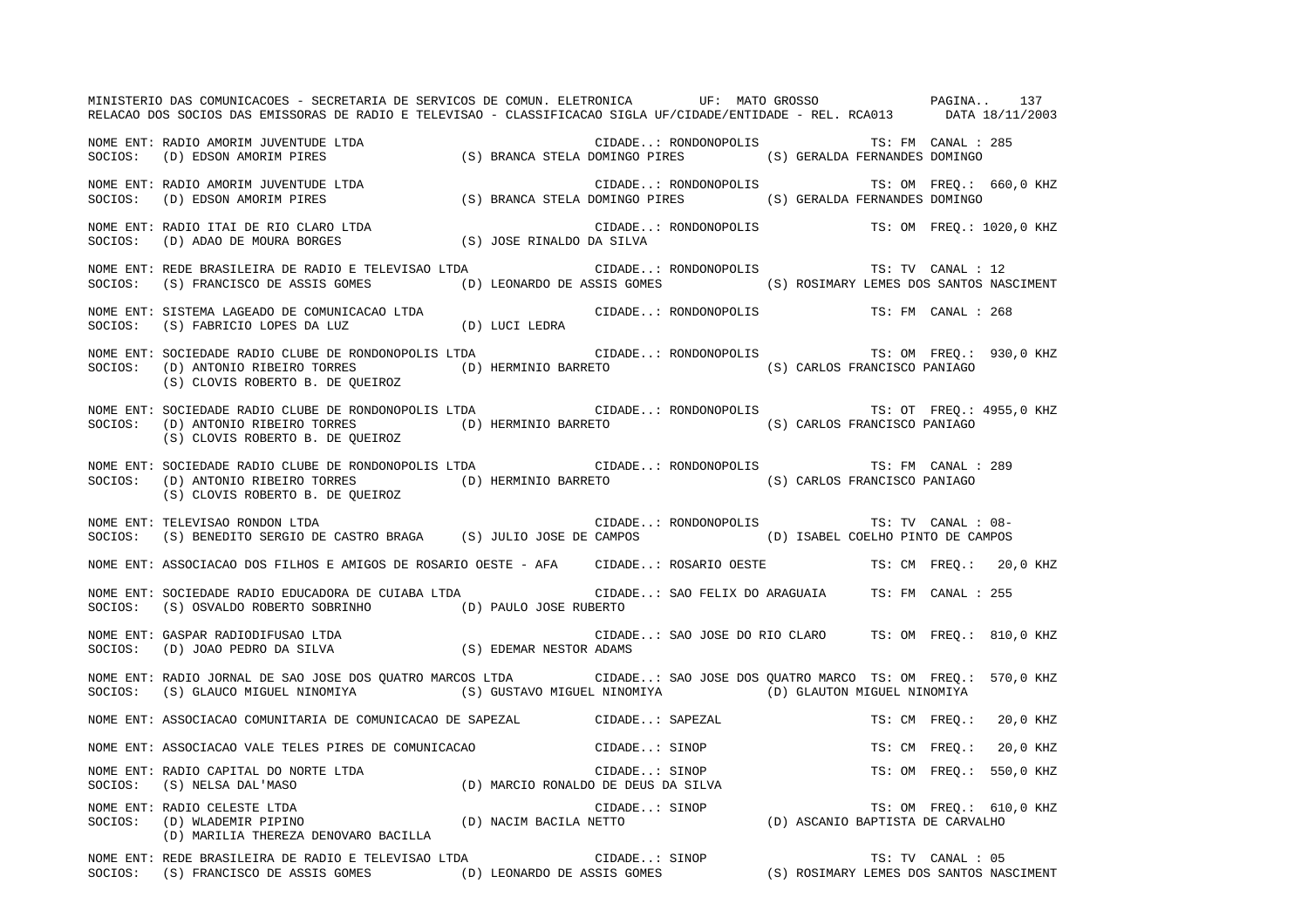MINISTERIO DAS COMUNICACOES - SECRETARIA DE SERVICOS DE COMUN. ELETRONICA UF: MATO GROSSO PAGINA.. 137RELACAO DOS SOCIOS DAS EMISSORAS DE RADIO E TELEVISAO - CLASSIFICACAO SIGLA UF/CIDADE/ENTIDADE - REL. RCA013 DATA 18/11/2003 NOME ENT: RADIO AMORIM JUVENTUDE LTDA CIDADE..: RONDONOPOLIS TS: FM CANAL : 285SOCIOS: (D) EDSON AMORIM PIRES (S) BRANCA STELA DOMINGO PIRES (S) GERALDA FERNANDES DOMINGO NOME ENT: RADIO AMORIM JUVENTUDE LTDA CIDADE..: RONDONOPOLIS TS: OM FREQ.: 660,0 KHZ SOCIOS: (D) EDSON AMORIM PIRES (S) BRANCA STELA DOMINGO PIRES (S) GERALDA FERNANDES DOMINGO NOME ENT: RADIO ITAI DE RIO CLARO LTDA CIDADE..: RONDONOPOLIS TS: OM FREQ.: 1020,0 KHZ SOCIOS: (D) ADAO DE MOURA BORGES (S) JOSE RINALDO DA SILVA NOME ENT: REDE BRASILEIRA DE RADIO E TELEVISAO LTDA CIDADE..: RONDONOPOLIS TS: TV CANAL : 12 SOCIOS: (S) FRANCISCO DE ASSIS GOMES (D) LEONARDO DE ASSIS GOMES (S) ROSIMARY LEMES DOS SANTOS NASCIMENT NOME ENT: SISTEMA LAGEADO DE COMUNICACAO LTDA CIDADE..: RONDONOPOLIS TS: FM CANAL : 268SOCIOS: (S) FABRICIO LOPES DA LUZ (D) LUCI LEDRA NOME ENT: SOCIEDADE RADIO CLUBE DE RONDONOPOLIS LTDA CIDADE..: RONDONOPOLIS TS: OM FREQ.: 930,0 KHZ SOCIOS: (D) ANTONIO RIBEIRO TORRES (D) HERMINIO BARRETO (S) CARLOS FRANCISCO PANIAGO (S) CLOVIS ROBERTO B. DE QUEIROZ NOME ENT: SOCIEDADE RADIO CLUBE DE RONDONOPOLIS LTDA (CIDADE..: RONDONOPOLIS TS: OT FREQ.: 4955,0 KHZ SOCIOS: (D) ANTONIO RIBEIRO TORRES (D) HERMINIO BARRETO (S) CARLOS FRANCISCO PANIAGO (S) CLOVIS ROBERTO B. DE QUEIROZ NOME ENT: SOCIEDADE RADIO CLUBE DE RONDONOPOLIS LTDA CIDADE..: RONDONOPOLIS TS: FM CANAL : 289SOCIOS: (D) ANTONIO RIBEIRO TORRES (D) HERMINIO BARRETO (S) CARLOS FRANCISCO PANIAGO (S) CLOVIS ROBERTO B. DE QUEIROZ NOME ENT: TELEVISAO RONDON LTDA CIDADE..: RONDONOPOLIS TS: TV CANAL : 08-SOCIOS: (S) BENEDITO SERGIO DE CASTRO BRAGA (S) JULIO JOSE DE CAMPOS (D) ISABEL COELHO PINTO DE CAMPOS NOME ENT: ASSOCIACAO DOS FILHOS E AMIGOS DE ROSARIO OESTE - AFA CIDADE..: ROSARIO OESTE TS: CM FREQ.: 20,0 KHZ NOME ENT: SOCIEDADE RADIO EDUCADORA DE CUIABA LTDA CIDADE..: SAO FELIX DO ARAGUAIA TS: FM CANAL : 255SOCIOS: (S) OSVALDO ROBERTO SOBRINHO (D) PAULO JOSE RUBERTO NOME ENT: GASPAR RADIODIFUSAO LTDA CIDADE..: SAO JOSE DO RIO CLARO TS: OM FREQ.: 810,0 KHZ SOCIOS: (D) JOAO PEDRO DA SILVA (S) EDEMAR NESTOR ADAMS NOME ENT: RADIO JORNAL DE SAO JOSE DOS QUATRO MARCOS LTDA CIDADE..: SAO JOSE DOS QUATRO MARCO TS: OM FREQ.: 570,0 KHZ SOCIOS: (S) GLAUCO MIGUEL NINOMIYA (S) GUSTAVO MIGUEL NINOMIYA (D) GLAUTON MIGUEL NINOMIYA NOME ENT: ASSOCIACAO COMUNITARIA DE COMUNICACAO DE SAPEZAL CIDADE..: SAPEZAL TS: CM FREQ.: 20,0 KHZ NOME ENT: ASSOCIACAO VALE TELES PIRES DE COMUNICACAO CIDADE..: SINOP TS: CM FREQ.: 20,0 KHZ NOME ENT: RADIO CAPITAL DO NORTE LTDA  $\blacksquare$  CIDADE..: SINOP TS: OM FREQ.: 550,0 KHZ SOCIOS: (S) NELSA DAL'MASO (D) MARCIO RONALDO DE DEUS DA SILVA NOME ENT: RADIO CELESTE LTDA CIDADE..: SINOP TS: OM FREQ.: 610,0 KHZ SOCIOS: (D) WLADEMIR PIPINO (D) NACIM BACILA NETTO (D) ASCANIO BAPTISTA DE CARVALHO (D) MARILIA THEREZA DENOVARO BACILLA NOME ENT: REDE BRASILEIRA DE RADIO E TELEVISAO LTDA CIDADE..: SINOP TS: TV CANAL : 05 SOCIOS: (S) FRANCISCO DE ASSIS GOMES (D) LEONARDO DE ASSIS GOMES (S) ROSIMARY LEMES DOS SANTOS NASCIMENT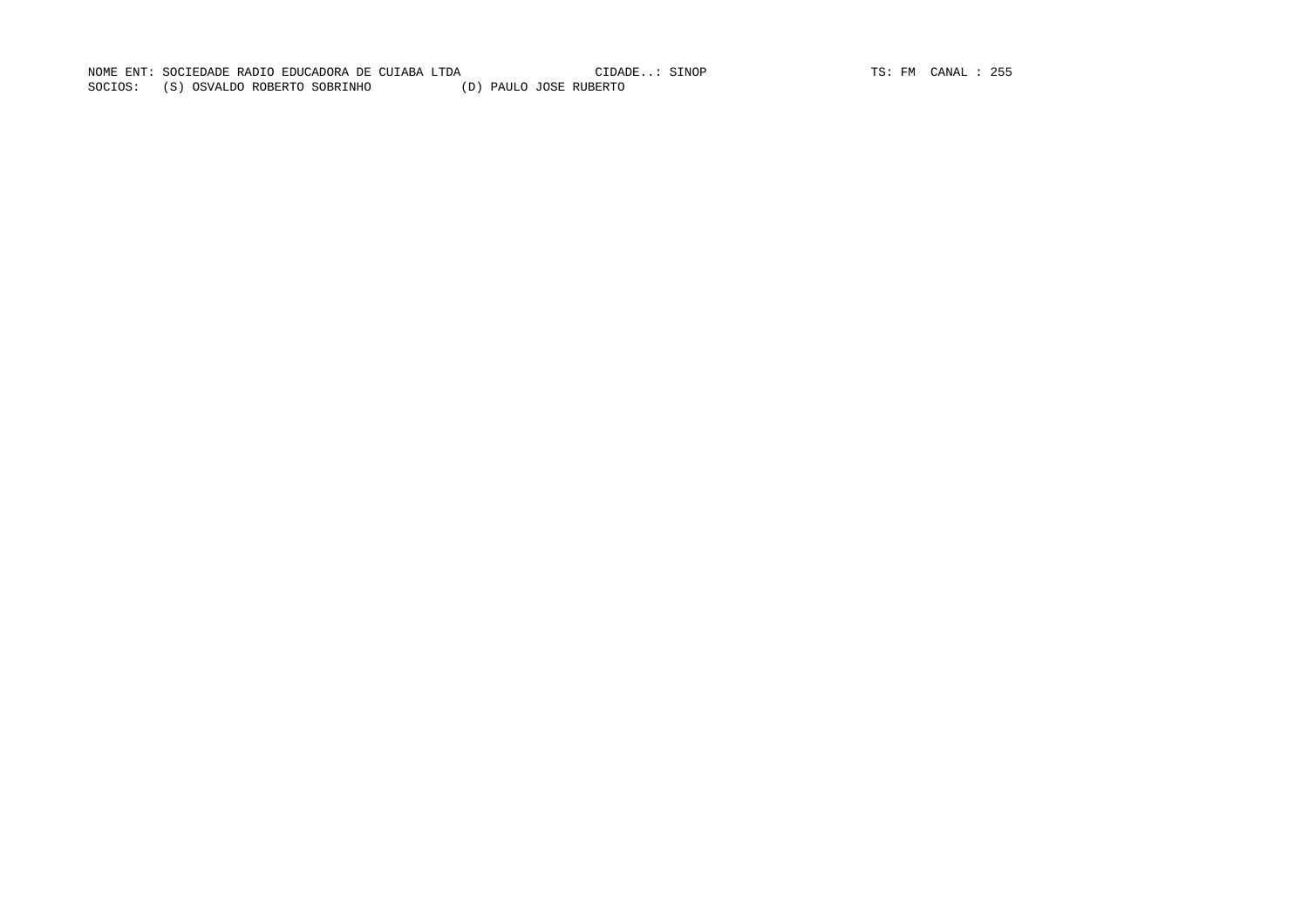NOME ENT: SOCIEDADE RADIO EDUCADORA DE CUIABA LTDA CIDADE..: SINOP TS: FM CANAL : 255 SOCIOS: (S) OSVALDO ROBERTO SOBRINHO (D) PAULO JOSE RUBERTO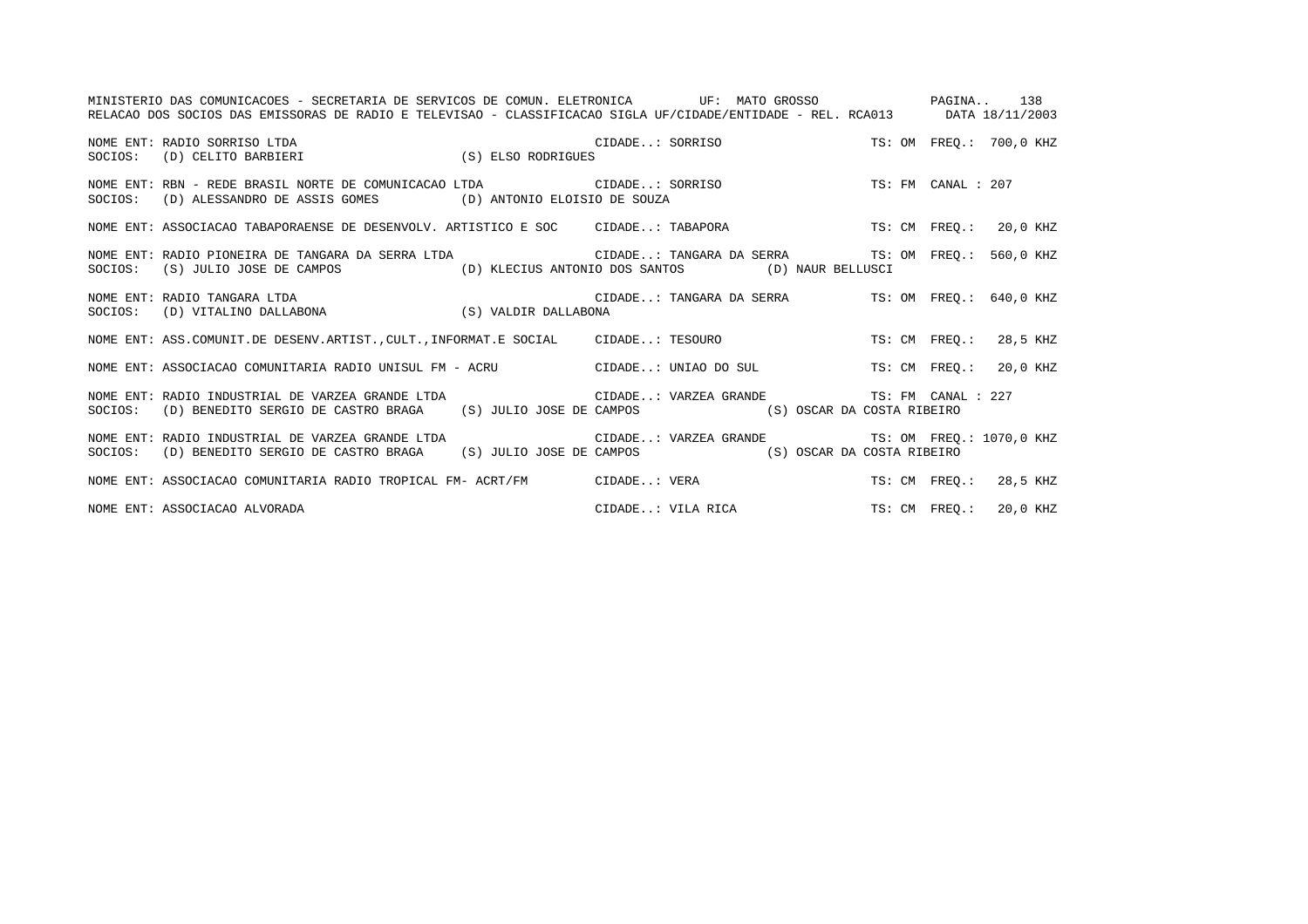| MINISTERIO DAS COMUNICACOES - SECRETARIA DE SERVICOS DE COMUN. ELETRONICA UF: MATO GROSSO ANDERO PAGINA 138                                                                                                                           |  |                                          |  |                        |  |
|---------------------------------------------------------------------------------------------------------------------------------------------------------------------------------------------------------------------------------------|--|------------------------------------------|--|------------------------|--|
| RELACAO DOS SOCIOS DAS EMISSORAS DE RADIO E TELEVISAO - CLASSIFICACAO SIGLA UF/CIDADE/ENTIDADE - REL. RCA013 DATA 18/11/2003                                                                                                          |  |                                          |  |                        |  |
|                                                                                                                                                                                                                                       |  |                                          |  |                        |  |
| NOME ENT: RBN - REDE BRASIL NORTE DE COMUNICACAO LTDA CIDADE: SORRISO TS: FM CANAL : 207<br>SOCIOS: (D) ALESSANDRO DE ASSIS GOMES (D) ANTONIO ELOISIO DE SOUZA                                                                        |  |                                          |  |                        |  |
| NOME ENT: ASSOCIACAO TABAPORAENSE DE DESENVOLV. ARTISTICO E SOC CIDADE: TABAPORA TS: CM FREQ.: 20,0 KHZ                                                                                                                               |  |                                          |  |                        |  |
| NOME ENT: RADIO PIONEIRA DE TANGARA DA SERRA LTDA CIDADE: TANGARA DA SERRA TS: OM FREO.: 560,0 KHZ<br>SOCIOS: (S) JULIO JOSE DE CAMPOS (D) KLECIUS ANTONIO DOS SANTOS (D) NAUR BELLUSCI                                               |  |                                          |  |                        |  |
| NOME ENT: RADIO TANGARA LTDA<br>SOCIOS: (D) VITALINO DALLABONA (S) VALDIR DALLABONA (S) VALDIR DALLABONA                                                                                                                              |  |                                          |  |                        |  |
| NOME ENT: ASS.COMUNIT.DE DESENV.ARTIST., CULT., INFORMAT.E SOCIAL CIDADE: TESOURO TS: CM FREQ.: 28,5 KHZ                                                                                                                              |  |                                          |  |                        |  |
| NOME ENT: ASSOCIACAO COMUNITARIA RADIO UNISUL FM - ACRU CIDADE: UNIAO DO SUL TS: CM FREQ.: 20,0 KHZ                                                                                                                                   |  |                                          |  |                        |  |
| NOME ENT: RADIO INDUSTRIAL DE VARZEA GRANDE LTDA                        CIDADE: VARZEA GRANDE                   TS: FM CANAL : 227<br>SOCIOS: (D) BENEDITO SERGIO DE CASTRO BRAGA (S) JULIO JOSE DE CAMPOS (S) OSCAR DA COSTA RIBEIRO |  |                                          |  |                        |  |
| NOME ENT: RADIO INDUSTRIAL DE VARZEA GRANDE LTDA <a>&gt; CIDADE: VARZEA GRANDE <a></a> TS: OM FREQ.: 1070,0 KHZ</a> KHZ<br>SOCIOS: (D) BENEDITO SERGIO DE CASTRO BRAGA (S) JULIO JOSE DE CAMPOS (S) OSCAR DA COSTA RIBEIRO            |  |                                          |  |                        |  |
| NOME ENT: ASSOCIACAO COMUNITARIA RADIO TROPICAL FM- ACRT/FM CIDADE: VERA                                                                                                                                                              |  |                                          |  | TS: CM FREQ.: 28,5 KHZ |  |
| NOME ENT: ASSOCIACAO ALVORADA                                                                                                                                                                                                         |  | CIDADE: VILA RICA TS: CM FREQ.: 20,0 KHZ |  |                        |  |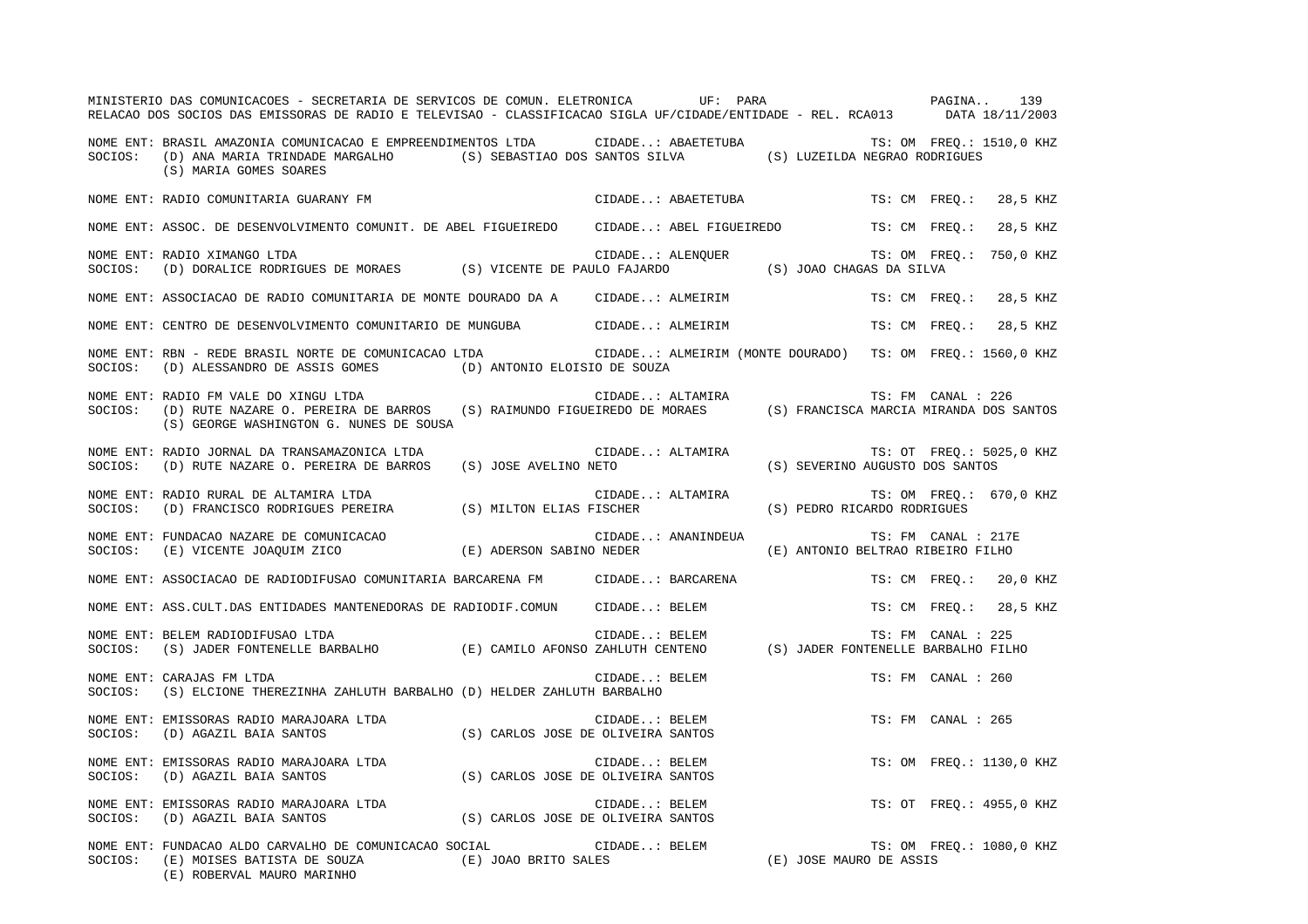|         | MINISTERIO DAS COMUNICACOES - SECRETARIA DE SERVICOS DE COMUN. ELETRONICA UF: PARA<br>RELACAO DOS SOCIOS DAS EMISSORAS DE RADIO E TELEVISAO - CLASSIFICACAO SIGLA UF/CIDADE/ENTIDADE - REL. RCA013 DATA 18/11/2003                 |                                    |               |                    | PAGINA 139                                                            |                     |                          |
|---------|------------------------------------------------------------------------------------------------------------------------------------------------------------------------------------------------------------------------------------|------------------------------------|---------------|--------------------|-----------------------------------------------------------------------|---------------------|--------------------------|
| SOCIOS: | NOME ENT: BRASIL AMAZONIA COMUNICACAO E EMPREENDIMENTOS LTDA CIDADE: ABAETETUBA TS: OM FREQ.: 1510,0 KHZ<br>(D) ANA MARIA TRINDADE MARGALHO (S) SEBASTIAO DOS SANTOS SILVA (S) LUZEILDA NEGRAO RODRIGUES<br>(S) MARIA GOMES SOARES |                                    |               |                    |                                                                       |                     |                          |
|         | NOME ENT: RADIO COMUNITARIA GUARANY FM                                                                                                                                                                                             |                                    |               | CIDADE: ABAETETUBA |                                                                       |                     | TS: CM FREQ.: 28,5 KHZ   |
|         | NOME ENT: ASSOC. DE DESENVOLVIMENTO COMUNIT. DE ABEL FIGUEIREDO CIDADE: ABEL FIGUEIREDO TS: CM FREQ.:                                                                                                                              |                                    |               |                    |                                                                       |                     | 28,5 KHZ                 |
| SOCIOS: | NOME ENT: RADIO XIMANGO LTDA                                                                                                                                                                                                       |                                    |               |                    |                                                                       |                     | TS: OM FREO.: 750,0 KHZ  |
|         | NOME ENT: ASSOCIACAO DE RADIO COMUNITARIA DE MONTE DOURADO DA A CIDADE: ALMEIRIM                                                                                                                                                   |                                    |               |                    |                                                                       |                     | TS: CM FREQ.: 28,5 KHZ   |
|         | NOME ENT: CENTRO DE DESENVOLVIMENTO COMUNITARIO DE MUNGUBA CIDADE: ALMEIRIM                                                                                                                                                        |                                    |               |                    |                                                                       |                     | TS: CM FREO.: 28,5 KHZ   |
| SOCIOS: | NOME ENT: RBN - REDE BRASIL NORTE DE COMUNICACAO LTDA <b>ELLE COLO ENTRESE DE L'ALMEIRIM</b> (MONTE DOURADO) TS: OM FREQ.: 1560,0 KHZ<br>(D) ALESSANDRO DE ASSIS GOMES (D) ANTONIO ELOISIO DE SOUZA                                |                                    |               |                    |                                                                       |                     |                          |
| SOCIOS: | NOME ENT: RADIO FM VALE DO XINGU LTDA<br>RADIO FM VALE DO XINGU LTDA<br>(D) RUTE NAZARE O. PEREIRA DE BARROS (S) RAIMUNDO FIGUEIREDO DE MORAES (S) FRANCISCA MARCIA MIRANDA DOS SANTOS<br>(S) GEORGE WASHINGTON G. NUNES DE SOUSA  |                                    |               |                    |                                                                       |                     |                          |
| SOCIOS: | NOME ENT: RADIO JORNAL DA TRANSAMAZONICA LTDA<br>(D) RUTE NAZARE O. PEREIRA DE BARROS (S) JOSE AVELINO NETO                                                                                                                        |                                    |               | CIDADE: ALTAMIRA   | TS: OT FREQ.: 502. .: ALTAMIRA :<br>S) SEVERINO AUGUSTO DOS SANTOS)   |                     | TS: OT FREQ.: 5025,0 KHZ |
| SOCIOS: | NOME ENT: RADIO RURAL DE ALTAMIRA LTDA<br>(D) FRANCISCO RODRIGUES PEREIRA (S) MILTON ELIAS FISCHER                                                                                                                                 |                                    |               |                    | CIDADE: ALTAMIRA TS: OM FREQ.:<br>FISCHER (S) PEDRO RICARDO RODRIGUES |                     | TS: OM FREQ.: 670,0 KHZ  |
|         | NOME ENT: FUNDACAO NAZARE DE COMUNICACAO (E) ADERSON SABINO NEDER<br>SOCIOS: (E) VICENTE JOAQUIM ZICO (E) ADERSON SABINO NEDER                                                                                                     |                                    |               | CIDADE: ANANINDEUA | (E) ANTONIO BELTRAO RIBEIRO FILHO                                     | TS: FM CANAL : 217E |                          |
|         | NOME ENT: ASSOCIACAO DE RADIODIFUSAO COMUNITARIA BARCARENA FM CIDADE: BARCARENA                                                                                                                                                    |                                    |               |                    |                                                                       |                     | TS: CM FREQ.: 20,0 KHZ   |
|         | NOME ENT: ASS.CULT.DAS ENTIDADES MANTENEDORAS DE RADIODIF.COMUN CIDADE: BELEM                                                                                                                                                      |                                    |               |                    |                                                                       |                     | TS: CM FREO.: 28,5 KHZ   |
| SOCIOS: | ERLEM RADIODIFUSAO LTDA (E) CAMILO AFONSO ZAHLUTH CENTENO (S) JADER FONTENELLE BARBALHO (S) JADER FONTENELLE BARBALHO FILHO<br>NOME ENT: BELEM RADIODIFUSAO LTDA                                                                   |                                    |               |                    |                                                                       |                     |                          |
| SOCIOS: | NOME ENT: CARAJAS FM LTDA<br>(S) ELCIONE THEREZINHA ZAHLUTH BARBALHO (D) HELDER ZAHLUTH BARBALHO                                                                                                                                   |                                    | CIDADE: BELEM |                    |                                                                       | TS: FM CANAL : 260  |                          |
|         | NOME ENT: EMISSORAS RADIO MARAJOARA LTDA (S) CARLOS JOSE DE OLIVEIRA SANTOS                                                                                                                                                        |                                    |               |                    |                                                                       | TS: FM CANAL : 265  |                          |
|         | NOME ENT: EMISSORAS RADIO MARAJOARA LTDA (S) CARLOS JOSE DE OLIVEIRA SANTOS                                                                                                                                                        |                                    |               |                    |                                                                       |                     | TS: OM FREQ.: 1130,0 KHZ |
| SOCIOS: | NOME ENT: EMISSORAS RADIO MARAJOARA LTDA<br>(D) AGAZIL BAIA SANTOS                                                                                                                                                                 | (S) CARLOS JOSE DE OLIVEIRA SANTOS | CIDADE: BELEM |                    |                                                                       |                     | TS: OT FREQ.: 4955,0 KHZ |
| SOCIOS: | NOME ENT: FUNDACAO ALDO CARVALHO DE COMUNICACAO SOCIAL<br>(E) MOISES BATISTA DE SOUZA<br>(E) ROBERVAL MAURO MARINHO                                                                                                                | (E) JOAO BRITO SALES               | CIDADE: BELEM |                    | TS: OM FI.<br>TS: OM TS: OM TENSE MAURO DE ASSIS                      |                     | TS: OM FREQ.: 1080,0 KHZ |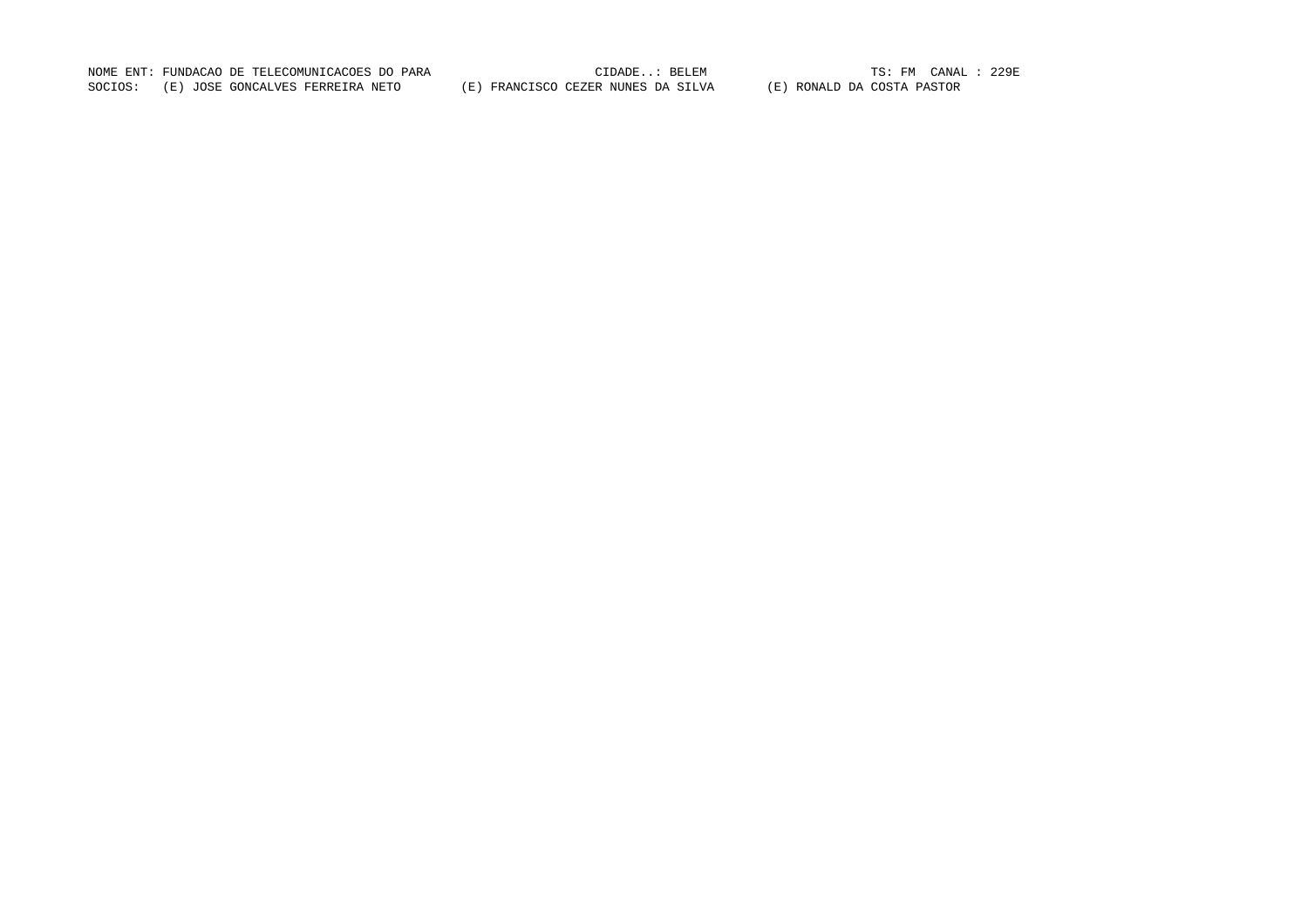NOME ENT: FUNDACAO DE TELECOMUNICACOES DO PARA CIDADE..: BELEM TS: FM CANAL : 229ESOCIOS: (E) JOSE GONCALVES FERREIRA NETO (E) FRANCISCO CEZER NUNES DA SILVA (E) RONALD DA COSTA PASTOR

TS: FM CANAL : 229E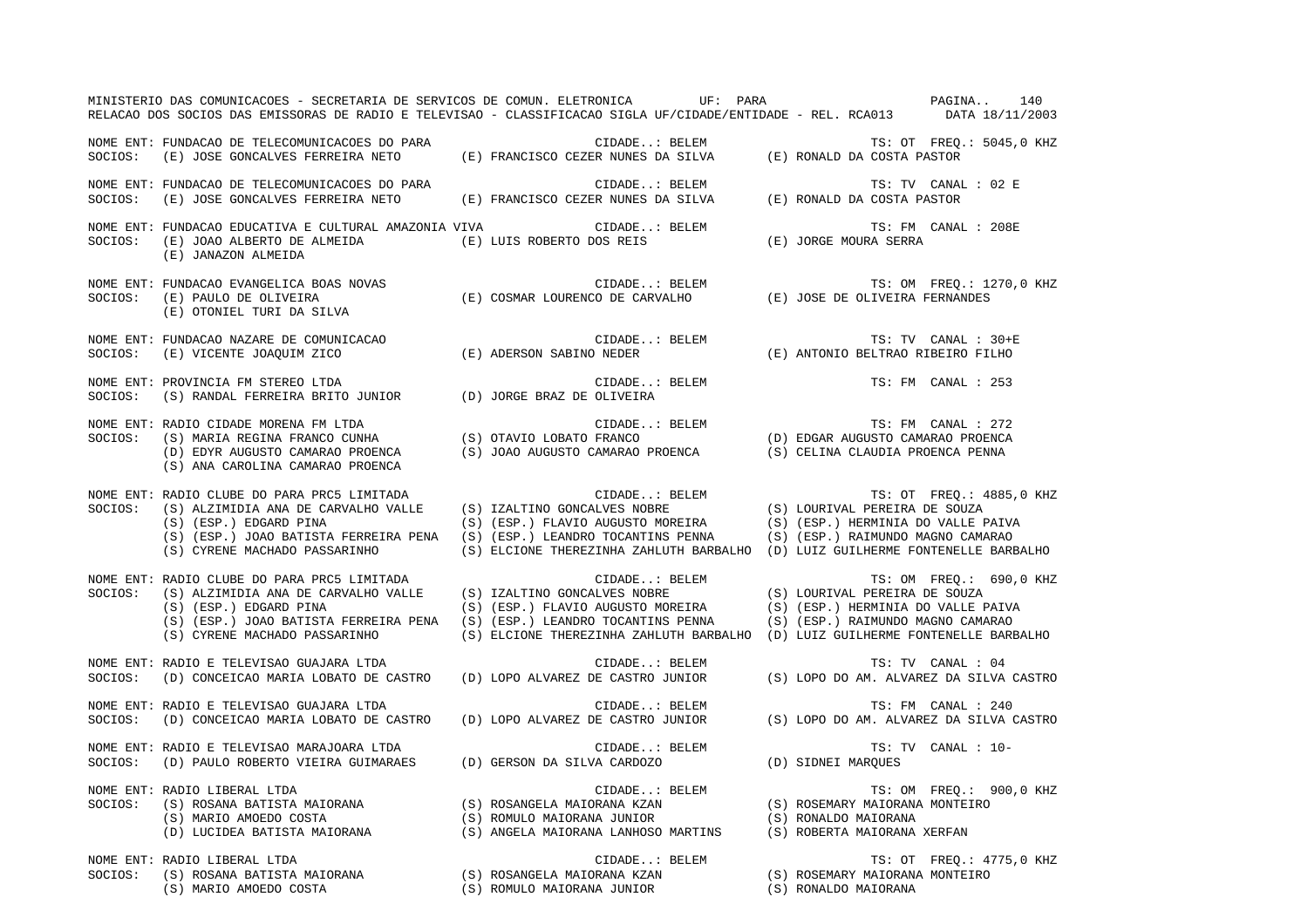|         | MINISTERIO DAS COMUNICACOES - SECRETARIA DE SERVICOS DE COMUN. ELETRONICA UF: PARA<br>RELACAO DOS SOCIOS DAS EMISSORAS DE RADIO E TELEVISAO - CLASSIFICACAO SIGLA UF/CIDADE/ENTIDADE - REL. RCA013 DATA 18/11/2003                                                                                          |                                   |                                                                                                                                           |                                                     | PAGINA<br>140                                                                                                                                                                                                         |
|---------|-------------------------------------------------------------------------------------------------------------------------------------------------------------------------------------------------------------------------------------------------------------------------------------------------------------|-----------------------------------|-------------------------------------------------------------------------------------------------------------------------------------------|-----------------------------------------------------|-----------------------------------------------------------------------------------------------------------------------------------------------------------------------------------------------------------------------|
|         | NOME ENT: FUNDACAO DE TELECOMUNICACOES DO PARA (E) FRANCISCO CEZER NUNES DA SILVA (E) RONALD DA COSTA PASTOR (E) SOCIOS: (E) JOSE GONCALVES FERREIRA NETO (E) FRANCISCO CEZER NUNES DA SILVA (E) RONALD DA COSTA PASTOR                                                                                     |                                   |                                                                                                                                           |                                                     | TS: OT FREQ.: 5045,0 KHZ                                                                                                                                                                                              |
| SOCIOS: | NOME ENT: FUNDACAO DE TELECOMUNICACOES DO PARA                                                                                                                                                                                                                                                              |                                   |                                                                                                                                           |                                                     | TS: TV CANAL : 02 E                                                                                                                                                                                                   |
| SOCIOS: | NOME ENT: FUNDACAO EDUCATIVA E CULTURAL AMAZONIA VIVA CIDADE: BELEM<br>(E) JOAO ALBERTO DE ALMEIDA (E) LUIS ROBERTO DOS REIS<br>(E) JANAZON ALMEIDA                                                                                                                                                         |                                   |                                                                                                                                           | (E) JORGE MOURA SERRA                               | TS: FM CANAL : 208E                                                                                                                                                                                                   |
| SOCIOS: | NOME ENT: FUNDACAO EVANGELICA BOAS NOVAS<br>E CONDAÇÃO EVANGELIÇA BOAS NOVAS<br>(E) PAULO DE OLIVEIRA (E) COSMAR LOURENCO DE CARVALHO (E) JOSE DE OLIVEIRA FERNANDES<br>(E) OTONIEL TURI DA SILVA                                                                                                           |                                   | CIDADE: BELEM                                                                                                                             |                                                     | TS: OM FREQ.: 1270,0 KHZ                                                                                                                                                                                              |
| SOCIOS: | NOME ENT: FUNDACAO NAZARE DE COMUNICACAO<br>(E) VICENTE JOAQUIM ZICO                                                                                                                                                                                                                                        |                                   |                                                                                                                                           |                                                     | TS: TV CANAL : 30+E                                                                                                                                                                                                   |
| SOCIOS: | NOME ENT: PROVINCIA FM STEREO LTDA<br>(S) RANDAL FERREIRA BRITO JUNIOR (D) JORGE BRAZ DE OLIVEIRA                                                                                                                                                                                                           |                                   | CIDADE: BELEM                                                                                                                             |                                                     | TS: FM CANAL : 253                                                                                                                                                                                                    |
| SOCIOS: | RADIO CIDADE MORENA FM LTDA<br>(S) MARIA REGINA FRANCO CUNHA (S) OTAVIO LOBATO FRANCO (D) EDGAR AUGUSTO CAMARAO PROENCA<br>(D) EDGAR AUGUSTO CAMARAO PROENCA (S) JOAO AUGUSTO CAMARAO PROENCA (S) CELINA CLAUDIA PROENCA PENNA<br>NOME ENT: RADIO CIDADE MORENA FM LTDA<br>(S) ANA CAROLINA CAMARAO PROENCA |                                   |                                                                                                                                           |                                                     |                                                                                                                                                                                                                       |
| SOCIOS: | NOME ENT: RADIO CLUBE DO PARA PRC5 LIMITADA<br>(S) ALZIMIDIA ANA DE CARVALHO VALLE<br>(S) (ESP.) EDGARD PINA<br>(S) (ESP.) JOAO BATISTA FERREIRA PENA (S) (ESP.) LEANDRO TOCANTINS PENNA<br>(S) CYRENE MACHADO PASSARINHO                                                                                   |                                   | $\verb CIDADE: BELEM   TS: OT FREQ.: 4(S) IZALTING GONCALVES NOBRE    (S) LOURIVAL PEREIRA DE SOUZA$<br>(S) (ESP.) FLAVIO AUGUSTO MOREIRA |                                                     | TS: OT FREQ.: 4885,0 KHZ<br>(S) (ESP.) HERMINIA DO VALLE PAIVA<br>(S) (ESP.) RAIMUNDO MAGNO CAMARAO<br>(S) ELCIONE THEREZINHA ZAHLUTH BARBALHO (D) LUIZ GUILHERME FONTENELLE BARBALHO                                 |
| SOCIOS: | NOME ENT: RADIO CLUBE DO PARA PRC5 LIMITADA<br>RADIO CLUBE DO PARA PROS DIMITADA<br>(S) ALZIMIDIA ANA DE CARVALHO VALLE (S) IZALTINO GONCALVES NOBRE<br>(S) (ESP.) EDGARD PINA<br>(S) (ESP.) JOAO BATISTA FERREIRA PENA (S) (ESP.) LEANDRO TOCANTINS PENNA<br>(S) CYRENE MACHADO PASSARINHO                 |                                   | CIDADE: BELEM<br>(S) (ESP.) FLAVIO AUGUSTO MOREIRA                                                                                        |                                                     | TS: OM FREQ.: 690,0 KHZ<br>(S) LOURIVAL PEREIRA DE SOUZA<br>(S) (ESP.) HERMINIA DO VALLE PAIVA<br>(S) (ESP.) RAIMUNDO MAGNO CAMARAO<br>(S) ELCIONE THEREZINHA ZAHLUTH BARBALHO (D) LUIZ GUILHERME FONTENELLE BARBALHO |
| SOCIOS: | NOME ENT: RADIO E TELEVISAO GUAJARA LTDA<br>(D) CONCEICAO MARIA LOBATO DE CASTRO (D) LOPO ALVAREZ DE CASTRO JUNIOR                                                                                                                                                                                          |                                   | CIDADE: BELEM                                                                                                                             |                                                     | TS: TV CANAL : 04<br>(S) LOPO DO AM. ALVAREZ DA SILVA CASTRO                                                                                                                                                          |
| SOCIOS: | NOME ENT: RADIO E TELEVISAO GUAJARA LTDA<br>(D) CONCEICAO MARIA LOBATO DE CASTRO                                                                                                                                                                                                                            | (D) LOPO ALVAREZ DE CASTRO JUNIOR | CIDADE: BELEM                                                                                                                             |                                                     | TS: FM CANAL : 240<br>(S) LOPO DO AM. ALVAREZ DA SILVA CASTRO                                                                                                                                                         |
| SOCIOS: | NOME ENT: RADIO E TELEVISAO MARAJOARA LTDA<br>(D) PAULO ROBERTO VIEIRA GUIMARAES                                                                                                                                                                                                                            | (D) GERSON DA SILVA CARDOZO       | CIDADE: BELEM                                                                                                                             | (D) SIDNEI MARQUES                                  | TS: TV CANAL : 10-                                                                                                                                                                                                    |
| SOCIOS: | NOME ENT: RADIO LIBERAL LTDA<br>(S) ROSANA BATISTA MAIORANA (S) ROSANGELA MAIORANA KZAN<br>(S) MARIO AMOEDO COSTA<br>(D) LUCIDEA BATISTA MAIORANA                                                                                                                                                           | (S) ROMULO MAIORANA JUNIOR        | CIDADE: BELEM<br>(S) ANGELA MAIORANA LANHOSO MARTINS                                                                                      | (S) RONALDO MAIORANA<br>(S) ROBERTA MAIORANA XERFAN | TS: OM FREQ.: 900,0 KHZ<br>(S) ROSEMARY MAIORANA MONTEIRO                                                                                                                                                             |
| SOCIOS: | NOME ENT: RADIO LIBERAL LTDA<br>(S) ROSANA BATISTA MAIORANA (S) ROSANGELA MAIORANA KZAN<br>(S) MARIO AMOEDO COSTA (S) ROMULO MAIORANA JUNIOR                                                                                                                                                                |                                   | CIDADE: BELEM                                                                                                                             | (S) RONALDO MAIORANA                                | TS: OT FREQ.: 4775,0 KHZ<br>(S) ROSEMARY MAIORANA MONTEIRO                                                                                                                                                            |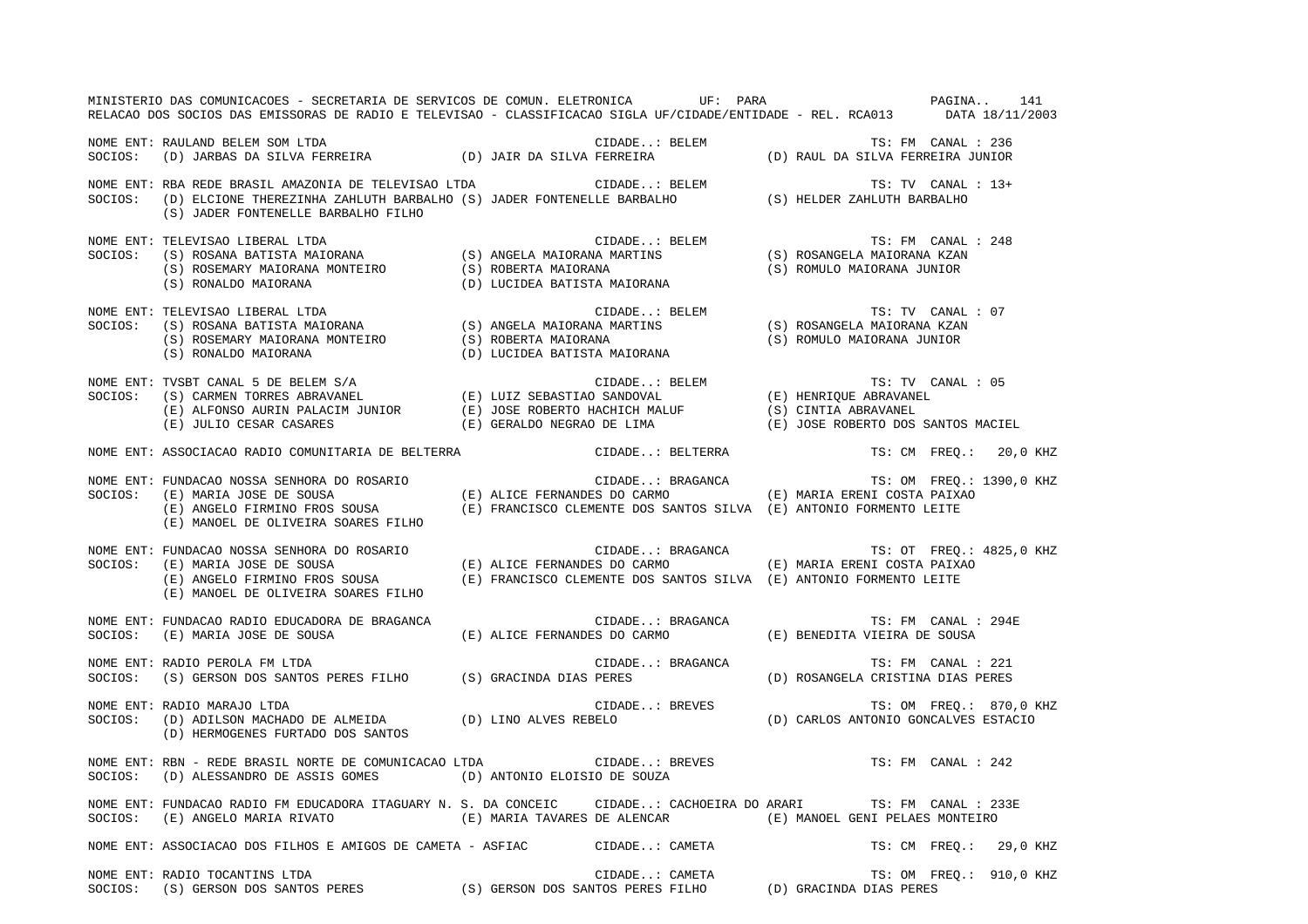|         | MINISTERIO DAS COMUNICACOES - SECRETARIA DE SERVICOS DE COMUN. ELETRONICA UF: PARA<br>RELACAO DOS SOCIOS DAS EMISSORAS DE RADIO E TELEVISAO - CLASSIFICACAO SIGLA UF/CIDADE/ENTIDADE - REL. RCA013 DATA 18/11/2003                                                                       |  |                  |                  | PAGINA 141                                                                       |  |
|---------|------------------------------------------------------------------------------------------------------------------------------------------------------------------------------------------------------------------------------------------------------------------------------------------|--|------------------|------------------|----------------------------------------------------------------------------------|--|
|         | NOME ENT: RAULAND BELEM SOM LTDA<br>SOCIOS: (D) JARBAS DA SILVA FERREIRA (D) JAIR DA SILVA FERREIRA (D) RAUL DA SILVA FERREIRA JUNIOR                                                                                                                                                    |  |                  |                  |                                                                                  |  |
|         | (S) JADER FONTENELLE BARBALHO FILHO                                                                                                                                                                                                                                                      |  |                  |                  | TS: TV CANAL : 13+                                                               |  |
|         |                                                                                                                                                                                                                                                                                          |  |                  |                  | TS: FM CANAL : 248                                                               |  |
|         |                                                                                                                                                                                                                                                                                          |  |                  |                  | TS: TV CANAL : 07                                                                |  |
|         | NOME ENT: TVSBT CANAL 5 DE BELEM S/A<br>SOCIOS: (S) CARMEN TORRES ABRAVANEL (E) LUIZ SEBASTIAO SANDOVAL (E) HENRIQUE ABRAVANEL<br>(E) ALFONSO AURIN PALACIM JUNIOR (E) JOSE ROBERTO HACHICH MALUF (S) CINTIA ABRAVANEL<br>(E) JULIO CES                                                  |  |                  |                  | TS: TV CANAL : 05<br>(E) JOSE ROBERTO DOS SANTOS MACIEL                          |  |
|         | NOME ENT: ASSOCIACAO RADIO COMUNITARIA DE BELTERRA COMENCIDADE: BELTERRA                                                                                                                                                                                                                 |  |                  |                  | TS: CM FREQ.: 20,0 KHZ                                                           |  |
| SOCIOS: | FUNDACAO NOSSA SENHORA DO ROSARIO<br>(E) ALICE FERNANDES DO CARMO (E) MARIA ERENI COSTA PAIXAO<br>(E) ANGELO FIRMINO FROS SOUSA (E) FRANCISCO CLEMENTE DOS SANTOS SILVA (E) ANTONIO FORMENTO LEITE<br>NOME ENT: FUNDACAO NOSSA SENHORA DO ROSARIO<br>(E) MANOEL DE OLIVEIRA SOARES FILHO |  |                  |                  |                                                                                  |  |
|         | NOME ENT: FUNDACAO NOSSA SENHORA DO ROSARIO<br>SOCIOS: (E) MARIA JOSE DE SOUSA (E) ALICE FERNANDES DO CARMO (E) MARIA ERENI COSTA PAIXAO<br>(E) ANGELO FIRMINO FROS SOUSA (E) FRANCISCO CLEMENTE DOS SANTOS SILVA (E) ANTONIO FORMEN<br>(E) MANOEL DE OLIVEIRA SOARES FILHO              |  |                  |                  |                                                                                  |  |
|         | NOME ENT: FUNDACAO RADIO EDUCADORA DE BRAGANCA<br>SOCIOS: (E) MARIA JOSE DE SOUSA                                                                                                                                                                                                        |  | CIDADE: BRAGANCA |                  | TS: FM CANAL : 294E<br>(E) ALICE FERNANDES DO CARMO (E) BENEDITA VIEIRA DE SOUSA |  |
|         | NOME ENT: RADIO PEROLA FM LTDA<br>SOCIOS: (S) GERSON DOS SANTOS PERES FILHO (S) GRACINDA DIAS PERES                                                                                                                                                                                      |  |                  | CIDADE: BRAGANCA | TS: FM CANAL : 221<br>(D) ROSANGELA CRISTINA DIAS PERES                          |  |
|         | NOME ENT: RADIO MARAJO LTDA<br>SOCIOS: (D) ADILSON MACHADO DE ALMEIDA (D) LINO ALVES REBELO (D) CARLOS ANTONIO GONCALVES ESTACIO<br>(D) HERMOGENES FURTADO DOS SANTOS                                                                                                                    |  |                  |                  | TS: OM FREQ.: 870,0 KHZ                                                          |  |
|         | NOME ENT: RBN - REDE BRASIL NORTE DE COMUNICACAO LTDA CIDADE: BREVES TS: FM CANAL : 242<br>SOCIOS: (D) ALESSANDRO DE ASSIS GOMES (D) ANTONIO ELOISIO DE SOUZA                                                                                                                            |  |                  |                  |                                                                                  |  |
|         | NOME ENT: FUNDACAO RADIO FM EDUCADORA ITAGUARY N. S. DA CONCEIC CIDADE: CACHOEIRA DO ARARI TS: FM CANAL : 233E<br>SOCIOS: (E) ANGELO MARIA RIVATO (E) MARIA TAVARES DE ALENCAR (E) MANOEL GENI PELAES MONTEIRO                                                                           |  |                  |                  |                                                                                  |  |
|         | NOME ENT: ASSOCIACAO DOS FILHOS E AMIGOS DE CAMETA - ASFIAC CIDADE: CAMETA TS: CM FREQ.: 29,0 KHZ                                                                                                                                                                                        |  |                  |                  |                                                                                  |  |
|         | NOME ENT: RADIO TOCANTINS LTDA<br>SOCIOS: (S) GERSON DOS SANTOS PERES (S) GERSON DOS SANTOS PERES FILHO (D) GRACINDA DIAS PERES                                                                                                                                                          |  |                  |                  | TS: OM FREQ.: 910,0 KHZ                                                          |  |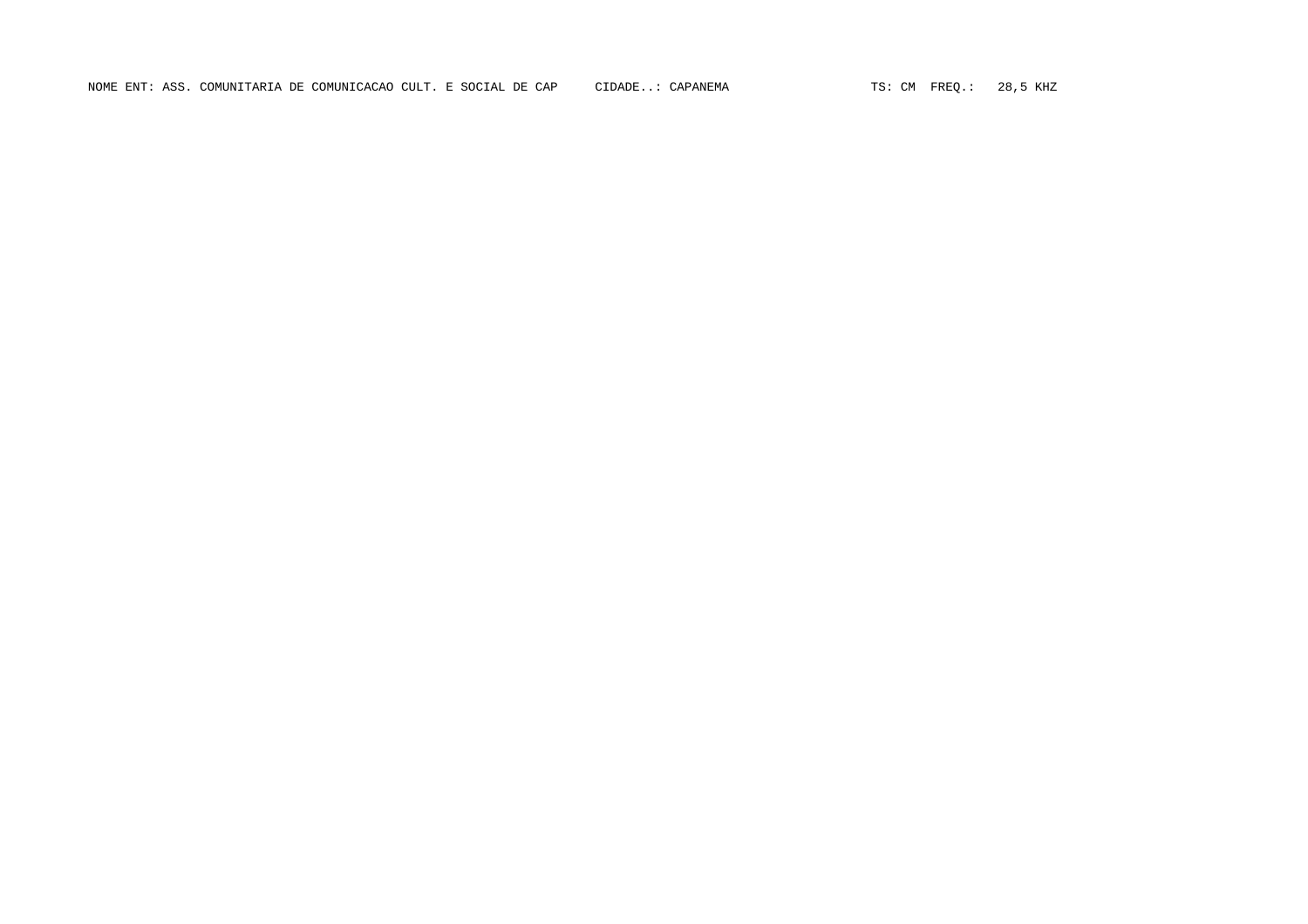NOME ENT: ASS. COMUNITARIA DE COMUNICACAO CULT. E SOCIAL DE CAP CIDADE..: CAPANEMA TS: CM FREQ.: 28,5 KHZ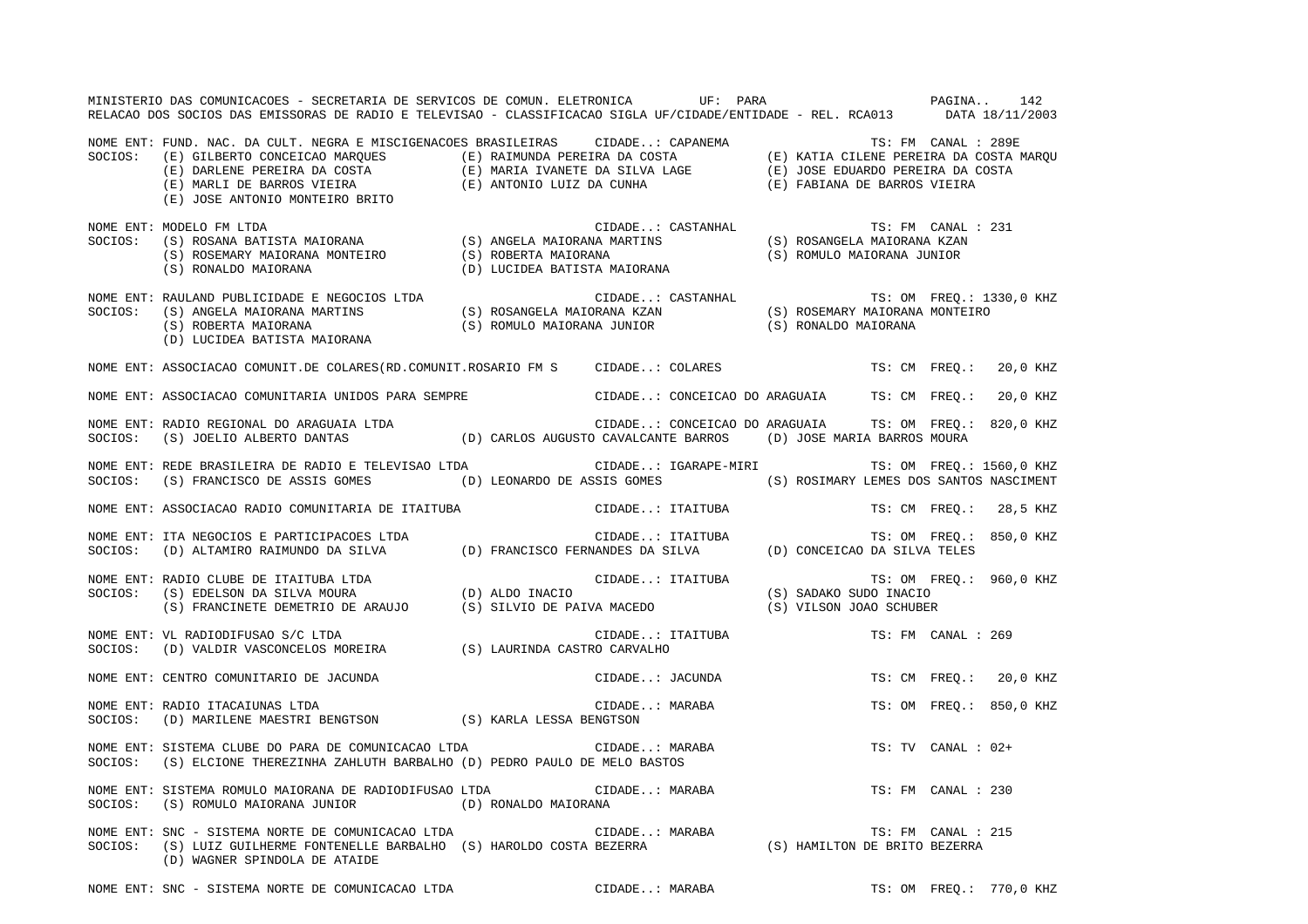|         | MINISTERIO DAS COMUNICACOES - SECRETARIA DE SERVICOS DE COMUN. ELETRONICA UF: PARA<br>RELACAO DOS SOCIOS DAS EMISSORAS DE RADIO E TELEVISAO - CLASSIFICACAO SIGLA UF/CIDADE/ENTIDADE - REL. RCA013 DATA 18/11/2003                  |                                                       |                |                  | PAGINA                                        |                    | 142                     |
|---------|-------------------------------------------------------------------------------------------------------------------------------------------------------------------------------------------------------------------------------------|-------------------------------------------------------|----------------|------------------|-----------------------------------------------|--------------------|-------------------------|
|         | NOME ENT: FUND. NAC. DA CULT. NEGRA E MISCIGENACOES BRASILEIRAS CIDADE: CAPANEMA TS: FM CANAL : 289E<br>SOCIOS: (E) GILBERTO CONCEICAO MARQUES (E) RAIMUNDA PEREIRA DA COSTA (E) KATIA CILENE PEREIRA DA COSTA MARQUES<br>(E) DARL  |                                                       |                |                  |                                               |                    |                         |
| SOCIOS: | NOME ENT: MODELO FM LTDA                                                                                                                                                                                                            |                                                       |                |                  |                                               |                    |                         |
|         | NOME ENT: RAULAND PUBLICIDADE E NEGOCIOS LTDA<br>SOCIOS: (S) ANGELA MAIORANA MARTINS (S) ROSANGELA MAIORANA KZAN (S) ROSEMARY MAIORANA MONTEIRO<br>(S) ROBERTA MAIORANA (S) ROBERTA MAIORANA (S) ROMULO MAIORANA JUNIOR (S) RONALDO |                                                       |                |                  |                                               |                    |                         |
|         | NOME ENT: ASSOCIACAO COMUNIT.DE COLARES(RD.COMUNIT.ROSARIO FM S CIDADE: COLARES TS: CM FREQ.:                                                                                                                                       |                                                       |                |                  |                                               |                    | 20,0 KHZ                |
|         | NOME ENT: ASSOCIACAO COMUNITARIA UNIDOS PARA SEMPRE CIDADE: CONCEICAO DO ARAGUAIA TS: CM FREQ.:                                                                                                                                     |                                                       |                |                  |                                               |                    | 20,0 KHZ                |
|         | NOME ENT: RADIO REGIONAL DO ARAGUAIA LTDA<br>SOCIOS: (S) JOELIO ALBERTO DANTAS (D) CARLOS AUGUSTO CAVALCANTE BARROS (D) JOSE MARIA BARROS MOURA                                                                                     | CIDADE: CONCEICAO DO ARAGUAIA TS: OM FREQ.: 820,0 KHZ |                |                  |                                               |                    |                         |
|         | NOME ENT: REDE BRASILEIRA DE RADIO E TELEVISAO LTDA<br>SOCIOS: (S) FRANCISCO DE ASSIS GOMES (D) LEONARDO DE ASSIS GOMES (S) ROSIMARY LEMES DOS SANTOS NASCIMENT                                                                     |                                                       |                |                  | CIDADE: IGARAPE-MIRI TS: OM FREQ.: 1560,0 KHZ |                    |                         |
|         | NOME ENT: ASSOCIACAO RADIO COMUNITARIA DE ITAITUBA                                                                                                                                                                                  |                                                       |                | CIDADE: ITAITUBA |                                               |                    | TS: CM FREQ.: 28,5 KHZ  |
|         | NOME ENT: ITA NEGOCIOS E PARTICIPACOES LTDA<br>SOCIOS: (D) ALTAMIRO RAIMUNDO DA SILVA (D) FRANCISCO FERNANDES DA SILVA (D) CONCEICAO DA SILVA TELES                                                                                 |                                                       |                |                  |                                               |                    | TS: OM FREQ.: 850,0 KHZ |
|         | NOME ENT: RADIO CLUBE DE ITAITUBA LTDA (D) ALDO INACIO (S) SADAKO SUDO INACIO<br>SOCIOS: (S) EDELSON DA SILVA MOURA (D) ALDO INACIO (S) SADAKO SUDO INACIO (S) FRANCINETE DEMETRIO DE ARAUJO (S) SILVIO DE PAIVA MACEDO (S) VILSO   |                                                       |                |                  |                                               |                    | TS: OM FREQ.: 960,0 KHZ |
|         | NOME ENT: VL RADIODIFUSAO S/C LTDA $($ S) LAURINDA CASTRO CARVALHO SOCIOS: $($ D $)$ VALDIR VASCONCELOS MOREIRA $($ S $)$ LAURINDA CASTRO CARVALHO                                                                                  |                                                       |                | CIDADE: ITAITUBA | TS: FM CANAL : 269                            |                    |                         |
|         | NOME ENT: CENTRO COMUNITARIO DE JACUNDA                                                                                                                                                                                             |                                                       |                | CIDADE: JACUNDA  |                                               |                    | TS: CM FREQ.: 20,0 KHZ  |
|         | NOME ENT: RADIO ITACAIUNAS LTDA<br>SOCIOS: (D) MARILENE MAESTRI BENGTSON (S) KARLA LESSA BENGTSON                                                                                                                                   |                                                       |                | CIDADE: MARABA   |                                               |                    | TS: OM FREO.: 850,0 KHZ |
| SOCIOS: | NOME ENT: SISTEMA CLUBE DO PARA DE COMUNICACAO LTDA<br>(S) ELCIONE THEREZINHA ZAHLUTH BARBALHO (D) PEDRO PAULO DE MELO BASTOS                                                                                                       |                                                       | CIDADE: MARABA |                  |                                               | TS: TV CANAL : 02+ |                         |
| SOCIOS: | NOME ENT: SISTEMA ROMULO MAIORANA DE RADIODIFUSAO LTDA<br>(S) ROMULO MAIORANA JUNIOR (D) RONALDO MAIORANA                                                                                                                           |                                                       | CIDADE: MARABA |                  |                                               | TS: FM CANAL : 230 |                         |
| SOCIOS: | SNC - SISTEMA NORTE DE COMUNICACAO LTDA<br>(S) LUIZ GUILHERME FONTENELLE BARBALHO (S) HAROLDO COSTA BEZERRA (S) (S) HAMILTON DE BRITO BEZERRA<br>NOME ENT: SNC - SISTEMA NORTE DE COMUNICACAO LTDA<br>(D) WAGNER SPINDOLA DE ATAIDE |                                                       |                |                  |                                               | TS: FM CANAL : 215 |                         |
|         | NOME ENT: SNC - SISTEMA NORTE DE COMUNICACAO LTDA                                                                                                                                                                                   |                                                       | CIDADE: MARABA |                  |                                               |                    | TS: OM FREQ.: 770,0 KHZ |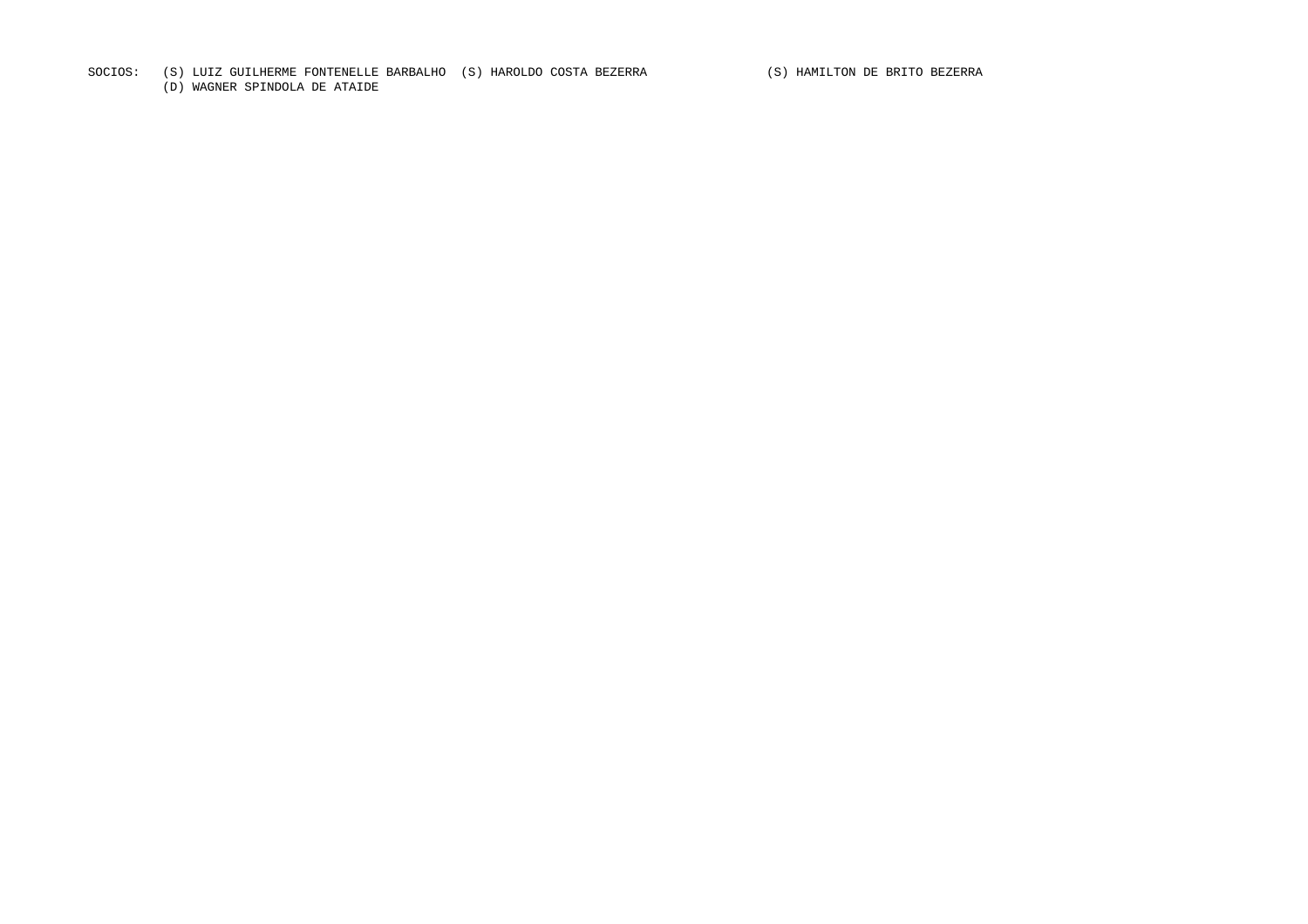## SOCIOS: (S) LUIZ GUILHERME FONTENELLE BARBALHO (S) HAROLDO COSTA BEZERRA (S) HAMILTON DE BRITO BEZERRA

(D) WAGNER SPINDOLA DE ATAIDE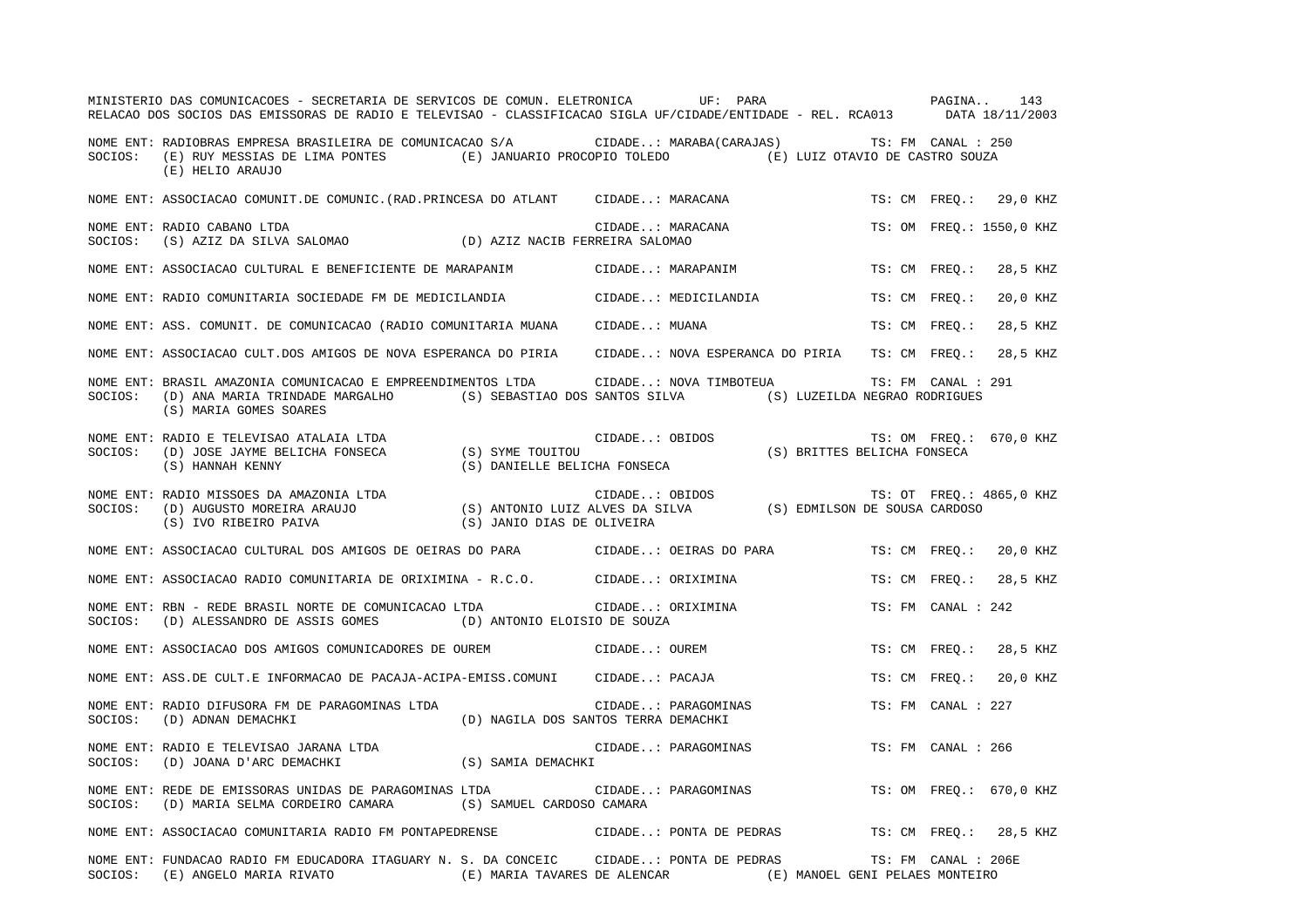|         | MINISTERIO DAS COMUNICACOES - SECRETARIA DE SERVICOS DE COMUN. ELETRONICA UF: PARA<br>RELACAO DOS SOCIOS DAS EMISSORAS DE RADIO E TELEVISAO - CLASSIFICACAO SIGLA UF/CIDADE/ENTIDADE - REL. RCA013 DATA 18/11/2003      |                                                              |               |                         | PAGINA 143                                                              |               |                     |                          |
|---------|-------------------------------------------------------------------------------------------------------------------------------------------------------------------------------------------------------------------------|--------------------------------------------------------------|---------------|-------------------------|-------------------------------------------------------------------------|---------------|---------------------|--------------------------|
| SOCIOS: | NOME ENT: RADIOBRAS EMPRESA BRASILEIRA DE COMUNICACAO S/A CIDADE: MARABA(CARAJAS) TS: FM CANAL : 250<br>(E) RUY MESSIAS DE LIMA PONTES (E) JANUARIO PROCOPIO TOLEDO (E) LUIZ OTAVIO DE CASTRO SOUZA<br>(E) HELIO ARAUJO |                                                              |               |                         |                                                                         |               |                     |                          |
|         | NOME ENT: ASSOCIACAO COMUNIT.DE COMUNIC.(RAD.PRINCESA DO ATLANT      CIDADE: MARACANA                                                                                                                                   |                                                              |               |                         |                                                                         |               |                     | TS: CM FREO.: 29,0 KHZ   |
| SOCIOS: | NOME ENT: RADIO CABANO LTDA<br>(S) AZIZ DA SILVA SALOMAO (D) AZIZ NACIB FERREIRA SALOMAO                                                                                                                                |                                                              |               | CIDADE: MARACANA        |                                                                         |               |                     | TS: OM FREQ.: 1550,0 KHZ |
|         | NOME ENT: ASSOCIACAO CULTURAL E BENEFICIENTE DE MARAPANIM                 CIDADE: MARAPANIM                                                                                                                             |                                                              |               |                         |                                                                         | TS: CM FREQ.: |                     | 28,5 KHZ                 |
|         | NOME ENT: RADIO COMUNITARIA SOCIEDADE FM DE MEDICILANDIA                                                                                                                                                                |                                                              |               | CIDADE: MEDICILANDIA    |                                                                         | TS: CM FREO.: |                     | 20,0 KHZ                 |
|         | NOME ENT: ASS. COMUNIT. DE COMUNICACAO (RADIO COMUNITARIA MUANA CIDADE: MUANA                                                                                                                                           |                                                              |               |                         |                                                                         | TS: CM FREQ.: |                     | 28,5 KHZ                 |
|         | NOME ENT: ASSOCIACAO CULT.DOS AMIGOS DE NOVA ESPERANCA DO PIRIA CIDADE: NOVA ESPERANCA DO PIRIA TS: CM FREO.:                                                                                                           |                                                              |               |                         |                                                                         |               |                     | 28,5 KHZ                 |
| SOCIOS: | NOME ENT: BRASIL AMAZONIA COMUNICACAO E EMPREENDIMENTOS LTDA<br>(D) ANA MARIA TRINDADE MARGALHO (S) SEBASTIAO DOS SANTOS SILVA (S) LUZEILDA NEGRAO RODRIGUES<br>(S) MARIA GOMES SOARES                                  |                                                              |               | CIDADE: NOVA TIMBOTEUA  |                                                                         |               | TS: FM CANAL : 291  |                          |
|         | NOME ENT: RADIO E TELEVISAO ATALAIA LTDA<br>SOCIOS: (D) JOSE JAYME BELICHA FONSECA (S) SYME TOUITOU<br>(S) HANNAH KENNY (S) DANIELLE BELICHA FONSECA                                                                    |                                                              |               | CIDADE: OBIDOS          | TS: OM FREQ.: 670,0 KHZ<br>TS: UN FINEX.<br>(S) BRITTES BELICHA FONSECA |               |                     |                          |
|         | NOME ENT: RADIO MISSOES DA AMAZONIA LTDA<br>SOCIOS: (D) AUGUSTO MOREIRA ARAUJO (S) ANTONIO LUIZ ALVES DA SILVA (S) EDMILSON DE SOUSA CARDOSO<br>(S) IVO RIBEIRO PAIVA (S) JANIO DIAS DE OLIVEIRA (S) SOUSA CARDOSO      |                                                              |               |                         |                                                                         |               |                     | TS: OT FREQ.: 4865,0 KHZ |
|         | NOME ENT: ASSOCIACAO CULTURAL DOS AMIGOS DE OEIRAS DO PARA CIDADE: OEIRAS DO PARA                                                                                                                                       |                                                              |               |                         |                                                                         | TS: CM FREO.: |                     | 20,0 KHZ                 |
|         | NOME ENT: ASSOCIACAO RADIO COMUNITARIA DE ORIXIMINA - R.C.O.         CIDADE: ORIXIMINA                                                                                                                                  |                                                              |               |                         |                                                                         | TS: CM FREO.: |                     | 28,5 KHZ                 |
| SOCIOS: | NOME ENT: RBN - REDE BRASIL NORTE DE COMUNICACAO LTDA CIDADE ORIXIMINA<br>(D) ALESSANDRO DE ASSIS GOMES (D) ANTONIO ELOISIO DE SOUZA                                                                                    |                                                              |               |                         |                                                                         |               | TS: FM CANAL : 242  |                          |
|         | NOME ENT: ASSOCIACAO DOS AMIGOS COMUNICADORES DE OUREM                                                                                                                                                                  |                                                              | CIDADE: OUREM |                         |                                                                         | TS: CM FREO.: |                     | 28,5 KHZ                 |
|         | NOME ENT: ASS.DE CULT.E INFORMACAO DE PACAJA-ACIPA-EMISS.COMUNI CIDADE: PACAJA                                                                                                                                          |                                                              |               |                         |                                                                         | TS: CM FREQ.: |                     | 20,0 KHZ                 |
|         | NOME ENT: RADIO DIFUSORA FM DE PARAGOMINAS LTDA<br>SOCIOS: (D) ADNAN DEMACHKI                                                                                                                                           | (D) NAGILA DOS SANTOS TERRA DEMACHKI                         |               | CIDADE: PARAGOMINAS     |                                                                         |               | TS: FM CANAL : 227  |                          |
|         | NOME ENT: RADIO E TELEVISAO JARANA LTDA<br>NOME ENT: RADIO E TELEVISAO JARANA LTDA<br>SOCIOS:    (D) JOANA D'ARC DEMACHKI                           (S) SAMIA DEMACHKI                                                  |                                                              |               | CIDADE: PARAGOMINAS     |                                                                         |               | TS: FM CANAL : 266  |                          |
|         | NOME ENT: REDE DE EMISSORAS UNIDAS DE PARAGOMINAS LTDA                        CIDADE: PARAGOMINAS<br>SOCIOS: (D) MARIA SELMA CORDEIRO CAMARA (S) SAMUEL CARDOSO CAMARA                                                  |                                                              |               |                         |                                                                         |               |                     | TS: OM FREQ.: 670,0 KHZ  |
|         | NOME ENT: ASSOCIACAO COMUNITARIA RADIO FM PONTAPEDRENSE CIDADE: PONTA DE PEDRAS TS: CM FREQ.: 28,5 KHZ                                                                                                                  |                                                              |               |                         |                                                                         |               |                     |                          |
|         | NOME ENT: FUNDACAO RADIO FM EDUCADORA ITAGUARY N. S. DA CONCEIC<br>SOCIOS: (E) ANGELO MARIA RIVATO                                                                                                                      | (E) MARIA TAVARES DE ALENCAR (E) MANOEL GENI PELAES MONTEIRO |               | CIDADE: PONTA DE PEDRAS |                                                                         |               | TS: FM CANAL : 206E |                          |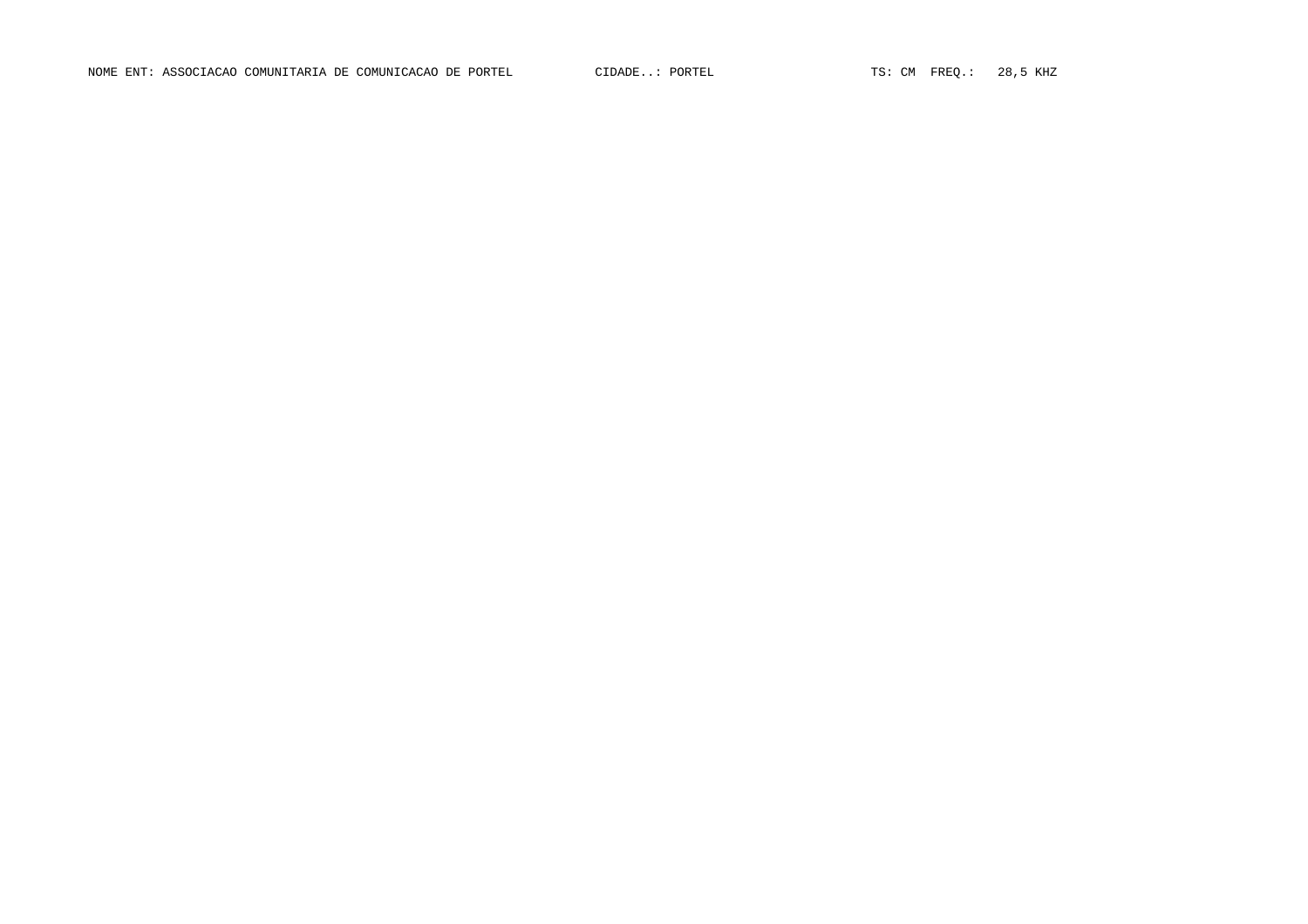NOME ENT: ASSOCIACAO COMUNITARIA DE COMUNICACAO DE PORTEL CIDADE..: PORTEL TS: CM FREQ.: 28,5 KHZ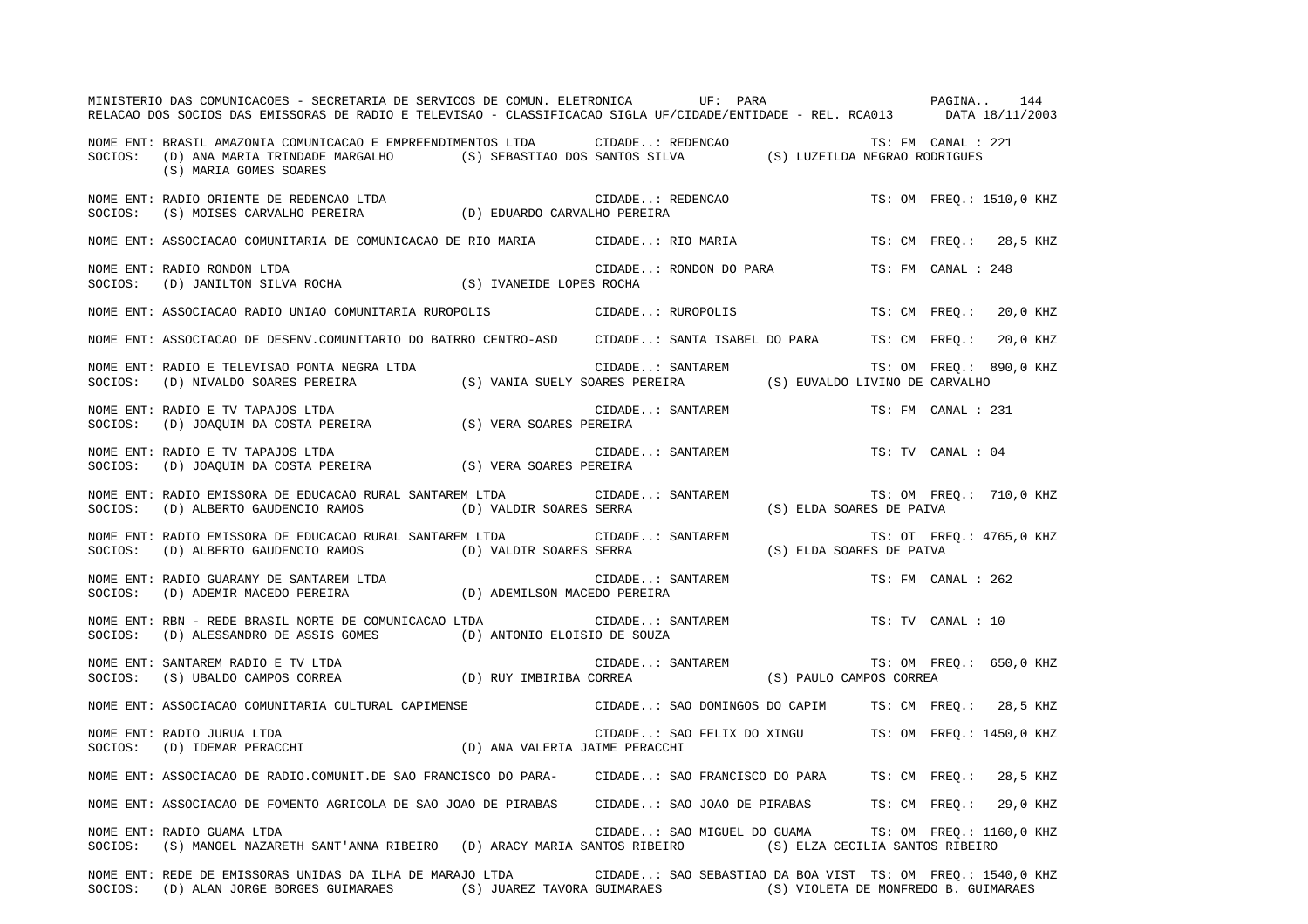|         | MINISTERIO DAS COMUNICACOES - SECRETARIA DE SERVICOS DE COMUN. ELETRONICA UF: PARA<br>RELACAO DOS SOCIOS DAS EMISSORAS DE RADIO E TELEVISAO - CLASSIFICACAO SIGLA UF/CIDADE/ENTIDADE - REL. RCA013 DATA 18/11/2003             |                         |                  |                                                                                                                                                                                      | PAGINA                   |                    | 144                      |
|---------|--------------------------------------------------------------------------------------------------------------------------------------------------------------------------------------------------------------------------------|-------------------------|------------------|--------------------------------------------------------------------------------------------------------------------------------------------------------------------------------------|--------------------------|--------------------|--------------------------|
|         | NOME ENT: BRASIL AMAZONIA COMUNICACAO E EMPREENDIMENTOS LTDA CIDADE: REDENCAO TS: FM CANAL :<br>SOCIOS: (D) ANA MARIA TRINDADE MARGALHO (S) SEBASTIAO DOS SANTOS SILVA (S) LUZEILDA NEGRAO RODRIGUES<br>(S) MARIA GOMES SOARES |                         |                  |                                                                                                                                                                                      |                          | TS: FM CANAL : 221 |                          |
|         | NOME ENT: RADIO ORIENTE DE REDENCAO LTDA<br>SOCIOS: (S) MOISES CARVALHO PEREIRA (D) EDUARDO CARVALHO PEREIRA                                                                                                                   |                         |                  | CIDADE: REDENCAO                                                                                                                                                                     |                          |                    | TS: OM FREQ.: 1510,0 KHZ |
|         | NOME ENT: ASSOCIACAO COMUNITARIA DE COMUNICACAO DE RIO MARIA CIDADE: RIO MARIA                                                                                                                                                 |                         |                  |                                                                                                                                                                                      |                          |                    | TS: CM FREO.: 28,5 KHZ   |
|         | NOME ENT: RADIO RONDON LTDA<br>SOCIOS: (D) JANILTON SILVA ROCHA (S) IVANEIDE LOPES ROCHA                                                                                                                                       |                         |                  | CIDADE: RONDON DO PARA                                                                                                                                                               |                          | TS: FM CANAL : 248 |                          |
|         | NOME ENT: ASSOCIACAO RADIO UNIAO COMUNITARIA RUROPOLIS CIDADE: RUROPOLIS                                                                                                                                                       |                         |                  |                                                                                                                                                                                      |                          |                    | TS: CM FREO.: 20,0 KHZ   |
|         | NOME ENT: ASSOCIACAO DE DESENV.COMUNITARIO DO BAIRRO CENTRO-ASD CIDADE: SANTA ISABEL DO PARA TS: CM FREQ.: 20,0 KHZ                                                                                                            |                         |                  |                                                                                                                                                                                      |                          |                    |                          |
| SOCIOS: | NOME ENT: RADIO E TELEVISAO PONTA NEGRA LTDA                                                                                                                                                                                   |                         |                  |                                                                                                                                                                                      |                          |                    | TS: OM FREQ.: 890,0 KHZ  |
| SOCIOS: | NOME ENT: RADIO E TV TAPAJOS LTDA<br>RADIO E TV TAPAJOS LTDA<br>(D) JOAQUIM DA COSTA PEREIRA (S) VERA SOARES PEREIRA                                                                                                           |                         |                  | CIDADE: SANTAREM                                                                                                                                                                     |                          | TS: FM CANAL : 231 |                          |
| SOCIOS: | NOME ENT: RADIO E TV TAPAJOS LTDA<br>(D) JOAQUIM DA COSTA PEREIRA (S) VERA SOARES PEREIRA                                                                                                                                      |                         |                  | CIDADE: SANTAREM                                                                                                                                                                     |                          | TS: TV CANAL : 04  |                          |
| SOCIOS: | NOME ENT: RADIO EMISSORA DE EDUCACAO RURAL SANTAREM LTDA<br>(D) ALBERTO GAUDENCIO RAMOS                                                                                                                                        | (D) VALDIR SOARES SERRA | CIDADE: SANTAREM |                                                                                                                                                                                      | (S) ELDA SOARES DE PAIVA |                    | TS: OM FREQ.: 710,0 KHZ  |
| SOCIOS: | NOME ENT: RADIO EMISSORA DE EDUCACAO RURAL SANTAREM LTDA<br>(D) ALBERTO GAUDENCIO RAMOS (D) VALDIR SOARES SERRA                                                                                                                |                         | CIDADE: SANTAREM |                                                                                                                                                                                      | (S) ELDA SOARES DE PAIVA |                    | TS: OT FREQ.: 4765,0 KHZ |
|         | NOME ENT: RADIO GUARANY DE SANTAREM LTDA (D) ADEMILSON MACEDO PEREIRA<br>SOCIOS: (D) ADEMIR MACEDO PEREIRA (D) ADEMILSON MACEDO PEREIRA                                                                                        |                         |                  | CIDADE: SANTAREM                                                                                                                                                                     |                          | TS: FM CANAL : 262 |                          |
| SOCIOS: | NOME ENT: RBN - REDE BRASIL NORTE DE COMUNICACAO LTDA<br>(D) ALESSANDRO DE ASSIS GOMES (D) ANTONIO ELOISIO DE SOUZA                                                                                                            |                         |                  | CIDADE: SANTAREM<br>IO DE SOUZA                                                                                                                                                      |                          | TS: TV CANAL : 10  |                          |
|         |                                                                                                                                                                                                                                |                         |                  | $\begin{tabular}{lllllllll} \multicolumn{2}{l}{{\tt CIDADE. : SANTAREN}} & & & & {TS: OM} & FR \\ \multicolumn{2}{l}{\tt CORREA} & & & & (S) & PAULO CAMPOS CORREA \\ \end{tabular}$ |                          |                    | TS: OM FREQ.: 650,0 KHZ  |
|         | NOME ENT: ASSOCIACAO COMUNITARIA CULTURAL CAPIMENSE                                                                                                                                                                            |                         |                  | CIDADE: SAO DOMINGOS DO CAPIM TS: CM FREQ.: 28,5 KHZ                                                                                                                                 |                          |                    |                          |
|         | NOME ENT: RADIO JURUA LTDA (D) ANA VALERIA JAIME PERACCHI (D) CLUADE: SAGIOS: (D) IDEMAR PERACCHI                                                                                                                              |                         |                  | CIDADE: SAO FELIX DO XINGU TS: OM FREQ.: 1450,0 KHZ                                                                                                                                  |                          |                    |                          |
|         | NOME ENT: ASSOCIACAO DE RADIO.COMUNIT.DE SAO FRANCISCO DO PARA- CIDADE: SAO FRANCISCO DO PARA TS: CM FREQ.: 28,5 KHZ                                                                                                           |                         |                  |                                                                                                                                                                                      |                          |                    |                          |
|         | NOME ENT: ASSOCIACAO DE FOMENTO AGRICOLA DE SAO JOAO DE PIRABAS CIDADE: SAO JOAO DE PIRABAS TS: CM FREQ.: 29,0 KHZ                                                                                                             |                         |                  |                                                                                                                                                                                      |                          |                    |                          |
| SOCIOS: | NOME ENT: RADIO GUAMA LTDA<br>(S) MANOEL NAZARETH SANT'ANNA RIBEIRO (D) ARACY MARIA SANTOS RIBEIRO (S) ELZA CECILIA SANTOS RIBEIRO                                                                                             |                         |                  | CIDADE: SAO MIGUEL DO GUAMA                                                                                                                                                          |                          |                    | TS: OM FREQ.: 1160,0 KHZ |
|         | NOME ENT: REDE DE EMISSORAS UNIDAS DA ILHA DE MARAJO LTDA<br>SOCIOS: (D) ALAN JORGE BORGES GUIMARAES (S) JUAREZ TAVORA GUIMARAES (S) VIOLETA DE MONFREDO B. GUIMARAES                                                          |                         |                  | CIDADE: SAO SEBASTIAO DA BOA VIST TS: OM FREQ.: 1540,0 KHZ                                                                                                                           |                          |                    |                          |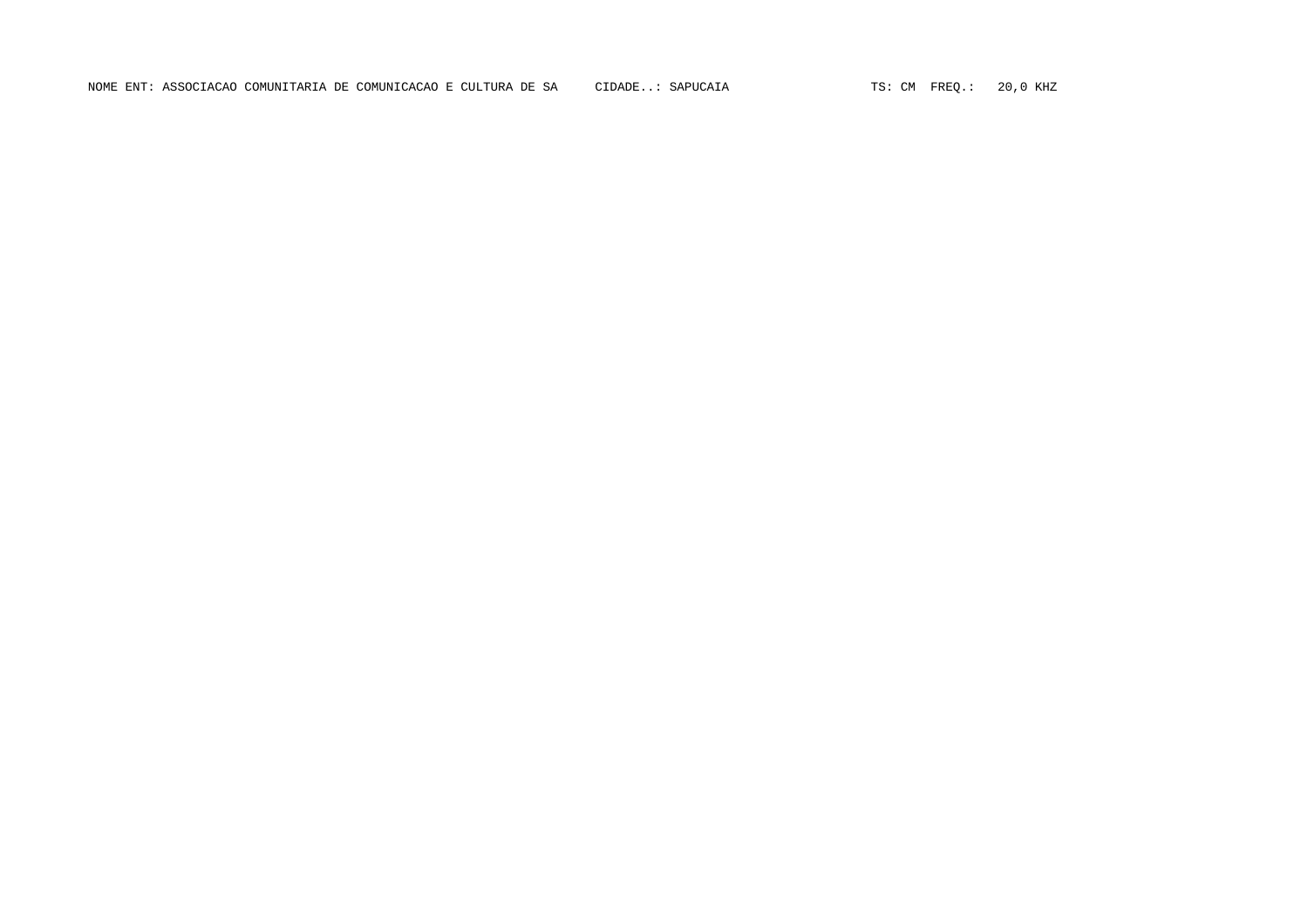NOME ENT: ASSOCIACAO COMUNITARIA DE COMUNICACAO E CULTURA DE SA CIDADE..: SAPUCAIA TS: CM FREQ.: 20,0 KHZ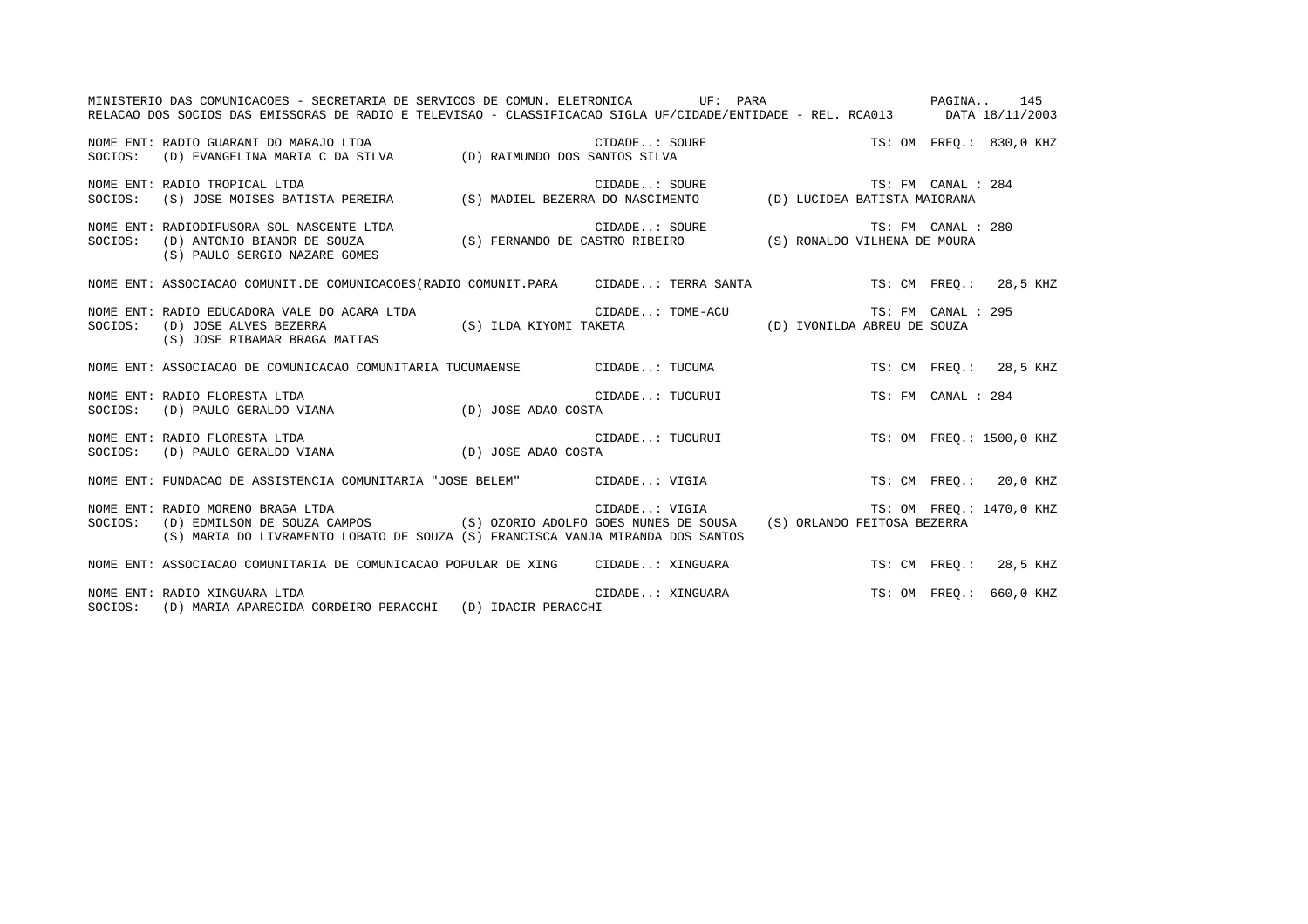|         | MINISTERIO DAS COMUNICACOES - SECRETARIA DE SERVICOS DE COMUN. ELETRONICA UF: PARA                                                                                                                                                               |                                                                                                        |                    | PAGINA 145               |
|---------|--------------------------------------------------------------------------------------------------------------------------------------------------------------------------------------------------------------------------------------------------|--------------------------------------------------------------------------------------------------------|--------------------|--------------------------|
|         | RELACAO DOS SOCIOS DAS EMISSORAS DE RADIO E TELEVISAO - CLASSIFICACAO SIGLA UF/CIDADE/ENTIDADE - REL. RCA013 DATA 18/11/2003                                                                                                                     |                                                                                                        |                    |                          |
|         | NOME ENT: RADIO GUARANI DO MARAJO LTDA<br>SOCIOS: (D) EVANGELINA MARIA C DA SILVA (D) RAIMUNDO DOS SANTOS SILVA                                                                                                                                  | $\tt CIDADE.: SOURE \hspace{1.5cm} TS: OM \hspace{1.5cm} FREQ.: 830,0 \hspace{1.5cm} KHZ$ SANTOS SILVA |                    |                          |
| SOCIOS: | NOME ENT: RADIO TROPICAL LTDA                                                                                                                                                                                                                    |                                                                                                        |                    |                          |
|         | (S) PAULO SERGIO NAZARE GOMES                                                                                                                                                                                                                    |                                                                                                        | TS: FM CANAL : 280 |                          |
|         | NOME ENT: ASSOCIACAO COMUNIT.DE COMUNICACOES (RADIO COMUNIT.PARA CIDADE: TERRA SANTA TS: CM FREQ.: 28,5 KHZ                                                                                                                                      |                                                                                                        |                    |                          |
|         | (S) JOSE RIBAMAR BRAGA MATIAS                                                                                                                                                                                                                    |                                                                                                        | TS: FM CANAL : 295 |                          |
|         | NOME ENT: ASSOCIACAO DE COMUNICACAO COMUNITARIA TUCUMAENSE CIDADE: TUCUMA                                                                                                                                                                        |                                                                                                        |                    | TS: CM FREO.: 28,5 KHZ   |
| SOCIOS: | NOME ENT: RADIO FLORESTA LTDA                                                                                                                                                                                                                    | CIDADE: TUCURUI                                                                                        | TS: FM CANAL : 284 |                          |
| SOCIOS: | NOME ENT: RADIO FLORESTA LTDA                                                                                                                                                                                                                    | CIDADE: TUCURUI                                                                                        |                    | TS: OM FREO.: 1500,0 KHZ |
|         | NOME ENT: FUNDACAO DE ASSISTENCIA COMUNITARIA "JOSE BELEM" CIDADE: VIGIA                                                                                                                                                                         |                                                                                                        |                    | TS: CM FREO.: 20,0 KHZ   |
| SOCIOS: | RADIO MORENO BRAGA LTDA<br>(D) EDMILSON DE SOUZA CAMPOS (S) OZORIO ADOLFO GOES NUNES DE SOUSA (S) ORLANDO FEITOSA BEZERRA<br>NOME ENT: RADIO MORENO BRAGA LTDA<br>(S) MARIA DO LIVRAMENTO LOBATO DE SOUZA (S) FRANCISCA VANJA MIRANDA DOS SANTOS |                                                                                                        |                    |                          |
|         | NOME ENT: ASSOCIACAO COMUNITARIA DE COMUNICACAO POPULAR DE XING CIDADE: XINGUARA                                                                                                                                                                 |                                                                                                        |                    | TS: CM FREO.: 28,5 KHZ   |
|         | NOME ENT: RADIO XINGUARA LTDA<br>SOCIOS: (D) MARIA APARECIDA CORDEIRO PERACCHI (D) IDACIR PERACCHI                                                                                                                                               | CIDADE: XINGUARA                                                                                       |                    | TS: OM FREO.: 660,0 KHZ  |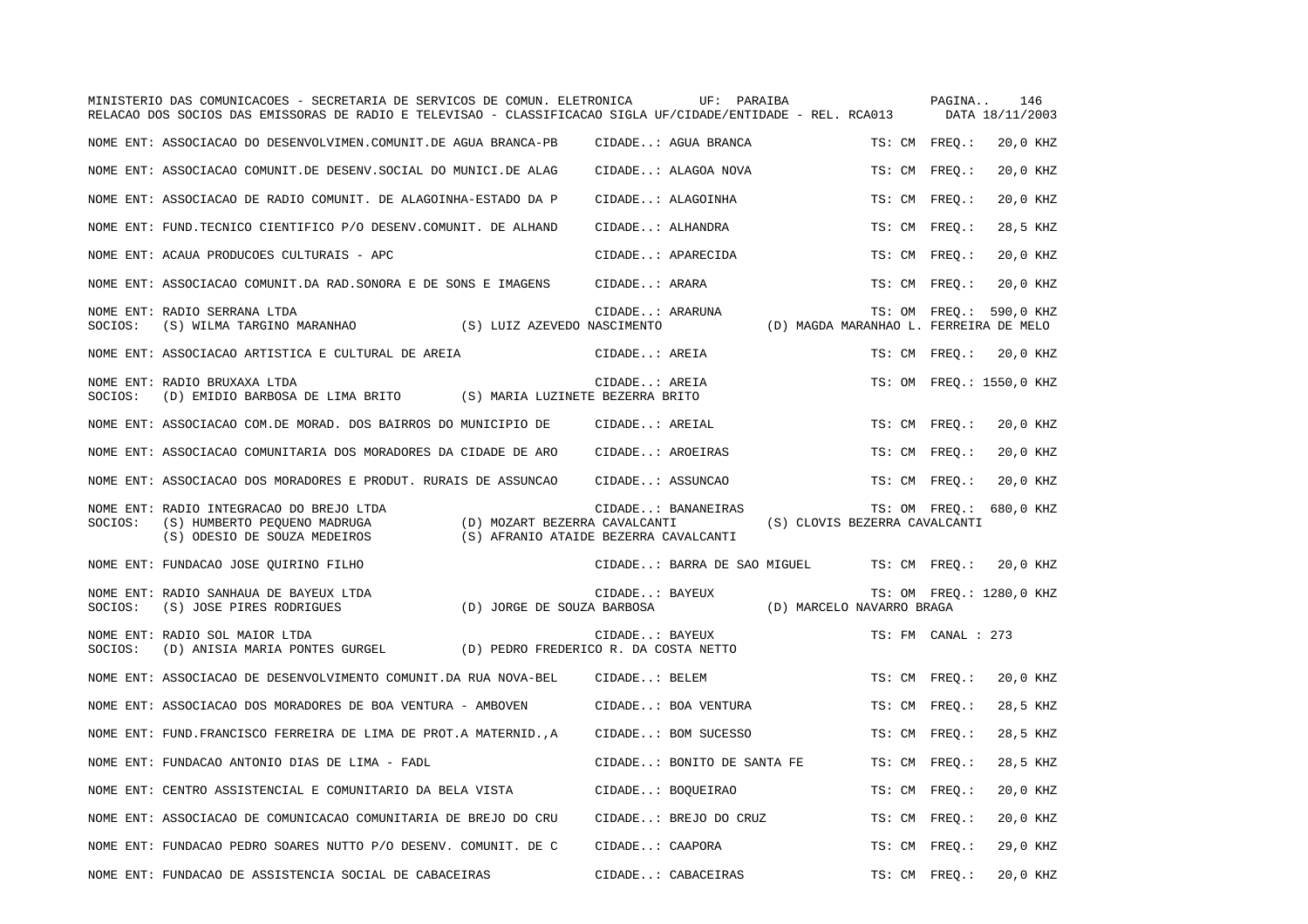|         | MINISTERIO DAS COMUNICACOES - SECRETARIA DE SERVICOS DE COMUN. ELETRONICA<br>RELACAO DOS SOCIOS DAS EMISSORAS DE RADIO E TELEVISAO - CLASSIFICACAO SIGLA UF/CIDADE/ENTIDADE - REL. RCA013 |                                                                        |                  | UF: PARAIBA                 |                                        |        | PAGINA             | 146<br>DATA 18/11/2003   |
|---------|-------------------------------------------------------------------------------------------------------------------------------------------------------------------------------------------|------------------------------------------------------------------------|------------------|-----------------------------|----------------------------------------|--------|--------------------|--------------------------|
|         | NOME ENT: ASSOCIACAO DO DESENVOLVIMEN.COMUNIT.DE AGUA BRANCA-PB                                                                                                                           |                                                                        |                  | CIDADE: AGUA BRANCA         |                                        |        | TS: CM FREO.:      | 20,0 KHZ                 |
|         | NOME ENT: ASSOCIACAO COMUNIT.DE DESENV.SOCIAL DO MUNICI.DE ALAG                                                                                                                           |                                                                        |                  | CIDADE: ALAGOA NOVA         |                                        |        | TS: CM FREO.:      | 20,0 KHZ                 |
|         | NOME ENT: ASSOCIACAO DE RADIO COMUNIT. DE ALAGOINHA-ESTADO DA P                                                                                                                           |                                                                        |                  | CIDADE: ALAGOINHA           |                                        |        | TS: CM FREO.:      | 20,0 KHZ                 |
|         | NOME ENT: FUND. TECNICO CIENTIFICO P/O DESENV. COMUNIT. DE ALHAND                                                                                                                         |                                                                        | CIDADE: ALHANDRA |                             |                                        |        | TS: CM FREO.:      | 28,5 KHZ                 |
|         | NOME ENT: ACAUA PRODUCOES CULTURAIS - APC                                                                                                                                                 |                                                                        |                  | CIDADE: APARECIDA           |                                        |        | TS: CM FREQ.:      | 20,0 KHZ                 |
|         | NOME ENT: ASSOCIACAO COMUNIT.DA RAD. SONORA E DE SONS E IMAGENS                                                                                                                           |                                                                        | CIDADE: ARARA    |                             |                                        |        | TS: CM FREO.:      | 20,0 KHZ                 |
| SOCIOS: | NOME ENT: RADIO SERRANA LTDA<br>(S) WILMA TARGINO MARANHAO (S) LUIZ AZEVEDO NASCIMENTO                                                                                                    |                                                                        | CIDADE: ARARUNA  |                             | (D) MAGDA MARANHAO L. FERREIRA DE MELO |        | TS: OM FREQ.:      | 590,0 KHZ                |
|         | NOME ENT: ASSOCIACAO ARTISTICA E CULTURAL DE AREIA                                                                                                                                        |                                                                        | CIDADE: AREIA    |                             |                                        |        | TS: CM FREQ.:      | 20,0 KHZ                 |
| SOCIOS: | NOME ENT: RADIO BRUXAXA LTDA<br>(D) EMIDIO BARBOSA DE LIMA BRITO (S) MARIA LUZINETE BEZERRA BRITO                                                                                         |                                                                        | CIDADE: AREIA    |                             |                                        |        |                    | TS: OM FREQ.: 1550,0 KHZ |
|         | NOME ENT: ASSOCIACAO COM.DE MORAD. DOS BAIRROS DO MUNICIPIO DE                                                                                                                            |                                                                        | CIDADE: AREIAL   |                             |                                        |        | TS: CM FREO.:      | 20,0 KHZ                 |
|         | NOME ENT: ASSOCIACAO COMUNITARIA DOS MORADORES DA CIDADE DE ARO                                                                                                                           |                                                                        | CIDADE: AROEIRAS |                             |                                        |        | TS: CM FREQ.:      | 20,0 KHZ                 |
|         | NOME ENT: ASSOCIACAO DOS MORADORES E PRODUT. RURAIS DE ASSUNCAO                                                                                                                           |                                                                        | CIDADE: ASSUNCAO |                             |                                        |        | TS: CM FREO.:      | 20,0 KHZ                 |
| SOCIOS: | NOME ENT: RADIO INTEGRACAO DO BREJO LTDA<br>(S) HUMBERTO PEQUENO MADRUGA<br>(S) ODESIO DE SOUZA MEDEIROS                                                                                  | (D) MOZART BEZERRA CAVALCANTI<br>(S) AFRANIO ATAIDE BEZERRA CAVALCANTI |                  | CIDADE: BANANEIRAS          | (S) CLOVIS BEZERRA CAVALCANTI          |        |                    | TS: OM FREQ.: 680,0 KHZ  |
|         | NOME ENT: FUNDACAO JOSE QUIRINO FILHO                                                                                                                                                     |                                                                        |                  | CIDADE: BARRA DE SAO MIGUEL |                                        |        | TS: CM FREQ.:      | 20,0 KHZ                 |
| SOCIOS: | NOME ENT: RADIO SANHAUA DE BAYEUX LTDA<br>(S) JOSE PIRES RODRIGUES                                                                                                                        | (D) JORGE DE SOUZA BARBOSA                                             | CIDADE: BAYEUX   |                             | (D) MARCELO NAVARRO BRAGA              |        |                    | TS: OM FREO.: 1280,0 KHZ |
| SOCIOS: | NOME ENT: RADIO SOL MAIOR LTDA<br>(D) ANISIA MARIA PONTES GURGEL (D) PEDRO FREDERICO R. DA COSTA NETTO                                                                                    |                                                                        | CIDADE: BAYEUX   |                             |                                        |        | TS: FM CANAL : 273 |                          |
|         | NOME ENT: ASSOCIACAO DE DESENVOLVIMENTO COMUNIT.DA RUA NOVA-BEL                                                                                                                           |                                                                        | CIDADE: BELEM    |                             |                                        |        | TS: CM FREO.:      | 20,0 KHZ                 |
|         | NOME ENT: ASSOCIACAO DOS MORADORES DE BOA VENTURA - AMBOVEN                                                                                                                               |                                                                        |                  | CIDADE: BOA VENTURA         |                                        | TS: CM | $FREQ.$ :          | 28,5 KHZ                 |
|         | NOME ENT: FUND. FRANCISCO FERREIRA DE LIMA DE PROT. A MATERNID. , A                                                                                                                       |                                                                        |                  | CIDADE: BOM SUCESSO         |                                        |        | TS: CM FREO.:      | 28,5 KHZ                 |
|         | NOME ENT: FUNDACAO ANTONIO DIAS DE LIMA - FADL                                                                                                                                            |                                                                        |                  | CIDADE: BONITO DE SANTA FE  |                                        |        | TS: CM FREQ.:      | 28,5 KHZ                 |
|         | NOME ENT: CENTRO ASSISTENCIAL E COMUNITARIO DA BELA VISTA                                                                                                                                 |                                                                        |                  | CIDADE: BOQUEIRAO           |                                        | TS: CM | $\tt FREO.$ :      | 20,0 KHZ                 |
|         | NOME ENT: ASSOCIACAO DE COMUNICACAO COMUNITARIA DE BREJO DO CRU                                                                                                                           |                                                                        |                  | CIDADE: BREJO DO CRUZ       |                                        |        | TS: CM FREQ.:      | 20,0 KHZ                 |
|         | NOME ENT: FUNDACAO PEDRO SOARES NUTTO P/O DESENV. COMUNIT. DE C                                                                                                                           |                                                                        | CIDADE: CAAPORA  |                             |                                        |        | TS: CM FREO.:      | 29,0 KHZ                 |
|         | NOME ENT: FUNDACAO DE ASSISTENCIA SOCIAL DE CABACEIRAS                                                                                                                                    |                                                                        |                  | CIDADE: CABACEIRAS          |                                        |        | TS: CM FREO.:      | 20,0 KHZ                 |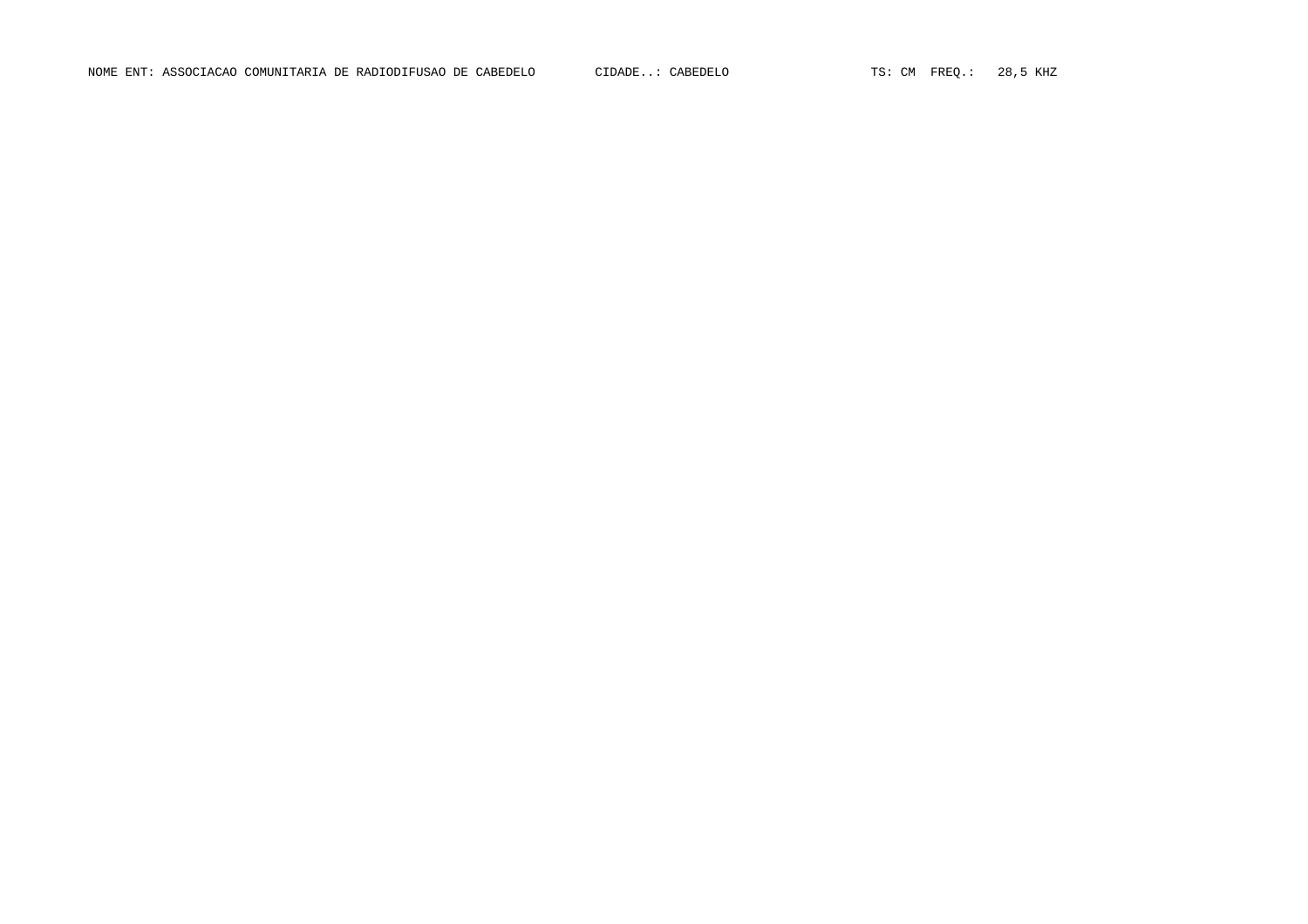NOME ENT: ASSOCIACAO COMUNITARIA DE RADIODIFUSAO DE CABEDELO CIDADE..: CABEDELO TS: CM FREQ.: 28,5 KHZ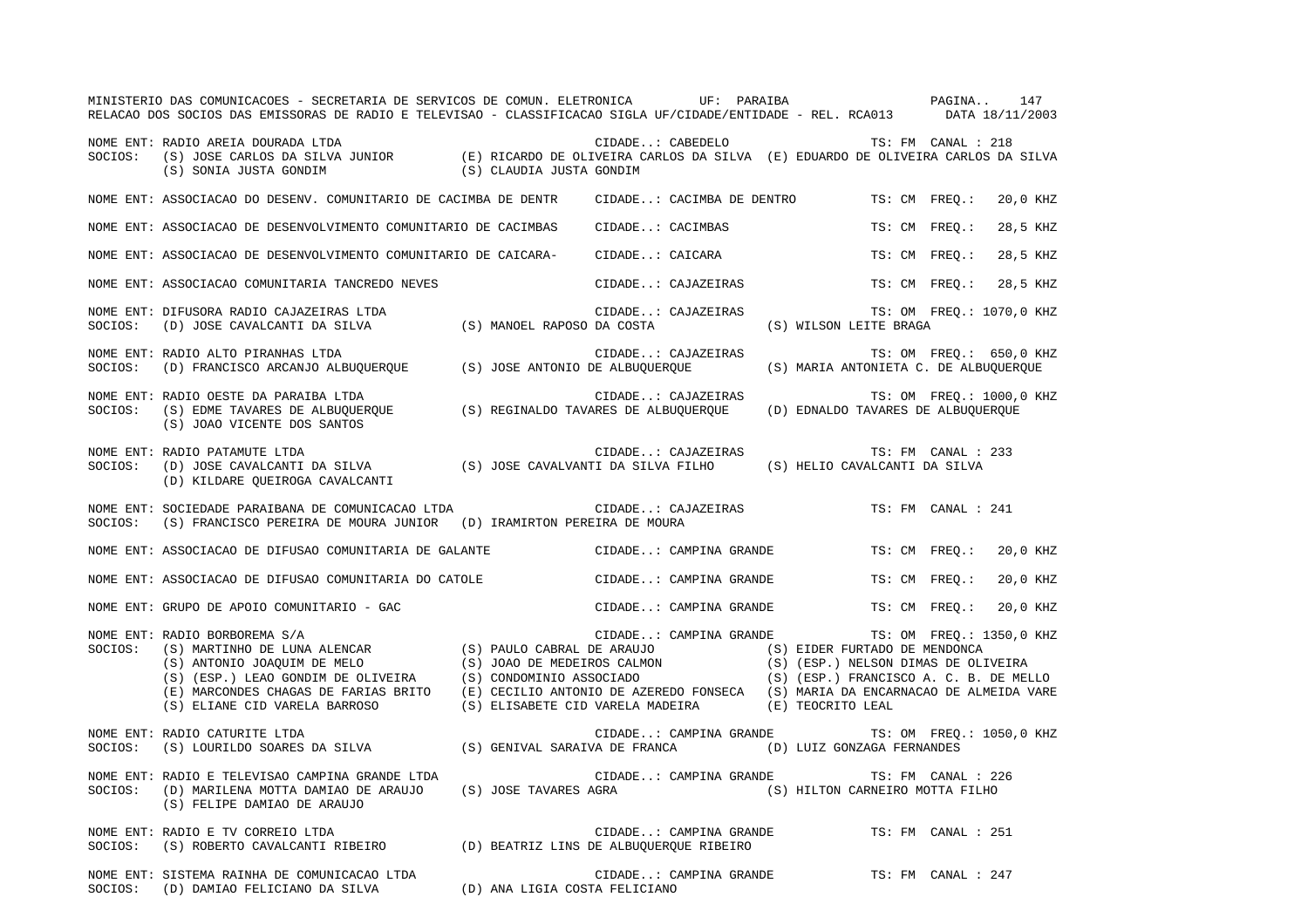|         | MINISTERIO DAS COMUNICACOES - SECRETARIA DE SERVICOS DE COMUN. ELETRONICA UF: PARAIBA NO AGINA<br>RELACAO DOS SOCIOS DAS EMISSORAS DE RADIO E TELEVISAO - CLASSIFICACAO SIGLA UF/CIDADE/ENTIDADE - REL. RCA013 DATA 18/11/2003                                                                                                                      |                       |                                                 |                                       |                    | 147                      |
|---------|-----------------------------------------------------------------------------------------------------------------------------------------------------------------------------------------------------------------------------------------------------------------------------------------------------------------------------------------------------|-----------------------|-------------------------------------------------|---------------------------------------|--------------------|--------------------------|
| SOCIOS: | NOME ENT: RADIO AREIA DOURADA LTDA<br>TS: FM CANAL: 218<br>(S) JOSE CARLOS DA SILVA JUNIOR (E) RICARDO DE OLIVEIRA CARLOS DA SILVA (E) EDUARDO DE OLIVEIRA CARLOS DA SILVA<br>(S) SONIA JUSTA GONDIM (S) CLAUDIA JUSTA GONDIM                                                                                                                       |                       |                                                 |                                       |                    |                          |
|         | NOME ENT: ASSOCIACAO DO DESENV. COMUNITARIO DE CACIMBA DE DENTR                                                                                                                                                                                                                                                                                     |                       | CIDADE: CACIMBA DE DENTRO TS: CM FREO.:         |                                       |                    | 20,0 KHZ                 |
|         | NOME ENT: ASSOCIACAO DE DESENVOLVIMENTO COMUNITARIO DE CACIMBAS                                                                                                                                                                                                                                                                                     |                       | CIDADE: CACIMBAS                                | TS: CM FREQ.:                         |                    | 28,5 KHZ                 |
|         | NOME ENT: ASSOCIACAO DE DESENVOLVIMENTO COMUNITARIO DE CAICARA-                                                                                                                                                                                                                                                                                     |                       | CIDADE: CAICARA                                 | TS: CM FREO.:                         |                    | 28,5 KHZ                 |
|         | NOME ENT: ASSOCIACAO COMUNITARIA TANCREDO NEVES                                                                                                                                                                                                                                                                                                     |                       | CIDADE: CAJAZEIRAS                              | TS: CM FREO.:                         |                    | 28,5 KHZ                 |
|         | NOME ENT: DIFUSORA RADIO CAJAZEIRAS LTDA<br>SOCIOS: (D) JOSE CAVALCANTI DA SILVA (S) MANOEL RAPOSO DA COSTA                                                                                                                                                                                                                                         |                       | CIDADE: CAJAZEIRAS                              | (S) WILSON LEITE BRAGA                |                    | TS: OM FREQ.: 1070,0 KHZ |
| SOCIOS: | NOME ENT: RADIO ALTO PIRANHAS LTDA<br>(D) FRANCISCO ARCANJO ALBUQUERQUE (S) JOSE ANTONIO DE ALBUQUERQUE                                                                                                                                                                                                                                             |                       | CIDADE: CAJAZEIRAS                              | (S) MARIA ANTONIETA C. DE ALBUQUERQUE |                    | TS: OM FREQ.: 650,0 KHZ  |
| SOCIOS: | NOME ENT: RADIO OESTE DA PARAIBA LTDA<br>(S) EDME TAVARES DE ALBUQUERQUE (S) REGINALDO TAVARES DE ALBUQUERQUE (D) EDNALDO TAVARES DE ALBUQUERQUE<br>(S) JOAO VICENTE DOS SANTOS                                                                                                                                                                     |                       | CIDADE: CAJAZEIRAS                              |                                       |                    | TS: OM FREQ.: 1000,0 KHZ |
| SOCIOS: | NOME ENT: RADIO PATAMUTE LTDA<br>(D) JOSE CAVALCANTI DA SILVA (S) JOSE CAVALVANTI DA SILVA FILHO (S) HELIO CAVALCANTI DA SILVA<br>(D) KILDARE QUEIROGA CAVALCANTI                                                                                                                                                                                   |                       | CIDADE: CAJAZEIRAS                              |                                       | TS: FM CANAL : 233 |                          |
|         | NOME ENT: SOCIEDADE PARAIBANA DE COMUNICACAO LTDA CIDADE: CAJAZEIRAS<br>SOCIOS: (S) FRANCISCO PEREIRA DE MOURA JUNIOR (D) IRAMIRTON PEREIRA DE MOURA                                                                                                                                                                                                |                       |                                                 |                                       | TS: FM CANAL : 241 |                          |
|         | NOME ENT: ASSOCIACAO DE DIFUSAO COMUNITARIA DE GALANTE CIDADE: CAMPINA GRANDE                                                                                                                                                                                                                                                                       |                       |                                                 | TS: CM FREQ.:                         |                    | 20,0 KHZ                 |
|         | NOME ENT: ASSOCIACAO DE DIFUSAO COMUNITARIA DO CATOLE                                                                                                                                                                                                                                                                                               |                       | CIDADE: CAMPINA GRANDE                          | TS: CM FREQ.:                         |                    | 20,0 KHZ                 |
|         | NOME ENT: GRUPO DE APOIO COMUNITARIO - GAC                                                                                                                                                                                                                                                                                                          |                       | CIDADE: CAMPINA GRANDE TS: CM FREO.:            |                                       |                    | 20,0 KHZ                 |
| SOCIOS: | NOME ENT: RADIO BORBOREMA S/A<br>EXAMPINA GRANDE (S) EIDER FURTADO DE MENDONCA (S) MARTINHO DE LUNA ALENCAR (S) PAULO CABRAL DE ARAUJO (S) EIDER FURTADO DE MENDONCA (S) ANTONIO JOAQUIM DE MELO (S) JOAO DE MEDEIROS CALMON (S) (ESP.) NELSON DIMAS DE OLIVEIR<br>(S) ELIANE CID VARELA BARROSO (S) ELISABETE CID VARELA MADEIRA (E) TEOCRITO LEAL |                       | CIDADE: CAMPINA GRANDE TS: OM FREQ.: 1350,0 KHZ |                                       |                    |                          |
| SOCIOS: | NOME ENT: RADIO CATURITE LTDA<br>(S) LOURILDO SOARES DA SILVA (S) GENIVAL SARAIVA DE FRANCA                                                                                                                                                                                                                                                         |                       | CIDADE: CAMPINA GRANDE                          | (D) LUIZ GONZAGA FERNANDES            |                    | TS: OM FREQ.: 1050,0 KHZ |
| SOCIOS: | NOME ENT: RADIO E TELEVISAO CAMPINA GRANDE LTDA<br>(D) MARILENA MOTTA DAMIAO DE ARAUJO<br>(S) FELIPE DAMIAO DE ARAUJO                                                                                                                                                                                                                               | (S) JOSE TAVARES AGRA | CIDADE: CAMPINA GRANDE                          | (S) HILTON CARNEIRO MOTTA FILHO       | TS: FM CANAL : 226 |                          |
| SOCIOS: | NOME ENT: RADIO E TV CORREIO LTDA<br>(S) ROBERTO CAVALCANTI RIBEIRO (D) BEATRIZ LINS DE ALBUQUERQUE RIBEIRO                                                                                                                                                                                                                                         |                       | CIDADE: CAMPINA GRANDE                          | TS: FM CANAL : 251                    |                    |                          |
|         | NOME ENT: SISTEMA RAINHA DE COMUNICACAO LTDA<br>SOCIOS: (D) DAMIAO FELICIANO DA SILVA (D) ANA LIGIA COSTA FELICIANO                                                                                                                                                                                                                                 |                       | CIDADE: CAMPINA GRANDE TS: FM CANAL : 247       |                                       |                    |                          |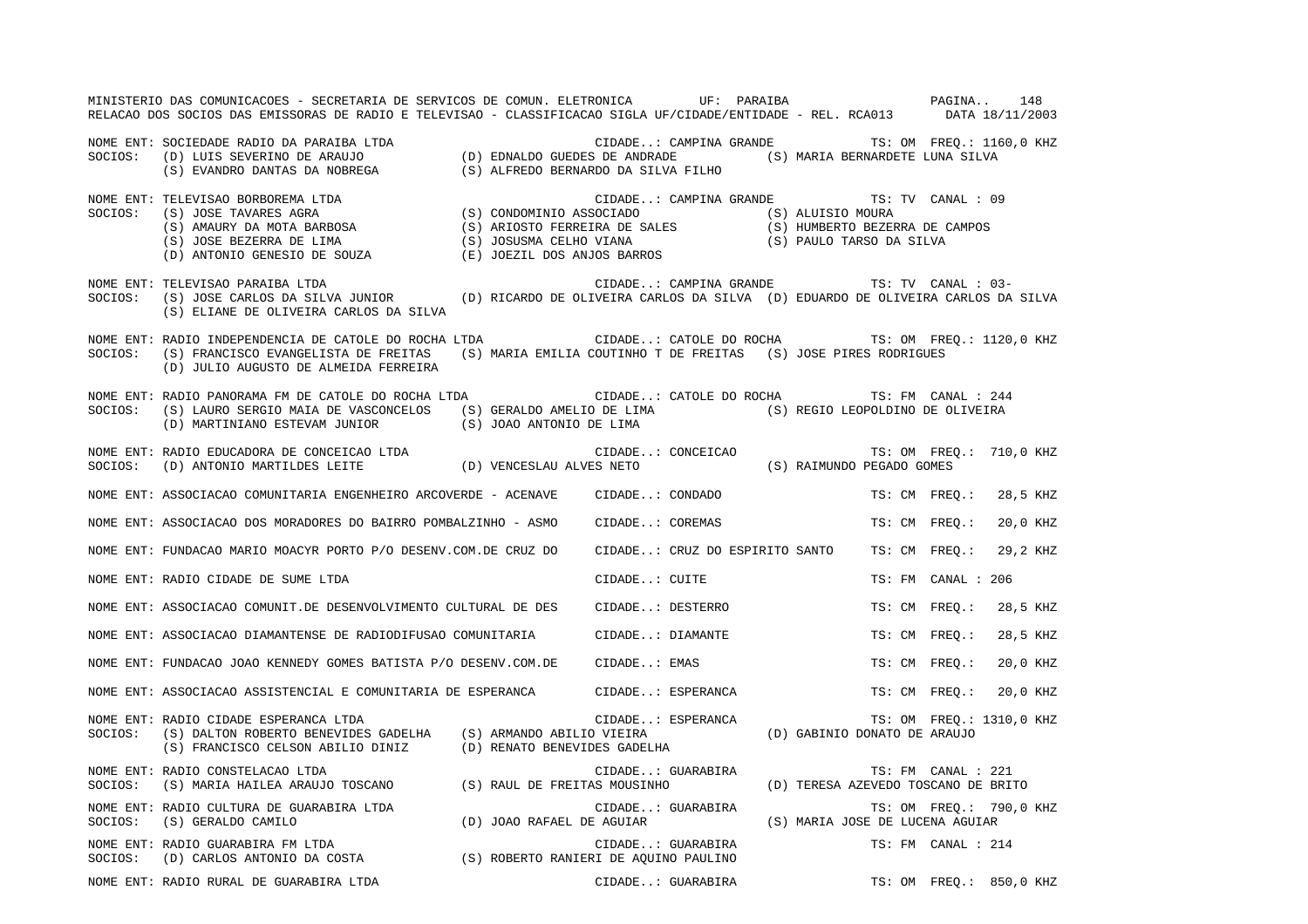|         | MINISTERIO DAS COMUNICACOES - SECRETARIA DE SERVICOS DE COMUN. ELETRONICA UF: PARAIBA COMUNICACIONA 148<br>RELACAO DOS SOCIOS DAS EMISSORAS DE RADIO E TELEVISAO - CLASSIFICACAO SIGLA UF/CIDADE/ENTIDADE - REL. RCA013 DATA 18/11/2003                               |                   |                                |                                                           |                                                  |
|---------|-----------------------------------------------------------------------------------------------------------------------------------------------------------------------------------------------------------------------------------------------------------------------|-------------------|--------------------------------|-----------------------------------------------------------|--------------------------------------------------|
|         | NOME ENT: SOCIEDADE RADIO DA PARAIBA LTDA (D) EDNALDO GUEDES DE ANDRADE (S) MARIA BERNARDETE LUNA SILVA<br>SOCIOS: (D) LUIS SEVERINO DE ARAUJO (D) EDNALDO GUEDES DE ANDRADE (S) MARIA BERNARDETE LUNA SILVA<br>(S) EVANDRO DANTAS D                                  |                   |                                |                                                           | CIDADE: CAMPINA GRANDE TS: OM FREQ.: 1160,0 KHZ  |
| SOCIOS: | NOME ENT: TELEVISAO BORBOREMA LTDA<br>TELEVISAO BORBOREMA LTDA (S) CONDOMINIO ASSOCIADO (S) ALUISIO MOURA (S) AMAURY DA MOTA BARBOSA (S) ARIOSTO FERREIRA DE SALES (S) IOSE BEZERRA DE CAMPOS (S) ARIOSTO FERREIRA DE SALES (S) ANDERTO BEZERRA DE CAMPOS (S) ARIOST  |                   |                                | CIDADE: CAMPINA GRANDE TS: TV CANAL : 09                  |                                                  |
| SOCIOS: | NOME ENT: TELEVISAO PARAIBA LTDA<br>(S) JOSE CARLOS DA SILVA JUNIOR (D) RICARDO DE OLIVEIRA CARLOS DA SILVA (D) EDUARDO DE OLIVEIRA CARLOS DA SILVA<br>(S) ELIANE DE OLIVEIRA CARLOS DA SILVA                                                                         |                   |                                | CIDADE: CAMPINA GRANDE TS: TV CANAL : 03-                 |                                                  |
| SOCIOS: | NOME ENT: RADIO INDEPENDENCIA DE CATOLE DO ROCHA LTDA<br>(S) FRANCISCO EVANGELISTA DE FREITAS (S) MARIA EMILIA COUTINHO T DE FREITAS (S) JOSE PIRES RODRIGUES<br>(D) JULIO AUGUSTO DE ALMEIDA FERREIRA                                                                |                   |                                |                                                           | CIDADE: CATOLE DO ROCHA TS: OM FREQ.: 1120,0 KHZ |
|         | NOME ENT: RADIO PANORAMA FM DE CATOLE DO ROCHA LTDA (CIDADE: CATOLE DO ROCHA TS: FM CANAL : 244<br>SOCIOS: (S) LAURO SERGIO MAIA DE VASCONCELOS (S) GERALDO AMELIO DE LIMA (S) REGIO LEOPOLDINO DE OLIVEIRA<br>(D) MARTINIANO ESTEVAM JUNIOR (S) JOAO ANTONIO DE LIMA |                   |                                |                                                           |                                                  |
|         | NOME ENT: RADIO EDUCADORA DE CONCEICAO LTDA (D) VENCESLAU ALVES NETO (S) RAIMUNDO PEGADO GOMES SOCIOS: (D) ANTONIO MARTILDES LEITE (D) VENCESLAU ALVES NETO (S) RAIMUNDO PEGADO GOMES                                                                                 |                   |                                |                                                           | TS: OM FREQ.: 710,0 KHZ                          |
|         | NOME ENT: ASSOCIACAO COMUNITARIA ENGENHEIRO ARCOVERDE - ACENAVE CIDADE: CONDADO                                                                                                                                                                                       |                   |                                |                                                           | TS: CM FREO.:<br>28,5 KHZ                        |
|         | NOME ENT: ASSOCIACAO DOS MORADORES DO BAIRRO POMBALZINHO - ASMO                                                                                                                                                                                                       |                   | CIDADE: COREMAS                |                                                           | TS: CM FREO.:<br>20,0 KHZ                        |
|         | NOME ENT: FUNDACAO MARIO MOACYR PORTO P/O DESENV.COM.DE CRUZ DO                                                                                                                                                                                                       |                   | CIDADE: CRUZ DO ESPIRITO SANTO |                                                           | TS: CM FREO.:<br>29,2 KHZ                        |
|         | NOME ENT: RADIO CIDADE DE SUME LTDA                                                                                                                                                                                                                                   | CIDADE: CUITE     |                                |                                                           | TS: FM CANAL : 206                               |
|         | NOME ENT: ASSOCIACAO COMUNIT.DE DESENVOLVIMENTO CULTURAL DE DES CIDADE: DESTERRO                                                                                                                                                                                      |                   |                                |                                                           | 28,5 KHZ<br>TS: CM FREO.:                        |
|         | NOME ENT: ASSOCIACAO DIAMANTENSE DE RADIODIFUSAO COMUNITARIA                                                                                                                                                                                                          |                   | CIDADE: DIAMANTE               |                                                           | 28,5 KHZ<br>TS: CM FREQ.:                        |
|         | NOME ENT: FUNDACAO JOAO KENNEDY GOMES BATISTA P/O DESENV.COM.DE CIDADE: EMAS                                                                                                                                                                                          |                   |                                |                                                           | 20,0 KHZ<br>TS: CM FREQ.:                        |
|         | NOME ENT: ASSOCIACAO ASSISTENCIAL E COMUNITARIA DE ESPERANCA CIDADE: ESPERANCA                                                                                                                                                                                        |                   |                                |                                                           | TS: CM FREO.: 20,0 KHZ                           |
|         | NOME ENT: RADIO CIDADE ESPERANCA LTDA<br>$\verb SCIOS: (S) DALTON ROBERTO BENEVIDES GADELHA (S) ARMANDO ABILIO VIEIRA (D) GABINIO DONATO DE ARAUJO\\$<br>(S) FRANCISCO CELSON ABILIO DINIZ (D) RENATO BENEVIDES GADELHA                                               |                   | CIDADE: ESPERANCA              |                                                           | TS: OM FREQ.: 1310,0 KHZ                         |
| SOCIOS: | NOME ENT: RADIO CONSTELACAO LTDA<br>(S) MARIA HAILEA ARAUJO TOSCANO (S) RAUL DE FREITAS MOUSINHO (D) TERESA AZEVEDO TOSCANO DE BRITO                                                                                                                                  |                   | CIDADE: GUARABIRA              |                                                           | TS: FM CANAL : 221                               |
| SOCIOS: | NOME ENT: RADIO CULTURA DE GUARABIRA LTDA<br>(S) GERALDO CAMILO                                                                                                                                                                                                       |                   | CIDADE: GUARABIRA              | (D) JOAO RAFAEL DE AGUIAR (S) MARIA JOSE DE LUCENA AGUIAR | TS: OM FREQ.: 790,0 KHZ                          |
|         | NOME ENT: RADIO GUARABIRA FM LTDA<br>SOCIOS: (D) CARLOS ANTONIO DA COSTA (S) ROBERTO RANIERI DE AQUINO PAULINO                                                                                                                                                        |                   | CIDADE: GUARABIRA              |                                                           | TS: FM CANAL : 214                               |
|         | NOME ENT: RADIO RURAL DE GUARABIRA LTDA                                                                                                                                                                                                                               | CIDADE: GUARABIRA |                                |                                                           | TS: OM FREQ.: 850,0 KHZ                          |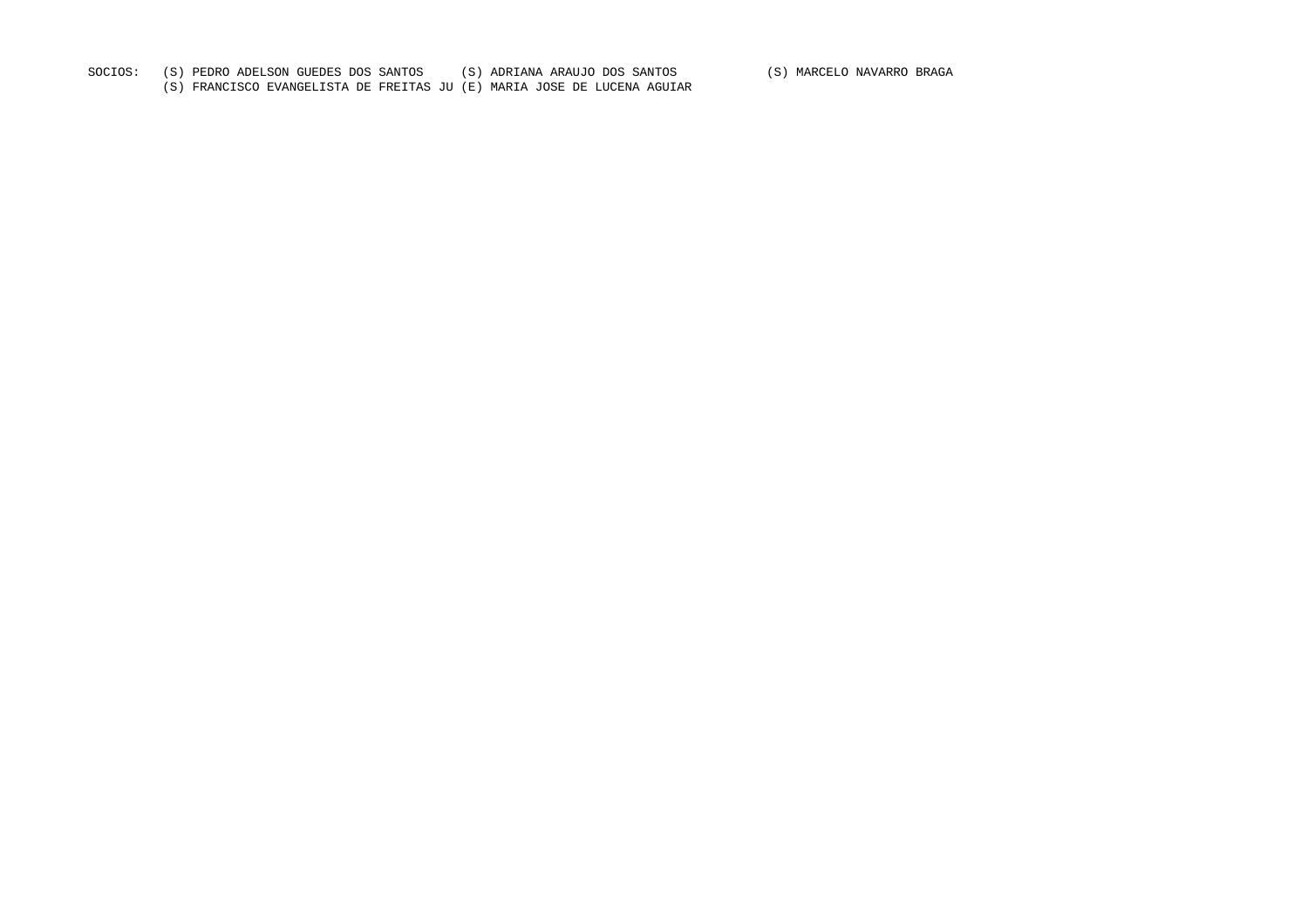SOCIOS: (S) PEDRO ADELSON GUEDES DOS SANTOS (S) ADRIANA ARAUJO DOS SANTOS (S) MARCELO NAVARRO BRAGA

(S) FRANCISCO EVANGELISTA DE FREITAS JU (E) MARIA JOSE DE LUCENA AGUIAR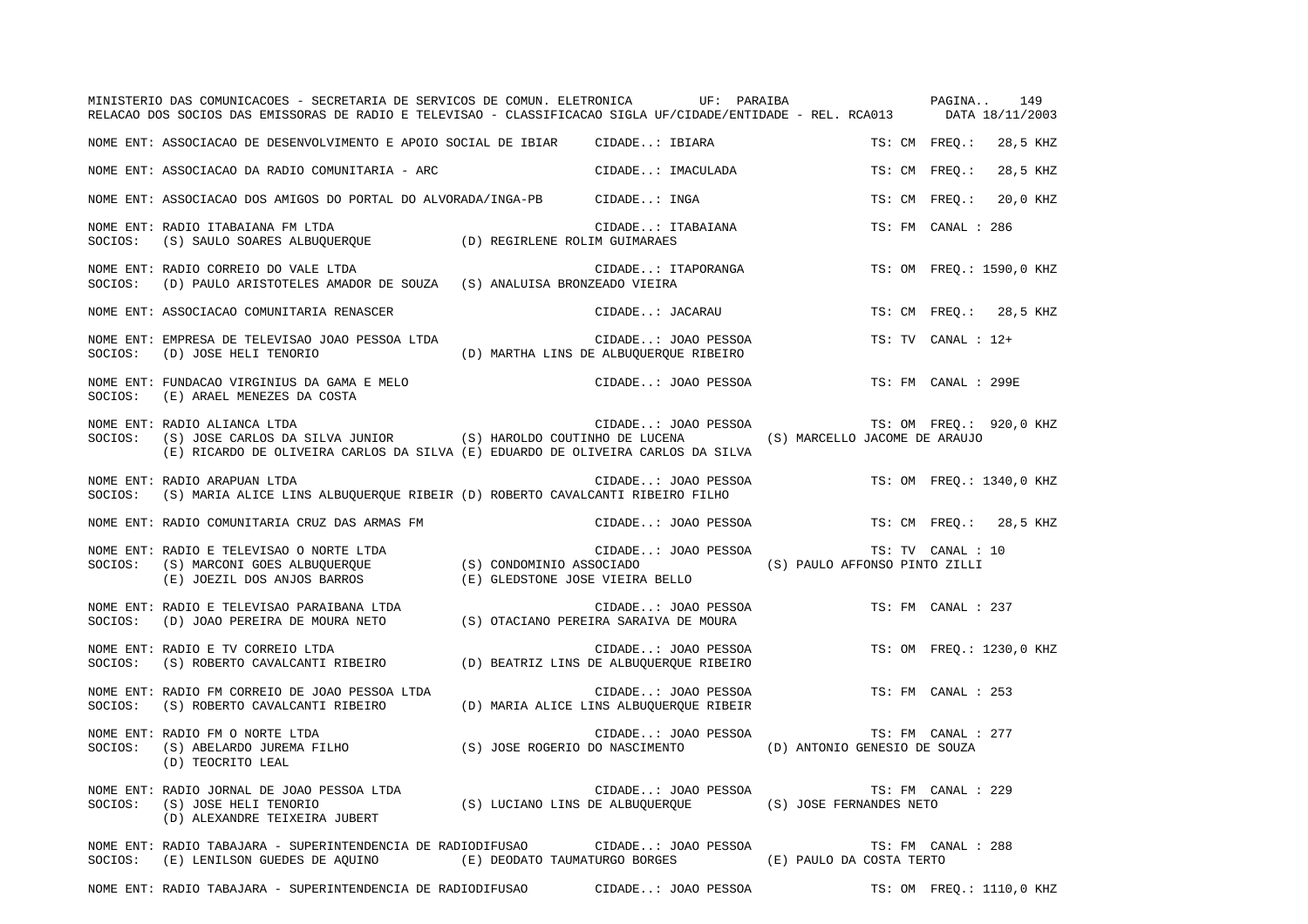|         | MINISTERIO DAS COMUNICACOES - SECRETARIA DE SERVICOS DE COMUN. ELETRONICA UF: PARAIBA PAGINA. 149<br>RELACAO DOS SOCIOS DAS EMISSORAS DE RADIO E TELEVISAO - CLASSIFICACAO SIGLA UF/CIDADE/ENTIDADE - REL. RCA013 DATA 18/11/2003    |                                        |                           |
|---------|--------------------------------------------------------------------------------------------------------------------------------------------------------------------------------------------------------------------------------------|----------------------------------------|---------------------------|
|         | NOME ENT: ASSOCIACAO DE DESENVOLVIMENTO E APOIO SOCIAL DE IBIAR CIDADE: IBIARA                                                                                                                                                       |                                        | TS: CM FREO.:<br>28,5 KHZ |
|         | NOME ENT: ASSOCIACAO DA RADIO COMUNITARIA - ARC CIDADE: IMACULADA                                                                                                                                                                    |                                        | TS: CM FREO.:<br>28,5 KHZ |
|         | NOME ENT: ASSOCIACAO DOS AMIGOS DO PORTAL DO ALVORADA/INGA-PB CIDADE: INGA                                                                                                                                                           |                                        | 20,0 KHZ<br>TS: CM FREQ.: |
|         | NOME ENT: RADIO ITABAIANA FM LTDA<br>SOCIOS: (S) SAULO SOARES ALBUQUERQUE (D) REGIRLENE ROLIM GUIMARAES                                                                                                                              | CIDADE: ITABAIANA                      | TS: FM CANAL : 286        |
|         | NOME ENT: RADIO CORREIO DO VALE LTDA<br>SOCIOS: (D) PAULO ARISTOTELES AMADOR DE SOUZA (S) ANALUISA BRONZEADO VIEIRA                                                                                                                  | CIDADE: ITAPORANGA                     | TS: OM FREQ.: 1590,0 KHZ  |
|         | NOME ENT: ASSOCIACAO COMUNITARIA RENASCER                                                                                                                                                                                            | CIDADE: JACARAU                        | TS: CM FREQ.: 28,5 KHZ    |
| SOCIOS: | NOME ENT: EMPRESA DE TELEVISAO JOAO PESSOA LTDA                                                                                                                                                                                      |                                        | TS: TV CANAL : 12+        |
| SOCIOS: | NOME ENT: FUNDACAO VIRGINIUS DA GAMA E MELO<br>(E) ARAEL MENEZES DA COSTA                                                                                                                                                            | CIDADE: JOAO PESSOA                    | TS: FM CANAL : 299E       |
|         | NOME ENT: RADIO ALIANCA LTDA<br>SOCIOS: (S) JOSE CARLOS DA SILVA JUNIOR (S) HAROLDO COUTINHO DE LUCENA (S) MARCELLO JACOME DE ARAUJO<br>(E) RICARDO DE OLIVEIRA CARLOS DA SILVA (E) EDUARDO DE OLIVEIRA CARLOS DA SILVA              | CIDADE: JOAO PESSOA                    | TS: OM FREQ.: 920,0 KHZ   |
|         | NOME ENT: RADIO ARAPUAN LTDA<br>SOCIOS: (S) MARIA ALICE LINS ALBUQUERQUE RIBEIR (D) ROBERTO CAVALCANTI RIBEIRO FILHO                                                                                                                 |                                        |                           |
|         | NOME ENT: RADIO COMUNITARIA CRUZ DAS ARMAS FM CIDADE: JOAO PESSOA TS: CM FREQ.: 28,5 KHZ                                                                                                                                             |                                        |                           |
|         | NOME ENT: RADIO E TELEVISAO O NORTE LTDA<br>SOCIOS: (S) MARCONI GOES ALBUQUERQUE (S) CONDOMINIO ASSOCIADO (S) PAULO AFFONSO PINTO ZILLI<br>(E) JOEZIL DOS ANJOS BARROS (E) GLEDSTONE JOSE VIEIRA BELLO (S) PAULO AFFONSO PINTO ZILLI |                                        | TS: TV CANAL : 10         |
|         |                                                                                                                                                                                                                                      |                                        |                           |
|         | NUME ENI: KADIO E TV CORREIO LTDA<br>SOCIOS: (S) ROBERTO CAVALCANTI RIBEIRO (D) BEATRIZ LINS DE ALBUQUERQUE RIBEIRO                                                                                                                  |                                        | TS: OM FREQ.: 1230,0 KHZ  |
|         | NOME ENT: RADIO FM CORREIO DE JOAO PESSOA LTDA (D) MARIA ALICE LINS ALBUQUERQUE RIBEIR<br>SOCIOS: (S) ROBERTO CAVALCANTI RIBEIRO (D) MARIA ALICE LINS ALBUQUERQUE RIBEIR                                                             |                                        | TS: FM CANAL : 253        |
|         | NOME ENT: RADIO FM O NORTE LTDA<br>SOCIOS: (S) ABELARDO JUREMA FILHO (S) JOSE ROGERIO DO NASCIMENTO (D) ANTONIO GENESIO DE SOUZA<br>(D) TEOCRITO LEAL                                                                                | CIDADE: JOAO PESSOA                    | TS: FM CANAL : 277        |
|         | (D) ALEXANDRE TEIXEIRA JUBERT                                                                                                                                                                                                        | CIDADE: JOAO PESSOA TS: FM CANAL : 229 |                           |
|         | NOME ENT: RADIO TABAJARA - SUPERINTENDENCIA DE RADIODIFUSAO CIDADE: JOAO PESSOA TS: FM CANAL : 288<br>SOCIOS: (E) LENILSON GUEDES DE AQUINO (E) DEODATO TAUMATURGO BORGES (E) PAULO DA COSTA TERTO                                   |                                        |                           |
|         | NOME ENT: RADIO TABAJARA - SUPERINTENDENCIA DE RADIODIFUSAO CIDADE: JOAO PESSOA                                                                                                                                                      |                                        | TS: OM FREQ.: 1110,0 KHZ  |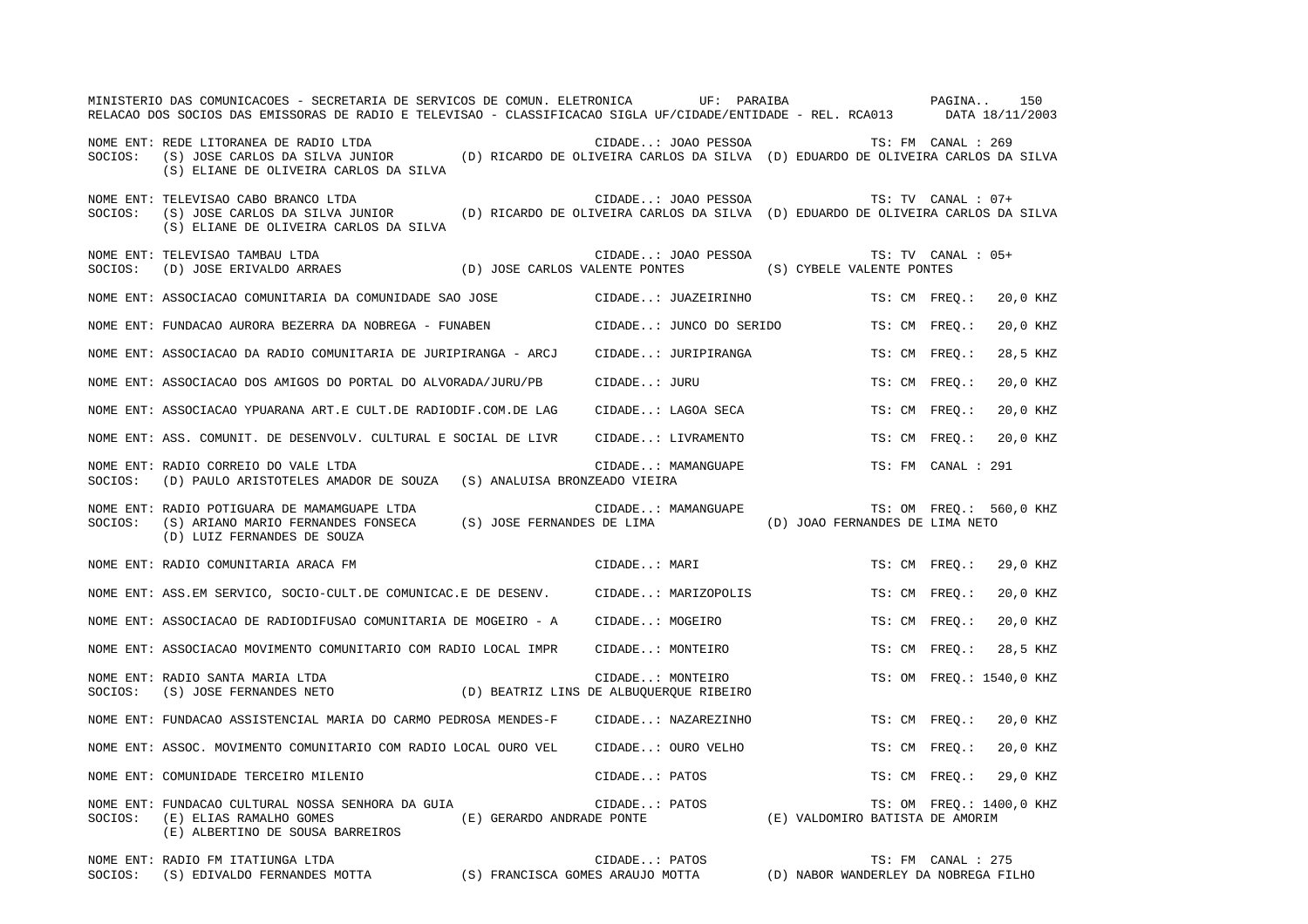|         | MINISTERIO DAS COMUNICACOES - SECRETARIA DE SERVICOS DE COMUN. ELETRONICA UF: PARAIBA COMUNICACOES PAGINA<br>RELACAO DOS SOCIOS DAS EMISSORAS DE RADIO E TELEVISAO - CLASSIFICACAO SIGLA UF/CIDADE/ENTIDADE - REL. RCA013 DATA 18/11/2003 |                         |                         |                                 |                          | 150      |  |
|---------|-------------------------------------------------------------------------------------------------------------------------------------------------------------------------------------------------------------------------------------------|-------------------------|-------------------------|---------------------------------|--------------------------|----------|--|
| SOCIOS: | NOME ENT: REDE LITORANEA DE RADIO LTDA<br>(S) JOSE CARLOS DA SILVA JUNIOR (D) RICARDO DE OLIVEIRA CARLOS DA SILVA (D) EDUARDO DE OLIVEIRA CARLOS DA SILVA<br>(S) ELIANE DE OLIVEIRA CARLOS DA SILVA                                       |                         | CIDADE: JOAO PESSOA     |                                 | TS: FM CANAL : 269       |          |  |
| SOCIOS: | NOME ENT: TELEVISAO CABO BRANCO LTDA<br>(S) JOSE CARLOS DA SILVA JUNIOR (D) RICARDO DE OLIVEIRA CARLOS DA SILVA (D) EDUARDO DE OLIVEIRA CARLOS DA SILVA<br>(S) ELIANE DE OLIVEIRA CARLOS DA SILVA                                         |                         | CIDADE: JOAO PESSOA     |                                 | TS: TV CANAL : 07+       |          |  |
| SOCIOS: | NOME ENT: TELEVISAO TAMBAU LTDA<br>(D) JOSE ERIVALDO ARRAES (D) JOSE CARLOS VALENTE PONTES (S) CYBELE VALENTE PONTES                                                                                                                      |                         | CIDADE: JOAO PESSOA     |                                 | TS: TV CANAL : 05+       |          |  |
|         | NOME ENT: ASSOCIACAO COMUNITARIA DA COMUNIDADE SAO JOSE                                                                                                                                                                                   |                         | CIDADE: JUAZEIRINHO     |                                 | TS: CM FREO.:            | 20,0 KHZ |  |
|         | NOME ENT: FUNDACAO AURORA BEZERRA DA NOBREGA - FUNABEN                                                                                                                                                                                    |                         | CIDADE: JUNCO DO SERIDO |                                 | TS: CM FREO.:            | 20,0 KHZ |  |
|         | NOME ENT: ASSOCIACAO DA RADIO COMUNITARIA DE JURIPIRANGA - ARCJ                                                                                                                                                                           |                         | CIDADE: JURIPIRANGA     |                                 | TS: CM FREQ.:            | 28,5 KHZ |  |
|         | NOME ENT: ASSOCIACAO DOS AMIGOS DO PORTAL DO ALVORADA/JURU/PB                                                                                                                                                                             | CIDADE: JURU            |                         |                                 | TS: CM FREO.:            | 20,0 KHZ |  |
|         | NOME ENT: ASSOCIACAO YPUARANA ART.E CULT.DE RADIODIF.COM.DE LAG                                                                                                                                                                           |                         | CIDADE: LAGOA SECA      |                                 | TS: CM FREQ.:            | 20,0 KHZ |  |
|         | NOME ENT: ASS. COMUNIT. DE DESENVOLV. CULTURAL E SOCIAL DE LIVR                                                                                                                                                                           |                         | CIDADE: LIVRAMENTO      |                                 | TS: CM FREO.:            | 20,0 KHZ |  |
|         | NOME ENT: RADIO CORREIO DO VALE LTDA<br>SOCIOS: (D) PAULO ARISTOTELES AMADOR DE SOUZA (S) ANALUISA BRONZEADO VIEIRA                                                                                                                       |                         | CIDADE: MAMANGUAPE      |                                 | TS: FM CANAL : 291       |          |  |
|         | NOME ENT: RADIO POTIGUARA DE MAMAMGUAPE LTDA<br>SOCIOS: (S) ARIANO MARIO FERNANDES FONSECA (S) JOSE FERNANDES DE LIMA<br>(D) LUIZ FERNANDES DE SOUZA                                                                                      |                         | CIDADE: MAMANGUAPE      | (D) JOAO FERNANDES DE LIMA NETO | TS: OM FREQ.: 560,0 KHZ  |          |  |
|         | NOME ENT: RADIO COMUNITARIA ARACA FM                                                                                                                                                                                                      |                         | CIDADE: MARI            |                                 | TS: CM FREO.:            | 29,0 KHZ |  |
|         | NOME ENT: ASS.EM SERVICO, SOCIO-CULT.DE COMUNICAC.E DE DESENV.                                                                                                                                                                            |                         | CIDADE: MARIZOPOLIS     |                                 | TS: CM FREO.:            | 20,0 KHZ |  |
|         | NOME ENT: ASSOCIACAO DE RADIODIFUSAO COMUNITARIA DE MOGEIRO - A                                                                                                                                                                           | CIDADE: MOGEIRO         |                         |                                 | TS: CM FREO.:            | 20,0 KHZ |  |
|         | NOME ENT: ASSOCIACAO MOVIMENTO COMUNITARIO COM RADIO LOCAL IMPR                                                                                                                                                                           |                         | CIDADE: MONTEIRO        |                                 | TS: CM FREO.:            | 28,5 KHZ |  |
| SOCIOS: | NOME ENT: RADIO SANTA MARIA LTDA<br>(S) JOSE FERNANDES NETO (D) BEATRIZ LINS DE ALBUQUERQUE RIBEIRO                                                                                                                                       | CIDADE: MONTEIRO        |                         |                                 | TS: OM FREO.: 1540,0 KHZ |          |  |
|         | NOME ENT: FUNDACAO ASSISTENCIAL MARIA DO CARMO PEDROSA MENDES-F                                                                                                                                                                           |                         | CIDADE: NAZAREZINHO     |                                 | TS: CM FREQ.:            | 20,0 KHZ |  |
|         | NOME ENT: ASSOC. MOVIMENTO COMUNITARIO COM RADIO LOCAL OURO VEL                                                                                                                                                                           |                         | CIDADE: OURO VELHO      |                                 | TS: CM FREO.:            | 20,0 KHZ |  |
|         | NOME ENT: COMUNIDADE TERCEIRO MILENIO                                                                                                                                                                                                     | CIDADE: PATOS           |                         |                                 | TS: CM FREQ.:            | 29,0 KHZ |  |
| SOCIOS: | NOME ENT: FUNDACAO CULTURAL NOSSA SENHORA DA GUIA<br>(E) GERARDO ANDRADE PONTE<br>(E) ELIAS RAMALHO GOMES<br>(E) ALBERTINO DE SOUSA BARREIROS                                                                                             | CIDADE: PATOS           |                         | (E) VALDOMIRO BATISTA DE AMORIM | TS: OM FREQ.: 1400,0 KHZ |          |  |
|         | MOME בחידו המחזדים הדחות החול הייתה האחות                                                                                                                                                                                                 | $CTNNT$ $\cdot$ $TNTAC$ |                         |                                 | $TC: FM$ $CANNI: 275$    |          |  |

NOME ENT: RADIO FM ITATIUNGA LTDA<br>SOCIOS: (S) EDIVALDO FERNANDES MOTTA (S) FRANCISCA GOMES ARAUJO MOTTA (D) NABOR WANDERLEY DA NOBREGA FILHO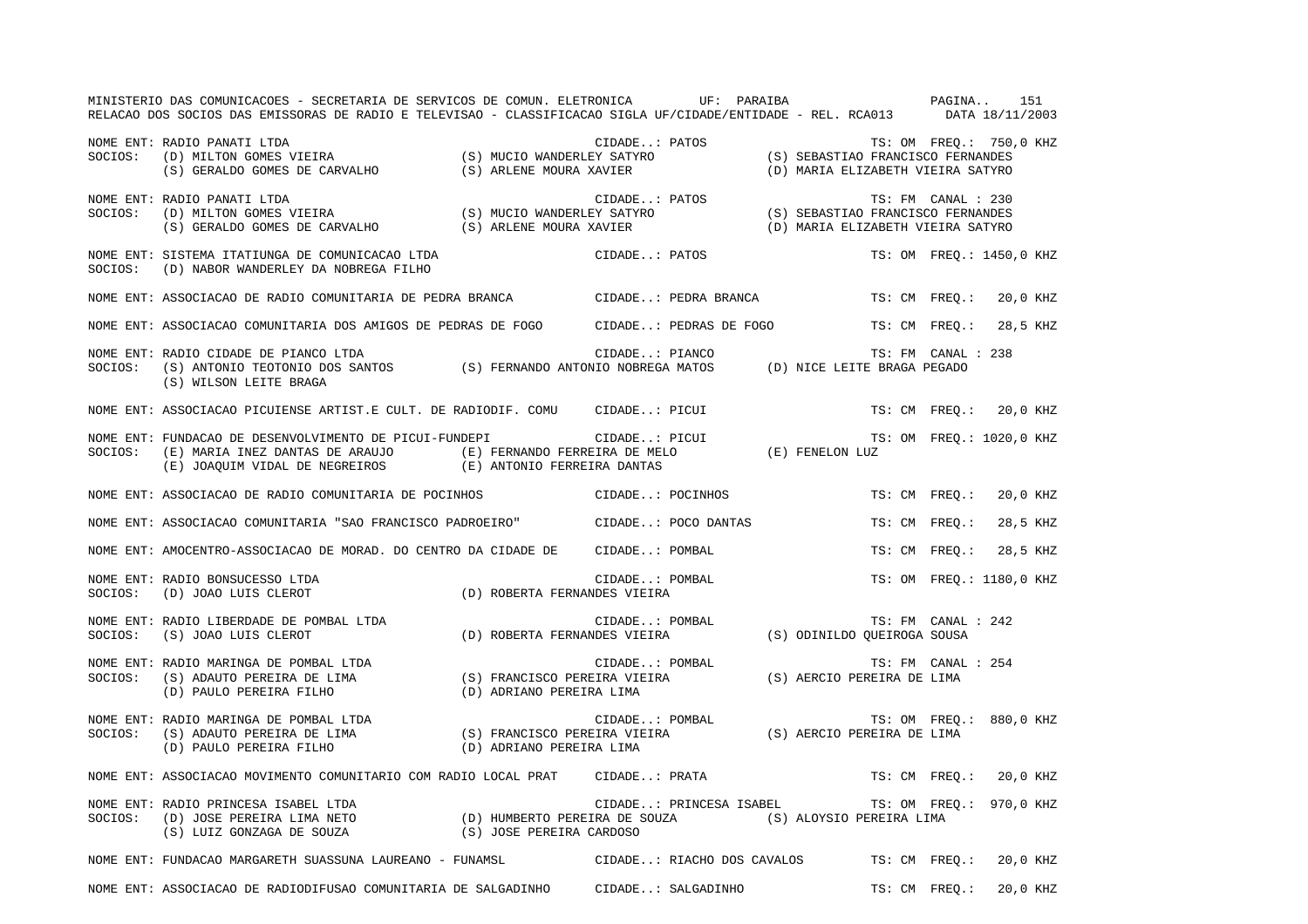| MINISTERIO DAS COMUNICACOES - SECRETARIA DE SERVICOS DE COMUN. ELETRONICA       UF: PARAIBA             PAGINA    151<br>RELACAO DOS SOCIOS DAS EMISSORAS DE RADIO E TELEVISAO - CLASSIFICACAO SIGLA UF/CIDADE/ENTIDADE - REL. RCA013 DATA 18/11/2003 |                |                |                                                 |                                   |                          |  |
|-------------------------------------------------------------------------------------------------------------------------------------------------------------------------------------------------------------------------------------------------------|----------------|----------------|-------------------------------------------------|-----------------------------------|--------------------------|--|
| NOME ENT: RADIO PANATI LTDA<br>SOCIOS: (D) MILTON GOMES VIEIRA (S) MUCIO WANDERLEY SATYRO (S) SEBASTIAO FRANCISCO FERNANDES<br>(S) GERALDO GOMES DE CARVALHO (S) ARLENE MOURA XAVIER (D) MARIA ELIZABETH VIEIRA SATYRO                                |                |                |                                                 | (D) MARIA ELIZABETH VIEIRA SATYRO | TS: OM FREQ.: 750,0 KHZ  |  |
| NOME ENT: RADIO PANATI LTDA<br>SOCIOS: (D) MILTON GOMES VIEIRA (S) MUCIO WANDERLEY SATYRO (S) SEBASTIAO FRANCISCO FERNANDES<br>(S) GERALDO GOMES DE CARVALHO (S) ARLENE MOURA XAVIER (D) MARIA ELIZABETH VIEIRA SATYRO                                |                |                |                                                 |                                   |                          |  |
| NOME ENT: SISTEMA ITATIUNGA DE COMUNICACAO LTDA<br>SOCIOS: (D) NABOR WANDERLEY DA NOBREGA FILHO                                                                                                                                                       |                |                | CIDADE: PATOS                                   |                                   | TS: OM FREQ.: 1450,0 KHZ |  |
| NOME ENT: ASSOCIACAO DE RADIO COMUNITARIA DE PEDRA BRANCA (CIDADE: PEDRA BRANCA TS: CM FREQ.: 20,0 KHZ                                                                                                                                                |                |                |                                                 |                                   |                          |  |
| NOME ENT: ASSOCIACAO COMUNITARIA DOS AMIGOS DE PEDRAS DE FOGO CIDADE: PEDRAS DE FOGO TS: CM FREQ.: 28,5 KHZ                                                                                                                                           |                |                |                                                 |                                   |                          |  |
| NOME ENT: RADIO CIDADE DE PIANCO LTDA<br>NUME ENT: KADIO CIDADE DE PIANCO LIDA<br>SOCIOS: (S) ANTONIO TEOTONIO DOS SANTOS (S) FERNANDO ANTONIO NOBREGA MATOS (D) NICE LEITE BRAGA PEGADO<br>(S) WILSON LEITE BRAGA                                    |                | CIDADE: PIANCO |                                                 | TS: FM CANAL : 238                |                          |  |
| NOME ENT: ASSOCIACAO PICUIENSE ARTIST.E CULT. DE RADIODIF. COMU CIDADE: PICUI                                                                                                                                                                         |                |                |                                                 |                                   | TS: CM FREQ.: 20,0 KHZ   |  |
| NOME ENT: FUNDACAO DE DESENVOLVIMENTO DE PICUI-FUNDEPI CIDADE: PICUI TS<br>SOCIOS: (E) MARIA INEZ DANTAS DE ARAUJO (E) FERNANDO FERREIRA DE MELO (E) FENELON LUZ<br>(E) JOAQUIM VIDAL DE NEGREIROS (E) ANTONIO FERREIRA DANTAS                        |                |                |                                                 |                                   | TS: OM FREQ.: 1020,0 KHZ |  |
| NOME ENT: ASSOCIACAO DE RADIO COMUNITARIA DE POCINHOS CIDADE: POCINHOS                                                                                                                                                                                |                |                |                                                 |                                   | TS: CM FREQ.: 20,0 KHZ   |  |
| NOME ENT: ASSOCIACAO COMUNITARIA "SAO FRANCISCO PADROEIRO" CIDADE: POCO DANTAS TS: CM FREQ.: 28,5 KHZ                                                                                                                                                 |                |                |                                                 |                                   |                          |  |
| NOME ENT: AMOCENTRO-ASSOCIACAO DE MORAD. DO CENTRO DA CIDADE DE CIDADE: POMBAL                                                                                                                                                                        |                |                |                                                 |                                   | TS: CM FREO.: 28,5 KHZ   |  |
| NOME ENT: RADIO BONSUCESSO LTDA<br>SOCIOS: (D) JOAO LUIS CLEROT (D) ROBERTA FERNANDES VIEIRA                                                                                                                                                          |                |                | CIDADE: POMBAL<br>NDES VIEIRA                   |                                   | TS: OM FREO.: 1180,0 KHZ |  |
| NOME ENT: RADIO LIBERDADE DE POMBAL LTDA<br>SOCIOS: (S) JOAO LUIS CLEROT (D) ROBERTA FERNANDES VIEIRA (S) ODINILDO QUEIROGA SOUSA                                                                                                                     | CIDADE: POMBAL |                |                                                 | TS: FM CANAL : 242                |                          |  |
| NOME ENT: RADIO MARINGA DE POMBAL LTDA<br>SOCIOS: (S) ADAUTO PEREIRA DE LIMA (S) FRANCISCO PEREIRA VIEIRA (S) AERCIO PEREIRA DE LIMA<br>(D) PAULO PEREIRA FILHO (D) ADRIANO PEREIRA LIMA (S) AERCIO PEREIRA DE LIMA                                   |                |                |                                                 | TS: FM CANAL : 254                |                          |  |
| CIDADE: POMBAL TS: OM FREQ.: 880,0 KHZ (S) PRANCISCO PEREIRA VIEIRA (S) AERCIO PEREIRA DE LIMA (S) ADAUTO PEREIRA DE LIMA<br>(D) PAULO PEREIRA FILHO (D) ADRIANO PEREIRA LIMA (D) ADRIANO PEREIRA LIMA                                                |                |                |                                                 |                                   |                          |  |
| NOME ENT: ASSOCIACAO MOVIMENTO COMUNITARIO COM RADIO LOCAL PRAT CIDADE: PRATA TS: CM FREQ.: 20,0 KHZ                                                                                                                                                  |                |                |                                                 |                                   |                          |  |
| NOME ENT: RADIO PRINCESA ISABEL LTDA (D) HUMBERTO PEREIRA DE SOUZA (S) ALOYSIO PEREIRA LIMA (S) LUIZ GONZAGA DE SOUZA (S) JOSE PEREIRA (S) AND CIDADE: PRINCESA ISABEL TS: OM FRE<br>(S) LUIZ GONZAGA DE SOUZA (S) JOSE PEREIRA                       |                |                | CIDADE: PRINCESA ISABEL TS: OM FREQ.: 970,0 KHZ |                                   |                          |  |
| NOME ENT: FUNDACAO MARGARETH SUASSUNA LAUREANO - FUNAMSL CIDADE: RIACHO DOS CAVALOS TS: CM FREQ.: 20,0 KHZ                                                                                                                                            |                |                |                                                 |                                   |                          |  |
| NOME ENT: ASSOCIACAO DE RADIODIFUSAO COMUNITARIA DE SALGADINHO CIDADE: SALGADINHO TS: CM FREQ.: 20,0 KHZ                                                                                                                                              |                |                |                                                 |                                   |                          |  |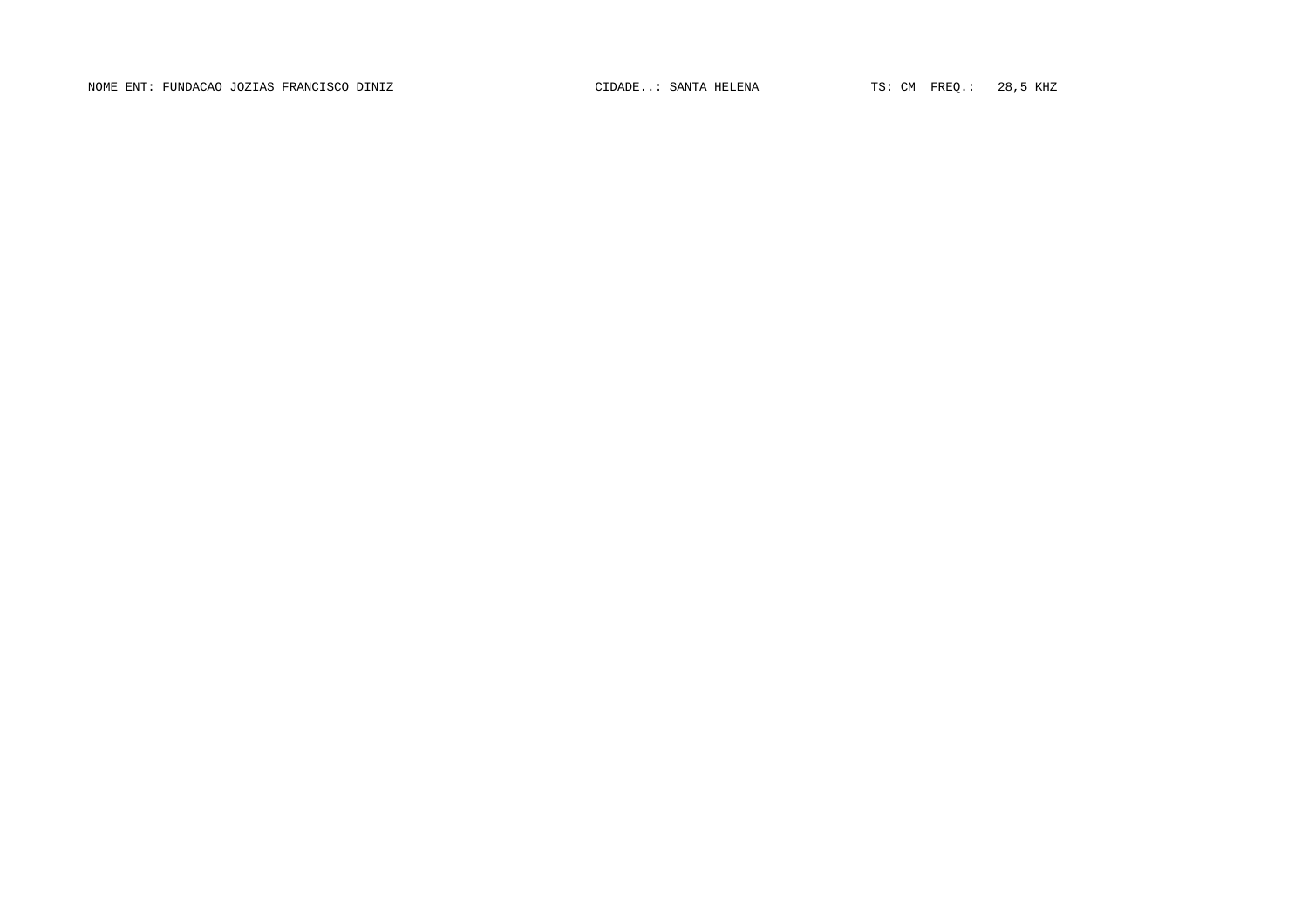NOME ENT: FUNDACAO JOZIAS FRANCISCO DINIZ CIDADE..: SANTA HELENA TS: CM FREQ.: 28,5 KHZ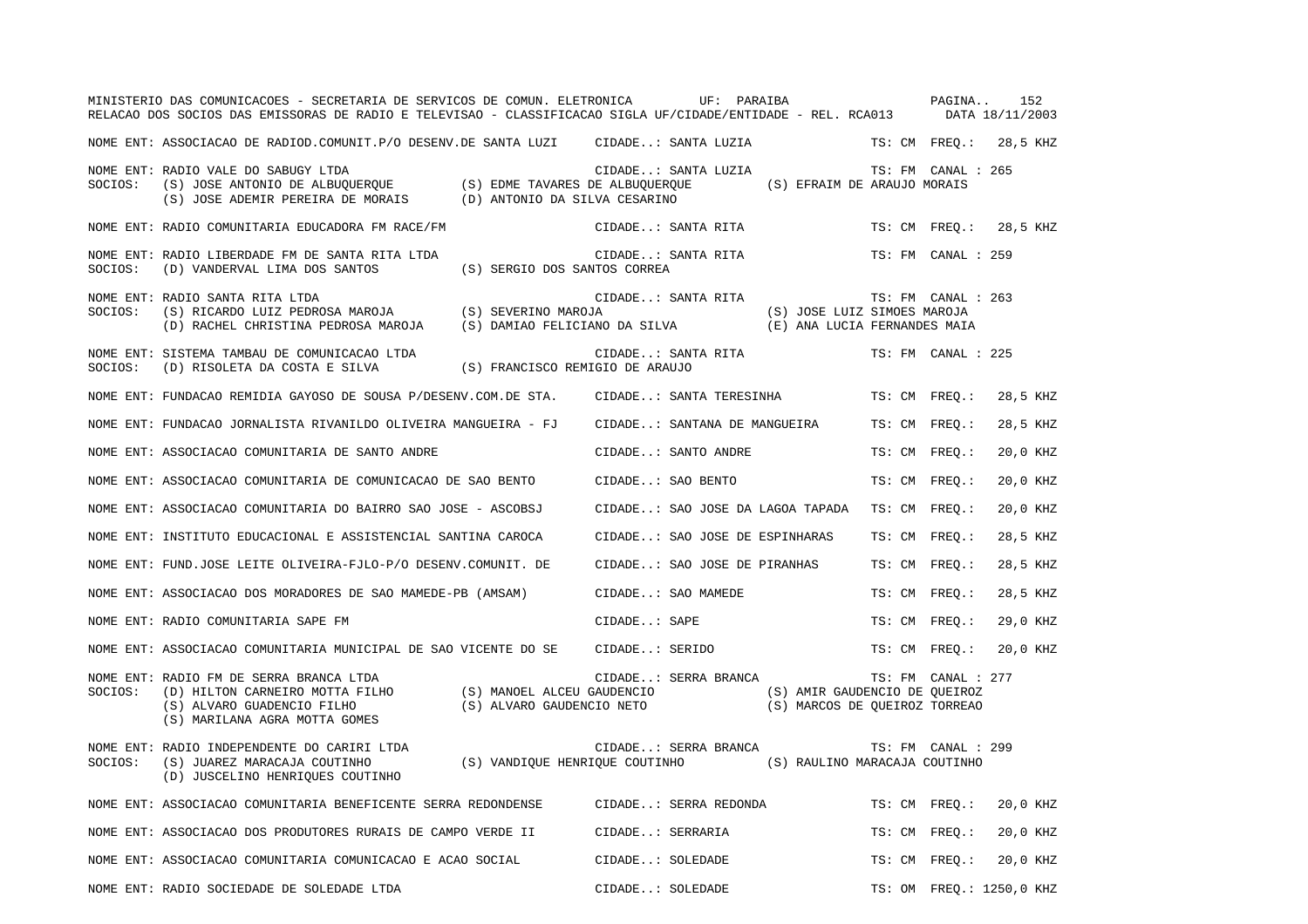|         | MINISTERIO DAS COMUNICACOES - SECRETARIA DE SERVICOS DE COMUN. ELETRONICA<br>RELACAO DOS SOCIOS DAS EMISSORAS DE RADIO E TELEVISAO - CLASSIFICACAO SIGLA UF/CIDADE/ENTIDADE - REL. RCA013 DATA 18/11/2003                                                  | UF: PARAIBA                                                                       |               | PAGINA             | 152                      |
|---------|------------------------------------------------------------------------------------------------------------------------------------------------------------------------------------------------------------------------------------------------------------|-----------------------------------------------------------------------------------|---------------|--------------------|--------------------------|
|         | NOME ENT: ASSOCIACAO DE RADIOD.COMUNIT.P/O DESENV.DE SANTA LUZI CIDADE: SANTA LUZIA                                                                                                                                                                        |                                                                                   | TS: CM FREO.: |                    | 28,5 KHZ                 |
| SOCIOS: | NOME ENT: RADIO VALE DO SABUGY LTDA<br>(S) JOSE ANTONIO DE ALBUQUERQUE (S) EDME TAVARES DE ALBUQUERQUE<br>(S) JOSE ADEMIR PEREIRA DE MORAIS (D) ANTONIO DA SILVA CESARINO                                                                                  | CIDADE: SANTA LUZIA<br>(S) EFRAIM DE ARAUJO MORAIS                                |               | TS: FM CANAL : 265 |                          |
|         | NOME ENT: RADIO COMUNITARIA EDUCADORA FM RACE/FM                                                                                                                                                                                                           | CIDADE: SANTA RITA                                                                | TS: CM FREQ.: |                    | 28,5 KHZ                 |
| SOCIOS: | NOME ENT: RADIO LIBERDADE FM DE SANTA RITA LTDA<br>(S) SERGIO DOS SANTOS CORREA<br>(D) VANDERVAL LIMA DOS SANTOS                                                                                                                                           | CIDADE: SANTA RITA                                                                |               | TS: FM CANAL : 259 |                          |
| SOCIOS: | NOME ENT: RADIO SANTA RITA LTDA<br>(S) RICARDO LUIZ PEDROSA MAROJA (S) SEVERINO MAROJA<br>(D) RACHEL CHRISTINA PEDROSA MAROJA (S) DAMIAO FELICIANO DA SILVA                                                                                                | CIDADE: SANTA RITA<br>(S) JOSE LUIZ SIMOES MAROJA<br>(E) ANA LUCIA FERNANDES MAIA |               | TS: FM CANAL : 263 |                          |
| SOCIOS: | NOME ENT: SISTEMA TAMBAU DE COMUNICACAO LTDA<br>(S) FRANCISCO REMIGIO DE ARAUJO<br>(D) RISOLETA DA COSTA E SILVA                                                                                                                                           | CIDADE: SANTA RITA                                                                |               | TS: FM CANAL : 225 |                          |
|         | NOME ENT: FUNDACAO REMIDIA GAYOSO DE SOUSA P/DESENV.COM.DE STA.                                                                                                                                                                                            | CIDADE: SANTA TERESINHA                                                           | TS: CM FREO.: |                    | 28,5 KHZ                 |
|         | NOME ENT: FUNDACAO JORNALISTA RIVANILDO OLIVEIRA MANGUEIRA - FJ                                                                                                                                                                                            | CIDADE: SANTANA DE MANGUEIRA                                                      | TS: CM FREO.: |                    | 28,5 KHZ                 |
|         | NOME ENT: ASSOCIACAO COMUNITARIA DE SANTO ANDRE                                                                                                                                                                                                            | CIDADE: SANTO ANDRE                                                               | TS: CM FREQ.: |                    | 20,0 KHZ                 |
|         | NOME ENT: ASSOCIACAO COMUNITARIA DE COMUNICACAO DE SAO BENTO                                                                                                                                                                                               | CIDADE: SAO BENTO                                                                 | TS: CM FREO.: |                    | 20,0 KHZ                 |
|         | NOME ENT: ASSOCIACAO COMUNITARIA DO BAIRRO SAO JOSE - ASCOBSJ                                                                                                                                                                                              | CIDADE: SAO JOSE DA LAGOA TAPADA                                                  | TS: CM FREO.: |                    | 20,0 KHZ                 |
|         | NOME ENT: INSTITUTO EDUCACIONAL E ASSISTENCIAL SANTINA CAROCA                                                                                                                                                                                              | CIDADE: SAO JOSE DE ESPINHARAS                                                    | TS: CM FREQ.: |                    | 28,5 KHZ                 |
|         | NOME ENT: FUND.JOSE LEITE OLIVEIRA-FJLO-P/O DESENV.COMUNIT. DE                                                                                                                                                                                             | CIDADE: SAO JOSE DE PIRANHAS                                                      | TS: CM FREO.: |                    | 28,5 KHZ                 |
|         | NOME ENT: ASSOCIACAO DOS MORADORES DE SAO MAMEDE-PB (AMSAM)                                                                                                                                                                                                | CIDADE: SAO MAMEDE                                                                | TS: CM FREO.: |                    | 28,5 KHZ                 |
|         | NOME ENT: RADIO COMUNITARIA SAPE FM                                                                                                                                                                                                                        | CIDADE: SAPE                                                                      | TS: CM FREO.: |                    | 29,0 KHZ                 |
|         | NOME ENT: ASSOCIACAO COMUNITARIA MUNICIPAL DE SAO VICENTE DO SE                                                                                                                                                                                            | CIDADE: SERIDO                                                                    | TS: CM FREO.: |                    | 20,0 KHZ                 |
| SOCIOS: | NOME ENT: RADIO FM DE SERRA BRANCA LTDA<br>(D) HILTON CARNEIRO MOTTA FILHO (S) MANOEL ALCEU GAUDENCIO (S) AMIR GAUDENCIO DE QUEIROZ<br>(S) ALVARO GUADENCIO FILHO (S) ALVARO GAUDENCIO NETO (S) MARCOS DE QUEIROZ TORREAO<br>(S) MARILANA AGRA MOTTA GOMES | CIDADE: SERRA BRANCA                                                              |               | TS: FM CANAL : 277 |                          |
| SOCIOS: | NOME ENT: RADIO INDEPENDENTE DO CARIRI LTDA<br>(S) JUAREZ MARACAJA COUTINHO (S) VANDIQUE HENRIQUE COUTINHO (S) RAULINO MARACAJA COUTINHO<br>(D) JUSCELINO HENRIQUES COUTINHO                                                                               | CIDADE: SERRA BRANCA                                                              |               | TS: FM CANAL : 299 |                          |
|         | NOME ENT: ASSOCIACAO COMUNITARIA BENEFICENTE SERRA REDONDENSE CIDADE: SERRA REDONDA                                                                                                                                                                        |                                                                                   | TS: CM FREQ.: |                    | 20,0 KHZ                 |
|         | NOME ENT: ASSOCIACAO DOS PRODUTORES RURAIS DE CAMPO VERDE II                                                                                                                                                                                               | CIDADE: SERRARIA                                                                  | TS: CM FREO.: |                    | 20,0 KHZ                 |
|         | NOME ENT: ASSOCIACAO COMUNITARIA COMUNICACAO E ACAO SOCIAL                                                                                                                                                                                                 | CIDADE: SOLEDADE                                                                  | TS: CM FREO.: |                    | 20,0 KHZ                 |
|         | NOME ENT: RADIO SOCIEDADE DE SOLEDADE LTDA                                                                                                                                                                                                                 | CIDADE: SOLEDADE                                                                  |               |                    | TS: OM FREQ.: 1250,0 KHZ |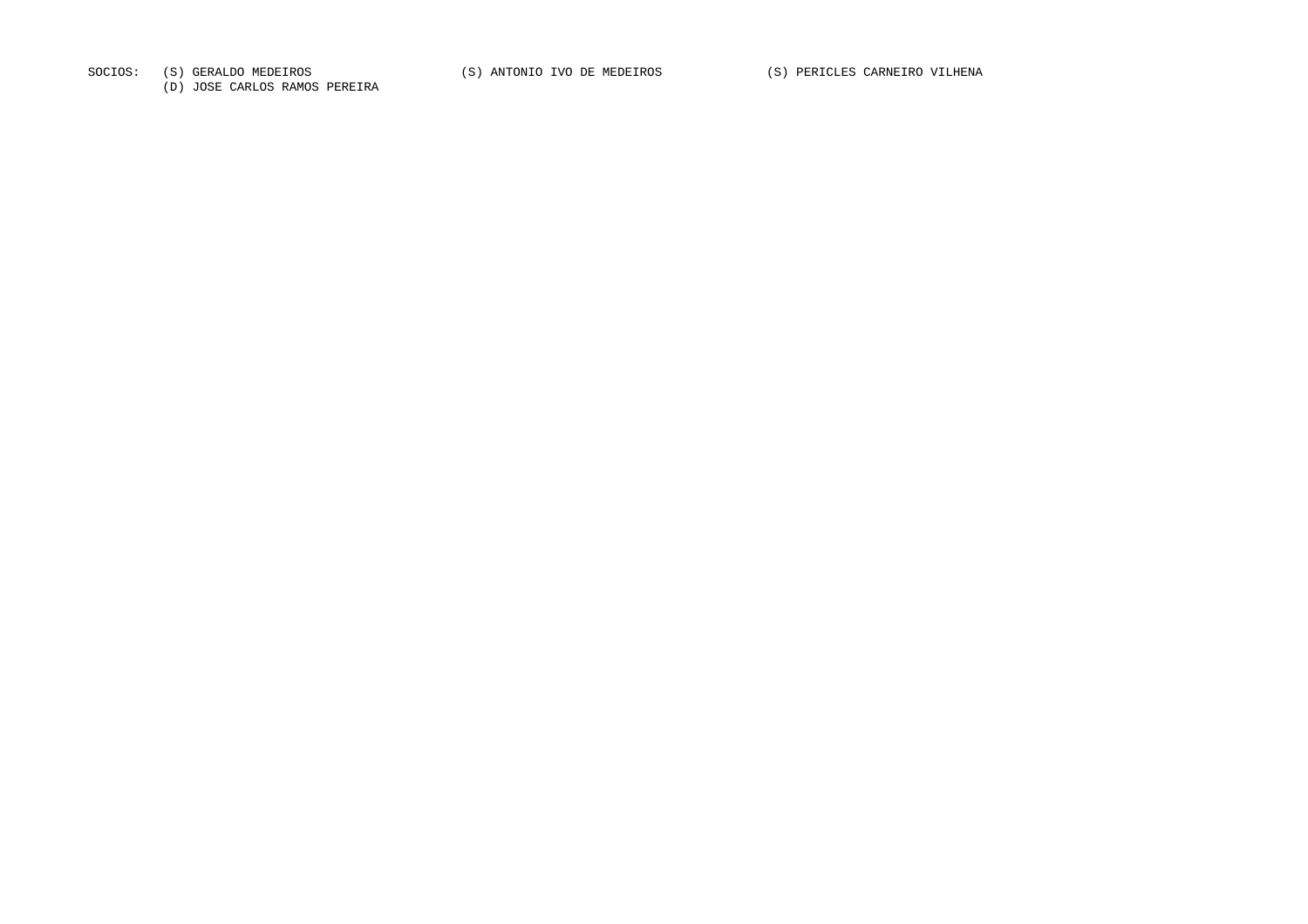SOCIOS: (S) GERALDO MEDEIROS (S) ANTONIO IVO DE MEDEIROS (S) PERICLES CARNEIRO VILHENA

(D) JOSE CARLOS RAMOS PEREIRA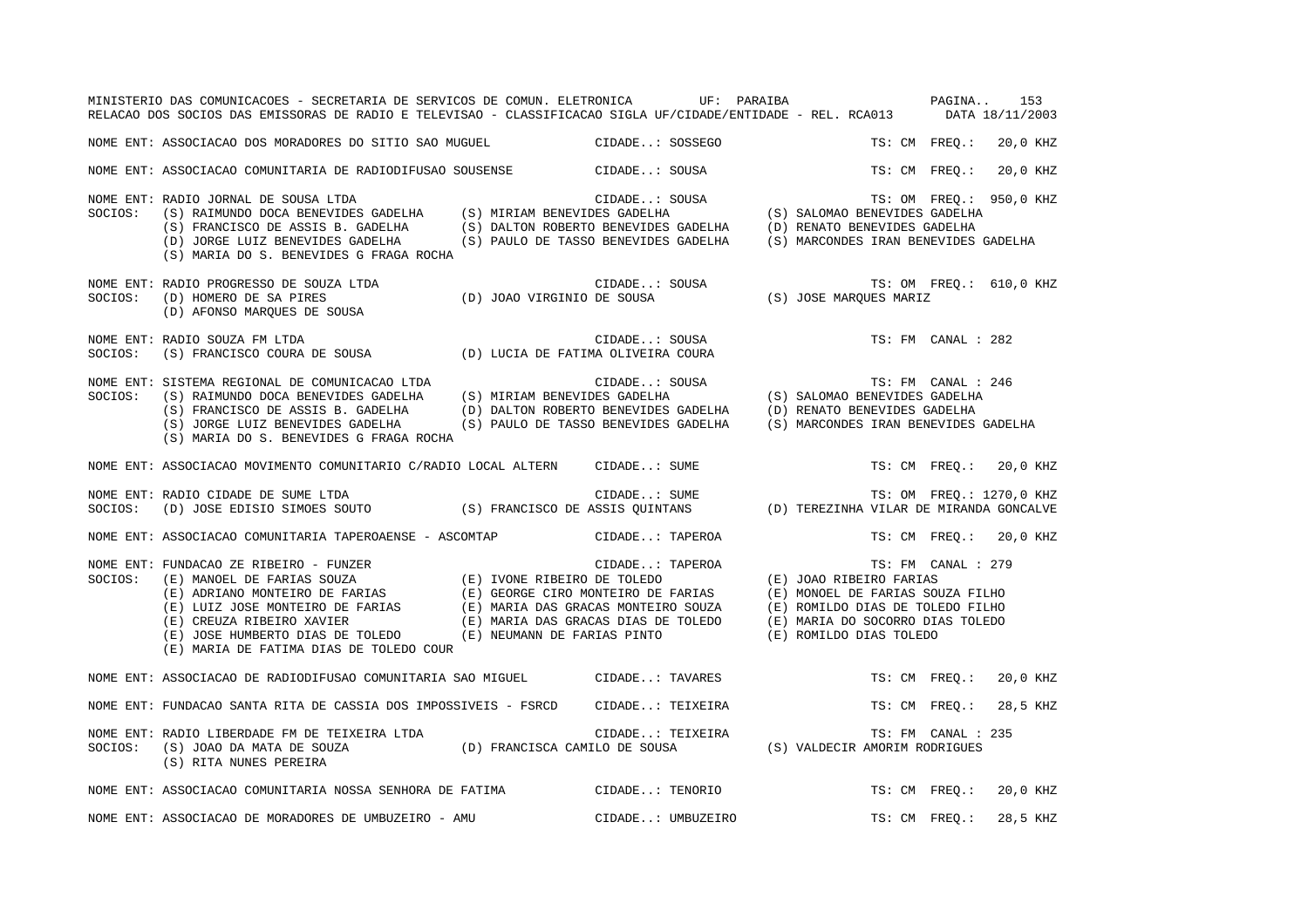|         | MINISTERIO DAS COMUNICACOES - SECRETARIA DE SERVICOS DE COMUN. ELETRONICA UF: PARAIBA PAGINA<br>RELACAO DOS SOCIOS DAS EMISSORAS DE RADIO E TELEVISAO - CLASSIFICACAO SIGLA UF/CIDADE/ENTIDADE - REL. RCA013 DATA 18/11/2003                                                                                                                                                                                                                                                                                                                   |                                                                                                    |                                      |               |                    | 153                     |
|---------|------------------------------------------------------------------------------------------------------------------------------------------------------------------------------------------------------------------------------------------------------------------------------------------------------------------------------------------------------------------------------------------------------------------------------------------------------------------------------------------------------------------------------------------------|----------------------------------------------------------------------------------------------------|--------------------------------------|---------------|--------------------|-------------------------|
|         | NOME ENT: ASSOCIACAO DOS MORADORES DO SITIO SAO MUGUEL                                                                                                                                                                                                                                                                                                                                                                                                                                                                                         | CIDADE: SOSSEGO                                                                                    |                                      |               | TS: CM FREQ.:      | 20,0 KHZ                |
|         | NOME ENT: ASSOCIACAO COMUNITARIA DE RADIODIFUSAO SOUSENSE (CIDADE: SOUSA                                                                                                                                                                                                                                                                                                                                                                                                                                                                       |                                                                                                    |                                      | TS: CM FREO.: |                    | 20,0 KHZ                |
| SOCIOS: | RADIO JORNAL DE SOUSA LTDA<br>(S) RAIMUNDO DOCA BENEVIDES GADELHA (S) MIRIAM BENEVIDES GADELHA (S) SALOMAO BENEVIDES GADELHA<br>(S) FRANCISCO DE ASSIS B. GADELHA (S) DALTON ROBERTO BENEVIDES GADELHA (D) RENATO BENEVIDES GADELH<br>NOME ENT: RADIO JORNAL DE SOUSA LTDA<br>(D) JORGE LUIZ BENEVIDES GADELHA (S) PAULO DE TASSO BENEVIDES GADELHA<br>(S) MARIA DO S. BENEVIDES G FRAGA ROCHA                                                                                                                                                 |                                                                                                    | (S) MARCONDES IRAN BENEVIDES GADELHA |               |                    | TS: OM FREQ.: 950,0 KHZ |
| SOCIOS: | NOME ENT: RADIO PROGRESSO DE SOUZA LTDA<br>(D) HOMERO DE SA PIRES<br>(D) AFONSO MARQUES DE SOUSA                                                                                                                                                                                                                                                                                                                                                                                                                                               | A LTDA TS: OM F<br>(D) JOAO VIRGINIO DE SOUSA (S) JOSE MARQUES MARIZ<br>OUSA (S) OSE MARQUES MARIZ |                                      |               |                    | TS: OM FREQ.: 610,0 KHZ |
| SOCIOS: | NOME ENT: RADIO SOUZA FM LTDA<br>(S) FRANCISCO COURA DE SOUSA (D) LUCIA DE FATIMA OLIVEIRA COURA                                                                                                                                                                                                                                                                                                                                                                                                                                               | CIDADE: SOUSA                                                                                      |                                      |               | TS: FM CANAL : 282 |                         |
| SOCIOS: | TS: FM CANAL : SOUSA TS: FM CANAL : SOUSA TS: FM CANAL :<br>(S) RAIMUNDO DOCA BENEVIDES GADELHA (S) MIRIAM BENEVIDES GADELHA (S) SALOMAO BENEVIDES GADELHA<br>(S) FRANCISCO DE ASSIS B. GADELHA (D) DALTON DORRES RENEVIDES (S) SALO<br>NOME ENT: SISTEMA REGIONAL DE COMUNICACAO LTDA<br>(S) FRANCISCO DE ASSIS B. GADELHA (D) DALTON ROBERTO BENEVIDES GADELHA (D) RENATO BENEVIDES GADELHA<br>(S) JORGE LUIZ BENEVIDES GADELHA (S) PAULO DE TASSO BENEVIDES GADELHA (S) MARCONDES IRAN BENEVIDES<br>(S) MARIA DO S. BENEVIDES G FRAGA ROCHA |                                                                                                    | (S) MARCONDES IRAN BENEVIDES GADELHA |               | TS: FM CANAL : 246 |                         |
|         | NOME ENT: ASSOCIACAO MOVIMENTO COMUNITARIO C/RADIO LOCAL ALTERN CIDADE: SUME                                                                                                                                                                                                                                                                                                                                                                                                                                                                   |                                                                                                    |                                      |               |                    | TS: CM FREO.: 20,0 KHZ  |
| SOCIOS: | RADIO CIDADE DE SUME LTDA<br>(D) JOSE EDISIO SIMOES SOUTO (S) FRANCISCO DE ASSIS QUINTANS (D) TEREZINHA VILAR DE MIRANDA GONCALVE<br>NOME ENT: RADIO CIDADE DE SUME LTDA                                                                                                                                                                                                                                                                                                                                                                       |                                                                                                    |                                      |               |                    |                         |
|         | NOME ENT: ASSOCIACAO COMUNITARIA TAPEROAENSE - ASCOMTAP                                                                                                                                                                                                                                                                                                                                                                                                                                                                                        | CIDADE: TAPEROA                                                                                    |                                      |               |                    | TS: CM FREQ.: 20,0 KHZ  |
|         | NOME ENT: FUNDACAO ZE RIBEIRO – FUNZER<br>SOCIOS: (E) MANOEL DE FARIAS SOUZA (E) IVONE RIBEIRO DE TOLEDO (E) JOAO RIBEIRO FARIAS<br>(E) ADRIANO MONTEIRO DE FARIAS (E) GEORGE CIRO MONTEIRO DE FARIAS (E) MONOEL DE FARIAS SOUZA F<br>(E) MARIA DE FATIMA DIAS DE TOLEDO COUR                                                                                                                                                                                                                                                                  |                                                                                                    |                                      |               | TS: FM CANAL : 279 |                         |
|         | NOME ENT: ASSOCIACAO DE RADIODIFUSAO COMUNITARIA SAO MIGUEL CIDADE: TAVARES                                                                                                                                                                                                                                                                                                                                                                                                                                                                    |                                                                                                    |                                      |               | TS: CM FREO.:      | 20,0 KHZ                |
|         | NOME ENT: FUNDACAO SANTA RITA DE CASSIA DOS IMPOSSIVEIS - FSRCD CIDADE: TEIXEIRA                                                                                                                                                                                                                                                                                                                                                                                                                                                               |                                                                                                    |                                      | TS: CM FREQ.: |                    | 28,5 KHZ                |
| SOCIOS: | NOME ENT: RADIO LIBERDADE FM DE TEIXEIRA LTDA<br>(S) JOAO DA MATA DE SOUZA (D) FRANCISCA CAMILO DE SOUSA (S) VALDECIR AMORIM RODRIGUES<br>(S) RITA NUNES PEREIRA                                                                                                                                                                                                                                                                                                                                                                               | CIDADE: TEIXEIRA                                                                                   |                                      |               | TS: FM CANAL : 235 |                         |
|         | NOME ENT: ASSOCIACAO COMUNITARIA NOSSA SENHORA DE FATIMA CIDADE: TENORIO                                                                                                                                                                                                                                                                                                                                                                                                                                                                       |                                                                                                    |                                      | TS: CM FREO.: |                    | 20,0 KHZ                |
|         | NOME ENT: ASSOCIACAO DE MORADORES DE UMBUZEIRO - AMU                                                                                                                                                                                                                                                                                                                                                                                                                                                                                           | CIDADE: UMBUZEIRO                                                                                  |                                      | TS: CM FREQ.: |                    | 28,5 KHZ                |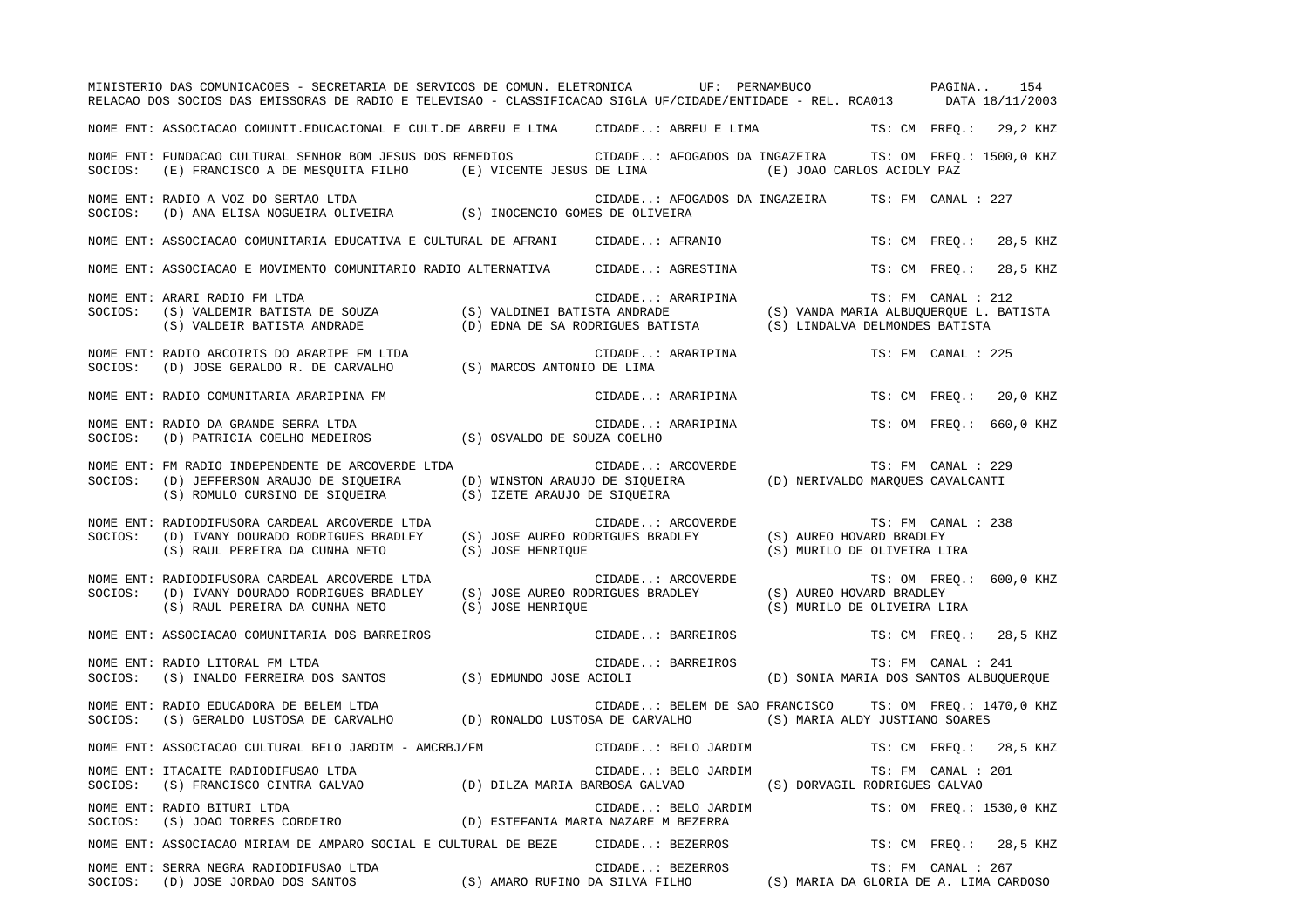|         | MINISTERIO DAS COMUNICACOES - SECRETARIA DE SERVICOS DE COMUN. ELETRONICA UF: PERNAMBUCO<br>RELACAO DOS SOCIOS DAS EMISSORAS DE RADIO E TELEVISAO - CLASSIFICACAO SIGLA UF/CIDADE/ENTIDADE - REL. RCA013 DATA 18/11/2003 |                                                                |                                                                                      |                                                         | PAGINA<br>154             |
|---------|--------------------------------------------------------------------------------------------------------------------------------------------------------------------------------------------------------------------------|----------------------------------------------------------------|--------------------------------------------------------------------------------------|---------------------------------------------------------|---------------------------|
|         | NOME ENT: ASSOCIACAO COMUNIT.EDUCACIONAL E CULT.DE ABREU E LIMA      CIDADE: ABREU E LIMA                                                                                                                                |                                                                |                                                                                      |                                                         | TS: CM FREO.: 29,2 KHZ    |
| SOCIOS: | NOME ENT: FUNDACAO CULTURAL SENHOR BOM JESUS DOS REMEDIOS (CIDADE: AFOGADOS DA INGAZEIRA TS: OM FREQ.: 1500,0 KHZ<br>(E) FRANCISCO A DE MESOUITA FILHO (E) VICENTE JESUS DE LIMA                                         |                                                                |                                                                                      | (E) JOAO CARLOS ACIOLY PAZ                              |                           |
| SOCIOS: | NOME ENT: RADIO A VOZ DO SERTAO LTDA<br>(D) ANA ELISA NOGUEIRA OLIVEIRA (S) INOCENCIO GOMES DE OLIVEIRA                                                                                                                  |                                                                | CIDADE: AFOGADOS DA INGAZEIRA                                                        |                                                         | TS: FM CANAL : 227        |
|         | NOME ENT: ASSOCIACAO COMUNITARIA EDUCATIVA E CULTURAL DE AFRANI                                                                                                                                                          |                                                                | CIDADE: AFRANIO                                                                      |                                                         | TS: CM FREQ.: 28,5 KHZ    |
|         | NOME ENT: ASSOCIACAO E MOVIMENTO COMUNITARIO RADIO ALTERNATIVA                                                                                                                                                           |                                                                | CIDADE: AGRESTINA                                                                    |                                                         | 28,5 KHZ<br>TS: CM FREQ.: |
| SOCIOS: | NOME ENT: ARARI RADIO FM LTDA<br>(S) VALDEMIR BATISTA DE SOUZA (S) VALDINEI BATISTA ANDRADE<br>(S) VALDEIR BATISTA ANDRADE                                                                                               |                                                                | CIDADE: ARARIPINA<br>(D) EDNA DE SA RODRIGUES BATISTA (S) LINDALVA DELMONDES BATISTA | (S) VANDA MARIA ALBUQUERQUE L. BATISTA                  | TS: FM CANAL : 212        |
| SOCIOS: | NOME ENT: RADIO ARCOIRIS DO ARARIPE FM LTDA<br>(D) JOSE GERALDO R. DE CARVALHO (S) MARCOS ANTONIO DE LIMA                                                                                                                |                                                                | CIDADE: ARARIPINA                                                                    |                                                         | TS: FM CANAL : 225        |
|         | NOME ENT: RADIO COMUNITARIA ARARIPINA FM                                                                                                                                                                                 |                                                                | CIDADE: ARARIPINA                                                                    |                                                         | TS: CM FREO.:<br>20,0 KHZ |
| SOCIOS: | NOME ENT: RADIO DA GRANDE SERRA LTDA<br>(D) PATRICIA COELHO MEDEIROS (S) OSVALDO DE SOUZA COELHO                                                                                                                         |                                                                | CIDADE: ARARIPINA                                                                    |                                                         | TS: OM FREO.: 660,0 KHZ   |
| SOCIOS: | NOME ENT: FM RADIO INDEPENDENTE DE ARCOVERDE LTDA<br>(D) JEFFERSON ARAUJO DE SIOUEIRA<br>(S) ROMULO CURSINO DE SIQUEIRA                                                                                                  | (D) WINSTON ARAUJO DE SIOUEIRA<br>(S) IZETE ARAUJO DE SIQUEIRA | CIDADE: ARCOVERDE                                                                    | (D) NERIVALDO MARQUES CAVALCANTI                        | TS: FM CANAL : 229        |
| SOCIOS: | NOME ENT: RADIODIFUSORA CARDEAL ARCOVERDE LTDA<br>(D) IVANY DOURADO RODRIGUES BRADLEY<br>(S) RAUL PEREIRA DA CUNHA NETO                                                                                                  | (S) JOSE HENRIQUE                                              | CIDADE: ARCOVERDE<br>(S) JOSE AUREO RODRIGUES BRADLEY                                | (S) AUREO HOVARD BRADLEY<br>(S) MURILO DE OLIVEIRA LIRA | TS: FM CANAL : 238        |
| SOCIOS: | NOME ENT: RADIODIFUSORA CARDEAL ARCOVERDE LTDA<br>(D) IVANY DOURADO RODRIGUES BRADLEY<br>(S) RAUL PEREIRA DA CUNHA NETO                                                                                                  | (S) JOSE AUREO RODRIGUES BRADLEY<br>(S) JOSE HENRIQUE          | CIDADE: ARCOVERDE                                                                    | (S) AUREO HOVARD BRADLEY<br>(S) MURILO DE OLIVEIRA LIRA | TS: OM FREQ.: 600,0 KHZ   |
|         | NOME ENT: ASSOCIACAO COMUNITARIA DOS BARREIROS                                                                                                                                                                           |                                                                | CIDADE: BARREIROS                                                                    |                                                         | TS: CM FREO.:<br>28,5 KHZ |
| SOCIOS: | NOME ENT: RADIO LITORAL FM LTDA<br>(S) INALDO FERREIRA DOS SANTOS (S) EDMUNDO JOSE ACIOLI                                                                                                                                |                                                                | CIDADE: BARREIROS                                                                    | (D) SONIA MARIA DOS SANTOS ALBUQUERQUE                  | TS: FM CANAL : 241        |
| SOCIOS: | NOME ENT: RADIO EDUCADORA DE BELEM LTDA<br>(S) GERALDO LUSTOSA DE CARVALHO (D) RONALDO LUSTOSA DE CARVALHO (S) MARIA ALDY JUSTIANO SOARES                                                                                |                                                                | CIDADE: BELEM DE SAO FRANCISCO TS: OM FREQ.: 1470,0 KHZ                              |                                                         |                           |
|         | NOME ENT: ASSOCIACAO CULTURAL BELO JARDIM - AMCRBJ/FM                                                                                                                                                                    |                                                                | CIDADE: BELO JARDIM                                                                  |                                                         | TS: CM FREQ.: 28,5 KHZ    |
| SOCIOS: | NOME ENT: ITACAITE RADIODIFUSAO LTDA<br>(S) FRANCISCO CINTRA GALVAO (D) DILZA MARIA BARBOSA GALVAO                                                                                                                       |                                                                | CIDADE: BELO JARDIM                                                                  | (S) DORVAGIL RODRIGUES GALVAO                           | TS: FM CANAL : 201        |
| SOCIOS: | NOME ENT: RADIO BITURI LTDA<br>(S) JOAO TORRES CORDEIRO                                                                                                                                                                  |                                                                | CIDADE: BELO JARDIM<br>(D) ESTEFANIA MARIA NAZARE M BEZERRA                          |                                                         | TS: OM FREQ.: 1530,0 KHZ  |
|         | NOME ENT: ASSOCIACAO MIRIAM DE AMPARO SOCIAL E CULTURAL DE BEZE                                                                                                                                                          |                                                                | CIDADE: BEZERROS                                                                     |                                                         | TS: CM FREO.: 28,5 KHZ    |
| SOCIOS: | NOME ENT: SERRA NEGRA RADIODIFUSAO LTDA<br>(D) JOSE JORDAO DOS SANTOS                                                                                                                                                    | (S) AMARO RUFINO DA SILVA FILHO                                | CIDADE: BEZERROS                                                                     | (S) MARIA DA GLORIA DE A. LIMA CARDOSO                  | TS: FM CANAL : 267        |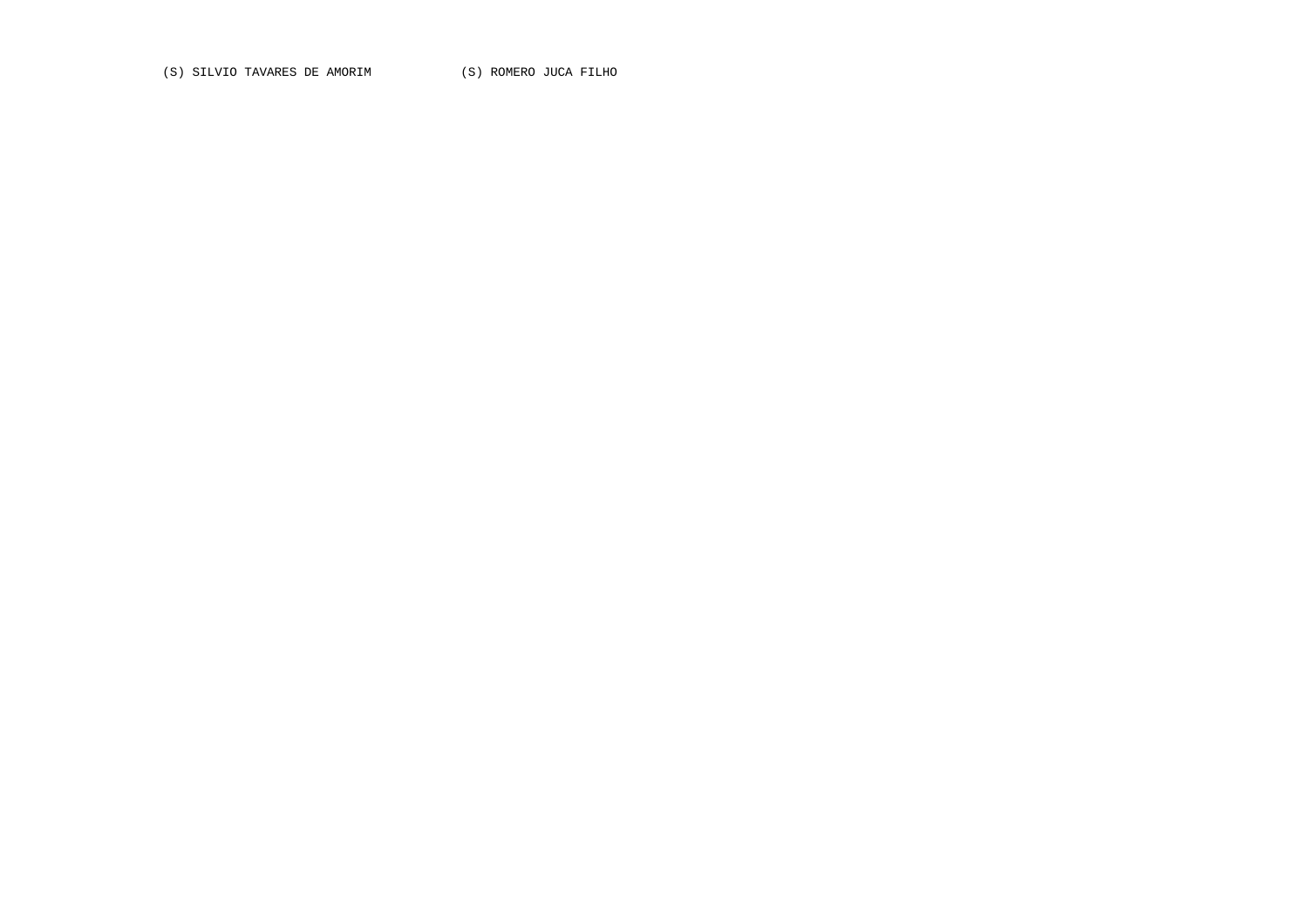(S) SILVIO TAVARES DE AMORIM (S) ROMERO JUCA FILHO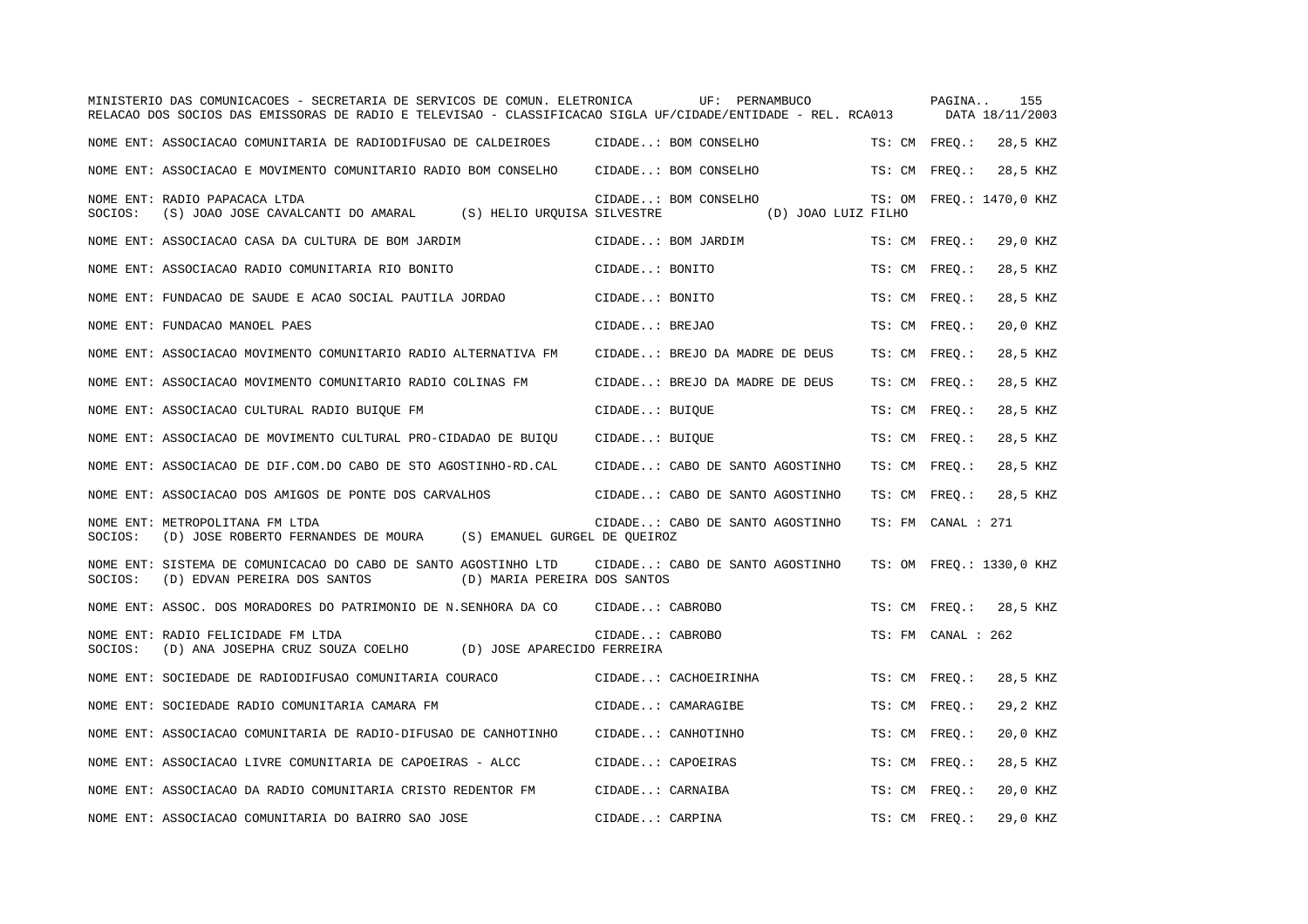|         | MINISTERIO DAS COMUNICACOES - SECRETARIA DE SERVICOS DE COMUN. ELETRONICA<br>RELACAO DOS SOCIOS DAS EMISSORAS DE RADIO E TELEVISAO - CLASSIFICACAO SIGLA UF/CIDADE/ENTIDADE - REL. RCA013 |                   | UF: PERNAMBUCO                              | PAGINA             | 155<br>DATA 18/11/2003   |
|---------|-------------------------------------------------------------------------------------------------------------------------------------------------------------------------------------------|-------------------|---------------------------------------------|--------------------|--------------------------|
|         | NOME ENT: ASSOCIACAO COMUNITARIA DE RADIODIFUSAO DE CALDEIROES                                                                                                                            |                   | CIDADE: BOM CONSELHO                        | TS: CM FREQ.:      | 28,5 KHZ                 |
|         | NOME ENT: ASSOCIACAO E MOVIMENTO COMUNITARIO RADIO BOM CONSELHO                                                                                                                           |                   | CIDADE: BOM CONSELHO                        | TS: CM FREO.:      | 28,5 KHZ                 |
| SOCIOS: | NOME ENT: RADIO PAPACACA LTDA<br>(S) JOAO JOSE CAVALCANTI DO AMARAL (S) HELIO UROUISA SILVESTRE                                                                                           |                   | CIDADE: BOM CONSELHO<br>(D) JOAO LUIZ FILHO |                    | TS: OM FREO.: 1470,0 KHZ |
|         | NOME ENT: ASSOCIACAO CASA DA CULTURA DE BOM JARDIM                                                                                                                                        |                   | CIDADE: BOM JARDIM                          | TS: CM FREQ.:      | 29,0 KHZ                 |
|         | NOME ENT: ASSOCIACAO RADIO COMUNITARIA RIO BONITO                                                                                                                                         | CIDADE: BONITO    |                                             | TS: CM FREO.:      | 28,5 KHZ                 |
|         | NOME ENT: FUNDACAO DE SAUDE E ACAO SOCIAL PAUTILA JORDAO                                                                                                                                  | CIDADE: BONITO    |                                             | TS: CM FREO.:      | 28,5 KHZ                 |
|         | NOME ENT: FUNDACAO MANOEL PAES                                                                                                                                                            | CIDADE: BREJAO    |                                             | TS: CM FREQ.:      | 20,0 KHZ                 |
|         | NOME ENT: ASSOCIACAO MOVIMENTO COMUNITARIO RADIO ALTERNATIVA FM                                                                                                                           |                   | CIDADE: BREJO DA MADRE DE DEUS              | TS: CM FREQ.:      | 28,5 KHZ                 |
|         | NOME ENT: ASSOCIACAO MOVIMENTO COMUNITARIO RADIO COLINAS FM                                                                                                                               |                   | CIDADE: BREJO DA MADRE DE DEUS              | TS: CM FREO.:      | 28,5 KHZ                 |
|         | NOME ENT: ASSOCIACAO CULTURAL RADIO BUIQUE FM                                                                                                                                             | CIDADE: BUIOUE    |                                             | TS: CM FREO.:      | 28,5 KHZ                 |
|         | NOME ENT: ASSOCIACAO DE MOVIMENTO CULTURAL PRO-CIDADAO DE BUIQU                                                                                                                           | CIDADE: BUIQUE    |                                             | TS: CM FREO.:      | 28,5 KHZ                 |
|         | NOME ENT: ASSOCIACAO DE DIF.COM.DO CABO DE STO AGOSTINHO-RD.CAL                                                                                                                           |                   | CIDADE: CABO DE SANTO AGOSTINHO             | TS: CM FREQ.:      | 28,5 KHZ                 |
|         | NOME ENT: ASSOCIACAO DOS AMIGOS DE PONTE DOS CARVALHOS                                                                                                                                    |                   | CIDADE: CABO DE SANTO AGOSTINHO             | TS: CM FREO.:      | 28,5 KHZ                 |
| SOCIOS: | NOME ENT: METROPOLITANA FM LTDA<br>(D) JOSE ROBERTO FERNANDES DE MOURA (S) EMANUEL GURGEL DE QUEIROZ                                                                                      |                   | CIDADE: CABO DE SANTO AGOSTINHO             | TS: FM CANAL : 271 |                          |
| SOCIOS: | NOME ENT: SISTEMA DE COMUNICACAO DO CABO DE SANTO AGOSTINHO LTD<br>(D) EDVAN PEREIRA DOS SANTOS<br>(D) MARIA PEREIRA DOS SANTOS                                                           |                   | CIDADE: CABO DE SANTO AGOSTINHO             |                    | TS: OM FREQ.: 1330,0 KHZ |
|         | NOME ENT: ASSOC. DOS MORADORES DO PATRIMONIO DE N.SENHORA DA CO                                                                                                                           | CIDADE: CABROBO   |                                             | TS: CM FREO.:      | 28,5 KHZ                 |
| SOCIOS: | NOME ENT: RADIO FELICIDADE FM LTDA<br>(D) ANA JOSEPHA CRUZ SOUZA COELHO (D) JOSE APARECIDO FERREIRA                                                                                       | CIDADE: CABROBO   |                                             | TS: FM CANAL : 262 |                          |
|         | NOME ENT: SOCIEDADE DE RADIODIFUSAO COMUNITARIA COURACO                                                                                                                                   |                   | CIDADE: CACHOEIRINHA                        | TS: CM FREO.:      | 28,5 KHZ                 |
|         | NOME ENT: SOCIEDADE RADIO COMUNITARIA CAMARA FM                                                                                                                                           |                   | CIDADE: CAMARAGIBE                          | TS: CM FREO.:      | 29,2 KHZ                 |
|         | NOME ENT: ASSOCIACAO COMUNITARIA DE RADIO-DIFUSAO DE CANHOTINHO                                                                                                                           |                   | CIDADE: CANHOTINHO                          | TS: CM FREO.:      | 20,0 KHZ                 |
|         | NOME ENT: ASSOCIACAO LIVRE COMUNITARIA DE CAPOEIRAS - ALCC                                                                                                                                | CIDADE: CAPOEIRAS |                                             | TS: CM FREQ.:      | 28,5 KHZ                 |
|         | NOME ENT: ASSOCIACAO DA RADIO COMUNITARIA CRISTO REDENTOR FM                                                                                                                              | CIDADE: CARNAIBA  |                                             | TS: CM FREO.:      | 20,0 KHZ                 |
|         | NOME ENT: ASSOCIACAO COMUNITARIA DO BAIRRO SAO JOSE                                                                                                                                       | CIDADE: CARPINA   |                                             | TS: CM FREO.:      | 29,0 KHZ                 |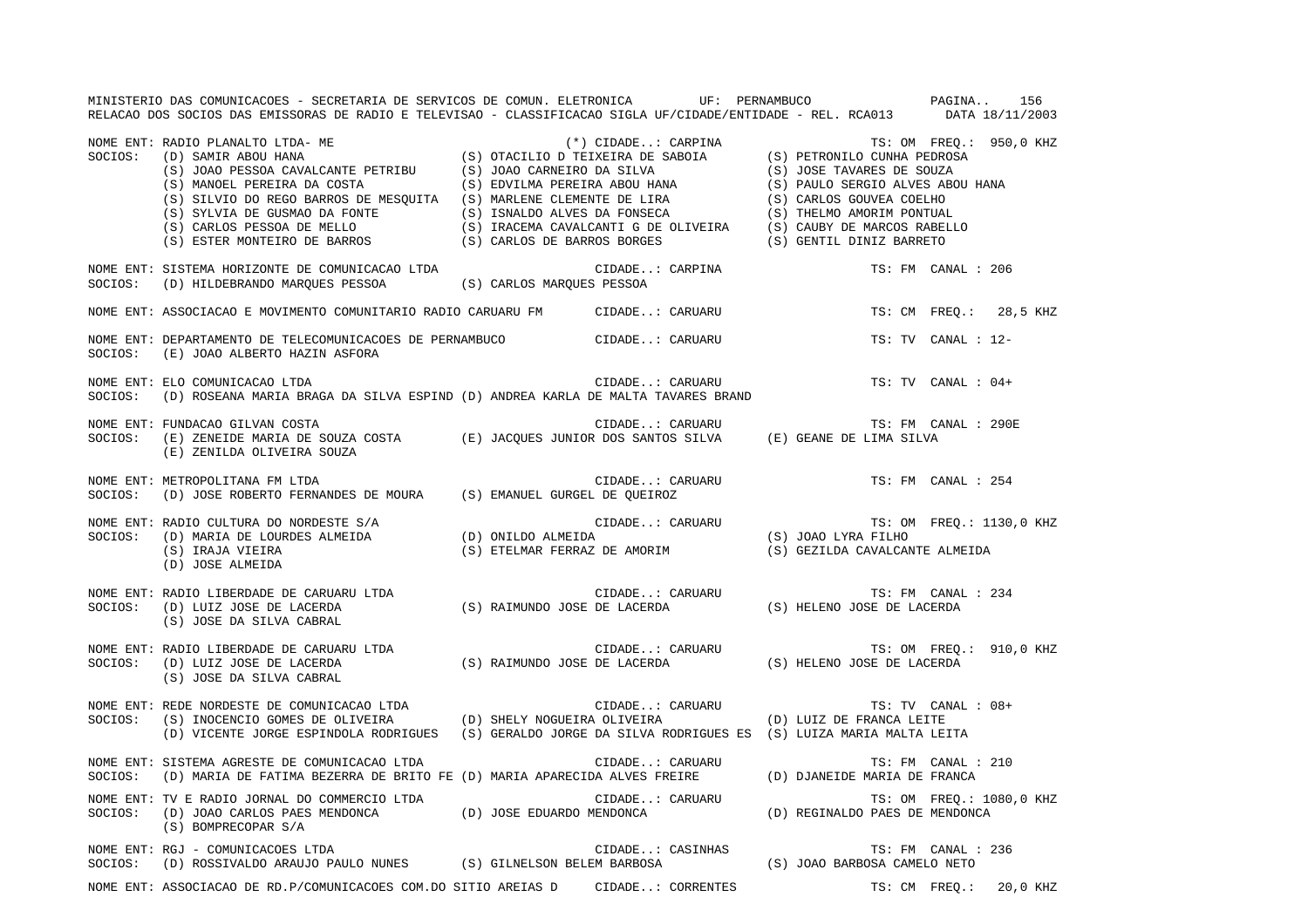MINISTERIO DAS COMUNICACOES - SECRETARIA DE SERVICOS DE COMUN. ELETRONICA UF: PERNAMBUCO PAGINA.. 156RELACAO DOS SOCIOS DAS EMISSORAS DE RADIO E TELEVISAO - CLASSIFICACAO SIGLA UF/CIDADE/ENTIDADE - REL. RCA013 DATA 18/11/2003 NOME ENT: RADIO PLANALTO LTDA- ME (\*) CIDADE..: CARPINA TS: OM FREQ.: 950,0 KHZ<br>SOCIOS: (D) SAMIR ABOU HANA (S) OTACILIO D TEIXEIRA DE SABOIA (S) PETRONILO CUNHA PEDROSA (S) OTACILIO D TEIXEIRA DE SABOIA (S) PETRONILO CUNHA PEDROSA (S) JOAO PESSOA CAVALCANTE PETRIBU (S) JOAO CARNEIRO DA SILVA (S) JOSE TAVARES DE SOUZA (S) MANOEL PEREIRA DA COSTA (S) EDVILMA PEREIRA ABOU HANA (S) PAULO SERGIO ALVES ABOU HANA (S) SILVIO DO REGO BARROS DE MESQUITA (S) MARLENE CLEMENTE DE LIRA (S) CARLOS GOUVEA COELHO (S) SYLVIA DE GUSMAO DA FONTE (S) ISNALDO ALVES DA FONSECA (S) THELMO AMORIM PONTUAL (S) CARLOS PESSOA DE MELLO (S) IRACEMA CAVALCANTI G DE OLIVEIRA (S) CAUBY DE MARCOS RABELLO (S) ESTER MONTEIRO DE BARROS (S) CARLOS DE BARROS BORGES (S) GENTIL DINIZ BARRETO NOME ENT: SISTEMA HORIZONTE DE COMUNICACAO LTDA CONTRA CIDADE... CARPINA CIDADE CIDADE TS: FM CANAL : 206 SOCIOS: (D) HILDEBRANDO MARQUES PESSOA (S) CARLOS MARQUES PESSOA NOME ENT: ASSOCIACAO E MOVIMENTO COMUNITARIO RADIO CARUARU FM CIDADE..: CARUARU TS: CM FREQ.: 28,5 KHZ NOME ENT: DEPARTAMENTO DE TELECOMUNICACOES DE PERNAMBUCO CIDADE..: CARUARU TS: TV CANAL : 12-SOCIOS: (E) JOAO ALBERTO HAZIN ASFORA NOME ENT: ELO COMUNICACAO LTDA CIDADE..: CARUARU TS: TV CANAL : 04+SOCIOS: (D) ROSEANA MARIA BRAGA DA SILVA ESPIND (D) ANDREA KARLA DE MALTA TAVARES BRAND NOME ENT: FUNDACAO GILVAN COSTA CIDADE..: CARUARU TS: FM CANAL : 290ESOCIOS: (E) ZENEIDE MARIA DE SOUZA COSTA (E) JACQUES JUNIOR DOS SANTOS SILVA (E) GEANE DE LIMA SILVA (E) ZENILDA OLIVEIRA SOUZA NOME ENT: METROPOLITANA FM LTDA CIDADE..: CARUARU TS: FM CANAL : 254 SOCIOS: (D) JOSE ROBERTO FERNANDES DE MOURA (S) EMANUEL GURGEL DE QUEIROZ NOME ENT: RADIO CULTURA DO NORDESTE S/A CIDADE..: CARUARU TS: OM FREQ.: 1130,0 KHZ SOCIOS: (D) MARIA DE LOURDES ALMEIDA (D) ONILDO ALMEIDA (S) JOAO LYRA FILHO (S) IRAJA VIEIRA (S) ETELMAR FERRAZ DE AMORIM (S) GEZILDA CAVALCANTE ALMEIDA (D) JOSE ALMEIDA NOME ENT: RADIO LIBERDADE DE CARUARU LTDA **ENTENTE EN SUBADE.**.. CARUARU **TESE EN SUBADE.**.. CARUARU TS: FM CANAL : 234 SOCIOS: (D) LUIZ JOSE DE LACERDA (S) RAIMUNDO JOSE DE LACERDA (S) HELENO JOSE DE LACERDA (S) JOSE DA SILVA CABRAL NOME ENT: RADIO LIBERDADE DE CARUARU LTDA CONSTRUITS CARUARU CIDADE..: CARUARU TS: OM FREQ.: 910,0 KHZ SOCIOS: (D) LUIZ JOSE DE LACERDA (S) RAIMUNDO JOSE DE LACERDA (S) HELENO JOSE DE LACERDA (S) JOSE DA SILVA CABRAL NOME ENT: REDE NORDESTE DE COMUNICACAO LTDA  $\blacksquare$  CIDADE..: CARUARU  $\blacksquare$  TS: TV CANAL : 08+ SOCIOS: (S) INOCENCIO GOMES DE OLIVEIRA (D) SHELY NOGUEIRA OLIVEIRA (D) LUIZ DE FRANCA LEITE (D) VICENTE JORGE ESPINDOLA RODRIGUES (S) GERALDO JORGE DA SILVA RODRIGUES ES (S) LUIZA MARIA MALTA LEITA NOME ENT: SISTEMA AGRESTE DE COMUNICACAO LTDA CIDADE..: CARUARU TS: FM CANAL : 210SOCIOS: (D) MARIA DE FATIMA BEZERRA DE BRITO FE (D) MARIA APARECIDA ALVES FREIRE (D) DJANEIDE MARIA DE FRANCA NOME ENT: TV E RADIO JORNAL DO COMMERCIO LTDA  $\blacksquare$  CIDADE..: CARUARU TS: OM FREQ.: 1080,0 KHZ SOCIOS: (D) JOAO CARLOS PAES MENDONCA (D) JOSE EDUARDO MENDONCA (D) REGINALDO PAES DE MENDONCA (S) BOMPRECOPAR S/A NOME ENT: RGJ - COMUNICACOES LTDA CIDADE..: CASINHAS TS: FM CANAL : 236 SOCIOS: (D) ROSSIVALDO ARAUJO PAULO NUNES (S) GILNELSON BELEM BARBOSA (S) JOAO BARBOSA CAMELO NETO NOME ENT: ASSOCIACAO DE RD.P/COMUNICACOES COM.DO SITIO AREIAS D CIDADE..: CORRENTES TS: CM FREQ.: 20,0 KHZ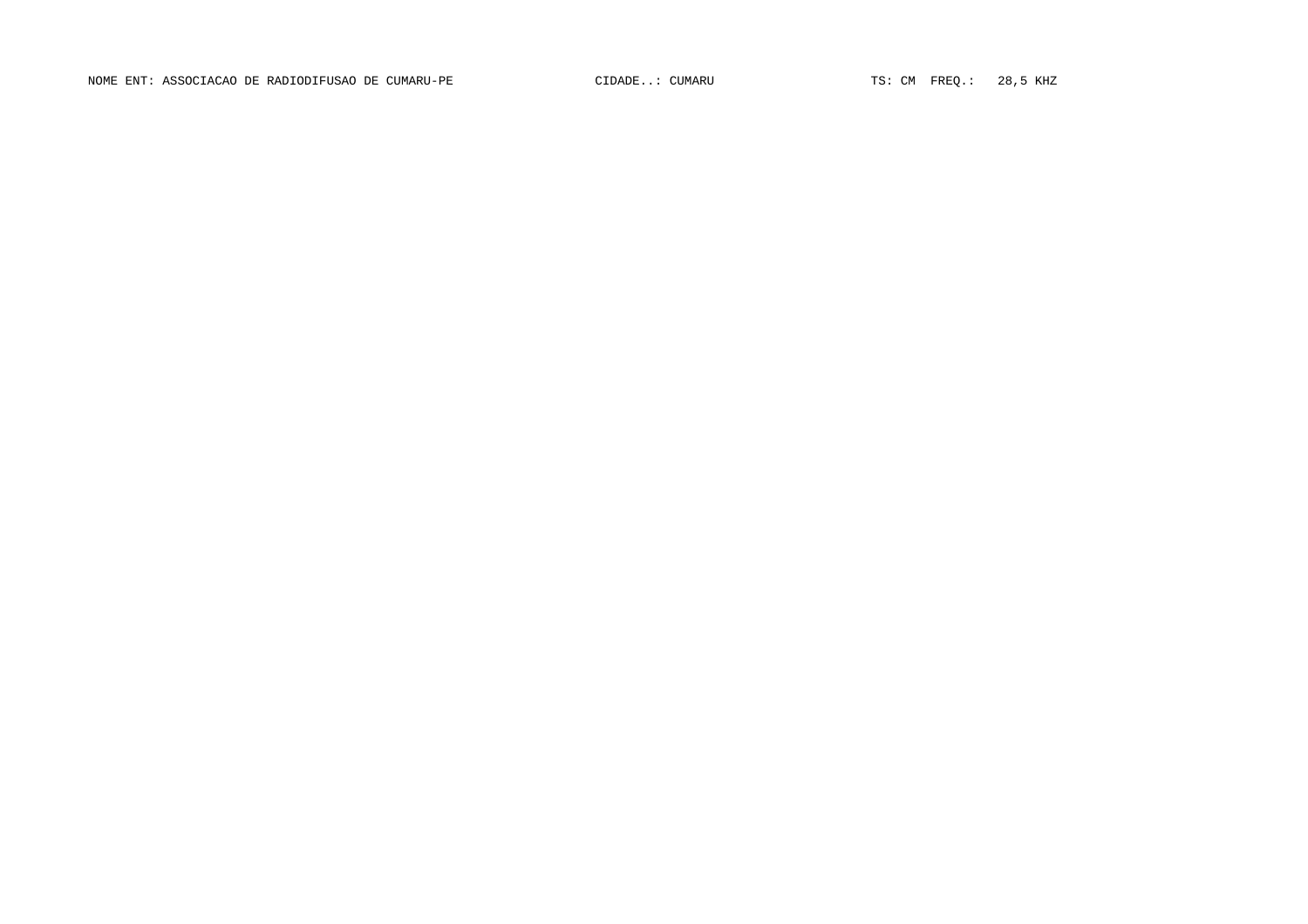NOME ENT: ASSOCIACAO DE RADIODIFUSAO DE CUMARU-PE CIDADE..: CUMARU CIDADE..: CUMARU TS: CM FREQ.: 28,5 KHZ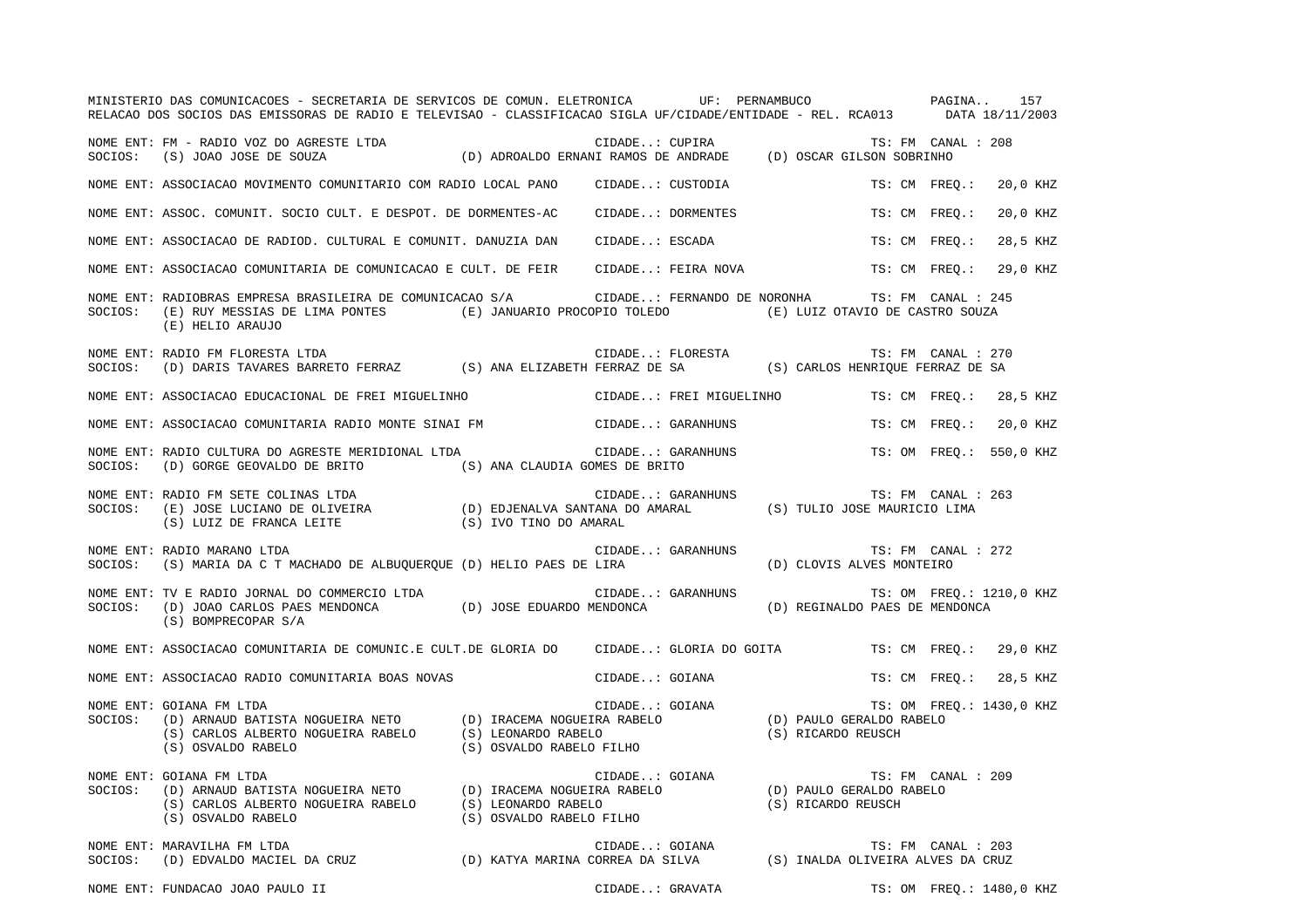|         | MINISTERIO DAS COMUNICACOES - SECRETARIA DE SERVICOS DE COMUN. ELETRONICA UF: PERNAMBUCO PAGINA 157<br>RELACAO DOS SOCIOS DAS EMISSORAS DE RADIO E TELEVISAO - CLASSIFICACAO SIGLA UF/CIDADE/ENTIDADE - REL. RCA013 DATA 18/11/2003                                                |                          |                |                             |                                                |                          |          |  |
|---------|------------------------------------------------------------------------------------------------------------------------------------------------------------------------------------------------------------------------------------------------------------------------------------|--------------------------|----------------|-----------------------------|------------------------------------------------|--------------------------|----------|--|
|         | NOME ENT: FM – RADIO VOZ DO AGRESTE LTDA<br>SOCIOS: (S) JOAO JOSE DE SOUZA (D) ADROALDO ERNANI RAMOS DE ANDRADE (D) OSCAR GILSON SOBRINHO                                                                                                                                          |                          |                |                             |                                                | TS: FM CANAL : 208       |          |  |
|         | NOME ENT: ASSOCIACAO MOVIMENTO COMUNITARIO COM RADIO LOCAL PANO CIDADE: CUSTODIA                                                                                                                                                                                                   |                          |                |                             |                                                | TS: CM FREO.:            | 20,0 KHZ |  |
|         | NOME ENT: ASSOC. COMUNIT. SOCIO CULT. E DESPOT. DE DORMENTES-AC                                                                                                                                                                                                                    |                          |                | CIDADE: DORMENTES           | TS: CM FREO.:                                  |                          | 20,0 KHZ |  |
|         | NOME ENT: ASSOCIACAO DE RADIOD. CULTURAL E COMUNIT. DANUZIA DAN                                                                                                                                                                                                                    |                          |                | CIDADE: ESCADA              | TS: CM FREO.:                                  |                          | 28,5 KHZ |  |
|         | NOME ENT: ASSOCIACAO COMUNITARIA DE COMUNICACAO E CULT. DE FEIR                                                                                                                                                                                                                    |                          |                | CIDADE: FEIRA NOVA          | TS: CM FREO.:                                  |                          | 29.0 KHZ |  |
| SOCIOS: | NOME ENT: RADIOBRAS EMPRESA BRASILEIRA DE COMUNICACAO S/A<br>(E) RUY MESSIAS DE LIMA PONTES (E) JANUARIO PROCOPIO TOLEDO (E) LUIZ OTAVIO DE CASTRO SOUZA<br>(E) HELIO ARAUJO                                                                                                       |                          |                | CIDADE: FERNANDO DE NORONHA |                                                | TS: FM CANAL : 245       |          |  |
|         | NOME ENT: RADIO FM FLORESTA LTDA<br>SOCIOS:   (D) DARIS TAVARES BARRETO FERRAZ            (S) ANA ELIZABETH FERRAZ DE SA              (S) CARLOS HENRIQUE FERRAZ DE SA                                                                                                             |                          |                |                             |                                                | TS: FM CANAL : 270       |          |  |
|         | NOME ENT: ASSOCIACAO EDUCACIONAL DE FREI MIGUELINHO                                                                                                                                                                                                                                |                          |                |                             | CIDADE: FREI MIGUELINHO TS: CM FREO.: 28,5 KHZ |                          |          |  |
|         | NOME ENT: ASSOCIACAO COMUNITARIA RADIO MONTE SINAI FM CIDADE: GARANHUNS                                                                                                                                                                                                            |                          |                |                             | TS: CM FREO.:                                  |                          | 20,0 KHZ |  |
| SOCIOS: | NOME ENT: RADIO CULTURA DO AGRESTE MERIDIONAL LTDA<br>(D) GORGE GEOVALDO DE BRITO (S) ANA CLAUDIA GOMES DE BRITO                                                                                                                                                                   |                          |                | CIDADE: GARANHUNS           |                                                | TS: OM FREQ.: 550,0 KHZ  |          |  |
| SOCIOS: | התובר של CIDADE: GARANHUNS TS: FM CANAL (E) JOSE LUCIANO DE OLIVEIRA (D) EDJENALVA SANTANA DO AMARAL (S) TULIO JOSE MAURICIO LIMA<br>(S) LUIZ DE FRANCA LEITE (S) IVO TINO DO AMARAL (S) AND MARAL (S) TULIO JOSE MAURICIO LIM<br>NOME ENT: RADIO FM SETE COLINAS LTDA             |                          |                |                             |                                                | TS: FM CANAL : 263       |          |  |
| SOCIOS: | NOME ENT: RADIO MARANO LTDA<br>(S) MARIA DA C T MACHADO DE ALBUQUERQUE (D) HELIO PAES DE LIRA                                                                                                                                                                                      |                          |                | CIDADE: GARANHUNS           | (D) CLOVIS ALVES MONTEIRO                      | TS: FM CANAL : 272       |          |  |
|         | NOME ENT: TV E RADIO JORNAL DO COMMERCIO LTDA<br>SOCIOS: (D) JOAO CARLOS PAES MENDONCA (D) JOSE EDUARDO MENDONCA<br>(S) BOMPRECOPAR S/A                                                                                                                                            |                          |                | CIDADE: GARANHUNS           | (D) REGINALDO PAES DE MENDONCA                 | TS: OM FREO.: 1210,0 KHZ |          |  |
|         | NOME ENT: ASSOCIACAO COMUNITARIA DE COMUNIC.E CULT.DE GLORIA DO CIDADE: GLORIA DO GOITA                                                                                                                                                                                            |                          |                |                             | TS: CM FREO.: 29,0 KHZ                         |                          |          |  |
|         | NOME ENT: ASSOCIACAO RADIO COMUNITARIA BOAS NOVAS                                                                                                                                                                                                                                  |                          | CIDADE: GOIANA |                             |                                                | TS: CM FREO.:            | 28,5 KHZ |  |
| SOCIOS: | UDADE: GOIANA TRI UNA TRI TRI ON FRE<br>(D) ARNAUD BATISTA NOGUEIRA NETO (D) IRACEMA NOGUEIRA RABELO (D) PAULO GERALDO RABELO<br>(S) CARLOS ALBERTO NOGUEIRA RABELO (S) LEONARDO RABELO (S) CARLOS ALBERTO NOGUEIRA RABELO (S) C<br>NOME ENT: GOIANA FM LTDA<br>(S) OSVALDO RABELO | (S) OSVALDO RABELO FILHO |                |                             |                                                | TS: OM FREQ.: 1430,0 KHZ |          |  |
| SOCIOS: | CIDADE: GOIANA (D) ARNAUD BATISTA NOGUEIRA NETO (D) IRACEMA NOGUEIRA RABELO (D) ORNAUD BATISTA NOGUEIRA RABELO (S) LEONARDO RABELO (S) OSVALDO RABELO (S) OSVALDO RABELO (S) OSVALDO RABELO (S) OSVALDO RABELO (S) OSVALDO R<br>NOME ENT: GOIANA FM LTDA                           |                          |                |                             |                                                | TS: FM CANAL : 209       |          |  |
| SOCIOS: | NOME ENT: MARAVILHA FM LTDA                                                                                                                                                                                                                                                        |                          |                |                             |                                                |                          |          |  |

NOME ENT: FUNDACAO JOAO PAULO II CIDADE..: GRAVATA TS: OM FREQ.: 1480,0 KHZ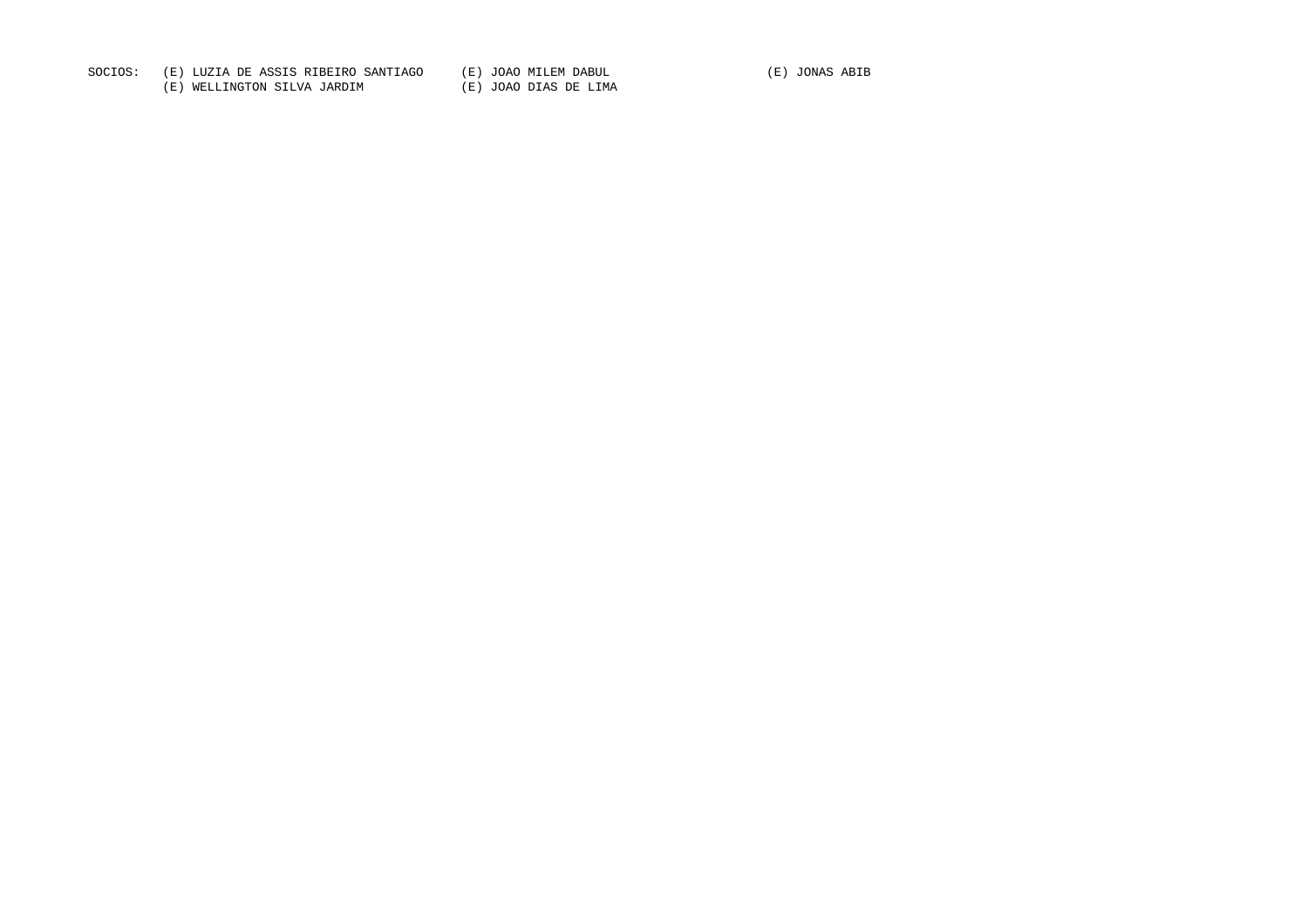SOCIOS: (E) LUZIA DE ASSIS RIBEIRO SANTIAGO (E) JOAO MILEM DABUL (E) JONAS ABIB

(E) WELLINGTON SILVA JARDIM (E) JOAO DIAS DE LIMA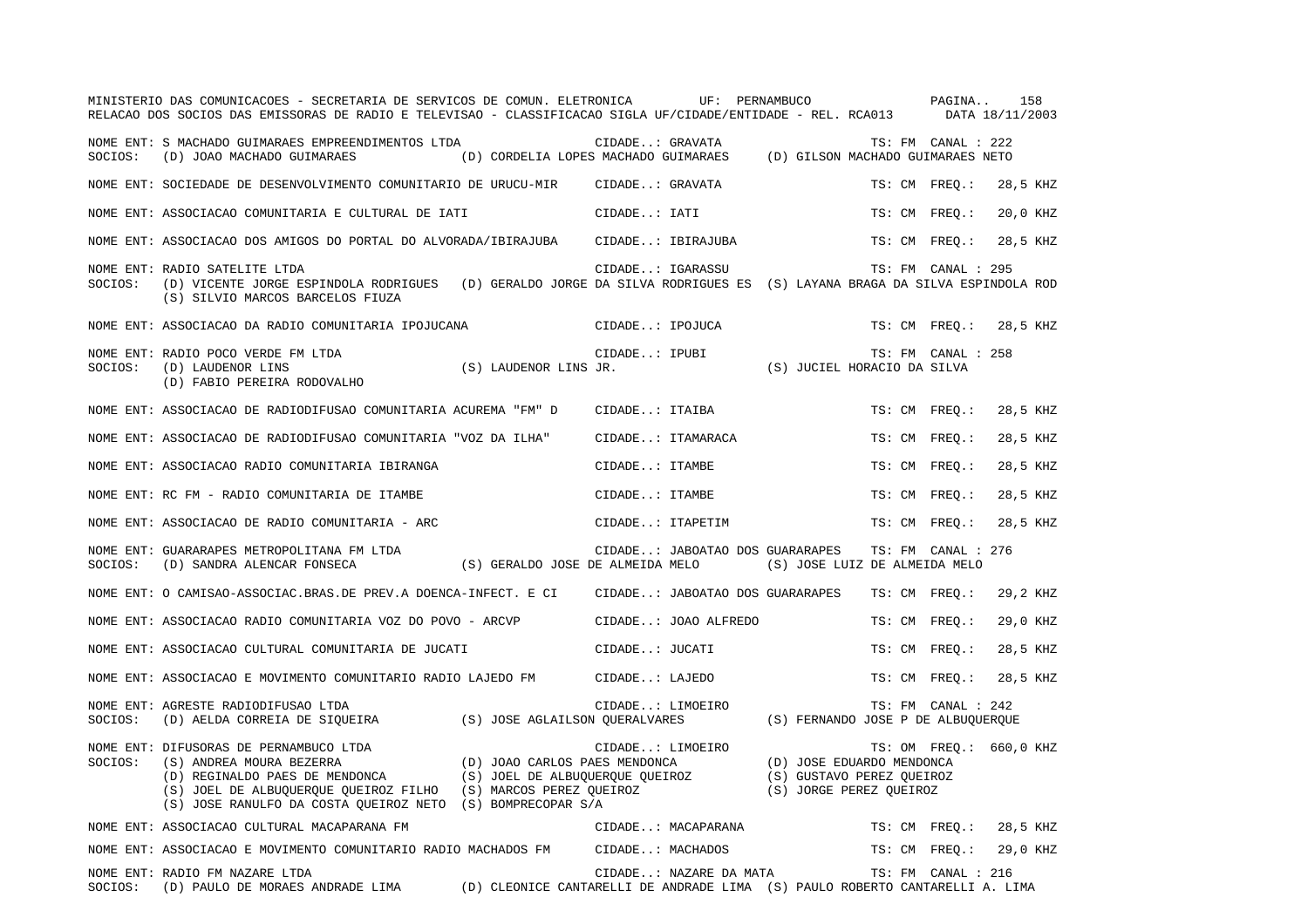|         | MINISTERIO DAS COMUNICACOES - SECRETARIA DE SERVICOS DE COMUN. ELETRONICA<br>RELACAO DOS SOCIOS DAS EMISSORAS DE RADIO E TELEVISAO - CLASSIFICACAO SIGLA UF/CIDADE/ENTIDADE - REL. RCA013                                            |                                                                  |                  | UF: PERNAMBUCO                  |                                                                                   |        | PAGINA<br>DATA 18/11/2003 | 158      |
|---------|--------------------------------------------------------------------------------------------------------------------------------------------------------------------------------------------------------------------------------------|------------------------------------------------------------------|------------------|---------------------------------|-----------------------------------------------------------------------------------|--------|---------------------------|----------|
| SOCIOS: | NOME ENT: S MACHADO GUIMARAES EMPREENDIMENTOS LTDA<br>(D) JOAO MACHADO GUIMARAES                                                                                                                                                     | (D) CORDELIA LOPES MACHADO GUIMARAES                             | CIDADE: GRAVATA  |                                 | (D) GILSON MACHADO GUIMARAES NETO                                                 |        | TS: FM CANAL : 222        |          |
|         | NOME ENT: SOCIEDADE DE DESENVOLVIMENTO COMUNITARIO DE URUCU-MIR                                                                                                                                                                      |                                                                  | CIDADE: GRAVATA  |                                 |                                                                                   |        | TS: CM FREO.:             | 28,5 KHZ |
|         | NOME ENT: ASSOCIACAO COMUNITARIA E CULTURAL DE IATI                                                                                                                                                                                  |                                                                  | CIDADE: IATI     |                                 |                                                                                   |        | TS: CM FREO.:             | 20,0 KHZ |
|         | NOME ENT: ASSOCIACAO DOS AMIGOS DO PORTAL DO ALVORADA/IBIRAJUBA                                                                                                                                                                      |                                                                  |                  | CIDADE: IBIRAJUBA               |                                                                                   | TS: CM | $\tt FREO.$ :             | 28,5 KHZ |
| SOCIOS: | NOME ENT: RADIO SATELITE LTDA<br>(D) VICENTE JORGE ESPINDOLA RODRIGUES (D) GERALDO JORGE DA SILVA RODRIGUES ES (S) LAYANA BRAGA DA SILVA ESPINDOLA ROD<br>(S) SILVIO MARCOS BARCELOS FIUZA                                           |                                                                  | CIDADE: IGARASSU |                                 |                                                                                   |        | TS: FM CANAL : 295        |          |
|         | NOME ENT: ASSOCIACAO DA RADIO COMUNITARIA IPOJUCANA                                                                                                                                                                                  |                                                                  | CIDADE: IPOJUCA  |                                 |                                                                                   |        | TS: CM FREQ.:             | 28,5 KHZ |
| SOCIOS: | NOME ENT: RADIO POCO VERDE FM LTDA<br>(D) LAUDENOR LINS<br>(D) FABIO PEREIRA RODOVALHO                                                                                                                                               | (S) LAUDENOR LINS JR.                                            | CIDADE: IPUBI    |                                 | (S) JUCIEL HORACIO DA SILVA                                                       |        | TS: FM CANAL : 258        |          |
|         | NOME ENT: ASSOCIACAO DE RADIODIFUSAO COMUNITARIA ACUREMA "FM" D                                                                                                                                                                      |                                                                  | CIDADE: ITAIBA   |                                 |                                                                                   |        | TS: CM FREO.:             | 28,5 KHZ |
|         | NOME ENT: ASSOCIACAO DE RADIODIFUSAO COMUNITARIA "VOZ DA ILHA"                                                                                                                                                                       |                                                                  |                  | CIDADE: ITAMARACA               |                                                                                   |        | TS: CM FREO.:             | 28,5 KHZ |
|         | NOME ENT: ASSOCIACAO RADIO COMUNITARIA IBIRANGA                                                                                                                                                                                      |                                                                  | CIDADE: ITAMBE   |                                 |                                                                                   |        | TS: CM FREO.:             | 28,5 KHZ |
|         | NOME ENT: RC FM - RADIO COMUNITARIA DE ITAMBE                                                                                                                                                                                        |                                                                  | CIDADE: ITAMBE   |                                 |                                                                                   | TS: CM | $FREO$ .:                 | 28,5 KHZ |
|         | NOME ENT: ASSOCIACAO DE RADIO COMUNITARIA - ARC                                                                                                                                                                                      |                                                                  | CIDADE: ITAPETIM |                                 |                                                                                   | TS: CM | $FREO.$ :                 | 28,5 KHZ |
| SOCIOS: | NOME ENT: GUARARAPES METROPOLITANA FM LTDA<br>(D) SANDRA ALENCAR FONSECA                                                                                                                                                             | (S) GERALDO JOSE DE ALMEIDA MELO                                 |                  | CIDADE: JABOATAO DOS GUARARAPES | (S) JOSE LUIZ DE ALMEIDA MELO                                                     |        | TS: FM CANAL : 276        |          |
|         | NOME ENT: O CAMISAO-ASSOCIAC.BRAS.DE PREV.A DOENCA-INFECT. E CI                                                                                                                                                                      |                                                                  |                  | CIDADE: JABOATAO DOS GUARARAPES |                                                                                   |        | TS: CM FREO.:             | 29,2 KHZ |
|         | NOME ENT: ASSOCIACAO RADIO COMUNITARIA VOZ DO POVO - ARCVP                                                                                                                                                                           |                                                                  |                  | CIDADE: JOAO ALFREDO            |                                                                                   | TS: CM | FREO.:                    | 29,0 KHZ |
|         | NOME ENT: ASSOCIACAO CULTURAL COMUNITARIA DE JUCATI                                                                                                                                                                                  |                                                                  | CIDADE: JUCATI   |                                 |                                                                                   |        | TS: CM FREO.:             | 28,5 KHZ |
|         | NOME ENT: ASSOCIACAO E MOVIMENTO COMUNITARIO RADIO LAJEDO FM                                                                                                                                                                         |                                                                  | CIDADE: LAJEDO   |                                 |                                                                                   | TS: CM | $FREO$ .:                 | 28,5 KHZ |
| SOCIOS: | NOME ENT: AGRESTE RADIODIFUSAO LTDA<br>(D) AELDA CORREIA DE SIQUEIRA (S) JOSE AGLAILSON QUERALVARES                                                                                                                                  |                                                                  | CIDADE: LIMOEIRO |                                 | (S) FERNANDO JOSE P DE ALBUQUERQUE                                                |        | TS: FM CANAL : 242        |          |
| SOCIOS: | NOME ENT: DIFUSORAS DE PERNAMBUCO LTDA<br>(S) ANDREA MOURA BEZERRA<br>(D) REGINALDO PAES DE MENDONCA<br>(S) JOEL DE ALBUQUERQUE QUEIROZ FILHO (S) MARCOS PEREZ QUEIROZ<br>(S) JOSE RANULFO DA COSTA QUEIROZ NETO (S) BOMPRECOPAR S/A | (D) JOAO CARLOS PAES MENDONCA<br>(S) JOEL DE ALBUQUERQUE QUEIROZ | CIDADE: LIMOEIRO |                                 | (D) JOSE EDUARDO MENDONCA<br>(S) GUSTAVO PEREZ QUEIROZ<br>(S) JORGE PEREZ OUEIROZ |        | TS: OM FREQ.: 660,0 KHZ   |          |
|         | NOME ENT: ASSOCIACAO CULTURAL MACAPARANA FM                                                                                                                                                                                          |                                                                  |                  | CIDADE: MACAPARANA              |                                                                                   |        | TS: CM FREO.:             | 28,5 KHZ |
|         | NOME ENT: ASSOCIACAO E MOVIMENTO COMUNITARIO RADIO MACHADOS FM                                                                                                                                                                       |                                                                  | CIDADE: MACHADOS |                                 |                                                                                   |        | TS: CM FREO.:             | 29,0 KHZ |
| SOCIOS: | NOME ENT: RADIO FM NAZARE LTDA<br>(D) PAULO DE MORAES ANDRADE LIMA (D) CLEONICE CANTARELLI DE ANDRADE LIMA (S) PAULO ROBERTO CANTARELLI A. LIMA                                                                                      |                                                                  |                  | CIDADE: NAZARE DA MATA          |                                                                                   |        | TS: FM CANAL : 216        |          |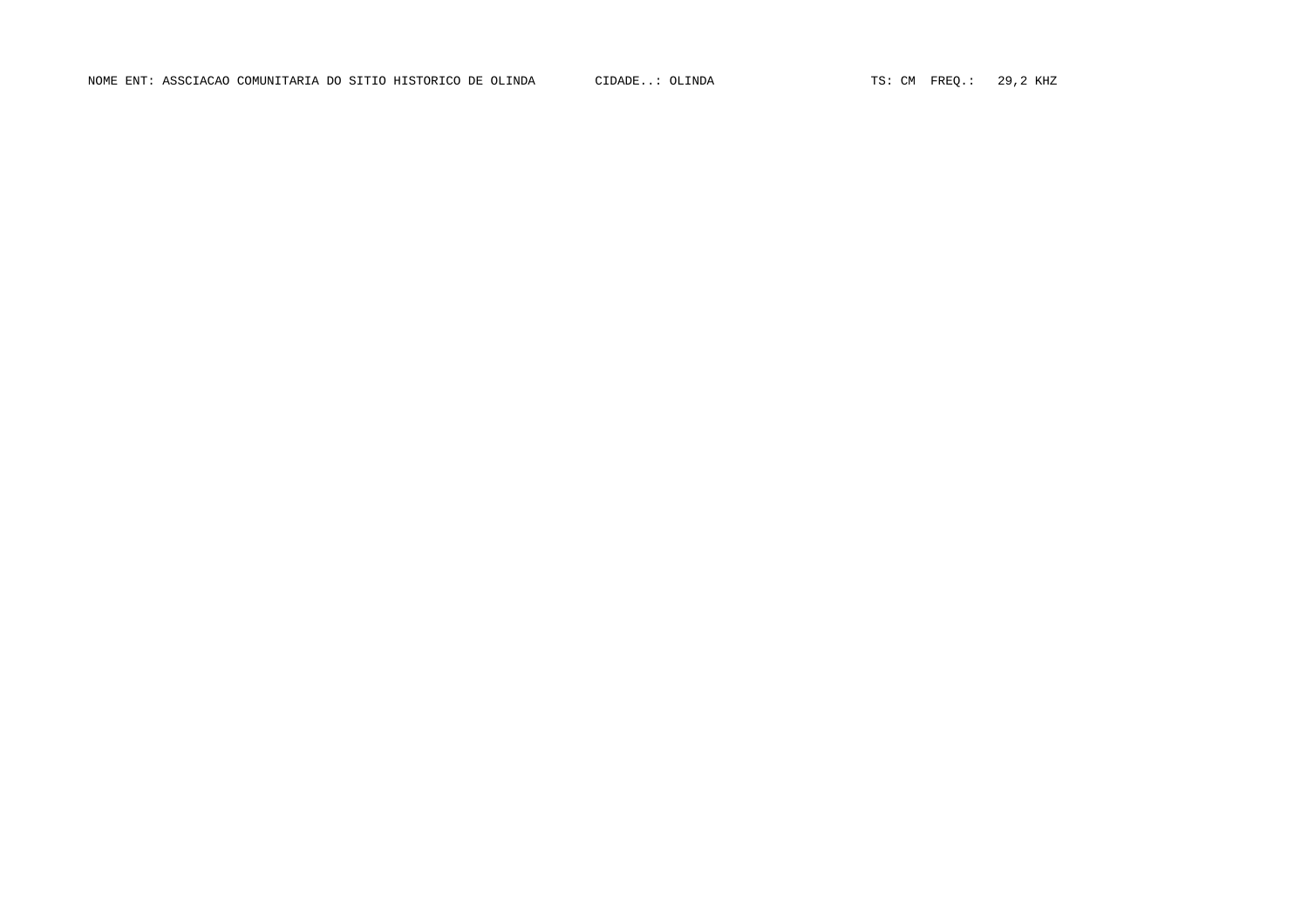NOME ENT: ASSCIACAO COMUNITARIA DO SITIO HISTORICO DE OLINDA CIDADE..: OLINDA TS: CM FREQ.: 29,2 KHZ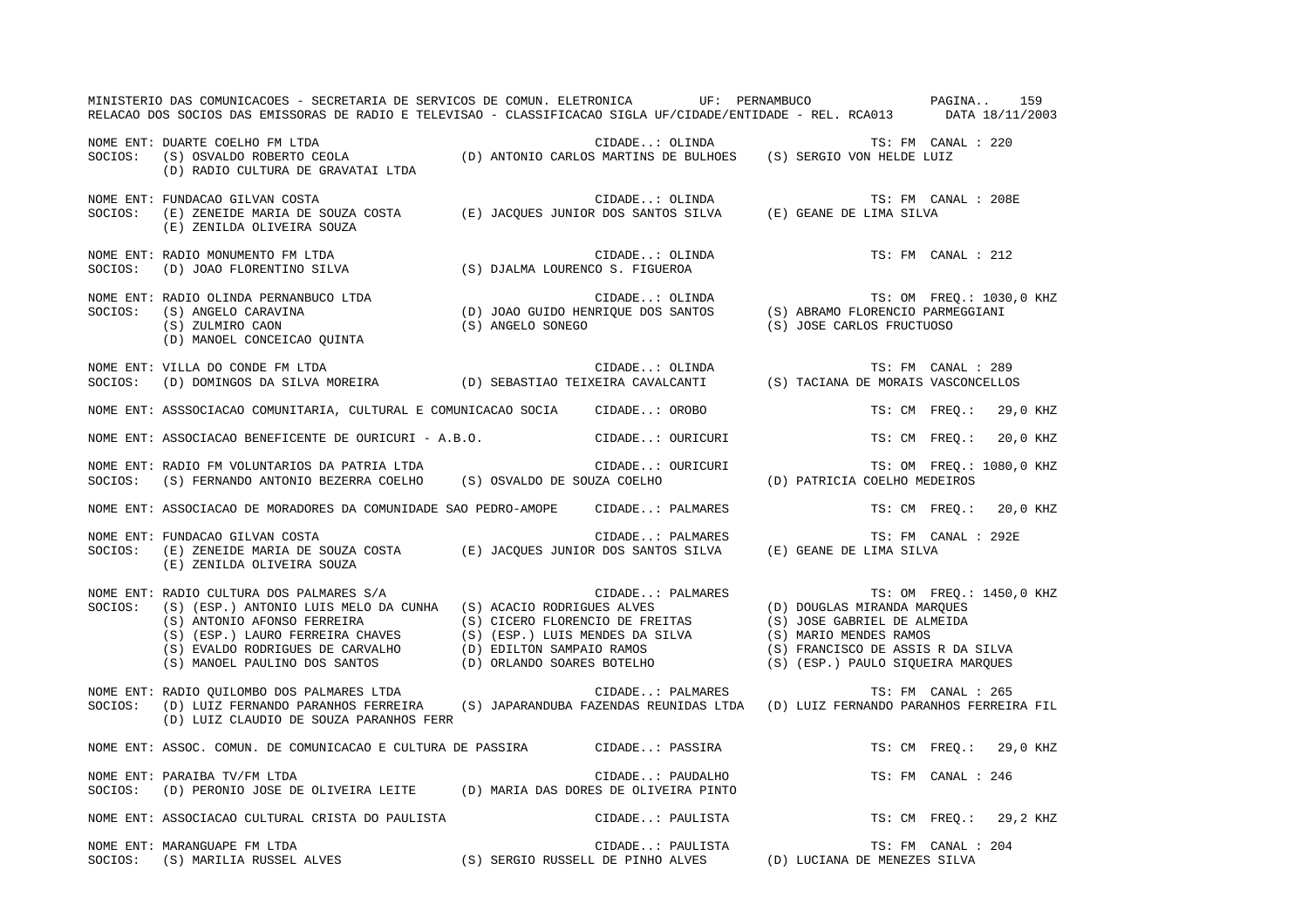|         | MINISTERIO DAS COMUNICACOES - SECRETARIA DE SERVICOS DE COMUN. ELETRONICA UF: PERNAMBUCO PAGINA 159<br>RELACAO DOS SOCIOS DAS EMISSORAS DE RADIO E TELEVISAO - CLASSIFICACAO SIGLA UF/CIDADE/ENTIDADE - REL. RCA013 DATA 18/11/2003                                                                                                |                  |                                     |                          |
|---------|------------------------------------------------------------------------------------------------------------------------------------------------------------------------------------------------------------------------------------------------------------------------------------------------------------------------------------|------------------|-------------------------------------|--------------------------|
|         | NOME ENT: DUARTE COELHO FM LTDA<br>SOCIOS: (S) OSVALDO ROBERTO CEOLA (D) ANTONIO CARLOS MARTINS DE BULHOES (S) SERGIO VON HELDE LUIZ<br>(D) RADIO CULTURA DE GRAVATAI LTDA                                                                                                                                                         |                  |                                     |                          |
| SOCIOS: | NOME ENT: FUNDACAO GILVAN COSTA<br>(E) ZENILDA OLIVEIRA SOUZA                                                                                                                                                                                                                                                                      |                  |                                     |                          |
| SOCIOS: | NOME ENT: RADIO MONUMENTO FM LTDA<br>RADIO MONUMENTO FM LTDA<br>(D) JOAO FLORENTINO SILVA (S) DJALMA LOURENCO S. FIGUEROA                                                                                                                                                                                                          |                  | CIDADE: OLINDA $TS: FM$ CANAL : 212 |                          |
|         | NOME ENT: RADIO OLINDA PERNANBUCO LTDA (D) JOAO GUIDO HENRIQUE DOS SANTOS (S) ABRAMO FLORENCIO PARMEGGIANI (S) ZULMIRO CAON (S) ZULMIRO CAON (S) ANGELO CONCEICAO QUINTA (S) ANGELO SONEGO (D) MANOEL CONCEICAO QUINTA (S) ANG                                                                                                     |                  |                                     | TS: OM FREQ.: 1030,0 KHZ |
|         | NOME ENT: VILLA DO CONDE FM LTDA<br>SOCIOS:    (D) DOMINGOS DA SILVA MOREIRA                   (D) SEBASTIAO TEIXEIRA CAVALCANTI           (S) TACIANA DE MORAIS VASCONCELLOS                                                                                                                                                      |                  |                                     |                          |
|         | NOME ENT: ASSSOCIACAO COMUNITARIA, CULTURAL E COMUNICACAO SOCIA CIDADE: OROBO                                                                                                                                                                                                                                                      |                  |                                     | TS: CM FREO.: 29,0 KHZ   |
|         | NOME ENT: ASSOCIACAO BENEFICENTE DE OURICURI - A.B.O. CIDADE: OURICURI                                                                                                                                                                                                                                                             |                  |                                     | TS: CM FREQ.: 20,0 KHZ   |
|         |                                                                                                                                                                                                                                                                                                                                    |                  |                                     | TS: OM FREQ.: 1080,0 KHZ |
|         | NOME ENT: ASSOCIACAO DE MORADORES DA COMUNIDADE SAO PEDRO-AMOPE CIDADE: PALMARES                                                                                                                                                                                                                                                   |                  |                                     | TS: CM FREQ.: 20,0 KHZ   |
|         | NOME ENT: FUNDACAO GILVAN COSTA<br>SOCIOS: (E) ZENEIDE MARIA DE SOUZA COSTA (E) JACQUES JUNIOR DOS SANTOS SILVA (E) GEANE DE LIMA SILVA<br>(E) ZENILDA OLIVEIRA SOUZA                                                                                                                                                              | CIDADE: PALMARES |                                     | TS: FM CANAL : 292E      |
| SOCIOS: | NOME ENT: RADIO CULTURA DOS PALMARES S/A<br>SOCIOS: (S) (ESD ) ALTONIA INFORMACIÓN (COLOR)<br>RADIO CULTURA DOS PALMARES S/A<br>(S) (ESP.) ANTONIO LUIS MELO DA CUNHA (S) ACACIO RODRIGUES ALVES<br>(S) ANTONIO AFONSO FERREIRA (S) CICERO FLORENCIO DE FREITAS (S) JOSE GABRIEL DE ALMEIDA<br>(S) (ESP.) LAURO FERREIRA CHAVES (S |                  |                                     | TS: OM FREQ.: 1450,0 KHZ |
|         | NOME ENT: RADIO QUILOMBO DOS PALMARES LTDA<br>SOCIOS: (D) LUIZ FERNANDO PARANHOS FERREIRA (S) JAPARANDUBA FAZENDAS REUNIDAS LTDA (D) LUIZ FERNANDO PARANHOS FERREIRA FIL<br>(D) LUIZ CLAUDIO DE SOUZA PARANHOS FERR                                                                                                                |                  |                                     |                          |
|         | NOME ENT: ASSOC. COMUN. DE COMUNICACAO E CULTURA DE PASSIRA CIDADE: PASSIRA                                                                                                                                                                                                                                                        |                  |                                     | TS: CM FREO.: 29,0 KHZ   |
|         | NOME ENT: PARAIBA TV/FM LTDA<br>SOCIOS: (D) PERONIO JOSE DE OLIVEIRA LEITE (D) MARIA DAS DORES DE OLIVEIRA PINTO                                                                                                                                                                                                                   | CIDADE: PAUDALHO |                                     | TS: FM CANAL : 246       |
|         | NOME ENT: ASSOCIACAO CULTURAL CRISTA DO PAULISTA CIDADE: PAULISTA TS: CM FREQ.: 29,2 KHZ                                                                                                                                                                                                                                           |                  |                                     |                          |
|         | NOME ENT: MARANGUAPE FM LTDA<br>NOME ENT: MARANGUAPE FM LTDA<br>SOCIOS: (S) MARILIA RUSSEL ALVES (S) SERGIO RUSSELL DE PINHO ALVES (D) LUCIANA DE MENEZES SILVA                                                                                                                                                                    |                  |                                     | TS: FM CANAL : 204       |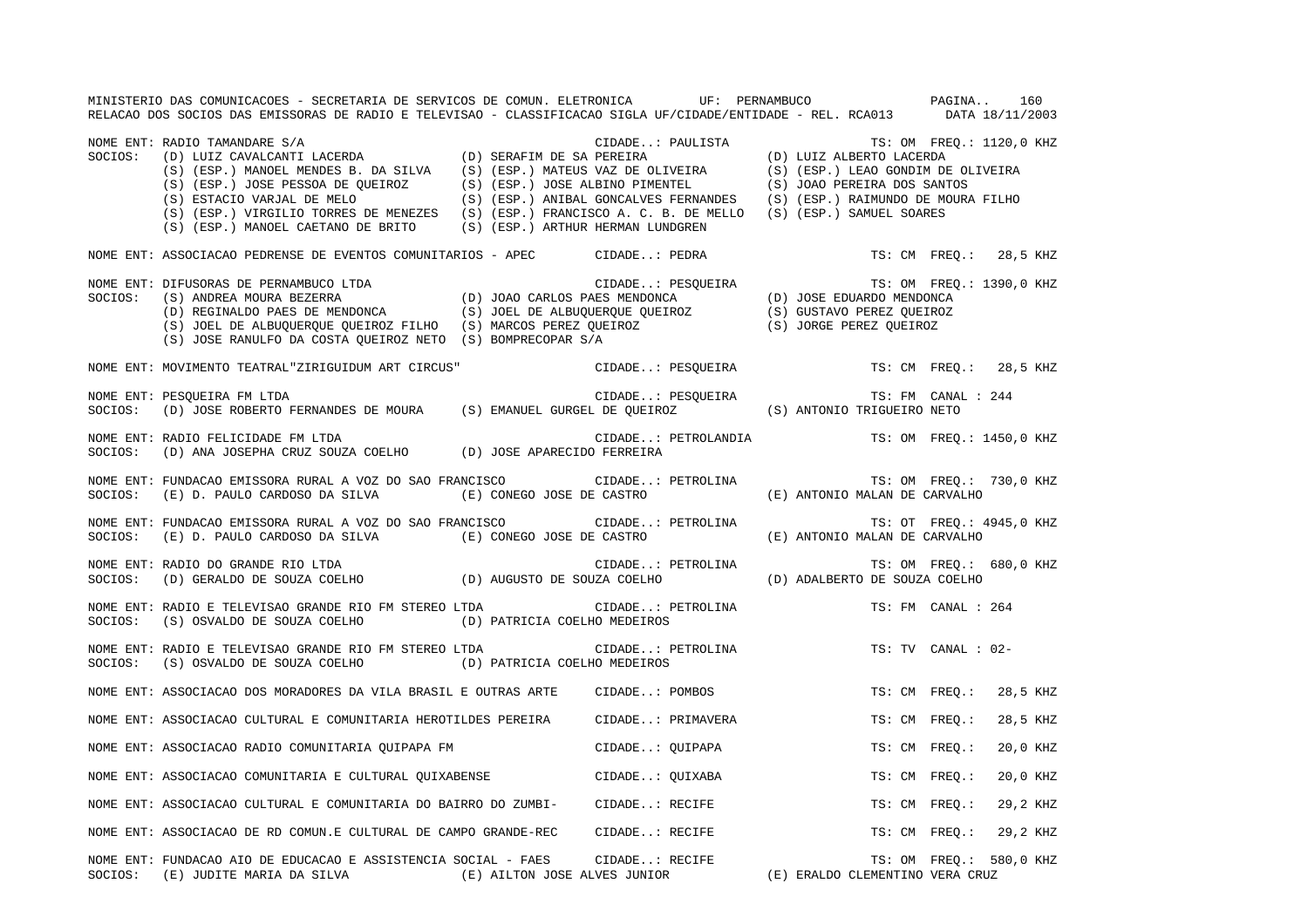MINISTERIO DAS COMUNICACOES - SECRETARIA DE SERVICOS DE COMUN. ELETRONICA UF: PERNAMBUCO PAGINA.. 160RELACAO DOS SOCIOS DAS EMISSORAS DE RADIO E TELEVISAO - CLASSIFICACAO SIGLA UF/CIDADE/ENTIDADE - REL. RCA013 DATA 18/11/2003 NOME ENT: RADIO TAMANDARE S/A CIDADE..: PAULISTA TS: OM FREQ.: 1120,0 KHZ SOCIOS: (D) LUIZ CAVALCANTI LACERDA (D) SERAFIM DE SA PEREIRA (D) LUIZ ALBERTO LACERDA (S) (ESP.) MANOEL MENDES B. DA SILVA (S) (ESP.) MATEUS VAZ DE OLIVEIRA (S) (ESP.) LEAO GONDIM DE OLIVEIRA (S) (ESP.) JOSE PESSOA DE QUEIROZ (S) (ESP.) JOSE ALBINO PIMENTEL (S) JOAO PEREIRA DOS SANTOS (S) ESTACIO VARJAL DE MELO (S) (ESP.) ANIBAL GONCALVES FERNANDES (S) (ESP.) RAIMUNDO DE MOURA FILHO (S) (ESP.) VIRGILIO TORRES DE MENEZES (S) (ESP.) FRANCISCO A. C. B. DE MELLO (S) (ESP.) SAMUEL SOARES (S) (ESP.) MANOEL CAETANO DE BRITO (S) (ESP.) ARTHUR HERMAN LUNDGREN NOME ENT: ASSOCIACAO PEDRENSE DE EVENTOS COMUNITARIOS - APEC CIDADE..: PEDRA TS: CM FREQ.: 28,5 KHZ NOME ENT: DIFUSORAS DE PERNAMBUCO LTDA CIDADE..: PESQUEIRA TS: OM FREQ.: 1390,0 KHZ SOCIOS: (S) ANDREA MOURA BEZERRA (D) JOAO CARLOS PAES MENDONCA (D) JOSE EDUARDO MENDONCA (D) REGINALDO PAES DE MENDONCA (S) JOEL DE ALBUQUERQUE QUEIROZ (S) GUSTAVO PEREZ QUEIROZ (S) JOEL DE ALBUQUERQUE QUEIROZ FILHO (S) MARCOS PEREZ QUEIROZ (S) JORGE PEREZ QUEIROZ (S) JOSE RANULFO DA COSTA QUEIROZ NETO (S) BOMPRECOPAR S/A NOME ENT: MOVIMENTO TEATRAL"ZIRIGUIDUM ART CIRCUS" CIDADE..: PESQUEIRA TS: CM FREQ.: 28,5 KHZ NOME ENT: PESQUEIRA FM LTDA CIDADE..: PESQUEIRA TS: FM CANAL : 244 SOCIOS: (D) JOSE ROBERTO FERNANDES DE MOURA (S) EMANUEL GURGEL DE QUEIROZ (S) ANTONIO TRIGUEIRO NETO NOME ENT: RADIO FELICIDADE FM LTDA CIDADE..: PETROLANDIA TS: OM FREQ.: 1450,0 KHZ SOCIOS: (D) ANA JOSEPHA CRUZ SOUZA COELHO (D) JOSE APARECIDO FERREIRA NOME ENT: FUNDACAO EMISSORA RURAL A VOZ DO SAO FRANCISCO CIDADE..: PETROLINA TS: OM FREQ.: 730,0 KHZ SOCIOS: (E) D. PAULO CARDOSO DA SILVA (E) CONEGO JOSE DE CASTRO (E) ANTONIO MALAN DE CARVALHO NOME ENT: FUNDACAO EMISSORA RURAL A VOZ DO SAO FRANCISCO CIDADE..: PETROLINA TS: OT FREQ.: 4945,0 KHZ SOCIOS: (E) D. PAULO CARDOSO DA SILVA (E) CONEGO JOSE DE CASTRO (E) ANTONIO MALAN DE CARVALHO NOME ENT: RADIO DO GRANDE RIO LTDA CIDADE..: PETROLINA TS: OM FREQ.: 680,0 KHZ SOCIOS: (D) GERALDO DE SOUZA COELHO (D) AUGUSTO DE SOUZA COELHO (D) ADALBERTO DE SOUZA COELHO NOME ENT: RADIO E TELEVISAO GRANDE RIO FM STEREO LTDA CIDADE..: PETROLINA TS: FM CANAL : 264SOCIOS: (S) OSVALDO DE SOUZA COELHO (D) PATRICIA COELHO MEDEIROS NOME ENT: RADIO E TELEVISAO GRANDE RIO FM STEREO LTDA CIDADE..: PETROLINA TS: TV CANAL : 02-SOCIOS: (S) OSVALDO DE SOUZA COELHO (D) PATRICIA COELHO MEDEIROS NOME ENT: ASSOCIACAO DOS MORADORES DA VILA BRASIL E OUTRAS ARTE CIDADE..: POMBOS TS: CM FREQ.: 28,5 KHZ NOME ENT: ASSOCIACAO CULTURAL E COMUNITARIA HEROTILDES PEREIRA CIDADE..: PRIMAVERA TS: CM FREQ.: 28,5 KHZ NOME ENT: ASSOCIACAO RADIO COMUNITARIA QUIPAPA FM CIDADE..: QUIPAPA TS: CM FREQ.: 20,0 KHZ NOME ENT: ASSOCIACAO COMUNITARIA E CULTURAL QUIXABENSE CIDADE..: QUIXABA TS: CM FREQ.: 20,0 KHZ NOME ENT: ASSOCIACAO CULTURAL E COMUNITARIA DO BAIRRO DO ZUMBI- CIDADE..: RECIFE TS: CM FREQ.: 29,2 KHZ NOME ENT: ASSOCIACAO DE RD COMUN.E CULTURAL DE CAMPO GRANDE-REC CIDADE..: RECIFE TS: CM FREQ.: 29,2 KHZ NOME ENT: FUNDACAO AIO DE EDUCACAO E ASSISTENCIA SOCIAL - FAES CIDADE..: RECIFE TS: OM FREQ.: 580,0 KHZ SOCIOS: (E) JUDITE MARIA DA SILVA (E) AILTON JOSE ALVES JUNIOR (E) ERALDO CLEMENTINO VERA CRUZ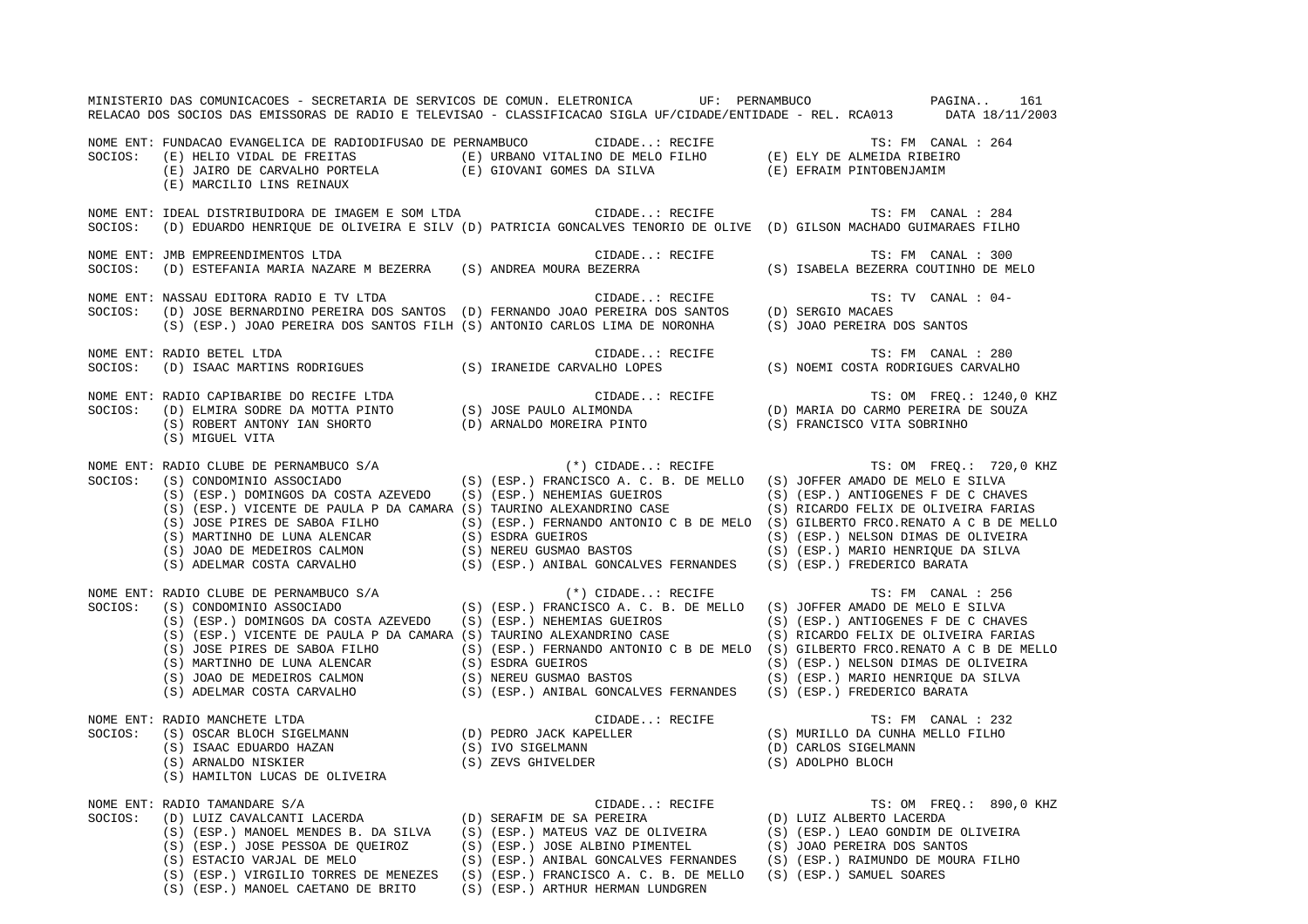|         |                                                                                                                                            | MINISTERIO DAS COMUNICACOES - SECRETARIA DE SERVICOS DE COMUN. ELETRONICA UF: PERNAMBUCO AND PAGINA 161<br>RELACAO DOS SOCIOS DAS EMISSORAS DE RADIO E TELEVISAO - CLASSIFICACAO SIGLA UF/CIDADE/ENTIDADE - REL. RCA013 DATA 18/11/2003                                                                                                                                                                                                                                                                                                                                                                                                                   |                                                               |
|---------|--------------------------------------------------------------------------------------------------------------------------------------------|-----------------------------------------------------------------------------------------------------------------------------------------------------------------------------------------------------------------------------------------------------------------------------------------------------------------------------------------------------------------------------------------------------------------------------------------------------------------------------------------------------------------------------------------------------------------------------------------------------------------------------------------------------------|---------------------------------------------------------------|
|         | (E) MARCILIO LINS REINAUX                                                                                                                  | NOME ENT: FUNDACAO EVANGELICA DE RADIODIFUSAO DE PERNAMBUCO (IDADE: RECIFE TS: FM CANAL : 264<br>SOCIOS: (E) HELIO VIDAL DE FREITAS (E) URBANO VITALINO DE MELO FILHO (E) ELY DE ALMEIDA RIBEIRO<br>(E) JAIRO DE CARVALHO PORTEL                                                                                                                                                                                                                                                                                                                                                                                                                          |                                                               |
| SOCIOS: |                                                                                                                                            | NOME ENT: IDEAL DISTRIBUIDORA DE IMAGEM E SOM LTDA (CIDADE: RECIFE ) TS: FM CANAL : 284<br>(D) EDUARDO HENRIQUE DE OLIVEIRA E SILV (D) PATRICIA GONCALVES TENORIO DE OLIVE (D) GILSON MACHADO GUIMARAES FILHO                                                                                                                                                                                                                                                                                                                                                                                                                                             |                                                               |
| SOCIOS: | NOME ENT: JMB EMPREENDIMENTOS LTDA                                                                                                         | CIDADE: RECIFE<br>(D) ESTEFANIA MARIA NAZARE M BEZERRA (S) ANDREA MOURA BEZERRA (S) ISABELA BEZERRA COUTINHO DE MELO                                                                                                                                                                                                                                                                                                                                                                                                                                                                                                                                      | TS: FM CANAL : 300                                            |
| SOCIOS: | NOME ENT: NASSAU EDITORA RADIO E TV LTDA                                                                                                   | TS:<br>(D) JOSE BERNARDINO PEREIRA DOS SANTOS (D) FERNANDO JOAO PEREIRA DOS SANTOS (D) SERGIO MACAES<br>(S) (ESP.) JOAO PEREIRA DOS SANTOS FILH (S) ANTONIO CARLOS LIMA DE NORONHA (S) JOAO PEREIRA D<br>(S) JOAO PEREIRA DOS SANTOS                                                                                                                                                                                                                                                                                                                                                                                                                      | TS: TV CANAL : 04-                                            |
| SOCIOS: | NOME ENT: RADIO BETEL LTDA                                                                                                                 |                                                                                                                                                                                                                                                                                                                                                                                                                                                                                                                                                                                                                                                           |                                                               |
|         | (S) MIGUEL VITA                                                                                                                            | NOME ENT: RADIO CAPIBARIBE DO RECIFE LTDA<br>SOCIOS: (D) ELMIRA SODRE DA MOTTA PINTO (S) JOSE PAULO ALIMONDA (D) MARIA DO CARMO PEREIRA DE SOUZA<br>(S) ROBERT ANTONY IAN SHORTO (D) ARNALDO MOREIRA PINTO (S) FRANCISCO VITA SOBR                                                                                                                                                                                                                                                                                                                                                                                                                        |                                                               |
|         |                                                                                                                                            | NOME ENT: RADIO CLUBE DE PERNAMBUCO S/A (*) CIDADE: RECIFE TS: OM FREQ.: 720,0 KHZ<br>SOCIOS: (S) CONDOMINIO ASSOCIADO (S) (ESP.) FRANCISCO A. C. B. DE MELLO (S) JOFFER AMADO DE MELO E SILVA<br>(S) (ESP.) DOMINGOS DA COSTA AZEVEDO (S) (ESP.) NEHEMIAS GUEIROS (S) (ESP.) ANTIOGENES F DE C CHAVES<br>(S) (ESP.) VICENTE DE PAULA P DA CAMARA (S) TAURINO ALEXANDRINO CASE (S) RICARDO FELIX DE OLIVEIRA FARIAS<br>CONSERVATINHO DE LUNA ALENCAR (S) JOSE PIRES DE SABOA FILHO (S) (ESP.) FERNANDO ANTONIO C B DE MELO (S) GILBERTO FRCO.RENATO A C B DE MELLO<br>(S) MARTINHO DE LUNA ALENCAR (S) ESDRA GUEIROS<br>(S) JOAO DE MEDEIROS CALMON (S) N |                                                               |
|         |                                                                                                                                            | NOME ENT: RADIO CLUBE DE PERNAMBUCO S/A<br>SOCIOS: (S) CONDOMINIO ASSOCIADO (S) (S) (ESP.) FRANCISCO A. C. B. DE MELLO (S) JOFFER AMADO DE MELO E SILVA<br>(S) (ESP.) DOMINGOS DA COSTA AZEVEDO (S) (ESP.) NEHEMIAS GUEIROS (S) (ESP.) ANTIOGENES F DE C CHAVES<br>(S) (ESP.) VICENTE DE PAULA P DA CAMARA (S) TAURINO ALEXANDRINO CASE (S) RICARDO FELIX DE OLIVEIRA FARIAS<br>(S) JOSE PIRES DE SABOA FILHO (S) (ESP.) FERNANDO ANTONIO C B DE MELO (S) GILBERTO FRCO.RENATO A C B DE MELLO<br>(S) MARTINHO DE LUNA ALENCAR (S) ESDRA GUEIROS (S) CESP.) NELSON DIMAS DE OLIVEIRA<br>(S) JOAO DE MEDEIROS CALMON                                        | TS: FM CANAL : 256                                            |
| SOCIOS: | NOME ENT: RADIO MANCHETE LTDA                                                                                                              | RADIO MANCHETE LTDA<br>(S) OSCAR BLOCH SIGELMANN<br>(S) OSCAR BLOCH SIGELMANN<br>(S) ISAAC EDUARDO HAZAN<br>(S) ISAAC EDUARDO HAZAN<br>(S) IVO SIGELMANN<br>(S) IVO SIGELMANN<br>(S) IVO SIGELMANN<br>(S) IVO SIGELMANN<br>(S) IVO SIGELMANN<br>(S                                                                                                                                                                                                                                                                                                                                                                                                        |                                                               |
| SOCIOS: | NOME ENT: RADIO TAMANDARE S/A<br>(S) ESTACIO VARJAL DE MELO<br>(S) (ESP.) VIRGILIO TORRES DE MENEZES<br>(S) (ESP.) MANOEL CAETANO DE BRITO | RADIO TAMANDARE S/A<br>(D) LUIZ CAVALCANTI LACERDA<br>(D) LUIZ CAVALCANTI LACERDA<br>(S) (ESP.) MANOEL MENDES B. DA SILVA<br>(S) (ESP.) JOSE PESSOA DE QUEIROZ<br>(S) (ESP.) JOSE ALBINO PIMENTEL<br>(S) JOAO PEREIRA DOS SANTOS<br>(S) ESTA<br>(S) (ESP.) ANIBAL GONCALVES FERNANDES<br>(S) (ESP.) FRANCISCO A. C. B. DE MELLO<br>(S) (ESP.) SAMUEL SOARES<br>(S) (ESP.) ARTHUR HERMAN LUNDGREN                                                                                                                                                                                                                                                          | TS: OM FREQ.: 890,0 KHZ<br>(S) (ESP.) RAIMUNDO DE MOURA FILHO |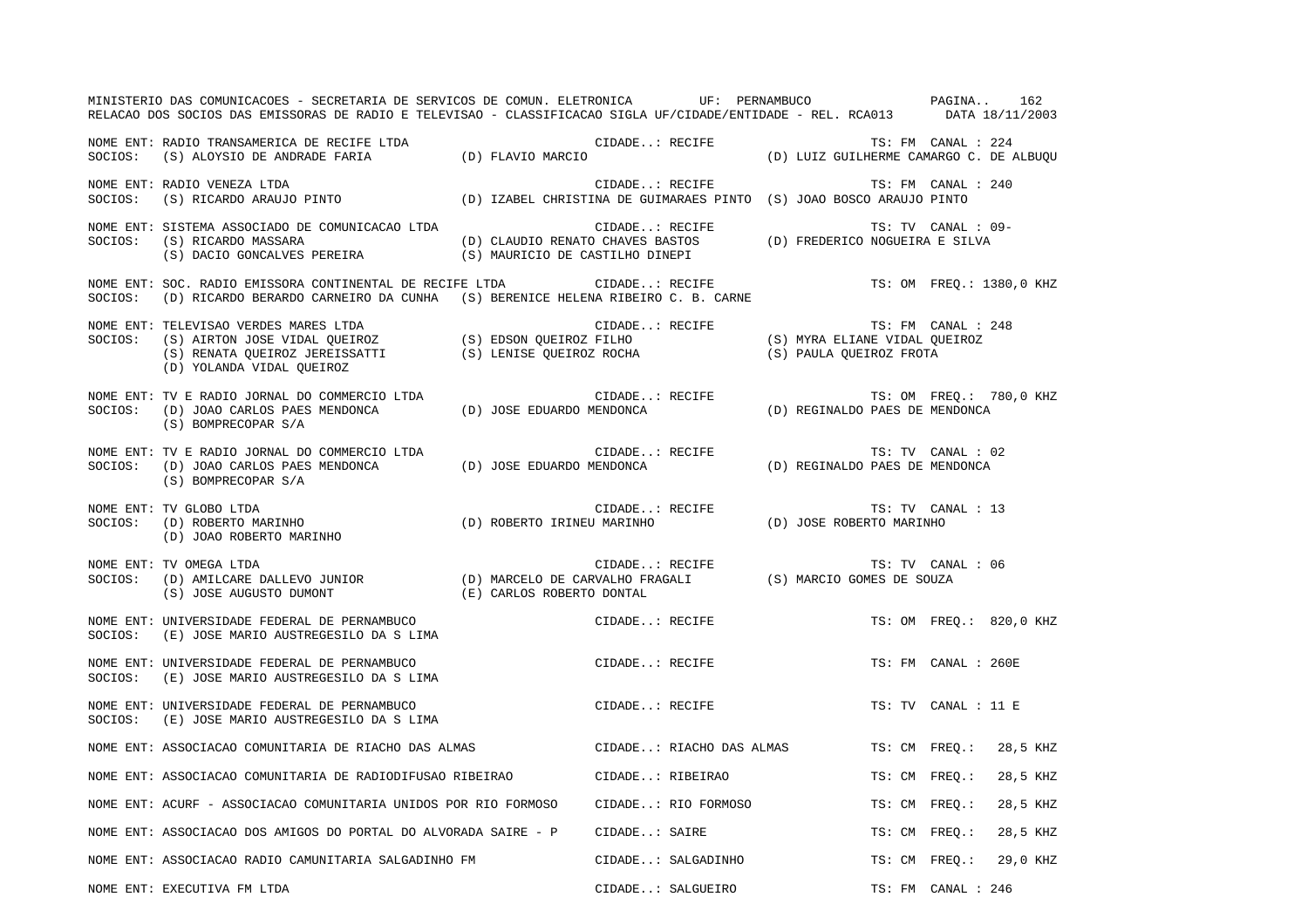|         | MINISTERIO DAS COMUNICACOES - SECRETARIA DE SERVICOS DE COMUN. ELETRONICA UF: PERNAMBUCO PAGINA<br>RELACAO DOS SOCIOS DAS EMISSORAS DE RADIO E TELEVISAO - CLASSIFICACAO SIGLA UF/CIDADE/ENTIDADE - REL. RCA013 DATA 18/11/2003                               |  |                |                          |                                |                     | 162                      |
|---------|---------------------------------------------------------------------------------------------------------------------------------------------------------------------------------------------------------------------------------------------------------------|--|----------------|--------------------------|--------------------------------|---------------------|--------------------------|
|         | NOME ENT: RADIO TRANSAMERICA DE RECIFE LTDA<br>SOCIOS: (S) ALOYSIO DE ANDRADE FARIA (D) FLAVIO MARCIO (D) ANDROIO (D) LUIZ GUILHERME CAMARGO C. DE ALBUQU                                                                                                     |  |                |                          |                                |                     |                          |
|         | NOME ENT: RADIO VENEZA LTDA<br>SOCIOS: (S) RICARDO ARAUJO PINTO (D) IZABEL CHRISTINA DE GUIMARAES PINTO (S) JOAO BOSCO ARAUJO PINTO                                                                                                                           |  |                |                          | TS: FM CANAL : 240             |                     |                          |
|         | NOME ENT: SISTEMA ASSOCIADO DE COMUNICACAO LTDA<br>SOCIOS: (S) RICARDO MASSARA<br>(S) DACIO GONCALVES PEREIRA (S) MAURICIO DE CASTILHO DINEPI                                                                                                                 |  |                |                          |                                | TS: TV CANAL : 09-  |                          |
| SOCIOS: | NOME ENT: SOC. RADIO EMISSORA CONTINENTAL DE RECIFE LTDA                                                                                                                                                                                                      |  |                |                          |                                |                     | TS: OM FREQ.: 1380,0 KHZ |
| SOCIOS: | NOME ENT: TELEVISAO VERDES MARES LTDA<br>IS: FM CANAL:<br>(S) AIRTON JOSE VIDAL QUEIROZ (S) EDSON QUEIROZ FILHO (S) MYRA ELIANE VIDAL QUEIROZ<br>(S) RENATA QUEIROZ JEREISSATTI (S) LENISE QUEIROZ ROCHA (S) PAULA QUEIROZ FROTA<br>(D) YOLANDA VIDAL QUEIROZ |  | CIDADE: RECIFE |                          |                                | TS: FM CANAL : 248  |                          |
|         | (S) BOMPRECOPAR S/A                                                                                                                                                                                                                                           |  |                |                          |                                |                     | TS: OM FREQ.: 780,0 KHZ  |
| SOCIOS: | NOME ENT: TV E RADIO JORNAL DO COMMERCIO LTDA<br>(D) JOAO CARLOS PAES MENDONCA (D) JOSE EDUARDO MENDONCA<br>(S) BOMPRECOPAR S/A                                                                                                                               |  | CIDADE: RECIFE |                          | (D) REGINALDO PAES DE MENDONCA | TS: TV CANAL : 02   |                          |
|         | NOME ENT: TV GLOBO LTDA<br>SOCIOS: (D) ROBERTO MARINHO (D) ROBERTO IRINEU MARINHO (D) JOSE ROBERTO MARINHO<br>(D) JOAO ROBERTO MARINHO                                                                                                                        |  |                |                          | TS: TV CANAL : 13              |                     |                          |
| SOCIOS: | TS: TV CANA (D) MARCELO DE CARVALHO FRAGALI (S) MARCIO GOMES DE SOUZA<br>(D) AMILCARE DALLEVO JUNIOR (D) MARCELO DE CARVALHO FRAGALI (S) MARCIO GOMES DE SOUZA<br>(S) JOSE AUGUSTO DUMONT (E) CARLOS ROBERTO DOMTAI<br>NOME ENT: TV OMEGA LTDA                |  |                |                          | TS: TV CANAL : 06              |                     |                          |
| SOCIOS: | NOME ENT: UNIVERSIDADE FEDERAL DE PERNAMBUCO<br>(E) JOSE MARIO AUSTREGESILO DA S LIMA                                                                                                                                                                         |  | CIDADE: RECIFE |                          |                                |                     | TS: OM FREQ.: 820,0 KHZ  |
| SOCIOS: | NOME ENT: UNIVERSIDADE FEDERAL DE PERNAMBUCO<br>(E) JOSE MARIO AUSTREGESILO DA S LIMA                                                                                                                                                                         |  | CIDADE: RECIFE |                          |                                | TS: FM CANAL : 260E |                          |
| SOCIOS: | NOME ENT: UNIVERSIDADE FEDERAL DE PERNAMBUCO<br>(E) JOSE MARIO AUSTREGESILO DA S LIMA                                                                                                                                                                         |  | CIDADE: RECIFE |                          |                                | TS: TV CANAL : 11 E |                          |
|         | NOME ENT: ASSOCIACAO COMUNITARIA DE RIACHO DAS ALMAS                                                                                                                                                                                                          |  |                | CIDADE: RIACHO DAS ALMAS |                                | TS: CM FREO.:       | 28,5 KHZ                 |
|         | NOME ENT: ASSOCIACAO COMUNITARIA DE RADIODIFUSAO RIBEIRAO                                                                                                                                                                                                     |  |                | CIDADE: RIBEIRAO         |                                | TS: CM FREQ.:       | 28,5 KHZ                 |
|         | NOME ENT: ACURF - ASSOCIACAO COMUNITARIA UNIDOS POR RIO FORMOSO                                                                                                                                                                                               |  |                | CIDADE: RIO FORMOSO      | TS: CM FREO.:                  |                     | 28,5 KHZ                 |
|         | NOME ENT: ASSOCIACAO DOS AMIGOS DO PORTAL DO ALVORADA SAIRE - P                                                                                                                                                                                               |  | CIDADE: SAIRE  |                          | TS: CM FREO.:                  |                     | 28,5 KHZ                 |
|         | NOME ENT: ASSOCIACAO RADIO CAMUNITARIA SALGADINHO FM                                                                                                                                                                                                          |  |                | CIDADE: SALGADINHO       |                                | TS: CM FREO.:       | 29,0 KHZ                 |
|         | NOME ENT: EXECUTIVA FM LTDA                                                                                                                                                                                                                                   |  |                | CIDADE: SALGUEIRO        |                                | TS: FM CANAL : 246  |                          |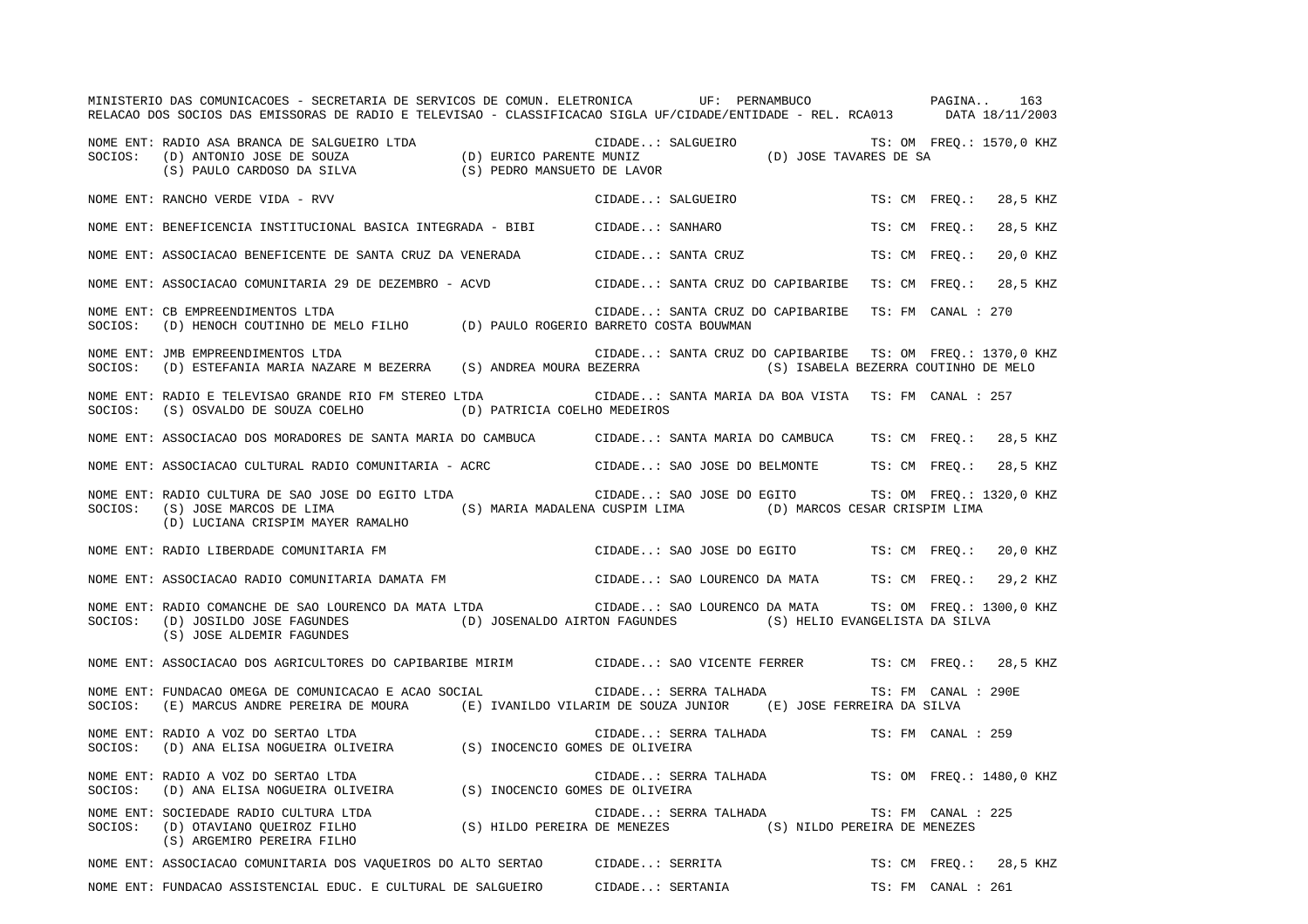MINISTERIO DAS COMUNICACOES - SECRETARIA DE SERVICOS DE COMUN. ELETRONICA UF: PERNAMBUCO PAGINA.. 163RELACAO DOS SOCIOS DAS EMISSORAS DE RADIO E TELEVISAO - CLASSIFICACAO SIGLA UF/CIDADE/ENTIDADE - REL. RCA013 DATA 18/11/2003 NOME ENT: RADIO ASA BRANCA DE SALGUEIRO LTDA CIDADE..: SALGUEIRO TS: OM FREQ.: 1570,0 KHZ SOCIOS: (D) ANTONIO JOSE DE SOUZA (D) EURICO PARENTE MUNIZ (D) JOSE TAVARES DE SA (S) PAULO CARDOSO DA SILVA (S) PEDRO MANSUETO DE LAVOR NOME ENT: RANCHO VERDE VIDA - RVV CIDADE AND SOLORO CIDADE..: SALGUEIRO TS: CM FREQ.: 28,5 KHZ NOME ENT: BENEFICENCIA INSTITUCIONAL BASICA INTEGRADA - BIBI CIDADE..: SANHARO TS: CM FREQ.: 28,5 KHZ NOME ENT: ASSOCIACAO BENEFICENTE DE SANTA CRUZ DA VENERADA CIDADE..: SANTA CRUZ TS: CM FREQ.: 20,0 KHZ NOME ENT: ASSOCIACAO COMUNITARIA 29 DE DEZEMBRO - ACVD CIDADE..: SANTA CRUZ DO CAPIBARIBE TS: CM FREQ.: 28,5 KHZ NOME ENT: CB EMPREENDIMENTOS LTDA CIDADE..: SANTA CRUZ DO CAPIBARIBE TS: FM CANAL : 270SOCIOS: (D) HENOCH COUTINHO DE MELO FILHO (D) PAULO ROGERIO BARRETO COSTA BOUWMAN NOME ENT: JMB EMPREENDIMENTOS LTDA CIDADE..: SANTA CRUZ DO CAPIBARIBE TS: OM FREQ.: 1370,0 KHZ SOCIOS: (D) ESTEFANIA MARIA NAZARE M BEZERRA (S) ANDREA MOURA BEZERRA (S) ISABELA BEZERRA COUTINHO DE MELO NOME ENT: RADIO E TELEVISAO GRANDE RIO FM STEREO LTDA CIDADE..: SANTA MARIA DA BOA VISTA TS: FM CANAL : 257 SOCIOS: (S) OSVALDO DE SOUZA COELHO (D) PATRICIA COELHO MEDEIROS NOME ENT: ASSOCIACAO DOS MORADORES DE SANTA MARIA DO CAMBUCA CIDADE..: SANTA MARIA DO CAMBUCA TS: CM FREQ.: 28,5 KHZ NOME ENT: ASSOCIACAO CULTURAL RADIO COMUNITARIA - ACRC CIDADE..: SAO JOSE DO BELMONTE TS: CM FREQ.: 28,5 KHZ NOME ENT: RADIO CULTURA DE SAO JOSE DO EGITO LTDA CIDADE..: SAO JOSE DO EGITO TS: OM FREQ.: 1320,0 KHZ SOCIOS: (S) JOSE MARCOS DE LIMA (S) MARIA MADALENA CUSPIM LIMA (D) MARCOS CESAR CRISPIM LIMA (D) LUCIANA CRISPIM MAYER RAMALHO NOME ENT: RADIO LIBERDADE COMUNITARIA FM CIDADE..: SAO JOSE DO EGITO TS: CM FREQ.: 20,0 KHZ NOME ENT: ASSOCIACAO RADIO COMUNITARIA DAMATA FM CIDADE..: SAO LOURENCO DA MATA TS: CM FREQ.: 29,2 KHZ NOME ENT: RADIO COMANCHE DE SAO LOURENCO DA MATA LTDA CIDADE..: SAO LOURENCO DA MATA TS: OM FREQ.: 1300,0 KHZ SOCIOS: (D) JOSILDO JOSE FAGUNDES (D) JOSENALDO AIRTON FAGUNDES (S) HELIO EVANGELISTA DA SILVA (S) JOSE ALDEMIR FAGUNDES NOME ENT: ASSOCIACAO DOS AGRICULTORES DO CAPIBARIBE MIRIM CIDADE..: SAO VICENTE FERRER TS: CM FREQ.: 28,5 KHZ NOME ENT: FUNDACAO OMEGA DE COMUNICACAO E ACAO SOCIAL CIDADE..: SERRA TALHADA TS: FM CANAL : 290E SOCIOS: (E) MARCUS ANDRE PEREIRA DE MOURA (E) IVANILDO VILARIM DE SOUZA JUNIOR (E) JOSE FERREIRA DA SILVA NOME ENT: RADIO A VOZ DO SERTAO LTDA CIDADE..: SERRA TALHADA TS: FM CANAL : 259SOCIOS: (D) ANA ELISA NOGUEIRA OLIVEIRA (S) INOCENCIO GOMES DE OLIVEIRA NOME ENT: RADIO A VOZ DO SERTAO LTDA CIDADE..: SERRA TALHADA TS: OM FREQ.: 1480,0 KHZ SOCIOS: (D) ANA ELISA NOGUEIRA OLIVEIRA (S) INOCENCIO GOMES DE OLIVEIRA NOME ENT: SOCIEDADE RADIO CULTURA LTDA CIDADE..: SERRA TALHADA TS: FM CANAL : 225SOCIOS: (D) OTAVIANO QUEIROZ FILHO (S) HILDO PEREIRA DE MENEZES (S) NILDO PEREIRA DE MENEZES (S) ARGEMIRO PEREIRA FILHO NOME ENT: ASSOCIACAO COMUNITARIA DOS VAQUEIROS DO ALTO SERTAO CIDADE..: SERRITA TS: CM FREQ.: 28,5 KHZ NOME ENT: FUNDACAO ASSISTENCIAL EDUC. E CULTURAL DE SALGUEIRO CIDADE..: SERTANIA TS: FM CANAL : 261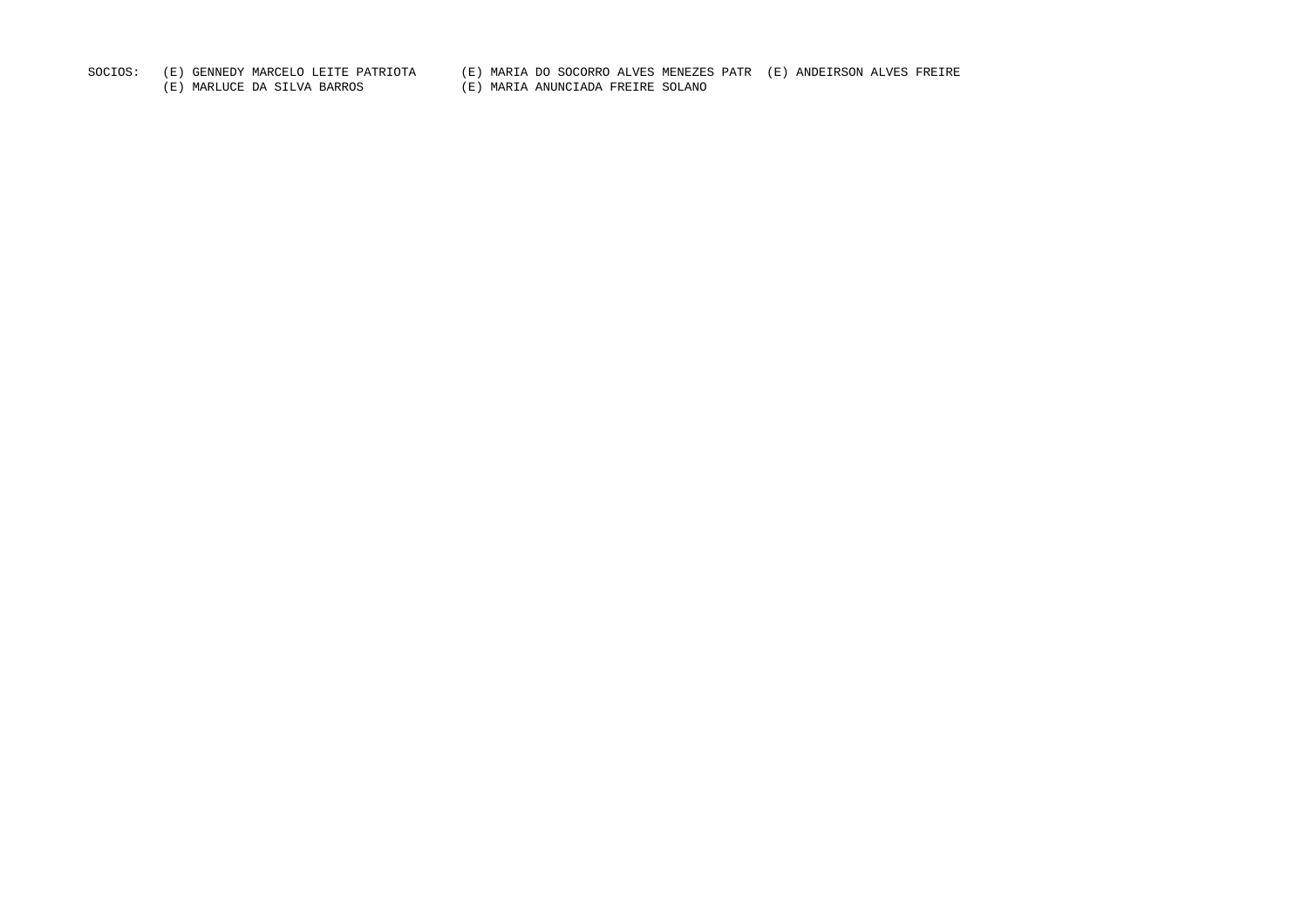SOCIOS: (E) GENNEDY MARCELO LEITE PATRIOTA (E) MARIA DO SOCORRO ALVES MENEZES PATR (E) ANDEIRSON ALVES FREIRE

(E) MARLUCE DA SILVA BARROS (E) MARIA ANUNCIADA FREIRE SOLANO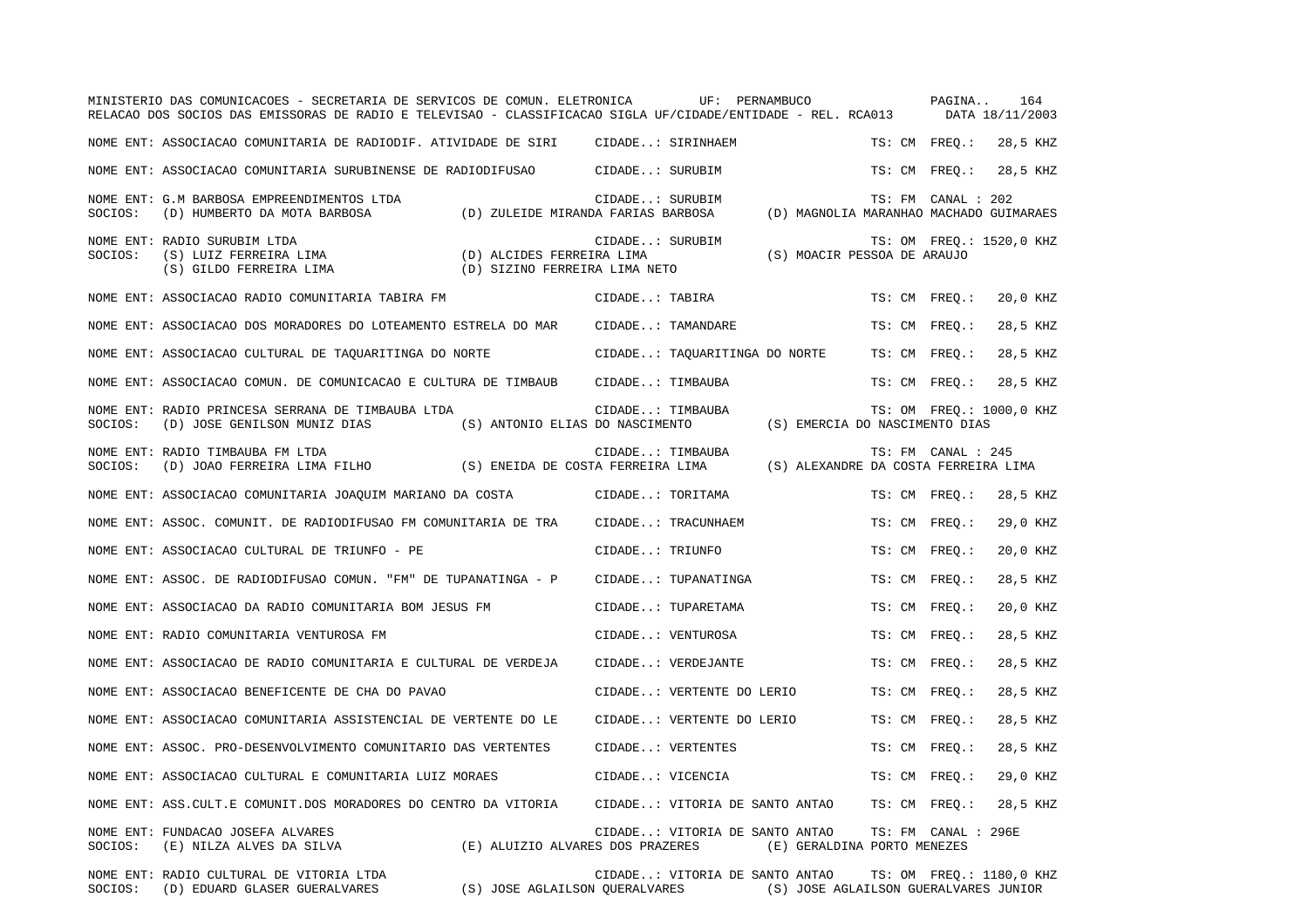|         | MINISTERIO DAS COMUNICACOES - SECRETARIA DE SERVICOS DE COMUN. ELETRONICA<br>RELACAO DOS SOCIOS DAS EMISSORAS DE RADIO E TELEVISAO - CLASSIFICACAO SIGLA UF/CIDADE/ENTIDADE - REL. RCA013 | UF: PERNAMBUCO                                                                                         |               | PAGINA<br>164<br>DATA 18/11/2003                              |
|---------|-------------------------------------------------------------------------------------------------------------------------------------------------------------------------------------------|--------------------------------------------------------------------------------------------------------|---------------|---------------------------------------------------------------|
|         | NOME ENT: ASSOCIACAO COMUNITARIA DE RADIODIF. ATIVIDADE DE SIRI CIDADE: SIRINHAEM                                                                                                         |                                                                                                        | TS: CM FREQ.: | 28,5 KHZ                                                      |
|         | NOME ENT: ASSOCIACAO COMUNITARIA SURUBINENSE DE RADIODIFUSAO CIDADE: SURUBIM                                                                                                              |                                                                                                        | TS: CM FREQ.: | 28,5 KHZ                                                      |
| SOCIOS: | NOME ENT: G.M BARBOSA EMPREENDIMENTOS LTDA<br>(D) HUMBERTO DA MOTA BARBOSA<br>(D) ZULEIDE MIRANDA FARIAS BARBOSA                                                                          | CIDADE: SURUBIM                                                                                        |               | TS: FM CANAL : 202<br>(D) MAGNOLIA MARANHAO MACHADO GUIMARAES |
| SOCIOS: | NOME ENT: RADIO SURUBIM LTDA<br>(S) LUIZ FERREIRA LIMA<br>(D) ALCIDES FERREIRA LIMA<br>(S) GILDO FERREIRA LIMA<br>(D) SIZINO FERREIRA LIMA NETO                                           | CIDADE: SURUBIM<br>(S) MOACIR PESSOA DE ARAUJO                                                         |               | TS: OM FREQ.: 1520,0 KHZ                                      |
|         | NOME ENT: ASSOCIACAO RADIO COMUNITARIA TABIRA FM                                                                                                                                          | CIDADE: TABIRA                                                                                         | TS: CM FREO.: | 20,0 KHZ                                                      |
|         | NOME ENT: ASSOCIACAO DOS MORADORES DO LOTEAMENTO ESTRELA DO MAR                                                                                                                           | CIDADE: TAMANDARE                                                                                      | TS: CM FREO.: | 28,5 KHZ                                                      |
|         | NOME ENT: ASSOCIACAO CULTURAL DE TAQUARITINGA DO NORTE                                                                                                                                    | CIDADE: TAQUARITINGA DO NORTE                                                                          | TS: CM FREQ.: | 28,5 KHZ                                                      |
|         | NOME ENT: ASSOCIACAO COMUN. DE COMUNICACAO E CULTURA DE TIMBAUB                                                                                                                           | CIDADE: TIMBAUBA                                                                                       | TS: CM FREQ.: | 28,5 KHZ                                                      |
| SOCIOS: | NOME ENT: RADIO PRINCESA SERRANA DE TIMBAUBA LTDA<br>(D) JOSE GENILSON MUNIZ DIAS<br>(S) ANTONIO ELIAS DO NASCIMENTO                                                                      | CIDADE: TIMBAUBA<br>(S) EMERCIA DO NASCIMENTO DIAS                                                     |               | TS: OM FREQ.: 1000,0 KHZ                                      |
| SOCIOS: | NOME ENT: RADIO TIMBAUBA FM LTDA<br>(D) JOAO FERREIRA LIMA FILHO (S) ENEIDA DE COSTA FERREIRA LIMA                                                                                        | CIDADE: TIMBAUBA                                                                                       |               | TS: FM CANAL : 245<br>(S) ALEXANDRE DA COSTA FERREIRA LIMA    |
|         | NOME ENT: ASSOCIACAO COMUNITARIA JOAQUIM MARIANO DA COSTA                                                                                                                                 | CIDADE: TORITAMA                                                                                       | TS: CM FREO.: | 28,5 KHZ                                                      |
|         | NOME ENT: ASSOC. COMUNIT. DE RADIODIFUSAO FM COMUNITARIA DE TRA                                                                                                                           | CIDADE: TRACUNHAEM                                                                                     | TS: CM FREO.: | 29,0 KHZ                                                      |
|         | NOME ENT: ASSOCIACAO CULTURAL DE TRIUNFO - PE                                                                                                                                             | CIDADE: TRIUNFO                                                                                        | TS: CM FREO.: | 20,0 KHZ                                                      |
|         | NOME ENT: ASSOC. DE RADIODIFUSAO COMUN. "FM" DE TUPANATINGA - P                                                                                                                           | CIDADE: TUPANATINGA                                                                                    | TS: CM FREQ.: | 28,5 KHZ                                                      |
|         | NOME ENT: ASSOCIACAO DA RADIO COMUNITARIA BOM JESUS FM                                                                                                                                    | CIDADE: TUPARETAMA                                                                                     | TS: CM FREO.: | 20,0 KHZ                                                      |
|         | NOME ENT: RADIO COMUNITARIA VENTUROSA FM                                                                                                                                                  | CIDADE: VENTUROSA                                                                                      | TS: CM FREO.: | 28,5 KHZ                                                      |
|         | NOME ENT: ASSOCIACAO DE RADIO COMUNITARIA E CULTURAL DE VERDEJA                                                                                                                           | CIDADE: VERDEJANTE                                                                                     | TS: CM FREQ.: | 28,5 KHZ                                                      |
|         | NOME ENT: ASSOCIACAO BENEFICENTE DE CHA DO PAVAO                                                                                                                                          | CIDADE: VERTENTE DO LERIO                                                                              | TS: CM FREQ.: | 28,5 KHZ                                                      |
|         | NOME ENT: ASSOCIACAO COMUNITARIA ASSISTENCIAL DE VERTENTE DO LE                                                                                                                           | CIDADE: VERTENTE DO LERIO                                                                              | TS: CM FREO.: | 28,5 KHZ                                                      |
|         | NOME ENT: ASSOC. PRO-DESENVOLVIMENTO COMUNITARIO DAS VERTENTES                                                                                                                            | CIDADE: VERTENTES                                                                                      | TS: CM FREO.: | 28,5 KHZ                                                      |
|         | NOME ENT: ASSOCIACAO CULTURAL E COMUNITARIA LUIZ MORAES                                                                                                                                   | CIDADE: VICENCIA                                                                                       | TS: CM FREQ.: | 29,0 KHZ                                                      |
|         | NOME ENT: ASS. CULT. E COMUNIT. DOS MORADORES DO CENTRO DA VITORIA                                                                                                                        | CIDADE: VITORIA DE SANTO ANTAO                                                                         | TS: CM FREQ.: | 28,5 KHZ                                                      |
| SOCIOS: | NOME ENT: FUNDACAO JOSEFA ALVARES<br>(E) NILZA ALVES DA SILVA                                                                                                                             | CIDADE: VITORIA DE SANTO ANTAO<br>(E) ALUIZIO ALVARES DOS PRAZERES (E) GERALDINA PORTO MENEZES         |               | TS: FM CANAL : 296E                                           |
| SOCIOS: | NOME ENT: RADIO CULTURAL DE VITORIA LTDA<br>(D) EDUARD GLASER GUERALVARES                                                                                                                 | CIDADE: VITORIA DE SANTO ANTAO<br>(S) JOSE AGLAILSON QUERALVARES (S) JOSE AGLAILSON GUERALVARES JUNIOR |               | TS: OM FREQ.: 1180,0 KHZ                                      |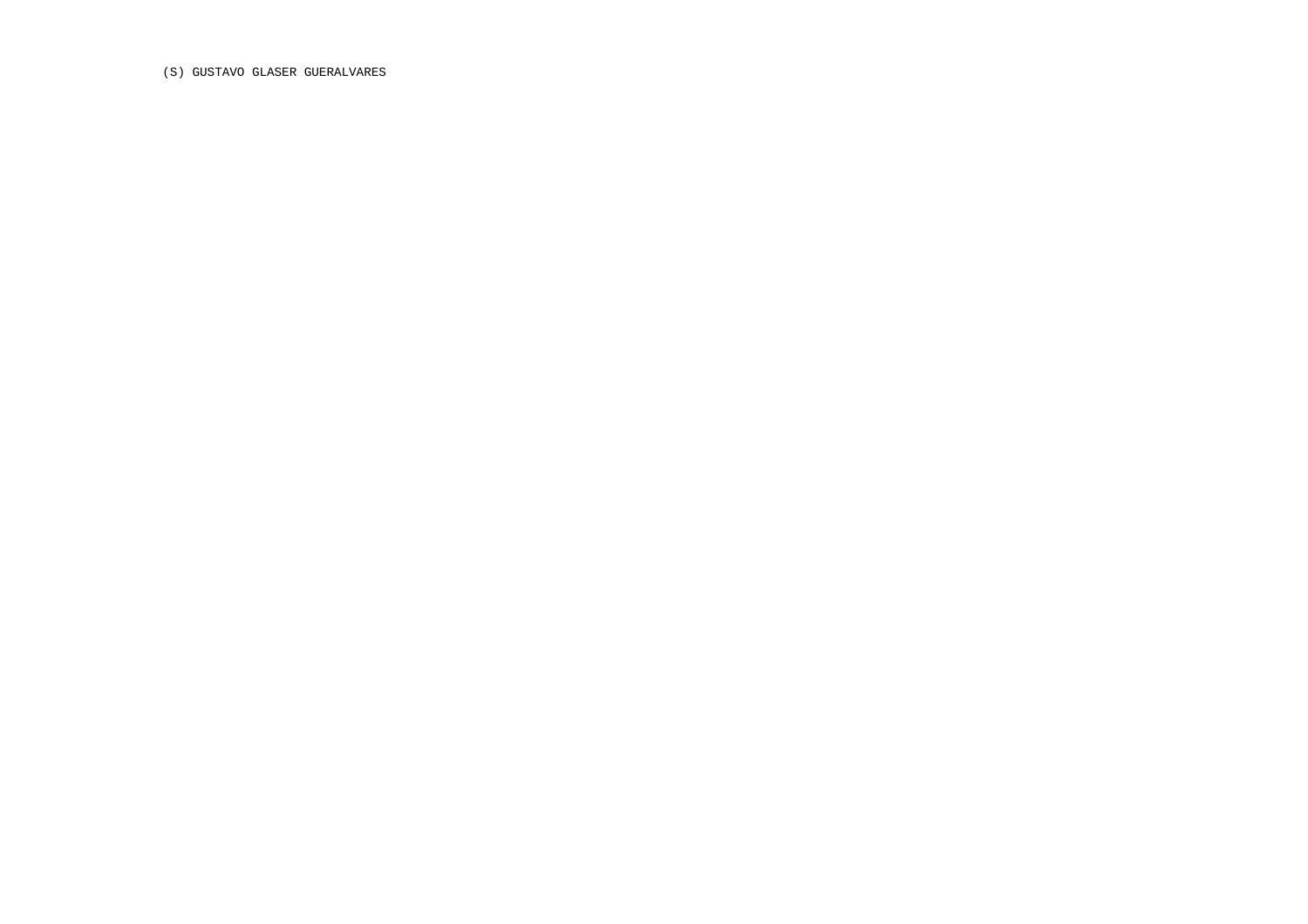(S) GUSTAVO GLASER GUERALVARES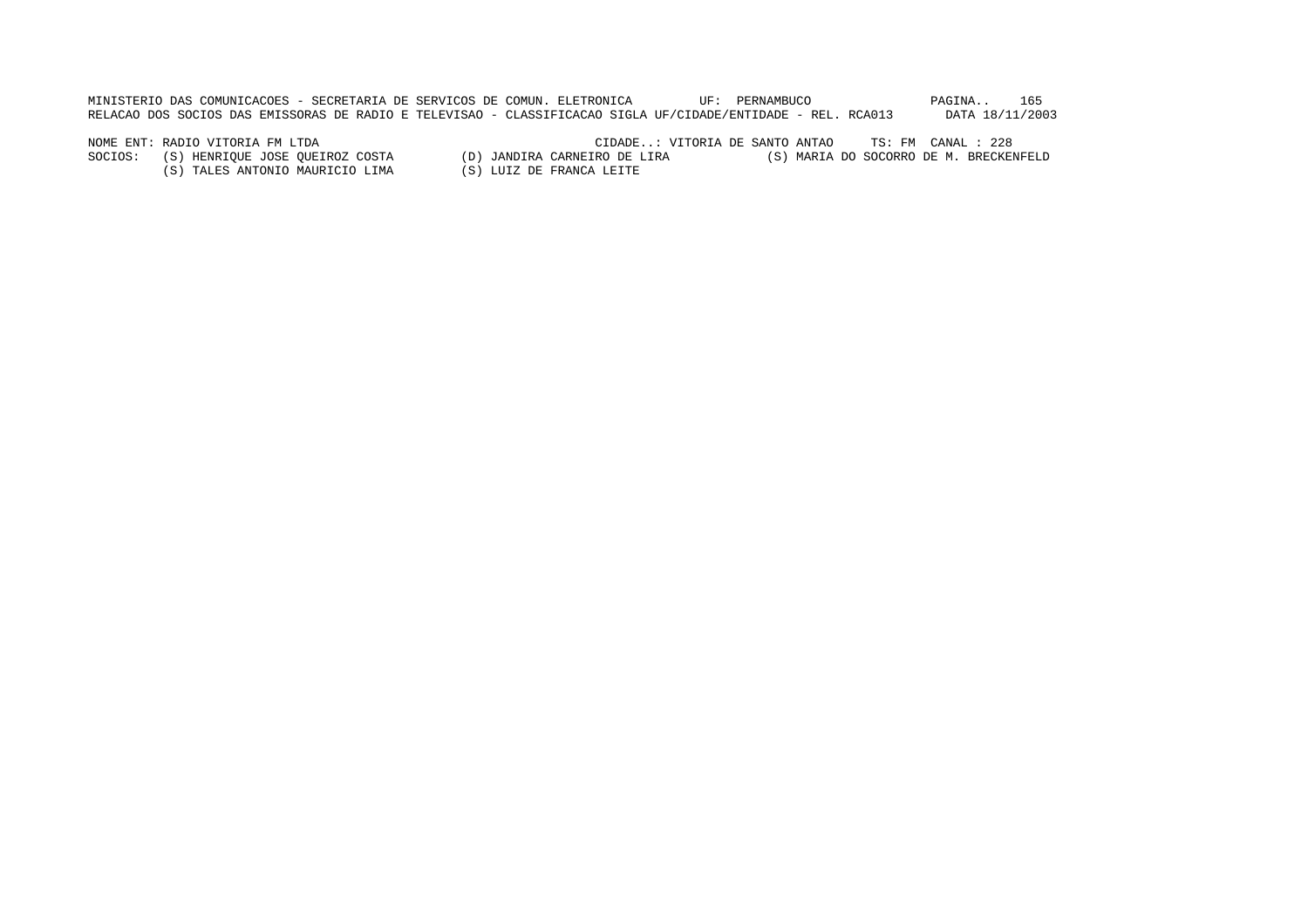MINISTERIO DAS COMUNICACOES - SECRETARIA DE SERVICOS DE COMUN. ELETRONICA UF: PERNAMBUCO PAGINA.. 165 RELACAO DOS SOCIOS DAS EMISSORAS DE RADIO E TELEVISAO - CLASSIFICACAO SIGLA UF/CIDADE/ENTIDADE - REL. RCA013 DATA 18/11/2003

(S) TALES ANTONIO MAURICIO LIMA (S) LUIZ DE FRANCA LEITE

NOME ENT: RADIO VITORIA FM LTDA<br>SOCIOS: (S) HENRIQUE JOSE QUEIROZ COSTA (D) JANDIRA CARNEIRO DE LIRA (S) MARIA DO SOCORRO DE M. BRECKENFELD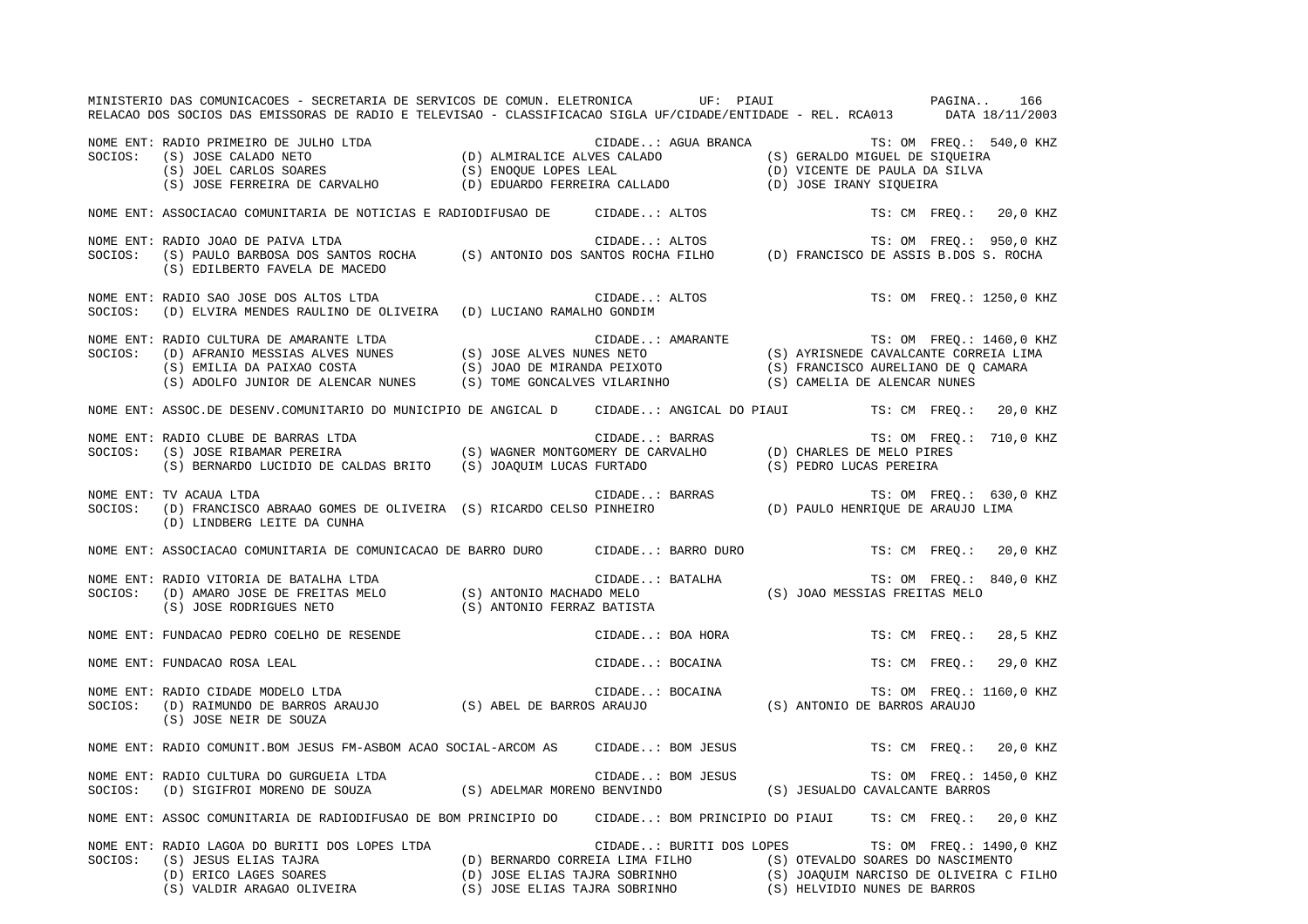|         | MINISTERIO DAS COMUNICACOES - SECRETARIA DE SERVICOS DE COMUN. ELETRONICA UF: PIAUI<br>RELACAO DOS SOCIOS DAS EMISSORAS DE RADIO E TELEVISAO - CLASSIFICACAO SIGLA UF/CIDADE/ENTIDADE - REL. RCA013 DATA 18/11/2003                                                                    |                                                   | PAGINA | 166                       |
|---------|----------------------------------------------------------------------------------------------------------------------------------------------------------------------------------------------------------------------------------------------------------------------------------------|---------------------------------------------------|--------|---------------------------|
|         | NOME ENT: RADIO PRIMEIRO DE JULHO LTDA (D) ALMIRALICE ALVES CALADO (S) GERALDO MIGUEL DE SIQUEIRA<br>SOCIOS: (S) JOSE CALADO NETO (S) JOEL CARLOS SOARES (S) ENOQUE LOPES LEAL (D) COURENTE ALVES CALADO (D) VICENTE DE PAULA DA                                                       | CIDADE: AGUA BRANCA TS: OM FREQ.: 540,0 KHZ       |        |                           |
|         | NOME ENT: ASSOCIACAO COMUNITARIA DE NOTICIAS E RADIODIFUSAO DE CIDADE: ALTOS                                                                                                                                                                                                           |                                                   |        | TS: CM FREQ.: 20,0 KHZ    |
| SOCIOS: | RADIO JOAO DE PAIVA LTDA<br>(S) PAULO BARBOSA DOS SANTOS ROCHA (S) ANTONIO DOS SANTOS ROCHA FILHO (D) FRANCISCO DE ASSIS B.DOS S. ROCHA<br>(C) PRILEPERO FAMILA DE MASTRO<br>NOME ENT: RADIO JOAO DE PAIVA LTDA<br>(S) EDILBERTO FAVELA DE MACEDO                                      |                                                   |        |                           |
| SOCIOS: | NOME ENT: RADIO SAO JOSE DOS ALTOS LTDA<br>(D) ELVIRA MENDES RAULINO DE OLIVEIRA (D) LUCIANO RAMALHO GONDIM                                                                                                                                                                            | CIDADE: ALTOS<br>HO GONDIM                        |        | TS: OM FREQ.: 1250,0 KHZ  |
| SOCIOS: | RADIO CULTURA DE AMARANTE LTDA<br>(D) AFRANIO MESSIAS ALVES NUNES (S) JOSE ALVES NUNES NETO (S) AYRISNEDE CAVALCANTE CORREIA LIMA<br>(S) EMILIA DA PAIXAO COSTA (S) JOAO DE MIRANDA PEIXOTO (S) FRANCISCO AURELIANO DE Q CAMARA<br>(S)<br>NOME ENT: RADIO CULTURA DE AMARANTE LTDA     |                                                   |        |                           |
|         | NOME ENT: ASSOC.DE DESENV.COMUNITARIO DO MUNICIPIO DE ANGICAL D CIDADE: ANGICAL DO PIAUI TS: CM FREQ.: 20,0 KHZ                                                                                                                                                                        |                                                   |        |                           |
|         | NOME ENT: RADIO CLUBE DE BARRAS LTDA<br>SOCIOS: (S) JOSE RIBAMAR PEREIRA (S) WAGNER MONTGOMERY DE CARVALHO (D) CHARLES DE MELO PIRES<br>(S) BERNARDO LUCIDIO DE CALDAS BRITO (S) JOAQUIM LUCAS FURTADO (S) PEDRO LUCAS PEREIRA                                                         |                                                   |        |                           |
|         | NOME ENT: TV ACAUA LTDA<br>SOCIOS: (D) FRANCISCO ABRAAO GOMES DE OLIVEIRA (S) RICARDO CELSO PINHEIRO (D) PAULO HENRIQUE DE ARAUJO LIMA<br>(D) LINDBERG LEITE DA CUNHA                                                                                                                  |                                                   |        | TS: OM FREQ.: 630,0 KHZ   |
|         | NOME ENT: ASSOCIACAO COMUNITARIA DE COMUNICACAO DE BARRO DURO CIDADE: BARRO DURO TS: CM FREQ.: 20,0 KHZ                                                                                                                                                                                |                                                   |        |                           |
|         | NOME ENT: RADIO VITORIA DE BATALHA LTDA<br>SOCIOS: (D) AMARO JOSE DE FREITAS MELO (S) ANTONIO MACHADO MELO (S) JOAO MESSIAS FREITAS MELO<br>(S) JOSE RODRIGUES NETO (S) ANTONIO FERRAZ BATISTA (S) JOAO MESSIAS FREITAS MELO                                                           |                                                   |        | TS: OM FREO.: 840,0 KHZ   |
|         | NOME ENT: FUNDACAO PEDRO COELHO DE RESENDE                                                                                                                                                                                                                                             | CIDADE: BOA HORA                                  |        | TS: CM FREQ.: 28,5 KHZ    |
|         | NOME ENT: FUNDACAO ROSA LEAL                                                                                                                                                                                                                                                           | CIDADE: BOCAINA                                   |        | TS: CM FREQ.:<br>29,0 KHZ |
|         | NOME ENT: RADIO CIDADE MODELO LTDA<br>SOCIOS: (D) RAIMUNDO DE BARROS ARAUJO (S) ABEL DE BARROS ARAUJO (S) ANTONIO DE BARROS ARAUJO<br>(S) JOSE NEIR DE SOUZA                                                                                                                           |                                                   |        | TS: OM FREQ.: 1160,0 KHZ  |
|         | NOME ENT: RADIO COMUNIT.BOM JESUS FM-ASBOM ACAO SOCIAL-ARCOM AS CIDADE: BOM JESUS                                                                                                                                                                                                      |                                                   |        | TS: CM FREQ.: 20,0 KHZ    |
|         | NOME ENT: RADIO CULTURA DO GURGUEIA LTDA<br>SOCIOS: (D) SIGIFROI MORENO DE SOUZA (S) ADELMAR MORENO BENVINDO (S) JESUALDO CAVALCANTE BARROS                                                                                                                                            |                                                   |        | TS: OM FREQ.: 1450,0 KHZ  |
|         | NOME ENT: ASSOC COMUNITARIA DE RADIODIFUSAO DE BOM PRINCIPIO DO CIDADE: BOM PRINCIPIO DO PIAUI TS: CM FREQ.: 20,0 KHZ                                                                                                                                                                  |                                                   |        |                           |
|         | NOME ENT: RADIO LAGOA DO BURITI DOS LOPES LTDA<br>SOCIOS: (S) JESUS ELIAS TAJRA (D) BERNARDO CORREIA LIMA FILHO (S) OTEVALDO SOARES DO NASCIMENTO<br>(D) ERICO LAGES SOARES (D) JOSE ELIAS TAJRA SOBRINHO (S) JOAQUIM NARCISO DE OLIVEIRA C FILHO<br>(S) VALDIR ARAGAO OLIVEIRA (S) JO | CIDADE: BURITI DOS LOPES TS: OM FREQ.: 1490,0 KHZ |        |                           |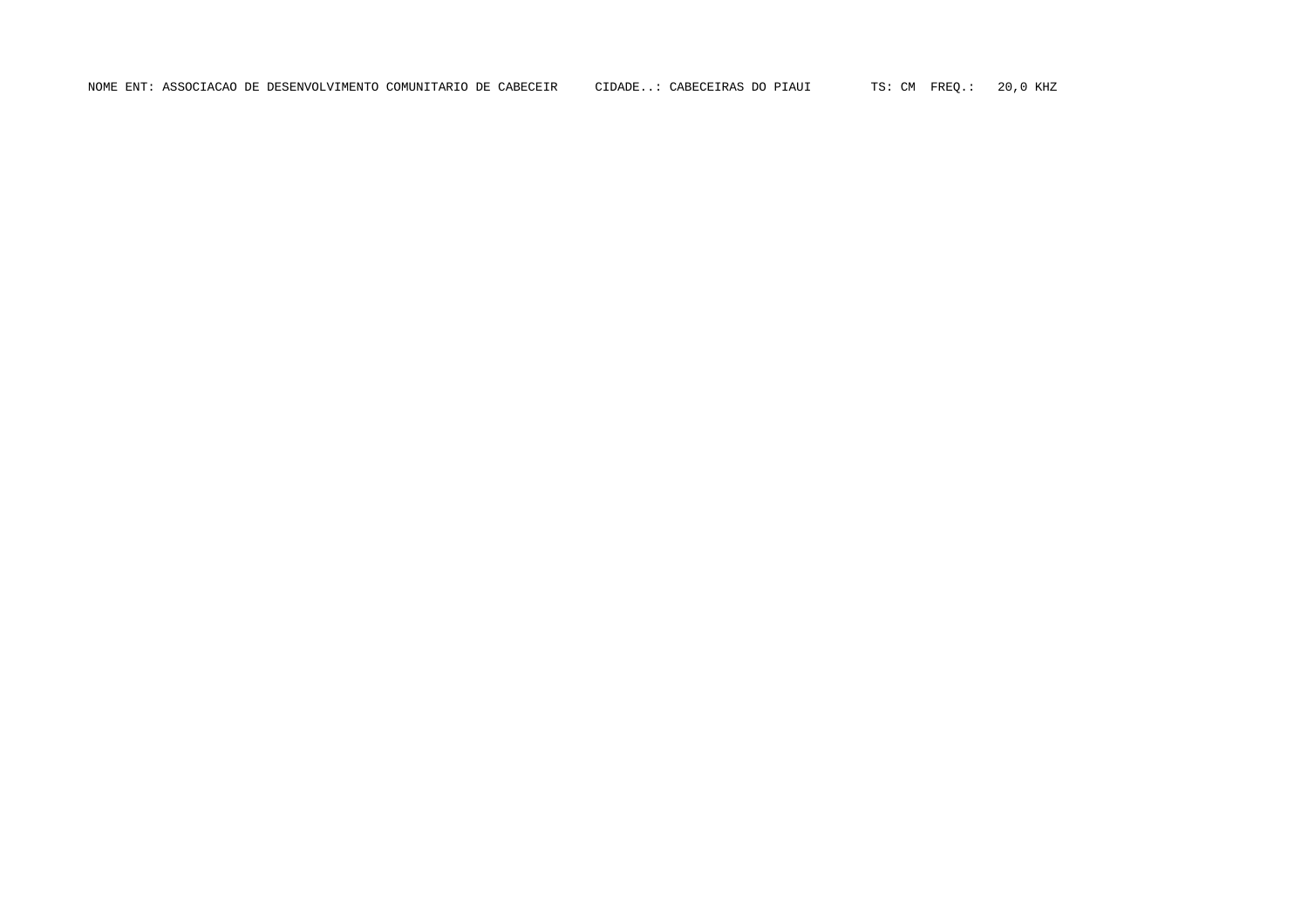NOME ENT: ASSOCIACAO DE DESENVOLVIMENTO COMUNITARIO DE CABECEIR CIDADE..: CABECEIRAS DO PIAUI TS: CM FREQ.: 20,0 KHZ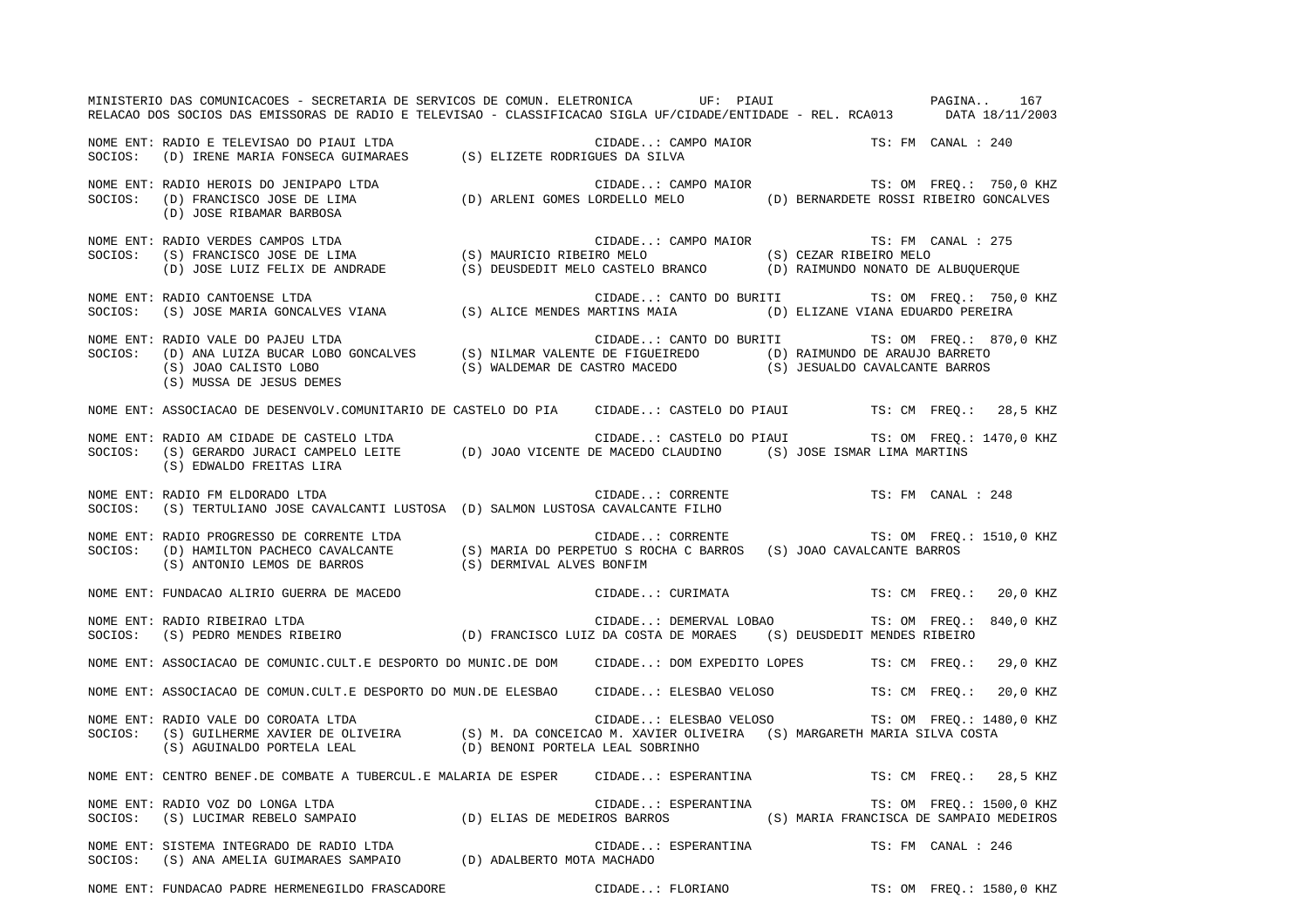MINISTERIO DAS COMUNICACOES - SECRETARIA DE SERVICOS DE COMUN. ELETRONICA UF: PIAUI PAGINA.. 167RELACAO DOS SOCIOS DAS EMISSORAS DE RADIO E TELEVISAO - CLASSIFICACAO SIGLA UF/CIDADE/ENTIDADE - REL. RCA013 DATA 18/11/2003 NOME ENT: RADIO E TELEVISAO DO PIAUI LTDA CIDADE..: CAMPO MAIOR TS: FM CANAL : 240SOCIOS: (D) IRENE MARIA FONSECA GUIMARAES (S) ELIZETE RODRIGUES DA SILVA NOME ENT: RADIO HEROIS DO JENIPAPO LTDA CIDADE..: CAMPO MAIOR TS: OM FREQ.: 750,0 KHZ SOCIOS: (D) FRANCISCO JOSE DE LIMA (D) ARLENI GOMES LORDELLO MELO (D) BERNARDETE ROSSI RIBEIRO GONCALVES (D) JOSE RIBAMAR BARBOSA NOME ENT: RADIO VERDES CAMPOS LTDA CONSERVERS CONDERNIAL CIDADE... CAMPO MAIOR CIDADE TS: FM CANAL : 275 SOCIOS: (S) FRANCISCO JOSE DE LIMA (S) MAURICIO RIBEIRO MELO (S) CEZAR RIBEIRO MELO (D) JOSE LUIZ FELIX DE ANDRADE (S) DEUSDEDIT MELO CASTELO BRANCO (D) RAIMUNDO NONATO DE ALBUQUERQUE NOME ENT: RADIO CANTOENSE LTDA CIDADE..: CANTO DO BURITI TS: OM FREQ.: 750,0 KHZ SOCIOS: (S) JOSE MARIA GONCALVES VIANA (S) ALICE MENDES MARTINS MAIA (D) ELIZANE VIANA EDUARDO PEREIRA NOME ENT: RADIO VALE DO PAJEU LTDA  $\Box$  CIDADE..: CANTO DO BURITI TS: OM FREQ.: 870,0 KHZ SOCIOS: (D) ANA LUIZA BUCAR LOBO GONCALVES (S) NILMAR VALENTE DE FIGUEIREDO (D) RAIMUNDO DE ARAUJO BARRETO (S) JOAO CALISTO LOBO (S) WALDEMAR DE CASTRO MACEDO (S) JESUALDO CAVALCANTE BARROS (S) MUSSA DE JESUS DEMES NOME ENT: ASSOCIACAO DE DESENVOLV.COMUNITARIO DE CASTELO DO PIA CIDADE..: CASTELO DO PIAUI TS: CM FREQ.: 28,5 KHZ NOME ENT: RADIO AM CIDADE DE CASTELO LTDA CIDADE..: CASTELO DO PIAUI TS: OM FREQ.: 1470,0 KHZ SOCIOS: (S) GERARDO JURACI CAMPELO LEITE (D) JOAO VICENTE DE MACEDO CLAUDINO (S) JOSE ISMAR LIMA MARTINS (S) EDWALDO FREITAS LIRA NOME ENT: RADIO FM ELDORADO LTDA  $\qquad \qquad$  CIDADE..: CORRENTE TS: FM CANAL : 248 SOCIOS: (S) TERTULIANO JOSE CAVALCANTI LUSTOSA (D) SALMON LUSTOSA CAVALCANTE FILHO NOME ENT: RADIO PROGRESSO DE CORRENTE LTDA  $\blacksquare$  CIDADE..: CORRENTE  $\blacksquare$  TS: OM FREQ.: 1510,0 KHZ SOCIOS: (D) HAMILTON PACHECO CAVALCANTE (S) MARIA DO PERPETUO S ROCHA C BARROS (S) JOAO CAVALCANTE BARROS (S) ANTONIO LEMOS DE BARROS (S) DERMIVAL ALVES BONFIM NOME ENT: FUNDACAO ALIRIO GUERRA DE MACEDO CIDADE..: CURIMATA TS: CM FREQ.: 20,0 KHZ NOME ENT: RADIO RIBEIRAO LTDA CIDADE..: DEMERVAL LOBAO TS: OM FREQ.: 840,0 KHZ SOCIOS: (S) PEDRO MENDES RIBEIRO (D) FRANCISCO LUIZ DA COSTA DE MORAES (S) DEUSDEDIT MENDES RIBEIRO NOME ENT: ASSOCIACAO DE COMUNIC.CULT.E DESPORTO DO MUNIC.DE DOM CIDADE..: DOM EXPEDITO LOPES TS: CM FREQ.: 29,0 KHZ NOME ENT: ASSOCIACAO DE COMUN.CULT.E DESPORTO DO MUN.DE ELESBAO CIDADE..: ELESBAO VELOSO TS: CM FREQ.: 20,0 KHZ NOME ENT: RADIO VALE DO COROATA LTDA CIDADE..: ELESBAO VELOSO TS: OM FREQ.: 1480,0 KHZ SOCIOS: (S) GUILHERME XAVIER DE OLIVEIRA (S) M. DA CONCEICAO M. XAVIER OLIVEIRA (S) MARGARETH MARIA SILVA COSTA (S) AGUINALDO PORTELA LEAL (D) BENONI PORTELA LEAL SOBRINHO NOME ENT: CENTRO BENEF.DE COMBATE A TUBERCUL.E MALARIA DE ESPER CIDADE..: ESPERANTINA TS: CM FREQ.: 28,5 KHZ NOME ENT: RADIO VOZ DO LONGA LTDA  $\blacksquare$  CIDADE..: ESPERANTINA TS: OM FREQ.: 1500,0 KHZ SOCIOS: (S) LUCIMAR REBELO SAMPAIO (D) ELIAS DE MEDEIROS BARROS (S) MARIA FRANCISCA DE SAMPAIO MEDEIROS NOME ENT: SISTEMA INTEGRADO DE RADIO LTDA CIDADE..: ESPERANTINA TS: FM CANAL : 246 SOCIOS: (S) ANA AMELIA GUIMARAES SAMPAIO (D) ADALBERTO MOTA MACHADO

NOME ENT: FUNDACAO PADRE HERMENEGILDO FRASCADORE CIDADE..: FLORIANO TS: OM FREQ.: 1580,0 KHZ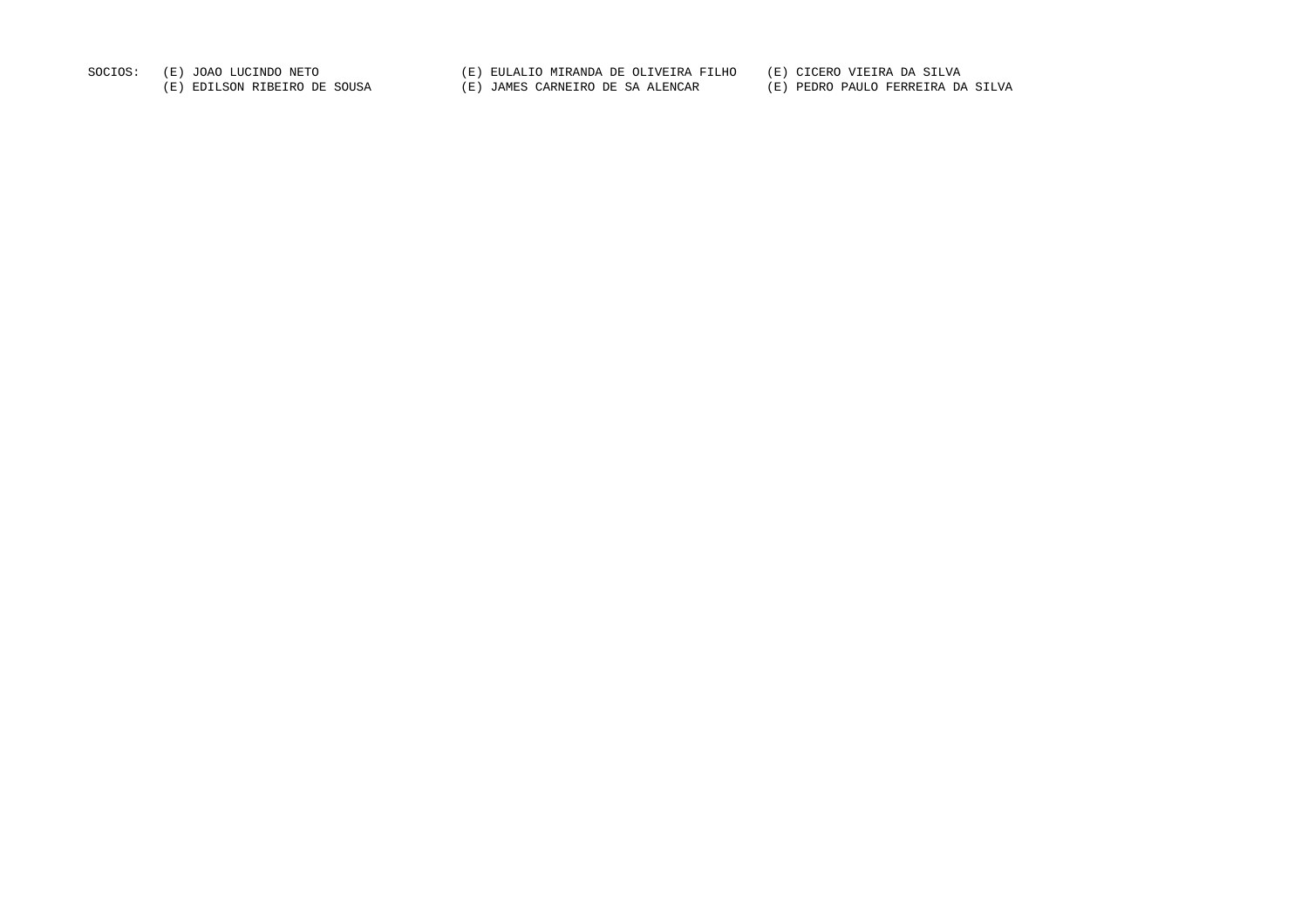SOCIOS: (E) JOAO LUCINDO NETO (E) EULALIO MIRANDA DE OLIVEIRA FILHO (E) CICERO VIEIRA DA SILVA (E) EDILSON RIBEIRO DE SOUSA (E) JAMES CARNEIRO DE SA ALENCAR (E) PEDRO PAULO FERREIRA DA SILVA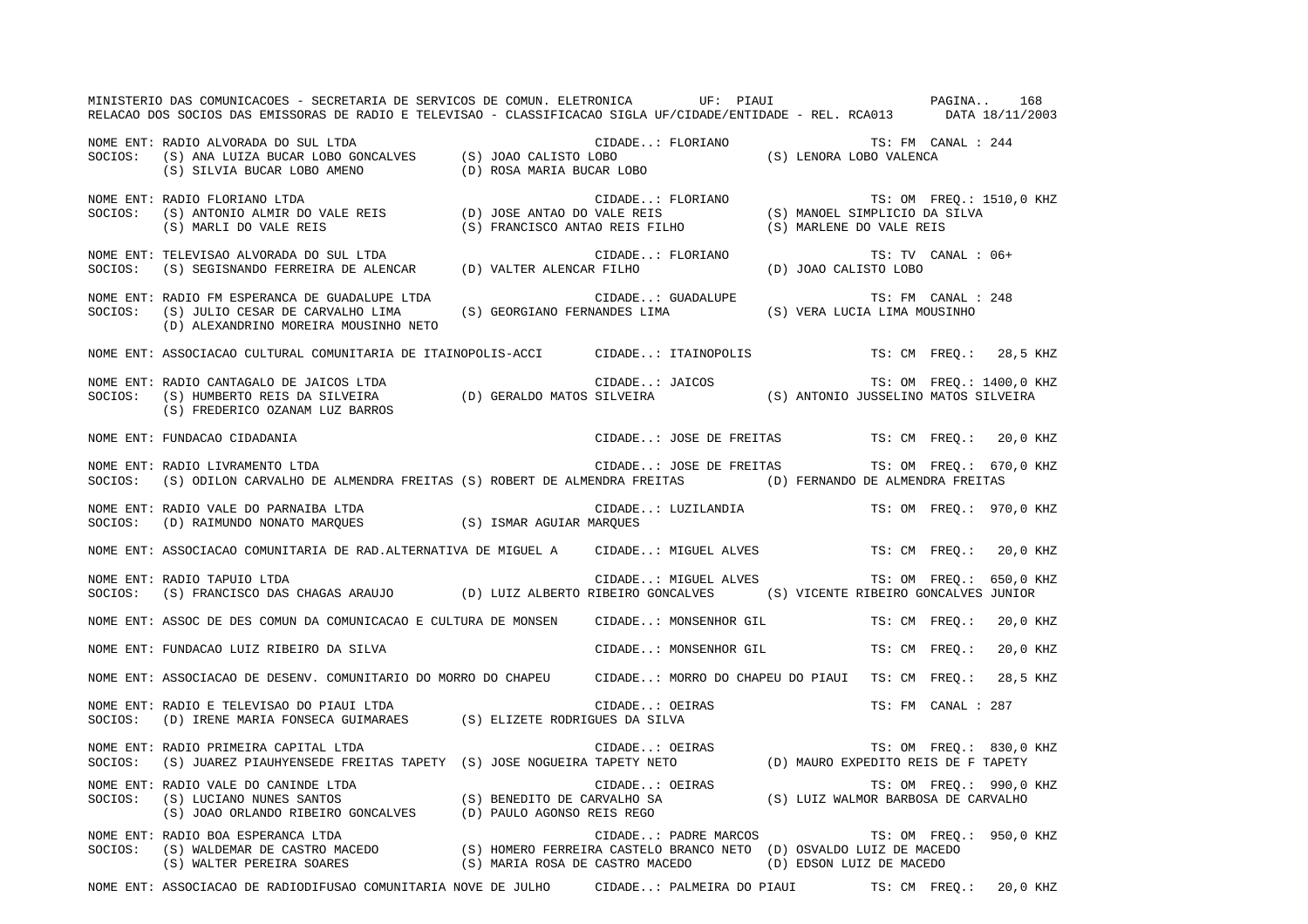MINISTERIO DAS COMUNICACOES - SECRETARIA DE SERVICOS DE COMUN. ELETRONICA UF: PIAUI PAGINA.. 168 RELACAO DOS SOCIOS DAS EMISSORAS DE RADIO E TELEVISAO - CLASSIFICACAO SIGLA UF/CIDADE/ENTIDADE - REL. RCA013 DATA 18/11/2003 NOME ENT: RADIO ALVORADA DO SUL LTDA CIDADE..: FLORIANO TS: FM CANAL : 244SOCIOS: (S) ANA LUIZA BUCAR LOBO GONCALVES (S) JOAO CALISTO LOBO (S) LENORA LOBO VALENCA (S) SILVIA BUCAR LOBO AMENO (D) ROSA MARIA BUCAR LOBO NOME ENT: RADIO FLORIANO LTDA THE SAND SERVICE SUPPOSE SERVICE SERVICE. THE SAND SERVICE SERVICE SERVICE SERVICE SERVICE SERVICE SERVICE SERVICE SERVICE SERVICE SERVICE SERVICE SERVICE SERVICE SERVICE SERVICE SERVICE SERVI SOCIOS: (S) ANTONIO ALMIR DO VALE REIS (D) JOSE ANTAO DO VALE REIS (S) MANOEL SIMPLICIO DA SILVA (S) MARLI DO VALE REIS (S) FRANCISCO ANTAO REIS FILHO (S) MARLENE DO VALE REIS NOME ENT: TELEVISAO ALVORADA DO SUL LTDA CONSTRUITION CIDADE..: FLORIANO TS: TV CANAL : 06+ SOCIOS: (S) SEGISNANDO FERREIRA DE ALENCAR (D) VALTER ALENCAR FILHO (D) JOAO CALISTO LOBO NOME ENT: RADIO FM ESPERANCA DE GUADALUPE LTDA CIDADE..: GUADALUPE TS: FM CANAL : 248SOCIOS: (S) JULIO CESAR DE CARVALHO LIMA (S) GEORGIANO FERNANDES LIMA (S) VERA LUCIA LIMA MOUSINHO (D) ALEXANDRINO MOREIRA MOUSINHO NETO NOME ENT: ASSOCIACAO CULTURAL COMUNITARIA DE ITAINOPOLIS-ACCI CIDADE..: ITAINOPOLIS TS: CM FREQ.: 28,5 KHZ NOME ENT: RADIO CANTAGALO DE JAICOS LTDA **ENTERIO EN SUBJECTE CIDADE.**.: JAICOS TS: OM FREQ.: 1400,0 KHZ SOCIOS: (S) HUMBERTO REIS DA SILVEIRA (D) GERALDO MATOS SILVEIRA (S) ANTONIO JUSSELINO MATOS SILVEIRA (S) FREDERICO OZANAM LUZ BARROS NOME ENT: FUNDACAO CIDADANIA CIDADE..: JOSE DE FREITAS TS: CM FREQ.: 20,0 KHZ NOME ENT: RADIO LIVRAMENTO LTDA CIDADE..: JOSE DE FREITAS TS: OM FREQ.: 670,0 KHZ SOCIOS: (S) ODILON CARVALHO DE ALMENDRA FREITAS (S) ROBERT DE ALMENDRA FREITAS (D) FERNANDO DE ALMENDRA FREITAS NOME ENT: RADIO VALE DO PARNAIBA LTDA CIDADE..: LUZILANDIA TS: OM FREQ.: 970,0 KHZ SOCIOS: (D) RAIMUNDO NONATO MARQUES (S) ISMAR AGUIAR MARQUES NOME ENT: ASSOCIACAO COMUNITARIA DE RAD.ALTERNATIVA DE MIGUEL A CIDADE..: MIGUEL ALVES TS: CM FREQ.: 20,0 KHZ NOME ENT: RADIO TAPUIO LTDA CIDADE..: MIGUEL ALVES TS: OM FREQ.: 650,0 KHZ SOCIOS: (S) FRANCISCO DAS CHAGAS ARAUJO (D) LUIZ ALBERTO RIBEIRO GONCALVES (S) VICENTE RIBEIRO GONCALVES JUNIOR NOME ENT: ASSOC DE DES COMUN DA COMUNICACAO E CULTURA DE MONSEN CIDADE..: MONSENHOR GIL TS: CM FREQ.: 20,0 KHZ NOME ENT: FUNDACAO LUIZ RIBEIRO DA SILVA CHANTERO EN CIDADE..: MONSENHOR GIL TS: CM FREQ.: 20,0 KHZ NOME ENT: ASSOCIACAO DE DESENV. COMUNITARIO DO MORRO DO CHAPEU CIDADE..: MORRO DO CHAPEU DO PIAUI TS: CM FREQ.: 28,5 KHZ NOME ENT: RADIO E TELEVISAO DO PIAUI LTDA CIDADE..: OEIRAS TS: FM CANAL : 287SOCIOS: (D) IRENE MARIA FONSECA GUIMARAES (S) ELIZETE RODRIGUES DA SILVA NOME ENT: RADIO PRIMEIRA CAPITAL LTDA CONTROL CONSTRUCTED CIDADE..: OEIRAS TS: OM FREQ.: 830,0 KHZ SOCIOS: (S) JUAREZ PIAUHYENSEDE FREITAS TAPETY (S) JOSE NOGUEIRA TAPETY NETO (D) MAURO EXPEDITO REIS DE F TAPETY NOME ENT: RADIO VALE DO CANINDE LTDA **ENTEREMENTE EN ENTEREMENTE CIDADE.**.: OEIRAS TS: OM FREQ.: 990,0 KHZ SOCIOS: (S) LUCIANO NUNES SANTOS (S) BENEDITO DE CARVALHO SA (S) LUIZ WALMOR BARBOSA DE CARVALHO (S) JOAO ORLANDO RIBEIRO GONCALVES (D) PAULO AGONSO REIS REGO NOME ENT: RADIO BOA ESPERANCA LTDA CIDADE..: PADRE MARCOS TS: OM FREQ.: 950,0 KHZ (S) HOMERO FERREIRA CASTELO BRANCO NETO (D) OSVALDO LUIZ DE MACEDO (S) WALTER PEREIRA SOARES (S) MARIA ROSA DE CASTRO MACEDO (D) EDSON LUIZ DE MACEDO NOME ENT: ASSOCIACAO DE RADIODIFUSAO COMUNITARIA NOVE DE JULHO CIDADE..: PALMEIRA DO PIAUI TS: CM FREQ.: 20,0 KHZ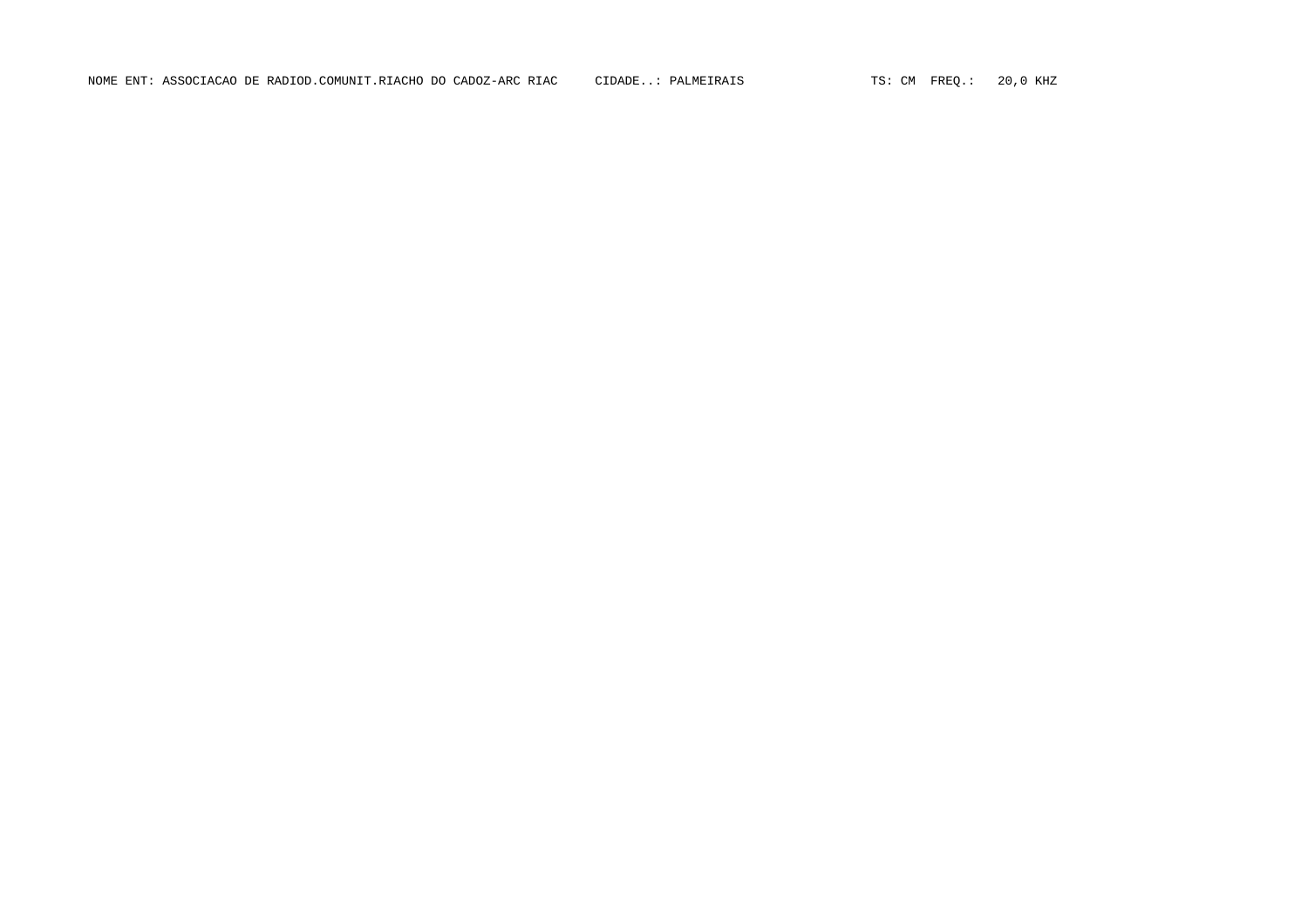NOME ENT: ASSOCIACAO DE RADIOD.COMUNIT.RIACHO DO CADOZ-ARC RIAC CIDADE..: PALMEIRAIS TS: CM FREQ.: 20,0 KHZ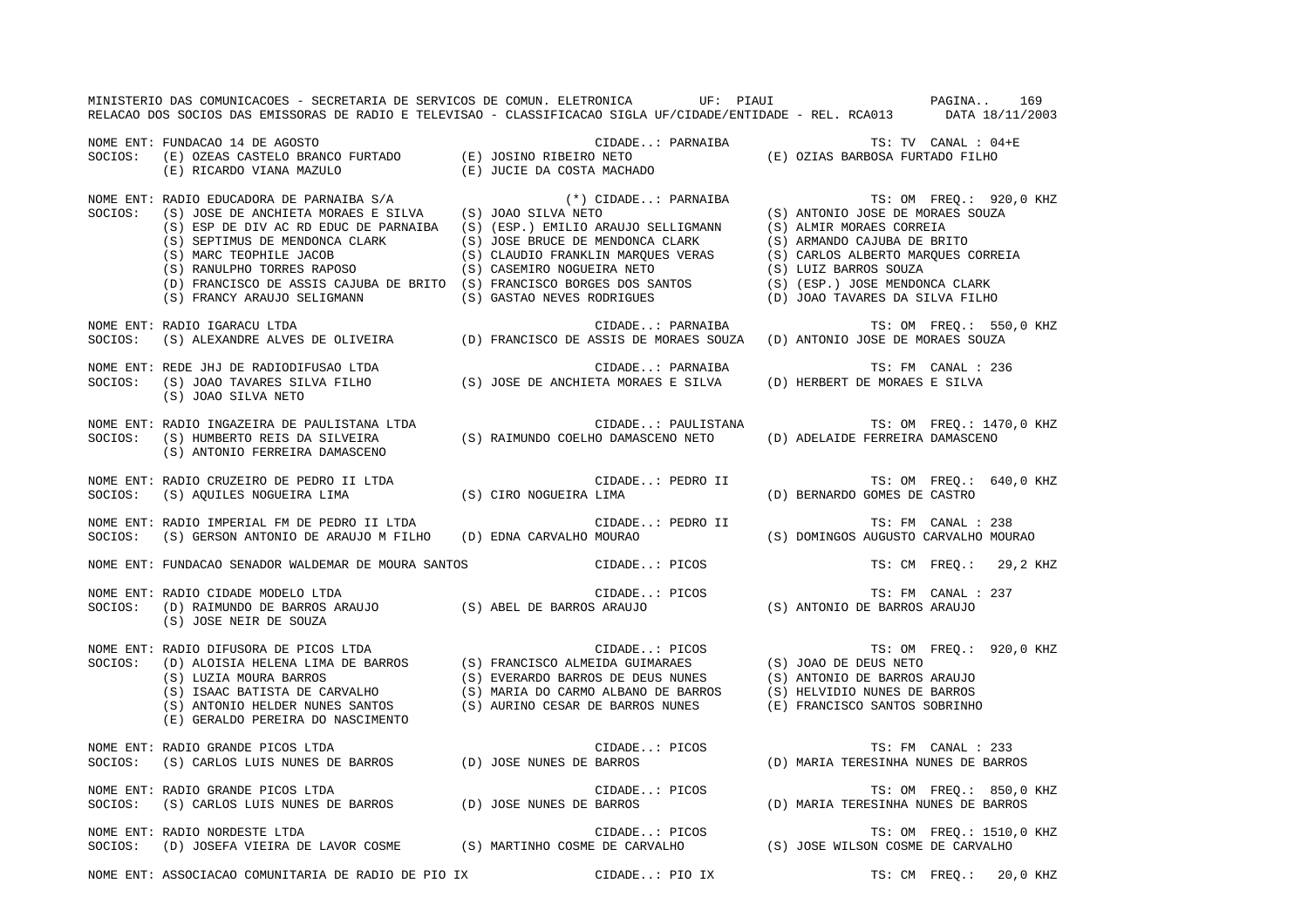|         | MINISTERIO DAS COMUNICACOES - SECRETARIA DE SERVICOS DE COMUN. ELETRONICA UF: PIAUI<br>RELACAO DOS SOCIOS DAS EMISSORAS DE RADIO E TELEVISAO - CLASSIFICACAO SIGLA UF/CIDADE/ENTIDADE - REL. RCA013 DATA 18/11/2003                                                                                                                                                                                                                                                     |                    | PAGINA<br>169                                                                                                                                                                                                                                                                                                                                                       |
|---------|-------------------------------------------------------------------------------------------------------------------------------------------------------------------------------------------------------------------------------------------------------------------------------------------------------------------------------------------------------------------------------------------------------------------------------------------------------------------------|--------------------|---------------------------------------------------------------------------------------------------------------------------------------------------------------------------------------------------------------------------------------------------------------------------------------------------------------------------------------------------------------------|
| SOCIOS: | NOME ENT: FUNDACAO 14 DE AGOSTO<br>$(E) RICARDO VIANA MAZULO$ $(E) JUCIE DA COSTA MACHADO$                                                                                                                                                                                                                                                                                                                                                                              |                    | TS: TV CANAL : 04+E                                                                                                                                                                                                                                                                                                                                                 |
|         | NOME ENT: RADIO EDUCADORA DE PARNAIBA S/A $(*)$ CI<br>SOCIOS: (S) JOSE DE ANCHIETA MORAES E SILVA (S) JOAO SILVA NETO<br>(S) ESP DE DIV AC RD EDUC DE PARNAIBA (S) (ESP.) EMILIO ARAUJO SELLIGMANN (S) ALMIR MORAES CORREIA<br>(S) SEPTIMUS DE MENDONCA CLARK<br>(S) SEPTIMUS DE MENDONCA CLARK<br>(S) CLAUDIO FRANKLIN MARQUES VERAS<br>(S) CASEMIRO NOGUEIRA NETO<br>(D) FRANCISCO DE ASSIS CAJUBA DE BRITO (S) FRANCISCO BORGES DOS SANTOS<br>(S) GASTAO NEVES RODRI |                    | (*) CIDADE: PARNAIBA $\begin{array}{ccc} 0 & \text{TS: OM} & \text{FREQ.}: & \text{Y2U} \\ \text{VA NETO} & & & \text{(S) ANTONIO JOSE DE MORAES SOUZA)} \end{array}$<br>TS: OM FREQ.: 920,0 KHZ<br>(S) ARMANDO CAJUBA DE BRITO<br>(S) CARLOS ALBERTO MARQUES CORREIA<br>(S) LUIZ BARROS SOUZA<br>(S) (ESP.) JOSE MENDONCA CLARK<br>(D) JOAO TAVARES DA SILVA FILHO |
| SOCIOS: | NOME ENT: RADIO IGARACU LTDA<br>RADIO IGARACU LTDA (D) FRANCISCO DE ASSIS DE MORAES SOUZA (D) ANTONIO JOSE DE MORAES SOUZA (S) ALEXANDRE ALVES DE OLIVEIRA (D) FRANCISCO DE ASSIS DE MORAES SOUZA (D) ANTONIO JOSE DE MORAES SOUZA                                                                                                                                                                                                                                      |                    | TS: OM FREQ.: 550,0 KHZ                                                                                                                                                                                                                                                                                                                                             |
|         | NOME ENT: REDE JHJ DE RADIODIFUSAO LTDA<br>SOCIOS: (S) JOAO TAVARES SILVA FILHO (S) JOSE DE ANCHIETA MORAES E SILVA (D) HERBERT DE MORAES E SILVA<br>(S) JOAO SILVA NETO                                                                                                                                                                                                                                                                                                | CIDADE: PARNAIBA   | TS: FM CANAL : 236                                                                                                                                                                                                                                                                                                                                                  |
| SOCIOS: | NOME ENT: RADIO INGAZEIRA DE PAULISTANA LTDA<br>(S) HUMBERTO REIS DA SILVEIRA (S) RAIMUNDO COELHO DAMASCENO NETO<br>(S) ANTONIO FERREIRA DAMASCENO                                                                                                                                                                                                                                                                                                                      | CIDADE: PAULISTANA | TS: OM FREQ.: 1470,0 KHZ<br>(D) ADELAIDE FERREIRA DAMASCENO                                                                                                                                                                                                                                                                                                         |
|         | NOME ENT: RADIO CRUZEIRO DE PEDRO II LTDA<br>SOCIOS: (S) AQUILES NOGUEIRA LIMA (S) CIRO NOGUEIRA LIMA                                                                                                                                                                                                                                                                                                                                                                   |                    | CIDADE: PEDRO II TS: OM FREQ.: 640,0 KHZ<br>(D) BERNARDO GOMES DE CASTRO                                                                                                                                                                                                                                                                                            |
|         | NOME ENT: RADIO IMPERIAL FM DE PEDRO II LTDA<br>SOCIOS: (S) GERSON ANTONIO DE ARAUJO M FILHO (D) EDNA CARVALHO MOURAO (S) DOMINGOS AUGUSTO CARVALHO MOURAO                                                                                                                                                                                                                                                                                                              | CIDADE: PEDRO II   | TS: FM CANAL : 238                                                                                                                                                                                                                                                                                                                                                  |
|         | NOME ENT: FUNDACAO SENADOR WALDEMAR DE MOURA SANTOS (CIDADE: PICOS                                                                                                                                                                                                                                                                                                                                                                                                      |                    | TS: CM FREO.: 29,2 KHZ                                                                                                                                                                                                                                                                                                                                              |
| SOCIOS: | NOME ENT: RADIO CIDADE MODELO LTDA<br>(S) JOSE NEIR DE SOUZA                                                                                                                                                                                                                                                                                                                                                                                                            |                    | TS: FM CANAL : 237                                                                                                                                                                                                                                                                                                                                                  |
|         | NOME ENT: RADIO DIFUSORA DE PICOS LTDA<br>SOCIOS: (D) ALOISIA HELENA LIMA DE BARROS (S) FRANCISCO ALMEIDA GUIMARAES (S) JOAO DE DEUS NETO<br>(S) LUZIA MOURA BARROS (S) EVERARDO BARROS DE DEUS NUNES (S) ANTONIO DE BARROS ARAUJO<br>(E) GERALDO PEREIRA DO NASCIMENTO                                                                                                                                                                                                 |                    |                                                                                                                                                                                                                                                                                                                                                                     |
| SOCIOS: | NOME ENT: RADIO GRANDE PICOS LTDA<br>(S) CARLOS LUIS NUNES DE BARROS (D) JOSE NUNES DE BARROS                                                                                                                                                                                                                                                                                                                                                                           | CIDADE: PICOS      | TS: FM CANAL : 233<br>(D) MARIA TERESINHA NUNES DE BARROS                                                                                                                                                                                                                                                                                                           |
| SOCIOS: | RADIO GRANDE PICOS LTDA (D) JOSE NUNES DE BARROS (S) CARLOS LUIS NUNES DE BARROS<br>NOME ENT: RADIO GRANDE PICOS LTDA                                                                                                                                                                                                                                                                                                                                                   |                    | TS: OM FREQ.: 850,0 KHZ<br>(D) MARIA TERESINHA NUNES DE BARROS                                                                                                                                                                                                                                                                                                      |
| SOCIOS: | NOME ENT: RADIO NORDESTE LTDA                                                                                                                                                                                                                                                                                                                                                                                                                                           |                    | TS: OM FREQ.: 1510,0 KHZ                                                                                                                                                                                                                                                                                                                                            |
|         | NOME ENT: ASSOCIACAO COMUNITARIA DE RADIO DE PIO IX CIDADE: PIO IX                                                                                                                                                                                                                                                                                                                                                                                                      |                    | TS: CM FREO.:<br>20,0 KHZ                                                                                                                                                                                                                                                                                                                                           |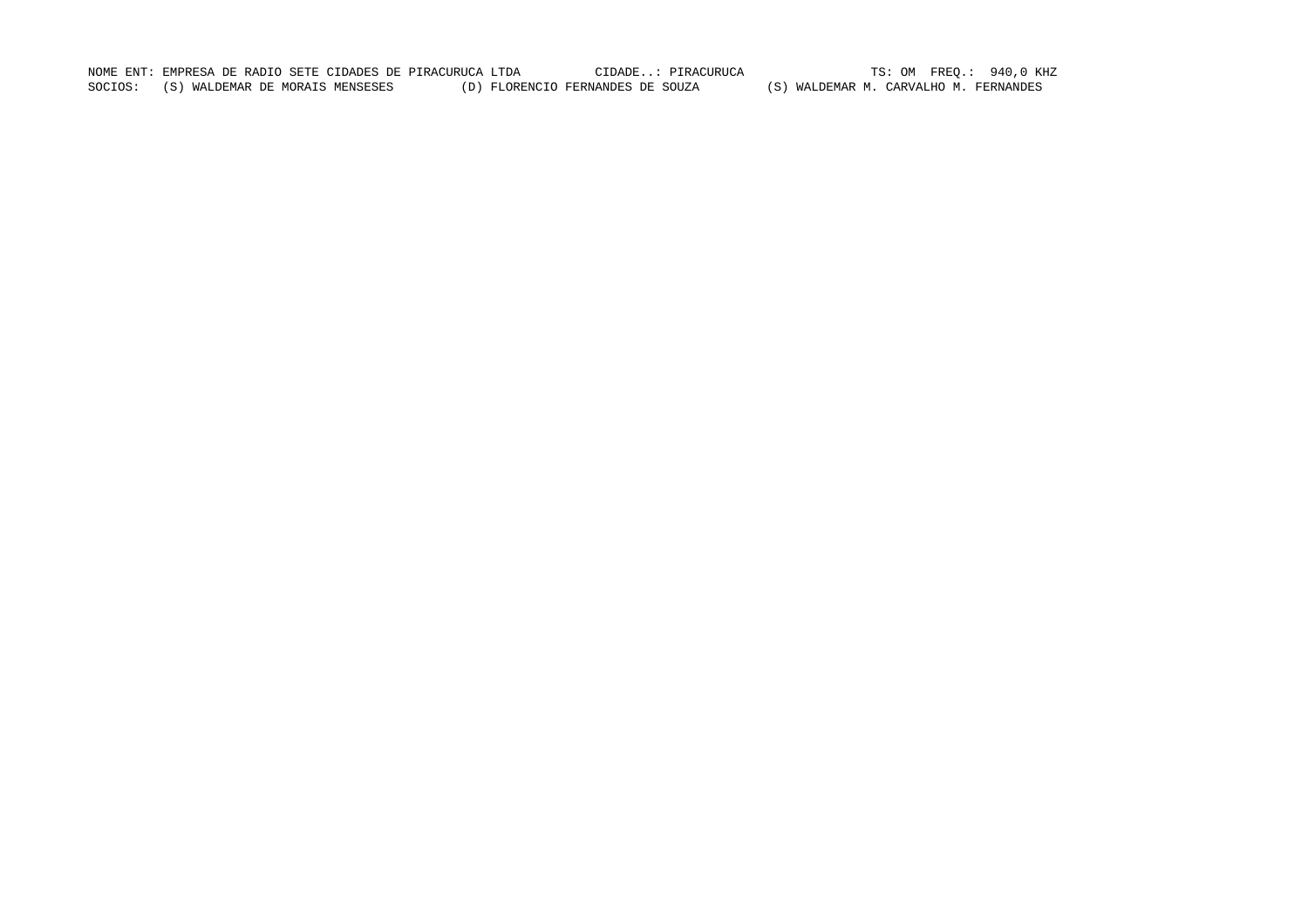NOME ENT: EMPRESA DE RADIO SETE CIDADES DE PIRACURUCA LTDA CIDADE..: PIRACURUCA TS: OM FREQ.: 940,0 KHZ SOCIOS: (S) WALDEMAR DE MORAIS MENSESES (D) FLORENCIO FERNANDES DE SOUZA (S) WALDEMAR M. CARVALHO M. FERNANDES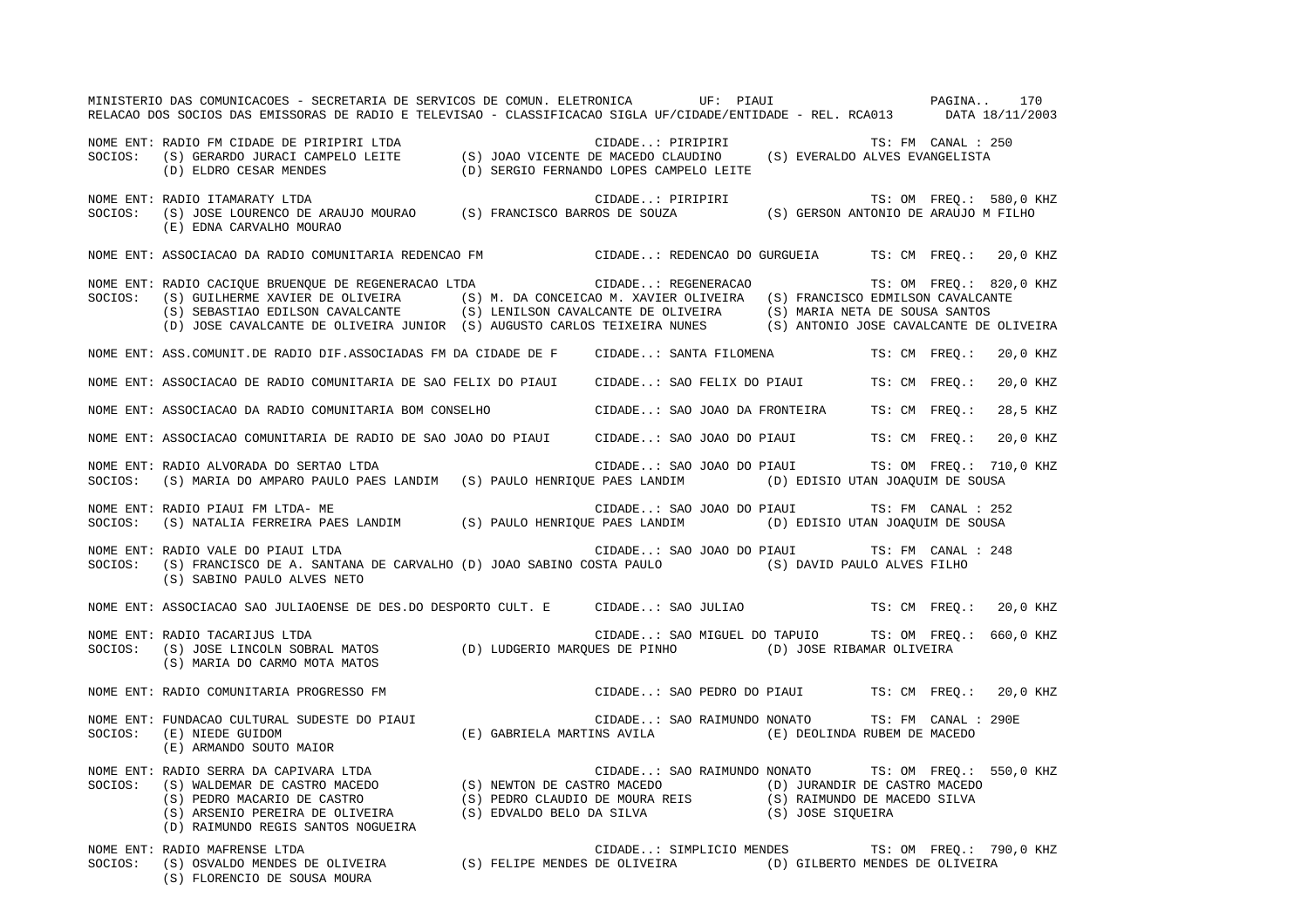MINISTERIO DAS COMUNICACOES - SECRETARIA DE SERVICOS DE COMUN. ELETRONICA UF: PIAUI PAGINA.. 170 RELACAO DOS SOCIOS DAS EMISSORAS DE RADIO E TELEVISAO - CLASSIFICACAO SIGLA UF/CIDADE/ENTIDADE - REL. RCA013 DATA 18/11/2003 NOME ENT: RADIO FM CIDADE DE PIRIPIRI LTDA CIDADE..: PIRIPIRI TS: FM CANAL : 250SOCIOS: (S) GERARDO JURACI CAMPELO LEITE (S) JOAO VICENTE DE MACEDO CLAUDINO (S) EVERALDO ALVES EVANGELISTA (D) ELDRO CESAR MENDES (D) SERGIO FERNANDO LOPES CAMPELO LEITE NOME ENT: RADIO ITAMARATY LTDA THE SERIES ON THE CIDADE..: PIRIPIRI TS: OM FREQ.: 580,0 KHZ SOCIOS: (S) JOSE LOURENCO DE ARAUJO MOURAO (S) FRANCISCO BARROS DE SOUZA (S) GERSON ANTONIO DE ARAUJO M FILHO (E) EDNA CARVALHO MOURAO NOME ENT: ASSOCIACAO DA RADIO COMUNITARIA REDENCAO FM CIDADE..: REDENCAO DO GURGUEIA TS: CM FREQ.: 20,0 KHZ NOME ENT: RADIO CACIQUE BRUENQUE DE REGENERACAO LTDA CIDADE..: REGENERACAO TS: OM FREQ.: 820,0 KHZ SOCIOS: (S) GUILHERME XAVIER DE OLIVEIRA (S) M. DA CONCEICAO M. XAVIER OLIVEIRA (S) FRANCISCO EDMILSON CAVALCANTE (S) SEBASTIAO EDILSON CAVALCANTE (S) LENILSON CAVALCANTE DE OLIVEIRA (S) MARIA NETA DE SOUSA SANTOS (D) JOSE CAVALCANTE DE OLIVEIRA JUNIOR (S) AUGUSTO CARLOS TEIXEIRA NUNES (S) ANTONIO JOSE CAVALCANTE DE OLIVEIRA NOME ENT: ASS.COMUNIT.DE RADIO DIF.ASSOCIADAS FM DA CIDADE DE F CIDADE..: SANTA FILOMENA TS: CM FREQ.: 20,0 KHZ NOME ENT: ASSOCIACAO DE RADIO COMUNITARIA DE SAO FELIX DO PIAUI CIDADE..: SAO FELIX DO PIAUI TS: CM FREQ.: 20,0 KHZ NOME ENT: ASSOCIACAO DA RADIO COMUNITARIA BOM CONSELHO CIDADE..: SAO JOAO DA FRONTEIRA TS: CM FREQ.: 28,5 KHZ NOME ENT: ASSOCIACAO COMUNITARIA DE RADIO DE SAO JOAO DO PIAUI CIDADE..: SAO JOAO DO PIAUI TS: CM FREQ.: 20,0 KHZ NOME ENT: RADIO ALVORADA DO SERTAO LTDA CIDADE..: SAO JOAO DO PIAUI TS: OM FREQ.: 710,0 KHZ SOCIOS: (S) MARIA DO AMPARO PAULO PAES LANDIM (S) PAULO HENRIQUE PAES LANDIM (D) EDISIO UTAN JOAQUIM DE SOUSA NOME ENT: RADIO PIAUI FM LTDA- ME CIDADE..: SAO JOAO DO PIAUI TS: FM CANAL : 252 SOCIOS: (S) NATALIA FERREIRA PAES LANDIM (S) PAULO HENRIQUE PAES LANDIM (D) EDISIO UTAN JOAQUIM DE SOUSA NOME ENT: RADIO VALE DO PIAUI LTDA CIDADE..: SAO JOAO DO PIAUI TS: FM CANAL : 248SOCIOS: (S) FRANCISCO DE A. SANTANA DE CARVALHO (D) JOAO SABINO COSTA PAULO (S) DAVID PAULO ALVES FILHO (S) SABINO PAULO ALVES NETO NOME ENT: ASSOCIACAO SAO JULIAOENSE DE DES.DO DESPORTO CULT. E CIDADE..: SAO JULIAO TS: CM FREQ.: 20,0 KHZ NOME ENT: RADIO TACARIJUS LTDA CIDADE..: SAO MIGUEL DO TAPUIO TS: OM FREQ.: 660,0 KHZ SOCIOS: (S) JOSE LINCOLN SOBRAL MATOS (D) LUDGERIO MARQUES DE PINHO (D) JOSE RIBAMAR OLIVEIRA (S) MARIA DO CARMO MOTA MATOS NOME ENT: RADIO COMUNITARIA PROGRESSO FM CIDADE..: SAO PEDRO DO PIAUI TS: CM FREQ.: 20,0 KHZ NOME ENT: FUNDACAO CULTURAL SUDESTE DO PIAUI CIDADE..: SAO RAIMUNDO NONATO TS: FM CANAL : 290ESOCIOS: (E) NIEDE GUIDOM (E) GABRIELA MARTINS AVILA (E) DEOLINDA RUBEM DE MACEDO (E) ARMANDO SOUTO MAIOR NOME ENT: RADIO SERRA DA CAPIVARA LTDA CIDADE..: SAO RAIMUNDO NONATO TS: OM FREQ.: 550,0 KHZ SOCIOS: (S) WALDEMAR DE CASTRO MACEDO (S) NEWTON DE CASTRO MACEDO (D) JURANDIR DE CASTRO MACEDO (S) PEDRO MACARIO DE CASTRO (S) PEDRO CLAUDIO DE MOURA REIS (S) RAIMUNDO DE MACEDO SILVA (S) ARSENIO PEREIRA DE OLIVEIRA (S) EDVALDO BELO DA SILVA (S) JOSE SIQUEIRA (D) RAIMUNDO REGIS SANTOS NOGUEIRA NOME ENT: RADIO MAFRENSE LTDA CIDADE..: SIMPLICIO MENDES TS: OM FREQ.: 790,0 KHZ SOCIOS: (S) OSVALDO MENDES DE OLIVEIRA (S) FELIPE MENDES DE OLIVEIRA (D) GILBERTO MENDES DE OLIVEIRA (S) FLORENCIO DE SOUSA MOURA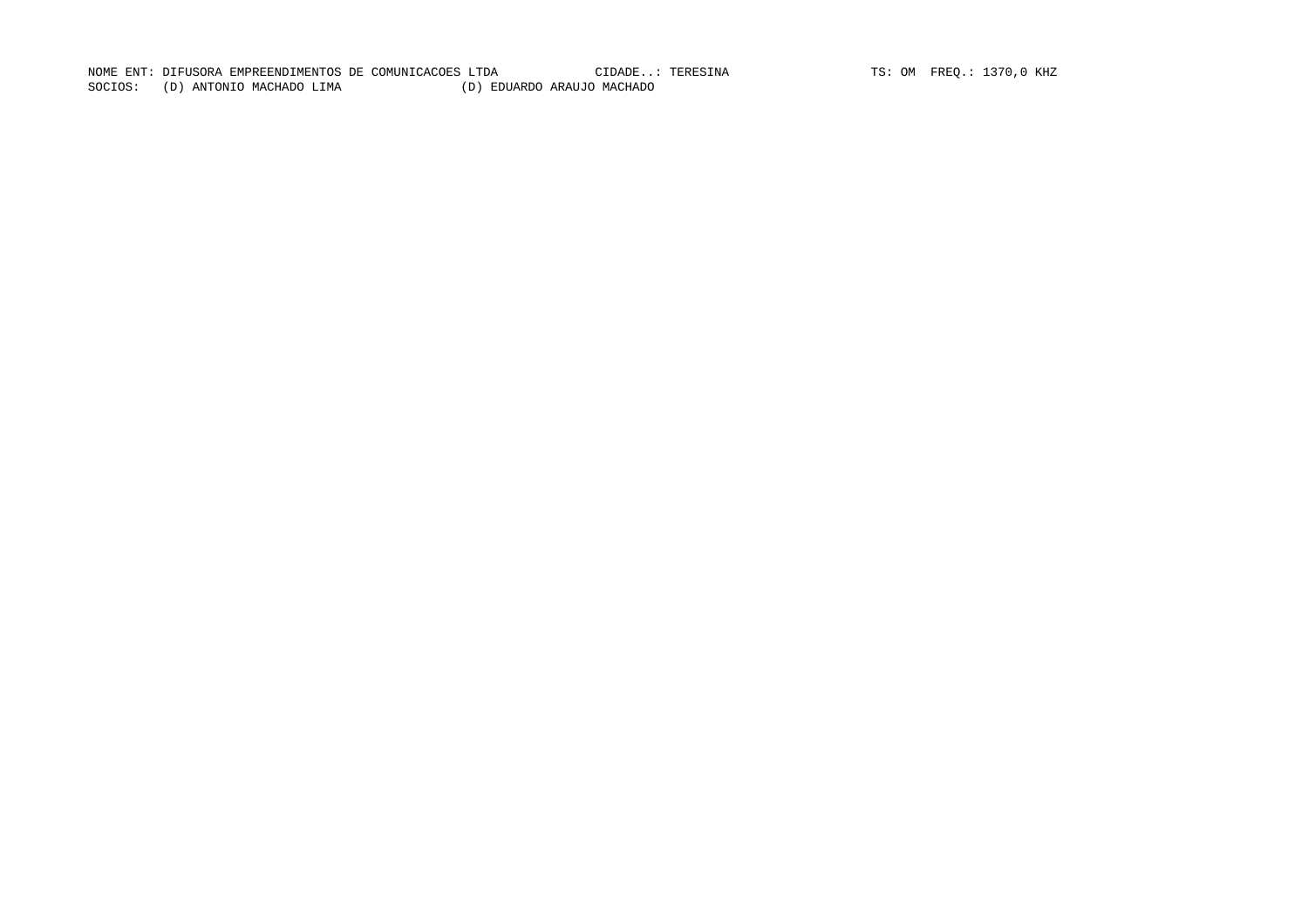NOME ENT: DIFUSORA EMPREENDIMENTOS DE COMUNICACOES LTDA CIDADE..: TERESINA TS: OM FREQ.: 1370,0 KHZ SOCIOS: (D) ANTONIO MACHADO LIMA (D) EDUARDO ARAUJO MACHADO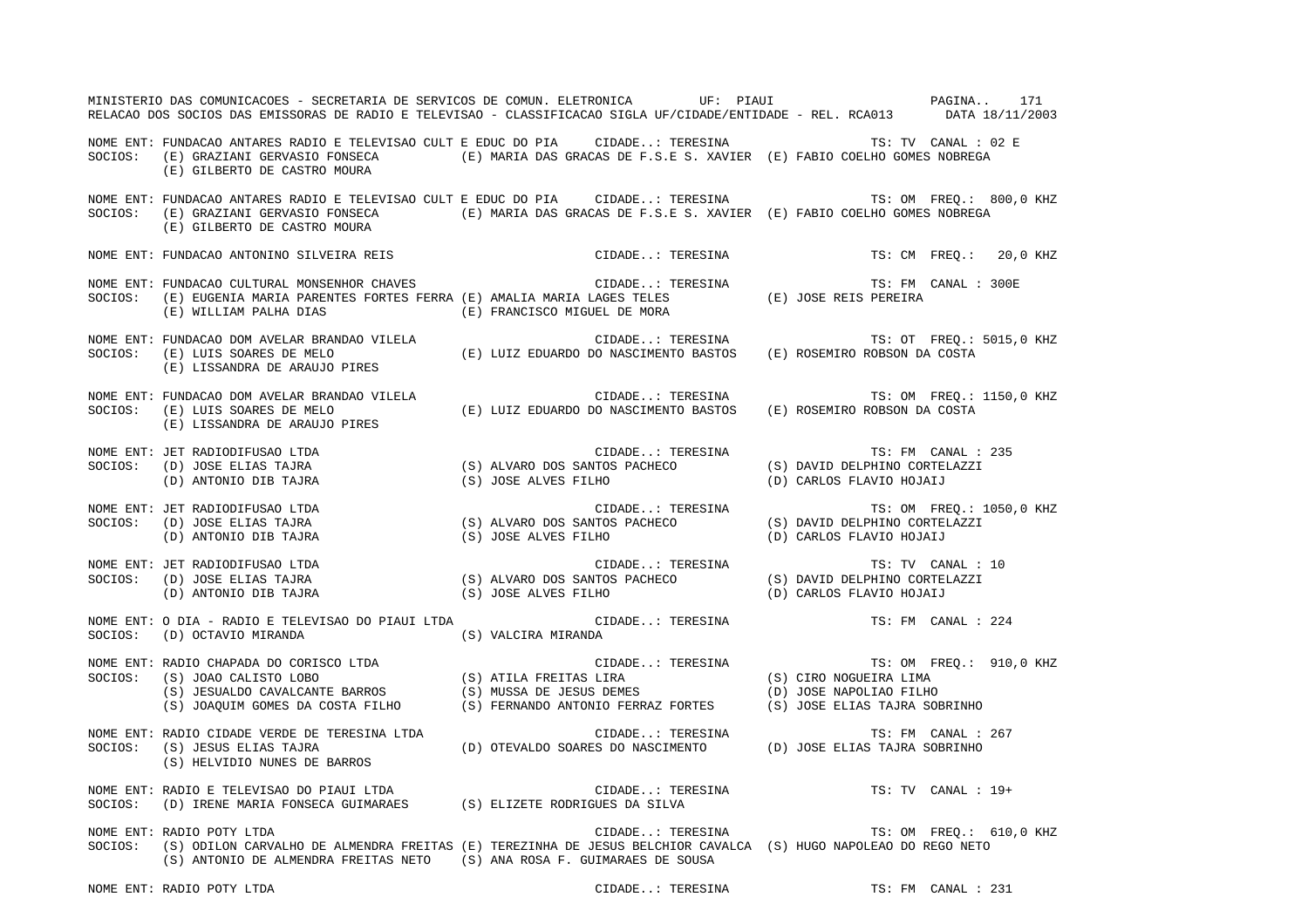|         | MINISTERIO DAS COMUNICACOES - SECRETARIA DE SERVICOS DE COMUN. ELETRONICA UF: PIAUI COMUNISTERIO DAS COMUNICACOES - SECRETARIA DE SERVICOS DE COMUN. ELETRONICA<br>RELACAO DOS SOCIOS DAS EMISSORAS DE RADIO E TELEVISAO - CLASSIFICACAO SIGLA UF/CIDADE/ENTIDADE - REL. RCA013 DATA 18/11/2003 |                                     |                                                 |
|---------|-------------------------------------------------------------------------------------------------------------------------------------------------------------------------------------------------------------------------------------------------------------------------------------------------|-------------------------------------|-------------------------------------------------|
|         | NOME ENT: FUNDACAO ANTARES RADIO E TELEVISAO CULT E EDUC DO PIA CIDADE: TERESINA TS: TV CANAL : 02 E<br>SOCIOS: (E) GRAZIANI GERVASIO FONSECA (E) MARIA DAS GRACAS DE F.S.E S. XAVIER (E) FABIO COELHO GOMES NOBREGA (E) GILBERTO DE CASTRO MOURA                                               |                                     |                                                 |
| SOCIOS: | NOME ENT: FUNDACAO ANTARES RADIO E TELEVISAO CULT E EDUC DO PIA CIDADE: TERESINA TS: OM FREQ.: 800,0 KHZ<br>(E) GRAZIANI GERVASIO FONSECA (E) MARIA DAS GRACAS DE F.S.E S. XAVIER (E) FABIO COELHO GOMES NOBREGA<br>(E) GILBERTO DE CASTRO MOURA                                                |                                     |                                                 |
|         | NOME ENT: FUNDACAO ANTONINO SILVEIRA REIS (2008) CODADE: TERESINA TS: CM FREQ.: 20,0 KHZ                                                                                                                                                                                                        |                                     |                                                 |
|         | NOME ENT: FUNDACAO CULTURAL MONSENHOR CHAVES<br>SOCIOS:   (E) EUGENIA MARIA PARENTES FORTES FERRA (E) AMALIA MARIA LAGES TELES                (E) JOSE REIS PEREIRA<br>$(\,\mathbb{E}\,)$ WILLIAM PALHA DIAS (E) FRANCISCO MIGUEL DE MORA                                                       |                                     |                                                 |
|         | NOME ENT: FUNDACAO DOM AVELAR BRANDAO VILELA<br>SOCIOS: (E) LUIS SOARES DE MELO (E) LUIZ EDUARDO DO NASCIMENTO BASTOS (E) ROSEMIRO ROBSON DA COSTA<br>(E) LISSANDRA DE ARAUJO PIRES                                                                                                             |                                     |                                                 |
|         | NOME ENT: FUNDACAO DOM AVELAR BRANDAO VILELA (E) LUIZ EDUARDO DO NASCIMENTO BASTOS (E) ROSEMIRO ROBSON DA COSTA<br>SOCIOS: (E) LUIS SOARES DE MELO (E) LUIZ EDUARDO DO NASCIMENTO BASTOS (E) ROSEMIRO ROBSON DA COSTA<br>(E) LISSAND                                                            |                                     | TS: OM FREQ.: 1150,0 KHZ                        |
|         | NOME ENT: JET RADIODIFUSAO LTDA<br>SOCIOS: (D) JOSE ELIAS TAJRA (S) ALVARO DOS SANTOS PACHECO (S) DAVID DELPHINO CORTELAZZI<br>(D) ANTONIO DIB TAJRA (S) JOSE ALVES FILHO (D) CARLOS FLAVIO HOJAIJ                                                                                              |                                     |                                                 |
|         | NOME ENT: JET RADIODIFUSAO LTDA<br>SOCIOS: (D) JOSE ELIAS TAJRA                                                                                                                                                                                                                                 |                                     |                                                 |
|         | NOME ENT: JET RADIODIFUSAO LTDA<br>SOCIOS: (D) JOSE ELIAS TAJRA                                                                                                                                                                                                                                 |                                     | TS: TV CANAL : 10                               |
|         | NOME ENT: O DIA - RADIO E TELEVISAO DO PIAUI LTDA<br>SOCIOS: (D) OCTAVIO MIRANDA (S) VALCIRA MIRANDA                                                                                                                                                                                            | CIDADE: TERESINA TS: FM CANAL : 224 |                                                 |
|         | NOME ENT: RADIO CHAPADA DO CORISCO LTDA<br>SOCIOS: (S) JOAO CALISTO LOBO (S) ATILA FREITAS LIRA (S) CIRO NOGUEIRA LIMA<br>(S) JESUALDO CAVALCANTE BARROS (S) MUSSA DE JESUS DEMES (D) JOSE NAPOLIAO FILHO<br>(S) JOAQUIM GOMES DA CO                                                            |                                     | TS: OM FREQ.: 910,0 KHZ                         |
|         | NOME ENT: RADIO CIDADE VERDE DE TERESINA LTDA<br>SOCIOS: (S) JESUS ELIAS TAJRA (D) OTEVALDO SOARES DO NASCIMENTO (D) JOSE ELIAS TAJRA SOBRINHO<br>(S) HELVIDIO NUNES DE BARROS                                                                                                                  |                                     |                                                 |
|         | NOME ENT: RADIO E TELEVISAO DO PIAUI LTDA (S) ELIZETE RODRIGUES DA SILVA SOCIOS: (D) IRENE MARIA FONSECA GUIMARAES (S) ELIZETE RODRIGUES DA SILVA                                                                                                                                               |                                     | $\verb CIDADE: TERESINA   TS: TV   CANAL : 19+$ |
|         | NOME ENT: RADIO POTY LTDA<br>SOCIOS: (S) ODILON CARVALHO DE ALMENDRA FREITAS (E) TEREZINHA DE JESUS BELCHIOR CAVALCA (S) HUGO NAPOLEAO DO REGO NETO<br>(S) ANTONIO DE ALMENDRA FREITAS NETO (S) ANA ROSA F. GUIMARAES DE SOUSA                                                                  |                                     | CIDADE: TERESINA TS: OM FREQ.: 610,0 KHZ        |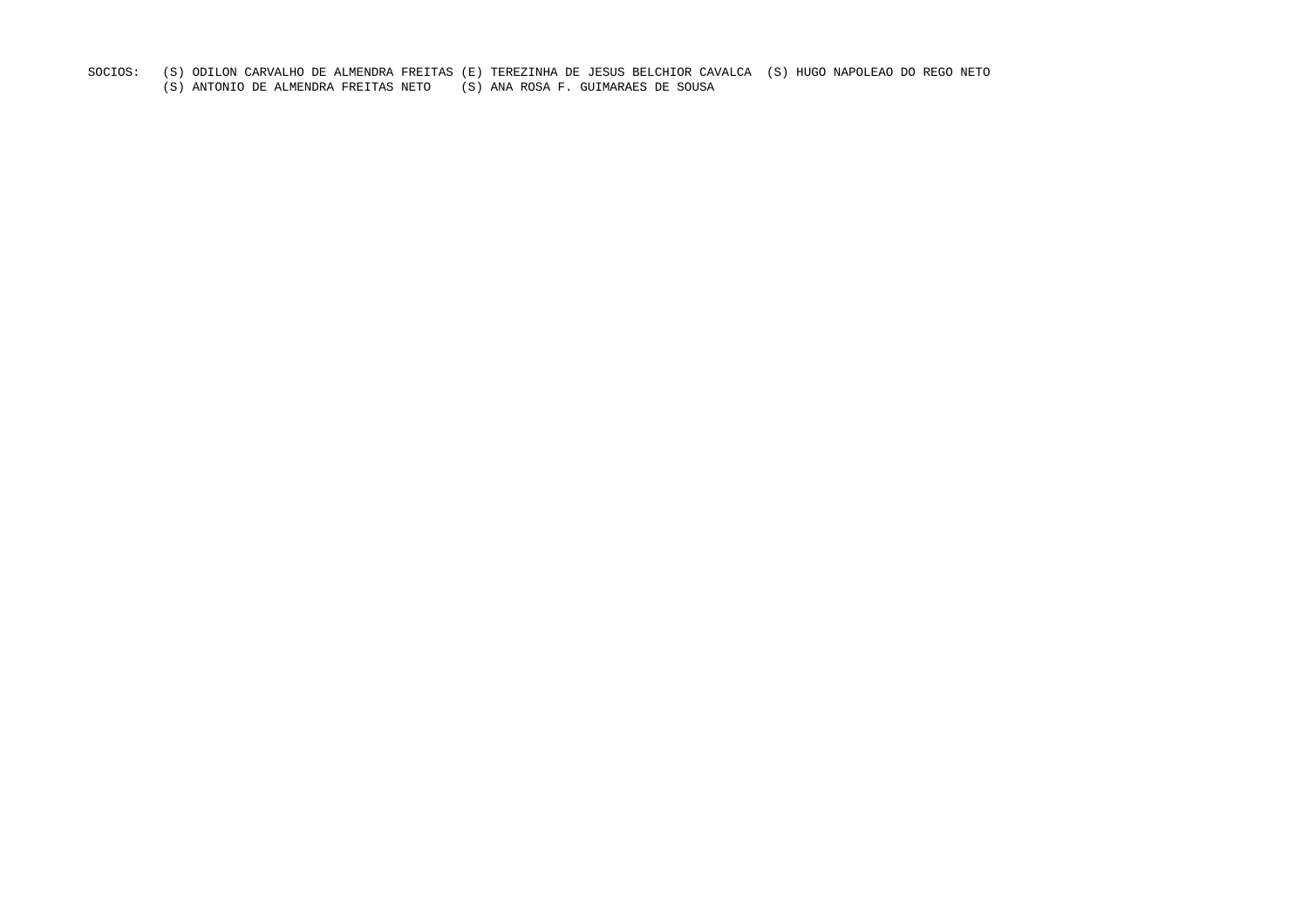- SOCIOS: (S) ODILON CARVALHO DE ALMENDRA FREITAS (E) TEREZINHA DE JESUS BELCHIOR CAVALCA (S) HUGO NAPOLEAO DO REGO NETO
	- (S) ANTONIO DE ALMENDRA FREITAS NETO (S) ANA ROSA F. GUIMARAES DE SOUSA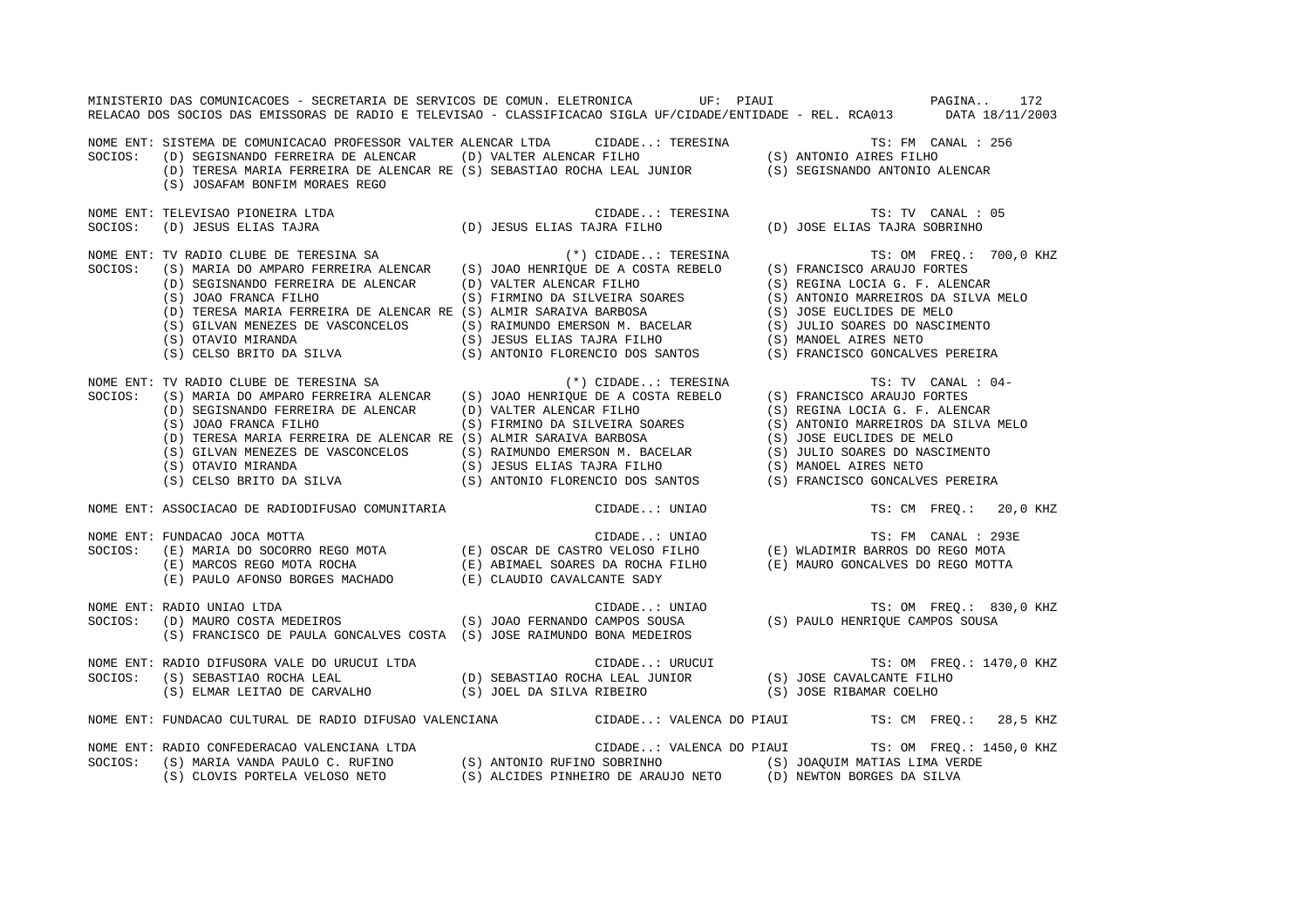|         | MINISTERIO DAS COMUNICACOES - SECRETARIA DE SERVICOS DE COMUN. ELETRONICA UF: PIAUI CHE COMUNICACOES - 172<br>RELACAO DOS SOCIOS DAS EMISSORAS DE RADIO E TELEVISAO - CLASSIFICACAO SIGLA UF/CIDADE/ENTIDADE - REL. RCA013 DATA 18/11/2003 |               |                                                   |
|---------|--------------------------------------------------------------------------------------------------------------------------------------------------------------------------------------------------------------------------------------------|---------------|---------------------------------------------------|
|         | NOME ENT: SISTEMA DE COMUNICACAO PROFESSOR VALTER ALENCAR LTDA CIDADE: TERESINA TS: FM CANAL : 256<br>SOCIOS: (D) SEGISNANDO FERREIRA DE ALENCAR (D) VALTER ALENCAR FILHO (S) ANTONIO AIRES FILHO<br>(D) TERESA MARIA FERREIRA DE          |               |                                                   |
|         | (S) JOSAFAM BONFIM MORAES REGO                                                                                                                                                                                                             |               |                                                   |
|         | NOME ENT: TELEVISAO PIONEIRA LTDA                                                                                                                                                                                                          |               |                                                   |
| SOCIOS: |                                                                                                                                                                                                                                            |               |                                                   |
|         |                                                                                                                                                                                                                                            |               | TS: OM FREQ.: 700,0 KHZ                           |
|         |                                                                                                                                                                                                                                            |               |                                                   |
|         |                                                                                                                                                                                                                                            |               |                                                   |
|         |                                                                                                                                                                                                                                            |               |                                                   |
|         |                                                                                                                                                                                                                                            |               |                                                   |
|         |                                                                                                                                                                                                                                            |               |                                                   |
|         |                                                                                                                                                                                                                                            |               |                                                   |
|         |                                                                                                                                                                                                                                            |               |                                                   |
|         |                                                                                                                                                                                                                                            |               | TS: TV CANAL : 04-                                |
|         |                                                                                                                                                                                                                                            |               |                                                   |
|         |                                                                                                                                                                                                                                            |               |                                                   |
|         |                                                                                                                                                                                                                                            |               |                                                   |
|         |                                                                                                                                                                                                                                            |               |                                                   |
|         |                                                                                                                                                                                                                                            |               |                                                   |
|         |                                                                                                                                                                                                                                            |               |                                                   |
|         | CONFIRMED AND SECISION CONFIRMED AND SELVER ALENCAR (D) VALTER ALENCAR FILHO<br>(S) JOAO FRANCA FILHO (S) TRIMINO DA SILVEIRA SOARES<br>(D) TERESA MARIA FERREIRA DE ALENCAR RE (S) ALMIR SARAIVA BARBOSA (S) ANTONIO MARREIROS DA         |               |                                                   |
|         | NOME ENT: ASSOCIACAO DE RADIODIFUSAO COMUNITARIA                                                                                                                                                                                           | CIDADE: UNIAO | TS: CM FREO.: 20,0 KHZ                            |
|         | NOME ENT: FUNDACAO JOCA MOTTA                                                                                                                                                                                                              |               | TS: FM CANAL : 293E                               |
| SOCIOS: |                                                                                                                                                                                                                                            |               |                                                   |
|         |                                                                                                                                                                                                                                            |               |                                                   |
|         | FUNDACAO JOCA MOTTA (E) MARIA DO SOCORRO REGO MOTA (E) OSCAR DE CASTRO VELOSO FILHO (E) MLADIMIR BARROS DO REGO MOTA (E) ABIMAEL SOARES DA ROCHA FILHO (E) MLADIMIR BARROS DO REGO MOTA (E) ABIMAEL SOARES DA ROCHA FILHO (E)              |               |                                                   |
|         | RADIO UNIAO LTDA CIDADE: UNIAO TS: OM FREQ.: 830<br>(D) MAURO COSTA MEDEIROS (S) JOAO FERNANDO CAMPOS SOUSA (S) PAULO HENRIQUE CAMPOS SOUSA<br>NOME ENT: RADIO UNIAO LTDA                                                                  |               | TS: OM FREQ.: 830,0 KHZ                           |
| SOCIOS: |                                                                                                                                                                                                                                            |               |                                                   |
|         | (S) FRANCISCO DE PAULA GONCALVES COSTA (S) JOSE RAIMUNDO BONA MEDEIROS                                                                                                                                                                     |               |                                                   |
|         |                                                                                                                                                                                                                                            |               |                                                   |
|         |                                                                                                                                                                                                                                            |               |                                                   |
|         |                                                                                                                                                                                                                                            |               |                                                   |
|         | NOME ENT: FUNDACAO CULTURAL DE RADIO DIFUSAO VALENCIANA CIDADE: VALENCA DO PIAUI TS: CM FREQ.: 28,5 KHZ                                                                                                                                    |               |                                                   |
|         | NOME ENT: RADIO CONFEDERACAO VALENCIANA LTDA (S) ANTONIO RUFINO SOBRINHO (S) JOAQUIM MATIAS LIMA VERDE (S) SOCIOS: (S) MARIA VANDA PAULO C. RUFINO (S) ANTONIO RUFINO SOBRINHO (S) JOAQUIM MATIAS LIMA VERDE (S) CLOVIS PORTEL             |               | CIDADE: VALENCA DO PIAUI TS: OM FREO.: 1450,0 KHZ |
|         |                                                                                                                                                                                                                                            |               |                                                   |
|         |                                                                                                                                                                                                                                            |               |                                                   |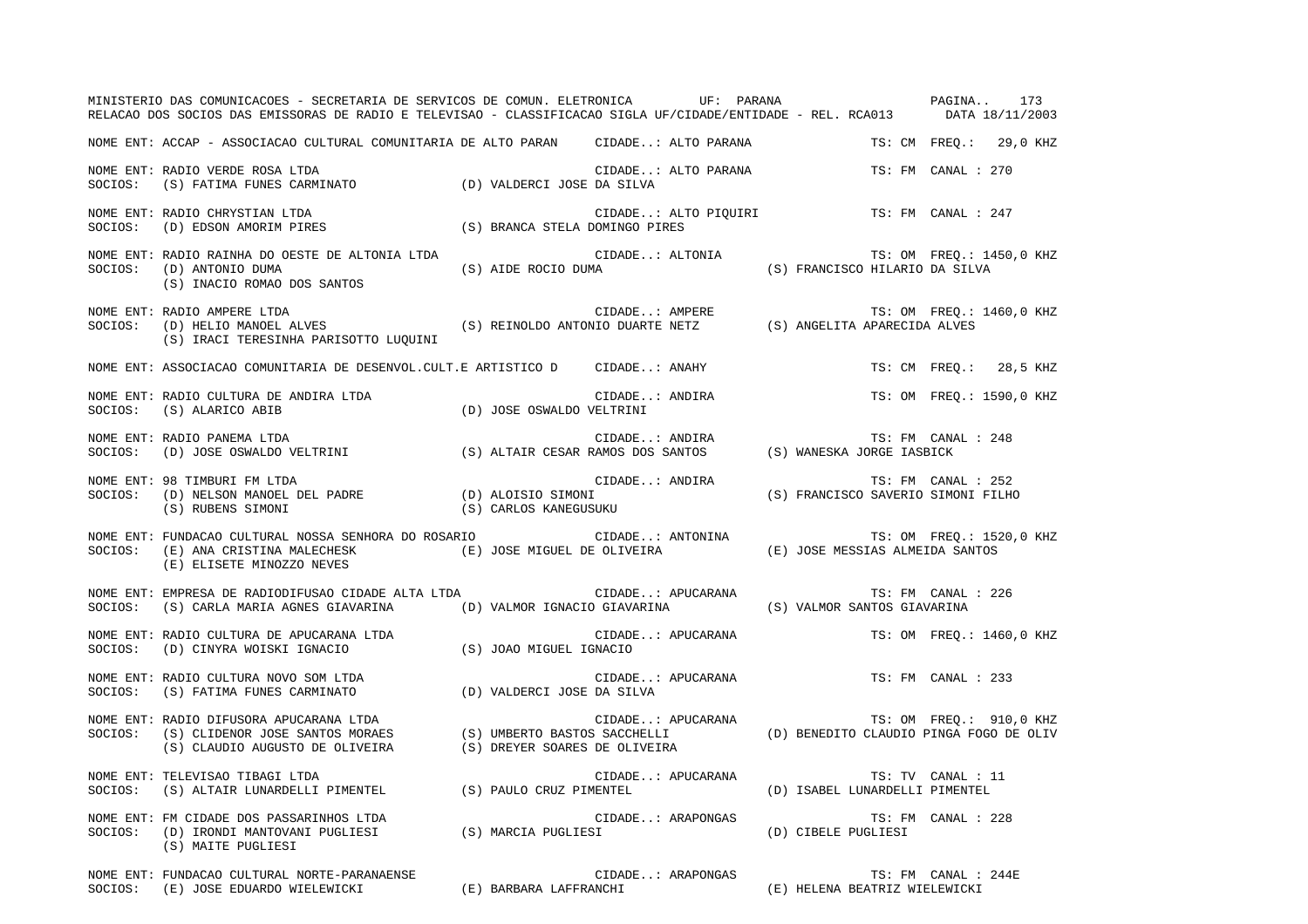|         | MINISTERIO DAS COMUNICACOES - SECRETARIA DE SERVICOS DE COMUN. ELETRONICA UF: PARANA COMUNISTERIO DAS COMUNICACOES - SECRETARIA DE SERVICOS DE COMUN. ELETRONICA<br>RELACAO DOS SOCIOS DAS EMISSORAS DE RADIO E TELEVISAO - CLASSIFICACAO SIGLA UF/CIDADE/ENTIDADE - REL. RCA013 DATA 18/11/2003 |  |                     |                                                                                  |                          |
|---------|--------------------------------------------------------------------------------------------------------------------------------------------------------------------------------------------------------------------------------------------------------------------------------------------------|--|---------------------|----------------------------------------------------------------------------------|--------------------------|
|         | NOME ENT: ACCAP - ASSOCIACAO CULTURAL COMUNITARIA DE ALTO PARAN CIDADE: ALTO PARANA TS: CM FREQ.: 29,0 KHZ                                                                                                                                                                                       |  |                     |                                                                                  |                          |
| SOCIOS: | NOME ENT: RADIO VERDE ROSA LTDA<br>(S) FATIMA FUNES CARMINATO (D) VALDERCI JOSE DA SILVA                                                                                                                                                                                                         |  | CIDADE: ALTO PARANA | TS: FM CANAL : 270                                                               |                          |
|         | NOME ENT: RADIO CHRYSTIAN LTDA<br>SOCIOS: (D) EDSON AMORIM PIRES (S) BRANCA STELA DOMINGO PIRES                                                                                                                                                                                                  |  |                     | CIDADE: ALTO PIQUIRI TS: FM CANAL : 247                                          |                          |
|         | NOME ENT: RADIO RAINHA DO OESTE DE ALTONIA LTDA<br>(S) AIDE ROCIO DUMA<br>SOCIOS: (D) ANTONIO DUMA<br>(S) INACIO ROMAO DOS SANTOS                                                                                                                                                                |  |                     | CIDADE: ALTONIA (S) FRANCISCO HILARIO DA SILVA (S) (S) RANCISCO HILARIO DA SILVA | TS: OM FREQ.: 1450,0 KHZ |
|         | NOME ENT: RADIO AMPERE LTDA<br>SOCIOS: (D) HELIO MANOEL ALVES (S) REINOLDO ANTONIO DUARTE NETZ (S) ANGELITA APARECIDA ALVES<br>(S) IRACI TERESINHA PARISOTTO LUQUINI                                                                                                                             |  |                     |                                                                                  |                          |
|         | NOME ENT: ASSOCIACAO COMUNITARIA DE DESENVOL.CULT.E ARTISTICO D  CIDADE: ANAHY                                                                                                                                                                                                                   |  |                     |                                                                                  | TS: CM FREQ.: 28,5 KHZ   |
|         |                                                                                                                                                                                                                                                                                                  |  | CIDADE: ANDIRA      |                                                                                  | TS: OM FREO.: 1590,0 KHZ |
|         | NOME ENT: RADIO PANEMA LTDA<br>SOCIOS: (D) JOSE OSWALDO VELTRINI (S) ALTAIR CESAR RAMOS DOS SANTOS (S) WANESKA JORGE IASBICK                                                                                                                                                                     |  |                     | TS: FM CANAL : 248                                                               |                          |
|         | TS: FM CANAL: 252<br>SOCIOS: (D) NELSON MANOEL DEL PADRE (D) ALOISIO SIMONI (S) RUBENS SIMONI FILHO<br>(S) RUBENS SIMONI (S) (S) CARLOS KANEGUSUKU                                                                                                                                               |  |                     |                                                                                  |                          |
|         |                                                                                                                                                                                                                                                                                                  |  |                     |                                                                                  |                          |
| SOCIOS: | (S) CARLA MARIA AGNES GIAVARINA (D) VALMOR IGNACIO GIAVARINA (S) VALMOR SANTOS GIAVARINA                                                                                                                                                                                                         |  |                     | TS: FM CANAL : 226                                                               |                          |
|         | NOME ENT: RADIO CULTURA DE APUCARANA LTDA<br>SOCIOS: (D) CINYRA WOISKI IGNACIO (S) JOAO MIGUEL IGNACIO                                                                                                                                                                                           |  | CIDADE: APUCARANA   |                                                                                  | TS: OM FREO.: 1460,0 KHZ |
|         | NOME ENT: RADIO CULTURA NOVO SOM LTDA (D) VALDERCI JOSE DA SILVA SOCIOS: (S) FATIMA FUNES CARMINATO (D) VALDERCI JOSE DA SILVA                                                                                                                                                                   |  |                     | CIDADE: APUCARANA TS: FM CANAL : 233                                             |                          |
|         | NOME ENT: RADIO DIFUSORA APUCARANA LTDA<br>SOCIOS: (S) CLIDENOR JOSE SANTOS MORAES (S) UMBERTO BASTOS SACCHELLI (D) BENEDITO CLAUDIO PINGA FOGO DE OLIV<br>(S) CLAUDIO AUGUSTO DE OLIVEIRA (S) DREYER SOARES DE OLIVEIRA (D) BENEDIT                                                             |  |                     |                                                                                  |                          |
|         | NOME ENT: TELEVISAO TIBAGI LTDA<br>SOCIOS: (S) ALTAIR LUNARDELLI PIMENTEL (S) PAULO CRUZ PIMENTEL (D) ISABEL LUNARDELLI PIMENTEL                                                                                                                                                                 |  | CIDADE: APUCARANA   | TS: TV CANAL : 11                                                                |                          |
|         | NOME ENT: FM CIDADE DOS PASSARINHOS LTDA<br>SOCIOS: (D) IRONDI MANTOVANI PUGLIESI (S) MARCIA PUGLIESI (D) CIBELE PUGLIESI<br>(S) MAITE PUGLIESI                                                                                                                                                  |  | CIDADE: ARAPONGAS   | TS: FM CANAL : 228                                                               |                          |
|         | NOME ENT: FUNDACAO CULTURAL NORTE-PARANAENSE                                                                                                                                                                                                                                                     |  | CIDADE: ARAPONGAS   | TS: FM CANAL : 244E                                                              |                          |

SOCIOS: (E) JOSE EDUARDO WIELEWICKI (E) BARBARA LAFFRANCHI (E) HELENA BEATRIZ WIELEWICKI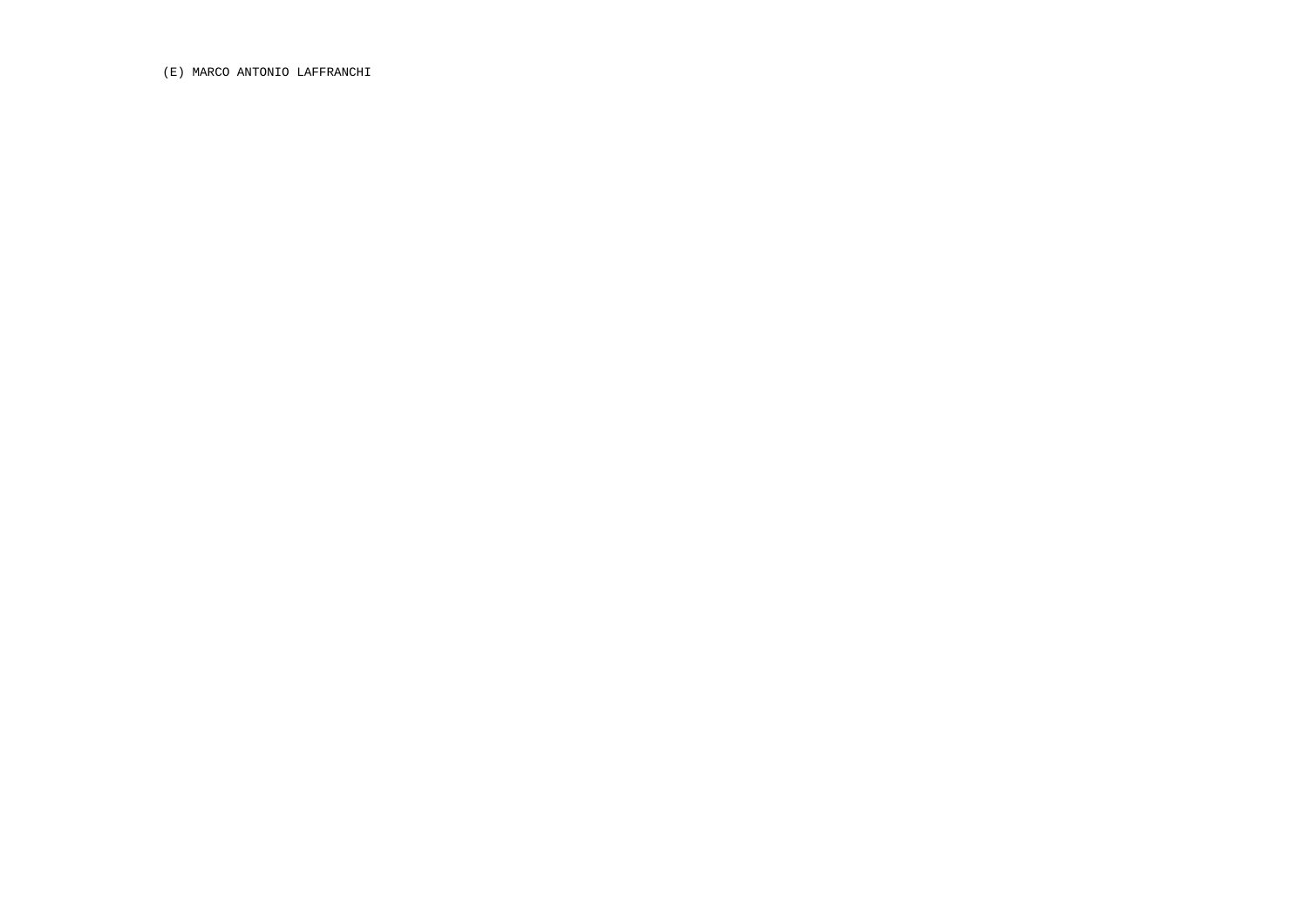(E) MARCO ANTONIO LAFFRANCHI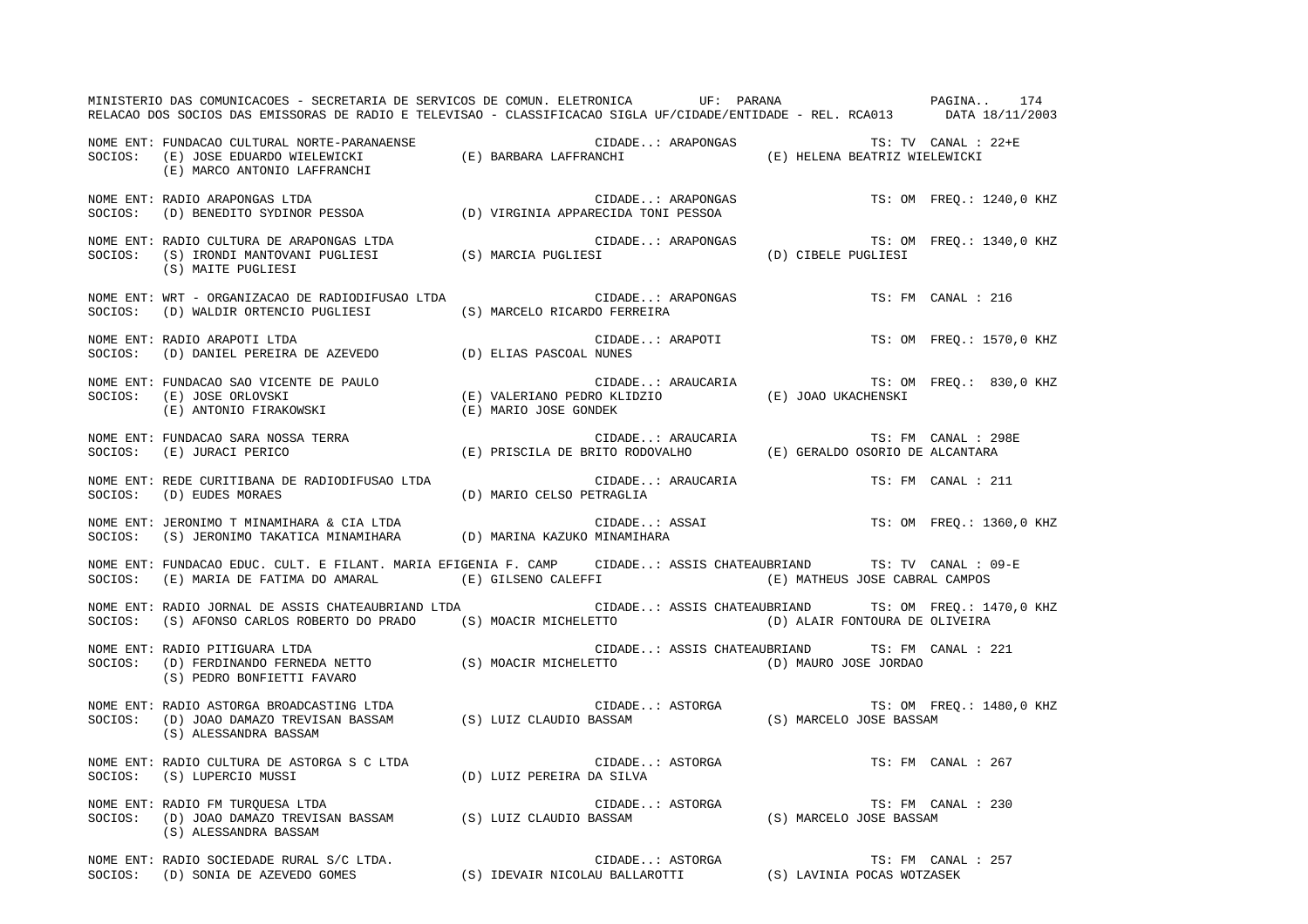MINISTERIO DAS COMUNICACOES - SECRETARIA DE SERVICOS DE COMUN. ELETRONICA UF: PARANA PAGINA.. 174 RELACAO DOS SOCIOS DAS EMISSORAS DE RADIO E TELEVISAO - CLASSIFICACAO SIGLA UF/CIDADE/ENTIDADE - REL. RCA013 DATA 18/11/2003 NOME ENT: FUNDACAO CULTURAL NORTE-PARANAENSE CIDADE..: ARAPONGAS TS: TV CANAL : 22+ESOCIOS: (E) JOSE EDUARDO WIELEWICKI (E) BARBARA LAFFRANCHI (E) HELENA BEATRIZ WIELEWICKI (E) MARCO ANTONIO LAFFRANCHI NOME ENT: RADIO ARAPONGAS LTDA  $\blacksquare$  CIDADE..: ARAPONGAS TS: OM FREQ.: 1240,0 KHZ SOCIOS: (D) BENEDITO SYDINOR PESSOA (D) VIRGINIA APPARECIDA TONI PESSOA NOME ENT: RADIO CULTURA DE ARAPONGAS LTDA  $\blacksquare$  CIDADE..: ARAPONGAS TS: OM FREQ.: 1340,0 KHZ SOCIOS: (S) IRONDI MANTOVANI PUGLIESI (S) MARCIA PUGLIESI (D) CIBELE PUGLIESI (S) MAITE PUGLIESI NOME ENT: WRT - ORGANIZACAO DE RADIODIFUSAO LTDA CIDADE..: ARAPONGAS TS: FM CANAL : 216SOCIOS: (D) WALDIR ORTENCIO PUGLIESI (S) MARCELO RICARDO FERREIRA NOME ENT: RADIO ARAPOTI LTDA  $\blacksquare$  CIDADE..: ARAPOTI TS: OM FREQ.: 1570,0 KHZ SOCIOS: (D) DANIEL PEREIRA DE AZEVEDO (D) ELIAS PASCOAL NUNES NOME ENT: FUNDACAO SAO VICENTE DE PAULO CIDADE..: ARAUCARIA TS: OM FREQ.: 830,0 KHZ SOCIOS: (E) JOSE ORLOVSKI (E) VALERIANO PEDRO KLIDZIO (E) JOAO UKACHENSKI (E) ANTONIO FIRAKOWSKI (E) MARIO JOSE GONDEK NOME ENT: FUNDACAO SARA NOSSA TERRA CIDADE..: ARAUCARIA TS: FM CANAL : 298ESOCIOS: (E) JURACI PERICO (E) PRISCILA DE BRITO RODOVALHO (E) GERALDO OSORIO DE ALCANTARA NOME ENT: REDE CURITIBANA DE RADIODIFUSAO LTDA CIDADE..: ARAUCARIA TS: FM CANAL : 211 SOCIOS: (D) EUDES MORAES (D) MARIO CELSO PETRAGLIA NOME ENT: JERONIMO T MINAMIHARA & CIA LTDA CONSTRUCTION CIDADE..: ASSAI TS: OM FREQ.: 1360,0 KHZ SOCIOS: (S) JERONIMO TAKATICA MINAMIHARA (D) MARINA KAZUKO MINAMIHARA NOME ENT: FUNDACAO EDUC. CULT. E FILANT. MARIA EFIGENIA F. CAMP CIDADE..: ASSIS CHATEAUBRIAND TS: TV CANAL : 09-E SOCIOS: (E) MARIA DE FATIMA DO AMARAL (E) GILSENO CALEFFI (E) ON SOCIOS (E) MATHEUS JOSE CABRAL CAMPOS NOME ENT: RADIO JORNAL DE ASSIS CHATEAUBRIAND LTDA CIDADE..: ASSIS CHATEAUBRIAND TS: OM FREQ.: 1470,0 KHZ SOCIOS: (S) AFONSO CARLOS ROBERTO DO PRADO (S) MOACIR MICHELETTO (D) ALAIR FONTOURA DE OLIVEIRA NOME ENT: RADIO PITIGUARA LTDA CIDADE..: ASSIS CHATEAUBRIAND TS: FM CANAL : 221 SOCIOS: (D) FERDINANDO FERNEDA NETTO (S) MOACIR MICHELETTO (D) MAURO JOSE JORDAO (S) PEDRO BONFIETTI FAVARO NOME ENT: RADIO ASTORGA BROADCASTING LTDA  $\blacksquare$  CIDADE..: ASTORGA TS: OM FREQ.: 1480,0 KHZ SOCIOS: (D) JOAO DAMAZO TREVISAN BASSAM (S) LUIZ CLAUDIO BASSAM (S) MARCELO JOSE BASSAM (S) ALESSANDRA BASSAM NOME ENT: RADIO CULTURA DE ASTORGA S C LTDA CIDADE..: ASTORGA TS: FM CANAL : 267SOCIOS: (S) LUPERCIO MUSSI (D) LUIZ PEREIRA DA SILVA NOME ENT: RADIO FM TURQUESA LTDA CONSERVERSE SON CONSERVERSE CIDADE..: ASTORGA TS: FM CANAL : 230 SOCIOS: (D) JOAO DAMAZO TREVISAN BASSAM (S) LUIZ CLAUDIO BASSAM (S) MARCELO JOSE BASSAM (S) ALESSANDRA BASSAM NOME ENT: RADIO SOCIEDADE RURAL S/C LTDA.  $\Box$  CONDEREL STORGA TS: FM CANAL : 257 SOCIOS: (D) SONIA DE AZEVEDO GOMES (S) IDEVAIR NICOLAU BALLAROTTI (S) LAVINIA POCAS WOTZASEK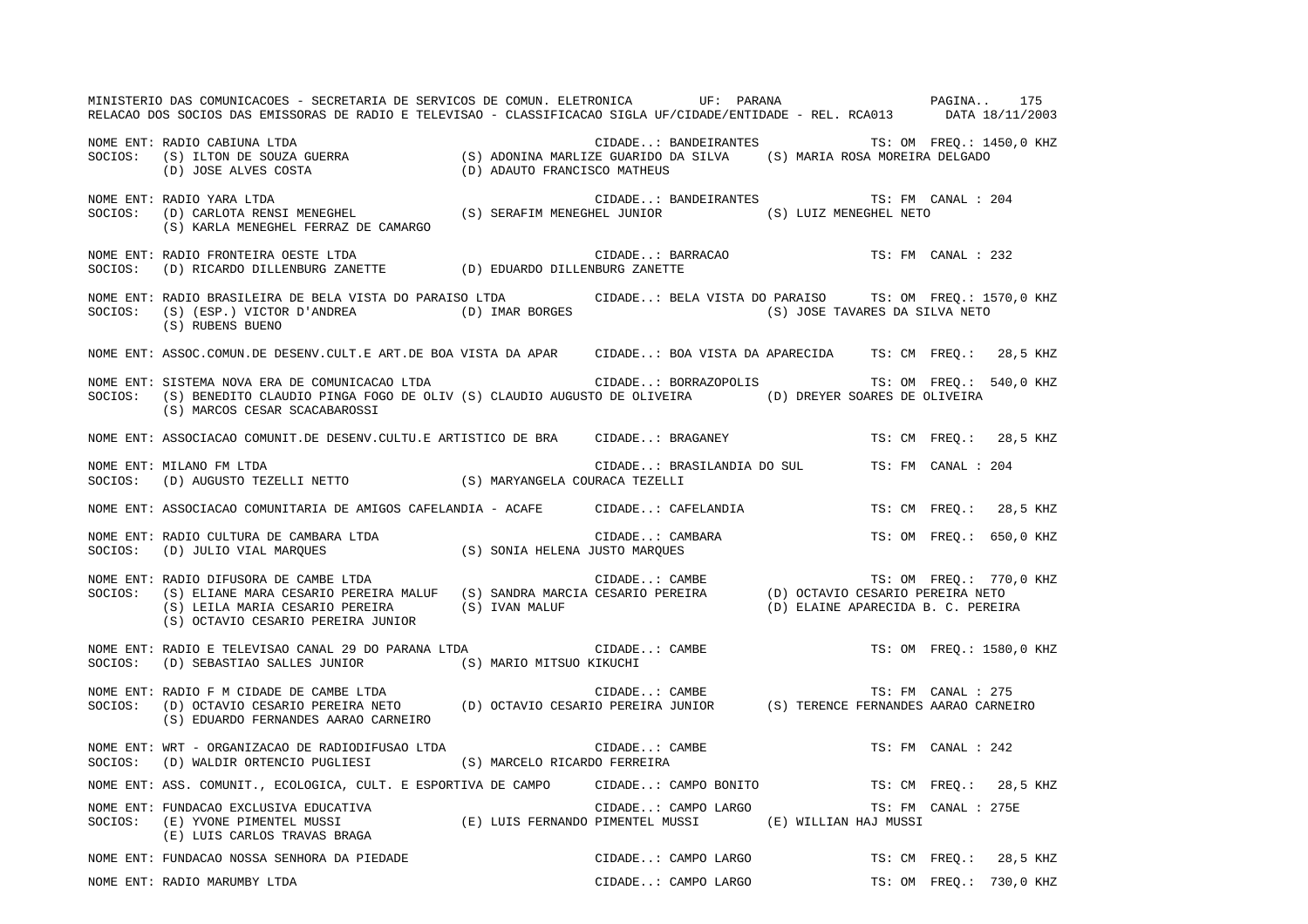MINISTERIO DAS COMUNICACOES - SECRETARIA DE SERVICOS DE COMUN. ELETRONICA UF: PARANA PAGINA.. 175RELACAO DOS SOCIOS DAS EMISSORAS DE RADIO E TELEVISAO - CLASSIFICACAO SIGLA UF/CIDADE/ENTIDADE - REL. RCA013 DATA 18/11/2003 NOME ENT: RADIO CABIUNA LTDA CIDADE..: BANDEIRANTES TS: OM FREQ.: 1450,0 KHZ SOCIOS: (S) ILTON DE SOUZA GUERRA (S) ADONINA MARLIZE GUARIDO DA SILVA (S) MARIA ROSA MOREIRA DELGADO (D) JOSE ALVES COSTA (D) ADAUTO FRANCISCO MATHEUS NOME ENT: RADIO YARA LTDA CIDADE..: BANDEIRANTES TS: FM CANAL : 204 SOCIOS: (D) CARLOTA RENSI MENEGHEL (S) SERAFIM MENEGHEL JUNIOR (S) LUIZ MENEGHEL NETO (S) KARLA MENEGHEL FERRAZ DE CAMARGO NOME ENT: RADIO FRONTEIRA OESTE LTDA CIDADE..: BARRACAO TS: FM CANAL : 232SOCIOS: (D) RICARDO DILLENBURG ZANETTE (D) EDUARDO DILLENBURG ZANETTE NOME ENT: RADIO BRASILEIRA DE BELA VISTA DO PARAISO LTDA CIDADE..: BELA VISTA DO PARAISO TS: OM FREQ.: 1570,0 KHZ SOCIOS: (S) (ESP.) VICTOR D'ANDREA (D) IMAR BORGES (S) JOSE TAVARES DA SILVA NETO (S) RUBENS BUENO NOME ENT: ASSOC.COMUN.DE DESENV.CULT.E ART.DE BOA VISTA DA APAR CIDADE..: BOA VISTA DA APARECIDA TS: CM FREQ.: 28,5 KHZ NOME ENT: SISTEMA NOVA ERA DE COMUNICACAO LTDA  $\qquad \qquad$  CIDADE..: BORRAZOPOLIS  $\qquad \qquad$  TS: OM FREQ.: 540,0 KHZ SOCIOS: (S) BENEDITO CLAUDIO PINGA FOGO DE OLIV (S) CLAUDIO AUGUSTO DE OLIVEIRA (D) DREYER SOARES DE OLIVEIRA (S) MARCOS CESAR SCACABAROSSI NOME ENT: ASSOCIACAO COMUNIT.DE DESENV.CULTU.E ARTISTICO DE BRA CIDADE..: BRAGANEY TS: CM FREQ.: 28,5 KHZ NOME ENT: MILANO FM LTDA CIDADE..: BRASILANDIA DO SUL TS: FM CANAL : 204SOCIOS: (D) AUGUSTO TEZELLI NETTO (S) MARYANGELA COURACA TEZELLI NOME ENT: ASSOCIACAO COMUNITARIA DE AMIGOS CAFELANDIA - ACAFE CIDADE..: CAFELANDIA TS: CM FREQ.: 28,5 KHZ NOME ENT: RADIO CULTURA DE CAMBARA LTDA  $\blacksquare$  CIDADE..: CAMBARA TS: OM FREQ.: 650,0 KHZ SOCIOS: (D) JULIO VIAL MARQUES (S) SONIA HELENA JUSTO MARQUES NOME ENT: RADIO DIFUSORA DE CAMBE LTDA CONSTRUITS CONDERNATION CIDADE..: CAMBE TS: OM FREQ.: 770,0 KHZ SOCIOS: (S) ELIANE MARA CESARIO PEREIRA MALUF (S) SANDRA MARCIA CESARIO PEREIRA (D) OCTAVIO CESARIO PEREIRA NETO (S) LEILA MARIA CESARIO PEREIRA (S) IVAN MALUF (D) ELAINE APARECIDA B. C. PEREIRA (S) OCTAVIO CESARIO PEREIRA JUNIOR NOME ENT: RADIO E TELEVISAO CANAL 29 DO PARANA LTDA CIDADE..: CAMBE TS: OM TREQ.: 1580,0 KHZ SOCIOS: (D) SEBASTIAO SALLES JUNIOR (S) MARIO MITSUO KIKUCHI NOME ENT: RADIO F M CIDADE DE CAMBE LTDA CONSTANTINO CIDADE... CAMBE TS: FM CANAL : 275 SOCIOS: (D) OCTAVIO CESARIO PEREIRA NETO (D) OCTAVIO CESARIO PEREIRA JUNIOR (S) TERENCE FERNANDES AARAO CARNEIRO (S) EDUARDO FERNANDES AARAO CARNEIRO NOME ENT: WRT - ORGANIZACAO DE RADIODIFUSAO LTDA CIDADE... CAMBE CIDADE...: CAMBE TS: FM CANAL : 242 SOCIOS: (D) WALDIR ORTENCIO PUGLIESI (S) MARCELO RICARDO FERREIRA NOME ENT: ASS. COMUNIT., ECOLOGICA, CULT. E ESPORTIVA DE CAMPO CIDADE..: CAMPO BONITO TS: CM FREQ.: 28,5 KHZ NOME ENT: FUNDACAO EXCLUSIVA EDUCATIVA CHANAL CIDADE..: CAMPO LARGO TS: FM CANAL : 275E SOCIOS: (E) YVONE PIMENTEL MUSSI (E) LUIS FERNANDO PIMENTEL MUSSI (E) WILLIAN HAJ MUSSI (E) LUIS CARLOS TRAVAS BRAGA NOME ENT: FUNDACAO NOSSA SENHORA DA PIEDADE CONSTRUIT CONDE..: CAMPO LARGO TS: CM FREQ.: 28,5 KHZ NOME ENT: RADIO MARUMBY LTDA CIDADE..: CAMPO LARGO TS: OM FREQ.: 730,0 KHZ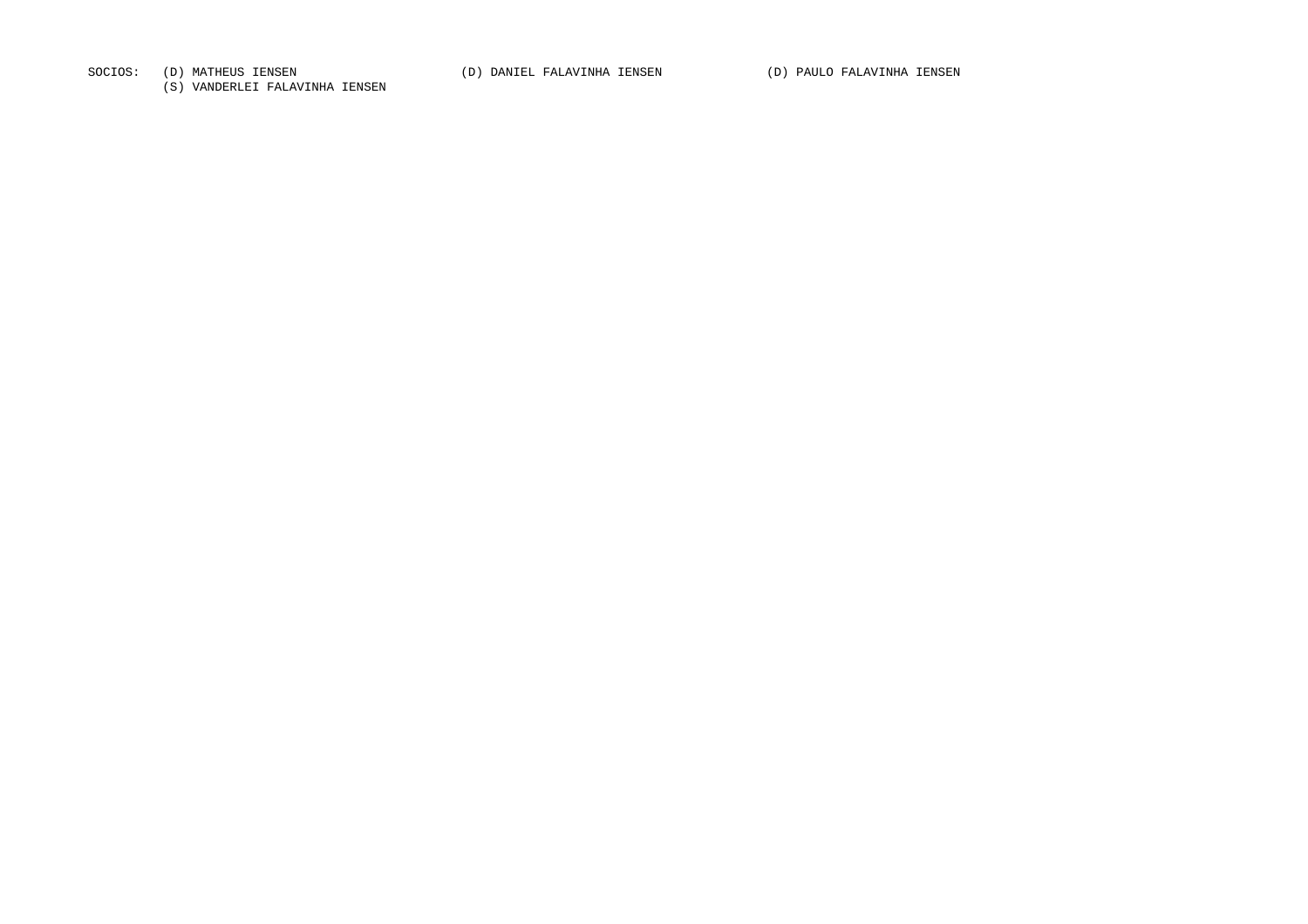SOCIOS: (D) MATHEUS IENSEN (D) DANIEL FALAVINHA IENSEN (D) PAULO FALAVINHA IENSEN

(S) VANDERLEI FALAVINHA IENSEN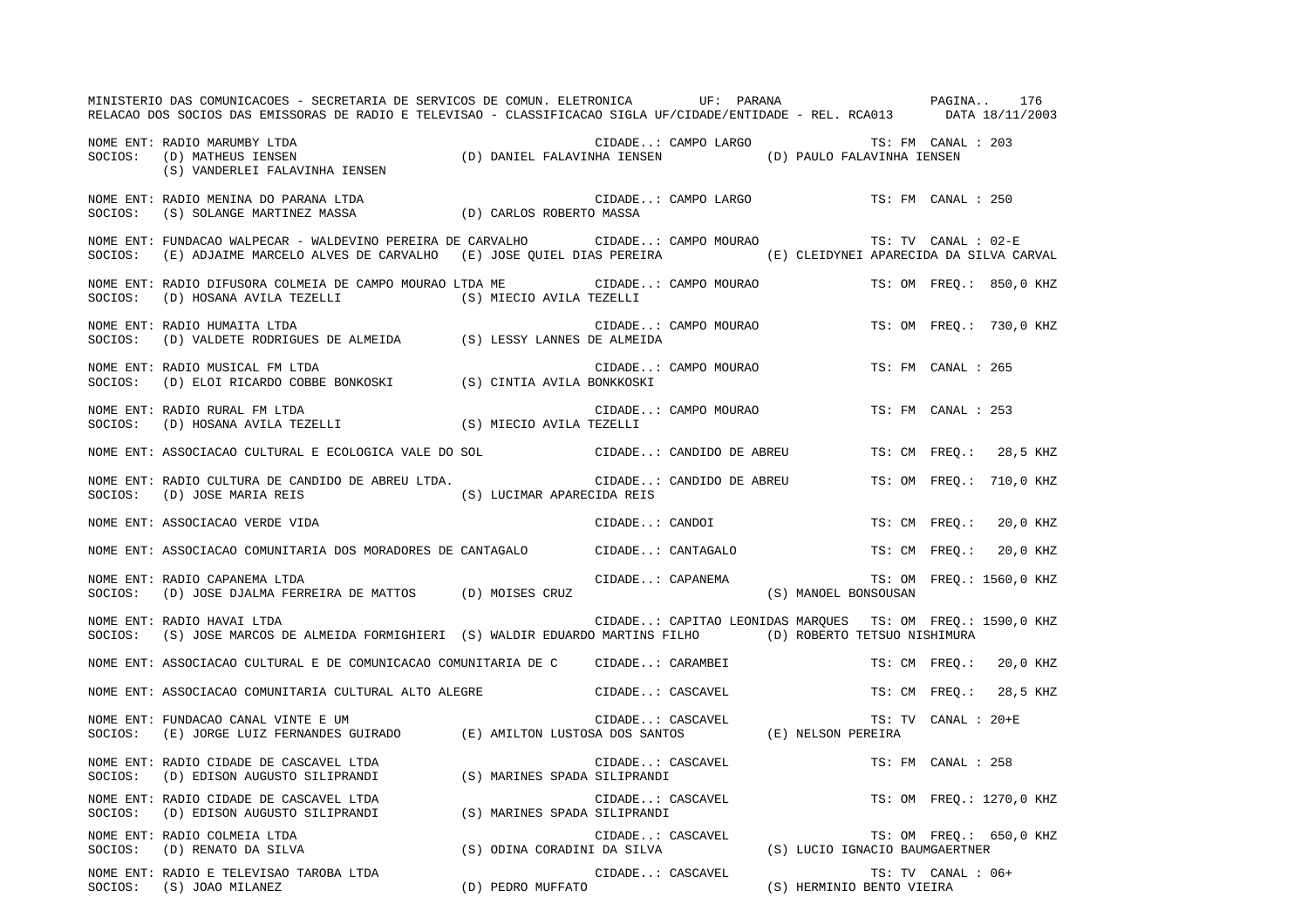|         | MINISTERIO DAS COMUNICACOES - SECRETARIA DE SERVICOS DE COMUN. ELETRONICA UF: PARANA VENTE EN PAGINA 176<br>RELACAO DOS SOCIOS DAS EMISSORAS DE RADIO E TELEVISAO - CLASSIFICACAO SIGLA UF/CIDADE/ENTIDADE - REL. RCA013 DATA 18/11/2003 |                            |                  |                                 |                                                                                                 |                     |                          |
|---------|------------------------------------------------------------------------------------------------------------------------------------------------------------------------------------------------------------------------------------------|----------------------------|------------------|---------------------------------|-------------------------------------------------------------------------------------------------|---------------------|--------------------------|
| SOCIOS: | NOME ENT: RADIO MARUMBY LTDA<br>(D) DANIEL FALAVINHA IENSEN (D) PAULO FALAVINHA IENSEN<br>(D) MATHEUS IENSEN<br>(S) VANDERLEI FALAVINHA IENSEN                                                                                           |                            |                  |                                 | CIDADE: CAMPO LARGO TS: FM CANAL : 203                                                          |                     |                          |
| SOCIOS: | NOME ENT: RADIO MENINA DO PARANA LTDA<br>(S) SOLANGE MARTINEZ MASSA (D) CARLOS ROBERTO MASSA                                                                                                                                             |                            |                  | CIDADE: CAMPO LARGO             |                                                                                                 | TS: FM CANAL : 250  |                          |
| SOCIOS: | NOME ENT: FUNDACAO WALPECAR - WALDEVINO PEREIRA DE CARVALHO         CIDADE: CAMPO MOURAO<br>(E) ADJAIME MARCELO ALVES DE CARVALHO (E) JOSE QUIEL DIAS PEREIRA (E) CLEIDYNEI APARECIDA DA SILVA CARVAL                                    |                            |                  |                                 |                                                                                                 | TS: TV CANAL : 02-E |                          |
| SOCIOS: | NOME ENT: RADIO DIFUSORA COLMEIA DE CAMPO MOURAO LTDA ME<br>(D) HOSANA AVILA TEZELLI (S) MIECIO AVILA TEZELLI                                                                                                                            |                            |                  | CIDADE: CAMPO MOURAO            |                                                                                                 |                     | TS: OM FREQ.: 850,0 KHZ  |
| SOCIOS: | NOME ENT: RADIO HUMAITA LTDA<br>$\mbox{(D) VALDETE RODRIGUES DE ALMELDA} \mbox{(S) LESSY LANNES DE ALMELDA}$                                                                                                                             |                            |                  | CIDADE: CAMPO MOURAO            |                                                                                                 |                     | TS: OM FREQ.: 730,0 KHZ  |
| SOCIOS: | NOME ENT: RADIO MUSICAL FM LTDA<br>$\mbox{(D) ELOI RICARDO COBBE BONKOSKI} \mbox{(S) CINTIA AVILA BONKKOSKI}$                                                                                                                            |                            |                  | CIDADE: CAMPO MOURAO            |                                                                                                 | TS: FM CANAL : 265  |                          |
| SOCIOS: | NOME ENT: RADIO RURAL FM LTDA<br>(D) HOSANA AVILA TEZELLI (S) MIECIO AVILA TEZELLI                                                                                                                                                       |                            |                  | CIDADE: CAMPO MOURAO            |                                                                                                 | TS: FM CANAL : 253  |                          |
|         | NOME ENT: ASSOCIACAO CULTURAL E ECOLOGICA VALE DO SOL                                                                                                                                                                                    |                            |                  | CIDADE: CANDIDO DE ABREU        |                                                                                                 |                     | TS: CM FREO.: 28,5 KHZ   |
|         | NOME ENT: RADIO CULTURA DE CANDIDO DE ABREU LTDA.<br>SOCIOS: (D) JOSE MARIA REIS                                                                                                                                                         | (S) LUCIMAR APARECIDA REIS |                  | CIDADE: CANDIDO DE ABREU        |                                                                                                 |                     | TS: OM FREO.: 710,0 KHZ  |
|         | NOME ENT: ASSOCIACAO VERDE VIDA                                                                                                                                                                                                          |                            |                  | CIDADE: CANDOI                  |                                                                                                 |                     | TS: CM FREO.: 20,0 KHZ   |
|         | NOME ENT: ASSOCIACAO COMUNITARIA DOS MORADORES DE CANTAGALO                                                                                                                                                                              |                            |                  | CIDADE: CANTAGALO               |                                                                                                 |                     | TS: CM FREQ.: 20,0 KHZ   |
| SOCIOS: | NOME ENT: RADIO CAPANEMA LTDA<br>(D) JOSE DJALMA FERREIRA DE MATTOS (D) MOISES CRUZ                                                                                                                                                      |                            | CIDADE: CAPANEMA |                                 | (S) MANOEL BONSOUSAN                                                                            |                     | TS: OM FREQ.: 1560,0 KHZ |
| SOCIOS: | NOME ENT: RADIO HAVAI LTDA<br>(S) JOSE MARCOS DE ALMEIDA FORMIGHIERI (S) WALDIR EDUARDO MARTINS FILHO (D) ROBERTO TETSUO NISHIMURA                                                                                                       |                            |                  |                                 | CIDADE: CAPITAO LEONIDAS MARQUES TS: OM FREQ.: 1590,0 KHZ                                       |                     |                          |
|         | NOME ENT: ASSOCIACAO CULTURAL E DE COMUNICACAO COMUNITARIA DE C  — CIDADE: CARAMBEI                                                                                                                                                      |                            |                  |                                 |                                                                                                 |                     | TS: CM FREO.: 20,0 KHZ   |
|         | NOME ENT: ASSOCIACAO COMUNITARIA CULTURAL ALTO ALEGRE                                                                                                                                                                                    |                            |                  | CIDADE: CASCAVEL                |                                                                                                 |                     | TS: CM FREO.: 28,5 KHZ   |
| SOCIOS: | NOME ENT: FUNDACAO CANAL VINTE E UM<br>(E) JORGE LUIZ FERNANDES GUIRADO (E) AMILTON LUSTOSA DOS SANTOS (E) NELSON PEREIRA                                                                                                                |                            |                  | CIDADE: CASCAVEL                |                                                                                                 | TS: TV CANAL : 20+E |                          |
|         | NOME ENT: RADIO CIDADE DE CASCAVEL LTDA<br>SOCIOS: (D) EDISON AUGUSTO SILIPRANDI (S) MARINES SPADA SILIPRANDI                                                                                                                            |                            |                  | CIDADE: CASCAVEL                |                                                                                                 | TS: FM CANAL : 258  |                          |
| SOCIOS: | NOME ENT: RADIO CIDADE DE CASCAVEL LTDA<br>(D) EDISON AUGUSTO SILIPRANDI (S) MARINES SPADA SILIPRANDI                                                                                                                                    |                            |                  | CIDADE: CASCAVEL<br>stillne:--- |                                                                                                 |                     | TS: OM FREO.: 1270,0 KHZ |
| SOCIOS: | NOME ENT: RADIO COLMEIA LTDA<br>(D) RENATO DA SILVA                                                                                                                                                                                      |                            |                  | CIDADE: CASCAVEL                | CIDADE: CASCAVEL TS: OM FREQ.: 6<br>(S) ODINA CORADINI DA SILVA (S) LUCIO IGNACIO BAUMGAERTNER) |                     | TS: OM FREQ.: 650,0 KHZ  |
| SOCIOS: | NOME ENT: RADIO E TELEVISAO TAROBA LTDA<br>(S) JOAO MILANEZ                                                                                                                                                                              | (D) PEDRO MUFFATO          |                  | CIDADE: CASCAVEL                | (S) HERMINIO BENTO VIEIRA                                                                       | TS: TV CANAL : 06+  |                          |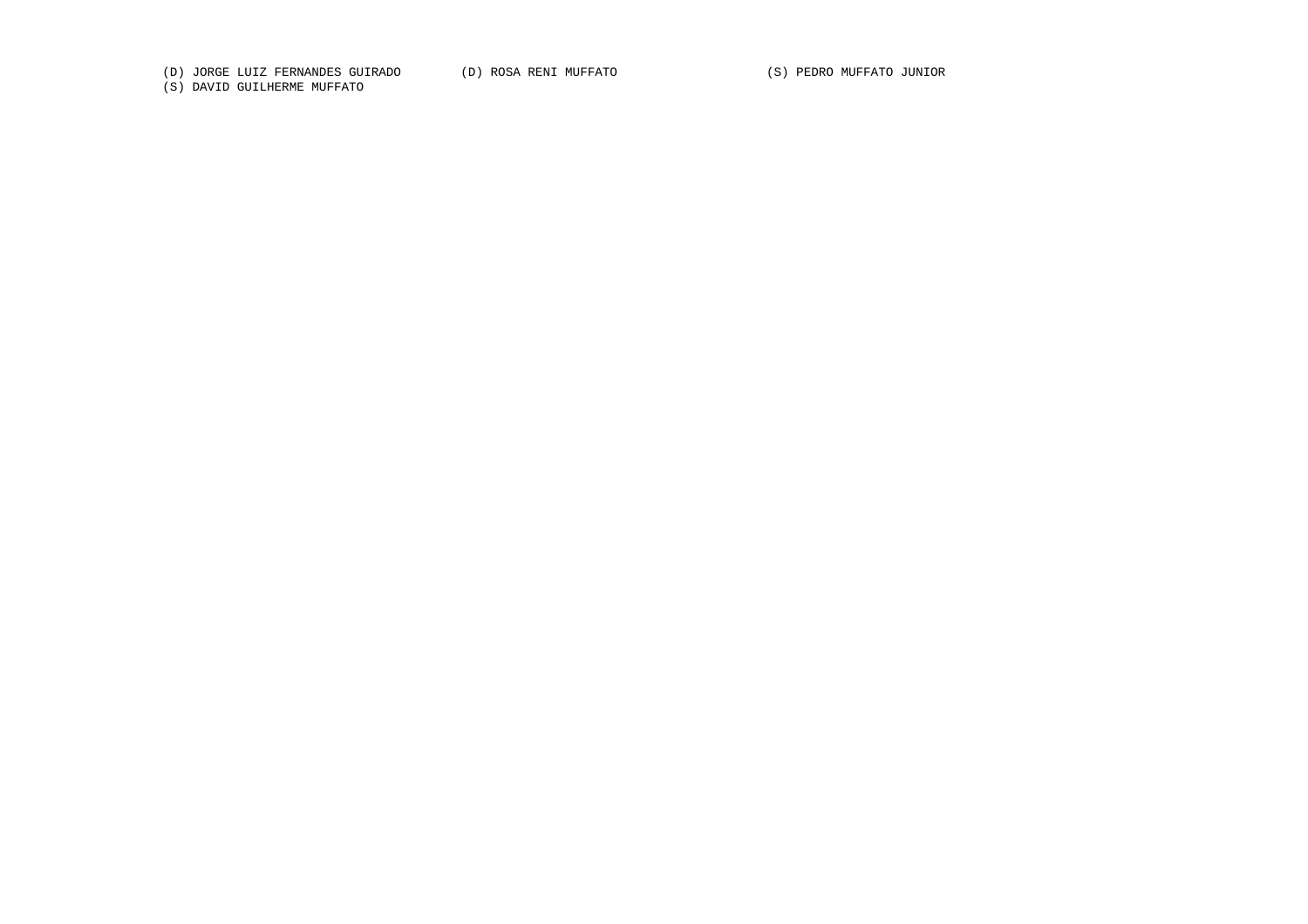(D) JORGE LUIZ FERNANDES GUIRADO (D) ROSA RENI MUFFATO (S) PEDRO MUFFATO JUNIOR

(S) DAVID GUILHERME MUFFATO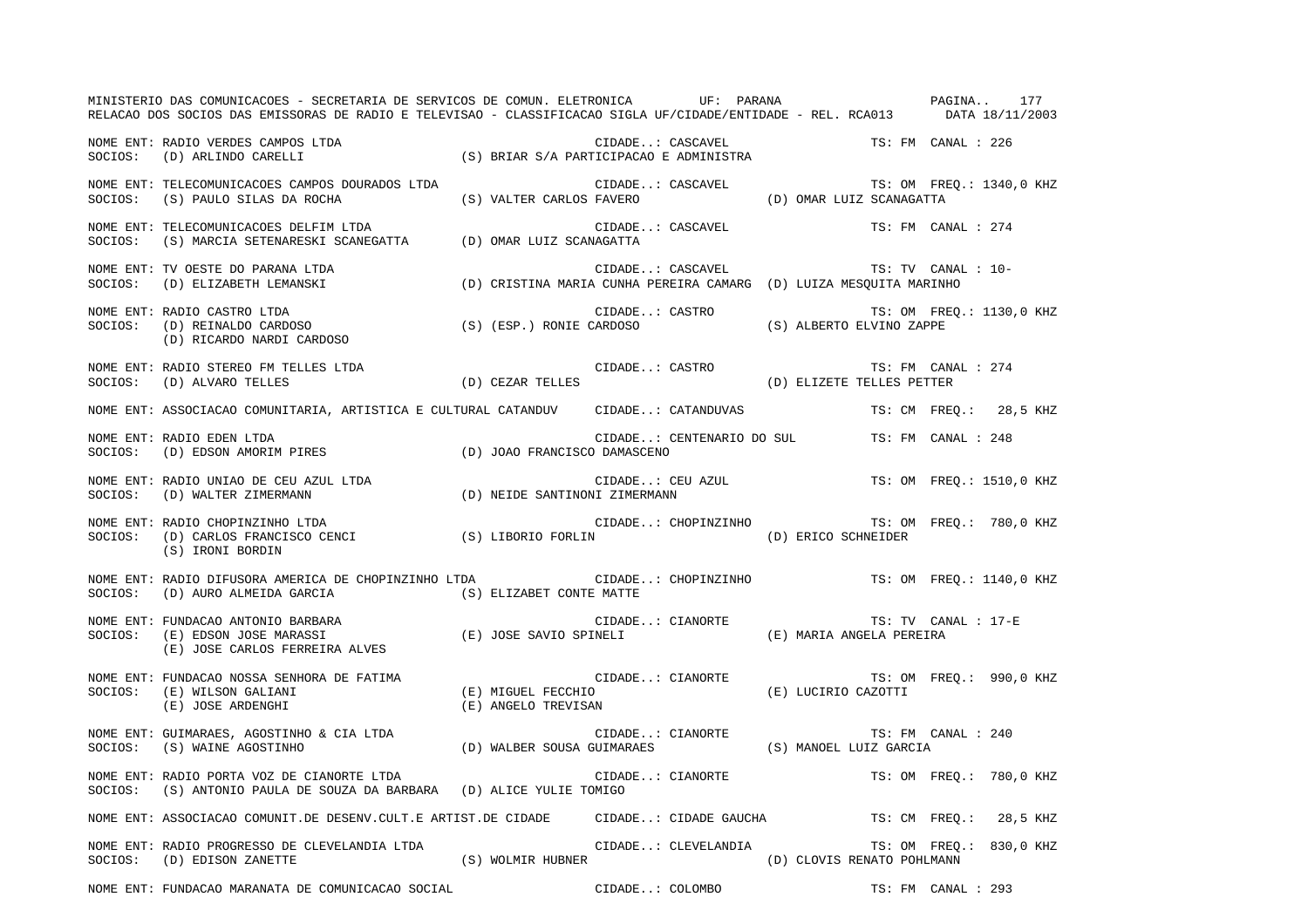MINISTERIO DAS COMUNICACOES - SECRETARIA DE SERVICOS DE COMUN. ELETRONICA UF: PARANA PAGINA.. 177RELACAO DOS SOCIOS DAS EMISSORAS DE RADIO E TELEVISAO - CLASSIFICACAO SIGLA UF/CIDADE/ENTIDADE - REL. RCA013 DATA 18/11/2003 NOME ENT: RADIO VERDES CAMPOS LTDA CONSECTED AND CIDADE... CASCAVEL TO THE TS: FM CANAL : 226 SOCIOS: (D) ARLINDO CARELLI (S) BRIAR S/A PARTICIPACAO E ADMINISTRA NOME ENT: TELECOMUNICACOES CAMPOS DOURADOS LTDA CIDADE..: CASCAVEL TS: OM FREQ.: 1340,0 KHZ SOCIOS: (S) PAULO SILAS DA ROCHA (S) VALTER CARLOS FAVERO (D) OMAR LUIZ SCANAGATTA NOME ENT: TELECOMUNICACOES DELFIM LTDA CONSUMICATION CIDADE..: CASCAVEL TS: FM CANAL : 274 SOCIOS: (S) MARCIA SETENARESKI SCANEGATTA (D) OMAR LUIZ SCANAGATTA NOME ENT: TV OESTE DO PARANA LTDA CIDADE..: CASCAVEL CASCAVEL TS: TV CANAL : 10-SOCIOS: (D) ELIZABETH LEMANSKI (D) CRISTINA MARIA CUNHA PEREIRA CAMARG (D) LUIZA MESQUITA MARINHO NOME ENT: RADIO CASTRO LTDA CIDADE..: CASTRO TS: OM FREQ.: 1130,0 KHZ SOCIOS: (D) REINALDO CARDOSO (S) (ESP.) RONIE CARDOSO (S) ALBERTO ELVINO ZAPPE (D) RICARDO NARDI CARDOSO NOME ENT: RADIO STEREO FM TELLES LTDA CONSTRUCTION CIDADE..: CASTRO TS: FM CANAL : 274 SOCIOS: (D) ALVARO TELLES (D) CEZAR TELLES (D) ELIZETE TELLES PETTER NOME ENT: ASSOCIACAO COMUNITARIA, ARTISTICA E CULTURAL CATANDUV CIDADE..: CATANDUVAS TS: CM FREQ.: 28,5 KHZ NOME ENT: RADIO EDEN LTDA CIDADE..: CENTENARIO DO SUL TS: FM CANAL : 248SOCIOS: (D) EDSON AMORIM PIRES (D) JOAO FRANCISCO DAMASCENO NOME ENT: RADIO UNIAO DE CEU AZUL LTDA CHEMONICO EN CIDADE..: CEU AZUL TS: OM FREQ.: 1510,0 KHZ SOCIOS: (D) WALTER ZIMERMANN (D) NEIDE SANTINONI ZIMERMANN NOME ENT: RADIO CHOPINZINHO LTDA CIDADE..: CHOPINZINHO TS: OM FREQ.: 780,0 KHZ SOCIOS: (D) CARLOS FRANCISCO CENCI (S) LIBORIO FORLIN (D) ERICO SCHNEIDER (S) IRONI BORDIN NOME ENT: RADIO DIFUSORA AMERICA DE CHOPINZINHO LTDA CIDADE..: CHOPINZINHO TS: OM FREQ.: 1140,0 KHZ SOCIOS: (D) AURO ALMEIDA GARCIA (S) ELIZABET CONTE MATTE NOME ENT: FUNDACAO ANTONIO BARBARA **CIDADE..: CIANORTE TRACCISCO ENTER** TS: TV CANAL : 17-E SOCIOS: (E) EDSON JOSE MARASSI (E) JOSE SAVIO SPINELI (E) MARIA ANGELA PEREIRA (E) JOSE CARLOS FERREIRA ALVES NOME ENT: FUNDACAO NOSSA SENHORA DE FATIMA CIDADE..: CIANORTE TS: OM FREQ.: 990,0 KHZ SOCIOS: (E) WILSON GALIANI (E) MIGUEL FECCHIO (E) LUCIRIO CAZOTTI (E) JOSE ARDENGHI (E) ANGELO TREVISAN NOME ENT: GUIMARAES, AGOSTINHO & CIA LTDA CONSTRUCTER CIDADE..: CIANORTE TRIMES TRIMES TRIMES TRIMES AGOSTINHO & CIA LTDA SOCIOS: (S) WAINE AGOSTINHO (D) WALBER SOUSA GUIMARAES (S) MANOEL LUIZ GARCIA NOME ENT: RADIO PORTA VOZ DE CIANORTE LTDA CIDADE..: CIANORTE TS: OM FREQ.: 780,0 KHZ SOCIOS: (S) ANTONIO PAULA DE SOUZA DA BARBARA (D) ALICE YULIE TOMIGO NOME ENT: ASSOCIACAO COMUNIT.DE DESENV.CULT.E ARTIST.DE CIDADE CIDADE..: CIDADE GAUCHA TS: CM FREQ.: 28,5 KHZ NOME ENT: RADIO PROGRESSO DE CLEVELANDIA LTDA CIDADE..: CLEVELANDIA TS: OM FREQ.: 830,0 KHZ SOCIOS: (D) EDISON ZANETTE (S) WOLMIR HUBNER (D) CLOVIS RENATO POHLMANN NOME ENT: FUNDACAO MARANATA DE COMUNICACAO SOCIAL CIDADE..: COLOMBO TES: FM CANAL : 293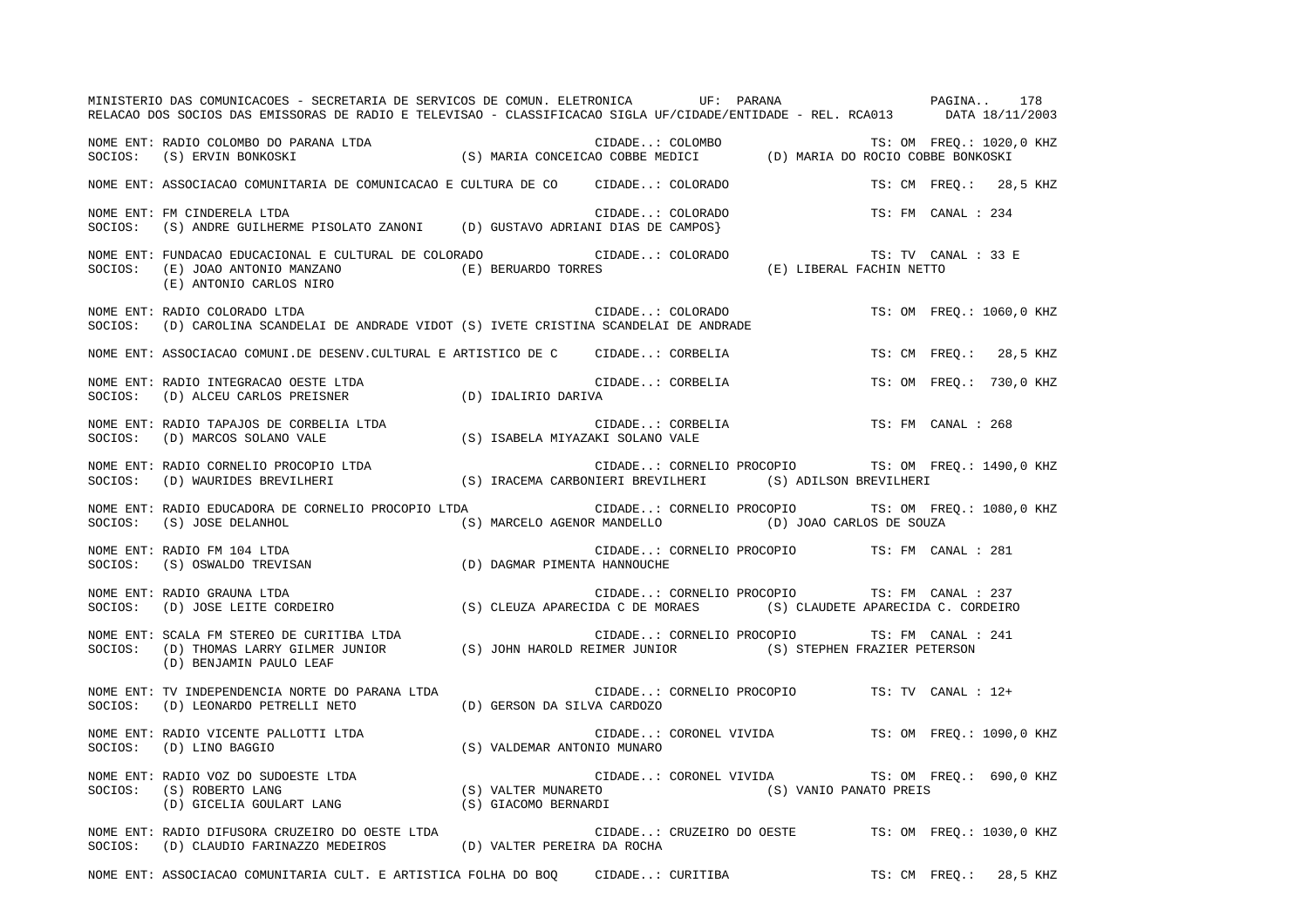|         | MINISTERIO DAS COMUNICACOES - SECRETARIA DE SERVICOS DE COMUN. ELETRONICA UF: PARANA VERENO DAS COMUNICACOES - SECRETARIA DE SERVICOS DE COMUN. ELETRONICA<br>RELACAO DOS SOCIOS DAS EMISSORAS DE RADIO E TELEVISAO - CLASSIFICACAO SIGLA UF/CIDADE/ENTIDADE - REL. RCA013 DATA 18/11/2003                                                                                                                                                                                                                 |                                                                                   |  |                     |                          |
|---------|------------------------------------------------------------------------------------------------------------------------------------------------------------------------------------------------------------------------------------------------------------------------------------------------------------------------------------------------------------------------------------------------------------------------------------------------------------------------------------------------------------|-----------------------------------------------------------------------------------|--|---------------------|--------------------------|
|         | NOME ENT: RADIO COLOMBO DO PARANA LTDA (S) MARIA CONCEICAO COBBE MEDICI (D) MARIA DO ROCIO COBBE BONKOSKI (S) ERVIN BONKOSKI (S) MARIA CONCEICAO COBBE MEDICI (D) MARIA DO ROCIO COBBE BONKOSKI                                                                                                                                                                                                                                                                                                            |                                                                                   |  |                     |                          |
|         | NOME ENT: ASSOCIACAO COMUNITARIA DE COMUNICACAO E CULTURA DE CO CIDADE: COLORADO                                                                                                                                                                                                                                                                                                                                                                                                                           |                                                                                   |  |                     | TS: CM FREO.: 28,5 KHZ   |
| SOCIOS: | NOME ENT: FM CINDERELA LTDA<br>(S) ANDRE GUILHERME PISOLATO ZANONI (D) GUSTAVO ADRIANI DIAS DE CAMPOS}                                                                                                                                                                                                                                                                                                                                                                                                     | CIDADE: COLORADO<br>ANI DIAS DE CAMPOS}                                           |  | TS: FM CANAL : 234  |                          |
| SOCIOS: | NOME ENT: FUNDACAO EDUCACIONAL E CULTURAL DE COLORADO<br>$\begin{array}{cccccccc} (E) & JOAO & ANTONIO & MANZANO & & & & (E) & BERUARDO & TORES & & & (E) & ANTONIO & AANZANO & & & (E) & BERUARDO & TORES & & & & (E) & AITONIO & CARLOS & NIRO & & & & (E) & BERUARDO & TORES & & & & (E) & ANTONIO & CARLOS & NIRO & & & & (E) & BERUARDO & TORES & & & & (E) & ANTONIO & ARLOS & NIRO & & & & (E) & BERUARDO & TORES & & & & (E) & ANTONIO & ARLOS & NIRO & & & & (E) & BERUARDO & TORRES & & & & (E)$ |                                                                                   |  | TS: TV CANAL : 33 E |                          |
|         | NOME ENT: RADIO COLORADO LTDA<br>SOCIOS:   (D) CAROLINA SCANDELAI DE ANDRADE VIDOT (S) IVETE CRISTINA SCANDELAI DE ANDRADE                                                                                                                                                                                                                                                                                                                                                                                 |                                                                                   |  |                     | TS: OM FREQ.: 1060,0 KHZ |
|         | NOME ENT: ASSOCIACAO COMUNI.DE DESENV.CULTURAL E ARTISTICO DE C CIDADE: CORBELIA                                                                                                                                                                                                                                                                                                                                                                                                                           |                                                                                   |  |                     | TS: CM FREO.: 28,5 KHZ   |
|         | NOME ENT: RADIO INTEGRACAO OESTE LTDA (D) IDALIRIO DARIVA CI SOCIOS: (D) ALCEU CARLOS PREISNER (D) IDALIRIO DARIVA                                                                                                                                                                                                                                                                                                                                                                                         | CIDADE: CORBELIA                                                                  |  |                     | TS: OM FREO.: 730,0 KHZ  |
|         |                                                                                                                                                                                                                                                                                                                                                                                                                                                                                                            | CIDADE: CORBELIA                                                                  |  | TS: FM CANAL : 268  |                          |
|         |                                                                                                                                                                                                                                                                                                                                                                                                                                                                                                            | CIDADE: CORNELIO PROCOPIO TS: OM FREQ.: 1490,0 KHZ                                |  |                     |                          |
|         | NOME ENT: RADIO EDUCADORA DE CORNELIO PROCOPIO LTDA<br>SOCIOS: (S) JOSE DELANHOL                                                                                                                                                                                                                                                                                                                                                                                                                           | CIDADE: CORNELIO PROCOPIO<br>(S) MARCELO AGENOR MANDELLO (D) JOAO CARLOS DE SOUZA |  |                     | TS: OM FREQ.: 1080,0 KHZ |
| SOCIOS: | RADIO FM 104 LTDA (S) OSWALDO TREVISAN (S) OSWALDO TREVISAN (D) DAGMAR PIMENTA HANNOUCHE<br>NOME ENT: RADIO FM 104 LTDA                                                                                                                                                                                                                                                                                                                                                                                    | CIDADE: CORNELIO PROCOPIO TS: FM CANAL : 281                                      |  |                     |                          |
|         | NOME ENT: RADIO GRAUNA LTDA<br>SOCIOS: (D) JOSE LEITE CORDEIRO (S) CLEUZA APARECIDA C DE MORAES (S) CLAUDETE APARECIDA C. CORDEIRO                                                                                                                                                                                                                                                                                                                                                                         | CIDADE: CORNELIO PROCOPIO TS: FM CANAL : 237                                      |  |                     |                          |
|         | NOME ENT: SCALA FM STEREO DE CURITIBA LTDA                                    CIDADE: CORNELIO PROCOPIO        TS: FM CANAL :<br>SOCIOS:   (D) THOMAS LARRY GILMER JUNIOR              (S) JOHN HAROLD REIMER JUNIOR         (S<br>(D) BENJAMIN PAULO LEAF                                                                                                                                                                                                                                                 | CIDADE: CORNELIO PROCOPIO                                                         |  | TS: FM CANAL : 241  |                          |
|         | NOME ENT: TV INDEPENDENCIA NORTE DO PARANA LTDA<br>SOCIOS: (D) LEONARDO PETRELLI NETO (D) GERSON DA SILVA CARDOZO                                                                                                                                                                                                                                                                                                                                                                                          | CIDADE: CORNELIO PROCOPIO TS: TV CANAL : 12+                                      |  |                     |                          |
|         | NOME ENT: RADIO VICENTE PALLOTTI LTDA $SOCIOS:$ (D) LINO BAGGIO                                                                                                                                                                                                                                                                                                                                                                                                                                            | CIDADE: CORONEL VIVIDA TS: OM FREQ.: 1090,0 KHZ                                   |  |                     |                          |
|         | NOME ENT: RADIO VOZ DO SUDOESTE LTDA (S) VALTER MUNARETO (S) CIDADE: CORONEL VIVIDA TS: OM FREQ.<br>SOCIOS: (S) ROBERTO LANG (S) VALTER MUNARETO (S) CORONEL VIVIDA (S) VANIO PANATO PREIS<br>(D) GICELIA GOULART LANG (S) GIACOMO                                                                                                                                                                                                                                                                         | CIDADE: CORONEL VIVIDA TS: OM FREQ.: 690,0 KHZ                                    |  |                     |                          |
|         | NOME ENT: RADIO DIFUSORA CRUZEIRO DO OESTE LTDA CIDADE: CRUZEIRO DO OESTE TS: OM FREQ.: 1030,0 KHZ<br>$\verb SOCIOS: (D) CLADDIO FARINAZZO MEDEIROS \qquad \qquad (D) VALTER PEREIRA DA ROCHA$                                                                                                                                                                                                                                                                                                             |                                                                                   |  |                     |                          |
|         | NOME ENT: ASSOCIACAO COMUNITARIA CULT. E ARTISTICA FOLHA DO BOQ CIDADE: CURITIBA                                                                                                                                                                                                                                                                                                                                                                                                                           |                                                                                   |  |                     | TS: CM FREO.: 28,5 KHZ   |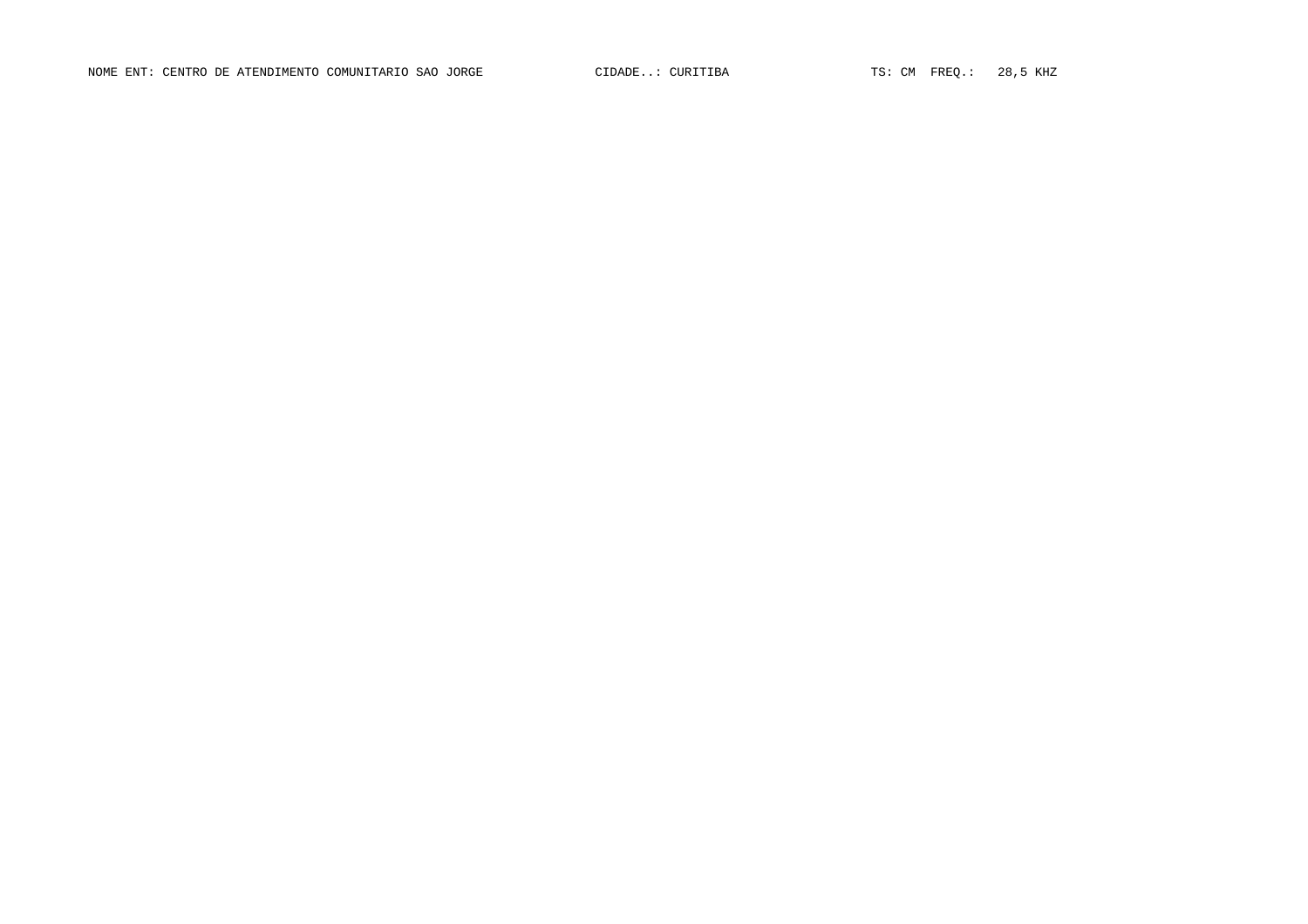NOME ENT: CENTRO DE ATENDIMENTO COMUNITARIO SAO JORGE CIDADE..: CURITIBA TS: CM FREQ.: 28,5 KHZ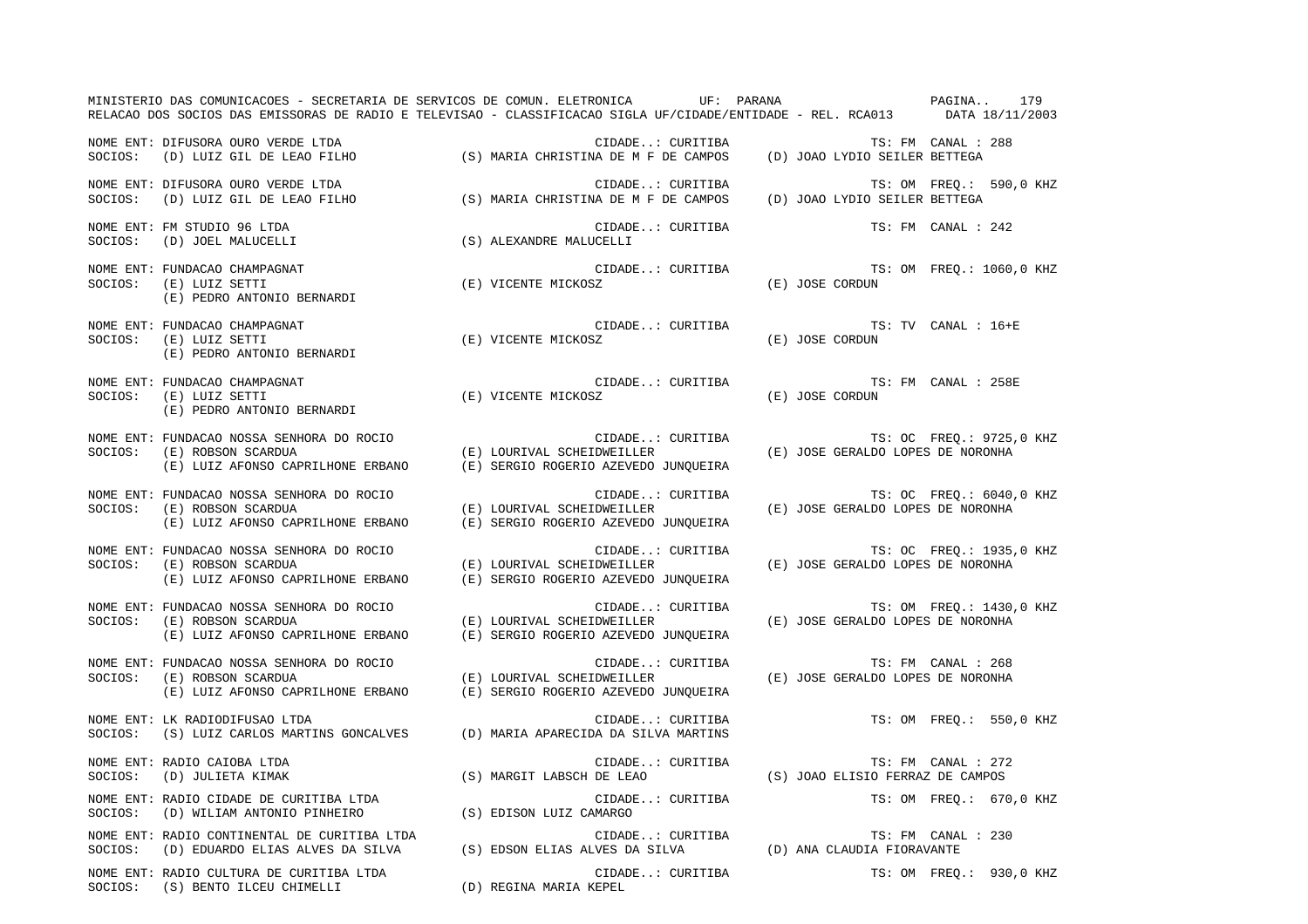|         | MINISTERIO DAS COMUNICACOES - SECRETARIA DE SERVICOS DE COMUN. ELETRONICA UF: PARANA VERENTE EN PAGINA<br>RELACAO DOS SOCIOS DAS EMISSORAS DE RADIO E TELEVISAO - CLASSIFICACAO SIGLA UF/CIDADE/ENTIDADE - REL. RCA013 DATA 18/11/2003 |                                                                                        |                                                                   | 179                      |
|---------|----------------------------------------------------------------------------------------------------------------------------------------------------------------------------------------------------------------------------------------|----------------------------------------------------------------------------------------|-------------------------------------------------------------------|--------------------------|
|         | NOME ENT: DIFUSORA OURO VERDE LTDA<br>SOCIOS: (D) LUIZ GIL DE LEAO FILHO (S) MARIA CHRISTINA DE M F DE CAMPOS (D) JOAO LYDIO SEILER BETTEGA                                                                                            |                                                                                        |                                                                   | TS: FM CANAL : 288       |
|         | NOME ENT: DIFUSORA OURO VERDE LTDA<br>SOCIOS: (D) LUIZ GIL DE LEAO FILHO (S) MARIA CHRISTINA DE M F DE CAMPOS (D) JOAO LYDIO SEILER BETTEGA                                                                                            |                                                                                        |                                                                   | TS: OM FREQ.: 590,0 KHZ  |
|         | NOME ENT: FM STUDIO 96 LTDA<br>SOCIOS: (D) JOEL MALUCELLI                                                                                                                                                                              | CIDADE: CURITIBA<br>(S) ALEXANDRE MALUCELLI                                            |                                                                   | TS: FM CANAL : 242       |
| SOCIOS: | NOME ENT: FUNDACAO CHAMPAGNAT<br>(E) LUIZ SETTI<br>(E) PEDRO ANTONIO BERNARDI                                                                                                                                                          | (E) VICENTE MICKOSZ                                                                    |                                                                   | TS: OM FREQ.: 1060,0 KHZ |
| SOCIOS: | NOME ENT: FUNDACAO CHAMPAGNAT<br>(E) LUIZ SETTI<br>(E) PEDRO ANTONIO BERNARDI                                                                                                                                                          | CIDADE: CURITIBA<br>(E) VICENTE MICKOSZ                                                | (E) JOSE CORDUN                                                   | TS: TV CANAL : 16+E      |
| SOCIOS: | NOME ENT: FUNDACAO CHAMPAGNAT<br>(E) LUIZ SETTI<br>(E) PEDRO ANTONIO BERNARDI                                                                                                                                                          | CIDADE: CURITIBA<br>(E) VICENTE MICKOSZ                                                | (E) JOSE CORDUN                                                   | TS: FM CANAL : 258E      |
| SOCIOS: | NOME ENT: FUNDACAO NOSSA SENHORA DO ROCIO<br>(E) ROBSON SCARDUA<br>(E) LUIZ AFONSO CAPRILHONE ERBANO                                                                                                                                   | CIDADE: CURITIBA<br>(E) LOURIVAL SCHEIDWEILLER<br>(E) SERGIO ROGERIO AZEVEDO JUNQUEIRA | CURITIBA TS: OC FREQ.: 9725,<br>(E) JOSE GERALDO LOPES DE NORONHA | TS: OC FREQ.: 9725,0 KHZ |
| SOCIOS: | NOME ENT: FUNDACAO NOSSA SENHORA DO ROCIO<br>(E) ROBSON SCARDUA<br>(E) LUIZ AFONSO CAPRILHONE ERBANO                                                                                                                                   | CIDADE: CURITIBA<br>(E) LOURIVAL SCHEIDWEILLER<br>(E) SERGIO ROGERIO AZEVEDO JUNQUEIRA | (E) JOSE GERALDO LOPES DE NORONHA                                 | TS: OC FREQ.: 6040,0 KHZ |
| SOCIOS: | NOME ENT: FUNDACAO NOSSA SENHORA DO ROCIO<br>(E) ROBSON SCARDUA<br>(E) LUIZ AFONSO CAPRILHONE ERBANO (E) SERGIO ROGERIO AZEVEDO JUNQUEIRA                                                                                              | CIDADE: CURITIBA<br>(E) LOURIVAL SCHEIDWEILLER                                         | (E) JOSE GERALDO LOPES DE NORONHA                                 | TS: OC FREQ.: 1935,0 KHZ |
| SOCIOS: | NOME ENT: FUNDACAO NOSSA SENHORA DO ROCIO<br>(E) ROBSON SCARDUA<br>(E) LUIZ AFONSO CAPRILHONE ERBANO (E) SERGIO ROGERIO AZEVEDO JUNQUEIRA                                                                                              | CIDADE: CURITIBA<br>(E) LOURIVAL SCHEIDWEILLER                                         | (E) JOSE GERALDO LOPES DE NORONHA                                 | TS: OM FREQ.: 1430,0 KHZ |
| SOCIOS: | NOME ENT: FUNDACAO NOSSA SENHORA DO ROCIO<br>(E) ROBSON SCARDUA<br>(E) LUIZ AFONSO CAPRILHONE ERBANO (E) SERGIO ROGERIO AZEVEDO JUNQUEIRA                                                                                              | CIDADE: CURITIBA<br>(E) LOURIVAL SCHEIDWEILLER                                         | (E) JOSE GERALDO LOPES DE NORONHA                                 | TS: FM CANAL : 268       |
| SOCIOS: | NOME ENT: LK RADIODIFUSAO LTDA<br>(S) LUIZ CARLOS MARTINS GONCALVES (D) MARIA APARECIDA DA SILVA MARTINS                                                                                                                               | CIDADE: CURITIBA                                                                       |                                                                   | TS: OM FREQ.: 550,0 KHZ  |
| SOCIOS: | NOME ENT: RADIO CAIOBA LTDA<br>(D) JULIETA KIMAK                                                                                                                                                                                       | CIDADE: CURITIBA<br>(S) MARGIT LABSCH DE LEAO                                          | 72 : URITIBA<br>(S) JOAO ELISIO FERRAZ DE CAMPOS)                 | TS: FM CANAL : 272       |
| SOCIOS: | NOME ENT: RADIO CIDADE DE CURITIBA LTDA<br>(D) WILIAM ANTONIO PINHEIRO                                                                                                                                                                 | CIDADE: CURITIBA<br>(S) EDISON LUIZ CAMARGO                                            |                                                                   | TS: OM FREO.: 670,0 KHZ  |
| SOCIOS: | NOME ENT: RADIO CONTINENTAL DE CURITIBA LTDA                                                                                                                                                                                           | CIDADE: CURITIBA                                                                       |                                                                   | TS: FM CANAL : 230       |
|         | NOME ENT: RADIO CULTURA DE CURITIBA LTDA<br>SOCIOS: (S) BENTO ILCEU CHIMELLI                                                                                                                                                           | CIDADE: CURITIBA<br>LTDA CIDAI<br>(D) REGINA MARIA KEPEL)                              |                                                                   | TS: OM FREQ.: 930,0 KHZ  |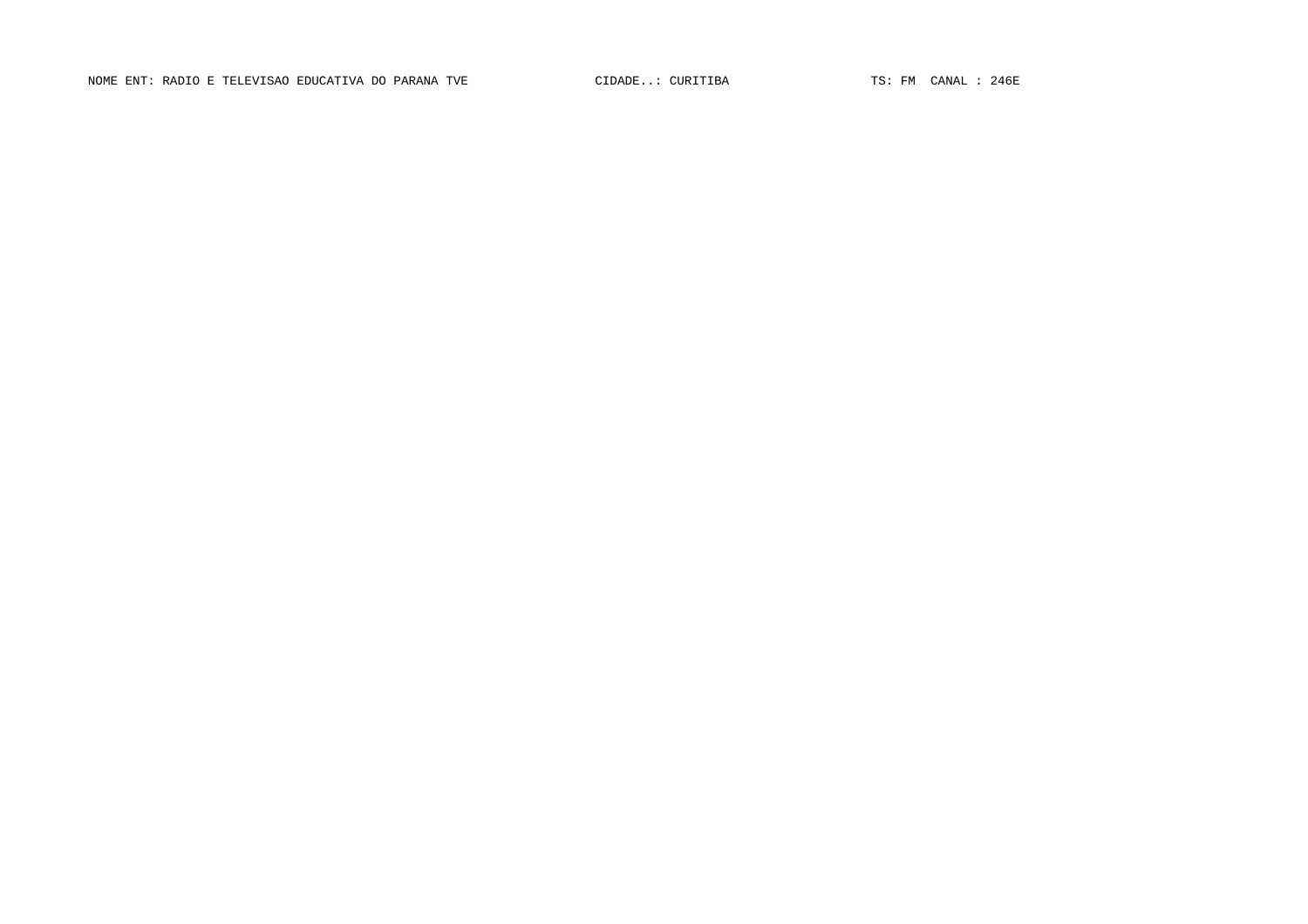NOME ENT: RADIO E TELEVISAO EDUCATIVA DO PARANA TVE CIDADE... CURITIBA TS: FM CANAL : 246E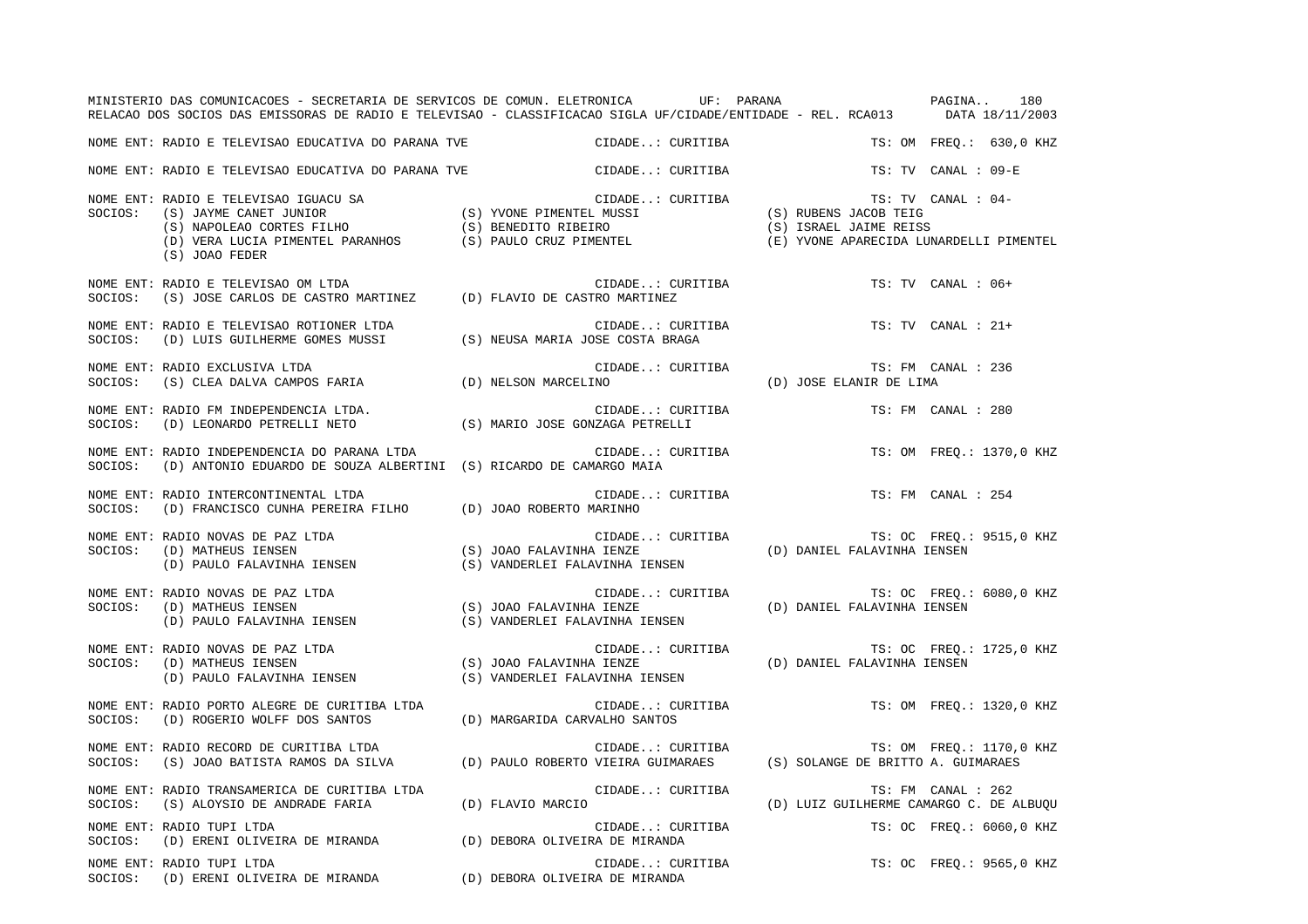|         | MINISTERIO DAS COMUNICACOES - SECRETARIA DE SERVICOS DE COMUN. ELETRONICA         UF: PARANA             PAGINA<br>RELACAO DOS SOCIOS DAS EMISSORAS DE RADIO E TELEVISAO - CLASSIFICACAO SIGLA UF/CIDADE/ENTIDADE - REL. RCA013 DATA 18/11/2003      |                                                                                                                                     |                  |                                                               |                     | 180                      |
|---------|------------------------------------------------------------------------------------------------------------------------------------------------------------------------------------------------------------------------------------------------------|-------------------------------------------------------------------------------------------------------------------------------------|------------------|---------------------------------------------------------------|---------------------|--------------------------|
|         |                                                                                                                                                                                                                                                      |                                                                                                                                     |                  |                                                               |                     | TS: OM FREO.: 630,0 KHZ  |
|         | NOME ENT: RADIO E TELEVISAO EDUCATIVA DO PARANA TVE                                                                                                                                                                                                  | CIDADE: CURITIBA                                                                                                                    |                  |                                                               | TS: TV CANAL : 09-E |                          |
|         | (S) JOAO FEDER                                                                                                                                                                                                                                       |                                                                                                                                     |                  | TS: TV CANAL : 04-<br>(E) YVONE APARECIDA LUNARDELLI PIMENTEL |                     |                          |
| SOCIOS: | NOME ENT: RADIO E TELEVISAO OM LTDA<br>$(S)$ JOSE CARLOS DE CASTRO MARTINEZ (D) FLAVIO DE CASTRO MARTINEZ                                                                                                                                            | CIDADE: CURITIBA                                                                                                                    |                  |                                                               | TS: TV CANAL : 06+  |                          |
|         |                                                                                                                                                                                                                                                      | CIDADE: CURITIBA                                                                                                                    |                  | TS: TV CANAL : 21+                                            |                     |                          |
| SOCIOS: | NOME ENT: RADIO EXCLUSIVA LTDA<br>RADIO EXCLUSIVA LTDA (S) CLEA DALVA CAMPOS FARIA (D) NELSON MARCELINO                                                                                                                                              | CIDADE: CURITIBA                                                                                                                    |                  | TS: FM CANAL : 236<br>TS: FM CA<br>(D) JOSE ELANIR DE LIMA    |                     |                          |
|         |                                                                                                                                                                                                                                                      | CIDADE: CURITIBA                                                                                                                    |                  | TS: FM CANAL : 280                                            |                     |                          |
| SOCIOS: | NOME ENT: RADIO INDEPENDENCIA DO PARANA LTDA<br>(D) ANTONIO EDUARDO DE SOUZA ALBERTINI (S) RICARDO DE CAMARGO MAIA                                                                                                                                   |                                                                                                                                     |                  |                                                               |                     | TS: OM FREO.: 1370,0 KHZ |
| SOCIOS: | NOME ENT: RADIO INTERCONTINENTAL LTDA<br>(D) FRANCISCO CUNHA PEREIRA FILHO (D) JOAO ROBERTO MARINHO                                                                                                                                                  |                                                                                                                                     | CIDADE: CURITIBA | TS: FM CANAL : 254                                            |                     |                          |
| SOCIOS: | NOME ENT: RADIO NOVAS DE PAZ LTDA<br>(D) MATHEUS IENSEN                                                                                                                                                                                              |                                                                                                                                     |                  | (D) DANIEL FALAVINHA IENSEN                                   |                     | TS: OC FREQ.: 9515,0 KHZ |
| SOCIOS: | NOME ENT: RADIO NOVAS DE PAZ LTDA<br>AADIO NOVAS DE PAZ LIDA<br>(D) MATHEUS IENSEN (D) ANIEL FALAVINHA IENSEN (D) DANIEL FALAVINHA IENSEN<br>(D) PAULO FALAVINHA IENSEN (S) VANDERLEI FALAVINHA IENSEN (D) DANIEL FALAVINHA IENSEN                   |                                                                                                                                     | CIDADE: CURITIBA |                                                               |                     | TS: OC FREQ.: 6080,0 KHZ |
|         | NOME ENT: RADIO NOVAS DE PAZ LTDA<br>SOCIOS:     (D) MATHEUS IENSEN<br>(D) PAULO FALAVINHA IENSEN                                                                                                                                                    | CIDADE: CURITIBA TS: OC FREQ.: 1725,0 KHZ<br>(S) JOAO FALAVINHA IENZE (D) DANIEL FALAVINHA IENSEN<br>(S) VANDERLEI FALAVINHA IENSEN |                  |                                                               |                     |                          |
| SOCIOS: | NOME ENT: RADIO PORTO ALEGRE DE CURITIBA LTDA<br>(D) ROGERIO WOLFF DOS SANTOS (D) MARGARIDA CARVALHO SANTOS                                                                                                                                          | CIDADE: CURITIBA                                                                                                                    |                  |                                                               |                     | TS: OM FREQ.: 1320,0 KHZ |
| SOCIOS: | RADIO RECORD DE CURITIBA LTDA (D) PAULO ROBERTO VIEIRA GUIMARAES (S) SOLANGE DE BRITTO A. GUIMARAES (S) JOAO BATISTA RAMOS DA SILVA (D) PAULO ROBERTO VIEIRA GUIMARAES (S) SOLANGE DE BRITTO A. GUIMARAES<br>NOME ENT: RADIO RECORD DE CURITIBA LTDA |                                                                                                                                     |                  |                                                               |                     | TS: OM FREQ.: 1170,0 KHZ |
|         | NOME ENT: RADIO TRANSAMERICA DE CURITIBA LTDA (D) FLAVIO MARCIO                                                                                                                                                                                      | CIDADE: CURITIBA                                                                                                                    |                  | (D) LUIZ GUILHERME CAMARGO C. DE ALBUQU                       | TS: FM CANAL : 262  |                          |
| SOCIOS: | NOME ENT: RADIO TUPI LTDA<br>(D) ERENI OLIVEIRA DE MIRANDA (D) DEBORA OLIVEIRA DE MIRANDA                                                                                                                                                            |                                                                                                                                     | CIDADE: CURITIBA |                                                               |                     | TS: OC FREO.: 6060,0 KHZ |
|         | NOME ENT: RADIO TUPI LTDA<br>SOCIOS: (D) ERENI OLIVEIRA DE MIRANDA (D) DEBORA OLIVEIRA DE MIRANDA                                                                                                                                                    | CIDADE: CURITIBA                                                                                                                    |                  |                                                               |                     | TS: OC FREQ.: 9565,0 KHZ |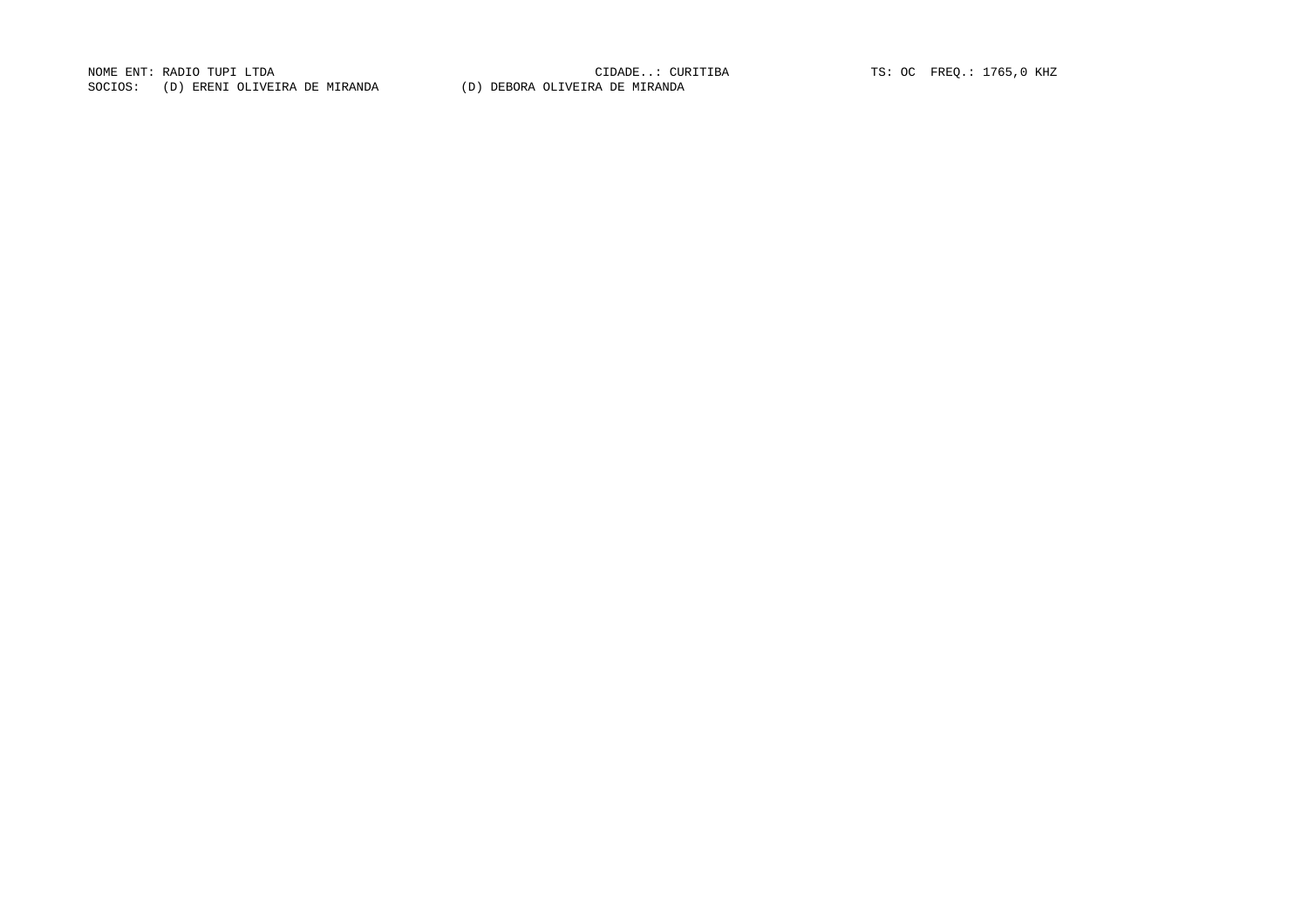NOME ENT: RADIO TUPI LTDA<br>
COSTOCAL (D) PRIME OF MERINDIAN (D) PRIOR OF HUIDING PRIMERIAL TS: OC FREQ.: 1765,0 KHZ SOCIOS: (D) ERENI OLIVEIRA DE MIRANDA (D) DEBORA OLIVEIRA DE MIRANDA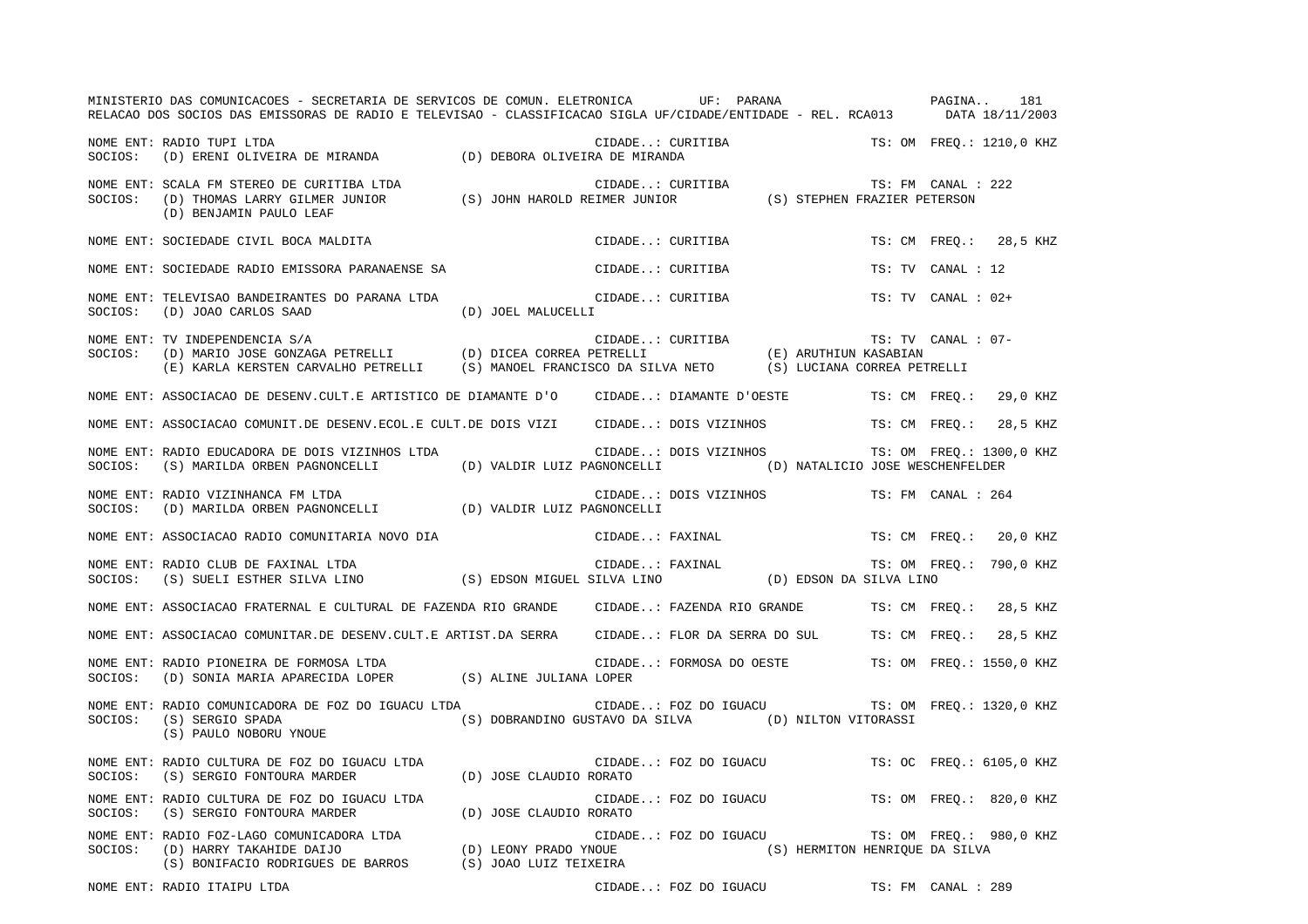|         | MINISTERIO DAS COMUNICACOES - SECRETARIA DE SERVICOS DE COMUN. ELETRONICA UF: PARANA VENES EN PAGINA 181<br>RELACAO DOS SOCIOS DAS EMISSORAS DE RADIO E TELEVISAO - CLASSIFICACAO SIGLA UF/CIDADE/ENTIDADE - REL. RCA013 DATA 18/11/2003 |                    |                                                   |                  |                                                |                    |                        |                         |
|---------|------------------------------------------------------------------------------------------------------------------------------------------------------------------------------------------------------------------------------------------|--------------------|---------------------------------------------------|------------------|------------------------------------------------|--------------------|------------------------|-------------------------|
|         | NOME ENT: RADIO TUPI LTDA<br>NUTLE ENI. KADIO IUFI LIDA<br>SOCIOS: (D) ERENI OLIVEIRA DE MIRANDA (D) DEBORA OLIVEIRA DE MIRANDA                                                                                                          |                    |                                                   |                  | CIDADE: CURITIBA TS: OM FREQ.: 1210,0 KHZ      |                    |                        |                         |
|         | NOME ENT: SCALA FM STEREO DE CURITIBA LTDA<br>SOCIOS: (D) THOMAS LARRY GILMER JUNIOR (S) JOHN HAROLD REIMER JUNIOR (S) STEPHEN FRAZIER PETERSON<br>(D) BENJAMIN PAULO LEAF                                                               |                    |                                                   |                  |                                                |                    |                        |                         |
|         | NOME ENT: SOCIEDADE CIVIL BOCA MALDITA                                                                                                                                                                                                   |                    |                                                   | CIDADE: CURITIBA |                                                |                    |                        | TS: CM FREQ.: 28,5 KHZ  |
|         | NOME ENT: SOCIEDADE RADIO EMISSORA PARANAENSE SA                                                                                                                                                                                         |                    | CIDADE: CURITIBA                                  |                  |                                                |                    | TS: TV CANAL : 12      |                         |
| SOCIOS: | NOME ENT: TELEVISAO BANDEIRANTES DO PARANA LTDA<br>(D) JOAO CARLOS SAAD                                                                                                                                                                  | (D) JOEL MALUCELLI | CIDADE: CURITIBA                                  |                  |                                                |                    | $TS: TV$ CANAL : $02+$ |                         |
| SOCIOS: | NOME ENT: TV INDEPENDENCIA S/A                                                                                                                                                                                                           |                    |                                                   |                  |                                                | TS: TV CANAL : 07- |                        |                         |
|         | NOME ENT: ASSOCIACAO DE DESENV.CULT.E ARTISTICO DE DIAMANTE D'O CIDADE: DIAMANTE D'OESTE TS: CM FREQ.: 29,0 KHZ                                                                                                                          |                    |                                                   |                  |                                                |                    |                        |                         |
|         | NOME ENT: ASSOCIACAO COMUNIT.DE DESENV.ECOL.E CULT.DE DOIS VIZI CIDADE: DOIS VIZINHOS TS: CM FREQ.: 28,5 KHZ                                                                                                                             |                    |                                                   |                  |                                                |                    |                        |                         |
|         | NOME ENT: RADIO EDUCADORA DE DOIS VIZINHOS LTDA (IDADE: DOIS VIZINHOS TS: OM FREQ.: 1300,0 KHZ<br>SOCIOS: (S) MARILDA ORBEN PAGNONCELLI (D) VALDIR LUIZ PAGNONCELLI (D) NATALICIO JOSE WESCHENFELDER                                     |                    |                                                   |                  |                                                |                    |                        |                         |
|         |                                                                                                                                                                                                                                          |                    |                                                   |                  | CIDADE: DOIS VIZINHOS TS: FM CANAL : 264       |                    |                        |                         |
|         | NOME ENT: ASSOCIACAO RADIO COMUNITARIA NOVO DIA CIDADE: FAXINAL TS: CM FREQ.: 20,0 KHZ                                                                                                                                                   |                    |                                                   |                  |                                                |                    |                        |                         |
|         | NOME ENT: RADIO CLUB DE FAXINAL LTDA<br>SOCIOS:    (S) SUELI ESTHER SILVA LINO                        (S) EDSON MIGUEL SILVA LINO                   (D) EDSON DA SILVA LINO                                                              |                    |                                                   |                  |                                                |                    |                        | TS: OM FREQ.: 790,0 KHZ |
|         | NOME ENT: ASSOCIACAO FRATERNAL E CULTURAL DE FAZENDA RIO GRANDE CIDADE: FAZENDA RIO GRANDE TS: CM FREQ.: 28,5 KHZ                                                                                                                        |                    |                                                   |                  |                                                |                    |                        |                         |
|         | NOME ENT: ASSOCIACAO COMUNITAR.DE DESENV.CULT.E ARTIST.DA SERRA CIDADE: FLOR DA SERRA DO SUL TS: CM FREQ.: 28,5 KHZ                                                                                                                      |                    |                                                   |                  |                                                |                    |                        |                         |
|         | NOME ENT: RADIO PIONEIRA DE FORMOSA LTDA<br>NOWE ENT. KADIO PIONEIRA DE FORMOSA DIDA<br>SOCIOS: (D) SONIA MARIA APARECIDA LOPER (S) ALINE JULIANA LOPER                                                                                  |                    | CIDADE: FORMOSA DO OESTE TS: OM FREQ.: 1550,0 KHZ |                  |                                                |                    |                        |                         |
|         | NOME ENT: RADIO COMUNICADORA DE FOZ DO IGUACU LTDA (IDADE: FOZ DO IGUACU TS: OM FREQ.: 1320,0 KHZ<br>SOCIOS: (S) SERGIO SPADA (S) DOBRANDINO GUSTAVO DA SILVA (D) NILTON VITORASSI (S) PAULO NOBORU YNOUE                                |                    |                                                   |                  |                                                |                    |                        |                         |
|         |                                                                                                                                                                                                                                          |                    |                                                   |                  | CIDADE: FOZ DO IGUACU TS: OC FREQ.: 6105,0 KHZ |                    |                        |                         |
|         | NOME ENT: RADIO CULTURA DE FOZ DO IGUACU LTDA $\overline{D}$ (D) JOSE CLAUDIO RORATO                                                                                                                                                     |                    |                                                   |                  | CIDADE: FOZ DO IGUACU TS: OM FREQ.: 820,0 KHZ  |                    |                        |                         |
|         | NOME ENT: RADIO FOZ-LAGO COMUNICADORA LTDA<br>SOCIOS: (D) HARRY TAKAHIDE DAIJO (D) LEONY PRADO YNOUE (S) HERMITON HENRIQUE DA SILVA<br>(S) BONIFACIO RODRIGUES DE BARROS (S) JOAO LUIZ TEIXEIRA (S) (S) HERMITON HENRIQUE DA SILVA       |                    |                                                   |                  |                                                |                    |                        | TS: OM FREQ.: 980,0 KHZ |

NOME ENT: RADIO ITAIPU LTDA CIDADE..: FOZ DO IGUACU TS: FM CANAL : 289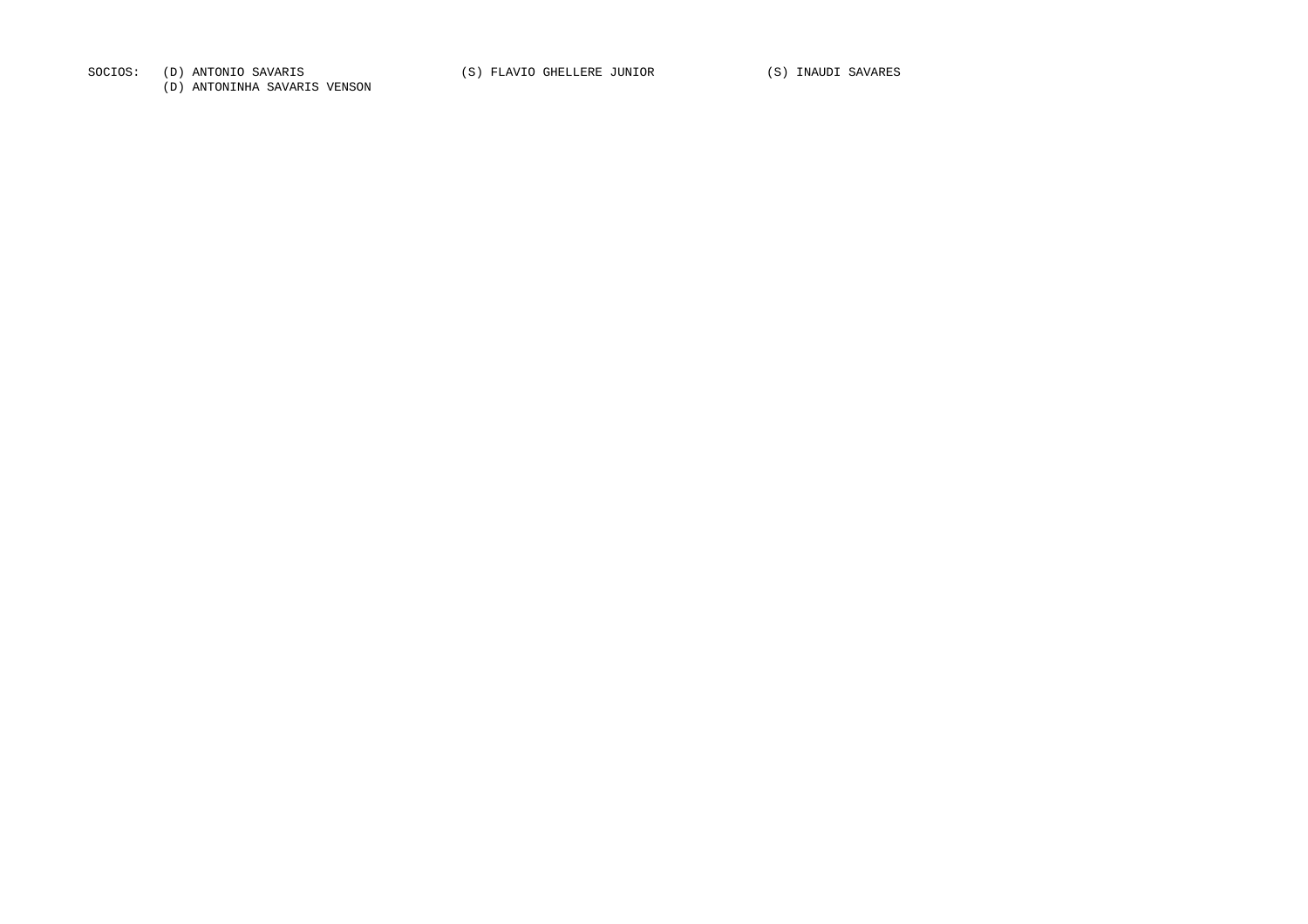SOCIOS: (D) ANTONIO SAVARIS (S) FLAVIO GHELLERE JUNIOR (S) INAUDI SAVARES

(D) ANTONINHA SAVARIS VENSON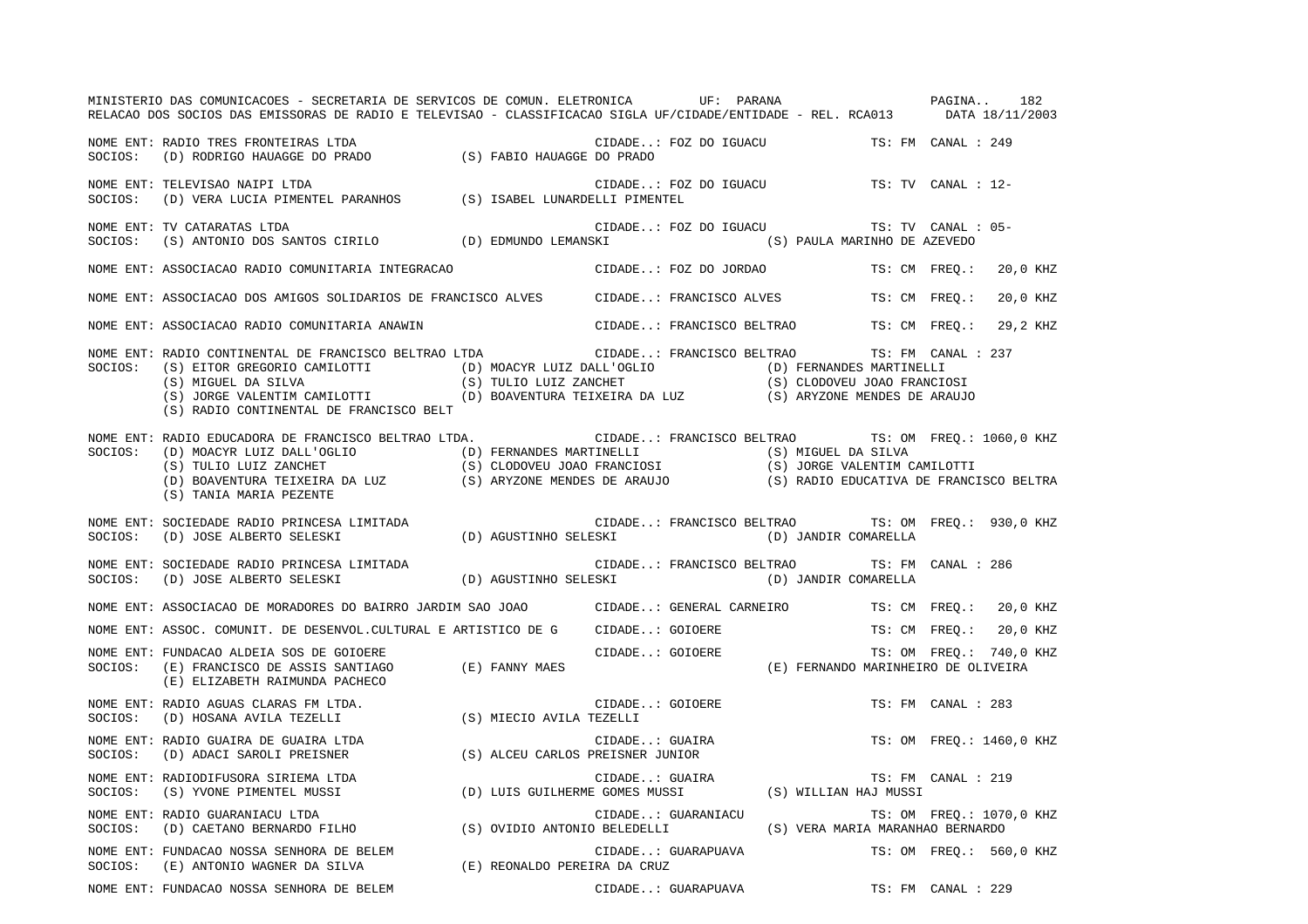|         | MINISTERIO DAS COMUNICACOES - SECRETARIA DE SERVICOS DE COMUN. ELETRONICA UF: PARANA VERENO DAS COMUNICACOES - SECRETARIA DE SERVICOS DE COMUN. ELETRONICA<br>RELACAO DOS SOCIOS DAS EMISSORAS DE RADIO E TELEVISAO - CLASSIFICACAO SIGLA UF/CIDADE/ENTIDADE - REL. RCA013 DATA 18/11/2003                                                                                            |                              |                                   |                                                                      |                          |          |  |
|---------|---------------------------------------------------------------------------------------------------------------------------------------------------------------------------------------------------------------------------------------------------------------------------------------------------------------------------------------------------------------------------------------|------------------------------|-----------------------------------|----------------------------------------------------------------------|--------------------------|----------|--|
|         | NOME ENT: RADIO TRES FRONTEIRAS LTDA (S) FABIO HAUAGGE DO PRADO (S) CIDADE<br>SOCIOS: (D) RODRIGO HAUAGGE DO PRADO (S) FABIO HAUAGGE DO PRADO                                                                                                                                                                                                                                         |                              |                                   | CIDADE: FOZ DO IGUACU TS: FM CANAL : 249                             |                          |          |  |
|         | NOME ENT: TELEVISAO NAIPI LTDA<br>SOCIOS: (D) VERA LUCIA PIMENTEL PARANHOS (S) ISABEL LUNARDELLI PIMENTEL                                                                                                                                                                                                                                                                             |                              |                                   | CIDADE: FOZ DO IGUACU TS: TV CANAL : 12-                             |                          |          |  |
|         | NOME ENT: TV CATARATAS LTDA<br>NOME ENT: TV CATARATAS LIDA<br>SOCIOS: (S) ANTONIO DOS SANTOS CIRILO (D) EDMUNDO LEMANSKI (S) PAULA MARINHO DE AZEVEDO                                                                                                                                                                                                                                 |                              |                                   | CIDADE: FOZ DO IGUACU TS: TV CANAL : 05-                             |                          |          |  |
|         | NOME ENT: ASSOCIACAO RADIO COMUNITARIA INTEGRACAO CONSTRUIDE E CIDADE: FOZ DO JORDAO TS: CM FREQ.:                                                                                                                                                                                                                                                                                    |                              |                                   |                                                                      |                          | 20,0 KHZ |  |
|         | NOME ENT: ASSOCIACAO DOS AMIGOS SOLIDARIOS DE FRANCISCO ALVES CIDADE: FRANCISCO ALVES                                                                                                                                                                                                                                                                                                 |                              |                                   |                                                                      | TS: CM FREO.:            | 20,0 KHZ |  |
|         | NOME ENT: ASSOCIACAO RADIO COMUNITARIA ANAWIN                                                                                                                                                                                                                                                                                                                                         |                              |                                   | CIDADE: FRANCISCO BELTRAO TS: CM FREO.:                              |                          | 29,2 KHZ |  |
| SOCIOS: | NOME ENT: RADIO CONTINENTAL DE FRANCISCO BELTRAO LTDA CIDADE: FRANCISCO BELTRAO TS: FM CANAL : 237<br>(S) EITOR GREGORIO CAMILOTTI (D) MOACYR LUIZ DALL'OGLIO (D) FERNANDES MARTINELLI<br>(S) MIGUEL DA SILVA (S) TULIO LUIZ ZANCHET (S) CLODOVEU JOAO FRANCIOSI<br>(S) JORGE VALENTIM CAMILOTTI (D) BOAVENTURA TEIXEIRA DA LUZ (S) ARYZON<br>(S) RADIO CONTINENTAL DE FRANCISCO BELT |                              |                                   |                                                                      |                          |          |  |
| SOCIOS: | NOME ENT: RADIO EDUCADORA DE FRANCISCO BELTRAO LTDA. 6 CIDADE: FRANCISCO BELTRAO TS: OM FREO.: 1060,0 KHZ<br>(D) MOACYR LUIZ DALL'OGLIO (D) FERNANDES MARTINELLI (S) MIGUEL DA SILVA<br>(S) TULIO LUIZ ZANCHET (S) CLODOVEU JOAO FRANCIOSI (S) JORGE VALENTIM CAMILOTTI<br>(D) BOAVENTURA TEIXEIRA DA LUZ (S) ARYZONE MENDES DE ARAUJO (S) RADIO<br>(S) TANIA MARIA PEZENTE           |                              |                                   |                                                                      |                          |          |  |
|         | NOME ENT: SOCIEDADE RADIO PRINCESA LIMITADA (D) AGUSTINHO SELESKI (D) JANDIR COMARELLA SOCIOS: (D) JOSE ALBERTO SELESKI (D) AGUSTINHO SELESKI (D) JANDIR COMARELLA                                                                                                                                                                                                                    |                              |                                   | CIDADE: FRANCISCO BELTRAO TS: OM FREQ.: 930,0 KHZ                    |                          |          |  |
| SOCIOS: | NOME ENT: SOCIEDADE RADIO PRINCESA LIMITADA<br>(D) AGUSTINHO SELESKI<br>(D) JOSE ALBERTO SELESKI                                                                                                                                                                                                                                                                                      |                              |                                   | CIDADE: FRANCISCO BELTRAO TS: FM CANAL : 286<br>(D) JANDIR COMARELLA |                          |          |  |
|         | NOME ENT: ASSOCIACAO DE MORADORES DO BAIRRO JARDIM SAO JOAO CIDADE: GENERAL CARNEIRO TS: CM FREQ.: 20,0 KHZ                                                                                                                                                                                                                                                                           |                              |                                   |                                                                      |                          |          |  |
|         | NOME ENT: ASSOC. COMUNIT. DE DESENVOL. CULTURAL E ARTISTICO DE G                                                                                                                                                                                                                                                                                                                      |                              | CIDADE: GOIOERE                   |                                                                      | TS: CM FREO.: 20,0 KHZ   |          |  |
| SOCIOS: | NOME ENT: FUNDACAO ALDEIA SOS DE GOIOERE<br>FUNDACAO ALDEIA SOS DE GOIOERE<br>(E) FRANCISCO DE ASSIS SANTIAGO (E) FANNY MAES<br>(E) ELIZABETH RAIMUNDA PACHECO                                                                                                                                                                                                                        |                              |                                   | CIDADE: GOIOERE $(E)$ FERNANDO MARINHEIRO DE OLIVEIRA                | TS: OM FREQ.: 740,0 KHZ  |          |  |
| SOCIOS: | NOME ENT: RADIO AGUAS CLARAS FM LTDA.<br>(B) HOSANA AVILA TEZELLI (S) MIECIO AVILA TEZELLI                                                                                                                                                                                                                                                                                            |                              | CIDADE: GOIOERE                   |                                                                      | TS: FM CANAL : 283       |          |  |
|         | NOME ENT: RADIO GUAIRA DE GUAIRA LTDA<br>SOCIOS: (D) ADACI SAROLI PREISNER (S) ALCEU CARLOS PREISNER JUNIOR                                                                                                                                                                                                                                                                           |                              | CIDADE: GUAIRA<br>PREIGNER IUNIOR |                                                                      | TS: OM FREQ.: 1460,0 KHZ |          |  |
| SOCIOS: | NOME ENT: RADIODIFUSORA SIRIEMA LTDA<br>CIDADE: GUAIRA TS: FM [S] TS: FM<br>(S) YVONE PIMENTEL MUSSI (D) LUIS GUILHERME GOMES MUSSI (S) WILLIAN HAJ MUSSI)                                                                                                                                                                                                                            |                              |                                   |                                                                      | TS: FM CANAL : 219       |          |  |
| SOCIOS: | NOME ENT: RADIO GUARANIACU LTDA                                                                                                                                                                                                                                                                                                                                                       |                              |                                   |                                                                      | TS: OM FREQ.: 1070,0 KHZ |          |  |
| SOCIOS: | NOME ENT: FUNDACAO NOSSA SENHORA DE BELEM<br>(E) ANTONIO WAGNER DA SILVA                                                                                                                                                                                                                                                                                                              | (E) REONALDO PEREIRA DA CRUZ | CIDADE: GUARAPUAVA                |                                                                      | TS: OM FREQ.: 560,0 KHZ  |          |  |
|         | NOME ENT: FUNDACAO NOSSA SENHORA DE BELEM                                                                                                                                                                                                                                                                                                                                             |                              | CIDADE: GUARAPUAVA                |                                                                      | TS: FM CANAL : 229       |          |  |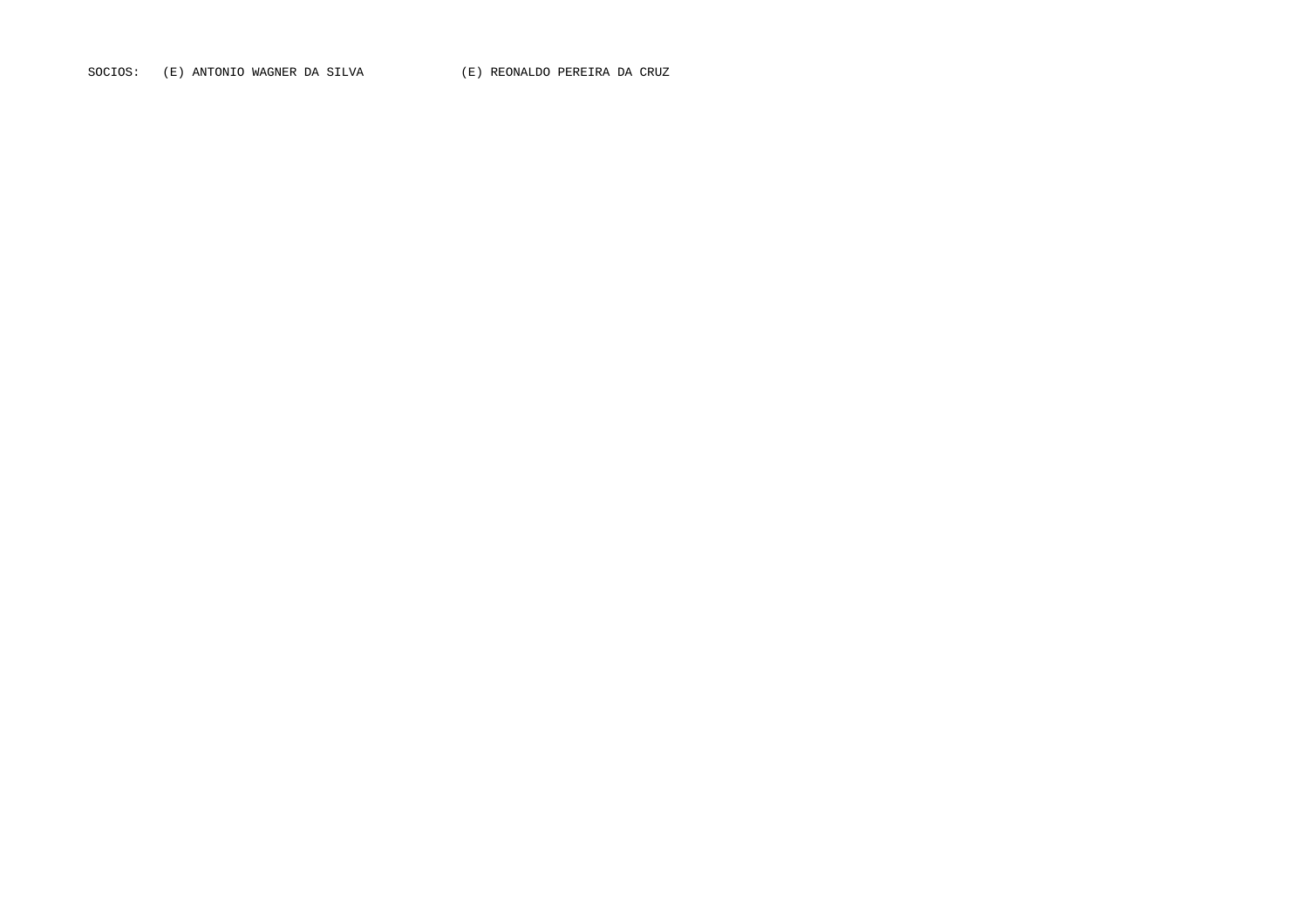SOCIOS: (E) ANTONIO WAGNER DA SILVA (E) REONALDO PEREIRA DA CRUZ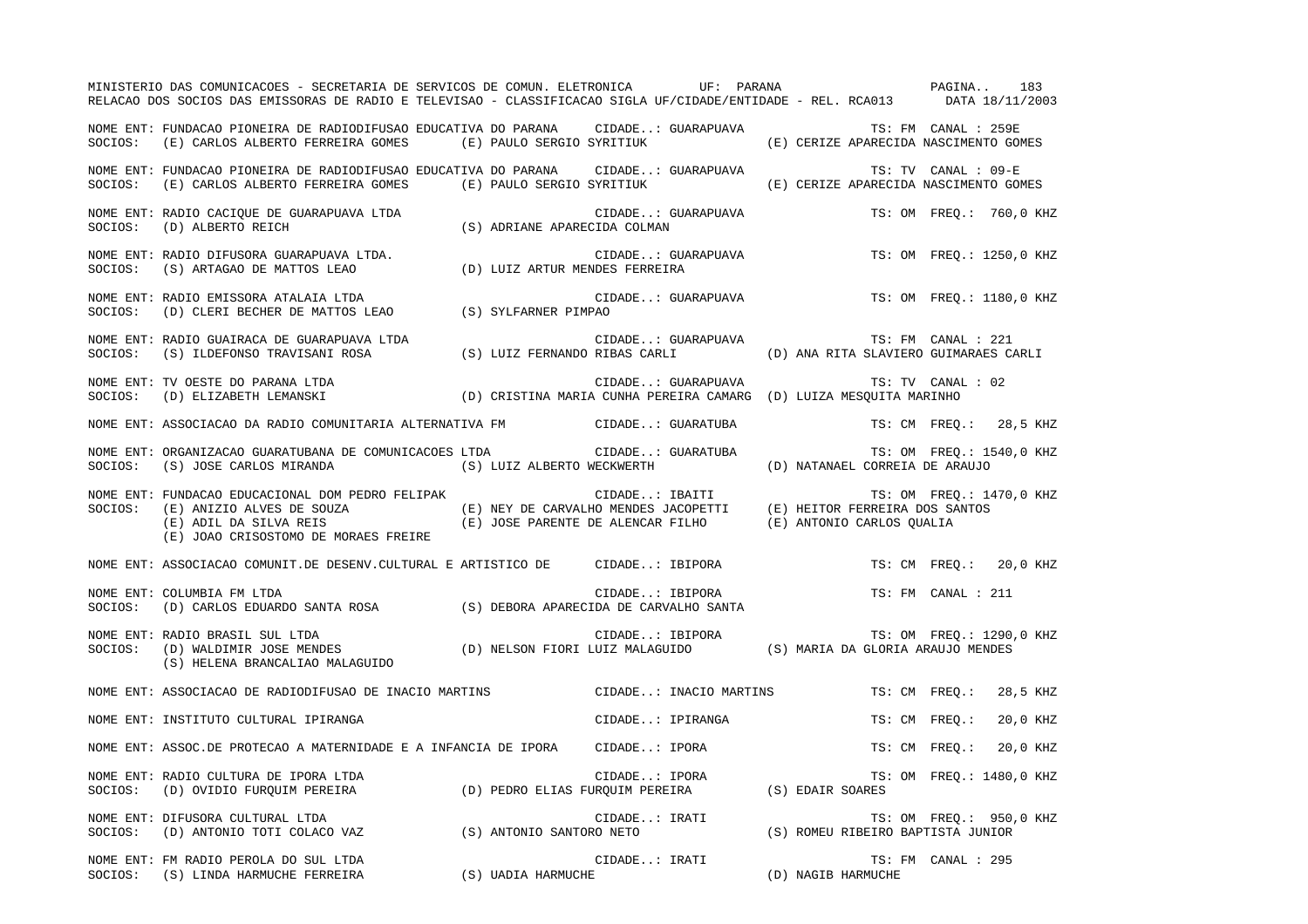|         | MINISTERIO DAS COMUNICACOES - SECRETARIA DE SERVICOS DE COMUN. ELETRONICA UF: PARANA<br>RELACAO DOS SOCIOS DAS EMISSORAS DE RADIO E TELEVISAO - CLASSIFICACAO SIGLA UF/CIDADE/ENTIDADE - REL. RCA013 DATA 18/11/2003                                                                                                          |                    |                        | PAGINA                                | 183                       |
|---------|-------------------------------------------------------------------------------------------------------------------------------------------------------------------------------------------------------------------------------------------------------------------------------------------------------------------------------|--------------------|------------------------|---------------------------------------|---------------------------|
| SOCIOS: | NOME ENT: FUNDACAO PIONEIRA DE RADIODIFUSAO EDUCATIVA DO PARANA CIDADE: GUARAPUAVA<br>(E) CARLOS ALBERTO FERREIRA GOMES (E) PAULO SERGIO SYRITIUK                                                                                                                                                                             |                    |                        | (E) CERIZE APARECIDA NASCIMENTO GOMES | TS: FM CANAL : 259E       |
|         | NOME ENT: FUNDACAO PIONEIRA DE RADIODIFUSAO EDUCATIVA DO PARANA CIDADE: GUARAPUAVA<br>SOCIOS: (E) CARLOS ALBERTO FERREIRA GOMES (E) PAULO SERGIO SYRITIUK                                                                                                                                                                     |                    |                        | (E) CERIZE APARECIDA NASCIMENTO GOMES | TS: TV CANAL : 09-E       |
|         | NOME ENT: RADIO CACIQUE DE GUARAPUAVA LTDA (S) ADRIANE APARECIDA COLMAN (S)                                                                                                                                                                                                                                                   |                    | CIDADE: GUARAPUAVA     |                                       | TS: OM FREO.: 760,0 KHZ   |
|         | NOME ENT: RADIO DIFUSORA GUARAPUAVA LTDA. (D) LUIZ ARTUR MENDES FERREIRA<br>SOCIOS: (S) ARTAGAO DE MATTOS LEAO (D) LUIZ ARTUR MENDES FERREIRA                                                                                                                                                                                 |                    | CIDADE: GUARAPUAVA     |                                       | TS: OM FREQ.: 1250,0 KHZ  |
| SOCIOS: | NOME ENT: RADIO EMISSORA ATALAIA LTDA<br>CIL CHERI BECHER DE MATTOS LEAO (S) SYLFARNER PIMPAO (D) CLERI BECHER DE MATTOS LEAO (S) SYLFARNER PIMPAO                                                                                                                                                                            |                    | CIDADE: GUARAPUAVA     |                                       | TS: OM FREQ.: 1180,0 KHZ  |
|         |                                                                                                                                                                                                                                                                                                                               |                    |                        |                                       |                           |
|         | NOME ENT: TV OESTE DO PARANA LTDA<br>SOCIOS: (D) ELIZABETH LEMANSKI (D) CRISTINA MARIA CUNHA PEREIRA CAMARG (D) LUIZA MESQUITA MARINHO                                                                                                                                                                                        |                    |                        |                                       | TS: TV CANAL : 02         |
|         | NOME ENT: ASSOCIACAO DA RADIO COMUNITARIA ALTERNATIVA FM CIDADE: GUARATUBA                                                                                                                                                                                                                                                    |                    |                        |                                       | TS: CM FREO.: 28,5 KHZ    |
| SOCIOS: | NOME ENT: ORGANIZACAO GUARATUBANA DE COMUNICACOES LTDA CIDADE: GUARATUBA<br>(S) JOSE CARLOS MIRANDA (S) LUIZ ALBERTO WECKWERTH                                                                                                                                                                                                |                    |                        | (D) NATANAEL CORREIA DE ARAUJO        | TS: OM FREQ.: 1540,0 KHZ  |
| SOCIOS: | FUNDACAO EDUCACIONAL DOM PEDRO FELIPAK (E) NEY DE CARVALHO MENDES JACOPETTI (E) HEITOR FERREIRA DOS SANTOS (E)<br>(E) ANIZIO ALVES DE SOUZA (E) NEY DE CARVALHO MENDES JACOPETTI (E) HEITOR FERREIRA DOS SANTOS (E) ADIL DA SILVA<br>NOME ENT: FUNDACAO EDUCACIONAL DOM PEDRO FELIPAK<br>(E) JOAO CRISOSTOMO DE MORAES FREIRE |                    |                        |                                       | TS: OM FREQ.: 1470,0 KHZ  |
|         | NOME ENT: ASSOCIACAO COMUNIT.DE DESENV.CULTURAL E ARTISTICO DE CIDADE: IBIPORA                                                                                                                                                                                                                                                |                    |                        |                                       | TS: CM FREO.: 20,0 KHZ    |
| SOCIOS: | NOME ENT: COLUMBIA FM LTDA<br>(D) CARLOS EDUARDO SANTA ROSA (S) DEBORA APARECIDA DE CARVALHO SANTA                                                                                                                                                                                                                            |                    | CIDADE: IBIPORA        |                                       | TS: FM CANAL : 211        |
| SOCIOS: | NOME ENT: RADIO BRASIL SUL LTDA<br>(S) HELENA BRANCALIAO MALAGUIDO                                                                                                                                                                                                                                                            |                    |                        |                                       | TS: OM FREQ.: 1290,0 KHZ  |
|         | NOME ENT: ASSOCIACAO DE RADIODIFUSAO DE INACIO MARTINS                                                                                                                                                                                                                                                                        |                    | CIDADE: INACIO MARTINS |                                       | TS: CM FREO.:<br>28,5 KHZ |
|         | NOME ENT: INSTITUTO CULTURAL IPIRANGA                                                                                                                                                                                                                                                                                         |                    | CIDADE: IPIRANGA       |                                       | 20,0 KHZ<br>TS: CM FREO.: |
|         | NOME ENT: ASSOC.DE PROTECAO A MATERNIDADE E A INFANCIA DE IPORA CIDADE: IPORA                                                                                                                                                                                                                                                 |                    |                        |                                       | TS: CM FREQ.:<br>20,0 KHZ |
| SOCIOS: | NOME ENT: RADIO CULTURA DE IPORA LTDA<br>(D) OVIDIO FURQUIM PEREIRA (D) PEDRO ELIAS FURQUIM PEREIRA (S) EDAIR SOARES                                                                                                                                                                                                          |                    | CIDADE: IPORA          |                                       | TS: OM FREQ.: 1480,0 KHZ  |
| SOCIOS: | NOME ENT: DIFUSORA CULTURAL LTDA<br>(D) ANTONIO TOTI COLACO VAZ (S) ANTONIO SANTORO NETO (S) ROMEU RIBEIRO BAPTISTA JUNIOR                                                                                                                                                                                                    |                    | CIDADE: IRATI          |                                       | TS: OM FREQ.: 950,0 KHZ   |
|         | NOME ENT: FM RADIO PEROLA DO SUL LTDA<br>SOCIOS: (S) LINDA HARMUCHE FERREIRA                                                                                                                                                                                                                                                  | (S) UADIA HARMUCHE | CIDADE: IRATI          | (D) NAGIB HARMUCHE                    | TS: FM CANAL : 295        |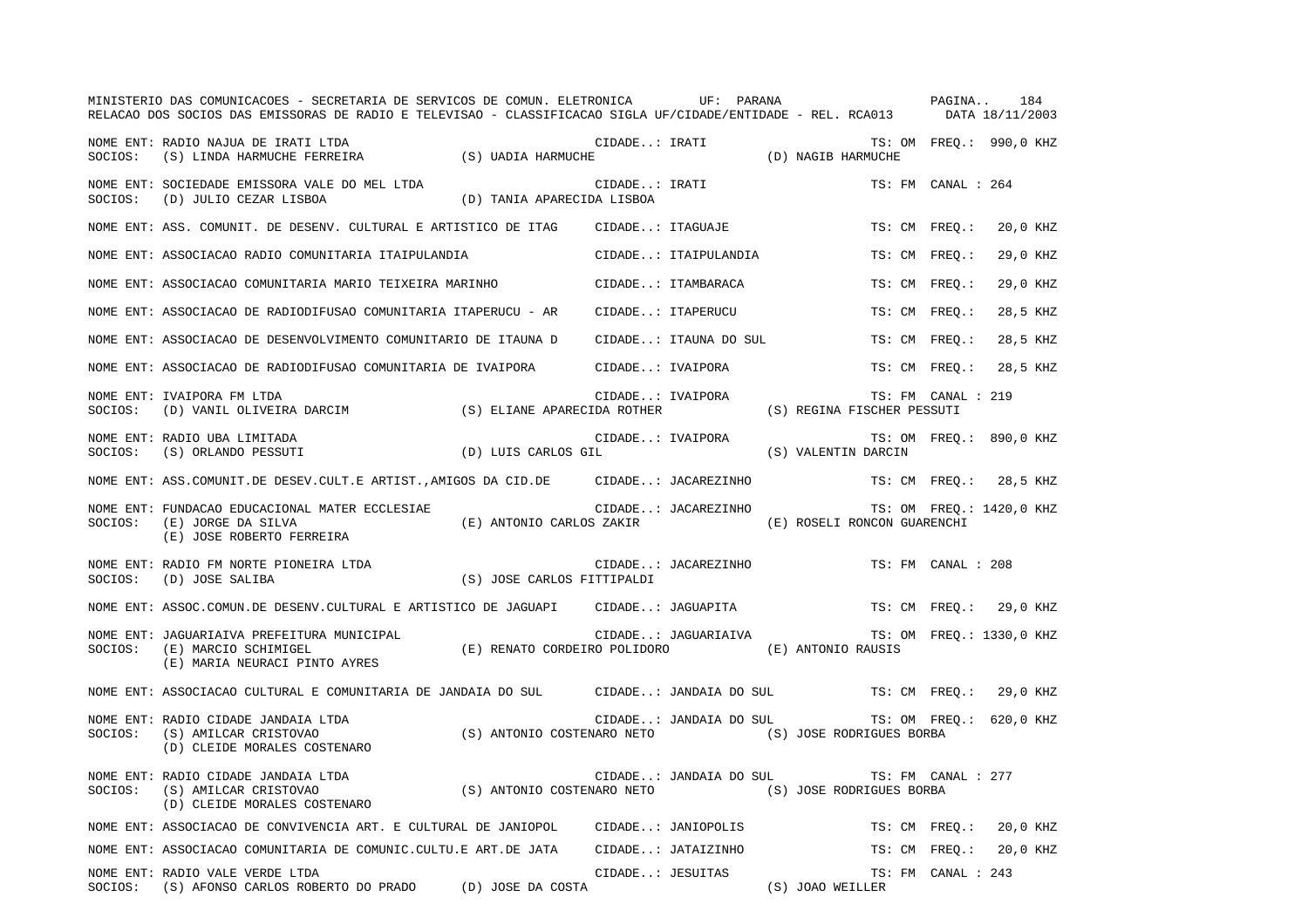|         | MINISTERIO DAS COMUNICACOES - SECRETARIA DE SERVICOS DE COMUN. ELETRONICA UF: PARANA VERENO PAGINA<br>RELACAO DOS SOCIOS DAS EMISSORAS DE RADIO E TELEVISAO - CLASSIFICACAO SIGLA UF/CIDADE/ENTIDADE - REL. RCA013 DATA 18/11/2003 |                                                      |               |                        |                                                |                    | 184                      |
|---------|------------------------------------------------------------------------------------------------------------------------------------------------------------------------------------------------------------------------------------|------------------------------------------------------|---------------|------------------------|------------------------------------------------|--------------------|--------------------------|
| SOCIOS: | NOME ENT: RADIO NAJUA DE IRATI LTDA<br>(S) LINDA HARMUCHE FERREIRA (S) UADIA HARMUCHE                                                                                                                                              |                                                      | CIDADE: IRATI |                        | TS: (<br>D) NAGIB HARMUCHE)                    |                    | TS: OM FREO.: 990,0 KHZ  |
|         | NOME ENT: SOCIEDADE EMISSORA VALE DO MEL LTDA<br>SOCIOS: (D) JULIO CEZAR LISBOA                                                                                                                                                    | (D) TANIA APARECIDA LISBOA                           |               | CIDADE: IRATI          |                                                | TS: FM CANAL : 264 |                          |
|         | NOME ENT: ASS. COMUNIT. DE DESENV. CULTURAL E ARTISTICO DE ITAG                                                                                                                                                                    |                                                      |               | CIDADE: ITAGUAJE       | TS: CM FREO.:                                  |                    | 20,0 KHZ                 |
|         | NOME ENT: ASSOCIACAO RADIO COMUNITARIA ITAIPULANDIA                                                                                                                                                                                |                                                      |               | CIDADE: ITAIPULANDIA   | TS: CM FREQ.:                                  |                    | 29,0 KHZ                 |
|         | NOME ENT: ASSOCIACAO COMUNITARIA MARIO TEIXEIRA MARINHO                                                                                                                                                                            |                                                      |               | CIDADE: ITAMBARACA     | TS: CM FREO.:                                  |                    | 29,0 KHZ                 |
|         | NOME ENT: ASSOCIACAO DE RADIODIFUSAO COMUNITARIA ITAPERUCU - AR                                                                                                                                                                    |                                                      |               | CIDADE: ITAPERUCU      | TS: CM FREO.:                                  |                    | 28,5 KHZ                 |
|         | NOME ENT: ASSOCIACAO DE DESENVOLVIMENTO COMUNITARIO DE ITAUNA D                                                                                                                                                                    |                                                      |               | CIDADE: ITAUNA DO SUL  | TS: CM FREQ.:                                  |                    | 28,5 KHZ                 |
|         | NOME ENT: ASSOCIACAO DE RADIODIFUSAO COMUNITARIA DE IVAIPORA CIDADE: IVAIPORA                                                                                                                                                      |                                                      |               |                        | TS: CM FREO.:                                  |                    | 28,5 KHZ                 |
| SOCIOS: | NOME ENT: IVAIPORA FM LTDA<br>IVALFORA TS: FM CANAI (D) VANIL OLIVEIRA DARCIM (S) ELIANE APARECIDA ROTHER (S) REGINA FISCHER PESSUTI                                                                                               |                                                      |               |                        |                                                | TS: FM CANAL : 219 |                          |
| SOCIOS: | NOME ENT: RADIO UBA LIMITADA<br>(D) LUIS CARLOS GIL<br>(S) ORLANDO PESSUTI                                                                                                                                                         |                                                      |               |                        |                                                |                    | TS: OM FREO.: 890,0 KHZ  |
|         | NOME ENT: ASS.COMUNIT.DE DESEV.CULT.E ARTIST., AMIGOS DA CID.DE CIDADE: JACAREZINHO                                                                                                                                                |                                                      |               |                        |                                                |                    | TS: CM FREQ.: 28,5 KHZ   |
| SOCIOS: | NOME ENT: FUNDACAO EDUCACIONAL MATER ECCLESIAE<br>(E) JORGE DA SILVA<br>(E) JOSE ROBERTO FERREIRA                                                                                                                                  | (E) ANTONIO CARLOS ZAKIR (E) ROSELI RONCON GUARENCHI |               | CIDADE: JACAREZINHO    |                                                |                    | TS: OM FREQ.: 1420,0 KHZ |
|         | NOME ENT: RADIO FM NORTE PIONEIRA LTDA (S) JOSE CARLOS FITTIPALDI                                                                                                                                                                  |                                                      |               | CIDADE: JACAREZINHO    |                                                | TS: FM CANAL : 208 |                          |
|         | NOME ENT: ASSOC.COMUN.DE DESENV.CULTURAL E ARTISTICO DE JAGUAPI CIDADE: JAGUAPITA                                                                                                                                                  |                                                      |               |                        |                                                |                    | TS: CM FREQ.: 29,0 KHZ   |
| SOCIOS: | NOME ENT: JAGUARIAIVA PREFEITURA MUNICIPAL<br>(E) MARCIO SCHIMIGEL<br>(E) MARIA NEURACI PINTO AYRES                                                                                                                                | (E) RENATO CORDEIRO POLIDORO (E) ANTONIO RAUSIS      |               |                        | CIDADE: JAGUARIAIVA TS: OM FREQ.: 1330,0 KHZ   |                    |                          |
|         | NOME ENT: ASSOCIACAO CULTURAL E COMUNITARIA DE JANDAIA DO SUL CIDADE: JANDAIA DO SUL TS: CM FREQ.:                                                                                                                                 |                                                      |               |                        |                                                |                    | 29,0 KHZ                 |
|         | NOME ENT: RADIO CIDADE JANDAIA LTDA (S) ANTONIO COSTENARO NETO (S) JOSE RODRIGUES BORBA (D) CLEIDE MORALES COSTENARO (S) ANTONIO COSTENARO NETO (S) JOSE RODRIGUES BORBA                                                           |                                                      |               |                        | CIDADE: JANDAIA DO SUL TS: OM FREQ.: 620,0 KHZ |                    |                          |
| SOCIOS: | NOME ENT: RADIO CIDADE JANDAIA LTDA<br>(S) AMILCAR CRISTOVAO<br>(D) CLEIDE MORALES COSTENARO                                                                                                                                       | CIDADE: J<br>(S) ANTONIO COSTENARO NETO              |               | CIDADE: JANDAIA DO SUL | TS: FM CANAL : 277<br>(S) JOSE RODRIGUES BORBA |                    |                          |
|         | NOME ENT: ASSOCIACAO DE CONVIVENCIA ART. E CULTURAL DE JANIOPOL CIDADE: JANIOPOLIS                                                                                                                                                 |                                                      |               |                        |                                                | TS: CM FREQ.:      | 20,0 KHZ                 |
|         | NOME ENT: ASSOCIACAO COMUNITARIA DE COMUNIC.CULTU.E ART.DE JATA CIDADE: JATAIZINHO                                                                                                                                                 |                                                      |               |                        |                                                | TS: CM FREQ.:      | 20,0 KHZ                 |
|         | NOME ENT: RADIO VALE VERDE LTDA<br>SOCIOS: (S) AFONSO CARLOS ROBERTO DO PRADO (D) JOSE DA COSTA                                                                                                                                    |                                                      |               | CIDADE: JESUITAS       | (S) JOAO WEILLER                               | TS: FM CANAL : 243 |                          |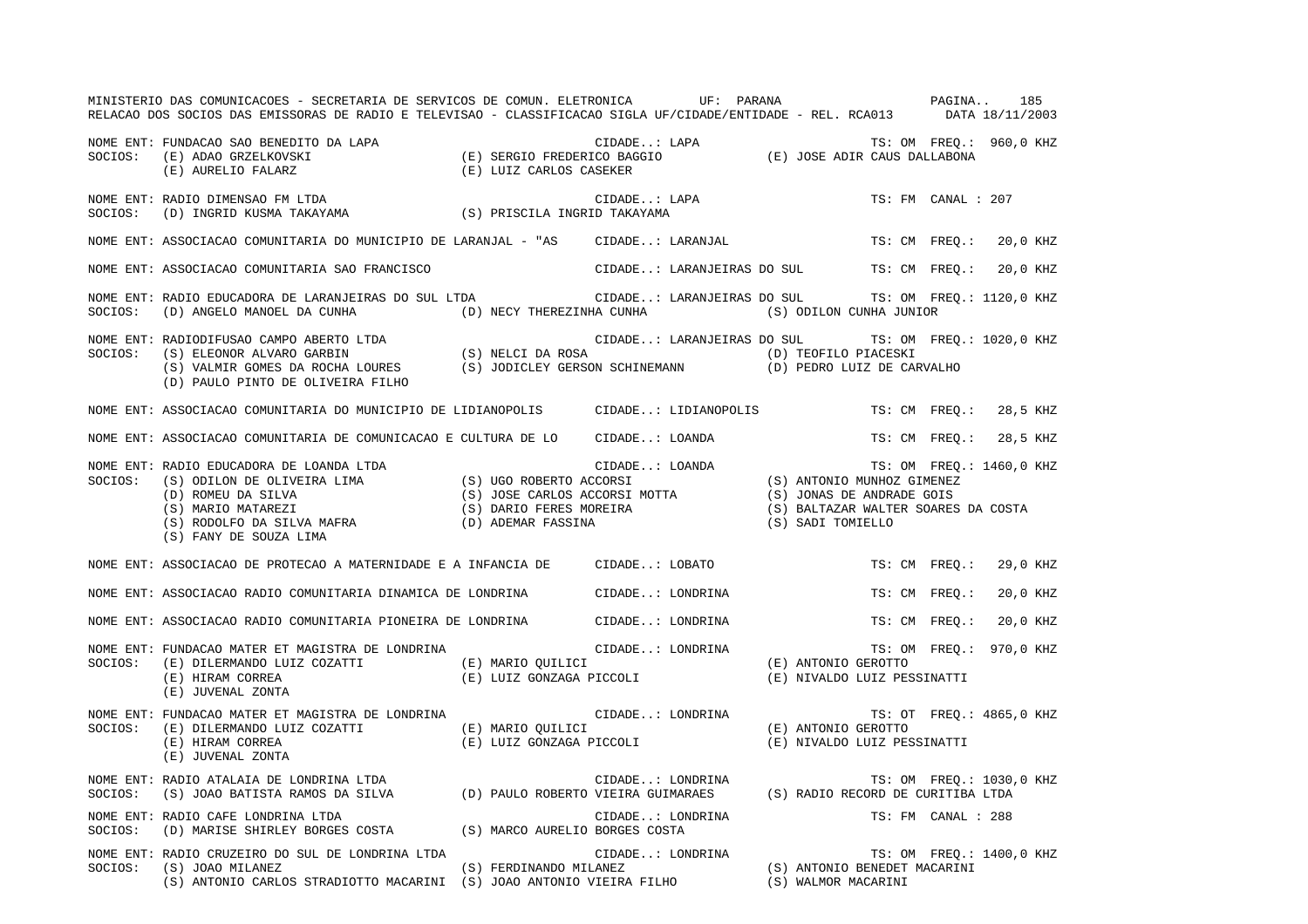|         | MINISTERIO DAS COMUNICACOES - SECRETARIA DE SERVICOS DE COMUN. ELETRONICA UF: PARANA NA EN PAGINA<br>RELACAO DOS SOCIOS DAS EMISSORAS DE RADIO E TELEVISAO - CLASSIFICACAO SIGLA UF/CIDADE/ENTIDADE - REL. RCA013 DATA 18/11/2003                                                                       |                                               |                  |                                                                                                                                                                 |                          |          | 185      |
|---------|---------------------------------------------------------------------------------------------------------------------------------------------------------------------------------------------------------------------------------------------------------------------------------------------------------|-----------------------------------------------|------------------|-----------------------------------------------------------------------------------------------------------------------------------------------------------------|--------------------------|----------|----------|
|         | NUME ENT: FUNDACAO SAO BENEDITO DA LAPA (E) SERGIO FREDERICO BAGGIO (E) JOSE ADIR CAUS DALLABONA (E) AURELIO FALARZ<br>SOCIOS: (E) AURELIO FALARZ (E) LUIZ CARLOS CASEKER<br>(E) LUIZ CARLOS CASEKER                                                                                                    |                                               |                  |                                                                                                                                                                 |                          |          |          |
|         | NOME ENT: RADIO DIMENSAO FM LTDA<br>SOCIOS: (D) INGRID KUSMA TAKAYAMA (S) PRISCILA INGRID TAKAYAMA                                                                                                                                                                                                      |                                               | CIDADE: LAPA     |                                                                                                                                                                 | TS: FM CANAL : 207       |          |          |
|         | NOME ENT: ASSOCIACAO COMUNITARIA DO MUNICIPIO DE LARANJAL - "AS CIDADE: LARANJAL                                                                                                                                                                                                                        |                                               |                  |                                                                                                                                                                 | TS: CM FREQ.: 20,0 KHZ   |          |          |
|         | NOME ENT: ASSOCIACAO COMUNITARIA SAO FRANCISCO                                                                                                                                                                                                                                                          |                                               |                  | CIDADE: LARANJEIRAS DO SUL TS: CM FREQ.: 20,0 KHZ                                                                                                               |                          |          |          |
| SOCIOS: | NOME ENT: RADIO EDUCADORA DE LARANJEIRAS DO SUL LTDA<br>(D) ANGELO MANOEL DA CUNHA (D) NECY THEREZINHA CUNHA (S) ODILON CUNHA JUNIOR                                                                                                                                                                    |                                               |                  | CIDADE: LARANJEIRAS DO SUL TS: OM FREQ.: 1120,0 KHZ                                                                                                             |                          |          |          |
|         | NOME ENT: RADIODIFUSAO CAMPO ABERTO LTDA (S) NELCI DA ROSA (IDADE: LARANJEIRAS DO SUL TS: OM FREQ.<br>SOCIOS: (S) ELEONOR ALVARO GARBIN (S) NELCI DA ROSA (D) TEOFILO PIACESKI<br>(S) VALMIR GOMES DA ROCHA LOURES (S) JODICLEY GE<br>(D) PAULO PINTO DE OLIVEIRA FILHO                                 |                                               |                  | CIDADE: LARANJEIRAS DO SUL TS: OM FREQ.: 1020,0 KHZ                                                                                                             |                          |          |          |
|         | NOME ENT: ASSOCIACAO COMUNITARIA DO MUNICIPIO DE LIDIANOPOLIS CIDADE: LIDIANOPOLIS                                                                                                                                                                                                                      |                                               |                  |                                                                                                                                                                 | TS: CM FREO.:            | 28,5 KHZ |          |
|         | NOME ENT: ASSOCIACAO COMUNITARIA DE COMUNICACAO E CULTURA DE LO CIDADE: LOANDA                                                                                                                                                                                                                          |                                               |                  |                                                                                                                                                                 | TS: CM FREO.: 28,5 KHZ   |          |          |
|         | NOME ENT: RADIO EDUCADORA DE LOANDA LTDA<br>SOCIOS: (S) ODILON DE OLIVEIRA LIMA (S) UGO ROBERTO ACCORSI (D) ROMEU DA SILVA (S) DANIO MUNHOZ GIMENEZ : 1460, (<br>(D) ROMEU DA SILVA (S) MARIO (S) JOSE CARLOS ACCORSI MOTTA (S) MA<br>(S) FANY DE SOUZA LIMA                                            |                                               |                  | (S) BALTAZAR WALTER SOARES DA COSTA                                                                                                                             | TS: OM FREQ.: 1460,0 KHZ |          |          |
|         | NOME ENT: ASSOCIACAO DE PROTECAO A MATERNIDADE E A INFANCIA DE CIDADE: LOBATO                                                                                                                                                                                                                           |                                               |                  |                                                                                                                                                                 | TS: CM FREQ.: 29,0 KHZ   |          |          |
|         | NOME ENT: ASSOCIACAO RADIO COMUNITARIA DINAMICA DE LONDRINA CIDADE: LONDRINA                                                                                                                                                                                                                            |                                               |                  |                                                                                                                                                                 | TS: CM FREO.:            | 20,0 KHZ |          |
|         | NOME ENT: ASSOCIACAO RADIO COMUNITARIA PIONEIRA DE LONDRINA CIDADE: LONDRINA                                                                                                                                                                                                                            |                                               |                  |                                                                                                                                                                 | TS: CM FREQ.:            |          | 20,0 KHZ |
| SOCIOS: | r UNDACAO MATER ET MAGISTRA DE LONDRINA (E) MARIO QUILICI (E) DILERMANDO LUIZ COZATTI (E) MARIO QUILICI (E) ANTONIO GEROTTO (E) HIRAM CORREA (E) HIRAM CORREA (E) LUIZ GONZAGA PICCOLI (E) JUVENAL ZONTA (E) SUVENAL ZONTA (E)<br>NOME ENT: FUNDACAO MATER ET MAGISTRA DE LONDRINA<br>(E) JUVENAL ZONTA |                                               |                  | (E) NIVALDO LUIZ PESSINATTI                                                                                                                                     | TS: OM FREQ.: 970,0 KHZ  |          |          |
| SOCIOS: | NOME ENT: FUNDACAO MATER ET MAGISTRA DE LONDRINA<br>(E) DILERMANDO LUIZ COZATTI (E) MARIO QUILICI<br>(E) HIRAM CORREA<br>(E) JUVENAL ZONTA                                                                                                                                                              | (E) MARIO QUILICI<br>(E) LUIZ GONZAGA PICCOLI |                  | $\begin{tabular}{ll} CIDADE. : LONDRINA & \begin{tabular}{ll} T S : O1 \\ \end{tabular} \\ (E) ANTONIO GEROTTO \\ \end{tabular}$<br>(E) NIVALDO LUIZ PESSINATTI | TS: OT FREQ.: 4865,0 KHZ |          |          |
|         | NOME ENT: RADIO ATALAIA DE LONDRINA LTDA<br>SOCIOS: (S) JOAO BATISTA RAMOS DA SILVA (D) PAULO ROBERTO VIEIRA GUIMARAES (S) RADIO RECORD DE CURITIBA LTDA                                                                                                                                                |                                               |                  |                                                                                                                                                                 |                          |          |          |
| SOCIOS: | NOME ENT: RADIO CAFE LONDRINA LTDA                                                                                                                                                                                                                                                                      |                                               | CIDADE: LONDRINA |                                                                                                                                                                 | TS: FM CANAL : 288       |          |          |
| SOCIOS: | (D) MARISE SHIRLEY BORGES COSTA (S) MARCO AURELIO BORGES COSTA (D) NARISE SHIRLEY BORGES COSTA (S) MARCO AURELIO BORGES COSTA (D) TO A CIDADE: LONDRINA (S) JOAO MILANEZ (S) JOAO MILANEZ (S) ANTONIO CARLOS STRADIOTTO MACA<br>NOME ENT: RADIO CRUZEIRO DO SUL DE LONDRINA LTDA                        |                                               |                  |                                                                                                                                                                 | TS: OM FREQ.: 1400,0 KHZ |          |          |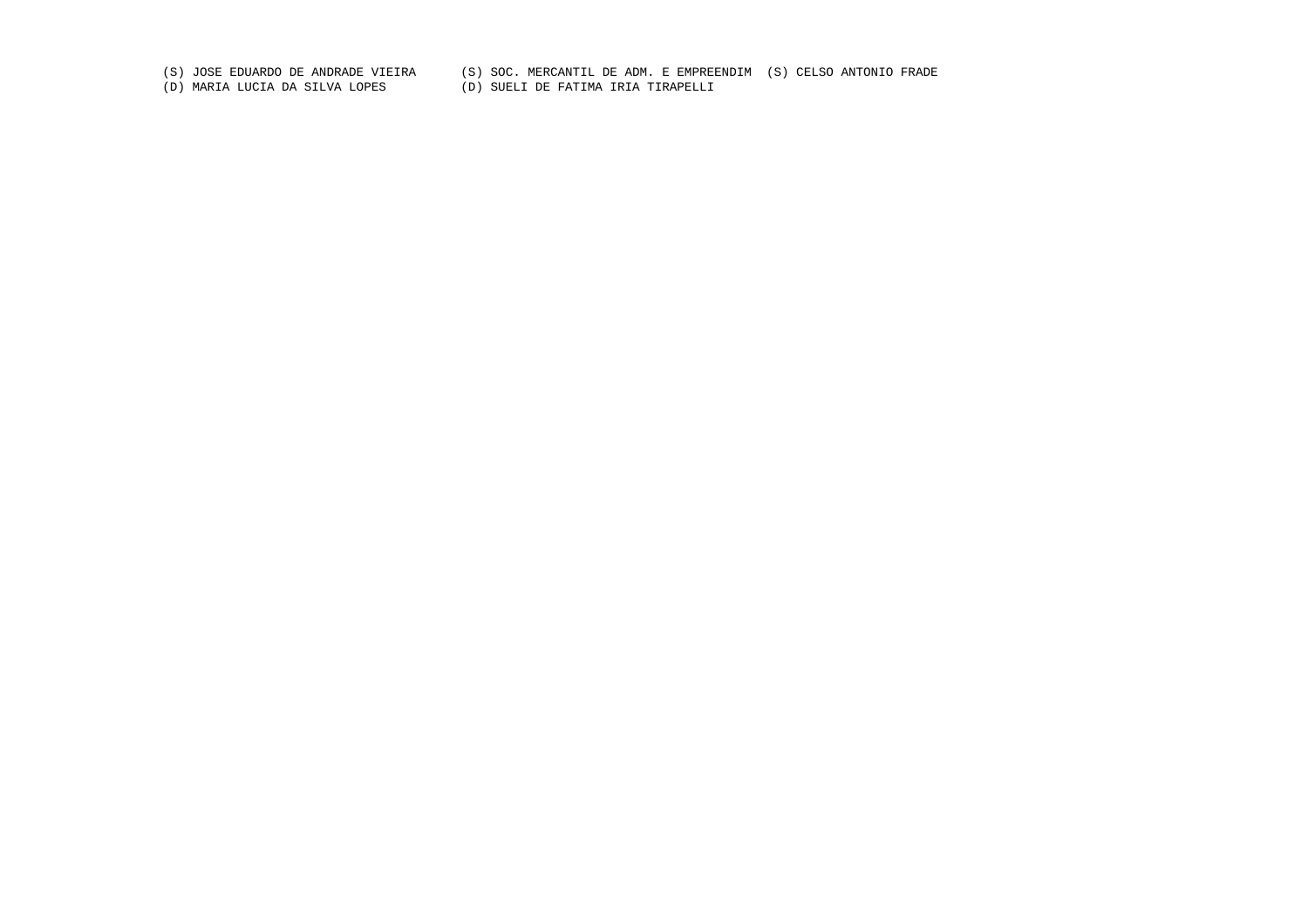(S) JOSE EDUARDO DE ANDRADE VIEIRA (S) SOC. MERCANTIL DE ADM. E EMPREENDIM (S) CELSO ANTONIO FRADE

(D) MARIA LUCIA DA SILVA LOPES (D) SUELI DE FATIMA IRIA TIRAPELLI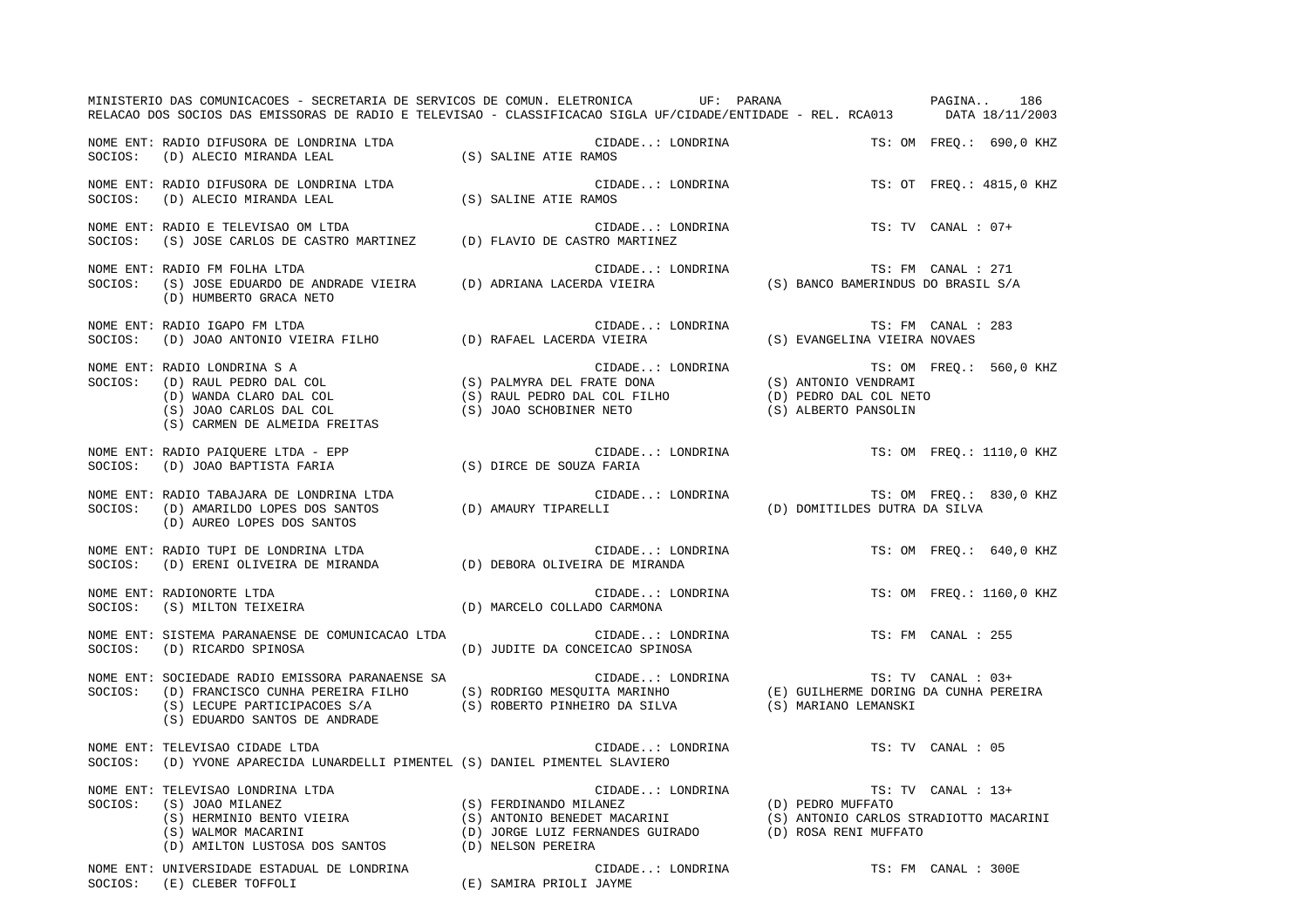|         | MINISTERIO DAS COMUNICACOES - SECRETARIA DE SERVICOS DE COMUN. ELETRONICA UF: PARANA COMUNICACIÓNA 186<br>RELACAO DOS SOCIOS DAS EMISSORAS DE RADIO E TELEVISAO - CLASSIFICACAO SIGLA UF/CIDADE/ENTIDADE - REL. RCA013 DATA 18/11/2003                                                                                                                                                                                                                                                                      |                                                     |  |                          |
|---------|-------------------------------------------------------------------------------------------------------------------------------------------------------------------------------------------------------------------------------------------------------------------------------------------------------------------------------------------------------------------------------------------------------------------------------------------------------------------------------------------------------------|-----------------------------------------------------|--|--------------------------|
|         | NOME ENT: RADIO DIFUSORA DE LONDRINA LTDA<br>SOCIOS: (D) ALECIO MIRANDA LEAL                                                                                                                                                                                                                                                                                                                                                                                                                                | CIDADE: LONDRINA<br>(S) SALINE ATIE RAMOS           |  | TS: OM FREQ.: 690,0 KHZ  |
|         | NOME ENT: RADIO DIFUSORA DE LONDRINA LTDA<br>SOCIOS: (D) ALECIO MIRANDA LEAL                                                                                                                                                                                                                                                                                                                                                                                                                                | CIDADE: LONDRINA<br>(S) SALINE ATIE RAMOS           |  | TS: OT FREQ.: 4815,0 KHZ |
|         | NOME ENT: RADIO E TELEVISAO OM LTDA<br>SOCIOS: (S) JOSE CARLOS DE CASTRO MARTINEZ (D) FLAVIO DE CASTRO MARTINEZ                                                                                                                                                                                                                                                                                                                                                                                             | CIDADE: LONDRINA                                    |  | TS: TV CANAL : 07+       |
|         | NOME ENT: RADIO FM FOLHA LTDA<br>SOCIOS: (S) JOSE EDUARDO DE ANDRADE VIEIRA (D) ADRIANA LACERDA VIEIRA (S) BANCO BAMERINDUS DO BRASIL S/A<br>(D) HUMBERTO GRACA NETO                                                                                                                                                                                                                                                                                                                                        |                                                     |  |                          |
|         |                                                                                                                                                                                                                                                                                                                                                                                                                                                                                                             |                                                     |  | TS: FM CANAL : 283       |
|         | $\begin{array}{lllllllllllll} {\small \textsf{NOME ENT: RADDI O}} & {\small \textsf{LONDRINA}} & {\small \textsf{TS: OM} & {\small \textsf{TS: OM} \\ \textsf{SOCIOS:} & \textsf{(D) RALL PEDRO DAL COL} & \textsf{(S) PALMYRA DEL FRATE DONA} & \textsf{(S) ANTONIO VENDRAM} \\ \textsf{(D) WANDA CLARO DAL COL} & \textsf{(S) JOAO CARLOS DAL COL} & \textsf{(S) JOAO SCHOBINER NETO} & \textsf{(D) PEDRO DAL COL NETO} \\ \textsf{(S) JOAO CARLOS DAL COL} & \textsf{(S) JOAO SCHOBINER NETO} & \textsf$ |                                                     |  | TS: OM FREQ.: 560,0 KHZ  |
|         | NOME ENT: RADIO PAIOUERE LTDA - EPP<br>SOCIOS: (D) JOAO BAPTISTA FARIA (S) DIRCE DE SOUZA FARIA                                                                                                                                                                                                                                                                                                                                                                                                             | CIDADE: LONDRINA                                    |  | TS: OM FREO.: 1110,0 KHZ |
|         | NOME ENT: RADIO TABAJARA DE LONDRINA LTDA<br>SOCIOS: (D) AMARILDO LOPES DOS SANTOS (D) AMAURY TIPARELLI (D) (D) OMITILDES DUTRA DA SILVA<br>(D) AUREO LOPES DOS SANTOS                                                                                                                                                                                                                                                                                                                                      |                                                     |  | TS: OM FREQ.: 830,0 KHZ  |
|         | NOME ENT: RADIO TUPI DE LONDRINA LTDA<br>SOCIOS:    (D) ERENI OLIVEIRA DE MIRANDA                          (D) DEBORA OLIVEIRA DE MIRANDA                                                                                                                                                                                                                                                                                                                                                                   |                                                     |  | TS: OM FREO.: 640,0 KHZ  |
|         | NOME ENT: RADIONORTE LTDA<br>SOCIOS: (S) MILTON TEIXEIRA                                                                                                                                                                                                                                                                                                                                                                                                                                                    | CIDADE: LONDRINA<br>(D) MARCELO COLLADO CARMONA     |  | TS: OM FREQ.: 1160,0 KHZ |
|         | NOME ENT: SISTEMA PARANAENSE DE COMUNICACAO LTDA<br>SOCIOS: (D) RICARDO SPINOSA                                                                                                                                                                                                                                                                                                                                                                                                                             | CIDADE: LONDRINA<br>(D) JUDITE DA CONCEICAO SPINOSA |  | TS: FM CANAL : 255       |
|         | (S) LECUPE PARTICIPACOES S/A (S) ROBERTO PINHEIRO DA SILVA (S) MARIANO LEMANSKI<br>(S) EDUARDO SANTOS DE ANDRADE                                                                                                                                                                                                                                                                                                                                                                                            |                                                     |  |                          |
|         | NOME ENT: TELEVISAO CIDADE LTDA<br>SOCIOS: (D) YVONE APARECIDA LUNARDELLI PIMENTEL (S) DANIEL PIMENTEL SLAVIERO                                                                                                                                                                                                                                                                                                                                                                                             | CIDADE: LONDRINA                                    |  | TS: TV CANAL : 05        |
| SOCIOS: | TELEVISAO LONDRINA LTDA<br>(S) JOAO MILANEZ<br>(S) HERMINIO BENTO VIEIRA<br>(S) HERMINIO BENTO VIEIRA<br>(S) ANTONIO BENEDET MACARINI<br>(S) ANTONIO BENEDET MACARINI<br>(S) ANTONIO BENEDET MACARINI<br>(D) JORGE LUIZ FERMANDES GUIRADO<br>(<br>NOME ENT: TELEVISAO LONDRINA LTDA<br>(D) AMILTON LUSTOSA DOS SANTOS (D) NELSON PEREIRA                                                                                                                                                                    |                                                     |  |                          |
|         | NOME ENT: UNIVERSIDADE ESTADUAL DE LONDRINA<br>(E) SAMIRA PRIOLI JAYME<br>SOCIOS: (E) CLEBER TOFFOLI                                                                                                                                                                                                                                                                                                                                                                                                        | CIDADE: LONDRINA                                    |  | TS: FM CANAL : 300E      |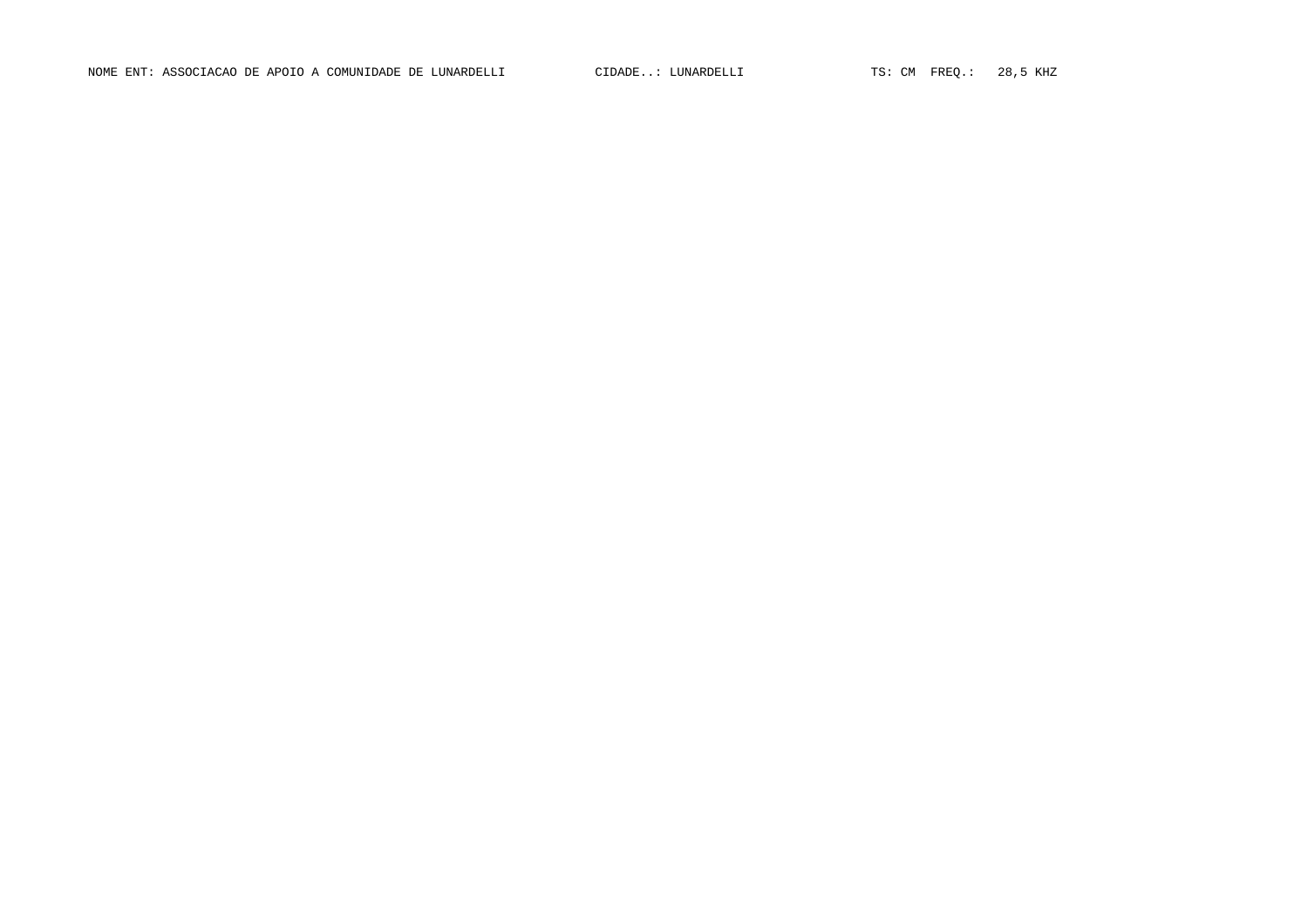NOME ENT: ASSOCIACAO DE APOIO A COMUNIDADE DE LUNARDELLI CIDADE..: LUNARDELLI TS: CM FREQ.: 28,5 KHZ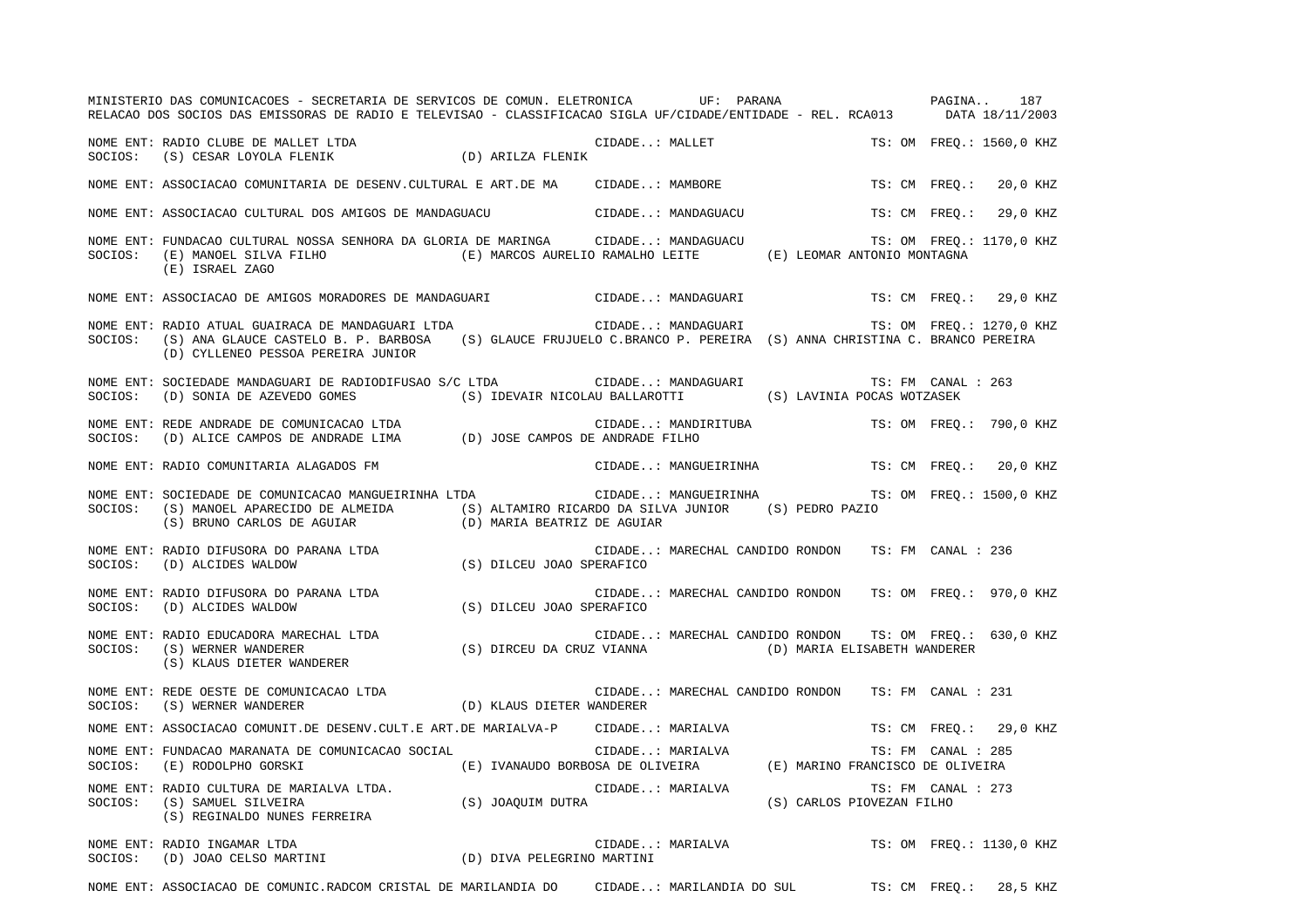|         | MINISTERIO DAS COMUNICACOES - SECRETARIA DE SERVICOS DE COMUN. ELETRONICA UF: PARANA VERENTE EN PAGINA<br>RELACAO DOS SOCIOS DAS EMISSORAS DE RADIO E TELEVISAO - CLASSIFICACAO SIGLA UF/CIDADE/ENTIDADE - REL. RCA013 DATA 18/11/2003                                                                                                                                                                                                                                                                                                      |                                                                                                              |                                 |                                                         |                    | 187                      |
|---------|---------------------------------------------------------------------------------------------------------------------------------------------------------------------------------------------------------------------------------------------------------------------------------------------------------------------------------------------------------------------------------------------------------------------------------------------------------------------------------------------------------------------------------------------|--------------------------------------------------------------------------------------------------------------|---------------------------------|---------------------------------------------------------|--------------------|--------------------------|
|         | $\begin{minipage}{.4\linewidth} \textbf{NOWLEDB} & \textbf{MALLET LIDA} \\ \textbf{SOCIOS:} & \textbf{(S)} & \textbf{CESAR LOYOLA FLENIK} \end{minipage} \qquad \qquad \begin{minipage}{.4\linewidth} \begin{minipage}{.4\linewidth} \begin{minipage}{.4\linewidth} \end{minipage} \begin{minipage}{.4\linewidth} \end{minipage} \begin{minipage}{.4\linewidth} \end{minipage} \begin{minipage}{.4\linewidth} \begin{minipage}{.4\linewidth} \end{minipage} \begin{minipage}{.4\linewidth} \end{minipage} \begin{minipage}{.4\linewidth} \$ |                                                                                                              | CIDADE: MALLET                  |                                                         |                    | TS: OM FREO.: 1560,0 KHZ |
|         | NOME ENT: ASSOCIACAO COMUNITARIA DE DESENV. CULTURAL E ART. DE MA CIDADE: MAMBORE                                                                                                                                                                                                                                                                                                                                                                                                                                                           |                                                                                                              |                                 |                                                         | TS: CM FREO.:      | 20,0 KHZ                 |
|         | NOME ENT: ASSOCIACAO CULTURAL DOS AMIGOS DE MANDAGUACU CIDADE: MANDAGUACU                                                                                                                                                                                                                                                                                                                                                                                                                                                                   |                                                                                                              |                                 |                                                         | TS: CM FREO.:      | 29,0 KHZ                 |
|         | NOME ENT: FUNDACAO CULTURAL NOSSA SENHORA DA GLORIA DE MARINGA CIDADE: MANDAGUACU<br>SOCIOS: (E) MANOEL SILVA FILHO (E) MARCOS AURELIO RAMALHO LEITE (E) LEOMAR ANTONIO MONTAGNA (E) ISRAEL ZAGO                                                                                                                                                                                                                                                                                                                                            |                                                                                                              |                                 |                                                         |                    | TS: OM FREQ.: 1170,0 KHZ |
|         | NOME ENT: ASSOCIACAO DE AMIGOS MORADORES DE MANDAGUARI                        CIDADE: MANDAGUARI                                                                                                                                                                                                                                                                                                                                                                                                                                            |                                                                                                              |                                 |                                                         |                    | TS: CM FREO.: 29,0 KHZ   |
|         | SOCIOS: (S) ANA GLAUCE CASTELO B. P. BARBOSA (S) GLAUCE FRUJUELO C.BRANCO P. PEREIRA (S) ANNA CHRISTINA C. BRANCO PEREIRA<br>(D) CYLLENEO PESSOA PEREIRA JUNIOR                                                                                                                                                                                                                                                                                                                                                                             |                                                                                                              |                                 |                                                         |                    | TS: OM FREO.: 1270,0 KHZ |
|         | NOME ENT: SOCIEDADE MANDAGUARI DE RADIODIFUSAO S/C LTDA CIDADE: MANDAGUARI<br>SOCIOS: (D) SONIA DE AZEVEDO GOMES (S) IDEVAIR NICOLAU BALLAROTTI (S) LAVINIA POCAS WOTZASEK                                                                                                                                                                                                                                                                                                                                                                  |                                                                                                              |                                 |                                                         | TS: FM CANAL : 263 |                          |
|         | NOME ENT: REDE ANDRADE DE COMUNICACAO LTDA (D) JOSE CAMPOS DE ANDRADE FILHO<br>SOCIOS: (D) ALICE CAMPOS DE ANDRADE LIMA (D) JOSE CAMPOS DE ANDRADE FILHO                                                                                                                                                                                                                                                                                                                                                                                    |                                                                                                              | CIDADE: MANDIRITUBA             |                                                         |                    | TS: OM FREQ.: 790,0 KHZ  |
|         | NOME ENT: RADIO COMUNITARIA ALAGADOS FM                                                                                                                                                                                                                                                                                                                                                                                                                                                                                                     |                                                                                                              | CIDADE: MANGUEIRINHA            |                                                         |                    | TS: CM FREQ.: 20,0 KHZ   |
|         | NOME ENT: SOCIEDADE DE COMUNICACAO MANGUEIRINHA LTDA<br>SOCIOS: (S) MANOEL APARECIDO DE ALMEIDA (S) ALTAMIRO RICARDO DA SILVA JUNIOR (S) PEDRO PAZIO<br>$(\,S\,)$ BRUNO CARLOS DE AGUIAR (D) MARIA BEATRIZ DE AGUIAR                                                                                                                                                                                                                                                                                                                        |                                                                                                              | CIDADE: MANGUEIRINHA            |                                                         |                    | TS: OM FREQ.: 1500,0 KHZ |
|         | NOME ENT: RADIO DIFUSORA DO PARANA LTDA<br>SOCIOS: (D) ALCIDES WALDOW (S) DILCEU JOAO SPERAFICO                                                                                                                                                                                                                                                                                                                                                                                                                                             |                                                                                                              | CIDADE: MARECHAL CANDIDO RONDON |                                                         | TS: FM CANAL : 236 |                          |
|         | NOME ENT: RADIO DIFUSORA DO PARANA LTDA<br>SOCIOS: (D) ALCIDES WALDOW (S) DILCEU JOAO SPERAFICO                                                                                                                                                                                                                                                                                                                                                                                                                                             |                                                                                                              |                                 | CIDADE: MARECHAL CANDIDO RONDON TS: OM FREQ.: 970,0 KHZ |                    |                          |
|         | NOME ENT: RADIO EDUCADORA MARECHAL LTDA<br>SOCIOS: (S) WERNER WANDERER<br>(S) KLAUS DIETER WANDERER                                                                                                                                                                                                                                                                                                                                                                                                                                         | (S) DIRCEU DA CRUZ VIANNA (D) MARIA ELISABETH WANDERER                                                       |                                 | CIDADE: MARECHAL CANDIDO RONDON TS: OM FREQ.: 630,0 KHZ |                    |                          |
|         |                                                                                                                                                                                                                                                                                                                                                                                                                                                                                                                                             |                                                                                                              |                                 | CIDADE: MARECHAL CANDIDO RONDON TS: FM CANAL : 231      |                    |                          |
|         | NOME ENT: ASSOCIACAO COMUNIT.DE DESENV.CULT.E ART.DE MARIALVA-P CIDADE: MARIALVA                                                                                                                                                                                                                                                                                                                                                                                                                                                            |                                                                                                              |                                 |                                                         |                    | TS: CM FREO.: 29,0 KHZ   |
| SOCIOS: | NOME ENT: FUNDACAO MARANATA DE COMUNICACAO SOCIAL<br>(E) RODOLPHO GORSKI                                                                                                                                                                                                                                                                                                                                                                                                                                                                    | IAL CIDADE: MARIALVA TS: FM CANAL : 285<br>(E) IVANAUDO BORBOSA DE OLIVEIRA (E) MARINO FRANCISCO DE OLIVEIRA |                                 |                                                         | TS: FM CANAL : 285 |                          |
|         | NOME ENT: RADIO CULTURA DE MARIALVA LTDA.<br>SOCIOS: (S) SAMUEL SILVEIRA<br>COCIOS: (S) JOAQUIM DUTRA<br>(S) REGINALDO NUNES FERREIRA                                                                                                                                                                                                                                                                                                                                                                                                       |                                                                                                              | CIDADE: MARIALVA                | (S) CARLOS PIOVEZAN FILHO                               | TS: FM CANAL : 273 |                          |
|         | NOME ENT: RADIO INGAMAR LTDA<br>SOCIOS: (D) JOAO CELSO MARTINI (D) DIVA PELEGRINO MARTINI                                                                                                                                                                                                                                                                                                                                                                                                                                                   |                                                                                                              | CIDADE: MARIALVA                |                                                         |                    | TS: OM FREO.: 1130,0 KHZ |
|         | NOME ENT: ASSOCIACAO DE COMUNIC.RADCOM CRISTAL DE MARILANDIA DO CIDADE: MARILANDIA DO SUL                                                                                                                                                                                                                                                                                                                                                                                                                                                   |                                                                                                              |                                 |                                                         | TS: CM FREQ.:      | 28,5 KHZ                 |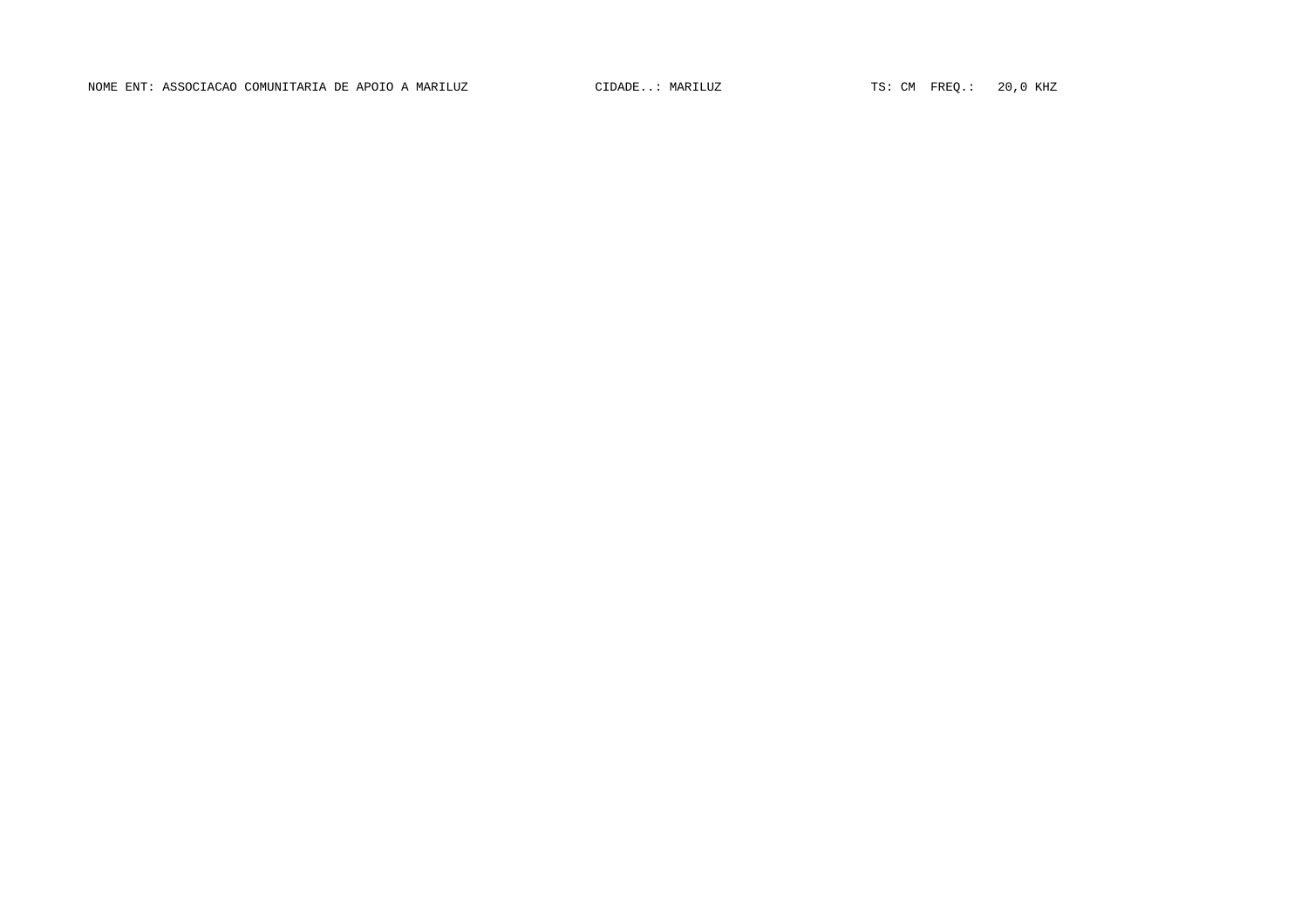NOME ENT: ASSOCIACAO COMUNITARIA DE APOIO A MARILUZ CIDADE... MARILUZ TS: CM FREQ.: 20,0 KHZ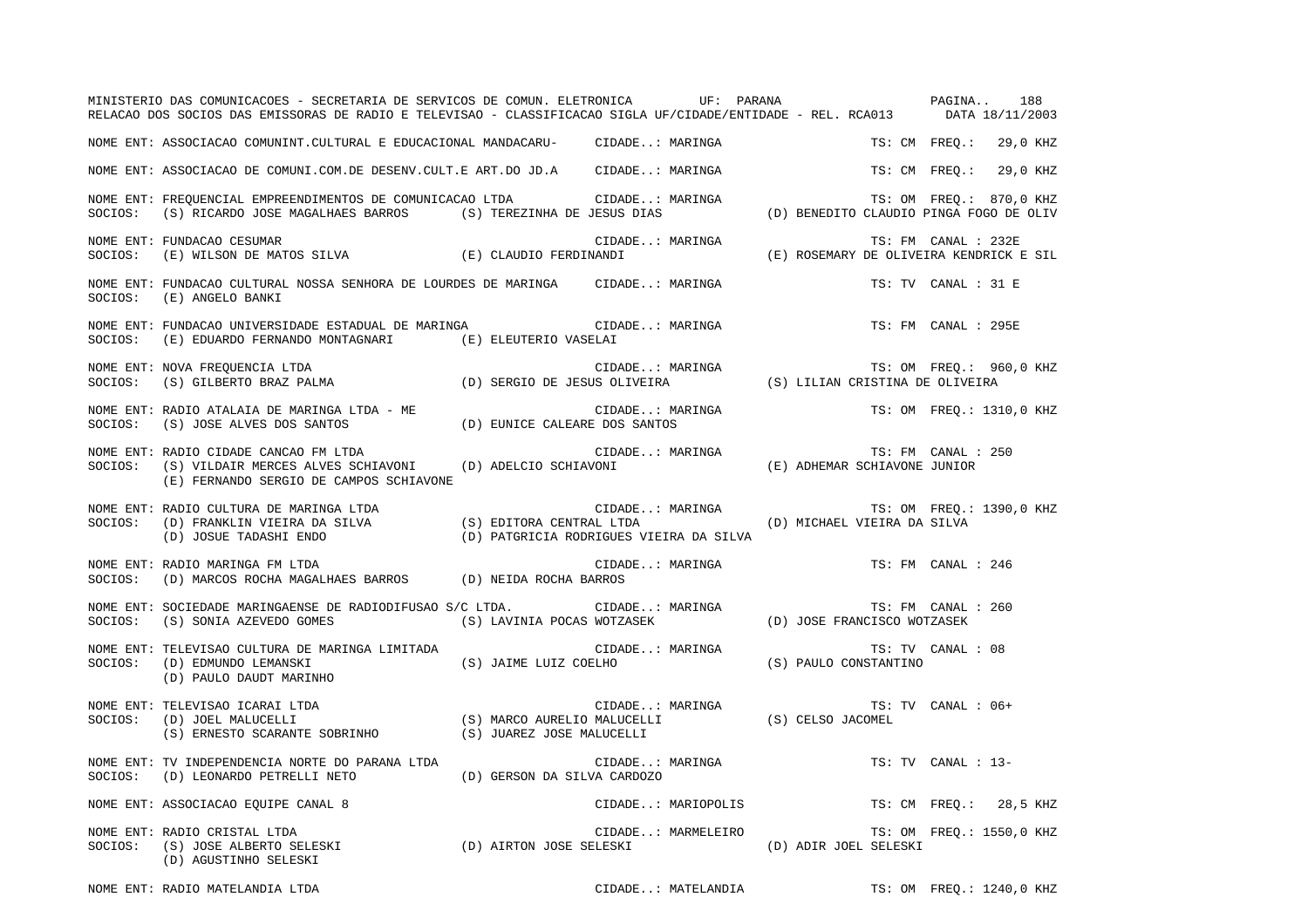|         | MINISTERIO DAS COMUNICACOES - SECRETARIA DE SERVICOS DE COMUN. ELETRONICA UF: PARANA NA SAGINA<br>RELACAO DOS SOCIOS DAS EMISSORAS DE RADIO E TELEVISAO - CLASSIFICACAO SIGLA UF/CIDADE/ENTIDADE - REL. RCA013 DATA 18/11/2003                                                                                                |                                                                                                                               |                       | 188                      |
|---------|-------------------------------------------------------------------------------------------------------------------------------------------------------------------------------------------------------------------------------------------------------------------------------------------------------------------------------|-------------------------------------------------------------------------------------------------------------------------------|-----------------------|--------------------------|
|         | NOME ENT: ASSOCIACAO COMUNINT.CULTURAL E EDUCACIONAL MANDACARU- CIDADE: MARINGA                                                                                                                                                                                                                                               |                                                                                                                               |                       | TS: CM FREQ.: 29,0 KHZ   |
|         | NOME ENT: ASSOCIACAO DE COMUNI.COM.DE DESENV.CULT.E ART.DO JD.A CIDADE: MARINGA                                                                                                                                                                                                                                               |                                                                                                                               |                       | TS: CM FREO.: 29,0 KHZ   |
|         | NOME ENT: FREQUENCIAL EMPREENDIMENTOS DE COMUNICACAO LTDA<br>SOCIOS: (S) RICARDO JOSE MAGALHAES BARROS (S) TEREZINHA DE JESUS DIAS (D) BENEDITO CLAUDIO PINGA FOGO DE OLIV                                                                                                                                                    |                                                                                                                               |                       |                          |
|         | NOME ENT: FUNDACAO CESUMAR<br>SOCIOS: (E) WILSON DE MATOS SILVA (E) CLAUDIO FERDINANDI                                                                                                                                                                                                                                        | CIDADE: MARINGA (E) ROSEMARY DE OLIVEIRA KENDRICK E SIL (E) ROSEMARY DE OLIVEIRA KENDRICK E SIL                               |                       |                          |
|         | NOME ENT: FUNDACAO CULTURAL NOSSA SENHORA DE LOURDES DE MARINGA CIDADE: MARINGA<br>SOCIOS: (E) ANGELO BANKI                                                                                                                                                                                                                   |                                                                                                                               |                       | TS: TV CANAL : 31 E      |
|         | NOME ENT: FUNDACAO UNIVERSIDADE ESTADUAL DE MARINGA (CIDADE: MARINGA<br>SOCIOS: (E) EDUARDO FERNANDO MONTAGNARI (E) ELEUTERIO VASELAI                                                                                                                                                                                         |                                                                                                                               |                       | TS: FM CANAL : 295E      |
|         | NOME ENT: NOVA FREQUENCIA LTDA<br>SOCIOS: (S) GILBERTO BRAZ PALMA (D) SERGIO DE JESUS OLIVEIRA (S) LILIAN CRISTINA DE OLIVEIRA                                                                                                                                                                                                |                                                                                                                               |                       |                          |
|         | NOME ENT: RADIO ATALAIA DE MARINGA LTDA - ME $\qquad$ CIDADE: MARISOCIOS: (S) JOSE ALVES DOS SANTOS (D) EUNICE CALEARE DOS SANTOS                                                                                                                                                                                             | CIDADE: MARINGA TS: OM FREQ.: 1310,0 KHZ                                                                                      |                       |                          |
|         | NOME ENT: RADIO CIDADE CANCAO FM LTDA<br>SOCIOS: (S) VILDAIR MERCES ALVES SCHIAVONI (D) ADELCIO SCHIAVONI (E) ADHEMAR SCHIAVONE JUNIOR<br>(E) FERNANDO SERGIO DE CAMPOS SCHIAVONE                                                                                                                                             |                                                                                                                               |                       | TS: FM CANAL : 250       |
| SOCIOS: | CIDADE.<br>(D) FRANKLIN VIEIRA DA SILVA (S) EDITORA CENTRAL LTDA<br>(D) JOSUE TADASHI ENDO (D) PATGRICIA RODRIGUES V<br>NOME ENT: RADIO CULTURA DE MARINGA LTDA                                                                                                                                                               | CIDADE: MARINGA (D) MICHAEL VIEIRA DA SILVA<br>AL LTDA (D) MICHAEL VIEIRA DA SILVA<br>(D) PATGRICIA RODRIGUES VIEIRA DA SILVA |                       |                          |
| SOCIOS: | NOME ENT: RADIO MARINGA FM LTDA<br>(D) MARCOS ROCHA MAGALHAES BARROS (D) NEIDA ROCHA BARROS                                                                                                                                                                                                                                   | CIDADE: MARINGA                                                                                                               | TS: FM CANAL : 246    |                          |
|         |                                                                                                                                                                                                                                                                                                                               |                                                                                                                               |                       | TS: FM CANAL : 260       |
| SOCIOS: | NOME ENT: TELEVISAO CULTURA DE MARINGA LIMITADA<br>(D) EDMUNDO LEMANSKI (S) JAIME LUIZ COELHO<br>(D) PAULO DAUDT MARINHO                                                                                                                                                                                                      | CIDADE: MARINGA TS: TV<br>COELHO (S) PAULO CONSTANTINO                                                                        |                       | TS: TV CANAL : 08        |
| SOCIOS: | NOME ENT: TELEVISAO ICARAI LTDA                                                                                                                                                                                                                                                                                               |                                                                                                                               |                       | TS: TV CANAL : 06+       |
|         | NOME ENT: TV INDEPENDENCIA NORTE DO PARANA LTDA<br>$\texttt{SOCIOS:} \hspace{0.5cm} (\texttt{D}) \hspace{0.1cm} \texttt{LEONARDO PETERELLI} \hspace{0.1cm} \texttt{NETO} \hspace{1.5cm} (\texttt{D}) \hspace{0.1cm} \texttt{GERSON} \hspace{0.1cm} \texttt{DA} \hspace{0.1cm} \texttt{SILVA} \hspace{0.1cm} \texttt{CARDOZO}$ | CIDADE: MARINGA                                                                                                               |                       | TS: TV CANAL : 13-       |
|         | NOME ENT: ASSOCIACAO EQUIPE CANAL 8                                                                                                                                                                                                                                                                                           | CIDADE: MARIOPOLIS                                                                                                            |                       | TS: CM FREQ.: 28,5 KHZ   |
| SOCIOS: | NOME ENT: RADIO CRISTAL LTDA<br>CIDADE: MARMELEIR)<br>(D) AIRTON JOSE SELESKI (D) ACUSTINHO SELESKI<br>(D) AGUSTINHO SELESKI<br>(S) JOSE ALBERTO SELESKI                                                                                                                                                                      | CIDADE: MARMELEIRO                                                                                                            | (D) ADIR JOEL SELESKI | TS: OM FREQ.: 1550,0 KHZ |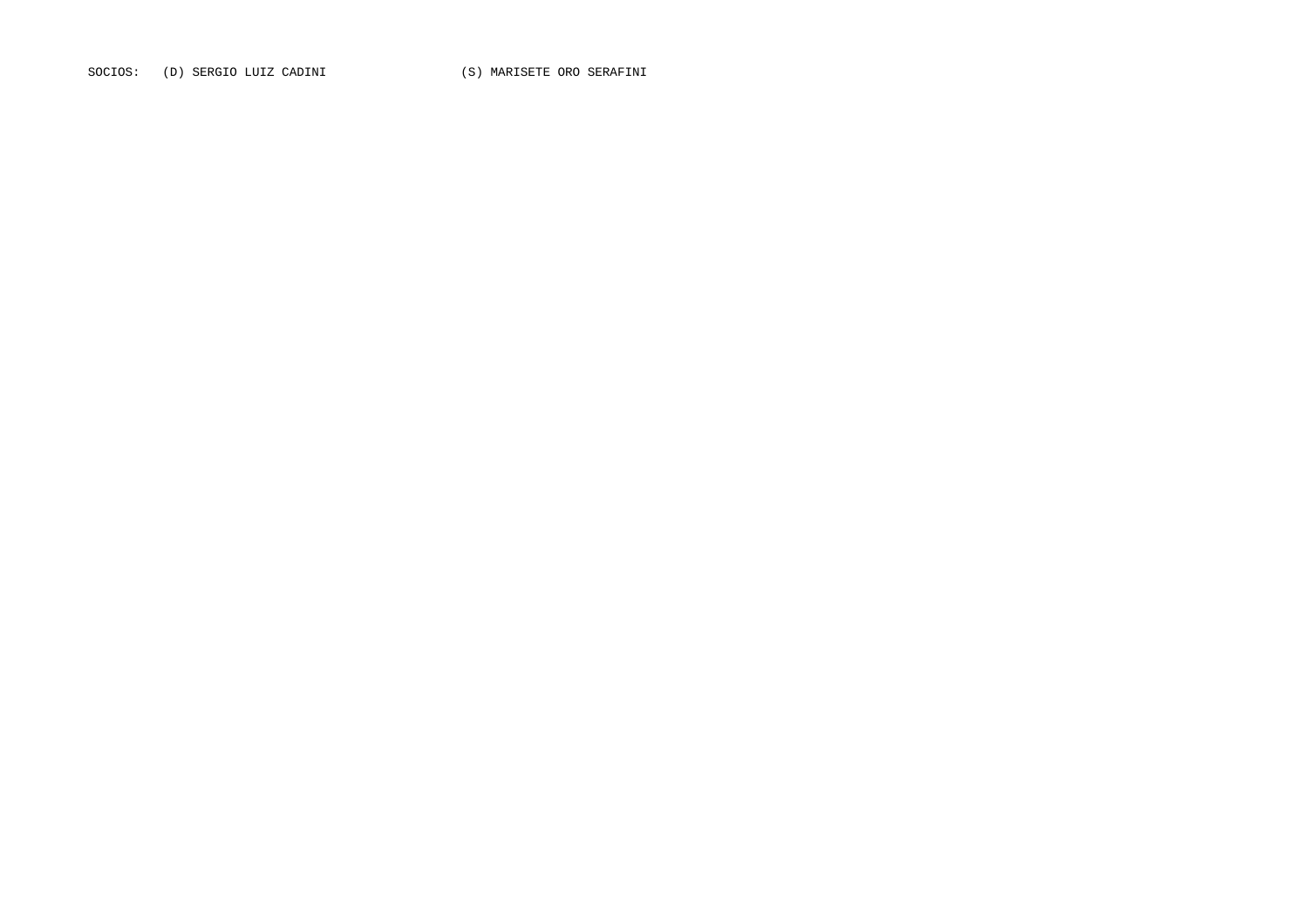SOCIOS: (D) SERGIO LUIZ CADINI (S) MARISETE ORO SERAFINI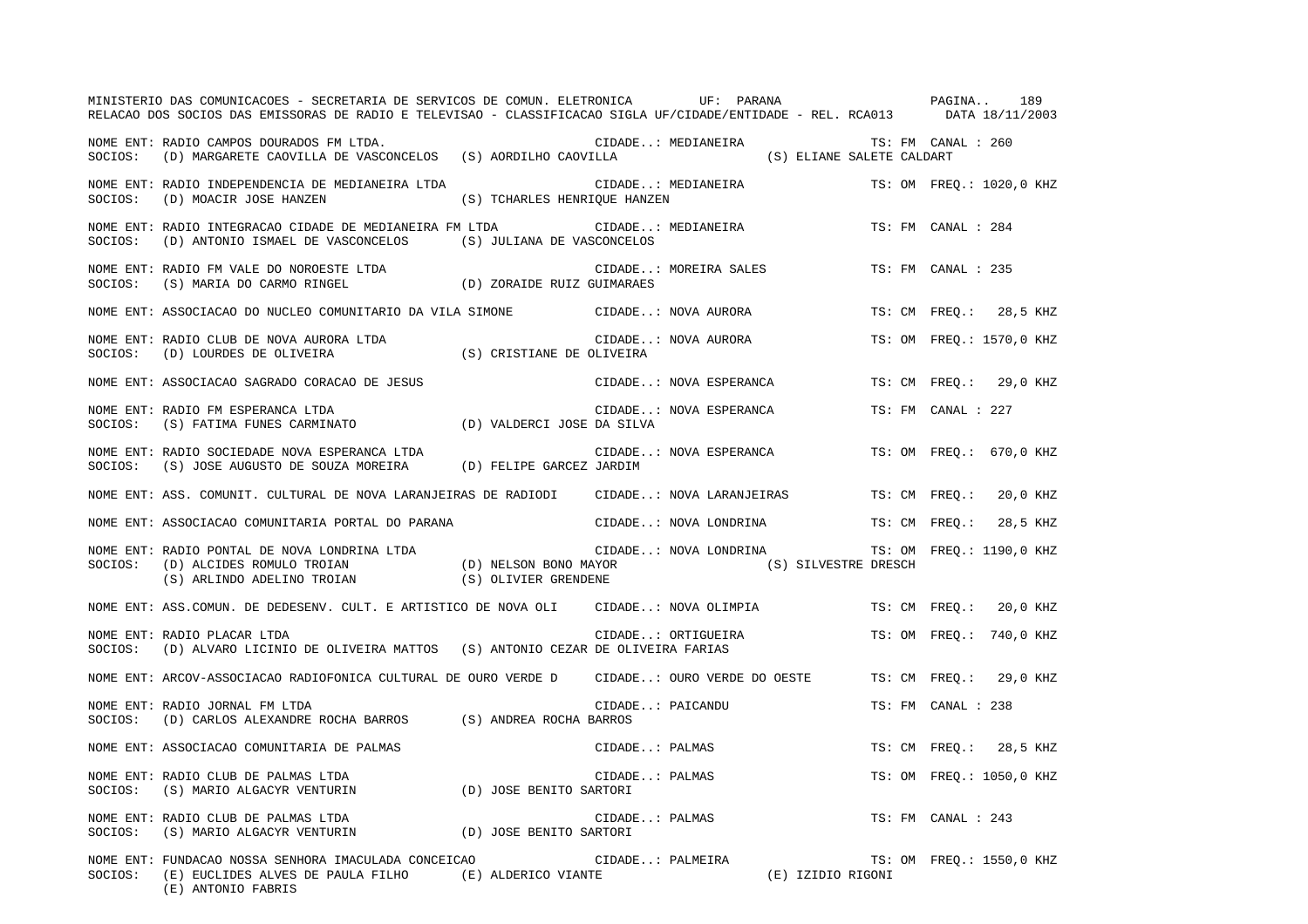|         | MINISTERIO DAS COMUNICACOES - SECRETARIA DE SERVICOS DE COMUN. ELETRONICA UF: PARANA<br>RELACAO DOS SOCIOS DAS EMISSORAS DE RADIO E TELEVISAO - CLASSIFICACAO SIGLA UF/CIDADE/ENTIDADE - REL. RCA013 DATA 18/11/2003 |                                         |                  |                        | PAGINA                    |                    | 189                      |
|---------|----------------------------------------------------------------------------------------------------------------------------------------------------------------------------------------------------------------------|-----------------------------------------|------------------|------------------------|---------------------------|--------------------|--------------------------|
| SOCIOS: | NOME ENT: RADIO CAMPOS DOURADOS FM LTDA.<br>(D) MARGARETE CAOVILLA DE VASCONCELOS (S) AORDILHO CAOVILLA                                                                                                              |                                         |                  | CIDADE: MEDIANEIRA     | (S) ELIANE SALETE CALDART | TS: FM CANAL : 260 |                          |
|         | NOME ENT: RADIO INDEPENDENCIA DE MEDIANEIRA LTDA<br>SOCIOS: (D) MOACIR JOSE HANZEN                                                                                                                                   | (S) TCHARLES HENRIQUE HANZEN            |                  | CIDADE: MEDIANEIRA     |                           |                    | TS: OM FREO.: 1020,0 KHZ |
|         | NOME ENT: RADIO INTEGRACAO CIDADE DE MEDIANEIRA FM LTDA CIDADE: MEDIANEIRA<br>SOCIOS: (D) ANTONIO ISMAEL DE VASCONCELOS (S) JULIANA DE VASCONCELOS                                                                   |                                         |                  |                        |                           | TS: FM CANAL : 284 |                          |
|         | NOME ENT: RADIO FM VALE DO NOROESTE LTDA (D) ZORAIDE RUIZ GUIMARAES                                                                                                                                                  |                                         |                  | CIDADE: MOREIRA SALES  |                           | TS: FM CANAL : 235 |                          |
|         | NOME ENT: ASSOCIACAO DO NUCLEO COMUNITARIO DA VILA SIMONE CIDADE: NOVA AURORA                                                                                                                                        |                                         |                  |                        |                           |                    | TS: CM FREO.: 28,5 KHZ   |
| SOCIOS: | NOME ENT: RADIO CLUB DE NOVA AURORA LTDA<br>(D) LOURDES DE OLIVEIRA                                                                                                                                                  | CIDADE<br>S) CRISTIANE DE OLIVEIRA) (S) |                  | CIDADE: NOVA AURORA    |                           |                    | TS: OM FREO.: 1570,0 KHZ |
|         | NOME ENT: ASSOCIACAO SAGRADO CORACAO DE JESUS                                                                                                                                                                        |                                         |                  | CIDADE: NOVA ESPERANCA |                           |                    | TS: CM FREQ.: 29,0 KHZ   |
| SOCIOS: | NOME ENT: RADIO FM ESPERANCA LTDA<br>(S) FATIMA FUNES CARMINATO (D) VALDERCI JOSE DA SILVA                                                                                                                           |                                         |                  | CIDADE: NOVA ESPERANCA |                           | TS: FM CANAL : 227 |                          |
| SOCIOS: | NOME ENT: RADIO SOCIEDADE NOVA ESPERANCA LTDA<br>(S) JOSE AUGUSTO DE SOUZA MOREIRA (D) FELIPE GARCEZ JARDIM                                                                                                          |                                         |                  | CIDADE: NOVA ESPERANCA |                           |                    | TS: OM FREO.: 670,0 KHZ  |
|         | NOME ENT: ASS. COMUNIT. CULTURAL DE NOVA LARANJEIRAS DE RADIODI      CIDADE: NOVA LARANJEIRAS                                                                                                                        |                                         |                  |                        |                           | TS: CM FREO.:      | 20,0 KHZ                 |
|         | NOME ENT: ASSOCIACAO COMUNITARIA PORTAL DO PARANA                                                                                                                                                                    |                                         |                  | CIDADE: NOVA LONDRINA  |                           | TS: CM FREO.:      | 28,5 KHZ                 |
|         | NOME ENT: RADIO PONTAL DE NOVA LONDRINA LTDA (D) NELSON BONO MAYOR (D) ALCIDES ROMULO TROIAN (D) NELSON BONO MAYOR (S) SILVESTRE DRESCH (S) ARLINDO ADELINO TROIAN (S) OLIVIER GRENDENE                              |                                         |                  |                        |                           |                    | TS: OM FREO.: 1190,0 KHZ |
|         | NOME ENT: ASS.COMUN. DE DEDESENV. CULT. E ARTISTICO DE NOVA OLI                                                                                                                                                      |                                         |                  | CIDADE: NOVA OLIMPIA   |                           | TS: CM FREQ.:      | 20,0 KHZ                 |
|         | NOME ENT: RADIO PLACAR LTDA<br>SOCIOS: (D) ALVARO LICINIO DE OLIVEIRA MATTOS (S) ANTONIO CEZAR DE OLIVEIRA FARIAS                                                                                                    |                                         |                  | CIDADE: ORTIGUEIRA     |                           |                    | TS: OM FREO.: 740,0 KHZ  |
|         | NOME ENT: ARCOV-ASSOCIACAO RADIOFONICA CULTURAL DE OURO VERDE D CIDADE: OURO VERDE DO OESTE                                                                                                                          |                                         |                  |                        |                           | TS: CM FREO.:      | 29,0 KHZ                 |
| SOCIOS: | NOME ENT: RADIO JORNAL FM LTDA<br>(D) CARLOS ALEXANDRE ROCHA BARROS (S) ANDREA ROCHA BARROS                                                                                                                          |                                         | CIDADE: PAICANDU |                        |                           | TS: FM CANAL : 238 |                          |
|         | NOME ENT: ASSOCIACAO COMUNITARIA DE PALMAS                                                                                                                                                                           |                                         | CIDADE: PALMAS   |                        |                           |                    | TS: CM FREQ.: 28,5 KHZ   |
| SOCIOS: | NOME ENT: RADIO CLUB DE PALMAS LTDA<br>(S) MARIO ALGACYR VENTURIN                                                                                                                                                    | (D) JOSE BENITO SARTORI                 | CIDADE: PALMAS   |                        |                           |                    | TS: OM FREQ.: 1050,0 KHZ |
| SOCIOS: | NOME ENT: RADIO CLUB DE PALMAS LTDA<br>(S) MARIO ALGACYR VENTURIN                                                                                                                                                    | (D) JOSE BENITO SARTORI                 | CIDADE: PALMAS   |                        |                           | TS: FM CANAL : 243 |                          |
| SOCIOS: | NOME ENT: FUNDACAO NOSSA SENHORA IMACULADA CONCEICAO<br>(E) EUCLIDES ALVES DE PAULA FILHO (E) ALDERICO VIANTE<br>(E) ANTONIO FABRIS                                                                                  |                                         | CIDADE: PALMEIRA |                        | (E) IZIDIO RIGONI         |                    | TS: OM FREQ.: 1550,0 KHZ |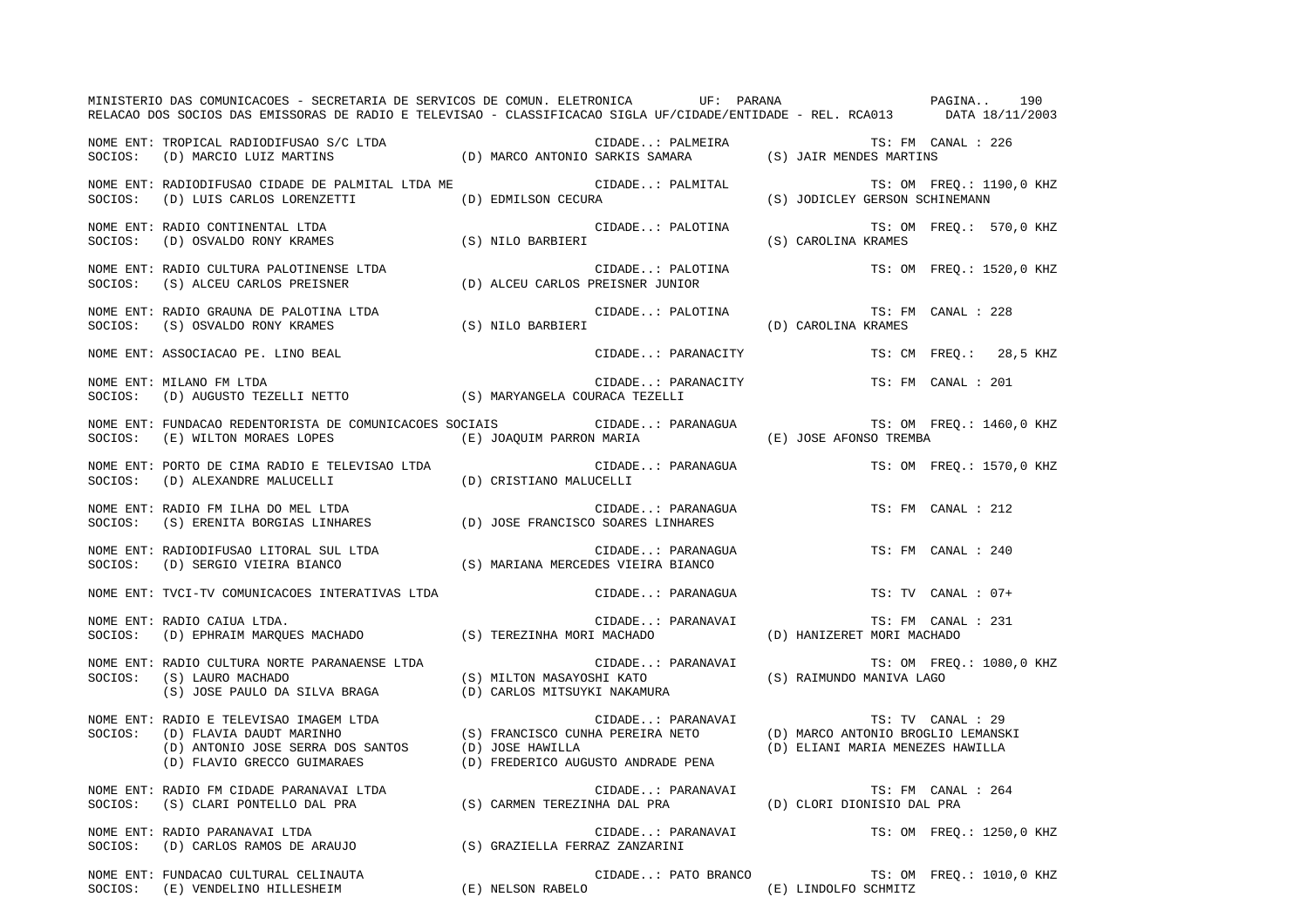|         | MINISTERIO DAS COMUNICACOES - SECRETARIA DE SERVICOS DE COMUN. ELETRONICA UF: PARANA VERENTE DAGINA<br>RELACAO DOS SOCIOS DAS EMISSORAS DE RADIO E TELEVISAO - CLASSIFICACAO SIGLA UF/CIDADE/ENTIDADE - REL. RCA013 DATA 18/11/2003                                  |                   |                                                                                                                                                                                |                    | 190                      |
|---------|----------------------------------------------------------------------------------------------------------------------------------------------------------------------------------------------------------------------------------------------------------------------|-------------------|--------------------------------------------------------------------------------------------------------------------------------------------------------------------------------|--------------------|--------------------------|
|         | NOME ENT: TROPICAL RADIODIFUSAO S/C LTDA (D) MARCO ANTONIO SARKIS SAMARA (S) JAIR MENDES MARTINS<br>SOCIOS: (D) MARCIO LUIZ MARTINS (D) MARCO ANTONIO SARKIS SAMARA (S) JAIR MENDES MARTINS                                                                          |                   |                                                                                                                                                                                | TS: FM CANAL : 226 |                          |
|         | TS: OM FREQ.: 1190,<br>NOME ENT: RADIODIFUSAO CIDADE DE PALMITAL LTDA ME CIDADE: PALMITAL (S) JODICLEY GERSON SCHINEMANN                                                                                                                                             |                   |                                                                                                                                                                                |                    | TS: OM FREQ.: 1190,0 KHZ |
|         | NOME ENT: RADIO CONTINENTAL LTDA<br>SOCIOS: (D) OSVALDO RONY KRAMES (S) NILO BARBIERI                                                                                                                                                                                |                   | CIDADE: PALOTINA $(\texttt{S}) \ \texttt{CAROLINA} \ \texttt{KRAMES}$                                                                                                          |                    | TS: OM FREQ.: 570,0 KHZ  |
|         | NOME ENT: RADIO CULTURA PALOTINENSE LTDA<br>SOCIOS: (S) ALCEU CARLOS PREISNER                                                                                                                                                                                        |                   | CIDADE: PALOTINA<br>(D) ALCEU CARLOS PREISNER JUNIOR                                                                                                                           |                    | TS: OM FREQ.: 1520,0 KHZ |
|         | NOME ENT: RADIO GRAUNA DE PALOTINA LTDA<br>SOCIOS: (S) OSVALDO RONY KRAMES                                                                                                                                                                                           | (S) NILO BARBIERI | $\begin{minipage}{.4\linewidth} \texttt{CIDADE: PALOTINA} & \texttt{TS: FN} \\ \texttt{(D) CAROLINA KRAMES} & \texttt{(\texttt{D})} & \texttt{CAROLINA KRAMES} \end{minipage}$ |                    | TS: FM CANAL : 228       |
|         | NOME ENT: ASSOCIACAO PE. LINO BEAL                                                                                                                                                                                                                                   |                   | CIDADE: PARANACITY                                                                                                                                                             |                    | TS: CM FREQ.: 28,5 KHZ   |
|         | NOME ENT: MILANO FM LTDA<br>$\verb SOCIOS: (D) AUGUSTO TEZELLI NETTO   (S) MARYANGELA COURACA TEZELLI\\$                                                                                                                                                             |                   | CIDADE: PARANACITY                                                                                                                                                             |                    | TS: FM CANAL : 201       |
|         | NOME ENT: FUNDACAO REDENTORISTA DE COMUNICACOES SOCIAIS (IDADE: PARANAGUA                                                                                                                                                                                            |                   |                                                                                                                                                                                |                    | TS: OM FREQ.: 1460,0 KHZ |
|         | NOME ENT: PORTO DE CIMA RADIO E TELEVISAO LTDA<br>$\texttt{SOCIOS:} \hspace{0.5cm} (\texttt{D}) \hspace{0.1cm} \texttt{ALEXANDRE} \hspace{0.1cm} \texttt{MALUCELLI} \hspace{1.5cm} (\texttt{D}) \hspace{0.1cm} \texttt{CRISTIANO} \hspace{0.1cm} \texttt{MALUCELLI}$ |                   | CIDADE: PARANAGUA                                                                                                                                                              |                    | TS: OM FREQ.: 1570,0 KHZ |
|         | NOME ENT: RADIO FM ILHA DO MEL LTDA<br>SOCIOS: (S) ERENITA BORGIAS LINHARES (D) JOSE FRANCISCO SOARES LINHARES                                                                                                                                                       |                   | CIDADE: PARANAGUA                                                                                                                                                              |                    | TS: FM CANAL : 212       |
|         | NOME ENT: RADIODIFUSAO LITORAL SUL LTDA<br>SOCIOS: (D) SERGIO VIEIRA BIANCO (S) MARIANA MERCEDES VIEIRA BIANCO                                                                                                                                                       |                   | CIDADE: PARANAGUA                                                                                                                                                              |                    | TS: FM CANAL : 240       |
|         | NOME ENT: TVCI-TV COMUNICACOES INTERATIVAS LTDA                                                                                                                                                                                                                      |                   | CIDADE: PARANAGUA                                                                                                                                                              |                    | $TS: TV$ CANAL : $07+$   |
| SOCIOS: | NOME ENT: RADIO CAIUA LTDA.<br>(D) EPHRAIM MARQUES MACHADO (S) TEREZINHA MORI MACHADO (D) HANIZERET MORI MACHADO                                                                                                                                                     |                   | CIDADE: PARANAVAI                                                                                                                                                              |                    | TS: FM CANAL : 231       |
| SOCIOS: | NOME ENT: RADIO CULTURA NORTE PARANAENSE LTDA<br>(S) LAURO MACHADO (S) MILTON MASAYOSHI KATO (S) RAIMUNDO MANIVA LAGO (S) JOSE PAULO DA SILVA BRAGA (D) CARLOS MITSUYKI NAKAMURA                                                                                     |                   | CIDADE: PARANAVAI                                                                                                                                                              |                    | TS: OM FREQ.: 1080,0 KHZ |
|         | NOME ENT: RADIO E TELEVISAO IMAGEM LTDA<br>SOCIOS: (D) FLAVIA DAUDT MARINHO (S) FRANCISCO CUNHA PEREIRA NETO (D) MARCO ANTONIO BROGLIO LEMANSKI<br>(D) ANTONIO JOSE SERRA DOS SANTOS (D) JOSE HAWILLA (D) FREDERICO AUGUSTO ANDRAD                                   |                   |                                                                                                                                                                                |                    |                          |
|         | NOME ENT: RADIO FM CIDADE PARANAVAI LTDA<br>SOCIOS: (S) CLARI PONTELLO DAL PRA (S) CARMEN TEREZINHA DAL PRA (D) CLORI DIONISIO DAL PRA                                                                                                                               |                   | CIDADE: PARANAVAI                                                                                                                                                              |                    | TS: FM CANAL : 264       |
|         | NOME ENT: RADIO PARANAVAI LTDA<br>SOCIOS: (D) CARLOS RAMOS DE ARAUJO (S) GRAZIELLA FERRAZ ZANZARINI                                                                                                                                                                  |                   | CIDADE: PARANAVAI                                                                                                                                                              |                    | TS: OM FREQ.: 1250,0 KHZ |
|         | NOME ENT: FUNDACAO CULTURAL CELINAUTA<br>SOCIOS: (E) VENDELINO HILLESHEIM (E) NELSON RABELO (E) (E) LINDOLFO SCHMITZ                                                                                                                                                 |                   | CIDADE: PATO BRANCO                                                                                                                                                            |                    | TS: OM FREQ.: 1010,0 KHZ |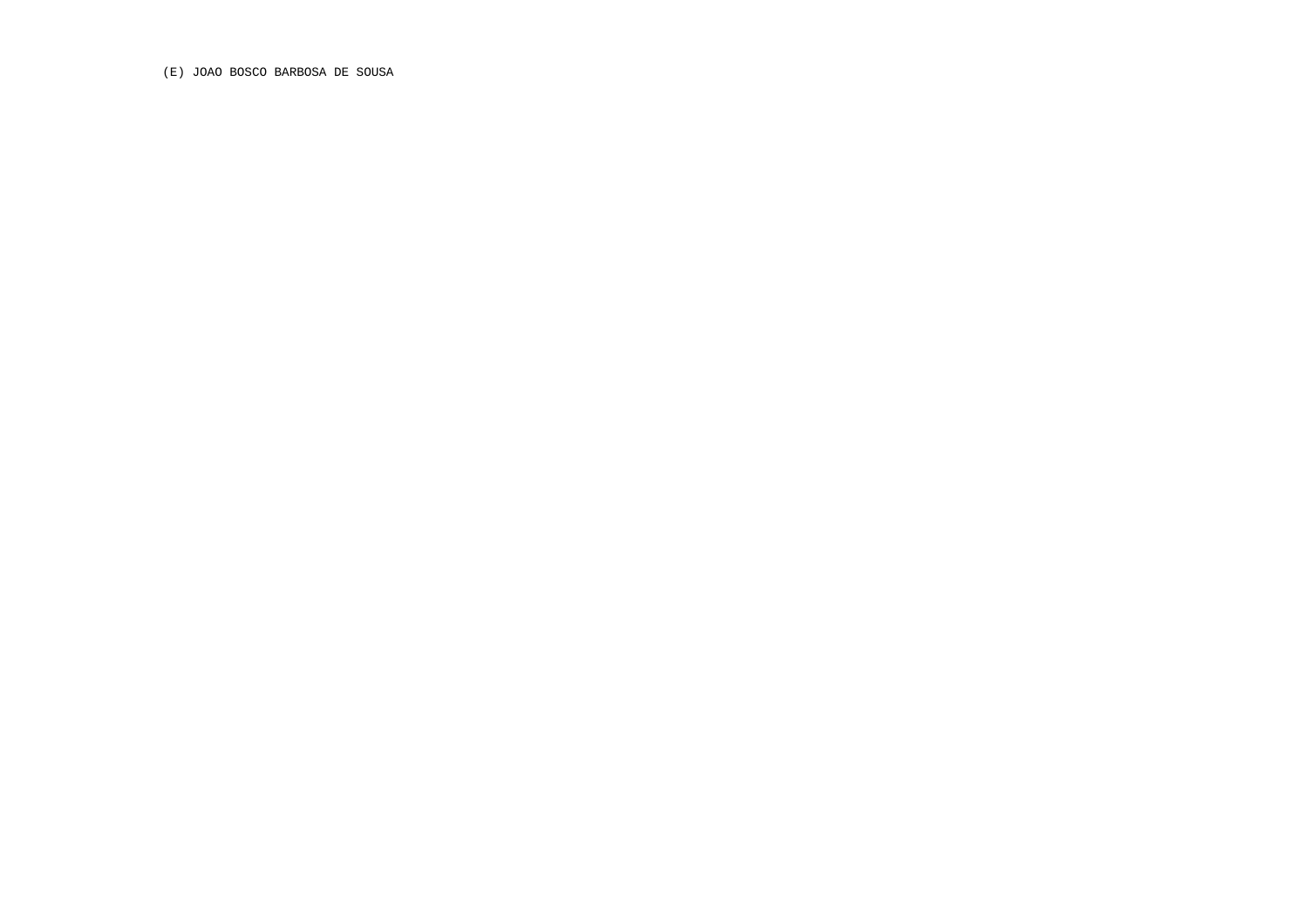(E) JOAO BOSCO BARBOSA DE SOUSA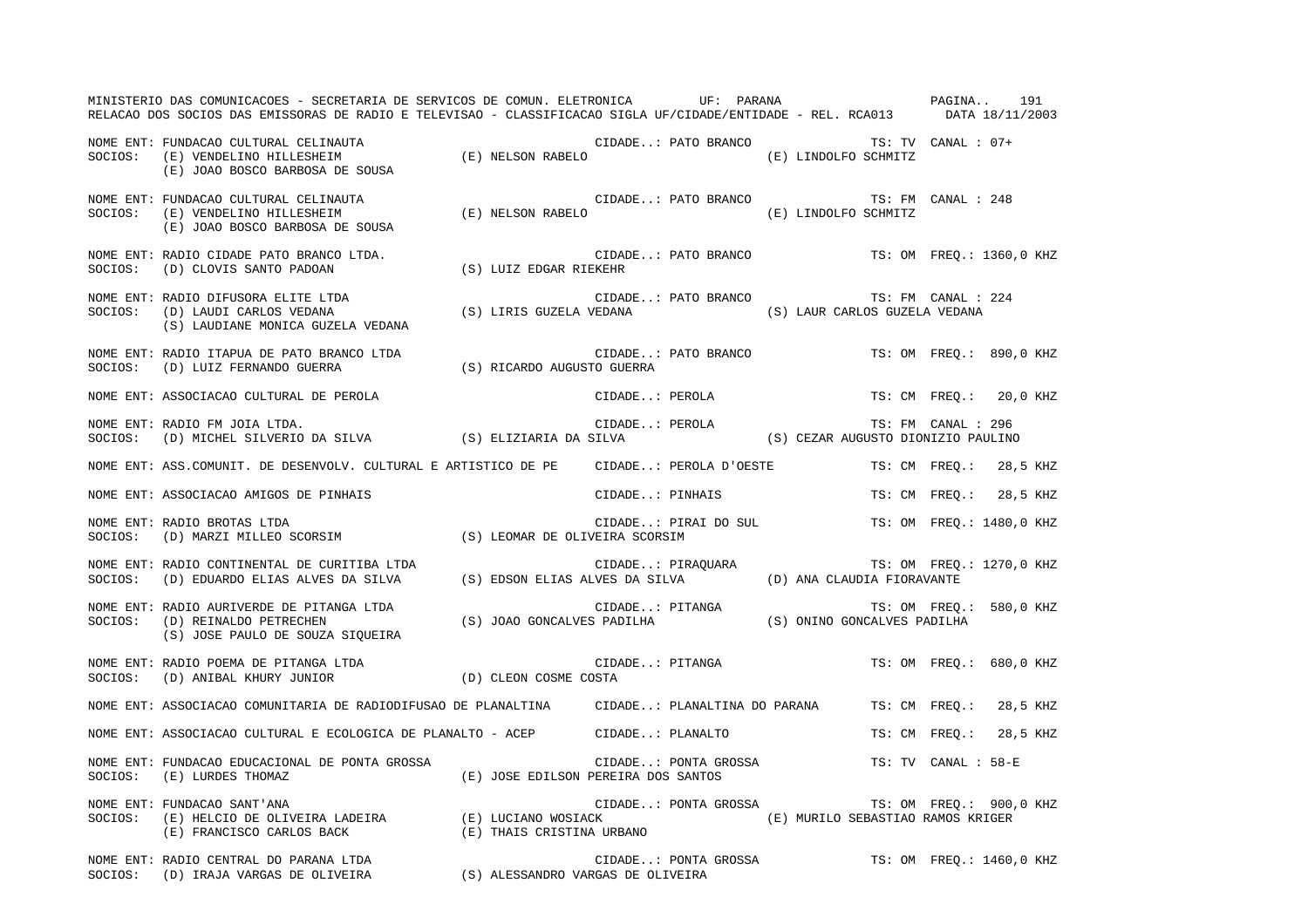MINISTERIO DAS COMUNICACOES - SECRETARIA DE SERVICOS DE COMUN. ELETRONICA UF: PARANA PAGINA.. 191 RELACAO DOS SOCIOS DAS EMISSORAS DE RADIO E TELEVISAO - CLASSIFICACAO SIGLA UF/CIDADE/ENTIDADE - REL. RCA013 DATA 18/11/2003 NOME ENT: FUNDACAO CULTURAL CELINAUTA CIDADE..: PATO BRANCO TS: TV CANAL : 07+SOCIOS: (E) VENDELINO HILLESHEIM (E) NELSON RABELO (E) LINDOLFO SCHMITZ (E) JOAO BOSCO BARBOSA DE SOUSA NOME ENT: FUNDACAO CULTURAL CELINAUTA CONSERVATIVATIVES CIDADE..: PATO BRANCO TS: FM CANAL : 248 SOCIOS: (E) VENDELINO HILLESHEIM (E) NELSON RABELO (E) LINDOLFO SCHMITZ (E) JOAO BOSCO BARBOSA DE SOUSA NOME ENT: RADIO CIDADE PATO BRANCO LTDA. CIDADE..: PATO BRANCO TS: OM FREQ.: 1360,0 KHZ SOCIOS: (D) CLOVIS SANTO PADOAN (S) LUIZ EDGAR RIEKEHR NOME ENT: RADIO DIFUSORA ELITE LTDA CONSTRUITE AND SOLUADE..: PATO BRANCO TS: FM CANAL : 224 SOCIOS: (D) LAUDI CARLOS VEDANA (S) LIRIS GUZELA VEDANA (S) LAUR CARLOS GUZELA VEDANA (S) LAUDIANE MONICA GUZELA VEDANA NOME ENT: RADIO ITAPUA DE PATO BRANCO LTDA CIDADE..: PATO BRANCO TS: OM FREQ.: 890,0 KHZ SOCIOS: (D) LUIZ FERNANDO GUERRA (S) RICARDO AUGUSTO GUERRA NOME ENT: ASSOCIACAO CULTURAL DE PEROLA CIDADE..: PEROLA TS: CM FREQ.: 20,0 KHZ NOME ENT: RADIO FM JOIA LTDA. CIDADE..: PEROLA TS: FM CANAL : 296SOCIOS: (D) MICHEL SILVERIO DA SILVA (S) ELIZIARIA DA SILVA (S) CEZAR AUGUSTO DIONIZIO PAULINO NOME ENT: ASS.COMUNIT. DE DESENVOLV. CULTURAL E ARTISTICO DE PE CIDADE..: PEROLA D'OESTE TS: CM FREQ.: 28,5 KHZ NOME ENT: ASSOCIACAO AMIGOS DE PINHAIS TRANSMENTE CIDADE..: PINHAIS TRANSMENTER TRANSMENTER TRANSMENTER 28,5 KHZ NOME ENT: RADIO BROTAS LTDA  $\blacksquare$  CIDADE..: PIRAI DO SUL TS: OM FREQ.: 1480,0 KHZ SOCIOS: (D) MARZI MILLEO SCORSIM (S) LEOMAR DE OLIVEIRA SCORSIM NOME ENT: RADIO CONTINENTAL DE CURITIBA LTDA  $\blacksquare$  CIDADE..: PIRAQUARA TS: OM FREQ.: 1270,0 KHZ SOCIOS: (D) EDUARDO ELIAS ALVES DA SILVA (S) EDSON ELIAS ALVES DA SILVA (D) ANA CLAUDIA FIORAVANTE NOME ENT: RADIO AURIVERDE DE PITANGA LTDA TELA TRANSA CIDADE..: PITANGA TS: OM FREQ.: 580,0 KHZ SOCIOS: (D) REINALDO PETRECHEN (S) JOAO GONCALVES PADILHA (S) ONINO GONCALVES PADILHA (S) JOSE PAULO DE SOUZA SIQUEIRA NOME ENT: RADIO POEMA DE PITANGA LTDA TERRA CIDADE..: PITANGA TS: OM FREQ.: 680,0 KHZ SOCIOS: (D) ANIBAL KHURY JUNIOR (D) CLEON COSME COSTA NOME ENT: ASSOCIACAO COMUNITARIA DE RADIODIFUSAO DE PLANALTINA CIDADE..: PLANALTINA DO PARANA TS: CM FREQ.: 28,5 KHZ NOME ENT: ASSOCIACAO CULTURAL E ECOLOGICA DE PLANALTO - ACEP CIDADE..: PLANALTO TS: CM FREQ.: 28,5 KHZ NOME ENT: FUNDACAO EDUCACIONAL DE PONTA GROSSA CIDADE..: PONTA GROSSA TS: TV CANAL : 58-ESOCIOS: (E) LURDES THOMAZ (E) JOSE EDILSON PEREIRA DOS SANTOS NOME ENT: FUNDACAO SANT'ANA CIDADE..: PONTA GROSSA TS: OM FREQ.: 900,0 KHZ SOCIOS: (E) HELCIO DE OLIVEIRA LADEIRA (E) LUCIANO WOSIACK (E) MURILO SEBASTIAO RAMOS KRIGER (E) FRANCISCO CARLOS BACK (E) THAIS CRISTINA URBANO NOME ENT: RADIO CENTRAL DO PARANA LTDA CIDADE..: PONTA GROSSA TS: OM FREQ.: 1460,0 KHZ SOCIOS: (D) IRAJA VARGAS DE OLIVEIRA (S) ALESSANDRO VARGAS DE OLIVEIRA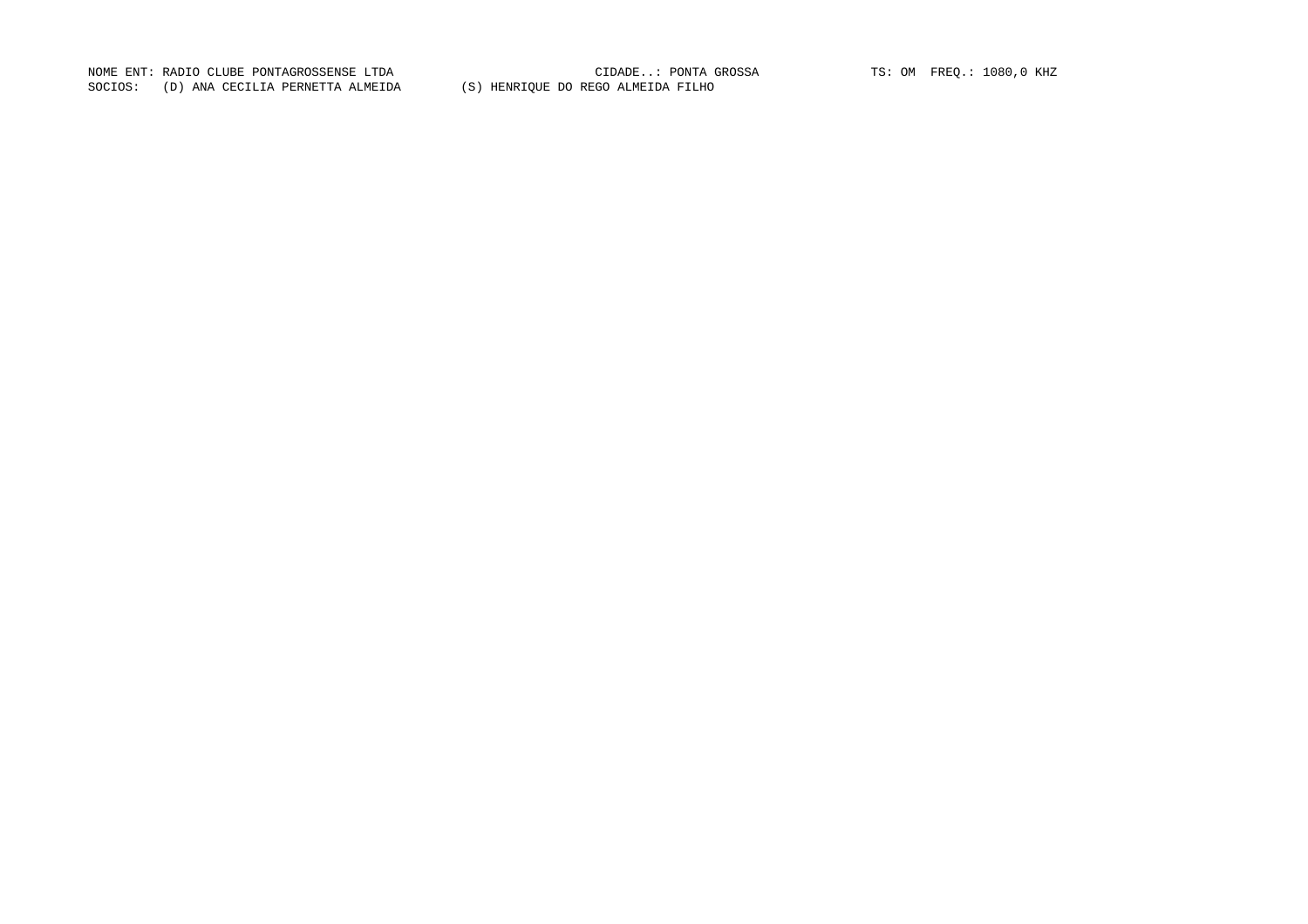NOME ENT: RADIO CLUBE PONTAGROSSENSE LTDA CIDADE..: PONTA GROSSA TS: OM FREQ.: 1080,0 KHZ SOCIOS: (D) ANA CECILIA PERNETTA ALMEIDA (S) HENRIQUE DO REGO ALMEIDA FILHO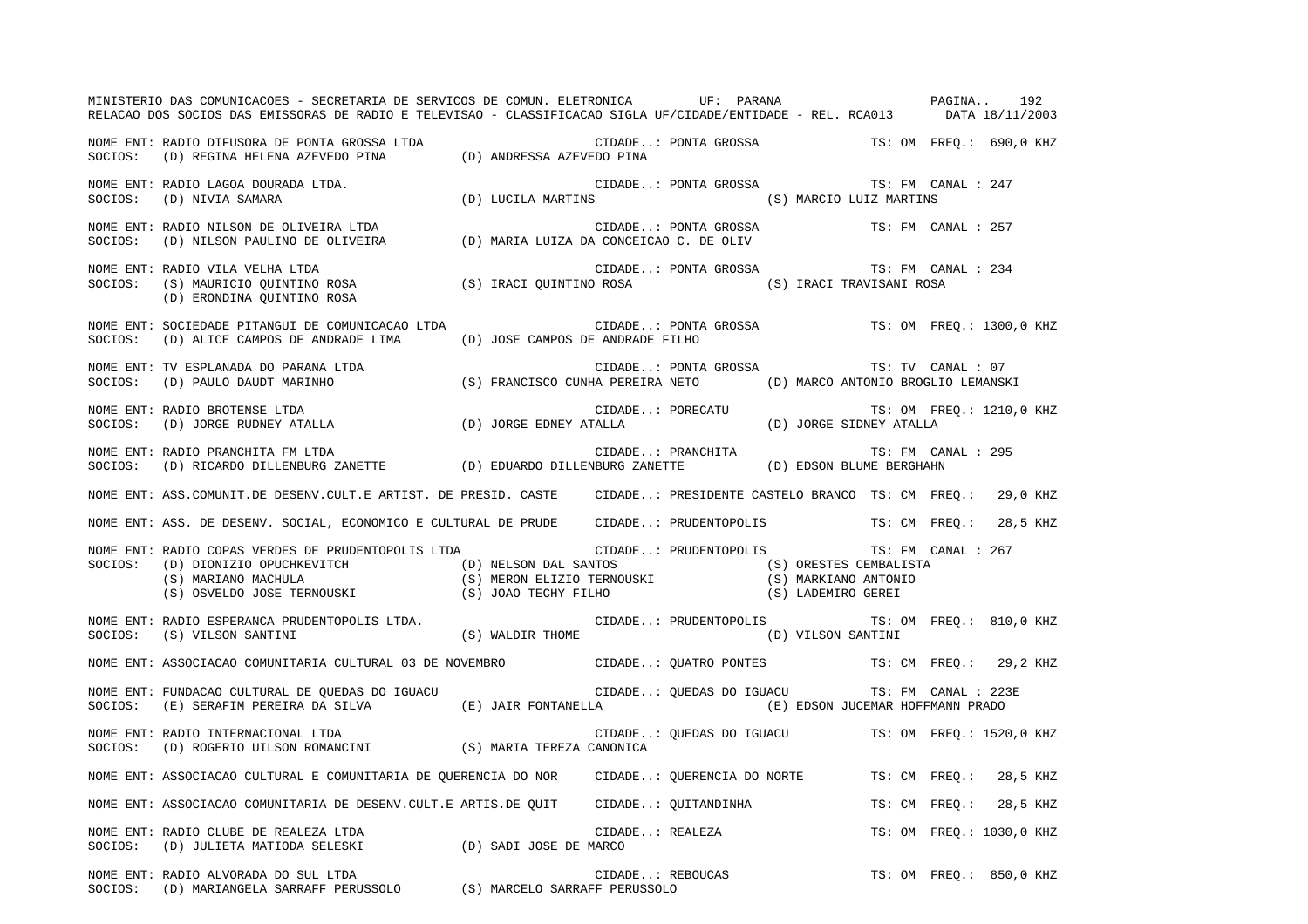MINISTERIO DAS COMUNICACOES - SECRETARIA DE SERVICOS DE COMUN. ELETRONICA UF: PARANA PAGINA.. 192RELACAO DOS SOCIOS DAS EMISSORAS DE RADIO E TELEVISAO - CLASSIFICACAO SIGLA UF/CIDADE/ENTIDADE - REL. RCA013 DATA 18/11/2003 NOME ENT: RADIO DIFUSORA DE PONTA GROSSA LTDA CIDADE..: PONTA GROSSA TS: OM FREQ.: 690,0 KHZ SOCIOS: (D) REGINA HELENA AZEVEDO PINA (D) ANDRESSA AZEVEDO PINA NOME ENT: RADIO LAGOA DOURADA LTDA.  $\qquad \qquad \qquad \qquad \qquad \qquad \qquad \qquad \qquad \qquad \qquad \text{CIDADE..:}$  PONTA GROSSA TS: FM CANAL : 247 SOCIOS: (D) NIVIA SAMARA (D) LUCILA MARTINS (S) MARCIO LUIZ MARTINS NOME ENT: RADIO NILSON DE OLIVEIRA LTDA CIDADE..: PONTA GROSSA TS: FM CANAL : 257SOCIOS: (D) NILSON PAULINO DE OLIVEIRA (D) MARIA LUIZA DA CONCEICAO C. DE OLIV NOME ENT: RADIO VILA VELHA LTDA CIDADE..: PONTA GROSSA TS: FM CANAL : 234SOCIOS: (S) MAURICIO QUINTINO ROSA (S) IRACI QUINTINO ROSA (S) IRACI TRAVISANI ROSA (D) ERONDINA QUINTINO ROSA NOME ENT: SOCIEDADE PITANGUI DE COMUNICACAO LTDA CIDADE..: PONTA GROSSA TS: OM FREQ.: 1300,0 KHZ SOCIOS: (D) ALICE CAMPOS DE ANDRADE LIMA (D) JOSE CAMPOS DE ANDRADE FILHO NOME ENT: TV ESPLANADA DO PARANA LTDA CONTRANA CIDADE..: PONTA GROSSA TS: TV CANAL : 07 SOCIOS: (D) PAULO DAUDT MARINHO (S) FRANCISCO CUNHA PEREIRA NETO (D) MARCO ANTONIO BROGLIO LEMANSKI NOME ENT: RADIO BROTENSE LTDA CIDADE..: PORECATU TS: OM FREQ.: 1210,0 KHZ SOCIOS: (D) JORGE RUDNEY ATALLA (D) JORGE EDNEY ATALLA (D) JORGE SIDNEY ATALLA NOME ENT: RADIO PRANCHITA FM LTDA CIDADE..: PRANCHITA TS: FM CANAL : 295SOCIOS: (D) RICARDO DILLENBURG ZANETTE (D) EDUARDO DILLENBURG ZANETTE (D) EDSON BLUME BERGHAHN NOME ENT: ASS.COMUNIT.DE DESENV.CULT.E ARTIST. DE PRESID. CASTE CIDADE..: PRESIDENTE CASTELO BRANCO TS: CM FREQ.: 29,0 KHZ NOME ENT: ASS. DE DESENV. SOCIAL, ECONOMICO E CULTURAL DE PRUDE CIDADE..: PRUDENTOPOLIS TS: CM FREQ.: 28,5 KHZ NOME ENT: RADIO COPAS VERDES DE PRUDENTOPOLIS LTDA CIDADE..: PRUDENTOPOLIS TS: FM CANAL : 267 SOCIOS: (D) DIONIZIO OPUCHKEVITCH (D) NELSON DAL SANTOS (S) ORESTES CEMBALISTA (S) MARIANO MACHULA (S) MERON ELIZIO TERNOUSKI (S) MARKIANO ANTONIO (S) OSVELDO JOSE TERNOUSKI (S) JOAO TECHY FILHO (S) LADEMIRO GEREI NOME ENT: RADIO ESPERANCA PRUDENTOPOLIS LTDA. CIDADE..: PRUDENTOPOLIS TS: OM FREQ.: 810,0 KHZ SOCIOS: (S) VILSON SANTINI (S) WALDIR THOME (D) VILSON SANTINI NOME ENT: ASSOCIACAO COMUNITARIA CULTURAL 03 DE NOVEMBRO CIDADE..: QUATRO PONTES TS: CM FREQ.: 29,2 KHZ NOME ENT: FUNDACAO CULTURAL DE QUEDAS DO IGUACU CIDADE..: QUEDAS DO IGUACU TS: FM CANAL : 223E SOCIOS: (E) SERAFIM PEREIRA DA SILVA (E) JAIR FONTANELLA (E) EDSON JUCEMAR HOFFMANN PRADO NOME ENT: RADIO INTERNACIONAL LTDA CIDADE..: QUEDAS DO IGUACU TS: OM FREQ.: 1520,0 KHZ SOCIOS: (D) ROGERIO UILSON ROMANCINI (S) MARIA TEREZA CANONICA NOME ENT: ASSOCIACAO CULTURAL E COMUNITARIA DE QUERENCIA DO NOR CIDADE..: QUERENCIA DO NORTE TS: CM FREQ.: 28,5 KHZ NOME ENT: ASSOCIACAO COMUNITARIA DE DESENV.CULT.E ARTIS.DE QUIT CIDADE..: QUITANDINHA TS: CM FREQ.: 28,5 KHZ NOME ENT: RADIO CLUBE DE REALEZA LTDA  $\Box$  CIDADE..: REALEZA TS: OM FREQ.: 1030,0 KHZ SOCIOS: (D) JULIETA MATIODA SELESKI (D) SADI JOSE DE MARCO NOME ENT: RADIO ALVORADA DO SUL LTDA  $\Box$  CIDADE..: REBOUCAS TS: OM FREQ.: 850,0 KHZ SOCIOS: (D) MARIANGELA SARRAFF PERUSSOLO (S) MARCELO SARRAFF PERUSSOLO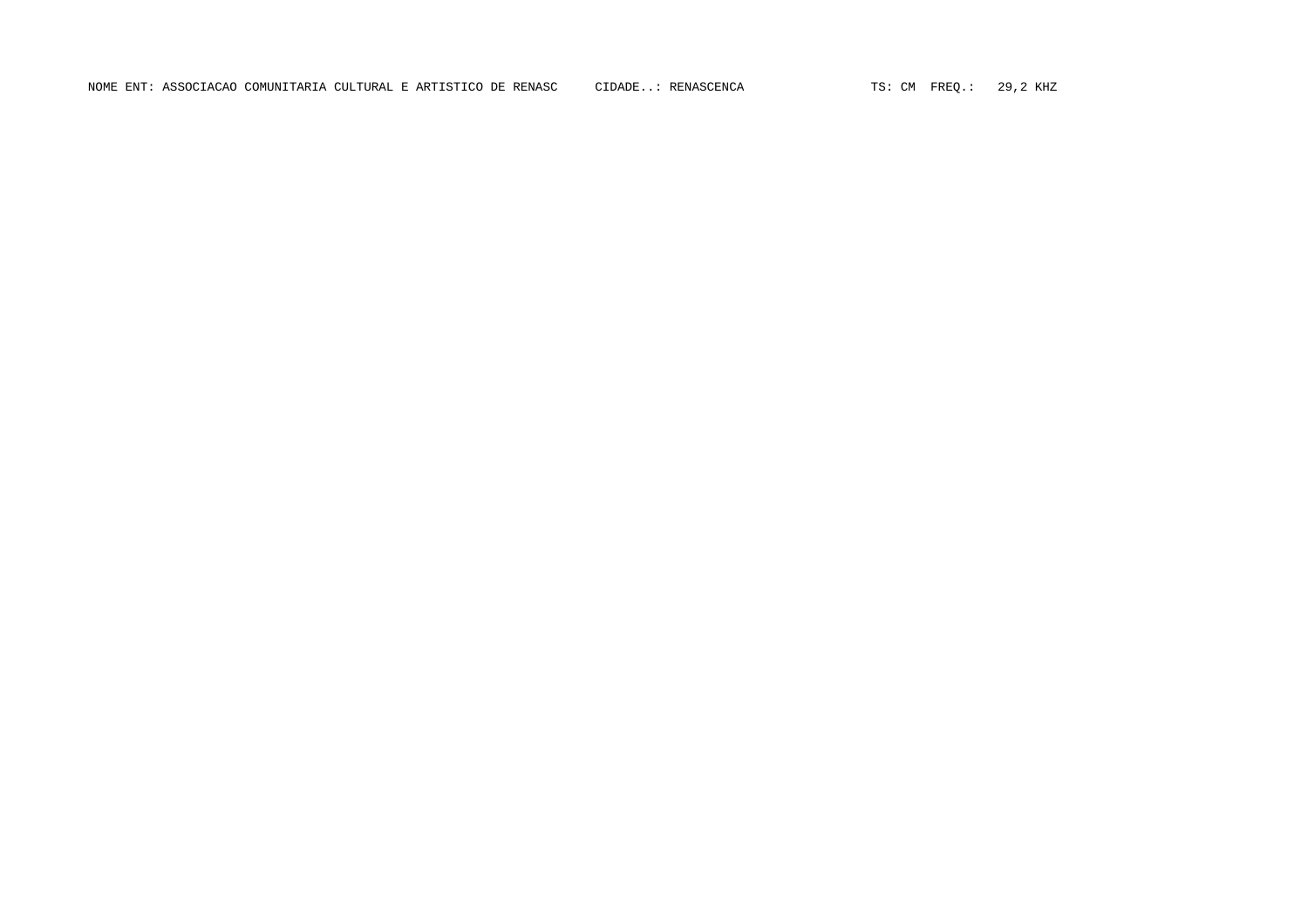NOME ENT: ASSOCIACAO COMUNITARIA CULTURAL E ARTISTICO DE RENASC CIDADE..: RENASCENCA TS: CM FREQ.: 29,2 KHZ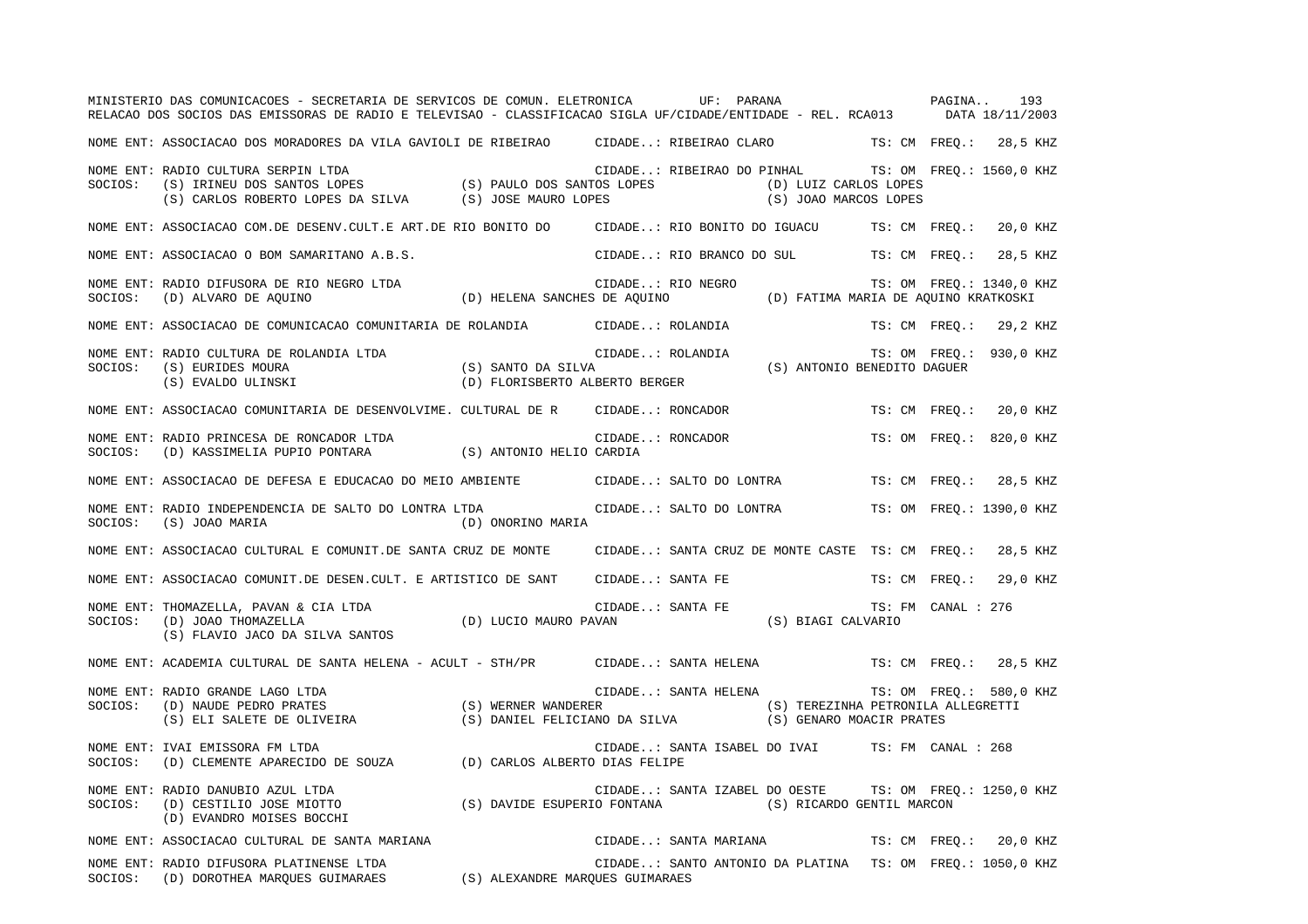|         | MINISTERIO DAS COMUNICACOES - SECRETARIA DE SERVICOS DE COMUN. ELETRONICA UF: PARANA<br>RELACAO DOS SOCIOS DAS EMISSORAS DE RADIO E TELEVISAO - CLASSIFICACAO SIGLA UF/CIDADE/ENTIDADE - REL. RCA013 DATA 18/11/2003                                       |                                 |                                                                  |  | PAGINA                                                    |  |                          | 193      |
|---------|------------------------------------------------------------------------------------------------------------------------------------------------------------------------------------------------------------------------------------------------------------|---------------------------------|------------------------------------------------------------------|--|-----------------------------------------------------------|--|--------------------------|----------|
|         | NOME ENT: ASSOCIACAO DOS MORADORES DA VILA GAVIOLI DE RIBEIRAO CIDADE: RIBEIRAO CLARO TS: CM FREQ.: 28,5 KHZ                                                                                                                                               |                                 |                                                                  |  |                                                           |  |                          |          |
| SOCIOS: | NOME ENT: RADIO CULTURA SERPIN LTDA<br>RADIO CULTURA SERPIN LTDA<br>(S) IRINEU DOS SANTOS LOPES (S) PAULO DOS SANTOS LOPES<br>(S) CARLOS ROBERTO LOPES DA SILVA (S) JOSE MAURO LOPES                                                                       |                                 | CIDADE: RIBEIRAO DO PINHAL TS: OM FREQ.: 1560,0 KHZ              |  | (D) LUIZ CARLOS LOPES<br>(S) JOAO MARCOS LOPES            |  |                          |          |
|         | NOME ENT: ASSOCIACAO COM.DE DESENV.CULT.E ART.DE RIO BONITO DO CIDADE: RIO BONITO DO IGUACU TS: CM FREQ.: 20,0 KHZ                                                                                                                                         |                                 |                                                                  |  |                                                           |  |                          |          |
|         | NOME ENT: ASSOCIACAO O BOM SAMARITANO A.B.S.                                                                                                                                                                                                               |                                 | CIDADE: RIO BRANCO DO SUL TS: CM FREQ.:                          |  |                                                           |  |                          | 28,5 KHZ |
|         | NOME ENT: RADIO DIFUSORA DE RIO NEGRO LTDA<br>SOCIOS:  (D) ALVARO DE AQUINO                           (D) HELENA SANCHES DE AQUINO               (D) FATIMA MARIA DE AQUINO KRATKOSKI                                                                      |                                 |                                                                  |  |                                                           |  | TS: OM FREQ.: 1340,0 KHZ |          |
|         | NOME ENT: ASSOCIACAO DE COMUNICACAO COMUNITARIA DE ROLANDIA CIDADE: ROLANDIA                                                                                                                                                                               |                                 |                                                                  |  |                                                           |  | TS: CM FREO.: 29,2 KHZ   |          |
| SOCIOS: | NOME ENT: RADIO CULTURA DE ROLANDIA LTDA<br>CIDADE: ROLANDIA LTDA<br>(S) SANTO DA SILVA<br>(D) FLORISBERTO ALBERTO BERGER<br>(S) EURIDES MOURA<br>(S) EVALDO ULINSKI                                                                                       |                                 | CIDADE: ROLANDIA                                                 |  | DE: ROLANDIA TS: OM FREQ.:<br>(S) ANTONIO BENEDITO DAGUER |  | TS: OM FREQ.: 930,0 KHZ  |          |
|         | NOME ENT: ASSOCIACAO COMUNITARIA DE DESENVOLVIME. CULTURAL DE R CIDADE: RONCADOR                                                                                                                                                                           |                                 |                                                                  |  |                                                           |  | TS: CM FREO.: 20,0 KHZ   |          |
| SOCIOS: | NOME ENT: RADIO PRINCESA DE RONCADOR LTDA<br>. CIDADE (D) KASSIMELIA PUPIO PONTARA (S) ANTONIO HELIO CARDIA:<br>(D) KASSIMELIA PUPIO PONTARA (S) ANTONIO HELIO CARDIA                                                                                      |                                 | CIDADE: RONCADOR                                                 |  |                                                           |  | TS: OM FREQ.: 820,0 KHZ  |          |
|         | NOME ENT: ASSOCIACAO DE DEFESA E EDUCACAO DO MEIO AMBIENTE CIDADE: SALTO DO LONTRA                                                                                                                                                                         |                                 |                                                                  |  |                                                           |  | TS: CM FREO.:            | 28,5 KHZ |
| SOCIOS: | NOME ENT: RADIO INDEPENDENCIA DE SALTO DO LONTRA LTDA<br>(S) JOAO MARIA                                                                                                                                                                                    | (D) ONORINO MARIA               | CIDADE: SALTO DO LONTRA                                          |  |                                                           |  | TS: OM FREQ.: 1390,0 KHZ |          |
|         | NOME ENT: ASSOCIACAO CULTURAL E COMUNIT.DE SANTA CRUZ DE MONTE                                                                                                                                                                                             |                                 | CIDADE: SANTA CRUZ DE MONTE CASTE TS: CM FREO.:                  |  |                                                           |  |                          | 28,5 KHZ |
|         | NOME ENT: ASSOCIACAO COMUNIT.DE DESEN.CULT. E ARTISTICO DE SANT CIDADE: SANTA FE                                                                                                                                                                           |                                 |                                                                  |  |                                                           |  | TS: CM FREO.:            | 29,0 KHZ |
|         | NOME ENT: THOMAZELLA, PAVAN & CIA LTDA (D) LUCIO MAURO PAVAN CIDADE: SANTA FE<br>SOCIOS: (D) JOAO THOMAZELLA (D) COORSE (D) COORD AVAN<br>(S) FLAVIO JACO DA SILVA SANTOS                                                                                  |                                 | $\verb"CIDADE":\texttt{SANTA FE} \tag{S}\texttt{BIAGI CALVARIO}$ |  |                                                           |  | TS: FM CANAL : 276       |          |
|         | NOME ENT: ACADEMIA CULTURAL DE SANTA HELENA - ACULT - STH/PR         CIDADE: SANTA HELENA                                                                                                                                                                  |                                 |                                                                  |  |                                                           |  | TS: CM FREO.: 28,5 KHZ   |          |
| SOCIOS: | NOME ENT: RADIO GRANDE LAGO LTDA<br>RADIO GRANDE LAGO LTDA<br>(D) NAUDE PEDRO PRATES (S) WERNER WANDERER (S) TEREZINHA PETRONILA ALLEGRETTI<br>(S) ELI SALETE DE OLIVEIRA (S) DANIEL FELICIANO DA SILVA (S) GENARO MOACIR PRATES<br>(D) NAUDE PEDRO PRATES |                                 | CIDADE: SANTA HELENA                                             |  |                                                           |  | TS: OM FREQ.: 580,0 KHZ  |          |
| SOCIOS: | NOME ENT: IVAI EMISSORA FM LTDA<br>(D) CLEMENTE APARECIDO DE SOUZA (D) CARLOS ALBERTO DIAS FELIPE                                                                                                                                                          |                                 | CIDADE: SANTA ISABEL DO IVAI TS: FM CANAL : 268                  |  |                                                           |  |                          |          |
| SOCIOS: | NOME ENT: RADIO DANUBIO AZUL LTDA<br>(D) CESTILIO JOSE MIOTTO (S) DAVIDE ESUPERIO FONTANA (S) RICARDO GENTIL MARCON<br>(D) EVANDRO MOISES BOCCHI                                                                                                           |                                 | CIDADE: SANTA IZABEL DO OESTE TS: OM FREQ.: 1250,0 KHZ           |  |                                                           |  |                          |          |
|         | NOME ENT: ASSOCIACAO CULTURAL DE SANTA MARIANA                                                                                                                                                                                                             |                                 | CIDADE: SANTA MARIANA                                            |  |                                                           |  | TS: CM FREQ.: 20,0 KHZ   |          |
|         | NOME ENT: RADIO DIFUSORA PLATINENSE LTDA<br>SOCIOS: (D) DOROTHEA MARQUES GUIMARAES                                                                                                                                                                         | (S) ALEXANDRE MARQUES GUIMARAES | CIDADE: SANTO ANTONIO DA PLATINA TS: OM FREO.: 1050,0 KHZ        |  |                                                           |  |                          |          |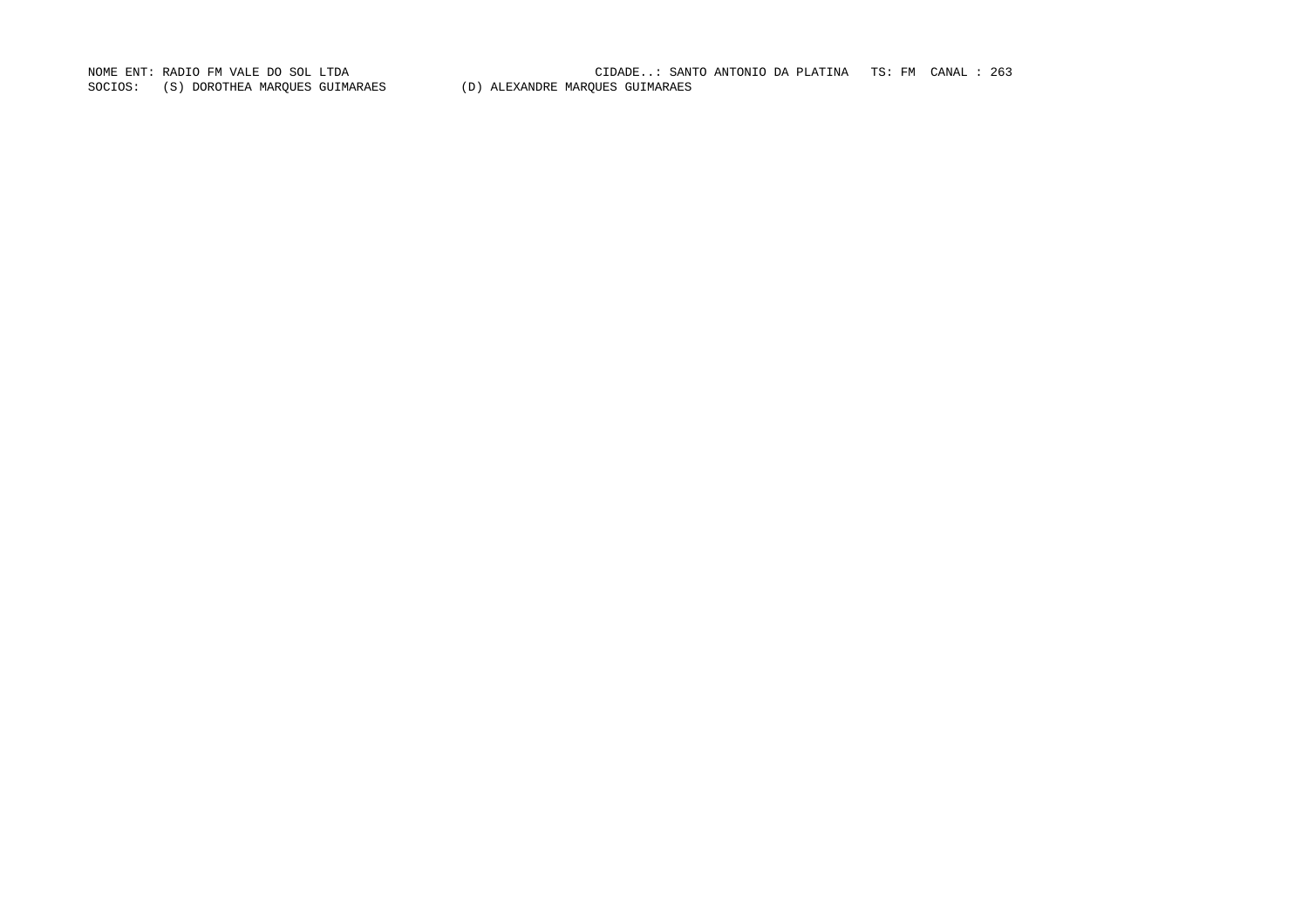SOCIOS: (S) DOROTHEA MARQUES GUIMARAES (D) ALEXANDRE MARQUES GUIMARAES

NOME ENT: RADIO FM VALE DO SOL LTDA CIDADE..: SANTO ANTONIO DA PLATINA TS: FM CANAL : 263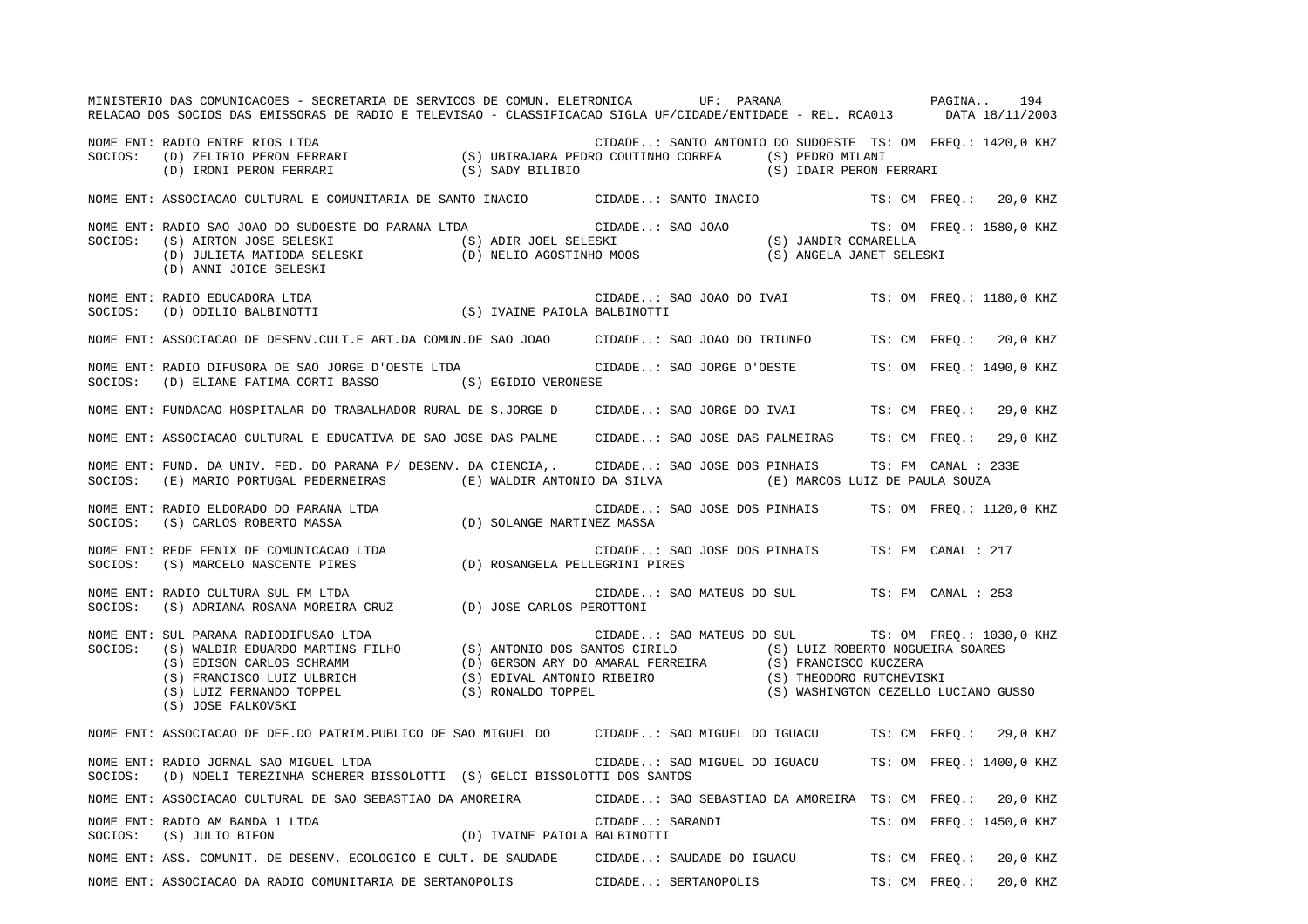|         | MINISTERIO DAS COMUNICACOES - SECRETARIA DE SERVICOS DE COMUN. ELETRONICA        UF: PARANA               PAGINA<br>RELACAO DOS SOCIOS DAS EMISSORAS DE RADIO E TELEVISAO - CLASSIFICACAO SIGLA UF/CIDADE/ENTIDADE - REL. RCA013 DATA 18/11/2003                                                 |  |                 |                                                                                       |  | 194                      |
|---------|--------------------------------------------------------------------------------------------------------------------------------------------------------------------------------------------------------------------------------------------------------------------------------------------------|--|-----------------|---------------------------------------------------------------------------------------|--|--------------------------|
|         | . TIDADE: SANTO ANTONIO DU SUDUCENTRE RIOS LTDA<br>SOCIOS: (D) ZELIRIO PERON FERRARI (S) UBIRAJARA PEDRO COUTINHO CORREA (S) PEDRO MILANI<br>(D) IRONI PERON FERRARI (S) SADY BILIBIO (S) (S) IDAIR PERON F                                                                                      |  |                 | CIDADE: SANTO ANTONIO DO SUDOESTE TS: OM FREQ.: 1420,0 KHZ<br>(S) IDAIR PERON FERRARI |  |                          |
|         | NOME ENT: ASSOCIACAO CULTURAL E COMUNITARIA DE SANTO INACIO CIDADE: SANTO INACIO TS: CM FREQ.: 20,0 KHZ                                                                                                                                                                                          |  |                 |                                                                                       |  |                          |
|         | NOME ENT: RADIO SAO JOAO DO SUDOESTE DO PARANA LTDA (S) ADIR JOEL SELESKI (S) ADIR JORO (S) JANDIR COMARELLA<br>SOCIOS: (S) AIRTON JOSE SELESKI (D) JULIETA MATIODA SELESKI (D) NELIO AGOSTINHO MOOS (S) JANDIR COMARELLA<br>(D) ANN                                                             |  |                 |                                                                                       |  |                          |
| SOCIOS: | NOME ENT: RADIO EDUCADORA LTDA<br>RADIO EDUCADORA LTDA<br>(D) ODILIO BALBINOTTI (S) IVAINE PAIOLA BALBINOTTI                                                                                                                                                                                     |  |                 | CIDADE: SAO JOAO DO IVAI TS: OM FREQ.: 1180,0 KHZ                                     |  |                          |
|         | NOME ENT: ASSOCIACAO DE DESENV.CULT.E ART.DA COMUN.DE SAO JOAO CIDADE: SAO JOAO DO TRIUNFO TS: CM FREQ.: 20,0 KHZ                                                                                                                                                                                |  |                 |                                                                                       |  |                          |
| SOCIOS: | NOME ENT: RADIO DIFUSORA DE SAO JORGE D'OESTE LTDA<br>(D) ELIANE FATIMA CORTI BASSO (S) EGIDIO VERONESE                                                                                                                                                                                          |  |                 | CIDADE: SAO JORGE D'OESTE TS: OM FREQ.: 1490,0 KHZ                                    |  |                          |
|         | NOME ENT: FUNDACAO HOSPITALAR DO TRABALHADOR RURAL DE S.JORGE D CIDADE: SAO JORGE DO IVAI TS: CM FREQ.: 29,0 KHZ                                                                                                                                                                                 |  |                 |                                                                                       |  |                          |
|         | NOME ENT: ASSOCIACAO CULTURAL E EDUCATIVA DE SAO JOSE DAS PALME CIDADE: SAO JOSE DAS PALMEIRAS TS: CM FREQ.: 29,0 KHZ                                                                                                                                                                            |  |                 |                                                                                       |  |                          |
|         | NOME ENT: FUND. DA UNIV. FED. DO PARANA P/ DESENV. DA CIENCIA,. CIDADE: SAO JOSE DOS PINHAIS TS: FM CANAL : 233E<br>SOCIOS: (E) MARIO PORTUGAL PEDERNEIRAS (E) WALDIR ANTONIO DA SILVA (E) MARCOS LUIZ DE PAULA SOUZA                                                                            |  |                 |                                                                                       |  |                          |
|         | NOME ENT: RADIO ELDORADO DO PARANA LTDA<br>SOCIOS:    (S) CARLOS ROBERTO MASSA                          (D) SOLANGE MARTINEZ MASSA                                                                                                                                                               |  |                 | CIDADE: SAO JOSE DOS PINHAIS TS: OM FREQ.: 1120,0 KHZ                                 |  |                          |
|         |                                                                                                                                                                                                                                                                                                  |  |                 | CIDADE: SAO JOSE DOS PINHAIS TS: FM CANAL : 217                                       |  |                          |
| SOCIOS: | NOME ENT: RADIO CULTURA SUL FM LTDA<br>(S) ADRIANA ROSANA MOREIRA CRUZ (D) JOSE CARLOS PEROTTONI                                                                                                                                                                                                 |  |                 | CIDADE: SAO MATEUS DO SUL TS: FM CANAL : 253                                          |  |                          |
| SOCIOS: | NOME ENT: SUL PARANA RADIODIFUSAO LTDA<br>CIDADE: SAO MATEUS DO SOLLETS: OM FREQ.: 1030,0 K<br>(S) WALDIR EDUARDO MARTINS FILHO (S) ANTONIO DOS SANTOS CIRILO (S) LUIZ ROBERTO NOGUEIRA SOARES<br>(S) EDISON CARLOS SCHRAMM (D) GERSON ARY DO AMARAL FERREIRA (S) FRANCISC<br>(S) JOSE FALKOVSKI |  |                 | CIDADE: SAO MATEUS DO SUL TS: OM FREQ.: 1030,0 KHZ                                    |  |                          |
|         | NOME ENT: ASSOCIACAO DE DEF.DO PATRIM.PUBLICO DE SAO MIGUEL DO CIDADE: SAO MIGUEL DO IGUACU TS: CM FREQ.: 29,0 KHZ                                                                                                                                                                               |  |                 |                                                                                       |  |                          |
|         | NOME ENT: RADIO JORNAL SAO MIGUEL LTDA<br>SOCIOS: (D) NOELI TEREZINHA SCHERER BISSOLOTTI (S) GELCI BISSOLOTTI DOS SANTOS                                                                                                                                                                         |  |                 | CIDADE: SAO MIGUEL DO IGUACU TS: OM FREQ.: 1400,0 KHZ                                 |  |                          |
|         | NOME ENT: ASSOCIACAO CULTURAL DE SAO SEBASTIAO DA AMOREIRA CIDADE: SAO SEBASTIAO DA AMOREIRA TS: CM FREQ.: 20,0 KHZ                                                                                                                                                                              |  |                 |                                                                                       |  |                          |
|         |                                                                                                                                                                                                                                                                                                  |  | CIDADE: SARANDI |                                                                                       |  | TS: OM FREO.: 1450,0 KHZ |
|         | NOME ENT: ASS. COMUNIT. DE DESENV. ECOLOGICO E CULT. DE SAUDADE CIDADE: SAUDADE DO IGUACU TS: CM FREQ.: 20,0 KHZ                                                                                                                                                                                 |  |                 |                                                                                       |  |                          |
|         | NOME ENT: ASSOCIACAO DA RADIO COMUNITARIA DE SERTANOPOLIS CIDADE: SERTANOPOLIS                                                                                                                                                                                                                   |  |                 | TS: CM FREO.: 20,0 KHZ                                                                |  |                          |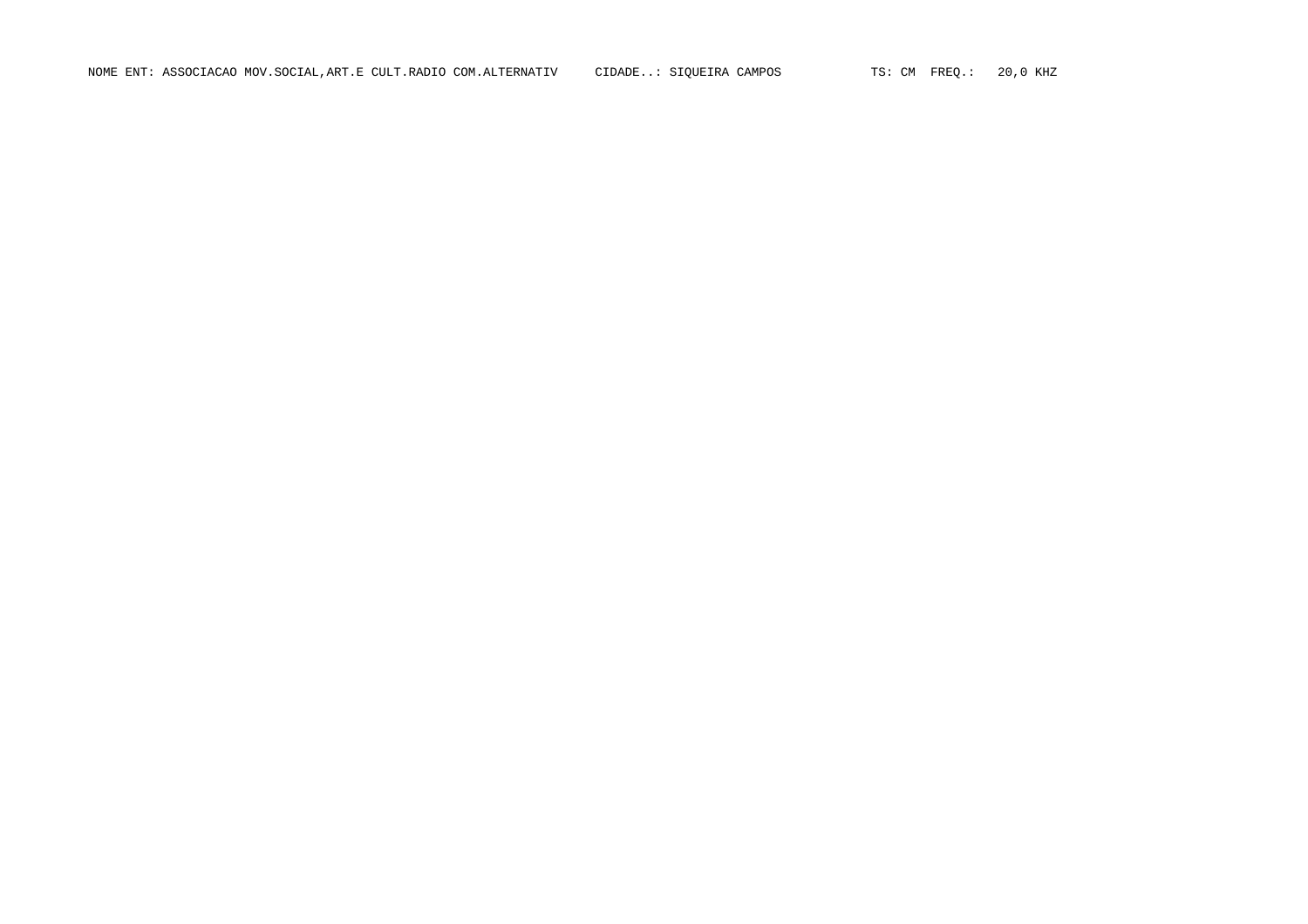NOME ENT: ASSOCIACAO MOV.SOCIAL,ART.E CULT.RADIO COM.ALTERNATIV CIDADE..: SIQUEIRA CAMPOS TS: CM FREQ.: 20,0 KHZ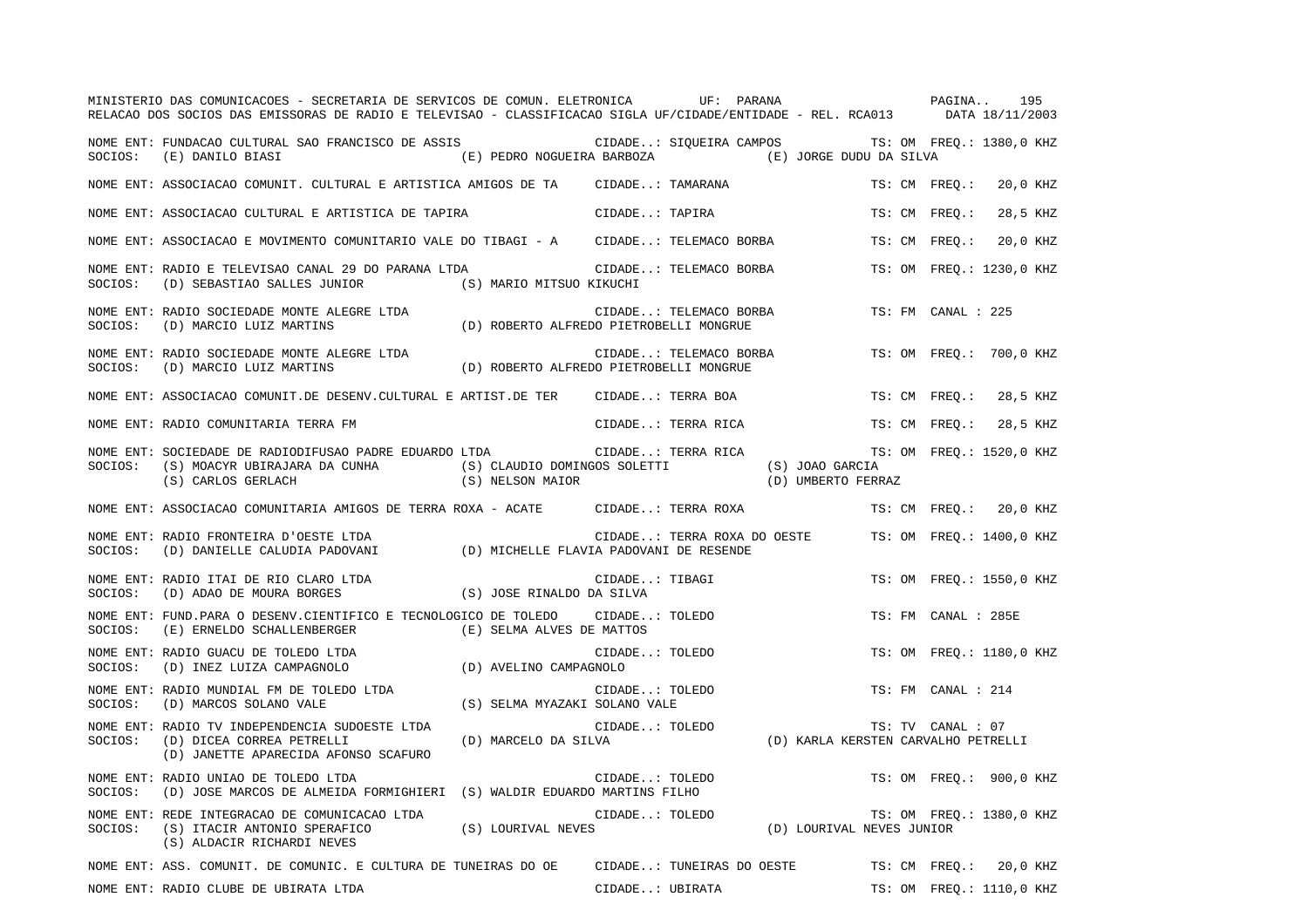|         | MINISTERIO DAS COMUNICACOES - SECRETARIA DE SERVICOS DE COMUN. ELETRONICA UF: PARANA VERETA E PAGINA<br>RELACAO DOS SOCIOS DAS EMISSORAS DE RADIO E TELEVISAO - CLASSIFICACAO SIGLA UF/CIDADE/ENTIDADE - REL. RCA013 DATA 18/11/2003 |                                                    |                 |                             |                                     |                     | 195                      |
|---------|--------------------------------------------------------------------------------------------------------------------------------------------------------------------------------------------------------------------------------------|----------------------------------------------------|-----------------|-----------------------------|-------------------------------------|---------------------|--------------------------|
|         | NOME ENT: FUNDACAO CULTURAL SAO FRANCISCO DE ASSIS (CIDADE: SIQUEIRA CAMPOS TS: OM FREQ.: 1380,0 KHZ<br>SOCIOS: (E) DANILO BIASI                                                                                                     | (E) PEDRO NOGUEIRA BARBOZA (E) JORGE DUDU DA SILVA |                 |                             |                                     |                     |                          |
|         | NOME ENT: ASSOCIACAO COMUNIT. CULTURAL E ARTISTICA AMIGOS DE TA CIDADE: TAMARANA                                                                                                                                                     |                                                    |                 |                             |                                     | TS: CM FREO.:       | 20,0 KHZ                 |
|         | NOME ENT: ASSOCIACAO CULTURAL E ARTISTICA DE TAPIRA                                                                                                                                                                                  |                                                    | CIDADE: TAPIRA  |                             |                                     | TS: CM FREO.:       | 28,5 KHZ                 |
|         | NOME ENT: ASSOCIACAO E MOVIMENTO COMUNITARIO VALE DO TIBAGI - A CIDADE: TELEMACO BORBA                                                                                                                                               |                                                    |                 |                             |                                     | TS: CM FREO.:       | 20,0 KHZ                 |
|         | NOME ENT: RADIO E TELEVISAO CANAL 29 DO PARANA LTDA<br>SOCIOS: (D) SEBASTIAO SALLES JUNIOR (S) MARIO MITSUO KIKUCHI                                                                                                                  |                                                    |                 | CIDADE: TELEMACO BORBA      |                                     |                     | TS: OM FREO.: 1230,0 KHZ |
|         |                                                                                                                                                                                                                                      |                                                    |                 | CIDADE: TELEMACO BORBA      |                                     | TS: FM CANAL : 225  |                          |
|         | NOME ENT: RADIO SOCIEDADE MONTE ALEGRE LTDA (D) ROBERTO ALFREDO PIETROBELLI MONGRUE SOCIOS: (D) MARCIO LUIZ MARTINS (D) ROBERTO ALFREDO PIETROBELLI MONGRUE                                                                          |                                                    |                 | CIDADE: TELEMACO BORBA      |                                     |                     | TS: OM FREO.: 700,0 KHZ  |
|         | NOME ENT: ASSOCIACAO COMUNIT.DE DESENV.CULTURAL E ARTIST.DE TER CIDADE: TERRA BOA                                                                                                                                                    |                                                    |                 |                             |                                     | TS: CM FREO.:       | 28,5 KHZ                 |
|         | NOME ENT: RADIO COMUNITARIA TERRA FM                                                                                                                                                                                                 |                                                    |                 | CIDADE: TERRA RICA          |                                     | TS: CM FREO.:       | 28,5 KHZ                 |
| SOCIOS: | NOME ENT: SOCIEDADE DE RADIODIFUSAO PADRE EDUARDO LTDA<br>(S) MOACYR UBIRAJARA DA CUNHA (S) CLAUDIO DOMINGOS SOLETTI (S) JOAO GARCIA)<br>(S) CARLOS GERLACH (S) NELSON MAIOR (D) UMBERTO FERF                                        |                                                    |                 | CIDADE: TERRA RICA          | (D) UMBERTO FERRAZ                  |                     | TS: OM FREQ.: 1520,0 KHZ |
|         | NOME ENT: ASSOCIACAO COMUNITARIA AMIGOS DE TERRA ROXA - ACATE CIDADE: TERRA ROXA                                                                                                                                                     |                                                    |                 |                             |                                     |                     | TS: CM FREO.: 20,0 KHZ   |
| SOCIOS: | NOME ENT: RADIO FRONTEIRA D'OESTE LTDA<br>(D) DANIELLE CALUDIA PADOVANI (D) MICHELLE FLAVIA PADOVANI DE RESENDE                                                                                                                      |                                                    |                 | CIDADE: TERRA ROXA DO OESTE |                                     |                     | TS: OM FREQ.: 1400,0 KHZ |
| SOCIOS: | NOME ENT: RADIO ITAI DE RIO CLARO LTDA<br>CIDADE.<br>(D) ADAO DE MOURA BORGES (S) JOSE RINALDO DA SILVA                                                                                                                              |                                                    | CIDADE: TIBAGI  |                             |                                     |                     | TS: OM FREQ.: 1550,0 KHZ |
| SOCIOS: | NOME ENT: FUND.PARA O DESENV.CIENTIFICO E TECNOLOGICO DE TOLEDO CIDADE: TOLEDO<br>(E) ERNELDO SCHALLENBERGER (E) SELMA ALVES DE MATTOS                                                                                               |                                                    |                 |                             |                                     | TS: FM CANAL : 285E |                          |
| SOCIOS: | NOME ENT: RADIO GUACU DE TOLEDO LTDA<br>RADIO GUACU DE TOLEDO LTDA (D) AVELINO CAMPAGNOLO (D) INEZ LUIZA CAMPAGNOLO                                                                                                                  |                                                    | CIDADE: TOLEDO  |                             |                                     |                     | TS: OM FREQ.: 1180,0 KHZ |
| SOCIOS: | NOME ENT: RADIO MUNDIAL FM DE TOLEDO LTDA<br>(D) MARCOS SOLANO VALE                                                                                                                                                                  | (S) SELMA MYAZAKI SOLANO VALE                      | CIDADE: TOLEDO  |                             |                                     | TS: FM CANAL : 214  |                          |
| SOCIOS: | NOME ENT: RADIO TV INDEPENDENCIA SUDOESTE LTDA<br>(D) DICEA CORREA PETRELLI<br>(D) JANETTE APARECIDA AFONSO SCAFURO                                                                                                                  | (D) MARCELO DA SILVA                               | CIDADE: TOLEDO  |                             | (D) KARLA KERSTEN CARVALHO PETRELLI | TS: TV CANAL : 07   |                          |
| SOCIOS: | NOME ENT: RADIO UNIAO DE TOLEDO LTDA<br>(D) JOSE MARCOS DE ALMEIDA FORMIGHIERI (S) WALDIR EDUARDO MARTINS FILHO                                                                                                                      |                                                    | CIDADE: TOLEDO  |                             |                                     |                     | TS: OM FREQ.: 900,0 KHZ  |
| SOCIOS: | NOME ENT: REDE INTEGRACAO DE COMUNICACAO LTDA<br>(S) LOURIVAL NEVES<br>(S) ITACIR ANTONIO SPERAFICO<br>(S) ALDACIR RICHARDI NEVES                                                                                                    |                                                    | CIDADE: TOLEDO  |                             | (D) LOURIVAL NEVES JUNIOR           |                     | TS: OM FREQ.: 1380,0 KHZ |
|         | NOME ENT: ASS. COMUNIT. DE COMUNIC. E CULTURA DE TUNEIRAS DO OE                                                                                                                                                                      |                                                    |                 | CIDADE: TUNEIRAS DO OESTE   |                                     |                     | TS: CM FREQ.: 20,0 KHZ   |
|         | NOME ENT: RADIO CLUBE DE UBIRATA LTDA                                                                                                                                                                                                |                                                    | CIDADE: UBIRATA |                             |                                     |                     | TS: OM FREO.: 1110,0 KHZ |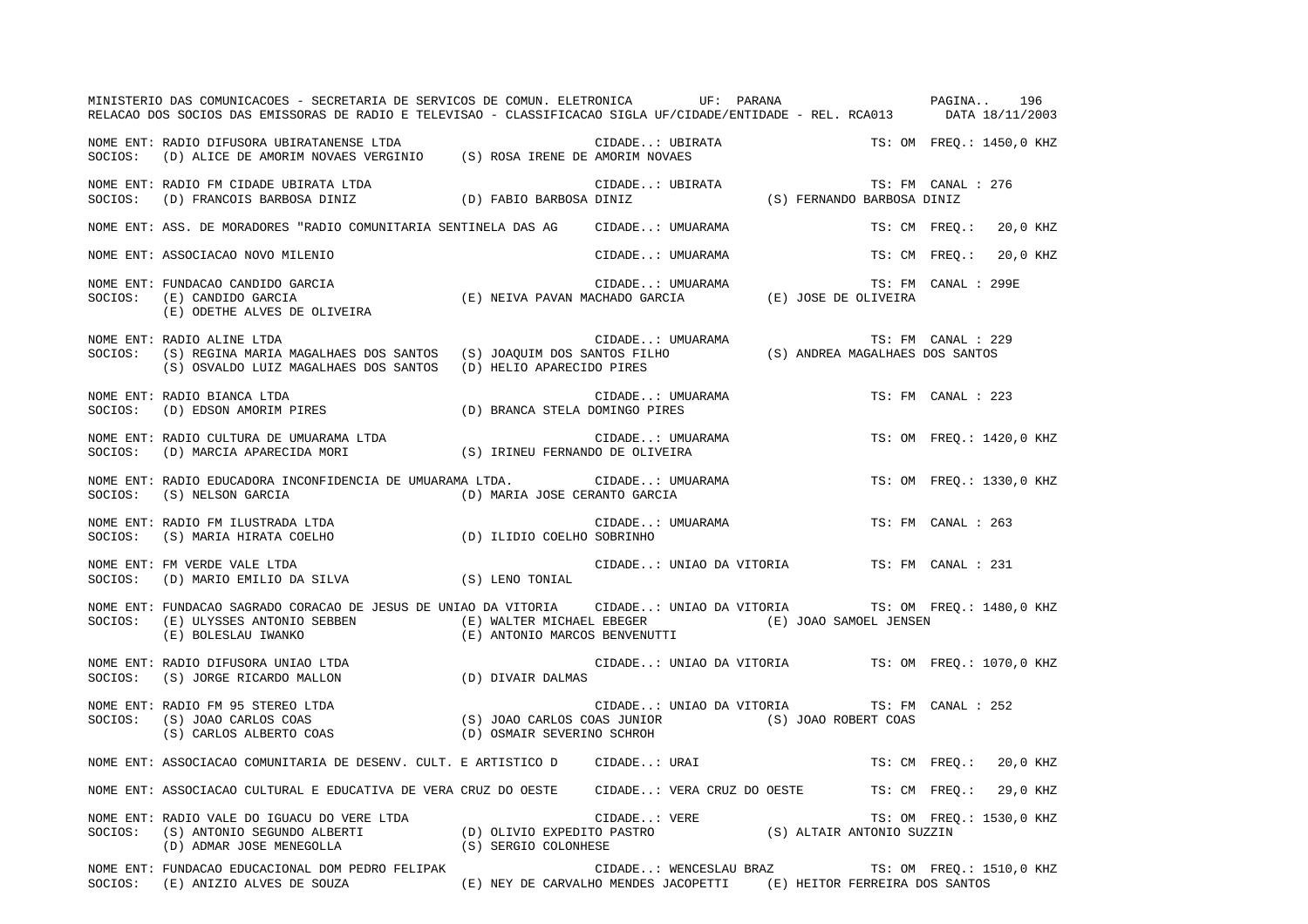|         | MINISTERIO DAS COMUNICACOES - SECRETARIA DE SERVICOS DE COMUN. ELETRONICA UF: PARANA VERENO DAS COMUNICACOES - SECRETARIA DE SERVICOS DE COMUN. ELETRONICA<br>RELACAO DOS SOCIOS DAS EMISSORAS DE RADIO E TELEVISAO - CLASSIFICACAO SIGLA UF/CIDADE/ENTIDADE - REL. RCA013 DATA 18/11/2003 |                                                                     |                  |                                             |                                                                    |
|---------|--------------------------------------------------------------------------------------------------------------------------------------------------------------------------------------------------------------------------------------------------------------------------------------------|---------------------------------------------------------------------|------------------|---------------------------------------------|--------------------------------------------------------------------|
|         |                                                                                                                                                                                                                                                                                            |                                                                     |                  |                                             | CIDADE: UBIRATA $\qquad$ TS: OM FREQ.: 1450,0 KHZ DE AMORIM NOVAES |
|         | NOME ENT: RADIO FM CIDADE UBIRATA LTDA<br>SOCIOS: (D) FRANCOIS BARBOSA DINIZ (D) FABIO BARBOSA DINIZ (S) FERNANDO BARBOSA DINIZ                                                                                                                                                            |                                                                     |                  |                                             | TS: FM CANAL : 276                                                 |
|         | NOME ENT: ASS. DE MORADORES "RADIO COMUNITARIA SENTINELA DAS AG CIDADE: UMUARAMA                                                                                                                                                                                                           |                                                                     |                  |                                             | TS: CM FREO.: 20,0 KHZ                                             |
|         | NOME ENT: ASSOCIACAO NOVO MILENIO                                                                                                                                                                                                                                                          |                                                                     | CIDADE: UMUARAMA |                                             | TS: CM FREQ.: 20,0 KHZ                                             |
| SOCIOS: | FUNDACAO CANDIDO GARCIA<br>(E) CANDIDO GARCIA (E) CANDIDO GARCIA<br>(E) CANDIDO GARCIA (E) ODETHE ALVES DE OLIVEIRA<br>(E) ODETHE ALVES DE OLIVEIRA<br>NOME ENT: FUNDACAO CANDIDO GARCIA<br>(E) CANDIDO GARCIA                                                                             |                                                                     |                  |                                             | TS: FM CANAL : 299E                                                |
| SOCIOS: | NOME ENT: RADIO ALINE LTDA<br>RADIO ALINE LTDA UTDA CIDADE: UMUARAMA TS: FM CANAL : 22<br>(S) REGINA MARIA MAGALHAES DOS SANTOS (S) JOAQUIM DOS SANTOS FILHO (S) ANDREA MAGALHAES DOS SANTOS<br>(S) OSVALDO LUIZ MAGALHAES DOS SANTOS (D) HELIO APARECIDO PIRES                            |                                                                     |                  |                                             | TS: FM CANAL : 229                                                 |
|         | NOTE ENI ABULO BIANCA LIDA (D) BRANCA STELA DOMINGO PIRES<br>SOCIOS: (D) EDSON AMORIM PIRES (D) BRANCA STELA DOMINGO PIRES                                                                                                                                                                 |                                                                     | CIDADE: UMUARAMA |                                             | TS: FM CANAL : 223                                                 |
|         | NOME ENT: RADIO CULTURA DE UMUARAMA LTDA<br>SOCIOS: (D) MARCIA APARECIDA MORI (S) IRINEU FERNANDO DE OLIVEIRA                                                                                                                                                                              |                                                                     | CIDADE: UMUARAMA |                                             | TS: OM FREQ.: 1420,0 KHZ                                           |
|         | NOME ENT: RADIO EDUCADORA INCONFIDENCIA DE UMUARAMA LTDA. CIDADE: UMUARAMA<br>SOCIOS: (S) NELSON GARCIA (D) MARIA JOSE CERANTO GARCIA                                                                                                                                                      |                                                                     |                  |                                             | TS: OM FREQ.: 1330,0 KHZ                                           |
|         | NOME ENT: RADIO FM ILUSTRADA LTDA (D) ILIDIO COELHO CIDADE:<br>SOCIOS: (S) MARIA HIRATA COELHO (D) ILIDIO COELHO SOBRINHO                                                                                                                                                                  |                                                                     | CIDADE: UMUARAMA |                                             | TS: FM CANAL : 263                                                 |
|         | NOME ENT: FM VERDE VALE LTDA<br>SOCIOS: (D) MARIO EMILIO DA SILVA (S) LENO TONIAL                                                                                                                                                                                                          |                                                                     |                  | CIDADE: UNIAO DA VITORIA TS: FM CANAL : 231 |                                                                    |
|         | NOME ENT: FUNDACAO SAGRADO CORACAO DE JESUS DE UNIAO DA VITORIA CIDADE: UNIAO DA VITORIA TS: OM FREQ.: 1480,0 KHZ                                                                                                                                                                          |                                                                     |                  |                                             |                                                                    |
|         | NOME ENT: RADIO DIFUSORA UNIAO LTDA<br>SOCIOS: (S) JORGE RICARDO MALLON (D) DIVAIR DALMAS                                                                                                                                                                                                  |                                                                     |                  |                                             | CIDADE: UNIAO DA VITORIA TS: OM FREQ.: 1070,0 KHZ                  |
|         | NOME ENT: RADIO FM 95 STEREO LTDA (S) JOAO CARLOS COAS CONSUMIDE: UNIAO DA VITORIA TS: FM SOCIOS: (S) JOAO CARLOS COAS (S) CARLOS ALBERTO COAS (D) OSMAIR SEVERINO SCHROH                                                                                                                  |                                                                     |                  |                                             | TS: FM CANAL : 252                                                 |
|         | NOME ENT: ASSOCIACAO COMUNITARIA DE DESENV. CULT. E ARTISTICO D CIDADE: URAI                                                                                                                                                                                                               |                                                                     |                  |                                             | TS: CM FREQ.: 20,0 KHZ                                             |
|         | NOME ENT: ASSOCIACAO CULTURAL E EDUCATIVA DE VERA CRUZ DO OESTE CIDADE: VERA CRUZ DO OESTE TS: CM FREQ.:                                                                                                                                                                                   |                                                                     |                  |                                             | 29,0 KHZ                                                           |
|         | NOME ENT: RADIO VALE DO IGUACU DO VERE LTDA<br>SOCIOS: (S) ANTONIO SEGUNDO ALBERTI (D) OLIVIO EXPEDITO PASTRO (S) ALTAIR ANTONIO SUZZIN<br>(D) ADMAR JOSE MENEGOLLA (S) SERGIO COLONHESE                                                                                                   |                                                                     |                  |                                             | TS: OM FREQ.: 1530,0 KHZ                                           |
|         | NOME ENT: FUNDACAO EDUCACIONAL DOM PEDRO FELIPAK<br>SOCIOS: (E) ANIZIO ALVES DE SOUZA                                                                                                                                                                                                      | (E) NEY DE CARVALHO MENDES JACOPETTI (E) HEITOR FERREIRA DOS SANTOS |                  |                                             | CIDADE: WENCESLAU BRAZ TS: OM FREQ.: 1510,0 KHZ                    |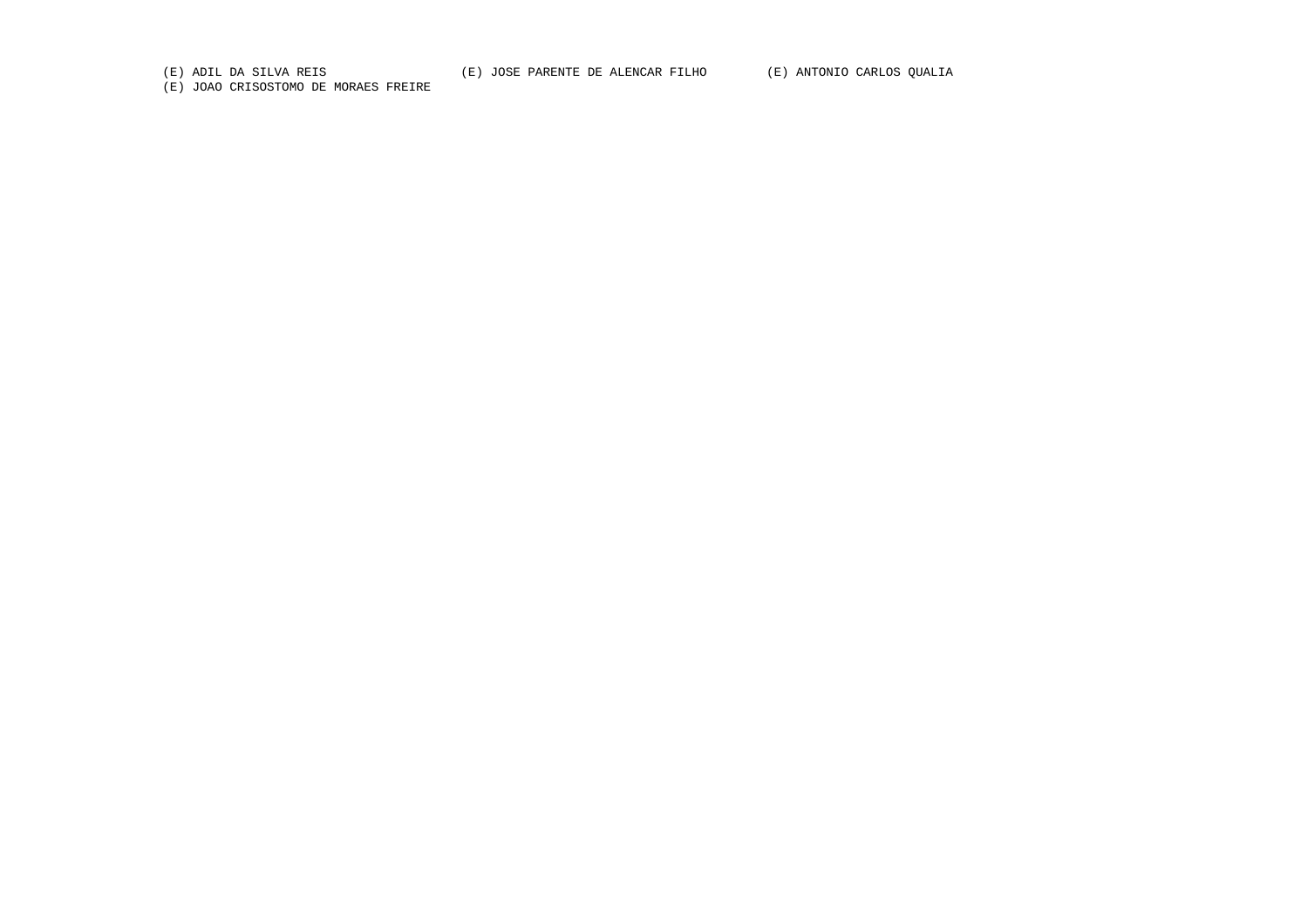(E) ADIL DA SILVA REIS (E) JOSE PARENTE DE ALENCAR FILHO (E) ANTONIO CARLOS QUALIA

(E) JOAO CRISOSTOMO DE MORAES FREIRE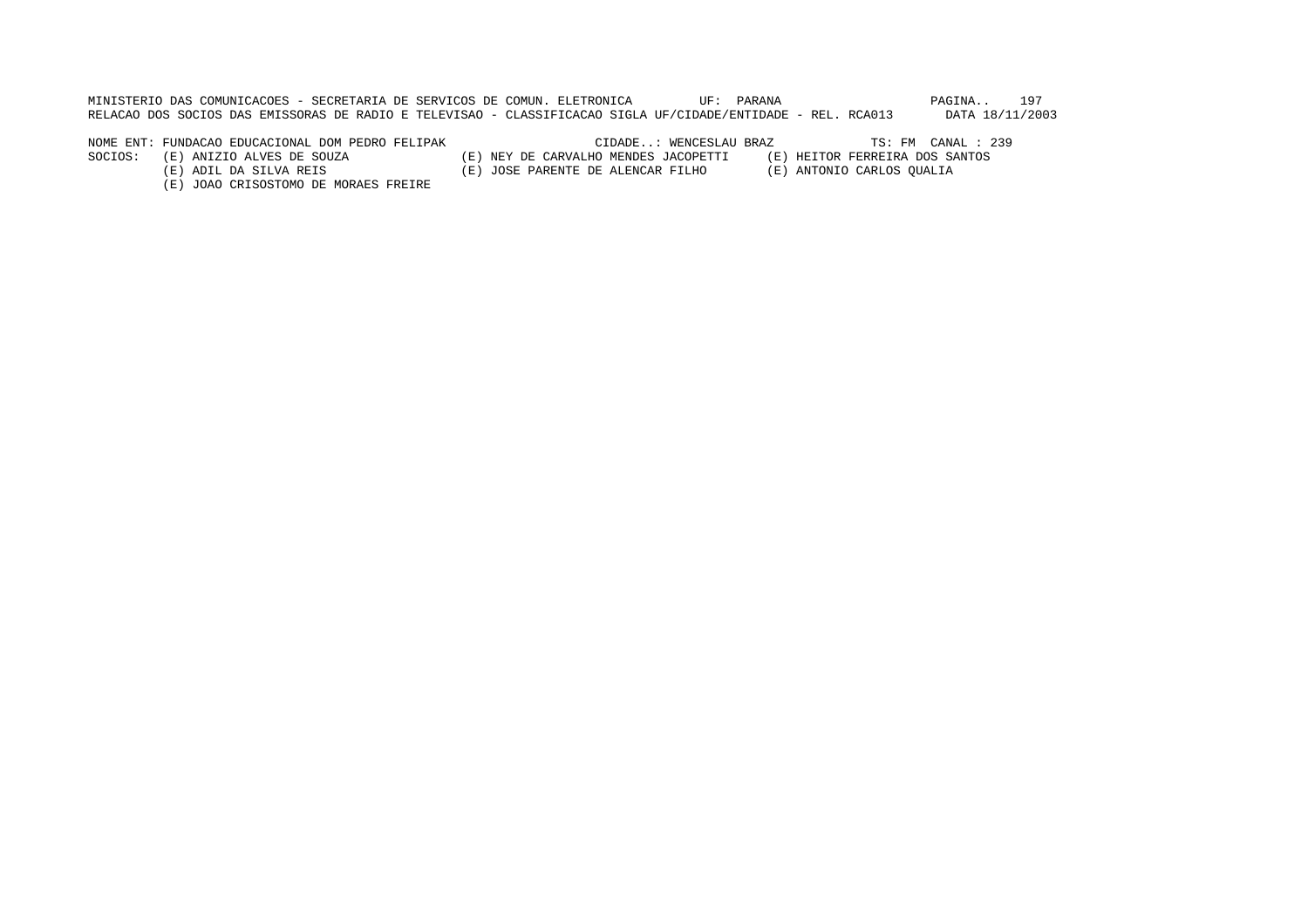MINISTERIO DAS COMUNICACOES - SECRETARIA DE SERVICOS DE COMUN. ELETRONICA UF: PARANA PAGINA.. 197RELACAO DOS SOCIOS DAS EMISSORAS DE RADIO E TELEVISAO - CLASSIFICACAO SIGLA UF/CIDADE/ENTIDADE - REL. RCA013 DATA 18/11/2003

NOME ENT: FUNDACAO EDUCACIONAL DOM PEDRO FELIPAK CIDADE..: WENCESLAU BRAZ TS: FM CANAL : 239

SOCIOS: (E) ANIZIO ALVES DE SOUZA (E) NEY DE CARVALHO MENDES JACOPETTI (E) HEITOR FERREIRA DOS SANTOS

- 
- (E) ADIL DA SILVA REIS (E) JOSE PARENTE DE ALENCAR FILHO (E) ANTONIO CARLOS QUALIA
	- (E) JOAO CRISOSTOMO DE MORAES FREIRE
- 
-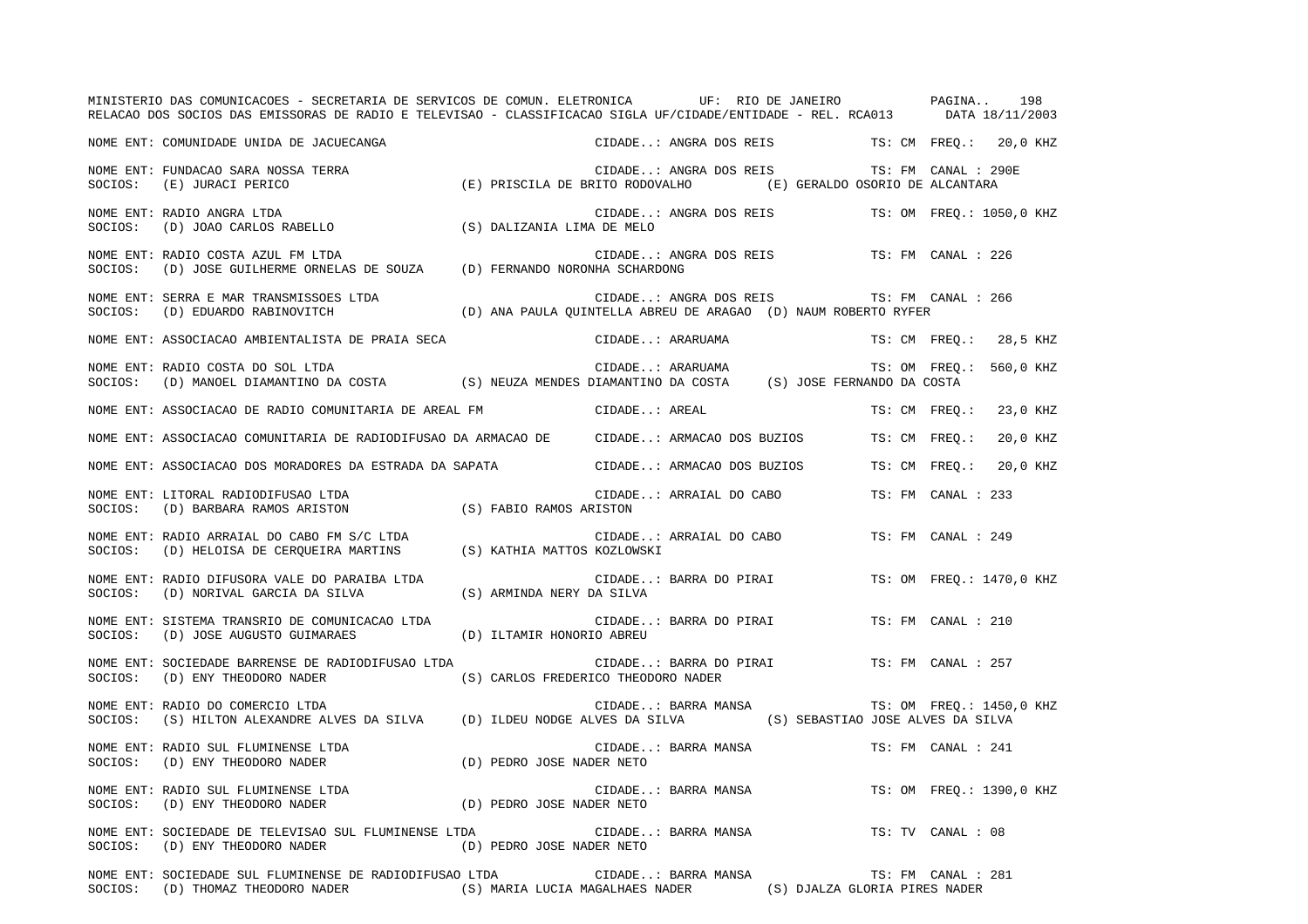|         | MINISTERIO DAS COMUNICACOES - SECRETARIA DE SERVICOS DE COMUN. ELETRONICA UF: RIO DE JANEIRO PAGINA 198<br>RELACAO DOS SOCIOS DAS EMISSORAS DE RADIO E TELEVISAO - CLASSIFICACAO SIGLA UF/CIDADE/ENTIDADE - REL. RCA013 DATA 18/11/2003 |                                                                 |                        |                                               |               |                     |                          |
|---------|-----------------------------------------------------------------------------------------------------------------------------------------------------------------------------------------------------------------------------------------|-----------------------------------------------------------------|------------------------|-----------------------------------------------|---------------|---------------------|--------------------------|
|         | NOME ENT: COMUNIDADE UNIDA DE JACUECANGA                                                                                                                                                                                                |                                                                 |                        | CIDADE: ANGRA DOS REIS TS: CM FREQ.: 20,0 KHZ |               |                     |                          |
| SOCIOS: | NOME ENT: FUNDACAO SARA NOSSA TERRA<br>(E) JURACI PERICO                                                                                                                                                                                | (E) PRISCILA DE BRITO RODOVALHO (E) GERALDO OSORIO DE ALCANTARA | CIDADE: ANGRA DOS REIS |                                               |               | TS: FM CANAL : 290E |                          |
| SOCIOS: | NOME ENT: RADIO ANGRA LTDA<br>(D) JOAO CARLOS RABELLO                                                                                                                                                                                   | (S) DALIZANIA LIMA DE MELO                                      |                        | CIDADE: ANGRA DOS REIS                        |               |                     | TS: OM FREQ.: 1050,0 KHZ |
| SOCIOS: | NOME ENT: RADIO COSTA AZUL FM LTDA<br>(D) JOSE GUILHERME ORNELAS DE SOUZA (D) FERNANDO NORONHA SCHARDONG                                                                                                                                |                                                                 |                        | CIDADE: ANGRA DOS REIS                        |               | TS: FM CANAL : 226  |                          |
| SOCIOS: | NOME ENT: SERRA E MAR TRANSMISSOES LTDA<br>(D) EDUARDO RABINOVITCH                                                                                                                                                                      | (D) ANA PAULA QUINTELLA ABREU DE ARAGAO (D) NAUM ROBERTO RYFER  | CIDADE: ANGRA DOS REIS |                                               |               | TS: FM CANAL : 266  |                          |
|         | NOME ENT: ASSOCIACAO AMBIENTALISTA DE PRAIA SECA                                                                                                                                                                                        |                                                                 | CIDADE: ARARUAMA       |                                               |               |                     | TS: CM FREQ.: 28,5 KHZ   |
| SOCIOS: | RADIO COSTA DO SOL LTDA CIDADE: ARARUAMA TS: OM FREQ.<br>(D) MANOEL DIAMANTINO DA COSTA (S) NEUZA MENDES DIAMANTINO DA COSTA (S) JOSE FERNANDO DA COSTA<br>NOME ENT: RADIO COSTA DO SOL LTDA                                            |                                                                 |                        |                                               |               |                     | TS: OM FREQ.: 560,0 KHZ  |
|         | NOME ENT: ASSOCIACAO DE RADIO COMUNITARIA DE AREAL FM                                                                                                                                                                                   |                                                                 | CIDADE: AREAL          |                                               | TS: CM FREO.: |                     | 23,0 KHZ                 |
|         | NOME ENT: ASSOCIACAO COMUNITARIA DE RADIODIFUSAO DA ARMACAO DE CIDADE: ARMACAO DOS BUZIOS                                                                                                                                               |                                                                 |                        |                                               | TS: CM FREO.: |                     | 20,0 KHZ                 |
|         | NOME ENT: ASSOCIACAO DOS MORADORES DA ESTRADA DA SAPATA                                                                                                                                                                                 |                                                                 |                        | CIDADE: ARMACAO DOS BUZIOS                    | TS: CM FREQ.: |                     | 20,0 KHZ                 |
| SOCIOS: | NOME ENT: LITORAL RADIODIFUSAO LTDA<br>(D) BARBARA RAMOS ARISTON (S) FABIO RAMOS ARISTON                                                                                                                                                |                                                                 |                        | CIDADE: ARRAIAL DO CABO                       |               | TS: FM CANAL : 233  |                          |
|         | NOME ENT: RADIO ARRAIAL DO CABO FM S/C LTDA<br>SOCIOS: (D) HELOISA DE CERQUEIRA MARTINS (S) KATHIA MATTOS KOZLOWSKI                                                                                                                     |                                                                 |                        | CIDADE: ARRAIAL DO CABO                       |               | TS: FM CANAL : 249  |                          |
| SOCIOS: | NOME ENT: RADIO DIFUSORA VALE DO PARAIBA LTDA<br>(D) NORIVAL GARCIA DA SILVA                                                                                                                                                            | (S) ARMINDA NERY DA SILVA                                       |                        | CIDADE: BARRA DO PIRAI                        |               |                     | TS: OM FREO.: 1470,0 KHZ |
| SOCIOS: | NOME ENT: SISTEMA TRANSRIO DE COMUNICACAO LTDA<br>(D) JOSE AUGUSTO GUIMARAES                                                                                                                                                            | (D) ILTAMIR HONORIO ABREU                                       |                        | CIDADE: BARRA DO PIRAI                        |               | TS: FM CANAL : 210  |                          |
| SOCIOS: | NOME ENT: SOCIEDADE BARRENSE DE RADIODIFUSAO LTDA<br>(D) ENY THEODORO NADER                                                                                                                                                             | (S) CARLOS FREDERICO THEODORO NADER                             |                        | CIDADE: BARRA DO PIRAI                        |               | TS: FM CANAL : 257  |                          |
| SOCIOS: | NOME ENT: RADIO DO COMERCIO LTDA<br>(S) HILTON ALEXANDRE ALVES DA SILVA (D) ILDEU NODGE ALVES DA SILVA (S) SEBASTIAO JOSE ALVES DA SILVA                                                                                                |                                                                 | CIDADE: BARRA MANSA    |                                               |               |                     | TS: OM FREQ.: 1450,0 KHZ |
| SOCIOS: | NOME ENT: RADIO SUL FLUMINENSE LTDA<br>(D) ENY THEODORO NADER                                                                                                                                                                           | (D) PEDRO JOSE NADER NETO                                       | CIDADE: BARRA MANSA    |                                               |               | TS: FM CANAL : 241  |                          |
| SOCIOS: | NOME ENT: RADIO SUL FLUMINENSE LTDA<br>(D) ENY THEODORO NADER (D) PEDRO JOSE NADER NETO                                                                                                                                                 |                                                                 | CIDADE: BARRA MANSA    |                                               |               |                     | TS: OM FREQ.: 1390,0 KHZ |
| SOCIOS: | NOME ENT: SOCIEDADE DE TELEVISAO SUL FLUMINENSE LTDA<br>(D) ENY THEODORO NADER                                                                                                                                                          | (D) PEDRO JOSE NADER NETO                                       | CIDADE: BARRA MANSA    |                                               |               | TS: TV CANAL : 08   |                          |
|         | NOME ENT: SOCIEDADE SUL FLUMINENSE DE RADIODIFUSAO LTDA<br>SOCIOS: (D) THOMAZ THEODORO NADER (S) MARIA LUCIA MAGALHAES NADER (S) DJALZA GLORIA PIRES NADER                                                                              |                                                                 | CIDADE: BARRA MANSA    |                                               |               | TS: FM CANAL : 281  |                          |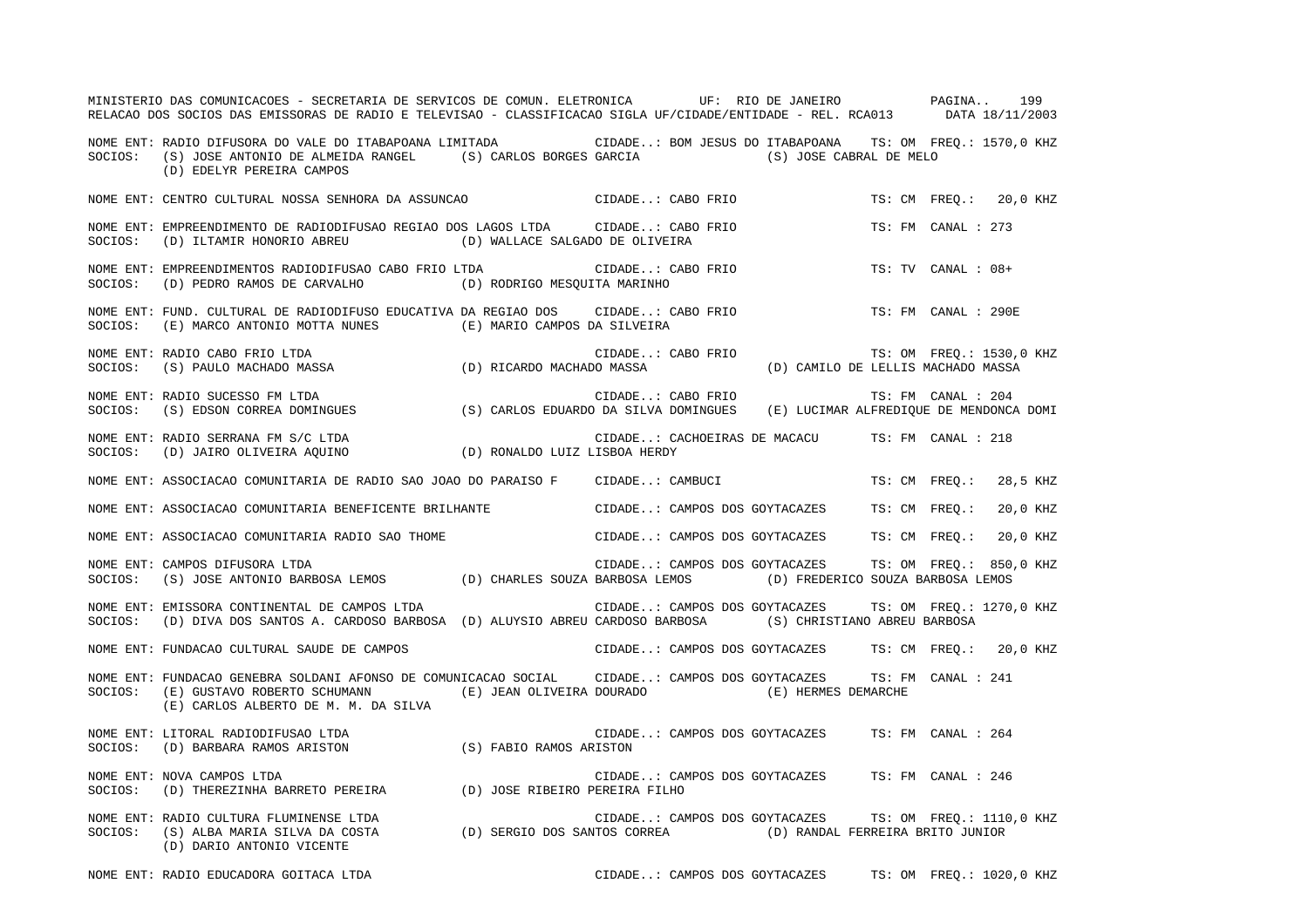|         | MINISTERIO DAS COMUNICACOES - SECRETARIA DE SERVICOS DE COMUN. ELETRONICA UF: RIO DE JANEIRO PAGINA 199<br>RELACAO DOS SOCIOS DAS EMISSORAS DE RADIO E TELEVISAO - CLASSIFICACAO SIGLA UF/CIDADE/ENTIDADE - REL. RCA013 DATA 18/11/2003        |                                                        |  |                    |                          |
|---------|------------------------------------------------------------------------------------------------------------------------------------------------------------------------------------------------------------------------------------------------|--------------------------------------------------------|--|--------------------|--------------------------|
|         | NOME ENT: RADIO DIFUSORA DO VALE DO ITABAPOANA LIMITADA CIDADE: BOM JESUS DO ITABAPOANA TS: OM FREQ.: 1570,0 KHZ<br>SOCIOS: (S) JOSE ANTONIO DE ALMEIDA RANGEL (S) CARLOS BORGES GARCIA (S) JOSE CABRAL DE MELO<br>(D) EDELYR PEREIRA CAMPOS   |                                                        |  |                    |                          |
|         | NOME ENT: CENTRO CULTURAL NOSSA SENHORA DA ASSUNCAO                         CIDADE CABO FRIO                                                                                                                                                   |                                                        |  |                    | TS: CM FREQ.: 20,0 KHZ   |
|         | NOME ENT: EMPREENDIMENTO DE RADIODIFUSAO REGIAO DOS LAGOS LTDA CIDADE: CABO FRIO<br>SOCIOS: (D) ILTAMIR HONORIO ABREU (D) WALLACE SALGADO DE OLIVEIRA                                                                                          |                                                        |  | TS: FM CANAL : 273 |                          |
|         |                                                                                                                                                                                                                                                |                                                        |  | TS: TV CANAL : 08+ |                          |
| SOCIOS: | NOME ENT: FUND. CULTURAL DE RADIODIFUSO EDUCATIVA DA REGIAO DOS CIDADE: CABO FRIO TS: FM CANAL : 290E<br>(E) MARCO ANTONIO MOTTA NUNES (E) MARIO CAMPOS DA SILVEIRA                                                                            |                                                        |  |                    |                          |
| SOCIOS: | NOME ENT: RADIO CABO FRIO LTDA<br>RADIO CABO FRIO LIDA CIDADE: CABO FRIO TS: OM FREQ.: 1530,0<br>(S) PAULO MACHADO MASSA (D) RICARDO MACHADO MASSA (D) CAMILO DE LELLIS MACHADO MASSA                                                          | CIDADE: CABO FRIO                                      |  |                    | TS: OM FREQ.: 1530,0 KHZ |
| SOCIOS: | NOME ENT: RADIO SUCESSO FM LTDA                                                                                                                                                                                                                |                                                        |  |                    |                          |
|         |                                                                                                                                                                                                                                                | CIDADE: CACHOEIRAS DE MACACU TS: FM CANAL : 218        |  |                    |                          |
|         | NOME ENT: ASSOCIACAO COMUNITARIA DE RADIO SAO JOAO DO PARAISO F CIDADE: CAMBUCI TES CM TREQ.: 28,5 KHZ                                                                                                                                         |                                                        |  |                    |                          |
|         | NOME ENT: ASSOCIACAO COMUNITARIA BENEFICENTE BRILHANTE CIDADE: CAMPOS DOS GOYTACAZES TS: CM FREQ.: 20,0 KHZ                                                                                                                                    |                                                        |  |                    |                          |
|         | NOME ENT: ASSOCIACAO COMUNITARIA RADIO SAO THOME                                                                                                                                                                                               | CIDADE: CAMPOS DOS GOYTACAZES TS: CM FREQ.: 20,0 KHZ   |  |                    |                          |
|         | NOME ENT: CAMPOS DIFUSORA LTDA<br>SOCIOS: (S) JOSE ANTONIO BARBOSA LEMOS (D) CHARLES SOUZA BARBOSA LEMOS (D) FREDERICO SOUZA BARBOSA LEMOS                                                                                                     | CIDADE: CAMPOS DOS GOYTACAZES TS: OM FREQ.: 850,0 KHZ  |  |                    |                          |
|         | NOME ENT: EMISSORA CONTINENTAL DE CAMPOS LTDA<br>SOCIOS: (D) DIVA DOS SANTOS A. CARDOSO BARBOSA (D) ALUYSIO ABREU CARDOSO BARBOSA (S) CHRISTIANO ABREU BARBOSA                                                                                 | CIDADE: CAMPOS DOS GOYTACAZES TS: OM FREQ.: 1270,0 KHZ |  |                    |                          |
|         | NOME ENT: FUNDACAO CULTURAL SAUDE DE CAMPOS (2009) CODADE: CAMPOS DOS GOYTACAZES TS: CM FREQ.: 20,0 KHZ                                                                                                                                        |                                                        |  |                    |                          |
|         | NOME ENT: FUNDACAO GENEBRA SOLDANI AFONSO DE COMUNICACAO SOCIAL CIDADE: CAMPOS DOS GOYTACAZES TS: FM CANAL : 241<br>SOCIOS: (E) GUSTAVO ROBERTO SCHUMANN (E) JEAN OLIVEIRA DOURADO (E) HERMES DEMARCHE<br>(E) CARLOS ALBERTO DE M. M. DA SILVA |                                                        |  |                    |                          |
|         | NOME ENT: LITORAL RADIODIFUSAO LTDA<br>SOCIOS:   (D) BARBARA RAMOS ARISTON                           (S) FABIO RAMOS ARISTON                                                                                                                   |                                                        |  |                    |                          |
|         | NOME ENT: NOVA CAMPOS LTDA<br>SOCIOS: (D) THEREZINHA BARRETO PEREIRA (D) JOSE RIBEIRO PEREIRA FILHO                                                                                                                                            | CIDADE: CAMPOS DOS GOYTACAZES TS: FM CANAL : 246       |  |                    |                          |
|         | (D) DARIO ANTONIO VICENTE                                                                                                                                                                                                                      | CIDADE: CAMPOS DOS GOYTACAZES TS: OM FREQ.: 1110,0 KHZ |  |                    |                          |

NOME ENT: RADIO EDUCADORA GOITACA LTDA CIDADE..: CAMPOS DOS GOYTACAZES TS: OM FREQ.: 1020,0 KHZ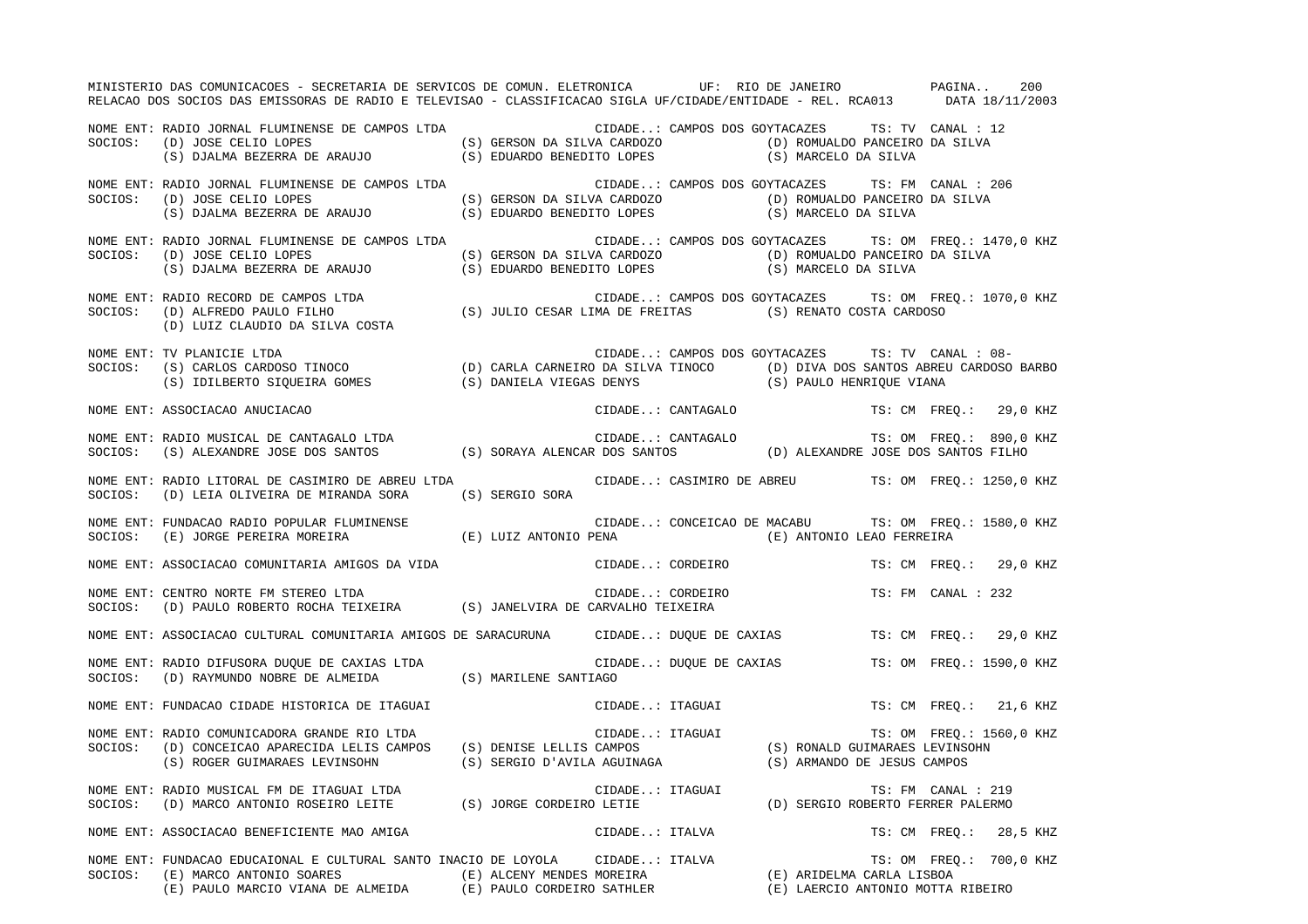|         | MINISTERIO DAS COMUNICACOES - SECRETARIA DE SERVICOS DE COMUN. ELETRONICA UF: RIO DE JANEIRO PAGINA<br>RELACAO DOS SOCIOS DAS EMISSORAS DE RADIO E TELEVISAO - CLASSIFICACAO SIGLA UF/CIDADE/ENTIDADE - REL. RCA013 DATA 18/11/2003                                         |  |                               |  |                                                        |                          | 200 |  |
|---------|-----------------------------------------------------------------------------------------------------------------------------------------------------------------------------------------------------------------------------------------------------------------------------|--|-------------------------------|--|--------------------------------------------------------|--------------------------|-----|--|
| SOCIOS: | NOME ENT: RADIO JORNAL FLUMINENSE DE CAMPOS LTDA<br>(D) JOSE CELIO LOPES (S) GERSON DA SILVA CARDOZO (D) ROMUALDO PANCEIRO DA SILVA (S) DJALMA BEZERRA DE ARAUJO (S) EDUARDO BENEDITO LOPES (S) MARCELO DA SILVA<br>(D) JOSE CELIO LOPES                                    |  |                               |  | CIDADE: CAMPOS DOS GOYTACAZES TS: TV CANAL : 12        |                          |     |  |
| SOCIOS: | NOME ENT: RADIO JORNAL FLUMINENSE DE CAMPOS LTDA<br>(D) JOSE CELIO LOPES (S) GERSON DA SILVA CARDOZO (D) ROMUALDO PANCEIRO DA SILVA<br>(S) DJALMA BEZERRA DE ARAUJO (S) EDUARDO BENEDITO LOPES (S) MARCELO DA SILVA                                                         |  | CIDADE: CAMPOS DOS GOYTACAZES |  | TS: FM CANAL : 206                                     |                          |     |  |
| SOCIOS: | NOME ENT: RADIO JORNAL FLUMINENSE DE CAMPOS LTDA<br>(D) JOSE CELIO LOPES (S) GERSON DA SILVA CARDOZO (D) ROMUALDO PANCEIRO DA SILVA (S) DJALMA BEZERRA DE ARAUJO (S) EDUARDO BENEDITO LOPES (S) MARCELO DA SILVA                                                            |  |                               |  | CIDADE: CAMPOS DOS GOYTACAZES TS: OM FREQ.: 1470,0 KHZ |                          |     |  |
|         | NOME ENT: RADIO RECORD DE CAMPOS LTDA<br>SOCIOS:   (D) ALFREDO PAULO FILHO                           (S) JULIO CESAR LIMA DE FREITAS           (S) RENATO COSTA CARDOSO<br>(D) LUIZ CLAUDIO DA SILVA COSTA                                                                  |  |                               |  | CIDADE: CAMPOS DOS GOYTACAZES TS: OM FREQ.: 1070,0 KHZ |                          |     |  |
| SOCIOS: | NOME ENT: TV PLANICIE LTDA<br>(S) CARLOS CARDOSO TINOCO (D) CARLA CARNEIRO DA SILVA TINOCO (D) DIVA DOS SANTOS ABREU CARDOSO BARBO<br>(S) IDILBERTO SIQUEIRA GOMES (S) DANIELA VIEGAS DENYS (S) PAULO HENRIQUE VIANA                                                        |  |                               |  | CIDADE: CAMPOS DOS GOYTACAZES TS: TV CANAL : 08-       |                          |     |  |
|         | NOME ENT: ASSOCIACAO ANUCIACAO                                                                                                                                                                                                                                              |  | CIDADE: CANTAGALO             |  | TS: CM FREQ.: 29,0 KHZ                                 |                          |     |  |
|         | NOME ENT: RADIO MUSICAL DE CANTAGALO LTDA<br>SOCIOS: (S) ALEXANDRE JOSE DOS SANTOS (S) SORAYA ALENCAR DOS SANTOS (D) ALEXANDRE JOSE DOS SANTOS FILHO                                                                                                                        |  |                               |  |                                                        | TS: OM FREQ.: 890,0 KHZ  |     |  |
|         | NOME ENT: RADIO LITORAL DE CASIMIRO DE ABREU LTDA<br>SOCIOS: (D) LEIA OLIVEIRA DE MIRANDA SORA (S) SERGIO SORA                                                                                                                                                              |  |                               |  | CIDADE: CASIMIRO DE ABREU TS: OM FREQ.: 1250,0 KHZ     |                          |     |  |
|         | NOME ENT: FUNDACAO RADIO POPULAR FLUMINENSE<br>SOCIOS: (E) JORGE PEREIRA MOREIRA (E) LUIZ ANTONIO PENA (E) ANTONIO LEAO FERREIRA                                                                                                                                            |  |                               |  | CIDADE: CONCEICAO DE MACABU TS: OM FREQ.: 1580,0 KHZ   |                          |     |  |
|         | NOME ENT: ASSOCIACAO COMUNITARIA AMIGOS DA VIDA                                                                                                                                                                                                                             |  | CIDADE: CORDEIRO              |  |                                                        | TS: CM FREQ.: 29,0 KHZ   |     |  |
| SOCIOS: | NOME ENT: CENTRO NORTE FM STEREO LTDA<br>(D) PAULO ROBERTO ROCHA TEIXEIRA (S) JANELVIRA DE CARVALHO TEIXEIRA                                                                                                                                                                |  | CIDADE: CORDEIRO              |  |                                                        | TS: FM CANAL : 232       |     |  |
|         | NOME ENT: ASSOCIACAO CULTURAL COMUNITARIA AMIGOS DE SARACURUNA       CIDADE: DUQUE DE CAXIAS                                                                                                                                                                                |  |                               |  |                                                        | TS: CM FREQ.: 29,0 KHZ   |     |  |
|         | NOME ENT: RADIO DIFUSORA DUQUE DE CAXIAS LTDA (S) MARILENE SANTIAGO<br>SOCIOS: (D) RAYMUNDO NOBRE DE ALMEIDA (S) MARILENE SANTIAGO                                                                                                                                          |  | CIDADE: DUQUE DE CAXIAS       |  | TS: OM FREQ.: 1590,0 KHZ                               |                          |     |  |
|         | NOME ENT: FUNDACAO CIDADE HISTORICA DE ITAGUAI                                                                                                                                                                                                                              |  | CIDADE: ITAGUAI               |  |                                                        | TS: CM FREQ.: 21,6 KHZ   |     |  |
| SOCIOS: | RADIO COMUNICADORA GRANDE RIO LTDA<br>(D) CONCEICAO APARECIDA LELIS CAMPOS (S) DENISE LELLIS CAMPOS (S) RONALD GUIMARAES LEVINSOHN<br>(S) ROGER GUIMARAES LEVINSOHN (S) SERGIO D'AVILA AGUINAGA (S) ARMANDO DE JESUS CAMPOS<br>NOME ENT: RADIO COMUNICADORA GRANDE RIO LTDA |  |                               |  |                                                        | TS: OM FREQ.: 1560,0 KHZ |     |  |
|         | NOME ENT: RADIO MUSICAL FM DE ITAGUAI LTDA<br>SOCIOS: (D) MARCO ANTONIO ROSEIRO LEITE (S) JORGE CORDEIRO LETIE                                                                                                                                                              |  |                               |  |                                                        |                          |     |  |
|         | NOME ENT: ASSOCIACAO BENEFICIENTE MAO AMIGA                                                                                                                                                                                                                                 |  | CIDADE: ITALVA                |  |                                                        | TS: CM FREO.: 28,5 KHZ   |     |  |
|         | NOME ENT: FUNDACAO EDUCAIONAL E CULTURAL SANTO INACIO DE LOYOLA CIDADE: ITALVA (E) ARIDELMA CARLA LISBOA<br>SOCIOS: (E) MARCO ANTONIO SOARES (E) ALCENY MENDES MOREIRA (E) ARIDELMA CARLA LISBOA<br>(E) PAULO MARCIO VIANA DE ALME                                          |  |                               |  |                                                        | TS: OM FREQ.: 700,0 KHZ  |     |  |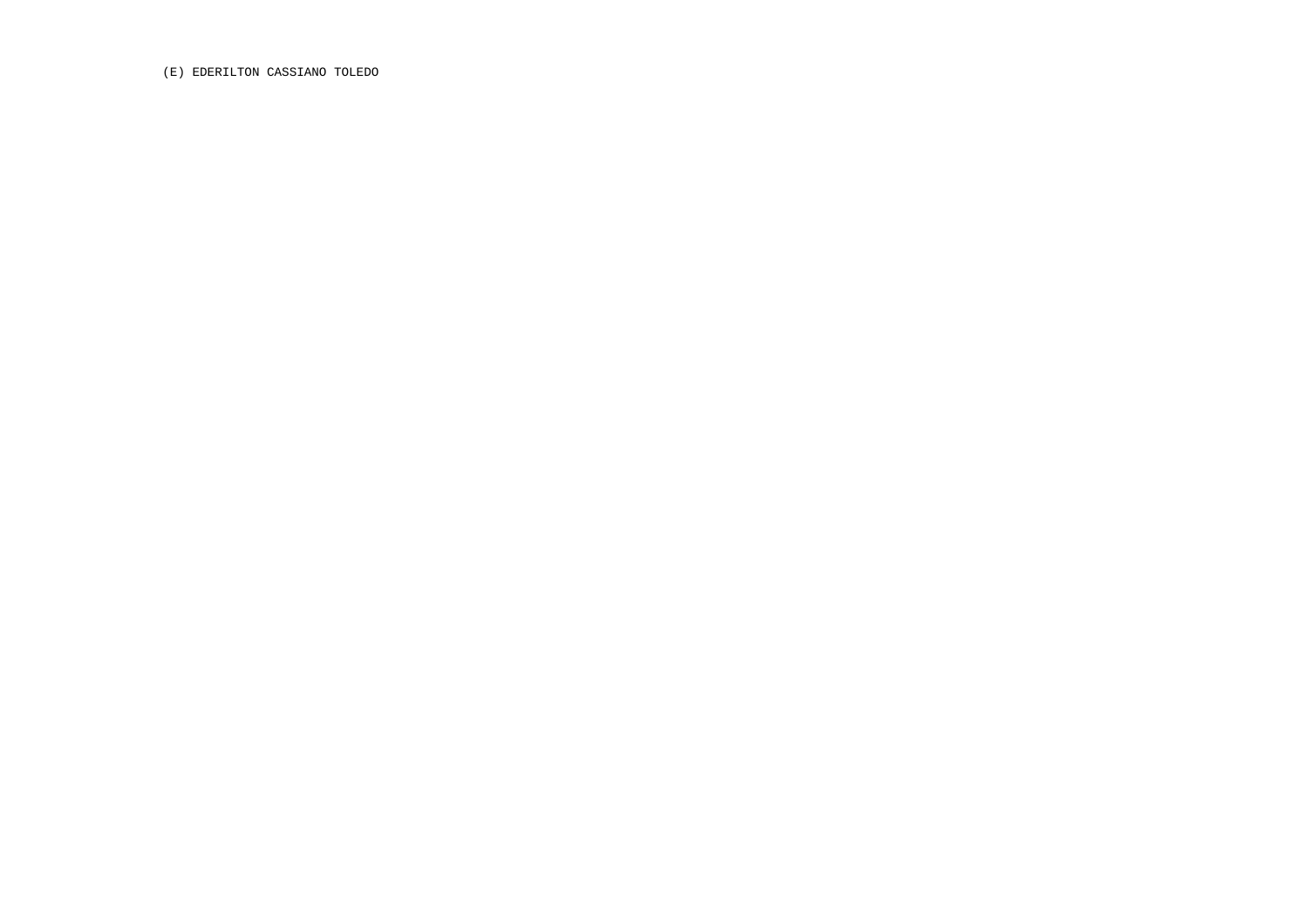(E) EDERILTON CASSIANO TOLEDO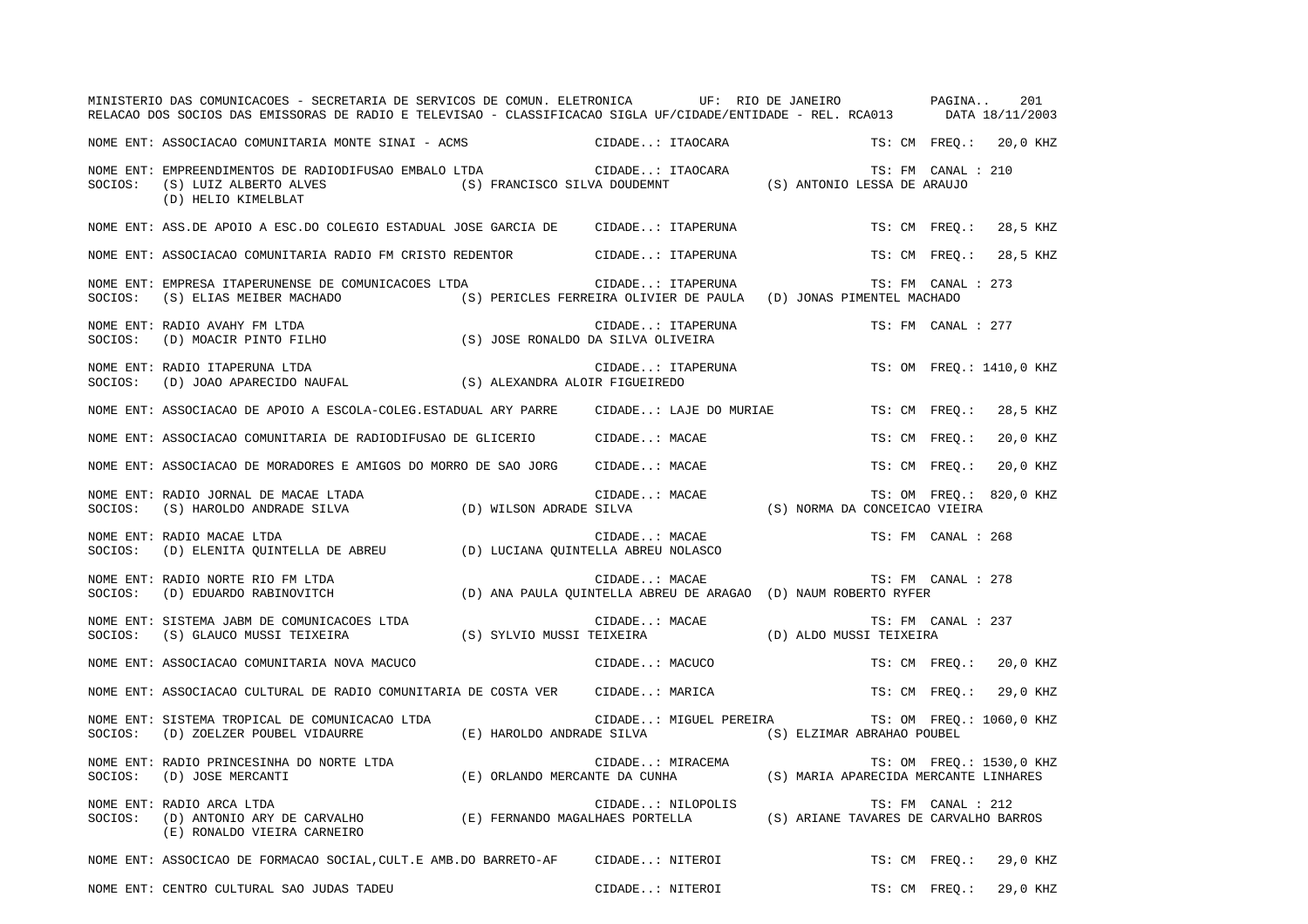|         | MINISTERIO DAS COMUNICACOES - SECRETARIA DE SERVICOS DE COMUN. ELETRONICA UF: RIO DE JANEIRO PAGINA<br>RELACAO DOS SOCIOS DAS EMISSORAS DE RADIO E TELEVISAO - CLASSIFICACAO SIGLA UF/CIDADE/ENTIDADE - REL. RCA013 DATA 18/11/2003 |                                                                                                                |                   |                        |                               |                    | 201                      |
|---------|-------------------------------------------------------------------------------------------------------------------------------------------------------------------------------------------------------------------------------------|----------------------------------------------------------------------------------------------------------------|-------------------|------------------------|-------------------------------|--------------------|--------------------------|
|         | NOME ENT: ASSOCIACAO COMUNITARIA MONTE SINAI - ACMS                                                                                                                                                                                 |                                                                                                                | CIDADE: ITAOCARA  |                        |                               |                    | TS: CM FREQ.: 20,0 KHZ   |
| SOCIOS: | NOME ENT: EMPREENDIMENTOS DE RADIODIFUSAO EMBALO LTDA<br>(S) LUIZ ALBERTO ALVES<br>(D) HELIO KIMELBLAT                                                                                                                              | (S) FRANCISCO SILVA DOUDEMNT (S) ANTONIO LESSA DE ARAUJO                                                       | CIDADE: ITAOCARA  |                        |                               | TS: FM CANAL : 210 |                          |
|         | NOME ENT: ASS.DE APOIO A ESC.DO COLEGIO ESTADUAL JOSE GARCIA DE CIDADE: ITAPERUNA                                                                                                                                                   |                                                                                                                |                   |                        |                               | TS: CM FREO.:      | 28,5 KHZ                 |
|         | NOME ENT: ASSOCIACAO COMUNITARIA RADIO FM CRISTO REDENTOR                                                                                                                                                                           |                                                                                                                |                   | CIDADE: ITAPERUNA      |                               |                    | TS: CM FREQ.: 28,5 KHZ   |
| SOCIOS: | NOME ENT: EMPRESA ITAPERUNENSE DE COMUNICACOES LTDA<br>(S) ELIAS MEIBER MACHADO                                                                                                                                                     | (S) PERICLES FERREIRA OLIVIER DE PAULA (D) JONAS PIMENTEL MACHADO                                              | CIDADE: ITAPERUNA |                        |                               | TS: FM CANAL : 273 |                          |
| SOCIOS: | NOME ENT: RADIO AVAHY FM LTDA<br>(D) MOACIR PINTO FILHO                                                                                                                                                                             | (S) JOSE RONALDO DA SILVA OLIVEIRA                                                                             | CIDADE: ITAPERUNA |                        |                               | TS: FM CANAL : 277 |                          |
| SOCIOS: | NOME ENT: RADIO ITAPERUNA LTDA<br>RADIO ITAPERUNA LTDA<br>(D) JOAO APARECIDO NAUFAL (S) ALEXANDRA ALOIR FIGUEIREDO                                                                                                                  |                                                                                                                |                   | CIDADE: ITAPERUNA      |                               |                    | TS: OM FREQ.: 1410,0 KHZ |
|         | NOME ENT: ASSOCIACAO DE APOIO A ESCOLA-COLEG.ESTADUAL ARY PARRE     CIDADE: LAJE DO MURIAE                                                                                                                                          |                                                                                                                |                   |                        |                               | TS: CM FREO.:      | 28,5 KHZ                 |
|         | NOME ENT: ASSOCIACAO COMUNITARIA DE RADIODIFUSAO DE GLICERIO CIDADE: MACAE                                                                                                                                                          |                                                                                                                |                   |                        |                               | TS: CM FREQ.:      | 20,0 KHZ                 |
|         | NOME ENT: ASSOCIACAO DE MORADORES E AMIGOS DO MORRO DE SAO JORG                                                                                                                                                                     |                                                                                                                | CIDADE: MACAE     |                        |                               | TS: CM FREO.:      | 20,0 KHZ                 |
| SOCIOS: | NOME ENT: RADIO JORNAL DE MACAE LTADA<br>(S) HAROLDO ANDRADE SILVA                                                                                                                                                                  | (D) WILSON ADRADE SILVA                                                                                        | CIDADE: MACAE     |                        | (S) NORMA DA CONCEICAO VIEIRA |                    | TS: OM FREO.: 820,0 KHZ  |
| SOCIOS: | NOME ENT: RADIO MACAE LTDA<br>(D) ELENITA QUINTELLA DE ABREU (D) LUCIANA QUINTELLA ABREU NOLASCO                                                                                                                                    |                                                                                                                | CIDADE: MACAE     |                        |                               | TS: FM CANAL : 268 |                          |
| SOCIOS: | NOME ENT: RADIO NORTE RIO FM LTDA<br>(D) EDUARDO RABINOVITCH                                                                                                                                                                        | (D) ANA PAULA QUINTELLA ABREU DE ARAGAO (D) NAUM ROBERTO RYFER                                                 | CIDADE: MACAE     |                        |                               | TS: FM CANAL : 278 |                          |
| SOCIOS: | NOME ENT: SISTEMA JABM DE COMUNICACOES LTDA<br>(S) GLAUCO MUSSI TEIXEIRA                                                                                                                                                            | (S) SYLVIO MUSSI TEIXEIRA (D) ALDO MUSSI TEIXEIRA                                                              | CIDADE: MACAE     |                        |                               | TS: FM CANAL : 237 |                          |
|         | NOME ENT: ASSOCIACAO COMUNITARIA NOVA MACUCO                                                                                                                                                                                        |                                                                                                                | CIDADE: MACUCO    |                        |                               |                    | TS: CM FREQ.: 20,0 KHZ   |
|         | NOME ENT: ASSOCIACAO CULTURAL DE RADIO COMUNITARIA DE COSTA VER CIDADE: MARICA                                                                                                                                                      |                                                                                                                |                   |                        |                               | TS: CM FREQ.:      | 29,0 KHZ                 |
| SOCIOS: | NOME ENT: SISTEMA TROPICAL DE COMUNICACAO LTDA<br>(D) ZOELZER POUBEL VIDAURRE                                                                                                                                                       | (E) HAROLDO ANDRADE SILVA                                                                                      |                   | CIDADE: MIGUEL PEREIRA | (S) ELZIMAR ABRAHAO POUBEL    |                    | TS: OM FREO.: 1060,0 KHZ |
| SOCIOS: | NOME ENT: RADIO PRINCESINHA DO NORTE LTDA<br>(D) JOSE MERCANTI                                                                                                                                                                      | CIDADE: MIRACEMA TS: OM FREQ.: 1530,0 K<br>E) ORLANDO MERCANTE DA CUNHA (S) MARIA APARECIDA MERCANTE LINHARES) |                   |                        |                               |                    | TS: OM FREQ.: 1530,0 KHZ |
| SOCIOS: | NOME ENT: RADIO ARCA LTDA<br>(D) ANTONIO ARY DE CARVALHO (E) FERNANDO MAGALHAES PORTELLA (S) ARIANE TAVARES DE CARVALHO BARROS<br>(E) RONALDO VIEIRA CARNEIRO                                                                       |                                                                                                                | CIDADE: NILOPOLIS |                        |                               | TS: FM CANAL : 212 |                          |
|         | NOME ENT: ASSOCICAO DE FORMACAO SOCIAL, CULT.E AMB.DO BARRETO-AF CIDADE: NITEROI                                                                                                                                                    |                                                                                                                |                   |                        |                               |                    | TS: CM FREO.: 29,0 KHZ   |
|         | NOME ENT: CENTRO CULTURAL SAO JUDAS TADEU                                                                                                                                                                                           |                                                                                                                | CIDADE: NITEROI   |                        |                               |                    | TS: CM FREO.: 29,0 KHZ   |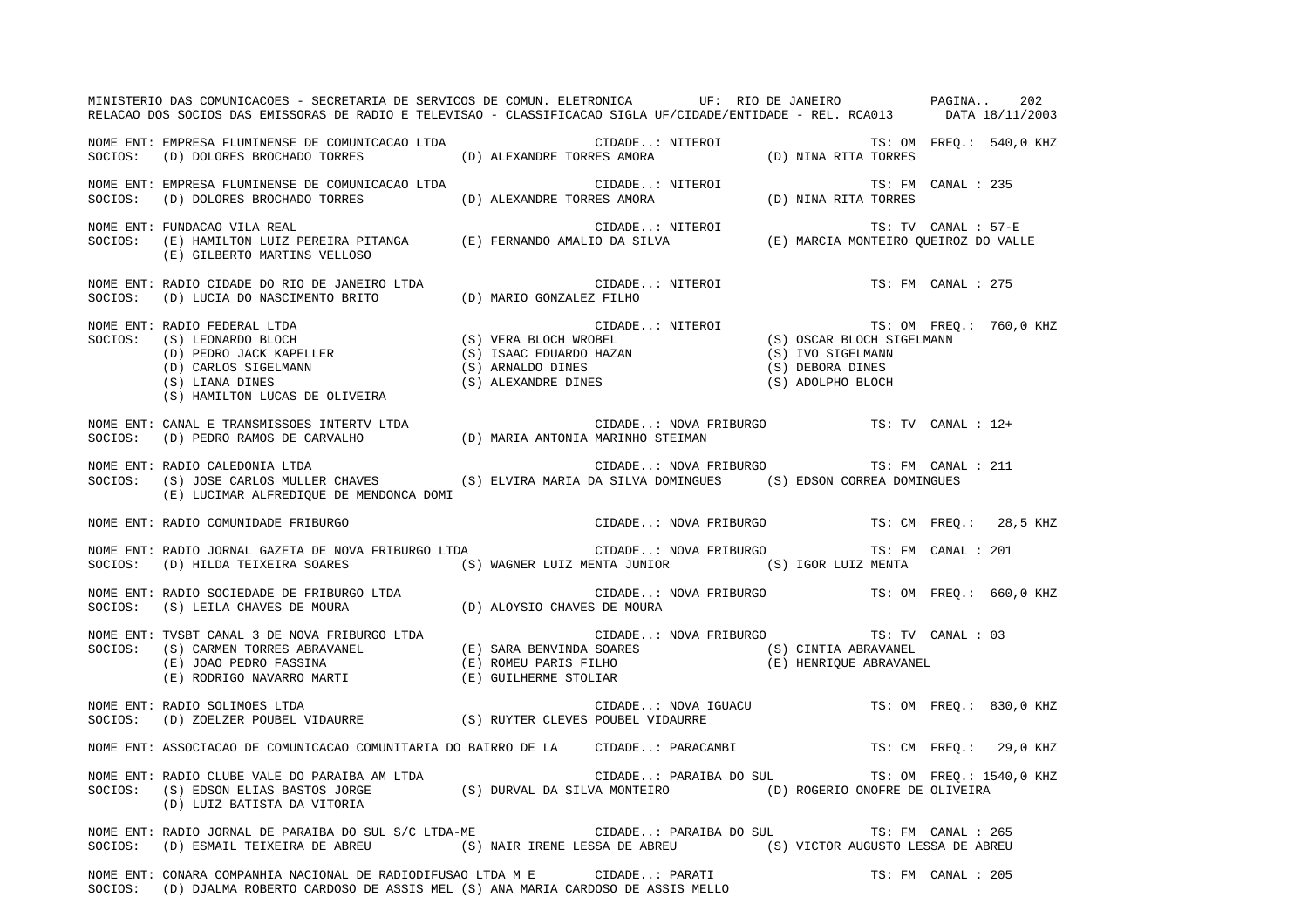|         | MINISTERIO DAS COMUNICACOES - SECRETARIA DE SERVICOS DE COMUN. ELETRONICA UF: RIO DE JANEIRO PAGINA<br>RELACAO DOS SOCIOS DAS EMISSORAS DE RADIO E TELEVISAO - CLASSIFICACAO SIGLA UF/CIDADE/ENTIDADE - REL. RCA013 DATA 18/11/2003                            |  |                 |                                                 |                         | 202 |
|---------|----------------------------------------------------------------------------------------------------------------------------------------------------------------------------------------------------------------------------------------------------------------|--|-----------------|-------------------------------------------------|-------------------------|-----|
|         | NOME ENT: EMPRESA FLUMINENSE DE COMUNICACAO LTDA<br>SOCIOS: (D) DOLORES BROCHADO TORRES (D) ALEXANDRE TORRES AMORA (D) NINA RITA TORRES                                                                                                                        |  |                 |                                                 |                         |     |
|         | NOME ENT: EMPRESA FLUMINENSE DE COMUNICACAO LTDA<br>SOCIOS:    (D) DOLORES BROCHADO TORRES                              (D) ALEXANDRE TORRES AMORA                    (D) NINA RITA TORRES                                                                     |  |                 | TS: FM CANAL : 235                              |                         |     |
|         | NOME ENT: FUNDACAO VILA REAL :<br>SOCIOS:   (E) HAMILTON LUIZ PEREIRA PITANGA         (E) FERNANDO AMALIO DA SILVA             (E) MARCIA MONTEIRO QUEIROZ DO VALLE<br>(E) GILBERTO MARTINS VELLOSO                                                            |  |                 |                                                 |                         |     |
|         | NOME ENT: RADIO CIDADE DO RIO DE JANEIRO LTDA (D) MARIO GONZALEZ FILHO SOCIOS: (D) LUCIA DO NASCIMENTO BRITO (D) MARIO GONZALEZ FILHO                                                                                                                          |  | CIDADE: NITEROI |                                                 | TS: FM CANAL : 275      |     |
| SOCIOS: | RADIO FEDERAL LTDA (S) LEONARDO BLOCH (S) LEONARDO BLOCH (S) CERA BLOCH (S) CARLOS SIGELMANN (S) CARLOS SIGELMANN (S) CARLOS SIGELMANN (S) ARNALDO DINES (S) ALEXANDRE DINES (S) ALEXANDRE DINES (S) ALEXANDER DINES (S) ALEXA<br>NOME ENT: RADIO FEDERAL LTDA |  |                 |                                                 | TS: OM FREQ.: 760,0 KHZ |     |
|         |                                                                                                                                                                                                                                                                |  |                 |                                                 |                         |     |
|         | NOME ENT: RADIO CALEDONIA LTDA<br>SOCIOS: (S) JOSE CARLOS MULLER CHAVES (S) ELVIRA MARIA DA SILVA DOMINGUES (S) EDSON CORREA DOMINGUES<br>(E) LUCIMAR ALFREDIQUE DE MENDONCA DOMI                                                                              |  |                 | CIDADE: NOVA FRIBURGO TS: FM CANAL : 211        |                         |     |
|         | NOME ENT: RADIO COMUNIDADE FRIBURGO                                                                                                                                                                                                                            |  |                 | CIDADE: NOVA FRIBURGO TS: CM FREQ.: 28,5 KHZ    |                         |     |
|         | NOME ENT: RADIO JORNAL GAZETA DE NOVA FRIBURGO LTDA CIDADE: NOVA FRIBURGO<br>SOCIOS: (D) HILDA TEIXEIRA SOARES (S) WAGNER LUIZ MENTA JUNIOR (S) IGOR LUIZ MENTA                                                                                                |  |                 |                                                 | TS: FM CANAL : 201      |     |
|         | NOME ENT: RADIO SOCIEDADE DE FRIBURGO LTDA<br>SOCIOS: (S) LEILA CHAVES DE MOURA (D) ALOYSIO CHAVES DE MOURA COURA                                                                                                                                              |  |                 |                                                 |                         |     |
|         | NOME ENT: TVSBT CANAL 3 DE NOVA FRIBURGO LTDA (E) SARA BENVINDA SOARES (S) CINTIA ABRAVANEL (E) JOAO PEDRO FASSINA (E) ROMEU PARIS FILHO (E) GUILLERME STOLIAR (E) ROMEU PARIS FILHO (E) HENRIQUE ABRAVANEL (E) RODRIGO NAVARR                                 |  |                 | CIDADE: NOVA FRIBURGO TS: TV CANAL : 03         |                         |     |
|         | NOME ENT: RADIO SOLIMOES LTDA<br>SOCIOS: (D) ZOELZER POUBEL VIDAURRE (S) RUYTER CLEVES POUBEL VIDAURRE<br>SOCIOS: (D) ZOELZER POUBEL VIDAURRE (S) RUYTER CLEVES POUBEL VIDAURRE                                                                                |  |                 |                                                 |                         |     |
|         | NOME ENT: ASSOCIACAO DE COMUNICACAO COMUNITARIA DO BAIRRO DE LA CIDADE: PARACAMBI TS: CM FREQ.: 29,0 KHZ                                                                                                                                                       |  |                 |                                                 |                         |     |
|         | NOME ENT: RADIO CLUBE VALE DO PARAIBA AM LTDA (S) DURVAL DA SILVA MONTEIRO (D) ROGERIO ONOFRE DE OLIVEIRA (D) LUIZ BATISTA DA VITORIA (S) DURVAL DA SILVA MONTEIRO (D) ROGERIO ONOFRE DE OLIVEIRA (D) LUIZ BATISTA DA VITORIA                                  |  |                 | CIDADE: PARAIBA DO SUL TS: OM FREQ.: 1540,0 KHZ |                         |     |
|         | NOME ENT: RADIO JORNAL DE PARAIBA DO SUL S/C LTDA-ME CIDADE PARAIBA DO SUL TS: FM CANAL : 265<br>SOCIOS: (D) ESMAIL TEIXEIRA DE ABREU (S) NAIR IRENE LESSA DE ABREU (S) VICTOR AUGUSTO LESSA DE ABREU                                                          |  |                 |                                                 |                         |     |
|         | NOME ENT: CONARA COMPANHIA NACIONAL DE RADIODIFUSAO LTDA M E CIDADE: PARATI<br>SOCIOS: (D) DJALMA ROBERTO CARDOSO DE ASSIS MEL (S) ANA MARIA CARDOSO DE ASSIS MELLO                                                                                            |  |                 |                                                 | TS: FM CANAL : 205      |     |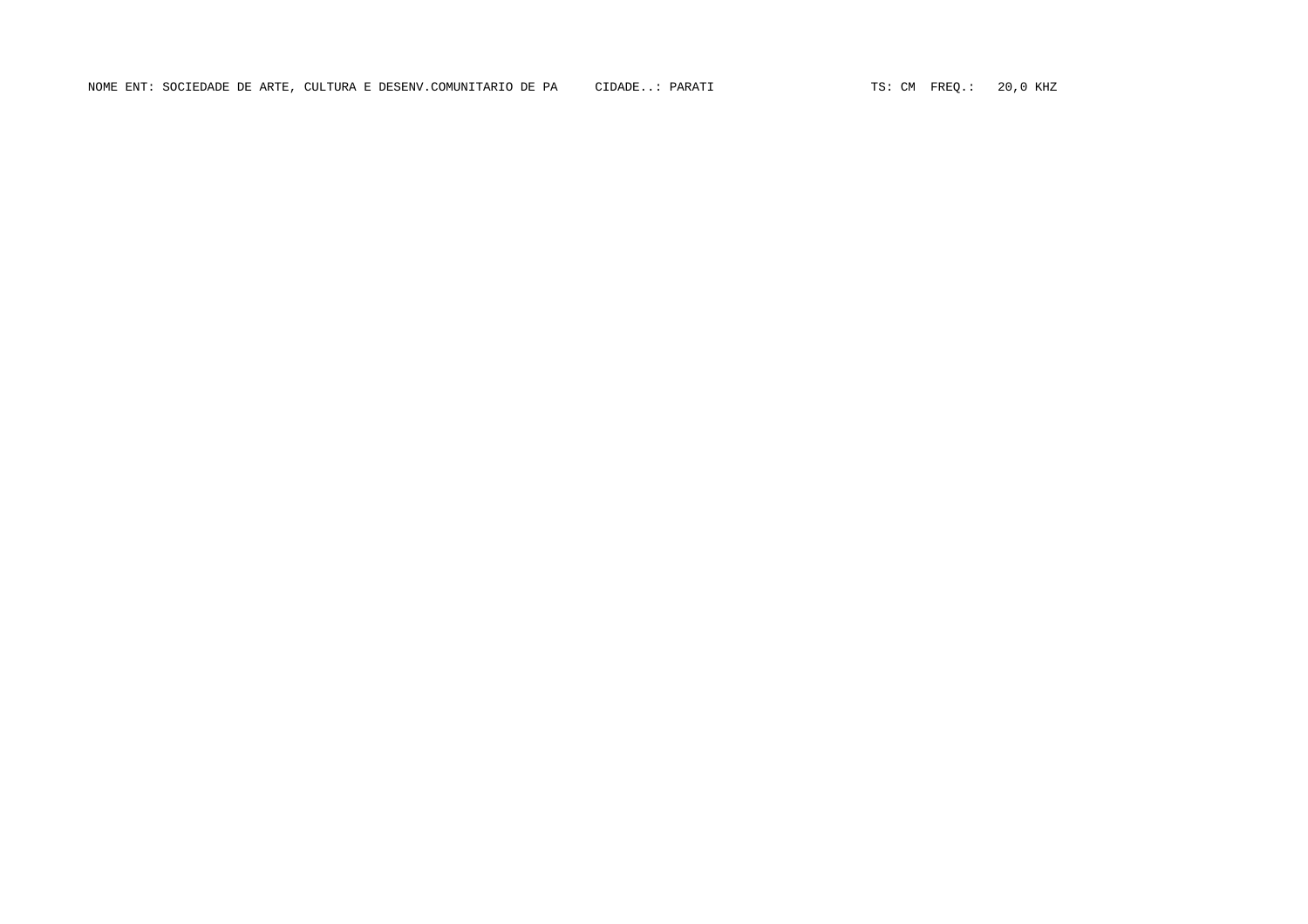NOME ENT: SOCIEDADE DE ARTE, CULTURA E DESENV.COMUNITARIO DE PA CIDADE..: PARATI TEN SOLO ESTE CM FREQ.: 20,0 KHZ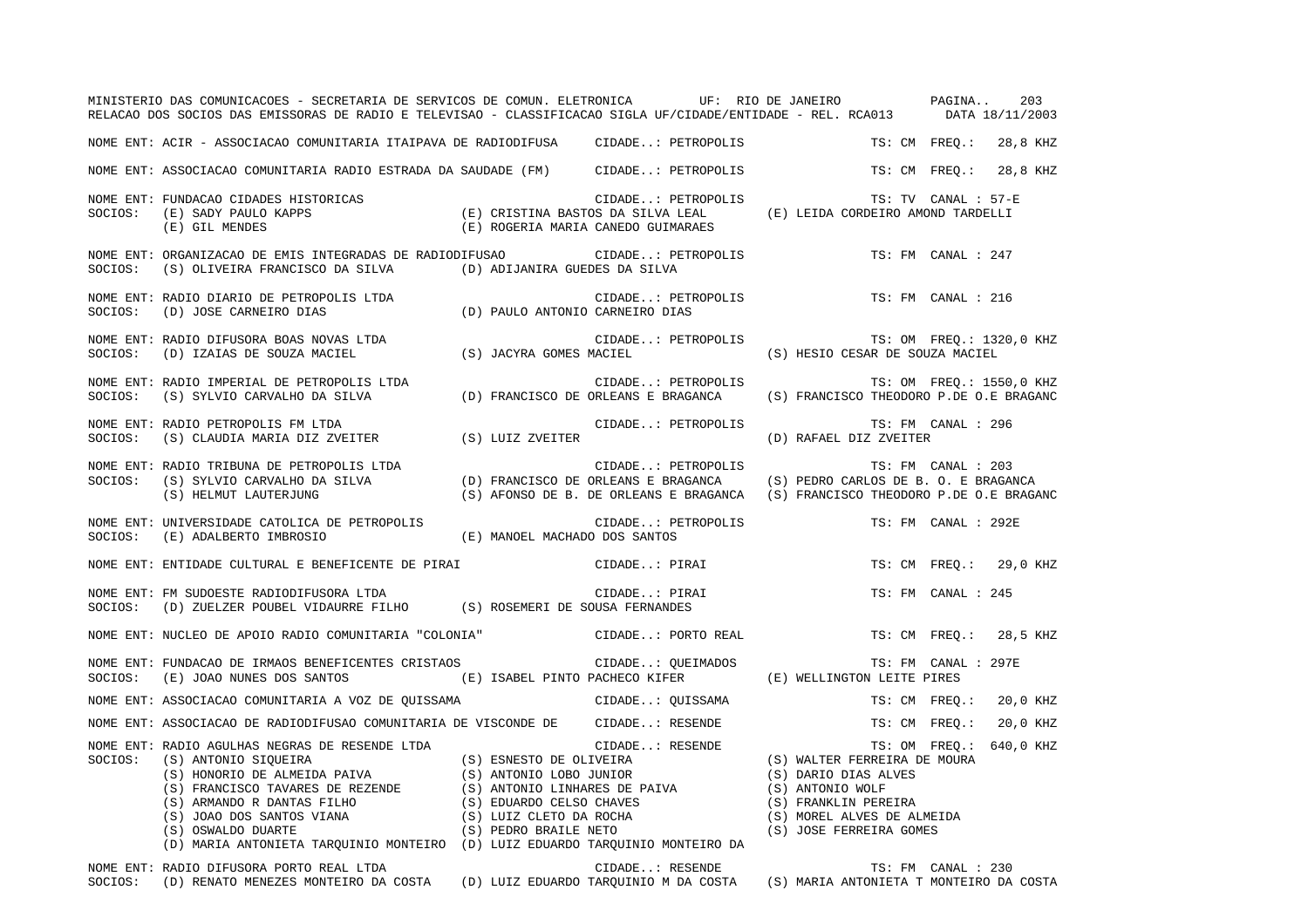|         | MINISTERIO DAS COMUNICACOES - SECRETARIA DE SERVICOS DE COMUN. ELETRONICA UF: RIO DE JANEIRO PAGINA<br>RELACAO DOS SOCIOS DAS EMISSORAS DE RADIO E TELEVISAO - CLASSIFICACAO SIGLA UF/CIDADE/ENTIDADE - REL. RCA013 DATA 18/11/2003                                                                                                                                                                                                                                                                                 |                    |                                                                                                                        | 203                       |
|---------|---------------------------------------------------------------------------------------------------------------------------------------------------------------------------------------------------------------------------------------------------------------------------------------------------------------------------------------------------------------------------------------------------------------------------------------------------------------------------------------------------------------------|--------------------|------------------------------------------------------------------------------------------------------------------------|---------------------------|
|         | NOME ENT: ACIR - ASSOCIACAO COMUNITARIA ITAIPAVA DE RADIODIFUSA CIDADE: PETROPOLIS                                                                                                                                                                                                                                                                                                                                                                                                                                  |                    |                                                                                                                        | TS: CM FREQ.: 28,8 KHZ    |
|         | NOME ENT: ASSOCIACAO COMUNITARIA RADIO ESTRADA DA SAUDADE (FM) CIDADE: PETROPOLIS                                                                                                                                                                                                                                                                                                                                                                                                                                   |                    |                                                                                                                        | TS: CM FREO.:<br>28,8 KHZ |
| SOCIOS: | NOME ENT: FUNDACAO CIDADES HISTORICAS<br>(E) SADY PAULO KAPPS<br>(E) GIL MENDES                                                                                                                                                                                                                                                                                                                                                                                                                                     | CIDADE: PETROPOLIS | S<br>S<br>S<br>(E) ROGERIA MARIA CANEDO GUIMARAES<br>(E) ROGERIA MARIA CANEDO GUIMARAES                                | TS: TV CANAL : 57-E       |
| SOCIOS: | NOME ENT: ORGANIZACAO DE EMIS INTEGRADAS DE RADIODIFUSAO<br>(S) OLIVEIRA FRANCISCO DA SILVA (D) ADIJANIRA GUEDES DA SILVA                                                                                                                                                                                                                                                                                                                                                                                           | CIDADE: PETROPOLIS |                                                                                                                        | TS: FM CANAL : 247        |
| SOCIOS: | NOME ENT: RADIO DIARIO DE PETROPOLIS LTDA<br>(D) JOSE CARNEIRO DIAS (D) PAULO ANTONIO CARNEIRO DIAS                                                                                                                                                                                                                                                                                                                                                                                                                 | CIDADE: PETROPOLIS |                                                                                                                        | TS: FM CANAL : 216        |
| SOCIOS: | NOME ENT: RADIO DIFUSORA BOAS NOVAS LTDA<br>(D) IZAIAS DE SOUZA MACIEL (S) JACYRA GOMES MACIEL                                                                                                                                                                                                                                                                                                                                                                                                                      | CIDADE: PETROPOLIS | (S) HESIO CESAR DE SOUZA MACIEL                                                                                        | TS: OM FREQ.: 1320,0 KHZ  |
| SOCIOS: | NOME ENT: RADIO IMPERIAL DE PETROPOLIS LTDA<br>(S) SYLVIO CARVALHO DA SILVA (D) FRANCISCO DE ORLEANS E BRAGANCA                                                                                                                                                                                                                                                                                                                                                                                                     | CIDADE: PETROPOLIS | (S) FRANCISCO THEODORO P.DE O.E BRAGANC                                                                                | TS: OM FREQ.: 1550,0 KHZ  |
| SOCIOS: | NOME ENT: RADIO PETROPOLIS FM LTDA<br>(S) CLAUDIA MARIA DIZ ZVEITER (S) LUIZ ZVEITER                                                                                                                                                                                                                                                                                                                                                                                                                                | CIDADE: PETROPOLIS | (D) RAFAEL DIZ ZVEITER                                                                                                 | TS: FM CANAL : 296        |
| SOCIOS: | NOME ENT: RADIO TRIBUNA DE PETROPOLIS LTDA<br>(S) SYLVIO CARVALHO DA SILVA (D) FRANCISCO DE ORLEANS E BRAGANCA<br>(S) HELMUT LAUTERJUNG                                                                                                                                                                                                                                                                                                                                                                             | CIDADE: PETROPOLIS | (S) PEDRO CARLOS DE B. O. E BRAGANCA<br>(S) AFONSO DE B. DE ORLEANS E BRAGANCA (S) FRANCISCO THEODORO P.DE O.E BRAGANC | TS: FM CANAL : 203        |
|         | NOME ENT: UNIVERSIDADE CATOLICA DE PETROPOLIS                                                                                                                                                                                                                                                                                                                                                                                                                                                                       | CIDADE: PETROPOLIS |                                                                                                                        | TS: FM CANAL : 292E       |
|         | NOME ENT: ENTIDADE CULTURAL E BENEFICENTE DE PIRAI                                                                                                                                                                                                                                                                                                                                                                                                                                                                  | CIDADE: PIRAI      |                                                                                                                        | TS: CM FREO.: 29,0 KHZ    |
| SOCIOS: | NOME ENT: FM SUDOESTE RADIODIFUSORA LTDA<br>(D) ZUELZER POUBEL VIDAURRE FILHO (S) ROSEMERI DE SOUSA FERNANDES                                                                                                                                                                                                                                                                                                                                                                                                       | CIDADE: PIRAI      |                                                                                                                        | TS: FM CANAL : 245        |
|         | NOME ENT: NUCLEO DE APOIO RADIO COMUNITARIA "COLONIA"                                                                                                                                                                                                                                                                                                                                                                                                                                                               | CIDADE: PORTO REAL |                                                                                                                        | TS: CM FREQ.: 28,5 KHZ    |
| SOCIOS: | NOME ENT: FUNDACAO DE IRMAOS BENEFICENTES CRISTAOS<br>(E) JOAO NUNES DOS SANTOS (E) ISABEL PINTO PACHECO KIFER                                                                                                                                                                                                                                                                                                                                                                                                      | CIDADE: QUEIMADOS  | (E) WELLINGTON LEITE PIRES                                                                                             | TS: FM CANAL : 297E       |
|         | NOME ENT: ASSOCIACAO COMUNITARIA A VOZ DE OUISSAMA                                                                                                                                                                                                                                                                                                                                                                                                                                                                  | CIDADE: QUISSAMA   | TS: CM FREO.:                                                                                                          | 20,0 KHZ                  |
|         | NOME ENT: ASSOCIACAO DE RADIODIFUSAO COMUNITARIA DE VISCONDE DE CIDADE: RESENDE                                                                                                                                                                                                                                                                                                                                                                                                                                     |                    | TS: CM FREO.:                                                                                                          | 20,0 KHZ                  |
| SOCIOS: | NOME ENT: RADIO AGULHAS NEGRAS DE RESENDE LTDA<br>RADIO AGULHAS NEGRAS DE RESENDE LTDA (S) ESNESTO DE OLIVEIRA (S) ANTONIO SIQUEIRA (S) ANTONIO SIQUEIRA (S) ESNESTO DE OLIVEIRA (S) ANTONIO MOURA (S) HONORIO DE ALMEIDA PAIVA (S) ANTONIO LOBO JUNIOR (S) DARIO DIAS ALVES (S)<br>(S) ARMANDO R DANTAS FILHO<br>(S) JOAO DOS SANTOS VIANA (S) LUIZ CLETO DA ROCHA<br>(S) OSWALDO DUARTE (S) OSWALDO DUARTE (S) PEDRO BRAILE NETO<br>(D) MARIA ANTONIETA TARQUINIO MONTEIRO (D) LUIZ EDUARDO TARQUINIO MONTEIRO DA |                    | (S) FRANKLIN PEREIRA<br>(S) MOREL ALVES DE ALMEIDA<br>(S) JOSE FERREIRA GOMES                                          | TS: OM FREQ.: 640,0 KHZ   |
|         | NOME ENT: RADIO DIFUSORA PORTO REAL LTDA<br>SOCIOS: (D) RENATO MENEZES MONTEIRO DA COSTA (D) LUIZ EDUARDO TAROUINIO M DA COSTA (S) MARIA ANTONIETA T MONTEIRO DA COSTA                                                                                                                                                                                                                                                                                                                                              | CIDADE: RESENDE    |                                                                                                                        | TS: FM CANAL : 230        |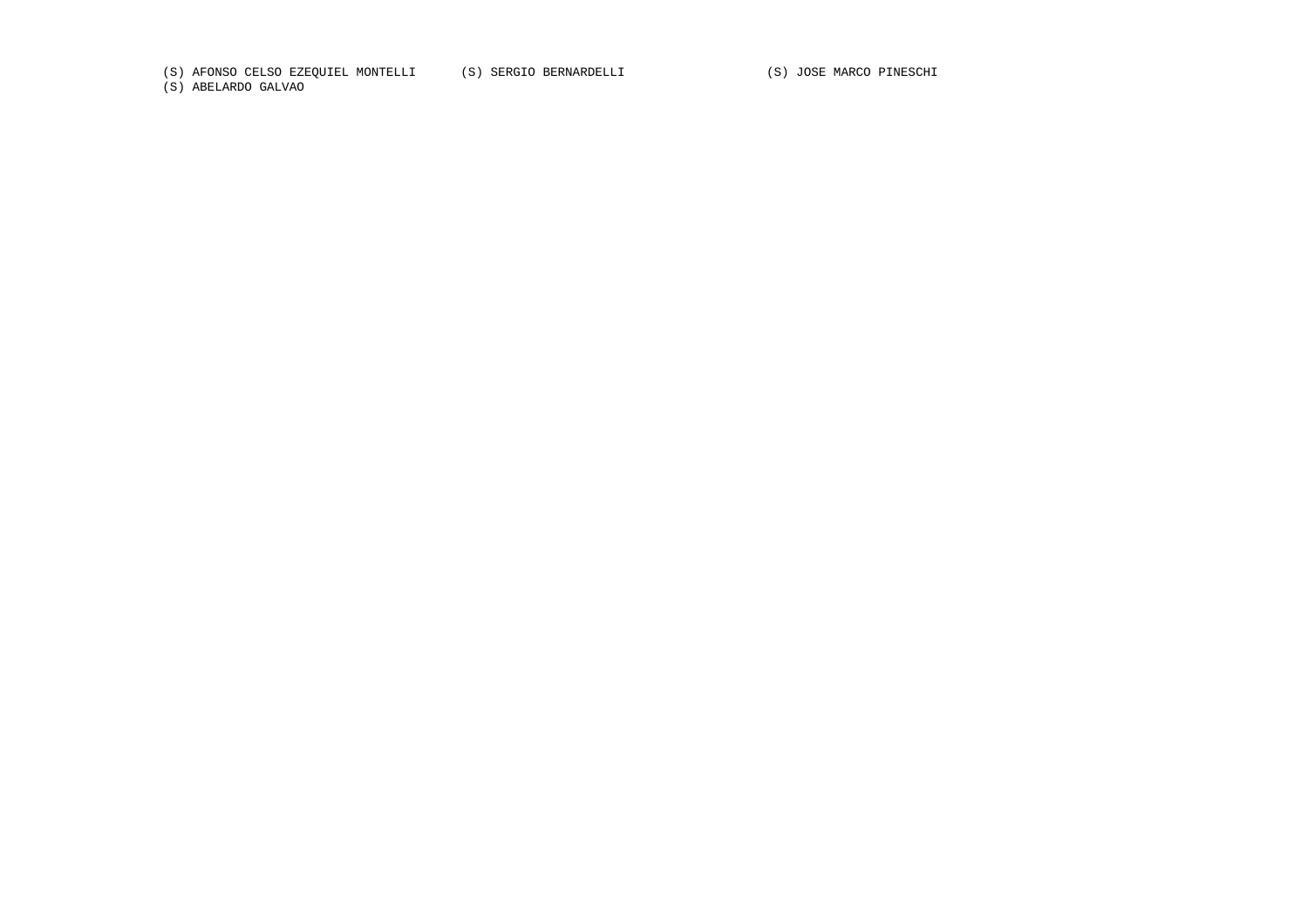(S) AFONSO CELSO EZEQUIEL MONTELLI (S) SERGIO BERNARDELLI (S) JOSE MARCO PINESCHI

(S) ABELARDO GALVAO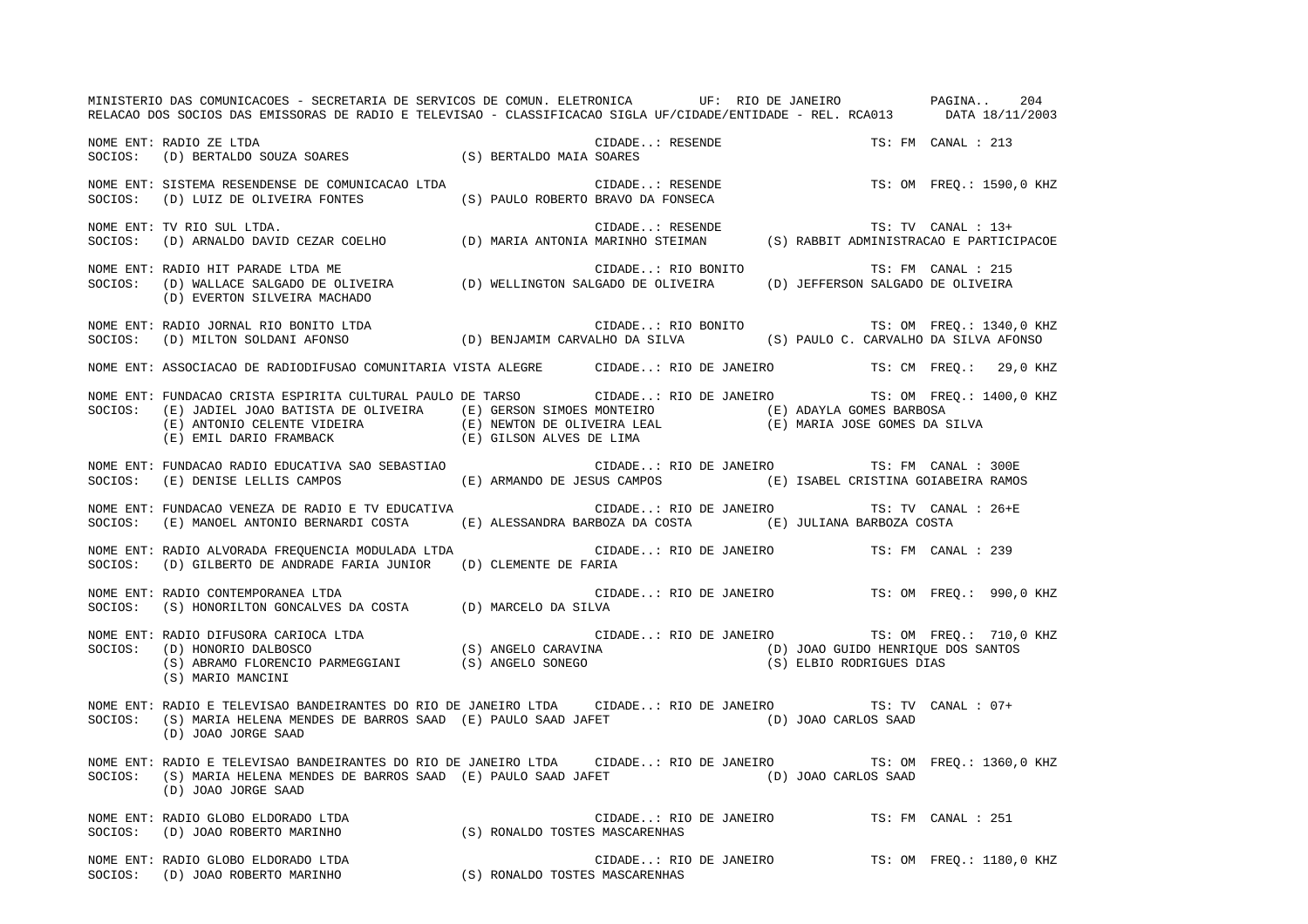MINISTERIO DAS COMUNICACOES - SECRETARIA DE SERVICOS DE COMUN. ELETRONICA UF: RIO DE JANEIRO PAGINA.. 204 RELACAO DOS SOCIOS DAS EMISSORAS DE RADIO E TELEVISAO - CLASSIFICACAO SIGLA UF/CIDADE/ENTIDADE - REL. RCA013 DATA 18/11/2003 NOME ENT: RADIO ZE LTDA CIDADE..: RESENDE TS: FM CANAL : 213SOCIOS: (D) BERTALDO SOUZA SOARES (S) BERTALDO MAIA SOARES NOME ENT: SISTEMA RESENDENSE DE COMUNICACAO LTDA  $\qquad \qquad$  CIDADE..: RESENDE  $\qquad \qquad$  TS: OM FREQ.: 1590,0 KHZ SOCIOS: (D) LUIZ DE OLIVEIRA FONTES (S) PAULO ROBERTO BRAVO DA FONSECA NOME ENT: TV RIO SUL LTDA.<br>SOCIOS: (D) ARNALDO DAVID CEZAR COELHO (D) MARIA ANTONIA MARINHO STEIMAN (S) RABBIT ADMINISTRACAO E PARTICIPACOE NOME ENT: RADIO HIT PARADE LTDA ME CIDADE..: RIO BONITO TS: FM CANAL : 215SOCIOS: (D) WALLACE SALGADO DE OLIVEIRA (D) WELLINGTON SALGADO DE OLIVEIRA (D) JEFFERSON SALGADO DE OLIVEIRA (D) EVERTON SILVEIRA MACHADO NOME ENT: RADIO JORNAL RIO BONITO LTDA CIDADE..: RIO BONITO TS: OM FREQ.: 1340,0 KHZ SOCIOS: (D) MILTON SOLDANI AFONSO (D) BENJAMIM CARVALHO DA SILVA (S) PAULO C. CARVALHO DA SILVA AFONSO NOME ENT: ASSOCIACAO DE RADIODIFUSAO COMUNITARIA VISTA ALEGRE CIDADE..: RIO DE JANEIRO TS: CM FREQ.: 29,0 KHZ NOME ENT: FUNDACAO CRISTA ESPIRITA CULTURAL PAULO DE TARSO CIDADE..: RIO DE JANEIRO TS: OM FREQ.: 1400,0 KHZ SOCIOS: (E) JADIEL JOAO BATISTA DE OLIVEIRA (E) GERSON SIMOES MONTEIRO (E) ADAYLA GOMES BARBOSA (E) ANTONIO CELENTE VIDEIRA (E) NEWTON DE OLIVEIRA LEAL (E) MARIA JOSE GOMES DA SILVA (E) EMIL DARIO FRAMBACK (E) GILSON ALVES DE LIMA NOME ENT: FUNDACAO RADIO EDUCATIVA SAO SEBASTIAO CIDADE..: RIO DE JANEIRO TS: FM CANAL : 300ESOCIOS: (E) DENISE LELLIS CAMPOS (E) ARMANDO DE JESUS CAMPOS (E) ISABEL CRISTINA GOIABEIRA RAMOS NOME ENT: FUNDACAO VENEZA DE RADIO E TV EDUCATIVA CIDADE..: RIO DE JANEIRO TS: TV CANAL : 26+ESOCIOS: (E) MANOEL ANTONIO BERNARDI COSTA (E) ALESSANDRA BARBOZA DA COSTA (E) JULIANA BARBOZA COSTA NOME ENT: RADIO ALVORADA FREQUENCIA MODULADA LTDA CIDADE..: RIO DE JANEIRO TS: FM CANAL : 239 SOCIOS: (D) GILBERTO DE ANDRADE FARIA JUNIOR (D) CLEMENTE DE FARIA NOME ENT: RADIO CONTEMPORANEA LTDA CIDADE..: RIO DE JANEIRO TS: OM FREQ.: 990,0 KHZ SOCIOS: (S) HONORILTON GONCALVES DA COSTA (D) MARCELO DA SILVA NOME ENT: RADIO DIFUSORA CARIOCA LTDA CIDADE..: RIO DE JANEIRO TS: OM FREQ.: 710,0 KHZ SOCIOS: (D) HONORIO DALBOSCO (S) ANGELO CARAVINA (D) JOAO GUIDO HENRIQUE DOS SANTOS (S) ABRAMO FLORENCIO PARMEGGIANI (S) ANGELO SONEGO (S) ELBIO RODRIGUES DIAS (S) MARIO MANCINI NOME ENT: RADIO E TELEVISAO BANDEIRANTES DO RIO DE JANEIRO LTDA CIDADE..: RIO DE JANEIRO TS: TV CANAL : 07+SOCIOS: (S) MARIA HELENA MENDES DE BARROS SAAD (E) PAULO SAAD JAFET (D) JOAO CARLOS SAAD (D) JOAO JORGE SAAD NOME ENT: RADIO E TELEVISAO BANDEIRANTES DO RIO DE JANEIRO LTDA CIDADE..: RIO DE JANEIRO TS: OM FREQ.: 1360,0 KHZ SOCIOS: (S) MARIA HELENA MENDES DE BARROS SAAD (E) PAULO SAAD JAFET (D) JOAO CARLOS SAAD (D) JOAO JORGE SAAD NOME ENT: RADIO GLOBO ELDORADO LTDA CIDADE..: RIO DE JANEIRO TS: FM CANAL : 251SOCIOS: (D) JOAO ROBERTO MARINHO (S) RONALDO TOSTES MASCARENHAS NOME ENT: RADIO GLOBO ELDORADO LTDA CIDADE..: RIO DE JANEIRO TS: OM FREQ.: 1180,0 KHZ SOCIOS: (D) JOAO ROBERTO MARINHO (S) RONALDO TOSTES MASCARENHAS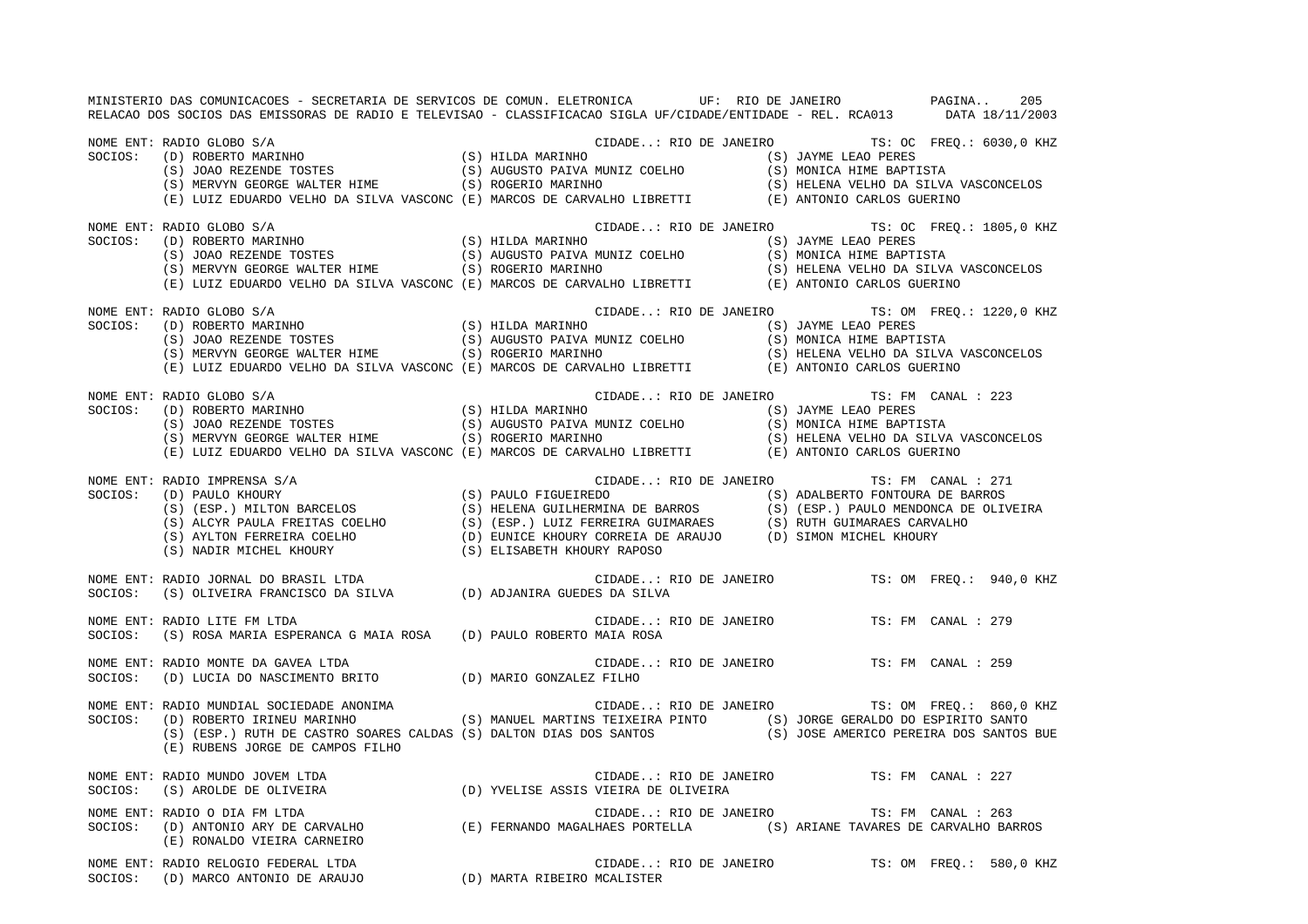MINISTERIO DAS COMUNICACOES - SECRETARIA DE SERVICOS DE COMUN. ELETRONICA UF: RIO DE JANEIRO PAGINA.. 205RELACAO DOS SOCIOS DAS EMISSORAS DE RADIO E TELEVISAO - CLASSIFICACAO SIGLA UF/CIDADE/ENTIDADE - REL. RCA013 DATA 18/11/2003 NOME ENT: RADIO GLOBO S/A CIDADE..: RIO DE JANEIRO TS: OC FREQ.: 6030,0 KHZ SOCIOS: (D) ROBERTO MARINHO (S) HILDA MARINHO (S) JAYME LEAO PERES (S) JOAO REZENDE TOSTES (S) AUGUSTO PAIVA MUNIZ COELHO (S) MONICA HIME BAPTISTA (S) MERVYN GEORGE WALTER HIME (S) ROGERIO MARINHO (S) HELENA VELHO DA SILVA VASCONCELOS (E) LUIZ EDUARDO VELHO DA SILVA VASCONC (E) MARCOS DE CARVALHO LIBRETTI (E) ANTONIO CARLOS GUERINO NOME ENT: RADIO GLOBO S/A<br>
SOCIOS: (D) ROBERTO MARINHO (S) HILDA MARINHO (S) JANEIRO TS: OC FREQ.: 1805,0 KHZ<br>
(S) JOAO REZENDE TOSTES (S) AUGUSTO PAIVA MUNIZ COELHO (S) MONICA HIME BAPTISTA<br>
(S) MERIVAN GEODOR WALERD TIME SOCIOS: (D) ROBERTO MARINHO (S) HILDA MARINHO (S) JAYME LEAO PERES (S) AUGUSTO PAIVA MUNIZ COELHO (S) MONICA HIME BAPTISTA (S) MERVYN GEORGE WALTER HIME (S) ROGERIO MARINHO (S) HELENA VELHO DA SILVA VASCONCELOS (E) LUIZ EDUARDO VELHO DA SILVA VASCONC (E) MARCOS DE CARVALHO LIBRETTI (E) ANTONIO CARLOS GUERINO NOME ENT: RADIO GLOBO S/A CIDADE..: RIO DE JANEIRO TS: OM FREQ.: 1220,0 KHZ SOCIOS: (D) ROBERTO MARINHO (S) HILDA MARINHO (S) HILDA MARINHO (S) JAYME LEAO PERES<br>(S) JOAO REZENDE TOSTES (S) AUGUSTO PAIVA MUNIZ COELHO (S) MONICA HIME BAPT (S) JOAO REZENDE TOSTES (S) AUGUSTO PAIVA MUNIZ COELHO (S) MONICA HIME BAPTISTA<br>(S) MERVYN GEORGE WALTER HIME (S) ROGERIO MARINHO (S) HELENA VELHO DA SILVA<br>(R) HELENA VELHO DA SILVA (S) ROGERIO MARINHO (S) HELENA VELHO DA SILVA VASCONCELOS (E) LUIZ EDUARDO VELHO DA SILVA VASCONC (E) MARCOS DE CARVALHO LIBRETTI (E) ANTONIO CARLOS GUERINO NOME ENT: RADIO GLOBO S/A CIDADE..: RIO DE JANEIRO TS: FM CANAL : 223 SOCIOS: (D) ROBERTO MARINHO (S) SOCIOS: (D) ROBERTO MARINHO (S) SOCIOS: (S) JOAO REZENDE TOSTES (S) AUGUSTO PAIVA MUNIZ COELHO (S) MONICA HIME BAPT. (S) AUGUSTO PAIVA MUNIZ COELHO  $(S)$  MONICA HIME BAPTISTA (S) MERVYN GEORGE WALTER HIME (S) ROGERIO MARINHO (S) HELENA VELHO DA SILVA VASCONCELOS (E) LUIZ EDUARDO VELHO DA SILVA VASCONC (E) MARCOS DE CARVALHO LIBRETTI (E) ANTONIO CARLOS GUERINO NOME ENT: RADIO IMPRENSA S/A CIDADE..: RIO DE JANEIRO TS: FM CANAL : 271 SOCIOS: (D) PAULO KHOURY (S) PAULO FIGUEIREDO (S) ADALBERTO FONTOURA DE BARROS (S) (ESP.) MILTON BARCELOS (S) HELENA GUILHERMINA DE BARROS (S) (ESP.) PAULO MENDONCA DE OLIVEIR A (S) ALCYR PAULA FREITAS COELHO (S) (ESP.) LUIZ FERREIRA GUIMARAES (S) RUTH GUIMARAES CARVALHO (S) AYLTON FERREIRA COELHO (D) EUNICE KHOURY CORREIA DE ARAUJO (D) SIMON MICHEL KHOURY (S) NADIR MICHEL KHOURY (S) ELISABETH KHOURY RAPOSO NOME ENT: RADIO JORNAL DO BRASIL LTDA CIDADE..: RIO DE JANEIRO TS: OM FREQ.: 940,0 KHZ SOCIOS: (S) OLIVEIRA FRANCISCO DA SILVA (D) ADJANIRA GUEDES DA SILVA NOME ENT: RADIO LITE FM LTDA CIDADE..: RIO DE JANEIRO TS: FM CANAL : 279SOCIOS: (S) ROSA MARIA ESPERANCA G MAIA ROSA (D) PAULO ROBERTO MAIA ROSA NOME ENT: RADIO MONTE DA GAVEA LTDA CIDADE..: RIO DE JANEIRO TS: FM CANAL : 259SOCIOS: (D) LUCIA DO NASCIMENTO BRITO (D) MARIO GONZALEZ FILHO NOME ENT: RADIO MUNDIAL SOCIEDADE ANONIMA CIDADE..: RIO DE JANEIRO TS: OM FREQ.: 860,0 KHZ SOCIOS: (D) ROBERTO IRINEU MARINHO (S) MANUEL MARTINS TEIXEIRA PINTO (S) JORGE GERALDO DO ESPIRITO SANTO (S) (ESP.) RUTH DE CASTRO SOARES CALDAS (S) DALTON DIAS DOS SANTOS (S) JOSE AMERICO PEREIRA DOS SANTOS BUE (E) RUBENS JORGE DE CAMPOS FILHO NOME ENT: RADIO MUNDO JOVEM LTDA CIDADE..: RIO DE JANEIRO TS: FM CANAL : 227SOCIOS: (S) AROLDE DE OLIVEIRA (D) YVELISE ASSIS VIEIRA DE OLIVEIRA NOME ENT: RADIO O DIA FM LTDA CIDADE..: RIO DE JANEIRO TS: FM CANAL : 263SOCIOS: (D) ANTONIO ARY DE CARVALHO (E) FERNANDO MAGALHAES PORTELLA (S) ARIANE TAVARES DE CARVALHO BARROS (E) RONALDO VIEIRA CARNEIRO NOME ENT: RADIO RELOGIO FEDERAL LTDA CIDADE..: RIO DE JANEIRO TS: OM FREQ.: 580,0 KHZ SOCIOS: (D) MARCO ANTONIO DE ARAUJO (D) MARTA RIBEIRO MCALISTER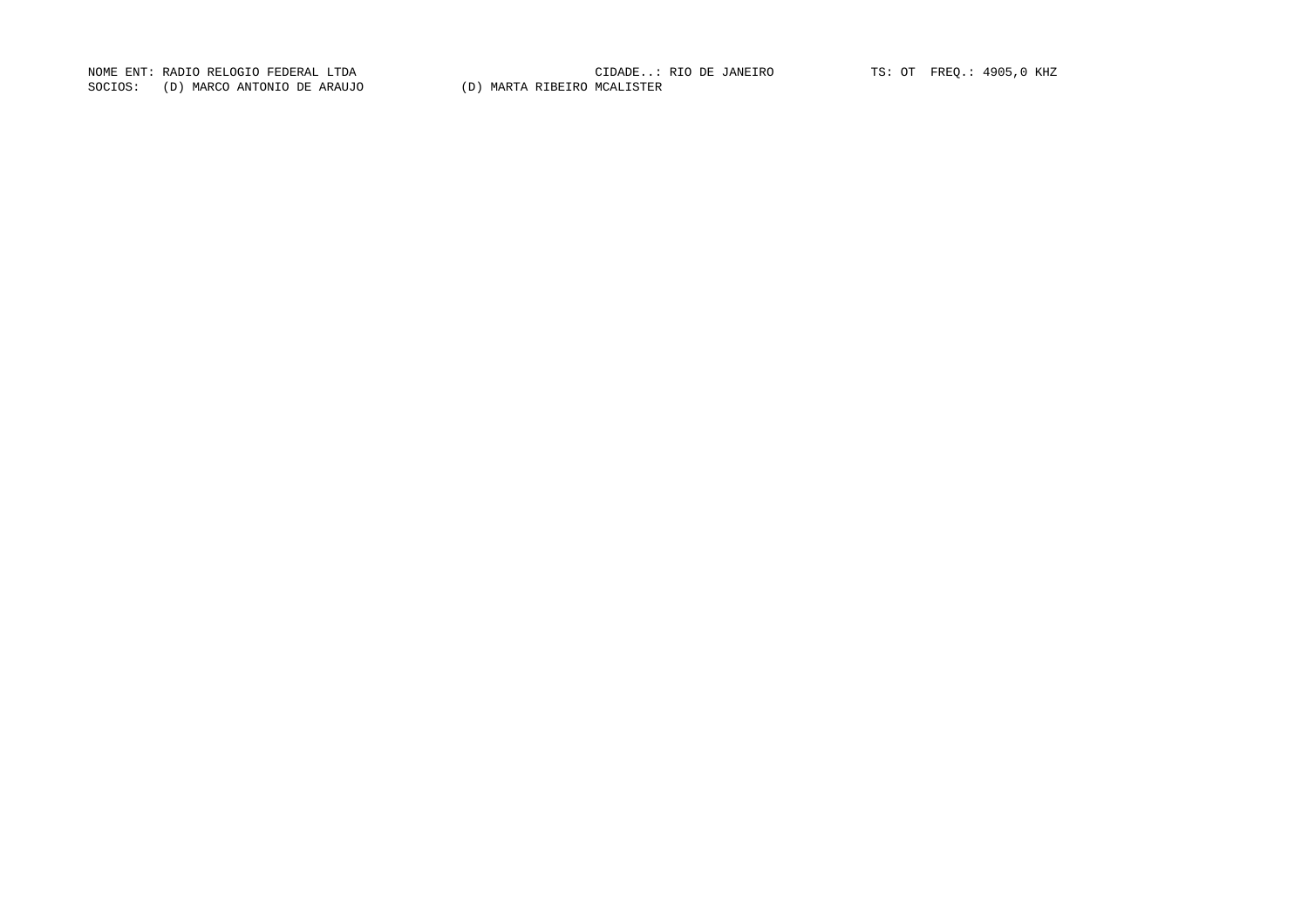NOME ENT: RADIO RELOGIO FEDERAL LTDA<br>SOCIOS: (D) MARCO ANTONIO DE ARAUJO (D) MARTA RIBEIRO MCALISTER

NOME ENT: RADIO RELOGIO FEDERAL LTDA CIDADE..: RIO DE JANEIRO TS: OT FREQ.: 4905,0 KHZ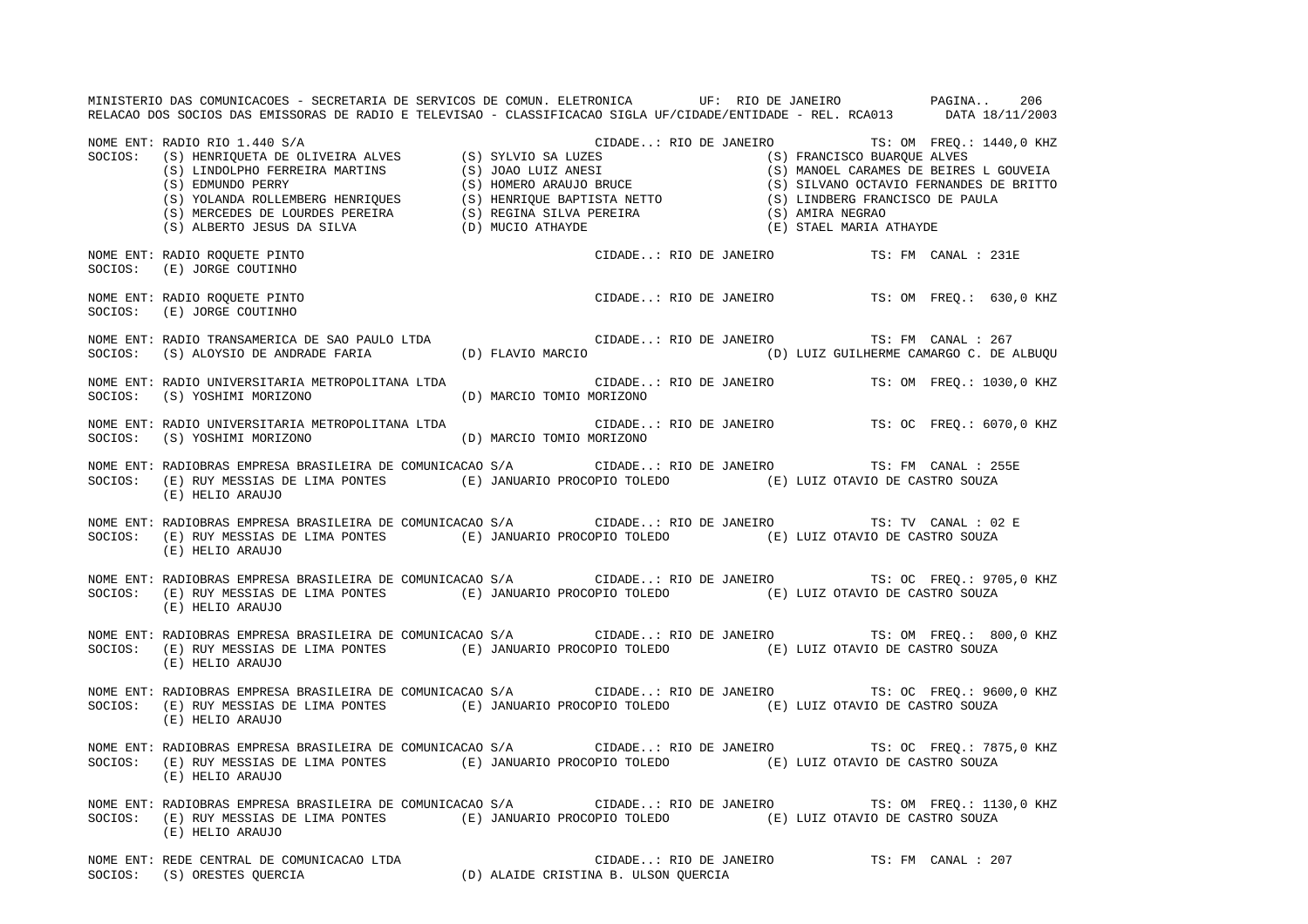MINISTERIO DAS COMUNICACOES - SECRETARIA DE SERVICOS DE COMUN. ELETRONICA UF: RIO DE JANEIRO PAGINA.. 206 RELACAO DOS SOCIOS DAS EMISSORAS DE RADIO E TELEVISAO - CLASSIFICACAO SIGLA UF/CIDADE/ENTIDADE - REL. RCA013 DATA 18/11/2003 NOME ENT: RADIO RIO 1.440 S/A CIDADE..: RIO DE JANEIRO TS: OM FREQ.: 1440,0 KHZ SOCIOS: (S) HENRIQUETA DE OLIVEIRA ALVES (S) SYLVIO SA LUZES (S) FRANCISCO BUARQUE ALVES (S) LINDOLPHO FERREIRA MARTINS (S) JOAO LUIZ ANESI (S) MANOEL CARAMES DE BEIRES L GOUVEIA (S) EDMUNDO PERRY (S) HOMERO ARAUJO BRUCE (S) SILVANO OCTAVIO FERNANDES DE BRITTO (S) YOLANDA ROLLEMBERG HENRIQUES (S) HENRIQUE BAPTISTA NETTO (S) LINDBERG FRANCISCO DE PAULA (S) MERCEDES DE LOURDES PEREIRA (S) REGINA SILVA PEREIRA (S) AMIRA NEGRAO (S) ALBERTO JESUS DA SILVA (D) MUCIO ATHAYDE (E) STAEL MARIA ATHAYDE NOME ENT: RADIO ROQUETE PINTO CIDADE..: RIO DE JANEIRO TS: FM CANAL : 231E SOCIOS: (E) JORGE COUTINHO NOME ENT: RADIO ROQUETE PINTO CIDADE..: RIO DE JANEIRO TS: OM FREQ.: 630,0 KHZ SOCIOS: (E) JORGE COUTINHO NOME ENT: RADIO TRANSAMERICA DE SAO PAULO LTDA CIDADE..: RIO DE JANEIRO TS: FM CANAL : 267 SOCIOS: (S) ALOYSIO DE ANDRADE FARIA (D) FLAVIO MARCIO (D) LUIZ GUILHERME CAMARGO C. DE ALBUQU NOME ENT: RADIO UNIVERSITARIA METROPOLITANA LTDA CIDADE..: RIO DE JANEIRO TS: OM FREQ.: 1030,0 KHZ SOCIOS: (S) YOSHIMI MORIZONO (D) MARCIO TOMIO MORIZONO NOME ENT: RADIO UNIVERSITARIA METROPOLITANA LTDA CIDADE..: RIO DE JANEIRO TS: OC FREQ.: 6070,0 KHZ SOCIOS: (S) YOSHIMI MORIZONO (D) MARCIO TOMIO MORIZONO NOME ENT: RADIOBRAS EMPRESA BRASILEIRA DE COMUNICACAO S/A CIDADE..: RIO DE JANEIRO TS: FM CANAL : 255E SOCIOS: (E) RUY MESSIAS DE LIMA PONTES (E) JANUARIO PROCOPIO TOLEDO (E) LUIZ OTAVIO DE CASTRO SOUZA (E) HELIO ARAUJO NOME ENT: RADIOBRAS EMPRESA BRASILEIRA DE COMUNICACAO S/A CIDADE..: RIO DE JANEIRO TS: TV CANAL : 02 E SOCIOS: (E) RUY MESSIAS DE LIMA PONTES (E) JANUARIO PROCOPIO TOLEDO (E) LUIZ OTAVIO DE CASTRO SOUZA (E) HELIO ARAUJO NOME ENT: RADIOBRAS EMPRESA BRASILEIRA DE COMUNICACAO S/A CIDADE..: RIO DE JANEIRO TS: OC FREQ.: 9705,0 KHZ SOCIOS: (E) RUY MESSIAS DE LIMA PONTES (E) JANUARIO PROCOPIO TOLEDO (E) LUIZ OTAVIO DE CASTRO SOUZA (E) HELIO ARAUJO NOME ENT: RADIOBRAS EMPRESA BRASILEIRA DE COMUNICACAO S/A CIDADE..: RIO DE JANEIRO TS: OM FREQ.: 800,0 KHZ SOCIOS: (E) RUY MESSIAS DE LIMA PONTES (E) JANUARIO PROCOPIO TOLEDO (E) LUIZ OTAVIO DE CASTRO SOUZA (E) HELIO ARAUJO NOME ENT: RADIOBRAS EMPRESA BRASILEIRA DE COMUNICACAO S/A CIDADE..: RIO DE JANEIRO TS: OC FREQ.: 9600,0 KHZ SOCIOS: (E) RUY MESSIAS DE LIMA PONTES (E) JANUARIO PROCOPIO TOLEDO (E) LUIZ OTAVIO DE CASTRO SOUZA (E) HELIO ARAUJO NOME ENT: RADIOBRAS EMPRESA BRASILEIRA DE COMUNICACAO S/A CIDADE..: RIO DE JANEIRO TS: OC FREQ.: 7875,0 KHZ SOCIOS: (E) RUY MESSIAS DE LIMA PONTES (E) JANUARIO PROCOPIO TOLEDO (E) LUIZ OTAVIO DE CASTRO SOUZA (E) HELIO ARAUJO NOME ENT: RADIOBRAS EMPRESA BRASILEIRA DE COMUNICACAO S/A CIDADE..: RIO DE JANEIRO TS: OM FREQ.: 1130,0 KHZ SOCIOS: (E) RUY MESSIAS DE LIMA PONTES (E) JANUARIO PROCOPIO TOLEDO (E) LUIZ OTAVIO DE CASTRO SOUZA (E) HELIO ARAUJO NOME ENT: REDE CENTRAL DE COMUNICACAO LTDA CIDADE..: RIO DE JANEIRO TS: FM CANAL : 207

SOCIOS: (S) ORESTES QUERCIA (D) ALAIDE CRISTINA B. ULSON QUERCIA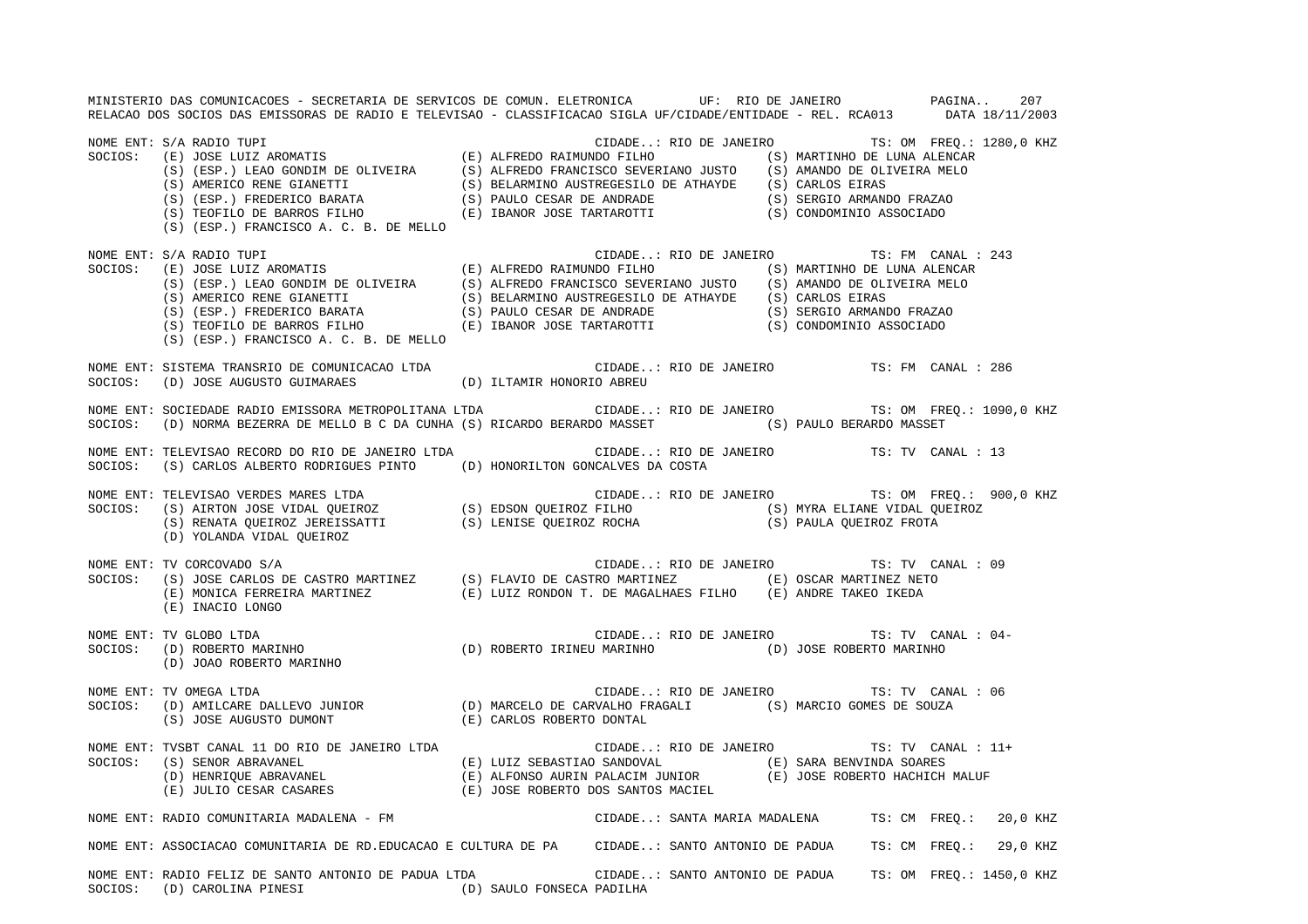MINISTERIO DAS COMUNICACOES - SECRETARIA DE SERVICOS DE COMUN. ELETRONICA UF: RIO DE JANEIRO PAGINA.. 207 RELACAO DOS SOCIOS DAS EMISSORAS DE RADIO E TELEVISAO - CLASSIFICACAO SIGLA UF/CIDADE/ENTIDADE - REL. RCA013 DATA 18/11/2003 NOME ENT: S/A RADIO TUPI CIDADE..: RIO DE JANEIRO TS: OM FREQ.: 1280,0 KHZ SOCIOS: (E) JOSE LUIZ AROMATIS (E) ALFREDO RAIMUNDO FILHO (S) MARTINHO DE LUNA ALENCAR (S) (ESP.) LEAO GONDIM DE OLIVEIRA (S) ALFREDO FRANCISCO SEVERIANO JUSTO (S) AMANDO DE OLIVEIRA MELO (S) AMERICO RENE GIANETTI (S) BELARMINO AUSTREGESILO DE ATHAYDE (S) CARLOS EIRAS (S) (ESP.) FREDERICO BARATA (S) PAULO CESAR DE ANDRADE (S) SERGIO ARMANDO FRAZAO (S) TEOFILO DE BARROS FILHO (E) IBANOR JOSE TARTAROTTI (S) CONDOMINIO ASSOCIADO (S) (ESP.) FRANCISCO A. C. B. DE MELLO NOME ENT: S/A RADIO TUPI CIDADE..: RIO DE JANEIRO TS: FM CANAL : 243 SOCIOS: (E) JOSE LUIZ AROMATIS (E) ALFREDO RAIMUNDO FILHO (S) MARTINHO DE LUNA ALENCAR (S) (ESP.) LEAO GONDIM DE OLIVEIRA (S) ALFREDO FRANCISCO SEVERIANO JUSTO (S) AMANDO DE OLIVEIRA MELO (S) AMERICO RENE GIANETTI (S) BELARMINO AUSTREGESILO DE ATHAYDE (S) CARLOS EIRAS (S) (ESP.) FREDERICO BARATA (S) PAULO CESAR DE ANDRADE (S) SERGIO ARMANDO FRAZAO (S) TEOFILO DE BARROS FILHO (E) IBANOR JOSE TARTAROTTI (S) CONDOMINIO ASSOCIADO (S) (ESP.) FRANCISCO A. C. B. DE MELLO NOME ENT: SISTEMA TRANSRIO DE COMUNICACAO LTDA CIDADE..: RIO DE JANEIRO TS: FM CANAL : 286SOCIOS: (D) JOSE AUGUSTO GUIMARAES (D) ILTAMIR HONORIO ABREU NOME ENT: SOCIEDADE RADIO EMISSORA METROPOLITANA LTDA CIDADE..: RIO DE JANEIRO TS: OM FREQ.: 1090,0 KHZ SOCIOS: (D) NORMA BEZERRA DE MELLO B C DA CUNHA (S) RICARDO BERARDO MASSET (S) PAULO BERARDO MASSET NOME ENT: TELEVISAO RECORD DO RIO DE JANEIRO LTDA CIDADE..: RIO DE JANEIRO TS: TV CANAL : 13SOCIOS: (S) CARLOS ALBERTO RODRIGUES PINTO (D) HONORILTON GONCALVES DA COSTA NOME ENT: TELEVISAO VERDES MARES LTDA CIDADE..: RIO DE JANEIRO TS: OM FREQ.: 900,0 KHZ SOCIOS: (S) AIRTON JOSE VIDAL QUEIROZ (S) EDSON QUEIROZ FILHO (S) MYRA ELIANE VIDAL QUEIROZ (S) RENATA QUEIROZ JEREISSATTI (S) LENISE QUEIROZ ROCHA (S) PAULA QUEIROZ FROTA (D) YOLANDA VIDAL QUEIROZ NOME ENT: TV CORCOVADO S/A CIDADE..: RIO DE JANEIRO TS: TV CANAL : 09 SOCIOS: (S) JOSE CARLOS DE CASTRO MARTINEZ (S) FLAVIO DE CASTRO MARTINEZ (E) OSCAR MARTINEZ NETO (E) MONICA FERREIRA MARTINEZ (E) LUIZ RONDON T. DE MAGALHAES FILHO (E) ANDRE TAKEO IKEDA (E) INACIO LONGO NOME ENT: TV GLOBO LTDA CIDADE..: RIO DE JANEIRO TS: TV CANAL : 04- SOCIOS: (D) ROBERTO MARINHO (D) ROBERTO IRINEU MARINHO (D) JOSE ROBERTO MARINHO (D) JOAO ROBERTO MARINHO NOME ENT: TV OMEGA LTDA CIDADE..: RIO DE JANEIRO TS: TV CANAL : 06 SOCIOS: (D) AMILCARE DALLEVO JUNIOR (D) MARCELO DE CARVALHO FRAGALI (S) MARCIO GOMES DE SOUZA (S) JOSE AUGUSTO DUMONT (E) CARLOS ROBERTO DONTAL NOME ENT: TVSBT CANAL 11 DO RIO DE JANEIRO LTDA CIDADE..: RIO DE JANEIRO TS: TV CANAL : 11+SOCIOS: (S) SENOR ABRAVANEL (E) LUIZ SEBASTIAO SANDOVAL (E) SARA BENVINDA SOARES (D) HENRIQUE ABRAVANEL (E) ALFONSO AURIN PALACIM JUNIOR (E) JOSE ROBERTO HACHICH MALUF (E) JULIO CESAR CASARES (E) JOSE ROBERTO DOS SANTOS MACIEL NOME ENT: RADIO COMUNITARIA MADALENA - FM CIDADE..: SANTA MARIA MADALENA TS: CM FREQ.: 20,0 KHZ NOME ENT: ASSOCIACAO COMUNITARIA DE RD.EDUCACAO E CULTURA DE PA CIDADE..: SANTO ANTONIO DE PADUA TS: CM FREQ.: 29,0 KHZ NOME ENT: RADIO FELIZ DE SANTO ANTONIO DE PADUA LTDA CIDADE..: SANTO ANTONIO DE PADUA TS: OM FREQ.: 1450,0 KHZ SOCIOS: (D) CAROLINA PINESI (D) SAULO FONSECA PADILHA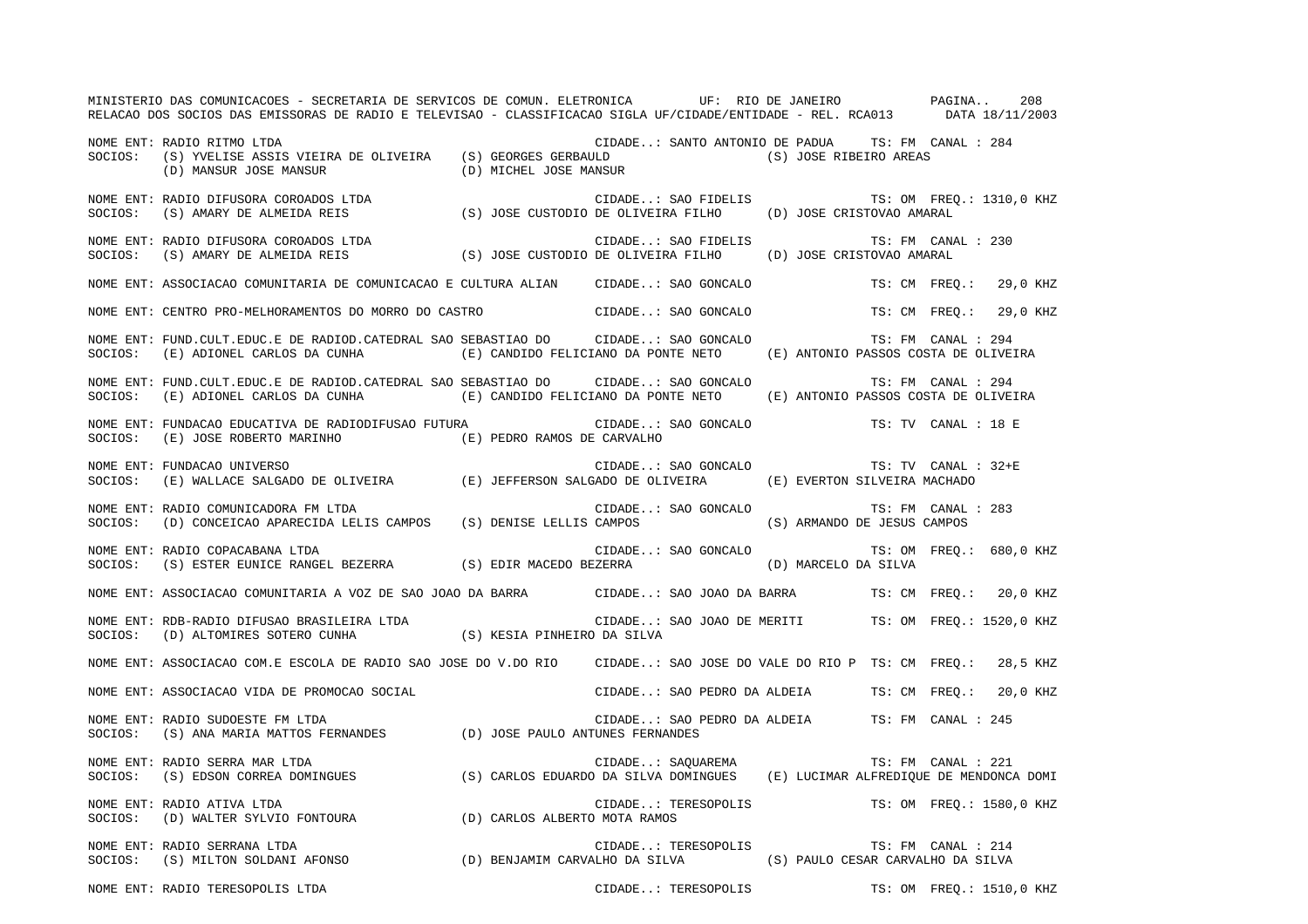MINISTERIO DAS COMUNICACOES - SECRETARIA DE SERVICOS DE COMUN. ELETRONICA UF: RIO DE JANEIRO PAGINA.. 208RELACAO DOS SOCIOS DAS EMISSORAS DE RADIO E TELEVISAO - CLASSIFICACAO SIGLA UF/CIDADE/ENTIDADE - REL. RCA013 DATA 18/11/2003 NOME ENT: RADIO RITMO LTDA CIDADE..: SANTO ANTONIO DE PADUA TS: FM CANAL : 284SOCIOS: (S) YVELISE ASSIS VIEIRA DE OLIVEIRA (S) GEORGES GERBAULD (S) JOSE RIBEIRO AREAS (D) MANSUR JOSE MANSUR (D) MICHEL JOSE MANSUR NOME ENT: RADIO DIFUSORA COROADOS LTDA CIDADE..: SAO FIDELIS TS: OM FREQ.: 1310,0 KHZ SOCIOS: (S) AMARY DE ALMEIDA REIS (S) JOSE CUSTODIO DE OLIVEIRA FILHO (D) JOSE CRISTOVAO AMARAL NOME ENT: RADIO DIFUSORA COROADOS LTDA CORONE CONSERVATION CIDADE..: SAO FIDELIS TS: FM CANAL : 230 SOCIOS: (S) AMARY DE ALMEIDA REIS (S) JOSE CUSTODIO DE OLIVEIRA FILHO (D) JOSE CRISTOVAO AMARAL NOME ENT: ASSOCIACAO COMUNITARIA DE COMUNICACAO E CULTURA ALIAN CIDADE..: SAO GONCALO TS: CM FREQ.: 29,0 KHZ NOME ENT: CENTRO PRO-MELHORAMENTOS DO MORRO DO CASTRO CIDADE..: SAO GONCALO TS: CM FREQ.: 29,0 KHZ NOME ENT: FUND.CULT.EDUC.E DE RADIOD.CATEDRAL SAO SEBASTIAO DO CIDADE..: SAO GONCALO TS: FM CANAL : 294 SOCIOS: (E) ADIONEL CARLOS DA CUNHA (E) CANDIDO FELICIANO DA PONTE NETO (E) ANTONIO PASSOS COSTA DE OLIVEIRA NOME ENT: FUND.CULT.EDUC.E DE RADIOD.CATEDRAL SAO SEBASTIAO DO CIDADE..: SAO GONCALO TS: FM CANAL : 294SOCIOS: (E) ADIONEL CARLOS DA CUNHA (E) CANDIDO FELICIANO DA PONTE NETO (E) ANTONIO PASSOS COSTA DE OLIVEIRA NOME ENT: FUNDACAO EDUCATIVA DE RADIODIFUSAO FUTURA CIDADE..: SAO GONCALO TS: TV CANAL : 18 ESOCIOS: (E) JOSE ROBERTO MARINHO (E) PEDRO RAMOS DE CARVALHO NOME ENT: FUNDACAO UNIVERSO CIDADE..: SAO GONCALO TS: TV CANAL : 32+ESOCIOS: (E) WALLACE SALGADO DE OLIVEIRA (E) JEFFERSON SALGADO DE OLIVEIRA (E) EVERTON SILVEIRA MACHADO NOME ENT: RADIO COMUNICADORA FM LTDA CIDADE..: SAO GONCALO TS: FM CANAL : 283 SOCIOS: (D) CONCEICAO APARECIDA LELIS CAMPOS (S) DENISE LELLIS CAMPOS (S) ARMANDO DE JESUS CAMPOS NOME ENT: RADIO COPACABANA LTDA  $\blacksquare$  CIDADE..: SAO GONCALO TS: OM FREQ.: 680,0 KHZ SOCIOS: (S) ESTER EUNICE RANGEL BEZERRA (S) EDIR MACEDO BEZERRA (D) MARCELO DA SILVA NOME ENT: ASSOCIACAO COMUNITARIA A VOZ DE SAO JOAO DA BARRA CIDADE..: SAO JOAO DA BARRA TS: CM FREQ.: 20,0 KHZ NOME ENT: RDB-RADIO DIFUSAO BRASILEIRA LTDA CIDADE..: SAO JOAO DE MERITI TS: OM FREQ.: 1520,0 KHZ SOCIOS: (D) ALTOMIRES SOTERO CUNHA (S) KESIA PINHEIRO DA SILVA NOME ENT: ASSOCIACAO COM.E ESCOLA DE RADIO SAO JOSE DO V.DO RIO CIDADE..: SAO JOSE DO VALE DO RIO P TS: CM FREQ.: 28,5 KHZ NOME ENT: ASSOCIACAO VIDA DE PROMOCAO SOCIAL CIDADE..: SAO PEDRO DA ALDEIA TS: CM FREQ.: 20,0 KHZ NOME ENT: RADIO SUDOESTE FM LTDA CIDADE..: SAO PEDRO DA ALDEIA TS: FM CANAL : 245SOCIOS: (S) ANA MARIA MATTOS FERNANDES (D) JOSE PAULO ANTUNES FERNANDES NOME ENT: RADIO SERRA MAR LTDA CIDADE... SAQUAREMA TS: FM CANAL : 221 SOCIOS: (S) EDSON CORREA DOMINGUES (S) CARLOS EDUARDO DA SILVA DOMINGUES (E) LUCIMAR ALFREDIQUE DE MENDONCA DOMI NOME ENT: RADIO ATIVA LTDA  $\sim$  CIDADE..: TERESOPOLIS TS: OM FREQ.: 1580,0 KHZ SOCIOS: (D) WALTER SYLVIO FONTOURA (D) CARLOS ALBERTO MOTA RAMOS NOME ENT: RADIO SERRANA LTDA CIDADE..: TERESOPOLIS TS: FM CANAL : 214SOCIOS: (S) MILTON SOLDANI AFONSO (D) BENJAMIM CARVALHO DA SILVA (S) PAULO CESAR CARVALHO DA SILVA NOME ENT: RADIO TERESOPOLIS LTDA THE SOLO ENTRANGER CIDADE..: TERESOPOLIS TS: OM FREQ.: 1510,0 KHZ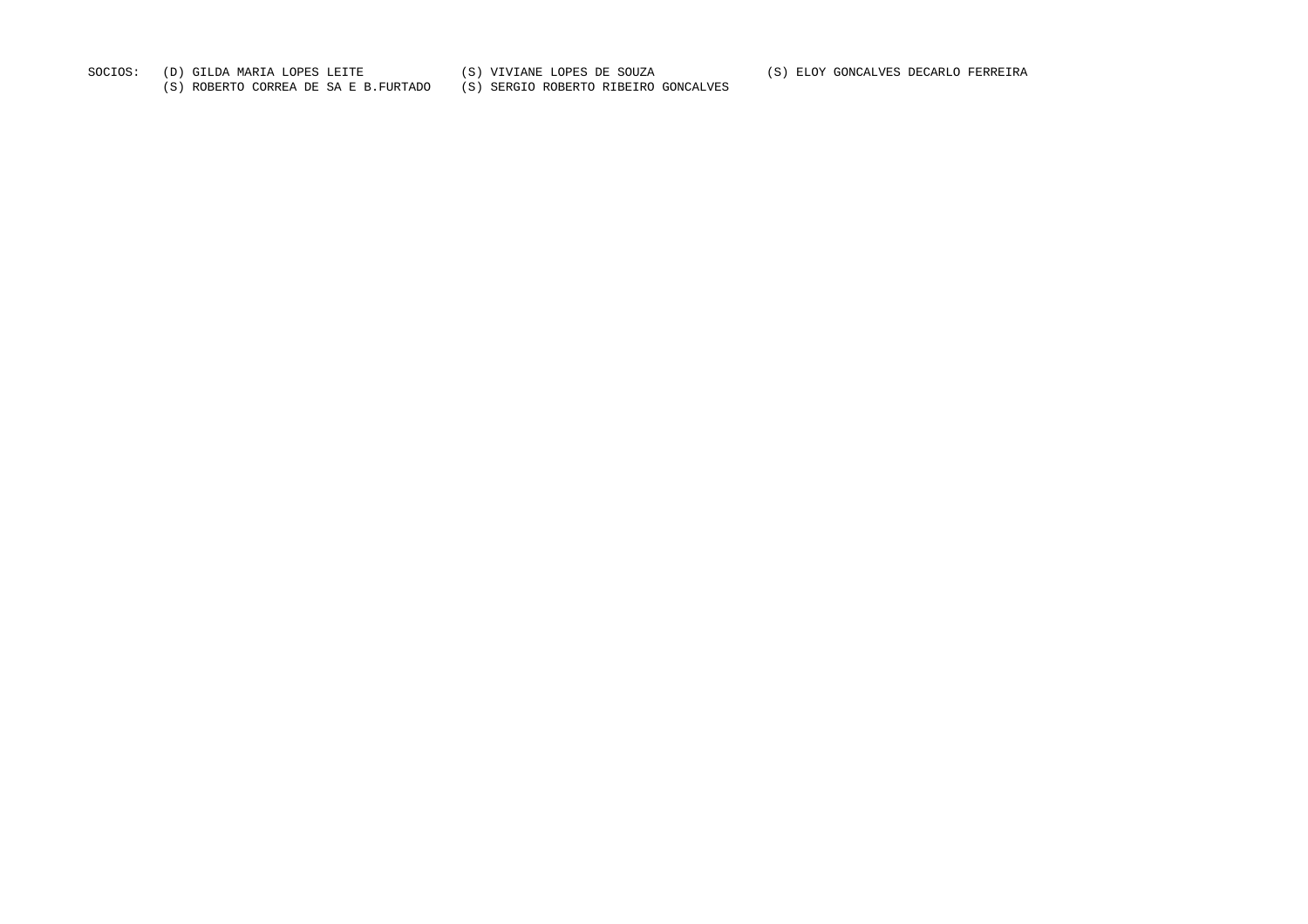SOCIOS: (D) GILDA MARIA LOPES LEITE (S) VIVIANE LOPES DE SOUZA (S) ELOY GONCALVES DECARLO FERREIRA

(S) ROBERTO CORREA DE SA E B.FURTADO (S) SERGIO ROBERTO RIBEIRO GONCALVES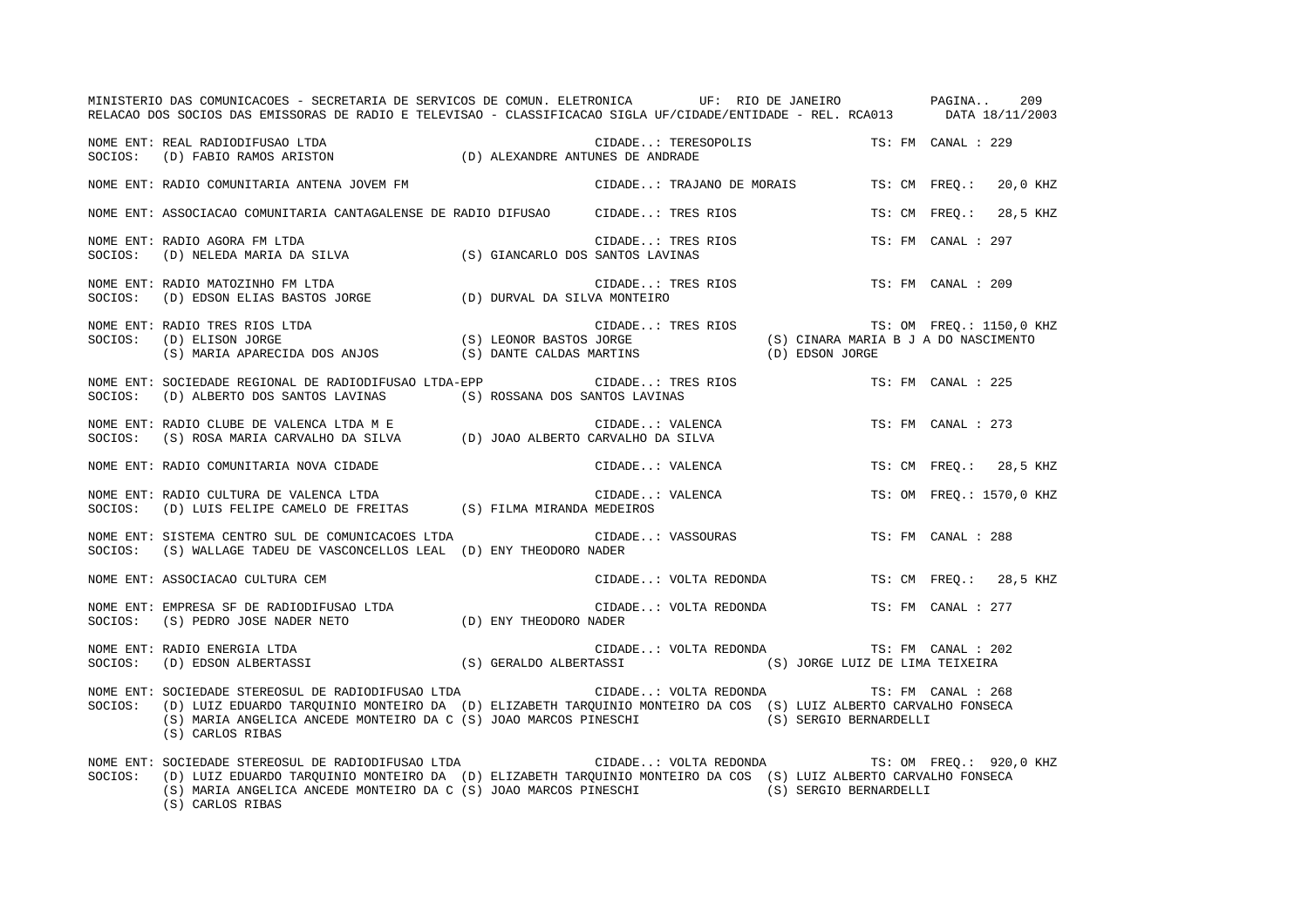|         | MINISTERIO DAS COMUNICACOES - SECRETARIA DE SERVICOS DE COMUN. ELETRONICA     UF: RIO DE JANEIRO       PAGINA<br>RELACAO DOS SOCIOS DAS EMISSORAS DE RADIO E TELEVISAO - CLASSIFICACAO SIGLA UF/CIDADE/ENTIDADE - REL. RCA013 DATA 18/11/2003                                         |                                              |                          | 209 |
|---------|---------------------------------------------------------------------------------------------------------------------------------------------------------------------------------------------------------------------------------------------------------------------------------------|----------------------------------------------|--------------------------|-----|
|         | NOME ENT: REAL RADIODIFUSAO LTDA<br>SOCIOS:    (D) FABIO RAMOS ARISTON                                (D) ALEXANDRE ANTUNES DE ANDRADE                                                                                                                                                | CIDADE: TERESOPOLIS TS: FM CANAL : 229       |                          |     |
|         | NOME ENT: RADIO COMUNITARIA ANTENA JOVEM FM                                                                                                                                                                                                                                           | CIDADE: TRAJANO DE MORAIS                    | TS: CM FREO.: 20,0 KHZ   |     |
|         | NOME ENT: ASSOCIACAO COMUNITARIA CANTAGALENSE DE RADIO DIFUSAO CIDADE: TRES RIOS                                                                                                                                                                                                      |                                              | TS: CM FREO.: 28,5 KHZ   |     |
| SOCIOS: | NOME ENT: RADIO AGORA FM LTDA                                                                                                                                                                                                                                                         | CIDADE: TRES RIOS<br>SANTOS LAVINAS          | TS: FM CANAL : 297       |     |
| SOCIOS: | NOME ENT: RADIO MATOZINHO FM LTDA                                                                                                                                                                                                                                                     | CIDADE: TRES RIOS                            | TS: FM CANAL : 209       |     |
| SOCIOS: | RADIO TRES RIOS LTDA (S) LEONOR BASTOS JORGE (S) CINARA MARIA B J A DO NASCIMENTO<br>(S) MARIA APARECIDA DOS ANJOS (S) DANTE CALDAS MARTINS (D) EDSON JORGE (S) MARIA APARECIDA DOS ANJOS (S) DANTE CALDAS MARTINS (D) EDSON JORG<br>NOME ENT: RADIO TRES RIOS LTDA                   |                                              | TS: OM FREQ.: 1150,0 KHZ |     |
| SOCIOS: | NOME ENT: SOCIEDADE REGIONAL DE RADIODIFUSAO LTDA-EPP<br>(D) ALBERTO DOS SANTOS LAVINAS (S) ROSSANA DOS SANTOS LAVINAS                                                                                                                                                                | CIDADE: TRES RIOS                            | TS: FM CANAL : 225       |     |
|         |                                                                                                                                                                                                                                                                                       | CIDADE: VALENCA<br>TARVALHO DA SILVA         | TS: FM CANAL : 273       |     |
|         | NOME ENT: RADIO COMUNITARIA NOVA CIDADE                                                                                                                                                                                                                                               | CIDADE: VALENCA                              | TS: CM FREQ.: 28,5 KHZ   |     |
| SOCIOS: | RADIO CULTURA DE VALENCA LTDA $(D)$ LUIS FELIPE CAMELO DE FREITAS $(S)$ FILMA MIRANDA MEDEIROS<br>NOME ENT: RADIO CULTURA DE VALENCA LTDA                                                                                                                                             | CIDADE: VALENCA                              | TS: OM FREO.: 1570,0 KHZ |     |
| SOCIOS: | NOME ENT: SISTEMA CENTRO SUL DE COMUNICACOES LTDA<br>(S) WALLAGE TADEU DE VASCONCELLOS LEAL (D) ENY THEODORO NADER                                                                                                                                                                    | CIDADE: VASSOURAS                            | TS: FM CANAL : 288       |     |
|         | NOME ENT: ASSOCIACAO CULTURA CEM                                                                                                                                                                                                                                                      | CIDADE: VOLTA REDONDA TS: CM FREQ.: 28,5 KHZ |                          |     |
| SOCIOS: | ASSOCIACAO CULTURA CEM (CIDAD CIDAD CIDAD CIDAD EMPRESA SF DE RADIODIFUSAO LTDA (D) ENY THEODORO NADER (S) PEDRO JOSE NADER NETO<br>NOME ENT: EMPRESA SF DE RADIODIFUSAO LTDA                                                                                                         | CIDADE: VOLTA REDONDA                        | TS: FM CANAL : 277       |     |
| SOCIOS: | NOME ENT: RADIO ENERGIA LTDA<br>(D) EDSON ALBERTASSI                                                                                                                                                                                                                                  |                                              | TS: FM CANAL : 202       |     |
| SOCIOS: | NOME ENT: SOCIEDADE STEREOSUL DE RADIODIFUSAO LTDA<br>(D) LUIZ EDUARDO TARQUINIO MONTEIRO DA (D) ELIZABETH TARQUINIO MONTEIRO DA COS (S) LUIZ ALBERTO CARVALHO FONSECA<br>(S) MARIA ANGELICA ANCEDE MONTEIRO DA C (S) JOAO MARCOS PINESCHI (S) SERGIO BERNARDELLI<br>(S) CARLOS RIBAS | CIDADE: VOLTA REDONDA TS: FM CANAL : 268     |                          |     |
| SOCIOS: | (D) LUIZ EDUARDO TARQUINIO MONTEIRO DA (D) ELIZABETH TARQUINIO MONTEIRO DA COS (S) LUIZ ALBERTO CARVALHO FONSECA<br>(S) MARIA ANGELICA ANCEDE MONTEIRO DA C (S) JOAO MARCOS PINESCHI (S) SERGIO BERNARDELLI<br>(S) CARLOS RIBAS                                                       |                                              |                          |     |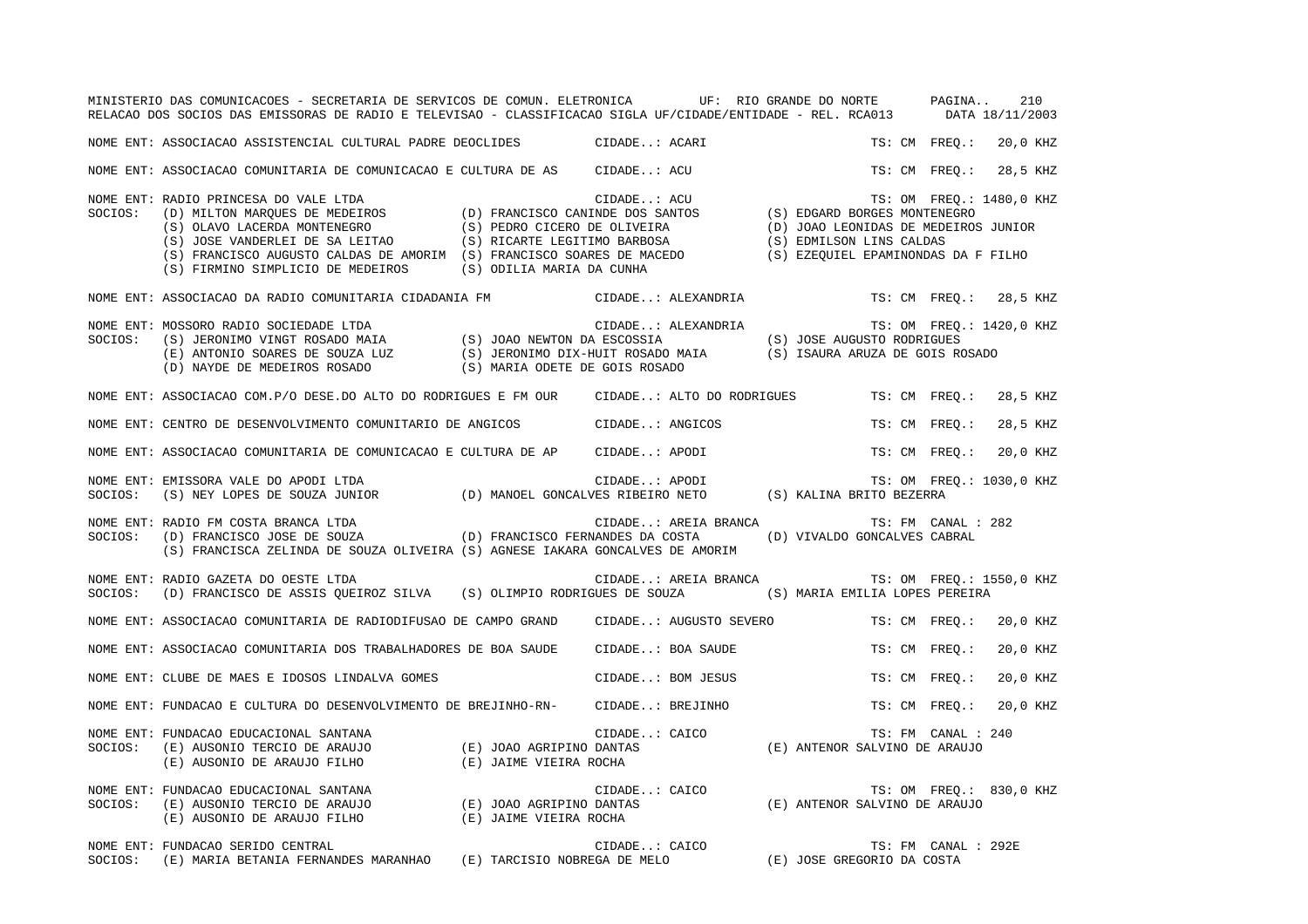|         | MINISTERIO DAS COMUNICACOES - SECRETARIA DE SERVICOS DE COMUN. ELETRONICA UF: RIO GRANDE DO NORTE PAGINA<br>RELACAO DOS SOCIOS DAS EMISSORAS DE RADIO E TELEVISAO - CLASSIFICACAO SIGLA UF/CIDADE/ENTIDADE - REL. RCA013 DATA 18/11/2003                                                                                                     |                                               |                     | 210                      |
|---------|----------------------------------------------------------------------------------------------------------------------------------------------------------------------------------------------------------------------------------------------------------------------------------------------------------------------------------------------|-----------------------------------------------|---------------------|--------------------------|
|         | NOME ENT: ASSOCIACAO ASSISTENCIAL CULTURAL PADRE DEOCLIDES CIDADE: ACARI                                                                                                                                                                                                                                                                     |                                               |                     | TS: CM FREO.: 20,0 KHZ   |
|         | NOME ENT: ASSOCIACAO COMUNITARIA DE COMUNICACAO E CULTURA DE AS CIDADE: ACU                                                                                                                                                                                                                                                                  |                                               |                     | TS: CM FREQ.: 28,5 KHZ   |
| SOCIOS: | RADIO PRINCESA DO VALE LTDA<br>(D) MILTON MARQUES DE MEDEIROS (D) FRANCISCO CANINDE DOS SANTOS (S) EDGARD BORGES MONTENEGRO<br>(S) OLAVO LACERDA MONTENEGRO (S) PEDRO CICERO DE OLIVEIRA (D) JOAO LEONIDAS DE MEDEIROS JUNIOR<br>(S)<br>NOME ENT: RADIO PRINCESA DO VALE LTDA<br>(S) FIRMINO SIMPLICIO DE MEDEIROS (S) ODILIA MARIA DA CUNHA |                                               |                     | TS: OM FREQ.: 1480,0 KHZ |
|         | NOME ENT: ASSOCIACAO DA RADIO COMUNITARIA CIDADANIA FM CIDADE: ALEXANDRIA                                                                                                                                                                                                                                                                    |                                               |                     | TS: CM FREO.: 28,5 KHZ   |
|         | NOME ENT: MOSSORO RADIO SOCIEDADE LTDA<br>SOCIOS: (S) JERONIMO VINGT ROSADO MAIA (S) JOAO NEWTON DA ESCOSSIA (S) JOSE AUGUSTO RODRIGUES<br>(E) ANTONIO SOARES DE SOUZA LUZ (S) JERONIMO DIX-HUIT ROSADO MAIA (S) ISAURA ARUZA DE G                                                                                                           |                                               |                     |                          |
|         | NOME ENT: ASSOCIACAO COM.P/O DESE.DO ALTO DO RODRIGUES E FM OUR CIDADE: ALTO DO RODRIGUES TS: CM FREO.: 28,5 KHZ                                                                                                                                                                                                                             |                                               |                     |                          |
|         | NOME ENT: CENTRO DE DESENVOLVIMENTO COMUNITARIO DE ANGICOS CIDADE: ANGICOS                                                                                                                                                                                                                                                                   |                                               | TS: CM FREQ.:       | 28,5 KHZ                 |
|         | NOME ENT: ASSOCIACAO COMUNITARIA DE COMUNICACAO E CULTURA DE AP      CIDADE: APODI                                                                                                                                                                                                                                                           |                                               |                     | TS: CM FREQ.: 20,0 KHZ   |
| SOCIOS: | EMISSORA VALE DO APODI LTDA<br>(S) NEY LOPES DE SOUZA JUNIOR (D) MANOEL GONCALVES RIBEIRO NETO (S) KALINA BRITO BEZERRA<br>NOME ENT: EMISSORA VALE DO APODI LTDA                                                                                                                                                                             |                                               |                     | TS: OM FREQ.: 1030,0 KHZ |
| SOCIOS: | NOME ENT: RADIO FM COSTA BRANCA LTDA<br>FADIO FM COSTA BRANCA LTDA (D) FRANCISCO FERNANDES DA COSTA (D) VIVALDO GONCALVES CABRAL<br>(D) FRANCISCO JOSE DE SOUZA (D) FRANCISCO FERNANDES DA COSTA (D) VIVALDO GONCALVES CABRAL<br>(S) FRANCISCA ZELINDA DE SOUZA OLIVEIRA (S) AGNESE IAKARA GONCALVES DE AMORIM                               | CIDADE: AREIA BRANCA                          | TS: FM CANAL : 282  |                          |
|         | NOME ENT: RADIO GAZETA DO OESTE LTDA<br>SOCIOS: (D) FRANCISCO DE ASSIS QUEIROZ SILVA (S) OLIMPIO RODRIGUES DE SOUZA (S) MARIA EMILIA LOPES PEREIRA                                                                                                                                                                                           | CIDADE: AREIA BRANCA TS: OM FREQ.: 1550,0 KHZ |                     |                          |
|         | NOME ENT: ASSOCIACAO COMUNITARIA DE RADIODIFUSAO DE CAMPO GRAND                                                                                                                                                                                                                                                                              | CIDADE: AUGUSTO SEVERO                        |                     | TS: CM FREQ.: 20,0 KHZ   |
|         | NOME ENT: ASSOCIACAO COMUNITARIA DOS TRABALHADORES DE BOA SAUDE CIDADE: BOA SAUDE                                                                                                                                                                                                                                                            |                                               | TS: CM FREQ.:       | 20,0 KHZ                 |
|         | NOME ENT: CLUBE DE MAES E IDOSOS LINDALVA GOMES                                                                                                                                                                                                                                                                                              | CIDADE: BOM JESUS                             | TS: CM FREO.:       | 20,0 KHZ                 |
|         | NOME ENT: FUNDACAO E CULTURA DO DESENVOLVIMENTO DE BREJINHO-RN- CIDADE: BREJINHO                                                                                                                                                                                                                                                             |                                               | TS: CM FREO.:       | 20,0 KHZ                 |
| SOCIOS: | NOME ENT: FUNDACAO EDUCACIONAL SANTANA<br>rUNDACAO EDUCACIONAL SANTANA (E) JOAO AGRIPINO DANTAS (E) AUSONIO TERCIO DE ARAUJO (E) JOAO AGRIPINO DANTAS (E)<br>(E) AUSONIO TERCIO DE ARAUJO (E) JOAO AGRIPINO DANTAS (E) ANTENOR SALVINO DE ARAUJO (E) AUSONIO DE ARAUJO (E)                                                                   |                                               | TS: FM CANAL : 240  |                          |
| SOCIOS: | FUNDACAO EDUCACIONAL SANTANA (E) JOAO AGRIPINO DANTAS (E) CIDADE: CAICO (E) AUSONIO TERCIO DE ARAUJO (E) JOAO AGRIPINO DANTAS (E) ANTENOR SALVINO DE ARAUJO (E) AUSONIO DE ARAUJO (E) JAIME VIEIRA ROCHA<br>NOME ENT: FUNDACAO EDUCACIONAL SANTANA                                                                                           |                                               |                     | TS: OM FREQ.: 830,0 KHZ  |
|         | NOME ENT: FUNDACAO SERIDO CENTRAL (E) TARCISIO NOBREGA DE MELO (E) JOSE GREGORIO DA COSTA SOCIOS: (E) MARIA BETANIA FERNANDES MARANHAO (E) TARCISIO NOBREGA DE MELO (E) JOSE GREGORIO DA COSTA                                                                                                                                               |                                               | TS: FM CANAL : 292E |                          |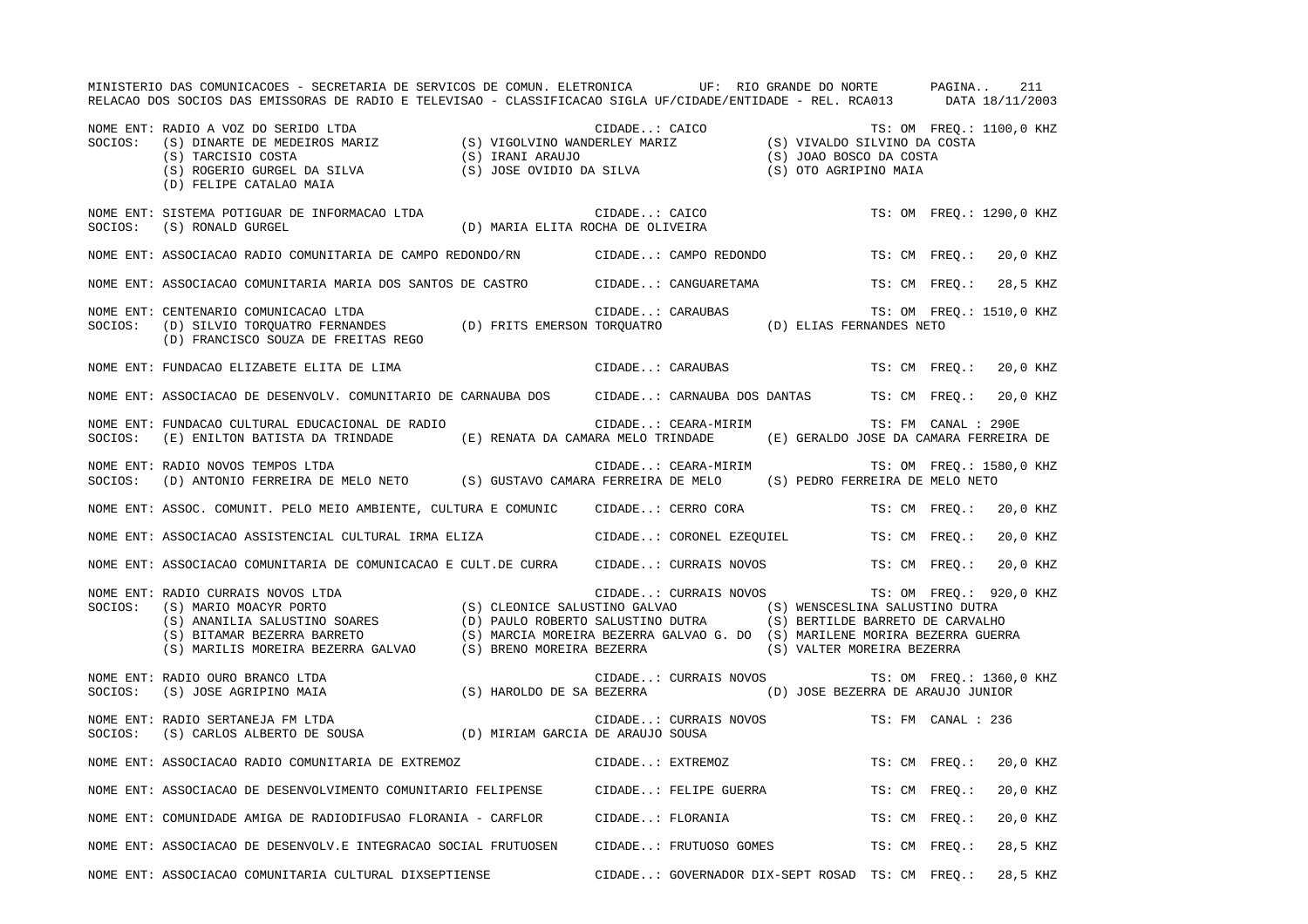|         | MINISTERIO DAS COMUNICACOES - SECRETARIA DE SERVICOS DE COMUN. ELETRONICA UF: RIO GRANDE DO NORTE PAGINA<br>RELACAO DOS SOCIOS DAS EMISSORAS DE RADIO E TELEVISAO - CLASSIFICACAO SIGLA UF/CIDADE/ENTIDADE - REL. RCA013 DATA 18/11/2003                                                               |                                                    |                     |                                                 |                     |               | 211                      |
|---------|--------------------------------------------------------------------------------------------------------------------------------------------------------------------------------------------------------------------------------------------------------------------------------------------------------|----------------------------------------------------|---------------------|-------------------------------------------------|---------------------|---------------|--------------------------|
| SOCIOS: | RADIO A VOZ DO SERIDO LTDA<br>(S) DINARTE DE MEDEIROS MARIZ (S) VIGOLVINO WANDERLEY MARIZ (S) VIVALDO SILVINO DA COSTA<br>(S) TARCISIO COSTA (S) IRANI ARAUJO (S) JOAO BOSCO DA COSTA<br>(S) ROGER (S) JOAO BOSCO DA COSTA (S) JOAO<br>NOME ENT: RADIO A VOZ DO SERIDO LTDA<br>(D) FELIPE CATALAO MAIA |                                                    |                     |                                                 |                     |               |                          |
|         | NOME ENT: SISTEMA POTIGUAR DE INFORMACAO LTDA<br>SOCIOS: (S) RONALD GURGEL                                                                                                                                                                                                                             | CIDADE: CAICO<br>(D) MARIA ELITA ROCHA DE OLIVEIRA |                     |                                                 |                     |               | TS: OM FREQ.: 1290,0 KHZ |
|         | NOME ENT: ASSOCIACAO RADIO COMUNITARIA DE CAMPO REDONDO/RN CIDADE: CAMPO REDONDO TS: CM FREQ.: 20,0 KHZ                                                                                                                                                                                                |                                                    |                     |                                                 |                     |               |                          |
|         | NOME ENT: ASSOCIACAO COMUNITARIA MARIA DOS SANTOS DE CASTRO (CIDADE: CANGUARETAMA TS: CM FREQ.: 28,5 KHZ                                                                                                                                                                                               |                                                    |                     |                                                 |                     |               |                          |
|         | NOME ENT: CENTENARIO COMUNICACAO LTDA<br>SOCIOS: (D) SILVIO TORQUERO FERNANDES (D) FRITS EMERSON TORQUATRO (D) ELIAS FERNANDES NETO<br>(D) FRANCISCO SOUZA DE FREITAS REGO                                                                                                                             |                                                    |                     |                                                 |                     |               | TS: OM FREQ.: 1510,0 KHZ |
|         | NOME ENT: FUNDACAO ELIZABETE ELITA DE LIMA                                                                                                                                                                                                                                                             |                                                    | CIDADE: CARAUBAS    |                                                 |                     |               | TS: CM FREQ.: 20,0 KHZ   |
|         | NOME ENT: ASSOCIACAO DE DESENVOLV. COMUNITARIO DE CARNAUBA DOS CIDADE: CARNAUBA DOS DANTAS TS: CM FREQ.: 20,0 KHZ                                                                                                                                                                                      |                                                    |                     |                                                 |                     |               |                          |
|         | NOME ENT: FUNDACAO CULTURAL EDUCACIONAL DE RADIO<br>SOCIOS: (E) ENILTON BATISTA DA TRINDADE (E) RENATA DA CAMARA MELO TRINDADE (E) GERALDO JOSE DA CAMARA FERREIRA DE                                                                                                                                  |                                                    | CIDADE: CEARA-MIRIM |                                                 | TS: FM CANAL : 290E |               |                          |
|         | NOME ENT: RADIO NOVOS TEMPOS LTDA<br>SOCIOS: (D) ANTONIO FERREIRA DE MELO NETO (S) GUSTAVO CAMARA FERREIRA DE MELO (S) PEDRO FERREIRA DE MELO NETO                                                                                                                                                     |                                                    |                     | CIDADE: CEARA-MIRIM TS: OM FREQ.: 1580,0 KHZ    |                     |               |                          |
|         | NOME ENT: ASSOC. COMUNIT. PELO MEIO AMBIENTE, CULTURA E COMUNIC CIDADE: CERRO CORA                                                                                                                                                                                                                     |                                                    |                     |                                                 |                     |               | TS: CM FREQ.: 20,0 KHZ   |
|         | NOME ENT: ASSOCIACAO ASSISTENCIAL CULTURAL IRMA ELIZA CIDADE: CORONEL EZEQUIEL TS: CM FREQ.: 20,0 KHZ                                                                                                                                                                                                  |                                                    |                     |                                                 |                     |               |                          |
|         | NOME ENT: ASSOCIACAO COMUNITARIA DE COMUNICACAO E CULT.DE CURRA CIDADE: CURRAIS NOVOS TS: CM FREQ.: 20,0 KHZ                                                                                                                                                                                           |                                                    |                     |                                                 |                     |               |                          |
|         | NOME ENT: RADIO CURRAIS NOVOS LTDA<br>SOCIOS: (S) MARIO MOACYR PORTO<br>(S) CLEONICE SALUSTINO GALVAO (S) WENSCESLINA SALUSTINO DUTRA<br>(S) ANANILIA SALUSTINO SOARES (D) PAULO ROBERTO SALUSTINO DUTRA (S) BERTILDE BARRETO DE CAR                                                                   |                                                    |                     | CIDADE: CURRAIS NOVOS TS: OM FREQ.: 920,0 KHZ   |                     |               |                          |
|         | NOME ENT: RADIO OURO BRANCO LTDA<br>SOCIOS: (S) JOSE AGRIPINO MAIA (S) HAROLDO DE SA BEZERRA (D) JOSE BEZERRA DE ARAUJO JUNIOR                                                                                                                                                                         |                                                    |                     | CIDADE: CURRAIS NOVOS TS: OM FREQ.: 1360,0 KHZ  |                     |               |                          |
|         | NOME ENT: RADIO SERTANEJA FM LTDA<br>SOCIOS: (S) CARLOS ALBERTO DE SOUSA (D) MIRIAM GARCIA DE ARAUJO SOUSA                                                                                                                                                                                             |                                                    |                     | CIDADE: CURRAIS NOVOS TS: FM CANAL : 236        |                     |               |                          |
|         | NOME ENT: ASSOCIACAO RADIO COMUNITARIA DE EXTREMOZ                                                                                                                                                                                                                                                     |                                                    | CIDADE: EXTREMOZ    |                                                 |                     |               | TS: CM FREQ.: 20,0 KHZ   |
|         | NOME ENT: ASSOCIACAO DE DESENVOLVIMENTO COMUNITARIO FELIPENSE CIDADE: FELIPE GUERRA                                                                                                                                                                                                                    |                                                    |                     |                                                 |                     | TS: CM FREO.: | 20,0 KHZ                 |
|         | NOME ENT: COMUNIDADE AMIGA DE RADIODIFUSAO FLORANIA - CARFLOR CIDADE: FLORANIA                                                                                                                                                                                                                         |                                                    |                     |                                                 |                     | TS: CM FREO.: | 20,0 KHZ                 |
|         | NOME ENT: ASSOCIACAO DE DESENVOLV.E INTEGRACAO SOCIAL FRUTUOSEN CIDADE: FRUTUOSO GOMES TS: CM FREQ.:                                                                                                                                                                                                   |                                                    |                     |                                                 |                     |               | 28,5 KHZ                 |
|         | NOME ENT: ASSOCIACAO COMUNITARIA CULTURAL DIXSEPTIENSE                                                                                                                                                                                                                                                 |                                                    |                     | CIDADE: GOVERNADOR DIX-SEPT ROSAD TS: CM FREO.: |                     |               | 28,5 KHZ                 |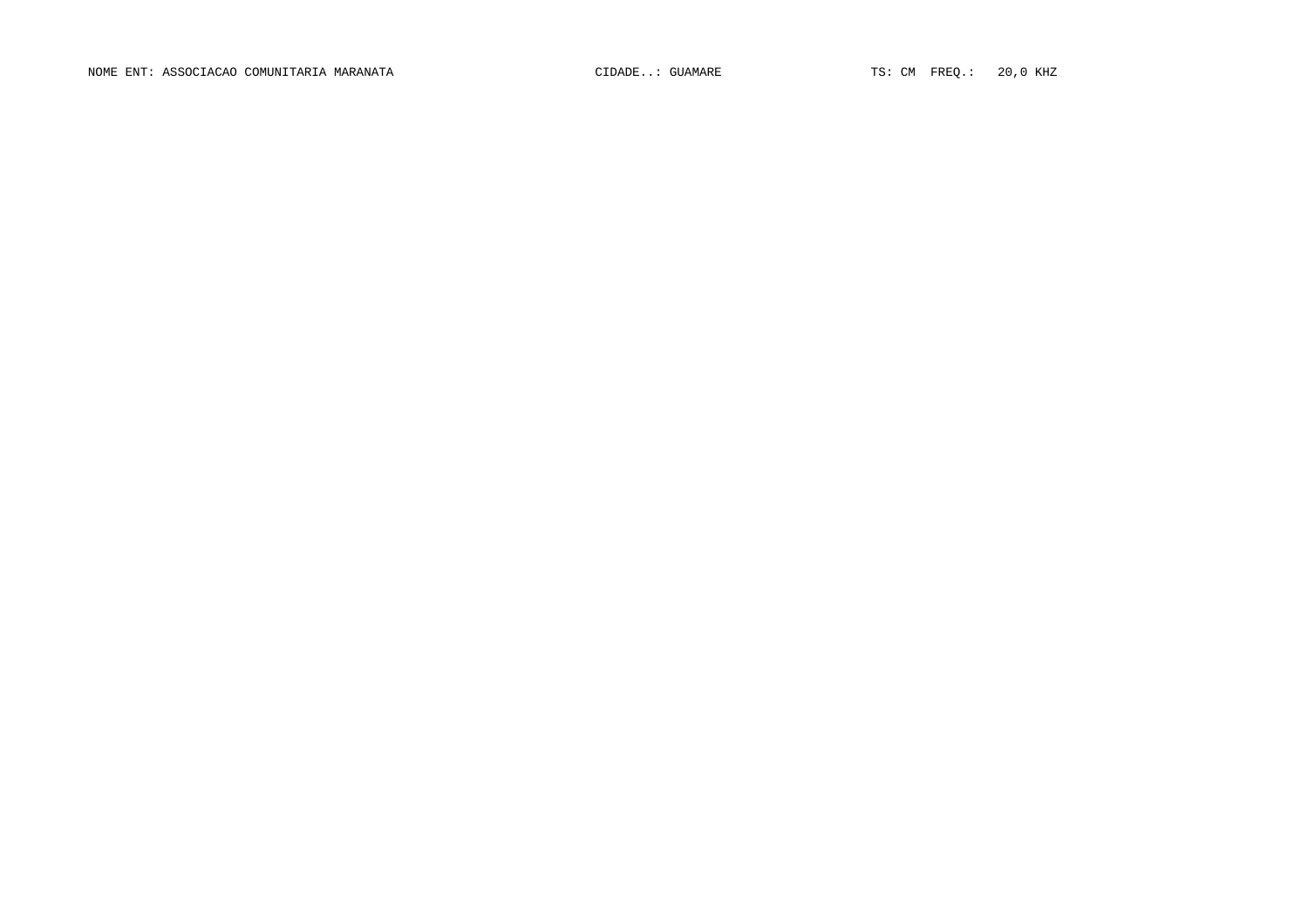NOME ENT: ASSOCIACAO COMUNITARIA MARANATA CIDADE..: GUAMARE TS: CM FREQ.: 20,0 KHZ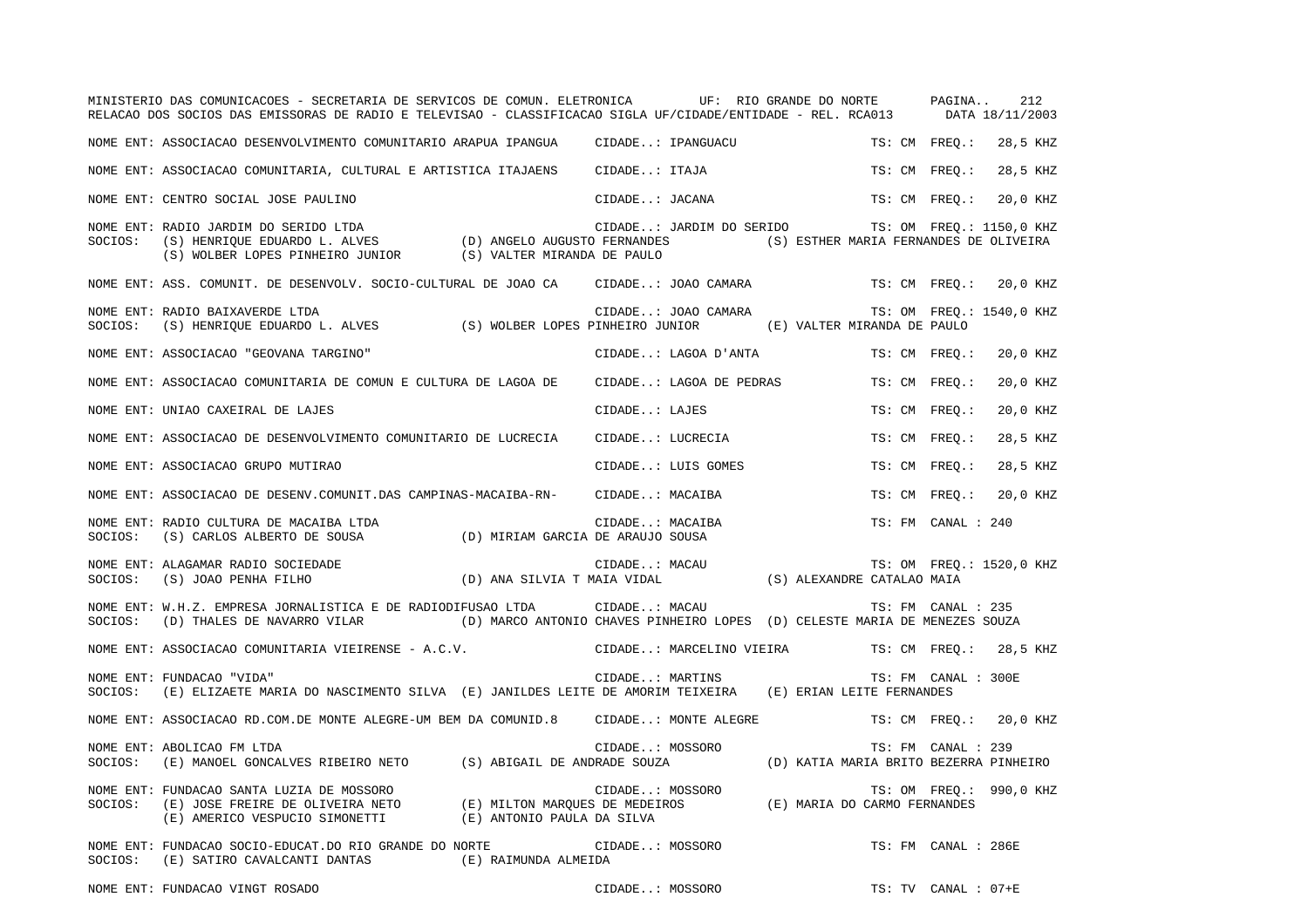|         | MINISTERIO DAS COMUNICACOES - SECRETARIA DE SERVICOS DE COMUN. ELETRONICA UF: RIO GRANDE DO NORTE PAGINA<br>RELACAO DOS SOCIOS DAS EMISSORAS DE RADIO E TELEVISAO - CLASSIFICACAO SIGLA UF/CIDADE/ENTIDADE - REL. RCA013       |                 |                      |                          |                                                   |               |                     | 212<br>DATA 18/11/2003   |
|---------|--------------------------------------------------------------------------------------------------------------------------------------------------------------------------------------------------------------------------------|-----------------|----------------------|--------------------------|---------------------------------------------------|---------------|---------------------|--------------------------|
|         | NOME ENT: ASSOCIACAO DESENVOLVIMENTO COMUNITARIO ARAPUA IPANGUA                                                                                                                                                                |                 |                      | CIDADE: IPANGUACU        |                                                   |               | TS: CM FREO.:       | 28,5 KHZ                 |
|         | NOME ENT: ASSOCIACAO COMUNITARIA, CULTURAL E ARTISTICA ITAJAENS (CIDADE: ITAJA                                                                                                                                                 |                 |                      |                          |                                                   | TS: CM FREO.: |                     | 28,5 KHZ                 |
|         | NOME ENT: CENTRO SOCIAL JOSE PAULINO                                                                                                                                                                                           |                 |                      | CIDADE: JACANA           |                                                   | TS: CM FREO.: |                     | 20,0 KHZ                 |
| SOCIOS: | NOME ENT: RADIO JARDIM DO SERIDO LTDA                                                                                                                                                                                          |                 |                      |                          | CIDADE: JARDIM DO SERIDO TS: OM FREQ.: 1150,0 KHZ |               |                     |                          |
|         | NOME ENT: ASS. COMUNIT. DE DESENVOLV. SOCIO-CULTURAL DE JOAO CA                                                                                                                                                                |                 |                      | CIDADE: JOAO CAMARA      |                                                   |               |                     | TS: CM FREQ.: 20,0 KHZ   |
| SOCIOS: | NOME ENT: RADIO BAIXAVERDE LTDA<br>(S) HENRIQUE EDUARDO L. ALVES (S) WOLBER LOPES PINHEIRO JUNIOR (E) VALTER MIRANDA DE PAULO                                                                                                  |                 | CIDADE: JOAO CAMARA  |                          |                                                   |               |                     | TS: OM FREQ.: 1540,0 KHZ |
|         | NOME ENT: ASSOCIACAO "GEOVANA TARGINO"                                                                                                                                                                                         |                 | CIDADE: LAGOA D'ANTA |                          |                                                   | TS: CM FREO.: |                     | 20,0 KHZ                 |
|         | NOME ENT: ASSOCIACAO COMUNITARIA DE COMUN E CULTURA DE LAGOA DE                                                                                                                                                                |                 |                      | CIDADE: LAGOA DE PEDRAS  |                                                   | TS: CM FREO.: |                     | 20,0 KHZ                 |
|         | NOME ENT: UNIAO CAXEIRAL DE LAJES                                                                                                                                                                                              |                 | CIDADE: LAJES        |                          |                                                   | TS: CM FREQ.: |                     | 20,0 KHZ                 |
|         | NOME ENT: ASSOCIACAO DE DESENVOLVIMENTO COMUNITARIO DE LUCRECIA                                                                                                                                                                |                 | CIDADE: LUCRECIA     |                          |                                                   | TS: CM FREQ.: |                     | 28,5 KHZ                 |
|         | NOME ENT: ASSOCIACAO GRUPO MUTIRAO                                                                                                                                                                                             |                 | CIDADE: LUIS GOMES   |                          |                                                   | TS: CM FREO.: |                     | 28,5 KHZ                 |
|         | NOME ENT: ASSOCIACAO DE DESENV.COMUNIT.DAS CAMPINAS-MACAIBA-RN- CIDADE: MACAIBA                                                                                                                                                |                 |                      |                          |                                                   | TS: CM FREO.: |                     | 20,0 KHZ                 |
| SOCIOS: | NOME ENT: RADIO CULTURA DE MACAIBA LTDA<br>(S) CARLOS ALBERTO DE SOUSA (D) MIRIAM GARCIA DE ARAUJO SOUSA                                                                                                                       |                 | CIDADE: MACAIBA      |                          |                                                   |               | TS: FM CANAL : 240  |                          |
| SOCIOS: | NOME ENT: ALAGAMAR RADIO SOCIEDADE<br>DE (D) ANA SILVIA T MAIA VIDAL<br>(S) JOAO PENHA FILHO                                                                                                                                   |                 | CIDADE: MACAU        |                          | S) ALEXANDRE CATALAO MAIA                         |               |                     | TS: OM FREQ.: 1520,0 KHZ |
| SOCIOS: | NOME ENT: W.H.Z. EMPRESA JORNALISTICA E DE RADIODIFUSAO LTDA<br>(D) THALES DE NAVARRO VILAR (D) MARCO ANTONIO CHAVES PINHEIRO LOPES (D) CELESTE MARIA DE MENEZES SOUZA                                                         |                 | CIDADE: MACAU        |                          |                                                   |               | TS: FM CANAL : 235  |                          |
|         | NOME ENT: ASSOCIACAO COMUNITARIA VIEIRENSE - A.C.V.                                                                                                                                                                            |                 |                      | CIDADE: MARCELINO VIEIRA |                                                   |               |                     | TS: CM FREQ.: 28,5 KHZ   |
| SOCIOS: | NOME ENT: FUNDACAO "VIDA"<br>(E) ELIZAETE MARIA DO NASCIMENTO SILVA (E) JANILDES LEITE DE AMORIM TEIXEIRA (E) ERIAN LEITE FERNANDES                                                                                            |                 | CIDADE: MARTINS      |                          |                                                   |               | TS: FM CANAL : 300E |                          |
|         | NOME ENT: ASSOCIACAO RD.COM.DE MONTE ALEGRE-UM BEM DA COMUNID.8 CIDADE: MONTE ALEGRE                                                                                                                                           |                 |                      |                          |                                                   |               |                     | TS: CM FREO.: 20,0 KHZ   |
| SOCIOS: | NOME ENT: ABOLICAO FM LTDA<br>(E) MANOEL GONCALVES RIBEIRO NETO (S) ABIGAIL DE ANDRADE SOUZA (D) KATIA MARIA BRITO BEZERRA PINHEIRO                                                                                            |                 | CIDADE: MOSSORO      |                          |                                                   |               | TS: FM CANAL : 239  |                          |
| SOCIOS: | NOME ENT: FUNDACAO SANTA LUZIA DE MOSSORO<br>(E) JOSE FREIRE DE OLIVEIRA NETO (E) MILTON MARQUES DE MEDEIROS (E) MARIA DO CARMO FERNANDES<br>(E) AMERICO VESPUCIO SIMONETTI (E) ANTONIO PAULA DA SILVA                         |                 | CIDADE: MOSSORO      |                          |                                                   |               |                     | TS: OM FREQ.: 990,0 KHZ  |
|         | NOME ENT: FUNDACAO SOCIO-EDUCAT.DO RIO GRANDE DO NORTE<br>$\texttt{SOCIOS:} \hspace{0.5cm} (\texttt{E}) \hspace{0.5cm} \texttt{SATIRO CAVALCANTI DANTAS} \hspace{1.5cm} (\texttt{E}) \hspace{0.5cm} \texttt{RAIMUNDA ALMELDA}$ | CIDADE: MOSSORO |                      |                          |                                                   |               | TS: FM CANAL : 286E |                          |

NOME ENT: FUNDACAO VINGT ROSADO CIDADE..: MOSSORO TS: TV CANAL : 07+E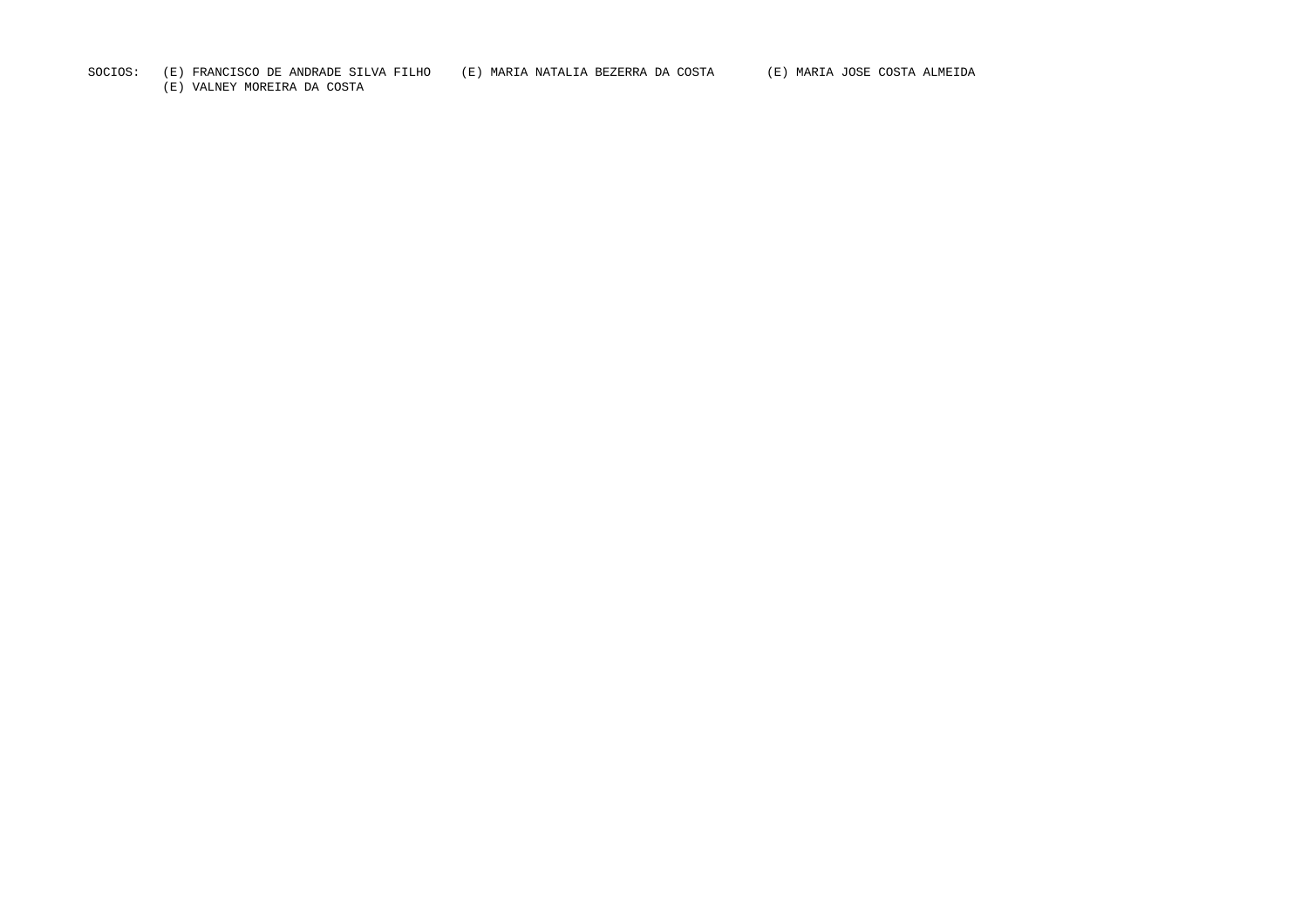## SOCIOS: (E) FRANCISCO DE ANDRADE SILVA FILHO (E) MARIA NATALIA BEZERRA DA COSTA (E) MARIA JOSE COSTA ALMEIDA

(E) VALNEY MOREIRA DA COSTA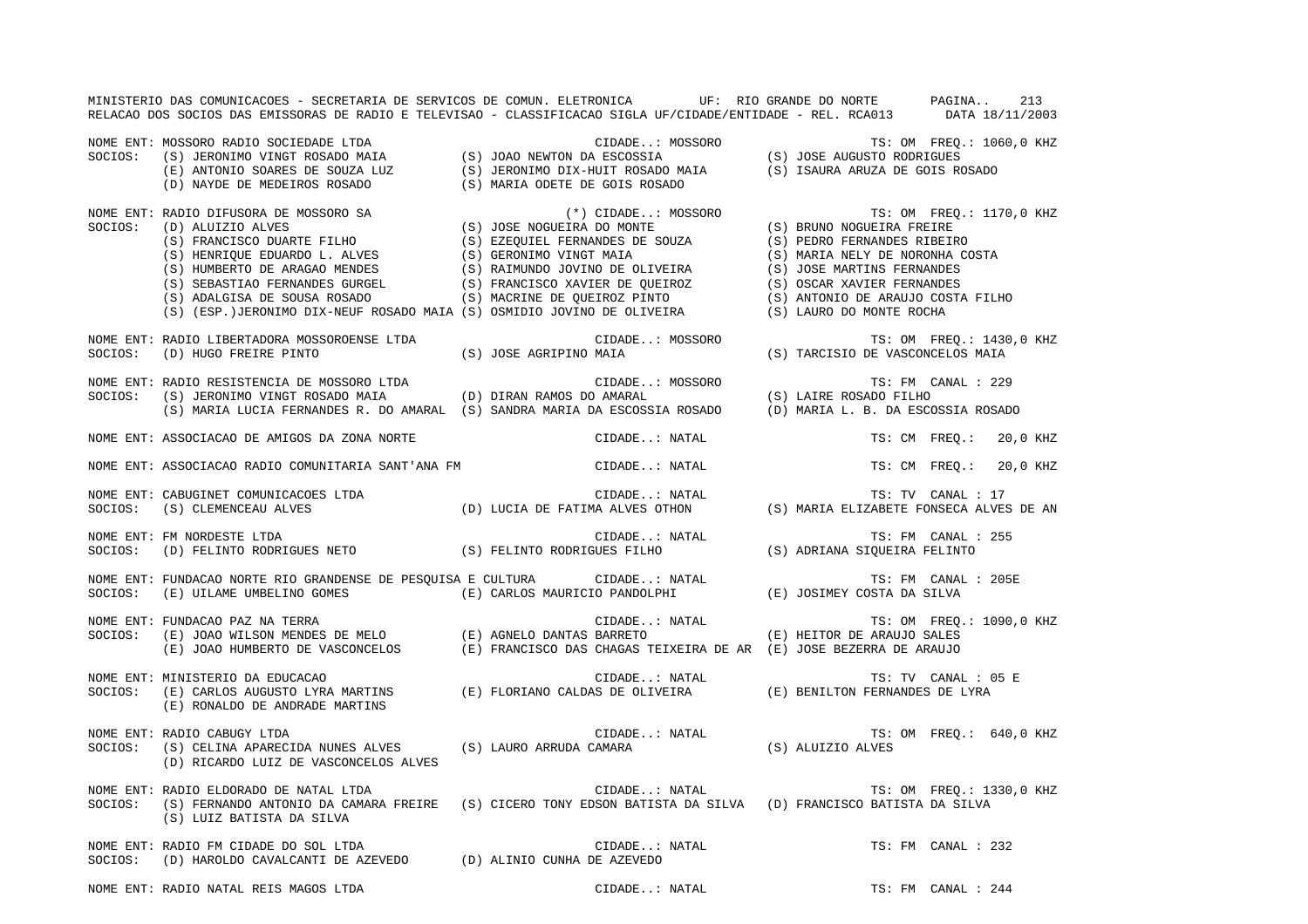MINISTERIO DAS COMUNICACOES - SECRETARIA DE SERVICOS DE COMUN. ELETRONICA UF: RIO GRANDE DO NORTE PAGINA.. 213 RELACAO DOS SOCIOS DAS EMISSORAS DE RADIO E TELEVISAO - CLASSIFICACAO SIGLA UF/CIDADE/ENTIDADE - REL. RCA013 DATA 18/11/2003 NOME ENT: MOSSORO RADIO SOCIEDADE LTDA CIDADE..: MOSSORO TS: OM FREQ.: 1060,0 KHZ SOCIOS: (S) JERONIMO VINGT ROSADO MAIA (S) JOAO NEWTON DA ESCOSSIA (S) JOSE AUGUSTO RODRIGUES (E) ANTONIO SOARES DE SOUZA LUZ (S) JERONIMO DIX-HUIT ROSADO MAIA (S) ISAURA ARUZA DE GOIS ROSADO (D) NAYDE DE MEDEIROS ROSADO (S) MARIA ODETE DE GOIS ROSADO NOME ENT: RADIO DIFUSORA DE MOSSORO SA (\*) CIDADE..: MOSSORO TS: OM FREQ.: 1170,0 KHZ SOCIOS: (D) ALUIZIO ALVES (S) JOSE NOGUEIRA DO MONTE (S) BRUNO NOGUEIRA FREIRE (S) FRANCISCO DUARTE FILHO (S) EZEQUIEL FERNANDES DE SOUZA (S) PEDRO FERNANDES RIBEIRO (S) HENRIQUE EDUARDO L. ALVES (S) GERONIMO VINGT MAIA (S) MARIA NELY DE NORONHA COSTA (S) HUMBERTO DE ARAGAO MENDES (S) RAIMUNDO JOVINO DE OLIVEIRA (S) JOSE MARTINS FERNANDES (S) SEBASTIAO FERNANDES GURGEL (S) FRANCISCO XAVIER DE QUEIROZ (S) OSCAR XAVIER FERNANDES (S) ADALGISA DE SOUSA ROSADO (S) MACRINE DE QUEIROZ PINTO (S) ANTONIO DE ARAUJO COSTA FILHO (S) (ESP.)JERONIMO DIX-NEUF ROSADO MAIA (S) OSMIDIO JOVINO DE OLIVEIRA (S) LAURO DO MONTE ROCHA NOME ENT: RADIO LIBERTADORA MOSSOROENSE LTDA CIDADE..: MOSSORO TES: OM FREQ.: 1430,0 KHZ SOCIOS: (D) HUGO FREIRE PINTO (S) JOSE AGRIPINO MAIA (S) TARCISIO DE VASCONCELOS MAIA NOME ENT: RADIO RESISTENCIA DE MOSSORO LTDA CIDADE..: MOSSORO TS: FM CANAL : 229SOCIOS: (S) JERONIMO VINGT ROSADO MAIA (D) DIRAN RAMOS DO AMARAL (S) LAIRE ROSADO FILHO (S) MARIA LUCIA FERNANDES R. DO AMARAL (S) SANDRA MARIA DA ESCOSSIA ROSADO (D) MARIA L. B. DA ESCOSSIA ROSADO NOME ENT: ASSOCIACAO DE AMIGOS DA ZONA NORTE CIDADE..: NATAL TS: CM FREQ.: 20,0 KHZ NOME ENT: ASSOCIACAO RADIO COMUNITARIA SANT'ANA FM CIDADE..: NATAL TS: CM FREQ.: 20,0 KHZ NOME ENT: CABUGINET COMUNICACOES LTDA CIDADE..: NATAL CIDADE..: NATAL TS: TV CANAL : 17 SOCIOS: (S) CLEMENCEAU ALVES (D) LUCIA DE FATIMA ALVES OTHON (S) MARIA ELIZABETE FONSECA ALVES DE AN NOME ENT: FM NORDESTE LTDA CIDADE..: NATAL TS: FM CANAL : 255 SOCIOS: (D) FELINTO RODRIGUES NETO (S) FELINTO RODRIGUES FILHO (S) ADRIANA SIQUEIRA FELINTO NOME ENT: FUNDACAO NORTE RIO GRANDENSE DE PESQUISA E CULTURA CIDADE..: NATAL TS: FM CANAL : 205E SOCIOS: (E) UILAME UMBELINO GOMES (E) CARLOS MAURICIO PANDOLPHI (E) JOSIMEY COSTA DA SILVA NOME ENT: FUNDACAO PAZ NA TERRA CIDADE..: NATAL TS: OM FREQ.: 1090,0 KHZ SOCIOS: (E) JOAO WILSON MENDES DE MELO (E) AGNELO DANTAS BARRETO (E) HEITOR DE ARAUJO SALES (E) JOAO HUMBERTO DE VASCONCELOS (E) FRANCISCO DAS CHAGAS TEIXEIRA DE AR (E) JOSE BEZERRA DE ARAUJO NOME ENT: MINISTERIO DA EDUCACAO CIDADE..: NATAL TS: TV CANAL : 05 ESOCIOS: (E) CARLOS AUGUSTO LYRA MARTINS (E) FLORIANO CALDAS DE OLIVEIRA (E) BENILTON FERNANDES DE LYRA (E) RONALDO DE ANDRADE MARTINS NOME ENT: RADIO CABUGY LTDA CIDADE..: NATAL TS: OM FREQ.: 640,0 KHZ SOCIOS: (S) CELINA APARECIDA NUNES ALVES (S) LAURO ARRUDA CAMARA (S) ALUIZIO ALVES (D) RICARDO LUIZ DE VASCONCELOS ALVES NOME ENT: RADIO ELDORADO DE NATAL LTDA  $\Box$  CIDADE..: NATAL  $\Box$  TS: OM FREQ.: 1330,0 KHZ SOCIOS: (S) FERNANDO ANTONIO DA CAMARA FREIRE (S) CICERO TONY EDSON BATISTA DA SILVA (D) FRANCISCO BATISTA DA SILVA (S) LUIZ BATISTA DA SILVA NOME ENT: RADIO FM CIDADE DO SOL LTDA CIDADE..: NATAL TS: FM CANAL : 232SOCIOS: (D) HAROLDO CAVALCANTI DE AZEVEDO (D) ALINIO CUNHA DE AZEVEDO

NOME ENT: RADIO NATAL REIS MAGOS LTDA CIDADE..: NATAL TS: FM CANAL : 244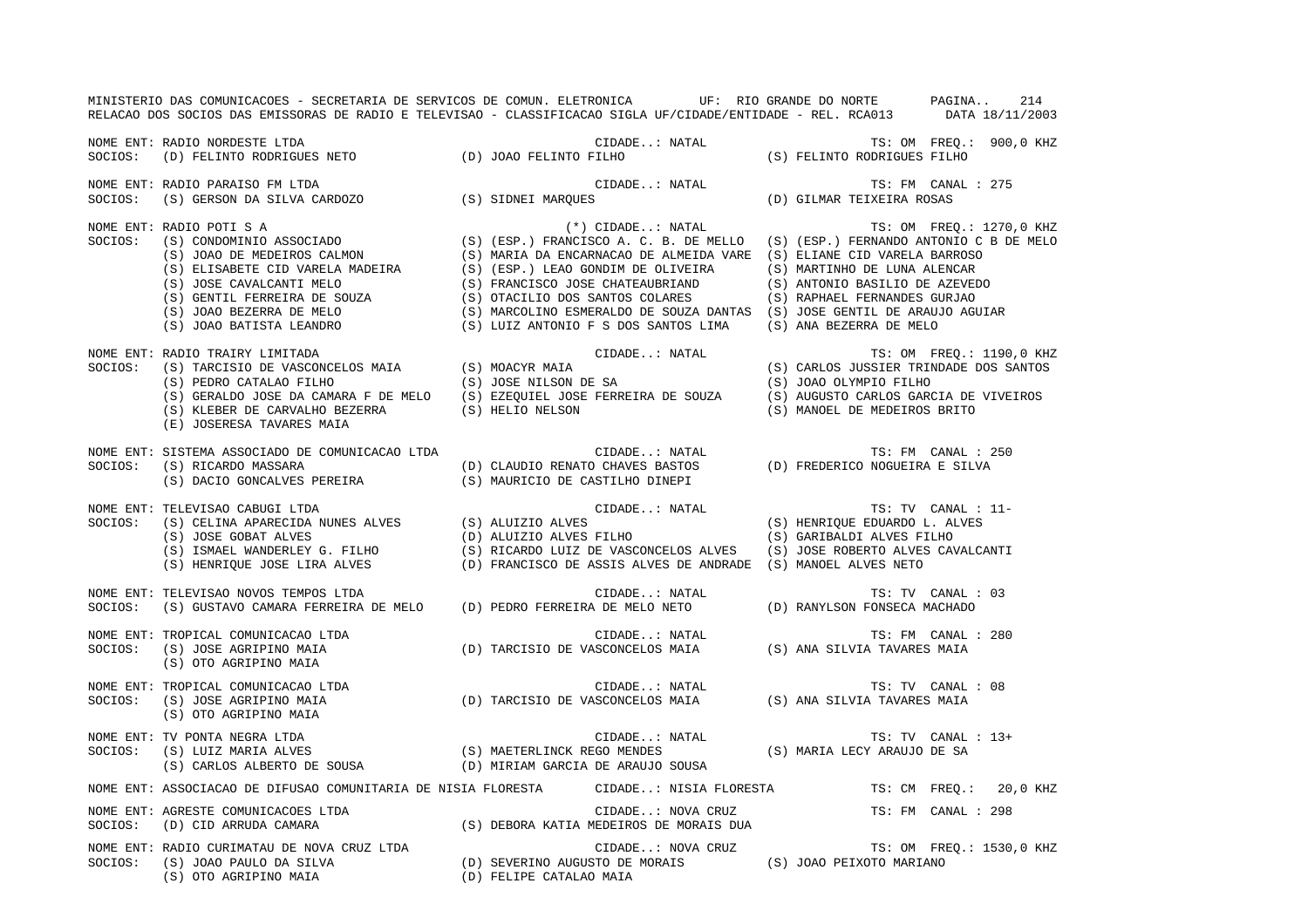MINISTERIO DAS COMUNICACOES - SECRETARIA DE SERVICOS DE COMUN. ELETRONICA UF: RIO GRANDE DO NORTE PAGINA.. 214 RELACAO DOS SOCIOS DAS EMISSORAS DE RADIO E TELEVISAO - CLASSIFICACAO SIGLA UF/CIDADE/ENTIDADE - REL. RCA013 DATA 18/11/2003 NOME ENT: RADIO NORDESTE LTDA CIDADE..: NATAL TS: OM FREQ.: 900,0 KHZ SOCIOS: (D) FELINTO RODRIGUES NETO (D) JOAO FELINTO FILHO (S) FELINTO RODRIGUES FILHO NOME ENT: RADIO PARAISO FM LTDA CIDADE..: NATAL CIDADE..: NATAL TS: FM CANAL : 275 SOCIOS: (S) GERSON DA SILVA CARDOZO (S) SIDNEI MARQUES (D) GILMAR TEIXEIRA ROSAS NOME ENT: RADIO POTI S A (\*) CIDADE..: NATAL TS: OM FREQ.: 1270,0 KHZ SOCIOS: (S) CONDOMINIO ASSOCIADO (S) (ESP.) FRANCISCO A. C. B. DE MELLO (S) (ESP.) FERNANDO ANTONIO C B DE MELO (S) JOAO DE MEDEIROS CALMON (S) MARIA DA ENCARNACAO DE ALMEIDA VARE (S) ELIANE CID VARELA BARROSO (S) ELISABETE CID VARELA MADEIRA (S) (ESP.) LEAO GONDIM DE OLIVEIRA (S) MARTINHO DE LUNA ALENCAR (S) JOSE CAVALCANTI MELO (S) FRANCISCO JOSE CHATEAUBRIAND (S) ANTONIO BASILIO DE AZEVEDO (S) GENTIL FERREIRA DE SOUZA (S) OTACILIO DOS SANTOS COLARES (S) RAPHAEL FERNANDES GURJAO (S) JOAO BEZERRA DE MELO (S) MARCOLINO ESMERALDO DE SOUZA DANTAS (S) JOSE GENTIL DE ARAUJO AGUIAR (S) JOAO BATISTA LEANDRO (S) LUIZ ANTONIO F S DOS SANTOS LIMA (S) ANA BEZERRA DE MELO NOME ENT: RADIO TRAIRY LIMITADA CIDADE..: NATAL TS: OM FREQ.: 1190,0 KHZ SOCIOS: (S) TARCISIO DE VASCONCELOS MAIA (S) MOACYR MAIA (S) CARLOS JUSSIER TRINDADE DOS SANTOS (S) PEDRO CATALAO FILHO (S) JOSE NILSON DE SA (S) JOAO OLYMPIO FILHO (S) GERALDO JOSE DA CAMARA F DE MELO (S) EZEQUIEL JOSE FERREIRA DE SOUZA (S) AUGUSTO CARLOS GARCIA DE VIVEIROS (S) KLEBER DE CARVALHO BEZERRA (S) HELIO NELSON (S) MANOEL DE MEDEIROS BRITO (E) JOSERESA TAVARES MAIA NOME ENT: SISTEMA ASSOCIADO DE COMUNICACAO LTDA CIDADE..: NATAL TS: FM CANAL : 250SOCIOS: (S) RICARDO MASSARA (D) CLAUDIO RENATO CHAVES BASTOS (D) FREDERICO NOGUEIRA E SILVA (S) DACIO GONCALVES PEREIRA (S) MAURICIO DE CASTILHO DINEPI NOME ENT: TELEVISAO CABUGI LTDA CIDADE...: NATAL CIDADE...: NATAL TS: TV CANAL : 11-SOCIOS: (S) CELINA APARECIDA NUNES ALVES (S) ALUIZIO ALVES (S) HENRIQUE EDUARDO L. ALVES (S) JOSE GOBAT ALVES (D) ALUIZIO ALVES FILHO (S) GARIBALDI ALVES FILHO (S) ISMAEL WANDERLEY G. FILHO (S) RICARDO LUIZ DE VASCONCELOS ALVES (S) JOSE ROBERTO ALVES CAVALCANTI (S) HENRIQUE JOSE LIRA ALVES (D) FRANCISCO DE ASSIS ALVES DE ANDRADE (S) MANOEL ALVES NETO NOME ENT: TELEVISAO NOVOS TEMPOS LTDA CONSTRUIDA CIDADE..: NATAL CONSTRUIDATI TS: TV CANAL : 03 SOCIOS: (S) GUSTAVO CAMARA FERREIRA DE MELO (D) PEDRO FERREIRA DE MELO NETO (D) RANYLSON FONSECA MACHADO NOME ENT: TROPICAL COMUNICACAO LTDA  $\qquad \qquad$  CIDADE..: NATAL  $\qquad$ TS: FM CANAL : 280 SOCIOS: (S) JOSE AGRIPINO MAIA (D) TARCISIO DE VASCONCELOS MAIA (S) ANA SILVIA TAVARES MAIA (S) OTO AGRIPINO MAIA NOME ENT: TROPICAL COMUNICACAO LTDA CONTROL COMUNICACAO LTDA CIDADE..: NATAL CONTROL COMUNICACAO LTDA CANAL : 08 SOCIOS: (S) JOSE AGRIPINO MAIA (D) TARCISIO DE VASCONCELOS MAIA (S) ANA SILVIA TAVARES MAIA (S) OTO AGRIPINO MAIA NOME ENT: TV PONTA NEGRA LTDA CIDADE..: NATAL TS: TV CANAL : 13+SOCIOS: (S) LUIZ MARIA ALVES (S) MAETERLINCK REGO MENDES (S) MARIA LECY ARAUJO DE SA (S) CARLOS ALBERTO DE SOUSA (D) MIRIAM GARCIA DE ARAUJO SOUSA NOME ENT: ASSOCIACAO DE DIFUSAO COMUNITARIA DE NISIA FLORESTA CIDADE..: NISIA FLORESTA TS: CM FREQ.: 20,0 KHZ NOME ENT: AGRESTE COMUNICACOES LTDA CIDADE..: NOVA CRUZ TS: FM CANAL : 298 SOCIOS: (D) CID ARRUDA CAMARA (S) DEBORA KATIA MEDEIROS DE MORAIS DUA NOME ENT: RADIO CURIMATAU DE NOVA CRUZ LTDA CANTELA CIDADE..: NOVA CRUZ TS: OM FREQ.: 1530,0 KHZ SOCIOS: (S) JOAO PAULO DA SILVA (D) SEVERINO AUGUSTO DE MORAIS (S) JOAO PEIXOTO MARIANO (S) OTO AGRIPINO MAIA (D) FELIPE CATALAO MAIA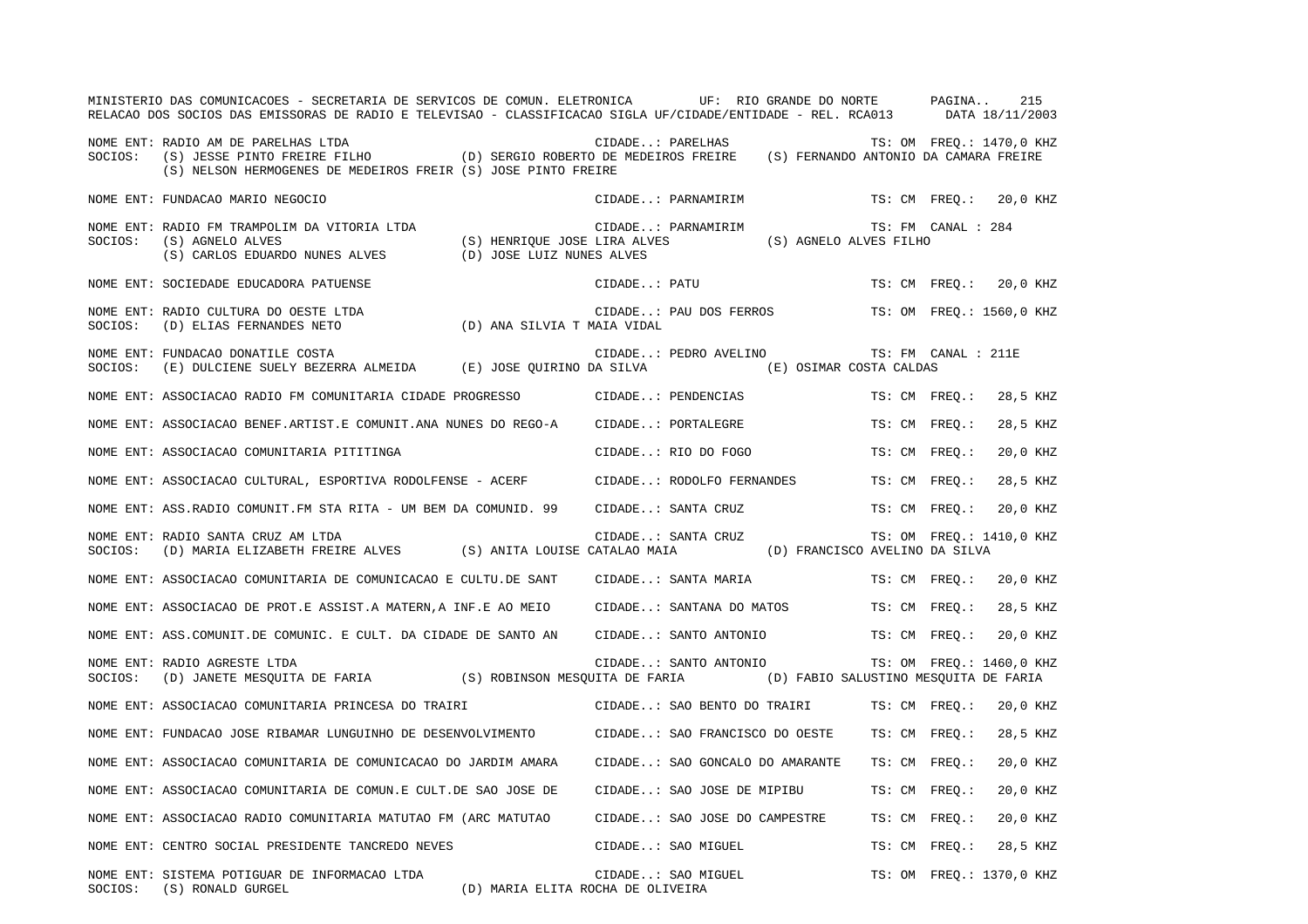|         | MINISTERIO DAS COMUNICACOES - SECRETARIA DE SERVICOS DE COMUN. ELETRONICA UF: RIO GRANDE DO NORTE PAGINA<br>RELACAO DOS SOCIOS DAS EMISSORAS DE RADIO E TELEVISAO - CLASSIFICACAO SIGLA UF/CIDADE/ENTIDADE - REL. RCA013 DATA 18/11/2003                                                                               |                              |              |                                                 |                        |                          | 215      |
|---------|------------------------------------------------------------------------------------------------------------------------------------------------------------------------------------------------------------------------------------------------------------------------------------------------------------------------|------------------------------|--------------|-------------------------------------------------|------------------------|--------------------------|----------|
| SOCIOS: | RADIO AM DE PARELHAS LTDA (D) SERGIO ROBERTO DE MEDEIROS FREIRE (S) JESSE PINTO FREQ.: 1470,0 KH:<br>(S) JESSE PINTO FREIRE FILHO (D) SERGIO ROBERTO DE MEDEIROS FREIRE (S) FERNANDO ANTONIO DA CAMARA FREIRE)<br>NOME ENT: RADIO AM DE PARELHAS LTDA<br>(S) NELSON HERMOGENES DE MEDEIROS FREIR (S) JOSE PINTO FREIRE |                              |              |                                                 |                        | TS: OM FREO.: 1470,0 KHZ |          |
|         | NOME ENT: FUNDACAO MARIO NEGOCIO                                                                                                                                                                                                                                                                                       |                              |              | CIDADE: PARNAMIRIM                              |                        | TS: CM FREQ.: 20,0 KHZ   |          |
| SOCIOS: | NOME ENT: RADIO FM TRAMPOLIM DA VITORIA LTDA<br>(S) AGNELO ALVES<br>$(\,S\,)$ CARLOS EDUARDO NUNES ALVES (D) JOSE LUIZ NUNES ALVES                                                                                                                                                                                     | (S) HENRIQUE JOSE LIRA ALVES |              | CIDADE: PARNAMIRIM                              | (S) AGNELO ALVES FILHO | TS: FM CANAL : 284       |          |
|         | NOME ENT: SOCIEDADE EDUCADORA PATUENSE                                                                                                                                                                                                                                                                                 |                              | CIDADE: PATU |                                                 |                        | TS: CM FREQ.: 20,0 KHZ   |          |
| SOCIOS: | NOME ENT: RADIO CULTURA DO OESTE LTDA<br>(D) ANA SILVIA T MAIA VIDAL<br>(D) ELIAS FERNANDES NETO                                                                                                                                                                                                                       |                              |              | CIDADE: PAU DOS FERROS TS: OM FREQ.: 1560,0 KHZ |                        |                          |          |
| SOCIOS: | NOME ENT: FUNDACAO DONATILE COSTA<br>(E) DULCIENE SUELY BEZERRA ALMEIDA (E) JOSE QUIRINO DA SILVA (E) OSIMAR COSTA CALDAS                                                                                                                                                                                              |                              |              | CIDADE: PEDRO AVELINO                           |                        | TS: FM CANAL : 211E      |          |
|         | NOME ENT: ASSOCIACAO RADIO FM COMUNITARIA CIDADE PROGRESSO CIDADE: PENDENCIAS                                                                                                                                                                                                                                          |                              |              |                                                 |                        | TS: CM FREQ.:            | 28,5 KHZ |
|         | NOME ENT: ASSOCIACAO BENEF.ARTIST.E COMUNIT.ANA NUNES DO REGO-A CIDADE: PORTALEGRE                                                                                                                                                                                                                                     |                              |              |                                                 |                        | TS: CM FREO.:            | 28,5 KHZ |
|         | NOME ENT: ASSOCIACAO COMUNITARIA PITITINGA                                                                                                                                                                                                                                                                             |                              |              | CIDADE: RIO DO FOGO                             |                        | TS: CM FREO.:            | 20,0 KHZ |
|         | NOME ENT: ASSOCIACAO CULTURAL, ESPORTIVA RODOLFENSE - ACERF CIDADE: RODOLFO FERNANDES                                                                                                                                                                                                                                  |                              |              |                                                 |                        | TS: CM FREQ.:            | 28,5 KHZ |
|         | NOME ENT: ASS.RADIO COMUNIT. FM STA RITA - UM BEM DA COMUNID. 99                                                                                                                                                                                                                                                       |                              |              | CIDADE: SANTA CRUZ                              |                        | TS: CM FREO.:            | 20,0 KHZ |
| SOCIOS: | NOME ENT: RADIO SANTA CRUZ AM LTDA<br>(D) MARIA ELIZABETH FREIRE ALVES (S) ANITA LOUISE CATALAO MAIA (D) FRANCISCO AVELINO DA SILVA                                                                                                                                                                                    |                              |              | CIDADE: SANTA CRUZ                              |                        | TS: OM FREQ.: 1410,0 KHZ |          |
|         | NOME ENT: ASSOCIACAO COMUNITARIA DE COMUNICACAO E CULTU.DE SANT                                                                                                                                                                                                                                                        |                              |              | CIDADE: SANTA MARIA                             |                        | TS: CM FREQ.:            | 20,0 KHZ |
|         | NOME ENT: ASSOCIACAO DE PROT.E ASSIST.A MATERN,A INF.E AO MEIO                                                                                                                                                                                                                                                         |                              |              | CIDADE: SANTANA DO MATOS                        |                        | TS: CM FREO.:            | 28,5 KHZ |
|         | NOME ENT: ASS. COMUNIT. DE COMUNIC. E CULT. DA CIDADE DE SANTO AN                                                                                                                                                                                                                                                      |                              |              | CIDADE: SANTO ANTONIO TS: CM FREQ.:             |                        |                          | 20,0 KHZ |
| SOCIOS: | NOME ENT: RADIO AGRESTE LTDA<br>(D) JANETE MESQUITA DE FARIA (S) ROBINSON MESQUITA DE FARIA (D) FABIO SALUSTINO MESQUITA DE FARIA                                                                                                                                                                                      |                              |              | CIDADE: SANTO ANTONIO                           |                        | TS: OM FREQ.: 1460,0 KHZ |          |
|         | NOME ENT: ASSOCIACAO COMUNITARIA PRINCESA DO TRAIRI                                                                                                                                                                                                                                                                    |                              |              | CIDADE: SAO BENTO DO TRAIRI                     |                        | TS: CM FREQ.:            | 20,0 KHZ |
|         | NOME ENT: FUNDACAO JOSE RIBAMAR LUNGUINHO DE DESENVOLVIMENTO CIDADE: SAO FRANCISCO DO OESTE                                                                                                                                                                                                                            |                              |              |                                                 |                        | TS: CM FREO.:            | 28,5 KHZ |
|         | NOME ENT: ASSOCIACAO COMUNITARIA DE COMUNICACAO DO JARDIM AMARA                                                                                                                                                                                                                                                        |                              |              | CIDADE: SAO GONCALO DO AMARANTE                 |                        | TS: CM FREO.:            | 20,0 KHZ |
|         | NOME ENT: ASSOCIACAO COMUNITARIA DE COMUN.E CULT.DE SAO JOSE DE                                                                                                                                                                                                                                                        |                              |              | CIDADE: SAO JOSE DE MIPIBU                      |                        | TS: CM FREQ.:            | 20,0 KHZ |
|         | NOME ENT: ASSOCIACAO RADIO COMUNITARIA MATUTAO FM (ARC MATUTAO                                                                                                                                                                                                                                                         |                              |              | CIDADE: SAO JOSE DO CAMPESTRE                   |                        | TS: CM FREQ.:            | 20,0 KHZ |
|         | NOME ENT: CENTRO SOCIAL PRESIDENTE TANCREDO NEVES                                                                                                                                                                                                                                                                      |                              |              | CIDADE: SAO MIGUEL                              |                        | TS: CM FREO.:            | 28,5 KHZ |
|         | NOME ENT: SISTEMA POTIGUAR DE INFORMACAO LTDA<br>SOCIOS: (S) RONALD GURGEL<br>(D) MARIA ELITA ROCHA DE OLIVEIRA                                                                                                                                                                                                        |                              |              | CIDADE: SAO MIGUEL                              |                        | TS: OM FREQ.: 1370,0 KHZ |          |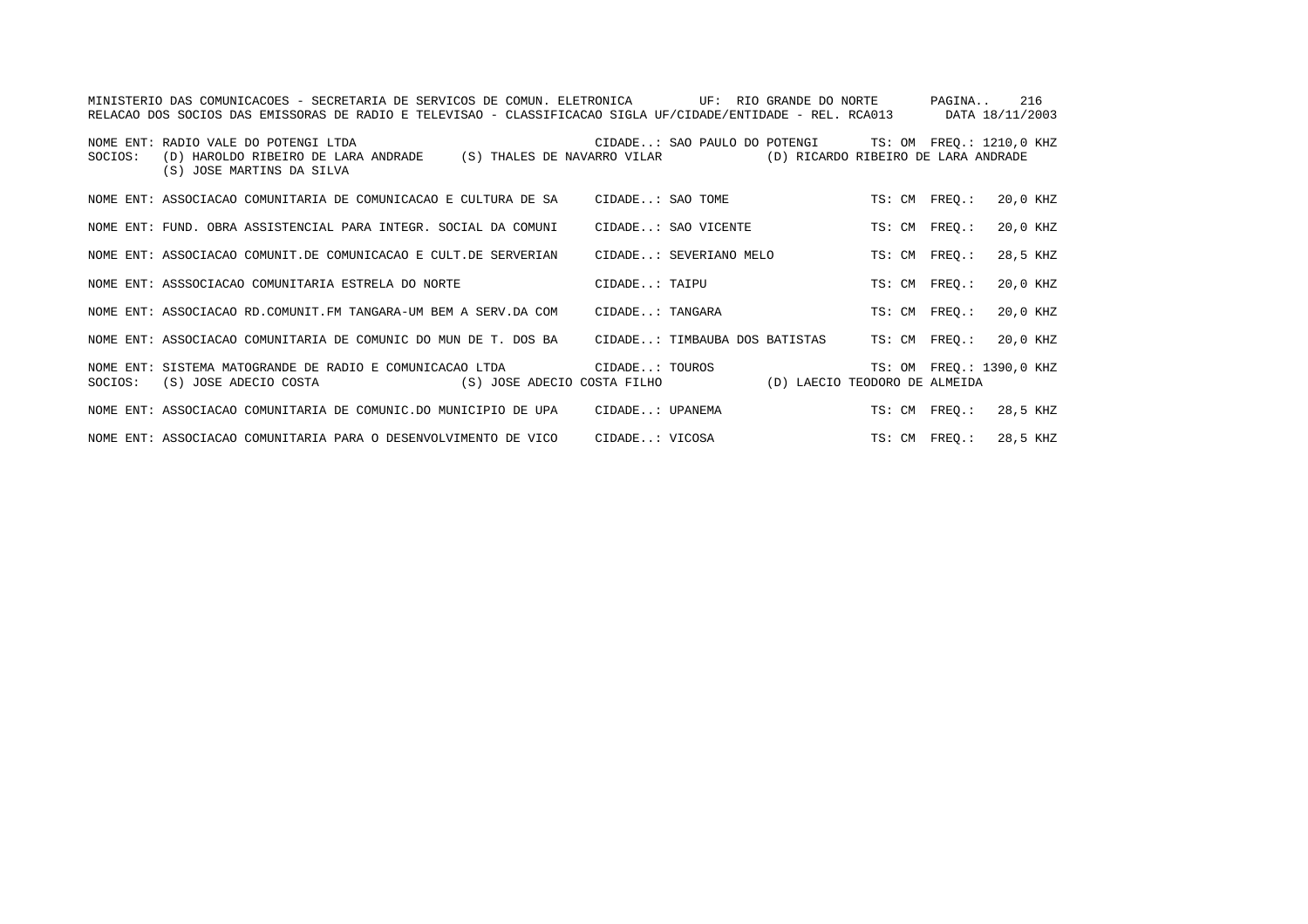|         | MINISTERIO DAS COMUNICACOES - SECRETARIA DE SERVICOS DE COMUN. ELETRONICA          UF:  RIO GRANDE DO NORTE<br>RELACAO DOS SOCIOS DAS EMISSORAS DE RADIO E TELEVISAO - CLASSIFICACAO SIGLA UF/CIDADE/ENTIDADE - REL. RCA013 DATA 18/11/2003 |                |                                                       |               | PAGINA 216               |
|---------|---------------------------------------------------------------------------------------------------------------------------------------------------------------------------------------------------------------------------------------------|----------------|-------------------------------------------------------|---------------|--------------------------|
| SOCIOS: | NOME ENT: RADIO VALE DO POTENGI LTDA<br>(D) HAROLDO RIBEIRO DE LARA ANDRADE (S) THALES DE NAVARRO VILAR (D) RICARDO RIBEIRO DE LARA ANDRADE<br>(S) JOSE MARTINS DA SILVA                                                                    |                | CIDADE: SAO PAULO DO POTENGI TS: OM FREQ.: 1210,0 KHZ |               |                          |
|         | NOME ENT: ASSOCIACAO COMUNITARIA DE COMUNICACAO E CULTURA DE SA CIDADE: SAO TOME                                                                                                                                                            |                |                                                       | TS: CM FREO.: | 20,0 KHZ                 |
|         | NOME ENT: FUND. OBRA ASSISTENCIAL PARA INTEGR. SOCIAL DA COMUNI                                                                                                                                                                             |                | CIDADE: SAO VICENTE                                   | TS: CM FREO.: | 20,0 KHZ                 |
|         | NOME ENT: ASSOCIACAO COMUNIT.DE COMUNICACAO E CULT.DE SERVERIAN                                                                                                                                                                             |                | CIDADE: SEVERIANO MELO                                | TS: CM FREO.: | 28,5 KHZ                 |
|         | NOME ENT: ASSSOCIACAO COMUNITARIA ESTRELA DO NORTE                                                                                                                                                                                          |                | CIDADE: TAIPU                                         | TS: CM FREO.: | 20,0 KHZ                 |
|         | NOME ENT: ASSOCIACAO RD.COMUNIT.FM TANGARA-UM BEM A SERV.DA COM                                                                                                                                                                             |                | CIDADE: TANGARA                                       | TS: CM FREO.: | 20,0 KHZ                 |
|         | NOME ENT: ASSOCIACAO COMUNITARIA DE COMUNIC DO MUN DE T. DOS BA CIDADE: TIMBAUBA DOS BATISTAS TS: CM FREO.:                                                                                                                                 |                |                                                       |               | 20,0 KHZ                 |
|         | NOME ENT: SISTEMA MATOGRANDE DE RADIO E COMUNICACAO LTDA                      CIDADE: TOUROS<br>SOCIOS: (S) JOSE ADECIO COSTA (S) JOSE ADECIO COSTA FILHO (D) LAECIO TEODORO DE ALMEIDA                                                     |                |                                                       |               | TS: OM FREO.: 1390,0 KHZ |
|         | NOME ENT: ASSOCIACAO COMUNITARIA DE COMUNIC.DO MUNICIPIO DE UPA CIDADE: UPANEMA                                                                                                                                                             |                |                                                       | TS: CM FREQ.: | 28,5 KHZ                 |
|         | NOME ENT: ASSOCIACAO COMUNITARIA PARA O DESENVOLVIMENTO DE VICO                                                                                                                                                                             | CIDADE: VICOSA |                                                       | TS: CM FREO.: | 28,5 KHZ                 |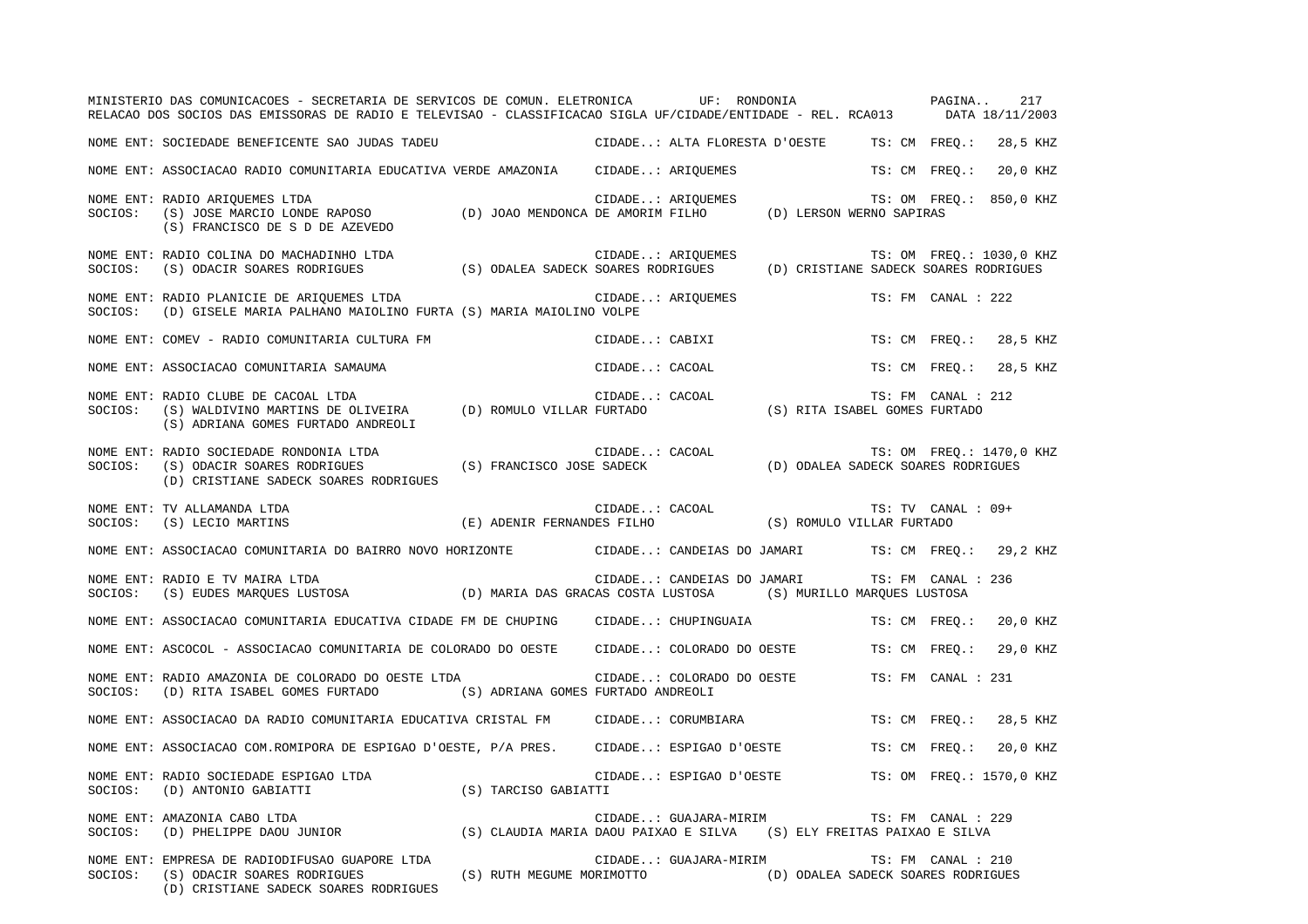|         | MINISTERIO DAS COMUNICACOES - SECRETARIA DE SERVICOS DE COMUN. ELETRONICA UF: RONDONIA<br>RELACAO DOS SOCIOS DAS EMISSORAS DE RADIO E TELEVISAO - CLASSIFICACAO SIGLA UF/CIDADE/ENTIDADE - REL. RCA013 DATA 18/11/2003 |                           |                                                                                               |                                                           |               | PAGINA             | 217                      |
|---------|------------------------------------------------------------------------------------------------------------------------------------------------------------------------------------------------------------------------|---------------------------|-----------------------------------------------------------------------------------------------|-----------------------------------------------------------|---------------|--------------------|--------------------------|
|         | NOME ENT: SOCIEDADE BENEFICENTE SAO JUDAS TADEU                                                                                                                                                                        |                           |                                                                                               | CIDADE: ALTA FLORESTA D'OESTE                             | TS: CM FREO.: |                    | 28,5 KHZ                 |
|         | NOME ENT: ASSOCIACAO RADIO COMUNITARIA EDUCATIVA VERDE AMAZONIA CIDADE: ARIOUEMES                                                                                                                                      |                           |                                                                                               |                                                           |               | TS: CM FREO.:      | 20,0 KHZ                 |
| SOCIOS: | NOME ENT: RADIO ARIQUEMES LTDA<br>(S) JOSE MARCIO LONDE RAPOSO (D) JOAO MENDONCA DE AMORIM FILHO (D) LERSON WERNO SAPIRAS<br>(S) FRANCISCO DE S D DE AZEVEDO                                                           |                           | CIDADE: ARIQUEMES                                                                             |                                                           |               |                    | TS: OM FREQ.: 850,0 KHZ  |
| SOCIOS: | NOME ENT: RADIO COLINA DO MACHADINHO LTDA<br>(S) ODACIR SOARES RODRIGUES                                                                                                                                               |                           | CIDADE: ARIOUEMES<br>(S) ODALEA SADECK SOARES RODRIGUES (D) CRISTIANE SADECK SOARES RODRIGUES |                                                           |               |                    | TS: OM FREO.: 1030,0 KHZ |
| SOCIOS: | NOME ENT: RADIO PLANICIE DE ARIQUEMES LTDA<br>(D) GISELE MARIA PALHANO MAIOLINO FURTA (S) MARIA MAIOLINO VOLPE                                                                                                         |                           | CIDADE: ARIQUEMES                                                                             |                                                           |               | TS: FM CANAL : 222 |                          |
|         | NOME ENT: COMEV - RADIO COMUNITARIA CULTURA FM                                                                                                                                                                         |                           | CIDADE: CABIXI                                                                                |                                                           |               |                    | TS: CM FREQ.: 28,5 KHZ   |
|         | NOME ENT: ASSOCIACAO COMUNITARIA SAMAUMA                                                                                                                                                                               |                           | CIDADE: CACOAL                                                                                |                                                           |               | TS: CM FREQ.:      | 28,5 KHZ                 |
| SOCIOS: | NOME ENT: RADIO CLUBE DE CACOAL LTDA<br>(S) WALDIVINO MARTINS DE OLIVEIRA (D) ROMULO VILLAR FURTADO<br>(S) ADRIANA GOMES FURTADO ANDREOLI                                                                              |                           | CIDADE: CACOAL                                                                                | .0AL<br>(S) RITA ISABEL GOMES FURTADO                     |               | TS: FM CANAL : 212 |                          |
| SOCIOS: | NOME ENT: RADIO SOCIEDADE RONDONIA LTDA<br>(S) ODACIR SOARES RODRIGUES (S) FRANCISCO JOSE SADECK<br>(D) CRISTIANE SADECK SOARES RODRIGUES                                                                              |                           | CIDADE: CACOAL                                                                                | CACOAL (D) ODALEA SADECK SOARES RODRIGUES                 |               |                    | TS: OM FREQ.: 1470,0 KHZ |
| SOCIOS: | NOME ENT: TV ALLAMANDA LTDA<br>(S) LECIO MARTINS                                                                                                                                                                       |                           | CIDADE: CACOAL<br>(E) ADENIR FERNANDES FILHO                                                  | (S) ROMULO VILLAR FURTADO                                 |               | TS: TV CANAL : 09+ |                          |
|         | NOME ENT: ASSOCIACAO COMUNITARIA DO BAIRRO NOVO HORIZONTE CIDADE: CANDEIAS DO JAMARI TS: CM FREO.: 29,2 KHZ                                                                                                            |                           |                                                                                               |                                                           |               |                    |                          |
| SOCIOS: | NOME ENT: RADIO E TV MAIRA LTDA<br>(S) EUDES MARQUES LUSTOSA (D) MARIA DAS GRACAS COSTA LUSTOSA                                                                                                                        |                           |                                                                                               | CIDADE: CANDEIAS DO JAMARI<br>(S) MURILLO MARQUES LUSTOSA |               | TS: FM CANAL : 236 |                          |
|         | NOME ENT: ASSOCIACAO COMUNITARIA EDUCATIVA CIDADE FM DE CHUPING                                                                                                                                                        |                           | CIDADE: CHUPINGUAIA                                                                           |                                                           |               | TS: CM FREO.:      | 20,0 KHZ                 |
|         | NOME ENT: ASCOCOL - ASSOCIACAO COMUNITARIA DE COLORADO DO OESTE CIDADE: COLORADO DO OESTE                                                                                                                              |                           |                                                                                               |                                                           | TS: CM FREO.: |                    | 29,0 KHZ                 |
| SOCIOS: | NOME ENT: RADIO AMAZONIA DE COLORADO DO OESTE LTDA<br>(D) RITA ISABEL GOMES FURTADO (S) ADRIANA GOMES FURTADO ANDREOLI                                                                                                 |                           |                                                                                               | CIDADE: COLORADO DO OESTE                                 |               | TS: FM CANAL : 231 |                          |
|         | NOME ENT: ASSOCIACAO DA RADIO COMUNITARIA EDUCATIVA CRISTAL FM       CIDADE: CORUMBIARA                                                                                                                                |                           |                                                                                               |                                                           | TS: CM FREO.: |                    | 28,5 KHZ                 |
|         | NOME ENT: ASSOCIACAO COM.ROMIPORA DE ESPIGAO D'OESTE, P/A PRES.                                                                                                                                                        |                           | CIDADE: ESPIGAO D'OESTE                                                                       |                                                           |               | TS: CM FREQ.:      | 20,0 KHZ                 |
| SOCIOS: | NOME ENT: RADIO SOCIEDADE ESPIGAO LTDA<br>(D) ANTONIO GABIATTI                                                                                                                                                         | (S) TARCISO GABIATTI      |                                                                                               | CIDADE: ESPIGAO D'OESTE                                   |               |                    | TS: OM FREO.: 1570,0 KHZ |
| SOCIOS: | NOME ENT: AMAZONIA CABO LTDA<br>(D) PHELIPPE DAOU JUNIOR                                                                                                                                                               |                           | CIDADE: GUAJARA-MIRIM<br>(S) CLAUDIA MARIA DAOU PAIXAO E SILVA (S) ELY FREITAS PAIXAO E SILVA |                                                           |               | TS: FM CANAL : 229 |                          |
| SOCIOS: | NOME ENT: EMPRESA DE RADIODIFUSAO GUAPORE LTDA<br>(S) ODACIR SOARES RODRIGUES<br>(D) CRISTIANE SADECK SOARES RODRIGUES                                                                                                 | (S) RUTH MEGUME MORIMOTTO | CIDADE: GUAJARA-MIRIM                                                                         | (D) ODALEA SADECK SOARES RODRIGUES                        |               | TS: FM CANAL : 210 |                          |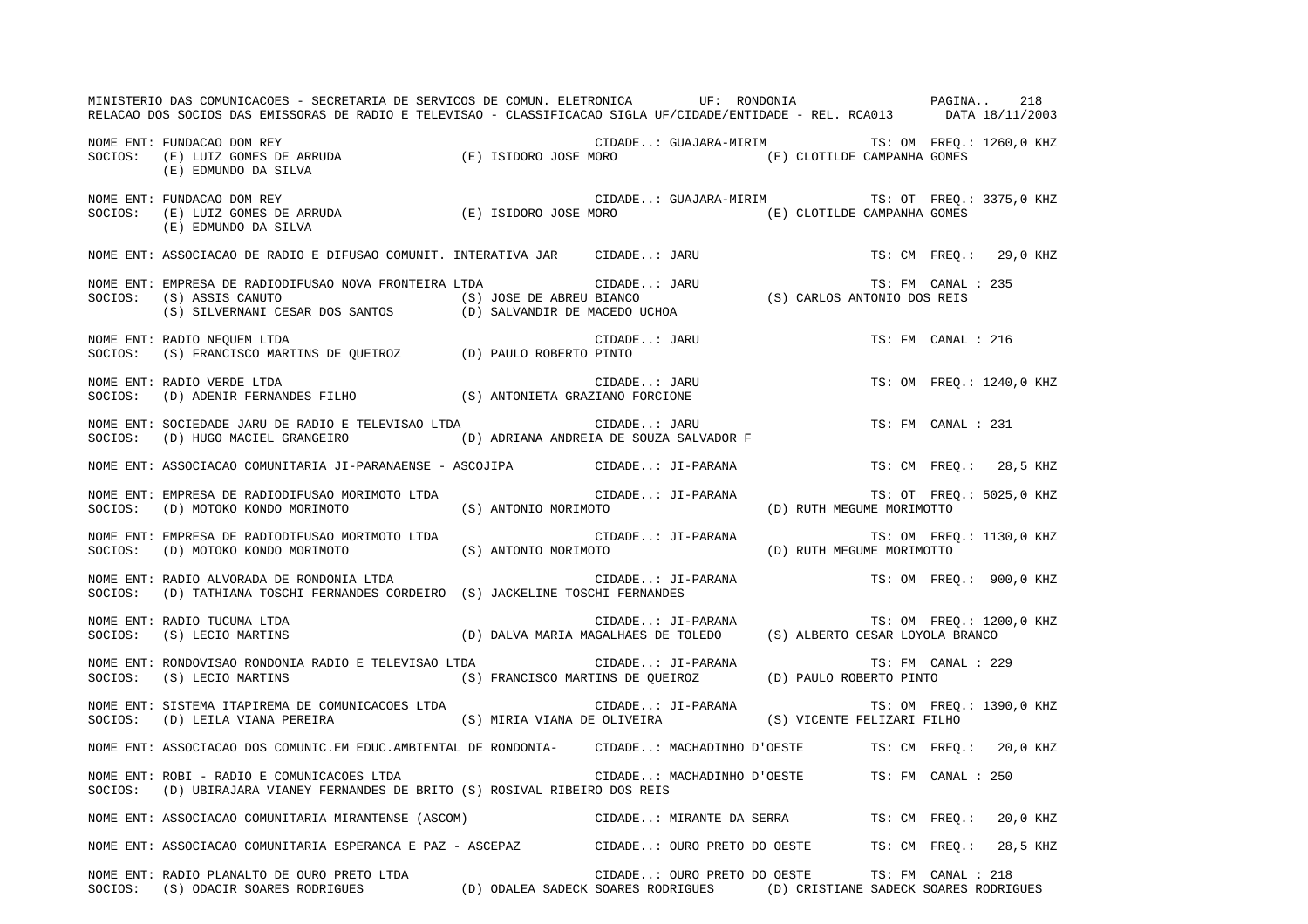MINISTERIO DAS COMUNICACOES - SECRETARIA DE SERVICOS DE COMUN. ELETRONICA UF: RONDONIA PAGINA.. 218 RELACAO DOS SOCIOS DAS EMISSORAS DE RADIO E TELEVISAO - CLASSIFICACAO SIGLA UF/CIDADE/ENTIDADE - REL. RCA013 DATA 18/11/2003 NOME ENT: FUNDACAO DOM REY CIDADE..: GUAJARA-MIRIM TS: OM FREQ.: 1260,0 KHZ SOCIOS: (E) LUIZ GOMES DE ARRUDA (E) ISIDORO JOSE MORO (E) CLOTILDE CAMPANHA GOMES (E) EDMUNDO DA SILVA NOME ENT: FUNDACAO DOM REY CIDADE..: GUAJARA-MIRIM TS: OT FREQ.: 3375,0 KHZ SOCIOS: (E) LUIZ GOMES DE ARRUDA (E) ISIDORO JOSE MORO (E) CLOTILDE CAMPANHA GOMES (E) EDMUNDO DA SILVA NOME ENT: ASSOCIACAO DE RADIO E DIFUSAO COMUNIT. INTERATIVA JAR CIDADE..: JARU TS: CM FREQ.: 29,0 KHZ NOME ENT: EMPRESA DE RADIODIFUSAO NOVA FRONTEIRA LTDA CIDADE..: JARU TS: FM CANAL : 235SOCIOS: (S) ASSIS CANUTO (S) JOSE DE ABREU BIANCO (S) CARLOS ANTONIO DOS REIS (S) SILVERNANI CESAR DOS SANTOS (D) SALVANDIR DE MACEDO UCHOA NOME ENT: RADIO NEQUEM LTDA CIDADE... JARU CIDADE... JARU TS: FM CANAL : 216 SOCIOS: (S) FRANCISCO MARTINS DE QUEIROZ (D) PAULO ROBERTO PINTO NOME ENT: RADIO VERDE LTDA CIDADE..: JARU TS: OM FREQ.: 1240,0 KHZ SOCIOS: (D) ADENIR FERNANDES FILHO (S) ANTONIETA GRAZIANO FORCIONE NOME ENT: SOCIEDADE JARU DE RADIO E TELEVISAO LTDA CIDADE... JARU TS: FM CANAL : 231 SOCIOS: (D) HUGO MACIEL GRANGEIRO (D) ADRIANA ANDREIA DE SOUZA SALVADOR F NOME ENT: ASSOCIACAO COMUNITARIA JI-PARANAENSE - ASCOJIPA CIDADE..: JI-PARANA TS: CM FREQ.: 28,5 KHZ NOME ENT: EMPRESA DE RADIODIFUSAO MORIMOTO LTDA  $CIDADE..: JI-PARANA$  TS: OT FREQ.: 5025,0 KHZ SOCIOS: (D) MOTOKO KONDO MORIMOTO (S) ANTONIO MORIMOTO (D) RUTH MEGUME MORIMOTTO NOME ENT: EMPRESA DE RADIODIFUSAO MORIMOTO LTDA CIDADE..: JI-PARANA TS: OM FREQ.: 1130,0 KHZ SOCIOS: (D) MOTOKO KONDO MORIMOTO (S) ANTONIO MORIMOTO (D) RUTH MEGUME MORIMOTTO NOME ENT: RADIO ALVORADA DE RONDONIA LTDA CIDADE..: JI-PARANA TS: OM FREQ.: 900,0 KHZ SOCIOS: (D) TATHIANA TOSCHI FERNANDES CORDEIRO (S) JACKELINE TOSCHI FERNANDES NOME ENT: RADIO TUCUMA LTDA CIDADE..: JI-PARANA TS: OM FREQ.: 1200,0 KHZ SOCIOS: (S) LECIO MARTINS (D) DALVA MARIA MAGALHAES DE TOLEDO (S) ALBERTO CESAR LOYOLA BRANCO NOME ENT: RONDOVISAO RONDONIA RADIO E TELEVISAO LTDA CIDADE..: JI-PARANA TS: FM CANAL : 229 SOCIOS: (S) LECIO MARTINS (S) FRANCISCO MARTINS DE QUEIROZ (D) PAULO ROBERTO PINTO NOME ENT: SISTEMA ITAPIREMA DE COMUNICACOES LTDA  $\qquad \qquad$  CIDADE..: JI-PARANA  $\qquad \qquad$ TS: OM FREQ.: 1390,0 KHZ SOCIOS: (D) LEILA VIANA PEREIRA (S) MIRIA VIANA DE OLIVEIRA (S) VICENTE FELIZARI FILHO NOME ENT: ASSOCIACAO DOS COMUNIC.EM EDUC.AMBIENTAL DE RONDONIA- CIDADE..: MACHADINHO D'OESTE TS: CM FREQ.: 20,0 KHZ NOME ENT: ROBI - RADIO E COMUNICACOES LTDA CIDADE..: MACHADINHO D'OESTE TS: FM CANAL : 250SOCIOS: (D) UBIRAJARA VIANEY FERNANDES DE BRITO (S) ROSIVAL RIBEIRO DOS REIS NOME ENT: ASSOCIACAO COMUNITARIA MIRANTENSE (ASCOM) CIDADE..: MIRANTE DA SERRA TS: CM FREQ.: 20,0 KHZ NOME ENT: ASSOCIACAO COMUNITARIA ESPERANCA E PAZ - ASCEPAZ CIDADE..: OURO PRETO DO OESTE TS: CM FREQ.: 28,5 KHZ NOME ENT: RADIO PLANALTO DE OURO PRETO LTDA CIDADE..: OURO PRETO DO OESTE TS: FM CANAL : 218SOCIOS: (S) ODACIR SOARES RODRIGUES (D) ODALEA SADECK SOARES RODRIGUES (D) CRISTIANE SADECK SOARES RODRIGUES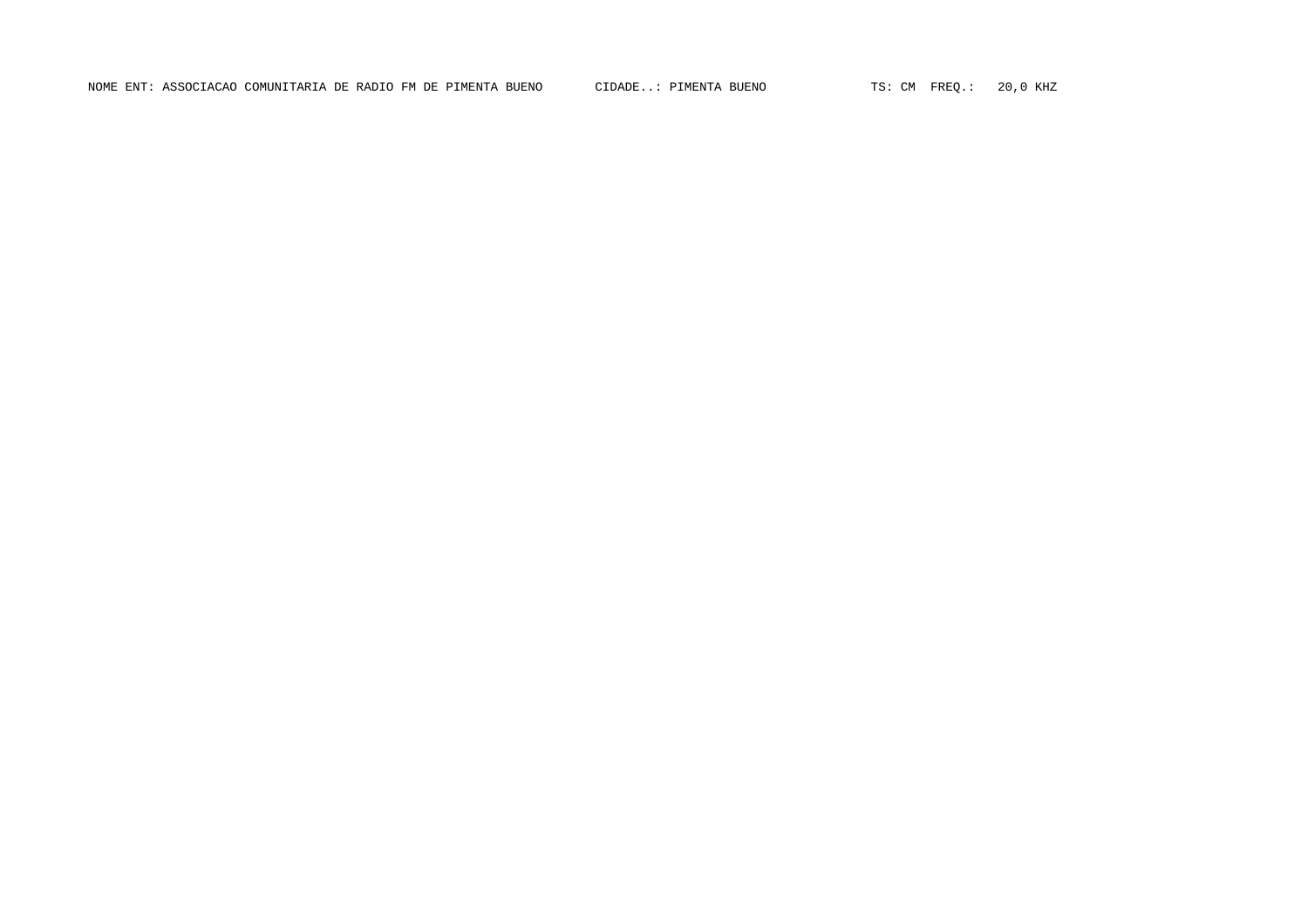NOME ENT: ASSOCIACAO COMUNITARIA DE RADIO FM DE PIMENTA BUENO CIDADE..: PIMENTA BUENO TS: CM FREQ.: 20,0 KHZ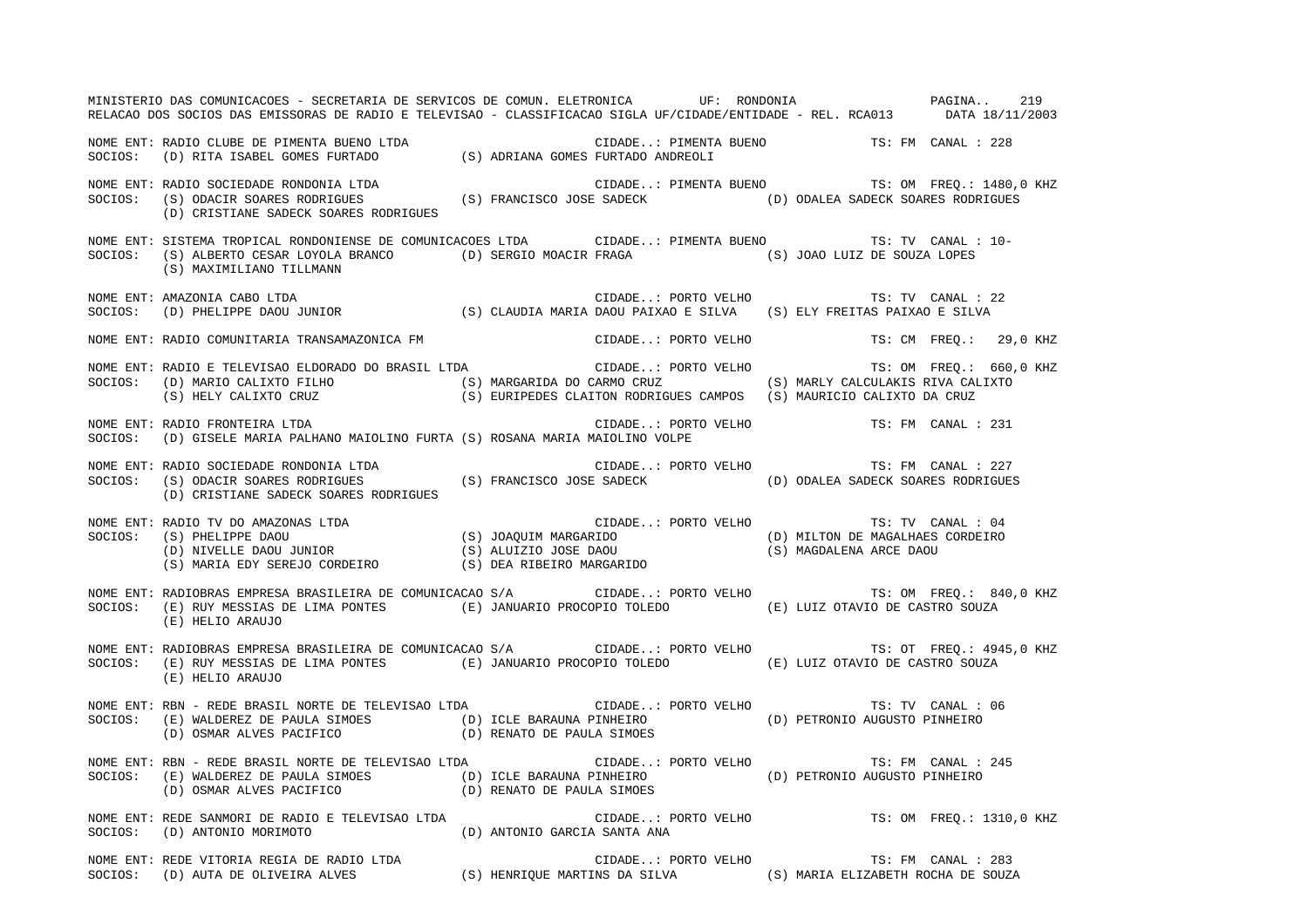MINISTERIO DAS COMUNICACOES - SECRETARIA DE SERVICOS DE COMUN. ELETRONICA UF: RONDONIA PAGINA.. 219RELACAO DOS SOCIOS DAS EMISSORAS DE RADIO E TELEVISAO - CLASSIFICACAO SIGLA UF/CIDADE/ENTIDADE - REL. RCA013 DATA 18/11/2003 NOME ENT: RADIO CLUBE DE PIMENTA BUENO LTDA CIDADE..: PIMENTA BUENO TS: FM CANAL : 228SOCIOS: (D) RITA ISABEL GOMES FURTADO (S) ADRIANA GOMES FURTADO ANDREOLI NOME ENT: RADIO SOCIEDADE RONDONIA LTDA CIDADE..: PIMENTA BUENO TS: OM FREQ.: 1480,0 KHZ SOCIOS: (S) ODACIR SOARES RODRIGUES (S) FRANCISCO JOSE SADECK (D) ODALEA SADECK SOARES RODRIGUES (D) CRISTIANE SADECK SOARES RODRIGUES NOME ENT: SISTEMA TROPICAL RONDONIENSE DE COMUNICACOES LTDA CIDADE..: PIMENTA BUENO TS: TV CANAL : 10-SOCIOS: (S) ALBERTO CESAR LOYOLA BRANCO (D) SERGIO MOACIR FRAGA (S) JOAO LUIZ DE SOUZA LOPES (S) MAXIMILIANO TILLMANN NOME ENT: AMAZONIA CABO LTDA CIDADE..: PORTO VELHO TS: TV CANAL : 22SOCIOS: (D) PHELIPPE DAOU JUNIOR (S) CLAUDIA MARIA DAOU PAIXAO E SILVA (S) ELY FREITAS PAIXAO E SILVA NOME ENT: RADIO COMUNITARIA TRANSAMAZONICA FM CIDADE..: PORTO VELHO TS: CM FREQ.: 29,0 KHZ NOME ENT: RADIO E TELEVISAO ELDORADO DO BRASIL LTDA  $\Box$  CIDADE..: PORTO VELHO TS: OM FREQ.: 660,0 KHZ SOCIOS: (D) MARIO CALIXTO FILHO (S) MARGARIDA DO CARMO CRUZ (S) MARLY CALCULAKIS RIVA CALIXTO (S) HELY CALIXTO CRUZ (S) EURIPEDES CLAITON RODRIGUES CAMPOS (S) MAURICIO CALIXTO DA CRUZ NOME ENT: RADIO FRONTEIRA LTDA CIDADE..: PORTO VELHO TS: FM CANAL : 231SOCIOS: (D) GISELE MARIA PALHANO MAIOLINO FURTA (S) ROSANA MARIA MAIOLINO VOLPE NOME ENT: RADIO SOCIEDADE RONDONIA LTDA CIDADE..: PORTO VELHO TS: FM CANAL : 227SOCIOS: (S) ODACIR SOARES RODRIGUES (S) FRANCISCO JOSE SADECK (D) ODALEA SADECK SOARES RODRIGUES (D) CRISTIANE SADECK SOARES RODRIGUES NOME ENT: RADIO TV DO AMAZONAS LTDA CIDADE..: PORTO VELHO TS: TV CANAL : 04 SOCIOS: (S) PHELIPPE DAOU (S) JOAQUIM MARGARIDO (D) MILTON DE MAGALHAES CORDEIRO (D) NIVELLE DAOU JUNIOR (S) ALUIZIO JOSE DAOU (S) MAGDALENA ARCE DAOU (S) MARIA EDY SEREJO CORDEIRO (S) DEA RIBEIRO MARGARIDO NOME ENT: RADIOBRAS EMPRESA BRASILEIRA DE COMUNICACAO S/A CIDADE..: PORTO VELHO TS: OM FREQ.: 840,0 KHZ SOCIOS: (E) RUY MESSIAS DE LIMA PONTES (E) JANUARIO PROCOPIO TOLEDO (E) LUIZ OTAVIO DE CASTRO SOUZA (E) HELIO ARAUJO NOME ENT: RADIOBRAS EMPRESA BRASILEIRA DE COMUNICACAO S/A CIDADE..: PORTO VELHO TS: OT FREQ.: 4945,0 KHZ SOCIOS: (E) RUY MESSIAS DE LIMA PONTES (E) JANUARIO PROCOPIO TOLEDO (E) LUIZ OTAVIO DE CASTRO SOUZA (E) HELIO ARAUJO NOME ENT: RBN - REDE BRASIL NORTE DE TELEVISAO LTDA CIDADE..: PORTO VELHO TS: TV CANAL : 06 SOCIOS: (E) WALDEREZ DE PAULA SIMOES (D) ICLE BARAUNA PINHEIRO (D) PETRONIO AUGUSTO PINHEIRO (D) OSMAR ALVES PACIFICO (D) RENATO DE PAULA SIMOES NOME ENT: RBN - REDE BRASIL NORTE DE TELEVISAO LTDA CIDADE..: PORTO VELHO TS: FM CANAL : 245SOCIOS: (E) WALDEREZ DE PAULA SIMOES (D) ICLE BARAUNA PINHEIRO (D) PETRONIO AUGUSTO PINHEIRO (D) OSMAR ALVES PACIFICO (D) RENATO DE PAULA SIMOES NOME ENT: REDE SANMORI DE RADIO E TELEVISAO LTDA CIDADE..: PORTO VELHO TS: OM FREQ.: 1310,0 KHZ SOCIOS: (D) ANTONIO MORIMOTO (D) ANTONIO GARCIA SANTA ANA NOME ENT: REDE VITORIA REGIA DE RADIO LTDA CIDADE..: PORTO VELHO TS: FM CANAL : 283 SOCIOS: (D) AUTA DE OLIVEIRA ALVES (S) HENRIQUE MARTINS DA SILVA (S) MARIA ELIZABETH ROCHA DE SOUZA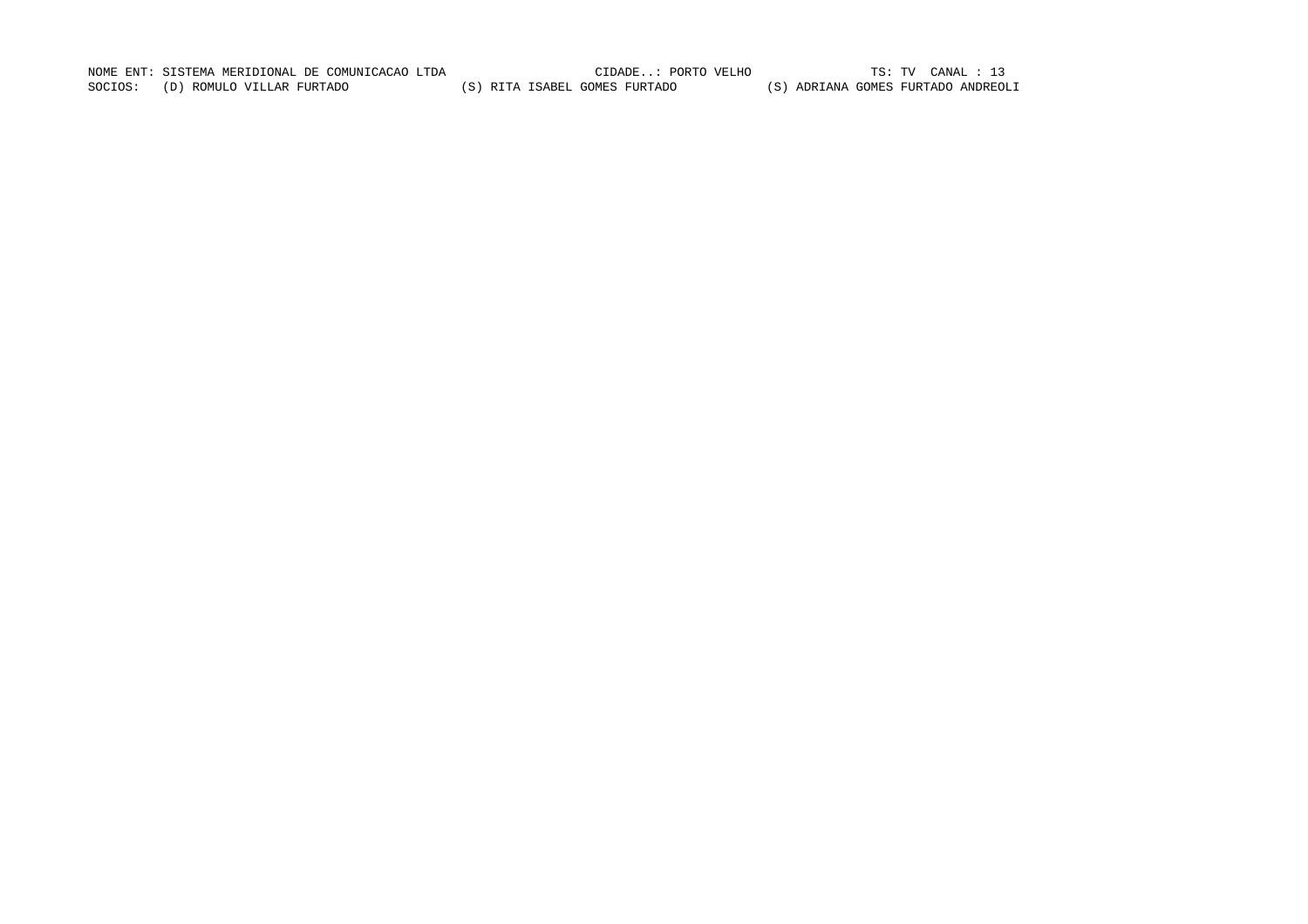NOME ENT: SISTEMA MERIDIONAL DE COMUNICACAO LTDA CIDADE..: PORTO VELHO TS: TV CANAL : 13 SOCIOS: (D) ROMULO VILLAR FURTADO (S) RITA ISABEL GOMES FURTADO (S) ADRIANA GOMES FURTADO ANDREOLI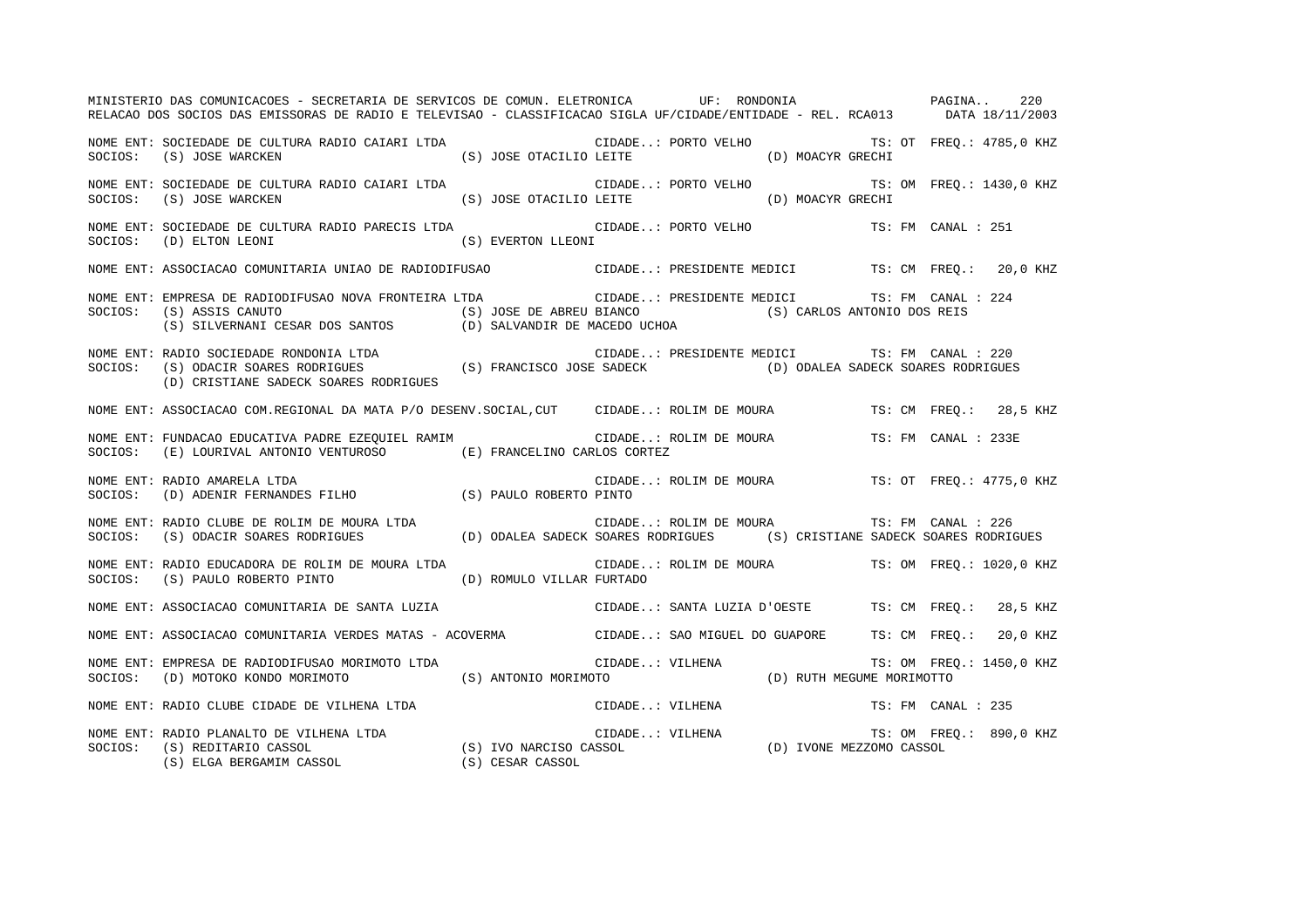MINISTERIO DAS COMUNICACOES - SECRETARIA DE SERVICOS DE COMUN. ELETRONICA UF: RONDONIA PAGINA.. 220RELACAO DOS SOCIOS DAS EMISSORAS DE RADIO E TELEVISAO - CLASSIFICACAO SIGLA UF/CIDADE/ENTIDADE - REL. RCA013 DATA 18/11/2003 NOME ENT: SOCIEDADE DE CULTURA RADIO CAIARI LTDA CIDADE..: PORTO VELHO TS: OT FREQ.: 4785,0 KHZ SOCIOS: (S) JOSE WARCKEN (S) JOSE OTACILIO LEITE (D) MOACYR GRECHI NOME ENT: SOCIEDADE DE CULTURA RADIO CAIARI LTDA CIDADE..: PORTO VELHO TS: OM FREQ.: 1430,0 KHZ SOCIOS: (S) JOSE WARCKEN (S) JOSE OTACILIO LEITE (D) MOACYR GRECHI NOME ENT: SOCIEDADE DE CULTURA RADIO PARECIS LTDA CIDADE..: PORTO VELHO TS: FM CANAL : 251 SOCIOS: (D) ELTON LEONI (S) EVERTON LLEONI NOME ENT: ASSOCIACAO COMUNITARIA UNIAO DE RADIODIFUSAO CIDADE..: PRESIDENTE MEDICI TS: CM FREQ.: 20,0 KHZ NOME ENT: EMPRESA DE RADIODIFUSAO NOVA FRONTEIRA LTDA CIDADE..: PRESIDENTE MEDICI TS: FM CANAL : 224SOCIOS: (S) ASSIS CANUTO (S) JOSE DE ABREU BIANCO (S) CARLOS ANTONIO DOS REIS (S) SILVERNANI CESAR DOS SANTOS (D) SALVANDIR DE MACEDO UCHOA NOME ENT: RADIO SOCIEDADE RONDONIA LTDA CIDADE..: PRESIDENTE MEDICI TS: FM CANAL : 220SOCIOS: (S) ODACIR SOARES RODRIGUES (S) FRANCISCO JOSE SADECK (D) ODALEA SADECK SOARES RODRIGUES (D) CRISTIANE SADECK SOARES RODRIGUES NOME ENT: ASSOCIACAO COM.REGIONAL DA MATA P/O DESENV.SOCIAL,CUT CIDADE..: ROLIM DE MOURA TS: CM FREQ.: 28,5 KHZ NOME ENT: FUNDACAO EDUCATIVA PADRE EZEQUIEL RAMIM CIDADE..: ROLIM DE MOURA TS: FM CANAL : 233E SOCIOS: (E) LOURIVAL ANTONIO VENTUROSO (E) FRANCELINO CARLOS CORTEZ NOME ENT: RADIO AMARELA LTDA CIDADE..: ROLIM DE MOURA TS: OT FREQ.: 4775,0 KHZ SOCIOS: (D) ADENIR FERNANDES FILHO (S) PAULO ROBERTO PINTO NOME ENT: RADIO CLUBE DE ROLIM DE MOURA LTDA CIDADE..: ROLIM DE MOURA TS: FM CANAL : 226SOCIOS: (S) ODACIR SOARES RODRIGUES (D) ODALEA SADECK SOARES RODRIGUES (S) CRISTIANE SADECK SOARES RODRIGUES NOME ENT: RADIO EDUCADORA DE ROLIM DE MOURA LTDA CIDADE..: ROLIM DE MOURA TS: OM FREQ.: 1020,0 KHZ SOCIOS: (S) PAULO ROBERTO PINTO (D) ROMULO VILLAR FURTADO NOME ENT: ASSOCIACAO COMUNITARIA DE SANTA LUZIA CIDADE..: SANTA LUZIA D'OESTE TS: CM FREQ.: 28,5 KHZ NOME ENT: ASSOCIACAO COMUNITARIA VERDES MATAS - ACOVERMA CIDADE..: SAO MIGUEL DO GUAPORE TS: CM FREQ.: 20,0 KHZ NOME ENT: EMPRESA DE RADIODIFUSAO MORIMOTO LTDA CIDADE..: VILHENA TS: OM FREQ.: 1450,0 KHZ SOCIOS: (D) MOTOKO KONDO MORIMOTO (S) ANTONIO MORIMOTO (D) RUTH MEGUME MORIMOTTO NOME ENT: RADIO CLUBE CIDADE DE VILHENA LTDA CIDADE..: VILHENA TS: FM CANAL : 235NOME ENT: RADIO PLANALTO DE VILHENA LTDA CIDADE..: VILHENA TS: OM FREQ.: 890,0 KHZ SOCIOS: (S) REDITARIO CASSOL (S) IVO NARCISO CASSOL (D) IVONE MEZZOMO CASSOL (S) ELGA BERGAMIM CASSOL (S) CESAR CASSOL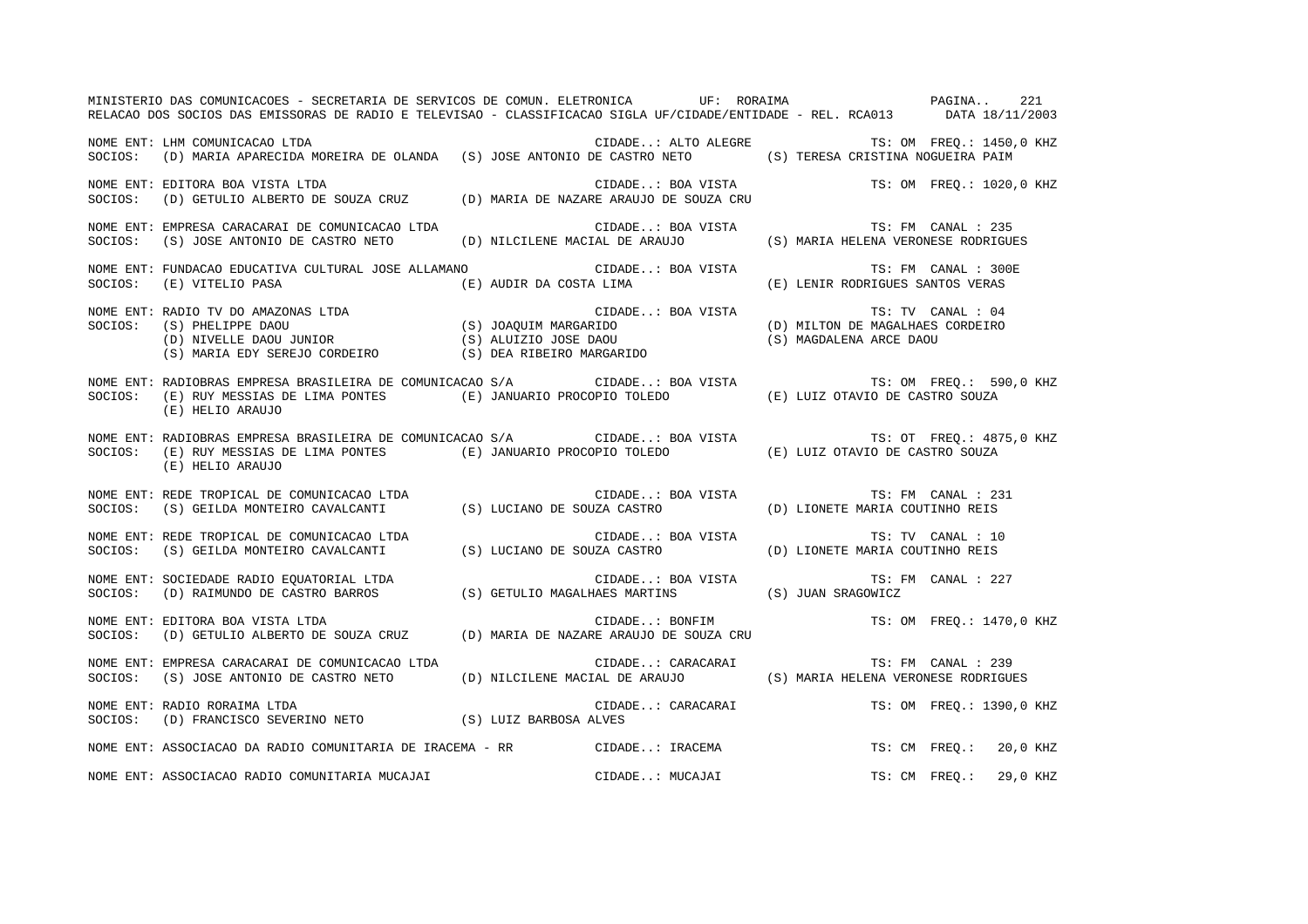|         | MINISTERIO DAS COMUNICACOES - SECRETARIA DE SERVICOS DE COMUN. ELETRONICA UP: RORAIMA ANDENA PAGINA<br>RELACAO DOS SOCIOS DAS EMISSORAS DE RADIO E TELEVISAO - CLASSIFICACAO SIGLA UF/CIDADE/ENTIDADE - REL. RCA013 DATA 18/11/2003          |                                              |                                  | 221                      |
|---------|----------------------------------------------------------------------------------------------------------------------------------------------------------------------------------------------------------------------------------------------|----------------------------------------------|----------------------------------|--------------------------|
|         | NOME ENT: LHM COMUNICACAO LTDA<br>SOCIOS: (D) MARIA APARECIDA MOREIRA DE OLANDA (S) JOSE ANTONIO DE CASTRO NETO (S) TERESA CRISTINA NOGUEIRA PAIM                                                                                            | CIDADE: ALTO ALEGRE TS: OM FREQ.: 1450,0 KHZ |                                  |                          |
| SOCIOS: | NOME ENT: EDITORA BOA VISTA LTDA<br>EDIIORA BOA VISIA LIDA<br>(D) GETULIO ALBERTO DE SOUZA CRUZ (D) MARIA DE NAZARE ARAUJO DE SOUZA CRU                                                                                                      | CIDADE: BOA VISTA TS: OM FREQ.: 1020,0 KHZ   |                                  |                          |
|         | NOME ENT: EMPRESA CARACARAI DE COMUNICACAO LTDA CONSTRESSE DE CIDADE: BOA VISTA TES EN TES FM CANAL : 235<br>SOCIOS: (S) JOSE ANTONIO DE CASTRO NETO (D) NILCILENE MACIAL DE ARAUJO (S) MARIA HELENA VERONESE RODRIGUES                      |                                              |                                  |                          |
| SOCIOS: | NOME ENT: FUNDACAO EDUCATIVA CULTURAL JOSE ALLAMANO CIDADE: BOA VISTA<br>(E) VITELIO PASA                                                                                                                                                    | (E) AUDIR DA COSTA LIMA                      | (E) LENIR RODRIGUES SANTOS VERAS | TS: FM CANAL : 300E      |
|         | NOME ENT: RADIO TV DO AMAZONAS LTDA<br>SOCIOS: (S) PHELIPPE DAOU<br>(D) MILTON DE MAGALHAES CORDEIRO<br>(D) MILTON DE MAGALHAES CORDEIRO<br>(S) MARIA EDY SEREJO CORDEIRO<br>(S) DEA RIBEIRO MARGARIDO<br>(S) MAGDALENA ARCE DAOU<br>(S) MAG |                                              |                                  |                          |
|         | NOME ENT: RADIOBRAS EMPRESA BRASILEIRA DE COMUNICACAO S/A CIDADE: BOA VISTA TS: OM FREQ.: 590,0 KHZ<br>SOCIOS: (E) RUY MESSIAS DE LIMA PONTES (E) JANUARIO PROCOPIO TOLEDO (E) LUIZ OTAVIO DE CASTRO SOUZA<br>(E) HELIO ARAUJO               |                                              |                                  |                          |
|         | NOME ENT: RADIOBRAS EMPRESA BRASILEIRA DE COMUNICACAO S/A CIDADE: BOA VISTA TS: OT FREQ.: 487<br>SOCIOS: (E) RUY MESSIAS DE LIMA PONTES (E) JANUARIO PROCOPIO TOLEDO (E) LUIZ OTAVIO DE CASTRO SOUZA<br>(E) HELIO ARAUJO                     |                                              |                                  | TS: OT FREQ.: 4875,0 KHZ |
|         | NOME ENT: REDE TROPICAL DE COMUNICACAO LTDA<br>SOCIOS: (S) GEILDA MONTEIRO CAVALCANTI (S) LUCIANO DE SOUZA CASTRO (D) LIONETE MARIA COUTINHO REIS                                                                                            |                                              |                                  | TS: FM CANAL : 231       |
|         | NOME ENT: REDE TROPICAL DE COMUNICACAO LTDA<br>SOCIOS: (S) GEILDA MONTEIRO CAVALCANTI (S) LUCIANO DE SOUZA CASTRO (D) LIONETE MARIA COUTINHO REIS                                                                                            |                                              |                                  |                          |
| SOCIOS: | SOCIEDADE RADIO EQUATORIAL LTDA<br>(D) RAIMUNDO DE CASTRO BARROS (S) GETULIO MAGALHAES MARTINS (S) JUAN SRAGOWICZ<br>NOME ENT: SOCIEDADE RADIO EQUATORIAL LTDA                                                                               |                                              |                                  | TS: FM CANAL : 227       |
| SOCIOS: | EDITORA BOA VISTA LTDA<br>(D) GETULIO ALBERTO DE SOUZA CRUZ (D) MARIA DE NAZARE ARAUJO DE SOUZA CRU<br>NOME ENT: EDITORA BOA VISTA LTDA                                                                                                      |                                              |                                  | TS: OM FREO.: 1470,0 KHZ |
| SOCIOS: | (S) JOSE ANTONIO DE CASTRO NETO (D) NILCILENE MACIAL DE ARAUJO (S) MARIA HELENA VERONESE RODRIGUES                                                                                                                                           |                                              |                                  |                          |
|         | NOME ENT: RADIO RORAIMA LTDA<br>SOCIOS: (D) FRANCISCO SEVERINO NETO (S) LUIZ BARBOSA ALVES                                                                                                                                                   | CIDADE: CARACARAI TS: OM FREQ.: 1390,0 KHZ   |                                  |                          |
|         | NOME ENT: ASSOCIACAO DA RADIO COMUNITARIA DE IRACEMA - RR CIDADE: IRACEMA                                                                                                                                                                    |                                              |                                  | TS: CM FREO.: 20,0 KHZ   |
|         | NOME ENT: ASSOCIACAO RADIO COMUNITARIA MUCAJAI                                                                                                                                                                                               | CIDADE: MUCAJAI                              | TS: CM FREQ.:                    | 29,0 KHZ                 |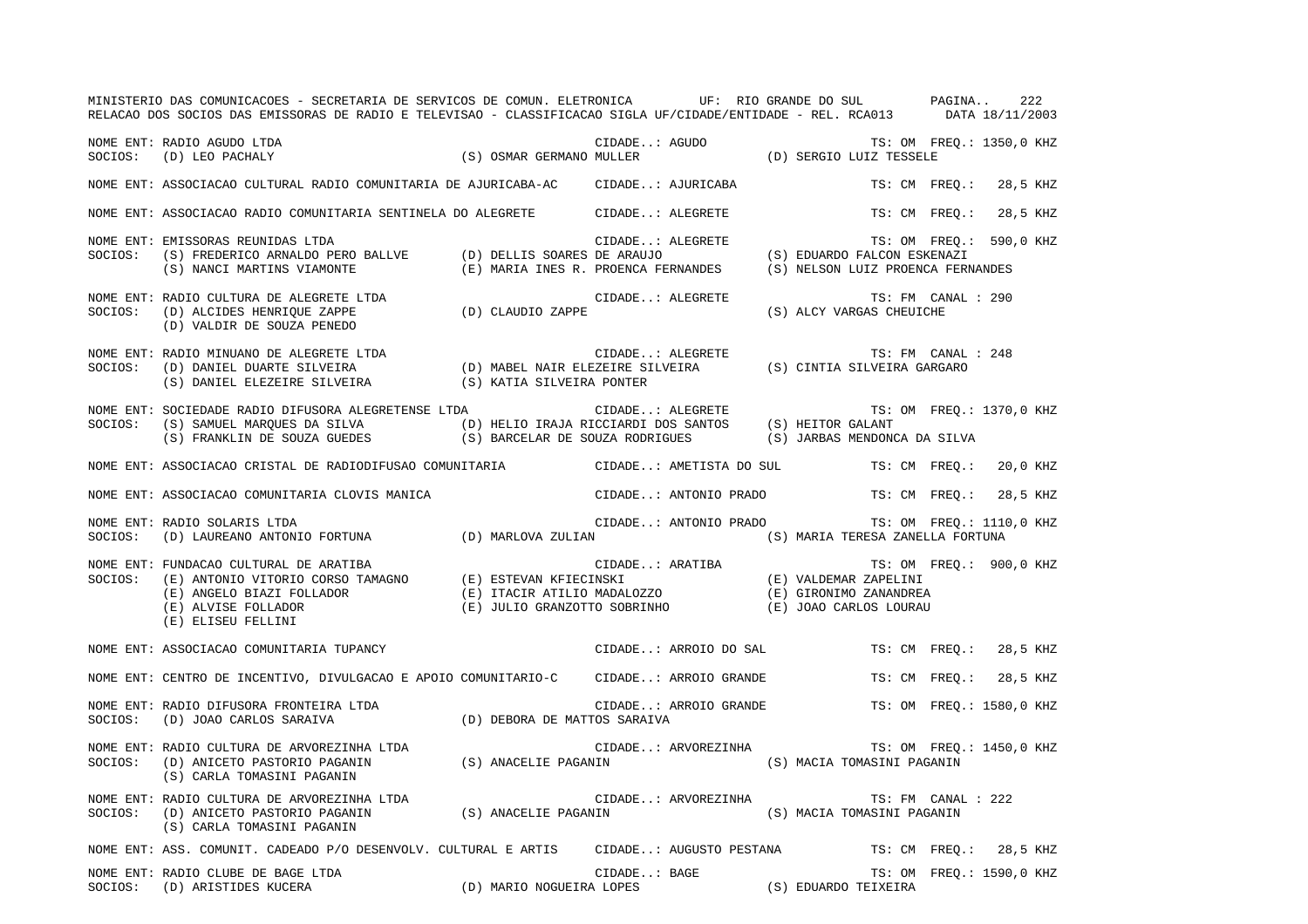|         | MINISTERIO DAS COMUNICACOES - SECRETARIA DE SERVICOS DE COMUN. ELETRONICA UF: RIO GRANDE DO SUL PAGINA<br>RELACAO DOS SOCIOS DAS EMISSORAS DE RADIO E TELEVISAO - CLASSIFICACAO SIGLA UF/CIDADE/ENTIDADE - REL. RCA013 DATA 18/11/2003                                         |              |                       |                                                                                                       | 222                      |
|---------|--------------------------------------------------------------------------------------------------------------------------------------------------------------------------------------------------------------------------------------------------------------------------------|--------------|-----------------------|-------------------------------------------------------------------------------------------------------|--------------------------|
|         | CIDADE: AGUDO TS: OM FREQ.: 1350,0 KHZ<br>(S) OSMAR GERMANO MULLER (D) SERGIO LUIZ TESSELE<br>NOME ENT: RADIO AGUDO LTDA<br>SOCIOS: (D) LEO PACHALY                                                                                                                            |              |                       |                                                                                                       |                          |
|         | NOME ENT: ASSOCIACAO CULTURAL RADIO COMUNITARIA DE AJURICABA-AC      CIDADE: AJURICABA                                                                                                                                                                                         |              |                       |                                                                                                       | TS: CM FREQ.: 28,5 KHZ   |
|         | NOME ENT: ASSOCIACAO RADIO COMUNITARIA SENTINELA DO ALEGRETE CIDADE: ALEGRETE                                                                                                                                                                                                  |              |                       |                                                                                                       | TS: CM FREO.: 28,5 KHZ   |
| SOCIOS: | EMISSORAS REUNIDAS LTDA<br>(S) FREDERICO ARNALDO PERO BALLVE (D) DELLIS SOARES DE ARAUJO (S) EDUARDO FALCON ESKENAZI<br>(S) NANCI MARTINS VIAMONTE (E) MARIA INES R. PROENCA FERNANDES (S) NELSON LUIZ PROENCA FERNANDES<br>NOME ENT: EMISSORAS REUNIDAS LTDA                  |              |                       |                                                                                                       | TS: OM FREO.: 590,0 KHZ  |
|         | NOME ENT: RADIO CULTURA DE ALEGRETE LTDA (D) CLAUDIO ZAPPE<br>SOCIOS: (D) ALCIDES HENRIQUE ZAPPE (D) CLAUDIO ZAPPE (D) INITIA DE COUSA DINPE<br>(D) VALDIR DE SOUZA PENEDO                                                                                                     |              | CIDADE: ALEGRETE      | TS: FM CANAL : 290<br>(S) ALCY VARGAS CHEUICHE                                                        |                          |
|         | NOME ENT: RADIO MINUANO DE ALEGRETE LTDA<br>SOCIOS: (D) DANIEL DUARTE SILVEIRA (D) MABEL NAIR ELEZEIRE SILVEIRA (S) CINTIA SILVEIRA GARGARO<br>(S) DANIEL ELEZEIRE SILVEIRA (S) KATIA SILVEIRA PONTER                                                                          |              |                       | TS: FM CANAL : 248                                                                                    |                          |
| SOCIOS: | NOME ENT: SOCIEDADE RADIO DIFUSORA ALEGRETENSE LTDA                                                                                                                                                                                                                            |              |                       |                                                                                                       | TS: OM FREO.: 1370,0 KHZ |
|         | NOME ENT: ASSOCIACAO CRISTAL DE RADIODIFUSAO COMUNITARIA CIDADE: AMETISTA DO SUL TS: CM FREO.: 20,0 KHZ                                                                                                                                                                        |              |                       |                                                                                                       |                          |
|         | NOME ENT: ASSOCIACAO COMUNITARIA CLOVIS MANICA CIDADE: ANTONIO PRADO TS: CM FREQ.:                                                                                                                                                                                             |              |                       |                                                                                                       | 28,5 KHZ                 |
| SOCIOS: | NOME ENT: RADIO SOLARIS LTDA<br>KADIO SOLAKIS LIDA<br>(D) LAUREANO ANTONIO FORTUNA (D) MARLOVA ZULIAN (S) MARIA TERESA ZANELLA FORTUNA                                                                                                                                         |              |                       | CIDADE: ANTONIO PRADO TS: OM FREQ.: 1110,0 KHZ                                                        |                          |
| SOCIOS: | FUNDACAO CULTURAL DE ARATIBA<br>(E) ANTONIO VITORIO CORSO TAMAGNO (E) ESTEVAN KFIECINSKI (E) ANGELO BIAZI FOLLADOR (E) ITACIR ATILIO MADALOZZO<br>(E) JULIO GRANZOTTO SOBRINHO (E) JOAO CARLOS LOURAU (E) ELISEU FELLINI<br>(E) ELIS<br>NOME ENT: FUNDACAO CULTURAL DE ARATIBA |              |                       |                                                                                                       | TS: OM FREQ.: 900,0 KHZ  |
|         | NOME ENT: ASSOCIACAO COMUNITARIA TUPANCY                                                                                                                                                                                                                                       |              | CIDADE: ARROIO DO SAL |                                                                                                       | TS: CM FREO.: 28,5 KHZ   |
|         | NOME ENT: CENTRO DE INCENTIVO, DIVULGACAO E APOIO COMUNITARIO-C CIDADE: ARROIO GRANDE                                                                                                                                                                                          |              |                       | TS: CM FREQ.:                                                                                         | 28,5 KHZ                 |
|         | NOME ENT: RADIO DIFUSORA FRONTEIRA LTDA (D) DEBORA DE MATTOS SARAIVA SOCIOS: (D) JOAO CARLOS SARAIVA                                                                                                                                                                           |              |                       | $\verb"CIDADE": RRROIO \text{ GRANDE} \hspace{2.0cm} \verb"TS": OM \text{ FREQ.:} 1580,0 \text{ KHZ}$ |                          |
| SOCIOS: | NOME ENT: RADIO CULTURA DE ARVOREZINHA LTDA<br>(D) ANICETO PASTORIO PAGANIN (S) ANACELIE PAGANIN (S) MACIA TOMASINI PAGANIN<br>(S) CARLA TOMASINI PAGANIN                                                                                                                      |              | CIDADE: ARVOREZINHA   |                                                                                                       | TS: OM FREQ.: 1450,0 KHZ |
|         | (S) CARLA TOMASINI PAGANIN                                                                                                                                                                                                                                                     |              |                       | TS: FM CANAL : 222                                                                                    |                          |
|         | NOME ENT: ASS. COMUNIT. CADEADO P/O DESENVOLV. CULTURAL E ARTIS CIDADE: AUGUSTO PESTANA TS: CM FREQ.: 28,5 KHZ                                                                                                                                                                 |              |                       |                                                                                                       |                          |
|         | NOME ENT: RADIO CLUBE DE BAGE LTDA<br>NOME ENT: RADIO CLUBE DE BAGE LTDA<br>SOCIOS:    (D) ARISTIDES KUCERA                               (D) MARIO NOGUEIRA LOPES                      (S) EDUARDO TEIXEIRA                                                                   | CIDADE: BAGE |                       |                                                                                                       | TS: OM FREO.: 1590,0 KHZ |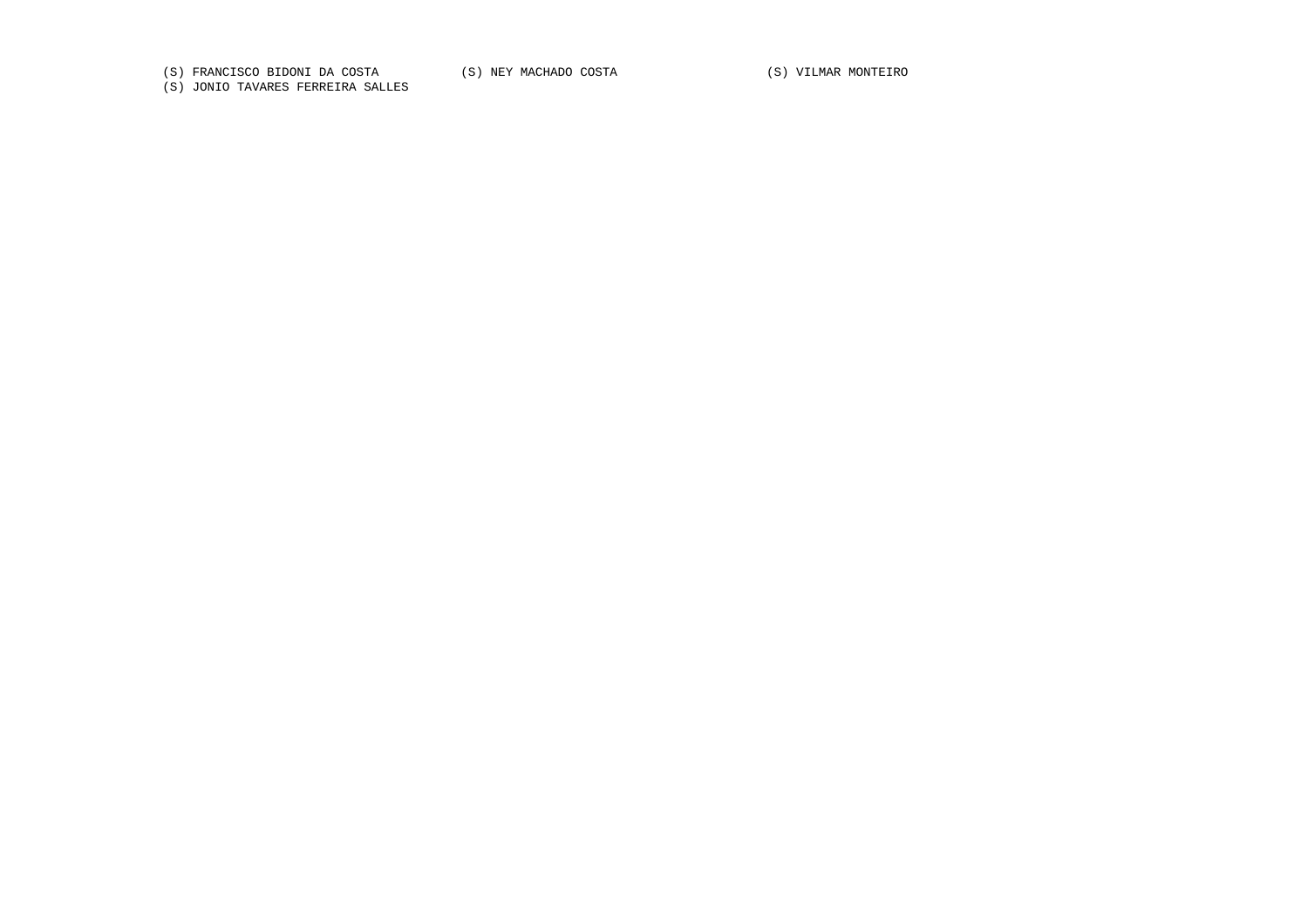(S) FRANCISCO BIDONI DA COSTA (S) NEY MACHADO COSTA (S) VILMAR MONTEIRO

(S) JONIO TAVARES FERREIRA SALLES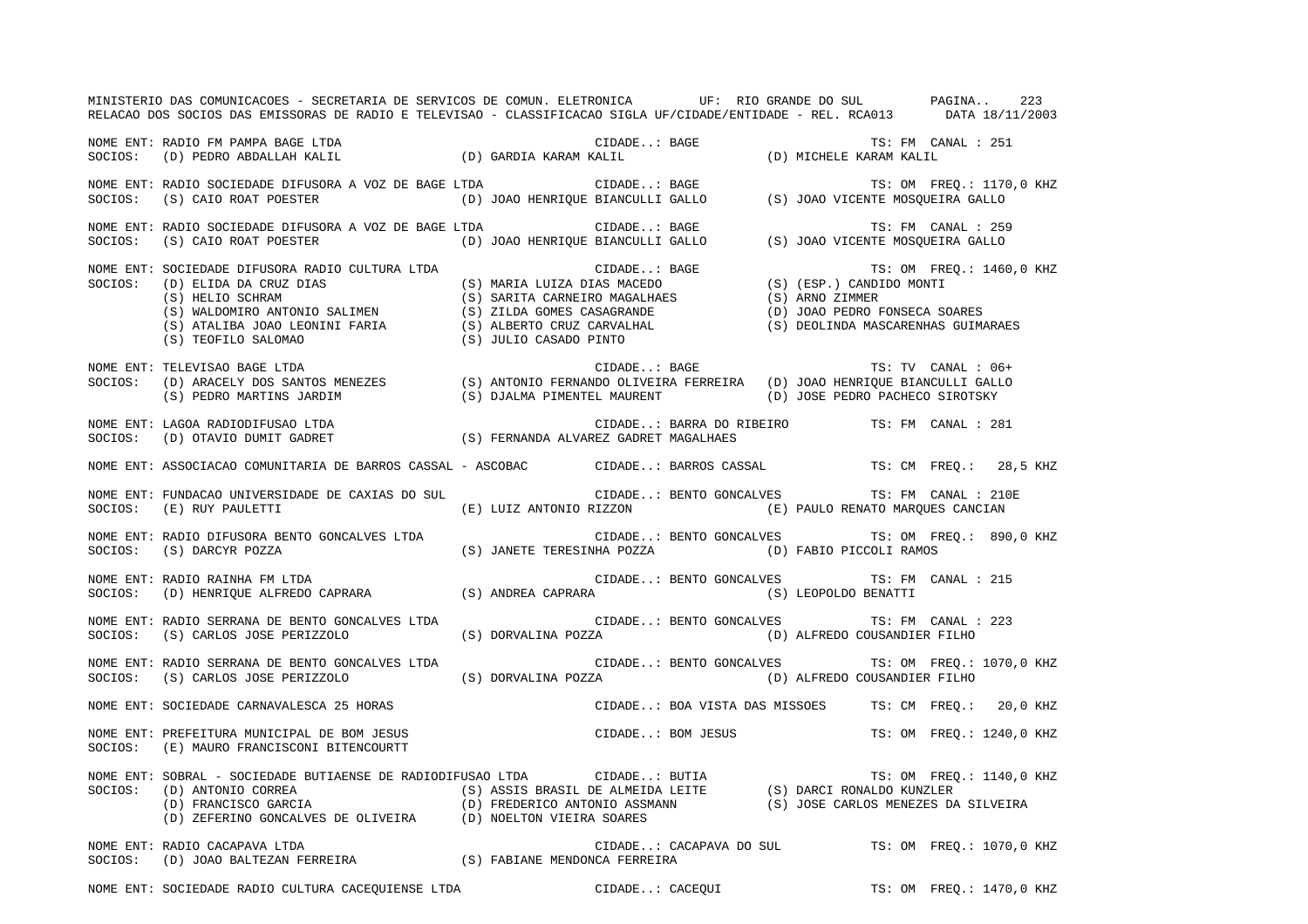|         | MINISTERIO DAS COMUNICACOES - SECRETARIA DE SERVICOS DE COMUN. ELETRONICA UF: RIO GRANDE DO SUL PAGINA<br>RELACAO DOS SOCIOS DAS EMISSORAS DE RADIO E TELEVISAO - CLASSIFICACAO SIGLA UF/CIDADE/ENTIDADE - REL. RCA013 DATA 18/11/2003                                                       |  |                   |                                                                                                         |  |                          | 223 |
|---------|----------------------------------------------------------------------------------------------------------------------------------------------------------------------------------------------------------------------------------------------------------------------------------------------|--|-------------------|---------------------------------------------------------------------------------------------------------|--|--------------------------|-----|
|         | NOME ENT: RADIO FM PAMPA BAGE LTDA<br>SOCIOS: (D) PEDRO ABDALLAH KALIL (D) GARDIA KARAM KALIL (D) GARDIA (D) NICHELE KARAM KALIL                                                                                                                                                             |  |                   |                                                                                                         |  |                          |     |
|         |                                                                                                                                                                                                                                                                                              |  |                   | TS: OM FREO.: 1170,0 KHZ                                                                                |  |                          |     |
|         | NOME ENT: RADIO SOCIEDADE DIFUSORA A VOZ DE BAGE LTDA CIDADE BAGE<br>SOCIOS: (S) CAIO ROAT POESTER                                                                                                                                                                                           |  |                   | TS: FM CANAL : 259                                                                                      |  |                          |     |
| SOCIOS: | SOCIEDADE DIFUSORA RADIO CULTURA LTDA<br>(D) ELIDA DA CRUZ DIAS<br>(S) MARIA LUIZA DIAS MACEDO (S) (ESP.) CANDIDO MONTI<br>(S) HELIO SCHRAM<br>(S) SARITA CARNEIRO MAGALHAES<br>(S) ARNO ZIMMER<br>(S) ANDOMIRO ANTONIO SALIMEN (S) ZILDA<br>NOME ENT: SOCIEDADE DIFUSORA RADIO CULTURA LTDA |  |                   | TS: OM FREQ.: 1460,0 KHZ                                                                                |  |                          |     |
|         | TS: TV CANAL: 06+<br>SOCIOS: (D) ARACELY DOS SANTOS MENEZES (S) ANTONIO FERNANDO OLIVEIRA FERREIRA (D) JOAO HENRIQUE BIANCULLI GALLO<br>(S) PEDRO MARTINS JARDIM (S) DJALMA PIMENTEL MAURENT (D) TOOR PERRO OS TUTTO (S) CEDRO MARTI                                                         |  |                   |                                                                                                         |  |                          |     |
|         | $\begin{minipage}[c]{0.9\linewidth} \textbf{NOTE} & \textbf{ENT: LAGOA RADIODIFUSAO LTDA} & \textbf{CIDADE. : BARRA DO F} \\ \textbf{SOCIOS:} & \textbf{(D) OTAVIO DUMIT GADRET} & \textbf{(S) FERNANDA ALVAREZ GADRET MAGALHAES)} \end{minipage}$                                           |  |                   | $\verb"CIDADE":: BARRA DO RIBEIRO \hspace{1.5cm} TS: FM \hspace{1.5cm} CANAL: 281$                      |  |                          |     |
|         | NOME ENT: ASSOCIACAO COMUNITARIA DE BARROS CASSAL - ASCOBAC CIDADE: BARROS CASSAL TS: CM FREQ.: 28,5 KHZ                                                                                                                                                                                     |  |                   |                                                                                                         |  |                          |     |
|         | NOME ENT: FUNDACAO UNIVERSIDADE DE CAXIAS DO SUL<br>SOCIOS: (E) RUY PAULETTI                                                                                                                                                                                                                 |  |                   | CIDADE: BENTO GONCALVES TS: FM CANAL : 210E<br>(E) LUIZ ANTONIO RIZZON (E) PAULO RENATO MARQUES CANCIAN |  |                          |     |
|         |                                                                                                                                                                                                                                                                                              |  |                   | CIDADE: BENTO GONCALVES TS: OM FREQ.: 890,0 KHZ                                                         |  |                          |     |
|         | NOME ENT: RADIO DIFUSORA BENTO GONCALVES LTDA<br>SOCIOS: (S) DARCYR POZZA (S) JANETE TERESINHA POZZA (D) FABIO PICCOLI RAMOS<br>NOME ENT: RADIO RAINHA FM LTDA (S) ANDREA CAPRARA (IDADE: BENTO GONCALVES TS: FM CA<br>SOCIOS: (D)                                                           |  |                   | CIDADE: BENTO GONCALVES TS: FM CANAL : 215                                                              |  |                          |     |
|         | NOME ENT: RADIO SERRANA DE BENTO GONCALVES LTDA<br>SOCIOS: (S) CARLOS JOSE PERIZZOLO                                                                                                                                                                                                         |  |                   | CIDADE: BENTO GONCALVES TS: FM CANAL : 223<br>(S) DORVALINA POZZA (D) ALFREDO COUSANDIER FILHO          |  |                          |     |
|         | NOME ENT: RADIO SERRANA DE BENTO GONCALVES LTDA<br>SOCIOS: (S) CARLOS JOSE PERIZZOLO (S) DORVALINA POZZA (D) ALFREDO COUSANDIER FILHO                                                                                                                                                        |  |                   | CIDADE: BENTO GONCALVES TS: OM FREQ.: 1070,0 KHZ                                                        |  |                          |     |
|         | NOME ENT: SOCIEDADE CARNAVALESCA 25 HORAS                                                                                                                                                                                                                                                    |  |                   | CIDADE: BOA VISTA DAS MISSOES TS: CM FREQ.: 20,0 KHZ                                                    |  |                          |     |
| SOCIOS: | NOME ENT: PREFEITURA MUNICIPAL DE BOM JESUS<br>(E) MAURO FRANCISCONI BITENCOURTT                                                                                                                                                                                                             |  | CIDADE: BOM JESUS |                                                                                                         |  | TS: OM FREO.: 1240,0 KHZ |     |
|         | NOME ENT: SOBRAL – SOCIEDADE BUTIAENSE DE RADIODIFUSAO LTDA<br>SOCIOS: (D) ANTONIO CORREA (S) ASSIS BRASIL DE ALMEIDA LEITE (S) DARCI RONALDO KUNZLER<br>(D) FRANCISCO GARCIA (D) FREDERICO ANTONIO ASSMANN (S) JOSE CARLOS MENEZE                                                           |  |                   | (S) JOSE CARLOS MENEZES DA SILVEIRA                                                                     |  | TS: OM FREQ.: 1140,0 KHZ |     |
|         | NOME ENT: RADIO CACAPAVA LTDA<br>NOME ENT: RADIO CACAPAVA LTDA<br>SOCIOS:    (D) JOAO BALTEZAN FERREIRA                       (S) FABIANE MENDONCA FERREIRA                                                                                                                                  |  |                   | CIDADE: CACAPAVA DO SUL TS: OM FREQ.: 1070,0 KHZ                                                        |  |                          |     |

NOME ENT: SOCIEDADE RADIO CULTURA CACEQUIENSE LTDA CIDADE..: CACEQUI CIDADE..: CACEQUI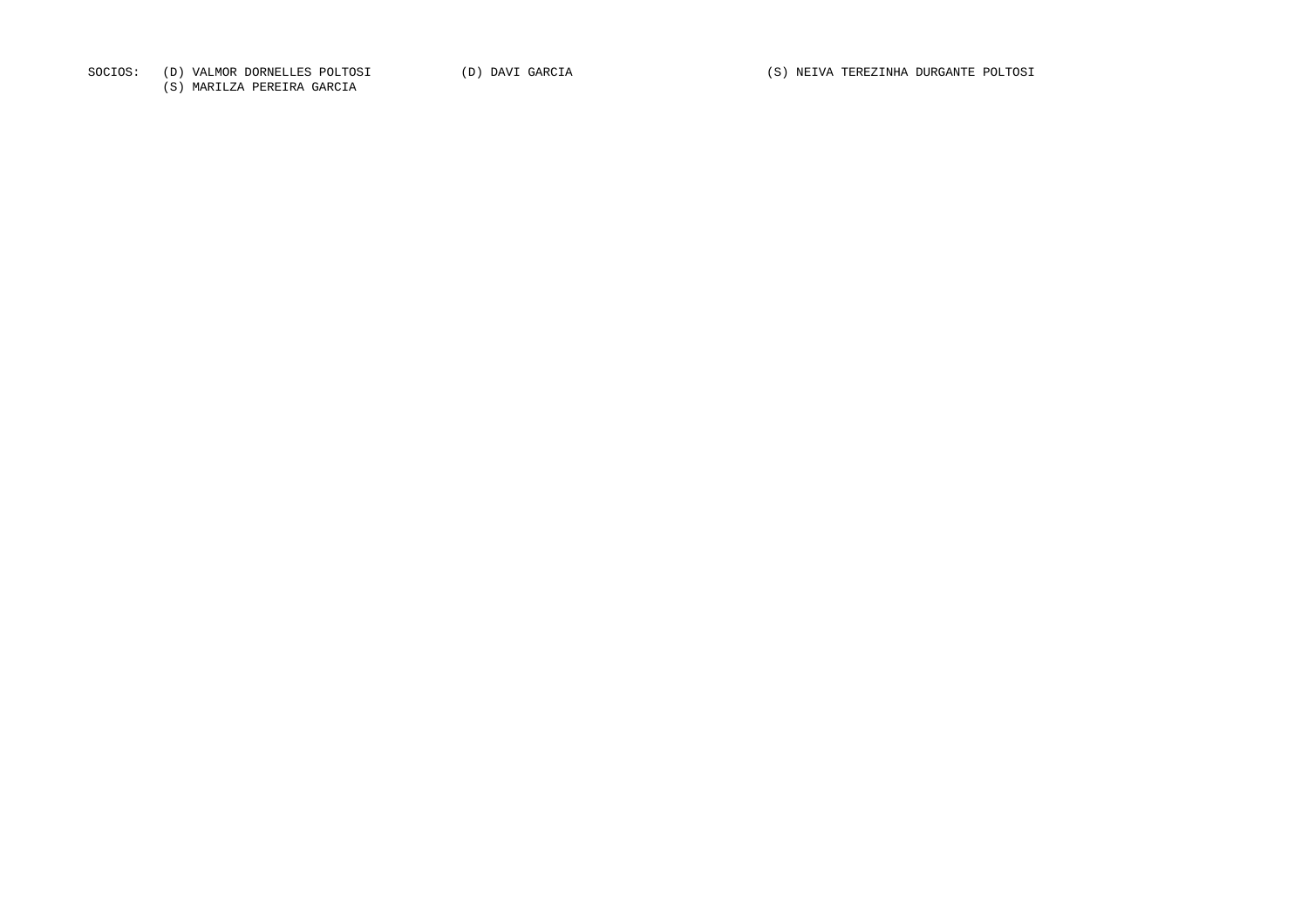SOCIOS: (D) VALMOR DORNELLES POLTOSI (D) DAVI GARCIA (D) ON EN MELLA (S) NEIVA TEREZINHA DURGANTE POLTOSI

(S) MARILZA PEREIRA GARCIA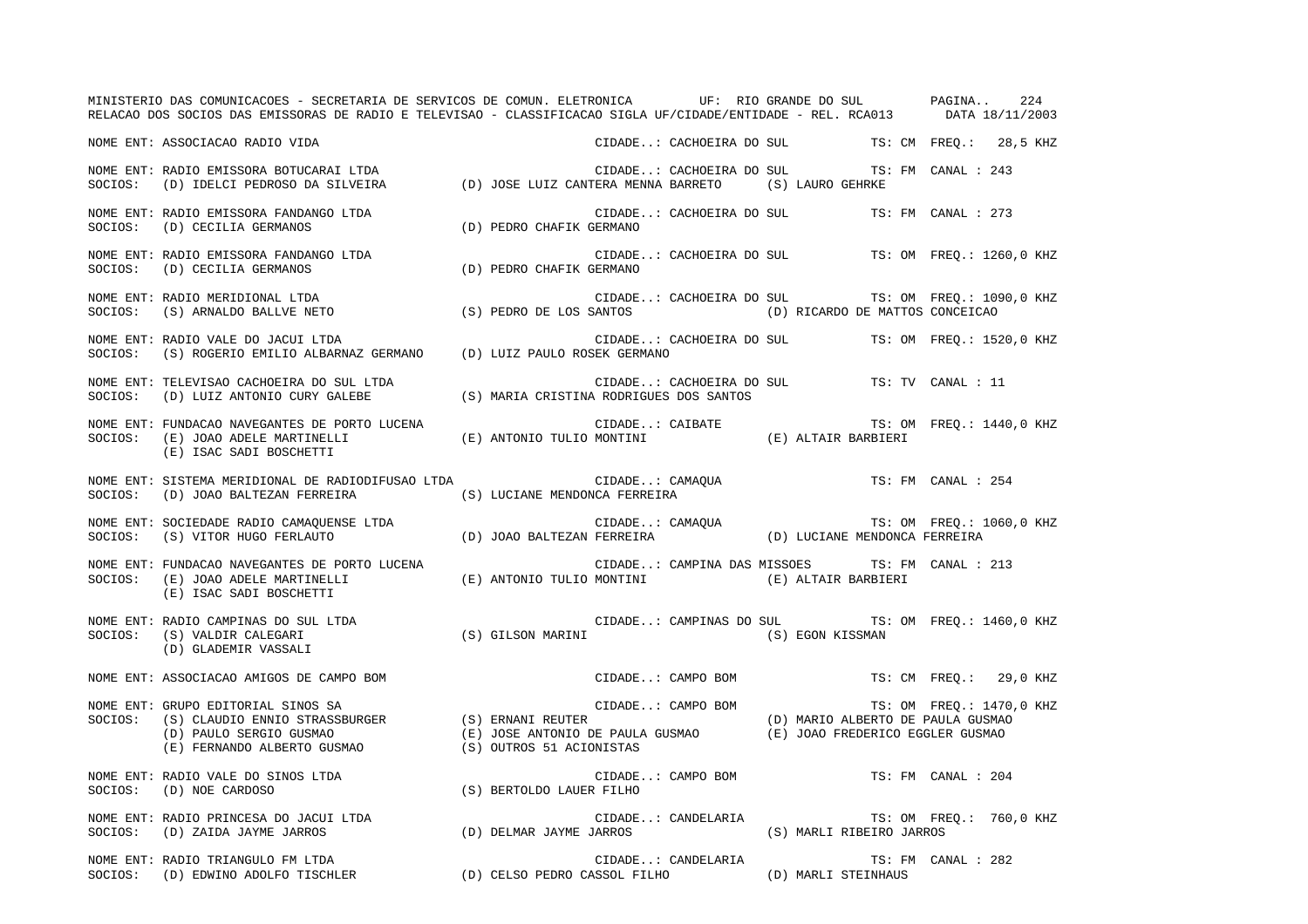MINISTERIO DAS COMUNICACOES - SECRETARIA DE SERVICOS DE COMUN. ELETRONICA UF: RIO GRANDE DO SUL PAGINA.. 224 RELACAO DOS SOCIOS DAS EMISSORAS DE RADIO E TELEVISAO - CLASSIFICACAO SIGLA UF/CIDADE/ENTIDADE - REL. RCA013 DATA 18/11/2003 NOME ENT: ASSOCIACAO RADIO VIDA CIDADE..: CACHOEIRA DO SUL TS: CM FREQ.: 28,5 KHZ NOME ENT: RADIO EMISSORA BOTUCARAI LTDA CIDADE..: CACHOEIRA DO SUL TS: FM CANAL : 243 SOCIOS: (D) IDELCI PEDROSO DA SILVEIRA (D) JOSE LUIZ CANTERA MENNA BARRETO (S) LAURO GEHRKE NOME ENT: RADIO EMISSORA FANDANGO LTDA CIDADE..: CACHOEIRA DO SUL TS: FM CANAL : 273 SOCIOS: (D) CECILIA GERMANOS (D) PEDRO CHAFIK GERMANO NOME ENT: RADIO EMISSORA FANDANGO LTDA CIDADE..: CACHOEIRA DO SUL TS: OM FREQ.: 1260,0 KHZ SOCIOS: (D) CECILIA GERMANOS (D) PEDRO CHAFIK GERMANO NOME ENT: RADIO MERIDIONAL LTDA CIDADE..: CACHOEIRA DO SUL TS: OM FREQ.: 1090,0 KHZ SOCIOS: (S) ARNALDO BALLVE NETO (S) PEDRO DE LOS SANTOS (D) RICARDO DE MATTOS CONCEICAO NOME ENT: RADIO VALE DO JACUI LTDA CIDADE..: CACHOEIRA DO SUL TS: OM FREQ.: 1520,0 KHZ SOCIOS: (S) ROGERIO EMILIO ALBARNAZ GERMANO (D) LUIZ PAULO ROSEK GERMANO NOME ENT: TELEVISAO CACHOEIRA DO SUL LTDA CIDADE..: CACHOEIRA DO SUL TS: TV CANAL : 11SOCIOS: (D) LUIZ ANTONIO CURY GALEBE (S) MARIA CRISTINA RODRIGUES DOS SANTOS NOME ENT: FUNDACAO NAVEGANTES DE PORTO LUCENA CONSTANTE CIDADE..: CAIBATE TS: OM FREQ.: 1440,0 KHZ SOCIOS: (E) JOAO ADELE MARTINELLI (E) ANTONIO TULIO MONTINI (E) ALTAIR BARBIERI (E) ISAC SADI BOSCHETTI NOME ENT: SISTEMA MERIDIONAL DE RADIODIFUSAO LTDA CONNERTE CIDADE..: CAMAQUA TS: FM CANAL : 254 SOCIOS: (D) JOAO BALTEZAN FERREIRA (S) LUCIANE MENDONCA FERREIRA NOME ENT: SOCIEDADE RADIO CAMAQUENSE LTDA  $\blacksquare$  CIDADE..: CAMAQUA TS: OM FREQ.: 1060,0 KHZ SOCIOS: (S) VITOR HUGO FERLAUTO (D) JOAO BALTEZAN FERREIRA (D) LUCIANE MENDONCA FERREIRA NOME ENT: FUNDACAO NAVEGANTES DE PORTO LUCENA CIDADE..: CAMPINA DAS MISSOES TS: FM CANAL : 213 SOCIOS: (E) JOAO ADELE MARTINELLI (E) ANTONIO TULIO MONTINI (E) ALTAIR BARBIERI (E) ISAC SADI BOSCHETTI NOME ENT: RADIO CAMPINAS DO SUL LTDA CIDADE..: CAMPINAS DO SUL TS: OM FREQ.: 1460,0 KHZ SOCIOS: (S) VALDIR CALEGARI (S) GILSON MARINI (S) EGON KISSMAN (D) GLADEMIR VASSALI NOME ENT: ASSOCIACAO AMIGOS DE CAMPO BOM CIDADE..: CAMPO BOM TS: CM FREQ.: 29,0 KHZ NOME ENT: GRUPO EDITORIAL SINOS SA SARED ENTRANGERED SOM CIDADE..: CAMPO BOM TS: OM FREQ.: 1470,0 KHZ SOCIOS: (S) CLAUDIO ENNIO STRASSBURGER (S) ERNANI REUTER (D) MARIO ALBERTO DE PAULA GUSMAO (D) PAULO SERGIO GUSMAO (E) JOSE ANTONIO DE PAULA GUSMAO (E) JOAO FREDERICO EGGLER GUSMAO (E) FERNANDO ALBERTO GUSMAO (S) OUTROS 51 ACIONISTAS NOME ENT: RADIO VALE DO SINOS LTDA CIDADE..: CAMPO BOM TS: FM CANAL : 204SOCIOS: (D) NOE CARDOSO (S) BERTOLDO LAUER FILHO NOME ENT: RADIO PRINCESA DO JACUI LTDA CIDADE..: CANDELARIA TS: OM FREQ.: 760,0 KHZ SOCIOS: (D) ZAIDA JAYME JARROS (D) DELMAR JAYME JARROS (S) MARLI RIBEIRO JARROS NOME ENT: RADIO TRIANGULO FM LTDA CIDADE..: CANDELARIA TS: FM CANAL : 282 SOCIOS: (D) EDWINO ADOLFO TISCHLER (D) CELSO PEDRO CASSOL FILHO (D) MARLI STEINHAUS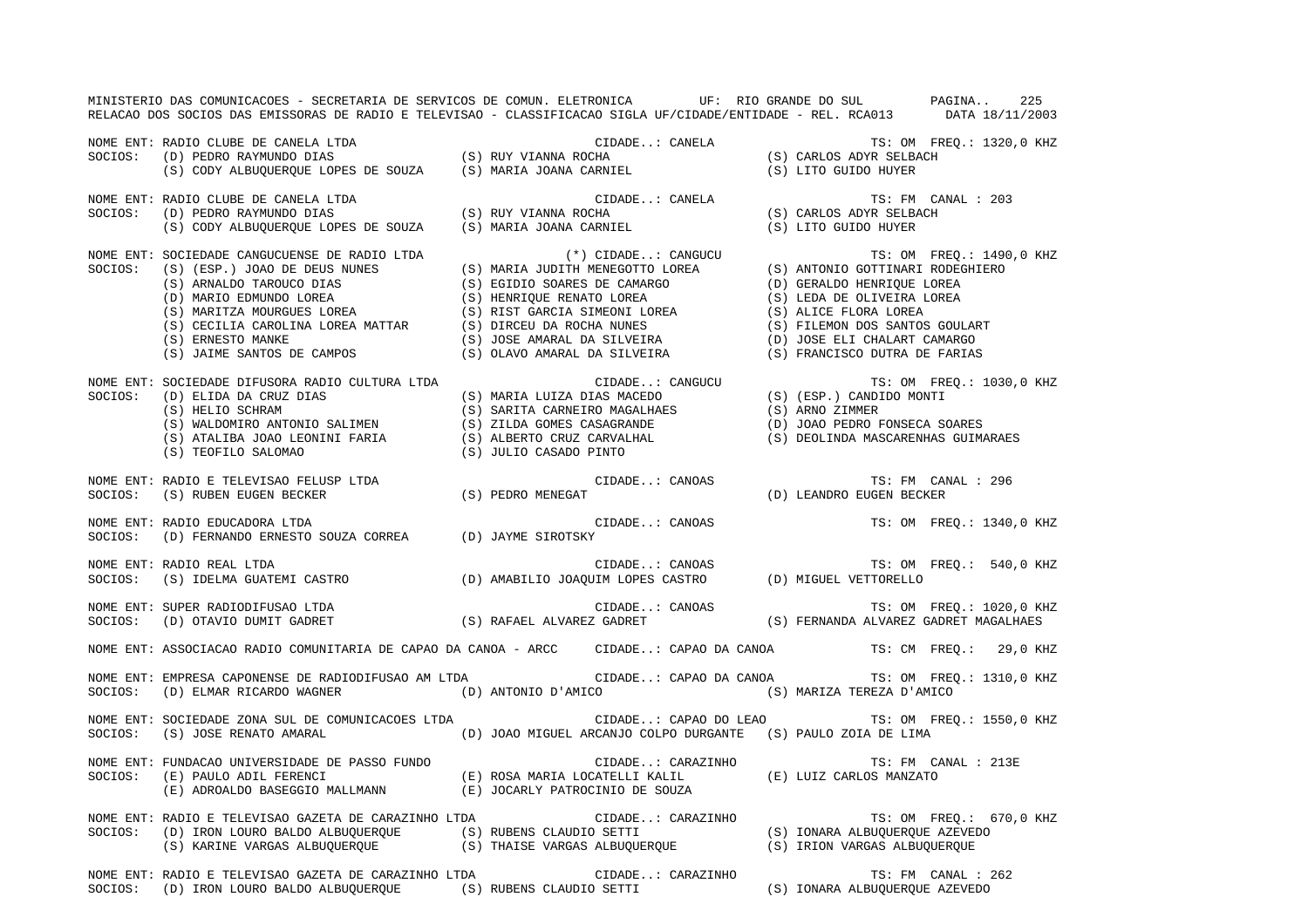MINISTERIO DAS COMUNICACOES - SECRETARIA DE SERVICOS DE COMUN. ELETRONICA UF: RIO GRANDE DO SUL PAGINA.. 225 RELACAO DOS SOCIOS DAS EMISSORAS DE RADIO E TELEVISAO - CLASSIFICACAO SIGLA UF/CIDADE/ENTIDADE - REL. RCA013 DATA 18/11/2003 NOME ENT: RADIO CLUBE DE CANELA LTDA CIDADE..: CANELA TS: OM FREQ.: 1320,0 KHZ SOCIOS: (D) PEDRO RAYMUNDO DIAS (S) RUY VIANNA ROCHA (S) CARLOS ADYR SELBACH (S) CODY ALBUQUERQUE LOPES DE SOUZA (S) MARIA JOANA CARNIEL (S) LITO GUIDO HUYER NOME ENT: RADIO CLUBE DE CANELA LTDA CIDADE..: CANELA TS: FM CANAL : 203TS: FM CANAL : 203 SOCIOS: (D) PEDRO RAYMUNDO DIAS (S) RUY VIANNA ROCHA (S) CARLOS ADYR SELBACH (S) CODY ALBUQUERQUE LOPES DE SOUZA (S) MARIA JOANA CARNIEL (S) LITO GUIDO HUYER NOME ENT: SOCIEDADE CANGUCUENSE DE RADIO LTDA (\*) CIDADE..: CANGUCU TS: OM FREQ.: 1490,0 KHZ SOCIOS: (S) (ESP.) JOAO DE DEUS NUNES (S) MARIA JUDITH MENEGOTTO LOREA (S) ANTONIO GOTTINARI RODEGHIERO (S) ARNALDO TAROUCO DIAS (S) EGIDIO SOARES DE CAMARGO (D) GERALDO HENRIQUE LOREA (D) MARIO EDMUNDO LOREA (S) HENRIQUE RENATO LOREA (S) LEDA DE OLIVEIRA LOREA (S) MARITZA MOURGUES LOREA (S) RIST GARCIA SIMEONI LOREA (S) ALICE FLORA LOREA (S) CECILIA CAROLINA LOREA MATTAR (S) DIRCEU DA ROCHA NUNES (S) FILEMON DOS SANTOS GOULART (S) ERNESTO MANKE (S) JOSE AMARAL DA SILVEIRA (D) JOSE ELI CHALART CAMARGO (S) JAIME SANTOS DE CAMPOS (S) OLAVO AMARAL DA SILVEIRA (S) FRANCISCO DUTRA DE FARIAS NOME ENT: SOCIEDADE DIFUSORA RADIO CULTURA LTDA CIDADE..: CANGUCU TS: OM FREQ.: 1030,0 KHZ SOCIOS: (D) ELIDA DA CRUZ DIAS (S) MARIA LUIZA DIAS MACEDO (S) (ESP.) CANDIDO MONTI (S) HELIO SCHRAM (S) SARITA CARNEIRO MAGALHAES (S) ARNO ZIMMER (S) WALDOMIRO ANTONIO SALIMEN (S) ZILDA GOMES CASAGRANDE (D) JOAO PEDRO FONSECA SOARES (S) ATALIBA JOAO LEONINI FARIA (S) ALBERTO CRUZ CARVALHAL (S) DEOLINDA MASCARENHAS GUIMARAES (S) TEOFILO SALOMAO (S) JULIO CASADO PINTO NOME ENT: RADIO E TELEVISAO FELUSP LTDA CIDADE..: CANOAS TS: FM CANAL : 296 SOCIOS: (S) RUBEN EUGEN BECKER (S) PEDRO MENEGAT (D) LEANDRO EUGEN BECKER NOME ENT: RADIO EDUCADORA LTDA  $\blacksquare$  CIDADE..: CANOAS TS: OM FREQ.: 1340,0 KHZ SOCIOS: (D) FERNANDO ERNESTO SOUZA CORREA (D) JAYME SIROTSKY NOME ENT: RADIO REAL LTDA  $\Box$  CIDADE..: CANOAS TS: OM FREQ.: 540,0 KHZ SOCIOS: (S) IDELMA GUATEMI CASTRO (D) AMABILIO JOAQUIM LOPES CASTRO (D) MIGUEL VETTORELLO NOME ENT: SUPER RADIODIFUSAO LTDA **CIDADE.**.: CANOAS TS: OM FREQ.: 1020,0 KHZ SOCIOS: (D) OTAVIO DUMIT GADRET (S) RAFAEL ALVAREZ GADRET (S) FERNANDA ALVAREZ GADRET MAGALHAES NOME ENT: ASSOCIACAO RADIO COMUNITARIA DE CAPAO DA CANOA - ARCC CIDADE..: CAPAO DA CANOA TS: CM FREQ.: 29,0 KHZ NOME ENT: EMPRESA CAPONENSE DE RADIODIFUSAO AM LTDA CIDADE..: CAPAO DA CANOA TS: OM FREQ.: 1310,0 KHZ SOCIOS: (D) ELMAR RICARDO WAGNER (D) ANTONIO D'AMICO (S) MARIZA TEREZA D'AMICO NOME ENT: SOCIEDADE ZONA SUL DE COMUNICACOES LTDA CIDADE..: CAPAO DO LEAO TS: OM FREQ.: 1550,0 KHZ SOCIOS: (S) JOSE RENATO AMARAL (D) JOAO MIGUEL ARCANJO COLPO DURGANTE (S) PAULO ZOIA DE LIMA NOME ENT: FUNDACAO UNIVERSIDADE DE PASSO FUNDO CIDADE..: CARAZINHO TS: FM CANAL : 213ESOCIOS: (E) PAULO ADIL FERENCI (E) ROSA MARIA LOCATELLI KALIL (E) LUIZ CARLOS MANZATO (E) ADROALDO BASEGGIO MALLMANN (E) JOCARLY PATROCINIO DE SOUZA NOME ENT: RADIO E TELEVISAO GAZETA DE CARAZINHO LTDA  $\qquad$  CIDADE..: CARAZINHO TS: OM FREQ.: 670,0 KHZ SOCIOS: (D) IRON LOURO BALDO ALBUQUERQUE (S) RUBENS CLAUDIO SETTI (S) IONARA ALBUQUERQUE AZEVEDO (S) KARINE VARGAS ALBUQUERQUE (S) THAISE VARGAS ALBUQUERQUE (S) IRION VARGAS ALBUQUERQUE NOME ENT: RADIO E TELEVISAO GAZETA DE CARAZINHO LTDA CIDADE..: CARAZINHO TS: FM CANAL : 262SOCIOS: (D) IRON LOURO BALDO ALBUQUERQUE (S) RUBENS CLAUDIO SETTI (S) IONARA ALBUQUERQUE AZEVEDO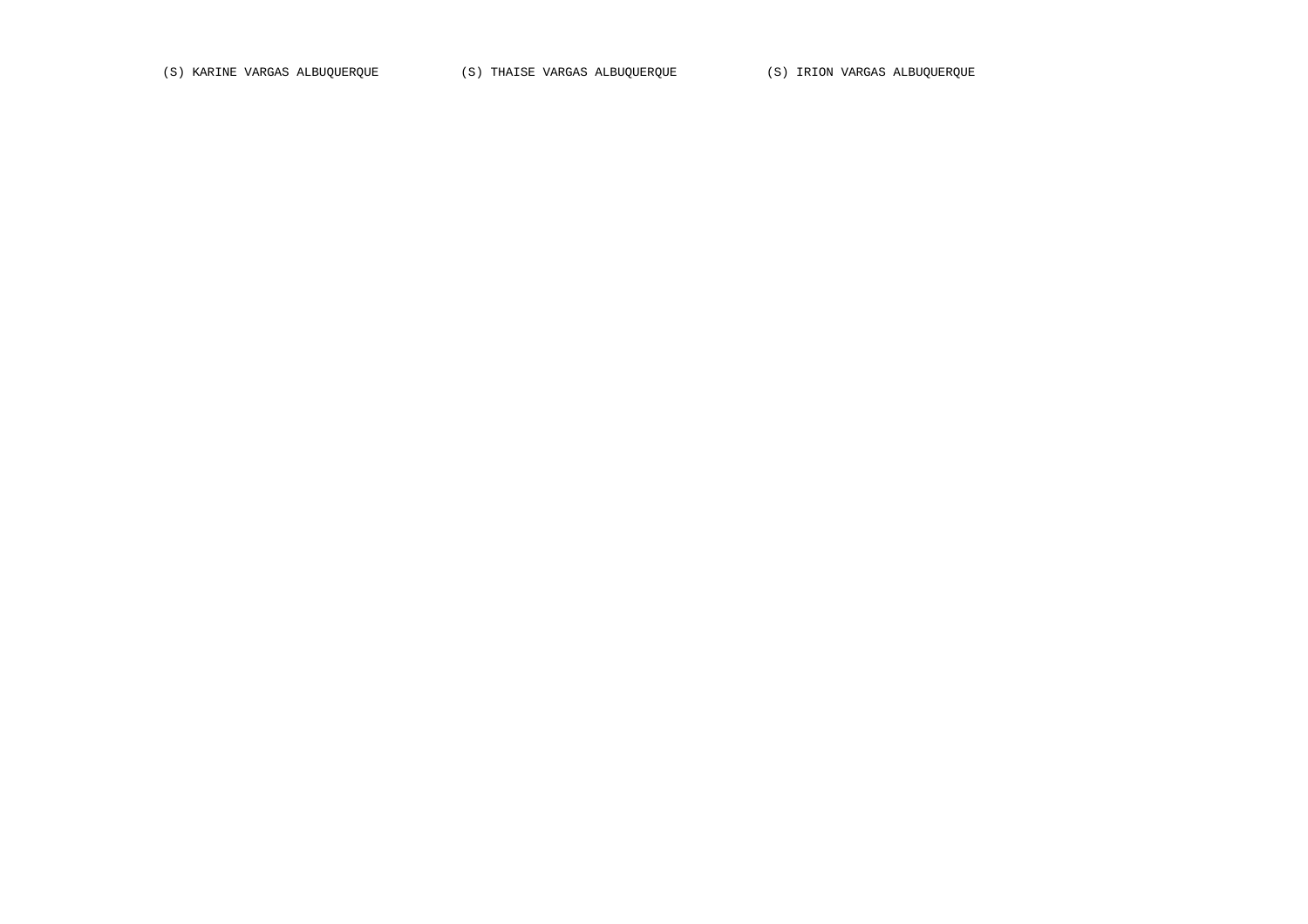(S) KARINE VARGAS ALBUQUERQUE (S) THAISE VARGAS ALBUQUERQUE (S) IRION VARGAS ALBUQUERQUE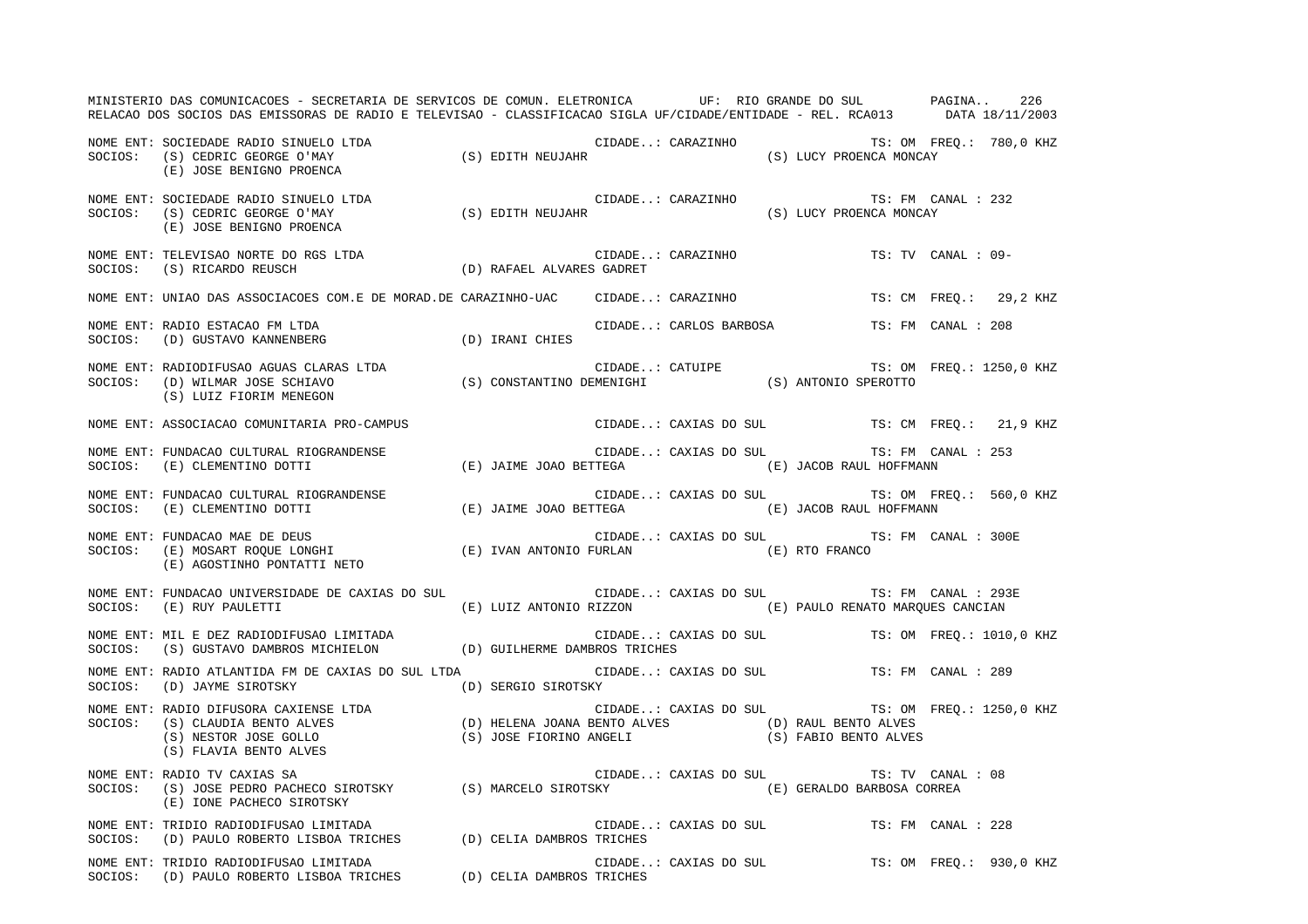MINISTERIO DAS COMUNICACOES - SECRETARIA DE SERVICOS DE COMUN. ELETRONICA UF: RIO GRANDE DO SUL PAGINA.. 226RELACAO DOS SOCIOS DAS EMISSORAS DE RADIO E TELEVISAO - CLASSIFICACAO SIGLA UF/CIDADE/ENTIDADE - REL. RCA013 DATA 18/11/2003 NOME ENT: SOCIEDADE RADIO SINUELO LTDA CIDADE..: CARAZINHO TS: OM FREQ.: 780,0 KHZ SOCIOS: (S) CEDRIC GEORGE O'MAY (S) EDITH NEUJAHR (S) LUCY PROENCA MONCAY (E) JOSE BENIGNO PROENCA NOME ENT: SOCIEDADE RADIO SINUELO LTDA CIDADE...: CARAZINHO TS: FM CANAL : 232 SOCIOS: (S) CEDRIC GEORGE O'MAY (S) EDITH NEUJAHR (S) LUCY PROENCA MONCAY (E) JOSE BENIGNO PROENCA NOME ENT: TELEVISAO NORTE DO RGS LTDA CIDADE..: CARAZINHO TS: TV CANAL : 09-SOCIOS: (S) RICARDO REUSCH (D) RAFAEL ALVARES GADRET NOME ENT: UNIAO DAS ASSOCIACOES COM.E DE MORAD.DE CARAZINHO-UAC CIDADE..: CARAZINHO TS: CM FREQ.: 29,2 KHZ NOME ENT: RADIO ESTACAO FM LTDA CIDADE..: CARLOS BARBOSA TS: FM CANAL : 208SOCIOS: (D) GUSTAVO KANNENBERG (D) IRANI CHIES NOME ENT: RADIODIFUSAO AGUAS CLARAS LTDA CONSTRUITE CATUIPE TS: OM FREQ.: 1250,0 KHZ SOCIOS: (D) WILMAR JOSE SCHIAVO (S) CONSTANTINO DEMENIGHI (S) ANTONIO SPEROTTO (S) LUIZ FIORIM MENEGON NOME ENT: ASSOCIACAO COMUNITARIA PRO-CAMPUS COMENCERED CIDADE..: CAXIAS DO SUL TS: CM FREQ.: 21,9 KHZ NOME ENT: FUNDACAO CULTURAL RIOGRANDENSE CIDADE..: CAXIAS DO SUL TS: FM CANAL : 253SOCIOS: (E) CLEMENTINO DOTTI (E) JAIME JOAO BETTEGA (E) JACOB RAUL HOFFMANN NOME ENT: FUNDACAO CULTURAL RIOGRANDENSE CONSERVERSE CIDADE..: CAXIAS DO SUL TS: OM FREQ.: 560,0 KHZ SOCIOS: (E) CLEMENTINO DOTTI (E) JAIME JOAO BETTEGA (E) JACOB RAUL HOFFMANN NOME ENT: FUNDACAO MAE DE DEUS CIDADE..: CAXIAS DO SUL TS: FM CANAL : 300E SOCIOS: (E) MOSART ROQUE LONGHI (E) IVAN ANTONIO FURLAN (E) RTO FRANCO (E) AGOSTINHO PONTATTI NETO NOME ENT: FUNDACAO UNIVERSIDADE DE CAXIAS DO SUL CIDADE..: CAXIAS DO SUL TS: FM CANAL : 293ESOCIOS: (E) RUY PAULETTI (E) LUIZ ANTONIO RIZZON (E) PAULO RENATO MARQUES CANCIAN NOME ENT: MIL E DEZ RADIODIFUSAO LIMITADA CIDADE..: CAXIAS DO SUL TS: OM FREQ.: 1010,0 KHZ SOCIOS: (S) GUSTAVO DAMBROS MICHIELON (D) GUILHERME DAMBROS TRICHES NOME ENT: RADIO ATLANTIDA FM DE CAXIAS DO SUL LTDA CIDADE..: CAXIAS DO SUL TS: FM CANAL : 289SOCIOS: (D) JAYME SIROTSKY (D) SERGIO SIROTSKY NOME ENT: RADIO DIFUSORA CAXIENSE LTDA CONSERVERSE CANNO CIDADE..: CAXIAS DO SUL TS: OM FREQ.: 1250,0 KHZ SOCIOS: (S) CLAUDIA BENTO ALVES (D) HELENA JOANA BENTO ALVES (D) RAUL BENTO ALVES (S) NESTOR JOSE GOLLO (S) JOSE FIORINO ANGELI (S) FABIO BENTO ALVES (S) FLAVIA BENTO ALVES NOME ENT: RADIO TV CAXIAS SA CIDADE..: CAXIAS DO SUL TS: TV CANAL : 08 SOCIOS: (S) JOSE PEDRO PACHECO SIROTSKY (S) MARCELO SIROTSKY (E) GERALDO BARBOSA CORREA (E) IONE PACHECO SIROTSKY NOME ENT: TRIDIO RADIODIFUSAO LIMITADA CIDADE..: CAXIAS DO SUL TS: FM CANAL : 228SOCIOS: (D) PAULO ROBERTO LISBOA TRICHES (D) CELIA DAMBROS TRICHES NOME ENT: TRIDIO RADIODIFUSAO LIMITADA CIDADE..: CAXIAS DO SUL TS: OM FREQ.: 930,0 KHZ SOCIOS: (D) PAULO ROBERTO LISBOA TRICHES (D) CELIA DAMBROS TRICHES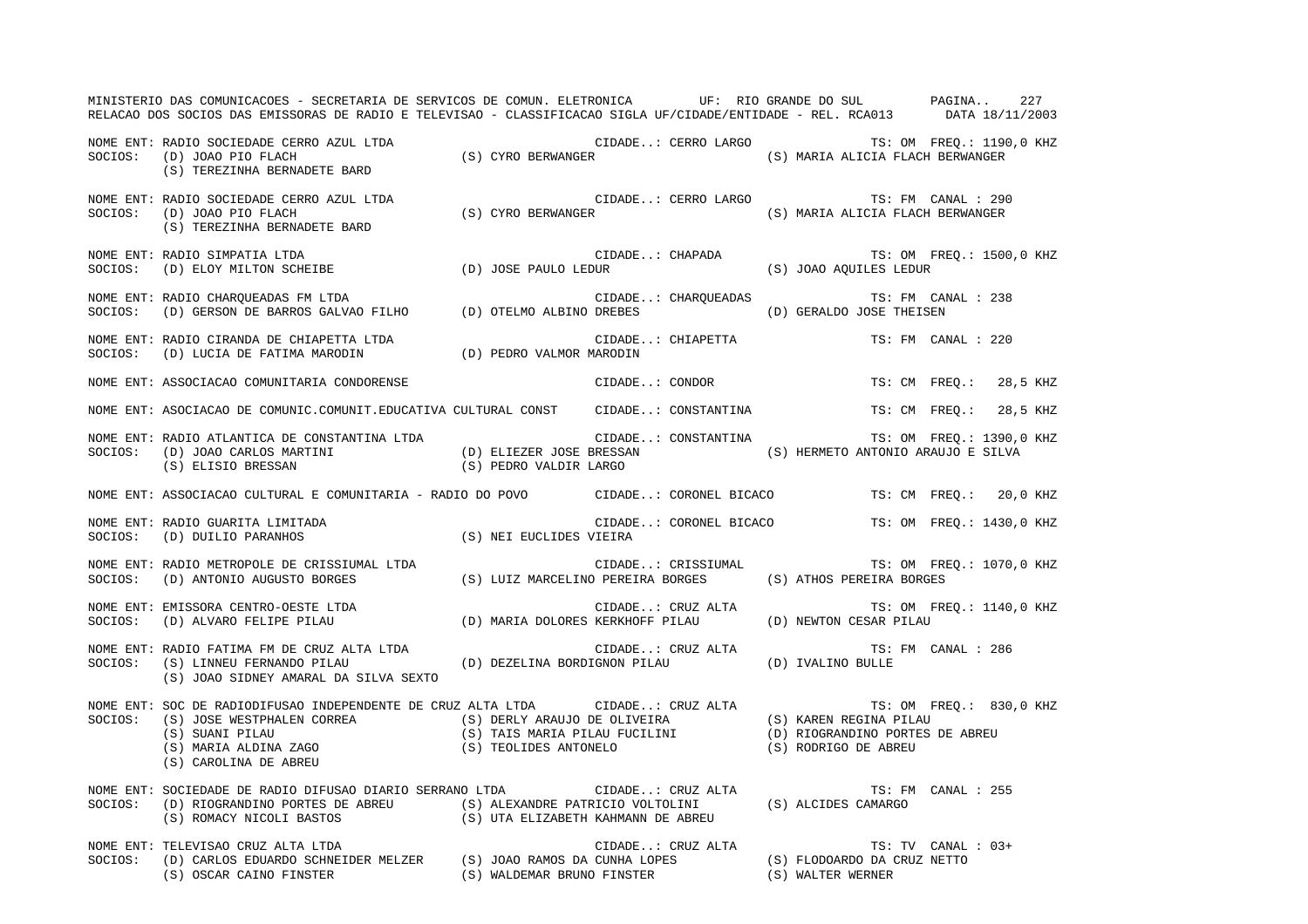MINISTERIO DAS COMUNICACOES - SECRETARIA DE SERVICOS DE COMUN. ELETRONICA UF: RIO GRANDE DO SUL PAGINA.. 227RELACAO DOS SOCIOS DAS EMISSORAS DE RADIO E TELEVISAO - CLASSIFICACAO SIGLA UF/CIDADE/ENTIDADE - REL. RCA013 DATA 18/11/2003 NOME ENT: RADIO SOCIEDADE CERRO AZUL LTDA CIDADE..: CERRO LARGO TS: OM FREQ.: 1190,0 KHZ SOCIOS: (D) JOAO PIO FLACH (S) CYRO BERWANGER (S) MARIA ALICIA FLACH BERWANGER (S) TEREZINHA BERNADETE BARD NOME ENT: RADIO SOCIEDADE CERRO AZUL LTDA CIDADE..: CERRO LARGO TS: FM CANAL : 290 SOCIOS: (D) JOAO PIO FLACH (S) CYRO BERWANGER (S) MARIA ALICIA FLACH BERWANGER (S) TEREZINHA BERNADETE BARD NOME ENT: RADIO SIMPATIA LTDA  $\Box$  CIDADE..: CHAPADA TS: OM FREQ.: 1500,0 KHZ SOCIOS: (D) ELOY MILTON SCHEIBE (D) JOSE PAULO LEDUR (S) JOAO AQUILES LEDUR NOME ENT: RADIO CHARQUEADAS FM LTDA CIDADE..: CHARQUEADAS TS: FM CANAL : 238 SOCIOS: (D) GERSON DE BARROS GALVAO FILHO (D) OTELMO ALBINO DREBES (D) GERALDO JOSE THEISEN NOME ENT: RADIO CIRANDA DE CHIAPETTA LTDA CONSTRUITO DE CIDADE..: CHIAPETTA TS: FM CANAL : 220 SOCIOS: (D) LUCIA DE FATIMA MARODIN (D) PEDRO VALMOR MARODIN NOME ENT: ASSOCIACAO COMUNITARIA CONDORENSE CONDORENSE CIDADE..: CONDOR TS: CM FREQ.: 28,5 KHZ NOME ENT: ASOCIACAO DE COMUNIC.COMUNIT.EDUCATIVA CULTURAL CONST CIDADE..: CONSTANTINA TS: CM FREQ.: 28,5 KHZ NOME ENT: RADIO ATLANTICA DE CONSTANTINA LTDA CIDADE..: CONSTANTINA TS: OM FREQ.: 1390,0 KHZ SOCIOS: (D) JOAO CARLOS MARTINI (D) ELIEZER JOSE BRESSAN (S) HERMETO ANTONIO ARAUJO E SILVA (S) ELISIO BRESSAN (S) PEDRO VALDIR LARGO NOME ENT: ASSOCIACAO CULTURAL E COMUNITARIA - RADIO DO POVO CIDADE..: CORONEL BICACO TS: CM FREQ.: 20,0 KHZ NOME ENT: RADIO GUARITA LIMITADA CIDADE..: CORONEL BICACO TS: OM FREQ.: 1430,0 KHZ SOCIOS: (D) DUILIO PARANHOS (S) NEI EUCLIDES VIEIRA NOME ENT: RADIO METROPOLE DE CRISSIUMAL LTDA TOS CIDADE..: CRISSIUMAL TS: OM FREQ.: 1070,0 KHZ SOCIOS: (D) ANTONIO AUGUSTO BORGES (S) LUIZ MARCELINO PEREIRA BORGES (S) ATHOS PEREIRA BORGES NOME ENT: EMISSORA CENTRO-OESTE LTDA  $\Box$  CIDADE..: CRUZ ALTA TS: OM FREQ.: 1140,0 KHZ SOCIOS: (D) ALVARO FELIPE PILAU (D) MARIA DOLORES KERKHOFF PILAU (D) NEWTON CESAR PILAU NOME ENT: RADIO FATIMA FM DE CRUZ ALTA LTDA  $\qquad \qquad$  CIDADE..: CRUZ ALTA TS: FM CANAL : 286 SOCIOS: (S) LINNEU FERNANDO PILAU (D) DEZELINA BORDIGNON PILAU (D) IVALINO BULLE (S) JOAO SIDNEY AMARAL DA SILVA SEXTO NOME ENT: SOC DE RADIODIFUSAO INDEPENDENTE DE CRUZ ALTA LTDA CIDADE..: CRUZ ALTA TS: OM FREQ.: 830,0 KHZ SOCIOS: (S) JOSE WESTPHALEN CORREA (S) DERLY ARAUJO DE OLIVEIRA (S) KAREN REGINA PILAU<br>(S) SUANI PILAU (S) (S) TAIS MARIA PILAU FUCILINI (D) RIOGRANDINO PORTES DE ABREU (S) SUANI PILAU (S) TAIS MARIA PILAU FUCILINI (D) RIOGRANDINO PORTES DE ABREU (S) MARIA ALDINA ZAGO (S) TEOLIDES ANTONELO (S) RODRIGO DE ABREU (S) CAROLINA DE ABREU NOME ENT: SOCIEDADE DE RADIO DIFUSAO DIARIO SERRANO LTDA CIDADE..: CRUZ ALTA TS: FM CANAL : 255 SOCIOS: (D) RIOGRANDINO PORTES DE ABREU (S) ALEXANDRE PATRICIO VOLTOLINI (S) ALCIDES CAMARGO (S) ROMACY NICOLI BASTOS (S) UTA ELIZABETH KAHMANN DE ABREU NOME ENT: TELEVISAO CRUZ ALTA LTDA CIDADE..: CRUZ ALTA TS: TRUZ ALTA TS: TV CANAL : 03+ SOCIOS: (D) CARLOS EDUARDO SCHNEIDER MELZER (S) JOAO RAMOS DA CUNHA LOPES (S) FLODOARDO DA CRUZ NETTO (S) OSCAR CAINO FINSTER (S) WALDEMAR BRUNO FINSTER (S) WALTER WERNER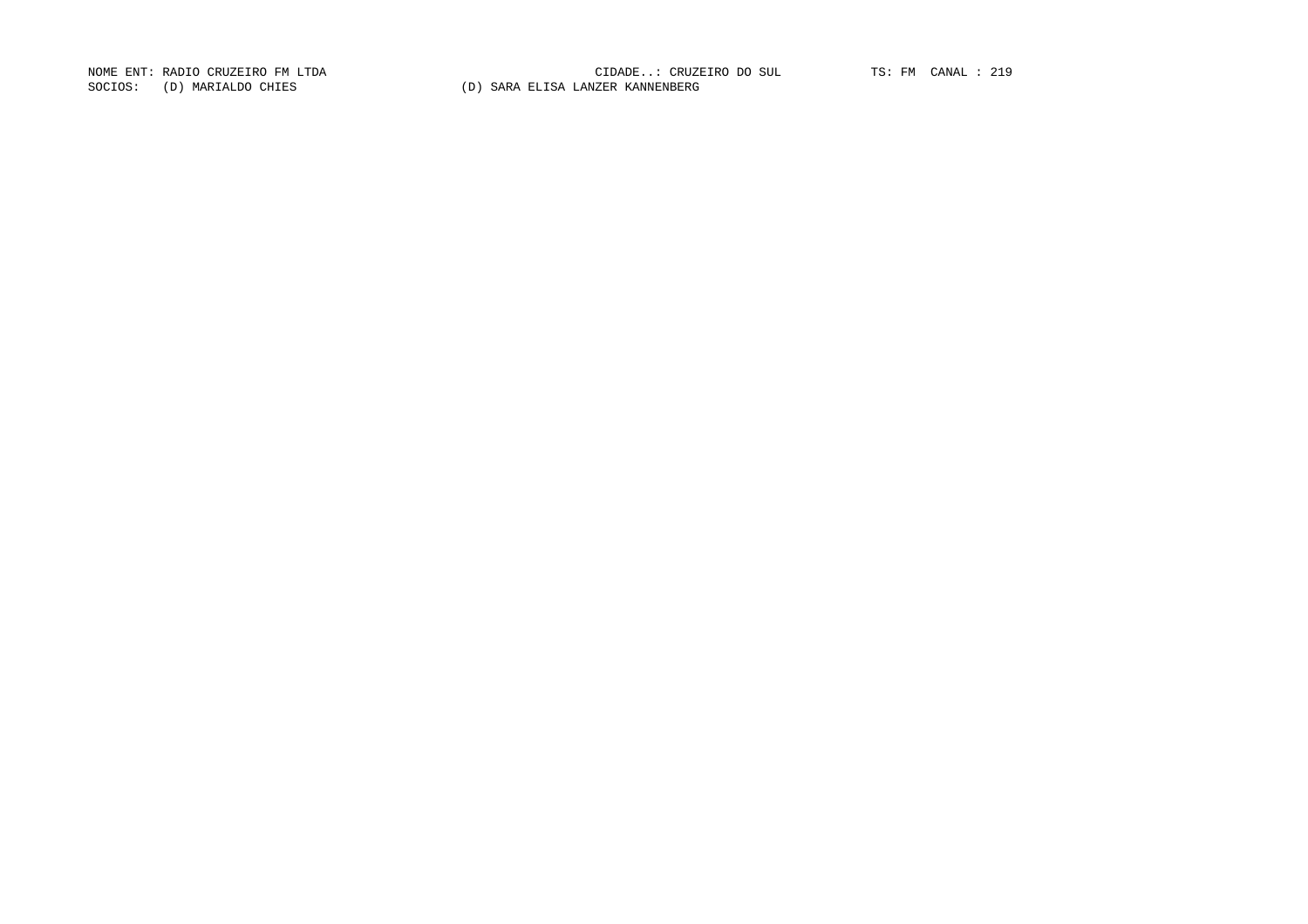SOCIOS: (D) MARIALDO CHIES (D) SARA ELISA LANZER KANNENBERG

NOME ENT: RADIO CRUZEIRO FM LTDA CIDADE..: CRUZEIRO DO SUL TS: FM CANAL : 219CIDADE..: CRUZEIRO DO SUL TS: FM CANAL : 219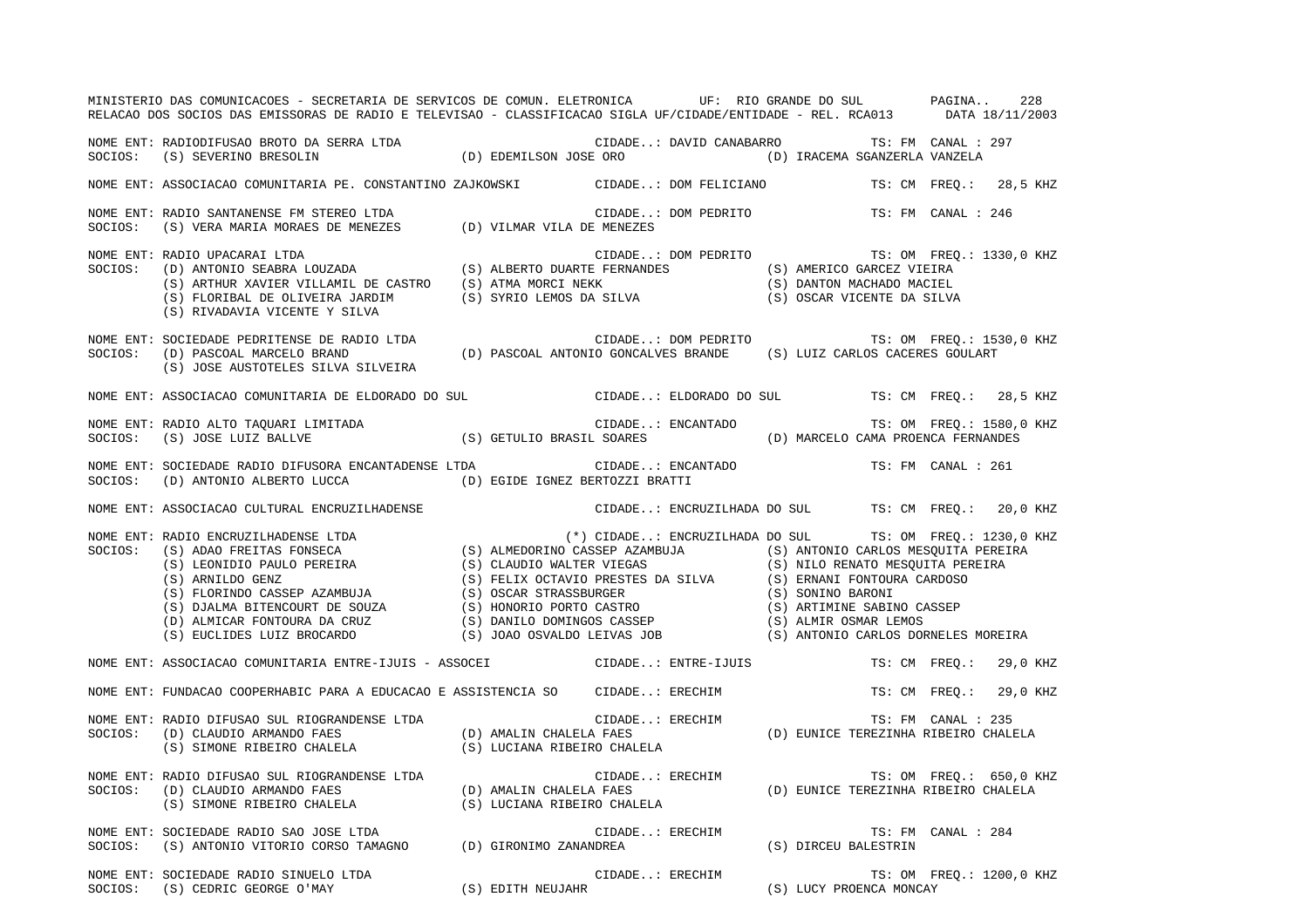|         | MINISTERIO DAS COMUNICACOES - SECRETARIA DE SERVICOS DE COMUN. ELETRONICA UF: RIO GRANDE DO SUL PAGINA<br>RELACAO DOS SOCIOS DAS EMISSORAS DE RADIO E TELEVISAO - CLASSIFICACAO SIGLA UF/CIDADE/ENTIDADE - REL. RCA013 DATA 18/11/2003                                                               |                                                                                                               |                          | 228                       |
|---------|------------------------------------------------------------------------------------------------------------------------------------------------------------------------------------------------------------------------------------------------------------------------------------------------------|---------------------------------------------------------------------------------------------------------------|--------------------------|---------------------------|
|         | NOME ENT: RADIODIFUSAO BROTO DA SERRA LTDA (D) EDEMILSON JOSE ORO (D) CANABARRO (S) SEVERINO BRESOLIN (D) EDEMILSON JOSE ORO (D) IRACEMA SGANZERLA VANZELA                                                                                                                                           | CIDADE: DAVID CANABARRO TS: FM CANAL : 297                                                                    |                          |                           |
|         | NOME ENT: ASSOCIACAO COMUNITARIA PE. CONSTANTINO ZAJKOWSKI CIDADE: DOM FELICIANO TS: CM FREQ.: 28,5 KHZ                                                                                                                                                                                              |                                                                                                               |                          |                           |
|         | NOME ENT: RADIO SANTANENSE FM STEREO LTDA<br>SOCIOS: (S) VERA MARIA MORAES DE MENEZES (D) VILMAR VILA DE MENEZES                                                                                                                                                                                     | CIDADE: DOM PEDRITO                                                                                           |                          | TS: FM CANAL : 246        |
| SOCIOS: | FRADIO UPACARAI LTDA (S) ALBERTO DUARTE FERNANDES (S) AMERICO GARCEZ VIEIRA<br>(S) ANTONIO SEABRA LOUZADA (S) ALBERTO DUARTE FERNANDES (S) AMERICO GARCEZ VIEIRA<br>(S) ELORIBAL DE OLIVEIRA JARDIM (S) SYRIO LEMOS DA SILVA (S) O<br>NOME ENT: RADIO UPACARAI LTDA<br>(S) RIVADAVIA VICENTE Y SILVA |                                                                                                               |                          |                           |
|         | NOME ENT: SOCIEDADE PEDRITENSE DE RADIO LTDA<br>SOCIOS: (D) PASCOAL MARCELO BRAND (D) PASCOAL ANTONIO GONCALVES BRANDE (S) LUIZ CARLOS CACERES GOULART<br>(S) JOSE AUSTOTELES SILVA SILVEIRA                                                                                                         |                                                                                                               |                          |                           |
|         | NOME ENT: ASSOCIACAO COMUNITARIA DE ELDORADO DO SUL CIDADE: ELDORADO DO SUL TS: CM FREQ.: 28,5 KHZ                                                                                                                                                                                                   |                                                                                                               |                          |                           |
|         |                                                                                                                                                                                                                                                                                                      | CIDADE: ENCANTADO                                                                                             | TS: OM FREQ.: 1580,0 KHZ |                           |
|         | SOCIOS: (D) ANTONIO ALBERTO LUCCA (D) EGIDE IGNEZ BERTOZZI BRATTI                                                                                                                                                                                                                                    |                                                                                                               |                          |                           |
|         | NOME ENT: ASSOCIACAO CULTURAL ENCRUZILHADENSE                                                                                                                                                                                                                                                        | CIDADE: ENCRUZILHADA DO SUL TS: CM FREQ.: 20,0 KHZ                                                            |                          |                           |
|         | NOME ENT: RADIO ENCRUZILHADENSE LTDA<br>SOCIOS: (S) ADAO FREITAS FONSECA (S) ALMEDORINO CASSEP AZAMBUJA (S) ATOTO CARLOS MESQUITA PEREIRA<br>(S) ARNILDO PERUSA (S) CLAUDIO WALTER VIEGAS<br>(S) ARNILDO PERUSA (S) CLAUDIO PEREIRA                                                                  | (*) CIDADE: ENCRUZILHADA DO SUL TS: OM FREO.: 1230,0 KHZ                                                      |                          |                           |
|         | NOME ENT: ASSOCIACAO COMUNITARIA ENTRE-IJUIS - ASSOCEI CIDADE: ENTRE-IJUIS                                                                                                                                                                                                                           |                                                                                                               |                          | TS: CM FREO.: 29,0 KHZ    |
|         | NOME ENT: FUNDACAO COOPERHABIC PARA A EDUCACAO E ASSISTENCIA SO CIDADE: ERECHIM                                                                                                                                                                                                                      |                                                                                                               |                          | 29,0 KHZ<br>TS: CM FREQ.: |
|         | NOME ENT: RADIO DIFUSAO SUL RIOGRANDENSE LTDA (D) AMALIN CHALELA FAES<br>SOCIOS: (D) CLAUDIO ARMANDO FAES (D) AMALIN CHALELA FAES<br>(S) SIMONE RIBEIRO CHALELA (S) LUCIANA RIBEIRO CHALELA                                                                                                          | CIDADE: ERECHIM TS: FM CANAL : 235<br>ELA FAES                           (D) EUNICE TEREZINHA RIBEIRO CHALELA |                          |                           |
|         |                                                                                                                                                                                                                                                                                                      |                                                                                                               |                          | TS: OM FREQ.: 650,0 KHZ   |
|         | NOME ENT: SOCIEDADE RADIO SAO JOSE LTDA<br>SOCIOS: (S) ANTONIO VITORIO CORSO TAMAGNO (D) GIRONIMO ZANANDREA (S) OIRCEU BALESTRIN                                                                                                                                                                     |                                                                                                               | TS: FM CANAL : 284       |                           |
|         | NOME ENT: SOCIEDADE RADIO SINUELO LTDA<br>SOCIOS: (S) CEDRIC GEORGE O'MAY (S) EDITH NEUJAHR (S) EDITH (S) LUCY PROENCA MONCAY                                                                                                                                                                        |                                                                                                               |                          |                           |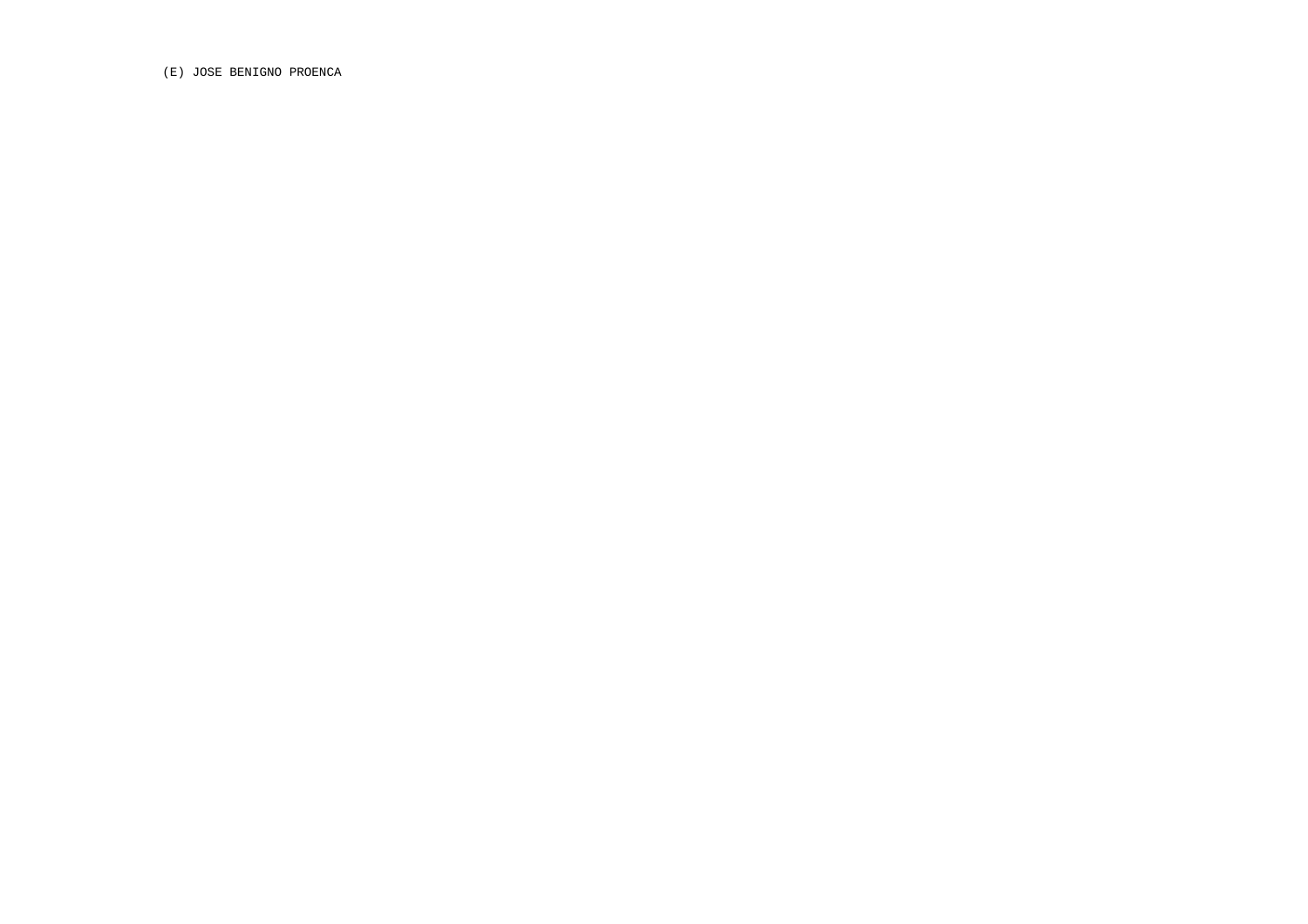(E) JOSE BENIGNO PROENCA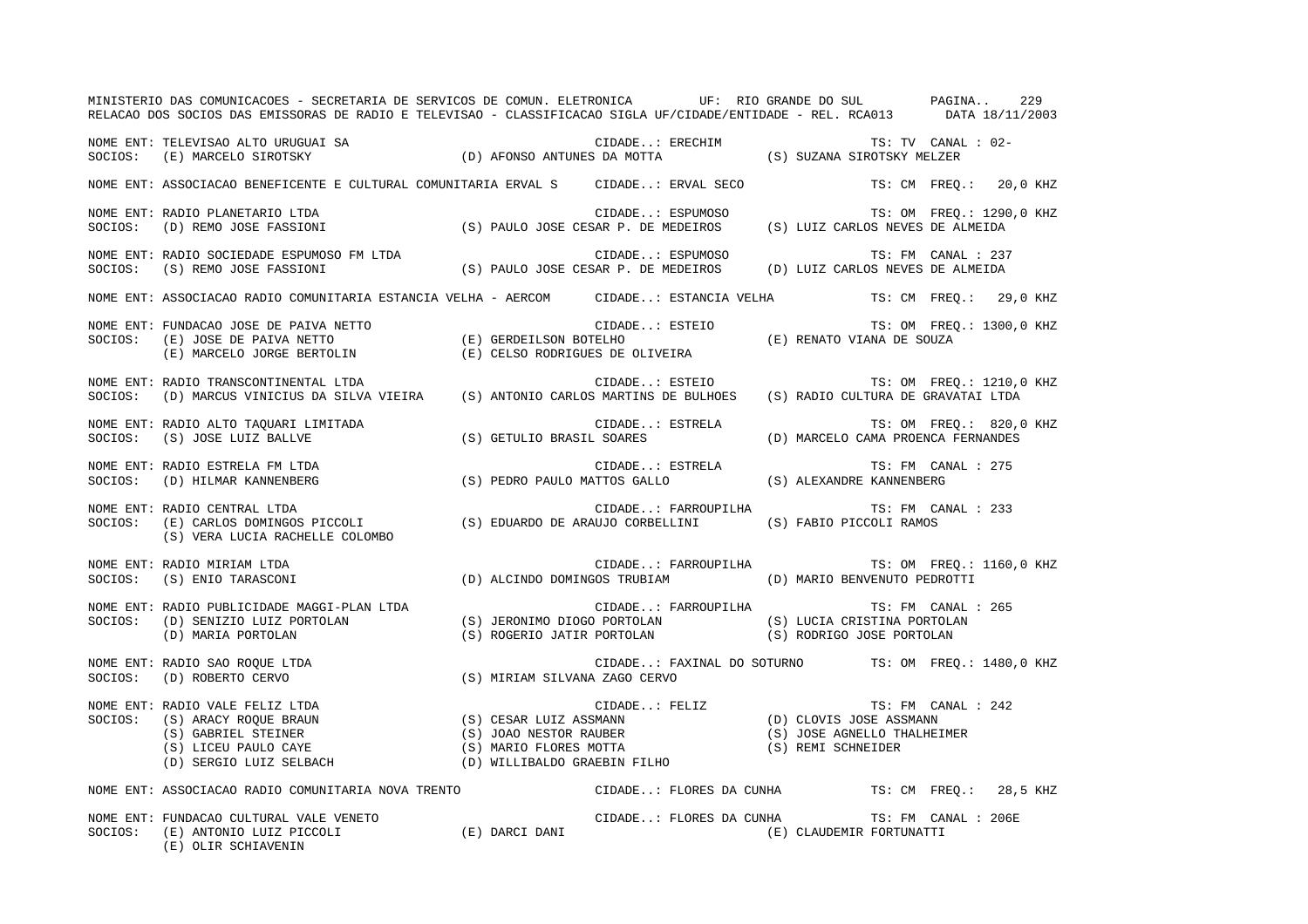| MINISTERIO DAS COMUNICACOES - SECRETARIA DE SERVICOS DE COMUN. ELETRONICA UF: RIO GRANDE DO SUL PAGINA 229<br>RELACAO DOS SOCIOS DAS EMISSORAS DE RADIO E TELEVISAO - CLASSIFICACAO SIGLA UF/CIDADE/ENTIDADE - REL. RCA013 DATA 18/11/2003 |  |                         |  |                                                                                                                                |                     |                          |
|--------------------------------------------------------------------------------------------------------------------------------------------------------------------------------------------------------------------------------------------|--|-------------------------|--|--------------------------------------------------------------------------------------------------------------------------------|---------------------|--------------------------|
|                                                                                                                                                                                                                                            |  |                         |  | TS: TV CANAL : 02-                                                                                                             |                     |                          |
|                                                                                                                                                                                                                                            |  |                         |  |                                                                                                                                |                     | TS: CM FREQ.: 20,0 KHZ   |
| NOME ENT: RADIO PLANETARIO LTDA<br>SOCIOS: (D) REMO JOSE FASSIONI (S) PAULO JOSE CESAR P. DE MEDEIROS (S) LUIZ CARLOS NEVES DE ALMEIDA                                                                                                     |  |                         |  |                                                                                                                                |                     | TS: OM FREQ.: 1290,0 KHZ |
| NOME ENT: RADIO SOCIEDADE ESPUMOSO FM LTDA<br>SOCIOS: (S) REMO JOSE FASSIONI (S) PAULO JOSE CESAR P. DE MEDEIROS (D) LUIZ CARLOS NEVES DE ALMEIDA                                                                                          |  |                         |  | TS: FM CANAL : 237                                                                                                             |                     |                          |
| NOME ENT: ASSOCIACAO RADIO COMUNITARIA ESTANCIA VELHA - AERCOM CIDADE: ESTANCIA VELHA TS: CM FREQ.: 29,0 KHZ                                                                                                                               |  |                         |  |                                                                                                                                |                     |                          |
| NOME ENT: FUNDACAO JOSE DE PAIVA NETTO<br>SOCIOS:    (E) JOSE DE PAIVA NETTO                         (E) GERDEILSON BOTELHO                      (E) RENATO VIANA DE SOUZA<br>(E) MARCELO JORGE BERTOLIN                   (E) CELSO       |  |                         |  |                                                                                                                                |                     | TS: OM FREQ.: 1300,0 KHZ |
| NOME ENT: RADIO TRANSCONTINENTAL LTDA<br>SOCIOS: (D) MARCUS VINICIUS DA SILVA VIEIRA (S) ANTONIO CARLOS MARTINS DE BULHOES (S) RADIO CULTURA DE GRAVATAI LTDA                                                                              |  |                         |  |                                                                                                                                |                     |                          |
| NOME ENT: RADIO ALTO TAQUARI LIMITADA<br>SOCIOS: (S) JOSE LUIZ BALLVE                                                                                                                                                                      |  |                         |  | TS: OM FREQ.: 820,0 KHZ<br>CIDADE: ESTRELA TS: OM FREQ.: 820,0<br>S) GETULIO BRASIL SOARES (D) MARCELO CAMA PROENCA FERNANDES) |                     |                          |
|                                                                                                                                                                                                                                            |  |                         |  | TS: FM CANAL : 275                                                                                                             |                     |                          |
| NOME ENT: RADIO CENTRAL LTDA<br>SOCIOS: (E) CARLOS DOMINGOS PICCOLI (S) EDUARDO DE ARAUJO CORBELLINI (S) FABIO PICCOLI RAMOS<br>(S) VERA LUCIA RACHELLE COLOMBO                                                                            |  |                         |  | CIDADE: FARROUPILHA TS: FM CANAL : 233                                                                                         |                     |                          |
| NOME ENT: RADIO MIRIAM LTDA<br>SOCIOS: (S) ENIO TARASCONI (D) ALCINDO DOMINGOS TRUBIAM (D) MARIO BENVENUTO PEDROTTI                                                                                                                        |  |                         |  | CIDADE: FARROUPILHA TS: OM FREQ.: 1160,0 KHZ                                                                                   |                     |                          |
| NOME ENT: RADIO PUBLICIDADE MAGGI-PLAN LTDA<br>195 FM CANAL : 265<br>SOCIOS: (D) SENIZIO LUIZ PORTOLAN (S) JERONIMO DIOGO PORTOLAN (S) LUCIA CRISTINA PORTOLAN<br>(D) MARIA PORTOLAN (S) ROGERIO JATIR PORTOLAN (S) RODRIGO JOSE PORTOLAN  |  |                         |  | CIDADE: FARROUPILHA TS: FM CANAL : 265                                                                                         |                     |                          |
| NOME ENT: RADIO SAO ROQUE LTDA (S) MIRIAM SILVANA ZAGO CERVO (D) ROBERTO CERVO (S) MIRIAM SILVANA ZAGO CERVO                                                                                                                               |  |                         |  | CIDADE: FAXINAL DO SOTURNO TS: OM FREQ.: 1480,0 KHZ                                                                            |                     |                          |
| NOME ENT: RADIO VALE FELIZ LTDA<br>SOCIOS: (S) ARACY ROQUE BRAUN (S) CESAR LUIZ ASSMANN (S) COVIS JOSE ASSMANN (S) GABRIEL STEINER (S) GABRIEL STEINER (S) JOAO NESTOR RAUBER (S) JOAO NESTOR RAUBER (S) ARACY ROQUE BRAUN (S) J           |  |                         |  |                                                                                                                                |                     |                          |
| NOME ENT: ASSOCIACAO RADIO COMUNITARIA NOVA TRENTO                                                                                                                                                                                         |  |                         |  | CIDADE: FLORES DA CUNHA TS: CM FREQ.: 28,5 KHZ                                                                                 |                     |                          |
| NOME ENT: FUNDACAO CULTURAL VALE VENETO<br>SOCIOS: (E) ANTONIO LUIZ PICCOLI (E) DARCI DANI<br>(E) OLIR SCHIAVENIN                                                                                                                          |  | CIDADE: FLORES DA CUNHA |  | (E) CLAUDEMIR FORTUNATTI                                                                                                       | TS: FM CANAL : 206E |                          |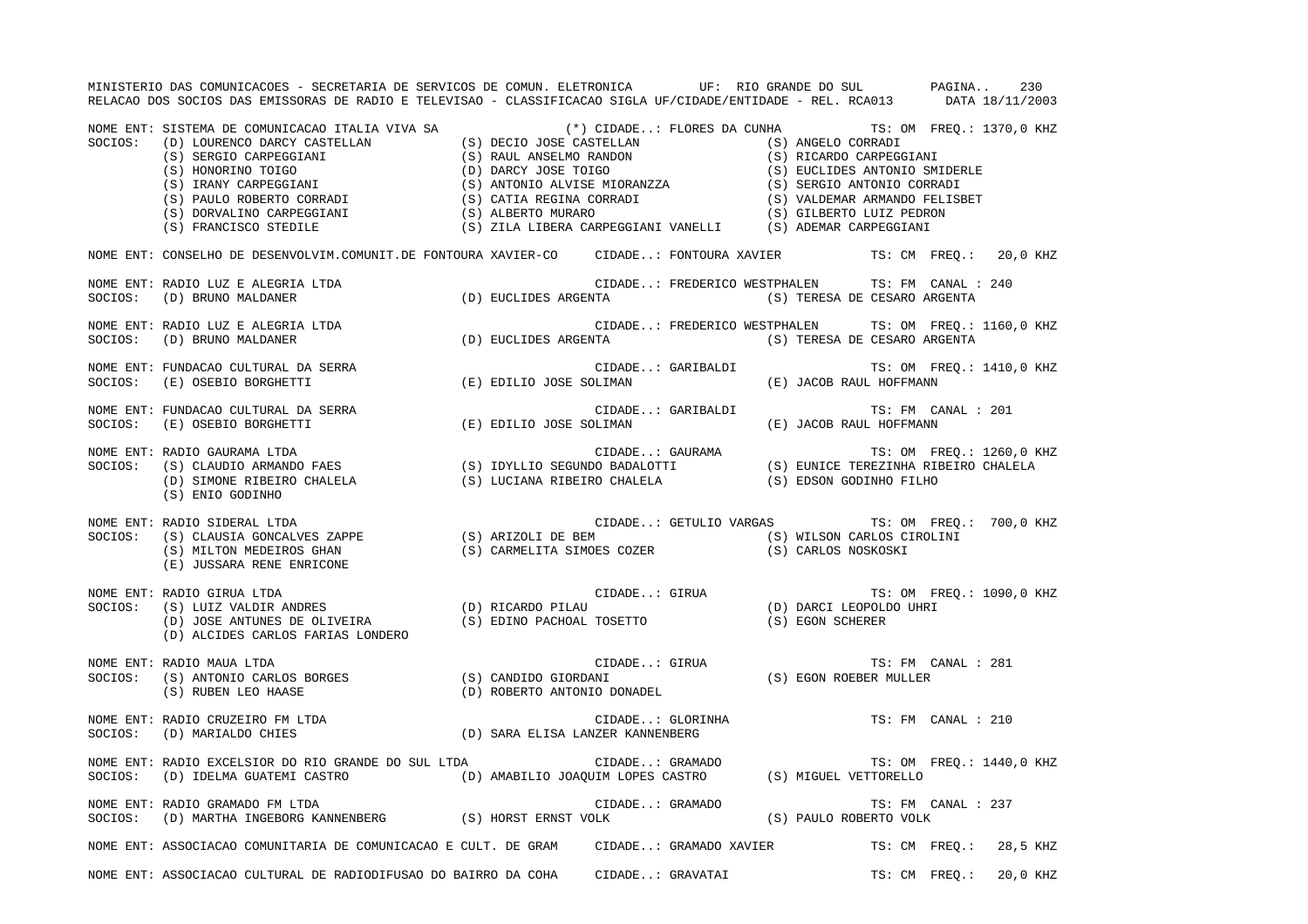MINISTERIO DAS COMUNICACOES - SECRETARIA DE SERVICOS DE COMUN. ELETRONICA UF: RIO GRANDE DO SUL PAGINA.. 230 RELACAO DOS SOCIOS DAS EMISSORAS DE RADIO E TELEVISAO - CLASSIFICACAO SIGLA UF/CIDADE/ENTIDADE - REL. RCA013 DATA 18/11/2003 NOME ENT: SISTEMA DE COMUNICACAO ITALIA VIVA SA (\*) CIDADE..: FLORES DA CUNHA TS: OM FREQ.: 1370,0 KHZ SOCIOS: (D) LOURENCO DARCY CASTELLAN (S) DECIO JOSE CASTELLAN (S) ANGELO CORRADI (S) SERGIO CARPEGGIANI (S) RAUL ANSELMO RANDON (S) RICARDO CARPEGGIANI (S) HONORINO TOIGO (D) DARCY JOSE TOIGO (S) EUCLIDES ANTONIO SMIDERLE (S) IRANY CARPEGGIANI (S) ANTONIO ALVISE MIORANZZA (S) SERGIO ANTONIO CORRADI (S) PAULO ROBERTO CORRADI (S) CATIA REGINA CORRADI (S) VALDEMAR ARMANDO FELISBET (S) DORVALINO CARPEGGIANI (S) ALBERTO MURARO (S) GILBERTO LUIZ PEDRON (S) FRANCISCO STEDILE (S) ZILA LIBERA CARPEGGIANI VANELLI (S) ADEMAR CARPEGGIANI NOME ENT: CONSELHO DE DESENVOLVIM.COMUNIT.DE FONTOURA XAVIER-CO CIDADE..: FONTOURA XAVIER TS: CM FREQ.: 20,0 KHZ NOME ENT: RADIO LUZ E ALEGRIA LTDA CIDADE..: FREDERICO WESTPHALEN TS: FM CANAL : 240SOCIOS: (D) BRUNO MALDANER (D) EUCLIDES ARGENTA (S) TERESA DE CESARO ARGENTA NOME ENT: RADIO LUZ E ALEGRIA LTDA CIDADE..: FREDERICO WESTPHALEN TS: OM FREQ.: 1160,0 KHZ SOCIOS: (D) BRUNO MALDANER (D) EUCLIDES ARGENTA (S) TERESA DE CESARO ARGENTA NOME ENT: FUNDACAO CULTURAL DA SERRA CIDADE..: GARIBALDI SARIBALDI TS: OM FREQ.: 1410,0 KHZ SOCIOS: (E) OSEBIO BORGHETTI (E) EDILIO JOSE SOLIMAN (E) JACOB RAUL HOFFMANN NOME ENT: FUNDACAO CULTURAL DA SERRA CIDADE..: GARIBALDI TS: FM CANAL : 201SOCIOS: (E) OSEBIO BORGHETTI (E) EDILIO JOSE SOLIMAN (E) JACOB RAUL HOFFMANN NOME ENT: RADIO GAURAMA LTDA THE SAN AND TRIO GAURAMA CIDADE..: GAURAMA TRIO TRIO GAURAMA TS: OM FREQ.: 1260,0 KHZ SOCIOS: (S) CLAUDIO ARMANDO FAES (S) IDYLLIO SEGUNDO BADALOTTI (S) EUNICE TEREZINHA RIBEIRO CHALELA (D) SIMONE RIBEIRO CHALELA (S) LUCIANA RIBEIRO CHALELA (S) EDSON GODINHO FILHO (S) ENIO GODINHO NOME ENT: RADIO SIDERAL LTDA CIDADE..: GETULIO VARGAS TS: OM FREQ.: 700,0 KHZ SOCIOS: (S) CLAUSIA GONCALVES ZAPPE (S) ARIZOLI DE BEM (S) WILSON CARLOS CIROLINI (S) MILTON MEDEIROS GHAN (S) CARMELITA SIMOES COZER (S) CARLOS NOSKOSKI (E) JUSSARA RENE ENRICONE NOME ENT: RADIO GIRUA LTDA CIDADE..: GIRUA TS: OM FREQ.: 1090,0 KHZ SOCIOS: (S) LUIZ VALDIR ANDRES (D) RICARDO PILAU (D) DARCI LEOPOLDO UHRI (D) JOSE ANTUNES DE OLIVEIRA (S) EDINO PACHOAL TOSETTO (S) EGON SCHERER (D) ALCIDES CARLOS FARIAS LONDERO NOME ENT: RADIO MAUA LTDA CIDADE..: GIRUA TS: FM CANAL : 281SOCIOS: (S) ANTONIO CARLOS BORGES (S) CANDIDO GIORDANI (S) EGON ROEBER MULLER (S) RUBEN LEO HAASE (D) ROBERTO ANTONIO DONADEL NOME ENT: RADIO CRUZEIRO FM LTDA CONSERVED SON RESERVED BY CIDADE..: GLORINHA CONSERVED TS: FM CANAL : 210 SOCIOS: (D) MARIALDO CHIES (D) SARA ELISA LANZER KANNENBERG NOME ENT: RADIO EXCELSIOR DO RIO GRANDE DO SUL LTDA  $\Box$  CIDADE..: GRAMADO TS: OM FREQ.: 1440,0 KHZ SOCIOS: (D) IDELMA GUATEMI CASTRO (D) AMABILIO JOAQUIM LOPES CASTRO (S) MIGUEL VETTORELLO NOME ENT: RADIO GRAMADO FM LTDA CIDADE..: GRAMADO TS: FM CANAL : 237 SOCIOS: (D) MARTHA INGEBORG KANNENBERG (S) HORST ERNST VOLK (S) PAULO ROBERTO VOLK NOME ENT: ASSOCIACAO COMUNITARIA DE COMUNICACAO E CULT. DE GRAM CIDADE..: GRAMADO XAVIER TS: CM FREQ.: 28,5 KHZ NOME ENT: ASSOCIACAO CULTURAL DE RADIODIFUSAO DO BAIRRO DA COHA CIDADE..: GRAVATAI TS: CM FREQ.: 20,0 KHZ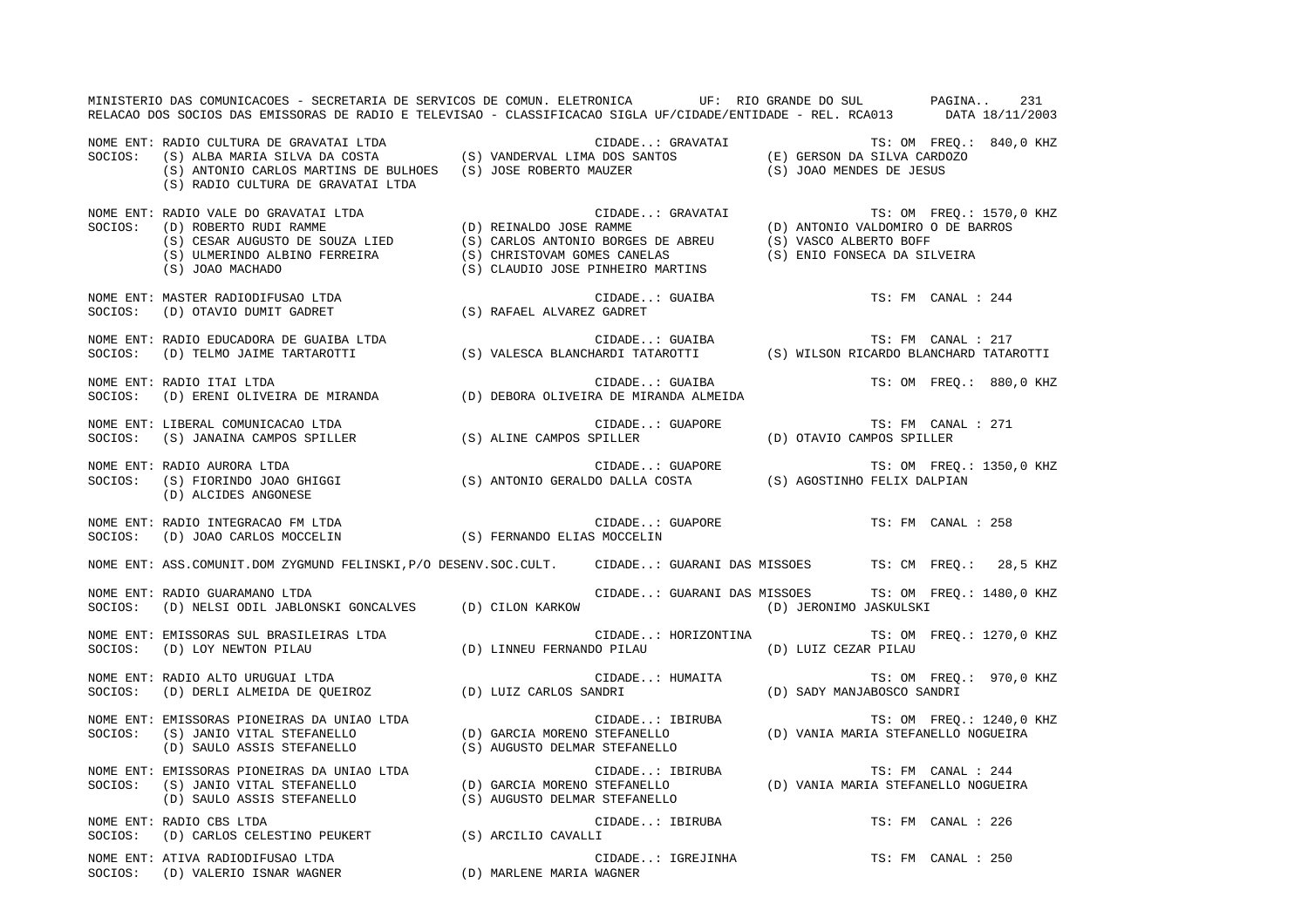|         | MINISTERIO DAS COMUNICACOES - SECRETARIA DE SERVICOS DE COMUN. ELETRONICA UF: RIO GRANDE DO SUL PAGINA<br>RELACAO DOS SOCIOS DAS EMISSORAS DE RADIO E TELEVISAO - CLASSIFICACAO SIGLA UF/CIDADE/ENTIDADE - REL. RCA013 DATA 18/11/2003                                                                                                                                                                                                                                                                           |  |                                                                                                          |                           |                          | 231 |
|---------|------------------------------------------------------------------------------------------------------------------------------------------------------------------------------------------------------------------------------------------------------------------------------------------------------------------------------------------------------------------------------------------------------------------------------------------------------------------------------------------------------------------|--|----------------------------------------------------------------------------------------------------------|---------------------------|--------------------------|-----|
|         | NOME ENT: RADIO CULTURA DE GRAVATAI LTDA<br>SOCIOS: (S) ALBA MARIA SILVA DA COSTA (S) VANDERVAL LIMA DOS SANTOS (E) GERSON DA SILVA CARDOZO<br>(S) ANTONIO CARLOS MARTINS DE BULHOES (S) JOSE ROBERTO MAUZER (S) JOAO MENDES DE JE<br>(S) RADIO CULTURA DE GRAVATAI LTDA                                                                                                                                                                                                                                         |  |                                                                                                          |                           |                          |     |
| SOCIOS: | RADIO VALE DO GRAVATAI LTDA<br>(D) REINALDO JOSE RAMME (D) ANTONIO VALDOMIRO O DE BARROS<br>(S) CESAR AUGUSTO DE SOUZA LIED (S) CARLOS ANTONIO BORGES DE ABREU (D) ANTONIO VALDOMIRO O DE BARROS<br>(S) ULMERINDO ALBINO FERREIRA (S<br>NOME ENT: RADIO VALE DO GRAVATAI LTDA                                                                                                                                                                                                                                    |  |                                                                                                          |                           |                          |     |
|         | $\begin{minipage}{.4\linewidth} \texttt{NOWLEDA} & \texttt{SUCIDADE} \texttt{.} & \texttt{CIDADE} \texttt{.} \\ \texttt{SOCIOS:} & \texttt{(D)} & \texttt{OTAVIO} & \texttt{DUMIT} & \texttt{GADREF} \end{minipage} \begin{minipage}{.45\linewidth} \begin{minipage}{.45\linewidth} \begin{minipage}{.45\linewidth} \end{minipage} \begin{minipage}{.45\linewidth} \end{minipage} \begin{minipage}{.45\linewidth} \begin{minipage}{.45\linewidth} \end{minipage} \begin{minipage}{.45\linewidth} \end{minipage}$ |  | CIDADE: GUAIBA                                                                                           |                           | TS: FM CANAL : 244       |     |
| SOCIOS: | NOME ENT: RADIO EDUCADORA DE GUAIBA LTDA<br>RADIO EDUCADORA DE GUAIBA LTDA                                 CIDADE: GUAIBA                   TS: FM CANAL : 217<br>(D) TELMO JAIME TARTAROTTI               (S) VALESCA BLANCHARDI TATAROTTI       (S) WILSON RICARDO BLANCH                                                                                                                                                                                                                                      |  |                                                                                                          |                           |                          |     |
| SOCIOS: | NOME ENT: RADIO ITAI LTDA<br>(D) ERENI OLIVEIRA DE MIRANDA (D) DEBORA OLIVEIRA DE MIRANDA ALMEIDA                                                                                                                                                                                                                                                                                                                                                                                                                |  | CIDADE: GUAIBA                                                                                           |                           | TS: OM FREO.: 880,0 KHZ  |     |
| SOCIOS: | NOME ENT: LIBERAL COMUNICACAO LTDA<br>(S) JANAINA CAMPOS SPILLER (S) ALINE CAMPOS SPILLER                                                                                                                                                                                                                                                                                                                                                                                                                        |  | CIDADE: GUAPORE                                                                                          | (D) OTAVIO CAMPOS SPILLER | TS: FM CANAL : 271       |     |
|         | NOME ENT: RADIO AURORA LTDA<br>round during the term of the clubble GUAPORE<br>SOCIOS: (S) FIORINDO JOAO GHIGGI (S) ANTONIO GERALDO DALLA COSTA (S) AGOSTINHO FELIX DALPIAN<br>(D) ALCIDES ANGONESE                                                                                                                                                                                                                                                                                                              |  | CIDADE: GUAPORE                                                                                          |                           | TS: OM FREQ.: 1350,0 KHZ |     |
|         | NOME ENT: RADIO INTEGRACAO FM LTDA<br>SOCIOS: (D) JOAO CARLOS MOCCELIN (S) FERNANDO ELIAS MOCCELIN                                                                                                                                                                                                                                                                                                                                                                                                               |  | CIDADE: GUAPORE TS: FM CANAL : 258                                                                       |                           |                          |     |
|         | NOME ENT: ASS.COMUNIT.DOM ZYGMUND FELINSKI, P/O DESENV.SOC.CULT. CIDADE: GUARANI DAS MISSOES TS: CM FREQ.: 28,5 KHZ                                                                                                                                                                                                                                                                                                                                                                                              |  |                                                                                                          |                           |                          |     |
| SOCIOS: | NOME ENT: RADIO GUARAMANO LTDA<br>(D) NELSI ODIL JABLONSKI GONCALVES (D) CILON KARKOW                                                                                                                                                                                                                                                                                                                                                                                                                            |  | CIDADE: GUARANI DAS MISSOES                                                                              | (D) JERONIMO JASKULSKI    | TS: OM FREO.: 1480,0 KHZ |     |
|         | NOME ENT: EMISSORAS SUL BRASILEIRAS LTDA<br>SOCIOS: (D) LOY NEWTON PILAU                                                                                                                                                                                                                                                                                                                                                                                                                                         |  | CIDADE: HORIZONTINA<br>(D) LINNEU FERNANDO PILAU (D) LUIZ CEZAR PILAU                                    |                           | TS: OM FREQ.: 1270,0 KHZ |     |
|         | NOME ENT: RADIO ALTO URUGUAI LTDA<br>SOCIOS:    (D) DERLI ALMEIDA DE QUEIROZ                   (D) LUIZ CARLOS SANDRI                                                                                                                                                                                                                                                                                                                                                                                            |  | CIDADE: HUMAITA (D) SADY MANJABOSCO SANDRI                                                               |                           | TS: OM FREQ.: 970,0 KHZ  |     |
|         | NOME ENT: EMISSORAS PIONEIRAS DA UNIAO LTDA<br>SOCIOS: (S) JANIO VITAL STEFANELLO<br>(D) SAULO ASSIS STEFANELLO (S) AUGUSTO DELMAR STEFANELLO                                                                                                                                                                                                                                                                                                                                                                    |  | CIDADE: IBIRUBA TS: OM FREQ.: 1240,0<br>(D) GARCIA MORENO STEFANELLO (D) VANIA MARIA STEFANELLO NOGUEIRA |                           | TS: OM FREQ.: 1240,0 KHZ |     |
|         | NOME ENT: EMISSORAS PIONEIRAS DA UNIAO LTDA<br>SOCIOS: (S) JANIO VITAL STEFANELLO (D) GARCIA MORENO STEFANELLO (D) VANIA MARIA STEFANELLO NOGUEIRA<br>(D) SAULO ASSIS STEFANELLO (S) AUGUSTO DELMAR STEFANELLO (D) VANIA MARIA STEFA                                                                                                                                                                                                                                                                             |  |                                                                                                          |                           |                          |     |
|         | NOME ENT: RADIO CBS LTDA<br>SOCIOS: (D) CARLOS CELESTINO PEUKERT (S) ARCILIO CAVALLI                                                                                                                                                                                                                                                                                                                                                                                                                             |  | CIDADE: IBIRUBA                                                                                          |                           | TS: FM CANAL : 226       |     |
|         | NOME ENT: ATIVA RADIODIFUSAO LTDA<br>(D) MARLENE MARIA WAGNER<br>SOCIOS: (D) VALERIO ISNAR WAGNER                                                                                                                                                                                                                                                                                                                                                                                                                |  | CIDADE: IGREJINHA                                                                                        |                           | TS: FM CANAL : 250       |     |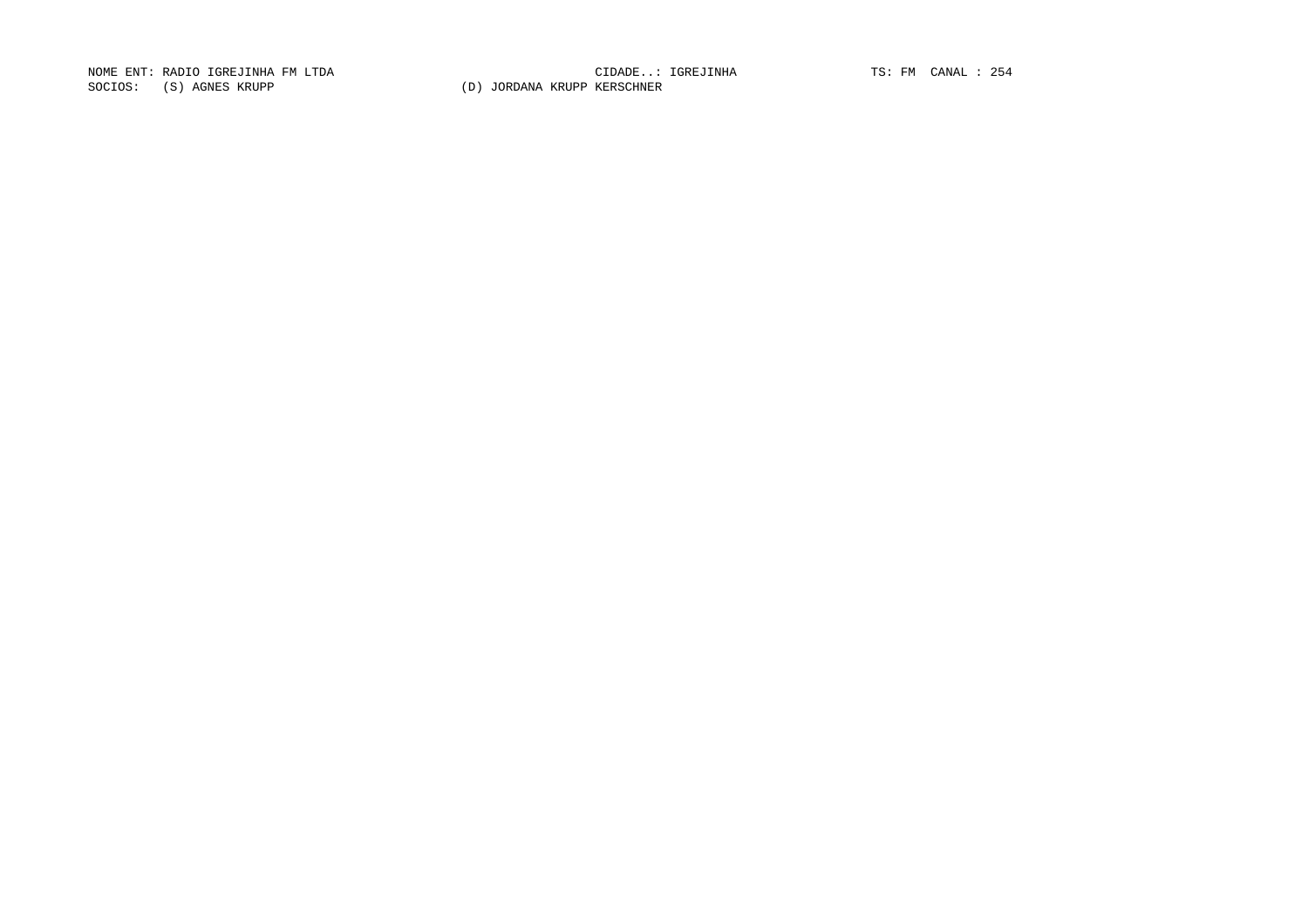NOME ENT: RADIO IGREJINHA FM LTDA CIDADE..: IGREJINHA TS: FM CANAL : 254SOCIOS: (S) AGNES KRUPP (D) JORDANA KRUPP KERSCHNER

CIDADE..: IGREJINHA TS: FM CANAL : 254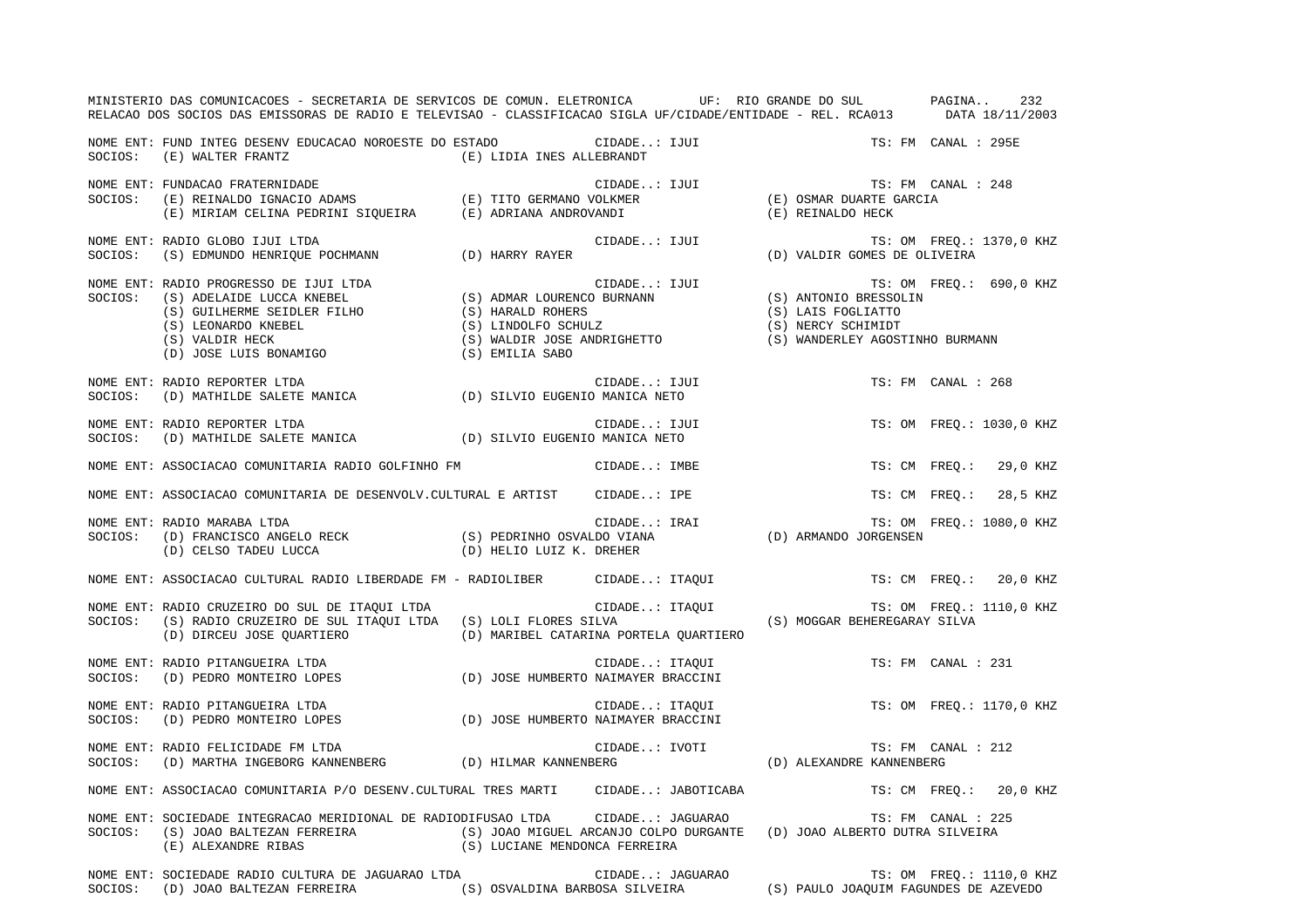|         | MINISTERIO DAS COMUNICACOES - SECRETARIA DE SERVICOS DE COMUN. ELETRONICA UF: RIO GRANDE DO SUL PAGINA 232<br>RELACAO DOS SOCIOS DAS EMISSORAS DE RADIO E TELEVISAO - CLASSIFICACAO SIGLA UF/CIDADE/ENTIDADE - REL. RCA013 DATA 18/11/2003 |  |                |                  |                                                                                                                                                                                                                        |                          |  |
|---------|--------------------------------------------------------------------------------------------------------------------------------------------------------------------------------------------------------------------------------------------|--|----------------|------------------|------------------------------------------------------------------------------------------------------------------------------------------------------------------------------------------------------------------------|--------------------------|--|
|         | NOME ENT: FUND INTEG DESENV EDUCACAO NOROESTE DO ESTADO CIDADE: IJUI<br>$\verb SOCIOS: (E) WALTER FRANTZ  (E) LIDIA INES ALLEBRANDT  (E) MULBERANDT  (E) MULTER F RANTZ  (E) MUDIA INES ALLEBRANDT  (E) MULTER F RANTZ  (E) MUDI R.$       |  |                |                  |                                                                                                                                                                                                                        | TS: FM CANAL : 295E      |  |
|         | NOME ENT: FUNDACAO FRATERNIDADE<br>SOCIOS: (E) REINALDO IGNACIO ADAMS (E) TITO GERMANO VOLKMER (E) OSMAR DUARTE GARCIA<br>(E) MIRIAM CELINA PEDRINI SIQUEIRA (E) ADRIANA ANDROVANDI (E) CERMANO (E) REINALDO HECK                          |  |                |                  |                                                                                                                                                                                                                        | TS: FM CANAL : 248       |  |
| SOCIOS: | NOME ENT: RADIO GLOBO IJUI LTDA<br>$(S)$ EDMUNDO HENRIQUE POCHMANN $(D)$ HARRY RAYER                                                                                                                                                       |  |                |                  | CIDADE: IJUI $\begin{array}{cccccc} \texttt{(D)} & \texttt{VALUE} & \texttt{S} & \texttt{S} & \texttt{S} & \texttt{S} \\ \texttt{(D)} & \texttt{VALUE} & \texttt{GOMES} & \texttt{DE} & \texttt{OLIVEIRA} \end{array}$ | TS: OM FREQ.: 1370,0 KHZ |  |
|         | NOME ENT: RADIO PROGRESSO DE IJUI LTDA (S) ADMAR LOURENCO BURNANN (S) ANTONIO BRESSOLIN (S) ADELAIDE LUCCA KNEBEL (S) ADMAR LOURENCO BURNANN (S) ANTONIO BRESSOLIN<br>(S) GUILHERME SEIDLER FILHO (S) HARALD ROHERS (S) LAIS FOG           |  |                |                  |                                                                                                                                                                                                                        | TS: OM FREQ.: 690,0 KHZ  |  |
| SOCIOS: | NOME ENT: RADIO REPORTER LTDA<br>(D) MATHILDE SALETE MANICA (D) SILVIO EUGENIO MANICA NETO                                                                                                                                                 |  | CIDADE: IJUI   |                  |                                                                                                                                                                                                                        | TS: FM CANAL : 268       |  |
| SOCIOS: | NOME ENT: RADIO REPORTER LTDA<br>(D) MATHILDE SALETE MANICA (D) SILVIO EUGENIO MANICA NETO                                                                                                                                                 |  | CIDADE: IJUI   |                  |                                                                                                                                                                                                                        | TS: OM FREQ.: 1030,0 KHZ |  |
|         | NOME ENT: ASSOCIACAO COMUNITARIA RADIO GOLFINHO FM                                                                                                                                                                                         |  | CIDADE: IMBE   |                  |                                                                                                                                                                                                                        | TS: CM FREQ.: 29,0 KHZ   |  |
|         | NOME ENT: ASSOCIACAO COMUNITARIA DE DESENVOLV.CULTURAL E ARTIST CIDADE: IPE                                                                                                                                                                |  |                |                  |                                                                                                                                                                                                                        | TS: CM FREQ.: 28,5 KHZ   |  |
|         |                                                                                                                                                                                                                                            |  |                |                  |                                                                                                                                                                                                                        | TS: OM FREQ.: 1080,0 KHZ |  |
|         | NOME ENT: ASSOCIACAO CULTURAL RADIO LIBERDADE FM - RADIOLIBER CIDADE: ITAQUI                                                                                                                                                               |  |                |                  |                                                                                                                                                                                                                        | TS: CM FREQ.: 20,0 KHZ   |  |
| SOCIOS: | NOME ENT: RADIO CRUZEIRO DO SUL DE ITAQUI LTDA<br>(S) RADIO CRUZEIRO DE SUL ITAQUI LTDA (S) LOLI FLORES SILVA<br>(D) DIRCEU JOSE QUARTIERO (D) MARIBEL CATARINA PORTELA QUARTIERO                                                          |  |                |                  | CIDADE: ITAQUI TS: OM FREQ.:<br>SILVA (S) MOGGAR BEHEREGARAY SILVA                                                                                                                                                     | TS: OM FREQ.: 1110,0 KHZ |  |
| SOCIOS: | NOME ENT: RADIO PITANGUEIRA LTDA<br>RADIO PITANGUEIRA LIDA<br>(D) PEDRO MONTEIRO LOPES (D) JOSE HUMBERTO NAIMAYER BRACCINI                                                                                                                 |  | CIDADE: ITAQUI |                  |                                                                                                                                                                                                                        | TS: FM CANAL : 231       |  |
| SOCIOS: | NOME ENT: RADIO PITANGUEIRA LTDA<br>CIDADE: ITAQUI<br>(D) JOSE HUMBERTO NAIMAYER BRACCINI<br>(D) PEDRO MONTEIRO LOPES                                                                                                                      |  |                |                  |                                                                                                                                                                                                                        | TS: OM FREQ.: 1170,0 KHZ |  |
| SOCIOS: | NOME ENT: RADIO FELICIDADE FM LTDA<br>(D) MARTHA INGEBORG KANNENBERG (D) HILMAR KANNENBERG                                                                                                                                                 |  | CIDADE: IVOTI  |                  | LS. IVUIL (D) ALEXANDRE KANNENBERG                                                                                                                                                                                     | TS: FM CANAL : 212       |  |
|         | NOME ENT: ASSOCIACAO COMUNITARIA P/O DESENV.CULTURAL TRES MARTI CIDADE: JABOTICABA                                                                                                                                                         |  |                |                  |                                                                                                                                                                                                                        | TS: CM FREO.: 20,0 KHZ   |  |
| SOCIOS: | NOME ENT: SOCIEDADE INTEGRACAO MERIDIONAL DE RADIODIFUSAO LTDA CIDADE: JAGUARAO<br>(S) JOAO BALTEZAN FERREIRA (S) JOAO MIGUEL ARCANJO COLPO DURGANTE (D) JOAO ALBERTO DUTRA SILVEIRA<br>(E) ALEXANDRE RIBAS (S) LUCIANE MENDONCA FERREIRA  |  |                |                  |                                                                                                                                                                                                                        | TS: FM CANAL : 225       |  |
|         | NOME ENT: SOCIEDADE RADIO CULTURA DE JAGUARAO LTDA<br>SOCIOS: (D) JOAO BALTEZAN FERREIRA (S) OSVALDINA BARBOSA SILVEIRA (S) PAULO JOAQUIM FAGUNDES DE AZEVEDO                                                                              |  |                | CIDADE: JAGUARAO |                                                                                                                                                                                                                        | TS: OM FREQ.: 1110,0 KHZ |  |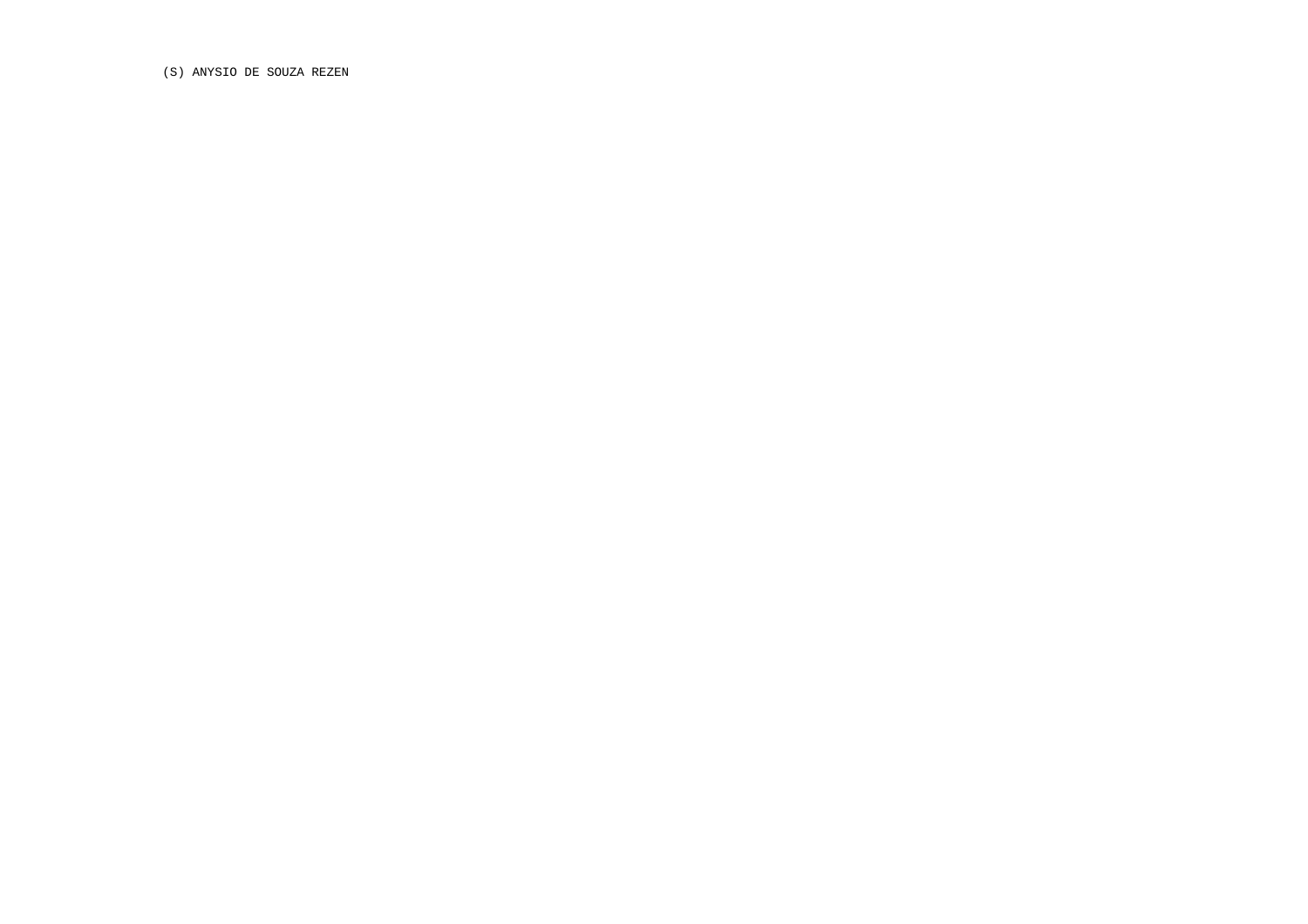(S) ANYSIO DE SOUZA REZEN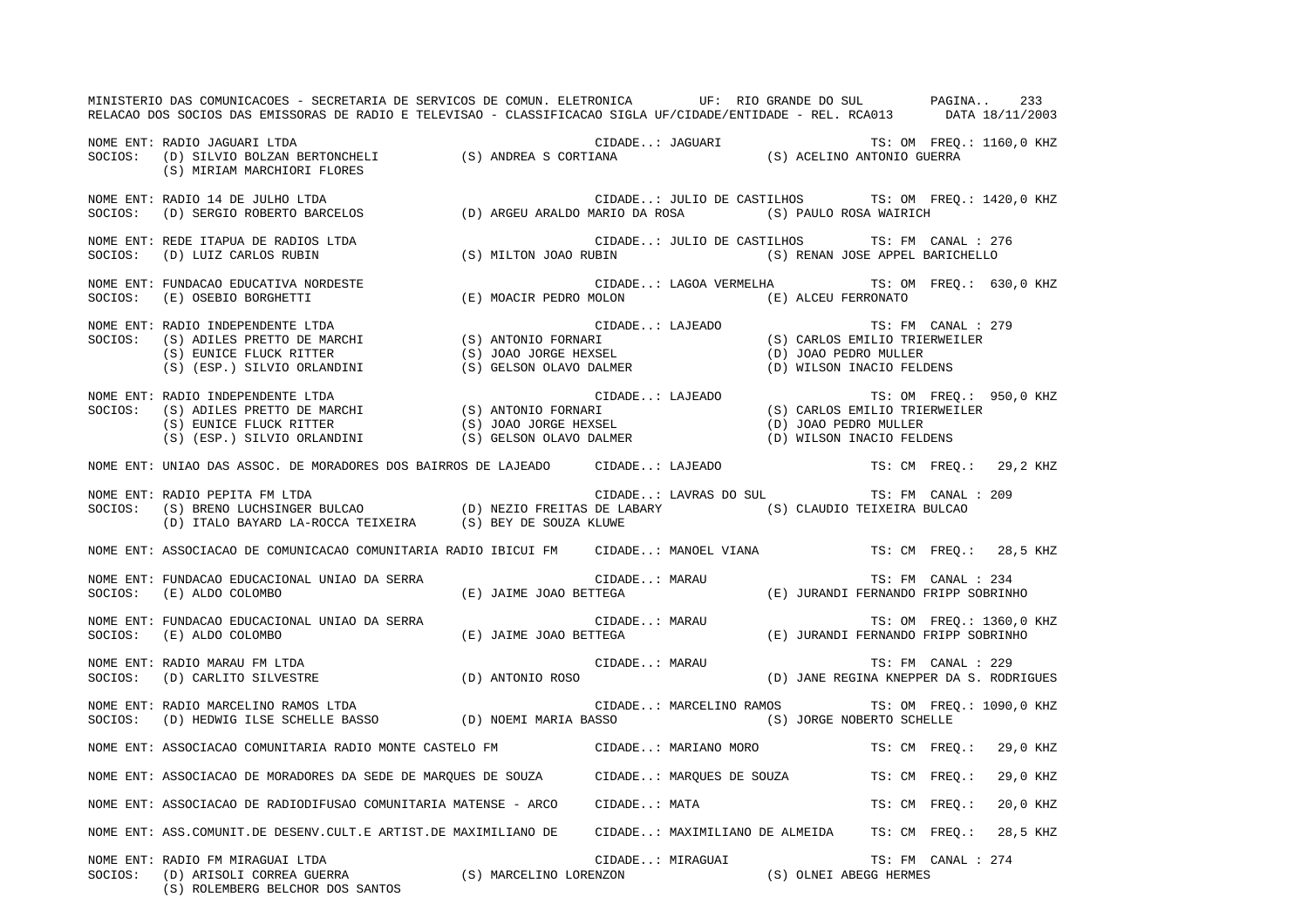MINISTERIO DAS COMUNICACOES - SECRETARIA DE SERVICOS DE COMUN. ELETRONICA UF: RIO GRANDE DO SUL PAGINA.. 233RELACAO DOS SOCIOS DAS EMISSORAS DE RADIO E TELEVISAO - CLASSIFICACAO SIGLA UF/CIDADE/ENTIDADE - REL. RCA013 DATA 18/11/2003 NOME ENT: RADIO JAGUARI LTDA CIDADE..: JAGUARI TS: OM FREQ.: 1160,0 KHZ SOCIOS: (D) SILVIO BOLZAN BERTONCHELI (S) ANDREA S CORTIANA (S) ACELINO ANTONIO GUERRA (S) MIRIAM MARCHIORI FLORES NOME ENT: RADIO 14 DE JULHO LTDA CIDADE..: JULIO DE CASTILHOS TS: OM FREQ.: 1420,0 KHZ SOCIOS: (D) SERGIO ROBERTO BARCELOS (D) ARGEU ARALDO MARIO DA ROSA (S) PAULO ROSA WAIRICH NOME ENT: REDE ITAPUA DE RADIOS LTDA CIDADE..: JULIO DE CASTILHOS TS: FM CANAL : 276 SOCIOS: (D) LUIZ CARLOS RUBIN (S) MILTON JOAO RUBIN (S) RENAN JOSE APPEL BARICHELLO NOME ENT: FUNDACAO EDUCATIVA NORDESTE CIDADE..: LAGOA VERMELHA TS: OM FREQ.: 630,0 KHZ SOCIOS: (E) OSEBIO BORGHETTI (E) MOACIR PEDRO MOLON (E) ALCEU FERRONATO NOME ENT: RADIO INDEPENDENTE LTDA CIDADE..: LAJEADO TS: FM CANAL : 279SOCIOS: (S) ADILES PRETTO DE MARCHI (S) ANTONIO FORNARI (S) EUNICE FLUCK RITTER (S) JOAO JORGE HEXSEL (D) JOAO PEDRO MULLER (S) (ESP.) SILVIO ORLANDINI (S) GELSON OLAVO DALMER (D) WILSON INACIO FELDENS NOME ENT: RADIO INDEPENDENTE LTDA CIDADE..: LAJEADO TS: OM FREQ.: 950,0 KHZ SOCIOS: (S) ADILES PRETTO DE MARCHI (S) ANTONIO FORNARI (S) CARLOS EMILIO TRIERWEILER (S) EUNICE FLUCK RITTER (S) JOAO JORGE HEXSEL (D) JOAO PEDRO MULLER (S) (ESP.) SILVIO ORLANDINI (S) GELSON OLAVO DALMER (D) WILSON INACIO FELDENS NOME ENT: UNIAO DAS ASSOC. DE MORADORES DOS BAIRROS DE LAJEADO CIDADE..: LAJEADO TS: CM FREQ.: 29,2 KHZ NOME ENT: RADIO PEPITA FM LTDA CIDADE..: LAVRAS DO SUL TS: FM CANAL : 209 SOCIOS: (S) BRENO LUCHSINGER BULCAO (D) NEZIO FREITAS DE LABARY (S) CLAUDIO TEIXEIRA BULCAO (D) ITALO BAYARD LA-ROCCA TEIXEIRA (S) BEY DE SOUZA KLUWE NOME ENT: ASSOCIACAO DE COMUNICACAO COMUNITARIA RADIO IBICUI FM CIDADE..: MANOEL VIANA TS: CM FREQ.: 28,5 KHZ NOME ENT: FUNDACAO EDUCACIONAL UNIAO DA SERRA CIDADE..: MARAU TS: FM CANAL : 234SOCIOS: (E) ALDO COLOMBO (E) JAIME JOAO BETTEGA (E) JURANDI FERNANDO FRIPP SOBRINHO NOME ENT: FUNDACAO EDUCACIONAL UNIAO DA SERRA CIDADE..: MARAU TS: OM FREQ.: 1360,0 KHZ SOCIOS: (E) ALDO COLOMBO (E) JAIME JOAO BETTEGA (E) JURANDI FERNANDO FRIPP SOBRINHO NOME ENT: RADIO MARAU FM LTDA  $\Box$  CIDADE..: MARAU TS: FM CANAL : 229 SOCIOS: (D) CARLITO SILVESTRE (D) ANTONIO ROSO (D) JANE REGINA KNEPPER DA S. RODRIGUES NOME ENT: RADIO MARCELINO RAMOS LTDA CIDADE..: MARCELINO RAMOS TS: OM FREQ.: 1090,0 KHZ SOCIOS: (D) HEDWIG ILSE SCHELLE BASSO (D) NOEMI MARIA BASSO (S) JORGE NOBERTO SCHELLE NOME ENT: ASSOCIACAO COMUNITARIA RADIO MONTE CASTELO FM CIDADE..: MARIANO MORO TS: CM FREQ.: 29,0 KHZ NOME ENT: ASSOCIACAO DE MORADORES DA SEDE DE MARQUES DE SOUZA CIDADE..: MARQUES DE SOUZA TS: CM FREQ.: 29,0 KHZ NOME ENT: ASSOCIACAO DE RADIODIFUSAO COMUNITARIA MATENSE - ARCO CIDADE..: MATA TS: CM FREQ.: 20,0 KHZ NOME ENT: ASS.COMUNIT.DE DESENV.CULT.E ARTIST.DE MAXIMILIANO DE CIDADE..: MAXIMILIANO DE ALMEIDA TS: CM FREQ.: 28,5 KHZ NOME ENT: RADIO FM MIRAGUAI LTDA CIDADE..: MIRAGUAI TS: FM CANAL : 274 SOCIOS: (D) ARISOLI CORREA GUERRA (S) MARCELINO LORENZON (S) OLNEI ABEGG HERMES (S) ROLEMBERG BELCHOR DOS SANTOS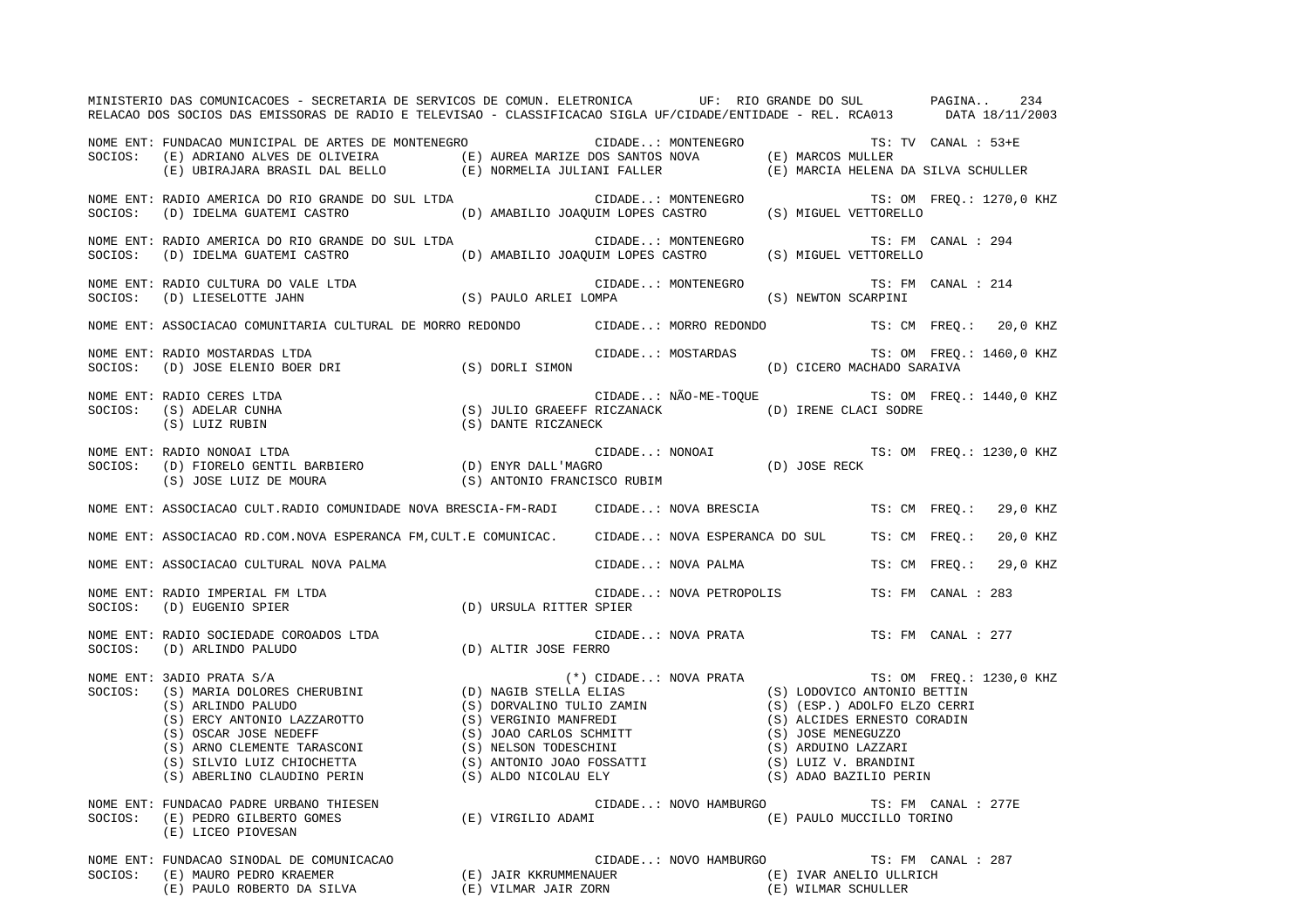MINISTERIO DAS COMUNICACOES - SECRETARIA DE SERVICOS DE COMUN. ELETRONICA UF: RIO GRANDE DO SUL PAGINA.. 234 RELACAO DOS SOCIOS DAS EMISSORAS DE RADIO E TELEVISAO - CLASSIFICACAO SIGLA UF/CIDADE/ENTIDADE - REL. RCA013 DATA 18/11/2003 NOME ENT: FUNDACAO MUNICIPAL DE ARTES DE MONTENEGRO CIDADE..: MONTENEGRO TS: TV CANAL : 53+ESOCIOS: (E) ADRIANO ALVES DE OLIVEIRA (E) AUREA MARIZE DOS SANTOS NOVA (E) MARCOS MULLER (E) UBIRAJARA BRASIL DAL BELLO (E) NORMELIA JULIANI FALLER (E) MARCIA HELENA DA SILVA SCHULLER NOME ENT: RADIO AMERICA DO RIO GRANDE DO SUL LTDA CIDADE..: MONTENEGRO TS: OM FREQ.: 1270,0 KHZ SOCIOS: (D) IDELMA GUATEMI CASTRO (D) AMABILIO JOAQUIM LOPES CASTRO (S) MIGUEL VETTORELLO NOME ENT: RADIO AMERICA DO RIO GRANDE DO SUL LTDA  $\qquad \qquad \qquad \qquad \qquad \qquad \qquad \qquad \qquad \qquad \text{CIDADE.}:$  MONTENEGRO TS: FM CANAL : 294 SOCIOS: (D) IDELMA GUATEMI CASTRO (D) AMABILIO JOAQUIM LOPES CASTRO (S) MIGUEL VETTORELLO NOME ENT: RADIO CULTURA DO VALE LTDA CONSTRUITION CIDADE..: MONTENEGRO TRI TS: FM CANAL : 214 SOCIOS: (D) LIESELOTTE JAHN (S) PAULO ARLEI LOMPA (S) NEWTON SCARPINI NOME ENT: ASSOCIACAO COMUNITARIA CULTURAL DE MORRO REDONDO CIDADE..: MORRO REDONDO TS: CM FREQ.: 20,0 KHZ NOME ENT: RADIO MOSTARDAS LTDA  $\blacksquare$  (IDADE..: MOSTARDAS TS: OM FREQ.: 1460,0 KHZ SOCIOS: (D) JOSE ELENIO BOER DRI (S) DORLI SIMON (D) CICERO MACHADO SARAIVA NOME ENT: RADIO CERES LTDA  $\blacksquare$  CIDADE..: NÃO-ME-TOQUE TS: OM FREQ.: 1440,0 KHZ SOCIOS: (S) ADELAR CUNHA (S) JULIO GRAEEFF RICZANACK (D) IRENE CLACI SODRE (S) LUIZ RUBIN (S) DANTE RICZANECK NOME ENT: RADIO NONOAI LTDA **ENTICIPA ENTERGADA ENTERGADA ENTERGADA ENTERGADA EN ENGLIS** O KHZ SOCIOS: (D) FIORELO GENTIL BARBIERO (D) ENYR DALL'MAGRO (D) JOSE RECK (S) JOSE LUIZ DE MOURA (S) ANTONIO FRANCISCO RUBIM NOME ENT: ASSOCIACAO CULT.RADIO COMUNIDADE NOVA BRESCIA-FM-RADI CIDADE..: NOVA BRESCIA TS: CM FREQ.: 29,0 KHZ NOME ENT: ASSOCIACAO RD.COM.NOVA ESPERANCA FM,CULT.E COMUNICAC. CIDADE..: NOVA ESPERANCA DO SUL TS: CM FREQ.: 20,0 KHZ NOME ENT: ASSOCIACAO CULTURAL NOVA PALMA CIDADE..: NOVA PALMA TS: CM FREQ.: 29,0 KHZ NOME ENT: RADIO IMPERIAL FM LTDA CIDADE..: NOVA PETROPOLIS TS: FM CANAL : 283SOCIOS: (D) EUGENIO SPIER (D) URSULA RITTER SPIER NOME ENT: RADIO SOCIEDADE COROADOS LTDA COROANE COROANE CIDADE..: NOVA PRATA TS: FM CANAL : 277 SOCIOS: (D) ARLINDO PALUDO (D) ALTIR JOSE FERRO NOME ENT: 3ADIO PRATA S/A (\*) CIDADE..: NOVA PRATA TS: OM FREQ.: 1230,0 KHZ SOCIOS: (S) MARIA DOLORES CHERUBINI (D) NAGIB STELLA ELIAS (S) LODOVICO ANTONIO BETTIN (S) ARLINDO PALUDO (S) ORVALINO TULIO ZAMIN (S) (S) (ESP.) ADOLFO ELZO CERRI<br>(S) ERGY ANTONIO LAZZAROTTO (S) VERCINIO MANEREDI (S) ALCIDES ERNESTO CORADIN (S) ERCY ANTONIO LAZZAROTTO (S) VERGINIO MANFREDI (S) ALCIDES ERNESTO CORADIN (S) OSCAR JOSE MEDEFF (S) JOAO CARLOS SCHMITT (S) JOSE MENEGUZZO (S) OSCAR JOSE NEDEFF (S) JOAO CARLOS SCHMITT (S) ARNO CLEMENTE TARASCONI (S) NELSON TODESCHINI (S) ARDUINO LAZZARI (S) SILVIO LUIZ CHIOCHETTA (S) ANTONIO JOAO FOSSATTI (S) LUIZ V. BRANDINI (S) ABERLINO CLAUDINO PERIN (S) ALDO NICOLAU ELY (S) ADAO BAZILIO PERIN NOME ENT: FUNDACAO PADRE URBANO THIESEN CIDADE..: NOVO HAMBURGO TS: FM CANAL : 277E SOCIOS: (E) PEDRO GILBERTO GOMES (E) VIRGILIO ADAMI (E) PAULO MUCCILLO TORINO (E) LICEO PIOVESAN NOME ENT: FUNDACAO SINODAL DE COMUNICACAO CONTRESSERITA DE CIDADE..: NOVO HAMBURGO TS: FM CANAL : 287 SOCIOS: (E) MAURO PEDRO KRAEMER (E) JAIR KKRUMMENAUER (E) IVAR ANELIO ULLRICH (E) PAULO ROBERTO DA SILVA (E) VILMAR JAIR ZORN (E) WILMAR SCHULLER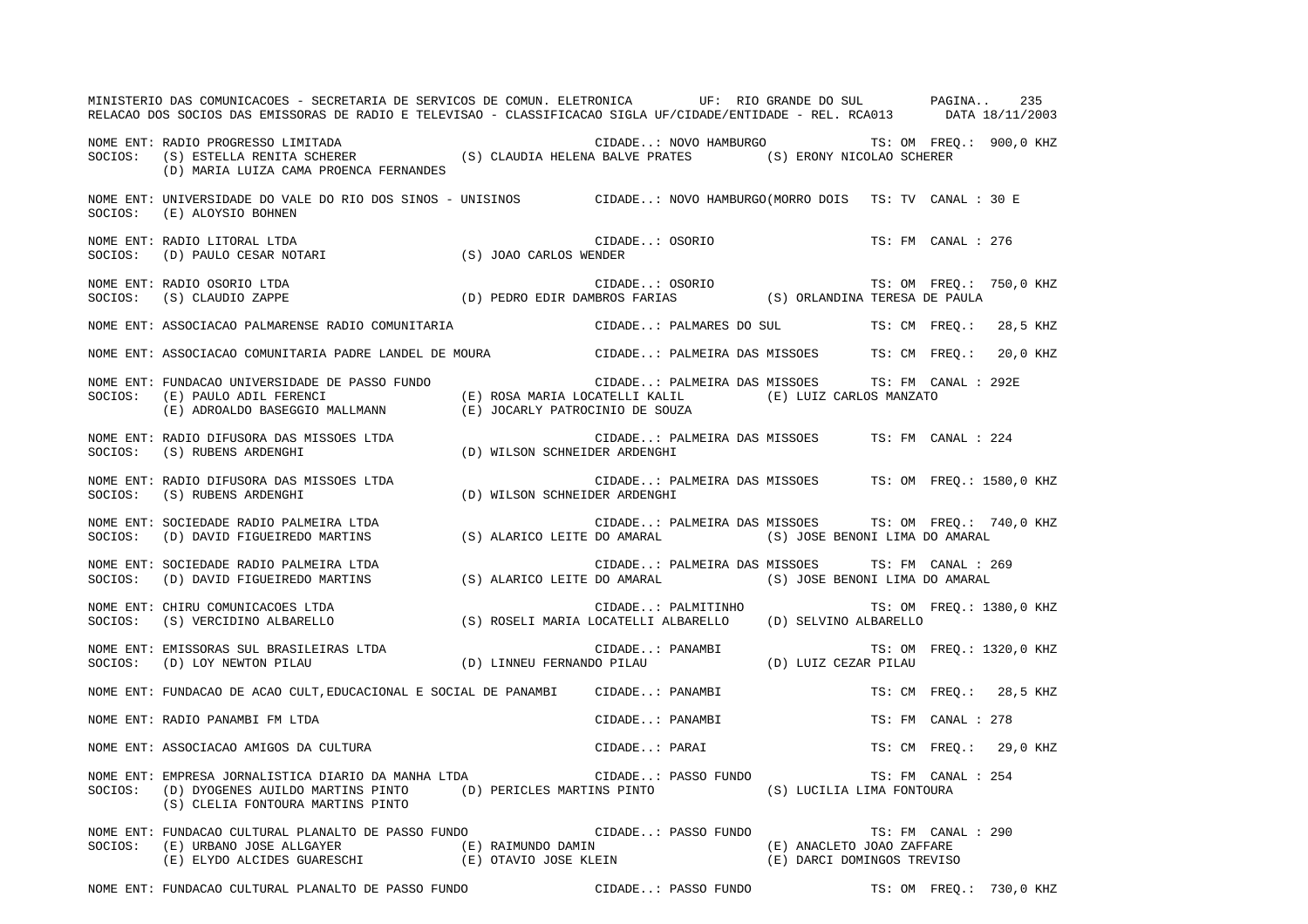|         | MINISTERIO DAS COMUNICACOES - SECRETARIA DE SERVICOS DE COMUN. ELETRONICA UF: RIO GRANDE DO SUL PAGINA<br>RELACAO DOS SOCIOS DAS EMISSORAS DE RADIO E TELEVISAO - CLASSIFICACAO SIGLA UF/CIDADE/ENTIDADE - REL. RCA013 DATA 18/11/2003                                                  |  |                                                  |  |  |                    | 235                                                   |  |
|---------|-----------------------------------------------------------------------------------------------------------------------------------------------------------------------------------------------------------------------------------------------------------------------------------------|--|--------------------------------------------------|--|--|--------------------|-------------------------------------------------------|--|
|         | NOME ENT: RADIO PROGRESSO LIMITADA<br>SOCIOS: (S) ESTELLA RENITA SCHERER (S) CLAUDIA HELENA BALVE PRATES (S) ERONY NICOLAO SCHERER<br>(D) MARIA LUIZA CAMA PROENCA FERNANDES                                                                                                            |  |                                                  |  |  |                    |                                                       |  |
| SOCIOS: | NOME ENT: UNIVERSIDADE DO VALE DO RIO DOS SINOS - UNISINOS CIDADE: NOVO HAMBURGO(MORRO DOIS TS: TV CANAL : 30 E<br>(E) ALOYSIO BOHNEN                                                                                                                                                   |  |                                                  |  |  |                    |                                                       |  |
|         | NOME ENT: RADIO LITORAL LTDA (S) JOAO CARLOS WENDER<br>SOCIOS: (D) PAULO CESAR NOTARI (S) JOAO CARLOS WENDER                                                                                                                                                                            |  | CIDADE: OSORIO                                   |  |  | TS: FM CANAL : 276 |                                                       |  |
|         | NOME ENT: RADIO OSORIO LTDA<br>SOCIOS: (S) CLAUDIO ZAPPE (D) PEDRO EDIR DAMBROS FARIAS (S) ORLANDINA TERESA DE PAULA                                                                                                                                                                    |  |                                                  |  |  |                    | TS: OM FREQ.: 750,0 KHZ                               |  |
|         | NOME ENT: ASSOCIACAO PALMARENSE RADIO COMUNITARIA CIDADE: PALMARES DO SUL TS: CM FREQ.: 28,5 KHZ                                                                                                                                                                                        |  |                                                  |  |  |                    |                                                       |  |
|         | NOME ENT: ASSOCIACAO COMUNITARIA PADRE LANDEL DE MOURA CIDADE: PALMEIRA DAS MISSOES TS: CM FREO.: 20,0 KHZ                                                                                                                                                                              |  |                                                  |  |  |                    |                                                       |  |
|         | NOME ENT: FUNDACAO UNIVERSIDADE DE PASSO FUNDO<br>(E) PAULO ADIL FERENCI (E) ROSA MARIA LOCATELLI KALIL (E) LUIZ CARLOS MANZATO (E) ADROALDO BASEGGIO MALLMANN (E) JOCARLY PATROCINIO DE SOUZA<br>SOCIOS: (E) PAULO ADIL FERENCI                                                        |  | CIDADE: PALMEIRA DAS MISSOES TS: FM CANAL : 292E |  |  |                    |                                                       |  |
|         | NUME ENT: RADIO DIFUSORA DAS MISSOES LTDA<br>SOCIOS: (S) RUBENS ARDENGHI (D) WILSON SCHNEIDER ARDENGHI                                                                                                                                                                                  |  | CIDADE: PALMEIRA DAS MISSOES TS: FM CANAL : 224  |  |  |                    |                                                       |  |
|         | NOME ENT: RADIO DIFUSORA DAS MISSOES LTDA (D) WILSON SCHNEIDER ARDENGHI (S) RUBENS ARDENGHI (D) WILSON SCHNEIDER ARDENGHI                                                                                                                                                               |  |                                                  |  |  |                    | CIDADE: PALMEIRA DAS MISSOES TS: OM FREQ.: 1580,0 KHZ |  |
|         | NOME ENT: SOCIEDADE RADIO PALMEIRA LTDA<br>SOCIOS: (D) DAVID FIGUEIREDO MARTINS (S) ALARICO LEITE DO AMARAL (S) JOSE BENONI LIMA DO AMARAL                                                                                                                                              |  |                                                  |  |  |                    | CIDADE: PALMEIRA DAS MISSOES TS: OM FREQ.: 740,0 KHZ  |  |
| SOCIOS: | NOME ENT: SOCIEDADE RADIO PALMEIRA LTDA<br>(D) DAVID FIGUEIREDO MARTINS (S) ALARICO LEITE DO AMARAL (S) JOSE BENONI LIMA DO AMARAL                                                                                                                                                      |  | CIDADE: PALMEIRA DAS MISSOES TS: FM CANAL : 269  |  |  |                    |                                                       |  |
|         | NOME ENT: CHIRU COMUNICACOES LTDA<br>SOCIOS: (S) VERCIDINO ALBARELLO (S) ROSELI MARIA LOCATELLI ALBARELLO (D) SELVINO ALBARELLO                                                                                                                                                         |  | CIDADE: PALMITINHO                               |  |  |                    | TS: OM FREQ.: 1380,0 KHZ                              |  |
|         | NOME ENT: EMISSORAS SUL BRASILEIRAS LTDA<br>SOCIOS: (D) LOY NEWTON PILAU (D) LINNEU FERNANDO PILAU (D) LUIZ CEZAR PILAU                                                                                                                                                                 |  |                                                  |  |  |                    |                                                       |  |
|         | NOME ENT: FUNDACAO DE ACAO CULT, EDUCACIONAL E SOCIAL DE PANAMBI CIDADE: PANAMBI                                                                                                                                                                                                        |  |                                                  |  |  |                    | TS: CM FREQ.: 28,5 KHZ                                |  |
|         | NOME ENT: RADIO PANAMBI FM LTDA                                                                                                                                                                                                                                                         |  | CIDADE: PANAMBI                                  |  |  | TS: FM CANAL : 278 |                                                       |  |
|         | NOME ENT: KADIO PANAMBI FM LTDA<br>NOME ENT: ASSOCIACAO AMIGOS DA CULTURA CONSTANTE CIDADE: PARAI TS: CM FREQ.: 29,0 KHZ                                                                                                                                                                |  |                                                  |  |  |                    |                                                       |  |
|         | NOME ENT: EMPRESA JORNALISTICA DIARIO DA MANHA LTDA<br>SOCIOS: (D) DYOGENES AUILDO MARTINS PINTO (D) PERICLES MARTINS PINTO (S) LUCILIA LIMA FONTOURA<br>(S) CLELIA FONTOURA MARTINS PINTO                                                                                              |  | CIDADE: PASSO FUNDO                              |  |  | TS: FM CANAL : 254 |                                                       |  |
|         | NOME ENT: FUNDACAO CULTURAL PLANALTO DE PASSO FUNDO (CIDADE: PASSO FUNDO TS: FM CANAL : 290<br>$\verb SCIOS: (E) URBANO JOSE ALLGAYER   (E) RAIMUNDO DAMIN   (E) AMICLETO JOAO ZAFFARE   (E) ELYDO ALCIDES GUARESCHI   (E) OTAVIO JOSE KLEIN   (E) DARCI DOMINGOS TREVISO   (E) CHULOS$ |  |                                                  |  |  |                    |                                                       |  |

NOME ENT: FUNDACAO CULTURAL PLANALTO DE PASSO FUNDO CIDADE..: PASSO FUNDO TS: OM FREQ.: 730,0 KHZ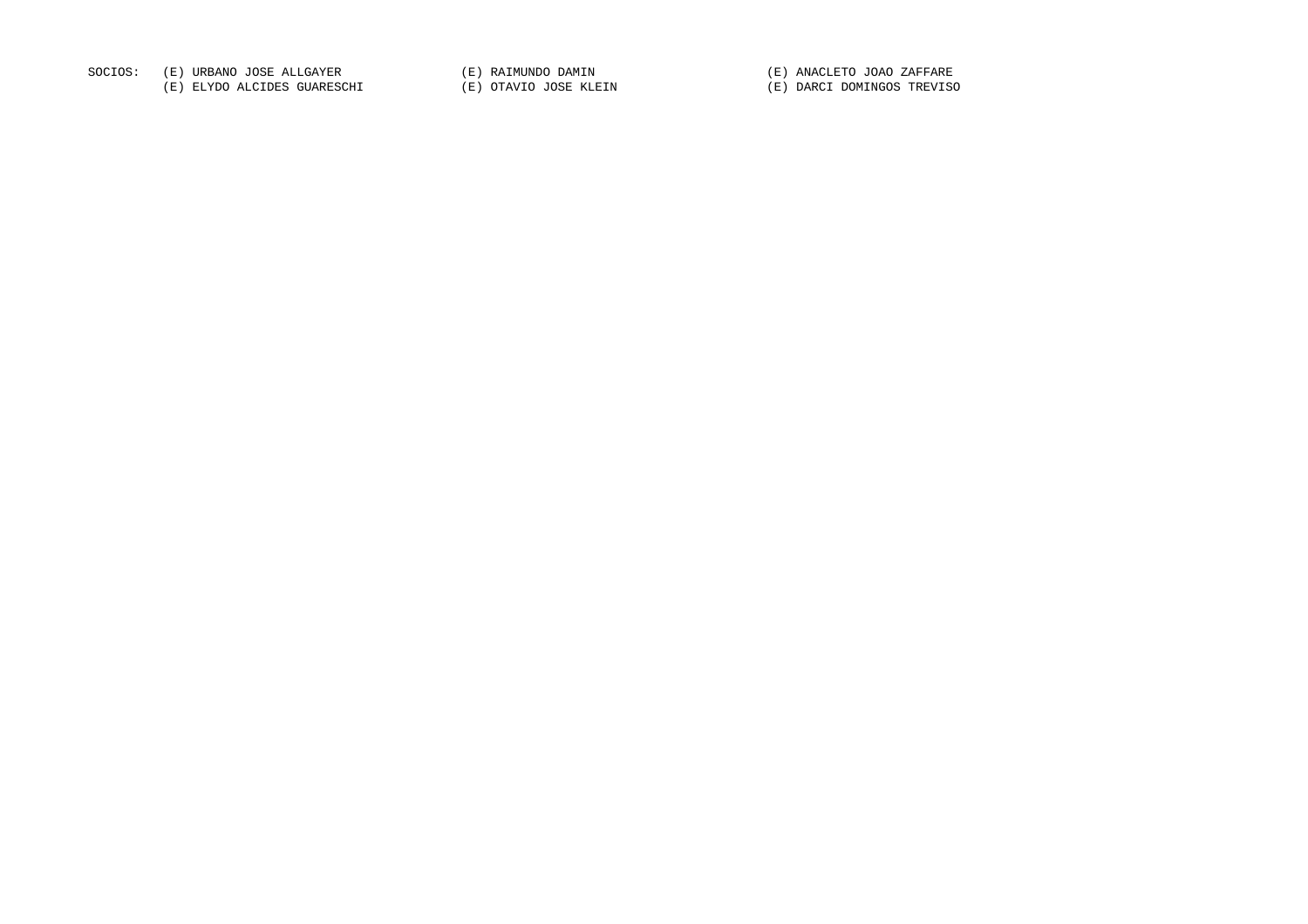SOCIOS: (E) URBANO JOSE ALLGAYER (E) RAIMUNDO DAMIN (E) ANACLETO JOAO ZAFFARE

(E) ELYDO ALCIDES GUARESCHI (E) OTAVIO JOSE KLEIN (E) DARCI DOMINGOS TREVISO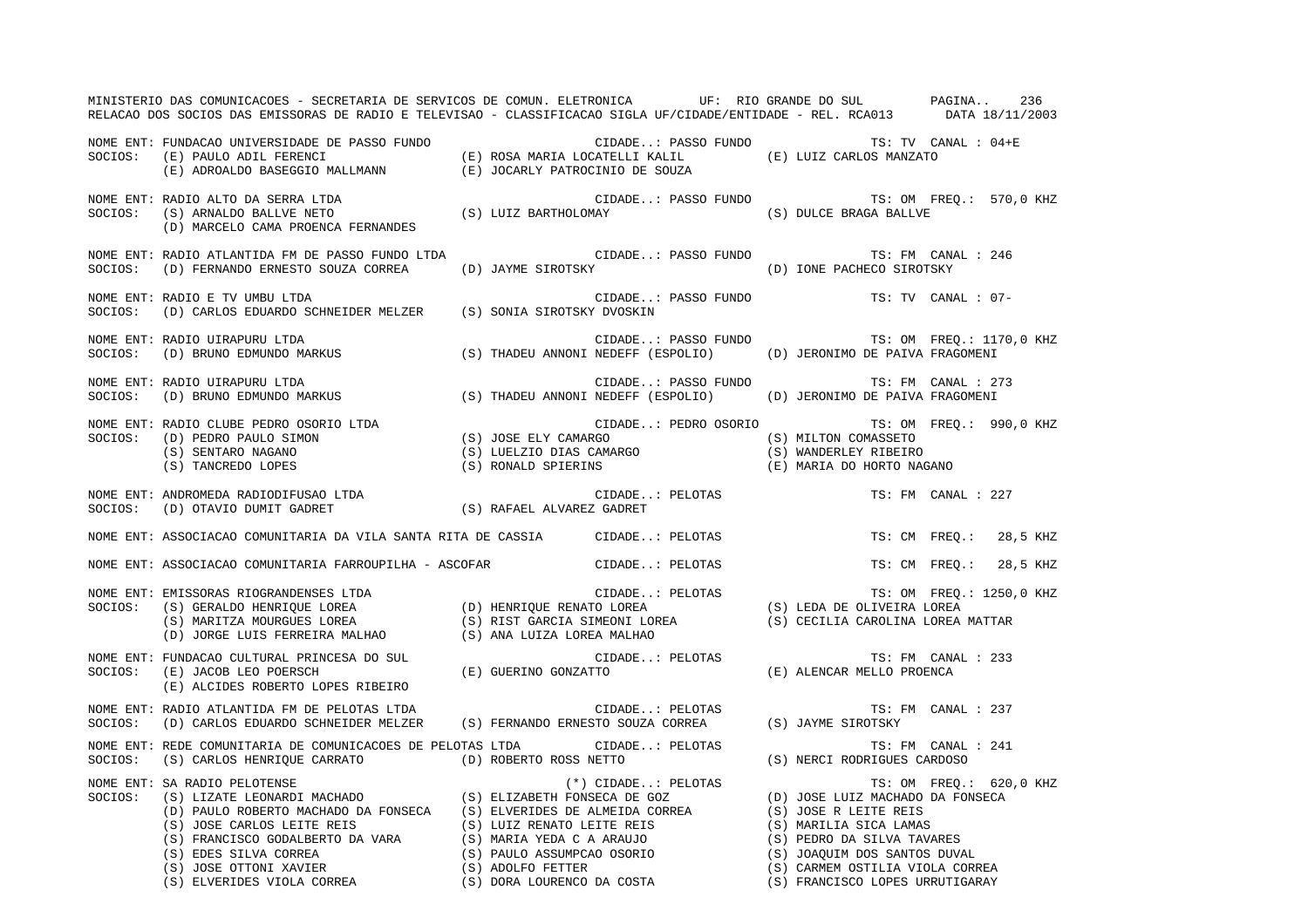MINISTERIO DAS COMUNICACOES - SECRETARIA DE SERVICOS DE COMUN. ELETRONICA UF: RIO GRANDE DO SUL PAGINA.. 236 RELACAO DOS SOCIOS DAS EMISSORAS DE RADIO E TELEVISAO - CLASSIFICACAO SIGLA UF/CIDADE/ENTIDADE - REL. RCA013 DATA 18/11/2003 NOME ENT: FUNDACAO UNIVERSIDADE DE PASSO FUNDO CIDADE..: PASSO FUNDO TS: TV CANAL : 04+ESOCIOS: (E) PAULO ADIL FERENCI (E) ROSA MARIA LOCATELLI KALIL (E) LUIZ CARLOS MANZATO (E) ADROALDO BASEGGIO MALLMANN (E) JOCARLY PATROCINIO DE SOUZA NOME ENT: RADIO ALTO DA SERRA LTDA CIDADE..: PASSO FUNDO TS: OM FREQ.: 570,0 KHZ SOCIOS: (S) ARNALDO BALLVE NETO (S) LUIZ BARTHOLOMAY (S) DULCE BRAGA BALLVE (D) MARCELO CAMA PROENCA FERNANDES NOME ENT: RADIO ATLANTIDA FM DE PASSO FUNDO LTDA CIDADE..: PASSO FUNDO TS: FM CANAL : 246 SOCIOS: (D) FERNANDO ERNESTO SOUZA CORREA (D) JAYME SIROTSKY (D) IONE PACHECO SIROTSKY NOME ENT: RADIO E TV UMBU LTDA CIDADE..: PASSO FUNDO TS: TV CANAL : 07-SOCIOS: (D) CARLOS EDUARDO SCHNEIDER MELZER (S) SONIA SIROTSKY DVOSKIN NOME ENT: RADIO UIRAPURU LTDA CIDADE..: PASSO FUNDO TS: OM FREQ.: 1170,0 KHZ SOCIOS: (D) BRUNO EDMUNDO MARKUS (S) THADEU ANNONI NEDEFF (ESPOLIO) (D) JERONIMO DE PAIVA FRAGOMENI NOME ENT: RADIO UIRAPURU LTDA CIDADE..: PASSO FUNDO TS: FM CANAL : 273 SOCIOS: (D) BRUNO EDMUNDO MARKUS (S) THADEU ANNONI NEDEFF (ESPOLIO) (D) JERONIMO DE PAIVA FRAGOMENI NOME ENT: RADIO CLUBE PEDRO OSORIO LTDA CIDADE..: PEDRO OSORIO TS: OM FREQ.: 990,0 KHZ SOCIOS: (D) PEDRO PAULO SIMON (S) JOSE ELY CAMARGO (S) MILTON COMASSETO (S) SENTARO NAGANO (S) LUELZIO DIAS CAMARGO (S) WANDERLEY RIBEIRO (S) TANCREDO LOPES (S) RONALD SPIERINS (E) MARIA DO HORTO NAGANO NOME ENT: ANDROMEDA RADIODIFUSAO LTDA CIDADE..: PELOTAS TS: FM CANAL : 227 SOCIOS: (D) OTAVIO DUMIT GADRET (S) RAFAEL ALVAREZ GADRET NOME ENT: ASSOCIACAO COMUNITARIA DA VILA SANTA RITA DE CASSIA CIDADE..: PELOTAS TS: CM FREQ.: 28,5 KHZ NOME ENT: ASSOCIACAO COMUNITARIA FARROUPILHA - ASCOFAR CIDADE..: PELOTAS TS: CM FREQ.: 28,5 KHZ NOME ENT: EMISSORAS RIOGRANDENSES LTDA **External CIDADE.**.: PELOTAS TS: OM FREQ.: 1250,0 KHZ SOCIOS: (S) GERALDO HENRIQUE LOREA (D) HENRIQUE RENATO LOREA (S) LEDA DE OLIVEIRA LOREA (S) MARITZA MOURGUES LOREA (S) RIST GARCIA SIMEONI LOREA (S) CECILIA CAROLINA LOREA MATTAR (D) JORGE LUIS FERREIRA MALHAO (S) ANA LUIZA LOREA MALHAO NOME ENT: FUNDACAO CULTURAL PRINCESA DO SUL CIDADE..: PELOTAS TS: FM CANAL : 233SOCIOS: (E) JACOB LEO POERSCH (E) GUERINO GONZATTO (E) ALENCAR MELLO PROENCA (E) ALCIDES ROBERTO LOPES RIBEIRO NOME ENT: RADIO ATLANTIDA FM DE PELOTAS LTDA CONSTRUITION CIDADE..: PELOTAS TS: FM CANAL : 237 SOCIOS: (D) CARLOS EDUARDO SCHNEIDER MELZER (S) FERNANDO ERNESTO SOUZA CORREA (S) JAYME SIROTSKY NOME ENT: REDE COMUNITARIA DE COMUNICACOES DE PELOTAS LTDA CIDADE..: PELOTAS TS: FM CANAL : 241 SOCIOS: (S) CARLOS HENRIQUE CARRATO (D) ROBERTO ROSS NETTO (S) NERCI RODRIGUES CARDOSO NOME ENT: SA RADIO PELOTENSE (\*) CIDADE..: PELOTAS TS: OM FREQ.: 620,0 KHZ SOCIOS: (S) LIZATE LEONARDI MACHADO (S) ELIZABETH FONSECA DE GOZ (D) JOSE LUIZ MACHADO DA FONSECA (D) PAULO ROBERTO MACHADO DA FONSECA (S) ELVERIDES DE ALMEIDA CORREA (S) JOSE R LEITE REIS (S) JOSE CARLOS LEITE REIS (S) LUIZ RENATO LEITE REIS (S) MARILIA SICA LAMAS (S) FRANCISCO GODALBERTO DA VARA (S) MARIA YEDA C A ARAUJO (S) PEDRO DA SILVA TAVARES (S) EDES SILVA CORREA (S) PAULO ASSUMPCAO OSORIO (S) JOAQUIM DOS SANTOS DUVAL (S) JOSE OTTONI XAVIER (S) ADOLFO FETTER (S) CARMEM OSTILIA VIOLA CORREA (S) ELVERIDES VIOLA CORREA (S) DORA LOURENCO DA COSTA (S) FRANCISCO LOPES URRUTIGARAY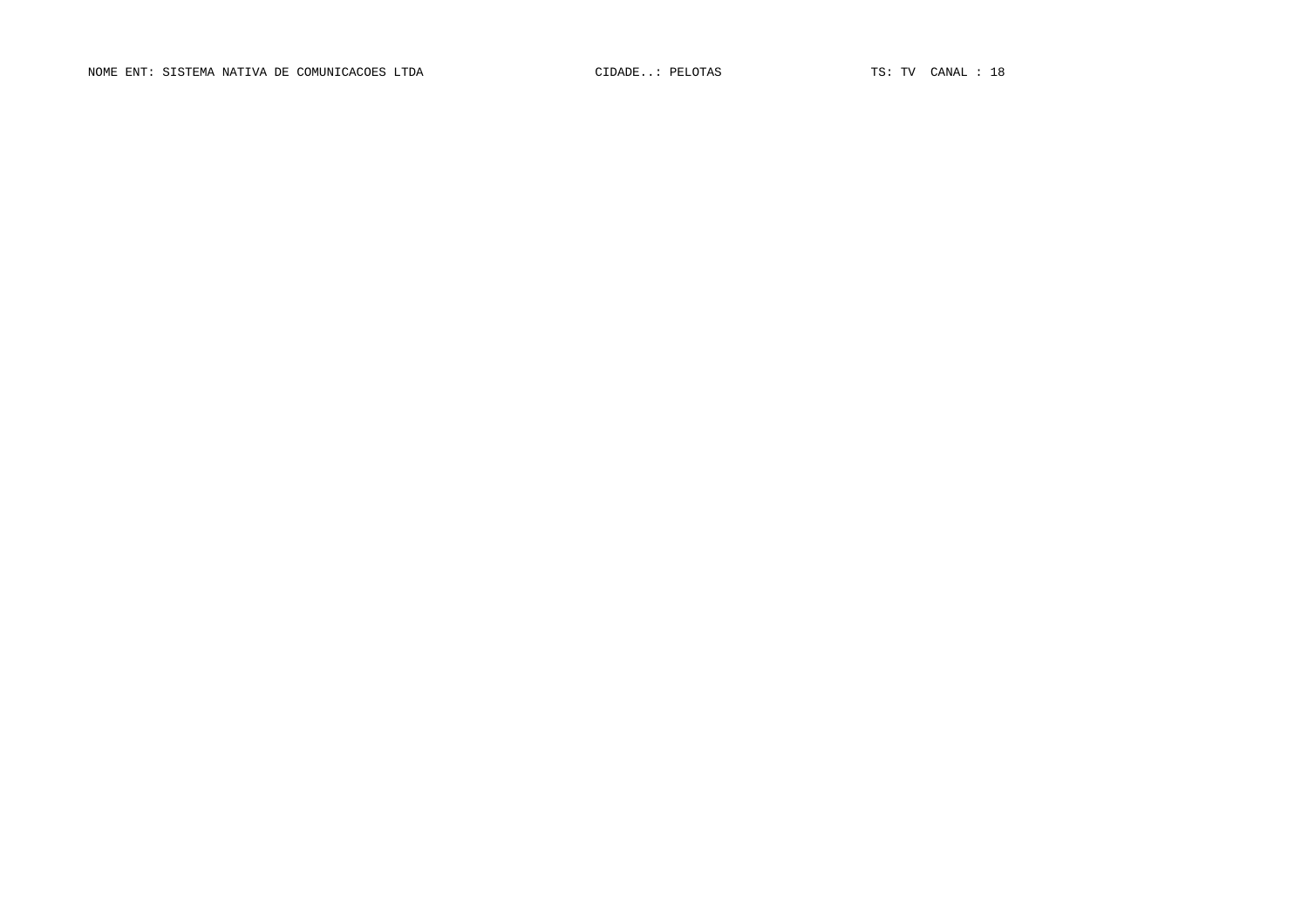NOME ENT: SISTEMA NATIVA DE COMUNICACOES LTDA CIDADE..: PELOTAS TS: TV CANAL : 18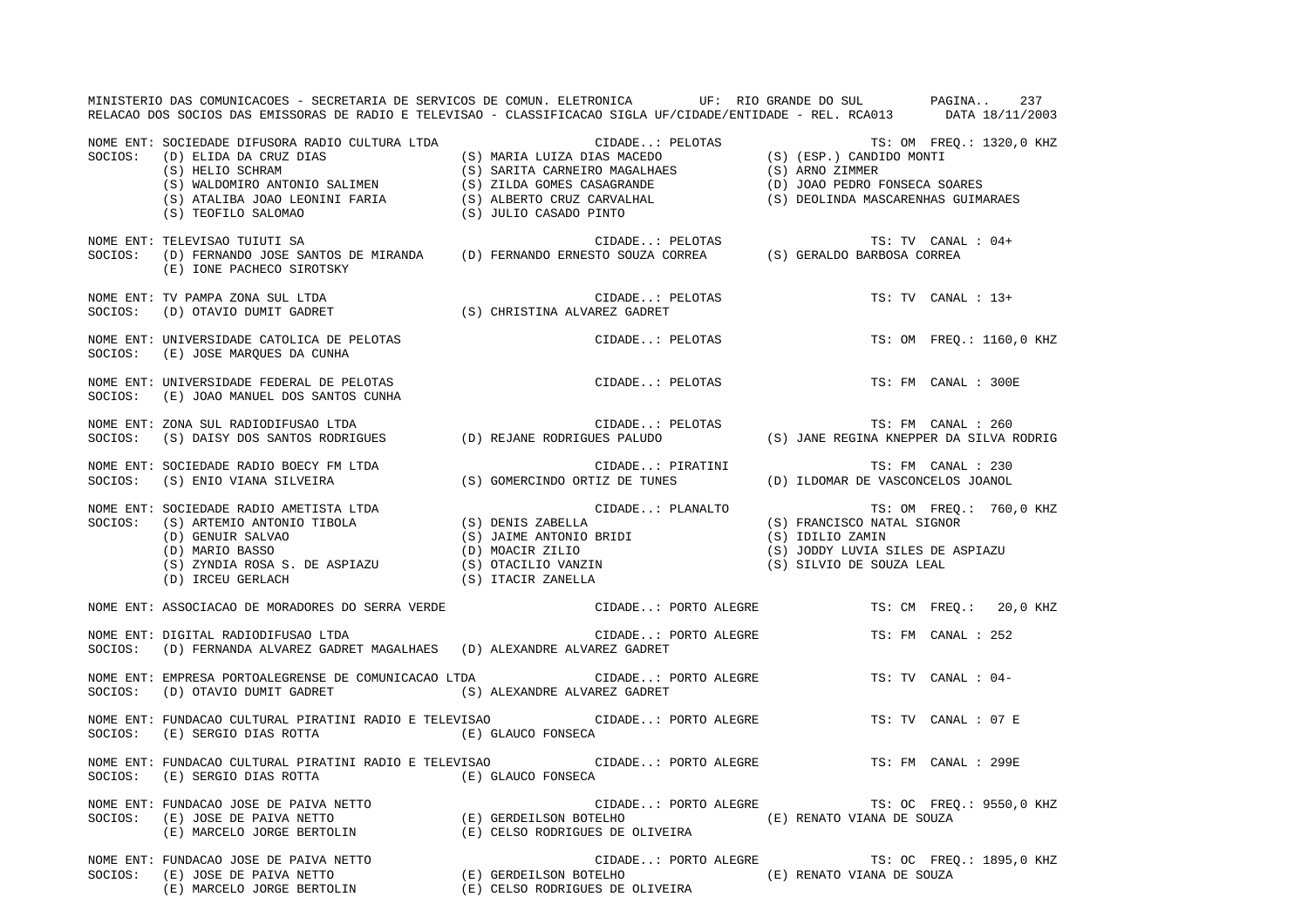|         | MINISTERIO DAS COMUNICACOES - SECRETARIA DE SERVICOS DE COMUN. ELETRONICA UF: RIO GRANDE DO SUL PAGINA 237<br>RELACAO DOS SOCIOS DAS EMISSORAS DE RADIO E TELEVISAO - CLASSIFICACAO SIGLA UF/CIDADE/ENTIDADE - REL. RCA013 DATA 18/11/2003                                                                                                                              |                              |                                                                          |                                                                                  |                          |
|---------|-------------------------------------------------------------------------------------------------------------------------------------------------------------------------------------------------------------------------------------------------------------------------------------------------------------------------------------------------------------------------|------------------------------|--------------------------------------------------------------------------|----------------------------------------------------------------------------------|--------------------------|
| SOCIOS: | SOCIEDADE DIFUSORA RADIO CULTURA LTDA<br>(D) ELIDA DA CRUZ DIAS<br>(S) MARIA LUIZA DIAS<br>(S) MARIA LUIZA DIAS<br>(S) MARIA LUIZA DIAS<br>(S) (ESP.) CANDIDO MONTI<br>(S) ATALIBA JOAO LEONINI FARIA<br>(S) ZILDA GOMES CASAGRANDE<br>(S) ATA<br>NOME ENT: SOCIEDADE DIFUSORA RADIO CULTURA LTDA                                                                       |                              |                                                                          |                                                                                  |                          |
| SOCIOS: | NOME ENT: TELEVISAO TUIUTI SA<br>(E) IONE PACHECO SIROTSKY                                                                                                                                                                                                                                                                                                              |                              |                                                                          |                                                                                  | TS: TV CANAL : 04+       |
|         | NOME ENT: TV PAMPA ZONA SUL LTDA<br>SOCIOS: (D) OTAVIO DUMIT GADRET                                                                                                                                                                                                                                                                                                     | (S) CHRISTINA ALVAREZ GADRET | CIDADE: PELOTAS                                                          |                                                                                  | $TS: TV$ CANAL : $13+$   |
|         | NOME ENT: UNIVERSIDADE CATOLICA DE PELOTAS<br>SOCIOS: (E) JOSE MAROUES DA CUNHA                                                                                                                                                                                                                                                                                         |                              | CIDADE: PELOTAS                                                          |                                                                                  | TS: OM FREQ.: 1160,0 KHZ |
|         | NOME ENT: UNIVERSIDADE FEDERAL DE PELOTAS<br>SOCIOS: (E) JOAO MANUEL DOS SANTOS CUNHA                                                                                                                                                                                                                                                                                   |                              | CIDADE: PELOTAS                                                          |                                                                                  | TS: FM CANAL : 300E      |
|         | NOME ENT: ZONA SUL RADIODIFUSAO LTDA<br>SOCIOS:    (S) DAISY DOS SANTOS RODRIGUES                (D) REJANE RODRIGUES PALUDO                                                                                                                                                                                                                                            |                              |                                                                          | TS: FM CANAL : 260<br>(S) JANE REGINA KNEPPER DA SILVA RODRIG                    |                          |
|         | NOME ENT: SOCIEDADE RADIO BOECY FM LTDA<br>SOCIOS: (S) ENIO VIANA SILVEIRA (S) SOMERCINDO ORTIZ DE TUNES (D) ILDOMAR DE VASCONCELOS JOANOL                                                                                                                                                                                                                              |                              |                                                                          |                                                                                  |                          |
|         | NOME ENT: SOCIEDADE RADIO AMETISTA LTDA<br>SOCIOS: (S) ARTEMIO ANTONIO TIBOLA (S) DENIS ZABELLA<br>(D) GENUIR SALVAO (S) JAIME ANTONIO BRIDI<br>(D) MARIO BASSO (D) MOACIR ZILIO<br>(S) ZYNDIA ROSA S. DE ASPIAZU (S) OTACILIO VANZIN<br>                                                                                                                               |                              | CIDADE: PLANALTO TS: OM FREQ.: 760,0 KHZ<br>A (S) FRANCISCO NATAL SIGNOR | (S) IDILIO ZAMIN<br>(S) JODDY LUVIA SILES DE ASPIAZU<br>(S) SILVIO DE SOUZA LEAL |                          |
|         | NOME ENT: ASSOCIACAO DE MORADORES DO SERRA VERDE                                                                                                                                                                                                                                                                                                                        |                              | CIDADE: PORTO ALEGRE TS: CM FREQ.: 20,0 KHZ                              |                                                                                  |                          |
|         | NOME ENT: DIGITAL RADIODIFUSAO LTDA<br>SOCIOS: (D) FERNANDA ALVAREZ GADRET MAGALHAES (D) ALEXANDRE ALVAREZ GADRET                                                                                                                                                                                                                                                       |                              | CIDADE: PORTO ALEGRE                                                     |                                                                                  | TS: FM CANAL : 252       |
|         | NOME ENT: EMPRESA PORTOALEGRENSE DE COMUNICACAO LTDA CIDADE: PORTO ALEGRE TS: TV CANAL : 04-<br>$\texttt{SOCIOS:} \hspace{0.5cm} \texttt{(D)} \hspace{0.5cm} \texttt{OTAVIO} \hspace{0.5cm} \texttt{UUMIT} \hspace{0.5cm} \texttt{GADRET} \hspace{1.5cm} \texttt{(S)} \hspace{0.5cm} \texttt{ALEXANDRE} \hspace{0.5cm} \texttt{ALVAREZ} \hspace{0.5cm} \texttt{GADRET}$ |                              |                                                                          |                                                                                  |                          |
| SOCIOS: | NOME ENT: FUNDACAO CULTURAL PIRATINI RADIO E TELEVISAO CIDADE: PORTO ALEGRE<br>$\hbox{ (E) SERGIO DIAS ROTTA} \hbox{ (E) GLAUCO FONSECA}$                                                                                                                                                                                                                               |                              |                                                                          |                                                                                  | TS: TV CANAL : 07 E      |
| SOCIOS: | NOME ENT: FUNDACAO CULTURAL PIRATINI RADIO E TELEVISAO CIDADE: PORTO ALEGRE TS: FM CANAL : 299E<br>$\hbox{(E)} \begin{tabular}{l} SERCISE 1 & SERCISE 2 & SCLAUCO \end{tabular}$                                                                                                                                                                                        |                              |                                                                          |                                                                                  |                          |
|         | NOME ENT: FUNDACAO JOSE DE PAIVA NETTO<br>NOME ENT: FUNDACAO JOSE DE PAIVA NETTO<br>SOCIOS: (E) JOSE DE PAIVA NETTO (E) GERDEILSON BOTELHO (E) CORTO ALEGRE<br>(E) RENATO VIANA DE SOUZA (E) MARCELO JORGE BERTOLIN (E) CELSO RODRIGUES DE OLIVEIRA                                                                                                                     |                              | CIDADE: PORTO ALEGRE TS: OC FREQ.: 9550,0 KHZ                            |                                                                                  |                          |
|         | NOME ENT: FUNDACAO JOSE DE PAIVA NETTO (E) GERDEILSON BOTELHO (E) CIDADE: PORTO ALEGRE (E) RENATO VIANA DE SOUZA<br>SOCIOS: (E) JOSE DE PAIVA NETTO (E) (E) GERDEILSON BOTELHO (E) (E) CELSO RODRIGUES DE OLIVEIRA                                                                                                                                                      |                              | CIDADE: PORTO ALEGRE TS: OC FREQ.: 1895,0 KHZ                            |                                                                                  |                          |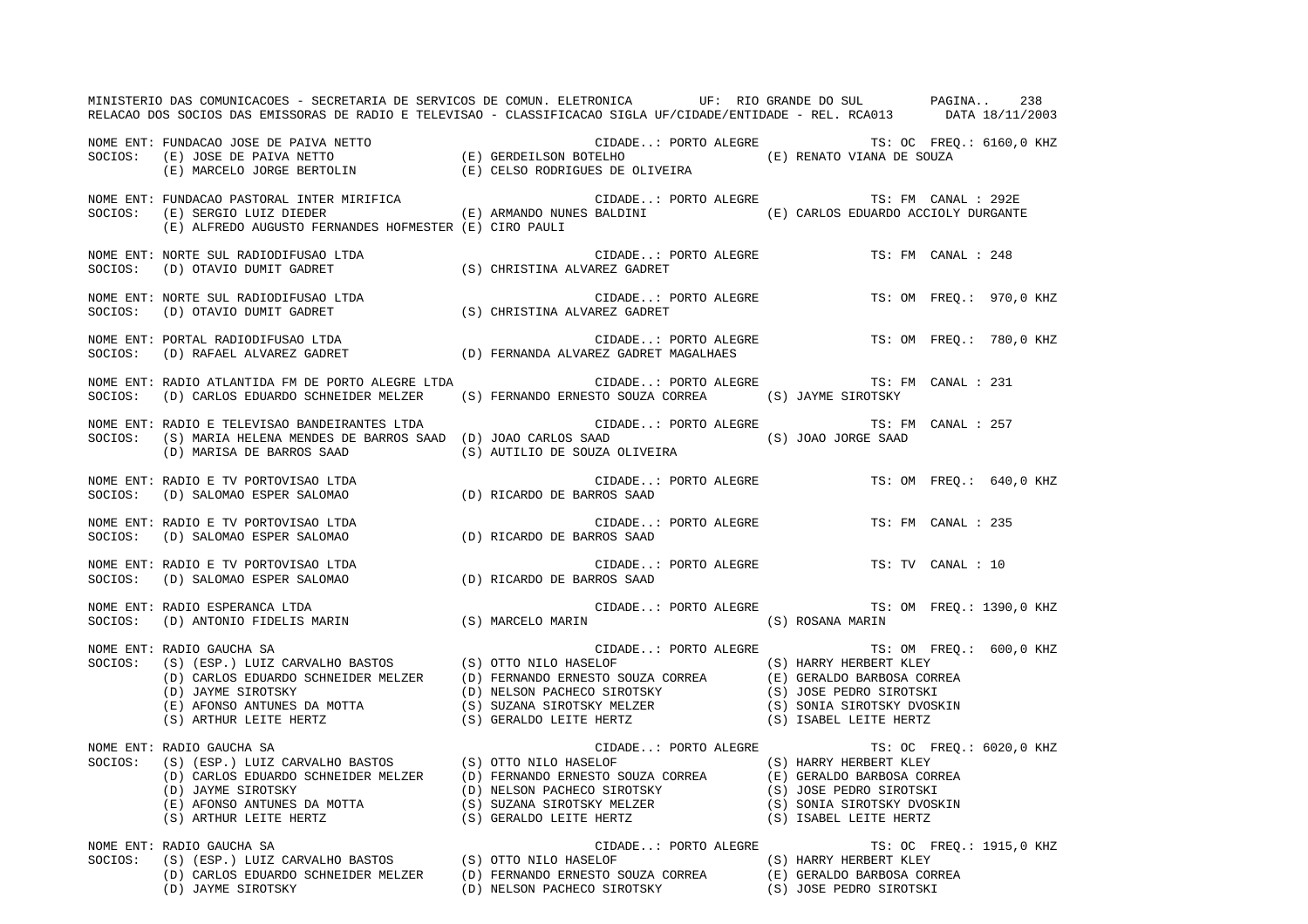MINISTERIO DAS COMUNICACOES - SECRETARIA DE SERVICOS DE COMUN. ELETRONICA UF: RIO GRANDE DO SUL PAGINA.. 238 RELACAO DOS SOCIOS DAS EMISSORAS DE RADIO E TELEVISAO - CLASSIFICACAO SIGLA UF/CIDADE/ENTIDADE - REL. RCA013 DATA 18/11/2003 NOME ENT: FUNDACAO JOSE DE PAIVA NETTO CIDADE..: PORTO ALEGRE TS: OC FREQ.: 6160,0 KHZ SOCIOS: (E) JOSE DE PAIVA NETTO (E) GERDEILSON BOTELHO (E) RENATO VIANA DE SOUZA (E) MARCELO JORGE BERTOLIN (E) CELSO RODRIGUES DE OLIVEIRA NOME ENT: FUNDACAO PASTORAL INTER MIRIFICA CIDADE..: PORTO ALEGRE TS: FM CANAL : 292E SOCIOS: (E) SERGIO LUIZ DIEDER (E) ARMANDO NUNES BALDINI (E) CARLOS EDUARDO ACCIOLY DURGANTE (E) ALFREDO AUGUSTO FERNANDES HOFMESTER (E) CIRO PAULI NOME ENT: NORTE SUL RADIODIFUSAO LTDA CIDADE..: PORTO ALEGRE TS: FM CANAL : 248SOCIOS: (D) OTAVIO DUMIT GADRET (S) CHRISTINA ALVAREZ GADRET NOME ENT: NORTE SUL RADIODIFUSAO LTDA CIDADE..: PORTO ALEGRE TS: OM FREQ.: 970,0 KHZ SOCIOS: (D) OTAVIO DUMIT GADRET (S) CHRISTINA ALVAREZ GADRET NOME ENT: PORTAL RADIODIFUSAO LTDA CIDADE..: PORTO ALEGRE TS: OM FREQ.: 780,0 KHZ SOCIOS: (D) RAFAEL ALVAREZ GADRET (D) FERNANDA ALVAREZ GADRET MAGALHAES NOME ENT: RADIO ATLANTIDA FM DE PORTO ALEGRE LTDA CIDADE..: PORTO ALEGRE TS: FM CANAL : 231 SOCIOS: (D) CARLOS EDUARDO SCHNEIDER MELZER (S) FERNANDO ERNESTO SOUZA CORREA (S) JAYME SIROTSKY NOME ENT: RADIO E TELEVISAO BANDEIRANTES LTDA CIDADE..: PORTO ALEGRE TS: FM CANAL : 257SOCIOS: (S) MARIA HELENA MENDES DE BARROS SAAD (D) JOAO CARLOS SAAD (S) JOAO JORGE SAAD (D) MARISA DE BARROS SAAD (S) AUTILIO DE SOUZA OLIVEIRA NOME ENT: RADIO E TV PORTOVISAO LTDA  $\sim$  CIDADE..: PORTO ALEGRE TS: OM FREQ.: 640,0 KHZ SOCIOS: (D) SALOMAO ESPER SALOMAO (D) RICARDO DE BARROS SAAD NOME ENT: RADIO E TV PORTOVISAO LTDA CIDADE..: PORTO ALEGRE TS: FM CANAL : 235SOCIOS: (D) SALOMAO ESPER SALOMAO (D) RICARDO DE BARROS SAAD NOME ENT: RADIO E TV PORTOVISAO LTDA CIDADE..: PORTO ALEGRE TS: TV CANAL : 10 SOCIOS: (D) SALOMAO ESPER SALOMAO (D) RICARDO DE BARROS SAAD NOME ENT: RADIO ESPERANCA LTDA CIDADE..: PORTO ALEGRE TS: OM FREQ.: 1390,0 KHZ SOCIOS: (D) ANTONIO FIDELIS MARIN (S) MARCELO MARIN (S) ROSANA MARIN NOME ENT: RADIO GAUCHA SA CIDADE..: PORTO ALEGRE TS: OM FREQ.: 600,0 KHZ SOCIOS: (S) (ESP.) LUIZ CARVALHO BASTOS (S) OTTO NILO HASELOF (S) HARRY HERBERT KLEY (D) CARLOS EDUARDO SCHNEIDER MELZER (D) FERNANDO ERNESTO SOUZA CORREA (E) GERALDO BARBOSA CORREA (D) JAYME SIROTSKY (D) NELSON PACHECO SIROTSKY (S) JOSE PEDRO SIROTSKI (E) AFONSO ANTUNES DA MOTTA (S) SUZANA SIROTSKY MELZER (S) SONIA SIROTSKY DVOSKIN (S) ARTHUR LEITE HERTZ (S) GERALDO LEITE HERTZ (S) ISABEL LEITE HERTZ NOME ENT: RADIO GAUCHA SA **CIDADE..: PORTO ALEGRE** TS: OC FREQ.: 6020,0 KHZ SOCIOS: (S) (ESP.) LUIZ CARVALHO BASTOS (S) OTTO NILO HASELOF (S) HARRY HERBERT KLEY (D) CARLOS EDUARDO SCHNEIDER MELZER (D) FERNANDO ERNESTO SOUZA CORREA (E) GERALDO BARBOSA CORREA (D) JAYME SIROTSKY (D) NELSON PACHECO SIROTSKY (S) JOSE PEDRO SIROTSKI (E) AFONSO ANTUNES DA MOTTA (S) SUZANA SIROTSKY MELZER (S) SONIA SIROTSKY DVOSKIN (S) ARTHUR LEITE HERTZ (S) GERALDO LEITE HERTZ (S) ISABEL LEITE HERTZ NOME ENT: RADIO GAUCHA SA **SAN ANGLE 1998** CIDADE..: PORTO ALEGRE TS: OC FREQ.: 1915,0 KHZ SOCIOS: (S) (ESP.) LUIZ CARVALHO BASTOS (S) OTTO NILO HASELOF (S) HARRY HERBERT KLEY (D) CARLOS EDUARDO SCHNEIDER MELZER (D) FERNANDO ERNESTO SOUZA CORREA (E) GERALDO BARBOSA CORREA (D) JAYME SIROTSKY (D) NELSON PACHECO SIROTSKY (S) JOSE PEDRO SIROTSKI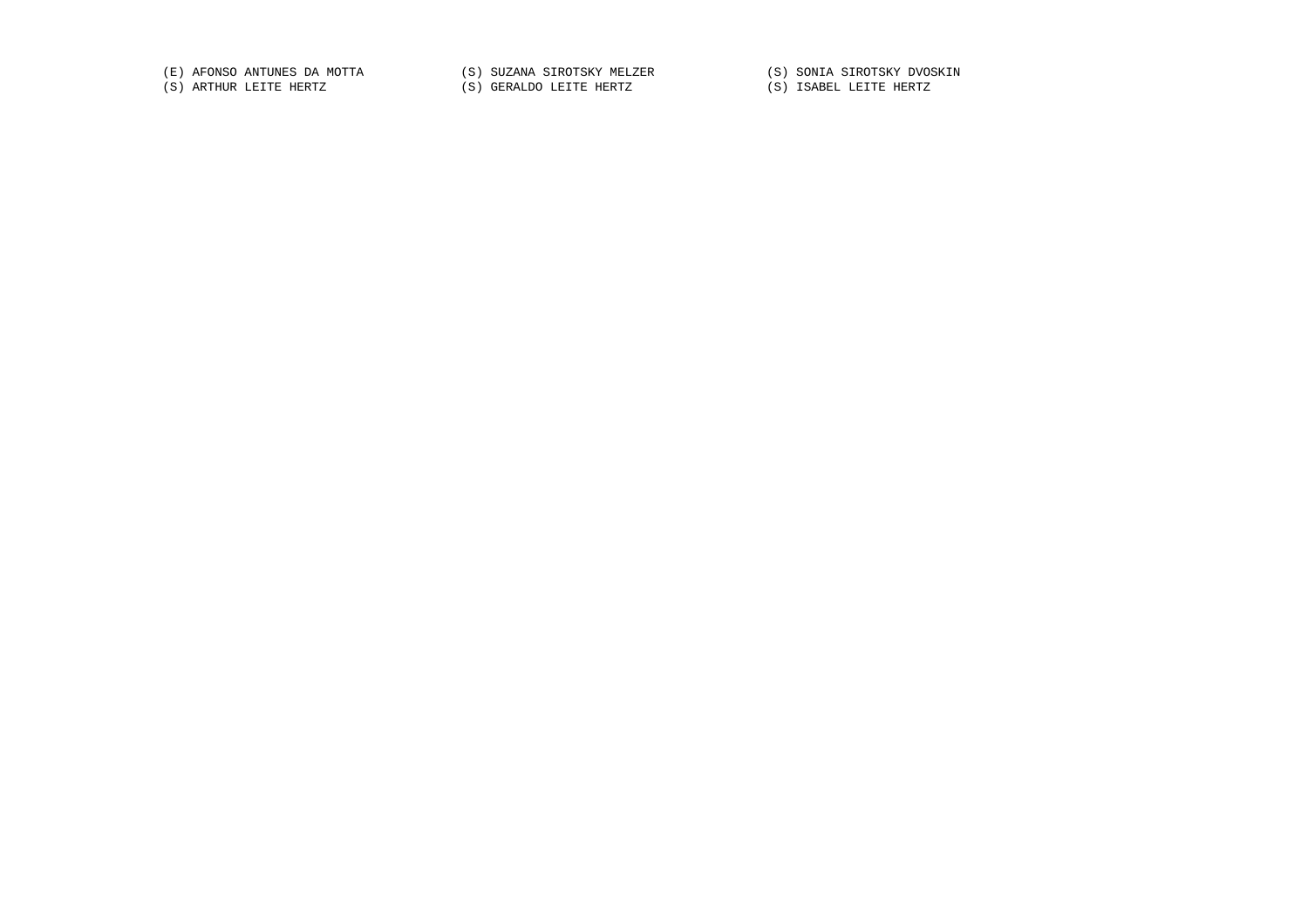(E) AFONSO ANTUNES DA MOTTA (S) SUZANA SIROTSKY MELZER (S) SONIA SIROTSKY DVOSKIN (S) ARTHUR LEITE HERTZ (S) GERALDO LEITE HERTZ (S) ISABEL LEITE HERTZ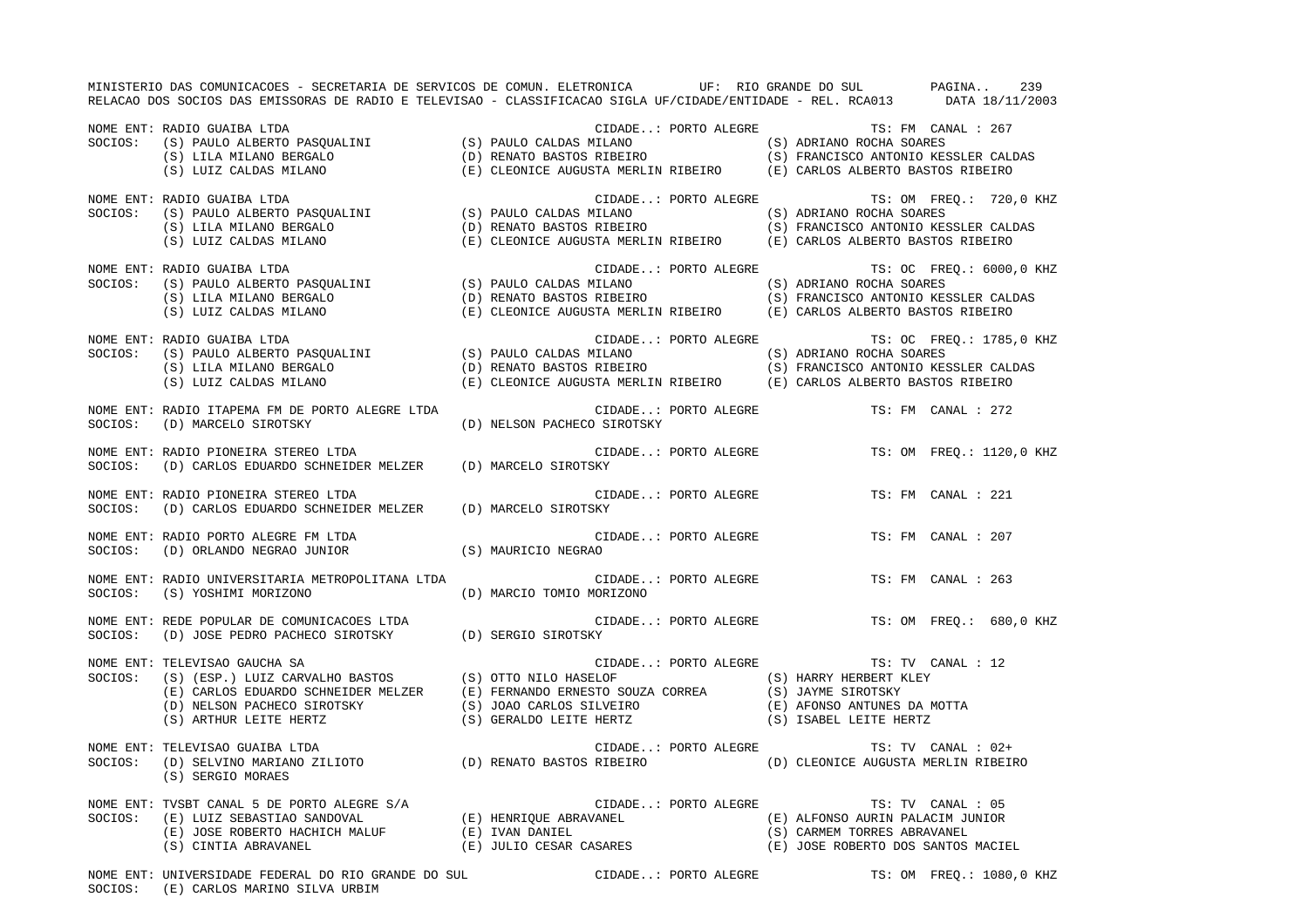MINISTERIO DAS COMUNICACOES - SECRETARIA DE SERVICOS DE COMUN. ELETRONICA UF: RIO GRANDE DO SUL PAGINA.. 239 RELACAO DOS SOCIOS DAS EMISSORAS DE RADIO E TELEVISAO - CLASSIFICACAO SIGLA UF/CIDADE/ENTIDADE - REL. RCA013 DATA 18/11/2003 NOME ENT: RADIO GUAIBA LTDA CONSTRUITED AND SERVICE CIDADE..: PORTO ALEGRE TS: FM CANAL : 267 SOCIOS: (S) PAULO ALBERTO PASQUALINI (S) PAULO CALDAS MILANO (S) ADRIANO ROCHA SOARES (S) LILA MILANO BERGALO (D) RENATO BASTOS RIBEIRO (S) FRANCISCO ANTONIO KESSLER CALDAS (S) LUIZ CALDAS MILANO (E) CLEONICE AUGUSTA MERLIN RIBEIRO (E) CARLOS ALBERTO BASTOS RIBEIRO NOME ENT: RADIO GUAIBA LTDA CIDADE..: PORTO ALEGRE TS: OM FREQ.: 720,0 KHZ SOCIOS: (S) PAULO ALBERTO PASQUALINI (S) PAULO CALDAS MILANO (S) ADRIANO ROCHA SOARES (S) LILA MILANO BERGALO (D) RENATO BASTOS RIBEIRO (S) FRANCISCO ANTONIO KESSLER CALDAS (S) LUIZ CALDAS MILANO (E) CLEONICE AUGUSTA MERLIN RIBEIRO (E) CARLOS ALBERTO BASTOS RIBEIRO NOME ENT: RADIO GUAIBA LTDA CIDADE..: PORTO ALEGRE TS: OC FREQ.: 6000,0 KHZ SOCIOS: (S) PAULO ALBERTO PASQUALINI (S) PAULO CALDAS MILANO (S) ADRIANO ROCHA SOARES (S) LILA MILANO BERGALO (D) RENATO BASTOS RIBEIRO (S) FRANCISCO ANTONIO KESSLER CALDAS (S) LUIZ CALDAS MILANO (E) CLEONICE AUGUSTA MERLIN RIBEIRO (E) CARLOS ALBERTO BASTOS RIBEIRO NOME ENT: RADIO GUAIBA LTDA CIDADE..: PORTO ALEGRE TS: OC FREQ.: 1785,0 KHZ SOCIOS: (S) PAULO ALBERTO PASQUALINI (S) PAULO CALDAS MILANO (S) ADRIANO ROCHA SOARES (S) LILA MILANO BERGALO (D) RENATO BASTOS RIBEIRO (S) FRANCISCO ANTONIO KESSLER CALDAS (S) LUIZ CALDAS MILANO (E) CLEONICE AUGUSTA MERLIN RIBEIRO (E) CARLOS ALBERTO BASTOS RIBEIRO NOME ENT: RADIO ITAPEMA FM DE PORTO ALEGRE LTDA CIDADE..: PORTO ALEGRE TS: FM CANAL : 272SOCIOS: (D) MARCELO SIROTSKY (D) NELSON PACHECO SIROTSKY NOME ENT: RADIO PIONEIRA STEREO LTDA CIDADE..: PORTO ALEGRE TS: OM FREQ.: 1120,0 KHZ SOCIOS: (D) CARLOS EDUARDO SCHNEIDER MELZER (D) MARCELO SIROTSKY NOME ENT: RADIO PIONEIRA STEREO LTDA CIDADE..: PORTO ALEGRE TS: FM CANAL : 221 SOCIOS: (D) CARLOS EDUARDO SCHNEIDER MELZER (D) MARCELO SIROTSKY NOME ENT: RADIO PORTO ALEGRE FM LTDA CIDADE..: PORTO ALEGRE TS: FM CANAL : 207SOCIOS: (D) ORLANDO NEGRAO JUNIOR (S) MAURICIO NEGRAO NOME ENT: RADIO UNIVERSITARIA METROPOLITANA LTDA CIDADE..: PORTO ALEGRE TS: FM CANAL : 263SOCIOS: (S) YOSHIMI MORIZONO (D) MARCIO TOMIO MORIZONO NOME ENT: REDE POPULAR DE COMUNICACOES LTDA  $\Box$  CIDADE..: PORTO ALEGRE  $\Box$  TS: OM FREQ.: 680,0 KHZ SOCIOS: (D) JOSE PEDRO PACHECO SIROTSKY (D) SERGIO SIROTSKY NOME ENT: TELEVISAO GAUCHA SA CHORO ENTERE TELEVISAO GAUCHA SA CHORO ENTEREMENTE TELEVISAO GAUCHA SA TS: TV CANAL : 12 SOCIOS: (S) (ESP.) LUIZ CARVALHO BASTOS (S) OTTO NILO HASELOF (S) HARRY HERBERT KLEY (E) CARLOS EDUARDO SCHNEIDER MELZER (E) FERNANDO ERNESTO SOUZA CORREA (S) JAYME SIROTSKY (D) NELSON PACHECO SIROTSKY (S) JOAO CARLOS SILVEIRO (E) AFONSO ANTUNES DA MOTTA (S) ARTHUR LEITE HERTZ (S) GERALDO LEITE HERTZ (S) ISABEL LEITE HERTZ NOME ENT: TELEVISAO GUAIBA LTDA **CIDADE.**.: PORTO ALEGRE TS: TV CANAL : 02+ SOCIOS: (D) SELVINO MARIANO ZILIOTO (D) RENATO BASTOS RIBEIRO (D) CLEONICE AUGUSTA MERLIN RIBEIRO (S) SERGIO MORAES NOME ENT: TVSBT CANAL 5 DE PORTO ALEGRE S/A CIDADE..: PORTO ALEGRE TS: TV CANAL : 05 SOCIOS: (E) LUIZ SEBASTIAO SANDOVAL (E) HENRIQUE ABRAVANEL (E) ALFONSO AURIN PALACIM JUNIOR (E) JOSE ROBERTO HACHICH MALUF (E) IVAN DANIEL (S) CARMEM TORRES ABRAVANEL (E) JOSE ROBERTO HACHICH MALUF (E) IVAN DANIEL (S) CARMEM TORRES ABRAVANEL (S) CINTIA ABRAVANEL (S) CONSERES (E) JOSE ROBERTO DOS SANTOS MACIEL NOME ENT: UNIVERSIDADE FEDERAL DO RIO GRANDE DO SUL CIDADE..: PORTO ALEGRE TS: OM FREQ.: 1080,0 KHZ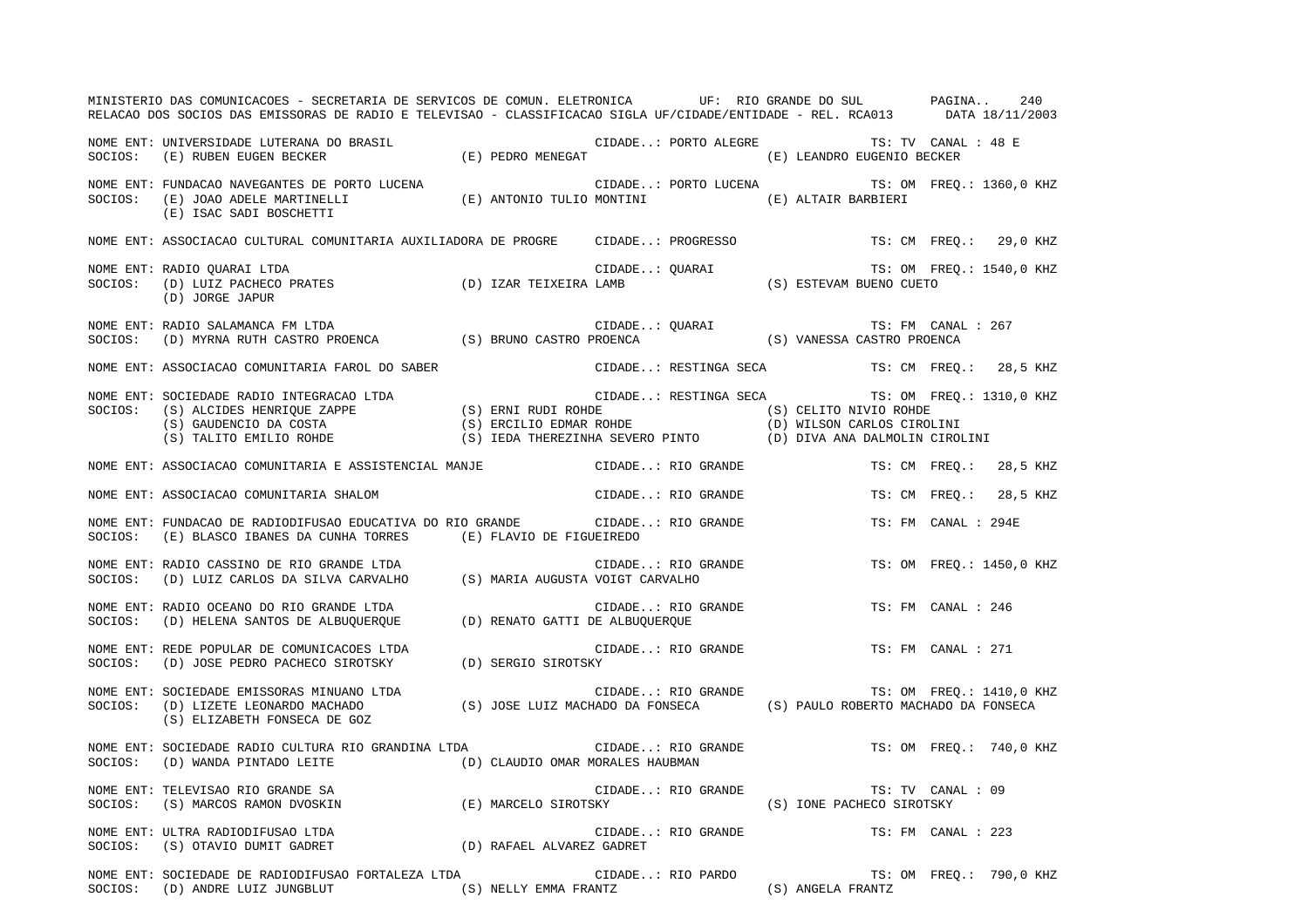|         | MINISTERIO DAS COMUNICACOES - SECRETARIA DE SERVICOS DE COMUN. ELETRONICA UF: RIO GRANDE DO SUL PAGINA<br>RELACAO DOS SOCIOS DAS EMISSORAS DE RADIO E TELEVISAO - CLASSIFICACAO SIGLA UF/CIDADE/ENTIDADE - REL. RCA013 DATA 18/11/2003                                     |                                               |                                                |                           |               |                          | 240      |
|---------|----------------------------------------------------------------------------------------------------------------------------------------------------------------------------------------------------------------------------------------------------------------------------|-----------------------------------------------|------------------------------------------------|---------------------------|---------------|--------------------------|----------|
|         | NOME ENT: UNIVERSIDADE LUTERANA DO BRASIL (E) PEDRO MENEGAT (E) CIDADE: PORTO ALEGRE<br>SOCIOS: (E) RUBEN EUGEN BECKER (E) PEDRO MENEGAT (E) (E) ORTO ALEGRE (E) LEANDRO EUGENIO BECKER                                                                                    |                                               | CIDADE: PORTO ALEGRE TS: TV CANAL : 48 E       |                           |               |                          |          |
|         | NOME ENT: FUNDACAO NAVEGANTES DE PORTO LUCENA (E) ANTONIO TULIO MONTINI (E) ALTAIR BARBIERI SOCIOS: (E) JOAO ADELE MARTINELLI (E) ANTONIO TULIO MONTINI (E) ALTAIR BARBIERI<br>(E) ISAC SADI BOSCHETTI                                                                     | CIDADE: PORTO LUCENA TS: OM FREQ.: 1360,0 KHZ |                                                |                           |               |                          |          |
|         | NOME ENT: ASSOCIACAO CULTURAL COMUNITARIA AUXILIADORA DE PROGRE CIDADE: PROGRESSO                                                                                                                                                                                          |                                               |                                                |                           |               | TS: CM FREQ.: 29,0 KHZ   |          |
| SOCIOS: | RADIO QUARAI LTDA TE: OM FI CIDADE: QUARAI TE: OM TE: OM FI (D) LUIZ PACHECO PRATES<br>(D) LUIZ PACHECO PRATES (D) IZAR TEIXEIRA LAMB (S) ESTEVAM BUENO CUETO (D) JORGE JAPIR<br>NOME ENT: RADIO OUARAI LTDA<br>(D) JORGE JAPUR                                            |                                               |                                                |                           |               | TS: OM FREQ.: 1540,0 KHZ |          |
| SOCIOS: | NOME ENT: RADIO SALAMANCA FM LTDA                                                                                                                                                                                                                                          |                                               |                                                |                           |               | TS: FM CANAL : 267       |          |
|         | NOME ENT: ASSOCIACAO COMUNITARIA FAROL DO SABER                                                                                                                                                                                                                            |                                               | CIDADE: RESTINGA SECA                          |                           |               | TS: CM FREQ.: 28,5 KHZ   |          |
| SOCIOS: | NOME ENT: SOCIEDADE RADIO INTEGRACAO LTDA<br>SUCIEDADE RENALO INTEGRACAO LTDA (S) ERNI RUDI ROHDE (S) ALCIDES HENRIQUE ZAPPE (S) ERNI RUDI ROHDE (S) CELITO NIVIO ROHDE (S) GAUDENCIO DA COSTA (S) ERCILIO EDMAR ROHDE (S) ORILSON CARLOS CIROLINI (S) TALITO EMILIO ROHDE |                                               | CIDADE: RESTINGA SECA TS: OM FREO.: 1310,0 KHZ |                           |               |                          |          |
|         | NOME ENT: ASSOCIACAO COMUNITARIA E ASSISTENCIAL MANJE (CIDADE: RIO GRANDE                                                                                                                                                                                                  |                                               |                                                |                           | TS: CM FREO.: |                          | 28,5 KHZ |
|         | NOME ENT: ASSOCIACAO COMUNITARIA SHALOM                                                                                                                                                                                                                                    |                                               | CIDADE: RIO GRANDE                             |                           | TS: CM FREO.: |                          | 28,5 KHZ |
| SOCIOS: | NOME ENT: FUNDACAO DE RADIODIFUSAO EDUCATIVA DO RIO GRANDE (IDADE: RIO GRANDE<br>(E) BLASCO IBANES DA CUNHA TORRES (E) FLAVIO DE FIGUEIREDO                                                                                                                                |                                               |                                                |                           |               | TS: FM CANAL : 294E      |          |
| SOCIOS: | NOME ENT: RADIO CASSINO DE RIO GRANDE LTDA<br>(D) LUIZ CARLOS DA SILVA CARVALHO (S) MARIA AUGUSTA VOIGT CARVALHO                                                                                                                                                           |                                               | CIDADE: RIO GRANDE                             |                           |               | TS: OM FREO.: 1450,0 KHZ |          |
| SOCIOS: | NOME ENT: RADIO OCEANO DO RIO GRANDE LTDA<br>KADIO OCEANO DO RIO GRANDE LTDA<br>(D) HELENA SANTOS DE ALBUQUERQUE (D) RENATO GATTI DE ALBUQUERQUE                                                                                                                           |                                               | CIDADE: RIO GRANDE                             |                           |               | TS: FM CANAL : 246       |          |
| SOCIOS: | NOME ENT: REDE POPULAR DE COMUNICACOES LTDA<br>(D) JOSE PEDRO PACHECO SIROTSKY (D) SERGIO SIROTSKY                                                                                                                                                                         |                                               | CIDADE: RIO GRANDE                             |                           |               | TS: FM CANAL : 271       |          |
|         | NOME ENT: SOCIEDADE EMISSORAS MINUANO LTDA<br>SOCIOS: (D) LIZETE LEONARDO MACHADO (S) JOSE LUIZ MACHADO DA FONSECA (S) PAULO ROBERTO MACHADO DA FONSECA<br>(S) ELIZABETH FONSECA DE GOZ                                                                                    |                                               |                                                |                           |               | TS: OM FREQ.: 1410,0 KHZ |          |
| SOCIOS: | NOME ENT: SOCIEDADE RADIO CULTURA RIO GRANDINA LTDA CIDADE: RIO GRANDE TS: OM FREQ.: 740,0 KHZ<br>$\qquad \qquad \text{(D) WANDA PINTADO LEITE} \qquad \qquad \text{(D) CLAUDIO OMAR MORALES HAUBMAN}$                                                                     |                                               |                                                |                           |               |                          |          |
|         | NOME ENT: TELEVISAO RIO GRANDE SA                                                                                                                                                                                                                                          |                                               | CIDADE: RIO GRANDE                             | (S) IONE PACHECO SIROTSKY |               | TS: TV CANAL : 09        |          |
|         |                                                                                                                                                                                                                                                                            |                                               | CIDADE: RIO GRANDE                             |                           |               | TS: FM CANAL : 223       |          |
|         |                                                                                                                                                                                                                                                                            |                                               |                                                |                           |               |                          |          |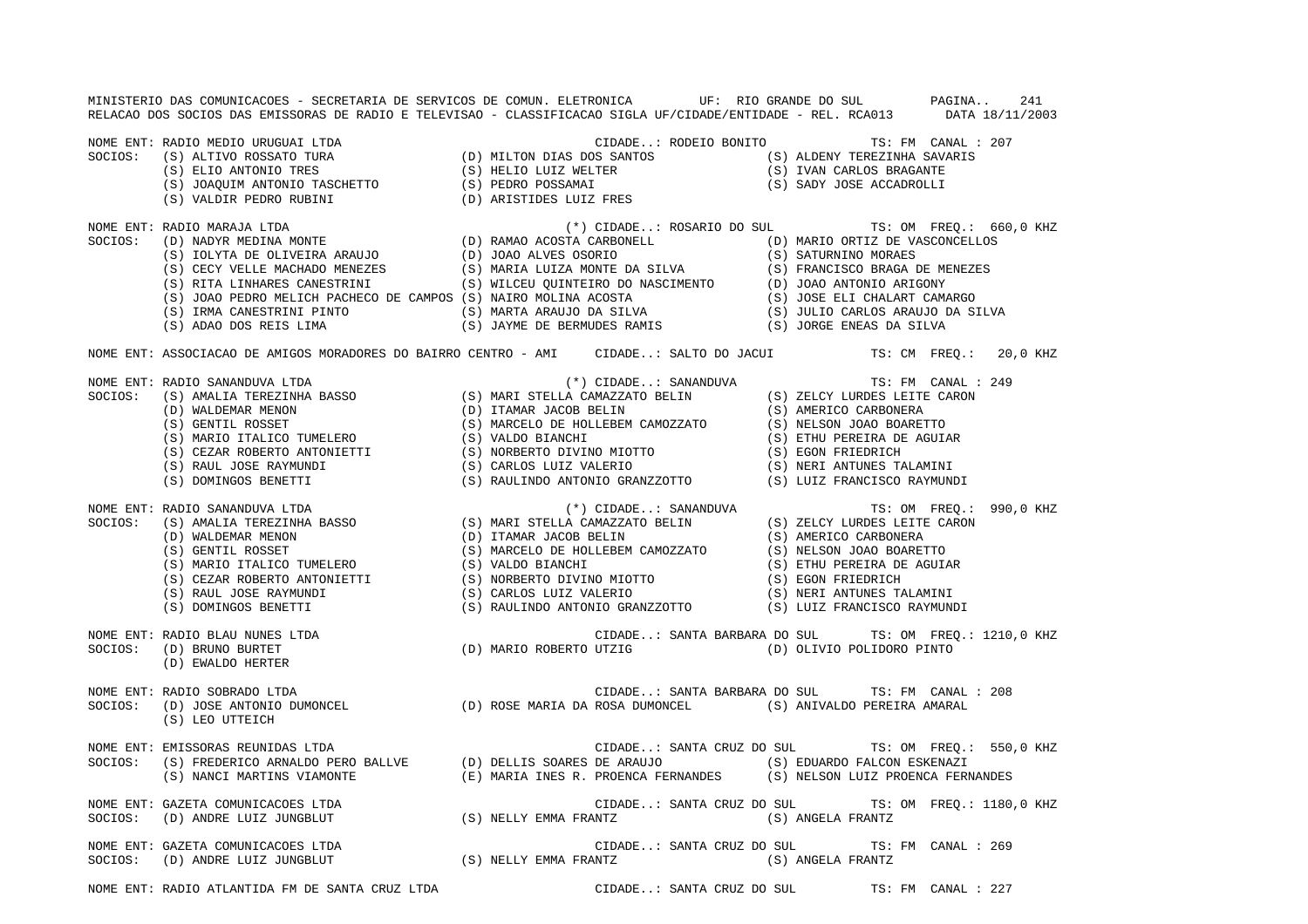MINISTERIO DAS COMUNICACOES - SECRETARIA DE SERVICOS DE COMUN. ELETRONICA UF: RIO GRANDE DO SUL PAGINA.. 241 RELACAO DOS SOCIOS DAS EMISSORAS DE RADIO E TELEVISAO - CLASSIFICACAO SIGLA UF/CIDADE/ENTIDADE - REL. RCA013 DATA 18/11/2003 NOME ENT: RADIO MEDIO URUGUAI LTDA CIDADE..: RODEIO BONITO TS: FM CANAL : 207SOCIOS: (S) ALTIVO ROSSATO TURA (D) MILTON DIAS DOS SANTOS (S) ALDENY TEREZINHA SAVARIS (S) ELIO ANTONIO TRES (S) HELIO LUIZ WELTER (S) IVAN CARLOS BRAGANTE (S) JOAQUIM ANTONIO TASCHETTO (S) PEDRO POSSAMAI (S) SADY JOSE ACCADROLLI (S) VALDIR PEDRO RUBINI (D) ARISTIDES LUIZ FRES NOME ENT: RADIO MARAJA LTDA (\*) CIDADE..: ROSARIO DO SUL TS: OM FREQ.: 660,0 KHZ SOCIOS: (D) NADYR MEDINA MONTE (D) RAMAO ACOSTA CARBONELL (D) MARIO ORTIZ DE VASCONCELLOS (S) IOLYTA DE OLIVEIRA ARAUJO (D) JOAO ALVES OSORIO (S) SATURNINO MORAES (S) CECY VELLE MACHADO MENEZES (S) MARIA LUIZA MONTE DA SILVA (S) FRANCISCO BRAGA DE MENEZES (S) RITA LINHARES CANESTRINI (S) WILCEU QUINTEIRO DO NASCIMENTO (D) JOAO ANTONIO ARIGONY (S) JOAO PEDRO MELICH PACHECO DE CAMPOS (S) NAIRO MOLINA ACOSTA (S) JOSE ELI CHALART CAMARGO (S) IRMA CANESTRINI PINTO (S) MARTA ARAUJO DA SILVA (S) JULIO CARLOS ARAUJO DA SILVA (S) ADAO DOS REIS LIMA (S) JAYME DE BERMUDES RAMIS (S) JORGE ENEAS DA SILVA NOME ENT: ASSOCIACAO DE AMIGOS MORADORES DO BAIRRO CENTRO - AMI CIDADE..: SALTO DO JACUI TS: CM FREQ.: 20,0 KHZ NOME ENT: RADIO SANANDUVA LTDA (\*) CIDADE..: SANANDUVA TS: FM CANAL : 249<br>
SOCIOS: (S) AMALIA TEREZINHA BASSO (S) MARI STELLA CAMAZZATO BELIN (S) ZELCY LURDES LEITE CARON<br>
(D) ITAMAR JACOB BELIN (S) AMERICO CARBONERA<br>
(S) (S) MARI STELLA CAMAZZATO BELIN (S) ZELCY LURDES LEITE CARON (D) WALDEMAR MENON (D) ITAMAR JACOB BELIN (S) AMERICO CARBONERA (S) GENTIL ROSSET (S) MARCELO DE HOLLEBEM CAMOZZATO (S) NELSON JOAO BOARETTO (S) MARIO ITALICO TUMELERO (S) VALDO BIANCHI (S) ETHU PEREIRA DE AGUIAR (S) CEZAR ROBERTO ANTONIETTI (S) NORBERTO DIVINO MIOTTO (S) EGON FRIEDRICH (S) RAUL JOSE RAYMUNDI (S) CARLOS LUIZ VALERIO (S) NERI ANTUNES TALAMINI (S) DOMINGOS BENETTI (S) RAULINDO ANTONIO GRANZZOTTO (S) LUIZ FRANCISCO RAYMUNDI NOME ENT: RADIO SANANDUVA LTDA (\*) CIDADE..: SANANDUVA TS: OM FREQ.: 990,0 KHZ SOCIOS: (S) AMALIA TEREZINHA BASSO (S) MARI STELLA CAMAZZATO BELIN (S) ZELCY LURDES LEITE CARON (D) WALDEMAR MENON (D) ITAMAR JACOB BELIN (S) AMERICO CARBONERA (S) GENTIL ROSSET (S) MARCELO DE HOLLEBEM CAMOZZATO (S) NELSON JOAO BOARETTO (S) MARIO ITALICO TUMELERO (S) VALDO BIANCHI (S) ETHU PEREIRA DE AGUIAR (S) CEZAR ROBERTO ANTONIETTI (S) NORBERTO DIVINO MIOTTO (S) EGON FRIEDRICH (S) RAUL JOSE RAYMUNDI (S) CARLOS LUIZ VALERIO (S) NERI ANTUNES TALAMINI (S) DOMINGOS BENETTI (S) RAULINDO ANTONIO GRANZZOTTO (S) LUIZ FRANCISCO RAYMUNDI NOME ENT: RADIO BLAU NUNES LTDA CIDADE..: SANTA BARBARA DO SUL TS: OM FREQ.: 1210,0 KHZ SOCIOS: (D) BRUNO BURTET (D) MARIO ROBERTO UTZIG (D) OLIVIO POLIDORO PINTO (D) EWALDO HERTER NOME ENT: RADIO SOBRADO LTDA CIDADE..: SANTA BARBARA DO SUL TS: FM CANAL : 208 SOCIOS: (D) JOSE ANTONIO DUMONCEL (D) ROSE MARIA DA ROSA DUMONCEL (S) ANIVALDO PEREIRA AMARAL (S) LEO UTTEICH NOME ENT: EMISSORAS REUNIDAS LTDA CIDADE..: SANTA CRUZ DO SUL TS: OM FREQ.: 550,0 KHZ SOCIOS: (S) FREDERICO ARNALDO PERO BALLVE (D) DELLIS SOARES DE ARAUJO (S) EDUARDO FALCON ESKENAZI (S) NANCI MARTINS VIAMONTE (E) MARIA INES R. PROENCA FERNANDES (S) NELSON LUIZ PROENCA FERNANDES NOME ENT: GAZETA COMUNICACOES LTDA CIDADE..: SANTA CRUZ DO SUL TS: OM FREQ.: 1180,0 KHZ SOCIOS: (D) ANDRE LUIZ JUNGBLUT (S) NELLY EMMA FRANTZ (S) ANGELA FRANTZ NOME ENT: GAZETA COMUNICACOES LTDA CIDADE..: SANTA CRUZ DO SUL TS: FM CANAL : 269SOCIOS: (D) ANDRE LUIZ JUNGBLUT (S) NELLY EMMA FRANTZ (S) ANGELA FRANTZ NOME ENT: RADIO ATLANTIDA FM DE SANTA CRUZ LTDA CIDADE..: SANTA CRUZ DO SUL TS: FM CANAL : 227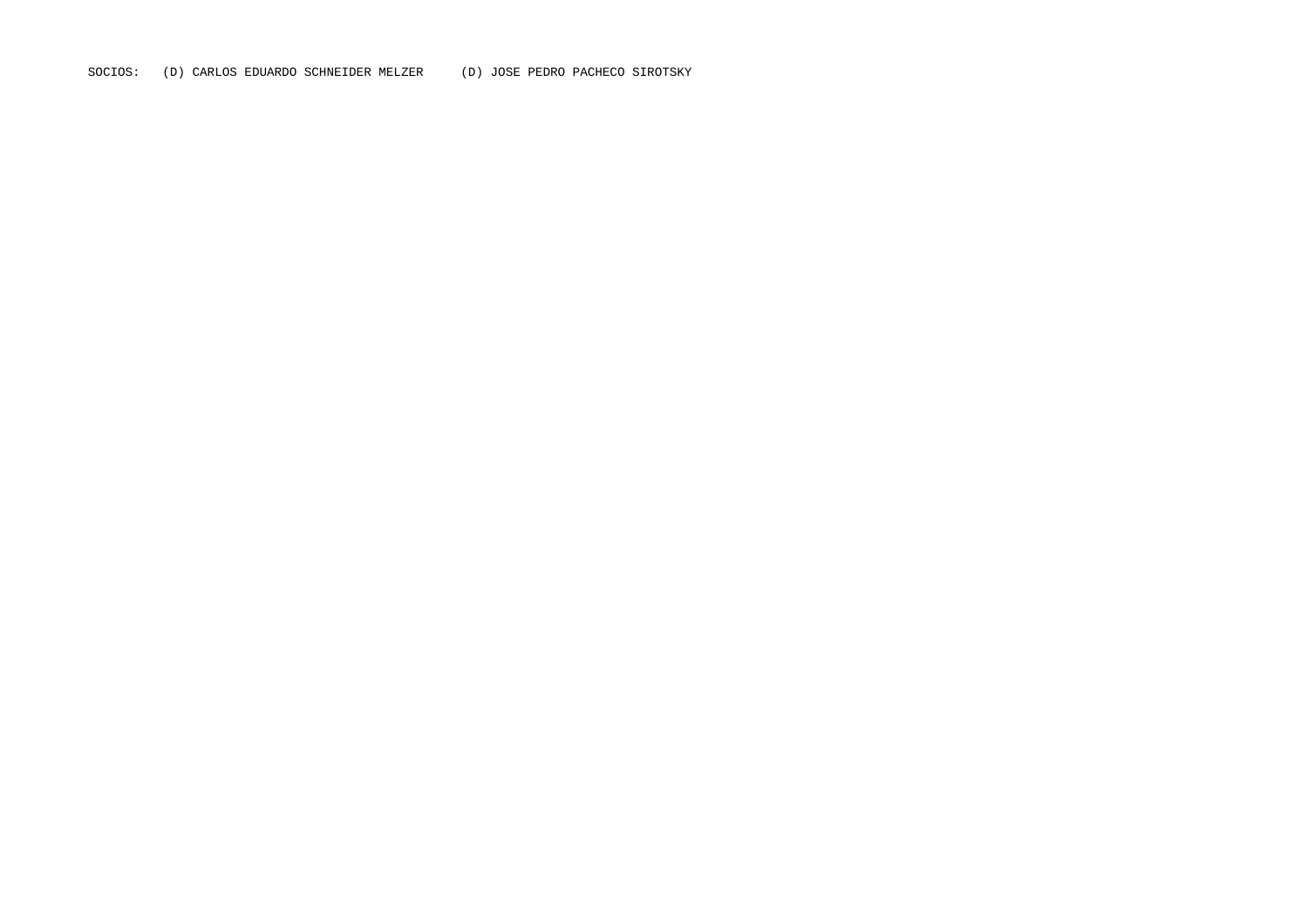SOCIOS: (D) CARLOS EDUARDO SCHNEIDER MELZER (D) JOSE PEDRO PACHECO SIROTSKY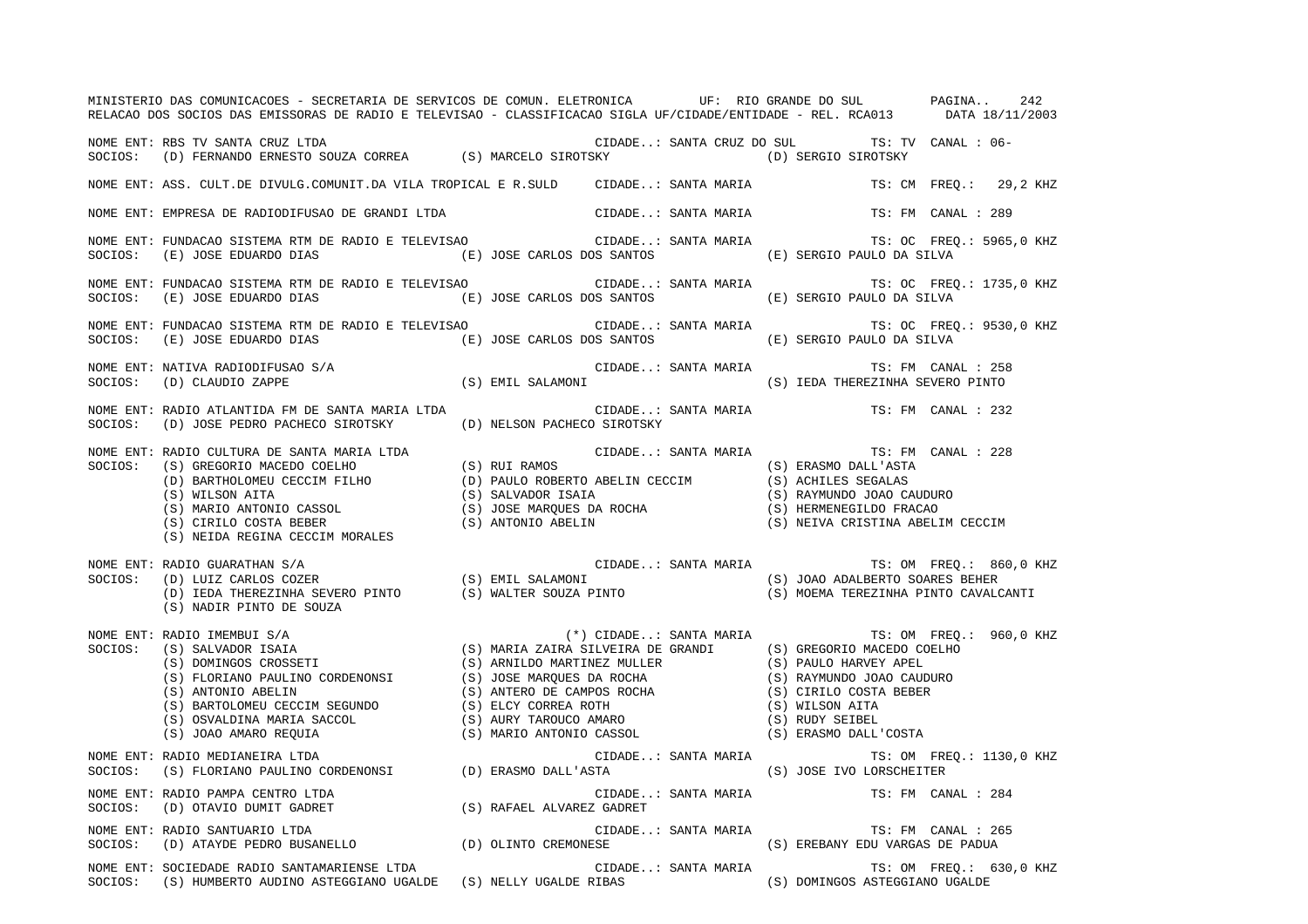|         | MINISTERIO DAS COMUNICACOES - SECRETARIA DE SERVICOS DE COMUN. ELETRONICA UP: RIO GRANDE DO SUL PAGINA<br>RELACAO DOS SOCIOS DAS EMISSORAS DE RADIO E TELEVISAO - CLASSIFICACAO SIGLA UF/CIDADE/ENTIDADE - REL. RCA013 DATA 18/11/2003                                                                                                                                                                                              |                     |                                                                          | 242                      |
|---------|-------------------------------------------------------------------------------------------------------------------------------------------------------------------------------------------------------------------------------------------------------------------------------------------------------------------------------------------------------------------------------------------------------------------------------------|---------------------|--------------------------------------------------------------------------|--------------------------|
|         | NOME ENT: RBS TV SANTA CRUZ LTDA<br>SOCIOS: (D) FERNANDO ERNESTO SOUZA CORREA (S) MARCELO SIROTSKY (D) SERGIO SIROTSKY                                                                                                                                                                                                                                                                                                              |                     |                                                                          |                          |
|         | NOME ENT: ASS. CULT.DE DIVULG.COMUNIT.DA VILA TROPICAL E R.SULD CIDADE: SANTA MARIA TS: CM FREQ.: 29,2 KHZ                                                                                                                                                                                                                                                                                                                          |                     |                                                                          |                          |
|         | NOME ENT: EMPRESA DE RADIODIFUSAO DE GRANDI LTDA                                                                                                                                                                                                                                                                                                                                                                                    | CIDADE: SANTA MARIA |                                                                          | TS: FM CANAL : 289       |
| SOCIOS: | NOME ENT: FUNDACAO SISTEMA RTM DE RADIO E TELEVISAO<br>$\verb (E) JOSE EDUARDO DIAS  C) JOSE CARLOS DOS SANTOS  DOS SANTOS  DASERGIO PAULO DA SILVA E.$                                                                                                                                                                                                                                                                             |                     | CIDADE: SANTA MARIA TS: OC FREQ.: 5965,0 KHZ                             |                          |
| SOCIOS: | NOME ENT: FUNDACAO SISTEMA RTM DE RADIO E TELEVISAO<br>(E) JOSE EDUARDO DIAS (E) JOSE CARLOS DOS SANTOS (E) SERGIO PAULO DA SILVA                                                                                                                                                                                                                                                                                                   |                     | CIDADE: SANTA MARIA                                                      | TS: OC FREQ.: 1735,0 KHZ |
| SOCIOS: | NOME ENT: FUNDACAO SISTEMA RTM DE RADIO E TELEVISAO<br>(E) JOSE EDUARDO DIAS (E) JOSE CARLOS DOS SANTOS (E) SERGIO PAULO DA SILVA                                                                                                                                                                                                                                                                                                   |                     | CIDADE: SANTA MARIA                                                      | TS: OC FREQ.: 9530,0 KHZ |
|         |                                                                                                                                                                                                                                                                                                                                                                                                                                     |                     |                                                                          | TS: FM CANAL : 258       |
| SOCIOS: | NOME ENT: RADIO ATLANTIDA FM DE SANTA MARIA LTDA<br>(D) JOSE PEDRO PACHECO SIROTSKY (D) NELSON PACHECO SIROTSKY                                                                                                                                                                                                                                                                                                                     |                     | CIDADE: SANTA MARIA (TS: FM CANAL : 232)                                 |                          |
|         | $\begin{array}{lllllllllllllll} \textsc{nonne} & \textsc{tr}: & \textsc{RADIO} & \textsc{CIDADE} \dots & \textsc{SANTA} & \textsc{MARIA} & \textsc{TS}: & \textsc{FM} & \textsc{CANAL}: & 228 \\ \textsc{SOCIOS:} & (S) & \textsc{GREGO} & \textsc{MACEDO COELHO} & (S) & \textsc{RUI RMOS} & (S) & \textsc{ERASMO DALL'ASTA} & (S) & \textsc{BRASTLOMAL} \textsc{CECIM FLHO} & (S) & \textsc{BALVADOR} & (S) & \textsc{RALU} & (S$ |                     | CIDADE: SANTA MARIA (TS: FM CANAL : 228                                  |                          |
| SOCIOS: | NOME ENT: RADIO GUARATHAN S/A<br>(S) NADIR PINTO DE SOUZA                                                                                                                                                                                                                                                                                                                                                                           |                     |                                                                          |                          |
| SOCIOS: | NOME ENT: RADIO IMEMBUI S/A                                                                                                                                                                                                                                                                                                                                                                                                         |                     | $(*)$ CIDADE: SANTA MARIA TS: OM FREQ.: 960,0 KHZ                        |                          |
| SOCIOS: | NOME ENT: RADIO MEDIANEIRA LTDA                                                                                                                                                                                                                                                                                                                                                                                                     |                     | CIDADE: SANTA MARIA TS: OM FREQ.: 1130,0 KHZ<br>(S) JOSE IVO LORSCHEITER |                          |
| SOCIOS: | NOME ENT: RADIO PAMPA CENTRO LTDA                                                                                                                                                                                                                                                                                                                                                                                                   | CIDADE: SANTA MARIA | TS: FM CANAL : 284                                                       |                          |
|         | NOME ENT: RADIO SANTUARIO LTDA<br>SOCIOS:   (D) ATAYDE PEDRO BUSANELLO                   (D) OLINTO CREMONESE                    (S) EREBANY EDU VARGAS DE PADUA                                                                                                                                                                                                                                                                    |                     |                                                                          | TS: FM CANAL : 265       |
|         | NOME ENT: SOCIEDADE RADIO SANTAMARIENSE LTDA<br>SOCIOS: (S) HUMBERTO AUDINO ASTEGGIANO UGALDE (S) NELLY UGALDE RIBAS (S) DOMINGOS ASTEGGIANO UGALDE                                                                                                                                                                                                                                                                                 | CIDADE: SANTA MARIA |                                                                          | TS: OM FREQ.: 630,0 KHZ  |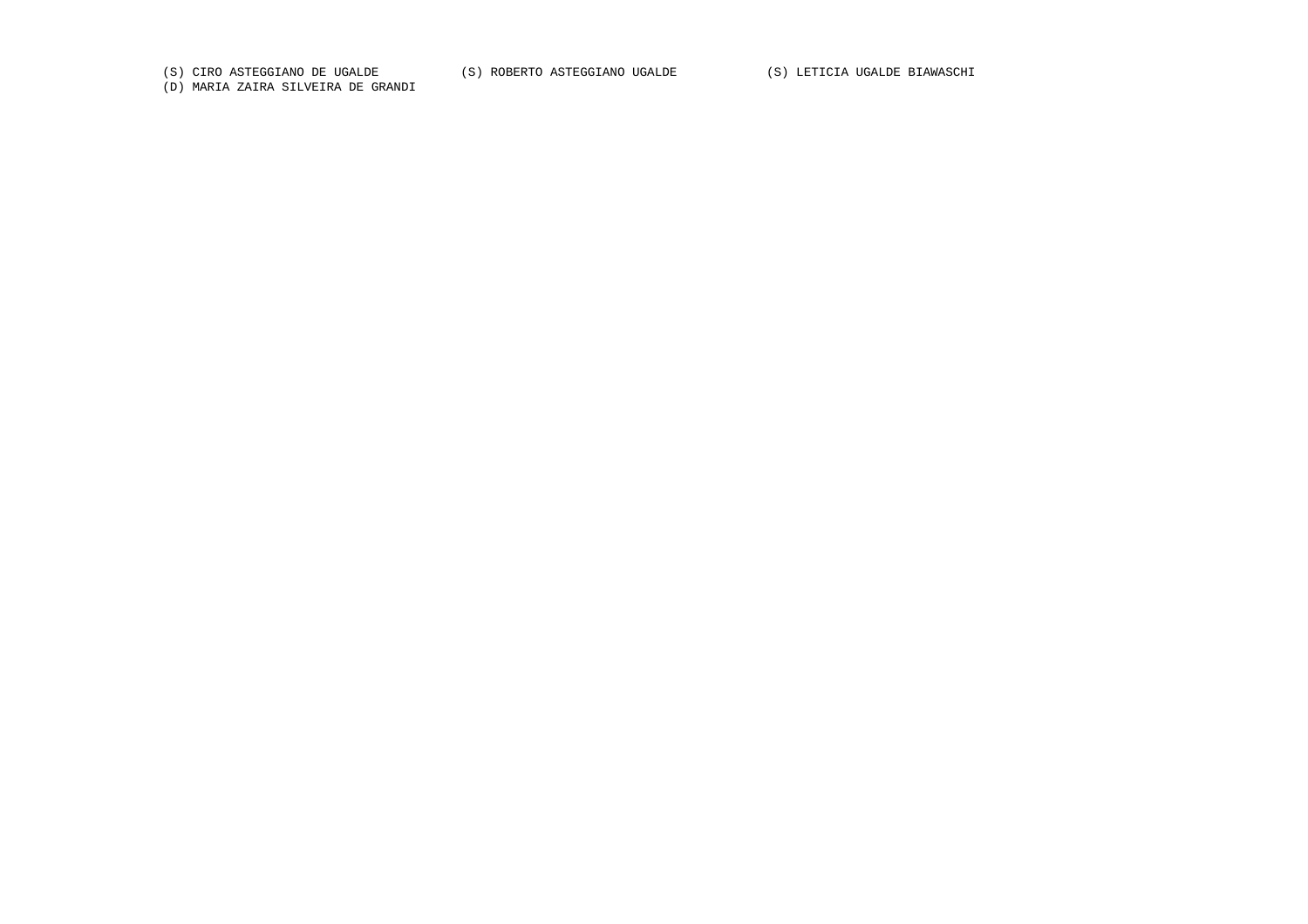(S) CIRO ASTEGGIANO DE UGALDE (S) ROBERTO ASTEGGIANO UGALDE (S) LETICIA UGALDE BIAWASCHI

(D) MARIA ZAIRA SILVEIRA DE GRANDI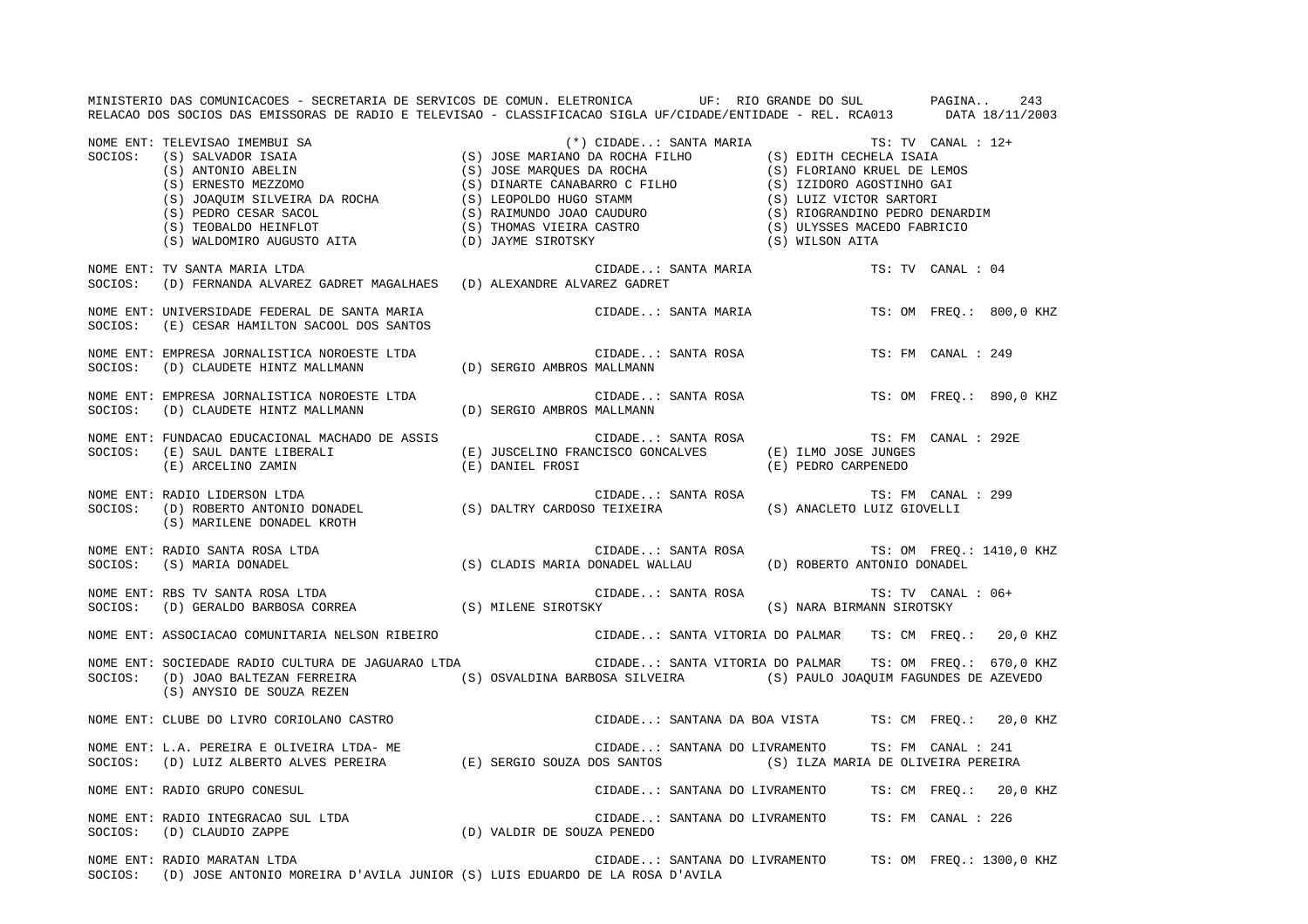MINISTERIO DAS COMUNICACOES - SECRETARIA DE SERVICOS DE COMUN. ELETRONICA UF: RIO GRANDE DO SUL PAGINA.. 243 RELACAO DOS SOCIOS DAS EMISSORAS DE RADIO E TELEVISAO - CLASSIFICACAO SIGLA UF/CIDADE/ENTIDADE - REL. RCA013 DATA 18/11/2003 NOME ENT: TELEVISAO IMEMBUI SA (\*) CIDADE..: SANTA MARIA TS: TV CANAL : 12+ SOCIOS: (S) SALVADOR ISAIA (S) JOSE MARIANO DA ROCHA FILHO (S) EDITH CECHELA ISAIA (S) ANTONIO ABELIN (S) JOSE MARQUES DA ROCHA (S) FLORIANO KRUEL DE LEMOS (S) ERNESTO MEZZOMO (S) DINARTE CANABARRO C FILHO (S) IZIDORO AGOSTINHO GAI (S) JOAQUIM SILVEIRA DA ROCHA (S) LEOPOLDO HUGO STAMM (S) LUIZ VICTOR SARTORI (S) PEDRO CESAR SACOL (S) RAIMUNDO JOAO CAUDURO (S) RIOGRANDINO PEDRO DENARDIM (S) TEOBALDO HEINFLOT (S) THOMAS VIEIRA CASTRO (S) ULYSSES MACEDO FABRICIO (S) WALDOMIRO AUGUSTO AITA (D) JAYME SIROTSKY (S) WILSON AITA NOME ENT: TV SANTA MARIA LTDA CIDADE..: SANTA MARIA TS: TV CANAL : 04SOCIOS: (D) FERNANDA ALVAREZ GADRET MAGALHAES (D) ALEXANDRE ALVAREZ GADRET NOME ENT: UNIVERSIDADE FEDERAL DE SANTA MARIA CIDADE..: SANTA MARIA TS: OM FREQ.: 800,0 KHZ SOCIOS: (E) CESAR HAMILTON SACOOL DOS SANTOS NOME ENT: EMPRESA JORNALISTICA NOROESTE LTDA CIDADE..: SANTA ROSA TS: FM CANAL : 249SOCIOS: (D) CLAUDETE HINTZ MALLMANN (D) SERGIO AMBROS MALLMANN NOME ENT: EMPRESA JORNALISTICA NOROESTE LTDA CIDADE..: SANTA ROSA TS: OM FREQ.: 890,0 KHZ SOCIOS: (D) CLAUDETE HINTZ MALLMANN (D) SERGIO AMBROS MALLMANN NOME ENT: FUNDACAO EDUCACIONAL MACHADO DE ASSIS CIDADE..: SANTA ROSA TS: FM CANAL : 292ESOCIOS: (E) SAUL DANTE LIBERALI (E) JUSCELINO FRANCISCO GONCALVES (E) ILMO JOSE JUNGES (E) ARCELINO ZAMIN (E) DANIEL FROSI (E) PEDRO CARPENEDO NOME ENT: RADIO LIDERSON LTDA CIDADE..: SANTA ROSA TS: FM CANAL : 299 SOCIOS: (D) ROBERTO ANTONIO DONADEL (S) DALTRY CARDOSO TEIXEIRA (S) ANACLETO LUIZ GIOVELLI (S) MARILENE DONADEL KROTH NOME ENT: RADIO SANTA ROSA LTDA CIDADE..: SANTA ROSA TS: OM FREQ.: 1410,0 KHZ SOCIOS: (S) MARIA DONADEL (S) CLADIS MARIA DONADEL WALLAU (D) ROBERTO ANTONIO DONADEL NOME ENT: RBS TV SANTA ROSA LTDA CIDADE..: SANTA ROSA TS: TV CANAL : 06+SOCIOS: (D) GERALDO BARBOSA CORREA (S) MILENE SIROTSKY (S) NARA BIRMANN SIROTSKY NOME ENT: ASSOCIACAO COMUNITARIA NELSON RIBEIRO CIDADE..: SANTA VITORIA DO PALMAR TS: CM FREQ.: 20,0 KHZ NOME ENT: SOCIEDADE RADIO CULTURA DE JAGUARAO LTDA CIDADE..: SANTA VITORIA DO PALMAR TS: OM FREQ.: 670,0 KHZ SOCIOS: (D) JOAO BALTEZAN FERREIRA (S) OSVALDINA BARBOSA SILVEIRA (S) PAULO JOAQUIM FAGUNDES DE AZEVEDO (S) ANYSIO DE SOUZA REZEN NOME ENT: CLUBE DO LIVRO CORIOLANO CASTRO CIDADE..: SANTANA DA BOA VISTA TS: CM FREQ.: 20,0 KHZ NOME ENT: L.A. PEREIRA E OLIVEIRA LTDA- ME CIDADE..: SANTANA DO LIVRAMENTO TS: FM CANAL : 241SOCIOS: (D) LUIZ ALBERTO ALVES PEREIRA (E) SERGIO SOUZA DOS SANTOS (S) ILZA MARIA DE OLIVEIRA PEREIRA NOME ENT: RADIO GRUPO CONESUL CIDADE..: SANTANA DO LIVRAMENTO TS: CM FREQ.: 20,0 KHZ NOME ENT: RADIO INTEGRACAO SUL LTDA CIDADE..: SANTANA DO LIVRAMENTO TS: FM CANAL : 226SOCIOS: (D) CLAUDIO ZAPPE (D) VALDIR DE SOUZA PENEDO NOME ENT: RADIO MARATAN LTDA CIDADE..: SANTANA DO LIVRAMENTO TS: OM FREQ.: 1300,0 KHZ SOCIOS: (D) JOSE ANTONIO MOREIRA D'AVILA JUNIOR (S) LUIS EDUARDO DE LA ROSA D'AVILA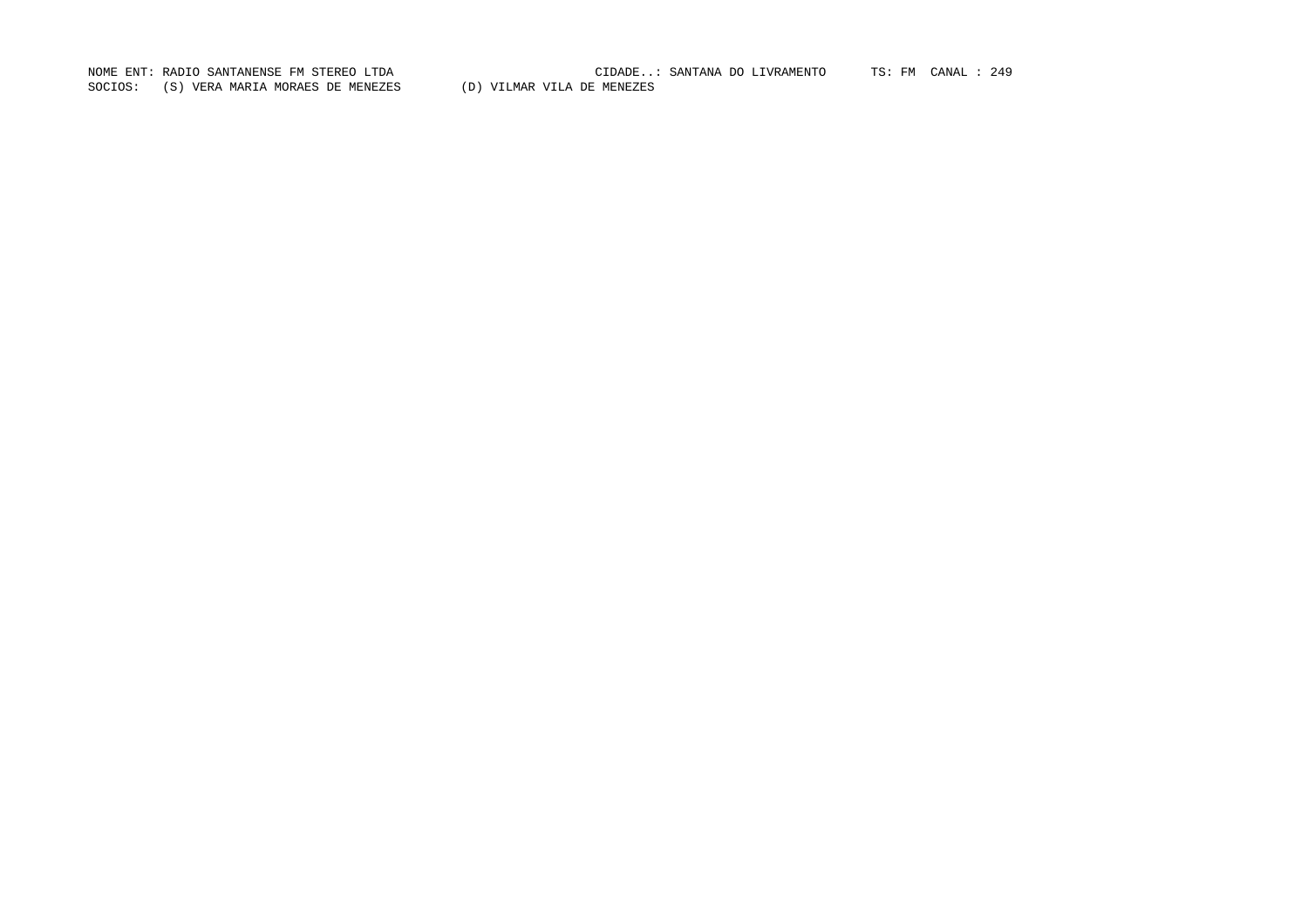SOCIOS: (S) VERA MARIA MORAES DE MENEZES (D) VILMAR VILA DE MENEZES

NOME ENT: RADIO SANTANENSE FM STEREO LTDA CIDADE..: SANTANA DO LIVRAMENTO TS: FM CANAL : 249CIDADE..: SANTANA DO LIVRAMENTO TS: FM CANAL : 249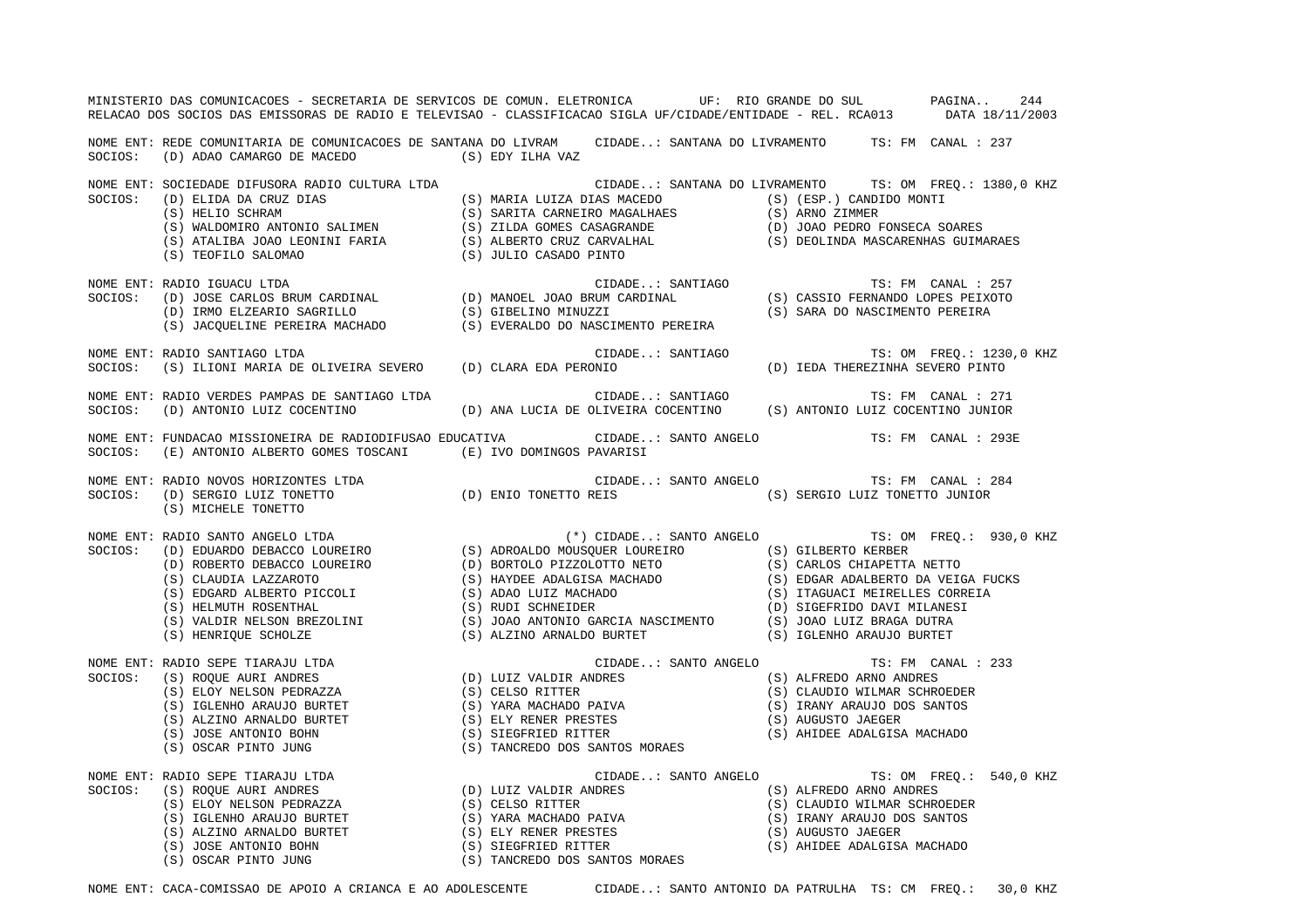|         | MINISTERIO DAS COMUNICACOES - SECRETARIA DE SERVICOS DE COMUN. ELETRONICA UF: RIO GRANDE DO SUL PAGINA<br>RELACAO DOS SOCIOS DAS EMISSORAS DE RADIO E TELEVISAO - CLASSIFICACAO SIGLA UF/CIDADE/ENTIDADE - REL. RCA013 DATA 18/11/2003                                                                                                                                                                                                              |                                                                                           | 244                                                                          |
|---------|-----------------------------------------------------------------------------------------------------------------------------------------------------------------------------------------------------------------------------------------------------------------------------------------------------------------------------------------------------------------------------------------------------------------------------------------------------|-------------------------------------------------------------------------------------------|------------------------------------------------------------------------------|
| SOCIOS: | NOME ENT: REDE COMUNITARIA DE COMUNICACOES DE SANTANA DO LIVRAM CIDADE: SANTANA DO LIVRAMENTO TS: FM CANAL : 237<br>(D) ADAO CAMARGO DE MACEDO $(S)$ EDY ILHA VAZ                                                                                                                                                                                                                                                                                   |                                                                                           |                                                                              |
| SOCIOS: | NOME ENT: SOCIEDADE DIFUSORA RADIO CULTURA LTDA                                                                                                                                                                                                                                                                                                                                                                                                     | CIDADE: SANTANA DO LIVRAMENTO TS: OM FREQ.: 1380,0 KHZ                                    |                                                                              |
| SOCIOS: | NOME ENT: RADIO IGUACU LTDA                                                                                                                                                                                                                                                                                                                                                                                                                         |                                                                                           |                                                                              |
| SOCIOS: | NOME ENT: RADIO SANTIAGO LTDA<br>(S) ILIONI MARIA DE OLIVEIRA SEVERO (D) CLARA EDA PERONIO                                                                                                                                                                                                                                                                                                                                                          | CIDADE: SANTIAGO                                                                          | TS: OM FREQ.: 1230,0 KHZ                                                     |
| SOCIOS: | NOME ENT: RADIO VERDES PAMPAS DE SANTIAGO LTDA<br>(D) ANTONIO LUIZ COCENTINO                                                                                                                                                                                                                                                                                                                                                                        | CIDADE: SANTIAGO<br>(D) ANA LUCIA DE OLIVEIRA COCENTINO (S) ANTONIO LUIZ COCENTINO JUNIOR | TS: FM CANAL : 271                                                           |
| SOCIOS: | NOME ENT: FUNDACAO MISSIONEIRA DE RADIODIFUSAO EDUCATIVA<br>(E) ANTONIO ALBERTO GOMES TOSCANI (E) IVO DOMINGOS PAVARISI                                                                                                                                                                                                                                                                                                                             | CIDADE: SANTO ANGELO                                                                      | TS: FM CANAL : 293E                                                          |
| SOCIOS: | NOME ENT: RADIO NOVOS HORIZONTES LTDA<br>(D) SERGIO LUIZ TONETTO (D) ENIO TONETTO REIS (S) SERGIO LUIZ TONETTO JUNIOR<br>(S) MICHELE TONETTO                                                                                                                                                                                                                                                                                                        | CIDADE: SANTO ANGELO                                                                      | TS: FM CANAL : 284                                                           |
|         |                                                                                                                                                                                                                                                                                                                                                                                                                                                     |                                                                                           | (*) CIDADE: SANTO ANGELO TS: OM FREQ.: 930,0 KHZ                             |
|         | $\begin{array}{lllllllllllllllllll} \textsc{nonle} & \textsc{ENT: RADIO} & \textsc{SEP: FIM} & \textsc{CINAL}: & \textsc{SANTO} & \textsc{NGELO} & \textsc{TS: FM} & \textsc{CINAL}: & \textsc{SOTOS:} & \textsc{S. ROD} & \textsc{S. NTO} & \textsc{NGELO} & \textsc{TS: FM} & \textsc{CINAL}: & \textsc{S. NGOUE} & \textsc{AURL}: & \textsc{S. NGOUE} & \textsc{AURL}: & \textsc{S. NUCB} & \textsc{NDEES} & \textsc{S. NCELO} & \textsc{RINCES$ |                                                                                           | TS: FM CANAL : 233                                                           |
|         |                                                                                                                                                                                                                                                                                                                                                                                                                                                     |                                                                                           | CIDADE: SANTO ANGELO TS: OM FREQ.: 540,0 KHZ<br>(S) CLAUDIO WILMAR SCHROEDER |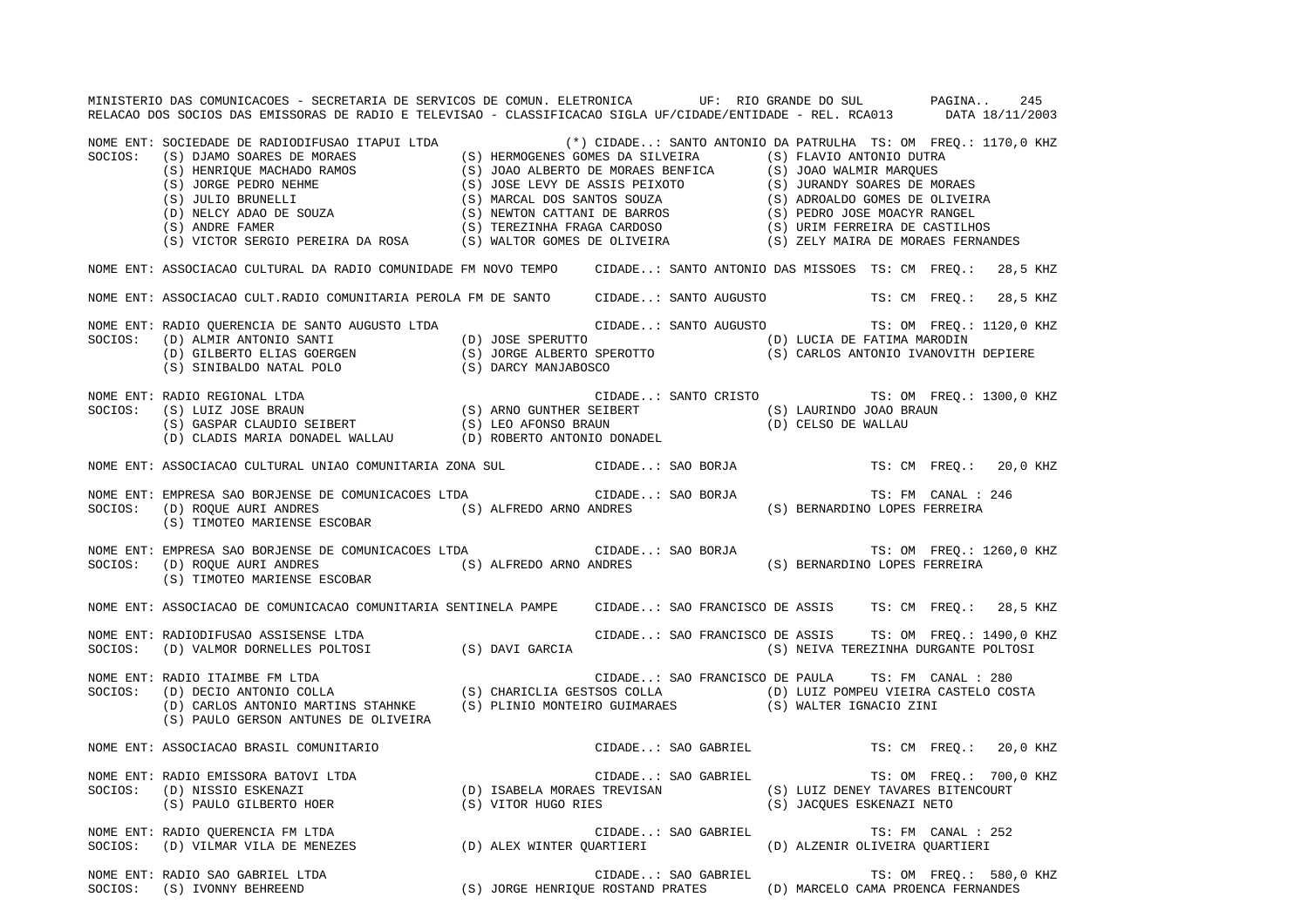MINISTERIO DAS COMUNICACOES - SECRETARIA DE SERVICOS DE COMUN. ELETRONICA UF: RIO GRANDE DO SUL PAGINA.. 245RELACAO DOS SOCIOS DAS EMISSORAS DE RADIO E TELEVISAO - CLASSIFICACAO SIGLA UF/CIDADE/ENTIDADE - REL. RCA013 DATA 18/11/2003 NOME ENT: SOCIEDADE DE RADIODIFUSAO ITAPUI LTDA (\*) CIDADE..: SANTO ANTONIO DA PATRULHA TS: OM FREQ.: 1170,0 KHZ SOCIOS: (S) DJAMO SOARES DE MORAES (S) HERMOGENES GOMES DA SILVEIRA (S) FLAVIO ANTONIO DUTRA (S) HENRIQUE MACHADO RAMOS (S) JOAO ALBERTO DE MORAES BENFICA (S) JOAO WALMIR MARQUES (S) JORGE PEDRO NEHME (S) JOSE LEVY DE ASSIS PEIXOTO (S) JURANDY SOARES DE MORAES (S) JULIO BRUNELLI (S) MARCAL DOS SANTOS SOUZA (S) ADROALDO GOMES DE OLIVEIRA (D) NELCY ADAO DE SOUZA (S) NEWTON CATTANI DE BARROS (S) PEDRO JOSE MOACYR RANGEL (S) ANDRE FAMER (S) TEREZINHA FRAGA CARDOSO (S) URIM FERREIRA DE CASTILHOS (S) VICTOR SERGIO PEREIRA DA ROSA (S) WALTOR GOMES DE OLIVEIRA (S) ZELY MAIRA DE MORAES FERNANDES NOME ENT: ASSOCIACAO CULTURAL DA RADIO COMUNIDADE FM NOVO TEMPO CIDADE..: SANTO ANTONIO DAS MISSOES TS: CM FREQ.: 28,5 KHZ NOME ENT: ASSOCIACAO CULT.RADIO COMUNITARIA PEROLA FM DE SANTO CIDADE..: SANTO AUGUSTO TS: CM FREQ.: 28,5 KHZ NOME ENT: RADIO QUERENCIA DE SANTO AUGUSTO LTDA CIDADE..: SANTO AUGUSTO TS: OM FREQ.: 1120,0 KHZ SOCIOS: (D) ALMIR ANTONIO SANTI (D) JOSE SPERUTTO (D) LUCIA DE FATIMA MARODIN (D) GILBERTO ELIAS GOERGEN (S) JORGE ALBERTO SPEROTTO (S) CARLOS ANTONIO IVANOVITH DEPIERE (S) SINIBALDO NATAL POLO (S) DARCY MANJABOSCO NOME ENT: RADIO REGIONAL LTDA CIDADE..: SANTO CRISTO TS: OM FREQ.: 1300,0 KHZ SOCIOS: (S) LUIZ JOSE BRAUN (S) ARNO GUNTHER SEIBERT (S) LAURINDO JOAO BRAUN (S) GASPAR CLAUDIO SEIBERT (S) LEO AFONSO BRAUN (D) CELSO DE WALLAU (D) CLADIS MARIA DONADEL WALLAU (D) ROBERTO ANTONIO DONADEL NOME ENT: ASSOCIACAO CULTURAL UNIAO COMUNITARIA ZONA SUL CIDADE..: SAO BORJA TS: CM FREQ.: 20,0 KHZ NOME ENT: EMPRESA SAO BORJENSE DE COMUNICACOES LTDA CIDADE..: SAO BORJA TS: FM CANAL : 246 SOCIOS: (D) ROQUE AURI ANDRES (S) ALFREDO ARNO ANDRES (S) BERNARDINO LOPES FERREIRA (S) TIMOTEO MARIENSE ESCOBAR NOME ENT: EMPRESA SAO BORJENSE DE COMUNICACOES LTDA CIDADE..: SAO BORJA TS: OM FREQ.: 1260,0 KHZ SOCIOS: (D) ROQUE AURI ANDRES (S) ALFREDO ARNO ANDRES (S) BERNARDINO LOPES FERREIRA (S) TIMOTEO MARIENSE ESCOBAR NOME ENT: ASSOCIACAO DE COMUNICACAO COMUNITARIA SENTINELA PAMPE CIDADE..: SAO FRANCISCO DE ASSIS TS: CM FREQ.: 28,5 KHZ NOME ENT: RADIODIFUSAO ASSISENSE LTDA CIDADE..: SAO FRANCISCO DE ASSIS TS: OM FREQ.: 1490,0 KHZ SOCIOS: (D) VALMOR DORNELLES POLTOSI (S) DAVI GARCIA (S) NEIVA TEREZINHA DURGANTE POLTOSI NOME ENT: RADIO ITAIMBE FM LTDA CIDADE..: SAO FRANCISCO DE PAULA TS: FM CANAL : 280 SOCIOS: (D) DECIO ANTONIO COLLA (S) CHARICLIA GESTSOS COLLA (D) LUIZ POMPEU VIEIRA CASTELO COSTA (D) CARLOS ANTONIO MARTINS STAHNKE (S) PLINIO MONTEIRO GUIMARAES (S) WALTER IGNACIO ZINI (S) PAULO GERSON ANTUNES DE OLIVEIRA NOME ENT: ASSOCIACAO BRASIL COMUNITARIO CIDADE..: SAO GABRIEL TS: CM FREQ.: 20,0 KHZ NOME ENT: RADIO EMISSORA BATOVI LTDA **ENTERNO ENTERNO EN SUBADE.**.: SAO GABRIEL TS: OM FREQ.: 700,0 KHZ SOCIOS: (D) NISSIO ESKENAZI (D) ISABELA MORAES TREVISAN (S) LUIZ DENEY TAVARES BITENCOURT (S) PAULO GILBERTO HOER (S) VITOR HUGO RIES (S) JACQUES ESKENAZI NETO NOME ENT: RADIO QUERENCIA FM LTDA CONSERVERSE CIDADE..: SAO GABRIEL TS: FM CANAL : 252 SOCIOS: (D) VILMAR VILA DE MENEZES (D) ALEX WINTER QUARTIERI (D) ALZENIR OLIVEIRA QUARTIERI NOME ENT: RADIO SAO GABRIEL LTDA THE SAO GABRIEL SAO GABRIEL TS: OM FREQ.: 580,0 KHZ SOCIOS: (S) IVONNY BEHREEND (S) JORGE HENRIQUE ROSTAND PRATES (D) MARCELO CAMA PROENCA FERNANDES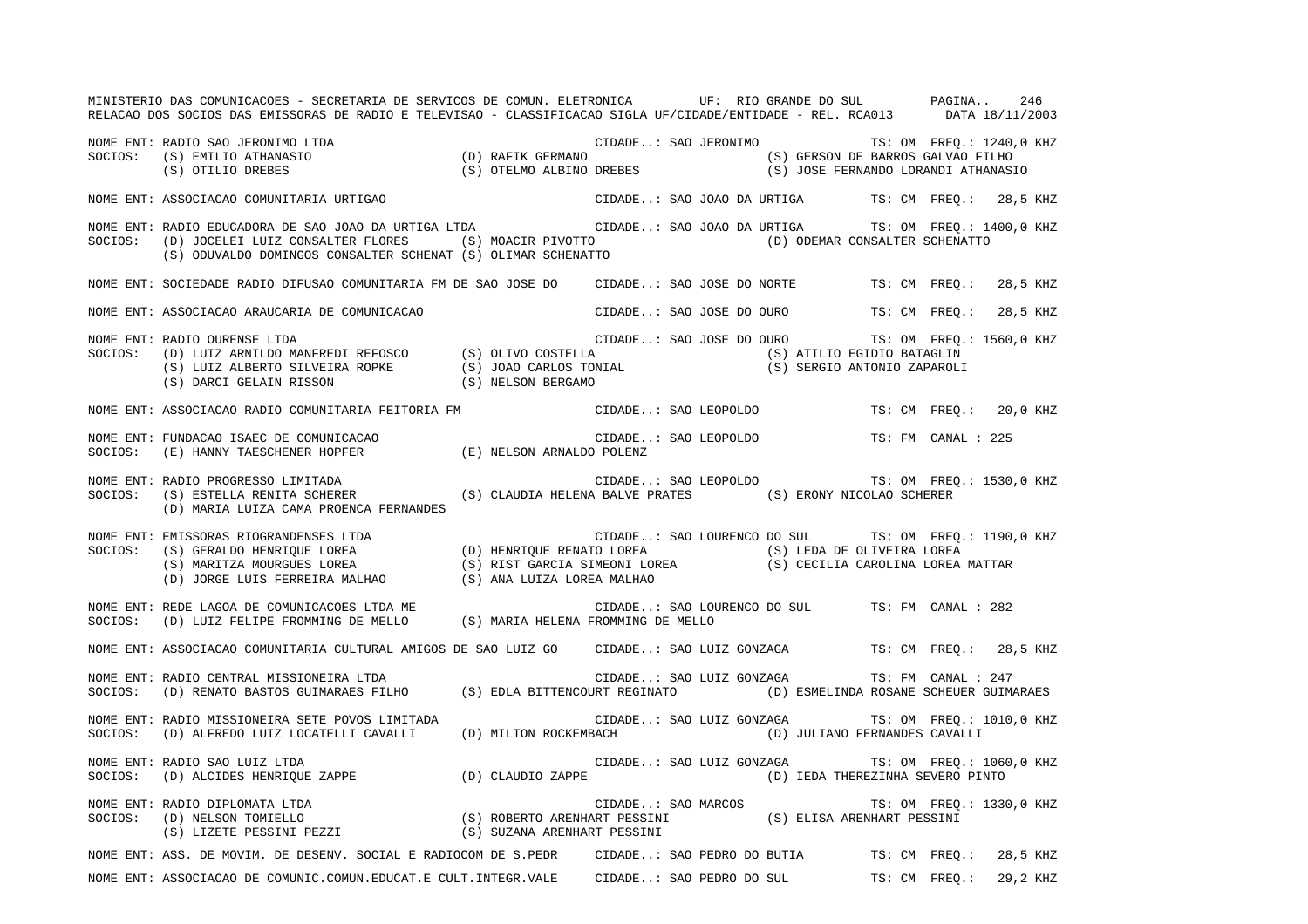MINISTERIO DAS COMUNICACOES - SECRETARIA DE SERVICOS DE COMUN. ELETRONICA UF: RIO GRANDE DO SUL PAGINA.. 246RELACAO DOS SOCIOS DAS EMISSORAS DE RADIO E TELEVISAO - CLASSIFICACAO SIGLA UF/CIDADE/ENTIDADE - REL. RCA013 DATA 18/11/2003 NOME ENT: RADIO SAO JERONIMO LTDA (D) RAFIK GERMANO CIDADE..: SAO JERONIMO TS: OM FREQ.: 1240,0 KHZ<br>SOCIOS: (S) EMILIO ATHANASIO (D) RAFIK GERMANO (S) GERSON DE BARROS GALVAO FILHO (D) RAFIK GERMANO (S) GERSON DE BARROS GALVAO FILHO (S) OTILIO DREBES (S) OTELMO ALBINO DREBES (S) JOSE FERNANDO LORANDI ATHANASIO NOME ENT: ASSOCIACAO COMUNITARIA URTIGAO CIDADE..: SAO JOAO DA URTIGA TS: CM FREQ.: 28,5 KHZ NOME ENT: RADIO EDUCADORA DE SAO JOAO DA URTIGA LTDA CIDADE..: SAO JOAO DA URTIGA TS: OM FREQ.: 1400,0 KHZ SOCIOS: (D) JOCELEI LUIZ CONSALTER FLORES (S) MOACIR PIVOTTO (D) ODEMAR CONSALTER SCHENATTO (S) ODUVALDO DOMINGOS CONSALTER SCHENAT (S) OLIMAR SCHENATTO NOME ENT: SOCIEDADE RADIO DIFUSAO COMUNITARIA FM DE SAO JOSE DO CIDADE..: SAO JOSE DO NORTE TS: CM FREQ.: 28,5 KHZ NOME ENT: ASSOCIACAO ARAUCARIA DE COMUNICACAO CIDADE..: SAO JOSE DO OURO TS: CM FREQ.: 28,5 KHZ NOME ENT: RADIO OURENSE LTDA CIDADE..: SAO JOSE DO OURO TS: OM FREQ.: 1560,0 KHZ SOCIOS: (D) LUIZ ARNILDO MANFREDI REFOSCO (S) OLIVO COSTELLA (S) ATILIO EGIDIO BATAGLIN (S) LUIZ ALBERTO SILVEIRA ROPKE (S) JOAO CARLOS TONIAL (S) SERGIO ANTONIO ZAPAROLI (S) DARCI GELAIN RISSON (S) NELSON BERGAMO NOME ENT: ASSOCIACAO RADIO COMUNITARIA FEITORIA FM CIDADE..: SAO LEOPOLDO TS: CM FREQ.: 20,0 KHZ NOME ENT: FUNDACAO ISAEC DE COMUNICACAO CIDADE..: SAO LEOPOLDO TS: FM CANAL : 225SOCIOS: (E) HANNY TAESCHENER HOPFER (E) NELSON ARNALDO POLENZ NOME ENT: RADIO PROGRESSO LIMITADA CIDADE..: SAO LEOPOLDO TS: OM FREQ.: 1530,0 KHZ SOCIOS: (S) ESTELLA RENITA SCHERER (S) CLAUDIA HELENA BALVE PRATES (S) ERONY NICOLAO SCHERER (D) MARIA LUIZA CAMA PROENCA FERNANDES NOME ENT: EMISSORAS RIOGRANDENSES LTDA CIDADE..: SAO LOURENCO DO SUL TS: OM FREQ.: 1190,0 KHZ SOCIOS: (S) GERALDO HENRIQUE LOREA (D) HENRIQUE RENATO LOREA (S) LEDA DE OLIVEIRA LOREA (S) MARITZA MOURGUES LOREA (S) RIST GARCIA SIMEONI LOREA (S) CECILIA CAROLINA LOREA MATTAR (D) JORGE LUIS FERREIRA MALHAO (S) ANA LUIZA LOREA MALHAO NOME ENT: REDE LAGOA DE COMUNICACOES LTDA ME CIDADE..: SAO LOURENCO DO SUL TS: FM CANAL : 282SOCIOS: (D) LUIZ FELIPE FROMMING DE MELLO (S) MARIA HELENA FROMMING DE MELLO NOME ENT: ASSOCIACAO COMUNITARIA CULTURAL AMIGOS DE SAO LUIZ GO CIDADE..: SAO LUIZ GONZAGA TS: CM FREQ.: 28,5 KHZ NOME ENT: RADIO CENTRAL MISSIONEIRA LTDA CIDADE..: SAO LUIZ GONZAGA TS: FM CANAL : 247SOCIOS: (D) RENATO BASTOS GUIMARAES FILHO (S) EDLA BITTENCOURT REGINATO (D) ESMELINDA ROSANE SCHEUER GUIMARAES NOME ENT: RADIO MISSIONEIRA SETE POVOS LIMITADA CIDADE..: SAO LUIZ GONZAGA TS: OM FREQ.: 1010,0 KHZ SOCIOS: (D) ALFREDO LUIZ LOCATELLI CAVALLI (D) MILTON ROCKEMBACH (D) JULIANO FERNANDES CAVALLI NOME ENT: RADIO SAO LUIZ LTDA CIDADE..: SAO LUIZ GONZAGA TS: OM FREQ.: 1060,0 KHZ SOCIOS: (D) ALCIDES HENRIQUE ZAPPE (D) CLAUDIO ZAPPE (D) IEDA THEREZINHA SEVERO PINTO NOME ENT: RADIO DIPLOMATA LTDA  $\blacksquare$  CIDADE..: SAO MARCOS TS: OM FREQ.: 1330,0 KHZ SOCIOS: (D) NELSON TOMIELLO (S) ROBERTO ARENHART PESSINI (S) ELISA ARENHART PESSINI (S) LIZETE PESSINI PEZZI (S) SUZANA ARENHART PESSINI NOME ENT: ASS. DE MOVIM. DE DESENV. SOCIAL E RADIOCOM DE S.PEDR CIDADE..: SAO PEDRO DO BUTIA TS: CM FREQ.: 28,5 KHZ NOME ENT: ASSOCIACAO DE COMUNIC.COMUN.EDUCAT.E CULT.INTEGR.VALE CIDADE..: SAO PEDRO DO SUL TS: CM FREQ.: 29,2 KHZ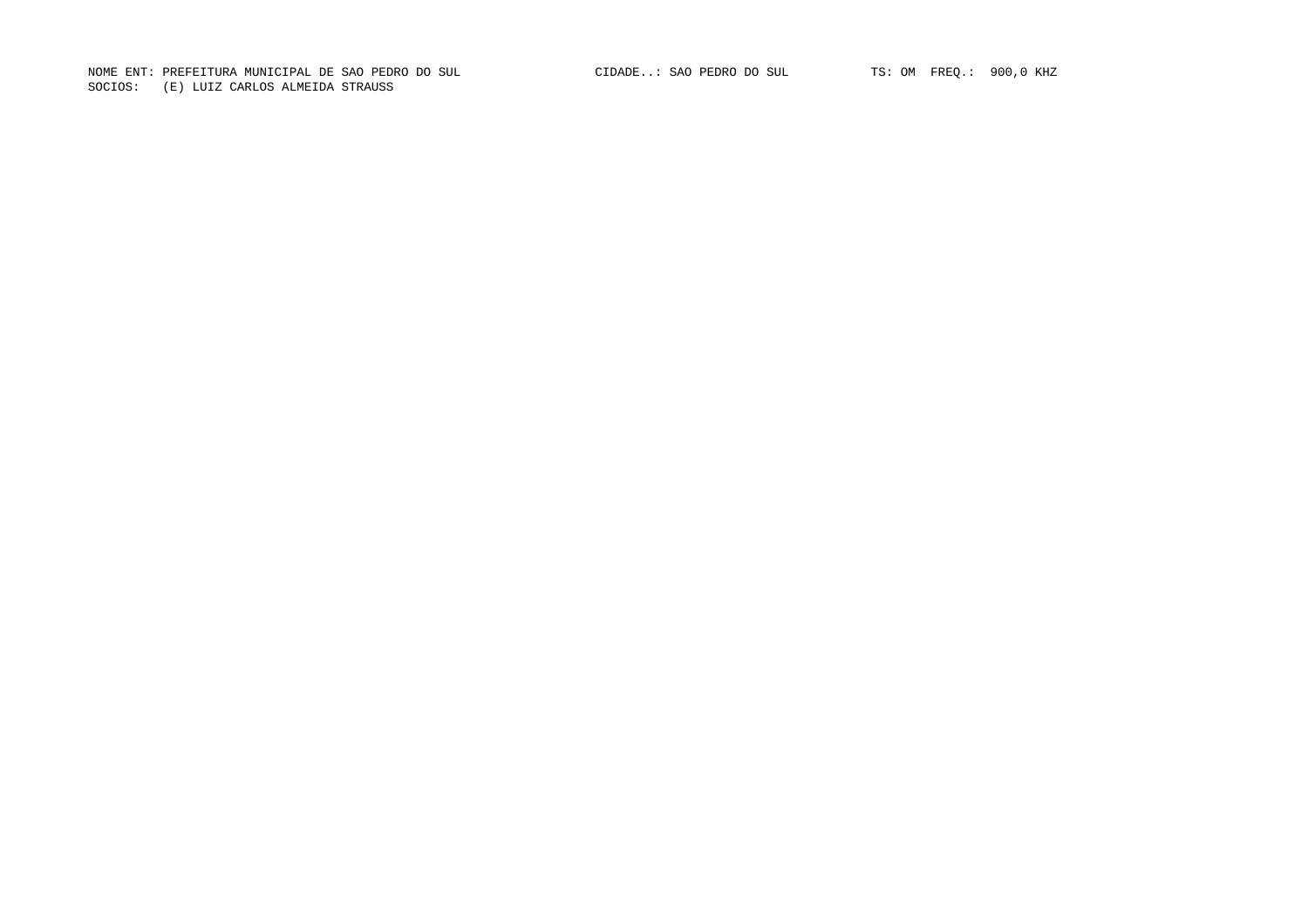NOME ENT: PREFEITURA MUNICIPAL DE SAO PEDRO DO SUL CIDADE..: SAO PEDRO DO SUL TS: OM FREQ.: 900,0 KHZ SOCIOS: (E) LUIZ CARLOS ALMEIDA STRAUSS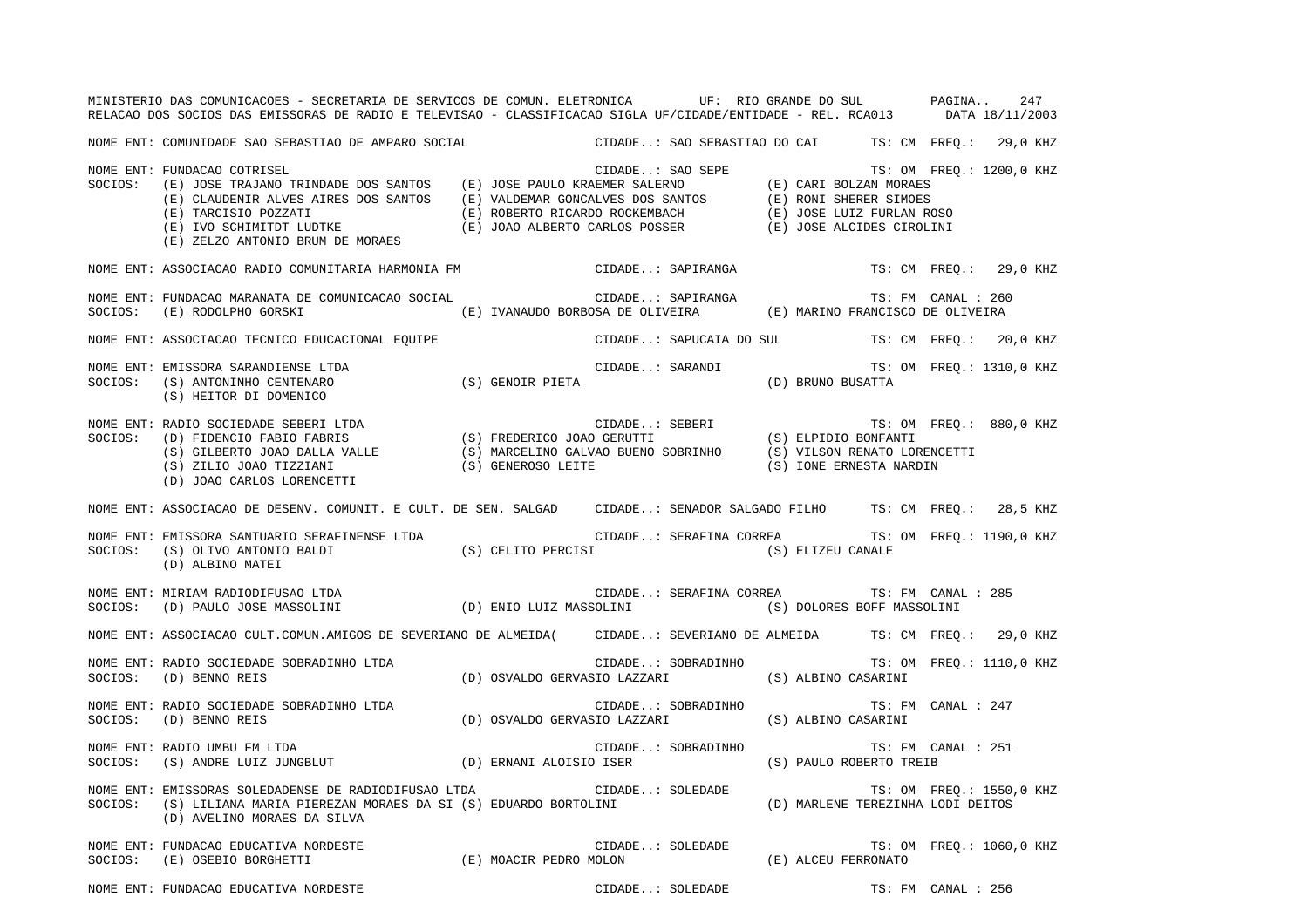MINISTERIO DAS COMUNICACOES - SECRETARIA DE SERVICOS DE COMUN. ELETRONICA UF: RIO GRANDE DO SUL PAGINA.. 247 RELACAO DOS SOCIOS DAS EMISSORAS DE RADIO E TELEVISAO - CLASSIFICACAO SIGLA UF/CIDADE/ENTIDADE - REL. RCA013 DATA 18/11/2003 NOME ENT: COMUNIDADE SAO SEBASTIAO DE AMPARO SOCIAL CIDADE..: SAO SEBASTIAO DO CAI TS: CM FREQ.: 29,0 KHZ NOME ENT: FUNDACAO COTRISEL CIDADE..: SAO SEPE TS: OM FREQ.: 1200,0 KHZ SOCIOS: (E) JOSE TRAJANO TRINDADE DOS SANTOS (E) JOSE PAULO KRAEMER SALERNO (E) CARI BOLZAN MORAES (E) CLAUDENIR ALVES AIRES DOS SANTOS (E) VALDEMAR GONCALVES DOS SANTOS (E) RONI SHERER SIMOES (E) TARCISIO POZZATI (E) ROBERTO RICARDO ROCKEMBACH (E) JOSE LUIZ FURLAN ROSO (E) IVO SCHIMITDT LUDTKE (E) JOAO ALBERTO CARLOS POSSER (E) JOSE ALCIDES CIROLINI (E) ZELZO ANTONIO BRUM DE MORAES NOME ENT: ASSOCIACAO RADIO COMUNITARIA HARMONIA FM CIDADE..: SAPIRANGA TS: CM FREQ.: 29,0 KHZ NOME ENT: FUNDACAO MARANATA DE COMUNICACAO SOCIAL CIDADE..: SAPIRANGA TS: FM CANAL : 260SOCIOS: (E) RODOLPHO GORSKI (E) IVANAUDO BORBOSA DE OLIVEIRA (E) MARINO FRANCISCO DE OLIVEIRA NOME ENT: ASSOCIACAO TECNICO EDUCACIONAL EQUIPE CIDADE..: SAPUCAIA DO SUL TS: CM FREQ.: 20,0 KHZ NOME ENT: EMISSORA SARANDIENSE LTDA **ENTEREMIS EN ENTEREMISTE EN ENGLISHEDE.**.: SARANDI TS: OM FREQ.: 1310,0 KHZ SOCIOS: (S) ANTONINHO CENTENARO (S) GENOIR PIETA (D) BRUNO BUSATTA (S) HEITOR DI DOMENICO NOME ENT: RADIO SOCIEDADE SEBERI LTDA CIDADE..: SEBERI TS: OM FREQ.: 880,0 KHZ SOCIOS: (D) FIDENCIO FABIO FABRIS (S) FREDERICO JOAO GERUTTI (S) ELPIDIO BONFANTI (S) GILBERTO JOAO DALLA VALLE (S) MARCELINO GALVAO BUENO SOBRINHO (S) VILSON RENATO LORENCETTI (S) ZILIO JOAO TIZZIANI (S) GENEROSO LEITE (S) IONE ERNESTA NARDIN (D) JOAO CARLOS LORENCETTI NOME ENT: ASSOCIACAO DE DESENV. COMUNIT. E CULT. DE SEN. SALGAD CIDADE..: SENADOR SALGADO FILHO TS: CM FREQ.: 28,5 KHZ NOME ENT: EMISSORA SANTUARIO SERAFINENSE LTDA CIDADE..: SERAFINA CORREA TS: OM FREQ.: 1190,0 KHZ SOCIOS: (S) OLIVO ANTONIO BALDI (S) CELITO PERCISI (S) ELIZEU CANALE (D) ALBINO MATEI NOME ENT: MIRIAM RADIODIFUSAO LTDA CIDADE..: SERAFINA CORREA TS: FM CANAL : 285SOCIOS: (D) PAULO JOSE MASSOLINI (D) ENIO LUIZ MASSOLINI (S) DOLORES BOFF MASSOLINI NOME ENT: ASSOCIACAO CULT.COMUN.AMIGOS DE SEVERIANO DE ALMEIDA( CIDADE..: SEVERIANO DE ALMEIDA TS: CM FREQ.: 29,0 KHZ NOME ENT: RADIO SOCIEDADE SOBRADINHO LTDA **CIDADE.**.: SOBRADINHO TS: OM FREQ.: 1110,0 KHZ SOCIOS: (D) BENNO REIS (D) OSVALDO GERVASIO LAZZARI (S) ALBINO CASARINI NOME ENT: RADIO SOCIEDADE SOBRADINHO LTDA CIDADE..: SOBRADINHO TS: FM CANAL : 247SOCIOS: (D) BENNO REIS (D) OSVALDO GERVASIO LAZZARI (S) ALBINO CASARINI NOME ENT: RADIO UMBU FM LTDA CIDADE..: SOBRADINHO TS: FM CANAL : 251SOCIOS: (S) ANDRE LUIZ JUNGBLUT (D) ERNANI ALOISIO ISER (S) PAULO ROBERTO TREIB NOME ENT: EMISSORAS SOLEDADENSE DE RADIODIFUSAO LTDA CIDADE..: SOLEDADE TS: OM FREQ.: 1550,0 KHZ SOCIOS: (S) LILIANA MARIA PIEREZAN MORAES DA SI (S) EDUARDO BORTOLINI (D) MARLENE TEREZINHA LODI DEITOS (D) AVELINO MORAES DA SILVA NOME ENT: FUNDACAO EDUCATIVA NORDESTE THE SOLEDADE..: SOLEDADE..: SOLEDADE TS: OM FREQ.: 1060,0 KHZ SOCIOS: (E) OSEBIO BORGHETTI (E) MOACIR PEDRO MOLON (E) ALCEU FERRONATO NOME ENT: FUNDACAO EDUCATIVA NORDESTE CHE CHE CIDADE..: SOLEDADE CIDADE CIDADE TS: FM CANAL : 256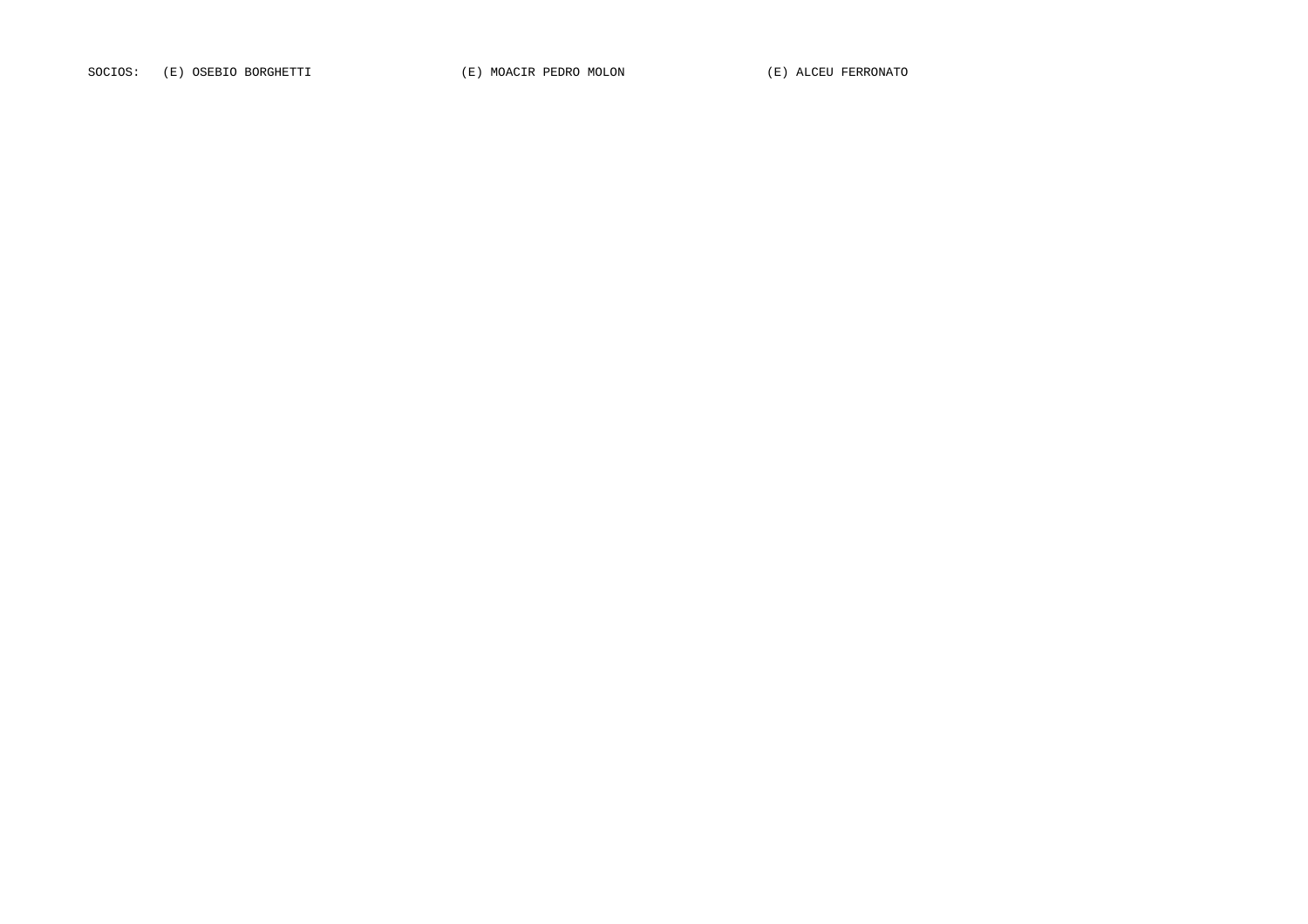SOCIOS: (E) OSEBIO BORGHETTI (E) MOACIR PEDRO MOLON (E) ALCEU FERRONATO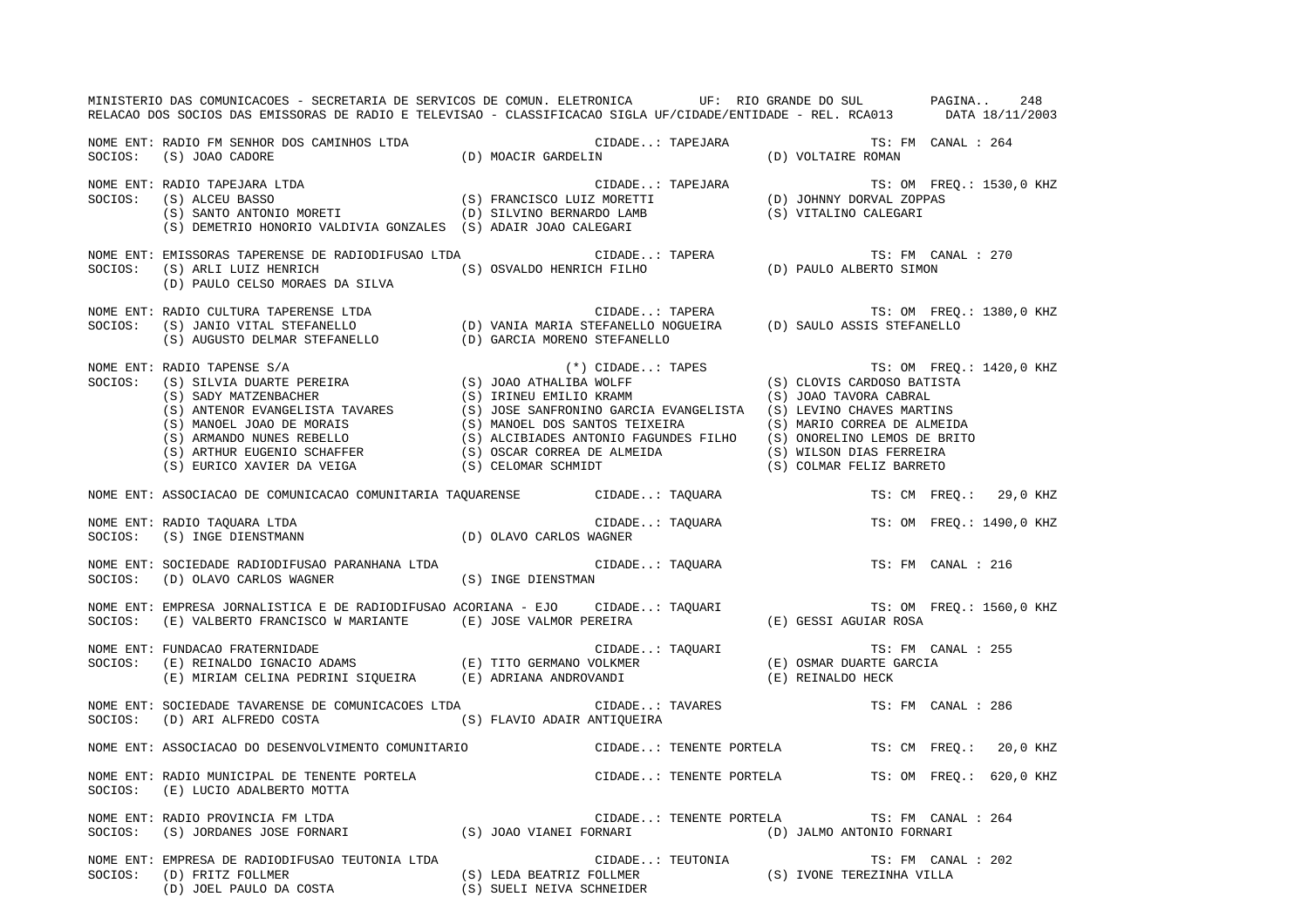|         | MINISTERIO DAS COMUNICACOES - SECRETARIA DE SERVICOS DE COMUN. ELETRONICA UP: RIO GRANDE DO SUL PAGINA<br>RELACAO DOS SOCIOS DAS EMISSORAS DE RADIO E TELEVISAO - CLASSIFICACAO SIGLA UF/CIDADE/ENTIDADE - REL. RCA013 DATA 18/11/2003                                                                                                                                                                                                                                   |                                                                              |  |                                                |                    | 248                      |
|---------|--------------------------------------------------------------------------------------------------------------------------------------------------------------------------------------------------------------------------------------------------------------------------------------------------------------------------------------------------------------------------------------------------------------------------------------------------------------------------|------------------------------------------------------------------------------|--|------------------------------------------------|--------------------|--------------------------|
|         | $\begin{tabular}{lllllllllll} \textsc{None} \textsc{ENT}: \textsc{RADIO} \textsc{FM} \textsc{SEMHOR} \textsc{DOS} \textsc{CAMINHOS} \textsc{LTDA} & \textsc{CD)} \textsc{MOACIR} \textsc{GARDELIN} \\ \textsc{S0CIOS}: \textsc{(S)} \textsc{JOAO} \textsc{CADORE} & \textsc{(D)} \textsc{MOACIR} \textsc{GARDELIN} \end{tabular}$                                                                                                                                        | CIDADE: TAPEJARA TS: FM CANAL : 264<br>D) MOACIR GARDELIN (D) VOLTAIRE ROMAN |  |                                                |                    |                          |
|         | NOME ENT: RADIO TAPEJARA LTDA<br>SOCIOS: (S) ALCEU BASSO (S) FRANCISCO LUIZ MORETTI (D) JOHNNY DORVAL ZOPPAS<br>(S) SANTO ANTONIO MORETI (D) SILVINO BERNARDO LAMB (S) VITALINO CALEGARI<br>(S) SANTO ANTONIO MORETI (D) SILVINO BER<br>(S) DEMETRIO HONORIO VALDIVIA GONZALES (S) ADAIR JOAO CALEGARI                                                                                                                                                                   |                                                                              |  |                                                |                    |                          |
|         | NOME ENT: EMISSORAS TAPERENSE DE RADIODIFUSAO LTDA<br>SOCIOS: (S) ARLI LUIZ HENRICH (S) OSVALDO HENRICH FILHO (D) PAULO ALBERTO SIMON<br>(D) PAULO ALBERTO SIMON<br>(D) PAULO CELSO MORAES DA SILVA                                                                                                                                                                                                                                                                      |                                                                              |  |                                                |                    |                          |
|         | NOME ENT: RADIO CULTURA TAPERENSE LTDA<br>SOCIOS: (S) JANIO VITAL STEFANELLO (D) VANIA MARIA STEFANELLO NOGUEIRA (D) SAULO ASSIS STEFANELLO<br>(S) AUGUSTO DELMAR STEFANELLO (D) GARCIA MORENO STEFANELLO                                                                                                                                                                                                                                                                |                                                                              |  |                                                |                    |                          |
| SOCIOS: | $\begin{tabular}{lllllllllllllllllllll} \textsc{RADIO} & \textsc{TAPENSE} & \textsc{S/S}& \textsc{S/N} & \textsc{S/S}& \textsc{S/N} & \textsc{S/N} & \textsc{S/N} & \textsc{S/N} & \textsc{S/N} & \textsc{S/N} & \textsc{S/N} & \textsc{S/N} & \textsc{S/N} & \textsc{S/N} & \textsc{S/N} & \textsc{S/N} & \textsc{S/N} & \textsc{S/N} & \textsc{S/N} & \textsc{S/N} & \textsc{S/N} & \textsc{S/N} & \textsc{S/N} & \textsc{S/N} & \text$<br>NOME ENT: RADIO TAPENSE S/A |                                                                              |  |                                                |                    | TS: OM FREO.: 1420,0 KHZ |
|         | NOME ENT: ASSOCIACAO DE COMUNICACAO COMUNITARIA TAQUARENSE               CIDADE: TAQUARA                                                                                                                                                                                                                                                                                                                                                                                 |                                                                              |  |                                                |                    | TS: CM FREQ.: 29,0 KHZ   |
| SOCIOS: | NOME ENT: RADIO TAQUARA LTDA<br>(S) INGE DIENSTMANN                                                                                                                                                                                                                                                                                                                                                                                                                      | CIDADE: TAQUARA<br>(D) OLAVO CARLOS WAGNER                                   |  |                                                |                    | TS: OM FREQ.: 1490,0 KHZ |
| SOCIOS: | NOME ENT: SOCIEDADE RADIODIFUSAO PARANHANA LTDA<br>(D) OLAVO CARLOS WAGNER                                                                                                                                                                                                                                                                                                                                                                                               | CIDADE: TAQUARA<br>(S) INGE DIENSTMAN                                        |  |                                                | TS: FM CANAL : 216 |                          |
|         |                                                                                                                                                                                                                                                                                                                                                                                                                                                                          |                                                                              |  |                                                |                    | TS: OM FREQ.: 1560,0 KHZ |
| SOCIOS: | NOME ENT: FUNDACAO FRATERNIDADE                                                                                                                                                                                                                                                                                                                                                                                                                                          |                                                                              |  |                                                | TS: FM CANAL : 255 |                          |
| SOCIOS: | NOME ENT: SOCIEDADE TAVARENSE DE COMUNICACOES LTDA<br>(D) ARI ALFREDO COSTA (S) FLAVIO ADAIR ANTIQUEIRA                                                                                                                                                                                                                                                                                                                                                                  | CIDADE: TAVARES                                                              |  |                                                | TS: FM CANAL : 286 |                          |
|         | NOME ENT: ASSOCIACAO DO DESENVOLVIMENTO COMUNITARIO                                                                                                                                                                                                                                                                                                                                                                                                                      |                                                                              |  | CIDADE: TENENTE PORTELA TS: CM FREQ.: 20,0 KHZ |                    |                          |
| SOCIOS: | NOME ENT: RADIO MUNICIPAL DE TENENTE PORTELA<br>(E) LUCIO ADALBERTO MOTTA                                                                                                                                                                                                                                                                                                                                                                                                | CIDADE: TENENTE PORTELA TS: OM FREQ.: 620,0 KHZ                              |  |                                                |                    |                          |
| SOCIOS: | NOME ENT: RADIO PROVINCIA FM LTDA<br>(S) JORDANES JOSE FORNARI (S) JOAO VIANEI FORNARI                                                                                                                                                                                                                                                                                                                                                                                   | CIDADE: TENENTE PORTELA                                                      |  | (D) JALMO ANTONIO FORNARI                      | TS: FM CANAL : 264 |                          |
| SOCIOS: | NOME ENT: EMPRESA DE RADIODIFUSAO TEUTONIA LTDA<br>EMPRESA DE RADIODIFUSAO TEUTONIA LTDA (S) LEDA BEATRIZ FOLLMER (S) TEUTONIA (S) IVONE TEREZINHA VILLA (D) JOEL PAULO DA COSTA (S) SUELI NEIVA SCHNEIDER                                                                                                                                                                                                                                                               |                                                                              |  |                                                | TS: FM CANAL : 202 |                          |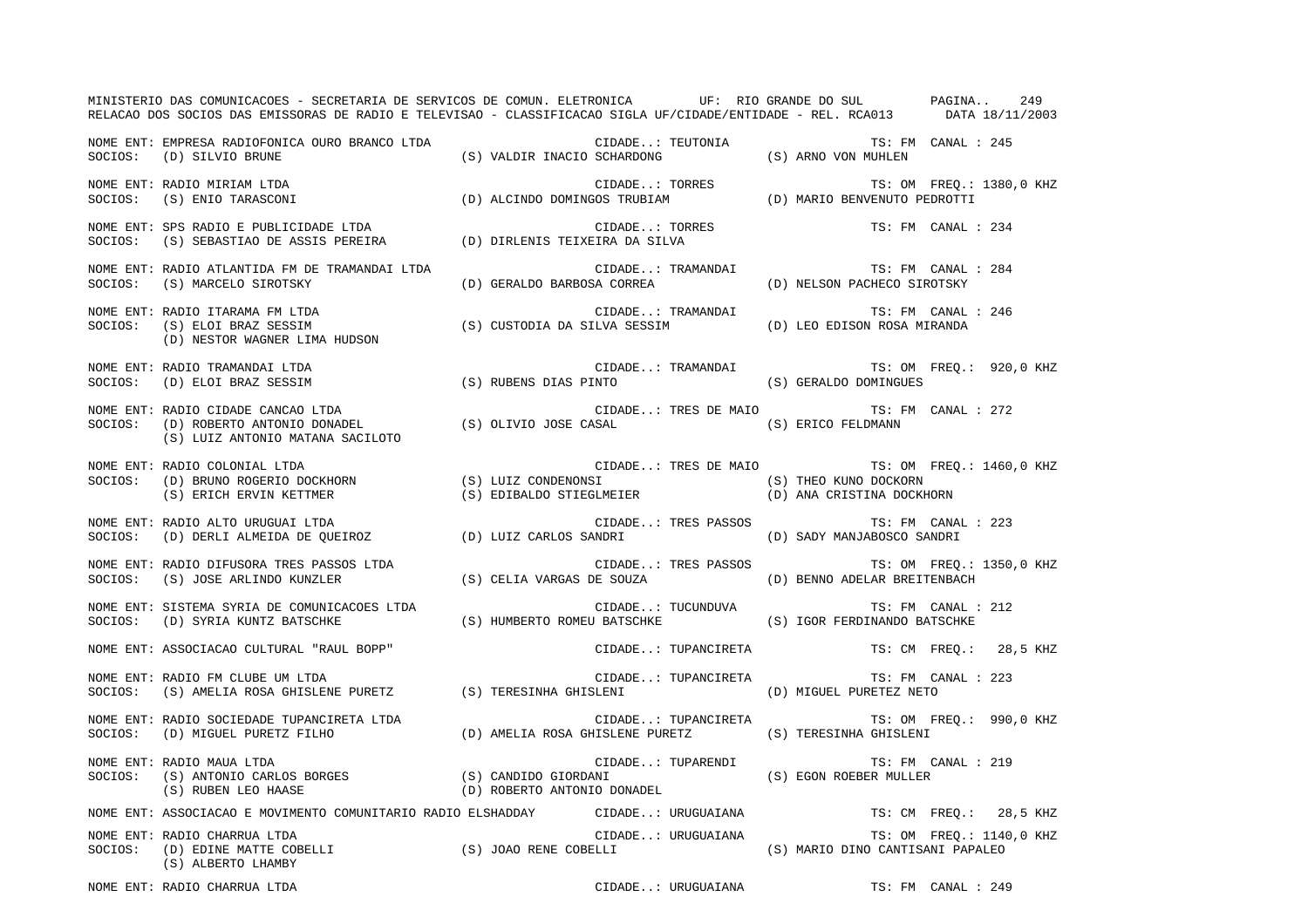|         | MINISTERIO DAS COMUNICACOES - SECRETARIA DE SERVICOS DE COMUN. ELETRONICA UF: RIO GRANDE DO SUL PAGINA<br>RELACAO DOS SOCIOS DAS EMISSORAS DE RADIO E TELEVISAO - CLASSIFICACAO SIGLA UF/CIDADE/ENTIDADE - REL. RCA013 DATA 18/11/2003 |                             |                |                      |                                                                                                               | 249                      |
|---------|----------------------------------------------------------------------------------------------------------------------------------------------------------------------------------------------------------------------------------------|-----------------------------|----------------|----------------------|---------------------------------------------------------------------------------------------------------------|--------------------------|
|         | NOME ENT: EMPRESA RADIOFONICA OURO BRANCO LTDA<br>SOCIOS: (D) SILVIO BRUNE                                                                                                                                                             |                             |                |                      | $\verb CIDADE: TEUTONIA \qquad TS: FM \qquad CANAL: 245(S) VALUE INACIO SCHARDONG \qquad (S) ARNO VON MUHLEN$ |                          |
|         | CIDADE: TORRES TS: OM FREQ.:<br>(D) ALCINDO DOMINGOS TRUBIAM (D) MARIO BENVENUTO PEDROTTI<br>NOME ENT: RADIO MIRIAM LTDA<br>SOCIOS: (S) ENIO TARASCONI                                                                                 |                             |                |                      |                                                                                                               | TS: OM FREO.: 1380,0 KHZ |
|         | NOME ENT: SPS RADIO E PUBLICIDADE LTDA<br>SOCIOS: (S) SEBASTIAO DE ASSIS PEREIRA (D) DIRLENIS TEIXEIRA DA SILVA                                                                                                                        |                             | CIDADE: TORRES |                      | TS: FM CANAL : 234                                                                                            |                          |
| SOCIOS: | NOME ENT: RADIO ATLANTIDA FM DE TRAMANDAI LTDA<br>(S) MARCELO SIROTSKY                                                                                                                                                                 | (D) GERALDO BARBOSA CORREA  |                | CIDADE: TRAMANDAI    | TS: FM CANAL : 284<br>(D) NELSON PACHECO SIROTSKY                                                             |                          |
| SOCIOS: | NOME ENT: RADIO ITARAMA FM LTDA<br>(S) ELOI BRAZ SESSIM<br>(D) NESTOR WAGNER LIMA HUDSON                                                                                                                                               |                             |                | CIDADE: TRAMANDAI    | TS: FM CANAL : 246<br>(S) CUSTODIA DA SILVA SESSIM (D) LEO EDISON ROSA MIRANDA                                |                          |
|         | NOME ENT: RADIO TRAMANDAI LTDA<br>(S) RUBENS DIAS PINTO<br>SOCIOS: (D) ELOI BRAZ SESSIM                                                                                                                                                |                             |                |                      | CIDADE: TRAMANDAI TS: OM FREQ.: 920,0 KHZ<br>(S) GERALDO DOMINGUES                                            |                          |
| SOCIOS: | NOME ENT: RADIO CIDADE CANCAO LTDA<br>(D) ROBERTO ANTONIO DONADEL (S) OLIVIO JOSE CASAL (S) ERICO FELDMANN<br>(S) LUIZ ANTONIO MATANA SACILOTO                                                                                         |                             |                |                      | CIDADE: TRES DE MAIO TS: FM CANAL : 272                                                                       |                          |
| SOCIOS: | NOME ENT: RADIO COLONIAL LTDA<br>(B) BRUNO ROGERIO DOCKHORN (S) LUIZ CONDENONSI (S) THEO KUNO DOCKORN<br>(S) ERICH ERVIN KETTMER (S) EDIBALDO STIEGLMEIER (D) ANA CRISTINA DOCK                                                        |                             |                | CIDADE: TRES DE MAIO | (D) ANA CRISTINA DOCKHORN                                                                                     | TS: OM FREQ.: 1460,0 KHZ |
| SOCIOS: | NOME ENT: RADIO ALTO URUGUAI LTDA<br>RADIO ALTO URUGUAI LTDA<br>(D) DERLI ALMEIDA DE QUEIROZ                 (D) LUIZ CARLOS SANDRI                                                                                                    |                             |                | CIDADE: TRES PASSOS  | TS: FM CANAL : 223<br>(D) SADY MANJABOSCO SANDRI                                                              |                          |
| SOCIOS: | NOME ENT: RADIO DIFUSORA TRES PASSOS LTDA<br>(S) JOSE ARLINDO KUNZLER                                                                                                                                                                  | (S) CELIA VARGAS DE SOUZA   |                | CIDADE: TRES PASSOS  | (D) BENNO ADELAR BREITENBACH                                                                                  | TS: OM FREQ.: 1350,0 KHZ |
| SOCIOS: | NOME ENT: SISTEMA SYRIA DE COMUNICACOES LTDA<br>(D) SYRIA KUNTZ BATSCHKE                                                                                                                                                               |                             |                | CIDADE: TUCUNDUVA    | TS: FM CANAL : 212<br>(S) HUMBERTO ROMEU BATSCHKE (S) IGOR FERDINANDO BATSCHKE                                |                          |
|         | NOME ENT: ASSOCIACAO CULTURAL "RAUL BOPP"                                                                                                                                                                                              |                             |                | CIDADE: TUPANCIRETA  |                                                                                                               | TS: CM FREQ.: 28,5 KHZ   |
|         | NOME ENT: RADIO FM CLUBE UM LTDA<br>SOCIOS: (S) AMELIA ROSA GHISLENE PURETZ (S) TERESINHA GHISLENI (D) MIGUEL PURETEZ NETO                                                                                                             |                             |                | CIDADE: TUPANCIRETA  | TS: FM CANAL : 223                                                                                            |                          |
|         | NOME ENT: RADIO SOCIEDADE TUPANCIRETA LTDA<br>SOCIOS: (D) MIGUEL PURETZ FILHO                                                                                                                                                          |                             |                |                      | CIDADE: TUPANCIRETA TS: OM FREQ.: 990,0 KHZ<br>(D) AMELIA ROSA GHISLENE PURETZ (S) TERESINHA GHISLENI         |                          |
|         | NOME ENT: RADIO MAUA LTDA<br>SOCIOS: (S) ANTONIO CARLOS BORGES (S) CANDIDO GIORDANI (S) CONDECT (S) EGON ROEBER MULLER<br>SOCIOS: (S) ANTONIO CARLOS BORGES (D) ROBERTO ANTONIO DONADEL (S) EGON ROEBER MULLER<br>(S) RUBEN LEO HAASE  | (D) ROBERTO ANTONIO DONADEL |                | CIDADE: TUPARENDI    | TS: FM CANAL : 219                                                                                            |                          |
|         | NOME ENT: ASSOCIACAO E MOVIMENTO COMUNITARIO RADIO ELSHADDAY                                                                                                                                                                           |                             |                | CIDADE: URUGUAIANA   |                                                                                                               | TS: CM FREQ.: 28,5 KHZ   |
| SOCIOS: | NOME ENT: RADIO CHARRUA LTDA<br>(D) EDINE MATTE COBELLI (S) JOAO RENE COBELLI (S) ALBERTO LHAMBY<br>(S) ALBERTO LHAMBY                                                                                                                 |                             |                | CIDADE: URUGUAIANA   | (S) MARIO DINO CANTISANI PAPALEO                                                                              | TS: OM FREQ.: 1140,0 KHZ |

NOME ENT: RADIO CHARRUA LTDA CIDADE..: URUGUAIANA TS: FM CANAL : 249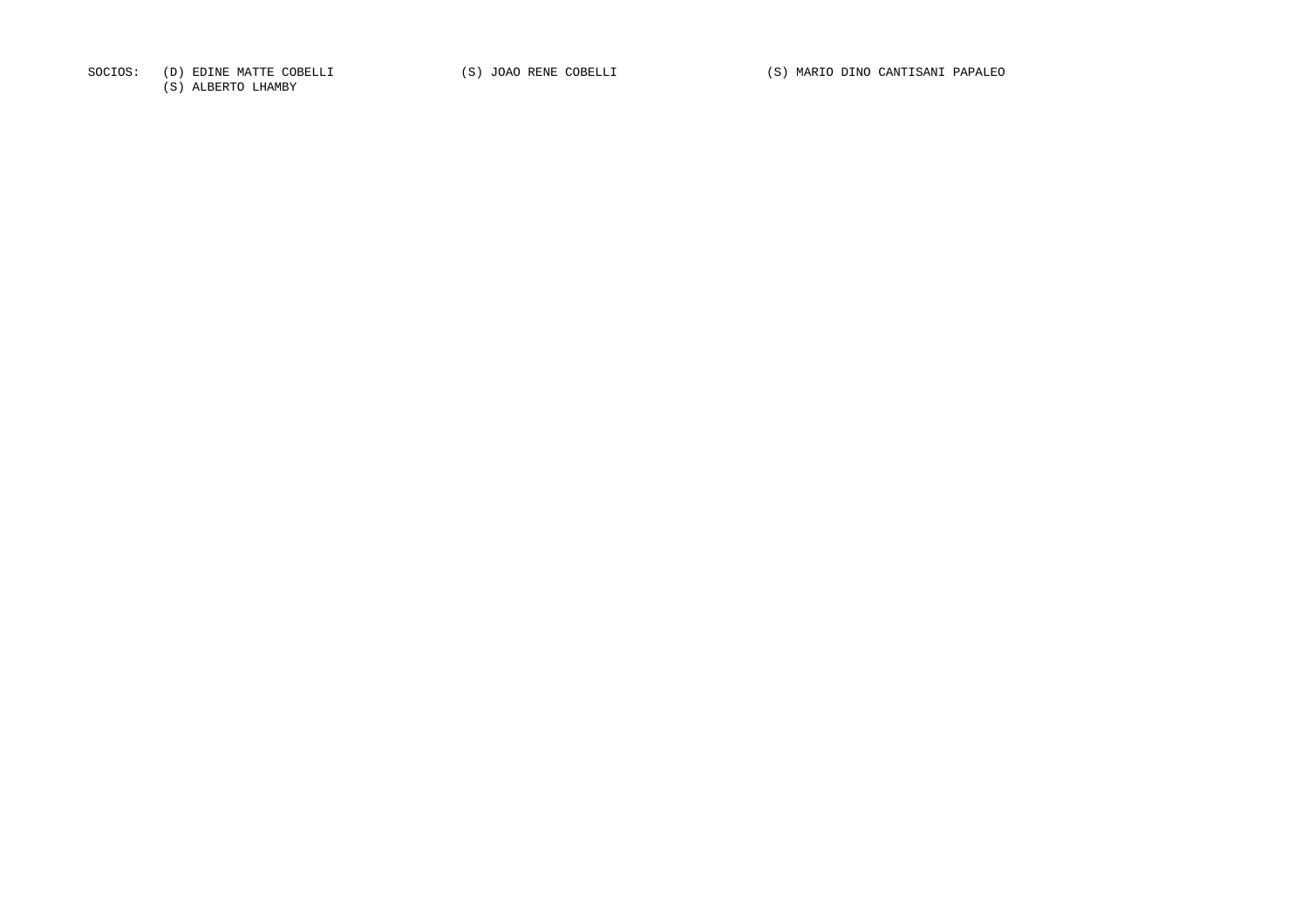SOCIOS: (D) EDINE MATTE COBELLI (S) JOAO RENE COBELLI (S) MARIO DINO CANTISANI PAPALEO

(S) ALBERTO LHAMBY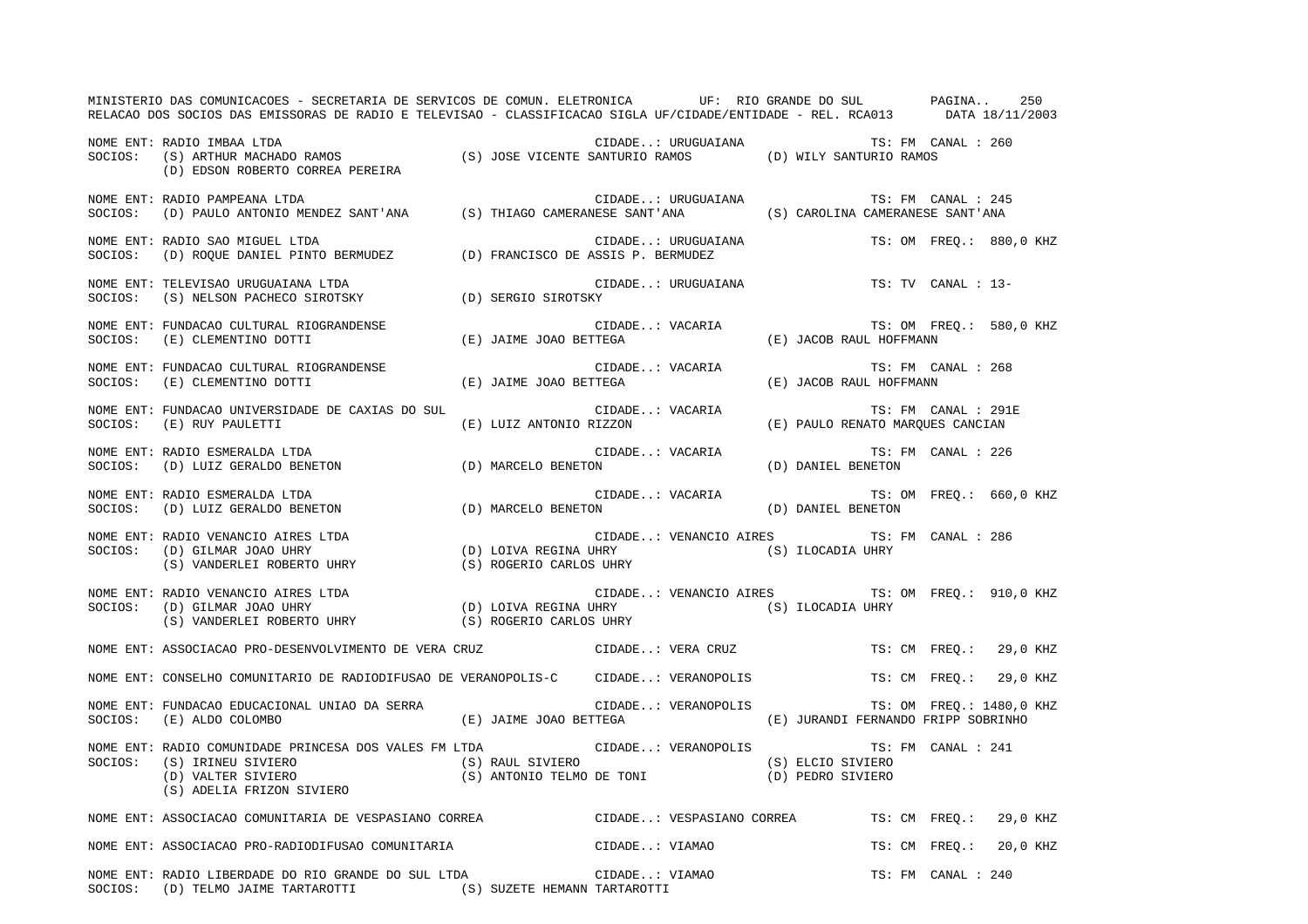|         | MINISTERIO DAS COMUNICACOES - SECRETARIA DE SERVICOS DE COMUN. ELETRONICA UF: RIO GRANDE DO SUL PAGINA<br>RELACAO DOS SOCIOS DAS EMISSORAS DE RADIO E TELEVISAO - CLASSIFICACAO SIGLA UF/CIDADE/ENTIDADE - REL. RCA013 DATA 18/11/2003                                    |                         |                    |                                                |                     | 250                     |
|---------|---------------------------------------------------------------------------------------------------------------------------------------------------------------------------------------------------------------------------------------------------------------------------|-------------------------|--------------------|------------------------------------------------|---------------------|-------------------------|
|         | SOCIOS: (S) ARTHUR MACHADO RAMOS (S) JOSE VICENTE SANTURIO RAMOS (D) WILY SANTURIO RAMOS<br>(D) EDSON ROBERTO CORREA PEREIRA (S) JOSE VICENTE SANTURIO RAMOS (D) WILY SANTURIO RAMOS                                                                                      |                         |                    |                                                |                     |                         |
|         | NOME ENT: RADIO PAMPEANA LTDA<br>SOCIOS: (D) PAULO ANTONIO MENDEZ SANT'ANA (S) THIAGO CAMERANESE SANT'ANA (S) CAROLINA CAMERANESE SANT'ANA                                                                                                                                |                         | CIDADE: URUGUAIANA |                                                | TS: FM CANAL : 245  |                         |
| SOCIOS: | NOME ENT: RADIO SAO MIGUEL LTDA<br>(D) ROQUE DANIEL PINTO BERMUDEZ (D) FRANCISCO DE ASSIS P. BERMUDEZ                                                                                                                                                                     |                         | CIDADE: URUGUAIANA |                                                |                     | TS: OM FREO.: 880,0 KHZ |
| SOCIOS: | NOME ENT: TELEVISAO URUGUAIANA LTDA<br>(B) NELSON PACHECO SIROTSKY (D) SERGIO SIROTSKY                                                                                                                                                                                    |                         | CIDADE: URUGUAIANA |                                                | TS: TV CANAL : 13-  |                         |
| SOCIOS: | NOME ENT: FUNDACAO CULTURAL RIOGRANDENSE<br>(E) CLEMENTINO DOTTI                                                                                                                                                                                                          | (E) JAIME JOAO BETTEGA  | CIDADE: VACARIA    | (E) JACOB RAUL HOFFMANN                        |                     | TS: OM FREQ.: 580,0 KHZ |
|         | NOME ENT: FUNDACAO CULTURAL RIOGRANDENSE (E) JAIME JOAO BETTEGA CIDADE: VACARIA SOCIOS: (E) CLEMENTINO DOTTI (E) JAIME JOAO BETTEGA                                                                                                                                       |                         | CIDADE: VACARIA    | (E) JACOB RAUL HOFFMANN                        | TS: FM CANAL : 268  |                         |
| SOCIOS: | NOME ENT: FUNDACAO UNIVERSIDADE DE CAXIAS DO SUL<br>(E) RUY PAULETTI                                                                                                                                                                                                      | (E) LUIZ ANTONIO RIZZON | CIDADE: VACARIA    | (E) PAULO RENATO MARQUES CANCIAN               | TS: FM CANAL : 291E |                         |
| SOCIOS: | NOME ENT: RADIO ESMERALDA LTDA<br>(D) LUIZ GERALDO BENETON (D) MARCELO BENETON                                                                                                                                                                                            |                         | CIDADE: VACARIA    | (D) DANIEL BENETON                             | TS: FM CANAL : 226  |                         |
|         | NOME ENT: RADIO ESMERALDA LTDA<br>SOCIOS: (D) LUIZ GERALDO BENETON (D) MARCELO BENETON (D) MARCELO BENETON (D) OANIEL BENETON                                                                                                                                             |                         | CIDADE: VACARIA    |                                                |                     | TS: OM FREQ.: 660,0 KHZ |
|         | NOME ENT: RADIO VENANCIO AIRES LTDA<br>SOCIOS: (D) GILMAR JOAO UHRY (D) LOIVA REGINA UHRY (S) ILOCADIA UHRY (S) ILOCADIA UHRY (S) VANDERLEI ROBERTO UHRY (S) ROGERIO CARLOS UHRY (S)                                                                                      |                         |                    | CIDADE: VENANCIO AIRES TS: FM CANAL : 286      |                     |                         |
|         | NOME ENT: RADIO VENANCIO AIRES LTDA<br>SOCIOS: (D) GILMAR JOAO UHRY (D) LOIVA REGINA UHRY (S) VENANCIO AIRES TS:<br>(S) VANDERLEI ROBERTO UHRY (S) ROGERIO CARLOS UHRY (S) ILOCADIA UHRY                                                                                  |                         |                    | CIDADE: VENANCIO AIRES TS: OM FREQ.: 910,0 KHZ |                     |                         |
|         | NOME ENT: ASSOCIACAO PRO-DESENVOLVIMENTO DE VERA CRUZ (CIDADE: VERA CRUZ                                                                                                                                                                                                  |                         |                    |                                                |                     | TS: CM FREO.: 29,0 KHZ  |
|         | NOME ENT: CONSELHO COMUNITARIO DE RADIODIFUSAO DE VERANOPOLIS-C CIDADE: VERANOPOLIS                                                                                                                                                                                       |                         |                    |                                                |                     | TS: CM FREQ.: 29,0 KHZ  |
|         | NOME ENT: FUNDACAO EDUCACIONAL UNIAO DA SERRA<br>SOCIOS: (E) ALDO COLOMBO (E) JAIME JOAO BETTEGA (E) JURANDI FERNANDO FRIPP SOBRINHO                                                                                                                                      |                         |                    | CIDADE: VERANOPOLIS TS: OM FREQ.: 1480,0 KHZ   |                     |                         |
|         | NOME ENT: RADIO COMUNIDADE PRINCESA DOS VALES FM LTDA CIDADE: VERANOPOLIS TS: FM CANAL : 241<br>SOCIOS: (S) IRINEU SIVIERO (S) RAUL SIVIERO (S) ELCIO SIVIERO (D) VALTER SIVIERO (D) VALTER SIVIERO (S) ANTONIO TELMO DE TONI (D) PEDRO SIVIERO (S) ADELIA FRIZON SIVIERO |                         |                    |                                                |                     |                         |
|         | NOME ENT: ASSOCIACAO COMUNITARIA DE VESPASIANO CORREA CIDADE: VESPASIANO CORREA                                                                                                                                                                                           |                         |                    |                                                |                     | TS: CM FREO.: 29,0 KHZ  |
|         | NOME ENT: ASSOCIACAO PRO-RADIODIFUSAO COMUNITARIA                                                                                                                                                                                                                         |                         | CIDADE: VIAMAO     |                                                | TS: CM FREO.:       | 20,0 KHZ                |
|         | NOME ENT: RADIO LIBERDADE DO RIO GRANDE DO SUL LTDA CIDADE: VIAMAO<br>SOCIOS: (D) TELMO JAIME TARTAROTTI (S) SUZETE HEMANN TARTAROTTI                                                                                                                                     |                         |                    |                                                | TS: FM CANAL : 240  |                         |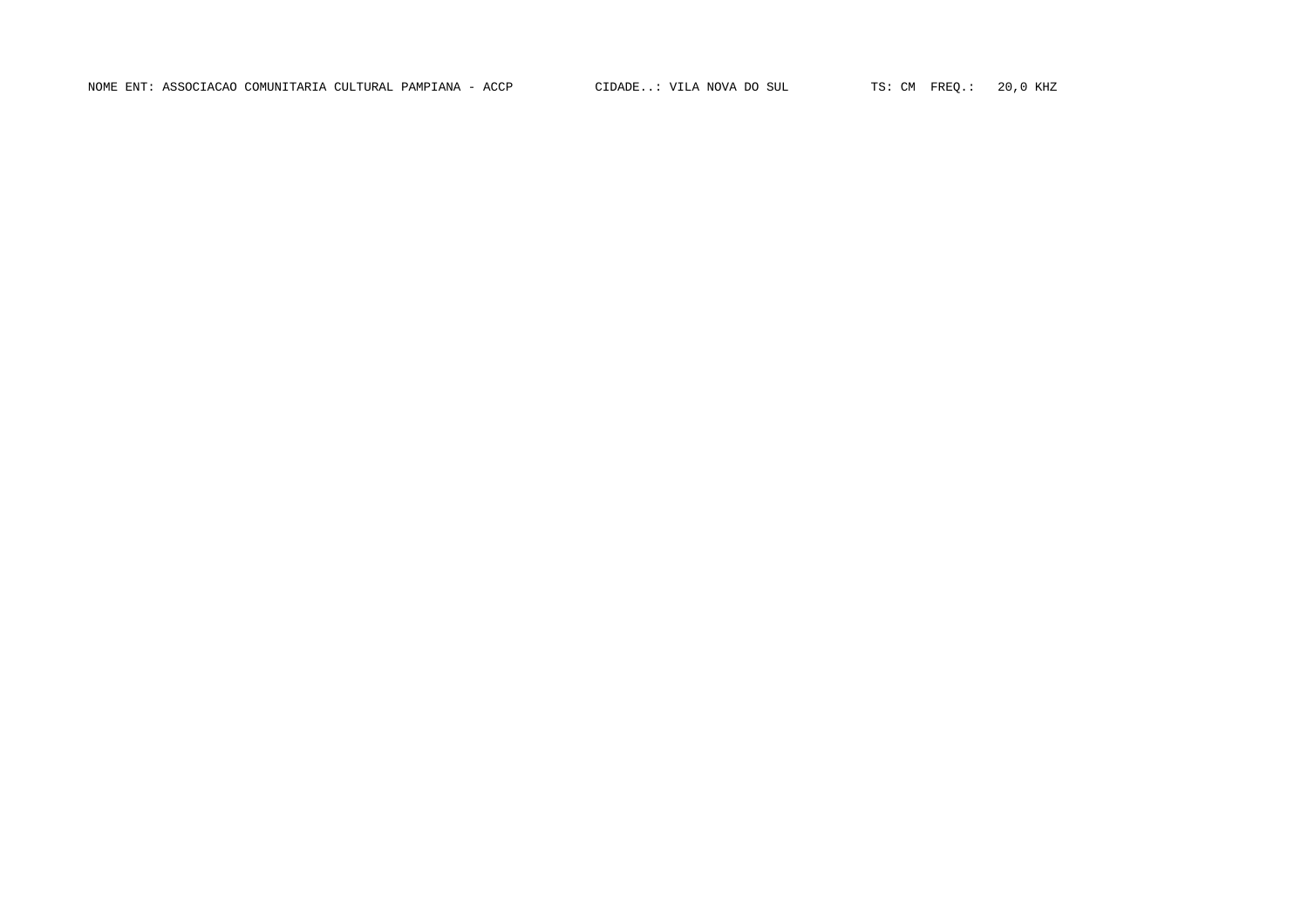NOME ENT: ASSOCIACAO COMUNITARIA CULTURAL PAMPIANA - ACCP CIDADE..: VILA NOVA DO SUL TS: CM FREQ.: 20,0 KHZ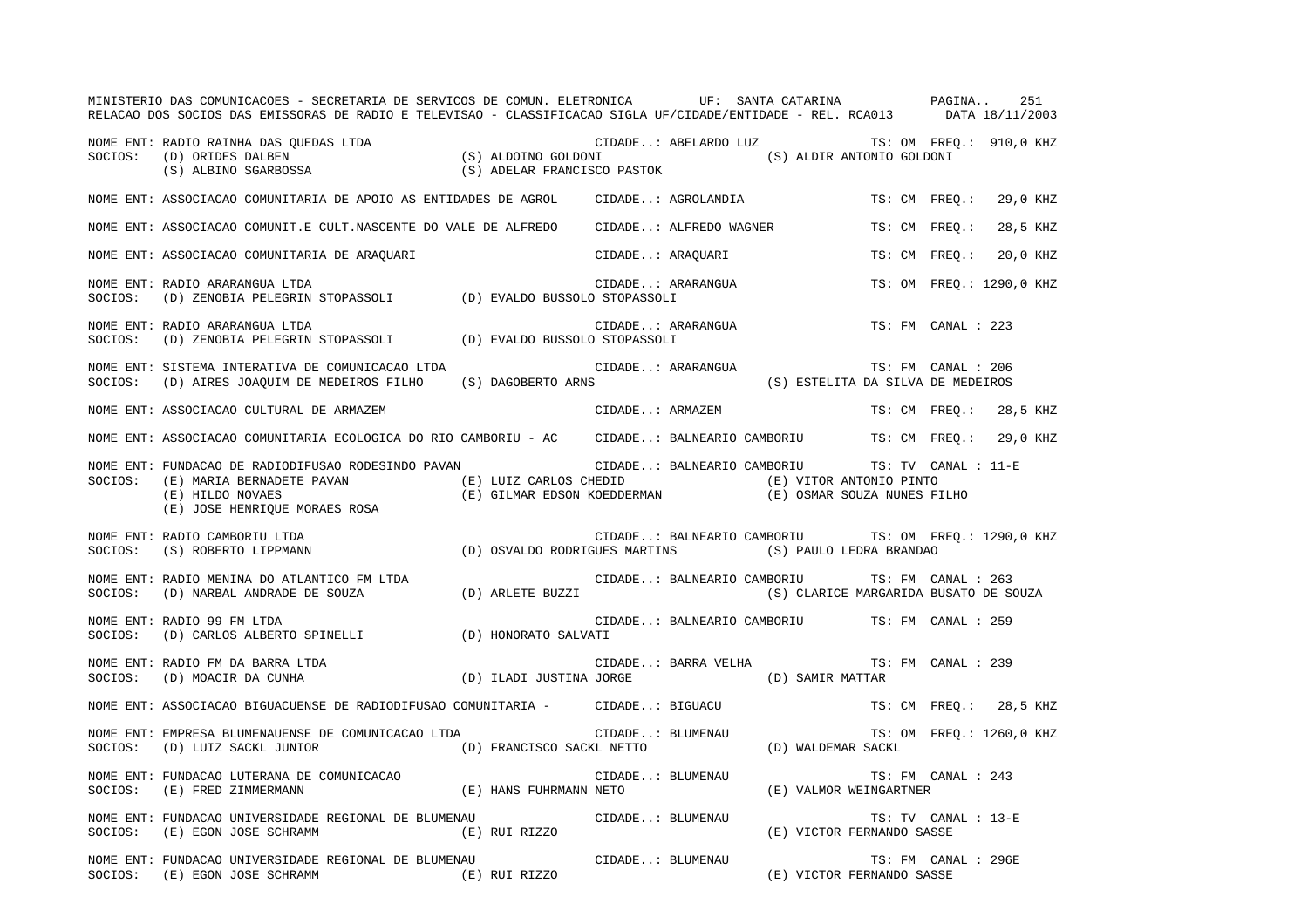|         | MINISTERIO DAS COMUNICACOES - SECRETARIA DE SERVICOS DE COMUN. ELETRONICA UF: SANTA CATARINA ANDERGINA<br>RELACAO DOS SOCIOS DAS EMISSORAS DE RADIO E TELEVISAO - CLASSIFICACAO SIGLA UF/CIDADE/ENTIDADE - REL. RCA013 DATA 18/11/2003                                 |                  |                                   |                                                                                        |                          | 251      |  |
|---------|------------------------------------------------------------------------------------------------------------------------------------------------------------------------------------------------------------------------------------------------------------------------|------------------|-----------------------------------|----------------------------------------------------------------------------------------|--------------------------|----------|--|
|         | CIDADE: ABELARDO LUZ TS: OM FREQ<br>SOCIOS: (D) ORIDES DALBEN (S) ALDOINO GOLDONI (S) ALDOINO GOLDONI (S) ALDIR ANTONIO GOLDONI<br>(S) ALBINO SGARBOSSA (S) ADELAR FRANCISCO PASTOK                                                                                    |                  |                                   | CIDADE: ABELARDO LUZ TS: OM FREQ.: 910,0 KHZ                                           |                          |          |  |
|         | NOME ENT: ASSOCIACAO COMUNITARIA DE APOIO AS ENTIDADES DE AGROL (CIDADE: AGROLANDIA                                                                                                                                                                                    |                  |                                   |                                                                                        | TS: CM FREO.: 29,0 KHZ   |          |  |
|         | NOME ENT: ASSOCIACAO COMUNIT.E CULT.NASCENTE DO VALE DE ALFREDO CIDADE: ALFREDO WAGNER                                                                                                                                                                                 |                  |                                   |                                                                                        | TS: CM FREQ.:            | 28,5 KHZ |  |
|         | NOME ENT: ASSOCIACAO COMUNITARIA DE ARAQUARI                                                                                                                                                                                                                           |                  | CIDADE: ARAQUARI                  |                                                                                        | TS: CM FREO.: 20,0 KHZ   |          |  |
| SOCIOS: | NOME ENT: RADIO ARARANGUA LTDA<br>$\text{(D)} \ \ \text{ZENOBIA} \ \ \text{PELEGRIN} \ \ \text{STOPASSOLI} \qquad \qquad \text{(D)} \ \ \text{EVALDO} \ \ \text{BUSSOLO} \ \ \text{STOPASSOLI}$                                                                        |                  | CIDADE: ARARANGUA<br>2 STOPASSOLI |                                                                                        | TS: OM FREO.: 1290,0 KHZ |          |  |
| SOCIOS: | NOME ENT: RADIO ARARANGUA LTDA<br>(D) ZENOBIA PELEGRIN STOPASSOLI (D) EVALDO BUSSOLO STOPASSOLI                                                                                                                                                                        |                  | CIDADE: ARARANGUA                 |                                                                                        | TS: FM CANAL : 223       |          |  |
|         | NOME ENT: SISTEMA INTERATIVA DE COMUNICACAO LTDA<br>SOCIOS: (D) AIRES JOAQUIM DE MEDEIROS FILHO (S) DAGOBERTO ARNS                                                                                                                                                     |                  | CIDADE: ARARANGUA                 | (S) ESTELITA DA SILVA DE MEDEIROS                                                      | TS: FM CANAL : 206       |          |  |
|         | NOME ENT: ASSOCIACAO CULTURAL DE ARMAZEM                                                                                                                                                                                                                               |                  | CIDADE: ARMAZEM                   |                                                                                        | TS: CM FREQ.: 28,5 KHZ   |          |  |
|         | NOME ENT: ASSOCIACAO COMUNITARIA ECOLOGICA DO RIO CAMBORIU - AC CIDADE: BALNEARIO CAMBORIU TS: CM FREO.: 29,0 KHZ                                                                                                                                                      |                  |                                   |                                                                                        |                          |          |  |
| SOCIOS: | NOME ENT: FUNDACAO DE RADIODIFUSAO RODESINDO PAVAN<br>(E) MARIA BERNADETE PAVAN (E) LUIZ CARLOS CHEDID<br>(E) HILDO NOVAES (E) IUIZ CARLOS CHEDID (E) (E) VITOR ANTONIO PINTO<br>(E) JOSE HENRIQUE MORAES ROSA (E) GILMAR EDSON KOEDDERMAN (E) OSMAR SOUZA NUNES FILHO |                  |                                   | CIDADE: BALNEARIO CAMBORIU TS: TV CANAL : 11-E                                         |                          |          |  |
| SOCIOS: | NOME ENT: RADIO CAMBORIU LTDA<br>(D) OSVALDO RODRIGUES MARTINS (S) PAULO LEDRA BRANDAO<br>(S) ROBERTO LIPPMANN                                                                                                                                                         |                  |                                   | CIDADE: BALNEARIO CAMBORIU TS: OM FREQ.: 1290,0 KHZ                                    |                          |          |  |
|         | NOME ENT: RADIO MENINA DO ATLANTICO FM LTDA<br>SOCIOS: (D) NARBAL ANDRADE DE SOUZA (D) ARLETE BUZZI                                                                                                                                                                    |                  |                                   | CIDADE: BALNEARIO CAMBORIU TS: FM CANAL : 263<br>(S) CLARICE MARGARIDA BUSATO DE SOUZA |                          |          |  |
| SOCIOS: | NOME ENT: RADIO 99 FM LTDA<br>(D) CARLOS ALBERTO SPINELLI (D) HONORATO SALVATI                                                                                                                                                                                         |                  |                                   | CIDADE: BALNEARIO CAMBORIU TS: FM CANAL : 259                                          |                          |          |  |
|         |                                                                                                                                                                                                                                                                        |                  |                                   | CIDADE: BARRA VELHA TS: FM CANAL : 239<br>(D) SAMIR MATTAR                             |                          |          |  |
|         | NOME ENT: ASSOCIACAO BIGUACUENSE DE RADIODIFUSAO COMUNITARIA -       CIDADE: BIGUACU                                                                                                                                                                                   |                  |                                   |                                                                                        | TS: CM FREO.: 28,5 KHZ   |          |  |
| SOCIOS: | NOME ENT: EMPRESA BLUMENAUENSE DE COMUNICACAO LTDA<br>(D) LUIZ SACKL JUNIOR (D) FRANCISCO SACKL NETTO (D) WALDEMAR SACKL                                                                                                                                               | CIDADE: BLUMENAU |                                   |                                                                                        | TS: OM FREO.: 1260,0 KHZ |          |  |
|         | NOME ENT: FUNDACAO LUTERANA DE COMUNICACAO<br>SOCIOS: (E) FRED ZIMMERMANN (E) HANS FUHRMANN NETO                                                                                                                                                                       | CIDADE: BLUMENAU |                                   | (E) VALMOR WEINGARTNER                                                                 | TS: FM CANAL : 243       |          |  |
|         | NOME ENT: FUNDACAO UNIVERSIDADE REGIONAL DE BLUMENAU<br>(E) RUI RIZZO<br>SOCIOS: (E) EGON JOSE SCHRAMM                                                                                                                                                                 | CIDADE: BLUMENAU |                                   | (E) VICTOR FERNANDO SASSE                                                              | TS: TV CANAL : 13-E      |          |  |
|         | NOME ENT: FUNDACAO UNIVERSIDADE REGIONAL DE BLUMENAU<br>(E) RUI RIZZO<br>SOCIOS: (E) EGON JOSE SCHRAMM                                                                                                                                                                 | CIDADE: BLUMENAU |                                   | (E) VICTOR FERNANDO SASSE                                                              | TS: FM CANAL : 296E      |          |  |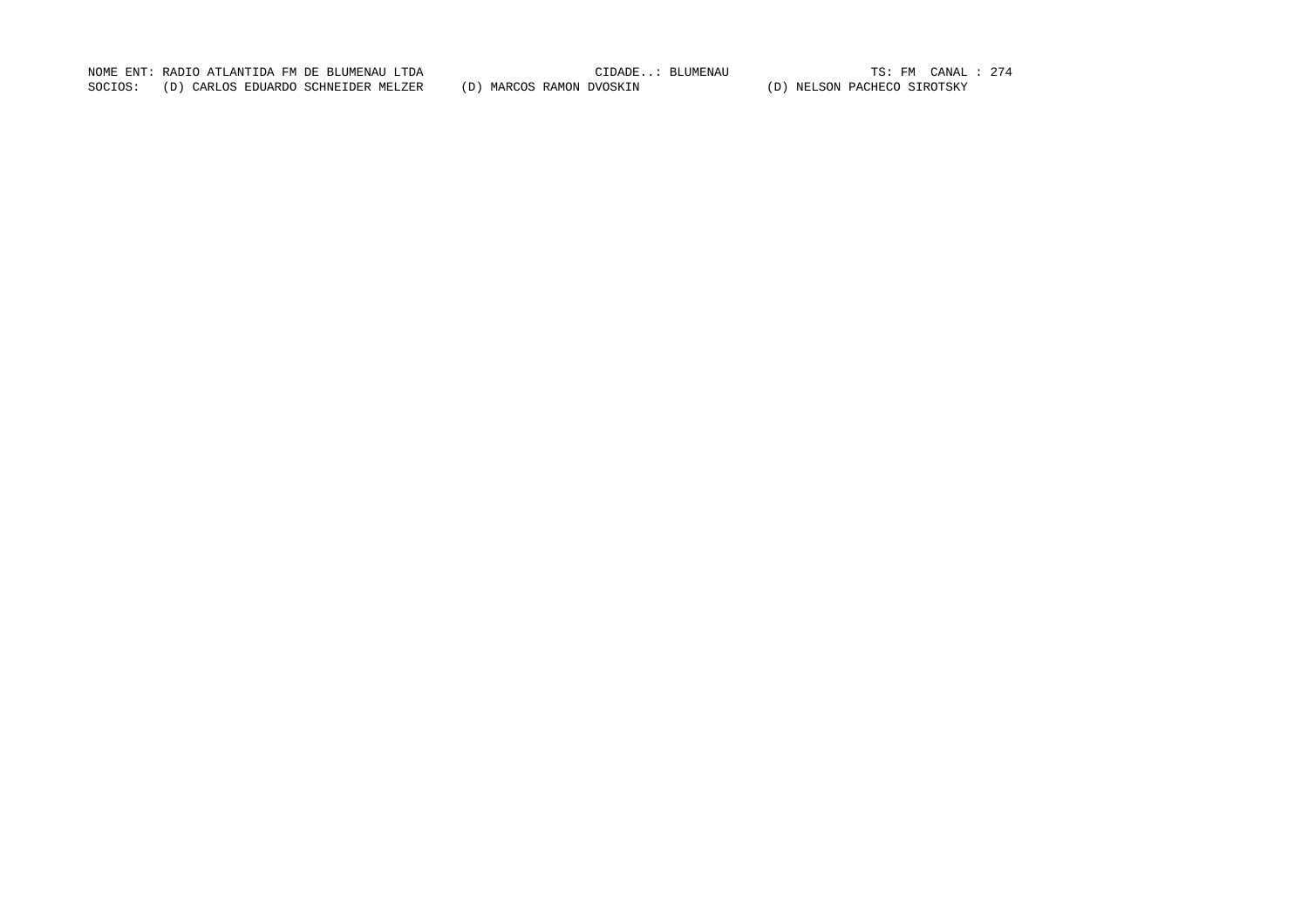NOME ENT: RADIO ATLANTIDA FM DE BLUMENAU LTDA CIDADE..: BLUMENAU TS: FM CANAL : 274SOCIOS: (D) CARLOS EDUARDO SCHNEIDER MELZER (D) MARCOS RAMON DVOSKIN (D) NELSON PACHECO SIROTSKY

TS: FM CANAL : 274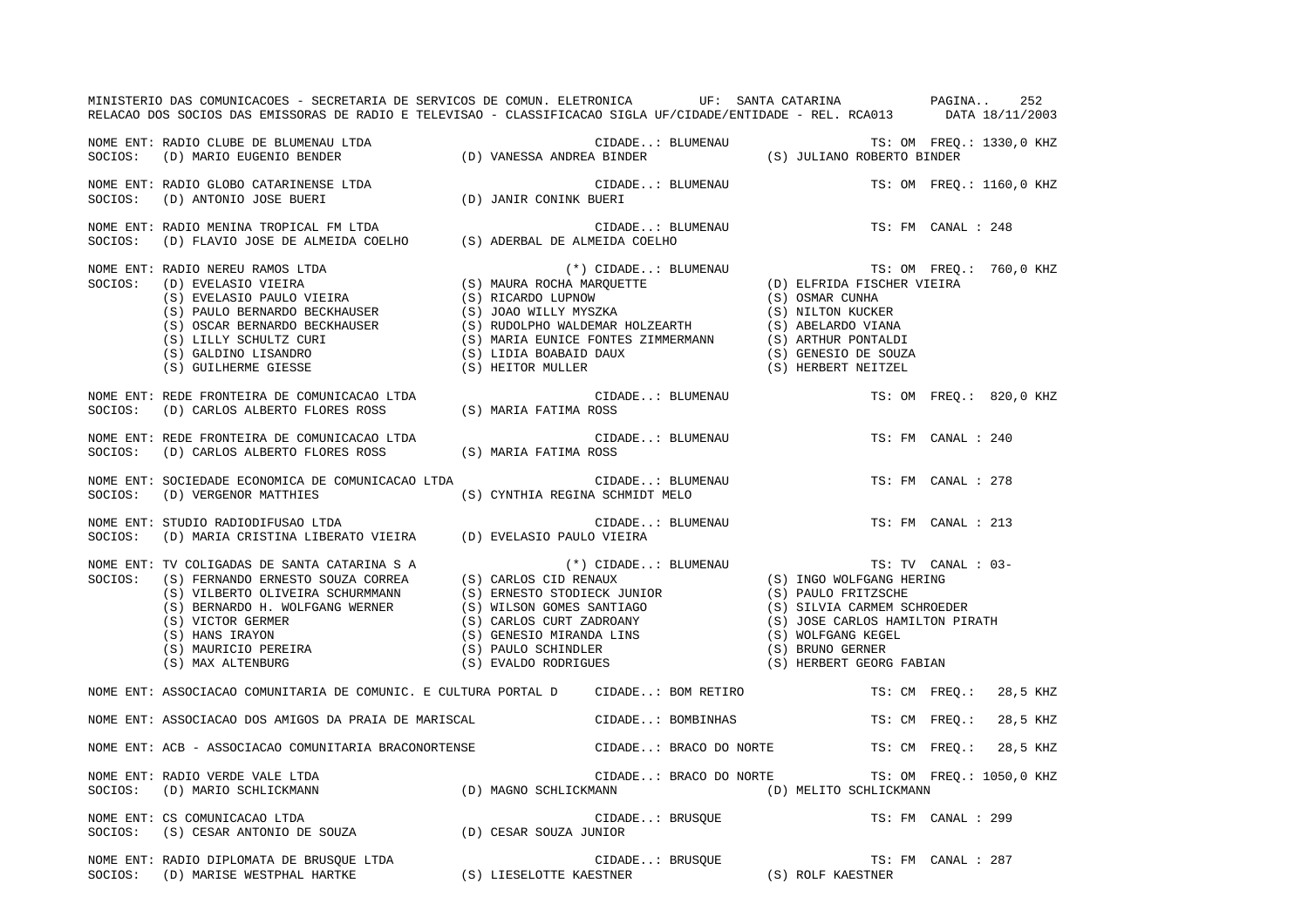|         | MINISTERIO DAS COMUNICACOES - SECRETARIA DE SERVICOS DE COMUN. ELETRONICA UF: SANTA CATARINA NA PAGINA<br>RELACAO DOS SOCIOS DAS EMISSORAS DE RADIO E TELEVISAO - CLASSIFICACAO SIGLA UF/CIDADE/ENTIDADE - REL. RCA013 DATA 18/11/2003 |                                                     |                        |                    | 252                      |
|---------|----------------------------------------------------------------------------------------------------------------------------------------------------------------------------------------------------------------------------------------|-----------------------------------------------------|------------------------|--------------------|--------------------------|
|         | NOME ENT: RADIO CLUBE DE BLUMENAU LTDA<br>SOCIOS:   (D) MARIO EUGENIO BENDER                           (D) VANESSA ANDREA BINDER                      (S) JULIANO ROBERTO BINDER                                                       |                                                     |                        |                    |                          |
|         | NOME ENT: RADIO GLOBO CATARINENSE LTDA<br>SOCIOS: (D) ANTONIO JOSE BUERI                                                                                                                                                               | (D) JANIR CONINK BUERI                              | CIDADE: BLUMENAU       |                    | TS: OM FREQ.: 1160,0 KHZ |
|         | NOME ENT: RADIO MENINA TROPICAL FM LTDA<br>SOCIOS: (D) FLAVIO JOSE DE ALMEIDA COELHO (S) ADERBAL DE ALMEIDA COELHO                                                                                                                     |                                                     | CIDADE: BLUMENAU       | TS: FM CANAL : 248 |                          |
|         | NOWE ENT: RADIO NEREU RAMOS LTDA<br>SOCIOS: (D) EVELASIO VIEIRA (S) EVELASIO PAULO VIEIRA (S) RICARDO LUPNOW (S) SUBLARIO PAULO VIEIRA (S) EVELASIO PAULO VIEIRA (S) RICARDO LUPNOW (S) OSMAR CUNHA (S) PAULO BERNARDO BECKHAUSE       |                                                     |                        |                    |                          |
| SOCIOS: | NOME ENT: REDE FRONTEIRA DE COMUNICACAO LTDA<br>(D) CARLOS ALBERTO FLORES ROSS (S) MARIA FATIMA ROSS                                                                                                                                   |                                                     | CIDADE: BLUMENAU       |                    | TS: OM FREO.: 820,0 KHZ  |
| SOCIOS: | NOME ENT: REDE FRONTEIRA DE COMUNICACAO LTDA<br>(D) CARLOS ALBERTO FLORES ROSS (S) MARIA FATIMA ROSS                                                                                                                                   |                                                     | CIDADE: BLUMENAU       | TS: FM CANAL : 240 |                          |
| SOCIOS: | NOME ENT: SOCIEDADE ECONOMICA DE COMUNICACAO LTDA<br>(D) VERGENOR MATTHIES                                                                                                                                                             | CIDADE: BLUMENAU<br>(S) CYNTHIA REGINA SCHMIDT MELO |                        | TS: FM CANAL : 278 |                          |
|         | NOME ENT: STUDIO RADIODIFUSAO LTDA<br>SOCIOS: (D) MARIA CRISTINA LIBERATO VIEIRA (D) EVELASIO PAULO VIEIRA                                                                                                                             |                                                     | CIDADE: BLUMENAU       | TS: FM CANAL : 213 |                          |
|         | NOME ENT: TV COLIGADAS DE SANTA CATARINA SA<br>SOCIOS: (S) FERNANDO ERNESTO SOUZA CORREA (S) CARLOS CID RENAUX (S) INGO WOLFGANG HERING<br>(S) VILBERTO OLIVEIRA SCHURMMANN (S) ERNESTO STODIECK JUNIOR (S) PAULO FRITZSCHE<br>(S) B   |                                                     |                        | TS: TV CANAL : 03- |                          |
|         | NOME ENT: ASSOCIACAO COMUNITARIA DE COMUNIC. E CULTURA PORTAL D      CIDADE: BOM RETIRO                                                                                                                                                |                                                     |                        |                    | TS: CM FREO.: 28,5 KHZ   |
|         | NOME ENT: ASSOCIACAO DOS AMIGOS DA PRAIA DE MARISCAL                                                                                                                                                                                   | CIDADE: BOMBINHAS                                   |                        | TS: CM FREQ.:      | 28,5 KHZ                 |
|         | NOME ENT: ACB - ASSOCIACAO COMUNITARIA BRACONORTENSE               CIDADE: BRACO DO NORTE         TS: CM FREQ.:  28,5 KHZ                                                                                                              |                                                     |                        |                    |                          |
|         | NOME ENT: RADIO VERDE VALE LTDA<br>SOCIOS: (D) MARIO SCHLICKMANN (D) MAGNO SCHLICKMANN (D) (D) MELITO SCHLICKMANN                                                                                                                      |                                                     | CIDADE: BRACO DO NORTE |                    | TS: OM FREQ.: 1050,0 KHZ |
|         | NOME ENT: CS COMUNICACAO LTDA<br>SOCIOS:    (S) CESAR ANTONIO DE SOUZA                      (D) CESAR SOUZA JUNIOR                                                                                                                     |                                                     | CIDADE: BRUSQUE        | TS: FM CANAL : 299 |                          |
|         | NOME ENT: RADIO DIPLOMATA DE BRUSQUE LTDA<br>SOCIOS:    (D) MARISE WESTPHAL HARTKE                         (S) LIESELOTTE KAESTNER                        (S) ROLF KAESTNER                                                            |                                                     |                        | TS: FM CANAL : 287 |                          |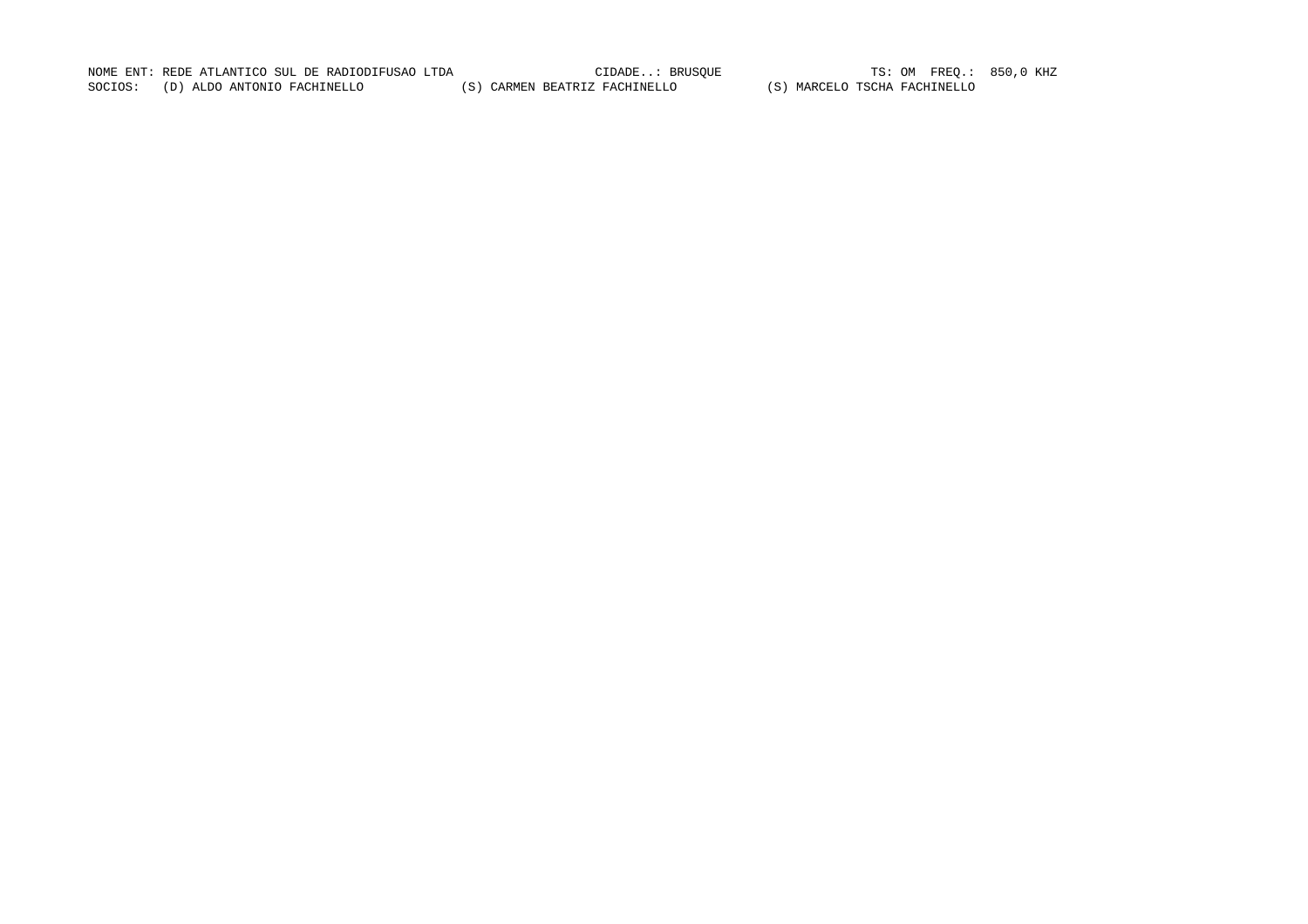NOME ENT: REDE ATLANTICO SUL DE RADIODIFUSAO LTDA CIDADE..: BRUSQUE TS: OM FREQ.: 850,0 KHZ SOCIOS: (D) ALDO ANTONIO FACHINELLO (S) CARMEN BEATRIZ FACHINELLO (S) MARCELO TSCHA FACHINELLO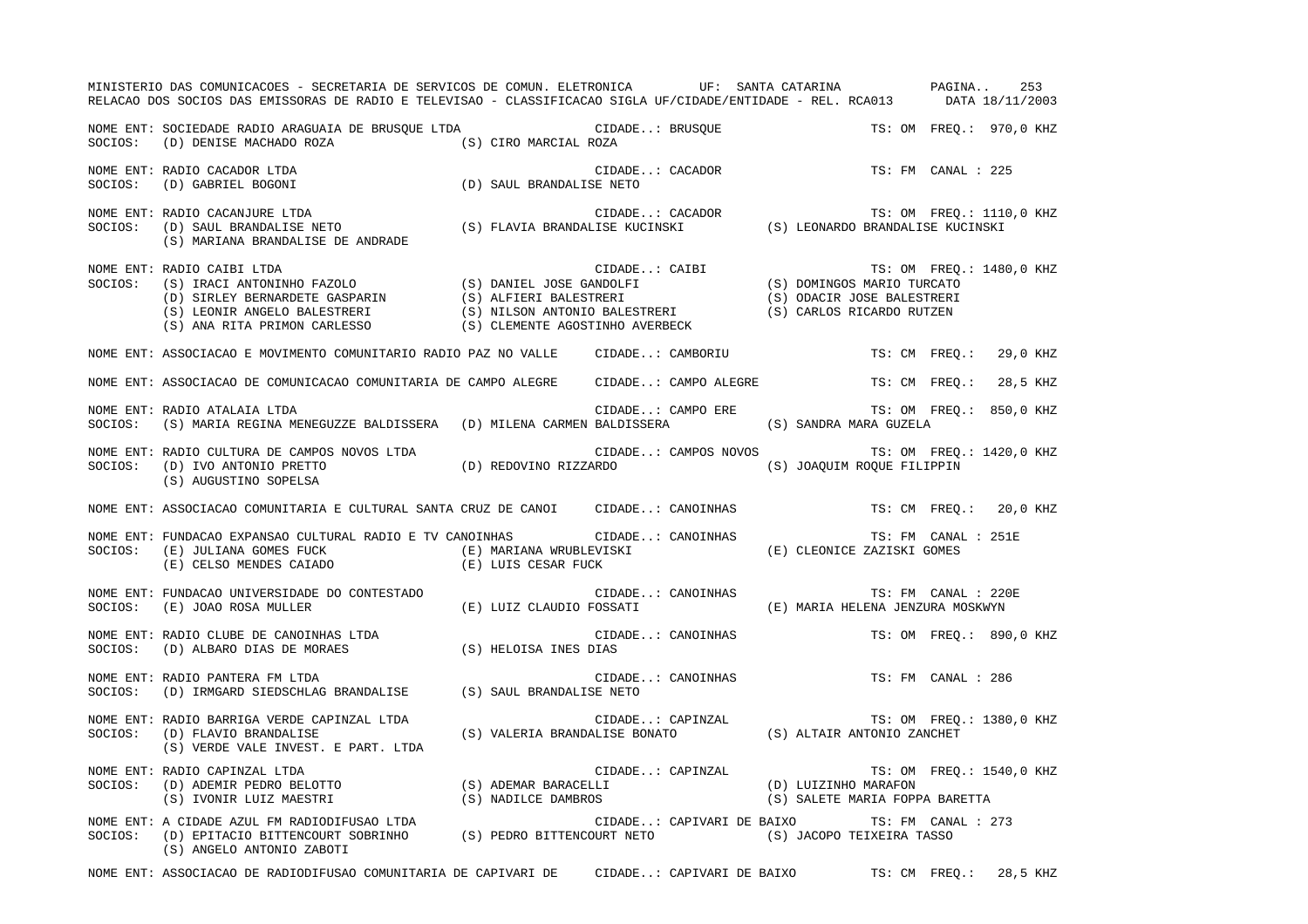|         | MINISTERIO DAS COMUNICACOES - SECRETARIA DE SERVICOS DE COMUN. ELETRONICA UF: SANTA CATARINA PAGINA<br>RELACAO DOS SOCIOS DAS EMISSORAS DE RADIO E TELEVISAO - CLASSIFICACAO SIGLA UF/CIDADE/ENTIDADE - REL. RCA013 DATA 18/11/2003                                                                                                                                                                                                                                                                      |                   |                   |                                                            |                    | 253      |  |
|---------|----------------------------------------------------------------------------------------------------------------------------------------------------------------------------------------------------------------------------------------------------------------------------------------------------------------------------------------------------------------------------------------------------------------------------------------------------------------------------------------------------------|-------------------|-------------------|------------------------------------------------------------|--------------------|----------|--|
|         | $\texttt{SOCIOS:} \hspace{0.5cm} \texttt{(D)} \hspace{0.5cm} \texttt{DENISE MACHADO ROZA} \hspace{1.5cm} \texttt{(S)} \hspace{0.5cm} \texttt{CIRO MARCHAL ROZA}$                                                                                                                                                                                                                                                                                                                                         |                   |                   | TS: OM FREQ.: 970,0 KHZ                                    |                    |          |  |
|         | NOME ENT: RADIO CACADOR LTDA<br>SOCIOS: (D) GABRIEL BOGONI (D) SAUL BRANDALISE NETO                                                                                                                                                                                                                                                                                                                                                                                                                      |                   | CIDADE: CACADOR   |                                                            | TS: FM CANAL : 225 |          |  |
|         | NOME ENT: RADIO CACANJURE LTDA<br>SOCIOS: (D) SAUL BRANDALISE NETO (S) FLAVIA BRANDALISE KUCINSKI (S) LEONARDO BRANDALISE KUCINSKI<br>(S) MARIANA BRANDALISE DE ANDRADE                                                                                                                                                                                                                                                                                                                                  |                   |                   | TS: OM FREQ.: 1110,0 KHZ                                   |                    |          |  |
| SOCIOS: | NOME ENT: RADIO CAIBI LTDA<br>$\begin{tabular}{lllllllllllllllll} \multicolumn{3}{c}{\textbf{RADIO} & \multicolumn{3}{c}{\textbf{CABI}} & \multicolumn{3}{c}{\textbf{CADADE}}\dots & \multicolumn{3}{c}{\textbf{CABI}} & \multicolumn{3}{c}{\textbf{TS: OM} & \textbf{FReg}}\\ \multicolumn{3}{c}{\textbf{(S)} & \textbf{IRACI} & \textbf{BATIONINHO} & \textbf{FAZOLO} & \textbf{(S)} & \textbf{DANIEL JOSE} & \textbf{GANDOLFI} & \textbf{(S)} & \textbf{DOMINGOS} & \textbf{MARIO TURCATO}\\ \multic$ |                   |                   | TS: OM FREQ.: 1480,0 KHZ                                   |                    |          |  |
|         | NOME ENT: ASSOCIACAO E MOVIMENTO COMUNITARIO RADIO PAZ NO VALLE CIDADE: CAMBORIU                                                                                                                                                                                                                                                                                                                                                                                                                         |                   |                   | TS: CM FREO.:                                              |                    | 29,0 KHZ |  |
|         | NOME ENT: ASSOCIACAO DE COMUNICACAO COMUNITARIA DE CAMPO ALEGRE CIDADE: CAMPO ALEGRE TS: CM FREO.:                                                                                                                                                                                                                                                                                                                                                                                                       |                   |                   |                                                            |                    | 28,5 KHZ |  |
|         | NOME ENT: RADIO ATALAIA LTDA<br>SOCIOS: (S) MARIA REGINA MENEGUZZE BALDISSERA (D) MILENA CARMEN BALDISSERA (S) SANDRA MARA GUZELA                                                                                                                                                                                                                                                                                                                                                                        |                   | CIDADE: CAMPO ERE | TS: OM FREQ.: 850,0 KHZ                                    |                    |          |  |
|         | NOME ENT: RADIO CULTURA DE CAMPOS NOVOS LTDA (D) REDOVINO RIZZARDO (S) JOAQUIM ROQUE FILIPPIN<br>SOCIOS: (D) IVO ANTONIO PRETTO (S) AUGUSTINO SOPELSA (D) REDOVINO RIZZARDO (S) JOAQUIM ROQUE FILIPPIN                                                                                                                                                                                                                                                                                                   |                   |                   | CIDADE: CAMPOS NOVOS TS: OM FREQ.: 1420,0 KHZ              |                    |          |  |
|         | NOME ENT: ASSOCIACAO COMUNITARIA E CULTURAL SANTA CRUZ DE CANOI CIDADE: CANOINHAS TS: CM FREQ.: 20,0 KHZ                                                                                                                                                                                                                                                                                                                                                                                                 |                   |                   |                                                            |                    |          |  |
|         | NOME ENT: FUNDACAO EXPANSAO CULTURAL RADIO E TV CANOINHAS CIDADE: CANOINHAS TS: FM CANAL :<br>SOCIOS: (E) JULIANA GOMES FUCK (E) MARIANA WRUBLEVISKI (E) CLEONICE ZAZISKI GOMES<br>(E) CELSO MENDES CAIADO (E) LUIS CESAR FUCK                                                                                                                                                                                                                                                                           |                   |                   | TS: FM CANAL : 251E                                        |                    |          |  |
|         | NOME ENT: FUNDACAO UNIVERSIDADE DO CONTESTADO (E) LUIZ CLAUDIO FOSSATI (E) MARIA HELENA JENZURA MOSKWYN (E) JOAO ROSA MULLER (E) LUIZ CLAUDIO FOSSATI (E) MARIA HELENA JENZURA MOSKWYN                                                                                                                                                                                                                                                                                                                   | CIDADE: CANOINHAS |                   | TS: FM CANAL : 220E                                        |                    |          |  |
|         | NOME ENT: RADIO CLUBE DE CANOINHAS LTDA (S) HELOISA INES DIAS SOCIOS: (D) ALBARO DIAS DE MORAES (S) HELOISA INES DIAS                                                                                                                                                                                                                                                                                                                                                                                    |                   |                   | CIDADE: CANOINHAS TS: OM FREQ.: 890,0 KHZ                  |                    |          |  |
|         | NOME ENT: RADIO PANTERA FM LTDA<br>SOCIOS: (D) IRMGARD SIEDSCHLAG BRANDALISE (S) SAUL BRANDALISE NETO                                                                                                                                                                                                                                                                                                                                                                                                    |                   | CIDADE: CANOINHAS | TS: FM CANAL : 286                                         |                    |          |  |
|         | NOME ENT: RADIO BARRIGA VERDE CAPINZAL LTDA<br>SOCIOS: (D) FLAVIO BRANDALISE (S) VALERIA BRANDALISE BONATO (S) ALTAIR ANTONIO ZANCHET<br>(S) ALTAIR ANTONIO ZANCHET<br>(S) VERDE VALE INVEST. E PART. LTDA                                                                                                                                                                                                                                                                                               |                   |                   |                                                            |                    |          |  |
|         | TS: OM FRE (S) ADEMAR BARACELLI (D) ADEMIR PEDRO BELOTTO (S) ADEMAR BARACELLI (D) IUIZINHO MARAFON (S) IVONIR LUIZ MAESTRI (S) NADILCE DAMBROS (S) SALETE MARIA FOPPA RANONE ENT: A CIDADE AFII THE SECTION (S) NADILCE DAMBRO                                                                                                                                                                                                                                                                           |                   |                   | TS: OM FREO.: 1540,0 KHZ<br>(S) SALETE MARIA FOPPA BARETTA |                    |          |  |
|         | NOME ENT: A CIDADE AZUL FM RADIODIFUSAO LTDA (S) PEDRO BITTENCOURT NETO (S) JACOPO TEIXEIRA TASSO<br>SOCIOS: (D) EPITACIO BITTENCOURT SOBRINHO (S) PEDRO BITTENCOURT NETO (S) JACOPO TEIXEIRA TASSO<br>(S) ANGELO ANTONIO ZABOTI                                                                                                                                                                                                                                                                         |                   |                   | TS: FM CANAL : 273                                         |                    |          |  |
|         | NOME ENT: ASSOCIACAO DE RADIODIFUSAO COMUNITARIA DE CAPIVARI DE                                                                                                                                                                                                                                                                                                                                                                                                                                          |                   |                   | CIDADE: CAPIVARI DE BAIXO TS: CM FREO.: 28,5 KHZ           |                    |          |  |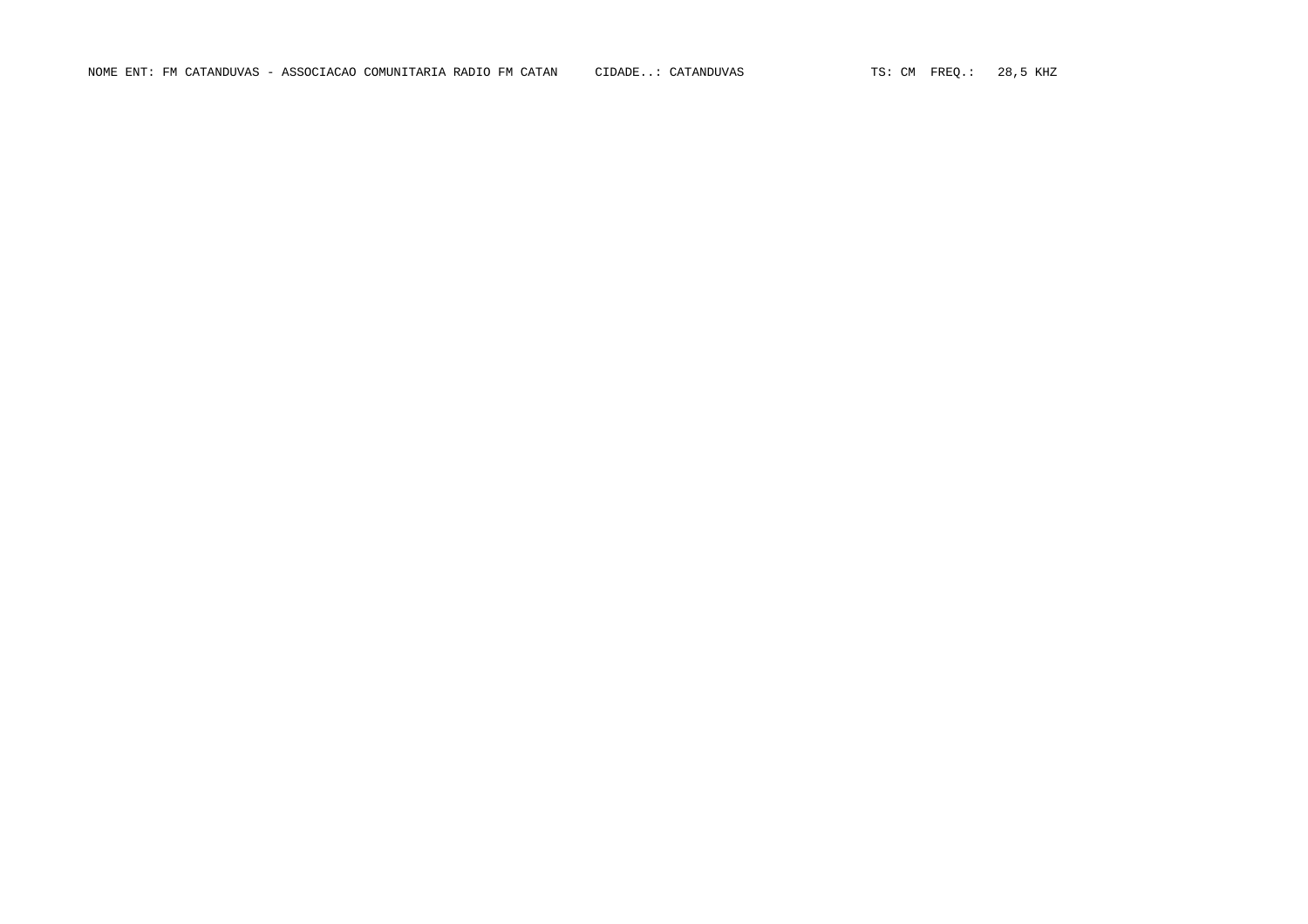NOME ENT: FM CATANDUVAS - ASSOCIACAO COMUNITARIA RADIO FM CATAN CIDADE..: CATANDUVAS TS: CM FREQ.: 28,5 KHZ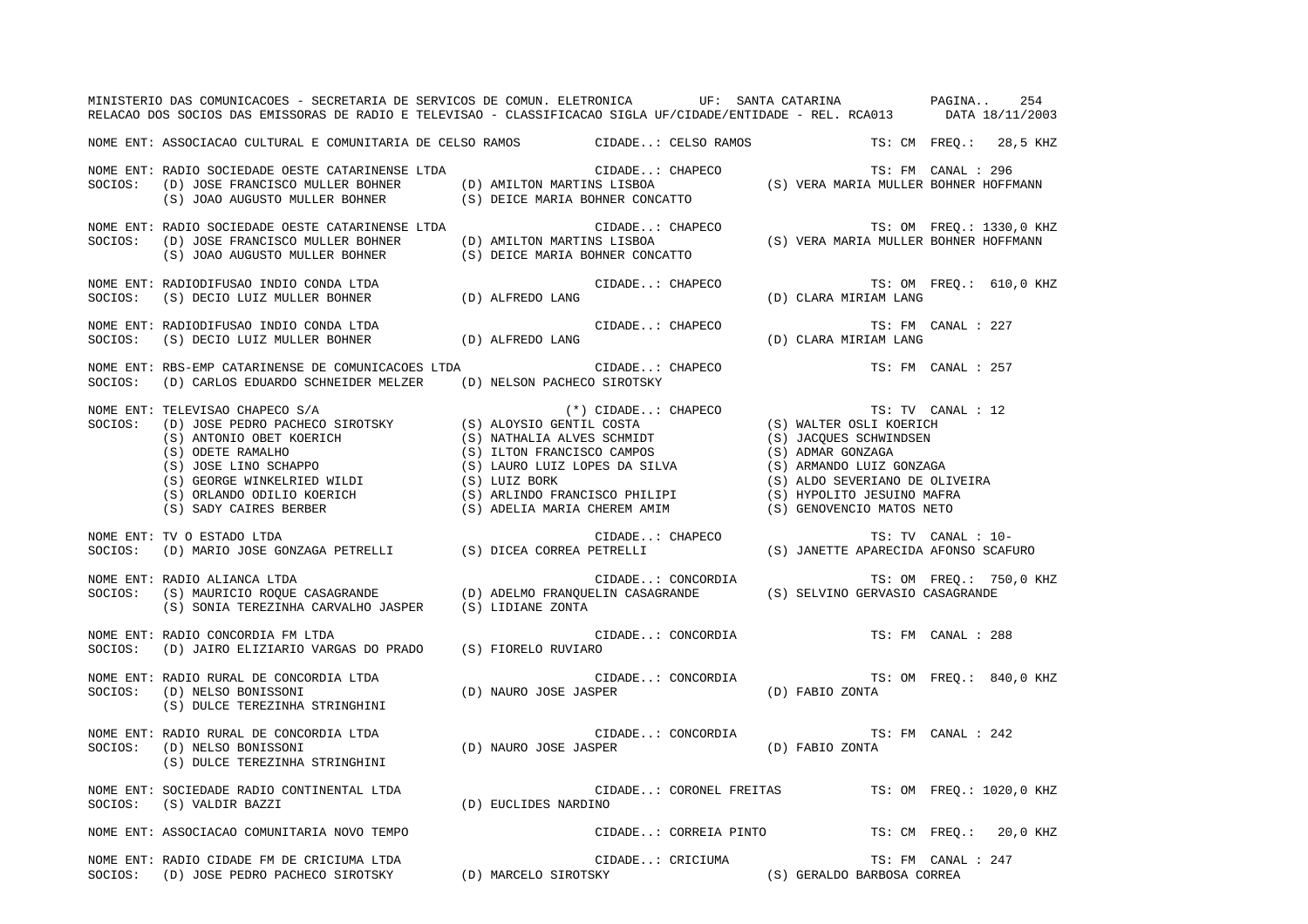|         | MINISTERIO DAS COMUNICACOES - SECRETARIA DE SERVICOS DE COMUN. ELETRONICA UF: SANTA CATARINA ANDERGINA 254<br>RELACAO DOS SOCIOS DAS EMISSORAS DE RADIO E TELEVISAO - CLASSIFICACAO SIGLA UF/CIDADE/ENTIDADE - REL. RCA013 DATA 18/11/2003                                                                                                                                                                                                                                                         |  |                 |                  |                                                                                                                                                                                                                                                                                                                                                                                                                                                                                                                                                         |                         |
|---------|----------------------------------------------------------------------------------------------------------------------------------------------------------------------------------------------------------------------------------------------------------------------------------------------------------------------------------------------------------------------------------------------------------------------------------------------------------------------------------------------------|--|-----------------|------------------|---------------------------------------------------------------------------------------------------------------------------------------------------------------------------------------------------------------------------------------------------------------------------------------------------------------------------------------------------------------------------------------------------------------------------------------------------------------------------------------------------------------------------------------------------------|-------------------------|
|         | NOME ENT: ASSOCIACAO CULTURAL E COMUNITARIA DE CELSO RAMOS CIDADE: CELSO RAMOS TS: CM FREQ.: 28,5 KHZ                                                                                                                                                                                                                                                                                                                                                                                              |  |                 |                  |                                                                                                                                                                                                                                                                                                                                                                                                                                                                                                                                                         |                         |
|         | NOME ENT: RADIO SOCIEDADE OESTE CATARINENSE LTDA<br>SOCIOS: (D) JOSE FRANCISCO MULLER BOHNER<br>SOCIOS: (S) JOAO AUGUSTO MULLER BOHNER (S) DEICE MARIA BOHNER CONCATTO<br>SOCIOS: (S) JOAO AUGUSTO MULLER BOHNER (S) DEICE MARIA BOHNER CONCATTO                                                                                                                                                                                                                                                   |  | CIDADE: CHAPECO |                  | TS: FM CANAL : 296                                                                                                                                                                                                                                                                                                                                                                                                                                                                                                                                      |                         |
|         | NOME ENT: RADIO SOCIEDADE OESTE CATARINENSE LTDA<br>SOCIOS: (D) JOSE FRANCISCO MULLER BOHNER (D) AMILTON MARTINS LISBOA (S) VERA MARIA MULLER BOHNER HOFFMANN<br>(S) JOAO AUGUSTO MULLER BOHNER (S) DEICE MARIA BOHNER CONCATTO                                                                                                                                                                                                                                                                    |  |                 |                  |                                                                                                                                                                                                                                                                                                                                                                                                                                                                                                                                                         |                         |
|         | NOME ENT: RADIODIFUSAO INDIO CONDA LTDA<br>SOCIOS:   (S) DECIO LUIZ MULLER BOHNER                     (D) ALFREDO LANG                                                                                                                                                                                                                                                                                                                                                                             |  |                 |                  | $\begin{minipage}{.4\linewidth} \texttt{CIDADE.}: \texttt{CHAPECO} \end{minipage} \begin{minipage}{.4\linewidth} \begin{minipage}{.4\linewidth} \begin{minipage}{.4\linewidth} \texttt{CIDADE.}: \texttt{UM} \end{minipage} \begin{minipage}{.4\linewidth} \begin{minipage}{.4\linewidth} \begin{minipage}{.4\linewidth} \begin{minipage}{.4\linewidth} \texttt{CIDADE.}: \texttt{UM} \end{minipage} \end{minipage} \begin{minipage}{.4\linewidth} \begin{minipage}{.4\linewidth} \begin{minipage}{.4\linewidth} \begin{minipage}{.4\linewidth} \begin$ | TS: OM FREO.: 610,0 KHZ |
|         | NOME ENT: RADIODIFUSAO INDIO CONDA LTDA<br>SOCIOS:   (S) DECIO LUIZ MULLER BOHNER                 (D) ALFREDO LANG                                                                                                                                                                                                                                                                                                                                                                                 |  |                 |                  | $\verb"CIDADE":\hspace{0.1cm} \verb"CHAPECO" \hspace{0.2cm} \hspace{0.2cm} \verb"TS":\hspace{0.1cm} FM" \hspace{0.2cm} \vspace{0.2cm}$<br>TS: FM CANAL : 227                                                                                                                                                                                                                                                                                                                                                                                            |                         |
| SOCIOS: | NOME ENT: RBS-EMP CATARINENSE DE COMUNICACOES LTDA CIDA CIDADE: CHAPECO<br>(D) CARLOS EDUARDO SCHNEIDER MELZER (D) NELSON PACHECO SIROTSKY                                                                                                                                                                                                                                                                                                                                                         |  |                 |                  | TS: FM CANAL : 257                                                                                                                                                                                                                                                                                                                                                                                                                                                                                                                                      |                         |
| SOCIOS: | $\begin{tabular}{lllllllllllllllllll} \textsc{TELEVISAO CHAPECO} & S/A & (*) CIDADE.: & CHAPECO & TS: TV CANAL & (S) JOSE PEDRO PACHECO SIROTSKY & (S) ALOYSIO GENTIL COSTA & (S) WALTER OSLI KOERICH & (S) ANTONIO OBET KOERICH & (S) NATHALLA ALVES SCHMDT & (S) JACQUES SCHNINGSEN & (S) ODETE RAMALHO & (S) LOTE RAMALHO & (S) LIUDN FRANCISCO CAMPOS & (S) ADMAR GONZAGA & (S) GOUES UINO SCHAPPO & (S) LIUDO FRANCISCO CAMPOS & (S) AEMANDO LULZ GONZAGA$<br>NOME ENT: TELEVISAO CHAPECO S/A |  |                 |                  | TS: TV CANAL : 12<br>(S) ALDO SEVERIANO DE OLIVEIRA                                                                                                                                                                                                                                                                                                                                                                                                                                                                                                     |                         |
|         | -NOME ENT: TV O ESTADO LTDA<br>SOCIOS:   (D) MARIO JOSE GONZAGA PETRELLI              (S) DICEA CORREA PETRELLI                 (S) JANETTE APARECIDA AFONSO SCAFURO                                                                                                                                                                                                                                                                                                                               |  |                 |                  |                                                                                                                                                                                                                                                                                                                                                                                                                                                                                                                                                         |                         |
|         | CIDADE: CONCORDIA TS: OM FREQ.: 750,0 KHZ<br>SOCIOS: (S) MAURICIO ROQUE CASAGRANDE (D) ADELMO FRANQUELIN CASAGRANDE (S) SELVINO GERVASIO CASAGRANDE<br>(S) SONIA TEREZINHA CARVALHO JASPER (S) LIDIANE ZONTA                                                                                                                                                                                                                                                                                       |  |                 |                  |                                                                                                                                                                                                                                                                                                                                                                                                                                                                                                                                                         |                         |
|         | NOME ENT: RADIO CONCORDIA FM LTDA<br>SOCIOS: (D) JAIRO ELIZIARIO VARGAS DO PRADO (S) FIORELO RUVIARO                                                                                                                                                                                                                                                                                                                                                                                               |  |                 |                  | CIDADE: CONCORDIA TS: FM CANAL : 288                                                                                                                                                                                                                                                                                                                                                                                                                                                                                                                    |                         |
|         | (S) DULCE TEREZINHA STRINGHINI                                                                                                                                                                                                                                                                                                                                                                                                                                                                     |  |                 |                  |                                                                                                                                                                                                                                                                                                                                                                                                                                                                                                                                                         | TS: OM FREQ.: 840,0 KHZ |
|         | NOME ENT: RADIO RURAL DE CONCORDIA LTDA<br>SOCIOS:   (D) NELSO BONISSONI<br>(S) DULCE TEREZINHA STRINGHINI                                                                                                                                                                                                                                                                                                                                                                                         |  |                 |                  | TS: I<br>CIDADE: CONCORDIA (D) NAURO JOSE JASPER (D) RABIO ZONTA<br>TS: FM CANAL : 242                                                                                                                                                                                                                                                                                                                                                                                                                                                                  |                         |
|         | NOME ENT: SOCIEDADE RADIO CONTINENTAL LTDA (D) EUCLIDES NARDINO<br>SOCIOS: (S) VALDIR BAZZI (D) EUCLIDES NARDINO                                                                                                                                                                                                                                                                                                                                                                                   |  |                 |                  | CIDADE: CORONEL FREITAS TS: OM FREQ.: 1020,0 KHZ                                                                                                                                                                                                                                                                                                                                                                                                                                                                                                        |                         |
|         | NOME ENT: ASSOCIACAO COMUNITARIA NOVO TEMPO                                                                                                                                                                                                                                                                                                                                                                                                                                                        |  |                 |                  | CIDADE: CORREIA PINTO TS: CM FREQ.: 20,0 KHZ                                                                                                                                                                                                                                                                                                                                                                                                                                                                                                            |                         |
|         | NOME ENT: RADIO CIDADE FM DE CRICIUMA LTDA<br>SOCIOS:   (D) JOSE PEDRO PACHECO SIROTSKY             (D) MARCELO SIROTSKY                    (S) GERALDO BARBOSA CORREA                                                                                                                                                                                                                                                                                                                             |  |                 | CIDADE: CRICIUMA | TS: FM CANAL : 247                                                                                                                                                                                                                                                                                                                                                                                                                                                                                                                                      |                         |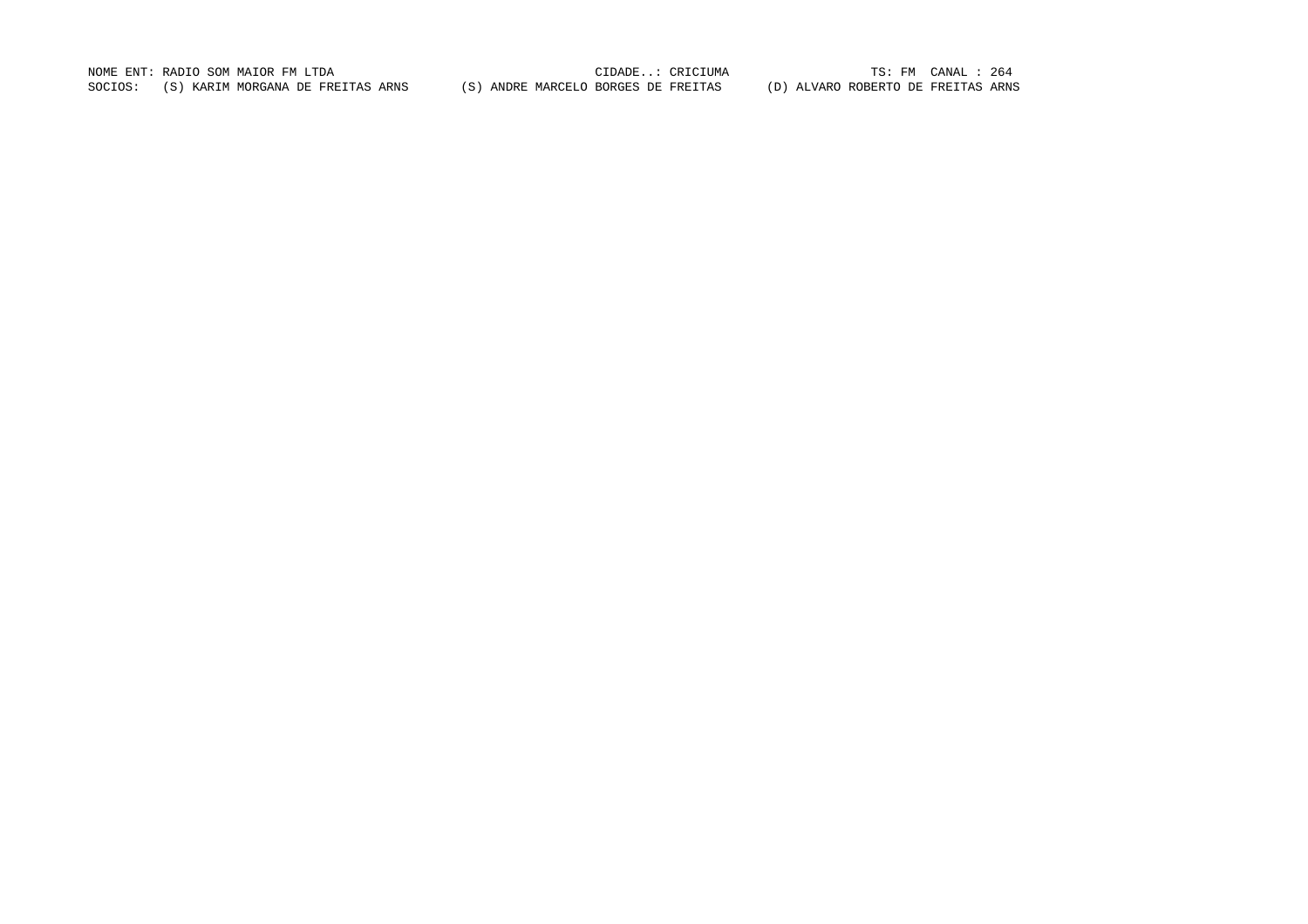NOME ENT: RADIO SOM MAIOR FM LTDA<br>SOCIOS: (S) KARIM MORGANA DE FREITAS ARNS (S) ANDRE MARCELO BORGES DE FREITAS (D) ALVARO ROBERTO DE FREITAS ARNS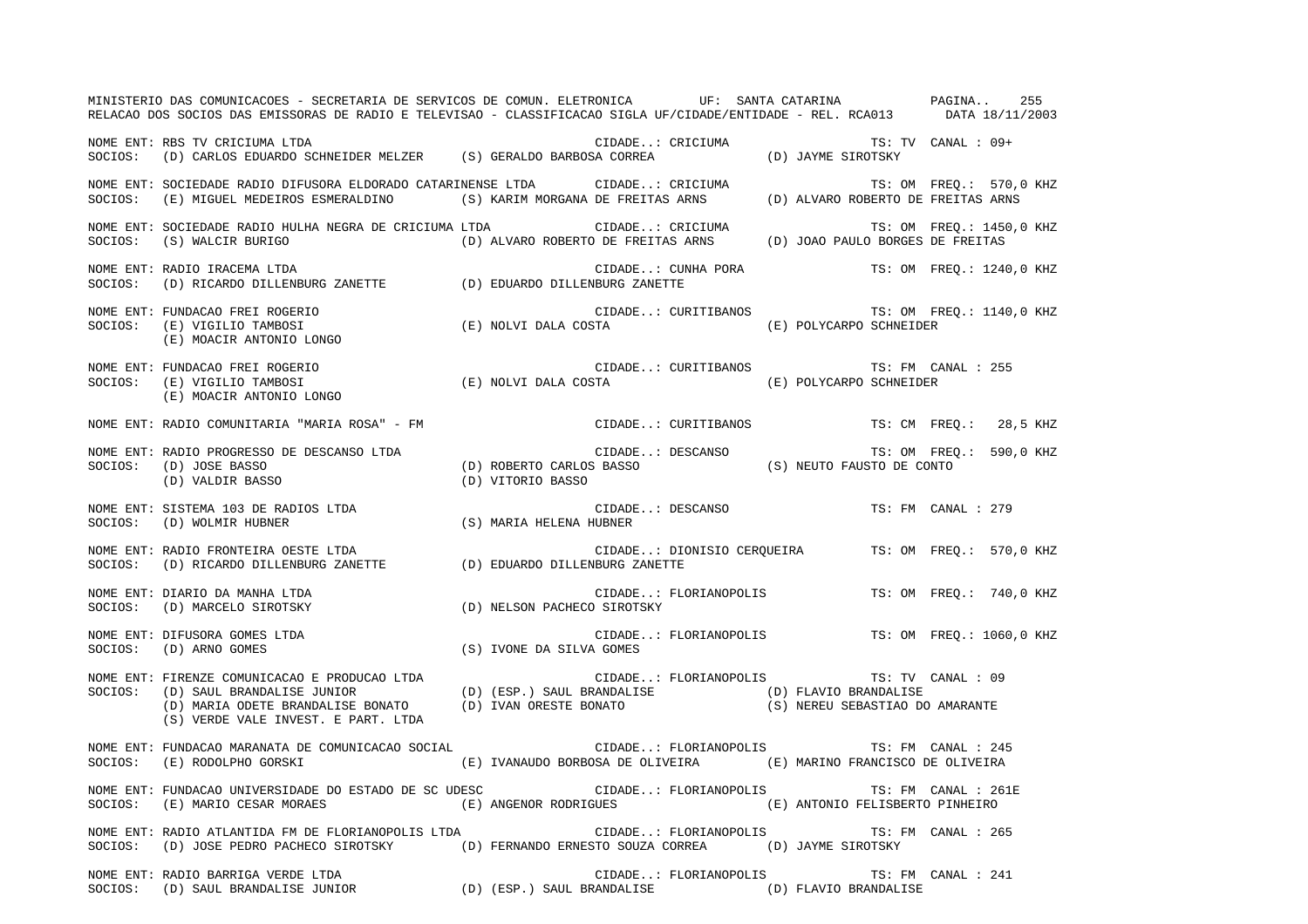|         | MINISTERIO DAS COMUNICACOES - SECRETARIA DE SERVICOS DE COMUN. ELETRONICA UF: SANTA CATARINA PAGINA 255<br>RELACAO DOS SOCIOS DAS EMISSORAS DE RADIO E TELEVISAO - CLASSIFICACAO SIGLA UF/CIDADE/ENTIDADE - REL. RCA013 DATA 18/11/2003                                                                |                                   |                       |                                          |                                                |
|---------|--------------------------------------------------------------------------------------------------------------------------------------------------------------------------------------------------------------------------------------------------------------------------------------------------------|-----------------------------------|-----------------------|------------------------------------------|------------------------------------------------|
|         | NOME ENT: RBS TV CRICIUMA LTDA<br>SOCIOS: (D) CARLOS EDUARDO SCHNEIDER MELZER (S) GERALDO BARBOSA CORREA (D) JAYME SIROTSKY                                                                                                                                                                            |                                   |                       |                                          |                                                |
|         | NOME ENT: SOCIEDADE RADIO DIFUSORA ELDORADO CATARINENSE LTDA       CIDADE: CRICIUMA                         TS: OM FREQ.:  570,0 KHZ<br>SOCIOS:   (E) MIGUEL MEDEIROS ESMERALDINO         (S) KARIM MORGANA DE FREITAS ARNS                                                                            |                                   |                       |                                          |                                                |
|         | NOME ENT: SOCIEDADE RADIO HULHA NEGRA DE CRICIUMA LTDA CIDADE: CRICIUMA TS: OM FREQ.: 1450,0<br>SOCIOS: (S) WALCIR BURIGO (D) ALVARO ROBERTO DE FREITAS ARNS (D) JOAO PAULO BORGES DE FREITAS                                                                                                          |                                   |                       |                                          | TS: OM FREQ.: 1450,0 KHZ                       |
|         | NOME ENT: RADIO IRACEMA LTDA<br>SOCIOS:   (D) RICARDO DILLENBURG ZANETTE               (D) EDUARDO DILLENBURG ZANETTE                                                                                                                                                                                  |                                   |                       |                                          | CIDADE: CUNHA PORA TS: OM FREQ.: 1240,0 KHZ    |
|         | NOME ENT: FUNDACAO FREI ROGERIO (E) NOLVI DALA COSTA (E) CURITIBANOS TS: OM FREQ.: 1140,0 KHZ<br>SOCIOS: (E) VIGILIO TAMBOSI (E) NOLVI DALA COSTA (E) POLYCARPO SCHNEIDER<br>(E) MOACIR ANTONIO LONGO                                                                                                  |                                   |                       |                                          |                                                |
|         | (E) MOACIR ANTONIO LONGO                                                                                                                                                                                                                                                                               |                                   |                       |                                          |                                                |
|         |                                                                                                                                                                                                                                                                                                        |                                   |                       |                                          |                                                |
|         | NOME ENT: RADIO PROGRESSO DE DESCANSO LTDA<br>E DESCANSO LTDA (D) ROBERTO CARLOS BASSO (S) NEUTO FAUSTO DE CONTO (D) VALDIR BASSO (D) VALDIR BASSO (D) VITORIO BASSO (D) VITORIO BASSO (D) VALDIR BASSO (D) VALDIR BASSO (D) VITORIO BASSO (D) VITORIO BASSO (D) VALDIR BASS<br>SOCIOS: (D) JOSE BASSO |                                   |                       |                                          | TS: OM FREQ.: 590,0 KHZ                        |
|         | NOME ENT: SISTEMA 103 DE RADIOS LTDA<br>SOCIOS: (D) WOLMIR HUBNER                                                                                                                                                                                                                                      | CIDADE<br>S) MARIA HELENA HUBNER) |                       | CIDADE: DESCANSO TS: FM CANAL : 279      |                                                |
|         | NOME ENT: RADIO FRONTEIRA OESTE LTDA<br>SOCIOS:   (D) RICARDO DILLENBURG ZANETTE             (D) EDUARDO DILLENBURG ZANETTE                                                                                                                                                                            |                                   |                       |                                          |                                                |
|         | NOME ENT: DIARIO DA MANHA LTDA<br>SOCIOS: (D) MARCELO SIROTSKY                                                                                                                                                                                                                                         | (D) NELSON PACHECO SIROTSKY       |                       |                                          | CIDADE: FLORIANOPOLIS TS: OM FREQ.: 740,0 KHZ  |
|         | NOME ENT: DIFUSORA GOMES LTDA<br>CIDADE.<br>IVONE DA SILVA GOMES) (S) IVONE DA SILVA GOMES)<br>SOCIOS: (D) ARNO GOMES                                                                                                                                                                                  |                                   |                       |                                          | CIDADE: FLORIANOPOLIS TS: OM FREQ.: 1060,0 KHZ |
|         | (S) VERDE VALE INVEST. E PART. LTDA                                                                                                                                                                                                                                                                    |                                   |                       | CIDADE: FLORIANOPOLIS TS: TV CANAL : 09  |                                                |
|         | NOME ENT: FUNDACAO MARANATA DE COMUNICACAO SOCIAL<br>SOCIOS: (E) RODOLPHO GORSKI (E) IVANAUDO BORBOSA DE OLIVEIRA (E) MARINO FRANCISCO DE OLIVEIRA                                                                                                                                                     |                                   |                       | CIDADE: FLORIANOPOLIS TS: FM CANAL : 245 |                                                |
| SOCIOS: | (E) MARIO CESAR MORAES                                                                                                                                                                                                                                                                                 | (E) ANGENOR RODRIGUES             |                       | (E) ANTONIO FELISBERTO PINHEIRO          |                                                |
| SOCIOS: | (D) JOSE PEDRO PACHECO SIROTSKY (D) FERNANDO ERNESTO SOUZA CORREA (D) JAYME SIROTSKY                                                                                                                                                                                                                   |                                   |                       |                                          |                                                |
| SOCIOS: | NOME ENT: RADIO BARRIGA VERDE LTDA<br>(D) SAUL BRANDALISE JUNIOR                                                                                                                                                                                                                                       | (D) (ESP.) SAUL BRANDALISE        | CIDADE: FLORIANOPOLIS | (D) FLAVIO BRANDALISE                    | TS: FM CANAL : 241                             |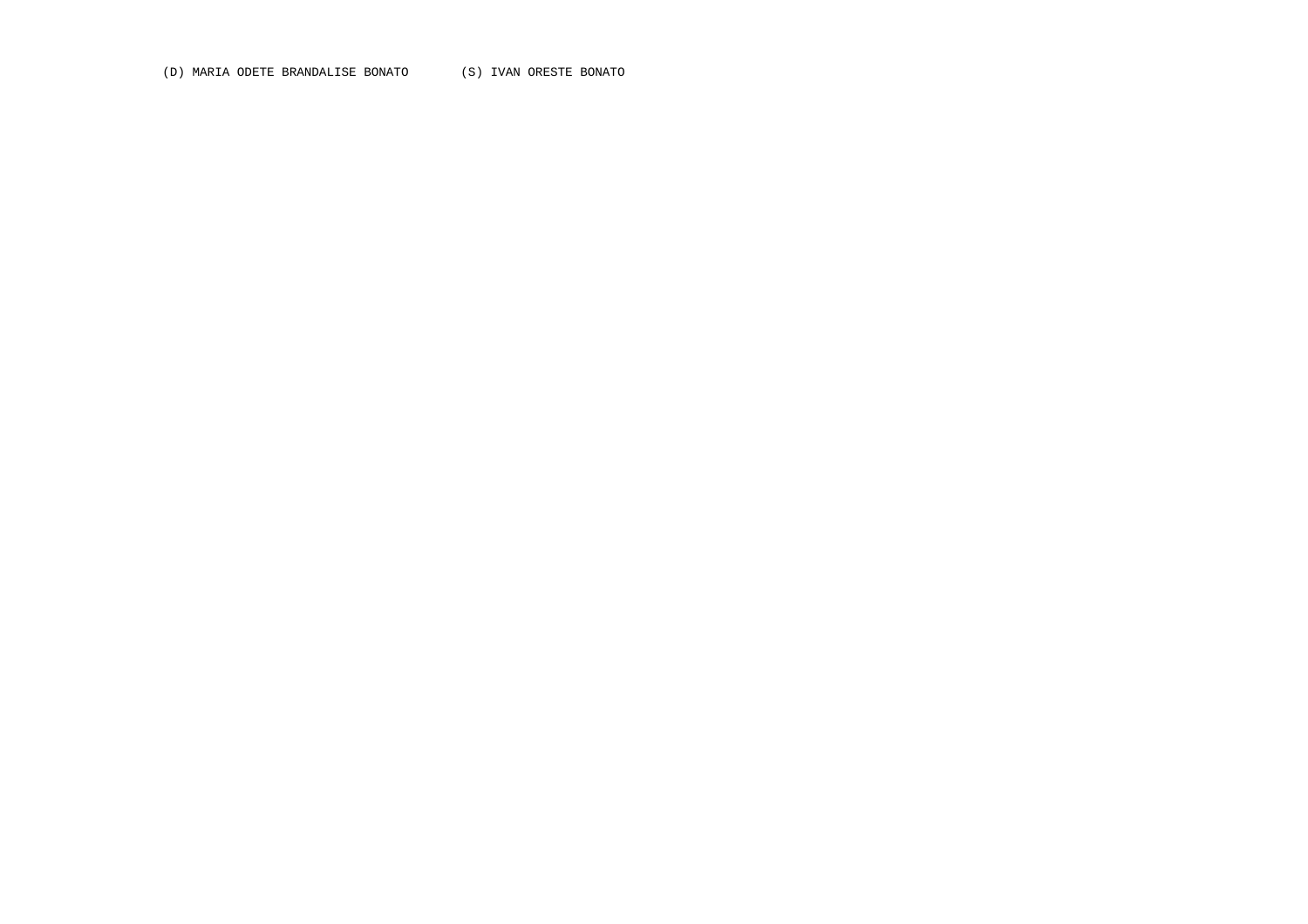(D) MARIA ODETE BRANDALISE BONATO (S) IVAN ORESTE BONATO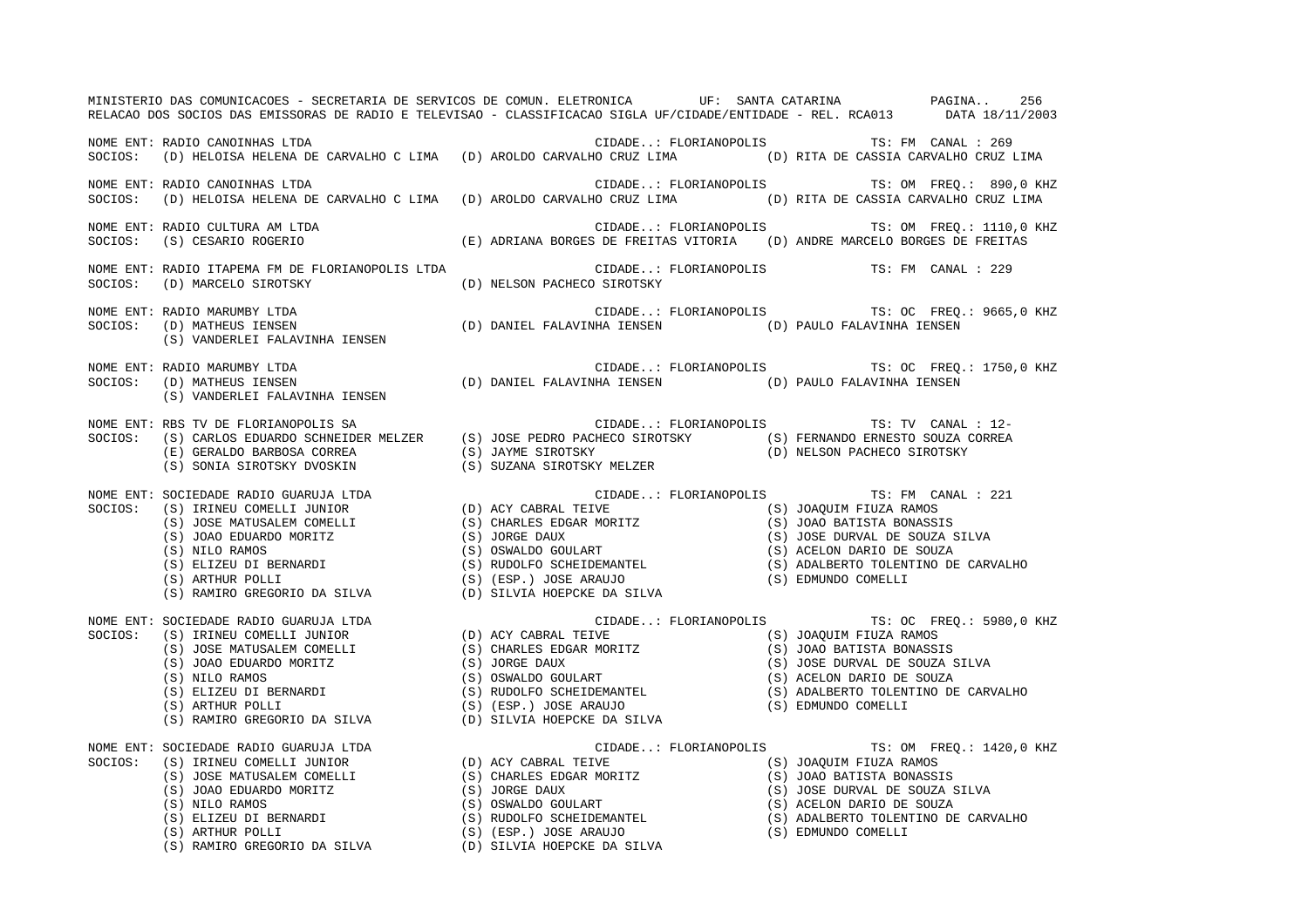| MINISTERIO DAS COMUNICACOES - SECRETARIA DE SERVICOS DE COMUN. ELETRONICA   UF: SANTA CATARINA     PAGINA 256<br>RELACAO DOS SOCIOS DAS EMISSORAS DE RADIO E TELEVISAO - CLASSIFICACAO SIGLA UF/CIDADE/ENTIDADE - REL. RCA013 DATA 18/11/2003                                                                                                                                                                        |                                                                                                    |                                                |
|----------------------------------------------------------------------------------------------------------------------------------------------------------------------------------------------------------------------------------------------------------------------------------------------------------------------------------------------------------------------------------------------------------------------|----------------------------------------------------------------------------------------------------|------------------------------------------------|
| NOME ENT: RADIO CANOINHAS LTDA<br>SOCIOS: (D) HELOISA HELENA DE CARVALHO C LIMA (D) AROLDO CARVALHO CRUZ LIMA (D) RITA DE CASSIA CARVALHO CRUZ LIMA                                                                                                                                                                                                                                                                  | CIDADE: FLORIANOPOLIS TS: FM CANAL : 269                                                           |                                                |
| NOME ENT: RADIO CANOINHAS LTDA<br>SOCIOS: (D) HELOISA HELENA DE CARVALHO C LIMA (D) AROLDO CARVALHO CRUZ LIMA (D) RITA DE CASSIA CARVALHO CRUZ LIMA                                                                                                                                                                                                                                                                  | CIDADE: FLORIANOPOLIS TS: OM FREQ.: 890,0 KHZ                                                      |                                                |
| NOME ENT: RADIO CULTURA AM LTDA<br>SOCIOS: (S) CESARIO ROGERIO (E) ADRIANA BORGES DE FREITAS VITORIA (D) ANDRE MARCELO BORGES DE FREITAS                                                                                                                                                                                                                                                                             |                                                                                                    | CIDADE: FLORIANOPOLIS TS: OM FREQ.: 1110,0 KHZ |
| NOME ENT: RADIO ITAPEMA FM DE FLORIANOPOLIS LTDA<br>SOCIOS: (D) MARCELO SIROTSKY                                                                                                                                                                                                                                                                                                                                     | CIDADE: FLORIANOPOLIS TS: FM CANAL : 229<br>(D) NELSON PACHECO SIROTSKY                            |                                                |
| NOME ENT: RADIO MARUMBY LTDA<br>NOME ENT: RADIO MARUMBY LTDA<br>SOCIOS: (D) MATHEUS IENSEN                         (D) DANIEL FALAVINHA IENSEN             (D) PAULO FALAVINHA IENSEN<br>(S) VANDERLEI FALAVINHA IENSEN                                                                                                                                                                                              |                                                                                                    | CIDADE: FLORIANOPOLIS TS: OC FREQ.: 9665,0 KHZ |
| NOME ENT: RADIO MARUMBY LTDA<br>SOCIOS: (D) MATHEUS IENSEN<br>(S) VANDERLEI FALAVINHA IENSEN                                                                                                                                                                                                                                                                                                                         | CIDADE: FLORIANOPOLIS TS: OC FREQ.: 1750<br>(D) DANIEL FALAVINHA IENSEN (D) PAULO FALAVINHA IENSEN | CIDADE: FLORIANOPOLIS TS: OC FREQ.: 1750,0 KHZ |
| NOME ENT: RBS TV DE FLORIANOPOLIS SA CIDADE: FLORIANOPOLIS TS: TV CANAL : 12-<br>SOCIOS: (S) CARLOS EDUARDO SCHNEIDER MELZER (S) JOSE PEDRO PACHECO SIROTSKY (S) FERNANDO ERNESTO SOUZA CORREA<br>(E) GERALDO BARBOSA CORREA (S) J                                                                                                                                                                                   |                                                                                                    |                                                |
| $\begin{tabular}{lllllllllllllllllll@{NOME&ENT: SOCIEDADE RADIO GUARUJA LTDA&CIDADE: FLORIANOPOLIS&TS: FM CANAL: 221\\ SOCIOS: & (S) IRINEU COMELLI JUNIOR & (D) ACT BERNO. & (S) JOAQUIM FIUZA RAMOS & (S) JOAQUIM FIUZA RAMOS & (S) JOAQUIM FIUZA RAMOS & (S) JOAQUIM FIUZA RAMOS & (S) JOAQUIM FIUZA RAMOS & (S) JOAQUIM FIUZA RAMOS & (S) JOAOLA. & (S) JOAOLA. & (S) JOAOLA. & (S) JOAOLA. & (S) JOAOLA. & (S)$ |                                                                                                    |                                                |
|                                                                                                                                                                                                                                                                                                                                                                                                                      |                                                                                                    | CIDADE: FLORIANOPOLIS TS: OC FREQ.: 5980,0 KHZ |
|                                                                                                                                                                                                                                                                                                                                                                                                                      |                                                                                                    | CIDADE: FLORIANOPOLIS TS: OM FREQ.: 1420,0 KHZ |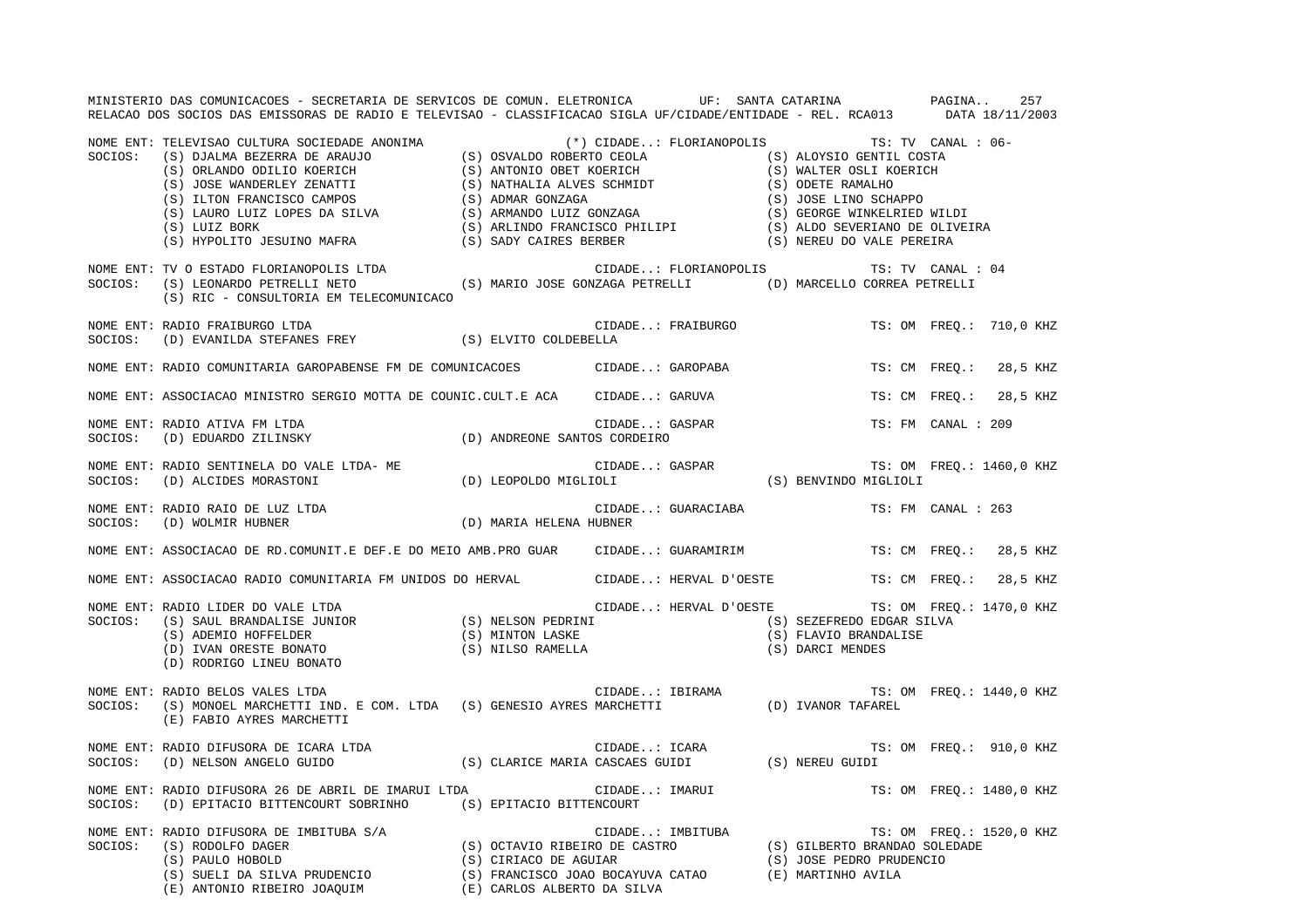|         | MINISTERIO DAS COMUNICACOES - SECRETARIA DE SERVICOS DE COMUN. ELETRONICA UF: SANTA CATARINA NA PAGINA<br>RELACAO DOS SOCIOS DAS EMISSORAS DE RADIO E TELEVISAO - CLASSIFICACAO SIGLA UF/CIDADE/ENTIDADE - REL. RCA013 DATA 18/11/2003                                                            |                |                    |                                                 | 257                      |
|---------|---------------------------------------------------------------------------------------------------------------------------------------------------------------------------------------------------------------------------------------------------------------------------------------------------|----------------|--------------------|-------------------------------------------------|--------------------------|
|         |                                                                                                                                                                                                                                                                                                   |                |                    | (*) CIDADE: FLORIANOPOLIS TS: TV CANAL : 06-    |                          |
|         | NOME ENT: TV O ESTADO FLORIANOPOLIS LTDA<br>SOCIOS: (S) LEONARDO PETRELLI NETO (S) MARIO JOSE GONZAGA PETRELLI (D) MARCELLO CORREA PETRELLI<br>(S) RIC - CONSULTORIA EM TELECOMUNICACO                                                                                                            |                |                    |                                                 |                          |
| SOCIOS: | NOME ENT: RADIO FRAIBURGO LTDA<br>(D) EVANILDA STEFANES FREY (S) ELVITO COLDEBELLA                                                                                                                                                                                                                |                | CIDADE: FRAIBURGO  |                                                 | TS: OM FREQ.: 710,0 KHZ  |
|         | NOME ENT: RADIO COMUNITARIA GAROPABENSE FM DE COMUNICACOES CIDADE: GAROPABA                                                                                                                                                                                                                       |                |                    |                                                 | TS: CM FREQ.: 28,5 KHZ   |
|         | NOME ENT: ASSOCIACAO MINISTRO SERGIO MOTTA DE COUNIC.CULT.E ACA CIDADE: GARUVA                                                                                                                                                                                                                    |                |                    |                                                 | TS: CM FREQ.: 28,5 KHZ   |
|         | NOME ENT: RADIO ATIVA FM LTDA<br>$\texttt{SOCIOS:} \hspace{0.5cm} \texttt{(D)} \hspace{0.1cm} \texttt{EDUARDO} \hspace{0.1cm} \texttt{ZILINSKY} \hspace{1.5cm} \texttt{(D)} \hspace{0.1cm} \texttt{ANDREONE} \hspace{0.1cm} \texttt{SANTOS} \hspace{0.1cm} \texttt{CORDEIRO}$                     | CIDADE: GASPAR |                    | TS: FM CANAL : 209                              |                          |
|         | NOME ENT: RADIO SENTINELA DO VALE LTDA- ME<br>SOCIOS: (D) ALCIDES MORASTONI (D) LEOPOLDO MIGLIOLI (S) BENVINDO MIGLIOLI                                                                                                                                                                           |                |                    |                                                 |                          |
|         | NOME ENT: RADIO RAIO DE LUZ LTDA (D) MARIA HELENA HUBNER<br>SOCIOS: (D) WOLMIR HUBNER (D) MARIA HELENA HUBNER                                                                                                                                                                                     |                | CIDADE: GUARACIABA | TS: FM CANAL : 263                              |                          |
|         | NOME ENT: ASSOCIACAO DE RD.COMUNIT.E DEF.E DO MEIO AMB.PRO GUAR CIDADE: GUARAMIRIM                                                                                                                                                                                                                |                |                    |                                                 | TS: CM FREQ.: 28,5 KHZ   |
|         | NOME ENT: ASSOCIACAO RADIO COMUNITARIA FM UNIDOS DO HERVAL (CIDADE: HERVAL D'OESTE TS: CM FREQ.:                                                                                                                                                                                                  |                |                    |                                                 | 28,5 KHZ                 |
| SOCIOS: | NOME ENT: RADIO LIDER DO VALE LTDA<br>RADIO LIDER DO VALE LTDA<br>(S) SAUL BRANDALISE JUNIOR (S) NELSON PEDRINI (S) SEZEFREDO EDGAR SILVA<br>(S) ADEMIO HOFFELDER (S) MINTON LASKE (S) TLAVIO BRANDALISE<br>(D) IVAN ORESTE BONATO (S) NILSO RAMELLA (S) DARCI MENDES<br>(D) RODRIGO LINEU BONATO |                |                    | CIDADE: HERVAL D'OESTE TS: OM FREQ.: 1470,0 KHZ |                          |
|         | NOME ENT: RADIO BELOS VALES LTDA<br>SOCIOS: (S) MONOEL MARCHETTI IND. E COM. LTDA (S) GENESIO AYRES MARCHETTI (D) IVANOR TAFAREL<br>(E) FABIO AYRES MARCHETTI                                                                                                                                     |                |                    |                                                 |                          |
|         | NOME ENT: RADIO DIFUSORA DE ICARA LTDA<br>SOCIOS:    (D) NELSON ANGELO GUIDO                                  (S) CLARICE MARIA CASCAES GUIDI               (S) NEREU GUIDI                                                                                                                       |                |                    |                                                 | TS: OM FREQ.: 910,0 KHZ  |
| SOCIOS: | NOME ENT: RADIO DIFUSORA 26 DE ABRIL DE IMARUI LTDA<br>(D) EPITACIO BITTENCOURT SOBRINHO (S) EPITACIO BITTENCOURT                                                                                                                                                                                 |                | CIDADE: IMARUI     |                                                 | TS: OM FREQ.: 1480,0 KHZ |
|         | NOME ENT: RADIO DIFUSORA DE IMBITUBA S/A<br>SOCIOS: (S) RODOLFO DAGER<br>(S) PAULO HOBOLD<br>(S) CIRIACO DE AGUIAR<br>(S) CIRIACO DE AGUIAR<br>(S) CIRIACO DE AGUIAR<br>(S) CIRIACO DE AGUIAR<br>(S) CIRIACO DE AGUIAR<br>(S) CORLOS ALBERTO D                                                    |                |                    |                                                 | TS: OM FREQ.: 1520,0 KHZ |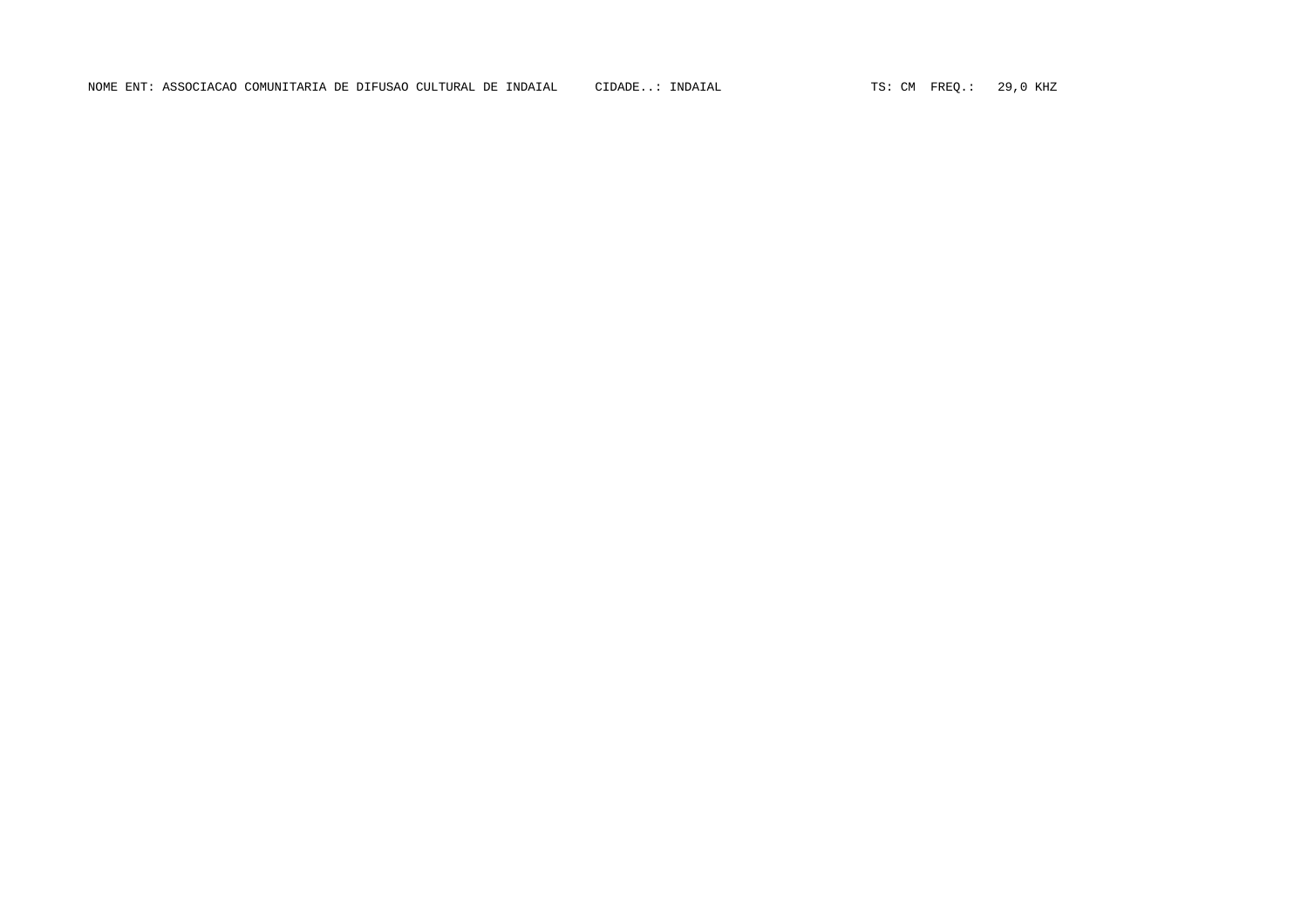NOME ENT: ASSOCIACAO COMUNITARIA DE DIFUSAO CULTURAL DE INDAIAL CIDADE..: INDAIAL TS: CM FREQ.: 29,0 KHZ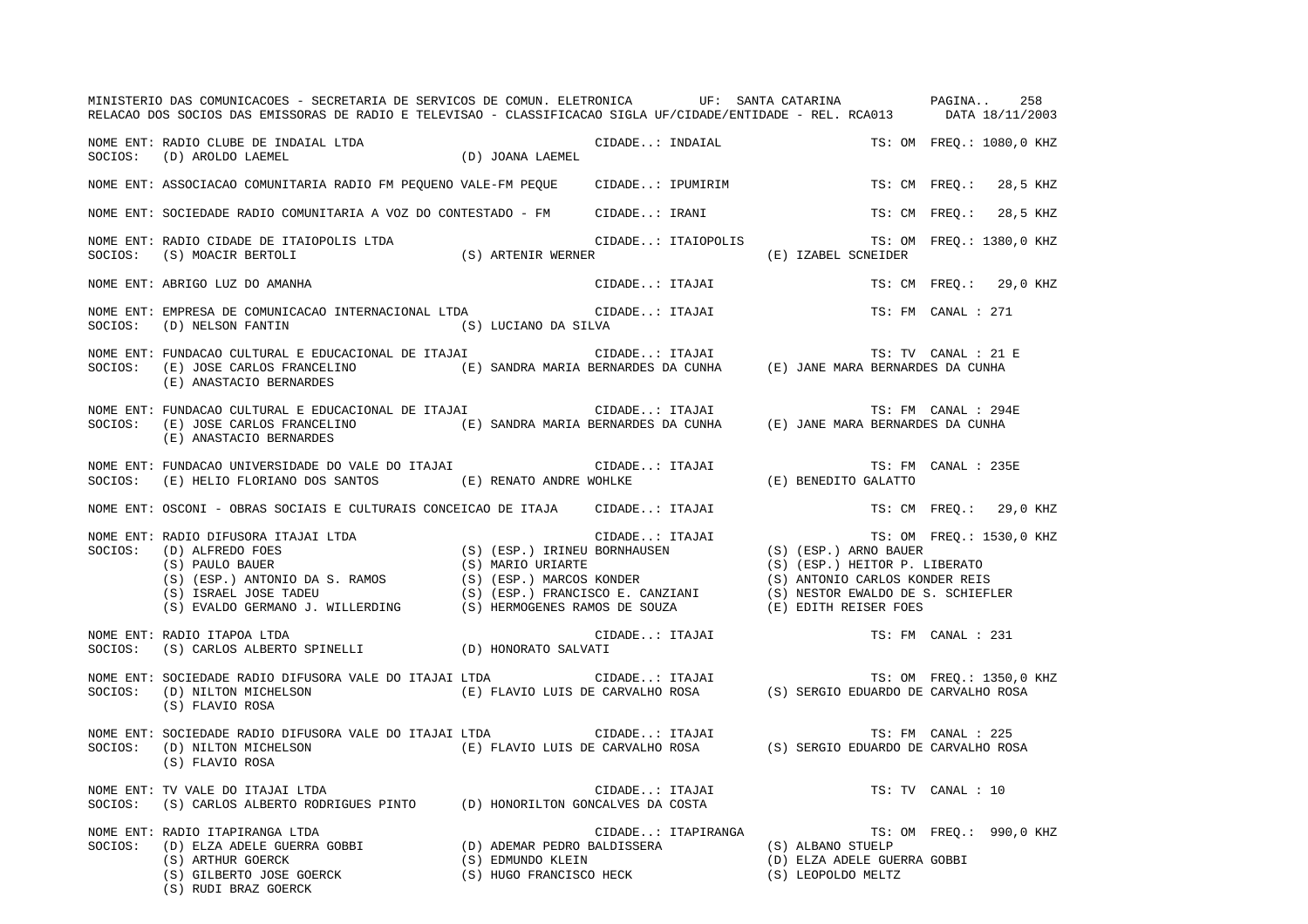|         | MINISTERIO DAS COMUNICACOES - SECRETARIA DE SERVICOS DE COMUN. ELETRONICA   UF: SANTA CATARINA     PAGINA 258<br>RELACAO DOS SOCIOS DAS EMISSORAS DE RADIO E TELEVISAO - CLASSIFICACAO SIGLA UF/CIDADE/ENTIDADE - REL. RCA013 DATA 18/11/2003                                                                                                                                        |                    |                     |                          |
|---------|--------------------------------------------------------------------------------------------------------------------------------------------------------------------------------------------------------------------------------------------------------------------------------------------------------------------------------------------------------------------------------------|--------------------|---------------------|--------------------------|
|         | NOME ENT: RADIO CLUBE DE INDAIAL LTDA<br>IAL LTDA (D) JOANA LAEMEL<br>SOCIOS: (D) AROLDO LAEMEL                                                                                                                                                                                                                                                                                      | CIDADE: INDAIAL    |                     | TS: OM FREQ.: 1080,0 KHZ |
|         | NOME ENT: ASSOCIACAO COMUNITARIA RADIO FM PEQUENO VALE-FM PEQUE     CIDADE: IPUMIRIM                                                                                                                                                                                                                                                                                                 |                    |                     | TS: CM FREQ.: 28,5 KHZ   |
|         | NOME ENT: SOCIEDADE RADIO COMUNITARIA A VOZ DO CONTESTADO - FM CIDADE: IRANI                                                                                                                                                                                                                                                                                                         |                    |                     | TS: CM FREQ.: 28,5 KHZ   |
|         | NOME ENT: RADIO CIDADE DE ITAIOPOLIS LTDA<br>ON ARTENIR WERNER (S) ARTENIR WERNER<br>SOCIOS: (S) MOACIR BERTOLI                                                                                                                                                                                                                                                                      | CIDADE: ITAIOPOLIS | (E) IZABEL SCNEIDER | TS: OM FREQ.: 1380,0 KHZ |
|         | NOME ENT: ABRIGO LUZ DO AMANHA                                                                                                                                                                                                                                                                                                                                                       | CIDADE: ITAJAI     |                     | TS: CM FREQ.: 29,0 KHZ   |
|         | NOME ENT: EMPRESA DE COMUNICACAO INTERNACIONAL LTDA (CIDADE: ITAJAI<br>SOCIOS: (D) NELSON FANTIN<br>(S) LUCIANO DA SILVA                                                                                                                                                                                                                                                             |                    |                     | TS: FM CANAL : 271       |
|         | NOME ENT: FUNDACAO CULTURAL E EDUCACIONAL DE ITAJAI (E) SANDRA MARIA BERNARDES DA CUNHA (E) JANE MARA BERNARDES DA CUNHA<br>SOCIOS: (E) JOSE CARLOS FRANCELINO (E) SANDRA MARIA BERNARDES DA CUNHA (E) JANE MARA BERNARDES DA CUN<br>(E) ANASTACIO BERNARDES                                                                                                                         |                    |                     |                          |
|         | NOME ENT: FUNDACAO CULTURAL E EDUCACIONAL DE ITAJAI (CIDADE: ITAJAI<br>(E) ANASTACIO BERNARDES                                                                                                                                                                                                                                                                                       |                    |                     | TS: FM CANAL : 294E      |
| SOCIOS: | FUNDACAO UNIVERSIDADE DO VALE DO ITAJAI (E) RENATO ANDRE WOHLKE (E) HELIO FLORIANO DOS SANTOS (E) RENATO ANDRE WOHLKE (E) SENEDITO GALATTO                                                                                                                                                                                                                                           |                    |                     | TS: FM CANAL : 235E      |
|         | NOME ENT: OSCONI - OBRAS SOCIAIS E CULTURAIS CONCEICAO DE ITAJA      CIDADE: ITAJAI                                                                                                                                                                                                                                                                                                  |                    |                     | TS: CM FREQ.: 29,0 KHZ   |
|         | NOME ENT: RADIO DIFUSORA ITAJAI LTDA<br>SOCIOS: (D) ALFREDO FOES<br>(S) (RSP.) IRINEU BORNHAUSEN<br>(S) (ESP.) ARNO URIARTE<br>(S) (ESP.) ARNO URIARTE<br>(S) (ESP.) MARIO URIARTE<br>(S) (ESP.) MARIO URIARTE<br>(S) (ESP.) MARIO URIARTE<br>                                                                                                                                       |                    |                     | TS: OM FREQ.: 1530,0 KHZ |
|         | NOME ENT: RADIO ITAPOA LTDA<br>CII (D) HONORATO SALVATI (D) CONTROL (S) CORLOS ALBERTO SPINELLI (D) CONORATO SALVATI                                                                                                                                                                                                                                                                 | CIDADE: ITAJAI     |                     | TS: FM CANAL : 231       |
|         | (S) FLAVIO ROSA                                                                                                                                                                                                                                                                                                                                                                      |                    |                     |                          |
|         | (S) FLAVIO ROSA                                                                                                                                                                                                                                                                                                                                                                      |                    |                     |                          |
|         | NOME ENT: TV VALE DO ITAJAI LTDA<br>SOCIOS: (S) CARLOS ALBERTO RODRIGUES PINTO (D) HONORILTON GONCALVES DA COSTA                                                                                                                                                                                                                                                                     | CIDADE: ITAJAI     |                     | TS: TV CANAL : 10        |
| SOCIOS: | NOME ENT: RADIO ITAPIRANGA LTDA<br>RADIO ITAPIRANGA LTDA (D) ADEMAR PEDRO BALDISSERA (S) ALBANO STUELP (D) ELZA ADELE GUERRA GOBBI (D) ADEMAR PEDRO BALDISSERA (S) ALBANO STUELP (D) ELZA ADELE GUERRA GOBBI (C) ELZA ADELE GUERRA GOBBI (P) ELZA ADELE GUERRA GO<br>(S) ARTHUR GOERCK (S) EDMUNDO KLEIN<br>(S) GILBERTO JOSE GOERCK (S) HUGO FRANCISCO HECK<br>(S) RUDI BRAZ GOERCK |                    | (S) LEOPOLDO MELTZ  | TS: OM FREQ.: 990,0 KHZ  |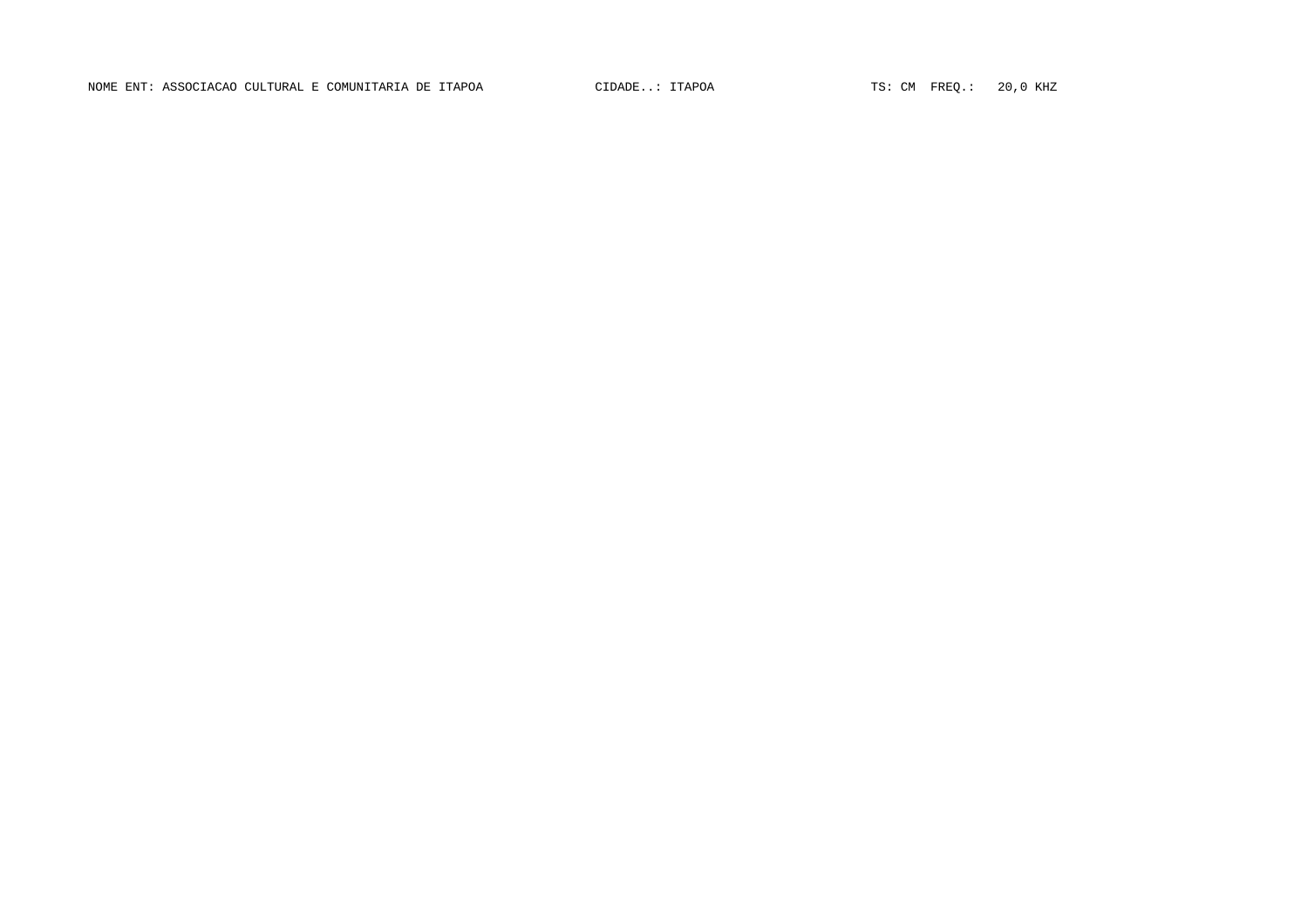NOME ENT: ASSOCIACAO CULTURAL E COMUNITARIA DE ITAPOA  $\qquad$  CIDADE..: ITAPOA  $\qquad$  TS: CM FREQ.: 20,0 KHZ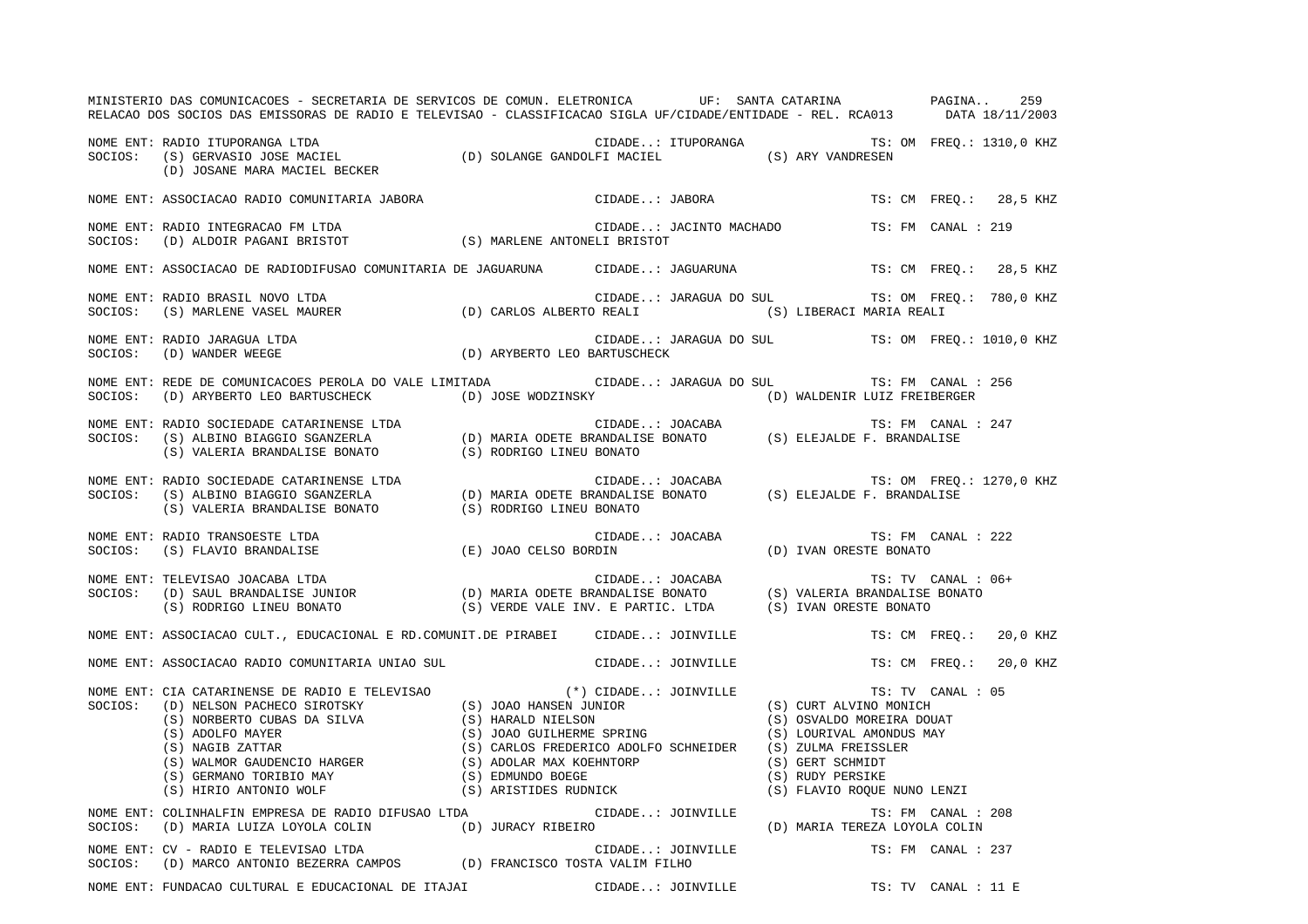|         | MINISTERIO DAS COMUNICACOES - SECRETARIA DE SERVICOS DE COMUN. ELETRONICA UF: SANTA CATARINA AND PAGINA<br>RELACAO DOS SOCIOS DAS EMISSORAS DE RADIO E TELEVISAO - CLASSIFICACAO SIGLA UF/CIDADE/ENTIDADE - REL. RCA013 DATA 18/11/2003                                                                                                                                                                                                                     |                          |                         |                                                 |                               |                        | 259 |
|---------|-------------------------------------------------------------------------------------------------------------------------------------------------------------------------------------------------------------------------------------------------------------------------------------------------------------------------------------------------------------------------------------------------------------------------------------------------------------|--------------------------|-------------------------|-------------------------------------------------|-------------------------------|------------------------|-----|
|         | NOME ENT: RADIO ITUPORANGA LTDA<br>NOME ENT: RADIO ITUPORANGA LTDA (D) SOLANGE GANDOLFI MACIEL (S) ARY VANDRESEN SOCIOS: (S) GERVASIO JOSE MACIEL<br>(D) JOSANE MARA MACIEL BECKER                                                                                                                                                                                                                                                                          |                          |                         | CIDADE: ITUPORANGA TS: OM FREQ.: 1310,0 KHZ     |                               |                        |     |
|         | NOME ENT: ASSOCIACAO RADIO COMUNITARIA JABORA                                                                                                                                                                                                                                                                                                                                                                                                               |                          | CIDADE: JABORA          |                                                 |                               | TS: CM FREQ.: 28,5 KHZ |     |
|         | NOME ENT: RADIO INTEGRACAO FM LTDA (S) MARLENE ANTONELI BRISTOT (D) ALDOIR PAGANI BRISTOT (S) MARLENE ANTONELI BRISTOT                                                                                                                                                                                                                                                                                                                                      |                          | CIDADE: JACINTO MACHADO |                                                 |                               | TS: FM CANAL : 219     |     |
|         | NOME ENT: ASSOCIACAO DE RADIODIFUSAO COMUNITARIA DE JAGUARUNA         CIDADE: JAGUARUNA                                                                                                                                                                                                                                                                                                                                                                     |                          |                         |                                                 |                               | TS: CM FREO.: 28,5 KHZ |     |
|         | NOME ENT: RADIO BRASIL NOVO LTDA<br>SOCIOS: (S) MARLENE VASEL MAURER (D) CARLOS ALBERTO REALI (S) LIBERACI MARIA REALI                                                                                                                                                                                                                                                                                                                                      |                          |                         | CIDADE: JARAGUA DO SUL TS: OM FREQ.: 780,0 KHZ  |                               |                        |     |
|         | NOME ENT: RADIO JARAGUA LTDA<br>(D) ARYBERTO LEO BARTUSCHECK<br>SOCIOS: (D) WANDER WEEGE                                                                                                                                                                                                                                                                                                                                                                    |                          |                         | CIDADE: JARAGUA DO SUL TS: OM FREQ.: 1010,0 KHZ |                               |                        |     |
|         | NOME ENT: REDE DE COMUNICACOES PEROLA DO VALE LIMITADA CIDADE: JARAGUA DO SUL<br>SOCIOS: (D) ARYBERTO LEO BARTUSCHECK (D) JOSE WODZINSKY (D) OSE WODZINSKY (D) WALDENIR LUIZ FREIBERGER                                                                                                                                                                                                                                                                     |                          |                         |                                                 |                               | TS: FM CANAL : 256     |     |
|         | NOME ENT: RADIO SOCIEDADE CATARINENSE LTDA (D) MARIA ODETE BRANDALISE BONATO (S) ELEJALDE F. BRANDALISE (S) VALERIA BRANDALISE BONATO (S) CIDADE: JOACABA (D) MARIA ODETE BRANDALISE BONATO (S) ELEJALDE F. BRANDALISE (S) V                                                                                                                                                                                                                                |                          |                         |                                                 |                               | TS: FM CANAL : 247     |     |
|         | NOME ENT: RADIO SOCIEDADE CATARINENSE LTDA<br>SOCIOS: (S) ALBINO BIAGGIO SGANZERLA (D) MARIA ODETE BRANDALISE BONATO (S) ELEJALDE F. BRANDALISE<br>(S) VALERIA BRANDALISE BONATO                                                                                                                                                                                                                                                                            | (S) RODRIGO LINEU BONATO |                         |                                                 |                               |                        |     |
|         | NOME ENT: RADIO TRANSOESTE LTDA<br>(E) JOAO CELSO BORDIN<br>SOCIOS: (S) FLAVIO BRANDALISE                                                                                                                                                                                                                                                                                                                                                                   |                          | CIDADE: JOACABA         | (D) IVAN ORESTE BONATO                          |                               | TS: FM CANAL : 222     |     |
|         | NOME ENT: TELEVISAO JOACABA LTDA<br>SOCIOS: (D) SAUL BRANDALISE JUNIOR (D) MARIA ODETE BRANDALISE BONATO (S) VALERIA BRANDALISE BONATO<br>(S) RODRIGO LINEU BONATO (S) VERDE VALE INV. E PARTIC. LTDA (S) IVAN ORESTE BONATO                                                                                                                                                                                                                                |                          |                         |                                                 |                               | TS: TV CANAL : 06+     |     |
|         | NOME ENT: ASSOCIACAO CULT., EDUCACIONAL E RD.COMUNIT.DE PIRABEI CIDADE: JOINVILLE                                                                                                                                                                                                                                                                                                                                                                           |                          |                         |                                                 |                               | TS: CM FREO.: 20,0 KHZ |     |
|         | NOME ENT: ASSOCIACAO RADIO COMUNITARIA UNIAO SUL                                                                                                                                                                                                                                                                                                                                                                                                            |                          | CIDADE: JOINVILLE       |                                                 |                               | TS: CM FREO.: 20.0 KHZ |     |
|         | $\begin{tabular}{lllllllllllllllllll} & & & & & & (*) & \texttt{CIDADE.}: & \texttt{JOINVILLE} & & & & \texttt{TS: TV} & \texttt{CANA} \\ \texttt{SOCIOS}: & & & & & (D) & NELSON PACHECO SIROTSKY & & & (S) & \texttt{JOAO HANSEN JUNIOR} & & & (S) & \texttt{CUPT ALVINO MONICH} \\ & & & & & (S) & \texttt{NORERTO CUBAS DA SILVA} & & & (S) & \texttt{HARALD NIELSON} & & & (S) & \texttt{OSVALDO MOREIRA DOLFT} \\ & & & & (S) & \texttt{ADOLFO MAYER$ |                          |                         |                                                 | (S) FLAVIO ROQUE NUNO LENZI   | TS: TV CANAL : 05      |     |
|         | NOME ENT: COLINHALFIN EMPRESA DE RADIO DIFUSAO LTDA<br>SOCIOS: (D) MARIA LUIZA LOYOLA COLIN (D) JURACY RIBEIRO                                                                                                                                                                                                                                                                                                                                              |                          | CIDADE: JOINVILLE       |                                                 | (D) MARIA TEREZA LOYOLA COLIN | TS: FM CANAL : 208     |     |
| SOCIOS: | NOME ENT: CV - RADIO E TELEVISAO LTDA<br>(D) MARCO ANTONIO BEZERRA CAMPOS (D) FRANCISCO TOSTA VALIM FILHO                                                                                                                                                                                                                                                                                                                                                   |                          | CIDADE: JOINVILLE       |                                                 |                               | TS: FM CANAL : 237     |     |
|         | NOME ENT: FUNDACAO CULTURAL E EDUCACIONAL DE ITAJAI                                                                                                                                                                                                                                                                                                                                                                                                         |                          | CIDADE: JOINVILLE       |                                                 |                               | TS: TV CANAL : 11 E    |     |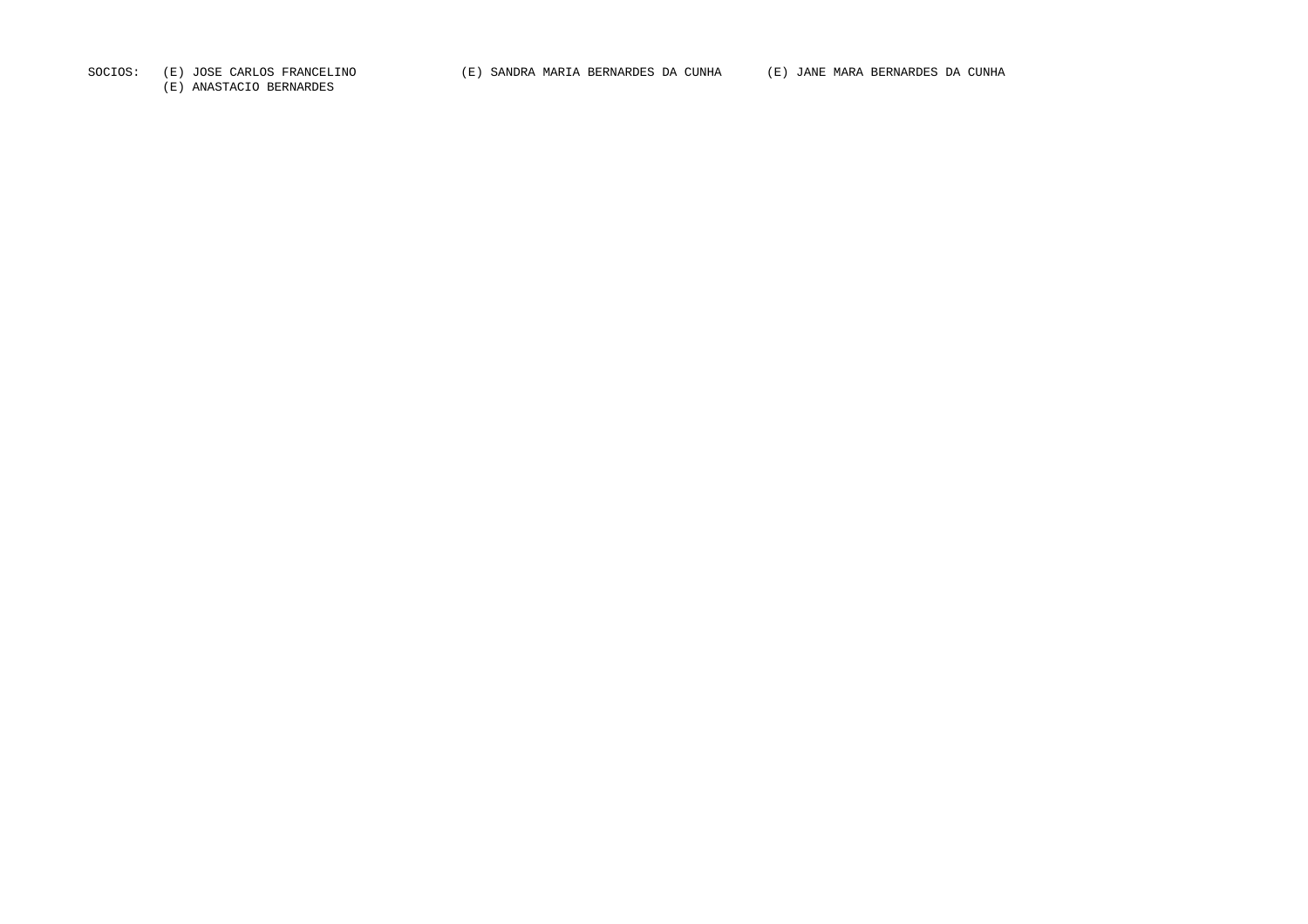(E) ANASTACIO BERNARDES

SOCIOS: (E) JOSE CARLOS FRANCELINO (E) SANDRA MARIA BERNARDES DA CUNHA (E) JANE MARA BERNARDES DA CUNHA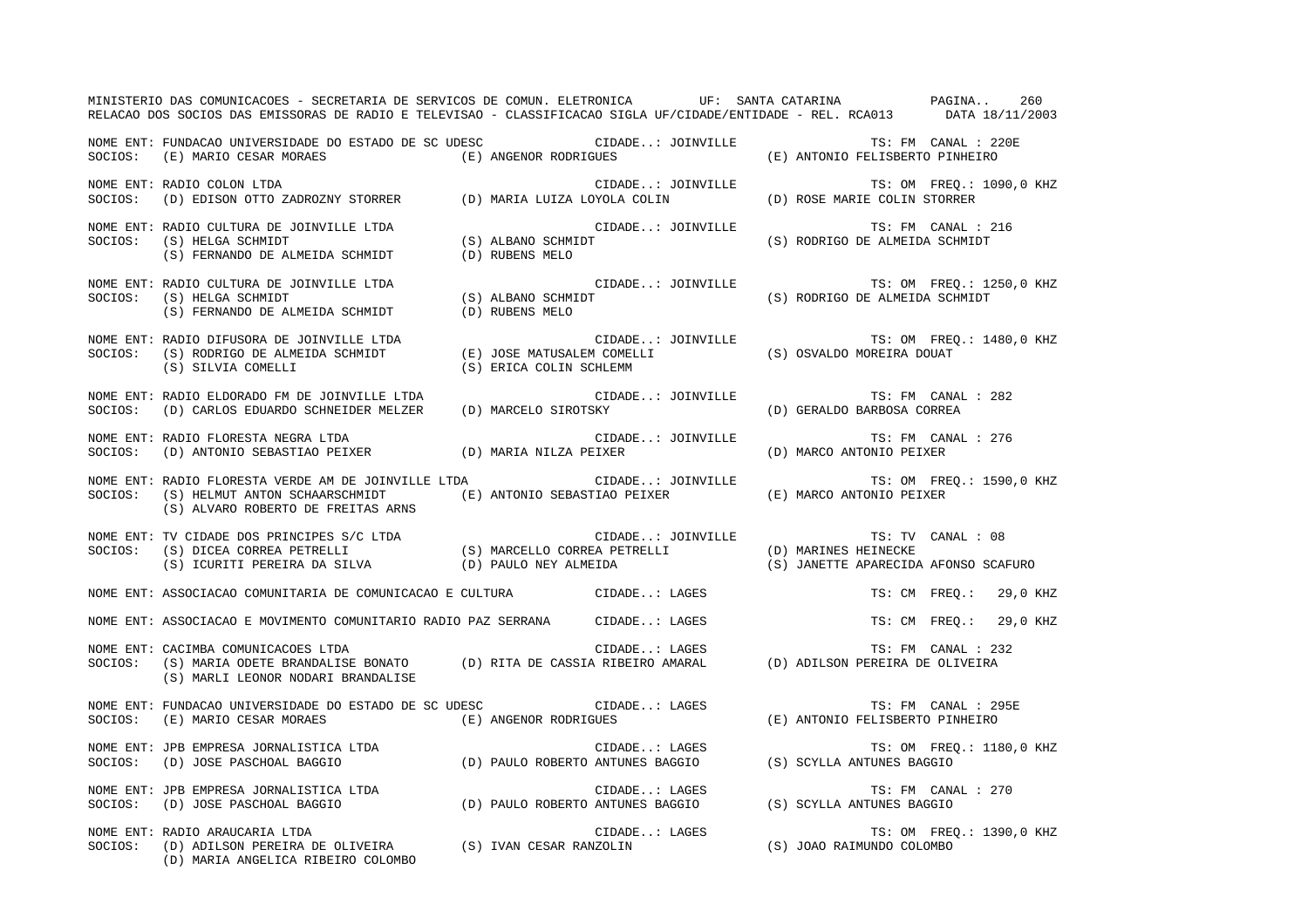|         | MINISTERIO DAS COMUNICACOES - SECRETARIA DE SERVICOS DE COMUN. ELETRONICA UF: SANTA CATARINA NA PAGINA<br>RELACAO DOS SOCIOS DAS EMISSORAS DE RADIO E TELEVISAO - CLASSIFICACAO SIGLA UF/CIDADE/ENTIDADE - REL. RCA013 DATA 18/11/2003 |                                            |                                                                                                                                                                                                                                                      |                                                              | 260                      |
|---------|----------------------------------------------------------------------------------------------------------------------------------------------------------------------------------------------------------------------------------------|--------------------------------------------|------------------------------------------------------------------------------------------------------------------------------------------------------------------------------------------------------------------------------------------------------|--------------------------------------------------------------|--------------------------|
| SOCIOS: | NOME ENT: FUNDACAO UNIVERSIDADE DO ESTADO DE SC UDESC (CIDADE: JOINVILLE<br>(E) MARIO CESAR MORAES                                                                                                                                     | (E) ANGENOR RODRIGUES                      |                                                                                                                                                                                                                                                      | (E) ANTONIO FELISBERTO PINHEIRO                              | TS: FM CANAL : 220E      |
| SOCIOS: | NOME ENT: RADIO COLON LTDA<br>(D) EDISON OTTO ZADROZNY STORRER (D) MARIA LUIZA LOYOLA COLIN                                                                                                                                            |                                            | CIDADE: JOINVILLE                                                                                                                                                                                                                                    | TS: OM FREQ.: 1090,0 KHZ<br>(D) ROSE MARIE COLIN STORRER     |                          |
| SOCIOS: | NOME ENT: RADIO CULTURA DE JOINVILLE LTDA<br>(S) HELGA SCHMIDT<br>$(S)$ HEECH SCHILLET (B) RUBENS MELO<br>(S) FERNANDO DE ALMEIDA SCHMIDT (D) RUBENS MELO                                                                              | $(S)$ ALBANO SCHMIDT                       | CIDADE: JOINVILLE                                                                                                                                                                                                                                    | (S) RODRIGO DE ALMEIDA SCHMIDT                               | TS: FM CANAL : 216       |
| SOCIOS: | NOME ENT: RADIO CULTURA DE JOINVILLE LTDA<br>(S) HELGA SCHMIDT<br>(S) FERNANDO DE ALMEIDA SCHMIDT                                                                                                                                      | C<br>(S) ALBANO SCHMIDT<br>(D) RUBENS MELO | CIDADE: JOINVILLE                                                                                                                                                                                                                                    | (S) RODRIGO DE ALMEIDA SCHMIDT                               | TS: OM FREQ.: 1250,0 KHZ |
| SOCIOS: | NOME ENT: RADIO DIFUSORA DE JOINVILLE LTDA<br>RADIO DIFUSORA DE JOINVILLE LTDA<br>(S) RODRIGO DE ALMEIDA SCHMIDT (E) JOSE MATUSALEM COMELLI<br>(S) ERICA COLIN SCHLEMM<br>(S) ERICA COLIN SCHLEMM                                      |                                            |                                                                                                                                                                                                                                                      | (S) OSVALDO MOREIRA DOUAT                                    | TS: OM FREQ.: 1480,0 KHZ |
| SOCIOS: | NOME ENT: RADIO ELDORADO FM DE JOINVILLE LTDA<br>(D) CARLOS EDUARDO SCHNEIDER MELZER (D) MARCELO SIROTSKY                                                                                                                              |                                            | CIDADE: JOINVILLE                                                                                                                                                                                                                                    | (D) GERALDO BARBOSA CORREA                                   | TS: FM CANAL : 282       |
| SOCIOS: | NOME ENT: RADIO FLORESTA NEGRA LTDA<br>(D) ANTONIO SEBASTIAO PEIXER (D) MARIA NILZA PEIXER                                                                                                                                             |                                            | CIDADE: JOINVILLE                                                                                                                                                                                                                                    | (D) MARCO ANTONIO PEIXER                                     | TS: FM CANAL : 276       |
| SOCIOS: | NOME ENT: RADIO FLORESTA VERDE AM DE JOINVILLE LTDA<br>(S) HELMUT ANTON SCHAARSCHMIDT<br>(S) ALVARO ROBERTO DE FREITAS ARNS                                                                                                            |                                            | CIDADE: JOINVILLE<br>(E) ANTONIO SEBASTIAO PEIXER                                                                                                                                                                                                    | (E) MARCO ANTONIO PEIXER                                     | TS: OM FREQ.: 1590,0 KHZ |
|         | NOME ENT: TV CIDADE DOS PRINCIPES S/C LTDA<br>SOCIOS: (S) DICEA CORREA PETRELLI (S) MARCELLO CORREA PETRELLI<br>(S) ICURITI PEREIRA DA SILVA (D) PAULO NEY ALMEIDA                                                                     |                                            | CIDADE: JOINVILLE                                                                                                                                                                                                                                    | (D) MARINES HEINECKE<br>(S) JANETTE APARECIDA AFONSO SCAFURO | TS: TV CANAL : 08        |
|         | NOME ENT: ASSOCIACAO COMUNITARIA DE COMUNICACAO E CULTURA CIDADE: LAGES                                                                                                                                                                |                                            |                                                                                                                                                                                                                                                      |                                                              | TS: CM FREQ.: 29,0 KHZ   |
|         | NOME ENT: ASSOCIACAO E MOVIMENTO COMUNITARIO RADIO PAZ SERRANA                                                                                                                                                                         |                                            | CIDADE: LAGES                                                                                                                                                                                                                                        |                                                              | TS: CM FREQ.: 29,0 KHZ   |
| SOCIOS: | NOME ENT: CACIMBA COMUNICACOES LTDA<br>(S) MARIA ODETE BRANDALISE BONATO (D) RITA DE CASSIA RIBEIRO AMARAL<br>(S) MARLI LEONOR NODARI BRANDALISE                                                                                       |                                            | CIDADE: LAGES                                                                                                                                                                                                                                        | TS: FM CANAL : 23<br>(D) ADILSON PEREIRA DE OLIVEIRA         | TS: FM CANAL : 232       |
| SOCIOS: | NOME ENT: FUNDACAO UNIVERSIDADE DO ESTADO DE SC UDESC<br>(E) MARIO CESAR MORAES                                                                                                                                                        | (E) ANGENOR RODRIGUES                      | CIDADE: LAGES                                                                                                                                                                                                                                        | (E) ANTONIO FELISBERTO PINHEIRO                              | TS: FM CANAL : 295E      |
| SOCIOS: | NOME ENT: JPB EMPRESA JORNALISTICA LTDA                                                                                                                                                                                                |                                            | CIDADE: LAGES                                                                                                                                                                                                                                        | (S) SCYLLA ANTUNES BAGGIO                                    | TS: OM FREQ.: 1180,0 KHZ |
| SOCIOS: | NOME ENT: JPB EMPRESA JORNALISTICA LTDA<br>: JPB EMPRESA JORNALISTICA LTDA<br>(D) JOSE PASCHOAL BAGGIO                                                                                                                                 |                                            | CIDADE: LAGES<br>(D) PAULO ROBERTO ANTUNES BAGGIO                                                                                                                                                                                                    | (S) SCYLLA ANTUNES BAGGIO                                    | TS: FM CANAL : 270       |
| SOCIOS: | NOME ENT: RADIO ARAUCARIA LTDA<br>(D) ADILSON PEREIRA DE OLIVEIRA (S) IVAN CESAR RANZOLIN<br>(D) MARIA ANGELICA RIBEIRO COLOMBO                                                                                                        |                                            | CIDADE: LAGES<br>and a straight of the state.<br>The contract of the state of the state of the state of the state of the state of the state of the state of the<br>The state of the state of the state of the state of the state of the state of the | (S) JOAO RAIMUNDO COLOMBO                                    | TS: OM FREQ.: 1390,0 KHZ |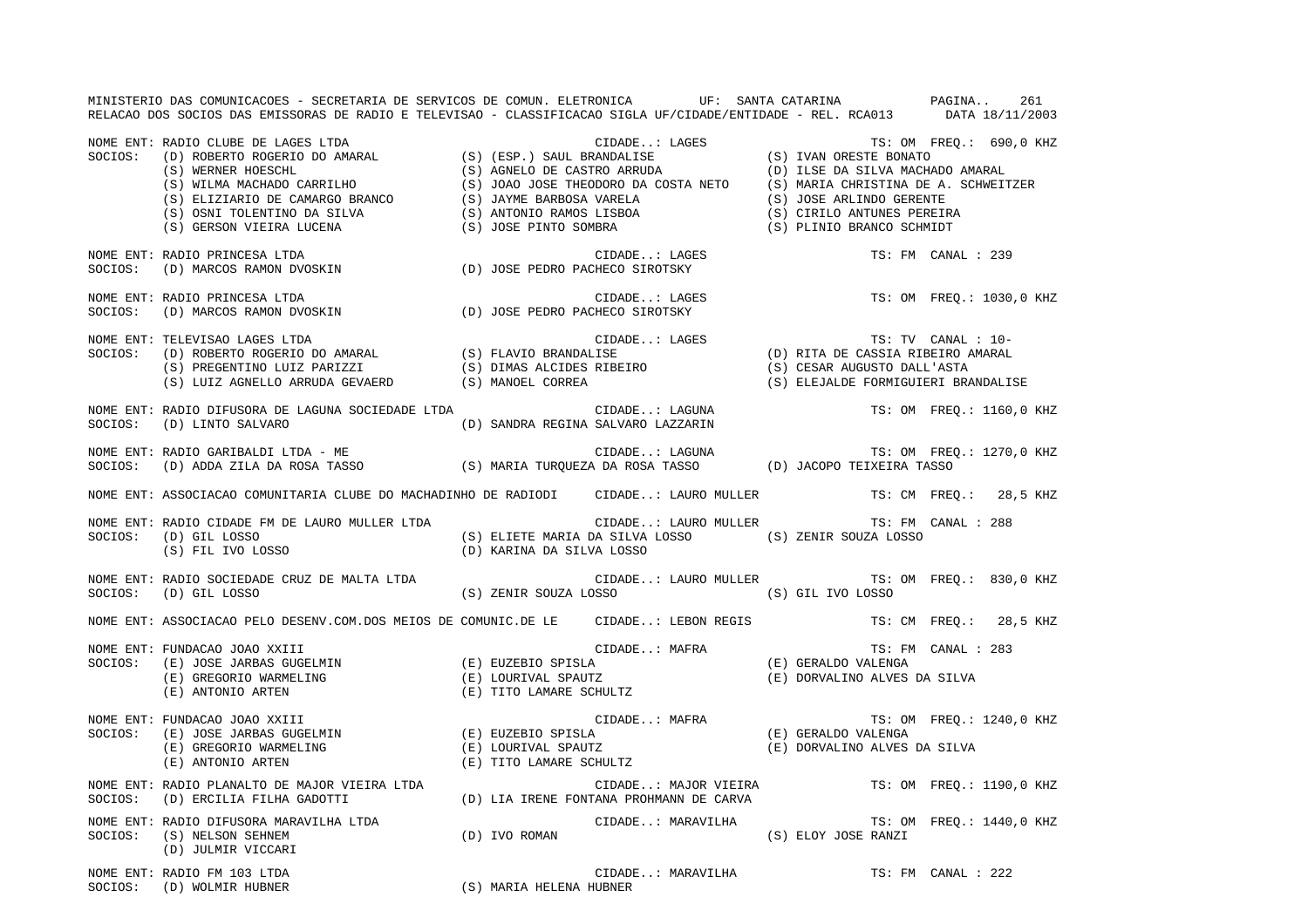MINISTERIO DAS COMUNICACOES - SECRETARIA DE SERVICOS DE COMUN. ELETRONICA UF: SANTA CATARINA PAGINA.. 261 RELACAO DOS SOCIOS DAS EMISSORAS DE RADIO E TELEVISAO - CLASSIFICACAO SIGLA UF/CIDADE/ENTIDADE - REL. RCA013 DATA 18/11/2003 NOME ENT: RADIO CLUBE DE LAGES LTDA CIDADE..: LAGES TS: OM FREQ.: 690,0 KHZ SOCIOS: (D) ROBERTO ROGERIO DO AMARAL (S) (ESP.) SAUL BRANDALISE (S) IVAN ORESTE BONATO (S) WERNER HOESCHL (S) AGNELO DE CASTRO ARRUDA (D) ILSE DA SILVA MACHADO AMARAL<br>
(S) WILMA MACHADO CARRILHO (S) JOAO JOSE THEODORO DA COSTA NETO (S) MARIA CHRISTINA DE A. SCHWEIT)<br>
(S) ELIZIARIO DE CAMARGO BRANCO (S) JAYME (S) JOAO JOSE THEODORO DA COSTA NETO (S) MARIA CHRISTINA DE A. SCHWEITZER (S) JAYME BARBOSA VARELA (S) JOSE ARLINDO GERENTE (S) OSNI TOLENTINO DA SILVA (S) ANTONIO RAMOS LISBOA (S) CIRILO ANTUNES PEREIRA (S) GERSON VIEIRA LUCENA (S) JOSE PINTO SOMBRA (S) PLINIO BRANCO SCHMIDT NOME ENT: RADIO PRINCESA LTDA CIDADE..: LAGES TS: FM CANAL : 239SOCIOS: (D) MARCOS RAMON DVOSKIN (D) JOSE PEDRO PACHECO SIROTSKY NOME ENT: RADIO PRINCESA LTDA CIDADE..: LAGES TS: OM FREQ.: 1030,0 KHZ SOCIOS: (D) MARCOS RAMON DVOSKIN (D) JOSE PEDRO PACHECO SIROTSKY NOME ENT: TELEVISAO LAGES LTDA CIDADE...: LAGES TS: TV CANAL : 10-SOCIOS: (D) ROBERTO ROGERIO DO AMARAL (S) FLAVIO BRANDALISE (D) RITA DE CASSIA RIBEIRO AMARAL (S) PREGENTINO LUIZ PARIZZI (S) DIMAS ALCIDES RIBEIRO (S) CESAR AUGUSTO DALL'ASTA (S) LUIZ AGNELLO ARRUDA GEVAERD (S) MANOEL CORREA (S) ELEJALDE FORMIGUIERI BRANDALISE NOME ENT: RADIO DIFUSORA DE LAGUNA SOCIEDADE LTDA CIDADE... LAGUNA TS: OM FREQ.: 1160,0 KHZ SOCIOS: (D) LINTO SALVARO (D) SANDRA REGINA SALVARO LAZZARIN NOME ENT: RADIO GARIBALDI LTDA - ME THA SAN SANTO CIDADE..: LAGUNA TS: OM FREQ.: 1270,0 KHZ SOCIOS: (D) ADDA ZILA DA ROSA TASSO (S) MARIA TURQUEZA DA ROSA TASSO (D) JACOPO TEIXEIRA TASSO NOME ENT: ASSOCIACAO COMUNITARIA CLUBE DO MACHADINHO DE RADIODI CIDADE..: LAURO MULLER TS: CM FREQ.: 28,5 KHZ NOME ENT: RADIO CIDADE FM DE LAURO MULLER LTDA CIDADE..: LAURO MULLER TS: FM CANAL : 288SOCIOS: (D) GIL LOSSO (S) ELIETE MARIA DA SILVA LOSSO (S) ZENIR SOUZA LOSSO (S) FIL IVO LOSSO (D) KARINA DA SILVA LOSSO NOME ENT: RADIO SOCIEDADE CRUZ DE MALTA LTDA CIDADE..: LAURO MULLER TS: OM FREQ.: 830,0 KHZ SOCIOS: (D) GIL LOSSO (S) ZENIR SOUZA LOSSO (S) GIL IVO LOSSO NOME ENT: ASSOCIACAO PELO DESENV.COM.DOS MEIOS DE COMUNIC.DE LE CIDADE..: LEBON REGIS TS: CM FREQ.: 28,5 KHZ NOME ENT: FUNDACAO JOAO XXIII CIDADE..: MAFRA TS: FM CANAL : 283 SOCIOS: (E) JOSE JARBAS GUGELMIN (E) EUZEBIO SPISLA (E) GERALDO VALENGA (E) GREGORIO WARMELING (E) LOURIVAL SPAUTZ (E) DORVALINO ALVES DA SILVA (E) ANTONIO ARTEN (E) TITO LAMARE SCHULTZ NOME ENT: FUNDACAO JOAO XXIII CIDADE..: MAFRA TS: OM FREQ.: 1240,0 KHZ SOCIOS: (E) JOSE JARBAS GUGELMIN (E) EUZEBIO SPISLA (E) GERALDO VALENGA (E) GREGORIO WARMELING (E) LOURIVAL SPAUTZ (E) DORVALINO ALVES DA SILVA (E) ANTONIO ARTEN (E) TITO LAMARE SCHULTZ NOME ENT: RADIO PLANALTO DE MAJOR VIEIRA LTDA CIDADE..: MAJOR VIEIRA TS: OM FREQ.: 1190,0 KHZ SOCIOS: (D) ERCILIA FILHA GADOTTI (D) LIA IRENE FONTANA PROHMANN DE CARVA NOME ENT: RADIO DIFUSORA MARAVILHA LTDA CIDADE..: MARAVILHA TS: OM FREQ.: 1440,0 KHZ SOCIOS: (S) NELSON SEHNEM (D) IVO ROMAN (S) ELOY JOSE RANZI (D) JULMIR VICCARI NOME ENT: RADIO FM 103 LTDA CIDADE..: MARAVILHA TS: FM CANAL : 222

SOCIOS: (D) WOLMIR HUBNER (S) MARIA HELENA HUBNER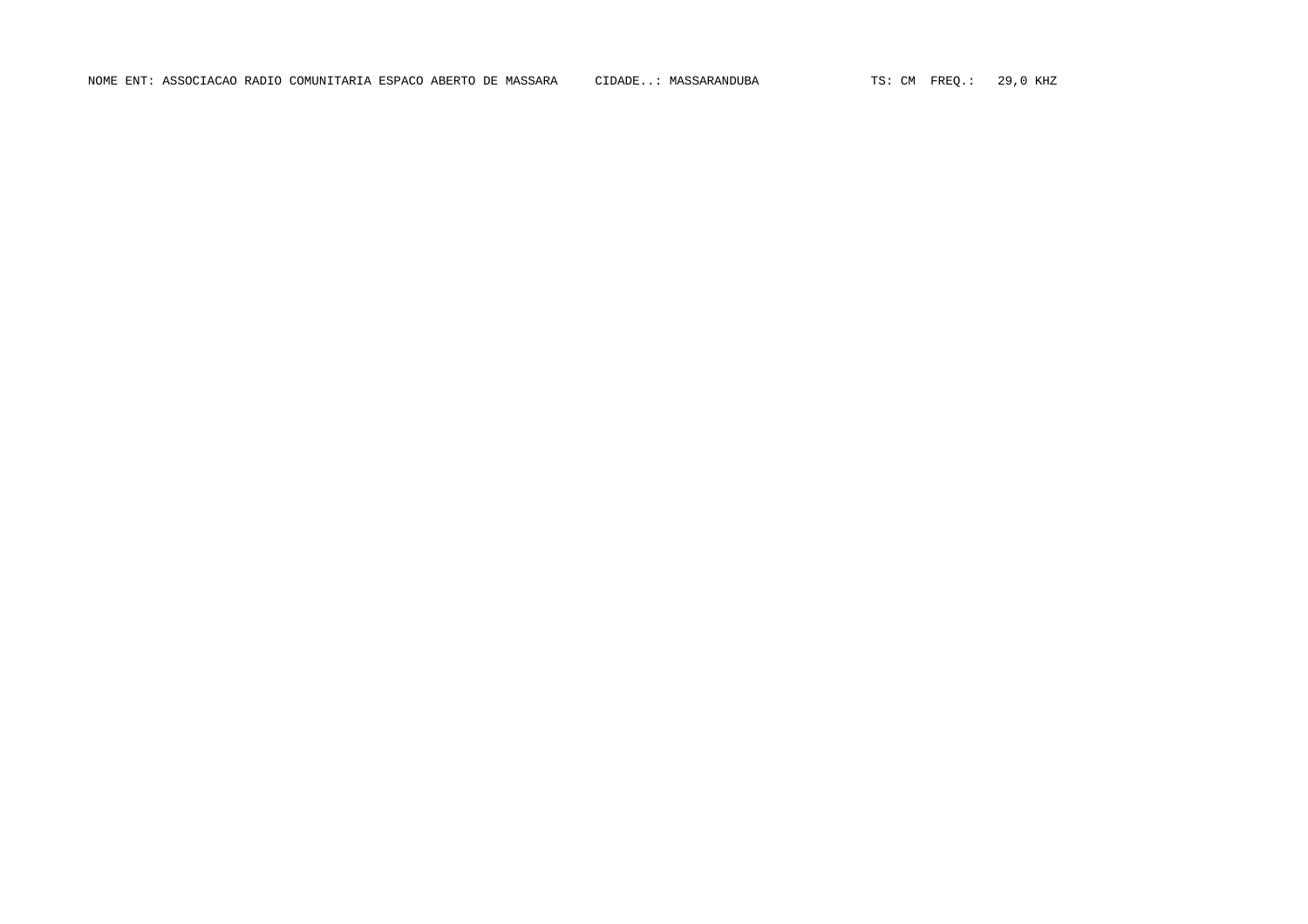NOME ENT: ASSOCIACAO RADIO COMUNITARIA ESPACO ABERTO DE MASSARA CIDADE..: MASSARANDUBA TS: CM FREQ.: 29,0 KHZ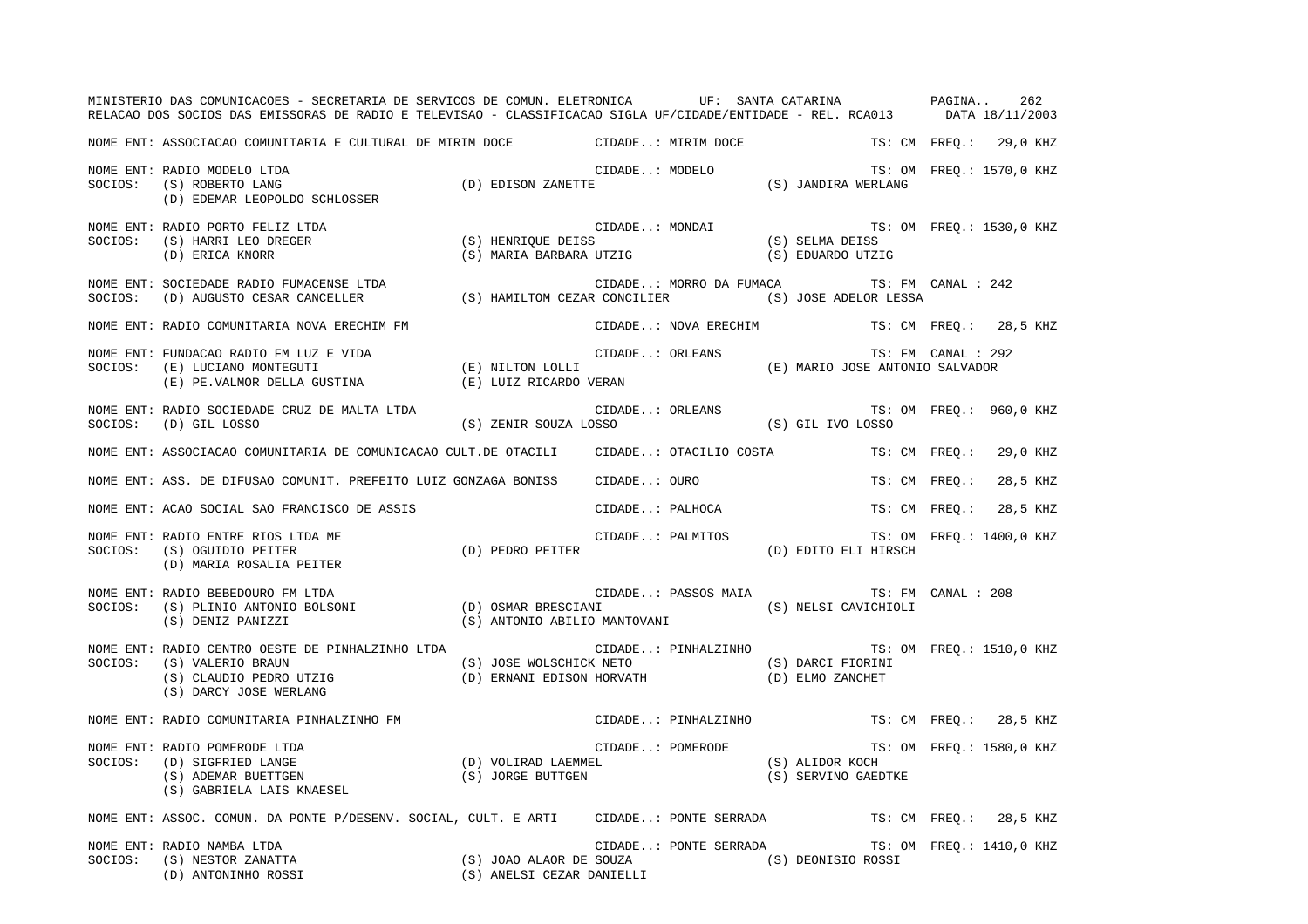|         | MINISTERIO DAS COMUNICACOES - SECRETARIA DE SERVICOS DE COMUN. ELETRONICA UF: SANTA CATARINA PAGINA<br>RELACAO DOS SOCIOS DAS EMISSORAS DE RADIO E TELEVISAO - CLASSIFICACAO SIGLA UF/CIDADE/ENTIDADE - REL. RCA013 DATA 18/11/2003                                                                                                                                                                                                                                                                                                                    |                                                                                                                                            |                       |                                                                                    | 262                      |
|---------|--------------------------------------------------------------------------------------------------------------------------------------------------------------------------------------------------------------------------------------------------------------------------------------------------------------------------------------------------------------------------------------------------------------------------------------------------------------------------------------------------------------------------------------------------------|--------------------------------------------------------------------------------------------------------------------------------------------|-----------------------|------------------------------------------------------------------------------------|--------------------------|
|         | NOME ENT: ASSOCIACAO COMUNITARIA E CULTURAL DE MIRIM DOCE CIDADE: MIRIM DOCE                                                                                                                                                                                                                                                                                                                                                                                                                                                                           |                                                                                                                                            |                       |                                                                                    | TS: CM FREQ.: 29,0 KHZ   |
| SOCIOS: | TS: ON CIDADE: MODELO TS: ON CIDADE MODELO TS: ON CIDADE (S) ROBERTO LANG (S) ROBERTO LANG (D) EDISON ZANETTE (S) JANDIRA WERLANG (D) EDEMAR LEOPOLDO SCHLOSSER<br>NOME ENT: RADIO MODELO LTDA                                                                                                                                                                                                                                                                                                                                                         |                                                                                                                                            |                       |                                                                                    | TS: OM FREQ.: 1570,0 KHZ |
|         | NOME ENT: RADIO PORTO FELIZ LTDA<br>SOCIOS: (S) HARRI LEO DREGER<br>(D) ERICA KNORR                                                                                                                                                                                                                                                                                                                                                                                                                                                                    | CIDADE: MONDAI TS: OM FREQ.: 1530,0 KHZ<br>(S) HENRIQUE DEISS (S) SELMA DEISS (S) SELMA DEISS<br>(S) MARIA BARBARA UTZIG (S) EDUARDO UTZIG |                       |                                                                                    |                          |
|         | NOME ENT: SOCIEDADE RADIO FUMACENSE LTDA<br>SOCIOS: (D) AUGUSTO CESAR CANCELLER (S) HAMILTOM CEZAR CONCILIER (S) JOSE ADELOR LESSA                                                                                                                                                                                                                                                                                                                                                                                                                     |                                                                                                                                            |                       | CIDADE: MORRO DA FUMACA TS: FM CANAL : 242                                         |                          |
|         | NOME ENT: RADIO COMUNITARIA NOVA ERECHIM FM                                                                                                                                                                                                                                                                                                                                                                                                                                                                                                            |                                                                                                                                            | CIDADE: NOVA ERECHIM  |                                                                                    | TS: CM FREQ.: 28,5 KHZ   |
|         | NOME ENT: FUNDACAO RADIO FM LUZ E VIDA<br>SOCIOS: (E) LUCIANO MONTEGUTI (E) NILTON LOLLI<br>(E) E. VALMOR DELLA GUSTINA (E) LUIZ RICARDO VERAN (E) MARIO JOSE ANTONIO SALVADOR                                                                                                                                                                                                                                                                                                                                                                         |                                                                                                                                            |                       | TS: FM CANAL : 292                                                                 |                          |
|         | NOME ENT: RADIO SOCIEDADE CRUZ DE MALTA LTDA<br>SOCIOS: (D) GIL LOSSO                                                                                                                                                                                                                                                                                                                                                                                                                                                                                  | CIDADE: ORLEANS TS: OM FREQ.: 960,0 KHZ (S) ZENIR SOUZA LOSSO (S) GIL IVO LOSSO                                                            |                       |                                                                                    |                          |
|         | NOME ENT: ASSOCIACAO COMUNITARIA DE COMUNICACAO CULT.DE OTACILI CIDADE: OTACILIO COSTA TS: CM FREQ.: 29,0 KHZ                                                                                                                                                                                                                                                                                                                                                                                                                                          |                                                                                                                                            |                       |                                                                                    |                          |
|         | NOME ENT: ASS. DE DIFUSAO COMUNIT. PREFEITO LUIZ GONZAGA BONISS                                                                                                                                                                                                                                                                                                                                                                                                                                                                                        |                                                                                                                                            | CIDADE: OURO          | TS: CM FREO.:                                                                      | 28,5 KHZ                 |
|         | NOME ENT: ACAO SOCIAL SAO FRANCISCO DE ASSIS                                                                                                                                                                                                                                                                                                                                                                                                                                                                                                           |                                                                                                                                            | CIDADE: PALHOCA       | TS: CM FREO.:                                                                      | 28,5 KHZ                 |
|         | NOME ENT: RADIO ENTRE RIOS LTDA ME<br>SOCIOS: (S) OGUIDIO PEITER (D) PEDRO PEITER<br>(D) MARIA ROSALIA PEITER (D)                                                                                                                                                                                                                                                                                                                                                                                                                                      |                                                                                                                                            |                       | CIDADE: PALMITOS $\texttt{TS: OM} \ \ \texttt{FREQ.:} \ \ 1400,0 \ \ \texttt{KHZ}$ |                          |
|         | NOME ENT: RADIO BEBEDOURO FM LTDA<br>NOME ENT: RADIO BEBEDOURO FM LTDA<br>SOCIOS: (S) PLINIO ANTONIO BOLSONI (D) OSMAR BRESCIANI (S) NELSI CAVICHIOLI<br>(S) DENIZ PANIZZI (S) ANTONIO ABILIO MANTOVANI (S) DENIZ PANIZZI                                                                                                                                                                                                                                                                                                                              |                                                                                                                                            | CIDADE: PASSOS MAIA   | TS: FM CANAL : 208                                                                 |                          |
| SOCIOS: | NOME ENT: RADIO CENTRO OESTE DE PINHALZINHO LTDA<br>$(\texttt{S}) \texttt{VALERIO} \texttt{BRAIN} \tag{S} \texttt{(S)} \texttt{JOSE WOLSCHICK} \texttt{NETO} \tag{S} \texttt{(S)} \texttt{DARCI} \texttt{FIORINI} \tag{D)} \texttt{ELMO ZANCHET} \texttt{(D)} \texttt{ELMO ZANCHET} \texttt{(E)} \texttt{(D)} \texttt{(D)} \texttt{(D)} \texttt{(D)} \texttt{(D)} \texttt{(E)} \texttt{(D)} \texttt{(E)} \texttt{(D)} \texttt{(D)} \texttt{(E)} \texttt{(E)} \texttt{(D)} \texttt{(D)} \texttt{(D)} \texttt{(D)} \texttt{(D$<br>(S) DARCY JOSE WERLANG |                                                                                                                                            |                       | CIDADE: PINHALZINHO TS: OM FREQ.: 1510,0 KHZ                                       |                          |
|         | NOME ENT: RADIO COMUNITARIA PINHALZINHO FM                                                                                                                                                                                                                                                                                                                                                                                                                                                                                                             |                                                                                                                                            |                       | CIDADE: PINHALZINHO TS: CM FREO.: 28,5 KHZ                                         |                          |
| SOCIOS: | RADIO POMERODE LTDA<br>(D) SIGFRIED LANGE (D) VOLIRAD LAEMMEL (S) ALIDOR KOCH (S) ADEMAR BUETTGEN<br>(S) GABRIELA LAIS KNAESEI. (S) JORGE BUTTGEN (S) SERVINO GAEDTKE<br>(S) GABRIELA LAIS KNAESEI.<br>NOME ENT: RADIO POMERODE LTDA<br>(S) GABRIELA LAIS KNAESEL                                                                                                                                                                                                                                                                                      |                                                                                                                                            |                       |                                                                                    |                          |
|         | NOME ENT: ASSOC. COMUN. DA PONTE P/DESENV. SOCIAL, CULT. E ARTI CIDADE: PONTE SERRADA TS: CM FREQ.: 28,5 KHZ                                                                                                                                                                                                                                                                                                                                                                                                                                           |                                                                                                                                            |                       |                                                                                    |                          |
|         | NOME ENT: RADIO NAMBA LTDA<br>NOME ENT: RADIO NAMBA LTDA<br>SOCIOS: (S) NESTOR ZANATTA (S)<br>(D) ANTONINHO ROSSI (S) NESTOR 20031 (S) NERTA (D) ANTONINHO ROSSI (S) NERTA (S) ANELSI CEZAR DANIELLI                                                                                                                                                                                                                                                                                                                                                   |                                                                                                                                            | CIDADE: PONTE SERRADA |                                                                                    | TS: OM FREQ.: 1410,0 KHZ |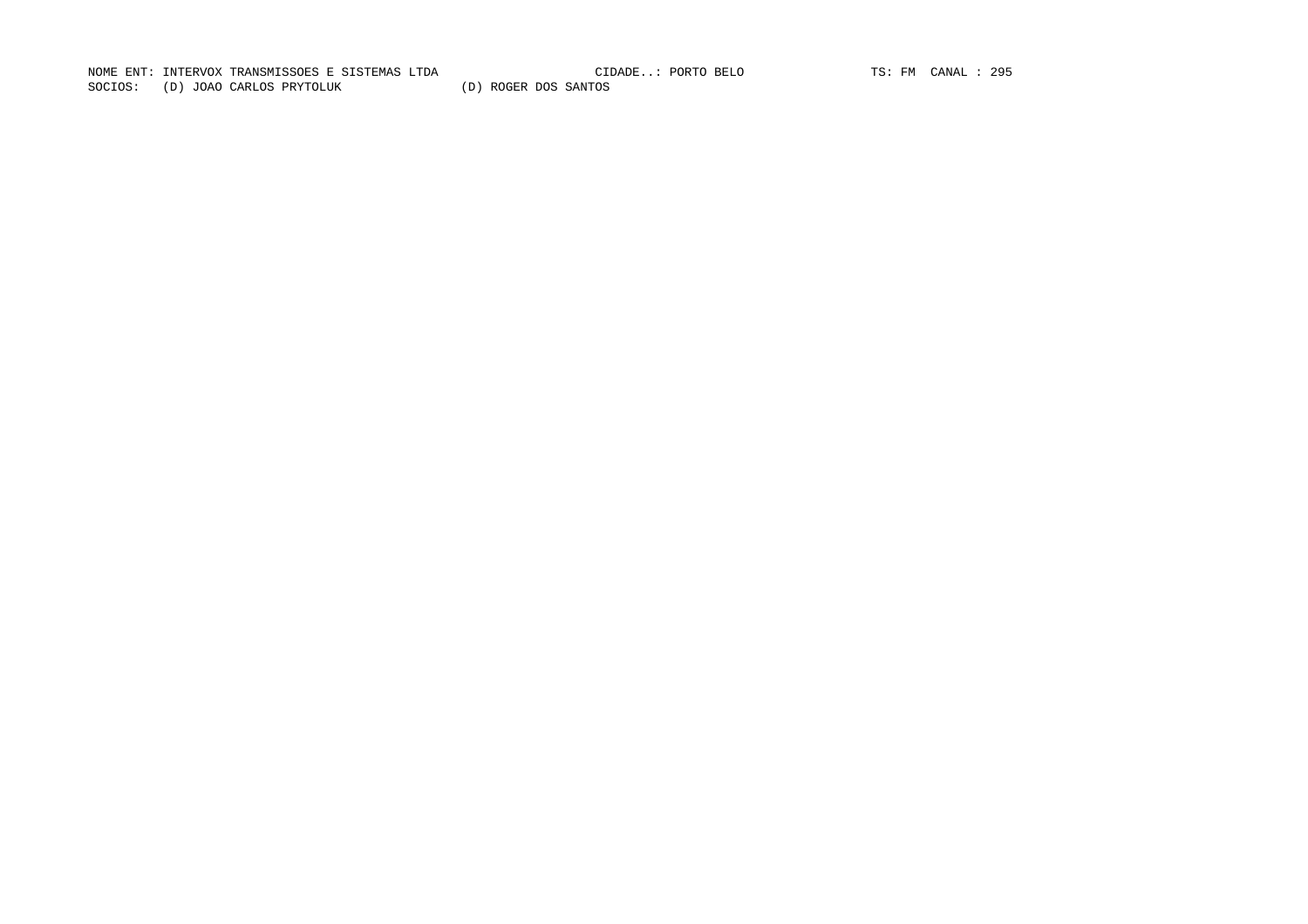NOME ENT: INTERVOX TRANSMISSOES E SISTEMAS LTDA CIDADE..: PORTO BELO TS: FM CANAL : 295CIDADE..: PORTO BELO TS: FM CANAL : 295 SOCIOS: (D) JOAO CARLOS PRYTOLUK (D) ROGER DOS SANTOS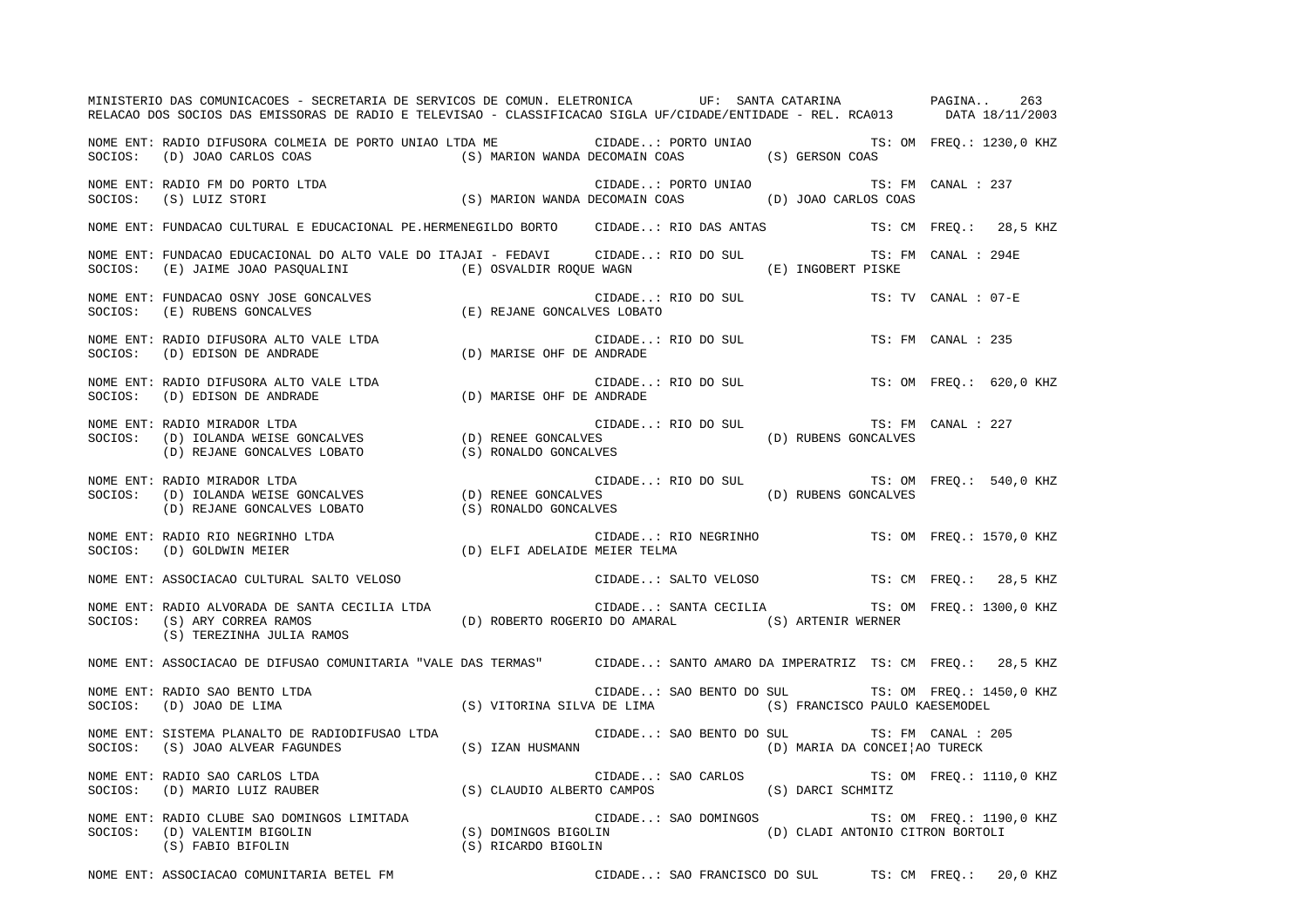|         | MINISTERIO DAS COMUNICACOES - SECRETARIA DE SERVICOS DE COMUN. ELETRONICA UF: SANTA CATARINA PAGINA<br>RELACAO DOS SOCIOS DAS EMISSORAS DE RADIO E TELEVISAO - CLASSIFICACAO SIGLA UF/CIDADE/ENTIDADE - REL. RCA013 DATA 18/11/2003        |                           |                          |                                                     |                     | 263                      |  |
|---------|--------------------------------------------------------------------------------------------------------------------------------------------------------------------------------------------------------------------------------------------|---------------------------|--------------------------|-----------------------------------------------------|---------------------|--------------------------|--|
|         | NOME ENT: RADIO DIFUSORA COLMEIA DE PORTO UNIAO LTDA ME CIDADE: PORTO UNIAO TS: OM FREQ.: 1230,0 KHZ<br>SOCIOS: (D) JOAO CARLOS COAS (S) MARION WANDA DECOMAIN COAS (S) GERSON COAS                                                        |                           |                          |                                                     |                     |                          |  |
|         |                                                                                                                                                                                                                                            |                           |                          | CIDADE: PORTO UNIAO TS: FM CANAL : 237              |                     |                          |  |
|         | NOME ENT: FUNDACAO CULTURAL E EDUCACIONAL PE.HERMENEGILDO BORTO CIDADE: RIO DAS ANTAS TS: CM FREO.: 28,5 KHZ                                                                                                                               |                           |                          |                                                     |                     |                          |  |
|         | NOME ENT: FUNDACAO EDUCACIONAL DO ALTO VALE DO ITAJAI - FEDAVI CIDADE: RIO DO SUL<br>SOCIOS: (E) JAIME JOAO PASQUALINI (E) OSVALDIR ROQUE WAGN (E) INGOBERT PISKE                                                                          |                           |                          |                                                     | TS: FM CANAL : 294E |                          |  |
|         | NOME ENT: FUNDACAO OSNY JOSE GONCALVES (E) REJANE GONCALVES LOBATO<br>SOCIOS: (E) RUBENS GONCALVES (E) REJANE GONCALVES LOBATO                                                                                                             |                           | CIDADE: RIO DO SUL       |                                                     | TS: TV CANAL : 07-E |                          |  |
| SOCIOS: | NOME ENT: RADIO DIFUSORA ALTO VALE LTDA<br>LE LTDA CIDADE.<br>(D) MARISE OHF DE ANDRADE)<br>(D) EDISON DE ANDRADE                                                                                                                          |                           | CIDADE: RIO DO SUL       |                                                     | TS: FM CANAL : 235  |                          |  |
| SOCIOS: | NOME ENT: RADIO DIFUSORA ALTO VALE LTDA<br>(D) EDISON DE ANDRADE                                                                                                                                                                           | (D) MARISE OHF DE ANDRADE | CIDADE: RIO DO SUL       |                                                     |                     | TS: OM FREO.: 620,0 KHZ  |  |
|         | NOME ENT: RADIO MIRADOR LTDA<br>SOCIOS: (D) IOLANDA WEISE GONCALVES (D) RENE GONCALVES (D) RENE GONCALVES (D) RUBENS GONCALVES<br>(D) REJANE GONCALVES LOBATO (S) RONALDO GONCALVES (D) RUBENS GONCALVES                                   |                           |                          |                                                     | TS: FM CANAL : 227  |                          |  |
|         | NOME ENT: RADIO MIRADOR LTDA<br>SOCIOS: (D) IOLANDA WEISE GONCALVES (D) RENEE GONCALVES (D) RENEE GONCALVES (D) RUBENS GONCALVES (D) REJANE GONCALVES (D) REJANE CONCALVES (D) REJANE CONCALVES (D) REJANE CONCALVES (S) RONALDO GONCALVES |                           |                          | CIDADE: RIO DO SUL TS: OM FREQ.: 540,0 KHZ          |                     |                          |  |
|         |                                                                                                                                                                                                                                            |                           |                          | CIDADE: RIO NEGRINHO TS: OM FREQ.: 1570,0 KHZ       |                     |                          |  |
|         | NOME ENT: ASSOCIACAO CULTURAL SALTO VELOSO                                                                                                                                                                                                 |                           |                          | CIDADE: SALTO VELOSO TS: CM FREQ.: 28,5 KHZ         |                     |                          |  |
|         | NOME ENT: RADIO ALVORADA DE SANTA CECILIA LTDA<br>SOCIOS: (S) ARY CORREA RAMOS (D) ROBERTO ROGERIO DO AMARAL (S) ARTENIR WERNER (S) TEREZINHA JULIA RAMOS                                                                                  |                           |                          | CIDADE: SANTA CECILIA TS: OM FREQ.: 1300,0 KHZ      |                     |                          |  |
|         | NOME ENT: ASSOCIACAO DE DIFUSAO COMUNITARIA "VALE DAS TERMAS" CIDADE: SANTO AMARO DA IMPERATRIZ TS: CM FREQ.: 28,5 KHZ                                                                                                                     |                           |                          |                                                     |                     |                          |  |
|         | ENT: RADIO SAO BENTO LTDA (S) VITORINA SILVA DE LIMA (S) FRANCISCO PAULO KAESEMODEL (D) JOAO DE LIMA (S) VITORINA SILVA DE LIMA (S) FRANCISCO PAULO KAESEMODEL                                                                             |                           |                          | CIDADE: SAO BENTO DO SUL TS: OM FREQ.: 1450,0 KHZ   |                     |                          |  |
|         | NOME ENT: SISTEMA PLANALTO DE RADIODIFUSAO LTDA<br>SOCIOS: (S) JOAO ALVEAR FAGUNDES (S) IZAN HUSMANN (D) MARIA DA CONCEI¦AO TURECK                                                                                                         |                           | CIDADE: SAO BENTO DO SUL | TS: FM CANAL : 205                                  |                     |                          |  |
|         | NOME ENT: RADIO SAO CARLOS LTDA<br>SOCIOS: (D) MARIO LUIZ RAUBER (S) CLAUDIO ALBERTO CAMPOS (S) DARCI SCHMITZ                                                                                                                              |                           |                          |                                                     |                     | TS: OM FREQ.: 1110,0 KHZ |  |
|         | NOME ENT: RADIO CLUBE SAO DOMINGOS LIMITADA (S) DOMINGOS BIGOLIN (D) CLADI ANTONIO CITRON BORTOLI<br>SOCIOS: (D) VALENTIM BIGOLIN (S) FABIO BIFOLIN (S) RICARDO BIGOLIN (S) RICARDO BIGOLIN (S) RESOLIN (S) FABIO BIFOLIN                  |                           |                          |                                                     |                     | TS: OM FREQ.: 1190,0 KHZ |  |
|         | NOME ENT: ASSOCIACAO COMUNITARIA BETEL FM                                                                                                                                                                                                  |                           |                          | CIDADE: SAO FRANCISCO DO SUL TS: CM FREQ.: 20,0 KHZ |                     |                          |  |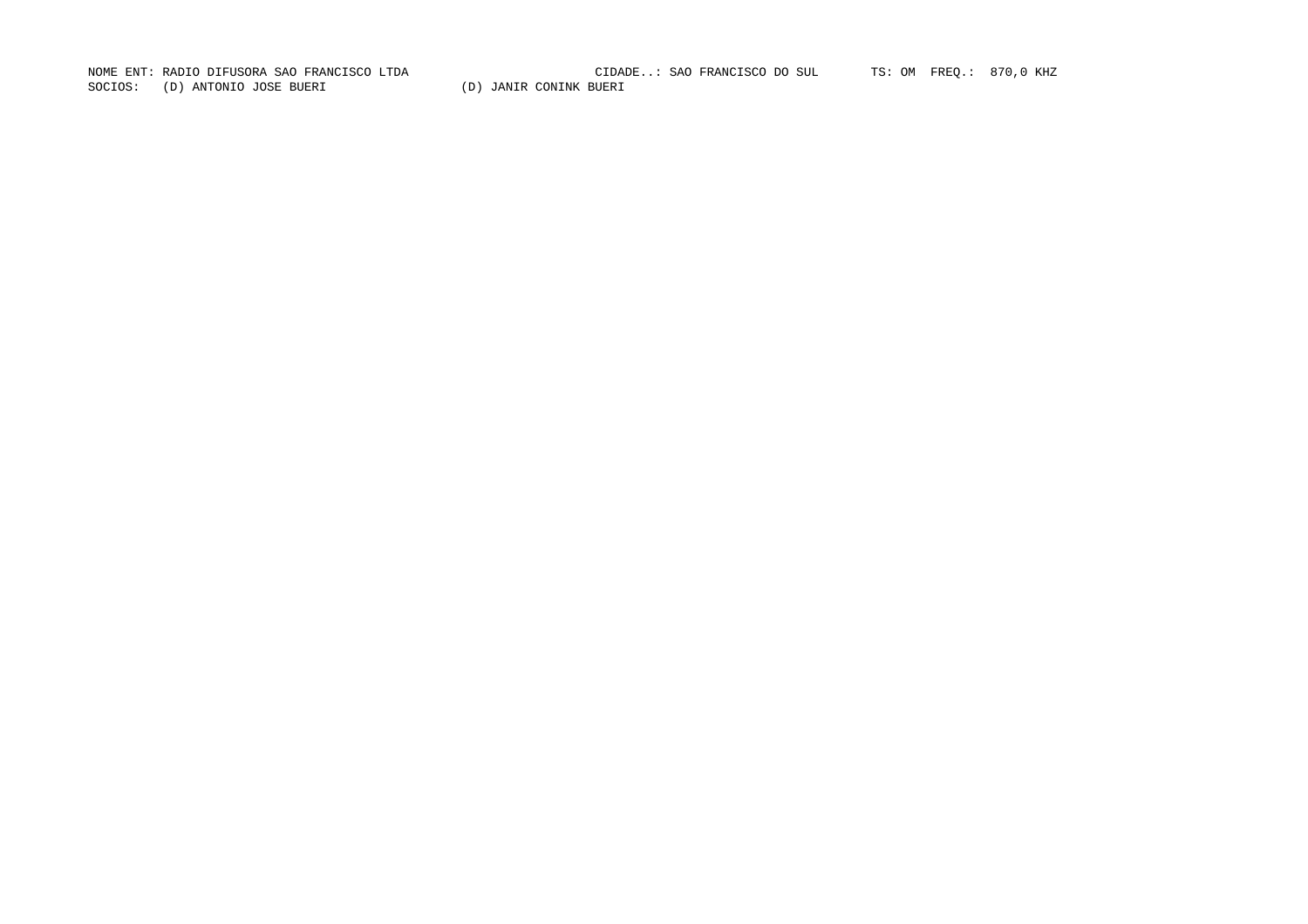SOCIOS: (D) ANTONIO JOSE BUERI (D) JANIR CONINK BUERI

NOME ENT: RADIO DIFUSORA SAO FRANCISCO LTDA CIDADE..: SAO FRANCISCO DO SUL TS: OM FREQ.: 870,0 KHZ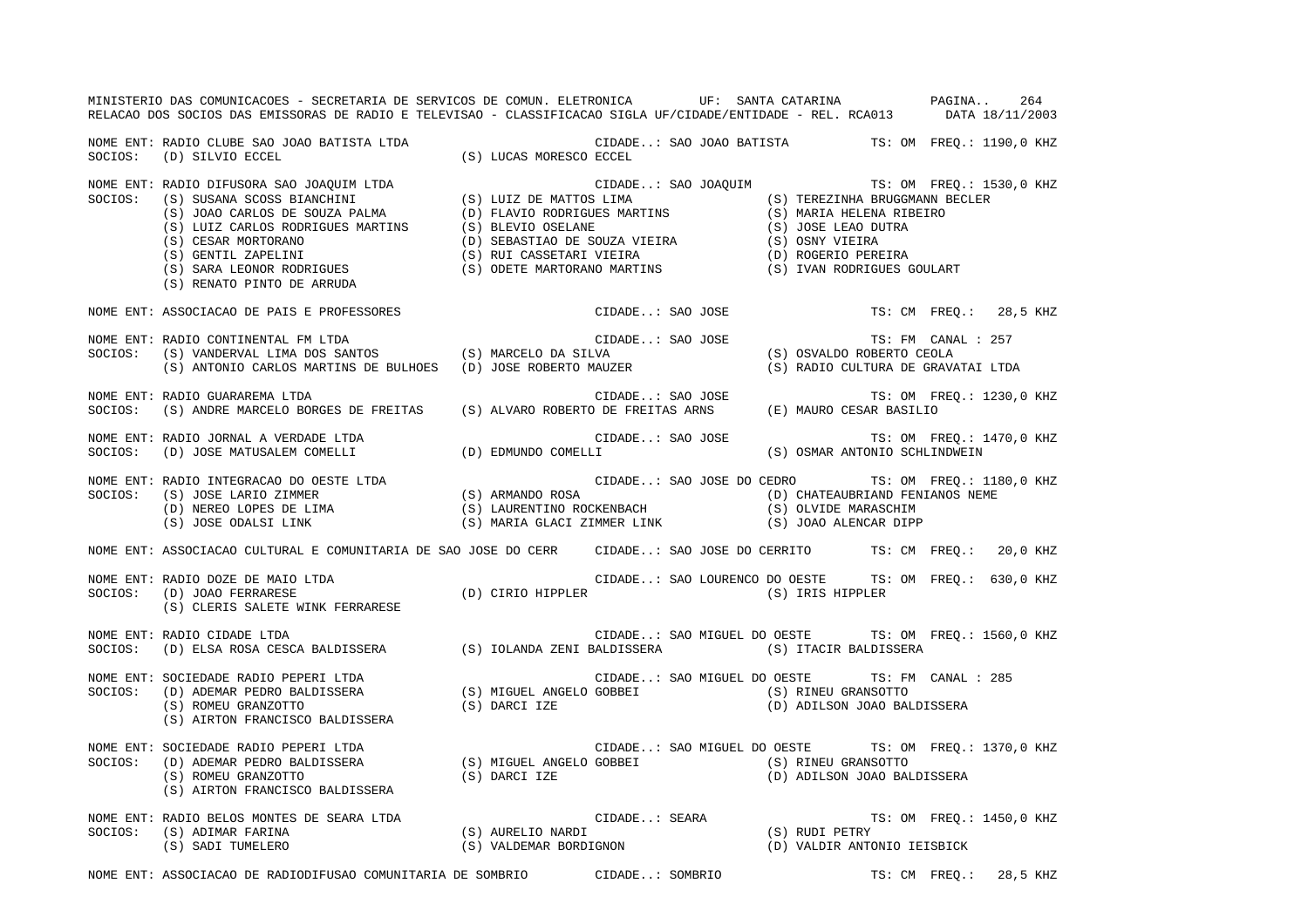|         | MINISTERIO DAS COMUNICACOES - SECRETARIA DE SERVICOS DE COMUN. ELETRONICA UF: SANTA CATARINA NA PAGINA<br>RELACAO DOS SOCIOS DAS EMISSORAS DE RADIO E TELEVISAO - CLASSIFICACAO SIGLA UF/CIDADE/ENTIDADE - REL. RCA013 DATA 18/11/2003                             |  |                  |  |                                                                                     |                    | 264                      |  |
|---------|--------------------------------------------------------------------------------------------------------------------------------------------------------------------------------------------------------------------------------------------------------------------|--|------------------|--|-------------------------------------------------------------------------------------|--------------------|--------------------------|--|
|         | NOME ENT: RADIO CLUBE SAO JOAO BATISTA LTDA (S) LUCAS MORESCO ECCEL (D) SILVIO ECCEL (D) SILVIO ECCEL (S) LUCAS MORESCO ECCEL                                                                                                                                      |  |                  |  |                                                                                     |                    |                          |  |
|         | NOME ENT: RADIO DIFUSORA SAO JOAQUIM LTDA<br>SOCIOS: (S) SUSANA SCOSS BIANCHINI (S) LUIZ DE MATTOS LIMA (S) TEREZINHA BRUGGMANN BECLER<br>(S) JOAO CARLOS DE SOUZA PALMA (D) FLAVIO RODRIGUES MARTINS (S) MARIA HELENA RIBEIRO<br>(S<br>(S) RENATO PINTO DE ARRUDA |  |                  |  | CIDADE: SAO JOAQUIM TS: OM FREQ.: 1530,0 KHZ                                        |                    |                          |  |
|         | NOME ENT: ASSOCIACAO DE PAIS E PROFESSORES                                                                                                                                                                                                                         |  | CIDADE: SAO JOSE |  |                                                                                     |                    | TS: CM FREQ.: 28,5 KHZ   |  |
| SOCIOS: | NOME ENT: RADIO CONTINENTAL FM LTDA<br>(S) VANDERVAL LIMA DOS SANTOS (S) MARCELO DA SILVA<br>(S) VANDERVAL LIMA DOS SANTOS (S) MARCELO DA SILVA<br>(S) ANTONIO CARLOS MARTINS DE BULHOES (D) JOSE ROBERTO MAUZER                                                   |  | CIDADE: SAO JOSE |  | (S) OSVALDO ROBERTO CEOLA<br>(S) RADIO CULTURA DE GRAVATAI LTDA                     | TS: FM CANAL : 257 |                          |  |
|         | NOME ENT: RADIO GUARAREMA LTDA<br>SOCIOS: (S) ANDRE MARCELO BORGES DE FREITAS (S) ALVARO ROBERTO DE FREITAS ARNS (E) MAURO CESAR BASILIO                                                                                                                           |  |                  |  |                                                                                     |                    | TS: OM FREQ.: 1230,0 KHZ |  |
|         | NOME ENT: RADIO JORNAL A VERDADE LTDA<br>SOCIOS: (D) JOSE MATUSALEM COMELLI (D) EDMUNDO COMELLI (D) COMELLI (SAO JOSE (S) OSMAR ANTONIO SCHLINDWEIN                                                                                                                |  |                  |  |                                                                                     |                    | TS: OM FREO.: 1470,0 KHZ |  |
|         | NOME ENT: RADIO INTEGRACAO DO OESTE LTDA (S) ARMANDO ROSA (S) OCEDADE: SAO JOSE DO CEDRO TS: OM FREQ.: 1180,0<br>SOCIOS: (S) JOSE LARIO ZIMMER (S) LAURENTINO ROCKENBACH (D) CHATEAUBRIAND FENIANOS NEME<br>(S) JOSE ODALSI LINK                                   |  |                  |  | CIDADE: SAO JOSE DO CEDRO TS: OM FREQ.: 1180,0 KHZ                                  |                    |                          |  |
|         | NOME ENT: ASSOCIACAO CULTURAL E COMUNITARIA DE SAO JOSE DO CERR CIDADE: SAO JOSE DO CERRITO TS: CM FREQ.: 20,0 KHZ                                                                                                                                                 |  |                  |  |                                                                                     |                    |                          |  |
|         | NOME ENT: RADIO DOZE DE MAIO LTDA<br>NOME ENT: RADIO DOZE DE MAIO LTDA<br>SOCIOS: (D) JOAO FERRARESE (D) (D) CIRIO HIPPLER (D) CORIO (SAU LOURENCO DU UESIE 15. U<br>(S) CLERIS SALETE WINK FERRARESE                                                              |  |                  |  | CIDADE: SAO LOURENCO DO OESTE TS: OM FREQ.: 630,0 KHZ                               |                    |                          |  |
|         | NOME ENT: RADIO CIDADE LTDA<br>SOCIOS: (D) ELSA ROSA CESCA BALDISSERA (S) IOLANDA ZENI BALDISSERA (S) ITACIR BALDISSERA (D) ELSA ROSA CESCA BALDISSERA                                                                                                             |  |                  |  |                                                                                     |                    |                          |  |
|         | NOME ENT: SOCIEDADE RADIO PEPERI LTDA<br>SOCIOS: (D) ADEMAR PEDRO BALDISSERA (S) MIGUEL ANGELO GOBBEI (S) RINEU GRANSOTTO<br>(S) ROMEU GRANZOTTO (S) DARCI IZE (D) ADILSON JOAO BALDISSERA<br>(S) AIRTON FRANCISCO BALDISSERA                                      |  |                  |  | CIDADE: SAO MIGUEL DO OESTE TS: FM CANAL : 285                                      |                    |                          |  |
| SOCIOS: | NOME ENT: SOCIEDADE RADIO PEPERI LTDA<br>SOCIEDADE RADIO PEPERI LTDA<br>(D) ADEMAR PEDRO BALDISSERA (S) MIGUEL ANGELO GOBBEI (S) RINEU GRANSOTTO<br>(S) ROMEU GRANZOTTO (S) DARCI IZE (D) ADILSON JOAO BAL<br>(S) AIRTON FRANCISCO BALDISSERA                      |  |                  |  | CIDADE: SAO MIGUEL DO OESTE TS: OM FREQ.: 1370,0 KHZ<br>(D) ADILSON JOAO BALDISSERA |                    |                          |  |
|         | DE SEARA LTDA (S) AURELIO NARDI (S) CIDADE: SEARA (S) RUDI PETRY<br>(S) AURELIO NARDI (S) (S) RUDI PETRY (S) VALDEMAR BORDIGNON (D) VALDIR ANTONIO IEISBICK<br>NOME ENT: RADIO BELOS MONTES DE SEARA LTDA<br>SOCIOS: (S) ADIMAR FARINA<br>(S) SADI TUMELERO        |  |                  |  |                                                                                     |                    |                          |  |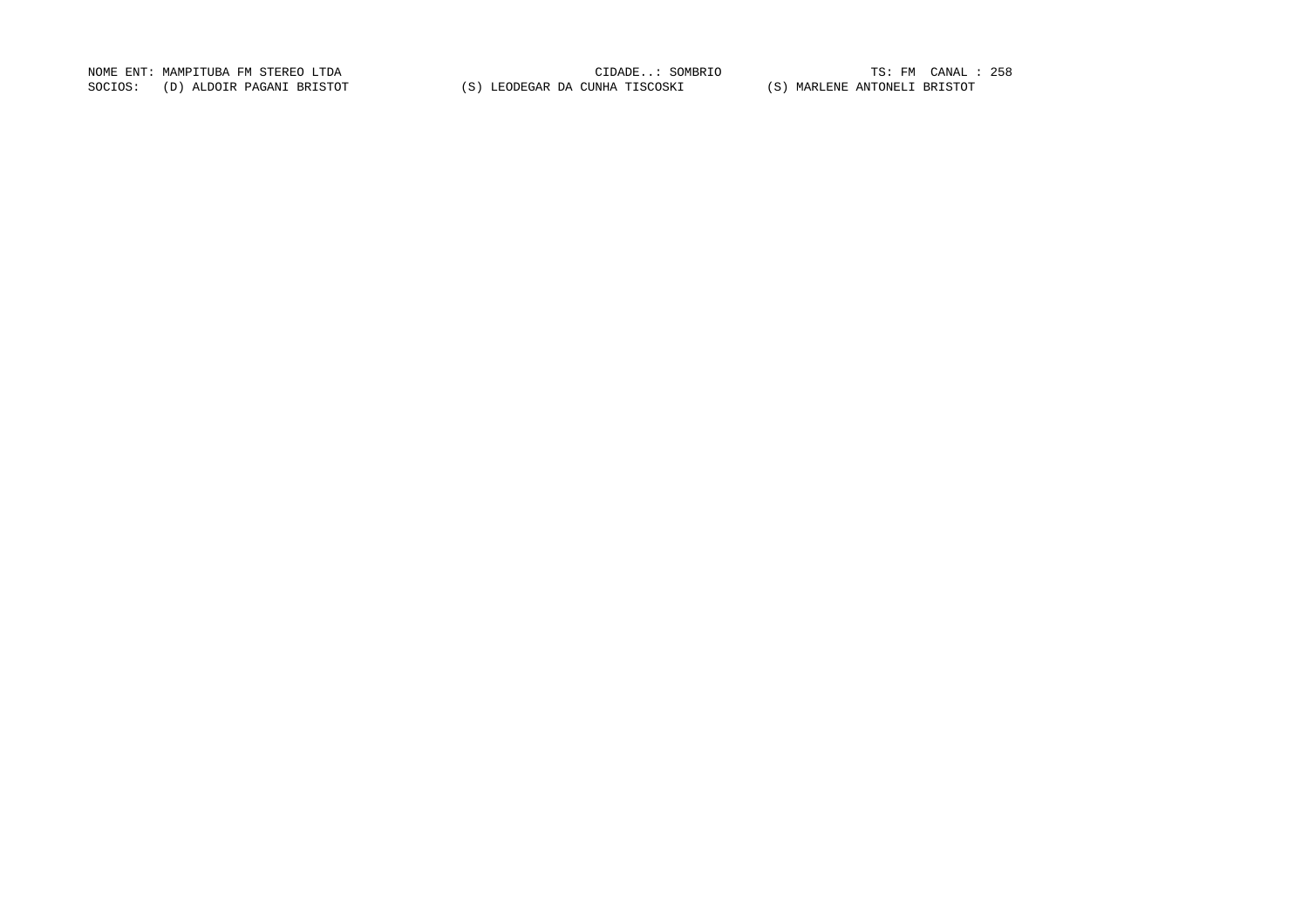NOME ENT: MAMPITUBA FM STEREO LTDA CIDADE..: SOMBRIO TS: FM CANAL : 258TS: FM CANAL : 258 SOCIOS: (D) ALDOIR PAGANI BRISTOT (S) LEODEGAR DA CUNHA TISCOSKI (S) MARLENE ANTONELI BRISTOT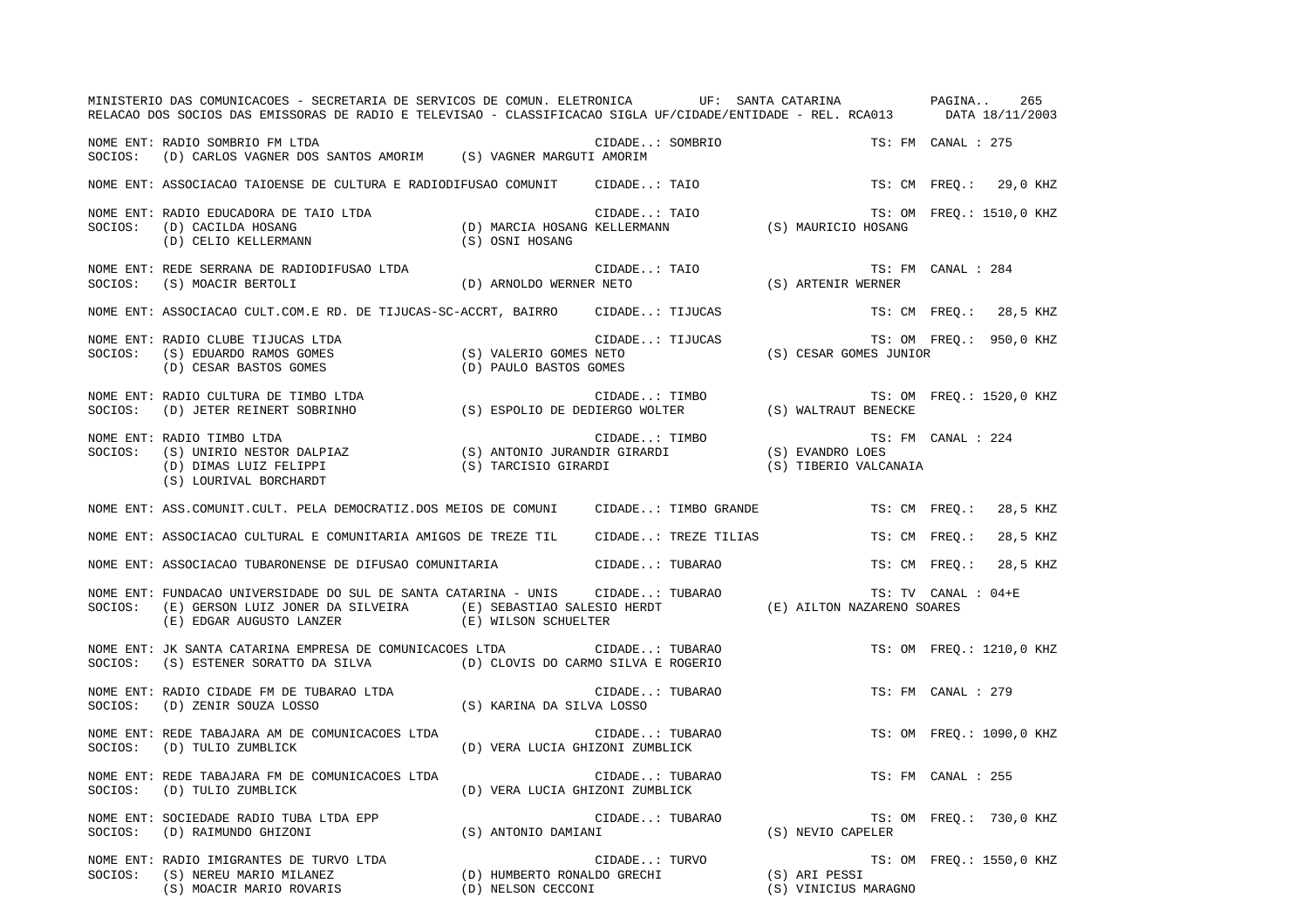|         | MINISTERIO DAS COMUNICACOES - SECRETARIA DE SERVICOS DE COMUN. ELETRONICA UF: SANTA CATARINA ANTENTA DAGINA<br>RELACAO DOS SOCIOS DAS EMISSORAS DE RADIO E TELEVISAO - CLASSIFICACAO SIGLA UF/CIDADE/ENTIDADE - REL. RCA013 |                                                     |                                                                                      |                                       | 265<br>DATA 18/11/2003    |
|---------|-----------------------------------------------------------------------------------------------------------------------------------------------------------------------------------------------------------------------------|-----------------------------------------------------|--------------------------------------------------------------------------------------|---------------------------------------|---------------------------|
| SOCIOS: | NOME ENT: RADIO SOMBRIO FM LTDA<br>(D) CARLOS VAGNER DOS SANTOS AMORIM (S) VAGNER MARGUTI AMORIM                                                                                                                            |                                                     | CIDADE: SOMBRIO                                                                      |                                       | TS: FM CANAL : 275        |
|         | NOME ENT: ASSOCIACAO TAIOENSE DE CULTURA E RADIODIFUSAO COMUNIT (CIDADE: TAIO                                                                                                                                               |                                                     |                                                                                      |                                       | TS: CM FREO.:<br>29,0 KHZ |
| SOCIOS: | NOME ENT: RADIO EDUCADORA DE TAIO LTDA<br>(D) CACILDA HOSANG<br>(D) CELIO KELLERMANN                                                                                                                                        |                                                     | CIDADE: TAIO<br>(D) MARCIA HOSANG KELLERMANN (S) MAURICIO HOSANG<br>(S) OSNI HOSANG  |                                       | TS: OM FREQ.: 1510,0 KHZ  |
| SOCIOS: | NOME ENT: REDE SERRANA DE RADIODIFUSAO LTDA<br>(S) MOACIR BERTOLI                                                                                                                                                           | (D) ARNOLDO WERNER NETO                             | CIDADE: TAIO                                                                         | (S) ARTENIR WERNER                    | TS: FM CANAL : 284        |
|         | NOME ENT: ASSOCIACAO CULT.COM.E RD. DE TIJUCAS-SC-ACCRT, BAIRRO CIDADE: TIJUCAS                                                                                                                                             |                                                     |                                                                                      |                                       | TS: CM FREQ.: 28,5 KHZ    |
| SOCIOS: | NOME ENT: RADIO CLUBE TIJUCAS LTDA<br>(S) EDUARDO RAMOS GOMES<br>(D) CESAR BASTOS GOMES                                                                                                                                     | (S) VALERIO GOMES NETO<br>(D) PAULO BASTOS GOMES    | CIDADE: TIJUCAS                                                                      | (S) CESAR GOMES JUNIOR                | TS: OM FREO.: 950,0 KHZ   |
| SOCIOS: | NOME ENT: RADIO CULTURA DE TIMBO LTDA<br>(D) JETER REINERT SOBRINHO                                                                                                                                                         |                                                     | CIDADE: TIMBO<br>CIDADE IIMBO<br>S) ESPOLIO DE DEDIERGO WOLTER (S) WALTRAUT BENECKE) |                                       | TS: OM FREO.: 1520,0 KHZ  |
| SOCIOS: | NOME ENT: RADIO TIMBO LTDA<br>(S) UNIRIO NESTOR DALPIAZ<br>(D) DIMAS LUIZ FELIPPI (S) TARCISIO GIRARDI<br>(S) TARCISIO GIRARDI<br>(S) LOURIVAL BORCHARDT                                                                    |                                                     | CIDADE: TIMBO TS<br>CIR GIRARDI (S) EVANDRO LOES                                     | (S) TIBERIO VALCANAIA                 | TS: FM CANAL : 224        |
|         | NOME ENT: ASS.COMUNIT.CULT. PELA DEMOCRATIZ.DOS MEIOS DE COMUNI CIDADE: TIMBO GRANDE                                                                                                                                        |                                                     |                                                                                      | TS: CM FREO.:                         | 28,5 KHZ                  |
|         | NOME ENT: ASSOCIACAO CULTURAL E COMUNITARIA AMIGOS DE TREZE TIL                                                                                                                                                             |                                                     | CIDADE: TREZE TILIAS                                                                 | TS: CM FREO.:                         | 28,5 KHZ                  |
|         | NOME ENT: ASSOCIACAO TUBARONENSE DE DIFUSAO COMUNITARIA                                                                                                                                                                     |                                                     | CIDADE: TUBARAO                                                                      | TS: CM FREO.:                         | 28,5 KHZ                  |
| SOCIOS: | NOME ENT: FUNDACAO UNIVERSIDADE DO SUL DE SANTA CATARINA - UNIS      CIDADE: TUBARAO<br>(E) GERSON LUIZ JONER DA SILVEIRA<br>(E) EDGAR AUGUSTO LANZER                                                                       | (E) SEBASTIAO SALESIO HERDT<br>(E) WILSON SCHUELTER |                                                                                      | TERRITOR NAZARENO SOARES              | $TS: TV$ CANAL : $04+E$   |
| SOCIOS: | NOME ENT: JK SANTA CATARINA EMPRESA DE COMUNICACOES LTDA<br>(S) ESTENER SORATTO DA SILVA (D) CLOVIS DO CARMO SILVA E ROGERIO                                                                                                |                                                     | CIDADE: TUBARAO                                                                      |                                       | TS: OM FREO.: 1210,0 KHZ  |
| SOCIOS: | NOME ENT: RADIO CIDADE FM DE TUBARAO LTDA<br>(D) ZENIR SOUZA LOSSO                                                                                                                                                          | (S) KARINA DA SILVA LOSSO                           | CIDADE: TUBARAO                                                                      |                                       | TS: FM CANAL : 279        |
| SOCIOS: | NOME ENT: REDE TABAJARA AM DE COMUNICACOES LTDA<br>(D) TULIO ZUMBLICK                                                                                                                                                       | (D) VERA LUCIA GHIZONI ZUMBLICK                     | CIDADE: TUBARAO                                                                      |                                       | TS: OM FREQ.: 1090,0 KHZ  |
| SOCIOS: | NOME ENT: REDE TABAJARA FM DE COMUNICACOES LTDA<br>(D) TULIO ZUMBLICK                                                                                                                                                       | (D) VERA LUCIA GHIZONI ZUMBLICK                     | CIDADE: TUBARAO                                                                      |                                       | TS: FM CANAL : 255        |
| SOCIOS: | NOME ENT: SOCIEDADE RADIO TUBA LTDA EPP<br>(D) RAIMUNDO GHIZONI                                                                                                                                                             | (S) ANTONIO DAMIANI                                 | CIDADE: TUBARAO                                                                      | (S) NEVIO CAPELER                     | TS: OM FREO.: 730,0 KHZ   |
| SOCIOS: | NOME ENT: RADIO IMIGRANTES DE TURVO LTDA<br>(S) NEREU MARIO MILANEZ<br>(S) MOACIR MARIO ROVARIS                                                                                                                             |                                                     | CIDADE: TURVO<br>(D) HUMBERTO RONALDO GRECHI<br>(D) NELSON CECCONI                   | (S) ARI PESSI<br>(S) VINICIUS MARAGNO | TS: OM FREQ.: 1550,0 KHZ  |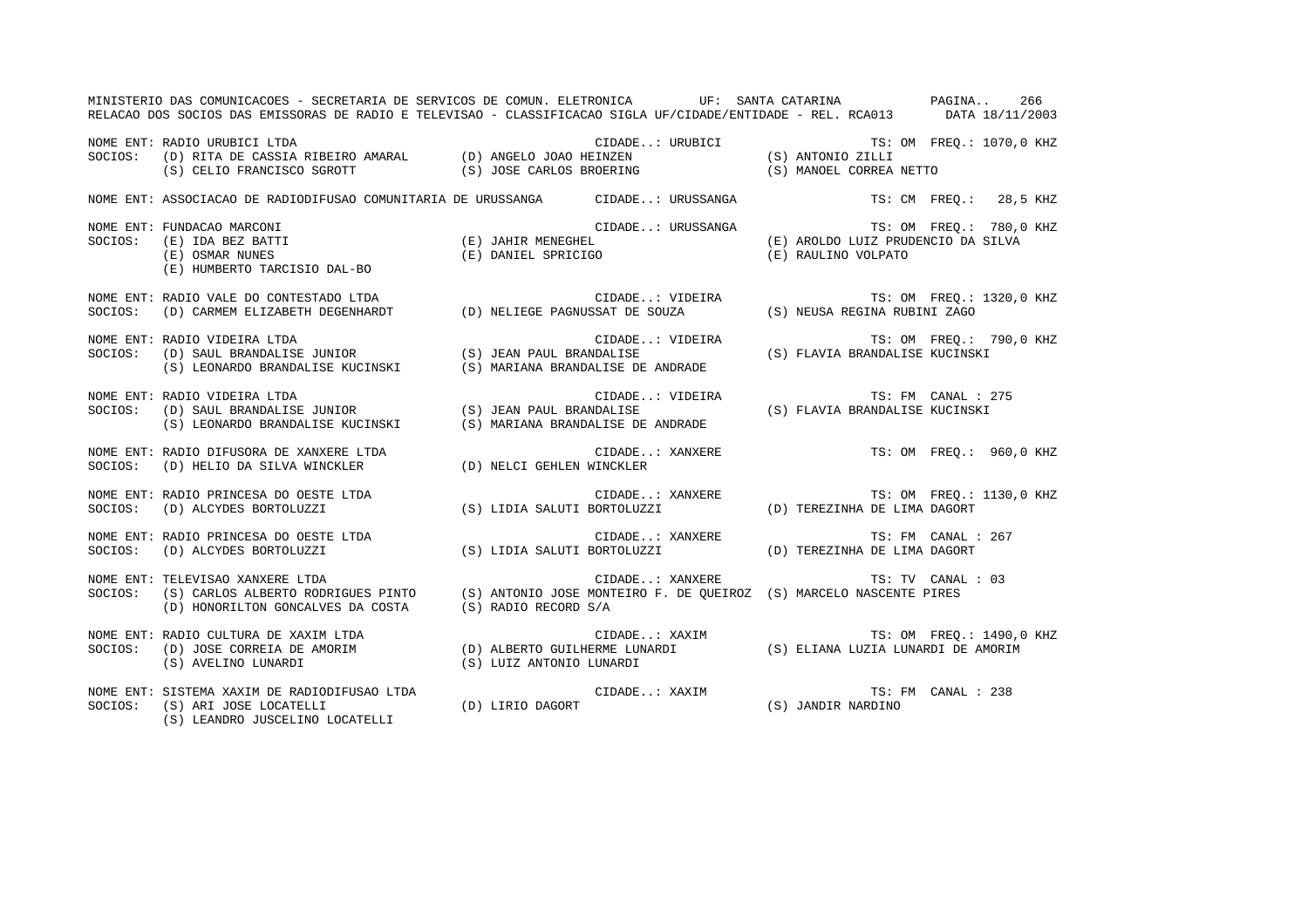|         | MINISTERIO DAS COMUNICACOES - SECRETARIA DE SERVICOS DE COMUN. ELETRONICA UF: SANTA CATARINA PAGINA 266<br>RELACAO DOS SOCIOS DAS EMISSORAS DE RADIO E TELEVISAO - CLASSIFICACAO SIGLA UF/CIDADE/ENTIDADE - REL. RCA013 DATA 18/11/2003 |  |                                                                        |  |                         |
|---------|-----------------------------------------------------------------------------------------------------------------------------------------------------------------------------------------------------------------------------------------|--|------------------------------------------------------------------------|--|-------------------------|
|         | NOME ENT: RADIO URUBICI LTDA<br>SOCIOS: (D) RITA DE CASSIA RIBEIRO AMARAL (D) ANGELO JOAO HEINZEN (S) ANTONIO ZILLI<br>(S) CELIO FRANCISCO SGROTT (S) JOSE CARLOS BROERING (S) MANOEL CORREA NETTO                                      |  |                                                                        |  |                         |
|         | NOME ENT: ASSOCIACAO DE RADIODIFUSAO COMUNITARIA DE URUSSANGA CIDADE: URUSSANGA TS: CM FREQ.: 28,5 KHZ                                                                                                                                  |  |                                                                        |  |                         |
|         | NUME ENT: FUNDACAO MARCONI (E) IAHIR MENEGHEL (E) JOUNE .: URUSSANGA TS: OM FREQ.: 780,0 KHZ<br>SOCIOS: (E) IDA BEZ BATTI (E) OSMAR NUNES (E) OSMAR NUNES (E) DANIEL SPRICIGO (E) DANIEL SOCIOS: (E) RAULINO VOLPATO<br>(E) HUMBERTO    |  |                                                                        |  |                         |
|         | NOME ENT: RADIO VALE DO CONTESTADO LTDA<br>SOCIOS: (D) CARMEM ELIZABETH DEGENHARDT (D) NELIEGE PAGNUSSAT DE SOUZA (S) NEUSA REGINA RUBINI ZAGO                                                                                          |  |                                                                        |  |                         |
| SOCIOS: | NOME ENT: RADIO VIDEIRA LTDA                                                                                                                                                                                                            |  |                                                                        |  | TS: OM FREQ.: 790,0 KHZ |
| SOCIOS: | NOME ENT: RADIO VIDEIRA LTDA<br>$(S)$ LEONARDO BRANDALISE KUCINSKI $(S)$ MARIANA BRANDALISE DE ANDRADE                                                                                                                                  |  |                                                                        |  |                         |
|         | NOME ENT: RADIO DIFUSORA DE XANXERE LTDA<br>SOCIOS:   (D) HELIO DA SILVA WINCKLER                    (D) NELCI GEHLEN WINCKLER                                                                                                          |  |                                                                        |  |                         |
|         |                                                                                                                                                                                                                                         |  |                                                                        |  |                         |
|         | NOME ENT: RADIO PRINCESA DO OESTE LTDA<br>SOCIOS:   (D) ALCYDES BORTOLUZZI                          (S) LIDIA SALUTI BORTOLUZZI              (D) TEREZINHA DE LIMA DAGORT                                                               |  |                                                                        |  |                         |
| SOCIOS: | TELEVISAO XANXERE LTDA<br>(S) CARLOS ALBERTO RODRIGUES PINTO (S) ANTONIO JOSE MONTEIRO F. DE QUEIROZ (S) MARCELO NASCENTE PIRES<br>NOME ENT: TELEVISAO XANXERE LTDA<br>(D) HONORILTON GONCALVES DA COSTA (S) RADIO RECORD S/A           |  | CIDADE: XANXERE TS: TV CANAL : 03                                      |  |                         |
|         | NOME ENT: RADIO CULTURA DE XAXIM LTDA<br>SOCIOS: (D) JOSE CORREIA DE AMORIM (D) ALBERTO GUILHERME LUNARDI (S) ELIANA LUZIA LUNARDI DE AMORIM<br>(S) AVELINO LUNARDI (S) AVELINO LUNARDI (S) (S) LUIZ ANTONIO LUNARDI                    |  |                                                                        |  |                         |
|         | NOME ENT: SISTEMA XAXIM DE RADIODIFUSAO LTDA<br>(D) LIRIO DAGORT<br>SOCIOS: (S) ARI JOSE LOCATELLI<br>(S) LEANDRO JUSCELINO LOCATELLI                                                                                                   |  | CIDADE: XAXIM TS: FM CANAL : 238<br>D) LIRIO DAGORT (S) JANDIR NARDINO |  |                         |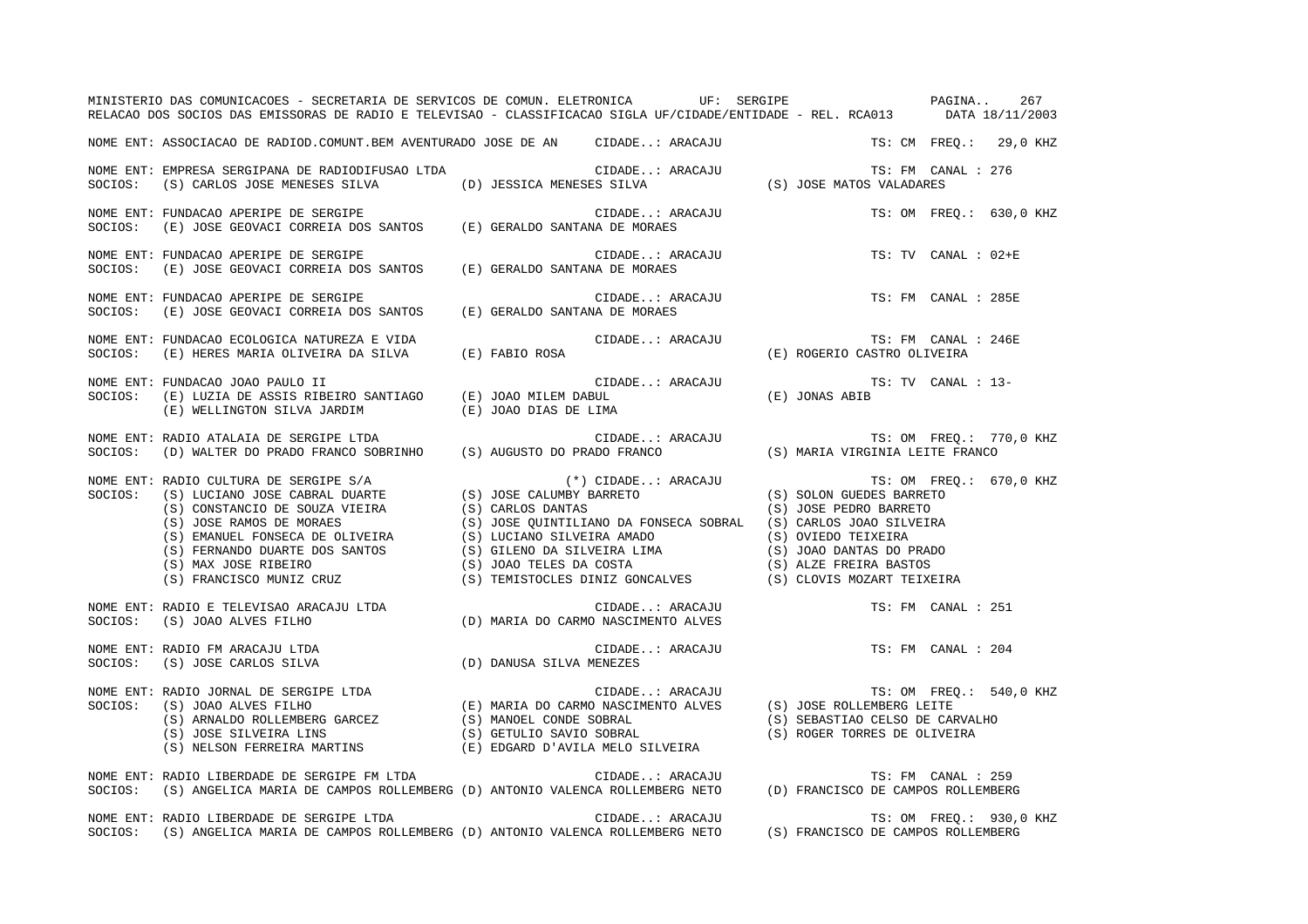|         | MINISTERIO DAS COMUNICACOES - SECRETARIA DE SERVICOS DE COMUN. ELETRONICA UF: SERGIPE NA SERGIPE PAGINA<br>RELACAO DOS SOCIOS DAS EMISSORAS DE RADIO E TELEVISAO - CLASSIFICACAO SIGLA UF/CIDADE/ENTIDADE - REL. RCA013 DATA 18/11/2003 |                                                                                                                                                                                                                       |                                                                 | 267                     |
|---------|-----------------------------------------------------------------------------------------------------------------------------------------------------------------------------------------------------------------------------------------|-----------------------------------------------------------------------------------------------------------------------------------------------------------------------------------------------------------------------|-----------------------------------------------------------------|-------------------------|
|         | NOME ENT: ASSOCIACAO DE RADIOD.COMUNT.BEM AVENTURADO JOSE DE AN CIDADE: ARACAJU                                                                                                                                                         |                                                                                                                                                                                                                       |                                                                 | TS: CM FREQ.: 29,0 KHZ  |
| SOCIOS: | NOME ENT: EMPRESA SERGIPANA DE RADIODIFUSAO LTDA                                                                                                                                                                                        |                                                                                                                                                                                                                       |                                                                 | TS: FM CANAL : 276      |
| SOCIOS: | NOME ENT: FUNDACAO APERIPE DE SERGIPE<br>(E) JOSE GEOVACI CORREIA DOS SANTOS (E) GERALDO SANTANA DE MORAES                                                                                                                              | CIDADE: ARACAJU                                                                                                                                                                                                       |                                                                 | TS: OM FREQ.: 630,0 KHZ |
| SOCIOS: | NOME ENT: FUNDACAO APERIPE DE SERGIPE<br>(E) JOSE GEOVACI CORREIA DOS SANTOS (E) GERALDO SANTANA DE MORAES                                                                                                                              | CIDADE: ARACAJU                                                                                                                                                                                                       |                                                                 | TS: TV CANAL : 02+E     |
| SOCIOS: | NOME ENT: FUNDACAO APERIPE DE SERGIPE<br>FUNDACAO AFERIFE DE SERGIFE<br>(E) JOSE GEOVACI CORREIA DOS SANTOS (E) GERALDO SANTANA DE MORAES                                                                                               | CIDADE: ARACAJU<br>JA DE MODATO                                                                                                                                                                                       |                                                                 | TS: FM CANAL : 285E     |
|         |                                                                                                                                                                                                                                         |                                                                                                                                                                                                                       |                                                                 | TS: FM CANAL : 246E     |
| SOCIOS: | NOME ENT: FUNDACAO JOAO PAULO II<br>(E) WELLINGTON SILVA JARDIM (E) JOAO DIAS DE LIMA                                                                                                                                                   | CIDADE: ARACAJU (E) JONAS ABIB                                                                                                                                                                                        | TS: TV CANAL : 13-                                              |                         |
|         | NOME ENT: RADIO ATALAIA DE SERGIPE LTDA<br>SOCIOS: (D) WALTER DO PRADO FRANCO SOBRINHO (S) AUGUSTO DO PRADO FRANCO (S) MARIA VIRGINIA LEITE FRANCO                                                                                      |                                                                                                                                                                                                                       |                                                                 |                         |
|         |                                                                                                                                                                                                                                         | $(*)$ CIDADE: ARACAJU $$\tt TS:\; OM$$ FREQ.: $670\, ,0$$ KHZ $\_UMBY$ BARRETO $\qquad \qquad \qquad$ $\qquad \qquad$ $\qquad \qquad$ $\qquad \qquad$ $\qquad \qquad$ $\qquad \qquad$ $\qquad \qquad$ $\qquad \qquad$ |                                                                 |                         |
|         | NOME ENT: RADIO E TELEVISAO ARACAJU LTDA<br>SOCIOS: (S) JOAO ALVES FILHO (D) MARIA DO CARMO NASCIMENTO ALVES                                                                                                                            | CIDADE: ARACAJU                                                                                                                                                                                                       |                                                                 | TS: FM CANAL : 251      |
| SOCIOS: | NOME ENT: RADIO FM ARACAJU LTDA<br>(D) DANUSA SILVA MENEZES<br>(S) JOSE CARLOS SILVA                                                                                                                                                    | CIDADE: ARACAJU                                                                                                                                                                                                       |                                                                 | TS: FM CANAL : 204      |
|         | NOME ENT: RADIO JORNAL DE SERGIPE LTDA<br>SOCIOS: (S) JOAO ALVES FILHO (E) MARIA DO CARMO NASCIMENTO ALVES (S) JOSE ROLLEMBERG LEITE<br>(S) ARNALDO ROLLEMBERG GARCEZ (S) MANOEL CONDE SOBRAL<br>(S) SEBASTIAO CELSO DE CAR<br>(S) SES  |                                                                                                                                                                                                                       | (S) SEBASTIAO CELSO DE CARVALHO<br>(S) ROGER TORRES DE OLIVEIRA | TS: OM FREQ.: 540,0 KHZ |
|         | NOME ENT: RADIO LIBERDADE DE SERGIPE FM LTDA<br>SOCIOS: (S) ANGELICA MARIA DE CAMPOS ROLLEMBERG (D) ANTONIO VALENCA ROLLEMBERG NETO (D) FRANCISCO DE CAMPOS ROLLEMBERG                                                                  |                                                                                                                                                                                                                       |                                                                 |                         |
|         | NOME ENT: RADIO LIBERDADE DE SERGIPE LTDA<br>SOCIOS: (S) ANGELICA MARIA DE CAMPOS ROLLEMBERG (D) ANTONIO VALENCA ROLLEMBERG NETO (S) FRANCISCO DE CAMPOS ROLLEMBERG                                                                     |                                                                                                                                                                                                                       |                                                                 | TS: OM FREO.: 930,0 KHZ |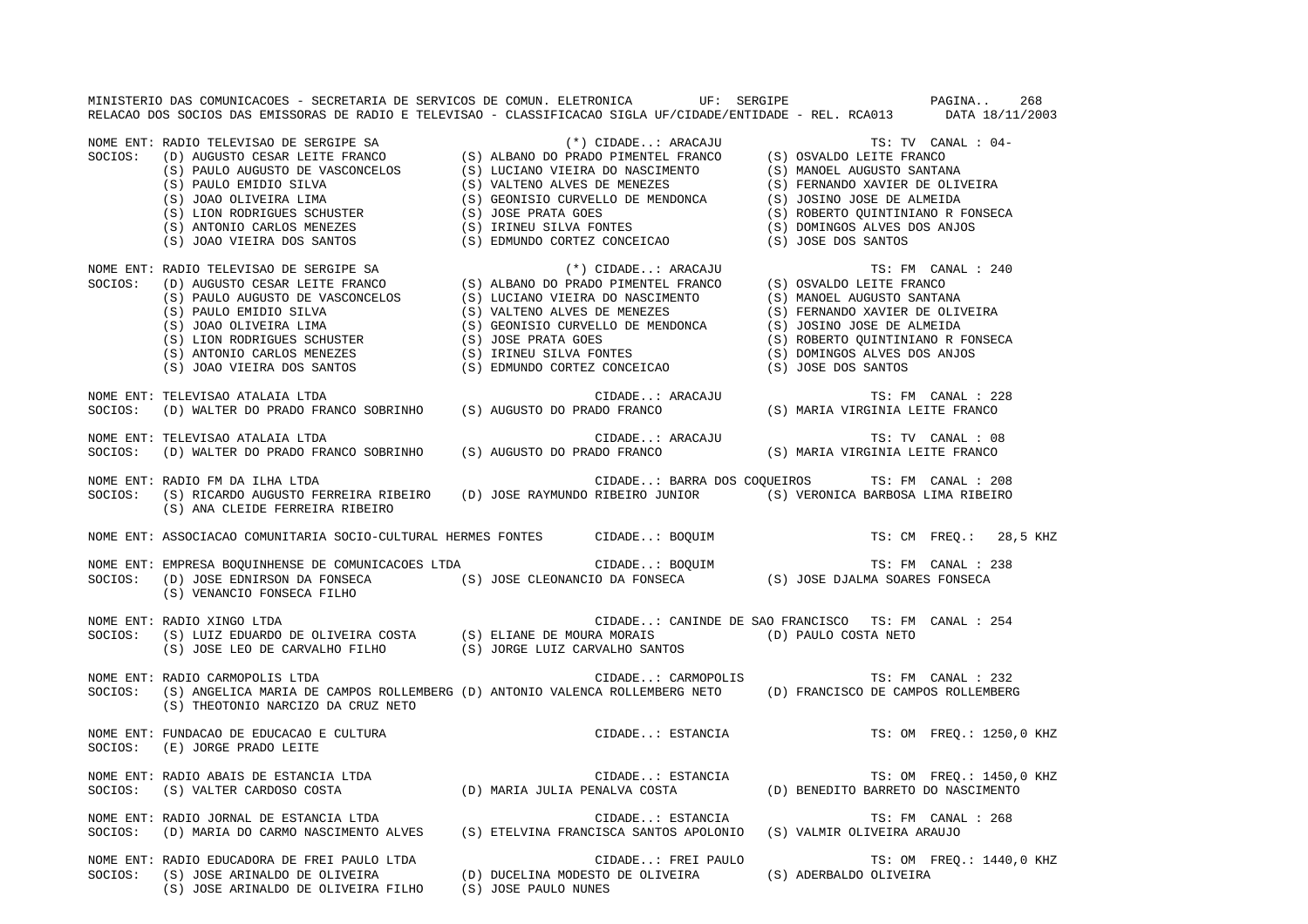MINISTERIO DAS COMUNICACOES - SECRETARIA DE SERVICOS DE COMUN. ELETRONICA UF: SERGIPE PAGINA.. 268RELACAO DOS SOCIOS DAS EMISSORAS DE RADIO E TELEVISAO - CLASSIFICACAO SIGLA UF/CIDADE/ENTIDADE - REL. RCA013 DATA 18/11/2003

NOME ENT: RADIO TELEVISAO DE SERGIPE SA (\*) CIDADE..: ARACAJU TS: TV CANAL : 04- SOCIOS: (D) AUGUSTO CESAR LEITE FRANCO (S) ALBANO DO PRADO PIMENTEL FRANCO (S) OSVALDO LEITE FRANCO<br>(S) PAULO AUGUSTO DE VASCONCELOS (S) LUCIANO VIEIRA DO NASCIMENTO (S) MANOEL AUGUSTO SANTAR)<br>(S) PAULO AUGUSTO DE VASCONCE (S) PAULO AUGUSTO DE VASCONCELOS (S) LUCIANO VIEIRA DO NASCIMENTO (S) MANOEL AUGUSTO SANTANA (S) PAULO EMIDIO SILVA (S) VALTENO ALVES DE MENEZES (S) FERNANDO XAVIER DE OLIVEIRA (S) JOAO OLIVEIRA LIMA (S) GEONISIO CURVELLO DE MENDONCA (S) JOSINO JOSE DE ALMEIDA (S) LION RODRIGUES SCHUSTER (S) JOSE PRATA GOES (S) ROBERTO QUINTINIANO R FONSECA (S) ANTONIO CARLOS MENEZES (S) IRINEU SILVA FONTES (S) DOMINGOS ALVES DOS ANJOS (S) JOAO VIEIRA DOS SANTOS (S) EDMUNDO CORTEZ CONCEICAO (S) JOSE DOS SANTOS NOME ENT: RADIO TELEVISAO DE SERGIPE SA (\*) CIDADE..: ARACAJU TS: FM CANAL : 240 SOCIOS: (D) AUGUSTO CESAR LEITE FRANCO (S) ALBANO DO PRADO PIMENTEL FRANCO (S) OSVALDO LEITE FRANCO (S) PAULO AUGUSTO DE VASCONCELOS (S) LUCIANO VIEIRA DO NASCIMENTO (S) MANOEL AUGUSTO SANTANA (S) PAULO EMIDIO SILVA (S) VALTENO ALVES DE MENEZES (S) FERNANDO XAVIER DE OLIVEIRA (S) JOAO OLIVEIRA LIMA (S) GEONISIO CURVELLO DE MENDONCA (S) JOSINO JOSE DE ALMEIDA (S) LION RODRIGUES SCHUSTER (S) JOSE PRATA GOES (S) ROBERTO QUINTINIANO R FONSECA (S) ANTONIO CARLOS MENEZES (S) IRINEU SILVA FONTES (S) DOMINGOS ALVES DOS ANJOS (S) JOSE PRATA GOES (S) (S) CONCERTO QUINTIN(S) ANTONIO CARLOS MENEZES (S) IRINEU SILVA FONTES (S) CONCEICAO (S) DOMINGOS ALVES (S) JOAO VIEIRA DOS SANTOS (S) EDMUNDO CORTEZ CONCEICAO (S) JOSE DOS SANTOS NOME ENT: TELEVISAO ATALAIA LTDA CIDADE..: ARACAJU TS: FM CANAL : 228 SOCIOS: (D) WALTER DO PRADO FRANCO SOBRINHO (S) AUGUSTO DO PRADO FRANCO (S) MARIA VIRGINIA LEITE FRANCO NOME ENT: TELEVISAO ATALAIA LTDA CIDADE..: ARACAJU TS: TV CANAL : 08SOCIOS: (D) WALTER DO PRADO FRANCO SOBRINHO (S) AUGUSTO DO PRADO FRANCO (S) MARIA VIRGINIA LEITE FRANCO NOME ENT: RADIO FM DA ILHA LTDA CIDADE..: BARRA DOS COQUEIROS TS: FM CANAL : 208 SOCIOS: (S) RICARDO AUGUSTO FERREIRA RIBEIRO (D) JOSE RAYMUNDO RIBEIRO JUNIOR (S) VERONICA BARBOSA LIMA RIBEIRO (S) ANA CLEIDE FERREIRA RIBEIRO NOME ENT: ASSOCIACAO COMUNITARIA SOCIO-CULTURAL HERMES FONTES CIDADE..: BOQUIM TS: CM FREQ.: 28,5 KHZ NOME ENT: EMPRESA BOQUINHENSE DE COMUNICACOES LTDA CIDADE..: BOQUIM TS: FM CANAL : 238 SOCIOS: (D) JOSE EDNIRSON DA FONSECA (S) JOSE CLEONANCIO DA FONSECA (S) JOSE DJALMA SOARES FONSECA (S) VENANCIO FONSECA FILHO NOME ENT: RADIO XINGO LTDA CIDADE..: CANINDE DE SAO FRANCISCO TS: FM CANAL : 254SOCIOS: (S) LUIZ EDUARDO DE OLIVEIRA COSTA (S) ELIANE DE MOURA MORAIS (D) PAULO COSTA NETO (S) JOSE LEO DE CARVALHO FILHO (S) JORGE LUIZ CARVALHO SANTOS NOME ENT: RADIO CARMOPOLIS LTDA CIDADE..: CARMOPOLIS CIDADE... CARMOPOLIS TS: FM CANAL : 232 SOCIOS: (S) ANGELICA MARIA DE CAMPOS ROLLEMBERG (D) ANTONIO VALENCA ROLLEMBERG NETO (D) FRANCISCO DE CAMPOS ROLLEMBERG (S) THEOTONIO NARCIZO DA CRUZ NETO NOME ENT: FUNDACAO DE EDUCACAO E CULTURA CIDADE..: ESTANCIA TS: OM FREQ.: 1250,0 KHZ SOCIOS: (E) JORGE PRADO LEITE NOME ENT: RADIO ABAIS DE ESTANCIA LTDA CIDADE..: ESTANCIA TS: OM FREQ.: 1450,0 KHZ SOCIOS: (S) VALTER CARDOSO COSTA (D) MARIA JULIA PENALVA COSTA (D) BENEDITO BARRETO DO NASCIMENTO NOME ENT: RADIO JORNAL DE ESTANCIA LTDA CIDADE..: ESTANCIA TS: FM CANAL : 268SOCIOS: (D) MARIA DO CARMO NASCIMENTO ALVES (S) ETELVINA FRANCISCA SANTOS APOLONIO (S) VALMIR OLIVEIRA ARAUJO NOME ENT: RADIO EDUCADORA DE FREI PAULO LTDA CIDADE..: FREI PAULO TS: OM FREQ.: 1440,0 KHZ SOCIOS: (S) JOSE ARINALDO DE OLIVEIRA (D) DUCELINA MODESTO DE OLIVEIRA (S) ADERBALDO OLIVEIRA (S) JOSE ARINALDO DE OLIVEIRA FILHO (S) JOSE PAULO NUNES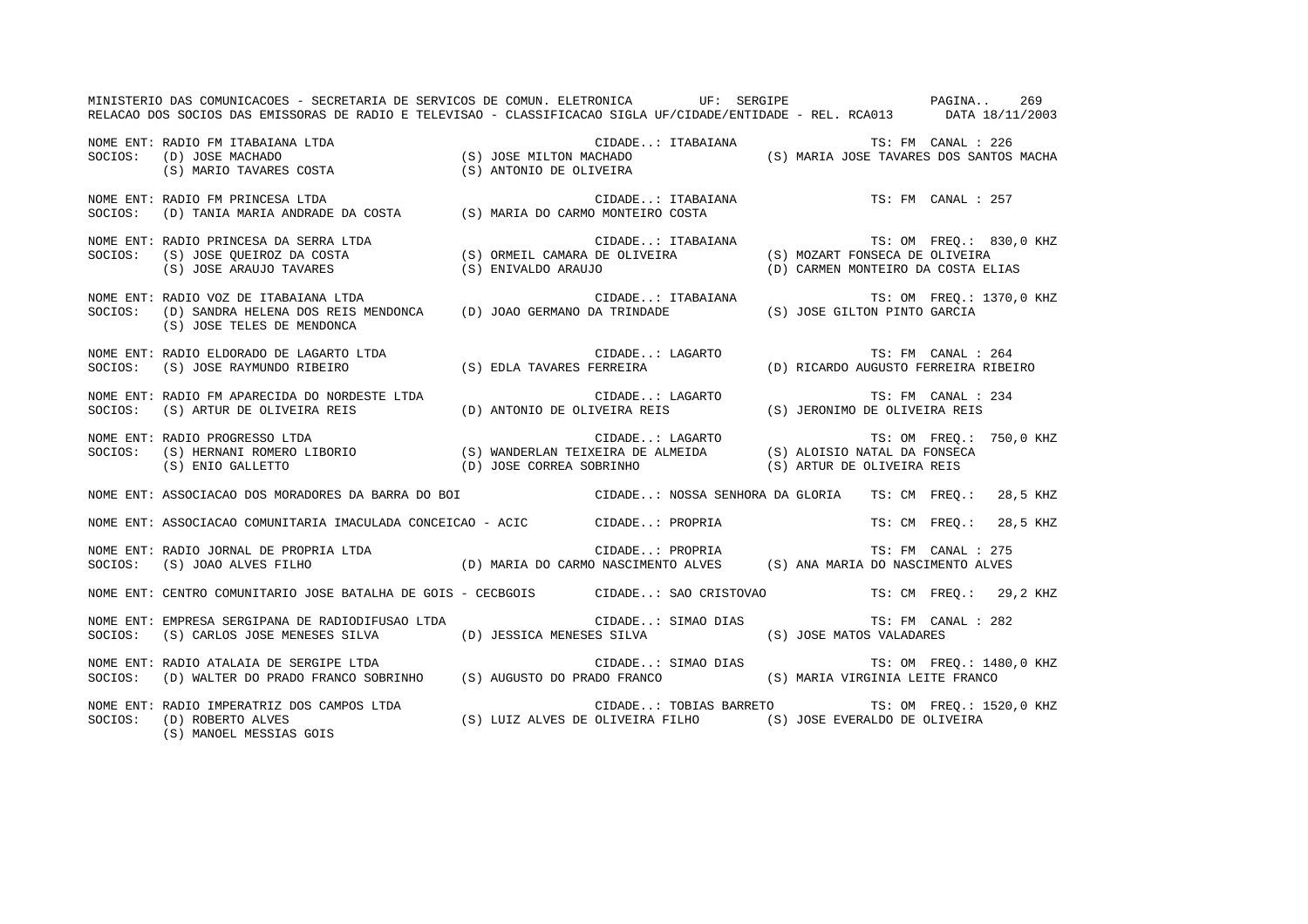MINISTERIO DAS COMUNICACOES - SECRETARIA DE SERVICOS DE COMUN. ELETRONICA UF: SERGIPE PAGINA.. 269RELACAO DOS SOCIOS DAS EMISSORAS DE RADIO E TELEVISAO - CLASSIFICACAO SIGLA UF/CIDADE/ENTIDADE - REL. RCA013 DATA 18/11/2003 NOME ENT: RADIO FM ITABAIANA LTDA CIDADE..: ITABAIANA TS: FM CANAL : 226SOCIOS: (D) JOSE MACHADO (S) JOSE MILTON MACHADO (S) MARIA JOSE TAVARES DOS SANTOS MACHA (S) MARIO TAVARES COSTA (S) ANTONIO DE OLIVEIRA NOME ENT: RADIO FM PRINCESA LTDA CONSERVERSE ENTRANIES OF CIDADE..: ITABAIANA CONSERVERSE TS: FM CANAL : 257 SOCIOS: (D) TANIA MARIA ANDRADE DA COSTA (S) MARIA DO CARMO MONTEIRO COSTA NOME ENT: RADIO PRINCESA DA SERRA LTDA CIDADE..: ITABAIANA TS: OM FREQ.: 830,0 KHZ SOCIOS: (S) JOSE QUEIROZ DA COSTA (S) ORMEIL CAMARA DE OLIVEIRA (S) MOZART FONSECA DE OLIVEIRA (S) JOSE ARAUJO TAVARES (S) ENIVALDO ARAUJO (D) CARMEN MONTEIRO DA COSTA ELIAS NOME ENT: RADIO VOZ DE ITABAIANA LTDA CIDADE..: ITABAIANA TS: OM FREQ.: 1370,0 KHZ SOCIOS: (D) SANDRA HELENA DOS REIS MENDONCA (D) JOAO GERMANO DA TRINDADE (S) JOSE GILTON PINTO GARCIA (S) JOSE TELES DE MENDONCA NOME ENT: RADIO ELDORADO DE LAGARTO LTDA CIDADE..: LAGARTO TS: FM CANAL : 264SOCIOS: (S) JOSE RAYMUNDO RIBEIRO (S) EDLA TAVARES FERREIRA (D) RICARDO AUGUSTO FERREIRA RIBEIRO NOME ENT: RADIO FM APARECIDA DO NORDESTE LTDA CONSTRUIDADE..: LAGARTO TRI TS: FM CANAL : 234 SOCIOS: (S) ARTUR DE OLIVEIRA REIS (D) ANTONIO DE OLIVEIRA REIS (S) JERONIMO DE OLIVEIRA REIS NOME ENT: RADIO PROGRESSO LTDA CIDADE..: LAGARTO TS: OM FREQ.: 750,0 KHZ SOCIOS: (S) HERNANI ROMERO LIBORIO (S) WANDERLAN TEIXEIRA DE ALMEIDA (S) ALOISIO NATAL DA FONSECA (S) ENIO GALLETTO (D) JOSE CORREA SOBRINHO (S) ARTUR DE OLIVEIRA REIS NOME ENT: ASSOCIACAO DOS MORADORES DA BARRA DO BOI CIDADE..: NOSSA SENHORA DA GLORIA TS: CM FREQ.: 28,5 KHZ NOME ENT: ASSOCIACAO COMUNITARIA IMACULADA CONCEICAO - ACIC CIDADE..: PROPRIA TS: CM FREQ.: 28,5 KHZ NOME ENT: RADIO JORNAL DE PROPRIA LTDA CIDADE..: PROPRIA TS: FM CANAL : 275SOCIOS: (S) JOAO ALVES FILHO (D) MARIA DO CARMO NASCIMENTO ALVES (S) ANA MARIA DO NASCIMENTO ALVES NOME ENT: CENTRO COMUNITARIO JOSE BATALHA DE GOIS - CECBGOIS CIDADE..: SAO CRISTOVAO TS: CM FREQ.: 29,2 KHZ NOME ENT: EMPRESA SERGIPANA DE RADIODIFUSAO LTDA CIDADE..: SIMAO DIAS TS: FM CANAL : 282SOCIOS: (S) CARLOS JOSE MENESES SILVA (D) JESSICA MENESES SILVA (S) JOSE MATOS VALADARES NOME ENT: RADIO ATALAIA DE SERGIPE LTDA  $\qquad \qquad$  CIDADE..: SIMAO DIAS  $\qquad \qquad$  TS: OM FREQ.: 1480,0 KHZ SOCIOS: (D) WALTER DO PRADO FRANCO SOBRINHO (S) AUGUSTO DO PRADO FRANCO (S) MARIA VIRGINIA LEITE FRANCO NOME ENT: RADIO IMPERATRIZ DOS CAMPOS LTDA CIDADE..: TOBIAS BARRETO TS: OM FREQ.: 1520,0 KHZ SOCIOS: (D) ROBERTO ALVES (S) LUIZ ALVES DE OLIVEIRA FILHO (S) JOSE EVERALDO DE OLIVEIRA (S) MANOEL MESSIAS GOIS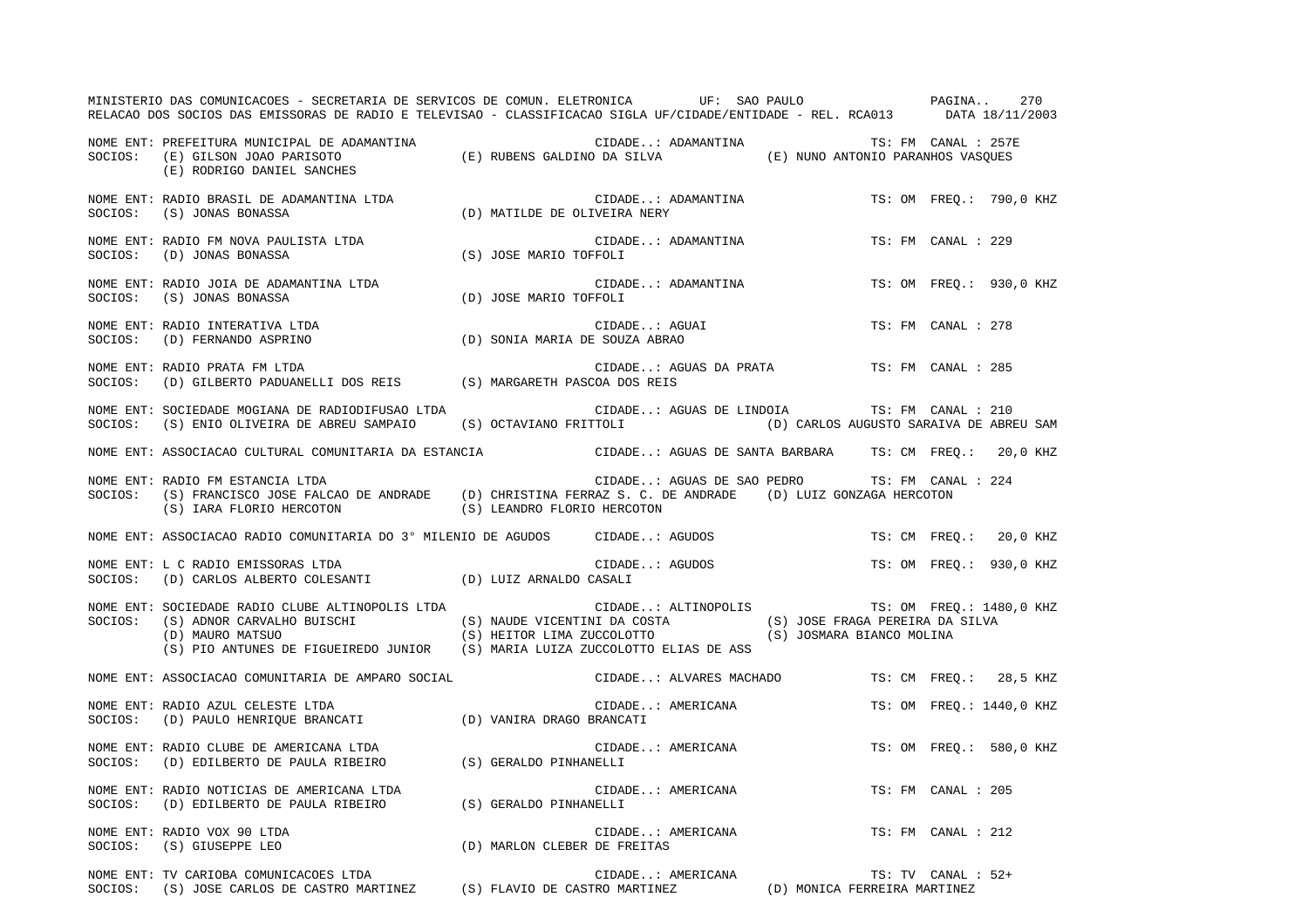|         | MINISTERIO DAS COMUNICACOES - SECRETARIA DE SERVICOS DE COMUN. ELETRONICA UF: SAO PAULO PAGINA. 270<br>RELACAO DOS SOCIOS DAS EMISSORAS DE RADIO E TELEVISAO - CLASSIFICACAO SIGLA UF/CIDADE/ENTIDADE - REL. RCA013 DATA 18/11/2003                                                                                |  |                          |                                                            |                    |                          |
|---------|--------------------------------------------------------------------------------------------------------------------------------------------------------------------------------------------------------------------------------------------------------------------------------------------------------------------|--|--------------------------|------------------------------------------------------------|--------------------|--------------------------|
|         | NOME ENT: PREFEITURA MUNICIPAL DE ADAMANTINA (E) RUBENS GALDINO DA SILVA (E) NUNO ANTONIO PARANHOS VASQUES<br>SOCIOS: (E) GILSON JOAO PARISOTO (E) RUBENS GALDINO DA SILVA (E) NUNO ANTONIO PARANHOS VASQUES<br>(E) RODRIGO DANIEL SANCHES                                                                         |  |                          | CIDADE: ADAMANTINA TS: FM CANAL : 257E                     |                    |                          |
|         | NOME ENT: RADIO BRASIL DE ADAMANTINA LTDA (D) MATILDE DE OLIVEIRA NERY (C) JONAS RONASSA (D) MATILDE DE OLIVEIRA NERY                                                                                                                                                                                              |  | CIDADE: ADAMANTINA       |                                                            |                    | TS: OM FREQ.: 790,0 KHZ  |
|         | NOME ENT: RADIO FM NOVA PAULISTA LTDA (S) JOSE MARIO TOFFOLI                                                                                                                                                                                                                                                       |  | CIDADE: ADAMANTINA       |                                                            | TS: FM CANAL : 229 |                          |
|         | NOME ENT: RADIO JOIA DE ADAMANTINA LTDA (D) JOSE MARIO TOFFOLI<br>SOCIOS: (S) JONAS BONASSA (D) JOSE MARIO TOFFOLI                                                                                                                                                                                                 |  | CIDADE: ADAMANTINA       |                                                            |                    | TS: OM FREQ.: 930,0 KHZ  |
|         |                                                                                                                                                                                                                                                                                                                    |  | CIDADE: AGUAI            |                                                            | TS: FM CANAL : 278 |                          |
| SOCIOS: | NOME ENT: RADIO PRATA FM LTDA<br>(D) GILBERTO PADUANELLI DOS REIS (S) MARGARETH PASCOA DOS REIS                                                                                                                                                                                                                    |  |                          | CIDADE: AGUAS DA PRATA TS: FM CANAL : 285                  |                    |                          |
| SOCIOS: | NOME ENT: SOCIEDADE MOGIANA DE RADIODIFUSAO LTDA<br>(S) ENIO OLIVEIRA DE ABREU SAMPAIO (S) OCTAVIANO FRITTOLI (D) CARLOS AUGUSTO SARAIVA DE ABREU SAM                                                                                                                                                              |  | CIDADE: AGUAS DE LINDOIA |                                                            | TS: FM CANAL : 210 |                          |
|         | NOME ENT: ASSOCIACAO CULTURAL COMUNITARIA DA ESTANCIA CIDADE: AGUAS DE SANTA BARBARA TS: CM FREQ.: 20,0 KHZ                                                                                                                                                                                                        |  |                          |                                                            |                    |                          |
|         | NOME ENT: RADIO FM ESTANCIA LTDA<br>SOCIOS: (S) FRANCISCO JOSE FALCAO DE ANDRADE (D) CHRISTINA FERRAZ S. C. DE ANDRADE (D) LUIZ GONZAGA HERCOTON<br>(S) IARA FLORIO HERCOTON (S) LEANDRO FLORIO HERCOTON                                                                                                           |  |                          | CIDADE: AGUAS DE SAO PEDRO TS: FM CANAL : 224              |                    |                          |
|         | NOME ENT: ASSOCIACAO RADIO COMUNITARIA DO 3º MILENIO DE AGUDOS CIDADE: AGUDOS                                                                                                                                                                                                                                      |  |                          |                                                            |                    | TS: CM FREQ.: 20,0 KHZ   |
|         | NOME ENT: L C RADIO EMISSORAS LTDA<br>SOCIOS: (D) CARLOS ALBERTO COLESANTI (D) LUIZ ARNALDO CASALI                                                                                                                                                                                                                 |  | CIDADE: AGUDOS           |                                                            |                    | TS: OM FREQ.: 930,0 KHZ  |
|         | NOME ENT: SOCIEDADE RADIO CLUBE ALTINOPOLIS LTDA<br>SOCIOS: (S) ADNOR CARVALHO BUISCHI (S) NAUDE VICENTINI DA COSTA (S) JOSE FRAGA PEREIRA DA SILVA<br>(D) MAURO MATSUO (S) LOSE (S) HEITOR LIMA ZUCCOLOTTO (S) JOSMARA BIANCO MOL<br>(S) PIO ANTUNES DE FIGUEIREDO JUNIOR (S) MARIA LUIZA ZUCCOLOTTO ELIAS DE ASS |  |                          |                                                            |                    |                          |
|         | NOME ENT: ASSOCIACAO COMUNITARIA DE AMPARO SOCIAL                                                                                                                                                                                                                                                                  |  | CIDADE: ALVARES MACHADO  |                                                            |                    | TS: CM FREQ.: 28,5 KHZ   |
|         | NOME ENT: RADIO AZUL CELESTE LTDA<br>NOME ENT: RADIO AZUL CELESTE LTDA<br>SOCIOS: (D) PAULO HENRIQUE BRANCATI (D) VANIRA DRAGO BRANCATI                                                                                                                                                                            |  | CIDADE: AMERICANA        |                                                            |                    | TS: OM FREQ.: 1440,0 KHZ |
|         | NOME ENT: RADIO CLUBE DE AMERICANA LTDA<br>SOCIOS: (D) EDILBERTO DE PAULA RIBEIRO (S) GERALDO PINHANELLI                                                                                                                                                                                                           |  | CIDADE: AMERICANA        |                                                            |                    | TS: OM FREO.: 580,0 KHZ  |
|         | NOME ENT: RADIO NOTICIAS DE AMERICANA LTDA<br>SOCIOS: (D) EDILBERTO DE PAULA RIBEIRO (S) GERALDO PINHANELLI                                                                                                                                                                                                        |  | CIDADE: AMERICANA        |                                                            | TS: FM CANAL : 205 |                          |
|         | NOME ENT: RADIO VOX 90 LTDA<br>(D) MARLON CLEBER DE FREITAS<br>SOCIOS: (S) GIUSEPPE LEO                                                                                                                                                                                                                            |  | CIDADE: AMERICANA        |                                                            | TS: FM CANAL : 212 |                          |
|         | NOME ENT: TV CARIOBA COMUNICACOES LTDA<br>SOCIOS: (S) JOSE CARLOS DE CASTRO MARTINEZ                                                                                                                                                                                                                               |  | CIDADE: AMERICANA        | (S) FLAVIO DE CASTRO MARTINEZ (D) MONICA FERREIRA MARTINEZ | TS: TV CANAL : 52+ |                          |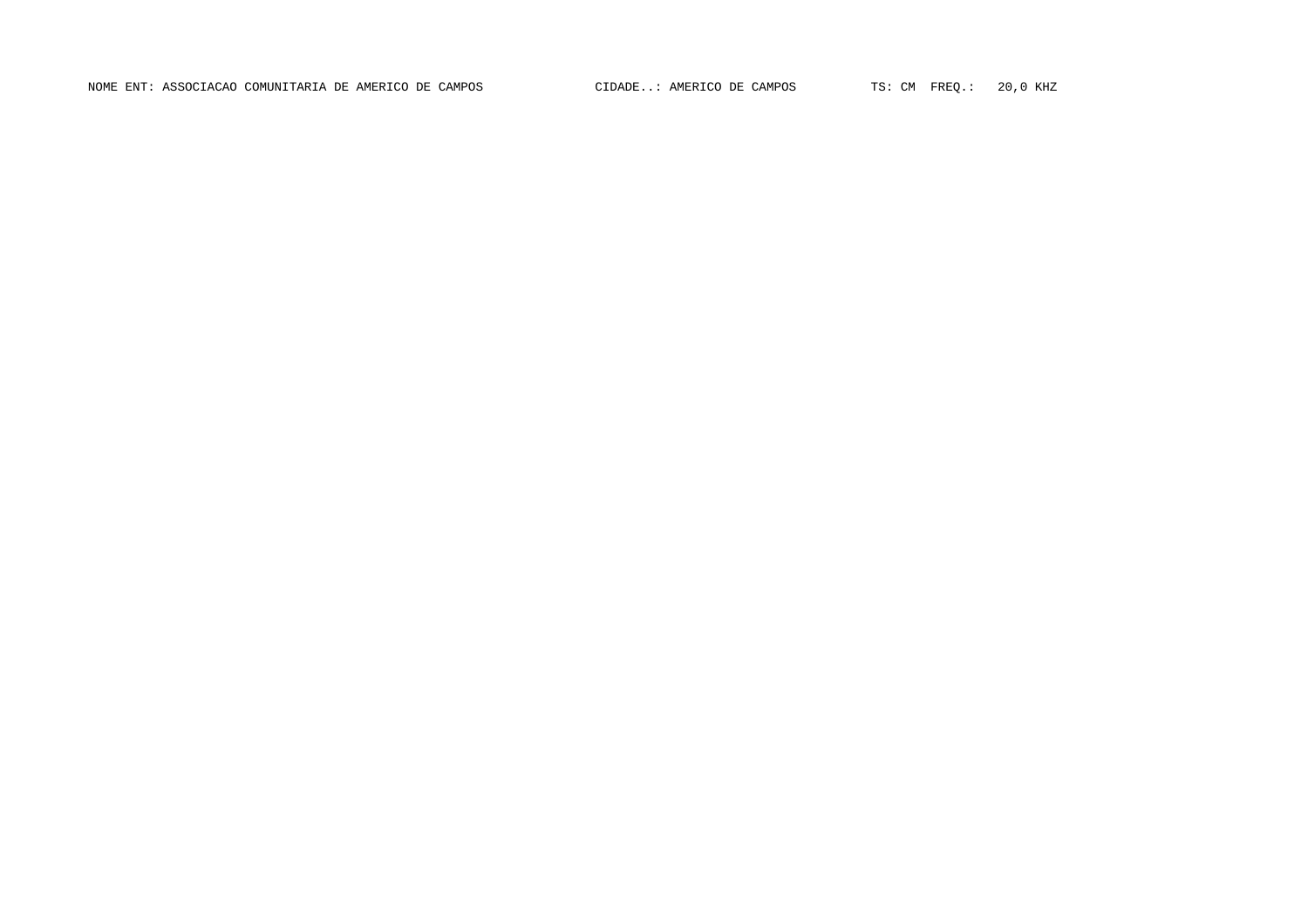NOME ENT: ASSOCIACAO COMUNITARIA DE AMERICO DE CAMPOS CIDADE..: AMERICO DE CAMPOS TS: CM FREQ.: 20,0 KHZ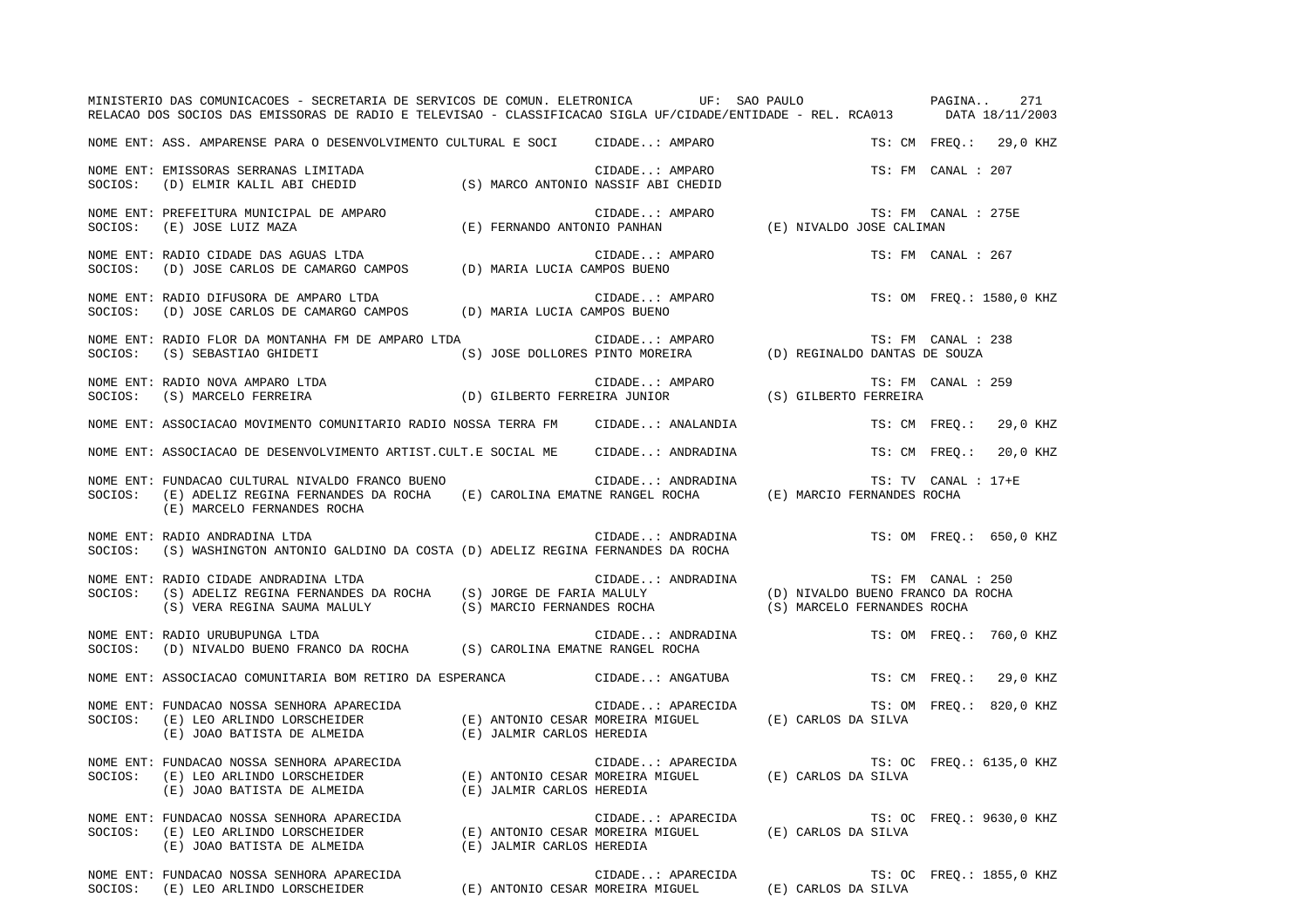|         | MINISTERIO DAS COMUNICACOES - SECRETARIA DE SERVICOS DE COMUN. ELETRONICA UF: SAO PAULO PAGINA<br>RELACAO DOS SOCIOS DAS EMISSORAS DE RADIO E TELEVISAO - CLASSIFICACAO SIGLA UF/CIDADE/ENTIDADE - REL. RCA013 DATA 18/11/2003                                                                                          |  |                                                                           |                          | 271                      |
|---------|-------------------------------------------------------------------------------------------------------------------------------------------------------------------------------------------------------------------------------------------------------------------------------------------------------------------------|--|---------------------------------------------------------------------------|--------------------------|--------------------------|
|         | NOME ENT: ASS. AMPARENSE PARA O DESENVOLVIMENTO CULTURAL E SOCI CIDADE: AMPARO                                                                                                                                                                                                                                          |  |                                                                           |                          | TS: CM FREQ.: 29,0 KHZ   |
| SOCIOS: | NOME ENT: EMISSORAS SERRANAS LIMITADA<br>(D) ELMIR KALIL ABI CHEDID (S) MARCO ANTONIO NASSIF ABI CHEDID                                                                                                                                                                                                                 |  | CIDADE: AMPARO                                                            | TS: FM CANAL : 207       |                          |
| SOCIOS: | NOME ENT: PREFEITURA MUNICIPAL DE AMPARO<br>(E) JOSE LUIZ MAZA                                                                                                                                                                                                                                                          |  | CIDADE: AMPARO<br>(E) FERNANDO ANTONIO PANHAN (E) NIVALDO JOSE CALIMAN    | TS: FM CANAL : 275E      |                          |
| SOCIOS: | NOME ENT: RADIO CIDADE DAS AGUAS LTDA<br>(D) JOSE CARLOS DE CAMARGO CAMPOS (D) MARIA LUCIA CAMPOS BUENO                                                                                                                                                                                                                 |  | CIDADE: AMPARO                                                            | TS: FM CANAL : 267       |                          |
| SOCIOS: | NOME ENT: RADIO DIFUSORA DE AMPARO LTDA<br>(D) JOSE CARLOS DE CAMARGO CAMPOS (D) MARIA LUCIA CAMPOS BUENO                                                                                                                                                                                                               |  | CIDADE: AMPARO                                                            |                          | TS: OM FREO.: 1580,0 KHZ |
|         |                                                                                                                                                                                                                                                                                                                         |  |                                                                           | TS: FM CANAL : 238       |                          |
|         | NOME ENT: RADIO NOVA AMPARO LTDA<br>SOCIOS: (S) MARCELO FERREIRA (D) GILBERTO FERREIRA JUNIOR (S) GILBERTO FERREIRA<br>COCIOS: (S) MARCELO FERREIRA                                                                                                                                                                     |  |                                                                           | TS: FM CANAL : 259       |                          |
|         | NOME ENT: ASSOCIACAO MOVIMENTO COMUNITARIO RADIO NOSSA TERRA FM CIDADE: ANALANDIA                                                                                                                                                                                                                                       |  |                                                                           |                          | TS: CM FREQ.: 29,0 KHZ   |
|         | NOME ENT: ASSOCIACAO DE DESENVOLVIMENTO ARTIST.CULT.E SOCIAL ME CIDADE: ANDRADINA                                                                                                                                                                                                                                       |  |                                                                           | TS: CM FREO.:            | 20,0 KHZ                 |
| SOCIOS: | NOME ENT: FUNDACAO CULTURAL NIVALDO FRANCO BUENO<br>(E) ADELIZ REGINA FERNANDES DA ROCHA (E) CAROLINA EMATNE RANGEL ROCHA (E) MARCIO FERNANDES ROCHA<br>(E) MARCELO FERNANDES ROCHA                                                                                                                                     |  | CIDADE: ANDRADINA                                                         | TS: TV CANAL : 17+E      |                          |
| SOCIOS: | NOME ENT: RADIO ANDRADINA LTDA<br>(S) WASHINGTON ANTONIO GALDINO DA COSTA (D) ADELIZ REGINA FERNANDES DA ROCHA                                                                                                                                                                                                          |  | CIDADE: ANDRADINA TS: OM FREQ.: 650,0 KHZ                                 |                          |                          |
| SOCIOS: | NOME ENT: RADIO CIDADE ANDRADINA LTDA<br>$(\texttt{S}) \texttt{ ADELIZ REGINA FERNANDES DA ROCK} \hspace{0.5cm} (\texttt{S}) \texttt{ JORGE DE FARIA MALULY} \hspace{1.5cm} (\texttt{D}) \texttt{ NIVALDO BUENO FRANCO DA ROCK}$<br>(S) VERA REGINA SAUMA MALULY (S) MARCIO FERNANDES ROCHA (S) MARCELO FERNANDES ROCHA |  | CIDADE: ANDRADINA                                                         | TS: FM CANAL : 250       |                          |
|         | NOME ENT: RADIO URUBUPUNGA LTDA<br>SOCIOS: (D) NIVALDO BUENO FRANCO DA ROCHA (S) CAROLINA EMATNE RANGEL ROCHA                                                                                                                                                                                                           |  | CIDADE: ANDRADINA TS: OM FREQ.: 760,0 KHZ                                 |                          |                          |
|         | NOME ENT: ASSOCIACAO COMUNITARIA BOM RETIRO DA ESPERANCA CIDADE: ANGATUBA                                                                                                                                                                                                                                               |  |                                                                           |                          | TS: CM FREO.: 29,0 KHZ   |
|         | NOME ENT: FUNDACAO NOSSA SENHORA APARECIDA (E) ANTONIO CESAR MOREIRA MIGUEL (E) CARLOS DA SILVA (E) JOAO BATISTA DE ALMEIDA (E) JALMIR CARLOS HEREDIA (E) CARLOS DA SILVA (E) JOAO BATISTA DE ALMEIDA (E) JALMIR CARLOS HEREDI                                                                                          |  |                                                                           |                          | TS: OM FREQ.: 820,0 KHZ  |
|         | NOME ENT: FUNDACAO NOSSA SENHORA APARECIDA (E) ANTONIO CESAR MOREIRA MIGUEL (E) CARLOS DA SILVA (E) JOAO BATISTA DE ALMEIDA (E) JALMIR CARLOS HEREDIA (E) CARLOS DA SILVA                                                                                                                                               |  |                                                                           | TS: OC FREQ.: 6135,0 KHZ |                          |
|         | NOME ENT: FUNDACAO NOSSA SENHORA APARECIDA (E) ANTONIO CESAR MOREIRA MIGUEL (E) CARLOS DA SILVA (E) JOAO BATISTA DE ALMEIDA (E) JALMIR CARLOS HEREDIA (E) CARLOS DA SILVA (E) JOAO BATISTA DE ALMEIDA (E) JALMIR CARLOS HEREDI                                                                                          |  |                                                                           |                          | TS: OC FREO.: 9630,0 KHZ |
|         | NOME ENT: FUNDACAO NOSSA SENHORA APARECIDA<br>SOCIOS: (E) LEO ARLINDO LORSCHEIDER                                                                                                                                                                                                                                       |  | CIDADE: APARECIDA<br>(E) ANTONIO CESAR MOREIRA MIGUEL (E) CARLOS DA SILVA |                          | TS: OC FREQ.: 1855,0 KHZ |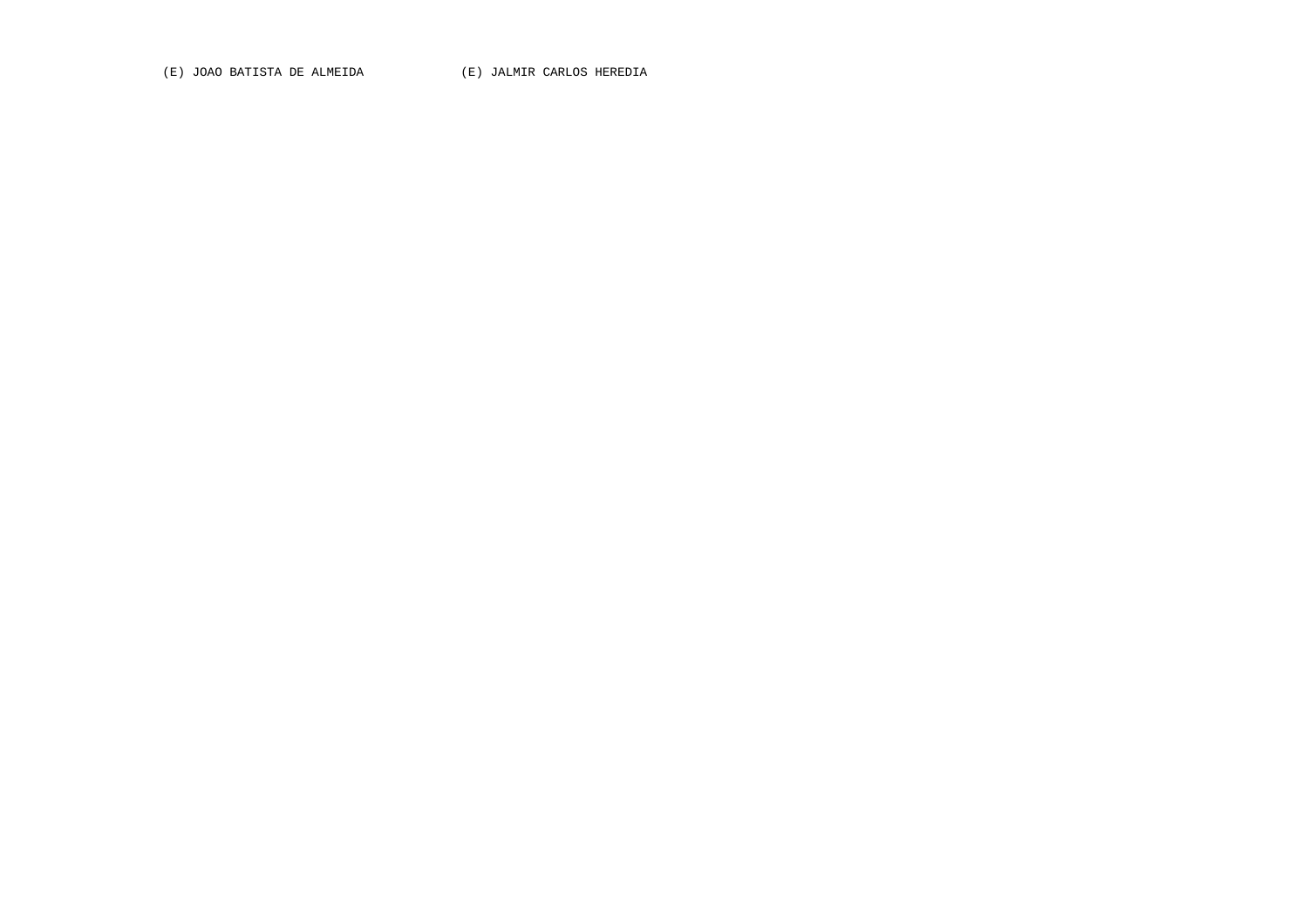(E) JOAO BATISTA DE ALMEIDA (E) JALMIR CARLOS HEREDIA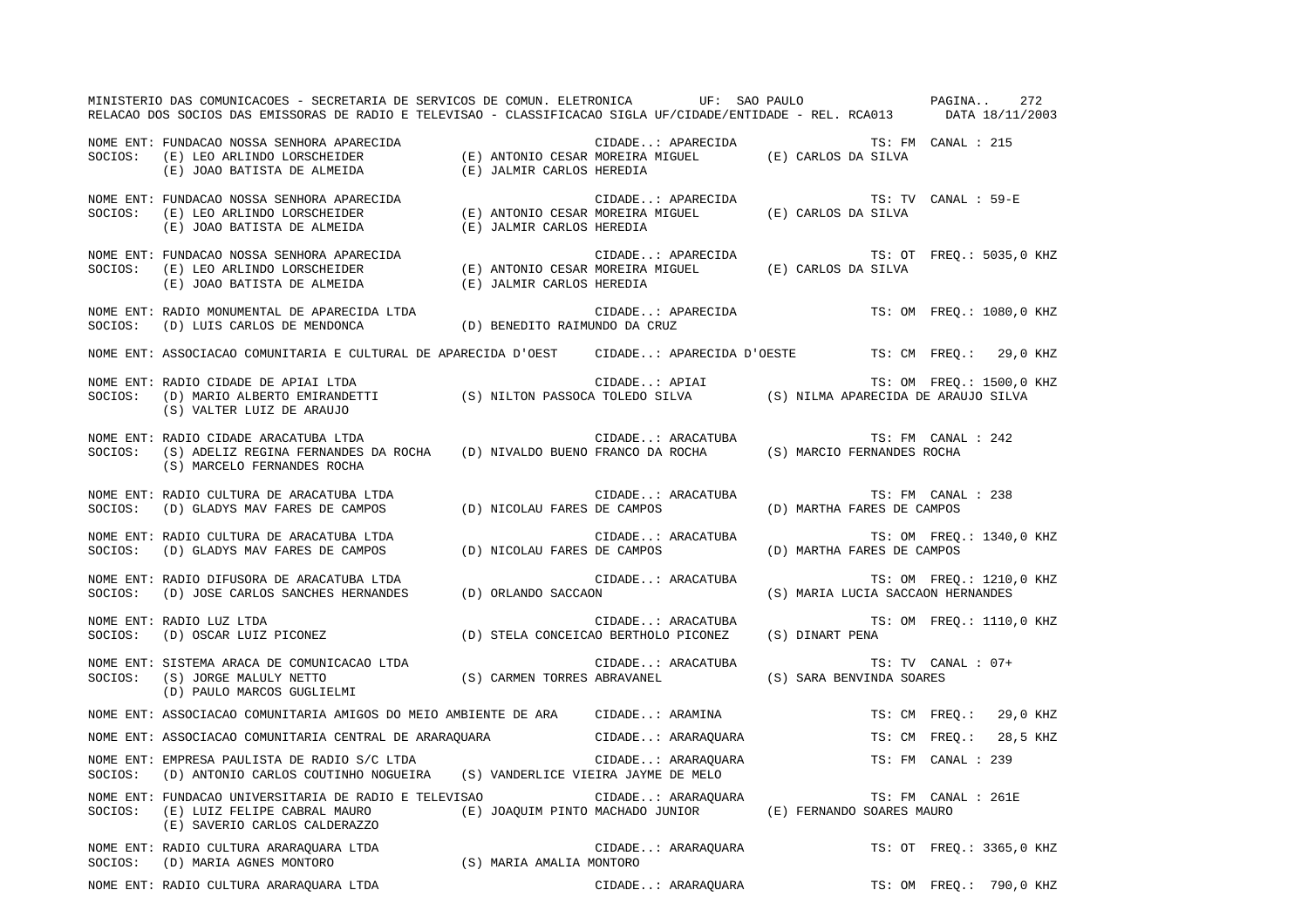MINISTERIO DAS COMUNICACOES - SECRETARIA DE SERVICOS DE COMUN. ELETRONICA UF: SAO PAULO PAGINA.. 272RELACAO DOS SOCIOS DAS EMISSORAS DE RADIO E TELEVISAO - CLASSIFICACAO SIGLA UF/CIDADE/ENTIDADE - REL. RCA013 DATA 18/11/2003 NOME ENT: FUNDACAO NOSSA SENHORA APARECIDA CIDADE..: APARECIDA TS: FM CANAL : 215SOCIOS: (E) LEO ARLINDO LORSCHEIDER (E) ANTONIO CESAR MOREIRA MIGUEL (E) CARLOS DA SILVA (E) JOAO BATISTA DE ALMEIDA (E) JALMIR CARLOS HEREDIA NOME ENT: FUNDACAO NOSSA SENHORA APARECIDA CIDADE..: APARECIDA TS: TV CANAL : 59-ETS: TV CANAL : 59-E SOCIOS: (E) LEO ARLINDO LORSCHEIDER (E) ANTONIO CESAR MOREIRA MIGUEL (E) CARLOS DA SILVA (E) JOAO BATISTA DE ALMEIDA (E) JALMIR CARLOS HEREDIA NOME ENT: FUNDACAO NOSSA SENHORA APARECIDA CIDADE..: APARECIDA TS: OT FREQ.: 5035,0 KHZ SOCIOS: (E) LEO ARLINDO LORSCHEIDER (E) ANTONIO CESAR MOREIRA MIGUEL (E) CARLOS DA SILVA (E) JOAO BATISTA DE ALMEIDA (E) JALMIR CARLOS HEREDIA NOME ENT: RADIO MONUMENTAL DE APARECIDA LTDA CIDADE..: APARECIDA TS: OM FREQ.: 1080,0 KHZ SOCIOS: (D) LUIS CARLOS DE MENDONCA (D) BENEDITO RAIMUNDO DA CRUZ NOME ENT: ASSOCIACAO COMUNITARIA E CULTURAL DE APARECIDA D'OEST CIDADE..: APARECIDA D'OESTE TS: CM FREQ.: 29,0 KHZ NOME ENT: RADIO CIDADE DE APIAI LTDA  $\blacksquare$  CIDADE..: APIAI TS: OM FREQ.: 1500,0 KHZ SOCIOS: (D) MARIO ALBERTO EMIRANDETTI (S) NILTON PASSOCA TOLEDO SILVA (S) NILMA APARECIDA DE ARAUJO SILVA (S) VALTER LUIZ DE ARAUJO NOME ENT: RADIO CIDADE ARACATUBA LTDA CIDADE..: ARACATUBA TS: FM CANAL : 242SOCIOS: (S) ADELIZ REGINA FERNANDES DA ROCHA (D) NIVALDO BUENO FRANCO DA ROCHA (S) MARCIO FERNANDES ROCHA (S) MARCELO FERNANDES ROCHA NOME ENT: RADIO CULTURA DE ARACATUBA LTDA CIDADE..: ARACATUBA TS: FM CANAL : 238 SOCIOS: (D) GLADYS MAV FARES DE CAMPOS (D) NICOLAU FARES DE CAMPOS (D) MARTHA FARES DE CAMPOS NOME ENT: RADIO CULTURA DE ARACATUBA LTDA CIDADE..: ARACATUBA TS: OM FREQ.: 1340,0 KHZ SOCIOS: (D) GLADYS MAV FARES DE CAMPOS (D) NICOLAU FARES DE CAMPOS (D) MARTHA FARES DE CAMPOS NOME ENT: RADIO DIFUSORA DE ARACATUBA LTDA CIDADE..: ARACATUBA TS: OM FREQ.: 1210,0 KHZ SOCIOS: (D) JOSE CARLOS SANCHES HERNANDES (D) ORLANDO SACCAON (S) MARIA LUCIA SACCAON HERNANDES NOME ENT: RADIO LUZ LTDA CIDADE..: ARACATUBA TS: OM FREQ.: 1110,0 KHZ SOCIOS: (D) OSCAR LUIZ PICONEZ (D) STELA CONCEICAO BERTHOLO PICONEZ (S) DINART PENA NOME ENT: SISTEMA ARACA DE COMUNICACAO LTDA CONTRA CIDADE..: ARACATUBA CIDADE... CANAL TS: TV CANAL : 07+ SOCIOS: (S) JORGE MALULY NETTO (S) CARMEN TORRES ABRAVANEL (S) SARA BENVINDA SOARES (D) PAULO MARCOS GUGLIELMI NOME ENT: ASSOCIACAO COMUNITARIA AMIGOS DO MEIO AMBIENTE DE ARA CIDADE..: ARAMINA TS: CM FREQ.: 29,0 KHZ NOME ENT: ASSOCIACAO COMUNITARIA CENTRAL DE ARARAQUARA CIDADE..: ARARAQUARA TS: CM FREQ.: 28,5 KHZ NOME ENT: EMPRESA PAULISTA DE RADIO S/C LTDA CIDADE..: ARARAQUARA TS: FM CANAL : 239 SOCIOS: (D) ANTONIO CARLOS COUTINHO NOGUEIRA (S) VANDERLICE VIEIRA JAYME DE MELO NOME ENT: FUNDACAO UNIVERSITARIA DE RADIO E TELEVISAO CIDADE..: ARARAQUARA TS: FM CANAL : 261E SOCIOS: (E) LUIZ FELIPE CABRAL MAURO (E) JOAQUIM PINTO MACHADO JUNIOR (E) FERNANDO SOARES MAURO (E) SAVERIO CARLOS CALDERAZZO NOME ENT: RADIO CULTURA ARARAQUARA LTDA CIDADE..: ARARAQUARA TS: OT FREQ.: 3365,0 KHZ SOCIOS: (D) MARIA AGNES MONTORO (S) MARIA AMALIA MONTORO NOME ENT: RADIO CULTURA ARARAQUARA LTDA CIDADE..: ARARAQUARA TS: OM FREQ.: 790,0 KHZ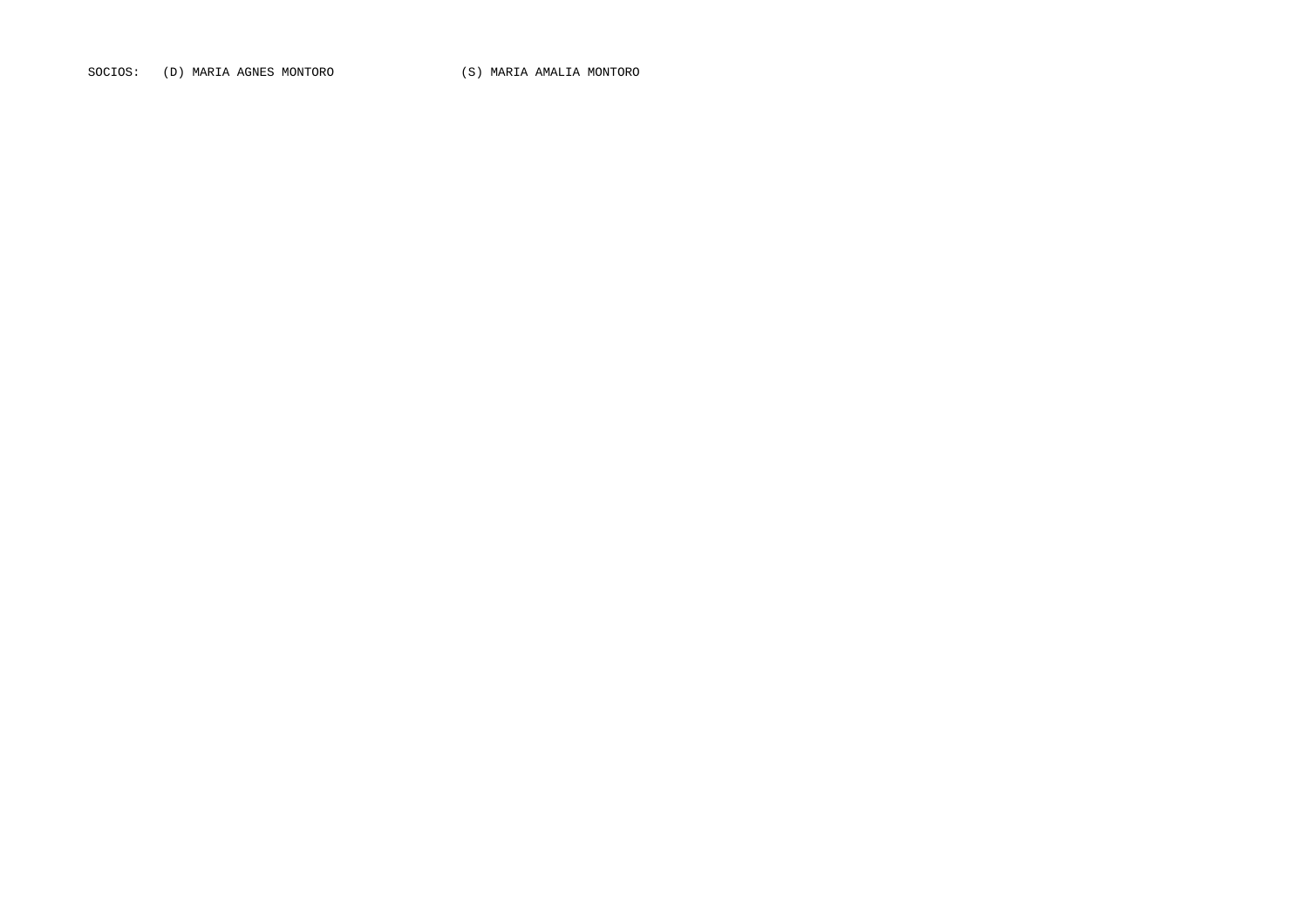SOCIOS: (D) MARIA AGNES MONTORO (S) MARIA AMALIA MONTORO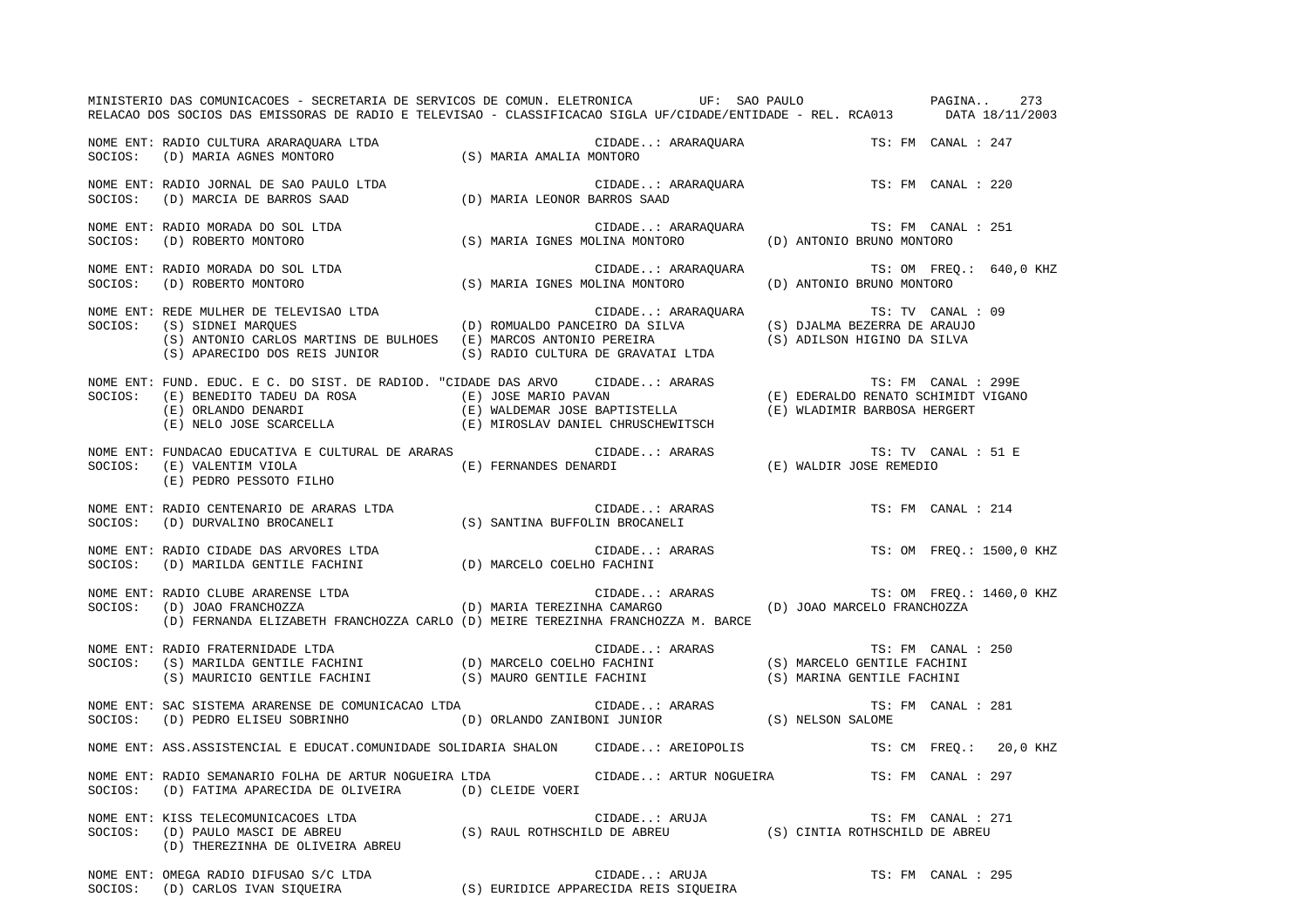|         | MINISTERIO DAS COMUNICACOES - SECRETARIA DE SERVICOS DE COMUN. ELETRONICA UF: SAO PAULO PAGINA<br>RELACAO DOS SOCIOS DAS EMISSORAS DE RADIO E TELEVISAO - CLASSIFICACAO SIGLA UF/CIDADE/ENTIDADE - REL. RCA013 DATA 18/11/2003                                                                                                                                                                                                                                                          |                              |                                       | 273                      |
|---------|-----------------------------------------------------------------------------------------------------------------------------------------------------------------------------------------------------------------------------------------------------------------------------------------------------------------------------------------------------------------------------------------------------------------------------------------------------------------------------------------|------------------------------|---------------------------------------|--------------------------|
|         |                                                                                                                                                                                                                                                                                                                                                                                                                                                                                         |                              |                                       |                          |
|         | NOME ENT: RADIO JORNAL DE SAO PAULO LTDA<br>SOCIOS: (D) MARCIA DE BARROS SAAD                                                                                                                                                                                                                                                                                                                                                                                                           | (D) MARIA LEONOR BARROS SAAD | CIDADE: ARARAQUARA TS: FM CANAL : 220 |                          |
|         | NUME ENT: RADIO MORADA DO SOL LTDA<br>SOCIOS: (D) ROBERTO MONTORO (S) MARIA IGNES MOLINA MONTORO (D) ANTONIO BRUNO MONTORO<br>ATOMO TITLE AND ROBERTO MONTORO                                                                                                                                                                                                                                                                                                                           |                              |                                       |                          |
|         |                                                                                                                                                                                                                                                                                                                                                                                                                                                                                         |                              |                                       |                          |
|         | NOME ENT: RADIO MORADA DO SOL LTDA<br>SOCIOS: (D) ROBERTO MONTORO (S) MARIA IGNES MOLINA MONTORO (D) ANTONIO BRUNO MONTORO<br>NOME ENT: REDE MULHER DE TELEVISAO LTDA<br>SOCIOS: (S) SIDNEI MARQUES (D) ROMUALDO PANCEIRO DA SILVA (<br>(S) APARECIDO DOS REIS JUNIOR (S) RADIO CULTURA DE GRAVATAI LTDA                                                                                                                                                                                |                              |                                       |                          |
|         | NOME ENT: FUND. EDUC. E C. DO SIST. DE RADIOD. "CIDADE DAS ARVO CIDADE: ARARAS TS: FM CANAL : 299E<br>SOCIOS: (E) BENEDITO TADEU DA ROSA (E) JOSE MARIO PAVAN (E) COLLANDO DENARDI (E) ORLANDO DENARDI (E) WALDEMAR JOSE BAPTIS                                                                                                                                                                                                                                                         |                              |                                       |                          |
|         | $\begin{tabular}{lllllllll} \multicolumn{2}{c  l}{{\small \texttt{SOCIOS}}}&{{\small \texttt{CUCALUM VIOLA}}&{{\small \texttt{CULUVRAL DE ARARAS}}&{{\small \texttt{CIDADE}}$\smallskip{.1cm}}&{\small \texttt{ARARAS}}&{\small \texttt{TS: TV C}}&{\small \texttt{CUCU}}&{\small \texttt{CUCU}}&{\small \texttt{CUCU} &{\small \texttt{CUCU}}&{\small \texttt{CUCU}}&{\small \texttt{CUCU}}&{\small \texttt{CUCU}}&{\small \texttt{CUCU}}&{\small \texttt{CUCU}}&{\small \texttt{CUCU$ |                              |                                       | TS: TV CANAL : 51 E      |
|         | NOME ENT: RADIO CENTENARIO DE ARARAS LTDA<br>SOCIOS:    (D) DURVALINO BROCANELI                               (S) SANTINA BUFFOLIN BROCANELI                                                                                                                                                                                                                                                                                                                                            |                              | CIDADE: ARARAS                        | TS: FM CANAL : 214       |
|         | NOME ENT: RADIO CIDADE DAS ARVORES LTDA<br>SOCIOS: (D) MARILDA GENTILE FACHINI (D) MARCELO COELHO FACHINI                                                                                                                                                                                                                                                                                                                                                                               |                              | CIDADE: ARARAS                        | TS: OM FREO.: 1500,0 KHZ |
|         | NOME ENT: RADIO CLUBE ARARENSE LTDA<br>SOCIOS:    (D) JOAO FRANCHOZZA                                (D) MARIA TEREZINHA CAMARGO                    (D) JOAO MARCELO FRANCHOZZA<br>(D) FERNANDA ELIZABETH FRANCHOZZA CARLO (D) MEIRE TEREZINHA FRANCHOZZA M. BARCE                                                                                                                                                                                                                      |                              |                                       |                          |
| SOCIOS: | NOME ENT: RADIO FRATERNIDADE LTDA<br>RADIO FRATERNIDADE LTDA<br>(S) MARILDA GENTILE FACHINI (D) MARCELO COELHO FACHINI (S) MARCELO GENTILE FACHINI<br>(S) MAURICIO GENTILE FACHINI (S) MAURO GENTILE FACHINI (S) MARINA GENTILE FACHINI                                                                                                                                                                                                                                                 |                              |                                       | TS: FM CANAL : 250       |
| SOCIOS: | $\begin{tabular}{lllllllllll} \texttt{SAC SISTEMA RARENSE DE COMUNICACAO LIDA} & CIDADE. : ARARAS & TS: \\ \texttt{(D) PEDRO ELISEU SOBRINHO} & & & & \texttt{(D) ORLANDO ZANIBONI JUNIOR} & & & \texttt{(S) NELSON SALOME} \end{tabular}$<br>NOME ENT: SAC SISTEMA ARARENSE DE COMUNICACAO LTDA                                                                                                                                                                                        |                              |                                       | TS: FM CANAL : 281       |
|         | NOME ENT: ASS.ASSISTENCIAL E EDUCAT.COMUNIDADE SOLIDARIA SHALON CIDADE: AREIOPOLIS                                                                                                                                                                                                                                                                                                                                                                                                      |                              |                                       | TS: CM FREO.: 20,0 KHZ   |
| SOCIOS: | NOME ENT: RADIO SEMANARIO FOLHA DE ARTUR NOGUEIRA LTDA CIDADE: ARTUR NOGUEIRA TS: FM CANAL : 297<br>(D) FATIMA APARECIDA DE OLIVEIRA (D) CLEIDE VOERI                                                                                                                                                                                                                                                                                                                                   |                              |                                       |                          |
|         | NOME ENT: KISS TELECOMUNICACOES LTDA<br>SOCIOS: (D) PAULO MASCI DE ABREU (S) RAUL ROTHSCHILD DE ABREU (S) CINTIA ROTHSCHILD DE ABREU<br>(D) THEREZINHA DE OLIVEIRA ABREU                                                                                                                                                                                                                                                                                                                |                              |                                       | TS: FM CANAL : 271       |
|         | NOME ENT: OMEGA RADIO DIFUSAO S/C LTDA<br>SOCIOS:    (D) CARLOS IVAN SIQUEIRA                          (S) EURIDICE APPARECIDA REIS SIQUEIRA                                                                                                                                                                                                                                                                                                                                            |                              |                                       | TS: FM CANAL : 295       |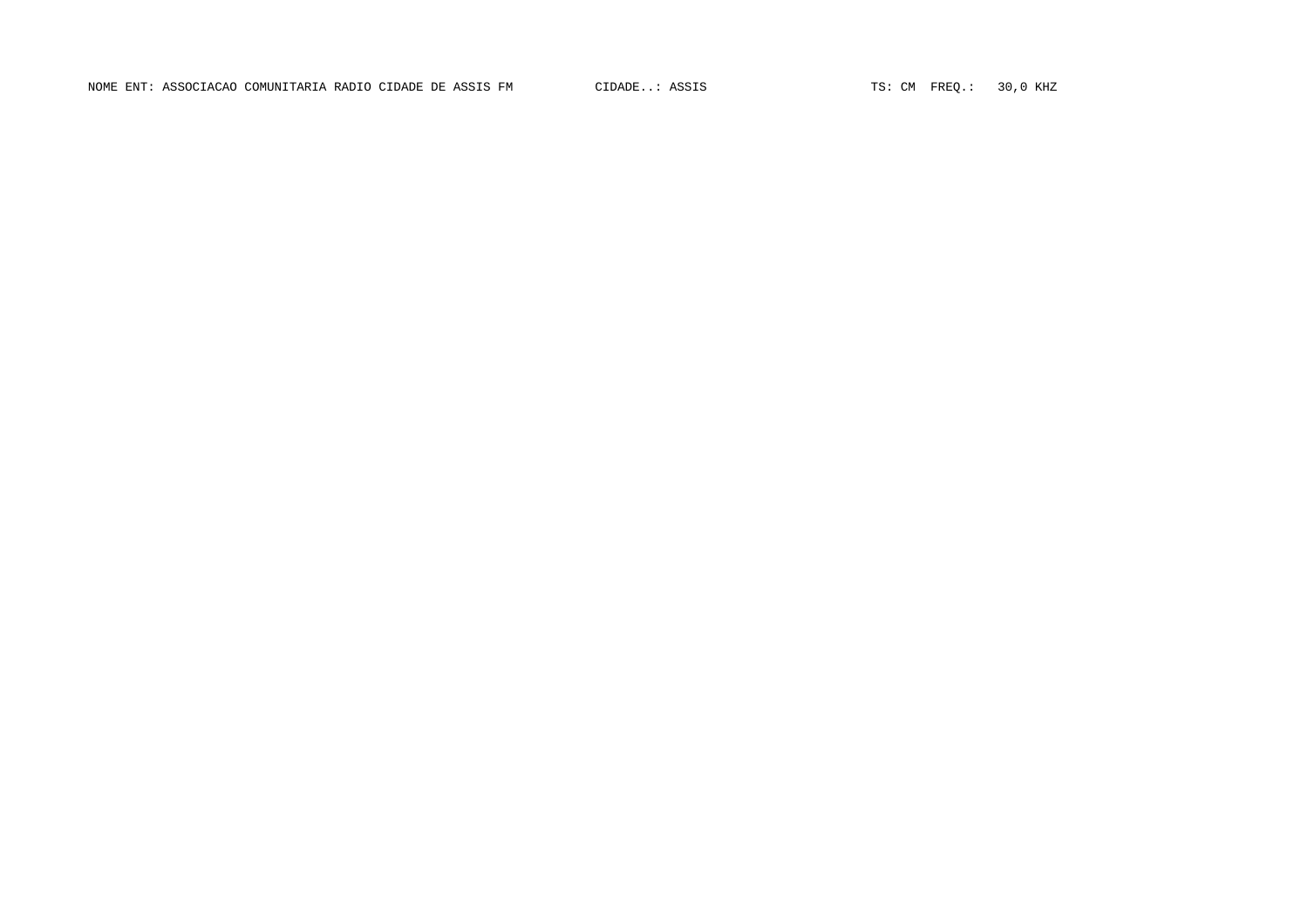NOME ENT: ASSOCIACAO COMUNITARIA RADIO CIDADE DE ASSIS FM CIDADE..: ASSIS TO TES: CM FREQ.: 30,0 KHZ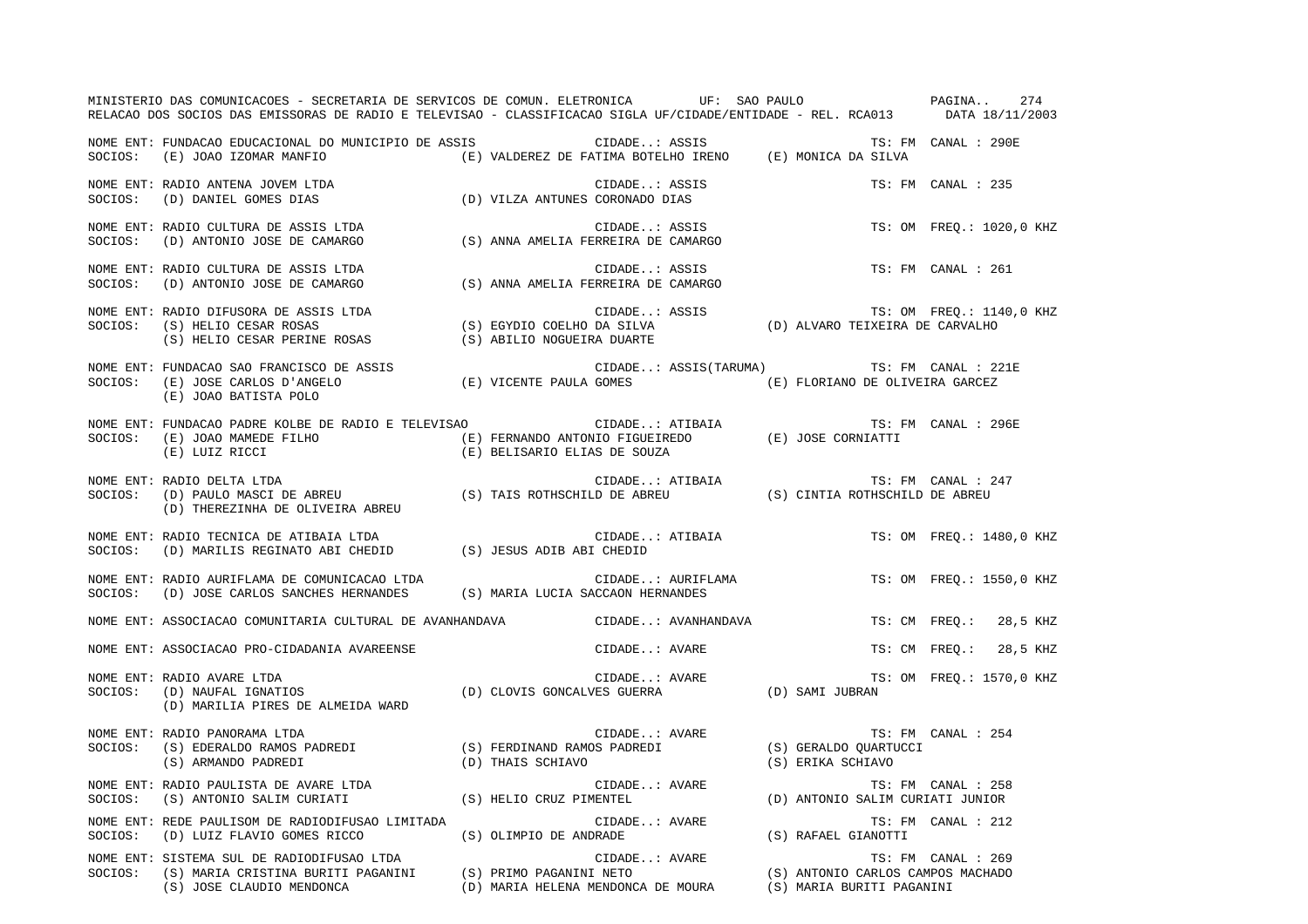|         | MINISTERIO DAS COMUNICACOES - SECRETARIA DE SERVICOS DE COMUN. ELETRONICA UF: SAO PAULO PAGINA. 274<br>RELACAO DOS SOCIOS DAS EMISSORAS DE RADIO E TELEVISAO - CLASSIFICACAO SIGLA UF/CIDADE/ENTIDADE - REL. RCA013 DATA 18/11/2003 |                                 |               |                   |                                           |                          |  |
|---------|-------------------------------------------------------------------------------------------------------------------------------------------------------------------------------------------------------------------------------------|---------------------------------|---------------|-------------------|-------------------------------------------|--------------------------|--|
|         | NOME ENT: FUNDACAO EDUCACIONAL DO MUNICIPIO DE ASSIS (CIDADE: ASSIS<br>SOCIOS: (E) JOAO IZOMAR MANFIO (E) VALDEREZ DE FATIMA BOTELHO IRENO (E) MONICA DA SILVA                                                                      |                                 |               |                   |                                           | TS: FM CANAL : 290E      |  |
|         | NOME ENT: RADIO ANTENA JOVEM LTDA<br>SOCIOS: (D) DANIEL GOMES DIAS                                                                                                                                                                  | (D) VILZA ANTUNES CORONADO DIAS | CIDADE: ASSIS |                   |                                           | TS: FM CANAL : 235       |  |
|         | NOME ENT: RADIO CULTURA DE ASSIS LTDA<br>SOCIOS: (D) ANTONIO JOSE DE CAMARGO (S) ANNA AMELIA FERREIRA DE CAMARGO                                                                                                                    |                                 |               | CIDADE: ASSIS     |                                           | TS: OM FREQ.: 1020,0 KHZ |  |
|         | NOME ENT: RADIO CULTURA DE ASSIS LTDA<br>SOCIOS: (D) ANTONIO JOSE DE CAMARGO                                                                                                                                                        |                                 | CIDADE: ASSIS |                   | TS: FM CANAL : 261                        |                          |  |
|         | NOME ENT: RADIO DIFUSORA DE ASSIS LTDA<br>SOCIOS: (S) HELIO CESAR ROSAS (S) EGYDIO COELHO DA SILVA (D) ALVARO TEIXEIRA DE CARVALHO<br>(S) HELIO CESAR PERINE ROSAS (S) ABILIO NOGUEIRA DUARTE                                       |                                 |               |                   |                                           |                          |  |
|         | NOME ENT: FUNDACAO SAO FRANCISCO DE ASSIS (E) VICENTE PAULA GOMES (E) CIDADE: ASSIS(TARUMA) TS: FM CANAL : 22<br>SOCIOS: (E) JOSE CARLOS D'ANGELO (E) VICENTE PAULA GOMES (E) FLORIANO DE OLIVEIRA GARCEZ<br>(E) JOAO BATISTA POLO  |                                 |               |                   | CIDADE: ASSIS(TARUMA) TS: FM CANAL : 221E |                          |  |
|         |                                                                                                                                                                                                                                     |                                 |               |                   | TS: FM CANAL : 296E                       |                          |  |
|         | NOME ENT: RADIO DELTA LTDA<br>SOCIOS:   (D) PAULO MASCI DE ABREU                          (S) TAIS ROTHSCHILD DE ABREU                (S) CINTIA ROTHSCHILD DE ABREU<br>(D) THEREZINHA DE OLIVEIRA ABREU                            |                                 |               |                   |                                           |                          |  |
|         | NOME ENT: RADIO TECNICA DE ATIBAIA LTDA<br>NOTE EN1: NADIO IECNICA DE AIIDAIA DIDA<br>SOCIOS: (D) MARILIS REGINATO ABI CHEDID (S) JESUS ADIB ABI CHEDID                                                                             |                                 |               | CIDADE: ATIBAIA   | TS: OM FREQ.: 1480,0 KHZ                  |                          |  |
|         | NOME ENT: RADIO AURIFLAMA DE COMUNICACAO LTDA<br>SOCIOS: (D) JOSE CARLOS SANCHES HERNANDES (S) MARIA LUCIA SACCAON HERNANDES                                                                                                        |                                 |               | CIDADE: AURIFLAMA |                                           | TS: OM FREO.: 1550,0 KHZ |  |
|         | NOME ENT: ASSOCIACAO COMUNITARIA CULTURAL DE AVANHANDAVA                  CIDADE: AVANHANDAVA                                                                                                                                       |                                 |               |                   |                                           | TS: CM FREQ.: 28,5 KHZ   |  |
|         | NOME ENT: ASSOCIACAO PRO-CIDADANIA AVAREENSE                                                                                                                                                                                        |                                 | CIDADE: AVARE |                   |                                           | TS: CM FREQ.: 28,5 KHZ   |  |
|         | CIDADE: AVARE TS: OM FREQ.: 1570,0 KHZ<br>(D) CLOVIS GONCALVES GUERRA (D) SAMI JUBRAN<br>NOME ENT: RADIO AVARE LTDA<br>SOCIOS: (D) NAUFAL IGNATIOS<br>(D) MARILIA PIRES DE ALMEIDA WARD                                             |                                 |               |                   |                                           |                          |  |
|         | NOME ENT: RADIO PANORAMA LTDA<br>SOCIOS: (S) EDERALDO RAMOS PADREDI (S) FERDINAND RAMOS PADREDI (S) GERALDO QUARTUCCI<br>(S) ARMANDO PADREDI (D) THAIS SCHIAVO (S) ERIKA SCHIAVO                                                    |                                 |               |                   |                                           | TS: FM CANAL : 254       |  |
|         | NOME ENT: RADIO PAULISTA DE AVARE LTDA (S) HELIO CRUZ PIMENTEL SOCIOS: (S) ANTONIO SALIM CURIATI (S) HELIO CRUZ PIMENTEL                                                                                                            |                                 | CIDADE: AVARE |                   | (D) ANTONIO SALIM CURIATI JUNIOR          | TS: FM CANAL : 258       |  |
| SOCIOS: | NOME ENT: REDE PAULISOM DE RADIODIFUSAO LIMITADA                                                                                                                                                                                    |                                 |               |                   |                                           |                          |  |
|         | NOME ENT: SISTEMA SUL DE RADIODIFUSAO LTDA<br>SOCIOS: (S) MARIA CRISTINA BURITI PAGANINI (S) PRIMO PAGANINI NETO (S) ANTONIO CARLOS CAMPOS MACHADO<br>(S) JOSE CLAUDIO MENDONCA (D) MARIA HELENA MENDONCA DE MOURA (S) MARIA BURITI |                                 |               |                   |                                           |                          |  |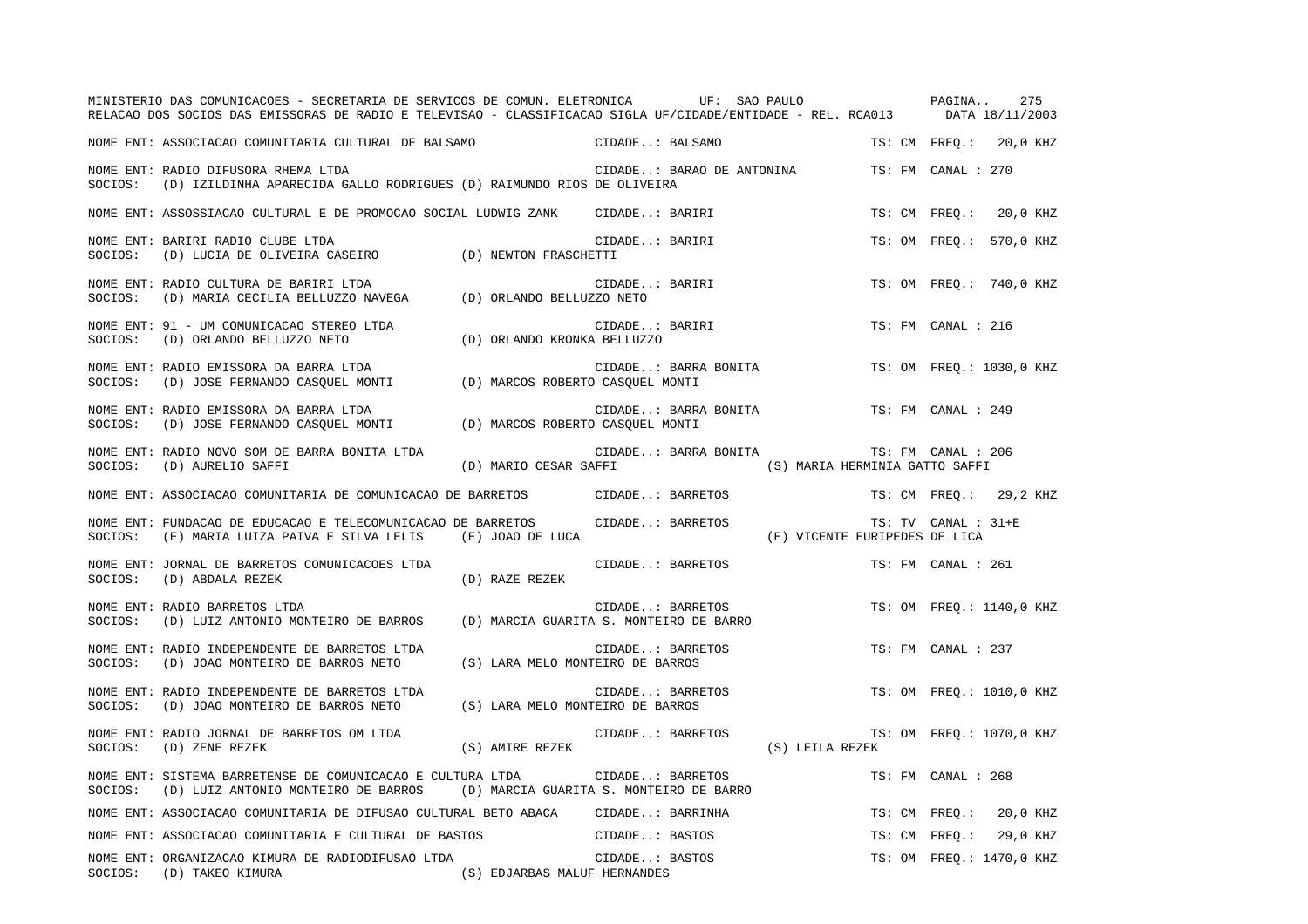|         | MINISTERIO DAS COMUNICACOES - SECRETARIA DE SERVICOS DE COMUN. ELETRONICA UF: SAO PAULO<br>RELACAO DOS SOCIOS DAS EMISSORAS DE RADIO E TELEVISAO - CLASSIFICACAO SIGLA UF/CIDADE/ENTIDADE - REL. RCA013 DATA 18/11/2003 |                                         |                  |                           |                                |               | PAGINA              | 275                      |
|---------|-------------------------------------------------------------------------------------------------------------------------------------------------------------------------------------------------------------------------|-----------------------------------------|------------------|---------------------------|--------------------------------|---------------|---------------------|--------------------------|
|         | NOME ENT: ASSOCIACAO COMUNITARIA CULTURAL DE BALSAMO                                                                                                                                                                    |                                         | CIDADE: BALSAMO  |                           |                                |               |                     | TS: CM FREO.: 20,0 KHZ   |
| SOCIOS: | NOME ENT: RADIO DIFUSORA RHEMA LTDA<br>(D) IZILDINHA APARECIDA GALLO RODRIGUES (D) RAIMUNDO RIOS DE OLIVEIRA                                                                                                            |                                         |                  | CIDADE: BARAO DE ANTONINA |                                |               | TS: FM CANAL : 270  |                          |
|         | NOME ENT: ASSOSSIACAO CULTURAL E DE PROMOCAO SOCIAL LUDWIG ZANK                                                                                                                                                         |                                         | CIDADE: BARIRI   |                           |                                |               | TS: CM FREO.:       | 20,0 KHZ                 |
| SOCIOS: | NOME ENT: BARIRI RADIO CLUBE LTDA<br>(D) LUCIA DE OLIVEIRA CASEIRO (D) NEWTON FRASCHETTI                                                                                                                                |                                         | CIDADE: BARIRI   |                           |                                |               |                     | TS: OM FREO.: 570,0 KHZ  |
| SOCIOS: | NOME ENT: RADIO CULTURA DE BARIRI LTDA<br>(D) MARIA CECILIA BELLUZZO NAVEGA (D) ORLANDO BELLUZZO NETO                                                                                                                   |                                         | CIDADE: BARIRI   |                           |                                |               |                     | TS: OM FREO.: 740,0 KHZ  |
| SOCIOS: | NOME ENT: 91 - UM COMUNICACAO STEREO LTDA<br>(D) ORLANDO BELLUZZO NETO                                                                                                                                                  | (D) ORLANDO KRONKA BELLUZZO             | CIDADE: BARIRI   |                           |                                |               | TS: FM CANAL : 216  |                          |
| SOCIOS: | NOME ENT: RADIO EMISSORA DA BARRA LTDA<br>(D) JOSE FERNANDO CASQUEL MONTI (D) MARCOS ROBERTO CASQUEL MONTI                                                                                                              |                                         |                  | CIDADE: BARRA BONITA      |                                |               |                     | TS: OM FREO.: 1030,0 KHZ |
| SOCIOS: | NOME ENT: RADIO EMISSORA DA BARRA LTDA<br>(D) JOSE FERNANDO CASQUEL MONTI (D) MARCOS ROBERTO CASQUEL MONTI                                                                                                              |                                         |                  | CIDADE: BARRA BONITA      |                                |               | TS: FM CANAL : 249  |                          |
| SOCIOS: | NOME ENT: RADIO NOVO SOM DE BARRA BONITA LTDA<br>(D) AURELIO SAFFI                                                                                                                                                      | (D) MARIO CESAR SAFFI                   |                  | CIDADE: BARRA BONITA      | (S) MARIA HERMINIA GATTO SAFFI |               | TS: FM CANAL : 206  |                          |
|         | NOME ENT: ASSOCIACAO COMUNITARIA DE COMUNICACAO DE BARRETOS CIDADE: BARRETOS                                                                                                                                            |                                         |                  |                           |                                |               |                     | TS: CM FREO.: 29,2 KHZ   |
| SOCIOS: | NOME ENT: FUNDACAO DE EDUCACAO E TELECOMUNICACAO DE BARRETOS<br>(E) MARIA LUIZA PAIVA E SILVA LELIS (E) JOAO DE LUCA                                                                                                    |                                         |                  | CIDADE: BARRETOS          | (E) VICENTE EURIPEDES DE LICA  |               | TS: TV CANAL : 31+E |                          |
| SOCIOS: | NOME ENT: JORNAL DE BARRETOS COMUNICACOES LTDA<br>(D) ABDALA REZEK                                                                                                                                                      | (D) RAZE REZEK                          |                  | CIDADE: BARRETOS          |                                |               | TS: FM CANAL : 261  |                          |
| SOCIOS: | NOME ENT: RADIO BARRETOS LTDA<br>(D) LUIZ ANTONIO MONTEIRO DE BARROS                                                                                                                                                    | (D) MARCIA GUARITA S. MONTEIRO DE BARRO |                  | CIDADE: BARRETOS          |                                |               |                     | TS: OM FREO.: 1140,0 KHZ |
| SOCIOS: | NOME ENT: RADIO INDEPENDENTE DE BARRETOS LTDA<br>(D) JOAO MONTEIRO DE BARROS NETO                                                                                                                                       | (S) LARA MELO MONTEIRO DE BARROS        | CIDADE: BARRETOS |                           |                                |               | TS: FM CANAL : 237  |                          |
| SOCIOS: | NOME ENT: RADIO INDEPENDENTE DE BARRETOS LTDA<br>(D) JOAO MONTEIRO DE BARROS NETO                                                                                                                                       | (S) LARA MELO MONTEIRO DE BARROS        |                  | CIDADE: BARRETOS          |                                |               |                     | TS: OM FREQ.: 1010,0 KHZ |
| SOCIOS: | NOME ENT: RADIO JORNAL DE BARRETOS OM LTDA<br>(D) ZENE REZEK                                                                                                                                                            | (S) AMIRE REZEK                         |                  | CIDADE: BARRETOS          | (S) LEILA REZEK                |               |                     | TS: OM FREO.: 1070,0 KHZ |
| SOCIOS: | NOME ENT: SISTEMA BARRETENSE DE COMUNICACAO E CULTURA LTDA<br>(D) LUIZ ANTONIO MONTEIRO DE BARROS (D) MARCIA GUARITA S. MONTEIRO DE BARRO                                                                               |                                         | CIDADE: BARRETOS |                           |                                |               | TS: FM CANAL : 268  |                          |
|         | NOME ENT: ASSOCIACAO COMUNITARIA DE DIFUSAO CULTURAL BETO ABACA                                                                                                                                                         |                                         | CIDADE: BARRINHA |                           |                                | TS: CM FREQ.: |                     | 20,0 KHZ                 |
|         | NOME ENT: ASSOCIACAO COMUNITARIA E CULTURAL DE BASTOS                                                                                                                                                                   |                                         | CIDADE: BASTOS   |                           |                                | TS: CM FREO.: |                     | 29,0 KHZ                 |
| SOCIOS: | NOME ENT: ORGANIZACAO KIMURA DE RADIODIFUSAO LTDA<br>(D) TAKEO KIMURA<br>(S) EDJARBAS MALUF HERNANDES                                                                                                                   |                                         | CIDADE: BASTOS   |                           |                                |               |                     | TS: OM FREO.: 1470,0 KHZ |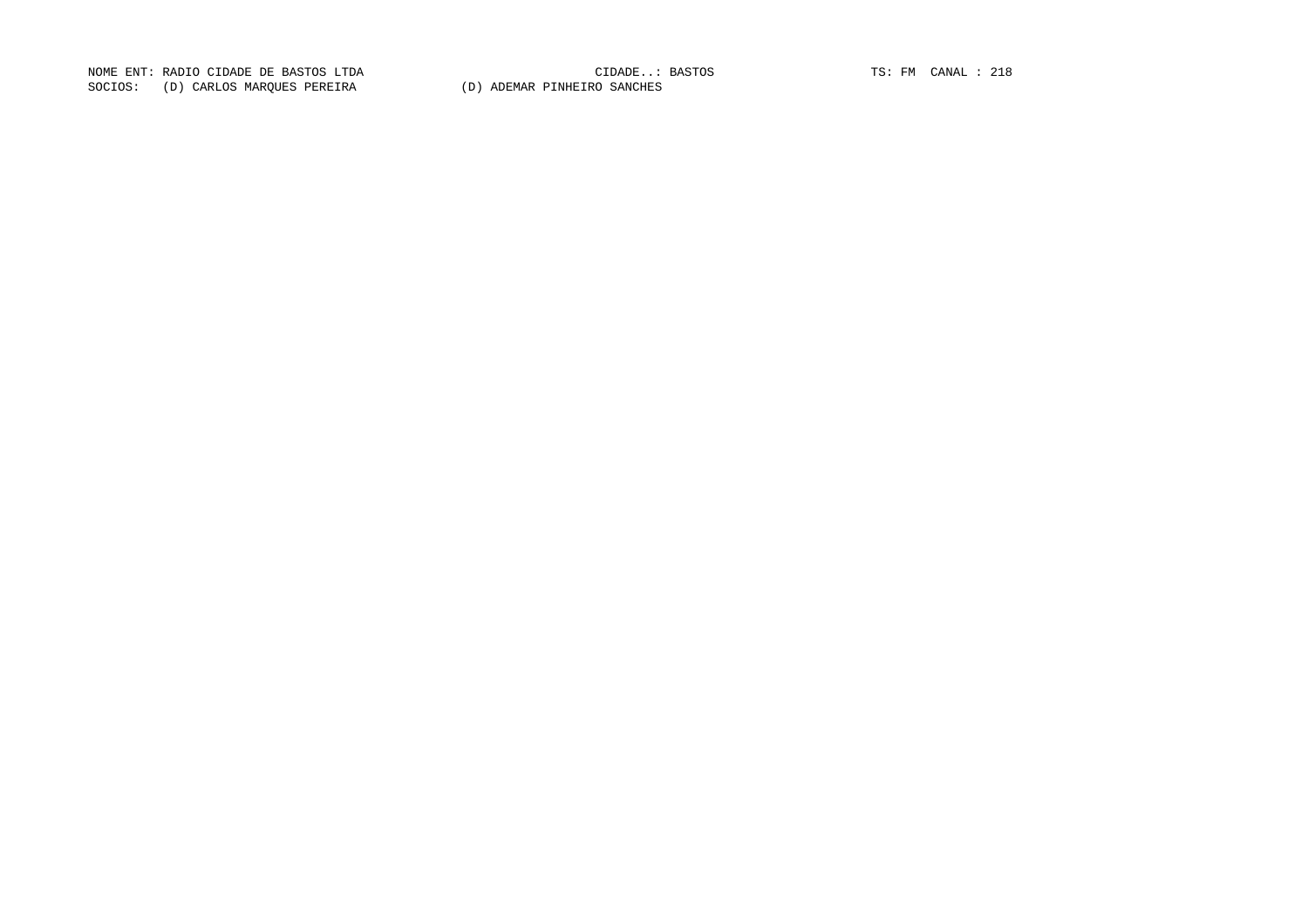NOME ENT: RADIO CIDADE DE BASTOS LTDA CIDADE..: BASTOS TS: FM CANAL : 218SOCIOS: (D) CARLOS MARQUES PEREIRA (D) ADEMAR PINHEIRO SANCHES

CIDADE..: BASTOS TS: FM CANAL : 218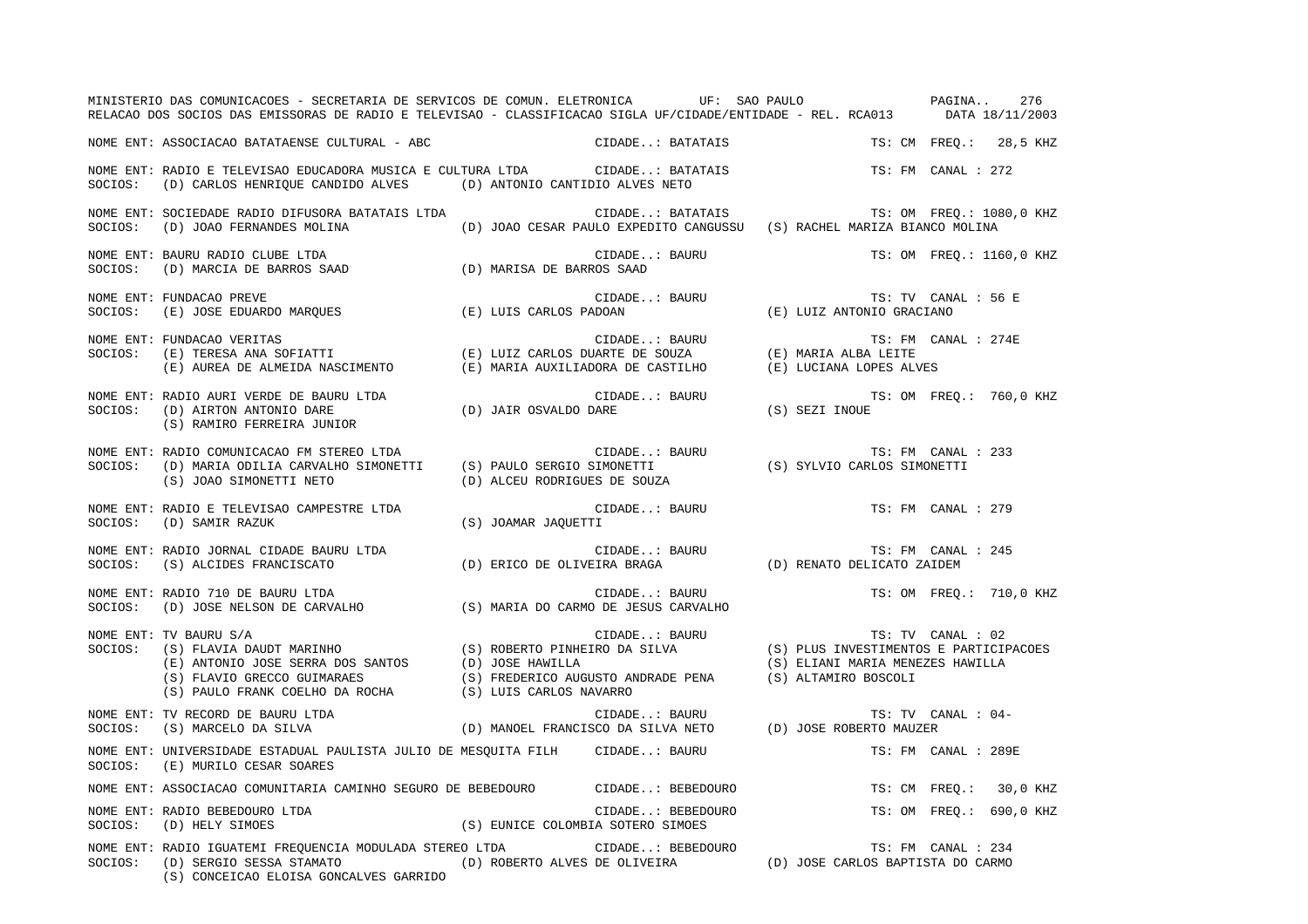|         | MINISTERIO DAS COMUNICACOES - SECRETARIA DE SERVICOS DE COMUN. ELETRONICA UF: SAO PAULO PAUDO PAGINA<br>RELACAO DOS SOCIOS DAS EMISSORAS DE RADIO E TELEVISAO - CLASSIFICACAO SIGLA UF/CIDADE/ENTIDADE - REL. RCA013 DATA 18/11/2003                                                                                  |                                   |                                                                                            |                           |                     | 276                      |
|---------|-----------------------------------------------------------------------------------------------------------------------------------------------------------------------------------------------------------------------------------------------------------------------------------------------------------------------|-----------------------------------|--------------------------------------------------------------------------------------------|---------------------------|---------------------|--------------------------|
|         | NOME ENT: ASSOCIACAO BATATAENSE CULTURAL - ABC                                                                                                                                                                                                                                                                        |                                   | CIDADE: BATATAIS                                                                           |                           |                     | TS: CM FREQ.: 28,5 KHZ   |
|         | NOME ENT: RADIO E TELEVISAO EDUCADORA MUSICA E CULTURA LTDA             CIDADE: BATATAIS<br>SOCIOS: (D) CARLOS HENRIQUE CANDIDO ALVES (D) ANTONIO CANTIDIO ALVES NETO                                                                                                                                                 |                                   |                                                                                            |                           | TS: FM CANAL : 272  |                          |
| SOCIOS: | NOME ENT: SOCIEDADE RADIO DIFUSORA BATATAIS LTDA<br>(D) JOAO FERNANDES MOLINA                                                                                                                                                                                                                                         |                                   | CIDADE: BATATAIS<br>(D) JOAO CESAR PAULO EXPEDITO CANGUSSU (S) RACHEL MARIZA BIANCO MOLINA |                           |                     | TS: OM FREQ.: 1080,0 KHZ |
| SOCIOS: | NOME ENT: BAURU RADIO CLUBE LTDA<br>(D) MARCIA DE BARROS SAAD (D) MARISA DE BARROS SAAD                                                                                                                                                                                                                               |                                   | CIDADE: BAURU                                                                              |                           |                     | TS: OM FREQ.: 1160,0 KHZ |
|         | NOME ENT: FUNDACAO PREVE<br>$\texttt{SOCIOS:} \hspace{0.5cm} (\texttt{E}) \hspace{0.5cm} \texttt{JOSE EDUARDO MARGUES} \hspace{1.5cm} (\texttt{E}) \hspace{0.5cm} \texttt{LUIS CARLOS PADOAN}$                                                                                                                        |                                   | CIDADE: BAURU                                                                              | (E) LUIZ ANTONIO GRACIANO | TS: TV CANAL : 56 E |                          |
|         |                                                                                                                                                                                                                                                                                                                       |                                   |                                                                                            | (E) LUCIANA LOPES ALVES   | TS: FM CANAL : 274E |                          |
|         | NOME ENT: RADIO AURI VERDE DE BAURU LTDA (D) JAIR OSVALDO DARE SOCIOS: (D) AIRTON ANTONIO DARE<br>(S) RAMIRO FERREIRA JUNIOR                                                                                                                                                                                          |                                   | CIDADE: BAURU (S) SEZI INOUE                                                               | TS: OM FREQ.: 760,0 KHZ   |                     |                          |
| SOCIOS: | NOME ENT: RADIO COMUNICACAO FM STEREO LTDA<br>RADIO COMUNICACAO FM STEREO LTDA<br>(D) MARIA ODILIA CARVALHO SIMONETTI (S) PAULO SERGIO SIMONETTI (S) ON MARIA ODILIA CARVALHO SIMONETTI (S) PAULO SERGIO SIMONETTI (S) ON MARIA (S) SYLVIO CARLOS SIMONETTI<br>(S) JOAO SIMONETTI NETO                                | (D) ALCEU RODRIGUES DE SOUZA      | CIDADE: BAURU                                                                              |                           | TS: FM CANAL : 233  |                          |
| SOCIOS: | NOME ENT: RADIO E TELEVISAO CAMPESTRE LTDA<br>(D) SAMIR RAZUK                                                                                                                                                                                                                                                         | (S) JOAMAR JAQUETTI               | CIDADE: BAURU                                                                              |                           | TS: FM CANAL : 279  |                          |
|         | NOME ENT: RADIO JORNAL CIDADE BAURU LTDA<br>SOCIOS: (S) ALCIDES FRANCISCATO                                                                                                                                                                                                                                           |                                   | CIDADE: BAURU<br>(D) ERICO DE OLIVEIRA BRAGA (D) RENATO DELICATO ZAIDEM                    |                           | TS: FM CANAL : 245  |                          |
|         | NOME ENT: RADIO 710 DE BAURU LTDA<br>SOCIOS: (D) JOSE NELSON DE CARVALHO (S) MARIA DO CARMO DE JESUS CARVALHO                                                                                                                                                                                                         |                                   | CIDADE: BAURU                                                                              |                           |                     | TS: OM FREQ.: 710,0 KHZ  |
| SOCIOS: | CIDADE: BAURU TS: TV CANAL : 02<br>(S) FLAVIA DAUDT MARINHO (S) SANTOS (S) ROBERTO PINHEIRO DA SILVA (S) PLUS INVESTIMENTOS E PARTICIPACOES<br>(E) ANTONIO JOSE SERRA DOS SANTOS (D) JOSE HAWILLA (S) ELIANI MARIA MENEZES HAWIL<br>NOME ENT: TV BAURU S/A<br>(S) PAULO FRANK COELHO DA ROCHA (S) LUIS CARLOS NAVARRO |                                   |                                                                                            |                           |                     |                          |
| SOCIOS: | NOME ENT: TV RECORD DE BAURU LTDA<br>(S) MARCELO DA SILVA                                                                                                                                                                                                                                                             |                                   | CIDADE: BAURU TS: TV CI<br>(D) MANOEL FRANCISCO DA SILVA NETO (D) JOSE ROBERTO MAUZER)     |                           | TS: TV CANAL : 04-  |                          |
| SOCIOS: | NOME ENT: UNIVERSIDADE ESTADUAL PAULISTA JULIO DE MESQUITA FILH CIDADE: BAURU<br>(E) MURILO CESAR SOARES                                                                                                                                                                                                              |                                   |                                                                                            |                           | TS: FM CANAL : 289E |                          |
|         | NOME ENT: ASSOCIACAO COMUNITARIA CAMINHO SEGURO DE BEBEDOURO CIDADE: BEBEDOURO                                                                                                                                                                                                                                        |                                   |                                                                                            |                           |                     | TS: CM FREQ.: 30,0 KHZ   |
| SOCIOS: | NOME ENT: RADIO BEBEDOURO LTDA<br>(D) HELY SIMOES                                                                                                                                                                                                                                                                     | (S) EUNICE COLOMBIA SOTERO SIMOES | CIDADE: BEBEDOURO                                                                          |                           |                     | TS: OM FREO.: 690,0 KHZ  |
| SOCIOS: | NOME ENT: RADIO IGUATEMI FREQUENCIA MODULADA STEREO LTDA<br>(D) SERGIO SESSA STAMATO (D) ROBERTO ALVES DE OLIVEIRA (D) JOSE CARLOS BAPTISTA DO CARMO<br>(S) CONCEICAO ELOISA GONCALVES GARRIDO                                                                                                                        |                                   | CIDADE: BEBEDOURO                                                                          |                           | TS: FM CANAL : 234  |                          |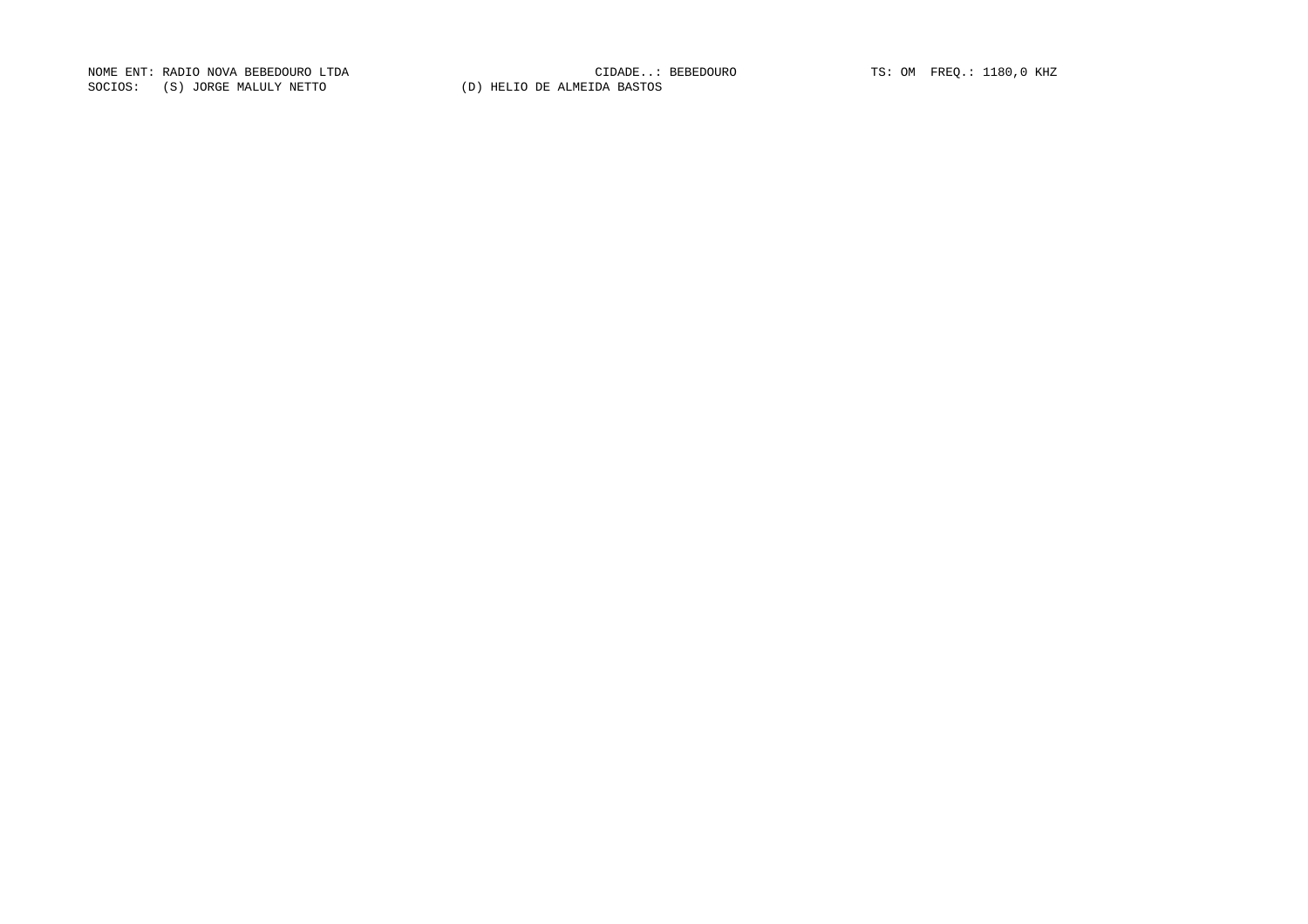NOME ENT: RADIO NOVA BEBEDOURO LTDA CIDADE..: BEBEDOURO TS: OM FREQ.: 1180,0 KHZ SOCIOS: (S) JORGE MALULY NETTO (D) HELIO DE ALMEIDA BASTOS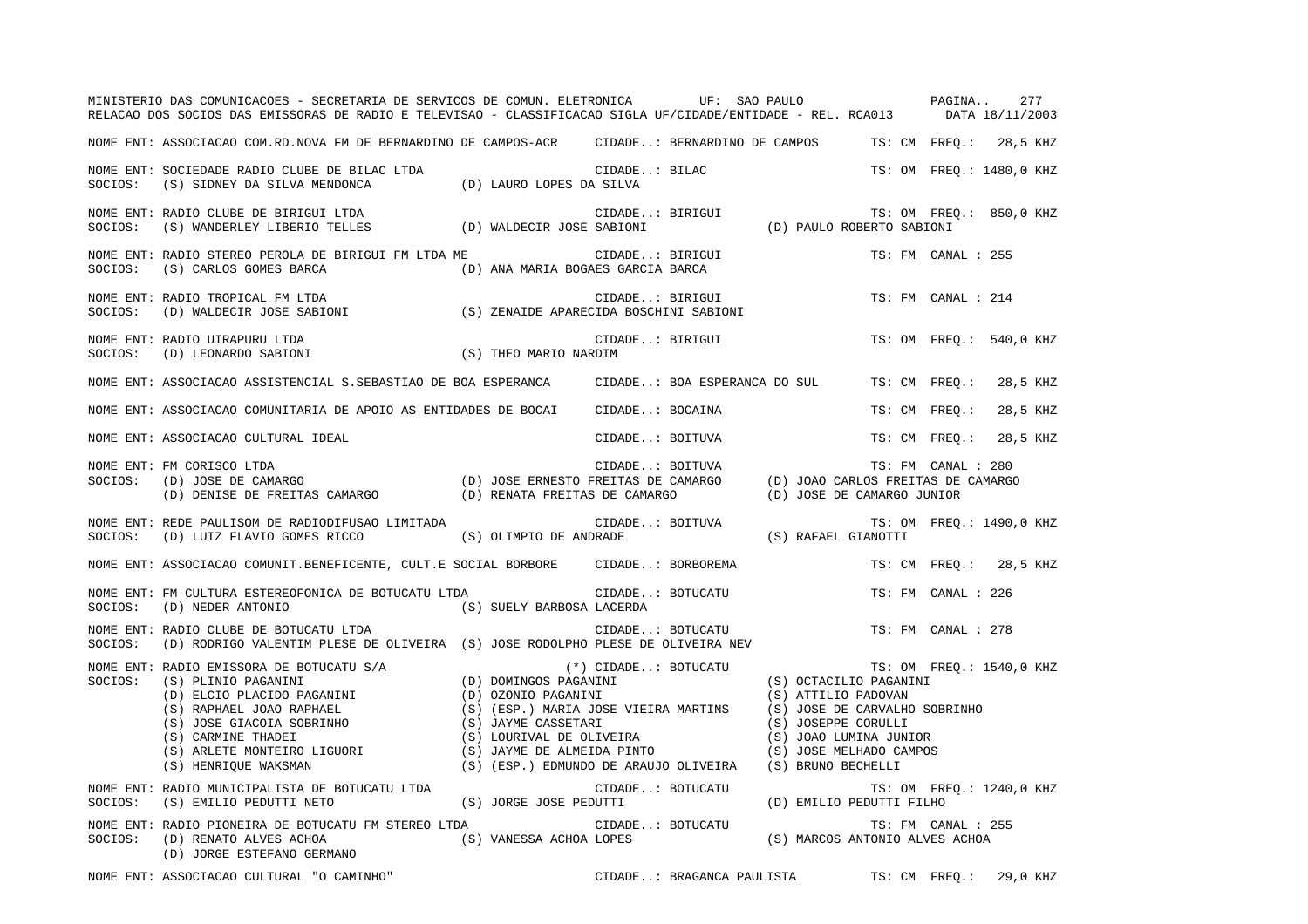|         | MINISTERIO DAS COMUNICACOES - SECRETARIA DE SERVICOS DE COMUN. ELETRONICA UF: SAO PAULO PAGINA<br>RELACAO DOS SOCIOS DAS EMISSORAS DE RADIO E TELEVISAO - CLASSIFICACAO SIGLA UF/CIDADE/ENTIDADE - REL. RCA013 DATA 18/11/2003                                                                                                                                                                                                                                          |                                   |                  |                                                  |                                                                                                                                                                                  |  |                    | 277                      |
|---------|-------------------------------------------------------------------------------------------------------------------------------------------------------------------------------------------------------------------------------------------------------------------------------------------------------------------------------------------------------------------------------------------------------------------------------------------------------------------------|-----------------------------------|------------------|--------------------------------------------------|----------------------------------------------------------------------------------------------------------------------------------------------------------------------------------|--|--------------------|--------------------------|
|         | NOME ENT: ASSOCIACAO COM.RD.NOVA FM DE BERNARDINO DE CAMPOS-ACR CIDADE: BERNARDINO DE CAMPOS                                                                                                                                                                                                                                                                                                                                                                            |                                   |                  |                                                  |                                                                                                                                                                                  |  | TS: CM FREO.:      | 28,5 KHZ                 |
| SOCIOS: | NOME ENT: SOCIEDADE RADIO CLUBE DE BILAC LTDA<br>(S) SIDNEY DA SILVA MENDONCA (D) LAURO LOPES DA SILVA                                                                                                                                                                                                                                                                                                                                                                  |                                   | CIDADE: BILAC    |                                                  |                                                                                                                                                                                  |  |                    | TS: OM FREO.: 1480,0 KHZ |
| SOCIOS: | NOME ENT: RADIO CLUBE DE BIRIGUI LTDA<br>(S) WANDERLEY LIBERIO TELLES (D) WALDECIR JOSE SABIONI                                                                                                                                                                                                                                                                                                                                                                         |                                   |                  | CIDADE: BIRIGUI<br>D) PAULO ROBERTO SABIONI      |                                                                                                                                                                                  |  |                    | TS: OM FREQ.: 850,0 KHZ  |
| SOCIOS: | NOME ENT: RADIO STEREO PEROLA DE BIRIGUI FM LTDA ME<br>(S) CARLOS GOMES BARCA                                                                                                                                                                                                                                                                                                                                                                                           | (D) ANA MARIA BOGAES GARCIA BARCA |                  | CIDADE: BIRIGUI                                  |                                                                                                                                                                                  |  | TS: FM CANAL : 255 |                          |
| SOCIOS: | NOME ENT: RADIO TROPICAL FM LTDA<br>(D) WALDECIR JOSE SABIONI (S) ZENAIDE APARECIDA BOSCHINI SABIONI                                                                                                                                                                                                                                                                                                                                                                    |                                   | CIDADE: BIRIGUI  |                                                  |                                                                                                                                                                                  |  | TS: FM CANAL : 214 |                          |
| SOCIOS: | NOME ENT: RADIO UIRAPURU LTDA<br>(D) LEONARDO SABIONI                                                                                                                                                                                                                                                                                                                                                                                                                   | (S) THEO MARIO NARDIM             | CIDADE: BIRIGUI  |                                                  |                                                                                                                                                                                  |  |                    | TS: OM FREO.: 540,0 KHZ  |
|         | NOME ENT: ASSOCIACAO ASSISTENCIAL S.SEBASTIAO DE BOA ESPERANCA                                                                                                                                                                                                                                                                                                                                                                                                          |                                   |                  | CIDADE: BOA ESPERANCA DO SUL                     |                                                                                                                                                                                  |  | TS: CM FREQ.:      | 28,5 KHZ                 |
|         | NOME ENT: ASSOCIACAO COMUNITARIA DE APOIO AS ENTIDADES DE BOCAI                                                                                                                                                                                                                                                                                                                                                                                                         |                                   | CIDADE: BOCAINA  |                                                  |                                                                                                                                                                                  |  | TS: CM FREO.:      | 28,5 KHZ                 |
|         | NOME ENT: ASSOCIACAO CULTURAL IDEAL                                                                                                                                                                                                                                                                                                                                                                                                                                     |                                   |                  | CIDADE: BOITUVA                                  |                                                                                                                                                                                  |  | TS: CM FREO.:      | 28,5 KHZ                 |
| SOCIOS: | NOME ENT: FM CORISCO LTDA<br>FM CORISCO LIDA (D) JOSE ERNESTO FREITAS DE CAMARGO (D) JOAO CARLOS FREITAS DE CAMARGO (D) JOSE DE CAMARGO (D)<br>(D) DENISE DE FREITAS CAMARGO (D) RENATA FREITAS DE CAMARGO (D) JOAO CARLOS FREITAS DE CAMARGO (D) DENISE DE FR                                                                                                                                                                                                          |                                   | CIDADE: BOITUVA  |                                                  |                                                                                                                                                                                  |  | TS: FM CANAL : 280 |                          |
|         | NOME ENT: REDE PAULISOM DE RADIODIFUSAO LIMITADA<br>SOCIOS: (D) LUIZ FLAVIO GOMES RICCO (S) OLIMPIO DE ANDRADE                                                                                                                                                                                                                                                                                                                                                          | CIDADE: BOITUVA                   |                  |                                                  | (S) RAFAEL GIANOTTI                                                                                                                                                              |  |                    | TS: OM FREQ.: 1490,0 KHZ |
|         | NOME ENT: ASSOCIACAO COMUNIT.BENEFICENTE, CULT.E SOCIAL BORBORE CIDADE: BORBOREMA                                                                                                                                                                                                                                                                                                                                                                                       |                                   |                  |                                                  |                                                                                                                                                                                  |  |                    | TS: CM FREO.: 28,5 KHZ   |
| SOCIOS: | NOME ENT: FM CULTURA ESTEREOFONICA DE BOTUCATU LTDA<br>(D) NEDER ANTONIO<br>(S) SUELY BARBOSA LACERDA                                                                                                                                                                                                                                                                                                                                                                   |                                   |                  | CIDADE: BOTUCATU                                 |                                                                                                                                                                                  |  | TS: FM CANAL : 226 |                          |
| SOCIOS: | NOME ENT: RADIO CLUBE DE BOTUCATU LTDA<br>(D) RODRIGO VALENTIM PLESE DE OLIVEIRA (S) JOSE RODOLPHO PLESE DE OLIVEIRA NEV                                                                                                                                                                                                                                                                                                                                                |                                   |                  | CIDADE: BOTUCATU                                 |                                                                                                                                                                                  |  | TS: FM CANAL : 278 |                          |
|         | $\begin{tabular}{lllllllllllllllllllll} & & & & & & & & & \\ \hline \text{SOCIOS}: & (S) PLINIO PAGANINI & & & & & (D) DOMINGOS PAGANINI \\ & (D) ELCO PLACIDO PAGANINI & & & & (D) COXOIO PAGANINI \\ & (S) RAPHAEL JOAO RAPHAEL & & & (S) (ESP.) MARIA JOSE VIEIRA MARTINS \\ & (S) JOSE GIACOIA SOBRINHO & & & (S) JAYME CASSETARI \\ & (S) CARMINE THADEI & & & (S) LOURIVAL DE OLIVEIRA PINTO \\ & & (S) ARLETE MONTEIRO LIGUORI & & & (S) JAYME DE ALMEIDA PINTO$ |                                   |                  |                                                  | (S) OCTACILIO PAGANINI<br>(S) ATTILIO PADOVAN<br>(S) JOSE DE CARVALHO SOBRINHO<br>(S) JOSEPPE CORULLI<br>(S) JOAO LUMINA JUNIOR<br>(S) JOSE MELHADO CAMPOS<br>(S) BRUNO BECHELLI |  |                    | TS: OM FREQ.: 1540,0 KHZ |
| SOCIOS: | NOME ENT: RADIO MUNICIPALISTA DE BOTUCATU LTDA<br>(S) EMILIO PEDUTTI NETO                                                                                                                                                                                                                                                                                                                                                                                               | (S) JORGE JOSE PEDUTTI            | CIDADE: BOTUCATU |                                                  | (D) EMILIO PEDUTTI FILHO                                                                                                                                                         |  |                    | TS: OM FREQ.: 1240,0 KHZ |
| SOCIOS: | NOME ENT: RADIO PIONEIRA DE BOTUCATU FM STEREO LTDA<br>(D) RENATO ALVES ACHOA<br>(D) JORGE ESTEFANO GERMANO                                                                                                                                                                                                                                                                                                                                                             | (S) VANESSA ACHOA LOPES           | CIDADE: BOTUCATU |                                                  | (S) MARCOS ANTONIO ALVES ACHOA                                                                                                                                                   |  | TS: FM CANAL : 255 |                          |
|         | NOME ENT: ASSOCIACAO CULTURAL "O CAMINHO"                                                                                                                                                                                                                                                                                                                                                                                                                               |                                   |                  | CIDADE: BRAGANCA PAULISTA TS: CM FREO.: 29,0 KHZ |                                                                                                                                                                                  |  |                    |                          |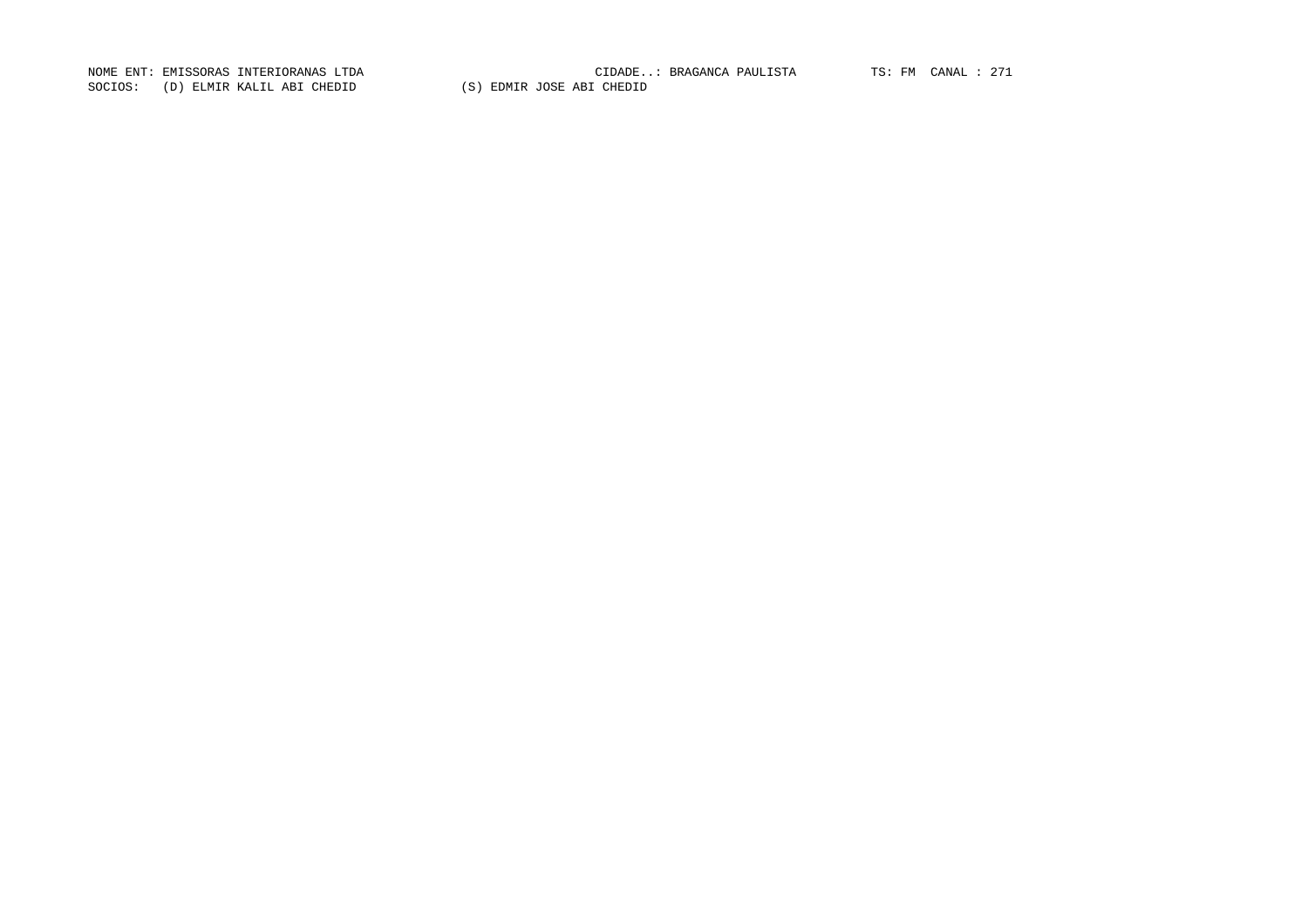SOCIOS: (D) ELMIR KALIL ABI CHEDID (S) EDMIR JOSE ABI CHEDID

NOME ENT: EMISSORAS INTERIORANAS LTDA CIDADE..: BRAGANCA PAULISTA TS: FM CANAL : 271CIDADE..: BRAGANCA PAULISTA TS: FM CANAL : 271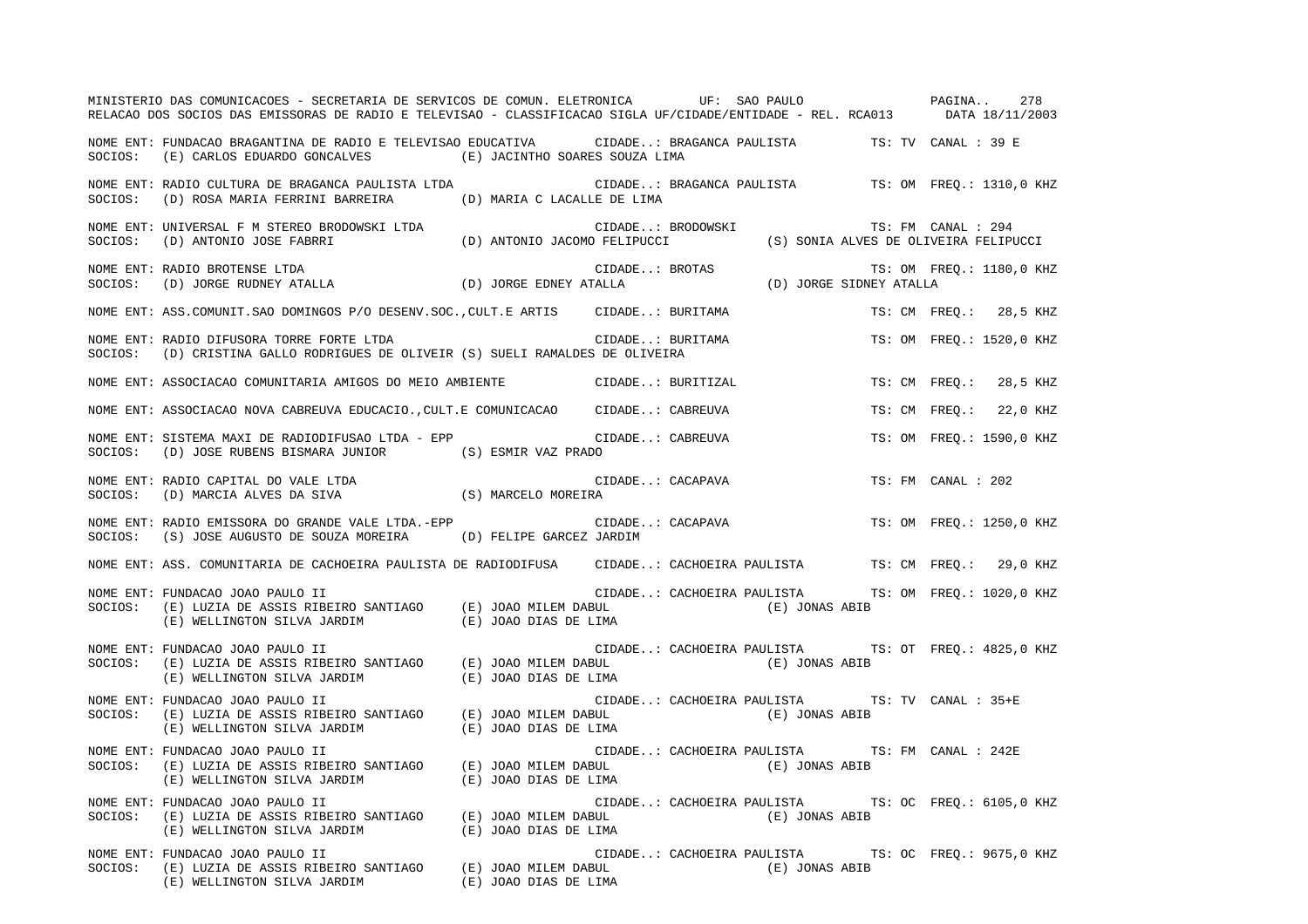|         | MINISTERIO DAS COMUNICACOES - SECRETARIA DE SERVICOS DE COMUN. ELETRONICA         UF: SAO PAULO         PAGINA<br>RELACAO DOS SOCIOS DAS EMISSORAS DE RADIO E TELEVISAO - CLASSIFICACAO SIGLA UF/CIDADE/ENTIDADE - REL. RCA013 DATA 18/11/2003                           |                  |  |                                                                       |                          |                    | 278                      |
|---------|--------------------------------------------------------------------------------------------------------------------------------------------------------------------------------------------------------------------------------------------------------------------------|------------------|--|-----------------------------------------------------------------------|--------------------------|--------------------|--------------------------|
|         | NOME ENT: FUNDACAO BRAGANTINA DE RADIO E TELEVISAO EDUCATIVA CIDADE: BRAGANCA PAULISTA TS: TV CANAL : 39 E<br>SOCIOS: (E) CARLOS EDUARDO GONCALVES (E) JACINTHO SOARES SOUZA LIMA                                                                                        |                  |  |                                                                       |                          |                    |                          |
|         | SOCIOS: (D) ROSA MARIA FERRINI BARREIRA (D) MARIA C LACALLE DE LIMA                                                                                                                                                                                                      |                  |  |                                                                       |                          |                    |                          |
|         |                                                                                                                                                                                                                                                                          |                  |  |                                                                       |                          |                    |                          |
|         |                                                                                                                                                                                                                                                                          |                  |  |                                                                       | TS: OM FREQ.: 1180,0 KHZ |                    |                          |
|         | NOME ENT: ASS.COMUNIT.SAO DOMINGOS P/O DESENV.SOC.,CULT.E ARTIS      CIDADE: BURITAMA                                                                                                                                                                                    |                  |  |                                                                       |                          |                    | TS: CM FREQ.: 28,5 KHZ   |
|         | NOME ENT: RADIO DIFUSORA TORRE FORTE LTDA<br>SOCIOS: (D) CRISTINA GALLO RODRIGUES DE OLIVEIR (S) SUELI RAMALDES DE OLIVEIRA                                                                                                                                              | CIDADE: BURITAMA |  |                                                                       |                          |                    | TS: OM FREQ.: 1520,0 KHZ |
|         | NOME ENT: ASSOCIACAO COMUNITARIA AMIGOS DO MEIO AMBIENTE CIDADE: BURITIZAL                                                                                                                                                                                               |                  |  |                                                                       |                          |                    | TS: CM FREO.: 28,5 KHZ   |
|         | NOME ENT: ASSOCIACAO NOVA CABREUVA EDUCACIO., CULT.E COMUNICACAO CIDADE: CABREUVA                                                                                                                                                                                        |                  |  |                                                                       |                          |                    | TS: CM FREO.: 22,0 KHZ   |
|         | SOCIOS: (D) JOSE RUBENS BISMARA JUNIOR (S) ESMIR VAZ PRADO                                                                                                                                                                                                               |                  |  |                                                                       |                          |                    | TS: OM FREO.: 1590,0 KHZ |
|         | NOME ENT: RADIO CAPITAL DO VALE LTDA (S) MARCELO MOREIRA<br>SOCIOS: (D) MARCIA ALVES DA SIVA (S) MARCELO MOREIRA                                                                                                                                                         |                  |  | CIDADE: CACAPAVA                                                      |                          | TS: FM CANAL : 202 |                          |
|         | NOME ENT: RADIO EMISSORA DO GRANDE VALE LTDA.-EPP <b>1996 CIDADE</b> CACAPAVA 1997 TS: OM FREQ.: 1250,0 KHZ<br>SOCIOS: (S) JOSE AUGUSTO DE SOUZA MOREIRA (D) FELIPE GARCEZ JARDIM                                                                                        |                  |  |                                                                       |                          |                    |                          |
|         | NOME ENT: ASS. COMUNITARIA DE CACHOEIRA PAULISTA DE RADIODIFUSA (CIDADE: CACHOEIRA PAULISTA TS: CM FREQ.: 29,0 KHZ                                                                                                                                                       |                  |  |                                                                       |                          |                    |                          |
| SOCIOS: | NOME ENT: FUNDACAO JOAO PAULO II<br>(E) LUZIA DE ASSIS RIBEIRO SANTIAGO (E) JOAO MILEM DABUL (E) JONAS ABIB<br>(E) WELLINGTON SILVA JARDIM (E) JOAO DIAS DE LIMA (E) JONAS ABIB                                                                                          |                  |  | CIDADE: CACHOEIRA PAULISTA TS: OM FREQ.: 1020,0 KHZ                   |                          |                    |                          |
| SOCIOS: | FUNDACAO JOAO PAULO II (E) JOAO MILEM DABUL (E) CACHOEIRA PAULISTA T<br>(E) LUZIA DE ASSIS RIBEIRO SANTIAGO (E) JOAO MILEM DABUL (E) (E) JONAS ABIB<br>(E) WELLINGTON SILVA JARDIM (E) JOAO DIAS DE LIMA<br>FUNDACAO JOAO PAULO II (<br>NOME ENT: FUNDACAO JOAO PAULO II |                  |  | CIDADE: CACHOEIRA PAULISTA TS: OT FREQ.: 4825,0 KHZ                   |                          |                    |                          |
| SOCIOS: | NOME ENT: FUNDACAO JOAO PAULO II<br>E) LUZIA DE ASSIS RIBEIRO SANTIAGO (E) JOAO MILEM DABUL (E) OCONOLINA PAULISIA (E) JONAS ABIB<br>(E) WELLINGTON SILVA JARDIM (E) JOAO DIAS DE LIMA                                                                                   |                  |  | CIDADE: CACHOEIRA PAULISTA TS: TV CANAL : 35+E                        |                          |                    |                          |
| SOCIOS: | NOME ENT: FUNDACAO JOAO PAULO II<br>(E) LUZIA DE ASSIS RIBEIRO SANTIAGO (E) JOAO MILEM DABUL (E) JONAS ABIB<br>(E) WELLINGTON SILVA JARDIM (E) JOAO DIAS DE LIMA (E) JONAS ABIB                                                                                          |                  |  | CIDADE: CACHOEIRA PAULISTA TS: FM CANAL : 242E                        |                          |                    |                          |
| SOCIOS: | NOME ENT: FUNDACAO JOAO PAULO II<br>(E) LUZIA DE ASSIS RIBEIRO SANTIAGO (E) JOAO MILEM DABUL (E) JOAO (E) JOAO (E)<br>$(\mathbb{E})$ WELLINGTON SILVA JARDIM $(\mathbb{E})$ JOAO DIAS DE LIMA                                                                            |                  |  | CIDADE: CACHOEIRA PAULISTA TS: OC FREQ.: 6105,0 KHZ                   |                          |                    |                          |
|         | NOME ENT: FUNDACAO JOAO PAULO II<br>SOCIOS: (E) LUZIA DE ASSIS RIBEIRO SANTIAGO (E) JOAO MILEM DABUL<br>(E) WELLINGTON SILVA JARDIM (E) JOAO DIAS DE LIMA                                                                                                                |                  |  | CIDADE: CACHOEIRA PAULISTA TS: OC FREQ.: 9675,0 KHZ<br>(E) JONAS ABIB |                          |                    |                          |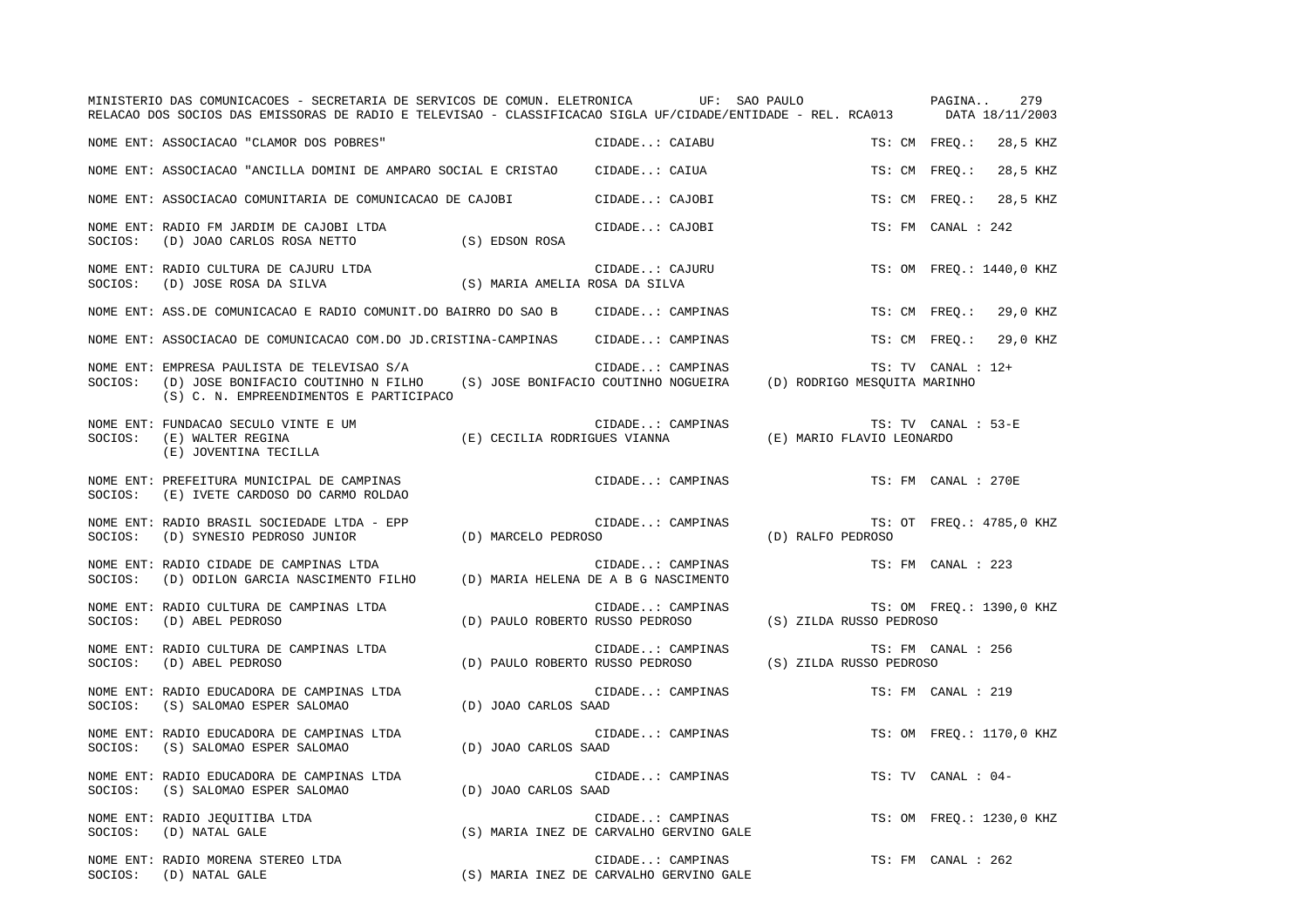|         | MINISTERIO DAS COMUNICACOES - SECRETARIA DE SERVICOS DE COMUN. ELETRONICA UF: SAO PAULO<br>RELACAO DOS SOCIOS DAS EMISSORAS DE RADIO E TELEVISAO - CLASSIFICACAO SIGLA UF/CIDADE/ENTIDADE - REL. RCA013 |                                         |                  |                           | PAGINA              | 279<br>DATA 18/11/2003   |
|---------|---------------------------------------------------------------------------------------------------------------------------------------------------------------------------------------------------------|-----------------------------------------|------------------|---------------------------|---------------------|--------------------------|
|         | NOME ENT: ASSOCIACAO "CLAMOR DOS POBRES"                                                                                                                                                                |                                         | CIDADE: CAIABU   |                           | TS: CM FREO.:       | 28,5 KHZ                 |
|         | NOME ENT: ASSOCIACAO "ANCILLA DOMINI DE AMPARO SOCIAL E CRISTAO      CIDADE: CAIUA                                                                                                                      |                                         |                  |                           | TS: CM FREO.:       | 28,5 KHZ                 |
|         | NOME ENT: ASSOCIACAO COMUNITARIA DE COMUNICACAO DE CAJOBI                                                                                                                                               |                                         | CIDADE: CAJOBI   |                           | TS: CM FREO.:       | 28,5 KHZ                 |
| SOCIOS: | NOME ENT: RADIO FM JARDIM DE CAJOBI LTDA<br>(D) JOAO CARLOS ROSA NETTO                                                                                                                                  | (S) EDSON ROSA                          | CIDADE: CAJOBI   |                           | TS: FM CANAL : 242  |                          |
| SOCIOS: | NOME ENT: RADIO CULTURA DE CAJURU LTDA<br>(D) JOSE ROSA DA SILVA                                                                                                                                        | (S) MARIA AMELIA ROSA DA SILVA          | CIDADE: CAJURU   |                           |                     | TS: OM FREQ.: 1440,0 KHZ |
|         | NOME ENT: ASS.DE COMUNICACAO E RADIO COMUNIT.DO BAIRRO DO SAO B                                                                                                                                         |                                         | CIDADE: CAMPINAS |                           |                     | TS: CM FREQ.: 29,0 KHZ   |
|         | NOME ENT: ASSOCIACAO DE COMUNICACAO COM.DO JD.CRISTINA-CAMPINAS CIDADE: CAMPINAS                                                                                                                        |                                         |                  |                           | TS: CM FREO.:       | 29,0 KHZ                 |
| SOCIOS: | NOME ENT: EMPRESA PAULISTA DE TELEVISAO S/A<br>(D) JOSE BONIFACIO COUTINHO N FILHO (S) JOSE BONIFACIO COUTINHO NOGUEIRA (D) RODRIGO MESQUITA MARINHO<br>(S) C. N. EMPREENDIMENTOS E PARTICIPACO         |                                         | CIDADE: CAMPINAS |                           | TS: TV CANAL : 12+  |                          |
| SOCIOS: | NOME ENT: FUNDACAO SECULO VINTE E UM<br>(E) WALTER REGINA<br>(E) JOVENTINA TECILLA                                                                                                                      | (E) CECILIA RODRIGUES VIANNA            | CIDADE: CAMPINAS | (E) MARIO FLAVIO LEONARDO | TS: TV CANAL : 53-E |                          |
| SOCIOS: | NOME ENT: PREFEITURA MUNICIPAL DE CAMPINAS<br>(E) IVETE CARDOSO DO CARMO ROLDAO                                                                                                                         |                                         | CIDADE: CAMPINAS |                           | TS: FM CANAL : 270E |                          |
| SOCIOS: | NOME ENT: RADIO BRASIL SOCIEDADE LTDA - EPP<br>(D) SYNESIO PEDROSO JUNIOR                                                                                                                               | (D) MARCELO PEDROSO                     | CIDADE: CAMPINAS | (D) RALFO PEDROSO         |                     | TS: OT FREO.: 4785,0 KHZ |
| SOCIOS: | NOME ENT: RADIO CIDADE DE CAMPINAS LTDA<br>(D) ODILON GARCIA NASCIMENTO FILHO                                                                                                                           | (D) MARIA HELENA DE A B G NASCIMENTO    | CIDADE: CAMPINAS |                           | TS: FM CANAL : 223  |                          |
| SOCIOS: | NOME ENT: RADIO CULTURA DE CAMPINAS LTDA<br>(D) ABEL PEDROSO                                                                                                                                            | (D) PAULO ROBERTO RUSSO PEDROSO         | CIDADE: CAMPINAS | (S) ZILDA RUSSO PEDROSO   |                     | TS: OM FREO.: 1390,0 KHZ |
| SOCIOS: | NOME ENT: RADIO CULTURA DE CAMPINAS LTDA<br>(D) ABEL PEDROSO                                                                                                                                            | (D) PAULO ROBERTO RUSSO PEDROSO         | CIDADE: CAMPINAS | (S) ZILDA RUSSO PEDROSO   | TS: FM CANAL : 256  |                          |
| SOCIOS: | NOME ENT: RADIO EDUCADORA DE CAMPINAS LTDA<br>(S) SALOMAO ESPER SALOMAO                                                                                                                                 | (D) JOAO CARLOS SAAD                    | CIDADE: CAMPINAS |                           | TS: FM CANAL : 219  |                          |
| SOCIOS: | NOME ENT: RADIO EDUCADORA DE CAMPINAS LTDA<br>(S) SALOMAO ESPER SALOMAO                                                                                                                                 | (D) JOAO CARLOS SAAD                    | CIDADE: CAMPINAS |                           |                     | TS: OM FREO.: 1170,0 KHZ |
| SOCIOS: | NOME ENT: RADIO EDUCADORA DE CAMPINAS LTDA<br>(S) SALOMAO ESPER SALOMAO                                                                                                                                 | (D) JOAO CARLOS SAAD                    | CIDADE: CAMPINAS |                           | TS: TV CANAL : 04-  |                          |
| SOCIOS: | NOME ENT: RADIO JEQUITIBA LTDA<br>(D) NATAL GALE                                                                                                                                                        | (S) MARIA INEZ DE CARVALHO GERVINO GALE | CIDADE: CAMPINAS |                           |                     | TS: OM FREO.: 1230,0 KHZ |
| SOCIOS: | NOME ENT: RADIO MORENA STEREO LTDA<br>(D) NATAL GALE                                                                                                                                                    | (S) MARIA INEZ DE CARVALHO GERVINO GALE | CIDADE: CAMPINAS |                           | TS: FM CANAL : 262  |                          |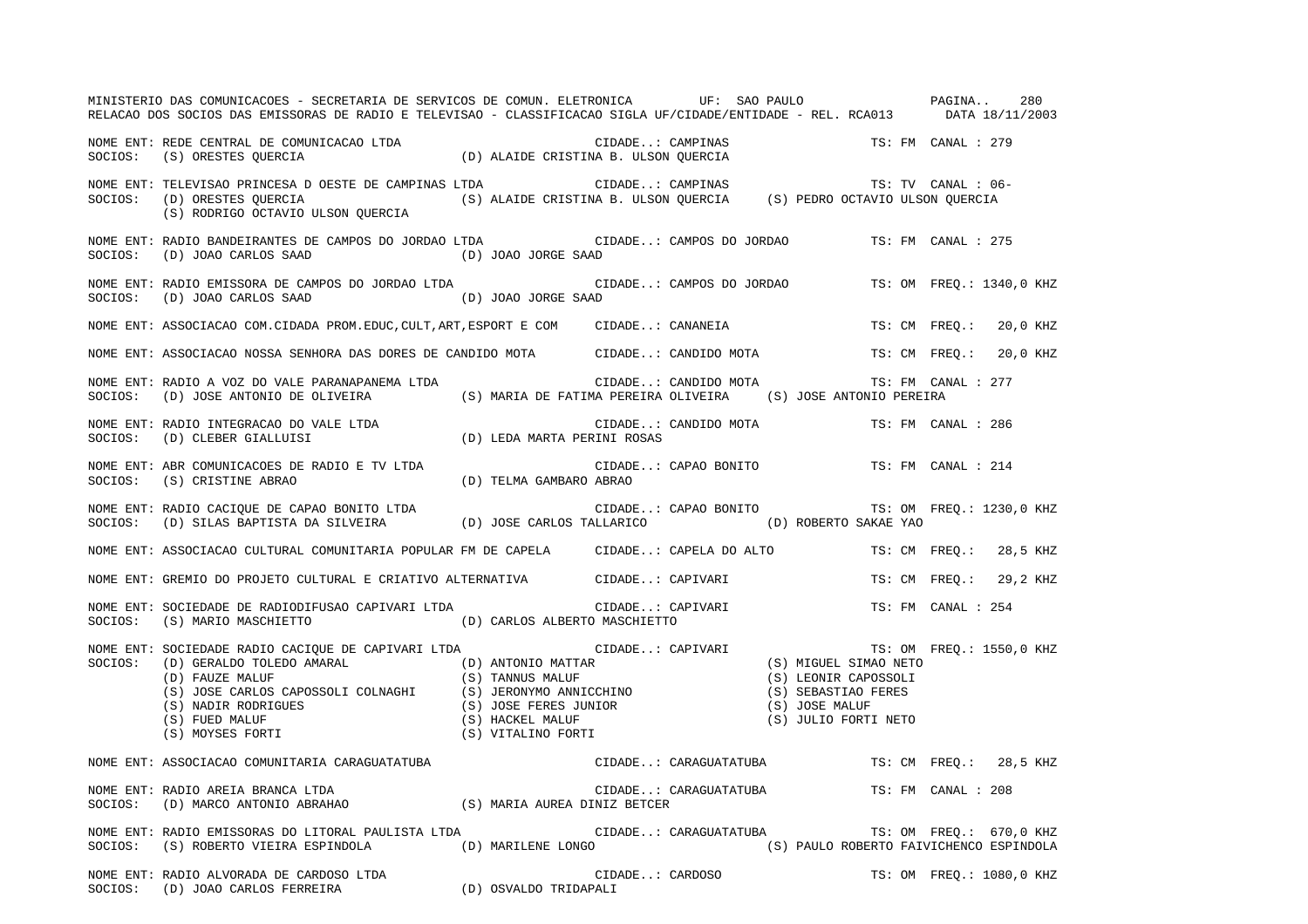|         | MINISTERIO DAS COMUNICACOES - SECRETARIA DE SERVICOS DE COMUN. ELETRONICA UF: SAO PAULO PAGINA<br>RELACAO DOS SOCIOS DAS EMISSORAS DE RADIO E TELEVISAO - CLASSIFICACAO SIGLA UF/CIDADE/ENTIDADE - REL. RCA013 DATA 18/11/2003 |                       |                          |                                          |                    | 280                      |
|---------|--------------------------------------------------------------------------------------------------------------------------------------------------------------------------------------------------------------------------------|-----------------------|--------------------------|------------------------------------------|--------------------|--------------------------|
|         | NOME ENT: REDE CENTRAL DE COMUNICACAO LTDA (D) ALAIDE CRISTINA B. ULSON QUERCIA (S) ORESTES QUERCIA<br>SOCIOS: (S) ORESTES QUERCIA (D) ALAIDE CRISTINA B. ULSON QUERCIA                                                        |                       |                          |                                          |                    |                          |
|         | (S) RODRIGO OCTAVIO ULSON QUERCIA                                                                                                                                                                                              |                       |                          |                                          |                    |                          |
| SOCIOS: | NOME ENT: RADIO BANDEIRANTES DE CAMPOS DO JORDAO LTDA CIDADE: CAMPOS DO JORDAO TS: FM CANAL : 275<br>(D) JOAO CARLOS SAAD (D) JOAO JORGE SAAD                                                                                  |                       |                          |                                          |                    |                          |
| SOCIOS: | NOME ENT: RADIO EMISSORA DE CAMPOS DO JORDAO LTDA<br>(D) JOAO CARLOS SAAD (D) JOAO JORGE SAAD                                                                                                                                  |                       | CIDADE: CAMPOS DO JORDAO |                                          |                    | TS: OM FREO.: 1340,0 KHZ |
|         | NOME ENT: ASSOCIACAO COM.CIDADA PROM.EDUC, CULT, ART, ESPORT E COM CIDADE: CANANEIA                                                                                                                                            |                       |                          |                                          |                    | TS: CM FREQ.: 20,0 KHZ   |
|         | NOME ENT: ASSOCIACAO NOSSA SENHORA DAS DORES DE CANDIDO MOTA CIDADE: CANDIDO MOTA TS: CM FREQ.: 20,0 KHZ                                                                                                                       |                       |                          |                                          |                    |                          |
|         | NOME ENT: RADIO A VOZ DO VALE PARANAPANEMA LTDA<br>SOCIOS: (D) JOSE ANTONIO DE OLIVEIRA (S) MARIA DE FATIMA PEREIRA OLIVEIRA (S) JOSE ANTONIO PEREIRA                                                                          |                       | CIDADE: CANDIDO MOTA     |                                          | TS: FM CANAL : 277 |                          |
|         | $\begin{minipage}{.3\linewidth} \texttt{NOWLEDA} & \texttt{NDAD} & \texttt{CIDADE} \\ \texttt{SOCIOS:} & \texttt{(D)} \texttt{CLEBER GIALUUSI} & \texttt{(D)} \texttt{LEDA MARTA PERINI ROSAS} \end{minipage}$                 |                       | CIDADE: CANDIDO MOTA     |                                          | TS: FM CANAL : 286 |                          |
|         | $\begin{tabular}{lllllllll} \hline \texttt{NOME ENT: ABR COMUNICACOES DE RADIO E TV LTDA} & & & & & & & & \\ \hline \texttt{SOCIOS:} & (S) CRISTINE ABRAO & & & & & & \\ \hline \end{tabular}$                                 |                       |                          | CIDADE: CAPAO BONITO TS: FM CANAL : 214  |                    |                          |
|         | NOME ENT: RADIO CACIQUE DE CAPAO BONITO LTDA<br>SOCIOS: (D) SILAS BAPTISTA DA SILVEIRA (D) JOSE CARLOS TALLARICO (D) ROBERTO SAKAE YAO                                                                                         |                       |                          |                                          |                    |                          |
|         | NOME ENT: ASSOCIACAO CULTURAL COMUNITARIA POPULAR FM DE CAPELA CIDADE: CAPELA DO ALTO                                                                                                                                          |                       |                          |                                          |                    | TS: CM FREO.: 28,5 KHZ   |
|         | NOME ENT: GREMIO DO PROJETO CULTURAL E CRIATIVO ALTERNATIVA CIDADE: CAPIVARI                                                                                                                                                   |                       |                          |                                          |                    | TS: CM FREQ.: 29,2 KHZ   |
|         | NOME ENT: SOCIEDADE DE RADIODIFUSAO CAPIVARI LTDA (CIDADE: CAPIVARI CONTOCI<br>SOCIOS: (S) MARIO MASCHIETTO (D) CARLOS ALBERTO MASCHIETTO                                                                                      |                       |                          |                                          | TS: FM CANAL : 254 |                          |
|         |                                                                                                                                                                                                                                |                       |                          |                                          |                    | TS: OM FREO.: 1550,0 KHZ |
|         | NOME ENT: ASSOCIACAO COMUNITARIA CARAGUATATUBA<br>NOME ENT: RADIO AREIA BRANCA LTDA                                                                                                                                            |                       |                          |                                          |                    |                          |
|         | NOME ENT: RADIO AREIA BRANCA LTDA<br>NOME ENT: RADIO AREIA BRANCA LTDA<br>SOCIOS: (D) MARCO ANTONIO ABRAHAO (S) MARIA AUREA DINIZ BETCER                                                                                       |                       |                          | CIDADE: CARAGUATATUBA TS: FM CANAL : 208 |                    |                          |
|         | NOME ENT: RADIO EMISSORAS DO LITORAL PAULISTA LTDA<br>SOCIOS: (S) ROBERTO VIEIRA ESPINDOLA (D) MARILENE LONGO (S) PAULO ROBERTO FAIVICHENCO ESPINDOLA                                                                          | CIDADE: CARAGUATATUBA |                          |                                          |                    | TS: OM FREQ.: 670,0 KHZ  |
|         | NOME ENT: RADIO ALVORADA DE CARDOSO LTDA (D) OSVALDO TRIDAPALI SOCIOS: (D) JOAO CARLOS FERREIRA (D) OSVALDO TRIDAPALI                                                                                                          |                       | CIDADE: CARDOSO<br>PALI  |                                          |                    | TS: OM FREO.: 1080,0 KHZ |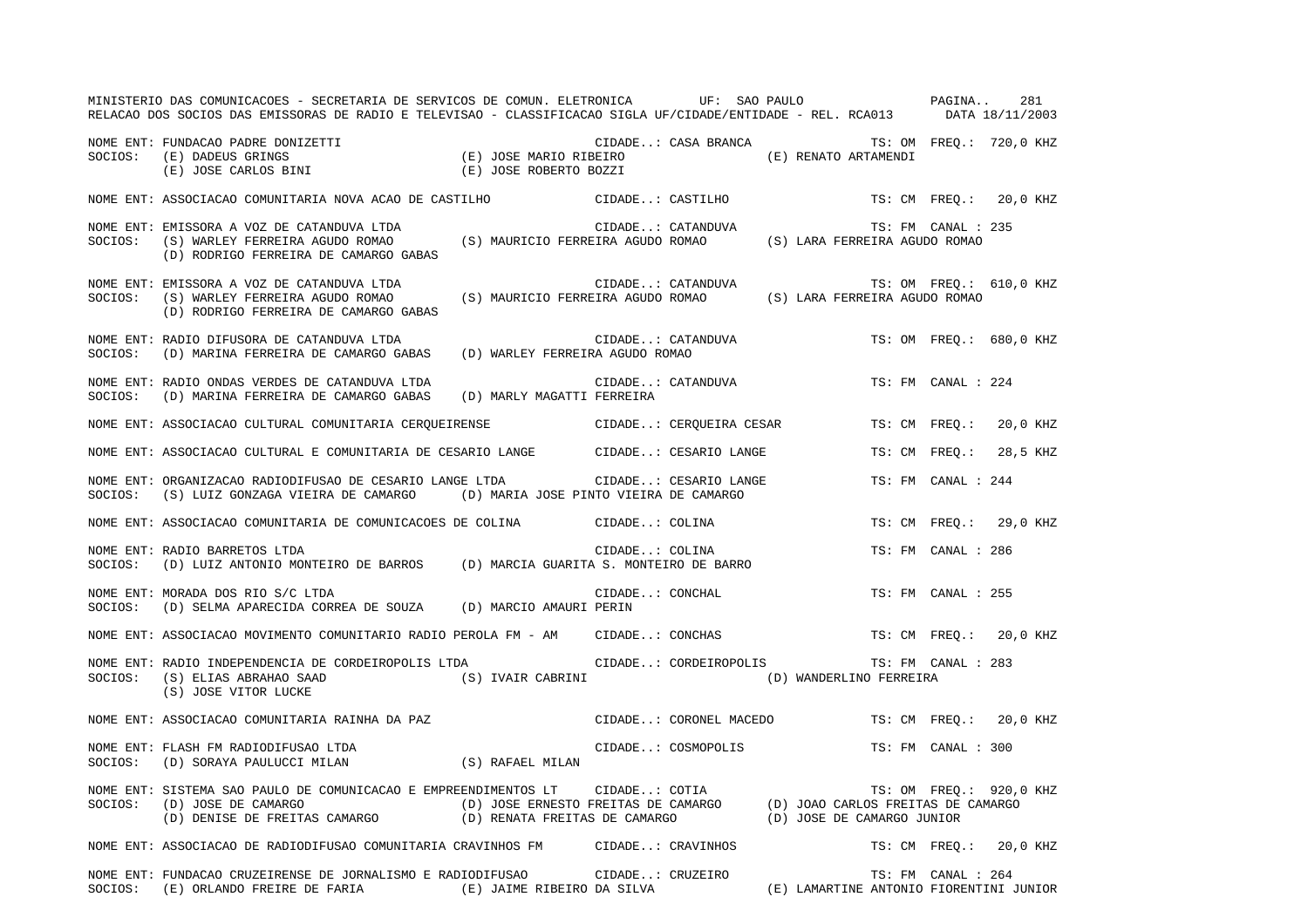|         | MINISTERIO DAS COMUNICACOES - SECRETARIA DE SERVICOS DE COMUN. ELETRONICA UF: SAO PAULO PAGINA<br>RELACAO DOS SOCIOS DAS EMISSORAS DE RADIO E TELEVISAO - CLASSIFICACAO SIGLA UF/CIDADE/ENTIDADE - REL. RCA013 DATA 18/11/2003                                                                                   |                                 |                                               |  |                    | 281                     |
|---------|------------------------------------------------------------------------------------------------------------------------------------------------------------------------------------------------------------------------------------------------------------------------------------------------------------------|---------------------------------|-----------------------------------------------|--|--------------------|-------------------------|
|         | NOME ENT: FUNDACAO PADRE DONIZETTI (E) ON CIDADE: CASA BRANCA (E) RENATO ARTAMENDI<br>SOCIOS: (E) DADEUS GRINGS (E) JOSE (E) JOSE MARIO RIBEIRO (E) CASA BRANCA (E) RENATO ARTAMENDI<br>(E) JOSE CARLOS BINI (E) JOSE ROBERTO BOZZ                                                                               |                                 | CIDADE: CASA BRANCA TS: OM FREQ.: 720,0 KHZ   |  |                    |                         |
|         | NOME ENT: ASSOCIACAO COMUNITARIA NOVA ACAO DE CASTILHO                                                                                                                                                                                                                                                           |                                 | CIDADE: CASTILHO                              |  |                    | TS: CM FREO.: 20,0 KHZ  |
| SOCIOS: | NOME ENT: EMISSORA A VOZ DE CATANDUVA LTDA<br>(D) RODRIGO FERREIRA DE CAMARGO GABAS                                                                                                                                                                                                                              |                                 |                                               |  | TS: FM CANAL : 235 |                         |
| SOCIOS: | NOME ENT: EMISSORA A VOZ DE CATANDUVA LTDA<br>(S) WARLEY FERREIRA AGUDO ROMAO (S) MAURICIO FERREIRA AGUDO ROMAO (S) LARA FERREIRA AGUDO ROMAO<br>(D) RODRIGO FERREIRA DE CAMARGO GABAS                                                                                                                           |                                 | CIDADE: CATANDUVA                             |  |                    | TS: OM FREQ.: 610,0 KHZ |
| SOCIOS: | NOME ENT: RADIO DIFUSORA DE CATANDUVA LTDA<br>(D) MARINA FERREIRA DE CAMARGO GABAS                                                                                                                                                                                                                               | (D) WARLEY FERREIRA AGUDO ROMAO | $\texttt{CIDADE}$ . : $\texttt{CATANDUVA}$    |  |                    | TS: OM FREO.: 680,0 KHZ |
|         | NOME ENT: RADIO ONDAS VERDES DE CATANDUVA LTDA<br>SOCIOS: (D) MARINA FERREIRA DE CAMARGO GABAS (D) MARLY MAGATTI FERREIRA                                                                                                                                                                                        |                                 | CIDADE: CATANDUVA                             |  | TS: FM CANAL : 224 |                         |
|         | NOME ENT: ASSOCIACAO CULTURAL COMUNITARIA CERQUEIRENSE CIDADE: CERQUEIRA CESAR                                                                                                                                                                                                                                   |                                 |                                               |  | TS: CM FREQ.:      | 20,0 KHZ                |
|         | NOME ENT: ASSOCIACAO CULTURAL E COMUNITARIA DE CESARIO LANGE (CIDADE: CESARIO LANGE                                                                                                                                                                                                                              |                                 |                                               |  | TS: CM FREQ.:      | 28,5 KHZ                |
| SOCIOS: | NOME ENT: ORGANIZACAO RADIODIFUSAO DE CESARIO LANGE LTDA<br>(S) LUIZ GONZAGA VIEIRA DE CAMARGO (D) MARIA JOSE PINTO VIEIRA DE CAMARGO                                                                                                                                                                            |                                 | CIDADE: CESARIO LANGE                         |  | TS: FM CANAL : 244 |                         |
|         | NOME ENT: ASSOCIACAO COMUNITARIA DE COMUNICACOES DE COLINA                                                                                                                                                                                                                                                       |                                 | CIDADE: COLINA                                |  |                    | TS: CM FREO.: 29,0 KHZ  |
|         | NUME ENT: RADIO BARRETOS LTDA<br>SOCIOS: (D) LUIZ ANTONIO MONTEIRO DE BARROS (D) MARCIA GUARITA S. MONTEIRO DE BARRO                                                                                                                                                                                             |                                 |                                               |  | TS: FM CANAL : 286 |                         |
|         | NOME ENT: MORADA DOS RIO S/C LTDA<br>SOCIOS: (D) SELMA APARECIDA CORREA DE SOUZA (D) MARCIO AMAURI PERIN                                                                                                                                                                                                         |                                 | CIDADE: CONCHAL                               |  | TS: FM CANAL : 255 |                         |
|         | NOME ENT: ASSOCIACAO MOVIMENTO COMUNITARIO RADIO PEROLA FM - AM CIDADE: CONCHAS                                                                                                                                                                                                                                  |                                 |                                               |  |                    | TS: CM FREO.: 20,0 KHZ  |
| SOCIOS: | NOME ENT: RADIO INDEPENDENCIA DE CORDEIROPOLIS LTDA<br>(S) ELIAS ABRAHAO SAAD (S) IVAIR CABRINI (D) WANDERLINO FERREIRA<br>(S) JOSE VITOR LUCKE                                                                                                                                                                  |                                 | CIDADE: CORDEIROPOLIS TS: FM CANAL : 283      |  |                    |                         |
|         | NOME ENT: ASSOCIACAO COMUNITARIA RAINHA DA PAZ<br>NOME ENT: FLASH FM RADIODIFUSAO LTDA                                                                                                                                                                                                                           |                                 | CIDADE: CORONEL MACEDO TS: CM FREQ.: 20,0 KHZ |  |                    |                         |
|         | NOME ENT: FLASH FM RADIODIFUSAO LTDA<br>$\texttt{SOCIOS:} \hspace{0.5cm} \texttt{(D)} \hspace{0.1cm} \texttt{SORAYA PAULUCCI} \hspace{0.1cm} \texttt{MILAN} \hspace{1.5cm} \texttt{(S)} \hspace{0.1cm} \texttt{RAFAEL} \hspace{0.1cm} \texttt{MILAN}$                                                            |                                 | CIDADE: COSMOPOLIS                            |  | TS: FM CANAL : 300 |                         |
|         | NOME ENT: SISTEMA SAO PAULO DE COMUNICACAO E EMPREENDIMENTOS LT CIDADE: COTIA (D) JOAO CARLOS FREITAS DE CAMARGO<br>SOCIOS: (D) JOSE DE CAMARGO (D) JOSE ERNESTO FREITAS DE CAMARGO (D) JOAO CARLOS FREITAS DE CAMARGO<br>(D) DENISE DE FREITAS CAMARGO (D) RENATA FREITAS DE CAMARGO (D) JOSE DE CAMARGO JUNIOR |                                 |                                               |  |                    | TS: OM FREQ.: 920,0 KHZ |
|         | NOME ENT: ASSOCIACAO DE RADIODIFUSAO COMUNITARIA CRAVINHOS FM CIDADE: CRAVINHOS                                                                                                                                                                                                                                  |                                 |                                               |  |                    | TS: CM FREQ.: 20,0 KHZ  |
|         |                                                                                                                                                                                                                                                                                                                  |                                 |                                               |  |                    |                         |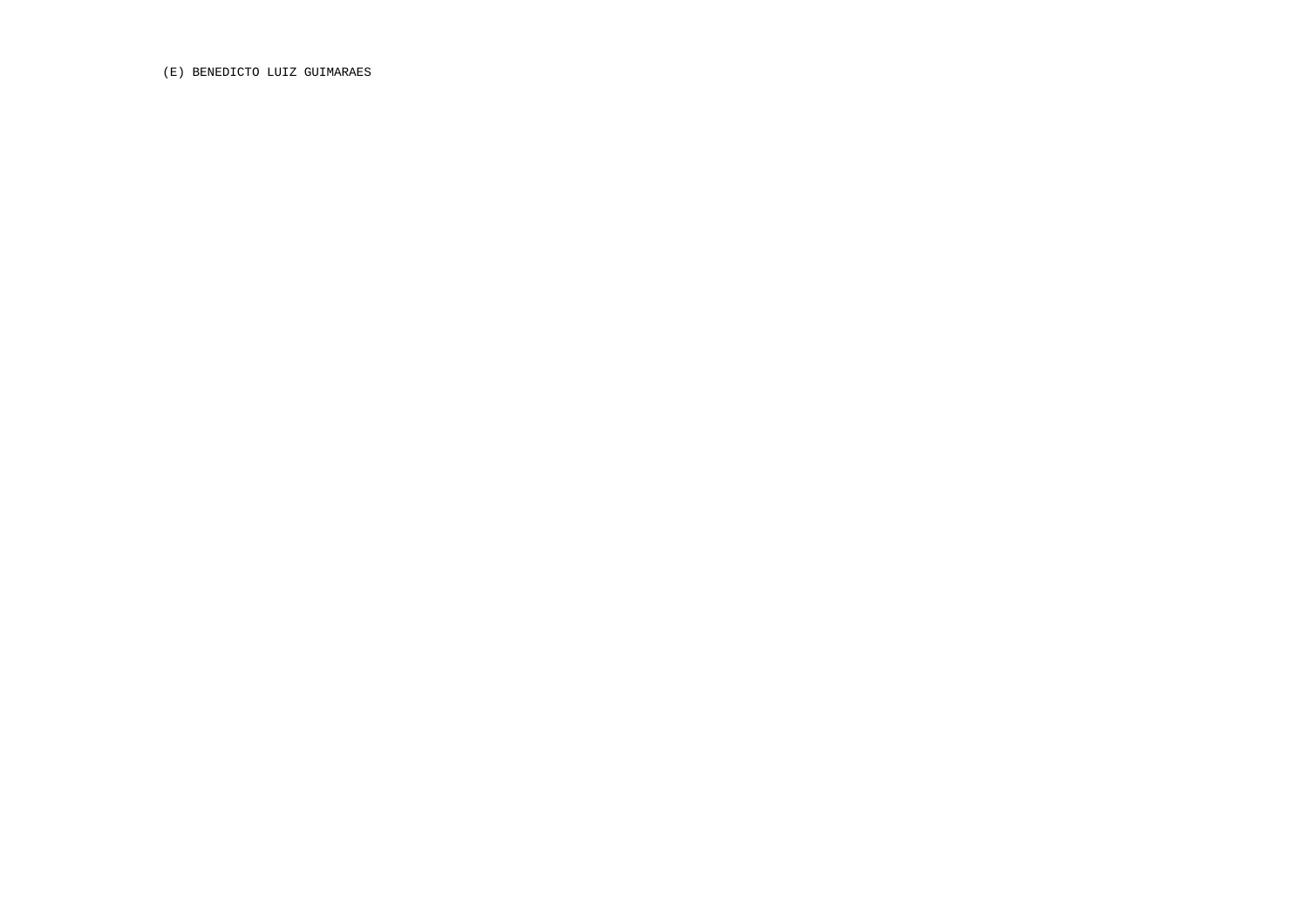(E) BENEDICTO LUIZ GUIMARAES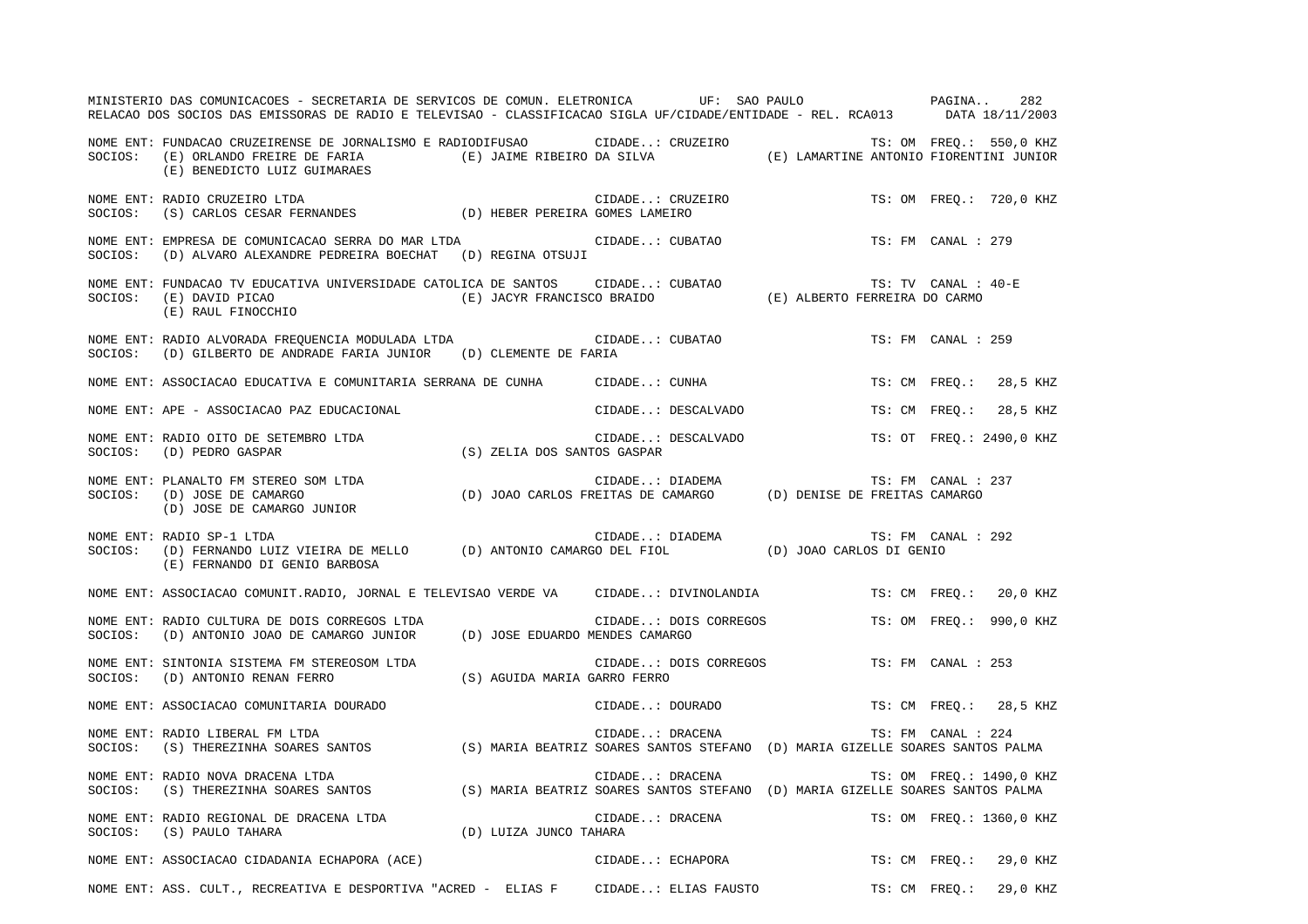| MINISTERIO DAS COMUNICACOES - SECRETARIA DE SERVICOS DE COMUN. ELETRONICA UF: SAO PAULO PAGINA<br>RELACAO DOS SOCIOS DAS EMISSORAS DE RADIO E TELEVISAO - CLASSIFICACAO SIGLA UF/CIDADE/ENTIDADE - REL. RCA013 DATA 18/11/2003                 |                        |                                             |  |                     | 282                      |  |
|------------------------------------------------------------------------------------------------------------------------------------------------------------------------------------------------------------------------------------------------|------------------------|---------------------------------------------|--|---------------------|--------------------------|--|
| NOME ENT: FUNDACAO CRUZEIRENSE DE JORNALISMO E RADIODIFUSAO CIDADE: CRUZEIRO TS: OM FREQ.: 550,0 KHZ<br>SOCIOS: (E) ORLANDO FREIRE DE FARIA (E) JAIME RIBEIRO DA SILVA (E) LAMARTINE ANTONIO FIORENTINI JUNIOR<br>(E) BENEDICTO LUIZ GUIMARAES |                        |                                             |  |                     |                          |  |
| NOME ENT: RADIO CRUZEIRO LTDA<br>SOCIOS: (S) CARLOS CESAR FERNANDES (D) HEBER PEREIRA GOMES LAMEIRO                                                                                                                                            |                        | CIDADE: CRUZEIRO                            |  |                     | TS: OM FREQ.: 720,0 KHZ  |  |
| NOME ENT: EMPRESA DE COMUNICACAO SERRA DO MAR LTDA<br>SOCIOS: (D) ALVARO ALEXANDRE PEDREIRA BOECHAT (D) REGINA OTSUJI                                                                                                                          |                        | CIDADE: CUBATAO                             |  | TS: FM CANAL : 279  |                          |  |
| NOME ENT: FUNDACAO TV EDUCATIVA UNIVERSIDADE CATOLICA DE SANTOS<br>SOCIOS: (E) DAVID PICAO<br>(E) RAUL FINOCCHIO                                                                                                                               |                        |                                             |  | TS: TV CANAL : 40-E |                          |  |
| NOME ENT: RADIO ALVORADA FREQUENCIA MODULADA LTDA<br>SOCIOS: (D) GILBERTO DE ANDRADE FARIA JUNIOR (D) CLEMENTE DE FARIA                                                                                                                        |                        | CIDADE: CUBATAO                             |  | TS: FM CANAL : 259  |                          |  |
| NOME ENT: ASSOCIACAO EDUCATIVA E COMUNITARIA SERRANA DE CUNHA                                                                                                                                                                                  |                        | CIDADE: CUNHA                               |  |                     | TS: CM FREQ.: 28,5 KHZ   |  |
| NOME ENT: APE - ASSOCIACAO PAZ EDUCACIONAL                                                                                                                                                                                                     |                        | CIDADE: DESCALVADO                          |  |                     | TS: CM FREQ.: 28,5 KHZ   |  |
| NOME ENT: RADIO OITO DE SETEMBRO LTDA<br>CIDADE: (S) ZELIA DOS SANTOS GASPAR<br>SOCIOS: (D) PEDRO GASPAR                                                                                                                                       |                        | CIDADE: DESCALVADO TS: OT FREQ.: 2490,0 KHZ |  |                     |                          |  |
| TS: FM CANAL : CIDADE: DIADEMA TS: FM CANAL :<br>SOCIOS: (D) JOSE DE CAMARGO (D) JOAO CARLOS FREITAS DE CAMARGO (D) DENISE DE FREITAS CAMARGO<br>(D) JOSE DE CAMARGO JUNIOR                                                                    |                        |                                             |  | TS: FM CANAL : 237  |                          |  |
| NOME ENT: RADIO SP-1 LTDA<br>SOCIOS: (D) FERNANDO LUIZ VIEIRA DE MELLO (D) ANTONIO CAMARGO DEL FIOL (D) JOAO CARLOS DI GENIO<br>(E) FERNANDO DI GENIO BARBOSA                                                                                  |                        |                                             |  | TS: FM CANAL : 292  |                          |  |
| NOME ENT: ASSOCIACAO COMUNIT.RADIO, JORNAL E TELEVISAO VERDE VA CIDADE: DIVINOLANDIA TS: CM FREQ.: 20,0 KHZ                                                                                                                                    |                        |                                             |  |                     |                          |  |
| NOME ENT: RADIO CULTURA DE DOIS CORREGOS LTDA<br>SOCIOS: (D) ANTONIO JOAO DE CAMARGO JUNIOR (D) JOSE EDUARDO MENDES CAMARGO                                                                                                                    |                        | CIDADE: DOIS CORREGOS                       |  |                     | TS: OM FREQ.: 990,0 KHZ  |  |
| NOME ENT: SINTONIA SISTEMA FM STEREOSOM LTDA<br>SOCIOS: (D) ANTONIO RENAN FERRO (S) AGUIDA MARIA GARRO FERRO                                                                                                                                   |                        | CIDADE: DOIS CORREGOS                       |  | TS: FM CANAL : 253  |                          |  |
| NOME ENT: ASSOCIACAO COMUNITARIA DOURADO                                                                                                                                                                                                       |                        | CIDADE: DOURADO                             |  |                     | TS: CM FREQ.: 28,5 KHZ   |  |
| NOME ENT: RADIO LIBERAL FM LTDA<br>SOCIOS: (S) THEREZINHA SOARES SANTOS (S) MARIA BEATRIZ SOARES SANTOS STEFANO (D) MARIA GIZELLE SOARES SANTOS PALMA                                                                                          |                        |                                             |  |                     |                          |  |
| NOME ENT: RADIO NOVA DRACENA LTDA<br>SOCIOS: (S) THEREZINHA SOARES SANTOS (S) MARIA BEATRIZ SOARES SANTOS STEFANO (D) MARIA GIZELLE SOARES SANTOS PALMA                                                                                        |                        | CIDADE: DRACENA                             |  |                     | TS: OM FREQ.: 1490,0 KHZ |  |
| NOME ENT: RADIO REGIONAL DE DRACENA LTDA<br>SOCIOS: (S) PAULO TAHARA                                                                                                                                                                           | (D) LUIZA JUNCO TAHARA | CIDADE: DRACENA                             |  |                     | TS: OM FREQ.: 1360,0 KHZ |  |
| NOME ENT: ASSOCIACAO CIDADANIA ECHAPORA (ACE)                                                                                                                                                                                                  |                        | CIDADE: ECHAPORA                            |  |                     | TS: CM FREQ.: 29,0 KHZ   |  |
| NOME ENT: ASS. CULT., RECREATIVA E DESPORTIVA "ACRED - ELIAS F CIDADE: ELIAS FAUSTO TS: CM FREQ.: 29,0 KHZ                                                                                                                                     |                        |                                             |  |                     |                          |  |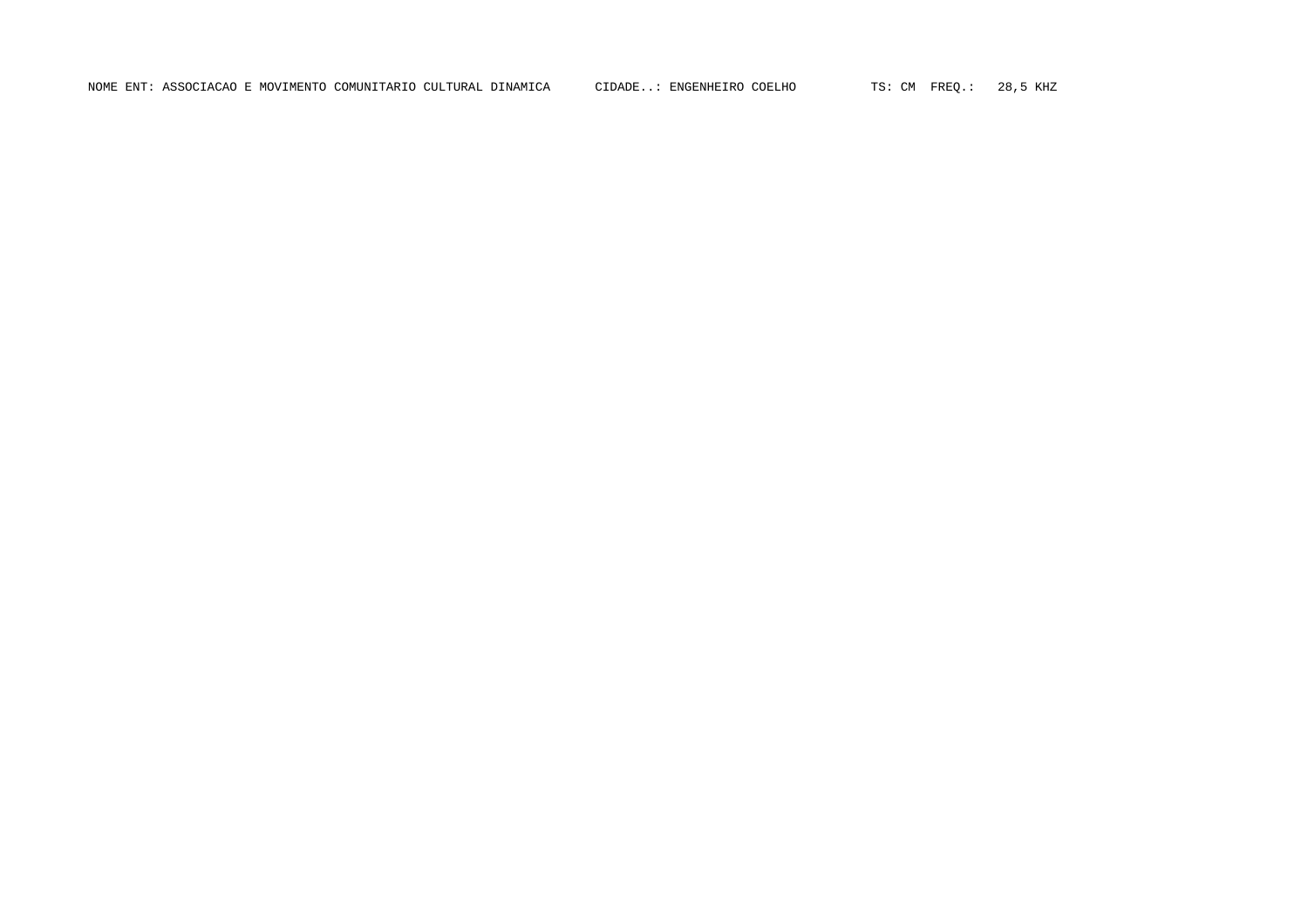NOME ENT: ASSOCIACAO E MOVIMENTO COMUNITARIO CULTURAL DINAMICA CIDADE..: ENGENHEIRO COELHO TS: CM FREQ.: 28,5 KHZ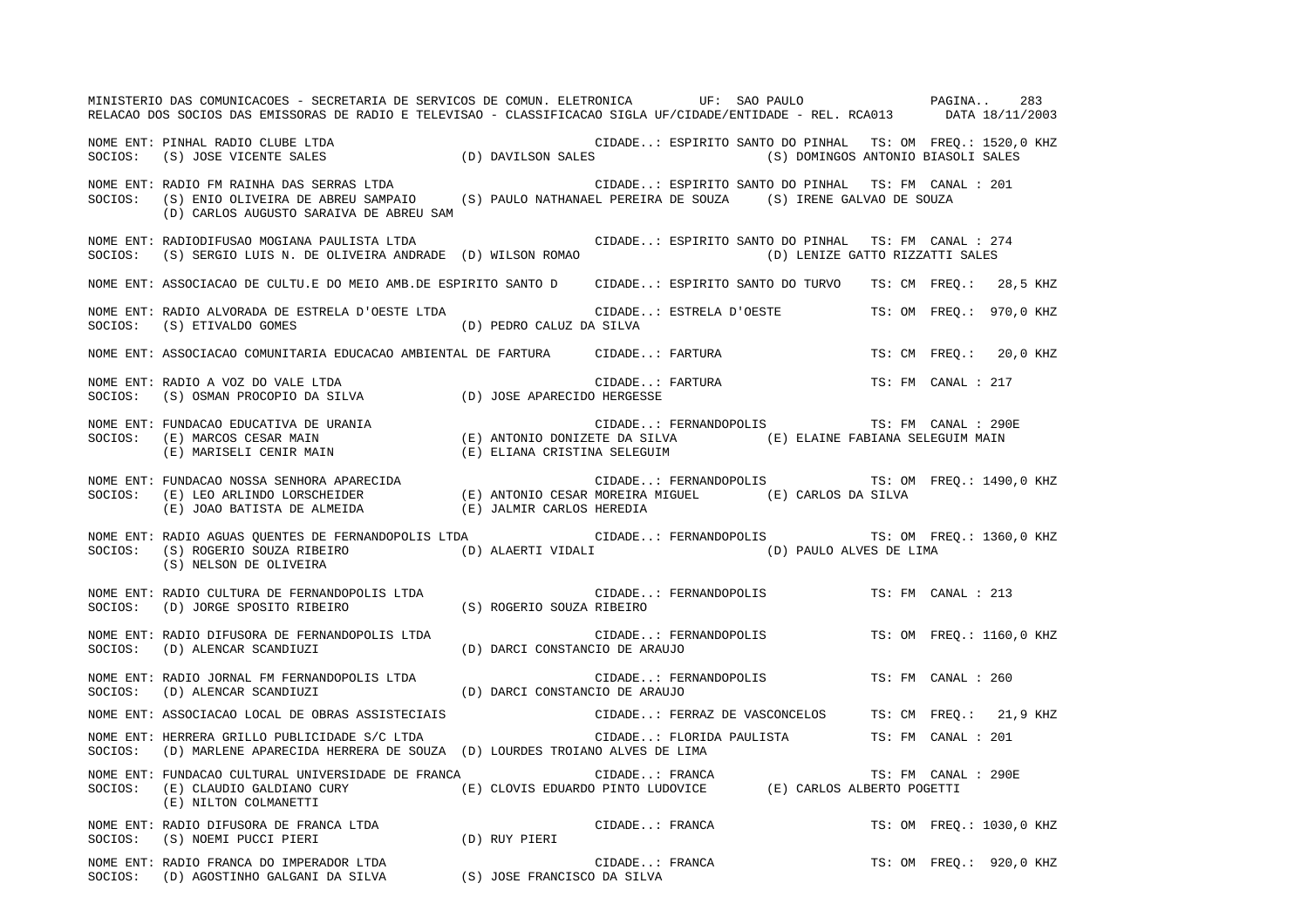MINISTERIO DAS COMUNICACOES - SECRETARIA DE SERVICOS DE COMUN. ELETRONICA UF: SAO PAULO PAGINA.. 283RELACAO DOS SOCIOS DAS EMISSORAS DE RADIO E TELEVISAO - CLASSIFICACAO SIGLA UF/CIDADE/ENTIDADE - REL. RCA013 DATA 18/11/2003 NOME ENT: PINHAL RADIO CLUBE LTDA CIDADE..: ESPIRITO SANTO DO PINHAL TS: OM FREQ.: 1520,0 KHZ SOCIOS: (S) JOSE VICENTE SALES (D) DAVILSON SALES (S) DOMINGOS ANTONIO BIASOLI SALES NOME ENT: RADIO FM RAINHA DAS SERRAS LTDA CIDADE..: ESPIRITO SANTO DO PINHAL TS: FM CANAL : 201 SOCIOS: (S) ENIO OLIVEIRA DE ABREU SAMPAIO (S) PAULO NATHANAEL PEREIRA DE SOUZA (S) IRENE GALVAO DE SOUZA (D) CARLOS AUGUSTO SARAIVA DE ABREU SAM NOME ENT: RADIODIFUSAO MOGIANA PAULISTA LTDA CIDADE..: ESPIRITO SANTO DO PINHAL TS: FM CANAL : 274 SOCIOS: (S) SERGIO LUIS N. DE OLIVEIRA ANDRADE (D) WILSON ROMAO (D) LENIZE GATTO RIZZATTI SALES NOME ENT: ASSOCIACAO DE CULTU.E DO MEIO AMB.DE ESPIRITO SANTO D CIDADE..: ESPIRITO SANTO DO TURVO TS: CM FREQ.: 28,5 KHZ NOME ENT: RADIO ALVORADA DE ESTRELA D'OESTE LTDA CIDADE..: ESTRELA D'OESTE TS: OM FREQ.: 970,0 KHZ SOCIOS: (S) ETIVALDO GOMES (D) PEDRO CALUZ DA SILVA NOME ENT: ASSOCIACAO COMUNITARIA EDUCACAO AMBIENTAL DE FARTURA CIDADE..: FARTURA TS: CM FREQ.: 20,0 KHZ NOME ENT: RADIO A VOZ DO VALE LTDA CIDADE..: FARTURA TS: FM CANAL : 217SOCIOS: (S) OSMAN PROCOPIO DA SILVA (D) JOSE APARECIDO HERGESSE NOME ENT: FUNDACAO EDUCATIVA DE URANIA CIDADE..: FERNANDOPOLIS TS: FM CANAL : 290ESOCIOS: (E) MARCOS CESAR MAIN (E) ANTONIO DONIZETE DA SILVA (E) ELAINE FABIANA SELEGUIM MAIN (E) MARISELI CENIR MAIN (E) ELIANA CRISTINA SELEGUIM NOME ENT: FUNDACAO NOSSA SENHORA APARECIDA CIDADE..: FERNANDOPOLIS TS: OM FREQ.: 1490,0 KHZ SOCIOS: (E) LEO ARLINDO LORSCHEIDER (E) ANTONIO CESAR MOREIRA MIGUEL (E) CARLOS DA SILVA (E) JOAO BATISTA DE ALMEIDA (E) JALMIR CARLOS HEREDIA NOME ENT: RADIO AGUAS QUENTES DE FERNANDOPOLIS LTDA CIDADE..: FERNANDOPOLIS TS: OM FREQ.: 1360,0 KHZ SOCIOS: (S) ROGERIO SOUZA RIBEIRO (D) ALAERTI VIDALI (D) PAULO ALVES DE LIMA (S) NELSON DE OLIVEIRA NOME ENT: RADIO CULTURA DE FERNANDOPOLIS LTDA CIDADE..: FERNANDOPOLIS TS: FM CANAL : 213SOCIOS: (D) JORGE SPOSITO RIBEIRO (S) ROGERIO SOUZA RIBEIRO NOME ENT: RADIO DIFUSORA DE FERNANDOPOLIS LTDA CIDADE..: FERNANDOPOLIS TS: OM FREQ.: 1160,0 KHZ SOCIOS: (D) ALENCAR SCANDIUZI (D) DARCI CONSTANCIO DE ARAUJO NOME ENT: RADIO JORNAL FM FERNANDOPOLIS LTDA CIDADE..: FERNANDOPOLIS TS: FM CANAL : 260SOCIOS: (D) ALENCAR SCANDIUZI (D) DARCI CONSTANCIO DE ARAUJO NOME ENT: ASSOCIACAO LOCAL DE OBRAS ASSISTECIAIS CIDADE..: FERRAZ DE VASCONCELOS TS: CM FREQ.: 21,9 KHZ NOME ENT: HERRERA GRILLO PUBLICIDADE S/C LTDA CIDADE..: FLORIDA PAULISTA TS: FM CANAL : 201 SOCIOS: (D) MARLENE APARECIDA HERRERA DE SOUZA (D) LOURDES TROIANO ALVES DE LIMA NOME ENT: FUNDACAO CULTURAL UNIVERSIDADE DE FRANCA CIDADE..: FRANCA TS: FM CANAL : 290E SOCIOS: (E) CLAUDIO GALDIANO CURY (E) CLOVIS EDUARDO PINTO LUDOVICE (E) CARLOS ALBERTO POGETTI (E) NILTON COLMANETTI NOME ENT: RADIO DIFUSORA DE FRANCA LTDA  $\blacksquare$  CIDADE..: FRANCA TS: OM FREQ.: 1030,0 KHZ SOCIOS: (S) NOEMI PUCCI PIERI (D) RUY PIERI NOME ENT: RADIO FRANCA DO IMPERADOR LTDA  $\Box$  CIDADE..: FRANCA TS: OM FREQ.: 920,0 KHZ SOCIOS: (D) AGOSTINHO GALGANI DA SILVA (S) JOSE FRANCISCO DA SILVA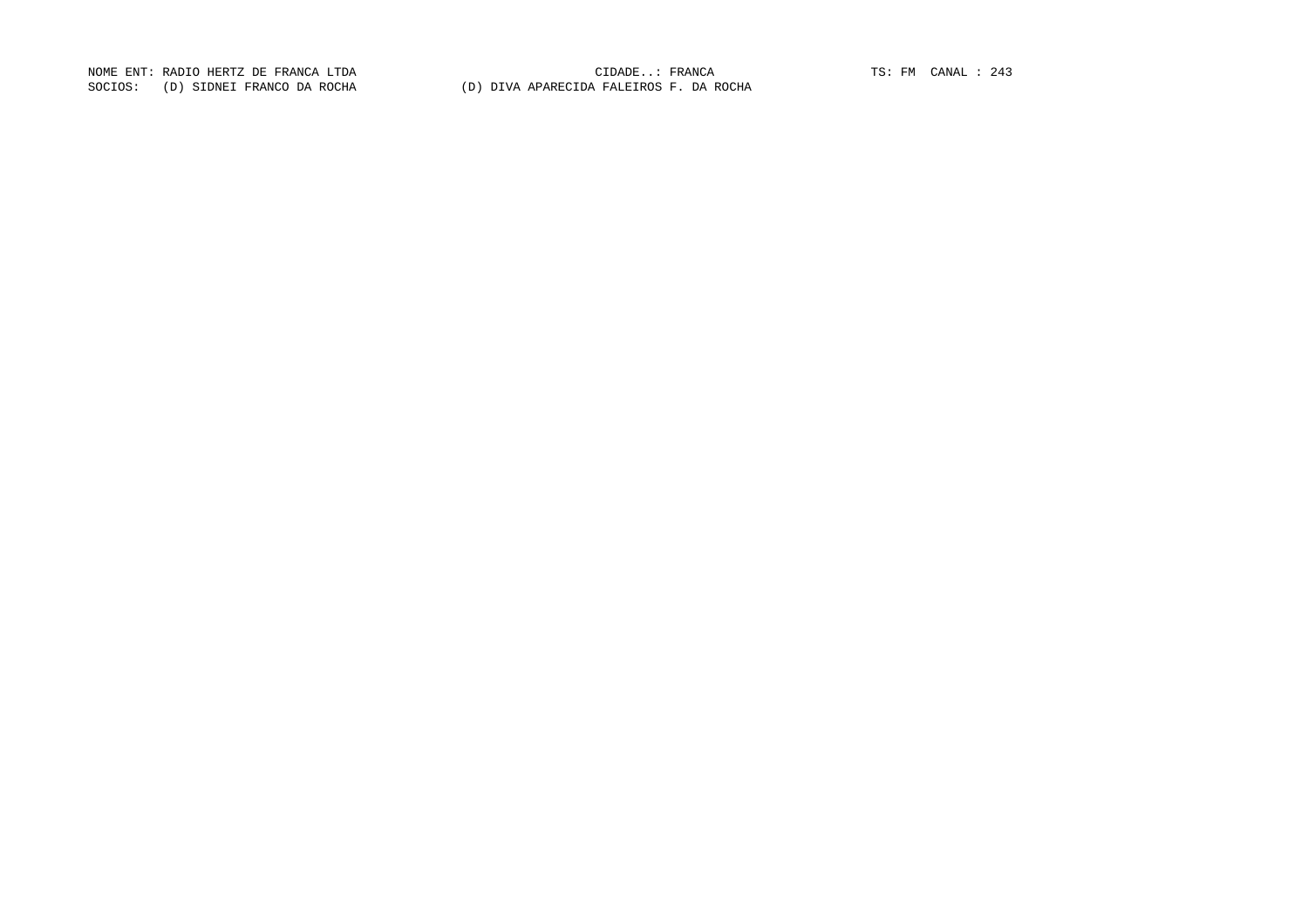NOME ENT: RADIO HERTZ DE FRANCA LTDA CIDADE..: FRANCA TS: FM CANAL : 243 SOCIOS: (D) SIDNEI FRANCO DA ROCHA (D) DIVA APARECIDA FALEIROS F. DA ROCHA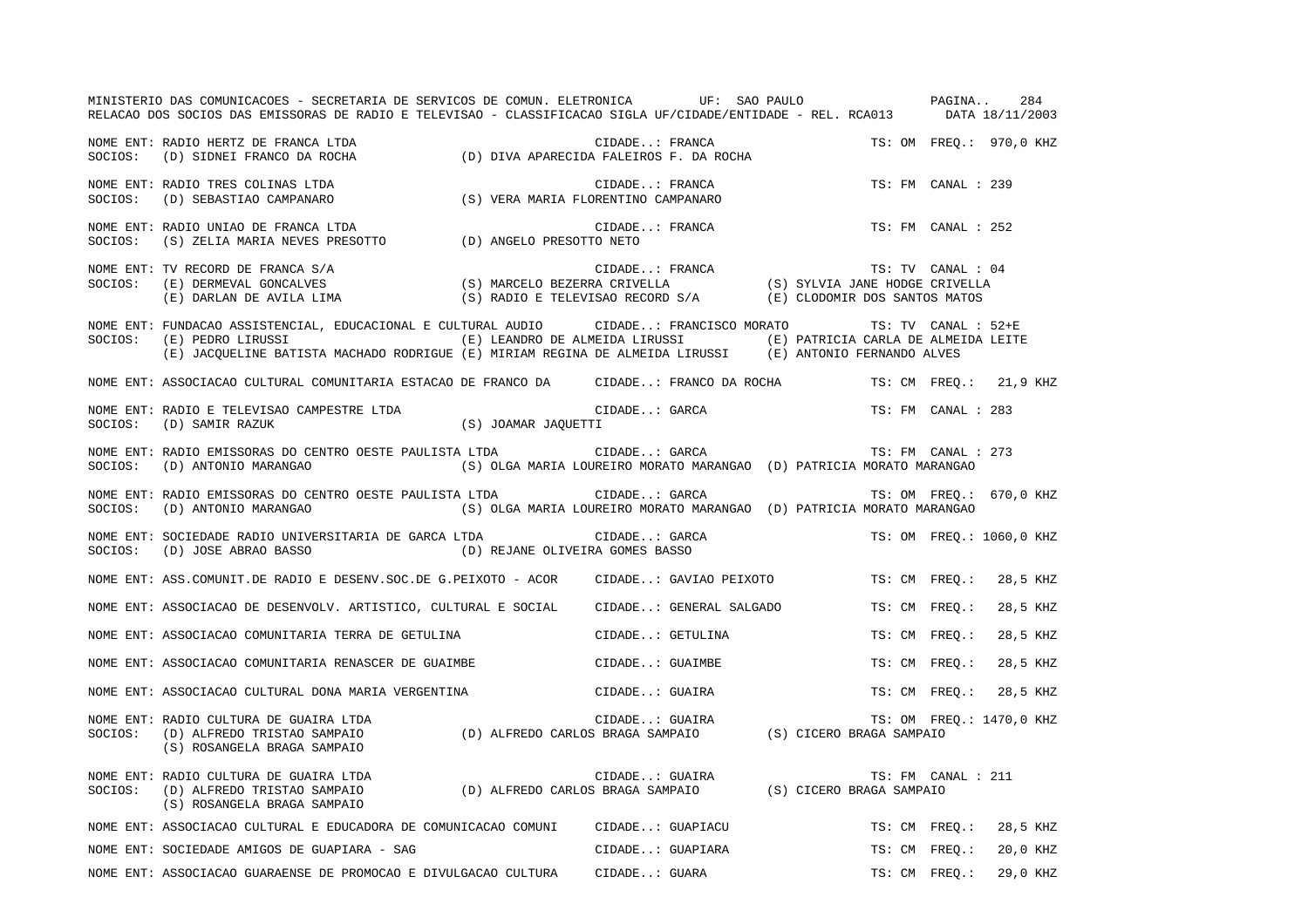MINISTERIO DAS COMUNICACOES - SECRETARIA DE SERVICOS DE COMUN. ELETRONICA UF: SAO PAULO PAGINA.. 284RELACAO DOS SOCIOS DAS EMISSORAS DE RADIO E TELEVISAO - CLASSIFICACAO SIGLA UF/CIDADE/ENTIDADE - REL. RCA013 DATA 18/11/2003 NOME ENT: RADIO HERTZ DE FRANCA LTDA CIDADE..: FRANCA TS: OM FREQ.: 970,0 KHZ SOCIOS: (D) SIDNEI FRANCO DA ROCHA (D) DIVA APARECIDA FALEIROS F. DA ROCHA NOME ENT: RADIO TRES COLINAS LTDA CIDADE..: FRANCA TS: FM CANAL : 239 SOCIOS: (D) SEBASTIAO CAMPANARO (S) VERA MARIA FLORENTINO CAMPANARO NOME ENT: RADIO UNIAO DE FRANCA LTDA CIDADE..: FRANCA TS: FM CANAL : 252SOCIOS: (S) ZELIA MARIA NEVES PRESOTTO (D) ANGELO PRESOTTO NETO NOME ENT: TV RECORD DE FRANCA S/A CIDADE..: FRANCA TS: TV CANAL : 04 SOCIOS: (E) DERMEVAL GONCALVES (S) MARCELO BEZERRA CRIVELLA (S) SYLVIA JANE HODGE CRIVELLA (E) DARLAN DE AVILA LIMA (S) RADIO E TELEVISAO RECORD S/A (E) CLODOMIR DOS SANTOS MATOS NOME ENT: FUNDACAO ASSISTENCIAL, EDUCACIONAL E CULTURAL AUDIO CIDADE..: FRANCISCO MORATO TS: TV CANAL : 52+E SOCIOS: (E) PEDRO LIRUSSI (E) LEANDRO DE ALMEIDA LIRUSSI (E) PATRICIA CARLA DE ALMEIDA LEITE (E) JACQUELINE BATISTA MACHADO RODRIGUE (E) MIRIAM REGINA DE ALMEIDA LIRUSSI (E) ANTONIO FERNANDO ALVES NOME ENT: ASSOCIACAO CULTURAL COMUNITARIA ESTACAO DE FRANCO DA CIDADE..: FRANCO DA ROCHA TS: CM FREQ.: 21,9 KHZ NOME ENT: RADIO E TELEVISAO CAMPESTRE LTDA CONSTRETE ON THE CIDADE..: GARCA TS: FM CANAL : 283 SOCIOS: (D) SAMIR RAZUK (S) JOAMAR JAQUETTI NOME ENT: RADIO EMISSORAS DO CENTRO OESTE PAULISTA LTDA CIDADE..: GARCA TSI TSI FM CANAL : 273 SOCIOS: (D) ANTONIO MARANGAO (S) OLGA MARIA LOUREIRO MORATO MARANGAO (D) PATRICIA MORATO MARANGAO NOME ENT: RADIO EMISSORAS DO CENTRO OESTE PAULISTA LTDA CIDADE..: GARCA TS: OM FREQ.: 670,0 KHZ SOCIOS: (D) ANTONIO MARANGAO (S) OLGA MARIA LOUREIRO MORATO MARANGAO (D) PATRICIA MORATO MARANGAO NOME ENT: SOCIEDADE RADIO UNIVERSITARIA DE GARCA LTDA  $\blacksquare$  CIDADE..: GARCA TS: OM FREQ.: 1060,0 KHZ SOCIOS: (D) JOSE ABRAO BASSO (D) REJANE OLIVEIRA GOMES BASSO NOME ENT: ASS.COMUNIT.DE RADIO E DESENV.SOC.DE G.PEIXOTO - ACOR CIDADE..: GAVIAO PEIXOTO TS: CM FREQ.: 28,5 KHZ NOME ENT: ASSOCIACAO DE DESENVOLV. ARTISTICO, CULTURAL E SOCIAL CIDADE..: GENERAL SALGADO TS: CM FREQ.: 28,5 KHZ NOME ENT: ASSOCIACAO COMUNITARIA TERRA DE GETULINA  $\blacksquare$  CIDADE..: GETULINA TS: CM FREQ.: 28,5 KHZ NOME ENT: ASSOCIACAO COMUNITARIA RENASCER DE GUAIMBE COMUNITARIA CIDADE..: GUAIMBE TS: CM FREQ.: 28,5 KHZ NOME ENT: ASSOCIACAO CULTURAL DONA MARIA VERGENTINA CIDADE..: GUAIRA TS: CM FREQ.: 28,5 KHZ NOME ENT: RADIO CULTURA DE GUAIRA LTDA  $\Box$  CIDADE..: GUAIRA TS: OM FREQ.: 1470,0 KHZ SOCIOS: (D) ALFREDO TRISTAO SAMPAIO (D) ALFREDO CARLOS BRAGA SAMPAIO (S) CICERO BRAGA SAMPAIO (S) ROSANGELA BRAGA SAMPAIO NOME ENT: RADIO CULTURA DE GUAIRA LTDA CIDADE..: GUAIRA TS: FM CANAL : 211SOCIOS: (D) ALFREDO TRISTAO SAMPAIO (D) ALFREDO CARLOS BRAGA SAMPAIO (S) CICERO BRAGA SAMPAIO (S) ROSANGELA BRAGA SAMPAIO NOME ENT: ASSOCIACAO CULTURAL E EDUCADORA DE COMUNICACAO COMUNI CIDADE..: GUAPIACU TS: CM FREQ.: 28,5 KHZ NOME ENT: SOCIEDADE AMIGOS DE GUAPIARA - SAG CIDADE..: GUAPIARA TS: CM FREQ.: 20,0 KHZ NOME ENT: ASSOCIACAO GUARAENSE DE PROMOCAO E DIVULGACAO CULTURA CIDADE..: GUARA TS: CM FREQ.: 29,0 KHZ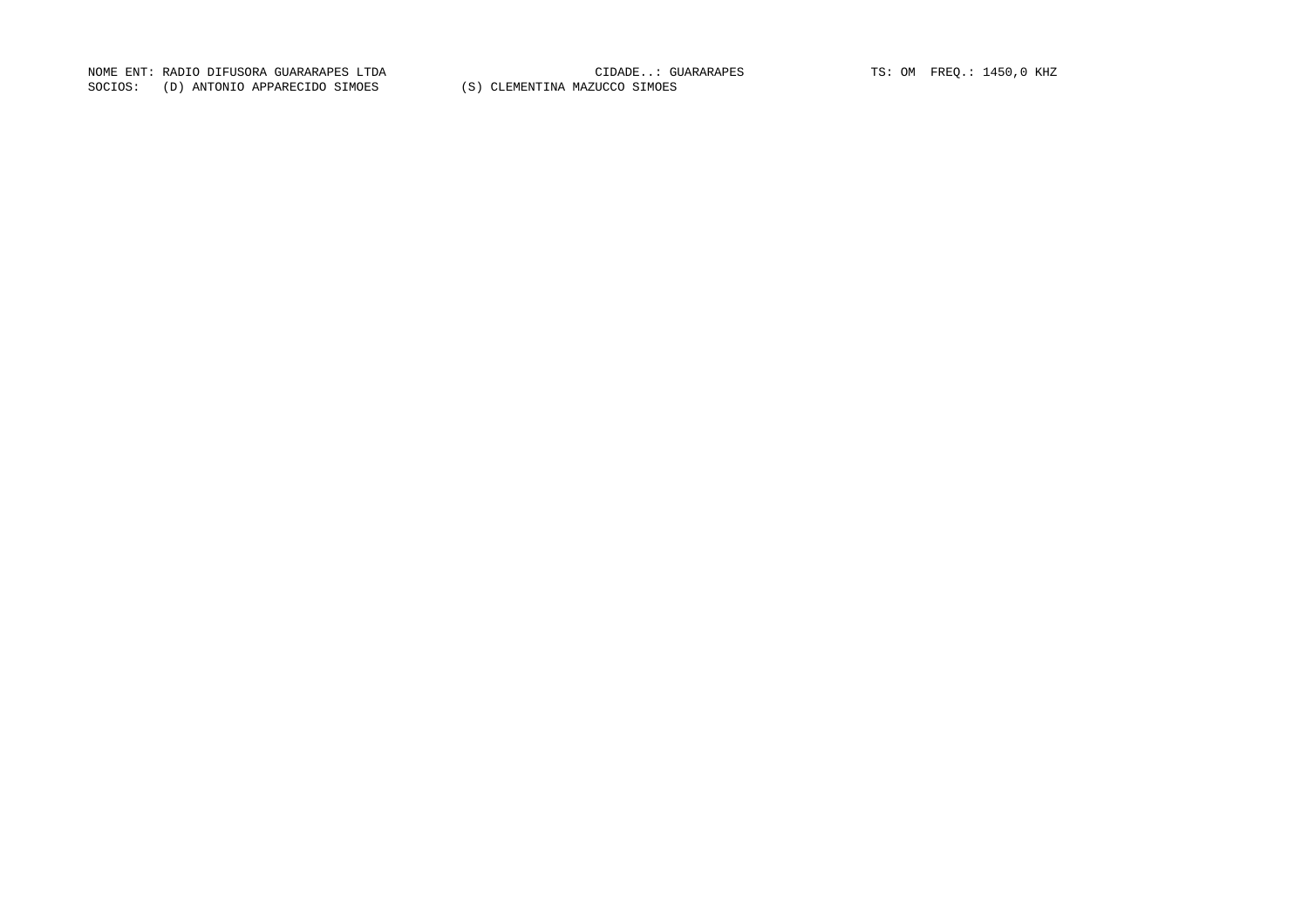NOME ENT: RADIO DIFUSORA GUARARAPES LTDA CIDADE..: GUARARAPES TS: OM FREQ.: 1450,0 KHZ SOCIOS: (D) ANTONIO APPARECIDO SIMOES (S) CLEMENTINA MAZUCCO SIMOES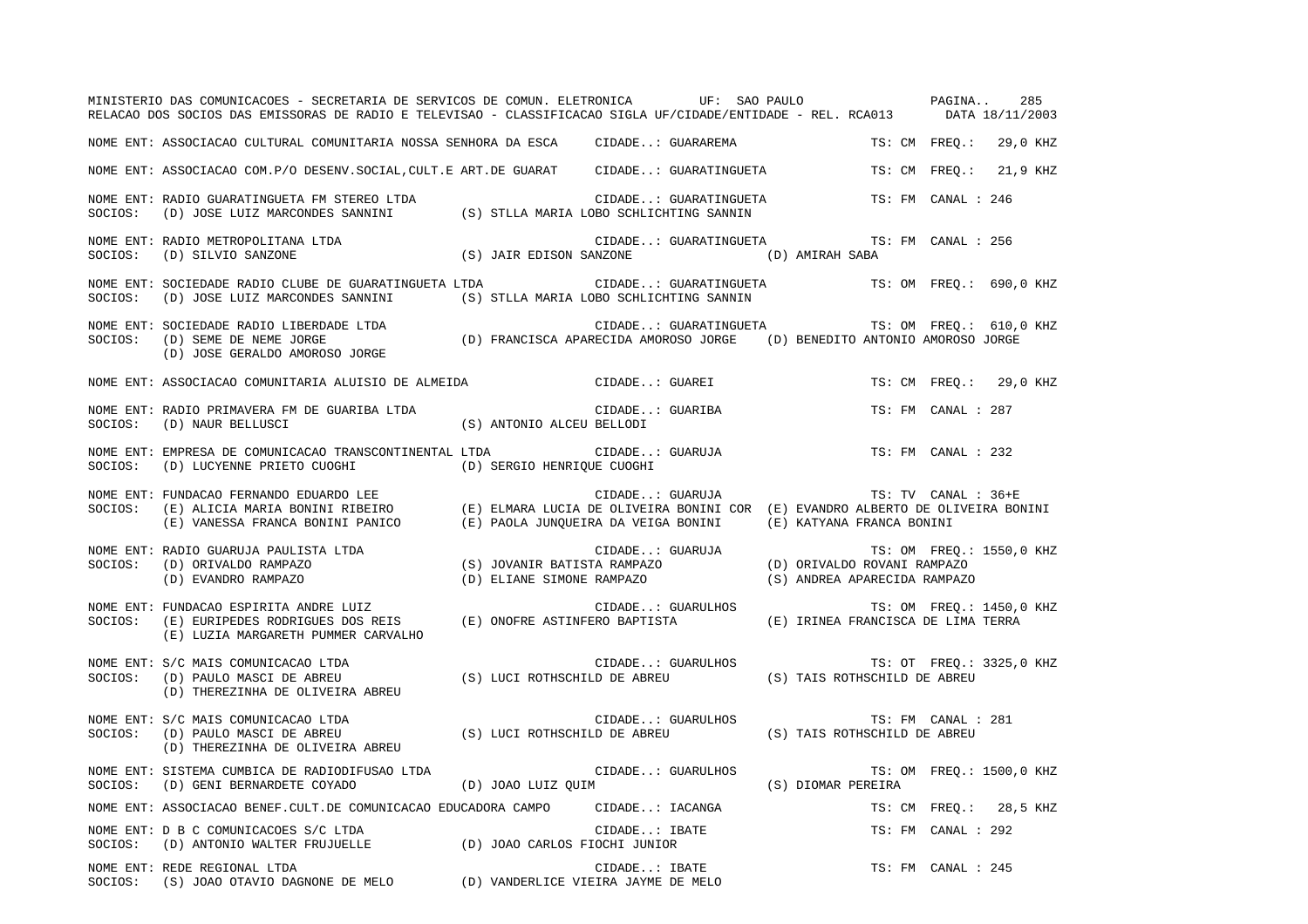|         | MINISTERIO DAS COMUNICACOES - SECRETARIA DE SERVICOS DE COMUN. ELETRONICA UF: SAO PAULO PAGINA 285<br>RELACAO DOS SOCIOS DAS EMISSORAS DE RADIO E TELEVISAO - CLASSIFICACAO SIGLA UF/CIDADE/ENTIDADE - REL. RCA013 DATA 18/11/2003 |                                               |                    |                          |
|---------|------------------------------------------------------------------------------------------------------------------------------------------------------------------------------------------------------------------------------------|-----------------------------------------------|--------------------|--------------------------|
|         | NOME ENT: ASSOCIACAO CULTURAL COMUNITARIA NOSSA SENHORA DA ESCA CIDADE: GUARAREMA TS: CM FREQ.: 29,0 KHZ                                                                                                                           |                                               |                    |                          |
|         | NOME ENT: ASSOCIACAO COM.P/O DESENV.SOCIAL, CULT.E ART.DE GUARAT CIDADE: GUARATINGUETA TS: CM FREQ.: 21,9 KHZ                                                                                                                      |                                               |                    |                          |
|         | NOME ENT: RADIO GUARATINGUETA FM STEREO LTDA (S) STLLA MARIA LOBO SCHLICHTING SANNIN SOCIOS: (D) JOSE LUIZ MARCONDES SANNINI (S) STLLA MARIA LOBO SCHLICHTING SANNIN                                                               | CIDADE: GUARATINGUETA TS: FM CANAL : 246      |                    |                          |
|         |                                                                                                                                                                                                                                    | CIDADE: GUARATINGUETA TS: FM CANAL : 256      |                    |                          |
| SOCIOS: | NOME ENT: SOCIEDADE RADIO CLUBE DE GUARATINGUETA LTDA<br>(D) JOSE LUIZ MARCONDES SANNINI (S) STLLA MARIA LOBO SCHLICHTING SANNIN                                                                                                   | CIDADE: GUARATINGUETA TS: OM FREQ.: 690,0 KHZ |                    |                          |
|         | NOME ENT: SOCIEDADE RADIO LIBERDADE LTDA<br>SOCIOS: (D) SEME DE NEME JORGE (D) FRANCISCA APARECIDA AMOROSO JORGE (D) BENEDITO ANTONIO AMOROSO JORGE<br>(D) JOSE GERALDO AMOROSO JORGE                                              | CIDADE: GUARATINGUETA TS: OM FREQ.: 610,0 KHZ |                    |                          |
|         | NOME ENT: ASSOCIACAO COMUNITARIA ALUISIO DE ALMEIDA CIDADE: GUAREI                                                                                                                                                                 |                                               |                    | TS: CM FREO.: 29,0 KHZ   |
|         |                                                                                                                                                                                                                                    | CIDADE: GUARIBA                               |                    | TS: FM CANAL : 287       |
|         | NOME ENT: EMPRESA DE COMUNICACAO TRANSCONTINENTAL LTDA<br>SOCIOS: (D) LUCYENNE PRIETO CUOGHI (D) SERGIO HENRIQUE CUOGHI                                                                                                            | CIDADE: GUARUJA TS: FM CANAL : 232            |                    |                          |
|         |                                                                                                                                                                                                                                    |                                               |                    |                          |
|         | NOME ENT: RADIO GUARUJA PAULISTA LTDA<br>SOCIOS: (D) ORIVALDO RAMPAZO (S) JOVANIR BATISTA RAMPAZO (D) ORIVALDO ROVANI RAMPAZO<br>(D) EVANDRO RAMPAZO (D) ELIANE SIMONE RAMPAZO (S) ANDREA APARECIDA RAMPAZO                        |                                               |                    | TS: OM FREQ.: 1550,0 KHZ |
|         | NOME ENT: FUNDACAO ESPIRITA ANDRE LUIZ<br>SOCIOS:   (E) EURIPEDES RODRIGUES DOS REIS          (E) ONOFRE ASTINFERO BAPTISTA             (E) IRINEA FRANCISCA DE LIMA TERRA<br>(E) LUZIA MARGARETH PUMMER CARVALHO                  |                                               |                    |                          |
|         | NOME ENT: S/C MAIS COMUNICACAO LTDA<br>SOCIOS: (D) PAULO MASCI DE ABREU (S) LUCI ROTHSCHILD DE ABREU (S) TAIS ROTHSCHILD DE ABREU<br>(D) THEREZINHA DE OLIVEIRA ABREU                                                              |                                               |                    | TS: OT FREQ.: 3325,0 KHZ |
|         | NOME ENT: S/C MAIS COMUNICACAO LTDA<br>SOCIOS: (D) PAULO MASCI DE ABREU (S) LUCI ROTHSCHILD DE ABREU (S) TAIS ROTHSCHILD DE ABREU<br>(D) THEREZINHA DE OLIVEIRA ABREU                                                              |                                               |                    | TS: FM CANAL : 281       |
| SOCIOS: | NOME ENT: SISTEMA CUMBICA DE RADIODIFUSAO LTDA CONSTANDO CIDADE: GUARULHOS<br>(D) GENI BERNARDETE COYADO (D) JOAO LUIZ QUIM                                                                                                        |                                               | (S) DIOMAR PEREIRA | TS: OM FREQ.: 1500,0 KHZ |
|         | NOME ENT: ASSOCIACAO BENEF.CULT.DE COMUNICACAO EDUCADORA CAMPO CIDADE: IACANGA                                                                                                                                                     |                                               |                    | TS: CM FREQ.: 28,5 KHZ   |
|         | NOME ENT: D B C COMUNICACOES S/C LTDA<br>SOCIOS: (D) ANTONIO WALTER FRUJUELLE (D) JOAO CARLOS FIOCHI JUNIOR                                                                                                                        | CIDADE: IBATE<br>------ --------              |                    | TS: FM CANAL : 292       |
|         | NOME ENT: REDE REGIONAL LTDA<br>SOCIOS: (S) JOAO OTAVIO DAGNONE DE MELO (D) VANDERLICE VIEIRA JAYME DE MELO                                                                                                                        | CIDADE: IBATE<br>EIRA JAYME DE MELO           |                    | TS: FM CANAL : 245       |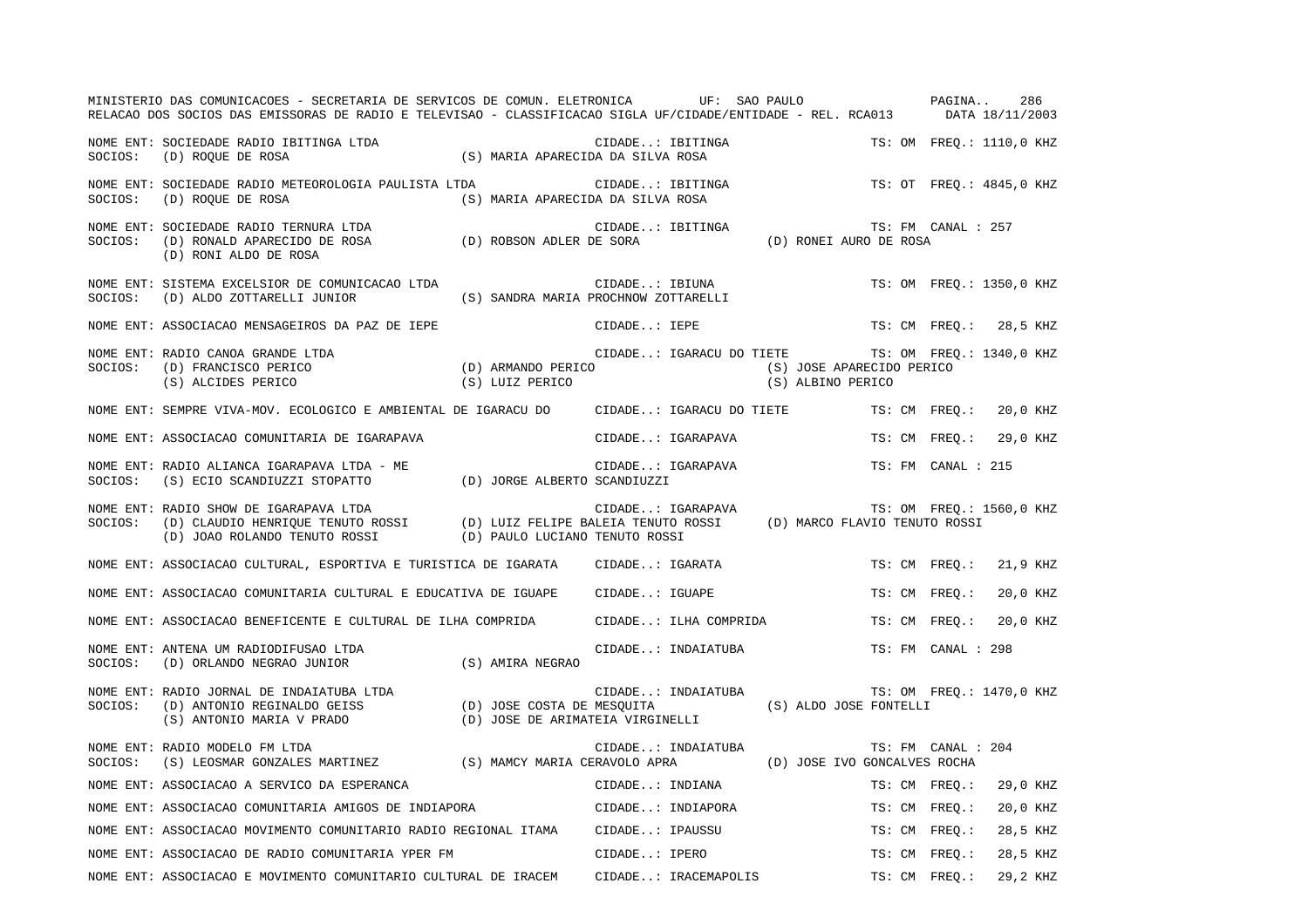|         | MINISTERIO DAS COMUNICACOES - SECRETARIA DE SERVICOS DE COMUN. ELETRONICA UF: SAO PAULO<br>RELACAO DOS SOCIOS DAS EMISSORAS DE RADIO E TELEVISAO - CLASSIFICACAO SIGLA UF/CIDADE/ENTIDADE - REL. RCA013 DATA 18/11/2003                                                     |                                                         |                  |                                      | PAGINA                                                                                              |                    | 286                      |
|---------|-----------------------------------------------------------------------------------------------------------------------------------------------------------------------------------------------------------------------------------------------------------------------------|---------------------------------------------------------|------------------|--------------------------------------|-----------------------------------------------------------------------------------------------------|--------------------|--------------------------|
|         | NOME ENT: SOCIEDADE RADIO IBITINGA LTDA (S) MARIA APARECIDA DA SILVA ROSA SOCIOS: (D) ROQUE DE ROSA (S) MARIA APARECIDA DA SILVA ROSA                                                                                                                                       |                                                         |                  | CIDADE: IBITINGA<br>da da stiva rosa |                                                                                                     |                    | TS: OM FREO.: 1110,0 KHZ |
|         | NOME ENT: SOCIEDADE RADIO METEOROLOGIA PAULISTA LTDA<br>SOCIOS: (D) ROQUE DE ROSA                                                                                                                                                                                           | (S) MARIA APARECIDA DA SILVA ROSA                       |                  | CIDADE: IBITINGA                     |                                                                                                     |                    | TS: OT FREO.: 4845,0 KHZ |
|         | (D) RONI ALDO DE ROSA                                                                                                                                                                                                                                                       |                                                         | CIDADE: IBITINGA |                                      | TS: FM C<br>(D) RONEI AURO DE ROSA                                                                  | TS: FM CANAL : 257 |                          |
| SOCIOS: | NOME ENT: SISTEMA EXCELSIOR DE COMUNICACAO LTDA<br>(D) ALDO ZOTTARELLI JUNIOR                                                                                                                                                                                               | CIDADE: IBIUNA<br>(S) SANDRA MARIA PROCHNOW ZOTTARELLI) |                  |                                      |                                                                                                     |                    | TS: OM FREQ.: 1350,0 KHZ |
|         | NOME ENT: ASSOCIACAO MENSAGEIROS DA PAZ DE IEPE                                                                                                                                                                                                                             |                                                         | CIDADE: IEPE     |                                      |                                                                                                     |                    | TS: CM FREO.: 28,5 KHZ   |
| SOCIOS: | NOME ENT: RADIO CANOA GRANDE LTDA<br>LDA CIDADE: IGARACU I<br>(D) ARMANDO PERICO<br>(S) LUIZ PERICO<br>(D) FRANCISCO PERICO<br>(S) ALCIDES PERICO                                                                                                                           |                                                         |                  |                                      | CIDADE: IGARACU DO TIETE TS: OM FREQ.: 1340,0 KHZ<br>(S) JOSE APARECIDO PERICO<br>(S) ALBINO PERICO |                    |                          |
|         | NOME ENT: SEMPRE VIVA-MOV. ECOLOGICO E AMBIENTAL DE IGARACU DO CIDADE: IGARACU DO TIETE                                                                                                                                                                                     |                                                         |                  |                                      |                                                                                                     |                    | TS: CM FREQ.: 20,0 KHZ   |
|         | NOME ENT: ASSOCIACAO COMUNITARIA DE IGARAPAVA                                                                                                                                                                                                                               |                                                         |                  | CIDADE: IGARAPAVA                    |                                                                                                     | TS: CM FREO.:      | 29,0 KHZ                 |
|         |                                                                                                                                                                                                                                                                             |                                                         |                  | CIDADE: IGARAPAVA                    |                                                                                                     | TS: FM CANAL : 215 |                          |
| SOCIOS: | NOME ENT: RADIO SHOW DE IGARAPAVA LTDA<br>RADIO SHOW DE IGARAPAVA LTDA<br>(D) CLAUDIO HENRIQUE TENUTO ROSSI (D) LUIZ FELIPE BALEIA TENUTO ROSSI (D) MARCO FLAVIO TENUTO ROSSI<br>(D) JOAO ROLANDO TENUTO ROSSI (D) PAULO LUCIANO TENUTO ROSSI (D) MARCO FLAVIO TENUTO ROSSI |                                                         |                  |                                      |                                                                                                     |                    | TS: OM FREO.: 1560,0 KHZ |
|         | NOME ENT: ASSOCIACAO CULTURAL, ESPORTIVA E TURISTICA DE IGARATA (CIDADE: IGARATA                                                                                                                                                                                            |                                                         |                  |                                      |                                                                                                     | TS: CM FREO.:      | 21,9 KHZ                 |
|         | NOME ENT: ASSOCIACAO COMUNITARIA CULTURAL E EDUCATIVA DE IGUAPE CIDADE: IGUAPE                                                                                                                                                                                              |                                                         |                  |                                      |                                                                                                     | TS: CM FREQ.:      | 20,0 KHZ                 |
|         | NOME ENT: ASSOCIACAO BENEFICENTE E CULTURAL DE ILHA COMPRIDA CIDADE: ILHA COMPRIDA                                                                                                                                                                                          |                                                         |                  |                                      |                                                                                                     | TS: CM FREO.:      | 20,0 KHZ                 |
| SOCIOS: | NOME ENT: ANTENA UM RADIODIFUSAO LTDA<br>(D) ORLANDO NEGRAO JUNIOR (S) AMIRA NEGRAO                                                                                                                                                                                         |                                                         |                  | CIDADE: INDAIATUBA                   |                                                                                                     | TS: FM CANAL : 298 |                          |
|         | NOME ENT: RADIO JORNAL DE INDAIATUBA LTDA LTDA CIDADE: INDAIATUBA TS: OM F.<br>SOCIOS: (D) ANTONIO REGINALDO GEISS (D) JOSE COSTA DE MESQUITA (S) ALDO JOSE FONTELLI<br>(S) ANTONIO MARIA V PRADO (D) JOSE DE ARIMATEIA VIRGINELLI                                          |                                                         |                  |                                      |                                                                                                     |                    | TS: OM FREO.: 1470,0 KHZ |
| SOCIOS: | NOME ENT: RADIO MODELO FM LTDA<br>(S) LEOSMAR GONZALES MARTINEZ (S) MAMCY MARIA CERAVOLO APRA                                                                                                                                                                               |                                                         |                  | CIDADE: INDAIATUBA                   | (D) JOSE IVO GONCALVES ROCHA                                                                        | TS: FM CANAL : 204 |                          |
|         | NOME ENT: ASSOCIACAO A SERVICO DA ESPERANCA                                                                                                                                                                                                                                 |                                                         |                  | CIDADE: INDIANA                      |                                                                                                     | TS: CM FREQ.:      | 29,0 KHZ                 |
|         | NOME ENT: ASSOCIACAO COMUNITARIA AMIGOS DE INDIAPORA CIDADE: INDIAPORA                                                                                                                                                                                                      |                                                         |                  |                                      |                                                                                                     | TS: CM FREO.:      | 20,0 KHZ                 |
|         | NOME ENT: ASSOCIACAO MOVIMENTO COMUNITARIO RADIO REGIONAL ITAMA                                                                                                                                                                                                             |                                                         | CIDADE: IPAUSSU  |                                      |                                                                                                     | TS: CM FREO.:      | 28,5 KHZ                 |
|         | NOME ENT: ASSOCIACAO DE RADIO COMUNITARIA YPER FM                                                                                                                                                                                                                           |                                                         | CIDADE: IPERO    |                                      |                                                                                                     | TS: CM FREO.:      | 28,5 KHZ                 |
|         | NOME ENT: ASSOCIACAO E MOVIMENTO COMUNITARIO CULTURAL DE IRACEM                                                                                                                                                                                                             |                                                         |                  | CIDADE: IRACEMAPOLIS                 |                                                                                                     | TS: CM FREO.:      | 29.2 KHZ                 |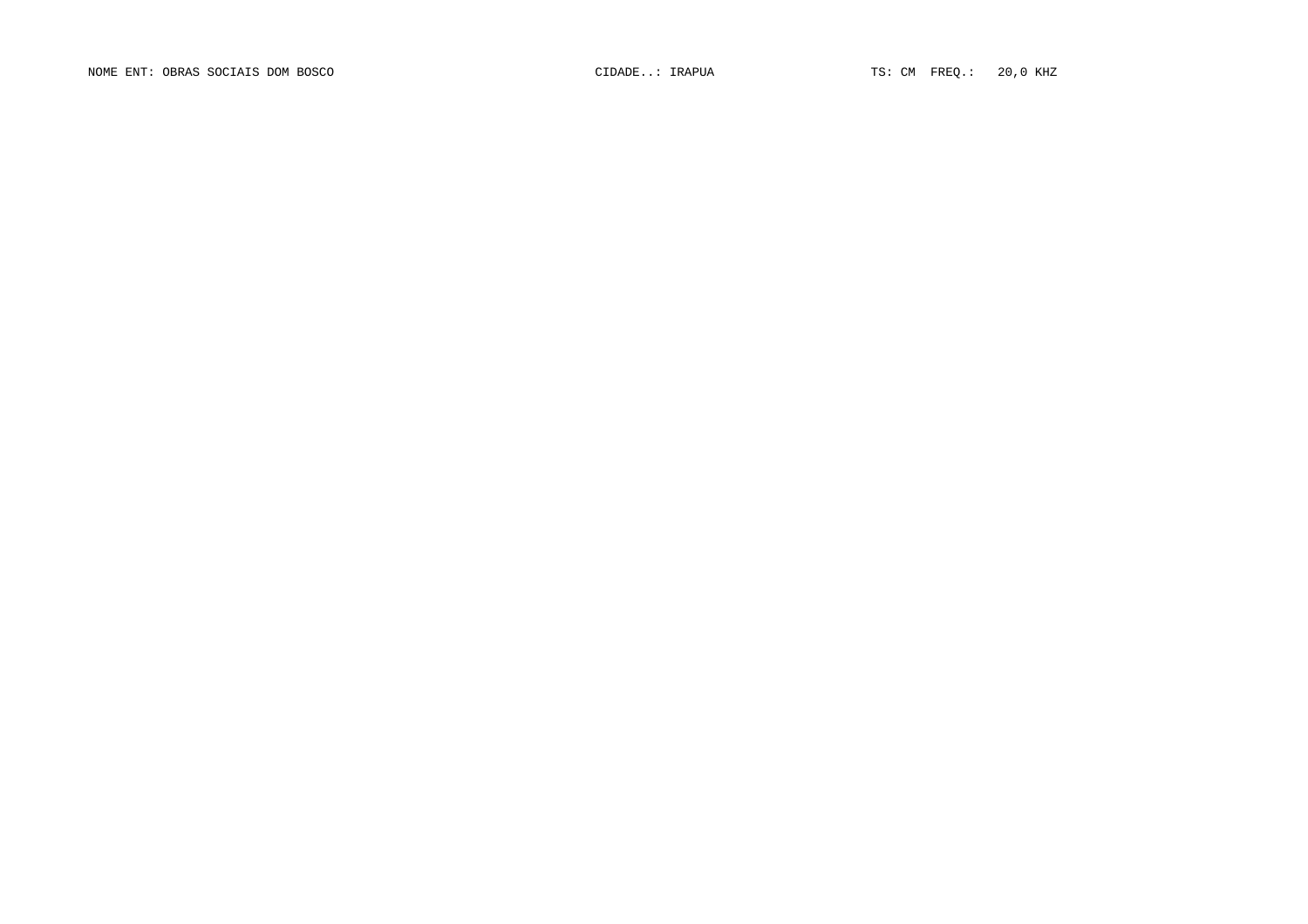NOME ENT: OBRAS SOCIAIS DOM BOSCO CIDADE..: IRAPUA TS: CM FREQ.: 20,0 KHZ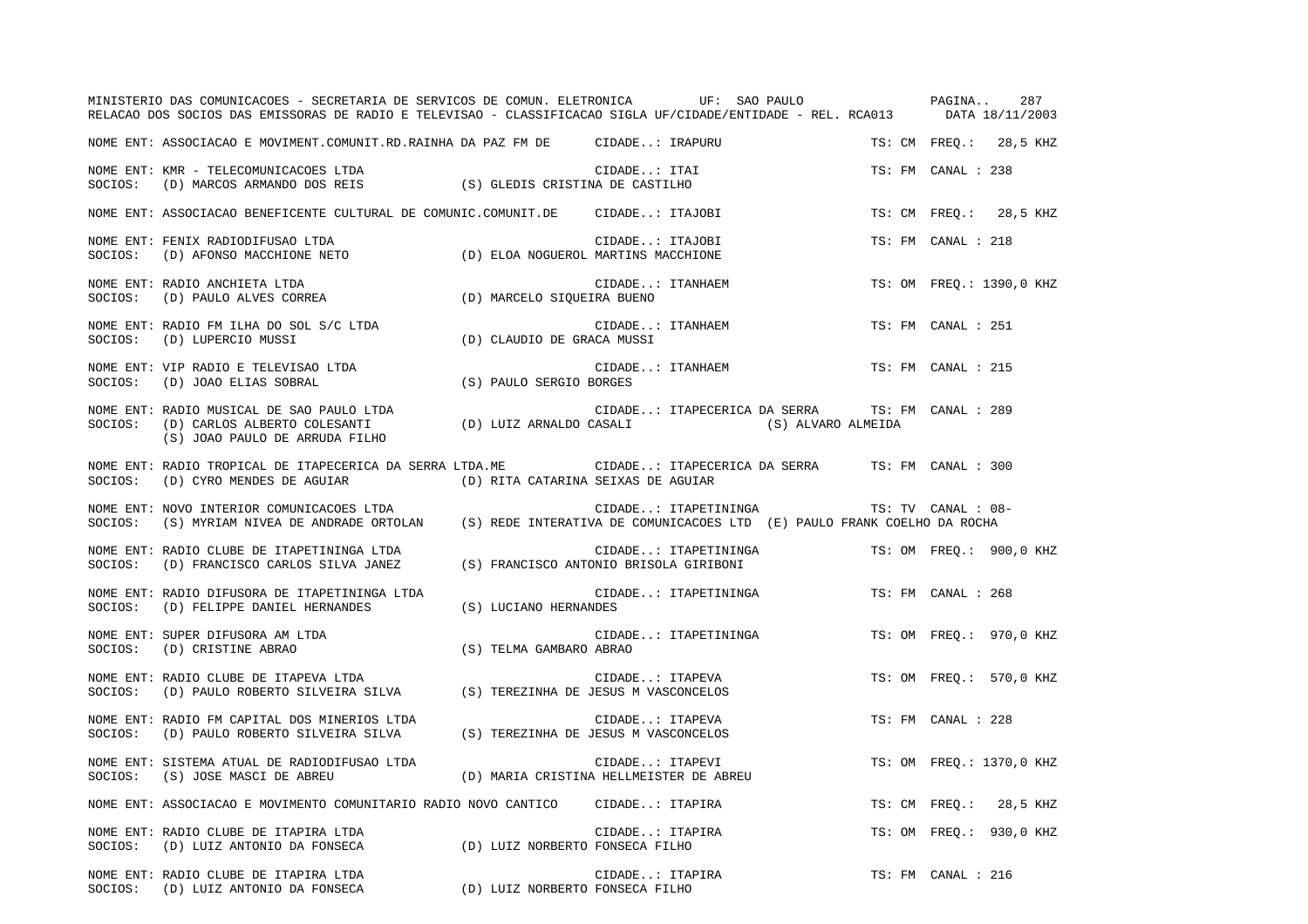|         | MINISTERIO DAS COMUNICACOES - SECRETARIA DE SERVICOS DE COMUN. ELETRONICA UF: SAO PAULO<br>RELACAO DOS SOCIOS DAS EMISSORAS DE RADIO E TELEVISAO - CLASSIFICACAO SIGLA UF/CIDADE/ENTIDADE - REL. RCA013 DATA 18/11/2003 |                                                 |                  |                 |                                                                       | PAGINA             | 287                      |
|---------|-------------------------------------------------------------------------------------------------------------------------------------------------------------------------------------------------------------------------|-------------------------------------------------|------------------|-----------------|-----------------------------------------------------------------------|--------------------|--------------------------|
|         | NOME ENT: ASSOCIACAO E MOVIMENT.COMUNIT.RD.RAINHA DA PAZ FM DE CIDADE: IRAPURU                                                                                                                                          |                                                 |                  |                 |                                                                       |                    | TS: CM FREQ.: 28,5 KHZ   |
| SOCIOS: | NOME ENT: KMR - TELECOMUNICACOES LTDA<br>(D) MARCOS ARMANDO DOS REIS                                                                                                                                                    | (S) GLEDIS CRISTINA DE CASTILHO                 | CIDADE: ITAI     |                 |                                                                       | TS: FM CANAL : 238 |                          |
|         | NOME ENT: ASSOCIACAO BENEFICENTE CULTURAL DE COMUNIC.COMUNIT.DE CIDADE: ITAJOBI                                                                                                                                         |                                                 |                  |                 |                                                                       |                    | TS: CM FREQ.: 28,5 KHZ   |
| SOCIOS: | NOME ENT: FENIX RADIODIFUSAO LTDA<br>$\text{(D) AFONSO MACCHIONE NETO} \\ \text{(D) ELOA NOGUEROL MARTINS MACCHIONE}$                                                                                                   |                                                 | CIDADE: ITAJOBI  |                 |                                                                       | TS: FM CANAL : 218 |                          |
| SOCIOS: | NOME ENT: RADIO ANCHIETA LTDA<br>(D) PAULO ALVES CORREA                                                                                                                                                                 | (D) MARCELO SIQUEIRA BUENO                      | CIDADE: ITANHAEM |                 |                                                                       |                    | TS: OM FREQ.: 1390,0 KHZ |
| SOCIOS: | NOME ENT: RADIO FM ILHA DO SOL S/C LTDA<br>(D) LUPERCIO MUSSI                                                                                                                                                           | (D) CLAUDIO DE GRACA MUSSI                      | CIDADE: ITANHAEM |                 |                                                                       | TS: FM CANAL : 251 |                          |
| SOCIOS: | NOME ENT: VIP RADIO E TELEVISAO LTDA<br>(D) JOAO ELIAS SOBRAL                                                                                                                                                           | (S) PAULO SERGIO BORGES                         | CIDADE: ITANHAEM |                 |                                                                       | TS: FM CANAL : 215 |                          |
| SOCIOS: | NOME ENT: RADIO MUSICAL DE SAO PAULO LTDA<br>(D) CARLOS ALBERTO COLESANTI (D) LUIZ ARNALDO CASALI<br>(S) JOAO PAULO DE ARRUDA FILHO                                                                                     |                                                 |                  |                 | CIDADE: ITAPECERICA DA SERRA TS: FM CANAL : 289<br>(S) ALVARO ALMEIDA |                    |                          |
| SOCIOS: | NOME ENT: RADIO TROPICAL DE ITAPECERICA DA SERRA LTDA.ME CIDADE: ITAPECERICA DA SERRA TS: FM CANAL : 300<br>(D) CYRO MENDES DE AGUIAR                                                                                   | (D) RITA CATARINA SEIXAS DE AGUIAR              |                  |                 |                                                                       |                    |                          |
| SOCIOS: | NOME ENT: NOVO INTERIOR COMUNICACOES LTDA<br>(S) MYRIAM NIVEA DE ANDRADE ORTOLAN (S) REDE INTERATIVA DE COMUNICACOES LTD (E) PAULO FRANK COELHO DA ROCHA                                                                |                                                 |                  |                 | CIDADE: ITAPETININGA                                                  | TS: TV CANAL : 08- |                          |
|         | NOME ENT: RADIO CLUBE DE ITAPETININGA LTDA<br>SOCIOS: (D) FRANCISCO CARLOS SILVA JANEZ                                                                                                                                  | (S) FRANCISCO ANTONIO BRISOLA GIRIBONI          |                  |                 | CIDADE: ITAPETININGA                                                  |                    | TS: OM FREO.: 900,0 KHZ  |
|         | NOME ENT: RADIO DIFUSORA DE ITAPETININGA LTDA<br>SOCIOS: (D) FELIPPE DANIEL HERNANDES                                                                                                                                   | (S) LUCIANO HERNANDES                           |                  |                 | CIDADE: ITAPETININGA                                                  | TS: FM CANAL : 268 |                          |
|         | NOME ENT: SUPER DIFUSORA AM LTDA<br>CIDADE<br>S) TELMA GAMBARO ABRAO<br>SOCIOS: (D) CRISTINE ABRAO                                                                                                                      |                                                 |                  |                 | CIDADE: ITAPETININGA                                                  |                    | TS: OM FREQ.: 970,0 KHZ  |
|         | NOME ENT: RADIO CLUBE DE ITAPEVA LTDA<br>SOCIOS: (D) PAULO ROBERTO SILVEIRA SILVA (S) TEREZINHA DE JESUS M VASCONCELOS                                                                                                  |                                                 | CIDADE: ITAPEVA  |                 |                                                                       |                    | TS: OM FREQ.: 570,0 KHZ  |
| SOCIOS: | NOME ENT: RADIO FM CAPITAL DOS MINERIOS LTDA<br>(D) PAULO ROBERTO SILVEIRA SILVA (S) TEREZINHA DE JESUS M VASCONCELOS                                                                                                   |                                                 | CIDADE: ITAPEVA  |                 |                                                                       | TS: FM CANAL : 228 |                          |
| SOCIOS: | NOME ENT: SISTEMA ATUAL DE RADIODIFUSAO LTDA<br>(S) JOSE MASCI DE ABREU                                                                                                                                                 | (D) MARIA CRISTINA HELLMEISTER DE ABREU         | CIDADE: ITAPEVI  |                 |                                                                       |                    | TS: OM FREO.: 1370,0 KHZ |
|         | NOME ENT: ASSOCIACAO E MOVIMENTO COMUNITARIO RADIO NOVO CANTICO CIDADE: ITAPIRA                                                                                                                                         |                                                 |                  |                 |                                                                       |                    | TS: CM FREQ.: 28,5 KHZ   |
| SOCIOS: | NOME ENT: RADIO CLUBE DE ITAPIRA LTDA<br>(D) LUIZ ANTONIO DA FONSECA (D) LUIZ NORBERTO FONSECA FILHO                                                                                                                    |                                                 |                  | CIDADE: ITAPIRA |                                                                       |                    | TS: OM FREQ.: 930,0 KHZ  |
|         | NOME ENT: RADIO CLUBE DE ITAPIRA LTDA<br>SOCIOS: (D) LUIZ ANTONIO DA FONSECA                                                                                                                                            | CIDADE: ITAL<br>D) LUIZ NORBERTO FONSECA FILHO) | CIDADE: ITAPIRA  |                 |                                                                       | TS: FM CANAL : 216 |                          |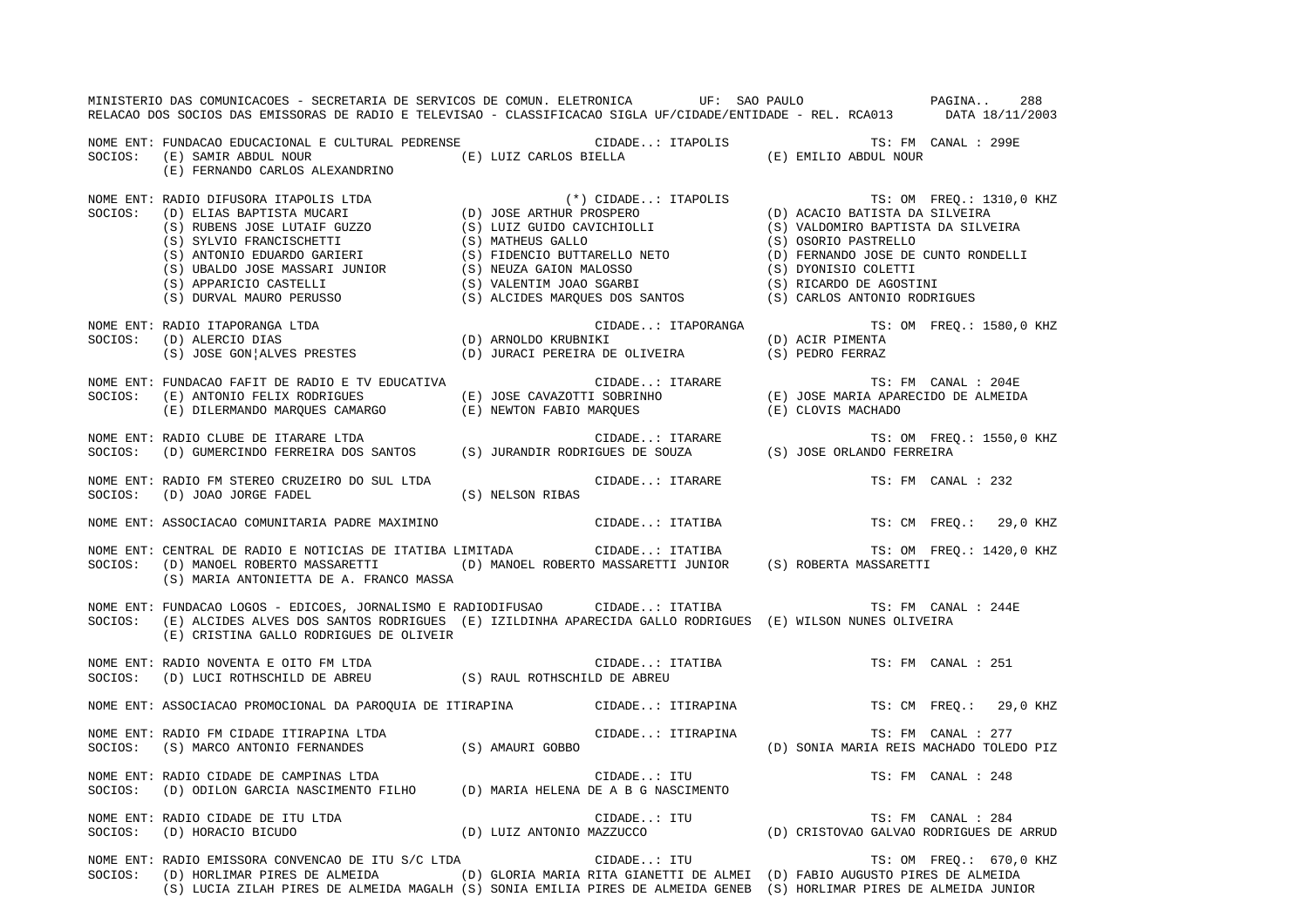|         | MINISTERIO DAS COMUNICACOES - SECRETARIA DE SERVICOS DE COMUN. ELETRONICA UF: SAO PAULO ANDIO PAGINA                                                                                                                                 |                  |                   |  |                                         | 288                      |
|---------|--------------------------------------------------------------------------------------------------------------------------------------------------------------------------------------------------------------------------------------|------------------|-------------------|--|-----------------------------------------|--------------------------|
|         | RELACAO DOS SOCIOS DAS EMISSORAS DE RADIO E TELEVISAO - CLASSIFICACAO SIGLA UF/CIDADE/ENTIDADE - REL. RCA013 DATA 18/11/2003                                                                                                         |                  |                   |  |                                         |                          |
|         |                                                                                                                                                                                                                                      |                  |                   |  |                                         |                          |
|         |                                                                                                                                                                                                                                      |                  |                   |  |                                         |                          |
|         | (E) FERNANDO CARLOS ALEXANDRINO                                                                                                                                                                                                      |                  |                   |  |                                         |                          |
|         |                                                                                                                                                                                                                                      |                  |                   |  |                                         | TS: OM FREQ.: 1310,0 KHZ |
|         |                                                                                                                                                                                                                                      |                  |                   |  |                                         |                          |
|         |                                                                                                                                                                                                                                      |                  |                   |  |                                         |                          |
|         |                                                                                                                                                                                                                                      |                  |                   |  |                                         |                          |
|         |                                                                                                                                                                                                                                      |                  |                   |  |                                         |                          |
|         |                                                                                                                                                                                                                                      |                  |                   |  |                                         |                          |
|         |                                                                                                                                                                                                                                      |                  |                   |  |                                         |                          |
|         |                                                                                                                                                                                                                                      |                  |                   |  |                                         |                          |
|         |                                                                                                                                                                                                                                      |                  |                   |  |                                         | TS: OM FREQ.: 1580,0 KHZ |
|         |                                                                                                                                                                                                                                      |                  |                   |  |                                         |                          |
|         | NOME ENT: RADIO ITAPORANGA LTDA<br>SOCIOS: (D) ALERCIO DIAS (D) ARNOLDO KRUBNIKI (D) ACIR PIMENTA<br>(S) JOSE GON ALVES PRESTES (D) JURACI PEREIRA DE OLIVEIRA (S) PEDRO FERRAZ                                                      |                  |                   |  |                                         |                          |
|         | NOME ENT: FUNDACAO FAFIT DE RADIO E TV EDUCATIVA (E) JOSE CAVAZOTTI SOBRINHO (E) JOSE MARIA APARECIDO DE ALMEIDA<br>SOCIOS: (E) ANTONIO FELIX RODRIGUES (E) JOSE CAVAZOTTI SOBRINHO (E) JOSE MARIA APARECIDO DE ALMEIDA<br>(E) DILER |                  |                   |  |                                         |                          |
|         |                                                                                                                                                                                                                                      |                  |                   |  |                                         |                          |
|         |                                                                                                                                                                                                                                      |                  |                   |  |                                         |                          |
|         | NOME ENT: RADIO CLUBE DE ITARARE LTDA<br>SOCIOS:    (D) GUMERCINDO FERREIRA DOS SANTOS        (S) JURANDIR RODRIGUES DE SOUZA             (S) JOSE ORLANDO FERREIRA                                                                  |                  |                   |  |                                         | TS: OM FREQ.: 1550,0 KHZ |
|         |                                                                                                                                                                                                                                      |                  |                   |  |                                         |                          |
|         | NOME ENT: RADIO FM STEREO CRUZEIRO DO SUL LTDA                                                                                                                                                                                       |                  | CIDADE: ITARARE   |  | TS: FM CANAL : 232                      |                          |
| SOCIOS: | (D) JOAO JORGE FADEL                                                                                                                                                                                                                 | (S) NELSON RIBAS |                   |  |                                         |                          |
|         | NOME ENT: ASSOCIACAO COMUNITARIA PADRE MAXIMINO<br>NOME ENT: CENTRAL DE RADIO E NOTICIAS DE ITATIBA LIMITADA (IDADE: ITATIBA (S) ROBERTA MASSARETTI (D) MANOEL ROBERTO MASSARETTI (D) MANOEL ROBERTO MASSARETTI (D) MANOEL ROBE      |                  |                   |  |                                         |                          |
|         |                                                                                                                                                                                                                                      |                  |                   |  |                                         |                          |
|         | (S) MARIA ANTONIETTA DE A. FRANCO MASSA                                                                                                                                                                                              |                  |                   |  |                                         |                          |
|         | NOME ENT: FUNDACAO LOGOS - EDICOES, JORNALISMO E RADIODIFUSAO CIDADE: ITATIBA                                                                                                                                                        |                  |                   |  | TS: FM CANAL : 244E                     |                          |
|         | SOCIOS: (E) ALCIDES ALVES DOS SANTOS RODRIGUES (E) IZILDINHA APARECIDA GALLO RODRIGUES (E) WILSON NUNES OLIVEIRA<br>(E) CRISTINA GALLO RODRIGUES DE OLIVEIR                                                                          |                  |                   |  |                                         |                          |
|         |                                                                                                                                                                                                                                      |                  |                   |  |                                         |                          |
|         |                                                                                                                                                                                                                                      |                  |                   |  |                                         |                          |
|         | NOME ENT: ASSOCIACAO PROMOCIONAL DA PAROQUIA DE ITIRAPINA CIDADE: ITIRAPINA TS: CM FREQ.: 29,0 KHZ                                                                                                                                   |                  |                   |  |                                         |                          |
|         |                                                                                                                                                                                                                                      |                  | CIDADE: ITIRAPINA |  | TS: FM CANAL : 277                      |                          |
|         | NOME ENT: RADIO FM CIDADE ITIRAPINA LTDA (S) AMAURI GOBBO<br>SOCIOS: (S) MARCO ANTONIO FERNANDES (S) AMAURI GOBBO                                                                                                                    |                  |                   |  | (D) SONIA MARIA REIS MACHADO TOLEDO PIZ |                          |
|         | NOME ENT: RADIO CIDADE DE CAMPINAS LTDA                                                                                                                                                                                              |                  | CIDADE: ITU       |  | TS: FM CANAL : 248                      |                          |
| SOCIOS: | (D) ODILON GARCIA NASCIMENTO FILHO (D) MARIA HELENA DE A B G NASCIMENTO                                                                                                                                                              |                  |                   |  |                                         |                          |
|         |                                                                                                                                                                                                                                      |                  |                   |  |                                         |                          |
|         | NOME ENT: RADIO CIDADE DE ITU LTDA<br>SOCIOS: (D) HORACIO BICUDO (D) LUIZ ANTONIO MAZZUCCO (D) CRISTOVAO GALVAO RODRIGUES DE ARRUD                                                                                                   |                  |                   |  |                                         |                          |
|         | NOME ENT: RADIO EMISSORA CONVENCAO DE ITU S/C LTDA                                                                                                                                                                                   |                  | CIDADE: ITU       |  |                                         | TS: OM FREQ.: 670,0 KHZ  |
| SOCIOS: | (D) HORLIMAR PIRES DE ALMEIDA (D) GLORIA MARIA RITA GIANETTI DE ALMEI (D) FABIO AUGUSTO PIRES DE ALMEIDA                                                                                                                             |                  |                   |  |                                         |                          |
|         | (S) LUCIA ZILAH PIRES DE ALMEIDA MAGALH (S) SONIA EMILIA PIRES DE ALMEIDA GENEB (S) HORLIMAR PIRES DE ALMEIDA JUNIOR                                                                                                                 |                  |                   |  |                                         |                          |
|         |                                                                                                                                                                                                                                      |                  |                   |  |                                         |                          |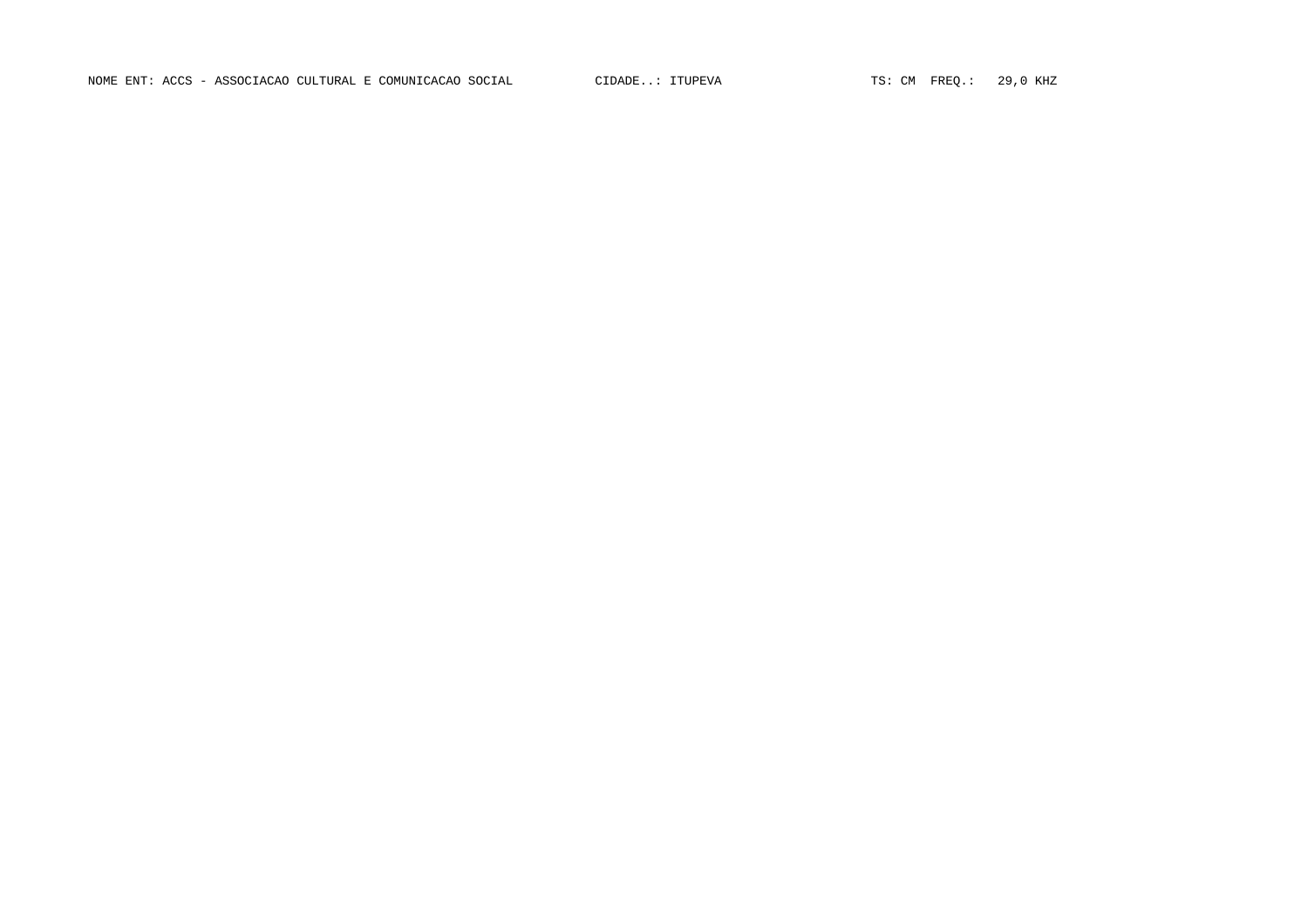NOME ENT: ACCS - ASSOCIACAO CULTURAL E COMUNICACAO SOCIAL CIDADE..: ITUPEVA TS: CM FREQ.: 29,0 KHZ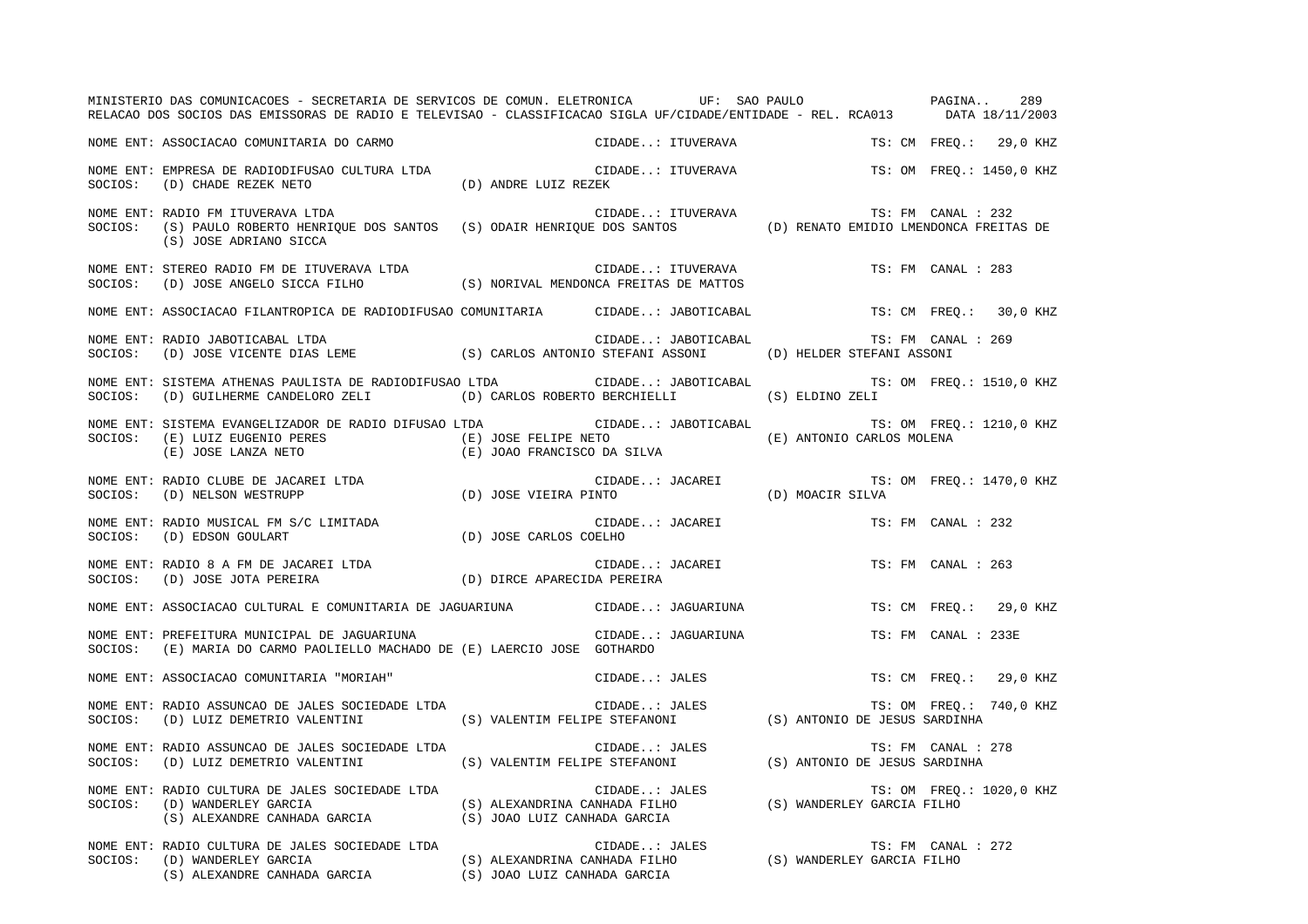|         | MINISTERIO DAS COMUNICACOES - SECRETARIA DE SERVICOS DE COMUN. ELETRONICA UF: SAO PAULO PAGINA<br>RELACAO DOS SOCIOS DAS EMISSORAS DE RADIO E TELEVISAO - CLASSIFICACAO SIGLA UF/CIDADE/ENTIDADE - REL. RCA013 DATA 18/11/2003 |                                                     |                                                                                                                        |                               | 289                      |
|---------|--------------------------------------------------------------------------------------------------------------------------------------------------------------------------------------------------------------------------------|-----------------------------------------------------|------------------------------------------------------------------------------------------------------------------------|-------------------------------|--------------------------|
|         | NOME ENT: ASSOCIACAO COMUNITARIA DO CARMO                                                                                                                                                                                      |                                                     | CIDADE: ITUVERAVA                                                                                                      |                               | TS: CM FREQ.: 29,0 KHZ   |
| SOCIOS: | NOME ENT: EMPRESA DE RADIODIFUSAO CULTURA LTDA<br>(D) CHADE REZEK NETO                                                                                                                                                         | (D) ANDRE LUIZ REZEK                                | CIDADE: ITUVERAVA                                                                                                      |                               | TS: OM FREO.: 1450,0 KHZ |
| SOCIOS: | NOME ENT: RADIO FM ITUVERAVA LTDA<br>(S) PAULO ROBERTO HENRIQUE DOS SANTOS (S) ODAIR HENRIQUE DOS SANTOS (D) RENATO EMIDIO LMENDONCA FREITAS DE<br>(S) JOSE ADRIANO SICCA                                                      |                                                     | CIDADE: ITUVERAVA                                                                                                      |                               | TS: FM CANAL : 232       |
| SOCIOS: | NOME ENT: STEREO RADIO FM DE ITUVERAVA LTDA<br>(D) JOSE ANGELO SICCA FILHO (S) NORIVAL MENDONCA FREITAS DE MATTOS                                                                                                              |                                                     | CIDADE: ITUVERAVA                                                                                                      |                               | TS: FM CANAL : 283       |
|         | NOME ENT: ASSOCIACAO FILANTROPICA DE RADIODIFUSAO COMUNITARIA CIDADE: JABOTICABAL                                                                                                                                              |                                                     |                                                                                                                        |                               | TS: CM FREQ.: 30,0 KHZ   |
| SOCIOS: | NOME ENT: RADIO JABOTICABAL LTDA<br>(D) JOSE VICENTE DIAS LEME (S) CARLOS ANTONIO STEFANI ASSONI                                                                                                                               |                                                     | CIDADE: JABOTICABAL                                                                                                    | (D) HELDER STEFANI ASSONI     | TS: FM CANAL : 269       |
| SOCIOS: | NOME ENT: SISTEMA ATHENAS PAULISTA DE RADIODIFUSAO LTDA<br>(D) GUILHERME CANDELORO ZELI                                                                                                                                        |                                                     | CIDADE: JABOTICABAL<br>(D) CARLOS ROBERTO BERCHIELLI                                                                   | (S) ELDINO ZELI               | TS: OM FREO.: 1510,0 KHZ |
| SOCIOS: | NOME ENT: SISTEMA EVANGELIZADOR DE RADIO DIFUSAO LTDA<br>(E) LUIZ EUGENIO PERES<br>(E) JOSE LANZA NETO                                                                                                                         | (E) JOSE FELIPE NETO<br>(E) JOAO FRANCISCO DA SILVA | CIDADE: JABOTICABAL                                                                                                    | (E) ANTONIO CARLOS MOLENA     | TS: OM FREO.: 1210,0 KHZ |
| SOCIOS: | NOME ENT: RADIO CLUBE DE JACAREI LTDA<br>(D) NELSON WESTRUPP                                                                                                                                                                   | (D) JOSE VIEIRA PINTO                               | CIDADE: JACAREI (D) MOACIR SILVA<br>PINTO (D) MOACIR SILVA                                                             |                               | TS: OM FREO.: 1470,0 KHZ |
| SOCIOS: | NOME ENT: RADIO MUSICAL FM S/C LIMITADA<br>(D) EDSON GOULART                                                                                                                                                                   | (D) JOSE CARLOS COELHO                              | CIDADE: JACAREI                                                                                                        |                               | TS: FM CANAL : 232       |
| SOCIOS: | NOME ENT: RADIO 8 A FM DE JACAREI LTDA<br>(D) JOSE JOTA PEREIRA                                                                                                                                                                | (D) DIRCE APARECIDA PEREIRA                         | CIDADE: JACAREI                                                                                                        |                               | TS: FM CANAL : 263       |
|         | NOME ENT: ASSOCIACAO CULTURAL E COMUNITARIA DE JAGUARIUNA CIDADE: JAGUARIUNA                                                                                                                                                   |                                                     |                                                                                                                        |                               | TS: CM FREO.: 29,0 KHZ   |
| SOCIOS: | NOME ENT: PREFEITURA MUNICIPAL DE JAGUARIUNA<br>(E) MARIA DO CARMO PAOLIELLO MACHADO DE (E) LAERCIO JOSE GOTHARDO                                                                                                              |                                                     | CIDADE: JAGUARIUNA                                                                                                     |                               | TS: FM CANAL : 233E      |
|         | NOME ENT: ASSOCIACAO COMUNITARIA "MORIAH"                                                                                                                                                                                      |                                                     | CIDADE: JALES                                                                                                          |                               | TS: CM FREO.: 29,0 KHZ   |
| SOCIOS: | NOME ENT: RADIO ASSUNCAO DE JALES SOCIEDADE LTDA<br>(D) LUIZ DEMETRIO VALENTINI                                                                                                                                                |                                                     |                                                                                                                        |                               | TS: OM FREQ.: 740,0 KHZ  |
| SOCIOS: | NOME ENT: RADIO ASSUNCAO DE JALES SOCIEDADE LTDA<br>(D) LUIZ DEMETRIO VALENTINI                                                                                                                                                |                                                     | CIDADE: JALES<br>S) VALENTIM FELIPE STEFANONI                                                                          | (S) ANTONIO DE JESUS SARDINHA | TS: FM CANAL : 278       |
| SOCIOS: | NOME ENT: RADIO CULTURA DE JALES SOCIEDADE LTDA<br>(D) WANDERLEY GARCIA<br>(S) ALEXANDRE CANHADA GARCIA                                                                                                                        | (S) JOAO LUIZ CANHADA GARCIA                        | CIDADE: JALES TS: OM FREQ.<br>(S) ALEXANDRINA CANHADA FILHO (S) WANDERLEY GARCIA FILHO                                 |                               | TS: OM FREO.: 1020,0 KHZ |
| SOCIOS: | NOME ENT: RADIO CULTURA DE JALES SOCIEDADE LTDA<br>(D) WANDERLEY GARCIA<br>(S) ALEXANDRE CANHADA GARCIA                                                                                                                        |                                                     | CIDADE: JALES TS: FM CANAI<br>(S) ALEXANDRINA CANHADA FILHO (S) WANDERLEY GARCIA FILHO<br>(S) JOAO LUIZ CANHADA GARCIA |                               | TS: FM CANAL : 272       |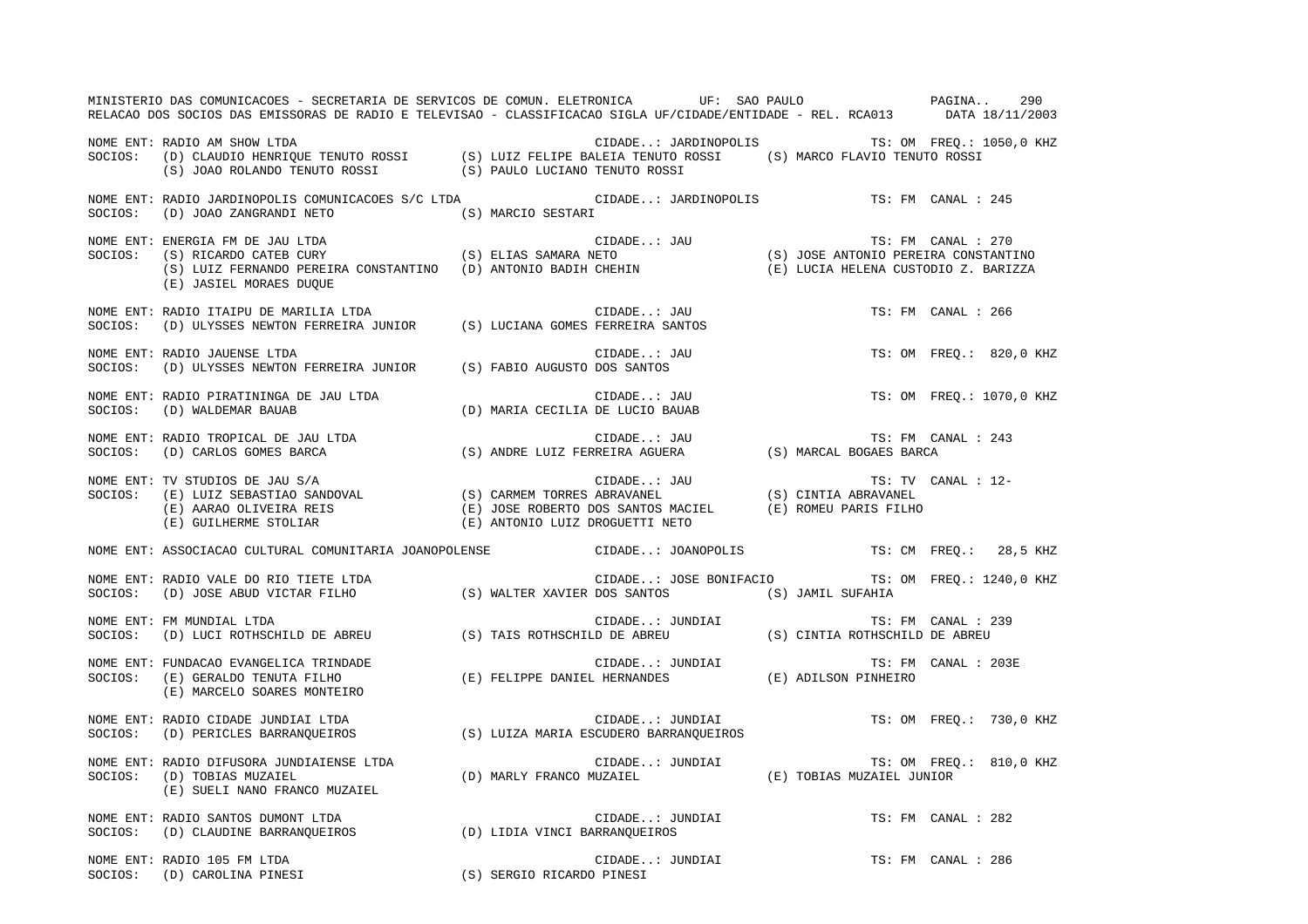| MINISTERIO DAS COMUNICACOES - SECRETARIA DE SERVICOS DE COMUN. ELETRONICA UF: SAO PAULO PAGINA 290<br>RELACAO DOS SOCIOS DAS EMISSORAS DE RADIO E TELEVISAO - CLASSIFICACAO SIGLA UF/CIDADE/ENTIDADE - REL. RCA013 DATA 18/11/2003                             |                                  |                                               |                          |
|----------------------------------------------------------------------------------------------------------------------------------------------------------------------------------------------------------------------------------------------------------------|----------------------------------|-----------------------------------------------|--------------------------|
| NOME ENT: RADIO AM SHOW LTDA<br>SOCIOS: (D) CLAUDIO HENRIQUE TENUTO ROSSI (S) LUIZ FELIPE BALEIA TENUTO ROSSI (S) MARCO FLAVIO TENUTO ROSSI<br>(S) JOAO ROLANDO TENUTO ROSSI (S) PAULO LUCIANO TENUTO ROSSI (S) MARCO FLAVIO TENUTO                            |                                  | CIDADE: JARDINOPOLIS TS: OM FREQ.: 1050,0 KHZ |                          |
| NOME ENT: RADIO JARDINOPOLIS COMUNICACOES S/C LTDA CIDADE: JARDINOPOLIS TS: FM CANAL : 245<br>SOCIOS: (D) JOAO ZANGRANDI NETO (S) MARCIO SESTARI                                                                                                               |                                  |                                               |                          |
| NOME ENT: ENERGIA FM DE JAU LTDA<br>SOCIOS: (S) RICARDO CATEB CURY (S) ELIAS SAMARA NETO (S) OSE ANTONIO PEREIRA CONSTANTINO<br>(S) LUIZ FERNANDO PEREIRA CONSTANTINO (D) ANTONIO BADIH CHEHIN (E) LUCIA HELENA CUSTODIO Z. BARIZZA<br>(E) JASIEL MORAES DUQUE |                                  |                                               |                          |
| NOME ENT: RADIO ITAIPU DE MARILIA LTDA<br>SOCIOS: (D) ULYSSES NEWTON FERREIRA JUNIOR (S) LUCIANA GOMES FERREIRA SANTOS                                                                                                                                         |                                  | CIDADE: JAU                                   | TS: FM CANAL : 266       |
| NOME ENT: RADIO JAUENSE LTDA<br>SOCIOS: (D) ULYSSES NEWTON FERREIRA JUNIOR (S) FABIO AUGUSTO DOS SANTOS                                                                                                                                                        |                                  | CIDADE: JAU                                   | TS: OM FREQ.: 820,0 KHZ  |
| NOME ENT: RADIO PIRATININGA DE JAU LTDA<br>SOCIOS: (D) WALDEMAR BAUAB                                                                                                                                                                                          | (D) MARIA CECILIA DE LUCIO BAUAB | CIDADE: JAU                                   | TS: OM FREQ.: 1070,0 KHZ |
|                                                                                                                                                                                                                                                                |                                  |                                               | TS: FM CANAL : 243       |
| NOME ENT: TV STUDIOS DE JAU S/A<br>SOCIOS: (E) LUIZ SEBASTIAO SANDOVAL (S) CARMEM TORRES ABRAVANEL (S) CINTIA ABRAVANEL<br>(E) AARAO OLIVEIRA REIS (E) JOSE ROBERTO DOS SANTOS MACIEL (E) ROMEU PARIS FILHO<br>(E) GUILHERME STOLIAR                           |                                  |                                               | TS: TV CANAL : 12-       |
| NOME ENT: ASSOCIACAO CULTURAL COMUNITARIA JOANOPOLENSE CIDADE: JOANOPOLIS TS: CM FREQ.: 28,5 KHZ                                                                                                                                                               |                                  |                                               |                          |
| NOME ENT: RADIO VALE DO RIO TIETE LTDA<br>SOCIOS:   (D) JOSE ABUD VICTAR FILHO                    (S) WALTER XAVIER DOS SANTOS          (S) JAMIL SUFAHIA                                                                                                      |                                  |                                               |                          |
| NOME ENT: FM MUNDIAL LTDA<br>SOCIOS: (D) LUCI ROTHSCHILD DE ABREU (S) TAIS ROTHSCHILD DE ABREU (S) CINTIA ROTHSCHILD DE ABREU                                                                                                                                  |                                  |                                               |                          |
| NOME ENT: FUNDACAO EVANGELICA TRINDADE<br>SOCIOS:   (E) GERALDO TENUTA FILHO                   (E) FELIPPE DANIEL HERNANDES            (E) ADILSON PINHEIRO<br>(E) MARCELO SOARES MONTEIRO                                                                     |                                  |                                               |                          |
| NOME ENT: RADIO CIDADE JUNDIAI LTDA<br>NUME ENI. KADIO CIDADE JUNDIAI LIDA<br>SOCIOS: (D) PERICLES BARRANQUEIROS (S) LUIZA MARIA ESCUDERO BARRANQUEIROS                                                                                                        |                                  | CIDADE: JUNDIAI                               | TS: OM FREQ.: 730,0 KHZ  |
| NOME ENT: RADIO DIFUSORA JUNDIAIENSE LTDA<br>SOCIOS: (D) TOBIAS MUZAIEL (D) TOBIAS MUZAIEL (D) MARLY FRANCO MUZAIEL (D) TOBIAS MUZAIEL JUNIOR<br>(E) SUELI NANO FRANCO MUZAIEL                                                                                 |                                  |                                               |                          |
| NOME ENT: RADIO SANTOS DUMONT LTDA<br>SOCIOS: (D) CLAUDINE BARRANQUEIROS (D) LIDIA VINCI BARRANQUEIROS                                                                                                                                                         |                                  | CIDADE: JUNDIAI                               | TS: FM CANAL : 282       |
| NOME ENT: RADIO 105 FM LTDA<br>SOCIOS: (D) CAROLINA PINESI                                                                                                                                                                                                     |                                  | CIDADE: JUNDIAI<br>(S) SERGIO RICARDO PINESI  | TS: FM CANAL : 286       |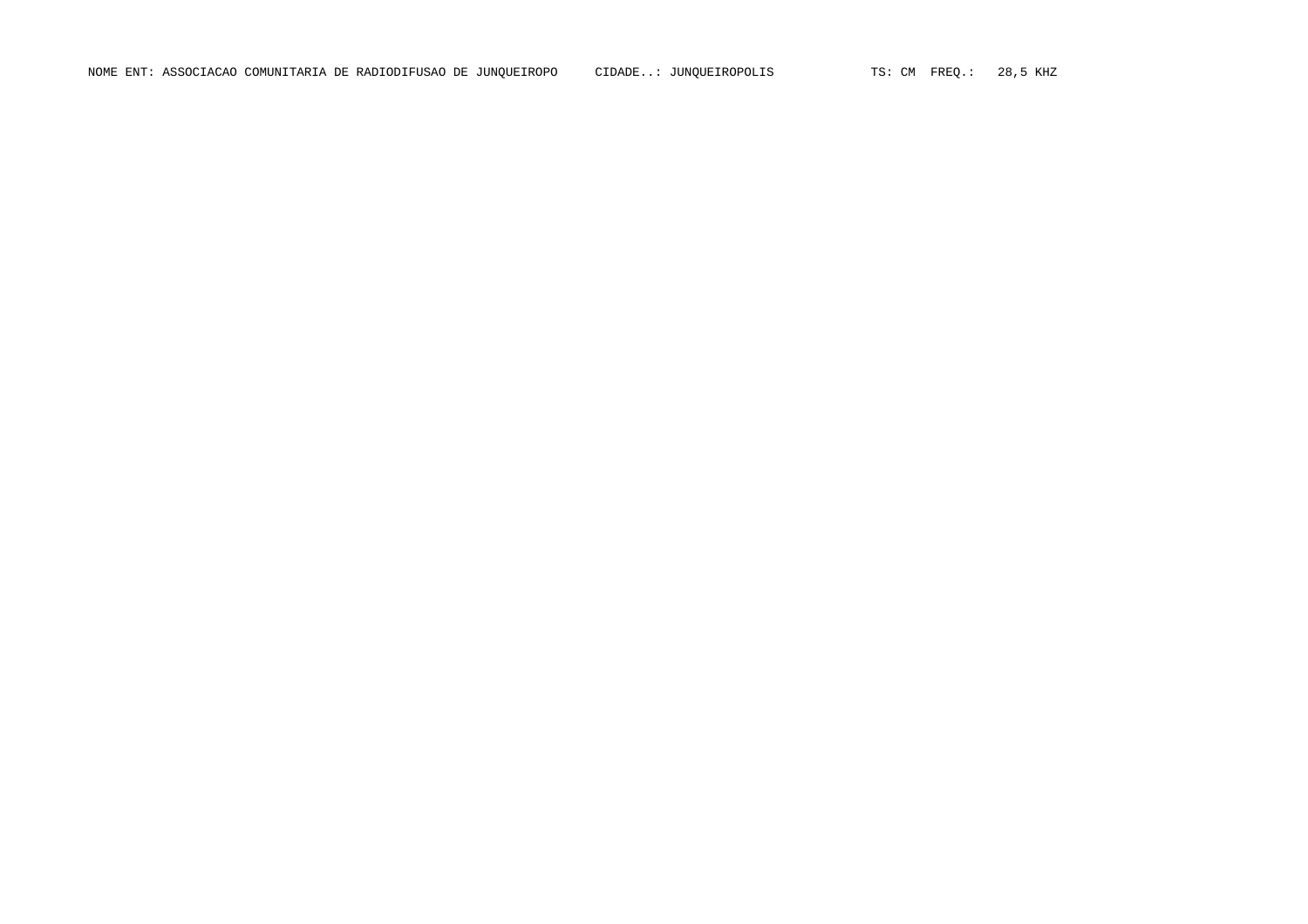NOME ENT: ASSOCIACAO COMUNITARIA DE RADIODIFUSAO DE JUNQUEIROPO CIDADE..: JUNQUEIROPOLIS TS: CM FREQ.: 28,5 KHZ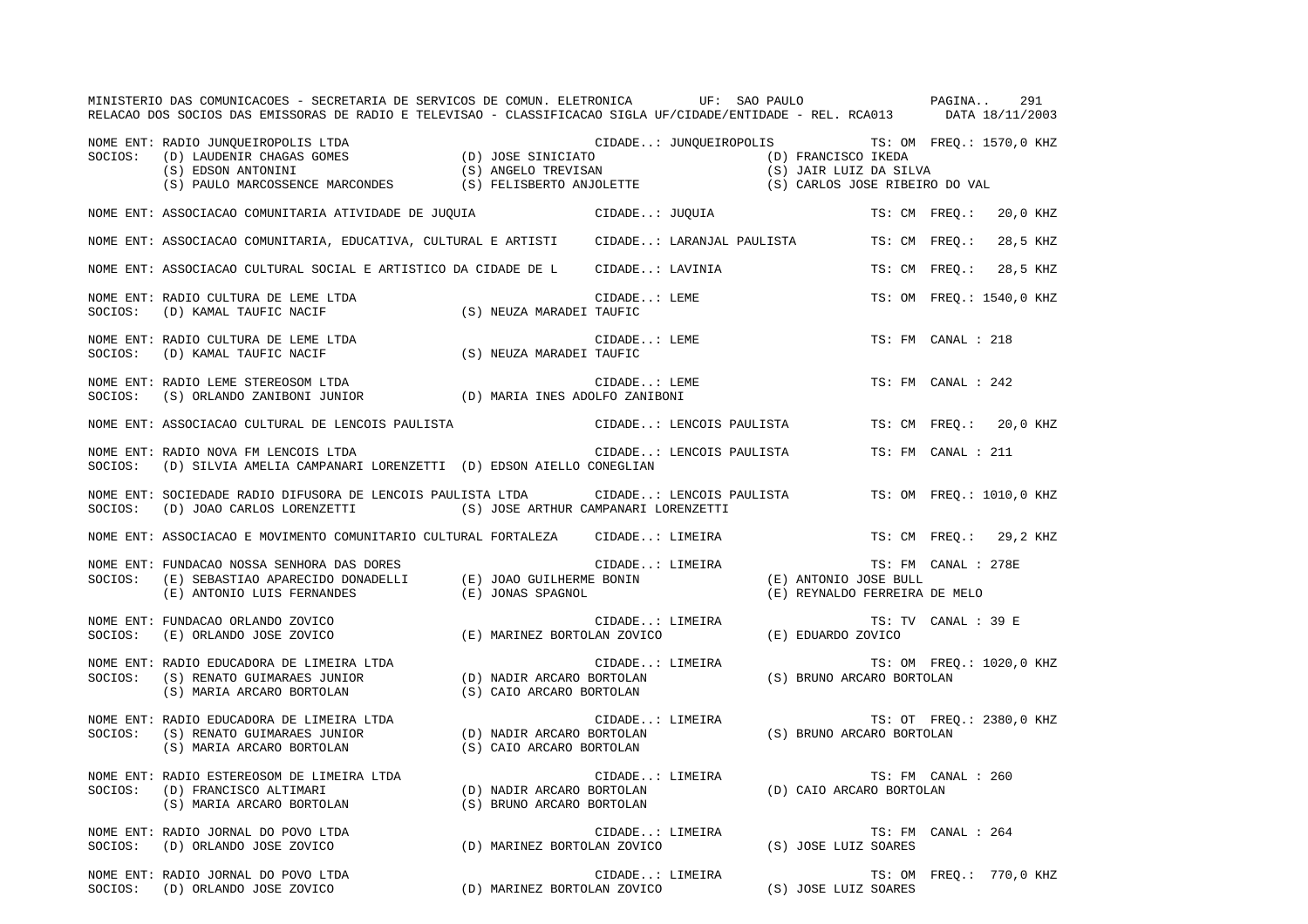|         | MINISTERIO DAS COMUNICACOES - SECRETARIA DE SERVICOS DE COMUN. ELETRONICA UF: SAO PAULO PAGINA<br>RELACAO DOS SOCIOS DAS EMISSORAS DE RADIO E TELEVISAO - CLASSIFICACAO SIGLA UF/CIDADE/ENTIDADE - REL. RCA013 DATA 18/11/2003                  |                                                        |                          |  |                               |                          | 291      |
|---------|-------------------------------------------------------------------------------------------------------------------------------------------------------------------------------------------------------------------------------------------------|--------------------------------------------------------|--------------------------|--|-------------------------------|--------------------------|----------|
| SOCIOS: | NOME ENT: RADIO JUNQUEIROPOLIS LTDA                                                                                                                                                                                                             | CIDADE: JUNQUEIROPOLIS TS: OM FREQ.: 1570,0 KHZ        |                          |  |                               |                          |          |
|         | NOME ENT: ASSOCIACAO COMUNITARIA ATIVIDADE DE JUQUIA (CIDADE: JUQUIA                                                                                                                                                                            |                                                        |                          |  |                               | TS: CM FREO.: 20,0 KHZ   |          |
|         | NOME ENT: ASSOCIACAO COMUNITARIA, EDUCATIVA, CULTURAL E ARTISTI     CIDADE: LARANJAL PAULISTA                                                                                                                                                   |                                                        |                          |  |                               | TS: CM FREQ.:            | 28,5 KHZ |
|         | NOME ENT: ASSOCIACAO CULTURAL SOCIAL E ARTISTICO DA CIDADE DE LOTIDADE: LAVINIA                                                                                                                                                                 |                                                        |                          |  |                               | TS: CM FREO.:            | 28,5 KHZ |
| SOCIOS: | NOME ENT: RADIO CULTURA DE LEME LTDA<br>(D) KAMAL TAUFIC NACIF (S) NEUZA MARADEI TAUFIC                                                                                                                                                         |                                                        | CIDADE: LEME             |  |                               | TS: OM FREO.: 1540,0 KHZ |          |
|         | NOME ENT: RADIO CULTURA DE LEME LTDA<br>SOCIOS: (D) KAMAL TAUFIC NACIF (S) NEUZA MARADEI TAUFIC                                                                                                                                                 |                                                        | CIDADE: LEME             |  |                               | TS: FM CANAL : 218       |          |
|         | NOME ENT: RADIO LEME STEREOSOM LTDA<br>SOCIOS: (S) ORLANDO ZANIBONI JUNIOR (D) MARIA INES ADOLFO ZANIBONI                                                                                                                                       |                                                        | CIDADE: LEME             |  |                               | TS: FM CANAL : 242       |          |
|         | NOME ENT: ASSOCIACAO CULTURAL DE LENCOIS PAULISTA                                                                                                                                                                                               |                                                        | CIDADE: LENCOIS PAULISTA |  |                               | TS: CM FREO.: 20,0 KHZ   |          |
| SOCIOS: | NOME ENT: RADIO NOVA FM LENCOIS LTDA<br>(D) SILVIA AMELIA CAMPANARI LORENZETTI (D) EDSON AIELLO CONEGLIAN                                                                                                                                       |                                                        | CIDADE: LENCOIS PAULISTA |  |                               | TS: FM CANAL : 211       |          |
| SOCIOS: | NOME ENT: SOCIEDADE RADIO DIFUSORA DE LENCOIS PAULISTA LTDA CIDADE: LENCOIS PAULISTA<br>(D) JOAO CARLOS LORENZETTI (S) JOSE ARTHUR CAMPANARI LORENZETTI                                                                                         |                                                        |                          |  |                               | TS: OM FREO.: 1010,0 KHZ |          |
|         | NOME ENT: ASSOCIACAO E MOVIMENTO COMUNITARIO CULTURAL FORTALEZA CIDADE: LIMEIRA                                                                                                                                                                 |                                                        |                          |  |                               | TS: CM FREO.: 29,2 KHZ   |          |
| SOCIOS: | NOME ENT: FUNDACAO NOSSA SENHORA DAS DORES<br>TS: FM) (E) SEBASTIAO APARECIDO DONADELLI (E) JOAO GUILHERME BONIN (E) ANTONIO JOSE BULL<br>E) ANTONIO LUIS FERNANDES (E) JONAS SPAGNOL (E) (E) ANTONIO LUIS FERNANDES (E) ANTONIO LUIS FERNANDES |                                                        |                          |  | (E) REYNALDO FERREIRA DE MELO | TS: FM CANAL : 278E      |          |
| SOCIOS: | NOME ENT: FUNDACAO ORLANDO ZOVICO<br>(E) MARINEZ BORTOLAN ZOVICO (E) EDUARDO ZOVICO<br>(E) ORLANDO JOSE ZOVICO                                                                                                                                  |                                                        | CIDADE: LIMEIRA          |  |                               | TS: TV CANAL : 39 E      |          |
| SOCIOS: | NOME ENT: RADIO EDUCADORA DE LIMEIRA LTDA<br>TS: OM FREQ (S) RENATO GUIMARAES JUNIOR (D) NADIR ARCARO BORTOLAN (S) BRUNO ARCARO BORTOLAN (S) ARIA ARCARO BORTOLAN (S) ARIA ARCARO BORTOLAN (S) CAIO ARCARO BORTOLAN                             |                                                        |                          |  |                               | TS: OM FREQ.: 1020,0 KHZ |          |
| SOCIOS: | RADIO EDUCADORA DE LIMEIRA LTDA<br>(D) NADIR ARCARO BORTOLAN (S) BRUNO ARCARO BORTOLAN<br>(S) BRUNO ARCARO BORTOLAN<br>(S) BRUNO ARCARO BORTOLAN<br>NOME ENT: RADIO EDUCADORA DE LIMEIRA LTDA<br>(S) MARIA ARCARO BORTOLAN                      | (S) CAIO ARCARO BORTOLAN                               |                          |  |                               |                          |          |
|         | NOME ENT: RADIO ESTEREOSOM DE LIMEIRA LTDA<br>SOCIOS: (D) FRANCISCO ALTIMARI<br>(S) MARIA ARCARO BORTOLAN                                                                                                                                       | (D) NADIR ARCARO BORTOLAN<br>(S) BRUNO ARCARO BORTOLAN | CIDADE: LIMEIRA          |  | (D) CAIO ARCARO BORTOLAN      | TS: FM CANAL : 260       |          |
|         | NOME ENT: RADIO JORNAL DO POVO LTDA<br>SOCIOS: (D) ORLANDO JOSE ZOVICO                                                                                                                                                                          | (D) MARINEZ BORTOLAN ZOVICO (S) JOSE LUIZ SOARES       | CIDADE: LIMEIRA          |  |                               | TS: FM CANAL : 264       |          |
|         | NOME ENT: RADIO JORNAL DO POVO LTDA<br>SOCIOS:    (D) ORLANDO JOSE ZOVICO                              (D) MARINEZ BORTOLAN ZOVICO                  (S) JOSE LUIZ SOARES                                                                        |                                                        |                          |  |                               | TS: OM FREO.: 770,0 KHZ  |          |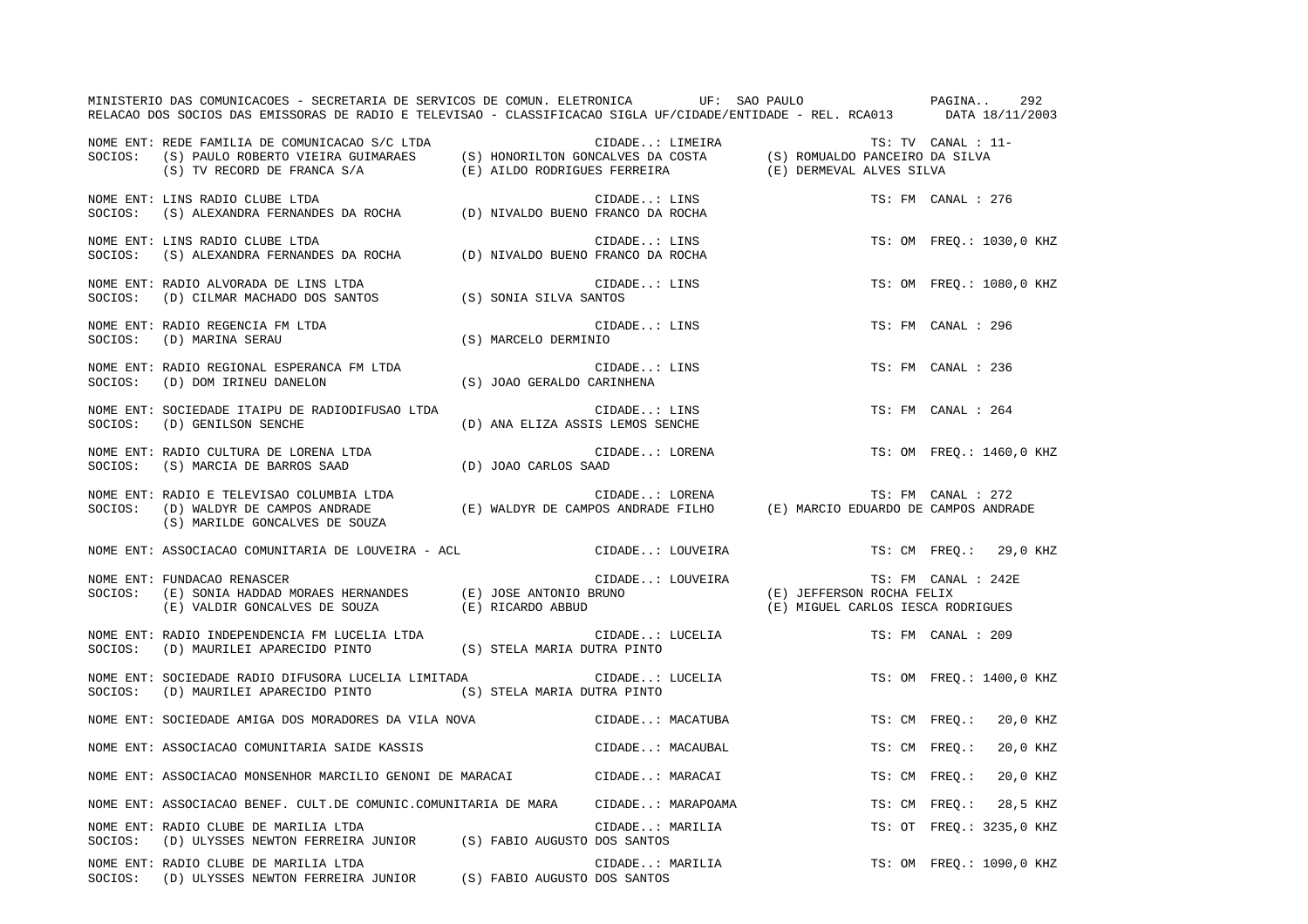|         | MINISTERIO DAS COMUNICACOES - SECRETARIA DE SERVICOS DE COMUN. ELETRONICA UF: SAO PAULO PAGINA<br>RELACAO DOS SOCIOS DAS EMISSORAS DE RADIO E TELEVISAO - CLASSIFICACAO SIGLA UF/CIDADE/ENTIDADE - REL. RCA013 DATA 18/11/2003                                                                                                                                                                                                                                                                                        |  |              |                                       |                                                                                                |                     | 292                      |
|---------|-----------------------------------------------------------------------------------------------------------------------------------------------------------------------------------------------------------------------------------------------------------------------------------------------------------------------------------------------------------------------------------------------------------------------------------------------------------------------------------------------------------------------|--|--------------|---------------------------------------|------------------------------------------------------------------------------------------------|---------------------|--------------------------|
|         | NOME ENT: REDE FAMILIA DE COMUNICACAO S/C LTDA<br>SOCIOS: (S) PAULO ROBERTO VIEIRA GUIMARAES (S) HONORILTON GONCALVES DA COSTA (S) ROMUALDO PANCEIRO DA SILVA<br>(S) TV RECORD DE FRANCA S/A (E) AILDO RODRIGUES FERREIRA (E) DERMEV                                                                                                                                                                                                                                                                                  |  |              |                                       |                                                                                                | TS: TV CANAL : 11-  |                          |
|         | NOME ENT: LINS RADIO CLUBE LTDA<br>SOCIOS: (S) ALEXANDRA FERNANDES DA ROCHA (D) NIVALDO BUENO FRANCO DA ROCHA                                                                                                                                                                                                                                                                                                                                                                                                         |  |              |                                       |                                                                                                | TS: FM CANAL : 276  |                          |
|         | NOME ENT: LINS RADIO CLUBE LTDA<br>NOME ENT: LINS RADIO CLUBE LTDA<br>SOCIOS: (S) ALEXANDRA FERNANDES DA ROCHA (D) NIVALDO BUENO FRANCO DA ROCHA                                                                                                                                                                                                                                                                                                                                                                      |  | CIDADE: LINS |                                       |                                                                                                |                     | TS: OM FREO.: 1030,0 KHZ |
| SOCIOS: | NOME ENT: RADIO ALVORADA DE LINS LTDA<br>(D) CILMAR MACHADO DOS SANTOS (S) SONIA SILVA SANTOS                                                                                                                                                                                                                                                                                                                                                                                                                         |  | CIDADE: LINS |                                       |                                                                                                |                     | TS: OM FREQ.: 1080,0 KHZ |
|         | $\begin{minipage}{.4\linewidth} \begin{tabular}{lcccc} \textsc{None} \textsc{ENT}: \textsc{RADIO} \textsc{REGENCIA} \textsc{FM} \textsc{LTDA} \end{tabular} & \begin{tabular}{lcccc} \textsc{CID} \end{tabular} & \begin{tabular}{lcccc} \textsc{CID} \end{tabular} & \begin{tabular}{lcccc} \textsc{CID} \end{tabular} & \begin{tabular}{lcccc} \textsc{CID} \end{tabular} & \begin{tabular}{lcccc} \textsc{CID} \end{tabular} & \begin{tabular}{lcccc} \textsc{CID} \end{tabular} & \begin{tabular}{lcccc} \textsc$ |  |              | $\texttt{CIDADE} \dots \texttt{LINS}$ |                                                                                                | TS: FM CANAL : 296  |                          |
|         |                                                                                                                                                                                                                                                                                                                                                                                                                                                                                                                       |  | CIDADE: LINS |                                       |                                                                                                | TS: FM CANAL : 236  |                          |
|         | NOME ENT: SOCIEDADE ITAIPU DE RADIODIFUSAO LTDA<br>SOCIOS: (D) GENILSON SENCHE<br>(D) ANA ELIZA ASSIS LEMOS SENCHE                                                                                                                                                                                                                                                                                                                                                                                                    |  | CIDADE: LINS |                                       |                                                                                                | TS: FM CANAL : 264  |                          |
|         |                                                                                                                                                                                                                                                                                                                                                                                                                                                                                                                       |  |              | CIDADE: LORENA                        |                                                                                                |                     | TS: OM FREO.: 1460,0 KHZ |
|         | (S) MARILDE GONCALVES DE SOUZA                                                                                                                                                                                                                                                                                                                                                                                                                                                                                        |  |              |                                       |                                                                                                |                     |                          |
|         | NOME ENT: ASSOCIACAO COMUNITARIA DE LOUVEIRA - ACL                                                                                                                                                                                                                                                                                                                                                                                                                                                                    |  |              | CIDADE: LOUVEIRA                      |                                                                                                |                     | TS: CM FREQ.: 29,0 KHZ   |
|         | NOME ENT: FUNDACAO RENASCER<br>SOCIOS: (E) SONIA HADDAD MORAES HERNANDES (E) JOSE ANTONIO BRUNO (E) JEFFERSON ROCHA FELIX<br>SOCIOS: (E) SONIA HADDAD MORAES HERNANDES (E) JOSE ANTONIO BRUNO (E) MIGUEL CARLOS IESCA RODRIGUES                                                                                                                                                                                                                                                                                       |  |              |                                       | CIDADE: LOUVEIRA (E) JEFFERSON ROCHA FELIX<br>A (E) JEFFERSON ROCHA FELIX<br>A PERSCA RODRIGUE | TS: FM CANAL : 242E |                          |
|         | NOME ENT: RADIO INDEPENDENCIA FM LUCELIA LTDA<br>SOCIOS: (D) MAURILEI APARECIDO PINTO (S) STELA MARIA DUTRA PINTO                                                                                                                                                                                                                                                                                                                                                                                                     |  |              | CIDADE: LUCELIA                       |                                                                                                | TS: FM CANAL : 209  |                          |
|         | NOME ENT: SOCIEDADE RADIO DIFUSORA LUCELIA LIMITADA<br>SOCIOS: (D) MAURILEI APARECIDO PINTO (S) STELA MARIA DUTRA PINTO                                                                                                                                                                                                                                                                                                                                                                                               |  |              | CIDADE: LUCELIA                       |                                                                                                |                     | TS: OM FREQ.: 1400,0 KHZ |
|         | NOME ENT: SOCIEDADE AMIGA DOS MORADORES DA VILA NOVA                                                                                                                                                                                                                                                                                                                                                                                                                                                                  |  |              | CIDADE: MACATUBA                      |                                                                                                |                     | TS: CM FREQ.: 20,0 KHZ   |
|         | NOME ENT: ASSOCIACAO COMUNITARIA SAIDE KASSIS (CIDADE: MACAUBAL                                                                                                                                                                                                                                                                                                                                                                                                                                                       |  |              |                                       |                                                                                                | TS: CM FREQ.:       | 20,0 KHZ                 |
|         | NOME ENT: ASSOCIACAO MONSENHOR MARCILIO GENONI DE MARACAI (CIDADE: MARACAI                                                                                                                                                                                                                                                                                                                                                                                                                                            |  |              |                                       |                                                                                                | TS: CM FREQ.:       | 20,0 KHZ                 |
|         | NOME ENT: ASSOCIACAO BENEF. CULT.DE COMUNIC.COMUNITARIA DE MARA     CIDADE: MARAPOAMA                                                                                                                                                                                                                                                                                                                                                                                                                                 |  |              |                                       |                                                                                                |                     | TS: CM FREQ.: 28,5 KHZ   |
| SOCIOS: | NOME ENT: RADIO CLUBE DE MARILIA LTDA<br>(D) ULYSSES NEWTON FERREIRA JUNIOR (S) FABIO AUGUSTO DOS SANTOS                                                                                                                                                                                                                                                                                                                                                                                                              |  |              | CIDADE: MARILIA<br>DOS SANTOS         |                                                                                                |                     | TS: OT FREO.: 3235,0 KHZ |
|         | NOME ENT: RADIO CLUBE DE MARILIA LTDA<br>SOCIOS: (D) ULYSSES NEWTON FERREIRA JUNIOR (S) FABIO AUGUSTO DOS SANTOS                                                                                                                                                                                                                                                                                                                                                                                                      |  |              | CIDADE: MARILIA                       |                                                                                                |                     | TS: OM FREO.: 1090,0 KHZ |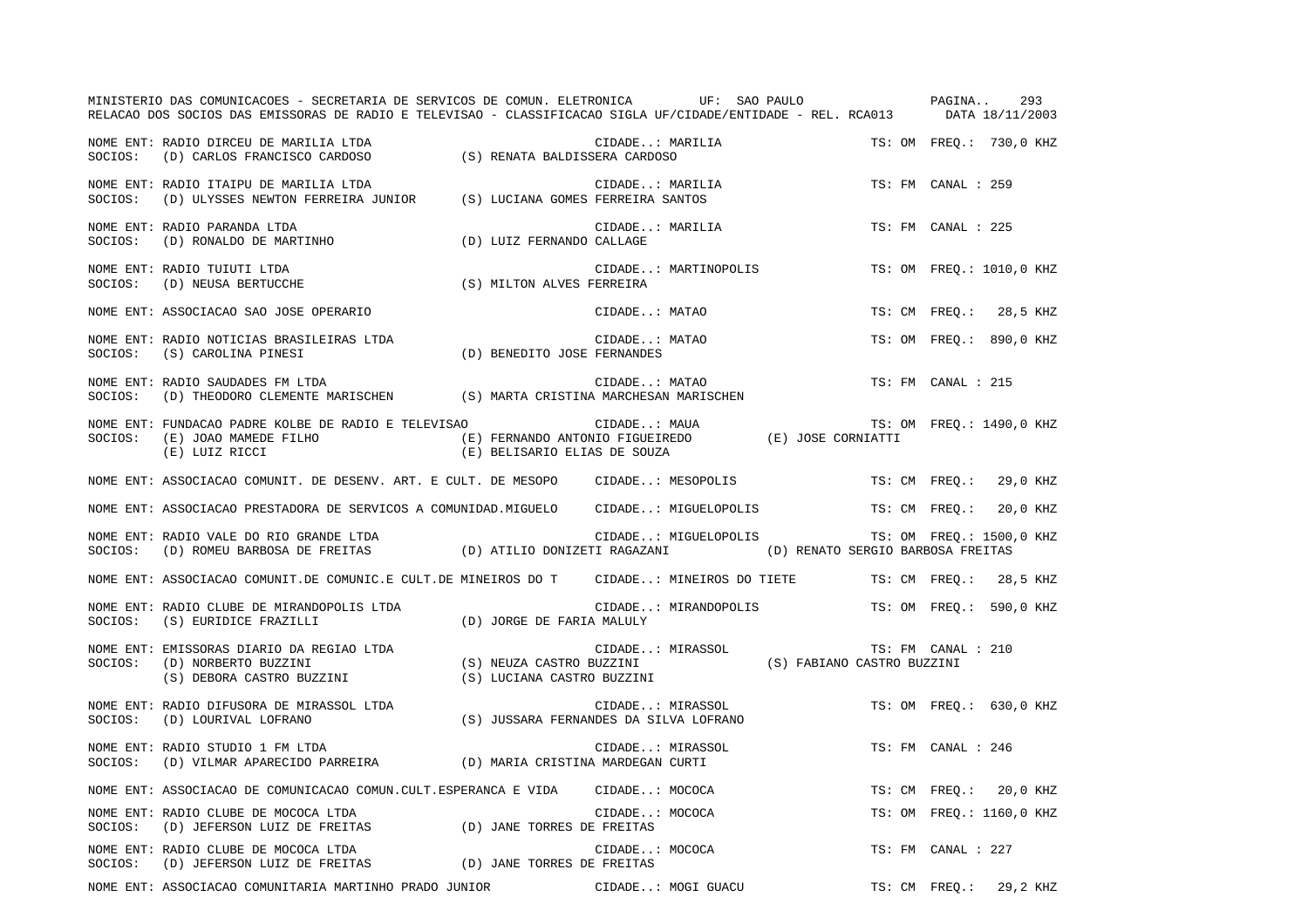|         | MINISTERIO DAS COMUNICACOES - SECRETARIA DE SERVICOS DE COMUN. ELETRONICA UF: SAO PAULO PAGINA<br>RELACAO DOS SOCIOS DAS EMISSORAS DE RADIO E TELEVISAO - CLASSIFICACAO SIGLA UF/CIDADE/ENTIDADE - REL. RCA013 DATA 18/11/2003 |                              |                                                                         | 293                      |
|---------|--------------------------------------------------------------------------------------------------------------------------------------------------------------------------------------------------------------------------------|------------------------------|-------------------------------------------------------------------------|--------------------------|
|         | NOME ENT: RADIO DIRCEU DE MARILIA LTDA<br>SOCIOS: (D) CARLOS FRANCISCO CARDOSO (S) RENATA BALDISSERA CARDOSO                                                                                                                   |                              | CIDADE: MARILIA                                                         | TS: OM FREQ.: 730,0 KHZ  |
|         | NOME ENT: RADIO ITAIPU DE MARILIA LTDA<br>NOME ENT: KADIO ITAIPO DE MARILIA LTDA<br>SOCIOS: (D) ULYSSES NEWTON FERREIRA JUNIOR (S) LUCIANA GOMES FERREIRA SANTOS                                                               |                              | CIDADE: MARILIA                                                         | TS: FM CANAL : 259       |
|         | NOME ENT: RADIO PARANDA LTDA<br>SOCIOS: (D) RONALDO DE MARTINHO                                                                                                                                                                | (D) LUIZ FERNANDO CALLAGE    | CIDADE: MARILIA                                                         | TS: FM CANAL : 225       |
|         | NOME ENT: RADIO TUIUTI LTDA<br>SOCIOS: (D) NEUSA BERTUCCHE                                                                                                                                                                     | (S) MILTON ALVES FERREIRA    | CIDADE: MARTINOPOLIS                                                    | TS: OM FREO.: 1010,0 KHZ |
|         | NOME ENT: ASSOCIACAO SAO JOSE OPERARIO                                                                                                                                                                                         |                              | CIDADE: MATAO                                                           | TS: CM FREQ.: 28,5 KHZ   |
|         | NOME ENT: RADIO NOTICIAS BRASILEIRAS LTDA<br>$\verb SOCIOS:   (S) CAROLINA PINESI   (D) BENEDITO JOSE FERNANDES   (E) ROLINA PINES   (E) R0$                                                                                   |                              | CIDADE: MATAO                                                           | TS: OM FREO.: 890,0 KHZ  |
|         | NOME ENT: RADIO SAUDADES FM LTDA<br>SOCIOS: (D) THEODORO CLEMENTE MARISCHEN (S) MARTA CRISTINA MARCHESAN MARISCHEN                                                                                                             |                              | CIDADE: MATAO                                                           | TS: FM CANAL : 215       |
|         | (E) LUIZ RICCI                                                                                                                                                                                                                 | (E) BELISARIO ELIAS DE SOUZA |                                                                         | TS: OM FREQ.: 1490,0 KHZ |
|         | NOME ENT: ASSOCIACAO COMUNIT. DE DESENV. ART. E CULT. DE MESOPO CIDADE: MESOPOLIS                                                                                                                                              |                              |                                                                         | TS: CM FREO.: 29,0 KHZ   |
|         | NOME ENT: ASSOCIACAO PRESTADORA DE SERVICOS A COMUNIDAD.MIGUELO CIDADE: MIGUELOPOLIS TS: CM FREQ.: 20,0 KHZ                                                                                                                    |                              |                                                                         |                          |
| SOCIOS: | NOME ENT: RADIO VALE DO RIO GRANDE LTDA<br>(D) ROMEU BARBOSA DE FREITAS (D) ATILIO DONIZETI RAGAZANI (D) RENATO SERGIO BARBOSA FREITAS                                                                                         |                              | CIDADE: MIGUELOPOLIS                                                    | TS: OM FREQ.: 1500,0 KHZ |
|         | NOME ENT: ASSOCIACAO COMUNIT.DE COMUNIC.E CULT.DE MINEIROS DO T CIDADE: MINEIROS DO TIETE TS: CM FREQ.: 28,5 KHZ                                                                                                               |                              |                                                                         |                          |
| SOCIOS: | NOME ENT: RADIO CLUBE DE MIRANDOPOLIS LTDA<br>(S) EURIDICE FRAZILLI                                                                                                                                                            | (D) JORGE DE FARIA MALULY    | CIDADE: MIRANDOPOLIS TS: OM FREQ.: 590,0 KHZ                            |                          |
|         | NOME ENT: EMISSORAS DIARIO DA REGIAO LTDA<br>SOCIOS: (D) NORBERTO BUZZINI<br>(S) DEBORA CASTRO BUZZINI                                                                                                                         | (S) LUCIANA CASTRO BUZZINI   | CIDADE: MIRASSOL<br>(S) NEUZA CASTRO BUZZINI (S) FABIANO CASTRO BUZZINI | TS: FM CANAL : 210       |
|         | NOME ENT: RADIO DIFUSORA DE MIRASSOL LTDA<br>SOCIOS: (D) LOURIVAL LOFRANO                                                                                                                                                      |                              | CIDADE: MIRASSOL<br>(S) JUSSARA FERNANDES DA SILVA LOFRANO              | TS: OM FREO.: 630,0 KHZ  |
|         | NOME ENT: RADIO STUDIO 1 FM LTDA<br>SOCIOS: (D) VILMAR APARECIDO PARREIRA (D) MARIA CRISTINA MARDEGAN CURTI                                                                                                                    |                              | CIDADE: MIRASSOL                                                        | TS: FM CANAL : 246       |
|         | NOME ENT: ASSOCIACAO DE COMUNICACAO COMUN.CULT.ESPERANCA E VIDA CIDADE: MOCOCA                                                                                                                                                 |                              |                                                                         | TS: CM FREO.: 20,0 KHZ   |
| SOCIOS: | NOME ENT: RADIO CLUBE DE MOCOCA LTDA<br>(D) JEFERSON LUIZ DE FREITAS (D) JANE TORRES DE FREITAS                                                                                                                                |                              | CIDADE: MOCOCA                                                          | TS: OM FREQ.: 1160,0 KHZ |
|         | NOME ENT: RADIO CLUBE DE MOCOCA LTDA<br>NOME ENI. KADIO CLOBE DE MOCOCA LIDA<br>SOCIOS: (D) JEFERSON LUIZ DE FREITAS (D) JANE TORRES DE FREITAS                                                                                |                              | CIDADE: MOCOCA                                                          | TS: FM CANAL : 227       |
|         | NOME ENT: ASSOCIACAO COMUNITARIA MARTINHO PRADO JUNIOR CIDADE: MOGI GUACU TS: CM FREQ.:                                                                                                                                        |                              |                                                                         | 29,2 KHZ                 |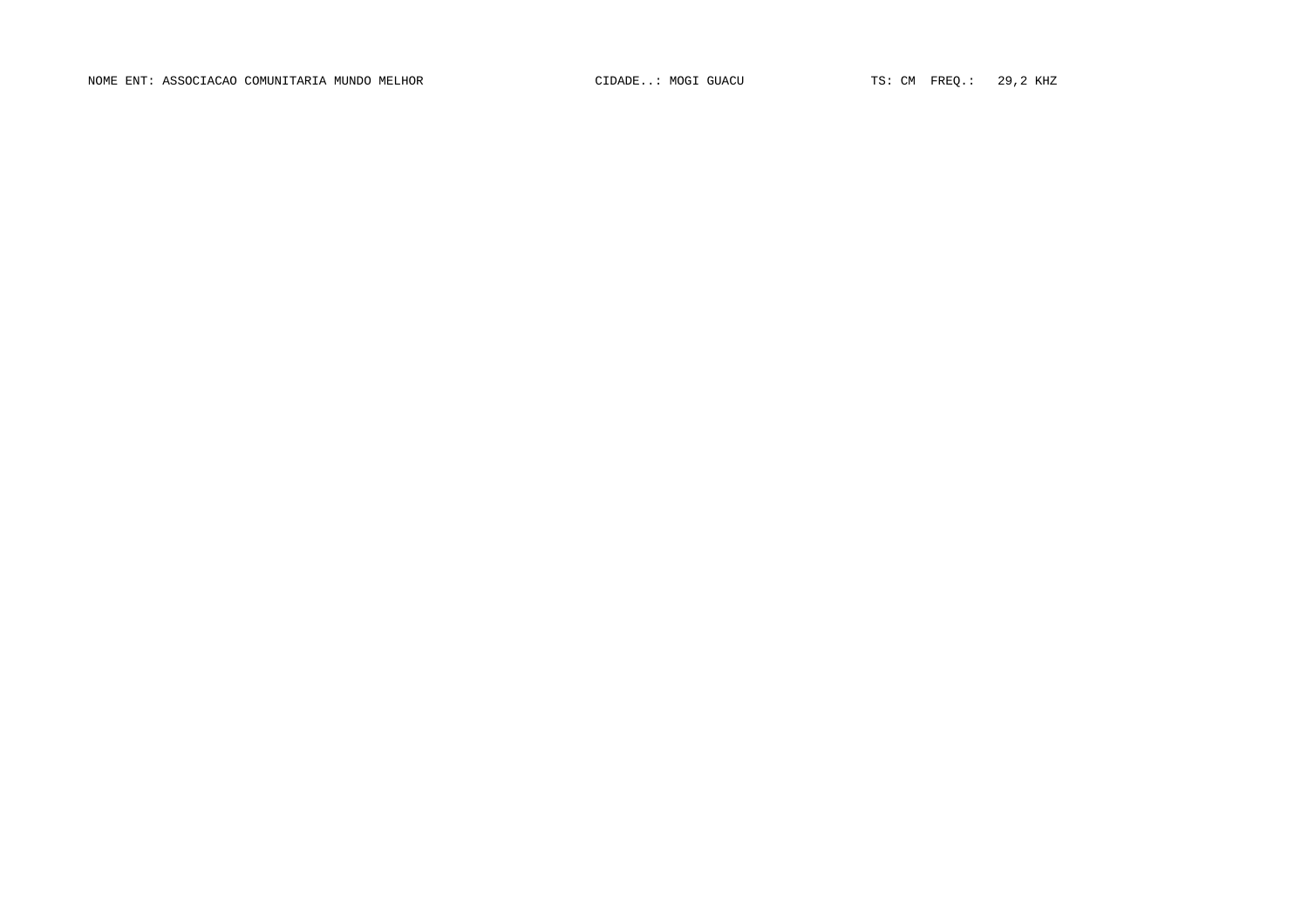NOME ENT: ASSOCIACAO COMUNITARIA MUNDO MELHOR CONTROL CIDADE..: MOGI GUACU TS: CM FREQ.: 29,2 KHZ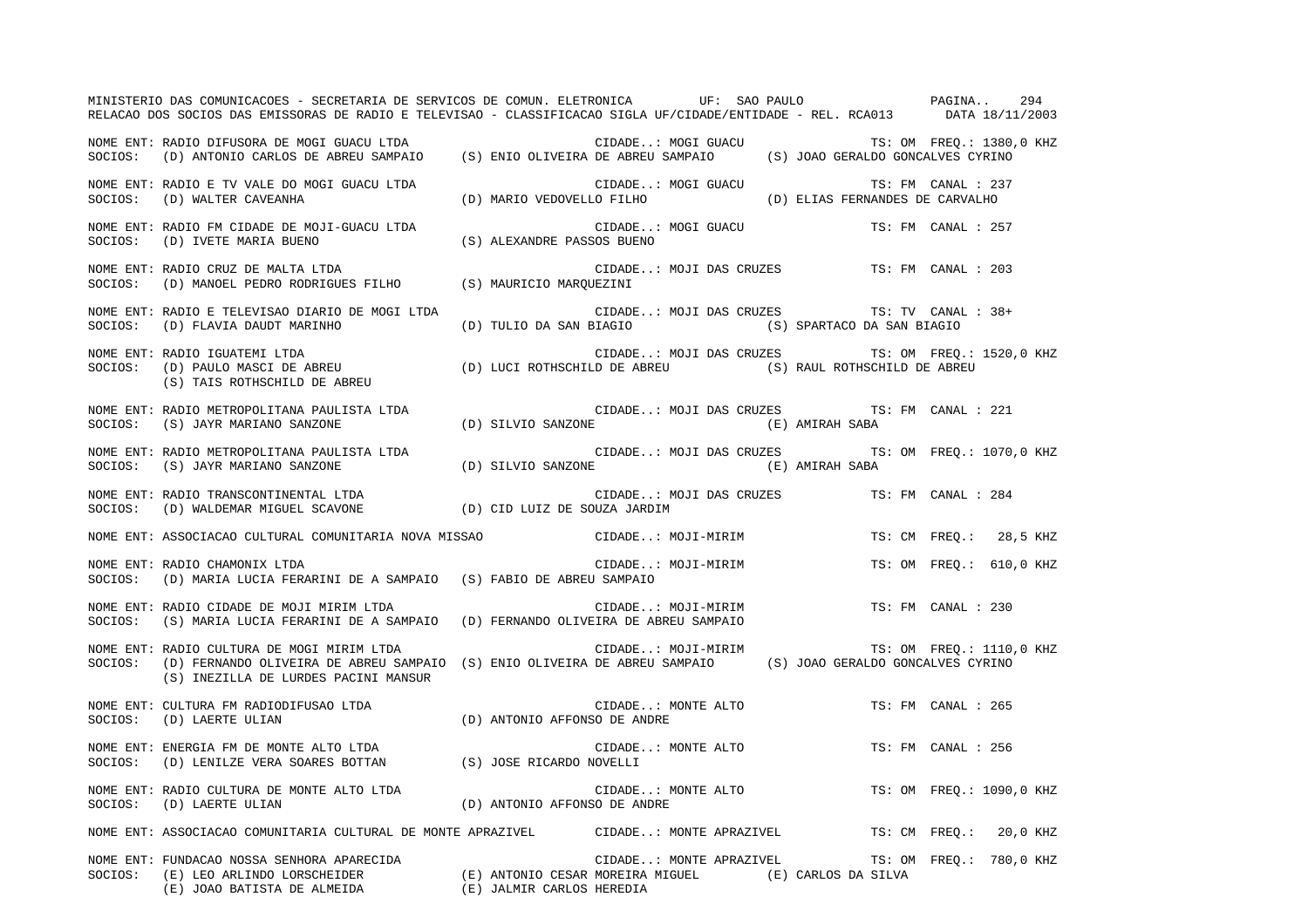MINISTERIO DAS COMUNICACOES - SECRETARIA DE SERVICOS DE COMUN. ELETRONICA UF: SAO PAULO PAGINA.. 294RELACAO DOS SOCIOS DAS EMISSORAS DE RADIO E TELEVISAO - CLASSIFICACAO SIGLA UF/CIDADE/ENTIDADE - REL. RCA013 DATA 18/11/2003 NOME ENT: RADIO DIFUSORA DE MOGI GUACU LTDA CIDADE..: MOGI GUACU TS: OM FREQ.: 1380,0 KHZ SOCIOS: (D) ANTONIO CARLOS DE ABREU SAMPAIO (S) ENIO OLIVEIRA DE ABREU SAMPAIO (S) JOAO GERALDO GONCALVES CYRINO NOME ENT: RADIO E TV VALE DO MOGI GUACU LTDA CIDADE..: MOGI GUACU TS: FM CANAL : 237 SOCIOS: (D) WALTER CAVEANHA (D) MARIO VEDOVELLO FILHO (D) ELIAS FERNANDES DE CARVALHO NOME ENT: RADIO FM CIDADE DE MOJI-GUACU LTDA CIDADE..: MOGI GUACU TS: FM CANAL : 257SOCIOS: (D) IVETE MARIA BUENO (S) ALEXANDRE PASSOS BUENO NOME ENT: RADIO CRUZ DE MALTA LTDA CIDADE..: MOJI DAS CRUZES TS: FM CANAL : 203SOCIOS: (D) MANOEL PEDRO RODRIGUES FILHO (S) MAURICIO MARQUEZINI NOME ENT: RADIO E TELEVISAO DIARIO DE MOGI LTDA CIDADE..: MOJI DAS CRUZES TS: TV CANAL : 38+ SOCIOS: (D) FLAVIA DAUDT MARINHO (D) TULIO DA SAN BIAGIO (S) SPARTACO DA SAN BIAGIO NOME ENT: RADIO IGUATEMI LTDA CIDADE..: MOJI DAS CRUZES TS: OM FREQ.: 1520,0 KHZ SOCIOS: (D) PAULO MASCI DE ABREU (D) LUCI ROTHSCHILD DE ABREU (S) RAUL ROTHSCHILD DE ABREU (S) TAIS ROTHSCHILD DE ABREU NOME ENT: RADIO METROPOLITANA PAULISTA LTDA CONSTRUIT CIDADE..: MOJI DAS CRUZES TS: FM CANAL : 221 SOCIOS: (S) JAYR MARIANO SANZONE (D) SILVIO SANZONE (E) AMIRAH SABA NOME ENT: RADIO METROPOLITANA PAULISTA LTDA CONSTRUINE CIDADE..: MOJI DAS CRUZES TS: OM FREQ.: 1070,0 KHZ SOCIOS: (S) JAYR MARIANO SANZONE (D) SILVIO SANZONE (E) AMIRAH SABA NOME ENT: RADIO TRANSCONTINENTAL LTDA CIDADE..: MOJI DAS CRUZES TS: FM CANAL : 284 SOCIOS: (D) WALDEMAR MIGUEL SCAVONE (D) CID LUIZ DE SOUZA JARDIM NOME ENT: ASSOCIACAO CULTURAL COMUNITARIA NOVA MISSAO CIDADE..: MOJI-MIRIM TS: CM FREQ.: 28,5 KHZ NOME ENT: RADIO CHAMONIX LTDA CIDADE..: MOJI-MIRIM TS: OM FREQ.: 610,0 KHZ SOCIOS: (D) MARIA LUCIA FERARINI DE A SAMPAIO (S) FABIO DE ABREU SAMPAIO NOME ENT: RADIO CIDADE DE MOJI MIRIM LTDA CIDADE..: MOJI-MIRIM TS: FM CANAL : 230SOCIOS: (S) MARIA LUCIA FERARINI DE A SAMPAIO (D) FERNANDO OLIVEIRA DE ABREU SAMPAIO NOME ENT: RADIO CULTURA DE MOGI MIRIM LTDA CIDADE..: MOJI-MIRIM TS: OM FREQ.: 1110,0 KHZ SOCIOS: (D) FERNANDO OLIVEIRA DE ABREU SAMPAIO (S) ENIO OLIVEIRA DE ABREU SAMPAIO (S) JOAO GERALDO GONCALVES CYRINO (S) INEZILLA DE LURDES PACINI MANSUR NOME ENT: CULTURA FM RADIODIFUSAO LTDA CONSERVERSION CIDADE..: MONTE ALTO TS: FM CANAL : 265 SOCIOS: (D) LAERTE ULIAN (D) ANTONIO AFFONSO DE ANDRE NOME ENT: ENERGIA FM DE MONTE ALTO LTDA CIDADE..: MONTE ALTO TS: FM CANAL : 256SOCIOS: (D) LENILZE VERA SOARES BOTTAN (S) JOSE RICARDO NOVELLI NOME ENT: RADIO CULTURA DE MONTE ALTO LTDA  $\blacksquare$  CIDADE..: MONTE ALTO  $\blacksquare$  TS: OM FREQ.: 1090,0 KHZ SOCIOS: (D) LAERTE ULIAN (D) ANTONIO AFFONSO DE ANDRE NOME ENT: ASSOCIACAO COMUNITARIA CULTURAL DE MONTE APRAZIVEL CIDADE..: MONTE APRAZIVEL TS: CM FREQ.: 20,0 KHZ NOME ENT: FUNDACAO NOSSA SENHORA APARECIDA CIDADE..: MONTE APRAZIVEL TS: OM FREQ.: 780,0 KHZ SOCIOS: (E) LEO ARLINDO LORSCHEIDER (E) ANTONIO CESAR MOREIRA MIGUEL (E) CARLOS DA SILVA (E) JOAO BATISTA DE ALMEIDA (E) JALMIR CARLOS HEREDIA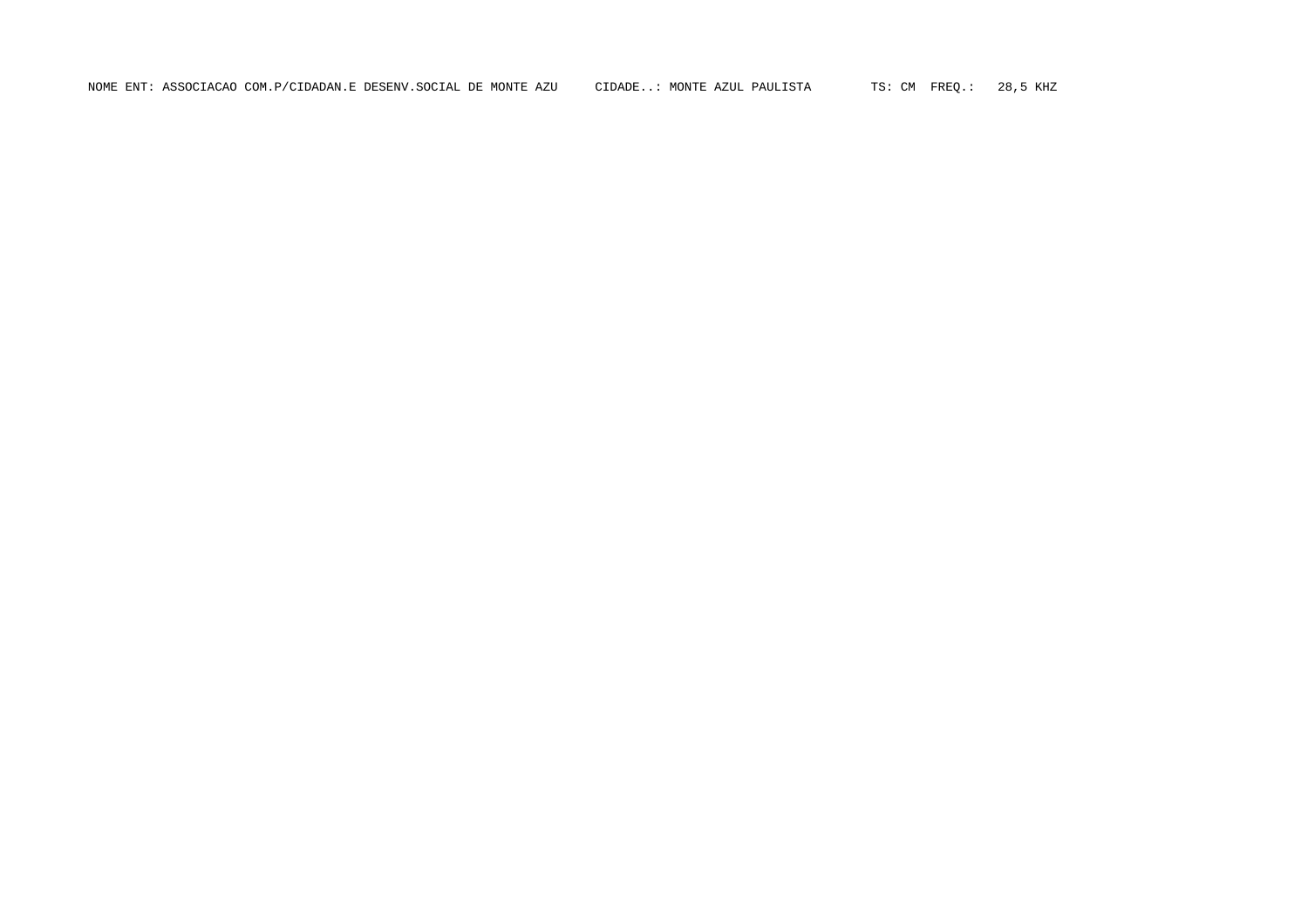NOME ENT: ASSOCIACAO COM.P/CIDADAN.E DESENV.SOCIAL DE MONTE AZU CIDADE..: MONTE AZUL PAULISTA TS: CM FREQ.: 28,5 KHZ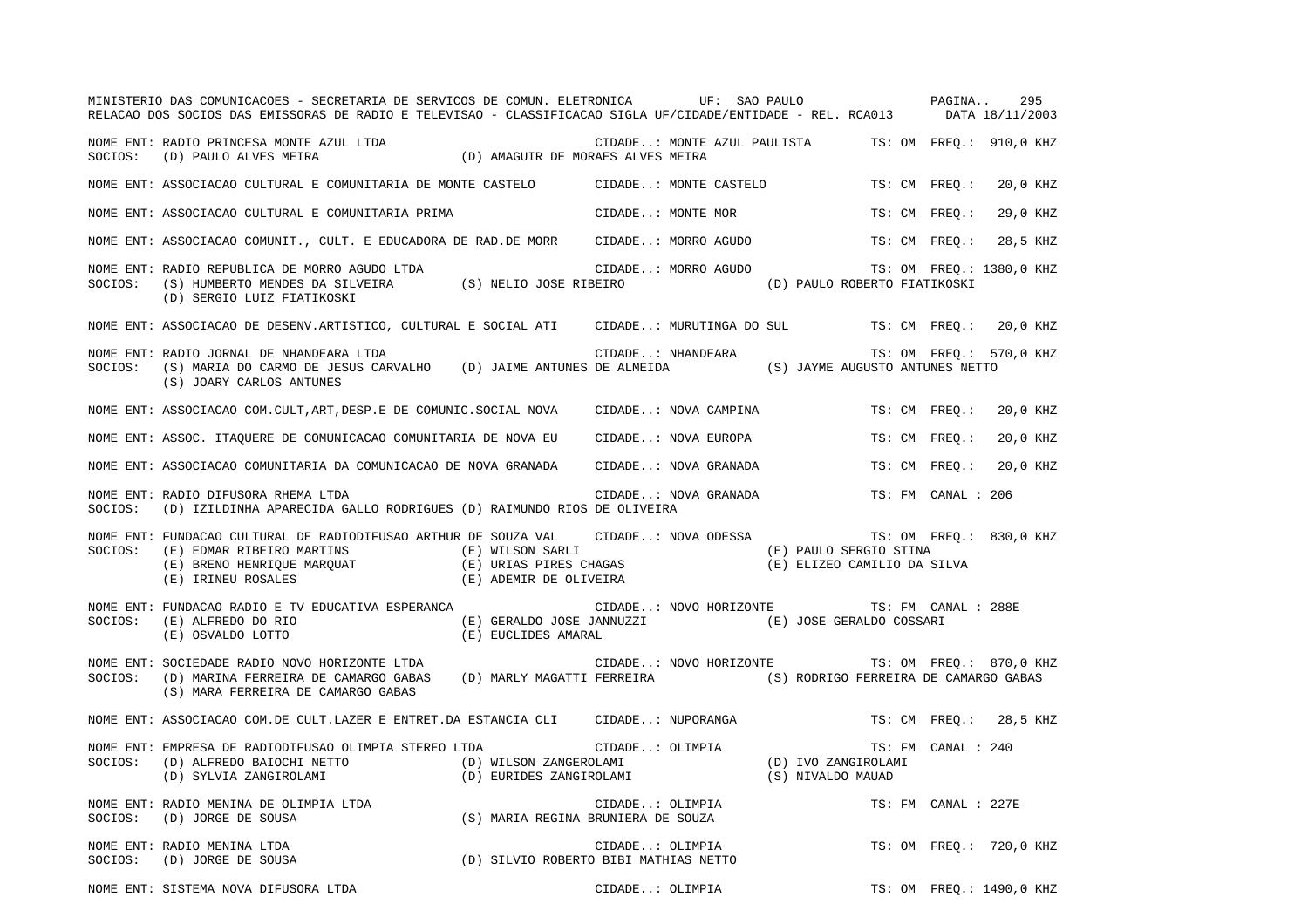|         | MINISTERIO DAS COMUNICACOES - SECRETARIA DE SERVICOS DE COMUN. ELETRONICA UF: SAO PAULO PAGINA<br>RELACAO DOS SOCIOS DAS EMISSORAS DE RADIO E TELEVISAO - CLASSIFICACAO SIGLA UF/CIDADE/ENTIDADE - REL. RCA013 DATA 18/11/2003      |                                                          | 295                                                                              |
|---------|-------------------------------------------------------------------------------------------------------------------------------------------------------------------------------------------------------------------------------------|----------------------------------------------------------|----------------------------------------------------------------------------------|
|         | NOME ENT: RADIO PRINCESA MONTE AZUL LTDA (D) AMAGUIR DE MORAES ALVES MEIRA (D)                                                                                                                                                      |                                                          | CIDADE: MONTE AZUL PAULISTA TS: OM FREQ.: 910,0 KHZ                              |
|         | NOME ENT: ASSOCIACAO CULTURAL E COMUNITARIA DE MONTE CASTELO CIDADE: MONTE CASTELO                                                                                                                                                  |                                                          | TS: CM FREO.:<br>20,0 KHZ                                                        |
|         | NOME ENT: ASSOCIACAO CULTURAL E COMUNITARIA PRIMA                                                                                                                                                                                   | CIDADE: MONTE MOR                                        | TS: CM FREO.:<br>29,0 KHZ                                                        |
|         | NOME ENT: ASSOCIACAO COMUNIT., CULT. E EDUCADORA DE RAD.DE MORR CIDADE: MORRO AGUDO                                                                                                                                                 |                                                          | TS: CM FREO.:<br>28,5 KHZ                                                        |
| SOCIOS: | NOME ENT: RADIO REPUBLICA DE MORRO AGUDO LTDA<br>(S) HUMBERTO MENDES DA SILVEIRA<br>(D) SERGIO LUIZ FIATIKOSKI                                                                                                                      | CIDADE: MORRO AGUDO<br>(S) NELIO JOSE RIBEIRO            | TS: OM FREQ.: 1380,0 KHZ<br>(D) PAULO ROBERTO FIATIKOSKI                         |
|         | NOME ENT: ASSOCIACAO DE DESENV.ARTISTICO, CULTURAL E SOCIAL ATI CIDADE: MURUTINGA DO SUL TS: CM FREQ.:                                                                                                                              |                                                          | 20,0 KHZ                                                                         |
|         | NOME ENT: RADIO JORNAL DE NHANDEARA LTDA<br>SOCIOS: (S) MARIA DO CARMO DE JESUS CARVALHO (D) JAIME ANTUNES DE ALMEIDA (S) JAYME AUGUSTO ANTUNES NETTO<br>(S) JOARY CARLOS ANTUNES                                                   |                                                          | TS: OM FREQ.: 570,0 KHZ                                                          |
|         | NOME ENT: ASSOCIACAO COM.CULT, ART, DESP.E DE COMUNIC. SOCIAL NOVA CIDADE: NOVA CAMPINA                                                                                                                                             |                                                          | TS: CM FREO.:<br>20,0 KHZ                                                        |
|         | NOME ENT: ASSOC. ITAQUERE DE COMUNICACAO COMUNITARIA DE NOVA EU CIDADE: NOVA EUROPA                                                                                                                                                 |                                                          | TS: CM FREO.:<br>20,0 KHZ                                                        |
|         | NOME ENT: ASSOCIACAO COMUNITARIA DA COMUNICACAO DE NOVA GRANADA                                                                                                                                                                     | CIDADE: NOVA GRANADA                                     | TS: CM FREO.:<br>20,0 KHZ                                                        |
| SOCIOS: | NOME ENT: RADIO DIFUSORA RHEMA LTDA<br>(D) IZILDINHA APARECIDA GALLO RODRIGUES (D) RAIMUNDO RIOS DE OLIVEIRA                                                                                                                        | CIDADE: NOVA GRANADA                                     | TS: FM CANAL : 206                                                               |
| SOCIOS: | NOME ENT: FUNDACAO CULTURAL DE RADIODIFUSAO ARTHUR DE SOUZA VAL CIDADE: NOVA ODESSA<br>(E) EDMAR RIBEIRO MARTINS (E) WILSON SARLI<br>(E) BRENO HENRIQUE MARQUAT (E) URIAS PIRES CHAGAS<br>(E) IRINEU ROSALES (E) ADEMIR DE OLIVEIRA |                                                          | TS: OM FREQ.: 830,0 KHZ<br>(E) PAULO SERGIO STINA<br>(E) ELIZEO CAMILIO DA SILVA |
| SOCIOS: | NOME ENT: FUNDACAO RADIO E TV EDUCATIVA ESPERANCA<br>(E) ALFREDO DO RIO<br>(E) OSVALDO LOTTO<br>(E) EUCLIDES AMARAL                                                                                                                 | (E) GERALDO JOSE JANNUZZI (E) JOSE GERALDO COSSARI       | CIDADE: NOVO HORIZONTE TS: FM CANAL : 288E                                       |
| SOCIOS: | NOME ENT: SOCIEDADE RADIO NOVO HORIZONTE LTDA<br>(D) MARINA FERREIRA DE CAMARGO GABAS (D) MARLY MAGATTI FERREIRA (S) RODRIGO FERREIRA DE CAMARGO GABAS<br>(S) MARA FERREIRA DE CAMARGO GABAS                                        | CIDADE: NOVO HORIZONTE                                   | TS: OM FREQ.: 870,0 KHZ                                                          |
|         | NOME ENT: ASSOCIACAO COM.DE CULT.LAZER E ENTRET.DA ESTANCIA CLI CIDADE: NUPORANGA                                                                                                                                                   |                                                          | TS: CM FREQ.:<br>28,5 KHZ                                                        |
| SOCIOS: | NOME ENT: EMPRESA DE RADIODIFUSAO OLIMPIA STEREO LTDA<br>(D) ALFREDO BAIOCHI NETTO (D) WILSON ZANGEROLAMI<br>(D) SYLVIA ZANGIROLAMI (D) EURIDES ZANGIROLAMI                                                                         | CIDADE: OLIMPIA                                          | TS: FM CANAL : 240<br>(D) IVO ZANGIROLAMI<br>(S) NIVALDO MAUAD                   |
|         | NOME ENT: RADIO MENINA DE OLIMPIA LTDA                                                                                                                                                                                              | CIDADE: OLIMPIA<br>(S) MARIA REGINA BRUNIERA DE SOUZA    | TS: FM CANAL : 227E                                                              |
|         | NOME ENT: RADIO MENINA LTDA<br>SOCIOS: (D) JORGE DE SOUSA                                                                                                                                                                           | CIDADE: OLIMPIA<br>(D) SILVIO ROBERTO BIBI MATHIAS NETTO | TS: OM FREO.: 720,0 KHZ                                                          |
|         | NOME ENT: SISTEMA NOVA DIFUSORA LTDA                                                                                                                                                                                                | CIDADE: OLIMPIA                                          | TS: OM FREQ.: 1490,0 KHZ                                                         |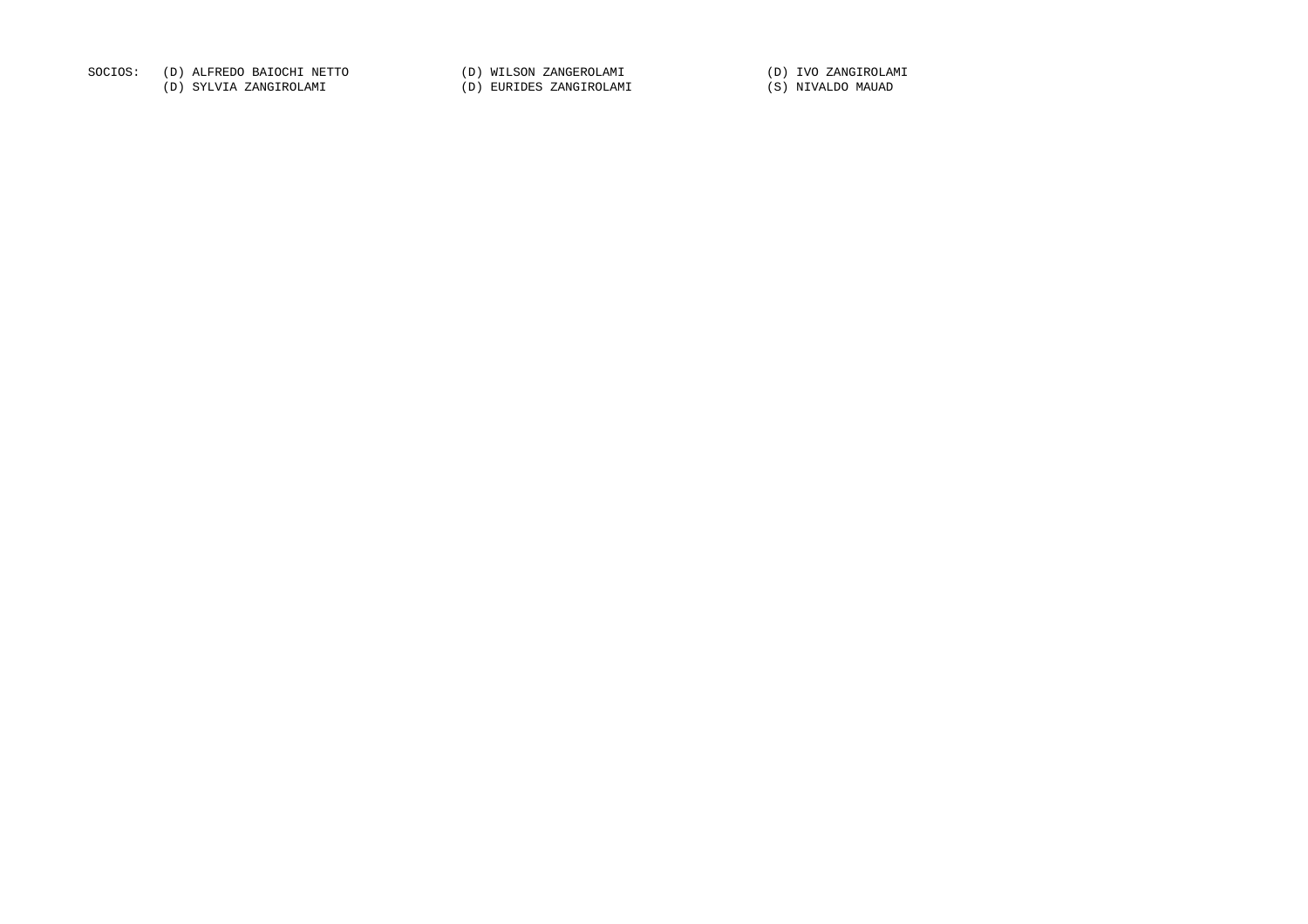SOCIOS: (D) ALFREDO BAIOCHI NETTO (D) WILSON ZANGEROLAMI (D) IVO ZANGIROLAMI

(D) SYLVIA ZANGIROLAMI (D) EURIDES ZANGIROLAMI (S) NIVALDO MAUAD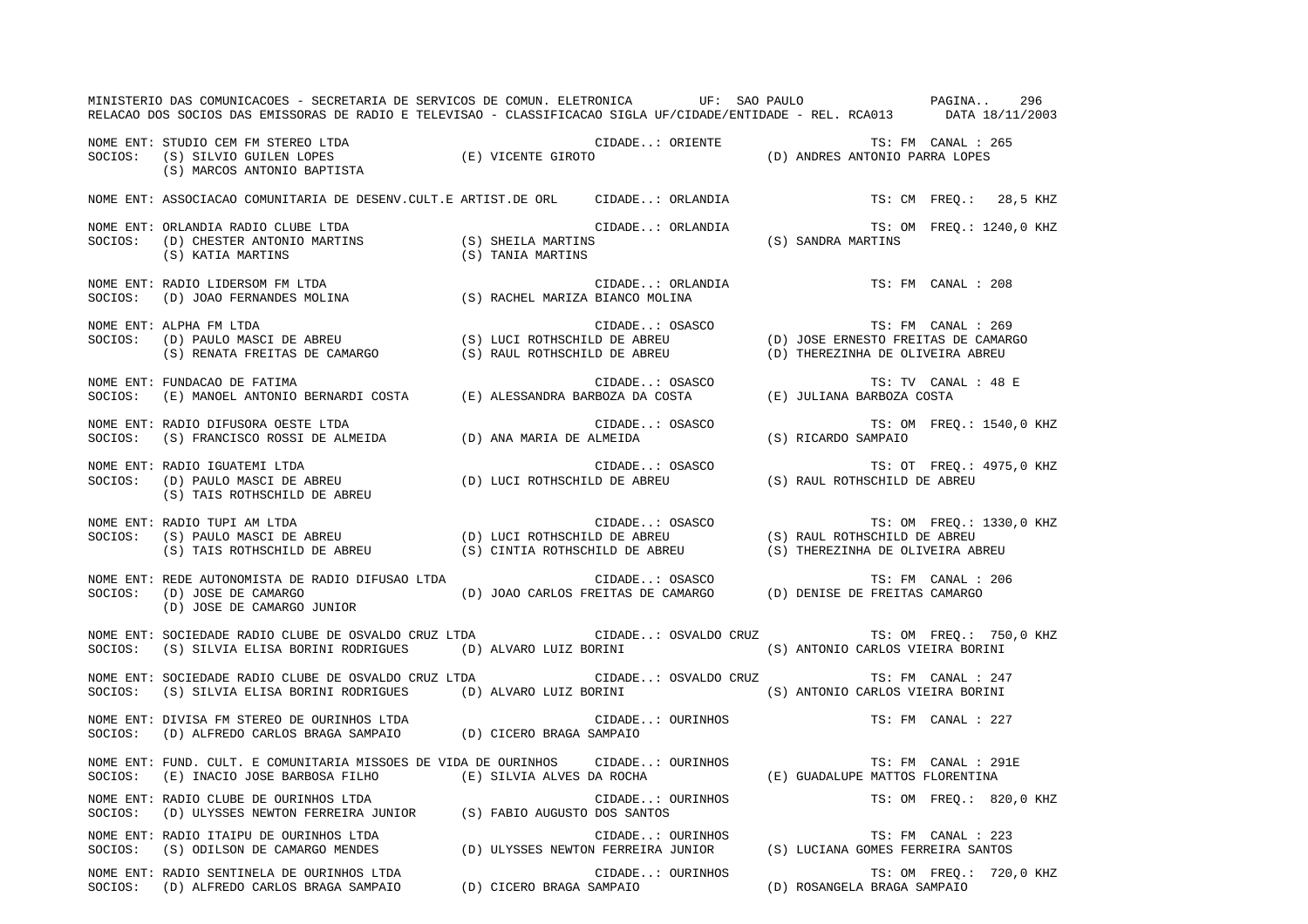|         | MINISTERIO DAS COMUNICACOES - SECRETARIA DE SERVICOS DE COMUN. ELETRONICA UF: SAO PAULO ANDE PAGINA<br>RELACAO DOS SOCIOS DAS EMISSORAS DE RADIO E TELEVISAO - CLASSIFICACAO SIGLA UF/CIDADE/ENTIDADE - REL. RCA013 DATA 18/11/2003                                                                                                                                                                |                      | 296                                                                                                      |
|---------|----------------------------------------------------------------------------------------------------------------------------------------------------------------------------------------------------------------------------------------------------------------------------------------------------------------------------------------------------------------------------------------------------|----------------------|----------------------------------------------------------------------------------------------------------|
|         | NOME ENT: STUDIO CEM FM STEREO LTDA $\begin{array}{lllllllllll} \textsc{S} & \textsc{S} & \textsc{S} & \textsc{S} & \textsc{S} & \textsc{S} & \textsc{S} & \textsc{S} & \textsc{S} & \textsc{S} & \textsc{S} & \textsc{S} & \textsc{S} & \textsc{S} & \textsc{S} & \textsc{S} & \textsc{S} & \textsc{S} & \textsc{S} & \textsc{S} & \textsc{S} & \textsc{S} & \textsc{S} & \textsc{S} & \textsc{S$ |                      | TS: FM CANAL : 265                                                                                       |
|         | NOME ENT: ASSOCIACAO COMUNITARIA DE DESENV.CULT.E ARTIST.DE ORL CIDADE: ORLANDIA                                                                                                                                                                                                                                                                                                                   |                      | TS: CM FREQ.: 28,5 KHZ                                                                                   |
| SOCIOS: | NOME ENT: ORLANDIA RADIO CLUBE LTDA<br>C (D) CHESTER ANTONIO MARTINS<br>(D) CHESTER ANTONIO MARTINS (S) SHEILA MARTINS<br>(S) KATIA MARTINS (S) TANIA MARTINS                                                                                                                                                                                                                                      | CIDADE: ORLANDIA     | : ORLANDIA (S) SANDRA MARTINS (S) SANDRA MARTINS                                                         |
| SOCIOS: | NOME ENT: RADIO LIDERSOM FM LTDA<br>(D) JOAO FERNANDES MOLINA (S) RACHEL MARIZA BIANCO MOLINA                                                                                                                                                                                                                                                                                                      | CIDADE: ORLANDIA     | TS: FM CANAL : 208                                                                                       |
| SOCIOS: | NOME ENT: ALPHA FM LTDA                                                                                                                                                                                                                                                                                                                                                                            |                      |                                                                                                          |
| SOCIOS: | FUNDACAO DE FATIMA<br>(E) MANOEL ANTONIO BERNARDI COSTA (E) ALESSANDRA BARBOZA DA COSTA (E) JULIANA BARBOZA COSTA<br>NOME ENT: FUNDACAO DE FATIMA                                                                                                                                                                                                                                                  |                      | TS: TV CANAL : 48 E                                                                                      |
| SOCIOS: | NOME ENT: RADIO DIFUSORA OESTE LTDA                                                                                                                                                                                                                                                                                                                                                                |                      | TS: OM FREQ.: 1540,0 KHZ                                                                                 |
| SOCIOS: | NOME ENT: RADIO IGUATEMI LTDA<br>(S) TAIS ROTHSCHILD DE ABREU                                                                                                                                                                                                                                                                                                                                      |                      | TS: OT FREQ.: 4975,0 KHZ                                                                                 |
| SOCIOS: | NOME ENT: RADIO TUPI AM LTDA<br>RADIO TUPI AM LTDA<br>(S) PAULO MASCI DE ABREU (D) LUCI ROTHSCHILD DE ABREU (S) RAUL ROTHSCHILD DE ABREU<br>(S) TAIS ROTHSCHILD DE ABREU (S) CINTIA ROTHSCHILD DE ABREU (S) THEREZINHA DE OLIVEIRA ABREU                                                                                                                                                           |                      | TS: OM FREQ.: 1330,0 KHZ                                                                                 |
| SOCIOS: | NOME ENT: REDE AUTONOMISTA DE RADIO DIFUSAO LTDA<br>(D) JOSE DE CAMARGO<br>(D) JOSE DE CAMARGO JUNIOR                                                                                                                                                                                                                                                                                              |                      | ADIO DIFUSAO LTDA (D) JOAO CARLOS FREITAS DE CAMARGO (D) DENISE DE FREITAS CAMARGO<br>TS: FM CANAL : 206 |
| SOCIOS: | NOME ENT: SOCIEDADE RADIO CLUBE DE OSVALDO CRUZ LTDA CIDADE: OSVALDO CRUZ TS: OM FREQ.: 750,0 KHZ<br>(S) SILVIA ELISA BORINI RODRIGUES (D) ALVARO LUIZ BORINI (S) ANTONIO CARLOS VIEIRA BORINI                                                                                                                                                                                                     |                      |                                                                                                          |
| SOCIOS: | NOME ENT: SOCIEDADE RADIO CLUBE DE OSVALDO CRUZ LTDA<br>(S) SILVIA ELISA BORINI RODRIGUES (D) ALVARO LUIZ BORINI (S) ANTONIO CARLOS VIEIRA BORINI                                                                                                                                                                                                                                                  | CIDADE: OSVALDO CRUZ | TS: FM CANAL : 247                                                                                       |
| SOCIOS: | NOME ENT: DIVISA FM STEREO DE OURINHOS LTDA<br>(D) ALFREDO CARLOS BRAGA SAMPAIO (D) CICERO BRAGA SAMPAIO                                                                                                                                                                                                                                                                                           | CIDADE: OURINHOS     | TS: FM CANAL : 227                                                                                       |
|         | NOME ENT: FUND. CULT. E COMUNITARIA MISSOES DE VIDA DE OURINHOS CIDADE: OURINHOS<br>SOCIOS: (E) INACIO JOSE BARBOSA FILHO (E) SILVIA ALVES DA ROCHA (E) GUADALUPE MATTOS FLORENTINA                                                                                                                                                                                                                |                      | TS: FM CANAL : 291E                                                                                      |
| SOCIOS: | NOME ENT: RADIO CLUBE DE OURINHOS LTDA<br>(D) ULYSSES NEWTON FERREIRA JUNIOR (S) FABIO AUGUSTO DOS SANTOS                                                                                                                                                                                                                                                                                          | CIDADE: OURINHOS     | TS: OM FREO.: 820,0 KHZ                                                                                  |
| SOCIOS: | NOME ENT: RADIO ITAIPU DE OURINHOS LTDA                                                                                                                                                                                                                                                                                                                                                            | CIDADE: OURINHOS     | TS: FM CANAL : 223                                                                                       |
| SOCIOS: | NOME ENT: RADIO SENTINELA DE OURINHOS LTDA<br>(D) ALFREDO CARLOS BRAGA SAMPAIO (D) CICERO BRAGA SAMPAIO                                                                                                                                                                                                                                                                                            | CIDADE: OURINHOS     | TS: OM FREQ.: 720,0 KHZ<br>(D) ROSANGELA BRAGA SAMPAIO                                                   |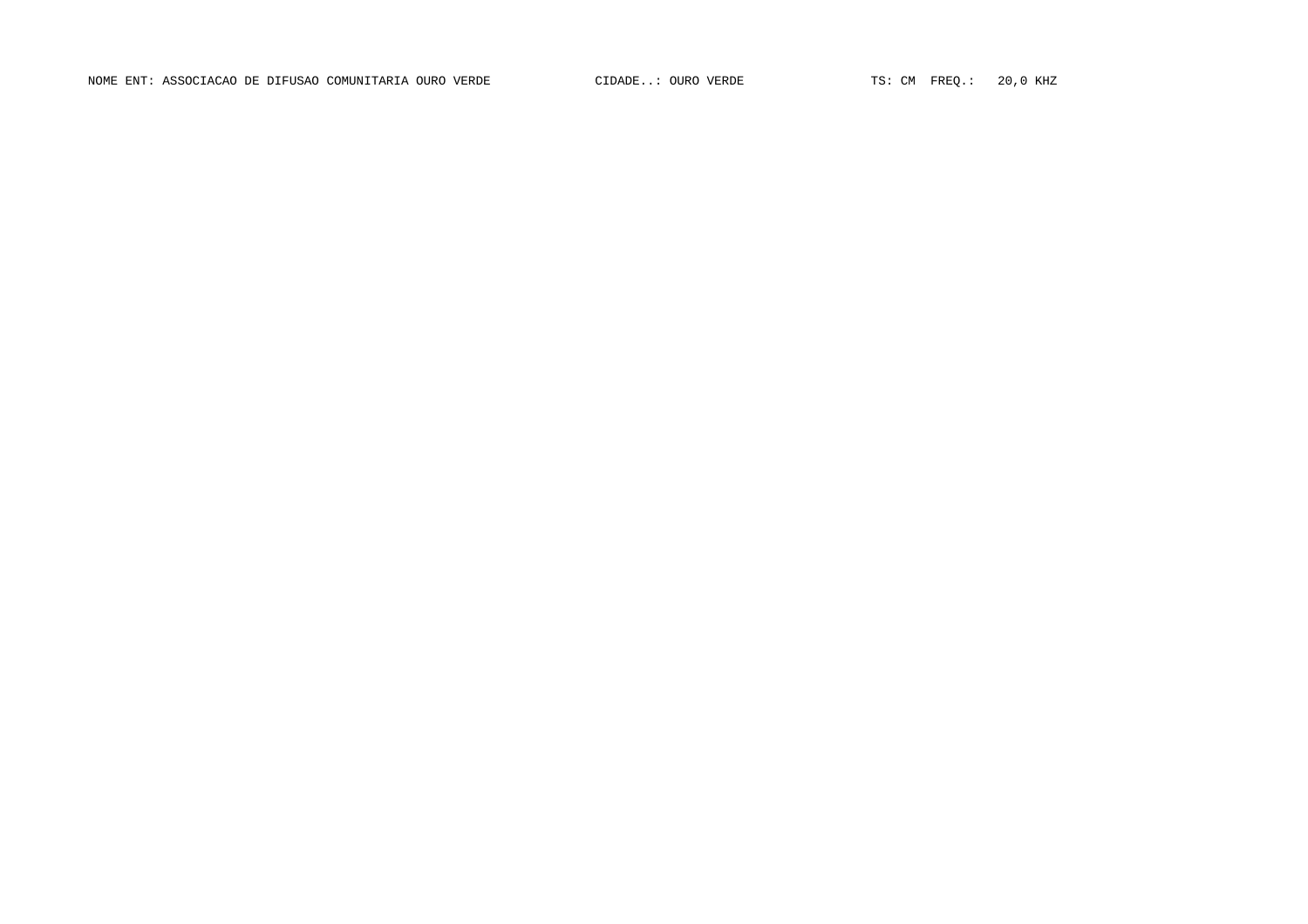NOME ENT: ASSOCIACAO DE DIFUSAO COMUNITARIA OURO VERDE CIDADE..: OURO VERDE TS: CM FREQ.: 20,0 KHZ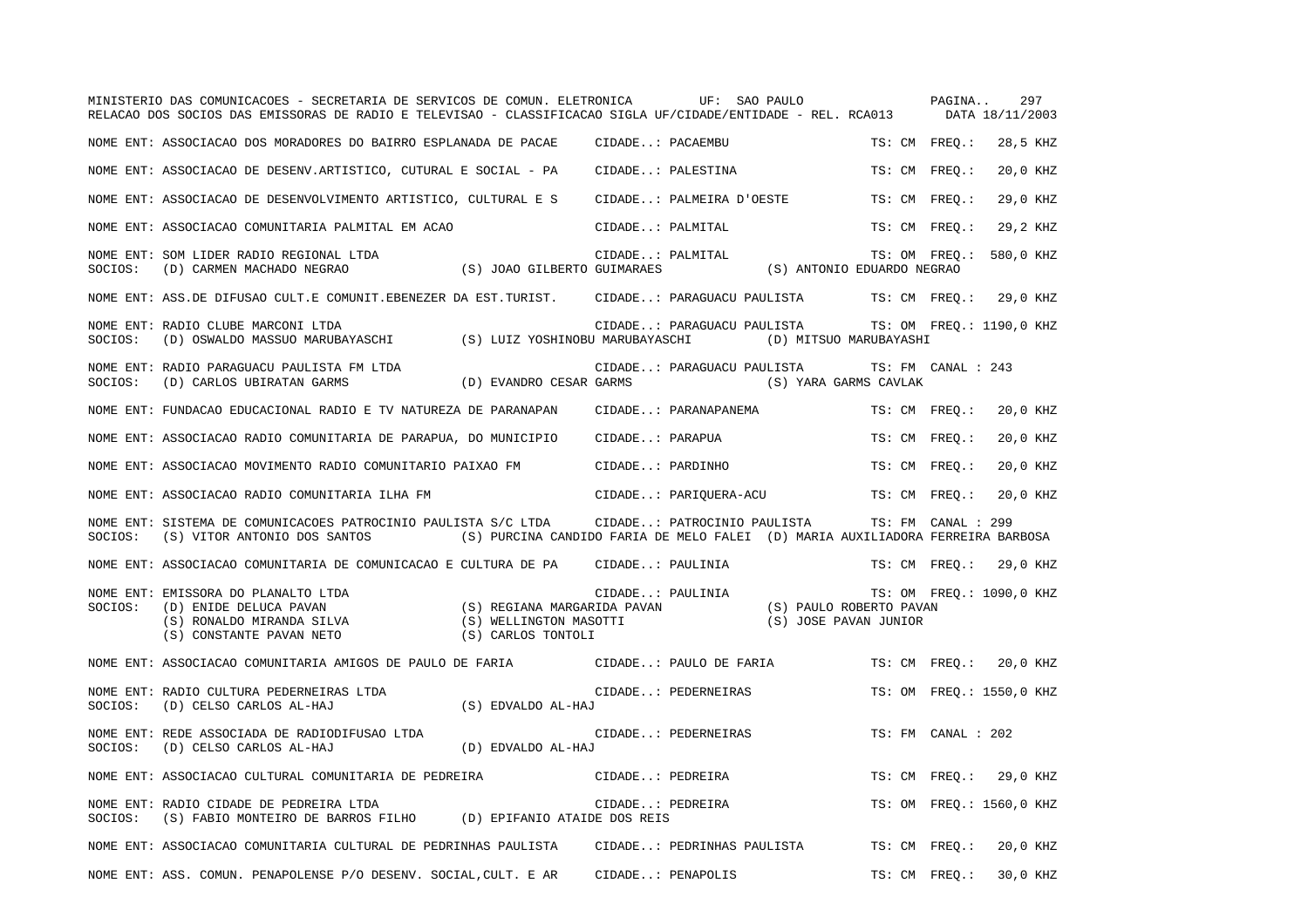|         | MINISTERIO DAS COMUNICACOES - SECRETARIA DE SERVICOS DE COMUN. ELETRONICA UF: SAO PAULO<br>RELACAO DOS SOCIOS DAS EMISSORAS DE RADIO E TELEVISAO - CLASSIFICACAO SIGLA UF/CIDADE/ENTIDADE - REL. RCA013 DATA 18/11/2003                                              |                             |                  |                          |                                                     | PAGINA             | 297                      |
|---------|----------------------------------------------------------------------------------------------------------------------------------------------------------------------------------------------------------------------------------------------------------------------|-----------------------------|------------------|--------------------------|-----------------------------------------------------|--------------------|--------------------------|
|         | NOME ENT: ASSOCIACAO DOS MORADORES DO BAIRRO ESPLANADA DE PACAE                                                                                                                                                                                                      |                             | CIDADE: PACAEMBU |                          |                                                     | TS: CM FREO.:      | 28,5 KHZ                 |
|         | NOME ENT: ASSOCIACAO DE DESENV.ARTISTICO, CUTURAL E SOCIAL - PA CIDADE: PALESTINA                                                                                                                                                                                    |                             |                  |                          |                                                     | TS: CM FREQ.:      | 20,0 KHZ                 |
|         | NOME ENT: ASSOCIACAO DE DESENVOLVIMENTO ARTISTICO, CULTURAL E S                                                                                                                                                                                                      |                             |                  | CIDADE: PALMEIRA D'OESTE |                                                     | TS: CM FREQ.:      | 29,0 KHZ                 |
|         | NOME ENT: ASSOCIACAO COMUNITARIA PALMITAL EM ACAO                                                                                                                                                                                                                    |                             |                  | CIDADE: PALMITAL         |                                                     | TS: CM FREQ.:      | 29,2 KHZ                 |
| SOCIOS: | NOME ENT: SOM LIDER RADIO REGIONAL LTDA<br>(D) CARMEN MACHADO NEGRAO                                                                                                                                                                                                 | (S) JOAO GILBERTO GUIMARAES | CIDADE: PALMITAL |                          | (S) ANTONIO EDUARDO NEGRAO                          | TS: OM FREO.:      | 580,0 KHZ                |
|         | NOME ENT: ASS.DE DIFUSAO CULT.E COMUNIT.EBENEZER DA EST.TURIST. CIDADE: PARAGUACU PAULISTA TS: CM FREQ.:                                                                                                                                                             |                             |                  |                          |                                                     |                    | 29,0 KHZ                 |
| SOCIOS: | NOME ENT: RADIO CLUBE MARCONI LTDA<br>(D) OSWALDO MASSUO MARUBAYASCHI (S) LUIZ YOSHINOBU MARUBAYASCHI (D) MITSUO MARUBAYASHI                                                                                                                                         |                             |                  |                          | CIDADE: PARAGUACU PAULISTA TS: OM FREQ.: 1190,0 KHZ |                    |                          |
| SOCIOS: | NOME ENT: RADIO PARAGUACU PAULISTA FM LTDA<br>(D) CARLOS UBIRATAN GARMS                                                                                                                                                                                              | (D) EVANDRO CESAR GARMS     |                  |                          | CIDADE: PARAGUACU PAULISTA<br>(S) YARA GARMS CAVLAK | TS: FM CANAL : 243 |                          |
|         | NOME ENT: FUNDACAO EDUCACIONAL RADIO E TV NATUREZA DE PARANAPAN                                                                                                                                                                                                      |                             |                  | CIDADE: PARANAPANEMA     |                                                     | TS: CM FREO.:      | 20,0 KHZ                 |
|         | NOME ENT: ASSOCIACAO RADIO COMUNITARIA DE PARAPUA, DO MUNICIPIO CIDADE: PARAPUA                                                                                                                                                                                      |                             |                  |                          |                                                     | TS: CM FREO.:      | 20,0 KHZ                 |
|         | NOME ENT: ASSOCIACAO MOVIMENTO RADIO COMUNITARIO PAIXAO FM CIDADE: PARDINHO                                                                                                                                                                                          |                             |                  |                          |                                                     | TS: CM FREO.:      | 20,0 KHZ                 |
|         | NOME ENT: ASSOCIACAO RADIO COMUNITARIA ILHA FM                                                                                                                                                                                                                       | CIDADE: PARIQUERA-ACU       |                  |                          |                                                     | TS: CM FREO.:      | 20,0 KHZ                 |
| SOCIOS: | NOME ENT: SISTEMA DE COMUNICACOES PATROCINIO PAULISTA S/C LTDA      CIDADE: PATROCINIO PAULISTA<br>(S) VITOR ANTONIO DOS SANTOS (S) PURCINA CANDIDO FARIA DE MELO FALEI (D) MARIA AUXILIADORA FERREIRA BARBOSA                                                       |                             |                  |                          |                                                     | TS: FM CANAL : 299 |                          |
|         | NOME ENT: ASSOCIACAO COMUNITARIA DE COMUNICACAO E CULTURA DE PA CIDADE: PAULINIA                                                                                                                                                                                     |                             |                  |                          |                                                     |                    | TS: CM FREQ.: 29,0 KHZ   |
| SOCIOS: | NOME ENT: EMISSORA DO PLANALTO LTDA<br>EMISSORA DO PLANALTO LTDA (S) REGIANA MARGARIDA PAVAN (S) RAULINIA (S) PAULO ROBERTO PAVAN (S) RONALDO MIRANDA SILVA (S) REGIANA MARGARIDA PAVAN (S) PAULO ROBERTO PAVAN (S) RONALDO MIRANDA SILVA (S) GELLINGTON MASOTTI (S) |                             |                  |                          |                                                     |                    | TS: OM FREQ.: 1090,0 KHZ |
|         | NOME ENT: ASSOCIACAO COMUNITARIA AMIGOS DE PAULO DE FARIA CIDADE: PAULO DE FARIA                                                                                                                                                                                     |                             |                  |                          |                                                     |                    | TS: CM FREO.: 20,0 KHZ   |
| SOCIOS: | NOME ENT: RADIO CULTURA PEDERNEIRAS LTDA<br>(D) CELSO CARLOS AL-HAJ                                                                                                                                                                                                  | (S) EDVALDO AL-HAJ          |                  | CIDADE: PEDERNEIRAS      |                                                     |                    | TS: OM FREQ.: 1550,0 KHZ |
| SOCIOS: | NOME ENT: REDE ASSOCIADA DE RADIODIFUSAO LTDA<br>(D) CELSO CARLOS AL-HAJ                                                                                                                                                                                             | (D) EDVALDO AL-HAJ          |                  | CIDADE: PEDERNEIRAS      |                                                     | TS: FM CANAL : 202 |                          |
|         | NOME ENT: ASSOCIACAO CULTURAL COMUNITARIA DE PEDREIRA                                                                                                                                                                                                                |                             | CIDADE: PEDREIRA |                          |                                                     |                    | TS: CM FREO.: 29,0 KHZ   |
| SOCIOS: | NOME ENT: RADIO CIDADE DE PEDREIRA LTDA<br>(S) FABIO MONTEIRO DE BARROS FILHO (D) EPIFANIO ATAIDE DOS REIS                                                                                                                                                           |                             | CIDADE: PEDREIRA |                          |                                                     |                    | TS: OM FREO.: 1560,0 KHZ |
|         | NOME ENT: ASSOCIACAO COMUNITARIA CULTURAL DE PEDRINHAS PAULISTA CIDADE: PEDRINHAS PAULISTA                                                                                                                                                                           |                             |                  |                          |                                                     |                    | TS: CM FREQ.: 20,0 KHZ   |
|         | NOME ENT: ASS. COMUN. PENAPOLENSE P/O DESENV. SOCIAL, CULT. E AR                                                                                                                                                                                                     |                             |                  | CIDADE: PENAPOLIS        |                                                     | TS: CM FREO.:      | 30,0 KHZ                 |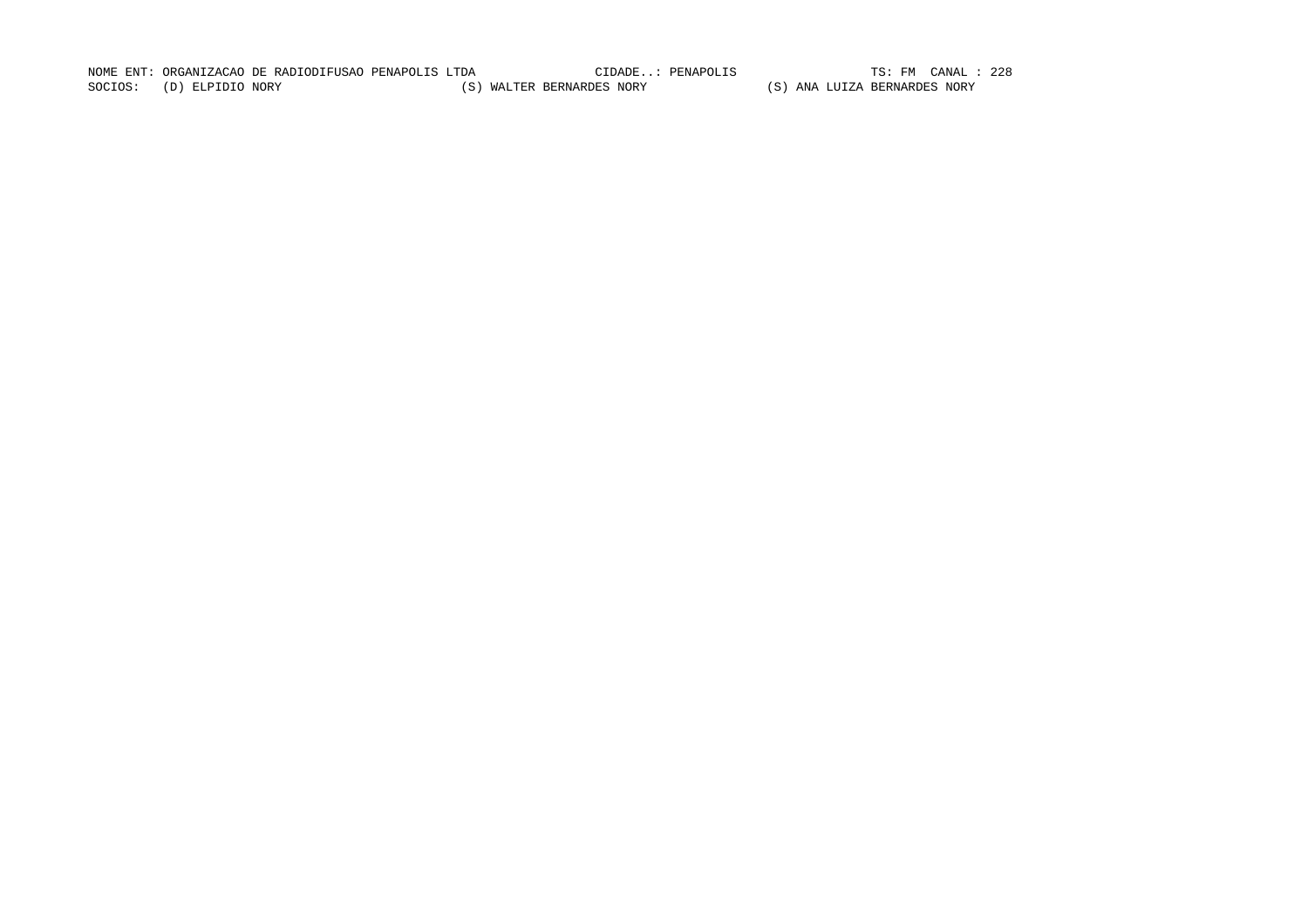NOME ENT: ORGANIZACAO DE RADIODIFUSAO PENAPOLIS LTDA CIDADE..: PENAPOLIS TS: FM CANAL : 228TS: FM CANAL : 228 SOCIOS: (D) ELPIDIO NORY (S) WALTER BERNARDES NORY (S) ANA LUIZA BERNARDES NORY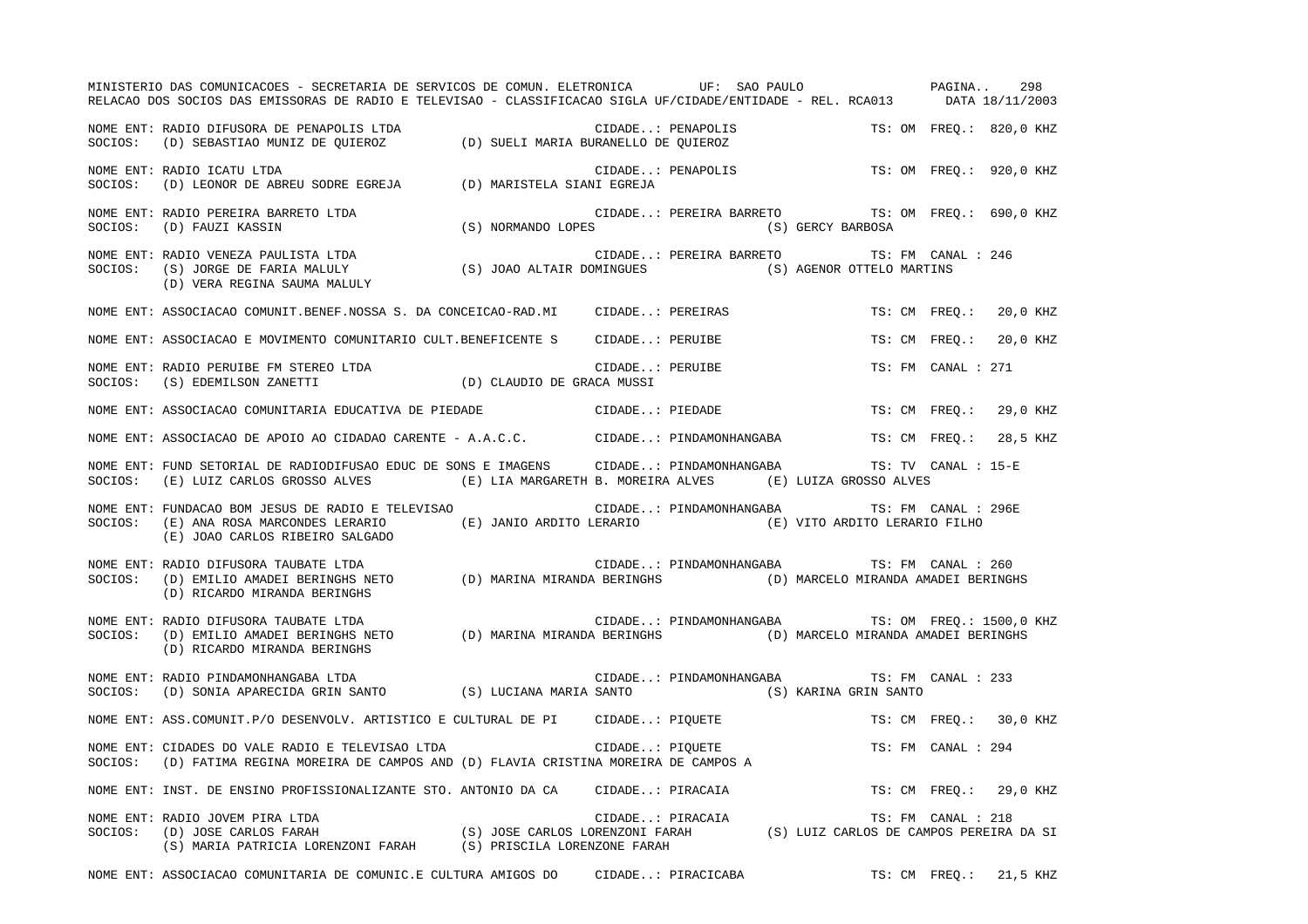|         | MINISTERIO DAS COMUNICACOES - SECRETARIA DE SERVICOS DE COMUN. ELETRONICA UF: SAO PAULO PAGINA<br>RELACAO DOS SOCIOS DAS EMISSORAS DE RADIO E TELEVISAO - CLASSIFICACAO SIGLA UF/CIDADE/ENTIDADE - REL. RCA013 DATA 18/11/2003                                                 |  |                   |                                                 |                    | 298                     |
|---------|--------------------------------------------------------------------------------------------------------------------------------------------------------------------------------------------------------------------------------------------------------------------------------|--|-------------------|-------------------------------------------------|--------------------|-------------------------|
|         | NOME ENT: RADIO DIFUSORA DE PENAPOLIS LTDA<br>SOCIOS: (D) SEBASTIAO MUNIZ DE QUIEROZ (D) SUELI MARIA BURANELLO DE QUIEROZ                                                                                                                                                      |  |                   |                                                 |                    | TS: OM FREO.: 820,0 KHZ |
|         | NOME ENT: RADIO ICATU LTDA<br>NOWE ENT. KADIO ICATO LIDA<br>SOCIOS: (D) LEONOR DE ABREU SODRE EGREJA (D) MARISTELA SIANI EGREJA                                                                                                                                                |  | CIDADE: PENAPOLIS |                                                 |                    | TS: OM FREO.: 920,0 KHZ |
|         | NOME ENT: RADIO PEREIRA BARRETO LTDA<br>SOCIOS: (D) FAUZI KASSIN (S) NORMANDO LOPES (S) SOCIOS: (D) FAUZI KASSIN (S) SOCIOS: (D) FAUZI KASSIN                                                                                                                                  |  |                   | CIDADE: PEREIRA BARRETO TS: OM FREQ.: 690,0 KHZ |                    |                         |
|         |                                                                                                                                                                                                                                                                                |  |                   | CIDADE: PEREIRA BARRETO TS: FM CANAL : 246      |                    |                         |
|         | NOME ENT: ASSOCIACAO COMUNIT.BENEF.NOSSA S. DA CONCEICAO-RAD.MI CIDADE: PEREIRAS                                                                                                                                                                                               |  |                   |                                                 | TS: CM FREQ.:      | 20,0 KHZ                |
|         | NOME ENT: ASSOCIACAO E MOVIMENTO COMUNITARIO CULT.BENEFICENTE S  CIDADE: PERUIBE                                                                                                                                                                                               |  |                   |                                                 | TS: CM FREO.:      | 20,0 KHZ                |
|         | NOME ENT: RADIO PERUIBE FM STEREO LTDA (D) CLAUDIO DE GRACA MUSSI SOCIOS: (S) EDEMILSON ZANETTI (D) CLAUDIO DE GRACA MUSSI                                                                                                                                                     |  | CIDADE: PERUIBE   |                                                 | TS: FM CANAL : 271 |                         |
|         | NOME ENT: ASSOCIACAO COMUNITARIA EDUCATIVA DE PIEDADE <b>ELO ENTERA EN SUBADE</b> CIDADE: PIEDADE                                                                                                                                                                              |  |                   |                                                 |                    | TS: CM FREQ.: 29,0 KHZ  |
|         | NOME ENT: ASSOCIACAO DE APOIO AO CIDADAO CARENTE - A.A.C.C. CIDADE: PINDAMONHANGABA TS: CM FREQ.:                                                                                                                                                                              |  |                   |                                                 |                    | 28,5 KHZ                |
| SOCIOS: | NOME ENT: FUND SETORIAL DE RADIODIFUSAO EDUC DE SONS E IMAGENS CIDADE: PINDAMONHANGABA TS: TV CANAL : 15-E<br>$\textbf{(E)} \text{ LUIZ CARLOS GROSSO ALVES} \qquad \qquad \textbf{(E)} \text{ LIA MARGARETH B. MOREIRA ALVES} \qquad \textbf{(E)} \text{ LUIZA GROSSO ALVES}$ |  |                   |                                                 |                    |                         |
|         | NOME ENT: FUNDACAO BOM JESUS DE RADIO E TELEVISAO CIDADE: PINDAMONHANGABA TS: FM CANAL : 296E<br>SOCIOS: (E) ANA ROSA MARCONDES LERARIO (E) JANIO ARDITO LERARIO (E) VITO ARDITO LERARIO FILHO<br>(E) JOAO CARLOS RIBEIRO SALGADO                                              |  |                   |                                                 |                    |                         |
| SOCIOS: | NOME ENT: RADIO DIFUSORA TAUBATE LTDA<br>(D) EMILIO AMADEI BERINGHS NETO (D) MARINA MIRANDA BERINGHS (D) MARCELO MIRANDA AMADEI BERINGHS<br>(D) RICARDO MIRANDA BERINGHS                                                                                                       |  |                   | CIDADE: PINDAMONHANGABA TS: FM CANAL : 260      |                    |                         |
|         | NOME ENT: RADIO DIFUSORA TAUBATE LTDA<br>SOCIOS: (D) EMILIO AMADEI BERINGHS NETO (D) MARINA MIRANDA BERINGHS (D) MARCELO MIRANDA AMADEI BERINGHS<br>(D) RICARDO MIRANDA BERINGHS                                                                                               |  |                   |                                                 |                    |                         |
|         | NOME ENT: RADIO PINDAMONHANGABA LTDA<br>SOCIOS: (D) SONIA APARECIDA GRIN SANTO (S) LUCIANA MARIA SANTO (S) KARINA GRIN SANTO                                                                                                                                                   |  |                   | CIDADE: PINDAMONHANGABA TS: FM CANAL : 233      |                    |                         |
|         | NOME ENT: ASS.COMUNIT.P/O DESENVOLV. ARTISTICO E CULTURAL DE PI CIDADE: PIQUETE                                                                                                                                                                                                |  |                   |                                                 |                    | TS: CM FREQ.: 30,0 KHZ  |
|         | SOCIOS: (D) FATIMA REGINA MOREIRA DE CAMPOS AND (D) FLAVIA CRISTINA MOREIRA DE CAMPOS A                                                                                                                                                                                        |  |                   |                                                 | TS: FM CANAL : 294 |                         |
|         | NOME ENT: INST. DE ENSINO PROFISSIONALIZANTE STO. ANTONIO DA CA CIDADE: PIRACAIA                                                                                                                                                                                               |  |                   |                                                 |                    | TS: CM FREO.: 29,0 KHZ  |
|         | NOME ENT: RADIO JOVEM PIRA LTDA<br>SOCIOS: (D) JOSE CARLOS FARAH (S) JOSE CARLOS LORENZONI FARAH (S) LUIZ CARLOS DE CAMPOS PEREIRA DA SI<br>(S) MARIA PATRICIA LORENZONI FARAH (S) PRISCILA LORENZONE FARAH (S) LUIZ CARLOS DE CAMPO                                           |  |                   |                                                 |                    |                         |
|         | NOME ENT: ASSOCIACAO COMUNITARIA DE COMUNIC.E CULTURA AMIGOS DO CIDADE: PIRACICABA                                                                                                                                                                                             |  |                   |                                                 | TS: CM FREQ.:      | 21,5 KHZ                |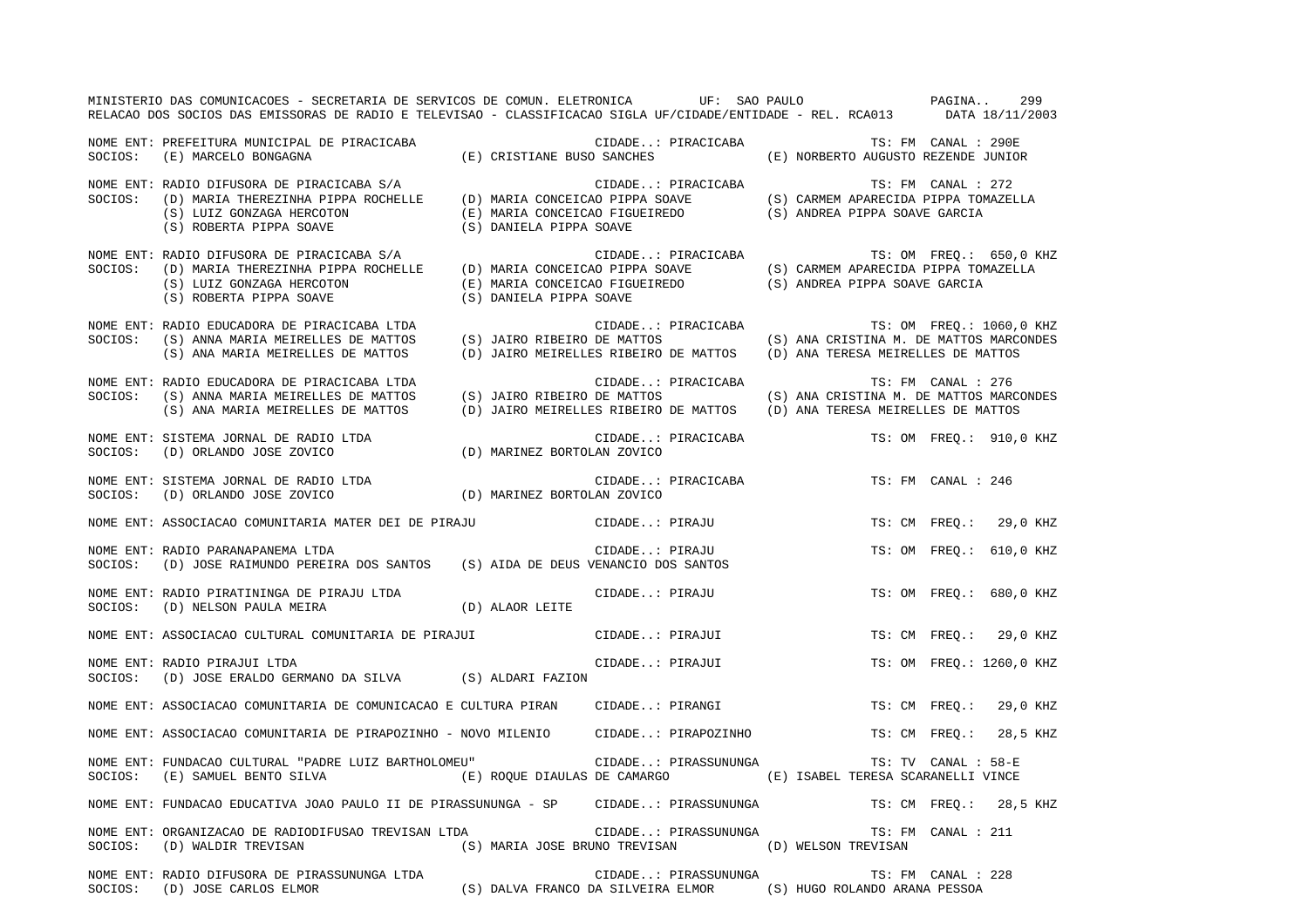|         | MINISTERIO DAS COMUNICACOES - SECRETARIA DE SERVICOS DE COMUN. ELETRONICA UF: SAO PAULO PAGINA<br>RELACAO DOS SOCIOS DAS EMISSORAS DE RADIO E TELEVISAO - CLASSIFICACAO SIGLA UF/CIDADE/ENTIDADE - REL. RCA013 DATA 18/11/2003                                                                              |                                                                                          |                                                            | 299                      |
|---------|-------------------------------------------------------------------------------------------------------------------------------------------------------------------------------------------------------------------------------------------------------------------------------------------------------------|------------------------------------------------------------------------------------------|------------------------------------------------------------|--------------------------|
|         | NOME ENT: PREFEITURA MUNICIPAL DE PIRACICABA (E) CRISTIANE BUSO SANCHES<br>SOCIOS: (E) MARCELO BONGAGNA (E) CRISTIANE BUSO SANCHES                                                                                                                                                                          | CIDADE: PIRACICABA                                                                       | TS: FM CANAL : 290E<br>(E) NORBERTO AUGUSTO REZENDE JUNIOR |                          |
|         | NOME ENT: RADIO DIFUSORA DE PIRACICABA S/A (D) MARIA CONCEICAO PIPPA SOAVE (S) CARMEM APARECIDA PIPPA TOMAZELLA<br>SOCIOS: (D) MARIA THEREZINHA PIPPA ROCHELLE (D) MARIA CONCEICAO PIPPA SOAVE (S) CARMEM APARECIDA PIPPA TOMAZEL                                                                           |                                                                                          |                                                            |                          |
|         | NOME ENT: RADIO DIFUSORA DE PIRACICABA S/A CIDADE: PIRACICABA TS: OM FREQ.: 650,0 K<br>SOCIOS: (D) MARIA THEREZINHA PIPPA ROCHELLE (D) MARIA CONCEICAO PIPPA SOAVE (S) CARMEM APARECIDA PIPPA TOMAZELLA<br>(S) LUIZ GONZAGA HERCOT                                                                          |                                                                                          |                                                            | TS: OM FREQ.: 650,0 KHZ  |
| SOCIOS: | NOME ENT: RADIO EDUCADORA DE PIRACICABA LTDA<br>(S) ANNA MARIA MEIRELLES DE MATTOS (S) JAIRO RIBEIRO DE MATTOS (S) ANA CRISTINA M. DE MATTOS MARCONDES<br>(S) ANA MARIA MEIRELLES DE MATTOS (D) JAIRO MEIRELLES RIBEIRO DE MATTOS (D) ANA TERESA MEIRELLES DE MATTOS                                        | CIDADE: PIRACICABA                                                                       |                                                            | TS: OM FREQ.: 1060,0 KHZ |
| SOCIOS: | NOME ENT: RADIO EDUCADORA DE PIRACICABA LTDA<br>S) ANNA MARIA MEIRELLES DE MATTOS (S) JAIRO RIBEIRO DE MATTOS (S) ANA CRISTINA M. DE MATTOS MARCONDES<br>(S) ANA MARIA MEIRELLES DE MATTOS (D) JAIRO MEIRELLES RIBEIRO DE MATTOS (D) ANA TERESA MEIRELLES DE MATTOS                                         | CIDADE: PIRACICABA                                                                       |                                                            | TS: FM CANAL : 276       |
|         | $\begin{minipage}{0.9\linewidth} \begin{tabular}{lcccccc} \texttt{NOWLEDM} & \texttt{SISTEMA JORNAL DE RADIO LTDA} & \texttt{CIDAB} & \texttt{CIDADE} \\ \texttt{SOCIOS:} & \texttt{(D)} & \texttt{NARINEZ BORTOLAN ZOVICO} & \texttt{(D)} & \texttt{MARINEZ BORTOLAN ZOVICO} \end{tabular} \end{minipage}$ | CIDADE: PIRACICABA TS: OM FREQ.: 910,0 KHZ                                               |                                                            |                          |
|         | NOME ENT: SISTEMA JORNAL DE RADIO LTDA<br>SOCIOS: (D) ORLANDO JOSE ZOVICO (D) MARINEZ BORTOLAN ZOVICO                                                                                                                                                                                                       |                                                                                          |                                                            | TS: FM CANAL : 246       |
|         | NOME ENT: ASSOCIACAO COMUNITARIA MATER DEI DE PIRAJU CIDADE: PIRAJU                                                                                                                                                                                                                                         |                                                                                          |                                                            | TS: CM FREO.: 29,0 KHZ   |
|         | NOME ENT: RADIO PARANAPANEMA LTDA<br>SOCIOS: (D) JOSE RAIMUNDO PEREIRA DOS SANTOS (S) AIDA DE DEUS VENANCIO DOS SANTOS                                                                                                                                                                                      | CIDADE: PIRAJU                                                                           |                                                            | TS: OM FREQ.: 610,0 KHZ  |
|         | NOME ENT: RADIO PIRATININGA DE PIRAJU LTDA<br>$\texttt{SOCIOS:} \hspace{5mm} \texttt{(D)} \hspace{2mm} \texttt{NELSON} \hspace{2mm} \texttt{PAULA} \hspace{2mm} \texttt{METRA} \hspace{2cm} \texttt{(D)} \hspace{2mm} \texttt{ALAOR} \hspace{2mm} \texttt{LETTE}$                                           | CIDADE: PIRAJU                                                                           |                                                            | TS: OM FREQ.: 680,0 KHZ  |
|         | NOME ENT: ASSOCIACAO CULTURAL COMUNITARIA DE PIRAJUI (CIDADE: PIRAJUI                                                                                                                                                                                                                                       |                                                                                          |                                                            | TS: CM FREQ.: 29,0 KHZ   |
|         | NOME ENT: RADIO PIRAJUI LTDA<br>SOCIOS: (D) JOSE ERALDO GERMANO DA SILVA (S) ALDARI FAZION                                                                                                                                                                                                                  | CIDADE: PIRAJUI                                                                          |                                                            | TS: OM FREQ.: 1260,0 KHZ |
|         | NOME ENT: ASSOCIACAO COMUNITARIA DE COMUNICACAO E CULTURA PIRAN CIDADE: PIRANGI                                                                                                                                                                                                                             |                                                                                          |                                                            | TS: CM FREQ.: 29,0 KHZ   |
|         | NOME ENT: ASSOCIACAO COMUNITARIA DE PIRAPOZINHO - NOVO MILENIO CIDADE: PIRAPOZINHO TS: CM FREQ.: 28,5 KHZ                                                                                                                                                                                                   |                                                                                          |                                                            |                          |
|         | NOME ENT: FUNDACAO CULTURAL "PADRE LUIZ BARTHOLOMEU" CIDADE: PIRASSUNUNGA<br>SOCIOS: (E) SAMUEL BENTO SILVA (E) ROQUE DIAULAS DE CAMARGO (E) ISABEL TERESA SCARANELLI VINCE                                                                                                                                 |                                                                                          |                                                            | TS: TV CANAL : 58-E      |
|         | NOME ENT: FUNDACAO EDUCATIVA JOAO PAULO II DE PIRASSUNUNGA - SP CIDADE: PIRASSUNUNGA TS: CM FREQ.: 28,5 KHZ                                                                                                                                                                                                 |                                                                                          |                                                            |                          |
|         | NOME ENT: ORGANIZACAO DE RADIODIFUSAO TREVISAN LTDA<br>SOCIOS: (D) WALDIR TREVISAN (S) MARIA JOSE BRUNO TREVISAN (D) WELSON TREVISAN                                                                                                                                                                        | CIDADE: PIRASSUNUNGA                                                                     |                                                            | TS: FM CANAL : 211       |
|         | NOME ENT: RADIO DIFUSORA DE PIRASSUNUNGA LTDA<br>SOCIOS: (D) JOSE CARLOS ELMOR                                                                                                                                                                                                                              | CIDADE: PIRASSUNUNGA<br>(S) DALVA FRANCO DA SILVEIRA ELMOR (S) HUGO ROLANDO ARANA PESSOA |                                                            | TS: FM CANAL : 228       |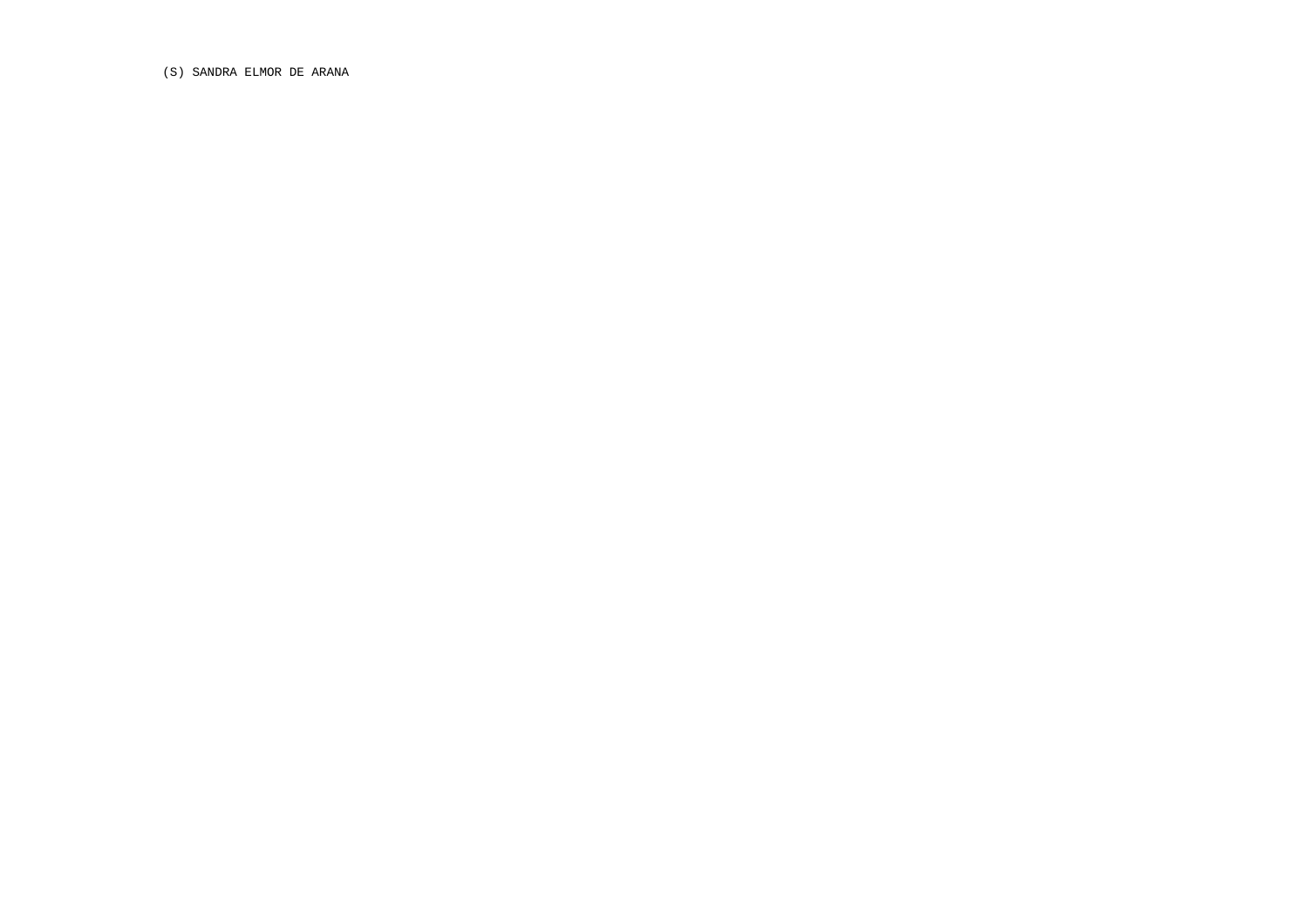(S) SANDRA ELMOR DE ARANA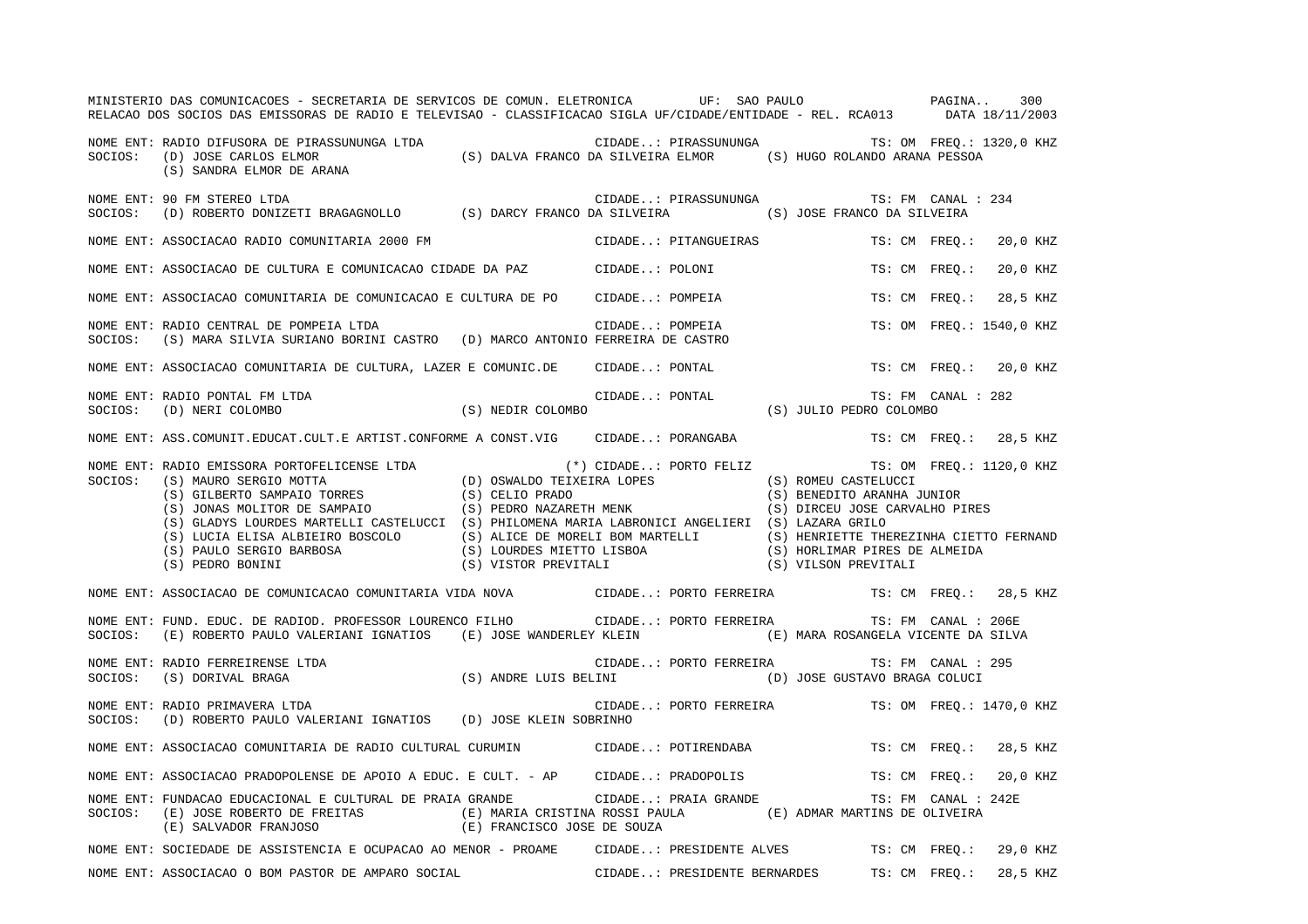|         | MINISTERIO DAS COMUNICACOES - SECRETARIA DE SERVICOS DE COMUN. ELETRONICA UF: SAO PAULO PAGINA<br>RELACAO DOS SOCIOS DAS EMISSORAS DE RADIO E TELEVISAO - CLASSIFICACAO SIGLA UF/CIDADE/ENTIDADE - REL. RCA013 DATA 18/11/2003                                                                                                                                                                                                                                                                                                                                        |                                            |                |                                                           |               |                     | 300                      |
|---------|-----------------------------------------------------------------------------------------------------------------------------------------------------------------------------------------------------------------------------------------------------------------------------------------------------------------------------------------------------------------------------------------------------------------------------------------------------------------------------------------------------------------------------------------------------------------------|--------------------------------------------|----------------|-----------------------------------------------------------|---------------|---------------------|--------------------------|
|         | (S) SANDRA ELMOR DE ARANA                                                                                                                                                                                                                                                                                                                                                                                                                                                                                                                                             |                                            |                | CIDADE: PIRASSUNUNGA TS: OM FREQ.: 1320,0 KHZ             |               |                     |                          |
|         | NOME ENT: 90 FM STEREO LTDA<br>SOCIOS: (D) ROBERTO DONIZETI BRAGAGNOLLO (S) DARCY FRANCO DA SILVEIRA (S) JOSE FRANCO DA SILVEIRA                                                                                                                                                                                                                                                                                                                                                                                                                                      |                                            |                | CIDADE: PIRASSUNUNGA                                      |               | TS: FM CANAL : 234  |                          |
|         | NOME ENT: ASSOCIACAO RADIO COMUNITARIA 2000 FM                                                                                                                                                                                                                                                                                                                                                                                                                                                                                                                        |                                            |                | CIDADE: PITANGUEIRAS                                      |               | TS: CM FREO.:       | 20,0 KHZ                 |
|         | NOME ENT: ASSOCIACAO DE CULTURA E COMUNICACAO CIDADE DA PAZ CIDADE: POLONI                                                                                                                                                                                                                                                                                                                                                                                                                                                                                            |                                            |                |                                                           | TS: CM FREQ.: |                     | 20,0 KHZ                 |
|         | NOME ENT: ASSOCIACAO COMUNITARIA DE COMUNICACAO E CULTURA DE PO CIDADE: POMPEIA                                                                                                                                                                                                                                                                                                                                                                                                                                                                                       |                                            |                |                                                           |               |                     | TS: CM FREO.: 28,5 KHZ   |
| SOCIOS: | (S) MARA SILVIA SURIANO BORINI CASTRO (D) MARCO ANTONIO FERREIRA DE CASTRO<br>ASSOCIACAO COMUNITARIA DE CONSUMIDADE DE CONSUMIDATION DE CONSUMIDATION DE CONSUMIDATION DE CONSUMIDATION DE C<br>NOME ENT: RADIO CENTRAL DE POMPEIA LTDA                                                                                                                                                                                                                                                                                                                               |                                            |                |                                                           |               |                     | TS: OM FREQ.: 1540,0 KHZ |
|         | NOME ENT: ASSOCIACAO COMUNITARIA DE CULTURA, LAZER E COMUNIC.DE CIDADE: PONTAL                                                                                                                                                                                                                                                                                                                                                                                                                                                                                        |                                            |                |                                                           |               |                     | TS: CM FREO.: 20,0 KHZ   |
|         | NOME ENT: RADIO PONTAL FM LTDA<br>A CI<br>(S) NEDIR COLOMBO<br>SOCIOS: (D) NERI COLOMBO                                                                                                                                                                                                                                                                                                                                                                                                                                                                               |                                            | CIDADE: PONTAL | (S) JULIO PEDRO COLOMBO                                   |               | TS: FM CANAL : 282  |                          |
|         | NOME ENT: ASS.COMUNIT.EDUCAT.CULT.E ARTIST.CONFORME A CONST.VIG CIDADE: PORANGABA                                                                                                                                                                                                                                                                                                                                                                                                                                                                                     |                                            |                |                                                           |               |                     | TS: CM FREO.: 28,5 KHZ   |
|         | NOME ENT: RADIO EMISSORA PORTOFELICENSE LTDA (*) CIDADE: PORTO FELIZ TS: OM FREQ.: 1120,0<br>SOCIOS: (S) MAURO SERGIO MOTTA (D) OSWALDO TEIXEIRA LOPES (S) ROMEU CASTELUCCI<br>(S) GILBERTO SAMPAIO TORRES (S) CELIO PRADO (S) D<br>(S) GLADYS LOURDES MARTELLI CASTELUCCI (S) PHILOMENA MARIA LABRONICI ANGELIERI (S) LAZARA GRILO<br>S) LUCIA ELISA ALBIEIRO BOSCOLO (S) ALICE DE MORELI BOM MARTELLI (S) HENRIETTE THEREZINHA CIETTO FERNAND (S) PAULO SERGIO BARBOSA (S) LOURDES MIETTO LISBOA (S) HORLIMAR PIRES DE ALMEIDA (S) PEDRO BONINI (S) VISTOR PREVITAL |                                            |                | (*) CIDADE: PORTO FELIZ $\qquad$ TS: OM FREQ.: 1120,0 KHZ |               |                     |                          |
|         | NOME ENT: ASSOCIACAO DE COMUNICACAO COMUNITARIA VIDA NOVA CIDADE: PORTO FERREIRA TS: CM FREQ.: 28,5 KHZ                                                                                                                                                                                                                                                                                                                                                                                                                                                               |                                            |                |                                                           |               |                     |                          |
| SOCIOS: | NOME ENT: FUND. EDUC. DE RADIOD. PROFESSOR LOURENCO FILHO CIDADE: PORTO FERREIRA TS: FM CANAL : 206E<br>(E) ROBERTO PAULO VALERIANI IGNATIOS (E) JOSE WANDERLEY KLEIN (E) MARA ROSANGELA VICENTE DA SILVA                                                                                                                                                                                                                                                                                                                                                             |                                            |                |                                                           |               |                     |                          |
|         | NOME ENT: RADIO FERREIRENSE LTDA<br>SOCIOS: (S) DORIVAL BRAGA (S) ANDRE LUIS BELINI (D) JOSE GUSTAVO BRAGA COLUCI                                                                                                                                                                                                                                                                                                                                                                                                                                                     |                                            |                | CIDADE: PORTO FERREIRA TS: FM CANAL : 295                 |               |                     |                          |
|         | NOME ENT: RADIO PRIMAVERA LTDA<br>SOCIOS: (D) ROBERTO PAULO VALERIANI IGNATIOS (D) JOSE KLEIN SOBRINHO                                                                                                                                                                                                                                                                                                                                                                                                                                                                |                                            |                | CIDADE: PORTO FERREIRA TS: OM FREQ.: 1470,0 KHZ           |               |                     |                          |
|         | NOME ENT: ASSOCIACAO COMUNITARIA DE RADIO CULTURAL CURUMIN CIDADE: POTIRENDABA                                                                                                                                                                                                                                                                                                                                                                                                                                                                                        |                                            |                |                                                           |               |                     | TS: CM FREO.: 28,5 KHZ   |
|         | NOME ENT: ASSOCIACAO PRADOPOLENSE DE APOIO A EDUC. E CULT. - AP CIDADE: PRADOPOLIS                                                                                                                                                                                                                                                                                                                                                                                                                                                                                    |                                            |                |                                                           | TS: CM FREQ.: |                     | 20,0 KHZ                 |
|         | NOME ENT: FUNDACAO EDUCACIONAL E CULTURAL DE PRAIA GRANDE<br>COCIOCIONAL DE PRAIA DE PROPERTE DE CULTURAL DE PRAIA GRANDE<br>SOCIOS: (E) JOSE ROBERTO DE FREITAS (E) MARIA CRISTINA ROSSI PAULA (E) ADMAR MARTINS DE OLIVEIRA<br>(E) SALVADOR FRANJOSO (E) FRANCISCO JOSE DE SOUZA                                                                                                                                                                                                                                                                                    |                                            |                |                                                           |               | TS: FM CANAL : 242E |                          |
|         | NOME ENT: SOCIEDADE DE ASSISTENCIA E OCUPACAO AO MENOR - PROAME CIDADE: PRESIDENTE ALVES TS: CM FREQ.:                                                                                                                                                                                                                                                                                                                                                                                                                                                                |                                            |                |                                                           |               |                     | 29,0 KHZ                 |
|         | NOME ENT: ASSOCIACAO O BOM PASTOR DE AMPARO SOCIAL                                                                                                                                                                                                                                                                                                                                                                                                                                                                                                                    | CIDADE: PRESIDENTE BERNARDES TS: CM FREQ.: |                |                                                           |               |                     | 28,5 KHZ                 |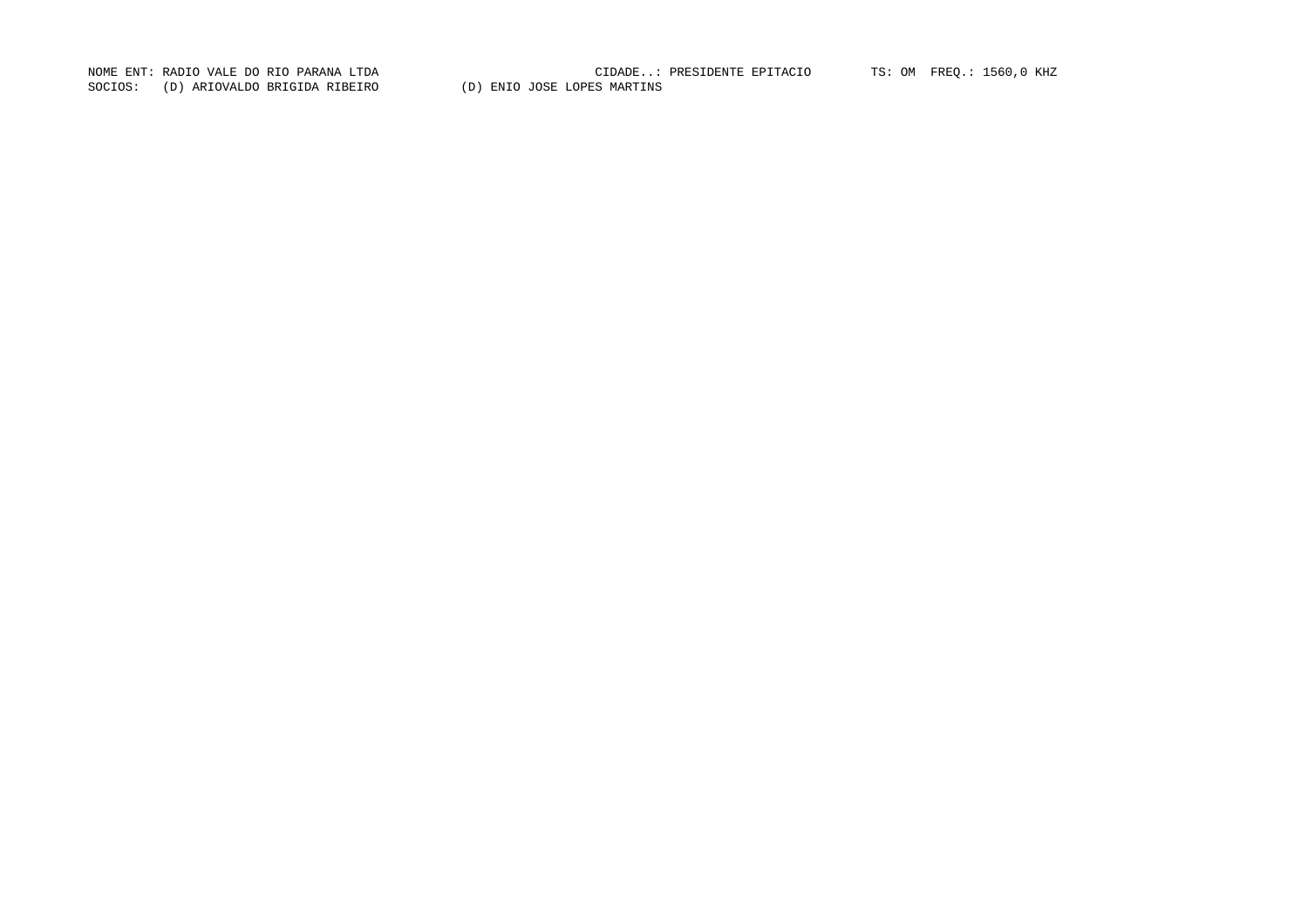SOCIOS: (D) ARIOVALDO BRIGIDA RIBEIRO (D) ENIO JOSE LOPES MARTINS

NOME ENT: RADIO VALE DO RIO PARANA LTDA CIDADE..: PRESIDENTE EPITACIO TS: OM FREQ.: 1560,0 KHZ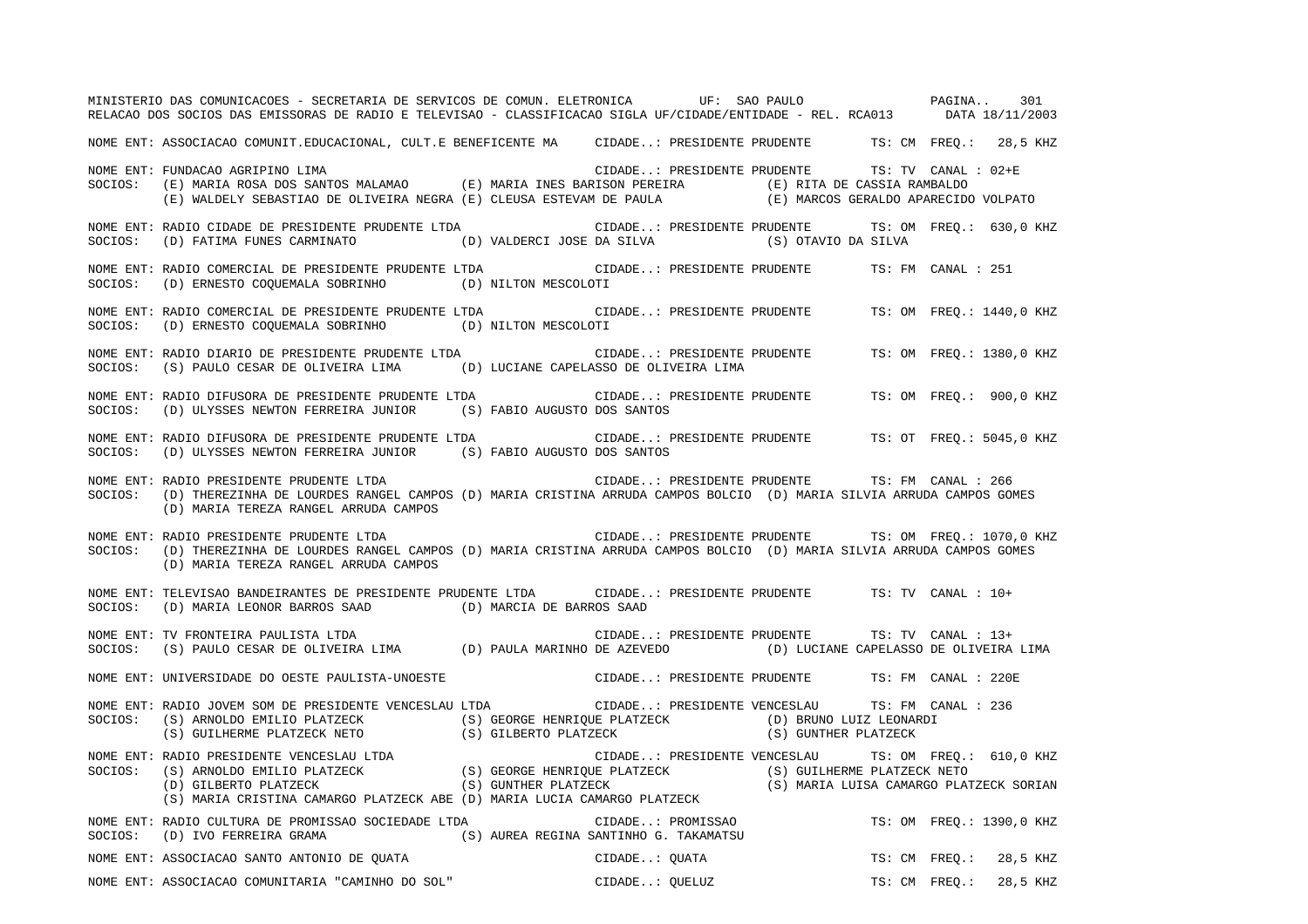MINISTERIO DAS COMUNICACOES - SECRETARIA DE SERVICOS DE COMUN. ELETRONICA UF: SAO PAULO PAGINA.. 301RELACAO DOS SOCIOS DAS EMISSORAS DE RADIO E TELEVISAO - CLASSIFICACAO SIGLA UF/CIDADE/ENTIDADE - REL. RCA013 DATA 18/11/2003 NOME ENT: ASSOCIACAO COMUNIT.EDUCACIONAL, CULT.E BENEFICENTE MA CIDADE..: PRESIDENTE PRUDENTE TS: CM FREQ.: 28,5 KHZ NOME ENT: FUNDACAO AGRIPINO LIMA CIDADE..: PRESIDENTE PRUDENTE TS: TV CANAL : 02+ETS: TV CANAL : 02+E SOCIOS: (E) MARIA ROSA DOS SANTOS MALAMAO (E) MARIA INES BARISON PEREIRA (E) RITA DE CASSIA RAMBALDO (E) WALDELY SEBASTIAO DE OLIVEIRA NEGRA (E) CLEUSA ESTEVAM DE PAULA (E) MARCOS GERALDO APARECIDO VOLPATO NOME ENT: RADIO CIDADE DE PRESIDENTE PRUDENTE LTDA CIDADE..: PRESIDENTE PRUDENTE TS: OM FREQ.: 630,0 KHZ SOCIOS: (D) FATIMA FUNES CARMINATO (D) VALDERCI JOSE DA SILVA (S) OTAVIO DA SILVA NOME ENT: RADIO COMERCIAL DE PRESIDENTE PRUDENTE LTDA CIDADE..: PRESIDENTE PRUDENTE TS: FM CANAL : 251SOCIOS: (D) ERNESTO COQUEMALA SOBRINHO (D) NILTON MESCOLOTI NOME ENT: RADIO COMERCIAL DE PRESIDENTE PRUDENTE LTDA CIDADE..: PRESIDENTE PRUDENTE TS: OM FREQ.: 1440,0 KHZ SOCIOS: (D) ERNESTO COQUEMALA SOBRINHO (D) NILTON MESCOLOTI NOME ENT: RADIO DIARIO DE PRESIDENTE PRUDENTE LTDA CIDADE..: PRESIDENTE PRUDENTE TS: OM FREQ.: 1380,0 KHZ SOCIOS: (S) PAULO CESAR DE OLIVEIRA LIMA (D) LUCIANE CAPELASSO DE OLIVEIRA LIMA NOME ENT: RADIO DIFUSORA DE PRESIDENTE PRUDENTE LTDA CIDADE..: PRESIDENTE PRUDENTE TS: OM FREQ.: 900,0 KHZ SOCIOS: (D) ULYSSES NEWTON FERREIRA JUNIOR (S) FABIO AUGUSTO DOS SANTOS NOME ENT: RADIO DIFUSORA DE PRESIDENTE PRUDENTE LTDA CIDADE..: PRESIDENTE PRUDENTE TS: OT FREQ.: 5045,0 KHZ SOCIOS: (D) ULYSSES NEWTON FERREIRA JUNIOR (S) FABIO AUGUSTO DOS SANTOS NOME ENT: RADIO PRESIDENTE PRUDENTE LTDA CIDADE..: PRESIDENTE PRUDENTE TS: FM CANAL : 266 SOCIOS: (D) THEREZINHA DE LOURDES RANGEL CAMPOS (D) MARIA CRISTINA ARRUDA CAMPOS BOLCIO (D) MARIA SILVIA ARRUDA CAMPOS GOMES (D) MARIA TEREZA RANGEL ARRUDA CAMPOS NOME ENT: RADIO PRESIDENTE PRUDENTE LTDA CIDADE..: PRESIDENTE PRUDENTE TS: OM FREQ.: 1070,0 KHZ SOCIOS: (D) THEREZINHA DE LOURDES RANGEL CAMPOS (D) MARIA CRISTINA ARRUDA CAMPOS BOLCIO (D) MARIA SILVIA ARRUDA CAMPOS GOMES (D) MARIA TEREZA RANGEL ARRUDA CAMPOS NOME ENT: TELEVISAO BANDEIRANTES DE PRESIDENTE PRUDENTE LTDA CIDADE..: PRESIDENTE PRUDENTE TS: TV CANAL : 10+SOCIOS: (D) MARIA LEONOR BARROS SAAD (D) MARCIA DE BARROS SAAD NOME ENT: TV FRONTEIRA PAULISTA LTDA CIDADE..: PRESIDENTE PRUDENTE TS: TV CANAL : 13+ SOCIOS: (S) PAULO CESAR DE OLIVEIRA LIMA (D) PAULA MARINHO DE AZEVEDO (D) LUCIANE CAPELASSO DE OLIVEIRA LIMA NOME ENT: UNIVERSIDADE DO OESTE PAULISTA-UNOESTE CIDADE..: PRESIDENTE PRUDENTE TS: FM CANAL : 220ENOME ENT: RADIO JOVEM SOM DE PRESIDENTE VENCESLAU LTDA CIDADE..: PRESIDENTE VENCESLAU TS: FM CANAL : 236SOCIOS: (S) ARNOLDO EMILIO PLATZECK (S) GEORGE HENRIQUE PLATZECK (D) BRUNO LUIZ LEONARDI (S) GUILHERME PLATZECK NETO (S) GILBERTO PLATZECK (S) GUNTHER PLATZECK NOME ENT: RADIO PRESIDENTE VENCESLAU LTDA CIDADE..: PRESIDENTE VENCESLAU TS: OM FREQ.: 610,0 KHZ SOCIOS: (S) ARNOLDO EMILIO PLATZECK (S) GEORGE HENRIQUE PLATZECK (S) GUILHERME PLATZECK NETO (D) GILBERTO PLATZECK (S) GUNTHER PLATZECK (S) MARIA LUISA CAMARGO PLATZECK SORIAN (S) MARIA CRISTINA CAMARGO PLATZECK ABE (D) MARIA LUCIA CAMARGO PLATZECK NOME ENT: RADIO CULTURA DE PROMISSAO SOCIEDADE LTDA CIDADE..: PROMISSAO TS: OM FREQ.: 1390,0 KHZ SOCIOS: (D) IVO FERREIRA GRAMA (S) AUREA REGINA SANTINHO G. TAKAMATSU NOME ENT: ASSOCIACAO SANTO ANTONIO DE QUATA  $\qquad \qquad$  CIDADE..: QUATA  $\qquad \qquad$  TS: CM FREQ.: 28,5 KHZ NOME ENT: ASSOCIACAO COMUNITARIA "CAMINHO DO SOL" CIDADE..: OUELUZ TS: CM FREQ.: 28,5 KHZ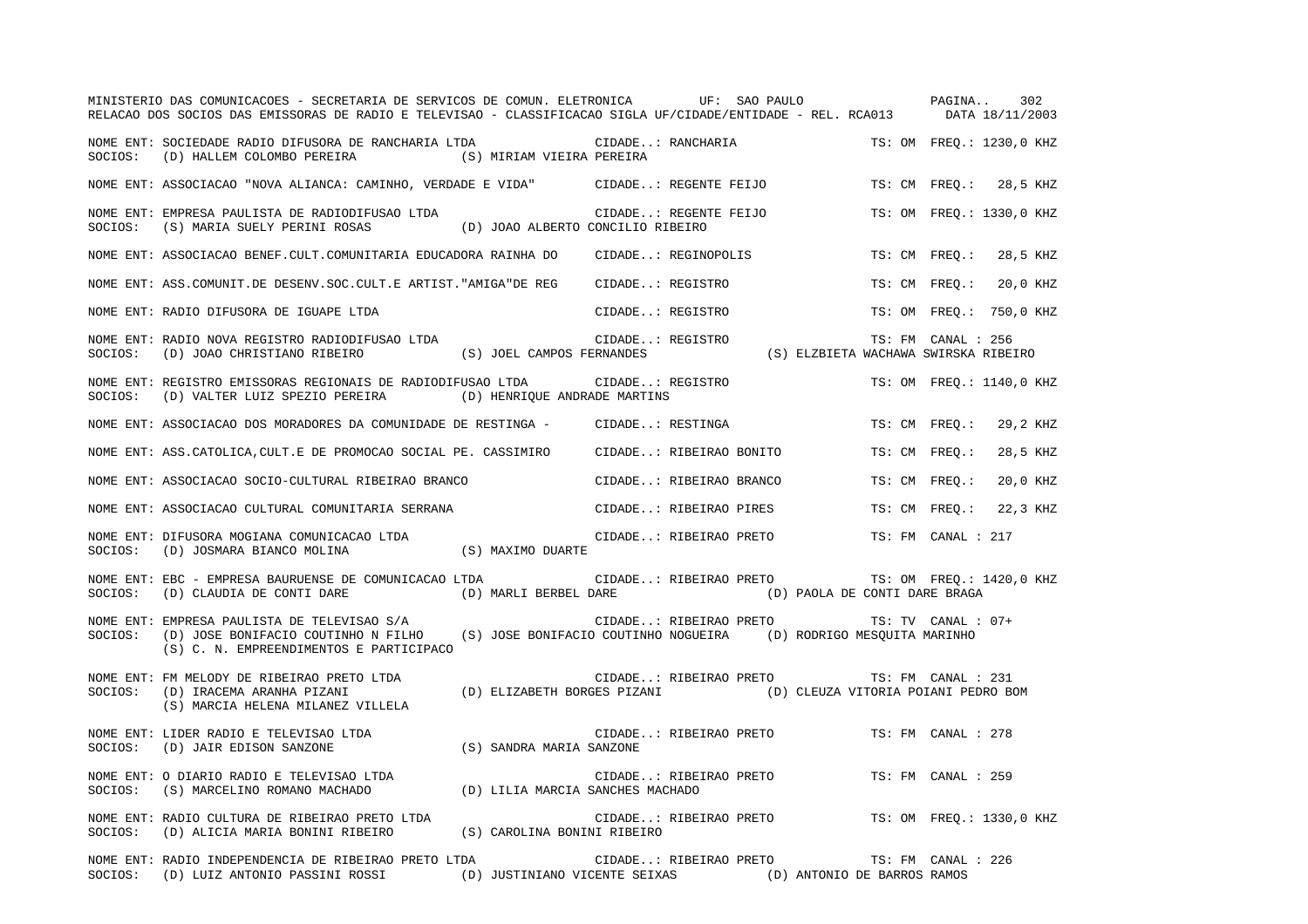|         | MINISTERIO DAS COMUNICACOES - SECRETARIA DE SERVICOS DE COMUN. ELETRONICA UF: SAO PAULO<br>RELACAO DOS SOCIOS DAS EMISSORAS DE RADIO E TELEVISAO - CLASSIFICACAO SIGLA UF/CIDADE/ENTIDADE - REL. RCA013 DATA 18/11/2003 |                                                           |                         |  |                                                                                  | PAGINA             | 302                      |
|---------|-------------------------------------------------------------------------------------------------------------------------------------------------------------------------------------------------------------------------|-----------------------------------------------------------|-------------------------|--|----------------------------------------------------------------------------------|--------------------|--------------------------|
| SOCIOS: | NOME ENT: SOCIEDADE RADIO DIFUSORA DE RANCHARIA LTDA<br>(D) HALLEM COLOMBO PEREIRA (S) MIRIAM VIEIRA PEREIRA                                                                                                            |                                                           | CIDADE: RANCHARIA       |  |                                                                                  |                    | TS: OM FREO.: 1230,0 KHZ |
|         | NOME ENT: ASSOCIACAO "NOVA ALIANCA: CAMINHO, VERDADE E VIDA"                                                                                                                                                            |                                                           | CIDADE: REGENTE FEIJO   |  |                                                                                  | TS: CM FREO.:      | 28,5 KHZ                 |
| SOCIOS: | NOME ENT: EMPRESA PAULISTA DE RADIODIFUSAO LTDA<br>(S) MARIA SUELY PERINI ROSAS                                                                                                                                         | (D) JOAO ALBERTO CONCILIO RIBEIRO                         | CIDADE: REGENTE FEIJO   |  |                                                                                  |                    | TS: OM FREO.: 1330,0 KHZ |
|         | NOME ENT: ASSOCIACAO BENEF.CULT.COMUNITARIA EDUCADORA RAINHA DO                                                                                                                                                         |                                                           | CIDADE: REGINOPOLIS     |  |                                                                                  | TS: CM FREQ.:      | 28,5 KHZ                 |
|         | NOME ENT: ASS.COMUNIT.DE DESENV.SOC.CULT.E ARTIST."AMIGA"DE REG                                                                                                                                                         |                                                           | CIDADE: REGISTRO        |  |                                                                                  | TS: CM FREO.:      | 20,0 KHZ                 |
|         | NOME ENT: RADIO DIFUSORA DE IGUAPE LTDA                                                                                                                                                                                 |                                                           | CIDADE: REGISTRO        |  |                                                                                  |                    | TS: OM FREQ.: 750,0 KHZ  |
| SOCIOS: | NOME ENT: RADIO NOVA REGISTRO RADIODIFUSAO LTDA<br>(D) JOAO CHRISTIANO RIBEIRO                                                                                                                                          | (S) JOEL CAMPOS FERNANDES                                 | CIDADE: REGISTRO        |  | (S) ELZBIETA WACHAWA SWIRSKA RIBEIRO                                             | TS: FM CANAL : 256 |                          |
| SOCIOS: | NOME ENT: REGISTRO EMISSORAS REGIONAIS DE RADIODIFUSAO LTDA<br>(D) VALTER LUIZ SPEZIO PEREIRA (D) HENRIQUE ANDRADE MARTINS                                                                                              |                                                           | CIDADE: REGISTRO        |  |                                                                                  |                    | TS: OM FREQ.: 1140,0 KHZ |
|         | NOME ENT: ASSOCIACAO DOS MORADORES DA COMUNIDADE DE RESTINGA - CIDADE: RESTINGA                                                                                                                                         |                                                           |                         |  |                                                                                  | TS: CM FREO.:      | 29,2 KHZ                 |
|         | NOME ENT: ASS.CATOLICA, CULT.E DE PROMOCAO SOCIAL PE. CASSIMIRO                                                                                                                                                         |                                                           | CIDADE: RIBEIRAO BONITO |  |                                                                                  | TS: CM FREQ.:      | 28,5 KHZ                 |
|         | NOME ENT: ASSOCIACAO SOCIO-CULTURAL RIBEIRAO BRANCO                                                                                                                                                                     |                                                           | CIDADE: RIBEIRAO BRANCO |  |                                                                                  | TS: CM FREO.:      | 20,0 KHZ                 |
|         | NOME ENT: ASSOCIACAO CULTURAL COMUNITARIA SERRANA                                                                                                                                                                       |                                                           | CIDADE: RIBEIRAO PIRES  |  |                                                                                  | TS: CM FREO.:      | 22,3 KHZ                 |
| SOCIOS: | NOME ENT: DIFUSORA MOGIANA COMUNICACAO LTDA<br>(D) JOSMARA BIANCO MOLINA                                                                                                                                                | (S) MAXIMO DUARTE                                         | CIDADE: RIBEIRAO PRETO  |  |                                                                                  | TS: FM CANAL : 217 |                          |
| SOCIOS: | NOME ENT: EBC - EMPRESA BAURUENSE DE COMUNICACAO LTDA<br>(D) CLAUDIA DE CONTI DARE                                                                                                                                      | (D) MARLI BERBEL DARE                                     |                         |  | CIDADE: RIBEIRAO PRETO TS: OM FREQ.: 1420,0 KHZ<br>(D) PAOLA DE CONTI DARE BRAGA |                    |                          |
| SOCIOS: | NOME ENT: EMPRESA PAULISTA DE TELEVISAO S/A<br>(D) JOSE BONIFACIO COUTINHO N FILHO (S) JOSE BONIFACIO COUTINHO NOGUEIRA (D) RODRIGO MESQUITA MARINHO<br>(S) C. N. EMPREENDIMENTOS E PARTICIPACO                         |                                                           | CIDADE: RIBEIRAO PRETO  |  |                                                                                  | TS: TV CANAL : 07+ |                          |
| SOCIOS: | NOME ENT: FM MELODY DE RIBEIRAO PRETO LTDA<br>(D) IRACEMA ARANHA PIZANI<br>(S) MARCIA HELENA MILANEZ VILLELA                                                                                                            | (D) ELIZABETH BORGES PIZANI                               | CIDADE: RIBEIRAO PRETO  |  | (D) CLEUZA VITORIA POIANI PEDRO BOM                                              | TS: FM CANAL : 231 |                          |
| SOCIOS: | NOME ENT: LIDER RADIO E TELEVISAO LTDA<br>(D) JAIR EDISON SANZONE                                                                                                                                                       | (S) SANDRA MARIA SANZONE                                  | CIDADE: RIBEIRAO PRETO  |  |                                                                                  | TS: FM CANAL : 278 |                          |
| SOCIOS: | NOME ENT: O DIARIO RADIO E TELEVISAO LTDA<br>(S) MARCELINO ROMANO MACHADO                                                                                                                                               | (D) LILIA MARCIA SANCHES MACHADO                          | CIDADE: RIBEIRAO PRETO  |  |                                                                                  | TS: FM CANAL : 259 |                          |
| SOCIOS: | NOME ENT: RADIO CULTURA DE RIBEIRAO PRETO LTDA<br>(D) ALICIA MARIA BONINI RIBEIRO                                                                                                                                       | (S) CAROLINA BONINI RIBEIRO                               | CIDADE: RIBEIRAO PRETO  |  |                                                                                  |                    | TS: OM FREO.: 1330,0 KHZ |
|         | NOME ENT: RADIO INDEPENDENCIA DE RIBEIRAO PRETO LTDA<br>SOCIOS: (D) LUIZ ANTONIO PASSINI ROSSI                                                                                                                          | (D) JUSTINIANO VICENTE SEIXAS (D) ANTONIO DE BARROS RAMOS | CIDADE: RIBEIRAO PRETO  |  |                                                                                  | TS: FM CANAL : 226 |                          |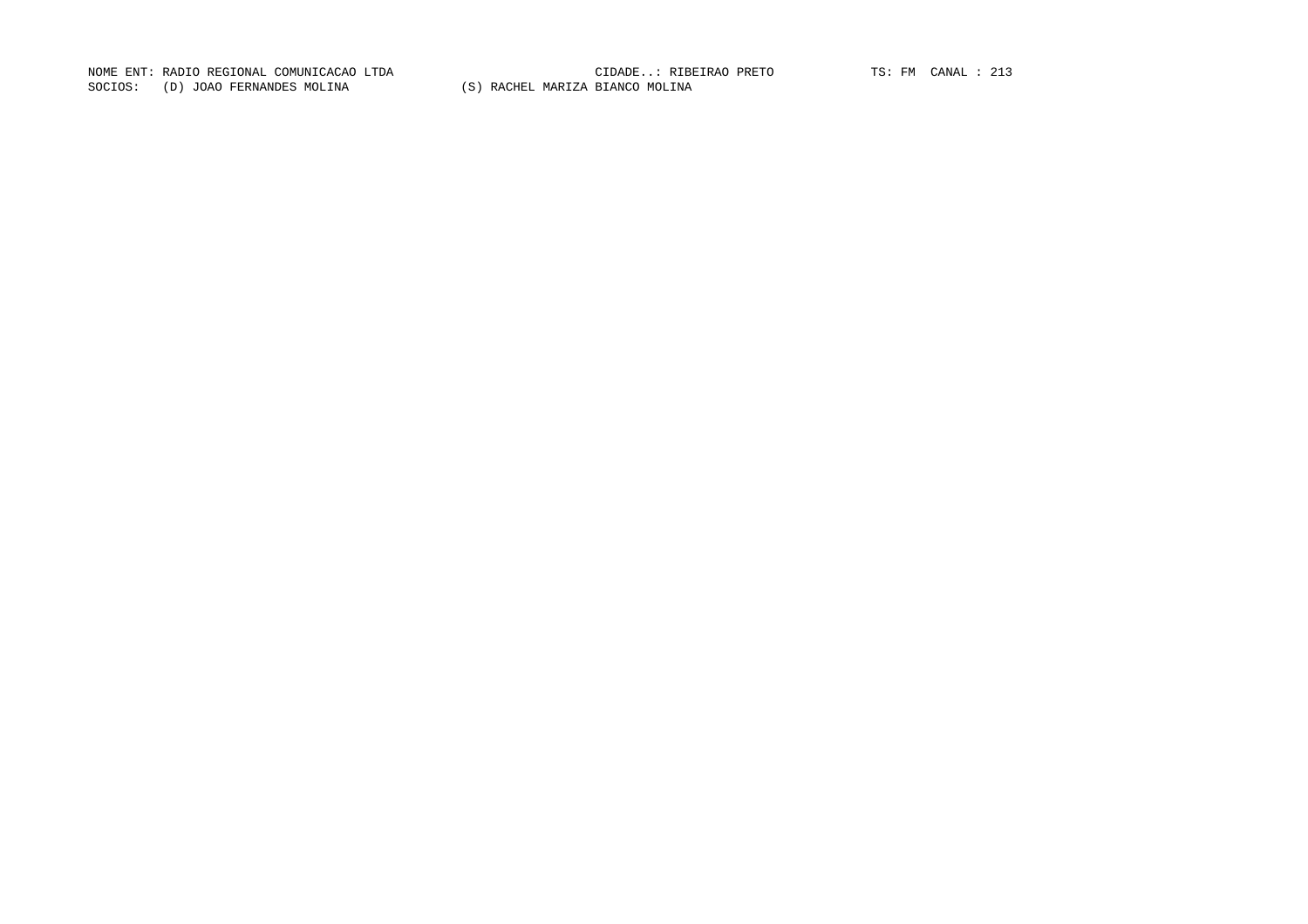NOME ENT: RADIO REGIONAL COMUNICACAO LTDA CIDADE..: RIBEIRAO PRETO TS: FM CANAL : 213SOCIOS: (D) JOAO FERNANDES MOLINA (S) RACHEL MARIZA BIANCO MOLINA

CIDADE..: RIBEIRAO PRETO TS: FM CANAL : 213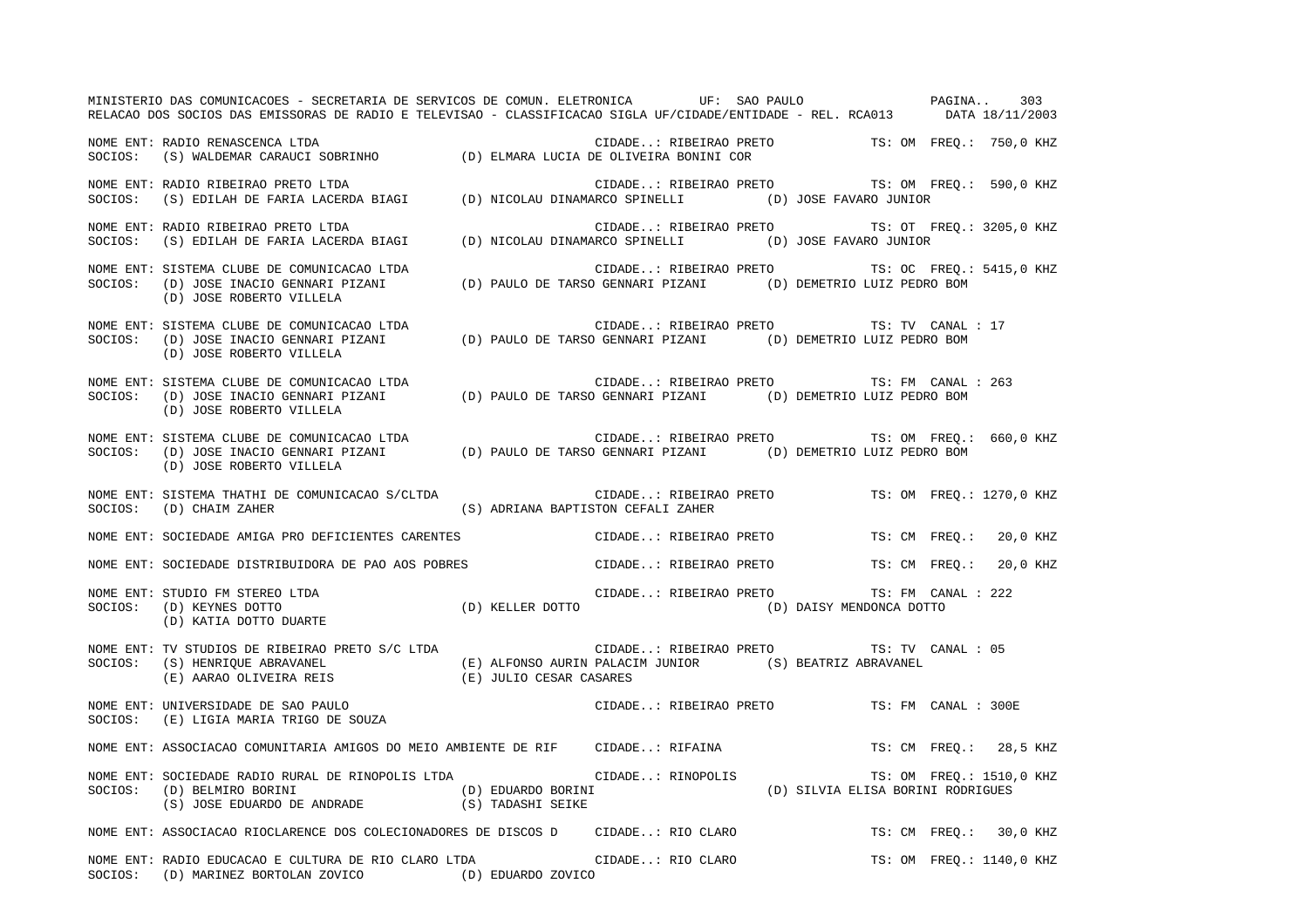MINISTERIO DAS COMUNICACOES - SECRETARIA DE SERVICOS DE COMUN. ELETRONICA UF: SAO PAULO PAGINA.. 303RELACAO DOS SOCIOS DAS EMISSORAS DE RADIO E TELEVISAO - CLASSIFICACAO SIGLA UF/CIDADE/ENTIDADE - REL. RCA013 DATA 18/11/2003 NOME ENT: RADIO RENASCENCA LTDA CIDADE..: RIBEIRAO PRETO TS: OM FREQ.: 750,0 KHZ SOCIOS: (S) WALDEMAR CARAUCI SOBRINHO (D) ELMARA LUCIA DE OLIVEIRA BONINI COR NOME ENT: RADIO RIBEIRAO PRETO LTDA CIDADE..: RIBEIRAO PRETO TS: OM FREQ.: 590,0 KHZ SOCIOS: (S) EDILAH DE FARIA LACERDA BIAGI (D) NICOLAU DINAMARCO SPINELLI (D) JOSE FAVARO JUNIOR NOME ENT: RADIO RIBEIRAO PRETO LTDA CIDADE..: RIBEIRAO PRETO TS: OT FREQ.: 3205,0 KHZ SOCIOS: (S) EDILAH DE FARIA LACERDA BIAGI (D) NICOLAU DINAMARCO SPINELLI (D) JOSE FAVARO JUNIOR NOME ENT: SISTEMA CLUBE DE COMUNICACAO LTDA  $\blacksquare$  CIDADE..: RIBEIRAO PRETO TS: OC FREQ.: 5415,0 KHZ SOCIOS: (D) JOSE INACIO GENNARI PIZANI (D) PAULO DE TARSO GENNARI PIZANI (D) DEMETRIO LUIZ PEDRO BOM (D) JOSE ROBERTO VILLELA NOME ENT: SISTEMA CLUBE DE COMUNICACAO LTDA CIDADE..: RIBEIRAO PRETO TS: TV CANAL : 17SOCIOS: (D) JOSE INACIO GENNARI PIZANI (D) PAULO DE TARSO GENNARI PIZANI (D) DEMETRIO LUIZ PEDRO BOM (D) JOSE ROBERTO VILLELA NOME ENT: SISTEMA CLUBE DE COMUNICACAO LTDA CIDADE..: RIBEIRAO PRETO TS: FM CANAL : 263SOCIOS: (D) JOSE INACIO GENNARI PIZANI (D) PAULO DE TARSO GENNARI PIZANI (D) DEMETRIO LUIZ PEDRO BOM (D) JOSE ROBERTO VILLELA NOME ENT: SISTEMA CLUBE DE COMUNICACAO LTDA CIDADE..: RIBEIRAO PRETO TS: OM FREQ.: 660,0 KHZ SOCIOS: (D) JOSE INACIO GENNARI PIZANI (D) PAULO DE TARSO GENNARI PIZANI (D) DEMETRIO LUIZ PEDRO BOM (D) JOSE ROBERTO VILLELA NOME ENT: SISTEMA THATHI DE COMUNICACAO S/CLTDA  $\qquad \qquad$  CIDADE..: RIBEIRAO PRETO  $\qquad \qquad$  TS: OM FREQ.: 1270,0 KHZ SOCIOS: (D) CHAIM ZAHER (S) ADRIANA BAPTISTON CEFALI ZAHER NOME ENT: SOCIEDADE AMIGA PRO DEFICIENTES CARENTES CIDADE..: RIBEIRAO PRETO TS: CM FREQ.: 20,0 KHZ NOME ENT: SOCIEDADE DISTRIBUIDORA DE PAO AOS POBRES CIDADE..: RIBEIRAO PRETO TS: CM FREQ.: 20,0 KHZ NOME ENT: STUDIO FM STEREO LTDA CIDADE..: RIBEIRAO PRETO TS: FM CANAL : 222SOCIOS: (D) KEYNES DOTTO (D) KELLER DOTTO (D) DAISY MENDONCA DOTTO (D) KATIA DOTTO DUARTE NOME ENT: TV STUDIOS DE RIBEIRAO PRETO S/C LTDA CIDADE..: RIBEIRAO PRETO TS: TV CANAL : 05 SOCIOS: (S) HENRIQUE ABRAVANEL (E) ALFONSO AURIN PALACIM JUNIOR (S) BEATRIZ ABRAVANEL (E) AARAO OLIVEIRA REIS (E) JULIO CESAR CASARES NOME ENT: UNIVERSIDADE DE SAO PAULO CIDADE..: RIBEIRAO PRETO TS: FM CANAL : 300ESOCIOS: (E) LIGIA MARIA TRIGO DE SOUZA NOME ENT: ASSOCIACAO COMUNITARIA AMIGOS DO MEIO AMBIENTE DE RIF CIDADE..: RIFAINA TS: CM FREQ.: 28,5 KHZ NOME ENT: SOCIEDADE RADIO RURAL DE RINOPOLIS LTDA CIDADE..: RINOPOLIS TS: OM FREQ.: 1510,0 KHZ SOCIOS: (D) BELMIRO BORINI (D) EDUARDO BORINI (D) SILVIA ELISA BORINI RODRIGUES (S) JOSE EDUARDO DE ANDRADE (S) TADASHI SEIKE NOME ENT: ASSOCIACAO RIOCLARENCE DOS COLECIONADORES DE DISCOS D CIDADE..: RIO CLARO TS: CM FREQ.: 30,0 KHZ NOME ENT: RADIO EDUCACAO E CULTURA DE RIO CLARO LTDA  $\blacksquare$  CIDADE..: RIO CLARO TS: OM FREQ.: 1140,0 KHZ SOCIOS: (D) MARINEZ BORTOLAN ZOVICO (D) EDUARDO ZOVICO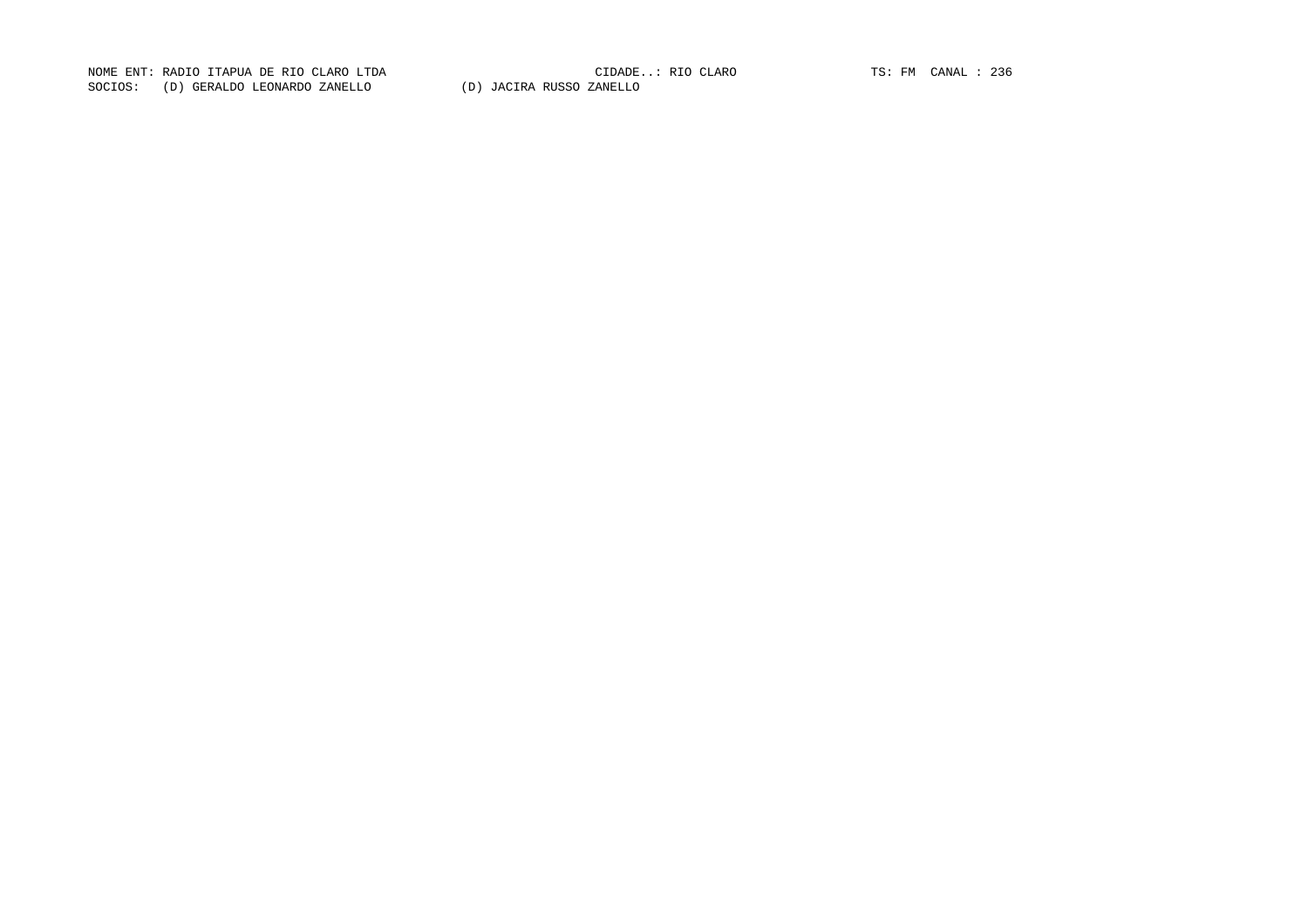CIDADE..: RIO CLARO  $TS: FM$  CANAL : 236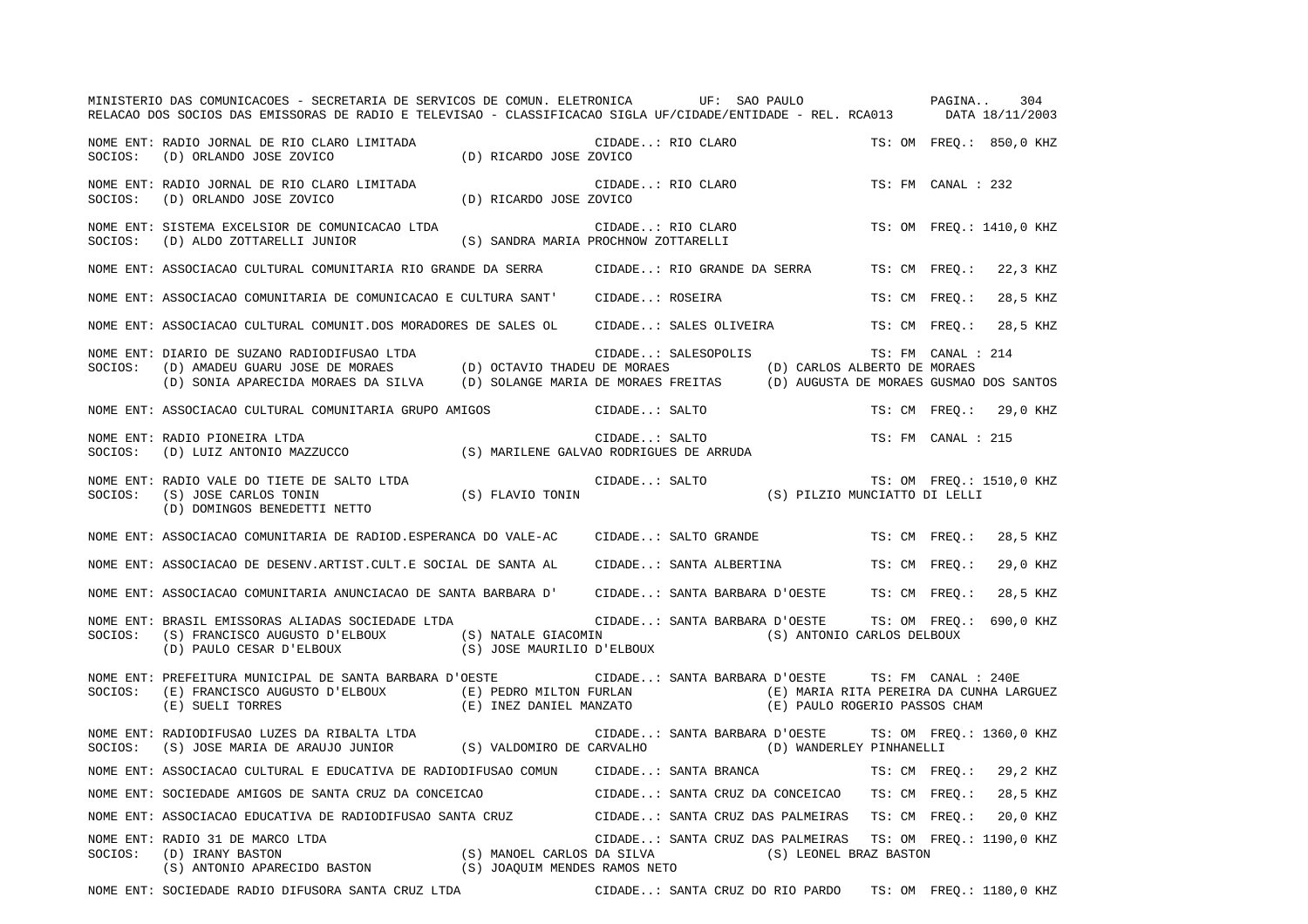|         | MINISTERIO DAS COMUNICACOES - SECRETARIA DE SERVICOS DE COMUN. ELETRONICA UF: SAO PAULO PAGINA<br>RELACAO DOS SOCIOS DAS EMISSORAS DE RADIO E TELEVISAO - CLASSIFICACAO SIGLA UF/CIDADE/ENTIDADE - REL. RCA013 DATA 18/11/2003                                                                                                                                                                                                                                                                         |                                  |                                  |                                                                                  |                    | 304                      |
|---------|--------------------------------------------------------------------------------------------------------------------------------------------------------------------------------------------------------------------------------------------------------------------------------------------------------------------------------------------------------------------------------------------------------------------------------------------------------------------------------------------------------|----------------------------------|----------------------------------|----------------------------------------------------------------------------------|--------------------|--------------------------|
| SOCIOS: | NOME ENT: RADIO JORNAL DE RIO CLARO LIMITADA<br>(D) ORLANDO JOSE ZOVICO                                                                                                                                                                                                                                                                                                                                                                                                                                | UDADI<br>D) RICARDO JOSE ZOVICO) | CIDADE: RIO CLARO                |                                                                                  |                    | TS: OM FREO.: 850,0 KHZ  |
| SOCIOS: | NOME ENT: RADIO JORNAL DE RIO CLARO LIMITADA<br>(D) ORLANDO JOSE ZOVICO                                                                                                                                                                                                                                                                                                                                                                                                                                | (D) RICARDO JOSE ZOVICO          | CIDADE: RIO CLARO                |                                                                                  | TS: FM CANAL : 232 |                          |
| SOCIOS: | NOME ENT: SISTEMA EXCELSIOR DE COMUNICACAO LTDA<br>$\qquad \qquad \text{(D) ALDO ZOTTARELLI JUNIOR} \qquad \qquad \text{(S) SANDRA MARIA PROCHNOW ZOTTARELLI}\\$                                                                                                                                                                                                                                                                                                                                       |                                  | CIDADE: RIO CLARO                |                                                                                  |                    | TS: OM FREQ.: 1410,0 KHZ |
|         | NOME ENT: ASSOCIACAO CULTURAL COMUNITARIA RIO GRANDE DA SERRA CIDADE: RIO GRANDE DA SERRA                                                                                                                                                                                                                                                                                                                                                                                                              |                                  |                                  |                                                                                  | TS: CM FREO.:      | 22,3 KHZ                 |
|         | NOME ENT: ASSOCIACAO COMUNITARIA DE COMUNICACAO E CULTURA SANT' CIDADE: ROSEIRA                                                                                                                                                                                                                                                                                                                                                                                                                        |                                  |                                  |                                                                                  | TS: CM FREQ.:      | 28,5 KHZ                 |
|         | NOME ENT: ASSOCIACAO CULTURAL COMUNIT.DOS MORADORES DE SALES OL CIDADE: SALES OLIVEIRA                                                                                                                                                                                                                                                                                                                                                                                                                 |                                  |                                  |                                                                                  | TS: CM FREQ.:      | 28,5 KHZ                 |
|         | NOME ENT: DIARIO DE SUZANO RADIODIFUSAO LTDA<br>SOCIOS: (D) AMADEU GUARU JOSE DE MORAES (D) OCTAVIO THADEU DE MORAES (D) CARLOS ALBERTO DE MORAES<br>(D) SONIA APARECIDA MORAES DA SILVA (D) SOLANGE MARIA DE MORAES FREITAS (D) AUG                                                                                                                                                                                                                                                                   |                                  | CIDADE: SALESOPOLIS              |                                                                                  |                    |                          |
|         | NOME ENT: ASSOCIACAO CULTURAL COMUNITARIA GRUPO AMIGOS CIDADE: SALTO                                                                                                                                                                                                                                                                                                                                                                                                                                   |                                  |                                  |                                                                                  |                    | TS: CM FREQ.: 29,0 KHZ   |
| SOCIOS: | NOME ENT: RADIO PIONEIRA LTDA<br>(D) LUIZ ANTONIO MAZZUCCO (S) MARILENE GALVAO RODRIGUES DE ARRUDA                                                                                                                                                                                                                                                                                                                                                                                                     |                                  | CIDADE: SALTO                    |                                                                                  | TS: FM CANAL : 215 |                          |
| SOCIOS: | NOME ENT: RADIO VALE DO TIETE DE SALTO LTDA<br>(S) JOSE CARLOS TONIN (S) FLAVIO TONIN<br>(D) DOMINGOS BENEDETTI NETTO                                                                                                                                                                                                                                                                                                                                                                                  |                                  |                                  | CIDADE: SALTO $\qquad$ TS: OM FREQ.: 1510,0 KHZ<br>(S) PILZIO MUNCIATTO DI LELLI |                    |                          |
|         | NOME ENT: ASSOCIACAO COMUNITARIA DE RADIOD.ESPERANCA DO VALE-AC CIDADE: SALTO GRANDE                                                                                                                                                                                                                                                                                                                                                                                                                   |                                  |                                  |                                                                                  | TS: CM FREO.:      | 28,5 KHZ                 |
|         | NOME ENT: ASSOCIACAO DE DESENV.ARTIST.CULT.E SOCIAL DE SANTA AL                                                                                                                                                                                                                                                                                                                                                                                                                                        |                                  | CIDADE: SANTA ALBERTINA          |                                                                                  | TS: CM FREO.:      | 29,0 KHZ                 |
|         | NOME ENT: ASSOCIACAO COMUNITARIA ANUNCIACAO DE SANTA BARBARA D' CIDADE: SANTA BARBARA D'OESTE TS: CM FREQ.:                                                                                                                                                                                                                                                                                                                                                                                            |                                  |                                  |                                                                                  |                    | 28,5 KHZ                 |
| SOCIOS: | NOME ENT: BRASIL EMISSORAS ALIADAS SOCIEDADE LTDA<br>$(\verb S ) FRANCISCO\; AUGUSTO\; D' ELBOUX \qquad \qquad (\verb S ) NATALE\; GIACOMIN \qquad \qquad (\verb S ) ANTONIO\; CARLOS\; DELBOUX \qquad \qquad (\verb S ) PAULO\; CESAR\; D' ELBOUX \qquad \qquad (\verb S ) JOSE\; MAURILIO\; D' ELBOUX \qquad \qquad (\verb S ) ANTONIO\; CARLOS\; DELBOUX \qquad \qquad (\verb S ) ANTONIO\; CARLOS\; DELBOUX \qquad \qquad (\verb S ) ANTONIO\; CARLOS\; DELBOUX \qquad \qquad (\verb S ) ANTONIO\$ |                                  |                                  | CIDADE: SANTA BARBARA D'OESTE TS: OM FREQ.: 690,0 KHZ                            |                    |                          |
| SOCIOS: | NOME ENT: PREFEITURA MUNICIPAL DE SANTA BARBARA D'OESTE<br>(E) FRANCISCO AUGUSTO D'ELBOUX (E) PEDRO MILTON FURLAN (E) MARIA RITA PEREIRA DA CUNHA LARGUEZ<br>(E) SUELI TORRES (E) INEZ DANIEL MANZATO (E) PAULO ROGERIO PASSOS CHAM                                                                                                                                                                                                                                                                    |                                  |                                  | CIDADE: SANTA BARBARA D'OESTE TS: FM CANAL : 240E                                |                    |                          |
|         | NOME ENT: RADIODIFUSAO LUZES DA RIBALTA LTDA<br>SOCIOS: (S) JOSE MARIA DE ARAUJO JUNIOR (S) VALDOMIRO DE CARVALHO (D) WANDERLEY PINHANELLI                                                                                                                                                                                                                                                                                                                                                             |                                  |                                  | CIDADE: SANTA BARBARA D'OESTE TS: OM FREQ.: 1360,0 KHZ                           |                    |                          |
|         | NOME ENT: ASSOCIACAO CULTURAL E EDUCATIVA DE RADIODIFUSAO COMUN CIDADE: SANTA BRANCA                                                                                                                                                                                                                                                                                                                                                                                                                   |                                  |                                  |                                                                                  |                    | TS: CM FREO.: 29,2 KHZ   |
|         | NOME ENT: SOCIEDADE AMIGOS DE SANTA CRUZ DA CONCEICAO                                                                                                                                                                                                                                                                                                                                                                                                                                                  |                                  | CIDADE: SANTA CRUZ DA CONCEICAO  |                                                                                  | TS: CM FREO.:      | 28,5 KHZ                 |
|         | NOME ENT: ASSOCIACAO EDUCATIVA DE RADIODIFUSAO SANTA CRUZ CIDADE: SANTA CRUZ DAS PALMEIRAS                                                                                                                                                                                                                                                                                                                                                                                                             |                                  |                                  |                                                                                  | TS: CM FREO.:      | 20,0 KHZ                 |
| SOCIOS: | NOME ENT: RADIO 31 DE MARCO LTDA<br>RADIO 31 DE MARCO LTDA<br>(D) IRANY BASTON (S) MANOEL CARLOS DA SILVA (S) LEONEL BRAZ BASTON<br>(S) ANTONIO APARECIDO BASTON (S) JOAQUIM MENDES RAMOS NETO                                                                                                                                                                                                                                                                                                         |                                  | CIDADE: SANTA CRUZ DAS PALMEIRAS |                                                                                  |                    | TS: OM FREQ.: 1190,0 KHZ |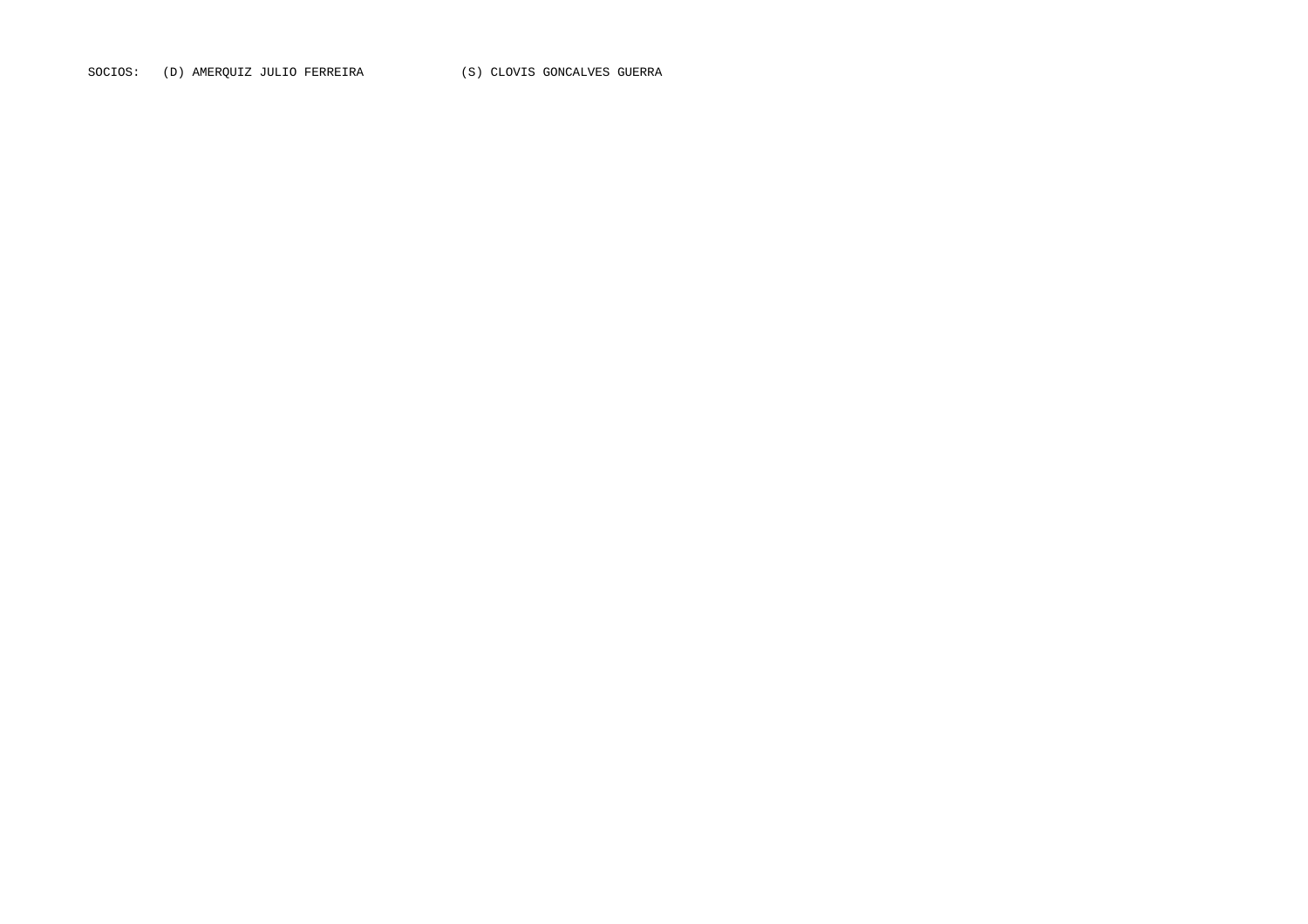SOCIOS: (D) AMERQUIZ JULIO FERREIRA (S) CLOVIS GONCALVES GUERRA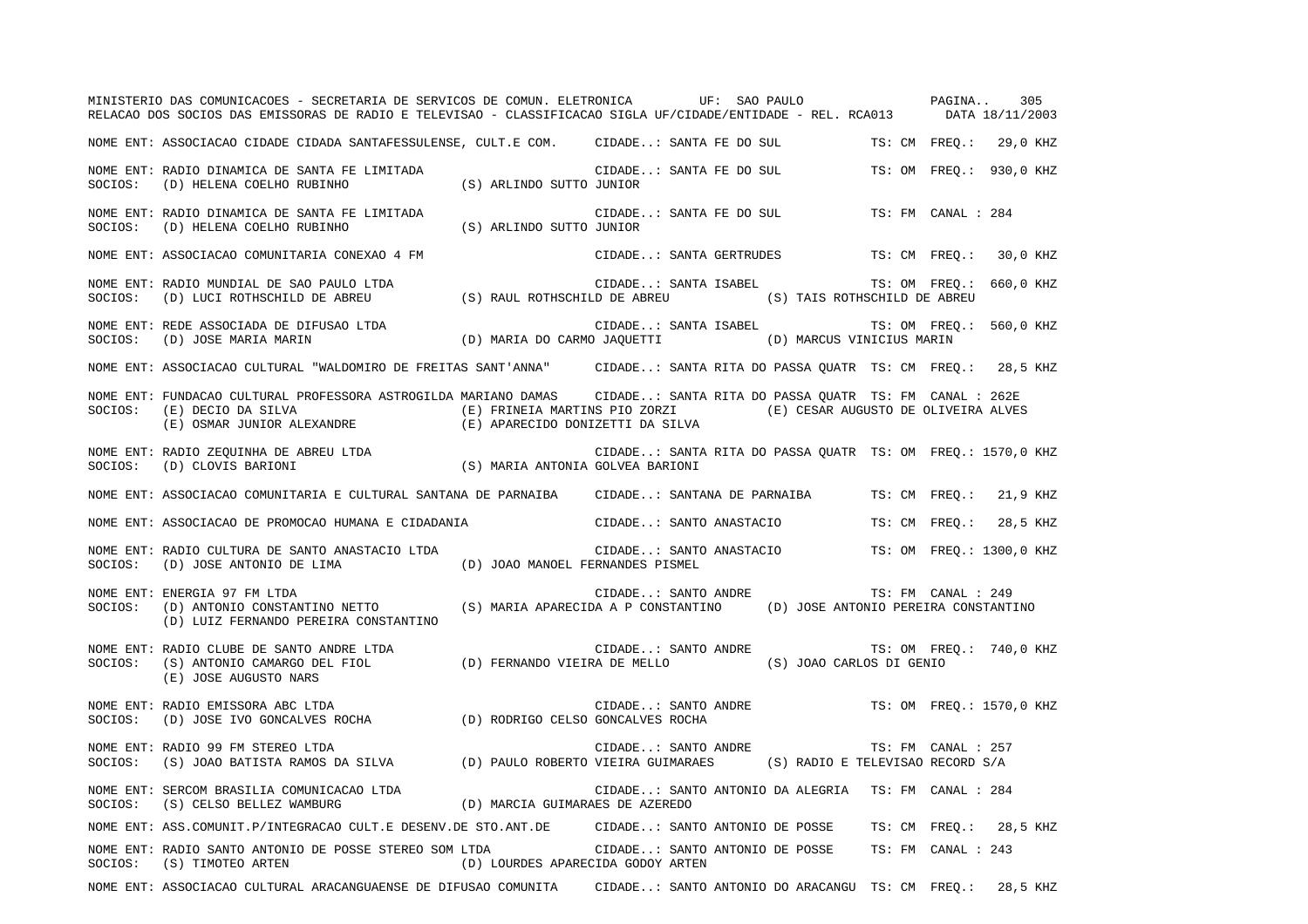|         | MINISTERIO DAS COMUNICACOES - SECRETARIA DE SERVICOS DE COMUN. ELETRONICA UF: SAO PAULO PAGINA<br>RELACAO DOS SOCIOS DAS EMISSORAS DE RADIO E TELEVISAO - CLASSIFICACAO SIGLA UF/CIDADE/ENTIDADE - REL. RCA013 DATA 18/11/2003                                                                                                                                                                                                                                                 |  |                         |                                                            |               |                    | 305                     |
|---------|--------------------------------------------------------------------------------------------------------------------------------------------------------------------------------------------------------------------------------------------------------------------------------------------------------------------------------------------------------------------------------------------------------------------------------------------------------------------------------|--|-------------------------|------------------------------------------------------------|---------------|--------------------|-------------------------|
|         | NOME ENT: ASSOCIACAO CIDADE CIDADA SANTAFESSULENSE, CULT.E COM. CIDADE: SANTA FE DO SUL TS: CM FREQ.:                                                                                                                                                                                                                                                                                                                                                                          |  |                         |                                                            |               |                    | 29,0 KHZ                |
| SOCIOS: | NOME ENT: RADIO DINAMICA DE SANTA FE LIMITADA<br>(D) HELENA COELHO RUBINHO (S) ARLINDO SUTTO JUNIOR                                                                                                                                                                                                                                                                                                                                                                            |  |                         | CIDADE: SANTA FE DO SUL                                    |               |                    | TS: OM FREO.: 930,0 KHZ |
| SOCIOS: | NOME ENT: RADIO DINAMICA DE SANTA FE LIMITADA<br>(D) HELENA COELHO RUBINHO (S) ARLINDO SUTTO JUNIOR                                                                                                                                                                                                                                                                                                                                                                            |  | CIDADE: SANTA FE DO SUL |                                                            |               | TS: FM CANAL : 284 |                         |
|         | NOME ENT: ASSOCIACAO COMUNITARIA CONEXAO 4 FM                                                                                                                                                                                                                                                                                                                                                                                                                                  |  | CIDADE: SANTA GERTRUDES |                                                            |               |                    | TS: CM FREO.: 30,0 KHZ  |
|         | NOME ENT: RADIO MUNDIAL DE SAO PAULO LTDA<br>SOCIOS: (D) LUCI ROTHSCHILD DE ABREU (S) RAUL ROTHSCHILD DE ABREU (S) TAIS ROTHSCHILD DE ABREU                                                                                                                                                                                                                                                                                                                                    |  |                         | CIDADE: SANTA ISABEL TS: OM FREQ.: 660,0 KHZ               |               |                    |                         |
|         | NOME ENT: REDE ASSOCIADA DE DIFUSAO LTDA<br>SOCIOS: (D) JOSE MARIA MARIN (D) MARIA DO CARMO JAQUETTI (D) MARCUS VINICIUS MARIN                                                                                                                                                                                                                                                                                                                                                 |  |                         |                                                            |               |                    | TS: OM FREO.: 560,0 KHZ |
|         | NOME ENT: ASSOCIACAO CULTURAL "WALDOMIRO DE FREITAS SANT'ANNA" CIDADE: SANTA RITA DO PASSA OUATR TS: CM FREO.: 28,5 KHZ                                                                                                                                                                                                                                                                                                                                                        |  |                         |                                                            |               |                    |                         |
| SOCIOS: | NOME ENT: FUNDACAO CULTURAL PROFESSORA ASTROGILDA MARIANO DAMAS CIDADE: SANTA RITA DO PASSA QUATR TS: FM CANAL : 262E<br>(E) DECIO DA SILVA (E) FRINEIA MARTINS PIO ZORZI (E) CESAR AUGUSTO DE OLIVEIRA ALVES (E) OSMAR JUNIOR ALEXANDRE (E) APARECIDO DONIZETTI DA SILVA                                                                                                                                                                                                      |  |                         |                                                            |               |                    |                         |
|         | $\begin{minipage}{0.9\textwidth} \begin{minipage}{0.9\textwidth} \begin{itemize} \texttt{RADIO} & \texttt{ZEQUINHA} \texttt{DE} & \texttt{ABERU} \texttt{LTDA} \end{itemize} & \begin{itemize} \texttt{SINR} \texttt{A}\texttt{NTONIA} & \texttt{GOLVEA} \texttt{BARTONI} \end{itemize} \end{minipage} \begin{minipage}{0.9\textwidth} \begin{itemize} \texttt{SONRA} \texttt{A}\texttt{NTONIA} \texttt{GOLVEA} \texttt{BARTONI} \end{itemize} \end{minipage} \begin{minipage$ |  |                         | CIDADE: SANTA RITA DO PASSA QUATR TS: OM FREQ.: 1570,0 KHZ |               |                    |                         |
|         | NOME ENT: ASSOCIACAO COMUNITARIA E CULTURAL SANTANA DE PARNAIBA      CIDADE: SANTANA DE PARNAIBA                                                                                                                                                                                                                                                                                                                                                                               |  |                         |                                                            | TS: CM FREO.: |                    | 21,9 KHZ                |
|         | NOME ENT: ASSOCIACAO DE PROMOCAO HUMANA E CIDADANIA CIDADE: SANTO ANASTACIO                                                                                                                                                                                                                                                                                                                                                                                                    |  |                         |                                                            | TS: CM FREO.: |                    | 28,5 KHZ                |
|         | NOME ENT: RADIO CULTURA DE SANTO ANASTACIO LTDA<br>SOCIOS: (D) JOSE ANTONIO DE LIMA (D) JOAO MANOEL FERNANDES PISMEL                                                                                                                                                                                                                                                                                                                                                           |  |                         | CIDADE: SANTO ANASTACIO TS: OM FREQ.: 1300,0 KHZ           |               |                    |                         |
| SOCIOS: | NOME ENT: ENERGIA 97 FM LTDA<br>(D) LUIZ FERNANDO PEREIRA CONSTANTINO                                                                                                                                                                                                                                                                                                                                                                                                          |  |                         | CIDADE: SANTO ANDRE                                        |               |                    |                         |
|         | (E) JOSE AUGUSTO NARS                                                                                                                                                                                                                                                                                                                                                                                                                                                          |  |                         | CIDADE: SANTO ANDRE TS: OM FREQ.: 740,0 KHZ                |               |                    |                         |
| SOCIOS: | NOME ENT: RADIO EMISSORA ABC LTDA                                                                                                                                                                                                                                                                                                                                                                                                                                              |  |                         | CIDADE: SANTO ANDRE TS: OM FREQ.: 1570,0 KHZ               |               |                    |                         |
| SOCIOS: | NOME ENT: RADIO 99 FM STEREO LTDA<br>(S) JOAO BATISTA RAMOS DA SILVA (D) PAULO ROBERTO VIEIRA GUIMARAES (S) RADIO E TELEVISAO RECORD S/A                                                                                                                                                                                                                                                                                                                                       |  | CIDADE: SANTO ANDRE     |                                                            |               | TS: FM CANAL : 257 |                         |
|         | NOME ENT: SERCOM BRASILIA COMUNICACAO LTDA (D) MARCIA GUIMARAES DE AZEREDO SOCIOS: (S) CELSO BELLEZ WAMBURG (D) MARCIA GUIMARAES DE AZEREDO                                                                                                                                                                                                                                                                                                                                    |  |                         | CIDADE: SANTO ANTONIO DA ALEGRIA TS: FM CANAL : 284        |               |                    |                         |
|         | NOME ENT: ASS.COMUNIT.P/INTEGRACAO CULT.E DESENV.DE STO.ANT.DE CIDADE: SANTO ANTONIO DE POSSE                                                                                                                                                                                                                                                                                                                                                                                  |  |                         |                                                            |               |                    | TS: CM FREO.: 28,5 KHZ  |
|         | NOME ENT: RADIO SANTO ANTONIO DE POSSE STEREO SOM LTDA CIDADE: SANTO ANTONIO DE POSSE<br>$\texttt{SOCIOS:} \qquad \texttt{(S)} \ \ \texttt{TIMOTEO} \ \ \texttt{ARTEN} \qquad \qquad \texttt{(D)} \ \ \texttt{LOURDES} \ \ \texttt{APARECIDA} \ \ \texttt{GODOY} \ \ \texttt{ARTEN}$                                                                                                                                                                                           |  |                         |                                                            |               | TS: FM CANAL : 243 |                         |
|         | NOME ENT: ASSOCIACAO CULTURAL ARACANGUAENSE DE DIFUSAO COMUNITA                                                                                                                                                                                                                                                                                                                                                                                                                |  |                         | CIDADE: SANTO ANTONIO DO ARACANGU TS: CM FREO.:            |               |                    | 28,5 KHZ                |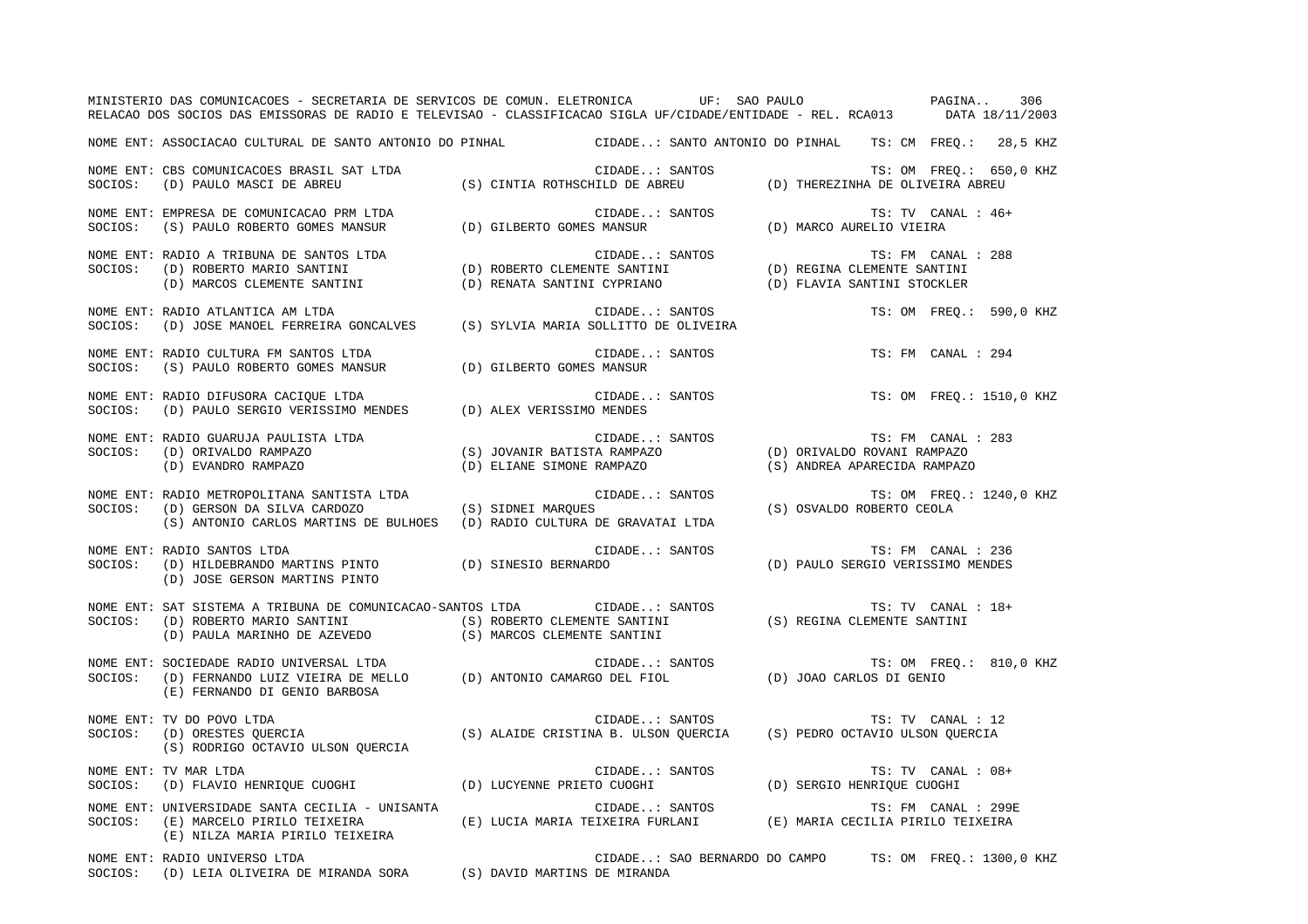|         | MINISTERIO DAS COMUNICACOES - SECRETARIA DE SERVICOS DE COMUN. ELETRONICA UF: SAO PAULO PAGINA<br>RELACAO DOS SOCIOS DAS EMISSORAS DE RADIO E TELEVISAO - CLASSIFICACAO SIGLA UF/CIDADE/ENTIDADE - REL. RCA013 DATA 18/11/2003                     |                                                                                                     |                |                                                           |                                            |                     | 306                      |
|---------|----------------------------------------------------------------------------------------------------------------------------------------------------------------------------------------------------------------------------------------------------|-----------------------------------------------------------------------------------------------------|----------------|-----------------------------------------------------------|--------------------------------------------|---------------------|--------------------------|
|         | NOME ENT: ASSOCIACAO CULTURAL DE SANTO ANTONIO DO PINHAL (CIDADE: SANTO ANTONIO DO PINHAL TS: CM FREQ.: 28,5 KHZ                                                                                                                                   |                                                                                                     |                |                                                           |                                            |                     |                          |
| SOCIOS: | NOME ENT: CBS COMUNICACOES BRASIL SAT LTDA<br>TS: OM FREQ.: 650 [1] AT LTDA CIDADE: SANTOS<br>S) CINTIA ROTHSCHILD DE ABREU (D) THEREZINHA DE OLIVEIRA ABREU)<br>(D) PAULO MASCI DE ABREU                                                          |                                                                                                     | CIDADE: SANTOS |                                                           |                                            |                     | TS: OM FREQ.: 650,0 KHZ  |
| SOCIOS: | NOME ENT: EMPRESA DE COMUNICACAO PRM LTDA<br>(S) PAULO ROBERTO GOMES MANSUR (D) GILBERTO GOMES MANSUR                                                                                                                                              |                                                                                                     | CIDADE: SANTOS |                                                           | (D) MARCO AURELIO VIEIRA                   | TS: TV CANAL : 46+  |                          |
|         | NOME ENT: RADIO A TRIBUNA DE SANTOS LTDA<br>SOCIOS: (D) ROBERTO MARIO SANTINI (D) ROBERTO CLEMENTE SANTINI (D) REGINA CLEMENTE SANTINI<br>(D) MARCOS CLEMENTE SANTINI (D) RENATA SANTINI CYPRIANO (D) FLAVIA SANTINI STOCKLER                      |                                                                                                     |                |                                                           |                                            | TS: FM CANAL : 288  |                          |
| SOCIOS: | NOME ENT: RADIO ATLANTICA AM LTDA<br>(D) JOSE MANOEL FERREIRA GONCALVES (S) SYLVIA MARIA SOLLITTO DE OLIVEIRA                                                                                                                                      |                                                                                                     |                | CIDADE: SANTOS                                            |                                            |                     | TS: OM FREQ.: 590,0 KHZ  |
| SOCIOS: | NOME ENT: RADIO CULTURA FM SANTOS LTDA<br>(S) PAULO ROBERTO GOMES MANSUR (D) GILBERTO GOMES MANSUR                                                                                                                                                 |                                                                                                     | CIDADE: SANTOS |                                                           |                                            | TS: FM CANAL : 294  |                          |
| SOCIOS: | NOME ENT: RADIO DIFUSORA CACIQUE LTDA<br>(D) PAULO SERGIO VERISSIMO MENDES (D) ALEX VERISSIMO MENDES                                                                                                                                               |                                                                                                     |                | CIDADE: SANTOS                                            |                                            |                     | TS: OM FREQ.: 1510,0 KHZ |
| SOCIOS: | TS: FM CANAL (D) ORIVALDO RAMPAZO<br>(D) ORIVALDO RAMPAZO (S) JOVANIR BATISTA RAMPAZO (D) ORIVALDO ROVANI RAMPAZO<br>(D) EVANDRO RAMPAZO (D) ELIANE SIMONE RAMPAZO (S) ANDPEA ARAPAZO (D) EVANDRO RAMPAZO<br>NOME ENT: RADIO GUARUJA PAULISTA LTDA |                                                                                                     |                |                                                           | (S) ANDREA APARECIDA RAMPAZO               | TS: FM CANAL : 283  |                          |
|         | NOME ENT: RADIO METROPOLITANA SANTISTA LTDA<br>SOCIOS: (D) GERSON DA SILVA CARDOZO (S) SIDNEI MARQUES<br>(S) ANTONIO CARLOS MARTINS DE BULHOES (D) RADIO CULTURA DE GRAVATAI LTDA                                                                  |                                                                                                     |                | CIDADE: SANTOS TS: OM FREQ<br>S (S) OSVALDO ROBERTO CEOLA |                                            |                     | TS: OM FREQ.: 1240,0 KHZ |
| SOCIOS: | NOME ENT: RADIO SANTOS LTDA<br>(D) HILDEBRANDO MARTINS PINTO (D) SINESIO BERNARDO<br>(D) JOSE GERSON MARTINS PINTO                                                                                                                                 |                                                                                                     | CIDADE: SANTOS |                                                           | (D) PAULO SERGIO VERISSIMO MENDES          | TS: FM CANAL : 236  |                          |
| SOCIOS: | NOME ENT: SAT SISTEMA A TRIBUNA DE COMUNICACAO-SANTOS LTDA CIDADE: SANTOS<br>(D) ROBERTO MARIO SANTINI (S) ROBERTO CLEMENTE SANTINI (S) REGINA CLEMENTE SANTINI (D) PAULA MARINHO DE AZEVEDO (S) MARCOS CLEMENTE SANTINI                           |                                                                                                     |                |                                                           |                                            | TS: TV CANAL : 18+  |                          |
|         | NOME ENT: SOCIEDADE RADIO UNIVERSAL LTDA<br>SOCIOS:   (D) FERNANDO LUIZ VIEIRA DE MELLO         (D) ANTONIO CAMARGO DEL FIOL                (D) JOAO CARLOS DI GENIO<br>(E) FERNANDO DI GENIO BARBOSA                                              |                                                                                                     |                |                                                           |                                            |                     |                          |
| SOCIOS: | NOME ENT: TV DO POVO LTDA<br>(S) ALAIDE CRISTINA B. ULSON QUERCIA (S) PEDRO OCTAVIO ULSON QUERCIA<br>(D) ORESTES OUERCIA<br>(S) RODRIGO OCTAVIO ULSON QUERCIA                                                                                      |                                                                                                     |                | CIDADE: SANTOS                                            |                                            | TS: TV CANAL : 12   |                          |
| SOCIOS: | NOME ENT: TV MAR LTDA<br>(D) FLAVIO HENRIQUE CUOGHI (D) LUCYENNE PRIETO CUOGHI                                                                                                                                                                     |                                                                                                     | CIDADE: SANTOS |                                                           | TS: TV CANAL<br>(D) SERGIO HENRIQUE CUOGHI | TS: TV CANAL : 08+  |                          |
| SOCIOS: | NOME ENT: UNIVERSIDADE SANTA CECILIA - UNISANTA<br>(E) MARCELO PIRILO TEIXEIRA<br>(E) NILZA MARIA PIRILO TEIXEIRA                                                                                                                                  | UNISANTA (E) LUCIA MARIA TEIXEIRA FURLANI (E) ACCIDIDE: SANTOS (E) TEIXEIRA CEOLLIA PIRILO TEIXEIRA |                |                                                           |                                            | TS: FM CANAL : 299E |                          |
| SOCIOS: | NOME ENT: RADIO UNIVERSO LTDA<br>(D) LEIA OLIVEIRA DE MIRANDA SORA (S) DAVID MARTINS DE MIRANDA                                                                                                                                                    |                                                                                                     |                | CIDADE: SAO BERNARDO DO CAMPO TS: OM FREQ.: 1300,0 KHZ    |                                            |                     |                          |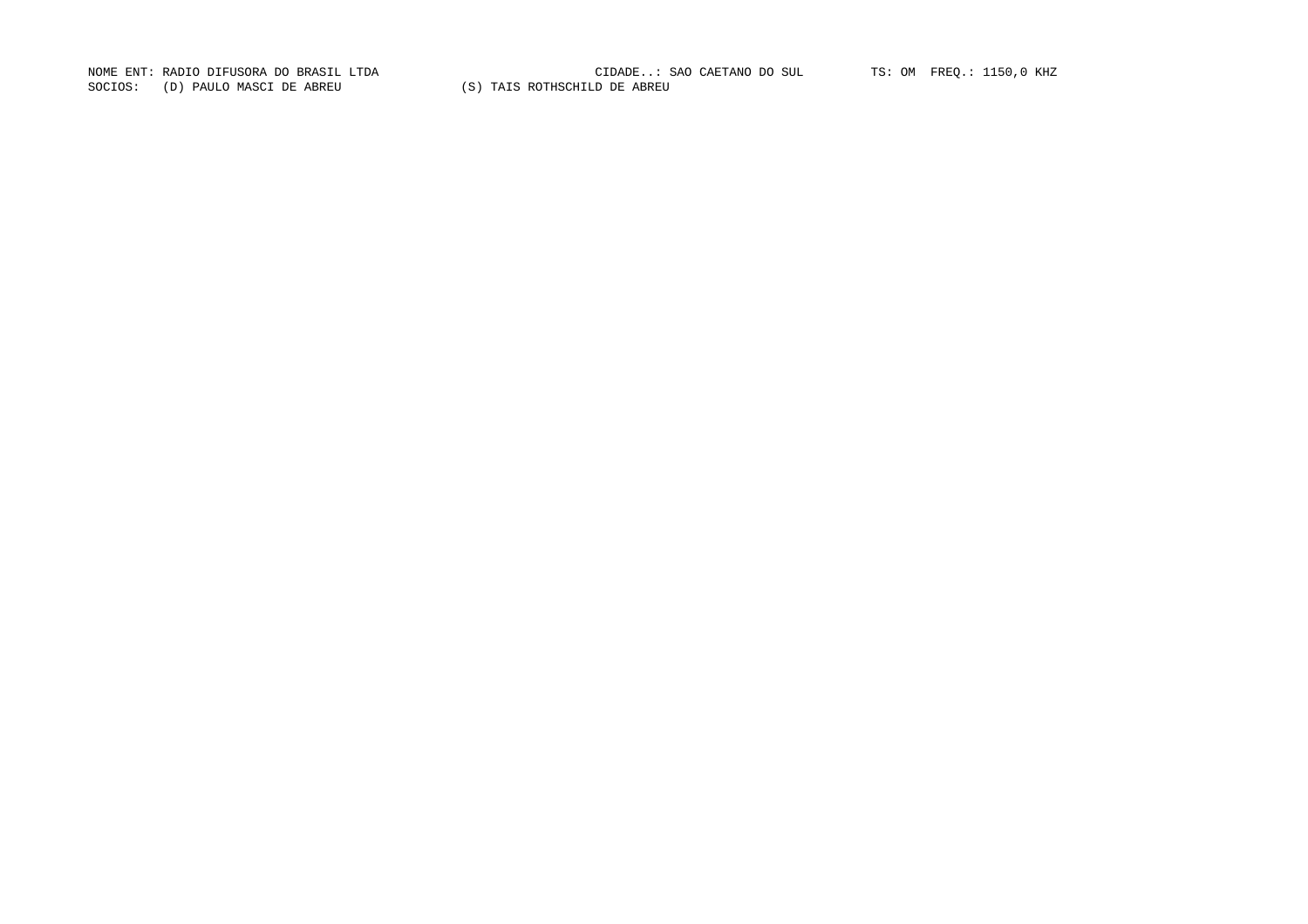SOCIOS: (D) PAULO MASCI DE ABREU (S) TAIS ROTHSCHILD DE ABREU

NOME ENT: RADIO DIFUSORA DO BRASIL LTDA CIDADE..: SAO CAETANO DO SUL TS: OM FREQ.: 1150,0 KHZ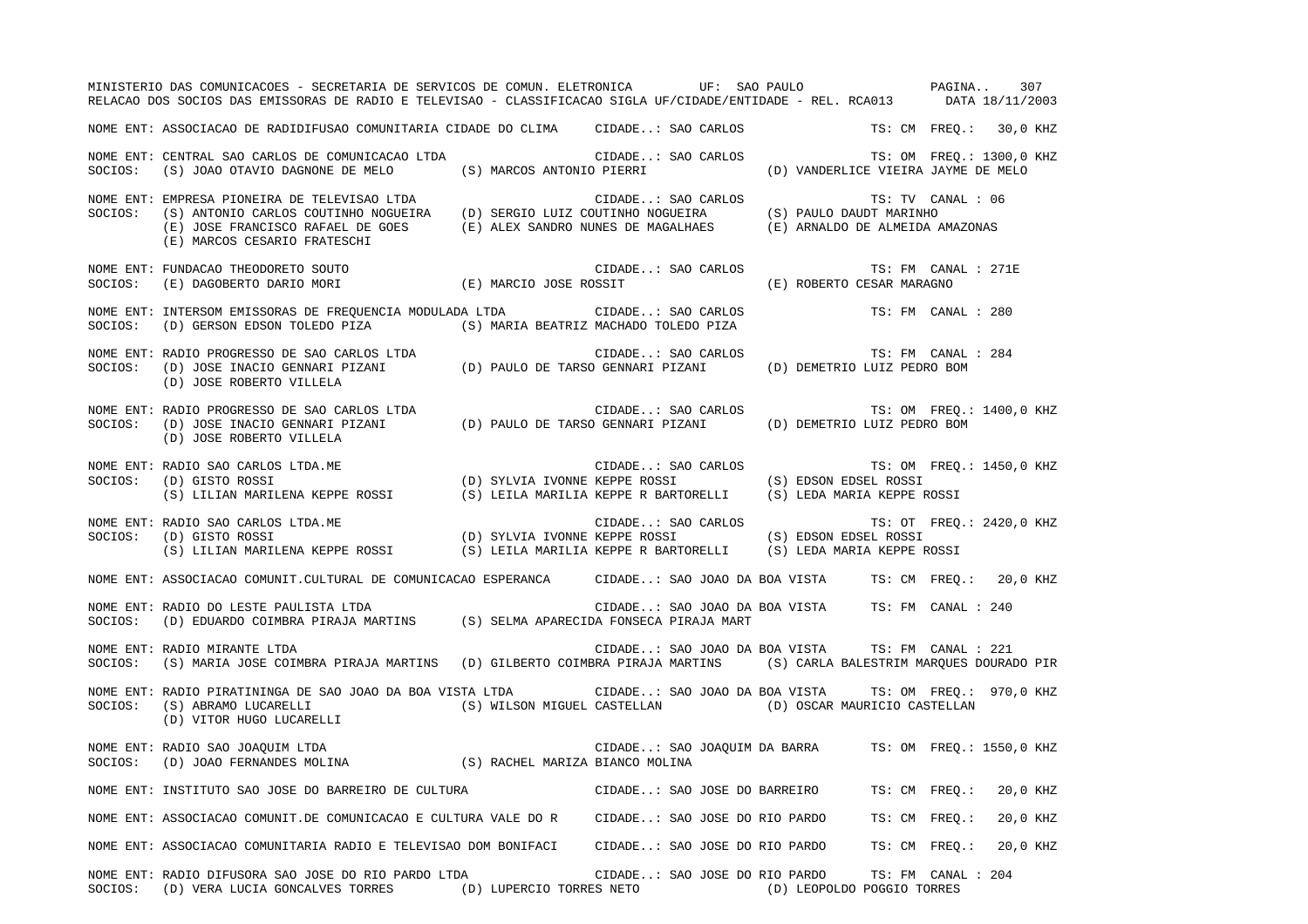|         | MINISTERIO DAS COMUNICACOES - SECRETARIA DE SERVICOS DE COMUN. ELETRONICA UF: SAO PAULO PAGINA. 307<br>RELACAO DOS SOCIOS DAS EMISSORAS DE RADIO E TELEVISAO - CLASSIFICACAO SIGLA UF/CIDADE/ENTIDADE - REL. RCA013 DATA 18/11/2003                                                            |                          |                                                  |  |  |                            |                          |          |
|---------|------------------------------------------------------------------------------------------------------------------------------------------------------------------------------------------------------------------------------------------------------------------------------------------------|--------------------------|--------------------------------------------------|--|--|----------------------------|--------------------------|----------|
|         | NOME ENT: ASSOCIACAO DE RADIDIFUSAO COMUNITARIA CIDADE DO CLIMA CIDADE: SAO CARLOS                                                                                                                                                                                                             |                          |                                                  |  |  |                            | TS: CM FREO.: 30,0 KHZ   |          |
|         | NOME ENT: CENTRAL SAO CARLOS DE COMUNICACAO LTDA<br>SOCIOS: (S) JOAO OTAVIO DAGNONE DE MELO (S) MARCOS ANTONIO PIERRI (D) VANDERLICE VIEIRA JAYME DE MELO                                                                                                                                      |                          |                                                  |  |  |                            |                          |          |
|         | NOME ENT: EMPRESA PIONEIRA DE TELEVISAO LTDA<br>SOCIOS: (S) ANTONIO CARLOS COUTINHO NOGUEIRA (D) SERGIO LUIZ COUTINHO NOGUEIRA (S) PAULO DAUDT MARINHO<br>(E) JOSE FRANCISCO RAFAEL DE GOES (E) ALEX SANDRO NUNES DE MAGALHAES (E) ARNALDO DE ALMEIDA AMAZONAS<br>(E) MARCOS CESARIO FRATESCHI |                          |                                                  |  |  |                            |                          |          |
|         | NOME ENT: FUNDACAO THEODORETO SOUTO<br>SOCIOS: (E) DAGOBERTO DARIO MORI (E) MARCIO JOSE ROSSIT (E) ROBERTO CESAR MARAGNO                                                                                                                                                                       |                          |                                                  |  |  |                            |                          |          |
|         | NOME ENT: INTERSOM EMISSORAS DE FREQUENCIA MODULADA LTDA (CIDADE: SAO CARLOS TS: FM CANAL : 280<br>SOCIOS: (D) GERSON EDSON TOLEDO PIZA (S) MARIA BEATRIZ MACHADO TOLEDO PIZA                                                                                                                  |                          |                                                  |  |  |                            |                          |          |
|         | NOME ENT: RADIO PROGRESSO DE SAO CARLOS LTDA<br>SOCIOS: (D) JOSE INACIO GENNARI PIZANI (D) PAULO DE TARSO GENNARI PIZANI (D) DEMETRIO LUIZ PEDRO BOM<br>(D) JOSE ROBERTO VILLELA                                                                                                               |                          |                                                  |  |  |                            | TS: FM CANAL : 284       |          |
|         | NOME ENT: RADIO PROGRESSO DE SAO CARLOS LTDA<br>SOCIOS: (D) JOSE INACIO GENNARI PIZANI (D) PAULO DE TARSO GENNARI PIZANI (D) DEMETRIO LUIZ PEDRO BOM<br>(D) JOSE ROBERTO VILLELA                                                                                                               |                          |                                                  |  |  |                            | TS: OM FREQ.: 1400,0 KHZ |          |
|         | NOME ENT: RADIO SAO CARLOS LTDA.ME (D) SYLVIA IVONNE KEPPE ROSSI (S) EDSON EDSEL ROSSI (S) GISTO ROSSI (S) LELLAN MARILENA KEPPE ROSSI (S) LELLAN MARILENA KEPPE ROSSI (S) LELLAN MARILENA KEPPE ROSSI (S) LELLAN MARILENA KEP                                                                 |                          |                                                  |  |  |                            | TS: OM FREQ.: 1450,0 KHZ |          |
|         |                                                                                                                                                                                                                                                                                                |                          |                                                  |  |  |                            | TS: OT FREQ.: 2420,0 KHZ |          |
|         | NOME ENT: ASSOCIACAO COMUNIT.CULTURAL DE COMUNICACAO ESPERANCA CIDADE: SAO JOAO DA BOA VISTA TS: CM FREQ.: 20,0 KHZ                                                                                                                                                                            |                          |                                                  |  |  |                            |                          |          |
|         | NOME ENT: RADIO DO LESTE PAULISTA LTDA<br>SOCIOS: (D) EDUARDO COIMBRA PIRAJA MARTINS (S) SELMA APARECIDA FONSECA PIRAJA MART                                                                                                                                                                   |                          | CIDADE: SAO JOAO DA BOA VISTA TS: FM CANAL : 240 |  |  |                            |                          |          |
|         | NOME ENT: RADIO MIRANTE LTDA<br>SOCIOS: (S) MARIA JOSE COIMBRA PIRAJA MARTINS (D) GILBERTO COIMBRA PIRAJA MARTINS (S) CARLA BALESTRIM MARQUES DOURADO PIR                                                                                                                                      |                          | CIDADE: SAO JOAO DA BOA VISTA TS: FM CANAL : 221 |  |  |                            |                          |          |
| SOCIOS: | NOME ENT: RADIO PIRATININGA DE SAO JOAO DA BOA VISTA LTDA CIDADE: SAO JOAO DA BOA VISTA TS: OM FREQ.: 970,0 KHZ<br>(S) ABRAMO LUCARELLI (S) WILSON MIGUEL CASTELLAN (D) OSCAR MAURICIO CASTELLAN (D) VITOR HUGO LUCARELLI                                                                      |                          |                                                  |  |  |                            |                          |          |
|         | NOME ENT: RADIO SAO JOAQUIM LTDA<br>SOCIOS:   (D) JOAO FERNANDES MOLINA                      (S) RACHEL MARIZA BIANCO MOLINA                                                                                                                                                                   |                          |                                                  |  |  |                            |                          |          |
|         | NOME ENT: INSTITUTO SAO JOSE DO BARREIRO DE CULTURA                                                                                                                                                                                                                                            |                          | CIDADE: SAO JOSE DO BARREIRO                     |  |  |                            | TS: CM FREQ.:            | 20,0 KHZ |
|         | NOME ENT: ASSOCIACAO COMUNIT.DE COMUNICACAO E CULTURA VALE DO R                                                                                                                                                                                                                                |                          | CIDADE: SAO JOSE DO RIO PARDO                    |  |  |                            | TS: CM FREQ.:            | 20,0 KHZ |
|         | NOME ENT: ASSOCIACAO COMUNITARIA RADIO E TELEVISAO DOM BONIFACI                                                                                                                                                                                                                                |                          | CIDADE: SAO JOSE DO RIO PARDO                    |  |  |                            | TS: CM FREQ.:            | 20,0 KHZ |
| SOCIOS: | NOME ENT: RADIO DIFUSORA SAO JOSE DO RIO PARDO LTDA<br>(D) VERA LUCIA GONCALVES TORRES                                                                                                                                                                                                         | (D) LUPERCIO TORRES NETO | CIDADE: SAO JOSE DO RIO PARDO                    |  |  | (D) LEOPOLDO POGGIO TORRES | TS: FM CANAL : 204       |          |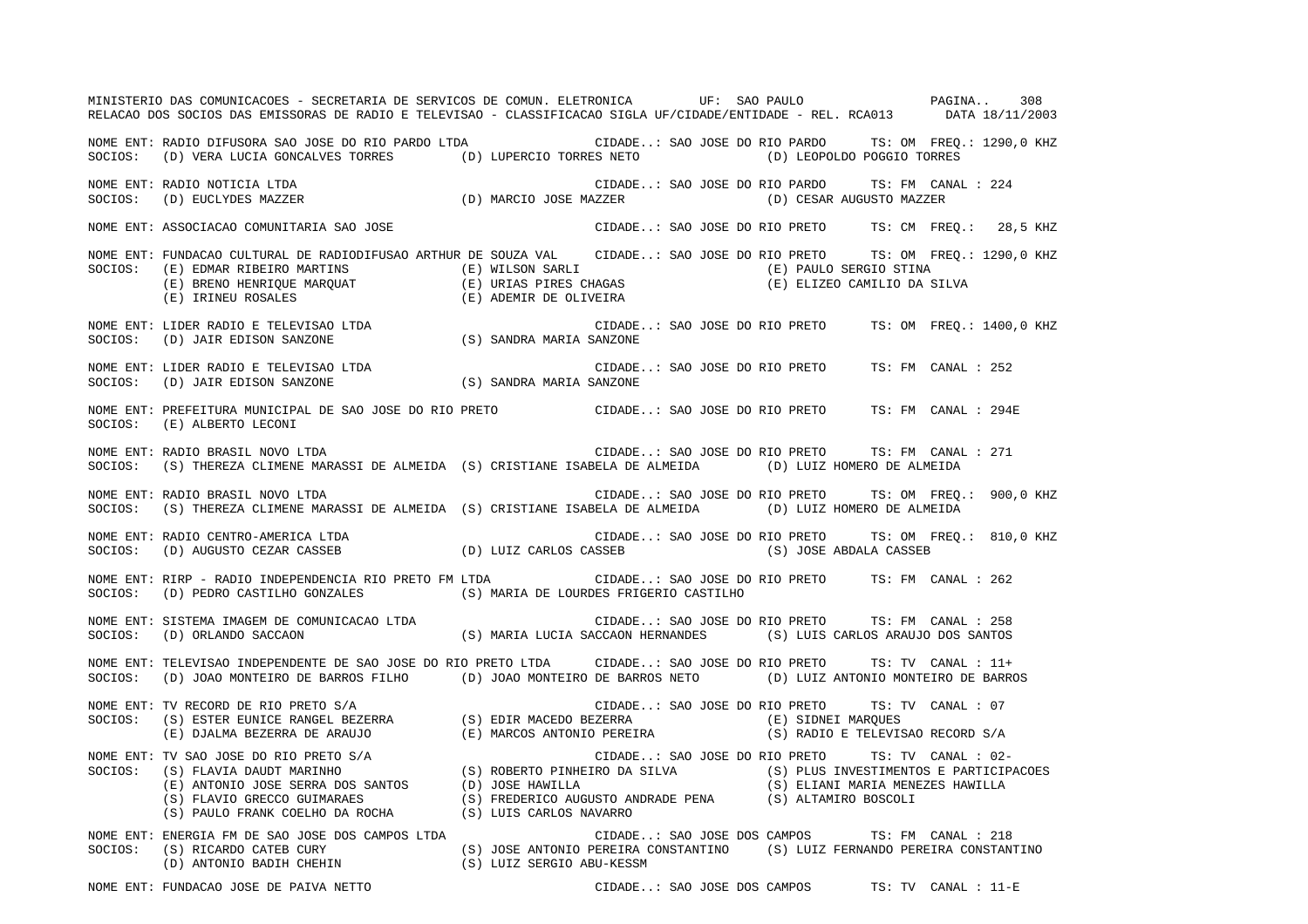MINISTERIO DAS COMUNICACOES - SECRETARIA DE SERVICOS DE COMUN. ELETRONICA UF: SAO PAULO PAGINA.. 308RELACAO DOS SOCIOS DAS EMISSORAS DE RADIO E TELEVISAO - CLASSIFICACAO SIGLA UF/CIDADE/ENTIDADE - REL. RCA013 DATA 18/11/2003 NOME ENT: RADIO DIFUSORA SAO JOSE DO RIO PARDO LTDA CIDADE..: SAO JOSE DO RIO PARDO TS: OM FREQ.: 1290,0 KHZ SOCIOS: (D) VERA LUCIA GONCALVES TORRES (D) LUPERCIO TORRES NETO (D) LEOPOLDO POGGIO TORRES NOME ENT: RADIO NOTICIA LTDA CIDADE..: SAO JOSE DO RIO PARDO TS: FM CANAL : 224TS: FM CANAL : 224 SOCIOS: (D) EUCLYDES MAZZER (D) MARCIO JOSE MAZZER (D) CESAR AUGUSTO MAZZER NOME ENT: ASSOCIACAO COMUNITARIA SAO JOSE CIDADE..: SAO JOSE DO RIO PRETO TS: CM FREQ.: 28,5 KHZ NOME ENT: FUNDACAO CULTURAL DE RADIODIFUSAO ARTHUR DE SOUZA VAL CIDADE..: SAO JOSE DO RIO PRETO TS: OM FREQ.: 1290,0 KHZ SOCIOS: (E) EDMAR RIBEIRO MARTINS (E) WILSON SARLI (E) PAULO SERGIO STINA (E) BRENO HENRIQUE MARQUAT (E) URIAS PIRES CHAGAS (E) ELIZEO CAMILIO DA SILVA (E) IRINEU ROSALES (E) ADEMIR DE OLIVEIRA NOME ENT: LIDER RADIO E TELEVISAO LTDA CIDADE..: SAO JOSE DO RIO PRETO TS: OM FREQ.: 1400,0 KHZ SOCIOS: (D) JAIR EDISON SANZONE (S) SANDRA MARIA SANZONE NOME ENT: LIDER RADIO E TELEVISAO LTDA CIDADE..: SAO JOSE DO RIO PRETO TS: FM CANAL : 252SOCIOS: (D) JAIR EDISON SANZONE (S) SANDRA MARIA SANZONE NOME ENT: PREFEITURA MUNICIPAL DE SAO JOSE DO RIO PRETO CIDADE..: SAO JOSE DO RIO PRETO TS: FM CANAL : 294ESOCIOS: (E) ALBERTO LECONI NOME ENT: RADIO BRASIL NOVO LTDA CIDADE..: SAO JOSE DO RIO PRETO TS: FM CANAL : 271SOCIOS: (S) THEREZA CLIMENE MARASSI DE ALMEIDA (S) CRISTIANE ISABELA DE ALMEIDA (D) LUIZ HOMERO DE ALMEIDA NOME ENT: RADIO BRASIL NOVO LTDA CIDADE..: SAO JOSE DO RIO PRETO TS: OM FREQ.: 900,0 KHZ SOCIOS: (S) THEREZA CLIMENE MARASSI DE ALMEIDA (S) CRISTIANE ISABELA DE ALMEIDA (D) LUIZ HOMERO DE ALMEIDA NOME ENT: RADIO CENTRO-AMERICA LTDA CIDADE..: SAO JOSE DO RIO PRETO TS: OM FREQ.: 810,0 KHZ SOCIOS: (D) AUGUSTO CEZAR CASSEB (D) LUIZ CARLOS CASSEB (S) JOSE ABDALA CASSEB NOME ENT: RIRP - RADIO INDEPENDENCIA RIO PRETO FM LTDA CIDADE..: SAO JOSE DO RIO PRETO TS: FM CANAL : 262SOCIOS: (D) PEDRO CASTILHO GONZALES (S) MARIA DE LOURDES FRIGERIO CASTILHO NOME ENT: SISTEMA IMAGEM DE COMUNICACAO LTDA CIDADE..: SAO JOSE DO RIO PRETO TS: FM CANAL : 258SOCIOS: (D) ORLANDO SACCAON (S) MARIA LUCIA SACCAON HERNANDES (S) LUIS CARLOS ARAUJO DOS SANTOS NOME ENT: TELEVISAO INDEPENDENTE DE SAO JOSE DO RIO PRETO LTDA CIDADE..: SAO JOSE DO RIO PRETO TS: TV CANAL : 11+SOCIOS: (D) JOAO MONTEIRO DE BARROS FILHO (D) JOAO MONTEIRO DE BARROS NETO (D) LUIZ ANTONIO MONTEIRO DE BARROS NOME ENT: TV RECORD DE RIO PRETO S/A CIDADE..: SAO JOSE DO RIO PRETO TS: TV CANAL : 07 SOCIOS: (S) ESTER EUNICE RANGEL BEZERRA (S) EDIR MACEDO BEZERRA (E) SIDNEI MARQUES (E) DJALMA BEZERRA DE ARAUJO (E) MARCOS ANTONIO PEREIRA (S) RADIO E TELEVISAO RECORD S/A NOME ENT: TV SAO JOSE DO RIO PRETO S/A CIDADE..: SAO JOSE DO RIO PRETO TS: TV CANAL : 02- SOCIOS: (S) FLAVIA DAUDT MARINHO (S) ROBERTO PINHEIRO DA SILVA (S) PLUS INVESTIMENTOS E PARTICIPACOES (E) ANTONIO JOSE SERRA DOS SANTOS (D) JOSE HAWILLA (S) ELIANI MARIA MENEZES HAWILLA (S) FLAVIO GRECCO GUIMARAES (S) FREDERICO AUGUSTO ANDRADE PENA (S) ALTAMIRO BOSCOLI (S) PAULO FRANK COELHO DA ROCHA (S) LUIS CARLOS NAVARRO NOME ENT: ENERGIA FM DE SAO JOSE DOS CAMPOS LTDA CIDADE..: SAO JOSE DOS CAMPOS TS: FM CANAL : 218 SOCIOS: (S) RICARDO CATEB CURY (S) JOSE ANTONIO PEREIRA CONSTANTINO (S) LUIZ FERNANDO PEREIRA CONSTANTINO (D) ANTONIO BADIH CHEHIN (S) LUIZ SERGIO ABU-KESSM

NOME ENT: FUNDACAO JOSE DE PAIVA NETTO CIDADE..: SAO JOSE DOS CAMPOS TS: TV CANAL : 11-E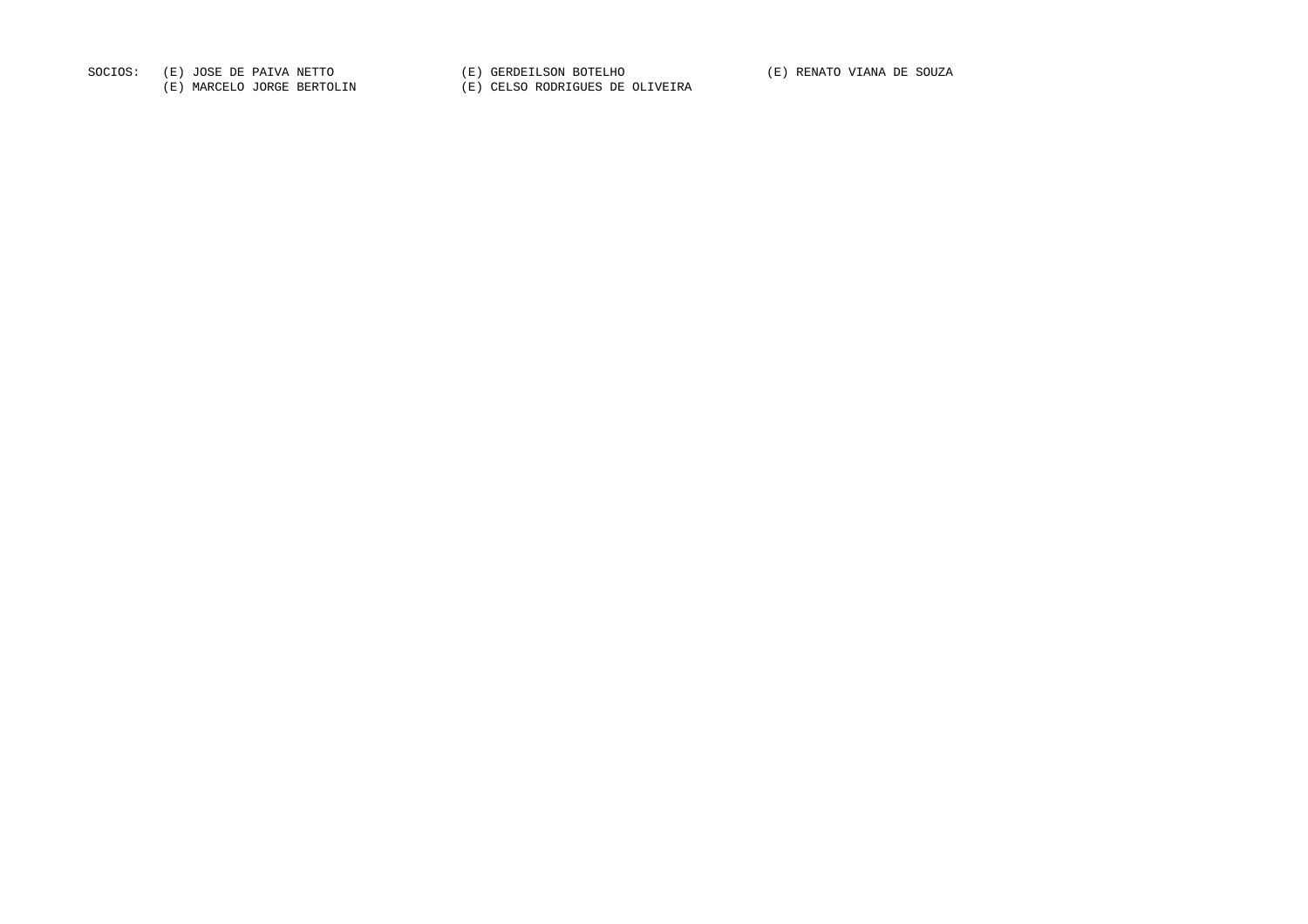SOCIOS: (E) JOSE DE PAIVA NETTO (E) GERDEILSON BOTELHO (E) RENATO VIANA DE SOUZA

(E) MARCELO JORGE BERTOLIN (E) CELSO RODRIGUES DE OLIVEIRA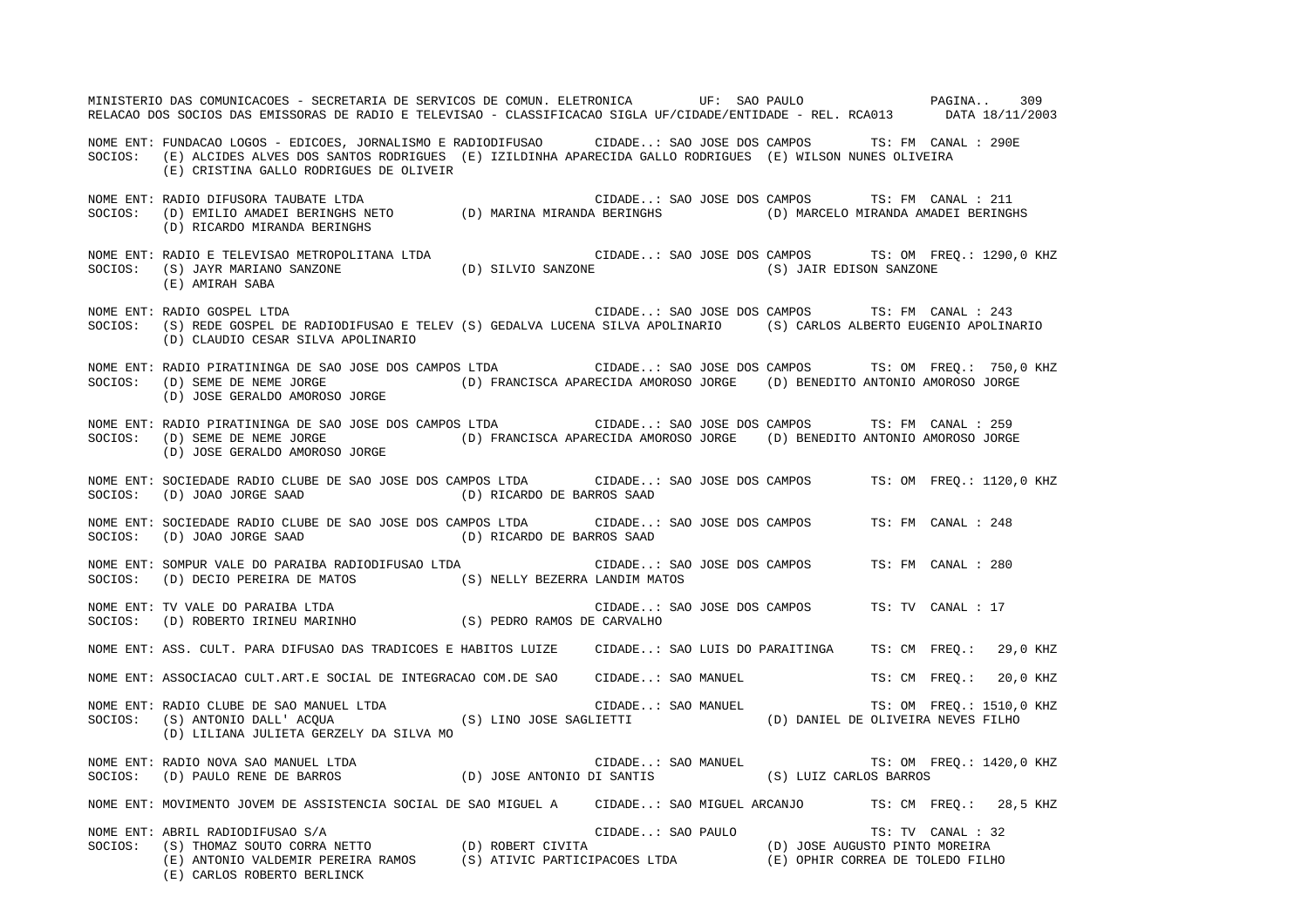MINISTERIO DAS COMUNICACOES - SECRETARIA DE SERVICOS DE COMUN. ELETRONICA UF: SAO PAULO PAGINA.. 309RELACAO DOS SOCIOS DAS EMISSORAS DE RADIO E TELEVISAO - CLASSIFICACAO SIGLA UF/CIDADE/ENTIDADE - REL. RCA013 DATA 18/11/2003 NOME ENT: FUNDACAO LOGOS - EDICOES, JORNALISMO E RADIODIFUSAO CIDADE..: SAO JOSE DOS CAMPOS TS: FM CANAL : 290E SOCIOS: (E) ALCIDES ALVES DOS SANTOS RODRIGUES (E) IZILDINHA APARECIDA GALLO RODRIGUES (E) WILSON NUNES OLIVEIRA (E) CRISTINA GALLO RODRIGUES DE OLIVEIR NOME ENT: RADIO DIFUSORA TAUBATE LTDA CIDADE..: SAO JOSE DOS CAMPOS TS: FM CANAL : 211 SOCIOS: (D) EMILIO AMADEI BERINGHS NETO (D) MARINA MIRANDA BERINGHS (D) MARCELO MIRANDA AMADEI BERINGHS (D) RICARDO MIRANDA BERINGHS NOME ENT: RADIO E TELEVISAO METROPOLITANA LTDA CIDADE..: SAO JOSE DOS CAMPOS TS: OM FREQ.: 1290,0 KHZ SOCIOS: (S) JAYR MARIANO SANZONE (D) SILVIO SANZONE (S) JAIR EDISON SANZONE (E) AMIRAH SABA NOME ENT: RADIO GOSPEL LTDA CIDADE..: SAO JOSE DOS CAMPOS TS: FM CANAL : 243SOCIOS: (S) REDE GOSPEL DE RADIODIFUSAO E TELEV (S) GEDALVA LUCENA SILVA APOLINARIO (S) CARLOS ALBERTO EUGENIO APOLINARIO (D) CLAUDIO CESAR SILVA APOLINARIO NOME ENT: RADIO PIRATININGA DE SAO JOSE DOS CAMPOS LTDA CIDADE..: SAO JOSE DOS CAMPOS TS: OM FREQ.: 750,0 KHZ SOCIOS: (D) SEME DE NEME JORGE (D) FRANCISCA APARECIDA AMOROSO JORGE (D) BENEDITO ANTONIO AMOROSO JORGE (D) JOSE GERALDO AMOROSO JORGE NOME ENT: RADIO PIRATININGA DE SAO JOSE DOS CAMPOS LTDA CIDADE..: SAO JOSE DOS CAMPOS TS: FM CANAL : 259SOCIOS: (D) SEME DE NEME JORGE (D) FRANCISCA APARECIDA AMOROSO JORGE (D) BENEDITO ANTONIO AMOROSO JORGE (D) JOSE GERALDO AMOROSO JORGE NOME ENT: SOCIEDADE RADIO CLUBE DE SAO JOSE DOS CAMPOS LTDA CIDADE..: SAO JOSE DOS CAMPOS TS: OM FREQ.: 1120,0 KHZ SOCIOS: (D) JOAO JORGE SAAD (D) RICARDO DE BARROS SAAD NOME ENT: SOCIEDADE RADIO CLUBE DE SAO JOSE DOS CAMPOS LTDA CIDADE..: SAO JOSE DOS CAMPOS TS: FM CANAL : 248SOCIOS: (D) JOAO JORGE SAAD (D) RICARDO DE BARROS SAAD NOME ENT: SOMPUR VALE DO PARAIBA RADIODIFUSAO LTDA CIDADE..: SAO JOSE DOS CAMPOS TS: FM CANAL : 280 SOCIOS: (D) DECIO PEREIRA DE MATOS (S) NELLY BEZERRA LANDIM MATOS NOME ENT: TV VALE DO PARAIBA LTDA CIDADE..: SAO JOSE DOS CAMPOS TS: TV CANAL : 17SOCIOS: (D) ROBERTO IRINEU MARINHO (S) PEDRO RAMOS DE CARVALHO NOME ENT: ASS. CULT. PARA DIFUSAO DAS TRADICOES E HABITOS LUIZE CIDADE..: SAO LUIS DO PARAITINGA TS: CM FREQ.: 29,0 KHZ NOME ENT: ASSOCIACAO CULT.ART.E SOCIAL DE INTEGRACAO COM.DE SAO CIDADE..: SAO MANUEL TS: CM FREQ.: 20,0 KHZ NOME ENT: RADIO CLUBE DE SAO MANUEL LTDA **ENTERNATION CLUBE CONSTANTEL CON ANUEL** TS: OM FREQ.: 1510,0 KHZ SOCIOS: (S) ANTONIO DALL' ACQUA (S) LINO JOSE SAGLIETTI (D) DANIEL DE OLIVEIRA NEVES FILHO (D) LILIANA JULIETA GERZELY DA SILVA MO NOME ENT: RADIO NOVA SAO MANUEL LTDA  $\Box$  CIDADE..: SAO MANUEL  $\Box$  TS: OM FREQ.: 1420,0 KHZ SOCIOS: (D) PAULO RENE DE BARROS (D) JOSE ANTONIO DI SANTIS (S) LUIZ CARLOS BARROS NOME ENT: MOVIMENTO JOVEM DE ASSISTENCIA SOCIAL DE SAO MIGUEL A CIDADE..: SAO MIGUEL ARCANJO TS: CM FREQ.: 28,5 KHZ NOME ENT: ABRIL RADIODIFUSAO S/A CIDADE..: SAO PAULO TS: TV CANAL : 32 SOCIOS: (S) THOMAZ SOUTO CORRA NETTO (D) ROBERT CIVITA (D) JOSE AUGUSTO PINTO MOREIRA (E) ANTONIO VALDEMIR PEREIRA RAMOS (S) ATIVIC PARTICIPACOES LTDA (E) OPHIR CORREA DE TOLEDO FILHO (E) CARLOS ROBERTO BERLINCK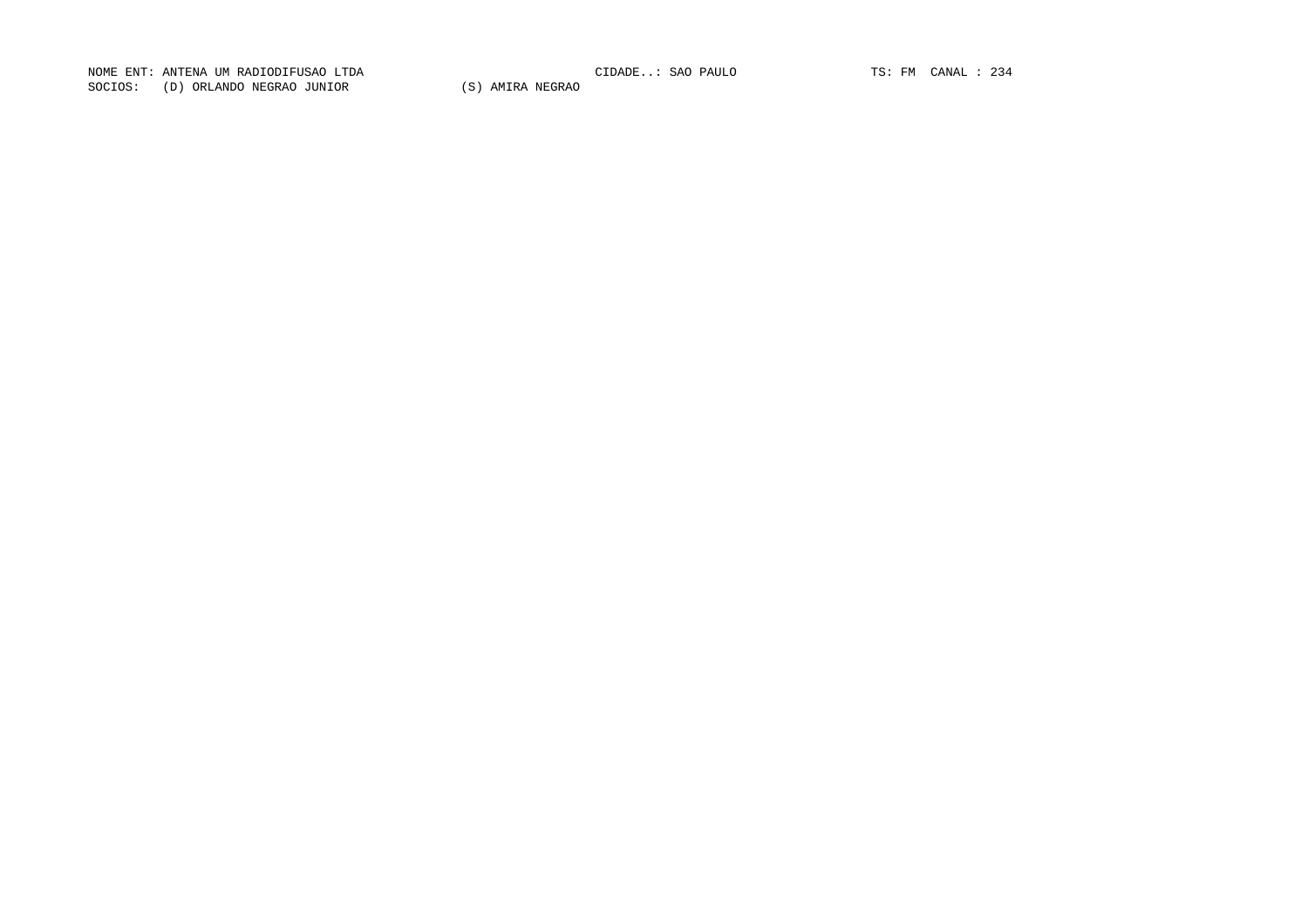NOME ENT: ANTENA UM RADIODIFUSAO LTDA CIDADE..: SAO PAULO TS: FM CANAL : 234 NOME ENT: ANTENA UM RADIODIFUSAO LTDA<br>SOCIOS: (D) ORLANDO NEGRAO JUNIOR (S) AMIRA NEGRAO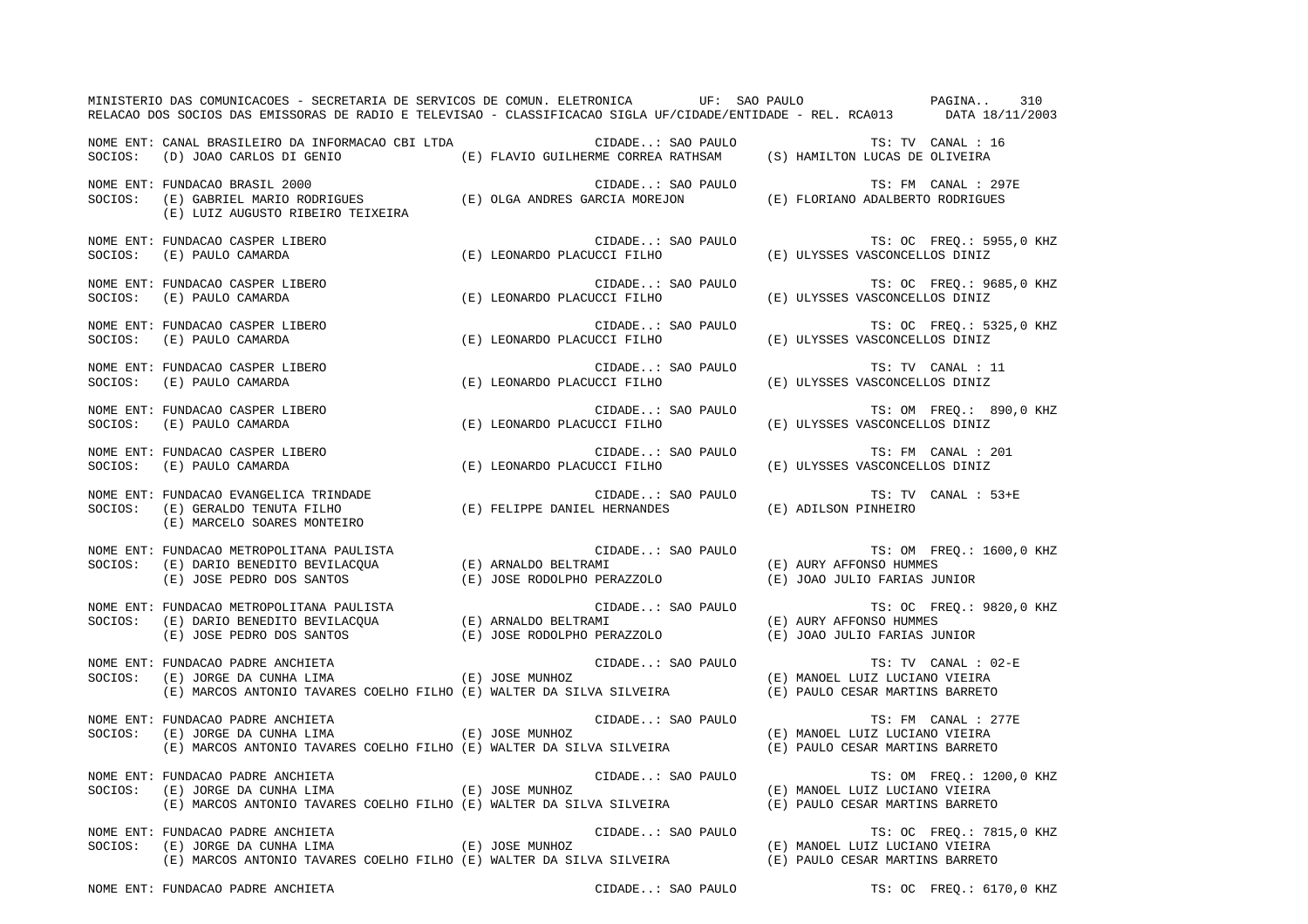| MINISTERIO DAS COMUNICACOES - SECRETARIA DE SERVICOS DE COMUN. ELETRONICA UF: SAO PAULO PAGINA. 210<br>RELACAO DOS SOCIOS DAS EMISSORAS DE RADIO E TELEVISAO - CLASSIFICACAO SIGLA UF/CIDADE/ENTIDADE - REL. RCA013 DATA 18/11/2003                                          |                                                                                                          |                                                            |
|------------------------------------------------------------------------------------------------------------------------------------------------------------------------------------------------------------------------------------------------------------------------------|----------------------------------------------------------------------------------------------------------|------------------------------------------------------------|
| NOME ENT: CANAL BRASILEIRO DA INFORMACAO CBI LTDA CIDADE: SAO PAULO<br>SOCIOS: (D) JOAO CARLOS DI GENIO (E) FLAVIO GUILHERME CORREA RATHSAM (S) HAMILTON LUCAS DE OLIVEIRA                                                                                                   |                                                                                                          | TS: TV CANAL : 16                                          |
| NOME ENT: FUNDACAO BRASIL 2000<br>NOTE EN I FUNDACAO BRASILIZUUU (E) OLGA ANDRES GARCIA MOREJON (E) FLORIANO ADALBERTO RODRIGUES<br>SOCIOS: (E) GABRIEL MARIO RODRIGUES (E) OLGA ANDRES GARCIA MOREJON (E) FLORIANO ADALBERTO RODRIGUES<br>(E) LUIZ AUGUSTO RIBEIRO TEIXEIRA | CIDADE: SAO PAULO                                                                                        | TS: FM CANAL : 297E                                        |
| NOME ENT: FUNDACAO CASPER LIBERO<br>SOCIOS: (E) PAULO CAMARDA                                                                                                                                                                                                                | CIDADE: SAO PAULO TS: OC FREQ.: 5955,0 KHZ<br>(E) LEONARDO PLACUCCI FILHO (E) ULYSSES VASCONCELLOS DINIZ |                                                            |
| NOME ENT: FUNDACAO CASPER LIBERO (E) LEONARDO PLACUCCI FILHO (E) ULYSSES VASCONCELLOS DINIZ<br>SOCIOS: (E) PAULO CAMARDA (E) CAMARO (E) LEONARDO PLACUCCI FILHO (E) ULYSSES VASCONCELLOS DINIZ                                                                               |                                                                                                          | CIDADE: SAO PAULO TS: OC FREQ.: 9685,0 KHZ                 |
| NOME ENT: FUNDACAO CASPER LIBERO (E) LEONARDO PLACUCCI FILHO (E) ULYSSES VASCONCELLOS DINIZ<br>SOCIOS: (E) PAULO CAMARDA (E) CAMARO (E) LEONARDO PLACUCCI FILHO (E) ULYSSES VASCONCELLOS DINIZ                                                                               |                                                                                                          | CIDADE: SAO PAULO TS: OC FREQ.: 5325,0 KHZ                 |
| SOCIOS: (E) PAULO CAMARDA<br>NOME ENTERNATION CAMARDA                                                                                                                                                                                                                        | CIDADE: SAO PAULO<br>(E) LEONARDO PLACUCCI FILHO                                                         | TS: TV CANAL : 11<br>(E) ULYSSES VASCONCELLOS DINIZ        |
| NOME ENT: FUNDACAO CASPER LIBERO<br>SOCIOS: (E) PAULO CAMARDA                                                                                                                                                                                                                | (E) LEONARDO PLACUCCI FILHO (E) ULYSSES VASCONCELLOS DINIZ                                               | CIDADE: SAO PAULO TS: OM FREQ.: 890,0 KHZ                  |
| NOME ENT: FUNDACAO CASPER LIBERO<br>SOCIOS: (E) PAULO CAMARDA (E) LEONARDO PLACUCCI FILHO (E) ULYSSES VASCONCELLOS DINIZ                                                                                                                                                     |                                                                                                          | TS: FM CANAL : 201                                         |
| NOME ENT: FUNDACAO EVANGELICA TRINDADE<br>SOCIOS: (E) GERALDO TENUTA FILHO<br>(E) MARCELO SOARES MONTEIRO                                                                                                                                                                    | CIDADE: SAO PAULO<br>CIDADE: SAO PAULO (E) ADILSON PINHEIRO<br>(E) ADILSON PINHEIRO (E)                  | TS: TV CANAL : 53+E                                        |
| NOME ENT: FUNDACAO METROPOLITANA PAULISTA<br>SOCIOS: (E) DARIO BENEDITO BEVILACQUA (E) ARNALDO BELTRAMI (E) AURY AFFONSO HUMMES<br>(E) JOSE PEDRO DOS SANTOS (E) JOSE RODOLPHO PERAZZOLO (E) JOAO JULIO FARIAS JUNIOR                                                        |                                                                                                          |                                                            |
| NOME ENT: FUNDACAO METROPOLITANA PAULISTA (E) AULISTA (E) OC EREQ.: SAO PAULO (E) AURY AFFONSO HUMMES<br>SOCIOS: (E) DARIO BENEDITO BEVILACQUA (E) ARNALDO BELTRAMI (E) AURY AFFONSO HUMMES<br>(E) JOSE PEDRO DOS SANTOS (E) JOSE RO                                         |                                                                                                          | TS: OC FREQ.: 9820,0 KHZ                                   |
| NOME ENT: FUNDACAO PADRE ANCHIETA (E) ORDERO (E) JOSE MUNHOZ (E) ORDERO (E) MANOEL LUIZ LUCIANO VIEIRA (E) SOCIOS: (E) MARCOS ANTONIO TAVARES COELHO FILHO (E) WALTER DA SILVA SILVEIRA (E) PAULO CESAR MARTINS BARRETO                                                      |                                                                                                          | TS: TV CANAL : 02-E                                        |
| NOME ENT: FUNDACAO PADRE ANCHIETA (E) OOSE MUNHOZ CIDADE: SAO PAULO<br>SOCIOS: (E) JORGE DA CUNHA LIMA (E) JOSE MUNHOZ<br>(E) MARCOS ANTONIO TAVARES COELHO FILHO (E) WALTER DA SILVA SILVEIRA (E) PAULO CESAR MARTINS BARRETO                                               |                                                                                                          | TS: FM CANAL : 277E<br>(E) MANOEL LUIZ LUCIANO VIEIRA      |
| NOME ENT: FUNDACAO PADRE ANCHIETA<br>000109: (E) JOSE MUNHOZ<br>(E) MARCOS ANTONIO TAVARES COELHO FILHO (E) WALTER DA SILVA SILVEIRA (E) PAULO CESAR MARTINS BARRETO                                                                                                         | CIDADE: SAO PAULO                                                                                        | TS: OM FREQ.: 1200,0 KHZ<br>(E) MANOEL LUIZ LUCIANO VIEIRA |
| NOME ENT: FUNDACAO PADRE ANCHIETA<br>NOME ENT: FUNDACAO PADRE ANCHIETA (E) JOSE MUNHOZ (E) CIDADE: SAO PAULO<br>SOCIOS: (E) JORGE DA CUNHA LIMA (E) MANORE (E) JOSE MUNHOZ (E) MANORE LUIZ LUCIANO VIEIRA<br>(E) MARCOS ANTONIO TAVARES COELHO FILHO (E) WALTER DA SILV      | CIDADE: SAO PAULO                                                                                        | TS: OC FREQ.: 7815,0 KHZ                                   |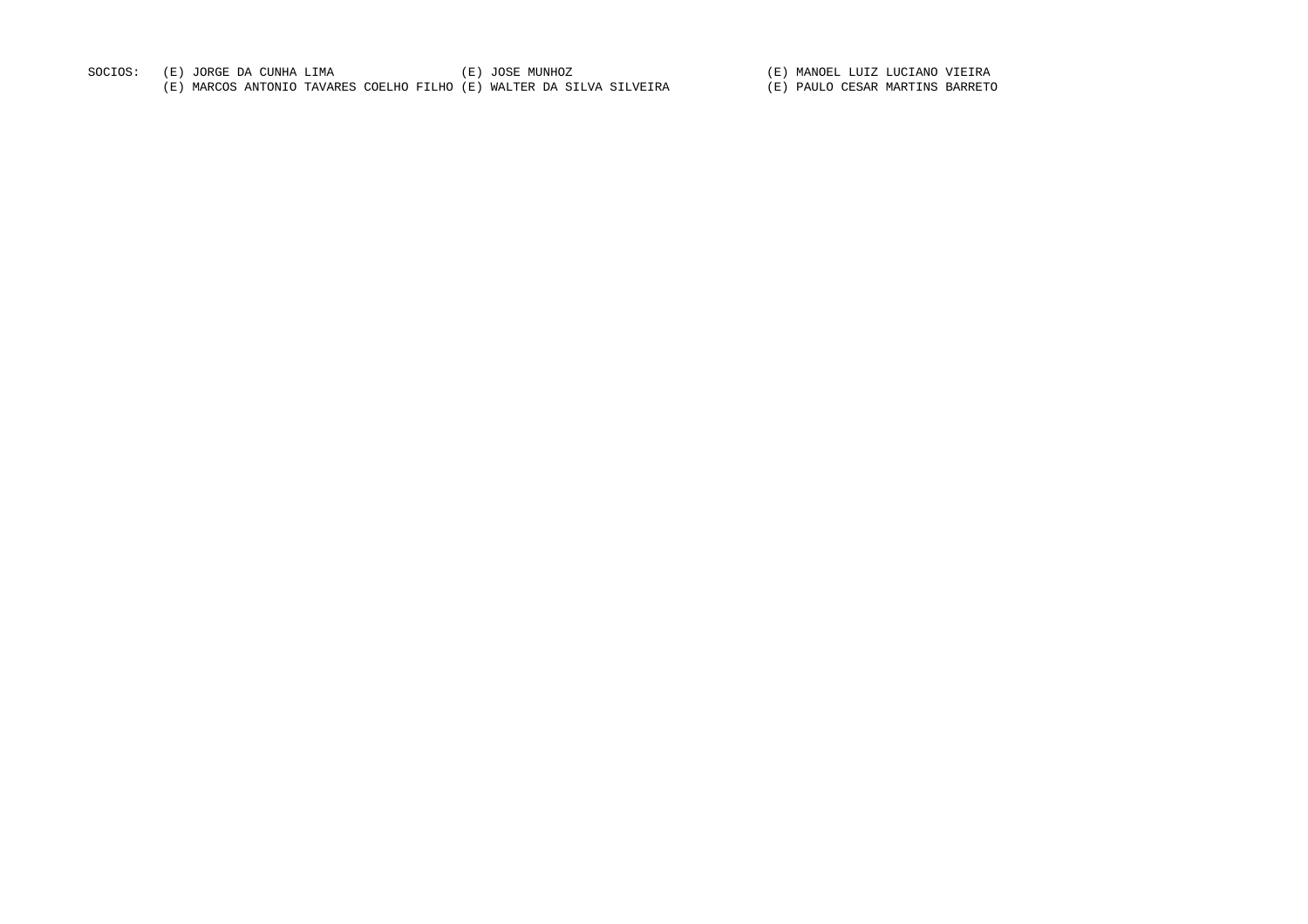| SOCIOS: | (E) JORGE DA CUNHA LIMA                                              | (E) JOSE MUNHOZ | (E) MANOEL LUIZ LUCIANO VIEIRA  |
|---------|----------------------------------------------------------------------|-----------------|---------------------------------|
|         | (E) MARCOS ANTONIO TAVARES COELHO FILHO (E) WALTER DA SILVA SILVEIRA |                 | (E) PAULO CESAR MARTINS BARRETO |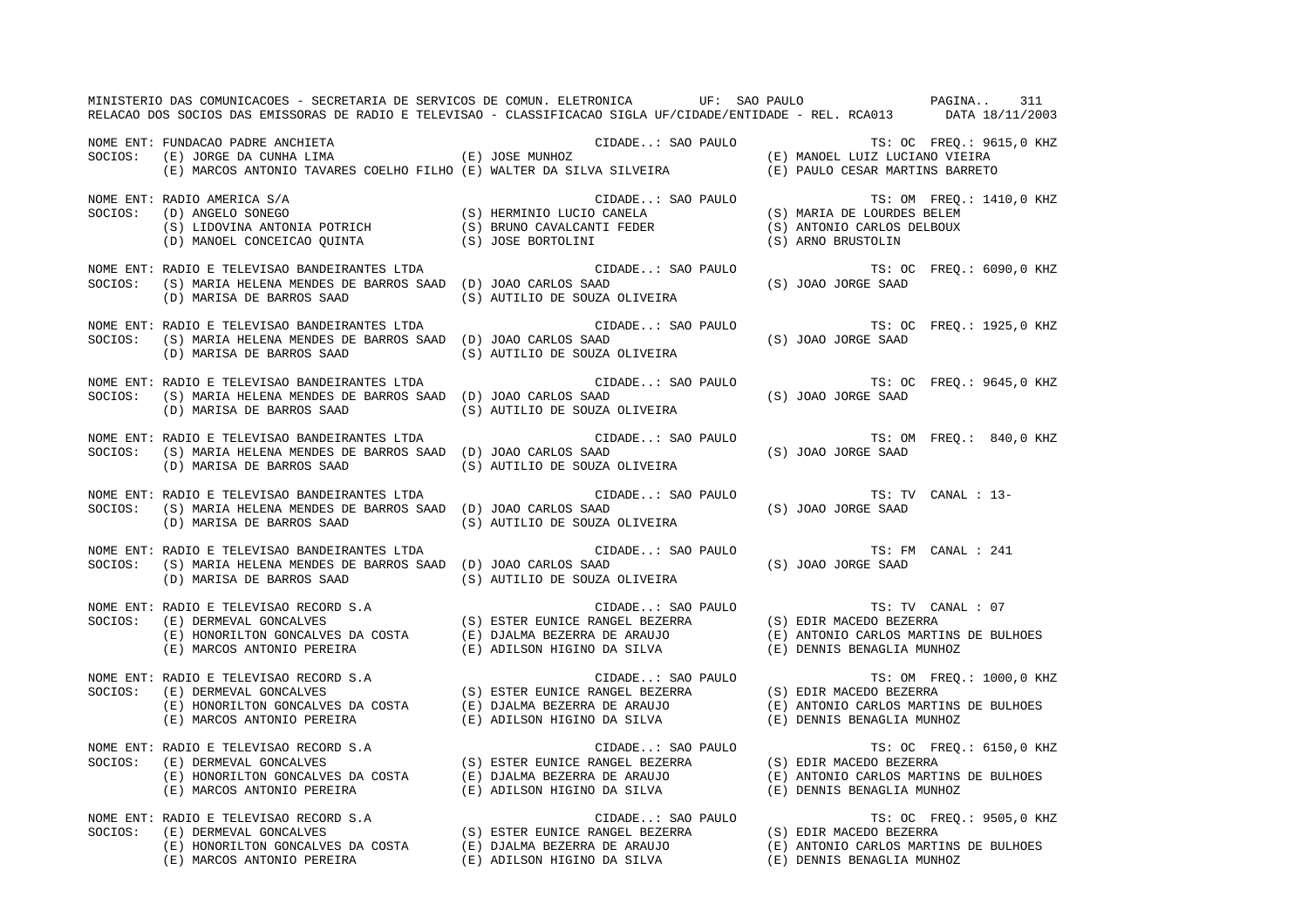|         | MINISTERIO DAS COMUNICACOES - SECRETARIA DE SERVICOS DE COMUN. ELETRONICA UF: SAO PAULO NA ANOREA PAGINA<br>RELACAO DOS SOCIOS DAS EMISSORAS DE RADIO E TELEVISAO - CLASSIFICACAO SIGLA UF/CIDADE/ENTIDADE - REL. RCA013 DATA 18/11/2003                                                                                                                                                                                       |                                                                                                                                                                                                                                                                                                                                                                                                                                                                     | 311                                                                                                                                           |
|---------|--------------------------------------------------------------------------------------------------------------------------------------------------------------------------------------------------------------------------------------------------------------------------------------------------------------------------------------------------------------------------------------------------------------------------------|---------------------------------------------------------------------------------------------------------------------------------------------------------------------------------------------------------------------------------------------------------------------------------------------------------------------------------------------------------------------------------------------------------------------------------------------------------------------|-----------------------------------------------------------------------------------------------------------------------------------------------|
| SOCIOS: | FUNDACAO PADRE ANCHIETA (E) JOSE MUNHOZ (E) JOSE (E) MANOEL LUIZ LUCIANO VIEIRA<br>(E) JORGE DA CUNHA LIMA (E) (E) JOSE MUNHOZ (E) MANOEL LUIZ LUCIANO VIEIRA<br>(E) MARCOS ANTONIO TAVARES COELHO FILHO (E) WALTER DA SILVA SILVEIR<br>NOME ENT: FUNDACAO PADRE ANCHIETA                                                                                                                                                      |                                                                                                                                                                                                                                                                                                                                                                                                                                                                     |                                                                                                                                               |
| SOCIOS: | NOME ENT: RADIO AMERICA S/A<br>$\begin{tabular}{lllllllllllllllllll@{RADIO}} \textbf{AMERICA} & S/A & \textbf{CLIALL. SAU FAULU} \\ \textbf{(D) ANGELO SONEGO} & (S) HERMINIO LUCIO CANELA & (S) MARIA DE LOURDES BELEM \\ \textbf{(S) LIDOVINA ANTONIA POTRICH} & (S) BRUNO CAVALCANTI FEDER & (S) ANTONIO CARLOS DELBOUX \\ \textbf{(D) MANOEL CONCEICAO QUINTA} & (S) JOSE BORTOLINI & (S) ARNO BRUSTOLIN \\ \end{tabular}$ | CIDADE: SAO PAULO                                                                                                                                                                                                                                                                                                                                                                                                                                                   | TS: OM FREQ.: 1410,0 KHZ                                                                                                                      |
| SOCIOS: | NOME ENT: RADIO E TELEVISAO BANDEIRANTES LTDA<br>(S) MARIA HELENA MENDES DE BARROS SAAD (D) JOAO CARLOS SAAD<br>(D) MARISA DE BARROS SAAD                                                                                                                                                                                                                                                                                      | CIDADE: SAO PAULO<br>(S) AUTILIO DE SOUZA OLIVEIRA                                                                                                                                                                                                                                                                                                                                                                                                                  | TS: OC FREQ.: 6090,0 KHZ<br>(S) JOAO JORGE SAAD                                                                                               |
| SOCIOS: | NOME ENT: RADIO E TELEVISAO BANDEIRANTES LTDA<br>(S) MARIA HELENA MENDES DE BARROS SAAD (D) JOAO CARLOS SAAD<br>(D) MARISA DE BARROS SAAD                                                                                                                                                                                                                                                                                      | (S) AUTILIO DE SOUZA OLIVEIRA                                                                                                                                                                                                                                                                                                                                                                                                                                       | $\verb"CIDADE":\verb" SAO PAULO" \qquad \verb"TS":\verb" OC" FREQ":\verb"1925,0 KHZ\nSABD" \qquad \verb;(S) JOAO JORGE SABD" \label{eq:2.10}$ |
| SOCIOS: | NOME ENT: RADIO E TELEVISAO BANDEIRANTES LTDA<br>(S) MARIA HELENA MENDES DE BARROS SAAD (D) JOAO CARLOS SAAD<br>(D) MARISA DE BARROS SAAD                                                                                                                                                                                                                                                                                      | CIDADE: SAO PAULO<br>(S) AUTILIO DE SOUZA OLIVEIRA                                                                                                                                                                                                                                                                                                                                                                                                                  | TS: OC FREO.: 9645,0 KHZ<br>(S) JOAO JORGE SAAD                                                                                               |
| SOCIOS: | NOME ENT: RADIO E TELEVISAO BANDEIRANTES LTDA<br>(S) MARIA HELENA MENDES DE BARROS SAAD (D) JOAO CARLOS SAAD<br>(D) MARISA DE BARROS SAAD                                                                                                                                                                                                                                                                                      | (S) AUTILIO DE SOUZA OLIVEIRA                                                                                                                                                                                                                                                                                                                                                                                                                                       | CIDADE: SAO PAULO TS: OM FREQ.: 840,0 KHZ<br>(S) JOAO JORGE SAAD                                                                              |
| SOCIOS: | NOME ENT: RADIO E TELEVISAO BANDEIRANTES LTDA<br>(S) MARIA HELENA MENDES DE BARROS SAAD (D) JOAO CARLOS SAAD<br>(D) MARISA DE BARROS SAAD                                                                                                                                                                                                                                                                                      | $\verb CIDADE: SAO PAULO  \qquad TS: TV \text{ CANAL}: 13- \text{JOAO CARLOS SAAD}$ $\verb .3-0AO JORGE SAAD  \qquad \verb .5  \qquad \verb .5  \qquad \verb .5  \qquad \verb .5  \qquad \verb .5  \qquad \verb .5  \qquad \verb .5  \qquad \verb .5  \qquad \verb .5  \qquad \verb .5  \qquad \verb .5  \qquad \verb .5  \qquad \verb .5  \qquad \verb .5  \qquad \verb .5  \qquad \verb .5  \qquad \verb .5  \qquad \verb .5  \$<br>(S) AUTILIO DE SOUZA OLIVEIRA |                                                                                                                                               |
| SOCIOS: | NOME ENT: RADIO E TELEVISAO BANDEIRANTES LTDA<br>(S) MARIA HELENA MENDES DE BARROS SAAD (D) JOAO CARLOS SAAD<br>(D) MARISA DE BARROS SAAD                                                                                                                                                                                                                                                                                      | CIDADE: SAO PAULO<br>(S) AUTILIO DE SOUZA OLIVEIRA                                                                                                                                                                                                                                                                                                                                                                                                                  | TS: FM CANAL : 241<br>(S) JOAO JORGE SAAD                                                                                                     |
|         | (E) MARCOS ANTONIO PEREIRA (E) ADILSON HIGINO DA SILVA                                                                                                                                                                                                                                                                                                                                                                         | CIDADE: SAO PAULO                                                                                                                                                                                                                                                                                                                                                                                                                                                   | TS: TV CANAL : 07<br>(E) ANTONIO CARLOS MARTINS DE BULHOES<br>(E) DENNIS BENAGLIA MUNHOZ                                                      |
|         | NOME ENT: RADIO E TELEVISAO RECORD S.A<br>SOCIOS: (E) DERMEVAL GONCALVES (E) HONORILITON GONCALVES (E) HONORILITON GONCALVES (E) DJALMA BEZERRA DE ARAUJO<br>(E) ANTONIO PEREIRA (E) ADILSON HIGINO DA SILVA (E) DENNIS BENAGLIA M                                                                                                                                                                                             |                                                                                                                                                                                                                                                                                                                                                                                                                                                                     | TS: OM FREQ.: 1000,0 KHZ<br>(E) ANTONIO CARLOS MARTINS DE BULHOES<br>(E) DENNIS BENAGLIA MUNHOZ                                               |
|         | NOME ENT: RADIO E TELEVISAO RECORD S.A<br>SOCIOS: (E) DERMEVAL GONCALVES (E) ANGELES (E) DIALMA BEZERRA DE ARAUJO<br>(E) HONORILTON GONCALVES DA COSTA (E) DJALMA BEZERRA DE ARAUJO (E) ANTONIO CARLOS MARTINS DE BULHO<br>(E) ADILS                                                                                                                                                                                           |                                                                                                                                                                                                                                                                                                                                                                                                                                                                     | TS: OC FREQ.: 6150,0 KHZ<br>(E) ANTONIO CARLOS MARTINS DE BULHOES                                                                             |
|         | NOME ENT: RADIO E TELEVISAO RECORD S.A<br>SOCIOS: (E) DERMEVAL GONCALVES (S) ESTER EUNICE RANGEL BEZERRA (E) ANTONIO CARLOS MARTINS DE BULHOES<br>(E) HONORILTON GONCALVES DA COSTA (E) DJALMA BEZERRA DE ARAUJO (E) ANTONIO CARLO                                                                                                                                                                                             |                                                                                                                                                                                                                                                                                                                                                                                                                                                                     | TS: OC FREQ.: 9505,0 KHZ                                                                                                                      |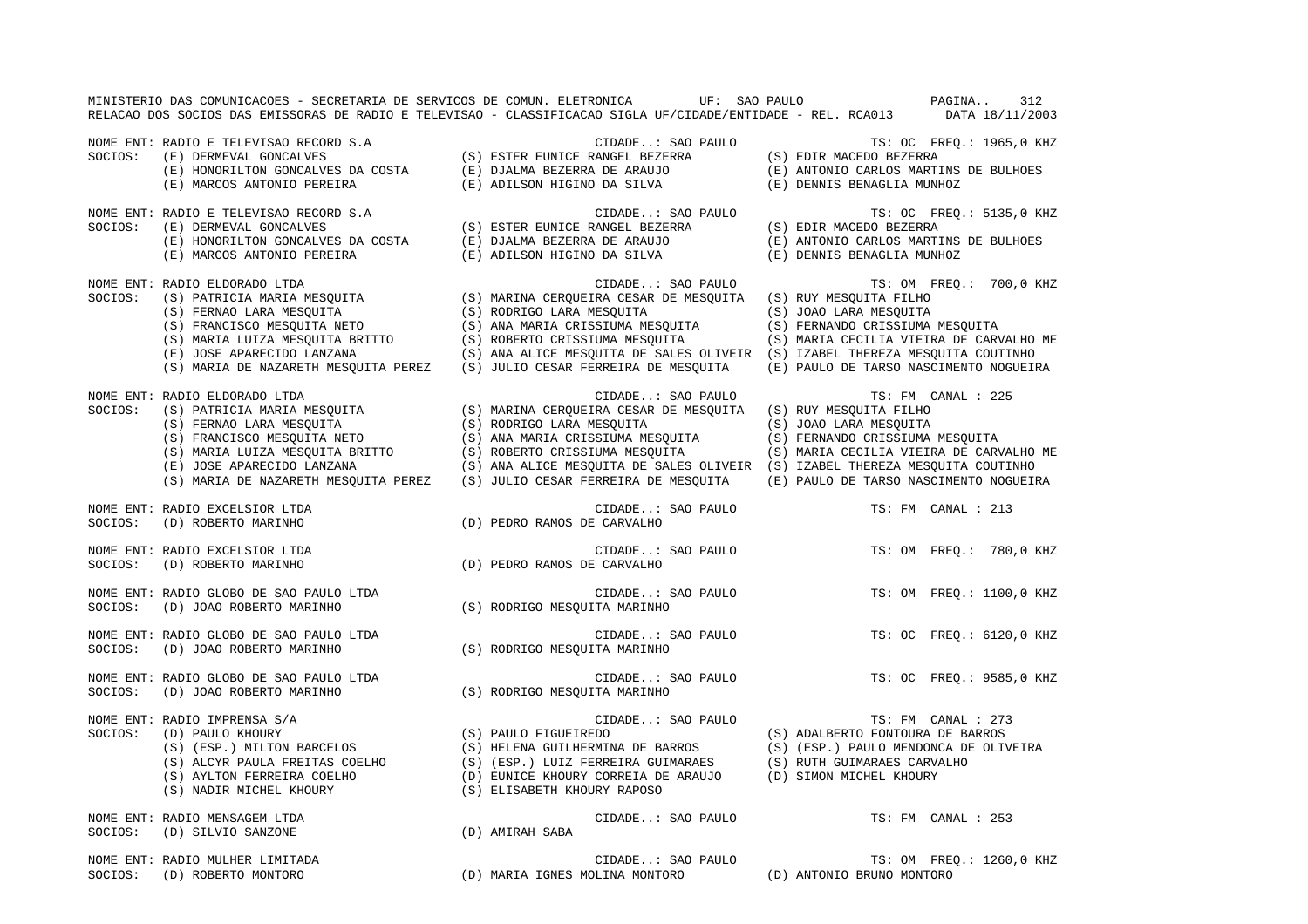|         |                                                                                                                                                                                                                                                                                            | MINISTERIO DAS COMUNICACOES - SECRETARIA DE SERVICOS DE COMUN. ELETRONICA UF: SAO PAULO<br>RELACAO DOS SOCIOS DAS EMISSORAS DE RADIO E TELEVISAO - CLASSIFICACAO SIGLA UF/CIDADE/ENTIDADE - REL. RCA013 DATA 18/11/2003                                                                | $PAGINA.$ .<br>312                                                                                                                                                                                                                          |
|---------|--------------------------------------------------------------------------------------------------------------------------------------------------------------------------------------------------------------------------------------------------------------------------------------------|----------------------------------------------------------------------------------------------------------------------------------------------------------------------------------------------------------------------------------------------------------------------------------------|---------------------------------------------------------------------------------------------------------------------------------------------------------------------------------------------------------------------------------------------|
| SOCIOS: | NOME ENT: RADIO E TELEVISAO RECORD S.A<br>(E) DERMEVAL GONCALVES<br>(E) DERMEVAL GONCALVES DA COSTA (E) DJALMA BEZERRA DE ARAUJO<br>(E) HONORILTON GONCALVES DA COSTA (E) DJALMA BEZERRA DE ARAUJO<br>(E) MARCOS ANTONIO PEREIRA                                                           | CIDADE: SAO PAULO<br>CIDADE SAO 1<br>S) ESTER EUNICE RANGEL BEZERRA)<br>(E) ADILSON HIGINO DA SILVA                                                                                                                                                                                    | TS: OC FREQ.: 1965,0 KHZ<br>(S) EDIR MACEDO BEZERRA<br>(E) ANTONIO CARLOS MARTINS DE BULHOES<br>(E) DENNIS BENAGLIA MUNHOZ                                                                                                                  |
| SOCIOS: | NOME ENT: RADIO E TELEVISAO RECORD S.A<br>(E) DERMEVAL GONCALVES<br>(E) HONORILTON GONCALVES DA COSTA<br>(E) MARCOS ANTONIO PEREIRA                                                                                                                                                        | CIDADE: SAO PAULO<br>(S) ESTER EUNICE RANGEL BEZERRA<br>(E) DJALMA BEZERRA DE ARAUJO<br>(E) ADILSON HIGINO DA SILVA                                                                                                                                                                    | TS: OC FREQ.: 5135,0 KHZ<br>(S) EDIR MACEDO BEZERRA<br>(E) ANTONIO CARLOS MARTINS DE BULHOES<br>(E) DENNIS BENAGLIA MUNHOZ                                                                                                                  |
| SOCIOS: | NOME ENT: RADIO ELDORADO LTDA<br>(S) PATRICIA MARIA MESQUITA<br>(S) FERNAO LARA MESQUITA<br>(S) FERNAO LARA MESQUITA<br>(S) FRANCISCO MESQUITA NETO<br>(S) MARIA LUIZA MESQUITA BRITTO<br>(E) JOSE APARECIDO LANZANA<br>(E) JOSE APARECIDO LANZANA<br>(S) MARIA DE NAZARETH MESQUITA PEREZ | CIDADE: SAO PAULO<br>(S) MARINA CERQUEIRA CESAR DE MESQUITA<br>(S) RODRIGO LARA MESOUITA<br>(S) ANA MARIA CRISSIUMA MESQUITA<br>(S) ROBERTO CRISSIUMA MESQUITA<br>(S) ANA ALICE MESQUITA DE SALES OLIVEIR<br>(S) JULIO CESAR FERREIRA DE MESQUITA                                      | TS: OM FREQ.: 700,0 KHZ<br>(S) RUY MESQUITA FILHO<br>(S) JOAO LARA MESOUITA<br>(S) FERNANDO CRISSIUMA MESQUITA<br>(S) MARIA CECILIA VIEIRA DE CARVALHO ME<br>(S) IZABEL THEREZA MESQUITA COUTINHO<br>(E) PAULO DE TARSO NASCIMENTO NOGUEIRA |
| SOCIOS: | NOME ENT: RADIO ELDORADO LTDA<br>(S) PATRICIA MARIA MESQUITA<br>(S) FERNAO LARA MESQUITA<br>(S) FRANCISCO MESQUITA NETO<br>(S) MARIA LUIZA MESQUITA BRITTO<br>(E) JOSE APARECIDO LANZANA<br>(S) MARIA DE NAZARETH MESQUITA PEREZ                                                           | CIDADE: SAO PAULO<br>(S) MARINA CERQUEIRA CESAR DE MESQUITA<br>(S) RODRIGO LARA MESQUITA<br>(S) ANA MARIA CRISSIUMA MESQUITA<br>(S) ROBERTO CRISSIUMA MESQUITA<br>(S) ANA ALICE MESQUITA DE SALES OLIVEIR (S) IZABEL THEREZA MESQUITA COUTINHO<br>(S) JULIO CESAR FERREIRA DE MESQUITA | TS: FM CANAL : 225<br>(S) RUY MESQUITA FILHO<br>(S) JOAO LARA MESQUITA<br>(S) FERNANDO CRISSIUMA MESQUITA<br>(S) MARIA CECILIA VIEIRA DE CARVALHO ME<br>(E) PAULO DE TARSO NASCIMENTO NOGUEIRA                                              |
| SOCIOS: | NOME ENT: RADIO EXCELSIOR LTDA<br>(D) ROBERTO MARINHO                                                                                                                                                                                                                                      | CIDADE: SAO PAULO<br>(D) PEDRO RAMOS DE CARVALHO                                                                                                                                                                                                                                       | TS: FM CANAL : 213                                                                                                                                                                                                                          |
| SOCIOS: | NOME ENT: RADIO EXCELSIOR LTDA<br>(D) ROBERTO MARINHO                                                                                                                                                                                                                                      | CIDADE: SAO PAULO<br>(D) PEDRO RAMOS DE CARVALHO                                                                                                                                                                                                                                       | TS: OM FREO.: 780,0 KHZ                                                                                                                                                                                                                     |
| SOCIOS: | NOME ENT: RADIO GLOBO DE SAO PAULO LTDA<br>(D) JOAO ROBERTO MARINHO                                                                                                                                                                                                                        | CIDADE: SAO PAULO<br>(S) RODRIGO MESQUITA MARINHO                                                                                                                                                                                                                                      | TS: OM FREQ.: 1100,0 KHZ                                                                                                                                                                                                                    |
| SOCIOS: | NOME ENT: RADIO GLOBO DE SAO PAULO LTDA<br>(D) JOAO ROBERTO MARINHO                                                                                                                                                                                                                        | CIDADE: SAO PAULO<br>(S) RODRIGO MESQUITA MARINHO                                                                                                                                                                                                                                      | TS: OC FREQ.: 6120,0 KHZ                                                                                                                                                                                                                    |
| SOCIOS: | NOME ENT: RADIO GLOBO DE SAO PAULO LTDA<br>(D) JOAO ROBERTO MARINHO                                                                                                                                                                                                                        | CIDADE: SAO PAULO<br>(S) RODRIGO MESQUITA MARINHO                                                                                                                                                                                                                                      | TS: OC FREQ.: 9585,0 KHZ                                                                                                                                                                                                                    |
| SOCIOS: | NOME ENT: RADIO IMPRENSA S/A<br>RADIO IMPRENSA S/A<br>(D) PAULO KHOURY<br>(S) (ESP.) MILTON BARCELOS<br>(S) ALCYR PAULA FREITAS COELHO<br>(S) AYLTON FERREIRA COELHO<br>(S) NADIR MICHEL KHOURY                                                                                            | CIDADE: SAO PAULO<br>(S) PAULO FIGUEIREDO<br>(S) HELENA GUILHERMINA DE BARROS<br>(S) (ESP.) LUIZ FERREIRA GUIMARAES<br>(D) EUNICE KHOURY CORREIA DE ARAUJO<br>(S) ELISABETH KHOURY RAPOSO                                                                                              | TS: FM CANAL : 273<br>(S) ADALBERTO FONTOURA DE BARROS<br>(S) (ESP.) PAULO MENDONCA DE OLIVEIRA<br>(S) RUTH GUIMARAES CARVALHO<br>(D) SIMON MICHEL KHOURY                                                                                   |
| SOCIOS: | NOME ENT: RADIO MENSAGEM LTDA<br>(D) SILVIO SANZONE                                                                                                                                                                                                                                        | CIDADE: SAO PAULO<br>(D) AMIRAH SABA                                                                                                                                                                                                                                                   | TS: FM CANAL : 253                                                                                                                                                                                                                          |
| SOCIOS: | NOME ENT: RADIO MULHER LIMITADA<br>(D) ROBERTO MONTORO                                                                                                                                                                                                                                     | CIDADE: SAO PAULO<br>(D) MARIA IGNES MOLINA MONTORO                                                                                                                                                                                                                                    | TS: OM FREO.: 1260,0 KHZ<br>(D) ANTONIO BRUNO MONTORO                                                                                                                                                                                       |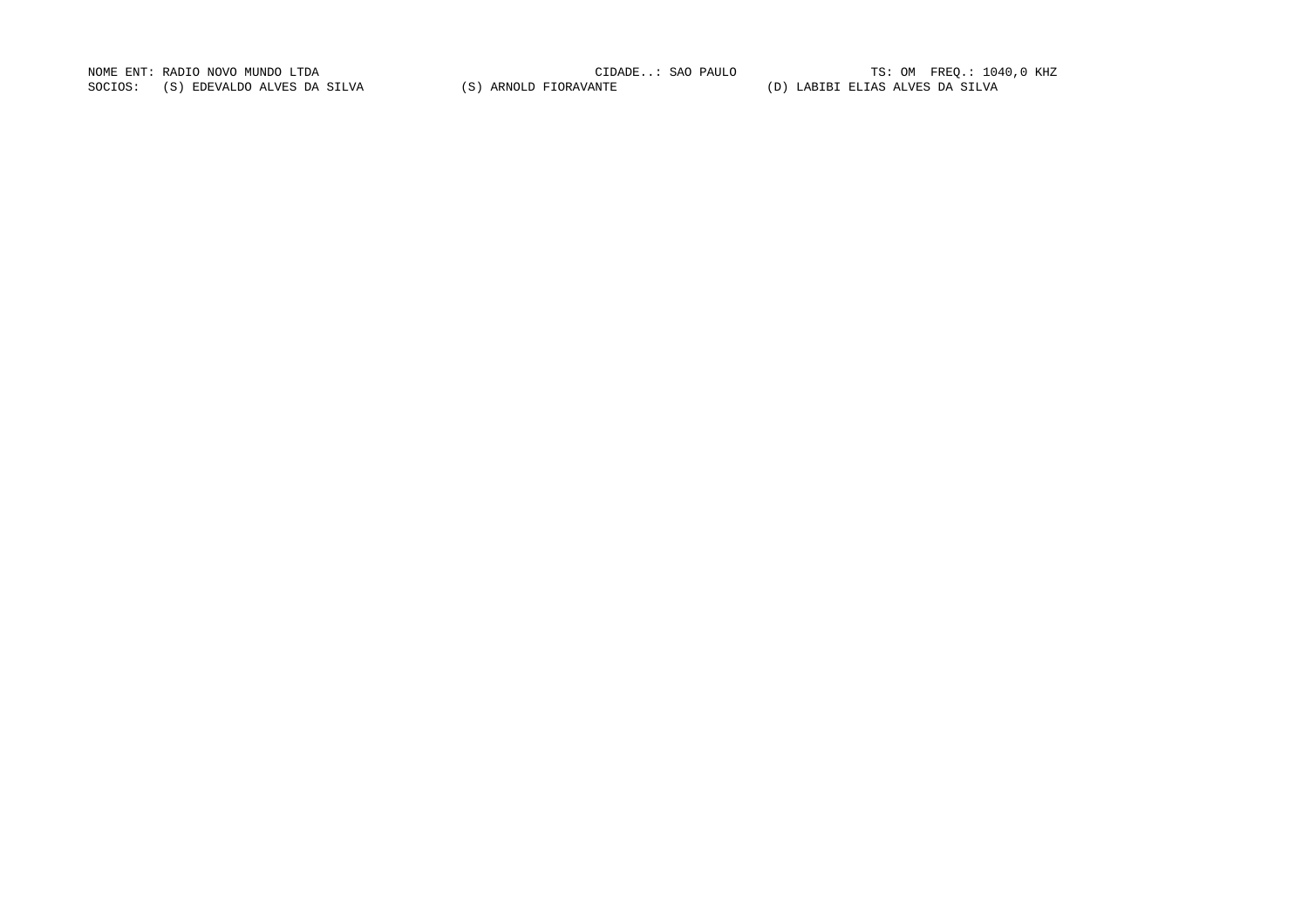NOME ENT: RADIO NOVO MUNDO LTDA CIDADE..: SAO PAULO TS: OM FREQ.: 1040,0 KHZ SOCIOS: (S) EDEVALDO ALVES DA SILVA (S) ARNOLD FIORAVANTE (D) LABIBI ELIAS ALVES DA SILVA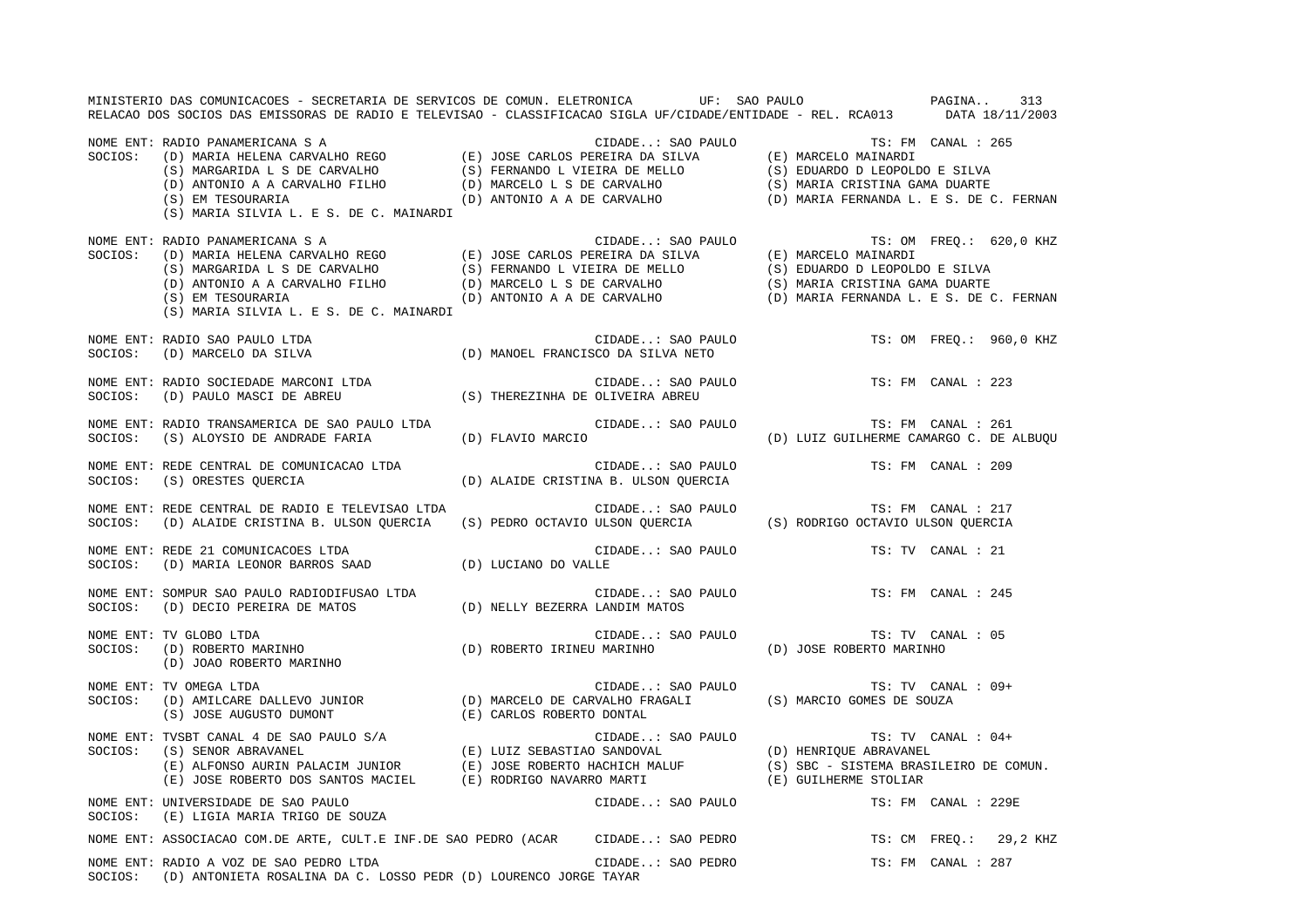MINISTERIO DAS COMUNICACOES - SECRETARIA DE SERVICOS DE COMUN. ELETRONICA UF: SAO PAULO PAGINA.. 313RELACAO DOS SOCIOS DAS EMISSORAS DE RADIO E TELEVISAO - CLASSIFICACAO SIGLA UF/CIDADE/ENTIDADE - REL. RCA013 DATA 18/11/2003 NOME ENT: RADIO PANAMERICANA S A CIDADE..: SAO PAULO TS: FM CANAL : 265SOCIOS: (D) MARIA HELENA CARVALHO REGO (E) JOSE CARLOS PEREIRA DA SILVA (E) MARCELO MAINARDI (S) MARGARIDA L S DE CARVALHO (S) FERNANDO L VIEIRA DE MELLO (S) EDUARDO D LEOPOLDO E SILVA (D) ANTONIO A A CARVALHO FILHO (D) MARCELO L S DE CARVALHO (S) MARIA CRISTINA GAMA DUARTE (S) EM TESOURARIA (D) ANTONIO A A DE CARVALHO (D) MARIA FERNANDA L. E S. DE C. FERNAN (S) MARIA SILVIA L. E S. DE C. MAINARDI NOME ENT: RADIO PANAMERICANA S A CIDADE..: SAO PAULO TS: OM FREQ.: 620,0 KHZ SOCIOS: (D) MARIA HELENA CARVALHO REGO (E) JOSE CARLOS PEREIRA DA SILVA (E) MARCELO MAINARDI (S) MARGARIDA L S DE CARVALHO (S) FERNANDO L VIEIRA DE MELLO (S) EDUARDO D LEOPOLDO E SILVA (D) ANTONIO A A CARVALHO FILHO (D) MARCELO L S DE CARVALHO (S) MARIA CRISTINA GAMA DUARTE (S) EM TESOURARIA (D) ANTONIO A A DE CARVALHO (D) MARIA FERNANDA L. E S. DE C. FERNAN (S) MARIA SILVIA L. E S. DE C. MAINARDI NOME ENT: RADIO SAO PAULO LTDA CIDADE..: SAO PAULO TS: OM FREQ.: 960,0 KHZ SOCIOS: (D) MARCELO DA SILVA (D) MANOEL FRANCISCO DA SILVA NETO NOME ENT: RADIO SOCIEDADE MARCONI LTDA CONSERVERSION CIDADE..: SAO PAULO TS: FM CANAL : 223 SOCIOS: (D) PAULO MASCI DE ABREU (S) THEREZINHA DE OLIVEIRA ABREU NOME ENT: RADIO TRANSAMERICA DE SAO PAULO LTDA CIDADE..: SAO PAULO TS: FM CANAL : 261SOCIOS: (S) ALOYSIO DE ANDRADE FARIA (D) FLAVIO MARCIO (D) LUIZ GUILHERME CAMARGO C. DE ALBUQU NOME ENT: REDE CENTRAL DE COMUNICACAO LTDA CIDADE..: SAO PAULO TS: FM CANAL : 209SOCIOS: (S) ORESTES QUERCIA (D) ALAIDE CRISTINA B. ULSON QUERCIA NOME ENT: REDE CENTRAL DE RADIO E TELEVISAO LTDA CIDADE..: SAO PAULO TS: FM CANAL : 217 SOCIOS: (D) ALAIDE CRISTINA B. ULSON QUERCIA (S) PEDRO OCTAVIO ULSON QUERCIA (S) RODRIGO OCTAVIO ULSON QUERCIA NOME ENT: REDE 21 COMUNICACOES LTDA CIDADE..: SAO PAULO TS: TV CANAL : 21SOCIOS: (D) MARIA LEONOR BARROS SAAD (D) LUCIANO DO VALLE NOME ENT: SOMPUR SAO PAULO RADIODIFUSAO LTDA CIDADE..: SAO PAULO TS: FM CANAL : 245SOCIOS: (D) DECIO PEREIRA DE MATOS (D) NELLY BEZERRA LANDIM MATOS NOME ENT: TV GLOBO LTDA CIDADE..: SAO PAULO TS: TV CANAL : 05 SOCIOS: (D) ROBERTO MARINHO (D) ROBERTO IRINEU MARINHO (D) JOSE ROBERTO MARINHO (D) JOAO ROBERTO MARINHO NOME ENT: TV OMEGA LTDA CIDADE..: SAO PAULO TS: TV CANAL : 09+ SOCIOS: (D) AMILCARE DALLEVO JUNIOR (D) MARCELO DE CARVALHO FRAGALI (S) MARCIO GOMES DE SOUZA (S) JOSE AUGUSTO DUMONT (E) CARLOS ROBERTO DONTAL NOME ENT: TVSBT CANAL 4 DE SAO PAULO S/A<br>
CIDADE..: SAO PAULO TRI TV CANAL : 04+ SOCIOS: (S) SENOR ABRAVANEL (E) LUIZ SEBASTIAO SANDOVAL (D) HENRIQUE ABRAVANEL (S) SENOR ABRAVANEL<br>(E) ALFONSO AURIN PALACIM JUNIOR (E) JOSE ROBERTO HACHICH MALUF (S) SBC - SISTEMA BRASILEIRO DE COMUN.<br>(E) ---- במרכז המייחס שירידי של המחמור המוצרת מעולם (E) GUILHERME STOLIAR (E) JOSE ROBERTO DOS SANTOS MACIEL (E) RODRIGO NAVARRO MARTI (E) GUILHERME STOLIAR NOME ENT: UNIVERSIDADE DE SAO PAULO CIDADE..: SAO PAULO TS: FM CANAL : 229ESOCIOS: (E) LIGIA MARIA TRIGO DE SOUZA NOME ENT: ASSOCIACAO COM.DE ARTE, CULT.E INF.DE SAO PEDRO (ACAR CIDADE..: SAO PEDRO TS: CM FREQ.: 29,2 KHZ NOME ENT: RADIO A VOZ DE SAO PEDRO LTDA CIDADE..: SAO PEDRO TS: FM CANAL : 287SOCIOS: (D) ANTONIETA ROSALINA DA C. LOSSO PEDR (D) LOURENCO JORGE TAYAR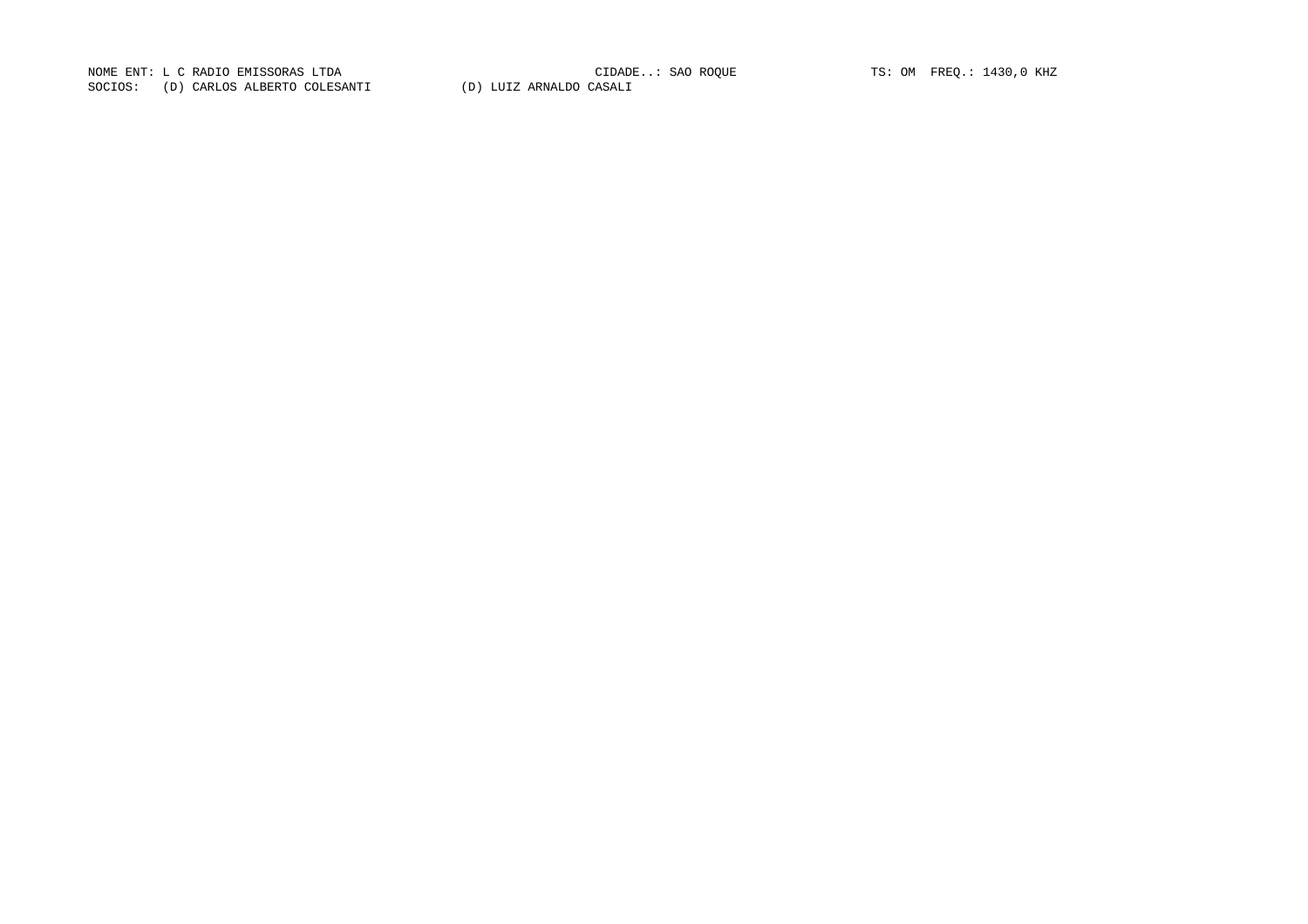NOME ENT: L C RADIO EMISSORAS LTDA<br>
CONTO CIDADE..: SAO ROQUE TS: OM FREQ.: 1430,0 KHZ NOME ENT: L C RADIO EMISSORAS LTDA<br>SOCIOS: (D) CARLOS ALBERTO COLESANTI (D) LUIZ ARNALDO CASALI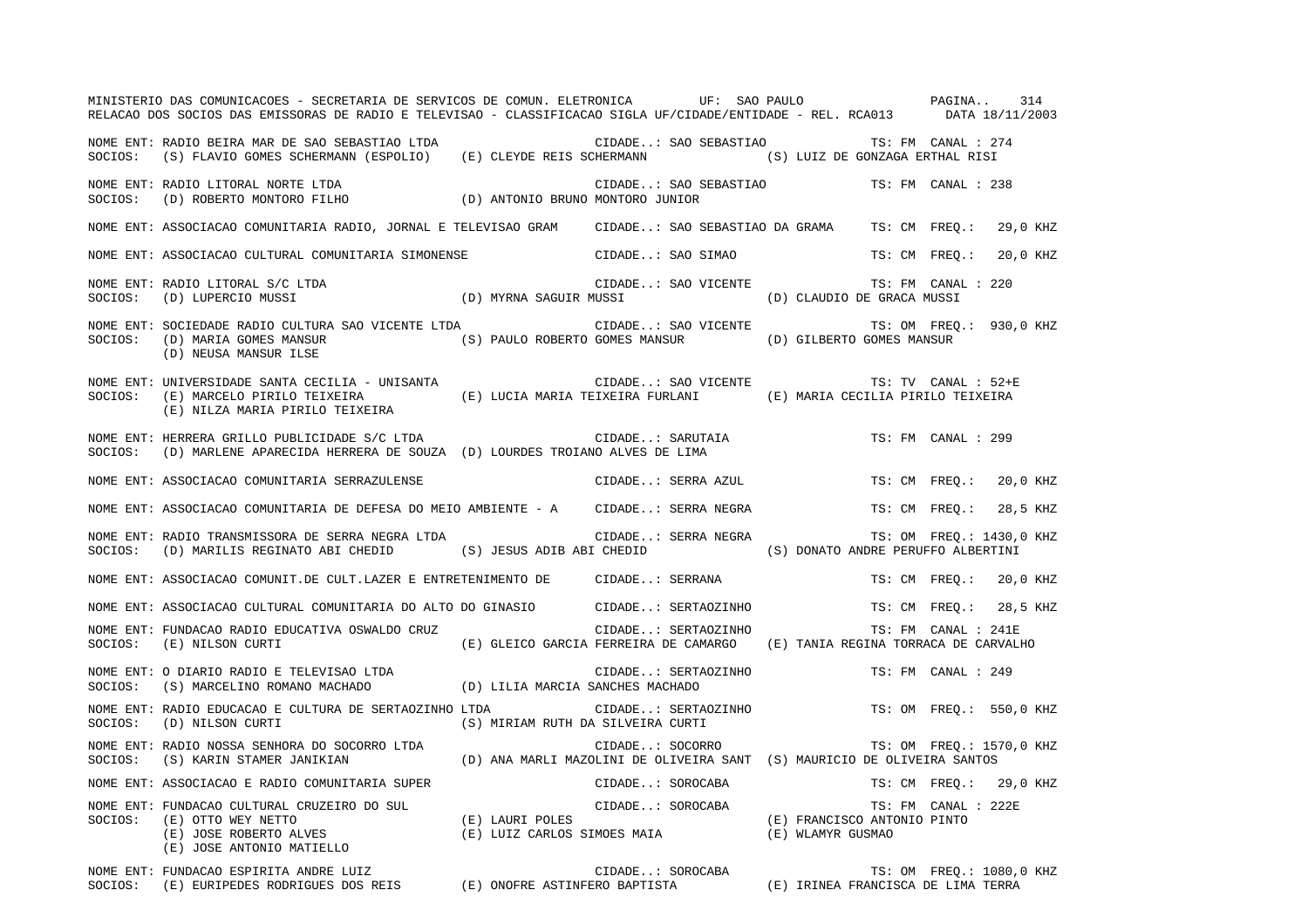MINISTERIO DAS COMUNICACOES - SECRETARIA DE SERVICOS DE COMUN. ELETRONICA UF: SAO PAULO PAGINA.. 314RELACAO DOS SOCIOS DAS EMISSORAS DE RADIO E TELEVISAO - CLASSIFICACAO SIGLA UF/CIDADE/ENTIDADE - REL. RCA013 DATA 18/11/2003 NOME ENT: RADIO BEIRA MAR DE SAO SEBASTIAO LTDA CIDADE..: SAO SEBASTIAO TS: FM CANAL : 274SOCIOS: (S) FLAVIO GOMES SCHERMANN (ESPOLIO) (E) CLEYDE REIS SCHERMANN (S) LUIZ DE GONZAGA ERTHAL RISI NOME ENT: RADIO LITORAL NORTE LTDA CIDADE..: SAO SEBASTIAO TS: FM CANAL : 238 SOCIOS: (D) ROBERTO MONTORO FILHO (D) ANTONIO BRUNO MONTORO JUNIOR NOME ENT: ASSOCIACAO COMUNITARIA RADIO, JORNAL E TELEVISAO GRAM CIDADE..: SAO SEBASTIAO DA GRAMA TS: CM FREQ.: 29,0 KHZ NOME ENT: ASSOCIACAO CULTURAL COMUNITARIA SIMONENSE CIDADE..: SAO SIMAO TS: CM FREQ.: 20,0 KHZ NOME ENT: RADIO LITORAL S/C LTDA CONSERVED SOME CIDADE..: SAO VICENTE TS: FM CANAL : 220 SOCIOS: (D) LUPERCIO MUSSI (D) MYRNA SAGUIR MUSSI (D) CLAUDIO DE GRACA MUSSI NOME ENT: SOCIEDADE RADIO CULTURA SAO VICENTE LTDA CIDADE..: SAO VICENTE TS: OM FREQ.: 930,0 KHZ SOCIOS: (D) MARIA GOMES MANSUR (S) PAULO ROBERTO GOMES MANSUR (D) GILBERTO GOMES MANSUR (D) NEUSA MANSUR ILSE NOME ENT: UNIVERSIDADE SANTA CECILIA - UNISANTA COMPRESSERITA CIDADE..: SAO VICENTE TS: TV CANAL : 52+E SOCIOS: (E) MARCELO PIRILO TEIXEIRA (E) LUCIA MARIA TEIXEIRA FURLANI (E) MARIA CECILIA PIRILO TEIXEIRA (E) NILZA MARIA PIRILO TEIXEIRA NOME ENT: HERRERA GRILLO PUBLICIDADE S/C LTDA CONSTRUIDADE CIDADE..: SARUTAIA TS: FM CANAL : 299 SOCIOS: (D) MARLENE APARECIDA HERRERA DE SOUZA (D) LOURDES TROIANO ALVES DE LIMA NOME ENT: ASSOCIACAO COMUNITARIA SERRAZULENSE CIDADE..: SERRA AZUL TS: CM FREQ.: 20,0 KHZ NOME ENT: ASSOCIACAO COMUNITARIA DE DEFESA DO MEIO AMBIENTE - A CIDADE..: SERRA NEGRA TS: CM FREQ.: 28,5 KHZ NOME ENT: RADIO TRANSMISSORA DE SERRA NEGRA LTDA CIDADE..: SERRA NEGRA TS: OM FREQ.: 1430,0 KHZ SOCIOS: (D) MARILIS REGINATO ABI CHEDID (S) JESUS ADIB ABI CHEDID (S) DONATO ANDRE PERUFFO ALBERTINI NOME ENT: ASSOCIACAO COMUNIT.DE CULT.LAZER E ENTRETENIMENTO DE CIDADE..: SERRANA TS: CM FREQ.: 20,0 KHZ NOME ENT: ASSOCIACAO CULTURAL COMUNITARIA DO ALTO DO GINASIO CIDADE..: SERTAOZINHO TS: CM FREQ.: 28,5 KHZ NOME ENT: FUNDACAO RADIO EDUCATIVA OSWALDO CRUZ CIDADE..: SERTAOZINHO TS: FM CANAL : 241E SOCIOS: (E) NILSON CURTI (E) GLEICO GARCIA FERREIRA DE CAMARGO (E) TANIA REGINA TORRACA DE CARVALHO NOME ENT: O DIARIO RADIO E TELEVISAO LTDA CIDADE..: SERTAOZINHO TS: FM CANAL : 249SOCIOS: (S) MARCELINO ROMANO MACHADO (D) LILIA MARCIA SANCHES MACHADO NOME ENT: RADIO EDUCACAO E CULTURA DE SERTAOZINHO LTDA  $\blacksquare$  CIDADE..: SERTAOZINHO TS: OM FREQ.: 550,0 KHZ SOCIOS: (D) NILSON CURTI (S) MIRIAM RUTH DA SILVEIRA CURTI NOME ENT: RADIO NOSSA SENHORA DO SOCORRO LTDA  $\Box$  CIDADE..: SOCORRO TS: OM FREQ.: 1570,0 KHZ SOCIOS: (S) KARIN STAMER JANIKIAN (D) ANA MARLI MAZOLINI DE OLIVEIRA SANT (S) MAURICIO DE OLIVEIRA SANTOS NOME ENT: ASSOCIACAO E RADIO COMUNITARIA SUPER CIDADE..: SOROCABA TS: CM FREQ.: 29,0 KHZ NOME ENT: FUNDACAO CULTURAL CRUZEIRO DO SUL CIDADE..: SOROCABA TS: FM CANAL : 222ESOCIOS: (E) OTTO WEY NETTO (E) LAURI POLES (E) FRANCISCO ANTONIO PINTO (E) JOSE ROBERTO ALVES (E) LUIZ CARLOS SIMOES MAIA (E) WLAMYR GUSMAO (E) JOSE ANTONIO MATIELLO NOME ENT: FUNDACAO ESPIRITA ANDRE LUIZ THE SOROCABA TS: OM FREQ.: 1080,0 KHZ

SOCIOS: (E) EURIPEDES RODRIGUES DOS REIS (E) ONOFRE ASTINFERO BAPTISTA (E) IRINEA FRANCISCA DE LIMA TERRA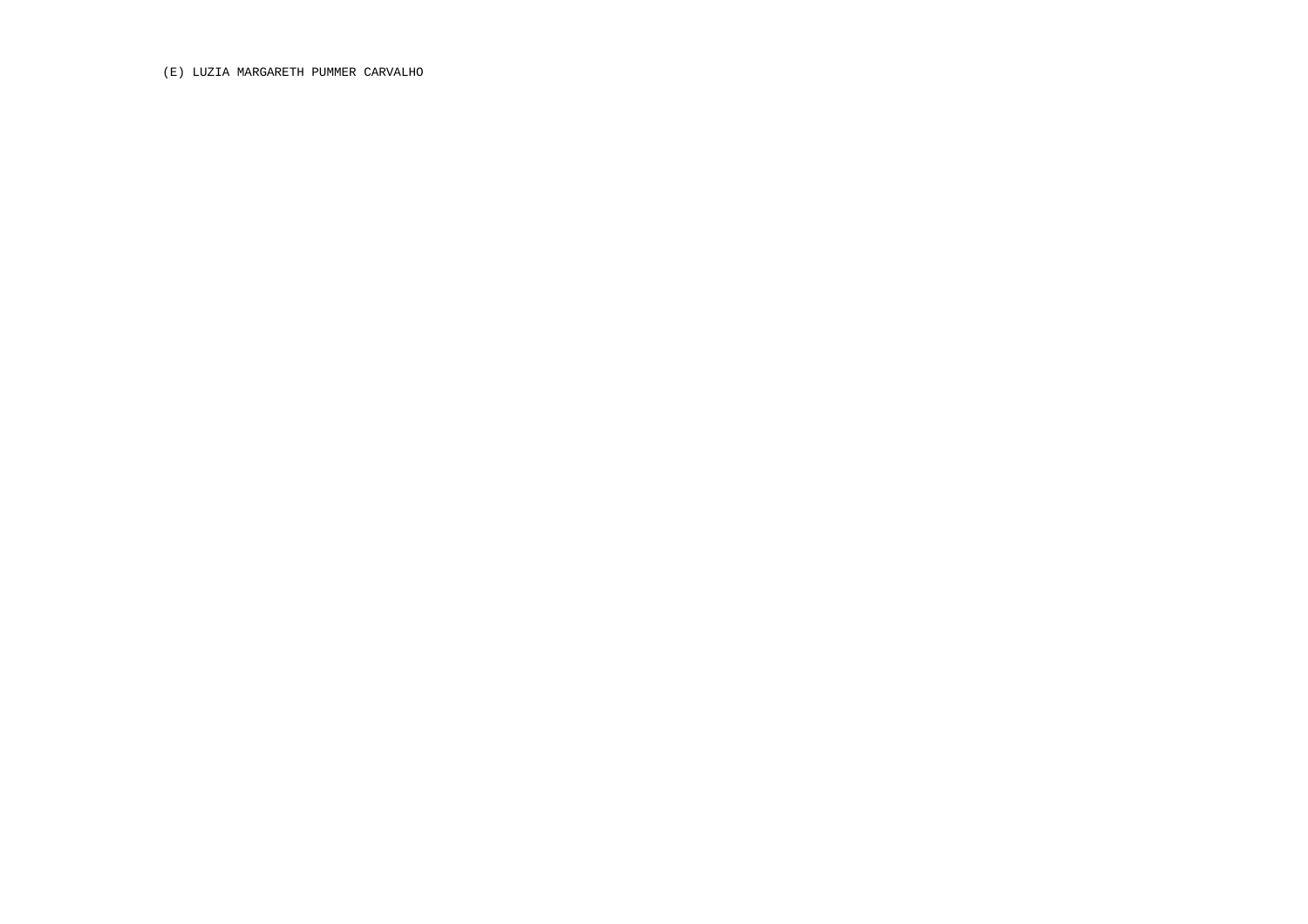(E) LUZIA MARGARETH PUMMER CARVALHO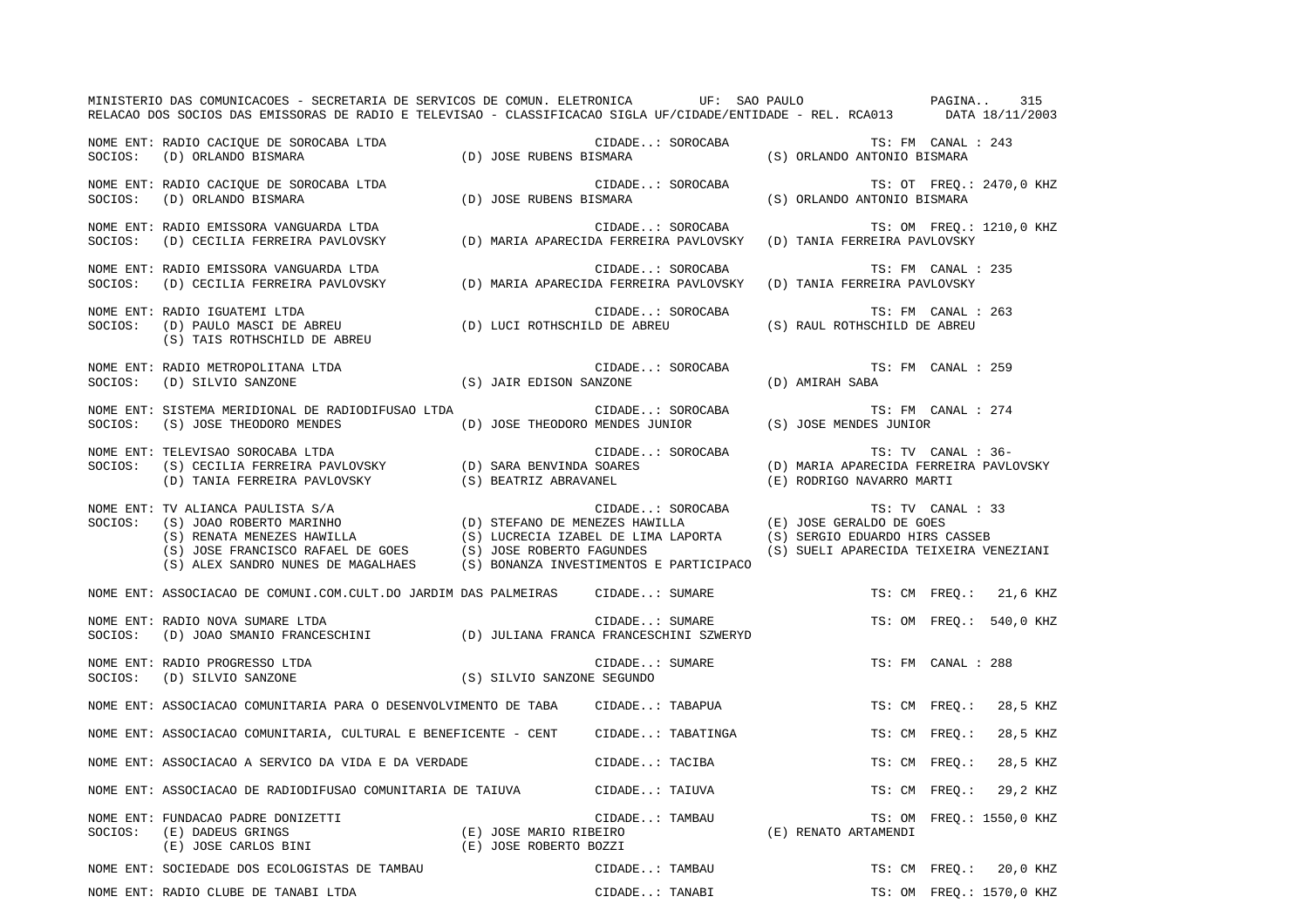|         | MINISTERIO DAS COMUNICACOES - SECRETARIA DE SERVICOS DE COMUN. ELETRONICA UF: SAO PAULO PAGINA<br>RELACAO DOS SOCIOS DAS EMISSORAS DE RADIO E TELEVISAO - CLASSIFICACAO SIGLA UF/CIDADE/ENTIDADE - REL. RCA013 DATA 18/11/2003                                                                                                                          |                         |                                             |                                                                     |                          | 315      |
|---------|---------------------------------------------------------------------------------------------------------------------------------------------------------------------------------------------------------------------------------------------------------------------------------------------------------------------------------------------------------|-------------------------|---------------------------------------------|---------------------------------------------------------------------|--------------------------|----------|
|         | NOME ENT: RADIO CACIQUE DE SOROCABA LTDA<br>SOCIOS: (D) ORLANDO BISMARA (D) JOSE RUBENS BISMARA (D) ORLANDO BISMARA (D) OSE RUBENS BISMARA                                                                                                                                                                                                              |                         | CIDADE: SOROCABA                            | (S) ORLANDO ANTONIO BISMARA                                         | TS: FM CANAL : 243       |          |
|         | NOME ENT: RADIO CACIQUE DE SOROCABA LTDA<br>SOCIOS: (D) ORLANDO BISMARA                                                                                                                                                                                                                                                                                 |                         | CIDADE: SOROCABA<br>(D) JOSE RUBENS BISMARA | TS: OT FREQ.: 2470,0 KHZ<br>(S) ORLANDO ANTONIO BISMARA             |                          |          |
|         | NOME ENT: RADIO EMISSORA VANGUARDA LTDA<br>right bin the bin the TS: OM FREQ.:<br>SOCIOS: (D) CECILIA FERREIRA PAVLOVSKY (D) MARIA APARECIDA FERREIRA PAVLOVSKY (D) TANIA FERREIRA PAVLOVSKY                                                                                                                                                            |                         | CIDADE: SOROCABA                            | TS: OM FREQ.: 1210,0 KHZ                                            |                          |          |
|         | NOME ENT: RADIO EMISSORA VANGUARDA LTDA<br>NUME ENI RADIO EMISSURA VANGUARDA LIDA<br>SOCIOS: (D) CECILIA FERREIRA PAVLOVSKY (D) MARIA APARECIDA FERREIRA PAVLOVSKY                                                                                                                                                                                      |                         | CIDADE: SOROCABA                            | (D) TANIA FERREIRA PAVLOVSKY                                        | TS: FM CANAL : 235       |          |
| SOCIOS: | NOME ENT: RADIO IGUATEMI LTDA<br>(D) PAULO MASCI DE ABREU (D) LUCI ROTHSCHILD DE ABREU<br>(S) TAIS ROTHSCHILD DE ABREU                                                                                                                                                                                                                                  |                         | CIDADE: SOROCABA                            | TS: FM CANAL : 263<br>(S) RAUL ROTHSCHILD DE ABREU                  |                          |          |
| SOCIOS: | NOME ENT: RADIO METROPOLITANA LTDA<br>(D) SILVIO SANZONE                                                                                                                                                                                                                                                                                                | (S) JAIR EDISON SANZONE | CIDADE: SOROCABA                            | (D) AMIRAH SABA                                                     | TS: FM CANAL : 259       |          |
| SOCIOS: | NOME ENT: SISTEMA MERIDIONAL DE RADIODIFUSAO LTDA<br>(S) JOSE THEODORO MENDES (D) JOSE THEODORO MENDES JUNIOR                                                                                                                                                                                                                                           |                         | CIDADE: SOROCABA                            | (S) JOSE MENDES JUNIOR                                              | TS: FM CANAL : 274       |          |
| SOCIOS: | NOME ENT: TELEVISAO SOROCABA LTDA<br>TELEVISAO SOROCABA LTDA<br>(S) CECILIA FERREIRA PAVLOVSKY (D) SARA BENVINDA SOARES<br>(D) TANIA FERREIRA PAVLOVSKY (S) BEATRIZ ABRAVANEL                                                                                                                                                                           |                         | CIDADE: SOROCABA                            | (D) MARIA APARECIDA FERREIRA PAVLOVSKY<br>(E) RODRIGO NAVARRO MARTI | TS: TV CANAL : 36-       |          |
| SOCIOS: | NOME ENT: TV ALIANCA PAULISTA S/A<br>TV ALIANCA PAULISTA S/A<br>(S) JOAO ROBERTO MARINHO (D) STEFANO DE MENEZES HAWILLA (E) JOSE GERALDO DE GOES<br>(S) RENATA MENEZES HAWILLA (S) LUCRECIA IZABEL DE LIMA LAPORTA (S) SERGIO EDUARDO HIRS CASSEB<br>(S) JOSE FRANCISCO R<br>(S) ALEX SANDRO NUNES DE MAGALHAES (S) BONANZA INVESTIMENTOS E PARTICIPACO |                         |                                             |                                                                     |                          |          |
|         | NOME ENT: ASSOCIACAO DE COMUNI.COM.CULT.DO JARDIM DAS PALMEIRAS CIDADE: SUMARE                                                                                                                                                                                                                                                                          |                         |                                             |                                                                     | TS: CM FREQ.: 21,6 KHZ   |          |
| SOCIOS: | NOME ENT: RADIO NOVA SUMARE LTDA<br>(D) JOAO SMANIO FRANCESCHINI (D) JULIANA FRANCA FRANCESCHINI SZWERYD                                                                                                                                                                                                                                                |                         | CIDADE: SUMARE                              |                                                                     | TS: OM FREO.: 540,0 KHZ  |          |
| SOCIOS: | NOME ENT: RADIO PROGRESSO LTDA<br>(D) SILVIO SANZONE (S) SILVIO SANZONE SEGUNDO                                                                                                                                                                                                                                                                         |                         | CIDADE: SUMARE                              |                                                                     | TS: FM CANAL : 288       |          |
|         | NOME ENT: ASSOCIACAO COMUNITARIA PARA O DESENVOLVIMENTO DE TABA CIDADE: TABAPUA                                                                                                                                                                                                                                                                         |                         |                                             |                                                                     | TS: CM FREO.:            | 28,5 KHZ |
|         | NOME ENT: ASSOCIACAO COMUNITARIA, CULTURAL E BENEFICENTE - CENT CIDADE: TABATINGA                                                                                                                                                                                                                                                                       |                         |                                             |                                                                     | TS: CM FREQ.:            | 28,5 KHZ |
|         | NOME ENT: ASSOCIACAO A SERVICO DA VIDA E DA VERDADE                                                                                                                                                                                                                                                                                                     |                         | CIDADE: TACIBA                              |                                                                     | TS: CM FREO.:            | 28,5 KHZ |
|         | NOME ENT: ASSOCIACAO DE RADIODIFUSAO COMUNITARIA DE TAIUVA                                                                                                                                                                                                                                                                                              |                         | CIDADE: TAIUVA                              |                                                                     | TS: CM FREQ.:            | 29,2 KHZ |
| SOCIOS: | NOME ENT: FUNDACAO PADRE DONIZETTI<br>FUNDACAO PADRE DONIZETTI (E) CIDAD (E) DADEUS GRINGS (E) JOSE MARIO RIBEIRO (E) JOSE CARLOS BINI (E) JOSE ROBERTO BOZZI<br>(E) DADEUS GRINGS                                                                                                                                                                      |                         | CIDADE: TAMBAU                              | TS: OM<br>E) RENATO ARTAMENDI)                                      | TS: OM FREO.: 1550,0 KHZ |          |
|         | NOME ENT: SOCIEDADE DOS ECOLOGISTAS DE TAMBAU                                                                                                                                                                                                                                                                                                           |                         | CIDADE: TAMBAU                              |                                                                     | TS: CM FREO.: 20,0 KHZ   |          |
|         | NOME ENT: RADIO CLUBE DE TANABI LTDA                                                                                                                                                                                                                                                                                                                    |                         | CIDADE: TANABI                              |                                                                     | TS: OM FREQ.: 1570,0 KHZ |          |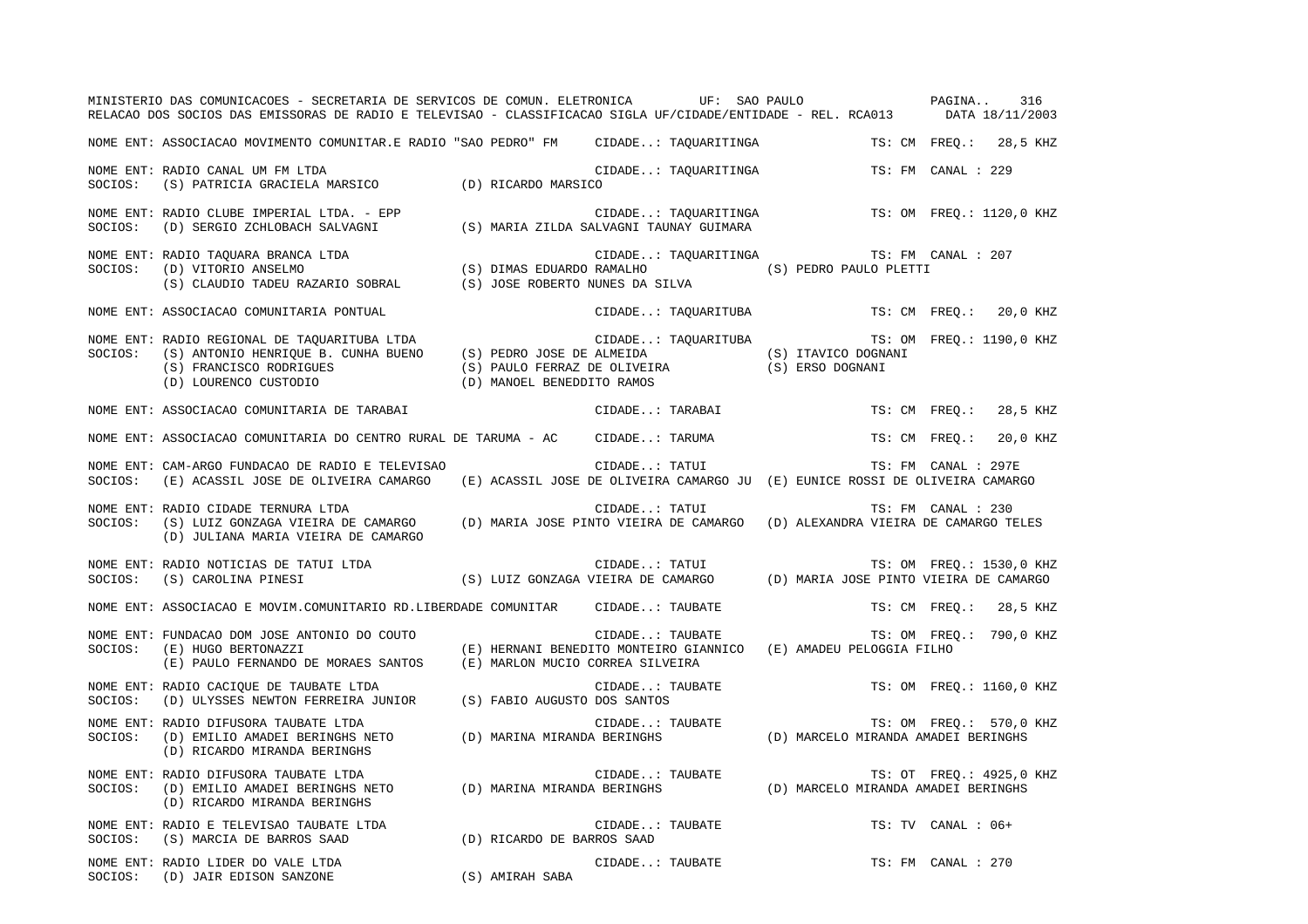|         | MINISTERIO DAS COMUNICACOES - SECRETARIA DE SERVICOS DE COMUN. ELETRONICA           UF:  SAO PAULO<br>RELACAO DOS SOCIOS DAS EMISSORAS DE RADIO E TELEVISAO - CLASSIFICACAO SIGLA UF/CIDADE/ENTIDADE - REL. RCA013                                                                                                                                                                                                                                                                                                                                                                                                                                          |                                  |                 |                      |                                                                                                                  | PAGINA              | 316<br>DATA 18/11/2003   |
|---------|-------------------------------------------------------------------------------------------------------------------------------------------------------------------------------------------------------------------------------------------------------------------------------------------------------------------------------------------------------------------------------------------------------------------------------------------------------------------------------------------------------------------------------------------------------------------------------------------------------------------------------------------------------------|----------------------------------|-----------------|----------------------|------------------------------------------------------------------------------------------------------------------|---------------------|--------------------------|
|         | NOME ENT: ASSOCIACAO MOVIMENTO COMUNITAR.E RADIO "SAO PEDRO" FM CIDADE: TAQUARITINGA                                                                                                                                                                                                                                                                                                                                                                                                                                                                                                                                                                        |                                  |                 |                      |                                                                                                                  |                     | TS: CM FREO.: 28,5 KHZ   |
| SOCIOS: | NOME ENT: RADIO CANAL UM FM LTDA<br>(S) PATRICIA GRACIELA MARSICO (D) RICARDO MARSICO                                                                                                                                                                                                                                                                                                                                                                                                                                                                                                                                                                       |                                  |                 | CIDADE: TAQUARITINGA |                                                                                                                  | TS: FM CANAL : 229  |                          |
| SOCIOS: | rapio CIDADE: TAQUARITINGA (D) SERGIO ZCHLOBACH SALVAGNI (S) MARIA ZILDA SALVAGNI TAUNAY GUIMARA<br>NOME ENT: RADIO CLUBE IMPERIAL LTDA. - EPP                                                                                                                                                                                                                                                                                                                                                                                                                                                                                                              |                                  |                 |                      |                                                                                                                  |                     | TS: OM FREQ.: 1120,0 KHZ |
| SOCIOS: | NOME ENT: RADIO TAQUARA BRANCA LTDA<br>RADIO TAQUARA BRANCA LTDA<br>(D) VITORIO ANSELMO (S) DO (S) DIMAS EDUARDO RAMALHO (S) CLAUDIO PAULO PLETTI<br>(S) CLAUDIO TADEU RAZARIO SOBRAL (S) JOSE ROBERTO NUNES DA SILVA (S) PEDRO PAULO PLETTI                                                                                                                                                                                                                                                                                                                                                                                                                |                                  |                 | CIDADE: TAQUARITINGA | TS: FM CANAL : 207                                                                                               |                     |                          |
|         | NOME ENT: ASSOCIACAO COMUNITARIA PONTUAL                                                                                                                                                                                                                                                                                                                                                                                                                                                                                                                                                                                                                    |                                  |                 | CIDADE: TAQUARITUBA  |                                                                                                                  |                     | TS: CM FREO.: 20,0 KHZ   |
| SOCIOS: | NOME ENT: RADIO REGIONAL DE TAOUARITUBA LTDA<br>(S) ANTONIO HENRIQUE B. CUNHA BUENO (S) PEDRO JOSE DE ALMEIDA (S) ITAVICO DOGNANI<br>(S) FRANCISCO RODRIGUES (S) PAULO FERRAZ DE OLIVEIRA (S) ERSO DOGNANI<br>$\hbox{(S) FRANCISCO RODRIGUES} \hbox{(S) PAULO FERRAZ DE OLIVEIRZ} \\ \hbox{(D) LOURENCO CUSTODIO} \hbox{(E) MANGEL BENEDDITO RAMOS} \hbox{(E) OILUERZ} \hbox{(E) NANGEL SUSDDITO} \\ \hbox{(E) NANGEL SUSDDITO} \hbox{(E) NANGEL SUSDDITO} \hbox{(E) NANGEL SUSDDITO} \hbox{(E) NANGEL SUSDDITO} \hbox{(E) NANGEL SUSDDITO} \hbox{(E) NANGEL SUSDDITO} \hbox{(E) NANGEL SUSDDITO} \hbox{(E) NANGEL SUSDDITO} \hbox{(E) NANGEL SUSDDITO} \h$ |                                  |                 |                      | CIDADE: TAQUARITUBA TS: OM FREQ.: 1190,0 KHZ                                                                     |                     |                          |
|         | NOME ENT: ASSOCIACAO COMUNITARIA DE TARABAI                                                                                                                                                                                                                                                                                                                                                                                                                                                                                                                                                                                                                 |                                  |                 | CIDADE: TARABAI      |                                                                                                                  | TS: CM FREQ.:       | 28,5 KHZ                 |
|         | NOME ENT: ASSOCIACAO COMUNITARIA DO CENTRO RURAL DE TARUMA - AC CIDADE: TARUMA                                                                                                                                                                                                                                                                                                                                                                                                                                                                                                                                                                              |                                  |                 |                      |                                                                                                                  | TS: CM FREO.:       | 20,0 KHZ                 |
| SOCIOS: | NOME ENT: CAM-ARGO FUNDACAO DE RADIO E TELEVISAO<br>(E) ACASSIL JOSE DE OLIVEIRA CAMARGO                                                                                                                                                                                                                                                                                                                                                                                                                                                                                                                                                                    |                                  | CIDADE: TATUI   |                      | (E) ACASSIL JOSE DE OLIVEIRA CAMARGO JU (E) EUNICE ROSSI DE OLIVEIRA CAMARGO                                     | TS: FM CANAL : 297E |                          |
| SOCIOS: | NOME ENT: RADIO CIDADE TERNURA LTDA<br>(S) LUIZ GONZAGA VIEIRA DE CAMARGO (D) MARIA JOSE PINTO VIEIRA DE CAMARGO (D) ALEXANDRA VIEIRA DE CAMARGO TELES<br>(D) JULIANA MARIA VIEIRA DE CAMARGO                                                                                                                                                                                                                                                                                                                                                                                                                                                               |                                  | CIDADE: TATUI   |                      |                                                                                                                  | TS: FM CANAL : 230  |                          |
| SOCIOS: | NOME ENT: RADIO NOTICIAS DE TATUI LTDA<br>(S) CAROLINA PINESI                                                                                                                                                                                                                                                                                                                                                                                                                                                                                                                                                                                               |                                  |                 |                      | CIDADE: TATUI TS: OM FREQ.: 1530,0 KHZ CIDADE: TATUI TS: OM FREQ.: 1530,0 KHZ (S) LUIZ GONZAGA VIEIRA DE CAMARGO |                     | TS: OM FREQ.: 1530,0 KHZ |
|         | NOME ENT: ASSOCIACAO E MOVIM.COMUNITARIO RD.LIBERDADE COMUNITAR CIDADE: TAUBATE                                                                                                                                                                                                                                                                                                                                                                                                                                                                                                                                                                             |                                  |                 |                      |                                                                                                                  |                     | TS: CM FREQ.: 28,5 KHZ   |
| SOCIOS: | NOME ENT: FUNDACAO DOM JOSE ANTONIO DO COUTO<br>(E) HUGO BERTONAZZI<br>(E) PAULO FERNANDO DE MORAES SANTOS                                                                                                                                                                                                                                                                                                                                                                                                                                                                                                                                                  | (E) MARLON MUCIO CORREA SILVEIRA |                 | CIDADE: TAUBATE      | (E) HERNANI BENEDITO MONTEIRO GIANNICO (E) AMADEU PELOGGIA FILHO                                                 |                     | TS: OM FREO.: 790,0 KHZ  |
| SOCIOS: | NOME ENT: RADIO CACIOUE DE TAUBATE LTDA<br>(D) ULYSSES NEWTON FERREIRA JUNIOR (S) FABIO AUGUSTO DOS SANTOS                                                                                                                                                                                                                                                                                                                                                                                                                                                                                                                                                  |                                  |                 | CIDADE: TAUBATE      |                                                                                                                  |                     | TS: OM FREO.: 1160,0 KHZ |
| SOCIOS: | NOME ENT: RADIO DIFUSORA TAUBATE LTDA<br>(D) EMILIO AMADEI BERINGHS NETO (D) MARINA MIRANDA BERINGHS<br>(D) RICARDO MIRANDA BERINGHS                                                                                                                                                                                                                                                                                                                                                                                                                                                                                                                        |                                  |                 |                      | CIDADE: TAUBATE TS: OM FREQ.: 570,0<br>A BERINGHS (D) MARCELO MIRANDA AMADEI BERINGHS                            |                     | TS: OM FREQ.: 570,0 KHZ  |
| SOCIOS: | NOME ENT: RADIO DIFUSORA TAUBATE LTDA<br>(D) EMILIO AMADEI BERINGHS NETO (D) MARINA MIRANDA BERINGHS<br>(D) RICARDO MIRANDA BERINGHS                                                                                                                                                                                                                                                                                                                                                                                                                                                                                                                        |                                  |                 | CIDADE: TAUBATE      | TS: OT FREQ.: 4925,0<br>D) MARCELO MIRANDA AMADEI BERINGHS (D)                                                   |                     | TS: OT FREQ.: 4925,0 KHZ |
| SOCIOS: | NOME ENT: RADIO E TELEVISAO TAUBATE LTDA<br>(S) MARCIA DE BARROS SAAD                                                                                                                                                                                                                                                                                                                                                                                                                                                                                                                                                                                       | (D) RICARDO DE BARROS SAAD       | CIDADE: TAUBATE |                      |                                                                                                                  | TS: TV CANAL : 06+  |                          |
| SOCIOS: | NOME ENT: RADIO LIDER DO VALE LTDA<br>RADIO LIDER DO VALE LTDA<br>(D) JAIR EDISON SANZONE                                                                                                                                                                                                                                                                                                                                                                                                                                                                                                                                                                   | (S) AMIRAH SABA                  | CIDADE: TAUBATE |                      |                                                                                                                  | TS: FM CANAL : 270  |                          |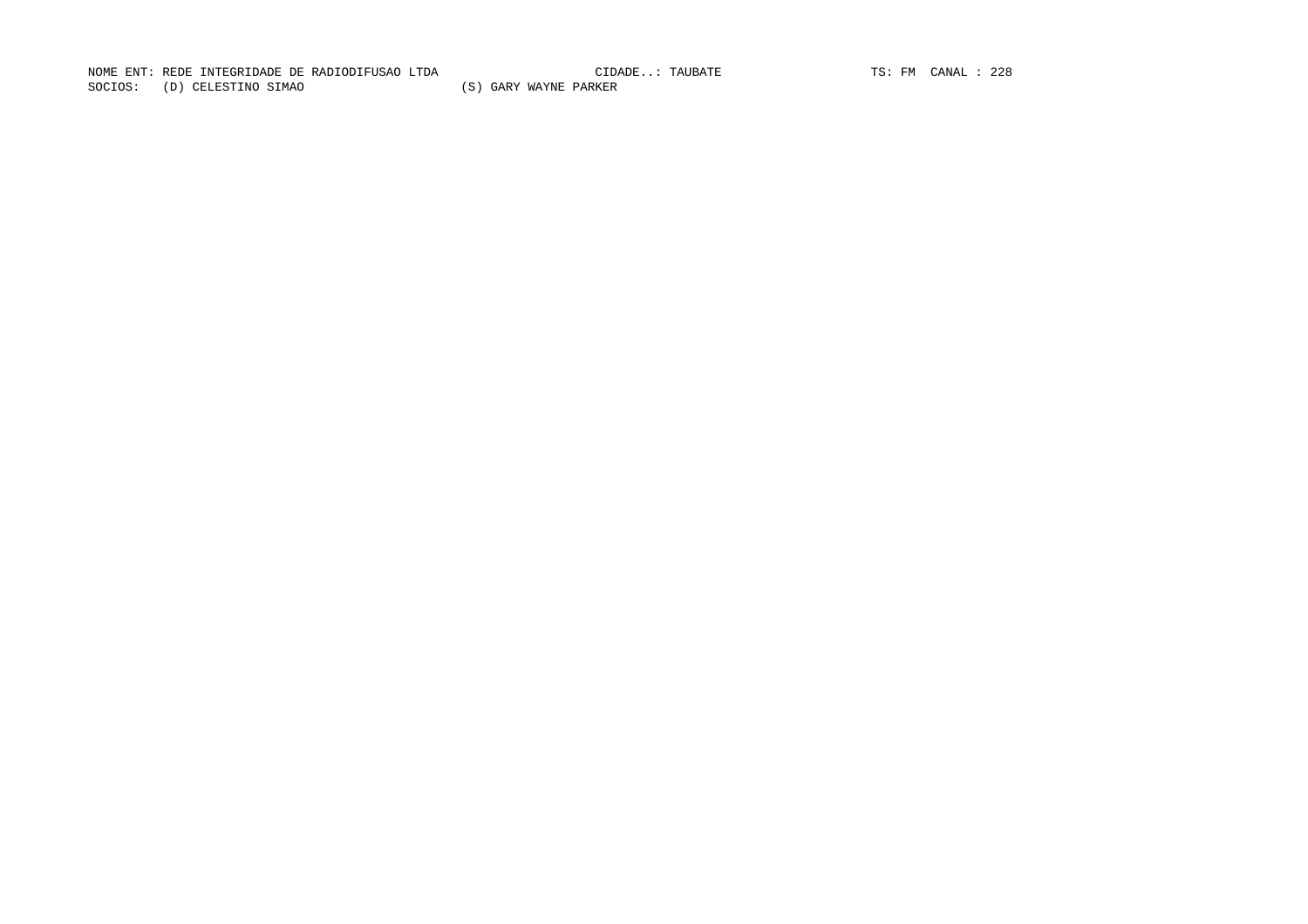NOME ENT: REDE INTEGRIDADE DE RADIODIFUSAO LTDA CIDA CIDADE...: TAUBATE TS: FM CANAL : 228 SOCIOS: (D) CELESTINO SIMAO (S) GARY WAYNE PARKER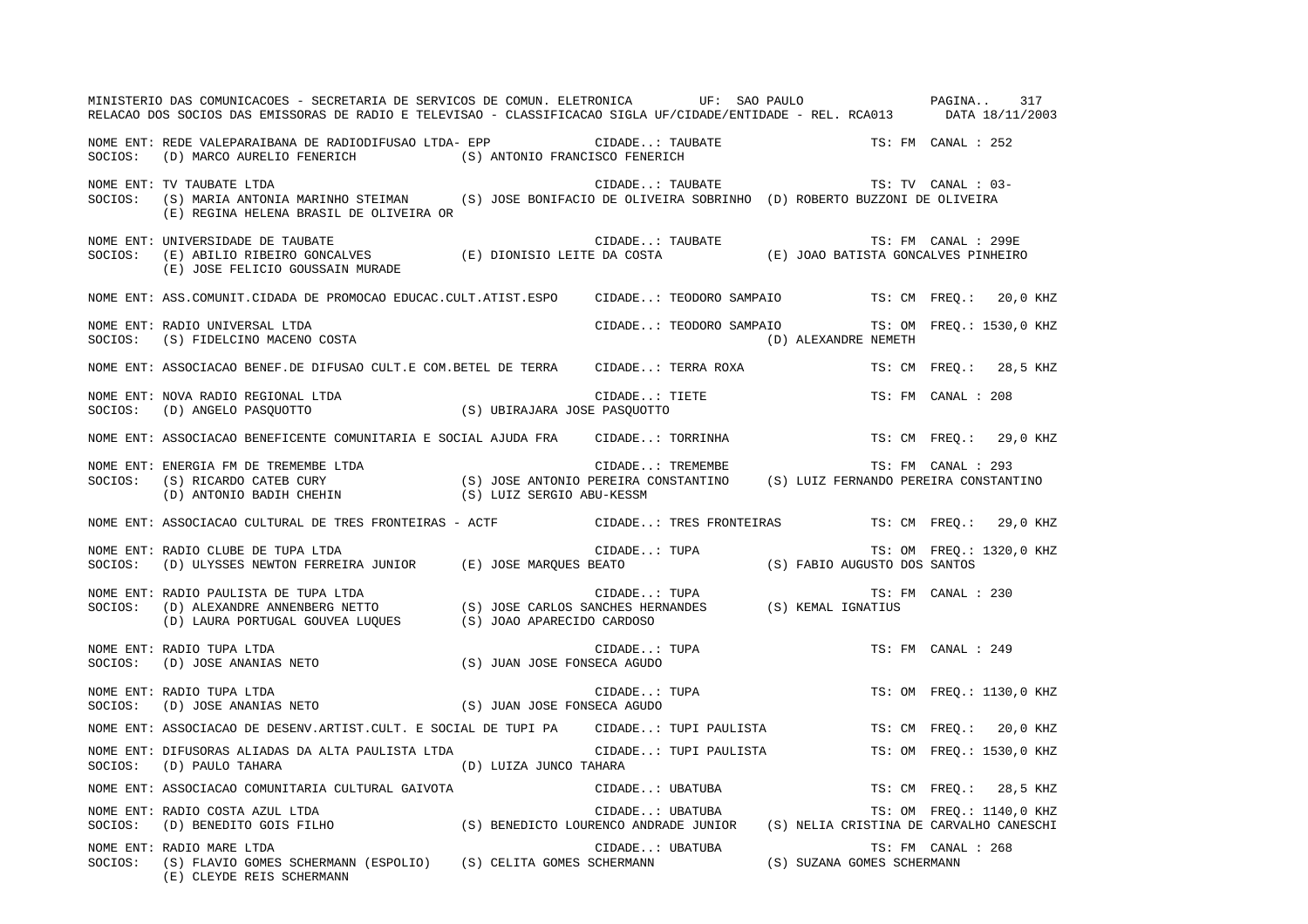|         | MINISTERIO DAS COMUNICACOES - SECRETARIA DE SERVICOS DE COMUN. ELETRONICA UF: SAO PAULO<br>RELACAO DOS SOCIOS DAS EMISSORAS DE RADIO E TELEVISAO - CLASSIFICACAO SIGLA UF/CIDADE/ENTIDADE - REL. RCA013 DATA 18/11/2003            |                                                  |                      |                    | PAGINA 317               |
|---------|------------------------------------------------------------------------------------------------------------------------------------------------------------------------------------------------------------------------------------|--------------------------------------------------|----------------------|--------------------|--------------------------|
|         | $\qquad \qquad \text{(D) MARCO AURELIO FENERICH} \qquad \qquad \text{(S) ANTONIO FRANCISCO FENERICH} \\$                                                                                                                           |                                                  |                      | TS: FM CANAL : 252 |                          |
|         | NOME ENT: TV TAUBATE LTDA<br>SOCIOS: (S) MARIA ANTONIA MARINHO STEIMAN (S) JOSE BONIFACIO DE OLIVEIRA SOBRINHO (D) ROBERTO BUZZONI DE OLIVEIRA<br>(E) REGINA HELENA BRASIL DE OLIVEIRA OR                                          | CIDADE: TAUBATE $TS: TV$ CANAL : 03-             |                      |                    |                          |
| SOCIOS: | NOME ENT: UNIVERSIDADE DE TAUBATE                                                                                                                                                                                                  |                                                  |                      |                    |                          |
|         | NOME ENT: ASS.COMUNIT.CIDADA DE PROMOCAO EDUCAC.CULT.ATIST.ESPO CIDADE: TEODORO SAMPAIO TS: CM FREQ.: 20,0 KHZ                                                                                                                     |                                                  |                      |                    |                          |
|         | NOME ENT: RADIO UNIVERSAL LTDA<br>SOCIOS: (S) FIDELCINO MACENO COSTA                                                                                                                                                               | CIDADE: TEODORO SAMPAIO TS: OM FREQ.: 1530,0 KHZ | (D) ALEXANDRE NEMETH |                    |                          |
|         | NOME ENT: ASSOCIACAO BENEF.DE DIFUSAO CULT.E COM.BETEL DE TERRA CIDADE: TERRA ROXA TS: CM FREQ.: 28,5 KHZ                                                                                                                          |                                                  |                      |                    |                          |
|         | NOME ENT: NOVA RADIO REGIONAL LTDA (S) UBIRAJARA JOSE PASQUOTTO (S) UBIRAJARA JOSE PASQUOTTO                                                                                                                                       | CIDADE: TIETE<br>E PASQUOTTO                     |                      | TS: FM CANAL : 208 |                          |
|         | NOME ENT: ASSOCIACAO BENEFICENTE COMUNITARIA E SOCIAL AJUDA FRA CIDADE: TORRINHA                                                                                                                                                   |                                                  |                      |                    | TS: CM FREO.: 29,0 KHZ   |
|         | ctDADE: TREMEMBE TS: FM CANAL . 233<br>SOCIOS: (S) RICARDO CATEB CURY (S) JOSE ANTONIO PEREIRA CONSTANTINO (S) LUIZ FERNANDO PEREIRA CONSTANTINO<br>(D) ANTONIO BADIH CHEHIN (S) LUIZ SERGIO ABU-KESSM                             | CIDADE: TREMEMBE                                 |                      |                    |                          |
|         | NOME ENT: ASSOCIACAO CULTURAL DE TRES FRONTEIRAS - ACTF CIDADE: TRES FRONTEIRAS TS: CM FREQ.: 29,0 KHZ                                                                                                                             |                                                  |                      |                    |                          |
| SOCIOS: | NOME ENT: RADIO CLUBE DE TUPA LTDA<br>TS: OM FREQ.:<br>(D) ULYSSES NEWTON FERREIRA JUNIOR (E) JOSE MARQUES BEATO (S) FABIO AUGUSTO DOS SANTOS                                                                                      |                                                  |                      |                    | TS: OM FREQ.: 1320,0 KHZ |
|         | NOME ENT: RADIO PAULISTA DE TUPA LTDA<br>SOCIOS: (D) ALEXANDRE ANNENBERG NETTO (S) JOSE CARLOS SANCHES HERNANDES (S) KEMAL IGNATIUS<br>(D) LAURA PORTUGAL GOUVEA LUQUES (S) JOAO APARECIDO CARDOSO                                 |                                                  |                      | TS: FM CANAL : 230 |                          |
| SOCIOS: | NOME ENT: RADIO TUPA LTDA<br>(D) JOSE ANANIAS NETO (S) JUAN JOSE FONSECA AGUDO                                                                                                                                                     | CIDADE: TUPA<br>SECA AGUDO                       |                      | TS: FM CANAL : 249 |                          |
|         | NOME ENT: RADIO TUPA LTDA<br>SOCIOS: (D) JOSE ANANIAS NETO<br>SOCIOS: (D) JOSE ANANIAS NETO (S) JUAN JOSE FONSECA AGUDO                                                                                                            | CIDADE: TUPA<br>SECA AGUDO                       |                      |                    | TS: OM FREQ.: 1130,0 KHZ |
|         | NOME ENT: ASSOCIACAO DE DESENV.ARTIST.CULT. E SOCIAL DE TUPI PA CIDADE: TUPI PAULISTA                                                                                                                                              |                                                  |                      |                    | TS: CM FREO.: 20,0 KHZ   |
|         | NOME ENT: DIFUSORAS ALIADAS DA ALTA PAULISTA LTDA<br>$\texttt{SOCIOS:} \hspace{0.5cm} \texttt{(D)} \hspace{0.5cm} \texttt{PAULO TAHARA} \hspace{1.5cm} \texttt{(D)} \hspace{0.5cm} \texttt{LUIZA JUNCO TAHARA}$                    | CIDADE: TUPI PAULISTA                            |                      |                    | TS: OM FREQ.: 1530,0 KHZ |
|         | NOME ENT: ASSOCIACAO COMUNITARIA CULTURAL GAIVOTA                                                                                                                                                                                  |                                                  |                      |                    |                          |
|         | NOME ENT: ASSOCIACAO COMUNITARIA CULTURAL GAIVOTA (SIDADE: UBATUBA TS: CM FREQ.: 28,5 KHZ<br>NOME ENT: RADIO COSTA AZUL LTDA<br>SOCIOS: (D) BENEDITO GOIS FILHO (S) BENEDICTO LOURENCO ANDRADE JUNIOR (S) NELIA CRISTINA DE CARVAL |                                                  |                      |                    |                          |
|         | CIDADE: UBATUBA [S] CELT CHANN (ESPOLIO) (S) CELITA GOMES SCHERMANN (S) CIDADE: UBATUBA [S] SUZANA GOMES SCHERMANN (ESPOLIO) (S) CELITA GOMES SCHERMANN (S) SUZANA GOMES SCHERMANN (E) CLEYDE REIS SCHERMANN                       |                                                  |                      | TS: FM CANAL : 268 |                          |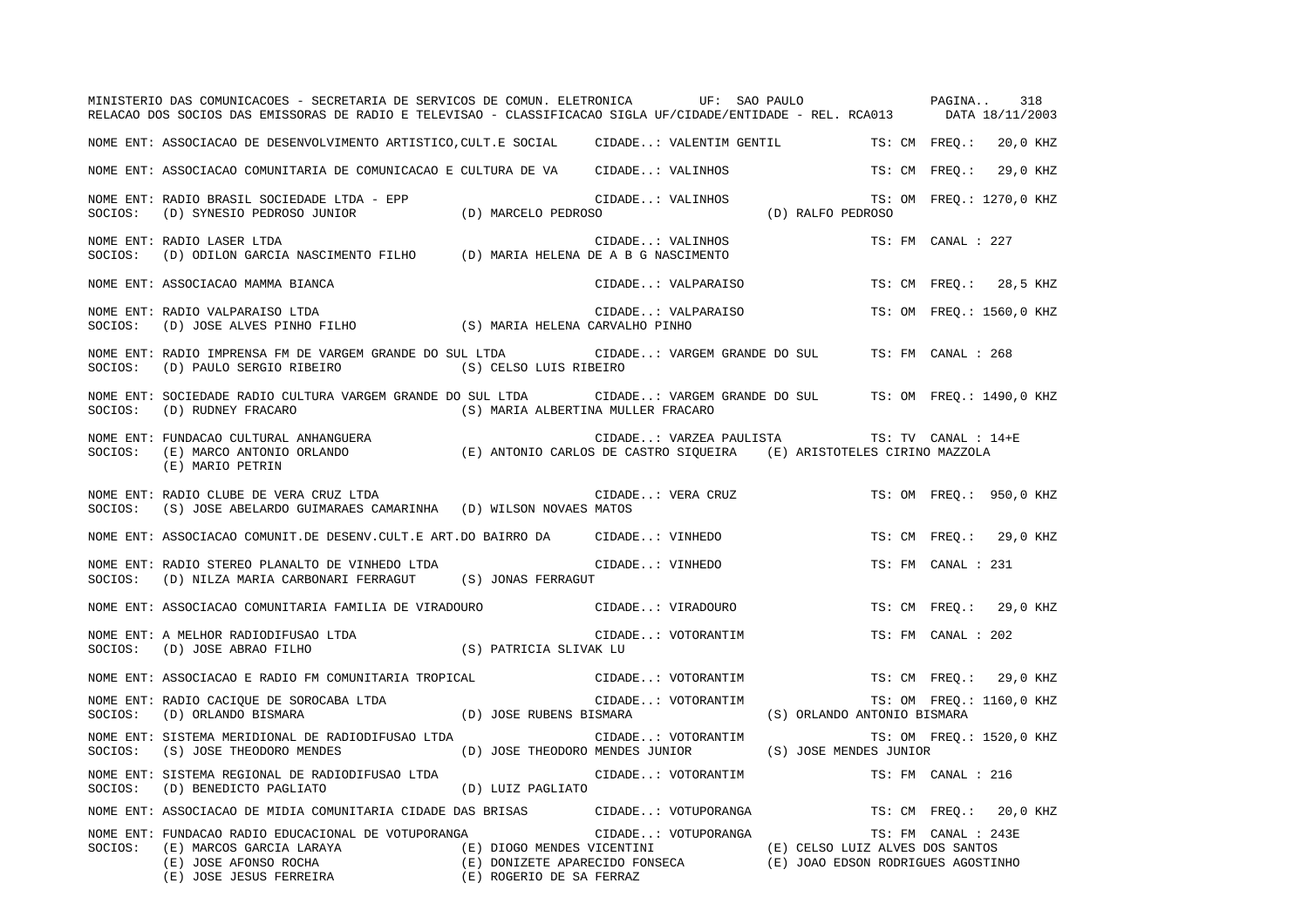|         | MINISTERIO DAS COMUNICACOES - SECRETARIA DE SERVICOS DE COMUN. ELETRONICA UF: SAO PAULO PAGINA<br>RELACAO DOS SOCIOS DAS EMISSORAS DE RADIO E TELEVISAO - CLASSIFICACAO SIGLA UF/CIDADE/ENTIDADE - REL. RCA013 DATA 18/11/2003                                                            |                                                        |                    |                     |                                              |                     |                    | 318                      |
|---------|-------------------------------------------------------------------------------------------------------------------------------------------------------------------------------------------------------------------------------------------------------------------------------------------|--------------------------------------------------------|--------------------|---------------------|----------------------------------------------|---------------------|--------------------|--------------------------|
|         | NOME ENT: ASSOCIACAO DE DESENVOLVIMENTO ARTISTICO,CULT.E SOCIAL CIDADE: VALENTIM GENTIL TS: CM FREQ.: 20,0 KHZ                                                                                                                                                                            |                                                        |                    |                     |                                              |                     |                    |                          |
|         | NOME ENT: ASSOCIACAO COMUNITARIA DE COMUNICACAO E CULTURA DE VA CIDADE: VALINHOS                                                                                                                                                                                                          |                                                        |                    |                     |                                              | TS: CM FREO.:       |                    | 29,0 KHZ                 |
|         | NOME ENT: RADIO BRASIL SOCIEDADE LTDA - EPP<br>SOCIOS:    (D) SYNESIO PEDROSO JUNIOR                      (D) MARCELO PEDROSO                                                                                                                                                             |                                                        |                    |                     | CIDADE: VALINHOS TS:<br>SO (D) RALFO PEDROSO |                     |                    | TS: OM FREQ.: 1270,0 KHZ |
| SOCIOS: | NOME ENT: RADIO LASER LTDA<br>(D) ODILON GARCIA NASCIMENTO FILHO (D) MARIA HELENA DE A B G NASCIMENTO                                                                                                                                                                                     |                                                        | CIDADE: VALINHOS   |                     |                                              |                     | TS: FM CANAL : 227 |                          |
|         | NOME ENT: ASSOCIACAO MAMMA BIANCA                                                                                                                                                                                                                                                         |                                                        |                    | CIDADE: VALPARAISO  |                                              |                     |                    | TS: CM FREO.: 28,5 KHZ   |
| SOCIOS: | NOME ENT: RADIO VALPARAISO LTDA<br>RADIO VALPARAISO LTDA (D) JOSE ALVES PINHO FILHO (S) MARIA HELENA CARVALHO PINHO                                                                                                                                                                       |                                                        |                    | CIDADE: VALPARAISO  |                                              |                     |                    | TS: OM FREO.: 1560,0 KHZ |
| SOCIOS: | NOME ENT: RADIO IMPRENSA FM DE VARGEM GRANDE DO SUL LTDA CIDADE: VARGEM GRANDE DO SUL<br>(D) PAULO SERGIO RIBEIRO (S) CELSO LUIS RIBEIRO                                                                                                                                                  |                                                        |                    |                     |                                              | TS: FM CANAL : 268  |                    |                          |
| SOCIOS: | NOME ENT: SOCIEDADE RADIO CULTURA VARGEM GRANDE DO SUL LTDA CIDADE: VARGEM GRANDE DO SUL TS: OM FREQ.: 1490,0 KHZ<br>$\left(\,\mathrm{D}\,\right)$ RUDNEY FRACARO $\left(\,\mathrm{S}\,\right)$ MARIA ALBERTINA MULLER FRACARO                                                            |                                                        |                    |                     |                                              |                     |                    |                          |
|         | (E) MARIO PETRIN                                                                                                                                                                                                                                                                          |                                                        |                    |                     | CIDADE: VARZEA PAULISTA TS: TV CANAL : 14+E  |                     |                    |                          |
| SOCIOS: | NOME ENT: RADIO CLUBE DE VERA CRUZ LTDA<br>(S) JOSE ABELARDO GUIMARAES CAMARINHA (D) WILSON NOVAES MATOS                                                                                                                                                                                  |                                                        |                    | CIDADE: VERA CRUZ   |                                              |                     |                    | TS: OM FREO.: 950,0 KHZ  |
|         | NOME ENT: ASSOCIACAO COMUNIT.DE DESENV.CULT.E ART.DO BAIRRO DA CIDADE: VINHEDO                                                                                                                                                                                                            |                                                        |                    |                     |                                              |                     |                    | TS: CM FREO.: 29,0 KHZ   |
| SOCIOS: | NOME ENT: RADIO STEREO PLANALTO DE VINHEDO LTDA<br>(D) NILZA MARIA CARBONARI FERRAGUT (S) JONAS FERRAGUT                                                                                                                                                                                  |                                                        | CIDADE: VINHEDO    |                     |                                              |                     | TS: FM CANAL : 231 |                          |
|         | NOME ENT: ASSOCIACAO COMUNITARIA FAMILIA DE VIRADOURO (CIDADE: VIRADOURO                                                                                                                                                                                                                  |                                                        |                    |                     |                                              |                     |                    | TS: CM FREO.: 29,0 KHZ   |
| SOCIOS: | NOME ENT: A MELHOR RADIODIFUSAO LTDA<br>LTDA CIDAI<br>S) PATRICIA SLIVAK LU) (S)<br>(D) JOSE ABRAO FILHO                                                                                                                                                                                  |                                                        | CIDADE: VOTORANTIM |                     |                                              |                     | TS: FM CANAL : 202 |                          |
|         | NOME ENT: ASSOCIACAO E RADIO FM COMUNITARIA TROPICAL                                                                                                                                                                                                                                      |                                                        |                    | CIDADE: VOTORANTIM  |                                              |                     |                    | TS: CM FREQ.: 29,0 KHZ   |
| SOCIOS: | NOME ENT: RADIO CACIQUE DE SOROCABA LTDA<br>SOCIOS: (D) ORLANDO BISMARA<br>(D) ORLANDO BISMARA                                                                                                                                                                                            | (D) JOSE RUBENS BISMARA                                | CIDADE: VOTORANTIM |                     | (S) ORLANDO ANTONIO BISMARA                  |                     |                    | TS: OM FREQ.: 1160,0 KHZ |
| SOCIOS: | NOME ENT: SISTEMA MERIDIONAL DE RADIODIFUSAO LTDA<br>(S) JOSE THEODORO MENDES                                                                                                                                                                                                             | (D) JOSE THEODORO MENDES JUNIOR (S) JOSE MENDES JUNIOR | CIDADE: VOTORANTIM |                     |                                              |                     |                    | TS: OM FREQ.: 1520,0 KHZ |
|         | NOME ENT: SISTEMA REGIONAL DE RADIODIFUSAO LTDA<br>SOCIOS: (D) BENEDICTO PAGLIATO (D) LUIZ PAGLIATO                                                                                                                                                                                       |                                                        | CIDADE: VOTORANTIM |                     |                                              | TS: FM CANAL : 216  |                    |                          |
|         | NOME ENT: ASSOCIACAO DE MIDIA COMUNITARIA CIDADE DAS BRISAS (CIDADE: VOTUPORANGA                                                                                                                                                                                                          |                                                        |                    |                     |                                              |                     |                    | TS: CM FREQ.: 20,0 KHZ   |
| SOCIOS: | NOME ENT: FUNDACAO RADIO EDUCACIONAL DE VOTUPORANGA<br>(E) MARCOS GARCIA LARAYA (E) DIOGO MENDES VICENTINI (E) CELSO LUIZ ALVES DOS SANTOS<br>(E) JOSE AFONSO ROCHA (E) DONIZETE APARECIDO FONSECA (E) JOAO EDSON RODRIGUES AGOSTINHO<br>(E) JOSE JESUS FERREIRA (E) ROGERIO DE SA FERRAZ |                                                        |                    | CIDADE: VOTUPORANGA |                                              | TS: FM CANAL : 243E |                    |                          |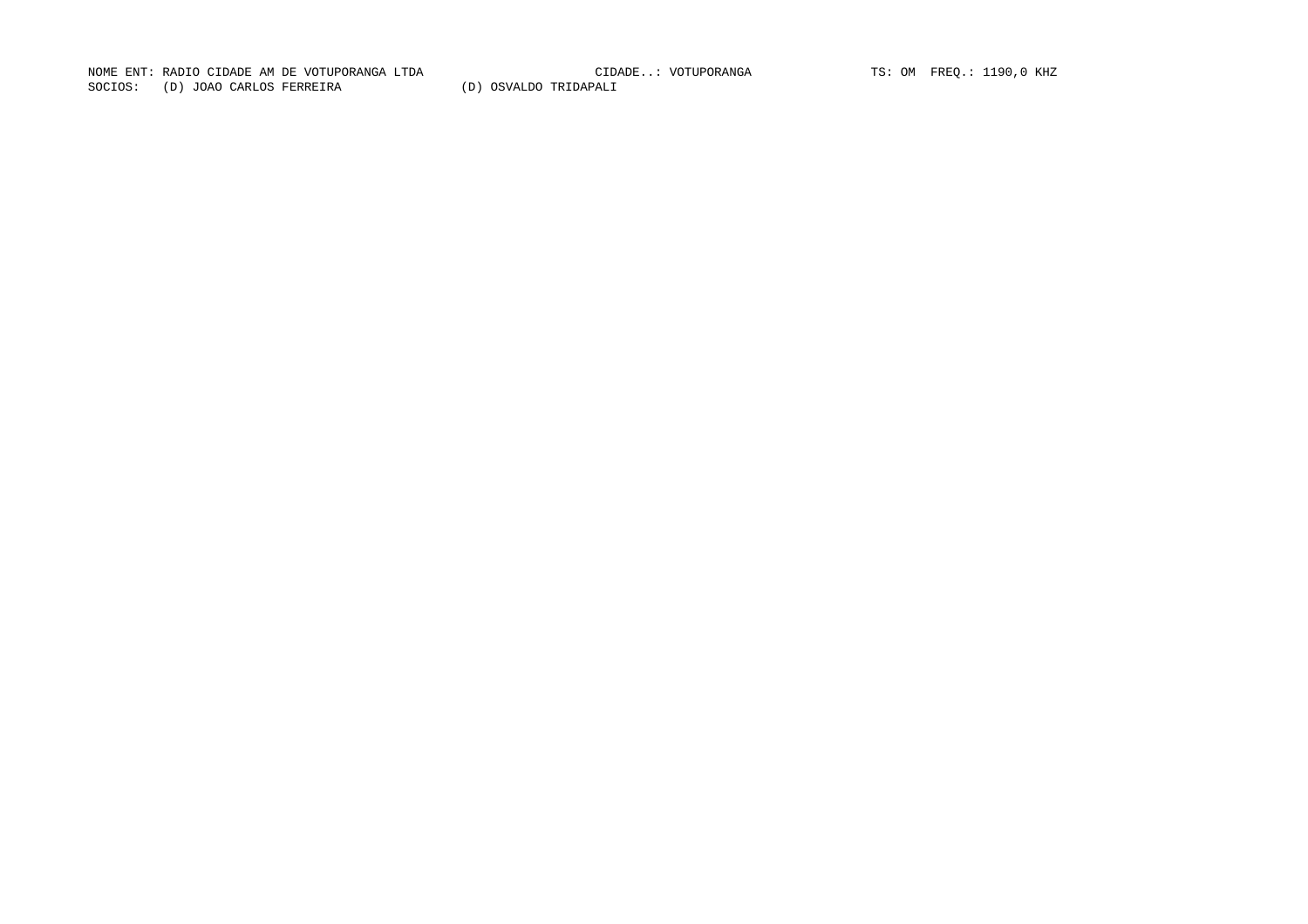NOME ENT: RADIO CIDADE AM DE VOTUPORANGA LTDA CIDADE..: VOTUPORANGA TS: OM FREQ.: 1190,0 KHZ SOCIOS: (D) JOAO CARLOS FERREIRA (D) OSVALDO TRIDAPALI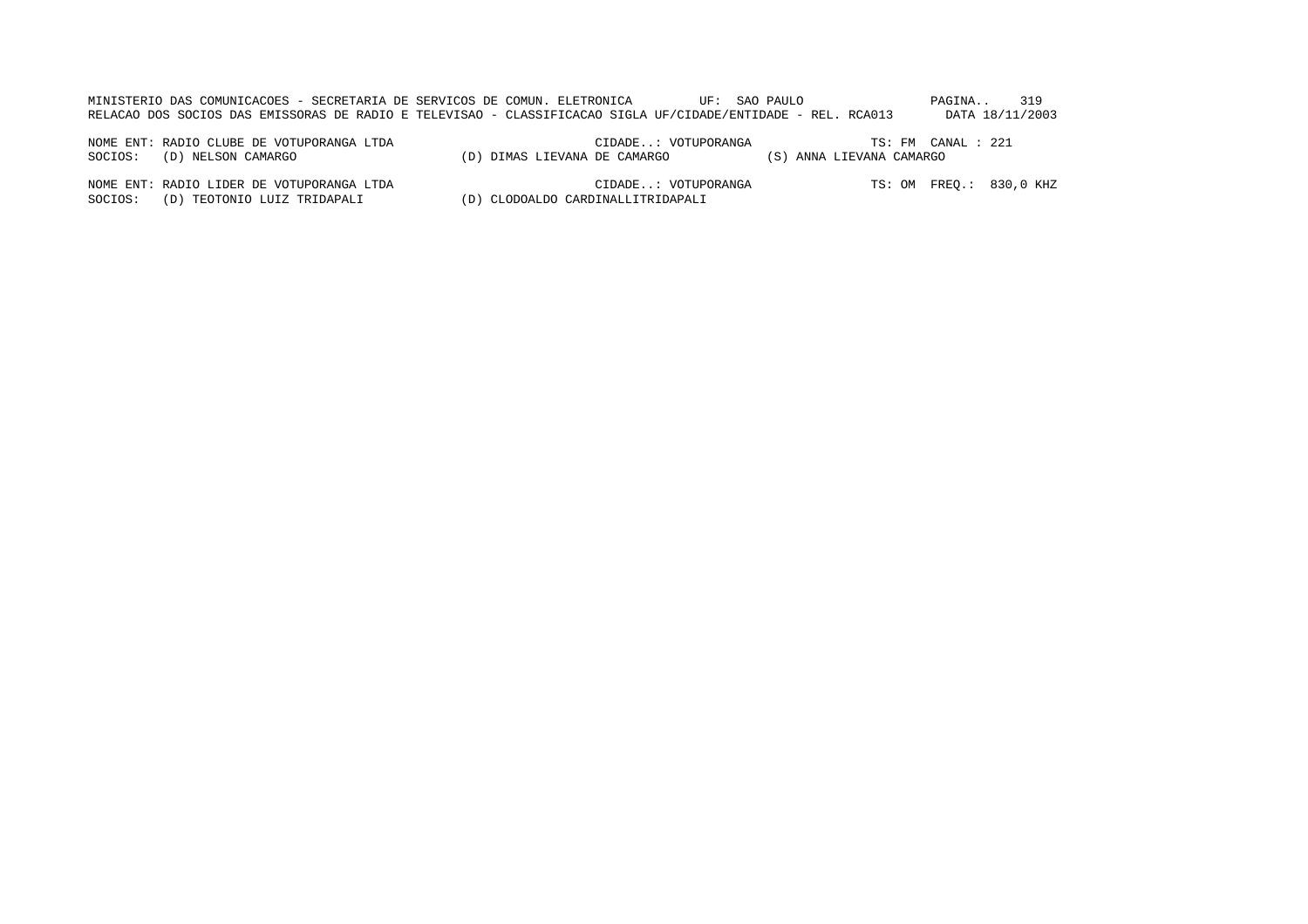| MINISTERIO DAS COMUNICACOES - SECRETARIA DE SERVICOS DE COMUN. ELETRONICA |  |                                                                                                              | UF: SAO PAULO | PAGINA |                 |
|---------------------------------------------------------------------------|--|--------------------------------------------------------------------------------------------------------------|---------------|--------|-----------------|
|                                                                           |  | RELACAO DOS SOCIOS DAS EMISSORAS DE RADIO E TELEVISAO - CLASSIFICACAO SIGLA UF/CIDADE/ENTIDADE - REL. RCA013 |               |        | DATA 18/11/2003 |

NOME ENT: RADIO CLUBE DE VOTUPORANGA LTDA CIDADE..: VOTUPORANGA TS: FM CANAL : 221CIDADE..: VOTUPORANGA TS: FM CANAL : 221 SOCIOS: (D) NELSON CAMARGO (D) DIMAS LIEVANA DE CAMARGO (S) ANNA LIEVANA CAMARGO

NOME ENT: RADIO LIDER DE VOTUPORANGA LTDA CIDADE..: VOTUPORANGA TS: OM FREQ.: 830,0 KHZ SOCIOS: (D) TEOTONIO LUIZ TRIDAPALI (D) CLODOALDO CARDINALLITRIDAPALI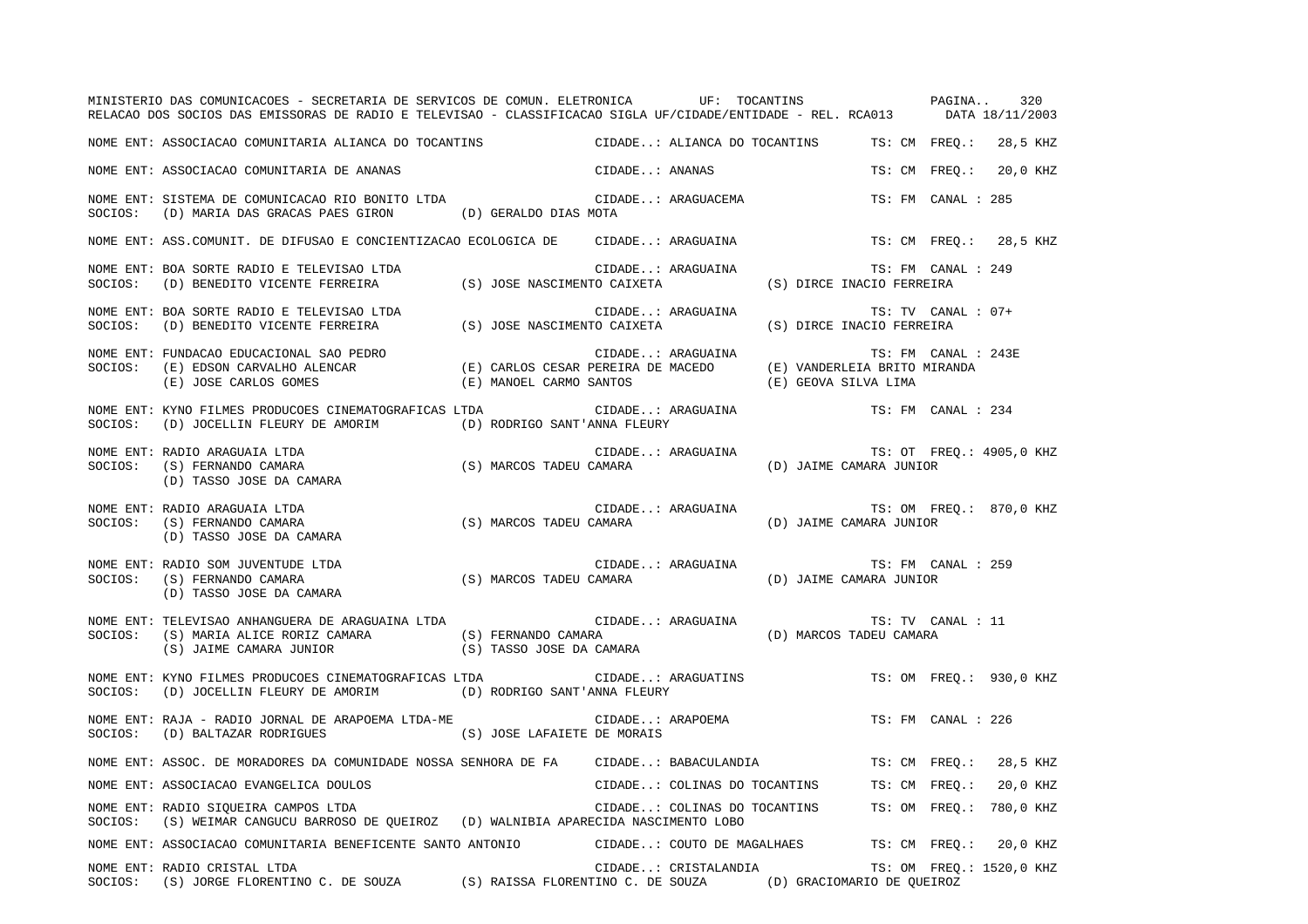|         | MINISTERIO DAS COMUNICACOES - SECRETARIA DE SERVICOS DE COMUN. ELETRONICA UF: TOCANTINS PAGINA<br>RELACAO DOS SOCIOS DAS EMISSORAS DE RADIO E TELEVISAO - CLASSIFICACAO SIGLA UF/CIDADE/ENTIDADE - REL. RCA013 DATA 18/11/2003 |                                                 |                |                                                            |                                                 | 320                      |
|---------|--------------------------------------------------------------------------------------------------------------------------------------------------------------------------------------------------------------------------------|-------------------------------------------------|----------------|------------------------------------------------------------|-------------------------------------------------|--------------------------|
|         | NOME ENT: ASSOCIACAO COMUNITARIA ALIANCA DO TOCANTINS                                                                                                                                                                          |                                                 |                | CIDADE: ALIANCA DO TOCANTINS TS: CM FREO.: 28,5 KHZ        |                                                 |                          |
|         | NOME ENT: ASSOCIACAO COMUNITARIA DE ANANAS                                                                                                                                                                                     |                                                 | CIDADE: ANANAS |                                                            | TS: CM FREO.:                                   | 20,0 KHZ                 |
| SOCIOS: | NOME ENT: SISTEMA DE COMUNICACAO RIO BONITO LTDA<br>(D) MARIA DAS GRACAS PAES GIRON (D) GERALDO DIAS MOTA                                                                                                                      |                                                 |                | CIDADE: ARAGUACEMA                                         | TS: FM CANAL : 285                              |                          |
|         | NOME ENT: ASS.COMUNIT. DE DIFUSAO E CONCIENTIZACAO ECOLOGICA DE CIDADE: ARAGUAINA                                                                                                                                              |                                                 |                |                                                            |                                                 | TS: CM FREQ.: 28,5 KHZ   |
|         | NOME ENT: BOA SORTE RADIO E TELEVISAO LTDA (S) JOSE NASCIMENTO CAIXETA SOCIOS: (D) BENEDITO VICENTE FERREIRA (S) JOSE NASCIMENTO CAIXETA                                                                                       |                                                 |                | CIDADE: ARAGUAINA                                          | TS: FM CANAL : 249<br>(S) DIRCE INACIO FERREIRA |                          |
|         | NOME ENT: BOA SORTE RADIO E TELEVISAO LTDA (S) JOSE NASCIMENTO CAIXETA SOCIOS: (D) BENEDITO VICENTE FERREIRA (S) JOSE NASCIMENTO CAIXETA                                                                                       |                                                 |                | CIDADE: ARAGUAINA                                          | TS: TV CANAL: 07+<br>(S) DIRCE INACIO FERREIRA  |                          |
|         | (E) JOSE CARLOS GOMES                                                                                                                                                                                                          | (E) MANOEL CARMO SANTOS                         |                | (E) GEOVA SILVA LIMA                                       | TS: FM CANAL : 243E                             |                          |
| SOCIOS: | NOME ENT: KYNO FILMES PRODUCOES CINEMATOGRAFICAS LTDA<br>(D) JOCELLIN FLEURY DE AMORIM (D) RODRIGO SANT'ANNA FLEURY                                                                                                            |                                                 |                | CIDADE: ARAGUAINA                                          | TS: FM CANAL : 234                              |                          |
| SOCIOS: | NOME ENT: RADIO ARAGUAIA LTDA<br>(S) MARCOS TADEU CAMARA<br>(S) FERNANDO CAMARA<br>(D) TASSO JOSE DA CAMARA                                                                                                                    |                                                 |                | CIDADE: ARAGUAINA (D) JAIME CAMARA JUNIOR<br>CAMARA JUNIOR |                                                 | TS: OT FREQ.: 4905,0 KHZ |
| SOCIOS: | NOME ENT: RADIO ARAGUAIA LTDA<br>(S) FERNANDO CAMARA<br>(D) TASSO JOSE DA CAMARA                                                                                                                                               | (S) MARCOS TADEU CAMARA (D) JAIME CAMARA JUNIOR |                | CIDADE: ARAGUAINA                                          |                                                 | TS: OM FREQ.: 870,0 KHZ  |
| SOCIOS: | NOME ENT: RADIO SOM JUVENTUDE LTDA<br>(S) FERNANDO CAMARA<br>(D) TASSO JOSE DA CAMARA                                                                                                                                          | (S) MARCOS TADEU CAMARA                         |                | CIDADE: ARAGUAINA                                          | TS: FM CANAL : 259<br>(D) JAIME CAMARA JUNIOR   |                          |
| SOCIOS: | NOME ENT: TELEVISAO ANHANGUERA DE ARAGUAINA LTDA<br>(S) MARIA ALICE RORIZ CAMARA (S) FERNANDO CAMARA<br>(S) JAIME CAMARA JUNIOR (S) TASSO JOSE DA CAMARA                                                                       |                                                 |                | CIDADE: ARAGUAINA<br>(D) MARCOS TADEU CAMARA               | TS: TV CANAL : 11                               |                          |
| SOCIOS: | NOME ENT: KYNO FILMES PRODUCOES CINEMATOGRAFICAS LTDA<br>(D) JOCELLIN FLEURY DE AMORIM (D) RODRIGO SANT'ANNA FLEURY                                                                                                            |                                                 |                | CIDADE: ARAGUATINS                                         |                                                 | TS: OM FREQ.: 930,0 KHZ  |
| SOCIOS: | NOME ENT: RAJA - RADIO JORNAL DE ARAPOEMA LTDA-ME<br>(S) JOSE LAFAIETE DE MORAIS<br>(D) BALTAZAR RODRIGUES                                                                                                                     |                                                 |                | CIDADE: ARAPOEMA                                           | TS: FM CANAL : 226                              |                          |
|         | NOME ENT: ASSOC. DE MORADORES DA COMUNIDADE NOSSA SENHORA DE FA CIDADE: BABACULANDIA                                                                                                                                           |                                                 |                |                                                            |                                                 | TS: CM FREQ.: 28,5 KHZ   |
|         | NOME ENT: ASSOCIACAO EVANGELICA DOULOS                                                                                                                                                                                         |                                                 |                | CIDADE: COLINAS DO TOCANTINS TS: CM FREQ.:                 |                                                 | 20,0 KHZ                 |
| SOCIOS: | NOME ENT: RADIO SIQUEIRA CAMPOS LTDA<br>(S) WEIMAR CANGUCU BARROSO DE QUEIROZ (D) WALNIBIA APARECIDA NASCIMENTO LOBO                                                                                                           |                                                 |                | CIDADE: COLINAS DO TOCANTINS TS: OM FREQ.: 780,0 KHZ       |                                                 |                          |
|         | NOME ENT: ASSOCIACAO COMUNITARIA BENEFICENTE SANTO ANTONIO CIDADE: COUTO DE MAGALHAES TS: CM FREQ.: 20,0 KHZ                                                                                                                   |                                                 |                |                                                            |                                                 |                          |
|         | NOME ENT: RADIO CRISTAL LTDA<br>SOCIOS: (S) JORGE FLORENTINO C. DE SOUZA (S) RAISSA FLORENTINO C. DE SOUZA (D) GRACIOMARIO DE OUEIROZ                                                                                          |                                                 |                | CIDADE: CRISTALANDIA                                       |                                                 | TS: OM FREO.: 1520,0 KHZ |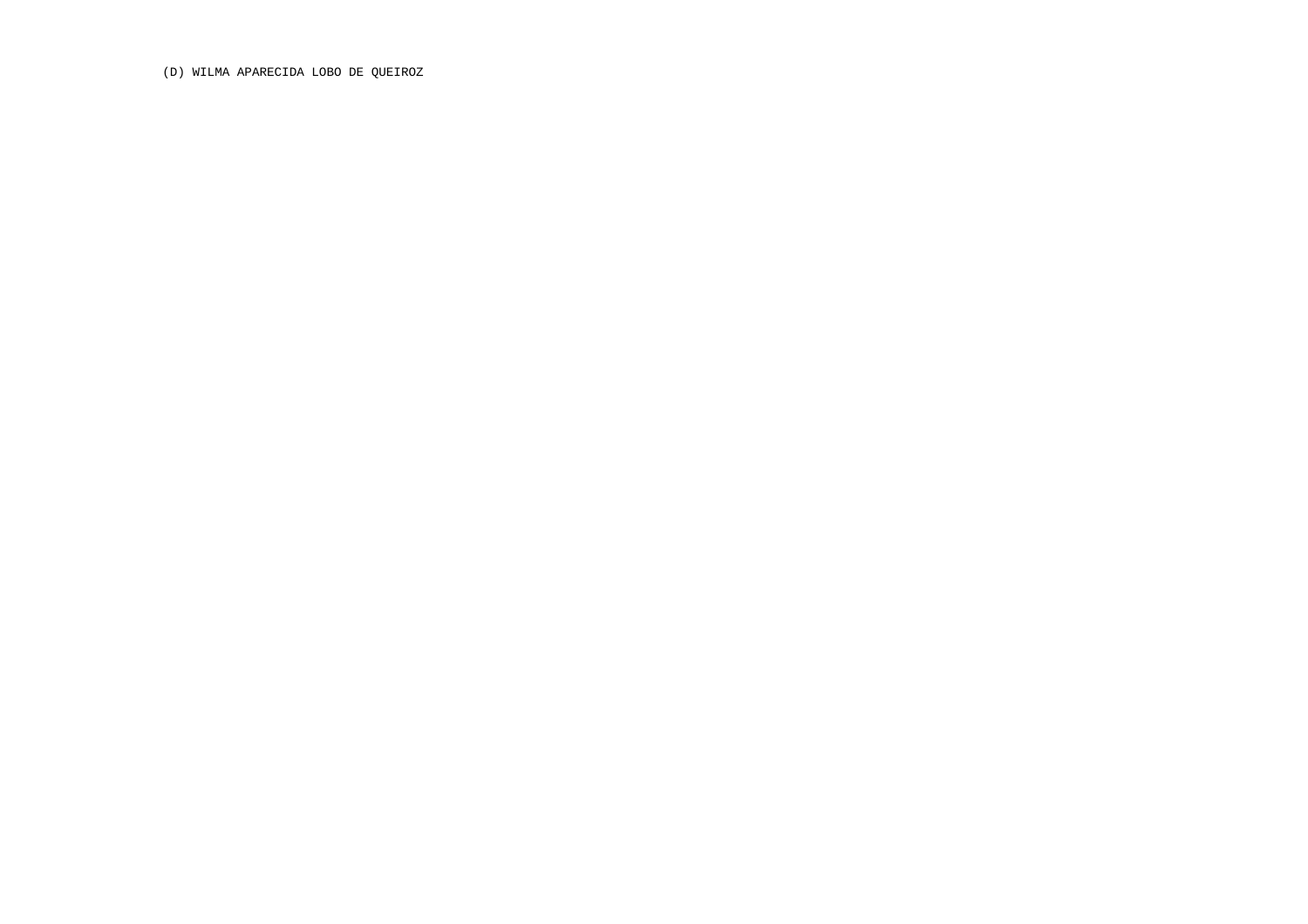(D) WILMA APARECIDA LOBO DE QUEIROZ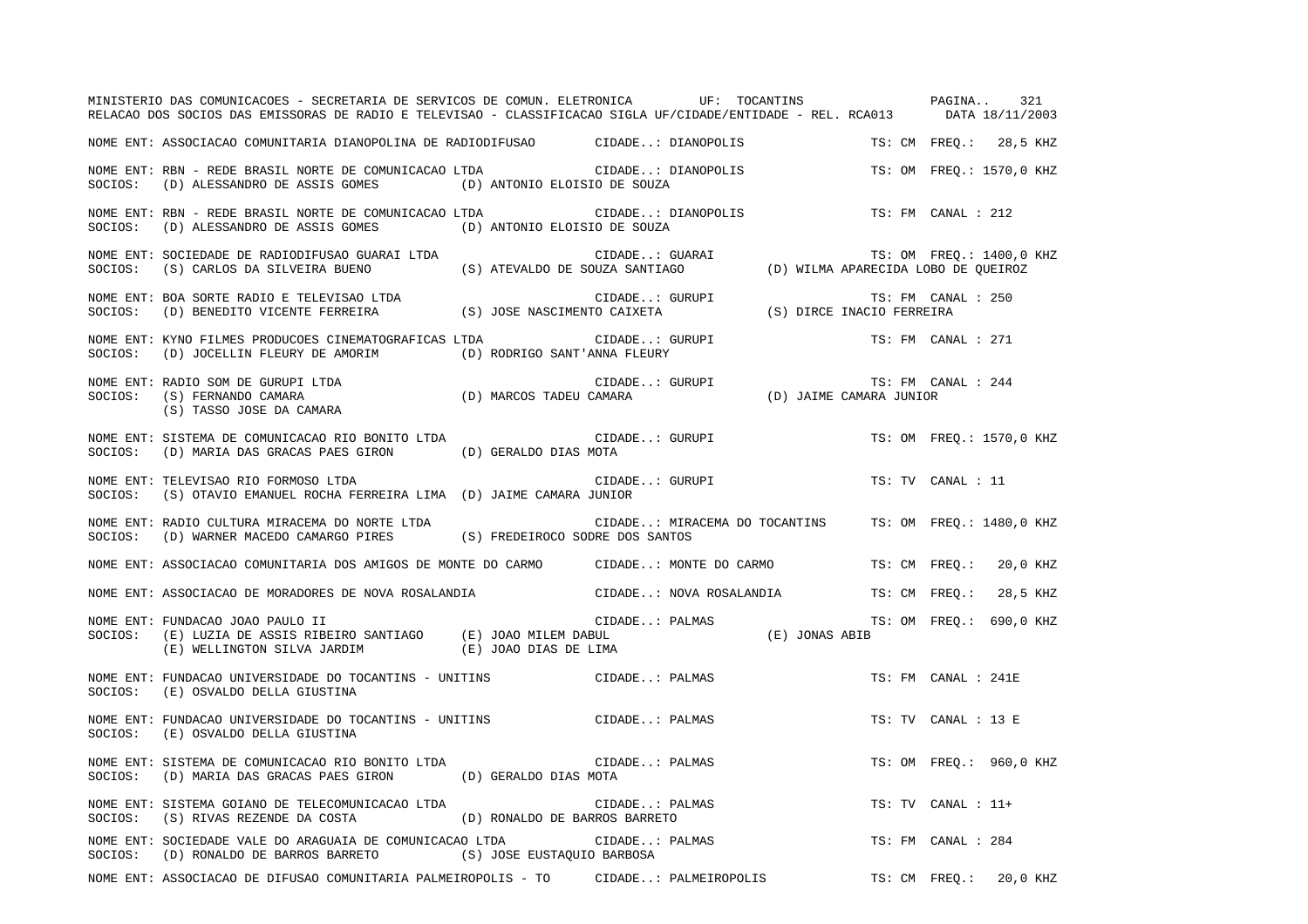|         | MINISTERIO DAS COMUNICACOES - SECRETARIA DE SERVICOS DE COMUN. ELETRONICA UF: TOCANTINS PAGINA<br>RELACAO DOS SOCIOS DAS EMISSORAS DE RADIO E TELEVISAO - CLASSIFICACAO SIGLA UF/CIDADE/ENTIDADE - REL. RCA013 DATA 18/11/2003 |                                                                             |                |                                                        |  |  |                     | 321                      |
|---------|--------------------------------------------------------------------------------------------------------------------------------------------------------------------------------------------------------------------------------|-----------------------------------------------------------------------------|----------------|--------------------------------------------------------|--|--|---------------------|--------------------------|
|         | NOME ENT: ASSOCIACAO COMUNITARIA DIANOPOLINA DE RADIODIFUSAO           CIDADE: DIANOPOLIS                                                                                                                                      |                                                                             |                |                                                        |  |  |                     | TS: CM FREO.: 28,5 KHZ   |
| SOCIOS: | NOME ENT: RBN - REDE BRASIL NORTE DE COMUNICACAO LTDA<br>(D) ALESSANDRO DE ASSIS GOMES (D) ANTONIO ELOISIO DE SOUZA                                                                                                            | CIDADE: DIANOPOLIS                                                          |                |                                                        |  |  |                     | TS: OM FREO.: 1570,0 KHZ |
| SOCIOS: | NOME ENT: RBN - REDE BRASIL NORTE DE COMUNICACAO LTDA<br>(D) ALESSANDRO DE ASSIS GOMES                                                                                                                                         | (D) ANTONIO ELOISIO DE SOUZA                                                |                | CIDADE: DIANOPOLIS                                     |  |  | TS: FM CANAL : 212  |                          |
| SOCIOS: | NOME ENT: SOCIEDADE DE RADIODIFUSAO GUARAI LTDA<br>(S) CARLOS DA SILVEIRA BUENO                                                                                                                                                | RAI LTDA (S) ATEVALDO DE SOUZA SANTIAGO (D) WILMA APARECIDA LOBO DE QUEIROZ |                |                                                        |  |  |                     | TS: OM FREQ.: 1400,0 KHZ |
|         | NOME ENT: BOA SORTE RADIO E TELEVISAO LTDA<br>SOCIOS: (D) BENEDITO VICENTE FERREIRA (S) JOSE NASCIMENTO CAIXETA (S) DIRCE INACIO FERREIRA                                                                                      |                                                                             |                |                                                        |  |  | TS: FM CANAL : 250  |                          |
| SOCIOS: | NOME ENT: KYNO FILMES PRODUCOES CINEMATOGRAFICAS LTDA<br>(D) JOCELLIN FLEURY DE AMORIM (D) RODRIGO SANT'ANNA FLEURY                                                                                                            |                                                                             |                | CIDADE: GURUPI                                         |  |  | TS: FM CANAL : 271  |                          |
|         | (S) TASSO JOSE DA CAMARA                                                                                                                                                                                                       |                                                                             |                |                                                        |  |  | TS: FM CANAL : 244  |                          |
|         | NOME ENT: SISTEMA DE COMUNICACAO RIO BONITO LTDA<br>SOCIOS: (D) MARIA DAS GRACAS PAES GIRON (D) GERALDO DIAS MOTA                                                                                                              |                                                                             |                | CIDADE: GURUPI                                         |  |  |                     | TS: OM FREO.: 1570,0 KHZ |
|         | NOME ENT: TELEVISAO RIO FORMOSO LTDA<br>SOCIOS: (S) OTAVIO EMANUEL ROCHA FERREIRA LIMA (D) JAIME CAMARA JUNIOR                                                                                                                 |                                                                             |                | CIDADE: GURUPI                                         |  |  | TS: TV CANAL : 11   |                          |
|         | NOME ENT: RADIO CULTURA MIRACEMA DO NORTE LTDA<br>SOCIOS: (D) WARNER MACEDO CAMARGO PIRES (S) FREDEIROCO SODRE DOS SANTOS                                                                                                      |                                                                             |                | CIDADE: MIRACEMA DO TOCANTINS TS: OM FREQ.: 1480,0 KHZ |  |  |                     |                          |
|         | NOME ENT: ASSOCIACAO COMUNITARIA DOS AMIGOS DE MONTE DO CARMO CIDADE: MONTE DO CARMO                                                                                                                                           |                                                                             |                |                                                        |  |  | TS: CM FREQ.:       | 20,0 KHZ                 |
|         | NOME ENT: ASSOCIACAO DE MORADORES DE NOVA ROSALANDIA                         CIDADE: NOVA ROSALANDIA                                                                                                                           |                                                                             |                |                                                        |  |  | TS: CM FREQ.:       | 28,5 KHZ                 |
| SOCIOS: | NOME ENT: FUNDACAO JOAO PAULO II<br>(E) LUZIA DE ASSIS RIBEIRO SANTIAGO (E) JOAO MILEM DABUL $(E)$ WELLINGTON SILVA JARDIM (E) JOAO DIAS DE LIMA                                                                               |                                                                             | CIDADE: PALMAS | ן<br>JONAS ABIB (E) JONAS ABIB                         |  |  |                     | TS: OM FREO.: 690,0 KHZ  |
| SOCIOS: | NOME ENT: FUNDACAO UNIVERSIDADE DO TOCANTINS - UNITINS CONSTRUIDADE: PALMAS<br>(E) OSVALDO DELLA GIUSTINA                                                                                                                      |                                                                             |                |                                                        |  |  | TS: FM CANAL : 241E |                          |
| SOCIOS: | NOME ENT: FUNDACAO UNIVERSIDADE DO TOCANTINS - UNITINS<br>(E) OSVALDO DELLA GIUSTINA                                                                                                                                           |                                                                             | CIDADE: PALMAS |                                                        |  |  | TS: TV CANAL : 13 E |                          |
| SOCIOS: | NOME ENT: SISTEMA DE COMUNICACAO RIO BONITO LTDA<br>(D) MARIA DAS GRACAS PAES GIRON (D) GERALDO DIAS MOTA                                                                                                                      |                                                                             | CIDADE: PALMAS |                                                        |  |  |                     | TS: OM FREO.: 960,0 KHZ  |
| SOCIOS: | NOME ENT: SISTEMA GOIANO DE TELECOMUNICACAO LTDA<br>(S) RIVAS REZENDE DA COSTA (D) RONALDO DE BARROS BARRETO                                                                                                                   |                                                                             | CIDADE: PALMAS |                                                        |  |  | TS: TV CANAL : 11+  |                          |
|         | NOME ENT: SOCIEDADE VALE DO ARAGUAIA DE COMUNICACAO LTDA CIDADE: PALMAS<br>SOCIOS: (D) RONALDO DE BARROS BARRETO (S) JOSE EUSTAQUIO BARBOSA                                                                                    |                                                                             |                |                                                        |  |  | TS: FM CANAL : 284  |                          |
|         | NOME ENT: ASSOCIACAO DE DIFUSAO COMUNITARIA PALMEIROPOLIS - TO CIDADE: PALMEIROPOLIS TS: CM FREO.: 20,0 KHZ                                                                                                                    |                                                                             |                |                                                        |  |  |                     |                          |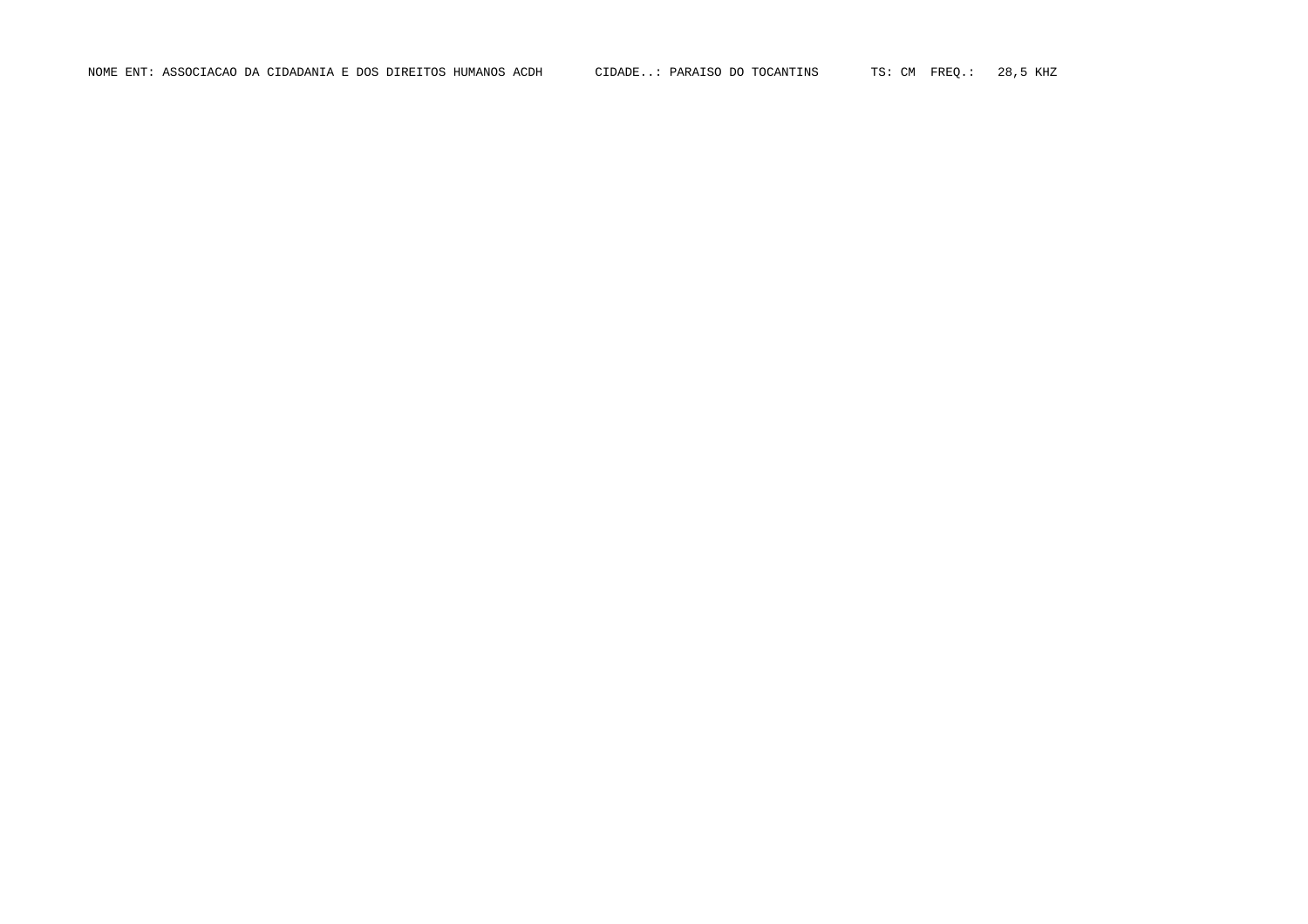NOME ENT: ASSOCIACAO DA CIDADANIA E DOS DIREITOS HUMANOS ACDH CIDADE..: PARAISO DO TOCANTINS TS: CM FREQ.: 28,5 KHZ